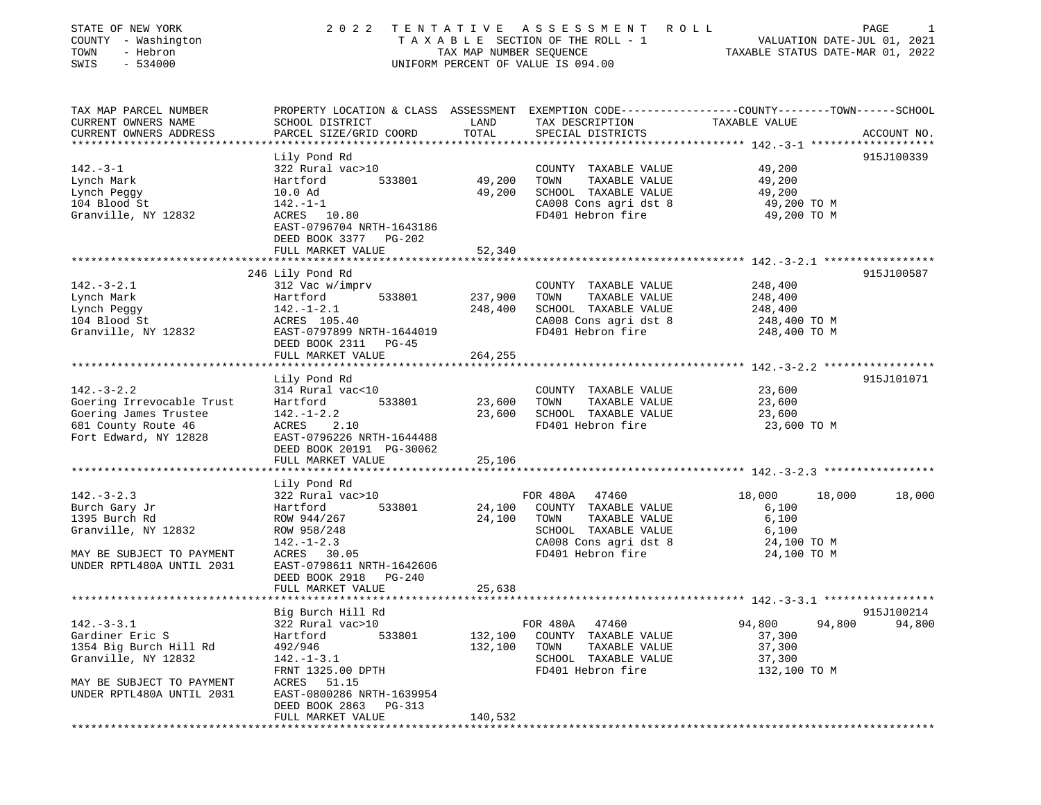| STATE OF NEW YORK<br>COUNTY - Washington<br>- Hebron<br>TOWN<br>SWIS<br>$-534000$ | 2 0 2 2                                                           | TENTATIVE<br>TAX MAP NUMBER SEQUENCE | A S S E S S M E N T<br>R O L L<br>TAXABLE SECTION OF THE ROLL - 1<br>UNIFORM PERCENT OF VALUE IS 094.00 | PAGE<br>VALUATION DATE-JUL 01, 2021<br>TAXABLE STATUS DATE-MAR 01, 2022                                           | 1      |
|-----------------------------------------------------------------------------------|-------------------------------------------------------------------|--------------------------------------|---------------------------------------------------------------------------------------------------------|-------------------------------------------------------------------------------------------------------------------|--------|
| TAX MAP PARCEL NUMBER<br>CURRENT OWNERS NAME                                      | SCHOOL DISTRICT                                                   | LAND                                 | TAX DESCRIPTION                                                                                         | PROPERTY LOCATION & CLASS ASSESSMENT EXEMPTION CODE----------------COUNTY-------TOWN------SCHOOL<br>TAXABLE VALUE |        |
| CURRENT OWNERS ADDRESS                                                            | PARCEL SIZE/GRID COORD                                            | TOTAL                                | SPECIAL DISTRICTS                                                                                       | ACCOUNT NO.                                                                                                       |        |
|                                                                                   | Lily Pond Rd                                                      |                                      |                                                                                                         | 915J100339                                                                                                        |        |
| $142. - 3 - 1$                                                                    | 322 Rural vac>10                                                  |                                      | COUNTY TAXABLE VALUE                                                                                    | 49,200                                                                                                            |        |
| Lynch Mark                                                                        | Hartford<br>533801                                                | 49,200                               | TOWN<br>TAXABLE VALUE                                                                                   | 49,200                                                                                                            |        |
| Lynch Peggy                                                                       | 10.0 Ad                                                           | 49,200                               | SCHOOL TAXABLE VALUE                                                                                    | 49,200                                                                                                            |        |
| 104 Blood St                                                                      | $142. - 1 - 1$                                                    |                                      | CA008 Cons agri dst 8                                                                                   | 49,200 TO M                                                                                                       |        |
| Granville, NY 12832                                                               | ACRES 10.80<br>EAST-0796704 NRTH-1643186<br>DEED BOOK 3377 PG-202 |                                      | FD401 Hebron fire                                                                                       | 49,200 TO M                                                                                                       |        |
|                                                                                   | FULL MARKET VALUE                                                 | 52,340                               |                                                                                                         |                                                                                                                   |        |
|                                                                                   |                                                                   |                                      |                                                                                                         |                                                                                                                   |        |
|                                                                                   | 246 Lily Pond Rd                                                  |                                      |                                                                                                         | 915J100587                                                                                                        |        |
| $142.-3-2.1$                                                                      | 312 Vac w/imprv                                                   |                                      | COUNTY TAXABLE VALUE                                                                                    | 248,400                                                                                                           |        |
| Lynch Mark                                                                        | Hartford<br>533801                                                | 237,900                              | TOWN<br>TAXABLE VALUE                                                                                   | 248,400                                                                                                           |        |
| Lynch Peggy                                                                       | $142. - 1 - 2.1$                                                  | 248,400                              | SCHOOL TAXABLE VALUE                                                                                    | 248,400                                                                                                           |        |
| 104 Blood St                                                                      | ACRES 105.40                                                      |                                      | CA008 Cons agri dst 8                                                                                   | 248,400 TO M                                                                                                      |        |
| Granville, NY 12832                                                               | EAST-0797899 NRTH-1644019<br>DEED BOOK 2311 PG-45                 |                                      | FD401 Hebron fire                                                                                       | 248,400 TO M                                                                                                      |        |
|                                                                                   | FULL MARKET VALUE                                                 | 264,255                              |                                                                                                         |                                                                                                                   |        |
|                                                                                   | Lily Pond Rd                                                      |                                      |                                                                                                         | 915J101071                                                                                                        |        |
| $142. - 3 - 2.2$                                                                  | 314 Rural vac<10                                                  |                                      | COUNTY TAXABLE VALUE                                                                                    | 23,600                                                                                                            |        |
| Goering Irrevocable Trust                                                         | 533801<br>Hartford                                                | 23,600                               | TOWN<br>TAXABLE VALUE                                                                                   | 23,600                                                                                                            |        |
| Goering James Trustee                                                             | $142. - 1 - 2.2$                                                  | 23,600                               | SCHOOL TAXABLE VALUE                                                                                    | 23,600                                                                                                            |        |
| 681 County Route 46                                                               | ACRES<br>2.10                                                     |                                      | FD401 Hebron fire                                                                                       | 23,600 TO M                                                                                                       |        |
| Fort Edward, NY 12828                                                             | EAST-0796226 NRTH-1644488                                         |                                      |                                                                                                         |                                                                                                                   |        |
|                                                                                   | DEED BOOK 20191 PG-30062                                          |                                      |                                                                                                         |                                                                                                                   |        |
|                                                                                   | FULL MARKET VALUE<br>************************                     | 25,106                               |                                                                                                         |                                                                                                                   |        |
|                                                                                   | Lily Pond Rd                                                      |                                      |                                                                                                         |                                                                                                                   |        |
| $142. - 3 - 2.3$                                                                  | 322 Rural vac>10                                                  |                                      | FOR 480A 47460                                                                                          | 18,000<br>18,000                                                                                                  | 18,000 |
| Burch Gary Jr                                                                     | Hartford<br>533801                                                | 24,100                               | COUNTY TAXABLE VALUE                                                                                    | 6,100                                                                                                             |        |
| 1395 Burch Rd                                                                     | ROW 944/267                                                       | 24,100                               | TAXABLE VALUE<br>TOWN                                                                                   | 6,100                                                                                                             |        |
| Granville, NY 12832                                                               | ROW 958/248                                                       |                                      | SCHOOL TAXABLE VALUE                                                                                    | 6,100                                                                                                             |        |
|                                                                                   | $142. - 1 - 2.3$                                                  |                                      | CA008 Cons agri dst 8                                                                                   | 24,100 TO M                                                                                                       |        |
| MAY BE SUBJECT TO PAYMENT                                                         | ACRES 30.05                                                       |                                      | FD401 Hebron fire                                                                                       | 24,100 TO M                                                                                                       |        |
| UNDER RPTL480A UNTIL 2031                                                         | EAST-0798611 NRTH-1642606                                         |                                      |                                                                                                         |                                                                                                                   |        |
|                                                                                   | DEED BOOK 2918<br><b>PG-240</b>                                   |                                      |                                                                                                         |                                                                                                                   |        |
|                                                                                   | FULL MARKET VALUE<br>**************************                   | 25,638                               |                                                                                                         |                                                                                                                   |        |
|                                                                                   | Big Burch Hill Rd                                                 |                                      |                                                                                                         | 915J100214                                                                                                        |        |
| $142. - 3 - 3.1$                                                                  | 322 Rural vac>10                                                  |                                      | FOR 480A<br>47460                                                                                       | 94,800<br>94,800                                                                                                  | 94,800 |
| Gardiner Eric S                                                                   | Hartford<br>533801                                                | 132,100                              | COUNTY TAXABLE VALUE                                                                                    | 37,300                                                                                                            |        |
| 1354 Big Burch Hill Rd                                                            | 492/946                                                           | 132,100                              | TOWN<br>TAXABLE VALUE                                                                                   | 37,300                                                                                                            |        |
| Granville, NY 12832                                                               | $142. - 1 - 3.1$                                                  |                                      | SCHOOL TAXABLE VALUE                                                                                    | 37,300                                                                                                            |        |
|                                                                                   | FRNT 1325.00 DPTH                                                 |                                      | FD401 Hebron fire                                                                                       | 132,100 TO M                                                                                                      |        |
| MAY BE SUBJECT TO PAYMENT                                                         | ACRES<br>51.15                                                    |                                      |                                                                                                         |                                                                                                                   |        |
| UNDER RPTL480A UNTIL 2031                                                         | EAST-0800286 NRTH-1639954                                         |                                      |                                                                                                         |                                                                                                                   |        |
|                                                                                   | DEED BOOK 2863<br>PG-313                                          |                                      |                                                                                                         |                                                                                                                   |        |
|                                                                                   | FULL MARKET VALUE                                                 | 140,532                              |                                                                                                         |                                                                                                                   |        |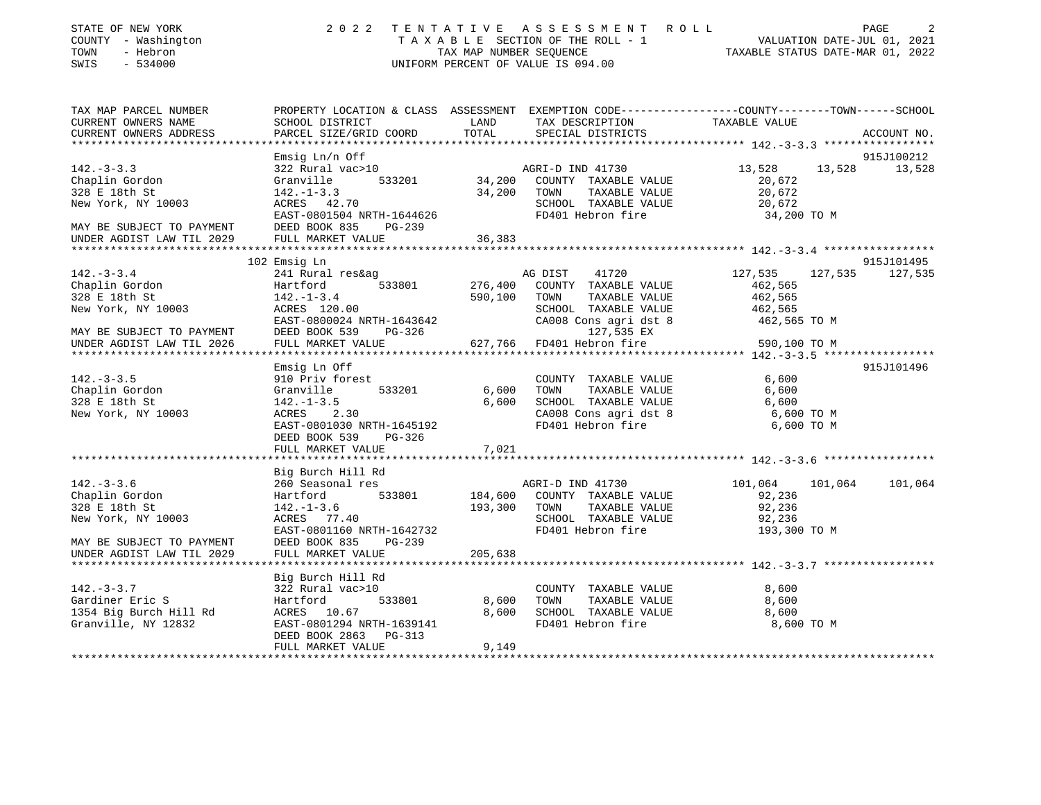| STATE OF NEW YORK<br>COUNTY - Washington<br>- Hebron<br>TOWN<br>SWIS<br>$-534000$ |                                                                                                                   |         | 2022 TENTATIVE ASSESSMENT ROLL<br>T A X A B L E SECTION OF THE ROLL - 1<br>TAX MAP NUMBER SEQUENCE TAXIS DATE-JUL 01, 2022<br>UNIFORM PERCENT OF VALUE IS 094.00 |                       |         | PAGE            |
|-----------------------------------------------------------------------------------|-------------------------------------------------------------------------------------------------------------------|---------|------------------------------------------------------------------------------------------------------------------------------------------------------------------|-----------------------|---------|-----------------|
| TAX MAP PARCEL NUMBER<br>CURRENT OWNERS NAME                                      | PROPERTY LOCATION & CLASS ASSESSMENT EXEMPTION CODE---------------COUNTY-------TOWN-----SCHOOL<br>SCHOOL DISTRICT | LAND    | TAX DESCRIPTION                                                                                                                                                  | TAXABLE VALUE         |         |                 |
| CURRENT OWNERS ADDRESS                                                            | PARCEL SIZE/GRID COORD                                                                                            | TOTAL   | SPECIAL DISTRICTS                                                                                                                                                |                       |         | ACCOUNT NO.     |
|                                                                                   |                                                                                                                   |         |                                                                                                                                                                  |                       |         |                 |
|                                                                                   | Emsig Ln/n Off                                                                                                    |         |                                                                                                                                                                  |                       |         | 915J100212      |
| $142. - 3 - 3.3$                                                                  | 322 Rural vac>10                                                                                                  |         | AGRI-D IND 41730                                                                                                                                                 | 13,528                | 13,528  | 13,528          |
| Chaplin Gordon                                                                    | 533201<br>Granville                                                                                               |         | 34,200 COUNTY TAXABLE VALUE                                                                                                                                      | 20,672                |         |                 |
| 328 E 18th St                                                                     | $142. - 1 - 3.3$                                                                                                  |         | 34,200 TOWN TAXABLE VALUE                                                                                                                                        | 20,672                |         |                 |
| New York, NY 10003                                                                | ACRES 42.70<br>EAST-0801504 NRTH-1644626                                                                          |         | SCHOOL TAXABLE VALUE<br>FD401 Hebron fire                                                                                                                        | 20,672<br>34,200 TO M |         |                 |
|                                                                                   | DEED BOOK 835<br>PG-239                                                                                           |         |                                                                                                                                                                  |                       |         |                 |
| MAY BE SUBJECT TO PAYMENT<br>UNDER AGDIST LAW TIL 2029                            | FULL MARKET VALUE                                                                                                 | 36,383  |                                                                                                                                                                  |                       |         |                 |
|                                                                                   |                                                                                                                   |         |                                                                                                                                                                  |                       |         |                 |
|                                                                                   | 102 Emsig Ln                                                                                                      |         |                                                                                                                                                                  |                       |         | 915J101495      |
| $142. - 3 - 3.4$                                                                  | 241 Rural res&ag                                                                                                  |         | AG DIST<br>41720                                                                                                                                                 | 127,535               |         | 127,535 127,535 |
| Chaplin Gordon                                                                    | Hartford 533801                                                                                                   | 276,400 | COUNTY TAXABLE VALUE                                                                                                                                             | 462,565               |         |                 |
| 328 E 18th St                                                                     | $142. - 1 - 3.4$                                                                                                  | 590,100 | TOWN<br>TAXABLE VALUE                                                                                                                                            | 462,565               |         |                 |
| New York, NY 10003                                                                | ACRES 120.00                                                                                                      |         | SCHOOL TAXABLE VALUE                                                                                                                                             | 462,565               |         |                 |
| MAY BE SUBJECT TO PAYMENT                                                         | EAST-0800024 NRTH-1643642<br>DEED BOOK 539<br>PG-326                                                              |         | CA008 Cons agri dst 8<br>127,535 EX                                                                                                                              | 462,565 TO M          |         |                 |
| UNDER AGDIST LAW TIL 2026                                                         | FULL MARKET VALUE                                                                                                 | 627,766 | FD401 Hebron fire                                                                                                                                                | 590,100 TO M          |         |                 |
|                                                                                   |                                                                                                                   |         |                                                                                                                                                                  |                       |         |                 |
|                                                                                   | Emsig Ln Off                                                                                                      |         |                                                                                                                                                                  |                       |         | 915J101496      |
| $142. - 3 - 3.5$                                                                  | 910 Priv forest                                                                                                   |         | COUNTY TAXABLE VALUE                                                                                                                                             | 6,600                 |         |                 |
| Chaplin Gordon                                                                    | Granville<br>533201                                                                                               | 6,600   | TAXABLE VALUE<br>TOWN                                                                                                                                            | 6,600                 |         |                 |
| 328 E 18th St                                                                     | $142. - 1 - 3.5$                                                                                                  | 6,600   | SCHOOL TAXABLE VALUE                                                                                                                                             | 6,600                 |         |                 |
| New York, NY 10003                                                                | ACRES 2.30                                                                                                        |         | CA008 Cons agri dst 8                                                                                                                                            | 6,600 TO M            |         |                 |
|                                                                                   | EAST-0801030 NRTH-1645192<br>DEED BOOK 539<br>PG-326                                                              |         | FD401 Hebron fire                                                                                                                                                | 6,600 TO M            |         |                 |
|                                                                                   | FULL MARKET VALUE                                                                                                 | 7,021   |                                                                                                                                                                  |                       |         |                 |
|                                                                                   |                                                                                                                   |         |                                                                                                                                                                  |                       |         |                 |
|                                                                                   | Big Burch Hill Rd                                                                                                 |         |                                                                                                                                                                  |                       |         |                 |
| $142. - 3 - 3.6$                                                                  | 260 Seasonal res                                                                                                  |         | AGRI-D IND 41730                                                                                                                                                 | 101,064               | 101,064 | 101,064         |
| Chaplin Gordon                                                                    | 533801<br>Hartford                                                                                                |         | 184,600 COUNTY TAXABLE VALUE                                                                                                                                     | 92,236                |         |                 |
| 328 E 18th St                                                                     | $142. - 1 - 3.6$                                                                                                  | 193,300 | TOWN TAXABLE VALUE                                                                                                                                               | 92,236                |         |                 |
| New York, NY 10003                                                                | ACRES 77.40                                                                                                       |         | SCHOOL TAXABLE VALUE                                                                                                                                             | 92,236                |         |                 |
|                                                                                   | EAST-0801160 NRTH-1642732                                                                                         |         | FD401 Hebron fire                                                                                                                                                | 193,300 TO M          |         |                 |
| MAY BE SUBJECT TO PAYMENT<br>UNDER AGDIST LAW TIL 2029                            | DEED BOOK 835<br>$PG-239$<br>FULL MARKET VALUE                                                                    | 205,638 |                                                                                                                                                                  |                       |         |                 |
|                                                                                   |                                                                                                                   |         |                                                                                                                                                                  |                       |         |                 |
|                                                                                   | Big Burch Hill Rd                                                                                                 |         |                                                                                                                                                                  |                       |         |                 |
| $142. - 3 - 3.7$                                                                  | 322 Rural vac>10                                                                                                  |         | COUNTY TAXABLE VALUE                                                                                                                                             | 8,600                 |         |                 |
| Gardiner Eric S                                                                   | 533801<br>Hartford                                                                                                | 8,600   | TOWN<br>TAXABLE VALUE                                                                                                                                            | 8,600                 |         |                 |
| 1354 Big Burch Hill Rd                                                            | ACRES 10.67                                                                                                       | 8,600   | SCHOOL TAXABLE VALUE                                                                                                                                             | 8,600                 |         |                 |
| Granville, NY 12832                                                               | EAST-0801294 NRTH-1639141                                                                                         |         | FD401 Hebron fire                                                                                                                                                | 8,600 TO M            |         |                 |
|                                                                                   | DEED BOOK 2863 PG-313                                                                                             |         |                                                                                                                                                                  |                       |         |                 |
|                                                                                   | FULL MARKET VALUE                                                                                                 | 9,149   |                                                                                                                                                                  |                       |         |                 |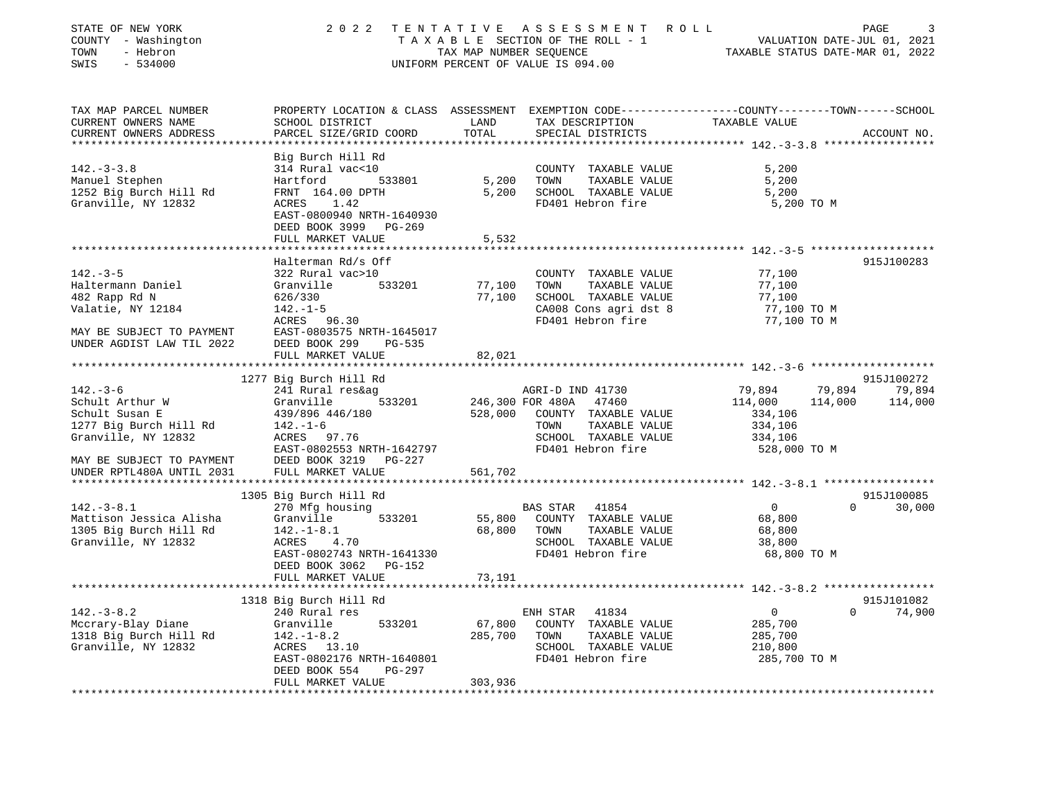| STATE OF NEW YORK<br>COUNTY - Washington<br>TOWN<br>- Hebron<br>$-534000$<br>SWIS                                                                                                                |                                                                                                                                                                             |                              | 2022 TENTATIVE ASSESSMENT ROLL<br>UNIFORM PERCENT OF VALUE IS 094.00                                                                             | PAGE<br>3<br>TAXABLE SECTION OF THE ROLL - 1<br>TAXABLE SECTION OF THE ROLL - 1<br>TAXABLE STATUS DATE-MAR 01, 2022             |
|--------------------------------------------------------------------------------------------------------------------------------------------------------------------------------------------------|-----------------------------------------------------------------------------------------------------------------------------------------------------------------------------|------------------------------|--------------------------------------------------------------------------------------------------------------------------------------------------|---------------------------------------------------------------------------------------------------------------------------------|
| TAX MAP PARCEL NUMBER<br>CURRENT OWNERS NAME<br>CURRENT OWNERS ADDRESS                                                                                                                           | SCHOOL DISTRICT<br>PARCEL SIZE/GRID COORD                                                                                                                                   | LAND<br>TOTAL                | TAX DESCRIPTION<br>SPECIAL DISTRICTS                                                                                                             | PROPERTY LOCATION & CLASS ASSESSMENT EXEMPTION CODE---------------COUNTY-------TOWN------SCHOOL<br>TAXABLE VALUE<br>ACCOUNT NO. |
| $142. - 3 - 3.8$<br>Manuel Stephen<br>1252 Big Burch Hill Rd<br>Granville, NY 12832                                                                                                              | Big Burch Hill Rd<br>314 Rural vac<10<br>Hartford<br>533801<br>FRNT 164.00 DPTH<br>ACRES 1.42<br>EAST-0800940 NRTH-1640930<br>DEED BOOK 3999 PG-269<br>FULL MARKET VALUE    | 5,200<br>5,200<br>5,532      | COUNTY TAXABLE VALUE<br>TOWN<br>TAXABLE VALUE<br>SCHOOL TAXABLE VALUE<br>FD401 Hebron fire                                                       | 5,200<br>5,200<br>5,200<br>5,200 TO M                                                                                           |
| $142. - 3 - 5$<br>Haltermann Daniel<br>482 Rapp Rd N<br>Valatie, NY 12184<br>MAY BE SUBJECT TO PAYMENT<br>UNDER AGDIST LAW TIL 2022                                                              | Halterman Rd/s Off<br>322 Rural vac>10<br>Granville 533201<br>626/330<br>$142. - 1 - 5$<br>ACRES 96.30<br>EAST-0803575 NRTH-1645017<br>DEED BOOK 299 PG-535                 | 77,100<br>77,100             | COUNTY TAXABLE VALUE<br>TOWN<br>TAXABLE VALUE<br>SCHOOL TAXABLE VALUE<br>CA008 Cons agri dst 8<br>FD401 Hebron fire                              | 915J100283<br>77,100<br>77,100<br>77,100<br>77,100 TO M<br>77,100 TO M                                                          |
|                                                                                                                                                                                                  | FULL MARKET VALUE                                                                                                                                                           | 82,021                       |                                                                                                                                                  |                                                                                                                                 |
| $142. - 3 - 6$<br>Schult Arthur W<br>Schult Susan E<br>1277 Big Burch Hill Rd<br>Granville, NY 12832<br>MAY BE SUBJECT TO PAYMENT                                                                | 1277 Big Burch Hill Rd<br>241 Rural res&ag<br>533201<br>Granville<br>439/896 446/180<br>$142. - 1 - 6$<br>ACRES 97.76<br>EAST-0802553 NRTH-1642797<br>DEED BOOK 3219 PG-227 |                              | AGRI-D IND 41730<br>246,300 FOR 480A 47460<br>528,000 COUNTY TAXABLE VALUE<br>TAXABLE VALUE<br>TOWN<br>SCHOOL TAXABLE VALUE<br>FD401 Hebron fire | 915J100272<br>79,894<br>79,894 79,894<br>114,000 114,000<br>114,000<br>334,106<br>334,106<br>334,106<br>528,000 TO M            |
| UNDER RPTL480A UNTIL 2031                                                                                                                                                                        | FULL MARKET VALUE                                                                                                                                                           | 561,702                      |                                                                                                                                                  |                                                                                                                                 |
| $142.-3-8.1$<br>Mattison Jessica Alisha<br>1305 Big Burch Hill Rd<br>Granville, NY 12832                                                                                                         | 1305 Big Burch Hill Rd<br>270 Mfg housing<br>Granville<br>533201<br>$142. - 1 - 8.1$<br>ACRES 4.70<br>EAST-0802743 NRTH-1641330<br>DEED BOOK 3062 PG-152                    | 68,800                       | BAS STAR 41854<br>55,800 COUNTY TAXABLE VALUE<br>TOWN<br>TAXABLE VALUE<br>SCHOOL TAXABLE VALUE<br>FD401 Hebron fire                              | 915J100085<br>$\overline{0}$<br>$\Omega$<br>30,000<br>68,800<br>68,800<br>38,800<br>68,800 TO M                                 |
|                                                                                                                                                                                                  | FULL MARKET VALUE                                                                                                                                                           | 73,191                       |                                                                                                                                                  |                                                                                                                                 |
| $142. - 3 - 8.2$<br>Mccrary-Blay Diane<br>metrary brane<br>1318 Big Burch Hill Rd<br>$\frac{142. -1-8.2}{\text{a} \text{ G}}$<br>$\frac{142. -1-8.2}{\text{a} \text{ G}}$<br>Granville, NY 12832 | 1318 Big Burch Hill Rd<br>240 Rural res<br>533201<br>Granville<br>ACRES 13.10<br>EAST-0802176 NRTH-1640801<br>PG-297<br>DEED BOOK 554<br>FULL MARKET VALUE                  | 67,800<br>285,700<br>303,936 | ENH STAR 41834<br>COUNTY TAXABLE VALUE<br>TOWN<br>TAXABLE VALUE<br>SCHOOL TAXABLE VALUE<br>FD401 Hebron fire                                     | 915J101082<br>$\overline{0}$<br>$0 \t 74,900$<br>285,700<br>285,700<br>210,800<br>285,700 TO M                                  |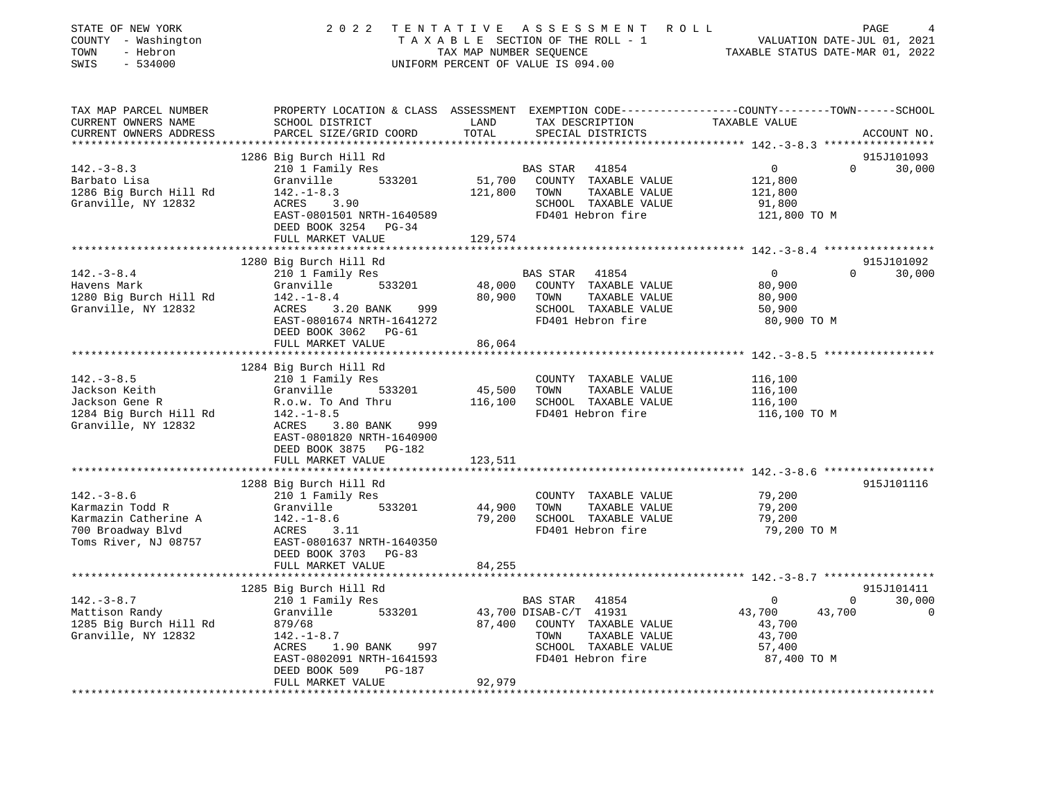| STATE OF NEW YORK<br>COUNTY - Washington<br>TOWN<br>- Hebron<br>$-534000$<br>SWIS |                                                                                                                            |              | 2022 TENTATIVE ASSESSMENT ROLL<br>TAXABLE SECTION OF THE ROLL - 1<br>TAXABLE SECTION OF THE ROLL - 1<br>TAXABLE STATUS DATE-MAR 01, 2022<br>UNIFORM PERCENT OF VALUE IS 094.00 |                            | PAGE          |
|-----------------------------------------------------------------------------------|----------------------------------------------------------------------------------------------------------------------------|--------------|--------------------------------------------------------------------------------------------------------------------------------------------------------------------------------|----------------------------|---------------|
| TAX MAP PARCEL NUMBER<br>CURRENT OWNERS NAME                                      | PROPERTY LOCATION & CLASS ASSESSMENT EXEMPTION CODE---------------COUNTY-------TOWN------SCHOOL<br>LAND<br>SCHOOL DISTRICT |              | TAX DESCRIPTION                                                                                                                                                                | TAXABLE VALUE              |               |
| CURRENT OWNERS ADDRESS                                                            | PARCEL SIZE/GRID COORD                                                                                                     | TOTAL        | SPECIAL DISTRICTS                                                                                                                                                              |                            | ACCOUNT NO.   |
|                                                                                   | 1286 Big Burch Hill Rd                                                                                                     |              |                                                                                                                                                                                |                            | 915J101093    |
| $142. - 3 - 8.3$                                                                  | 210 1 Family Res                                                                                                           |              |                                                                                                                                                                                | $\Omega$<br>$\overline{0}$ | 30,000        |
| Barbato Lisa                                                                      | Granville 533201                                                                                                           |              | BAS STAR 41854<br>51,700 COUNTY TAXABLE VALUE                                                                                                                                  | 121,800                    |               |
| 1286 Big Burch Hill Rd                                                            |                                                                                                                            | 121,800 TOWN | TAXABLE VALUE                                                                                                                                                                  | 121,800                    |               |
| Granville, NY 12832                                                               |                                                                                                                            |              | SCHOOL TAXABLE VALUE                                                                                                                                                           | 91,800                     |               |
|                                                                                   | Granville 555<br>142.-1-8.3 121,8<br>ACRES 3.90<br>-- 2001501 NRTH-1640589                                                 |              | FD401 Hebron fire                                                                                                                                                              | 121,800 TO M               |               |
|                                                                                   | DEED BOOK 3254 PG-34                                                                                                       |              |                                                                                                                                                                                |                            |               |
|                                                                                   | FULL MARKET VALUE                                                                                                          | 129,574      |                                                                                                                                                                                |                            |               |
|                                                                                   |                                                                                                                            |              |                                                                                                                                                                                |                            |               |
|                                                                                   | 1280 Big Burch Hill Rd                                                                                                     |              |                                                                                                                                                                                |                            | 915J101092    |
| $142.-3-8.4$                                                                      | 210 1 Family Res                                                                                                           |              | BAS STAR<br>41854                                                                                                                                                              | $\overline{0}$             | $0 \t 30,000$ |
| Havens Mark                                                                       | Granville 533201                                                                                                           |              | 533201 48,000 COUNTY TAXABLE VALUE<br>80,900 TOWN TAXABLE VALUE                                                                                                                | 80,900                     |               |
| 1280 Big Burch Hill Rd                                                            | $142. - 1 - 8.4$                                                                                                           |              |                                                                                                                                                                                | 80,900                     |               |
| Granville, NY 12832                                                               |                                                                                                                            |              | SCHOOL TAXABLE VALUE<br>FD401 Hebron fire                                                                                                                                      | 50,900<br>80,900 TO M      |               |
|                                                                                   | 142.-1-8.4<br>ACRES 3.20 BANK 999<br>™^~™-∩801674 NRTH-1641272<br>DEED BOOK 3062 PG-61                                     |              |                                                                                                                                                                                |                            |               |
|                                                                                   | FULL MARKET VALUE                                                                                                          | 86,064       |                                                                                                                                                                                |                            |               |
|                                                                                   |                                                                                                                            |              |                                                                                                                                                                                |                            |               |
|                                                                                   | 1284 Big Burch Hill Rd                                                                                                     |              |                                                                                                                                                                                |                            |               |
| $142. - 3 - 8.5$                                                                  | 210 1 Family Res                                                                                                           |              | COUNTY TAXABLE VALUE                                                                                                                                                           | 116,100                    |               |
| Jackson Keith                                                                     | Granville 533201                                                                                                           |              |                                                                                                                                                                                | 116,100                    |               |
| Jackson Gene R                                                                    | R.o.w. To And Thru                                                                                                         |              | 45,500 TOWN TAXABLE VALUE<br>116,100 SCHOOL TAXABLE VALUE                                                                                                                      | 116,100                    |               |
| 1284 Big Burch Hill Rd 142.-1-8.5                                                 |                                                                                                                            |              | FD401 Hebron fire                                                                                                                                                              | 116,100 TO M               |               |
| Granville, NY 12832                                                               | ACRES 3.80 BANK<br>999                                                                                                     |              |                                                                                                                                                                                |                            |               |
|                                                                                   | EAST-0801820 NRTH-1640900                                                                                                  |              |                                                                                                                                                                                |                            |               |
|                                                                                   | DEED BOOK 3875 PG-182                                                                                                      |              |                                                                                                                                                                                |                            |               |
|                                                                                   | FULL MARKET VALUE                                                                                                          | 123,511      |                                                                                                                                                                                |                            |               |
|                                                                                   | 1288 Big Burch Hill Rd                                                                                                     |              |                                                                                                                                                                                |                            | 915J101116    |
| $142.-3-8.6$                                                                      | 210 1 Family Res                                                                                                           |              | COUNTY TAXABLE VALUE                                                                                                                                                           | 79,200                     |               |
| Karmazin Todd R                                                                   | Granville 533201                                                                                                           | 44,900       | TOWN<br>TAXABLE VALUE                                                                                                                                                          | 79,200                     |               |
| Karmazin Catherine A                                                              |                                                                                                                            | 79,200       | SCHOOL TAXABLE VALUE                                                                                                                                                           | 79,200                     |               |
| 700 Broadway Blvd                                                                 | 142.-1-8.6<br>ACRES 3.11                                                                                                   |              | FD401 Hebron fire                                                                                                                                                              | 79,200 TO M                |               |
| Toms River, NJ 08757                                                              | EAST-0801637 NRTH-1640350                                                                                                  |              |                                                                                                                                                                                |                            |               |
|                                                                                   | DEED BOOK 3703 PG-83                                                                                                       |              |                                                                                                                                                                                |                            |               |
|                                                                                   | FULL MARKET VALUE                                                                                                          | 84,255       |                                                                                                                                                                                |                            |               |
|                                                                                   |                                                                                                                            |              |                                                                                                                                                                                |                            |               |
|                                                                                   | 1285 Big Burch Hill Rd                                                                                                     |              |                                                                                                                                                                                |                            | 915J101411    |
| $142. - 3 - 8.7$                                                                  | 210 1 Family Res                                                                                                           |              | BAS STAR 41854                                                                                                                                                                 | $\overline{0}$             | $0 \t 30,000$ |
| Mattison Randy                                                                    | Granville 533201                                                                                                           |              | 43,700 DISAB-C/T 41931                                                                                                                                                         | 43,700<br>43,700           | $\sim$ 0      |
| 1285 Big Burch Hill Rd                                                            | 879/68<br>Granville<br>879/68 87,400<br>142.-1-8.7<br>ACRES 1.90 BANK 997<br>- 2000001 NPTH-1641593                        |              | 87,400 COUNTY TAXABLE VALUE                                                                                                                                                    | 43,700                     |               |
| Granville, NY 12832                                                               |                                                                                                                            |              | TOWN<br>TAXABLE VALUE                                                                                                                                                          | 43,700                     |               |
|                                                                                   |                                                                                                                            |              | SCHOOL TAXABLE VALUE                                                                                                                                                           | 57,400                     |               |
|                                                                                   |                                                                                                                            |              | FD401 Hebron fire                                                                                                                                                              | 87,400 TO M                |               |
|                                                                                   | DEED BOOK 509<br>PG-187<br>FULL MARKET VALUE                                                                               | 92,979       |                                                                                                                                                                                |                            |               |
|                                                                                   |                                                                                                                            |              |                                                                                                                                                                                |                            |               |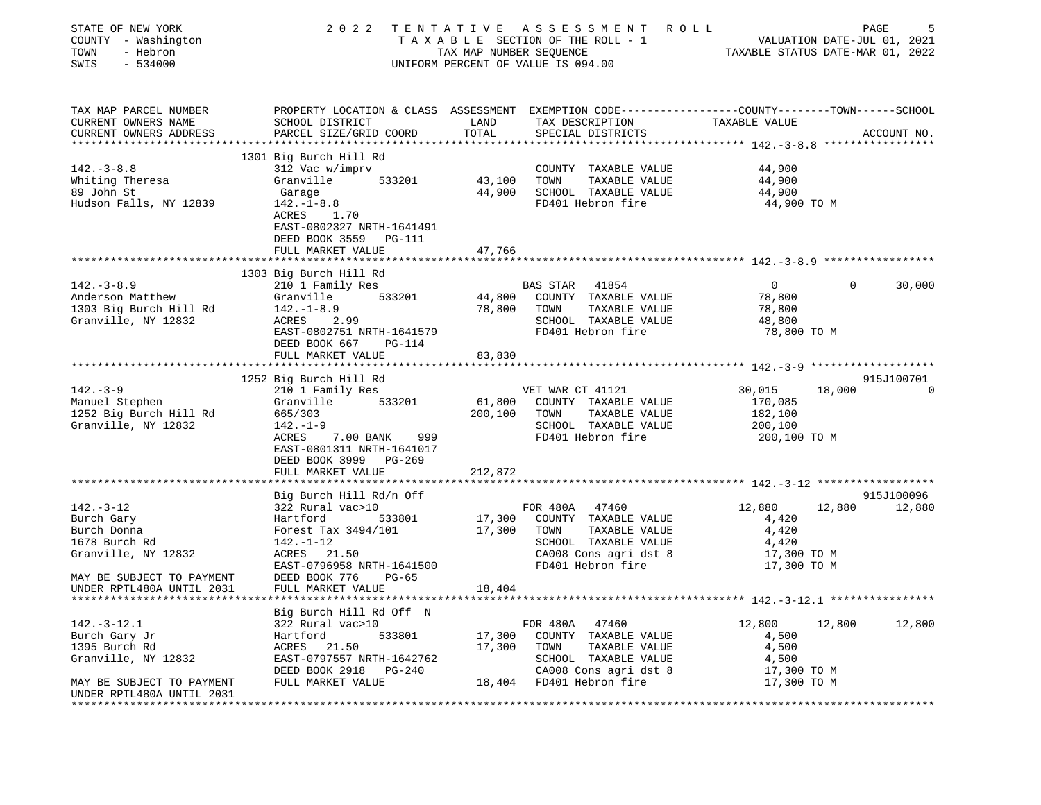| STATE OF NEW YORK<br>COUNTY - Washington<br>- Hebron<br>TOWN<br>$-534000$<br>SWIS                                                | 2 0 2 2                                                                                                                                                                                             |                            | TENTATIVE ASSESSMENT ROLL<br>UNIFORM PERCENT OF VALUE IS 094.00                                                                          | TAXABLE STATUS DATE-MAR 01, 2022                                            | PAGE<br>5            |
|----------------------------------------------------------------------------------------------------------------------------------|-----------------------------------------------------------------------------------------------------------------------------------------------------------------------------------------------------|----------------------------|------------------------------------------------------------------------------------------------------------------------------------------|-----------------------------------------------------------------------------|----------------------|
| TAX MAP PARCEL NUMBER<br>CURRENT OWNERS NAME<br>CURRENT OWNERS ADDRESS                                                           | PROPERTY LOCATION & CLASS ASSESSMENT EXEMPTION CODE---------------COUNTY-------TOWN------SCHOOL<br>SCHOOL DISTRICT<br>PARCEL SIZE/GRID COORD                                                        | LAND<br>TOTAL              | TAX DESCRIPTION<br>SPECIAL DISTRICTS                                                                                                     | TAXABLE VALUE                                                               | ACCOUNT NO.          |
| $142.-3-8.8$<br>Whiting Theresa<br>89 John St<br>Hudson Falls, NY 12839                                                          | 1301 Big Burch Hill Rd<br>312 Vac w/imprv<br>533201<br>Granville<br>Garage<br>$142. - 1 - 8.8$<br>ACRES 1.70<br>EAST-0802327 NRTH-1641491<br>DEED BOOK 3559 PG-111<br>FULL MARKET VALUE             | 43,100<br>44,900<br>47,766 | COUNTY TAXABLE VALUE<br>TOWN<br>TAXABLE VALUE<br>SCHOOL TAXABLE VALUE<br>FD401 Hebron fire                                               | 44,900<br>44,900<br>44,900<br>44,900 TO M                                   |                      |
|                                                                                                                                  |                                                                                                                                                                                                     |                            |                                                                                                                                          |                                                                             |                      |
| $142. - 3 - 8.9$<br>Anderson Matthew<br>1303 Big Burch Hill Rd<br>Granville, NY 12832                                            | 1303 Big Burch Hill Rd<br>210 1 Family Res<br>533201<br>Granville<br>$142. - 1 - 8.9$<br>ACRES<br>2.99<br>EAST-0802751 NRTH-1641579<br>DEED BOOK 667<br>PG-114<br>FULL MARKET VALUE                 | 44,800<br>78,800<br>83,830 | BAS STAR 41854<br>COUNTY TAXABLE VALUE<br>TOWN<br>TAXABLE VALUE<br>SCHOOL TAXABLE VALUE<br>FD401 Hebron fire                             | $\overline{0}$<br>$\mathbf{0}$<br>78,800<br>78,800<br>48,800<br>78,800 TO M | 30,000               |
|                                                                                                                                  |                                                                                                                                                                                                     |                            |                                                                                                                                          |                                                                             | 915J100701           |
| $142. - 3 - 9$<br>Manuel Stephen<br>1252 Big Burch Hill Rd<br>Granville, NY 12832                                                | 1252 Big Burch Hill Rd<br>210 1 Family Res<br>533201<br>Granville<br>665/303<br>$142. - 1 - 9$<br>ACRES<br>7.00 BANK 999<br>EAST-0801311 NRTH-1641017<br>DEED BOOK 3999 PG-269<br>FULL MARKET VALUE | 200,100<br>212,872         | VET WAR CT 41121<br>61,800 COUNTY TAXABLE VALUE<br>TOWN<br>TAXABLE VALUE<br>SCHOOL TAXABLE VALUE<br>FD401 Hebron fire                    | 30,015<br>18,000<br>170,085<br>182,100<br>200,100<br>200,100 то м           | $\mathbf 0$          |
|                                                                                                                                  |                                                                                                                                                                                                     |                            |                                                                                                                                          |                                                                             |                      |
| $142. - 3 - 12$<br>Burch Gary<br>Burch Donna<br>1678 Burch Rd<br>Granville, NY 12832                                             | Big Burch Hill Rd/n Off<br>322 Rural vac>10<br>Hartford<br>533801<br>Forest Tax 3494/101<br>$142. - 1 - 12$<br>ACRES 21.50<br>EAST-0796958 NRTH-1641500                                             | 17,300<br>17,300           | FOR 480A 47460<br>COUNTY TAXABLE VALUE<br>TOWN<br>TAXABLE VALUE<br>SCHOOL TAXABLE VALUE<br>CA008 Cons agri dst 8<br>FD401 Hebron fire    | 12,880<br>12,880<br>4,420<br>4,420<br>4,420<br>17,300 TO M<br>17,300 TO M   | 915J100096<br>12,880 |
| MAY BE SUBJECT TO PAYMENT<br>UNDER RPTL480A UNTIL 2031                                                                           | DEED BOOK 776<br>$PG-65$<br>FULL MARKET VALUE                                                                                                                                                       | 18,404                     |                                                                                                                                          |                                                                             |                      |
| $142.-3-12.1$<br>Burch Gary Jr<br>1395 Burch Rd<br>Granville, NY 12832<br>MAY BE SUBJECT TO PAYMENT<br>UNDER RPTL480A UNTIL 2031 | Big Burch Hill Rd Off N<br>322 Rural vac>10<br>Hartford<br>533801<br>ACRES<br>21.50<br>EAST-0797557 NRTH-1642762<br>DEED BOOK 2918<br>PG-240<br>FULL MARKET VALUE                                   | 17,300<br>17,300<br>18,404 | FOR 480A<br>47460<br>COUNTY TAXABLE VALUE<br>TOWN<br>TAXABLE VALUE<br>SCHOOL TAXABLE VALUE<br>CA008 Cons agri dst 8<br>FD401 Hebron fire | 12,800<br>12,800<br>4,500<br>4,500<br>4,500<br>17,300 TO M<br>17,300 TO M   | 12,800               |
|                                                                                                                                  |                                                                                                                                                                                                     |                            |                                                                                                                                          |                                                                             |                      |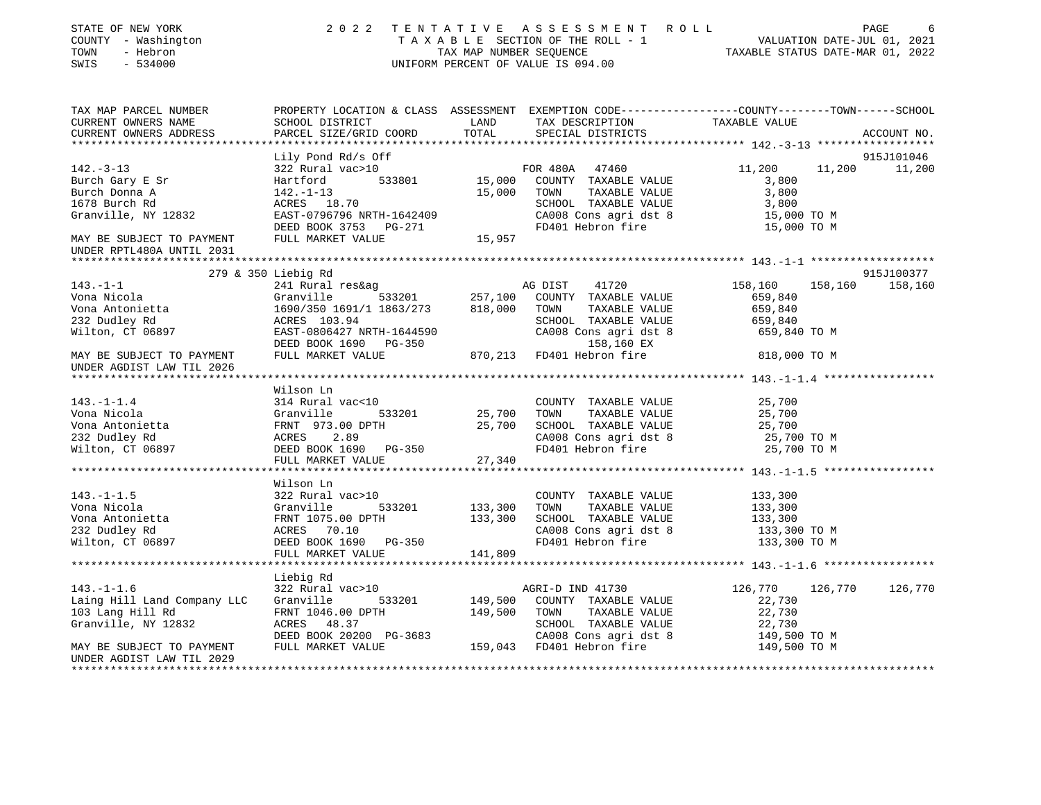| STATE OF NEW YORK<br>COUNTY - Washington<br>- Hebron<br>TOWN<br>SWIS<br>$-534000$                                                                                                                                                    | 2022 TENTATIVE                                                                                                             |                        | A S S E S S M E N T R O L L<br>T A X A B L E SECTION OF THE ROLL - 1 VALUATION DATE-JUL 01, 2021<br>TAX MAP NUMBER SEQUENCE TAXABLE STATUS DATE-MAR 01, 2022<br>UNIFORM PERCENT OF VALUE IS 094.00                                      |                         |         | PAGE<br>6   |
|--------------------------------------------------------------------------------------------------------------------------------------------------------------------------------------------------------------------------------------|----------------------------------------------------------------------------------------------------------------------------|------------------------|-----------------------------------------------------------------------------------------------------------------------------------------------------------------------------------------------------------------------------------------|-------------------------|---------|-------------|
| TAX MAP PARCEL NUMBER<br>CURRENT OWNERS NAME                                                                                                                                                                                         |                                                                                                                            |                        |                                                                                                                                                                                                                                         |                         |         |             |
| CURRENT OWNERS ADDRESS<br>*****************                                                                                                                                                                                          | PARCEL SIZE/GRID COORD                                                                                                     | TOTAL                  | SPECIAL DISTRICTS                                                                                                                                                                                                                       |                         |         | ACCOUNT NO. |
|                                                                                                                                                                                                                                      | Lily Pond Rd/s Off                                                                                                         |                        |                                                                                                                                                                                                                                         |                         |         | 915J101046  |
| $142. - 3 - 13$                                                                                                                                                                                                                      | 322 Rural vac>10                                                                                                           |                        | FOR 480A 47460                                                                                                                                                                                                                          | 11,200                  | 11,200  | 11,200      |
| Burch Gary E Sr                                                                                                                                                                                                                      |                                                                                                                            |                        | 322 Rural vac>10<br>Hartford 533801 15,000 COUNTY TAXABLE VALUE<br>142.-1-13 15,000 TOWN TAXABLE VALUE<br>ACRES 18.70 SCHOOL TAXABLE VALUE<br>EAST-0796796 NRTH-1642409 CA008 Cons agridst 8<br>DEED BOOK 3753 PG-271 FD401 Hebron fire | 3,800                   |         |             |
| Burch Donna A                                                                                                                                                                                                                        |                                                                                                                            |                        |                                                                                                                                                                                                                                         | 3,800                   |         |             |
| 1678 Burch Rd                                                                                                                                                                                                                        |                                                                                                                            |                        |                                                                                                                                                                                                                                         | 3,800                   |         |             |
| Granville, NY 12832                                                                                                                                                                                                                  |                                                                                                                            |                        | CA008 Cons agri dst 8                                                                                                                                                                                                                   | 15,000 TO M             |         |             |
|                                                                                                                                                                                                                                      |                                                                                                                            |                        |                                                                                                                                                                                                                                         | 15,000 TO M             |         |             |
| MAY BE SUBJECT TO PAYMENT FULL MARKET VALUE 15,957<br>UNDER RPTL480A UNTIL 2031                                                                                                                                                      |                                                                                                                            |                        |                                                                                                                                                                                                                                         |                         |         |             |
| UNDER RPTL480A UNTIL 2031                                                                                                                                                                                                            |                                                                                                                            |                        |                                                                                                                                                                                                                                         |                         |         |             |
|                                                                                                                                                                                                                                      |                                                                                                                            |                        |                                                                                                                                                                                                                                         |                         |         |             |
|                                                                                                                                                                                                                                      | $279$ & $350$ Liebig Rd                                                                                                    |                        |                                                                                                                                                                                                                                         |                         |         | 915J100377  |
| $143. - 1 - 1$<br>Vona Nicola                                                                                                                                                                                                        |                                                                                                                            |                        |                                                                                                                                                                                                                                         | 158,160<br>659,840      | 158,160 | 158,160     |
| Vona Antonietta                                                                                                                                                                                                                      |                                                                                                                            |                        | TOWN<br>TAXABLE VALUE                                                                                                                                                                                                                   | 659,840                 |         |             |
|                                                                                                                                                                                                                                      |                                                                                                                            |                        | SCHOOL TAXABLE VALUE                                                                                                                                                                                                                    | 659,840                 |         |             |
| 232 Dudley Rd<br>Wilton, CT 06897                                                                                                                                                                                                    |                                                                                                                            |                        | CA008 Cons agri dst 8                                                                                                                                                                                                                   | 659,840 TO M            |         |             |
|                                                                                                                                                                                                                                      |                                                                                                                            |                        | 158,160 EX                                                                                                                                                                                                                              |                         |         |             |
| MAY BE SUBJECT TO PAYMENT FULL MARKET VALUE 670,213 FD401 Hebron fire<br>UNDER AGDIST LAW TIL 2026                                                                                                                                   |                                                                                                                            |                        |                                                                                                                                                                                                                                         | 818,000 TO M            |         |             |
|                                                                                                                                                                                                                                      |                                                                                                                            |                        |                                                                                                                                                                                                                                         |                         |         |             |
| 1.1.1.4<br>Vona Nicola (Franville 193201)<br>Vona Antonietta (FRNT 973.00 DPTH 25,700 TOWN TAXABLE VALUE VONA Antonietta (FRNT 973.00 DPTH 25,700 SCHOOL TAXABLE VALUE 232 Dudley Rd<br>Vallton, CT 06897 DEED BOOK 1690 PG-350 CA00 |                                                                                                                            |                        |                                                                                                                                                                                                                                         |                         |         |             |
|                                                                                                                                                                                                                                      |                                                                                                                            |                        |                                                                                                                                                                                                                                         | 25,700                  |         |             |
|                                                                                                                                                                                                                                      |                                                                                                                            |                        |                                                                                                                                                                                                                                         | 25,700                  |         |             |
|                                                                                                                                                                                                                                      |                                                                                                                            |                        |                                                                                                                                                                                                                                         | 25,700                  |         |             |
|                                                                                                                                                                                                                                      |                                                                                                                            |                        |                                                                                                                                                                                                                                         | 25,700 TO M             |         |             |
|                                                                                                                                                                                                                                      |                                                                                                                            |                        | FD401 Hebron fire                                                                                                                                                                                                                       | 25,700 TO M             |         |             |
|                                                                                                                                                                                                                                      | FULL MARKET VALUE                                                                                                          | 27,340                 |                                                                                                                                                                                                                                         |                         |         |             |
|                                                                                                                                                                                                                                      | Wilson Ln                                                                                                                  |                        |                                                                                                                                                                                                                                         |                         |         |             |
| $143. - 1 - 1.5$                                                                                                                                                                                                                     | 322 Rural vac>10                                                                                                           |                        | COUNTY TAXABLE VALUE                                                                                                                                                                                                                    | 133,300                 |         |             |
| Vona Nicola                                                                                                                                                                                                                          | 533201                                                                                                                     | 133,300                | TOWN<br>TAXABLE VALUE                                                                                                                                                                                                                   | 133,300                 |         |             |
|                                                                                                                                                                                                                                      |                                                                                                                            |                        | SCHOOL TAXABLE VALUE                                                                                                                                                                                                                    | 133,300                 |         |             |
| Vona Antonietta<br>232 Dudley Rd                                                                                                                                                                                                     |                                                                                                                            |                        | CA008 Cons agri dst 8                                                                                                                                                                                                                   | 133,300 TO M            |         |             |
| Wilton, CT 06897                                                                                                                                                                                                                     |                                                                                                                            |                        | FD401 Hebron fire                                                                                                                                                                                                                       | 133,300 TO M            |         |             |
|                                                                                                                                                                                                                                      | 322 Kuru-<br>Granville 533201<br>FRNT 1075.00 DPTH<br>ACRES 70.10<br>DEED BOOK 1690 PG-350<br>------- MARKET VALUE         | $133,300$<br>$141,809$ |                                                                                                                                                                                                                                         |                         |         |             |
| ***********************                                                                                                                                                                                                              |                                                                                                                            |                        |                                                                                                                                                                                                                                         |                         |         |             |
|                                                                                                                                                                                                                                      | Liebig Rd                                                                                                                  |                        |                                                                                                                                                                                                                                         |                         |         |             |
| $143. - 1 - 1.6$                                                                                                                                                                                                                     | 322 Rural vac>10                                                                                                           |                        | AGRI-D IND 41730                                                                                                                                                                                                                        | 126,770 126,770 126,770 |         |             |
| Laing Hill Land Company LLC Granville                                                                                                                                                                                                | 533201 149,500                                                                                                             |                        | COUNTY TAXABLE VALUE                                                                                                                                                                                                                    | 22,730                  |         |             |
| 103 Lang Hill Rd<br>Granville, NY 12832                                                                                                                                                                                              | FRNT 1046.00 DPTH<br>ACRES 48.37                                                                                           | 149,500                | TAXABLE VALUE<br>TOWN<br>SCHOOL TAXABLE VALUE                                                                                                                                                                                           | 22,730<br>22,730        |         |             |
|                                                                                                                                                                                                                                      |                                                                                                                            |                        | CA008 Cons agri dst 8                                                                                                                                                                                                                   | 149,500 TO M            |         |             |
| MAY BE SUBJECT TO PAYMENT                                                                                                                                                                                                            | ACRES 48.37 SCHOOL TAXABLE VA<br>DEED BOOK 20200 PG-3683 CA008 Cons agri ds<br>FULL MARKET VALUE 159,043 FD401 Hebron fire |                        |                                                                                                                                                                                                                                         | 149,500 TO M            |         |             |
| UNDER AGDIST LAW TIL 2029                                                                                                                                                                                                            |                                                                                                                            |                        |                                                                                                                                                                                                                                         |                         |         |             |
|                                                                                                                                                                                                                                      |                                                                                                                            |                        |                                                                                                                                                                                                                                         |                         |         |             |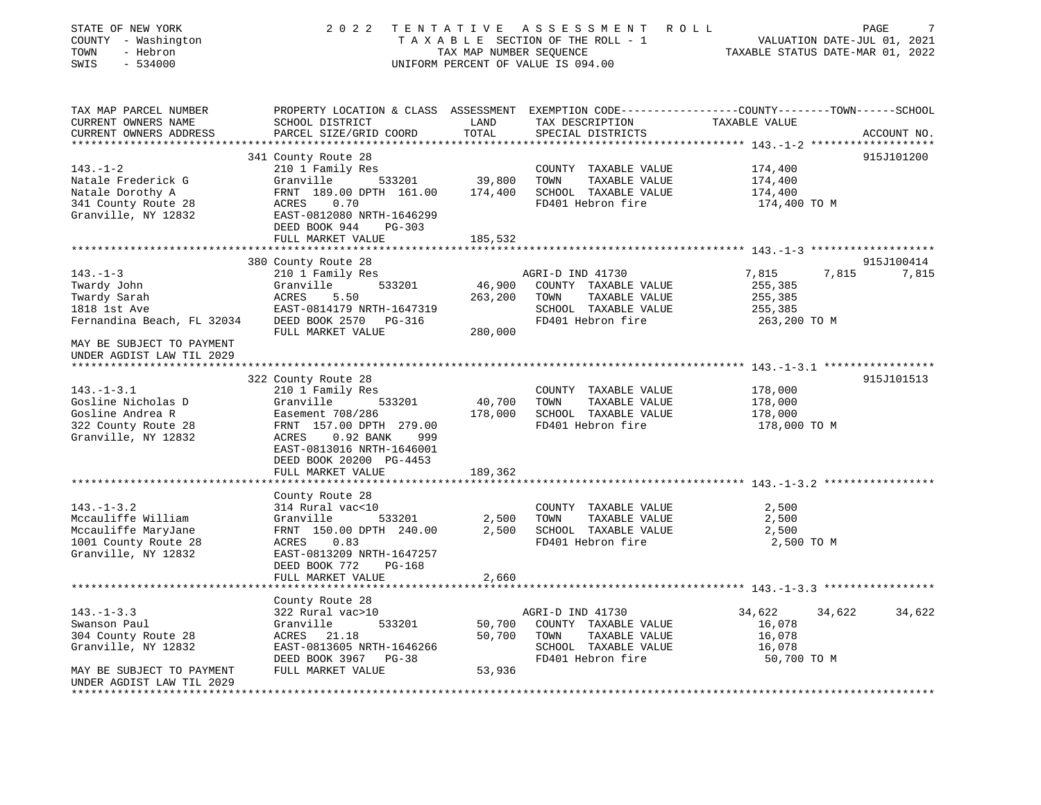| STATE OF NEW YORK<br>COUNTY - Washington<br>TOWN<br>- Hebron<br>$-534000$<br>SWIS | 2022                                                                                | TENTATIVE<br>TAX MAP NUMBER SEQUENCE | ASSESSMENT ROLL<br>T A X A B L E SECTION OF THE ROLL - 1<br>UNIFORM PERCENT OF VALUE IS 094.00 | PAGE<br>VALUATION DATE-JUL 01, 2021<br>TAXABLE STATUS DATE-MAR 01, 2022                                                         |        |
|-----------------------------------------------------------------------------------|-------------------------------------------------------------------------------------|--------------------------------------|------------------------------------------------------------------------------------------------|---------------------------------------------------------------------------------------------------------------------------------|--------|
| TAX MAP PARCEL NUMBER<br>CURRENT OWNERS NAME<br>CURRENT OWNERS ADDRESS            | SCHOOL DISTRICT<br>PARCEL SIZE/GRID COORD                                           | LAND<br>TOTAL                        | TAX DESCRIPTION<br>SPECIAL DISTRICTS                                                           | PROPERTY LOCATION & CLASS ASSESSMENT EXEMPTION CODE---------------COUNTY-------TOWN------SCHOOL<br>TAXABLE VALUE<br>ACCOUNT NO. |        |
|                                                                                   | 341 County Route 28                                                                 |                                      |                                                                                                | 915J101200                                                                                                                      |        |
| $143. - 1 - 2$                                                                    | 210 1 Family Res                                                                    |                                      | COUNTY TAXABLE VALUE                                                                           | 174,400                                                                                                                         |        |
| Natale Frederick G                                                                | Granville<br>533201                                                                 | 39,800                               | TOWN<br>TAXABLE VALUE                                                                          | 174,400                                                                                                                         |        |
| Natale Dorothy A                                                                  | FRNT 189.00 DPTH 161.00                                                             | 174,400                              | SCHOOL TAXABLE VALUE                                                                           | 174,400                                                                                                                         |        |
| 341 County Route 28                                                               | ACRES<br>0.70                                                                       |                                      | FD401 Hebron fire                                                                              | 174,400 TO M                                                                                                                    |        |
| Granville, NY 12832                                                               | EAST-0812080 NRTH-1646299                                                           |                                      |                                                                                                |                                                                                                                                 |        |
|                                                                                   | DEED BOOK 944<br>PG-303                                                             |                                      |                                                                                                |                                                                                                                                 |        |
|                                                                                   | FULL MARKET VALUE                                                                   | 185,532                              |                                                                                                |                                                                                                                                 |        |
|                                                                                   |                                                                                     |                                      |                                                                                                |                                                                                                                                 |        |
|                                                                                   | 380 County Route 28                                                                 |                                      |                                                                                                | 915J100414                                                                                                                      |        |
| $143. - 1 - 3$                                                                    | 210 1 Family Res                                                                    |                                      | AGRI-D IND 41730                                                                               | 7,815<br>7,815                                                                                                                  | 7,815  |
| Twardy John                                                                       | 533201<br>Granville                                                                 | 46,900                               | COUNTY TAXABLE VALUE                                                                           | 255,385                                                                                                                         |        |
| Twardy Sarah                                                                      | 5.50<br>ACRES                                                                       | 263,200                              | TOWN<br>TAXABLE VALUE                                                                          | 255,385                                                                                                                         |        |
| 1818 1st Ave                                                                      | EAST-0814179 NRTH-1647319                                                           |                                      | SCHOOL TAXABLE VALUE                                                                           | 255,385                                                                                                                         |        |
| Fernandina Beach, FL 32034                                                        | DEED BOOK 2570<br>PG-316                                                            |                                      | FD401 Hebron fire                                                                              | 263,200 TO M                                                                                                                    |        |
|                                                                                   | FULL MARKET VALUE                                                                   | 280,000                              |                                                                                                |                                                                                                                                 |        |
| MAY BE SUBJECT TO PAYMENT                                                         |                                                                                     |                                      |                                                                                                |                                                                                                                                 |        |
| UNDER AGDIST LAW TIL 2029                                                         |                                                                                     |                                      |                                                                                                |                                                                                                                                 |        |
|                                                                                   |                                                                                     |                                      |                                                                                                |                                                                                                                                 |        |
|                                                                                   | 322 County Route 28                                                                 |                                      |                                                                                                | 915J101513                                                                                                                      |        |
| $143. - 1 - 3.1$                                                                  | 210 1 Family Res                                                                    |                                      | COUNTY TAXABLE VALUE                                                                           | 178,000                                                                                                                         |        |
| Gosline Nicholas D                                                                | Granville<br>533201                                                                 | 40,700                               | TOWN<br>TAXABLE VALUE                                                                          | 178,000                                                                                                                         |        |
| Gosline Andrea R<br>322 County Route 28                                           | Easement 708/286                                                                    | 178,000                              | SCHOOL TAXABLE VALUE<br>FD401 Hebron fire                                                      | 178,000                                                                                                                         |        |
| Granville, NY 12832                                                               | FRNT 157.00 DPTH 279.00<br>$0.92$ BANK<br>ACRES<br>999<br>EAST-0813016 NRTH-1646001 |                                      |                                                                                                | 178,000 TO M                                                                                                                    |        |
|                                                                                   | DEED BOOK 20200 PG-4453                                                             |                                      |                                                                                                |                                                                                                                                 |        |
|                                                                                   | FULL MARKET VALUE                                                                   | 189,362                              |                                                                                                |                                                                                                                                 |        |
|                                                                                   |                                                                                     |                                      |                                                                                                |                                                                                                                                 |        |
| $143. - 1 - 3.2$                                                                  | County Route 28<br>314 Rural vac<10                                                 |                                      | COUNTY TAXABLE VALUE                                                                           | 2,500                                                                                                                           |        |
| Mccauliffe William                                                                | 533201<br>Granville                                                                 | 2,500                                | TOWN<br>TAXABLE VALUE                                                                          | 2,500                                                                                                                           |        |
| Mccauliffe MaryJane                                                               | FRNT 150.00 DPTH 240.00                                                             | 2,500                                | SCHOOL TAXABLE VALUE                                                                           | 2,500                                                                                                                           |        |
| 1001 County Route 28                                                              | 0.83<br>ACRES                                                                       |                                      | FD401 Hebron fire                                                                              | 2,500 TO M                                                                                                                      |        |
| Granville, NY 12832                                                               | EAST-0813209 NRTH-1647257                                                           |                                      |                                                                                                |                                                                                                                                 |        |
|                                                                                   | DEED BOOK 772<br><b>PG-168</b>                                                      |                                      |                                                                                                |                                                                                                                                 |        |
|                                                                                   | FULL MARKET VALUE                                                                   | 2,660                                |                                                                                                |                                                                                                                                 |        |
|                                                                                   |                                                                                     | * * * * * * * * * * * * *            |                                                                                                |                                                                                                                                 |        |
|                                                                                   | County Route 28                                                                     |                                      |                                                                                                |                                                                                                                                 |        |
| $143. - 1 - 3.3$                                                                  | 322 Rural vac>10                                                                    |                                      | AGRI-D IND 41730                                                                               | 34,622<br>34,622                                                                                                                | 34,622 |
| Swanson Paul                                                                      | Granville<br>533201                                                                 | 50,700                               | COUNTY TAXABLE VALUE                                                                           | 16,078                                                                                                                          |        |
| 304 County Route 28                                                               | ACRES 21.18                                                                         | 50,700                               | TOWN<br>TAXABLE VALUE                                                                          | 16,078                                                                                                                          |        |
| Granville, NY 12832                                                               | EAST-0813605 NRTH-1646266                                                           |                                      | SCHOOL TAXABLE VALUE                                                                           | 16,078                                                                                                                          |        |
|                                                                                   | DEED BOOK 3967 PG-38                                                                |                                      | FD401 Hebron fire                                                                              | 50,700 TO M                                                                                                                     |        |
| MAY BE SUBJECT TO PAYMENT                                                         | FULL MARKET VALUE                                                                   | 53,936                               |                                                                                                |                                                                                                                                 |        |
| UNDER AGDIST LAW TIL 2029                                                         |                                                                                     |                                      |                                                                                                |                                                                                                                                 |        |
| ******************                                                                |                                                                                     |                                      |                                                                                                |                                                                                                                                 |        |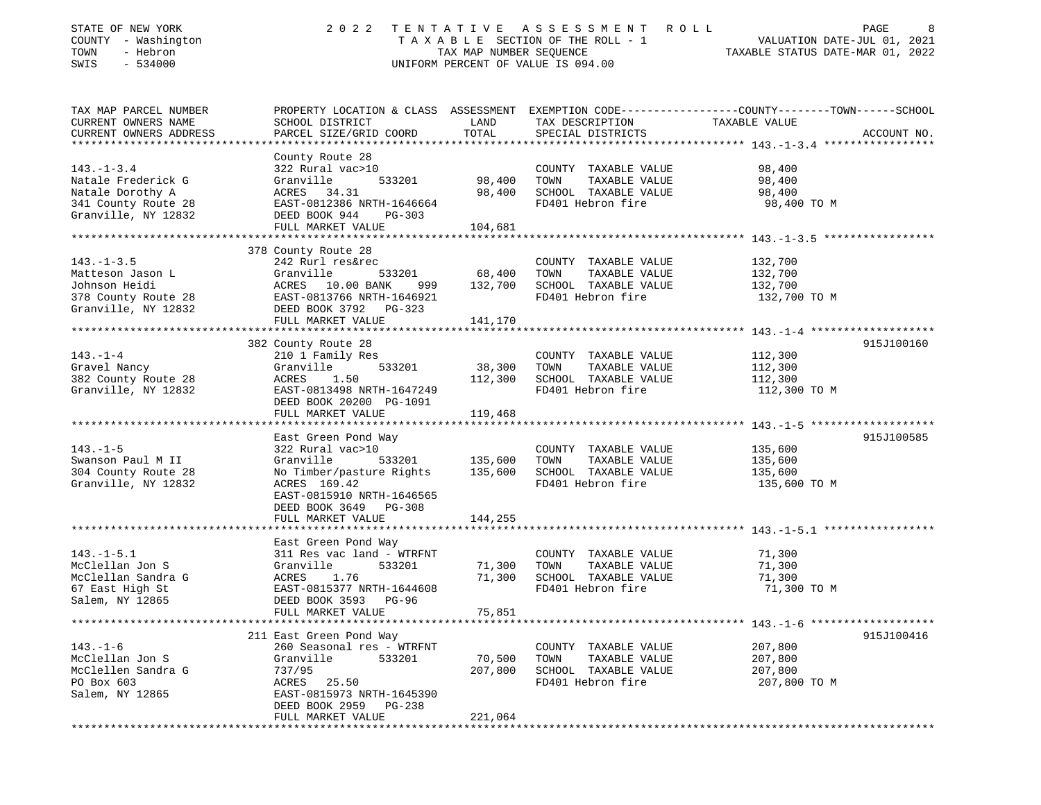| STATE OF NEW YORK<br>COUNTY - Washington<br>TOWN<br>- Hebron<br>SWIS<br>$-534000$ | 2 0 2 2                                          | TAX MAP NUMBER SEQUENCE | TENTATIVE ASSESSMENT ROLL<br>TAXABLE SECTION OF THE ROLL - 1<br>UNIFORM PERCENT OF VALUE IS 094.00 | PAGE<br>8<br>VALUATION DATE-JUL 01, 2021<br>TAXABLE STATUS DATE-MAR 01, 2022                                     |
|-----------------------------------------------------------------------------------|--------------------------------------------------|-------------------------|----------------------------------------------------------------------------------------------------|------------------------------------------------------------------------------------------------------------------|
| TAX MAP PARCEL NUMBER<br>CURRENT OWNERS NAME                                      | SCHOOL DISTRICT                                  | LAND                    | TAX DESCRIPTION                                                                                    | PROPERTY LOCATION & CLASS ASSESSMENT EXEMPTION CODE---------------COUNTY-------TOWN------SCHOOL<br>TAXABLE VALUE |
| CURRENT OWNERS ADDRESS                                                            | PARCEL SIZE/GRID COORD                           | TOTAL                   | SPECIAL DISTRICTS                                                                                  | ACCOUNT NO.                                                                                                      |
|                                                                                   | County Route 28                                  |                         |                                                                                                    |                                                                                                                  |
| $143. - 1 - 3.4$                                                                  | 322 Rural vac>10                                 |                         | COUNTY TAXABLE VALUE                                                                               | 98,400                                                                                                           |
| Natale Frederick G                                                                | 533201<br>Granville                              | 98,400                  | TOWN<br>TAXABLE VALUE                                                                              | 98,400                                                                                                           |
| Natale Dorothy A                                                                  | ACRES 34.31                                      | 98,400                  | SCHOOL TAXABLE VALUE                                                                               | 98,400                                                                                                           |
| 341 County Route 28                                                               | EAST-0812386 NRTH-1646664                        |                         | FD401 Hebron fire                                                                                  | 98,400 TO M                                                                                                      |
| Granville, NY 12832                                                               | DEED BOOK 944<br>PG-303                          |                         |                                                                                                    |                                                                                                                  |
|                                                                                   | FULL MARKET VALUE                                | 104,681                 |                                                                                                    |                                                                                                                  |
|                                                                                   | 378 County Route 28                              |                         |                                                                                                    |                                                                                                                  |
| $143. - 1 - 3.5$                                                                  | 242 Rurl res&rec                                 |                         | COUNTY TAXABLE VALUE                                                                               | 132,700                                                                                                          |
| Matteson Jason L                                                                  | Granville<br>533201                              | 68,400                  | TOWN<br>TAXABLE VALUE                                                                              | 132,700                                                                                                          |
| Johnson Heidi                                                                     | ACRES 10.00 BANK<br>999                          | 132,700                 | SCHOOL TAXABLE VALUE                                                                               | 132,700                                                                                                          |
| 378 County Route 28                                                               | EAST-0813766 NRTH-1646921                        |                         | FD401 Hebron fire                                                                                  | 132,700 TO M                                                                                                     |
| Granville, NY 12832                                                               | DEED BOOK 3792 PG-323                            |                         |                                                                                                    |                                                                                                                  |
|                                                                                   | FULL MARKET VALUE                                | 141,170                 |                                                                                                    |                                                                                                                  |
|                                                                                   |                                                  |                         |                                                                                                    | 915J100160                                                                                                       |
| $143. - 1 - 4$                                                                    | 382 County Route 28<br>210 1 Family Res          |                         | COUNTY TAXABLE VALUE                                                                               | 112,300                                                                                                          |
| Gravel Nancy                                                                      | Granville<br>533201                              | 38,300                  | TOWN<br>TAXABLE VALUE                                                                              | 112,300                                                                                                          |
| 382 County Route 28                                                               | ACRES<br>1.50                                    | 112,300                 | SCHOOL TAXABLE VALUE                                                                               | 112,300                                                                                                          |
| Granville, NY 12832                                                               | EAST-0813498 NRTH-1647249                        |                         | FD401 Hebron fire                                                                                  | 112,300 TO M                                                                                                     |
|                                                                                   | DEED BOOK 20200 PG-1091                          |                         |                                                                                                    |                                                                                                                  |
|                                                                                   | FULL MARKET VALUE                                | 119,468                 |                                                                                                    |                                                                                                                  |
|                                                                                   | *************************                        | *************           |                                                                                                    |                                                                                                                  |
|                                                                                   | East Green Pond Way                              |                         |                                                                                                    | 915J100585                                                                                                       |
| $143. - 1 - 5$                                                                    | 322 Rural vac>10                                 |                         | COUNTY TAXABLE VALUE                                                                               | 135,600                                                                                                          |
| Swanson Paul M II<br>304 County Route 28                                          | Granville<br>533201<br>No Timber/pasture Rights  | 135,600<br>135,600      | TOWN<br>TAXABLE VALUE<br>SCHOOL TAXABLE VALUE                                                      | 135,600<br>135,600                                                                                               |
| Granville, NY 12832                                                               | ACRES 169.42                                     |                         | FD401 Hebron fire                                                                                  | 135,600 TO M                                                                                                     |
|                                                                                   | EAST-0815910 NRTH-1646565                        |                         |                                                                                                    |                                                                                                                  |
|                                                                                   | DEED BOOK 3649 PG-308                            |                         |                                                                                                    |                                                                                                                  |
|                                                                                   | FULL MARKET VALUE                                | 144,255                 |                                                                                                    |                                                                                                                  |
|                                                                                   |                                                  |                         |                                                                                                    |                                                                                                                  |
|                                                                                   | East Green Pond Way                              |                         |                                                                                                    |                                                                                                                  |
| $143. - 1 - 5.1$<br>McClellan Jon S                                               | 311 Res vac land - WTRFNT<br>Granville<br>533201 | 71,300                  | COUNTY TAXABLE VALUE<br>TOWN<br>TAXABLE VALUE                                                      | 71,300<br>71,300                                                                                                 |
| McClellan Sandra G                                                                | 1.76<br>ACRES                                    | 71,300                  | SCHOOL TAXABLE VALUE                                                                               | 71,300                                                                                                           |
| 67 East High St                                                                   | EAST-0815377 NRTH-1644608                        |                         | FD401 Hebron fire                                                                                  | 71,300 TO M                                                                                                      |
| Salem, NY 12865                                                                   | DEED BOOK 3593 PG-96                             |                         |                                                                                                    |                                                                                                                  |
|                                                                                   | FULL MARKET VALUE                                | 75,851                  |                                                                                                    |                                                                                                                  |
|                                                                                   |                                                  |                         |                                                                                                    |                                                                                                                  |
|                                                                                   | 211 East Green Pond Way                          |                         |                                                                                                    | 915J100416                                                                                                       |
| $143. - 1 - 6$                                                                    | 260 Seasonal res - WTRFNT                        |                         | COUNTY TAXABLE VALUE                                                                               | 207,800                                                                                                          |
| McClellan Jon S                                                                   | Granville<br>533201                              | 70,500                  | TOWN<br>TAXABLE VALUE                                                                              | 207,800                                                                                                          |
| McClellen Sandra G                                                                | 737/95                                           | 207,800                 | SCHOOL TAXABLE VALUE                                                                               | 207,800                                                                                                          |
| PO Box 603                                                                        | ACRES 25.50<br>EAST-0815973 NRTH-1645390         |                         | FD401 Hebron fire                                                                                  | 207,800 TO M                                                                                                     |
| Salem, NY 12865                                                                   | DEED BOOK 2959 PG-238                            |                         |                                                                                                    |                                                                                                                  |
|                                                                                   | FULL MARKET VALUE                                | 221,064                 |                                                                                                    |                                                                                                                  |
|                                                                                   |                                                  |                         |                                                                                                    |                                                                                                                  |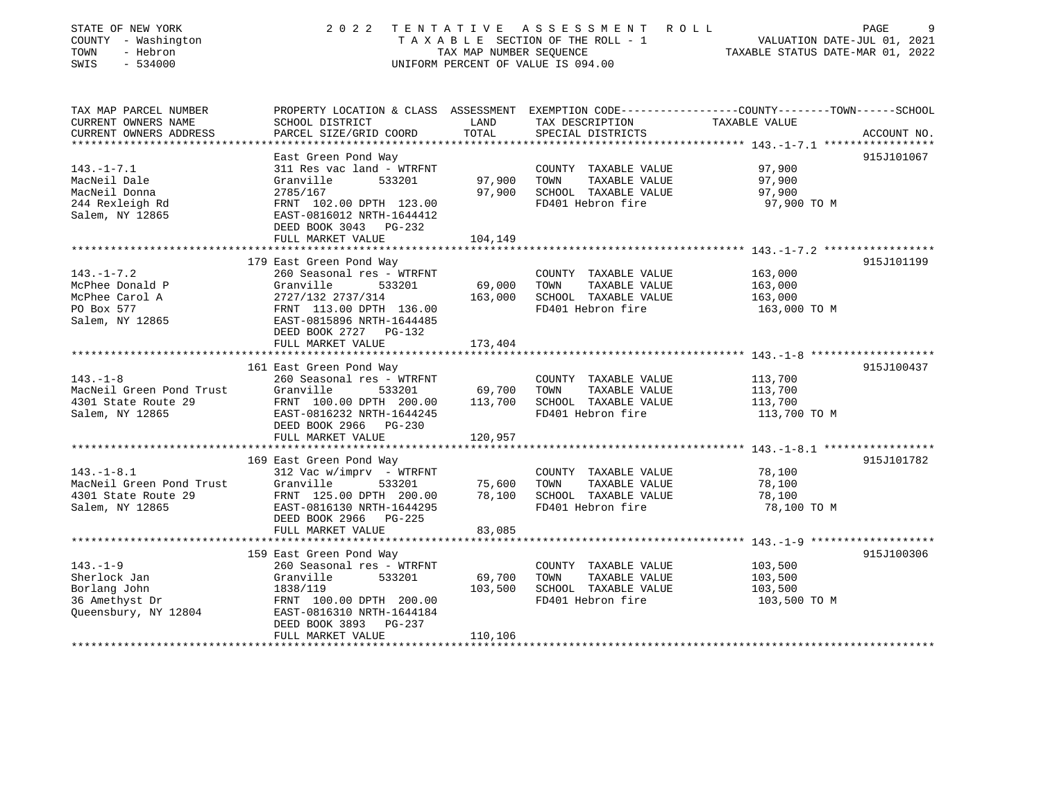| STATE OF NEW YORK<br>COUNTY - Washington<br>TOWN<br>- Hebron<br>SWIS<br>$-534000$        | 2 0 2 2                                                                                                                                                                                                   | TAX MAP NUMBER SEOUENCE      | TENTATIVE ASSESSMENT<br>R O L L<br>TAXABLE SECTION OF THE ROLL - 1<br>UNIFORM PERCENT OF VALUE IS 094.00 | PAGE<br>VALUATION DATE-JUL 01, 2021<br>TAXABLE STATUS DATE-MAR 01, 2022                                          | 9           |
|------------------------------------------------------------------------------------------|-----------------------------------------------------------------------------------------------------------------------------------------------------------------------------------------------------------|------------------------------|----------------------------------------------------------------------------------------------------------|------------------------------------------------------------------------------------------------------------------|-------------|
| TAX MAP PARCEL NUMBER<br>CURRENT OWNERS NAME<br>CURRENT OWNERS ADDRESS                   | SCHOOL DISTRICT<br>PARCEL SIZE/GRID COORD                                                                                                                                                                 | LAND<br>TOTAL                | TAX DESCRIPTION<br>SPECIAL DISTRICTS                                                                     | PROPERTY LOCATION & CLASS ASSESSMENT EXEMPTION CODE---------------COUNTY-------TOWN------SCHOOL<br>TAXABLE VALUE | ACCOUNT NO. |
| $143. - 1 - 7.1$<br>MacNeil Dale<br>MacNeil Donna<br>244 Rexleigh Rd<br>Salem, NY 12865  | East Green Pond Way<br>311 Res vac land - WTRFNT<br>Granville<br>533201<br>2785/167<br>FRNT 102.00 DPTH 123.00<br>EAST-0816012 NRTH-1644412<br>DEED BOOK 3043 PG-232<br>FULL MARKET VALUE                 | 97,900<br>97,900<br>104,149  | COUNTY TAXABLE VALUE<br>TOWN<br>TAXABLE VALUE<br>SCHOOL TAXABLE VALUE<br>FD401 Hebron fire               | 97,900<br>97,900<br>97,900<br>97,900 TO M                                                                        | 915J101067  |
|                                                                                          |                                                                                                                                                                                                           |                              |                                                                                                          |                                                                                                                  |             |
| $143. - 1 - 7.2$<br>McPhee Donald P<br>McPhee Carol A<br>PO Box 577<br>Salem, NY 12865   | 179 East Green Pond Way<br>260 Seasonal res - WTRFNT<br>Granville<br>533201<br>2727/132 2737/314<br>FRNT 113.00 DPTH 136.00<br>EAST-0815896 NRTH-1644485<br>DEED BOOK 2727<br>PG-132<br>FULL MARKET VALUE | 69,000<br>163,000<br>173,404 | COUNTY TAXABLE VALUE<br>TAXABLE VALUE<br>TOWN<br>SCHOOL TAXABLE VALUE<br>FD401 Hebron fire               | 163,000<br>163,000<br>163,000<br>163,000 TO M                                                                    | 915J101199  |
|                                                                                          |                                                                                                                                                                                                           |                              |                                                                                                          |                                                                                                                  |             |
| $143. - 1 - 8$<br>MacNeil Green Pond Trust<br>4301 State Route 29<br>Salem, NY 12865     | 161 East Green Pond Way<br>260 Seasonal res - WTRFNT<br>Granville<br>533201<br>FRNT 100.00 DPTH 200.00<br>EAST-0816232 NRTH-1644245<br>DEED BOOK 2966 PG-230<br>FULL MARKET VALUE                         | 69,700<br>113,700<br>120,957 | COUNTY TAXABLE VALUE<br>TOWN<br>TAXABLE VALUE<br>SCHOOL TAXABLE VALUE<br>FD401 Hebron fire               | 113,700<br>113,700<br>113,700<br>113,700 TO M                                                                    | 915J100437  |
|                                                                                          |                                                                                                                                                                                                           |                              |                                                                                                          |                                                                                                                  |             |
| $143. - 1 - 8.1$<br>MacNeil Green Pond Trust<br>4301 State Route 29<br>Salem, NY 12865   | 169 East Green Pond Way<br>312 Vac w/imprv - WTRFNT<br>Granville<br>533201<br>FRNT 125.00 DPTH 200.00<br>EAST-0816130 NRTH-1644295<br>DEED BOOK 2966 PG-225<br>FULL MARKET VALUE                          | 75,600<br>78,100<br>83,085   | COUNTY TAXABLE VALUE<br>TAXABLE VALUE<br>TOWN<br>SCHOOL TAXABLE VALUE<br>FD401 Hebron fire               | 78,100<br>78,100<br>78,100<br>78,100 TO M                                                                        | 915J101782  |
|                                                                                          |                                                                                                                                                                                                           |                              |                                                                                                          | ************************************ 143.-1-9 ********************                                               |             |
| $143. - 1 - 9$<br>Sherlock Jan<br>Borlang John<br>36 Amethyst Dr<br>Queensbury, NY 12804 | 159 East Green Pond Way<br>260 Seasonal res - WTRFNT<br>Granville<br>533201<br>1838/119<br>FRNT 100.00 DPTH 200.00<br>EAST-0816310 NRTH-1644184<br>DEED BOOK 3893<br>PG-237<br>FULL MARKET VALUE          | 69,700<br>103,500<br>110,106 | COUNTY TAXABLE VALUE<br>TOWN<br>TAXABLE VALUE<br>SCHOOL TAXABLE VALUE<br>FD401 Hebron fire               | 103,500<br>103,500<br>103,500<br>103,500 TO M                                                                    | 915J100306  |
|                                                                                          |                                                                                                                                                                                                           |                              |                                                                                                          |                                                                                                                  |             |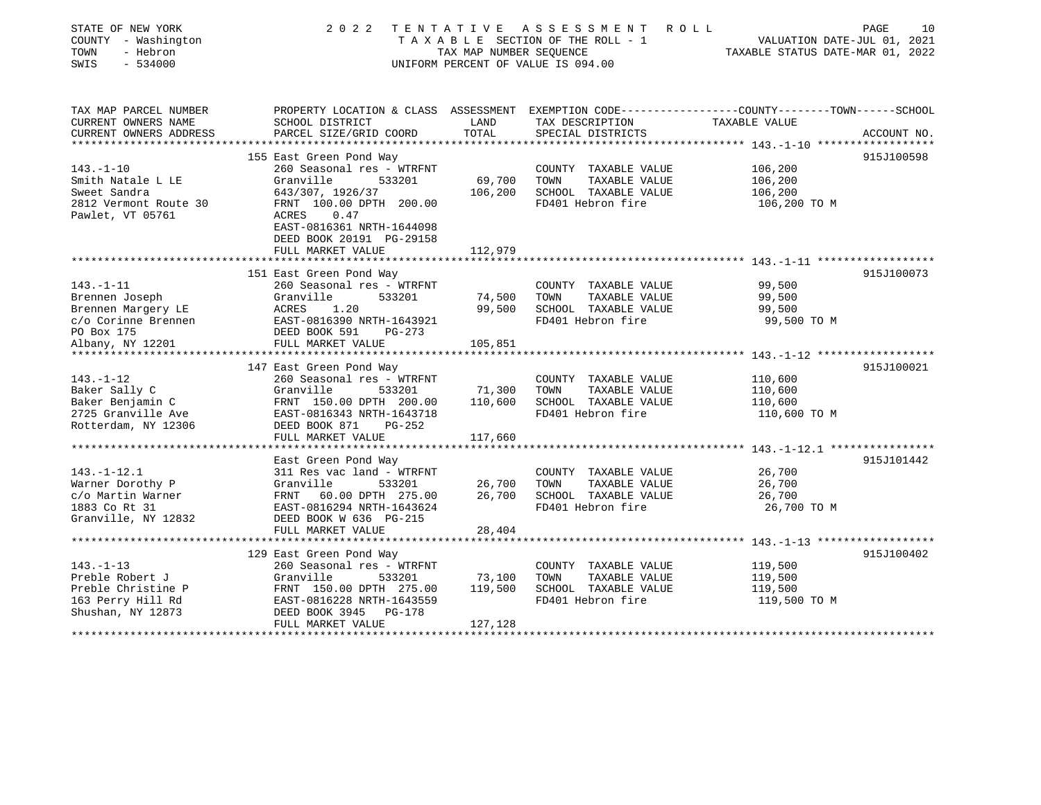| STATE OF NEW YORK<br>COUNTY - Washington<br>TOWN<br>- Hebron<br>$-534000$<br>SWIS | 2 0 2 2                                              | TAX MAP NUMBER SEQUENCE | TENTATIVE ASSESSMENT<br>R O L L<br>TAXABLE SECTION OF THE ROLL - 1<br>UNIFORM PERCENT OF VALUE IS 094.00 | PAGE<br>VALUATION DATE-JUL 01, 2021<br>TAXABLE STATUS DATE-MAR 01, 2022                                          | 10 |
|-----------------------------------------------------------------------------------|------------------------------------------------------|-------------------------|----------------------------------------------------------------------------------------------------------|------------------------------------------------------------------------------------------------------------------|----|
| TAX MAP PARCEL NUMBER<br>CURRENT OWNERS NAME                                      | SCHOOL DISTRICT                                      | LAND                    | TAX DESCRIPTION                                                                                          | PROPERTY LOCATION & CLASS ASSESSMENT EXEMPTION CODE---------------COUNTY-------TOWN------SCHOOL<br>TAXABLE VALUE |    |
| CURRENT OWNERS ADDRESS                                                            | PARCEL SIZE/GRID COORD                               | TOTAL                   | SPECIAL DISTRICTS                                                                                        | ACCOUNT NO.                                                                                                      |    |
|                                                                                   |                                                      |                         |                                                                                                          |                                                                                                                  |    |
|                                                                                   | 155 East Green Pond Way                              |                         |                                                                                                          | 915J100598                                                                                                       |    |
| $143. - 1 - 10$                                                                   | 260 Seasonal res - WTRFNT                            |                         | TAXABLE VALUE<br>COUNTY                                                                                  | 106,200                                                                                                          |    |
| Smith Natale L LE                                                                 | Granville<br>533201                                  | 69,700                  | TOWN<br>TAXABLE VALUE                                                                                    | 106,200                                                                                                          |    |
| Sweet Sandra                                                                      | 643/307, 1926/37<br>FRNT 100.00 DPTH 200.00          | 106,200                 | SCHOOL TAXABLE VALUE<br>FD401 Hebron fire                                                                | 106,200                                                                                                          |    |
| 2812 Vermont Route 30<br>Pawlet, VT 05761                                         | ACRES<br>0.47                                        |                         |                                                                                                          | 106,200 TO M                                                                                                     |    |
|                                                                                   | EAST-0816361 NRTH-1644098                            |                         |                                                                                                          |                                                                                                                  |    |
|                                                                                   | DEED BOOK 20191 PG-29158                             |                         |                                                                                                          |                                                                                                                  |    |
|                                                                                   | FULL MARKET VALUE                                    | 112,979                 |                                                                                                          |                                                                                                                  |    |
|                                                                                   |                                                      | **********              |                                                                                                          |                                                                                                                  |    |
|                                                                                   | 151 East Green Pond Way                              |                         |                                                                                                          | 915J100073                                                                                                       |    |
| $143. - 1 - 11$                                                                   | 260 Seasonal res - WTRFNT                            |                         | COUNTY TAXABLE VALUE                                                                                     | 99,500                                                                                                           |    |
| Brennen Joseph                                                                    | Granville<br>533201                                  | 74,500                  | TAXABLE VALUE<br>TOWN                                                                                    | 99,500                                                                                                           |    |
| Brennen Margery LE                                                                | ACRES<br>1.20                                        | 99,500                  | SCHOOL TAXABLE VALUE                                                                                     | 99,500                                                                                                           |    |
| c/o Corinne Brennen                                                               | EAST-0816390 NRTH-1643921                            |                         | FD401 Hebron fire                                                                                        | 99,500 TO M                                                                                                      |    |
| PO Box 175                                                                        | DEED BOOK 591<br>PG-273                              |                         |                                                                                                          |                                                                                                                  |    |
| Albany, NY 12201                                                                  | FULL MARKET VALUE                                    | 105,851                 |                                                                                                          |                                                                                                                  |    |
|                                                                                   |                                                      |                         |                                                                                                          |                                                                                                                  |    |
|                                                                                   | 147 East Green Pond Way                              |                         |                                                                                                          | 915J100021                                                                                                       |    |
| $143. - 1 - 12$                                                                   | 260 Seasonal res - WTRFNT                            |                         | COUNTY TAXABLE VALUE                                                                                     | 110,600                                                                                                          |    |
| Baker Sally C                                                                     | Granville<br>533201                                  | 71,300                  | TAXABLE VALUE<br>TOWN                                                                                    | 110,600                                                                                                          |    |
| Baker Benjamin C<br>2725 Granville Ave                                            | FRNT 150.00 DPTH 200.00<br>EAST-0816343 NRTH-1643718 | 110,600                 | SCHOOL TAXABLE VALUE<br>FD401 Hebron fire                                                                | 110,600                                                                                                          |    |
| Rotterdam, NY 12306                                                               | PG-252                                               |                         |                                                                                                          | 110,600 TO M                                                                                                     |    |
|                                                                                   | DEED BOOK 871<br>FULL MARKET VALUE                   | 117,660                 |                                                                                                          |                                                                                                                  |    |
|                                                                                   | *******************                                  | *********************   |                                                                                                          |                                                                                                                  |    |
|                                                                                   | East Green Pond Way                                  |                         |                                                                                                          | 915J101442                                                                                                       |    |
| $143. - 1 - 12.1$                                                                 | 311 Res vac land - WTRFNT                            |                         | COUNTY TAXABLE VALUE                                                                                     | 26,700                                                                                                           |    |
| Warner Dorothy P                                                                  | Granville<br>533201                                  | 26,700                  | TOWN<br>TAXABLE VALUE                                                                                    | 26,700                                                                                                           |    |
| c/o Martin Warner                                                                 | 60.00 DPTH 275.00<br>FRNT                            | 26,700                  | SCHOOL TAXABLE VALUE                                                                                     | 26,700                                                                                                           |    |
| 1883 Co Rt 31                                                                     | EAST-0816294 NRTH-1643624                            |                         | FD401 Hebron fire                                                                                        | 26,700 TO M                                                                                                      |    |
| Granville, NY 12832                                                               | DEED BOOK W 636 PG-215                               |                         |                                                                                                          |                                                                                                                  |    |
|                                                                                   | FULL MARKET VALUE                                    | 28,404                  |                                                                                                          |                                                                                                                  |    |
|                                                                                   |                                                      |                         |                                                                                                          | *************** 143. -1-13 *******************                                                                   |    |
|                                                                                   | 129 East Green Pond Way                              |                         |                                                                                                          | 915J100402                                                                                                       |    |
| $143. - 1 - 13$                                                                   | 260 Seasonal res - WTRFNT                            |                         | COUNTY TAXABLE VALUE                                                                                     | 119,500                                                                                                          |    |
| Preble Robert J                                                                   | Granville<br>533201                                  | 73,100                  | TOWN<br>TAXABLE VALUE                                                                                    | 119,500                                                                                                          |    |
| Preble Christine P                                                                | FRNT 150.00 DPTH 275.00                              | 119,500                 | SCHOOL TAXABLE VALUE                                                                                     | 119,500                                                                                                          |    |
| 163 Perry Hill Rd                                                                 | EAST-0816228 NRTH-1643559                            |                         | FD401 Hebron fire                                                                                        | 119,500 TO M                                                                                                     |    |
| Shushan, NY 12873                                                                 | DEED BOOK 3945<br>PG-178                             |                         |                                                                                                          |                                                                                                                  |    |
|                                                                                   | FULL MARKET VALUE                                    | 127,128                 |                                                                                                          |                                                                                                                  |    |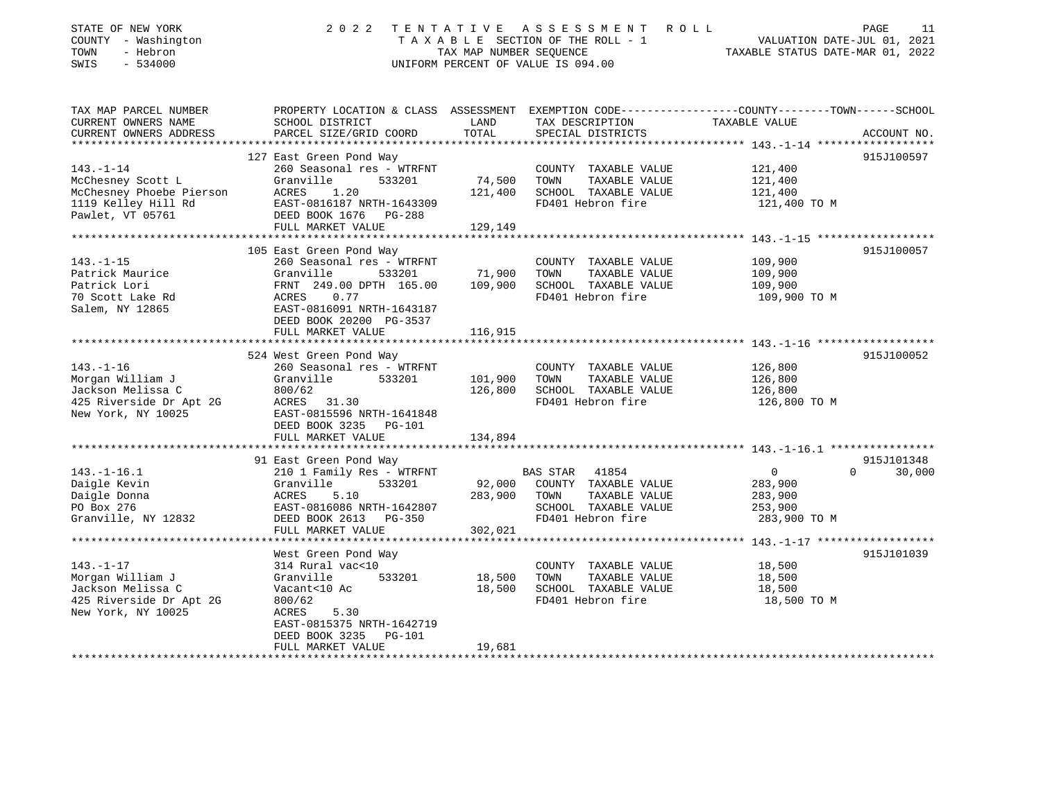| STATE OF NEW YORK<br>COUNTY - Washington<br>TOWN<br>- Hebron<br>SWIS<br>$-534000$                           | 2 0 2 2                                                                                                                                                                   | TAX MAP NUMBER SEOUENCE      | TENTATIVE ASSESSMENT<br>TAXABLE SECTION OF THE ROLL - 1<br>UNIFORM PERCENT OF VALUE IS 094.00                   | PAGE<br>R O L L<br>11<br>VALUATION DATE-JUL 01, 2021<br>TAXABLE STATUS DATE-MAR 01, 2022                         |
|-------------------------------------------------------------------------------------------------------------|---------------------------------------------------------------------------------------------------------------------------------------------------------------------------|------------------------------|-----------------------------------------------------------------------------------------------------------------|------------------------------------------------------------------------------------------------------------------|
| TAX MAP PARCEL NUMBER<br>CURRENT OWNERS NAME                                                                | SCHOOL DISTRICT                                                                                                                                                           | LAND                         | TAX DESCRIPTION                                                                                                 | PROPERTY LOCATION & CLASS ASSESSMENT EXEMPTION CODE---------------COUNTY-------TOWN------SCHOOL<br>TAXABLE VALUE |
| CURRENT OWNERS ADDRESS<br>**********************                                                            | PARCEL SIZE/GRID COORD                                                                                                                                                    | TOTAL                        | SPECIAL DISTRICTS<br>*****************************                                                              | ACCOUNT NO.                                                                                                      |
|                                                                                                             | 127 East Green Pond Way                                                                                                                                                   |                              |                                                                                                                 | **************** 143.-1-14 *******************<br>915J100597                                                     |
| $143. - 1 - 14$<br>McChesney Scott L<br>McChesney Phoebe Pierson<br>1119 Kelley Hill Rd<br>Pawlet, VT 05761 | 260 Seasonal res - WTRFNT<br>Granville<br>533201<br>ACRES<br>1.20<br>EAST-0816187 NRTH-1643309<br>DEED BOOK 1676<br>PG-288                                                | 74,500<br>121,400            | COUNTY TAXABLE VALUE<br>TOWN<br>TAXABLE VALUE<br>SCHOOL TAXABLE VALUE<br>FD401 Hebron fire                      | 121,400<br>121,400<br>121,400<br>121,400 TO M                                                                    |
|                                                                                                             | FULL MARKET VALUE                                                                                                                                                         | 129,149                      |                                                                                                                 |                                                                                                                  |
| *************************                                                                                   |                                                                                                                                                                           |                              |                                                                                                                 |                                                                                                                  |
| $143. - 1 - 15$<br>Patrick Maurice<br>Patrick Lori<br>70 Scott Lake Rd<br>Salem, NY 12865                   | 105 East Green Pond Way<br>260 Seasonal res - WTRFNT<br>Granville<br>533201<br>FRNT 249.00 DPTH 165.00<br>0.77<br>ACRES<br>EAST-0816091 NRTH-1643187                      | 71,900<br>109,900            | COUNTY TAXABLE VALUE<br>TOWN<br>TAXABLE VALUE<br>SCHOOL TAXABLE VALUE<br>FD401 Hebron fire                      | 915J100057<br>109,900<br>109,900<br>109,900<br>109,900 TO M                                                      |
|                                                                                                             | DEED BOOK 20200 PG-3537                                                                                                                                                   |                              |                                                                                                                 |                                                                                                                  |
|                                                                                                             | FULL MARKET VALUE                                                                                                                                                         | 116,915                      |                                                                                                                 |                                                                                                                  |
|                                                                                                             | 524 West Green Pond Way                                                                                                                                                   |                              |                                                                                                                 | 915J100052                                                                                                       |
| $143. - 1 - 16$<br>Morgan William J<br>Jackson Melissa C<br>425 Riverside Dr Apt 2G<br>New York, NY 10025   | 260 Seasonal res - WTRFNT<br>Granville<br>533201<br>800/62<br>ACRES 31.30<br>EAST-0815596 NRTH-1641848<br>DEED BOOK 3235<br><b>PG-101</b>                                 | 101,900<br>126,800           | COUNTY TAXABLE VALUE<br>TOWN<br>TAXABLE VALUE<br>SCHOOL TAXABLE VALUE<br>FD401 Hebron fire                      | 126,800<br>126,800<br>126,800<br>126,800 TO M                                                                    |
|                                                                                                             | FULL MARKET VALUE<br>********************                                                                                                                                 | 134,894                      |                                                                                                                 |                                                                                                                  |
|                                                                                                             | 91 East Green Pond Way                                                                                                                                                    |                              |                                                                                                                 | 915J101348                                                                                                       |
| $143. - 1 - 16.1$<br>Daigle Kevin<br>Daigle Donna<br>PO Box 276<br>Granville, NY 12832                      | 210 1 Family Res - WTRFNT<br>Granville<br>533201<br>ACRES<br>5.10<br>EAST-0816086 NRTH-1642807<br>DEED BOOK 2613<br>PG-350<br>FULL MARKET VALUE                           | 92,000<br>283,900<br>302,021 | BAS STAR<br>41854<br>COUNTY TAXABLE VALUE<br>TOWN<br>TAXABLE VALUE<br>SCHOOL TAXABLE VALUE<br>FD401 Hebron fire | $\mathsf{O}$<br>$\Omega$<br>30,000<br>283,900<br>283,900<br>253,900<br>283,900 TO M                              |
|                                                                                                             | ************************                                                                                                                                                  |                              |                                                                                                                 |                                                                                                                  |
| $143. - 1 - 17$<br>Morgan William J<br>Jackson Melissa C<br>425 Riverside Dr Apt 2G<br>New York, NY 10025   | West Green Pond Way<br>314 Rural vac<10<br>Granville<br>533201<br>Vacant<10 Ac<br>800/62<br>5.30<br>ACRES<br>EAST-0815375 NRTH-1642719<br>DEED BOOK 3235<br><b>PG-101</b> | 18,500<br>18,500             | COUNTY TAXABLE VALUE<br>TOWN<br>TAXABLE VALUE<br>SCHOOL TAXABLE VALUE<br>FD401 Hebron fire                      | 915J101039<br>18,500<br>18,500<br>18,500<br>18,500 TO M                                                          |
|                                                                                                             | FULL MARKET VALUE                                                                                                                                                         | 19,681                       |                                                                                                                 |                                                                                                                  |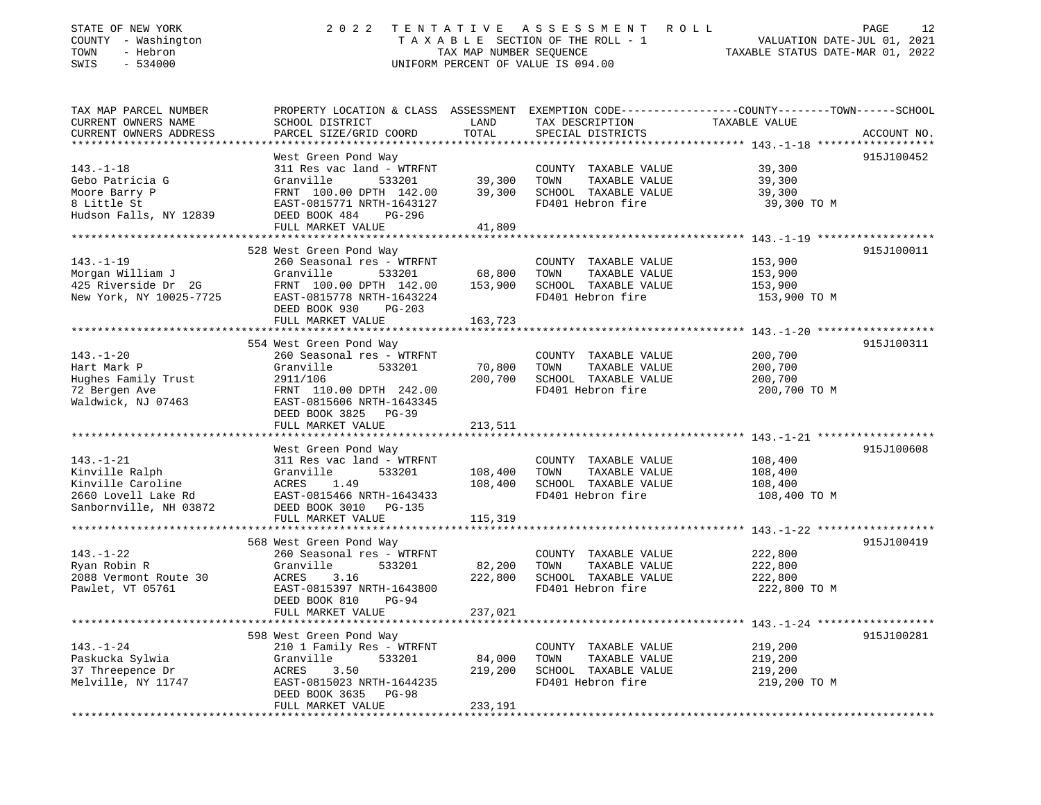| STATE OF NEW YORK<br>COUNTY - Washington<br>- Hebron<br>TOWN<br>SWIS<br>$-534000$ | 2 0 2 2                                          | TENTATIVE<br>TAX MAP NUMBER SEQUENCE | A S S E S S M E N T<br>ROLL<br>TAXABLE SECTION OF THE ROLL - 1<br>UNIFORM PERCENT OF VALUE IS 094.00 | PAGE<br>12<br>VALUATION DATE-JUL 01, 2021<br>TAXABLE STATUS DATE-MAR 01, 2022                   |
|-----------------------------------------------------------------------------------|--------------------------------------------------|--------------------------------------|------------------------------------------------------------------------------------------------------|-------------------------------------------------------------------------------------------------|
| TAX MAP PARCEL NUMBER                                                             |                                                  |                                      |                                                                                                      | PROPERTY LOCATION & CLASS ASSESSMENT EXEMPTION CODE---------------COUNTY-------TOWN------SCHOOL |
| CURRENT OWNERS NAME                                                               | SCHOOL DISTRICT                                  | LAND                                 | TAX DESCRIPTION                                                                                      | TAXABLE VALUE                                                                                   |
| CURRENT OWNERS ADDRESS                                                            | PARCEL SIZE/GRID COORD                           | TOTAL                                | SPECIAL DISTRICTS                                                                                    | ACCOUNT NO.                                                                                     |
|                                                                                   |                                                  |                                      |                                                                                                      |                                                                                                 |
| $143. - 1 - 18$                                                                   | West Green Pond Way                              |                                      |                                                                                                      | 915J100452                                                                                      |
| Gebo Patricia G                                                                   | 311 Res vac land - WTRFNT<br>Granville<br>533201 | 39,300                               | COUNTY TAXABLE VALUE<br>TOWN<br>TAXABLE VALUE                                                        | 39,300<br>39,300                                                                                |
| Moore Barry P                                                                     | FRNT 100.00 DPTH 142.00                          | 39,300                               | SCHOOL TAXABLE VALUE                                                                                 | 39,300                                                                                          |
| 8 Little St                                                                       | EAST-0815771 NRTH-1643127                        |                                      | FD401 Hebron fire                                                                                    | 39,300 TO M                                                                                     |
| Hudson Falls, NY 12839                                                            | DEED BOOK 484<br>PG-296                          |                                      |                                                                                                      |                                                                                                 |
|                                                                                   | FULL MARKET VALUE                                | 41,809                               |                                                                                                      |                                                                                                 |
|                                                                                   |                                                  |                                      |                                                                                                      |                                                                                                 |
|                                                                                   | 528 West Green Pond Way                          |                                      |                                                                                                      | 915J100011                                                                                      |
| $143. - 1 - 19$<br>Morgan William J                                               | 260 Seasonal res - WTRFNT<br>Granville<br>533201 | 68,800                               | COUNTY TAXABLE VALUE<br>TOWN<br>TAXABLE VALUE                                                        | 153,900                                                                                         |
| 425 Riverside Dr 2G                                                               | FRNT 100.00 DPTH 142.00                          | 153,900                              | SCHOOL TAXABLE VALUE                                                                                 | 153,900<br>153,900                                                                              |
| New York, NY 10025-7725                                                           | EAST-0815778 NRTH-1643224                        |                                      | FD401 Hebron fire                                                                                    | 153,900 TO M                                                                                    |
|                                                                                   | DEED BOOK 930<br>$PG-203$                        |                                      |                                                                                                      |                                                                                                 |
|                                                                                   | FULL MARKET VALUE                                | 163,723                              |                                                                                                      |                                                                                                 |
|                                                                                   |                                                  | *************                        |                                                                                                      |                                                                                                 |
|                                                                                   | 554 West Green Pond Way                          |                                      |                                                                                                      | 915J100311                                                                                      |
| $143. - 1 - 20$                                                                   | 260 Seasonal res - WTRFNT                        |                                      | COUNTY TAXABLE VALUE                                                                                 | 200,700                                                                                         |
| Hart Mark P<br>Hughes Family Trust                                                | Granville<br>533201<br>2911/106                  | 70,800<br>200,700                    | TOWN<br>TAXABLE VALUE<br>SCHOOL TAXABLE VALUE                                                        | 200,700<br>200,700                                                                              |
| 72 Bergen Ave                                                                     | FRNT 110.00 DPTH 242.00                          |                                      | FD401 Hebron fire                                                                                    | 200,700 TO M                                                                                    |
| Waldwick, NJ 07463                                                                | EAST-0815606 NRTH-1643345                        |                                      |                                                                                                      |                                                                                                 |
|                                                                                   | DEED BOOK 3825 PG-39                             |                                      |                                                                                                      |                                                                                                 |
|                                                                                   | FULL MARKET VALUE                                | 213,511                              |                                                                                                      |                                                                                                 |
|                                                                                   |                                                  |                                      |                                                                                                      |                                                                                                 |
|                                                                                   | West Green Pond Way                              |                                      |                                                                                                      | 915J100608                                                                                      |
| $143. - 1 - 21$                                                                   | 311 Res vac land - WTRFNT<br>Granville           |                                      | COUNTY TAXABLE VALUE<br>TOWN<br>TAXABLE VALUE                                                        | 108,400                                                                                         |
| Kinville Ralph<br>Kinville Caroline                                               | 533201<br>1.49<br>ACRES                          | 108,400<br>108,400                   | SCHOOL TAXABLE VALUE                                                                                 | 108,400<br>108,400                                                                              |
| 2660 Lovell Lake Rd                                                               | EAST-0815466 NRTH-1643433                        |                                      | FD401 Hebron fire                                                                                    | 108,400 TO M                                                                                    |
| Sanbornville, NH 03872                                                            | DEED BOOK 3010 PG-135                            |                                      |                                                                                                      |                                                                                                 |
|                                                                                   | FULL MARKET VALUE                                | 115,319                              |                                                                                                      |                                                                                                 |
|                                                                                   |                                                  |                                      |                                                                                                      |                                                                                                 |
|                                                                                   | 568 West Green Pond Way                          |                                      |                                                                                                      | 915J100419                                                                                      |
| $143. - 1 - 22$                                                                   | 260 Seasonal res - WTRFNT                        |                                      | COUNTY TAXABLE VALUE                                                                                 | 222,800                                                                                         |
| Ryan Robin R<br>2088 Vermont Route 30                                             | Granville<br>533201<br>ACRES<br>3.16             | 82,200<br>222,800                    | TAXABLE VALUE<br>TOWN<br>SCHOOL TAXABLE VALUE                                                        | 222,800<br>222,800                                                                              |
| Pawlet, VT 05761                                                                  | EAST-0815397 NRTH-1643800                        |                                      | FD401 Hebron fire                                                                                    | 222,800 TO M                                                                                    |
|                                                                                   | DEED BOOK 810<br>$PG-94$                         |                                      |                                                                                                      |                                                                                                 |
|                                                                                   | FULL MARKET VALUE                                | 237,021                              |                                                                                                      |                                                                                                 |
| ****************                                                                  |                                                  |                                      |                                                                                                      |                                                                                                 |
|                                                                                   | 598 West Green Pond Way                          |                                      |                                                                                                      | 915J100281                                                                                      |
| $143. - 1 - 24$                                                                   | 210 1 Family Res - WTRFNT                        |                                      | COUNTY TAXABLE VALUE                                                                                 | 219,200                                                                                         |
| Paskucka Sylwia                                                                   | Granville<br>533201                              | 84,000                               | TOWN<br>TAXABLE VALUE                                                                                | 219,200                                                                                         |
| 37 Threepence Dr<br>Melville, NY 11747                                            | ACRES<br>3.50<br>EAST-0815023 NRTH-1644235       | 219,200                              | SCHOOL TAXABLE VALUE<br>FD401 Hebron fire                                                            | 219,200<br>219,200 TO M                                                                         |
|                                                                                   | DEED BOOK 3635 PG-98                             |                                      |                                                                                                      |                                                                                                 |
|                                                                                   | FULL MARKET VALUE                                | 233,191                              |                                                                                                      |                                                                                                 |
|                                                                                   |                                                  |                                      |                                                                                                      |                                                                                                 |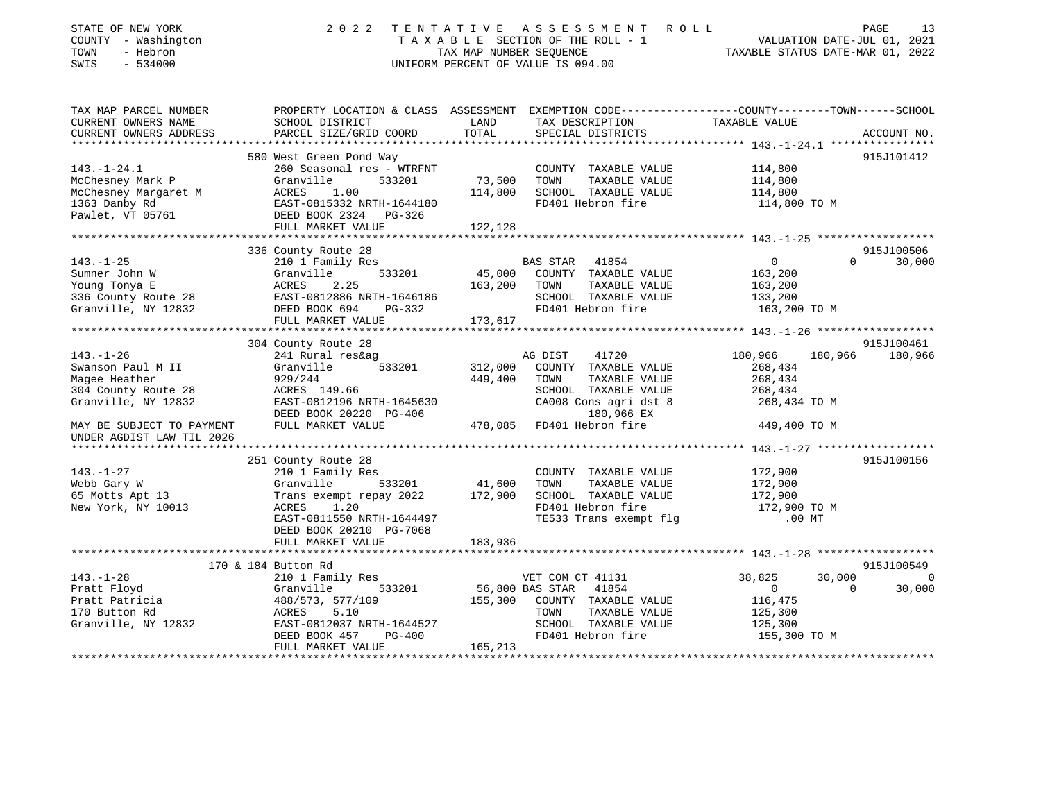| STATE OF NEW YORK<br>COUNTY - Washington<br>- Hebron<br>TOWN<br>SWIS<br>$-534000$ |                                                                                                                                                                                                                                                           |                 | 2022 TENTATIVE ASSESSMENT ROLL<br>TAXABLE SECTION OF THE ROLL - 1<br>TAXABLE SECTION OF THE ROLL - 1<br>TAXABLE STATUS DATE-MAR 01, 2022<br>UNIFORM PERCENT OF VALUE IS 094.00 |                                    | PAGE<br>13                           |
|-----------------------------------------------------------------------------------|-----------------------------------------------------------------------------------------------------------------------------------------------------------------------------------------------------------------------------------------------------------|-----------------|--------------------------------------------------------------------------------------------------------------------------------------------------------------------------------|------------------------------------|--------------------------------------|
| CURRENT OWNERS NAME                                                               | TAX MAP PARCEL NUMBER PROPERTY LOCATION & CLASS ASSESSMENT EXEMPTION CODE---------------COUNTY-------TOWN------SCHOOL<br>SCHOOL DISTRICT                                                                                                                  | LAND            | TAX DESCRIPTION                                                                                                                                                                | TAXABLE VALUE                      |                                      |
| CURRENT OWNERS ADDRESS                                                            | PARCEL SIZE/GRID COORD                                                                                                                                                                                                                                    | TOTAL           | SPECIAL DISTRICTS                                                                                                                                                              |                                    | ACCOUNT NO.                          |
|                                                                                   |                                                                                                                                                                                                                                                           |                 |                                                                                                                                                                                |                                    |                                      |
| $143. - 1 - 24.1$                                                                 | 580 West Green Pond Way<br>260 Seasonal res - WTRFNT                                                                                                                                                                                                      |                 | COUNTY TAXABLE VALUE                                                                                                                                                           | 114,800                            | 915J101412                           |
| McChesney Mark P                                                                  | Granville<br>533201                                                                                                                                                                                                                                       | 73,500          | TAXABLE VALUE<br>TOWN                                                                                                                                                          | 114,800                            |                                      |
|                                                                                   |                                                                                                                                                                                                                                                           | 114,800         | SCHOOL TAXABLE VALUE                                                                                                                                                           | 114,800                            |                                      |
|                                                                                   |                                                                                                                                                                                                                                                           |                 | FD401 Hebron fire                                                                                                                                                              | 114,800 TO M                       |                                      |
|                                                                                   | McChesney Margaret M<br>1363 Danby Rd<br>1363 Danby Rd<br>1363 Danby Rd<br>1363 Danby Rd<br>1363 Danby Rd<br>1363 Danby Rd<br>1363 Danby Rd<br>1363 Danby Rd<br>1363 Danby Rd<br>1363 Danby Rd<br>1363 Danby Rd<br>1363 Danby Rd<br>1363 Danby Rd<br>1363 |                 |                                                                                                                                                                                |                                    |                                      |
|                                                                                   | FULL MARKET VALUE                                                                                                                                                                                                                                         | 122,128         |                                                                                                                                                                                |                                    |                                      |
|                                                                                   |                                                                                                                                                                                                                                                           |                 |                                                                                                                                                                                |                                    |                                      |
|                                                                                   | 336 County Route 28                                                                                                                                                                                                                                       |                 |                                                                                                                                                                                |                                    | 915J100506                           |
| 143.-1-25                                                                         | 210 1 Family Res<br>533201                                                                                                                                                                                                                                |                 | BAS STAR 41854<br>45,000 COUNTY TAXABLE VALUE                                                                                                                                  | $\overline{0}$                     | $\Omega$<br>30,000                   |
|                                                                                   |                                                                                                                                                                                                                                                           | 163,200         | TAXABLE VALUE<br>TOWN                                                                                                                                                          | 163,200<br>163,200                 |                                      |
|                                                                                   |                                                                                                                                                                                                                                                           |                 | SCHOOL TAXABLE VALUE                                                                                                                                                           | 133,200                            |                                      |
|                                                                                   |                                                                                                                                                                                                                                                           |                 | FD401 Hebron fire                                                                                                                                                              | 163,200 TO M                       |                                      |
|                                                                                   | FULL MARKET VALUE 173,617                                                                                                                                                                                                                                 |                 |                                                                                                                                                                                |                                    |                                      |
|                                                                                   |                                                                                                                                                                                                                                                           |                 |                                                                                                                                                                                |                                    |                                      |
|                                                                                   | 304 County Route 28                                                                                                                                                                                                                                       |                 |                                                                                                                                                                                |                                    | 915J100461                           |
| $143. - 1 - 26$                                                                   | 241 Rural res&ag                                                                                                                                                                                                                                          |                 | AG DIST<br>41720                                                                                                                                                               | 180,966<br>180,966                 | 180,966                              |
| Swanson Paul M II                                                                 | 533201<br>Granville                                                                                                                                                                                                                                       | 312,000         | COUNTY TAXABLE VALUE                                                                                                                                                           | 268,434                            |                                      |
| Magee Heather<br>304 County Route 28                                              | 929/244                                                                                                                                                                                                                                                   | 449,400         | TOWN<br>TAXABLE VALUE<br>SCHOOL TAXABLE VALUE                                                                                                                                  | 268,434<br>268,434                 |                                      |
| Granville, NY 12832                                                               | ACRES 149.66<br>EAST-0812196 NRTH-1645630                                                                                                                                                                                                                 |                 | CA008 Cons agri dst 8                                                                                                                                                          | 268,434 TO M                       |                                      |
|                                                                                   | DEED BOOK 20220 PG-406                                                                                                                                                                                                                                    |                 | 180,966 EX                                                                                                                                                                     |                                    |                                      |
| MAY BE SUBJECT TO PAYMENT                                                         | FULL MARKET VALUE                                                                                                                                                                                                                                         |                 | $180,900$ and $478,085$ FD401 Hebron fire                                                                                                                                      | 449,400 TO M                       |                                      |
| UNDER AGDIST LAW TIL 2026                                                         |                                                                                                                                                                                                                                                           |                 |                                                                                                                                                                                |                                    |                                      |
|                                                                                   |                                                                                                                                                                                                                                                           |                 |                                                                                                                                                                                |                                    |                                      |
|                                                                                   | 251 County Route 28                                                                                                                                                                                                                                       |                 |                                                                                                                                                                                |                                    | 915J100156                           |
| $143. - 1 - 27$                                                                   | 210 1 Family Res                                                                                                                                                                                                                                          |                 | COUNTY TAXABLE VALUE<br>TOWN TAXABLE VALUE                                                                                                                                     | 172,900<br>172,900                 |                                      |
| Webb Gary W<br>65 Motts Apt 13                                                    |                                                                                                                                                                                                                                                           |                 | SCHOOL TAXABLE VALUE                                                                                                                                                           | 172,900                            |                                      |
| New York, NY 10013                                                                | ACRES 1.20                                                                                                                                                                                                                                                |                 | FD401 Hebron fire                                                                                                                                                              | 172,900 TO M                       |                                      |
|                                                                                   | EAST-0811550 NRTH-1644497                                                                                                                                                                                                                                 |                 | TE533 Trans exempt flg                                                                                                                                                         | $.00$ MT                           |                                      |
|                                                                                   | DEED BOOK 20210 PG-7068                                                                                                                                                                                                                                   |                 |                                                                                                                                                                                |                                    |                                      |
|                                                                                   | FULL MARKET VALUE                                                                                                                                                                                                                                         | 183,936         |                                                                                                                                                                                |                                    |                                      |
|                                                                                   |                                                                                                                                                                                                                                                           |                 |                                                                                                                                                                                |                                    |                                      |
|                                                                                   | 170 & 184 Button Rd                                                                                                                                                                                                                                       |                 |                                                                                                                                                                                |                                    | 915J100549                           |
| $143. - 1 - 28$<br>Pratt Floyd                                                    | 210 1 Family Res<br>533201<br>Granville                                                                                                                                                                                                                   | 56,800 BAS STAR | VET COM CT 41131<br>41854                                                                                                                                                      | 30,000<br>38,825<br>$\overline{0}$ | $\overline{0}$<br>30,000<br>$\Omega$ |
|                                                                                   |                                                                                                                                                                                                                                                           |                 | 155,300 COUNTY TAXABLE VALUE                                                                                                                                                   | 116,475                            |                                      |
|                                                                                   |                                                                                                                                                                                                                                                           |                 | TOWN<br>TAXABLE VALUE                                                                                                                                                          | 125,300                            |                                      |
|                                                                                   | Pratt Patricia (188/573, 577/109<br>170 Button Rd (1882)<br>Granville, NY 12832 (1887-0812037 NRTH-1644527<br>DEED BOOK 457 PG-400                                                                                                                        |                 | SCHOOL TAXABLE VALUE                                                                                                                                                           | 125,300                            |                                      |
|                                                                                   |                                                                                                                                                                                                                                                           |                 | FD401 Hebron fire                                                                                                                                                              | 155,300 TO M                       |                                      |
|                                                                                   | FULL MARKET VALUE                                                                                                                                                                                                                                         | 165,213         |                                                                                                                                                                                |                                    |                                      |
|                                                                                   |                                                                                                                                                                                                                                                           |                 |                                                                                                                                                                                |                                    |                                      |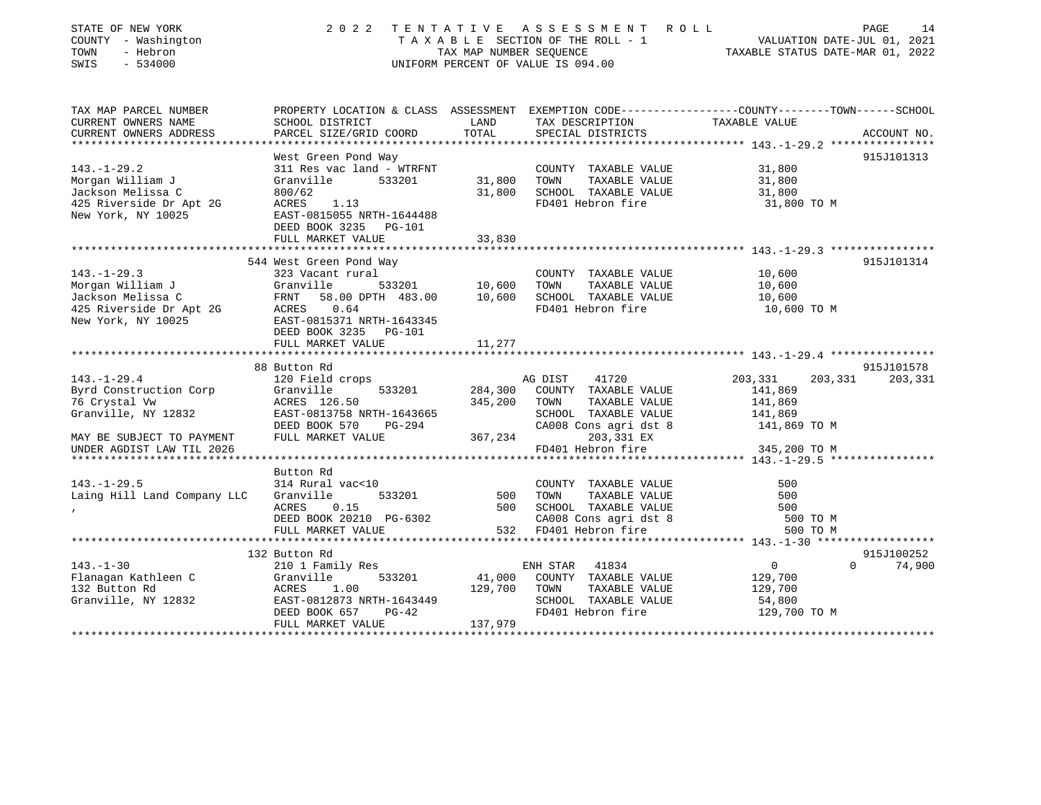| STATE OF NEW YORK<br>COUNTY - Washington<br>TOWN<br>- Hebron<br>SWIS<br>$-534000$ | 2 0 2 2                                                             | TAX MAP NUMBER SEQUENCE | TENTATIVE ASSESSMENT<br>TAXABLE SECTION OF THE ROLL - 1<br>UNIFORM PERCENT OF VALUE IS 094.00 | ROLL<br>VALUATION DATE-JUL 01, 2021<br>TAXABLE STATUS DATE-MAR 01, 2022                                          | PAGE<br>14  |
|-----------------------------------------------------------------------------------|---------------------------------------------------------------------|-------------------------|-----------------------------------------------------------------------------------------------|------------------------------------------------------------------------------------------------------------------|-------------|
| TAX MAP PARCEL NUMBER<br>CURRENT OWNERS NAME                                      | SCHOOL DISTRICT                                                     | LAND                    | TAX DESCRIPTION                                                                               | PROPERTY LOCATION & CLASS ASSESSMENT EXEMPTION CODE---------------COUNTY-------TOWN------SCHOOL<br>TAXABLE VALUE |             |
| CURRENT OWNERS ADDRESS                                                            | PARCEL SIZE/GRID COORD                                              | TOTAL                   | SPECIAL DISTRICTS                                                                             |                                                                                                                  | ACCOUNT NO. |
| **************************                                                        |                                                                     |                         |                                                                                               |                                                                                                                  |             |
|                                                                                   | West Green Pond Way                                                 |                         |                                                                                               |                                                                                                                  | 915J101313  |
| $143. - 1 - 29.2$                                                                 | 311 Res vac land - WTRFNT                                           |                         | COUNTY TAXABLE VALUE                                                                          | 31,800                                                                                                           |             |
| Morgan William J                                                                  | Granville<br>533201                                                 | 31,800                  | TAXABLE VALUE<br>TOWN                                                                         | 31,800                                                                                                           |             |
| Jackson Melissa C                                                                 | 800/62                                                              | 31,800                  | SCHOOL TAXABLE VALUE                                                                          | 31,800                                                                                                           |             |
| 425 Riverside Dr Apt 2G<br>New York, NY 10025                                     | <b>ACRES</b><br>1.13<br>EAST-0815055 NRTH-1644488                   |                         | FD401 Hebron fire                                                                             | 31,800 TO M                                                                                                      |             |
|                                                                                   | DEED BOOK 3235 PG-101                                               |                         |                                                                                               |                                                                                                                  |             |
|                                                                                   | FULL MARKET VALUE                                                   | 33,830                  |                                                                                               |                                                                                                                  |             |
|                                                                                   |                                                                     |                         |                                                                                               |                                                                                                                  |             |
|                                                                                   | 544 West Green Pond Way                                             |                         |                                                                                               |                                                                                                                  | 915J101314  |
| $143. - 1 - 29.3$                                                                 | 323 Vacant rural                                                    |                         | COUNTY TAXABLE VALUE                                                                          | 10,600                                                                                                           |             |
| Morgan William J                                                                  | Granville<br>533201                                                 | 10,600                  | TOWN<br>TAXABLE VALUE                                                                         | 10,600                                                                                                           |             |
| Jackson Melissa C                                                                 | 58.00 DPTH 483.00<br>FRNT                                           | 10,600                  | SCHOOL TAXABLE VALUE                                                                          | 10,600                                                                                                           |             |
| 425 Riverside Dr Apt 2G<br>New York, NY 10025                                     | ACRES<br>0.64<br>EAST-0815371 NRTH-1643345<br>DEED BOOK 3235 PG-101 |                         | FD401 Hebron fire                                                                             | 10,600 TO M                                                                                                      |             |
|                                                                                   | FULL MARKET VALUE                                                   | 11,277                  |                                                                                               |                                                                                                                  |             |
|                                                                                   | *********************************                                   |                         |                                                                                               |                                                                                                                  |             |
|                                                                                   | 88 Button Rd                                                        |                         |                                                                                               |                                                                                                                  | 915J101578  |
| $143. - 1 - 29.4$                                                                 | 120 Field crops                                                     |                         | 41720<br>AG DIST                                                                              | 203,331<br>203,331                                                                                               | 203,331     |
| Byrd Construction Corp                                                            | Granville<br>533201                                                 | 284,300                 | COUNTY TAXABLE VALUE                                                                          | 141,869                                                                                                          |             |
| 76 Crystal Vw<br>Granville, NY 12832                                              | ACRES 126.50<br>EAST-0813758 NRTH-1643665                           | 345,200                 | TOWN<br>TAXABLE VALUE<br>SCHOOL TAXABLE VALUE                                                 | 141,869<br>141,869                                                                                               |             |
|                                                                                   | DEED BOOK 570<br>PG-294                                             |                         | CA008 Cons agri dst 8                                                                         | 141,869 TO M                                                                                                     |             |
| MAY BE SUBJECT TO PAYMENT                                                         | FULL MARKET VALUE                                                   | 367,234                 | 203,331 EX                                                                                    |                                                                                                                  |             |
| UNDER AGDIST LAW TIL 2026                                                         |                                                                     |                         | FD401 Hebron fire                                                                             | 345,200 TO M                                                                                                     |             |
|                                                                                   |                                                                     |                         |                                                                                               |                                                                                                                  |             |
|                                                                                   | Button Rd                                                           |                         |                                                                                               |                                                                                                                  |             |
| $143. - 1 - 29.5$                                                                 | 314 Rural vac<10                                                    |                         | COUNTY TAXABLE VALUE                                                                          | 500                                                                                                              |             |
| Laing Hill Land Company LLC                                                       | Granville<br>533201                                                 | 500                     | TOWN<br>TAXABLE VALUE                                                                         | 500                                                                                                              |             |
|                                                                                   | ACRES<br>0.15                                                       | 500                     | SCHOOL TAXABLE VALUE                                                                          | 500                                                                                                              |             |
|                                                                                   | DEED BOOK 20210 PG-6302                                             |                         | CA008 Cons agri dst 8                                                                         | 500 TO M                                                                                                         |             |
|                                                                                   | FULL MARKET VALUE                                                   | 532                     | FD401 Hebron fire                                                                             | 500 TO M                                                                                                         |             |
|                                                                                   |                                                                     |                         |                                                                                               |                                                                                                                  |             |
|                                                                                   | 132 Button Rd                                                       |                         |                                                                                               |                                                                                                                  | 915J100252  |
| $143. - 1 - 30$                                                                   | 210 1 Family Res                                                    |                         | ENH STAR<br>41834                                                                             | $\mathbf 0$<br>$\Omega$                                                                                          | 74,900      |
| Flanagan Kathleen C                                                               | Granville<br>533201<br>ACRES                                        | 41,000<br>129,700       | COUNTY TAXABLE VALUE                                                                          | 129,700                                                                                                          |             |
| 132 Button Rd<br>Granville, NY 12832                                              | 1.00<br>EAST-0812873 NRTH-1643449                                   |                         | TAXABLE VALUE<br>TOWN<br>SCHOOL TAXABLE VALUE                                                 | 129,700<br>54,800                                                                                                |             |
|                                                                                   | DEED BOOK 657<br>$PG-42$                                            |                         | FD401 Hebron fire                                                                             | 129,700 TO M                                                                                                     |             |
|                                                                                   | FULL MARKET VALUE                                                   | 137,979                 |                                                                                               |                                                                                                                  |             |
|                                                                                   |                                                                     |                         |                                                                                               |                                                                                                                  |             |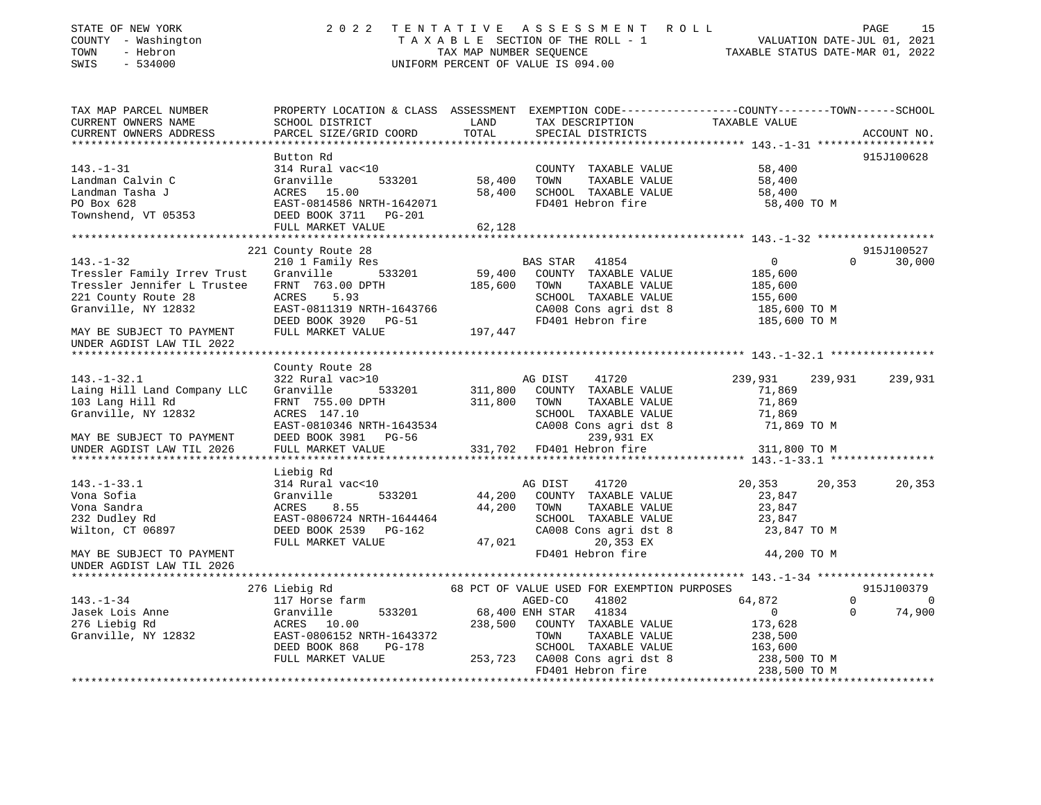| STATE OF NEW YORK<br>COUNTY - Washington<br>TOWN<br>- Hebron<br>SWIS<br>$-534000$ |                                                                                                                                              |                    | 2022 TENTATIVE ASSESSMENT ROLL<br>$\begin{array}{cccccccccccccc} \texttt{T A X A B L E} & \texttt{SECTION OF THE ROLL} & - & - & & & & \texttt{VALUATION DATE-JUL O1,} & 2021 \\ & & & & & & & & \texttt{TXABLE STATUS DATE-MAR O1,} & 2022 \\ \end{array}$<br>UNIFORM PERCENT OF VALUE IS 094.00 |                            | PAGE<br>15                       |
|-----------------------------------------------------------------------------------|----------------------------------------------------------------------------------------------------------------------------------------------|--------------------|---------------------------------------------------------------------------------------------------------------------------------------------------------------------------------------------------------------------------------------------------------------------------------------------------|----------------------------|----------------------------------|
| TAX MAP PARCEL NUMBER<br>CURRENT OWNERS NAME<br>CURRENT OWNERS ADDRESS            | PROPERTY LOCATION & CLASS ASSESSMENT EXEMPTION CODE----------------COUNTY-------TOWN-----SCHOOL<br>SCHOOL DISTRICT<br>PARCEL SIZE/GRID COORD | LAND<br>TOTAL      | TAX DESCRIPTION TAXABLE VALUE<br>SPECIAL DISTRICTS                                                                                                                                                                                                                                                |                            | ACCOUNT NO.                      |
|                                                                                   |                                                                                                                                              |                    |                                                                                                                                                                                                                                                                                                   |                            |                                  |
|                                                                                   | Button Rd                                                                                                                                    |                    |                                                                                                                                                                                                                                                                                                   |                            | 915J100628                       |
| $143. - 1 - 31$<br>Landman Calvin C<br>Landman Tasha J                            | 314 Rural vac<10<br>Granville<br>533201<br>ACRES 15.00                                                                                       | 58,400<br>58,400   | COUNTY TAXABLE VALUE<br>TOWN<br>TAXABLE VALUE<br>SCHOOL TAXABLE VALUE                                                                                                                                                                                                                             | 58,400<br>58,400<br>58,400 |                                  |
| PO Box 628<br>Townshend, VT 05353                                                 | EAST-0814586 NRTH-1642071<br>DEED BOOK 3711 PG-201                                                                                           |                    | FD401 Hebron fire                                                                                                                                                                                                                                                                                 | 58,400 TO M                |                                  |
|                                                                                   | FULL MARKET VALUE                                                                                                                            | 62,128             |                                                                                                                                                                                                                                                                                                   |                            |                                  |
|                                                                                   |                                                                                                                                              |                    |                                                                                                                                                                                                                                                                                                   |                            |                                  |
| $143. - 1 - 32$                                                                   | 221 County Route 28<br>210 1 Family Res                                                                                                      |                    | BAS STAR 41854                                                                                                                                                                                                                                                                                    | $\overline{0}$             | 915J100527<br>$\Omega$<br>30,000 |
| Tressler Family Irrev Trust                                                       | Granville 533201                                                                                                                             | 59,400             | COUNTY TAXABLE VALUE                                                                                                                                                                                                                                                                              | 185,600                    |                                  |
| Tressler Jennifer L Trustee                                                       | FRNT 763.00 DPTH                                                                                                                             | 185,600            | TOWN<br>TAXABLE VALUE                                                                                                                                                                                                                                                                             | 185,600                    |                                  |
| 221 County Route 28                                                               | ACRES 5.93                                                                                                                                   |                    | SCHOOL TAXABLE VALUE                                                                                                                                                                                                                                                                              | 155,600                    |                                  |
| Granville, NY 12832                                                               | EAST-0811319 NRTH-1643766                                                                                                                    |                    | CA008 Cons agri dst 8                                                                                                                                                                                                                                                                             | 185,600 ТО М               |                                  |
| MAY BE SUBJECT TO PAYMENT                                                         | DEED BOOK 3920 PG-51<br>FULL MARKET VALUE                                                                                                    | 197,447            | FD401 Hebron fire                                                                                                                                                                                                                                                                                 | 185,600 TO M               |                                  |
| UNDER AGDIST LAW TIL 2022                                                         |                                                                                                                                              |                    |                                                                                                                                                                                                                                                                                                   |                            |                                  |
| ******************************                                                    |                                                                                                                                              |                    |                                                                                                                                                                                                                                                                                                   |                            |                                  |
|                                                                                   | County Route 28                                                                                                                              |                    |                                                                                                                                                                                                                                                                                                   |                            |                                  |
| $143. - 1 - 32.1$                                                                 | 322 Rural vac>10                                                                                                                             |                    | AG DIST<br>41720                                                                                                                                                                                                                                                                                  | 239,931                    | 239,931<br>239,931               |
| Laing Hill Land Company LLC<br>103 Lang Hill Rd                                   | Granville<br>533201<br>FRNT 755.00 DPTH                                                                                                      | 311,800<br>311,800 | COUNTY TAXABLE VALUE<br>TOWN<br>TAXABLE VALUE                                                                                                                                                                                                                                                     | 71,869<br>71,869           |                                  |
| Granville, NY 12832                                                               | ACRES 147.10                                                                                                                                 |                    | SCHOOL TAXABLE VALUE                                                                                                                                                                                                                                                                              | 71,869                     |                                  |
|                                                                                   | EAST-0810346 NRTH-1643534                                                                                                                    |                    | CA008 Cons agri dst 8                                                                                                                                                                                                                                                                             | 71,869 TO M                |                                  |
| MAY BE SUBJECT TO PAYMENT                                                         | DEED BOOK 3981 PG-56                                                                                                                         |                    | 239,931 EX                                                                                                                                                                                                                                                                                        |                            |                                  |
| UNDER AGDIST LAW TIL 2026                                                         | FULL MARKET VALUE                                                                                                                            |                    | 331,702 FD401 Hebron fire                                                                                                                                                                                                                                                                         | 311,800 TO M               |                                  |
| *********************                                                             |                                                                                                                                              |                    |                                                                                                                                                                                                                                                                                                   |                            |                                  |
|                                                                                   | Liebig Rd                                                                                                                                    |                    |                                                                                                                                                                                                                                                                                                   |                            |                                  |
| $143. - 1 - 33.1$                                                                 | 314 Rural vac<10<br>533201                                                                                                                   |                    | AG DIST<br>41720                                                                                                                                                                                                                                                                                  | 20,353                     | 20,353<br>20,353                 |
| Vona Sofia<br>Vona Sandra                                                         | Granville<br>8.55<br>ACRES                                                                                                                   | 44,200<br>44,200   | COUNTY TAXABLE VALUE<br>TAXABLE VALUE<br>TOWN                                                                                                                                                                                                                                                     | 23,847<br>23,847           |                                  |
| 232 Dudley Rd                                                                     | EAST-0806724 NRTH-1644464                                                                                                                    |                    | SCHOOL TAXABLE VALUE                                                                                                                                                                                                                                                                              | 23,847                     |                                  |
| Wilton, CT 06897                                                                  | DEED BOOK 2539 PG-162                                                                                                                        |                    | CA008 Cons agri dst 8                                                                                                                                                                                                                                                                             | 23,847 TO M                |                                  |
|                                                                                   | FULL MARKET VALUE                                                                                                                            | 47,021             | 20,353 EX                                                                                                                                                                                                                                                                                         |                            |                                  |
| MAY BE SUBJECT TO PAYMENT                                                         |                                                                                                                                              |                    | FD401 Hebron fire                                                                                                                                                                                                                                                                                 | 44,200 TO M                |                                  |
| UNDER AGDIST LAW TIL 2026                                                         |                                                                                                                                              |                    |                                                                                                                                                                                                                                                                                                   |                            |                                  |
|                                                                                   |                                                                                                                                              |                    |                                                                                                                                                                                                                                                                                                   |                            | 915J100379                       |
| $143. - 1 - 34$                                                                   | 276 Liebig Rd<br>117 Horse farm                                                                                                              |                    | 68 PCT OF VALUE USED FOR EXEMPTION PURPOSES<br>AGED-CO<br>41802                                                                                                                                                                                                                                   | 64,872                     | $\mathbf{0}$<br>$\overline{0}$   |
| Jasek Lois Anne<br>Jasek Lois Anne                                                | 533201<br>Granville                                                                                                                          |                    | 68,400 ENH STAR 41834                                                                                                                                                                                                                                                                             | $\overline{0}$             | 74,900<br>$\mathbf 0$            |
| 276 Liebig Rd                                                                     | ACRES 10.00                                                                                                                                  | 238,500            | COUNTY TAXABLE VALUE                                                                                                                                                                                                                                                                              | 173,628                    |                                  |
| Granville, NY 12832                                                               | EAST-0806152 NRTH-1643372                                                                                                                    |                    | TOWN<br>TAXABLE VALUE                                                                                                                                                                                                                                                                             | 238,500                    |                                  |
|                                                                                   | DEED BOOK 868<br>PG-178                                                                                                                      |                    | SCHOOL TAXABLE VALUE                                                                                                                                                                                                                                                                              | 163,600                    |                                  |
|                                                                                   | FULL MARKET VALUE                                                                                                                            |                    | 253,723 CA008 Cons agri dst 8                                                                                                                                                                                                                                                                     | 238,500 TO M               |                                  |
|                                                                                   |                                                                                                                                              |                    | FD401 Hebron fire                                                                                                                                                                                                                                                                                 | 238,500 TO M               |                                  |

\*\*\*\*\*\*\*\*\*\*\*\*\*\*\*\*\*\*\*\*\*\*\*\*\*\*\*\*\*\*\*\*\*\*\*\*\*\*\*\*\*\*\*\*\*\*\*\*\*\*\*\*\*\*\*\*\*\*\*\*\*\*\*\*\*\*\*\*\*\*\*\*\*\*\*\*\*\*\*\*\*\*\*\*\*\*\*\*\*\*\*\*\*\*\*\*\*\*\*\*\*\*\*\*\*\*\*\*\*\*\*\*\*\*\*\*\*\*\*\*\*\*\*\*\*\*\*\*\*\*\*\*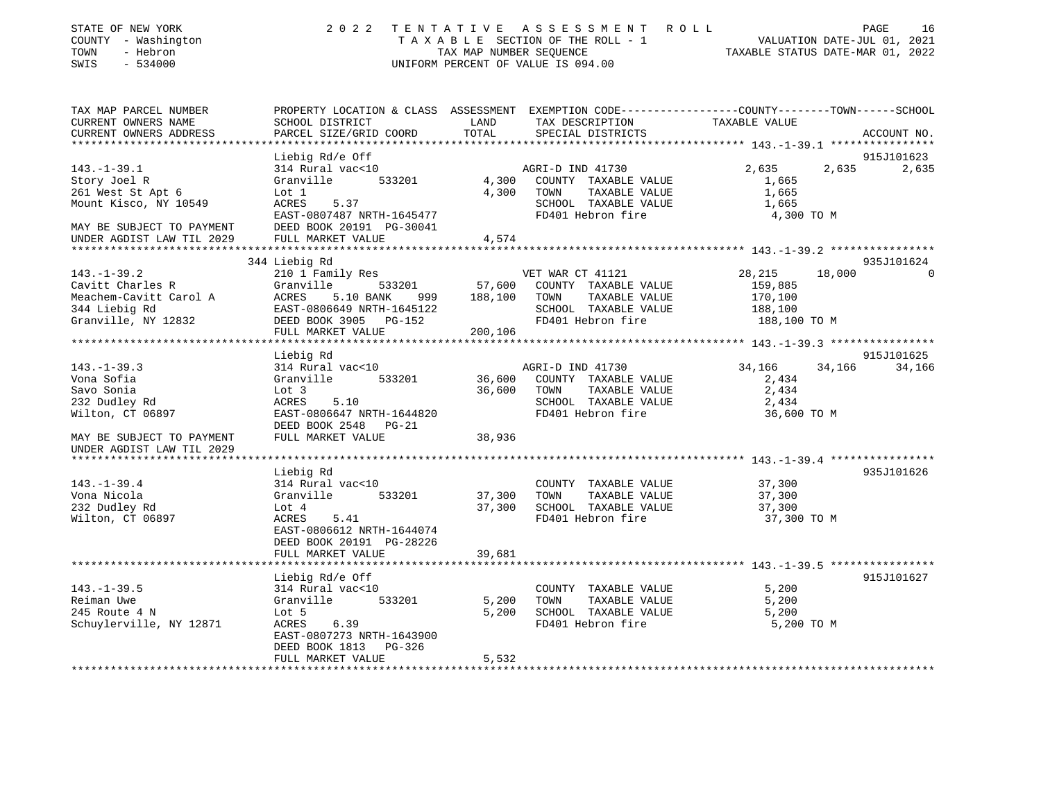| TAX MAP PARCEL NUMBER<br>PROPERTY LOCATION & CLASS ASSESSMENT EXEMPTION CODE---------------COUNTY-------TOWN------SCHOOL<br>CURRENT OWNERS NAME<br>SCHOOL DISTRICT<br>LAND<br>TAX DESCRIPTION<br>TAXABLE VALUE<br>CURRENT OWNERS ADDRESS<br>PARCEL SIZE/GRID COORD<br>TOTAL<br>SPECIAL DISTRICTS<br>ACCOUNT NO.<br>***************** 143.-1-39.1 ***************<br>Liebig Rd/e Off<br>915J101623<br>2,635<br>$143. - 1 - 39.1$<br>314 Rural vac<10<br>AGRI-D IND 41730<br>2,635<br>2,635<br>533201<br>Story Joel R<br>Granville<br>4,300<br>COUNTY TAXABLE VALUE<br>1,665<br>261 West St Apt 6<br>Lot 1<br>4,300<br>TOWN<br>TAXABLE VALUE<br>1,665<br>Mount Kisco, NY 10549<br>ACRES<br>5.37<br>SCHOOL TAXABLE VALUE<br>1,665<br>EAST-0807487 NRTH-1645477<br>FD401 Hebron fire<br>4,300 TO M<br>DEED BOOK 20191 PG-30041<br>MAY BE SUBJECT TO PAYMENT<br>FULL MARKET VALUE<br>4,574<br>UNDER AGDIST LAW TIL 2029<br>************************<br>344 Liebig Rd<br>935J101624<br>$143. - 1 - 39.2$<br>28,215<br>210 1 Family Res<br>VET WAR CT 41121<br>18,000<br>Cavitt Charles R<br>Granville<br>533201<br>57,600<br>COUNTY TAXABLE VALUE<br>159,885<br>Meachem-Cavitt Carol A<br>ACRES<br>5.10 BANK<br>188,100<br>TOWN<br>TAXABLE VALUE<br>170,100<br>999<br>344 Liebig Rd<br>EAST-0806649 NRTH-1645122<br>SCHOOL TAXABLE VALUE<br>188,100<br>Granville, NY 12832<br>DEED BOOK 3905<br>FD401 Hebron fire<br>188,100 TO M<br>PG-152<br>FULL MARKET VALUE<br>200,106 | 16       | PAGE<br>VALUATION DATE-JUL 01, 2021 | TAXABLE STATUS DATE-MAR 01, 2022 | A S S E S S M E N T<br>ROLL<br>T A X A B L E SECTION OF THE ROLL - 1<br>UNIFORM PERCENT OF VALUE IS 094.00 | TENTATIVE<br>TAX MAP NUMBER SEOUENCE | 2 0 2 2 | STATE OF NEW YORK<br>COUNTY - Washington<br>- Hebron<br>TOWN<br>SWIS<br>$-534000$ |
|-----------------------------------------------------------------------------------------------------------------------------------------------------------------------------------------------------------------------------------------------------------------------------------------------------------------------------------------------------------------------------------------------------------------------------------------------------------------------------------------------------------------------------------------------------------------------------------------------------------------------------------------------------------------------------------------------------------------------------------------------------------------------------------------------------------------------------------------------------------------------------------------------------------------------------------------------------------------------------------------------------------------------------------------------------------------------------------------------------------------------------------------------------------------------------------------------------------------------------------------------------------------------------------------------------------------------------------------------------------------------------------------------------------------------------------------------------------------------|----------|-------------------------------------|----------------------------------|------------------------------------------------------------------------------------------------------------|--------------------------------------|---------|-----------------------------------------------------------------------------------|
|                                                                                                                                                                                                                                                                                                                                                                                                                                                                                                                                                                                                                                                                                                                                                                                                                                                                                                                                                                                                                                                                                                                                                                                                                                                                                                                                                                                                                                                                       |          |                                     |                                  |                                                                                                            |                                      |         |                                                                                   |
|                                                                                                                                                                                                                                                                                                                                                                                                                                                                                                                                                                                                                                                                                                                                                                                                                                                                                                                                                                                                                                                                                                                                                                                                                                                                                                                                                                                                                                                                       |          |                                     |                                  |                                                                                                            |                                      |         |                                                                                   |
|                                                                                                                                                                                                                                                                                                                                                                                                                                                                                                                                                                                                                                                                                                                                                                                                                                                                                                                                                                                                                                                                                                                                                                                                                                                                                                                                                                                                                                                                       |          |                                     |                                  |                                                                                                            |                                      |         |                                                                                   |
|                                                                                                                                                                                                                                                                                                                                                                                                                                                                                                                                                                                                                                                                                                                                                                                                                                                                                                                                                                                                                                                                                                                                                                                                                                                                                                                                                                                                                                                                       |          |                                     |                                  |                                                                                                            |                                      |         |                                                                                   |
|                                                                                                                                                                                                                                                                                                                                                                                                                                                                                                                                                                                                                                                                                                                                                                                                                                                                                                                                                                                                                                                                                                                                                                                                                                                                                                                                                                                                                                                                       |          |                                     |                                  |                                                                                                            |                                      |         |                                                                                   |
|                                                                                                                                                                                                                                                                                                                                                                                                                                                                                                                                                                                                                                                                                                                                                                                                                                                                                                                                                                                                                                                                                                                                                                                                                                                                                                                                                                                                                                                                       |          |                                     |                                  |                                                                                                            |                                      |         |                                                                                   |
|                                                                                                                                                                                                                                                                                                                                                                                                                                                                                                                                                                                                                                                                                                                                                                                                                                                                                                                                                                                                                                                                                                                                                                                                                                                                                                                                                                                                                                                                       |          |                                     |                                  |                                                                                                            |                                      |         |                                                                                   |
|                                                                                                                                                                                                                                                                                                                                                                                                                                                                                                                                                                                                                                                                                                                                                                                                                                                                                                                                                                                                                                                                                                                                                                                                                                                                                                                                                                                                                                                                       |          |                                     |                                  |                                                                                                            |                                      |         |                                                                                   |
|                                                                                                                                                                                                                                                                                                                                                                                                                                                                                                                                                                                                                                                                                                                                                                                                                                                                                                                                                                                                                                                                                                                                                                                                                                                                                                                                                                                                                                                                       |          |                                     |                                  |                                                                                                            |                                      |         |                                                                                   |
|                                                                                                                                                                                                                                                                                                                                                                                                                                                                                                                                                                                                                                                                                                                                                                                                                                                                                                                                                                                                                                                                                                                                                                                                                                                                                                                                                                                                                                                                       |          |                                     |                                  |                                                                                                            |                                      |         |                                                                                   |
|                                                                                                                                                                                                                                                                                                                                                                                                                                                                                                                                                                                                                                                                                                                                                                                                                                                                                                                                                                                                                                                                                                                                                                                                                                                                                                                                                                                                                                                                       |          |                                     |                                  |                                                                                                            |                                      |         |                                                                                   |
|                                                                                                                                                                                                                                                                                                                                                                                                                                                                                                                                                                                                                                                                                                                                                                                                                                                                                                                                                                                                                                                                                                                                                                                                                                                                                                                                                                                                                                                                       | $\Omega$ |                                     |                                  |                                                                                                            |                                      |         |                                                                                   |
|                                                                                                                                                                                                                                                                                                                                                                                                                                                                                                                                                                                                                                                                                                                                                                                                                                                                                                                                                                                                                                                                                                                                                                                                                                                                                                                                                                                                                                                                       |          |                                     |                                  |                                                                                                            |                                      |         |                                                                                   |
|                                                                                                                                                                                                                                                                                                                                                                                                                                                                                                                                                                                                                                                                                                                                                                                                                                                                                                                                                                                                                                                                                                                                                                                                                                                                                                                                                                                                                                                                       |          |                                     |                                  |                                                                                                            |                                      |         |                                                                                   |
|                                                                                                                                                                                                                                                                                                                                                                                                                                                                                                                                                                                                                                                                                                                                                                                                                                                                                                                                                                                                                                                                                                                                                                                                                                                                                                                                                                                                                                                                       |          |                                     |                                  |                                                                                                            |                                      |         |                                                                                   |
|                                                                                                                                                                                                                                                                                                                                                                                                                                                                                                                                                                                                                                                                                                                                                                                                                                                                                                                                                                                                                                                                                                                                                                                                                                                                                                                                                                                                                                                                       |          |                                     |                                  |                                                                                                            |                                      |         |                                                                                   |
|                                                                                                                                                                                                                                                                                                                                                                                                                                                                                                                                                                                                                                                                                                                                                                                                                                                                                                                                                                                                                                                                                                                                                                                                                                                                                                                                                                                                                                                                       |          |                                     |                                  |                                                                                                            |                                      |         |                                                                                   |
| 915J101625<br>Liebig Rd                                                                                                                                                                                                                                                                                                                                                                                                                                                                                                                                                                                                                                                                                                                                                                                                                                                                                                                                                                                                                                                                                                                                                                                                                                                                                                                                                                                                                                               |          |                                     |                                  |                                                                                                            |                                      |         |                                                                                   |
| $143. - 1 - 39.3$<br>34,166<br>34,166<br>34,166<br>314 Rural vac<10<br>AGRI-D IND 41730                                                                                                                                                                                                                                                                                                                                                                                                                                                                                                                                                                                                                                                                                                                                                                                                                                                                                                                                                                                                                                                                                                                                                                                                                                                                                                                                                                               |          |                                     |                                  |                                                                                                            |                                      |         |                                                                                   |
| Vona Sofia<br>Granville<br>533201<br>36,600<br>COUNTY TAXABLE VALUE<br>2,434                                                                                                                                                                                                                                                                                                                                                                                                                                                                                                                                                                                                                                                                                                                                                                                                                                                                                                                                                                                                                                                                                                                                                                                                                                                                                                                                                                                          |          |                                     |                                  |                                                                                                            |                                      |         |                                                                                   |
| TAXABLE VALUE<br>2,434<br>Savo Sonia<br>Lot 3<br>36,600<br>TOWN<br>SCHOOL TAXABLE VALUE<br>232 Dudley Rd<br>ACRES<br>5.10<br>2,434                                                                                                                                                                                                                                                                                                                                                                                                                                                                                                                                                                                                                                                                                                                                                                                                                                                                                                                                                                                                                                                                                                                                                                                                                                                                                                                                    |          |                                     |                                  |                                                                                                            |                                      |         |                                                                                   |
| Wilton, CT 06897<br>EAST-0806647 NRTH-1644820<br>FD401 Hebron fire<br>36,600 TO M                                                                                                                                                                                                                                                                                                                                                                                                                                                                                                                                                                                                                                                                                                                                                                                                                                                                                                                                                                                                                                                                                                                                                                                                                                                                                                                                                                                     |          |                                     |                                  |                                                                                                            |                                      |         |                                                                                   |
| DEED BOOK 2548<br>$PG-21$                                                                                                                                                                                                                                                                                                                                                                                                                                                                                                                                                                                                                                                                                                                                                                                                                                                                                                                                                                                                                                                                                                                                                                                                                                                                                                                                                                                                                                             |          |                                     |                                  |                                                                                                            |                                      |         |                                                                                   |
| FULL MARKET VALUE<br>38,936<br>MAY BE SUBJECT TO PAYMENT                                                                                                                                                                                                                                                                                                                                                                                                                                                                                                                                                                                                                                                                                                                                                                                                                                                                                                                                                                                                                                                                                                                                                                                                                                                                                                                                                                                                              |          |                                     |                                  |                                                                                                            |                                      |         |                                                                                   |
| UNDER AGDIST LAW TIL 2029                                                                                                                                                                                                                                                                                                                                                                                                                                                                                                                                                                                                                                                                                                                                                                                                                                                                                                                                                                                                                                                                                                                                                                                                                                                                                                                                                                                                                                             |          |                                     |                                  |                                                                                                            |                                      |         |                                                                                   |
|                                                                                                                                                                                                                                                                                                                                                                                                                                                                                                                                                                                                                                                                                                                                                                                                                                                                                                                                                                                                                                                                                                                                                                                                                                                                                                                                                                                                                                                                       |          |                                     |                                  |                                                                                                            |                                      |         |                                                                                   |
| Liebig Rd<br>935J101626                                                                                                                                                                                                                                                                                                                                                                                                                                                                                                                                                                                                                                                                                                                                                                                                                                                                                                                                                                                                                                                                                                                                                                                                                                                                                                                                                                                                                                               |          |                                     |                                  |                                                                                                            |                                      |         |                                                                                   |
| $143. - 1 - 39.4$<br>37,300<br>314 Rural vac<10<br>COUNTY TAXABLE VALUE<br>Vona Nicola<br>533201<br>TAXABLE VALUE<br>Granville<br>37,300<br>TOWN                                                                                                                                                                                                                                                                                                                                                                                                                                                                                                                                                                                                                                                                                                                                                                                                                                                                                                                                                                                                                                                                                                                                                                                                                                                                                                                      |          |                                     |                                  |                                                                                                            |                                      |         |                                                                                   |
| 37,300<br>232 Dudley Rd<br>Lot 4<br>37,300<br>SCHOOL TAXABLE VALUE<br>37,300                                                                                                                                                                                                                                                                                                                                                                                                                                                                                                                                                                                                                                                                                                                                                                                                                                                                                                                                                                                                                                                                                                                                                                                                                                                                                                                                                                                          |          |                                     |                                  |                                                                                                            |                                      |         |                                                                                   |
| Wilton, CT 06897<br>FD401 Hebron fire<br>ACRES<br>5.41<br>37,300 TO M                                                                                                                                                                                                                                                                                                                                                                                                                                                                                                                                                                                                                                                                                                                                                                                                                                                                                                                                                                                                                                                                                                                                                                                                                                                                                                                                                                                                 |          |                                     |                                  |                                                                                                            |                                      |         |                                                                                   |
| EAST-0806612 NRTH-1644074                                                                                                                                                                                                                                                                                                                                                                                                                                                                                                                                                                                                                                                                                                                                                                                                                                                                                                                                                                                                                                                                                                                                                                                                                                                                                                                                                                                                                                             |          |                                     |                                  |                                                                                                            |                                      |         |                                                                                   |
| DEED BOOK 20191 PG-28226                                                                                                                                                                                                                                                                                                                                                                                                                                                                                                                                                                                                                                                                                                                                                                                                                                                                                                                                                                                                                                                                                                                                                                                                                                                                                                                                                                                                                                              |          |                                     |                                  |                                                                                                            |                                      |         |                                                                                   |
| FULL MARKET VALUE<br>39,681                                                                                                                                                                                                                                                                                                                                                                                                                                                                                                                                                                                                                                                                                                                                                                                                                                                                                                                                                                                                                                                                                                                                                                                                                                                                                                                                                                                                                                           |          |                                     |                                  |                                                                                                            |                                      |         |                                                                                   |
| *******************<br>************************************* 143.-1-39.5 *****************<br>************                                                                                                                                                                                                                                                                                                                                                                                                                                                                                                                                                                                                                                                                                                                                                                                                                                                                                                                                                                                                                                                                                                                                                                                                                                                                                                                                                            |          |                                     |                                  |                                                                                                            |                                      |         |                                                                                   |
| Liebig Rd/e Off<br>915J101627                                                                                                                                                                                                                                                                                                                                                                                                                                                                                                                                                                                                                                                                                                                                                                                                                                                                                                                                                                                                                                                                                                                                                                                                                                                                                                                                                                                                                                         |          |                                     |                                  |                                                                                                            |                                      |         |                                                                                   |
| $143. - 1 - 39.5$<br>314 Rural vac<10<br>5,200<br>COUNTY TAXABLE VALUE                                                                                                                                                                                                                                                                                                                                                                                                                                                                                                                                                                                                                                                                                                                                                                                                                                                                                                                                                                                                                                                                                                                                                                                                                                                                                                                                                                                                |          |                                     |                                  |                                                                                                            |                                      |         |                                                                                   |
| Granville<br>TAXABLE VALUE<br>Reiman Uwe<br>533201<br>5,200<br>TOWN<br>5,200<br>245 Route 4 N<br>SCHOOL TAXABLE VALUE<br>Lot 5<br>5,200<br>5,200                                                                                                                                                                                                                                                                                                                                                                                                                                                                                                                                                                                                                                                                                                                                                                                                                                                                                                                                                                                                                                                                                                                                                                                                                                                                                                                      |          |                                     |                                  |                                                                                                            |                                      |         |                                                                                   |
| 6.39<br>FD401 Hebron fire<br>Schuylerville, NY 12871<br>ACRES<br>5,200 TO M                                                                                                                                                                                                                                                                                                                                                                                                                                                                                                                                                                                                                                                                                                                                                                                                                                                                                                                                                                                                                                                                                                                                                                                                                                                                                                                                                                                           |          |                                     |                                  |                                                                                                            |                                      |         |                                                                                   |
| EAST-0807273 NRTH-1643900                                                                                                                                                                                                                                                                                                                                                                                                                                                                                                                                                                                                                                                                                                                                                                                                                                                                                                                                                                                                                                                                                                                                                                                                                                                                                                                                                                                                                                             |          |                                     |                                  |                                                                                                            |                                      |         |                                                                                   |
| DEED BOOK 1813<br>PG-326                                                                                                                                                                                                                                                                                                                                                                                                                                                                                                                                                                                                                                                                                                                                                                                                                                                                                                                                                                                                                                                                                                                                                                                                                                                                                                                                                                                                                                              |          |                                     |                                  |                                                                                                            |                                      |         |                                                                                   |
| FULL MARKET VALUE<br>5,532                                                                                                                                                                                                                                                                                                                                                                                                                                                                                                                                                                                                                                                                                                                                                                                                                                                                                                                                                                                                                                                                                                                                                                                                                                                                                                                                                                                                                                            |          |                                     |                                  |                                                                                                            |                                      |         |                                                                                   |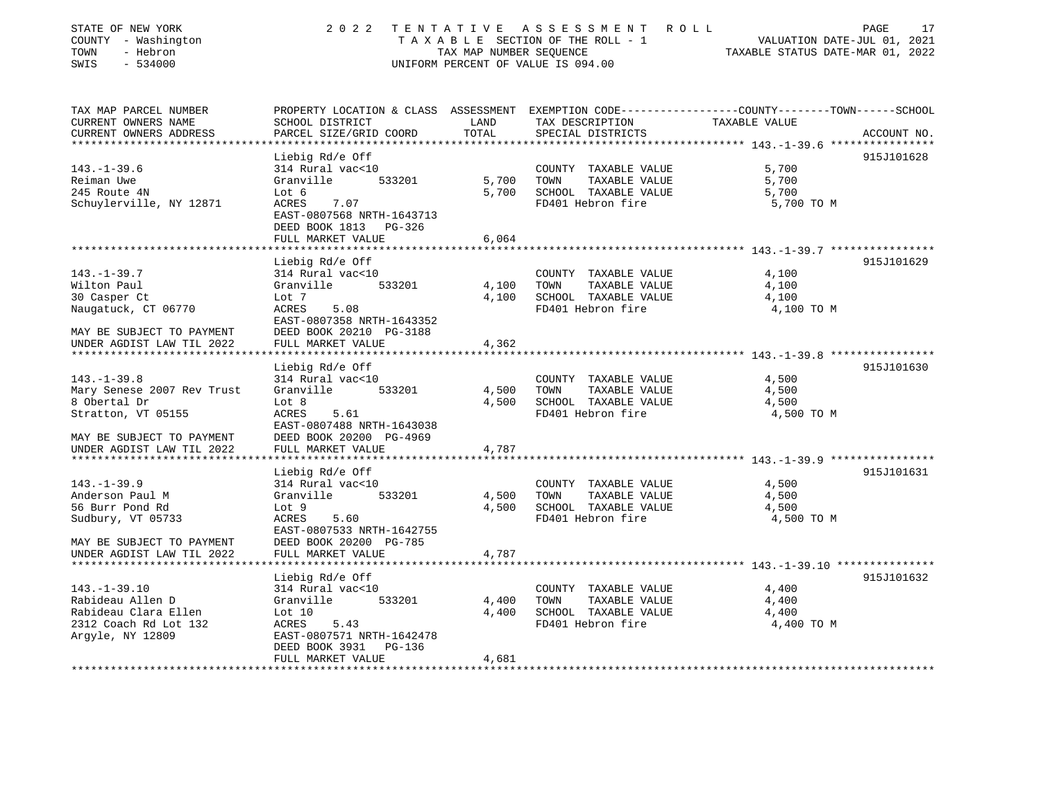| STATE OF NEW YORK<br>COUNTY - Washington<br>- Hebron<br>TOWN<br>$-534000$<br>SWIS | 2 0 2 2                                              | TAX MAP NUMBER SEQUENCE | TENTATIVE ASSESSMENT<br>R O L L<br>T A X A B L E SECTION OF THE ROLL - 1<br>UNIFORM PERCENT OF VALUE IS 094.00 | PAGE<br>17<br>VALUATION DATE-JUL 01, 2021<br>TAXABLE STATUS DATE-MAR 01, 2022                                     |
|-----------------------------------------------------------------------------------|------------------------------------------------------|-------------------------|----------------------------------------------------------------------------------------------------------------|-------------------------------------------------------------------------------------------------------------------|
| TAX MAP PARCEL NUMBER<br>CURRENT OWNERS NAME                                      | SCHOOL DISTRICT                                      | LAND                    | TAX DESCRIPTION                                                                                                | PROPERTY LOCATION & CLASS ASSESSMENT EXEMPTION CODE----------------COUNTY-------TOWN------SCHOOL<br>TAXABLE VALUE |
| CURRENT OWNERS ADDRESS                                                            | PARCEL SIZE/GRID COORD                               | TOTAL                   | SPECIAL DISTRICTS                                                                                              | ACCOUNT NO.                                                                                                       |
|                                                                                   |                                                      |                         |                                                                                                                |                                                                                                                   |
|                                                                                   | Liebig Rd/e Off                                      |                         |                                                                                                                | 915J101628                                                                                                        |
| $143. - 1 - 39.6$                                                                 | 314 Rural vac<10                                     |                         | COUNTY TAXABLE VALUE                                                                                           | 5,700                                                                                                             |
| Reiman Uwe                                                                        | Granville<br>533201                                  | 5,700                   | TOWN<br>TAXABLE VALUE                                                                                          | 5,700                                                                                                             |
| 245 Route 4N                                                                      | Lot 6                                                | 5,700                   | SCHOOL TAXABLE VALUE                                                                                           | 5,700                                                                                                             |
| Schuylerville, NY 12871                                                           | 7.07<br><b>ACRES</b><br>EAST-0807568 NRTH-1643713    |                         | FD401 Hebron fire                                                                                              | 5,700 TO M                                                                                                        |
|                                                                                   | DEED BOOK 1813<br>PG-326                             |                         |                                                                                                                |                                                                                                                   |
|                                                                                   | FULL MARKET VALUE                                    | 6,064                   |                                                                                                                |                                                                                                                   |
|                                                                                   |                                                      |                         |                                                                                                                |                                                                                                                   |
|                                                                                   | Liebig Rd/e Off                                      |                         |                                                                                                                | 915J101629                                                                                                        |
| $143. - 1 - 39.7$                                                                 | 314 Rural vac<10                                     |                         | COUNTY TAXABLE VALUE                                                                                           | 4,100                                                                                                             |
| Wilton Paul                                                                       | Granville<br>533201                                  | 4,100                   | TAXABLE VALUE<br>TOWN                                                                                          | 4,100                                                                                                             |
| 30 Casper Ct                                                                      | Lot 7                                                | 4,100                   | SCHOOL TAXABLE VALUE                                                                                           | 4,100                                                                                                             |
| Naugatuck, CT 06770                                                               | <b>ACRES</b><br>5.08<br>EAST-0807358 NRTH-1643352    |                         | FD401 Hebron fire                                                                                              | 4,100 TO M                                                                                                        |
| MAY BE SUBJECT TO PAYMENT                                                         | DEED BOOK 20210 PG-3188                              |                         |                                                                                                                |                                                                                                                   |
| UNDER AGDIST LAW TIL 2022                                                         | FULL MARKET VALUE                                    | 4,362                   |                                                                                                                |                                                                                                                   |
|                                                                                   |                                                      |                         |                                                                                                                |                                                                                                                   |
|                                                                                   | Liebig Rd/e Off                                      |                         |                                                                                                                | 915J101630                                                                                                        |
| $143. - 1 - 39.8$                                                                 | 314 Rural vac<10                                     |                         | COUNTY TAXABLE VALUE                                                                                           | 4,500                                                                                                             |
| Mary Senese 2007 Rev Trust                                                        | Granville<br>533201                                  | 4,500                   | TOWN<br>TAXABLE VALUE                                                                                          | 4,500                                                                                                             |
| 8 Obertal Dr                                                                      | Lot 8                                                | 4,500                   | SCHOOL TAXABLE VALUE                                                                                           | 4,500                                                                                                             |
| Stratton, VT 05155                                                                | <b>ACRES</b><br>5.61                                 |                         | FD401 Hebron fire                                                                                              | 4,500 TO M                                                                                                        |
| MAY BE SUBJECT TO PAYMENT                                                         | EAST-0807488 NRTH-1643038<br>DEED BOOK 20200 PG-4969 |                         |                                                                                                                |                                                                                                                   |
| UNDER AGDIST LAW TIL 2022                                                         | FULL MARKET VALUE                                    | 4,787                   |                                                                                                                |                                                                                                                   |
|                                                                                   |                                                      |                         |                                                                                                                |                                                                                                                   |
|                                                                                   | Liebig Rd/e Off                                      |                         |                                                                                                                | 915J101631                                                                                                        |
| $143. - 1 - 39.9$                                                                 | 314 Rural vac<10                                     |                         | COUNTY TAXABLE VALUE                                                                                           | 4,500                                                                                                             |
| Anderson Paul M                                                                   | Granville<br>533201                                  | 4,500                   | TAXABLE VALUE<br>TOWN                                                                                          | 4,500                                                                                                             |
| 56 Burr Pond Rd                                                                   | Lot 9                                                | 4,500                   | SCHOOL TAXABLE VALUE                                                                                           | 4,500                                                                                                             |
| Sudbury, VT 05733                                                                 | ACRES<br>5.60                                        |                         | FD401 Hebron fire                                                                                              | 4,500 TO M                                                                                                        |
|                                                                                   | EAST-0807533 NRTH-1642755<br>DEED BOOK 20200 PG-785  |                         |                                                                                                                |                                                                                                                   |
| MAY BE SUBJECT TO PAYMENT<br>UNDER AGDIST LAW TIL 2022                            | FULL MARKET VALUE                                    | 4,787                   |                                                                                                                |                                                                                                                   |
|                                                                                   |                                                      |                         |                                                                                                                |                                                                                                                   |
|                                                                                   | Liebig Rd/e Off                                      |                         |                                                                                                                | 915J101632                                                                                                        |
| $143. - 1 - 39.10$                                                                | 314 Rural vac<10                                     |                         | COUNTY TAXABLE VALUE                                                                                           | 4,400                                                                                                             |
| Rabideau Allen D                                                                  | Granville<br>533201                                  | 4,400                   | TAXABLE VALUE<br>TOWN                                                                                          | 4,400                                                                                                             |
| Rabideau Clara Ellen                                                              | Lot 10                                               | 4,400                   | SCHOOL TAXABLE VALUE                                                                                           | 4,400                                                                                                             |
| 2312 Coach Rd Lot 132                                                             | ACRES<br>5.43                                        |                         | FD401 Hebron fire                                                                                              | 4,400 TO M                                                                                                        |
| Argyle, NY 12809                                                                  | EAST-0807571 NRTH-1642478<br>DEED BOOK 3931 PG-136   |                         |                                                                                                                |                                                                                                                   |

\*\*\*\*\*\*\*\*\*\*\*\*\*\*\*\*\*\*\*\*\*\*\*\*\*\*\*\*\*\*\*\*\*\*\*\*\*\*\*\*\*\*\*\*\*\*\*\*\*\*\*\*\*\*\*\*\*\*\*\*\*\*\*\*\*\*\*\*\*\*\*\*\*\*\*\*\*\*\*\*\*\*\*\*\*\*\*\*\*\*\*\*\*\*\*\*\*\*\*\*\*\*\*\*\*\*\*\*\*\*\*\*\*\*\*\*\*\*\*\*\*\*\*\*\*\*\*\*\*\*\*\*

FULL MARKET VALUE 4,681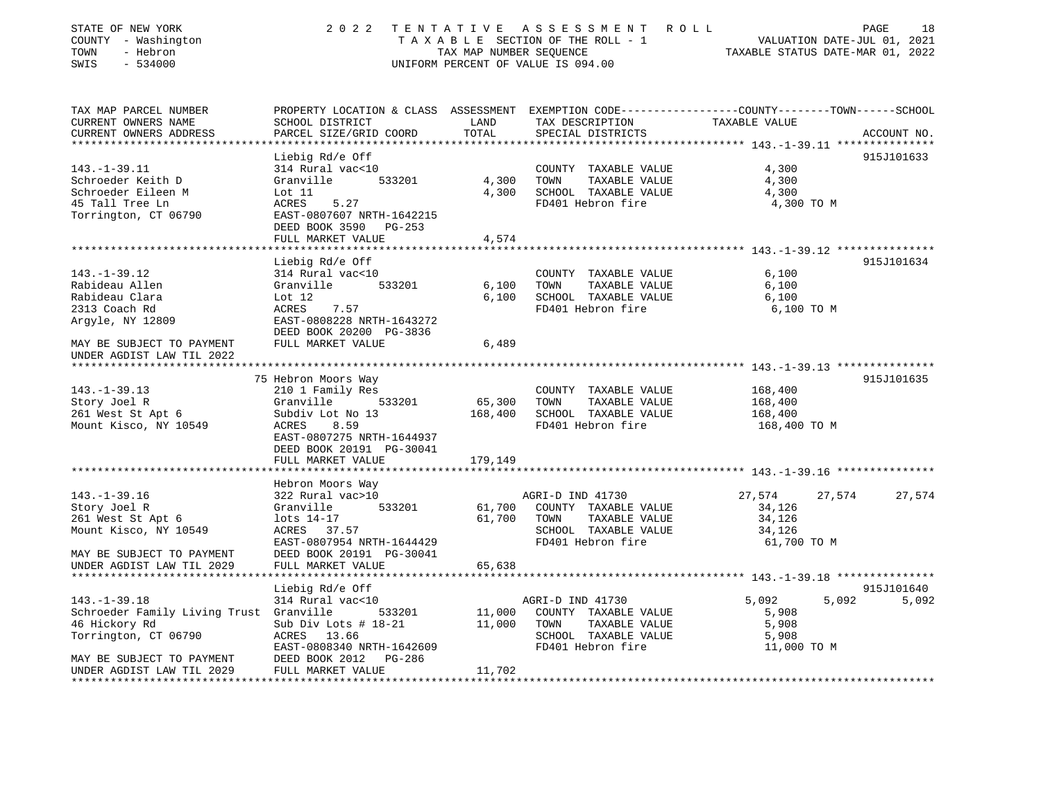| STATE OF NEW YORK<br>COUNTY - Washington<br>TOWN<br>- Hebron<br>SWIS<br>$-534000$ | 2 0 2 2                                                                                                                                      | TAX MAP NUMBER SEQUENCE | TENTATIVE ASSESSMENT ROLL<br>TAXABLE SECTION OF THE ROLL - 1<br>UNIFORM PERCENT OF VALUE IS 094.00 | TAXABLE STATUS DATE-MAR 01, 2022 | PAGE<br>18<br>VALUATION DATE-JUL 01, 2021 |
|-----------------------------------------------------------------------------------|----------------------------------------------------------------------------------------------------------------------------------------------|-------------------------|----------------------------------------------------------------------------------------------------|----------------------------------|-------------------------------------------|
| TAX MAP PARCEL NUMBER<br>CURRENT OWNERS NAME<br>CURRENT OWNERS ADDRESS            | PROPERTY LOCATION & CLASS ASSESSMENT EXEMPTION CODE---------------COUNTY-------TOWN------SCHOOL<br>SCHOOL DISTRICT<br>PARCEL SIZE/GRID COORD | LAND<br>TOTAL           | TAX DESCRIPTION<br>SPECIAL DISTRICTS                                                               | TAXABLE VALUE                    | ACCOUNT NO.                               |
|                                                                                   |                                                                                                                                              |                         |                                                                                                    |                                  |                                           |
|                                                                                   | Liebig Rd/e Off                                                                                                                              |                         |                                                                                                    |                                  | 915J101633                                |
| $143. - 1 - 39.11$                                                                | 314 Rural vac<10                                                                                                                             |                         | COUNTY TAXABLE VALUE                                                                               | 4,300                            |                                           |
| Schroeder Keith D                                                                 | Granville<br>533201                                                                                                                          | 4,300                   | TOWN<br>TAXABLE VALUE                                                                              | 4,300                            |                                           |
| Schroeder Eileen M                                                                | Lot 11                                                                                                                                       | 4,300                   | SCHOOL TAXABLE VALUE                                                                               | 4,300                            |                                           |
| 45 Tall Tree Ln                                                                   | ACRES<br>5.27                                                                                                                                |                         | FD401 Hebron fire                                                                                  | 4,300 TO M                       |                                           |
| Torrington, CT 06790                                                              | EAST-0807607 NRTH-1642215                                                                                                                    |                         |                                                                                                    |                                  |                                           |
|                                                                                   | DEED BOOK 3590 PG-253                                                                                                                        |                         |                                                                                                    |                                  |                                           |
|                                                                                   | FULL MARKET VALUE                                                                                                                            | 4,574                   |                                                                                                    |                                  |                                           |
|                                                                                   |                                                                                                                                              |                         |                                                                                                    |                                  |                                           |
| $143. - 1 - 39.12$                                                                | Liebig Rd/e Off<br>314 Rural vac<10                                                                                                          |                         | COUNTY TAXABLE VALUE                                                                               | 6,100                            | 915J101634                                |
| Rabideau Allen                                                                    | Granville<br>533201                                                                                                                          | 6,100                   | TOWN<br>TAXABLE VALUE                                                                              | 6,100                            |                                           |
| Rabideau Clara                                                                    | Lot $12$                                                                                                                                     | 6,100                   | SCHOOL TAXABLE VALUE                                                                               | 6,100                            |                                           |
| 2313 Coach Rd                                                                     | ACRES<br>7.57                                                                                                                                |                         | FD401 Hebron fire                                                                                  | 6,100 TO M                       |                                           |
| Argyle, NY 12809                                                                  | EAST-0808228 NRTH-1643272                                                                                                                    |                         |                                                                                                    |                                  |                                           |
|                                                                                   | DEED BOOK 20200 PG-3836                                                                                                                      |                         |                                                                                                    |                                  |                                           |
| MAY BE SUBJECT TO PAYMENT                                                         | FULL MARKET VALUE                                                                                                                            | 6,489                   |                                                                                                    |                                  |                                           |
| UNDER AGDIST LAW TIL 2022                                                         |                                                                                                                                              |                         |                                                                                                    |                                  |                                           |
|                                                                                   |                                                                                                                                              |                         |                                                                                                    |                                  |                                           |
|                                                                                   | 75 Hebron Moors Way                                                                                                                          |                         |                                                                                                    |                                  | 915J101635                                |
| $143. - 1 - 39.13$                                                                | 210 1 Family Res                                                                                                                             |                         | COUNTY TAXABLE VALUE                                                                               | 168,400                          |                                           |
| Story Joel R<br>261 West St Apt 6                                                 | Granville<br>533201<br>Subdiv Lot No 13                                                                                                      | 65,300<br>168,400       | TOWN<br>TAXABLE VALUE<br>SCHOOL TAXABLE VALUE                                                      | 168,400<br>168,400               |                                           |
| Mount Kisco, NY 10549                                                             | ACRES<br>8.59                                                                                                                                |                         | FD401 Hebron fire                                                                                  | 168,400 TO M                     |                                           |
|                                                                                   | EAST-0807275 NRTH-1644937                                                                                                                    |                         |                                                                                                    |                                  |                                           |
|                                                                                   | DEED BOOK 20191 PG-30041                                                                                                                     |                         |                                                                                                    |                                  |                                           |
|                                                                                   | FULL MARKET VALUE                                                                                                                            | 179,149                 |                                                                                                    |                                  |                                           |
|                                                                                   |                                                                                                                                              |                         |                                                                                                    |                                  |                                           |
|                                                                                   | Hebron Moors Way                                                                                                                             |                         |                                                                                                    |                                  |                                           |
| $143. - 1 - 39.16$                                                                | 322 Rural vac>10                                                                                                                             |                         | AGRI-D IND 41730                                                                                   | 27,574                           | 27,574<br>27,574                          |
| Story Joel R                                                                      | Granville<br>533201                                                                                                                          | 61,700                  | COUNTY TAXABLE VALUE                                                                               | 34,126                           |                                           |
| 261 West St Apt 6                                                                 | lots 14-17                                                                                                                                   | 61,700                  | TOWN<br>TAXABLE VALUE                                                                              | 34,126                           |                                           |
| Mount Kisco, NY 10549                                                             | ACRES 37.57                                                                                                                                  |                         | SCHOOL TAXABLE VALUE                                                                               | 34,126                           |                                           |
|                                                                                   | EAST-0807954 NRTH-1644429                                                                                                                    |                         | FD401 Hebron fire                                                                                  | 61,700 TO M                      |                                           |
| MAY BE SUBJECT TO PAYMENT<br>UNDER AGDIST LAW TIL 2029                            | DEED BOOK 20191 PG-30041<br>FULL MARKET VALUE                                                                                                | 65,638                  |                                                                                                    |                                  |                                           |
|                                                                                   |                                                                                                                                              |                         |                                                                                                    |                                  |                                           |
|                                                                                   | Liebig Rd/e Off                                                                                                                              |                         |                                                                                                    |                                  | 915J101640                                |
| $143. - 1 - 39.18$                                                                | 314 Rural vac<10                                                                                                                             |                         | AGRI-D IND 41730                                                                                   | 5,092                            | 5,092<br>5,092                            |
| Schroeder Family Living Trust Granville                                           | 533201                                                                                                                                       | 11,000                  | COUNTY TAXABLE VALUE                                                                               | 5,908                            |                                           |
| 46 Hickory Rd                                                                     | Sub Div Lots # 18-21                                                                                                                         | 11,000                  | TOWN<br>TAXABLE VALUE                                                                              | 5,908                            |                                           |
| Torrington, CT 06790                                                              | ACRES 13.66                                                                                                                                  |                         | SCHOOL TAXABLE VALUE                                                                               | 5,908                            |                                           |
|                                                                                   | EAST-0808340 NRTH-1642609                                                                                                                    |                         | FD401 Hebron fire                                                                                  | 11,000 TO M                      |                                           |
| MAY BE SUBJECT TO PAYMENT                                                         | DEED BOOK 2012<br>PG-286                                                                                                                     |                         |                                                                                                    |                                  |                                           |
| UNDER AGDIST LAW TIL 2029<br>**************************                           | FULL MARKET VALUE                                                                                                                            | 11,702                  |                                                                                                    |                                  |                                           |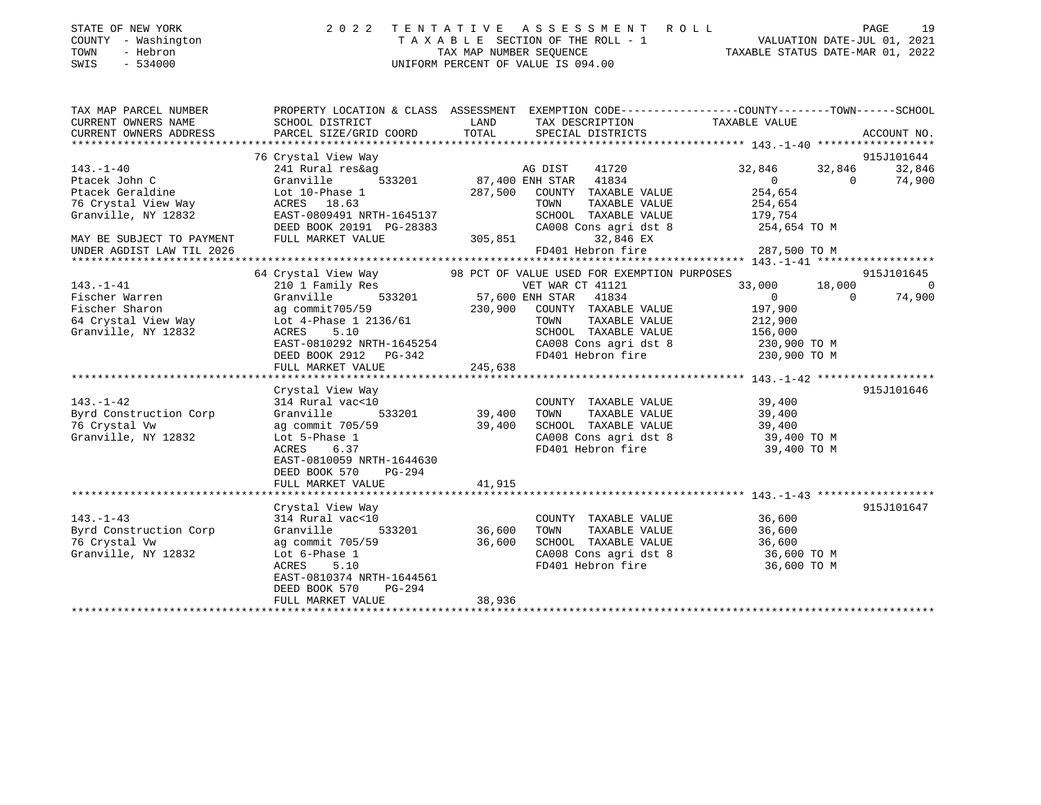| STATE OF NEW YORK |          |              |  |
|-------------------|----------|--------------|--|
| COUNTY            |          | - Washington |  |
| TOWN              | - Hebron |              |  |

## STATE OF NEW YORK 2 0 2 2 T E N T A T I V E A S S E S S M E N T R O L L PAGE 19 COUNTY - Washington T A X A B L E SECTION OF THE ROLL - 1 VALUATION DATE-JUL 01, 2021 TOWN - Hebron TAX MAP NUMBER SEQUENCE TAXABLE STATUS DATE-MAR 01, 2022 SWIS - 534000 UNIFORM PERCENT OF VALUE IS 094.00

| PARCEL SIZE/GRID COORD                                                                                                                                                               | LAND<br>TOTAL                                              |                                                                                                                                                 | SPECIAL DISTRICTS                                                                                  | TAX DESCRIPTION TAXABLE VALUE                                                                                                                                                                                                                                           |                                                                                                                                                                                      | PROPERTY LOCATION & CLASS ASSESSMENT EXEMPTION CODE---------------COUNTY-------TOWN-----SCHOOL<br>ACCOUNT NO.                                                                                                                                                      |
|--------------------------------------------------------------------------------------------------------------------------------------------------------------------------------------|------------------------------------------------------------|-------------------------------------------------------------------------------------------------------------------------------------------------|----------------------------------------------------------------------------------------------------|-------------------------------------------------------------------------------------------------------------------------------------------------------------------------------------------------------------------------------------------------------------------------|--------------------------------------------------------------------------------------------------------------------------------------------------------------------------------------|--------------------------------------------------------------------------------------------------------------------------------------------------------------------------------------------------------------------------------------------------------------------|
| 76 Crystal View Way<br>241 Rural res&ag<br>Granville<br>Lot 10-Phase 1<br>ACRES 18.63                                                                                                |                                                            | TOWN                                                                                                                                            |                                                                                                    | 32,846<br>$\overline{0}$<br>254,654<br>254,654<br>179,754                                                                                                                                                                                                               | 32,846<br>$\overline{0}$                                                                                                                                                             | 915J101644<br>32,846<br>74,900                                                                                                                                                                                                                                     |
|                                                                                                                                                                                      |                                                            |                                                                                                                                                 |                                                                                                    |                                                                                                                                                                                                                                                                         |                                                                                                                                                                                      |                                                                                                                                                                                                                                                                    |
| 64 Crystal View Way<br>210 1 Family Res<br>Granville                                                                                                                                 |                                                            |                                                                                                                                                 |                                                                                                    |                                                                                                                                                                                                                                                                         | $\Omega$                                                                                                                                                                             | 915J101645<br>$\overline{\phantom{0}}$<br>74,900                                                                                                                                                                                                                   |
| ag commit705/59<br>Lot 4-Phase 1 2136/61<br>5.10<br>ACRES<br>FULL MARKET VALUE                                                                                                       |                                                            | TOWN                                                                                                                                            |                                                                                                    | 197,900<br>212,900                                                                                                                                                                                                                                                      |                                                                                                                                                                                      |                                                                                                                                                                                                                                                                    |
|                                                                                                                                                                                      |                                                            |                                                                                                                                                 |                                                                                                    |                                                                                                                                                                                                                                                                         |                                                                                                                                                                                      |                                                                                                                                                                                                                                                                    |
| 314 Rural vac<10<br>Granville<br>ag commit 705/59<br>Lot 5-Phase 1<br>6.37<br>ACRES<br>EAST-0810059 NRTH-1644630<br>DEED BOOK 570<br>PG-294                                          |                                                            | TOWN                                                                                                                                            |                                                                                                    | 39,400<br>39,400                                                                                                                                                                                                                                                        |                                                                                                                                                                                      | 915J101646                                                                                                                                                                                                                                                         |
|                                                                                                                                                                                      |                                                            |                                                                                                                                                 |                                                                                                    |                                                                                                                                                                                                                                                                         |                                                                                                                                                                                      |                                                                                                                                                                                                                                                                    |
| Crystal View Way<br>314 Rural vac<10<br>Granville<br>ag commit 705/59<br>Lot 6-Phase 1<br>5.10<br>ACRES<br>EAST-0810374 NRTH-1644561<br>DEED BOOK 570<br>PG-294<br>FULL MARKET VALUE | 36,600<br>38,936                                           | TOWN                                                                                                                                            |                                                                                                    | 36,600<br>36,600                                                                                                                                                                                                                                                        |                                                                                                                                                                                      | 915J101647                                                                                                                                                                                                                                                         |
|                                                                                                                                                                                      | FULL MARKET VALUE<br>Crystal View Way<br>FULL MARKET VALUE | EAST-0809491 NRTH-1645137<br>DEED BOOK 20191 PG-28383<br>245,638<br>$\frac{\text{ac} < 10}{533201}$ 39,400<br>39,400<br>41,915<br>533201 36,600 | 305,851<br>533201 57,600 ENH STAR<br>230,900<br>EAST-0810292 NRTH-1645254<br>DEED BOOK 2912 PG-342 | 287,500 COUNTY TAXABLE VALUE<br>TAXABLE VALUE<br>SCHOOL TAXABLE VALUE<br>CA008 Cons agri dst 8<br>32,846 EX<br>FD401 Hebron fire<br>VET WAR CT 41121<br>41834<br>COUNTY TAXABLE VALUE<br>COUNTY TAXABLE VALUE<br>TAXABLE VALUE<br>SCHOOL TAXABLE VALUE<br>TAXABLE VALUE | 98 PCT OF VALUE USED FOR EXEMPTION PURPOSES<br>$\overline{0}$<br>TAXABLE VALUE<br>SCHOOL TAXABLE VALUE 156,000<br>CAUU8 CONS agri dst 8<br>FD401 Hebron fire<br>COUNTY TAXABLE VALUE | 254,654 TO M<br>287,500 TO M<br>33,000 18,000<br>CA008 Cons agri dst 8 230,900 TO M<br>FD401 Hebron fire 230,900 TO M<br>39,400<br>39,400 TO M<br>39,400 TO M<br>SCHOOL TAXABLE VALUE 36,600<br>CA008 Cons agri dst 8 36,600 TO M<br>FD401 Hebron fire 36,600 TO M |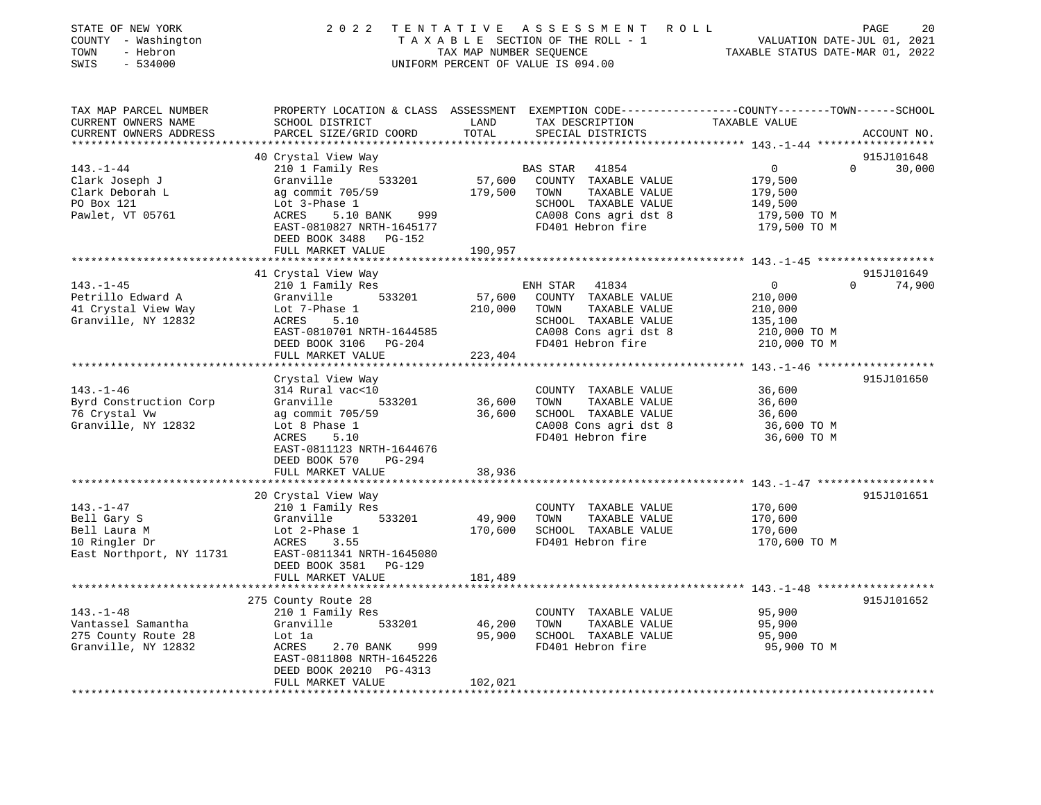| STATE OF NEW YORK<br>COUNTY - Washington<br>TOWN<br>- Hebron<br>$-534000$<br>SWIS | 2 0 2 2                                                      | TENTATIVE<br>TAX MAP NUMBER SEQUENCE | A S S E S S M E N T<br>TAXABLE SECTION OF THE ROLL - 1<br>UNIFORM PERCENT OF VALUE IS 094.00 | ROLL<br>PAGE<br>20<br>VALUATION DATE-JUL 01, 2021<br>TAXABLE STATUS DATE-MAR 01, 2022                                           |
|-----------------------------------------------------------------------------------|--------------------------------------------------------------|--------------------------------------|----------------------------------------------------------------------------------------------|---------------------------------------------------------------------------------------------------------------------------------|
| TAX MAP PARCEL NUMBER<br>CURRENT OWNERS NAME<br>CURRENT OWNERS ADDRESS            | SCHOOL DISTRICT<br>PARCEL SIZE/GRID COORD                    | LAND<br>TOTAL                        | TAX DESCRIPTION<br>SPECIAL DISTRICTS                                                         | PROPERTY LOCATION & CLASS ASSESSMENT EXEMPTION CODE---------------COUNTY-------TOWN------SCHOOL<br>TAXABLE VALUE<br>ACCOUNT NO. |
| ***********************                                                           |                                                              |                                      |                                                                                              |                                                                                                                                 |
|                                                                                   | 40 Crystal View Way                                          |                                      |                                                                                              | 915J101648                                                                                                                      |
| $143. - 1 - 44$                                                                   | 210 1 Family Res                                             |                                      | BAS STAR<br>41854                                                                            | $\mathbf 0$<br>30,000<br>0                                                                                                      |
| Clark Joseph J                                                                    | Granville<br>533201                                          | 57,600                               | COUNTY TAXABLE VALUE                                                                         | 179,500                                                                                                                         |
| Clark Deborah L                                                                   | ag commit 705/59                                             | 179,500                              | TOWN<br>TAXABLE VALUE                                                                        | 179,500                                                                                                                         |
| PO Box 121<br>Pawlet, VT 05761                                                    | Lot 3-Phase 1<br>5.10 BANK<br>ACRES<br>999                   |                                      | SCHOOL TAXABLE VALUE<br>CA008 Cons agri dst 8                                                | 149,500<br>179,500 TO M                                                                                                         |
|                                                                                   | EAST-0810827 NRTH-1645177<br>DEED BOOK 3488<br><b>PG-152</b> |                                      | FD401 Hebron fire                                                                            | 179,500 TO M                                                                                                                    |
|                                                                                   | FULL MARKET VALUE<br>**********************                  | 190,957                              |                                                                                              |                                                                                                                                 |
|                                                                                   |                                                              |                                      |                                                                                              | 915J101649                                                                                                                      |
| $143. - 1 - 45$                                                                   | 41 Crystal View Way<br>210 1 Family Res                      |                                      | ENH STAR<br>41834                                                                            | $\Omega$<br>74,900<br>$\overline{0}$                                                                                            |
| Petrillo Edward A                                                                 | 533201<br>Granville                                          | 57,600                               | COUNTY TAXABLE VALUE                                                                         | 210,000                                                                                                                         |
| 41 Crystal View Way                                                               | Lot 7-Phase 1                                                | 210,000                              | TOWN<br>TAXABLE VALUE                                                                        | 210,000                                                                                                                         |
| Granville, NY 12832                                                               | ACRES<br>5.10                                                |                                      | SCHOOL TAXABLE VALUE                                                                         | 135,100                                                                                                                         |
|                                                                                   | EAST-0810701 NRTH-1644585                                    |                                      | CA008 Cons agri dst 8                                                                        | 210,000 TO M                                                                                                                    |
|                                                                                   | DEED BOOK 3106 PG-204                                        |                                      | FD401 Hebron fire                                                                            | 210,000 TO M                                                                                                                    |
|                                                                                   | FULL MARKET VALUE                                            | 223,404                              |                                                                                              |                                                                                                                                 |
|                                                                                   | ********************                                         | *****************                    |                                                                                              |                                                                                                                                 |
|                                                                                   | Crystal View Way                                             |                                      |                                                                                              | 915J101650                                                                                                                      |
| $143. - 1 - 46$                                                                   | 314 Rural vac<10                                             |                                      | COUNTY TAXABLE VALUE                                                                         | 36,600                                                                                                                          |
| Byrd Construction Corp                                                            | Granville<br>533201                                          | 36,600                               | TAXABLE VALUE<br>TOWN                                                                        | 36,600                                                                                                                          |
| 76 Crystal Vw                                                                     | ag commit 705/59                                             | 36,600                               | SCHOOL TAXABLE VALUE                                                                         | 36,600                                                                                                                          |
| Granville, NY 12832                                                               | Lot 8 Phase 1                                                |                                      | CA008 Cons agri dst 8                                                                        | 36,600 TO M                                                                                                                     |
|                                                                                   | ACRES<br>5.10                                                |                                      | FD401 Hebron fire                                                                            | 36,600 TO M                                                                                                                     |
|                                                                                   | EAST-0811123 NRTH-1644676                                    |                                      |                                                                                              |                                                                                                                                 |
|                                                                                   | DEED BOOK 570<br>PG-294                                      |                                      |                                                                                              |                                                                                                                                 |
|                                                                                   | FULL MARKET VALUE                                            | 38,936<br>* * * * * * * * * * * *    |                                                                                              |                                                                                                                                 |
|                                                                                   |                                                              |                                      |                                                                                              | 915J101651                                                                                                                      |
| $143. - 1 - 47$                                                                   | 20 Crystal View Way<br>210 1 Family Res                      |                                      | COUNTY TAXABLE VALUE                                                                         | 170,600                                                                                                                         |
| Bell Gary S                                                                       | Granville<br>533201                                          | 49,900                               | TAXABLE VALUE<br>TOWN                                                                        | 170,600                                                                                                                         |
| Bell Laura M                                                                      | Lot 2-Phase 1                                                | 170,600                              | SCHOOL TAXABLE VALUE                                                                         | 170,600                                                                                                                         |
| 10 Ringler Dr                                                                     | ACRES<br>3.55                                                |                                      | FD401 Hebron fire                                                                            | 170,600 TO M                                                                                                                    |
| East Northport, NY 11731                                                          | EAST-0811341 NRTH-1645080                                    |                                      |                                                                                              |                                                                                                                                 |
|                                                                                   | DEED BOOK 3581<br><b>PG-129</b>                              |                                      |                                                                                              |                                                                                                                                 |
|                                                                                   | FULL MARKET VALUE                                            | 181,489                              |                                                                                              |                                                                                                                                 |
|                                                                                   |                                                              |                                      |                                                                                              |                                                                                                                                 |
|                                                                                   | 275 County Route 28                                          |                                      |                                                                                              | 915J101652                                                                                                                      |
| $143. - 1 - 48$                                                                   | 210 1 Family Res                                             |                                      | COUNTY TAXABLE VALUE                                                                         | 95,900                                                                                                                          |
| Vantassel Samantha                                                                | Granville<br>533201                                          | 46,200                               | TAXABLE VALUE<br>TOWN                                                                        | 95,900                                                                                                                          |
| 275 County Route 28                                                               | Lot la                                                       | 95,900                               | SCHOOL TAXABLE VALUE                                                                         | 95,900                                                                                                                          |
| Granville, NY 12832                                                               | ACRES<br>2.70 BANK<br>999                                    |                                      | FD401 Hebron fire                                                                            | 95,900 TO M                                                                                                                     |
|                                                                                   | EAST-0811808 NRTH-1645226                                    |                                      |                                                                                              |                                                                                                                                 |
|                                                                                   | DEED BOOK 20210 PG-4313                                      |                                      |                                                                                              |                                                                                                                                 |
|                                                                                   | FULL MARKET VALUE                                            | 102,021<br>****************          |                                                                                              |                                                                                                                                 |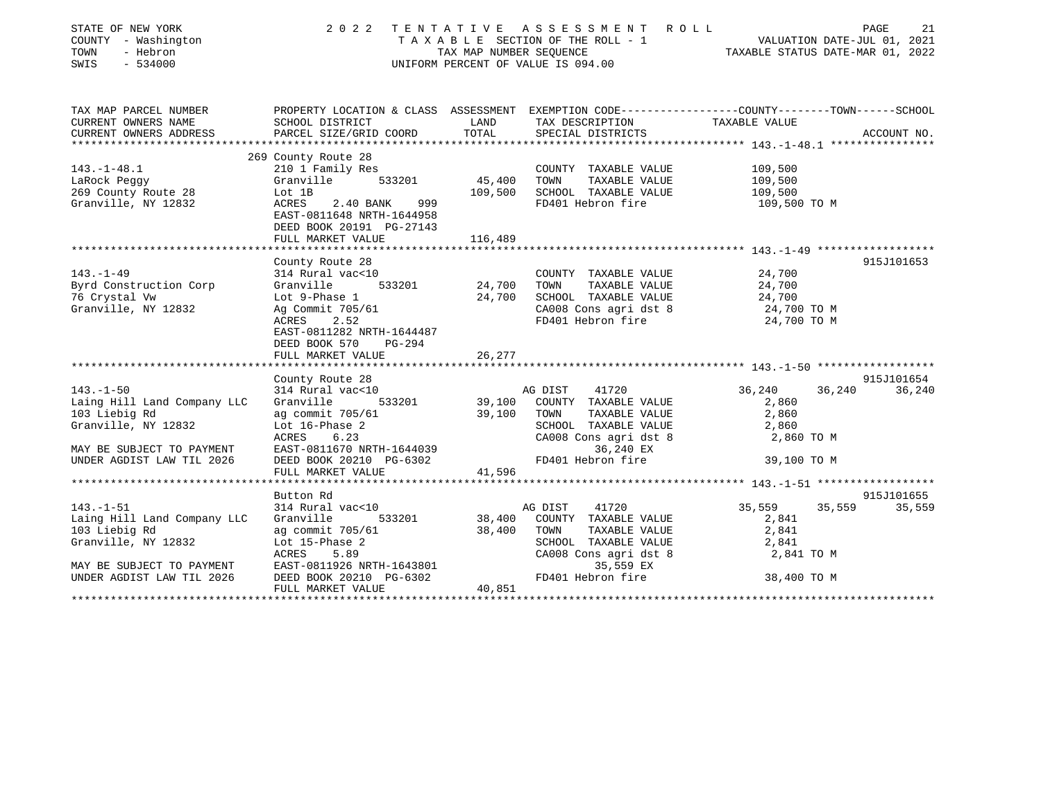| STATE OF NEW YORK<br>COUNTY - Washington<br>TOWN<br>- Hebron<br>$-534000$<br>SWIS | 2 0 2 2                                                                                         | TENTATIVE<br>TAX MAP NUMBER SEQUENCE | ASSESSMENT ROLL<br>TAXABLE SECTION OF THE ROLL - 1<br>UNIFORM PERCENT OF VALUE IS 094.00 | VALUATION DATE-JUL 01, 2021<br>TAXABLE STATUS DATE-MAR 01, 2022 | PAGE<br>21  |
|-----------------------------------------------------------------------------------|-------------------------------------------------------------------------------------------------|--------------------------------------|------------------------------------------------------------------------------------------|-----------------------------------------------------------------|-------------|
| TAX MAP PARCEL NUMBER                                                             | PROPERTY LOCATION & CLASS ASSESSMENT EXEMPTION CODE---------------COUNTY-------TOWN------SCHOOL |                                      |                                                                                          |                                                                 |             |
| CURRENT OWNERS NAME                                                               | SCHOOL DISTRICT                                                                                 | LAND                                 | TAX DESCRIPTION                                                                          | TAXABLE VALUE                                                   |             |
| CURRENT OWNERS ADDRESS                                                            | PARCEL SIZE/GRID COORD                                                                          | TOTAL                                | SPECIAL DISTRICTS                                                                        |                                                                 | ACCOUNT NO. |
|                                                                                   | 269 County Route 28                                                                             |                                      |                                                                                          |                                                                 |             |
| $143. - 1 - 48.1$                                                                 | 210 1 Family Res                                                                                |                                      | COUNTY TAXABLE VALUE                                                                     | 109,500                                                         |             |
| LaRock Peggy                                                                      | Granville<br>533201                                                                             | 45,400                               | TOWN<br>TAXABLE VALUE                                                                    | 109,500                                                         |             |
| 269 County Route 28                                                               | Lot 1B                                                                                          | 109,500                              | SCHOOL TAXABLE VALUE                                                                     | 109,500                                                         |             |
| Granville, NY 12832                                                               | ACRES<br>999<br>2.40 BANK<br>EAST-0811648 NRTH-1644958<br>DEED BOOK 20191 PG-27143              |                                      | FD401 Hebron fire                                                                        | 109,500 TO M                                                    |             |
|                                                                                   | FULL MARKET VALUE                                                                               | 116,489                              |                                                                                          |                                                                 |             |
|                                                                                   | County Route 28                                                                                 |                                      |                                                                                          |                                                                 | 915J101653  |
| $143. - 1 - 49$                                                                   | 314 Rural vac<10                                                                                |                                      | COUNTY TAXABLE VALUE                                                                     | 24,700                                                          |             |
| Byrd Construction Corp                                                            | Granville<br>533201                                                                             | 24,700                               | TAXABLE VALUE<br>TOWN                                                                    | 24,700                                                          |             |
| 76 Crystal Vw                                                                     | Lot 9-Phase 1                                                                                   | 24,700                               | SCHOOL TAXABLE VALUE                                                                     | 24,700                                                          |             |
| Granville, NY 12832                                                               | Ag Commit 705/61                                                                                |                                      | CA008 Cons agri dst 8                                                                    | 24,700 TO M                                                     |             |
|                                                                                   | 2.52<br>ACRES<br>EAST-0811282 NRTH-1644487<br>DEED BOOK 570<br>$PG-294$<br>FULL MARKET VALUE    | 26,277                               | FD401 Hebron fire                                                                        | 24,700 TO M                                                     |             |
|                                                                                   |                                                                                                 |                                      |                                                                                          |                                                                 |             |
|                                                                                   | County Route 28                                                                                 |                                      |                                                                                          |                                                                 | 915J101654  |
| $143. - 1 - 50$                                                                   | 314 Rural vac<10                                                                                |                                      | 41720<br>AG DIST                                                                         | 36,240<br>36,240                                                | 36,240      |
| Laing Hill Land Company LLC                                                       | Granville<br>533201                                                                             |                                      | 39,100 COUNTY TAXABLE VALUE                                                              | 2,860                                                           |             |
| 103 Liebig Rd                                                                     | ag commit 705/61                                                                                | 39,100                               | TOWN<br>TAXABLE VALUE                                                                    | 2,860                                                           |             |
| Granville, NY 12832                                                               | Lot 16-Phase 2                                                                                  |                                      | SCHOOL TAXABLE VALUE                                                                     | 2,860                                                           |             |
|                                                                                   | ACRES<br>6.23                                                                                   |                                      | CA008 Cons agri dst 8                                                                    | 2,860 TO M                                                      |             |
| MAY BE SUBJECT TO PAYMENT<br>UNDER AGDIST LAW TIL 2026                            | EAST-0811670 NRTH-1644039<br>DEED BOOK 20210 PG-6302                                            |                                      | 36,240 EX<br>FD401 Hebron fire                                                           | 39,100 TO M                                                     |             |
|                                                                                   | FULL MARKET VALUE                                                                               | 41,596                               |                                                                                          |                                                                 |             |
|                                                                                   | Button Rd                                                                                       |                                      |                                                                                          |                                                                 | 915J101655  |
| $143. - 1 - 51$                                                                   | 314 Rural vac<10                                                                                |                                      | AG DIST<br>41720                                                                         | 35,559<br>35,559                                                | 35,559      |
| Laing Hill Land Company LLC                                                       | Granville<br>533201                                                                             | 38,400                               | COUNTY TAXABLE VALUE                                                                     | 2,841                                                           |             |
| 103 Liebig Rd                                                                     | ag commit 705/61                                                                                | 38,400                               | TAXABLE VALUE<br>TOWN                                                                    | 2,841                                                           |             |
| Granville, NY 12832                                                               | Lot 15-Phase 2                                                                                  |                                      | SCHOOL TAXABLE VALUE                                                                     | 2,841                                                           |             |
| MAY BE SUBJECT TO PAYMENT                                                         | ACRES<br>5.89<br>EAST-0811926 NRTH-1643801                                                      |                                      | CA008 Cons agri dst 8<br>35,559 EX                                                       | 2,841 TO M                                                      |             |
| UNDER AGDIST LAW TIL 2026                                                         | DEED BOOK 20210 PG-6302<br>FIILL MAPKET VALUE                                                   | 40.851                               | FD401 Hebron fire                                                                        | 38,400 TO M                                                     |             |

FULL MARKET VALUE 40,851 \*\*\*\*\*\*\*\*\*\*\*\*\*\*\*\*\*\*\*\*\*\*\*\*\*\*\*\*\*\*\*\*\*\*\*\*\*\*\*\*\*\*\*\*\*\*\*\*\*\*\*\*\*\*\*\*\*\*\*\*\*\*\*\*\*\*\*\*\*\*\*\*\*\*\*\*\*\*\*\*\*\*\*\*\*\*\*\*\*\*\*\*\*\*\*\*\*\*\*\*\*\*\*\*\*\*\*\*\*\*\*\*\*\*\*\*\*\*\*\*\*\*\*\*\*\*\*\*\*\*\*\*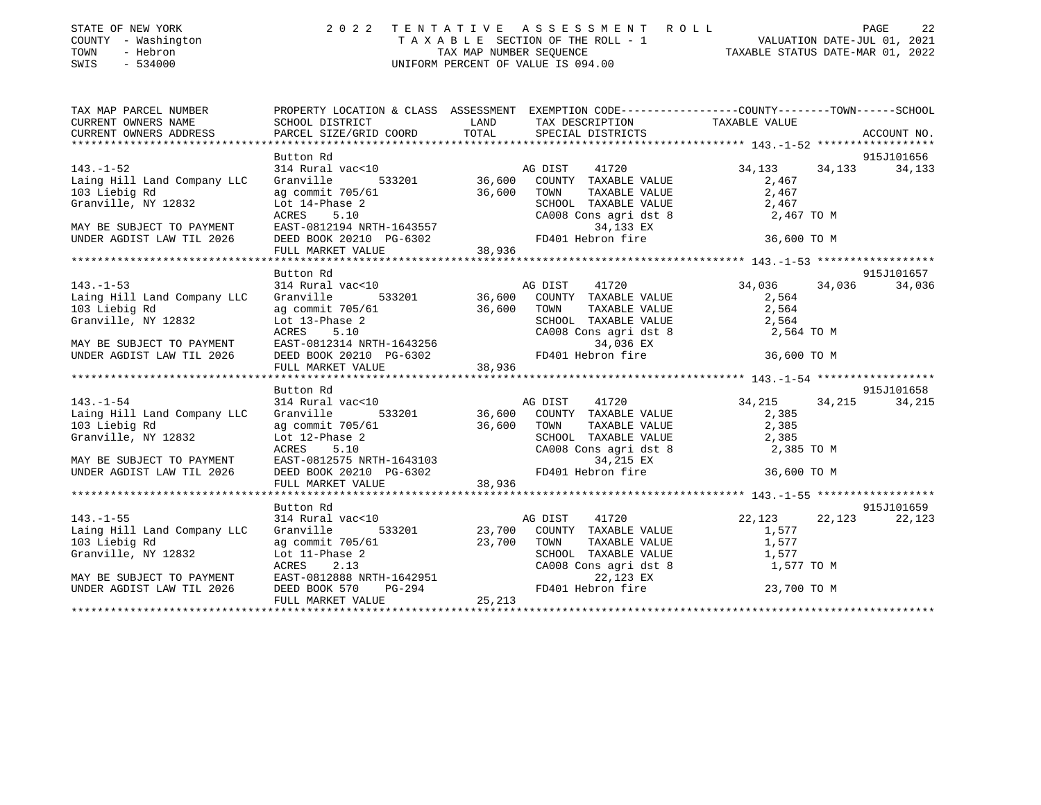| STATE OF NEW YORK |  |              |  |
|-------------------|--|--------------|--|
| COUNTY            |  | - Washington |  |
| TOWN              |  | - Hebron     |  |
|                   |  |              |  |

## STATE OF NEW YORK 2 0 2 2 T E N T A T I V E A S S E S S M E N T R O L L PAGE 22T A X A B L E SECTION OF THE ROLL - 1 VALUATION DATE-JUL 01, 2021<br>TAX MAP NUMBER SEOUENCE TAXABLE STATUS DATE-MAR 01, 2022 TAX MAP NUMBER SEQUENCE SWIS - 534000 UNIFORM PERCENT OF VALUE IS 094.00

|                            | PAGE |  |
|----------------------------|------|--|
| VALUATION DATE-JUL 01, 20: |      |  |

| TAX MAP PARCEL NUMBER<br>CURRENT OWNERS NAME<br>CURRENT OWNERS ADDRESS                                                                                                                                                                                                                     |           | PROPERTY LOCATION & CLASS ASSESSMENT EXEMPTION CODE----------------COUNTY-------TOWN------SCHOOL                                                                                                                                                                                                                                                                                                                                                                                                                                                                                                                                                                                                                                                                                   |                                   |                      |
|--------------------------------------------------------------------------------------------------------------------------------------------------------------------------------------------------------------------------------------------------------------------------------------------|-----------|------------------------------------------------------------------------------------------------------------------------------------------------------------------------------------------------------------------------------------------------------------------------------------------------------------------------------------------------------------------------------------------------------------------------------------------------------------------------------------------------------------------------------------------------------------------------------------------------------------------------------------------------------------------------------------------------------------------------------------------------------------------------------------|-----------------------------------|----------------------|
| $143. - 1 - 52$<br>Laing Hill Land Company LLC                                                                                                                                                                                                                                             | Button Rd | 314 Rural vac<10<br>Granville 533201<br>36,600 COUNTY TAXABLE VALUE 34,133 34,133<br>ag commit 705/61<br>36,600 TOWN TAXABLE VALUE 2,467<br>2,467<br>103 Liebig Rd<br>103 Liebig Rd<br>103 Liebig Rd<br>103 Liebig Rd<br>103 Liebig Rd<br>104 CRES 10<br>MAY BE SUBJECT TO PAYMENT<br>MAY BE SUBJECT TO PAYMENT<br>EXTRES 5.10<br>MAY BE SUBJECT TO PAYMENT<br>EXTRES 5.10<br>CA008 Cons agri dst 8<br>2,46                                                                                                                                                                                                                                                                                                                                                                        |                                   | 915J101656<br>34,133 |
|                                                                                                                                                                                                                                                                                            |           |                                                                                                                                                                                                                                                                                                                                                                                                                                                                                                                                                                                                                                                                                                                                                                                    |                                   |                      |
|                                                                                                                                                                                                                                                                                            |           |                                                                                                                                                                                                                                                                                                                                                                                                                                                                                                                                                                                                                                                                                                                                                                                    |                                   | 915J101657           |
|                                                                                                                                                                                                                                                                                            |           |                                                                                                                                                                                                                                                                                                                                                                                                                                                                                                                                                                                                                                                                                                                                                                                    |                                   | 34,036               |
|                                                                                                                                                                                                                                                                                            |           | $[143.-1-53] \put(0,0) {\it 143.1-53.564} \put(0,0) {\it 143.1-53.564} \put(0,0) {\it 143.1-53.564} \put(0,0) {\it 143.1-53.564} \put(0,0) {\it 143.1-53.564} \put(0,0) {\it 143.1-53.564} \put(0,0) {\it 143.1-53.564} \put(0,0) {\it 143.1-53.564} \put(0,0) {\it 143.1-53.564} \put($                                                                                                                                                                                                                                                                                                                                                                                                                                                                                           |                                   |                      |
|                                                                                                                                                                                                                                                                                            |           |                                                                                                                                                                                                                                                                                                                                                                                                                                                                                                                                                                                                                                                                                                                                                                                    |                                   |                      |
|                                                                                                                                                                                                                                                                                            | Button Rd |                                                                                                                                                                                                                                                                                                                                                                                                                                                                                                                                                                                                                                                                                                                                                                                    |                                   | 915J101658           |
|                                                                                                                                                                                                                                                                                            |           | 143.-1-54<br>143.-1-54<br>16 Company LLC Granville 533201<br>16 Countr TAXABLE VALUE 2,385<br>103 Liebig Rd ag commit 705/61<br>16 Countr TAXABLE VALUE 2,385<br>16,600 COUNTY TAXABLE VALUE 2,385<br>2,385<br>2,385<br>2,385<br>$\begin{tabular}{lllllllllllllllllllll@{A}\mboxwidth} \begin{tabular}{lllllllllllllllllllll@{A}\mboxwidth} & \multicolumn{3}{c }{\mbox{lasing Hill Land Company LLC}} & \multicolumn{3}{c }{\mbox{Granville}} & \multicolumn{3}{c }{\mbox{Granville Rd}} & \multicolumn{3}{c }{\mbox{arg commit 705/61}} & \multicolumn{3}{c }{\mbox{36,600}} & \multicolumn{3}{c }{\mbox{TANABLE VALUE}} & \multicolumn{3}{c }{\mbox{Granville RUUE}} & \multicolumn{3}{c }{\mbox{Granville R$<br>SCHOOL TAXABLE VALUE 2,385<br>CA008 Cons agri dst 8 2,385 TO M | 36,600 TO M                       | 34,215               |
|                                                                                                                                                                                                                                                                                            | Button Rd |                                                                                                                                                                                                                                                                                                                                                                                                                                                                                                                                                                                                                                                                                                                                                                                    |                                   | 915J101659           |
| $143. - 1 - 55$<br>Laing Hill Land Company LLC<br>103 Liebig Rd ag commit 705/61 23,700 COON11<br>103 Liebig Rd ag commit 705/61 23,700 TOWN SCHOOL<br>323,700 TOWN SCHOOL<br>42832 Lot 11-Phase 2<br>ACRES 2.13 ACRES 2.13 CA008 (<br>NAY BE SUBJECT TO PAYMENT EAST-0812888 NRTH-1642951 |           | 22,123 14 Rural vac<10<br>314 Rural vac<10 133201 123,700 COUNTY TAXABLE VALUE<br>4.577 1,577 1,577 1,577 1,577<br>SCHOOL TAXABLE VALUE<br>CA008 Cons agri dst 8 1,577<br>22,123 EX 1,577<br>FD401 Hebron fire 23,700 TO M                                                                                                                                                                                                                                                                                                                                                                                                                                                                                                                                                         | TAXABLE VALUE 1,577<br>1,577 TO M | 22,123               |
|                                                                                                                                                                                                                                                                                            |           |                                                                                                                                                                                                                                                                                                                                                                                                                                                                                                                                                                                                                                                                                                                                                                                    |                                   |                      |

22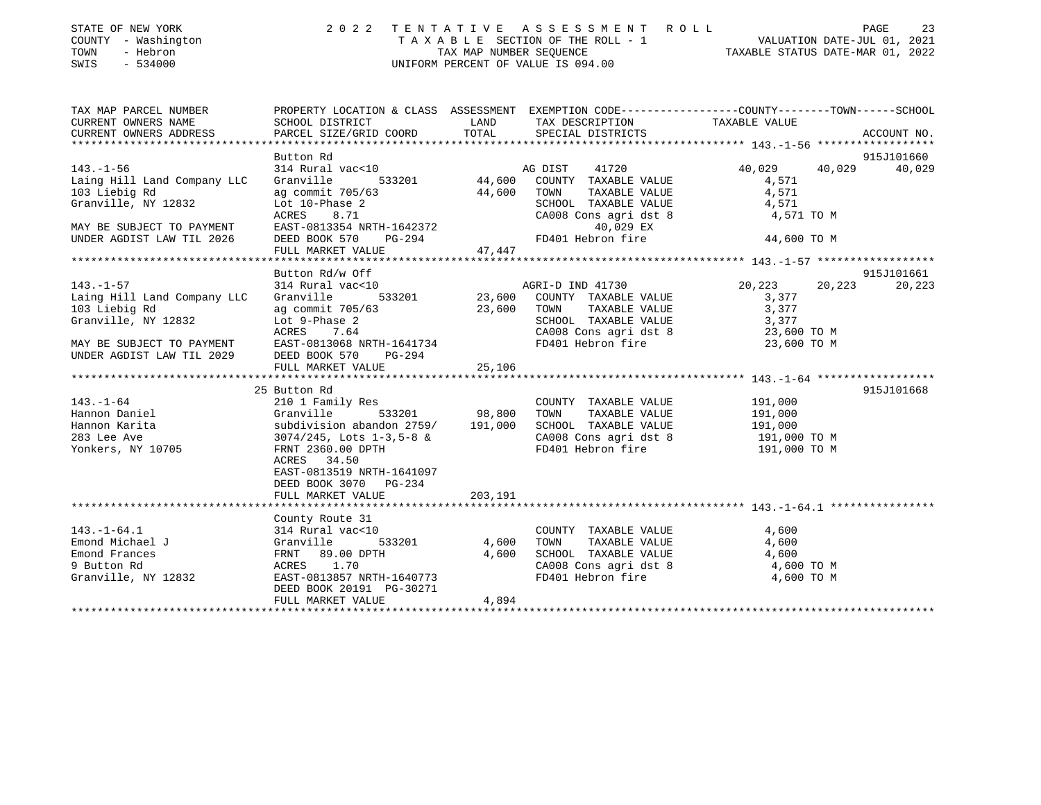| STATE OF NEW YORK |  |              |  |
|-------------------|--|--------------|--|
| COUNTY            |  | - Washington |  |
| TOWN              |  | - Hebron     |  |

## STATE OF NEW YORK 2 0 2 2 T E N T A T I V E A S S E S S M E N T R O L L PAGE 23 COUNTY - Washington T A X A B L E SECTION OF THE ROLL - 1 VALUATION DATE-JUL 01, 2021 TOWN - Hebron TAX MAP NUMBER SEQUENCE TAXABLE STATUS DATE-MAR 01, 2022 SWIS - 534000 UNIFORM PERCENT OF VALUE IS 094.00

| TAX MAP PARCEL NUMBER<br>CURRENT OWNERS NAME<br>CURRENT OWNERS NAME<br>CURRENT OWNERS ADDRESS                                                                                                                                                                                                    |                                                                                                        |         |                                                                                                                                              | PROPERTY LOCATION & CLASS ASSESSMENT EXEMPTION CODE----------------COUNTY-------TOWN-----SCHOOL                          |                      |
|--------------------------------------------------------------------------------------------------------------------------------------------------------------------------------------------------------------------------------------------------------------------------------------------------|--------------------------------------------------------------------------------------------------------|---------|----------------------------------------------------------------------------------------------------------------------------------------------|--------------------------------------------------------------------------------------------------------------------------|----------------------|
| $143. - 1 - 56$<br>Laing Hill Land Company LLC<br>103 Liebig Rd<br>Granville, NY 12832<br>Contract Company Lie and Community 705/63<br>Capture 2<br>MAY BE SUBJECT TO PAYMENT<br>MAY BE SUBJECT TO PAYMENT<br>MAY BE SUBJECT TO PAYMENT<br>MARE RAST-0813354 NRTH-1642372<br>UNDER AGDIST LAW TI | Button Rd<br>314 Rural vac<10<br>Granville 533201<br>44,600 COUNTY TAXABLE VALUE 40,                   |         | SCHOOL TAXABLE VALUE 4,571<br>CA008 Cons agri dst 8 4,571 TO M                                                                               | 40,029  40,029  40,029<br>4,571<br>TAXABLE VALUE 4,571<br>44,600 TO M                                                    | 915J101660           |
|                                                                                                                                                                                                                                                                                                  |                                                                                                        |         |                                                                                                                                              |                                                                                                                          |                      |
| $143. - 1 - 57$<br>Laing Hill Land Company LLC                                                                                                                                                                                                                                                   | Button Rd/w Off                                                                                        |         |                                                                                                                                              | Button Rd/w Off<br>314 Rural vac<10<br>314 Rural vac<10<br>333201 23,600 COUNTY TAXABLE VALUE<br>3.377<br>3.377<br>3.377 | 915J101661<br>20,223 |
| 103 Liebig Rd<br>Granville, NY 12832 Lot 9-Phase 2<br>MAY BE SUBJECT TO PAYMENT EXERES 7.64 CA008 Cons agri dst 8 23,600 TOWN<br>MAY BE SUBJECT TO PAYMENT EAST-0813068 NRTH-1641734 FD401 Hebron fire 23,600 TO M<br>MEY BE SUBJECT T<br>UNDER AGDIST LAW TIL 2029 DEED BOOK 570 $PG-294$       |                                                                                                        |         |                                                                                                                                              |                                                                                                                          |                      |
|                                                                                                                                                                                                                                                                                                  |                                                                                                        |         |                                                                                                                                              |                                                                                                                          |                      |
| 25 Button Rd<br>210 1 Family Res<br>210 1 Family Res<br>210 1 Cranville 533201 28,800 TOWN TAXABLE VALUE 2191,000<br>2010 COUNTY TAXABLE VALUE 2191,000<br>Hannon Karita<br>283 Lee Ave 3074/245, Lots 1-3,5-8 &<br>283 Lee Ave 3074/245, Lots 1-3,5-8 &<br>283 Lee Ave 3074/245, Lots 1-3,5-8 & | 25 Button Rd<br>ACRES 34.50<br>EAST-0813519 NRTH-1641097<br>DEED BOOK 3070 PG-234<br>FULL MARKET VALUE | 203,191 | COUNTY TAXABLE VALUE 191,000<br>SCHOOL TAXABLE VALUE 191,000<br>CA008 Cons agri dst 8 191,000 TO M<br>FD401 Hebron fire 191,000 TO M         |                                                                                                                          | 915J101668           |
|                                                                                                                                                                                                                                                                                                  |                                                                                                        |         |                                                                                                                                              |                                                                                                                          |                      |
| $143.-1-64.1$<br>Emond Michael J<br>Emond Michael J<br>Emond Frances<br>9 Button Rd<br>Granville, NY 12832<br>EAST-0813857 NRTH-1640773<br>TRACKES<br>2 EAST-0813857 NRTH-1640773                                                                                                                | County Route 31<br>$314$ Rural vac<10<br>DEED BOOK 20191 PG-30271<br>FULL MARKET VALUE                 | 4,894   | COUNTY TAXABLE VALUE 4,600<br>TOWN TAXABLE VALUE<br>SCHOOL TAXABLE VALUE<br>CA008 Cons agri dst 8 4,600 TO M<br>FD401 Hebron fire 4,600 TO M |                                                                                                                          |                      |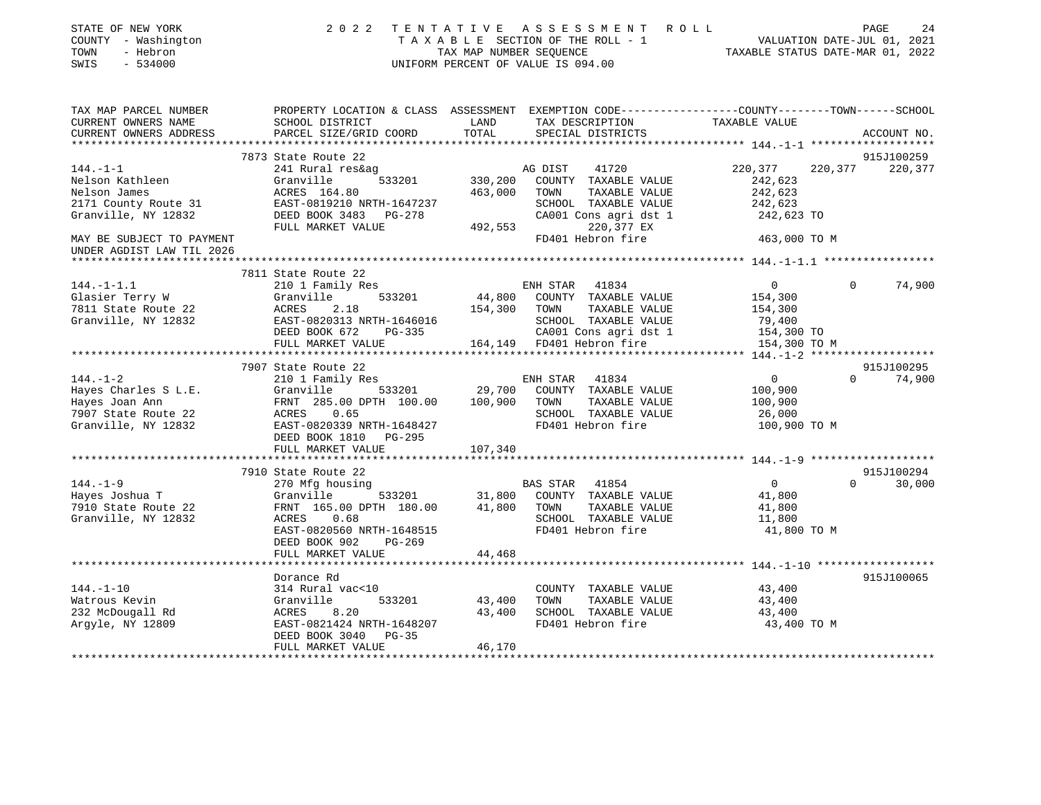|                                                                                                                                                    |                                                                                                                                                                                                                                                  | 2022 TENTATIVE ASSESSMENT ROLL                                                             |                                                                                                                                                                                                                                                                              |                                                                                                                        | PAGE<br>24                                                                                                                                                                                                                                                                                                              |
|----------------------------------------------------------------------------------------------------------------------------------------------------|--------------------------------------------------------------------------------------------------------------------------------------------------------------------------------------------------------------------------------------------------|--------------------------------------------------------------------------------------------|------------------------------------------------------------------------------------------------------------------------------------------------------------------------------------------------------------------------------------------------------------------------------|------------------------------------------------------------------------------------------------------------------------|-------------------------------------------------------------------------------------------------------------------------------------------------------------------------------------------------------------------------------------------------------------------------------------------------------------------------|
|                                                                                                                                                    |                                                                                                                                                                                                                                                  |                                                                                            | TAXABLE VALUE                                                                                                                                                                                                                                                                |                                                                                                                        |                                                                                                                                                                                                                                                                                                                         |
|                                                                                                                                                    |                                                                                                                                                                                                                                                  |                                                                                            |                                                                                                                                                                                                                                                                              |                                                                                                                        | ACCOUNT NO.                                                                                                                                                                                                                                                                                                             |
|                                                                                                                                                    |                                                                                                                                                                                                                                                  |                                                                                            |                                                                                                                                                                                                                                                                              |                                                                                                                        | 915J100259                                                                                                                                                                                                                                                                                                              |
| 241 Rural res&ag<br>ACRES 164.80<br>DEED BOOK 3483 PG-278                                                                                          |                                                                                                                                                                                                                                                  | 41720<br>TAXABLE VALUE<br>SCHOOL TAXABLE VALUE                                             | 220,377<br>242,623<br>242,623<br>242,623                                                                                                                                                                                                                                     |                                                                                                                        |                                                                                                                                                                                                                                                                                                                         |
|                                                                                                                                                    |                                                                                                                                                                                                                                                  | FD401 Hebron fire                                                                          |                                                                                                                                                                                                                                                                              |                                                                                                                        |                                                                                                                                                                                                                                                                                                                         |
|                                                                                                                                                    |                                                                                                                                                                                                                                                  |                                                                                            |                                                                                                                                                                                                                                                                              |                                                                                                                        |                                                                                                                                                                                                                                                                                                                         |
|                                                                                                                                                    |                                                                                                                                                                                                                                                  |                                                                                            |                                                                                                                                                                                                                                                                              |                                                                                                                        |                                                                                                                                                                                                                                                                                                                         |
| 210 1 Family Res<br>533201<br>Granville<br>2.18<br>EAST-0820313 NRTH-1646016<br>DEED BOOK 672 PG-335                                               |                                                                                                                                                                                                                                                  | TAXABLE VALUE<br>SCHOOL TAXABLE VALUE<br>CA001 Cons agri dst 1                             | $\overline{0}$<br>154,300<br>154,300<br>79,400                                                                                                                                                                                                                               | $\overline{0}$                                                                                                         | 74,900                                                                                                                                                                                                                                                                                                                  |
|                                                                                                                                                    |                                                                                                                                                                                                                                                  |                                                                                            |                                                                                                                                                                                                                                                                              |                                                                                                                        |                                                                                                                                                                                                                                                                                                                         |
|                                                                                                                                                    |                                                                                                                                                                                                                                                  |                                                                                            |                                                                                                                                                                                                                                                                              |                                                                                                                        | 915J100295                                                                                                                                                                                                                                                                                                              |
| EAST-0820339 NRTH-1648427<br>DEED BOOK 1810<br>PG-295                                                                                              |                                                                                                                                                                                                                                                  | TAXABLE VALUE<br>SCHOOL TAXABLE VALUE<br>FD401 Hebron fire                                 | 100,900<br>100,900<br>26,000                                                                                                                                                                                                                                                 |                                                                                                                        | $0 \t 74,900$                                                                                                                                                                                                                                                                                                           |
|                                                                                                                                                    |                                                                                                                                                                                                                                                  |                                                                                            |                                                                                                                                                                                                                                                                              |                                                                                                                        |                                                                                                                                                                                                                                                                                                                         |
|                                                                                                                                                    |                                                                                                                                                                                                                                                  |                                                                                            |                                                                                                                                                                                                                                                                              |                                                                                                                        | 915J100294                                                                                                                                                                                                                                                                                                              |
| 270 Mfg housing<br>FRNT 165.00 DPTH 180.00<br>ACRES 0.68<br>EAST-0820560 NRTH-1648515<br>DEED BOOK 902<br>PG-269                                   |                                                                                                                                                                                                                                                  | COUNTY TAXABLE VALUE<br>TOWN<br>TAXABLE VALUE<br>SCHOOL TAXABLE VALUE<br>FD401 Hebron fire | $\overline{0}$<br>41,800<br>41,800<br>11,800                                                                                                                                                                                                                                 | $\Omega$                                                                                                               | 30,000                                                                                                                                                                                                                                                                                                                  |
|                                                                                                                                                    |                                                                                                                                                                                                                                                  |                                                                                            |                                                                                                                                                                                                                                                                              |                                                                                                                        |                                                                                                                                                                                                                                                                                                                         |
| Dorance Rd<br>314 Rural vac<10<br>Granville<br>533201<br>ACRES 8.20<br>EAST-0821424 NRTH-1648207<br>DEED BOOK 3040<br>$PG-35$<br>FULL MARKET VALUE | 43,400<br>46,170                                                                                                                                                                                                                                 | COUNTY TAXABLE VALUE<br>TAXABLE VALUE<br>TOWN<br>SCHOOL TAXABLE VALUE<br>FD401 Hebron fire | 43,400<br>43,400<br>43,400                                                                                                                                                                                                                                                   |                                                                                                                        | 915J100065                                                                                                                                                                                                                                                                                                              |
|                                                                                                                                                    | PARCEL SIZE/GRID COORD<br>7873 State Route 22<br>Granville<br>FULL MARKET VALUE<br>7811 State Route 22<br>ACRES<br>FULL MARKET VALUE<br>7907 State Route 22<br>210 1 Family Res<br>FULL MARKET VALUE<br>7910 State Route 22<br>FULL MARKET VALUE | TOTAL<br>533201<br>EAST-0819210 NRTH-1647237<br>107,340<br>Granville 533201<br>44,468      | UNIFORM PERCENT OF VALUE IS 094.00<br>SPECIAL DISTRICTS<br>AG DIST<br>330,200 COUNTY TAXABLE VALUE<br>463,000 TOWN<br>220,377 EX<br>492,553<br>ENH STAR 41834<br>154,300 TOWN<br>164,149 FD401 Hebron fire<br>ENH STAR 41834<br>BAS STAR 41854<br>31,800<br>41,800<br>43,400 | CA001 Cons agri dst 1<br>44,800 COUNTY TAXABLE VALUE<br>$\overline{0}$<br>Granville 533201 29,700 COUNTY TAXABLE VALUE | TENIAILVE ASSESSMENI AUDIL<br>TAXABLE SECTION OF THE ROLL - 1 VALUATION DATE-JUL 01, 2021<br>TAXABLE STATUS DATE-MAR 01, 2022<br>**************************** 144.-1-1 *******************<br>220,377 220,377<br>242,623 TO<br>463,000 TO M<br>154,300 TO<br>154,300 TO M<br>100,900 TO M<br>41,800 TO M<br>43,400 TO M |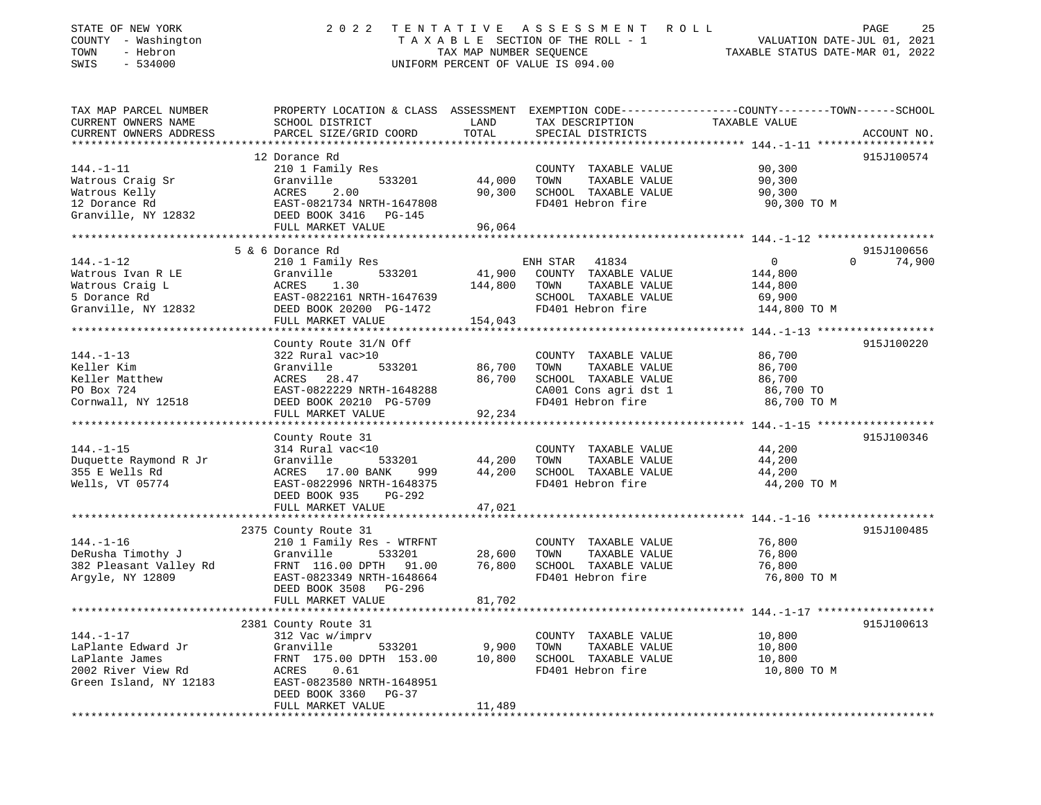| STATE OF NEW YORK<br>COUNTY - Washington<br>TOWN<br>- Hebron<br>SWIS<br>$-534000$ | 2022                                                   | TENTATIVE<br>TAX MAP NUMBER SEQUENCE | ASSESSMENT ROLL<br>TAXABLE SECTION OF THE ROLL - 1<br>UNIFORM PERCENT OF VALUE IS 094.00 | PAGE<br>25<br>VALUATION DATE-JUL 01, 2021<br>TAXABLE STATUS DATE-MAR 01, 2022                                    |  |
|-----------------------------------------------------------------------------------|--------------------------------------------------------|--------------------------------------|------------------------------------------------------------------------------------------|------------------------------------------------------------------------------------------------------------------|--|
| TAX MAP PARCEL NUMBER<br>CURRENT OWNERS NAME                                      | SCHOOL DISTRICT                                        | LAND                                 |                                                                                          | PROPERTY LOCATION & CLASS ASSESSMENT EXEMPTION CODE---------------COUNTY-------TOWN------SCHOOL<br>TAXABLE VALUE |  |
| CURRENT OWNERS ADDRESS<br>***********************                                 | PARCEL SIZE/GRID COORD                                 | TOTAL                                | TAX DESCRIPTION<br>SPECIAL DISTRICTS                                                     | ACCOUNT NO.                                                                                                      |  |
|                                                                                   | 12 Dorance Rd                                          |                                      |                                                                                          | 915J100574                                                                                                       |  |
| $144. - 1 - 11$                                                                   | 210 1 Family Res                                       |                                      | COUNTY TAXABLE VALUE                                                                     | 90,300                                                                                                           |  |
| Watrous Craig Sr                                                                  | Granville<br>533201                                    | 44,000                               | TAXABLE VALUE<br>TOWN                                                                    | 90,300                                                                                                           |  |
| Watrous Kelly                                                                     | 2.00<br>ACRES                                          | 90,300                               | SCHOOL TAXABLE VALUE                                                                     | 90,300                                                                                                           |  |
| 12 Dorance Rd                                                                     | EAST-0821734 NRTH-1647808                              |                                      | FD401 Hebron fire                                                                        | 90,300 TO M                                                                                                      |  |
| Granville, NY 12832                                                               | DEED BOOK 3416 PG-145                                  |                                      |                                                                                          |                                                                                                                  |  |
|                                                                                   | FULL MARKET VALUE                                      | 96,064                               |                                                                                          |                                                                                                                  |  |
|                                                                                   | ********************************                       |                                      |                                                                                          |                                                                                                                  |  |
|                                                                                   | 5 & 6 Dorance Rd                                       |                                      |                                                                                          | 915J100656                                                                                                       |  |
| $144. - 1 - 12$                                                                   | 210 1 Family Res                                       |                                      | ENH STAR<br>41834                                                                        | $\mathsf{O}$<br>$\Omega$<br>74,900                                                                               |  |
| Watrous Ivan R LE                                                                 | Granville<br>533201                                    | 41,900                               | COUNTY TAXABLE VALUE                                                                     | 144,800                                                                                                          |  |
| Watrous Craig L                                                                   | ACRES<br>1.30                                          | 144,800                              | TAXABLE VALUE<br>TOWN                                                                    | 144,800                                                                                                          |  |
| 5 Dorance Rd                                                                      | EAST-0822161 NRTH-1647639                              |                                      | SCHOOL TAXABLE VALUE                                                                     | 69,900                                                                                                           |  |
| Granville, NY 12832                                                               | DEED BOOK 20200 PG-1472                                |                                      | FD401 Hebron fire                                                                        | 144,800 TO M                                                                                                     |  |
|                                                                                   | FULL MARKET VALUE                                      | 154,043                              |                                                                                          |                                                                                                                  |  |
|                                                                                   |                                                        |                                      |                                                                                          |                                                                                                                  |  |
| $144. - 1 - 13$                                                                   | County Route 31/N Off                                  |                                      |                                                                                          | 915J100220                                                                                                       |  |
| Keller Kim                                                                        | 322 Rural vac>10<br>Granville<br>533201                | 86,700                               | COUNTY TAXABLE VALUE<br>TOWN<br>TAXABLE VALUE                                            | 86,700<br>86,700                                                                                                 |  |
| Keller Matthew                                                                    | ACRES 28.47                                            | 86,700                               | SCHOOL TAXABLE VALUE                                                                     | 86,700                                                                                                           |  |
| PO Box 724                                                                        | EAST-0822229 NRTH-1648288                              |                                      | CA001 Cons agri dst 1                                                                    | 86,700 TO                                                                                                        |  |
| Cornwall, NY 12518                                                                | DEED BOOK 20210 PG-5709                                |                                      | FD401 Hebron fire                                                                        | 86,700 TO M                                                                                                      |  |
|                                                                                   | FULL MARKET VALUE                                      | 92,234                               |                                                                                          |                                                                                                                  |  |
|                                                                                   | **************************                             |                                      |                                                                                          |                                                                                                                  |  |
|                                                                                   | County Route 31                                        |                                      |                                                                                          | 915J100346                                                                                                       |  |
| $144. - 1 - 15$                                                                   | 314 Rural vac<10                                       |                                      | COUNTY TAXABLE VALUE                                                                     | 44,200                                                                                                           |  |
| Duquette Raymond R Jr                                                             | 533201<br>Granville                                    | 44,200                               | TOWN<br>TAXABLE VALUE                                                                    | 44,200                                                                                                           |  |
| 355 E Wells Rd                                                                    | ACRES 17.00 BANK<br>999                                | 44,200                               | SCHOOL TAXABLE VALUE                                                                     | 44,200                                                                                                           |  |
| Wells, VT 05774                                                                   | EAST-0822996 NRTH-1648375                              |                                      | FD401 Hebron fire                                                                        | 44,200 TO M                                                                                                      |  |
|                                                                                   | DEED BOOK 935<br>PG-292                                |                                      |                                                                                          |                                                                                                                  |  |
|                                                                                   | FULL MARKET VALUE                                      | 47,021                               |                                                                                          |                                                                                                                  |  |
|                                                                                   |                                                        |                                      |                                                                                          |                                                                                                                  |  |
|                                                                                   | 2375 County Route 31                                   |                                      |                                                                                          | 915J100485                                                                                                       |  |
| $144. - 1 - 16$                                                                   | 210 1 Family Res - WTRFNT                              |                                      | COUNTY TAXABLE VALUE                                                                     | 76,800                                                                                                           |  |
| DeRusha Timothy J                                                                 | Granville<br>533201                                    | 28,600<br>76,800                     | TOWN<br>TAXABLE VALUE                                                                    | 76,800                                                                                                           |  |
| 382 Pleasant Valley Rd<br>Argyle, NY 12809                                        | FRNT 116.00 DPTH<br>91.00<br>EAST-0823349 NRTH-1648664 |                                      | SCHOOL TAXABLE VALUE<br>FD401 Hebron fire                                                | 76,800<br>76,800 TO M                                                                                            |  |
|                                                                                   | PG-296<br>DEED BOOK 3508                               |                                      |                                                                                          |                                                                                                                  |  |
|                                                                                   | FULL MARKET VALUE                                      | 81,702                               |                                                                                          |                                                                                                                  |  |
|                                                                                   |                                                        |                                      |                                                                                          |                                                                                                                  |  |
|                                                                                   | 2381 County Route 31                                   |                                      |                                                                                          | 915J100613                                                                                                       |  |
| $144. - 1 - 17$                                                                   | 312 Vac w/imprv                                        |                                      | COUNTY TAXABLE VALUE                                                                     | 10,800                                                                                                           |  |
| LaPlante Edward Jr                                                                | Granville<br>533201                                    | 9,900                                | TOWN<br>TAXABLE VALUE                                                                    | 10,800                                                                                                           |  |
| LaPlante James                                                                    | FRNT 175.00 DPTH 153.00                                | 10,800                               | SCHOOL TAXABLE VALUE                                                                     | 10,800                                                                                                           |  |
| 2002 River View Rd                                                                | ACRES<br>0.61                                          |                                      | FD401 Hebron fire                                                                        | 10,800 TO M                                                                                                      |  |
| Green Island, NY 12183                                                            | EAST-0823580 NRTH-1648951                              |                                      |                                                                                          |                                                                                                                  |  |
|                                                                                   | DEED BOOK 3360<br>$PG-37$                              |                                      |                                                                                          |                                                                                                                  |  |
|                                                                                   | EITT I MADIZEM IZATIE                                  | 11.400                               |                                                                                          |                                                                                                                  |  |

FULL MARKET VALUE 11,489 \*\*\*\*\*\*\*\*\*\*\*\*\*\*\*\*\*\*\*\*\*\*\*\*\*\*\*\*\*\*\*\*\*\*\*\*\*\*\*\*\*\*\*\*\*\*\*\*\*\*\*\*\*\*\*\*\*\*\*\*\*\*\*\*\*\*\*\*\*\*\*\*\*\*\*\*\*\*\*\*\*\*\*\*\*\*\*\*\*\*\*\*\*\*\*\*\*\*\*\*\*\*\*\*\*\*\*\*\*\*\*\*\*\*\*\*\*\*\*\*\*\*\*\*\*\*\*\*\*\*\*\*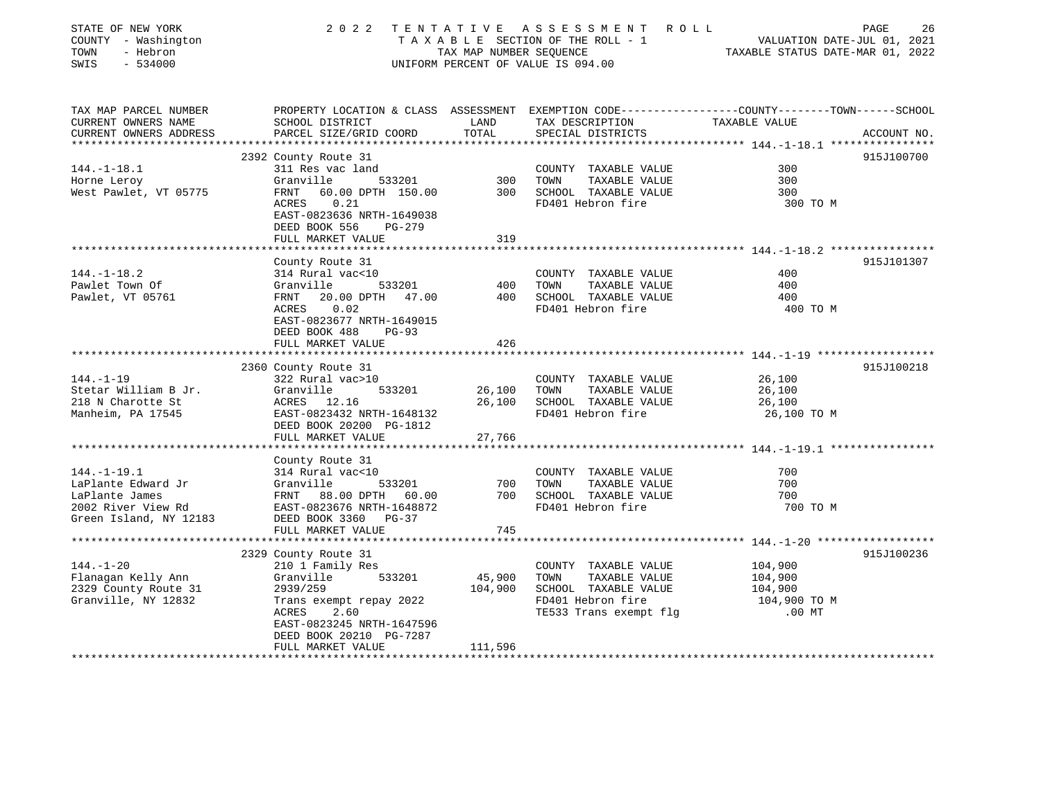| STATE OF NEW YORK<br>COUNTY - Washington<br>TOWN<br>- Hebron<br>$-534000$<br>SWIS | 2 0 2 2<br>TENTATIVE                         | TAX MAP NUMBER SEQUENCE | ASSESSMENT ROLL<br>TAXABLE SECTION OF THE ROLL - 1<br>UNIFORM PERCENT OF VALUE IS 094.00 | PAGE<br>26<br>VALUATION DATE-JUL 01, 2021<br>TAXABLE STATUS DATE-MAR 01, 2022                                    |
|-----------------------------------------------------------------------------------|----------------------------------------------|-------------------------|------------------------------------------------------------------------------------------|------------------------------------------------------------------------------------------------------------------|
| TAX MAP PARCEL NUMBER<br>CURRENT OWNERS NAME                                      |                                              | LAND                    | TAX DESCRIPTION                                                                          | PROPERTY LOCATION & CLASS ASSESSMENT EXEMPTION CODE---------------COUNTY-------TOWN------SCHOOL<br>TAXABLE VALUE |
| CURRENT OWNERS ADDRESS                                                            | SCHOOL DISTRICT<br>PARCEL SIZE/GRID COORD    | TOTAL                   | SPECIAL DISTRICTS                                                                        | ACCOUNT NO.                                                                                                      |
|                                                                                   |                                              |                         |                                                                                          |                                                                                                                  |
|                                                                                   | 2392 County Route 31                         |                         |                                                                                          | 915J100700                                                                                                       |
| $144. - 1 - 18.1$                                                                 | 311 Res vac land                             |                         | COUNTY TAXABLE VALUE                                                                     | 300                                                                                                              |
| Horne Leroy                                                                       | Granville<br>533201                          | 300                     | TAXABLE VALUE<br>TOWN                                                                    | 300                                                                                                              |
| West Pawlet, VT 05775                                                             | 60.00 DPTH 150.00<br>FRNT<br>ACRES<br>0.21   | 300                     | SCHOOL TAXABLE VALUE<br>FD401 Hebron fire                                                | 300<br>300 TO M                                                                                                  |
|                                                                                   | EAST-0823636 NRTH-1649038                    |                         |                                                                                          |                                                                                                                  |
|                                                                                   | DEED BOOK 556<br>$PG-279$                    |                         |                                                                                          |                                                                                                                  |
|                                                                                   | FULL MARKET VALUE                            | 319                     |                                                                                          |                                                                                                                  |
|                                                                                   |                                              |                         |                                                                                          |                                                                                                                  |
|                                                                                   | County Route 31                              |                         |                                                                                          | 915J101307                                                                                                       |
| $144. - 1 - 18.2$                                                                 | 314 Rural vac<10                             |                         | COUNTY TAXABLE VALUE                                                                     | 400                                                                                                              |
| Pawlet Town Of                                                                    | Granville<br>533201                          | 400                     | TAXABLE VALUE<br>TOWN                                                                    | 400                                                                                                              |
| Pawlet, VT 05761                                                                  | 20.00 DPTH 47.00<br>FRNT<br>ACRES<br>0.02    | 400                     | SCHOOL TAXABLE VALUE<br>FD401 Hebron fire                                                | 400<br>400 TO M                                                                                                  |
|                                                                                   | EAST-0823677 NRTH-1649015                    |                         |                                                                                          |                                                                                                                  |
|                                                                                   | DEED BOOK 488<br>$PG-93$                     |                         |                                                                                          |                                                                                                                  |
|                                                                                   | FULL MARKET VALUE                            | 426                     |                                                                                          |                                                                                                                  |
|                                                                                   |                                              |                         |                                                                                          |                                                                                                                  |
|                                                                                   | 2360 County Route 31                         |                         |                                                                                          | 915J100218                                                                                                       |
| $144. - 1 - 19$                                                                   | 322 Rural vac>10                             |                         | COUNTY TAXABLE VALUE                                                                     | 26,100                                                                                                           |
| Stetar William B Jr.                                                              | Granville<br>533201                          | 26,100                  | TOWN<br>TAXABLE VALUE                                                                    | 26,100                                                                                                           |
| 218 N Charotte St<br>Manheim, PA 17545                                            | ACRES 12.16<br>EAST-0823432 NRTH-1648132     | 26,100                  | SCHOOL TAXABLE VALUE<br>FD401 Hebron fire                                                | 26,100<br>26,100 TO M                                                                                            |
|                                                                                   | DEED BOOK 20200 PG-1812                      |                         |                                                                                          |                                                                                                                  |
|                                                                                   | FULL MARKET VALUE                            | 27,766                  |                                                                                          |                                                                                                                  |
|                                                                                   |                                              |                         |                                                                                          |                                                                                                                  |
|                                                                                   | County Route 31                              |                         |                                                                                          |                                                                                                                  |
| $144. - 1 - 19.1$                                                                 | 314 Rural vac<10                             |                         | COUNTY TAXABLE VALUE                                                                     | 700                                                                                                              |
| LaPlante Edward Jr                                                                | Granville<br>533201                          | 700                     | TOWN<br>TAXABLE VALUE                                                                    | 700                                                                                                              |
| LaPlante James                                                                    | FRNT 88.00 DPTH 60.00                        | 700                     | SCHOOL TAXABLE VALUE                                                                     | 700                                                                                                              |
| 2002 River View Rd                                                                | EAST-0823676 NRTH-1648872                    |                         | FD401 Hebron fire                                                                        | 700 TO M                                                                                                         |
| Green Island, NY 12183                                                            | DEED BOOK 3360 PG-37<br>FULL MARKET VALUE    | 745                     |                                                                                          |                                                                                                                  |
|                                                                                   |                                              |                         |                                                                                          |                                                                                                                  |
|                                                                                   | 2329 County Route 31                         |                         |                                                                                          | 915J100236                                                                                                       |
| $144. - 1 - 20$                                                                   | 210 1 Family Res                             |                         | COUNTY TAXABLE VALUE                                                                     | 104,900                                                                                                          |
| Flanagan Kelly Ann                                                                | Granville<br>533201                          | 45,900                  | TOWN<br>TAXABLE VALUE                                                                    | 104,900                                                                                                          |
| 2329 County Route 31                                                              | 2939/259                                     | 104,900                 | SCHOOL TAXABLE VALUE                                                                     | 104,900                                                                                                          |
| Granville, NY 12832                                                               | Trans exempt repay 2022                      |                         | FD401 Hebron fire                                                                        | 104,900 TO M                                                                                                     |
|                                                                                   | ACRES<br>2.60                                |                         | TE533 Trans exempt flq                                                                   | $.00$ MT                                                                                                         |
|                                                                                   | EAST-0823245 NRTH-1647596                    |                         |                                                                                          |                                                                                                                  |
|                                                                                   | DEED BOOK 20210 PG-7287<br>FULL MARKET VALUE | 111,596                 |                                                                                          |                                                                                                                  |
|                                                                                   |                                              |                         |                                                                                          |                                                                                                                  |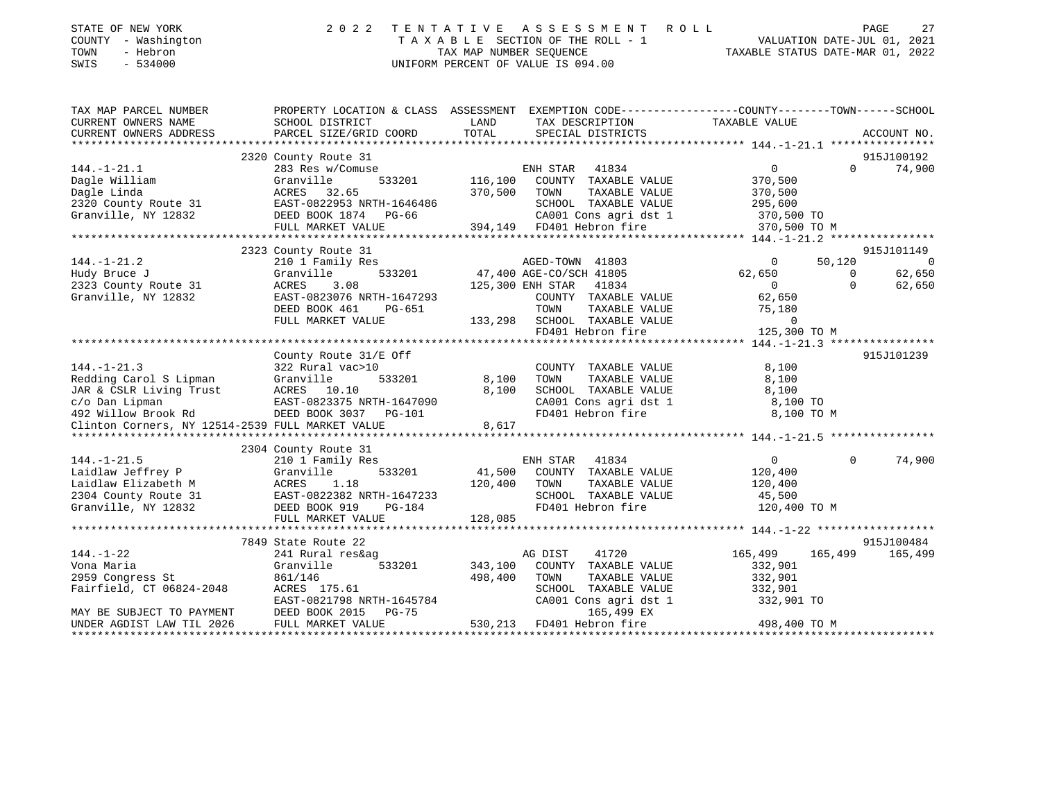| STATE OF NEW YORK<br>COUNTY - Washington<br>TOWN<br>- Hebron<br>SWIS - 534000 | 2022 TENTATIVE ASSESSMENT ROLL<br>TAXABLE SECTION OF THE ROLL - 1<br>TAX MAP NUMBER SEOUENCE<br>UNIFORM PERCENT OF VALUE IS 094.00 | PAGE<br>VALUATION DATE-JUL 01, 2021<br>TAXABLE STATUS DATE-MAR 01, 2022 | 27 |
|-------------------------------------------------------------------------------|------------------------------------------------------------------------------------------------------------------------------------|-------------------------------------------------------------------------|----|
|                                                                               |                                                                                                                                    |                                                                         |    |

| TAX MAP PARCEL NUMBER                                                                                                                             |                                                                        | PROPERTY LOCATION & CLASS ASSESSMENT EXEMPTION CODE---------------COUNTY-------TOWN------SCHOOL    |                                                            |
|---------------------------------------------------------------------------------------------------------------------------------------------------|------------------------------------------------------------------------|----------------------------------------------------------------------------------------------------|------------------------------------------------------------|
| CURRENT OWNERS NAME                                                                                                                               | SCHOOL DISTRICT                                                        | LAND<br>TAX DESCRIPTION                                                                            | TAXABLE VALUE                                              |
| CURRENT OWNERS ADDRESS                                                                                                                            |                                                                        |                                                                                                    |                                                            |
|                                                                                                                                                   |                                                                        |                                                                                                    |                                                            |
|                                                                                                                                                   | 2320 County Route 31                                                   |                                                                                                    | 915J100192                                                 |
| $144. - 1 - 21.1$                                                                                                                                 | 283 Res w/Comuse                                                       | ENH STAR 41834                                                                                     | $\overline{0}$<br>74,900<br>$\Omega$                       |
| Dagle William                                                                                                                                     | Granville                                                              | 533201 116,100 COUNTY TAXABLE VALUE                                                                | 370,500                                                    |
|                                                                                                                                                   |                                                                        |                                                                                                    |                                                            |
|                                                                                                                                                   |                                                                        | SCHOOL TAXABLE VALUE                                                                               | -----<br>TAXABLE VALUE 370,500<br>הסיארציה 171.11E 295,600 |
| Dagle Linda<br>2320 County Route 31 EAST-0822953 NRTH-1646486 370,500 TOWN<br>Granville, NY 12832 DEED BOOK 1874 PG-66 CA001                      |                                                                        | CA001 Cons agri dst 1 370,500 TO                                                                   |                                                            |
|                                                                                                                                                   |                                                                        | FULL MARKET VALUE 394,149 FD401 Hebron fire                                                        | 370,500 TO M                                               |
|                                                                                                                                                   |                                                                        |                                                                                                    |                                                            |
|                                                                                                                                                   | 2323 County Route 31                                                   |                                                                                                    | 915J101149                                                 |
| $144. - 1 - 21.2$                                                                                                                                 | 210 1 Family Res                                                       |                                                                                                    | $\overline{0}$<br>$\overline{0}$<br>50,120                 |
| Hudy Bruce J                                                                                                                                      | Granville                                                              | 3<br>533201 47,400 AGE-CO/SCH 41805                                                                | 62,650<br>62,650<br>$\overline{0}$                         |
| 2323 County Route 31                                                                                                                              | ACRES<br>3.08                                                          | 125,300 ENH STAR 41834                                                                             | $\Omega$<br>$\overline{0}$<br>62,650                       |
| Granville, NY 12832                                                                                                                               | EAST-0823076 NRTH-1647293                                              | COUNTY TAXABLE VALUE                                                                               | 62,650                                                     |
|                                                                                                                                                   | DEED BOOK 461<br>PG-651                                                | TOWN<br>TAXABLE VALUE                                                                              | 75,180                                                     |
|                                                                                                                                                   | FULL MARKET VALUE                                                      | 133,298 SCHOOL TAXABLE VALUE                                                                       | $\overline{0}$                                             |
|                                                                                                                                                   |                                                                        | FD401 Hebron fire                                                                                  | 125,300 TO M                                               |
|                                                                                                                                                   |                                                                        |                                                                                                    |                                                            |
|                                                                                                                                                   | County Route 31/E Off                                                  |                                                                                                    | 915J101239                                                 |
| $144. - 1 - 21.3$                                                                                                                                 | 322 Rural vac>10                                                       | COUNTY TAXABLE VALUE                                                                               | 8,100                                                      |
|                                                                                                                                                   |                                                                        | TOWN<br>TAXABLE VALUE                                                                              | 8,100                                                      |
|                                                                                                                                                   |                                                                        |                                                                                                    |                                                            |
|                                                                                                                                                   |                                                                        |                                                                                                    |                                                            |
| Redding Carol S Lipman<br>3201 8,100<br>JAR & CSLR Living Trust<br>233201 8,100<br>C/o Dan Lipman<br>492 Willow Brook Rd<br>BEED BOOK 3037 PG-101 |                                                                        | SCHOOL TAXABLE VALUE $8,100$<br>CA001 Cons agri dst 1 $8,100$ TO<br>FD401 Hebron fire $8,100$ TO M |                                                            |
|                                                                                                                                                   |                                                                        |                                                                                                    |                                                            |
|                                                                                                                                                   |                                                                        |                                                                                                    |                                                            |
|                                                                                                                                                   | 2304 County Route 31                                                   |                                                                                                    |                                                            |
| $144. - 1 - 21.5$                                                                                                                                 | 210 1 Family Res                                                       |                                                                                                    | $\Omega$<br>74,900                                         |
| Laidlaw Jeffrey P                                                                                                                                 | Granville                                                              | 533201 611,500 ENH STAR 41834 6<br>533201 41,500 COUNTY TAXABLE VALUE 120,400                      |                                                            |
|                                                                                                                                                   |                                                                        | 120,400 TOWN                                                                                       | TAXABLE VALUE 120,400                                      |
|                                                                                                                                                   |                                                                        |                                                                                                    |                                                            |
| Laidlaw Elizabeth M<br>2304 County Route 31<br>Granville, NY 12832<br>2304 County Route 31<br>2304 County Route 31<br>26.095                      |                                                                        | SCHOOL TAXABLE VALUE 45,500<br>FD401 Hebron fire 120,400 TO M<br>FD401 Hebron fire                 |                                                            |
|                                                                                                                                                   | FULL MARKET VALUE                                                      | 128,085                                                                                            |                                                            |
|                                                                                                                                                   |                                                                        |                                                                                                    |                                                            |
|                                                                                                                                                   | 7849 State Route 22                                                    |                                                                                                    | 915J100484                                                 |
| $144. - 1 - 22$                                                                                                                                   | 241 Rural res&ag                                                       | AG DIST<br>41720                                                                                   | 165,499<br>165,499<br>165,499                              |
| Vona Maria                                                                                                                                        | 533201<br>Granville                                                    | 343,100 COUNTY TAXABLE VALUE                                                                       | 332,901                                                    |
| 2959 Congress St                                                                                                                                  | 861/146                                                                | 498,400<br>TOWN<br>TAXABLE VALUE                                                                   | 332,901                                                    |
|                                                                                                                                                   |                                                                        |                                                                                                    |                                                            |
| Fairfield, CT 06824-2048                                                                                                                          | ACRES 175.61                                                           | SCHOOL TAXABLE VALUE 332,901<br>CA001 Cons agri dst 1 332,901 TO                                   |                                                            |
|                                                                                                                                                   |                                                                        | 165,499 EX                                                                                         |                                                            |
| MAY BE SUBJECT TO PAYMENT                                                                                                                         | EAST-0821798 NRTH-1645784<br>DEED BOOK 2015 PG-75<br>FULL MARKET VALUE | 530,213 FD401 Hebron fire                                                                          | 498,400 TO M                                               |
| UNDER AGDIST LAW TIL 2026                                                                                                                         |                                                                        |                                                                                                    |                                                            |
|                                                                                                                                                   |                                                                        |                                                                                                    |                                                            |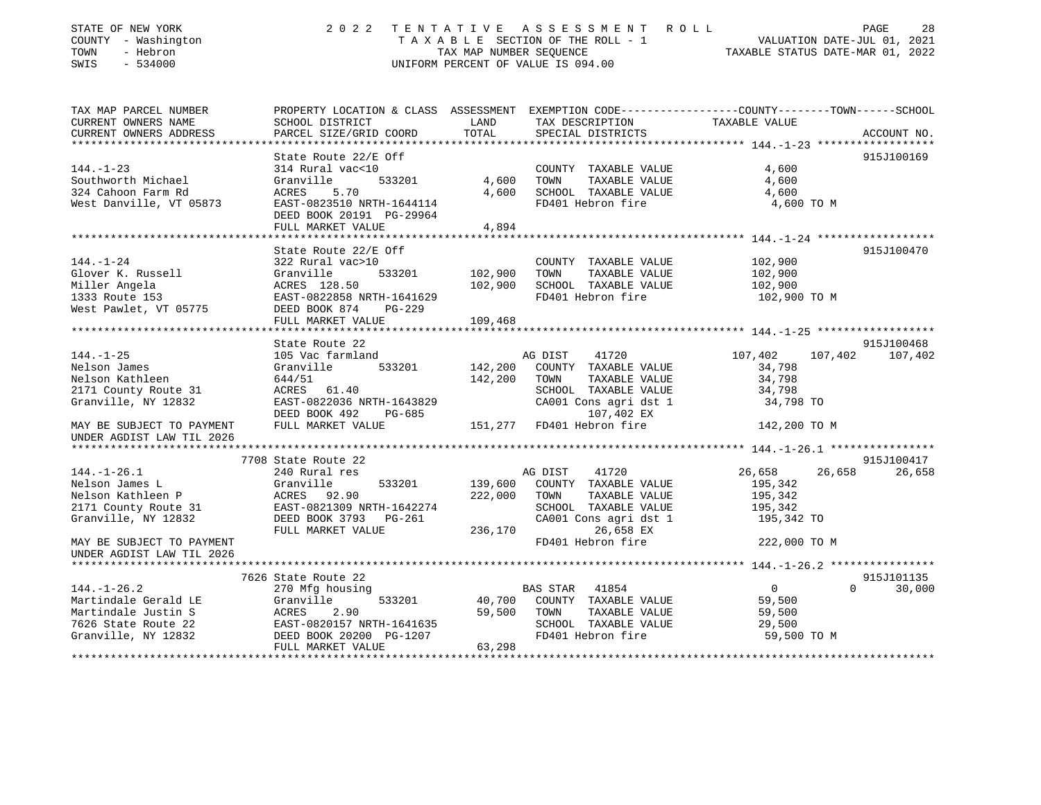| STATE OF NEW YORK<br>COUNTY - Washington<br>TOWN<br>- Hebron<br>SWIS<br>$-534000$ |                                                                    |               | 2022 TENTATIVE ASSESSMENT ROLL<br>UNIFORM PERCENT OF VALUE IS 094.00 | PAGE<br>28<br>TAXABLE SECTION OF THE ROLL - 1<br>TAXABLE SECTION OF THE ROLL - 1<br>TAXABLE STATUS DATE-MAR 01, 2022 |
|-----------------------------------------------------------------------------------|--------------------------------------------------------------------|---------------|----------------------------------------------------------------------|----------------------------------------------------------------------------------------------------------------------|
| TAX MAP PARCEL NUMBER                                                             |                                                                    |               |                                                                      | PROPERTY LOCATION & CLASS ASSESSMENT EXEMPTION CODE----------------COUNTY-------TOWN-----SCHOOL                      |
| CURRENT OWNERS NAME<br>CURRENT OWNERS ADDRESS                                     | SCHOOL DISTRICT<br>PARCEL SIZE/GRID COORD                          | LAND<br>TOTAL | TAX DESCRIPTION<br>SPECIAL DISTRICTS                                 | TAXABLE VALUE<br>ACCOUNT NO.                                                                                         |
|                                                                                   | State Route 22/E Off                                               |               |                                                                      | 915J100169                                                                                                           |
| $144. - 1 - 23$                                                                   | 314 Rural vac<10                                                   |               | COUNTY TAXABLE VALUE                                                 | 4,600                                                                                                                |
| Southworth Michael                                                                | Granville<br>533201                                                | 4,600         | TOWN<br>TAXABLE VALUE                                                | 4,600                                                                                                                |
| 324 Cahoon Farm Rd                                                                | ACRES 5.70                                                         | 4,600         | SCHOOL TAXABLE VALUE                                                 | 4,600                                                                                                                |
| West Danville, VT 05873                                                           | EAST-0823510 NRTH-1644114                                          |               | FD401 Hebron fire                                                    | 4,600 TO M                                                                                                           |
|                                                                                   | DEED BOOK 20191 PG-29964                                           |               |                                                                      |                                                                                                                      |
|                                                                                   | FULL MARKET VALUE                                                  | 4,894         |                                                                      |                                                                                                                      |
|                                                                                   |                                                                    |               |                                                                      |                                                                                                                      |
|                                                                                   | State Route 22/E Off                                               |               |                                                                      | 915J100470                                                                                                           |
| $144. - 1 - 24$                                                                   | 322 Rural vac>10                                                   |               | COUNTY TAXABLE VALUE                                                 | 102,900                                                                                                              |
| Glover K. Russell                                                                 | 533201<br>Granville                                                | 102,900       | TOWN<br>TAXABLE VALUE                                                | 102,900                                                                                                              |
| Miller Angela                                                                     | ACRES 128.50                                                       | 102,900       | SCHOOL TAXABLE VALUE                                                 | 102,900                                                                                                              |
| 1333 Route 153                                                                    | EAST-0822858 NRTH-1641629                                          |               | FD401 Hebron fire                                                    | 102,900 TO M                                                                                                         |
| West Pawlet, VT 05775                                                             | DEED BOOK 874<br>$PG-229$                                          |               |                                                                      |                                                                                                                      |
|                                                                                   | FULL MARKET VALUE                                                  | 109,468       |                                                                      |                                                                                                                      |
|                                                                                   |                                                                    |               |                                                                      |                                                                                                                      |
| $144. - 1 - 25$                                                                   | State Route 22                                                     |               | AG DIST                                                              | 915J100468<br>107,402                                                                                                |
| Nelson James                                                                      | 105 Vac farmland<br>533201<br>Granville                            | 142,200       | 41720<br>COUNTY TAXABLE VALUE                                        | 107,402<br>107,402<br>34,798                                                                                         |
| Nelson Kathleen                                                                   | 644/51                                                             | 142,200       | TOWN<br>TAXABLE VALUE                                                | 34,798                                                                                                               |
| 2171 County Route 31                                                              | ACRES 61.40                                                        |               | SCHOOL TAXABLE VALUE                                                 | 34,798                                                                                                               |
| Granville, NY 12832                                                               | EAST-0822036 NRTH-1643829                                          |               | CA001 Cons agri dst 1                                                | 34,798 TO                                                                                                            |
|                                                                                   | DEED BOOK 492<br>PG-685                                            |               | 107,402 EX                                                           |                                                                                                                      |
| MAY BE SUBJECT TO PAYMENT                                                         | FULL MARKET VALUE                                                  |               | 151,277 FD401 Hebron fire                                            | 142,200 TO M                                                                                                         |
| UNDER AGDIST LAW TIL 2026                                                         |                                                                    |               |                                                                      |                                                                                                                      |
|                                                                                   |                                                                    |               |                                                                      |                                                                                                                      |
|                                                                                   | 7708 State Route 22                                                |               |                                                                      | 915J100417                                                                                                           |
| $144. - 1 - 26.1$                                                                 | 240 Rural res                                                      |               | AG DIST<br>41720                                                     | 26,658<br>26,658<br>26,658                                                                                           |
| Nelson James L                                                                    | 533201<br>Granville                                                | 139,600       | COUNTY TAXABLE VALUE                                                 | 195,342                                                                                                              |
| Nelson Kathleen P                                                                 | ACRES 92.90                                                        | 222,000       | TOWN<br>TAXABLE VALUE                                                | 195,342                                                                                                              |
| 2171 County Route 31                                                              | EAST-0821309 NRTH-1642274                                          |               | SCHOOL TAXABLE VALUE                                                 | 195,342                                                                                                              |
| Granville, NY 12832                                                               | DEED BOOK 3793 PG-261                                              |               | CA001 Cons agri dst 1<br>26,658 EX                                   | 195,342 TO                                                                                                           |
| MAY BE SUBJECT TO PAYMENT                                                         | FULL MARKET VALUE                                                  | 236,170       | FD401 Hebron fire                                                    | 222,000 TO M                                                                                                         |
| UNDER AGDIST LAW TIL 2026                                                         |                                                                    |               |                                                                      |                                                                                                                      |
|                                                                                   |                                                                    |               |                                                                      |                                                                                                                      |
|                                                                                   | 7626 State Route 22                                                |               |                                                                      | 915J101135                                                                                                           |
| $144. - 1 - 26.2$                                                                 | 270 Mfg housing                                                    |               | BAS STAR 41854                                                       | 30,000<br>$\overline{0}$<br>$\Omega$                                                                                 |
| Martindale Gerald LE                                                              | Granville<br>533201                                                | 40,700        | COUNTY TAXABLE VALUE                                                 | 59,500                                                                                                               |
| Martindale Justin S                                                               |                                                                    | 59,500        | TAXABLE VALUE<br>TOWN                                                | 59,500                                                                                                               |
| 7626 State Route 22                                                               |                                                                    |               | SCHOOL TAXABLE VALUE                                                 | 29,500                                                                                                               |
| Granville, NY 12832                                                               | ACRES 2.90<br>EAST-0820157 NRTH-1641635<br>DEED BOOK 20200 PG-1207 |               | FD401 Hebron fire                                                    | 59,500 TO M                                                                                                          |
|                                                                                   | FULL MARKET VALUE                                                  | 63,298        |                                                                      |                                                                                                                      |
|                                                                                   |                                                                    |               |                                                                      |                                                                                                                      |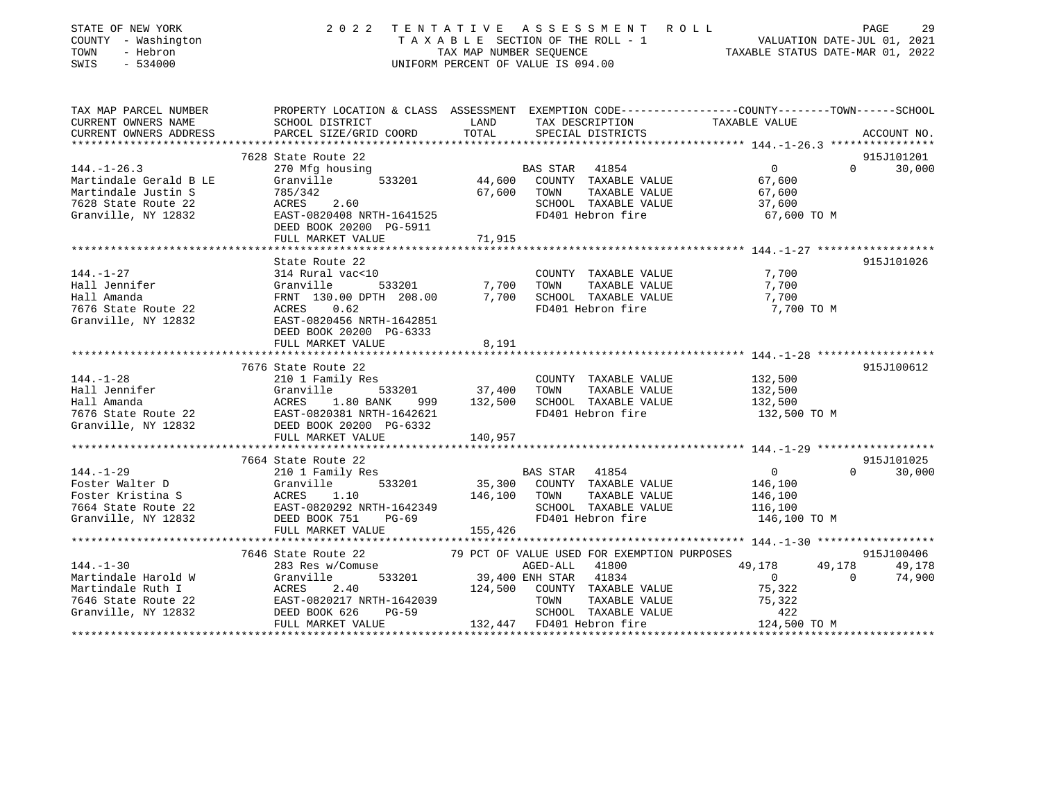| STATE OF NEW YORK<br>COUNTY - Washington<br>TOWN<br>- Hebron<br>$-534000$<br>SWIS |                                                                                                                                                                                                                                         |               | 2022 TENTATIVE ASSESSMENT ROLL<br>TAXABLE SECTION OF THE ROLL - 1<br>TAXABLE STATURE REQUENCE THE ROLL - 1<br>TAXABLE STATUS DATE-JUL 01, 2021<br>TAXABLE STATUS DATE-MAR 01, 2022<br>UNIFORM PERCENT OF VALUE IS 094.00 |                |          | PAGE<br>29    |
|-----------------------------------------------------------------------------------|-----------------------------------------------------------------------------------------------------------------------------------------------------------------------------------------------------------------------------------------|---------------|--------------------------------------------------------------------------------------------------------------------------------------------------------------------------------------------------------------------------|----------------|----------|---------------|
| TAX MAP PARCEL NUMBER                                                             | PROPERTY LOCATION & CLASS ASSESSMENT EXEMPTION CODE----------------COUNTY-------TOWN------SCHOOL                                                                                                                                        |               |                                                                                                                                                                                                                          |                |          |               |
| CURRENT OWNERS NAME<br>CURRENT OWNERS ADDRESS                                     | SCHOOL DISTRICT<br>PARCEL SIZE/GRID COORD                                                                                                                                                                                               | LAND<br>TOTAL | TAX DESCRIPTION TAXABLE VALUE<br>SPECIAL DISTRICTS                                                                                                                                                                       |                |          |               |
|                                                                                   |                                                                                                                                                                                                                                         |               |                                                                                                                                                                                                                          |                |          | ACCOUNT NO.   |
|                                                                                   | 7628 State Route 22                                                                                                                                                                                                                     |               |                                                                                                                                                                                                                          |                |          | 915J101201    |
| $144. - 1 - 26.3$                                                                 | 270 Mfg housing                                                                                                                                                                                                                         |               | BAS STAR 41854                                                                                                                                                                                                           | $\overline{0}$ | $\Omega$ | 30,000        |
| Martindale Gerald B LE                                                            | Granville<br>533201                                                                                                                                                                                                                     |               | 44,600 COUNTY TAXABLE VALUE                                                                                                                                                                                              | 67,600         |          |               |
| Martindale Justin S                                                               |                                                                                                                                                                                                                                         | 67,600        | TOWN<br>TAXABLE VALUE                                                                                                                                                                                                    | 67,600         |          |               |
| 7628 State Route 22                                                               | 785/342<br>ACRES 2.60<br>EAST-0820408 NRTH-1641525                                                                                                                                                                                      |               | SCHOOL TAXABLE VALUE                                                                                                                                                                                                     | 37,600         |          |               |
| Granville, NY 12832                                                               |                                                                                                                                                                                                                                         |               | FD401 Hebron fire                                                                                                                                                                                                        | 67,600 TO M    |          |               |
|                                                                                   | DEED BOOK 20200 PG-5911                                                                                                                                                                                                                 |               |                                                                                                                                                                                                                          |                |          |               |
|                                                                                   | FULL MARKET VALUE                                                                                                                                                                                                                       | 71,915        |                                                                                                                                                                                                                          |                |          |               |
|                                                                                   |                                                                                                                                                                                                                                         |               |                                                                                                                                                                                                                          |                |          |               |
|                                                                                   | State Route 22<br>314 Rural vac<10                                                                                                                                                                                                      |               |                                                                                                                                                                                                                          |                |          | 915J101026    |
| $144. - 1 - 27$                                                                   |                                                                                                                                                                                                                                         |               | COUNTY TAXABLE VALUE                                                                                                                                                                                                     | 7,700          |          |               |
|                                                                                   |                                                                                                                                                                                                                                         |               | TOWN<br>TAXABLE VALUE<br>7,700 SCHOOL TAXABLE VALUE                                                                                                                                                                      | 7,700<br>7,700 |          |               |
|                                                                                   |                                                                                                                                                                                                                                         |               | FD401 Hebron fire                                                                                                                                                                                                        | 7,700 TO M     |          |               |
|                                                                                   | Hall Jennifer<br>Hall Amanda<br>Hall Amanda<br>7,700<br>7,700<br>7,700<br>7,700<br>7,700<br>7,700<br>7,700<br>7,700<br>7,700<br>7,700<br>7,700<br>8 EAST-0820456 NRTH-1642851                                                           |               |                                                                                                                                                                                                                          |                |          |               |
|                                                                                   | DEED BOOK 20200 PG-6333                                                                                                                                                                                                                 |               |                                                                                                                                                                                                                          |                |          |               |
|                                                                                   | FULL MARKET VALUE                                                                                                                                                                                                                       | 8,191         |                                                                                                                                                                                                                          |                |          |               |
|                                                                                   |                                                                                                                                                                                                                                         |               |                                                                                                                                                                                                                          |                |          |               |
|                                                                                   | 7676 State Route 22                                                                                                                                                                                                                     |               |                                                                                                                                                                                                                          |                |          | 915J100612    |
|                                                                                   |                                                                                                                                                                                                                                         |               | COUNTY TAXABLE VALUE                                                                                                                                                                                                     | 132,500        |          |               |
|                                                                                   |                                                                                                                                                                                                                                         |               | TAXABLE VALUE                                                                                                                                                                                                            | 132,500        |          |               |
|                                                                                   | 144.-1-28<br>Hall Jennifer<br>Hall Amanda<br>Hall Amanda<br>Hall Amanda ACRES 1.80 BANK 999 132,500 SCHOOL<br>FD401 He Route 22<br>The River of Capacity and ACRES 1.80 BANK 999 132,500 SCHOOL<br>FD401 He Route 22<br>The Capacity of |               | 132,500 SCHOOL TAXABLE VALUE                                                                                                                                                                                             | 132,500        |          |               |
|                                                                                   |                                                                                                                                                                                                                                         |               | FD401 Hebron fire                                                                                                                                                                                                        | 132,500 TO M   |          |               |
| Granville, NY 12832                                                               | DEED BOOK 20200 PG-6332                                                                                                                                                                                                                 |               |                                                                                                                                                                                                                          |                |          |               |
|                                                                                   | FULL MARKET VALUE                                                                                                                                                                                                                       | 140,957       |                                                                                                                                                                                                                          |                |          |               |
| ************************                                                          |                                                                                                                                                                                                                                         |               |                                                                                                                                                                                                                          |                |          |               |
|                                                                                   | 7664 State Route 22                                                                                                                                                                                                                     |               |                                                                                                                                                                                                                          |                |          | 915J101025    |
| $144. - 1 - 29$                                                                   | 210 1 Family Res                                                                                                                                                                                                                        |               | <b>BAS STAR 41854</b>                                                                                                                                                                                                    | $\overline{0}$ |          | $0 \t 30,000$ |
|                                                                                   | 533201                                                                                                                                                                                                                                  |               | 35,300 COUNTY TAXABLE VALUE                                                                                                                                                                                              | 146,100        |          |               |
|                                                                                   | Foster Walter D<br>Foster Kristina S<br>7664 State Route 22<br>Granville, NY 12832<br>EAST-0820292 NRTH-1642349<br>DEED BOOK 751 PG-69                                                                                                  |               | 146,100 TOWN<br>TAXABLE VALUE                                                                                                                                                                                            | 146,100        |          |               |
|                                                                                   |                                                                                                                                                                                                                                         |               | SCHOOL TAXABLE VALUE                                                                                                                                                                                                     | 116,100        |          |               |
|                                                                                   |                                                                                                                                                                                                                                         |               | FD401 Hebron fire                                                                                                                                                                                                        | 146,100 TO M   |          |               |
|                                                                                   | FULL MARKET VALUE                                                                                                                                                                                                                       | 155,426       |                                                                                                                                                                                                                          |                |          |               |
|                                                                                   | 7646 State Route 22                                                                                                                                                                                                                     |               | 79 PCT OF VALUE USED FOR EXEMPTION PURPOSES                                                                                                                                                                              |                |          | 915J100406    |
| $144. - 1 - 30$                                                                   |                                                                                                                                                                                                                                         |               | AGED-ALL 41800                                                                                                                                                                                                           | 49,178         | 49,178   | 49,178        |
| Martindale Harold W                                                               | 283 Res w/Comuse 283 Res W/Comuse 283 Res W/Comuse 29,400 ENH STAR 41834                                                                                                                                                                |               |                                                                                                                                                                                                                          | $\overline{0}$ | $\Omega$ | 74,900        |
|                                                                                   |                                                                                                                                                                                                                                         |               | 124,500 COUNTY TAXABLE VALUE                                                                                                                                                                                             | 75,322         |          |               |
|                                                                                   |                                                                                                                                                                                                                                         |               |                                                                                                                                                                                                                          |                |          |               |
| Martindale Ruth I                                                                 |                                                                                                                                                                                                                                         |               |                                                                                                                                                                                                                          |                |          |               |
| 7646 State Route 22<br>Granville, NY 12832                                        | 203 Res W/Collids<br>Granville 533201 39,400<br>ACRES 2.40 124,500<br>EAST-0820217 NRTH-1642039<br>DEED BOOK 626 PG-59                                                                                                                  |               | TOWN<br>TAXABLE VALUE<br>SCHOOL TAXABLE VALUE                                                                                                                                                                            | 75,322<br>422  |          |               |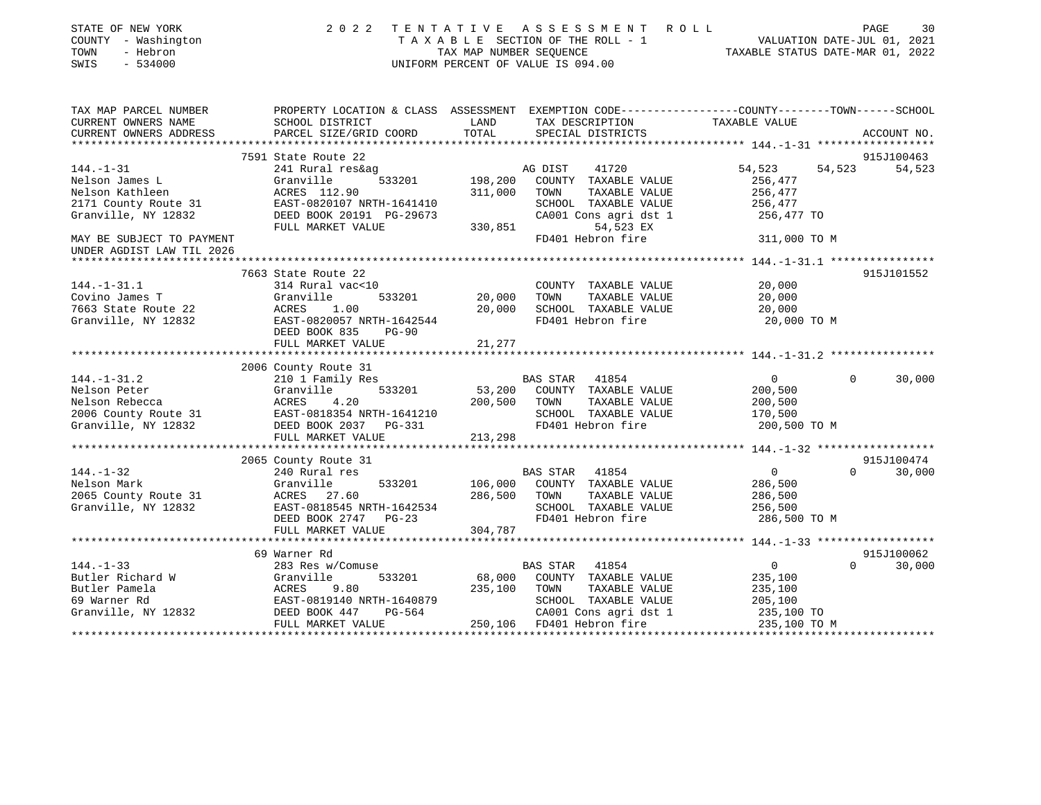| STATE OF NEW YORK<br>COUNTY - Washington<br>- Hebron<br>TOWN<br>$-534000$<br>SWIS | 2 0 2 2<br>TENTATIVE                                                                                               | TAX MAP NUMBER SEQUENCE | A S S E S S M E N T<br>R O L L<br>TAXABLE SECTION OF THE ROLL - 1<br>UNIFORM PERCENT OF VALUE IS 094.00 | VALUATION DATE-JUL 01, 2021<br>TAXABLE STATUS DATE-MAR 01, 2022 | PAGE     | 30          |
|-----------------------------------------------------------------------------------|--------------------------------------------------------------------------------------------------------------------|-------------------------|---------------------------------------------------------------------------------------------------------|-----------------------------------------------------------------|----------|-------------|
| TAX MAP PARCEL NUMBER<br>CURRENT OWNERS NAME                                      | PROPERTY LOCATION & CLASS ASSESSMENT EXEMPTION CODE---------------COUNTY-------TOWN------SCHOOL<br>SCHOOL DISTRICT | LAND                    | TAX DESCRIPTION                                                                                         | TAXABLE VALUE                                                   |          |             |
| CURRENT OWNERS ADDRESS                                                            | PARCEL SIZE/GRID COORD                                                                                             | TOTAL                   | SPECIAL DISTRICTS                                                                                       |                                                                 |          | ACCOUNT NO. |
|                                                                                   | 7591 State Route 22                                                                                                |                         |                                                                                                         |                                                                 |          | 915J100463  |
| $144. - 1 - 31$                                                                   | 241 Rural res&ag                                                                                                   |                         | AG DIST<br>41720                                                                                        | 54,523                                                          | 54,523   | 54,523      |
| Nelson James L                                                                    | 533201<br>Granville                                                                                                | 198,200                 | COUNTY TAXABLE VALUE                                                                                    | 256,477                                                         |          |             |
| Nelson Kathleen                                                                   | ACRES 112.90                                                                                                       | 311,000                 | TAXABLE VALUE<br>TOWN                                                                                   | 256,477                                                         |          |             |
| 2171 County Route 31                                                              | EAST-0820107 NRTH-1641410                                                                                          |                         | SCHOOL TAXABLE VALUE                                                                                    | 256,477                                                         |          |             |
| Granville, NY 12832                                                               | DEED BOOK 20191 PG-29673                                                                                           |                         | CA001 Cons agri dst 1                                                                                   | 256,477 TO                                                      |          |             |
|                                                                                   | FULL MARKET VALUE                                                                                                  | 330,851                 | 54,523 EX                                                                                               |                                                                 |          |             |
| MAY BE SUBJECT TO PAYMENT<br>UNDER AGDIST LAW TIL 2026                            |                                                                                                                    |                         | FD401 Hebron fire                                                                                       | 311,000 TO M                                                    |          |             |
|                                                                                   |                                                                                                                    |                         |                                                                                                         |                                                                 |          |             |
|                                                                                   | 7663 State Route 22                                                                                                |                         |                                                                                                         |                                                                 |          | 915J101552  |
| $144. - 1 - 31.1$                                                                 | 314 Rural vac<10                                                                                                   |                         | COUNTY TAXABLE VALUE                                                                                    | 20,000                                                          |          |             |
| Covino James T                                                                    | Granville<br>533201                                                                                                | 20,000                  | TOWN<br>TAXABLE VALUE                                                                                   | 20,000                                                          |          |             |
| 7663 State Route 22                                                               | ACRES<br>1.00                                                                                                      | 20,000                  | SCHOOL TAXABLE VALUE                                                                                    | 20,000                                                          |          |             |
| Granville, NY 12832                                                               | EAST-0820057 NRTH-1642544<br>DEED BOOK 835<br>$PG-90$                                                              |                         | FD401 Hebron fire                                                                                       | 20,000 TO M                                                     |          |             |
|                                                                                   | FULL MARKET VALUE                                                                                                  | 21,277                  |                                                                                                         |                                                                 |          |             |
|                                                                                   |                                                                                                                    |                         |                                                                                                         |                                                                 |          |             |
| $144. - 1 - 31.2$                                                                 | 2006 County Route 31                                                                                               |                         | 41854                                                                                                   | $\mathbf 0$                                                     | $\Omega$ |             |
| Nelson Peter                                                                      | 210 1 Family Res<br>533201<br>Granville                                                                            | 53,200                  | BAS STAR<br>COUNTY TAXABLE VALUE                                                                        | 200,500                                                         |          | 30,000      |
| Nelson Rebecca                                                                    | ACRES<br>4.20                                                                                                      | 200,500                 | TOWN<br>TAXABLE VALUE                                                                                   | 200,500                                                         |          |             |
| 2006 County Route 31                                                              | EAST-0818354 NRTH-1641210                                                                                          |                         | SCHOOL TAXABLE VALUE                                                                                    | 170,500                                                         |          |             |
| Granville, NY 12832                                                               | DEED BOOK 2037 PG-331                                                                                              |                         | FD401 Hebron fire                                                                                       | 200,500 TO M                                                    |          |             |
|                                                                                   | FULL MARKET VALUE                                                                                                  | 213,298                 |                                                                                                         |                                                                 |          |             |
|                                                                                   |                                                                                                                    |                         |                                                                                                         |                                                                 |          |             |
|                                                                                   | 2065 County Route 31                                                                                               |                         |                                                                                                         |                                                                 |          | 915J100474  |
| $144. - 1 - 32$                                                                   | 240 Rural res                                                                                                      |                         | BAS STAR<br>41854                                                                                       | 0                                                               | $\Omega$ | 30,000      |
| Nelson Mark                                                                       | Granville<br>533201                                                                                                | 106,000                 | COUNTY TAXABLE VALUE                                                                                    | 286,500                                                         |          |             |
| 2065 County Route 31                                                              | ACRES 27.60                                                                                                        | 286,500                 | TAXABLE VALUE<br>TOWN                                                                                   | 286,500                                                         |          |             |
| Granville, NY 12832                                                               | EAST-0818545 NRTH-1642534                                                                                          |                         | SCHOOL TAXABLE VALUE                                                                                    | 256,500                                                         |          |             |
|                                                                                   | DEED BOOK 2747 PG-23                                                                                               |                         | FD401 Hebron fire                                                                                       | 286,500 TO M                                                    |          |             |
|                                                                                   | FULL MARKET VALUE                                                                                                  | 304,787                 |                                                                                                         |                                                                 |          |             |
|                                                                                   |                                                                                                                    |                         |                                                                                                         |                                                                 |          |             |
|                                                                                   | 69 Warner Rd                                                                                                       |                         |                                                                                                         |                                                                 |          | 915J100062  |
| $144. - 1 - 33$                                                                   | 283 Res w/Comuse                                                                                                   |                         | <b>BAS STAR</b><br>41854                                                                                | $\mathbf 0$                                                     | $\Omega$ | 30,000      |
| Butler Richard W                                                                  | Granville<br>533201                                                                                                | 68,000                  | COUNTY TAXABLE VALUE                                                                                    | 235,100                                                         |          |             |
| Butler Pamela                                                                     | 9.80<br>ACRES                                                                                                      | 235,100                 | TOWN<br>TAXABLE VALUE                                                                                   | 235,100                                                         |          |             |
| 69 Warner Rd                                                                      | EAST-0819140 NRTH-1640879<br>DEED BOOK 447<br>PG-564                                                               |                         | SCHOOL TAXABLE VALUE<br>CA001 Cons agri dst 1                                                           | 205,100                                                         |          |             |
| Granville, NY 12832                                                               | FULL MARKET VALUE                                                                                                  | 250,106                 | FD401 Hebron fire                                                                                       | 235,100 TO<br>235,100 TO M                                      |          |             |
|                                                                                   |                                                                                                                    |                         |                                                                                                         |                                                                 |          |             |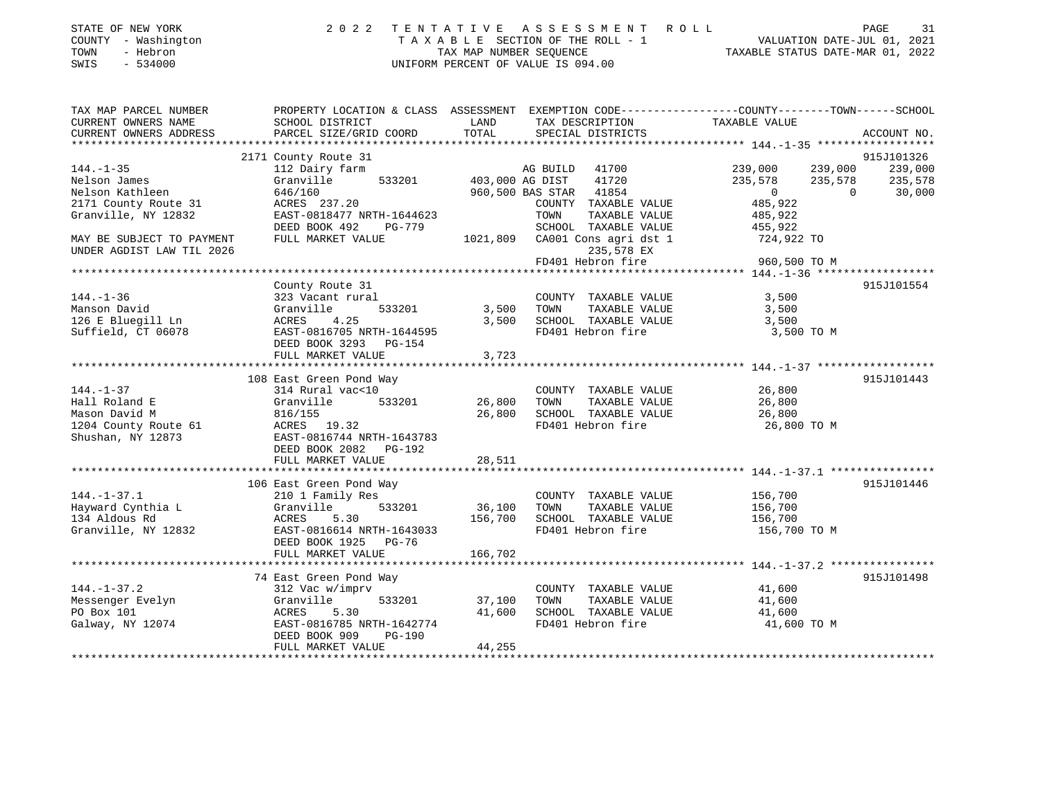| STATE OF NEW YORK   | 2022 TENTATIVE ASSESSMENT ROLL        | 31<br>PAGE                       |
|---------------------|---------------------------------------|----------------------------------|
| COUNTY - Washington | T A X A B L E SECTION OF THE ROLL - 1 | VALUATION DATE-JUL 01, 2021      |
| TOWN<br>- Hebron    | TAX MAP NUMBER SEOUENCE               | TAXABLE STATUS DATE-MAR 01, 2022 |
| $-534000$<br>SWIS   | UNIFORM PERCENT OF VALUE IS 094.00    |                                  |

| TAX MAP PARCEL NUMBER                                                                          | PROPERTY LOCATION & CLASS ASSESSMENT EXEMPTION CODE---------------COUNTY-------TOWN-----SCHOOL                                                                   |                              |                                                                                                    |                                                         |                                          |
|------------------------------------------------------------------------------------------------|------------------------------------------------------------------------------------------------------------------------------------------------------------------|------------------------------|----------------------------------------------------------------------------------------------------|---------------------------------------------------------|------------------------------------------|
| CURRENT OWNERS NAME<br>CURRENT OWNERS ADDRESS                                                  | SCHOOL DISTRICT<br>PARCEL SIZE/GRID COORD                                                                                                                        | LAND<br>TOTAL                | TAX DESCRIPTION<br>SPECIAL DISTRICTS                                                               | TAXABLE VALUE                                           | ACCOUNT NO.                              |
|                                                                                                |                                                                                                                                                                  |                              |                                                                                                    |                                                         |                                          |
|                                                                                                | 2171 County Route 31                                                                                                                                             |                              |                                                                                                    |                                                         | 915J101326                               |
| $144. - 1 - 35$<br>Nelson James<br>Nelson Kathleen                                             | 112 Dairy farm<br>Granville<br>646/160                                                                                                                           | 533201 403,000 AG DIST       | AG BUILD<br>41700<br>41720<br>960,500 BAS STAR 41854                                               | 239,000 239,000<br>235,578<br>235,578<br>$\overline{0}$ | 239,000<br>235,578<br>$\Omega$<br>30,000 |
| 2171 County Route 31<br>Granville, NY 12832                                                    | ACRES 237.20<br>EAST-0818477 NRTH-1644623<br>DEED BOOK 492<br>PG-779                                                                                             |                              | COUNTY TAXABLE VALUE<br>TOWN<br>TAXABLE VALUE<br>SCHOOL TAXABLE VALUE                              | 485,922<br>485,922<br>455,922                           |                                          |
| MAY BE SUBJECT TO PAYMENT<br>UNDER AGDIST LAW TIL 2026                                         | FULL MARKET VALUE                                                                                                                                                |                              | 1021,809 CA001 Cons agri dst 1<br>235,578 EX<br>FD401 Hebron fire                                  | 724,922 TO<br>960,500 TO M                              |                                          |
|                                                                                                |                                                                                                                                                                  |                              |                                                                                                    |                                                         |                                          |
| $144. - 1 - 36$<br>Manson David<br>126 E Bluegill Ln<br>Suffield, CT 06078                     | County Route 31<br>323 Vacant rural<br>Granville<br>533201<br>4.25<br>ACRES<br>EAST-0816705 NRTH-1644595<br>DEED BOOK 3293 PG-154<br>FULL MARKET VALUE           | 3,500 TOWN<br>3,500<br>3,723 | COUNTY TAXABLE VALUE<br>TAXABLE VALUE<br>SCHOOL TAXABLE VALUE<br>FD401 Hebron fire                 | 3,500<br>3,500<br>3,500<br>3,500 TO M                   | 915J101554                               |
|                                                                                                |                                                                                                                                                                  |                              |                                                                                                    |                                                         |                                          |
| $144. - 1 - 37$<br>Hall Roland E<br>Mason David M<br>1204 County Route 61<br>Shushan, NY 12873 | 108 East Green Pond Way<br>314 Rural vac<10<br>533201<br>Granville<br>816/155<br>ACRES 19.32<br>EAST-0816744 NRTH-1643783<br>DEED BOOK 2082    PG-192            | 26,800<br>26,800             | COUNTY TAXABLE VALUE<br>TOWN<br>TAXABLE VALUE<br>SCHOOL TAXABLE VALUE<br>FD401 Hebron fire         | 26,800<br>26,800<br>26,800<br>26,800 TO M               | 915J101443                               |
|                                                                                                | FULL MARKET VALUE                                                                                                                                                | 28,511                       |                                                                                                    |                                                         |                                          |
| $144. - 1 - 37.1$<br>Hayward Cynthia L<br>134 Aldous Rd<br>Granville, NY 12832                 | 106 East Green Pond Way<br>210 1 Family Res<br>533201<br>Granville<br>ACRES 5.30<br>EAST-0816614 NRTH-1643033                                                    | 36,100                       | COUNTY TAXABLE VALUE<br>TAXABLE VALUE<br>TOWN<br>156,700 SCHOOL TAXABLE VALUE<br>FD401 Hebron fire | 156,700<br>156,700<br>156,700<br>156,700 TO M           | 915J101446                               |
|                                                                                                | DEED BOOK 1925 PG-76<br>FULL MARKET VALUE                                                                                                                        | 166,702                      |                                                                                                    |                                                         |                                          |
|                                                                                                |                                                                                                                                                                  |                              |                                                                                                    |                                                         |                                          |
| $144. - 1 - 37.2$<br>Messenger Evelyn<br>PO Box 101<br>Galway, NY 12074                        | 74 East Green Pond Way<br>312 Vac w/imprv<br>Granville<br>533201<br>ACRES<br>5.30<br>EAST-0816785 NRTH-1642774<br>DEED BOOK 909<br>$PG-190$<br>FULL MARKET VALUE | 37,100<br>41,600<br>44,255   | COUNTY TAXABLE VALUE<br>TAXABLE VALUE<br>TOWN<br>SCHOOL TAXABLE VALUE<br>FD401 Hebron fire         | 41,600<br>41,600<br>41,600<br>41,600 TO M               | 915J101498                               |
|                                                                                                |                                                                                                                                                                  |                              |                                                                                                    |                                                         |                                          |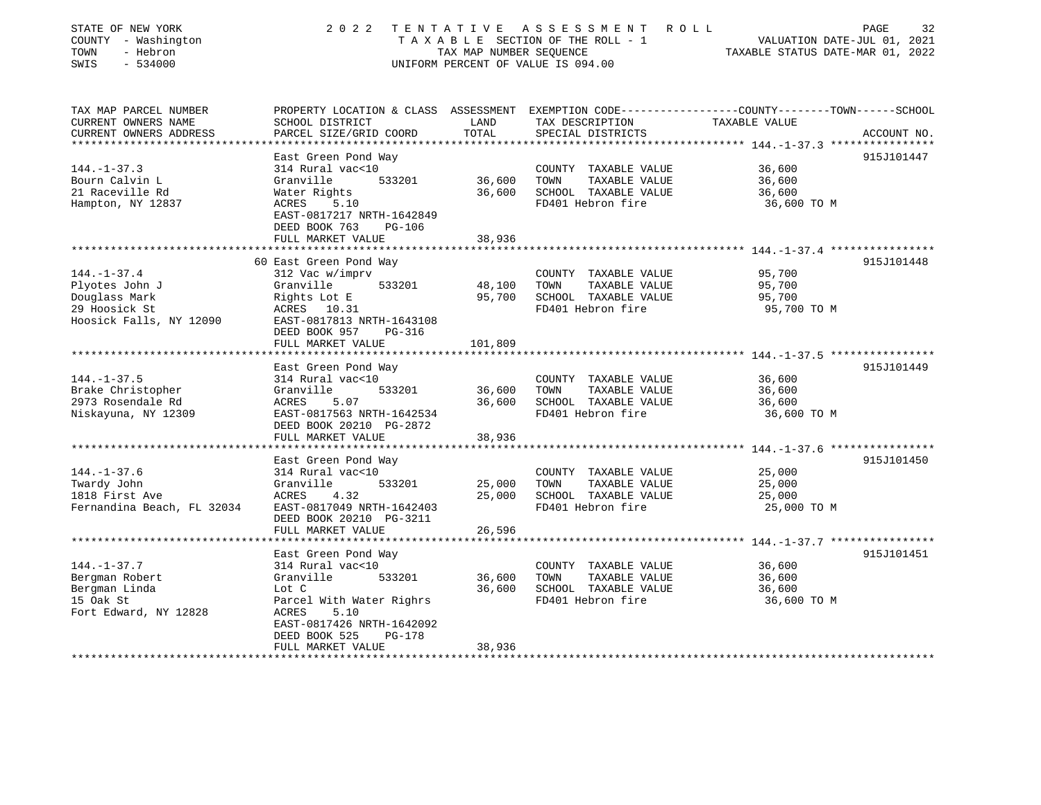| STATE OF NEW YORK<br>COUNTY - Washington<br>- Hebron<br>TOWN<br>SWIS<br>$-534000$ | 2 0 2 2                                                                                    | TAX MAP NUMBER SEOUENCE     | TENTATIVE ASSESSMENT<br>ROLL ROLL<br>T A X A B L E SECTION OF THE ROLL - 1<br>UNIFORM PERCENT OF VALUE IS 094.00 | PAGE<br>VALUATION DATE-JUL 01, 2021<br>TAXABLE STATUS DATE-MAR 01, 2022                                          | 32 |
|-----------------------------------------------------------------------------------|--------------------------------------------------------------------------------------------|-----------------------------|------------------------------------------------------------------------------------------------------------------|------------------------------------------------------------------------------------------------------------------|----|
| TAX MAP PARCEL NUMBER<br>CURRENT OWNERS NAME                                      | SCHOOL DISTRICT                                                                            | LAND                        | TAX DESCRIPTION                                                                                                  | PROPERTY LOCATION & CLASS ASSESSMENT EXEMPTION CODE---------------COUNTY-------TOWN------SCHOOL<br>TAXABLE VALUE |    |
| CURRENT OWNERS ADDRESS                                                            | PARCEL SIZE/GRID COORD                                                                     | TOTAL                       | SPECIAL DISTRICTS                                                                                                | ACCOUNT NO.                                                                                                      |    |
|                                                                                   |                                                                                            |                             |                                                                                                                  |                                                                                                                  |    |
|                                                                                   | East Green Pond Way                                                                        |                             |                                                                                                                  | 915J101447                                                                                                       |    |
| $144. - 1 - 37.3$                                                                 | 314 Rural vac<10                                                                           |                             | COUNTY TAXABLE VALUE                                                                                             | 36,600                                                                                                           |    |
| Bourn Calvin L                                                                    | 533201<br>Granville                                                                        | 36,600                      | TOWN<br>TAXABLE VALUE                                                                                            | 36,600                                                                                                           |    |
| 21 Raceville Rd                                                                   | Water Rights                                                                               | 36,600                      | SCHOOL TAXABLE VALUE                                                                                             | 36,600                                                                                                           |    |
| Hampton, NY 12837                                                                 | ACRES<br>5.10<br>EAST-0817217 NRTH-1642849<br>DEED BOOK 763<br>PG-106<br>FULL MARKET VALUE | 38,936                      | FD401 Hebron fire                                                                                                | 36,600 TO M                                                                                                      |    |
|                                                                                   |                                                                                            | * * * * * * * * * * * * * * |                                                                                                                  |                                                                                                                  |    |
|                                                                                   | 60 East Green Pond Way                                                                     |                             |                                                                                                                  | 915J101448                                                                                                       |    |
| $144. - 1 - 37.4$                                                                 | 312 Vac w/imprv                                                                            |                             | COUNTY TAXABLE VALUE                                                                                             | 95,700                                                                                                           |    |
| Plyotes John J                                                                    | Granville<br>533201                                                                        | 48,100                      | TAXABLE VALUE<br>TOWN                                                                                            | 95,700                                                                                                           |    |
| Douglass Mark                                                                     | Rights Lot E                                                                               | 95,700                      | SCHOOL TAXABLE VALUE                                                                                             | 95,700                                                                                                           |    |
| 29 Hoosick St                                                                     | ACRES 10.31                                                                                |                             | FD401 Hebron fire                                                                                                | 95,700 TO M                                                                                                      |    |
| Hoosick Falls, NY 12090                                                           | EAST-0817813 NRTH-1643108<br>DEED BOOK 957<br><b>PG-316</b><br>FULL MARKET VALUE           |                             |                                                                                                                  |                                                                                                                  |    |
| **************************                                                        |                                                                                            | 101,809                     |                                                                                                                  |                                                                                                                  |    |
|                                                                                   | East Green Pond Way                                                                        |                             |                                                                                                                  | 915J101449                                                                                                       |    |
| $144. - 1 - 37.5$                                                                 | 314 Rural vac<10                                                                           |                             | COUNTY TAXABLE VALUE                                                                                             | 36,600                                                                                                           |    |
| Brake Christopher                                                                 | Granville<br>533201                                                                        | 36,600                      | TAXABLE VALUE<br>TOWN                                                                                            | 36,600                                                                                                           |    |
| 2973 Rosendale Rd                                                                 | 5.07<br>ACRES                                                                              | 36,600                      | SCHOOL TAXABLE VALUE                                                                                             | 36,600                                                                                                           |    |
| Niskayuna, NY 12309                                                               | EAST-0817563 NRTH-1642534                                                                  |                             | FD401 Hebron fire                                                                                                | 36,600 TO M                                                                                                      |    |
|                                                                                   | DEED BOOK 20210 PG-2872                                                                    |                             |                                                                                                                  |                                                                                                                  |    |
|                                                                                   | FULL MARKET VALUE                                                                          | 38,936                      |                                                                                                                  |                                                                                                                  |    |
|                                                                                   | *******************                                                                        |                             |                                                                                                                  | ******************************* 144.-1-37.6 *****************                                                    |    |
|                                                                                   | East Green Pond Way                                                                        |                             |                                                                                                                  | 915J101450                                                                                                       |    |
| $144. - 1 - 37.6$                                                                 | 314 Rural vac<10                                                                           |                             | COUNTY TAXABLE VALUE                                                                                             | 25,000                                                                                                           |    |
| Twardy John                                                                       | 533201<br>Granville                                                                        | 25,000                      | TOWN<br>TAXABLE VALUE                                                                                            | 25,000                                                                                                           |    |
| 1818 First Ave                                                                    | ACRES<br>4.32                                                                              | 25,000                      | SCHOOL TAXABLE VALUE                                                                                             | 25,000                                                                                                           |    |
| Fernandina Beach, FL 32034                                                        | EAST-0817049 NRTH-1642403<br>DEED BOOK 20210 PG-3211                                       |                             | FD401 Hebron fire                                                                                                | 25,000 TO M                                                                                                      |    |
|                                                                                   | FULL MARKET VALUE                                                                          | 26,596                      |                                                                                                                  |                                                                                                                  |    |
|                                                                                   | East Green Pond Way                                                                        |                             |                                                                                                                  | 915J101451                                                                                                       |    |
| $144. - 1 - 37.7$                                                                 | 314 Rural vac<10                                                                           |                             | COUNTY TAXABLE VALUE                                                                                             | 36,600                                                                                                           |    |
| Bergman Robert                                                                    | Granville<br>533201                                                                        | 36,600                      | TAXABLE VALUE<br>TOWN                                                                                            | 36,600                                                                                                           |    |
| Bergman Linda                                                                     | Lot C                                                                                      | 36,600                      | SCHOOL TAXABLE VALUE                                                                                             | 36,600                                                                                                           |    |
| 15 Oak St                                                                         | Parcel With Water Righrs                                                                   |                             | FD401 Hebron fire                                                                                                | 36,600 TO M                                                                                                      |    |
| Fort Edward, NY 12828                                                             | 5.10<br>ACRES                                                                              |                             |                                                                                                                  |                                                                                                                  |    |
|                                                                                   | EAST-0817426 NRTH-1642092                                                                  |                             |                                                                                                                  |                                                                                                                  |    |
|                                                                                   | DEED BOOK 525<br>PG-178                                                                    |                             |                                                                                                                  |                                                                                                                  |    |
|                                                                                   | FULL MARKET VALUE                                                                          | 38,936                      |                                                                                                                  |                                                                                                                  |    |
|                                                                                   |                                                                                            |                             |                                                                                                                  |                                                                                                                  |    |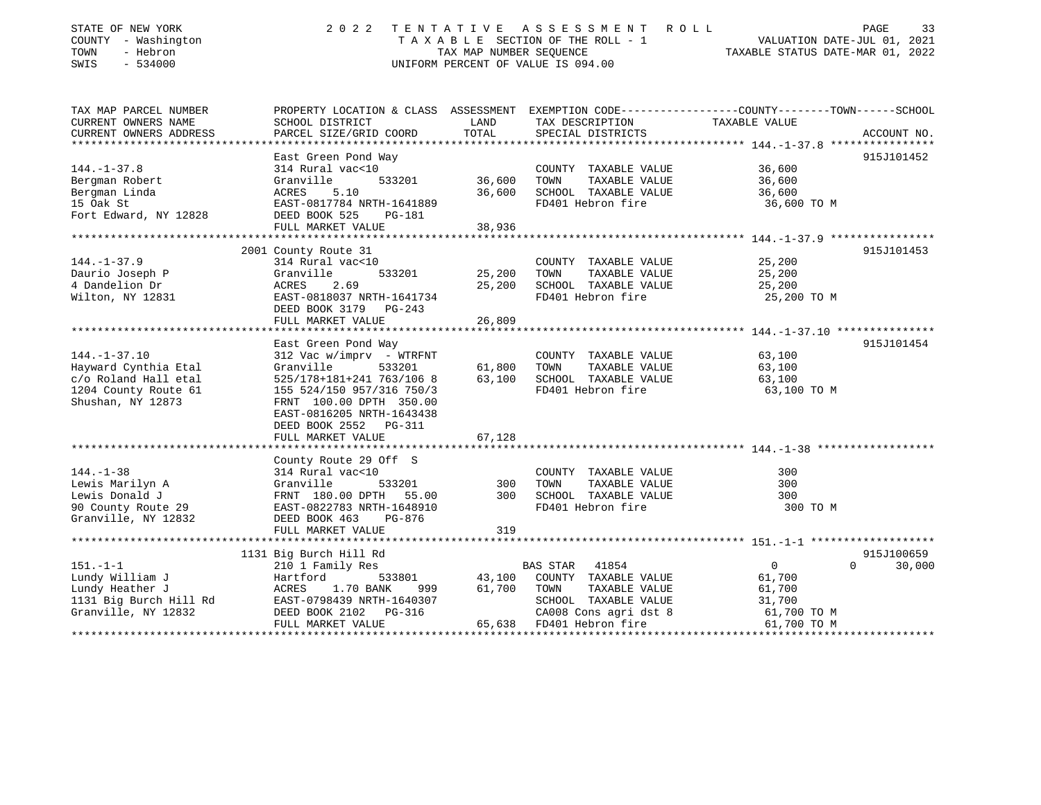| STATE OF NEW YORK<br>COUNTY - Washington<br>TOWN<br>- Hebron<br>SWIS<br>$-534000$ | 2 0 2 2                                                           | TAX MAP NUMBER SEQUENCE | TENTATIVE ASSESSMENT<br>R O L L<br>TAXABLE SECTION OF THE ROLL - 1<br>UNIFORM PERCENT OF VALUE IS 094.00 | VALUATION DATE-JUL 01, 2021<br>TAXABLE STATUS DATE-MAR 01, 2022                                                  | PAGE<br>33  |
|-----------------------------------------------------------------------------------|-------------------------------------------------------------------|-------------------------|----------------------------------------------------------------------------------------------------------|------------------------------------------------------------------------------------------------------------------|-------------|
| TAX MAP PARCEL NUMBER<br>CURRENT OWNERS NAME                                      | SCHOOL DISTRICT                                                   | LAND                    | TAX DESCRIPTION                                                                                          | PROPERTY LOCATION & CLASS ASSESSMENT EXEMPTION CODE---------------COUNTY-------TOWN------SCHOOL<br>TAXABLE VALUE |             |
| CURRENT OWNERS ADDRESS                                                            | PARCEL SIZE/GRID COORD<br>* * * * * * * * * * * * * * * * * * * * | TOTAL<br>*************  | SPECIAL DISTRICTS                                                                                        |                                                                                                                  | ACCOUNT NO. |
|                                                                                   | East Green Pond Way                                               |                         |                                                                                                          |                                                                                                                  | 915J101452  |
| $144. - 1 - 37.8$                                                                 | 314 Rural vac<10                                                  |                         | COUNTY TAXABLE VALUE                                                                                     | 36,600                                                                                                           |             |
| Bergman Robert                                                                    | Granville<br>533201                                               | 36,600                  | TOWN<br>TAXABLE VALUE                                                                                    | 36,600                                                                                                           |             |
| Bergman Linda                                                                     | ACRES<br>5.10                                                     | 36,600                  | SCHOOL TAXABLE VALUE                                                                                     | 36,600                                                                                                           |             |
| 15 Oak St                                                                         | EAST-0817784 NRTH-1641889                                         |                         | FD401 Hebron fire                                                                                        | 36,600 TO M                                                                                                      |             |
| Fort Edward, NY 12828                                                             | DEED BOOK 525<br>PG-181                                           |                         |                                                                                                          |                                                                                                                  |             |
|                                                                                   | FULL MARKET VALUE                                                 | 38,936                  |                                                                                                          |                                                                                                                  |             |
|                                                                                   | 2001 County Route 31                                              |                         |                                                                                                          |                                                                                                                  | 915J101453  |
| $144. - 1 - 37.9$                                                                 | 314 Rural vac<10                                                  |                         | COUNTY TAXABLE VALUE                                                                                     | 25,200                                                                                                           |             |
| Daurio Joseph P                                                                   | Granville<br>533201                                               | 25,200                  | TOWN<br>TAXABLE VALUE                                                                                    | 25,200                                                                                                           |             |
| 4 Dandelion Dr                                                                    | ACRES<br>2.69                                                     | 25,200                  | SCHOOL TAXABLE VALUE                                                                                     | 25,200                                                                                                           |             |
| Wilton, NY 12831                                                                  | EAST-0818037 NRTH-1641734                                         |                         | FD401 Hebron fire                                                                                        | 25,200 TO M                                                                                                      |             |
|                                                                                   | DEED BOOK 3179<br>$PG-243$                                        |                         |                                                                                                          |                                                                                                                  |             |
|                                                                                   | FULL MARKET VALUE                                                 | 26,809                  |                                                                                                          |                                                                                                                  |             |
|                                                                                   |                                                                   |                         |                                                                                                          |                                                                                                                  | 915J101454  |
| $144. - 1 - 37.10$                                                                | East Green Pond Way<br>312 Vac w/imprv - WTRFNT                   |                         | COUNTY TAXABLE VALUE                                                                                     | 63,100                                                                                                           |             |
| Hayward Cynthia Etal                                                              | Granville<br>533201                                               | 61,800                  | TOWN<br>TAXABLE VALUE                                                                                    | 63,100                                                                                                           |             |
| c/o Roland Hall etal                                                              | 525/178+181+241 763/106 8                                         | 63,100                  | SCHOOL TAXABLE VALUE                                                                                     | 63,100                                                                                                           |             |
| 1204 County Route 61                                                              | 155 524/150 957/316 750/3                                         |                         | FD401 Hebron fire                                                                                        | 63,100 TO M                                                                                                      |             |
| Shushan, NY 12873                                                                 | FRNT 100.00 DPTH 350.00                                           |                         |                                                                                                          |                                                                                                                  |             |
|                                                                                   | EAST-0816205 NRTH-1643438                                         |                         |                                                                                                          |                                                                                                                  |             |
|                                                                                   | DEED BOOK 2552<br><b>PG-311</b>                                   |                         |                                                                                                          |                                                                                                                  |             |
|                                                                                   | FULL MARKET VALUE                                                 | 67,128                  |                                                                                                          |                                                                                                                  |             |
|                                                                                   |                                                                   |                         |                                                                                                          |                                                                                                                  |             |
| $144. - 1 - 38$                                                                   | County Route 29 Off S<br>314 Rural vac<10                         |                         | COUNTY TAXABLE VALUE                                                                                     | 300                                                                                                              |             |
| Lewis Marilyn A                                                                   | Granville<br>533201                                               | 300                     | TOWN<br>TAXABLE VALUE                                                                                    | 300                                                                                                              |             |
| Lewis Donald J                                                                    | FRNT 180.00 DPTH<br>55.00                                         | 300                     | SCHOOL TAXABLE VALUE                                                                                     | 300                                                                                                              |             |
| 90 County Route 29                                                                | EAST-0822783 NRTH-1648910                                         |                         | FD401 Hebron fire                                                                                        | 300 TO M                                                                                                         |             |
| Granville, NY 12832                                                               | DEED BOOK 463<br>PG-876                                           |                         |                                                                                                          |                                                                                                                  |             |
|                                                                                   | FULL MARKET VALUE                                                 | 319                     |                                                                                                          |                                                                                                                  |             |
|                                                                                   |                                                                   |                         |                                                                                                          |                                                                                                                  |             |
|                                                                                   | 1131 Big Burch Hill Rd                                            |                         |                                                                                                          |                                                                                                                  | 915J100659  |
| $151. - 1 - 1$                                                                    | 210 1 Family Res                                                  |                         | BAS STAR<br>41854                                                                                        | $\mathbf{0}$<br>$\Omega$                                                                                         | 30,000      |
| Lundy William J                                                                   | Hartford<br>533801                                                | 43,100                  | COUNTY TAXABLE VALUE                                                                                     | 61,700                                                                                                           |             |
| Lundy Heather J                                                                   | 1.70 BANK<br>ACRES<br>999                                         | 61,700                  | TAXABLE VALUE<br>TOWN                                                                                    | 61,700                                                                                                           |             |
| 1131 Big Burch Hill Rd<br>Granville, NY 12832                                     | EAST-0798439 NRTH-1640307<br>DEED BOOK 2102<br>PG-316             |                         | SCHOOL TAXABLE VALUE<br>CA008 Cons agri dst 8                                                            | 31,700<br>61,700 TO M                                                                                            |             |
|                                                                                   | FULL MARKET VALUE                                                 | 65,638                  | FD401 Hebron fire                                                                                        | 61,700 TO M                                                                                                      |             |
|                                                                                   |                                                                   |                         |                                                                                                          |                                                                                                                  |             |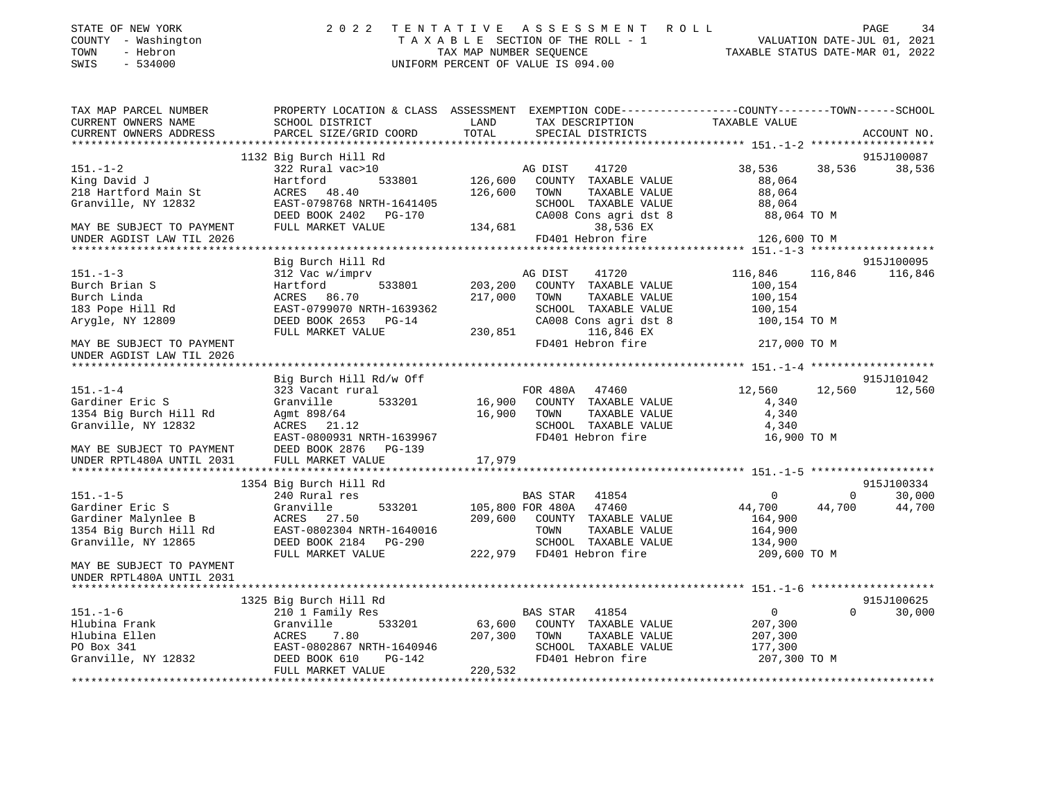| STATE OF NEW YORK<br>- Washington<br>COUNTY<br>- Hebron<br>TOWN<br>$-534000$<br>SWIS |                                                                        | 2022 TENTATIVE ASSESSMENT ROLL<br>TAXABLE SECTION OF THE ROLL - 1<br>TAX MAP NUMBER SEQUENCE<br>UNIFORM PERCENT OF VALUE IS 094.00 | -34<br>PAGE<br>VALUATION DATE-JUL 01, 2021<br>TAXABLE STATUS DATE-MAR 01, 2022               |
|--------------------------------------------------------------------------------------|------------------------------------------------------------------------|------------------------------------------------------------------------------------------------------------------------------------|----------------------------------------------------------------------------------------------|
| TAX MAP PARCEL NUMBER<br>CURRENT OWNERS NAME<br>CURRENT OWNERS ADDRESS               | PROPERTY LOCATION & CLASS<br>SCHOOL DISTRICT<br>PARCEL SIZE/GRID COORD | ASSESSMENT<br>TAX DESCRIPTION<br>LAND<br>TOTAL<br>SPECIAL DISTRICTS                                                                | EXEMPTION CODE-----------------COUNTY-------TOWN------SCHOOL<br>TAXABLE VALUE<br>ACCOUNT NO. |
|                                                                                      | 1132 Big Burch Hill Rd                                                 |                                                                                                                                    | 915J100087                                                                                   |

| $151. - 1 - 2$            | 322 Rural vac>10          | 41720<br>AG DIST                 | 38,536<br>38,536<br>38,536               |
|---------------------------|---------------------------|----------------------------------|------------------------------------------|
| King David J              | Hartford<br>533801        | 126,600<br>COUNTY TAXABLE VALUE  | 88,064                                   |
| 218 Hartford Main St      | ACRES 48.40               | 126,600<br>TOWN<br>TAXABLE VALUE | 88,064                                   |
| Granville, NY 12832       | EAST-0798768 NRTH-1641405 | SCHOOL TAXABLE VALUE             | 88,064                                   |
|                           | DEED BOOK 2402 PG-170     | CA008 Cons agri dst 8            | 88,064 TO M                              |
| MAY BE SUBJECT TO PAYMENT | FULL MARKET VALUE         | 134,681<br>38,536 EX             |                                          |
| UNDER AGDIST LAW TIL 2026 |                           | FD401 Hebron fire                | 126,600 TO M                             |
|                           |                           |                                  |                                          |
|                           | Big Burch Hill Rd         |                                  | 915J100095                               |
| $151. - 1 - 3$            | 312 Vac w/imprv           | AG DIST<br>41720                 | 116,846<br>116,846<br>116,846            |
| Burch Brian S             | 533801<br>Hartford        | 203,200<br>COUNTY TAXABLE VALUE  | 100,154                                  |
| Burch Linda               | ACRES 86.70               | 217,000<br>TOWN<br>TAXABLE VALUE | 100,154                                  |
| 183 Pope Hill Rd          | EAST-0799070 NRTH-1639362 | SCHOOL TAXABLE VALUE             | 100,154                                  |
| Arygle, NY 12809          | DEED BOOK 2653 PG-14      | CA008 Cons agri dst 8            | 100,154 TO M                             |
|                           | FULL MARKET VALUE         | 230,851<br>116,846 EX            |                                          |
| MAY BE SUBJECT TO PAYMENT |                           | FD401 Hebron fire                | 217,000 TO M                             |
| UNDER AGDIST LAW TIL 2026 |                           |                                  |                                          |
|                           |                           |                                  |                                          |
|                           | Big Burch Hill Rd/w Off   |                                  | 915J101042                               |
| $151. - 1 - 4$            | 323 Vacant rural          | FOR 480A 47460                   | 12,560<br>12,560<br>12,560               |
| Gardiner Eric S           | Granville<br>533201       | 16,900<br>COUNTY TAXABLE VALUE   | 4,340                                    |
| 1354 Big Burch Hill Rd    | Agmt 898/64               | 16,900<br>TOWN<br>TAXABLE VALUE  | 4,340                                    |
| Granville, NY 12832       | ACRES 21.12               | SCHOOL TAXABLE VALUE             | 4,340                                    |
|                           | EAST-0800931 NRTH-1639967 | FD401 Hebron fire                | 16,900 TO M                              |
| MAY BE SUBJECT TO PAYMENT | DEED BOOK 2876 PG-139     |                                  |                                          |
| UNDER RPTL480A UNTIL 2031 |                           |                                  |                                          |
|                           |                           |                                  |                                          |
|                           | 1354 Big Burch Hill Rd    |                                  | 915J100334                               |
| $151. - 1 - 5$            | 240 Rural res             | BAS STAR 41854                   | $\mathbf{0}$<br>30,000<br>$\overline{0}$ |
| Gardiner Eric S           | Granville<br>533201       | 105,800 FOR 480A 47460           | 44,700<br>44,700<br>44,700               |
| Gardiner Malynlee B       | ACRES 27.50               | 209,600<br>COUNTY TAXABLE VALUE  | 164,900                                  |
| 1354 Big Burch Hill Rd    | EAST-0802304 NRTH-1640016 | TOWN<br>TAXABLE VALUE            | 164,900                                  |
| Granville, NY 12865       | DEED BOOK 2184 PG-290     | SCHOOL TAXABLE VALUE             | 134,900                                  |
|                           | FULL MARKET VALUE         | FD401 Hebron fire<br>222,979     | 209,600 TO M                             |
| MAY BE SUBJECT TO PAYMENT |                           |                                  |                                          |
| UNDER RPTL480A UNTIL 2031 |                           |                                  |                                          |
|                           |                           |                                  |                                          |
|                           | 1325 Big Burch Hill Rd    |                                  | 915J100625                               |
| $151. - 1 - 6$            | 210 1 Family Res          | 41854<br>BAS STAR                | $\Omega$<br>$\overline{0}$<br>30,000     |
| Hlubina Frank             | 533201<br>Granville       | 63,600<br>COUNTY TAXABLE VALUE   | 207,300                                  |
| Hlubina Ellen             | ACRES<br>7.80             | 207,300<br>TOWN<br>TAXABLE VALUE | 207,300                                  |
| PO Box 341                | EAST-0802867 NRTH-1640946 | SCHOOL TAXABLE VALUE             | 177,300                                  |
| Granville, NY 12832       | $PG-142$<br>DEED BOOK 610 | FD401 Hebron fire                | 207,300 TO M                             |
|                           | FULL MARKET VALUE         | 220,532                          |                                          |
|                           |                           |                                  |                                          |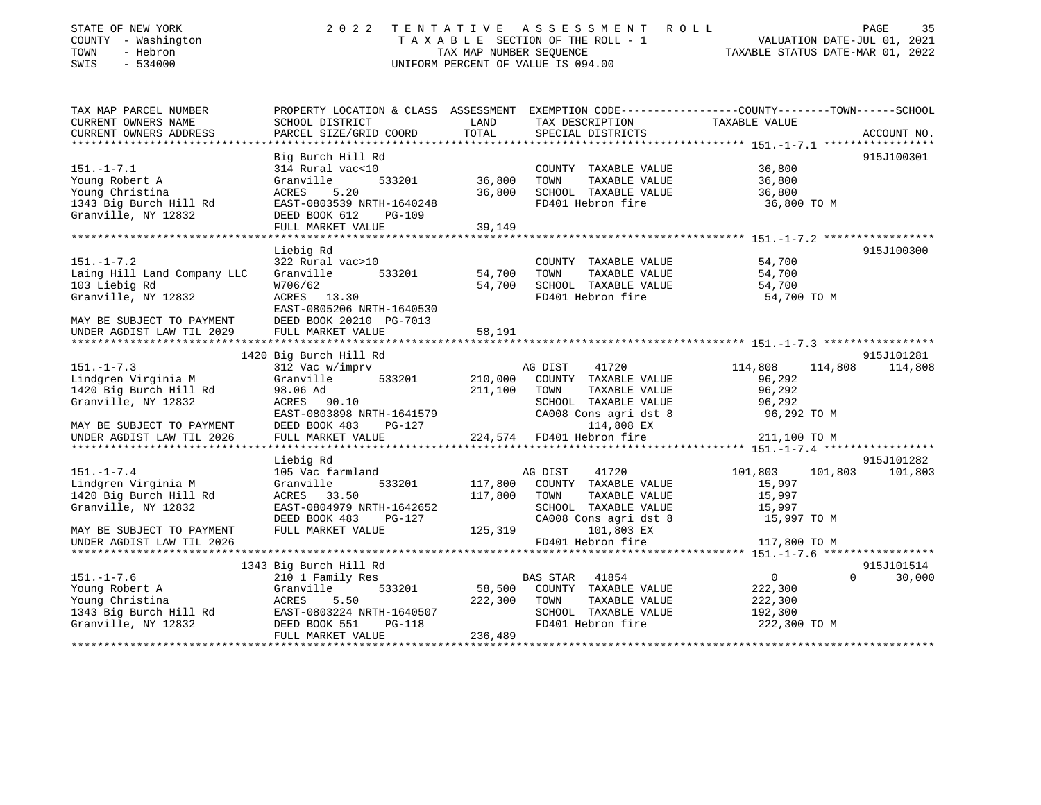| TOWN<br>SWIS | STATE OF NEW YORK<br>COUNTY - Washington<br>- Hebron<br>$-534000$ |                                              | TAX MAP NUMBER SEOUENCE | 2022 TENTATIVE ASSESSMENT ROLL<br>TAXABLE SECTION OF THE ROLL - 1<br>UNIFORM PERCENT OF VALUE IS 094.00 | TAXABLE STATUS DATE-MAR 01, 2022 | PAGE<br>VALUATION DATE-JUL 01, 2021 | 35 |
|--------------|-------------------------------------------------------------------|----------------------------------------------|-------------------------|---------------------------------------------------------------------------------------------------------|----------------------------------|-------------------------------------|----|
|              | TAX MAP PARCEL NUMBER<br>CURRENT OWNERS NAME                      | PROPERTY LOCATION & CLASS<br>SCHOOL DISTRICT | ASSESSMENT<br>LAND      | EXEMPTION CODE-----------------COUNTY-------TOWN------SCHOOL<br>TAX DESCRIPTION                         | TAXABLE VALUE                    |                                     |    |
|              | CURRENT OWNERS ADDRESS                                            | PARCEL SIZE/GRID COORD                       | TOTAL                   | SPECIAL DISTRICTS                                                                                       |                                  | ACCOUNT NO.                         |    |

|                                                                                    | Big Burch Hill Rd              |         |                                         |                                        | 915J100301 |
|------------------------------------------------------------------------------------|--------------------------------|---------|-----------------------------------------|----------------------------------------|------------|
| $151. - 1 - 7.1$                                                                   | 314 Rural vac<10               |         | COUNTY TAXABLE VALUE                    | 36,800                                 |            |
| Young Robert A                                                                     | 533201<br>Granville            | 36,800  | TOWN<br>TAXABLE VALUE                   | 36,800                                 |            |
| Young Christina                                                                    | 5.20<br>ACRES                  | 36,800  | SCHOOL TAXABLE VALUE                    | 36,800                                 |            |
| 1343 Big Burch Hill Rd                                                             | EAST-0803539 NRTH-1640248      |         | FD401 Hebron fire                       | 36,800 TO M                            |            |
| Granville, NY 12832                                                                | DEED BOOK 612<br><b>PG-109</b> |         |                                         |                                        |            |
|                                                                                    | FULL MARKET VALUE              | 39,149  |                                         |                                        |            |
|                                                                                    |                                |         |                                         |                                        |            |
|                                                                                    | Liebig Rd                      |         |                                         |                                        | 915J100300 |
| $151. - 1 - 7.2$                                                                   | 322 Rural vac>10               |         | COUNTY TAXABLE VALUE                    | 54,700                                 |            |
|                                                                                    |                                |         |                                         |                                        |            |
| Laing Hill Land Company LLC                                                        | Granville<br>533201            | 54,700  | TOWN<br>TAXABLE VALUE                   | 54,700                                 |            |
| 103 Liebig Rd                                                                      | W706/62                        | 54,700  | SCHOOL TAXABLE VALUE                    | 54,700                                 |            |
| Granville, NY 12832                                                                | ACRES 13.30                    |         | FD401 Hebron fire                       | 54,700 TO M                            |            |
|                                                                                    | EAST-0805206 NRTH-1640530      |         |                                         |                                        |            |
| MAY BE SUBJECT TO PAYMENT                                                          | DEED BOOK 20210 PG-7013        |         |                                         |                                        |            |
| UNDER AGDIST LAW TIL 2029                                                          | FULL MARKET VALUE              | 58,191  |                                         |                                        |            |
|                                                                                    |                                |         |                                         |                                        |            |
|                                                                                    | 1420 Big Burch Hill Rd         |         |                                         |                                        | 915J101281 |
| $151. - 1 - 7.3$                                                                   | 312 Vac w/imprv                |         | AG DIST<br>41720                        | 114,808<br>114,808                     | 114,808    |
| Lindgren Virginia M                                                                | Granville<br>533201 210,000    |         | COUNTY TAXABLE VALUE                    | 96,292                                 |            |
| 1420 Big Burch Hill Rd                                                             | 98.06 Ad                       | 211,100 | TOWN<br>TAXABLE VALUE                   | 96,292                                 |            |
| Granville, NY 12832                                                                | ACRES 90.10                    |         | SCHOOL TAXABLE VALUE                    | 96,292                                 |            |
|                                                                                    | EAST-0803898 NRTH-1641579      |         | CA008 Cons agri dst 8                   | 96,292 TO M                            |            |
|                                                                                    | PG-127                         |         |                                         |                                        |            |
| MAY BE SUBJECT TO PAYMENT DEED BOOK 483<br>UNDER AGDIST LAW TIL 2026 FULL MARKET V | FULL MARKET VALUE              |         | 114,808 EX<br>224,574 FD401 Hebron fire | 211,100 TO M                           |            |
|                                                                                    |                                |         |                                         |                                        |            |
|                                                                                    | Liebig Rd                      |         |                                         |                                        | 915J101282 |
| $151. - 1 - 7.4$                                                                   | 105 Vac farmland               |         | AG DIST<br>41720                        | 101,803 101,803                        | 101,803    |
| Lindgren Virginia M                                                                | 533201<br>Granville            | 117,800 | COUNTY TAXABLE VALUE                    | 15,997                                 |            |
| 1420 Big Burch Hill Rd                                                             | ACRES 33.50                    | 117,800 | TOWN<br>TAXABLE VALUE                   | 15,997                                 |            |
| Granville, NY 12832                                                                | EAST-0804979 NRTH-1642652      |         | SCHOOL TAXABLE VALUE                    | 15,997                                 |            |
|                                                                                    | DEED BOOK 483<br><b>PG-127</b> |         | CA008 Cons agri dst 8                   | 15,997 TO M                            |            |
| MAY BE SUBJECT TO PAYMENT                                                          | FULL MARKET VALUE              | 125,319 | 101,803 EX                              |                                        |            |
| UNDER AGDIST LAW TIL 2026                                                          |                                |         | FD401 Hebron fire                       | 117,800 TO M                           |            |
|                                                                                    |                                |         |                                         |                                        |            |
|                                                                                    | 1343 Big Burch Hill Rd         |         |                                         |                                        | 915J101514 |
| $151. - 1 - 7.6$                                                                   | 210 1 Family Res               |         | 41854<br><b>BAS STAR</b>                | $\Omega$<br>$\overline{0}$             | 30,000     |
| Young Robert A                                                                     | 533201<br>Granville            | 58,500  | COUNTY TAXABLE VALUE                    | 222,300                                |            |
| Young Christina                                                                    | ACRES<br>5.50                  |         | TOWN<br>TAXABLE VALUE                   |                                        |            |
|                                                                                    |                                | 222,300 |                                         | 222,300                                |            |
| 1343 Big Burch Hill Rd                                                             | EAST-0803224 NRTH-1640507      |         | SCHOOL TAXABLE VALUE                    | 192,300                                |            |
| Granville, NY 12832                                                                | DEED BOOK 551<br>PG-118        |         | FD401 Hebron fire                       | 222,300 TO M                           |            |
|                                                                                    | FULL MARKET VALUE              | 236,489 |                                         | ************************************** |            |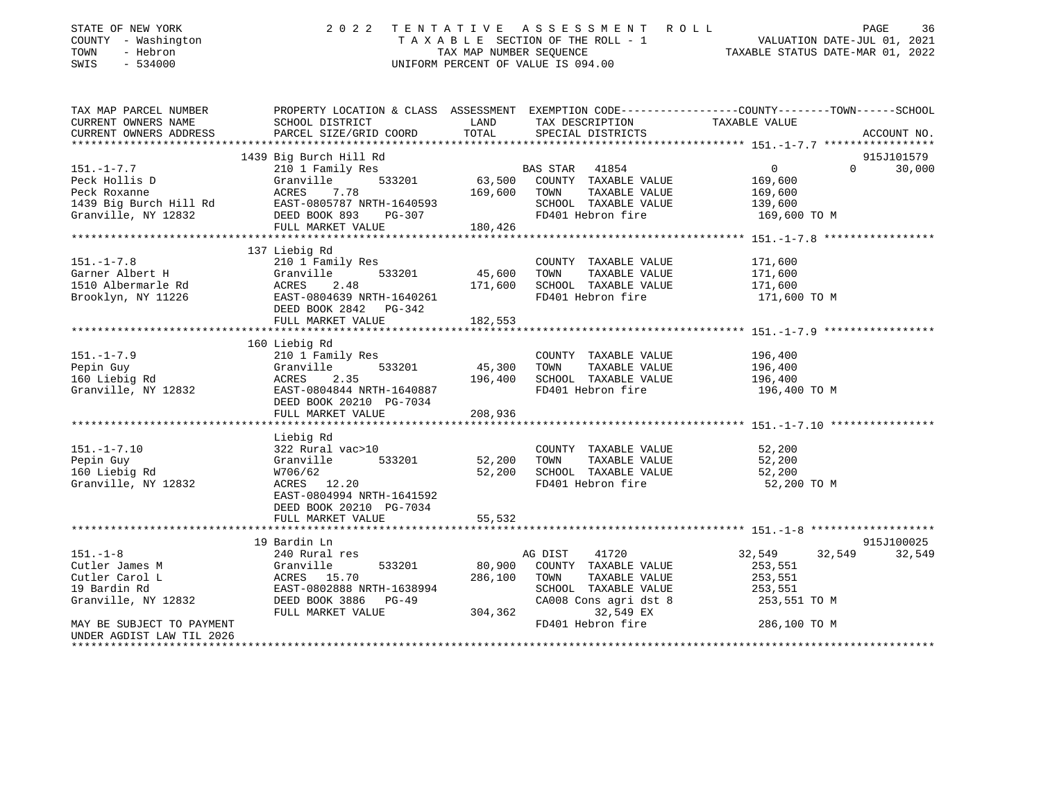| STATE OF NEW YORK<br>COUNTY - Washington<br>TOWN<br>- Hebron<br>SWIS<br>$-534000$ |                                                                                                                                                                                                                                                          |               | 2022 TENTATIVE ASSESSMENT ROLL<br>TAXABLE SECTION OF THE ROLL - 1<br>TAXABLE SECTION OF THE ROLL - 1<br>TAX MAP NUMBER SEQUENCE TAXABLE STATUS DATE-MAR 01, 2022<br>UNIFORM PERCENT OF VALUE IS 094.00 |                                                       | PAGE          | 36          |
|-----------------------------------------------------------------------------------|----------------------------------------------------------------------------------------------------------------------------------------------------------------------------------------------------------------------------------------------------------|---------------|--------------------------------------------------------------------------------------------------------------------------------------------------------------------------------------------------------|-------------------------------------------------------|---------------|-------------|
| TAX MAP PARCEL NUMBER<br>CURRENT OWNERS NAME                                      | PROPERTY LOCATION & CLASS ASSESSMENT EXEMPTION CODE----------------COUNTY-------TOWN------SCHOOL<br>SCHOOL DISTRICT                                                                                                                                      | LAND          | TAX DESCRIPTION TAXABLE VALUE                                                                                                                                                                          |                                                       |               |             |
| CURRENT OWNERS ADDRESS                                                            | PARCEL SIZE/GRID COORD                                                                                                                                                                                                                                   | TOTAL         | SPECIAL DISTRICTS                                                                                                                                                                                      |                                                       |               | ACCOUNT NO. |
|                                                                                   |                                                                                                                                                                                                                                                          |               |                                                                                                                                                                                                        |                                                       |               |             |
|                                                                                   | 1439 Big Burch Hill Rd                                                                                                                                                                                                                                   |               |                                                                                                                                                                                                        |                                                       |               | 915J101579  |
| $151. - 1 - 7.7$                                                                  | 210 1 Family Res                                                                                                                                                                                                                                         |               | BAS STAR 41854                                                                                                                                                                                         | $\overline{0}$                                        | $\Omega$      | 30,000      |
|                                                                                   |                                                                                                                                                                                                                                                          |               | 63,500 COUNTY TAXABLE VALUE                                                                                                                                                                            | 169,600                                               |               |             |
|                                                                                   |                                                                                                                                                                                                                                                          | 169,600 TOWN  | TAXABLE VALUE                                                                                                                                                                                          | 169,600                                               |               |             |
|                                                                                   |                                                                                                                                                                                                                                                          |               | SCHOOL TAXABLE VALUE<br>FD401 Hebron fire                                                                                                                                                              | 139,600                                               |               |             |
|                                                                                   | 191.-1-7<br>Peck Hollis D<br>Peck Roxanne<br>169,600<br>169,600<br>169,600<br>169,600<br>169,600<br>169,600<br>169,600<br>169,600<br>169,600<br>169,600<br>169,600<br>169,600<br>169,600<br>169,600<br>FULL MARKET VALUE<br>FULL MARKET VALUE<br>180,426 |               |                                                                                                                                                                                                        | 169,600 TO M                                          |               |             |
| ************************                                                          |                                                                                                                                                                                                                                                          |               |                                                                                                                                                                                                        |                                                       |               |             |
|                                                                                   | 137 Liebig Rd                                                                                                                                                                                                                                            |               |                                                                                                                                                                                                        |                                                       |               |             |
| $151. - 1 - 7.8$                                                                  | 210 1 Family Res                                                                                                                                                                                                                                         |               | COUNTY TAXABLE VALUE                                                                                                                                                                                   | 171,600                                               |               |             |
|                                                                                   |                                                                                                                                                                                                                                                          | 533201 45,600 | TOWN<br>TAXABLE VALUE                                                                                                                                                                                  | 171,600                                               |               |             |
|                                                                                   |                                                                                                                                                                                                                                                          | 171,600       | SCHOOL TAXABLE VALUE                                                                                                                                                                                   | 171,600                                               |               |             |
|                                                                                   | Garner Albert H Granville 533201<br>1510 Albermarle Rd ACRES 2.48<br>Brooklyn, NY 11226 EAST-0804639 NRTH-1640261                                                                                                                                        |               | FD401 Hebron fire                                                                                                                                                                                      | 171,600 TO M                                          |               |             |
|                                                                                   | DEED BOOK 2842 PG-342                                                                                                                                                                                                                                    |               |                                                                                                                                                                                                        |                                                       |               |             |
|                                                                                   | FULL MARKET VALUE                                                                                                                                                                                                                                        | 182,553       |                                                                                                                                                                                                        |                                                       |               |             |
|                                                                                   |                                                                                                                                                                                                                                                          | ************  |                                                                                                                                                                                                        | *********************** 151.-1-7.9 ****************** |               |             |
|                                                                                   | 160 Liebig Rd                                                                                                                                                                                                                                            |               |                                                                                                                                                                                                        |                                                       |               |             |
| $151. - 1 - 7.9$                                                                  | 210 1 Family Res                                                                                                                                                                                                                                         |               | COUNTY TAXABLE VALUE                                                                                                                                                                                   | 196,400                                               |               |             |
|                                                                                   | $533201$ 45,300                                                                                                                                                                                                                                          |               | TOWN<br>TAXABLE VALUE                                                                                                                                                                                  | 196,400                                               |               |             |
|                                                                                   | Granville<br>Granville<br>ACRES 2                                                                                                                                                                                                                        | 196,400       | SCHOOL TAXABLE VALUE                                                                                                                                                                                   | 196,400                                               |               |             |
|                                                                                   | Pepin Guy<br>160 Liebig Rd<br>Granville, NY 12832<br>Granville, NY 12832<br>EAST-0804844 NRTH-1640887<br>FEED POOK 20210 PG-7034                                                                                                                         |               | FD401 Hebron fire                                                                                                                                                                                      | 196,400 TO M                                          |               |             |
|                                                                                   | DEED BOOK 20210 PG-7034                                                                                                                                                                                                                                  |               |                                                                                                                                                                                                        |                                                       |               |             |
|                                                                                   | FULL MARKET VALUE                                                                                                                                                                                                                                        | 208,936       |                                                                                                                                                                                                        |                                                       |               |             |
|                                                                                   |                                                                                                                                                                                                                                                          |               |                                                                                                                                                                                                        |                                                       |               |             |
|                                                                                   | er and Rd<br>322 Rural vac>10<br>Granville<br>W706/60                                                                                                                                                                                                    |               |                                                                                                                                                                                                        |                                                       |               |             |
| $151. - 1 - 7.10$                                                                 |                                                                                                                                                                                                                                                          |               | COUNTY TAXABLE VALUE                                                                                                                                                                                   | 52,200                                                |               |             |
| Pepin Guy                                                                         | 533201                                                                                                                                                                                                                                                   | 52,200        | TAXABLE VALUE<br>TOWN                                                                                                                                                                                  | 52,200                                                |               |             |
| 160 Liebig Rd                                                                     |                                                                                                                                                                                                                                                          |               | 52,200 SCHOOL TAXABLE VALUE                                                                                                                                                                            | 52,200                                                |               |             |
| Granville, NY 12832                                                               | ACRES 12.20                                                                                                                                                                                                                                              |               | FD401 Hebron fire                                                                                                                                                                                      | 52,200 TO M                                           |               |             |
|                                                                                   | EAST-0804994 NRTH-1641592                                                                                                                                                                                                                                |               |                                                                                                                                                                                                        |                                                       |               |             |
|                                                                                   | DEED BOOK 20210 PG-7034                                                                                                                                                                                                                                  |               |                                                                                                                                                                                                        |                                                       |               |             |
|                                                                                   | FULL MARKET VALUE                                                                                                                                                                                                                                        | 55,532        |                                                                                                                                                                                                        |                                                       |               |             |
|                                                                                   |                                                                                                                                                                                                                                                          |               |                                                                                                                                                                                                        |                                                       |               |             |
|                                                                                   | 19 Bardin Ln                                                                                                                                                                                                                                             |               |                                                                                                                                                                                                        |                                                       |               | 915J100025  |
| $151. - 1 - 8$                                                                    | 240 Rural res                                                                                                                                                                                                                                            |               | 41720<br>AG DIST                                                                                                                                                                                       | 32,549                                                | 32,549 32,549 |             |
|                                                                                   |                                                                                                                                                                                                                                                          |               | 80,900 COUNTY TAXABLE VALUE                                                                                                                                                                            | 253,551                                               |               |             |
|                                                                                   | Cutler James M<br>Cutler Carol L<br>19 Bardin Rd<br>Granville (1993)<br>Standard EAST-0802888 NRTH-1638994<br>Granville, NY 12832<br>DEED BOOK 3886<br>PEAST-0802888 NRTH-1638994<br>DEED BOOK 3886<br>PEAST MARGER PG-49                                | 286,100 TOWN  | TAXABLE VALUE                                                                                                                                                                                          | 253,551                                               |               |             |
|                                                                                   |                                                                                                                                                                                                                                                          |               | SCHOOL TAXABLE VALUE                                                                                                                                                                                   | 253,551                                               |               |             |
|                                                                                   |                                                                                                                                                                                                                                                          |               | CA008 Cons agri dst 8                                                                                                                                                                                  | 253,551 TO M                                          |               |             |
|                                                                                   | FULL MARKET VALUE                                                                                                                                                                                                                                        | 304,362       | 32,549 EX                                                                                                                                                                                              |                                                       |               |             |
| MAY BE SUBJECT TO PAYMENT                                                         |                                                                                                                                                                                                                                                          |               | FD401 Hebron fire                                                                                                                                                                                      | 286,100 TO M                                          |               |             |
| UNDER AGDIST LAW TIL 2026                                                         |                                                                                                                                                                                                                                                          |               |                                                                                                                                                                                                        | *********************************                     |               |             |
|                                                                                   |                                                                                                                                                                                                                                                          |               |                                                                                                                                                                                                        |                                                       |               |             |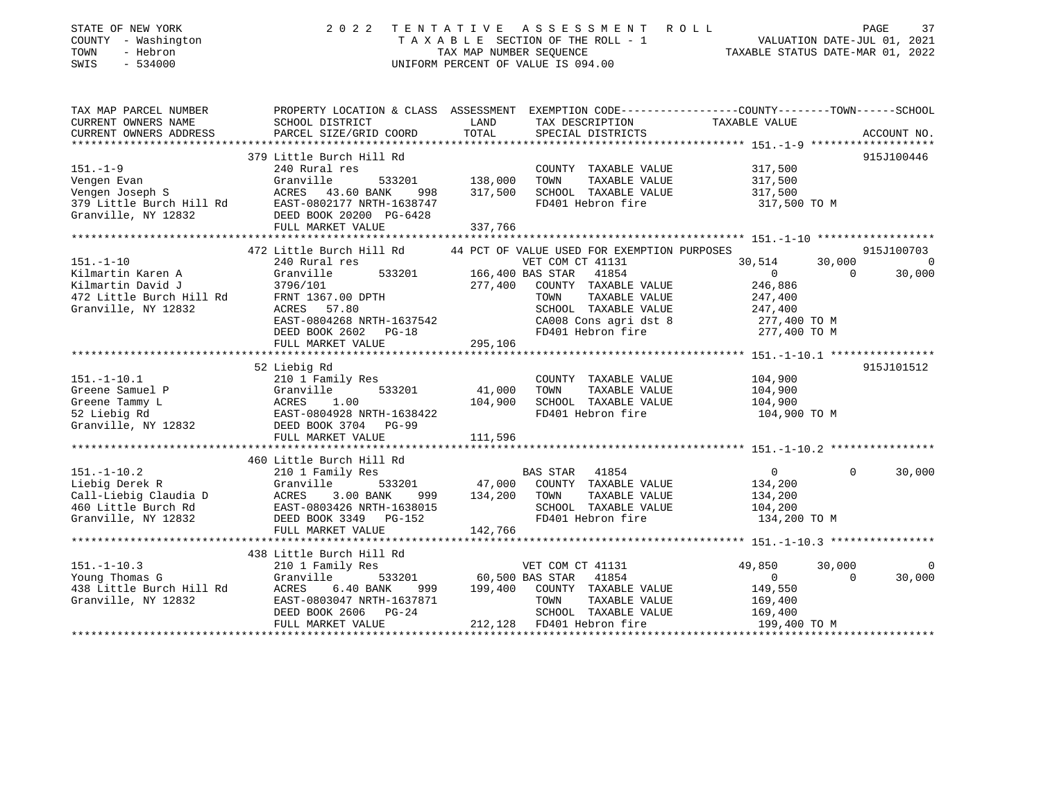| STATE OF NEW YORK<br>COUNTY - Washington<br>TOWN<br>- Hebron<br>SWIS<br>$-534000$                                                  | 2022<br>TENTATIVE ASSESSMENT ROLL<br>UNIFORM PERCENT OF VALUE IS 094.00                                                                                                                                                                 | T A X A B L E SECTION OF THE ROLL - 1 VALUATION DATE-JUL 01, 2021<br>TAX MAP NUMBER SEQUENCE TAXIBLE STATUS DATE-MAR 01. 2022<br>TAXABLE STATUS DATE-MAR 01, 2022 |                                                                                                                                                   | PAGE<br>37                                                                |                    |                      |
|------------------------------------------------------------------------------------------------------------------------------------|-----------------------------------------------------------------------------------------------------------------------------------------------------------------------------------------------------------------------------------------|-------------------------------------------------------------------------------------------------------------------------------------------------------------------|---------------------------------------------------------------------------------------------------------------------------------------------------|---------------------------------------------------------------------------|--------------------|----------------------|
| TAX MAP PARCEL NUMBER<br>CURRENT OWNERS NAME<br>CURRENT OWNERS ADDRESS                                                             | PROPERTY LOCATION & CLASS ASSESSMENT EXEMPTION CODE----------------COUNTY--------TOWN------SCHOOL<br>SCHOOL DISTRICT<br>PARCEL SIZE/GRID COORD                                                                                          | LAND<br>TOTAL                                                                                                                                                     | TAX DESCRIPTION<br>SPECIAL DISTRICTS                                                                                                              | TAXABLE VALUE                                                             |                    | ACCOUNT NO.          |
| $151. - 1 - 9$<br>379 Little Burch Hill Rd<br>Granville, NY 12832                                                                  | 379 Little Burch Hill Rd<br>240 Rural res<br>533201<br>998<br>EAST-0802177 NRTH-1638747<br>DEED BOOK 20200 PG-6428<br>FULL MARKET VALUE                                                                                                 | 138,000<br>317,500<br>337,766                                                                                                                                     | COUNTY TAXABLE VALUE<br>TOWN<br>TAXABLE VALUE<br>SCHOOL TAXABLE VALUE<br>FD401 Hebron fire                                                        | 317,500<br>317,500<br>317,500<br>317,500 TO M                             |                    | 915J100446           |
|                                                                                                                                    |                                                                                                                                                                                                                                         |                                                                                                                                                                   |                                                                                                                                                   |                                                                           |                    |                      |
| $151. - 1 - 10$<br>Kilmartin Karen A<br>Alimartin David J<br>472 Little Burch Hill Rd<br>Cronville NY 10000<br>Granville, NY 12832 | 472 Little Burch Hill Rd<br>240 Rural res<br>Granville<br>533201<br>ACRES 57.80                                                                                                                                                         | 166,400 BAS STAR<br>277,400                                                                                                                                       | 44 PCT OF VALUE USED FOR EXEMPTION PURPOSES<br>VET COM CT 41131<br>41854<br>COUNTY TAXABLE VALUE<br>TAXABLE VALUE<br>TOWN<br>SCHOOL TAXABLE VALUE | 30,514<br>$\overline{0}$<br>246,886<br>247,400<br>247,400                 | 30,000<br>$\Omega$ | 915J100703<br>30,000 |
|                                                                                                                                    | EAST-0804268 NRTH-1637542<br>DEED BOOK 2602 PG-18<br>FULL MARKET VALUE                                                                                                                                                                  | 295,106                                                                                                                                                           | CA008 Cons agri dst 8<br>FD401 Hebron fire                                                                                                        | 277,400 TO M<br>277,400 TO M                                              |                    |                      |
|                                                                                                                                    | 52 Liebig Rd<br>151.-1-10.1<br>Greene Samuel P<br>Greene Tammy L<br>52 Liebig Rd<br>Granville, NY 12832<br>Samuel P<br>CRES 2 Liebig Rd<br>ERST-0804928 NRTH-1638422<br>DEED BOOK 3704 PG-99<br>PHITT MADVER VALUE<br>FULL MARKET VALUE | 41,000<br>104,900<br>111,596                                                                                                                                      | COUNTY TAXABLE VALUE<br>TAXABLE VALUE<br>TOWN<br>SCHOOL TAXABLE VALUE<br>FD401 Hebron fire                                                        | 104,900<br>104,900<br>104,900<br>104,900 TO M                             |                    | 915J101512           |
|                                                                                                                                    |                                                                                                                                                                                                                                         |                                                                                                                                                                   |                                                                                                                                                   |                                                                           |                    |                      |
| $151. - 1 - 10.2$<br>Liebig Derek R<br>Call-Liebig Claudia D<br>460 Little Burch Rd<br>Granville, NY 12832                         | 460 Little Burch Hill Rd<br>210 1 Family Res<br>Granville<br>533201<br>ACRES<br>3.00 BANK<br>999<br>EAST-0803426 NRTH-1638015<br>DEED BOOK 3349 PG-152                                                                                  | 47,000<br>134,200                                                                                                                                                 | BAS STAR<br>41854<br>COUNTY TAXABLE VALUE<br>TOWN<br>TAXABLE VALUE<br>SCHOOL TAXABLE VALUE<br>FD401 Hebron fire                                   | $\overline{0}$<br>134,200<br>134,200<br>104,200<br>134,200 TO M           | $\Omega$           | 30,000               |
|                                                                                                                                    | FULL MARKET VALUE                                                                                                                                                                                                                       | 142,766                                                                                                                                                           |                                                                                                                                                   |                                                                           |                    |                      |
|                                                                                                                                    | 438 Little Burch Hill Rd                                                                                                                                                                                                                |                                                                                                                                                                   |                                                                                                                                                   |                                                                           |                    |                      |
| $151. - 1 - 10.3$<br>Young Thomas G<br>438 Little Burch Hill Rd<br>Granville, NY 12832                                             | 210 1 Family Res<br>Granville<br>533201<br>ACRES<br>6.40 BANK<br>999<br>EAST-0803047 NRTH-1637871<br>DEED BOOK 2606<br>$PG-24$<br>FULL MARKET VALUE                                                                                     | 199,400                                                                                                                                                           | VET COM CT 41131<br>60,500 BAS STAR 41854<br>COUNTY TAXABLE VALUE<br>TOWN<br>TAXABLE VALUE<br>SCHOOL TAXABLE VALUE<br>212,128 FD401 Hebron fire   | 49,850<br>$\overline{0}$<br>149,550<br>169,400<br>169,400<br>199,400 TO M | 30,000<br>$\Omega$ | 0<br>30,000          |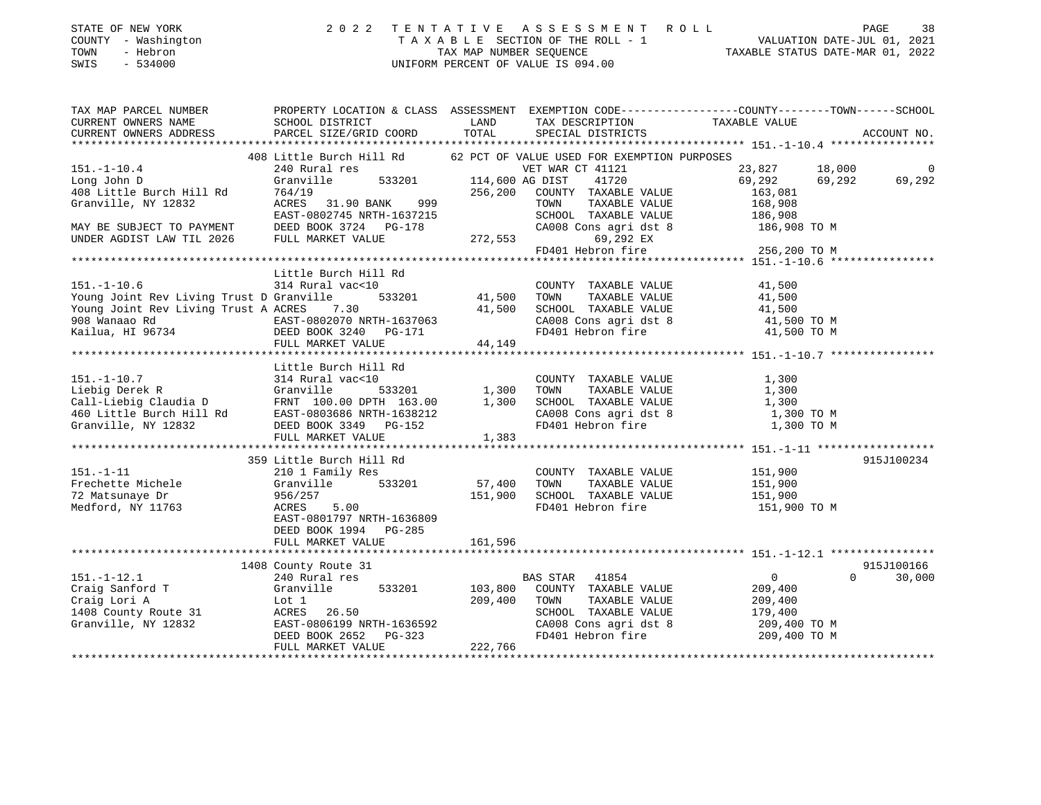| STATE OF NEW YORK<br>- Washington<br>COUNTY<br>- Hebron<br>TOWN<br>- 534000<br>SWIS | 2022                                           |                        | TENTATIVE ASSESSMENT ROLL<br>TAXABLE SECTION OF THE ROLL - 1<br>TAX MAP NUMBER SEQUENCE<br>UNIFORM PERCENT OF VALUE IS 094.00 | TAXABLE STATUS DATE-MAR 01, 2022                             | 38<br>PAGE<br>VALUATION DATE-JUL 01, 2021 |
|-------------------------------------------------------------------------------------|------------------------------------------------|------------------------|-------------------------------------------------------------------------------------------------------------------------------|--------------------------------------------------------------|-------------------------------------------|
| TAX MAP PARCEL NUMBER                                                               | PROPERTY LOCATION & CLASS ASSESSMENT           |                        |                                                                                                                               | EXEMPTION CODE-----------------COUNTY-------TOWN------SCHOOL |                                           |
| CURRENT OWNERS NAME                                                                 | SCHOOL DISTRICT                                | <b>Example 12</b> LAND | TAX DESCRIPTION                                                                                                               | TAXABLE VALUE                                                |                                           |
| CURRENT OWNERS ADDRESS                                                              | PARCEL SIZE/GRID COORD TOTAL SPECIAL DISTRICTS |                        |                                                                                                                               |                                                              | ACCOUNT NO.                               |
|                                                                                     |                                                |                        |                                                                                                                               |                                                              |                                           |
|                                                                                     | 408 Little Burch Hill Rd                       |                        | 62 PCT OF VALUE USED FOR EXEMPTION PURPOSES                                                                                   |                                                              |                                           |
| $151. - 1 - 10.4$                                                                   | 240 Rural res                                  |                        | VET WAR CT 41121                                                                                                              | 23,827<br>18,000                                             | $\sim$ 0                                  |
| Long John D                                                                         | Granville 533201 114,600 AG DIST 41720         |                        |                                                                                                                               | 69,292<br>69.292                                             | 69,292                                    |
| 408 Little Burch Hill Rd                                                            | 764/19                                         | 256,200                | COUNTY<br>TAXABLE VALUE                                                                                                       | 163,081                                                      |                                           |
| Granville, NY 12832                                                                 | 999<br>31.90 BANK<br>ACRES                     |                        | TOWN<br>TAXABLE VALUE                                                                                                         | 168,908                                                      |                                           |
|                                                                                     | EAST-0802745 NRTH-1637215                      |                        | TAXABLE VALUE<br>SCHOOL                                                                                                       | 186,908                                                      |                                           |
| MAY BE SUBJECT TO PAYMENT                                                           | DEED BOOK 3724 PG-178                          |                        | CA008 Cons agri dst 8                                                                                                         | 186,908 TO M                                                 |                                           |
| UNDER AGDIST LAW TIL 2026                                                           | FULL MARKET VALUE                              | 272,553                | 69,292 EX                                                                                                                     |                                                              |                                           |
|                                                                                     |                                                |                        | FD401 Hebron fire                                                                                                             | 256 200 TO M                                                 |                                           |

| COUNTY TAXABLE VALUE<br>41,500<br>41,500<br>TAXABLE VALUE<br>SCHOOL TAXABLE VALUE<br>41,500<br>CA008 Cons agri dst 8 41,500 TO M<br>FD401 Hebron fire 31,500 TO M                                                 |                    |
|-------------------------------------------------------------------------------------------------------------------------------------------------------------------------------------------------------------------|--------------------|
|                                                                                                                                                                                                                   |                    |
|                                                                                                                                                                                                                   |                    |
|                                                                                                                                                                                                                   |                    |
| COUNTY TAXABLE VALUE<br>1,300<br>1,300<br>TAXABLE VALUE<br>1,300<br>SCHOOL TAXABLE VALUE<br>CA008 Cons agri dst 8<br>1,300 TO M<br>FD401 Hebron fire<br>1,300 TO M                                                |                    |
|                                                                                                                                                                                                                   |                    |
| 151,900<br>COUNTY TAXABLE VALUE<br>151,900<br>TAXABLE VALUE<br>SCHOOL TAXABLE VALUE<br>151,900<br>FD401 Hebron fire<br>151,900 TO M                                                                               | 915J100234         |
|                                                                                                                                                                                                                   |                    |
|                                                                                                                                                                                                                   | 915J100166         |
| $\overline{0}$<br>BAS STAR 41854<br>103,800 COUNTY TAXABLE VALUE<br>209,400<br>209,400<br>TAXABLE VALUE<br>TAXABLE VALUE<br>179,400<br>CA008 Cons agri dst 8<br>209,400 TO M<br>FD401 Hebron fire<br>209,400 TO M | $\Omega$<br>30,000 |
|                                                                                                                                                                                                                   |                    |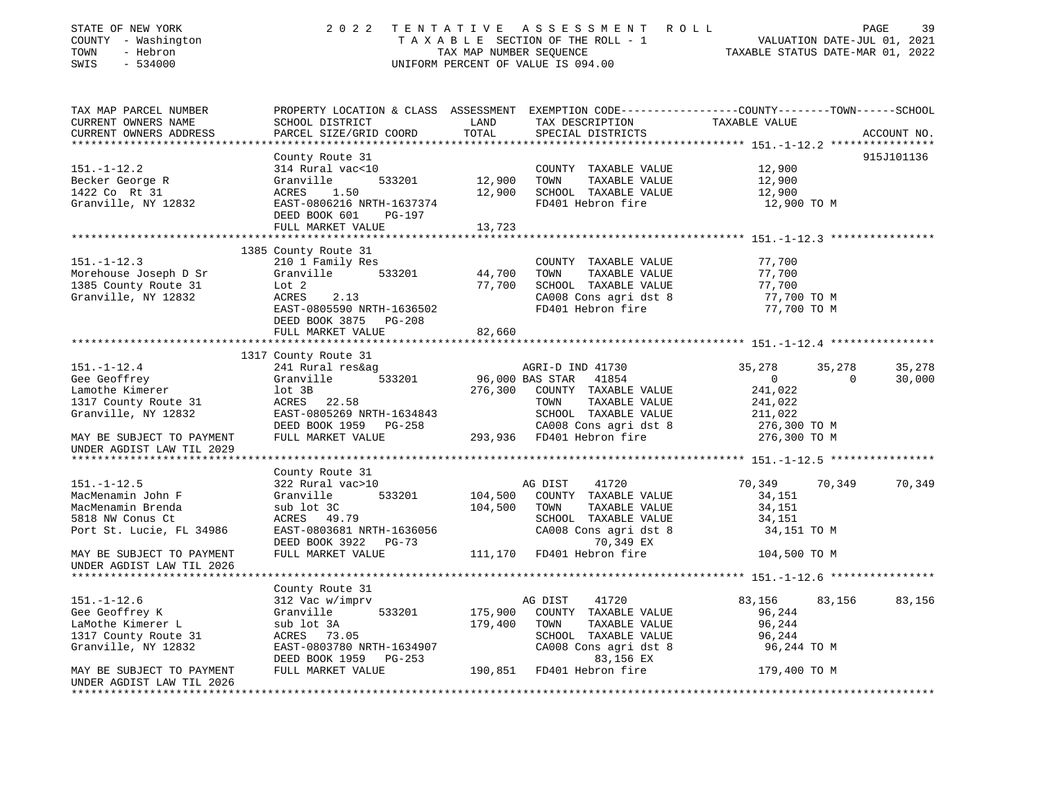| STATE OF NEW YORK<br>COUNTY - Washington<br>- Hebron<br>TOWN<br>SWIS<br>$-534000$ | 2 0 2 2<br>T E N T A T I V E<br>TAXABLE SECTION OF THE ROLL - 1<br>TAX MAP NUMBER SEQUENCE<br>UNIFORM PERCENT OF VALUE IS 094.00 | PAGE<br>39<br>R O L L<br>VALUATION DATE-JUL 01, 2021<br>TAXABLE STATUS DATE-MAR 01, 2022 |                                                                                                                                         |                |          |             |
|-----------------------------------------------------------------------------------|----------------------------------------------------------------------------------------------------------------------------------|------------------------------------------------------------------------------------------|-----------------------------------------------------------------------------------------------------------------------------------------|----------------|----------|-------------|
| TAX MAP PARCEL NUMBER<br>CURRENT OWNERS NAME<br>CURRENT OWNERS ADDRESS            | SCHOOL DISTRICT<br>PARCEL SIZE/GRID COORD                                                                                        | LAND<br>TOTAL                                                                            | PROPERTY LOCATION & CLASS ASSESSMENT EXEMPTION CODE---------------COUNTY-------TOWN------SCHOOL<br>TAX DESCRIPTION<br>SPECIAL DISTRICTS | TAXABLE VALUE  |          | ACCOUNT NO. |
|                                                                                   |                                                                                                                                  |                                                                                          |                                                                                                                                         |                |          | 915J101136  |
| $151. - 1 - 12.2$                                                                 | County Route 31<br>314 Rural vac<10                                                                                              |                                                                                          | COUNTY TAXABLE VALUE                                                                                                                    | 12,900         |          |             |
| Becker George R                                                                   | 533201<br>Granville                                                                                                              | 12,900 TOWN                                                                              | TAXABLE VALUE                                                                                                                           | 12,900         |          |             |
| 1422 Co Rt 31                                                                     | ACRES 1.50                                                                                                                       |                                                                                          | 12,900 SCHOOL TAXABLE VALUE                                                                                                             | 12,900         |          |             |
| Granville, NY 12832                                                               | EAST-0806216 NRTH-1637374                                                                                                        |                                                                                          | FD401 Hebron fire                                                                                                                       | 12,900 TO M    |          |             |
|                                                                                   | DEED BOOK 601<br>PG-197                                                                                                          |                                                                                          |                                                                                                                                         |                |          |             |
|                                                                                   | FULL MARKET VALUE                                                                                                                | 13,723                                                                                   |                                                                                                                                         |                |          |             |
|                                                                                   |                                                                                                                                  |                                                                                          |                                                                                                                                         |                |          |             |
|                                                                                   | 1385 County Route 31                                                                                                             |                                                                                          |                                                                                                                                         |                |          |             |
| $151. - 1 - 12.3$                                                                 | 210 1 Family Res                                                                                                                 |                                                                                          | COUNTY TAXABLE VALUE                                                                                                                    | 77,700         |          |             |
| Morehouse Joseph D Sr                                                             | 533201<br>Granville                                                                                                              | 44,700                                                                                   | TAXABLE VALUE<br>TOWN                                                                                                                   | 77,700         |          |             |
| 1385 County Route 31                                                              | Lot 2                                                                                                                            |                                                                                          | 77,700 SCHOOL TAXABLE VALUE                                                                                                             | 77,700         |          |             |
| Granville, NY 12832                                                               | 2.13<br>ACRES                                                                                                                    |                                                                                          | CA008 Cons agri dst 8                                                                                                                   | 77,700 TO M    |          |             |
|                                                                                   | EAST-0805590 NRTH-1636502                                                                                                        |                                                                                          | FD401 Hebron fire                                                                                                                       | 77,700 TO M    |          |             |
|                                                                                   | DEED BOOK 3875 PG-208                                                                                                            |                                                                                          |                                                                                                                                         |                |          |             |
|                                                                                   | FULL MARKET VALUE                                                                                                                | 82,660                                                                                   |                                                                                                                                         |                |          |             |
|                                                                                   |                                                                                                                                  |                                                                                          |                                                                                                                                         |                |          |             |
| $151. - 1 - 12.4$                                                                 | 1317 County Route 31<br>241 Rural res&ag                                                                                         |                                                                                          | AGRI-D IND 41730                                                                                                                        | 35,278         | 35,278   | 35,278      |
| Gee Geoffrey                                                                      | Granville<br>533201                                                                                                              | 96,000 BAS STAR                                                                          | 41854                                                                                                                                   | $\overline{0}$ | $\Omega$ | 30,000      |
| Lamothe Kimerer                                                                   | lot 3B                                                                                                                           |                                                                                          | 276,300 COUNTY TAXABLE VALUE                                                                                                            | 241,022        |          |             |
| 1317 County Route 31                                                              | ACRES 22.58                                                                                                                      |                                                                                          | TAXABLE VALUE<br>TOWN                                                                                                                   | 241,022        |          |             |
| Granville, NY 12832                                                               | EAST-0805269 NRTH-1634843                                                                                                        |                                                                                          |                                                                                                                                         | 211,022        |          |             |
|                                                                                   | DEED BOOK 1959 PG-258                                                                                                            |                                                                                          |                                                                                                                                         | 276,300 TO M   |          |             |
| MAY BE SUBJECT TO PAYMENT                                                         | FULL MARKET VALUE                                                                                                                |                                                                                          | SCHOOL Innum-<br>CA008 Cons agri dst 8<br>293,936 FD401 Hebron fire                                                                     | 276,300 ТО М   |          |             |
| UNDER AGDIST LAW TIL 2029                                                         |                                                                                                                                  |                                                                                          |                                                                                                                                         |                |          |             |
| ****************************                                                      |                                                                                                                                  |                                                                                          |                                                                                                                                         |                |          |             |
|                                                                                   | County Route 31                                                                                                                  |                                                                                          |                                                                                                                                         |                |          |             |
| $151. - 1 - 12.5$                                                                 | 322 Rural vac>10                                                                                                                 |                                                                                          | AG DIST<br>41720                                                                                                                        | 70,349         | 70,349   | 70,349      |
| MacMenamin John F                                                                 | Granville<br>533201                                                                                                              | 104,500                                                                                  | COUNTY TAXABLE VALUE                                                                                                                    | 34,151         |          |             |
| MacMenamin Brenda                                                                 | sub lot 3C                                                                                                                       | 104,500                                                                                  | TAXABLE VALUE<br>TOWN                                                                                                                   | 34,151         |          |             |
| 5818 NW Conus Ct                                                                  | ACRES 49.79                                                                                                                      |                                                                                          | SCHOOL TAXABLE VALUE                                                                                                                    | 34,151         |          |             |
| Port St. Lucie, FL 34986                                                          | EAST-0803681 NRTH-1636056                                                                                                        |                                                                                          | CA008 Cons agri dst 8                                                                                                                   | 34,151 TO M    |          |             |
|                                                                                   | DEED BOOK 3922 PG-73                                                                                                             |                                                                                          | 70,349 EX                                                                                                                               |                |          |             |
| MAY BE SUBJECT TO PAYMENT                                                         | FULL MARKET VALUE                                                                                                                |                                                                                          | 111,170 FD401 Hebron fire                                                                                                               | 104,500 TO M   |          |             |
| UNDER AGDIST LAW TIL 2026                                                         |                                                                                                                                  |                                                                                          |                                                                                                                                         |                |          |             |
| ************************                                                          |                                                                                                                                  |                                                                                          |                                                                                                                                         |                |          |             |
|                                                                                   | County Route 31                                                                                                                  |                                                                                          |                                                                                                                                         |                |          |             |
| $151. - 1 - 12.6$                                                                 | 312 Vac w/imprv                                                                                                                  |                                                                                          | AG DIST<br>41720                                                                                                                        | 83,156         | 83,156   | 83,156      |
| Gee Geoffrey K                                                                    | 533201<br>Granville                                                                                                              | 175,900                                                                                  | COUNTY TAXABLE VALUE                                                                                                                    | 96,244         |          |             |
| LaMothe Kimerer L                                                                 | sub lot 3A                                                                                                                       | 179,400                                                                                  | TOWN<br>TAXABLE VALUE                                                                                                                   | 96,244         |          |             |
| 1317 County Route 31                                                              | ACRES 73.05                                                                                                                      |                                                                                          | SCHOOL TAXABLE VALUE                                                                                                                    | 96,244         |          |             |
| Granville, NY 12832                                                               | EAST-0803780 NRTH-1634907<br>DEED BOOK 1959 PG-253                                                                               |                                                                                          | CA008 Cons agri dst 8<br>83,156 EX                                                                                                      | 96,244 TO M    |          |             |
| MAY BE SUBJECT TO PAYMENT                                                         | FULL MARKET VALUE                                                                                                                |                                                                                          | 190,851 FD401 Hebron fire                                                                                                               | 179,400 TO M   |          |             |
| UNDER AGDIST LAW TIL 2026                                                         |                                                                                                                                  |                                                                                          |                                                                                                                                         |                |          |             |
|                                                                                   |                                                                                                                                  |                                                                                          |                                                                                                                                         |                |          |             |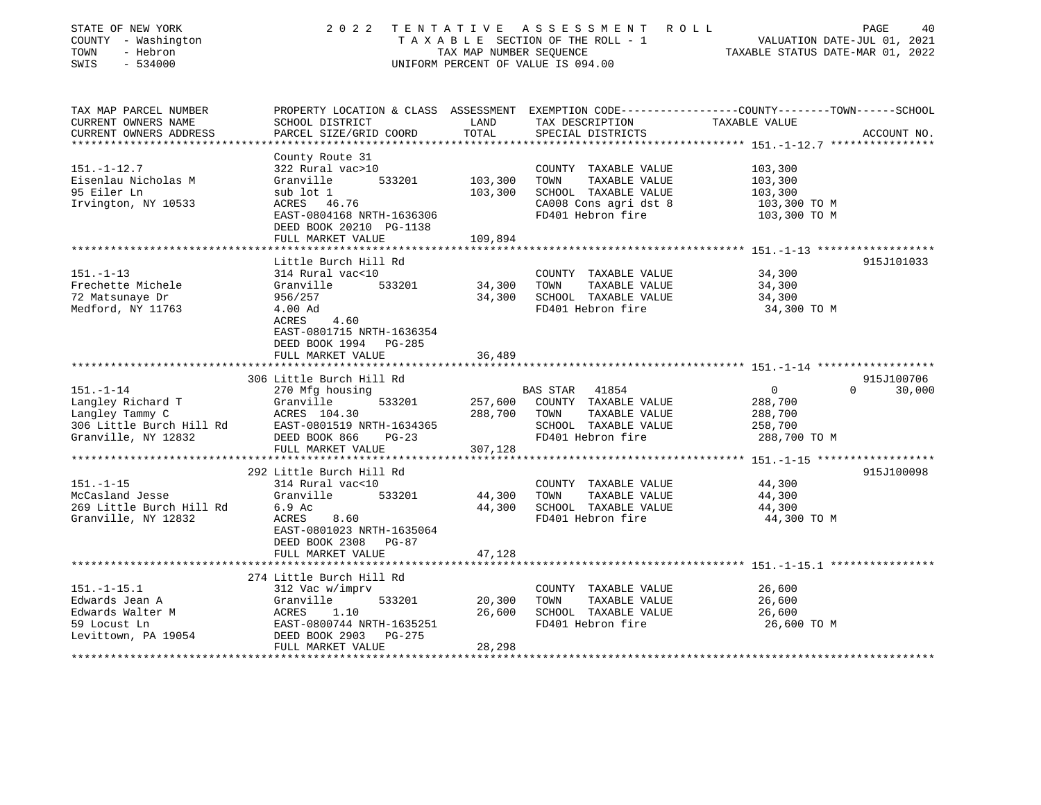| PROPERTY LOCATION & CLASS ASSESSMENT EXEMPTION CODE---------------COUNTY-------TOWN------SCHOOL<br>CURRENT OWNERS NAME<br>SCHOOL DISTRICT<br>LAND<br>TAX DESCRIPTION<br>TAXABLE VALUE<br>PARCEL SIZE/GRID COORD<br>TOTAL<br>CURRENT OWNERS ADDRESS<br>SPECIAL DISTRICTS<br>ACCOUNT NO.<br>County Route 31<br>322 Rural vac>10<br>COUNTY TAXABLE VALUE<br>103,300<br>Granville<br>533201<br>103,300<br>103,300<br>TOWN<br>TAXABLE VALUE<br>sub lot 1<br>103,300<br>SCHOOL TAXABLE VALUE<br>103,300<br>CA008 Cons agri dst 8<br>ACRES 46.76<br>103,300 TO M<br>FD401 Hebron fire<br>EAST-0804168 NRTH-1636306<br>103,300 TO M<br>DEED BOOK 20210 PG-1138<br>FULL MARKET VALUE<br>109,894<br>*********************<br>************************ 151._1_3 *******************<br>********************<br>Little Burch Hill Rd<br>915J101033<br>314 Rural vac<10<br>34,300<br>COUNTY TAXABLE VALUE<br>533201<br>34,300<br>TAXABLE VALUE<br>34,300<br>Granville<br>TOWN<br>34,300<br>SCHOOL TAXABLE VALUE<br>956/257<br>34,300<br>FD401 Hebron fire<br>4.00 Ad<br>34,300 TO M<br>ACRES<br>4.60<br>EAST-0801715 NRTH-1636354<br>DEED BOOK 1994 PG-285<br>FULL MARKET VALUE<br>36,489<br>306 Little Burch Hill Rd<br>915J100706<br>$151. - 1 - 14$<br>270 Mfg housing<br><b>BAS STAR</b><br>$\Omega$<br>$\Omega$<br>30,000<br>41854<br>Langley Richard T<br>Granville<br>257,600<br>COUNTY TAXABLE VALUE<br>533201<br>288,700<br>Langley Tammy C<br>288,700<br>ACRES 104.30<br>TOWN<br>TAXABLE VALUE<br>288,700<br>306 Little Burch Hill Rd<br>EAST-0801519 NRTH-1634365<br>SCHOOL TAXABLE VALUE<br>258,700<br>FD401 Hebron fire<br>288,700 TO M<br>DEED BOOK 866<br>$PG-23$<br>FULL MARKET VALUE<br>307,128<br>292 Little Burch Hill Rd<br>915J100098<br>44,300<br>314 Rural vac<10<br>COUNTY TAXABLE VALUE<br>44,300<br>Granville<br>533201<br>TOWN<br>TAXABLE VALUE<br>44,300<br>44,300<br>SCHOOL TAXABLE VALUE<br>6.9 Ac<br>44,300<br>Granville, NY 12832<br>8.60<br>FD401 Hebron fire<br>44,300 TO M<br>ACRES<br>EAST-0801023 NRTH-1635064<br>DEED BOOK 2308<br>PG-87<br>47,128<br>FULL MARKET VALUE<br>274 Little Burch Hill Rd<br>$151. - 1 - 15.1$<br>312 Vac w/imprv<br>COUNTY TAXABLE VALUE<br>26,600<br>Edwards Jean A<br>20,300<br>TOWN<br>TAXABLE VALUE<br>26,600<br>Granville<br>533201<br>Edwards Walter M<br>26,600<br>SCHOOL TAXABLE VALUE<br>26,600<br>ACRES<br>1.10<br>59 Locust Ln<br>EAST-0800744 NRTH-1635251<br>FD401 Hebron fire<br>26,600 TO M<br>DEED BOOK 2903<br>$PG-275$<br>FULL MARKET VALUE<br>28,298<br>************ | STATE OF NEW YORK<br>COUNTY - Washington<br>- Hebron<br>TOWN<br>SWIS<br>$-534000$ | TAX MAP NUMBER SEQUENCE | 2022 TENTATIVE ASSESSMENT<br>R O L L<br>TAXABLE SECTION OF THE ROLL - 1<br>UNIFORM PERCENT OF VALUE IS 094.00 | VALUATION DATE-JUL 01, 2021<br>TAXABLE STATUS DATE-MAR 01, 2022 | PAGE<br>40 |
|---------------------------------------------------------------------------------------------------------------------------------------------------------------------------------------------------------------------------------------------------------------------------------------------------------------------------------------------------------------------------------------------------------------------------------------------------------------------------------------------------------------------------------------------------------------------------------------------------------------------------------------------------------------------------------------------------------------------------------------------------------------------------------------------------------------------------------------------------------------------------------------------------------------------------------------------------------------------------------------------------------------------------------------------------------------------------------------------------------------------------------------------------------------------------------------------------------------------------------------------------------------------------------------------------------------------------------------------------------------------------------------------------------------------------------------------------------------------------------------------------------------------------------------------------------------------------------------------------------------------------------------------------------------------------------------------------------------------------------------------------------------------------------------------------------------------------------------------------------------------------------------------------------------------------------------------------------------------------------------------------------------------------------------------------------------------------------------------------------------------------------------------------------------------------------------------------------------------------------------------------------------------------------------------------------------------------------------------------------------------------------------------------------------------------------------------------------------------------------------------------------------------------------------------|-----------------------------------------------------------------------------------|-------------------------|---------------------------------------------------------------------------------------------------------------|-----------------------------------------------------------------|------------|
|                                                                                                                                                                                                                                                                                                                                                                                                                                                                                                                                                                                                                                                                                                                                                                                                                                                                                                                                                                                                                                                                                                                                                                                                                                                                                                                                                                                                                                                                                                                                                                                                                                                                                                                                                                                                                                                                                                                                                                                                                                                                                                                                                                                                                                                                                                                                                                                                                                                                                                                                             | TAX MAP PARCEL NUMBER                                                             |                         |                                                                                                               |                                                                 |            |
|                                                                                                                                                                                                                                                                                                                                                                                                                                                                                                                                                                                                                                                                                                                                                                                                                                                                                                                                                                                                                                                                                                                                                                                                                                                                                                                                                                                                                                                                                                                                                                                                                                                                                                                                                                                                                                                                                                                                                                                                                                                                                                                                                                                                                                                                                                                                                                                                                                                                                                                                             |                                                                                   |                         |                                                                                                               |                                                                 |            |
|                                                                                                                                                                                                                                                                                                                                                                                                                                                                                                                                                                                                                                                                                                                                                                                                                                                                                                                                                                                                                                                                                                                                                                                                                                                                                                                                                                                                                                                                                                                                                                                                                                                                                                                                                                                                                                                                                                                                                                                                                                                                                                                                                                                                                                                                                                                                                                                                                                                                                                                                             |                                                                                   |                         |                                                                                                               |                                                                 |            |
|                                                                                                                                                                                                                                                                                                                                                                                                                                                                                                                                                                                                                                                                                                                                                                                                                                                                                                                                                                                                                                                                                                                                                                                                                                                                                                                                                                                                                                                                                                                                                                                                                                                                                                                                                                                                                                                                                                                                                                                                                                                                                                                                                                                                                                                                                                                                                                                                                                                                                                                                             |                                                                                   |                         |                                                                                                               |                                                                 |            |
|                                                                                                                                                                                                                                                                                                                                                                                                                                                                                                                                                                                                                                                                                                                                                                                                                                                                                                                                                                                                                                                                                                                                                                                                                                                                                                                                                                                                                                                                                                                                                                                                                                                                                                                                                                                                                                                                                                                                                                                                                                                                                                                                                                                                                                                                                                                                                                                                                                                                                                                                             | $151. - 1 - 12.7$                                                                 |                         |                                                                                                               |                                                                 |            |
|                                                                                                                                                                                                                                                                                                                                                                                                                                                                                                                                                                                                                                                                                                                                                                                                                                                                                                                                                                                                                                                                                                                                                                                                                                                                                                                                                                                                                                                                                                                                                                                                                                                                                                                                                                                                                                                                                                                                                                                                                                                                                                                                                                                                                                                                                                                                                                                                                                                                                                                                             | Eisenlau Nicholas M                                                               |                         |                                                                                                               |                                                                 |            |
|                                                                                                                                                                                                                                                                                                                                                                                                                                                                                                                                                                                                                                                                                                                                                                                                                                                                                                                                                                                                                                                                                                                                                                                                                                                                                                                                                                                                                                                                                                                                                                                                                                                                                                                                                                                                                                                                                                                                                                                                                                                                                                                                                                                                                                                                                                                                                                                                                                                                                                                                             | 95 Eiler Ln                                                                       |                         |                                                                                                               |                                                                 |            |
|                                                                                                                                                                                                                                                                                                                                                                                                                                                                                                                                                                                                                                                                                                                                                                                                                                                                                                                                                                                                                                                                                                                                                                                                                                                                                                                                                                                                                                                                                                                                                                                                                                                                                                                                                                                                                                                                                                                                                                                                                                                                                                                                                                                                                                                                                                                                                                                                                                                                                                                                             | Irvington, NY 10533                                                               |                         |                                                                                                               |                                                                 |            |
|                                                                                                                                                                                                                                                                                                                                                                                                                                                                                                                                                                                                                                                                                                                                                                                                                                                                                                                                                                                                                                                                                                                                                                                                                                                                                                                                                                                                                                                                                                                                                                                                                                                                                                                                                                                                                                                                                                                                                                                                                                                                                                                                                                                                                                                                                                                                                                                                                                                                                                                                             |                                                                                   |                         |                                                                                                               |                                                                 |            |
|                                                                                                                                                                                                                                                                                                                                                                                                                                                                                                                                                                                                                                                                                                                                                                                                                                                                                                                                                                                                                                                                                                                                                                                                                                                                                                                                                                                                                                                                                                                                                                                                                                                                                                                                                                                                                                                                                                                                                                                                                                                                                                                                                                                                                                                                                                                                                                                                                                                                                                                                             |                                                                                   |                         |                                                                                                               |                                                                 |            |
|                                                                                                                                                                                                                                                                                                                                                                                                                                                                                                                                                                                                                                                                                                                                                                                                                                                                                                                                                                                                                                                                                                                                                                                                                                                                                                                                                                                                                                                                                                                                                                                                                                                                                                                                                                                                                                                                                                                                                                                                                                                                                                                                                                                                                                                                                                                                                                                                                                                                                                                                             |                                                                                   |                         |                                                                                                               |                                                                 |            |
|                                                                                                                                                                                                                                                                                                                                                                                                                                                                                                                                                                                                                                                                                                                                                                                                                                                                                                                                                                                                                                                                                                                                                                                                                                                                                                                                                                                                                                                                                                                                                                                                                                                                                                                                                                                                                                                                                                                                                                                                                                                                                                                                                                                                                                                                                                                                                                                                                                                                                                                                             |                                                                                   |                         |                                                                                                               |                                                                 |            |
|                                                                                                                                                                                                                                                                                                                                                                                                                                                                                                                                                                                                                                                                                                                                                                                                                                                                                                                                                                                                                                                                                                                                                                                                                                                                                                                                                                                                                                                                                                                                                                                                                                                                                                                                                                                                                                                                                                                                                                                                                                                                                                                                                                                                                                                                                                                                                                                                                                                                                                                                             | $151. - 1 - 13$                                                                   |                         |                                                                                                               |                                                                 |            |
|                                                                                                                                                                                                                                                                                                                                                                                                                                                                                                                                                                                                                                                                                                                                                                                                                                                                                                                                                                                                                                                                                                                                                                                                                                                                                                                                                                                                                                                                                                                                                                                                                                                                                                                                                                                                                                                                                                                                                                                                                                                                                                                                                                                                                                                                                                                                                                                                                                                                                                                                             | Frechette Michele                                                                 |                         |                                                                                                               |                                                                 |            |
|                                                                                                                                                                                                                                                                                                                                                                                                                                                                                                                                                                                                                                                                                                                                                                                                                                                                                                                                                                                                                                                                                                                                                                                                                                                                                                                                                                                                                                                                                                                                                                                                                                                                                                                                                                                                                                                                                                                                                                                                                                                                                                                                                                                                                                                                                                                                                                                                                                                                                                                                             | 72 Matsunaye Dr                                                                   |                         |                                                                                                               |                                                                 |            |
|                                                                                                                                                                                                                                                                                                                                                                                                                                                                                                                                                                                                                                                                                                                                                                                                                                                                                                                                                                                                                                                                                                                                                                                                                                                                                                                                                                                                                                                                                                                                                                                                                                                                                                                                                                                                                                                                                                                                                                                                                                                                                                                                                                                                                                                                                                                                                                                                                                                                                                                                             | Medford, NY 11763                                                                 |                         |                                                                                                               |                                                                 |            |
|                                                                                                                                                                                                                                                                                                                                                                                                                                                                                                                                                                                                                                                                                                                                                                                                                                                                                                                                                                                                                                                                                                                                                                                                                                                                                                                                                                                                                                                                                                                                                                                                                                                                                                                                                                                                                                                                                                                                                                                                                                                                                                                                                                                                                                                                                                                                                                                                                                                                                                                                             |                                                                                   |                         |                                                                                                               |                                                                 |            |
|                                                                                                                                                                                                                                                                                                                                                                                                                                                                                                                                                                                                                                                                                                                                                                                                                                                                                                                                                                                                                                                                                                                                                                                                                                                                                                                                                                                                                                                                                                                                                                                                                                                                                                                                                                                                                                                                                                                                                                                                                                                                                                                                                                                                                                                                                                                                                                                                                                                                                                                                             |                                                                                   |                         |                                                                                                               |                                                                 |            |
|                                                                                                                                                                                                                                                                                                                                                                                                                                                                                                                                                                                                                                                                                                                                                                                                                                                                                                                                                                                                                                                                                                                                                                                                                                                                                                                                                                                                                                                                                                                                                                                                                                                                                                                                                                                                                                                                                                                                                                                                                                                                                                                                                                                                                                                                                                                                                                                                                                                                                                                                             |                                                                                   |                         |                                                                                                               |                                                                 |            |
|                                                                                                                                                                                                                                                                                                                                                                                                                                                                                                                                                                                                                                                                                                                                                                                                                                                                                                                                                                                                                                                                                                                                                                                                                                                                                                                                                                                                                                                                                                                                                                                                                                                                                                                                                                                                                                                                                                                                                                                                                                                                                                                                                                                                                                                                                                                                                                                                                                                                                                                                             |                                                                                   |                         |                                                                                                               |                                                                 |            |
|                                                                                                                                                                                                                                                                                                                                                                                                                                                                                                                                                                                                                                                                                                                                                                                                                                                                                                                                                                                                                                                                                                                                                                                                                                                                                                                                                                                                                                                                                                                                                                                                                                                                                                                                                                                                                                                                                                                                                                                                                                                                                                                                                                                                                                                                                                                                                                                                                                                                                                                                             |                                                                                   |                         |                                                                                                               |                                                                 |            |
|                                                                                                                                                                                                                                                                                                                                                                                                                                                                                                                                                                                                                                                                                                                                                                                                                                                                                                                                                                                                                                                                                                                                                                                                                                                                                                                                                                                                                                                                                                                                                                                                                                                                                                                                                                                                                                                                                                                                                                                                                                                                                                                                                                                                                                                                                                                                                                                                                                                                                                                                             |                                                                                   |                         |                                                                                                               |                                                                 |            |
|                                                                                                                                                                                                                                                                                                                                                                                                                                                                                                                                                                                                                                                                                                                                                                                                                                                                                                                                                                                                                                                                                                                                                                                                                                                                                                                                                                                                                                                                                                                                                                                                                                                                                                                                                                                                                                                                                                                                                                                                                                                                                                                                                                                                                                                                                                                                                                                                                                                                                                                                             |                                                                                   |                         |                                                                                                               |                                                                 |            |
|                                                                                                                                                                                                                                                                                                                                                                                                                                                                                                                                                                                                                                                                                                                                                                                                                                                                                                                                                                                                                                                                                                                                                                                                                                                                                                                                                                                                                                                                                                                                                                                                                                                                                                                                                                                                                                                                                                                                                                                                                                                                                                                                                                                                                                                                                                                                                                                                                                                                                                                                             | Granville, NY 12832                                                               |                         |                                                                                                               |                                                                 |            |
|                                                                                                                                                                                                                                                                                                                                                                                                                                                                                                                                                                                                                                                                                                                                                                                                                                                                                                                                                                                                                                                                                                                                                                                                                                                                                                                                                                                                                                                                                                                                                                                                                                                                                                                                                                                                                                                                                                                                                                                                                                                                                                                                                                                                                                                                                                                                                                                                                                                                                                                                             |                                                                                   |                         |                                                                                                               |                                                                 |            |
|                                                                                                                                                                                                                                                                                                                                                                                                                                                                                                                                                                                                                                                                                                                                                                                                                                                                                                                                                                                                                                                                                                                                                                                                                                                                                                                                                                                                                                                                                                                                                                                                                                                                                                                                                                                                                                                                                                                                                                                                                                                                                                                                                                                                                                                                                                                                                                                                                                                                                                                                             | *************************                                                         |                         |                                                                                                               |                                                                 |            |
|                                                                                                                                                                                                                                                                                                                                                                                                                                                                                                                                                                                                                                                                                                                                                                                                                                                                                                                                                                                                                                                                                                                                                                                                                                                                                                                                                                                                                                                                                                                                                                                                                                                                                                                                                                                                                                                                                                                                                                                                                                                                                                                                                                                                                                                                                                                                                                                                                                                                                                                                             |                                                                                   |                         |                                                                                                               |                                                                 |            |
|                                                                                                                                                                                                                                                                                                                                                                                                                                                                                                                                                                                                                                                                                                                                                                                                                                                                                                                                                                                                                                                                                                                                                                                                                                                                                                                                                                                                                                                                                                                                                                                                                                                                                                                                                                                                                                                                                                                                                                                                                                                                                                                                                                                                                                                                                                                                                                                                                                                                                                                                             | $151. - 1 - 15$                                                                   |                         |                                                                                                               |                                                                 |            |
|                                                                                                                                                                                                                                                                                                                                                                                                                                                                                                                                                                                                                                                                                                                                                                                                                                                                                                                                                                                                                                                                                                                                                                                                                                                                                                                                                                                                                                                                                                                                                                                                                                                                                                                                                                                                                                                                                                                                                                                                                                                                                                                                                                                                                                                                                                                                                                                                                                                                                                                                             | McCasland Jesse                                                                   |                         |                                                                                                               |                                                                 |            |
|                                                                                                                                                                                                                                                                                                                                                                                                                                                                                                                                                                                                                                                                                                                                                                                                                                                                                                                                                                                                                                                                                                                                                                                                                                                                                                                                                                                                                                                                                                                                                                                                                                                                                                                                                                                                                                                                                                                                                                                                                                                                                                                                                                                                                                                                                                                                                                                                                                                                                                                                             | 269 Little Burch Hill Rd                                                          |                         |                                                                                                               |                                                                 |            |
|                                                                                                                                                                                                                                                                                                                                                                                                                                                                                                                                                                                                                                                                                                                                                                                                                                                                                                                                                                                                                                                                                                                                                                                                                                                                                                                                                                                                                                                                                                                                                                                                                                                                                                                                                                                                                                                                                                                                                                                                                                                                                                                                                                                                                                                                                                                                                                                                                                                                                                                                             |                                                                                   |                         |                                                                                                               |                                                                 |            |
|                                                                                                                                                                                                                                                                                                                                                                                                                                                                                                                                                                                                                                                                                                                                                                                                                                                                                                                                                                                                                                                                                                                                                                                                                                                                                                                                                                                                                                                                                                                                                                                                                                                                                                                                                                                                                                                                                                                                                                                                                                                                                                                                                                                                                                                                                                                                                                                                                                                                                                                                             |                                                                                   |                         |                                                                                                               |                                                                 |            |
|                                                                                                                                                                                                                                                                                                                                                                                                                                                                                                                                                                                                                                                                                                                                                                                                                                                                                                                                                                                                                                                                                                                                                                                                                                                                                                                                                                                                                                                                                                                                                                                                                                                                                                                                                                                                                                                                                                                                                                                                                                                                                                                                                                                                                                                                                                                                                                                                                                                                                                                                             |                                                                                   |                         |                                                                                                               |                                                                 |            |
|                                                                                                                                                                                                                                                                                                                                                                                                                                                                                                                                                                                                                                                                                                                                                                                                                                                                                                                                                                                                                                                                                                                                                                                                                                                                                                                                                                                                                                                                                                                                                                                                                                                                                                                                                                                                                                                                                                                                                                                                                                                                                                                                                                                                                                                                                                                                                                                                                                                                                                                                             |                                                                                   |                         |                                                                                                               |                                                                 |            |
|                                                                                                                                                                                                                                                                                                                                                                                                                                                                                                                                                                                                                                                                                                                                                                                                                                                                                                                                                                                                                                                                                                                                                                                                                                                                                                                                                                                                                                                                                                                                                                                                                                                                                                                                                                                                                                                                                                                                                                                                                                                                                                                                                                                                                                                                                                                                                                                                                                                                                                                                             |                                                                                   |                         |                                                                                                               |                                                                 |            |
|                                                                                                                                                                                                                                                                                                                                                                                                                                                                                                                                                                                                                                                                                                                                                                                                                                                                                                                                                                                                                                                                                                                                                                                                                                                                                                                                                                                                                                                                                                                                                                                                                                                                                                                                                                                                                                                                                                                                                                                                                                                                                                                                                                                                                                                                                                                                                                                                                                                                                                                                             |                                                                                   |                         |                                                                                                               |                                                                 |            |
|                                                                                                                                                                                                                                                                                                                                                                                                                                                                                                                                                                                                                                                                                                                                                                                                                                                                                                                                                                                                                                                                                                                                                                                                                                                                                                                                                                                                                                                                                                                                                                                                                                                                                                                                                                                                                                                                                                                                                                                                                                                                                                                                                                                                                                                                                                                                                                                                                                                                                                                                             |                                                                                   |                         |                                                                                                               |                                                                 |            |
|                                                                                                                                                                                                                                                                                                                                                                                                                                                                                                                                                                                                                                                                                                                                                                                                                                                                                                                                                                                                                                                                                                                                                                                                                                                                                                                                                                                                                                                                                                                                                                                                                                                                                                                                                                                                                                                                                                                                                                                                                                                                                                                                                                                                                                                                                                                                                                                                                                                                                                                                             |                                                                                   |                         |                                                                                                               |                                                                 |            |
|                                                                                                                                                                                                                                                                                                                                                                                                                                                                                                                                                                                                                                                                                                                                                                                                                                                                                                                                                                                                                                                                                                                                                                                                                                                                                                                                                                                                                                                                                                                                                                                                                                                                                                                                                                                                                                                                                                                                                                                                                                                                                                                                                                                                                                                                                                                                                                                                                                                                                                                                             |                                                                                   |                         |                                                                                                               |                                                                 |            |
|                                                                                                                                                                                                                                                                                                                                                                                                                                                                                                                                                                                                                                                                                                                                                                                                                                                                                                                                                                                                                                                                                                                                                                                                                                                                                                                                                                                                                                                                                                                                                                                                                                                                                                                                                                                                                                                                                                                                                                                                                                                                                                                                                                                                                                                                                                                                                                                                                                                                                                                                             | Levittown, PA 19054                                                               |                         |                                                                                                               |                                                                 |            |
|                                                                                                                                                                                                                                                                                                                                                                                                                                                                                                                                                                                                                                                                                                                                                                                                                                                                                                                                                                                                                                                                                                                                                                                                                                                                                                                                                                                                                                                                                                                                                                                                                                                                                                                                                                                                                                                                                                                                                                                                                                                                                                                                                                                                                                                                                                                                                                                                                                                                                                                                             |                                                                                   |                         |                                                                                                               |                                                                 |            |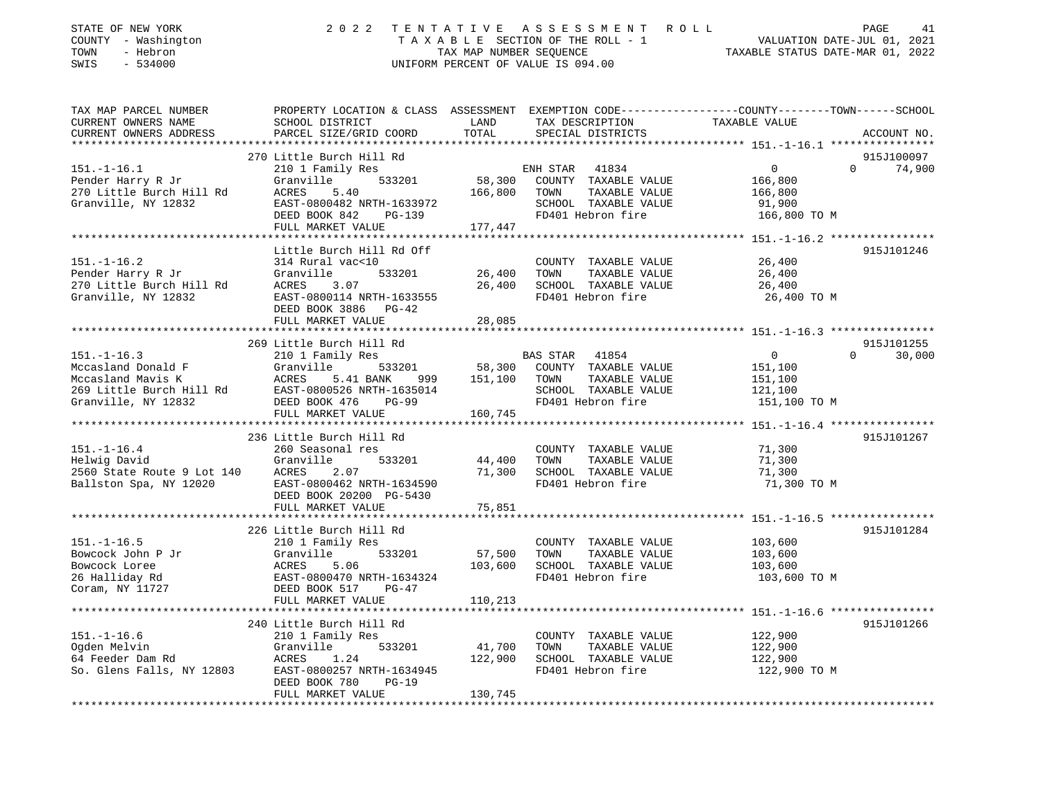| STATE OF NEW YORK<br>COUNTY - Washington<br>- Hebron<br>TOWN<br>SWIS<br>$-534000$ |                                                | TAX MAP NUMBER SEOUENCE | 2022 TENTATIVE ASSESSMENT ROLL<br>TAXABLE SECTION OF THE ROLL - 1<br>UNIFORM PERCENT OF VALUE IS 094.00                                                                                                                                                                                                                            | PAGE 41<br>VALUATION DATE-JUL 01, 2021<br>TAXABLE STATIS DATE 112 112                                           |
|-----------------------------------------------------------------------------------|------------------------------------------------|-------------------------|------------------------------------------------------------------------------------------------------------------------------------------------------------------------------------------------------------------------------------------------------------------------------------------------------------------------------------|-----------------------------------------------------------------------------------------------------------------|
| TAX MAP PARCEL NUMBER                                                             |                                                | LAND                    |                                                                                                                                                                                                                                                                                                                                    | PROPERTY LOCATION & CLASS ASSESSMENT EXEMPTION CODE---------------COUNTY-------TOWN-----SCHOOL<br>TAXABLE VALUE |
| CURRENT OWNERS NAME<br>CURRENT OWNERS ADDRESS                                     | SCHOOL DISTRICT<br>PARCEL SIZE/GRID COORD      | TOTAL                   | TAX DESCRIPTION<br>SPECIAL DISTRICTS                                                                                                                                                                                                                                                                                               | ACCOUNT NO.                                                                                                     |
| ***********************                                                           |                                                |                         |                                                                                                                                                                                                                                                                                                                                    |                                                                                                                 |
|                                                                                   | 270 Little Burch Hill Rd                       |                         |                                                                                                                                                                                                                                                                                                                                    | 915J100097                                                                                                      |
| $151. - 1 - 16.1$                                                                 | 210 1 Family Res                               |                         | ENH STAR 41834                                                                                                                                                                                                                                                                                                                     | $\overline{0}$<br>$\Omega$<br>74,900                                                                            |
| Pender Harry R Jr                                                                 | 533201<br>Granville                            | 58,300                  | COUNTY TAXABLE VALUE                                                                                                                                                                                                                                                                                                               | 166,800                                                                                                         |
| 270 Little Burch Hill Rd                                                          | 5.40<br>ACRES                                  | 166,800                 | TAXABLE VALUE<br>TOWN                                                                                                                                                                                                                                                                                                              | 166,800                                                                                                         |
| Granville, NY 12832                                                               | EAST-0800482 NRTH-1633972                      |                         | SCHOOL TAXABLE VALUE                                                                                                                                                                                                                                                                                                               | 91,900                                                                                                          |
|                                                                                   | DEED BOOK 842<br>PG-139                        |                         | FD401 Hebron fire                                                                                                                                                                                                                                                                                                                  | 166,800 TO M                                                                                                    |
|                                                                                   | FULL MARKET VALUE                              | 177,447                 |                                                                                                                                                                                                                                                                                                                                    |                                                                                                                 |
|                                                                                   | Little Burch Hill Rd Off                       |                         |                                                                                                                                                                                                                                                                                                                                    | 915J101246                                                                                                      |
| $151. - 1 - 16.2$                                                                 | 314 Rural vac<10                               |                         | COUNTY TAXABLE VALUE                                                                                                                                                                                                                                                                                                               | 26,400                                                                                                          |
| Pender Harry R Jr                                                                 | 533201<br>Granville                            | 26,400                  | TAXABLE VALUE<br>TOWN                                                                                                                                                                                                                                                                                                              | 26,400                                                                                                          |
| 270 Little Burch Hill Rd                                                          | ACRES<br>3.07                                  | 26,400                  | SCHOOL TAXABLE VALUE                                                                                                                                                                                                                                                                                                               | 26,400                                                                                                          |
| Granville, NY 12832                                                               | EAST-0800114 NRTH-1633555                      |                         | FD401 Hebron fire                                                                                                                                                                                                                                                                                                                  | 26,400 TO M                                                                                                     |
|                                                                                   | DEED BOOK 3886 PG-42                           |                         |                                                                                                                                                                                                                                                                                                                                    |                                                                                                                 |
|                                                                                   | FULL MARKET VALUE                              | 28,085                  |                                                                                                                                                                                                                                                                                                                                    |                                                                                                                 |
|                                                                                   |                                                |                         |                                                                                                                                                                                                                                                                                                                                    |                                                                                                                 |
| $151. - 1 - 16.3$                                                                 | 269 Little Burch Hill Rd                       |                         |                                                                                                                                                                                                                                                                                                                                    | 915J101255<br>$\overline{0}$<br>$\Omega$<br>30,000                                                              |
| Mccasland Donald F                                                                | 210 1 Family Res<br>Granville<br>533201        | 58,300                  | BAS STAR<br>41854<br>COUNTY TAXABLE VALUE                                                                                                                                                                                                                                                                                          | 151,100                                                                                                         |
| Mccasland Mavis K                                                                 | ACRES<br>5.41 BANK<br>999                      | 151,100                 | TAXABLE VALUE<br>TOWN                                                                                                                                                                                                                                                                                                              | 151,100                                                                                                         |
| 269 Little Burch Hill Rd                                                          | EAST-0800526 NRTH-1635014                      |                         | SCHOOL TAXABLE VALUE                                                                                                                                                                                                                                                                                                               | 121,100                                                                                                         |
| Granville, NY 12832                                                               | DEED BOOK 476<br>$PG-99$                       |                         | FD401 Hebron fire                                                                                                                                                                                                                                                                                                                  | 151,100 TO M                                                                                                    |
|                                                                                   | FULL MARKET VALUE                              | 160,745                 |                                                                                                                                                                                                                                                                                                                                    |                                                                                                                 |
|                                                                                   |                                                |                         |                                                                                                                                                                                                                                                                                                                                    |                                                                                                                 |
|                                                                                   | 236 Little Burch Hill Rd                       |                         |                                                                                                                                                                                                                                                                                                                                    | 915J101267                                                                                                      |
| $151. - 1 - 16.4$                                                                 | 260 Seasonal res                               |                         | COUNTY TAXABLE VALUE                                                                                                                                                                                                                                                                                                               | 71,300                                                                                                          |
| Helwig David                                                                      | 533201<br>Granville                            | 44,400                  | TOWN<br>TAXABLE VALUE                                                                                                                                                                                                                                                                                                              | 71,300                                                                                                          |
| 2560 State Route 9 Lot 140<br>Ballston Spa, NY 12020                              | ACRES<br>2.07<br>EAST-0800462 NRTH-1634590     | 71,300                  | SCHOOL TAXABLE VALUE<br>FD401 Hebron fire                                                                                                                                                                                                                                                                                          | 71,300<br>71,300 TO M                                                                                           |
|                                                                                   | DEED BOOK 20200 PG-5430                        |                         |                                                                                                                                                                                                                                                                                                                                    |                                                                                                                 |
|                                                                                   | FULL MARKET VALUE                              | 75,851                  |                                                                                                                                                                                                                                                                                                                                    |                                                                                                                 |
|                                                                                   |                                                |                         |                                                                                                                                                                                                                                                                                                                                    |                                                                                                                 |
|                                                                                   | 226 Little Burch Hill Rd                       |                         |                                                                                                                                                                                                                                                                                                                                    | 915J101284                                                                                                      |
| $151. - 1 - 16.5$                                                                 | 210 1 Family Res                               |                         | COUNTY TAXABLE VALUE                                                                                                                                                                                                                                                                                                               | 103,600                                                                                                         |
| Bowcock John P Jr                                                                 | 533201<br>Granville                            | 57,500                  | TOWN<br>TAXABLE VALUE                                                                                                                                                                                                                                                                                                              | 103,600                                                                                                         |
| Bowcock Loree                                                                     | ACRES<br>5.06                                  | 103,600                 | SCHOOL TAXABLE VALUE                                                                                                                                                                                                                                                                                                               | 103,600                                                                                                         |
| 26 Halliday Rd                                                                    | EAST-0800470 NRTH-1634324                      |                         | FD401 Hebron fire                                                                                                                                                                                                                                                                                                                  | 103,600 TO M                                                                                                    |
| Coram, NY 11727                                                                   | DEED BOOK 517<br>PG-47                         |                         |                                                                                                                                                                                                                                                                                                                                    |                                                                                                                 |
|                                                                                   | FULL MARKET VALUE                              | 110,213                 |                                                                                                                                                                                                                                                                                                                                    |                                                                                                                 |
|                                                                                   | 240 Little Burch Hill Rd                       |                         |                                                                                                                                                                                                                                                                                                                                    | 915J101266                                                                                                      |
| $151. - 1 - 16.6$                                                                 | 210 1 Family Res                               |                         | COUNTY TAXABLE VALUE                                                                                                                                                                                                                                                                                                               | 122,900                                                                                                         |
|                                                                                   | $-0.000$<br>$\sim$ $\sim$ $\sim$ $\sim$ $\sim$ |                         | $\mathbf{A}$ $\mathbf{A}$ $\mathbf{A}$ $\mathbf{A}$ $\mathbf{A}$ $\mathbf{A}$ $\mathbf{A}$ $\mathbf{A}$ $\mathbf{A}$ $\mathbf{A}$ $\mathbf{A}$ $\mathbf{A}$ $\mathbf{A}$ $\mathbf{A}$ $\mathbf{A}$ $\mathbf{A}$ $\mathbf{A}$ $\mathbf{A}$ $\mathbf{A}$ $\mathbf{A}$ $\mathbf{A}$ $\mathbf{A}$ $\mathbf{A}$ $\mathbf{A}$ $\mathbf{$ |                                                                                                                 |

Ogden Melvin Granville 533201 41,700 TOWN TAXABLE VALUE 122,900 122,900 SCHOOL TAXABLE VALUE 122,900<br>FD401 Hebron fire 122,900 TO M So. Glens Falls, NY 12803 EAST-0800257 NRTH-1634945 FD401 Hebron fire DEED BOOK 780 PG-19 FULL MARKET VALUE 130,745 \*\*\*\*\*\*\*\*\*\*\*\*\*\*\*\*\*\*\*\*\*\*\*\*\*\*\*\*\*\*\*\*\*\*\*\*\*\*\*\*\*\*\*\*\*\*\*\*\*\*\*\*\*\*\*\*\*\*\*\*\*\*\*\*\*\*\*\*\*\*\*\*\*\*\*\*\*\*\*\*\*\*\*\*\*\*\*\*\*\*\*\*\*\*\*\*\*\*\*\*\*\*\*\*\*\*\*\*\*\*\*\*\*\*\*\*\*\*\*\*\*\*\*\*\*\*\*\*\*\*\*\*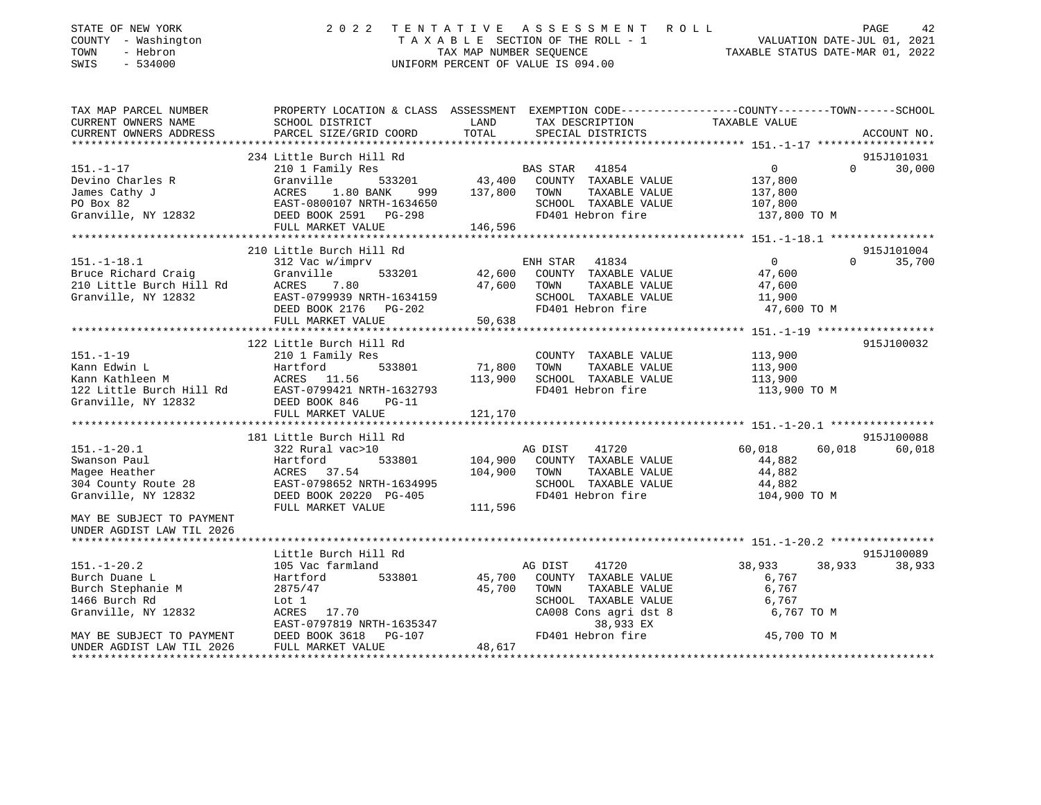| STATE OF NEW YORK<br>COUNTY - Washington<br>TOWN<br>- Hebron<br>SWIS<br>$-534000$                                            | UNIFORM PERCENT OF VALUE IS 094.00                                                                                                                                                             |                    |                                                   |                         |                    |
|------------------------------------------------------------------------------------------------------------------------------|------------------------------------------------------------------------------------------------------------------------------------------------------------------------------------------------|--------------------|---------------------------------------------------|-------------------------|--------------------|
| TAX MAP PARCEL NUMBER                                                                                                        | PROPERTY LOCATION & CLASS ASSESSMENT EXEMPTION CODE---------------COUNTY-------TOWN-----SCHOOL                                                                                                 |                    |                                                   |                         |                    |
|                                                                                                                              |                                                                                                                                                                                                |                    |                                                   |                         |                    |
|                                                                                                                              |                                                                                                                                                                                                |                    |                                                   |                         |                    |
|                                                                                                                              | 234 Little Burch Hill Rd                                                                                                                                                                       |                    |                                                   |                         | 915J101031         |
| 151.-1-17 210 1 Fami<br>Devino Charles R Granville                                                                           |                                                                                                                                                                                                |                    |                                                   |                         | $\Omega$<br>30,000 |
| James Cathy J                                                                                                                | ACRES 1.80 BANK 999 137,800 TOWN TAXABLE VALUE 137,800                                                                                                                                         |                    |                                                   |                         |                    |
| PO Box 82                                                                                                                    | EAST-0800107 NRTH-1634650                                                                                                                                                                      |                    | SCHOOL TAXABLE VALUE 107,800                      |                         |                    |
|                                                                                                                              | Granville, NY 12832 DEED BOOK 2591 PG-298                                                                                                                                                      |                    | FD401 Hebron fire 3137,800 TO M                   |                         |                    |
|                                                                                                                              | FULL MARKET VALUE                                                                                                                                                                              | 146,596            |                                                   |                         |                    |
|                                                                                                                              |                                                                                                                                                                                                |                    |                                                   |                         |                    |
| 151.-1-18.1 312 Vac W/ 1Wy -.<br>Bruce Richard Craig Granville<br>210 Little Burch Hill Rd ACRES 7.80<br>312 EAST-0799939 NP | 210 Little Burch Hill Rd                                                                                                                                                                       |                    |                                                   |                         | 915J101004         |
|                                                                                                                              | $\begin{array}{cccccc} 312 \text{ Vac } \text{w}/\text{imprv} & \text{ENH STAR} & 41834 & 0 \\ \text{Granville} & 533201 & 42,600 & \text{COUNTY} & \text{TAXABLE VALUE} & 47,600 \end{array}$ |                    |                                                   |                         | $\Omega$<br>35,700 |
|                                                                                                                              |                                                                                                                                                                                                |                    |                                                   |                         |                    |
|                                                                                                                              |                                                                                                                                                                                                |                    |                                                   | TAXABLE VALUE 47,600    |                    |
|                                                                                                                              |                                                                                                                                                                                                |                    | $SCH OOL \tTAXABLE VALUE \t\t11,900$              |                         |                    |
|                                                                                                                              | ACRES 7.80 47,600 TOWN<br>EAST-0799939 NRTH-1634159 5CHOOL<br>DEED BOOK 2176 PG-202 FD401 He                                                                                                   |                    | FD401 Hebron fire 37,600 TO M                     |                         |                    |
|                                                                                                                              |                                                                                                                                                                                                |                    |                                                   |                         |                    |
|                                                                                                                              |                                                                                                                                                                                                |                    |                                                   |                         |                    |
|                                                                                                                              | 122 Little Burch Hill Rd                                                                                                                                                                       |                    |                                                   |                         | 915J100032         |
|                                                                                                                              |                                                                                                                                                                                                |                    | COUNTY TAXABLE VALUE 113,900                      |                         |                    |
|                                                                                                                              |                                                                                                                                                                                                | 533801 71,800 TOWN | TAXABLE VALUE                                     | 113,900                 |                    |
|                                                                                                                              |                                                                                                                                                                                                |                    | 113,900 SCHOOL TAXABLE VALUE<br>FD401 Hebron fire | 113,900<br>113,900 TO M |                    |
|                                                                                                                              |                                                                                                                                                                                                |                    |                                                   |                         |                    |
|                                                                                                                              |                                                                                                                                                                                                |                    |                                                   |                         |                    |
|                                                                                                                              |                                                                                                                                                                                                |                    |                                                   |                         |                    |
|                                                                                                                              | 181 Little Burch Hill Rd                                                                                                                                                                       |                    |                                                   |                         | 915J100088         |
| 151.-1-20.1 322 Rural vac>10                                                                                                 |                                                                                                                                                                                                | AG DIST            | 41720                                             | 60,018 60,018           | 60,018             |
| Swanson Paul                                                                                                                 | Hartford                                                                                                                                                                                       |                    | 533801 104,900 COUNTY TAXABLE VALUE               | 44,882                  |                    |
| Magee Heather                                                                                                                | ACRES 37.54                                                                                                                                                                                    | 104,900 TOWN       | TAXABLE VALUE                                     | 44,882                  |                    |

UNDER AGDIST LAW TIL 2026Little Burch Hill Rd

MAY BE SUBJECT TO PAYMENT \*\*\*\*\*\*\*\*\*\*\*\*\*\*\*\*\*\*\*\*\*\*\*\*\*\*\*\*\*\*\*\*\*\*\*\*\*\*\*\*\*\*\*\*\*\*\*\*\*\*\*\*\*\*\*\*\*\*\*\*\*\*\*\*\*\*\*\*\*\*\*\*\*\*\*\*\*\*\*\*\*\*\*\*\*\*\*\*\*\*\*\*\*\*\*\*\*\*\*\*\*\*\* 151.-1-20.2 \*\*\*\*\*\*\*\*\*\*\*\*\*\*\*\*915J100089 151.-1-20.2 105 Vac farmland AG DIST 41720 38,933 38,933 38,933 Burch Duane L Hartford 533801 45,700 COUNTY TAXABLE VALUE 6,767 Burch Stephanie M 2875/47 2875/47 45,700 TOWN TAXABLE VALUE 6,767 1466 Burch Rd Lot 1 SCHOOL TAXABLE VALUE 6,767 Granville, NY 12832 ACRES 17.70 CA008 Cons agri dst 8 6,767 TO M EAST-0797819 NRTH-1635347 38,933 EX MAY BE SUBJECT TO PAYMENT DEED BOOK 3618 PG-107 FD401 Hebron fire 45,700 TO M UNDER AGDIST LAW TIL 2026 FULL MARKET VALUE 48,617 \*\*\*\*\*\*\*\*\*\*\*\*\*\*\*\*\*\*\*\*\*\*\*\*\*\*\*\*\*\*\*\*\*\*\*\*\*\*\*\*\*\*\*\*\*\*\*\*\*\*\*\*\*\*\*\*\*\*\*\*\*\*\*\*\*\*\*\*\*\*\*\*\*\*\*\*\*\*\*\*\*\*\*\*\*\*\*\*\*\*\*\*\*\*\*\*\*\*\*\*\*\*\*\*\*\*\*\*\*\*\*\*\*\*\*\*\*\*\*\*\*\*\*\*\*\*\*\*\*\*\*\*

304 County Route 28 EAST-0798652 NRTH-1634995 SCHOOL TAXABLE VALUE 44,882

Granville, NY 12832 DEED BOOK 20220 PG-405 FD401 Hebron fire

FULL MARKET VALUE 111,596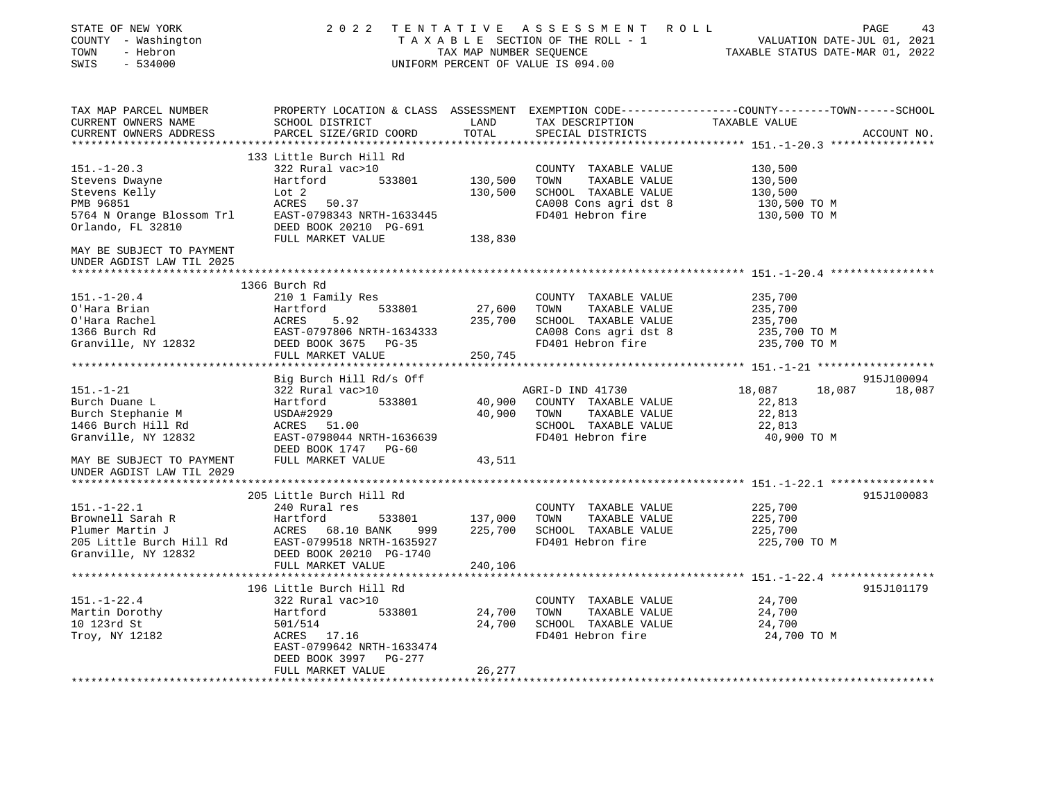| STATE OF NEW YORK<br>COUNTY - Washington<br>- Hebron<br>TOWN<br>SWIS<br>- 534000                                                                                                                                        |                                                                                                                                                                                              |         | 2022 TENTATIVE ASSESSMENT ROLL<br>UNIFORM PERCENT OF VALUE IS 094.00 | PAGE<br>T A X A B L E SECTION OF THE ROLL - 1<br>T A X A B L E SECTION OF THE ROLL - 1<br>TAX MAP NUMBER SEQUENCE TAXABLE STATUS DATE-MAR 01, 2022 | 43 |
|-------------------------------------------------------------------------------------------------------------------------------------------------------------------------------------------------------------------------|----------------------------------------------------------------------------------------------------------------------------------------------------------------------------------------------|---------|----------------------------------------------------------------------|----------------------------------------------------------------------------------------------------------------------------------------------------|----|
| TAX MAP PARCEL NUMBER<br>CURRENT OWNERS NAME                                                                                                                                                                            | SCHOOL DISTRICT                                                                                                                                                                              | LAND    | TAX DESCRIPTION TAXABLE VALUE SPECIAL DISTRICTS                      | PROPERTY LOCATION & CLASS ASSESSMENT EXEMPTION CODE----------------COUNTY-------TOWN-----SCHOOL                                                    |    |
| CURRENT OWNERS ADDRESS                                                                                                                                                                                                  | PARCEL SIZE/GRID COORD                                                                                                                                                                       | TOTAL   | SPECIAL DISTRICTS                                                    | ACCOUNT NO.                                                                                                                                        |    |
|                                                                                                                                                                                                                         |                                                                                                                                                                                              |         |                                                                      |                                                                                                                                                    |    |
|                                                                                                                                                                                                                         | 133 Little Burch Hill Rd                                                                                                                                                                     |         |                                                                      |                                                                                                                                                    |    |
| $151. - 1 - 20.3$                                                                                                                                                                                                       | 322 Rural vac>10                                                                                                                                                                             |         | COUNTY TAXABLE VALUE                                                 | 130,500                                                                                                                                            |    |
|                                                                                                                                                                                                                         |                                                                                                                                                                                              |         | 130,500 TOWN TAXABLE VALUE                                           | 130,500                                                                                                                                            |    |
|                                                                                                                                                                                                                         |                                                                                                                                                                                              |         | 130,500 SCHOOL TAXABLE VALUE<br>CA008 Cons agri dst 8                | 130,500<br>130,500 TO M                                                                                                                            |    |
| Stevens Dwayne<br>Stevens Relly<br>Stevens Kelly<br>Extractional Communications<br>Stevens Kelly<br>EXEC 50.37<br>5764 N Orange Blossom Trl<br>EXET-0798343 NRTH-1633445<br>Orlando, FL 32810<br>DEED BOOK 20210 PG-691 |                                                                                                                                                                                              |         | FD401 Hebron fire                                                    | 130,500 TO M                                                                                                                                       |    |
|                                                                                                                                                                                                                         |                                                                                                                                                                                              |         |                                                                      |                                                                                                                                                    |    |
|                                                                                                                                                                                                                         | FULL MARKET VALUE                                                                                                                                                                            | 138,830 |                                                                      |                                                                                                                                                    |    |
| MAY BE SUBJECT TO PAYMENT<br>UNDER AGDIST LAW TIL 2025                                                                                                                                                                  |                                                                                                                                                                                              |         |                                                                      |                                                                                                                                                    |    |
|                                                                                                                                                                                                                         |                                                                                                                                                                                              |         |                                                                      |                                                                                                                                                    |    |
|                                                                                                                                                                                                                         | 1366 Burch Rd                                                                                                                                                                                |         |                                                                      |                                                                                                                                                    |    |
| $151. - 1 - 20.4$                                                                                                                                                                                                       | 210 1 Family Res                                                                                                                                                                             |         | COUNTY TAXABLE VALUE                                                 | 235,700                                                                                                                                            |    |
| O'Hara Brian                                                                                                                                                                                                            | 533801                                                                                                                                                                                       |         | 27,600 TOWN TAXABLE VALUE                                            | 235,700                                                                                                                                            |    |
| O'Hara Rachel                                                                                                                                                                                                           | Hartford 533801<br>ACRES 5.92<br>EAST-0797806 NRTH-1634333<br>DEED BOOK 3675 PG-35                                                                                                           |         | 235,700 SCHOOL TAXABLE VALUE                                         | 235,700                                                                                                                                            |    |
| 1366 Burch Rd<br>Granville, NY 12832                                                                                                                                                                                    |                                                                                                                                                                                              |         | CA008 Cons agri dst 8                                                | 235,700 TO M                                                                                                                                       |    |
|                                                                                                                                                                                                                         | FULL MARKET VALUE                                                                                                                                                                            | 250,745 | FD401 Hebron fire                                                    | 235,700 TO M                                                                                                                                       |    |
|                                                                                                                                                                                                                         |                                                                                                                                                                                              |         |                                                                      |                                                                                                                                                    |    |
|                                                                                                                                                                                                                         | Big Burch Hill Rd/s Off                                                                                                                                                                      |         |                                                                      | 915J100094                                                                                                                                         |    |
| $151. - 1 - 21$                                                                                                                                                                                                         | 322 Rural vac>10                                                                                                                                                                             |         | AGRI-D IND 41730                                                     | 18,087<br>18,087 18,087                                                                                                                            |    |
| Burch Duane L                                                                                                                                                                                                           | 533801<br>Hartford                                                                                                                                                                           |         | 40,900 COUNTY TAXABLE VALUE                                          | 22,813                                                                                                                                             |    |
| Burch Stephanie M                                                                                                                                                                                                       |                                                                                                                                                                                              |         | 40,900 TOWN<br>TAXABLE VALUE                                         | 22,813                                                                                                                                             |    |
| 1466 Burch Hill Rd                                                                                                                                                                                                      | USDA#2929<br>ACRES       51.00                                                                                                                                                               |         | SCHOOL TAXABLE VALUE                                                 | 22,813                                                                                                                                             |    |
| 1466 Burch Alian.<br>Granville, NY 12832                                                                                                                                                                                | EAST-0798044 NRTH-1636639                                                                                                                                                                    |         | FD401 Hebron fire                                                    | 40,900 TO M                                                                                                                                        |    |
|                                                                                                                                                                                                                         | DEED BOOK 1747 PG-60                                                                                                                                                                         |         |                                                                      |                                                                                                                                                    |    |
| MAY BE SUBJECT TO PAYMENT<br>UNDER AGDIST LAW TIL 2029                                                                                                                                                                  | FULL MARKET VALUE                                                                                                                                                                            | 43,511  |                                                                      |                                                                                                                                                    |    |
|                                                                                                                                                                                                                         |                                                                                                                                                                                              |         |                                                                      |                                                                                                                                                    |    |
|                                                                                                                                                                                                                         | 205 Little Burch Hill Rd                                                                                                                                                                     |         |                                                                      | 915J100083                                                                                                                                         |    |
| $151. - 1 - 22.1$                                                                                                                                                                                                       | 240 Rural res                                                                                                                                                                                |         | COUNTY TAXABLE VALUE                                                 | 225,700                                                                                                                                            |    |
|                                                                                                                                                                                                                         | Exposed by Exercise 1 Section 1 Capacity<br>Plumer Martin J<br>Plumer Martin J<br>205 Little Burch Hill Rd<br>205 Little Burch Hill Rd<br>Cranville, NY 12832<br>205 DEED BOOK 20210 PG-1740 |         | TAXABLE VALUE                                                        | 225,700                                                                                                                                            |    |
|                                                                                                                                                                                                                         |                                                                                                                                                                                              |         | 225,700 SCHOOL TAXABLE VALUE                                         | 225,700                                                                                                                                            |    |
|                                                                                                                                                                                                                         |                                                                                                                                                                                              |         | FD401 Hebron fire                                                    | 225,700 TO M                                                                                                                                       |    |
|                                                                                                                                                                                                                         | FULL MARKET VALUE                                                                                                                                                                            | 240,106 |                                                                      |                                                                                                                                                    |    |
|                                                                                                                                                                                                                         |                                                                                                                                                                                              |         |                                                                      |                                                                                                                                                    |    |
|                                                                                                                                                                                                                         | 196 Little Burch Hill Rd                                                                                                                                                                     |         |                                                                      | 915J101179                                                                                                                                         |    |
| $151. - 1 - 22.4$                                                                                                                                                                                                       | 322 Rural vac>10                                                                                                                                                                             |         | COUNTY TAXABLE VALUE                                                 | 24,700                                                                                                                                             |    |
| Martin Dorothy                                                                                                                                                                                                          | Hartford 533801                                                                                                                                                                              |         | 24,700 TOWN<br>TAXABLE VALUE                                         | 24,700                                                                                                                                             |    |
| 10 123rd St                                                                                                                                                                                                             | 501/514                                                                                                                                                                                      |         | 24,700 SCHOOL TAXABLE VALUE                                          | 24,700                                                                                                                                             |    |
| Troy, NY 12182                                                                                                                                                                                                          | ACRES 17.16                                                                                                                                                                                  |         | FD401 Hebron fire                                                    | 24,700 TO M                                                                                                                                        |    |
|                                                                                                                                                                                                                         | EAST-0799642 NRTH-1633474                                                                                                                                                                    |         |                                                                      |                                                                                                                                                    |    |
|                                                                                                                                                                                                                         | DEED BOOK 3997 PG-277                                                                                                                                                                        |         |                                                                      |                                                                                                                                                    |    |
|                                                                                                                                                                                                                         | FULL MARKET VALUE                                                                                                                                                                            | 26,277  |                                                                      |                                                                                                                                                    |    |
|                                                                                                                                                                                                                         |                                                                                                                                                                                              |         |                                                                      |                                                                                                                                                    |    |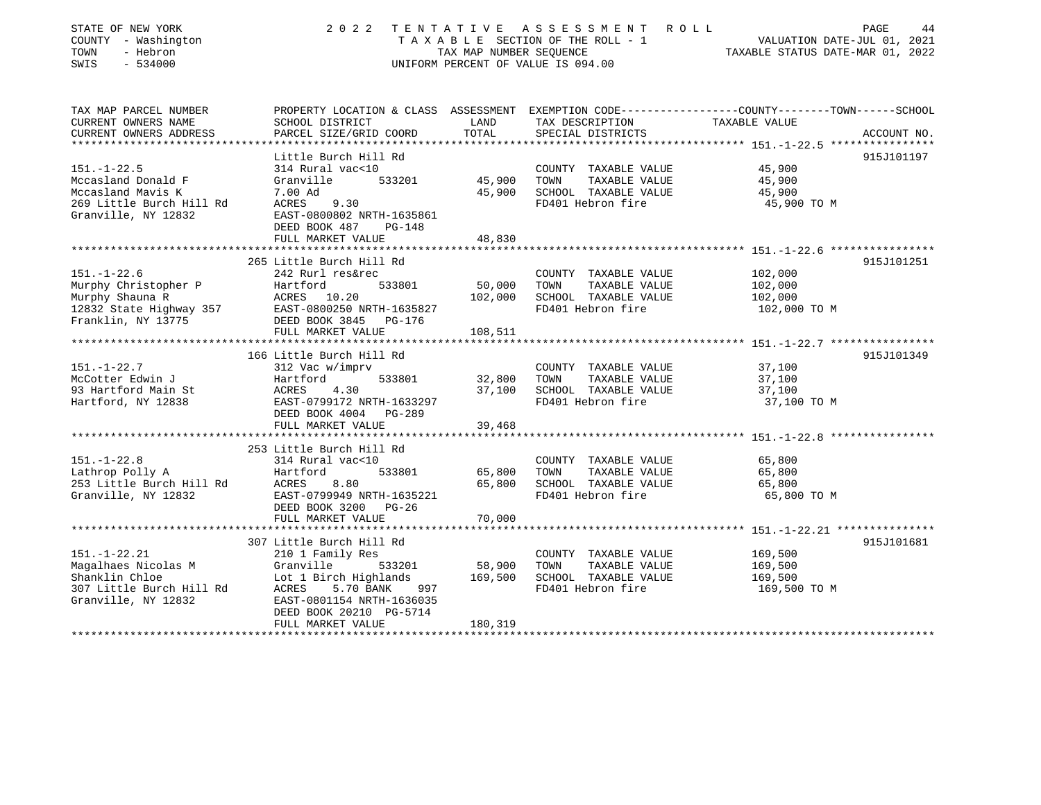| STATE OF NEW YORK<br>COUNTY - Washington<br>- Hebron<br>TOWN<br>$-534000$<br>SWIS                               | 2 0 2 2<br>TENTATIVE<br>A S S E S S M E N T<br>ROLL<br>TAXABLE SECTION OF THE ROLL - 1<br>TAX MAP NUMBER SEOUENCE<br>UNIFORM PERCENT OF VALUE IS 094.00                                                                              |                                                 |                                                                                            | PAGE<br>44<br>VALUATION DATE-JUL 01, 2021<br>TAXABLE STATUS DATE-MAR 01, 2022                                                   |  |
|-----------------------------------------------------------------------------------------------------------------|--------------------------------------------------------------------------------------------------------------------------------------------------------------------------------------------------------------------------------------|-------------------------------------------------|--------------------------------------------------------------------------------------------|---------------------------------------------------------------------------------------------------------------------------------|--|
| TAX MAP PARCEL NUMBER<br>CURRENT OWNERS NAME<br>CURRENT OWNERS ADDRESS                                          | SCHOOL DISTRICT<br>PARCEL SIZE/GRID COORD                                                                                                                                                                                            | LAND<br>TOTAL                                   | TAX DESCRIPTION<br>SPECIAL DISTRICTS                                                       | PROPERTY LOCATION & CLASS ASSESSMENT EXEMPTION CODE---------------COUNTY-------TOWN------SCHOOL<br>TAXABLE VALUE<br>ACCOUNT NO. |  |
| $151. - 1 - 22.5$<br>Mccasland Donald F<br>Mccasland Mavis K<br>269 Little Burch Hill Rd<br>Granville, NY 12832 | Little Burch Hill Rd<br>314 Rural vac<10<br>Granville<br>533201<br>7.00 Ad<br>ACRES<br>9.30<br>EAST-0800802 NRTH-1635861<br>DEED BOOK 487<br>$PG-148$<br>FULL MARKET VALUE                                                           | 45,900<br>45,900<br>48,830                      | COUNTY TAXABLE VALUE<br>TOWN<br>TAXABLE VALUE<br>SCHOOL TAXABLE VALUE<br>FD401 Hebron fire | 915J101197<br>45,900<br>45,900<br>45,900<br>45,900 TO M                                                                         |  |
| $151. - 1 - 22.6$<br>Murphy Christopher P<br>Murphy Shauna R<br>12832 State Highway 357<br>Franklin, NY 13775   | 265 Little Burch Hill Rd<br>242 Rurl res&rec<br>Hartford<br>533801<br>ACRES 10.20<br>EAST-0800250 NRTH-1635827<br>DEED BOOK 3845<br>PG-176<br>FULL MARKET VALUE<br>*********************                                             | 50,000<br>102,000<br>108,511<br>********        | COUNTY TAXABLE VALUE<br>TOWN<br>TAXABLE VALUE<br>SCHOOL TAXABLE VALUE<br>FD401 Hebron fire | 915J101251<br>102,000<br>102,000<br>102,000<br>102,000 TO M<br>***************** 151.-1-22.7 *****************                  |  |
| $151. - 1 - 22.7$<br>McCotter Edwin J<br>93 Hartford Main St<br>Hartford, NY 12838                              | 166 Little Burch Hill Rd<br>312 Vac w/imprv<br>Hartford<br>533801<br>ACRES<br>4.30<br>EAST-0799172 NRTH-1633297<br>DEED BOOK 4004 PG-289<br>FULL MARKET VALUE                                                                        | 32,800<br>37,100<br>39,468                      | COUNTY TAXABLE VALUE<br>TOWN<br>TAXABLE VALUE<br>SCHOOL TAXABLE VALUE<br>FD401 Hebron fire | 915J101349<br>37,100<br>37,100<br>37,100<br>37,100 TO M                                                                         |  |
| $151. - 1 - 22.8$<br>Lathrop Polly A<br>253 Little Burch Hill Rd<br>Granville, NY 12832                         | 253 Little Burch Hill Rd<br>314 Rural vac<10<br>Hartford<br>533801<br>8.80<br>ACRES<br>EAST-0799949 NRTH-1635221<br>DEED BOOK 3200<br>PG-26<br>FULL MARKET VALUE                                                                     | 65,800<br>65,800<br>70,000                      | COUNTY TAXABLE VALUE<br>TOWN<br>TAXABLE VALUE<br>SCHOOL TAXABLE VALUE<br>FD401 Hebron fire | 65,800<br>65,800<br>65,800<br>65,800 TO M                                                                                       |  |
| $151. - 1 - 22.21$<br>Magalhaes Nicolas M<br>Shanklin Chloe<br>307 Little Burch Hill Rd<br>Granville, NY 12832  | **************************<br>307 Little Burch Hill Rd<br>210 1 Family Res<br>Granville<br>533201<br>Lot 1 Birch Highlands<br>ACRES<br>5.70 BANK<br>997<br>EAST-0801154 NRTH-1636035<br>DEED BOOK 20210 PG-5714<br>FULL MARKET VALUE | 58,900<br>169,500<br>180,319<br>*************** | COUNTY TAXABLE VALUE<br>TOWN<br>TAXABLE VALUE<br>SCHOOL TAXABLE VALUE<br>FD401 Hebron fire | 915J101681<br>169,500<br>169,500<br>169,500<br>169,500 TO M                                                                     |  |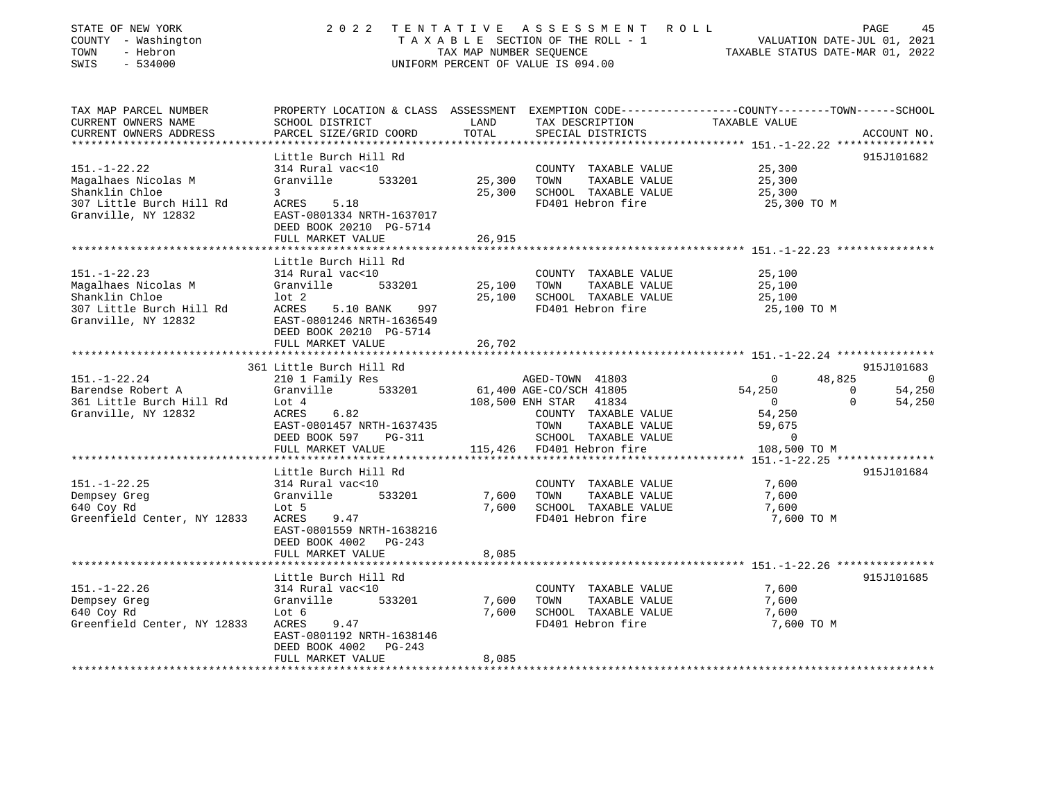| STATE OF NEW YORK<br>COUNTY - Washington<br>TOWN<br>- Hebron<br>SWIS<br>$-534000$                              | 2 0 2 2                                                                                                                                                            | TAX MAP NUMBER SEQUENCE | TENTATIVE ASSESSMENT ROLL<br>TAXABLE SECTION OF THE ROLL - 1<br>UNIFORM PERCENT OF VALUE IS 094.00                         | PAGE<br>45<br>VALUATION DATE-JUL 01, 2021<br>TAXABLE STATUS DATE-MAR 01, 2022                                                   |
|----------------------------------------------------------------------------------------------------------------|--------------------------------------------------------------------------------------------------------------------------------------------------------------------|-------------------------|----------------------------------------------------------------------------------------------------------------------------|---------------------------------------------------------------------------------------------------------------------------------|
| TAX MAP PARCEL NUMBER<br>CURRENT OWNERS NAME<br>CURRENT OWNERS ADDRESS                                         | SCHOOL DISTRICT<br>PARCEL SIZE/GRID COORD                                                                                                                          | LAND<br>TOTAL           | TAX DESCRIPTION<br>SPECIAL DISTRICTS                                                                                       | PROPERTY LOCATION & CLASS ASSESSMENT EXEMPTION CODE----------------COUNTY-------TOWN-----SCHOOL<br>TAXABLE VALUE<br>ACCOUNT NO. |
| ************************                                                                                       |                                                                                                                                                                    |                         |                                                                                                                            |                                                                                                                                 |
| $151. - 1 - 22.22$<br>Magalhaes Nicolas M<br>Shanklin Chloe<br>307 Little Burch Hill Rd<br>Granville, NY 12832 | Little Burch Hill Rd<br>314 Rural vac<10<br>Granville<br>533201<br>3<br>ACRES<br>5.18<br>EAST-0801334 NRTH-1637017<br>DEED BOOK 20210 PG-5714                      | 25,300<br>25,300        | COUNTY TAXABLE VALUE<br>TOWN<br>TAXABLE VALUE<br>SCHOOL TAXABLE VALUE<br>FD401 Hebron fire                                 | 915J101682<br>25,300<br>25,300<br>25,300<br>25,300 TO M                                                                         |
|                                                                                                                | FULL MARKET VALUE                                                                                                                                                  | 26,915                  |                                                                                                                            |                                                                                                                                 |
|                                                                                                                |                                                                                                                                                                    |                         |                                                                                                                            | ************************************** 151.-1-22.23 ****************                                                            |
| $151. - 1 - 22.23$<br>Magalhaes Nicolas M<br>Shanklin Chloe<br>307 Little Burch Hill Rd<br>Granville, NY 12832 | Little Burch Hill Rd<br>314 Rural vac<10<br>Granville<br>533201<br>$1$ ot $2$<br>ACRES<br>5.10 BANK<br>997<br>EAST-0801246 NRTH-1636549<br>DEED BOOK 20210 PG-5714 | 25,100<br>25,100        | COUNTY TAXABLE VALUE<br>TAXABLE VALUE<br>TOWN<br>SCHOOL TAXABLE VALUE<br>FD401 Hebron fire                                 | 25,100<br>25,100<br>25,100<br>25,100 TO M                                                                                       |
|                                                                                                                | FULL MARKET VALUE                                                                                                                                                  | 26,702                  |                                                                                                                            |                                                                                                                                 |
|                                                                                                                |                                                                                                                                                                    |                         |                                                                                                                            |                                                                                                                                 |
|                                                                                                                | 361 Little Burch Hill Rd                                                                                                                                           |                         |                                                                                                                            | 915J101683                                                                                                                      |
| $151. - 1 - 22.24$                                                                                             | 210 1 Family Res                                                                                                                                                   |                         | AGED-TOWN 41803                                                                                                            | 48,825<br>$\Omega$<br>$\overline{0}$                                                                                            |
| Barendse Robert A<br>361 Little Burch Hill Rd<br>Granville, NY 12832                                           | Granville<br>533201<br>Lot 4<br>ACRES<br>6.82<br>EAST-0801457 NRTH-1637435<br>DEED BOOK 597<br>PG-311                                                              |                         | 61,400 AGE-CO/SCH 41805<br>108,500 ENH STAR 41834<br>COUNTY TAXABLE VALUE<br>TAXABLE VALUE<br>TOWN<br>SCHOOL TAXABLE VALUE | 54,250<br>54,250<br>$\Omega$<br>$\Omega$<br>54,250<br>$\overline{0}$<br>54,250<br>59,675<br>0                                   |
|                                                                                                                | FULL MARKET VALUE                                                                                                                                                  |                         | 115,426 FD401 Hebron fire                                                                                                  | 108,500 TO M                                                                                                                    |
|                                                                                                                |                                                                                                                                                                    |                         |                                                                                                                            |                                                                                                                                 |
| $151. - 1 - 22.25$<br>Dempsey Greg<br>640 Coy Rd<br>Greenfield Center, NY 12833                                | Little Burch Hill Rd<br>314 Rural vac<10<br>533201<br>Granville<br>Lot 5<br>ACRES<br>9.47<br>EAST-0801559 NRTH-1638216<br>DEED BOOK 4002<br>PG-243                 | 7,600<br>7,600          | COUNTY TAXABLE VALUE<br>TAXABLE VALUE<br>TOWN<br>SCHOOL TAXABLE VALUE<br>FD401 Hebron fire                                 | 915J101684<br>7,600<br>7,600<br>7,600<br>7,600 TO M                                                                             |
|                                                                                                                | FULL MARKET VALUE                                                                                                                                                  | 8,085                   |                                                                                                                            |                                                                                                                                 |
|                                                                                                                | *******************                                                                                                                                                |                         |                                                                                                                            | ************************************** 151.-1-22.26 ****************                                                            |
| $151. - 1 - 22.26$<br>Dempsey Greg<br>640 Coy Rd<br>Greenfield Center, NY 12833                                | Little Burch Hill Rd<br>314 Rural vac<10<br>Granville<br>533201<br>Lot 6<br>ACRES<br>9.47<br>EAST-0801192 NRTH-1638146                                             | 7,600<br>7,600          | COUNTY TAXABLE VALUE<br>TOWN<br>TAXABLE VALUE<br>SCHOOL TAXABLE VALUE<br>FD401 Hebron fire                                 | 915J101685<br>7,600<br>7,600<br>7,600<br>7,600 TO M                                                                             |
| *************************                                                                                      | DEED BOOK 4002<br>$PG-243$<br>FULL MARKET VALUE<br>********************************                                                                                | 8,085<br>********       |                                                                                                                            |                                                                                                                                 |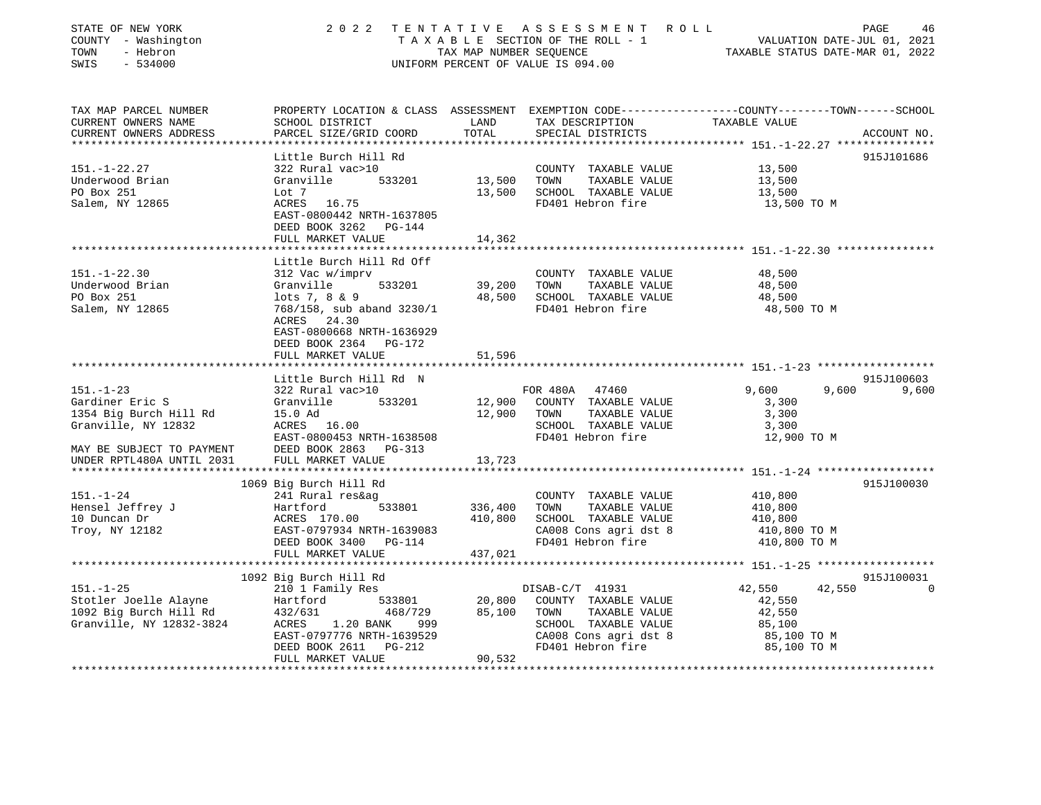| STATE OF NEW YORK<br>COUNTY - Washington<br>- Hebron<br>TOWN<br>SWIS<br>$-534000$                                                             |                                                                                                                                                                                       |                  | 2022 TENTATIVE ASSESSMENT ROLL PAGE 46<br>TAXABLE SECTION OF THE ROLL - 1 VALUATION DATE-JUL 01, 2021<br>TAX MAP NUMBER SEQUENCE TAXABLE STATUS DATE-MAR 01, 2022<br>UNIFORM PERCENT OF VALUE IS 094.00 |                                                                    |                                     |
|-----------------------------------------------------------------------------------------------------------------------------------------------|---------------------------------------------------------------------------------------------------------------------------------------------------------------------------------------|------------------|---------------------------------------------------------------------------------------------------------------------------------------------------------------------------------------------------------|--------------------------------------------------------------------|-------------------------------------|
| TAX MAP PARCEL NUMBER<br>CURRENT OWNERS NAME<br>CURRENT OWNERS ADDRESS                                                                        | PROPERTY LOCATION & CLASS ASSESSMENT EXEMPTION CODE----------------COUNTY-------TOWN-----SCHOOL<br>SCHOOL DISTRICT<br>PARCEL SIZE/GRID COORD                                          | LAND<br>TOTAL    | TAX DESCRIPTION TAXABLE VALUE<br>SPECIAL DISTRICTS                                                                                                                                                      |                                                                    | ACCOUNT NO.                         |
|                                                                                                                                               |                                                                                                                                                                                       |                  |                                                                                                                                                                                                         |                                                                    |                                     |
| $151. - 1 - 22.27$<br>Underwood Brian<br>PO Box 251<br>Salem, NY 12865                                                                        | Little Burch Hill Rd<br>322 Rural vac>10<br>533201 13,500<br>Granville<br>Lot 7<br>ACRES 16.75<br>EAST-0800442 NRTH-1637805<br>DEED BOOK 3262 PG-144<br>FULL MARKET VALUE             | 13,500<br>14,362 | COUNTY TAXABLE VALUE<br>TOWN TAXABLE VALUE<br>SCHOOL TAXABLE VALUE<br>FD401 Hebron fire                                                                                                                 | 13,500<br>13,500<br>13,500<br>13,500 TO M                          | 915J101686                          |
|                                                                                                                                               |                                                                                                                                                                                       |                  |                                                                                                                                                                                                         |                                                                    |                                     |
| $151. - 1 - 22.30$<br>Underwood Brian<br>PO Box 251<br>Salem, NY 12865                                                                        | Little Burch Hill Rd Off<br>312 Vac w/imprv<br>Granville<br>533201<br>lots 7, 8 & 9<br>768/158, sub aband 3230/1<br>ACRES 24.30<br>EAST-0800668 NRTH-1636929<br>DEED BOOK 2364 PG-172 | 39,200           | COUNTY TAXABLE VALUE<br>TOWN<br>TAXABLE VALUE<br>48,500 SCHOOL TAXABLE VALUE<br>FD401 Hebron fire 48,500 TO M                                                                                           | 48,500<br>48,500<br>48,500                                         |                                     |
|                                                                                                                                               | FULL MARKET VALUE                                                                                                                                                                     | 51,596           |                                                                                                                                                                                                         |                                                                    |                                     |
|                                                                                                                                               |                                                                                                                                                                                       |                  |                                                                                                                                                                                                         |                                                                    |                                     |
| $151. - 1 - 23$<br>Gardiner Eric S<br>1354 Big Burch Hill Rd<br>Granville, NY 12832<br>MAY BE SUBJECT TO PAYMENT<br>UNDER RPTL480A UNTIL 2031 | Little Burch Hill Rd N<br>322 Rural vac>10<br>Granville 533201<br>$ACRES$ 16.00<br>$RCRES$ 16.00<br>EAST-0800453 NRTH-1638508<br>DEED BOOK 2863 PG-313<br>FULL MARKET VALUE           | 13,723           | FOR 480A 47460<br>12,900 COUNTY TAXABLE VALUE<br>12,900 TOWN TAXABLE VALUE<br>SCHOOL TAXABLE VALUE<br>FD401 Hebron fire                                                                                 | 9,600<br>9,600<br>3,300<br>3,300<br>3,300<br>12,900 TO M           | 915J100603<br>9,600                 |
|                                                                                                                                               |                                                                                                                                                                                       |                  |                                                                                                                                                                                                         |                                                                    |                                     |
| $151. - 1 - 24$<br>Hensel Jeffrey J<br>10 Duncan Dr<br>To Duncan.<br>Troy, NY 12182                                                           | 1069 Big Burch Hill Rd<br>241 Rural res&ag<br>Hartford 533801 10,800<br>ACRES 170.00 410,800<br>EAST-0797934 NRTH-1639083<br>FULL MARKET VALUE                                        | 437,021          | COUNTY TAXABLE VALUE<br>TOWN TAXABLE VALUE<br>SCHOOL TAXABLE VALUE<br>CA008 Cons agri dst 8<br>FD401 Hebron fire                                                                                        | 410,800<br>410,800<br>410,800<br>410,800 TO M<br>410,800 TO M      | 915J100030                          |
|                                                                                                                                               |                                                                                                                                                                                       |                  |                                                                                                                                                                                                         |                                                                    |                                     |
| $151. - 1 - 25$<br>Stotler Joelle Alayne<br>1092 Big Burch Hill Rd<br>Granville, NY 12832-3824                                                | 1092 Big Burch Hill Rd<br>210 1 Family Res<br>Hartford 533801<br>432/631 468/729<br>ACRES 1.20 BANK<br>999<br>EAST-0797776 NRTH-1639529<br>DEED BOOK 2611 PG-212                      | 85,100           | DISAB-C/T 41931<br>20,800 COUNTY TAXABLE VALUE<br>TOWN TAXABLE VALUE<br>SCHOOL TAXABLE VALUE<br>CA008 Cons agri dst 8<br>FD401 Hebron fire                                                              | 42,550<br>42,550<br>42,550<br>85,100<br>85,100 TO M<br>85,100 TO M | 915J100031<br>42,550<br>$\mathbf 0$ |
|                                                                                                                                               | FULL MARKET VALUE                                                                                                                                                                     | 90,532           |                                                                                                                                                                                                         |                                                                    |                                     |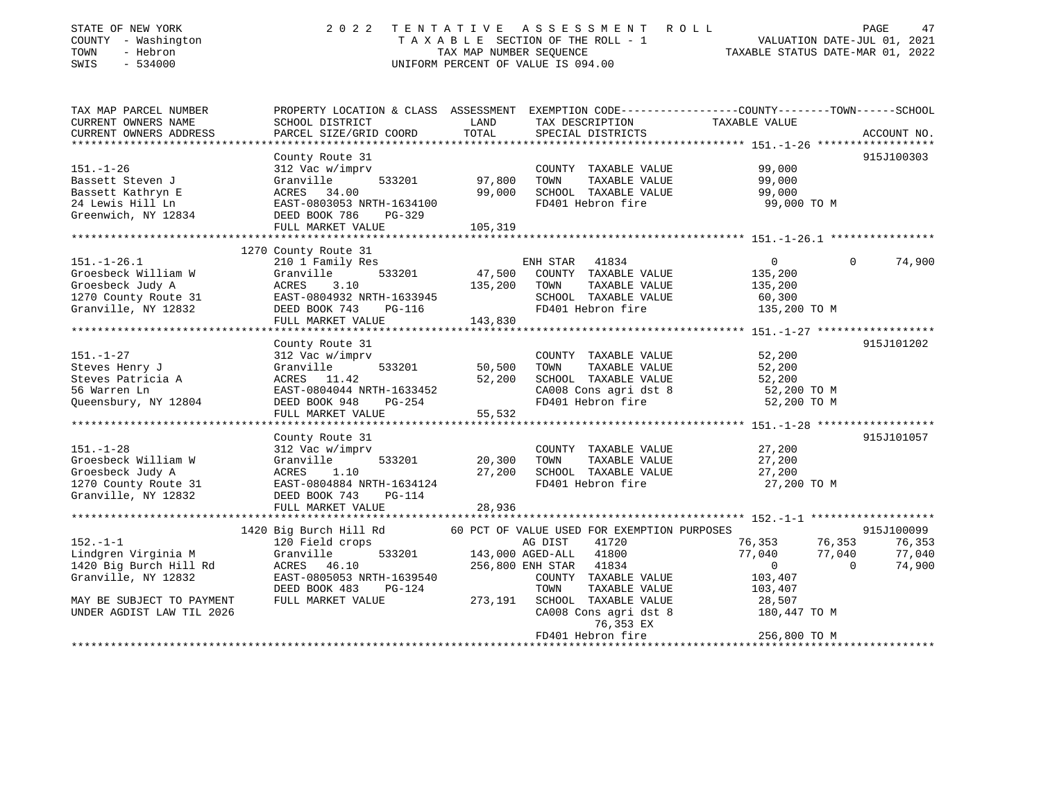| STATE OF NEW YORK<br>COUNTY - Washington<br>TOWN<br>- Hebron<br>SWIS<br>$-534000$ | 2022<br>TENTATIVE<br>TAXABLE SECTION OF THE ROLL - 1<br>TAX MAP NUMBER SEOUENCE<br>UNIFORM PERCENT OF VALUE IS 094.00 | ROLL<br>VALUATION DATE-JUL 01, 2021<br>TAXABLE STATUS DATE-MAR 01, 2022 | PAGE<br>47                                    |                                                                                                                 |             |
|-----------------------------------------------------------------------------------|-----------------------------------------------------------------------------------------------------------------------|-------------------------------------------------------------------------|-----------------------------------------------|-----------------------------------------------------------------------------------------------------------------|-------------|
| TAX MAP PARCEL NUMBER<br>CURRENT OWNERS NAME                                      | SCHOOL DISTRICT                                                                                                       | LAND                                                                    | TAX DESCRIPTION                               | PROPERTY LOCATION & CLASS ASSESSMENT EXEMPTION CODE---------------COUNTY-------TOWN-----SCHOOL<br>TAXABLE VALUE |             |
| CURRENT OWNERS ADDRESS                                                            | PARCEL SIZE/GRID COORD                                                                                                | TOTAL                                                                   | SPECIAL DISTRICTS                             |                                                                                                                 | ACCOUNT NO. |
| *****************                                                                 |                                                                                                                       |                                                                         |                                               |                                                                                                                 |             |
|                                                                                   | County Route 31                                                                                                       |                                                                         |                                               |                                                                                                                 | 915J100303  |
| $151. - 1 - 26$                                                                   | 312 Vac w/imprv                                                                                                       |                                                                         | COUNTY TAXABLE VALUE                          | 99,000                                                                                                          |             |
| Bassett Steven J                                                                  | Granville<br>533201                                                                                                   | 97,800                                                                  | TOWN<br>TAXABLE VALUE                         | 99,000                                                                                                          |             |
| Bassett Kathryn E                                                                 | ACRES<br>34.00                                                                                                        | 99,000                                                                  | SCHOOL TAXABLE VALUE                          | 99,000                                                                                                          |             |
| 24 Lewis Hill Ln                                                                  | EAST-0803053 NRTH-1634100                                                                                             |                                                                         | FD401 Hebron fire                             | 99,000 TO M                                                                                                     |             |
| Greenwich, NY 12834                                                               | DEED BOOK 786<br>PG-329                                                                                               |                                                                         |                                               |                                                                                                                 |             |
|                                                                                   | FULL MARKET VALUE                                                                                                     | 105,319                                                                 |                                               |                                                                                                                 |             |
|                                                                                   | 1270 County Route 31                                                                                                  |                                                                         |                                               |                                                                                                                 |             |
| $151. - 1 - 26.1$                                                                 | 210 1 Family Res                                                                                                      |                                                                         | ENH STAR<br>41834                             | $\mathbf 0$<br>$\Omega$                                                                                         | 74,900      |
| Groesbeck William W                                                               | Granville<br>533201                                                                                                   | 47,500                                                                  | COUNTY TAXABLE VALUE                          | 135,200                                                                                                         |             |
| Groesbeck Judy A                                                                  | ACRES<br>3.10                                                                                                         | 135,200                                                                 | TOWN<br>TAXABLE VALUE                         | 135,200                                                                                                         |             |
| 1270 County Route 31                                                              | EAST-0804932 NRTH-1633945                                                                                             |                                                                         | SCHOOL TAXABLE VALUE                          | 60,300                                                                                                          |             |
| Granville, NY 12832                                                               | DEED BOOK 743<br>$PG-116$                                                                                             |                                                                         | FD401 Hebron fire                             | 135,200 TO M                                                                                                    |             |
|                                                                                   | FULL MARKET VALUE                                                                                                     | 143,830                                                                 |                                               |                                                                                                                 |             |
|                                                                                   |                                                                                                                       |                                                                         |                                               |                                                                                                                 |             |
|                                                                                   | County Route 31                                                                                                       |                                                                         |                                               |                                                                                                                 | 915J101202  |
| $151. - 1 - 27$<br>Steves Henry J                                                 | 312 Vac w/imprv<br>533201<br>Granville                                                                                | 50,500                                                                  | COUNTY TAXABLE VALUE<br>TOWN<br>TAXABLE VALUE | 52,200<br>52,200                                                                                                |             |
| Steves Patricia A                                                                 | ACRES 11.42                                                                                                           | 52,200                                                                  | SCHOOL TAXABLE VALUE                          | 52,200                                                                                                          |             |
| 56 Warren Ln                                                                      | EAST-0804044 NRTH-1633452                                                                                             |                                                                         | CA008 Cons agri dst 8                         | 52,200 TO M                                                                                                     |             |
| Queensbury, NY 12804                                                              | DEED BOOK 948<br>PG-254                                                                                               |                                                                         | FD401 Hebron fire                             | 52,200 TO M                                                                                                     |             |
|                                                                                   | FULL MARKET VALUE                                                                                                     | 55,532                                                                  |                                               |                                                                                                                 |             |
|                                                                                   |                                                                                                                       |                                                                         |                                               |                                                                                                                 |             |
|                                                                                   | County Route 31                                                                                                       |                                                                         |                                               |                                                                                                                 | 915J101057  |
| $151. - 1 - 28$                                                                   | 312 Vac w/imprv                                                                                                       |                                                                         | COUNTY TAXABLE VALUE                          | 27,200                                                                                                          |             |
| Groesbeck William W                                                               | Granville<br>533201                                                                                                   | 20,300                                                                  | TOWN<br>TAXABLE VALUE                         | 27,200                                                                                                          |             |
| Groesbeck Judy A                                                                  | ACRES<br>1.10                                                                                                         | 27,200                                                                  | SCHOOL TAXABLE VALUE                          | 27,200                                                                                                          |             |
| 1270 County Route 31                                                              | EAST-0804884 NRTH-1634124                                                                                             |                                                                         | FD401 Hebron fire                             | 27,200 TO M                                                                                                     |             |
| Granville, NY 12832                                                               | DEED BOOK 743<br><b>PG-114</b><br>FULL MARKET VALUE                                                                   | 28,936                                                                  |                                               |                                                                                                                 |             |
|                                                                                   | ************************                                                                                              |                                                                         |                                               |                                                                                                                 |             |
|                                                                                   | 1420 Big Burch Hill Rd                                                                                                |                                                                         | 60 PCT OF VALUE USED FOR EXEMPTION PURPOSES   |                                                                                                                 | 915J100099  |
| $152. - 1 - 1$                                                                    | 120 Field crops                                                                                                       |                                                                         | AG DIST<br>41720                              | 76,353<br>76,353                                                                                                | 76,353      |
| Lindgren Virginia M                                                               | 533201<br>Granville                                                                                                   |                                                                         | 143,000 AGED-ALL<br>41800                     | 77,040<br>77,040                                                                                                | 77,040      |
| 1420 Big Burch Hill Rd                                                            | ACRES<br>46.10                                                                                                        |                                                                         | 256,800 ENH STAR<br>41834                     | $\mathbf{0}$<br>$\Omega$                                                                                        | 74,900      |
| Granville, NY 12832                                                               | EAST-0805053 NRTH-1639540                                                                                             |                                                                         | COUNTY TAXABLE VALUE                          | 103,407                                                                                                         |             |
|                                                                                   | DEED BOOK 483<br><b>PG-124</b>                                                                                        |                                                                         | TOWN<br>TAXABLE VALUE                         | 103,407                                                                                                         |             |
| MAY BE SUBJECT TO PAYMENT                                                         | FULL MARKET VALUE                                                                                                     | 273,191                                                                 | SCHOOL TAXABLE VALUE                          | 28,507                                                                                                          |             |
| UNDER AGDIST LAW TIL 2026                                                         |                                                                                                                       |                                                                         | CA008 Cons agri dst 8<br>76,353 EX            | 180,447 TO M                                                                                                    |             |
|                                                                                   |                                                                                                                       |                                                                         | FD401 Hebron fire                             | 256,800 TO M                                                                                                    |             |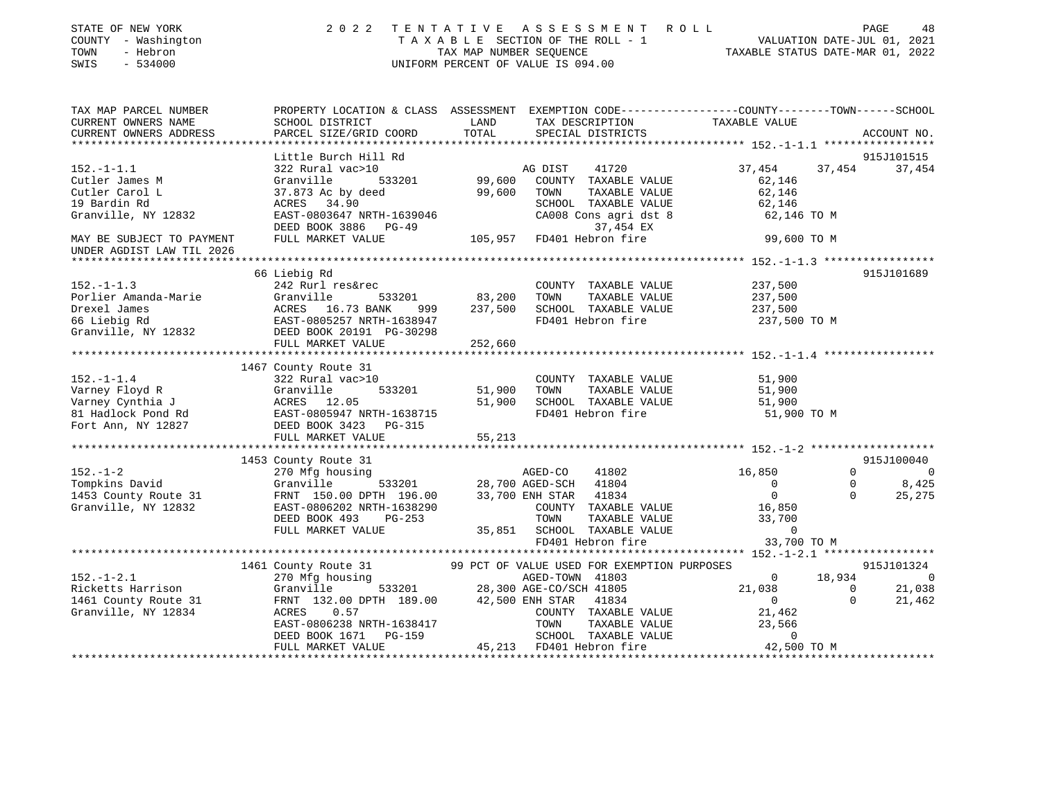| STATE OF NEW YORK<br>COUNTY - Washington<br>TOWN<br>- Hebron<br>SWIS<br>$-534000$ | 2 0 2 2                                                                                                            | TAXABLE SECTION OF THE ROLL - 1<br>TAX MAP NUMBER SEQUENCE<br>UNIFORM PERCENT OF VALUE IS 094.00 |                          | TENTATIVE ASSESSMENT ROLL                        | VALUATION DATE-JUL 01, 2021<br>TAXABLE STATUS DATE-MAR 01, 2022 |              | PAGE<br>48     |
|-----------------------------------------------------------------------------------|--------------------------------------------------------------------------------------------------------------------|--------------------------------------------------------------------------------------------------|--------------------------|--------------------------------------------------|-----------------------------------------------------------------|--------------|----------------|
| TAX MAP PARCEL NUMBER<br>CURRENT OWNERS NAME                                      | PROPERTY LOCATION & CLASS ASSESSMENT EXEMPTION CODE---------------COUNTY-------TOWN------SCHOOL<br>SCHOOL DISTRICT | LAND                                                                                             |                          | TAX DESCRIPTION                                  | TAXABLE VALUE                                                   |              |                |
| CURRENT OWNERS ADDRESS                                                            | PARCEL SIZE/GRID COORD                                                                                             | TOTAL                                                                                            |                          | SPECIAL DISTRICTS                                |                                                                 |              | ACCOUNT NO.    |
|                                                                                   |                                                                                                                    |                                                                                                  |                          |                                                  |                                                                 |              |                |
|                                                                                   | Little Burch Hill Rd                                                                                               |                                                                                                  |                          |                                                  |                                                                 |              | 915J101515     |
| $152. - 1 - 1.1$                                                                  | 322 Rural vac>10                                                                                                   |                                                                                                  | AG DIST                  | 41720                                            | 37,454                                                          | 37,454       | 37,454         |
| Cutler James M                                                                    | Granville<br>533201                                                                                                | 99,600                                                                                           |                          | COUNTY TAXABLE VALUE                             | 62,146                                                          |              |                |
| Cutler Carol L                                                                    | 37.873 Ac by deed                                                                                                  | 99,600                                                                                           | TOWN                     | TAXABLE VALUE                                    | 62,146                                                          |              |                |
| 19 Bardin Rd<br>Granville, NY 12832                                               | ACRES 34.90                                                                                                        |                                                                                                  |                          | SCHOOL TAXABLE VALUE                             | 62,146                                                          |              |                |
|                                                                                   | EAST-0803647 NRTH-1639046<br>DEED BOOK 3886 PG-49                                                                  |                                                                                                  |                          | CA008 Cons agri dst 8<br>37,454 EX               | 62,146 TO M                                                     |              |                |
| MAY BE SUBJECT TO PAYMENT                                                         | FULL MARKET VALUE                                                                                                  |                                                                                                  |                          | 105,957 FD401 Hebron fire                        | 99,600 TO M                                                     |              |                |
| UNDER AGDIST LAW TIL 2026                                                         |                                                                                                                    |                                                                                                  |                          |                                                  |                                                                 |              |                |
|                                                                                   |                                                                                                                    |                                                                                                  |                          |                                                  |                                                                 |              |                |
|                                                                                   | 66 Liebig Rd                                                                                                       |                                                                                                  |                          |                                                  |                                                                 |              | 915J101689     |
| $152. - 1 - 1.3$                                                                  | 242 Rurl res&rec                                                                                                   |                                                                                                  |                          | COUNTY TAXABLE VALUE                             | 237,500                                                         |              |                |
| Porlier Amanda-Marie                                                              | Granville<br>533201                                                                                                | 83,200                                                                                           | TOWN                     | TAXABLE VALUE                                    | 237,500                                                         |              |                |
| Drexel James                                                                      |                                                                                                                    | 237,500                                                                                          |                          | SCHOOL TAXABLE VALUE                             | 237,500                                                         |              |                |
| 66 Liebig Rd                                                                      | ACRES 16.73 BANK 999<br>EAST-0805257 NRTH-1638947<br>DEED BOOK 20191 PG-30298                                      |                                                                                                  |                          | FD401 Hebron fire                                | 237,500 TO M                                                    |              |                |
| Granville, NY 12832                                                               |                                                                                                                    |                                                                                                  |                          |                                                  |                                                                 |              |                |
|                                                                                   | FULL MARKET VALUE<br>************************                                                                      | 252,660<br>***********                                                                           |                          |                                                  | ******************** 152.-1-1.4 ******************              |              |                |
|                                                                                   | 1467 County Route 31                                                                                               |                                                                                                  |                          |                                                  |                                                                 |              |                |
| $152. - 1 - 1.4$                                                                  | 322 Rural vac>10                                                                                                   |                                                                                                  |                          | COUNTY TAXABLE VALUE                             | 51,900                                                          |              |                |
| Varney Floyd R                                                                    | 533201                                                                                                             | 51,900                                                                                           | TOWN                     | TAXABLE VALUE                                    | 51,900                                                          |              |                |
| Varney Cynthia J                                                                  |                                                                                                                    | 51,900                                                                                           |                          | SCHOOL TAXABLE VALUE                             | 51,900                                                          |              |                |
| Varney Cynches<br>81 Hadlock Pond Rd                                              | EAST-0805947 NRTH-1638715                                                                                          |                                                                                                  |                          | FD401 Hebron fire                                | 51,900 TO M                                                     |              |                |
| Fort Ann, NY 12827                                                                | Granville<br>ACRES 12.05<br>EAST-0805947 N<br>DEED BOOK 3423<br>DEED BOOK 3423 PG-315                              |                                                                                                  |                          |                                                  |                                                                 |              |                |
|                                                                                   | FULL MARKET VALUE                                                                                                  | 55,213                                                                                           |                          |                                                  |                                                                 |              |                |
|                                                                                   |                                                                                                                    |                                                                                                  |                          |                                                  |                                                                 |              |                |
|                                                                                   | 1453 County Route 31                                                                                               |                                                                                                  |                          |                                                  |                                                                 |              | 915J100040     |
| $152. - 1 - 2$                                                                    | 270 Mfg housing                                                                                                    |                                                                                                  | AGED-CO                  | 41802                                            | 16,850                                                          | $\Omega$     | $\overline{0}$ |
| Tompkins David                                                                    | Granville<br>533201                                                                                                |                                                                                                  | 28,700 AGED-SCH          | 41804                                            | $\overline{0}$                                                  | $\Omega$     | 8,425          |
| 1453 County Route 31                                                              | FRNT 150.00 DPTH 196.00                                                                                            |                                                                                                  | 33,700 ENH STAR 41834    |                                                  | $\overline{0}$                                                  | $\Omega$     | 25,275         |
| Granville, NY 12832                                                               | EAST-0806202 NRTH-1638290                                                                                          |                                                                                                  |                          | COUNTY TAXABLE VALUE                             | 16,850                                                          |              |                |
|                                                                                   | DEED BOOK 493<br>$PG-253$                                                                                          |                                                                                                  | TOWN                     | TAXABLE VALUE                                    | 33,700                                                          |              |                |
|                                                                                   | FULL MARKET VALUE                                                                                                  |                                                                                                  |                          | 35,851 SCHOOL TAXABLE VALUE<br>FD401 Hebron fire | $\overline{0}$<br>33,700 TO M                                   |              |                |
|                                                                                   |                                                                                                                    |                                                                                                  |                          |                                                  |                                                                 |              |                |
|                                                                                   | 1461 County Route 31                                                                                               |                                                                                                  |                          | 99 PCT OF VALUE USED FOR EXEMPTION PURPOSES      |                                                                 |              | 915J101324     |
| $152. - 1 - 2.1$                                                                  | 270 Mfg housing                                                                                                    |                                                                                                  | AGED-TOWN 41803          |                                                  | $\overline{0}$                                                  | 18,934       | $\bigcirc$     |
| Ricketts Harrison                                                                 | Granville                                                                                                          | 533201 28,300 AGE-CO/SCH 41805                                                                   |                          |                                                  | 21,038                                                          | $\mathbf{0}$ | 21,038         |
| 1461 County Route 31                                                              | FRNT 132.00 DPTH 189.00                                                                                            |                                                                                                  | 42,500 ENH STAR 41834    |                                                  | $\overline{0}$                                                  | $\Omega$     | 21,462         |
| Granville, NY 12834                                                               | ACRES<br>0.57                                                                                                      |                                                                                                  |                          | COUNTY TAXABLE VALUE                             | 21,462                                                          |              |                |
|                                                                                   | EAST-0806238 NRTH-1638417                                                                                          |                                                                                                  | TOWN                     | TAXABLE VALUE                                    | 23,566                                                          |              |                |
|                                                                                   | DEED BOOK 1671<br>PG-159                                                                                           |                                                                                                  |                          | SCHOOL TAXABLE VALUE                             | $\mathbf 0$                                                     |              |                |
|                                                                                   | FULL MARKET VALUE                                                                                                  |                                                                                                  | 45,213 FD401 Hebron fire |                                                  | 42,500 TO M                                                     |              |                |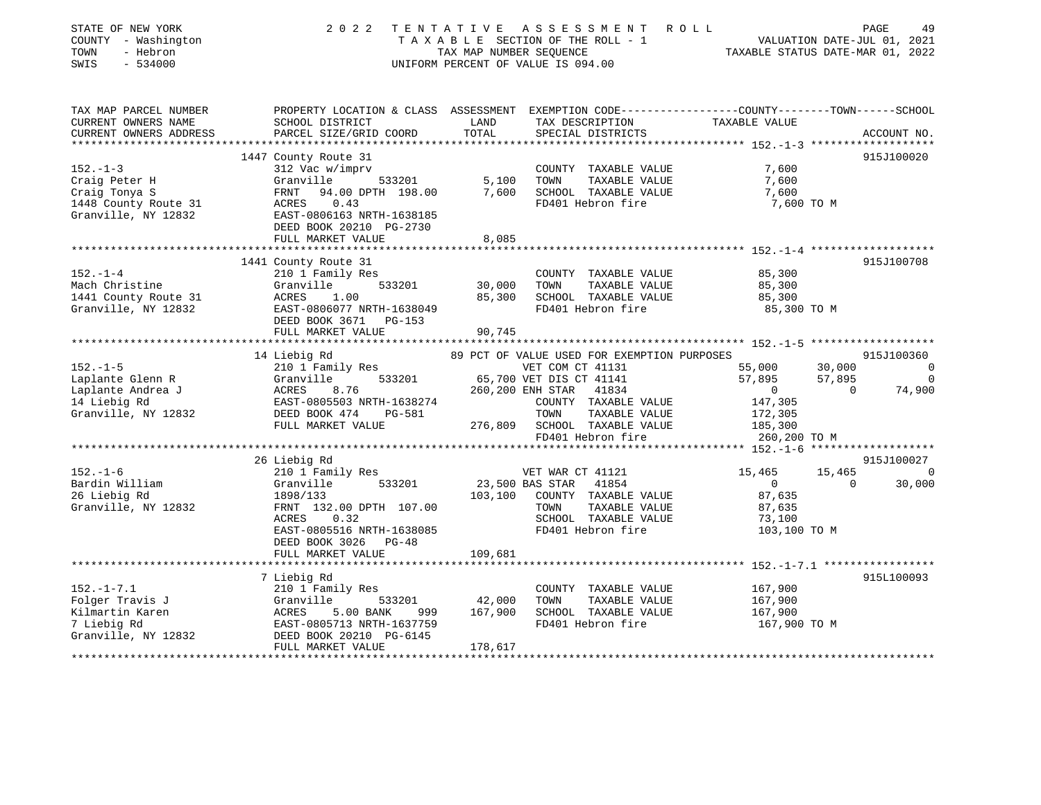| STATE OF NEW YORK<br>COUNTY - Washington<br>TOWN<br>- Hebron<br>$-534000$<br>SWIS | 2 0 2 2                                               | TENTATIVE<br>TAX MAP NUMBER SEQUENCE | ASSESSMENT ROLL<br>TAXABLE SECTION OF THE ROLL - 1<br>UNIFORM PERCENT OF VALUE IS 094.00 | VALUATION DATE-JUL 01, 2021<br>TAXABLE STATUS DATE-MAR 01, 2022                                                   | PAGE<br>49     |
|-----------------------------------------------------------------------------------|-------------------------------------------------------|--------------------------------------|------------------------------------------------------------------------------------------|-------------------------------------------------------------------------------------------------------------------|----------------|
| TAX MAP PARCEL NUMBER<br>CURRENT OWNERS NAME                                      | SCHOOL DISTRICT                                       | LAND                                 | TAX DESCRIPTION                                                                          | PROPERTY LOCATION & CLASS ASSESSMENT EXEMPTION CODE----------------COUNTY-------TOWN------SCHOOL<br>TAXABLE VALUE |                |
| CURRENT OWNERS ADDRESS                                                            | PARCEL SIZE/GRID COORD                                | TOTAL                                | SPECIAL DISTRICTS                                                                        |                                                                                                                   | ACCOUNT NO.    |
|                                                                                   |                                                       |                                      |                                                                                          |                                                                                                                   |                |
|                                                                                   | 1447 County Route 31                                  |                                      |                                                                                          |                                                                                                                   | 915J100020     |
| $152. - 1 - 3$                                                                    | 312 Vac w/imprv                                       |                                      | COUNTY TAXABLE VALUE                                                                     | 7,600                                                                                                             |                |
| Craig Peter H                                                                     | Granville<br>533201                                   | 5,100                                | TOWN<br>TAXABLE VALUE                                                                    | 7,600                                                                                                             |                |
| Craig Tonya S                                                                     | 94.00 DPTH 198.00<br>FRNT                             | 7,600                                | SCHOOL TAXABLE VALUE                                                                     | 7,600                                                                                                             |                |
| 1448 County Route 31                                                              | 0.43<br>ACRES                                         |                                      | FD401 Hebron fire                                                                        | 7,600 TO M                                                                                                        |                |
| Granville, NY 12832                                                               | EAST-0806163 NRTH-1638185                             |                                      |                                                                                          |                                                                                                                   |                |
|                                                                                   | DEED BOOK 20210 PG-2730<br>FULL MARKET VALUE          |                                      |                                                                                          |                                                                                                                   |                |
|                                                                                   |                                                       | 8,085                                |                                                                                          |                                                                                                                   |                |
|                                                                                   | 1441 County Route 31                                  |                                      |                                                                                          |                                                                                                                   | 915J100708     |
| $152. - 1 - 4$                                                                    | 210 1 Family Res                                      |                                      | COUNTY TAXABLE VALUE                                                                     | 85,300                                                                                                            |                |
| Mach Christine                                                                    | 533201<br>Granville                                   | 30,000                               | TAXABLE VALUE<br>TOWN                                                                    | 85,300                                                                                                            |                |
| 1441 County Route 31                                                              | 1.00<br>ACRES                                         | 85,300                               | SCHOOL TAXABLE VALUE                                                                     | 85,300                                                                                                            |                |
| Granville, NY 12832                                                               | EAST-0806077 NRTH-1638049                             |                                      | FD401 Hebron fire                                                                        | 85,300 TO M                                                                                                       |                |
|                                                                                   | DEED BOOK 3671 PG-153                                 |                                      |                                                                                          |                                                                                                                   |                |
|                                                                                   | FULL MARKET VALUE                                     | 90,745                               |                                                                                          |                                                                                                                   |                |
|                                                                                   |                                                       |                                      |                                                                                          |                                                                                                                   |                |
|                                                                                   | 14 Liebig Rd                                          |                                      | 89 PCT OF VALUE USED FOR EXEMPTION PURPOSES                                              |                                                                                                                   | 915J100360     |
| $152. - 1 - 5$                                                                    | 210 1 Family Res                                      |                                      | VET COM CT 41131                                                                         | 55,000<br>30,000                                                                                                  | $\overline{a}$ |
| Laplante Glenn R                                                                  | Granville<br>533201                                   |                                      | 65,700 VET DIS CT 41141                                                                  | 57,895<br>57,895                                                                                                  | $\overline{0}$ |
| Laplante Andrea J                                                                 | ACRES 8.70<br>EAST-0805503 NRTH-1638274<br>ATA DG-581 |                                      | 260,200 ENH STAR<br>41834                                                                | $\sim$ 0<br>$\Omega$                                                                                              | 74,900         |
| 14 Liebig Rd                                                                      |                                                       |                                      | COUNTY TAXABLE VALUE                                                                     | 147,305                                                                                                           |                |
| Granville, NY 12832                                                               | DEED BOOK 474<br>PG-581                               |                                      | TOWN<br>TAXABLE VALUE                                                                    | 172,305                                                                                                           |                |
|                                                                                   | FULL MARKET VALUE                                     |                                      | 276,809 SCHOOL TAXABLE VALUE<br>FD401 Hebron fire                                        | 185,300<br>260,200 TO M                                                                                           |                |
|                                                                                   |                                                       |                                      |                                                                                          |                                                                                                                   |                |
|                                                                                   | 26 Liebig Rd                                          |                                      |                                                                                          |                                                                                                                   | 915J100027     |
| $152. - 1 - 6$                                                                    | 210 1 Family Res                                      |                                      | VET WAR CT 41121                                                                         | 15,465<br>15,465                                                                                                  | $\Omega$       |
| Bardin William                                                                    | Granville<br>533201                                   |                                      | 23,500 BAS STAR 41854                                                                    | $\overline{0}$<br>$\Omega$                                                                                        | 30,000         |
| 26 Liebig Rd                                                                      | 1898/133                                              | 103,100                              | COUNTY TAXABLE VALUE                                                                     | 87,635                                                                                                            |                |
| Granville, NY 12832                                                               | FRNT 132.00 DPTH 107.00                               |                                      | TAXABLE VALUE<br>TOWN                                                                    | 87,635                                                                                                            |                |
|                                                                                   | ACRES<br>0.32                                         |                                      | SCHOOL TAXABLE VALUE                                                                     | 73,100                                                                                                            |                |
|                                                                                   | EAST-0805516 NRTH-1638085                             |                                      | FD401 Hebron fire                                                                        | 103,100 TO M                                                                                                      |                |
|                                                                                   | DEED BOOK 3026 PG-48                                  |                                      |                                                                                          |                                                                                                                   |                |
|                                                                                   | FULL MARKET VALUE                                     | 109,681                              |                                                                                          |                                                                                                                   |                |
|                                                                                   |                                                       |                                      |                                                                                          | *** $152 - 1 - 7 - 1$ *****************                                                                           |                |
|                                                                                   | 7 Liebig Rd                                           |                                      |                                                                                          |                                                                                                                   | 915L100093     |
| $152. - 1 - 7.1$                                                                  | 210 1 Family Res                                      |                                      | COUNTY TAXABLE VALUE                                                                     | 167,900                                                                                                           |                |
| Folger Travis J                                                                   | Granville<br>533201                                   | 42,000                               | TOWN<br>TAXABLE VALUE                                                                    | 167,900                                                                                                           |                |
| Kilmartin Karen                                                                   | ACRES<br>5.00 BANK<br>999                             | 167,900                              | SCHOOL TAXABLE VALUE                                                                     | 167,900                                                                                                           |                |
| 7 Liebig Rd                                                                       | EAST-0805713 NRTH-1637759                             |                                      | FD401 Hebron fire                                                                        | 167,900 TO M                                                                                                      |                |
| Granville, NY 12832                                                               | DEED BOOK 20210 PG-6145                               |                                      |                                                                                          |                                                                                                                   |                |
|                                                                                   | FULL MARKET VALUE                                     | 178,617                              |                                                                                          |                                                                                                                   |                |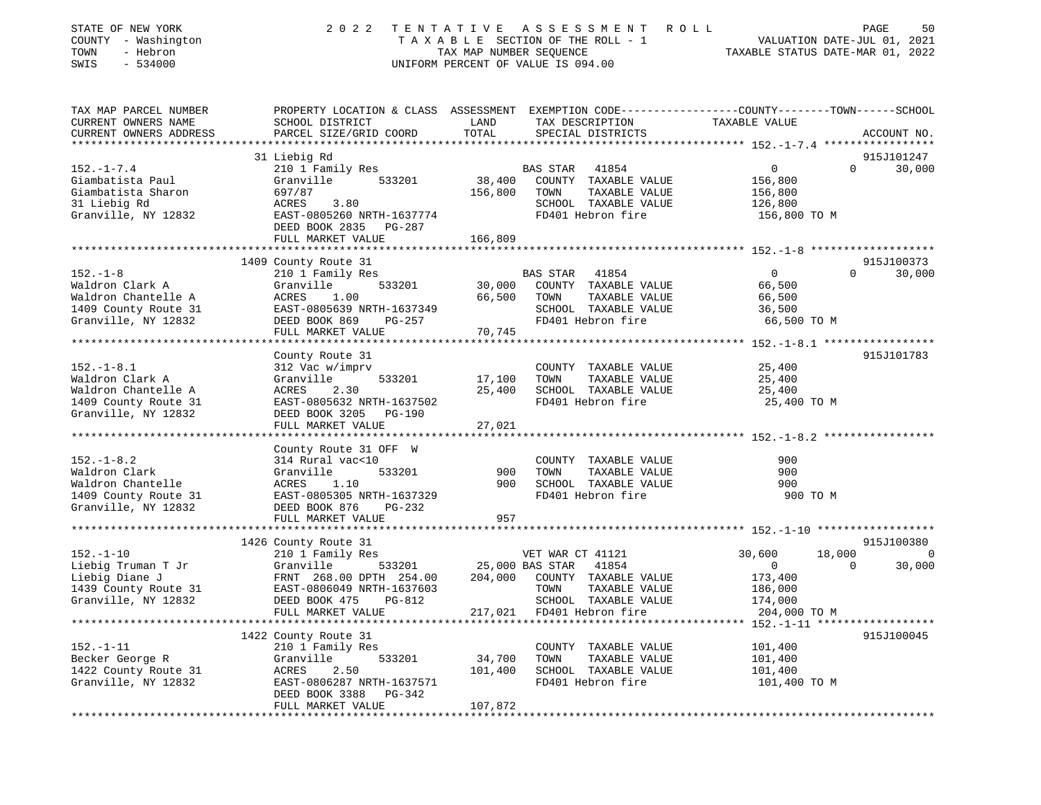| STATE OF NEW YORK<br>COUNTY - Washington<br>TOWN<br>- Hebron<br>SWIS<br>$-534000$                         | 2022                                                                                                                                                  | TENTATIVE<br>TAX MAP NUMBER SEQUENCE | A S S E S S M E N T<br>R O L L<br>TAXABLE SECTION OF THE ROLL - 1<br>UNIFORM PERCENT OF VALUE IS 094.00                | PAGE<br>50<br>VALUATION DATE-JUL 01, 2021<br>TAXABLE STATUS DATE-MAR 01, 2022                                                   |
|-----------------------------------------------------------------------------------------------------------|-------------------------------------------------------------------------------------------------------------------------------------------------------|--------------------------------------|------------------------------------------------------------------------------------------------------------------------|---------------------------------------------------------------------------------------------------------------------------------|
| TAX MAP PARCEL NUMBER<br>CURRENT OWNERS NAME<br>CURRENT OWNERS ADDRESS<br>***********************         | SCHOOL DISTRICT<br>PARCEL SIZE/GRID COORD                                                                                                             | LAND<br>TOTAL                        | TAX DESCRIPTION<br>SPECIAL DISTRICTS                                                                                   | PROPERTY LOCATION & CLASS ASSESSMENT EXEMPTION CODE---------------COUNTY-------TOWN------SCHOOL<br>TAXABLE VALUE<br>ACCOUNT NO. |
|                                                                                                           | 31 Liebig Rd                                                                                                                                          |                                      |                                                                                                                        | 915J101247                                                                                                                      |
| $152. - 1 - 7.4$<br>Giambatista Paul<br>Giambatista Sharon<br>31 Liebig Rd<br>Granville, NY 12832         | 210 1 Family Res<br>533201<br>Granville<br>697/87<br><b>ACRES</b><br>3.80<br>EAST-0805260 NRTH-1637774<br>DEED BOOK 2835 PG-287<br>FULL MARKET VALUE  | 38,400<br>156,800<br>166,809         | BAS STAR<br>41854<br>COUNTY TAXABLE VALUE<br>TOWN<br>TAXABLE VALUE<br>SCHOOL TAXABLE VALUE<br>FD401 Hebron fire        | $\mathsf{O}$<br>$\Omega$<br>30,000<br>156,800<br>156,800<br>126,800<br>156,800 TO M                                             |
|                                                                                                           |                                                                                                                                                       |                                      |                                                                                                                        |                                                                                                                                 |
|                                                                                                           | 1409 County Route 31                                                                                                                                  |                                      |                                                                                                                        | 915J100373                                                                                                                      |
| $152. - 1 - 8$<br>Waldron Clark A<br>Waldron Chantelle A<br>1409 County Route 31<br>Granville, NY 12832   | 210 1 Family Res<br>533201<br>Granville<br>ACRES<br>1.00<br>EAST-0805639 NRTH-1637349<br>DEED BOOK 869<br>$PG-257$<br>FULL MARKET VALUE               | 30,000<br>66,500<br>70,745           | <b>BAS STAR</b><br>41854<br>COUNTY TAXABLE VALUE<br>TOWN<br>TAXABLE VALUE<br>SCHOOL TAXABLE VALUE<br>FD401 Hebron fire | $\mathbf{0}$<br>$\Omega$<br>30,000<br>66,500<br>66,500<br>36,500<br>66,500 TO M                                                 |
|                                                                                                           |                                                                                                                                                       |                                      |                                                                                                                        | 915J101783                                                                                                                      |
| $152. - 1 - 8.1$<br>Waldron Clark A<br>Waldron Chantelle A<br>1409 County Route 31<br>Granville, NY 12832 | County Route 31<br>312 Vac w/imprv<br>Granville<br>533201<br>ACRES<br>2.30<br>EAST-0805632 NRTH-1637502<br>DEED BOOK 3205 PG-190<br>FULL MARKET VALUE | 17,100<br>25,400<br>27,021           | COUNTY TAXABLE VALUE<br>TAXABLE VALUE<br>TOWN<br>SCHOOL TAXABLE VALUE<br>FD401 Hebron fire                             | 25,400<br>25,400<br>25,400<br>25,400 TO M                                                                                       |
|                                                                                                           |                                                                                                                                                       | *********                            |                                                                                                                        | ********************* 152.-1-8.2 ******************                                                                             |
| $152. - 1 - 8.2$<br>Waldron Clark<br>Waldron Chantelle<br>1409 County Route 31<br>Granville, NY 12832     | County Route 31 OFF W<br>314 Rural vac<10<br>Granville<br>533201<br>ACRES<br>1.10<br>EAST-0805305 NRTH-1637329<br>DEED BOOK 876<br>PG-232             | 900<br>900                           | COUNTY TAXABLE VALUE<br>TOWN<br>TAXABLE VALUE<br>SCHOOL TAXABLE VALUE<br>FD401 Hebron fire                             | 900<br>900<br>900<br>900 TO M                                                                                                   |
|                                                                                                           | FULL MARKET VALUE                                                                                                                                     | 957                                  |                                                                                                                        |                                                                                                                                 |
|                                                                                                           | 1426 County Route 31                                                                                                                                  |                                      |                                                                                                                        | 915J100380                                                                                                                      |
| $152. - 1 - 10$<br>Liebig Truman T Jr<br>Liebig Diane J<br>1439 County Route 31<br>Granville, NY 12832    | 210 1 Family Res<br>Granville<br>533201<br>FRNT 268.00 DPTH 254.00<br>EAST-0806049 NRTH-1637603<br>DEED BOOK 475<br>PG-812                            | 204,000                              | VET WAR CT 41121<br>25,000 BAS STAR<br>41854<br>COUNTY TAXABLE VALUE<br>TOWN<br>TAXABLE VALUE<br>SCHOOL TAXABLE VALUE  | 30,600<br>18,000<br>$\Omega$<br>30,000<br>$\mathbf{0}$<br>$\Omega$<br>173,400<br>186,000<br>174,000                             |
|                                                                                                           | FULL MARKET VALUE<br>***********************                                                                                                          | 217,021                              | FD401 Hebron fire                                                                                                      | 204,000 TO M<br>** 152. -1-11 *******************                                                                               |
|                                                                                                           | 1422 County Route 31                                                                                                                                  |                                      |                                                                                                                        | 915J100045                                                                                                                      |
| $152. - 1 - 11$<br>Becker George R<br>1422 County Route 31<br>Granville, NY 12832                         | 210 1 Family Res<br>533201<br>Granville<br>ACRES<br>2.50<br>EAST-0806287 NRTH-1637571<br>DEED BOOK 3388<br>PG-342<br>FIILL MAPKET VALUE               | 34,700<br>101,400<br>107 872         | COUNTY TAXABLE VALUE<br>TOWN<br>TAXABLE VALUE<br>SCHOOL TAXABLE VALUE<br>FD401 Hebron fire                             | 101,400<br>101,400<br>101,400<br>101,400 TO M                                                                                   |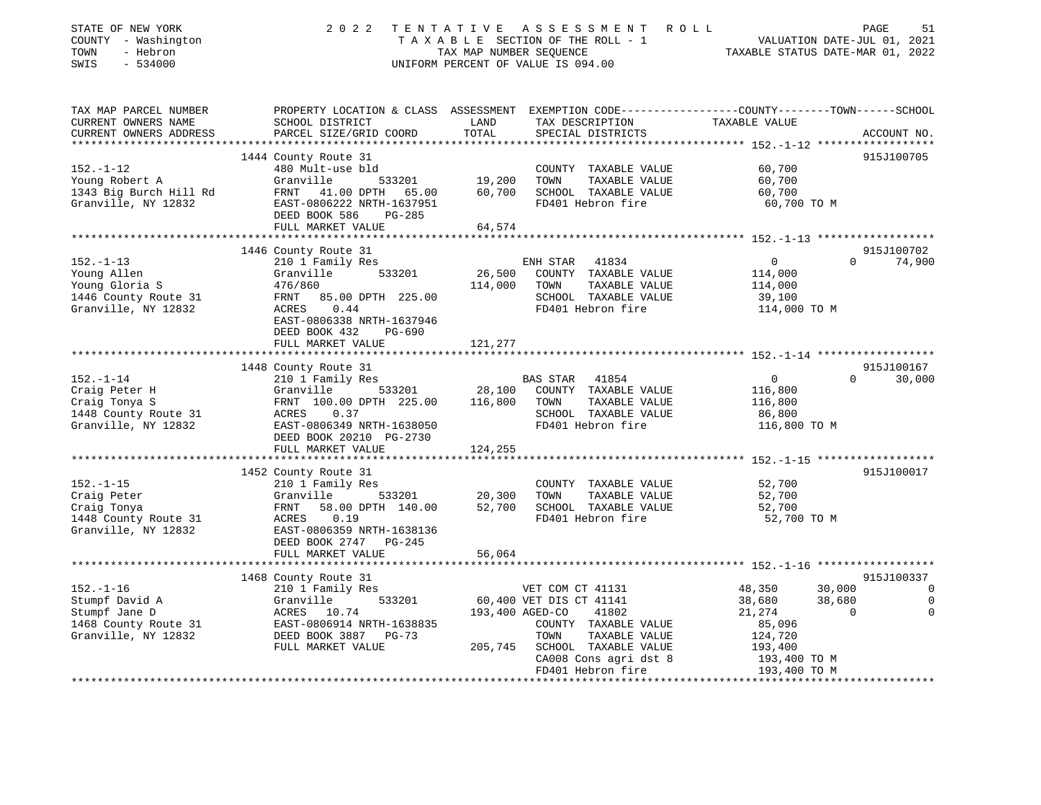| STATE OF NEW YORK<br>COUNTY - Washington<br>- Hebron<br>TOWN<br>SWIS<br>$-534000$                 | 2 0 2 2                                                                                                                                                                                                      | A S S E S S M E N T<br>TENTATIVE<br>TAXABLE SECTION OF THE ROLL - 1<br>TAX MAP NUMBER SEQUENCE<br>UNIFORM PERCENT OF VALUE IS 094.00                                                                      | R O L L<br>PAGE<br>51<br>VALUATION DATE-JUL 01, 2021<br>TAXABLE STATUS DATE-MAR 01, 2022                                                                                                               |
|---------------------------------------------------------------------------------------------------|--------------------------------------------------------------------------------------------------------------------------------------------------------------------------------------------------------------|-----------------------------------------------------------------------------------------------------------------------------------------------------------------------------------------------------------|--------------------------------------------------------------------------------------------------------------------------------------------------------------------------------------------------------|
| TAX MAP PARCEL NUMBER<br>CURRENT OWNERS NAME<br>CURRENT OWNERS ADDRESS                            | SCHOOL DISTRICT<br>PARCEL SIZE/GRID COORD                                                                                                                                                                    | LAND<br>TAX DESCRIPTION<br>TOTAL<br>SPECIAL DISTRICTS                                                                                                                                                     | PROPERTY LOCATION & CLASS ASSESSMENT EXEMPTION CODE----------------COUNTY-------TOWN-----SCHOOL<br>TAXABLE VALUE<br>ACCOUNT NO.                                                                        |
| $152. - 1 - 12$<br>Young Robert A<br>1343 Big Burch Hill Rd<br>Granville, NY 12832                | 1444 County Route 31<br>480 Mult-use bld<br>Granville<br>533201<br>FRNT 41.00 DPTH<br>65.00<br>EAST-0806222 NRTH-1637951<br>DEED BOOK 586<br>$PG-285$<br>FULL MARKET VALUE                                   | COUNTY TAXABLE VALUE<br>19,200<br>TOWN<br>TAXABLE VALUE<br>60,700<br>SCHOOL TAXABLE VALUE<br>FD401 Hebron fire<br>64,574                                                                                  | 915J100705<br>60,700<br>60,700<br>60,700<br>60,700 TO M                                                                                                                                                |
|                                                                                                   |                                                                                                                                                                                                              |                                                                                                                                                                                                           |                                                                                                                                                                                                        |
| $152. - 1 - 13$<br>Young Allen<br>Young Gloria S<br>1446 County Route 31<br>Granville, NY 12832   | 1446 County Route 31<br>210 1 Family Res<br>533201<br>Granville<br>476/860<br>FRNT<br>85.00 DPTH 225.00<br>0.44<br>ACRES<br>EAST-0806338 NRTH-1637946<br>DEED BOOK 432<br><b>PG-690</b><br>FULL MARKET VALUE | ENH STAR 41834<br>26,500<br>COUNTY TAXABLE VALUE<br>114,000<br>TOWN<br>TAXABLE VALUE<br>SCHOOL TAXABLE VALUE<br>FD401 Hebron fire<br>121,277                                                              | 915J100702<br>$\overline{0}$<br>$\overline{0}$<br>74,900<br>114,000<br>114,000<br>39,100<br>114,000 TO M                                                                                               |
|                                                                                                   |                                                                                                                                                                                                              |                                                                                                                                                                                                           |                                                                                                                                                                                                        |
| $152. - 1 - 14$<br>Craig Peter H<br>Craig Tonya S<br>1448 County Route 31<br>Granville, NY 12832  | 1448 County Route 31<br>210 1 Family Res<br>533201<br>Granville<br>FRNT 100.00 DPTH 225.00<br>ACRES<br>0.37<br>EAST-0806349 NRTH-1638050<br>DEED BOOK 20210 PG-2730                                          | 41854<br>BAS STAR<br>28,100<br>COUNTY TAXABLE VALUE<br>116,800<br>TAXABLE VALUE<br>TOWN<br>SCHOOL TAXABLE VALUE<br>FD401 Hebron fire                                                                      | 915J100167<br>$\Omega$<br>30,000<br>$\overline{0}$<br>116,800<br>116,800<br>86,800<br>116,800 TO M                                                                                                     |
|                                                                                                   | FULL MARKET VALUE                                                                                                                                                                                            | 124,255                                                                                                                                                                                                   |                                                                                                                                                                                                        |
| $152. - 1 - 15$<br>Craig Peter<br>Craig Tonya<br>1448 County Route 31<br>Granville, NY 12832      | 1452 County Route 31<br>210 1 Family Res<br>Granville<br>533201<br>FRNT<br>58.00 DPTH 140.00<br>0.19<br>ACRES<br>EAST-0806359 NRTH-1638136<br>DEED BOOK 2747<br>PG-245<br>FULL MARKET VALUE                  | COUNTY TAXABLE VALUE<br>20,300<br>TOWN<br>TAXABLE VALUE<br>52,700<br>SCHOOL TAXABLE VALUE<br>FD401 Hebron fire<br>56,064                                                                                  | **************** 152.-1-15 *******************<br>915J100017<br>52,700<br>52,700<br>52,700<br>52,700 TO M                                                                                              |
|                                                                                                   |                                                                                                                                                                                                              |                                                                                                                                                                                                           |                                                                                                                                                                                                        |
| $152. - 1 - 16$<br>Stumpf David A<br>Stumpf Jane D<br>1468 County Route 31<br>Granville, NY 12832 | 1468 County Route 31<br>210 1 Family Res<br>Granville<br>533201<br>ACRES 10.74<br>EAST-0806914 NRTH-1638835<br>DEED BOOK 3887 PG-73<br>FULL MARKET VALUE                                                     | VET COM CT 41131<br>60,400 VET DIS CT 41141<br>193,400 AGED-CO<br>41802<br>COUNTY TAXABLE VALUE<br>TAXABLE VALUE<br>TOWN<br>205,745<br>SCHOOL TAXABLE VALUE<br>CA008 Cons agri dst 8<br>FD401 Hebron fire | 915J100337<br>30,000<br>$\mathbf 0$<br>48,350<br>$\overline{0}$<br>38,680<br>38,680<br>$\Omega$<br>21,274<br>$\Omega$<br>85,096<br>124,720<br>193,400<br>193,400 TO M<br>193,400 TO M<br>************* |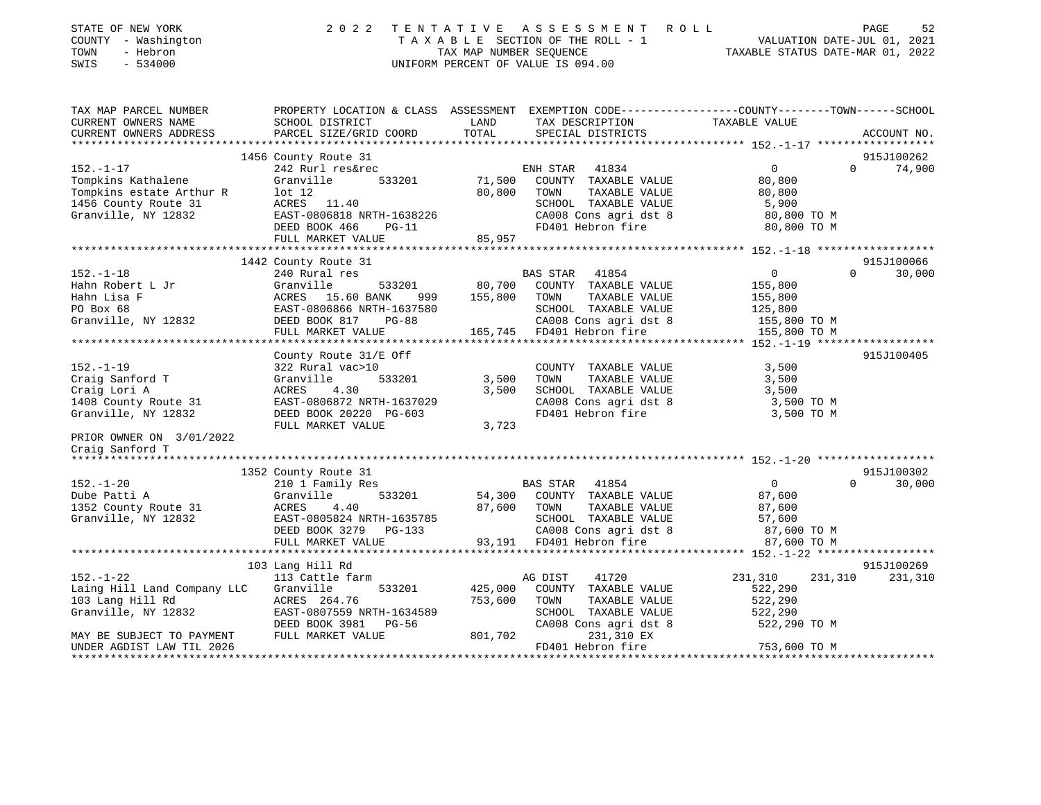| STATE OF NEW YORK<br>- Washington<br>COUNTY<br>- Hebron<br>TOWN<br>SWIS<br>$-534000$ | 2022                                                    | TENTATIVE<br>TAXABLE<br>TAX MAP NUMBER SEQUENCE | A S S E S S M E N T R O L L<br>SECTION OF THE ROLL - 1<br>UNIFORM PERCENT OF VALUE IS 094.00 |                                                                                               | 52<br>PAGE<br>VALUATION DATE-JUL 01, 2021<br>TAXABLE STATUS DATE-MAR 01, 2022 |  |
|--------------------------------------------------------------------------------------|---------------------------------------------------------|-------------------------------------------------|----------------------------------------------------------------------------------------------|-----------------------------------------------------------------------------------------------|-------------------------------------------------------------------------------|--|
| TAX MAP PARCEL NUMBER<br>CURRENT OWNERS NAME                                         | PROPERTY LOCATION & CLASS ASSESSMENT<br>SCHOOL DISTRICT | LAND                                            |                                                                                              | EXEMPTION CODE-----------------COUNTY-------TOWN------SCHOOL<br>TAX DESCRIPTION TAXABLE VALUE |                                                                               |  |
| CURRENT OWNERS ADDRESS PARCEL SIZE/GRID COORD                                        |                                                         | TOTAL                                           | SPECIAL DISTRICTS                                                                            |                                                                                               | ACCOUNT NO.                                                                   |  |
|                                                                                      |                                                         |                                                 |                                                                                              |                                                                                               |                                                                               |  |
|                                                                                      | 1456 County Route 31                                    |                                                 |                                                                                              |                                                                                               | 915J100262                                                                    |  |
| $152. - 1 - 17$                                                                      | 242 Rurl res&rec                                        |                                                 | 41834<br>ENH STAR                                                                            |                                                                                               | 74,900<br>$\mathbf{0}$                                                        |  |
| Tompkins Kathalene <b>Bandary Constant</b> Granville                                 | 533201                                                  | 71,500                                          | COUNTY<br>TAXABLE VALUE                                                                      | 80,800                                                                                        |                                                                               |  |
| Tompkins estate Arthur R                                                             | 1 at 12                                                 | 80,800                                          | TOWN<br>TAXABLE VALUE                                                                        | 80,800                                                                                        |                                                                               |  |
| 1456 County Route 31                                                                 | ACRES 11.40                                             |                                                 | SCHOOL<br>TAXABLE VALUE                                                                      | 5,900                                                                                         |                                                                               |  |
| Granville, NY 12832                                                                  | EAST-0806818 NRTH-1638226                               |                                                 | CA008 Cons agri dst 8                                                                        | 80,800 TO M                                                                                   |                                                                               |  |
|                                                                                      | DEED BOOK 466<br>$PG-11$                                |                                                 | FD401 Hebron fire                                                                            | 80,800 TO M                                                                                   |                                                                               |  |
|                                                                                      | FULL MARKET VALUE                                       | 85,957                                          |                                                                                              |                                                                                               |                                                                               |  |
|                                                                                      |                                                         |                                                 |                                                                                              |                                                                                               |                                                                               |  |

|                                                                                                                                                                         | 1442 County Route 31                                                                                                                                                                                                                                  |                |                                                                                                                                                           |                                       | 915J100066         |
|-------------------------------------------------------------------------------------------------------------------------------------------------------------------------|-------------------------------------------------------------------------------------------------------------------------------------------------------------------------------------------------------------------------------------------------------|----------------|-----------------------------------------------------------------------------------------------------------------------------------------------------------|---------------------------------------|--------------------|
| $152. - 1 - 18$                                                                                                                                                         | 240 Rural res<br>161 MONET AND HEAT ACRES 15.60 BANK 999 155,800 TOWN TAXABLE VALUE<br>HAIM Lisa F 15.60 BAST 15.60 BANK 999 155,800 TOWN TAXABLE VALUE<br>FO Box 68 EAST-0806866 NRTH-1637580 CAO08 CONS ACRES 125,800 TO M<br>FULL MARKET VALUE 165 |                | BAS STAR 41854<br>533201 80,700 COUNTY TAXABLE VALUE 155,800                                                                                              | $\overline{0}$                        | $\Omega$<br>30,000 |
|                                                                                                                                                                         | County Route 31/E Off                                                                                                                                                                                                                                 |                |                                                                                                                                                           |                                       | 915J100405         |
| $152. - 1 - 19$<br>322 Rural vac>10<br>Craig Sanford T<br>Craig Lori A<br>Granville, NY 12832                                                                           | Granville 533201 3,500<br>ACRES 4.30<br>1408 County Route 31 EAST-0806872 NRTH-1637029<br>DEED BOOK 20220 PG-603<br>FULL MARKET VALUE                                                                                                                 | 3,500<br>3,723 | COUNTY TAXABLE VALUE<br>TOWN<br>TAXABLE VALUE<br>SCHOOL TAXABLE VALUE<br>CA008 Cons agri dst 8 3,500 TO M<br>FD401 Hebron fire                            | 3,500<br>3,500<br>3,500<br>3,500 TO M |                    |
| PRIOR OWNER ON 3/01/2022<br>Craig Sanford T                                                                                                                             |                                                                                                                                                                                                                                                       |                |                                                                                                                                                           |                                       |                    |
|                                                                                                                                                                         | 1352 County Route 31                                                                                                                                                                                                                                  |                |                                                                                                                                                           |                                       | 915J100302         |
| $152. - 1 - 20$<br>Dube Patti A<br>Granville<br>1352 County Route 31 ACRES 4.40                                                                                         | 210 1 Family Res<br>Granville, NY 12832 EAST-0805824 NRTH-1635785<br>DEED BOOK 3279 PG-133                                                                                                                                                            | 87,600 TOWN    | BAS STAR 41854<br>533201 54,300 COUNTY TAXABLE VALUE 87,600<br>TAXABLE VALUE 87,600<br>SCHOOL TAXABLE VALUE 57,600<br>CA008 Cons agri dst 8 87,600 TO M   | $\overline{0}$                        | 30,000<br>$\Omega$ |
|                                                                                                                                                                         | 103 Lang Hill Rd                                                                                                                                                                                                                                      |                |                                                                                                                                                           |                                       | 915J100269         |
| $152. - 1 - 22$<br>Laing Hill Land Company LLC Granville<br>103 Lang Hill Rd ACRES 264.76<br>Granville, NY 12832 EAST-0807559 NRTH-1634589<br>MAY BE SUBJECT TO PAYMENT | 113 Cattle farm<br>753,600 TOWN<br>DEED BOOK 3981 PG-56<br>FULL MARKET VALUE                                                                                                                                                                          | 801,702        | AG DIST 41720<br>533201 425,000 COUNTY TAXABLE VALUE<br>TAXABLE VALUE 522,290<br>SCHOOL TAXABLE VALUE<br>CA008 Cons agri dst 8 522,290 TO M<br>231,310 EX | 231,310 231,310<br>522,290<br>522,290 | 231,310            |
| UNDER AGDIST LAW TIL 2026                                                                                                                                               |                                                                                                                                                                                                                                                       |                | FD401 Hebron fire                                                                                                                                         | 753,600 TO M                          |                    |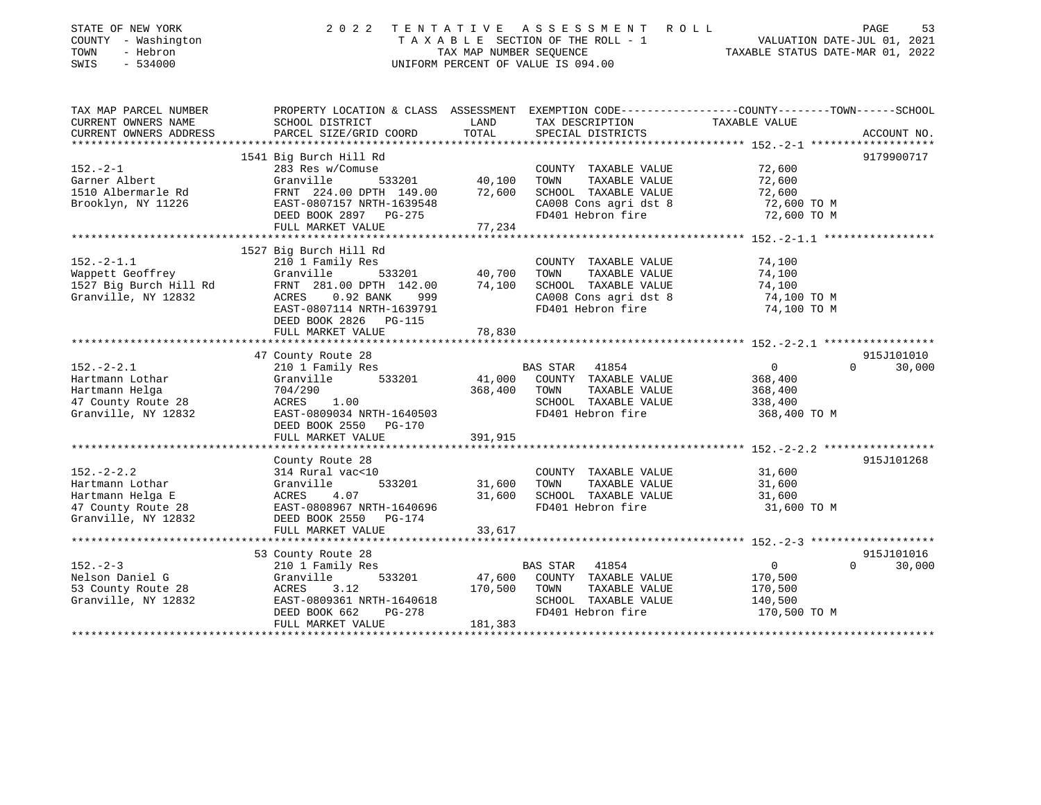| STATE OF NEW YORK<br>COUNTY - Washington<br>TOWN<br>- Hebron<br>$-534000$<br>SWIS                    | 2 0 2 2                                                                                                                                                                           | TAX MAP NUMBER SEQUENCE      | TENTATIVE ASSESSMENT ROLL<br>TAXABLE SECTION OF THE ROLL - 1 VALUATION DATE-JUL 01, 2021<br>UNIFORM PERCENT OF VALUE IS 094.00 | TAXABLE STATUS DATE-MAR 01, 2022                                | PAGE<br>53                       |
|------------------------------------------------------------------------------------------------------|-----------------------------------------------------------------------------------------------------------------------------------------------------------------------------------|------------------------------|--------------------------------------------------------------------------------------------------------------------------------|-----------------------------------------------------------------|----------------------------------|
| TAX MAP PARCEL NUMBER<br>CURRENT OWNERS NAME<br>CURRENT OWNERS ADDRESS                               | PROPERTY LOCATION & CLASS ASSESSMENT EXEMPTION CODE----------------COUNTY-------TOWN------SCHOOL<br>SCHOOL DISTRICT<br>PARCEL SIZE/GRID COORD                                     | LAND<br>TOTAL                | TAX DESCRIPTION<br>SPECIAL DISTRICTS                                                                                           | TAXABLE VALUE                                                   | ACCOUNT NO.                      |
|                                                                                                      |                                                                                                                                                                                   |                              |                                                                                                                                |                                                                 |                                  |
| $152. - 2 - 1$<br>Garner Albert<br>1510 Albermarle Rd<br>Brooklyn, NY 11226                          | 1541 Big Burch Hill Rd<br>283 Res w/Comuse<br>533201<br>Granville<br>FRNT 224.00 DPTH 149.00<br>EAST-0807157 NRTH-1639548<br>DEED BOOK 2897 PG-275<br>FULL MARKET VALUE           | 40,100<br>72,600<br>77,234   | COUNTY TAXABLE VALUE<br>TOWN<br>TAXABLE VALUE<br>SCHOOL TAXABLE VALUE<br>CA008 Cons agri dst 8<br>FD401 Hebron fire            | 72,600<br>72,600<br>72,600<br>72,600 TO M<br>72,600 TO M        | 9179900717                       |
|                                                                                                      |                                                                                                                                                                                   |                              |                                                                                                                                |                                                                 |                                  |
| $152. - 2 - 1.1$<br>Wappett Geoffrey<br>1527 Big Burch Hill Rd<br>Granville, NY 12832                | 1527 Big Burch Hill Rd<br>210 1 Family Res<br>Granville<br>533201<br>FRNT 281.00 DPTH 142.00<br>$0.92$ BANK<br>ACRES<br>999<br>EAST-0807114 NRTH-1639791<br>DEED BOOK 2826 PG-115 | 40,700<br>74,100             | COUNTY TAXABLE VALUE<br>TOWN<br>TAXABLE VALUE<br>SCHOOL TAXABLE VALUE<br>CA008 Cons agri dst 8<br>FD401 Hebron fire            | 74,100<br>74,100<br>74,100<br>74,100 TO M<br>74,100 TO M        |                                  |
|                                                                                                      | FULL MARKET VALUE                                                                                                                                                                 | 78,830                       |                                                                                                                                |                                                                 |                                  |
|                                                                                                      |                                                                                                                                                                                   |                              |                                                                                                                                |                                                                 | 915J101010                       |
| $152 - 2 - 2.1$<br>Hartmann Lothar<br>Hartmann Helga<br>47 County Route 28<br>Granville, NY 12832    | 47 County Route 28<br>210 1 Family Res<br>Granville<br>533201<br>704/290<br>ACRES 1.00<br>EAST-0809034 NRTH-1640503<br>DEED BOOK 2550 PG-170<br>FULL MARKET VALUE                 | 41,000<br>368,400<br>391,915 | BAS STAR<br>41854<br>COUNTY TAXABLE VALUE<br>TAXABLE VALUE<br>TOWN<br>SCHOOL TAXABLE VALUE<br>FD401 Hebron fire                | $\overline{0}$<br>368,400<br>368,400<br>338,400<br>368,400 TO M | $\Omega$<br>30,000               |
|                                                                                                      |                                                                                                                                                                                   |                              |                                                                                                                                |                                                                 | 915J101268                       |
| $152. - 2 - 2.2$<br>Hartmann Lothar<br>Hartmann Helga E<br>47 County Route 28<br>Granville, NY 12832 | County Route 28<br>314 Rural vac<10<br>533201<br>Granville<br>ACRES<br>4.07<br>EAST-0808967 NRTH-1640696<br>DEED BOOK 2550 PG-174                                                 | 31,600<br>31,600             | COUNTY TAXABLE VALUE<br>TAXABLE VALUE<br>TOWN<br>SCHOOL TAXABLE VALUE<br>FD401 Hebron fire                                     | 31,600<br>31,600<br>31,600<br>31,600 TO M                       |                                  |
|                                                                                                      | FULL MARKET VALUE                                                                                                                                                                 | 33,617                       |                                                                                                                                |                                                                 |                                  |
|                                                                                                      |                                                                                                                                                                                   |                              |                                                                                                                                |                                                                 |                                  |
| $152. - 2 - 3$<br>Nelson Daniel G<br>53 County Route 28<br>Granville, NY 12832                       | 53 County Route 28<br>210 1 Family Res<br>Granville<br>533201<br>ACRES<br>3.12<br>EAST-0809361 NRTH-1640618<br>DEED BOOK 662<br>PG-278<br>FULL MARKET VALUE                       | 47,600<br>170,500<br>181,383 | <b>BAS STAR</b><br>41854<br>COUNTY TAXABLE VALUE<br>TAXABLE VALUE<br>TOWN<br>SCHOOL TAXABLE VALUE<br>FD401 Hebron fire         | $\overline{0}$<br>170,500<br>170,500<br>140,500<br>170,500 TO M | 915J101016<br>$\Omega$<br>30,000 |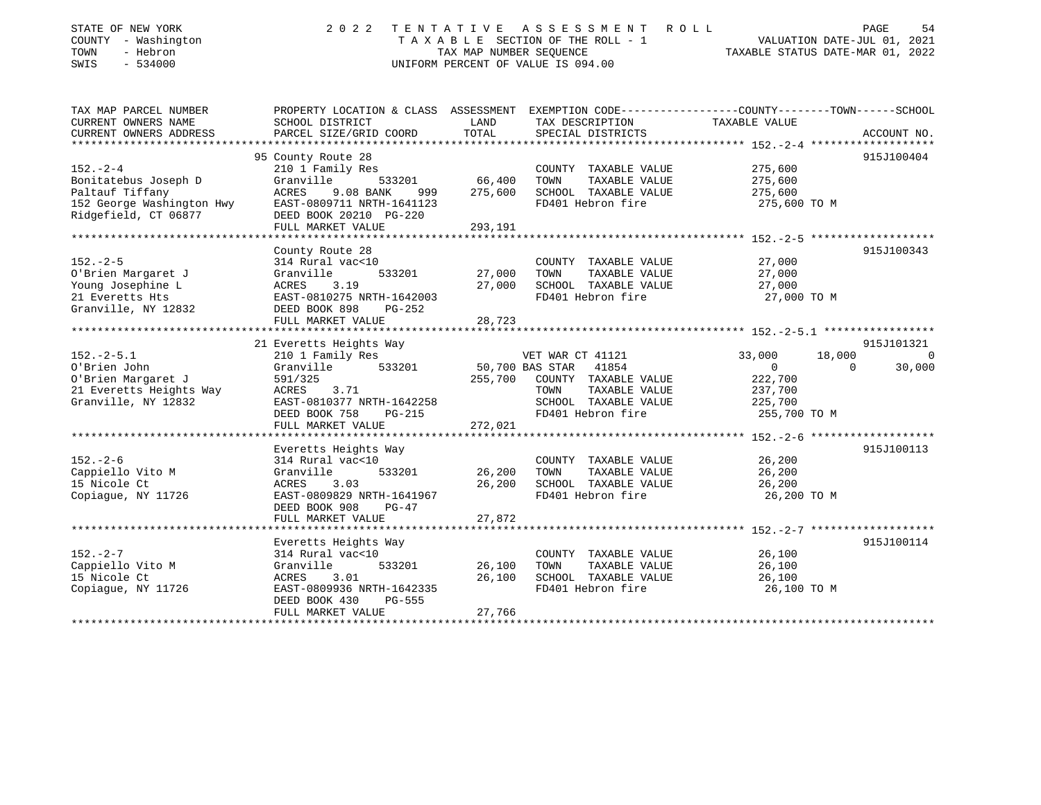| STATE OF NEW YORK<br>COUNTY - Washington<br>- Hebron<br>TOWN<br>$-534000$<br>SWIS                              | 2 0 2 2                                                                                                                                                        | TAX MAP NUMBER SEQUENCE    | TENTATIVE ASSESSMENT ROLL<br>TAXABLE SECTION OF THE ROLL - 1<br>UNIFORM PERCENT OF VALUE IS 094.00                                         | VALUATION DATE-JUL 01, 2021<br>TAXABLE STATUS DATE-MAR 01, 2022                               | PAGE<br>54         |
|----------------------------------------------------------------------------------------------------------------|----------------------------------------------------------------------------------------------------------------------------------------------------------------|----------------------------|--------------------------------------------------------------------------------------------------------------------------------------------|-----------------------------------------------------------------------------------------------|--------------------|
| TAX MAP PARCEL NUMBER<br>CURRENT OWNERS NAME<br>CURRENT OWNERS ADDRESS                                         | PROPERTY LOCATION & CLASS ASSESSMENT EXEMPTION CODE----------------COUNTY-------TOWN------SCHOOL<br>SCHOOL DISTRICT<br>PARCEL SIZE/GRID COORD                  | LAND<br>TOTAL              | TAX DESCRIPTION<br>SPECIAL DISTRICTS                                                                                                       | TAXABLE VALUE                                                                                 | ACCOUNT NO.        |
| **************************                                                                                     |                                                                                                                                                                |                            |                                                                                                                                            |                                                                                               |                    |
|                                                                                                                | 95 County Route 28                                                                                                                                             |                            |                                                                                                                                            |                                                                                               | 915J100404         |
| $152. - 2 - 4$<br>Bonitatebus Joseph D<br>Paltauf Tiffany<br>152 George Washington Hwy<br>Ridgefield, CT 06877 | 210 1 Family Res<br>Granville<br>533201<br>ACRES<br>9.08 BANK<br>999<br>EAST-0809711 NRTH-1641123<br>DEED BOOK 20210 PG-220                                    | 66,400<br>275,600          | COUNTY TAXABLE VALUE<br>TOWN<br>TAXABLE VALUE<br>SCHOOL TAXABLE VALUE<br>FD401 Hebron fire                                                 | 275,600<br>275,600<br>275,600<br>275,600 TO M                                                 |                    |
|                                                                                                                | FULL MARKET VALUE                                                                                                                                              | 293,191                    |                                                                                                                                            |                                                                                               |                    |
|                                                                                                                |                                                                                                                                                                |                            |                                                                                                                                            |                                                                                               |                    |
| $152 - 2 - 5$<br>O'Brien Margaret J<br>Young Josephine L<br>21 Everetts Hts<br>Granville, NY 12832             | County Route 28<br>314 Rural vac<10<br>Granville<br>533201<br>ACRES<br>3.19<br>EAST-0810275 NRTH-1642003<br>DEED BOOK 898<br>$PG-252$<br>FULL MARKET VALUE     | 27,000<br>27,000<br>28,723 | COUNTY TAXABLE VALUE<br>TOWN<br>TAXABLE VALUE<br>SCHOOL TAXABLE VALUE<br>FD401 Hebron fire                                                 | 27,000<br>27,000<br>27,000<br>27,000 TO M                                                     | 915J100343         |
|                                                                                                                |                                                                                                                                                                |                            |                                                                                                                                            |                                                                                               |                    |
|                                                                                                                | 21 Everetts Heights Way                                                                                                                                        |                            |                                                                                                                                            |                                                                                               | 915J101321         |
| $152. - 2 - 5.1$<br>O'Brien John<br>O'Brien Margaret J<br>21 Everetts Heights Way<br>Granville, NY 12832       | 210 1 Family Res<br>Granville<br>533201<br>591/325<br><b>ACRES</b><br>3.71<br>EAST-0810377 NRTH-1642258<br>PG-215<br>DEED BOOK 758<br>FULL MARKET VALUE        | 255,700<br>272,021         | VET WAR CT 41121<br>50,700 BAS STAR<br>41854<br>COUNTY TAXABLE VALUE<br>TAXABLE VALUE<br>TOWN<br>SCHOOL TAXABLE VALUE<br>FD401 Hebron fire | 33,000<br>18,000<br>$\Omega$<br>$\mathbf{0}$<br>222,700<br>237,700<br>225,700<br>255,700 TO M | $\Omega$<br>30,000 |
|                                                                                                                |                                                                                                                                                                |                            |                                                                                                                                            |                                                                                               |                    |
| $152. - 2 - 6$<br>Cappiello Vito M<br>15 Nicole Ct<br>Copiaque, NY 11726                                       | Everetts Heights Way<br>314 Rural vac<10<br>533201<br>Granville<br>ACRES<br>3.03<br>EAST-0809829 NRTH-1641967<br>DEED BOOK 908<br>$PG-47$<br>FULL MARKET VALUE | 26,200<br>26,200<br>27,872 | COUNTY TAXABLE VALUE<br>TAXABLE VALUE<br>TOWN<br>SCHOOL TAXABLE VALUE<br>FD401 Hebron fire                                                 | 26,200<br>26,200<br>26,200<br>26,200 TO M                                                     | 915J100113         |
|                                                                                                                |                                                                                                                                                                |                            |                                                                                                                                            |                                                                                               |                    |
| $152. - 2 - 7$<br>Cappiello Vito M<br>15 Nicole Ct<br>Copiaque, NY 11726                                       | Everetts Heights Way<br>314 Rural vac<10<br>Granville<br>533201<br>ACRES<br>3.01<br>EAST-0809936 NRTH-1642335<br>DEED BOOK 430<br>PG-555<br>FULL MARKET VALUE  | 26,100<br>26,100<br>27,766 | COUNTY TAXABLE VALUE<br>TOWN<br>TAXABLE VALUE<br>SCHOOL TAXABLE VALUE<br>FD401 Hebron fire                                                 | 26,100<br>26,100<br>26,100<br>26,100 TO M                                                     | 915J100114         |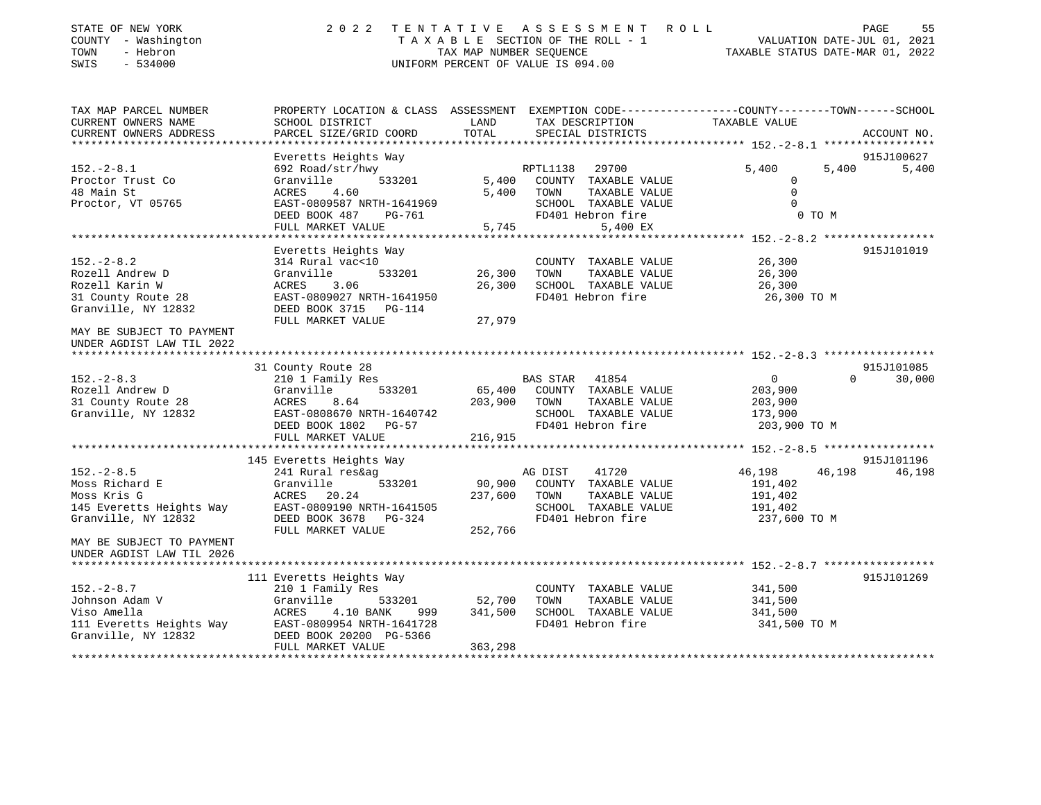| STATE OF NEW YORK<br>COUNTY - Washington<br>TOWN<br>- Hebron<br>SWIS<br>$-534000$                    | 2 0 2 2                                                                                                                              | TENTATIVE ASSESSMENT ROLL<br>TAXABLE SECTION OF THE ROLL - 1<br>TAX MAP NUMBER SEOUENCE<br>UNIFORM PERCENT OF VALUE IS 094.00                             | PAGE<br>55<br>VALUATION DATE-JUL 01, 2021<br>TAXABLE STATUS DATE-MAR 01, 2022         |
|------------------------------------------------------------------------------------------------------|--------------------------------------------------------------------------------------------------------------------------------------|-----------------------------------------------------------------------------------------------------------------------------------------------------------|---------------------------------------------------------------------------------------|
| TAX MAP PARCEL NUMBER<br>CURRENT OWNERS NAME<br>CURRENT OWNERS ADDRESS                               | SCHOOL DISTRICT<br>PARCEL SIZE/GRID COORD                                                                                            | PROPERTY LOCATION & CLASS ASSESSMENT EXEMPTION CODE----------------COUNTY-------TOWN------SCHOOL<br>LAND<br>TAX DESCRIPTION<br>TOTAL<br>SPECIAL DISTRICTS | TAXABLE VALUE<br>ACCOUNT NO.                                                          |
|                                                                                                      |                                                                                                                                      |                                                                                                                                                           |                                                                                       |
|                                                                                                      | Everetts Heights Way                                                                                                                 |                                                                                                                                                           | 915J100627                                                                            |
| $152. - 2 - 8.1$<br>Proctor Trust Co<br>48 Main St<br>Proctor, VT 05765                              | 692 Road/str/hwy<br>533201<br>Granville<br>ACRES<br>4.60<br>EAST-0809587 NRTH-1641969<br>DEED BOOK 487<br>PG-761                     | 29700<br>RPTL1138<br>5,400<br>COUNTY TAXABLE VALUE<br>5,400<br>TOWN<br>TAXABLE VALUE<br>SCHOOL TAXABLE VALUE<br>FD401 Hebron fire                         | 5,400<br>5,400<br>5,400<br>$\Omega$<br>$\mathbf{0}$<br>$\Omega$<br>0 TO M             |
|                                                                                                      | FULL MARKET VALUE                                                                                                                    | 5,745<br>5,400 EX                                                                                                                                         |                                                                                       |
|                                                                                                      | Everetts Heights Way                                                                                                                 |                                                                                                                                                           | 915J101019                                                                            |
| $152 - 2 - 8.2$<br>Rozell Andrew D<br>Rozell Karin W<br>31 County Route 28<br>Granville, NY 12832    | 314 Rural vac<10<br>Granville<br>533201<br>ACRES<br>3.06<br>EAST-0809027 NRTH-1641950<br>DEED BOOK 3715 PG-114                       | COUNTY TAXABLE VALUE<br>26,300<br>TOWN<br>TAXABLE VALUE<br>26,300<br>SCHOOL TAXABLE VALUE<br>FD401 Hebron fire                                            | 26,300<br>26,300<br>26,300<br>26,300 TO M                                             |
| MAY BE SUBJECT TO PAYMENT<br>UNDER AGDIST LAW TIL 2022                                               | FULL MARKET VALUE                                                                                                                    | 27,979                                                                                                                                                    |                                                                                       |
|                                                                                                      | 31 County Route 28                                                                                                                   |                                                                                                                                                           | 915J101085                                                                            |
| $152. - 2 - 8.3$<br>Rozell Andrew D<br>31 County Route 28<br>Granville, NY 12832                     | 210 1 Family Res<br>Granville<br>533201<br>ACRES<br>8.64<br>EAST-0808670 NRTH-1640742<br>DEED BOOK 1802<br>$PG-57$                   | BAS STAR 41854<br>65,400<br>COUNTY TAXABLE VALUE<br>203,900<br>TOWN<br>TAXABLE VALUE<br>SCHOOL TAXABLE VALUE<br>FD401 Hebron fire                         | $\Omega$<br>30,000<br>$\overline{0}$<br>203,900<br>203,900<br>173,900<br>203,900 TO M |
|                                                                                                      | FULL MARKET VALUE                                                                                                                    | 216,915                                                                                                                                                   |                                                                                       |
|                                                                                                      | 145 Everetts Heights Way                                                                                                             |                                                                                                                                                           | 915J101196                                                                            |
| $152. - 2 - 8.5$<br>Moss Richard E<br>Moss Kris G<br>145 Everetts Heights Way<br>Granville, NY 12832 | 241 Rural res&ag<br>Granville<br>533201<br>ACRES<br>20.24<br>EAST-0809190 NRTH-1641505<br>DEED BOOK 3678 PG-324<br>FULL MARKET VALUE | 41720<br>AG DIST<br>90,900<br>COUNTY TAXABLE VALUE<br>237,600<br>TOWN<br>TAXABLE VALUE<br>SCHOOL TAXABLE VALUE<br>FD401 Hebron fire<br>252,766            | 46,198<br>46,198<br>46,198<br>191,402<br>191,402<br>191,402<br>237,600 TO M           |
| MAY BE SUBJECT TO PAYMENT<br>UNDER AGDIST LAW TIL 2026                                               |                                                                                                                                      |                                                                                                                                                           |                                                                                       |
|                                                                                                      | 111 Everetts Heights Way                                                                                                             |                                                                                                                                                           | 915J101269                                                                            |
| $152 - 2 - 8.7$<br>Johnson Adam V<br>Viso Amella<br>111 Everetts Heights Way<br>Granville, NY 12832  | 210 1 Family Res<br>533201<br>Granville<br>ACRES<br>4.10 BANK<br>999<br>EAST-0809954 NRTH-1641728<br>DEED BOOK 20200 PG-5366         | COUNTY TAXABLE VALUE<br>52,700<br>TOWN<br>TAXABLE VALUE<br>341,500<br>SCHOOL TAXABLE VALUE<br>FD401 Hebron fire                                           | 341,500<br>341,500<br>341,500<br>341,500 TO M                                         |
|                                                                                                      | FULL MARKET VALUE                                                                                                                    | 363,298                                                                                                                                                   |                                                                                       |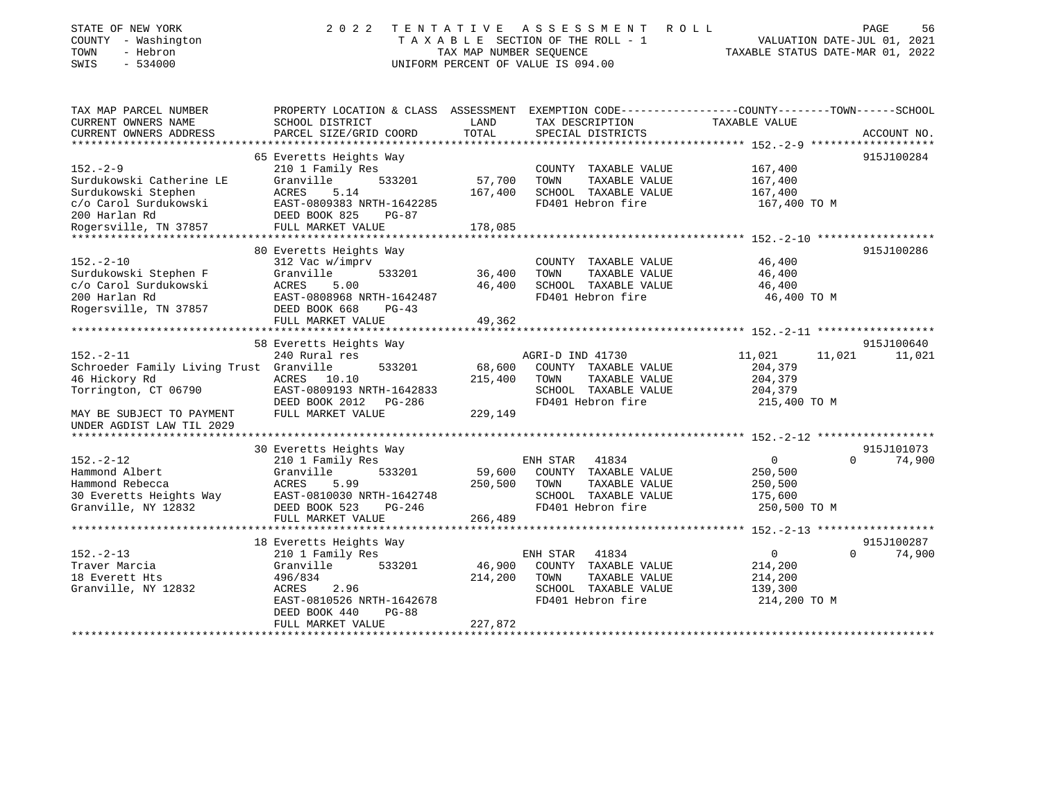| STATE OF NEW YORK<br>COUNTY - Washington<br>- Hebron<br>TOWN<br>$-534000$<br>SWIS                                                                             | TENTATIVE<br>2 0 2 2                                                                                                                                                    | TAX MAP NUMBER SEOUENCE      | A S S E S S M E N T<br>TAXABLE SECTION OF THE ROLL - 1<br>UNIFORM PERCENT OF VALUE IS 094.00  | ROLL                   |                                                           | PAGE<br>56<br>VALUATION DATE-JUL 01, 2021<br>TAXABLE STATUS DATE-MAR 01, 2022 |
|---------------------------------------------------------------------------------------------------------------------------------------------------------------|-------------------------------------------------------------------------------------------------------------------------------------------------------------------------|------------------------------|-----------------------------------------------------------------------------------------------|------------------------|-----------------------------------------------------------|-------------------------------------------------------------------------------|
| TAX MAP PARCEL NUMBER<br>CURRENT OWNERS NAME<br>CURRENT OWNERS ADDRESS                                                                                        | PROPERTY LOCATION & CLASS ASSESSMENT<br>SCHOOL DISTRICT<br>PARCEL SIZE/GRID COORD                                                                                       | LAND<br>TOTAL                | TAX DESCRIPTION<br>SPECIAL DISTRICTS                                                          |                        | TAXABLE VALUE                                             | EXEMPTION CODE-----------------COUNTY-------TOWN------SCHOOL<br>ACCOUNT NO.   |
| $152 - 2 - 9$<br>Surdukowski Catherine LE<br>Surdukowski Stephen<br>c/o Carol Surdukowski<br>200 Harlan Rd<br>Rogersville, TN 37857                           | 65 Everetts Heights Way<br>210 1 Family Res<br>533201<br>Granville<br>ACRES<br>5.14<br>EAST-0809383 NRTH-1642285<br>DEED BOOK 825<br>$PG-87$<br>FULL MARKET VALUE       | 57,700<br>167,400<br>178,085 | COUNTY TAXABLE VALUE<br>TOWN<br>SCHOOL TAXABLE VALUE<br>FD401 Hebron fire                     | TAXABLE VALUE          | 167,400<br>167,400<br>167,400<br>167,400 TO M             | 915J100284                                                                    |
| $152. - 2 - 10$<br>Surdukowski Stephen F<br>c/o Carol Surdukowski<br>200 Harlan Rd<br>Rogersville, TN 37857                                                   | 80 Everetts Heights Way<br>312 Vac w/imprv<br>Granville<br>533201<br><b>ACRES</b><br>5.00<br>EAST-0808968 NRTH-1642487<br>DEED BOOK 668<br>$PG-43$<br>FULL MARKET VALUE | 36,400<br>46,400<br>49,362   | COUNTY TAXABLE VALUE<br>TOWN<br>SCHOOL TAXABLE VALUE<br>FD401 Hebron fire                     | TAXABLE VALUE          | 46,400<br>46,400<br>46,400<br>46,400 TO M                 | 915J100286                                                                    |
|                                                                                                                                                               | 58 Everetts Heights Way                                                                                                                                                 |                              |                                                                                               |                        |                                                           | 915J100640                                                                    |
| $152. - 2 - 11$<br>Schroeder Family Living Trust Granville<br>46 Hickory Rd<br>Torrington, CT 06790<br>MAY BE SUBJECT TO PAYMENT<br>UNDER AGDIST LAW TIL 2029 | 240 Rural res<br>533201<br>ACRES<br>10.10<br>EAST-0809193 NRTH-1642833<br>DEED BOOK 2012<br>PG-286<br>FULL MARKET VALUE                                                 | 68,600<br>215,400<br>229,149 | AGRI-D IND 41730<br>COUNTY TAXABLE VALUE<br>TOWN<br>SCHOOL TAXABLE VALUE<br>FD401 Hebron fire | TAXABLE VALUE          | 11,021<br>204,379<br>204,379<br>204,379<br>215,400 TO M   | 11,021<br>11,021                                                              |
|                                                                                                                                                               | 30 Everetts Heights Way                                                                                                                                                 |                              |                                                                                               |                        |                                                           | 915J101073                                                                    |
| $152. - 2 - 12$<br>Hammond Albert<br>Hammond Rebecca<br>30 Everetts Heights Way<br>Granville, NY 12832                                                        | 210 1 Family Res<br>Granville<br>533201<br>5.99<br><b>ACRES</b><br>EAST-0810030 NRTH-1642748<br>DEED BOOK 523<br>$PG-246$<br>FULL MARKET VALUE                          | 59,600<br>250,500<br>266,489 | ENH STAR<br>COUNTY TAXABLE VALUE<br>TOWN<br>SCHOOL TAXABLE VALUE<br>FD401 Hebron fire         | 41834<br>TAXABLE VALUE | $\Omega$<br>250,500<br>250,500<br>175,600<br>250,500 TO M | 74,900<br>$\Omega$                                                            |
|                                                                                                                                                               |                                                                                                                                                                         |                              |                                                                                               |                        |                                                           |                                                                               |
| $152. - 2 - 13$                                                                                                                                               | 18 Everetts Heights Way<br>210 1 Family Res                                                                                                                             |                              | ENH STAR                                                                                      | 41834                  | $\Omega$                                                  | 915J100287<br>74,900<br>$\Omega$                                              |

| 152.-2-13           | 210 1 Family Res          | 41834<br>ENH STAR                 |              | 74,900 |
|---------------------|---------------------------|-----------------------------------|--------------|--------|
| Traver Marcia       | Granville<br>533201       | 46,900<br>TAXABLE VALUE<br>COUNTY | 214,200      |        |
| 18 Everett Hts      | 496/834                   | 214,200<br>TAXABLE VALUE<br>TOWN  | 214,200      |        |
| Granville, NY 12832 | 2.96<br>ACRES             | TAXABLE VALUE<br>SCHOOL           | 139,300      |        |
|                     | EAST-0810526 NRTH-1642678 | FD401 Hebron fire                 | 214,200 TO M |        |
|                     | DEED BOOK 440<br>PG-88    |                                   |              |        |
|                     | FULL MARKET VALUE         | 227,872                           |              |        |
|                     |                           |                                   |              |        |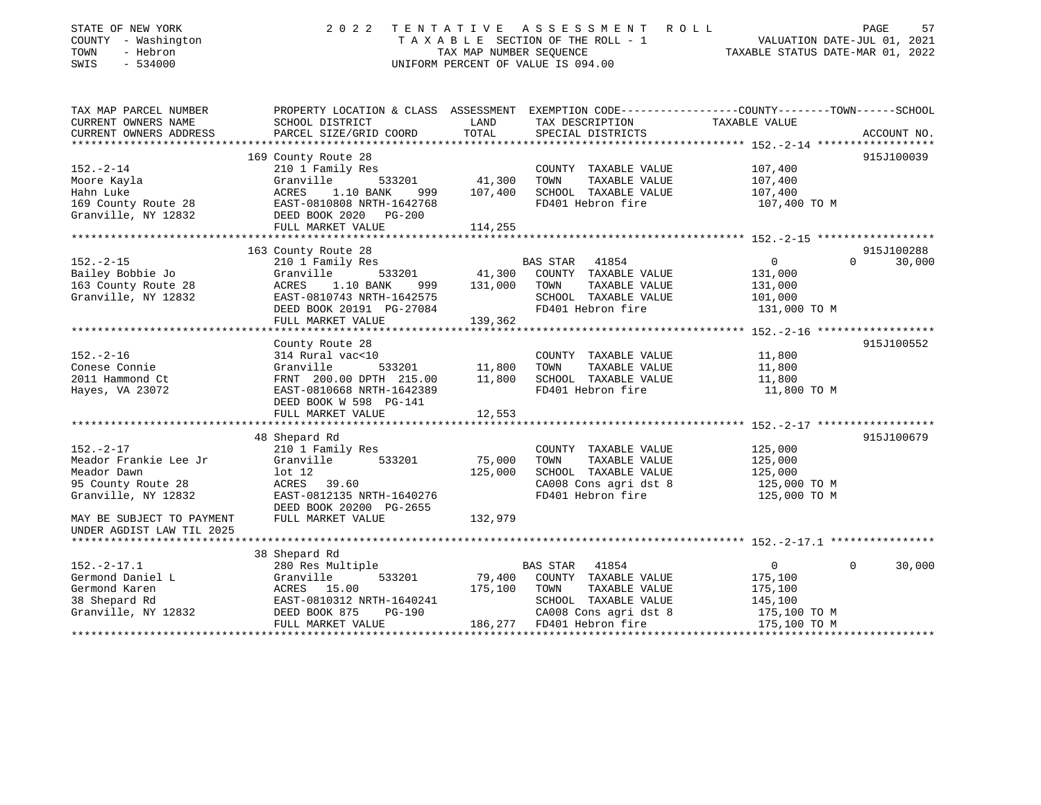| STATE OF NEW YORK<br>COUNTY - Washington<br>TOWN<br>- Hebron<br>SWIS<br>$-534000$                                                                              | 2 0 2 2                                                                                                                                                                                                                                                                   | TENTATIVE<br>TAX MAP NUMBER SEQUENCE             | A S S E S S M E N T<br>TAXABLE SECTION OF THE ROLL - 1<br>UNIFORM PERCENT OF VALUE IS 094.00                                                                                                    | ROLL<br>VALUATION DATE-JUL 01, 2021<br>TAXABLE STATUS DATE-MAR 01, 2022                     | PAGE<br>57                                     |
|----------------------------------------------------------------------------------------------------------------------------------------------------------------|---------------------------------------------------------------------------------------------------------------------------------------------------------------------------------------------------------------------------------------------------------------------------|--------------------------------------------------|-------------------------------------------------------------------------------------------------------------------------------------------------------------------------------------------------|---------------------------------------------------------------------------------------------|------------------------------------------------|
| TAX MAP PARCEL NUMBER<br>CURRENT OWNERS NAME<br>CURRENT OWNERS ADDRESS<br>***********************                                                              | PROPERTY LOCATION & CLASS ASSESSMENT EXEMPTION CODE---------------COUNTY-------TOWN------SCHOOL<br>SCHOOL DISTRICT<br>PARCEL SIZE/GRID COORD                                                                                                                              | LAND<br>TOTAL                                    | TAX DESCRIPTION<br>SPECIAL DISTRICTS                                                                                                                                                            | TAXABLE VALUE                                                                               | ACCOUNT NO.                                    |
| $152. - 2 - 14$<br>Moore Kayla<br>Hahn Luke<br>169 County Route 28<br>Granville, NY 12832                                                                      | 169 County Route 28<br>210 1 Family Res<br>Granville<br>533201<br>1.10 BANK<br>ACRES<br>999<br>EAST-0810808 NRTH-1642768<br>DEED BOOK 2020 PG-200                                                                                                                         | 41,300<br>107,400                                | COUNTY TAXABLE VALUE<br>TOWN<br>TAXABLE VALUE<br>SCHOOL TAXABLE VALUE<br>FD401 Hebron fire                                                                                                      | 107,400<br>107,400<br>107,400<br>107,400 TO M                                               | 915J100039                                     |
|                                                                                                                                                                | FULL MARKET VALUE                                                                                                                                                                                                                                                         | 114,255                                          |                                                                                                                                                                                                 |                                                                                             |                                                |
| $152. - 2 - 15$<br>Bailey Bobbie Jo<br>163 County Route 28<br>Granville, NY 12832<br>$152. - 2 - 16$<br>Conese Connie<br>2011 Hammond Ct                       | 163 County Route 28<br>210 1 Family Res<br>533201<br>Granville<br><b>ACRES</b><br>1.10 BANK<br>999<br>EAST-0810743 NRTH-1642575<br>DEED BOOK 20191 PG-27084<br>FULL MARKET VALUE<br>County Route 28<br>314 Rural vac<10<br>Granville<br>533201<br>FRNT 200.00 DPTH 215.00 | 41,300<br>131,000<br>139,362<br>11,800<br>11,800 | <b>BAS STAR</b><br>41854<br>COUNTY TAXABLE VALUE<br>TOWN<br>TAXABLE VALUE<br>SCHOOL TAXABLE VALUE<br>FD401 Hebron fire<br>COUNTY TAXABLE VALUE<br>TOWN<br>TAXABLE VALUE<br>SCHOOL TAXABLE VALUE | $\mathbf{0}$<br>131,000<br>131,000<br>101,000<br>131,000 TO M<br>11,800<br>11,800<br>11,800 | 915J100288<br>$\Omega$<br>30,000<br>915J100552 |
| Hayes, VA 23072                                                                                                                                                | EAST-0810668 NRTH-1642389<br>DEED BOOK W 598 PG-141<br>FULL MARKET VALUE                                                                                                                                                                                                  | 12,553                                           | FD401 Hebron fire                                                                                                                                                                               | 11,800 TO M                                                                                 |                                                |
|                                                                                                                                                                |                                                                                                                                                                                                                                                                           | ********                                         |                                                                                                                                                                                                 | ********** 152.-2-17 ******************                                                     |                                                |
| $152. - 2 - 17$<br>Meador Frankie Lee Jr<br>Meador Dawn<br>95 County Route 28<br>Granville, NY 12832<br>MAY BE SUBJECT TO PAYMENT<br>UNDER AGDIST LAW TIL 2025 | 48 Shepard Rd<br>210 1 Family Res<br>Granville<br>533201<br>$1$ ot $12$<br>ACRES<br>39.60<br>EAST-0812135 NRTH-1640276<br>DEED BOOK 20200 PG-2655<br>FULL MARKET VALUE                                                                                                    | 75,000<br>125,000<br>132,979                     | COUNTY TAXABLE VALUE<br>TOWN<br>TAXABLE VALUE<br>SCHOOL TAXABLE VALUE<br>CA008 Cons agri dst 8<br>FD401 Hebron fire                                                                             | 125,000<br>125,000<br>125,000<br>125,000 TO M<br>125,000 TO M                               | 915J100679                                     |
| *********************                                                                                                                                          |                                                                                                                                                                                                                                                                           |                                                  |                                                                                                                                                                                                 |                                                                                             |                                                |
| $152. - 2 - 17.1$<br>Germond Daniel L<br>Germond Karen<br>38 Shepard Rd<br>Granville, NY 12832                                                                 | 38 Shepard Rd<br>280 Res Multiple<br>Granville<br>533201<br>ACRES 15.00<br>EAST-0810312 NRTH-1640241<br>DEED BOOK 875<br>PG-190<br>FULL MARKET VALUE                                                                                                                      | 79,400<br>175,100<br>186,277                     | <b>BAS STAR</b><br>41854<br>COUNTY TAXABLE VALUE<br>TOWN<br>TAXABLE VALUE<br>SCHOOL TAXABLE VALUE<br>CA008 Cons agri dst 8<br>FD401 Hebron fire                                                 | $\overline{0}$<br>175,100<br>175,100<br>145,100<br>175,100 TO M<br>175,100 TO M             | 30,000<br>$\Omega$                             |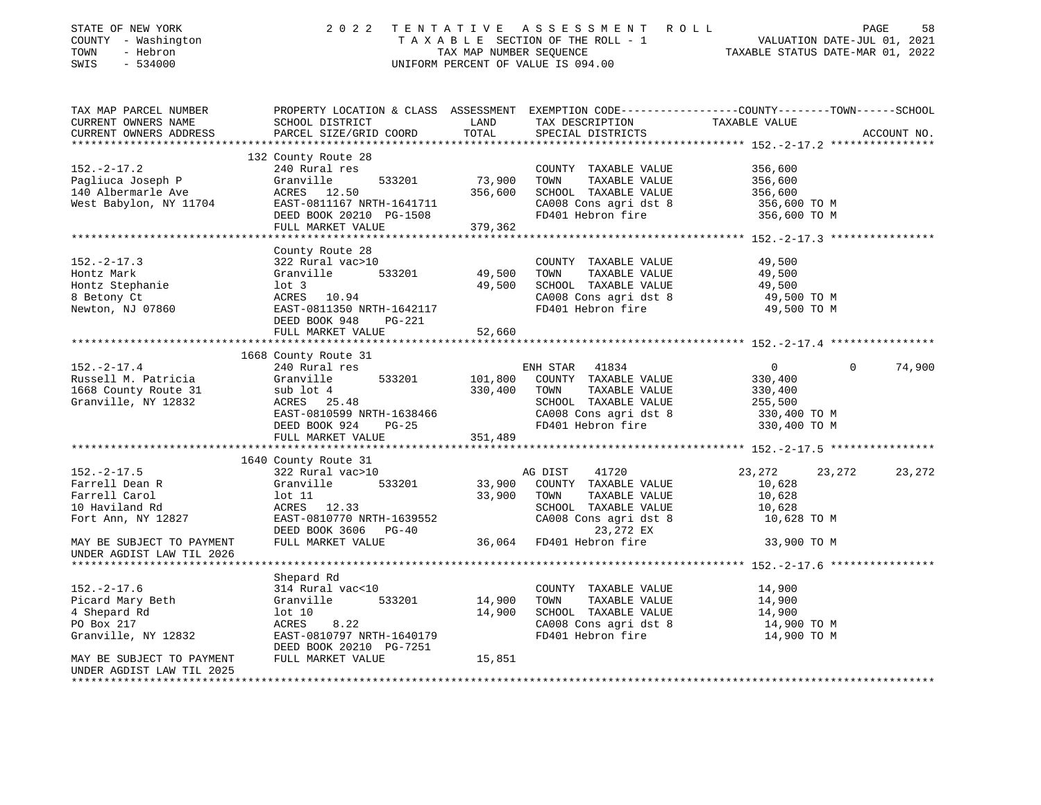| STATE OF NEW YORK<br>COUNTY - Washington<br>TOWN<br>- Hebron<br>$-534000$<br>SWIS | 2 0 2 2                                                                                                            |         | TENTATIVE ASSESSMENT ROLL<br>T A X A B L E SECTION OF THE ROLL - 1 VALUATION DATE-JUL 01, 2021<br>TAX MAP NUMBER SEQUENCE TAXIBLE STATUS DATE-MAR 01. 2022<br>UNIFORM PERCENT OF VALUE IS 094.00 |                            | 58<br>PAGE         |
|-----------------------------------------------------------------------------------|--------------------------------------------------------------------------------------------------------------------|---------|--------------------------------------------------------------------------------------------------------------------------------------------------------------------------------------------------|----------------------------|--------------------|
| TAX MAP PARCEL NUMBER<br>CURRENT OWNERS NAME                                      | PROPERTY LOCATION & CLASS ASSESSMENT EXEMPTION CODE---------------COUNTY-------TOWN------SCHOOL<br>SCHOOL DISTRICT | LAND    | TAX DESCRIPTION TAXABLE VALUE                                                                                                                                                                    |                            |                    |
| CURRENT OWNERS ADDRESS                                                            | PARCEL SIZE/GRID COORD                                                                                             | TOTAL   | SPECIAL DISTRICTS                                                                                                                                                                                |                            | ACCOUNT NO.        |
|                                                                                   |                                                                                                                    |         |                                                                                                                                                                                                  |                            |                    |
| $152. - 2 - 17.2$                                                                 | 132 County Route 28<br>240 Rural res                                                                               |         | COUNTY TAXABLE VALUE                                                                                                                                                                             | 356,600                    |                    |
| Pagliuca Joseph P                                                                 | 533201<br>Granville                                                                                                | 73,900  | TAXABLE VALUE<br>TOWN                                                                                                                                                                            | 356,600                    |                    |
| 140 Albermarle Ave                                                                | ACRES 12.50                                                                                                        |         | 356,600 SCHOOL TAXABLE VALUE                                                                                                                                                                     | 356,600                    |                    |
| West Babylon, NY 11704                                                            |                                                                                                                    |         | CA008 Cons agri dst 8                                                                                                                                                                            | 356,600 TO M               |                    |
|                                                                                   | EAST-0811167 NRTH-1641711<br>DEED BOOK 20210 PG-1508                                                               |         | FD401 Hebron fire                                                                                                                                                                                | 356,600 TO M               |                    |
|                                                                                   | FULL MARKET VALUE                                                                                                  | 379,362 |                                                                                                                                                                                                  |                            |                    |
|                                                                                   |                                                                                                                    |         |                                                                                                                                                                                                  |                            |                    |
|                                                                                   | County Route 28                                                                                                    |         |                                                                                                                                                                                                  |                            |                    |
| $152. - 2 - 17.3$                                                                 | 322 Rural vac>10                                                                                                   |         | COUNTY TAXABLE VALUE                                                                                                                                                                             | 49,500                     |                    |
| Hontz Mark                                                                        | Granville<br>533201                                                                                                | 49,500  | TOWN<br>TAXABLE VALUE                                                                                                                                                                            | 49,500                     |                    |
| Hontz Stephanie                                                                   | lot 3                                                                                                              | 49,500  | SCHOOL TAXABLE VALUE                                                                                                                                                                             | 49,500                     |                    |
| 8 Betony Ct                                                                       | ACRES 10.94                                                                                                        |         | CA008 Cons agri dst 8                                                                                                                                                                            | 49,500 TO M                |                    |
| Newton, NJ 07860                                                                  | EAST-0811350 NRTH-1642117                                                                                          |         | FD401 Hebron fire                                                                                                                                                                                | 49,500 TO M                |                    |
|                                                                                   | DEED BOOK 948<br>PG-221                                                                                            |         |                                                                                                                                                                                                  |                            |                    |
|                                                                                   | FULL MARKET VALUE                                                                                                  | 52,660  |                                                                                                                                                                                                  |                            |                    |
|                                                                                   | 1668 County Route 31                                                                                               |         |                                                                                                                                                                                                  |                            |                    |
| $152. - 2 - 17.4$                                                                 | 240 Rural res                                                                                                      |         | ENH STAR 41834                                                                                                                                                                                   | $\overline{0}$             | $\Omega$<br>74,900 |
| Russell M. Patricia                                                               | Granville<br>533201                                                                                                | 101,800 | COUNTY TAXABLE VALUE                                                                                                                                                                             | 330,400                    |                    |
| 1668 County Route 31                                                              | sub lot 4                                                                                                          | 330,400 | TOWN<br>TAXABLE VALUE                                                                                                                                                                            | 330,400                    |                    |
| Granville, NY 12832                                                               | ACRES 25.48                                                                                                        |         | SCHOOL TAXABLE VALUE                                                                                                                                                                             | 255,500                    |                    |
|                                                                                   | EAST-0810599 NRTH-1638466                                                                                          |         | CA008 Cons agri dst 8                                                                                                                                                                            | 330,400 TO M               |                    |
|                                                                                   | DEED BOOK 924<br><b>PG-25</b>                                                                                      |         | FD401 Hebron fire                                                                                                                                                                                | 330,400 TO M               |                    |
|                                                                                   | FULL MARKET VALUE                                                                                                  | 351,489 |                                                                                                                                                                                                  |                            |                    |
|                                                                                   |                                                                                                                    |         |                                                                                                                                                                                                  |                            |                    |
|                                                                                   | 1640 County Route 31                                                                                               |         |                                                                                                                                                                                                  |                            |                    |
| $152. - 2 - 17.5$                                                                 | 322 Rural vac>10                                                                                                   |         | AG DIST<br>41720                                                                                                                                                                                 | 23,272<br>23,272           | 23,272             |
| Farrell Dean R                                                                    | 533201<br>Granville                                                                                                | 33,900  | COUNTY TAXABLE VALUE                                                                                                                                                                             | 10,628                     |                    |
| Farrell Carol                                                                     | lot 11                                                                                                             | 33,900  | TOWN<br>TAXABLE VALUE                                                                                                                                                                            | 10,628                     |                    |
| 10 Haviland Rd                                                                    | ACRES 12.33                                                                                                        |         | SCHOOL TAXABLE VALUE                                                                                                                                                                             | 10,628                     |                    |
| Fort Ann, NY 12827                                                                | EAST-0810770 NRTH-1639552                                                                                          |         | CA008 Cons agri dst 8                                                                                                                                                                            | 10,628 TO M                |                    |
|                                                                                   | DEED BOOK 3606 PG-40                                                                                               |         | 23,272 EX                                                                                                                                                                                        |                            |                    |
| MAY BE SUBJECT TO PAYMENT                                                         | FULL MARKET VALUE                                                                                                  |         | 36,064 FD401 Hebron fire                                                                                                                                                                         | 33,900 TO M                |                    |
| UNDER AGDIST LAW TIL 2026<br>****************************                         |                                                                                                                    |         |                                                                                                                                                                                                  |                            |                    |
|                                                                                   |                                                                                                                    |         |                                                                                                                                                                                                  |                            |                    |
|                                                                                   | Shepard Rd                                                                                                         |         |                                                                                                                                                                                                  |                            |                    |
| $152. -2 - 17.6$                                                                  | 314 Rural vac<10                                                                                                   |         | COUNTY TAXABLE VALUE                                                                                                                                                                             | 14,900                     |                    |
| Picard Mary Beth                                                                  | 533201<br>Granville                                                                                                | 14,900  | TOWN<br>TAXABLE VALUE                                                                                                                                                                            | 14,900                     |                    |
| 4 Shepard Rd<br>PO Box 217                                                        | lot 10<br>8.22<br>ACRES                                                                                            | 14,900  | SCHOOL TAXABLE VALUE<br>CA008 Cons agri dst 8                                                                                                                                                    | 14,900                     |                    |
| Granville, NY 12832                                                               | EAST-0810797 NRTH-1640179                                                                                          |         | FD401 Hebron fire                                                                                                                                                                                | 14,900 TO M<br>14,900 TO M |                    |
|                                                                                   | DEED BOOK 20210 PG-7251                                                                                            |         |                                                                                                                                                                                                  |                            |                    |
| MAY BE SUBJECT TO PAYMENT                                                         | FULL MARKET VALUE                                                                                                  | 15,851  |                                                                                                                                                                                                  |                            |                    |
| UNDER AGDIST LAW TIL 2025                                                         |                                                                                                                    |         |                                                                                                                                                                                                  |                            |                    |
|                                                                                   |                                                                                                                    |         |                                                                                                                                                                                                  |                            |                    |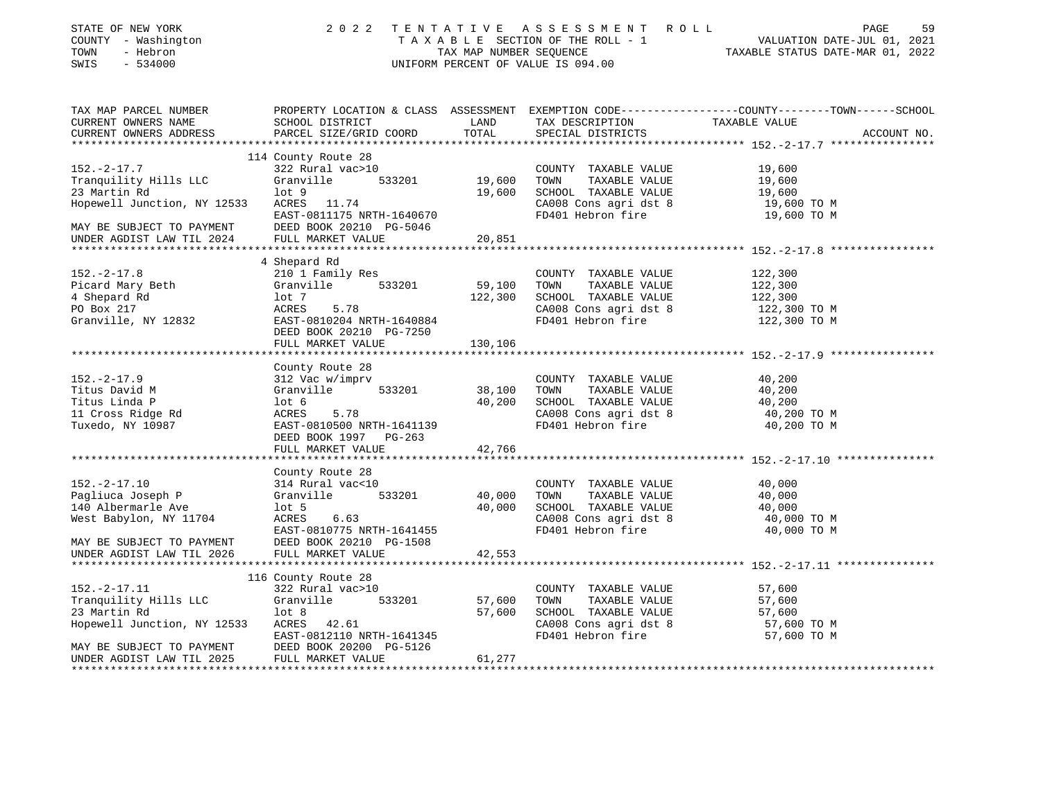| STATE OF NEW YORK                             | 2 0 2 2                                   |                         | TENTATIVE ASSESSMENT ROLL                     | PAGE<br>59                                                                                      |
|-----------------------------------------------|-------------------------------------------|-------------------------|-----------------------------------------------|-------------------------------------------------------------------------------------------------|
| COUNTY - Washington                           |                                           |                         | TAXABLE SECTION OF THE ROLL - 1               | VALUATION DATE-JUL 01, 2021                                                                     |
| TOWN<br>- Hebron                              |                                           | TAX MAP NUMBER SEQUENCE |                                               | TAXABLE STATUS DATE-MAR 01, 2022                                                                |
| $-534000$<br>SWIS                             |                                           |                         | UNIFORM PERCENT OF VALUE IS 094.00            |                                                                                                 |
|                                               |                                           |                         |                                               |                                                                                                 |
| TAX MAP PARCEL NUMBER                         |                                           |                         |                                               | PROPERTY LOCATION & CLASS ASSESSMENT EXEMPTION CODE---------------COUNTY-------TOWN------SCHOOL |
| CURRENT OWNERS NAME<br>CURRENT OWNERS ADDRESS | SCHOOL DISTRICT<br>PARCEL SIZE/GRID COORD | LAND<br>TOTAL           | TAX DESCRIPTION<br>SPECIAL DISTRICTS          | TAXABLE VALUE<br>ACCOUNT NO.                                                                    |
|                                               |                                           |                         |                                               |                                                                                                 |
|                                               | 114 County Route 28                       |                         |                                               |                                                                                                 |
| $152. - 2 - 17.7$                             | 322 Rural vac>10                          |                         | COUNTY TAXABLE VALUE                          | 19,600                                                                                          |
| Tranquility Hills LLC                         | Granville<br>533201                       | 19,600                  | TOWN<br>TAXABLE VALUE                         | 19,600                                                                                          |
| 23 Martin Rd                                  | $1$ ot $9$                                | 19,600                  | SCHOOL TAXABLE VALUE                          | 19,600                                                                                          |
| Hopewell Junction, NY 12533                   | ACRES 11.74                               |                         | CA008 Cons agri dst 8                         | 19,600 TO M                                                                                     |
|                                               | EAST-0811175 NRTH-1640670                 |                         | FD401 Hebron fire                             | 19,600 TO M                                                                                     |
| MAY BE SUBJECT TO PAYMENT                     | DEED BOOK 20210 PG-5046                   |                         |                                               |                                                                                                 |
| UNDER AGDIST LAW TIL 2024                     | FULL MARKET VALUE                         | 20,851                  |                                               |                                                                                                 |
|                                               |                                           |                         |                                               |                                                                                                 |
|                                               | 4 Shepard Rd                              |                         |                                               |                                                                                                 |
| $152. - 2 - 17.8$                             | 210 1 Family Res                          |                         | COUNTY TAXABLE VALUE                          | 122,300                                                                                         |
| Picard Mary Beth<br>4 Shepard Rd              | 533201<br>Granville<br>lot 7              | 59,100<br>122,300       | TOWN<br>TAXABLE VALUE<br>SCHOOL TAXABLE VALUE | 122,300<br>122,300                                                                              |
| PO Box 217                                    | 5.78<br>ACRES                             |                         | CA008 Cons agri dst 8                         | 122,300 TO M                                                                                    |
| Granville, NY 12832                           | EAST-0810204 NRTH-1640884                 |                         | FD401 Hebron fire                             | 122,300 TO M                                                                                    |
|                                               | DEED BOOK 20210 PG-7250                   |                         |                                               |                                                                                                 |
|                                               | FULL MARKET VALUE                         | 130,106                 |                                               |                                                                                                 |
|                                               |                                           |                         |                                               |                                                                                                 |
|                                               | County Route 28                           |                         |                                               |                                                                                                 |
| $152. - 2 - 17.9$                             | 312 Vac w/imprv                           |                         | COUNTY TAXABLE VALUE                          | 40,200                                                                                          |
| Titus David M                                 | 533201<br>Granville                       | 38,100                  | TOWN<br>TAXABLE VALUE                         | 40,200                                                                                          |
| Titus Linda P                                 | $1$ ot 6                                  | 40,200                  | SCHOOL TAXABLE VALUE                          | 40,200                                                                                          |
| 11 Cross Ridge Rd                             | 5.78<br>ACRES                             |                         | CA008 Cons agri dst 8                         | 40,200 TO M                                                                                     |
| Tuxedo, NY 10987                              | EAST-0810500 NRTH-1641139                 |                         | FD401 Hebron fire                             | 40,200 TO M                                                                                     |
|                                               | DEED BOOK 1997 PG-263                     | 42,766                  |                                               |                                                                                                 |
|                                               | FULL MARKET VALUE                         |                         |                                               |                                                                                                 |
|                                               | County Route 28                           |                         |                                               |                                                                                                 |
| $152. -2 - 17.10$                             | 314 Rural vac<10                          |                         | COUNTY TAXABLE VALUE                          | 40,000                                                                                          |
| Pagliuca Joseph P                             | 533201<br>Granville                       | 40,000                  | TOWN<br>TAXABLE VALUE                         | 40,000                                                                                          |
| 140 Albermarle Ave                            | $1$ ot 5                                  | 40,000                  | SCHOOL TAXABLE VALUE                          | 40,000                                                                                          |
| West Babylon, NY 11704                        | ACRES<br>6.63                             |                         | CA008 Cons agri dst 8                         | 40,000 TO M                                                                                     |
|                                               | EAST-0810775 NRTH-1641455                 |                         | FD401 Hebron fire                             | 40,000 TO M                                                                                     |
| MAY BE SUBJECT TO PAYMENT                     | DEED BOOK 20210 PG-1508                   |                         |                                               |                                                                                                 |
| UNDER AGDIST LAW TIL 2026                     | FULL MARKET VALUE                         | 42,553                  |                                               |                                                                                                 |
|                                               |                                           |                         |                                               |                                                                                                 |
|                                               | 116 County Route 28                       |                         |                                               |                                                                                                 |
| $152. - 2 - 17.11$                            | 322 Rural vac>10                          |                         | COUNTY TAXABLE VALUE                          | 57,600                                                                                          |
| Tranquility Hills LLC<br>23 Martin Rd         | Granville<br>533201                       | 57,600                  | TOWN<br>TAXABLE VALUE<br>SCHOOL TAXABLE VALUE | 57,600<br>57,600                                                                                |
| Hopewell Junction, NY 12533                   | lot 8<br>ACRES 42.61                      | 57,600                  | CA008 Cons agri dst 8                         | 57,600 TO M                                                                                     |
|                                               | EAST-0812110 NRTH-1641345                 |                         | FD401 Hebron fire                             | 57,600 TO M                                                                                     |
| MAY BE SUBJECT TO PAYMENT                     | DEED BOOK 20200 PG-5126                   |                         |                                               |                                                                                                 |
| UNDER AGDIST LAW TIL 2025                     | FULL MARKET VALUE                         | 61,277                  |                                               |                                                                                                 |
|                                               |                                           |                         |                                               |                                                                                                 |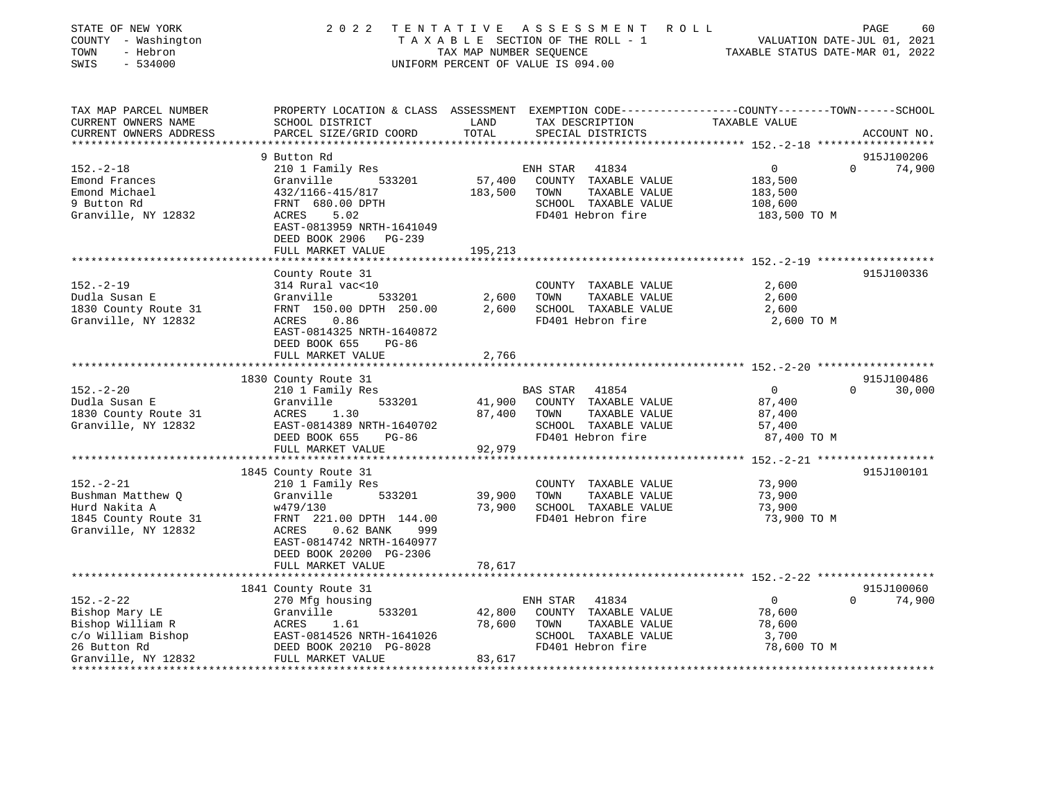| STATE OF NEW YORK<br>COUNTY - Washington<br>TOWN<br>- Hebron<br>SWIS<br>$-534000$                  | 2022                                       | TENTATIVE<br>TAX MAP NUMBER SEQUENCE | A S S E S S M E N T<br>R O L L<br>TAXABLE SECTION OF THE ROLL - 1<br>UNIFORM PERCENT OF VALUE IS 094.00                                | VALUATION DATE-JUL 01, 2021<br>TAXABLE STATUS DATE-MAR 01, 2022 | PAGE<br>60  |
|----------------------------------------------------------------------------------------------------|--------------------------------------------|--------------------------------------|----------------------------------------------------------------------------------------------------------------------------------------|-----------------------------------------------------------------|-------------|
| TAX MAP PARCEL NUMBER<br>CURRENT OWNERS NAME<br>CURRENT OWNERS ADDRESS<br>************************ | SCHOOL DISTRICT<br>PARCEL SIZE/GRID COORD  | LAND<br>TOTAL                        | PROPERTY LOCATION & CLASS ASSESSMENT EXEMPTION CODE---------------COUNTY-------TOWN-----SCHOOL<br>TAX DESCRIPTION<br>SPECIAL DISTRICTS | TAXABLE VALUE                                                   | ACCOUNT NO. |
|                                                                                                    | 9 Button Rd                                |                                      |                                                                                                                                        |                                                                 | 915J100206  |
| $152. - 2 - 18$                                                                                    | 210 1 Family Res                           |                                      | 41834<br>ENH STAR                                                                                                                      | $\overline{0}$<br>$\Omega$                                      | 74,900      |
| Emond Frances                                                                                      | 533201<br>Granville                        | 57,400                               | COUNTY TAXABLE VALUE                                                                                                                   | 183,500                                                         |             |
| Emond Michael                                                                                      | 432/1166-415/817                           | 183,500                              | TOWN<br>TAXABLE VALUE                                                                                                                  | 183,500                                                         |             |
| 9 Button Rd                                                                                        | FRNT 680.00 DPTH                           |                                      | SCHOOL TAXABLE VALUE                                                                                                                   | 108,600                                                         |             |
| Granville, NY 12832                                                                                | 5.02<br>ACRES                              |                                      | FD401 Hebron fire                                                                                                                      | 183,500 TO M                                                    |             |
|                                                                                                    | EAST-0813959 NRTH-1641049                  |                                      |                                                                                                                                        |                                                                 |             |
|                                                                                                    | DEED BOOK 2906<br>PG-239                   |                                      |                                                                                                                                        |                                                                 |             |
|                                                                                                    | FULL MARKET VALUE                          | 195,213                              |                                                                                                                                        | ************************ 152.-2-19 *******************          |             |
|                                                                                                    | County Route 31                            |                                      |                                                                                                                                        |                                                                 | 915J100336  |
| $152. - 2 - 19$                                                                                    | 314 Rural vac<10                           |                                      | COUNTY TAXABLE VALUE                                                                                                                   | 2,600                                                           |             |
| Dudla Susan E                                                                                      | Granville<br>533201                        | 2,600                                | TOWN<br>TAXABLE VALUE                                                                                                                  | 2,600                                                           |             |
| 1830 County Route 31                                                                               | FRNT 150.00 DPTH 250.00                    | 2,600                                | SCHOOL TAXABLE VALUE                                                                                                                   | 2,600                                                           |             |
| Granville, NY 12832                                                                                | 0.86<br>ACRES                              |                                      | FD401 Hebron fire                                                                                                                      | 2,600 TO M                                                      |             |
|                                                                                                    | EAST-0814325 NRTH-1640872                  |                                      |                                                                                                                                        |                                                                 |             |
|                                                                                                    | DEED BOOK 655<br>$PG-86$                   |                                      |                                                                                                                                        |                                                                 |             |
|                                                                                                    | FULL MARKET VALUE                          | 2,766<br>* * * * * * * * *           |                                                                                                                                        | ************************ 152.-2-20 *******************          |             |
|                                                                                                    | 1830 County Route 31                       |                                      |                                                                                                                                        |                                                                 | 915J100486  |
| $152. - 2 - 20$                                                                                    | 210 1 Family Res                           |                                      | <b>BAS STAR</b><br>41854                                                                                                               | $\overline{0}$<br>$\Omega$                                      | 30,000      |
| Dudla Susan E                                                                                      | 533201<br>Granville                        | 41,900                               | COUNTY TAXABLE VALUE                                                                                                                   | 87,400                                                          |             |
| 1830 County Route 31                                                                               | ACRES<br>1.30                              | 87,400                               | TOWN<br>TAXABLE VALUE                                                                                                                  | 87,400                                                          |             |
| Granville, NY 12832                                                                                | EAST-0814389 NRTH-1640702                  |                                      | SCHOOL TAXABLE VALUE                                                                                                                   | 57,400                                                          |             |
|                                                                                                    | DEED BOOK 655<br>PG-86                     |                                      | FD401 Hebron fire                                                                                                                      | 87,400 TO M                                                     |             |
|                                                                                                    | FULL MARKET VALUE                          | 92,979                               |                                                                                                                                        |                                                                 |             |
|                                                                                                    | ****************************               |                                      |                                                                                                                                        |                                                                 |             |
|                                                                                                    | 1845 County Route 31                       |                                      |                                                                                                                                        |                                                                 | 915J100101  |
| $152. - 2 - 21$                                                                                    | 210 1 Family Res                           |                                      | COUNTY TAXABLE VALUE                                                                                                                   | 73,900                                                          |             |
| Bushman Matthew Q<br>Hurd Nakita A                                                                 | 533201<br>Granville<br>w479/130            | 39,900<br>73,900                     | TOWN<br>TAXABLE VALUE<br>SCHOOL TAXABLE VALUE                                                                                          | 73,900<br>73,900                                                |             |
| 1845 County Route 31                                                                               | FRNT 221.00 DPTH 144.00                    |                                      | FD401 Hebron fire                                                                                                                      | 73,900 TO M                                                     |             |
| Granville, NY 12832                                                                                | ACRES<br>$0.62$ BANK<br>999                |                                      |                                                                                                                                        |                                                                 |             |
|                                                                                                    | EAST-0814742 NRTH-1640977                  |                                      |                                                                                                                                        |                                                                 |             |
|                                                                                                    | DEED BOOK 20200 PG-2306                    |                                      |                                                                                                                                        |                                                                 |             |
|                                                                                                    | FULL MARKET VALUE                          | 78,617                               |                                                                                                                                        |                                                                 |             |
|                                                                                                    | *************************                  |                                      |                                                                                                                                        |                                                                 |             |
|                                                                                                    | 1841 County Route 31                       |                                      |                                                                                                                                        |                                                                 | 915J100060  |
| $152. - 2 - 22$                                                                                    | 270 Mfg housing                            |                                      | 41834<br>ENH STAR                                                                                                                      | $\overline{0}$<br>$\Omega$                                      | 74,900      |
| Bishop Mary LE                                                                                     | Granville<br>533201                        | 42,800                               | COUNTY TAXABLE VALUE                                                                                                                   | 78,600                                                          |             |
| Bishop William R<br>c/o William Bishop                                                             | 1.61<br>ACRES<br>EAST-0814526 NRTH-1641026 | 78,600                               | TAXABLE VALUE<br>TOWN<br>SCHOOL TAXABLE VALUE                                                                                          | 78,600<br>3,700                                                 |             |
| 26 Button Rd                                                                                       | DEED BOOK 20210 PG-8028                    |                                      | FD401 Hebron fire                                                                                                                      | 78,600 TO M                                                     |             |
| Granville, NY 12832                                                                                | FULL MARKET VALUE                          | 83,617                               |                                                                                                                                        |                                                                 |             |
|                                                                                                    |                                            |                                      |                                                                                                                                        |                                                                 |             |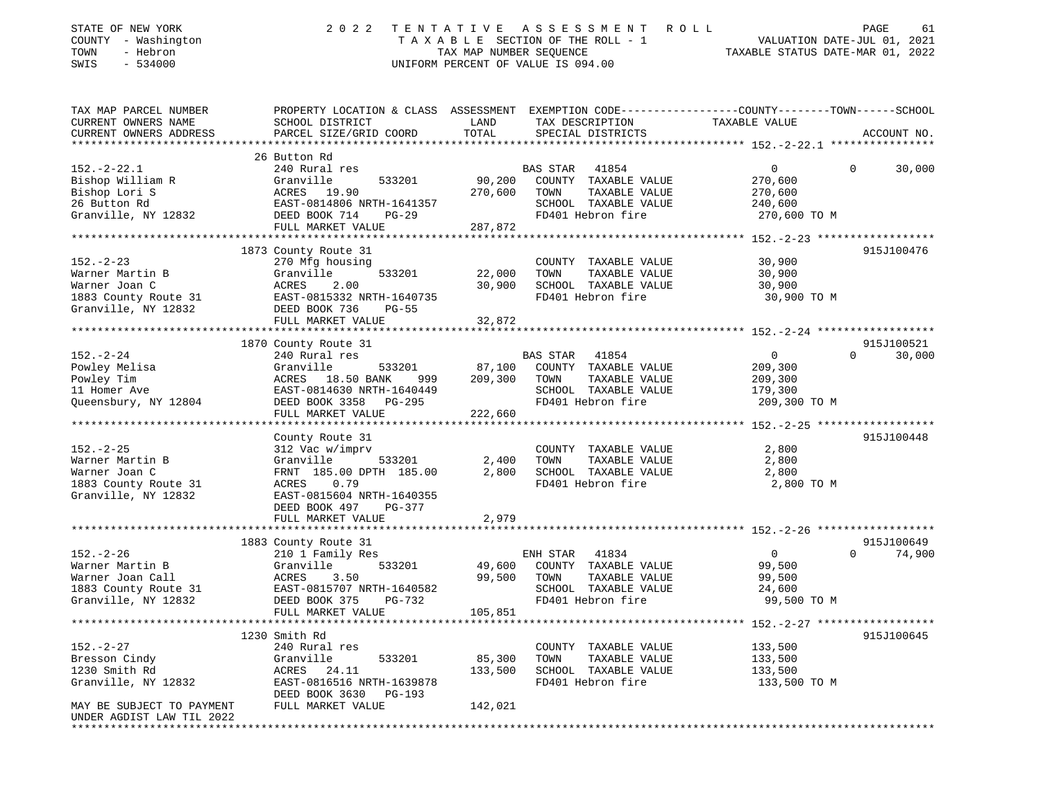| STATE OF NEW YORK<br>COUNTY - Washington<br>TOWN<br>- Hebron<br>SWIS<br>$-534000$ | 2 0 2 2                                                | TENTATIVE<br>TAX MAP NUMBER SEQUENCE | ASSESSMENT<br>TAXABLE SECTION OF THE ROLL - 1<br>UNIFORM PERCENT OF VALUE IS 094.00 | ROLL<br>VALUATION DATE-JUL 01, 2021<br>TAXABLE STATUS DATE-MAR 01, 2022                                         | PAGE<br>61  |
|-----------------------------------------------------------------------------------|--------------------------------------------------------|--------------------------------------|-------------------------------------------------------------------------------------|-----------------------------------------------------------------------------------------------------------------|-------------|
| TAX MAP PARCEL NUMBER<br>CURRENT OWNERS NAME                                      | SCHOOL DISTRICT                                        | LAND                                 | TAX DESCRIPTION                                                                     | PROPERTY LOCATION & CLASS ASSESSMENT EXEMPTION CODE---------------COUNTY-------TOWN-----SCHOOL<br>TAXABLE VALUE |             |
| CURRENT OWNERS ADDRESS                                                            | PARCEL SIZE/GRID COORD                                 | TOTAL                                | SPECIAL DISTRICTS                                                                   |                                                                                                                 | ACCOUNT NO. |
|                                                                                   | 26 Button Rd                                           |                                      |                                                                                     |                                                                                                                 |             |
| $152 - 2 - 22.1$                                                                  | 240 Rural res                                          |                                      | <b>BAS STAR</b><br>41854                                                            | 0<br>$\overline{0}$                                                                                             | 30,000      |
| Bishop William R                                                                  | Granville<br>533201                                    | 90,200                               | COUNTY TAXABLE VALUE                                                                | 270,600                                                                                                         |             |
| Bishop Lori S                                                                     | 19.90<br>ACRES                                         | 270,600                              | TOWN<br>TAXABLE VALUE                                                               | 270,600                                                                                                         |             |
| 26 Button Rd                                                                      | EAST-0814806 NRTH-1641357                              |                                      | SCHOOL TAXABLE VALUE<br>FD401 Hebron fire                                           | 240,600                                                                                                         |             |
| Granville, NY 12832                                                               | DEED BOOK 714<br>$PG-29$<br>FULL MARKET VALUE          | 287,872                              |                                                                                     | 270,600 TO M                                                                                                    |             |
|                                                                                   | *****************************                          |                                      |                                                                                     |                                                                                                                 |             |
|                                                                                   | 1873 County Route 31                                   |                                      |                                                                                     |                                                                                                                 | 915J100476  |
| $152. - 2 - 23$                                                                   | 270 Mfg housing                                        |                                      | COUNTY TAXABLE VALUE                                                                | 30,900                                                                                                          |             |
| Warner Martin B                                                                   | Granville<br>533201                                    | 22,000                               | TOWN<br>TAXABLE VALUE                                                               | 30,900                                                                                                          |             |
| Warner Joan C                                                                     | 2.00<br>ACRES                                          | 30,900                               | SCHOOL TAXABLE VALUE                                                                | 30,900                                                                                                          |             |
| 1883 County Route 31                                                              | EAST-0815332 NRTH-1640735                              |                                      | FD401 Hebron fire                                                                   | 30,900 TO M                                                                                                     |             |
| Granville, NY 12832                                                               | DEED BOOK 736<br>$PG-55$                               |                                      |                                                                                     |                                                                                                                 |             |
|                                                                                   | FULL MARKET VALUE<br>*********************             | 32,872<br>********                   |                                                                                     | ********* 152. -2-24 *******                                                                                    |             |
|                                                                                   | 1870 County Route 31                                   |                                      |                                                                                     |                                                                                                                 | 915J100521  |
| $152. - 2 - 24$                                                                   | 240 Rural res                                          |                                      | BAS STAR<br>41854                                                                   | 0<br>$\Omega$                                                                                                   | 30,000      |
| Powley Melisa                                                                     | Granville<br>533201                                    | 87,100                               | COUNTY TAXABLE VALUE                                                                | 209,300                                                                                                         |             |
| Powley Tim                                                                        | 18.50 BANK<br>ACRES<br>999                             | 209,300                              | TOWN<br>TAXABLE VALUE                                                               | 209,300                                                                                                         |             |
| 11 Homer Ave                                                                      | EAST-0814630 NRTH-1640449                              |                                      | SCHOOL TAXABLE VALUE                                                                | 179,300                                                                                                         |             |
| Queensbury, NY 12804                                                              | DEED BOOK 3358<br>PG-295                               |                                      | FD401 Hebron fire                                                                   | 209,300 TO M                                                                                                    |             |
|                                                                                   | FULL MARKET VALUE                                      | 222,660                              |                                                                                     |                                                                                                                 |             |
|                                                                                   |                                                        |                                      |                                                                                     |                                                                                                                 |             |
|                                                                                   | County Route 31                                        |                                      |                                                                                     |                                                                                                                 | 915J100448  |
| $152. - 2 - 25$                                                                   | 312 Vac w/imprv                                        |                                      | COUNTY TAXABLE VALUE                                                                | 2,800                                                                                                           |             |
| Warner Martin B<br>Warner Joan C                                                  | Granville<br>533201<br>FRNT 185.00 DPTH 185.00         | 2,400<br>2,800                       | TOWN<br>TAXABLE VALUE<br>SCHOOL TAXABLE VALUE                                       | 2,800<br>2,800                                                                                                  |             |
| 1883 County Route 31                                                              | 0.79<br>ACRES                                          |                                      | FD401 Hebron fire                                                                   | 2,800 TO M                                                                                                      |             |
| Granville, NY 12832                                                               | EAST-0815604 NRTH-1640355                              |                                      |                                                                                     |                                                                                                                 |             |
|                                                                                   | DEED BOOK 497<br>PG-377                                |                                      |                                                                                     |                                                                                                                 |             |
|                                                                                   | FULL MARKET VALUE                                      | 2,979                                |                                                                                     |                                                                                                                 |             |
|                                                                                   |                                                        |                                      |                                                                                     |                                                                                                                 |             |
|                                                                                   | 1883 County Route 31                                   |                                      |                                                                                     |                                                                                                                 | 915J100649  |
| $152. - 2 - 26$                                                                   | 210 1 Family Res                                       |                                      | ENH STAR<br>41834                                                                   | $\mathbf 0$<br>$\Omega$                                                                                         | 74,900      |
| Warner Martin B                                                                   | Granville<br>533201                                    | 49,600                               | COUNTY TAXABLE VALUE                                                                | 99,500                                                                                                          |             |
| Warner Joan Call                                                                  | 3.50<br>ACRES                                          | 99,500                               | TOWN<br>TAXABLE VALUE                                                               | 99,500                                                                                                          |             |
| 1883 County Route 31<br>Granville, NY 12832                                       | EAST-0815707 NRTH-1640582<br>$PG-732$<br>DEED BOOK 375 |                                      | SCHOOL TAXABLE VALUE<br>FD401 Hebron fire                                           | 24,600                                                                                                          |             |
|                                                                                   | FULL MARKET VALUE                                      | 105,851                              |                                                                                     | 99,500 TO M                                                                                                     |             |
| ************************                                                          |                                                        |                                      |                                                                                     |                                                                                                                 |             |
|                                                                                   | 1230 Smith Rd                                          |                                      |                                                                                     |                                                                                                                 | 915J100645  |
| $152. - 2 - 27$                                                                   | 240 Rural res                                          |                                      | COUNTY TAXABLE VALUE                                                                | 133,500                                                                                                         |             |
| Bresson Cindy                                                                     | Granville<br>533201                                    | 85,300                               | TOWN<br>TAXABLE VALUE                                                               | 133,500                                                                                                         |             |
| 1230 Smith Rd                                                                     | ACRES<br>24.11                                         | 133,500                              | SCHOOL TAXABLE VALUE                                                                | 133,500                                                                                                         |             |
| Granville, NY 12832                                                               | EAST-0816516 NRTH-1639878<br>DEED BOOK 3630 PG-193     |                                      | FD401 Hebron fire                                                                   | 133,500 TO M                                                                                                    |             |
| MAY BE SUBJECT TO PAYMENT                                                         | FULL MARKET VALUE                                      | 142,021                              |                                                                                     |                                                                                                                 |             |
| UNDER AGDIST LAW TIL 2022                                                         |                                                        |                                      |                                                                                     |                                                                                                                 |             |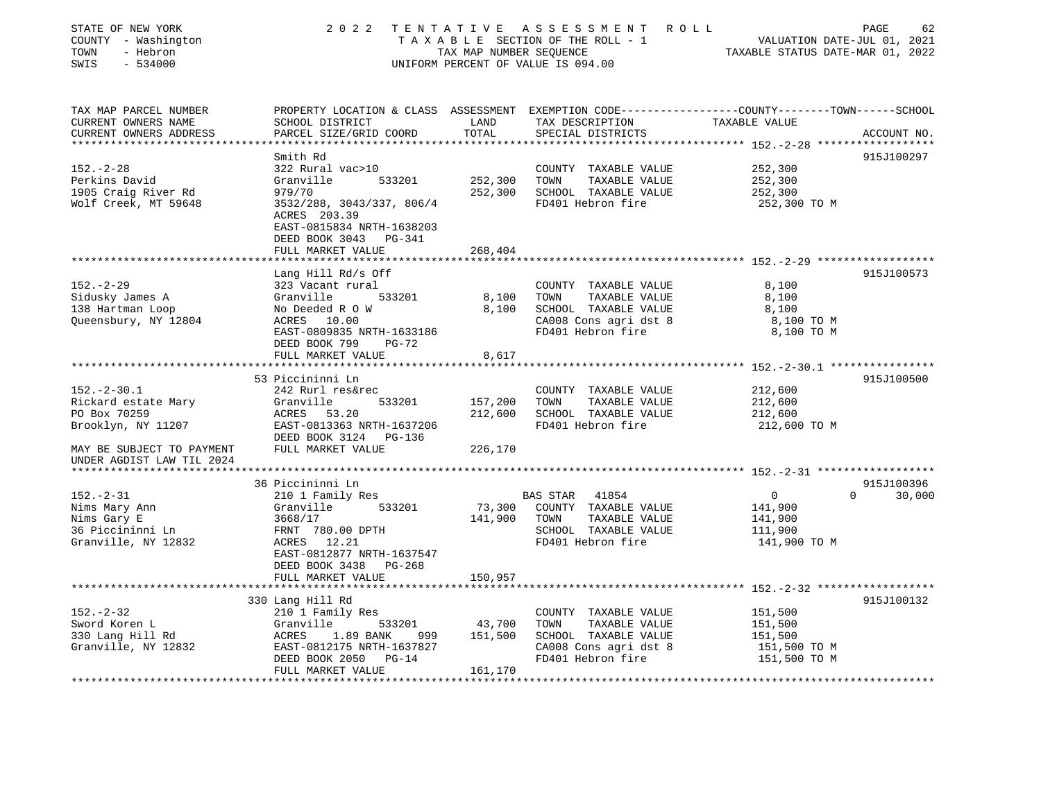| STATE OF NEW YORK<br>COUNTY - Washington<br>TOWN<br>- Hebron<br>SWIS<br>$-534000$                | 2 0 2 2                                                                                                              | TAX MAP NUMBER SEQUENCE          | TENTATIVE ASSESSMENT ROLL<br>TAXABLE SECTION OF THE ROLL - 1<br>UNIFORM PERCENT OF VALUE IS 094.00 | VALUATION DATE-JUL 01, 2021<br>TAXABLE STATUS DATE-MAR 01, 2022                                                  | PAGE<br>62  |
|--------------------------------------------------------------------------------------------------|----------------------------------------------------------------------------------------------------------------------|----------------------------------|----------------------------------------------------------------------------------------------------|------------------------------------------------------------------------------------------------------------------|-------------|
| TAX MAP PARCEL NUMBER<br>CURRENT OWNERS NAME<br>CURRENT OWNERS ADDRESS<br>********************** | SCHOOL DISTRICT<br>PARCEL SIZE/GRID COORD                                                                            | LAND<br>TOTAL                    | TAX DESCRIPTION<br>SPECIAL DISTRICTS                                                               | PROPERTY LOCATION & CLASS ASSESSMENT EXEMPTION CODE----------------COUNTY-------TOWN-----SCHOOL<br>TAXABLE VALUE | ACCOUNT NO. |
|                                                                                                  | Smith Rd                                                                                                             |                                  |                                                                                                    |                                                                                                                  | 915J100297  |
| $152. - 2 - 28$<br>Perkins David<br>1905 Craig River Rd                                          | 322 Rural vac>10<br>533201<br>Granville<br>979/70                                                                    | 252,300<br>252,300               | COUNTY TAXABLE VALUE<br>TOWN<br>TAXABLE VALUE<br>SCHOOL TAXABLE VALUE                              | 252,300<br>252,300<br>252,300                                                                                    |             |
| Wolf Creek, MT 59648                                                                             | 3532/288, 3043/337, 806/4<br>ACRES 203.39<br>EAST-0815834 NRTH-1638203<br>DEED BOOK 3043 PG-341<br>FULL MARKET VALUE | 268,404                          | FD401 Hebron fire                                                                                  | 252,300 TO M                                                                                                     |             |
|                                                                                                  | ************************                                                                                             |                                  |                                                                                                    |                                                                                                                  |             |
| $152. - 2 - 29$                                                                                  | Lang Hill Rd/s Off<br>323 Vacant rural                                                                               |                                  | COUNTY TAXABLE VALUE                                                                               | 8,100                                                                                                            | 915J100573  |
| Sidusky James A<br>138 Hartman Loop<br>Queensbury, NY 12804                                      | Granville<br>533201<br>No Deeded R O W<br>ACRES 10.00<br>EAST-0809835 NRTH-1633186                                   | 8,100<br>8,100                   | TOWN<br>TAXABLE VALUE<br>SCHOOL TAXABLE VALUE<br>CA008 Cons agri dst 8<br>FD401 Hebron fire        | 8,100<br>8,100<br>8,100 TO M<br>8,100 TO M                                                                       |             |
|                                                                                                  | DEED BOOK 799<br>$PG-72$<br>FULL MARKET VALUE                                                                        | 8,617<br>* * * * * * * * * * * * |                                                                                                    | ************************ 152.-2-30.1 *****************                                                           |             |
|                                                                                                  | 53 Piccininni Ln                                                                                                     |                                  |                                                                                                    |                                                                                                                  | 915J100500  |
| $152. - 2 - 30.1$                                                                                | 242 Rurl res&rec<br>Granville<br>533201                                                                              |                                  | COUNTY TAXABLE VALUE<br>TOWN                                                                       | 212,600                                                                                                          |             |
| Rickard estate Mary<br>PO Box 70259                                                              | ACRES 53.20                                                                                                          | 157,200<br>212,600               | TAXABLE VALUE<br>SCHOOL TAXABLE VALUE                                                              | 212,600<br>212,600                                                                                               |             |
| Brooklyn, NY 11207                                                                               | EAST-0813363 NRTH-1637206<br>DEED BOOK 3124 PG-136                                                                   |                                  | FD401 Hebron fire                                                                                  | 212,600 TO M                                                                                                     |             |
| MAY BE SUBJECT TO PAYMENT<br>UNDER AGDIST LAW TIL 2024                                           | FULL MARKET VALUE                                                                                                    | 226,170                          |                                                                                                    |                                                                                                                  |             |
|                                                                                                  | 36 Piccininni Ln                                                                                                     |                                  |                                                                                                    |                                                                                                                  | 915J100396  |
| $152 - 2 - 31$                                                                                   | 210 1 Family Res                                                                                                     |                                  | BAS STAR 41854                                                                                     | $\overline{0}$<br>$\Omega$                                                                                       | 30,000      |
| Nims Mary Ann<br>Nims Gary E<br>36 Piccininni Ln                                                 | 533201<br>Granville<br>3668/17<br>FRNT 780.00 DPTH                                                                   | 73,300<br>141,900                | COUNTY TAXABLE VALUE<br>TOWN<br>TAXABLE VALUE<br>SCHOOL TAXABLE VALUE                              | 141,900<br>141,900<br>111,900                                                                                    |             |
| Granville, NY 12832                                                                              | ACRES 12.21<br>EAST-0812877 NRTH-1637547<br>DEED BOOK 3438 PG-268<br>FULL MARKET VALUE                               | 150,957                          | FD401 Hebron fire                                                                                  | 141,900 TO M                                                                                                     |             |
|                                                                                                  |                                                                                                                      |                                  |                                                                                                    |                                                                                                                  |             |
|                                                                                                  | 330 Lang Hill Rd                                                                                                     |                                  |                                                                                                    |                                                                                                                  | 915J100132  |
| $152. - 2 - 32$                                                                                  | 210 1 Family Res                                                                                                     |                                  | COUNTY TAXABLE VALUE                                                                               | 151,500                                                                                                          |             |
| Sword Koren L                                                                                    | Granville<br>533201                                                                                                  | 43,700                           | TOWN<br>TAXABLE VALUE                                                                              | 151,500                                                                                                          |             |
| 330 Lang Hill Rd                                                                                 | 1.89 BANK<br>ACRES<br>999                                                                                            | 151,500                          | SCHOOL TAXABLE VALUE                                                                               | 151,500                                                                                                          |             |
| Granville, NY 12832                                                                              | EAST-0812175 NRTH-1637827<br>$PG-14$<br>DEED BOOK 2050<br>FULL MARKET VALUE                                          | 161,170                          | CA008 Cons agri dst 8<br>FD401 Hebron fire                                                         | 151,500 TO M<br>151,500 TO M                                                                                     |             |
|                                                                                                  |                                                                                                                      |                                  |                                                                                                    |                                                                                                                  |             |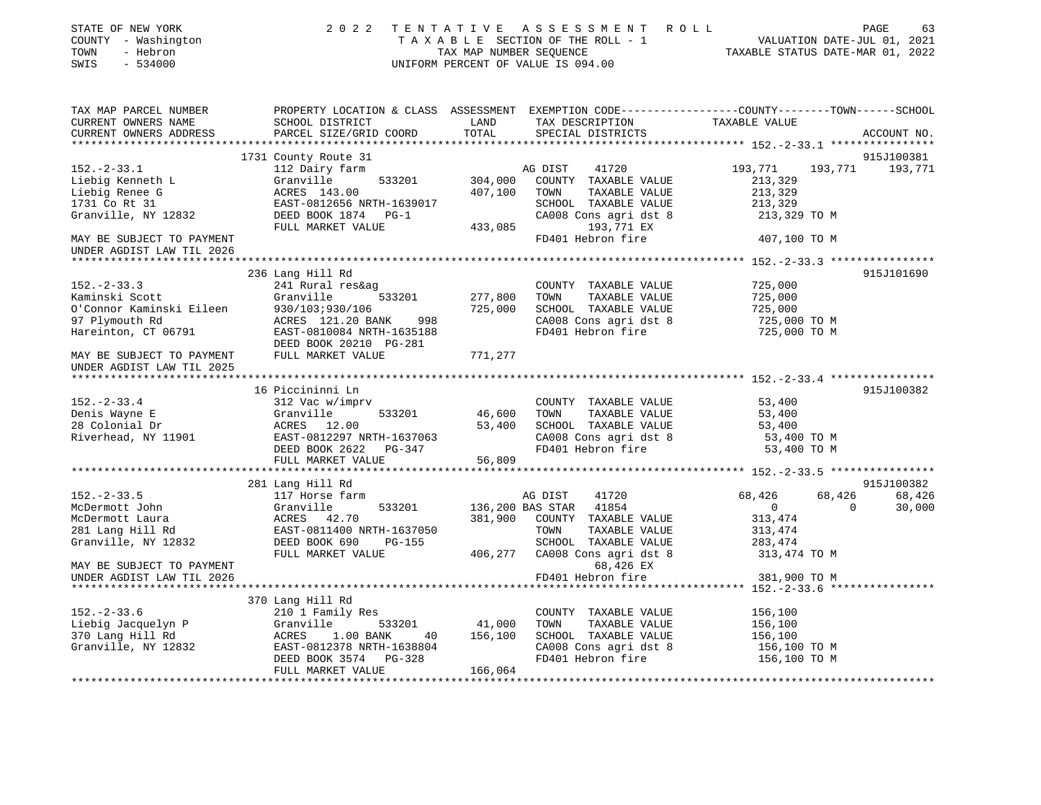| STATE OF NEW YORK<br>COUNTY - Washington<br>- Hebron<br>TOWN<br>SWIS<br>$-534000$                                                                           |                                                                                                                                                                     |                             | 2022 TENTATIVE ASSESSMENT ROLL<br>UNIFORM PERCENT OF VALUE IS 094.00                                                                                                  | TAXABLE SECTION OF THE ROLL - 1<br>TAX MAP NUMBER SEQUENCE TAXABLE STATUS DATE-MAR 01, 2022                   | PAGE<br>63                   |
|-------------------------------------------------------------------------------------------------------------------------------------------------------------|---------------------------------------------------------------------------------------------------------------------------------------------------------------------|-----------------------------|-----------------------------------------------------------------------------------------------------------------------------------------------------------------------|---------------------------------------------------------------------------------------------------------------|------------------------------|
| TAX MAP PARCEL NUMBER<br>CURRENT OWNERS NAME<br>CURRENT OWNERS ADDRESS                                                                                      | PROPERTY LOCATION & CLASS ASSESSMENT EXEMPTION CODE---------------COUNTY-------TOWN------SCHOOL<br>SCHOOL DISTRICT<br>PARCEL SIZE/GRID COORD                        | LAND<br>TOTAL               | TAX DESCRIPTION<br>SPECIAL DISTRICTS                                                                                                                                  | TAXABLE VALUE                                                                                                 | ACCOUNT NO.                  |
|                                                                                                                                                             |                                                                                                                                                                     |                             |                                                                                                                                                                       |                                                                                                               |                              |
|                                                                                                                                                             | 1731 County Route 31                                                                                                                                                |                             |                                                                                                                                                                       |                                                                                                               | 915J100381                   |
| $152. - 2 - 33.1$<br>152.-2-33.<br>Liebig Kenneth L<br>Liebig Renee G<br>1731 Co Rt 31<br>Granville, NY 12832                                               | 112 Dairy farm<br>533201<br>Granville<br>ACRES 143.00<br>EAST-0812656 NRTH-1639017<br>DEED BOOK 1874 PG-1<br>FULL MARKET VALUE                                      | 407,100<br>433,085          | AG DIST<br>41720<br>304,000 COUNTY TAXABLE VALUE<br>TAXABLE VALUE<br>TOWN<br>SCHOOL TAXABLE VALUE<br>CA008 Cons agri dst 8<br>193,771 EX                              | 193,771<br>193,771<br>213,329<br>213,329<br>213,329<br>213,329 TO M                                           | 193,771                      |
| MAY BE SUBJECT TO PAYMENT<br>UNDER AGDIST LAW TIL 2026                                                                                                      |                                                                                                                                                                     |                             | FD401 Hebron fire                                                                                                                                                     | 407,100 TO M                                                                                                  |                              |
| *******************                                                                                                                                         |                                                                                                                                                                     |                             |                                                                                                                                                                       |                                                                                                               |                              |
| $152. - 2 - 33.3$<br>Kaminski Scott<br>O'Connor Kaminski Eileen<br>97 Plymouth Rd<br>Hareinton, CT 06791                                                    | 236 Lang Hill Rd<br>241 Rural res&ag<br>Granville<br>533201<br>930/103;930/106<br>ACRES 121.20 BANK 998<br>EAST-0810084 NRTH-1635188<br>DEED BOOK 20210 PG-281      | 277,800<br>725,000          | COUNTY TAXABLE VALUE<br>TOWN<br>TAXABLE VALUE<br>SCHOOL TAXABLE VALUE<br>CA008 Cons agri dst 8<br>FD401 Hebron fire                                                   | 725,000<br>725,000<br>725,000<br>725,000 TO M<br>725,000 TO M                                                 | 915J101690                   |
| MAY BE SUBJECT TO PAYMENT<br>UNDER AGDIST LAW TIL 2025                                                                                                      | FULL MARKET VALUE                                                                                                                                                   | 771,277                     |                                                                                                                                                                       |                                                                                                               |                              |
| $152. - 2 - 33.4$<br>Denis Wayne E<br>28 Colonial Dr<br>Riverhead, NY 11901                                                                                 | 16 Piccininni Ln<br>312 Vac w/imprv<br>Granville<br>ACRES 12.00<br>EAST-0812297 N<br>DEED BOOK 2622<br>533201<br>EAST-0812297 NRTH-1637063<br>DEED BOOK 2622 PG-347 | 46,600                      | COUNTY TAXABLE VALUE<br>TAXABLE VALUE<br>TOWN<br>53,400 SCHOOL TAXABLE VALUE<br>CA008 Cons agri dst 8<br>FD401 Hebron fire                                            | 53,400<br>53,400<br>53,400<br>53,400 TO M<br>53,400 TO M                                                      | 915J100382                   |
|                                                                                                                                                             | FULL MARKET VALUE                                                                                                                                                   | 56,809                      |                                                                                                                                                                       |                                                                                                               |                              |
|                                                                                                                                                             | 281 Lang Hill Rd                                                                                                                                                    |                             |                                                                                                                                                                       |                                                                                                               | 915J100382                   |
| $152. - 2 - 33.5$<br>McDermott John<br>McDermott Laura<br>281 Lang Hill Rd<br>Granville, NY 12832<br>MAY BE SUBJECT TO PAYMENT<br>UNDER AGDIST LAW TIL 2026 | 117 Horse farm<br>533201<br>Granville<br>ACRES 42.70<br>EAST-0811400 NRTH-1637050<br>DEED BOOK 690<br>PG-155<br>FULL MARKET VALUE                                   | 136,200 BAS STAR<br>381,900 | AG DIST<br>41720<br>41854<br>COUNTY TAXABLE VALUE<br>TOWN<br>TAXABLE VALUE<br>SCHOOL TAXABLE VALUE<br>406,277 CA008 Cons agri dst 8<br>68,426 EX<br>FD401 Hebron fire | 68,426<br>68,426<br>$\overline{\phantom{0}}$<br>313,474<br>313,474<br>283,474<br>313,474 TO M<br>381,900 TO M | 68,426<br>30,000<br>$\Omega$ |
|                                                                                                                                                             |                                                                                                                                                                     |                             |                                                                                                                                                                       | ************************************** 152.-2-33.6 ****                                                       |                              |
| $152 - 2 - 33.6$<br>Liebig Jacquelyn P<br>370 Lang Hill Rd<br>Granville, NY 12832                                                                           | 370 Lang Hill Rd<br>210 1 Family Res<br>Granville<br>533201<br>ACRES<br>1.00 BANK<br>40<br>EAST-0812378 NRTH-1638804<br>DEED BOOK 3574 PG-328                       | 41,000<br>156,100           | COUNTY TAXABLE VALUE<br>TOWN<br>TAXABLE VALUE<br>SCHOOL TAXABLE VALUE<br>CA008 Cons agri dst 8<br>FD401 Hebron fire                                                   | 156,100<br>156,100<br>156,100<br>156,100 TO M<br>156,100 TO M                                                 |                              |
|                                                                                                                                                             | FULL MARKET VALUE                                                                                                                                                   | 166,064                     |                                                                                                                                                                       |                                                                                                               |                              |
|                                                                                                                                                             |                                                                                                                                                                     |                             |                                                                                                                                                                       |                                                                                                               |                              |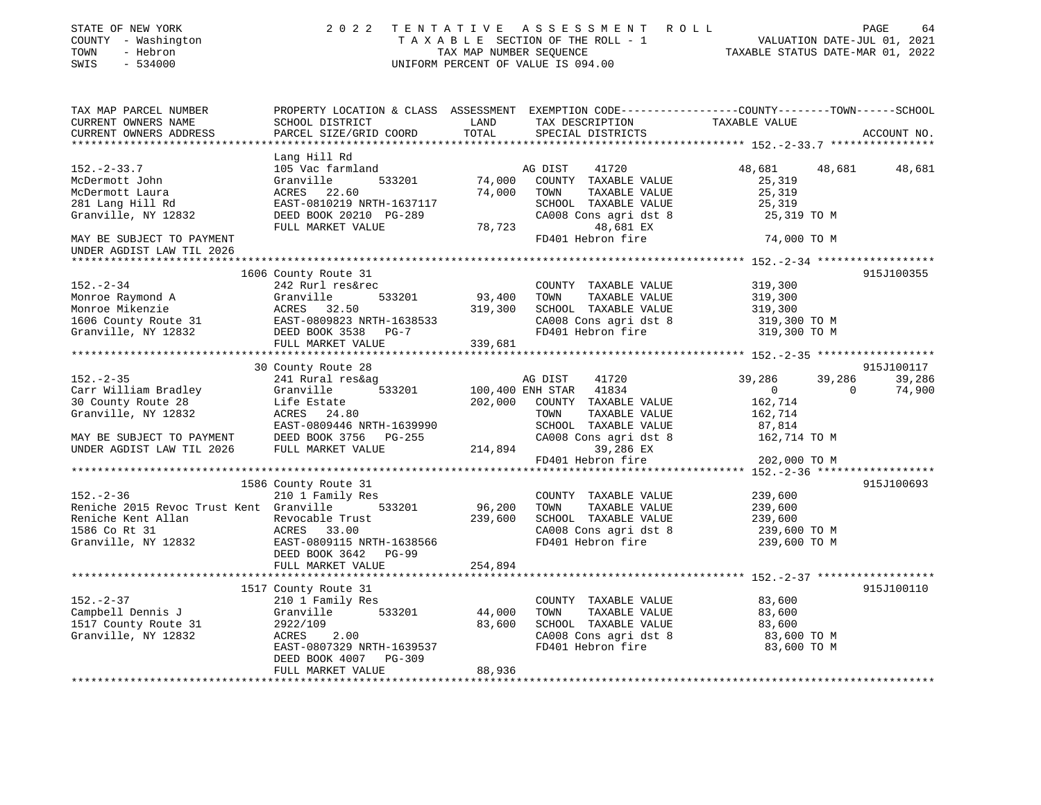| STATE OF NEW YORK<br>COUNTY - Washington<br>TOWN<br>- Hebron<br>SWIS<br>$-534000$                                                                                                                                                          | 2 0 2 2                                   |                   | TENTATIVE ASSESSMENT ROLL<br>UNIFORM PERCENT OF VALUE IS 094.00 | TAXABLE SECTION OF THE ROLL - 1<br>TAXABLE STATUS DATE-JUL 01, 2021<br>TAXABLE STATUS DATE-MAR 01, 2022 | PAGE<br>64  |
|--------------------------------------------------------------------------------------------------------------------------------------------------------------------------------------------------------------------------------------------|-------------------------------------------|-------------------|-----------------------------------------------------------------|---------------------------------------------------------------------------------------------------------|-------------|
| TAX MAP PARCEL NUMBER<br>CURRENT OWNERS NAME<br>CURRENT OWNERS ADDRESS                                                                                                                                                                     | SCHOOL DISTRICT<br>PARCEL SIZE/GRID COORD | LAND<br>TOTAL     | TAX DESCRIPTION TAXABLE VALUE<br>SPECIAL DISTRICTS              | PROPERTY LOCATION & CLASS ASSESSMENT EXEMPTION CODE---------------COUNTY-------TOWN------SCHOOL         | ACCOUNT NO. |
|                                                                                                                                                                                                                                            |                                           |                   |                                                                 |                                                                                                         |             |
| $152 - 2 - 33.7$                                                                                                                                                                                                                           | Lang Hill Rd<br>105 Vac farmland          |                   | 41720<br>AG DIST                                                | 48,681<br>48,681                                                                                        | 48,681      |
| McDermott John                                                                                                                                                                                                                             | Granville<br>533201                       | 74,000            | COUNTY TAXABLE VALUE                                            | 25,319                                                                                                  |             |
| McDermott Laura                                                                                                                                                                                                                            | ACRES 22.60                               | 74,000            | TOWN<br>TAXABLE VALUE                                           | 25,319                                                                                                  |             |
| 281 Lang Hill Rd                                                                                                                                                                                                                           | EAST-0810219 NRTH-1637117                 |                   | SCHOOL TAXABLE VALUE                                            | 25,319                                                                                                  |             |
| Granville, NY 12832                                                                                                                                                                                                                        | DEED BOOK 20210 PG-289                    |                   | CA008 Cons agri dst 8                                           | 25,319 TO M                                                                                             |             |
|                                                                                                                                                                                                                                            | FULL MARKET VALUE                         |                   | 48,681 EX                                                       |                                                                                                         |             |
| MAY BE SUBJECT TO PAYMENT                                                                                                                                                                                                                  |                                           | 78,723<br>FD40    | FD401 Hebron fire                                               | 74,000 TO M                                                                                             |             |
| UNDER AGDIST LAW TIL 2026                                                                                                                                                                                                                  |                                           |                   |                                                                 |                                                                                                         |             |
|                                                                                                                                                                                                                                            |                                           |                   |                                                                 |                                                                                                         |             |
|                                                                                                                                                                                                                                            | 1606 County Route 31                      |                   |                                                                 |                                                                                                         | 915J100355  |
| $152. - 2 - 34$                                                                                                                                                                                                                            | 242 Rurl res&rec                          |                   | COUNTY TAXABLE VALUE                                            | 319,300                                                                                                 |             |
|                                                                                                                                                                                                                                            |                                           | 93,400            | TOWN<br>TAXABLE VALUE                                           | 319,300                                                                                                 |             |
|                                                                                                                                                                                                                                            |                                           | 319,300           | SCHOOL TAXABLE VALUE                                            | 319,300                                                                                                 |             |
|                                                                                                                                                                                                                                            |                                           |                   | CA008 Cons agri dst 8<br>FD401 Hebron fire                      | 319,300 TO M                                                                                            |             |
|                                                                                                                                                                                                                                            |                                           |                   |                                                                 | 319,300 TO M                                                                                            |             |
| Monroe Raymond A<br>Monroe Mikenzie (ACRES 32.50 319,300<br>1606 County Route 31 EAST-0809823 NRTH-1638533<br>Granville, NY 12832 DEED BOOK 3538 PG-7<br>FULL MARKET VALUE (ACRES 32.50 26-7<br>FULL MARKET VALUE (ACRES 339,681<br>FULL M |                                           | 339,681           |                                                                 |                                                                                                         |             |
|                                                                                                                                                                                                                                            |                                           |                   |                                                                 |                                                                                                         |             |
|                                                                                                                                                                                                                                            | 30 County Route 28                        |                   |                                                                 |                                                                                                         | 915J100117  |
| $152 - 2 - 35$                                                                                                                                                                                                                             | 241 Rural res&ag                          |                   | AG DIST<br>41720                                                | 39,286<br>39,286                                                                                        | 39,286      |
| Carr William Bradley                                                                                                                                                                                                                       | 533201<br>Granville                       |                   | 100,400 ENH STAR 41834                                          | $\overline{0}$<br>$\Omega$                                                                              | 74,900      |
| 30 County Route 28                                                                                                                                                                                                                         | Life Estate                               |                   | 202,000 COUNTY TAXABLE VALUE                                    | 162,714                                                                                                 |             |
| Granville, NY 12832                                                                                                                                                                                                                        | ACRES 24.80                               |                   | TOWN<br>TAXABLE VALUE                                           | 162,714                                                                                                 |             |
|                                                                                                                                                                                                                                            | EAST-0809446 NRTH-1639990                 |                   | SCHOOL TAXABLE VALUE                                            | 87,814                                                                                                  |             |
| MAY BE SUBJECT TO PAYMENT DEED BOOK 3756 INDER AGDIST LAW TIL 2026 FULL MARKET VALUE                                                                                                                                                       | DEED BOOK 3756 PG-255                     |                   | CA008 Cons agri dst 8                                           | 162,714 TO M                                                                                            |             |
|                                                                                                                                                                                                                                            |                                           |                   | 214,894<br>39,286 EX                                            |                                                                                                         |             |
|                                                                                                                                                                                                                                            |                                           |                   | FD401 Hebron fire                                               | 202,000 TO M                                                                                            |             |
|                                                                                                                                                                                                                                            |                                           |                   |                                                                 |                                                                                                         |             |
| $152. - 2 - 36$                                                                                                                                                                                                                            | 1586 County Route 31                      |                   |                                                                 |                                                                                                         | 915J100693  |
|                                                                                                                                                                                                                                            | 210 1 Family Res<br>533201                |                   | COUNTY TAXABLE VALUE<br>TAXABLE VALUE                           | 239,600                                                                                                 |             |
| Reniche 2015 Revoc Trust Kent Granville                                                                                                                                                                                                    |                                           | 96,200<br>239,600 | TOWN<br>SCHOOL TAXABLE VALUE                                    | 239,600<br>239,600                                                                                      |             |
| Reniche Kent Allan<br>Reniche Kent Allan<br>1586 Co Rt 31<br>Granville, NY 12832<br>EAST-0809115 NRTH-1638566<br>DEED BOOK 3642<br>PG-99                                                                                                   |                                           |                   | CA008 Cons agri dst 8                                           | 239,600 TO M                                                                                            |             |
|                                                                                                                                                                                                                                            |                                           |                   | FD401 Hebron fire                                               | 239,600 TO M                                                                                            |             |
|                                                                                                                                                                                                                                            |                                           |                   |                                                                 |                                                                                                         |             |
|                                                                                                                                                                                                                                            | FULL MARKET VALUE                         | 254,894           |                                                                 |                                                                                                         |             |
|                                                                                                                                                                                                                                            |                                           |                   |                                                                 |                                                                                                         |             |
|                                                                                                                                                                                                                                            | 1517 County Route 31                      |                   |                                                                 |                                                                                                         | 915J100110  |
| $152. - 2 - 37$                                                                                                                                                                                                                            | 210 1 Family Res                          |                   | COUNTY TAXABLE VALUE                                            | 83,600                                                                                                  |             |
| Campbell Dennis J                                                                                                                                                                                                                          | 533201<br>Granville                       | 44,000            | TOWN<br>TAXABLE VALUE                                           | 83,600                                                                                                  |             |
| Campbell bonner<br>1517 County Route 31                                                                                                                                                                                                    | 2922/109                                  | 83,600            | SCHOOL TAXABLE VALUE                                            | 83,600                                                                                                  |             |
| Granville, NY 12832                                                                                                                                                                                                                        | ACRES<br>2.00                             |                   | CA008 Cons agri dst 8                                           | 83,600 TO M                                                                                             |             |
|                                                                                                                                                                                                                                            | EAST-0807329 NRTH-1639537                 |                   | FD401 Hebron fire                                               | 83,600 TO M                                                                                             |             |
|                                                                                                                                                                                                                                            | DEED BOOK 4007<br>PG-309                  |                   |                                                                 |                                                                                                         |             |
|                                                                                                                                                                                                                                            | FULL MARKET VALUE                         | 88,936            |                                                                 |                                                                                                         |             |
|                                                                                                                                                                                                                                            |                                           |                   |                                                                 |                                                                                                         |             |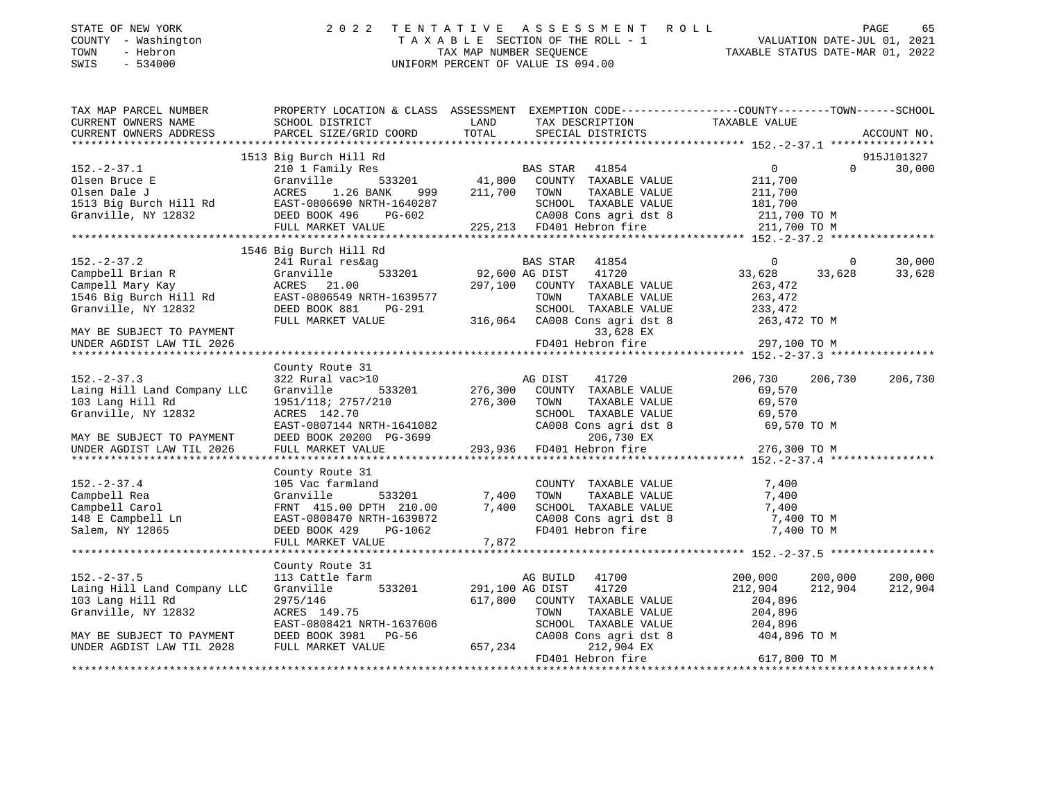| STATE OF NEW YORK<br>COUNTY - Washington<br>- Hebron<br>TOWN<br>SWIS - 534000 | 2022 TENTATIVE ASSESSMENT ROLL<br>TAXABLE SECTION OF THE ROLL - 1<br>TAX MAP NUMBER SEOUENCE<br>UNIFORM PERCENT OF VALUE IS 094.00 | 65<br>PAGE<br>VALUATION DATE-JUL 01, 2021<br>TAXABLE STATUS DATE-MAR 01, 2022 |
|-------------------------------------------------------------------------------|------------------------------------------------------------------------------------------------------------------------------------|-------------------------------------------------------------------------------|
|                                                                               |                                                                                                                                    |                                                                               |

| TAX MAP PARCEL NUMBER                                                                                                                                                              | PROPERTY LOCATION & CLASS  ASSESSMENT  EXEMPTION CODE-----------------COUNTY-------TOWN------SCHOOL                                                                                                       |                 |                                                                                                                                                                                                                                |                                  |             |
|------------------------------------------------------------------------------------------------------------------------------------------------------------------------------------|-----------------------------------------------------------------------------------------------------------------------------------------------------------------------------------------------------------|-----------------|--------------------------------------------------------------------------------------------------------------------------------------------------------------------------------------------------------------------------------|----------------------------------|-------------|
| CURRENT OWNERS NAME                                                                                                                                                                | SCHOOL DISTRICT                                                                                                                                                                                           | LAND            | TAX DESCRIPTION                                                                                                                                                                                                                | TAXABLE VALUE                    |             |
| CURRENT OWNERS ADDRESS PARCEL SIZE/GRID COORD                                                                                                                                      |                                                                                                                                                                                                           | TOTAL           | SPECIAL DISTRICTS                                                                                                                                                                                                              |                                  | ACCOUNT NO. |
|                                                                                                                                                                                    |                                                                                                                                                                                                           |                 |                                                                                                                                                                                                                                |                                  |             |
|                                                                                                                                                                                    | 1513 Big Burch Hill Rd                                                                                                                                                                                    |                 |                                                                                                                                                                                                                                |                                  | 915J101327  |
|                                                                                                                                                                                    |                                                                                                                                                                                                           |                 |                                                                                                                                                                                                                                | $\Omega$                         | 30,000      |
|                                                                                                                                                                                    |                                                                                                                                                                                                           |                 |                                                                                                                                                                                                                                |                                  |             |
|                                                                                                                                                                                    |                                                                                                                                                                                                           |                 |                                                                                                                                                                                                                                |                                  |             |
|                                                                                                                                                                                    |                                                                                                                                                                                                           |                 |                                                                                                                                                                                                                                |                                  |             |
|                                                                                                                                                                                    |                                                                                                                                                                                                           |                 |                                                                                                                                                                                                                                |                                  |             |
|                                                                                                                                                                                    |                                                                                                                                                                                                           |                 |                                                                                                                                                                                                                                |                                  |             |
|                                                                                                                                                                                    |                                                                                                                                                                                                           |                 |                                                                                                                                                                                                                                |                                  |             |
|                                                                                                                                                                                    | 1546 Big Burch Hill Rd                                                                                                                                                                                    |                 |                                                                                                                                                                                                                                |                                  |             |
| 152.-2-37.2<br>Campbell Brian R<br>Campbell Brian R<br>Campell Mary Kay<br>1546 Big Burch Hill Rd<br>Granville, NY 12832<br>2008 BEED BOOK 881<br>DEED NOTER PORT PG-291           |                                                                                                                                                                                                           |                 | EXATE: THE STAR POST PRESSURE THE STAR PRESSURE STAR SERVICE STAR PRESSURE THE SALUS CONTINE THAT THE STAR CONTINE THE STAR SERVICE STAR SERVICE STAR SERVICE STAR SERVICE STAR SERVICE STAR SERVICE STAR SERVICE STAR SERVICE | $\overline{0}$<br>$\overline{0}$ | 30,000      |
|                                                                                                                                                                                    |                                                                                                                                                                                                           |                 | $41854$<br>$41720$ 3                                                                                                                                                                                                           | 33,628<br>33,628                 | 33,628      |
|                                                                                                                                                                                    |                                                                                                                                                                                                           |                 |                                                                                                                                                                                                                                | 263,472                          |             |
|                                                                                                                                                                                    |                                                                                                                                                                                                           |                 |                                                                                                                                                                                                                                |                                  |             |
|                                                                                                                                                                                    | $PG-291$                                                                                                                                                                                                  |                 | 1639577 TOWN TAXABLE VALUE 263, 472<br>G-291 SCHOOL TAXABLE VALUE 233, 472<br>316, 064 CA008 Consagri dst 8 263, 472 TO M                                                                                                      |                                  |             |
|                                                                                                                                                                                    |                                                                                                                                                                                                           |                 |                                                                                                                                                                                                                                |                                  |             |
|                                                                                                                                                                                    | FULL MARKET VALUE                                                                                                                                                                                         |                 |                                                                                                                                                                                                                                |                                  |             |
| MAY BE SUBJECT TO PAYMENT                                                                                                                                                          |                                                                                                                                                                                                           |                 | 33,628 EX                                                                                                                                                                                                                      |                                  |             |
| UNDER AGDIST LAW TIL 2026                                                                                                                                                          |                                                                                                                                                                                                           |                 | FD401 Hebron fire                                                                                                                                                                                                              | 297,100 TO M                     |             |
|                                                                                                                                                                                    |                                                                                                                                                                                                           |                 |                                                                                                                                                                                                                                |                                  |             |
|                                                                                                                                                                                    | County Route 31                                                                                                                                                                                           |                 |                                                                                                                                                                                                                                |                                  |             |
| $152 - 2 - 37.3$                                                                                                                                                                   | 322 Rural vac>10                                                                                                                                                                                          |                 | AG DIST 41720                                                                                                                                                                                                                  | 206,730<br>206,730               | 206,730     |
| Laing Hill Land Company LLC                                                                                                                                                        | Granville                                                                                                                                                                                                 |                 | COUNTY TAXABLE VALUE                                                                                                                                                                                                           | 69,570                           |             |
| 103 Lang Hill Rd                                                                                                                                                                   | $1951/118$ ; $2757/210$ 276,300 TOWN                                                                                                                                                                      |                 | TOWN TAXABLE VALUE<br>SCHOOL TAXABLE VALUE 69,570<br>CA008 Cons agri dst 8 69,570 TO M<br>ca008 Cons agri dst 8 69,570 TO M                                                                                                    |                                  |             |
| Granville, NY 12832                                                                                                                                                                | ACRES 142.70<br>EAST-0807144 NRTH-1641082 CA008 Cons agri dst 8 69,570 TO M<br>DEED BOOK 20200 PG-3699 293,936 FD401 Hebron fire 276,300 TO M<br>FULL MARKET VALUE 293,936 FD401 Hebron fire 276,300 TO M |                 |                                                                                                                                                                                                                                |                                  |             |
|                                                                                                                                                                                    |                                                                                                                                                                                                           |                 |                                                                                                                                                                                                                                |                                  |             |
| MAY BE SUBJECT TO PAYMENT                                                                                                                                                          |                                                                                                                                                                                                           |                 |                                                                                                                                                                                                                                |                                  |             |
| UNDER AGDIST LAW TIL 2026                                                                                                                                                          |                                                                                                                                                                                                           |                 |                                                                                                                                                                                                                                |                                  |             |
|                                                                                                                                                                                    |                                                                                                                                                                                                           |                 |                                                                                                                                                                                                                                |                                  |             |
|                                                                                                                                                                                    | County Route 31                                                                                                                                                                                           |                 |                                                                                                                                                                                                                                |                                  |             |
| $152. - 2 - 37.4$                                                                                                                                                                  | 105 Vac farmland                                                                                                                                                                                          |                 |                                                                                                                                                                                                                                | 7,400                            |             |
|                                                                                                                                                                                    |                                                                                                                                                                                                           | 533201 7,400    | COUNTY TAXABLE VALUE<br>TOWN TAXABLE VALUE                                                                                                                                                                                     | 7,400                            |             |
|                                                                                                                                                                                    |                                                                                                                                                                                                           |                 |                                                                                                                                                                                                                                |                                  |             |
|                                                                                                                                                                                    |                                                                                                                                                                                                           |                 | SCHOOL TAXABLE VALUE 7,400<br>CA008 Cons agri dst 8 7,400 TO M                                                                                                                                                                 |                                  |             |
| Campbell Rea<br>Campbell Carol (Granville 533201)<br>Campbell Carol (Granville 533201)<br>148 E Campbell Ln (EAST-0808470 NRTH-1639872)<br>Salem, NY 12865 (DEED BOOK 429 PG-1062) | FRNT 415.00 DPTH 210.00 7,400<br>EAST-0808470 NRTH-1639872<br>DEED BOOK 429 PG-1062<br>FULL MARKET VALUE 7,872                                                                                            |                 | FD401 Hebron fire                                                                                                                                                                                                              | 7,400 TO M                       |             |
|                                                                                                                                                                                    | FULL MARKET VALUE                                                                                                                                                                                         | 7,872           |                                                                                                                                                                                                                                |                                  |             |
|                                                                                                                                                                                    |                                                                                                                                                                                                           |                 |                                                                                                                                                                                                                                |                                  |             |
|                                                                                                                                                                                    | County Route 31                                                                                                                                                                                           |                 |                                                                                                                                                                                                                                |                                  |             |
| $152. - 2 - 37.5$                                                                                                                                                                  | 113 Cattle farm                                                                                                                                                                                           |                 | AG BUILD 41700                                                                                                                                                                                                                 | 200,000<br>200,000               | 200,000     |
| Laing Hill Land Company LLC                                                                                                                                                        | Granville 533201 291,100 AG DIST                                                                                                                                                                          |                 | 41720                                                                                                                                                                                                                          | 212,904<br>212,904               | 212,904     |
| 103 Lang Hill Rd                                                                                                                                                                   | 2975/146                                                                                                                                                                                                  |                 | 617,800 COUNTY TAXABLE VALUE                                                                                                                                                                                                   | 204,896                          |             |
| Granville, NY 12832                                                                                                                                                                | ACRES 149.75                                                                                                                                                                                              |                 | TAXABLE VALUE<br>TOWN                                                                                                                                                                                                          | 204,896                          |             |
|                                                                                                                                                                                    | EAST-0808421 NRTH-1637606                                                                                                                                                                                 |                 | 204,896<br>SCHOOL TAXABLE VALUE 204,896                                                                                                                                                                                        |                                  |             |
| MAY BE SUBJECT TO PAYMENT                                                                                                                                                          | DEED BOOK 3981 PG-56                                                                                                                                                                                      |                 | CA008 Cons agri dst 8 404,896 TO M                                                                                                                                                                                             |                                  |             |
| UNDER AGDIST LAW TIL 2028                                                                                                                                                          | FULL MARKET VALUE                                                                                                                                                                                         | CAOC<br>657,234 | 212,904 EX                                                                                                                                                                                                                     |                                  |             |
|                                                                                                                                                                                    |                                                                                                                                                                                                           |                 | FD401 Hebron fire                                                                                                                                                                                                              | 617,800 TO M                     |             |
|                                                                                                                                                                                    |                                                                                                                                                                                                           |                 |                                                                                                                                                                                                                                |                                  |             |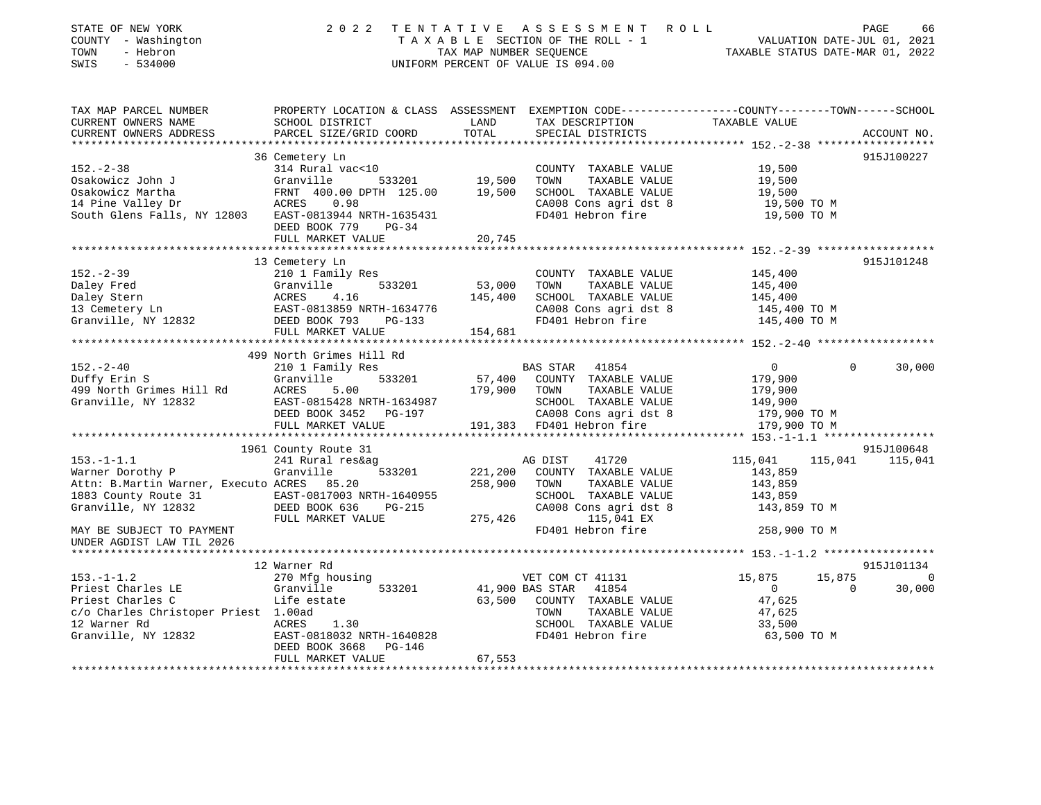| STATE OF NEW YORK<br>COUNTY - Washington<br>TOWN<br>- Hebron<br>$-534000$<br>SWIS                                              |                                                                                                                         |        | 2022 TENTATIVE ASSESSMENT ROLL<br>UNIFORM PERCENT OF VALUE IS 094.00                       | T A X A B L E SECTION OF THE ROLL - 1 VALUATION DATE-JUL 01, 2021<br>TAX MAP NUMBER SEQUENCE TAXABLE STATUS DATE-MAR 01, 2022 | 66<br>PAGE  |
|--------------------------------------------------------------------------------------------------------------------------------|-------------------------------------------------------------------------------------------------------------------------|--------|--------------------------------------------------------------------------------------------|-------------------------------------------------------------------------------------------------------------------------------|-------------|
| TAX MAP PARCEL NUMBER                                                                                                          | PROPERTY LOCATION & CLASS ASSESSMENT                                                                                    |        |                                                                                            | EXEMPTION CODE-----------------COUNTY--------TOWN------SCHOOL                                                                 |             |
| CURRENT OWNERS NAME<br>CURRENT OWNERS ADDRESS     PARCEL SIZE/GRID COORD     TOTAL     SPECIAL DISTRICTS                       | SCHOOL DISTRICT                                                                                                         |        | LAND TAX DESCRIPTION TAXABLE VALUE                                                         |                                                                                                                               | ACCOUNT NO. |
|                                                                                                                                | 36 Cemetery Ln                                                                                                          |        |                                                                                            |                                                                                                                               | 915J100227  |
| $152 - 2 - 38$<br>314 Rural vac<10<br>Osakowicz John J<br>Osakowicz Martha<br>14 Pine Valley Dr<br>South Glens Falls, NY 12803 | Granville<br>533201 19,500<br>FRNT 400.00 DPTH 125.00<br>ACRES 0.98<br>EAST-0813944 NRTH-1635431<br>DEED BOOK 779 PG-34 | 19,500 | COUNTY TAXABLE VALUE<br>TOWN<br>TAXABLE VALUE<br>SCHOOL TAXABLE VALUE<br>FD401 Hebron fire | 19,500<br>19,500<br>19,500<br>CA008 Cons agri dst 8 19,500 TO M<br>19,500 TO M                                                |             |
|                                                                                                                                | FULL MARKET VALUE 20,745                                                                                                |        |                                                                                            |                                                                                                                               |             |
|                                                                                                                                | 13 Cemetery Ln                                                                                                          |        |                                                                                            |                                                                                                                               | 915J101248  |
| .                                                                                                                              |                                                                                                                         |        |                                                                                            |                                                                                                                               |             |

| $152 - 2 - 39$                                 | 210 1 Family Res                             |         | COUNTY TAXABLE VALUE                   | 145,400              |                |                 |
|------------------------------------------------|----------------------------------------------|---------|----------------------------------------|----------------------|----------------|-----------------|
| Daley Fred                                     | 533201 53,000<br>Granville                   |         | TAXABLE VALUE<br>TOWN                  | 145,400              |                |                 |
| Daley Stern                                    | ACRES<br>4.16                                | 145,400 | SCHOOL TAXABLE VALUE 145,400           |                      |                |                 |
| 13 Cemetery Ln                                 | EAST-0813859 NRTH-1634776                    |         | CA008 Cons agri dst 8 145,400 TO M     |                      |                |                 |
| Granville, NY 12832                            | DEED BOOK 793<br>$PG-133$                    |         | FD401 Hebron fire                      | 145,400 TO M         |                |                 |
|                                                | FULL MARKET VALUE                            | 154,681 |                                        |                      |                |                 |
|                                                |                                              |         |                                        |                      |                |                 |
|                                                | 499 North Grimes Hill Rd                     |         |                                        |                      |                |                 |
| $152 - 2 - 40$                                 | 210 1 Family Res                             |         | BAS STAR 41854                         | $\overline{0}$       | $\overline{0}$ | 30,000          |
| Duffy Erin S                                   | Granville 533201 57,400 COUNTY TAXABLE VALUE |         |                                        | 179,900              |                |                 |
| 499 North Grimes Hill Rd                       | 5.00<br>ACRES                                | 179,900 | TOWN<br>TAXABLE VALUE                  | 179,900              |                |                 |
| Granville, NY 12832                            | EAST-0815428 NRTH-1634987                    |         | SCHOOL TAXABLE VALUE                   | 149,900              |                |                 |
|                                                | DEED BOOK 3452 PG-197                        |         | CA008 Cons agri dst 8 179,900 TO M     |                      |                |                 |
|                                                | FULL MARKET VALUE                            |         | 191,383 FD401 Hebron fire 179,900 TO M |                      |                |                 |
|                                                |                                              |         |                                        |                      |                |                 |
|                                                | 1961 County Route 31                         |         |                                        |                      |                | 915J100648      |
| $153. - 1 - 1.1$                               | 241 Rural res&ag                             |         | AG DIST<br>41720                       | 115,041              |                | 115,041 115,041 |
| Warner Dorothy P                               | Granville                                    |         | $533201$ 221,200 COUNTY TAXABLE VALUE  | 143,859              |                |                 |
| Attn: B.Martin Warner, Executo ACRES 85.20     |                                              | 258,900 | TAXABLE VALUE<br>TOWN                  | 143,859              |                |                 |
| 1883 County Route 31 EAST-0817003 NRTH-1640955 |                                              |         | SCHOOL TAXABLE VALUE                   | 143,859              |                |                 |
| Granville, NY 12832                            | DEED BOOK 636<br>$PG-215$                    |         | CA008 Cons agri dst 8                  | 143,859 TO M         |                |                 |
|                                                | FULL MARKET VALUE                            | 275,426 | 115,041 EX                             |                      |                |                 |
| MAY BE SUBJECT TO PAYMENT                      |                                              |         | FD401 Hebron fire                      | 258,900 TO M         |                |                 |
| UNDER AGDIST LAW TIL 2026                      |                                              |         |                                        |                      |                |                 |
|                                                |                                              |         |                                        |                      |                |                 |
|                                                | 12 Warner Rd                                 |         |                                        |                      |                | 915J101134      |
| $153. - 1 - 1.2$                               | 270 Mfg housing                              |         | VET COM CT 41131                       | 15,875               | 15,875         | $\overline{0}$  |
| Priest Charles LE                              | Granville                                    |         | 533201 41,900 BAS STAR 41854           | $\overline{0}$       | $\cap$         | 30,000          |
| Priest Charles C                               | Life estate                                  | 63,500  | COUNTY TAXABLE VALUE 47,625            |                      |                |                 |
| c/o Charles Christoper Priest 1.00ad           |                                              |         | TOWN                                   | TAXABLE VALUE 47,625 |                |                 |
| 12 Warner Rd                                   | ACRES 1.30                                   |         | SCHOOL TAXABLE VALUE 33,500            |                      |                |                 |
| Granville, NY 12832                            | EAST-0818032 NRTH-1640828                    |         | FD401 Hebron fire                      | 63,500 TO M          |                |                 |
|                                                | DEED BOOK 3668 PG-146                        |         |                                        |                      |                |                 |
|                                                | FULL MARKET VALUE                            | 67,553  |                                        |                      |                |                 |
|                                                |                                              |         |                                        |                      |                |                 |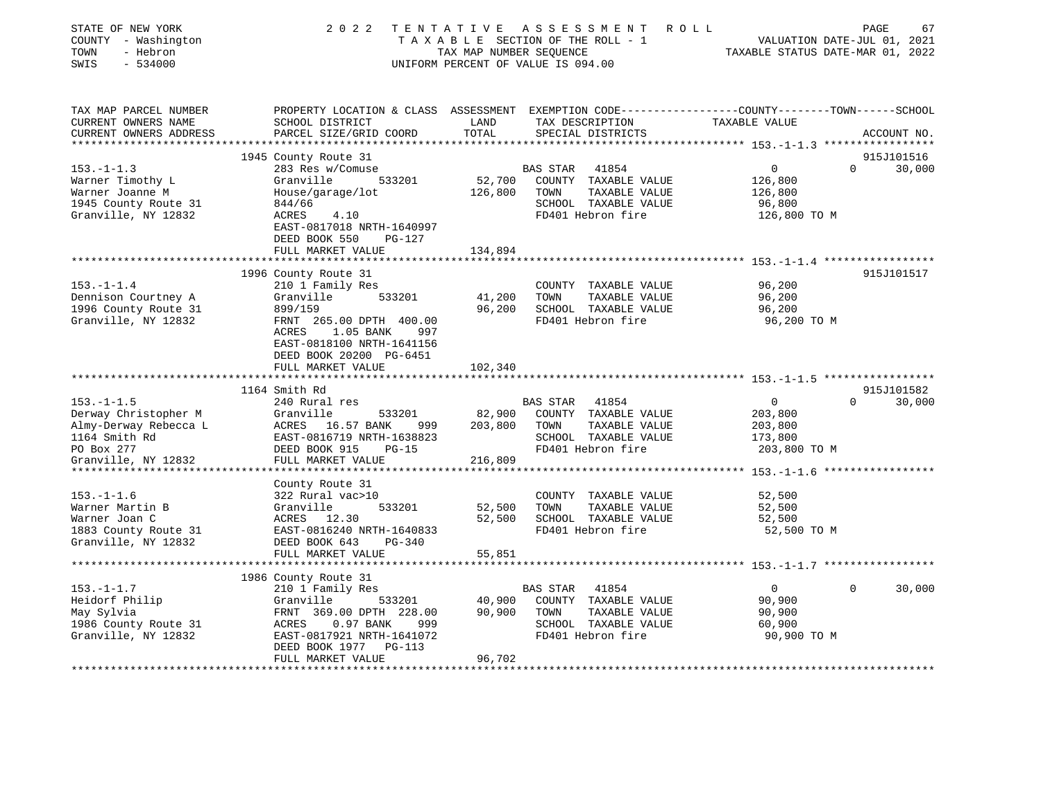| STATE OF NEW YORK<br>COUNTY - Washington<br>TOWN<br>- Hebron<br>SWIS<br>$-534000$                                       | 2 0 2 2                                                                                                                                                                            | TAX MAP NUMBER SEQUENCE      | TENTATIVE ASSESSMENT<br>TAXABLE SECTION OF THE ROLL - 1<br>UNIFORM PERCENT OF VALUE IS 094.00                   | R O L L<br>TAXABLE STATUS DATE-MAR 01, 2022                  | PAGE<br>67<br>VALUATION DATE-JUL 01, 2021 |
|-------------------------------------------------------------------------------------------------------------------------|------------------------------------------------------------------------------------------------------------------------------------------------------------------------------------|------------------------------|-----------------------------------------------------------------------------------------------------------------|--------------------------------------------------------------|-------------------------------------------|
| TAX MAP PARCEL NUMBER<br>CURRENT OWNERS NAME<br>CURRENT OWNERS ADDRESS                                                  | PROPERTY LOCATION & CLASS ASSESSMENT EXEMPTION CODE---------------COUNTY-------TOWN-----SCHOOL<br>SCHOOL DISTRICT<br>PARCEL SIZE/GRID COORD                                        | LAND<br>TOTAL                | TAX DESCRIPTION<br>SPECIAL DISTRICTS                                                                            | TAXABLE VALUE                                                | ACCOUNT NO.                               |
| *****************                                                                                                       |                                                                                                                                                                                    |                              |                                                                                                                 | ********************* 153.-1-1.3 ******************          |                                           |
|                                                                                                                         | 1945 County Route 31                                                                                                                                                               |                              |                                                                                                                 |                                                              | 915J101516                                |
| $153. - 1 - 1.3$<br>Warner Timothy L<br>Warner Joanne M<br>1945 County Route 31<br>Granville, NY 12832                  | 283 Res w/Comuse<br>Granville<br>533201<br>House/garage/lot<br>844/66<br>ACRES<br>4.10<br>EAST-0817018 NRTH-1640997<br>DEED BOOK 550<br>PG-127                                     | 52,700<br>126,800            | BAS STAR<br>41854<br>COUNTY TAXABLE VALUE<br>TAXABLE VALUE<br>TOWN<br>SCHOOL TAXABLE VALUE<br>FD401 Hebron fire | $\circ$<br>126,800<br>126,800<br>96,800<br>126,800 TO M      | 30,000<br>$\Omega$                        |
|                                                                                                                         | FULL MARKET VALUE                                                                                                                                                                  | 134,894                      |                                                                                                                 |                                                              |                                           |
|                                                                                                                         |                                                                                                                                                                                    |                              |                                                                                                                 |                                                              | 915J101517                                |
| $153. - 1 - 1.4$<br>Dennison Courtney A<br>1996 County Route 31<br>Granville, NY 12832                                  | 1996 County Route 31<br>210 1 Family Res<br>533201<br>Granville<br>899/159<br>FRNT 265.00 DPTH 400.00                                                                              | 41,200<br>96,200             | COUNTY TAXABLE VALUE<br>TOWN<br>TAXABLE VALUE<br>SCHOOL TAXABLE VALUE<br>FD401 Hebron fire                      | 96,200<br>96,200<br>96,200<br>96,200 TO M                    |                                           |
|                                                                                                                         | ACRES<br>1.05 BANK<br>997<br>EAST-0818100 NRTH-1641156<br>DEED BOOK 20200 PG-6451<br>FULL MARKET VALUE                                                                             | 102,340<br>*********         |                                                                                                                 | *********************** 153.-1-1.5 *****************         |                                           |
|                                                                                                                         | 1164 Smith Rd                                                                                                                                                                      |                              |                                                                                                                 |                                                              | 915J101582                                |
| $153. - 1 - 1.5$<br>Derway Christopher M<br>Almy-Derway Rebecca L<br>1164 Smith Rd<br>PO Box 277<br>Granville, NY 12832 | 240 Rural res<br>Granville<br>533201<br>16.57 BANK<br>ACRES<br>999<br>EAST-0816719 NRTH-1638823<br>DEED BOOK 915<br>$PG-15$<br>FULL MARKET VALUE                                   | 82,900<br>203,800<br>216,809 | BAS STAR<br>41854<br>COUNTY TAXABLE VALUE<br>TAXABLE VALUE<br>TOWN<br>SCHOOL TAXABLE VALUE<br>FD401 Hebron fire | $\mathbf 0$<br>203,800<br>203,800<br>173,800<br>203,800 TO M | $\Omega$<br>30,000                        |
|                                                                                                                         |                                                                                                                                                                                    |                              |                                                                                                                 |                                                              |                                           |
| $153. - 1 - 1.6$<br>Warner Martin B<br>Warner Joan C<br>1883 County Route 31<br>Granville, NY 12832                     | County Route 31<br>322 Rural vac>10<br>Granville<br>533201<br>ACRES 12.30<br>EAST-0816240 NRTH-1640833<br>DEED BOOK 643<br>$PG-340$                                                | 52,500<br>52,500             | COUNTY TAXABLE VALUE<br>TOWN<br>TAXABLE VALUE<br>SCHOOL TAXABLE VALUE<br>FD401 Hebron fire                      | 52,500<br>52,500<br>52,500<br>52,500 TO M                    |                                           |
|                                                                                                                         | FULL MARKET VALUE                                                                                                                                                                  | 55,851                       |                                                                                                                 |                                                              |                                           |
|                                                                                                                         |                                                                                                                                                                                    |                              |                                                                                                                 |                                                              |                                           |
| $153. - 1 - 1.7$<br>Heidorf Philip<br>May Sylvia<br>1986 County Route 31<br>Granville, NY 12832                         | 1986 County Route 31<br>210 1 Family Res<br>Granville<br>533201<br>FRNT 369.00 DPTH 228.00<br>$0.97$ BANK<br>ACRES<br>999<br>EAST-0817921 NRTH-1641072<br>DEED BOOK 1977<br>PG-113 | 40,900<br>90,900             | BAS STAR<br>41854<br>COUNTY TAXABLE VALUE<br>TOWN<br>TAXABLE VALUE<br>SCHOOL TAXABLE VALUE<br>FD401 Hebron fire | $\overline{0}$<br>90,900<br>90,900<br>60,900<br>90,900 TO M  | 30,000<br>$\Omega$                        |
|                                                                                                                         | FULL MARKET VALUE                                                                                                                                                                  | 96,702                       |                                                                                                                 |                                                              |                                           |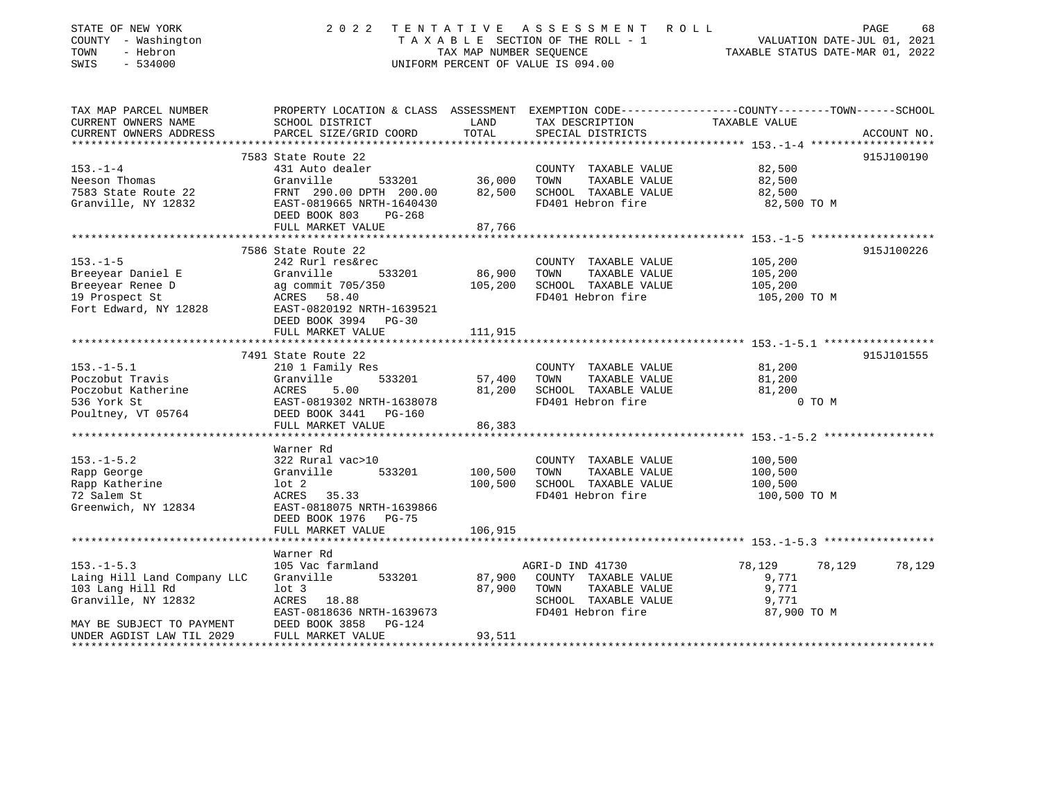| STATE OF NEW YORK<br>COUNTY - Washington<br>- Hebron<br>TOWN<br>SWIS<br>$-534000$ | 2 0 2 2<br>TENTATIVE ASSESSMENT ROLL<br>TAXABLE SECTION OF THE ROLL - 1<br>TAX MAP NUMBER SEQUENCE<br>UNIFORM PERCENT OF VALUE IS 094.00 | PAGE<br>68<br>VALUATION DATE-JUL 01, 2021<br>TAXABLE STATUS DATE-MAR 01, 2022 |                                               |                                                                                                                  |             |
|-----------------------------------------------------------------------------------|------------------------------------------------------------------------------------------------------------------------------------------|-------------------------------------------------------------------------------|-----------------------------------------------|------------------------------------------------------------------------------------------------------------------|-------------|
| TAX MAP PARCEL NUMBER<br>CURRENT OWNERS NAME                                      | SCHOOL DISTRICT                                                                                                                          | LAND                                                                          | TAX DESCRIPTION                               | PROPERTY LOCATION & CLASS ASSESSMENT EXEMPTION CODE---------------COUNTY-------TOWN------SCHOOL<br>TAXABLE VALUE |             |
| CURRENT OWNERS ADDRESS                                                            | PARCEL SIZE/GRID COORD                                                                                                                   | TOTAL                                                                         | SPECIAL DISTRICTS                             |                                                                                                                  | ACCOUNT NO. |
|                                                                                   |                                                                                                                                          |                                                                               |                                               |                                                                                                                  |             |
|                                                                                   | 7583 State Route 22                                                                                                                      |                                                                               |                                               |                                                                                                                  | 915J100190  |
| $153. - 1 - 4$                                                                    | 431 Auto dealer                                                                                                                          |                                                                               | COUNTY TAXABLE VALUE                          | 82,500                                                                                                           |             |
| Neeson Thomas                                                                     | Granville<br>533201                                                                                                                      | 36,000                                                                        | TOWN<br>TAXABLE VALUE                         | 82,500                                                                                                           |             |
| 7583 State Route 22                                                               | FRNT 290.00 DPTH 200.00                                                                                                                  | 82,500                                                                        | SCHOOL TAXABLE VALUE                          | 82,500                                                                                                           |             |
| Granville, NY 12832                                                               | EAST-0819665 NRTH-1640430<br>DEED BOOK 803<br>$PG-268$                                                                                   |                                                                               | FD401 Hebron fire                             | 82,500 TO M                                                                                                      |             |
|                                                                                   | FULL MARKET VALUE                                                                                                                        | 87,766                                                                        |                                               |                                                                                                                  |             |
|                                                                                   |                                                                                                                                          |                                                                               |                                               |                                                                                                                  |             |
|                                                                                   | 7586 State Route 22                                                                                                                      |                                                                               |                                               |                                                                                                                  | 915J100226  |
| $153. - 1 - 5$                                                                    | 242 Rurl res&rec                                                                                                                         |                                                                               | COUNTY TAXABLE VALUE                          | 105,200                                                                                                          |             |
| Breeyear Daniel E                                                                 | Granville<br>533201                                                                                                                      | 86,900                                                                        | TOWN<br>TAXABLE VALUE                         | 105,200                                                                                                          |             |
| Breeyear Renee D                                                                  | ag commit 705/350                                                                                                                        | 105,200                                                                       | SCHOOL TAXABLE VALUE                          | 105,200                                                                                                          |             |
| 19 Prospect St                                                                    | ACRES 58.40                                                                                                                              |                                                                               | FD401 Hebron fire                             | 105,200 TO M                                                                                                     |             |
| Fort Edward, NY 12828                                                             | EAST-0820192 NRTH-1639521                                                                                                                |                                                                               |                                               |                                                                                                                  |             |
|                                                                                   | DEED BOOK 3994 PG-30<br>FULL MARKET VALUE                                                                                                | 111,915                                                                       |                                               |                                                                                                                  |             |
|                                                                                   |                                                                                                                                          |                                                                               |                                               |                                                                                                                  |             |
|                                                                                   | 7491 State Route 22                                                                                                                      |                                                                               |                                               |                                                                                                                  | 915J101555  |
| $153. - 1 - 5.1$                                                                  | 210 1 Family Res                                                                                                                         |                                                                               | COUNTY TAXABLE VALUE                          | 81,200                                                                                                           |             |
| Poczobut Travis                                                                   | Granville<br>533201                                                                                                                      | 57,400                                                                        | TOWN<br>TAXABLE VALUE                         | 81,200                                                                                                           |             |
| Poczobut Katherine                                                                | ACRES<br>5.00                                                                                                                            | 81,200                                                                        | SCHOOL TAXABLE VALUE                          | 81,200                                                                                                           |             |
| 536 York St                                                                       | EAST-0819302 NRTH-1638078                                                                                                                |                                                                               | FD401 Hebron fire                             | 0 TO M                                                                                                           |             |
| Poultney, VT 05764                                                                | DEED BOOK 3441 PG-160                                                                                                                    |                                                                               |                                               |                                                                                                                  |             |
|                                                                                   | FULL MARKET VALUE                                                                                                                        | 86,383<br>***************                                                     |                                               |                                                                                                                  |             |
|                                                                                   | Warner Rd                                                                                                                                |                                                                               |                                               |                                                                                                                  |             |
| $153. - 1 - 5.2$                                                                  | 322 Rural vac>10                                                                                                                         |                                                                               | COUNTY TAXABLE VALUE                          | 100,500                                                                                                          |             |
| Rapp George                                                                       | Granville<br>533201                                                                                                                      | 100,500                                                                       | TOWN<br>TAXABLE VALUE                         | 100,500                                                                                                          |             |
| Rapp Katherine                                                                    | $1$ ot $2$                                                                                                                               | 100,500                                                                       | SCHOOL TAXABLE VALUE                          | 100,500                                                                                                          |             |
| 72 Salem St                                                                       | ACRES 35.33                                                                                                                              |                                                                               | FD401 Hebron fire                             | 100,500 TO M                                                                                                     |             |
| Greenwich, NY 12834                                                               | EAST-0818075 NRTH-1639866                                                                                                                |                                                                               |                                               |                                                                                                                  |             |
|                                                                                   | DEED BOOK 1976 PG-75                                                                                                                     |                                                                               |                                               |                                                                                                                  |             |
|                                                                                   | FULL MARKET VALUE                                                                                                                        | 106,915                                                                       |                                               |                                                                                                                  |             |
|                                                                                   |                                                                                                                                          |                                                                               |                                               |                                                                                                                  |             |
|                                                                                   | Warner Rd                                                                                                                                |                                                                               |                                               |                                                                                                                  |             |
| $153. - 1 - 5.3$                                                                  | 105 Vac farmland<br>533201                                                                                                               |                                                                               | AGRI-D IND 41730                              | 78,129<br>78,129                                                                                                 | 78,129      |
| Laing Hill Land Company LLC<br>103 Lang Hill Rd                                   | Granville<br>$1$ ot $3$                                                                                                                  | 87,900<br>87,900                                                              | COUNTY TAXABLE VALUE<br>TOWN<br>TAXABLE VALUE | 9,771<br>9,771                                                                                                   |             |
| Granville, NY 12832                                                               | ACRES 18.88                                                                                                                              |                                                                               | SCHOOL TAXABLE VALUE                          | 9,771                                                                                                            |             |
|                                                                                   | EAST-0818636 NRTH-1639673                                                                                                                | FD401 Hebron fire<br>87,900 TO M                                              |                                               |                                                                                                                  |             |
| MAY BE SUBJECT TO PAYMENT                                                         | DEED BOOK 3858<br>$PG-124$                                                                                                               |                                                                               |                                               |                                                                                                                  |             |
| UNDER AGDIST LAW TIL 2029                                                         | FULL MARKET VALUE                                                                                                                        | 93,511                                                                        |                                               |                                                                                                                  |             |
| *****************************                                                     |                                                                                                                                          |                                                                               |                                               |                                                                                                                  |             |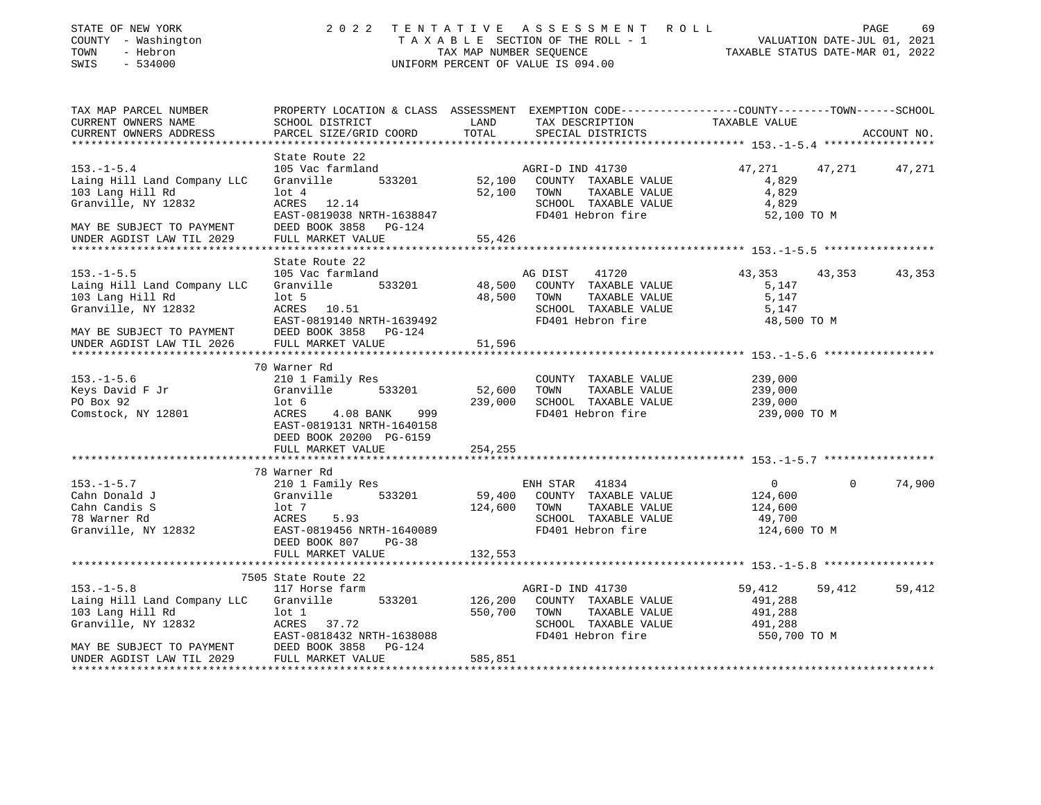| STATE OF NEW YORK<br>COUNTY - Washington<br>TOWN<br>- Hebron<br>SWIS<br>$-534000$                                       |                                                                                                                                                                                                                          |          | 2022 TENTATIVE ASSESSMENT ROLL<br>TAXABLE SECTION OF THE ROLL - 1<br>TAXABLE STATE-JUL 01, 2021<br>TAXABLE STATUS DATE-JUL 01, 2022<br>UNIFORM PERCENT OF VALUE IS 094.00 |                                                         |             | PAGE<br>69    |
|-------------------------------------------------------------------------------------------------------------------------|--------------------------------------------------------------------------------------------------------------------------------------------------------------------------------------------------------------------------|----------|---------------------------------------------------------------------------------------------------------------------------------------------------------------------------|---------------------------------------------------------|-------------|---------------|
| TAX MAP PARCEL NUMBER<br>CURRENT OWNERS NAME<br>CURRENT OWNERS ADDRESS                                                  | PROPERTY LOCATION & CLASS ASSESSMENT EXEMPTION CODE---------------COUNTY-------TOWN-----SCHOOL<br>SCHOOL DISTRICT LAND<br>PARCEL SIZE/GRID COORD                                                                         | TOTAL    | TAX DESCRIPTION TAXABLE VALUE<br>SPECIAL DISTRICTS                                                                                                                        |                                                         |             | ACCOUNT NO.   |
| ***********************                                                                                                 |                                                                                                                                                                                                                          |          |                                                                                                                                                                           |                                                         |             |               |
| $153. - 1 - 5.4$<br>Laing Hill Land Company LLC<br>103 Lang Hill Rd<br>Granville, NY 12832<br>MAY BE SUBJECT TO PAYMENT | State Route 22<br>105 Vac farmland<br>Granville 533201 52,100 COUNTY TAXABLE VALUE<br>$\begin{tabular}{ll} \texttt{lot 4} \\ \texttt{ACRES} & 12.14 \end{tabular}$<br>EAST-0819038 NRTH-1638847<br>DEED BOOK 3858 PG-124 |          | AGRI-D IND 41730<br>52,100 TOWN TAXABLE VALUE<br>SCHOOL TAXABLE VALUE<br>FD401 Hebron fire                                                                                | 47,271<br>4,829<br>4,829<br>4,829<br>52,100 TO M        |             | 47,271 47,271 |
| UNDER AGDIST LAW TIL 2029                                                                                               | FULL MARKET VALUE                                                                                                                                                                                                        | 55,426   |                                                                                                                                                                           |                                                         |             |               |
|                                                                                                                         | State Route 22                                                                                                                                                                                                           |          |                                                                                                                                                                           |                                                         |             |               |
| $153. - 1 - 5.5$<br>Laing Hill Land Company LLC<br>103 Lang Hill Rd<br>Granville, NY 12832                              | 105 Vac farmland<br>Granville 533201 48,500 COUNTY TAXABLE VALUE<br>Lot 5<br>ACRES 10.51<br>EAST-0819140 NRTH-1639492<br>DEED BOOK 3858 PG-124                                                                           |          | AG DIST 41720<br>48,500 TOWN TAXABLE VALUE<br>SCHOOL TAXABLE VALUE<br>FD401 Hebron fire                                                                                   | 43,353<br>5,147<br>5,147<br>5,147<br>48,500 TO M        | 43,353      | 43,353        |
| MAY BE SUBJECT TO PAYMENT DEED BOOK 3858 INDER AGDIST LAW TIL 2026 FULL MARKET VALUE                                    |                                                                                                                                                                                                                          | 51,596   |                                                                                                                                                                           |                                                         |             |               |
|                                                                                                                         |                                                                                                                                                                                                                          |          |                                                                                                                                                                           |                                                         |             |               |
|                                                                                                                         | 70 Warner Rd                                                                                                                                                                                                             |          |                                                                                                                                                                           |                                                         |             |               |
| $153. - 1 - 5.6$                                                                                                        | 210 1 Family Res                                                                                                                                                                                                         |          | COUNTY TAXABLE VALUE                                                                                                                                                      | 239,000<br>239,000<br>239,000<br>239,000                |             |               |
| Keys David F Jr<br>PO Box 92                                                                                            | Granville 533201<br>lot 6                                                                                                                                                                                                | 52,600   | TOWN TAXABLE VALUE<br>239,000 SCHOOL TAXABLE VALUE                                                                                                                        |                                                         |             |               |
| Comstock, NY 12801                                                                                                      | <b>ACRES</b><br>4.08 BANK 999<br>EAST-0819131 NRTH-1640158<br>DEED BOOK 20200 PG-6159                                                                                                                                    |          | FD401 Hebron fire                                                                                                                                                         | 239,000 TO M                                            |             |               |
|                                                                                                                         | FULL MARKET VALUE                                                                                                                                                                                                        | 254, 255 |                                                                                                                                                                           |                                                         |             |               |
|                                                                                                                         | 78 Warner Rd                                                                                                                                                                                                             |          |                                                                                                                                                                           |                                                         |             |               |
| $153. - 1 - 5.7$<br>Cahn Donald J<br>Cahn Candis S<br>78 Warner Rd<br>Granville, NY 12832                               | 210 1 Family Res<br>Granville 533201<br>lot 7<br>ACRES 5.93<br>EAST-0819456 NRTH-1640089<br>DEED BOOK 807<br>PG-38                                                                                                       |          | ENH STAR 41834<br>59,400 COUNTY TAXABLE VALUE<br>124,600 TOWN TAXABLE VALUE<br>SCHOOL TAXABLE VALUE<br>FD401 Hebron fire                                                  | 0<br>124,600<br>124,600<br>49,700<br>124,600 TO M       | $\mathbf 0$ | 74,900        |
|                                                                                                                         | FULL MARKET VALUE                                                                                                                                                                                                        | 132,553  |                                                                                                                                                                           |                                                         |             |               |
|                                                                                                                         |                                                                                                                                                                                                                          |          |                                                                                                                                                                           |                                                         |             |               |
| $153. - 1 - 5.8$<br>Laing Hill Land Company LLC<br>MAY BE SUBJECT TO PAYMENT                                            | 7505 State Route 22<br>117 Horse farm<br>Granville<br>533201<br>ACRES 37.72<br>EAST-0818432 NRTH-1638088<br>DEED BOOK 3858 PG-124                                                                                        |          | AGRI-D IND 41730<br>126,200 COUNTY TAXABLE VALUE<br>550,700 TOWN TAXABLE VALUE<br>SCHOOL TAXABLE VALUE<br>FD401 Hebron fire                                               | 59,412<br>491,288<br>491,288<br>491,288<br>550,700 TO M | 59,412      | 59,412        |
|                                                                                                                         | FULL MARKET VALUE                                                                                                                                                                                                        | 585,851  |                                                                                                                                                                           |                                                         |             |               |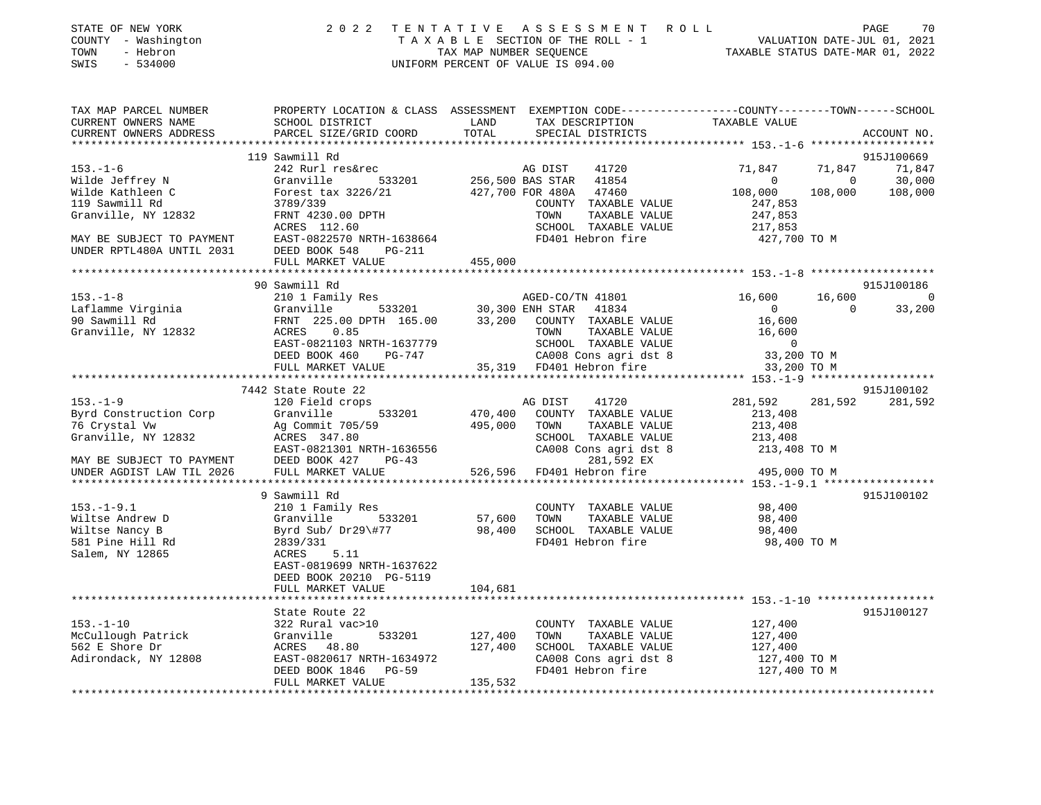| STATE OF NEW YORK<br>- Washington<br>COUNTY<br>- Hebron<br>TOWN<br>$-534000$<br>SWIS | 2 0 2 2                                                                  | TENTATIVE<br>TAXABLE SECTION OF THE ROLL - 1<br>TAX MAP NUMBER SEOUENCE<br>UNIFORM PERCENT OF VALUE IS 094.00 |         | ASSESSMENT ROLL   | TAXABLE STATUS DATE-MAR 01, 2022                             |                | 70<br>PAGE<br>VALUATION DATE-JUL 01, 2021 |
|--------------------------------------------------------------------------------------|--------------------------------------------------------------------------|---------------------------------------------------------------------------------------------------------------|---------|-------------------|--------------------------------------------------------------|----------------|-------------------------------------------|
| TAX MAP PARCEL NUMBER                                                                | PROPERTY LOCATION & CLASS ASSESSMENT                                     |                                                                                                               |         |                   | EXEMPTION CODE-----------------COUNTY-------TOWN------SCHOOL |                |                                           |
| CURRENT OWNERS NAME                                                                  | SCHOOL DISTRICT                                                          | <b>LAND</b>                                                                                                   |         | TAX DESCRIPTION   | TAXABLE VALUE                                                |                |                                           |
| CURRENT OWNERS ADDRESS                                                               | PARCEL SIZE/GRID COORD                                                   | TOTAL                                                                                                         |         | SPECIAL DISTRICTS |                                                              |                | ACCOUNT NO.                               |
|                                                                                      |                                                                          |                                                                                                               |         |                   |                                                              |                |                                           |
|                                                                                      | 119 Sawmill Rd                                                           |                                                                                                               |         |                   |                                                              |                | 915J100669                                |
| $153. - 1 - 6$                                                                       | 242 Rurl res&rec                                                         |                                                                                                               | AG DIST | 41720             | 71,847 71,847                                                |                | 71,847                                    |
| Wilde Jeffrey N                                                                      | Granville                                                                | 533201 256,500 BAS STAR                                                                                       |         | 41854             | $\Omega$                                                     | $\overline{0}$ | 30,000                                    |
| Wilde Kathleen C                                                                     | Forest tax 3226/21 427,700 FOR 480A                                      |                                                                                                               |         | 47460             | 108,000                                                      | 108,000        | 108,000                                   |
| 119 Sawmill Rd                                                                       | 3789/339                                                                 |                                                                                                               | COUNTY  | TAXABLE VALUE     | 247,853                                                      |                |                                           |
| Granville, NY 12832                                                                  | FRNT 4230.00 DPTH                                                        |                                                                                                               | TOWN    | TAXABLE VALUE     | 247,853                                                      |                |                                           |
|                                                                                      | ACRES 112.60                                                             |                                                                                                               | SCHOOL  | TAXABLE VALUE     | 217,853                                                      |                |                                           |
| MAY BE SUBJECT TO PAYMENT                                                            | EAST-0822570 NRTH-1638664                                                |                                                                                                               |         | FD401 Hebron fire | 427,700 TO M                                                 |                |                                           |
| UNDER RPTL480A UNTIL 2031                                                            | DEED BOOK 548<br>PG-211                                                  |                                                                                                               |         |                   |                                                              |                |                                           |
|                                                                                      | FULL MARKET VALUE                                                        | 455,000                                                                                                       |         |                   |                                                              |                |                                           |
|                                                                                      |                                                                          |                                                                                                               |         |                   |                                                              |                |                                           |
|                                                                                      | $0.0.000$ $0.0000$ $0.0000$ $0.0000$ $0.0000$ $0.0000$ $0.0000$ $0.0000$ |                                                                                                               |         |                   |                                                              |                | 0157100106                                |

|                                    | 90 Sawmill Rd                                             |                                                                                                                                                 | 915J100186                         |
|------------------------------------|-----------------------------------------------------------|-------------------------------------------------------------------------------------------------------------------------------------------------|------------------------------------|
| $153. - 1 - 8$                     | 210 1 Family Res                                          | AGED-CO/TN 41801                                                                                                                                | 16,600 16,600<br>$\overline{0}$    |
| Laflamme Virginia                  | Granville                                                 | 533201 30,300 ENH STAR<br>41834                                                                                                                 | $\overline{0}$<br>33,200<br>$\cap$ |
| 90 Sawmill Rd                      |                                                           | FRNT 225.00 DPTH 165.00 33,200 COUNTY TAXABLE VALUE                                                                                             | 16,600                             |
| Granville, NY 12832                | ACRES 0.85                                                |                                                                                                                                                 |                                    |
|                                    | EAST-0821103 NRTH-1637779                                 |                                                                                                                                                 |                                    |
|                                    | DEED BOOK 460<br>PG-747                                   | TOWN TAXABLE VALUE 16,600<br>SCHOOL TAXABLE VALUE 16,600<br>CA008 Cons agri dst 8 33,200 TO M<br>CA008 Cons agri ds<br>35,319 FD401 Hebron fire |                                    |
|                                    | FULL MARKET VALUE                                         |                                                                                                                                                 | 33,200 TO M                        |
|                                    |                                                           |                                                                                                                                                 |                                    |
|                                    | 7442 State Route 22                                       |                                                                                                                                                 | 915J100102                         |
| $153. - 1 - 9$                     | 120 Field crops                                           | AG DIST<br>41720                                                                                                                                | 281,592<br>281,592<br>281,592      |
| Byrd Construction Corp             | Granville<br>533201                                       | 470,400 COUNTY TAXABLE VALUE                                                                                                                    | 213,408                            |
|                                    |                                                           | 495,000<br>TOWN<br>TAXABLE VALUE                                                                                                                | 213,408                            |
|                                    |                                                           | SCHOOL TAXABLE VALUE                                                                                                                            | 213,408                            |
|                                    | EAST-0821301 NRTH-1636556                                 | CA008 Cons agri dst 8                                                                                                                           | 213,408 TO M                       |
| MAY BE SUBJECT TO PAYMENT          | DEED BOOK 427<br>$PG-43$                                  | 281,592 EX                                                                                                                                      |                                    |
| UNDER AGDIST LAW TIL 2026          | FULL MARKET VALUE                                         | 526,596 FD401 Hebron fire                                                                                                                       | 495,000 TO M                       |
|                                    |                                                           |                                                                                                                                                 |                                    |
|                                    | 9 Sawmill Rd                                              |                                                                                                                                                 | 915J100102                         |
| $153. - 1 - 9.1$                   | 210 1 Family Res<br>з<br>533201                    57,600 | COUNTY TAXABLE VALUE                                                                                                                            | 98,400                             |
| Wiltse Andrew D                    | Granville<br>Byrd Sub/ Dr29\#77                           | TOWN<br>TAXABLE VALUE<br>SCHOOL TAXABLE VALUE                                                                                                   | 98,400<br>98,400                   |
| Wiltse Nancy B<br>581 Pine Hill Rd |                                                           | 98,400<br>FD401 Hebron fire                                                                                                                     |                                    |
| Salem, NY 12865                    | 2839/331<br>5.11<br>ACRES                                 |                                                                                                                                                 | 98,400 TO M                        |
|                                    | EAST-0819699 NRTH-1637622                                 |                                                                                                                                                 |                                    |
|                                    | DEED BOOK 20210 PG-5119                                   |                                                                                                                                                 |                                    |
|                                    | FULL MARKET VALUE                                         | 104,681                                                                                                                                         |                                    |
|                                    |                                                           |                                                                                                                                                 |                                    |
|                                    | State Route 22                                            |                                                                                                                                                 | 915J100127                         |
| $153. - 1 - 10$                    | 322 Rural vac>10                                          | COUNTY TAXABLE VALUE                                                                                                                            | 127,400                            |
| McCullough Patrick                 | 533201 127,400<br>Granville                               | TOWN<br>TAXABLE VALUE                                                                                                                           | 127,400                            |
| 562 E Shore Dr                     | ACRES 48.80                                               | 127,400<br>SCHOOL TAXABLE VALUE                                                                                                                 | 127,400                            |
| Adirondack, NY 12808               | EAST-0820617 NRTH-1634972                                 | CA008 Cons agri dst 8                                                                                                                           | 127,400 TO M                       |
|                                    | DEED BOOK 1846 PG-59                                      | FD401 Hebron fire                                                                                                                               | 127,400 TO M                       |
|                                    | FULL MARKET VALUE                                         | 135,532                                                                                                                                         |                                    |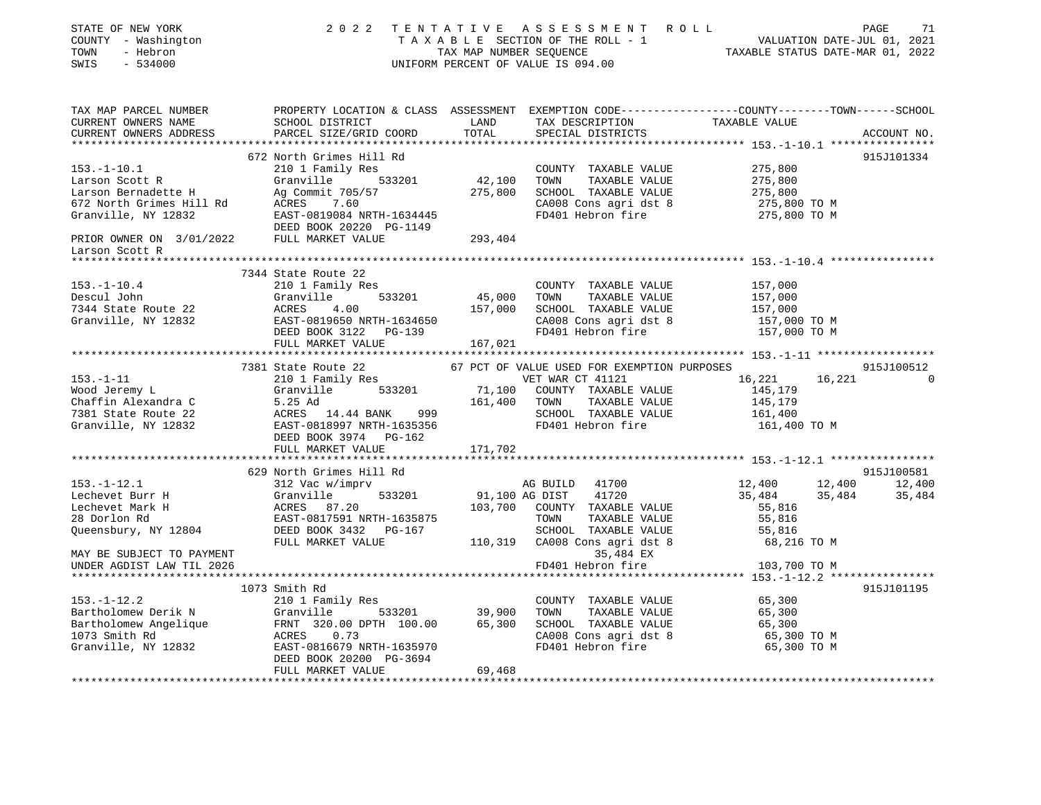| STATE OF NEW YORK<br>COUNTY - Washington<br>TOWN - Hebron<br>~~~~~ - 534000                                                                                                                                                                             |                                                                                                                |         | 2022 TENTATIVE ASSESSMENT ROLL PAGE 71<br>TAXABLE SECTION OF THE ROLL - 1<br>TAX MAP NUMBER SEQUENCE CALL TAXABLE STATUS DATE-JUL 01, 2021<br>UNIFORM PERCENT OF VALUE IS 094.00 |                                    |        |               |
|---------------------------------------------------------------------------------------------------------------------------------------------------------------------------------------------------------------------------------------------------------|----------------------------------------------------------------------------------------------------------------|---------|----------------------------------------------------------------------------------------------------------------------------------------------------------------------------------|------------------------------------|--------|---------------|
| TAX MAP PARCEL NUMBER         PROPERTY LOCATION & CLASS ASSESSMENT EXEMPTION CODE---------------COUNTY-------TOWN------SCHOOL CURRENT OWNERS NAME               SCHOOL DISTRICT              LAND      TAX DESCRIPTION<br>CURRENT OWNERS ADDRESS        | PARCEL SIZE/GRID COORD                                                                                         | TOTAL   | SPECIAL DISTRICTS                                                                                                                                                                |                                    |        | ACCOUNT NO.   |
|                                                                                                                                                                                                                                                         |                                                                                                                |         |                                                                                                                                                                                  |                                    |        |               |
|                                                                                                                                                                                                                                                         | 672 North Grimes Hill Rd                                                                                       |         |                                                                                                                                                                                  |                                    |        | 915J101334    |
|                                                                                                                                                                                                                                                         |                                                                                                                |         |                                                                                                                                                                                  | 275,800                            |        |               |
|                                                                                                                                                                                                                                                         |                                                                                                                |         |                                                                                                                                                                                  | 275,800                            |        |               |
|                                                                                                                                                                                                                                                         |                                                                                                                |         |                                                                                                                                                                                  | 275,800<br>275,800<br>275,800 TO M |        |               |
|                                                                                                                                                                                                                                                         |                                                                                                                |         |                                                                                                                                                                                  |                                    |        |               |
|                                                                                                                                                                                                                                                         |                                                                                                                |         |                                                                                                                                                                                  | 275,800 TO M                       |        |               |
| Larson Scott R                                                                                                                                                                                                                                          |                                                                                                                |         |                                                                                                                                                                                  |                                    |        |               |
|                                                                                                                                                                                                                                                         |                                                                                                                |         |                                                                                                                                                                                  |                                    |        |               |
|                                                                                                                                                                                                                                                         | 7344 State Route 22<br>210 1 Family Res<br>COUNTY<br>Granville 533201 45,000 TOWN<br>ACRES 4.00 157.000 COUNTY |         |                                                                                                                                                                                  |                                    |        |               |
| $153. - 1 - 10.4$                                                                                                                                                                                                                                       |                                                                                                                |         | COUNTY TAXABLE VALUE                                                                                                                                                             | 157,000                            |        |               |
| Descul John                                                                                                                                                                                                                                             |                                                                                                                |         | TAXABLE VALUE                                                                                                                                                                    | 157,000                            |        |               |
| 7344 State Route 22                                                                                                                                                                                                                                     |                                                                                                                |         | 157,000 SCHOOL TAXABLE VALUE                                                                                                                                                     | 157,000<br>157,000 TO M            |        |               |
|                                                                                                                                                                                                                                                         |                                                                                                                |         |                                                                                                                                                                                  |                                    |        |               |
|                                                                                                                                                                                                                                                         | FULL MARKET VALUE                                                                                              | 167,021 |                                                                                                                                                                                  |                                    |        |               |
|                                                                                                                                                                                                                                                         |                                                                                                                |         |                                                                                                                                                                                  |                                    |        |               |
|                                                                                                                                                                                                                                                         |                                                                                                                |         | 67 PCT OF VALUE USED FOR EXEMPTION PURPOSES                                                                                                                                      |                                    |        | 915J100512    |
| $153. - 1 - 11$                                                                                                                                                                                                                                         | 7381 State Route 22<br>210 1 Family Res                                                                        |         | VET WAR CT 41121                                                                                                                                                                 | 16,221                             | 16,221 | $\Omega$      |
|                                                                                                                                                                                                                                                         |                                                                                                                |         | 71,100 COUNTY TAXABLE VALUE                                                                                                                                                      | 145,179                            |        |               |
|                                                                                                                                                                                                                                                         |                                                                                                                |         | TAXABLE VALUE                                                                                                                                                                    | 145,179                            |        |               |
| Wood Jeremy Landra Charles Charles Country TAXABLE VALUE<br>Charles Charles Charles Charles Charles Charles Charles Charles Charles Charles Charles Charles Charles Charles Charles Charles Charles Charles Charles Charles Char<br>Granville, NY 12832 |                                                                                                                |         | SCHOOL TAXABLE VALUE                                                                                                                                                             | 161,400                            |        |               |
|                                                                                                                                                                                                                                                         | DEED BOOK 3974 PG-162                                                                                          |         |                                                                                                                                                                                  | 161,400 TO M                       |        |               |
|                                                                                                                                                                                                                                                         | FULL MARKET VALUE                                                                                              | 171,702 |                                                                                                                                                                                  |                                    |        |               |
|                                                                                                                                                                                                                                                         |                                                                                                                |         |                                                                                                                                                                                  |                                    |        |               |
|                                                                                                                                                                                                                                                         |                                                                                                                |         |                                                                                                                                                                                  |                                    |        | 915J100581    |
|                                                                                                                                                                                                                                                         |                                                                                                                |         |                                                                                                                                                                                  | 12,400                             |        | 12,400 12,400 |
|                                                                                                                                                                                                                                                         |                                                                                                                |         |                                                                                                                                                                                  | 35,484                             | 35,484 | 35,484        |
|                                                                                                                                                                                                                                                         |                                                                                                                |         |                                                                                                                                                                                  | 55,816                             |        |               |
|                                                                                                                                                                                                                                                         |                                                                                                                |         |                                                                                                                                                                                  | 55,816<br>55,816                   |        |               |
|                                                                                                                                                                                                                                                         |                                                                                                                |         |                                                                                                                                                                                  | 68,216 TO M                        |        |               |
| MAY BE SUBJECT TO PAYMENT                                                                                                                                                                                                                               |                                                                                                                |         | 35,484 EX                                                                                                                                                                        |                                    |        |               |
| UNDER AGDIST LAW TIL 2026                                                                                                                                                                                                                               |                                                                                                                |         | FD401 Hebron fire                                                                                                                                                                | 103,700 TO M                       |        |               |
|                                                                                                                                                                                                                                                         |                                                                                                                |         |                                                                                                                                                                                  |                                    |        |               |
|                                                                                                                                                                                                                                                         | 1073 Smith Rd                                                                                                  |         |                                                                                                                                                                                  |                                    |        | 915J101195    |
| $153. - 1 - 12.2$                                                                                                                                                                                                                                       | 210 1 Family Res                                                                                               |         | COUNTY TAXABLE VALUE                                                                                                                                                             | 65,300                             |        |               |
|                                                                                                                                                                                                                                                         |                                                                                                                |         |                                                                                                                                                                                  | 65,300                             |        |               |
|                                                                                                                                                                                                                                                         |                                                                                                                |         |                                                                                                                                                                                  | 65,300                             |        |               |
|                                                                                                                                                                                                                                                         |                                                                                                                |         |                                                                                                                                                                                  | 65,300 TO M<br>65,300 TO M         |        |               |
| Bartholomew Derik N<br>Bartholomew Angelique FRNT 320.00 DPTH 100.00 65,300 TOWN TAXABLE VALUE<br>1073 Smith Rd<br>Granville, NY 12832 EAST-0816679 NRTH-1635970 FD401 Hebron fire<br>DEED BOOK 20200 PG-3694 CA008 Cons agri dst 8<br>T                |                                                                                                                |         |                                                                                                                                                                                  |                                    |        |               |
|                                                                                                                                                                                                                                                         | FULL MARKET VALUE                                                                                              | 69,468  |                                                                                                                                                                                  |                                    |        |               |
|                                                                                                                                                                                                                                                         |                                                                                                                |         |                                                                                                                                                                                  |                                    |        |               |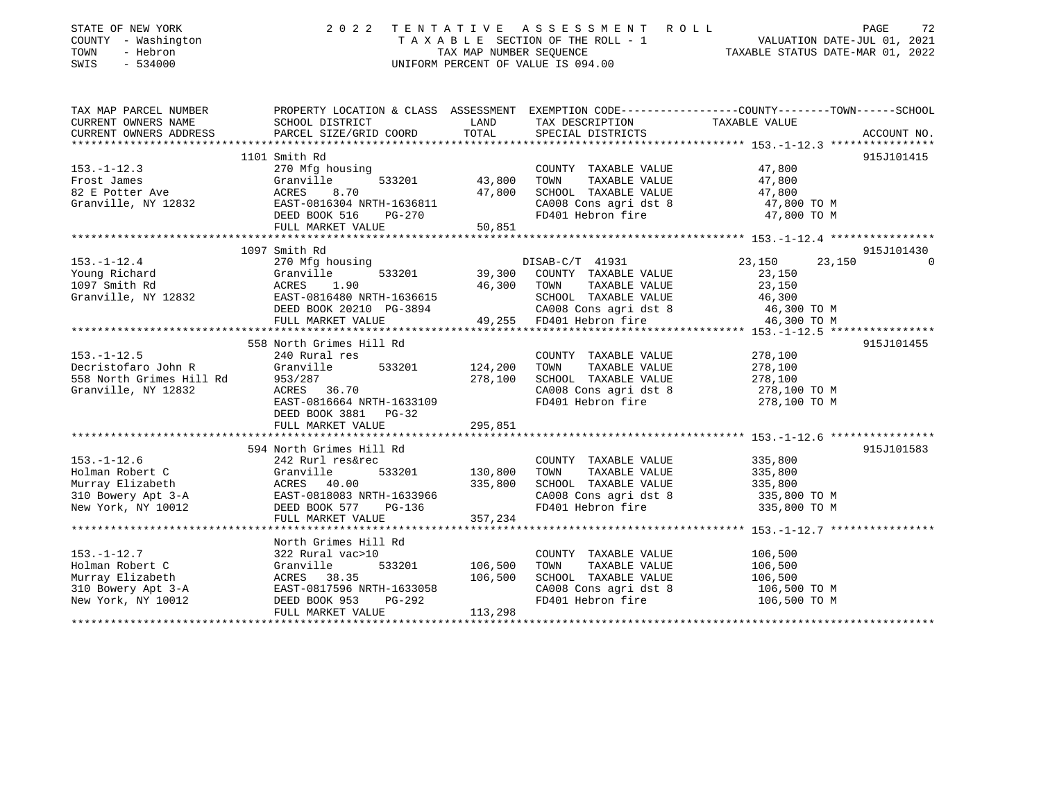| STATE OF NEW YORK<br>COUNTY - Washington<br>TOWN<br>- Hebron<br>$-534000$<br>SWIS | 2 0 2 2                                                                                          | TAX MAP NUMBER SEQUENCE | TENTATIVE ASSESSMENT ROLL<br>T A X A B L E SECTION OF THE ROLL - 1 VALUATION DATE-JUL 01, 2021<br>UNIFORM PERCENT OF VALUE IS 094.00 | TAXABLE STATUS DATE-MAR 01, 2022         | 72<br>PAGE  |
|-----------------------------------------------------------------------------------|--------------------------------------------------------------------------------------------------|-------------------------|--------------------------------------------------------------------------------------------------------------------------------------|------------------------------------------|-------------|
| TAX MAP PARCEL NUMBER                                                             | PROPERTY LOCATION & CLASS ASSESSMENT EXEMPTION CODE----------------COUNTY-------TOWN------SCHOOL |                         |                                                                                                                                      |                                          |             |
| CURRENT OWNERS NAME<br>CURRENT OWNERS ADDRESS<br>*************************        | SCHOOL DISTRICT<br>PARCEL SIZE/GRID COORD                                                        | LAND<br>TOTAL           | TAX DESCRIPTION<br>SPECIAL DISTRICTS                                                                                                 | TAXABLE VALUE                            | ACCOUNT NO. |
|                                                                                   | 1101 Smith Rd                                                                                    |                         |                                                                                                                                      |                                          | 915J101415  |
| $153. - 1 - 12.3$                                                                 | 270 Mfg housing                                                                                  |                         | COUNTY TAXABLE VALUE                                                                                                                 | 47,800                                   |             |
| Frost James                                                                       | 533201<br>Granville                                                                              | 43,800                  | TAXABLE VALUE<br>TOWN                                                                                                                | 47,800                                   |             |
| 82 E Potter Ave                                                                   | ACRES<br>8.70                                                                                    | 47,800                  | SCHOOL TAXABLE VALUE                                                                                                                 | 47,800                                   |             |
| Granville, NY 12832                                                               | EAST-0816304 NRTH-1636811                                                                        |                         | CA008 Cons agri dst 8                                                                                                                | 47,800 TO M                              |             |
|                                                                                   | DEED BOOK 516<br>PG-270                                                                          |                         | FD401 Hebron fire                                                                                                                    | 47,800 TO M                              |             |
|                                                                                   | FULL MARKET VALUE                                                                                | 50,851                  |                                                                                                                                      |                                          |             |
|                                                                                   |                                                                                                  |                         |                                                                                                                                      |                                          |             |
|                                                                                   | 1097 Smith Rd                                                                                    |                         |                                                                                                                                      |                                          | 915J101430  |
| $153. - 1 - 12.4$                                                                 | 270 Mfg housing                                                                                  |                         | DISAB-C/T 41931                                                                                                                      | 23,150                                   | 23,150<br>∩ |
| Young Richard                                                                     | 533201<br>Granville                                                                              | 39,300                  | COUNTY TAXABLE VALUE                                                                                                                 | 23,150                                   |             |
| 1097 Smith Rd                                                                     | 1.90<br>ACRES                                                                                    | 46,300                  | TOWN<br>TAXABLE VALUE                                                                                                                | 23,150                                   |             |
| Granville, NY 12832                                                               | EAST-0816480 NRTH-1636615                                                                        |                         | SCHOOL TAXABLE VALUE                                                                                                                 | 46,300                                   |             |
|                                                                                   | DEED BOOK 20210 PG-3894<br>FULL MARKET VALUE                                                     | 49,255                  | CA008 Cons agri dst 8<br>FD401 Hebron fire                                                                                           | 46,300 TO M<br>46,300 TO M               |             |
|                                                                                   | ************************                                                                         |                         |                                                                                                                                      | ********** 153.-1-12.5 ***************** |             |
|                                                                                   | 558 North Grimes Hill Rd                                                                         |                         |                                                                                                                                      |                                          | 915J101455  |
| $153. - 1 - 12.5$                                                                 | 240 Rural res                                                                                    |                         | COUNTY TAXABLE VALUE                                                                                                                 | 278,100                                  |             |
| Decristofaro John R                                                               | Granville<br>533201                                                                              | 124,200                 | TOWN<br>TAXABLE VALUE                                                                                                                | 278,100                                  |             |
| 558 North Grimes Hill Rd                                                          | 953/287                                                                                          | 278,100                 | SCHOOL TAXABLE VALUE                                                                                                                 | 278,100                                  |             |
| Granville, NY 12832                                                               | ACRES 36.70                                                                                      |                         | CA008 Cons agri dst 8                                                                                                                | 278,100 TO M                             |             |
|                                                                                   | EAST-0816664 NRTH-1633109                                                                        |                         | FD401 Hebron fire                                                                                                                    | 278,100 TO M                             |             |
|                                                                                   | DEED BOOK 3881<br>$PG-32$                                                                        |                         |                                                                                                                                      |                                          |             |
|                                                                                   | FULL MARKET VALUE                                                                                | 295,851                 |                                                                                                                                      |                                          |             |
|                                                                                   |                                                                                                  |                         |                                                                                                                                      |                                          |             |
|                                                                                   | 594 North Grimes Hill Rd                                                                         |                         |                                                                                                                                      |                                          | 915J101583  |
| $153. - 1 - 12.6$                                                                 | 242 Rurl res&rec                                                                                 |                         | COUNTY TAXABLE VALUE                                                                                                                 | 335,800                                  |             |
| Holman Robert C<br>Murray Elizabeth                                               | 533201<br>Granville<br>ACRES 40.00                                                               | 130,800<br>335,800      | TAXABLE VALUE<br>TOWN<br>SCHOOL TAXABLE VALUE                                                                                        | 335,800<br>335,800                       |             |
| 310 Bowery Apt 3-A                                                                | EAST-0818083 NRTH-1633966                                                                        |                         | CA008 Cons agri dst 8                                                                                                                | 335,800 TO M                             |             |
| New York, NY 10012                                                                | DEED BOOK 577<br>PG-136                                                                          |                         | FD401 Hebron fire                                                                                                                    | 335,800 TO M                             |             |
|                                                                                   | FULL MARKET VALUE                                                                                | 357,234                 |                                                                                                                                      |                                          |             |
|                                                                                   |                                                                                                  |                         |                                                                                                                                      |                                          |             |
|                                                                                   | North Grimes Hill Rd                                                                             |                         |                                                                                                                                      |                                          |             |
| $153. - 1 - 12.7$                                                                 | 322 Rural vac>10                                                                                 |                         | COUNTY TAXABLE VALUE                                                                                                                 | 106,500                                  |             |
| Holman Robert C                                                                   | Granville<br>533201                                                                              | 106,500                 | TOWN<br>TAXABLE VALUE                                                                                                                | 106,500                                  |             |
| Murray Elizabeth                                                                  | ACRES 38.35                                                                                      | 106,500                 | SCHOOL TAXABLE VALUE                                                                                                                 | 106,500                                  |             |
| 310 Bowery Apt 3-A                                                                | EAST-0817596 NRTH-1633058                                                                        |                         | CA008 Cons agri dst 8                                                                                                                | 106,500 TO M                             |             |
| New York, NY 10012                                                                | PG-292<br>DEED BOOK 953                                                                          |                         | FD401 Hebron fire                                                                                                                    | 106,500 TO M                             |             |
|                                                                                   | FULL MARKET VALUE                                                                                | 113,298                 |                                                                                                                                      |                                          |             |
|                                                                                   |                                                                                                  |                         |                                                                                                                                      |                                          |             |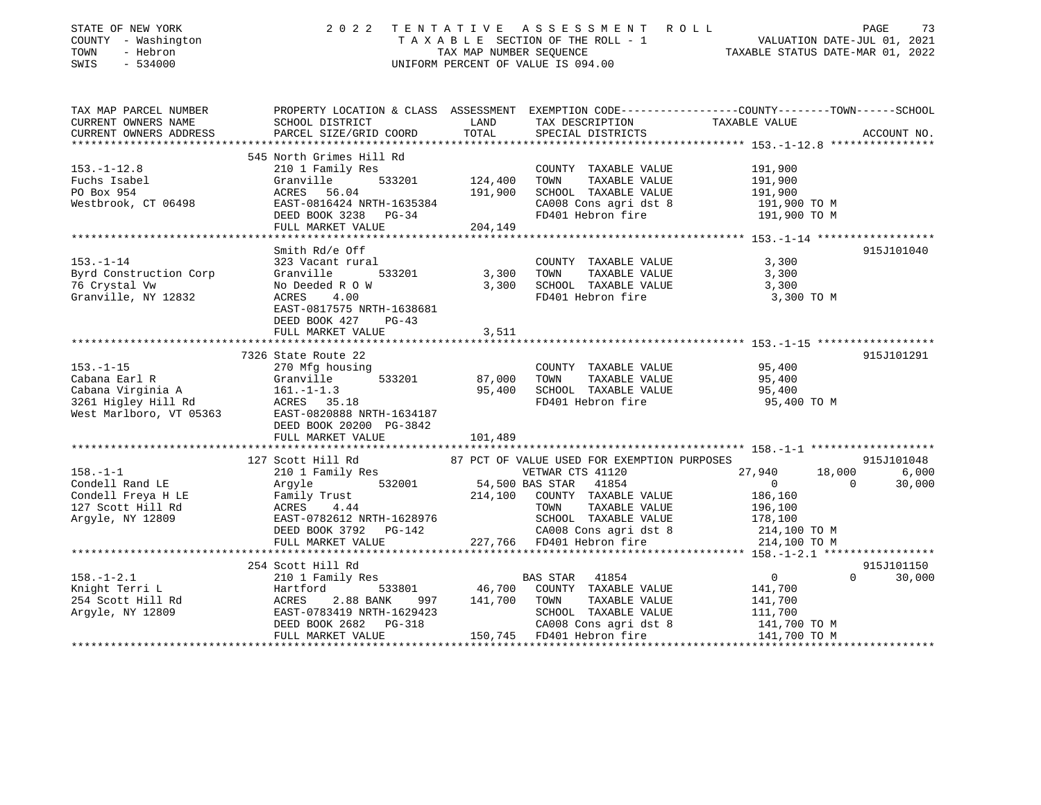| STATE OF NEW YORK<br>COUNTY - Washington<br>TOWN<br>- Hebron<br>SWIS<br>$-534000$ | 2 0 2 2                                                                                                                 |          | TENTATIVE ASSESSMENT ROLL<br>TAXABLE SECTION OF THE ROLL - 1<br>TAXABLE SECTION OF THE ROLL - 1<br>TAXABLE STATUS DATE-MAR 01, 2022<br>UNIFORM PERCENT OF VALUE IS 094.00 |                    | PAGE           | 73          |
|-----------------------------------------------------------------------------------|-------------------------------------------------------------------------------------------------------------------------|----------|---------------------------------------------------------------------------------------------------------------------------------------------------------------------------|--------------------|----------------|-------------|
|                                                                                   | TAX MAP PARCEL NUMBER THE PROPERTY LOCATION & CLASS ASSESSMENT EXEMPTION CODE--------------COUNTY-------TOWN-----SCHOOL |          |                                                                                                                                                                           |                    |                |             |
| CURRENT OWNERS NAME                                                               | SCHOOL DISTRICT                                                                                                         | LAND     | TAX DESCRIPTION                                                                                                                                                           | TAXABLE VALUE      |                |             |
| CURRENT OWNERS ADDRESS                                                            | PARCEL SIZE/GRID COORD                                                                                                  | TOTAL    | SPECIAL DISTRICTS                                                                                                                                                         |                    |                | ACCOUNT NO. |
|                                                                                   | 545 North Grimes Hill Rd                                                                                                |          |                                                                                                                                                                           |                    |                |             |
| $153. - 1 - 12.8$                                                                 | 210 1 Family Res                                                                                                        |          | COUNTY TAXABLE VALUE                                                                                                                                                      | 191,900            |                |             |
| Fuchs Isabel                                                                      | 533201<br>Granville                                                                                                     | 124,400  | TAXABLE VALUE<br>TOWN                                                                                                                                                     | 191,900            |                |             |
| PO Box 954                                                                        | ACRES 56.04                                                                                                             | 191,900  | SCHOOL TAXABLE VALUE                                                                                                                                                      | 191,900            |                |             |
| Westbrook, CT 06498                                                               | EAST-0816424 NRTH-1635384                                                                                               |          | CA008 Cons agri dst 8                                                                                                                                                     | 191,900 TO M       |                |             |
|                                                                                   | DEED BOOK 3238 PG-34<br>FULL MARKET VALUE                                                                               | 204, 149 | FD401 Hebron fire                                                                                                                                                         | 191,900 TO M       |                |             |
|                                                                                   |                                                                                                                         |          |                                                                                                                                                                           |                    |                |             |
|                                                                                   | Smith Rd/e Off                                                                                                          |          |                                                                                                                                                                           |                    |                | 915J101040  |
| $153. - 1 - 14$                                                                   | 323 Vacant rural                                                                                                        |          | COUNTY TAXABLE VALUE                                                                                                                                                      | 3,300              |                |             |
| Byrd Construction Corp                                                            | 533201<br>Granville                                                                                                     | 3,300    | TOWN<br>TAXABLE VALUE                                                                                                                                                     | 3,300              |                |             |
| 76 Crystal Vw                                                                     | No Deeded R O W                                                                                                         | 3,300    | SCHOOL TAXABLE VALUE                                                                                                                                                      | 3,300              |                |             |
| Granville, NY 12832                                                               | ACRES<br>4.00                                                                                                           |          | FD401 Hebron fire                                                                                                                                                         | 3,300 TO M         |                |             |
|                                                                                   | EAST-0817575 NRTH-1638681<br>DEED BOOK 427 PG-43                                                                        |          |                                                                                                                                                                           |                    |                |             |
|                                                                                   | FULL MARKET VALUE                                                                                                       | 3,511    |                                                                                                                                                                           |                    |                |             |
|                                                                                   |                                                                                                                         |          |                                                                                                                                                                           |                    |                |             |
|                                                                                   | 7326 State Route 22                                                                                                     |          |                                                                                                                                                                           |                    |                | 915J101291  |
| $153. - 1 - 15$                                                                   | 270 Mfg housing                                                                                                         |          | COUNTY TAXABLE VALUE                                                                                                                                                      | 95,400             |                |             |
| Cabana Earl R                                                                     | 533201<br>Granville                                                                                                     | 87,000   | TOWN<br>TAXABLE VALUE                                                                                                                                                     | 95,400             |                |             |
|                                                                                   |                                                                                                                         | 95,400   | SCHOOL TAXABLE VALUE<br>FD401 Hebron fire                                                                                                                                 | 95,400             |                |             |
|                                                                                   | West Marlboro, VT 05363 EAST-0820888 NRTH-1634187                                                                       |          |                                                                                                                                                                           | 95,400 TO M        |                |             |
|                                                                                   | DEED BOOK 20200 PG-3842                                                                                                 |          |                                                                                                                                                                           |                    |                |             |
|                                                                                   | FULL MARKET VALUE                                                                                                       | 101,489  |                                                                                                                                                                           |                    |                |             |
|                                                                                   |                                                                                                                         |          |                                                                                                                                                                           |                    |                |             |
|                                                                                   | 127 Scott Hill Rd                                                                                                       |          | 87 PCT OF VALUE USED FOR EXEMPTION PURPOSES                                                                                                                               |                    |                | 915J101048  |
| $158. - 1 - 1$                                                                    | 210 1 Family Res                                                                                                        |          | VETWAR CTS 41120                                                                                                                                                          | 27,940             | 18,000         | 6,000       |
| Condell Rand LE                                                                   | 532001<br>Argyle b32001<br>Family Trust<br>Achec 4.44                                                                   |          | 54,500 BAS STAR 41854                                                                                                                                                     | $\overline{0}$     | $\overline{0}$ | 30,000      |
| Condell Freya H LE                                                                |                                                                                                                         |          | 214,100 COUNTY TAXABLE VALUE                                                                                                                                              | 186,160            |                |             |
| 127 Scott Hill Rd<br>Argyle, NY 12809                                             | EAST-0782612 NRTH-1628976                                                                                               |          | TOWN<br>TAXABLE VALUE<br>SCHOOL TAXABLE VALUE                                                                                                                             | 196,100<br>178,100 |                |             |
|                                                                                   | DEED BOOK 3792 PG-142                                                                                                   |          | CA008 Cons agri dst 8                                                                                                                                                     | 214,100 TO M       |                |             |
|                                                                                   | FULL MARKET VALUE                                                                                                       |          | 227,766 FD401 Hebron fire                                                                                                                                                 | 214,100 TO M       |                |             |
|                                                                                   |                                                                                                                         |          |                                                                                                                                                                           |                    |                |             |
|                                                                                   | 254 Scott Hill Rd                                                                                                       |          |                                                                                                                                                                           |                    |                | 915J101150  |
| $158. - 1 - 2.1$                                                                  | 210 1 Family Res                                                                                                        |          | BAS STAR 41854                                                                                                                                                            | $0 \qquad \qquad$  | $\Omega$       | 30,000      |
| Knight Terri L                                                                    |                                                                                                                         |          | 46,700 COUNTY TAXABLE VALUE                                                                                                                                               | 141,700            |                |             |
| 254 Scott Hill Rd<br>Argyle, NY 12809                                             | Hartford 533801<br>ACRES 2.88 BANK 997<br>EAST-0783419 NRTH-1629423<br>2.88 BANK 997                                    | 141,700  | TOWN<br>TAXABLE VALUE                                                                                                                                                     | 141,700            |                |             |
|                                                                                   |                                                                                                                         |          | SCHOOL TAXABLE VALUE                                                                                                                                                      | 111,700            |                |             |
|                                                                                   | DEED BOOK 2682 PG-318<br>FULL MARKET VALUE                                                                              |          | CA008 Cons agri dst 8<br>150,745 FD401 Hebron fire 141,700 TO M                                                                                                           | 141,700 TO M       |                |             |
|                                                                                   |                                                                                                                         |          |                                                                                                                                                                           |                    |                |             |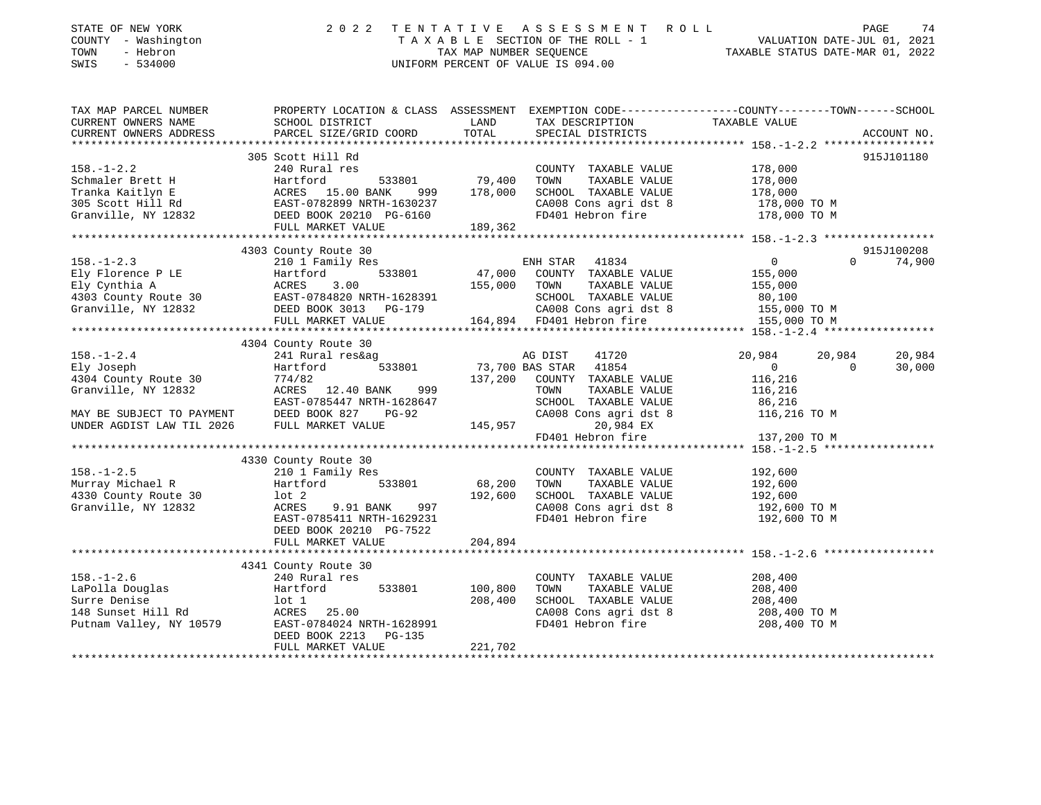| STATE OF NEW YORK<br>COUNTY - Washington<br>TOWN<br>- Hebron<br>SWIS<br>$-534000$ | 2 0 2 2                                                                                                                                                                                                                                                             |                          | TENTATIVE ASSESSMENT ROLL<br>UNIFORM PERCENT OF VALUE IS 094.00                                                     | TAXABLE SECTION OF THE ROLL - 1<br>TAXABLE SECTION OF THE ROLL - 1<br>TAXABLE STATUS DATE-MAR 01, 2022                           | PAGE<br>74           |
|-----------------------------------------------------------------------------------|---------------------------------------------------------------------------------------------------------------------------------------------------------------------------------------------------------------------------------------------------------------------|--------------------------|---------------------------------------------------------------------------------------------------------------------|----------------------------------------------------------------------------------------------------------------------------------|----------------------|
| CURRENT OWNERS NAME<br>CURRENT OWNERS ADDRESS                                     | TAX MAP PARCEL NUMBER THE PROPERTY LOCATION & CLASS ASSESSMENT EXEMPTION CODE--------------COUNTY-------TOWN-----SCHOOL<br>SCHOOL DISTRICT                                                                                                                          | LAND                     | TAX DESCRIPTION                                                                                                     | TAXABLE VALUE                                                                                                                    |                      |
|                                                                                   | PARCEL SIZE/GRID COORD                                                                                                                                                                                                                                              | TOTAL                    | SPECIAL DISTRICTS                                                                                                   |                                                                                                                                  | ACCOUNT NO.          |
|                                                                                   | 305 Scott Hill Rd                                                                                                                                                                                                                                                   |                          |                                                                                                                     |                                                                                                                                  | 915J101180           |
| $158. - 1 - 2.2$                                                                  | 240 Rural res                                                                                                                                                                                                                                                       |                          | COUNTY TAXABLE VALUE<br>TOWN<br>TAXABLE VALUE<br>SCHOOL TAXABLE VALUE<br>CA008 Cons agri dst 8<br>FD401 Hebron fire | 178,000<br>178,000<br>178,000<br>178,000 TO M<br>178,000 TO M                                                                    |                      |
|                                                                                   |                                                                                                                                                                                                                                                                     |                          |                                                                                                                     |                                                                                                                                  |                      |
|                                                                                   |                                                                                                                                                                                                                                                                     |                          |                                                                                                                     |                                                                                                                                  |                      |
|                                                                                   | 4303 County Route 30<br>158.-1-2.3<br>Ely Florence P LE<br>Ely Cynthia A acres 3.00<br>Hartford 533801 47,000 COUNTY TAXABLE VALUE<br>Ely Cynthia A ACRES 3.00<br>HARKET VALUE<br>Granville, NY 12832 DEED BOOK 3013 PG-179 164,894 FD401 Hebron fire<br>the MARKET |                          |                                                                                                                     | $\overline{0}$<br>$\Omega$<br>$\begin{smallmatrix}&&0\155\end{smallmatrix}$<br>155,000<br>80,100<br>155,000 TO M<br>155,000 TO M | 915J100208<br>74,900 |
|                                                                                   |                                                                                                                                                                                                                                                                     |                          |                                                                                                                     |                                                                                                                                  |                      |
| 158.-1-2.4<br>Ely Joseph<br>4304 County Route 30                                  | 4304 County Route 30<br>241 Rural res&ag<br>533801<br>Hartford<br>774/82<br>Granville, NY 12832<br>MAY BE SUBJECT TO PAYMENT<br>MAY BE SUBJECT TO PAYMENT<br>MAY BE SUBJECT TO PAYMENT<br>DEED BOOK 827 PG-92<br>UNDER AGDIST LAW TIL 2026 FULL MARKET VALUE        | SCHOOL<br>CA008 (245,957 | AG DIST 41720<br>73,700 BAS STAR 41854<br>TAXABLE VALUE<br>SCHOOL TAXABLE VALUE                                     | 20,984<br>20,984<br>$\overline{0}$<br>$\overline{0}$<br>116,216<br>116,216<br>86,216<br>CA008 Cons agri dst 8 116, 216 TO M      | 20,984<br>30,000     |
|                                                                                   |                                                                                                                                                                                                                                                                     |                          | 20,984 EX                                                                                                           |                                                                                                                                  |                      |
|                                                                                   |                                                                                                                                                                                                                                                                     |                          | FD401 Hebron fire                                                                                                   | 137,200 TO M                                                                                                                     |                      |
|                                                                                   |                                                                                                                                                                                                                                                                     |                          |                                                                                                                     |                                                                                                                                  |                      |
| $158. - 1 - 2.5$<br>4330 County Route 30                                          | 4330 County Route 30<br>210 1 Family Res<br>533801<br>Granville, NY 12832 ACRES 9.91 BANK 997<br>EAST-0785411 NRTH-1629231<br>DEED BOOK 20210 PG-7522                                                                                                               | 68,200<br>192,600        | COUNTY TAXABLE VALUE<br>TOWN<br>TAXABLE VALUE<br>SCHOOL TAXABLE VALUE<br>CA008 Cons agri dst 8<br>FD401 Hebron fire | 192,600<br>192,600<br>192,600<br>192,600 ТО М<br>192,600 TO M                                                                    |                      |
|                                                                                   | FULL MARKET VALUE                                                                                                                                                                                                                                                   | 204,894                  |                                                                                                                     |                                                                                                                                  |                      |
|                                                                                   |                                                                                                                                                                                                                                                                     |                          |                                                                                                                     |                                                                                                                                  |                      |
| 158.-1-2.6<br>LaPolla Douglas<br>Donise                                           | 4341 County Route 30<br>240 Rural res<br>PG-135<br>DEED BOOK 2213                                                                                                                                                                                                   | 100,800<br>208,400       | COUNTY TAXABLE VALUE<br>TOWN<br>TAXABLE VALUE<br>SCHOOL TAXABLE VALUE<br>CA008 Cons agri dst 8<br>FD401 Hebron fire | 208,400<br>208,400<br>208,400<br>208,400 TO M<br>208,400 TO M                                                                    |                      |
|                                                                                   | FULL MARKET VALUE                                                                                                                                                                                                                                                   | 221,702                  |                                                                                                                     |                                                                                                                                  |                      |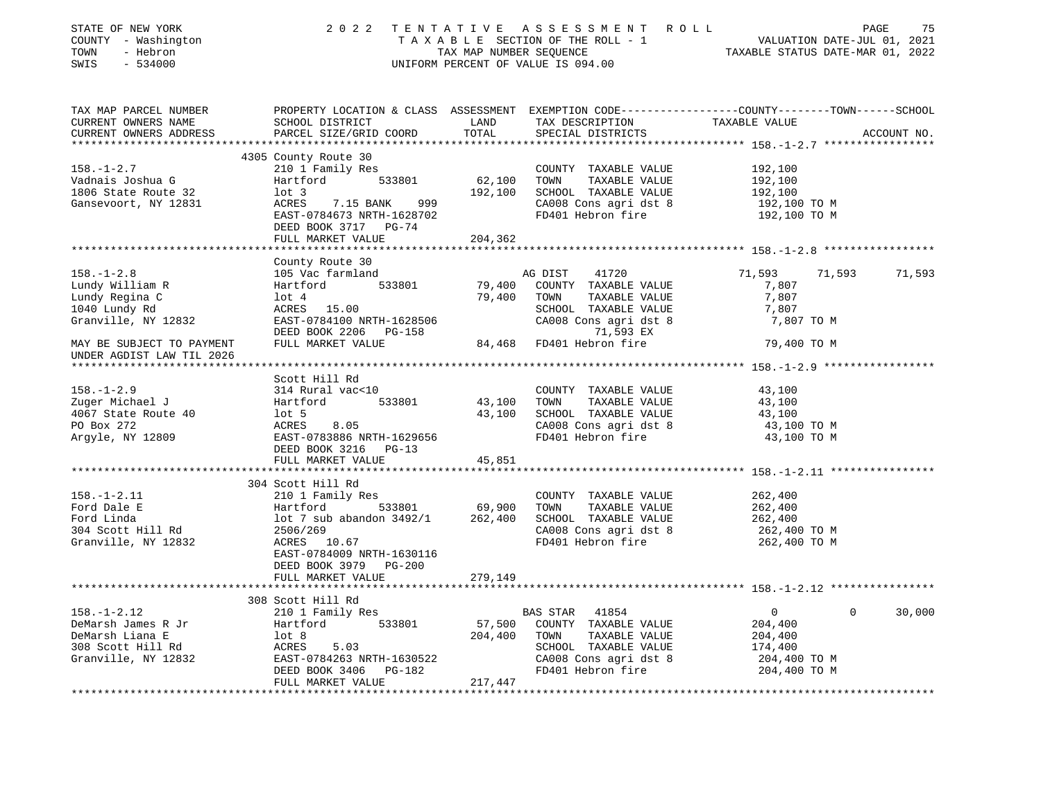| STATE OF NEW YORK<br>COUNTY - Washington<br>TOWN - Hebron<br>E24000                                                                                                                                                                                                                   |                                                                                                                                                             |                       | 2022 TENTATIVE ASSESSMENT ROLL<br>UNIFORM PERCENT OF VALUE IS 094.00 | TAXABLE SECTION OF THE ROLL - 1<br>TAXABLE SECTION OF THE ROLL - 1<br>TAXABLE STATUS DATE-JUL 01, 2022 | PAGE<br>75  |
|---------------------------------------------------------------------------------------------------------------------------------------------------------------------------------------------------------------------------------------------------------------------------------------|-------------------------------------------------------------------------------------------------------------------------------------------------------------|-----------------------|----------------------------------------------------------------------|--------------------------------------------------------------------------------------------------------|-------------|
| TAX MAP PARCEL NUMBER<br>CURRENT OWNERS NAME<br>CURRENT OWNERS ADDRESS                                                                                                                                                                                                                | PROPERTY LOCATION & CLASS ASSESSMENT EXEMPTION CODE---------------COUNTY-------TOWN------SCHOOL<br><b>LAND</b><br>SCHOOL DISTRICT<br>PARCEL SIZE/GRID COORD | LAND<br>TOTAL         | TAX DESCRIPTION TAXABLE VALUE<br>SPECIAL DISTRICTS                   |                                                                                                        | ACCOUNT NO. |
|                                                                                                                                                                                                                                                                                       | 4305 County Route 30                                                                                                                                        |                       |                                                                      |                                                                                                        |             |
| $158. - 1 - 2.7$                                                                                                                                                                                                                                                                      | 210 1 Family Res                                                                                                                                            | COUNTY<br>62,100 TOWN | COUNTY TAXABLE VALUE 192,100                                         |                                                                                                        |             |
| Vadnais Joshua G                                                                                                                                                                                                                                                                      |                                                                                                                                                             |                       | TAXABLE VALUE                                                        | 192,100                                                                                                |             |
| 1806 State Route 32                                                                                                                                                                                                                                                                   | $1$ ot 3                                                                                                                                                    |                       | 192,100 SCHOOL TAXABLE VALUE                                         | 192,100                                                                                                |             |
| Gansevoort, NY 12831                                                                                                                                                                                                                                                                  | 1ot 3<br>ACRES     7.15 BANK      999<br>FAST-0784673 NRTH-1628702<br>DEED BOOK 3717 PG-74                                                                  |                       | CA008 Cons agri dst 8<br>FD401 Hebron fire                           | 192,100 TO M<br>192,100 то м                                                                           |             |
|                                                                                                                                                                                                                                                                                       | FULL MARKET VALUE                                                                                                                                           | 204,362               |                                                                      |                                                                                                        |             |
|                                                                                                                                                                                                                                                                                       | County Route 30                                                                                                                                             |                       |                                                                      |                                                                                                        |             |
| $158. - 1 - 2.8$                                                                                                                                                                                                                                                                      | 105 Vac farmland                                                                                                                                            |                       | AG DIST<br>41720                                                     | 71,593<br>71,593 71,593                                                                                |             |
|                                                                                                                                                                                                                                                                                       |                                                                                                                                                             |                       | 1<br>533801 79,400 COUNTY TAXABLE VALUE<br>50.400 TOWN TAXABLE VALUE | 7,807                                                                                                  |             |
|                                                                                                                                                                                                                                                                                       |                                                                                                                                                             |                       | TAXABLE VALUE                                                        | 7,807                                                                                                  |             |
|                                                                                                                                                                                                                                                                                       |                                                                                                                                                             |                       | SCHOOL TAXABLE VALUE                                                 | 7,807                                                                                                  |             |
| Lundy William R<br>Lundy Regina C<br>1040 Lundy Rd<br>Granville, NY 12832                                                                                                                                                                                                             |                                                                                                                                                             |                       | CA008 Cons agri dst 8                                                | 7,807 TO M                                                                                             |             |
| Example 2008 COUNTY<br>Lundy Regina C and Hartford 533801 79,400 COUNTY<br>Lundy Regina C 10t 4 79,400 TOWN<br>SCHOOL Granville, NY 12832 EAST-0784100 NRTH-1628506 CA008 C<br>MAY BE SUBJECT TO PAYMENT FULL MARKET VALUE 84,468 FD40                                                |                                                                                                                                                             |                       | 71,593 EX<br>84,468 FD401 Hebron fire                                | 79,400 TO M                                                                                            |             |
| UNDER AGDIST LAW TIL 2026                                                                                                                                                                                                                                                             |                                                                                                                                                             |                       |                                                                      |                                                                                                        |             |
|                                                                                                                                                                                                                                                                                       |                                                                                                                                                             |                       |                                                                      |                                                                                                        |             |
|                                                                                                                                                                                                                                                                                       | Scott Hill Rd                                                                                                                                               |                       |                                                                      |                                                                                                        |             |
|                                                                                                                                                                                                                                                                                       |                                                                                                                                                             |                       | COUNTY TAXABLE VALUE                                                 | 43,100                                                                                                 |             |
|                                                                                                                                                                                                                                                                                       |                                                                                                                                                             | 43,100                | TOWN<br>TAXABLE VALUE                                                | 43,100                                                                                                 |             |
|                                                                                                                                                                                                                                                                                       |                                                                                                                                                             |                       | 43,100 SCHOOL TAXABLE VALUE                                          | 43,100                                                                                                 |             |
| 158.-1-2.9<br>2uger Michael J<br>2uger Michael J<br>4067 State Route 40<br>PO Box 272<br>Argyle, NY 12809<br>2009<br>2009<br>2007<br>2009<br>2007<br>2009<br>2005<br>2007<br>2009<br>2005<br>2005<br>2005<br>2005<br>2005<br>2005<br>2005<br>2005<br>2005<br>2005<br>2005<br>2005<br> |                                                                                                                                                             |                       | CA008 Cons agri dst 8                                                | 43,100 TO M                                                                                            |             |
|                                                                                                                                                                                                                                                                                       | DEED BOOK 3216 PG-13                                                                                                                                        |                       | FD401 Hebron fire                                                    | 43,100 TO M                                                                                            |             |
|                                                                                                                                                                                                                                                                                       | FULL MARKET VALUE                                                                                                                                           | 45,851                |                                                                      |                                                                                                        |             |
|                                                                                                                                                                                                                                                                                       |                                                                                                                                                             |                       |                                                                      |                                                                                                        |             |
|                                                                                                                                                                                                                                                                                       | 304 Scott Hill Rd                                                                                                                                           |                       |                                                                      |                                                                                                        |             |
| $158. - 1 - 2.11$                                                                                                                                                                                                                                                                     | 210 1 Family Res<br>Hartford 533801 69,900                                                                                                                  |                       | COUNTY TAXABLE VALUE                                                 | 262,400                                                                                                |             |
| Ford Dale E                                                                                                                                                                                                                                                                           |                                                                                                                                                             |                       | TOWN<br>TAXABLE VALUE                                                | 262,400                                                                                                |             |
| Ford Linda                                                                                                                                                                                                                                                                            |                                                                                                                                                             |                       | SCHOOL TAXABLE VALUE                                                 | 262,400                                                                                                |             |
| 304 Scott Hill Rd                                                                                                                                                                                                                                                                     | 2506/269                                                                                                                                                    |                       | CA008 Cons agri dst 8                                                | 262,400 TO M                                                                                           |             |
| Granville, NY 12832                                                                                                                                                                                                                                                                   | ACRES 10.67<br>EAST-0784009 NRTH-1630116<br>DEED BOOK 3979 PG-200                                                                                           |                       | FD401 Hebron fire                                                    | 262,400 ТО М                                                                                           |             |
|                                                                                                                                                                                                                                                                                       | FULL MARKET VALUE                                                                                                                                           | 279,149               |                                                                      |                                                                                                        |             |
|                                                                                                                                                                                                                                                                                       |                                                                                                                                                             |                       |                                                                      |                                                                                                        |             |
| $158. - 1 - 2.12$                                                                                                                                                                                                                                                                     | 308 Scott Hill Rd<br>210 1 Family Res                                                                                                                       |                       | BAS STAR<br>41854                                                    | $\overline{0}$<br>$\overline{0}$                                                                       | 30,000      |
| DeMarsh James R Jr                                                                                                                                                                                                                                                                    | 533801<br>Hartford                                                                                                                                          |                       | 57,500 COUNTY TAXABLE VALUE                                          | 204,400                                                                                                |             |
| DeMarsh Liana E                                                                                                                                                                                                                                                                       | $1$ ot 8                                                                                                                                                    | 204,400 TOWN          | TAXABLE VALUE                                                        | 204,400                                                                                                |             |
|                                                                                                                                                                                                                                                                                       | ACRES 5.03<br>EAST-0784263 NRTH-1630522<br>DEED BOOK 3406 PG-182                                                                                            |                       | SCHOOL TAXABLE VALUE                                                 | 174,400                                                                                                |             |
| 308 Scott Hill Rd<br>Granville, NY 12832                                                                                                                                                                                                                                              |                                                                                                                                                             |                       | CA008 Cons agri dst 8                                                | 204,400 TO M                                                                                           |             |
|                                                                                                                                                                                                                                                                                       |                                                                                                                                                             |                       | FD401 Hebron fire                                                    | 204,400 TO M                                                                                           |             |
|                                                                                                                                                                                                                                                                                       | FULL MARKET VALUE                                                                                                                                           | 217,447               |                                                                      |                                                                                                        |             |
|                                                                                                                                                                                                                                                                                       |                                                                                                                                                             |                       |                                                                      |                                                                                                        |             |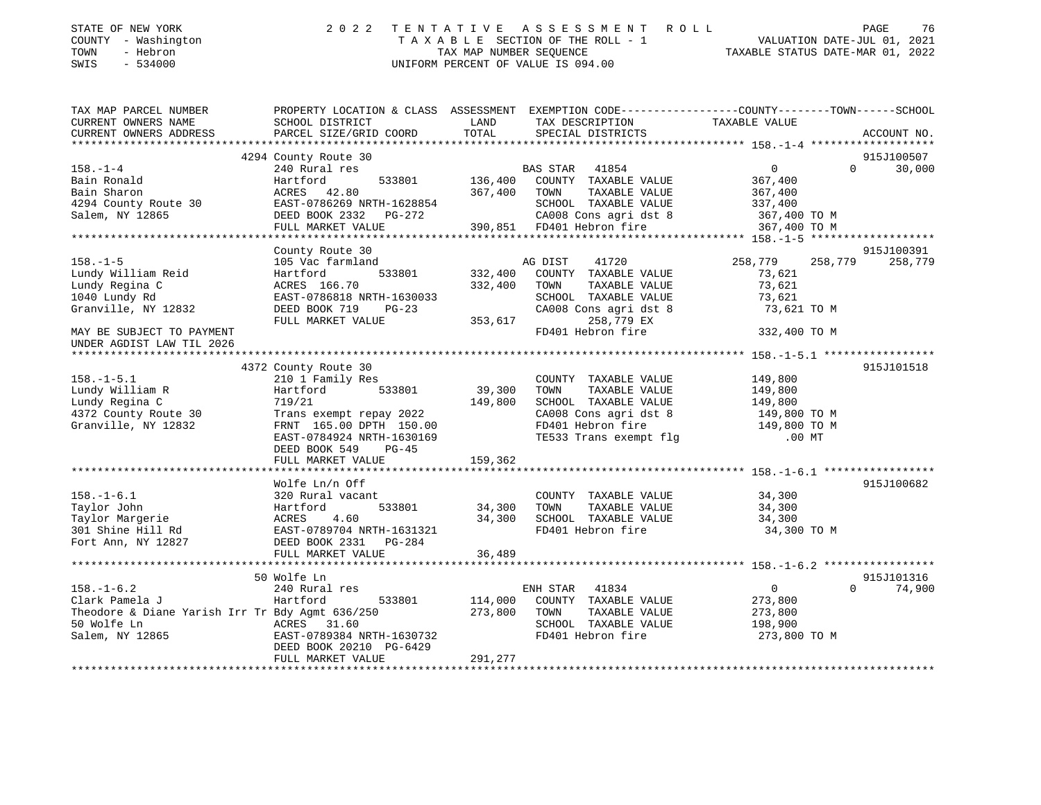| STATE OF NEW YORK |          |              |
|-------------------|----------|--------------|
| COUNTY            |          | - Washington |
| TOWN              | - Hebron |              |

## STATE OF NEW YORK 2 0 2 2 T E N T A T I V E A S S E S S M E N T R O L L PAGE 76 COUNTY - Washington T A X A B L E SECTION OF THE ROLL - 1 VALUATION DATE-JUL 01, 2021 TOWN - Hebron TAX MAP NUMBER SEQUENCE TAXABLE STATUS DATE-MAR 01, 2022 SWIS - 534000 UNIFORM PERCENT OF VALUE IS 094.00

| TAX MAP PARCEL NUMBER<br>CURRENT OWNERS NAME<br>CURRENT OWNERS ADDRESS                                                                                                    | PROPERTY LOCATION & CLASS ASSESSMENT EXEMPTION CODE---------------COUNTY-------TOWN------SCHOOL<br>SCHOOL DISTRICT<br>PARCEL SIZE/GRID COORD TOTAL        |              | LAND TAX DESCRIPTION<br>SPECIAL DISTRICTS                       | TAXABLE VALUE      | ACCOUNT NO.        |
|---------------------------------------------------------------------------------------------------------------------------------------------------------------------------|-----------------------------------------------------------------------------------------------------------------------------------------------------------|--------------|-----------------------------------------------------------------|--------------------|--------------------|
|                                                                                                                                                                           |                                                                                                                                                           |              |                                                                 |                    |                    |
|                                                                                                                                                                           | 4294 County Route 30                                                                                                                                      |              |                                                                 |                    | 915J100507         |
| $158. - 1 - 4$                                                                                                                                                            | 240 Rural res                                                                                                                                             |              | BAS STAR 41854 0<br>533801 136,400 COUNTY TAXABLE VALUE 367,400 |                    | $\Omega$<br>30,000 |
| Bain Ronald                                                                                                                                                               | Hartford                                                                                                                                                  |              |                                                                 |                    |                    |
| Bain Sharon                                                                                                                                                               | ACRES 42.80                                                                                                                                               | 367,400 TOWN | TAXABLE VALUE                                                   | 367,400            |                    |
|                                                                                                                                                                           |                                                                                                                                                           |              | SCHOOL TAXABLE VALUE 337,400                                    |                    |                    |
| 4294 County Route 30<br>Salem, NY 12865<br>Salem, NY 12865<br>Salem, NY 12865<br>PULL MARKET VALUE<br>PULL MARKET VALUE<br>PULL MARKET VALUE<br>290,851 FD401 Hebron fire |                                                                                                                                                           |              |                                                                 | 367,400 TO M       |                    |
|                                                                                                                                                                           |                                                                                                                                                           |              |                                                                 | 367,400 TO M       |                    |
|                                                                                                                                                                           |                                                                                                                                                           |              |                                                                 |                    |                    |
|                                                                                                                                                                           | County Route 30                                                                                                                                           |              |                                                                 |                    | 915J100391         |
| $158. - 1 - 5$                                                                                                                                                            | 105 Vac farmland                                                                                                                                          |              | AG DIST<br>41720                                                | 258,779 258,779    | 258,779            |
| Lundy William Reid                                                                                                                                                        | Hartford                                                                                                                                                  |              | 533801 332,400 COUNTY TAXABLE VALUE                             | 73,621             |                    |
| Lundy Regina C                                                                                                                                                            | ACRES 166.70                                                                                                                                              | 332,400 TOWN | TAXABLE VALUE<br>SCHOOL TAXABLE VALUE                           | 73,621             |                    |
| 1040 Lundy Rd                                                                                                                                                             |                                                                                                                                                           |              |                                                                 | 73,621             |                    |
| Granville, NY 12832                                                                                                                                                       | EAST-0786818 NRTH-1630033<br>DEED BOOK 719 PG-23 CA008 C-<br>FULL MARKET VALUE 353,617                                                                    |              | CA008 Cons agri dst 8                                           | 73,621 TO M        |                    |
| MAY BE SUBJECT TO PAYMENT                                                                                                                                                 |                                                                                                                                                           |              | 258,779 EX<br>FD401 Hebron fire                                 | 332,400 TO M       |                    |
| UNDER AGDIST LAW TIL 2026                                                                                                                                                 |                                                                                                                                                           |              |                                                                 |                    |                    |
|                                                                                                                                                                           |                                                                                                                                                           |              |                                                                 |                    |                    |
|                                                                                                                                                                           | 4372 County Route 30                                                                                                                                      |              |                                                                 |                    | 915J101518         |
| $158. - 1 - 5.1$                                                                                                                                                          |                                                                                                                                                           |              | COUNTY TAXABLE VALUE 149,800                                    |                    |                    |
|                                                                                                                                                                           | 210 1 Family Res COUNTY<br>Hartford 533801 39,300 TOWN                                                                                                    |              |                                                                 |                    |                    |
| Lundy William R<br>Lundv Regina C                                                                                                                                         | 19/21 19/21 199/21 1980 1981 1982 148ABLE VALUE 149,800<br>Trans exempt repay 2022 149,800 SCHOOL TAXABLE VALUE 149,800<br>CA008 Cons arrived to the CAUS |              |                                                                 |                    |                    |
| 4372 County Route 30                                                                                                                                                      |                                                                                                                                                           |              |                                                                 |                    |                    |
| Granville, NY 12832                                                                                                                                                       |                                                                                                                                                           |              |                                                                 |                    |                    |
|                                                                                                                                                                           | FRNT 165.00 DPTH 150.00<br>EAST-0784924 NRTH 1630169<br>DEED BOOK 549 DC-45                                                                               |              | TE533 Trans exempt flg                                          | $.00$ MT           |                    |
|                                                                                                                                                                           | DEED BOOK 549 PG-45                                                                                                                                       |              |                                                                 |                    |                    |
|                                                                                                                                                                           | FULL MARKET VALUE 159,362                                                                                                                                 |              |                                                                 |                    |                    |
|                                                                                                                                                                           |                                                                                                                                                           |              |                                                                 |                    |                    |
|                                                                                                                                                                           | Wolfe Ln/n Off                                                                                                                                            |              |                                                                 |                    | 915J100682         |
| $158. - 1 - 6.1$                                                                                                                                                          | 320 Rural vacant                                                                                                                                          |              | COUNTY TAXABLE VALUE 34,300                                     |                    |                    |
|                                                                                                                                                                           | 533801 34,300                                                                                                                                             |              | TOWN<br>TAXABLE VALUE                                           | 34,300             |                    |
|                                                                                                                                                                           |                                                                                                                                                           |              | 34,300 SCHOOL TAXABLE VALUE                                     | 34,300             |                    |
|                                                                                                                                                                           |                                                                                                                                                           |              | FD401 Hebron fire                                               | 34,300 TO M        |                    |
| Taylor John<br>Taylor John<br>Taylor Margerie<br>301 Shine Hill Rd<br>Fort Ann, NY 12827<br>FULL MARKET VALUE<br>FULL MARKET VALUE                                        |                                                                                                                                                           |              |                                                                 |                    |                    |
|                                                                                                                                                                           | FULL MARKET VALUE                                                                                                                                         | 36,489       |                                                                 |                    |                    |
|                                                                                                                                                                           |                                                                                                                                                           |              |                                                                 |                    |                    |
|                                                                                                                                                                           | 50 Wolfe Ln                                                                                                                                               |              |                                                                 |                    | 915J101316         |
| $158. - 1 - 6.2$                                                                                                                                                          | 240 Rural res                                                                                                                                             |              | ENH STAR 41834                                                  | $\overline{0}$     | $\Omega$<br>74,900 |
| Clark Pamela J                                                                                                                                                            | 533801 114,000<br>Hartford                                                                                                                                |              | COUNTY TAXABLE VALUE 273,800                                    |                    |                    |
| Theodore & Diane Yarish Irr Tr Bdy Agmt 636/250<br>50 Wolfe Ln                                                                                                            | ACRES 31.60                                                                                                                                               | 273,800      | TAXABLE VALUE<br>TOWN<br>SCHOOL TAXABLE VALUE                   | 273,800<br>198,900 |                    |
|                                                                                                                                                                           | ACRES 31.60<br>EAST-0789384 NRTH-1630732<br>EAST-DOR9384 NRTH-1630732                                                                                     |              | FD401 Hebron fire                                               | 273,800 TO M       |                    |
| Salem, NY 12865                                                                                                                                                           | DEED BOOK 20210 PG-6429                                                                                                                                   |              |                                                                 |                    |                    |
|                                                                                                                                                                           | FULL MARKET VALUE                                                                                                                                         | 291,277      |                                                                 |                    |                    |
|                                                                                                                                                                           |                                                                                                                                                           |              |                                                                 |                    |                    |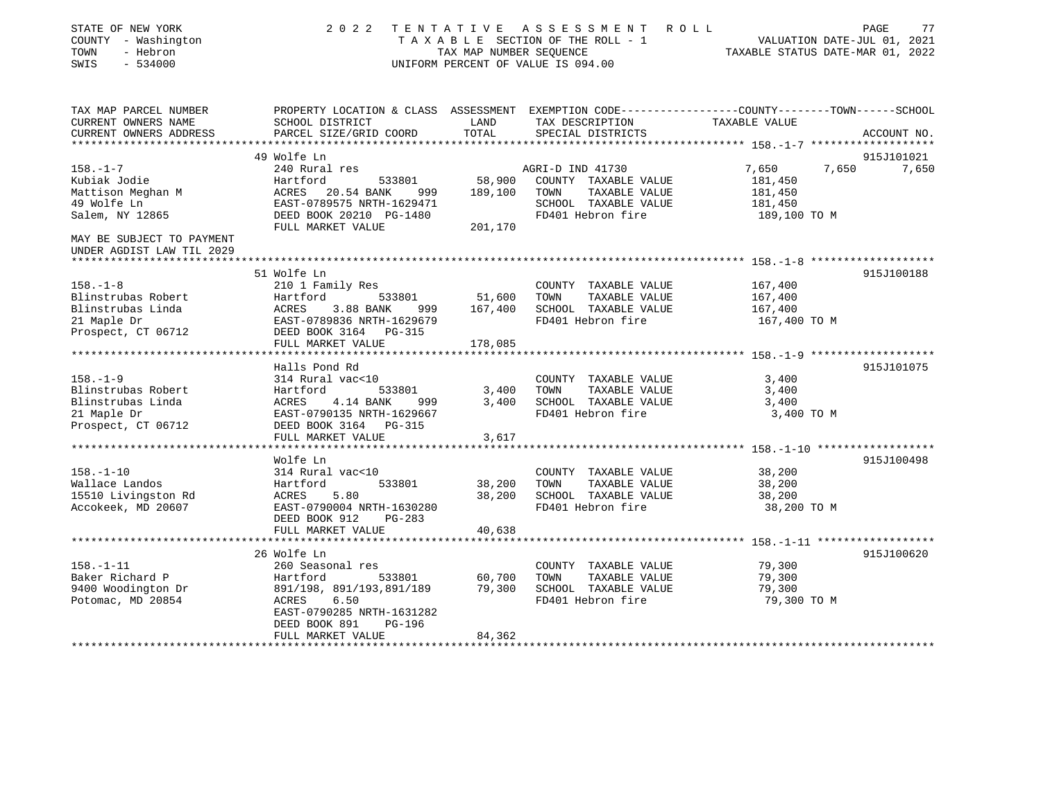| STATE OF NEW YORK<br>COUNTY - Washington<br>TOWN<br>- Hebron<br>$-534000$<br>SWIS              | 2 0 2 2                                                                                                                                                                         | TENTATIVE<br>TAX MAP NUMBER SEQUENCE | A S S E S S M E N T<br>TAXABLE SECTION OF THE ROLL - 1<br>UNIFORM PERCENT OF VALUE IS 094.00                   | R O L L<br>VALUATION DATE-JUL 01, 2021<br>TAXABLE STATUS DATE-MAR 01, 2022 | 77<br>PAGE  |
|------------------------------------------------------------------------------------------------|---------------------------------------------------------------------------------------------------------------------------------------------------------------------------------|--------------------------------------|----------------------------------------------------------------------------------------------------------------|----------------------------------------------------------------------------|-------------|
| TAX MAP PARCEL NUMBER<br>CURRENT OWNERS NAME                                                   | PROPERTY LOCATION & CLASS ASSESSMENT EXEMPTION CODE---------------COUNTY-------TOWN------SCHOOL<br>SCHOOL DISTRICT                                                              | LAND                                 | TAX DESCRIPTION                                                                                                | TAXABLE VALUE                                                              |             |
| CURRENT OWNERS ADDRESS                                                                         | PARCEL SIZE/GRID COORD                                                                                                                                                          | TOTAL                                | SPECIAL DISTRICTS                                                                                              | ******************* 158.-1-7 *******************                           | ACCOUNT NO. |
|                                                                                                | 49 Wolfe Ln                                                                                                                                                                     |                                      |                                                                                                                |                                                                            | 915J101021  |
| $158. - 1 - 7$<br>Kubiak Jodie<br>Mattison Meghan M<br>49 Wolfe Ln<br>Salem, NY 12865          | 240 Rural res<br>533801<br>Hartford<br>ACRES 20.54 BANK<br>999<br>EAST-0789575 NRTH-1629471<br>DEED BOOK 20210 PG-1480<br>FULL MARKET VALUE                                     | 58,900<br>189,100<br>201,170         | AGRI-D IND 41730<br>COUNTY TAXABLE VALUE<br>TOWN<br>TAXABLE VALUE<br>SCHOOL TAXABLE VALUE<br>FD401 Hebron fire | 7,650<br>7,650<br>181,450<br>181,450<br>181,450<br>189,100 TO M            | 7,650       |
| MAY BE SUBJECT TO PAYMENT<br>UNDER AGDIST LAW TIL 2029<br>***********************              |                                                                                                                                                                                 |                                      |                                                                                                                |                                                                            |             |
|                                                                                                | 51 Wolfe Ln                                                                                                                                                                     |                                      |                                                                                                                |                                                                            | 915J100188  |
| $158. - 1 - 8$<br>Blinstrubas Robert<br>Blinstrubas Linda                                      | 210 1 Family Res<br>Hartford<br>533801<br>ACRES<br>3.88 BANK<br>999                                                                                                             | 51,600<br>167,400                    | COUNTY TAXABLE VALUE<br>TOWN<br>TAXABLE VALUE<br>SCHOOL TAXABLE VALUE                                          | 167,400<br>167,400<br>167,400                                              |             |
| 21 Maple Dr<br>Prospect, CT 06712                                                              | EAST-0789836 NRTH-1629679<br>DEED BOOK 3164 PG-315<br>FULL MARKET VALUE                                                                                                         | 178,085                              | FD401 Hebron fire                                                                                              | 167,400 TO M                                                               |             |
|                                                                                                | *********************                                                                                                                                                           |                                      |                                                                                                                |                                                                            |             |
| $158. - 1 - 9$<br>Blinstrubas Robert<br>Blinstrubas Linda<br>21 Maple Dr<br>Prospect, CT 06712 | Halls Pond Rd<br>314 Rural vac<10<br>Hartford<br>533801<br>ACRES<br>4.14 BANK<br>999<br>EAST-0790135 NRTH-1629667<br>DEED BOOK 3164 PG-315<br>FULL MARKET VALUE                 | 3,400<br>3,400<br>3,617              | COUNTY TAXABLE VALUE<br>TOWN<br>TAXABLE VALUE<br>SCHOOL TAXABLE VALUE<br>FD401 Hebron fire                     | 3,400<br>3,400<br>3,400<br>3,400 TO M                                      | 915J101075  |
|                                                                                                | ******************                                                                                                                                                              |                                      |                                                                                                                |                                                                            |             |
| $158. - 1 - 10$<br>Wallace Landos<br>15510 Livingston Rd<br>Accokeek, MD 20607                 | Wolfe Ln<br>314 Rural vac<10<br>Hartford<br>533801<br>ACRES<br>5.80<br>EAST-0790004 NRTH-1630280<br>DEED BOOK 912<br>$PG-283$<br>FULL MARKET VALUE                              | 38,200<br>38,200<br>40,638           | COUNTY TAXABLE VALUE<br>TAXABLE VALUE<br>TOWN<br>SCHOOL TAXABLE VALUE<br>FD401 Hebron fire                     | 38,200<br>38,200<br>38,200<br>38,200 TO M                                  | 915J100498  |
|                                                                                                |                                                                                                                                                                                 |                                      |                                                                                                                |                                                                            |             |
| $158. - 1 - 11$<br>Baker Richard P<br>9400 Woodington Dr<br>Potomac, MD 20854                  | 26 Wolfe Ln<br>260 Seasonal res<br>Hartford<br>533801<br>891/198, 891/193,891/189<br>6.50<br>ACRES<br>EAST-0790285 NRTH-1631282<br>DEED BOOK 891<br>PG-196<br>FULL MARKET VALUE | 60,700<br>79,300<br>84,362           | COUNTY TAXABLE VALUE<br>TOWN<br>TAXABLE VALUE<br>SCHOOL TAXABLE VALUE<br>FD401 Hebron fire                     | 79,300<br>79,300<br>79,300<br>79,300 TO M                                  | 915J100620  |
|                                                                                                |                                                                                                                                                                                 |                                      |                                                                                                                |                                                                            |             |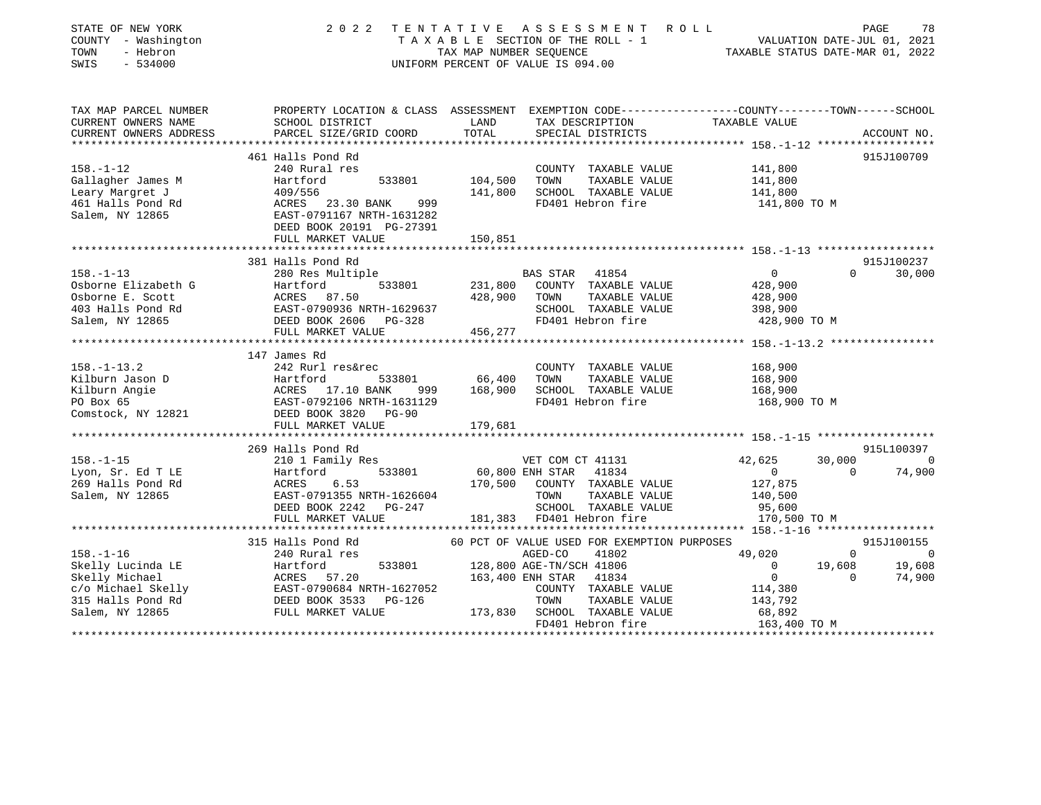| STATE OF NEW YORK<br>COUNTY - Washington<br>TOWN<br>- Hebron<br>SWIS<br>$-534000$                | 2 0 2 2                                                                                                                                                                         | TAX MAP NUMBER SEQUENCE       | TENTATIVE ASSESSMENT ROLL<br>TAXABLE SECTION OF THE ROLL - 1<br>UNIFORM PERCENT OF VALUE IS 094.00                                              | VALUATION DATE-JUL 01, 2021                                        | PAGE<br>TAXABLE STATUS DATE-MAR 01, 2022   | 78             |
|--------------------------------------------------------------------------------------------------|---------------------------------------------------------------------------------------------------------------------------------------------------------------------------------|-------------------------------|-------------------------------------------------------------------------------------------------------------------------------------------------|--------------------------------------------------------------------|--------------------------------------------|----------------|
| TAX MAP PARCEL NUMBER<br>CURRENT OWNERS NAME<br>CURRENT OWNERS ADDRESS<br>********************** | PROPERTY LOCATION & CLASS ASSESSMENT EXEMPTION CODE----------------COUNTY-------TOWN------SCHOOL<br>SCHOOL DISTRICT<br>PARCEL SIZE/GRID COORD<br>****************************   | LAND<br>TOTAL                 | TAX DESCRIPTION<br>SPECIAL DISTRICTS                                                                                                            | TAXABLE VALUE                                                      | ACCOUNT NO.                                |                |
| $158. - 1 - 12$<br>Gallagher James M<br>Leary Margret J<br>461 Halls Pond Rd<br>Salem, NY 12865  | 461 Halls Pond Rd<br>240 Rural res<br>Hartford<br>533801<br>409/556<br>ACRES<br>23.30 BANK<br>999<br>EAST-0791167 NRTH-1631282<br>DEED BOOK 20191 PG-27391<br>FULL MARKET VALUE | 104,500<br>141,800<br>150,851 | COUNTY TAXABLE VALUE<br>TOWN<br>TAXABLE VALUE<br>SCHOOL TAXABLE VALUE<br>FD401 Hebron fire                                                      | 141,800<br>141,800<br>141,800<br>141,800 TO M                      | 915J100709                                 |                |
|                                                                                                  |                                                                                                                                                                                 |                               |                                                                                                                                                 |                                                                    |                                            |                |
| $158. - 1 - 13$                                                                                  | 381 Halls Pond Rd<br>280 Res Multiple                                                                                                                                           |                               | BAS STAR 41854                                                                                                                                  | $\mathbf 0$                                                        | 915J100237<br>$\Omega$<br>30,000           |                |
| Osborne Elizabeth G<br>Osborne E. Scott<br>403 Halls Pond Rd<br>Salem, NY 12865                  | Hartford<br>533801<br>ACRES 87.50<br>EAST-0790936 NRTH-1629637<br>DEED BOOK 2606<br>PG-328<br>FULL MARKET VALUE                                                                 | 231,800<br>428,900<br>456,277 | COUNTY TAXABLE VALUE<br>TOWN<br>TAXABLE VALUE<br>SCHOOL TAXABLE VALUE<br>FD401 Hebron fire                                                      | 428,900<br>428,900<br>398,900<br>428,900 TO M                      |                                            |                |
|                                                                                                  | ***************************                                                                                                                                                     | ************                  |                                                                                                                                                 | ******************************** 158.-1-13.2 ****************      |                                            |                |
| $158. - 1 - 13.2$<br>Kilburn Jason D<br>Kilburn Angie<br>PO Box 65<br>Comstock, NY 12821         | 147 James Rd<br>242 Rurl res&rec<br>533801<br>Hartford<br>ACRES 17.10 BANK<br>999<br>EAST-0792106 NRTH-1631129<br>DEED BOOK 3820 PG-90                                          | 66,400<br>168,900             | COUNTY TAXABLE VALUE<br>TOWN<br>TAXABLE VALUE<br>SCHOOL TAXABLE VALUE<br>FD401 Hebron fire                                                      | 168,900<br>168,900<br>168,900<br>168,900 TO M                      |                                            |                |
|                                                                                                  | FULL MARKET VALUE                                                                                                                                                               | 179,681                       |                                                                                                                                                 |                                                                    |                                            |                |
|                                                                                                  |                                                                                                                                                                                 |                               |                                                                                                                                                 |                                                                    |                                            |                |
| $158. - 1 - 15$<br>Lyon, Sr. Ed T LE<br>269 Halls Pond Rd<br>Salem, NY 12865                     | 269 Halls Pond Rd<br>210 1 Family Res<br>533801<br>Hartford<br>ACRES<br>6.53<br>EAST-0791355 NRTH-1626604<br>DEED BOOK 2242<br>PG-247<br>FULL MARKET VALUE                      | 170,500                       | VET COM CT 41131<br>60,800 ENH STAR 41834<br>COUNTY TAXABLE VALUE<br>TOWN<br>TAXABLE VALUE<br>SCHOOL TAXABLE VALUE<br>181,383 FD401 Hebron fire | 42,625<br>$\Omega$<br>127,875<br>140,500<br>95,600<br>170,500 TO M | 915L100397<br>30,000<br>74,900<br>$\Omega$ | $\overline{0}$ |
|                                                                                                  | *************************                                                                                                                                                       |                               |                                                                                                                                                 |                                                                    |                                            |                |
|                                                                                                  | 315 Halls Pond Rd                                                                                                                                                               |                               | 60 PCT OF VALUE USED FOR EXEMPTION PURPOSES                                                                                                     |                                                                    | 915J100155                                 |                |
| $158. - 1 - 16$                                                                                  | 240 Rural res                                                                                                                                                                   |                               | AGED-CO<br>41802                                                                                                                                | 49,020                                                             | $\Omega$                                   | $\overline{0}$ |
| Skelly Lucinda LE<br>Skelly Michael                                                              | 533801<br>Hartford<br>ACRES 57.20                                                                                                                                               |                               | 128,800 AGE-TN/SCH 41806<br>163,400 ENH STAR 41834                                                                                              | $\mathbf 0$<br>$\mathsf{O}$                                        | 19,608<br>19,608<br>74,900<br>$\Omega$     |                |
| c/o Michael Skelly<br>315 Halls Pond Rd<br>Salem, NY 12865                                       | EAST-0790684 NRTH-1627052<br>DEED BOOK 3533 PG-126<br>FULL MARKET VALUE                                                                                                         | 173,830                       | COUNTY TAXABLE VALUE<br>TOWN<br>TAXABLE VALUE<br>SCHOOL TAXABLE VALUE                                                                           | 114,380<br>143,792<br>68,892                                       |                                            |                |
|                                                                                                  |                                                                                                                                                                                 |                               | FD401 Hebron fire                                                                                                                               | 163,400 TO M                                                       |                                            |                |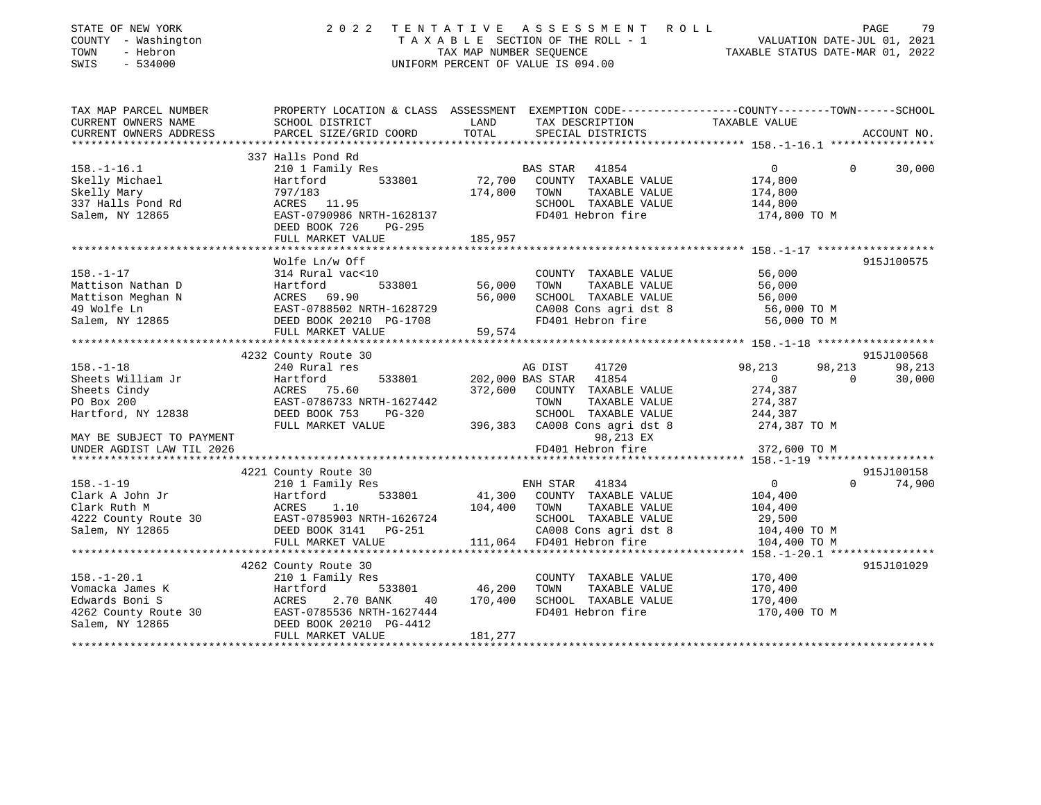| STATE OF NEW YORK<br>COUNTY - Washington<br>- Hebron<br>TOWN<br>SWIS<br>$-534000$ | 2 0 2 2                                                                                                             | TENTATIVE | ASSESSMENT ROLL<br>UNIFORM PERCENT OF VALUE IS 094.00 | VALUATION DATE-JUL 01, 2021<br>TAXABLE STATUS DATE-MAR 01, 2022 | PAGE<br>79  |
|-----------------------------------------------------------------------------------|---------------------------------------------------------------------------------------------------------------------|-----------|-------------------------------------------------------|-----------------------------------------------------------------|-------------|
| TAX MAP PARCEL NUMBER<br>CURRENT OWNERS NAME                                      | PROPERTY LOCATION & CLASS ASSESSMENT EXEMPTION CODE----------------COUNTY-------TOWN------SCHOOL<br>SCHOOL DISTRICT | LAND      | TAX DESCRIPTION                                       |                                                                 |             |
| CURRENT OWNERS ADDRESS                                                            | PARCEL SIZE/GRID COORD                                                                                              | TOTAL     | SPECIAL DISTRICTS                                     | TAXABLE VALUE                                                   | ACCOUNT NO. |
|                                                                                   |                                                                                                                     |           |                                                       |                                                                 |             |
|                                                                                   | 337 Halls Pond Rd                                                                                                   |           |                                                       |                                                                 |             |
| $158. - 1 - 16.1$                                                                 | 210 1 Family Res                                                                                                    |           | BAS STAR 41854                                        | $\mathbf 0$<br>$\Omega$                                         | 30,000      |
| Skelly Michael                                                                    | 533801<br>Hartford                                                                                                  | 72,700    | COUNTY TAXABLE VALUE                                  | 174,800                                                         |             |
| Skelly Mary                                                                       | 797/183                                                                                                             | 174,800   | TAXABLE VALUE<br>TOWN                                 | 174,800                                                         |             |
| 337 Halls Pond Rd                                                                 | ACRES 11.95                                                                                                         |           | SCHOOL TAXABLE VALUE                                  | 144,800                                                         |             |
| Salem, NY 12865                                                                   | EAST-0790986 NRTH-1628137                                                                                           |           | FD401 Hebron fire                                     | 174,800 TO M                                                    |             |
|                                                                                   | DEED BOOK 726<br>PG-295                                                                                             |           |                                                       |                                                                 |             |
|                                                                                   | FULL MARKET VALUE                                                                                                   | 185,957   |                                                       |                                                                 |             |
|                                                                                   | Wolfe Ln/w Off                                                                                                      |           |                                                       |                                                                 | 915J100575  |
| $158. - 1 - 17$                                                                   | 314 Rural vac<10                                                                                                    |           | COUNTY TAXABLE VALUE                                  | 56,000                                                          |             |
| Mattison Nathan D                                                                 | 533801                                                                                                              | 56,000    | TOWN<br>TAXABLE VALUE                                 | 56,000                                                          |             |
| Mattison Meghan N                                                                 |                                                                                                                     | 56,000    | SCHOOL TAXABLE VALUE                                  | 56,000                                                          |             |
| 49 Wolfe Ln                                                                       | EAST-0788502 NRTH-1628729                                                                                           |           | CA008 Cons agri dst 8                                 | 56,000 TO M                                                     |             |
| Salem, NY 12865                                                                   | --- Kural vac<br>Hartford<br>ACRES 69.90<br>EAST-0700566<br>DEED BOOK 20210 PG-1708                                 |           | FD401 Hebron fire                                     | 56,000 TO M                                                     |             |
|                                                                                   | FULL MARKET VALUE                                                                                                   | 59,574    |                                                       |                                                                 |             |
|                                                                                   |                                                                                                                     |           |                                                       |                                                                 |             |
|                                                                                   | 4232 County Route 30                                                                                                |           |                                                       |                                                                 | 915J100568  |
| $158. - 1 - 18$                                                                   | 240 Rural res                                                                                                       |           | 41720<br>AG DIST                                      | 98,213<br>98,213                                                | 98,213      |
| Sheets William Jr                                                                 | Hartford<br>533801                                                                                                  |           | 202,000 BAS STAR 41854                                | $\Omega$<br>$\overline{0}$                                      | 30,000      |
| Sheets Cindy                                                                      | ACRES 75.60                                                                                                         | 372,600   | COUNTY TAXABLE VALUE                                  | 274,387                                                         |             |
| PO Box 200                                                                        | EAST-0786733 NRTH-1627442                                                                                           |           | TOWN<br>TAXABLE VALUE                                 | 274,387                                                         |             |
| Hartford, NY 12838                                                                | DEED BOOK 753<br>PG-320                                                                                             |           | SCHOOL TAXABLE VALUE                                  | 244,387                                                         |             |
|                                                                                   | FULL MARKET VALUE                                                                                                   | 396,383   | CA008 Cons agri dst 8                                 | 274,387 TO M                                                    |             |
| MAY BE SUBJECT TO PAYMENT                                                         |                                                                                                                     |           | 98,213 EX                                             |                                                                 |             |
| UNDER AGDIST LAW TIL 2026                                                         |                                                                                                                     |           | FD401 Hebron fire                                     | 372,600 TO M                                                    |             |
|                                                                                   | 4221 County Route 30                                                                                                |           |                                                       |                                                                 | 915J100158  |
| $158. - 1 - 19$                                                                   | 210 1 Family Res                                                                                                    |           | ENH STAR<br>41834                                     | $\overline{0}$<br>$\Omega$                                      | 74,900      |
| Clark A John Jr                                                                   | 533801<br>Hartford                                                                                                  | 41,300    | COUNTY TAXABLE VALUE                                  | 104,400                                                         |             |
| Clark Ruth M                                                                      | ACRES<br>1.10                                                                                                       | 104,400   | TAXABLE VALUE<br>TOWN                                 | 104,400                                                         |             |
| 4222 County Route 30                                                              | EAST-0785903 NRTH-1626724                                                                                           |           | SCHOOL TAXABLE VALUE                                  | 29,500                                                          |             |
| Salem, NY 12865                                                                   | DEED BOOK 3141 PG-251                                                                                               |           | CA008 Cons agri dst 8                                 | 104,400 TO M                                                    |             |
|                                                                                   | FULL MARKET VALUE                                                                                                   |           | 111,064 FD401 Hebron fire                             | 104,400 TO M                                                    |             |
|                                                                                   |                                                                                                                     |           |                                                       |                                                                 |             |
|                                                                                   | 4262 County Route 30                                                                                                |           |                                                       |                                                                 | 915J101029  |
| $158. - 1 - 20.1$                                                                 | 210 1 Family Res                                                                                                    |           | COUNTY TAXABLE VALUE                                  | 170,400                                                         |             |
| Vomacka James K                                                                   | 533801<br>Hartford                                                                                                  | 46,200    | TOWN<br>TAXABLE VALUE                                 | 170,400                                                         |             |
| Edwards Boni S                                                                    | Hartfo<br>ACRES<br>2.70 BANK<br>40                                                                                  | 170,400   | SCHOOL TAXABLE VALUE                                  | 170,400                                                         |             |
| 4262 County Route 30                                                              | EAST-0785536 NRTH-1627444                                                                                           |           | FD401 Hebron fire                                     | 170,400 TO M                                                    |             |
| Salem, NY 12865                                                                   | DEED BOOK 20210 PG-4412                                                                                             |           |                                                       |                                                                 |             |
|                                                                                   | FIILL MADVET VALUE                                                                                                  | 181 277   |                                                       |                                                                 |             |

FULL MARKET VALUE 181,277 \*\*\*\*\*\*\*\*\*\*\*\*\*\*\*\*\*\*\*\*\*\*\*\*\*\*\*\*\*\*\*\*\*\*\*\*\*\*\*\*\*\*\*\*\*\*\*\*\*\*\*\*\*\*\*\*\*\*\*\*\*\*\*\*\*\*\*\*\*\*\*\*\*\*\*\*\*\*\*\*\*\*\*\*\*\*\*\*\*\*\*\*\*\*\*\*\*\*\*\*\*\*\*\*\*\*\*\*\*\*\*\*\*\*\*\*\*\*\*\*\*\*\*\*\*\*\*\*\*\*\*\*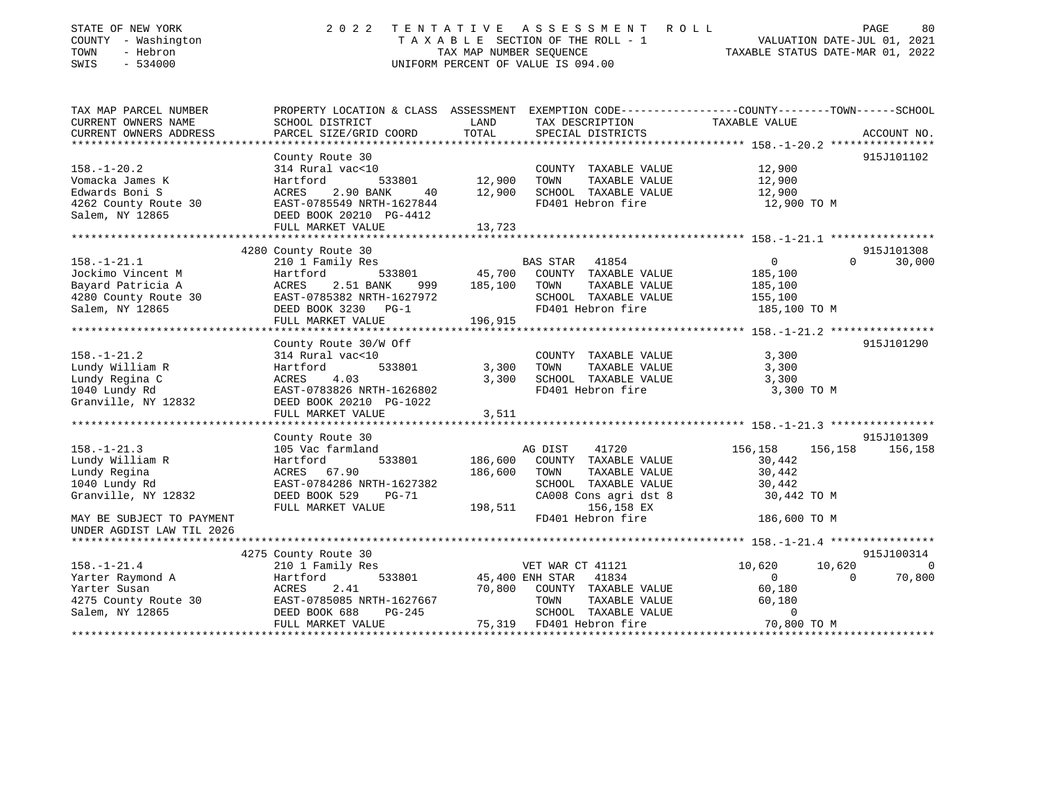| STATE OF NEW YORK<br>COUNTY - Washington<br>TOWN<br>- Hebron<br>SWIS<br>$-534000$ | 2 0 2 2                                                                                          | TENTATIVE<br>TAX MAP NUMBER SEQUENCE | A S S E S S M E N T<br>TAXABLE SECTION OF THE ROLL - 1<br>UNIFORM PERCENT OF VALUE IS 094.00 | ROLL                                        | PAGE<br>80<br>VALUATION DATE-JUL 01, 2021<br>TAXABLE STATUS DATE-MAR 01, 2022 |
|-----------------------------------------------------------------------------------|--------------------------------------------------------------------------------------------------|--------------------------------------|----------------------------------------------------------------------------------------------|---------------------------------------------|-------------------------------------------------------------------------------|
| TAX MAP PARCEL NUMBER                                                             | PROPERTY LOCATION & CLASS ASSESSMENT EXEMPTION CODE----------------COUNTY-------TOWN------SCHOOL |                                      |                                                                                              |                                             |                                                                               |
| CURRENT OWNERS NAME<br>CURRENT OWNERS ADDRESS                                     | SCHOOL DISTRICT<br>PARCEL SIZE/GRID COORD                                                        | LAND<br>TOTAL                        | TAX DESCRIPTION<br>SPECIAL DISTRICTS                                                         | TAXABLE VALUE                               | ACCOUNT NO.                                                                   |
| ***********************                                                           | ************************                                                                         |                                      |                                                                                              |                                             |                                                                               |
|                                                                                   | County Route 30                                                                                  |                                      |                                                                                              |                                             | 915J101102                                                                    |
| $158. - 1 - 20.2$                                                                 | 314 Rural vac<10                                                                                 |                                      | COUNTY TAXABLE VALUE                                                                         | 12,900                                      |                                                                               |
| Vomacka James K                                                                   | Hartford<br>533801                                                                               | 12,900                               | TOWN<br>TAXABLE VALUE                                                                        | 12,900                                      |                                                                               |
| Edwards Boni S                                                                    | ACRES<br>2.90 BANK<br>40                                                                         | 12,900                               | SCHOOL TAXABLE VALUE                                                                         | 12,900                                      |                                                                               |
| 4262 County Route 30<br>Salem, NY 12865                                           | EAST-0785549 NRTH-1627844<br>DEED BOOK 20210 PG-4412                                             |                                      | FD401 Hebron fire                                                                            | 12,900 TO M                                 |                                                                               |
|                                                                                   | FULL MARKET VALUE                                                                                | 13,723                               |                                                                                              |                                             |                                                                               |
|                                                                                   | 4280 County Route 30                                                                             |                                      |                                                                                              |                                             | 915J101308                                                                    |
| $158. - 1 - 21.1$                                                                 | 210 1 Family Res                                                                                 |                                      | <b>BAS STAR</b><br>41854                                                                     | $\mathbf 0$                                 | $\Omega$<br>30,000                                                            |
| Jockimo Vincent M                                                                 | 533801<br>Hartford                                                                               | 45,700                               | COUNTY TAXABLE VALUE                                                                         | 185,100                                     |                                                                               |
| Bayard Patricia A                                                                 | ACRES<br>2.51 BANK<br>999                                                                        | 185,100                              | TOWN<br>TAXABLE VALUE                                                                        | 185,100                                     |                                                                               |
| 4280 County Route 30                                                              | EAST-0785382 NRTH-1627972                                                                        |                                      | SCHOOL TAXABLE VALUE                                                                         | 155,100                                     |                                                                               |
| Salem, NY 12865                                                                   | DEED BOOK 3230<br>$PG-1$                                                                         |                                      | FD401 Hebron fire                                                                            | 185,100 TO M                                |                                                                               |
|                                                                                   | FULL MARKET VALUE                                                                                | 196,915                              |                                                                                              |                                             |                                                                               |
|                                                                                   |                                                                                                  |                                      |                                                                                              |                                             |                                                                               |
|                                                                                   | County Route 30/W Off                                                                            |                                      |                                                                                              |                                             | 915J101290                                                                    |
| $158. - 1 - 21.2$                                                                 | 314 Rural vac<10                                                                                 |                                      | COUNTY TAXABLE VALUE                                                                         | 3,300                                       |                                                                               |
| Lundy William R                                                                   | Hartford<br>533801                                                                               | 3,300                                | TOWN<br>TAXABLE VALUE                                                                        | 3,300                                       |                                                                               |
| Lundy Regina C                                                                    | 4.03<br>ACRES                                                                                    | 3,300                                | SCHOOL TAXABLE VALUE                                                                         | 3,300                                       |                                                                               |
| 1040 Lundy Rd                                                                     | EAST-0783826 NRTH-1626802                                                                        |                                      | FD401 Hebron fire                                                                            | 3,300 TO M                                  |                                                                               |
| Granville, NY 12832                                                               | DEED BOOK 20210 PG-1022                                                                          |                                      |                                                                                              |                                             |                                                                               |
|                                                                                   | FULL MARKET VALUE<br>****************                                                            | 3,511<br>**********                  |                                                                                              | ************* 158.-1-21.3 ***************** |                                                                               |
|                                                                                   | County Route 30                                                                                  |                                      |                                                                                              |                                             | 915J101309                                                                    |
| $158. - 1 - 21.3$                                                                 | 105 Vac farmland                                                                                 |                                      | AG DIST<br>41720                                                                             | 156,158                                     | 156,158<br>156,158                                                            |
| Lundy William R                                                                   | 533801<br>Hartford                                                                               | 186,600                              | COUNTY TAXABLE VALUE                                                                         | 30,442                                      |                                                                               |
| Lundy Regina                                                                      | 67.90<br>ACRES                                                                                   | 186,600                              | TOWN<br>TAXABLE VALUE                                                                        | 30,442                                      |                                                                               |
| 1040 Lundy Rd                                                                     | EAST-0784286 NRTH-1627382                                                                        |                                      | SCHOOL TAXABLE VALUE                                                                         | 30,442                                      |                                                                               |
| Granville, NY 12832                                                               | DEED BOOK 529<br>$PG-71$                                                                         |                                      | CA008 Cons agri dst 8                                                                        | 30,442 TO M                                 |                                                                               |
|                                                                                   | FULL MARKET VALUE                                                                                | 198,511                              | 156,158 EX                                                                                   |                                             |                                                                               |
| MAY BE SUBJECT TO PAYMENT                                                         |                                                                                                  |                                      | FD401 Hebron fire                                                                            | 186,600 TO M                                |                                                                               |
| UNDER AGDIST LAW TIL 2026                                                         |                                                                                                  |                                      |                                                                                              |                                             |                                                                               |
| *******************                                                               |                                                                                                  |                                      |                                                                                              |                                             |                                                                               |
|                                                                                   | 4275 County Route 30                                                                             |                                      |                                                                                              |                                             | 915J100314                                                                    |
| $158. - 1 - 21.4$                                                                 | 210 1 Family Res                                                                                 |                                      | VET WAR CT 41121                                                                             | 10,620                                      | 10,620<br>$\Omega$                                                            |
| Yarter Raymond A                                                                  | Hartford<br>533801                                                                               |                                      | 45,400 ENH STAR 41834                                                                        | $\mathbf 0$                                 | 70,800<br>$\Omega$                                                            |
| Yarter Susan                                                                      | ACRES<br>2.41                                                                                    | 70,800                               | COUNTY TAXABLE VALUE                                                                         | 60,180                                      |                                                                               |
| 4275 County Route 30<br>Salem, NY 12865                                           | EAST-0785085 NRTH-1627667<br>DEED BOOK 688<br>$PG-245$                                           |                                      | TOWN<br>TAXABLE VALUE<br>SCHOOL TAXABLE VALUE                                                | 60,180<br>0                                 |                                                                               |
|                                                                                   | FULL MARKET VALUE                                                                                | 75,319                               | FD401 Hebron fire                                                                            | 70,800 TO M                                 |                                                                               |
|                                                                                   |                                                                                                  |                                      |                                                                                              |                                             |                                                                               |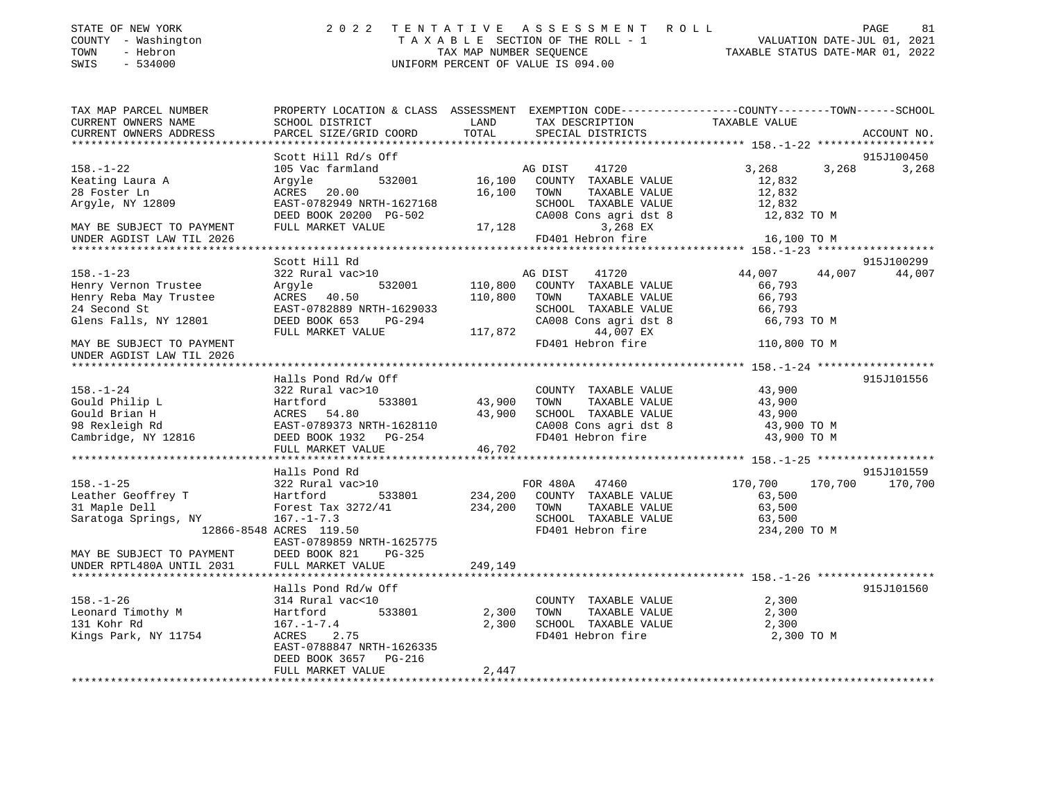| STATE OF NEW YORK<br>COUNTY - Washington<br>- Hebron<br>TOWN<br>SWIS - 534000 | UNIFORM PERCENT OF VALUE IS 094.00 | 2022 TENTATIVE ASSESSMENT ROLL<br>TAXABLE SECTION OF THE ROLL - 1<br>TAX MAP NUMBER SEOUENCE     | TAXABLE STATUS DATE-MAR 01, 2022 | PAGE<br>VALUATION DATE-JUL 01, 2021 | 81 |
|-------------------------------------------------------------------------------|------------------------------------|--------------------------------------------------------------------------------------------------|----------------------------------|-------------------------------------|----|
| TAX MAP PARCEL NUMBER                                                         |                                    | PROPERTY LOCATION & CLASS ASSESSMENT EXEMPTION CODE----------------COUNTY-------TOWN------SCHOOL |                                  |                                     |    |

| CURRENT OWNERS NAME                                                                                                                                                                                                     | SCHOOL DISTRICT                                                                                                                   | LAND         | TAX DESCRIPTION                                                                                            | TAXABLE VALUE           |             |
|-------------------------------------------------------------------------------------------------------------------------------------------------------------------------------------------------------------------------|-----------------------------------------------------------------------------------------------------------------------------------|--------------|------------------------------------------------------------------------------------------------------------|-------------------------|-------------|
| CURRENT OWNERS ADDRESS                                                                                                                                                                                                  | PARCEL SIZE/GRID COORD                                                                                                            | TOTAL        | SPECIAL DISTRICTS                                                                                          |                         | ACCOUNT NO. |
|                                                                                                                                                                                                                         |                                                                                                                                   |              |                                                                                                            |                         |             |
|                                                                                                                                                                                                                         | Scott Hill Rd/s Off                                                                                                               |              |                                                                                                            |                         | 915J100450  |
| $158. - 1 - 22$                                                                                                                                                                                                         | 105 Vac farmland                                                                                                                  |              | AG DIST 41720                                                                                              | 3,268<br>3,268          | 3,268       |
| Keating Laura A                                                                                                                                                                                                         | Argyle                                                                                                                            |              | 3<br>16,100 COUNTY TAXABLE VALUE<br>16,100 COUNTY TAXABLE VALUE                                            |                         |             |
| 28 Foster Ln                                                                                                                                                                                                            | ACRES 20.00                                                                                                                       | 16,100 TOWN  | TAXABLE VALUE                                                                                              | 12,832<br>12,832        |             |
| Argyle, NY 12809                                                                                                                                                                                                        |                                                                                                                                   |              |                                                                                                            |                         |             |
|                                                                                                                                                                                                                         | EAST-0782949 NRTH-1627168<br>DEED BOOK 20200 PG-502                                                                               |              |                                                                                                            |                         |             |
| MAY BE SUBJECT TO PAYMENT                                                                                                                                                                                               | FULL MARKET VALUE                                                                                                                 |              | SCHOOL TAXABLE VALUE 12,832<br>CA008 Cons agri dst 8 12,832 TO M<br>3,268 EX 12,832 TO M<br>17,128         |                         |             |
|                                                                                                                                                                                                                         |                                                                                                                                   |              |                                                                                                            | 16,100 TO M             |             |
| UNDER AGDIST LAW TIL 2026                                                                                                                                                                                               |                                                                                                                                   |              | FD401 Hebron fire                                                                                          |                         |             |
|                                                                                                                                                                                                                         |                                                                                                                                   |              |                                                                                                            |                         |             |
|                                                                                                                                                                                                                         | Scott Hill Rd                                                                                                                     |              |                                                                                                            |                         | 915J100299  |
| $158. - 1 - 23$                                                                                                                                                                                                         | 322 Rural vac>10                                                                                                                  |              | AG DIST<br>41720                                                                                           | 44,007 44,007           | 44,007      |
| Henry Vernon Trustee<br>Henry Vernon Trustee             Argyle<br>Henry Reba May Trustee             ACRES     40.50                                                                                                   | Arqyle                                                                                                                            |              | 532001 110,800 COUNTY TAXABLE VALUE                                                                        | 66,793                  |             |
|                                                                                                                                                                                                                         |                                                                                                                                   | 110,800 TOWN | TAXABLE VALUE                                                                                              | 66,793                  |             |
| 24 Second St                                                                                                                                                                                                            | EAST-0782889 NRTH-1629033                                                                                                         |              |                                                                                                            |                         |             |
| Glens Falls, NY 12801                                                                                                                                                                                                   |                                                                                                                                   |              |                                                                                                            |                         |             |
|                                                                                                                                                                                                                         | FULL MARKET VALUE                                                                                                                 |              |                                                                                                            |                         |             |
| MAY BE SUBJECT TO PAYMENT                                                                                                                                                                                               |                                                                                                                                   |              | SCHOOL TAXABLE VALUE 66,793<br>CA008 Cons agri dst 8 66,793 TO M<br>117,872 FD401 Hebron fire 110,800 TO M |                         |             |
| UNDER AGDIST LAW TIL 2026                                                                                                                                                                                               |                                                                                                                                   |              |                                                                                                            |                         |             |
|                                                                                                                                                                                                                         |                                                                                                                                   |              |                                                                                                            |                         |             |
|                                                                                                                                                                                                                         | Halls Pond Rd/w Off                                                                                                               |              |                                                                                                            |                         | 915J101556  |
| $158. - 1 - 24$                                                                                                                                                                                                         | 322 Rural vac>10                                                                                                                  |              | COUNTY TAXABLE VALUE                                                                                       | 43,900                  |             |
| Gould Philip L                                                                                                                                                                                                          | vac>10<br>533801 43,900<br>80                                                                                                     |              | TAXABLE VALUE 43,900<br>TOWN                                                                               |                         |             |
| Gould Brian H                                                                                                                                                                                                           |                                                                                                                                   |              |                                                                                                            |                         |             |
| 98 Rexleigh Rd                                                                                                                                                                                                          |                                                                                                                                   |              | SCHOOL TAXABLE VALUE 43,900<br>CA008 Cons agri dst 8 43,900 TO M                                           |                         |             |
| Cambridge, NY 12816                                                                                                                                                                                                     | 322 Nurai vacebol (1990)<br>Hartford (1933801 43,900)<br>ACRES 54.80 43,900<br>EAST-0789373 NRTH-1628110<br>DEED BOOK 1932 PG-254 |              |                                                                                                            | 43,900 TO M             |             |
|                                                                                                                                                                                                                         |                                                                                                                                   |              | FD401 Hebron fire                                                                                          |                         |             |
|                                                                                                                                                                                                                         | FULL MARKET VALUE                                                                                                                 | 46,702       |                                                                                                            |                         |             |
|                                                                                                                                                                                                                         |                                                                                                                                   |              |                                                                                                            |                         |             |
|                                                                                                                                                                                                                         | Halls Pond Rd                                                                                                                     |              |                                                                                                            |                         | 915J101559  |
| 158.-1-25<br>168.-1-25<br>168.-1-25<br>169.-1-25<br>169.-1-25<br>167.-1-7.3<br>167.-1-7.3<br>167.-1-7.3<br>167.-1-7.3<br>167.-1-7.3<br>167.-1-7.3<br>167.-1-7.3<br>167.-1-7.3<br>167.-1-7.3<br>167.-1-7.3<br>167.-1-7.3 |                                                                                                                                   |              | FOR 480A 47460                                                                                             | 170,700 170,700 170,700 |             |
|                                                                                                                                                                                                                         |                                                                                                                                   |              |                                                                                                            | 63,500                  |             |
|                                                                                                                                                                                                                         |                                                                                                                                   |              | TAXABLE VALUE 63,500<br>TAXABLE VALUE 63,500                                                               |                         |             |
|                                                                                                                                                                                                                         |                                                                                                                                   |              | SCHOOL TAXABLE VALUE                                                                                       | 63,500                  |             |
|                                                                                                                                                                                                                         | 12866-8548 ACRES 119.50                                                                                                           |              | FD401 Hebron fire                                                                                          | 234,200 TO M            |             |
|                                                                                                                                                                                                                         | EAST-0789859 NRTH-1625775                                                                                                         |              |                                                                                                            |                         |             |
| MAY BE SUBJECT TO PAYMENT                                                                                                                                                                                               | DEED BOOK 821<br>PG-325                                                                                                           |              |                                                                                                            |                         |             |
| UNDER RPTL480A UNTIL 2031                                                                                                                                                                                               | 249,149<br>FULL MARKET VALUE                                                                                                      |              |                                                                                                            |                         |             |
|                                                                                                                                                                                                                         |                                                                                                                                   |              |                                                                                                            |                         |             |
|                                                                                                                                                                                                                         | Halls Pond Rd/w Off                                                                                                               |              |                                                                                                            |                         | 915J101560  |
| $158. - 1 - 26$                                                                                                                                                                                                         | 314 Rural vac<10                                                                                                                  |              | COUNTY TAXABLE VALUE 2,300                                                                                 |                         |             |
|                                                                                                                                                                                                                         | 533801                                                                                                                            | 2,300        |                                                                                                            |                         |             |
| Leonard Timothy M Hartford<br>131 Kobr Pd 167 -1-7<br>131 Kohr Rd                                                                                                                                                       | $167. - 1 - 7.4$                                                                                                                  | 2,300        | TOWN TAXABLE VALUE 2,300<br>SCHOOL TAXABLE VALUE 2,300                                                     |                         |             |
| Kings Park, NY 11754                                                                                                                                                                                                    | ACRES 2.75                                                                                                                        |              | FD401 Hebron fire                                                                                          | 2,300 TO M              |             |
|                                                                                                                                                                                                                         | EAST-0788847 NRTH-1626335                                                                                                         |              |                                                                                                            |                         |             |
|                                                                                                                                                                                                                         |                                                                                                                                   |              |                                                                                                            |                         |             |
|                                                                                                                                                                                                                         | DEED BOOK 3657 PG-216                                                                                                             |              |                                                                                                            |                         |             |
|                                                                                                                                                                                                                         | FULL MARKET VALUE                                                                                                                 | 2,447        |                                                                                                            |                         |             |
|                                                                                                                                                                                                                         |                                                                                                                                   |              |                                                                                                            |                         |             |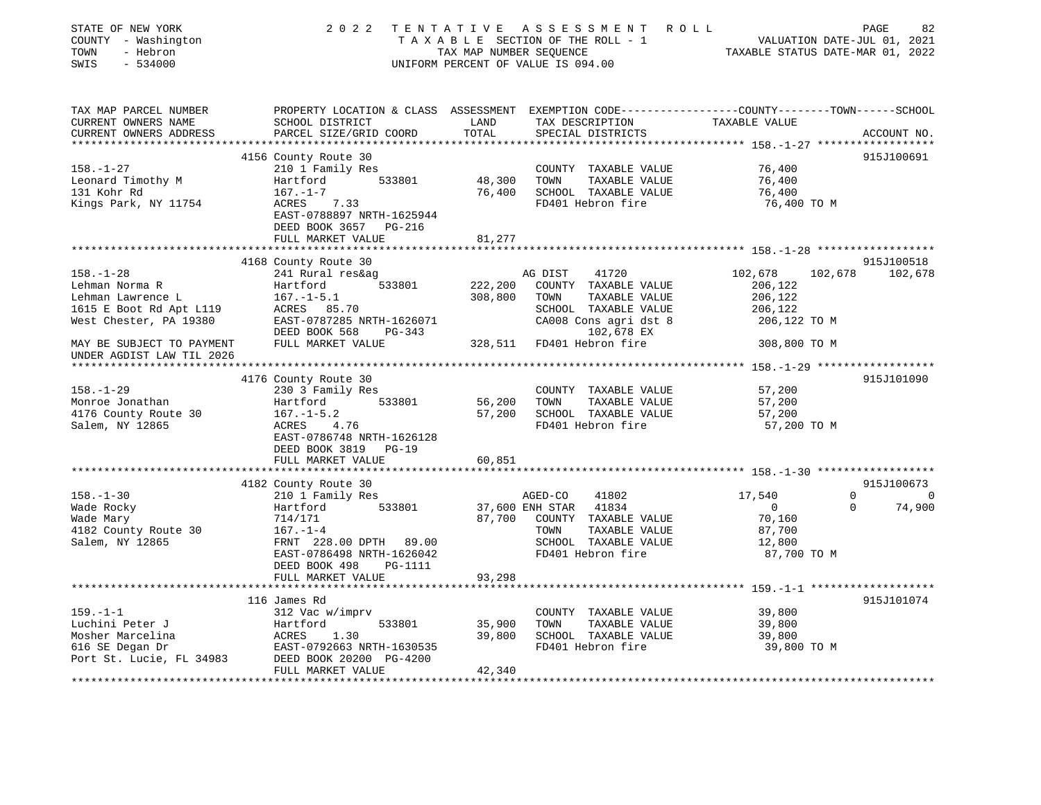| STATE OF NEW YORK<br>COUNTY - Washington<br>- Hebron<br>TOWN<br>SWIS<br>$-534000$                           | 2 0 2 2                                                                                                                                                                            | TENTATIVE<br>TAX MAP NUMBER SEQUENCE | ASSESSMENT ROLL<br>T A X A B L E SECTION OF THE ROLL - 1<br>UNIFORM PERCENT OF VALUE IS 094.00                                             | VALUATION DATE-JUL 01, 2021<br>TAXABLE STATUS DATE-MAR 01, 2022       | PAGE<br>82                                             |
|-------------------------------------------------------------------------------------------------------------|------------------------------------------------------------------------------------------------------------------------------------------------------------------------------------|--------------------------------------|--------------------------------------------------------------------------------------------------------------------------------------------|-----------------------------------------------------------------------|--------------------------------------------------------|
| TAX MAP PARCEL NUMBER<br>CURRENT OWNERS NAME<br>CURRENT OWNERS ADDRESS<br>************************          | PROPERTY LOCATION & CLASS ASSESSMENT EXEMPTION CODE---------------COUNTY-------TOWN------SCHOOL<br>SCHOOL DISTRICT<br>PARCEL SIZE/GRID COORD                                       | LAND<br>TOTAL                        | TAX DESCRIPTION<br>SPECIAL DISTRICTS                                                                                                       | TAXABLE VALUE                                                         | ACCOUNT NO.                                            |
| $158. - 1 - 27$<br>Leonard Timothy M<br>131 Kohr Rd<br>Kings Park, NY 11754                                 | 4156 County Route 30<br>210 1 Family Res<br>533801<br>Hartford<br>$167. - 1 - 7$<br>ACRES 7.33<br>EAST-0788897 NRTH-1625944<br>DEED BOOK 3657 PG-216<br>FULL MARKET VALUE          | 48,300<br>76,400<br>81,277           | COUNTY TAXABLE VALUE<br>TOWN<br>TAXABLE VALUE<br>SCHOOL TAXABLE VALUE<br>FD401 Hebron fire                                                 | 76,400<br>76,400<br>76,400<br>76,400 TO M                             | 915J100691                                             |
|                                                                                                             |                                                                                                                                                                                    |                                      |                                                                                                                                            |                                                                       |                                                        |
| $158. - 1 - 28$<br>Lehman Norma R<br>Lehman Lawrence L<br>1615 E Boot Rd Apt L119<br>West Chester, PA 19380 | 4168 County Route 30<br>241 Rural res&ag<br>533801<br>Hartford<br>$167. - 1 - 5.1$<br>ACRES 85.70<br>EAST-0787285 NRTH-1626071<br>DEED BOOK 568<br>PG-343                          | 222,200<br>308,800                   | 41720<br>AG DIST<br>COUNTY TAXABLE VALUE<br>TAXABLE VALUE<br>TOWN<br>SCHOOL TAXABLE VALUE<br>CA008 Cons agri dst 8<br>102,678 EX           | 102,678<br>102,678<br>206,122<br>206,122<br>206,122<br>206,122 TO M   | 915J100518<br>102,678                                  |
| MAY BE SUBJECT TO PAYMENT<br>UNDER AGDIST LAW TIL 2026<br>******************                                | FULL MARKET VALUE                                                                                                                                                                  |                                      | 328,511 FD401 Hebron fire                                                                                                                  | 308,800 TO M                                                          |                                                        |
| $158. - 1 - 29$<br>Monroe Jonathan<br>4176 County Route 30<br>Salem, NY 12865                               | 4176 County Route 30<br>230 3 Family Res<br>533801<br>Hartford<br>$167. - 1 - 5.2$<br>4.76<br>ACRES<br>EAST-0786748 NRTH-1626128<br>DEED BOOK 3819<br>$PG-19$<br>FULL MARKET VALUE | 56,200<br>57,200<br>60,851           | COUNTY TAXABLE VALUE<br>TOWN<br>TAXABLE VALUE<br>SCHOOL TAXABLE VALUE<br>FD401 Hebron fire                                                 | 57,200<br>57,200<br>57,200<br>57,200 TO M                             | 915J101090                                             |
|                                                                                                             |                                                                                                                                                                                    |                                      |                                                                                                                                            |                                                                       |                                                        |
| $158. - 1 - 30$<br>Wade Rocky<br>Wade Mary<br>4182 County Route 30<br>Salem, NY 12865                       | 4182 County Route 30<br>210 1 Family Res<br>533801<br>Hartford<br>714/171<br>$167. - 1 - 4$<br>FRNT 228.00 DPTH 89.00<br>EAST-0786498 NRTH-1626042<br>DEED BOOK 498<br>PG-1111     | 87,700                               | AGED-CO<br>41802<br>41834<br>37,600 ENH STAR<br>COUNTY TAXABLE VALUE<br>TOWN<br>TAXABLE VALUE<br>SCHOOL TAXABLE VALUE<br>FD401 Hebron fire | 17,540<br>$\overline{0}$<br>70,160<br>87,700<br>12,800<br>87,700 TO M | 915J100673<br>$\Omega$<br>- 0<br>74,900<br>$\mathbf 0$ |
|                                                                                                             | FULL MARKET VALUE<br>116 James Rd                                                                                                                                                  | 93,298                               |                                                                                                                                            | ***************** 159.-1-1 **************                             | 915J101074                                             |
| $159. - 1 - 1$                                                                                              | 312 Vac w/imprv                                                                                                                                                                    |                                      | COUNTY TAXABLE VALUE                                                                                                                       | 39,800                                                                |                                                        |
| Luchini Peter J                                                                                             | 533801<br>Hartford                                                                                                                                                                 | 35,900                               | TOWN<br>TAXABLE VALUE                                                                                                                      | 39,800                                                                |                                                        |
| Mosher Marcelina                                                                                            | ACRES<br>1.30                                                                                                                                                                      | 39,800                               | SCHOOL TAXABLE VALUE                                                                                                                       | 39,800                                                                |                                                        |
| 616 SE Degan Dr<br>Port St. Lucie, FL 34983                                                                 | EAST-0792663 NRTH-1630535<br>DEED BOOK 20200 PG-4200<br>FULL MARKET VALUE                                                                                                          | 42,340                               | FD401 Hebron fire                                                                                                                          | 39,800 TO M                                                           |                                                        |
| **************                                                                                              |                                                                                                                                                                                    |                                      |                                                                                                                                            | ************************************                                  |                                                        |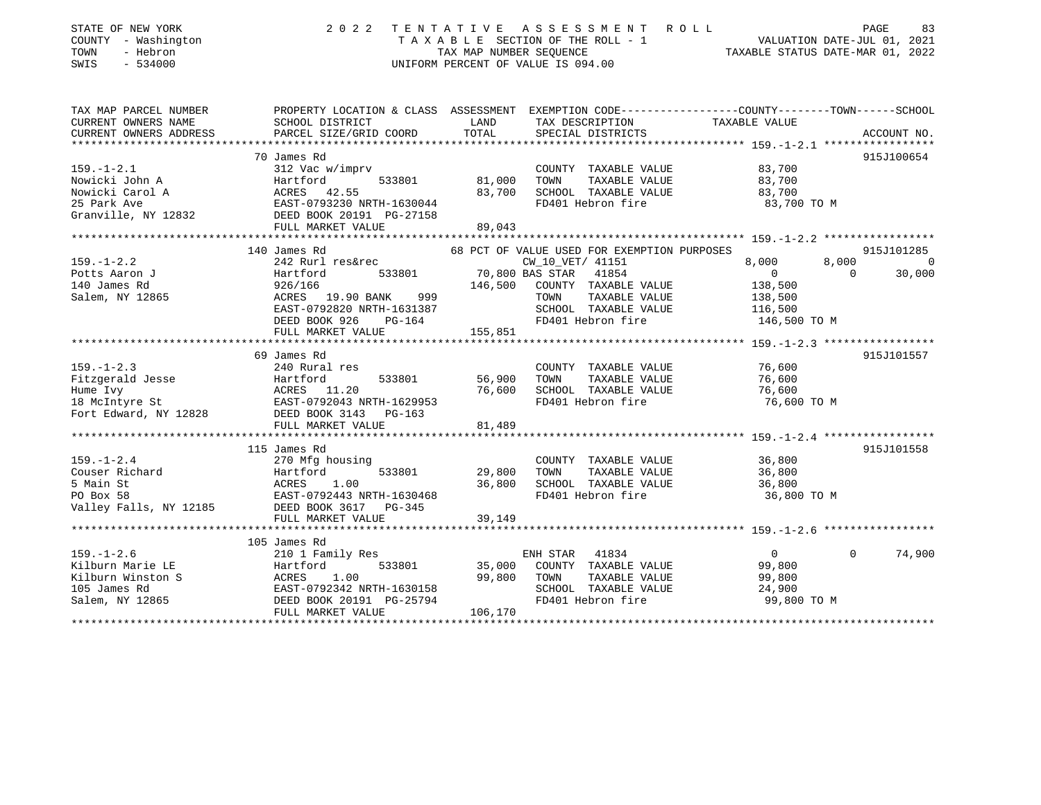| STATE OF NEW YORK<br>COUNTY - Washington<br>TOWN<br>- Hebron<br>SWIS<br>$-534000$            | 2 0 2 2                                                                                                                                                     | TENTATIVE<br>TAX MAP NUMBER SEQUENCE  | ASSESSMENT<br>TAXABLE SECTION OF THE ROLL - 1<br>UNIFORM PERCENT OF VALUE IS 094.00                                     | <b>ROLL</b><br>VALUATION DATE-JUL 01, 2021<br>TAXABLE STATUS DATE-MAR 01, 2022    | PAGE<br>83                           |
|----------------------------------------------------------------------------------------------|-------------------------------------------------------------------------------------------------------------------------------------------------------------|---------------------------------------|-------------------------------------------------------------------------------------------------------------------------|-----------------------------------------------------------------------------------|--------------------------------------|
| TAX MAP PARCEL NUMBER                                                                        | PROPERTY LOCATION & CLASS ASSESSMENT EXEMPTION CODE---------------COUNTY-------TOWN------SCHOOL                                                             |                                       |                                                                                                                         |                                                                                   |                                      |
| CURRENT OWNERS NAME<br>CURRENT OWNERS ADDRESS                                                | SCHOOL DISTRICT<br>PARCEL SIZE/GRID COORD                                                                                                                   | LAND<br>TOTAL                         | TAX DESCRIPTION<br>SPECIAL DISTRICTS                                                                                    | TAXABLE VALUE                                                                     | ACCOUNT NO.                          |
|                                                                                              |                                                                                                                                                             |                                       |                                                                                                                         |                                                                                   |                                      |
| $159. - 1 - 2.1$<br>Nowicki John A<br>Nowicki Carol A<br>25 Park Ave<br>Granville, NY 12832  | 70 James Rd<br>312 Vac w/imprv<br>Hartford<br>533801<br>ACRES 42.55<br>EAST-0793230 NRTH-1630044<br>DEED BOOK 20191 PG-27158                                | 81,000<br>83,700                      | COUNTY TAXABLE VALUE<br>TAXABLE VALUE<br>TOWN<br>SCHOOL TAXABLE VALUE<br>FD401 Hebron fire                              | 83,700<br>83,700<br>83,700<br>83,700 TO M                                         | 915J100654                           |
|                                                                                              | FULL MARKET VALUE                                                                                                                                           | 89,043                                |                                                                                                                         |                                                                                   |                                      |
|                                                                                              | *****************************<br>140 James Rd                                                                                                               |                                       | 68 PCT OF VALUE USED FOR EXEMPTION PURPOSES                                                                             |                                                                                   | 915J101285                           |
| $159. - 1 - 2.2$<br>Potts Aaron J<br>140 James Rd<br>Salem, NY 12865                         | 242 Rurl res&rec<br>Hartford<br>533801<br>926/166<br>ACRES 19.90 BANK<br>999<br>EAST-0792820 NRTH-1631387<br>DEED BOOK 926<br>$PG-164$<br>FULL MARKET VALUE | 70,800 BAS STAR<br>146,500<br>155,851 | CW_10_VET/ 41151<br>41854<br>COUNTY TAXABLE VALUE<br>TAXABLE VALUE<br>TOWN<br>SCHOOL TAXABLE VALUE<br>FD401 Hebron fire | 8,000<br>8,000<br>$\overline{0}$<br>138,500<br>138,500<br>116,500<br>146,500 TO M | $\overline{0}$<br>$\Omega$<br>30,000 |
|                                                                                              | ***************************                                                                                                                                 |                                       | ***********************                                                                                                 | ***************** 159. -1-2.3 ******************                                  |                                      |
| $159. - 1 - 2.3$<br>Fitzgerald Jesse<br>Hume Ivy<br>18 McIntyre St<br>Fort Edward, NY 12828  | 69 James Rd<br>240 Rural res<br>533801<br>Hartford<br>ACRES<br>11.20<br>EAST-0792043 NRTH-1629953<br>DEED BOOK 3143<br>PG-163                               | 56,900<br>76,600                      | COUNTY TAXABLE VALUE<br>TOWN<br>TAXABLE VALUE<br>SCHOOL TAXABLE VALUE<br>FD401 Hebron fire                              | 76,600<br>76,600<br>76,600<br>76,600 TO M                                         | 915J101557                           |
|                                                                                              | FULL MARKET VALUE                                                                                                                                           | 81,489                                |                                                                                                                         |                                                                                   |                                      |
|                                                                                              | *****************************                                                                                                                               | **************                        |                                                                                                                         |                                                                                   |                                      |
| $159. - 1 - 2.4$<br>Couser Richard<br>5 Main St<br>PO Box 58<br>Valley Falls, NY 12185       | 115 James Rd<br>270 Mfg housing<br>Hartford<br>533801<br>ACRES<br>1.00<br>EAST-0792443 NRTH-1630468<br>DEED BOOK 3617 PG-345<br>FULL MARKET VALUE           | 29,800<br>36,800<br>39,149            | COUNTY TAXABLE VALUE<br>TOWN<br>TAXABLE VALUE<br>SCHOOL TAXABLE VALUE<br>FD401 Hebron fire                              | 36,800<br>36,800<br>36,800<br>36,800 TO M                                         | 915J101558                           |
|                                                                                              |                                                                                                                                                             | *************                         |                                                                                                                         | ***************************** 159.-1-2.6 ******************                       |                                      |
| $159. - 1 - 2.6$<br>Kilburn Marie LE<br>Kilburn Winston S<br>105 James Rd<br>Salem, NY 12865 | 105 James Rd<br>210 1 Family Res<br>Hartford<br>533801<br>ACRES<br>1.00<br>EAST-0792342 NRTH-1630158<br>DEED BOOK 20191 PG-25794                            | 35,000<br>99,800                      | ENH STAR<br>41834<br>COUNTY TAXABLE VALUE<br>TOWN<br>TAXABLE VALUE<br>SCHOOL TAXABLE VALUE<br>FD401 Hebron fire         | $\overline{0}$<br>99,800<br>99,800<br>24,900<br>99,800 TO M                       | 74,900<br>$\mathbf{0}$               |

\*\*\*\*\*\*\*\*\*\*\*\*\*\*\*\*\*\*\*\*\*\*\*\*\*\*\*\*\*\*\*\*\*\*\*\*\*\*\*\*\*\*\*\*\*\*\*\*\*\*\*\*\*\*\*\*\*\*\*\*\*\*\*\*\*\*\*\*\*\*\*\*\*\*\*\*\*\*\*\*\*\*\*\*\*\*\*\*\*\*\*\*\*\*\*\*\*\*\*\*\*\*\*\*\*\*\*\*\*\*\*\*\*\*\*\*\*\*\*\*\*\*\*\*\*\*\*\*\*\*\*\*

FULL MARKET VALUE 106,170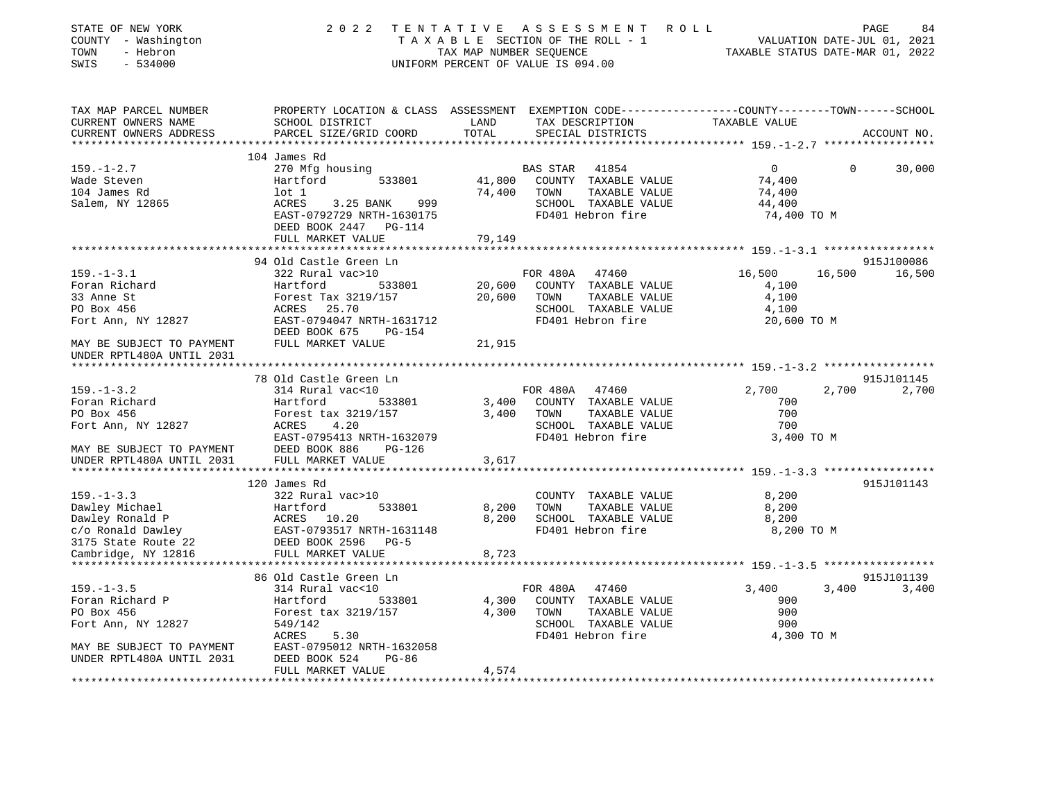| STATE OF NEW YORK<br>COUNTY - Washington<br>TOWN<br>- Hebron<br>SWIS<br>$-534000$ | 2 0 2 2                                                                                                                                      | TENTATIVE<br>TAX MAP NUMBER SEOUENCE | A S S E S S M E N T<br>TAXABLE SECTION OF THE ROLL - 1<br>UNIFORM PERCENT OF VALUE IS 094.00 | R O L L             | PAGE<br>84<br>VALUATION DATE-JUL 01, 2021<br>TAXABLE STATUS DATE-MAR 01, 2022 |
|-----------------------------------------------------------------------------------|----------------------------------------------------------------------------------------------------------------------------------------------|--------------------------------------|----------------------------------------------------------------------------------------------|---------------------|-------------------------------------------------------------------------------|
| TAX MAP PARCEL NUMBER<br>CURRENT OWNERS NAME<br>CURRENT OWNERS ADDRESS            | PROPERTY LOCATION & CLASS ASSESSMENT EXEMPTION CODE---------------COUNTY-------TOWN------SCHOOL<br>SCHOOL DISTRICT<br>PARCEL SIZE/GRID COORD | LAND<br>TOTAL                        | TAX DESCRIPTION<br>SPECIAL DISTRICTS                                                         | TAXABLE VALUE       | ACCOUNT NO.                                                                   |
| ***********************                                                           |                                                                                                                                              |                                      |                                                                                              |                     |                                                                               |
|                                                                                   | 104 James Rd                                                                                                                                 |                                      |                                                                                              |                     |                                                                               |
| $159. - 1 - 2.7$                                                                  | 270 Mfg housing                                                                                                                              |                                      | <b>BAS STAR</b><br>41854                                                                     | $\overline{0}$      | $\Omega$<br>30,000                                                            |
| Wade Steven<br>104 James Rd                                                       | 533801<br>Hartford<br>$1$ ot $1$                                                                                                             | 41,800<br>74,400                     | COUNTY TAXABLE VALUE<br>TAXABLE VALUE<br>TOWN                                                | 74,400<br>74,400    |                                                                               |
| Salem, NY 12865                                                                   | 3.25 BANK<br>999<br>ACRES                                                                                                                    |                                      | SCHOOL TAXABLE VALUE                                                                         | 44,400              |                                                                               |
|                                                                                   | EAST-0792729 NRTH-1630175                                                                                                                    |                                      | FD401 Hebron fire                                                                            | 74,400 TO M         |                                                                               |
|                                                                                   | DEED BOOK 2447 PG-114                                                                                                                        |                                      |                                                                                              |                     |                                                                               |
|                                                                                   | FULL MARKET VALUE                                                                                                                            | 79,149                               |                                                                                              |                     |                                                                               |
|                                                                                   |                                                                                                                                              |                                      |                                                                                              |                     |                                                                               |
|                                                                                   | 94 Old Castle Green Ln                                                                                                                       |                                      |                                                                                              |                     | 915J100086                                                                    |
| $159. - 1 - 3.1$                                                                  | 322 Rural vac>10                                                                                                                             |                                      | FOR 480A<br>47460                                                                            | 16,500              | 16,500<br>16,500                                                              |
| Foran Richard                                                                     | Hartford<br>533801                                                                                                                           | 20,600                               | COUNTY TAXABLE VALUE                                                                         | 4,100               |                                                                               |
| 33 Anne St<br>PO Box 456                                                          | Forest Tax 3219/157<br>ACRES<br>25.70                                                                                                        | 20,600                               | TAXABLE VALUE<br>TOWN<br>SCHOOL TAXABLE VALUE                                                | 4,100<br>4,100      |                                                                               |
| Fort Ann, NY 12827                                                                | EAST-0794047 NRTH-1631712                                                                                                                    |                                      | FD401 Hebron fire                                                                            | 20,600 TO M         |                                                                               |
|                                                                                   | DEED BOOK 675<br><b>PG-154</b>                                                                                                               |                                      |                                                                                              |                     |                                                                               |
| MAY BE SUBJECT TO PAYMENT                                                         | FULL MARKET VALUE                                                                                                                            | 21,915                               |                                                                                              |                     |                                                                               |
| UNDER RPTL480A UNTIL 2031                                                         |                                                                                                                                              |                                      |                                                                                              |                     |                                                                               |
|                                                                                   |                                                                                                                                              |                                      |                                                                                              |                     |                                                                               |
|                                                                                   | 78 Old Castle Green Ln                                                                                                                       |                                      |                                                                                              |                     | 915J101145                                                                    |
| $159. - 1 - 3.2$                                                                  | 314 Rural vac<10                                                                                                                             |                                      | FOR 480A 47460                                                                               | 2,700               | 2,700<br>2,700                                                                |
| Foran Richard<br>PO Box 456                                                       | Hartford<br>533801<br>Forest tax 3219/157                                                                                                    | 3,400<br>3,400                       | COUNTY TAXABLE VALUE<br>TAXABLE VALUE<br>TOWN                                                | 700<br>700          |                                                                               |
| Fort Ann, NY 12827                                                                | 4.20<br>ACRES                                                                                                                                |                                      | SCHOOL TAXABLE VALUE                                                                         | 700                 |                                                                               |
|                                                                                   | EAST-0795413 NRTH-1632079                                                                                                                    |                                      | FD401 Hebron fire                                                                            | 3,400 TO M          |                                                                               |
| MAY BE SUBJECT TO PAYMENT                                                         | DEED BOOK 886<br>PG-126                                                                                                                      |                                      |                                                                                              |                     |                                                                               |
| UNDER RPTL480A UNTIL 2031                                                         | FULL MARKET VALUE                                                                                                                            | 3,617                                |                                                                                              |                     |                                                                               |
|                                                                                   |                                                                                                                                              |                                      |                                                                                              |                     |                                                                               |
|                                                                                   | 120 James Rd                                                                                                                                 |                                      |                                                                                              |                     | 915J101143                                                                    |
| $159. - 1 - 3.3$                                                                  | 322 Rural vac>10                                                                                                                             |                                      | COUNTY TAXABLE VALUE                                                                         | 8,200               |                                                                               |
| Dawley Michael                                                                    | Hartford<br>533801                                                                                                                           | 8,200                                | TOWN<br>TAXABLE VALUE                                                                        | 8,200               |                                                                               |
| Dawley Ronald P                                                                   | ACRES 10.20<br>EAST-0793517 NRTH-1631148                                                                                                     | 8,200                                | SCHOOL TAXABLE VALUE<br>FD401 Hebron fire                                                    | 8,200<br>8,200 TO M |                                                                               |
| c/o Ronald Dawley<br>3175 State Route 22                                          | DEED BOOK 2596<br>$PG-5$                                                                                                                     |                                      |                                                                                              |                     |                                                                               |
| Cambridge, NY 12816                                                               | FULL MARKET VALUE                                                                                                                            | 8,723                                |                                                                                              |                     |                                                                               |
| ********************                                                              |                                                                                                                                              |                                      |                                                                                              |                     |                                                                               |
|                                                                                   | 86 Old Castle Green Ln                                                                                                                       |                                      |                                                                                              |                     | 915J101139                                                                    |
| $159. - 1 - 3.5$                                                                  | 314 Rural vac<10                                                                                                                             |                                      | FOR 480A<br>47460                                                                            | 3,400               | 3,400<br>3,400                                                                |
| Foran Richard P                                                                   | Hartford<br>533801                                                                                                                           | 4,300                                | COUNTY TAXABLE VALUE                                                                         | 900                 |                                                                               |
| PO Box 456                                                                        | Forest tax 3219/157                                                                                                                          | 4,300                                | TOWN<br>TAXABLE VALUE                                                                        | 900                 |                                                                               |
| Fort Ann, NY 12827                                                                | 549/142                                                                                                                                      |                                      | SCHOOL TAXABLE VALUE                                                                         | 900                 |                                                                               |
|                                                                                   | <b>ACRES</b><br>5.30<br>EAST-0795012 NRTH-1632058                                                                                            |                                      | FD401 Hebron fire                                                                            | 4,300 TO M          |                                                                               |
| MAY BE SUBJECT TO PAYMENT<br>UNDER RPTL480A UNTIL 2031                            | DEED BOOK 524<br>$PG-86$                                                                                                                     |                                      |                                                                                              |                     |                                                                               |
|                                                                                   | FULL MARKET VALUE                                                                                                                            | 4,574                                |                                                                                              |                     |                                                                               |
|                                                                                   | **************************                                                                                                                   | *************                        |                                                                                              |                     |                                                                               |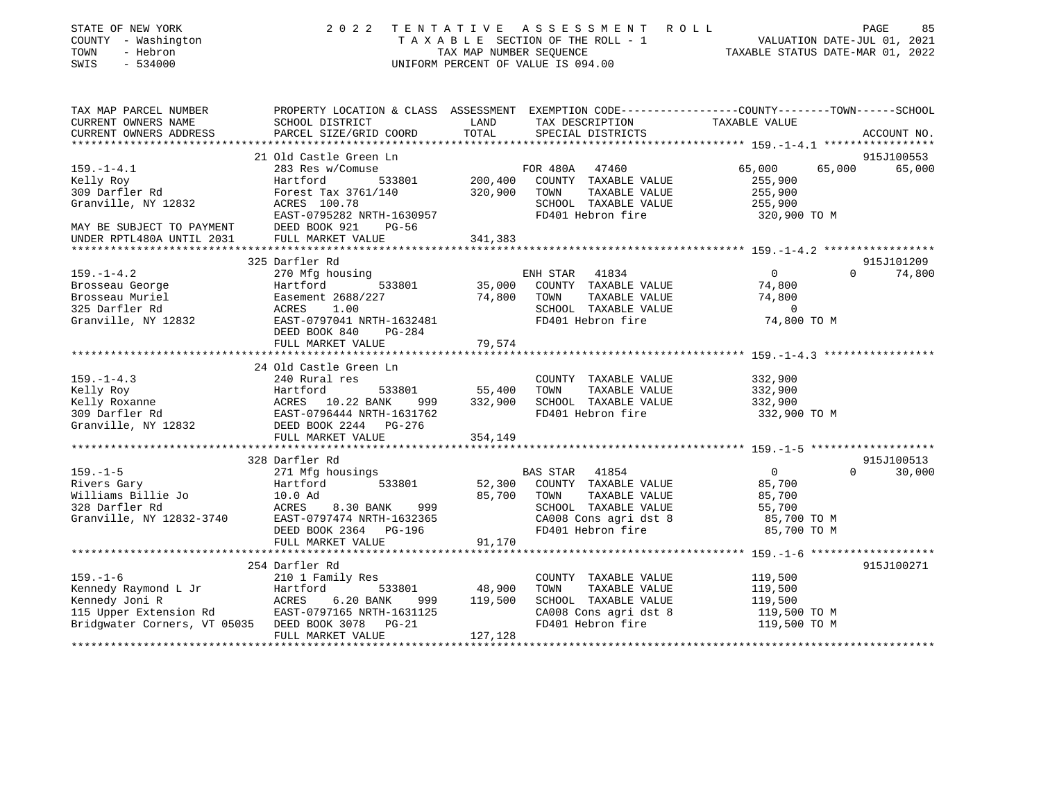| STATE OF NEW YORK<br>COUNTY - Washington<br>TOWN<br>- Hebron<br>SWIS<br>$-534000$ | 2 0 2 2                                                                                                              | TAX MAP NUMBER SEQUENCE | TENTATIVE ASSESSMENT ROLL<br>$\begin{tabular}{lllllllll} T & A & X & A & B & L & E & SECTION OF THE ROLL & - & 1\\ & & \text{max} & \text{minmax} & \text{scorrinner} & \text{minmax} & \text{min} \\ & & \text{minmax} & \text{minmax} & \text{minmax} & \text{minmax} & \text{minmax} & \text{minmax} & \text{minmax} & \text{minmax} & \text{minmax} & \text{minmax} & \text{minmax} & \text{minmax} & \text{minmax} & \text{minmax} & \text{minmax} & \text{minmax} & \text{minmax} & \text{minmax} & \text{minmax} & \text{minmax} & \text{min$<br>UNIFORM PERCENT OF VALUE IS 094.00 | VALUATION DATE-JUL 01, 2021<br>TAXABLE STATUS DATE-MAR 01, 2022 | PAGE<br>85            |
|-----------------------------------------------------------------------------------|----------------------------------------------------------------------------------------------------------------------|-------------------------|--------------------------------------------------------------------------------------------------------------------------------------------------------------------------------------------------------------------------------------------------------------------------------------------------------------------------------------------------------------------------------------------------------------------------------------------------------------------------------------------------------------------------------------------------------------------------------------------|-----------------------------------------------------------------|-----------------------|
| TAX MAP PARCEL NUMBER<br>CURRENT OWNERS NAME                                      | PROPERTY LOCATION & CLASS ASSESSMENT EXEMPTION CODE-----------------COUNTY-------TOWN------SCHOOL<br>SCHOOL DISTRICT | LAND                    | TAX DESCRIPTION                                                                                                                                                                                                                                                                                                                                                                                                                                                                                                                                                                            | TAXABLE VALUE                                                   |                       |
| CURRENT OWNERS ADDRESS                                                            | PARCEL SIZE/GRID COORD                                                                                               | TOTAL                   | SPECIAL DISTRICTS                                                                                                                                                                                                                                                                                                                                                                                                                                                                                                                                                                          |                                                                 | ACCOUNT NO.           |
|                                                                                   |                                                                                                                      |                         |                                                                                                                                                                                                                                                                                                                                                                                                                                                                                                                                                                                            |                                                                 |                       |
|                                                                                   | 21 Old Castle Green Ln                                                                                               |                         |                                                                                                                                                                                                                                                                                                                                                                                                                                                                                                                                                                                            |                                                                 | 915J100553            |
| $159. - 1 - 4.1$                                                                  | 283 Res w/Comuse                                                                                                     |                         | FOR 480A 47460                                                                                                                                                                                                                                                                                                                                                                                                                                                                                                                                                                             | 65,000<br>65,000                                                | 65,000                |
| Kelly Roy<br>309 Darfler Rd                                                       | Hartford<br>533801<br>Forest Tax 3761/140                                                                            | 200,400<br>320,900      | COUNTY TAXABLE VALUE<br>TAXABLE VALUE<br>TOWN                                                                                                                                                                                                                                                                                                                                                                                                                                                                                                                                              | 255,900<br>255,900                                              |                       |
| Granville, NY 12832                                                               | ACRES 100.78                                                                                                         |                         | SCHOOL TAXABLE VALUE                                                                                                                                                                                                                                                                                                                                                                                                                                                                                                                                                                       | 255,900                                                         |                       |
|                                                                                   | EAST-0795282 NRTH-1630957                                                                                            |                         | FD401 Hebron fire                                                                                                                                                                                                                                                                                                                                                                                                                                                                                                                                                                          | 320,900 TO M                                                    |                       |
| MAY BE SUBJECT TO PAYMENT                                                         | DEED BOOK 921<br>PG-56                                                                                               |                         |                                                                                                                                                                                                                                                                                                                                                                                                                                                                                                                                                                                            |                                                                 |                       |
| UNDER RPTL480A UNTIL 2031                                                         | FULL MARKET VALUE                                                                                                    | 341,383                 |                                                                                                                                                                                                                                                                                                                                                                                                                                                                                                                                                                                            |                                                                 |                       |
|                                                                                   |                                                                                                                      |                         |                                                                                                                                                                                                                                                                                                                                                                                                                                                                                                                                                                                            |                                                                 |                       |
|                                                                                   | 325 Darfler Rd                                                                                                       |                         |                                                                                                                                                                                                                                                                                                                                                                                                                                                                                                                                                                                            |                                                                 | 915J101209            |
| $159. - 1 - 4.2$                                                                  | 270 Mfg housing                                                                                                      |                         | ENH STAR<br>41834                                                                                                                                                                                                                                                                                                                                                                                                                                                                                                                                                                          | $\circ$                                                         | $\mathbf 0$<br>74,800 |
| Brosseau George                                                                   | Hartford<br>533801                                                                                                   | 35,000                  | COUNTY TAXABLE VALUE                                                                                                                                                                                                                                                                                                                                                                                                                                                                                                                                                                       | 74,800                                                          |                       |
| Brosseau Muriel<br>325 Darfler Rd                                                 | Easement 2688/227<br>ACRES<br>1.00                                                                                   | 74,800                  | TAXABLE VALUE<br>TOWN                                                                                                                                                                                                                                                                                                                                                                                                                                                                                                                                                                      | 74,800<br>$\overline{0}$                                        |                       |
| Granville, NY 12832                                                               | EAST-0797041 NRTH-1632481                                                                                            |                         | SCHOOL TAXABLE VALUE<br>FD401 Hebron fire                                                                                                                                                                                                                                                                                                                                                                                                                                                                                                                                                  | 74,800 TO M                                                     |                       |
|                                                                                   | DEED BOOK 840<br><b>PG-284</b><br>FULL MARKET VALUE                                                                  | 79,574                  |                                                                                                                                                                                                                                                                                                                                                                                                                                                                                                                                                                                            |                                                                 |                       |
|                                                                                   |                                                                                                                      |                         |                                                                                                                                                                                                                                                                                                                                                                                                                                                                                                                                                                                            |                                                                 |                       |
|                                                                                   | 24 Old Castle Green Ln                                                                                               |                         |                                                                                                                                                                                                                                                                                                                                                                                                                                                                                                                                                                                            |                                                                 |                       |
| $159. - 1 - 4.3$                                                                  | 240 Rural res                                                                                                        |                         | COUNTY TAXABLE VALUE                                                                                                                                                                                                                                                                                                                                                                                                                                                                                                                                                                       | 332,900                                                         |                       |
|                                                                                   | Hartford<br>533801                                                                                                   | 55,400                  | TOWN<br>TAXABLE VALUE                                                                                                                                                                                                                                                                                                                                                                                                                                                                                                                                                                      | 332,900                                                         |                       |
| x--<br>Kelly Roy<br>Kelly Roxanne<br>309 Darfler Rd                               | ACRES 10.22 BANK<br>EAST-0796444 NRTH-1<br>999                                                                       | 332,900                 | SCHOOL TAXABLE VALUE                                                                                                                                                                                                                                                                                                                                                                                                                                                                                                                                                                       | 332,900                                                         |                       |
|                                                                                   | EAST-0796444 NRTH-1631762                                                                                            |                         | FD401 Hebron fire                                                                                                                                                                                                                                                                                                                                                                                                                                                                                                                                                                          | 332,900 TO M                                                    |                       |
| Granville, NY 12832                                                               | DEED BOOK 2244 PG-276                                                                                                |                         |                                                                                                                                                                                                                                                                                                                                                                                                                                                                                                                                                                                            |                                                                 |                       |
|                                                                                   | FULL MARKET VALUE                                                                                                    | 354,149                 |                                                                                                                                                                                                                                                                                                                                                                                                                                                                                                                                                                                            |                                                                 |                       |
|                                                                                   | 328 Darfler Rd                                                                                                       |                         |                                                                                                                                                                                                                                                                                                                                                                                                                                                                                                                                                                                            |                                                                 | 915J100513            |
| $159. - 1 - 5$                                                                    | 271 Mfg housings                                                                                                     |                         | 41854<br>BAS STAR                                                                                                                                                                                                                                                                                                                                                                                                                                                                                                                                                                          | $\overline{0}$                                                  | $\Omega$<br>30,000    |
| Rivers Gary                                                                       | Hartford<br>533801                                                                                                   | 52,300                  | COUNTY TAXABLE VALUE                                                                                                                                                                                                                                                                                                                                                                                                                                                                                                                                                                       | 85,700                                                          |                       |
| Williams Billie Jo                                                                | 10.0 Ad                                                                                                              | 85,700                  | TOWN<br>TAXABLE VALUE                                                                                                                                                                                                                                                                                                                                                                                                                                                                                                                                                                      | 85,700                                                          |                       |
| 328 Darfler Rd                                                                    | ACRES<br>8.30 BANK<br>999                                                                                            |                         | SCHOOL TAXABLE VALUE                                                                                                                                                                                                                                                                                                                                                                                                                                                                                                                                                                       | 55,700                                                          |                       |
| Granville, NY 12832-3740                                                          | EAST-0797474 NRTH-1632365                                                                                            |                         | CA008 Cons agri dst 8                                                                                                                                                                                                                                                                                                                                                                                                                                                                                                                                                                      | 85,700 TO M                                                     |                       |
|                                                                                   | DEED BOOK 2364 PG-196                                                                                                |                         | FD401 Hebron fire                                                                                                                                                                                                                                                                                                                                                                                                                                                                                                                                                                          | 85,700 TO M                                                     |                       |
|                                                                                   | FULL MARKET VALUE                                                                                                    | 91,170                  |                                                                                                                                                                                                                                                                                                                                                                                                                                                                                                                                                                                            |                                                                 |                       |
|                                                                                   | 254 Darfler Rd                                                                                                       |                         |                                                                                                                                                                                                                                                                                                                                                                                                                                                                                                                                                                                            |                                                                 | 915J100271            |
| $159. - 1 - 6$                                                                    | 210 1 Family Res                                                                                                     |                         | COUNTY TAXABLE VALUE                                                                                                                                                                                                                                                                                                                                                                                                                                                                                                                                                                       | 119,500                                                         |                       |
| Kennedy Raymond L Jr                                                              | Hartford<br>533801                                                                                                   | 48,900                  | TOWN<br>TAXABLE VALUE                                                                                                                                                                                                                                                                                                                                                                                                                                                                                                                                                                      | 119,500                                                         |                       |
| Kennedy Joni R                                                                    | ACRES<br>6.20 BANK<br>999                                                                                            | 119,500                 | SCHOOL TAXABLE VALUE                                                                                                                                                                                                                                                                                                                                                                                                                                                                                                                                                                       | 119,500                                                         |                       |
| 115 Upper Extension Rd                                                            | EAST-0797165 NRTH-1631125                                                                                            |                         | CA008 Cons agri dst 8                                                                                                                                                                                                                                                                                                                                                                                                                                                                                                                                                                      | 119,500 TO M                                                    |                       |
| Bridgwater Corners, VT 05035 DEED BOOK 3078                                       | $PG-21$                                                                                                              |                         | FD401 Hebron fire                                                                                                                                                                                                                                                                                                                                                                                                                                                                                                                                                                          | 119,500 TO M                                                    |                       |
| *******************                                                               | FULL MARKET VALUE                                                                                                    | 127,128                 |                                                                                                                                                                                                                                                                                                                                                                                                                                                                                                                                                                                            |                                                                 |                       |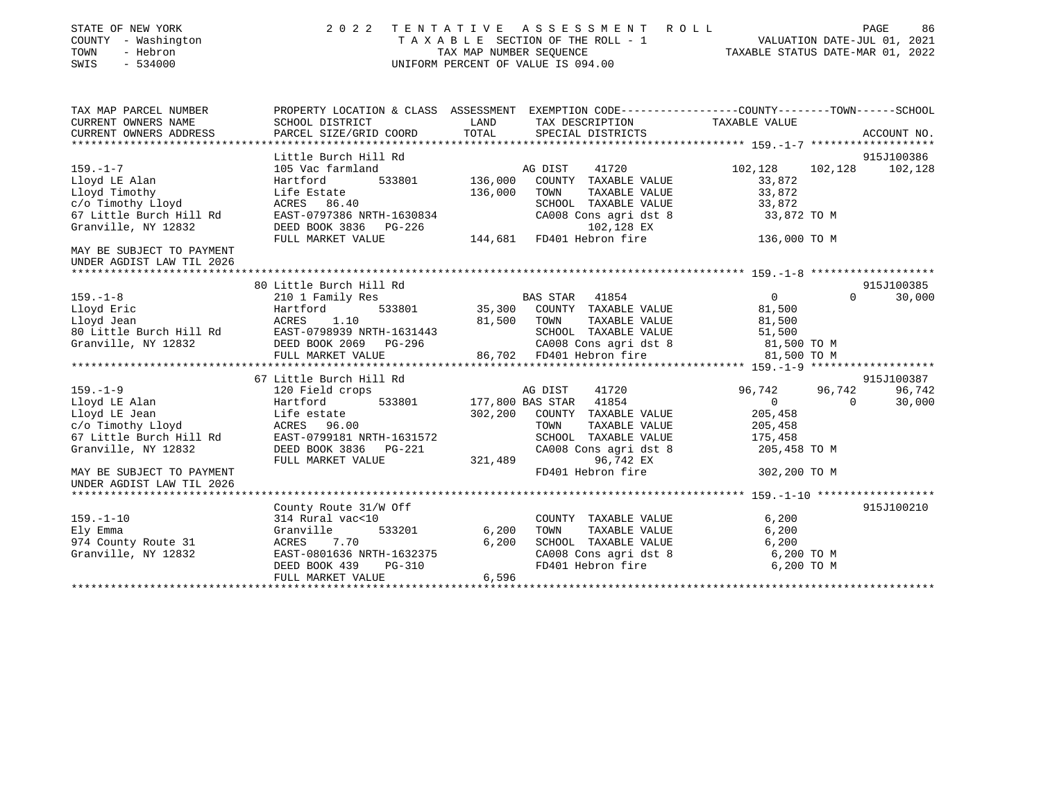| STATE OF NEW YORK<br>COUNTY - Washington<br>TOWN<br>- Hebron<br>SWIS<br>$-534000$ | 2 0 2 2                                  |         | TENTATIVE ASSESSMENT ROLL<br>T A X A B L E SECTION OF THE ROLL - 1 VALUATION DATE-JUL 01, 2021<br>TAX MAP NUMBER SEQUENCE TAXIBLE STATUS DATE-MAR 01, 2022<br>UNIFORM PERCENT OF VALUE IS 094.00 |                               | PAGE<br>86            |
|-----------------------------------------------------------------------------------|------------------------------------------|---------|--------------------------------------------------------------------------------------------------------------------------------------------------------------------------------------------------|-------------------------------|-----------------------|
| TAX MAP PARCEL NUMBER                                                             |                                          |         | PROPERTY LOCATION & CLASS ASSESSMENT EXEMPTION CODE---------------COUNTY-------TOWN------SCHOOL                                                                                                  |                               |                       |
| CURRENT OWNERS NAME                                                               | SCHOOL DISTRICT                          | LAND    | TAX DESCRIPTION TAXABLE VALUE                                                                                                                                                                    |                               |                       |
| CURRENT OWNERS ADDRESS                                                            | PARCEL SIZE/GRID COORD                   | TOTAL   | SPECIAL DISTRICTS                                                                                                                                                                                |                               | ACCOUNT NO.           |
|                                                                                   |                                          |         |                                                                                                                                                                                                  |                               |                       |
| $159. - 1 - 7$                                                                    | Little Burch Hill Rd<br>105 Vac farmland |         | 41720<br>AG DIST                                                                                                                                                                                 | 102,128<br>102,128            | 915J100386<br>102,128 |
| Lloyd LE Alan                                                                     | Hartford<br>533801                       | 136,000 | COUNTY TAXABLE VALUE                                                                                                                                                                             | 33,872                        |                       |
| Lloyd Timothy                                                                     | Life Estate                              | 136,000 | TOWN<br>TAXABLE VALUE                                                                                                                                                                            | 33,872                        |                       |
| c/o Timothy Lloyd                                                                 | ACRES 86.40                              |         | SCHOOL TAXABLE VALUE                                                                                                                                                                             | 33,872                        |                       |
| 67 Little Burch Hill Rd                                                           | EAST-0797386 NRTH-1630834                |         | CA008 Cons agri dst 8                                                                                                                                                                            | 33,872 TO M                   |                       |
| Granville, NY 12832                                                               | DEED BOOK 3836 PG-226                    |         | 102,128 EX                                                                                                                                                                                       |                               |                       |
|                                                                                   | FULL MARKET VALUE                        |         | 144,681 FD401 Hebron fire                                                                                                                                                                        | 136,000 TO M                  |                       |
| MAY BE SUBJECT TO PAYMENT<br>UNDER AGDIST LAW TIL 2026                            |                                          |         |                                                                                                                                                                                                  |                               |                       |
|                                                                                   |                                          |         |                                                                                                                                                                                                  |                               |                       |
|                                                                                   | 80 Little Burch Hill Rd                  |         |                                                                                                                                                                                                  |                               | 915J100385            |
| $159. - 1 - 8$                                                                    | 210 1 Family Res                         |         | BAS STAR<br>41854                                                                                                                                                                                | $\overline{0}$<br>$\Omega$    | 30,000                |
| Lloyd Eric                                                                        | Hartford<br>533801<br>ACRES<br>1.10      | 81,500  | 35,300 COUNTY TAXABLE VALUE<br>TOWN<br>TAXABLE VALUE                                                                                                                                             | 81,500                        |                       |
| Lloyd Jean                                                                        | EAST-0798939 NRTH-1631443                |         | SCHOOL TAXABLE VALUE                                                                                                                                                                             | 81,500<br>51,500              |                       |
| 80 Little Burch Hill Rd<br>Granville, NY 12832<br>Granville, NY 12832             | DEED BOOK 2069<br>PG-296                 |         | CA008 Cons agri dst 8                                                                                                                                                                            | 81,500 TO M                   |                       |
|                                                                                   | FULL MARKET VALUE                        |         | 86,702 FD401 Hebron fire                                                                                                                                                                         | 81,500 TO M                   |                       |
|                                                                                   |                                          |         |                                                                                                                                                                                                  |                               |                       |
|                                                                                   | 67 Little Burch Hill Rd                  |         |                                                                                                                                                                                                  |                               | 915J100387            |
| $159. - 1 - 9$                                                                    | 120 Field crops                          |         | 41720<br>AG DIST                                                                                                                                                                                 | 96,742<br>96,742              | 96,742                |
| Lloyd LE Alan                                                                     | 533801<br>Hartford                       |         | 177,800 BAS STAR<br>41854                                                                                                                                                                        | $0 \qquad \qquad$<br>$\Omega$ | 30,000                |
| Lloyd LE Jean                                                                     | Life estate                              | 302,200 | COUNTY TAXABLE VALUE                                                                                                                                                                             | 205,458                       |                       |
| c/o Timothy Lloyd                                                                 | ACRES 96.00                              |         | TOWN<br>TAXABLE VALUE                                                                                                                                                                            | 205,458                       |                       |
| 67 Little Burch Hill Rd                                                           | EAST-0799181 NRTH-1631572                |         | SCHOOL TAXABLE VALUE                                                                                                                                                                             | 175,458                       |                       |
| Granville, NY 12832                                                               | DEED BOOK 3836 PG-221                    |         | CA008 Cons agri dst 8                                                                                                                                                                            | 205,458 TO M                  |                       |
|                                                                                   | FULL MARKET VALUE                        | 321,489 | 96,742 EX                                                                                                                                                                                        |                               |                       |
| MAY BE SUBJECT TO PAYMENT                                                         |                                          |         | FD401 Hebron fire                                                                                                                                                                                | 302,200 TO M                  |                       |
| UNDER AGDIST LAW TIL 2026                                                         |                                          |         |                                                                                                                                                                                                  |                               |                       |
|                                                                                   | County Route 31/W Off                    |         |                                                                                                                                                                                                  |                               | 915J100210            |
| $159. - 1 - 10$                                                                   | 314 Rural vac<10                         |         | COUNTY TAXABLE VALUE                                                                                                                                                                             | 6,200                         |                       |
| Ely Emma                                                                          | Granville<br>533201                      | 6,200   | TOWN<br>TAXABLE VALUE                                                                                                                                                                            | 6,200                         |                       |
| 974 County Route 31                                                               | 7.70<br>ACRES                            | 6,200   | SCHOOL TAXABLE VALUE                                                                                                                                                                             | 6,200                         |                       |
| Granville, NY 12832                                                               | EAST-0801636 NRTH-1632375                |         | CA008 Cons agri dst 8                                                                                                                                                                            | 6,200 TO M                    |                       |
|                                                                                   | DEED BOOK 439<br>PG-310                  |         | FD401 Hebron fire                                                                                                                                                                                | 6,200 TO M                    |                       |
|                                                                                   | FULL MARKET VALUE                        | 6,596   |                                                                                                                                                                                                  |                               |                       |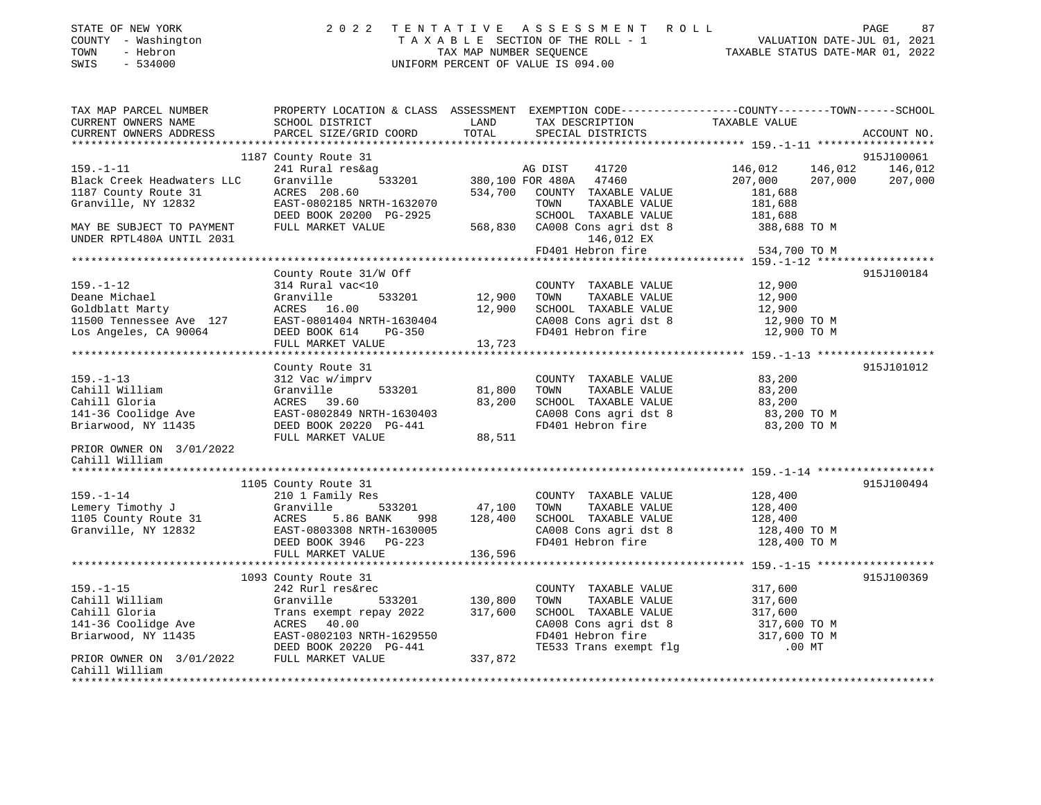| STATE OF NEW YORK<br>- Washington<br>COUNTY<br>- Hebron<br>TOWN<br>$-534000$<br>SWIS |                                                                        | TAX MAP NUMBER SEOUENCE     | 2022 TENTATIVE ASSESSMENT ROLL<br>TAXABLE SECTION OF THE ROLL - 1<br>UNIFORM PERCENT OF VALUE IS 094.00 |               | PAGE<br>VALUATION DATE-JUL 01, 2021<br>TAXABLE STATUS DATE-MAR 01, 2022 | 87          |
|--------------------------------------------------------------------------------------|------------------------------------------------------------------------|-----------------------------|---------------------------------------------------------------------------------------------------------|---------------|-------------------------------------------------------------------------|-------------|
| TAX MAP PARCEL NUMBER<br>CURRENT OWNERS NAME<br>CURRENT OWNERS ADDRESS               | PROPERTY LOCATION & CLASS<br>SCHOOL DISTRICT<br>PARCEL SIZE/GRID COORD | ASSESSMENT<br>LAND<br>TOTAL | EXEMPTION CODE-----------------COUNTY-------TOWN------SCHOOL<br>TAX DESCRIPTION<br>SPECIAL DISTRICTS    | TAXABLE VALUE |                                                                         | ACCOUNT NO. |

1187 County Route 31 915J100061

915J100061

| $159. - 1 - 11$            | 241 Rural res&ag           |         | AG DIST<br>41720          | 146,012<br>146,012 | 146,012    |
|----------------------------|----------------------------|---------|---------------------------|--------------------|------------|
| Black Creek Headwaters LLC | 533201<br>Granville        |         | 380,100 FOR 480A<br>47460 | 207,000<br>207,000 | 207,000    |
| 1187 County Route 31       | ACRES 208.60               | 534,700 | COUNTY TAXABLE VALUE      | 181,688            |            |
| Granville, NY 12832        | EAST-0802185 NRTH-1632070  |         | TOWN<br>TAXABLE VALUE     | 181,688            |            |
|                            | DEED BOOK 20200 PG-2925    |         | SCHOOL TAXABLE VALUE      | 181,688            |            |
| MAY BE SUBJECT TO PAYMENT  | FULL MARKET VALUE          | 568,830 | CA008 Cons agri dst 8     | 388,688 TO M       |            |
| UNDER RPTL480A UNTIL 2031  |                            |         | 146,012 EX                |                    |            |
|                            |                            |         | FD401 Hebron fire         | 534,700 TO M       |            |
|                            |                            |         |                           |                    |            |
|                            | County Route 31/W Off      |         |                           |                    | 915J100184 |
| $159. - 1 - 12$            | 314 Rural vac<10           |         | COUNTY TAXABLE VALUE      | 12,900             |            |
| Deane Michael              | Granville<br>533201        | 12,900  | TOWN<br>TAXABLE VALUE     | 12,900             |            |
| Goldblatt Marty            | ACRES 16.00                | 12,900  | SCHOOL TAXABLE VALUE      | 12,900             |            |
| 11500 Tennessee Ave 127    | EAST-0801404 NRTH-1630404  |         | CA008 Cons agri dst 8     | 12,900 TO M        |            |
| Los Angeles, CA 90064      | DEED BOOK 614<br>PG-350    |         | FD401 Hebron fire         | 12,900 TO M        |            |
|                            | FULL MARKET VALUE          | 13,723  |                           |                    |            |
|                            |                            |         |                           |                    |            |
|                            | County Route 31            |         |                           |                    | 915J101012 |
| $159. - 1 - 13$            | 312 Vac w/imprv            |         | COUNTY TAXABLE VALUE      | 83,200             |            |
| Cahill William             | Granville<br>533201        | 81,800  | TOWN<br>TAXABLE VALUE     | 83,200             |            |
| Cahill Gloria              | ACRES 39.60                | 83,200  | SCHOOL TAXABLE VALUE      | 83,200             |            |
| 141-36 Coolidge Ave        | EAST-0802849 NRTH-1630403  |         | CA008 Cons agri dst 8     | 83,200 TO M        |            |
| Briarwood, NY 11435        | DEED BOOK 20220 PG-441     |         | FD401 Hebron fire         | 83,200 TO M        |            |
|                            | FULL MARKET VALUE          | 88,511  |                           |                    |            |
| PRIOR OWNER ON 3/01/2022   |                            |         |                           |                    |            |
| Cahill William             |                            |         |                           |                    |            |
|                            |                            |         |                           |                    |            |
|                            | 1105 County Route 31       |         |                           |                    | 915J100494 |
| $159. - 1 - 14$            | 210 1 Family Res           |         | COUNTY TAXABLE VALUE      | 128,400            |            |
| Lemery Timothy J           | 533201 47,100<br>Granville |         | TOWN<br>TAXABLE VALUE     | 128,400            |            |
| 1105 County Route 31       | ACRES<br>5.86 BANK<br>998  | 128,400 | SCHOOL TAXABLE VALUE      | 128,400            |            |
| Granville, NY 12832        | EAST-0803308 NRTH-1630005  |         | CA008 Cons agri dst 8     | 128,400 TO M       |            |
|                            | DEED BOOK 3946 PG-223      |         | FD401 Hebron fire         | 128,400 TO M       |            |
|                            | FULL MARKET VALUE          | 136,596 |                           |                    |            |
|                            |                            |         |                           |                    |            |
|                            | 1093 County Route 31       |         |                           |                    | 915J100369 |
| $159. - 1 - 15$            | 242 Rurl res&rec           |         | COUNTY TAXABLE VALUE      | 317,600            |            |
| Cahill William             | Granville<br>533201        | 130,800 | TAXABLE VALUE<br>TOWN     | 317,600            |            |
| Cahill Gloria              | Trans exempt repay 2022    | 317,600 | SCHOOL TAXABLE VALUE      | 317,600            |            |
| 141-36 Coolidge Ave        | ACRES 40.00                |         | CA008 Cons agri dst 8     | 317,600 TO M       |            |
| Briarwood, NY 11435        | EAST-0802103 NRTH-1629550  |         | FD401 Hebron fire         | 317,600 TO M       |            |
|                            | DEED BOOK 20220 PG-441     |         | TE533 Trans exempt flg    | $.00$ MT           |            |
| PRIOR OWNER ON 3/01/2022   | FULL MARKET VALUE          | 337,872 |                           |                    |            |
| Cahill William             |                            |         |                           |                    |            |
|                            |                            |         |                           |                    |            |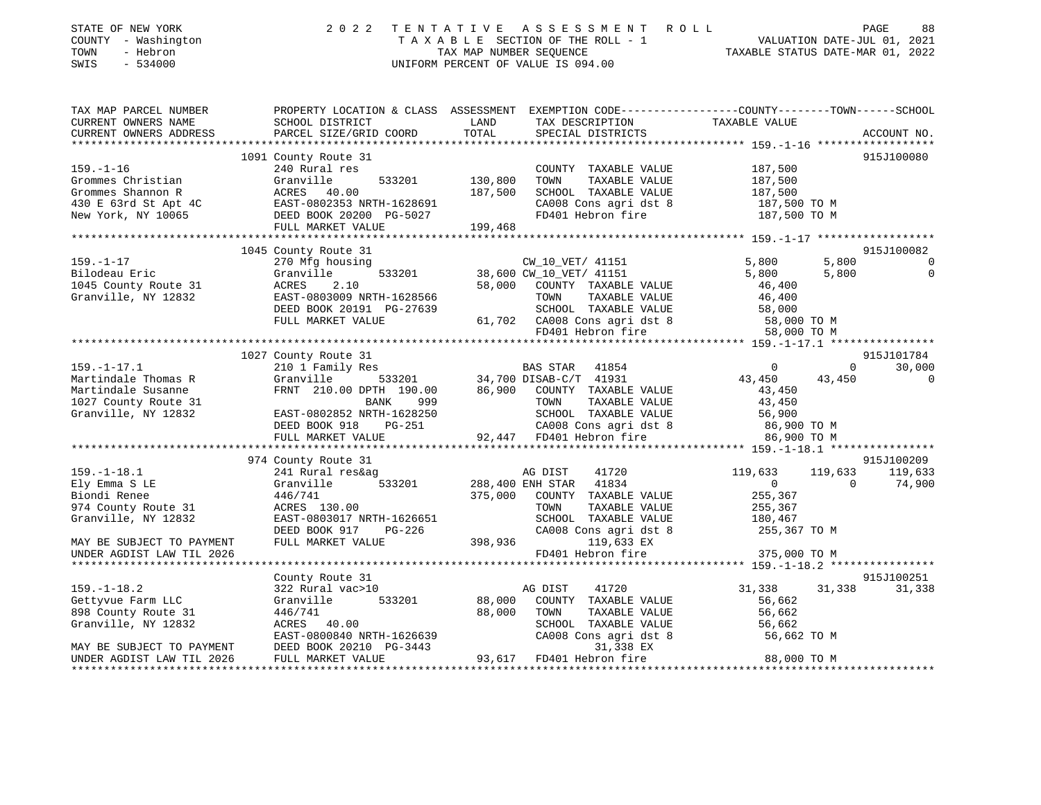| STATE OF NEW YORK<br>COUNTY - Washington<br>- Hebron<br>TOWN<br>SWIS<br>$-534000$                                                                                                                                 |                                                                                                                                               |               | 2022 TENTATIVE ASSESSMENT ROLL<br>TAXABLE SECTION OF THE ROLL - 1<br>TAXABLE SECTION OF THE ROLL - 1<br>TAXABLE STATUS DATE-MAR 01, 2022<br>UNIFORM PERCENT OF VALUE IS 094.00 |                                                               |                | PAGE<br>88                   |
|-------------------------------------------------------------------------------------------------------------------------------------------------------------------------------------------------------------------|-----------------------------------------------------------------------------------------------------------------------------------------------|---------------|--------------------------------------------------------------------------------------------------------------------------------------------------------------------------------|---------------------------------------------------------------|----------------|------------------------------|
| TAX MAP PARCEL NUMBER<br>CURRENT OWNERS NAME<br>CURRENT OWNERS ADDRESS                                                                                                                                            | PROPERTY LOCATION & CLASS ASSESSMENT EXEMPTION CODE----------------COUNTY-------TOWN------SCHOOL<br>SCHOOL DISTRICT<br>PARCEL SIZE/GRID COORD | LAND<br>TOTAL | TAX DESCRIPTION TAXABLE VALUE<br>SPECIAL DISTRICTS                                                                                                                             |                                                               |                | ACCOUNT NO.                  |
|                                                                                                                                                                                                                   |                                                                                                                                               |               |                                                                                                                                                                                |                                                               |                |                              |
|                                                                                                                                                                                                                   | 1091 County Route 31                                                                                                                          |               |                                                                                                                                                                                |                                                               |                | 915J100080                   |
| $159. - 1 - 16$<br>39.-1-10<br>Gramville 533201 130,800<br>Grommes Shannon R ACRES 40.00 187,500<br>430 E 63rd St Apt 4C EAST-0802353 NRTH-1628691<br>New York, NY 10065 DEED BOOK 20200 PG-5027<br>PULLE 199,468 | 240 Rural res                                                                                                                                 |               | COUNTY TAXABLE VALUE<br>TOWN<br>TAXABLE VALUE<br>SCHOOL TAXABLE VALUE<br>CA008 Cons agri dst 8                                                                                 | 187,500<br>187,500<br>187,500<br>187,500 TO M<br>187,500 TO M |                |                              |
|                                                                                                                                                                                                                   |                                                                                                                                               |               | FD401 Hebron fire                                                                                                                                                              |                                                               |                |                              |
|                                                                                                                                                                                                                   | FULL MARKET VALUE                                                                                                                             | 199,468       |                                                                                                                                                                                |                                                               |                |                              |
|                                                                                                                                                                                                                   |                                                                                                                                               |               |                                                                                                                                                                                |                                                               |                |                              |
| $159. - 1 - 17$                                                                                                                                                                                                   | 1045 County Route 31                                                                                                                          |               |                                                                                                                                                                                | 5,800                                                         | 5,800          | 915J100082<br>$\overline{0}$ |
| Bilodeau Eric                                                                                                                                                                                                     | 270 Mfg housing<br>Granville                                                                                                                  |               | CW_10_VET/ 41151                                                                                                                                                               | 5,800                                                         | 5,800          | $\overline{0}$               |
| 1045 County Route 31                                                                                                                                                                                              | 533201<br>2.10                                                                                                                                |               | 38,600 CW_10_VET/ 41151<br>58,000 COUNTY TAXABLE<br>58,000 COUNTY TAXABLE VALUE                                                                                                | 46,400                                                        |                |                              |
| Granville, NY 12832                                                                                                                                                                                               | EAST-0803009 NRTH-1628566                                                                                                                     |               | TOWN<br>TAXABLE VALUE                                                                                                                                                          | 46,400                                                        |                |                              |
|                                                                                                                                                                                                                   | - 70 +<br>Granv<br>ACRES<br>EAST<br>DEED BOOK 20191 PG-27639                                                                                  |               |                                                                                                                                                                                |                                                               |                |                              |
|                                                                                                                                                                                                                   | FULL MARKET VALUE                                                                                                                             |               | SCHOOL TAXABLE VALUE 58,000<br>61,702 CA008 Cons agri dst 8 58,000 TO M<br>FD401 Hebron fire 58,000 TO M                                                                       |                                                               |                |                              |
|                                                                                                                                                                                                                   |                                                                                                                                               |               |                                                                                                                                                                                |                                                               |                |                              |
|                                                                                                                                                                                                                   |                                                                                                                                               |               |                                                                                                                                                                                |                                                               |                |                              |
|                                                                                                                                                                                                                   | 1027 County Route 31                                                                                                                          |               |                                                                                                                                                                                |                                                               |                | 915J101784                   |
| $159. - 1 - 17.1$                                                                                                                                                                                                 | 210 1 Family Res                                                                                                                              |               | BAS STAR 41854                                                                                                                                                                 | $\overline{0}$                                                |                | $0 \t 30,000$                |
| Martindale Thomas R                                                                                                                                                                                               | Granville                                                                                                                                     |               | 533201 34,700 DISAB-C/T 41931<br>DPTH 190.00 86,900 COUNTY TAXABLE VALUE                                                                                                       | 43,450                                                        | 43,450         | $\overline{0}$               |
| Martindale Susanne                                                                                                                                                                                                | FRNT 210.00 DPTH 190.00                                                                                                                       |               |                                                                                                                                                                                | 43,450                                                        |                |                              |
| 1027 County Route 31                                                                                                                                                                                              | BANK<br>999                                                                                                                                   |               |                                                                                                                                                                                | 43,450                                                        |                |                              |
| Granville, NY 12832                                                                                                                                                                                               | EAST-0802852 NRTH-1628250                                                                                                                     |               | TOWN TAXABLE VALUE<br>SCHOOL TAXABLE VALUE<br>CA008 Cons agri dst 8<br>92,447 FD401 Hebron fire                                                                                | 56,900<br>86,900 то м                                         |                |                              |
|                                                                                                                                                                                                                   | PG-251<br>DEED BOOK 918                                                                                                                       |               |                                                                                                                                                                                |                                                               |                |                              |
|                                                                                                                                                                                                                   | FULL MARKET VALUE                                                                                                                             |               |                                                                                                                                                                                | 86,900 TO M                                                   |                |                              |
|                                                                                                                                                                                                                   |                                                                                                                                               |               |                                                                                                                                                                                |                                                               |                |                              |
|                                                                                                                                                                                                                   | 974 County Route 31                                                                                                                           |               |                                                                                                                                                                                |                                                               |                | 915J100209                   |
| $159. - 1 - 18.1$<br>Ely Emma S LE                                                                                                                                                                                | 241 Rural res&ag<br>Granville<br>533201                                                                                                       |               | AG DIST 41720<br>288,400 ENH STAR 41834                                                                                                                                        | 119,633<br>$\overline{0}$                                     | $\overline{0}$ | 119,633 119,633<br>74,900    |
| Biondi Renee                                                                                                                                                                                                      | 446/741                                                                                                                                       | 375,000       | COUNTY TAXABLE VALUE                                                                                                                                                           | 255,367                                                       |                |                              |
| 974 County Route 31                                                                                                                                                                                               | ACRES 130.00                                                                                                                                  |               | TOWN<br>TAXABLE VALUE                                                                                                                                                          | 255,367                                                       |                |                              |
| Granville, NY 12832                                                                                                                                                                                               | EAST-0803017 NRTH-1626651                                                                                                                     |               | SCHOOL TAXABLE VALUE                                                                                                                                                           |                                                               |                |                              |
|                                                                                                                                                                                                                   | DEED BOOK 917<br>PG-226                                                                                                                       |               | CA008 Cons agri dst 8                                                                                                                                                          | 180,467<br>255,367 TO M                                       |                |                              |
| MAY BE SUBJECT TO PAYMENT                                                                                                                                                                                         | FULL MARKET VALUE                                                                                                                             |               | 398,936 119,633 EX                                                                                                                                                             |                                                               |                |                              |
| UNDER AGDIST LAW TIL 2026                                                                                                                                                                                         |                                                                                                                                               |               | FD401 Hebron fire                                                                                                                                                              | 375,000 TO M                                                  |                |                              |
|                                                                                                                                                                                                                   |                                                                                                                                               |               |                                                                                                                                                                                |                                                               |                |                              |
|                                                                                                                                                                                                                   | County Route 31                                                                                                                               |               |                                                                                                                                                                                |                                                               |                | 915J100251                   |
| $159. - 1 - 18.2$                                                                                                                                                                                                 | 322 Rural vac>10                                                                                                                              |               | AG DIST<br>41720                                                                                                                                                               | 31,338                                                        |                | 31,338 31,338                |
| Gettyvue Farm LLC                                                                                                                                                                                                 | 533201<br>Granville                                                                                                                           | 88,000        | COUNTY TAXABLE VALUE                                                                                                                                                           | 56,662                                                        |                |                              |
| 898 County Route 31                                                                                                                                                                                               | 446/741                                                                                                                                       | 88,000        | TOWN<br>TAXABLE VALUE                                                                                                                                                          | 56,662                                                        |                |                              |
| Granville, NY 12832                                                                                                                                                                                               | ACRES 40.00                                                                                                                                   |               | SCHOOL TAXABLE VALUE                                                                                                                                                           | 56,662                                                        |                |                              |
|                                                                                                                                                                                                                   | EAST-0800840 NRTH-1626639                                                                                                                     |               | CA008 Cons agri dst 8                                                                                                                                                          | 56,662 TO M                                                   |                |                              |
| MAY BE SUBJECT TO PAYMENT                                                                                                                                                                                         | DEED BOOK 20210 PG-3443                                                                                                                       |               | 31,338 EX<br>93,617 FD401 Hebron fire                                                                                                                                          | 88,000 TO M                                                   |                |                              |
| UNDER AGDIST LAW TIL 2026                                                                                                                                                                                         | FULL MARKET VALUE                                                                                                                             |               |                                                                                                                                                                                |                                                               |                |                              |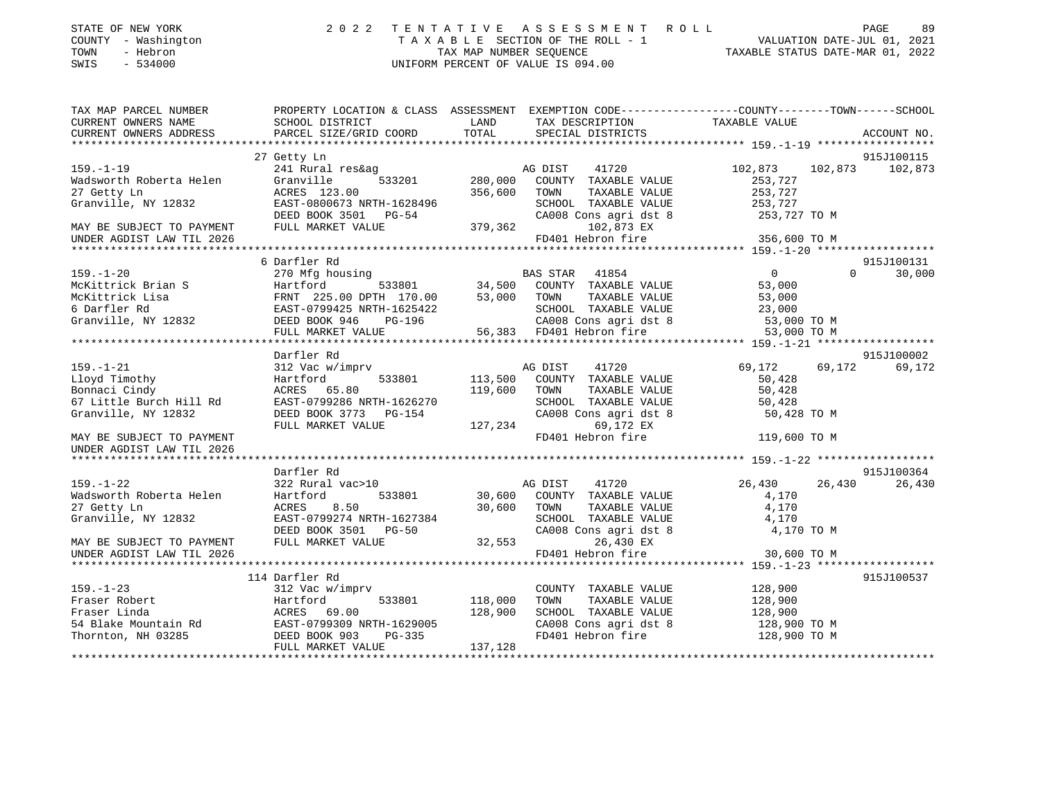| STATE OF NEW YORK |  |              |
|-------------------|--|--------------|
| COUNTY            |  | - Washington |
| TOWN              |  | - Hebron     |

## STATE OF NEW YORK 2 0 2 2 T E N T A T I V E A S S E S S M E N T R O L L PAGE 89 COUNTY - Washington T A X A B L E SECTION OF THE ROLL - 1 VALUATION DATE-JUL 01, 2021 TOWN - Hebron TAX MAP NUMBER SEQUENCE TAXABLE STATUS DATE-MAR 01, 2022 SWIS - 534000 UNIFORM PERCENT OF VALUE IS 094.00

| TAX MAP PARCEL NUMBER     |                                                                                                          |         |                                               | PROPERTY LOCATION & CLASS ASSESSMENT EXEMPTION CODE---------------COUNTY-------TOWN------SCHOOL |             |
|---------------------------|----------------------------------------------------------------------------------------------------------|---------|-----------------------------------------------|-------------------------------------------------------------------------------------------------|-------------|
| CURRENT OWNERS NAME       | SCHOOL DISTRICT                                                                                          | LAND    | TAX DESCRIPTION                               | TAXABLE VALUE                                                                                   |             |
| CURRENT OWNERS ADDRESS    | PARCEL SIZE/GRID COORD                                                                                   | TOTAL   | SPECIAL DISTRICTS                             |                                                                                                 | ACCOUNT NO. |
|                           |                                                                                                          |         |                                               |                                                                                                 |             |
|                           | 27 Getty Ln                                                                                              |         |                                               |                                                                                                 | 915J100115  |
| $159. - 1 - 19$           | 241 Rural res&ag                                                                                         |         | AG DIST<br>41720                              | 102,873<br>102,873                                                                              | 102,873     |
| Wadsworth Roberta Helen   | Granville<br>533201                                                                                      |         | 280,000 COUNTY TAXABLE VALUE                  | 253,727                                                                                         |             |
| 27 Getty Ln               | ACRES 123.00                                                                                             | 356,600 | TOWN<br>TAXABLE VALUE                         | 253,727                                                                                         |             |
| Granville, NY 12832       | EAST-0800673 NRTH-1628496                                                                                |         | SCHOOL TAXABLE VALUE                          | 253,727                                                                                         |             |
|                           | DEED BOOK 3501 PG-54                                                                                     |         | CA008 Cons agri dst 8                         | 253,727 TO M                                                                                    |             |
| MAY BE SUBJECT TO PAYMENT | FULL MARKET VALUE                                                                                        | 379,362 | 102,873 EX                                    |                                                                                                 |             |
| UNDER AGDIST LAW TIL 2026 |                                                                                                          |         | FD401 Hebron fire                             | 356,600 TO M                                                                                    |             |
|                           |                                                                                                          |         |                                               |                                                                                                 |             |
|                           | 6 Darfler Rd                                                                                             |         |                                               |                                                                                                 | 915J100131  |
| $159. - 1 - 20$           | 270 Mfg housing                                                                                          |         | BAS STAR 41854                                | $\overline{0}$<br>$\Omega$                                                                      | 30,000      |
| McKittrick Brian S        | Hartford                                                                                                 |         |                                               | 53,000                                                                                          |             |
| McKittrick Lisa           | S Hartford 533801<br>FRNT 225.00 DPTH 170.00<br>EAST-0799425 NRTH-1625422<br>832 DEED BOOK 946 PG-196    |         | TAXABLE VALUE                                 | 53,000                                                                                          |             |
| 6 Darfler Rd              |                                                                                                          |         | SCHOOL TAXABLE VALUE                          | 23,000                                                                                          |             |
| Granville, NY 12832       |                                                                                                          |         |                                               | 53,000 TO M                                                                                     |             |
|                           | FULL MARKET VALUE                                                                                        |         |                                               | 53,000 TO M                                                                                     |             |
|                           |                                                                                                          |         |                                               |                                                                                                 |             |
|                           |                                                                                                          |         |                                               |                                                                                                 |             |
|                           | Darfler Rd                                                                                               |         |                                               |                                                                                                 | 915J100002  |
| $159. - 1 - 21$           | 312 Vac w/imprv                                                                                          |         | AG DIST<br>41720                              | 69,172<br>69,172                                                                                | 69,172      |
| Lloyd Timothy             | Hartford<br>533801                                                                                       | 113,500 | COUNTY TAXABLE VALUE                          | 50,428                                                                                          |             |
| Bonnaci Cindy             | ACRES 65.80                                                                                              | 119,600 | TOWN<br>TAXABLE VALUE                         | 50,428                                                                                          |             |
| 67 Little Burch Hill Rd   | EAST-0799286 NRTH-1626270                                                                                |         | SCHOOL TAXABLE VALUE<br>CA008 Cons agri dst 8 | 50,428                                                                                          |             |
| Granville, NY 12832       | DEED BOOK 3773 PG-154                                                                                    |         |                                               | 50,428 TO M                                                                                     |             |
|                           | FULL MARKET VALUE                                                                                        | 127,234 | 69,172 EX                                     |                                                                                                 |             |
| MAY BE SUBJECT TO PAYMENT |                                                                                                          |         | FD401 Hebron fire                             | 119,600 TO M                                                                                    |             |
| UNDER AGDIST LAW TIL 2026 |                                                                                                          |         |                                               |                                                                                                 |             |
|                           |                                                                                                          |         |                                               |                                                                                                 |             |
|                           | Darfler Rd                                                                                               |         |                                               |                                                                                                 | 915J100364  |
| $159. - 1 - 22$           | 322 Rural vac>10                                                                                         |         | AG DIST<br>41720                              | 26,430<br>26,430                                                                                | 26,430      |
| Wadsworth Roberta Helen   | 533801<br>Hartford                                                                                       | 30,600  | COUNTY TAXABLE VALUE                          | 4,170                                                                                           |             |
| 27 Getty Ln               | 8.50<br>ACRES                                                                                            | 30,600  | TOWN<br>TAXABLE VALUE                         | 4,170                                                                                           |             |
| Granville, NY 12832       | EAST-0799274 NRTH-1627384                                                                                |         | SCHOOL TAXABLE VALUE<br>CA008 Cons agri dst 8 | 4,170                                                                                           |             |
|                           | DEED BOOK 3501 PG-50                                                                                     |         |                                               | 4,170 TO M                                                                                      |             |
| MAY BE SUBJECT TO PAYMENT | FULL MARKET VALUE                                                                                        | 32,553  | 26,430 EX                                     |                                                                                                 |             |
| UNDER AGDIST LAW TIL 2026 |                                                                                                          |         | FD401 Hebron fire                             | 30,600 TO M                                                                                     |             |
|                           |                                                                                                          |         |                                               |                                                                                                 |             |
|                           | 114 Darfler Rd                                                                                           |         |                                               |                                                                                                 | 915J100537  |
| $159. - 1 - 23$           | 312 Vac w/imprv                                                                                          |         | COUNTY TAXABLE VALUE                          | 128,900                                                                                         |             |
| Fraser Robert             | 533801<br>Hartford                                                                                       | 118,000 | TOWN<br>TAXABLE VALUE                         | 128,900                                                                                         |             |
|                           |                                                                                                          | 128,900 | SCHOOL TAXABLE VALUE                          | 128,900                                                                                         |             |
|                           |                                                                                                          |         | CA008 Cons agri dst 8                         | 128,900 TO M                                                                                    |             |
|                           | Fraser Linda<br>54 Blake Mountain Rd<br>Thornton, NH 03285<br>Thornton, NH 03285<br>DEED BOOK 903 PG-335 |         | FD401 Hebron fire                             | 128,900 TO M                                                                                    |             |
|                           | FULL MARKET VALUE                                                                                        | 137,128 |                                               |                                                                                                 |             |
|                           |                                                                                                          |         |                                               |                                                                                                 |             |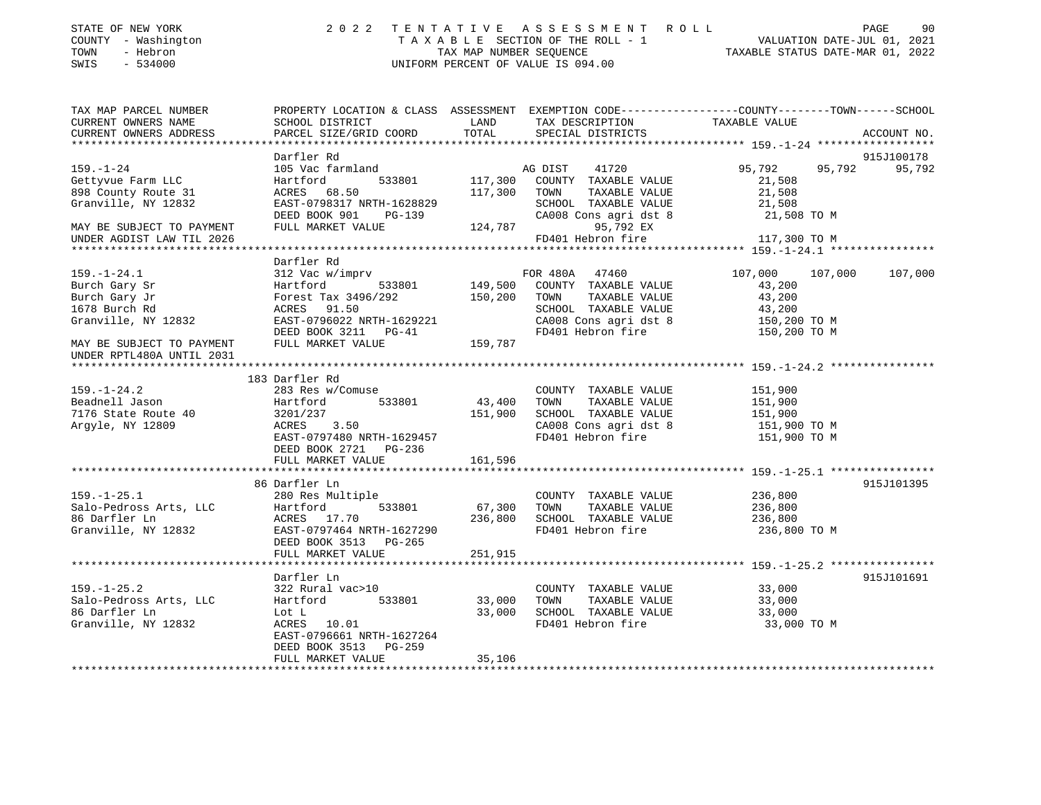| STATE OF NEW YORK<br>COUNTY - Washington<br>TOWN<br>- Hebron<br>SWIS<br>$-534000$ |                                                    |                    | 2022 TENTATIVE ASSESSMENT ROLL<br>UNIFORM PERCENT OF VALUE IS 094.00 | TAXABLE SECTION OF THE ROLL - 1<br>TAXABLE SECTION OF THE ROLL - 1<br>TAX MAP NUMBER SEQUENCE TAXABLE STATUS DATE-MAR 01, 2022 | PAGE<br>90    |
|-----------------------------------------------------------------------------------|----------------------------------------------------|--------------------|----------------------------------------------------------------------|--------------------------------------------------------------------------------------------------------------------------------|---------------|
| TAX MAP PARCEL NUMBER<br>CURRENT OWNERS NAME<br>CURRENT OWNERS ADDRESS            | SCHOOL DISTRICT<br>PARCEL SIZE/GRID COORD          | LAND<br>TOTAL      | TAX DESCRIPTION TAXABLE VALUE<br>SPECIAL DISTRICTS                   | PROPERTY LOCATION & CLASS ASSESSMENT EXEMPTION CODE----------------COUNTY-------TOWN-----SCHOOL                                | ACCOUNT NO.   |
|                                                                                   |                                                    |                    |                                                                      |                                                                                                                                |               |
|                                                                                   | Darfler Rd                                         |                    |                                                                      |                                                                                                                                | 915J100178    |
| 159.-1-24                                                                         | 105 Vac farmland                                   |                    | AG DIST<br>41720                                                     | 95,792                                                                                                                         | 95,792 95,792 |
| Gettyvue Farm LLC                                                                 | Hartford                                           | 533801 117,300     | COUNTY TAXABLE VALUE                                                 | 21,508                                                                                                                         |               |
| 898 County Route 31                                                               | ACRES 68.50                                        | 117,300            | TOWN<br>TAXABLE VALUE                                                | 21,508                                                                                                                         |               |
| Granville, NY 12832                                                               | EAST-0798317 NRTH-1628829                          |                    | SCHOOL TAXABLE VALUE                                                 | 21,508                                                                                                                         |               |
|                                                                                   | DEED BOOK 901<br>PG-139                            |                    | CA008 Cons agri dst 8 21,508 TO M                                    |                                                                                                                                |               |
| MAY BE SUBJECT TO PAYMENT<br>UNDER AGDIST LAW TIL 2026                            | FULL MARKET VALUE                                  | 124,787            | 95,792 EX<br>FD401 Hebron fire                                       | 117,300 TO M                                                                                                                   |               |
|                                                                                   |                                                    |                    |                                                                      |                                                                                                                                |               |
|                                                                                   | Darfler Rd                                         |                    |                                                                      |                                                                                                                                |               |
| $159. - 1 - 24.1$                                                                 | 312 Vac w/imprv                                    |                    | FOR 480A 47460                                                       | 107,000<br>107,000                                                                                                             | 107,000       |
| Burch Gary Sr                                                                     | Hartford 533801                                    | 149,500            | COUNTY TAXABLE VALUE                                                 | 43,200                                                                                                                         |               |
| Burch Gary Jr                                                                     | Forest Tax 3496/292                                | 150,200            | TOWN TAXABLE VALUE                                                   | 43,200                                                                                                                         |               |
| 1678 Burch Rd                                                                     | ACRES 91.50                                        |                    | SCHOOL TAXABLE VALUE                                                 | 43,200                                                                                                                         |               |
| Granville, NY 12832                                                               | EAST-0796022 NRTH-1629221<br>DEED BOOK 3211 PG-41  |                    | CA008 Cons agri dst 8<br>FD401 Hebron fire                           | 150,200 TO M<br>150,200 TO M                                                                                                   |               |
| MAY BE SUBJECT TO PAYMENT<br>UNDER RPTL480A UNTIL 2031                            | FULL MARKET VALUE                                  | $PG-41$<br>159,787 |                                                                      |                                                                                                                                |               |
|                                                                                   |                                                    |                    |                                                                      |                                                                                                                                |               |
|                                                                                   | 183 Darfler Rd                                     |                    |                                                                      |                                                                                                                                |               |
| $159. - 1 - 24.2$                                                                 | 283 Res w/Comuse                                   |                    | COUNTY TAXABLE VALUE                                                 | 151,900                                                                                                                        |               |
| Beadnell Jason                                                                    | 533801<br>Hartford                                 | 43,400             | TOWN TAXABLE VALUE                                                   | 151,900                                                                                                                        |               |
| 7176 State Route 40                                                               | 3201/237                                           | 151,900            | SCHOOL TAXABLE VALUE                                                 | 151,900                                                                                                                        |               |
| Argyle, NY 12809                                                                  | 3.50<br>ACRES                                      |                    | CA008 Cons agri dst 8                                                | 151,900 TO M                                                                                                                   |               |
|                                                                                   | EAST-0797480 NRTH-1629457<br>DEED BOOK 2721 PG-236 |                    | FD401 Hebron fire                                                    | 151,900 TO M                                                                                                                   |               |
|                                                                                   | FULL MARKET VALUE                                  | 161,596            |                                                                      |                                                                                                                                |               |
|                                                                                   | 86 Darfler Ln                                      |                    |                                                                      |                                                                                                                                | 915J101395    |
| $159. - 1 - 25.1$                                                                 | 280 Res Multiple                                   |                    | COUNTY TAXABLE VALUE                                                 | 236,800                                                                                                                        |               |
| Salo-Pedross Arts, LLC                                                            | 533801<br>Hartford                                 | 67,300             | TOWN<br>TAXABLE VALUE                                                | 236,800                                                                                                                        |               |
| 86 Darfler Ln                                                                     | ACRES 17.70                                        | 236,800            | SCHOOL TAXABLE VALUE                                                 | 236,800                                                                                                                        |               |
| Granville, NY 12832                                                               | EAST-0797464 NRTH-1627290                          |                    | FD401 Hebron fire                                                    | 236,800 TO M                                                                                                                   |               |
|                                                                                   | DEED BOOK 3513 PG-265                              |                    |                                                                      |                                                                                                                                |               |
|                                                                                   | FULL MARKET VALUE                                  | 251,915            |                                                                      |                                                                                                                                |               |
|                                                                                   |                                                    |                    |                                                                      |                                                                                                                                |               |
|                                                                                   | Darfler Ln                                         |                    |                                                                      |                                                                                                                                | 915J101691    |
| $159. - 1 - 25.2$                                                                 | 322 Rural vac>10                                   |                    | COUNTY TAXABLE VALUE                                                 | 33,000                                                                                                                         |               |
| Salo-Pedross Arts, LLC                                                            | Hartford<br>533801                                 | 33,000             | TOWN<br>TAXABLE VALUE                                                | 33,000                                                                                                                         |               |
| 86 Darfler Ln<br>Granville, NY 12832                                              | Lot L<br>ACRES 10.01                               | 33,000             | SCHOOL TAXABLE VALUE<br>FD401 Hebron fire                            | 33,000<br>33,000 TO M                                                                                                          |               |
|                                                                                   | EAST-0796661 NRTH-1627264                          |                    |                                                                      |                                                                                                                                |               |
|                                                                                   | DEED BOOK 3513 PG-259<br>FULL MARKET VALUE         | 35,106             |                                                                      |                                                                                                                                |               |
|                                                                                   |                                                    |                    |                                                                      |                                                                                                                                |               |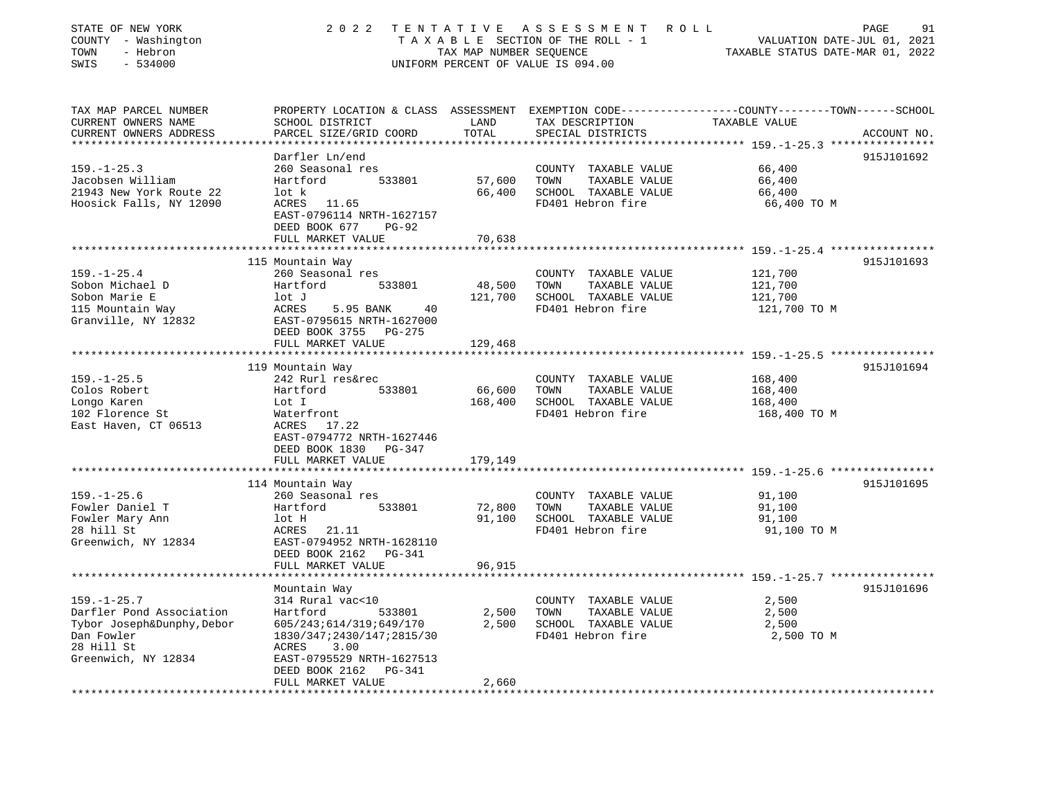| STATE OF NEW YORK<br>COUNTY - Washington<br>- Hebron<br>TOWN<br>SWIS<br>$-534000$                                              | 2 0 2 2                                                                                                                                      | TENTATIVE<br>TAX MAP NUMBER SEQUENCE | ASSESSMENT<br>ROLL<br>TAXABLE SECTION OF THE ROLL - 1<br>UNIFORM PERCENT OF VALUE IS 094.00                                             | VALUATION DATE-JUL 01, 2021<br>TAXABLE STATUS DATE-MAR 01, 2022 | 91<br>PAGE  |
|--------------------------------------------------------------------------------------------------------------------------------|----------------------------------------------------------------------------------------------------------------------------------------------|--------------------------------------|-----------------------------------------------------------------------------------------------------------------------------------------|-----------------------------------------------------------------|-------------|
| TAX MAP PARCEL NUMBER<br>CURRENT OWNERS NAME<br>CURRENT OWNERS ADDRESS                                                         | SCHOOL DISTRICT<br>PARCEL SIZE/GRID COORD                                                                                                    | LAND<br>TOTAL                        | PROPERTY LOCATION & CLASS ASSESSMENT EXEMPTION CODE---------------COUNTY-------TOWN------SCHOOL<br>TAX DESCRIPTION<br>SPECIAL DISTRICTS | TAXABLE VALUE                                                   | ACCOUNT NO. |
| ***********************                                                                                                        |                                                                                                                                              |                                      |                                                                                                                                         |                                                                 |             |
| $159. - 1 - 25.3$<br>Jacobsen William<br>21943 New York Route 22<br>Hoosick Falls, NY 12090                                    | Darfler Ln/end<br>260 Seasonal res<br>533801<br>Hartford<br>lot k<br>ACRES<br>11.65<br>EAST-0796114 NRTH-1627157<br>DEED BOOK 677<br>$PG-92$ | 57,600<br>66,400                     | COUNTY TAXABLE VALUE<br>TOWN<br>TAXABLE VALUE<br>SCHOOL TAXABLE VALUE<br>FD401 Hebron fire                                              | 66,400<br>66,400<br>66,400<br>66,400 TO M                       | 915J101692  |
|                                                                                                                                | FULL MARKET VALUE                                                                                                                            | 70,638                               |                                                                                                                                         |                                                                 |             |
| $159. - 1 - 25.4$<br>Sobon Michael D                                                                                           | 115 Mountain Way<br>260 Seasonal res<br>Hartford<br>533801                                                                                   | 48,500                               | COUNTY TAXABLE VALUE<br>TOWN<br>TAXABLE VALUE                                                                                           | 121,700<br>121,700                                              | 915J101693  |
| Sobon Marie E<br>115 Mountain Way<br>Granville, NY 12832                                                                       | lot J<br>ACRES<br>5.95 BANK<br>40<br>EAST-0795615 NRTH-1627000<br>DEED BOOK 3755<br>PG-275                                                   | 121,700                              | SCHOOL TAXABLE VALUE<br>FD401 Hebron fire                                                                                               | 121,700<br>121,700 TO M                                         |             |
|                                                                                                                                | FULL MARKET VALUE                                                                                                                            | 129,468                              |                                                                                                                                         |                                                                 |             |
|                                                                                                                                | 119 Mountain Way                                                                                                                             |                                      |                                                                                                                                         | ****** 159. -1-25.5 *****************                           | 915J101694  |
| $159. - 1 - 25.5$<br>Colos Robert<br>Longo Karen<br>102 Florence St<br>East Haven, CT 06513                                    | 242 Rurl res&rec<br>533801<br>Hartford<br>Lot I<br>Waterfront<br>ACRES<br>17.22<br>EAST-0794772 NRTH-1627446<br>DEED BOOK 1830<br>PG-347     | 66,600<br>168,400                    | COUNTY TAXABLE VALUE<br>TAXABLE VALUE<br>TOWN<br>SCHOOL TAXABLE VALUE<br>FD401 Hebron fire                                              | 168,400<br>168,400<br>168,400<br>168,400 TO M                   |             |
|                                                                                                                                | FULL MARKET VALUE                                                                                                                            | 179,149                              |                                                                                                                                         |                                                                 |             |
| $159. - 1 - 25.6$<br>Fowler Daniel T<br>Fowler Mary Ann<br>28 hill St<br>Greenwich, NY 12834                                   | 114 Mountain Way<br>260 Seasonal res<br>Hartford<br>533801<br>lot H<br>21.11<br>ACRES<br>EAST-0794952 NRTH-1628110                           | 72,800<br>91,100                     | COUNTY TAXABLE VALUE<br>TAXABLE VALUE<br>TOWN<br>SCHOOL TAXABLE VALUE<br>FD401 Hebron fire                                              | 91,100<br>91,100<br>91,100<br>91,100 TO M                       | 915J101695  |
|                                                                                                                                | DEED BOOK 2162<br>PG-341<br>FULL MARKET VALUE                                                                                                | 96,915                               |                                                                                                                                         | ***************** 159.-1-25.7 *****************                 |             |
|                                                                                                                                | Mountain Way                                                                                                                                 |                                      |                                                                                                                                         |                                                                 | 915J101696  |
| $159. - 1 - 25.7$<br>Darfler Pond Association<br>Tybor Joseph&Dunphy, Debor<br>Dan Fowler<br>28 Hill St<br>Greenwich, NY 12834 | 314 Rural vac<10<br>Hartford<br>533801<br>605/243;614/319;649/170<br>1830/347;2430/147;2815/30<br>3.00<br>ACRES<br>EAST-0795529 NRTH-1627513 | 2,500<br>2,500                       | COUNTY TAXABLE VALUE<br>TOWN<br>TAXABLE VALUE<br>SCHOOL TAXABLE VALUE<br>FD401 Hebron fire                                              | 2,500<br>2,500<br>2,500<br>2,500 TO M                           |             |
|                                                                                                                                | DEED BOOK 2162<br>PG-341<br>FULL MARKET VALUE                                                                                                | 2,660                                |                                                                                                                                         |                                                                 |             |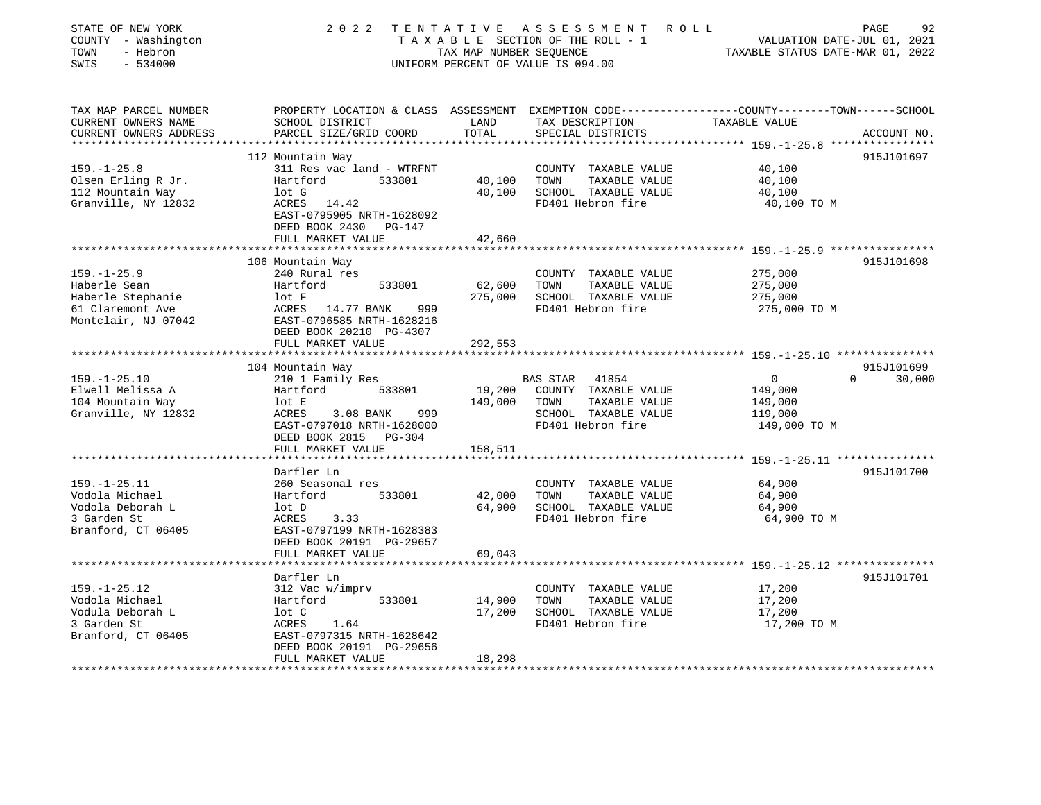| STATE OF NEW YORK<br>COUNTY - Washington<br>- Hebron<br>TOWN<br>SWIS<br>$-534000$                         | 2 0 2 2                                                                                                                                                                | TAX MAP NUMBER SEOUENCE    | TENTATIVE ASSESSMENT ROLL<br>TAXABLE SECTION OF THE ROLL - 1<br>UNIFORM PERCENT OF VALUE IS 094.00                                     | VALUATION DATE-JUL 01, 2021<br>TAXABLE STATUS DATE-MAR 01, 2022                                              | PAGE<br>92  |
|-----------------------------------------------------------------------------------------------------------|------------------------------------------------------------------------------------------------------------------------------------------------------------------------|----------------------------|----------------------------------------------------------------------------------------------------------------------------------------|--------------------------------------------------------------------------------------------------------------|-------------|
| TAX MAP PARCEL NUMBER<br>CURRENT OWNERS NAME<br>CURRENT OWNERS ADDRESS                                    | SCHOOL DISTRICT<br>PARCEL SIZE/GRID COORD                                                                                                                              | LAND<br>TOTAL              | PROPERTY LOCATION & CLASS ASSESSMENT EXEMPTION CODE---------------COUNTY-------TOWN-----SCHOOL<br>TAX DESCRIPTION<br>SPECIAL DISTRICTS | TAXABLE VALUE                                                                                                | ACCOUNT NO. |
| *******************<br>$159. - 1 - 25.8$<br>Olsen Erling R Jr.<br>112 Mountain Way<br>Granville, NY 12832 | 112 Mountain Way<br>311 Res vac land - WTRFNT<br>Hartford<br>533801<br>lot G<br>ACRES 14.42<br>EAST-0795905 NRTH-1628092<br>DEED BOOK 2430 PG-147<br>FULL MARKET VALUE | 40,100<br>40,100<br>42,660 | COUNTY TAXABLE VALUE<br>TAXABLE VALUE<br>TOWN<br>SCHOOL TAXABLE VALUE<br>FD401 Hebron fire                                             | ********************************* 159. -1-25.8 ****************<br>40,100<br>40,100<br>40,100<br>40,100 TO M | 915J101697  |
|                                                                                                           |                                                                                                                                                                        |                            |                                                                                                                                        |                                                                                                              |             |
| $159. - 1 - 25.9$<br>Haberle Sean<br>Haberle Stephanie<br>61 Claremont Ave<br>Montclair, NJ 07042         | 106 Mountain Way<br>240 Rural res<br>Hartford<br>533801<br>lot F<br>ACRES 14.77 BANK<br>999<br>EAST-0796585 NRTH-1628216<br>DEED BOOK 20210 PG-4307                    | 62,600<br>275,000          | COUNTY TAXABLE VALUE<br>TOWN<br>TAXABLE VALUE<br>SCHOOL TAXABLE VALUE<br>FD401 Hebron fire                                             | 275,000<br>275,000<br>275,000<br>275,000 TO M                                                                | 915J101698  |
|                                                                                                           | FULL MARKET VALUE                                                                                                                                                      | 292,553                    |                                                                                                                                        |                                                                                                              |             |
|                                                                                                           | ***********************                                                                                                                                                |                            |                                                                                                                                        |                                                                                                              |             |
|                                                                                                           | 104 Mountain Way                                                                                                                                                       |                            |                                                                                                                                        |                                                                                                              | 915J101699  |
| $159. - 1 - 25.10$<br>Elwell Melissa A<br>104 Mountain Way<br>Granville, NY 12832                         | 210 1 Family Res<br>533801<br>Hartford<br>lot E<br>ACRES<br>$3.08$ BANK<br>999<br>EAST-0797018 NRTH-1628000<br>DEED BOOK 2815 PG-304                                   | 19,200<br>149,000          | BAS STAR<br>41854<br>COUNTY TAXABLE VALUE<br>TAXABLE VALUE<br>TOWN<br>SCHOOL TAXABLE VALUE<br>FD401 Hebron fire                        | $\overline{0}$<br>$\Omega$<br>149,000<br>149,000<br>119,000<br>149,000 TO M                                  | 30,000      |
|                                                                                                           | FULL MARKET VALUE                                                                                                                                                      | 158,511                    |                                                                                                                                        |                                                                                                              |             |
| $159. - 1 - 25.11$                                                                                        | Darfler Ln<br>260 Seasonal res                                                                                                                                         |                            | COUNTY TAXABLE VALUE                                                                                                                   | ***************************** 159.-1-25.11 ***************<br>64,900                                         | 915J101700  |
| Vodola Michael<br>Vodola Deborah L<br>3 Garden St<br>Branford, CT 06405                                   | Hartford<br>533801<br>lot D<br>3.33<br>ACRES<br>EAST-0797199 NRTH-1628383<br>DEED BOOK 20191 PG-29657<br>FULL MARKET VALUE                                             | 42,000<br>64,900<br>69,043 | TAXABLE VALUE<br>TOWN<br>SCHOOL TAXABLE VALUE<br>FD401 Hebron fire                                                                     | 64,900<br>64,900<br>64,900 TO M                                                                              |             |
|                                                                                                           |                                                                                                                                                                        |                            |                                                                                                                                        | ************************ 159.-1-25.12 ***************                                                        |             |
| $159. - 1 - 25.12$<br>Vodola Michael<br>Vodula Deborah L<br>3 Garden St<br>Branford, CT 06405             | Darfler Ln<br>312 Vac w/imprv<br>Hartford<br>533801<br>lot C<br>1.64<br>ACRES<br>EAST-0797315 NRTH-1628642<br>DEED BOOK 20191 PG-29656                                 | 14,900<br>17,200           | COUNTY TAXABLE VALUE<br>TAXABLE VALUE<br>TOWN<br>SCHOOL TAXABLE VALUE<br>FD401 Hebron fire                                             | 17,200<br>17,200<br>17,200<br>17,200 TO M                                                                    | 915J101701  |
|                                                                                                           | FULL MARKET VALUE                                                                                                                                                      | 18,298                     |                                                                                                                                        |                                                                                                              |             |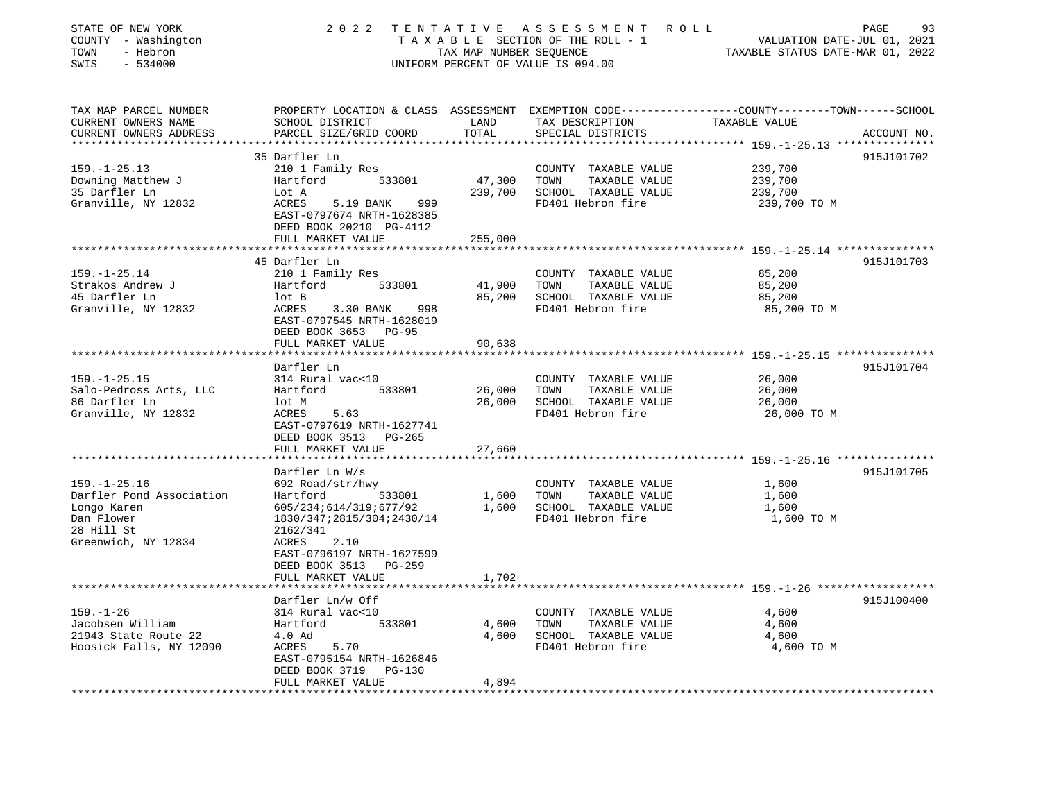| PROPERTY LOCATION & CLASS ASSESSMENT EXEMPTION CODE---------------COUNTY-------TOWN------SCHOOL<br>TAX MAP PARCEL NUMBER<br>CURRENT OWNERS NAME<br>SCHOOL DISTRICT<br>LAND<br>TAX DESCRIPTION<br>TAXABLE VALUE<br>TOTAL<br>CURRENT OWNERS ADDRESS<br>PARCEL SIZE/GRID COORD<br>SPECIAL DISTRICTS<br>ACCOUNT NO.<br>*************************<br>35 Darfler Ln<br>915J101702<br>$159. - 1 - 25.13$<br>239,700<br>210 1 Family Res<br>COUNTY TAXABLE VALUE<br>Downing Matthew J<br>47,300<br>TOWN<br>239,700<br>533801<br>TAXABLE VALUE<br>Hartford<br>35 Darfler Ln<br>239,700<br>SCHOOL TAXABLE VALUE<br>Lot A<br>239,700<br>Granville, NY 12832<br>FD401 Hebron fire<br>ACRES<br>5.19 BANK<br>999<br>239,700 TO M<br>EAST-0797674 NRTH-1628385<br>DEED BOOK 20210 PG-4112<br>FULL MARKET VALUE<br>255,000<br>45 Darfler Ln<br>915J101703<br>$159. - 1 - 25.14$<br>210 1 Family Res<br>COUNTY TAXABLE VALUE<br>85,200<br>Strakos Andrew J<br>41,900<br>TOWN<br>TAXABLE VALUE<br>85,200<br>Hartford<br>533801<br>45 Darfler Ln<br>85,200<br>SCHOOL TAXABLE VALUE<br>85,200<br>lot B<br>Granville, NY 12832<br>FD401 Hebron fire<br>85,200 TO M<br>ACRES<br>3.30 BANK<br>998<br>EAST-0797545 NRTH-1628019<br>DEED BOOK 3653 PG-95<br>FULL MARKET VALUE<br>90,638<br>*********<br>*************************<br>*******************<br>************************ 159.-1-25.15 ****************<br>Darfler Ln<br>915J101704<br>$159. - 1 - 25.15$<br>314 Rural vac<10<br>26,000<br>COUNTY TAXABLE VALUE<br>Salo-Pedross Arts, LLC<br>533801<br>26,000<br>TAXABLE VALUE<br>26,000<br>Hartford<br>TOWN<br>86 Darfler Ln<br>26,000<br>SCHOOL TAXABLE VALUE<br>26,000<br>lot M<br>Granville, NY 12832<br>FD401 Hebron fire<br>ACRES<br>5.63<br>26,000 TO M<br>EAST-0797619 NRTH-1627741<br>DEED BOOK 3513 PG-265<br>FULL MARKET VALUE<br>27,660<br>****************************** 159.-1-25.16 ***************<br>915J101705<br>Darfler Ln W/s<br>$159. - 1 - 25.16$<br>692 Road/str/hwy<br>COUNTY TAXABLE VALUE<br>1,600<br>Darfler Pond Association<br>Hartford<br>533801<br>1,600<br>TOWN<br>TAXABLE VALUE<br>1,600<br>1,600<br>SCHOOL TAXABLE VALUE<br>Longo Karen<br>605/234;614/319;677/92<br>1,600<br>FD401 Hebron fire<br>Dan Flower<br>1830/347;2815/304;2430/14<br>1,600 TO M<br>28 Hill St<br>2162/341<br>Greenwich, NY 12834<br>ACRES<br>2.10<br>EAST-0796197 NRTH-1627599<br>DEED BOOK 3513 PG-259<br>FULL MARKET VALUE<br>1,702<br>*******************<br>915J100400<br>Darfler Ln/w Off<br>$159. - 1 - 26$<br>314 Rural vac<10<br>4,600<br>COUNTY TAXABLE VALUE<br>4,600<br>Jacobsen William<br>Hartford<br>533801<br>TOWN<br>TAXABLE VALUE<br>4,600<br>21943 State Route 22<br>SCHOOL TAXABLE VALUE<br>4.0 Ad<br>4,600<br>4,600<br>Hoosick Falls, NY 12090<br>FD401 Hebron fire<br>4,600 TO M<br>ACRES<br>5.70<br>EAST-0795154 NRTH-1626846<br>DEED BOOK 3719<br>PG-130<br>FULL MARKET VALUE<br>4,894 | STATE OF NEW YORK<br>COUNTY - Washington<br>- Hebron<br>TOWN<br>SWIS<br>$-534000$ | 2 0 2 2 | TENTATIVE<br>TAX MAP NUMBER SEQUENCE | A S S E S S M E N T<br>TAXABLE SECTION OF THE ROLL - 1<br>UNIFORM PERCENT OF VALUE IS 094.00 | 93<br>R O L L<br>PAGE<br>VALUATION DATE-JUL 01, 2021<br>TAXABLE STATUS DATE-MAR 01, 2022 |
|-------------------------------------------------------------------------------------------------------------------------------------------------------------------------------------------------------------------------------------------------------------------------------------------------------------------------------------------------------------------------------------------------------------------------------------------------------------------------------------------------------------------------------------------------------------------------------------------------------------------------------------------------------------------------------------------------------------------------------------------------------------------------------------------------------------------------------------------------------------------------------------------------------------------------------------------------------------------------------------------------------------------------------------------------------------------------------------------------------------------------------------------------------------------------------------------------------------------------------------------------------------------------------------------------------------------------------------------------------------------------------------------------------------------------------------------------------------------------------------------------------------------------------------------------------------------------------------------------------------------------------------------------------------------------------------------------------------------------------------------------------------------------------------------------------------------------------------------------------------------------------------------------------------------------------------------------------------------------------------------------------------------------------------------------------------------------------------------------------------------------------------------------------------------------------------------------------------------------------------------------------------------------------------------------------------------------------------------------------------------------------------------------------------------------------------------------------------------------------------------------------------------------------------------------------------------------------------------------------------------------------------------------------------------------------------------------------------------------------------------------------------------------------------------------------------------------------------------------------------------------------------------------------------|-----------------------------------------------------------------------------------|---------|--------------------------------------|----------------------------------------------------------------------------------------------|------------------------------------------------------------------------------------------|
|                                                                                                                                                                                                                                                                                                                                                                                                                                                                                                                                                                                                                                                                                                                                                                                                                                                                                                                                                                                                                                                                                                                                                                                                                                                                                                                                                                                                                                                                                                                                                                                                                                                                                                                                                                                                                                                                                                                                                                                                                                                                                                                                                                                                                                                                                                                                                                                                                                                                                                                                                                                                                                                                                                                                                                                                                                                                                                             |                                                                                   |         |                                      |                                                                                              |                                                                                          |
|                                                                                                                                                                                                                                                                                                                                                                                                                                                                                                                                                                                                                                                                                                                                                                                                                                                                                                                                                                                                                                                                                                                                                                                                                                                                                                                                                                                                                                                                                                                                                                                                                                                                                                                                                                                                                                                                                                                                                                                                                                                                                                                                                                                                                                                                                                                                                                                                                                                                                                                                                                                                                                                                                                                                                                                                                                                                                                             |                                                                                   |         |                                      |                                                                                              |                                                                                          |
|                                                                                                                                                                                                                                                                                                                                                                                                                                                                                                                                                                                                                                                                                                                                                                                                                                                                                                                                                                                                                                                                                                                                                                                                                                                                                                                                                                                                                                                                                                                                                                                                                                                                                                                                                                                                                                                                                                                                                                                                                                                                                                                                                                                                                                                                                                                                                                                                                                                                                                                                                                                                                                                                                                                                                                                                                                                                                                             |                                                                                   |         |                                      |                                                                                              |                                                                                          |
|                                                                                                                                                                                                                                                                                                                                                                                                                                                                                                                                                                                                                                                                                                                                                                                                                                                                                                                                                                                                                                                                                                                                                                                                                                                                                                                                                                                                                                                                                                                                                                                                                                                                                                                                                                                                                                                                                                                                                                                                                                                                                                                                                                                                                                                                                                                                                                                                                                                                                                                                                                                                                                                                                                                                                                                                                                                                                                             |                                                                                   |         |                                      |                                                                                              |                                                                                          |
|                                                                                                                                                                                                                                                                                                                                                                                                                                                                                                                                                                                                                                                                                                                                                                                                                                                                                                                                                                                                                                                                                                                                                                                                                                                                                                                                                                                                                                                                                                                                                                                                                                                                                                                                                                                                                                                                                                                                                                                                                                                                                                                                                                                                                                                                                                                                                                                                                                                                                                                                                                                                                                                                                                                                                                                                                                                                                                             |                                                                                   |         |                                      |                                                                                              |                                                                                          |
|                                                                                                                                                                                                                                                                                                                                                                                                                                                                                                                                                                                                                                                                                                                                                                                                                                                                                                                                                                                                                                                                                                                                                                                                                                                                                                                                                                                                                                                                                                                                                                                                                                                                                                                                                                                                                                                                                                                                                                                                                                                                                                                                                                                                                                                                                                                                                                                                                                                                                                                                                                                                                                                                                                                                                                                                                                                                                                             |                                                                                   |         |                                      |                                                                                              |                                                                                          |
|                                                                                                                                                                                                                                                                                                                                                                                                                                                                                                                                                                                                                                                                                                                                                                                                                                                                                                                                                                                                                                                                                                                                                                                                                                                                                                                                                                                                                                                                                                                                                                                                                                                                                                                                                                                                                                                                                                                                                                                                                                                                                                                                                                                                                                                                                                                                                                                                                                                                                                                                                                                                                                                                                                                                                                                                                                                                                                             |                                                                                   |         |                                      |                                                                                              |                                                                                          |
|                                                                                                                                                                                                                                                                                                                                                                                                                                                                                                                                                                                                                                                                                                                                                                                                                                                                                                                                                                                                                                                                                                                                                                                                                                                                                                                                                                                                                                                                                                                                                                                                                                                                                                                                                                                                                                                                                                                                                                                                                                                                                                                                                                                                                                                                                                                                                                                                                                                                                                                                                                                                                                                                                                                                                                                                                                                                                                             |                                                                                   |         |                                      |                                                                                              |                                                                                          |
|                                                                                                                                                                                                                                                                                                                                                                                                                                                                                                                                                                                                                                                                                                                                                                                                                                                                                                                                                                                                                                                                                                                                                                                                                                                                                                                                                                                                                                                                                                                                                                                                                                                                                                                                                                                                                                                                                                                                                                                                                                                                                                                                                                                                                                                                                                                                                                                                                                                                                                                                                                                                                                                                                                                                                                                                                                                                                                             |                                                                                   |         |                                      |                                                                                              |                                                                                          |
|                                                                                                                                                                                                                                                                                                                                                                                                                                                                                                                                                                                                                                                                                                                                                                                                                                                                                                                                                                                                                                                                                                                                                                                                                                                                                                                                                                                                                                                                                                                                                                                                                                                                                                                                                                                                                                                                                                                                                                                                                                                                                                                                                                                                                                                                                                                                                                                                                                                                                                                                                                                                                                                                                                                                                                                                                                                                                                             |                                                                                   |         |                                      |                                                                                              |                                                                                          |
|                                                                                                                                                                                                                                                                                                                                                                                                                                                                                                                                                                                                                                                                                                                                                                                                                                                                                                                                                                                                                                                                                                                                                                                                                                                                                                                                                                                                                                                                                                                                                                                                                                                                                                                                                                                                                                                                                                                                                                                                                                                                                                                                                                                                                                                                                                                                                                                                                                                                                                                                                                                                                                                                                                                                                                                                                                                                                                             |                                                                                   |         |                                      |                                                                                              |                                                                                          |
|                                                                                                                                                                                                                                                                                                                                                                                                                                                                                                                                                                                                                                                                                                                                                                                                                                                                                                                                                                                                                                                                                                                                                                                                                                                                                                                                                                                                                                                                                                                                                                                                                                                                                                                                                                                                                                                                                                                                                                                                                                                                                                                                                                                                                                                                                                                                                                                                                                                                                                                                                                                                                                                                                                                                                                                                                                                                                                             |                                                                                   |         |                                      |                                                                                              |                                                                                          |
|                                                                                                                                                                                                                                                                                                                                                                                                                                                                                                                                                                                                                                                                                                                                                                                                                                                                                                                                                                                                                                                                                                                                                                                                                                                                                                                                                                                                                                                                                                                                                                                                                                                                                                                                                                                                                                                                                                                                                                                                                                                                                                                                                                                                                                                                                                                                                                                                                                                                                                                                                                                                                                                                                                                                                                                                                                                                                                             |                                                                                   |         |                                      |                                                                                              |                                                                                          |
|                                                                                                                                                                                                                                                                                                                                                                                                                                                                                                                                                                                                                                                                                                                                                                                                                                                                                                                                                                                                                                                                                                                                                                                                                                                                                                                                                                                                                                                                                                                                                                                                                                                                                                                                                                                                                                                                                                                                                                                                                                                                                                                                                                                                                                                                                                                                                                                                                                                                                                                                                                                                                                                                                                                                                                                                                                                                                                             |                                                                                   |         |                                      |                                                                                              |                                                                                          |
|                                                                                                                                                                                                                                                                                                                                                                                                                                                                                                                                                                                                                                                                                                                                                                                                                                                                                                                                                                                                                                                                                                                                                                                                                                                                                                                                                                                                                                                                                                                                                                                                                                                                                                                                                                                                                                                                                                                                                                                                                                                                                                                                                                                                                                                                                                                                                                                                                                                                                                                                                                                                                                                                                                                                                                                                                                                                                                             |                                                                                   |         |                                      |                                                                                              |                                                                                          |
|                                                                                                                                                                                                                                                                                                                                                                                                                                                                                                                                                                                                                                                                                                                                                                                                                                                                                                                                                                                                                                                                                                                                                                                                                                                                                                                                                                                                                                                                                                                                                                                                                                                                                                                                                                                                                                                                                                                                                                                                                                                                                                                                                                                                                                                                                                                                                                                                                                                                                                                                                                                                                                                                                                                                                                                                                                                                                                             |                                                                                   |         |                                      |                                                                                              |                                                                                          |
|                                                                                                                                                                                                                                                                                                                                                                                                                                                                                                                                                                                                                                                                                                                                                                                                                                                                                                                                                                                                                                                                                                                                                                                                                                                                                                                                                                                                                                                                                                                                                                                                                                                                                                                                                                                                                                                                                                                                                                                                                                                                                                                                                                                                                                                                                                                                                                                                                                                                                                                                                                                                                                                                                                                                                                                                                                                                                                             |                                                                                   |         |                                      |                                                                                              |                                                                                          |
|                                                                                                                                                                                                                                                                                                                                                                                                                                                                                                                                                                                                                                                                                                                                                                                                                                                                                                                                                                                                                                                                                                                                                                                                                                                                                                                                                                                                                                                                                                                                                                                                                                                                                                                                                                                                                                                                                                                                                                                                                                                                                                                                                                                                                                                                                                                                                                                                                                                                                                                                                                                                                                                                                                                                                                                                                                                                                                             |                                                                                   |         |                                      |                                                                                              |                                                                                          |
|                                                                                                                                                                                                                                                                                                                                                                                                                                                                                                                                                                                                                                                                                                                                                                                                                                                                                                                                                                                                                                                                                                                                                                                                                                                                                                                                                                                                                                                                                                                                                                                                                                                                                                                                                                                                                                                                                                                                                                                                                                                                                                                                                                                                                                                                                                                                                                                                                                                                                                                                                                                                                                                                                                                                                                                                                                                                                                             |                                                                                   |         |                                      |                                                                                              |                                                                                          |
|                                                                                                                                                                                                                                                                                                                                                                                                                                                                                                                                                                                                                                                                                                                                                                                                                                                                                                                                                                                                                                                                                                                                                                                                                                                                                                                                                                                                                                                                                                                                                                                                                                                                                                                                                                                                                                                                                                                                                                                                                                                                                                                                                                                                                                                                                                                                                                                                                                                                                                                                                                                                                                                                                                                                                                                                                                                                                                             |                                                                                   |         |                                      |                                                                                              |                                                                                          |
|                                                                                                                                                                                                                                                                                                                                                                                                                                                                                                                                                                                                                                                                                                                                                                                                                                                                                                                                                                                                                                                                                                                                                                                                                                                                                                                                                                                                                                                                                                                                                                                                                                                                                                                                                                                                                                                                                                                                                                                                                                                                                                                                                                                                                                                                                                                                                                                                                                                                                                                                                                                                                                                                                                                                                                                                                                                                                                             |                                                                                   |         |                                      |                                                                                              |                                                                                          |
|                                                                                                                                                                                                                                                                                                                                                                                                                                                                                                                                                                                                                                                                                                                                                                                                                                                                                                                                                                                                                                                                                                                                                                                                                                                                                                                                                                                                                                                                                                                                                                                                                                                                                                                                                                                                                                                                                                                                                                                                                                                                                                                                                                                                                                                                                                                                                                                                                                                                                                                                                                                                                                                                                                                                                                                                                                                                                                             |                                                                                   |         |                                      |                                                                                              |                                                                                          |
|                                                                                                                                                                                                                                                                                                                                                                                                                                                                                                                                                                                                                                                                                                                                                                                                                                                                                                                                                                                                                                                                                                                                                                                                                                                                                                                                                                                                                                                                                                                                                                                                                                                                                                                                                                                                                                                                                                                                                                                                                                                                                                                                                                                                                                                                                                                                                                                                                                                                                                                                                                                                                                                                                                                                                                                                                                                                                                             |                                                                                   |         |                                      |                                                                                              |                                                                                          |
|                                                                                                                                                                                                                                                                                                                                                                                                                                                                                                                                                                                                                                                                                                                                                                                                                                                                                                                                                                                                                                                                                                                                                                                                                                                                                                                                                                                                                                                                                                                                                                                                                                                                                                                                                                                                                                                                                                                                                                                                                                                                                                                                                                                                                                                                                                                                                                                                                                                                                                                                                                                                                                                                                                                                                                                                                                                                                                             |                                                                                   |         |                                      |                                                                                              |                                                                                          |
|                                                                                                                                                                                                                                                                                                                                                                                                                                                                                                                                                                                                                                                                                                                                                                                                                                                                                                                                                                                                                                                                                                                                                                                                                                                                                                                                                                                                                                                                                                                                                                                                                                                                                                                                                                                                                                                                                                                                                                                                                                                                                                                                                                                                                                                                                                                                                                                                                                                                                                                                                                                                                                                                                                                                                                                                                                                                                                             |                                                                                   |         |                                      |                                                                                              |                                                                                          |
|                                                                                                                                                                                                                                                                                                                                                                                                                                                                                                                                                                                                                                                                                                                                                                                                                                                                                                                                                                                                                                                                                                                                                                                                                                                                                                                                                                                                                                                                                                                                                                                                                                                                                                                                                                                                                                                                                                                                                                                                                                                                                                                                                                                                                                                                                                                                                                                                                                                                                                                                                                                                                                                                                                                                                                                                                                                                                                             |                                                                                   |         |                                      |                                                                                              |                                                                                          |
|                                                                                                                                                                                                                                                                                                                                                                                                                                                                                                                                                                                                                                                                                                                                                                                                                                                                                                                                                                                                                                                                                                                                                                                                                                                                                                                                                                                                                                                                                                                                                                                                                                                                                                                                                                                                                                                                                                                                                                                                                                                                                                                                                                                                                                                                                                                                                                                                                                                                                                                                                                                                                                                                                                                                                                                                                                                                                                             |                                                                                   |         |                                      |                                                                                              |                                                                                          |
|                                                                                                                                                                                                                                                                                                                                                                                                                                                                                                                                                                                                                                                                                                                                                                                                                                                                                                                                                                                                                                                                                                                                                                                                                                                                                                                                                                                                                                                                                                                                                                                                                                                                                                                                                                                                                                                                                                                                                                                                                                                                                                                                                                                                                                                                                                                                                                                                                                                                                                                                                                                                                                                                                                                                                                                                                                                                                                             |                                                                                   |         |                                      |                                                                                              |                                                                                          |
|                                                                                                                                                                                                                                                                                                                                                                                                                                                                                                                                                                                                                                                                                                                                                                                                                                                                                                                                                                                                                                                                                                                                                                                                                                                                                                                                                                                                                                                                                                                                                                                                                                                                                                                                                                                                                                                                                                                                                                                                                                                                                                                                                                                                                                                                                                                                                                                                                                                                                                                                                                                                                                                                                                                                                                                                                                                                                                             |                                                                                   |         |                                      |                                                                                              |                                                                                          |
|                                                                                                                                                                                                                                                                                                                                                                                                                                                                                                                                                                                                                                                                                                                                                                                                                                                                                                                                                                                                                                                                                                                                                                                                                                                                                                                                                                                                                                                                                                                                                                                                                                                                                                                                                                                                                                                                                                                                                                                                                                                                                                                                                                                                                                                                                                                                                                                                                                                                                                                                                                                                                                                                                                                                                                                                                                                                                                             |                                                                                   |         |                                      |                                                                                              |                                                                                          |
|                                                                                                                                                                                                                                                                                                                                                                                                                                                                                                                                                                                                                                                                                                                                                                                                                                                                                                                                                                                                                                                                                                                                                                                                                                                                                                                                                                                                                                                                                                                                                                                                                                                                                                                                                                                                                                                                                                                                                                                                                                                                                                                                                                                                                                                                                                                                                                                                                                                                                                                                                                                                                                                                                                                                                                                                                                                                                                             |                                                                                   |         |                                      |                                                                                              |                                                                                          |
|                                                                                                                                                                                                                                                                                                                                                                                                                                                                                                                                                                                                                                                                                                                                                                                                                                                                                                                                                                                                                                                                                                                                                                                                                                                                                                                                                                                                                                                                                                                                                                                                                                                                                                                                                                                                                                                                                                                                                                                                                                                                                                                                                                                                                                                                                                                                                                                                                                                                                                                                                                                                                                                                                                                                                                                                                                                                                                             |                                                                                   |         |                                      |                                                                                              |                                                                                          |
|                                                                                                                                                                                                                                                                                                                                                                                                                                                                                                                                                                                                                                                                                                                                                                                                                                                                                                                                                                                                                                                                                                                                                                                                                                                                                                                                                                                                                                                                                                                                                                                                                                                                                                                                                                                                                                                                                                                                                                                                                                                                                                                                                                                                                                                                                                                                                                                                                                                                                                                                                                                                                                                                                                                                                                                                                                                                                                             |                                                                                   |         |                                      |                                                                                              |                                                                                          |
|                                                                                                                                                                                                                                                                                                                                                                                                                                                                                                                                                                                                                                                                                                                                                                                                                                                                                                                                                                                                                                                                                                                                                                                                                                                                                                                                                                                                                                                                                                                                                                                                                                                                                                                                                                                                                                                                                                                                                                                                                                                                                                                                                                                                                                                                                                                                                                                                                                                                                                                                                                                                                                                                                                                                                                                                                                                                                                             |                                                                                   |         |                                      |                                                                                              |                                                                                          |
|                                                                                                                                                                                                                                                                                                                                                                                                                                                                                                                                                                                                                                                                                                                                                                                                                                                                                                                                                                                                                                                                                                                                                                                                                                                                                                                                                                                                                                                                                                                                                                                                                                                                                                                                                                                                                                                                                                                                                                                                                                                                                                                                                                                                                                                                                                                                                                                                                                                                                                                                                                                                                                                                                                                                                                                                                                                                                                             |                                                                                   |         |                                      |                                                                                              |                                                                                          |
|                                                                                                                                                                                                                                                                                                                                                                                                                                                                                                                                                                                                                                                                                                                                                                                                                                                                                                                                                                                                                                                                                                                                                                                                                                                                                                                                                                                                                                                                                                                                                                                                                                                                                                                                                                                                                                                                                                                                                                                                                                                                                                                                                                                                                                                                                                                                                                                                                                                                                                                                                                                                                                                                                                                                                                                                                                                                                                             |                                                                                   |         |                                      |                                                                                              |                                                                                          |
| *********************                                                                                                                                                                                                                                                                                                                                                                                                                                                                                                                                                                                                                                                                                                                                                                                                                                                                                                                                                                                                                                                                                                                                                                                                                                                                                                                                                                                                                                                                                                                                                                                                                                                                                                                                                                                                                                                                                                                                                                                                                                                                                                                                                                                                                                                                                                                                                                                                                                                                                                                                                                                                                                                                                                                                                                                                                                                                                       |                                                                                   |         |                                      |                                                                                              |                                                                                          |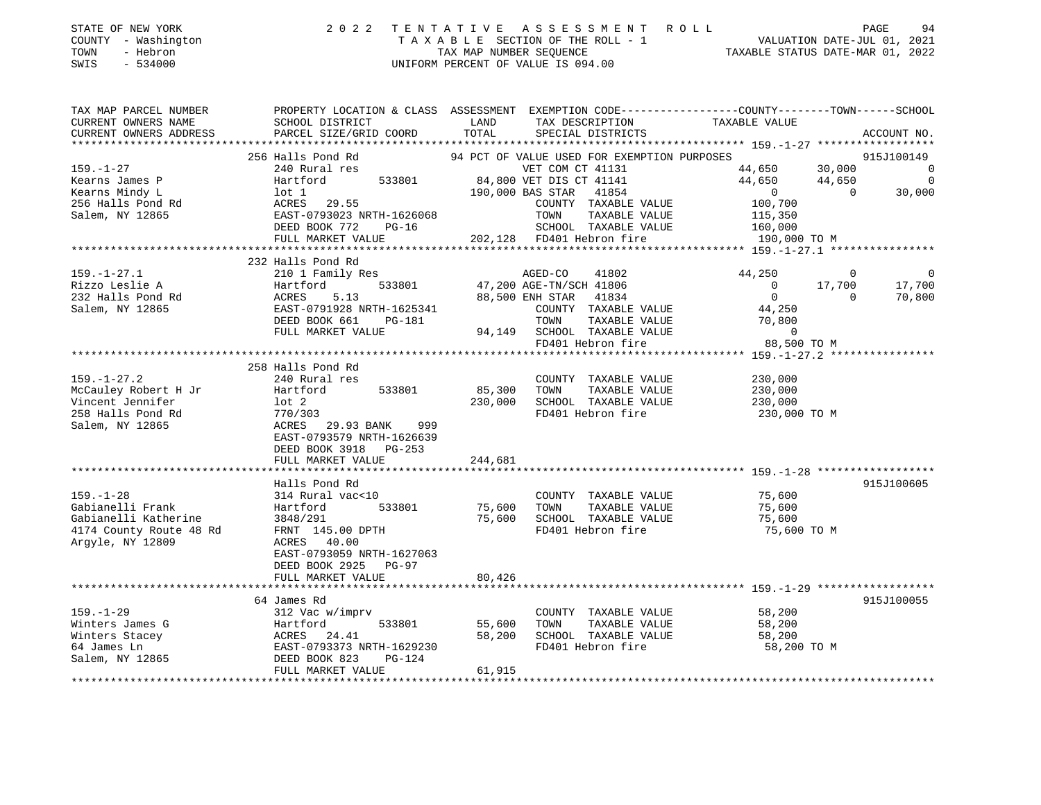| STATE OF NEW YORK |  |              |
|-------------------|--|--------------|
| COUNTY            |  | - Washington |
| TOWN              |  | - Hebron     |
|                   |  | ------       |

## STATE OF NEW YORK 2 0 2 2 T E N T A T I V E A S S E S S M E N T R O L L PAGE 94 COUNTY - Washington T A X A B L E SECTION OF THE ROLL - 1 VALUATION DATE-JUL 01, 2021 TOWN - Hebron TAX MAP NUMBER SEQUENCE TAXABLE STATUS DATE-MAR 01, 2022 SWIS - 534000 UNIFORM PERCENT OF VALUE IS 094.00

TAX MAP PARCEL NUMBER PROPERTY LOCATION & CLASS ASSESSMENT EXEMPTION CODE------------------COUNTY--------TOWN------SCHOOL

CURRENT OWNERS NAME SCHOOL DISTRICT LAND TAX DESCRIPTION TAXABLE VALUE CURRENT OWNERS ADDRESS PARCEL SIZE/GRID COORD TOTAL SPECIAL DISTRICTS ACCOUNT NO. \*\*\*\*\*\*\*\*\*\*\*\*\*\*\*\*\*\*\*\*\*\*\*\*\*\*\*\*\*\*\*\*\*\*\*\*\*\*\*\*\*\*\*\*\*\*\*\*\*\*\*\*\*\*\*\*\*\*\*\*\*\*\*\*\*\*\*\*\*\*\*\*\*\*\*\*\*\*\*\*\*\*\*\*\*\*\*\*\*\*\*\*\*\*\*\*\*\*\*\*\*\*\* 159.-1-27 \*\*\*\*\*\*\*\*\*\*\*\*\*\*\*\*\*\* 256 Halls Pond Rd 94 PCT OF VALUE USED FOR EXEMPTION PURPOSES 915J100149 159.-1-27 240 Rural res VET COM CT 41131 44,650 30,000 0 Kearns James P Hartford 533801 84,800 VET DIS CT 41141 44,650 0 Kearns Mindy L lot 1 190,000 BAS STAR 41854 0 0 30,000 256 Halls Pond Rd ACRES 29.55 COUNTY TAXABLE VALUE 100,700 Salem, NY 12865 EAST-0793023 NRTH-1626068 TOWN TAXABLE VALUE 115,350 DEED BOOK 772 PG-16 SCHOOL TAXABLE VALUE 160,000 FULL MARKET VALUE 202,128 FD401 Hebron fire 190,000 TO M \*\*\*\*\*\*\*\*\*\*\*\*\*\*\*\*\*\*\*\*\*\*\*\*\*\*\*\*\*\*\*\*\*\*\*\*\*\*\*\*\*\*\*\*\*\*\*\*\*\*\*\*\*\*\*\*\*\*\*\*\*\*\*\*\*\*\*\*\*\*\*\*\*\*\*\*\*\*\*\*\*\*\*\*\*\*\*\*\*\*\*\*\*\*\*\*\*\*\*\*\*\*\* 159.-1-27.1 \*\*\*\*\*\*\*\*\*\*\*\*\*\*\*\* 232 Halls Pond Rd 159.-1-27.1 210 1 Family Res AGED-CO 41802 44,250 0 0 Rizzo Leslie A Hartford 533801 47,200 AGE-TN/SCH 41806 0 17,700 17,700 232 Halls Pond Rd ACRES 5.13 88,500 ENH STAR 41834 0 0 70,800 Salem, NY 12865 EAST-0791928 NRTH-1625341 COUNTY TAXABLE VALUE 44,250 DEED BOOK 661 PG-181 TOWN TAXABLE VALUE 70,800 FULL MARKET VALUE 94,149 SCHOOL TAXABLE VALUE 0 FD401 Hebron fire 88,500 TO M \*\*\*\*\*\*\*\*\*\*\*\*\*\*\*\*\*\*\*\*\*\*\*\*\*\*\*\*\*\*\*\*\*\*\*\*\*\*\*\*\*\*\*\*\*\*\*\*\*\*\*\*\*\*\*\*\*\*\*\*\*\*\*\*\*\*\*\*\*\*\*\*\*\*\*\*\*\*\*\*\*\*\*\*\*\*\*\*\*\*\*\*\*\*\*\*\*\*\*\*\*\*\* 159.-1-27.2 \*\*\*\*\*\*\*\*\*\*\*\*\*\*\*\* 258 Halls Pond Rd 159.-1-27.2 240 Rural res COUNTY TAXABLE VALUE 230,000 McCauley Robert H Jr Hartford 533801 85,300 TOWN TAXABLE VALUE 230,000 Vincent Jennifer lot 2 230,000 SCHOOL TAXABLE VALUE 230,000 258 Halls Pond Rd 770/303 FD401 Hebron fire 230,000 TO M Salem, NY 12865 ACRES 29.93 BANK 999 EAST-0793579 NRTH-1626639 DEED BOOK 3918 PG-253FULL MARKET VALUE 244,681 \*\*\*\*\*\*\*\*\*\*\*\*\*\*\*\*\*\*\*\*\*\*\*\*\*\*\*\*\*\*\*\*\*\*\*\*\*\*\*\*\*\*\*\*\*\*\*\*\*\*\*\*\*\*\*\*\*\*\*\*\*\*\*\*\*\*\*\*\*\*\*\*\*\*\*\*\*\*\*\*\*\*\*\*\*\*\*\*\*\*\*\*\*\*\*\*\*\*\*\*\*\*\* 159.-1-28 \*\*\*\*\*\*\*\*\*\*\*\*\*\*\*\*\*\* Halls Pond Rd 915J100605159.-1-28 314 Rural vac<10 COUNTY TAXABLE VALUE 75,600 Gabianelli Frank Hartford 533801 75,600 TOWN TAXABLE VALUE 75,600 Gabianelli Katherine 3848/291 75,600 SCHOOL TAXABLE VALUE 75,600 4174 County Route 48 Rd FRNT 145.00 DPTH FD401 Hebron fire 75,600 TO M Argyle, NY 12809 **ACRES** 40.00 EAST-0793059 NRTH-1627063 DEED BOOK 2925 PG-97FULL MARKET VALUE 80.426 \*\*\*\*\*\*\*\*\*\*\*\*\*\*\*\*\*\*\*\*\*\*\*\*\*\*\*\*\*\*\*\*\*\*\*\*\*\*\*\*\*\*\*\*\*\*\*\*\*\*\*\*\*\*\*\*\*\*\*\*\*\*\*\*\*\*\*\*\*\*\*\*\*\*\*\*\*\*\*\*\*\*\*\*\*\*\*\*\*\*\*\*\*\*\*\*\*\*\*\*\*\*\* 159.-1-29 \*\*\*\*\*\*\*\*\*\*\*\*\*\*\*\*\*\* 64 James Rd 915J100055159.-1-29 312 Vac w/imprv COUNTY TAXABLE VALUE 58,200 Winters James G Hartford 533801 55,600 TOWN TAXABLE VALUE 58,200 Winters Stacey ACRES 24.41 58,200 SCHOOL TAXABLE VALUE 58,200 64 James Ln EAST-0793373 NRTH-1629230 FD401 Hebron fire 58,200 TO M

Salem, NY 12865 DEED BOOK 823 PG-124 FULL MARKET VALUE 61,915 \*\*\*\*\*\*\*\*\*\*\*\*\*\*\*\*\*\*\*\*\*\*\*\*\*\*\*\*\*\*\*\*\*\*\*\*\*\*\*\*\*\*\*\*\*\*\*\*\*\*\*\*\*\*\*\*\*\*\*\*\*\*\*\*\*\*\*\*\*\*\*\*\*\*\*\*\*\*\*\*\*\*\*\*\*\*\*\*\*\*\*\*\*\*\*\*\*\*\*\*\*\*\*\*\*\*\*\*\*\*\*\*\*\*\*\*\*\*\*\*\*\*\*\*\*\*\*\*\*\*\*\*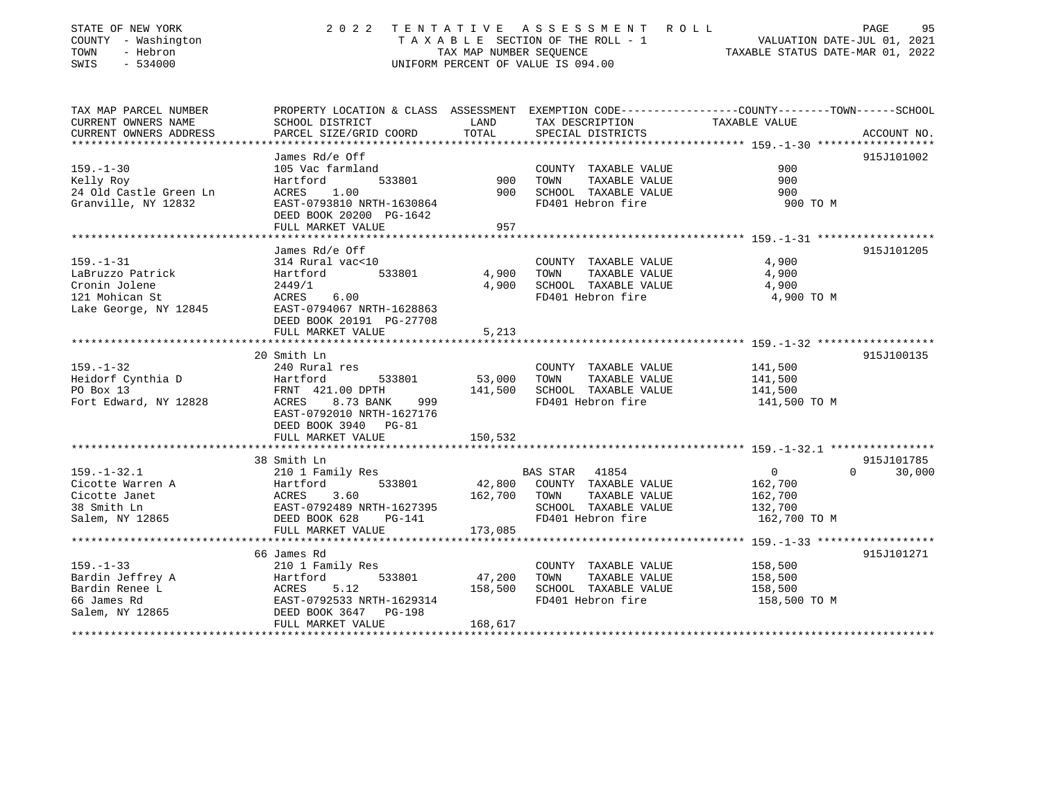| STATE OF NEW YORK<br>COUNTY - Washington<br>- Hebron<br>TOWN<br>SWIS<br>$-534000$ | 2 0 2 2                                                      | TENTATIVE<br>TAX MAP NUMBER SEQUENCE | A S S E S S M E N T<br>R O L L<br>TAXABLE SECTION OF THE ROLL - 1<br>UNIFORM PERCENT OF VALUE IS 094.00 | PAGE<br>VALUATION DATE-JUL 01, 2021<br>TAXABLE STATUS DATE-MAR 01, 2022                                          | 95          |
|-----------------------------------------------------------------------------------|--------------------------------------------------------------|--------------------------------------|---------------------------------------------------------------------------------------------------------|------------------------------------------------------------------------------------------------------------------|-------------|
| TAX MAP PARCEL NUMBER                                                             |                                                              | LAND                                 |                                                                                                         | PROPERTY LOCATION & CLASS ASSESSMENT EXEMPTION CODE---------------COUNTY-------TOWN------SCHOOL<br>TAXABLE VALUE |             |
| CURRENT OWNERS NAME<br>CURRENT OWNERS ADDRESS                                     | SCHOOL DISTRICT<br>PARCEL SIZE/GRID COORD                    | TOTAL                                | TAX DESCRIPTION<br>SPECIAL DISTRICTS                                                                    |                                                                                                                  | ACCOUNT NO. |
| ***********************                                                           | **********************                                       |                                      |                                                                                                         |                                                                                                                  |             |
|                                                                                   | James Rd/e Off                                               |                                      |                                                                                                         |                                                                                                                  | 915J101002  |
| $159. - 1 - 30$                                                                   | 105 Vac farmland                                             |                                      | COUNTY TAXABLE VALUE                                                                                    | 900                                                                                                              |             |
| Kelly Roy                                                                         | Hartford<br>533801                                           | 900                                  | TAXABLE VALUE<br>TOWN                                                                                   | 900                                                                                                              |             |
| 24 Old Castle Green Ln                                                            | ACRES<br>1.00<br>EAST-0793810 NRTH-1630864                   | 900                                  | SCHOOL TAXABLE VALUE<br>FD401 Hebron fire                                                               | 900<br>900 TO M                                                                                                  |             |
| Granville, NY 12832                                                               | DEED BOOK 20200 PG-1642                                      |                                      |                                                                                                         |                                                                                                                  |             |
|                                                                                   | FULL MARKET VALUE                                            | 957                                  |                                                                                                         |                                                                                                                  |             |
|                                                                                   |                                                              |                                      |                                                                                                         |                                                                                                                  |             |
|                                                                                   | James Rd/e Off                                               |                                      |                                                                                                         |                                                                                                                  | 915J101205  |
| $159. - 1 - 31$                                                                   | 314 Rural vac<10                                             |                                      | COUNTY TAXABLE VALUE                                                                                    | 4,900                                                                                                            |             |
| LaBruzzo Patrick                                                                  | 533801<br>Hartford                                           | 4,900                                | TAXABLE VALUE<br>TOWN                                                                                   | 4,900                                                                                                            |             |
| Cronin Jolene                                                                     | 2449/1                                                       | 4,900                                | SCHOOL TAXABLE VALUE                                                                                    | 4,900                                                                                                            |             |
| 121 Mohican St                                                                    | ACRES<br>6.00                                                |                                      | FD401 Hebron fire                                                                                       | 4,900 TO M                                                                                                       |             |
| Lake George, NY 12845                                                             | EAST-0794067 NRTH-1628863                                    |                                      |                                                                                                         |                                                                                                                  |             |
|                                                                                   | DEED BOOK 20191 PG-27708                                     |                                      |                                                                                                         |                                                                                                                  |             |
|                                                                                   | FULL MARKET VALUE<br><b>.</b>                                | 5,213                                |                                                                                                         |                                                                                                                  |             |
|                                                                                   |                                                              |                                      |                                                                                                         | ******************* 159. -1-32 ****************                                                                  |             |
|                                                                                   | 20 Smith Ln                                                  |                                      |                                                                                                         |                                                                                                                  | 915J100135  |
| $159. - 1 - 32$                                                                   | 240 Rural res                                                |                                      | COUNTY TAXABLE VALUE                                                                                    | 141,500                                                                                                          |             |
| Heidorf Cynthia D<br>PO Box 13                                                    | Hartford<br>533801<br>FRNT 421.00 DPTH                       | 53,000<br>141,500                    | TOWN<br>TAXABLE VALUE<br>SCHOOL TAXABLE VALUE                                                           | 141,500<br>141,500                                                                                               |             |
| Fort Edward, NY 12828                                                             | 8.73 BANK<br>ACRES<br>999                                    |                                      | FD401 Hebron fire                                                                                       | 141,500 TO M                                                                                                     |             |
|                                                                                   | EAST-0792010 NRTH-1627176                                    |                                      |                                                                                                         |                                                                                                                  |             |
|                                                                                   | DEED BOOK 3940 PG-81                                         |                                      |                                                                                                         |                                                                                                                  |             |
|                                                                                   | FULL MARKET VALUE                                            | 150,532                              |                                                                                                         |                                                                                                                  |             |
|                                                                                   | *****************************                                |                                      |                                                                                                         |                                                                                                                  |             |
|                                                                                   | 38 Smith Ln                                                  |                                      |                                                                                                         |                                                                                                                  | 915J101785  |
| $159. - 1 - 32.1$                                                                 | 210 1 Family Res                                             |                                      | BAS STAR 41854                                                                                          | $\mathbf{0}$<br>$\Omega$                                                                                         | 30,000      |
| Cicotte Warren A                                                                  | 533801<br>Hartford                                           | 42,800                               | COUNTY TAXABLE VALUE                                                                                    | 162,700                                                                                                          |             |
| Cicotte Janet                                                                     | 3.60<br>ACRES                                                | 162,700                              | TAXABLE VALUE<br>TOWN                                                                                   | 162,700                                                                                                          |             |
| 38 Smith Ln                                                                       | EAST-0792489 NRTH-1627395                                    |                                      | SCHOOL TAXABLE VALUE                                                                                    | 132,700                                                                                                          |             |
| Salem, NY 12865                                                                   | DEED BOOK 628<br>$PG-141$                                    |                                      | FD401 Hebron fire                                                                                       | 162,700 TO M                                                                                                     |             |
|                                                                                   | FULL MARKET VALUE                                            | 173,085                              |                                                                                                         |                                                                                                                  |             |
|                                                                                   | **********************                                       |                                      |                                                                                                         | ********************** 159. -1-33 *******************                                                            |             |
|                                                                                   | 66 James Rd                                                  |                                      |                                                                                                         |                                                                                                                  | 915J101271  |
| $159. - 1 - 33$                                                                   | 210 1 Family Res                                             |                                      | COUNTY TAXABLE VALUE                                                                                    | 158,500                                                                                                          |             |
| Bardin Jeffrey A                                                                  | Hartford<br>533801                                           | 47,200                               | TOWN<br>TAXABLE VALUE                                                                                   | 158,500                                                                                                          |             |
| Bardin Renee L                                                                    | 5.12<br>ACRES                                                | 158,500                              | SCHOOL TAXABLE VALUE                                                                                    | 158,500                                                                                                          |             |
| 66 James Rd<br>Salem, NY 12865                                                    | EAST-0792533 NRTH-1629314<br>DEED BOOK 3647<br><b>PG-198</b> |                                      | FD401 Hebron fire                                                                                       | 158,500 TO M                                                                                                     |             |
|                                                                                   | FULL MARKET VALUE                                            | 168,617                              |                                                                                                         |                                                                                                                  |             |
|                                                                                   |                                                              |                                      |                                                                                                         |                                                                                                                  |             |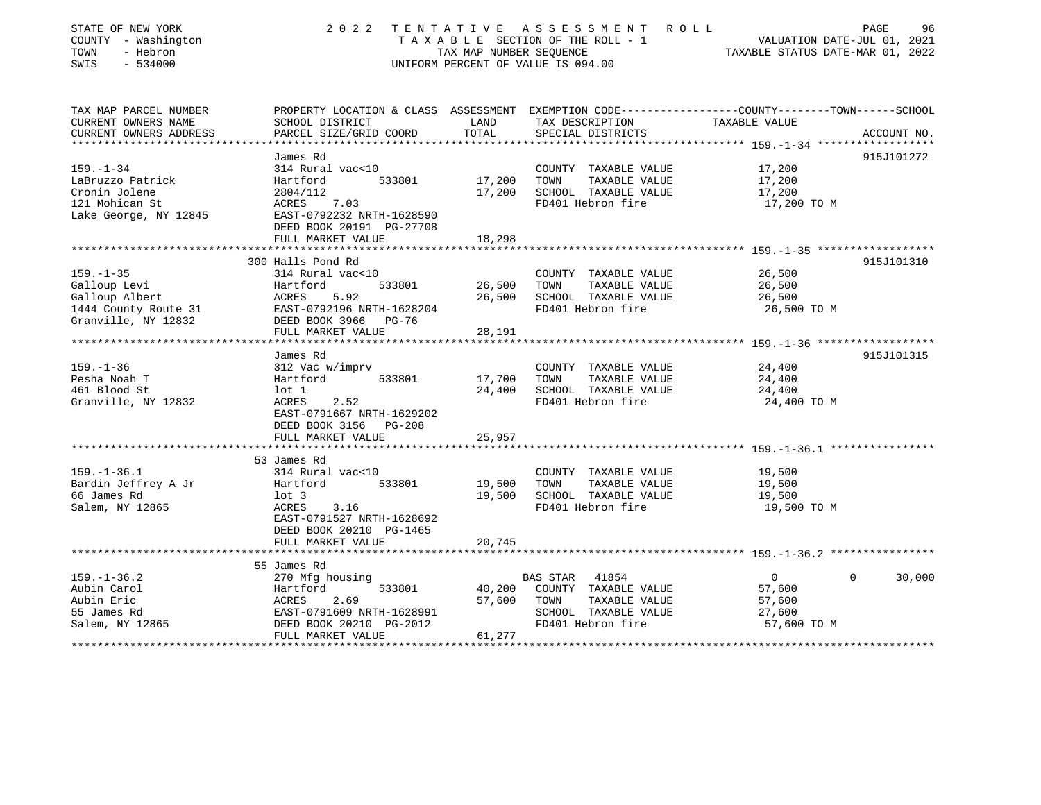| STATE OF NEW YORK<br>COUNTY - Washington<br>- Hebron<br>TOWN<br>$-534000$<br>SWIS | 2 0 2 2                                               | TAX MAP NUMBER SEOUENCE  | TENTATIVE ASSESSMENT<br>R O L L<br>TAXABLE SECTION OF THE ROLL - 1<br>UNIFORM PERCENT OF VALUE IS 094.00 | PAGE<br>VALUATION DATE-JUL 01, 2021<br>TAXABLE STATUS DATE-MAR 01, 2022                                          | 96     |
|-----------------------------------------------------------------------------------|-------------------------------------------------------|--------------------------|----------------------------------------------------------------------------------------------------------|------------------------------------------------------------------------------------------------------------------|--------|
| TAX MAP PARCEL NUMBER<br>CURRENT OWNERS NAME                                      | SCHOOL DISTRICT                                       | LAND                     | TAX DESCRIPTION                                                                                          | PROPERTY LOCATION & CLASS ASSESSMENT EXEMPTION CODE---------------COUNTY-------TOWN------SCHOOL<br>TAXABLE VALUE |        |
| CURRENT OWNERS ADDRESS                                                            | PARCEL SIZE/GRID COORD                                | TOTAL                    | SPECIAL DISTRICTS                                                                                        | ACCOUNT NO.                                                                                                      |        |
| ***************                                                                   |                                                       | ******************       |                                                                                                          | ***************** 159.-1-34 *******************                                                                  |        |
|                                                                                   | James Rd                                              |                          |                                                                                                          | 915J101272                                                                                                       |        |
| $159. - 1 - 34$                                                                   | 314 Rural vac<10                                      |                          | COUNTY TAXABLE VALUE                                                                                     | 17,200                                                                                                           |        |
| LaBruzzo Patrick                                                                  | 533801<br>Hartford                                    | 17,200                   | TOWN<br>TAXABLE VALUE                                                                                    | 17,200                                                                                                           |        |
| Cronin Jolene                                                                     | 2804/112                                              | 17,200                   | SCHOOL TAXABLE VALUE                                                                                     | 17,200                                                                                                           |        |
| 121 Mohican St                                                                    | ACRES<br>7.03                                         |                          | FD401 Hebron fire                                                                                        | 17,200 TO M                                                                                                      |        |
| Lake George, NY 12845                                                             | EAST-0792232 NRTH-1628590<br>DEED BOOK 20191 PG-27708 |                          |                                                                                                          |                                                                                                                  |        |
|                                                                                   | FULL MARKET VALUE                                     | 18,298                   |                                                                                                          |                                                                                                                  |        |
|                                                                                   | *********************                                 | *********                |                                                                                                          |                                                                                                                  |        |
|                                                                                   | 300 Halls Pond Rd                                     |                          |                                                                                                          | 915J101310                                                                                                       |        |
| $159. - 1 - 35$                                                                   | 314 Rural vac<10                                      |                          | COUNTY TAXABLE VALUE                                                                                     | 26,500                                                                                                           |        |
| Galloup Levi                                                                      | Hartford<br>533801                                    | 26,500                   | TOWN<br>TAXABLE VALUE                                                                                    | 26,500                                                                                                           |        |
| Galloup Albert                                                                    | 5.92<br>ACRES                                         | 26,500                   | SCHOOL TAXABLE VALUE                                                                                     | 26,500                                                                                                           |        |
| 1444 County Route 31                                                              | EAST-0792196 NRTH-1628204                             |                          | FD401 Hebron fire                                                                                        | 26,500 TO M                                                                                                      |        |
| Granville, NY 12832                                                               | DEED BOOK 3966 PG-76                                  |                          |                                                                                                          |                                                                                                                  |        |
|                                                                                   | FULL MARKET VALUE                                     | 28,191                   |                                                                                                          | ************************************ 159.-1-36 *******************                                               |        |
|                                                                                   | James Rd                                              |                          |                                                                                                          | 915J101315                                                                                                       |        |
| $159. - 1 - 36$                                                                   | 312 Vac w/imprv                                       |                          | COUNTY TAXABLE VALUE                                                                                     | 24,400                                                                                                           |        |
| Pesha Noah T                                                                      | Hartford<br>533801                                    | 17,700                   | TAXABLE VALUE<br>TOWN                                                                                    | 24,400                                                                                                           |        |
| 461 Blood St                                                                      | lot 1                                                 | 24,400                   | SCHOOL TAXABLE VALUE                                                                                     | 24,400                                                                                                           |        |
| Granville, NY 12832                                                               | ACRES<br>2.52                                         |                          | FD401 Hebron fire                                                                                        | 24,400 TO M                                                                                                      |        |
|                                                                                   | EAST-0791667 NRTH-1629202                             |                          |                                                                                                          |                                                                                                                  |        |
|                                                                                   | DEED BOOK 3156 PG-208                                 |                          |                                                                                                          |                                                                                                                  |        |
|                                                                                   | FULL MARKET VALUE                                     | 25,957                   |                                                                                                          |                                                                                                                  |        |
|                                                                                   | ***********************                               |                          |                                                                                                          |                                                                                                                  |        |
|                                                                                   | 53 James Rd                                           |                          |                                                                                                          |                                                                                                                  |        |
| $159. - 1 - 36.1$                                                                 | 314 Rural vac<10                                      |                          | COUNTY TAXABLE VALUE                                                                                     | 19,500                                                                                                           |        |
| Bardin Jeffrey A Jr                                                               | Hartford<br>533801                                    | 19,500                   | TAXABLE VALUE<br>TOWN                                                                                    | 19,500                                                                                                           |        |
| 66 James Rd<br>Salem, NY 12865                                                    | $1$ ot 3<br>ACRES<br>3.16                             | 19,500                   | SCHOOL TAXABLE VALUE<br>FD401 Hebron fire                                                                | 19,500<br>19,500 TO M                                                                                            |        |
|                                                                                   | EAST-0791527 NRTH-1628692                             |                          |                                                                                                          |                                                                                                                  |        |
|                                                                                   | DEED BOOK 20210 PG-1465                               |                          |                                                                                                          |                                                                                                                  |        |
|                                                                                   | FULL MARKET VALUE                                     | 20,745                   |                                                                                                          |                                                                                                                  |        |
|                                                                                   |                                                       |                          |                                                                                                          |                                                                                                                  |        |
|                                                                                   | 55 James Rd                                           |                          |                                                                                                          |                                                                                                                  |        |
| $159. - 1 - 36.2$                                                                 | 270 Mfg housing                                       |                          | <b>BAS STAR</b><br>41854                                                                                 | $\overline{0}$<br>$\Omega$                                                                                       | 30,000 |
| Aubin Carol                                                                       | 533801<br>Hartford                                    | 40,200                   | COUNTY TAXABLE VALUE                                                                                     | 57,600                                                                                                           |        |
| Aubin Eric                                                                        | ACRES<br>2.69                                         | 57,600                   | TOWN<br>TAXABLE VALUE                                                                                    | 57,600                                                                                                           |        |
| 55 James Rd                                                                       | EAST-0791609 NRTH-1628991                             |                          | SCHOOL TAXABLE VALUE                                                                                     | 27,600                                                                                                           |        |
| Salem, NY 12865                                                                   | DEED BOOK 20210 PG-2012                               |                          | FD401 Hebron fire                                                                                        | 57,600 TO M                                                                                                      |        |
|                                                                                   | FULL MARKET VALUE                                     | 61,277<br>************** |                                                                                                          |                                                                                                                  |        |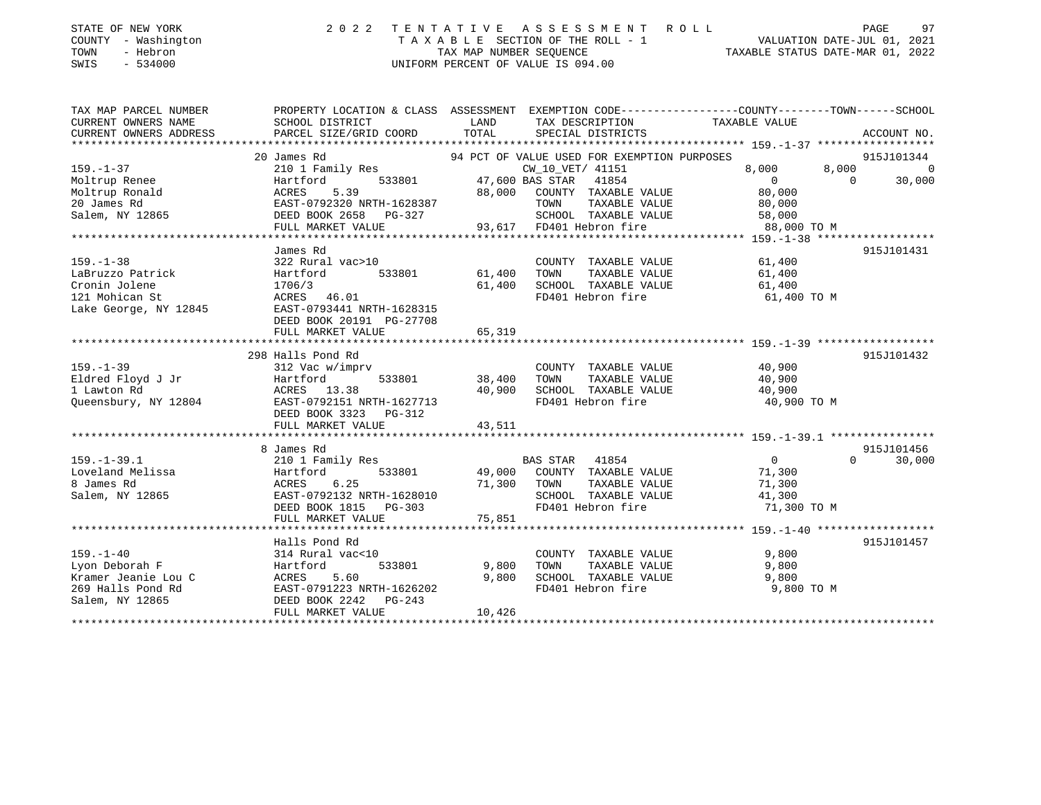| STATE OF NEW YORK |  |              |
|-------------------|--|--------------|
| <b>COUNTY</b>     |  | - Washington |
| TOWN              |  | - Hebron     |

## 2022 TENTATIVE ASSESSMENT ROL T A X A B L E SECTION OF THE ROLL - 1 VALUATION DATE-JUL 01, 2021<br>TAX MAP NUMBER SEQUENCE TAXABLE STATUS DATE-MAR 01, 2022 SWIS - 534000 UNIFORM PERCENT OF VALUE IS 094.00

| т. |  | <b>PAGE</b>                      | 97 |
|----|--|----------------------------------|----|
|    |  | VALUATION DATE-JUL 01, 2021      |    |
|    |  | TAXABLE STATUS DATE-MAR 01, 2022 |    |

| PROPERTY LOCATION & CLASS ASSESSMENT EXEMPTION CODE----------------COUNTY-------TOWN-----SCHOOL<br>TAX MAP PARCEL NUMBER<br>LAND<br>CURRENT OWNERS NAME<br>SCHOOL DISTRICT<br>TAX DESCRIPTION<br>TAXABLE VALUE<br>TOTAL<br>CURRENT OWNERS ADDRESS<br>PARCEL SIZE/GRID COORD<br>SPECIAL DISTRICTS<br>ACCOUNT NO.<br>*********************<br>94 PCT OF VALUE USED FOR EXEMPTION PURPOSES<br>915J101344<br>20 James Rd<br>$159. - 1 - 37$<br>210 1 Family Res<br>CW 10 VET/ 41151<br>8,000<br>$\Omega$<br>8,000<br>533801<br>47,600 BAS STAR 41854<br>$\Omega$<br>Hartford<br>$\Omega$<br>30,000<br>Moltrup Ronald<br>5.39<br>88,000<br>80,000<br>ACRES<br>COUNTY TAXABLE VALUE<br>20 James Rd<br>EAST-0792320 NRTH-1628387<br>TOWN<br>TAXABLE VALUE<br>80,000<br>Salem, NY 12865<br>DEED BOOK 2658<br>SCHOOL TAXABLE VALUE<br>58,000<br>PG-327<br>93,617 FD401 Hebron fire<br>FULL MARKET VALUE<br>88,000 TO M<br>James Rd<br>915J101431<br>61,400<br>$159. - 1 - 38$<br>322 Rural vac>10<br>COUNTY TAXABLE VALUE<br>LaBruzzo Patrick<br>533801<br>61,400<br>TOWN<br>TAXABLE VALUE<br>61,400<br>Hartford<br>Cronin Jolene<br>1706/3<br>61,400<br>SCHOOL TAXABLE VALUE<br>61,400<br>FD401 Hebron fire<br>121 Mohican St<br>ACRES 46.01<br>61,400 TO M<br>Lake George, NY 12845<br>EAST-0793441 NRTH-1628315<br>DEED BOOK 20191 PG-27708<br>65,319<br>FULL MARKET VALUE<br>298 Halls Pond Rd<br>915J101432<br>$159. - 1 - 39$<br>40,900<br>312 Vac w/imprv<br>COUNTY TAXABLE VALUE<br>Eldred Floyd J Jr<br>Hartford<br>533801<br>38,400<br>TOWN<br>TAXABLE VALUE<br>40,900<br>1 Lawton Rd<br>40,900<br>SCHOOL TAXABLE VALUE<br>ACRES 13.38<br>40,900<br>FD401 Hebron fire<br>Queensbury, NY 12804<br>EAST-0792151 NRTH-1627713<br>40,900 TO M<br>DEED BOOK 3323 PG-312<br>FULL MARKET VALUE<br>43,511<br>915J101456<br>8 James Rd<br>$159. - 1 - 39.1$<br>210 1 Family Res<br><b>BAS STAR</b><br>41854<br>$\circ$<br>$\Omega$<br>30,000<br>Loveland Melissa<br>533801<br>49,000<br>COUNTY TAXABLE VALUE<br>Hartford<br>71,300<br>6.25<br>8 James Rd<br>ACRES<br>71,300<br>TOWN<br>TAXABLE VALUE<br>71,300<br>Salem, NY 12865<br>EAST-0792132 NRTH-1628010<br>SCHOOL TAXABLE VALUE<br>41,300<br>FD401 Hebron fire<br>DEED BOOK 1815 PG-303<br>71,300 TO M<br>75,851<br>FULL MARKET VALUE<br>915J101457<br>Halls Pond Rd<br>$159. - 1 - 40$<br>COUNTY TAXABLE VALUE<br>9,800<br>314 Rural vac<10<br>Lyon Deborah F<br>533801<br>9,800<br>TOWN<br>TAXABLE VALUE<br>9,800<br>Hartford<br>5.60<br>9,800<br>SCHOOL TAXABLE VALUE<br>9,800<br>Kramer Jeanie Lou C<br>ACRES<br>EAST-0791223 NRTH-1626202<br>FD401 Hebron fire<br>9,800 TO M<br>269 Halls Pond Rd<br>DEED BOOK 2242<br>Salem, NY 12865<br>$PG-243$<br>FULL MARKET VALUE<br>10,426 |               |  |  |
|---------------------------------------------------------------------------------------------------------------------------------------------------------------------------------------------------------------------------------------------------------------------------------------------------------------------------------------------------------------------------------------------------------------------------------------------------------------------------------------------------------------------------------------------------------------------------------------------------------------------------------------------------------------------------------------------------------------------------------------------------------------------------------------------------------------------------------------------------------------------------------------------------------------------------------------------------------------------------------------------------------------------------------------------------------------------------------------------------------------------------------------------------------------------------------------------------------------------------------------------------------------------------------------------------------------------------------------------------------------------------------------------------------------------------------------------------------------------------------------------------------------------------------------------------------------------------------------------------------------------------------------------------------------------------------------------------------------------------------------------------------------------------------------------------------------------------------------------------------------------------------------------------------------------------------------------------------------------------------------------------------------------------------------------------------------------------------------------------------------------------------------------------------------------------------------------------------------------------------------------------------------------------------------------------------------------------------------------------------------------------------------------------------------------------------------------------------------------------------------------------------------------------------------------------------------------------------------------------------------------------------------------------------------------------------------------------------------------------------------|---------------|--|--|
|                                                                                                                                                                                                                                                                                                                                                                                                                                                                                                                                                                                                                                                                                                                                                                                                                                                                                                                                                                                                                                                                                                                                                                                                                                                                                                                                                                                                                                                                                                                                                                                                                                                                                                                                                                                                                                                                                                                                                                                                                                                                                                                                                                                                                                                                                                                                                                                                                                                                                                                                                                                                                                                                                                                                       |               |  |  |
|                                                                                                                                                                                                                                                                                                                                                                                                                                                                                                                                                                                                                                                                                                                                                                                                                                                                                                                                                                                                                                                                                                                                                                                                                                                                                                                                                                                                                                                                                                                                                                                                                                                                                                                                                                                                                                                                                                                                                                                                                                                                                                                                                                                                                                                                                                                                                                                                                                                                                                                                                                                                                                                                                                                                       |               |  |  |
|                                                                                                                                                                                                                                                                                                                                                                                                                                                                                                                                                                                                                                                                                                                                                                                                                                                                                                                                                                                                                                                                                                                                                                                                                                                                                                                                                                                                                                                                                                                                                                                                                                                                                                                                                                                                                                                                                                                                                                                                                                                                                                                                                                                                                                                                                                                                                                                                                                                                                                                                                                                                                                                                                                                                       |               |  |  |
|                                                                                                                                                                                                                                                                                                                                                                                                                                                                                                                                                                                                                                                                                                                                                                                                                                                                                                                                                                                                                                                                                                                                                                                                                                                                                                                                                                                                                                                                                                                                                                                                                                                                                                                                                                                                                                                                                                                                                                                                                                                                                                                                                                                                                                                                                                                                                                                                                                                                                                                                                                                                                                                                                                                                       |               |  |  |
|                                                                                                                                                                                                                                                                                                                                                                                                                                                                                                                                                                                                                                                                                                                                                                                                                                                                                                                                                                                                                                                                                                                                                                                                                                                                                                                                                                                                                                                                                                                                                                                                                                                                                                                                                                                                                                                                                                                                                                                                                                                                                                                                                                                                                                                                                                                                                                                                                                                                                                                                                                                                                                                                                                                                       |               |  |  |
|                                                                                                                                                                                                                                                                                                                                                                                                                                                                                                                                                                                                                                                                                                                                                                                                                                                                                                                                                                                                                                                                                                                                                                                                                                                                                                                                                                                                                                                                                                                                                                                                                                                                                                                                                                                                                                                                                                                                                                                                                                                                                                                                                                                                                                                                                                                                                                                                                                                                                                                                                                                                                                                                                                                                       |               |  |  |
|                                                                                                                                                                                                                                                                                                                                                                                                                                                                                                                                                                                                                                                                                                                                                                                                                                                                                                                                                                                                                                                                                                                                                                                                                                                                                                                                                                                                                                                                                                                                                                                                                                                                                                                                                                                                                                                                                                                                                                                                                                                                                                                                                                                                                                                                                                                                                                                                                                                                                                                                                                                                                                                                                                                                       | Moltrup Renee |  |  |
|                                                                                                                                                                                                                                                                                                                                                                                                                                                                                                                                                                                                                                                                                                                                                                                                                                                                                                                                                                                                                                                                                                                                                                                                                                                                                                                                                                                                                                                                                                                                                                                                                                                                                                                                                                                                                                                                                                                                                                                                                                                                                                                                                                                                                                                                                                                                                                                                                                                                                                                                                                                                                                                                                                                                       |               |  |  |
|                                                                                                                                                                                                                                                                                                                                                                                                                                                                                                                                                                                                                                                                                                                                                                                                                                                                                                                                                                                                                                                                                                                                                                                                                                                                                                                                                                                                                                                                                                                                                                                                                                                                                                                                                                                                                                                                                                                                                                                                                                                                                                                                                                                                                                                                                                                                                                                                                                                                                                                                                                                                                                                                                                                                       |               |  |  |
|                                                                                                                                                                                                                                                                                                                                                                                                                                                                                                                                                                                                                                                                                                                                                                                                                                                                                                                                                                                                                                                                                                                                                                                                                                                                                                                                                                                                                                                                                                                                                                                                                                                                                                                                                                                                                                                                                                                                                                                                                                                                                                                                                                                                                                                                                                                                                                                                                                                                                                                                                                                                                                                                                                                                       |               |  |  |
|                                                                                                                                                                                                                                                                                                                                                                                                                                                                                                                                                                                                                                                                                                                                                                                                                                                                                                                                                                                                                                                                                                                                                                                                                                                                                                                                                                                                                                                                                                                                                                                                                                                                                                                                                                                                                                                                                                                                                                                                                                                                                                                                                                                                                                                                                                                                                                                                                                                                                                                                                                                                                                                                                                                                       |               |  |  |
|                                                                                                                                                                                                                                                                                                                                                                                                                                                                                                                                                                                                                                                                                                                                                                                                                                                                                                                                                                                                                                                                                                                                                                                                                                                                                                                                                                                                                                                                                                                                                                                                                                                                                                                                                                                                                                                                                                                                                                                                                                                                                                                                                                                                                                                                                                                                                                                                                                                                                                                                                                                                                                                                                                                                       |               |  |  |
|                                                                                                                                                                                                                                                                                                                                                                                                                                                                                                                                                                                                                                                                                                                                                                                                                                                                                                                                                                                                                                                                                                                                                                                                                                                                                                                                                                                                                                                                                                                                                                                                                                                                                                                                                                                                                                                                                                                                                                                                                                                                                                                                                                                                                                                                                                                                                                                                                                                                                                                                                                                                                                                                                                                                       |               |  |  |
|                                                                                                                                                                                                                                                                                                                                                                                                                                                                                                                                                                                                                                                                                                                                                                                                                                                                                                                                                                                                                                                                                                                                                                                                                                                                                                                                                                                                                                                                                                                                                                                                                                                                                                                                                                                                                                                                                                                                                                                                                                                                                                                                                                                                                                                                                                                                                                                                                                                                                                                                                                                                                                                                                                                                       |               |  |  |
|                                                                                                                                                                                                                                                                                                                                                                                                                                                                                                                                                                                                                                                                                                                                                                                                                                                                                                                                                                                                                                                                                                                                                                                                                                                                                                                                                                                                                                                                                                                                                                                                                                                                                                                                                                                                                                                                                                                                                                                                                                                                                                                                                                                                                                                                                                                                                                                                                                                                                                                                                                                                                                                                                                                                       |               |  |  |
|                                                                                                                                                                                                                                                                                                                                                                                                                                                                                                                                                                                                                                                                                                                                                                                                                                                                                                                                                                                                                                                                                                                                                                                                                                                                                                                                                                                                                                                                                                                                                                                                                                                                                                                                                                                                                                                                                                                                                                                                                                                                                                                                                                                                                                                                                                                                                                                                                                                                                                                                                                                                                                                                                                                                       |               |  |  |
|                                                                                                                                                                                                                                                                                                                                                                                                                                                                                                                                                                                                                                                                                                                                                                                                                                                                                                                                                                                                                                                                                                                                                                                                                                                                                                                                                                                                                                                                                                                                                                                                                                                                                                                                                                                                                                                                                                                                                                                                                                                                                                                                                                                                                                                                                                                                                                                                                                                                                                                                                                                                                                                                                                                                       |               |  |  |
|                                                                                                                                                                                                                                                                                                                                                                                                                                                                                                                                                                                                                                                                                                                                                                                                                                                                                                                                                                                                                                                                                                                                                                                                                                                                                                                                                                                                                                                                                                                                                                                                                                                                                                                                                                                                                                                                                                                                                                                                                                                                                                                                                                                                                                                                                                                                                                                                                                                                                                                                                                                                                                                                                                                                       |               |  |  |
|                                                                                                                                                                                                                                                                                                                                                                                                                                                                                                                                                                                                                                                                                                                                                                                                                                                                                                                                                                                                                                                                                                                                                                                                                                                                                                                                                                                                                                                                                                                                                                                                                                                                                                                                                                                                                                                                                                                                                                                                                                                                                                                                                                                                                                                                                                                                                                                                                                                                                                                                                                                                                                                                                                                                       |               |  |  |
|                                                                                                                                                                                                                                                                                                                                                                                                                                                                                                                                                                                                                                                                                                                                                                                                                                                                                                                                                                                                                                                                                                                                                                                                                                                                                                                                                                                                                                                                                                                                                                                                                                                                                                                                                                                                                                                                                                                                                                                                                                                                                                                                                                                                                                                                                                                                                                                                                                                                                                                                                                                                                                                                                                                                       |               |  |  |
|                                                                                                                                                                                                                                                                                                                                                                                                                                                                                                                                                                                                                                                                                                                                                                                                                                                                                                                                                                                                                                                                                                                                                                                                                                                                                                                                                                                                                                                                                                                                                                                                                                                                                                                                                                                                                                                                                                                                                                                                                                                                                                                                                                                                                                                                                                                                                                                                                                                                                                                                                                                                                                                                                                                                       |               |  |  |
|                                                                                                                                                                                                                                                                                                                                                                                                                                                                                                                                                                                                                                                                                                                                                                                                                                                                                                                                                                                                                                                                                                                                                                                                                                                                                                                                                                                                                                                                                                                                                                                                                                                                                                                                                                                                                                                                                                                                                                                                                                                                                                                                                                                                                                                                                                                                                                                                                                                                                                                                                                                                                                                                                                                                       |               |  |  |
|                                                                                                                                                                                                                                                                                                                                                                                                                                                                                                                                                                                                                                                                                                                                                                                                                                                                                                                                                                                                                                                                                                                                                                                                                                                                                                                                                                                                                                                                                                                                                                                                                                                                                                                                                                                                                                                                                                                                                                                                                                                                                                                                                                                                                                                                                                                                                                                                                                                                                                                                                                                                                                                                                                                                       |               |  |  |
|                                                                                                                                                                                                                                                                                                                                                                                                                                                                                                                                                                                                                                                                                                                                                                                                                                                                                                                                                                                                                                                                                                                                                                                                                                                                                                                                                                                                                                                                                                                                                                                                                                                                                                                                                                                                                                                                                                                                                                                                                                                                                                                                                                                                                                                                                                                                                                                                                                                                                                                                                                                                                                                                                                                                       |               |  |  |
|                                                                                                                                                                                                                                                                                                                                                                                                                                                                                                                                                                                                                                                                                                                                                                                                                                                                                                                                                                                                                                                                                                                                                                                                                                                                                                                                                                                                                                                                                                                                                                                                                                                                                                                                                                                                                                                                                                                                                                                                                                                                                                                                                                                                                                                                                                                                                                                                                                                                                                                                                                                                                                                                                                                                       |               |  |  |
|                                                                                                                                                                                                                                                                                                                                                                                                                                                                                                                                                                                                                                                                                                                                                                                                                                                                                                                                                                                                                                                                                                                                                                                                                                                                                                                                                                                                                                                                                                                                                                                                                                                                                                                                                                                                                                                                                                                                                                                                                                                                                                                                                                                                                                                                                                                                                                                                                                                                                                                                                                                                                                                                                                                                       |               |  |  |
|                                                                                                                                                                                                                                                                                                                                                                                                                                                                                                                                                                                                                                                                                                                                                                                                                                                                                                                                                                                                                                                                                                                                                                                                                                                                                                                                                                                                                                                                                                                                                                                                                                                                                                                                                                                                                                                                                                                                                                                                                                                                                                                                                                                                                                                                                                                                                                                                                                                                                                                                                                                                                                                                                                                                       |               |  |  |
|                                                                                                                                                                                                                                                                                                                                                                                                                                                                                                                                                                                                                                                                                                                                                                                                                                                                                                                                                                                                                                                                                                                                                                                                                                                                                                                                                                                                                                                                                                                                                                                                                                                                                                                                                                                                                                                                                                                                                                                                                                                                                                                                                                                                                                                                                                                                                                                                                                                                                                                                                                                                                                                                                                                                       |               |  |  |
|                                                                                                                                                                                                                                                                                                                                                                                                                                                                                                                                                                                                                                                                                                                                                                                                                                                                                                                                                                                                                                                                                                                                                                                                                                                                                                                                                                                                                                                                                                                                                                                                                                                                                                                                                                                                                                                                                                                                                                                                                                                                                                                                                                                                                                                                                                                                                                                                                                                                                                                                                                                                                                                                                                                                       |               |  |  |
|                                                                                                                                                                                                                                                                                                                                                                                                                                                                                                                                                                                                                                                                                                                                                                                                                                                                                                                                                                                                                                                                                                                                                                                                                                                                                                                                                                                                                                                                                                                                                                                                                                                                                                                                                                                                                                                                                                                                                                                                                                                                                                                                                                                                                                                                                                                                                                                                                                                                                                                                                                                                                                                                                                                                       |               |  |  |
|                                                                                                                                                                                                                                                                                                                                                                                                                                                                                                                                                                                                                                                                                                                                                                                                                                                                                                                                                                                                                                                                                                                                                                                                                                                                                                                                                                                                                                                                                                                                                                                                                                                                                                                                                                                                                                                                                                                                                                                                                                                                                                                                                                                                                                                                                                                                                                                                                                                                                                                                                                                                                                                                                                                                       |               |  |  |
|                                                                                                                                                                                                                                                                                                                                                                                                                                                                                                                                                                                                                                                                                                                                                                                                                                                                                                                                                                                                                                                                                                                                                                                                                                                                                                                                                                                                                                                                                                                                                                                                                                                                                                                                                                                                                                                                                                                                                                                                                                                                                                                                                                                                                                                                                                                                                                                                                                                                                                                                                                                                                                                                                                                                       |               |  |  |
|                                                                                                                                                                                                                                                                                                                                                                                                                                                                                                                                                                                                                                                                                                                                                                                                                                                                                                                                                                                                                                                                                                                                                                                                                                                                                                                                                                                                                                                                                                                                                                                                                                                                                                                                                                                                                                                                                                                                                                                                                                                                                                                                                                                                                                                                                                                                                                                                                                                                                                                                                                                                                                                                                                                                       |               |  |  |
|                                                                                                                                                                                                                                                                                                                                                                                                                                                                                                                                                                                                                                                                                                                                                                                                                                                                                                                                                                                                                                                                                                                                                                                                                                                                                                                                                                                                                                                                                                                                                                                                                                                                                                                                                                                                                                                                                                                                                                                                                                                                                                                                                                                                                                                                                                                                                                                                                                                                                                                                                                                                                                                                                                                                       |               |  |  |
|                                                                                                                                                                                                                                                                                                                                                                                                                                                                                                                                                                                                                                                                                                                                                                                                                                                                                                                                                                                                                                                                                                                                                                                                                                                                                                                                                                                                                                                                                                                                                                                                                                                                                                                                                                                                                                                                                                                                                                                                                                                                                                                                                                                                                                                                                                                                                                                                                                                                                                                                                                                                                                                                                                                                       |               |  |  |
|                                                                                                                                                                                                                                                                                                                                                                                                                                                                                                                                                                                                                                                                                                                                                                                                                                                                                                                                                                                                                                                                                                                                                                                                                                                                                                                                                                                                                                                                                                                                                                                                                                                                                                                                                                                                                                                                                                                                                                                                                                                                                                                                                                                                                                                                                                                                                                                                                                                                                                                                                                                                                                                                                                                                       |               |  |  |
|                                                                                                                                                                                                                                                                                                                                                                                                                                                                                                                                                                                                                                                                                                                                                                                                                                                                                                                                                                                                                                                                                                                                                                                                                                                                                                                                                                                                                                                                                                                                                                                                                                                                                                                                                                                                                                                                                                                                                                                                                                                                                                                                                                                                                                                                                                                                                                                                                                                                                                                                                                                                                                                                                                                                       |               |  |  |
|                                                                                                                                                                                                                                                                                                                                                                                                                                                                                                                                                                                                                                                                                                                                                                                                                                                                                                                                                                                                                                                                                                                                                                                                                                                                                                                                                                                                                                                                                                                                                                                                                                                                                                                                                                                                                                                                                                                                                                                                                                                                                                                                                                                                                                                                                                                                                                                                                                                                                                                                                                                                                                                                                                                                       |               |  |  |
|                                                                                                                                                                                                                                                                                                                                                                                                                                                                                                                                                                                                                                                                                                                                                                                                                                                                                                                                                                                                                                                                                                                                                                                                                                                                                                                                                                                                                                                                                                                                                                                                                                                                                                                                                                                                                                                                                                                                                                                                                                                                                                                                                                                                                                                                                                                                                                                                                                                                                                                                                                                                                                                                                                                                       |               |  |  |
|                                                                                                                                                                                                                                                                                                                                                                                                                                                                                                                                                                                                                                                                                                                                                                                                                                                                                                                                                                                                                                                                                                                                                                                                                                                                                                                                                                                                                                                                                                                                                                                                                                                                                                                                                                                                                                                                                                                                                                                                                                                                                                                                                                                                                                                                                                                                                                                                                                                                                                                                                                                                                                                                                                                                       |               |  |  |
|                                                                                                                                                                                                                                                                                                                                                                                                                                                                                                                                                                                                                                                                                                                                                                                                                                                                                                                                                                                                                                                                                                                                                                                                                                                                                                                                                                                                                                                                                                                                                                                                                                                                                                                                                                                                                                                                                                                                                                                                                                                                                                                                                                                                                                                                                                                                                                                                                                                                                                                                                                                                                                                                                                                                       |               |  |  |
|                                                                                                                                                                                                                                                                                                                                                                                                                                                                                                                                                                                                                                                                                                                                                                                                                                                                                                                                                                                                                                                                                                                                                                                                                                                                                                                                                                                                                                                                                                                                                                                                                                                                                                                                                                                                                                                                                                                                                                                                                                                                                                                                                                                                                                                                                                                                                                                                                                                                                                                                                                                                                                                                                                                                       |               |  |  |
|                                                                                                                                                                                                                                                                                                                                                                                                                                                                                                                                                                                                                                                                                                                                                                                                                                                                                                                                                                                                                                                                                                                                                                                                                                                                                                                                                                                                                                                                                                                                                                                                                                                                                                                                                                                                                                                                                                                                                                                                                                                                                                                                                                                                                                                                                                                                                                                                                                                                                                                                                                                                                                                                                                                                       |               |  |  |
|                                                                                                                                                                                                                                                                                                                                                                                                                                                                                                                                                                                                                                                                                                                                                                                                                                                                                                                                                                                                                                                                                                                                                                                                                                                                                                                                                                                                                                                                                                                                                                                                                                                                                                                                                                                                                                                                                                                                                                                                                                                                                                                                                                                                                                                                                                                                                                                                                                                                                                                                                                                                                                                                                                                                       |               |  |  |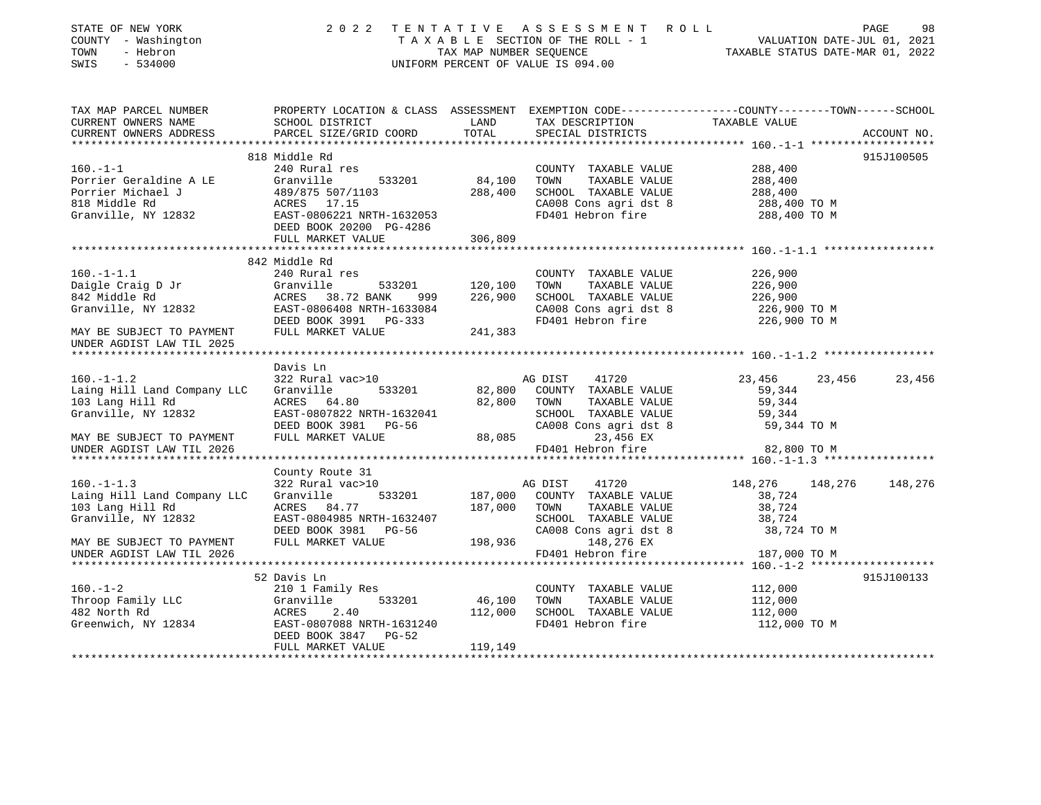| STATE OF NEW YORK<br>COUNTY - Washington<br>TOWN<br>- Hebron<br>$-534000$<br>SWIS |                                                                                                                    |                           | 2022 TENTATIVE ASSESSMENT ROLL<br>TAXABLE SECTION OF THE ROLL - 1<br>TAX MAP NUMBER SEQUENCE TAXABLE STATUS DATE-JUL 01, 2022<br>UNIFORM PERCENT OF VALUE IS 094.00 |                         |        | PAGE<br>98  |
|-----------------------------------------------------------------------------------|--------------------------------------------------------------------------------------------------------------------|---------------------------|---------------------------------------------------------------------------------------------------------------------------------------------------------------------|-------------------------|--------|-------------|
| TAX MAP PARCEL NUMBER<br>CURRENT OWNERS NAME                                      | PROPERTY LOCATION & CLASS ASSESSMENT EXEMPTION CODE----------------COUNTY-------TOWN-----SCHOOL<br>SCHOOL DISTRICT | LAND                      | TAX DESCRIPTION                                                                                                                                                     | TAXABLE VALUE           |        |             |
| CURRENT OWNERS ADDRESS                                                            | PARCEL SIZE/GRID COORD                                                                                             | TOTAL                     | SPECIAL DISTRICTS                                                                                                                                                   |                         |        | ACCOUNT NO. |
|                                                                                   |                                                                                                                    |                           |                                                                                                                                                                     |                         |        |             |
|                                                                                   | 818 Middle Rd                                                                                                      |                           |                                                                                                                                                                     |                         |        | 915J100505  |
| $160. -1 - 1$                                                                     | 240 Rural res                                                                                                      |                           | COUNTY TAXABLE VALUE                                                                                                                                                | 288,400                 |        |             |
| Porrier Geraldine A LE                                                            | 533201<br>Granville                                                                                                | 84,100                    | TAXABLE VALUE<br>TOWN                                                                                                                                               | 288,400                 |        |             |
| Porrier Michael J<br>FUILLE MICHAEL 5<br>818 Middle Rd                            |                                                                                                                    | 288,400                   | SCHOOL TAXABLE VALUE<br>CA008 Cons agri dst 8                                                                                                                       | 288,400<br>288,400 TO M |        |             |
| Granville, NY 12832                                                               | 489/875 507/1103<br>ACRES 17.15<br>EAST-0806221 NRTH-1632053                                                       |                           | FD401 Hebron fire                                                                                                                                                   | 288,400 TO M            |        |             |
|                                                                                   | DEED BOOK 20200 PG-4286                                                                                            |                           |                                                                                                                                                                     |                         |        |             |
|                                                                                   | FULL MARKET VALUE                                                                                                  | 306,809                   |                                                                                                                                                                     |                         |        |             |
|                                                                                   |                                                                                                                    |                           |                                                                                                                                                                     |                         |        |             |
| $160. - 1 - 1.1$                                                                  | 842 Middle Rd<br>240 Rural res                                                                                     |                           | COUNTY TAXABLE VALUE                                                                                                                                                | 226,900                 |        |             |
|                                                                                   |                                                                                                                    | 120,100                   | TAXABLE VALUE<br>TOWN                                                                                                                                               | 226,900                 |        |             |
|                                                                                   |                                                                                                                    | 226,900                   | SCHOOL TAXABLE VALUE                                                                                                                                                | 226,900                 |        |             |
| Daigle Craig D Jr<br>842 Middle Rd<br>Granville, NY 12832                         | Granville 533201<br>ACRES 38.72 BANK 999<br>EAST-0806408 NRTH-1633084                                              |                           |                                                                                                                                                                     | 226,900 TO M            |        |             |
|                                                                                   | DEED BOOK 3991 PG-333                                                                                              |                           | CA008 Cons agri dst 8<br>FD401 Hebron fire                                                                                                                          | 226,900 TO M            |        |             |
| MAY BE SUBJECT TO PAYMENT                                                         | FULL MARKET VALUE                                                                                                  | 241,383                   |                                                                                                                                                                     |                         |        |             |
| UNDER AGDIST LAW TIL 2025                                                         |                                                                                                                    |                           |                                                                                                                                                                     |                         |        |             |
|                                                                                   | Davis Ln                                                                                                           |                           |                                                                                                                                                                     |                         |        |             |
| $160. - 1 - 1.2$                                                                  | 322 Rural vac>10                                                                                                   |                           | 41720<br>AG DIST                                                                                                                                                    | 23,456                  | 23,456 | 23,456      |
| Laing Hill Land Company LLC                                                       | Granville<br>533201                                                                                                |                           | 82,800 COUNTY TAXABLE VALUE                                                                                                                                         | 59,344                  |        |             |
| 103 Lang Hill Rd                                                                  | ACRES 64.80                                                                                                        | 82,800 TOWN               | TAXABLE VALUE                                                                                                                                                       | 59,344                  |        |             |
| Granville, NY 12832                                                               | EAST-0807822 NRTH-1632041                                                                                          |                           | SCHOOL TAXABLE VALUE                                                                                                                                                | 59,344                  |        |             |
|                                                                                   | DEED BOOK 3981 PG-56                                                                                               | SCHOOL<br>CA008<br>88,085 | CA008 Cons agri dst 8                                                                                                                                               | 59,344 TO M             |        |             |
| MAY BE SUBJECT TO PAYMENT<br>UNDER AGDIST LAW TIL 2026                            | FULL MARKET VALUE                                                                                                  |                           | 23,456 EX<br>FD401 Hebron fire                                                                                                                                      | 82,800 TO M             |        |             |
|                                                                                   |                                                                                                                    |                           |                                                                                                                                                                     |                         |        |             |
|                                                                                   | County Route 31                                                                                                    |                           |                                                                                                                                                                     |                         |        |             |
| $160. -1 - 1.3$                                                                   | 322 Rural vac>10                                                                                                   |                           | AG DIST<br>41720                                                                                                                                                    | 148,276 148,276         |        | 148,276     |
| Laing Hill Land Company LLC                                                       | Granville<br>533201                                                                                                | 187,000                   | COUNTY TAXABLE VALUE                                                                                                                                                | 38,724                  |        |             |
| 103 Lang Hill Rd                                                                  | ACRES 84.77                                                                                                        | 187,000 TOWN              | TAXABLE VALUE                                                                                                                                                       | 38,724                  |        |             |
| Granville, NY 12832                                                               | EAST-0804985 NRTH-1632407                                                                                          |                           | SCHOOL TAXABLE VALUE                                                                                                                                                | 38,724                  |        |             |
|                                                                                   | DEED BOOK 3981 PG-56<br>FULL MARKET VALUE                                                                          | 198,936                   | CA008 Cons agri dst 8<br>148,276 EX                                                                                                                                 | 38,724 TO M             |        |             |
| MAY BE SUBJECT TO PAYMENT<br>UNDER AGDIST LAW TIL 2026                            |                                                                                                                    |                           | FD401 Hebron fire                                                                                                                                                   | 187,000 TO M            |        |             |
|                                                                                   |                                                                                                                    |                           |                                                                                                                                                                     |                         |        |             |
|                                                                                   | 52 Davis Ln                                                                                                        |                           |                                                                                                                                                                     |                         |        | 915J100133  |
| $160. - 1 - 2$                                                                    | 210 1 Family Res                                                                                                   |                           | COUNTY TAXABLE VALUE                                                                                                                                                | 112,000                 |        |             |
| I60.-1-4<br>Throop Family LLC<br>100 Morth Rd                                     | 533201<br>Granville                                                                                                | 46,100                    | TAXABLE VALUE<br>TOWN                                                                                                                                               | 112,000                 |        |             |
| 482 North Rd<br>Greenwich, NY 12834<br>EAST-0807088 NRTH-1631240                  |                                                                                                                    | 112,000                   | SCHOOL TAXABLE VALUE                                                                                                                                                | 112,000                 |        |             |
|                                                                                   | DEED BOOK 3847 PG-52                                                                                               |                           | FD401 Hebron fire                                                                                                                                                   | 112,000 TO M            |        |             |
|                                                                                   | FULL MARKET VALUE                                                                                                  | 119,149                   |                                                                                                                                                                     |                         |        |             |
|                                                                                   |                                                                                                                    |                           |                                                                                                                                                                     |                         |        |             |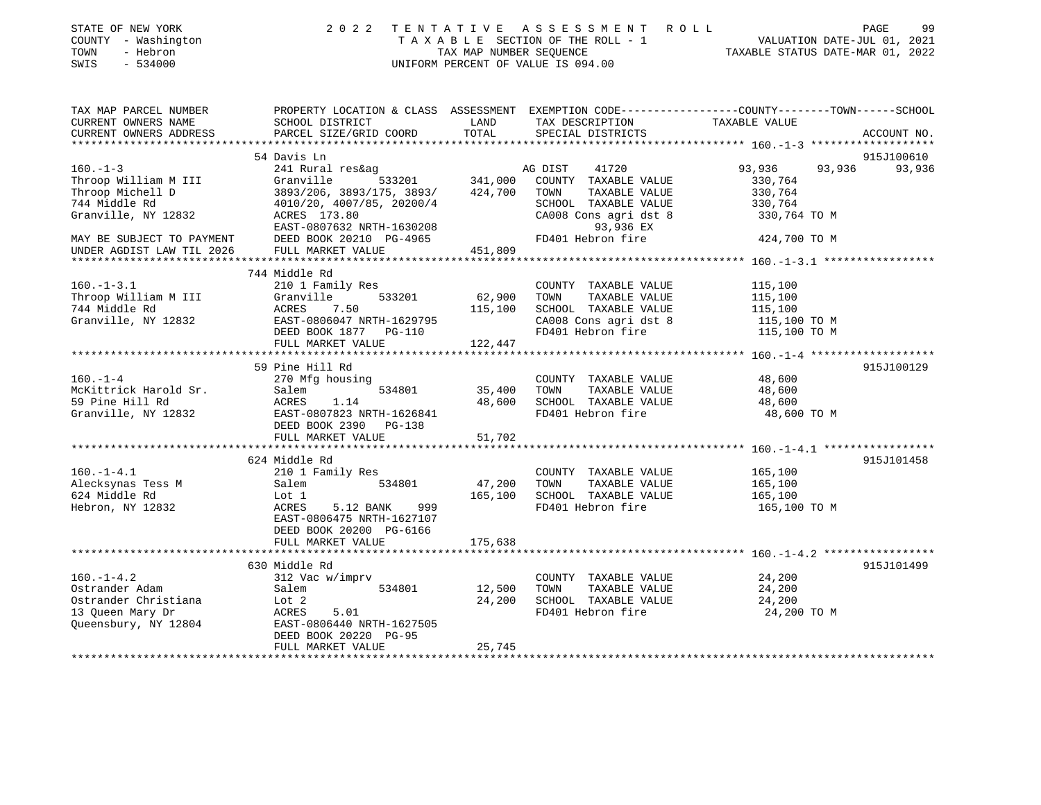| STATE OF NEW YORK<br>COUNTY - Washington<br>- Hebron<br>TOWN<br>SWIS<br>$-534000$                      | 2 0 2 2                                                                                                                                            | TENTATIVE<br>TAX MAP NUMBER SEOUENCE | A S S E S S M E N T<br>R O L L<br>TAXABLE SECTION OF THE ROLL - 1<br>UNIFORM PERCENT OF VALUE IS 094.00                                | VALUATION DATE-JUL 01, 2021<br>TAXABLE STATUS DATE-MAR 01, 2022 | PAGE<br>99  |
|--------------------------------------------------------------------------------------------------------|----------------------------------------------------------------------------------------------------------------------------------------------------|--------------------------------------|----------------------------------------------------------------------------------------------------------------------------------------|-----------------------------------------------------------------|-------------|
| TAX MAP PARCEL NUMBER<br>CURRENT OWNERS NAME<br>CURRENT OWNERS ADDRESS                                 | SCHOOL DISTRICT<br>PARCEL SIZE/GRID COORD                                                                                                          | LAND<br>TOTAL                        | PROPERTY LOCATION & CLASS ASSESSMENT EXEMPTION CODE---------------COUNTY-------TOWN-----SCHOOL<br>TAX DESCRIPTION<br>SPECIAL DISTRICTS | TAXABLE VALUE                                                   | ACCOUNT NO. |
|                                                                                                        | 54 Davis Ln                                                                                                                                        |                                      |                                                                                                                                        |                                                                 | 915J100610  |
| $160. -1 - 3$                                                                                          | 241 Rural res&ag                                                                                                                                   |                                      | AG DIST<br>41720                                                                                                                       | 93,936<br>93,936                                                | 93,936      |
| Throop William M III<br>Throop Michell D<br>744 Middle Rd<br>Granville, NY 12832                       | Granville<br>533201<br>3893/206, 3893/175, 3893/<br>4010/20, 4007/85, 20200/4<br>ACRES 173.80<br>EAST-0807632 NRTH-1630208                         | 341,000<br>424,700                   | COUNTY TAXABLE VALUE<br>TAXABLE VALUE<br>TOWN<br>SCHOOL TAXABLE VALUE<br>CA008 Cons agri dst 8<br>93,936 EX                            | 330,764<br>330,764<br>330,764<br>330,764 TO M                   |             |
| MAY BE SUBJECT TO PAYMENT                                                                              | DEED BOOK 20210 PG-4965                                                                                                                            |                                      | FD401 Hebron fire                                                                                                                      | 424,700 TO M                                                    |             |
| UNDER AGDIST LAW TIL 2026                                                                              | FULL MARKET VALUE                                                                                                                                  | 451,809                              |                                                                                                                                        |                                                                 |             |
|                                                                                                        |                                                                                                                                                    |                                      |                                                                                                                                        |                                                                 |             |
| $160. - 1 - 3.1$<br>Throop William M III<br>744 Middle Rd                                              | 744 Middle Rd<br>210 1 Family Res<br>533201<br>Granville<br><b>ACRES</b><br>7.50                                                                   | 62,900<br>115,100                    | COUNTY TAXABLE VALUE<br>TOWN<br>TAXABLE VALUE<br>SCHOOL TAXABLE VALUE                                                                  | 115,100<br>115,100<br>115,100                                   |             |
| Granville, NY 12832                                                                                    | EAST-0806047 NRTH-1629795<br>DEED BOOK 1877 PG-110<br>FULL MARKET VALUE                                                                            | 122,447                              | CA008 Cons agri dst 8<br>FD401 Hebron fire                                                                                             | 115,100 TO M<br>115,100 TO M                                    |             |
|                                                                                                        |                                                                                                                                                    |                                      |                                                                                                                                        |                                                                 |             |
| $160. - 1 - 4$<br>McKittrick Harold Sr.<br>59 Pine Hill Rd<br>Granville, NY 12832                      | 59 Pine Hill Rd<br>270 Mfg housing<br>Salem<br>534801<br>1.14<br>ACRES<br>EAST-0807823 NRTH-1626841<br>DEED BOOK 2390 PG-138<br>FULL MARKET VALUE  | 35,400<br>48,600<br>51,702           | COUNTY TAXABLE VALUE<br>TOWN<br>TAXABLE VALUE<br>SCHOOL TAXABLE VALUE<br>FD401 Hebron fire                                             | 48,600<br>48,600<br>48,600<br>48,600 TO M                       | 915J100129  |
|                                                                                                        |                                                                                                                                                    |                                      |                                                                                                                                        |                                                                 |             |
| $160. - 1 - 4.1$<br>Alecksynas Tess M<br>624 Middle Rd<br>Hebron, NY 12832                             | 624 Middle Rd<br>210 1 Family Res<br>534801<br>Salem<br>Lot 1<br>ACRES<br>5.12 BANK<br>999<br>EAST-0806475 NRTH-1627107<br>DEED BOOK 20200 PG-6166 | 47,200<br>165,100                    | COUNTY TAXABLE VALUE<br>TAXABLE VALUE<br>TOWN<br>SCHOOL TAXABLE VALUE<br>FD401 Hebron fire                                             | 165,100<br>165,100<br>165,100<br>165,100 TO M                   | 915J101458  |
|                                                                                                        | FULL MARKET VALUE                                                                                                                                  | 175,638                              |                                                                                                                                        |                                                                 |             |
|                                                                                                        |                                                                                                                                                    |                                      |                                                                                                                                        |                                                                 |             |
| $160. - 1 - 4.2$<br>Ostrander Adam<br>Ostrander Christiana<br>13 Queen Mary Dr<br>Queensbury, NY 12804 | 630 Middle Rd<br>312 Vac w/imprv<br>534801<br>Salem<br>Lot 2<br><b>ACRES</b><br>5.01<br>EAST-0806440 NRTH-1627505                                  | 12,500<br>24,200                     | COUNTY TAXABLE VALUE<br>TOWN<br>TAXABLE VALUE<br>SCHOOL TAXABLE VALUE<br>FD401 Hebron fire                                             | 24,200<br>24,200<br>24,200<br>24,200 TO M                       | 915J101499  |

Queensbury, NY 12804 EAST-0806440 NRTH-1627505 DEED BOOK 20220 PG-95 FULL MARKET VALUE 25,745

\*\*\*\*\*\*\*\*\*\*\*\*\*\*\*\*\*\*\*\*\*\*\*\*\*\*\*\*\*\*\*\*\*\*\*\*\*\*\*\*\*\*\*\*\*\*\*\*\*\*\*\*\*\*\*\*\*\*\*\*\*\*\*\*\*\*\*\*\*\*\*\*\*\*\*\*\*\*\*\*\*\*\*\*\*\*\*\*\*\*\*\*\*\*\*\*\*\*\*\*\*\*\*\*\*\*\*\*\*\*\*\*\*\*\*\*\*\*\*\*\*\*\*\*\*\*\*\*\*\*\*\*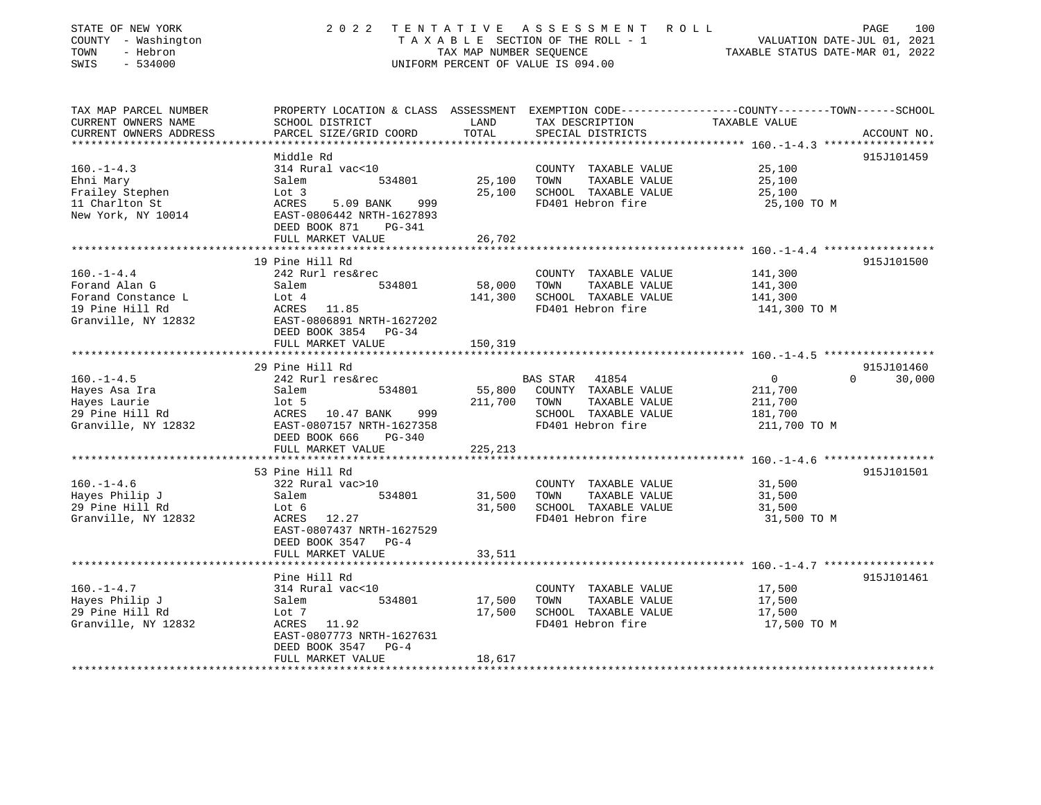| STATE OF NEW YORK<br>COUNTY - Washington<br>TOWN<br>- Hebron<br>SWIS<br>$-534000$ |                                                                                   | TAX MAP NUMBER SEQUENCE | 2022 TENTATIVE ASSESSMENT ROLL<br>TAXABLE SECTION OF THE ROLL - 1<br>UNIFORM PERCENT OF VALUE IS 094.00 | PAGE<br>100<br>VALUATION DATE-JUL 01, 2021<br>TAXABLE STATUS DATE-MAR 01, 2022                                   |
|-----------------------------------------------------------------------------------|-----------------------------------------------------------------------------------|-------------------------|---------------------------------------------------------------------------------------------------------|------------------------------------------------------------------------------------------------------------------|
| TAX MAP PARCEL NUMBER<br>CURRENT OWNERS NAME                                      | SCHOOL DISTRICT                                                                   | LAND<br>TOTAL           | TAX DESCRIPTION                                                                                         | PROPERTY LOCATION & CLASS ASSESSMENT EXEMPTION CODE---------------COUNTY-------TOWN------SCHOOL<br>TAXABLE VALUE |
| CURRENT OWNERS ADDRESS                                                            | PARCEL SIZE/GRID COORD                                                            |                         | SPECIAL DISTRICTS                                                                                       | ACCOUNT NO.<br>****************** 160.-1-4.3 ******************                                                  |
|                                                                                   | Middle Rd                                                                         |                         |                                                                                                         | 915J101459                                                                                                       |
| $160. -1 - 4.3$                                                                   | 314 Rural vac<10                                                                  |                         | COUNTY TAXABLE VALUE                                                                                    | 25,100                                                                                                           |
| Ehni Mary                                                                         | 534801<br>Salem                                                                   | 25,100                  | TAXABLE VALUE<br>TOWN                                                                                   | 25,100                                                                                                           |
| Frailey Stephen                                                                   | Lot 3                                                                             | 25,100                  | SCHOOL TAXABLE VALUE                                                                                    | 25,100                                                                                                           |
| 11 Charlton St<br>New York, NY 10014                                              | ACRES<br>5.09 BANK<br>999<br>EAST-0806442 NRTH-1627893<br>DEED BOOK 871<br>PG-341 |                         | FD401 Hebron fire                                                                                       | 25,100 TO M                                                                                                      |
|                                                                                   | FULL MARKET VALUE<br>************************                                     | 26,702                  |                                                                                                         |                                                                                                                  |
|                                                                                   | 19 Pine Hill Rd                                                                   |                         |                                                                                                         | 915J101500                                                                                                       |
| $160. - 1 - 4.4$                                                                  | 242 Rurl res&rec                                                                  |                         | COUNTY TAXABLE VALUE                                                                                    | 141,300                                                                                                          |
| Forand Alan G                                                                     | 534801<br>Salem                                                                   | 58,000                  | TOWN<br>TAXABLE VALUE                                                                                   | 141,300                                                                                                          |
| Forand Constance L                                                                | Lot 4                                                                             | 141,300                 | SCHOOL TAXABLE VALUE                                                                                    | 141,300                                                                                                          |
| 19 Pine Hill Rd                                                                   | ACRES 11.85                                                                       |                         | FD401 Hebron fire                                                                                       | 141,300 TO M                                                                                                     |
| Granville, NY 12832                                                               | EAST-0806891 NRTH-1627202<br>DEED BOOK 3854 PG-34                                 |                         |                                                                                                         |                                                                                                                  |
|                                                                                   | FULL MARKET VALUE                                                                 | 150,319                 |                                                                                                         |                                                                                                                  |
|                                                                                   |                                                                                   |                         |                                                                                                         |                                                                                                                  |
|                                                                                   | 29 Pine Hill Rd                                                                   |                         |                                                                                                         | 915J101460                                                                                                       |
| $160. - 1 - 4.5$                                                                  | 242 Rurl res&rec                                                                  |                         | BAS STAR 41854                                                                                          | $\overline{0}$<br>$\Omega$<br>30,000                                                                             |
| Hayes Asa Ira                                                                     | Salem<br>534801                                                                   | 55,800                  | COUNTY TAXABLE VALUE                                                                                    | 211,700                                                                                                          |
| Hayes Laurie                                                                      | $1$ ot 5                                                                          | 211,700                 | TAXABLE VALUE<br>TOWN                                                                                   | 211,700                                                                                                          |
| 29 Pine Hill Rd                                                                   | ACRES 10.47 BANK<br>999<br>EAST-0807157 NRTH-1627358                              |                         | SCHOOL TAXABLE VALUE<br>FD401 Hebron fire                                                               | 181,700                                                                                                          |
| Granville, NY 12832                                                               | DEED BOOK 666<br>PG-340                                                           |                         |                                                                                                         | 211,700 TO M                                                                                                     |
|                                                                                   | FULL MARKET VALUE                                                                 | 225,213                 |                                                                                                         |                                                                                                                  |
|                                                                                   |                                                                                   |                         |                                                                                                         |                                                                                                                  |
|                                                                                   | 53 Pine Hill Rd                                                                   |                         |                                                                                                         | 915J101501                                                                                                       |
| $160. - 1 - 4.6$                                                                  | 322 Rural vac>10                                                                  |                         | COUNTY TAXABLE VALUE                                                                                    | 31,500                                                                                                           |
| Hayes Philip J                                                                    | Salem<br>534801                                                                   | 31,500                  | TAXABLE VALUE<br>TOWN                                                                                   | 31,500                                                                                                           |
| 29 Pine Hill Rd                                                                   | Lot 6                                                                             | 31,500                  | SCHOOL TAXABLE VALUE                                                                                    | 31,500                                                                                                           |
| Granville, NY 12832                                                               | ACRES 12.27<br>EAST-0807437 NRTH-1627529                                          |                         | FD401 Hebron fire                                                                                       | 31,500 TO M                                                                                                      |
|                                                                                   | DEED BOOK 3547<br>$PG-4$                                                          |                         |                                                                                                         |                                                                                                                  |
|                                                                                   | FULL MARKET VALUE                                                                 | 33,511                  |                                                                                                         |                                                                                                                  |
|                                                                                   | *********************                                                             |                         |                                                                                                         |                                                                                                                  |
|                                                                                   | Pine Hill Rd                                                                      |                         |                                                                                                         | 915J101461                                                                                                       |
| $160. - 1 - 4.7$                                                                  | 314 Rural vac<10                                                                  |                         | COUNTY TAXABLE VALUE                                                                                    | 17,500                                                                                                           |
| Hayes Philip J                                                                    | 534801<br>Salem                                                                   | 17,500                  | TOWN<br>TAXABLE VALUE                                                                                   | 17,500                                                                                                           |
| 29 Pine Hill Rd<br>Granville, NY 12832                                            | Lot 7<br>ACRES 11.92                                                              | 17,500                  | SCHOOL TAXABLE VALUE<br>FD401 Hebron fire                                                               | 17,500<br>17,500 TO M                                                                                            |
|                                                                                   | EAST-0807773 NRTH-1627631                                                         |                         |                                                                                                         |                                                                                                                  |
|                                                                                   | DEED BOOK 3547 PG-4                                                               |                         |                                                                                                         |                                                                                                                  |
|                                                                                   | FULL MARKET VALUE                                                                 | 18,617                  |                                                                                                         |                                                                                                                  |
| ***************************                                                       |                                                                                   |                         |                                                                                                         |                                                                                                                  |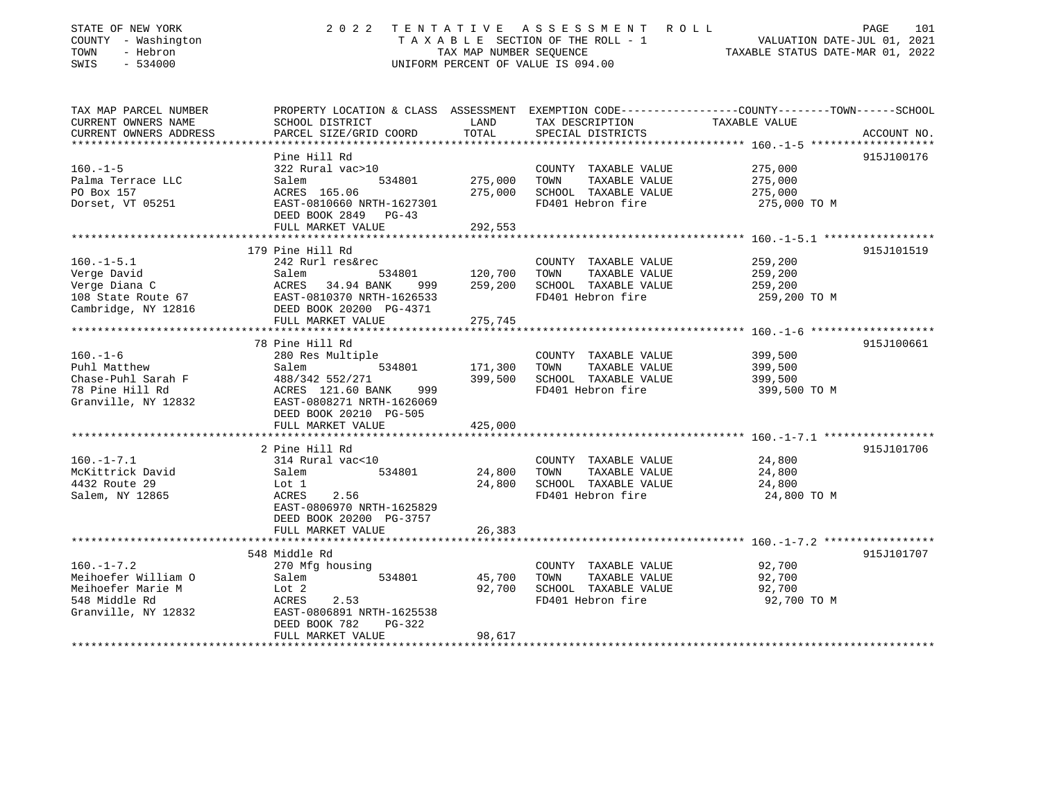| STATE OF NEW YORK      | 2022                                              | TENTATIVE               | A S S E S S M E N T     R O L L    | PAGE                                                                                            | 101 |
|------------------------|---------------------------------------------------|-------------------------|------------------------------------|-------------------------------------------------------------------------------------------------|-----|
| COUNTY - Washington    |                                                   |                         | TAXABLE SECTION OF THE ROLL - 1    | VALUATION DATE-JUL 01, 2021                                                                     |     |
| TOWN<br>- Hebron       |                                                   | TAX MAP NUMBER SEQUENCE |                                    | TAXABLE STATUS DATE-MAR 01, 2022                                                                |     |
| SWIS<br>$-534000$      |                                                   |                         | UNIFORM PERCENT OF VALUE IS 094.00 |                                                                                                 |     |
|                        |                                                   |                         |                                    |                                                                                                 |     |
| TAX MAP PARCEL NUMBER  |                                                   |                         |                                    | PROPERTY LOCATION & CLASS ASSESSMENT EXEMPTION CODE---------------COUNTY-------TOWN------SCHOOL |     |
| CURRENT OWNERS NAME    | SCHOOL DISTRICT                                   | LAND                    | TAX DESCRIPTION                    | TAXABLE VALUE                                                                                   |     |
| CURRENT OWNERS ADDRESS | PARCEL SIZE/GRID COORD                            | TOTAL                   | SPECIAL DISTRICTS                  | ACCOUNT NO.                                                                                     |     |
|                        | Pine Hill Rd                                      |                         |                                    | 915J100176                                                                                      |     |
| $160. - 1 - 5$         | 322 Rural vac>10                                  |                         | COUNTY TAXABLE VALUE               | 275,000                                                                                         |     |
| Palma Terrace LLC      | Salem<br>534801                                   | 275,000                 | TOWN<br>TAXABLE VALUE              | 275,000                                                                                         |     |
| PO Box 157             | ACRES 165.06                                      | 275,000                 | SCHOOL TAXABLE VALUE               | 275,000                                                                                         |     |
| Dorset, VT 05251       | EAST-0810660 NRTH-1627301                         |                         | FD401 Hebron fire                  | 275,000 TO M                                                                                    |     |
|                        | DEED BOOK 2849 PG-43                              |                         |                                    |                                                                                                 |     |
|                        | FULL MARKET VALUE                                 | 292,553                 |                                    |                                                                                                 |     |
|                        |                                                   |                         |                                    |                                                                                                 |     |
|                        | 179 Pine Hill Rd                                  |                         |                                    | 915J101519                                                                                      |     |
| $160.-1-5.1$           | 242 Rurl res&rec                                  |                         |                                    | 259,200                                                                                         |     |
|                        |                                                   |                         | COUNTY TAXABLE VALUE               |                                                                                                 |     |
| Verge David            | Salem<br>534801                                   | 120,700                 | TOWN<br>TAXABLE VALUE              | 259,200                                                                                         |     |
| Verge Diana C          | ACRES 34.94 BANK 999<br>EAST-0810370 NRTH-1626533 | 259,200                 | SCHOOL TAXABLE VALUE               | 259,200                                                                                         |     |
| 108 State Route 67     |                                                   |                         | FD401 Hebron fire                  | 259,200 TO M                                                                                    |     |
| Cambridge, NY 12816    | DEED BOOK 20200 PG-4371                           |                         |                                    |                                                                                                 |     |
|                        | FULL MARKET VALUE<br>**********************       | 275,745                 |                                    |                                                                                                 |     |
|                        |                                                   |                         |                                    |                                                                                                 |     |
|                        | 78 Pine Hill Rd                                   |                         |                                    | 915J100661                                                                                      |     |
| $160. - 1 - 6$         | 280 Res Multiple                                  |                         | COUNTY TAXABLE VALUE               | 399,500                                                                                         |     |
| Puhl Matthew           | 534801<br>Salem                                   | 171,300                 | TOWN<br>TAXABLE VALUE              | 399,500                                                                                         |     |
| Chase-Puhl Sarah F     | 488/342 552/271                                   | 399,500                 | SCHOOL TAXABLE VALUE               | 399,500                                                                                         |     |
| 78 Pine Hill Rd        | ACRES 121.60 BANK<br>999                          |                         | FD401 Hebron fire                  | 399,500 TO M                                                                                    |     |
| Granville, NY 12832    | EAST-0808271 NRTH-1626069                         |                         |                                    |                                                                                                 |     |
|                        | DEED BOOK 20210 PG-505                            |                         |                                    |                                                                                                 |     |
|                        | FULL MARKET VALUE                                 | 425,000                 |                                    |                                                                                                 |     |
|                        |                                                   |                         |                                    |                                                                                                 |     |
|                        | 2 Pine Hill Rd                                    |                         |                                    | 915J101706                                                                                      |     |
| $160. - 1 - 7.1$       | 314 Rural vac<10                                  |                         | COUNTY TAXABLE VALUE               | 24,800                                                                                          |     |
| McKittrick David       | 534801<br>Salem                                   | 24,800                  | TOWN<br>TAXABLE VALUE              | 24,800                                                                                          |     |
| 4432 Route 29          | Lot 1                                             | 24,800                  | SCHOOL TAXABLE VALUE               | 24,800                                                                                          |     |
| Salem, NY 12865        | ACRES<br>2.56                                     |                         | FD401 Hebron fire                  | 24,800 TO M                                                                                     |     |
|                        | EAST-0806970 NRTH-1625829                         |                         |                                    |                                                                                                 |     |
|                        | DEED BOOK 20200 PG-3757                           |                         |                                    |                                                                                                 |     |
|                        | FULL MARKET VALUE                                 | 26,383                  |                                    |                                                                                                 |     |
|                        | ************************                          |                         |                                    |                                                                                                 |     |
|                        | 548 Middle Rd                                     |                         |                                    | 915J101707                                                                                      |     |
| $160. - 1 - 7.2$       | 270 Mfg housing                                   |                         | COUNTY TAXABLE VALUE               | 92,700                                                                                          |     |
| Meihoefer William O    | Salem<br>534801                                   | 45,700                  | TOWN<br>TAXABLE VALUE              | 92,700                                                                                          |     |
| Meihoefer Marie M      | Lot 2                                             | 92,700                  | SCHOOL TAXABLE VALUE               | 92,700                                                                                          |     |
| 548 Middle Rd          | 2.53<br>ACRES                                     |                         | FD401 Hebron fire                  | 92,700 TO M                                                                                     |     |
| Granville, NY 12832    | EAST-0806891 NRTH-1625538                         |                         |                                    |                                                                                                 |     |
|                        | DEED BOOK 782<br>$PG-322$                         |                         |                                    |                                                                                                 |     |
|                        | FULL MARKET VALUE                                 | 98,617                  |                                    |                                                                                                 |     |
|                        |                                                   |                         |                                    |                                                                                                 |     |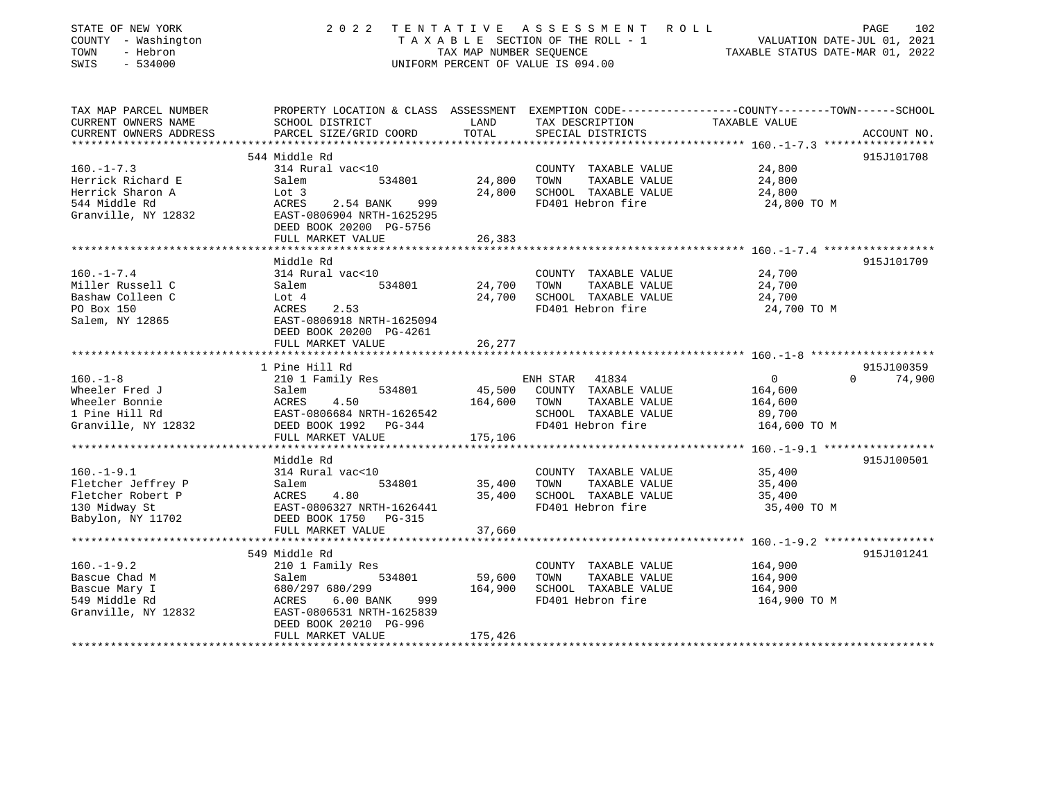| STATE OF NEW YORK<br>COUNTY - Washington<br>TOWN<br>- Hebron<br>$-534000$<br>SWIS | 2 0 2 2                                              | TENTATIVE<br>TAX MAP NUMBER SEOUENCE | ASSESSMENT ROLL<br>TAXABLE SECTION OF THE ROLL - 1<br>UNIFORM PERCENT OF VALUE IS 094.00 | VALUATION DATE-JUL 01, 2021<br>TAXABLE STATUS DATE-MAR 01, 2022                                                  | 102<br>PAGE |
|-----------------------------------------------------------------------------------|------------------------------------------------------|--------------------------------------|------------------------------------------------------------------------------------------|------------------------------------------------------------------------------------------------------------------|-------------|
| TAX MAP PARCEL NUMBER<br>CURRENT OWNERS NAME                                      | SCHOOL DISTRICT                                      | LAND                                 | TAX DESCRIPTION                                                                          | PROPERTY LOCATION & CLASS ASSESSMENT EXEMPTION CODE---------------COUNTY-------TOWN------SCHOOL<br>TAXABLE VALUE |             |
| CURRENT OWNERS ADDRESS                                                            | PARCEL SIZE/GRID COORD                               | TOTAL                                | SPECIAL DISTRICTS                                                                        |                                                                                                                  | ACCOUNT NO. |
|                                                                                   |                                                      |                                      |                                                                                          |                                                                                                                  |             |
|                                                                                   | 544 Middle Rd                                        |                                      |                                                                                          |                                                                                                                  | 915J101708  |
| $160. - 1 - 7.3$                                                                  | 314 Rural vac<10                                     |                                      | COUNTY TAXABLE VALUE                                                                     | 24,800                                                                                                           |             |
| Herrick Richard E                                                                 | 534801<br>Salem                                      | 24,800                               | TAXABLE VALUE<br>TOWN                                                                    | 24,800                                                                                                           |             |
| Herrick Sharon A<br>544 Middle Rd                                                 | Lot 3<br>ACRES<br>2.54 BANK<br>999                   | 24,800                               | SCHOOL TAXABLE VALUE<br>FD401 Hebron fire                                                | 24,800<br>24,800 TO M                                                                                            |             |
| Granville, NY 12832                                                               | EAST-0806904 NRTH-1625295<br>DEED BOOK 20200 PG-5756 |                                      |                                                                                          |                                                                                                                  |             |
|                                                                                   | FULL MARKET VALUE                                    | 26,383                               |                                                                                          |                                                                                                                  |             |
|                                                                                   |                                                      |                                      |                                                                                          |                                                                                                                  |             |
|                                                                                   | Middle Rd                                            |                                      |                                                                                          |                                                                                                                  | 915J101709  |
| $160. - 1 - 7.4$                                                                  | 314 Rural vac<10                                     |                                      | COUNTY TAXABLE VALUE                                                                     | 24,700                                                                                                           |             |
| Miller Russell C                                                                  | 534801<br>Salem                                      | 24,700                               | TOWN<br>TAXABLE VALUE<br>SCHOOL TAXABLE VALUE                                            | 24,700                                                                                                           |             |
| Bashaw Colleen C<br>PO Box 150                                                    | Lot 4<br>ACRES<br>2.53                               | 24,700                               | FD401 Hebron fire                                                                        | 24,700<br>24,700 TO M                                                                                            |             |
| Salem, NY 12865                                                                   | EAST-0806918 NRTH-1625094                            |                                      |                                                                                          |                                                                                                                  |             |
|                                                                                   | DEED BOOK 20200 PG-4261                              |                                      |                                                                                          |                                                                                                                  |             |
|                                                                                   | FULL MARKET VALUE                                    | 26,277                               |                                                                                          |                                                                                                                  |             |
|                                                                                   |                                                      |                                      |                                                                                          |                                                                                                                  |             |
|                                                                                   | 1 Pine Hill Rd                                       |                                      |                                                                                          |                                                                                                                  | 915J100359  |
| $160. - 1 - 8$                                                                    | 210 1 Family Res                                     |                                      | 41834<br>ENH STAR                                                                        | $\Omega$<br>$\overline{0}$                                                                                       | 74,900      |
| Wheeler Fred J                                                                    | Salem<br>534801                                      | 45,500                               | COUNTY TAXABLE VALUE                                                                     | 164,600                                                                                                          |             |
| Wheeler Bonnie                                                                    | ACRES<br>4.50                                        | 164,600                              | TOWN<br>TAXABLE VALUE                                                                    | 164,600                                                                                                          |             |
| 1 Pine Hill Rd                                                                    | EAST-0806684 NRTH-1626542                            |                                      | SCHOOL TAXABLE VALUE                                                                     | 89,700                                                                                                           |             |
| Granville, NY 12832                                                               | DEED BOOK 1992 PG-344<br>FULL MARKET VALUE           | 175,106                              | FD401 Hebron fire                                                                        | 164,600 TO M                                                                                                     |             |
|                                                                                   |                                                      |                                      |                                                                                          |                                                                                                                  |             |
|                                                                                   | Middle Rd                                            |                                      |                                                                                          |                                                                                                                  | 915J100501  |
| $160. - 1 - 9.1$                                                                  | 314 Rural vac<10                                     |                                      | COUNTY TAXABLE VALUE                                                                     | 35,400                                                                                                           |             |
| Fletcher Jeffrey P                                                                | 534801<br>Salem                                      | 35,400                               | TOWN<br>TAXABLE VALUE                                                                    | 35,400                                                                                                           |             |
| Fletcher Robert P                                                                 | ACRES<br>4.80                                        | 35,400                               | SCHOOL TAXABLE VALUE                                                                     | 35,400                                                                                                           |             |
| 130 Midway St                                                                     | EAST-0806327 NRTH-1626441                            |                                      | FD401 Hebron fire                                                                        | 35,400 TO M                                                                                                      |             |
| Babylon, NY 11702                                                                 | DEED BOOK 1750<br>$PG-315$                           |                                      |                                                                                          |                                                                                                                  |             |
|                                                                                   | FULL MARKET VALUE                                    | 37,660                               |                                                                                          |                                                                                                                  |             |
|                                                                                   |                                                      |                                      |                                                                                          |                                                                                                                  |             |
| $160. - 1 - 9.2$                                                                  | 549 Middle Rd<br>210 1 Family Res                    |                                      | COUNTY TAXABLE VALUE                                                                     | 164,900                                                                                                          | 915J101241  |
| Bascue Chad M                                                                     | 534801<br>Salem                                      | 59,600                               | TOWN<br>TAXABLE VALUE                                                                    | 164,900                                                                                                          |             |
| Bascue Mary I                                                                     | 680/297 680/299                                      | 164,900                              | SCHOOL TAXABLE VALUE                                                                     | 164,900                                                                                                          |             |
| 549 Middle Rd                                                                     | 6.00 BANK<br>ACRES<br>999                            |                                      | FD401 Hebron fire                                                                        | 164,900 TO M                                                                                                     |             |
| Granville, NY 12832                                                               | EAST-0806531 NRTH-1625839                            |                                      |                                                                                          |                                                                                                                  |             |
|                                                                                   | DEED BOOK 20210 PG-996                               |                                      |                                                                                          |                                                                                                                  |             |
|                                                                                   | FULL MARKET VALUE                                    | 175,426                              |                                                                                          |                                                                                                                  |             |
|                                                                                   |                                                      |                                      |                                                                                          |                                                                                                                  |             |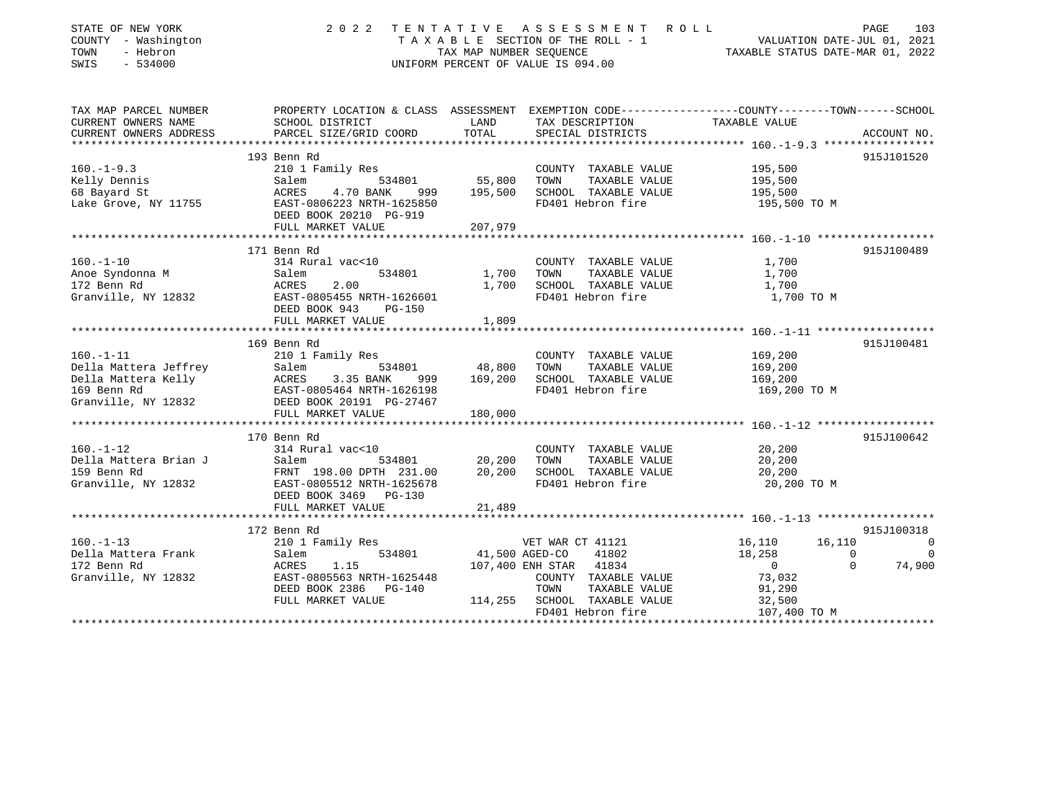| STATE OF NEW YORK<br>COUNTY - Washington<br>TOWN<br>- Hebron<br>$-534000$<br>SWIS | 2022<br>TENTATIVE<br>TAXABLE SECTION OF THE ROLL - 1<br>TAX MAP NUMBER SEOUENCE<br>UNIFORM PERCENT OF VALUE IS 094.00 | R O L L<br>103<br>PAGE<br>VALUATION DATE-JUL 01, 2021<br>TAXABLE STATUS DATE-MAR 01, 2022 |                                             |                                                                                                                  |                              |
|-----------------------------------------------------------------------------------|-----------------------------------------------------------------------------------------------------------------------|-------------------------------------------------------------------------------------------|---------------------------------------------|------------------------------------------------------------------------------------------------------------------|------------------------------|
| TAX MAP PARCEL NUMBER<br>CURRENT OWNERS NAME                                      | SCHOOL DISTRICT                                                                                                       | LAND                                                                                      | TAX DESCRIPTION                             | PROPERTY LOCATION & CLASS ASSESSMENT EXEMPTION CODE---------------COUNTY-------TOWN------SCHOOL<br>TAXABLE VALUE |                              |
| CURRENT OWNERS ADDRESS                                                            | PARCEL SIZE/GRID COORD                                                                                                | TOTAL                                                                                     | SPECIAL DISTRICTS                           |                                                                                                                  | ACCOUNT NO.                  |
|                                                                                   |                                                                                                                       |                                                                                           |                                             |                                                                                                                  |                              |
|                                                                                   | 193 Benn Rd                                                                                                           |                                                                                           |                                             |                                                                                                                  | 915J101520                   |
| $160. - 1 - 9.3$                                                                  | 210 1 Family Res                                                                                                      |                                                                                           | COUNTY TAXABLE VALUE                        | 195,500                                                                                                          |                              |
| Kelly Dennis                                                                      | Salem<br>534801                                                                                                       | 55,800                                                                                    | TOWN<br>TAXABLE VALUE                       | 195,500                                                                                                          |                              |
| 68 Bayard St                                                                      | ACRES<br>4.70 BANK<br>999                                                                                             | 195,500                                                                                   | SCHOOL TAXABLE VALUE                        | 195,500                                                                                                          |                              |
| Lake Grove, NY 11755                                                              | EAST-0806223 NRTH-1625850<br>DEED BOOK 20210 PG-919                                                                   |                                                                                           | FD401 Hebron fire                           | 195,500 TO M                                                                                                     |                              |
|                                                                                   | FULL MARKET VALUE                                                                                                     | 207,979                                                                                   |                                             |                                                                                                                  |                              |
|                                                                                   | 171 Benn Rd                                                                                                           |                                                                                           |                                             |                                                                                                                  | 915J100489                   |
| $160. - 1 - 10$                                                                   | 314 Rural vac<10                                                                                                      |                                                                                           | COUNTY TAXABLE VALUE                        | 1,700                                                                                                            |                              |
| Anoe Syndonna M                                                                   | 534801<br>Salem                                                                                                       | 1,700                                                                                     | TAXABLE VALUE<br>TOWN                       | 1,700                                                                                                            |                              |
| 172 Benn Rd                                                                       | 2.00<br>ACRES                                                                                                         | 1,700                                                                                     | SCHOOL TAXABLE VALUE                        | 1,700                                                                                                            |                              |
| Granville, NY 12832                                                               | EAST-0805455 NRTH-1626601                                                                                             |                                                                                           | FD401 Hebron fire                           | 1,700 TO M                                                                                                       |                              |
|                                                                                   | DEED BOOK 943<br><b>PG-150</b>                                                                                        |                                                                                           |                                             |                                                                                                                  |                              |
|                                                                                   | FULL MARKET VALUE                                                                                                     | 1,809                                                                                     |                                             |                                                                                                                  |                              |
|                                                                                   |                                                                                                                       |                                                                                           |                                             |                                                                                                                  |                              |
|                                                                                   | 169 Benn Rd                                                                                                           |                                                                                           |                                             |                                                                                                                  | 915J100481                   |
| $160. - 1 - 11$                                                                   | 210 1 Family Res                                                                                                      |                                                                                           | COUNTY TAXABLE VALUE                        | 169,200                                                                                                          |                              |
| Della Mattera Jeffrey                                                             | Salem<br>534801                                                                                                       | 48,800                                                                                    | TAXABLE VALUE<br>TOWN                       | 169,200                                                                                                          |                              |
| Della Mattera Kelly<br>169 Benn Rd                                                | ACRES<br>3.35 BANK<br>999<br>EAST-0805464 NRTH-1626198                                                                | 169,200                                                                                   | SCHOOL TAXABLE VALUE<br>FD401 Hebron fire   | 169,200                                                                                                          |                              |
| Granville, NY 12832                                                               | DEED BOOK 20191 PG-27467                                                                                              |                                                                                           |                                             | 169,200 TO M                                                                                                     |                              |
|                                                                                   | FULL MARKET VALUE                                                                                                     | 180,000                                                                                   |                                             |                                                                                                                  |                              |
|                                                                                   |                                                                                                                       |                                                                                           |                                             |                                                                                                                  |                              |
|                                                                                   | 170 Benn Rd                                                                                                           |                                                                                           |                                             |                                                                                                                  | 915J100642                   |
| $160. - 1 - 12$                                                                   | 314 Rural vac<10                                                                                                      |                                                                                           | COUNTY TAXABLE VALUE                        | 20,200                                                                                                           |                              |
| Della Mattera Brian J                                                             | Salem<br>534801                                                                                                       | 20,200                                                                                    | TAXABLE VALUE<br>TOWN                       | 20,200                                                                                                           |                              |
| 159 Benn Rd                                                                       | FRNT 198.00 DPTH 231.00                                                                                               | 20,200                                                                                    | SCHOOL TAXABLE VALUE                        | 20,200                                                                                                           |                              |
| Granville, NY 12832                                                               | EAST-0805512 NRTH-1625678                                                                                             |                                                                                           | FD401 Hebron fire                           | 20,200 TO M                                                                                                      |                              |
|                                                                                   | DEED BOOK 3469 PG-130                                                                                                 |                                                                                           |                                             |                                                                                                                  |                              |
|                                                                                   | FULL MARKET VALUE<br>**************************                                                                       | 21,489                                                                                    |                                             |                                                                                                                  |                              |
|                                                                                   |                                                                                                                       |                                                                                           |                                             |                                                                                                                  |                              |
| $160. -1 - 13$                                                                    | 172 Benn Rd                                                                                                           |                                                                                           |                                             |                                                                                                                  | 915J100318                   |
| Della Mattera Frank                                                               | 210 1 Family Res<br>534801<br>Salem                                                                                   |                                                                                           | VET WAR CT 41121<br>41,500 AGED-CO<br>41802 | 16,110<br>16,110<br>18,258<br>$\Omega$                                                                           | $\overline{0}$<br>$\bigcirc$ |
| 172 Benn Rd                                                                       | 1.15<br>ACRES                                                                                                         |                                                                                           | 107,400 ENH STAR<br>41834                   | $\Omega$<br>$\overline{0}$                                                                                       | 74,900                       |
| Granville, NY 12832                                                               | EAST-0805563 NRTH-1625448                                                                                             |                                                                                           | COUNTY TAXABLE VALUE                        | 73,032                                                                                                           |                              |
|                                                                                   | DEED BOOK 2386<br><b>PG-140</b>                                                                                       |                                                                                           | TOWN<br>TAXABLE VALUE                       | 91,290                                                                                                           |                              |
|                                                                                   | FULL MARKET VALUE                                                                                                     | 114,255                                                                                   | SCHOOL TAXABLE VALUE                        | 32,500                                                                                                           |                              |
|                                                                                   |                                                                                                                       |                                                                                           | FD401 Hebron fire                           | 107,400 TO M                                                                                                     |                              |
|                                                                                   |                                                                                                                       |                                                                                           |                                             |                                                                                                                  |                              |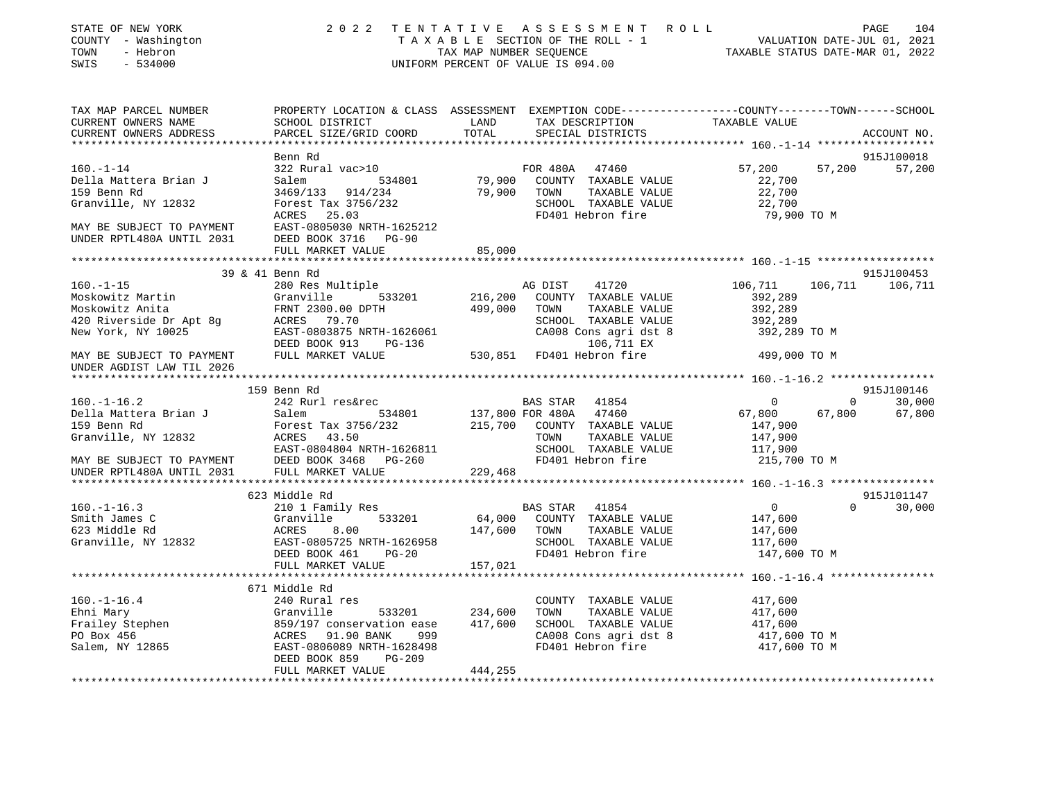| STATE OF NEW YORK<br>COUNTY - Washington<br>TOWN<br>- Hebron<br>$-534000$<br>SWIS                                                                                                                                                                                   |                                                                                                                                                                                                           |          | $\begin{tabular}{lllllllllllllllll} \hline 2&0&2&2&\text{T} & \text{E} & \text{N} & \text{T} & \text{A} & \text{T} & \text{A} & \text{T} & \text{A} & \text{T} & \text{A} & \text{T} & \text{A} & \text{B} & \text{B} & \text{A} & \text{C} & \text{E} & \text{A} & \text{A} & \text{B} & \text{B} & \text{B} & \text{E} & \text{E} & \text{E} & \text{C} & \text{T} & \text{A} & \text{A} & \text{B} & \text{B} & \text{E} & \$ |                                                                 |                                        |
|---------------------------------------------------------------------------------------------------------------------------------------------------------------------------------------------------------------------------------------------------------------------|-----------------------------------------------------------------------------------------------------------------------------------------------------------------------------------------------------------|----------|----------------------------------------------------------------------------------------------------------------------------------------------------------------------------------------------------------------------------------------------------------------------------------------------------------------------------------------------------------------------------------------------------------------------------------|-----------------------------------------------------------------|----------------------------------------|
| TAX MAP PARCEL NUMBER<br>CURRENT OWNERS NAME<br>CURRENT OWNERS ADDRESS                                                                                                                                                                                              | PROPERTY LOCATION & CLASS ASSESSMENT EXEMPTION CODE---------------COUNTY-------TOWN-----SCHOOL                                                                                                            |          |                                                                                                                                                                                                                                                                                                                                                                                                                                  |                                                                 | ACCOUNT NO.                            |
|                                                                                                                                                                                                                                                                     |                                                                                                                                                                                                           |          |                                                                                                                                                                                                                                                                                                                                                                                                                                  |                                                                 |                                        |
| $160. - 1 - 14$<br>Della Mattera Brian J<br>159 Benn Rd<br>Granville, NY 12832                                                                                                                                                                                      | Benn Rd<br>322 Rural vac>10<br>Salem 534801 79,900 COUNTY TAXABLE VALUE<br>3469/133 914/234 79,900 TOWN TAXABLE VALUE<br>Forest Tax 3756/232 79,900 SCHOOL TAXABLE VALUE<br>ACRES 25.03 7D401 Hebron fire |          | FOR 480A 47460<br>SCHOOL TAXABLE VALUE<br>FD401 Hebron fire                                                                                                                                                                                                                                                                                                                                                                      | 57,200<br>22,700<br>22,700<br>22,700                            | 915J100018<br>57,200<br>57,200         |
| MAY BE SUBJECT TO PAYMENT<br>UNDER RPTL480A UNTIL 2031 DEED BOOK 3716 PG-90                                                                                                                                                                                         |                                                                                                                                                                                                           |          |                                                                                                                                                                                                                                                                                                                                                                                                                                  | 79,900 TO M                                                     |                                        |
|                                                                                                                                                                                                                                                                     | FULL MARKET VALUE                                                                                                                                                                                         | 85,000   |                                                                                                                                                                                                                                                                                                                                                                                                                                  |                                                                 |                                        |
|                                                                                                                                                                                                                                                                     | 39 & 41 Benn Rd                                                                                                                                                                                           |          |                                                                                                                                                                                                                                                                                                                                                                                                                                  |                                                                 | 915J100453                             |
| $160. - 1 - 15$<br>FRAME STRING COUNTY TAXABLE VALUE<br>Moskowitz Anita<br>Moskowitz Anita<br>120 Riverside Dr Apt 8g<br>New York, NY 10025<br>New York, NY 10025<br>MAY BE SUBJECT TO PAYMENT<br>TRABLE VALUE<br>PEED BOOK 913 PG-136<br>TRABLE SUBJECT TO PAYMENT | 280 Res Multiple                                                                                                                                                                                          |          | AG DIST 41720<br>SCHOOL TAXABLE VALUE<br>CA008 Cons agri dst 8 392,289 TO M<br>CA008 Cons agri dst 8 392,289 TO M                                                                                                                                                                                                                                                                                                                | 106,711<br>392,289<br>392,289                                   | 106,711 106,711                        |
| UNDER AGDIST LAW TIL 2026                                                                                                                                                                                                                                           |                                                                                                                                                                                                           |          |                                                                                                                                                                                                                                                                                                                                                                                                                                  | 499,000 TO M                                                    |                                        |
|                                                                                                                                                                                                                                                                     |                                                                                                                                                                                                           |          |                                                                                                                                                                                                                                                                                                                                                                                                                                  |                                                                 |                                        |
|                                                                                                                                                                                                                                                                     |                                                                                                                                                                                                           |          |                                                                                                                                                                                                                                                                                                                                                                                                                                  |                                                                 | 915J100146                             |
|                                                                                                                                                                                                                                                                     |                                                                                                                                                                                                           |          |                                                                                                                                                                                                                                                                                                                                                                                                                                  | 67,800                                                          | $\Omega$<br>30,000<br>67,800<br>67,800 |
|                                                                                                                                                                                                                                                                     |                                                                                                                                                                                                           |          |                                                                                                                                                                                                                                                                                                                                                                                                                                  |                                                                 |                                        |
|                                                                                                                                                                                                                                                                     |                                                                                                                                                                                                           |          |                                                                                                                                                                                                                                                                                                                                                                                                                                  | 215,700 TO M                                                    |                                        |
|                                                                                                                                                                                                                                                                     |                                                                                                                                                                                                           |          |                                                                                                                                                                                                                                                                                                                                                                                                                                  |                                                                 |                                        |
|                                                                                                                                                                                                                                                                     |                                                                                                                                                                                                           |          |                                                                                                                                                                                                                                                                                                                                                                                                                                  |                                                                 | 915J101147                             |
| 160.-1-16.3<br>Smith James C<br>Smith James C<br>Smith James C<br>Smith James C<br>Smith James C<br>Santial Bas STAR<br>SMITH 533201<br>ACRES 8.00<br>ACRES 8.00<br>EAST-0805725 NRTH-1626958<br>DEED BOOK 461<br>PG-20<br>FD401 Hebron fire<br>FD401 Heb           |                                                                                                                                                                                                           | 157,021  |                                                                                                                                                                                                                                                                                                                                                                                                                                  | $\overline{0}$<br>147,600<br>147,600<br>117,600<br>147,600 TO M | $\Omega$<br>30,000                     |
|                                                                                                                                                                                                                                                                     | FULL MARKET VALUE                                                                                                                                                                                         |          |                                                                                                                                                                                                                                                                                                                                                                                                                                  |                                                                 |                                        |
|                                                                                                                                                                                                                                                                     | 671 Middle Rd                                                                                                                                                                                             |          | COUNTY TAXABLE VALUE 417,600                                                                                                                                                                                                                                                                                                                                                                                                     |                                                                 |                                        |
| 160.-1-16.4<br>Ehni Mary COUNTY TAXABLE VALUE<br>Frailey Stephen 859/197 conservation ease 417,600 TOWN TAXABLE VALUE<br>Frailey Stephen 859/197 conservation ease 417,600 SCHOOL TAXABLE VALUE<br>FO Box 456 ACRES 91.90 BANK 999 CA0                              |                                                                                                                                                                                                           |          | FD401 Hebron fire                                                                                                                                                                                                                                                                                                                                                                                                                | 417,600<br>417,600<br>417,600 TO M<br>417,600 TO M              |                                        |
|                                                                                                                                                                                                                                                                     | DEED BOOK 859 PG-209<br>FULL MARKET VALUE                                                                                                                                                                 | 444, 255 |                                                                                                                                                                                                                                                                                                                                                                                                                                  |                                                                 |                                        |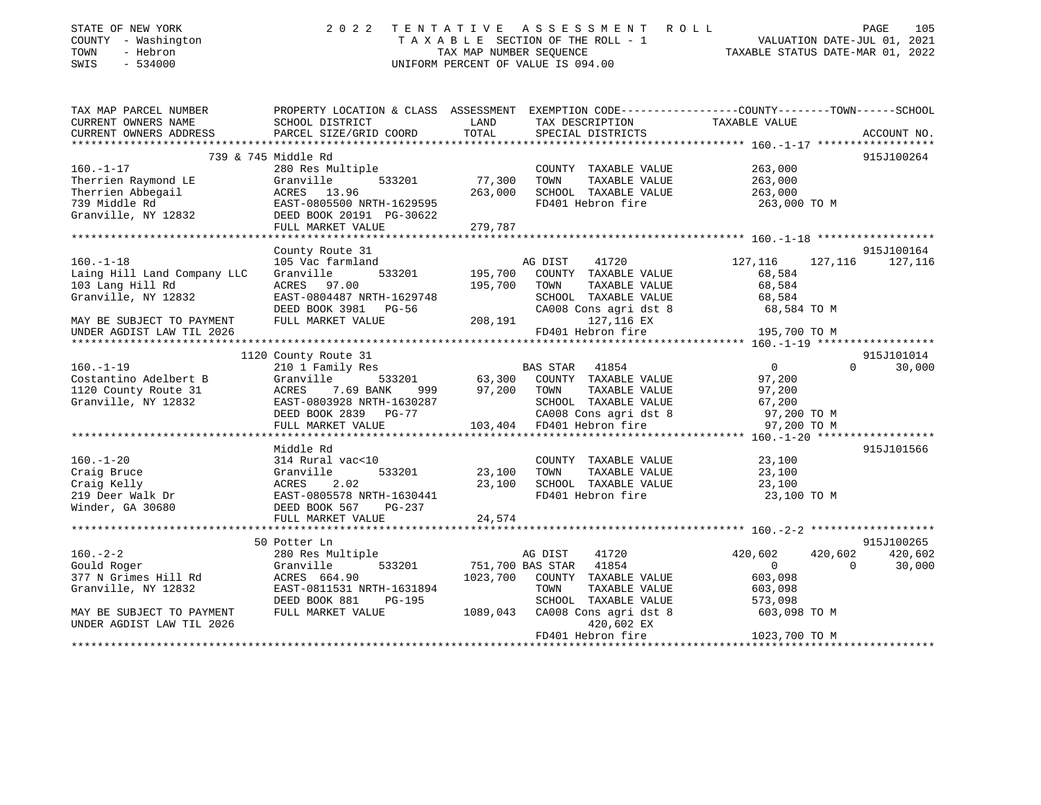| STATE OF NEW YORK<br>COUNTY - Washington<br>- Hebron<br>TOWN<br>$-534000$<br>SWIS | 2022<br>TENTATIVE<br>ASSESSMENT<br>ROLL<br>TAXABLE SECTION OF THE ROLL - 1<br>TAX MAP NUMBER SEOUENCE<br>UNIFORM PERCENT OF VALUE IS 094.00 |               |                  |                                 | 105<br>PAGE<br>VALUATION DATE-JUL 01, 2021<br>TAXABLE STATUS DATE-MAR 01, 2022 |          |                       |
|-----------------------------------------------------------------------------------|---------------------------------------------------------------------------------------------------------------------------------------------|---------------|------------------|---------------------------------|--------------------------------------------------------------------------------|----------|-----------------------|
| TAX MAP PARCEL NUMBER                                                             | PROPERTY LOCATION & CLASS ASSESSMENT EXEMPTION CODE---------------COUNTY-------TOWN-----SCHOOL                                              |               |                  |                                 |                                                                                |          |                       |
| CURRENT OWNERS NAME<br>CURRENT OWNERS ADDRESS                                     | SCHOOL DISTRICT<br>PARCEL SIZE/GRID COORD                                                                                                   | LAND<br>TOTAL | TAX DESCRIPTION  | SPECIAL DISTRICTS               | TAXABLE VALUE                                                                  |          | ACCOUNT NO.           |
|                                                                                   |                                                                                                                                             |               |                  |                                 |                                                                                |          |                       |
|                                                                                   | 739 & 745 Middle Rd                                                                                                                         |               |                  |                                 |                                                                                |          | 915J100264            |
| $160. - 1 - 17$                                                                   | 280 Res Multiple                                                                                                                            |               |                  | COUNTY TAXABLE VALUE            | 263,000                                                                        |          |                       |
| Therrien Raymond LE                                                               | 533201<br>Granville                                                                                                                         | 77,300        | TOWN             | TAXABLE VALUE                   | 263,000                                                                        |          |                       |
| Therrien Abbegail                                                                 | ACRES 13.96                                                                                                                                 | 263,000       |                  | SCHOOL TAXABLE VALUE            | 263,000                                                                        |          |                       |
| 739 Middle Rd                                                                     | EAST-0805500 NRTH-1629595                                                                                                                   |               |                  | FD401 Hebron fire               | 263,000 TO M                                                                   |          |                       |
| Granville, NY 12832                                                               | DEED BOOK 20191 PG-30622<br>FULL MARKET VALUE                                                                                               | 279,787       |                  |                                 |                                                                                |          |                       |
|                                                                                   |                                                                                                                                             |               |                  |                                 |                                                                                |          |                       |
|                                                                                   | County Route 31                                                                                                                             |               |                  |                                 |                                                                                |          | 915J100164            |
| $160. - 1 - 18$                                                                   | 105 Vac farmland                                                                                                                            |               | AG DIST          | 41720                           | 127,116                                                                        | 127,116  | 127,116               |
| Laing Hill Land Company LLC                                                       | 533201<br>Granville                                                                                                                         | 195,700       |                  | COUNTY TAXABLE VALUE            | 68,584                                                                         |          |                       |
| 103 Lang Hill Rd                                                                  | ACRES<br>97.00                                                                                                                              | 195,700       | TOWN             | TAXABLE VALUE                   | 68,584                                                                         |          |                       |
| Granville, NY 12832                                                               | EAST-0804487 NRTH-1629748                                                                                                                   |               |                  | SCHOOL TAXABLE VALUE            | 68,584                                                                         |          |                       |
|                                                                                   | DEED BOOK 3981 PG-56                                                                                                                        |               |                  | CA008 Cons agri dst 8           | 68,584 TO M                                                                    |          |                       |
| MAY BE SUBJECT TO PAYMENT<br>UNDER AGDIST LAW TIL 2026                            | FULL MARKET VALUE                                                                                                                           | 208,191       |                  | 127,116 EX<br>FD401 Hebron fire | 195,700 TO M                                                                   |          |                       |
|                                                                                   |                                                                                                                                             |               |                  |                                 |                                                                                |          |                       |
|                                                                                   | 1120 County Route 31                                                                                                                        |               |                  |                                 |                                                                                |          | 915J101014            |
| $160. - 1 - 19$                                                                   | 210 1 Family Res                                                                                                                            |               | <b>BAS STAR</b>  | 41854                           | $\mathbf 0$                                                                    | $\Omega$ | 30,000                |
| Costantino Adelbert B                                                             | Granville<br>533201                                                                                                                         | 63,300        |                  | COUNTY TAXABLE VALUE            | 97,200                                                                         |          |                       |
| 1120 County Route 31                                                              | <b>ACRES</b><br>7.69 BANK<br>999                                                                                                            | 97,200        | TOWN             | TAXABLE VALUE                   | 97,200                                                                         |          |                       |
| Granville, NY 12832                                                               | EAST-0803928 NRTH-1630287                                                                                                                   |               |                  | SCHOOL TAXABLE VALUE            | 67,200                                                                         |          |                       |
|                                                                                   | DEED BOOK 2839 PG-77                                                                                                                        |               |                  | CA008 Cons agri dst 8           | 97,200 TO M                                                                    |          |                       |
|                                                                                   | FULL MARKET VALUE                                                                                                                           | 103,404       |                  | FD401 Hebron fire               | 97,200 TO M                                                                    |          |                       |
|                                                                                   | Middle Rd                                                                                                                                   |               |                  |                                 |                                                                                |          | 915J101566            |
| $160. - 1 - 20$                                                                   | 314 Rural vac<10                                                                                                                            |               |                  | COUNTY TAXABLE VALUE            | 23,100                                                                         |          |                       |
| Craig Bruce                                                                       | Granville<br>533201                                                                                                                         | 23,100        | TOWN             | TAXABLE VALUE                   | 23,100                                                                         |          |                       |
| Craig Kelly                                                                       | ACRES<br>2.02                                                                                                                               | 23,100        |                  | SCHOOL TAXABLE VALUE            | 23,100                                                                         |          |                       |
| 219 Deer Walk Dr                                                                  | EAST-0805578 NRTH-1630441                                                                                                                   |               |                  | FD401 Hebron fire               | 23,100 TO M                                                                    |          |                       |
| Winder, GA 30680                                                                  | DEED BOOK 567<br>$PG-237$                                                                                                                   |               |                  |                                 |                                                                                |          |                       |
|                                                                                   | FULL MARKET VALUE                                                                                                                           | 24,574        |                  |                                 |                                                                                |          |                       |
|                                                                                   | **********************                                                                                                                      |               |                  |                                 | ************ 160.-2-2                                                          |          | *******************   |
| $160. - 2 - 2$                                                                    | 50 Potter Ln                                                                                                                                |               | AG DIST          | 41720                           | 420,602                                                                        | 420,602  | 915J100265<br>420,602 |
| Gould Roger                                                                       | 280 Res Multiple<br>Granville<br>533201                                                                                                     |               | 751,700 BAS STAR | 41854                           | $\mathbf{0}$                                                                   | $\Omega$ | 30,000                |
| 377 N Grimes Hill Rd                                                              | ACRES 664.90                                                                                                                                | 1023,700      |                  | COUNTY TAXABLE VALUE            | 603,098                                                                        |          |                       |
| Granville, NY 12832                                                               | EAST-0811531 NRTH-1631894                                                                                                                   |               | TOWN             | TAXABLE VALUE                   | 603,098                                                                        |          |                       |
|                                                                                   | DEED BOOK 881<br>PG-195                                                                                                                     |               | SCHOOL           | TAXABLE VALUE                   | 573,098                                                                        |          |                       |

FD401 Hebron fire 1023,700 TO M \*\*\*\*\*\*\*\*\*\*\*\*\*\*\*\*\*\*\*\*\*\*\*\*\*\*\*\*\*\*\*\*\*\*\*\*\*\*\*\*\*\*\*\*\*\*\*\*\*\*\*\*\*\*\*\*\*\*\*\*\*\*\*\*\*\*\*\*\*\*\*\*\*\*\*\*\*\*\*\*\*\*\*\*\*\*\*\*\*\*\*\*\*\*\*\*\*\*\*\*\*\*\*\*\*\*\*\*\*\*\*\*\*\*\*\*\*\*\*\*\*\*\*\*\*\*\*\*\*\*\*\*

MAY BE SUBJECT TO PAYMENT FULL MARKET VALUE 1089,043 CA008 Cons agri dst 8 603,098 TO M

UNDER AGDIST LAW TIL 2026 420,602 EX<br>FD401 Hebron fire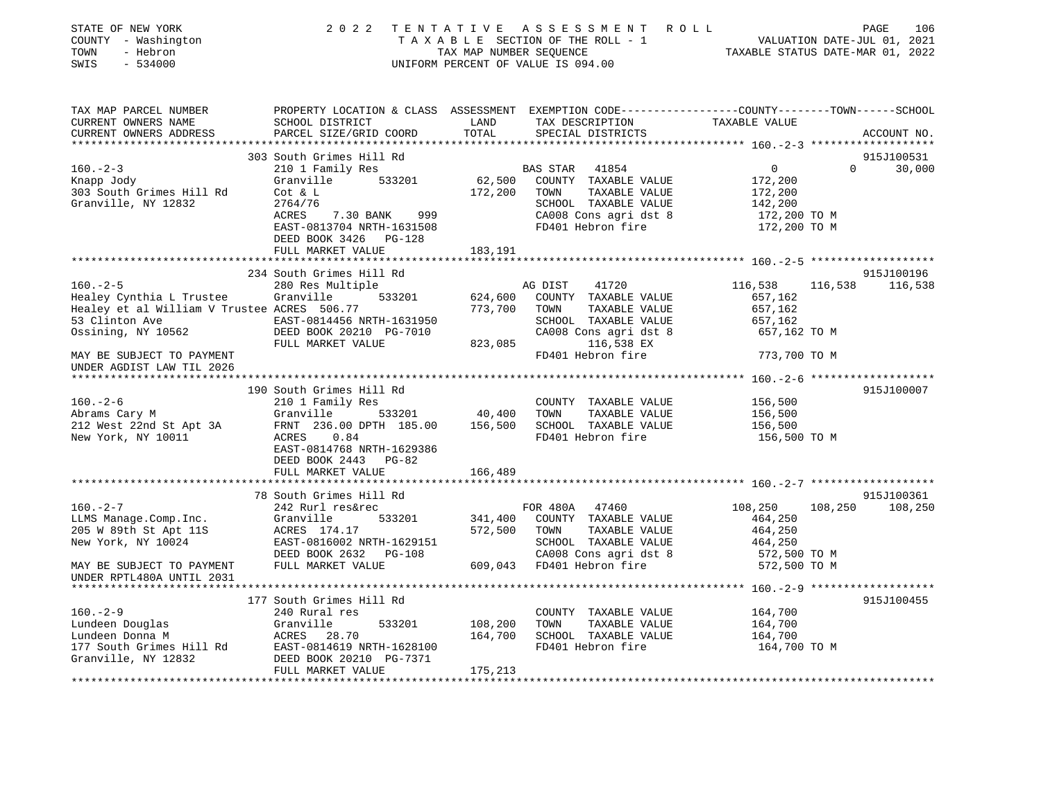| STATE OF NEW YORK<br>COUNTY - Washington<br>- Hebron<br>TOWN<br>SWIS<br>$-534000$                                                                                                                              |                                                                                      |                           | 2022 TENTATIVE ASSESSMENT ROLL<br>TAXABLE SECTION OF THE ROLL - 1<br>TAXABLE SECTION OF THE ROLL - 1<br>TAXABLE STATUS DATE-JUL 01, 2021<br>TAXABLE STATUS DATE-MAR 01, 2022<br>UNIFORM PERCENT OF VALUE IS 094.00 |                              | 106<br>PAGE     |
|----------------------------------------------------------------------------------------------------------------------------------------------------------------------------------------------------------------|--------------------------------------------------------------------------------------|---------------------------|--------------------------------------------------------------------------------------------------------------------------------------------------------------------------------------------------------------------|------------------------------|-----------------|
| TAX MAP PARCEL NUMBER<br>CURRENT OWNERS NAME<br>CURRENT OWNERS ADDRESS                                                                                                                                         | PARCEL SIZE/GRID COORD                                                               | TOTAL                     | SPECIAL DISTRICTS                                                                                                                                                                                                  |                              | ACCOUNT NO.     |
|                                                                                                                                                                                                                |                                                                                      |                           |                                                                                                                                                                                                                    |                              |                 |
|                                                                                                                                                                                                                | 303 South Grimes Hill Rd                                                             |                           |                                                                                                                                                                                                                    |                              | 915J100531      |
| $160. - 2 - 3$                                                                                                                                                                                                 | 210 1 Family Res                                                                     |                           | <b>BAS STAR 41854</b>                                                                                                                                                                                              | $\overline{0}$               | $0 \t 30,000$   |
| Knapp Jody                                                                                                                                                                                                     | Granville 533201<br>Granvill<br>Cot & L                                              |                           | 62,500 COUNTY TAXABLE VALUE                                                                                                                                                                                        | 172,200                      |                 |
| 303 South Grimes Hill Rd                                                                                                                                                                                       |                                                                                      | 172,200 TOWN              | TAXABLE VALUE                                                                                                                                                                                                      | 172,200                      |                 |
| Granville, NY 12832                                                                                                                                                                                            | 2764/76                                                                              |                           | SCHOOL TAXABLE VALUE                                                                                                                                                                                               | 142,200                      |                 |
|                                                                                                                                                                                                                | ACRES 7.30 BANK 999<br>EAST-0813704 NRTH-1631508                                     |                           | CA008 Cons agri dst 8<br>FD401 Hebron fire                                                                                                                                                                         | 172,200 TO M<br>172,200 TO M |                 |
|                                                                                                                                                                                                                | DEED BOOK 3426 PG-128                                                                |                           |                                                                                                                                                                                                                    |                              |                 |
|                                                                                                                                                                                                                | FULL MARKET VALUE                                                                    | 183,191                   |                                                                                                                                                                                                                    |                              |                 |
|                                                                                                                                                                                                                |                                                                                      |                           |                                                                                                                                                                                                                    |                              |                 |
|                                                                                                                                                                                                                | 234 South Grimes Hill Rd                                                             |                           |                                                                                                                                                                                                                    |                              | 915J100196      |
| $160. - 2 - 5$                                                                                                                                                                                                 | 280 Res Multiple                                                                     |                           | AG DIST<br>41720                                                                                                                                                                                                   | 116,538                      | 116,538 116,538 |
| Healey Cynthia L Trustee Granville<br>Healey Cynthia L Trustee Granville <sup>7</sup> 533201 624,600 COUNTY TAXABLE VALUE<br>Healey et al William V Trustee ACRES 506.77 773,700 TOWN TAXABLE VALUE            |                                                                                      |                           |                                                                                                                                                                                                                    | 657,162                      |                 |
| 53 Clinton Ave                                                                                                                                                                                                 |                                                                                      |                           | TAXABLE VALUE<br>SCHOOL TAXABLE VALUE                                                                                                                                                                              | 657,162                      |                 |
| Ossining, NY 10562                                                                                                                                                                                             | iam V Trustee ACRES $500.77$<br>EAST-0814456 NRTH-1631950<br>DEED BOOK 20210 PG-7010 |                           | CA008 Cons agri dst 8                                                                                                                                                                                              | 657,162<br>657,162 TO M      |                 |
|                                                                                                                                                                                                                | FULL MARKET VALUE                                                                    | 823,085                   | 116,538 EX                                                                                                                                                                                                         |                              |                 |
| MAY BE SUBJECT TO PAYMENT<br>UNDER AGDIST LAW TIL 2026                                                                                                                                                         |                                                                                      |                           | FD401 Hebron fire                                                                                                                                                                                                  | 773,700 TO M                 |                 |
|                                                                                                                                                                                                                |                                                                                      |                           |                                                                                                                                                                                                                    |                              |                 |
|                                                                                                                                                                                                                | 190 South Grimes Hill Rd                                                             |                           |                                                                                                                                                                                                                    |                              | 915J100007      |
| $160. - 2 - 6$                                                                                                                                                                                                 | 210 1 Family Res                                                                     |                           | COUNTY TAXABLE VALUE                                                                                                                                                                                               | 156,500                      |                 |
|                                                                                                                                                                                                                |                                                                                      |                           | TAXABLE VALUE                                                                                                                                                                                                      | 156,500                      |                 |
| Norms Cary M<br>212 West 22nd St Apt 3A<br>212 West 22nd St Apt 3A<br>312 West 22nd St Apt 3A<br>32 FRNT 236.00 DPTH 185.00 156,500 SCHOOL TAXABLE VALUE<br>New York, NY 10011 ACRES 0.84<br>FD401 Hebron fire |                                                                                      |                           |                                                                                                                                                                                                                    | 156,500<br>156,500 TO M      |                 |
|                                                                                                                                                                                                                | EAST-0814768 NRTH-1629386                                                            |                           |                                                                                                                                                                                                                    |                              |                 |
|                                                                                                                                                                                                                | DEED BOOK 2443 PG-82                                                                 |                           |                                                                                                                                                                                                                    |                              |                 |
|                                                                                                                                                                                                                | FULL MARKET VALUE                                                                    | 166,489                   |                                                                                                                                                                                                                    |                              |                 |
|                                                                                                                                                                                                                |                                                                                      |                           |                                                                                                                                                                                                                    |                              |                 |
|                                                                                                                                                                                                                | 78 South Grimes Hill Rd                                                              |                           |                                                                                                                                                                                                                    |                              | 915J100361      |
| $160. -2 - 7$                                                                                                                                                                                                  | 242 Rurl res&rec                                                                     |                           | FOR 480A 47460                                                                                                                                                                                                     | 108,250                      | 108,250 108,250 |
| 100.-2-7<br>LLMS Manage.Comp.Inc. Granville 533201<br>205 W 89th St Apt 11S ACRES 174.17<br>New York, NY 10024 EAST-0816002 NRTH-1629151<br>DEED BOOK 2632 PG-108                                              |                                                                                      |                           | 533201 341,400 COUNTY TAXABLE VALUE                                                                                                                                                                                | 464,250                      |                 |
|                                                                                                                                                                                                                |                                                                                      | 572,500                   | TAXABLE VALUE<br>TOWN                                                                                                                                                                                              | 464,250                      |                 |
|                                                                                                                                                                                                                |                                                                                      |                           | SCHOOL TAXABLE VALUE<br>CA008 Cons agri dst 8                                                                                                                                                                      | 464,250<br>572,500 TO M      |                 |
| MAY BE SUBJECT TO PAYMENT                                                                                                                                                                                      | FULL MARKET VALUE 609,043 FD401 Hebron fire                                          |                           |                                                                                                                                                                                                                    | 572,500 TO M                 |                 |
| UNDER RPTL480A UNTIL 2031                                                                                                                                                                                      |                                                                                      |                           |                                                                                                                                                                                                                    |                              |                 |
|                                                                                                                                                                                                                |                                                                                      |                           |                                                                                                                                                                                                                    |                              |                 |
|                                                                                                                                                                                                                | 177 South Grimes Hill Rd                                                             |                           |                                                                                                                                                                                                                    |                              | 915J100455      |
| $160. - 2 - 9$                                                                                                                                                                                                 | 240 Rural res                                                                        |                           | COUNTY TAXABLE VALUE                                                                                                                                                                                               | 164,700                      |                 |
|                                                                                                                                                                                                                |                                                                                      | 533201 108,200<br>164,700 | TOWN<br>TAXABLE VALUE                                                                                                                                                                                              | 164,700                      |                 |
|                                                                                                                                                                                                                |                                                                                      |                           | SCHOOL TAXABLE VALUE                                                                                                                                                                                               | 164,700                      |                 |
| Eundeen Douglas<br>Lundeen Donna M<br>177 South Grimes Hill Rd<br>67 BAST-0814619 NRTH-1628100<br>Granville, NY 12832<br>DEED BOOK 20210 PG-7371                                                               |                                                                                      |                           | FD401 Hebron fire                                                                                                                                                                                                  | 164,700 TO M                 |                 |
|                                                                                                                                                                                                                | FULL MARKET VALUE                                                                    | 175,213                   |                                                                                                                                                                                                                    |                              |                 |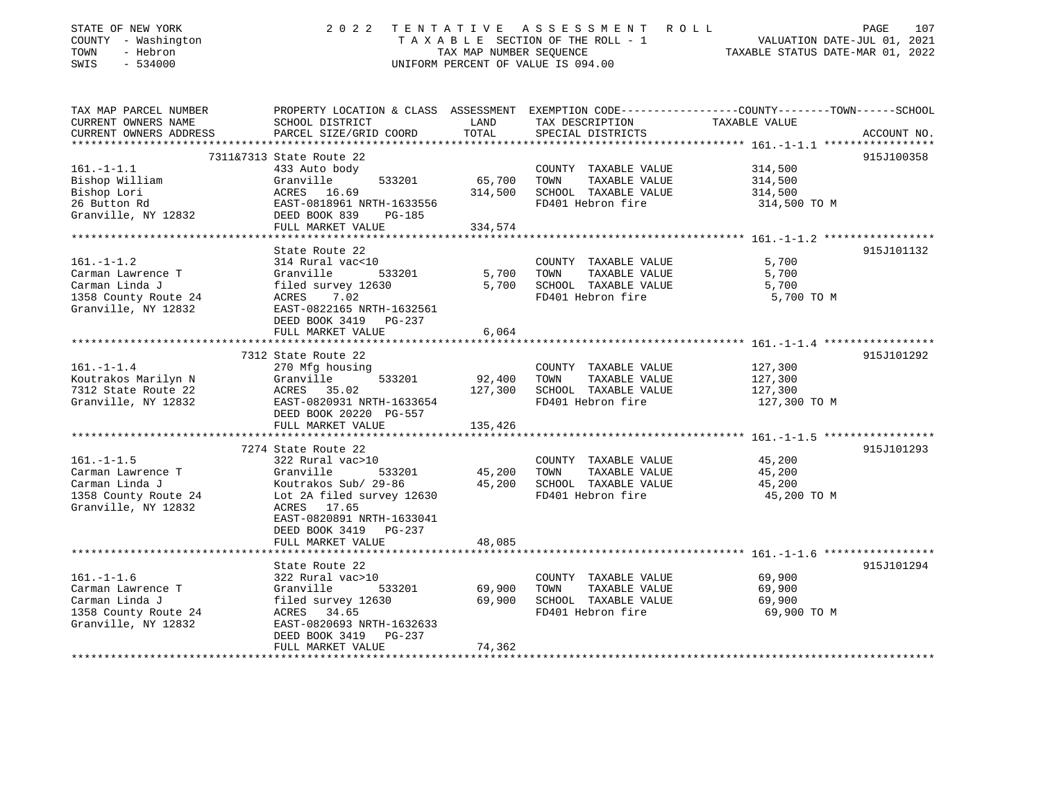| PROPERTY LOCATION & CLASS ASSESSMENT EXEMPTION CODE---------------COUNTY-------TOWN------SCHOOL<br>CURRENT OWNERS NAME<br>SCHOOL DISTRICT<br>LAND<br>TAX DESCRIPTION<br>TAXABLE VALUE<br>PARCEL SIZE/GRID COORD<br>TOTAL<br>SPECIAL DISTRICTS<br>ACCOUNT NO.<br>***************** 161.-1-1.1 ******************<br>*******************************<br>**************<br>7311&7313 State Route 22<br>915J100358<br>$161. - 1 - 1.1$<br>433 Auto body<br>314,500<br>COUNTY TAXABLE VALUE<br>Bishop William<br>533201<br>65,700<br>Granville<br>TOWN<br>TAXABLE VALUE<br>314,500<br>Bishop Lori<br>314,500<br>SCHOOL TAXABLE VALUE<br>ACRES 16.69<br>314,500<br>26 Button Rd<br>FD401 Hebron fire<br>EAST-0818961 NRTH-1633556<br>314,500 TO M<br>Granville, NY 12832<br>DEED BOOK 839<br>PG-185<br>334,574<br>FULL MARKET VALUE<br>State Route 22<br>915J101132<br>314 Rural vac<10<br>5,700<br>COUNTY TAXABLE VALUE<br>5,700<br>533201<br>TOWN<br>TAXABLE VALUE<br>Granville<br>5,700<br>SCHOOL TAXABLE VALUE<br>filed survey 12630<br>5,700<br>5,700<br>7.02<br>FD401 Hebron fire<br>5,700 TO M<br>ACRES<br>Granville, NY 12832<br>EAST-0822165 NRTH-1632561<br>DEED BOOK 3419<br>PG-237<br>6,064<br>FULL MARKET VALUE<br>7312 State Route 22<br>915J101292<br>$161. - 1 - 1.4$<br>COUNTY TAXABLE VALUE<br>127,300<br>270 Mfg housing<br>Koutrakos Marilyn N<br>Granville<br>533201<br>92,400<br>TOWN<br>TAXABLE VALUE<br>127,300<br>127,300<br>SCHOOL TAXABLE VALUE<br>127,300<br>7312 State Route 22<br>ACRES 35.02<br>Granville, NY 12832<br>FD401 Hebron fire<br>EAST-0820931 NRTH-1633654<br>127,300 TO M<br>DEED BOOK 20220 PG-557<br>FULL MARKET VALUE<br>135,426<br>*******************<br>**************** 161.-1-1.5 ******************<br>7274 State Route 22<br>915J101293<br>322 Rural vac>10<br>45,200<br>COUNTY TAXABLE VALUE<br>45,200<br>Granville<br>533201<br>TOWN<br>TAXABLE VALUE<br>45,200<br>45,200<br>SCHOOL TAXABLE VALUE<br>Carman Linda J<br>Koutrakos Sub/ 29-86<br>45,200<br>1358 County Route 24<br>Lot 2A filed survey 12630<br>FD401 Hebron fire<br>45,200 TO M<br>Granville, NY 12832<br>ACRES 17.65<br>EAST-0820891 NRTH-1633041<br>DEED BOOK 3419 PG-237<br>FULL MARKET VALUE<br>48,085<br>****************************** 161.-1-1.6 *****************<br>State Route 22<br>915J101294<br>$161. - 1 - 1.6$<br>69,900<br>322 Rural vac>10<br>COUNTY TAXABLE VALUE<br>533201<br>69,900<br>TAXABLE VALUE<br>Granville<br>TOWN<br>69,900<br>filed survey 12630<br>69,900<br>SCHOOL TAXABLE VALUE<br>69,900<br>FD401 Hebron fire<br>69,900 TO M<br>ACRES 34.65<br>EAST-0820693 NRTH-1632633<br>DEED BOOK 3419<br>$PG-237$ | STATE OF NEW YORK<br>COUNTY - Washington<br>TOWN<br>- Hebron<br>SWIS<br>$-534000$ | 2 0 2 2           | TENTATIVE<br>TAX MAP NUMBER SEQUENCE | ASSESSMENT ROLL<br>TAXABLE SECTION OF THE ROLL - 1<br>UNIFORM PERCENT OF VALUE IS 094.00 | 107<br>PAGE<br>VALUATION DATE-JUL 01, 2021<br>TAXABLE STATUS DATE-MAR 01, 2022 |
|---------------------------------------------------------------------------------------------------------------------------------------------------------------------------------------------------------------------------------------------------------------------------------------------------------------------------------------------------------------------------------------------------------------------------------------------------------------------------------------------------------------------------------------------------------------------------------------------------------------------------------------------------------------------------------------------------------------------------------------------------------------------------------------------------------------------------------------------------------------------------------------------------------------------------------------------------------------------------------------------------------------------------------------------------------------------------------------------------------------------------------------------------------------------------------------------------------------------------------------------------------------------------------------------------------------------------------------------------------------------------------------------------------------------------------------------------------------------------------------------------------------------------------------------------------------------------------------------------------------------------------------------------------------------------------------------------------------------------------------------------------------------------------------------------------------------------------------------------------------------------------------------------------------------------------------------------------------------------------------------------------------------------------------------------------------------------------------------------------------------------------------------------------------------------------------------------------------------------------------------------------------------------------------------------------------------------------------------------------------------------------------------------------------------------------------------------------------------------------------------------------------------------------------------------------------------------------------------------------------------------------------------------------|-----------------------------------------------------------------------------------|-------------------|--------------------------------------|------------------------------------------------------------------------------------------|--------------------------------------------------------------------------------|
|                                                                                                                                                                                                                                                                                                                                                                                                                                                                                                                                                                                                                                                                                                                                                                                                                                                                                                                                                                                                                                                                                                                                                                                                                                                                                                                                                                                                                                                                                                                                                                                                                                                                                                                                                                                                                                                                                                                                                                                                                                                                                                                                                                                                                                                                                                                                                                                                                                                                                                                                                                                                                                                         | TAX MAP PARCEL NUMBER                                                             |                   |                                      |                                                                                          |                                                                                |
|                                                                                                                                                                                                                                                                                                                                                                                                                                                                                                                                                                                                                                                                                                                                                                                                                                                                                                                                                                                                                                                                                                                                                                                                                                                                                                                                                                                                                                                                                                                                                                                                                                                                                                                                                                                                                                                                                                                                                                                                                                                                                                                                                                                                                                                                                                                                                                                                                                                                                                                                                                                                                                                         | CURRENT OWNERS ADDRESS                                                            |                   |                                      |                                                                                          |                                                                                |
|                                                                                                                                                                                                                                                                                                                                                                                                                                                                                                                                                                                                                                                                                                                                                                                                                                                                                                                                                                                                                                                                                                                                                                                                                                                                                                                                                                                                                                                                                                                                                                                                                                                                                                                                                                                                                                                                                                                                                                                                                                                                                                                                                                                                                                                                                                                                                                                                                                                                                                                                                                                                                                                         |                                                                                   |                   |                                      |                                                                                          |                                                                                |
|                                                                                                                                                                                                                                                                                                                                                                                                                                                                                                                                                                                                                                                                                                                                                                                                                                                                                                                                                                                                                                                                                                                                                                                                                                                                                                                                                                                                                                                                                                                                                                                                                                                                                                                                                                                                                                                                                                                                                                                                                                                                                                                                                                                                                                                                                                                                                                                                                                                                                                                                                                                                                                                         |                                                                                   |                   |                                      |                                                                                          |                                                                                |
|                                                                                                                                                                                                                                                                                                                                                                                                                                                                                                                                                                                                                                                                                                                                                                                                                                                                                                                                                                                                                                                                                                                                                                                                                                                                                                                                                                                                                                                                                                                                                                                                                                                                                                                                                                                                                                                                                                                                                                                                                                                                                                                                                                                                                                                                                                                                                                                                                                                                                                                                                                                                                                                         |                                                                                   |                   |                                      |                                                                                          |                                                                                |
|                                                                                                                                                                                                                                                                                                                                                                                                                                                                                                                                                                                                                                                                                                                                                                                                                                                                                                                                                                                                                                                                                                                                                                                                                                                                                                                                                                                                                                                                                                                                                                                                                                                                                                                                                                                                                                                                                                                                                                                                                                                                                                                                                                                                                                                                                                                                                                                                                                                                                                                                                                                                                                                         |                                                                                   |                   |                                      |                                                                                          |                                                                                |
|                                                                                                                                                                                                                                                                                                                                                                                                                                                                                                                                                                                                                                                                                                                                                                                                                                                                                                                                                                                                                                                                                                                                                                                                                                                                                                                                                                                                                                                                                                                                                                                                                                                                                                                                                                                                                                                                                                                                                                                                                                                                                                                                                                                                                                                                                                                                                                                                                                                                                                                                                                                                                                                         |                                                                                   |                   |                                      |                                                                                          |                                                                                |
|                                                                                                                                                                                                                                                                                                                                                                                                                                                                                                                                                                                                                                                                                                                                                                                                                                                                                                                                                                                                                                                                                                                                                                                                                                                                                                                                                                                                                                                                                                                                                                                                                                                                                                                                                                                                                                                                                                                                                                                                                                                                                                                                                                                                                                                                                                                                                                                                                                                                                                                                                                                                                                                         |                                                                                   |                   |                                      |                                                                                          |                                                                                |
|                                                                                                                                                                                                                                                                                                                                                                                                                                                                                                                                                                                                                                                                                                                                                                                                                                                                                                                                                                                                                                                                                                                                                                                                                                                                                                                                                                                                                                                                                                                                                                                                                                                                                                                                                                                                                                                                                                                                                                                                                                                                                                                                                                                                                                                                                                                                                                                                                                                                                                                                                                                                                                                         |                                                                                   |                   |                                      |                                                                                          |                                                                                |
|                                                                                                                                                                                                                                                                                                                                                                                                                                                                                                                                                                                                                                                                                                                                                                                                                                                                                                                                                                                                                                                                                                                                                                                                                                                                                                                                                                                                                                                                                                                                                                                                                                                                                                                                                                                                                                                                                                                                                                                                                                                                                                                                                                                                                                                                                                                                                                                                                                                                                                                                                                                                                                                         |                                                                                   |                   |                                      |                                                                                          |                                                                                |
|                                                                                                                                                                                                                                                                                                                                                                                                                                                                                                                                                                                                                                                                                                                                                                                                                                                                                                                                                                                                                                                                                                                                                                                                                                                                                                                                                                                                                                                                                                                                                                                                                                                                                                                                                                                                                                                                                                                                                                                                                                                                                                                                                                                                                                                                                                                                                                                                                                                                                                                                                                                                                                                         |                                                                                   |                   |                                      |                                                                                          |                                                                                |
|                                                                                                                                                                                                                                                                                                                                                                                                                                                                                                                                                                                                                                                                                                                                                                                                                                                                                                                                                                                                                                                                                                                                                                                                                                                                                                                                                                                                                                                                                                                                                                                                                                                                                                                                                                                                                                                                                                                                                                                                                                                                                                                                                                                                                                                                                                                                                                                                                                                                                                                                                                                                                                                         | $161. - 1 - 1.2$                                                                  |                   |                                      |                                                                                          |                                                                                |
|                                                                                                                                                                                                                                                                                                                                                                                                                                                                                                                                                                                                                                                                                                                                                                                                                                                                                                                                                                                                                                                                                                                                                                                                                                                                                                                                                                                                                                                                                                                                                                                                                                                                                                                                                                                                                                                                                                                                                                                                                                                                                                                                                                                                                                                                                                                                                                                                                                                                                                                                                                                                                                                         | Carman Lawrence T                                                                 |                   |                                      |                                                                                          |                                                                                |
|                                                                                                                                                                                                                                                                                                                                                                                                                                                                                                                                                                                                                                                                                                                                                                                                                                                                                                                                                                                                                                                                                                                                                                                                                                                                                                                                                                                                                                                                                                                                                                                                                                                                                                                                                                                                                                                                                                                                                                                                                                                                                                                                                                                                                                                                                                                                                                                                                                                                                                                                                                                                                                                         | Carman Linda J                                                                    |                   |                                      |                                                                                          |                                                                                |
|                                                                                                                                                                                                                                                                                                                                                                                                                                                                                                                                                                                                                                                                                                                                                                                                                                                                                                                                                                                                                                                                                                                                                                                                                                                                                                                                                                                                                                                                                                                                                                                                                                                                                                                                                                                                                                                                                                                                                                                                                                                                                                                                                                                                                                                                                                                                                                                                                                                                                                                                                                                                                                                         | 1358 County Route 24                                                              |                   |                                      |                                                                                          |                                                                                |
|                                                                                                                                                                                                                                                                                                                                                                                                                                                                                                                                                                                                                                                                                                                                                                                                                                                                                                                                                                                                                                                                                                                                                                                                                                                                                                                                                                                                                                                                                                                                                                                                                                                                                                                                                                                                                                                                                                                                                                                                                                                                                                                                                                                                                                                                                                                                                                                                                                                                                                                                                                                                                                                         |                                                                                   |                   |                                      |                                                                                          |                                                                                |
|                                                                                                                                                                                                                                                                                                                                                                                                                                                                                                                                                                                                                                                                                                                                                                                                                                                                                                                                                                                                                                                                                                                                                                                                                                                                                                                                                                                                                                                                                                                                                                                                                                                                                                                                                                                                                                                                                                                                                                                                                                                                                                                                                                                                                                                                                                                                                                                                                                                                                                                                                                                                                                                         |                                                                                   |                   |                                      |                                                                                          |                                                                                |
|                                                                                                                                                                                                                                                                                                                                                                                                                                                                                                                                                                                                                                                                                                                                                                                                                                                                                                                                                                                                                                                                                                                                                                                                                                                                                                                                                                                                                                                                                                                                                                                                                                                                                                                                                                                                                                                                                                                                                                                                                                                                                                                                                                                                                                                                                                                                                                                                                                                                                                                                                                                                                                                         |                                                                                   |                   |                                      |                                                                                          |                                                                                |
|                                                                                                                                                                                                                                                                                                                                                                                                                                                                                                                                                                                                                                                                                                                                                                                                                                                                                                                                                                                                                                                                                                                                                                                                                                                                                                                                                                                                                                                                                                                                                                                                                                                                                                                                                                                                                                                                                                                                                                                                                                                                                                                                                                                                                                                                                                                                                                                                                                                                                                                                                                                                                                                         |                                                                                   |                   |                                      |                                                                                          |                                                                                |
|                                                                                                                                                                                                                                                                                                                                                                                                                                                                                                                                                                                                                                                                                                                                                                                                                                                                                                                                                                                                                                                                                                                                                                                                                                                                                                                                                                                                                                                                                                                                                                                                                                                                                                                                                                                                                                                                                                                                                                                                                                                                                                                                                                                                                                                                                                                                                                                                                                                                                                                                                                                                                                                         |                                                                                   |                   |                                      |                                                                                          |                                                                                |
|                                                                                                                                                                                                                                                                                                                                                                                                                                                                                                                                                                                                                                                                                                                                                                                                                                                                                                                                                                                                                                                                                                                                                                                                                                                                                                                                                                                                                                                                                                                                                                                                                                                                                                                                                                                                                                                                                                                                                                                                                                                                                                                                                                                                                                                                                                                                                                                                                                                                                                                                                                                                                                                         |                                                                                   |                   |                                      |                                                                                          |                                                                                |
|                                                                                                                                                                                                                                                                                                                                                                                                                                                                                                                                                                                                                                                                                                                                                                                                                                                                                                                                                                                                                                                                                                                                                                                                                                                                                                                                                                                                                                                                                                                                                                                                                                                                                                                                                                                                                                                                                                                                                                                                                                                                                                                                                                                                                                                                                                                                                                                                                                                                                                                                                                                                                                                         |                                                                                   |                   |                                      |                                                                                          |                                                                                |
|                                                                                                                                                                                                                                                                                                                                                                                                                                                                                                                                                                                                                                                                                                                                                                                                                                                                                                                                                                                                                                                                                                                                                                                                                                                                                                                                                                                                                                                                                                                                                                                                                                                                                                                                                                                                                                                                                                                                                                                                                                                                                                                                                                                                                                                                                                                                                                                                                                                                                                                                                                                                                                                         |                                                                                   |                   |                                      |                                                                                          |                                                                                |
|                                                                                                                                                                                                                                                                                                                                                                                                                                                                                                                                                                                                                                                                                                                                                                                                                                                                                                                                                                                                                                                                                                                                                                                                                                                                                                                                                                                                                                                                                                                                                                                                                                                                                                                                                                                                                                                                                                                                                                                                                                                                                                                                                                                                                                                                                                                                                                                                                                                                                                                                                                                                                                                         |                                                                                   |                   |                                      |                                                                                          |                                                                                |
|                                                                                                                                                                                                                                                                                                                                                                                                                                                                                                                                                                                                                                                                                                                                                                                                                                                                                                                                                                                                                                                                                                                                                                                                                                                                                                                                                                                                                                                                                                                                                                                                                                                                                                                                                                                                                                                                                                                                                                                                                                                                                                                                                                                                                                                                                                                                                                                                                                                                                                                                                                                                                                                         |                                                                                   |                   |                                      |                                                                                          |                                                                                |
|                                                                                                                                                                                                                                                                                                                                                                                                                                                                                                                                                                                                                                                                                                                                                                                                                                                                                                                                                                                                                                                                                                                                                                                                                                                                                                                                                                                                                                                                                                                                                                                                                                                                                                                                                                                                                                                                                                                                                                                                                                                                                                                                                                                                                                                                                                                                                                                                                                                                                                                                                                                                                                                         |                                                                                   |                   |                                      |                                                                                          |                                                                                |
|                                                                                                                                                                                                                                                                                                                                                                                                                                                                                                                                                                                                                                                                                                                                                                                                                                                                                                                                                                                                                                                                                                                                                                                                                                                                                                                                                                                                                                                                                                                                                                                                                                                                                                                                                                                                                                                                                                                                                                                                                                                                                                                                                                                                                                                                                                                                                                                                                                                                                                                                                                                                                                                         |                                                                                   |                   |                                      |                                                                                          |                                                                                |
|                                                                                                                                                                                                                                                                                                                                                                                                                                                                                                                                                                                                                                                                                                                                                                                                                                                                                                                                                                                                                                                                                                                                                                                                                                                                                                                                                                                                                                                                                                                                                                                                                                                                                                                                                                                                                                                                                                                                                                                                                                                                                                                                                                                                                                                                                                                                                                                                                                                                                                                                                                                                                                                         | $161. - 1 - 1.5$                                                                  |                   |                                      |                                                                                          |                                                                                |
|                                                                                                                                                                                                                                                                                                                                                                                                                                                                                                                                                                                                                                                                                                                                                                                                                                                                                                                                                                                                                                                                                                                                                                                                                                                                                                                                                                                                                                                                                                                                                                                                                                                                                                                                                                                                                                                                                                                                                                                                                                                                                                                                                                                                                                                                                                                                                                                                                                                                                                                                                                                                                                                         | Carman Lawrence T                                                                 |                   |                                      |                                                                                          |                                                                                |
|                                                                                                                                                                                                                                                                                                                                                                                                                                                                                                                                                                                                                                                                                                                                                                                                                                                                                                                                                                                                                                                                                                                                                                                                                                                                                                                                                                                                                                                                                                                                                                                                                                                                                                                                                                                                                                                                                                                                                                                                                                                                                                                                                                                                                                                                                                                                                                                                                                                                                                                                                                                                                                                         |                                                                                   |                   |                                      |                                                                                          |                                                                                |
|                                                                                                                                                                                                                                                                                                                                                                                                                                                                                                                                                                                                                                                                                                                                                                                                                                                                                                                                                                                                                                                                                                                                                                                                                                                                                                                                                                                                                                                                                                                                                                                                                                                                                                                                                                                                                                                                                                                                                                                                                                                                                                                                                                                                                                                                                                                                                                                                                                                                                                                                                                                                                                                         |                                                                                   |                   |                                      |                                                                                          |                                                                                |
|                                                                                                                                                                                                                                                                                                                                                                                                                                                                                                                                                                                                                                                                                                                                                                                                                                                                                                                                                                                                                                                                                                                                                                                                                                                                                                                                                                                                                                                                                                                                                                                                                                                                                                                                                                                                                                                                                                                                                                                                                                                                                                                                                                                                                                                                                                                                                                                                                                                                                                                                                                                                                                                         |                                                                                   |                   |                                      |                                                                                          |                                                                                |
|                                                                                                                                                                                                                                                                                                                                                                                                                                                                                                                                                                                                                                                                                                                                                                                                                                                                                                                                                                                                                                                                                                                                                                                                                                                                                                                                                                                                                                                                                                                                                                                                                                                                                                                                                                                                                                                                                                                                                                                                                                                                                                                                                                                                                                                                                                                                                                                                                                                                                                                                                                                                                                                         |                                                                                   |                   |                                      |                                                                                          |                                                                                |
|                                                                                                                                                                                                                                                                                                                                                                                                                                                                                                                                                                                                                                                                                                                                                                                                                                                                                                                                                                                                                                                                                                                                                                                                                                                                                                                                                                                                                                                                                                                                                                                                                                                                                                                                                                                                                                                                                                                                                                                                                                                                                                                                                                                                                                                                                                                                                                                                                                                                                                                                                                                                                                                         |                                                                                   |                   |                                      |                                                                                          |                                                                                |
|                                                                                                                                                                                                                                                                                                                                                                                                                                                                                                                                                                                                                                                                                                                                                                                                                                                                                                                                                                                                                                                                                                                                                                                                                                                                                                                                                                                                                                                                                                                                                                                                                                                                                                                                                                                                                                                                                                                                                                                                                                                                                                                                                                                                                                                                                                                                                                                                                                                                                                                                                                                                                                                         |                                                                                   |                   |                                      |                                                                                          |                                                                                |
|                                                                                                                                                                                                                                                                                                                                                                                                                                                                                                                                                                                                                                                                                                                                                                                                                                                                                                                                                                                                                                                                                                                                                                                                                                                                                                                                                                                                                                                                                                                                                                                                                                                                                                                                                                                                                                                                                                                                                                                                                                                                                                                                                                                                                                                                                                                                                                                                                                                                                                                                                                                                                                                         |                                                                                   |                   |                                      |                                                                                          |                                                                                |
|                                                                                                                                                                                                                                                                                                                                                                                                                                                                                                                                                                                                                                                                                                                                                                                                                                                                                                                                                                                                                                                                                                                                                                                                                                                                                                                                                                                                                                                                                                                                                                                                                                                                                                                                                                                                                                                                                                                                                                                                                                                                                                                                                                                                                                                                                                                                                                                                                                                                                                                                                                                                                                                         |                                                                                   |                   |                                      |                                                                                          |                                                                                |
|                                                                                                                                                                                                                                                                                                                                                                                                                                                                                                                                                                                                                                                                                                                                                                                                                                                                                                                                                                                                                                                                                                                                                                                                                                                                                                                                                                                                                                                                                                                                                                                                                                                                                                                                                                                                                                                                                                                                                                                                                                                                                                                                                                                                                                                                                                                                                                                                                                                                                                                                                                                                                                                         | Carman Lawrence T                                                                 |                   |                                      |                                                                                          |                                                                                |
|                                                                                                                                                                                                                                                                                                                                                                                                                                                                                                                                                                                                                                                                                                                                                                                                                                                                                                                                                                                                                                                                                                                                                                                                                                                                                                                                                                                                                                                                                                                                                                                                                                                                                                                                                                                                                                                                                                                                                                                                                                                                                                                                                                                                                                                                                                                                                                                                                                                                                                                                                                                                                                                         | Carman Linda J                                                                    |                   |                                      |                                                                                          |                                                                                |
|                                                                                                                                                                                                                                                                                                                                                                                                                                                                                                                                                                                                                                                                                                                                                                                                                                                                                                                                                                                                                                                                                                                                                                                                                                                                                                                                                                                                                                                                                                                                                                                                                                                                                                                                                                                                                                                                                                                                                                                                                                                                                                                                                                                                                                                                                                                                                                                                                                                                                                                                                                                                                                                         | 1358 County Route 24                                                              |                   |                                      |                                                                                          |                                                                                |
|                                                                                                                                                                                                                                                                                                                                                                                                                                                                                                                                                                                                                                                                                                                                                                                                                                                                                                                                                                                                                                                                                                                                                                                                                                                                                                                                                                                                                                                                                                                                                                                                                                                                                                                                                                                                                                                                                                                                                                                                                                                                                                                                                                                                                                                                                                                                                                                                                                                                                                                                                                                                                                                         | Granville, NY 12832                                                               |                   |                                      |                                                                                          |                                                                                |
|                                                                                                                                                                                                                                                                                                                                                                                                                                                                                                                                                                                                                                                                                                                                                                                                                                                                                                                                                                                                                                                                                                                                                                                                                                                                                                                                                                                                                                                                                                                                                                                                                                                                                                                                                                                                                                                                                                                                                                                                                                                                                                                                                                                                                                                                                                                                                                                                                                                                                                                                                                                                                                                         |                                                                                   |                   |                                      |                                                                                          |                                                                                |
|                                                                                                                                                                                                                                                                                                                                                                                                                                                                                                                                                                                                                                                                                                                                                                                                                                                                                                                                                                                                                                                                                                                                                                                                                                                                                                                                                                                                                                                                                                                                                                                                                                                                                                                                                                                                                                                                                                                                                                                                                                                                                                                                                                                                                                                                                                                                                                                                                                                                                                                                                                                                                                                         |                                                                                   | FULL MARKET VALUE | 74,362                               |                                                                                          |                                                                                |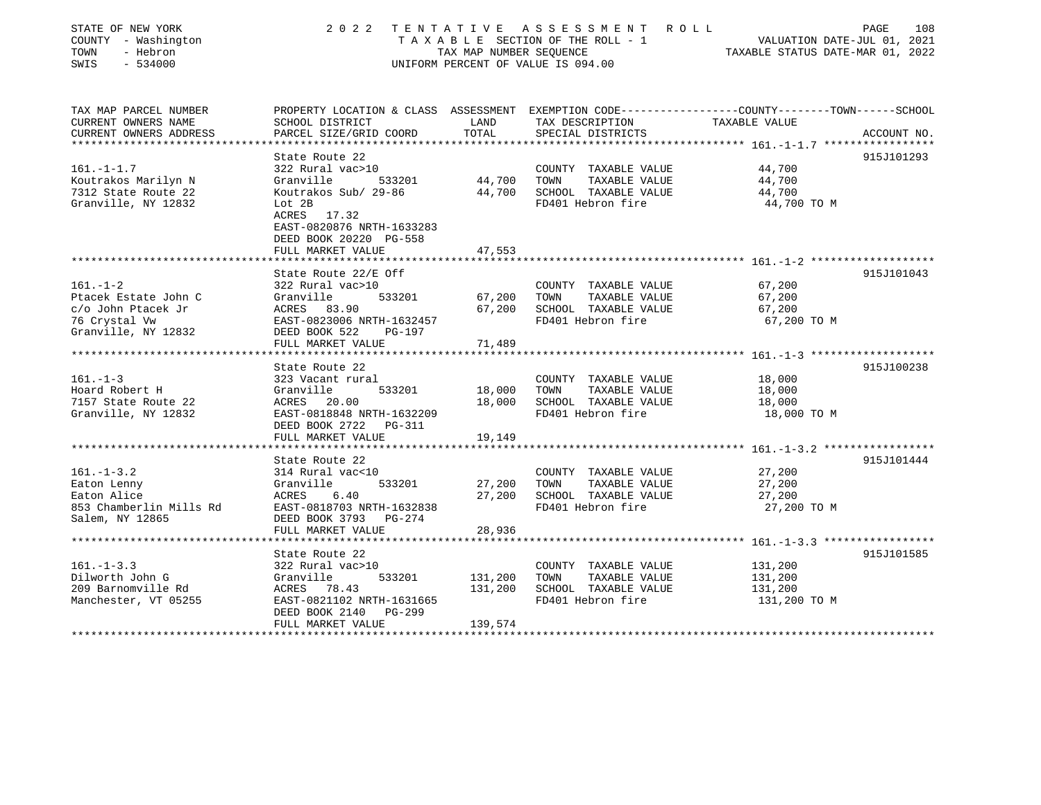| STATE OF NEW YORK<br>COUNTY - Washington<br>TOWN<br>- Hebron<br>SWIS<br>$-534000$            | 2 0 2 2<br>TENTATIVE ASSESSMENT<br>TAXABLE SECTION OF THE ROLL - 1<br>TAX MAP NUMBER SEQUENCE<br>UNIFORM PERCENT OF VALUE IS 094.00          | R O L L                    | PAGE<br>108<br>VALUATION DATE-JUL 01, 2021<br>TAXABLE STATUS DATE-MAR 01, 2022             |                                               |             |
|----------------------------------------------------------------------------------------------|----------------------------------------------------------------------------------------------------------------------------------------------|----------------------------|--------------------------------------------------------------------------------------------|-----------------------------------------------|-------------|
| TAX MAP PARCEL NUMBER<br>CURRENT OWNERS NAME<br>CURRENT OWNERS ADDRESS                       | PROPERTY LOCATION & CLASS ASSESSMENT EXEMPTION CODE---------------COUNTY-------TOWN------SCHOOL<br>SCHOOL DISTRICT<br>PARCEL SIZE/GRID COORD | LAND<br>TOTAL              | TAX DESCRIPTION<br>SPECIAL DISTRICTS                                                       | TAXABLE VALUE                                 | ACCOUNT NO. |
|                                                                                              |                                                                                                                                              |                            |                                                                                            | ******* $161. -1 -1.7$ *****                  |             |
| $161. - 1 - 1.7$<br>Koutrakos Marilyn N<br>7312 State Route 22<br>Granville, NY 12832        | State Route 22<br>322 Rural vac>10<br>533201<br>Granville<br>Koutrakos Sub/ 29-86<br>Lot 2B<br>17.32<br>ACRES<br>EAST-0820876 NRTH-1633283   | 44,700<br>44,700           | COUNTY TAXABLE VALUE<br>TOWN<br>TAXABLE VALUE<br>SCHOOL TAXABLE VALUE<br>FD401 Hebron fire | 44,700<br>44,700<br>44,700<br>44,700 TO M     | 915J101293  |
|                                                                                              | DEED BOOK 20220 PG-558                                                                                                                       |                            |                                                                                            |                                               |             |
|                                                                                              | FULL MARKET VALUE                                                                                                                            | 47,553                     |                                                                                            |                                               |             |
| $161. - 1 - 2$                                                                               | State Route 22/E Off<br>322 Rural vac>10                                                                                                     |                            | COUNTY TAXABLE VALUE                                                                       | 67,200                                        | 915J101043  |
| Ptacek Estate John C                                                                         | Granville<br>533201                                                                                                                          | 67,200<br>67,200           | TOWN<br>TAXABLE VALUE                                                                      | 67,200                                        |             |
| c/o John Ptacek Jr<br>76 Crystal Vw<br>Granville, NY 12832                                   | ACRES<br>83.90<br>EAST-0823006 NRTH-1632457<br>DEED BOOK 522<br>PG-197                                                                       |                            | SCHOOL TAXABLE VALUE<br>FD401 Hebron fire                                                  | 67,200<br>67,200 TO M                         |             |
|                                                                                              | FULL MARKET VALUE                                                                                                                            | 71,489                     |                                                                                            |                                               |             |
|                                                                                              | State Route 22                                                                                                                               |                            |                                                                                            |                                               | 915J100238  |
| $161. - 1 - 3$<br>Hoard Robert H<br>7157 State Route 22<br>Granville, NY 12832               | 323 Vacant rural<br>Granville<br>533201<br>20.00<br>ACRES<br>EAST-0818848 NRTH-1632209<br>DEED BOOK 2722<br>PG-311<br>FULL MARKET VALUE      | 18,000<br>18,000<br>19,149 | COUNTY TAXABLE VALUE<br>TOWN<br>TAXABLE VALUE<br>SCHOOL TAXABLE VALUE<br>FD401 Hebron fire | 18,000<br>18,000<br>18,000<br>18,000 TO M     |             |
|                                                                                              |                                                                                                                                              |                            |                                                                                            |                                               |             |
| $161. - 1 - 3.2$<br>Eaton Lenny<br>Eaton Alice<br>853 Chamberlin Mills Rd<br>Salem, NY 12865 | State Route 22<br>314 Rural vac<10<br>533201<br>Granville<br>6.40<br>ACRES<br>EAST-0818703 NRTH-1632838<br>DEED BOOK 3793<br>PG-274          | 27,200<br>27,200           | COUNTY TAXABLE VALUE<br>TOWN<br>TAXABLE VALUE<br>SCHOOL TAXABLE VALUE<br>FD401 Hebron fire | 27,200<br>27,200<br>27,200<br>27,200 TO M     | 915J101444  |
|                                                                                              | FULL MARKET VALUE                                                                                                                            | 28,936                     |                                                                                            |                                               |             |
|                                                                                              | ********************                                                                                                                         |                            |                                                                                            | $161, -1-3.3$ ******************              |             |
| $161. - 1 - 3.3$<br>Dilworth John G<br>209 Barnomville Rd<br>Manchester, VT 05255            | State Route 22<br>322 Rural vac>10<br>Granville<br>533201<br>ACRES 78.43<br>EAST-0821102 NRTH-1631665<br><b>PG-299</b><br>DEED BOOK 2140     | 131,200<br>131,200         | COUNTY TAXABLE VALUE<br>TOWN<br>TAXABLE VALUE<br>SCHOOL TAXABLE VALUE<br>FD401 Hebron fire | 131,200<br>131,200<br>131,200<br>131,200 TO M | 915J101585  |
| *******************                                                                          | FULL MARKET VALUE<br>**************************                                                                                              | 139,574<br>************    |                                                                                            |                                               |             |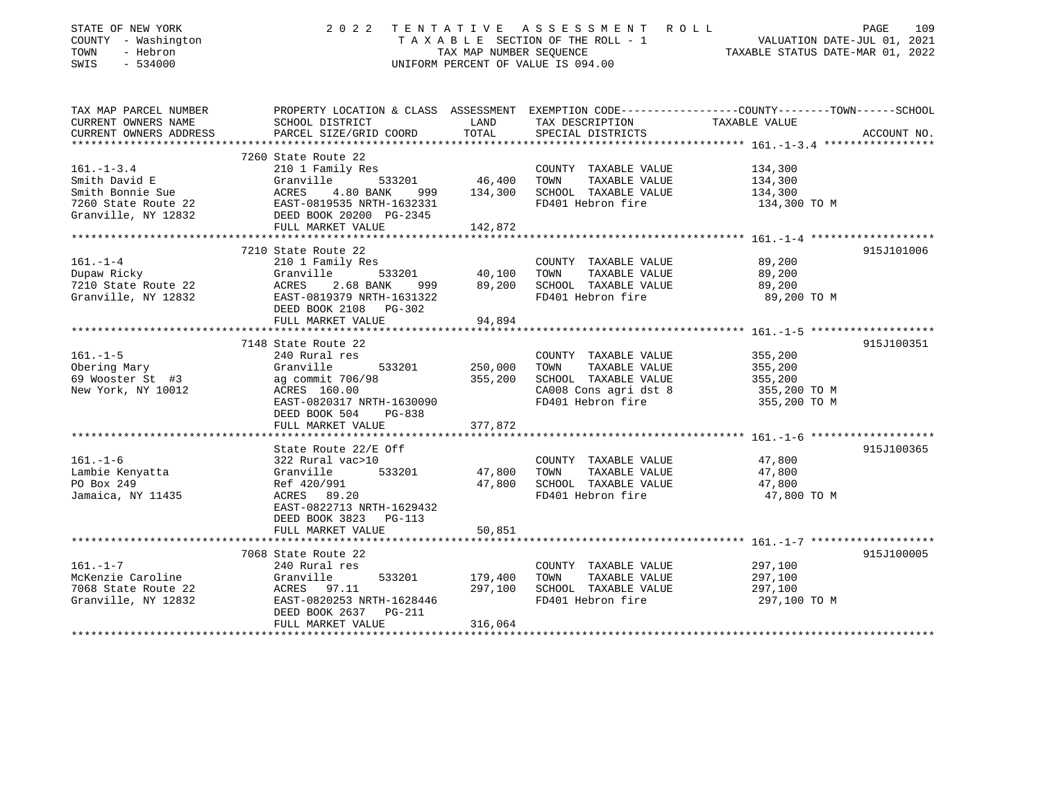| STATE OF NEW YORK<br>COUNTY - Washington<br>TOWN<br>- Hebron<br>SWIS<br>$-534000$ | 2022<br>TENTATIVE ASSESSMENT ROLL<br>PAGE<br>T A X A B L E SECTION OF THE ROLL - 1 VALUATION DATE-JUL 01, 2021 TAX MAP NUMBER SEQUENCE TAXIS DATE-MAR 01, 2022<br>UNIFORM PERCENT OF VALUE IS 094.00 |         |                                               |                                                                                                  |  |  |
|-----------------------------------------------------------------------------------|------------------------------------------------------------------------------------------------------------------------------------------------------------------------------------------------------|---------|-----------------------------------------------|--------------------------------------------------------------------------------------------------|--|--|
| TAX MAP PARCEL NUMBER<br>CURRENT OWNERS NAME                                      | SCHOOL DISTRICT                                                                                                                                                                                      | LAND    | TAX DESCRIPTION                               | PROPERTY LOCATION & CLASS ASSESSMENT EXEMPTION CODE----------------COUNTY-------TOWN------SCHOOL |  |  |
| CURRENT OWNERS ADDRESS                                                            | PARCEL SIZE/GRID COORD                                                                                                                                                                               | TOTAL   | SPECIAL DISTRICTS                             | TAXABLE VALUE<br>ACCOUNT NO.                                                                     |  |  |
| **********************                                                            |                                                                                                                                                                                                      |         |                                               |                                                                                                  |  |  |
|                                                                                   | 7260 State Route 22                                                                                                                                                                                  |         |                                               |                                                                                                  |  |  |
| $161. - 1 - 3.4$                                                                  | 210 1 Family Res                                                                                                                                                                                     |         | COUNTY TAXABLE VALUE                          | 134,300                                                                                          |  |  |
| Smith David E                                                                     | 533201<br>Granville                                                                                                                                                                                  | 46,400  | TAXABLE VALUE<br>TOWN                         | 134,300                                                                                          |  |  |
| Smith Bonnie Sue<br>7260 State Route 22                                           | ACRES<br>4.80 BANK<br>999<br>EAST-0819535 NRTH-1632331                                                                                                                                               | 134,300 | SCHOOL TAXABLE VALUE<br>FD401 Hebron fire     | 134,300<br>134,300 TO M                                                                          |  |  |
| Granville, NY 12832                                                               | EAST-0819535 NRTH-1632331<br>DEED BOOK 20200 PG-2345                                                                                                                                                 |         |                                               |                                                                                                  |  |  |
|                                                                                   | FULL MARKET VALUE                                                                                                                                                                                    | 142,872 |                                               |                                                                                                  |  |  |
|                                                                                   |                                                                                                                                                                                                      |         |                                               |                                                                                                  |  |  |
|                                                                                   | 7210 State Route 22                                                                                                                                                                                  |         |                                               | 915J101006                                                                                       |  |  |
| $161. - 1 - 4$<br>---. - -<br>Dupaw Ricky                                         | 210 1 Family Res<br>Granville<br>533201                                                                                                                                                              | 40,100  | COUNTY TAXABLE VALUE<br>TOWN<br>TAXABLE VALUE | 89,200                                                                                           |  |  |
| 7210 State Route 22                                                               | ACRES 2.68 BANK<br>999                                                                                                                                                                               | 89,200  | SCHOOL TAXABLE VALUE                          | 89,200<br>89,200                                                                                 |  |  |
| Granville, NY 12832                                                               | EAST-0819379 NRTH-1631322                                                                                                                                                                            |         | FD401 Hebron fire                             | 89,200 TO M                                                                                      |  |  |
|                                                                                   | DEED BOOK 2108 PG-302                                                                                                                                                                                |         |                                               |                                                                                                  |  |  |
|                                                                                   | FULL MARKET VALUE                                                                                                                                                                                    | 94,894  |                                               |                                                                                                  |  |  |
|                                                                                   |                                                                                                                                                                                                      |         |                                               |                                                                                                  |  |  |
|                                                                                   | 7148 State Route 22                                                                                                                                                                                  |         |                                               | 915J100351                                                                                       |  |  |
| $161. - 1 - 5$<br>Obering Mary                                                    | 240 Rural res<br>Granville<br>533201                                                                                                                                                                 | 250,000 | COUNTY TAXABLE VALUE<br>TAXABLE VALUE<br>TOWN | 355,200<br>355,200                                                                               |  |  |
| 69 Wooster St #3                                                                  | ag commit 706/98                                                                                                                                                                                     | 355,200 | SCHOOL TAXABLE VALUE                          | 355,200                                                                                          |  |  |
| New York, NY 10012                                                                | ACRES 160.00                                                                                                                                                                                         |         | CA008 Cons agri dst 8                         | 355,200 TO M                                                                                     |  |  |
|                                                                                   | EAST-0820317 NRTH-1630090                                                                                                                                                                            |         | FD401 Hebron fire                             | 355,200 TO M                                                                                     |  |  |
|                                                                                   | DEED BOOK 504<br>PG-838                                                                                                                                                                              |         |                                               |                                                                                                  |  |  |
|                                                                                   | FULL MARKET VALUE                                                                                                                                                                                    | 377,872 |                                               |                                                                                                  |  |  |
|                                                                                   |                                                                                                                                                                                                      |         |                                               |                                                                                                  |  |  |
| $161. - 1 - 6$                                                                    | State Route 22/E Off<br>322 Rural vac>10                                                                                                                                                             |         | COUNTY TAXABLE VALUE                          | 915J100365<br>47,800                                                                             |  |  |
| Lambie Kenyatta                                                                   | Granville<br>533201                                                                                                                                                                                  | 47,800  | TOWN<br>TAXABLE VALUE                         | 47,800                                                                                           |  |  |
| PO Box 249                                                                        | Ref 420/991                                                                                                                                                                                          | 47,800  | SCHOOL TAXABLE VALUE                          | 47,800                                                                                           |  |  |
| Jamaica, NY 11435                                                                 | ACRES 89.20                                                                                                                                                                                          |         | FD401 Hebron fire                             | 47,800 TO M                                                                                      |  |  |
|                                                                                   | EAST-0822713 NRTH-1629432                                                                                                                                                                            |         |                                               |                                                                                                  |  |  |
|                                                                                   | DEED BOOK 3823 PG-113                                                                                                                                                                                |         |                                               |                                                                                                  |  |  |
|                                                                                   | FULL MARKET VALUE                                                                                                                                                                                    | 50,851  |                                               |                                                                                                  |  |  |
|                                                                                   | 7068 State Route 22                                                                                                                                                                                  |         |                                               | 915J100005                                                                                       |  |  |
| $161. - 1 - 7$                                                                    | 240 Rural res                                                                                                                                                                                        |         | COUNTY TAXABLE VALUE                          | 297,100                                                                                          |  |  |
| McKenzie Caroline                                                                 | Granville<br>533201                                                                                                                                                                                  | 179,400 | TOWN<br>TAXABLE VALUE                         | 297,100                                                                                          |  |  |
| 7068 State Route 22                                                               | ACRES 97.11                                                                                                                                                                                          | 297,100 | SCHOOL TAXABLE VALUE                          | 297,100                                                                                          |  |  |
| Granville, NY 12832                                                               | EAST-0820253 NRTH-1628446                                                                                                                                                                            |         | FD401 Hebron fire                             | 297,100 TO M                                                                                     |  |  |
|                                                                                   | DEED BOOK 2637<br>PG-211                                                                                                                                                                             |         |                                               |                                                                                                  |  |  |
|                                                                                   | FULL MARKET VALUE                                                                                                                                                                                    | 316,064 |                                               |                                                                                                  |  |  |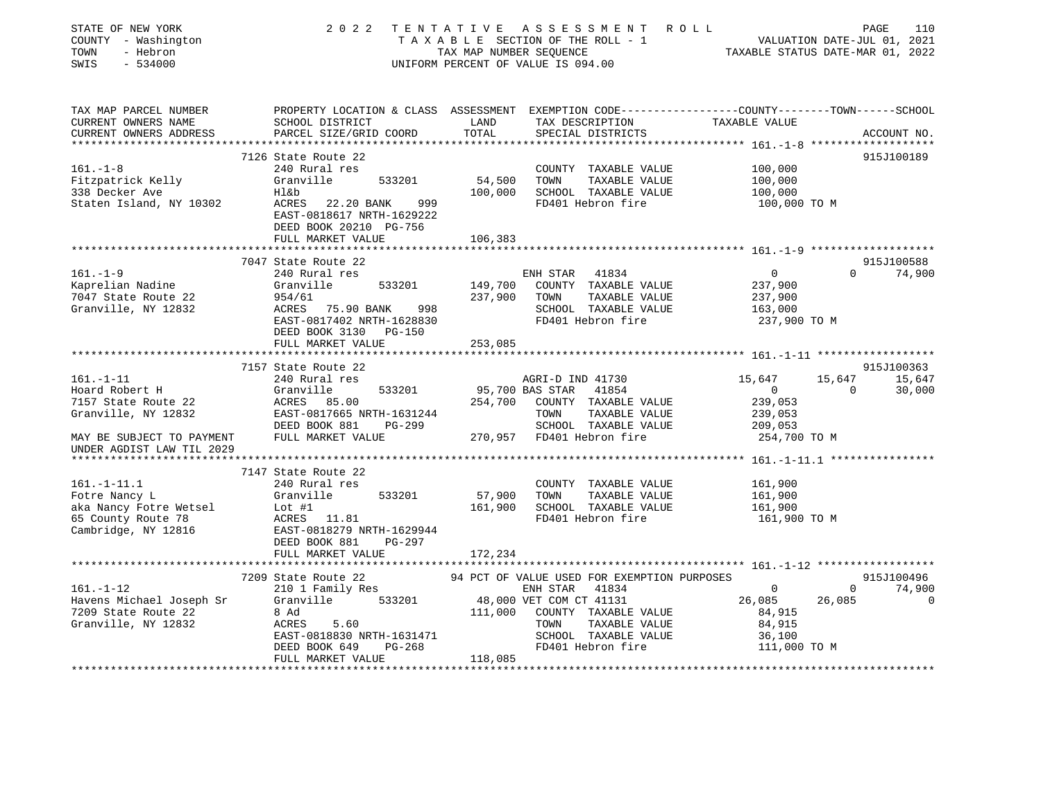| STATE OF NEW YORK<br>SCOUNTY - Washington<br>TOWN - Hebron<br>SWIS - 534000 |                                                                                                                                                                                                                                                                                                     |         | TENTATIVE ASSESSMENT ROLL<br>TAXABLE SECTION OF THE ROLL - 1 VALUATION DATE-JUL 01, 2021<br>TAXABLE STATUS DATE-MAR 01, 2022<br>2022 TENTATIVE ASSESSMENT ROLL<br>UNIFORM PERCENT OF VALUE IS 094.00 |                                        |               |
|-----------------------------------------------------------------------------|-----------------------------------------------------------------------------------------------------------------------------------------------------------------------------------------------------------------------------------------------------------------------------------------------------|---------|------------------------------------------------------------------------------------------------------------------------------------------------------------------------------------------------------|----------------------------------------|---------------|
| TAX MAP PARCEL NUMBER<br>CURRENT OWNERS NAME                                | PROPERTY LOCATION & CLASS ASSESSMENT EXEMPTION CODE----------------COUNTY-------TOWN------SCHOOL<br>SCHOOL DISTRICT LAND TAX DESCRIPTION TAXABLE VALUE                                                                                                                                              |         |                                                                                                                                                                                                      |                                        |               |
| CURRENT OWNERS ADDRESS                                                      | PARCEL SIZE/GRID COORD                                                                                                                                                                                                                                                                              | TOTAL   | SPECIAL DISTRICTS                                                                                                                                                                                    |                                        | ACCOUNT NO.   |
|                                                                             | 7126 State Route 22                                                                                                                                                                                                                                                                                 |         |                                                                                                                                                                                                      |                                        | 915J100189    |
| $161. - 1 - 8$                                                              | 240 Rural res                                                                                                                                                                                                                                                                                       |         | COUNTY TAXABLE VALUE                                                                                                                                                                                 | 100,000                                |               |
|                                                                             |                                                                                                                                                                                                                                                                                                     |         | 533201 54,500 TOWN TAXABLE VALUE                                                                                                                                                                     |                                        |               |
|                                                                             |                                                                                                                                                                                                                                                                                                     |         |                                                                                                                                                                                                      | $100,000$<br>$100,000$                 |               |
|                                                                             | Fitzpatrick Kelly<br>Fitzpatrick Kelly<br>338 Decker Ave Have Have Have 100,000 SCHOOL TAXABLE VALUE<br>Staten Island, NY 10302 ACRES 22.20 BANK 999<br>EAST-0818617 NRTH-1629222<br>FD401 Hebron fire<br>FD401 Hebron fire<br>DEED BOOK 20210 PG-756                                               |         |                                                                                                                                                                                                      | 100,000 TO M                           |               |
|                                                                             | FULL MARKET VALUE                                                                                                                                                                                                                                                                                   | 106,383 |                                                                                                                                                                                                      |                                        |               |
|                                                                             |                                                                                                                                                                                                                                                                                                     |         |                                                                                                                                                                                                      |                                        | 915J100588    |
| $161. - 1 - 9$                                                              | 7047 State Route 22                                                                                                                                                                                                                                                                                 |         |                                                                                                                                                                                                      | $\overline{0}$                         | $0 \t 74,900$ |
|                                                                             | 240 Rural res                                                                                                                                                                                                                                                                                       |         | ENH STAR 41834                                                                                                                                                                                       | 237,900                                |               |
|                                                                             |                                                                                                                                                                                                                                                                                                     |         | 533201 149,700 COUNTY TAXABLE VALUE                                                                                                                                                                  | 237,900                                |               |
|                                                                             |                                                                                                                                                                                                                                                                                                     |         |                                                                                                                                                                                                      | 163,000                                |               |
|                                                                             |                                                                                                                                                                                                                                                                                                     |         |                                                                                                                                                                                                      | 237,900 TO M                           |               |
|                                                                             |                                                                                                                                                                                                                                                                                                     |         |                                                                                                                                                                                                      |                                        |               |
|                                                                             | 161.-1-9<br>Xaprelian Nadine<br>7047 State Route 22<br>Granville, NY 12832<br>State Route 22<br>$\begin{array}{r} 954/61 \\ 954/61 \\ 237,900 \\ 237,900 \\ 237,900 \\ 237,900 \\ 237,900 \\ 237,900 \\ 237,900 \\ 237,900 \\ 237,900 \\ 237,900 \\ 237,900 \\ 237,900 \\ 237$<br>FULL MARKET VALUE | 253,085 |                                                                                                                                                                                                      |                                        |               |
|                                                                             |                                                                                                                                                                                                                                                                                                     |         |                                                                                                                                                                                                      |                                        |               |
|                                                                             | 7157 State Route 22                                                                                                                                                                                                                                                                                 |         |                                                                                                                                                                                                      |                                        | 915J100363    |
|                                                                             |                                                                                                                                                                                                                                                                                                     |         |                                                                                                                                                                                                      | 15,647                                 | 15,647 15,647 |
|                                                                             |                                                                                                                                                                                                                                                                                                     |         |                                                                                                                                                                                                      | $0$ 0 30,000<br>239,053                |               |
|                                                                             |                                                                                                                                                                                                                                                                                                     |         |                                                                                                                                                                                                      |                                        |               |
|                                                                             |                                                                                                                                                                                                                                                                                                     |         |                                                                                                                                                                                                      | 239,053                                |               |
|                                                                             |                                                                                                                                                                                                                                                                                                     |         |                                                                                                                                                                                                      |                                        |               |
| UNDER AGDIST LAW TIL 2029                                                   | 161.-1-11<br>Hoard Robert H<br>240 Rural res<br>33201 95,700 BAS STAR 41854<br>254,700 COUNTY TAXABLE VALUE<br>353201 95,700 BAS STAR 41854<br>254,700 COUNTY TAXABLE VALUE<br>354,700 COUNTY TAXABLE VALUE<br>354,700 COUNTY TAXABLE VALUE<br>3                                                    |         |                                                                                                                                                                                                      | -- .<br>209,053<br>254,700 ТО М        |               |
|                                                                             |                                                                                                                                                                                                                                                                                                     |         |                                                                                                                                                                                                      |                                        |               |
|                                                                             | 7147 State Route 22                                                                                                                                                                                                                                                                                 |         |                                                                                                                                                                                                      |                                        |               |
| $161. - 1 - 11.1$                                                           | 240 Rural res                                                                                                                                                                                                                                                                                       |         | COUNTY TAXABLE VALUE                                                                                                                                                                                 | 161,900                                |               |
|                                                                             |                                                                                                                                                                                                                                                                                                     |         |                                                                                                                                                                                                      | 161,900                                |               |
|                                                                             | 161.-1-11.1 240 Rural res<br>Fotre Nancy L Granville 533201 57,900 TOWN TAXABLE VALUE<br>aka Nancy Fotre Wetsel Lot #1 161,900 SCHOOL TAXABLE VALUE<br>65 County Route 78 ACRES 11.81 FD401 Hebron fire<br>Cambridge, NY 12816 EAST-08                                                              |         |                                                                                                                                                                                                      | 161,900<br>161,900 TO M                |               |
|                                                                             |                                                                                                                                                                                                                                                                                                     |         |                                                                                                                                                                                                      |                                        |               |
|                                                                             |                                                                                                                                                                                                                                                                                                     |         |                                                                                                                                                                                                      |                                        |               |
|                                                                             | FULL MARKET VALUE                                                                                                                                                                                                                                                                                   | 172,234 |                                                                                                                                                                                                      |                                        |               |
|                                                                             |                                                                                                                                                                                                                                                                                                     |         |                                                                                                                                                                                                      |                                        |               |
|                                                                             | 7209 State Route 22                                                                                                                                                                                                                                                                                 |         | 94 PCT OF VALUE USED FOR EXEMPTION PURPOSES                                                                                                                                                          |                                        | 915J100496    |
| $161. -1 - 12$                                                              | 209 State Route 22 94 PCT OF 1<br>210 1 Family Res                                                                                                                                                                                                                                                  |         | ENH STAR 41834 0                                                                                                                                                                                     |                                        | $0 \t 74,900$ |
|                                                                             |                                                                                                                                                                                                                                                                                                     |         |                                                                                                                                                                                                      |                                        | $\Omega$      |
|                                                                             |                                                                                                                                                                                                                                                                                                     |         |                                                                                                                                                                                                      | $26,085$<br>84,915<br>84,915<br>84,915 |               |
|                                                                             |                                                                                                                                                                                                                                                                                                     |         |                                                                                                                                                                                                      |                                        |               |
|                                                                             |                                                                                                                                                                                                                                                                                                     |         |                                                                                                                                                                                                      |                                        |               |
|                                                                             | Havens Michael Joseph Sr<br>Havens Michael Joseph Sr<br>Tavens Michael Joseph Sr<br>Tavens Michael Joseph Sr<br>Tavens Are Sand<br>Sranville, NY 12832<br>ACRES 5.60<br>EAST-0818830 NRTH-1631471<br>DEED BOOK 649<br>PG-268<br>TOWN TAXABLE VALUE                                                  |         |                                                                                                                                                                                                      | 36,100<br>111,000 TO M                 |               |
|                                                                             | FULL MARKET VALUE                                                                                                                                                                                                                                                                                   | 118,085 |                                                                                                                                                                                                      |                                        |               |
|                                                                             |                                                                                                                                                                                                                                                                                                     |         |                                                                                                                                                                                                      |                                        |               |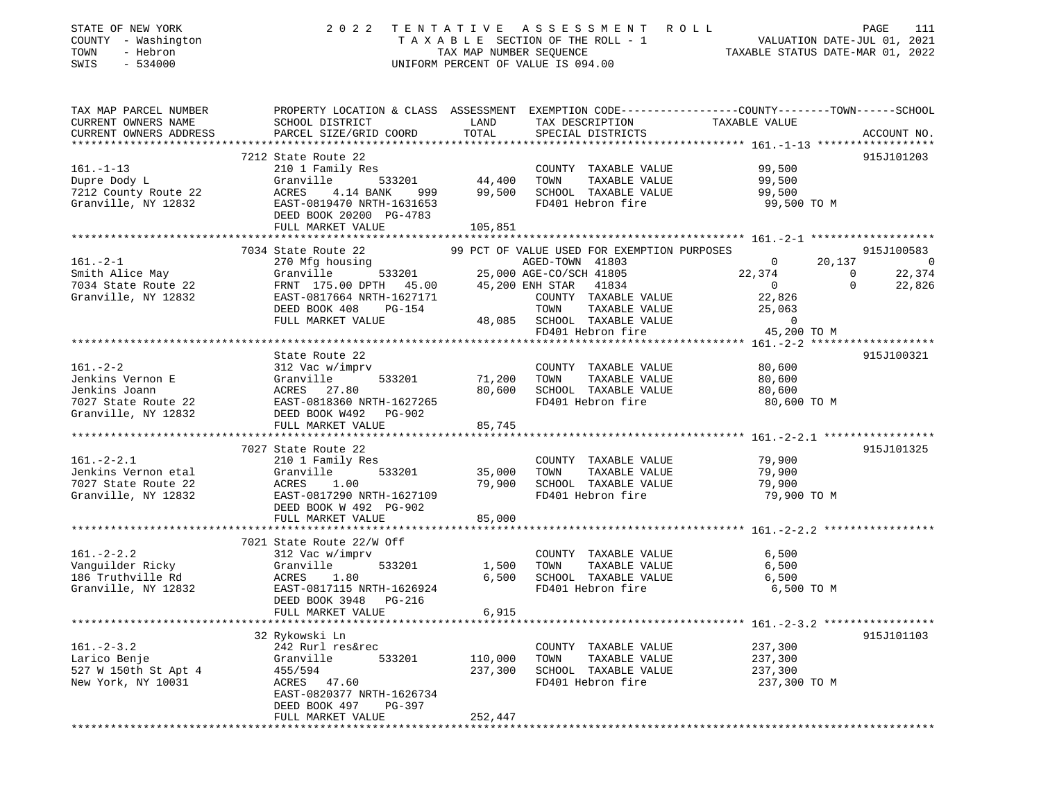| STATE OF NEW YORK<br>COUNTY - Washington<br>TOWN<br>- Hebron<br>SWIS<br>$-534000$                                                              | 2 0 2 2                                                                                                                                                                                                                                                               |                               | UNIFORM PERCENT OF VALUE IS 094.00                                                                                                                                                        | TENTATIVE ASSESSMENT ROLL PAGE 111<br>TAXABLE SECTION OF THE ROLL - 1 VALUATION DATE-JUL 01, 2021<br>TAXABLE STATUS DATE-MAR 01, 2022 |                          |
|------------------------------------------------------------------------------------------------------------------------------------------------|-----------------------------------------------------------------------------------------------------------------------------------------------------------------------------------------------------------------------------------------------------------------------|-------------------------------|-------------------------------------------------------------------------------------------------------------------------------------------------------------------------------------------|---------------------------------------------------------------------------------------------------------------------------------------|--------------------------|
| CURRENT OWNERS NAME<br>CURRENT OWNERS ADDRESS                                                                                                  | TAX MAP PARCEL NUMBER           PROPERTY LOCATION & CLASS ASSESSMENT EXEMPTION CODE--------------COUNTY-------TOWN------SCHOOL<br>CURRENT OWNERS NAME             SCHOOL DISTRICT              LAND      TAX DESCRIPTION<br>SCHOOL DISTRICT<br>PARCEL SIZE/GRID COORD | LAND<br>TOTAL                 | TAX DESCRIPTION TAXABLE VALUE SPECIAL DISTRICTS<br>SPECIAL DISTRICTS                                                                                                                      |                                                                                                                                       | ACCOUNT NO.              |
| $161. - 1 - 13$<br>Dupre Dody L<br>7212 County Route 22<br>Granville, NY 12832                                                                 | 7212 State Route 22<br>210 1 Family Res<br>Granville 533201 44,400<br>ACRES<br>4.14 BANK<br>EAST-0819470 NRTH-1631653<br>DEED BOOK 20200 PG-4783<br>FULL MARKET VALUE                                                                                                 | 999 99,500<br>105,851         | COUNTY TAXABLE VALUE 99,500<br>TOWN TAXABLE VALUE<br>SCHOOL TAXABLE VALUE 99,500                                                                                                          | 99,500<br>FD401 Hebron fire 99,500 TO M                                                                                               | 915J101203               |
| $161 - 2 - 1$                                                                                                                                  | 7034 State Route 22<br>270 Mfg housing                                                                                                                                                                                                                                |                               | 99 PCT OF VALUE USED FOR EXEMPTION PURPOSES                                                                                                                                               | $\mathbf{0}$                                                                                                                          | 915J100583<br>$20,137$ 0 |
| Smith Alice May                                                                                                                                | Granville<br>DEED BOOK 408<br>PG-154<br>FULL MARKET VALUE                                                                                                                                                                                                             |                               | 22<br>using<br>533201 25,000 AGE-CO/SCH 41805<br>45 200 ENH STAR 41834<br>COUNTY TAXABLE VALUE<br>TAXABLE VALUE<br>TOWN<br>48,085 SCHOOL TAXABLE VALUE 0<br>FD401 Hebron fire 35,200 TO M | $22,374$<br>0<br>$\overline{0}$<br>$\Omega$<br>22,826<br>25,063                                                                       | 22,374<br>22,826         |
|                                                                                                                                                |                                                                                                                                                                                                                                                                       |                               |                                                                                                                                                                                           |                                                                                                                                       |                          |
|                                                                                                                                                | State Route 22<br>161.-2-2<br>Jenkins Vernon E<br>Jenkins Joann (Granville 533201 71,200<br>7027 State Route 22 EAST-0818360 NRTH-1627265<br>Granville, NY 12832 DEED BOOK W492 PG-902<br>533201 71,200                                                               | 80,600                        | COUNTY TAXABLE VALUE 80,600<br>TOWN<br>SCHOOL TAXABLE VALUE                                                                                                                               | TAXABLE VALUE 80,600<br>TAXABLE VALUE 80,600<br>FD401 Hebron fire 80,600 TO M                                                         | 915J100321               |
|                                                                                                                                                | FULL MARKET VALUE                                                                                                                                                                                                                                                     | 85,745                        |                                                                                                                                                                                           |                                                                                                                                       |                          |
|                                                                                                                                                | 7027 State Route 22                                                                                                                                                                                                                                                   |                               |                                                                                                                                                                                           |                                                                                                                                       | 915J101325               |
| $161. - 2 - 2.1$<br>Jenkins Vernon etal<br>7027 State Route 22<br>Granville, NY 12832                                                          | 210 1 Family Res<br>533201<br>Granville<br>ACRES<br>1.00<br>EAST-0817290 NRTH-1627109<br>DEED BOOK W 492 PG-902                                                                                                                                                       | 35,000<br>79,900              | COUNTY TAXABLE VALUE 79,900<br>TAXABLE VALUE<br>TOWN<br>SCHOOL TAXABLE VALUE<br>FD401 Hebron fire                                                                                         | 79,900<br>79,900<br>79,900 TO M                                                                                                       |                          |
|                                                                                                                                                | FULL MARKET VALUE                                                                                                                                                                                                                                                     | 85,000                        |                                                                                                                                                                                           |                                                                                                                                       |                          |
| $161. - 2 - 2.2$<br>161.-2-2.2 312 Vanguilder Ricky 312 Vanguilder Ricky 6ranvi<br>186 Truthville Rd 2002<br>2008 ACRES<br>Granville, NY 12832 | 7021 State Route 22/W Off<br>312 Vac w/imprv<br>533201<br>Granville<br>1.80<br>EAST-0817115 NRTH-1626924<br>DEED BOOK 3948 PG-216<br>FULL MARKET VALUE                                                                                                                | 1,500<br>6,500<br>6,915       | COUNTY TAXABLE VALUE<br>TOWN<br>TAXABLE VALUE<br>SCHOOL TAXABLE VALUE<br>FD401 Hebron fire                                                                                                | 6,500<br>6,500<br>6,500<br>6,500 TO M                                                                                                 |                          |
| ***************************                                                                                                                    |                                                                                                                                                                                                                                                                       |                               |                                                                                                                                                                                           |                                                                                                                                       |                          |
| $161. - 2 - 3.2$<br>Larico Benje<br>527 W 150th St Apt 4<br>New York, NY 10031                                                                 | 32 Rykowski Ln<br>242 Rurl res&rec<br>Granville<br>533201<br>455/594<br>ACRES 47.60<br>EAST-0820377 NRTH-1626734<br>DEED BOOK 497<br>PG-397<br>FULL MARKET VALUE                                                                                                      | 110,000<br>237,300<br>252,447 | COUNTY TAXABLE VALUE<br>TOWN<br>TAXABLE VALUE<br>SCHOOL TAXABLE VALUE<br>FD401 Hebron fire                                                                                                | 237,300<br>237,300<br>237,300<br>237,300 TO M                                                                                         | 915J101103               |
|                                                                                                                                                |                                                                                                                                                                                                                                                                       |                               |                                                                                                                                                                                           |                                                                                                                                       |                          |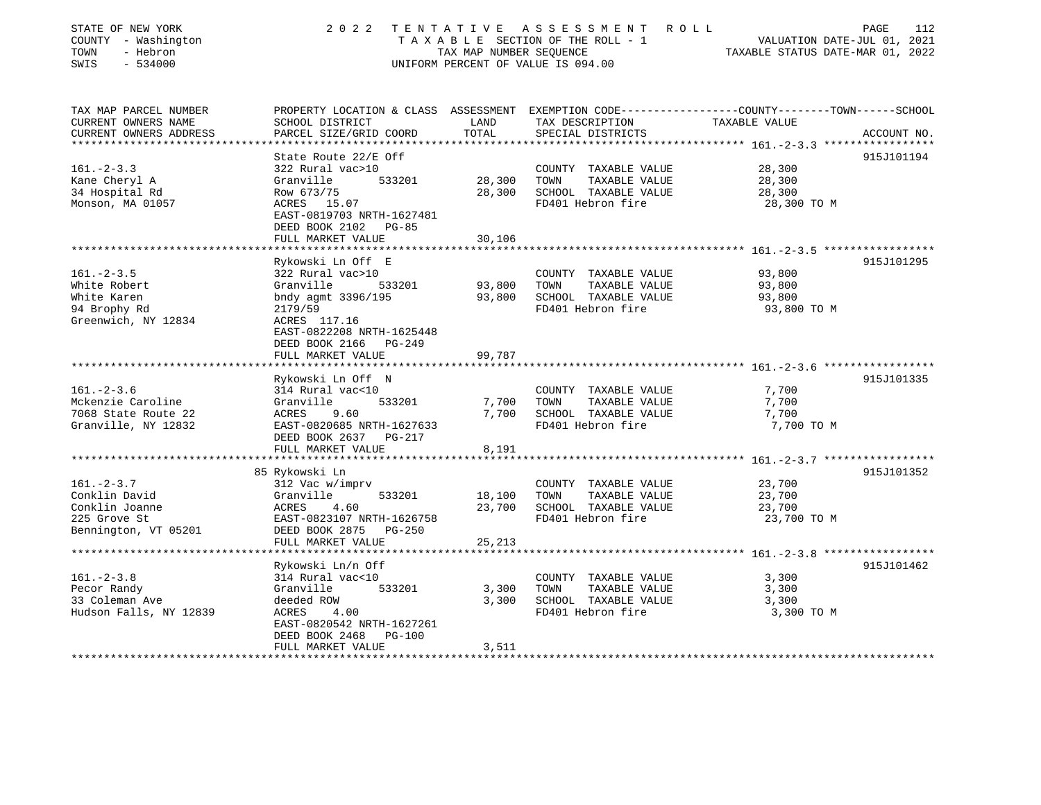| TAX MAP PARCEL NUMBER<br>PROPERTY LOCATION & CLASS ASSESSMENT EXEMPTION CODE---------------COUNTY-------TOWN------SCHOOL<br>CURRENT OWNERS NAME<br>SCHOOL DISTRICT<br>LAND<br>TAX DESCRIPTION<br>TAXABLE VALUE<br>CURRENT OWNERS ADDRESS<br>PARCEL SIZE/GRID COORD<br>TOTAL<br>SPECIAL DISTRICTS<br>*****************<br>**************** 161. -2-3.3 ****************** | STATE OF NEW YORK<br>COUNTY - Washington<br>TOWN<br>- Hebron<br>$-534000$<br>SWIS | 2 0 2 2              | TAX MAP NUMBER SEQUENCE | TENTATIVE ASSESSMENT<br>TAXABLE SECTION OF THE ROLL - 1<br>UNIFORM PERCENT OF VALUE IS 094.00 | ROLL<br>112<br>PAGE<br>VALUATION DATE-JUL 01, 2021<br>TAXABLE STATUS DATE-MAR 01, 2022 |
|--------------------------------------------------------------------------------------------------------------------------------------------------------------------------------------------------------------------------------------------------------------------------------------------------------------------------------------------------------------------------|-----------------------------------------------------------------------------------|----------------------|-------------------------|-----------------------------------------------------------------------------------------------|----------------------------------------------------------------------------------------|
|                                                                                                                                                                                                                                                                                                                                                                          |                                                                                   |                      |                         |                                                                                               |                                                                                        |
|                                                                                                                                                                                                                                                                                                                                                                          |                                                                                   |                      |                         |                                                                                               | ACCOUNT NO.                                                                            |
|                                                                                                                                                                                                                                                                                                                                                                          |                                                                                   |                      |                         |                                                                                               |                                                                                        |
|                                                                                                                                                                                                                                                                                                                                                                          |                                                                                   | State Route 22/E Off |                         |                                                                                               | 915J101194                                                                             |
| $161. - 2 - 3.3$<br>322 Rural vac>10<br>28,300<br>COUNTY TAXABLE VALUE                                                                                                                                                                                                                                                                                                   |                                                                                   |                      |                         |                                                                                               |                                                                                        |
| Kane Cheryl A<br>533201<br>28,300<br>TAXABLE VALUE<br>Granville<br>TOWN<br>28,300                                                                                                                                                                                                                                                                                        |                                                                                   |                      |                         |                                                                                               |                                                                                        |
| 34 Hospital Rd<br>Row 673/75<br>28,300<br>SCHOOL TAXABLE VALUE<br>28,300<br>FD401 Hebron fire<br>Monson, MA 01057<br>ACRES 15.07<br>28,300 TO M                                                                                                                                                                                                                          |                                                                                   |                      |                         |                                                                                               |                                                                                        |
| EAST-0819703 NRTH-1627481                                                                                                                                                                                                                                                                                                                                                |                                                                                   |                      |                         |                                                                                               |                                                                                        |
| DEED BOOK 2102 PG-85                                                                                                                                                                                                                                                                                                                                                     |                                                                                   |                      |                         |                                                                                               |                                                                                        |
| FULL MARKET VALUE<br>30,106                                                                                                                                                                                                                                                                                                                                              |                                                                                   |                      |                         |                                                                                               |                                                                                        |
|                                                                                                                                                                                                                                                                                                                                                                          |                                                                                   |                      |                         |                                                                                               |                                                                                        |
| Rykowski Ln Off E                                                                                                                                                                                                                                                                                                                                                        |                                                                                   |                      |                         |                                                                                               | 915J101295                                                                             |
| $161. - 2 - 3.5$<br>322 Rural vac>10<br>93,800<br>COUNTY TAXABLE VALUE                                                                                                                                                                                                                                                                                                   |                                                                                   |                      |                         |                                                                                               |                                                                                        |
| TAXABLE VALUE<br>White Robert<br>Granville<br>533201<br>93,800<br>TOWN<br>93,800                                                                                                                                                                                                                                                                                         |                                                                                   |                      |                         |                                                                                               |                                                                                        |
| White Karen<br>bndy agmt 3396/195<br>93,800<br>SCHOOL TAXABLE VALUE<br>93,800                                                                                                                                                                                                                                                                                            |                                                                                   |                      |                         |                                                                                               |                                                                                        |
| 94 Brophy Rd<br>FD401 Hebron fire<br>2179/59<br>93,800 TO M                                                                                                                                                                                                                                                                                                              |                                                                                   |                      |                         |                                                                                               |                                                                                        |
| Greenwich, NY 12834<br>ACRES 117.16<br>EAST-0822208 NRTH-1625448<br>DEED BOOK 2166 PG-249                                                                                                                                                                                                                                                                                |                                                                                   |                      |                         |                                                                                               |                                                                                        |
| FULL MARKET VALUE<br>99,787                                                                                                                                                                                                                                                                                                                                              |                                                                                   |                      |                         |                                                                                               |                                                                                        |
|                                                                                                                                                                                                                                                                                                                                                                          |                                                                                   |                      |                         |                                                                                               |                                                                                        |
| Rykowski Ln Off N                                                                                                                                                                                                                                                                                                                                                        |                                                                                   |                      |                         |                                                                                               | 915J101335                                                                             |
| $161. - 2 - 3.6$<br>314 Rural vac<10<br>7,700<br>COUNTY TAXABLE VALUE                                                                                                                                                                                                                                                                                                    |                                                                                   |                      |                         |                                                                                               |                                                                                        |
| Mckenzie Caroline<br>533201<br>TAXABLE VALUE<br>Granville<br>7,700<br>TOWN<br>7,700                                                                                                                                                                                                                                                                                      |                                                                                   |                      |                         |                                                                                               |                                                                                        |
| 7068 State Route 22<br>9.60<br>7,700<br>SCHOOL TAXABLE VALUE<br>ACRES<br>7,700                                                                                                                                                                                                                                                                                           |                                                                                   |                      |                         |                                                                                               |                                                                                        |
| FD401 Hebron fire<br>Granville, NY 12832<br>EAST-0820685 NRTH-1627633<br>7,700 TO M<br>DEED BOOK 2637 PG-217                                                                                                                                                                                                                                                             |                                                                                   |                      |                         |                                                                                               |                                                                                        |
| FULL MARKET VALUE<br>8,191                                                                                                                                                                                                                                                                                                                                               |                                                                                   |                      |                         |                                                                                               |                                                                                        |
|                                                                                                                                                                                                                                                                                                                                                                          |                                                                                   |                      |                         |                                                                                               |                                                                                        |
| 85 Rykowski Ln                                                                                                                                                                                                                                                                                                                                                           |                                                                                   |                      |                         |                                                                                               | 915J101352                                                                             |
| $161. - 2 - 3.7$<br>312 Vac w/imprv<br>COUNTY TAXABLE VALUE<br>23,700                                                                                                                                                                                                                                                                                                    |                                                                                   |                      |                         |                                                                                               |                                                                                        |
| Conklin David<br>18,100<br>TOWN<br>TAXABLE VALUE<br>Granville<br>533201<br>23,700                                                                                                                                                                                                                                                                                        |                                                                                   |                      |                         |                                                                                               |                                                                                        |
| Conklin Joanne<br>ACRES<br>23,700<br>SCHOOL TAXABLE VALUE<br>23,700<br>4.60                                                                                                                                                                                                                                                                                              |                                                                                   |                      |                         |                                                                                               |                                                                                        |
| FD401 Hebron fire<br>23,700 TO M<br>225 Grove St<br>EAST-0823107 NRTH-1626758                                                                                                                                                                                                                                                                                            |                                                                                   |                      |                         |                                                                                               |                                                                                        |
| Bennington, VT 05201<br>DEED BOOK 2875 PG-250                                                                                                                                                                                                                                                                                                                            |                                                                                   |                      |                         |                                                                                               |                                                                                        |
| FULL MARKET VALUE<br>25,213                                                                                                                                                                                                                                                                                                                                              |                                                                                   |                      |                         |                                                                                               |                                                                                        |
|                                                                                                                                                                                                                                                                                                                                                                          |                                                                                   |                      |                         |                                                                                               |                                                                                        |
| Rykowski Ln/n Off<br>$161. - 2 - 3.8$<br>314 Rural vac<10<br>COUNTY TAXABLE VALUE<br>3,300                                                                                                                                                                                                                                                                               |                                                                                   |                      |                         |                                                                                               | 915J101462                                                                             |
| Pecor Randy<br>533201<br>TAXABLE VALUE<br>Granville<br>3,300<br>TOWN<br>3,300                                                                                                                                                                                                                                                                                            |                                                                                   |                      |                         |                                                                                               |                                                                                        |
| 33 Coleman Ave<br>3,300<br>SCHOOL TAXABLE VALUE<br>3,300<br>deeded ROW                                                                                                                                                                                                                                                                                                   |                                                                                   |                      |                         |                                                                                               |                                                                                        |
| Hudson Falls, NY 12839<br>4.00<br>FD401 Hebron fire<br>3,300 TO M<br>ACRES                                                                                                                                                                                                                                                                                               |                                                                                   |                      |                         |                                                                                               |                                                                                        |
| EAST-0820542 NRTH-1627261                                                                                                                                                                                                                                                                                                                                                |                                                                                   |                      |                         |                                                                                               |                                                                                        |
| DEED BOOK 2468<br>$PG-100$                                                                                                                                                                                                                                                                                                                                               |                                                                                   |                      |                         |                                                                                               |                                                                                        |
| FULL MARKET VALUE<br>3,511                                                                                                                                                                                                                                                                                                                                               |                                                                                   |                      |                         |                                                                                               |                                                                                        |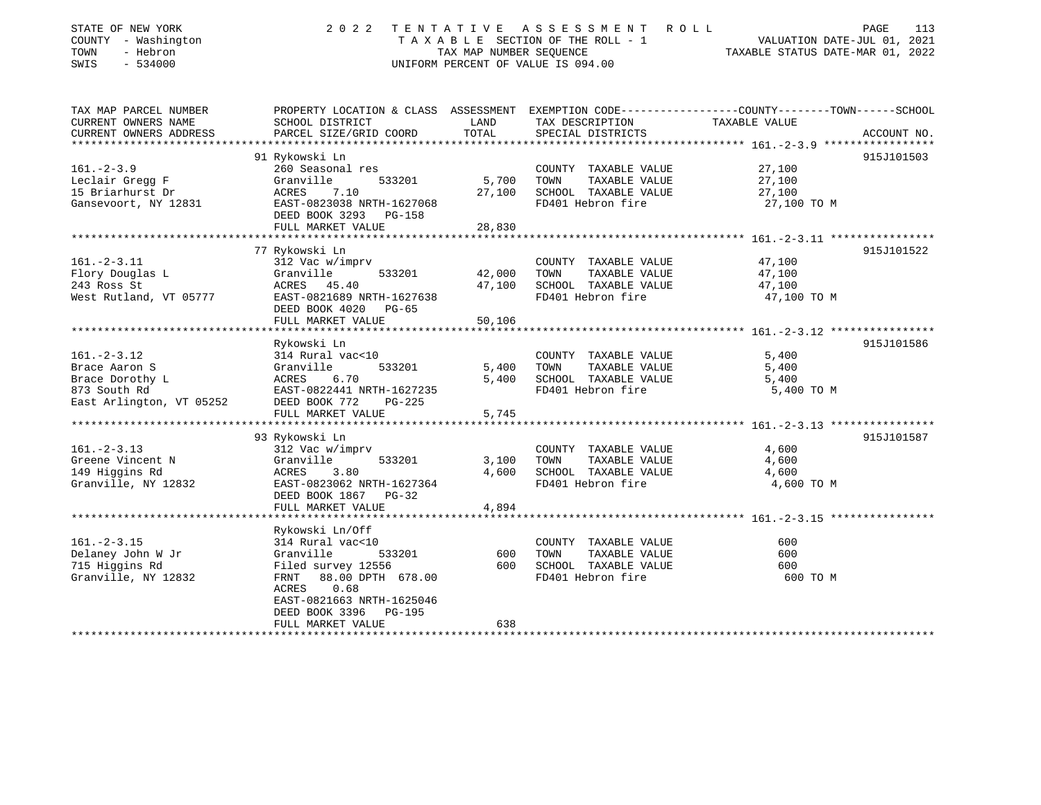| STATE OF NEW YORK<br>COUNTY - Washington<br>TOWN<br>- Hebron<br>SWIS<br>$-534000$                 | 2 0 2 2<br>TENTATIVE ASSESSMENT<br>R O L L<br>TAXABLE SECTION OF THE ROLL - 1<br>VALUATION DATE-JUL 01, 2021<br>TAX MAP NUMBER SEQUENCE<br>TAXABLE STATUS DATE-MAR 01, 2022<br>UNIFORM PERCENT OF VALUE IS 094.00 |                            |                                                                                            |                                                                                                                                 |  |  |  |
|---------------------------------------------------------------------------------------------------|-------------------------------------------------------------------------------------------------------------------------------------------------------------------------------------------------------------------|----------------------------|--------------------------------------------------------------------------------------------|---------------------------------------------------------------------------------------------------------------------------------|--|--|--|
| TAX MAP PARCEL NUMBER<br>CURRENT OWNERS NAME<br>CURRENT OWNERS ADDRESS                            | SCHOOL DISTRICT<br>PARCEL SIZE/GRID COORD                                                                                                                                                                         | LAND<br>TOTAL              | TAX DESCRIPTION<br>SPECIAL DISTRICTS                                                       | PROPERTY LOCATION & CLASS ASSESSMENT EXEMPTION CODE----------------COUNTY-------TOWN-----SCHOOL<br>TAXABLE VALUE<br>ACCOUNT NO. |  |  |  |
| $161. - 2 - 3.9$<br>Leclair Gregg F<br>15 Briarhurst Dr<br>Gansevoort, NY 12831                   | 91 Rykowski Ln<br>260 Seasonal res<br>Granville<br>533201<br>ACRES<br>7.10<br>EAST-0823038 NRTH-1627068<br>DEED BOOK 3293<br>PG-158<br>FULL MARKET VALUE                                                          | 5,700<br>27,100<br>28,830  | COUNTY TAXABLE VALUE<br>TAXABLE VALUE<br>TOWN<br>SCHOOL TAXABLE VALUE<br>FD401 Hebron fire | 915J101503<br>27,100<br>27,100<br>27,100<br>27,100 TO M                                                                         |  |  |  |
|                                                                                                   | *********************                                                                                                                                                                                             |                            |                                                                                            |                                                                                                                                 |  |  |  |
| $161. - 2 - 3.11$<br>Flory Douglas L<br>243 Ross St<br>West Rutland, VT 05777                     | 77 Rykowski Ln<br>312 Vac w/imprv<br>Granville<br>533201<br>ACRES 45.40<br>EAST-0821689 NRTH-1627638<br>DEED BOOK 4020<br>PG-65<br>FULL MARKET VALUE                                                              | 42,000<br>47,100<br>50,106 | COUNTY TAXABLE VALUE<br>TAXABLE VALUE<br>TOWN<br>SCHOOL TAXABLE VALUE<br>FD401 Hebron fire | 915J101522<br>47,100<br>47,100<br>47,100<br>47,100 TO M                                                                         |  |  |  |
| $161. - 2 - 3.12$<br>Brace Aaron S<br>Brace Dorothy L<br>873 South Rd<br>East Arlington, VT 05252 | Rykowski Ln<br>314 Rural vac<10<br>533201<br>Granville<br>ACRES<br>6.70<br>EAST-0822441 NRTH-1627235<br>DEED BOOK 772<br>PG-225<br>FULL MARKET VALUE                                                              | 5,400<br>5,400<br>5,745    | COUNTY TAXABLE VALUE<br>TOWN<br>TAXABLE VALUE<br>SCHOOL TAXABLE VALUE<br>FD401 Hebron fire | 915J101586<br>5,400<br>5,400<br>5,400<br>5,400 TO M                                                                             |  |  |  |
|                                                                                                   |                                                                                                                                                                                                                   |                            |                                                                                            |                                                                                                                                 |  |  |  |
| $161. - 2 - 3.13$<br>Greene Vincent N<br>149 Higgins Rd<br>Granville, NY 12832                    | 93 Rykowski Ln<br>312 Vac w/imprv<br>Granville<br>533201<br>ACRES<br>3.80<br>EAST-0823062 NRTH-1627364<br>DEED BOOK 1867<br>$PG-32$<br>FULL MARKET VALUE                                                          | 3,100<br>4,600<br>4,894    | COUNTY TAXABLE VALUE<br>TOWN<br>TAXABLE VALUE<br>SCHOOL TAXABLE VALUE<br>FD401 Hebron fire | 915J101587<br>4,600<br>4,600<br>4,600<br>4,600 TO M                                                                             |  |  |  |
|                                                                                                   | ***************************                                                                                                                                                                                       |                            |                                                                                            |                                                                                                                                 |  |  |  |
| $161. - 2 - 3.15$<br>Delaney John W Jr<br>715 Higgins Rd<br>Granville, NY 12832                   | Rykowski Ln/Off<br>314 Rural vac<10<br>533201<br>Granville<br>Filed survey 12556<br>88.00 DPTH 678.00<br>FRNT<br>ACRES<br>0.68<br>EAST-0821663 NRTH-1625046<br>DEED BOOK 3396<br>PG-195                           | 600<br>600                 | COUNTY TAXABLE VALUE<br>TOWN<br>TAXABLE VALUE<br>SCHOOL TAXABLE VALUE<br>FD401 Hebron fire | 600<br>600<br>600<br>600 TO M                                                                                                   |  |  |  |
|                                                                                                   | FULL MARKET VALUE                                                                                                                                                                                                 | 638                        |                                                                                            |                                                                                                                                 |  |  |  |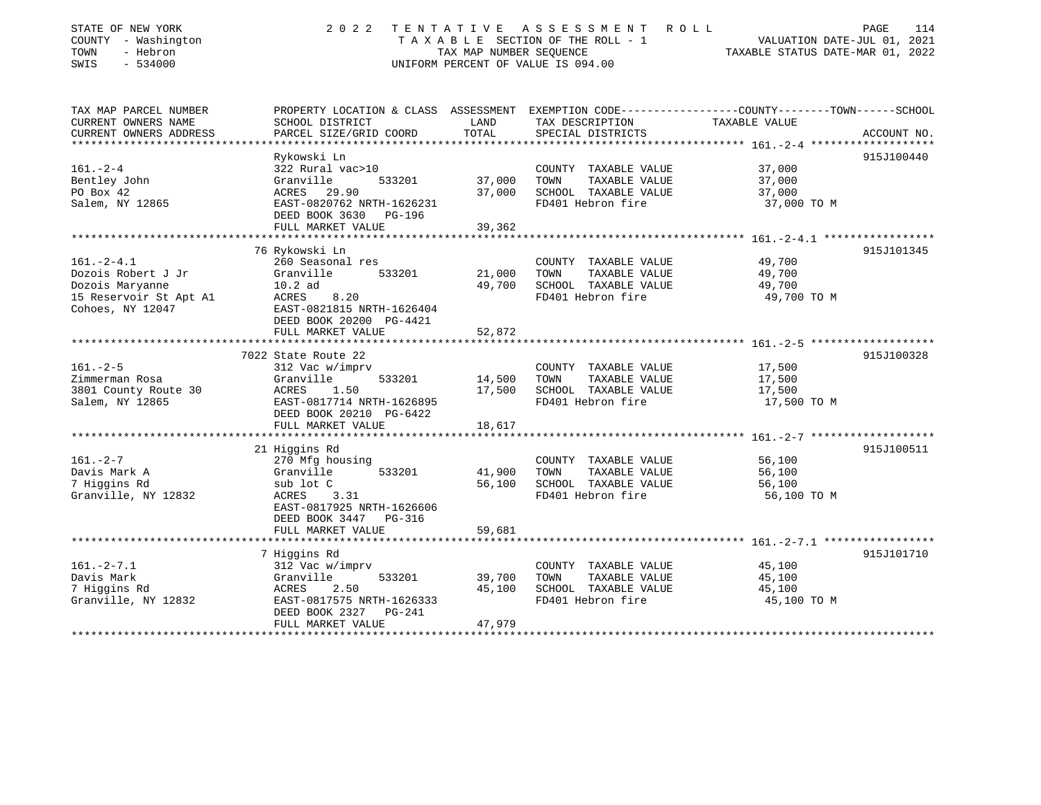| STATE OF NEW YORK<br>COUNTY - Washington<br>- Hebron<br>TOWN<br>SWIS<br>$-534000$ | 2 0 2 2<br>TENTATIVE<br>T A X A B L E SECTION OF THE ROLL - 1<br>TAX MAP NUMBER SEOUENCE<br>UNIFORM PERCENT OF VALUE IS 094.00 | ROLL<br>PAGE<br>114<br>VALUATION DATE-JUL 01, 2021<br>TAXABLE STATUS DATE-MAR 01, 2022 |                                           |                                                                                                                  |
|-----------------------------------------------------------------------------------|--------------------------------------------------------------------------------------------------------------------------------|----------------------------------------------------------------------------------------|-------------------------------------------|------------------------------------------------------------------------------------------------------------------|
| TAX MAP PARCEL NUMBER<br>CURRENT OWNERS NAME                                      | SCHOOL DISTRICT                                                                                                                | LAND                                                                                   | TAX DESCRIPTION                           | PROPERTY LOCATION & CLASS ASSESSMENT EXEMPTION CODE---------------COUNTY-------TOWN------SCHOOL<br>TAXABLE VALUE |
| CURRENT OWNERS ADDRESS<br>*************************                               | PARCEL SIZE/GRID COORD                                                                                                         | TOTAL                                                                                  | SPECIAL DISTRICTS                         | ACCOUNT NO.                                                                                                      |
|                                                                                   | Rykowski Ln                                                                                                                    |                                                                                        |                                           | 915J100440                                                                                                       |
| $161. - 2 - 4$                                                                    | 322 Rural vac>10                                                                                                               |                                                                                        | COUNTY TAXABLE VALUE                      | 37,000                                                                                                           |
| Bentley John                                                                      | Granville<br>533201                                                                                                            | 37,000                                                                                 | TOWN<br>TAXABLE VALUE                     | 37,000                                                                                                           |
| PO Box 42                                                                         | ACRES 29.90                                                                                                                    | 37,000                                                                                 | SCHOOL TAXABLE VALUE                      | 37,000                                                                                                           |
| Salem, NY 12865                                                                   | EAST-0820762 NRTH-1626231<br>DEED BOOK 3630<br>PG-196                                                                          |                                                                                        | FD401 Hebron fire                         | 37,000 TO M                                                                                                      |
|                                                                                   | FULL MARKET VALUE<br>********************                                                                                      | 39,362                                                                                 |                                           | *************** 161.-2-4.1 ***********                                                                           |
|                                                                                   | 76 Rykowski Ln                                                                                                                 |                                                                                        |                                           | 915J101345                                                                                                       |
| $161. - 2 - 4.1$                                                                  | 260 Seasonal res                                                                                                               |                                                                                        | COUNTY TAXABLE VALUE                      | 49,700                                                                                                           |
| Dozois Robert J Jr                                                                | Granville<br>533201                                                                                                            | 21,000                                                                                 | TOWN<br>TAXABLE VALUE                     | 49,700                                                                                                           |
| Dozois Maryanne                                                                   | $10.2$ ad                                                                                                                      | 49,700                                                                                 | SCHOOL TAXABLE VALUE                      | 49,700                                                                                                           |
| 15 Reservoir St Apt A1                                                            | ACRES<br>8.20                                                                                                                  |                                                                                        | FD401 Hebron fire                         | 49,700 TO M                                                                                                      |
| Cohoes, NY 12047                                                                  | EAST-0821815 NRTH-1626404<br>DEED BOOK 20200 PG-4421<br>FULL MARKET VALUE                                                      | 52,872                                                                                 |                                           |                                                                                                                  |
|                                                                                   | ******************                                                                                                             | *******                                                                                |                                           | $161 - 2 - 5$                                                                                                    |
|                                                                                   | 7022 State Route 22                                                                                                            |                                                                                        |                                           | 915J100328                                                                                                       |
| $161. - 2 - 5$                                                                    | 312 Vac w/imprv                                                                                                                |                                                                                        | COUNTY TAXABLE VALUE                      | 17,500                                                                                                           |
| Zimmerman Rosa                                                                    | Granville<br>533201                                                                                                            | 14,500                                                                                 | TOWN<br>TAXABLE VALUE                     | 17,500                                                                                                           |
| 3801 County Route 30                                                              | ACRES<br>1.50                                                                                                                  | 17,500                                                                                 | SCHOOL TAXABLE VALUE                      | 17,500                                                                                                           |
| Salem, NY 12865                                                                   | EAST-0817714 NRTH-1626895                                                                                                      |                                                                                        | FD401 Hebron fire                         | 17,500 TO M                                                                                                      |
|                                                                                   | DEED BOOK 20210 PG-6422                                                                                                        |                                                                                        |                                           |                                                                                                                  |
|                                                                                   | FULL MARKET VALUE                                                                                                              | 18,617                                                                                 |                                           |                                                                                                                  |
|                                                                                   |                                                                                                                                |                                                                                        |                                           |                                                                                                                  |
|                                                                                   | 21 Higgins Rd                                                                                                                  |                                                                                        |                                           | 915J100511                                                                                                       |
| $161. - 2 - 7$                                                                    | 270 Mfg housing                                                                                                                |                                                                                        | COUNTY TAXABLE VALUE                      | 56,100                                                                                                           |
| Davis Mark A                                                                      | 533201<br>Granville                                                                                                            | 41,900                                                                                 | TAXABLE VALUE<br>TOWN                     | 56,100                                                                                                           |
| 7 Higgins Rd<br>Granville, NY 12832                                               | sub lot C<br>ACRES<br>3.31                                                                                                     | 56,100                                                                                 | SCHOOL TAXABLE VALUE<br>FD401 Hebron fire | 56,100<br>56,100 TO M                                                                                            |
|                                                                                   | EAST-0817925 NRTH-1626606<br>DEED BOOK 3447<br>$PG-316$                                                                        |                                                                                        |                                           |                                                                                                                  |
|                                                                                   | FULL MARKET VALUE                                                                                                              | 59,681                                                                                 |                                           |                                                                                                                  |
|                                                                                   | 7 Higgins Rd                                                                                                                   |                                                                                        |                                           | 915J101710                                                                                                       |
| $161. - 2 - 7.1$                                                                  | 312 Vac w/imprv                                                                                                                |                                                                                        | COUNTY TAXABLE VALUE                      | 45,100                                                                                                           |
| Davis Mark                                                                        | Granville<br>533201                                                                                                            | 39,700                                                                                 | TOWN<br>TAXABLE VALUE                     | 45,100                                                                                                           |
| 7 Higgins Rd                                                                      | ACRES<br>2.50                                                                                                                  | 45,100                                                                                 | SCHOOL TAXABLE VALUE                      | 45,100                                                                                                           |
| Granville, NY 12832                                                               | EAST-0817575 NRTH-1626333                                                                                                      |                                                                                        | FD401 Hebron fire                         | 45,100 TO M                                                                                                      |
|                                                                                   | DEED BOOK 2327<br>PG-241<br>FULL MARKET VALUE                                                                                  | 47,979                                                                                 |                                           |                                                                                                                  |
| ******************                                                                | *************************                                                                                                      | *************                                                                          |                                           |                                                                                                                  |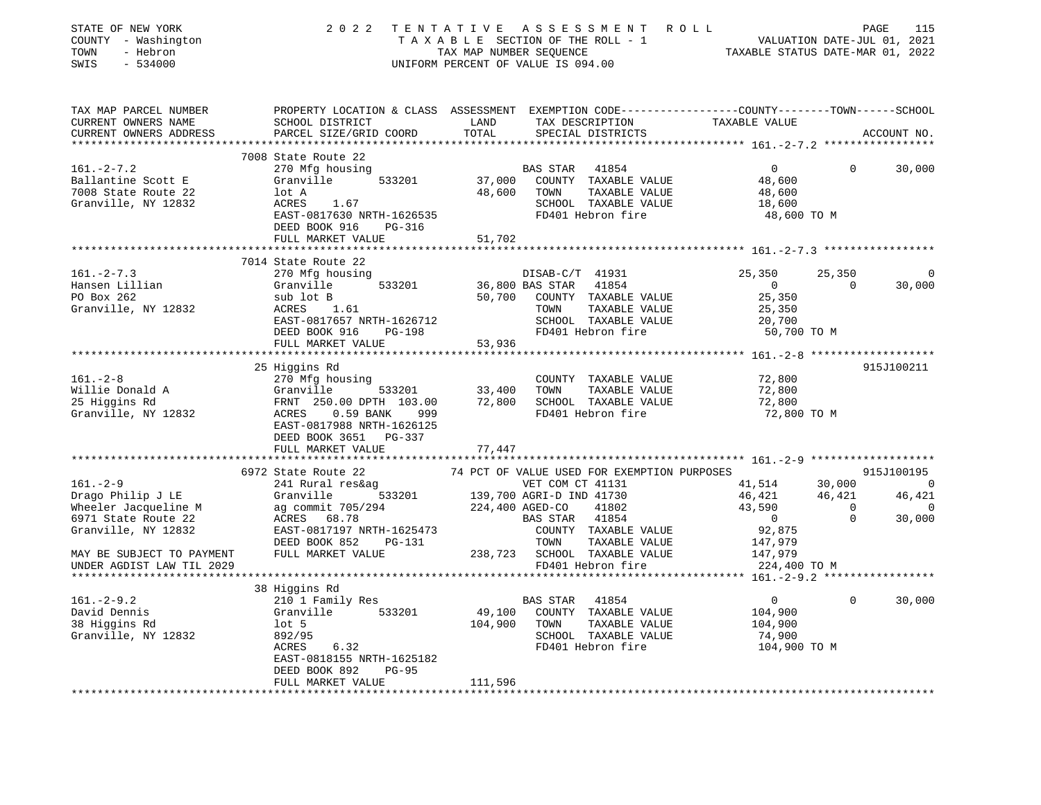| STATE OF NEW YORK<br>COUNTY - Washington<br>TOWN<br>- Hebron<br>$-534000$<br>SWIS | 2022 TENTATIVE                                                                                                                               |                 | ASSESSMENT ROLL<br>T A X A B L E SECTION OF THE ROLL - 1<br>TAX MAP NUMBER SEQUENCE TAXABLE STATUS DATE-MAR 01, 2022<br>UNIFORM PERCENT OF VALUE IS 094.00 |                                                     |                | PAGE<br>115    |
|-----------------------------------------------------------------------------------|----------------------------------------------------------------------------------------------------------------------------------------------|-----------------|------------------------------------------------------------------------------------------------------------------------------------------------------------|-----------------------------------------------------|----------------|----------------|
| TAX MAP PARCEL NUMBER<br>CURRENT OWNERS NAME<br>CURRENT OWNERS ADDRESS            | PROPERTY LOCATION & CLASS ASSESSMENT EXEMPTION CODE---------------COUNTY-------TOWN------SCHOOL<br>SCHOOL DISTRICT<br>PARCEL SIZE/GRID COORD | LAND<br>TOTAL   | TAX DESCRIPTION<br>SPECIAL DISTRICTS                                                                                                                       | TAXABLE VALUE                                       |                | ACCOUNT NO.    |
|                                                                                   |                                                                                                                                              |                 |                                                                                                                                                            |                                                     |                |                |
|                                                                                   | 7008 State Route 22                                                                                                                          |                 |                                                                                                                                                            |                                                     |                |                |
| $161. - 2 - 7.2$                                                                  | 270 Mfg housing                                                                                                                              |                 | BAS STAR<br>41854                                                                                                                                          | $\overline{0}$                                      | $\Omega$       | 30,000         |
| Ballantine Scott E                                                                | 533201<br>Granville                                                                                                                          |                 | 37,000 COUNTY TAXABLE VALUE                                                                                                                                | 48,600                                              |                |                |
| 7008 State Route 22                                                               | lot A<br>ACRES 1.67                                                                                                                          | 48,600          | TAXABLE VALUE<br>TOWN                                                                                                                                      | 48,600                                              |                |                |
| Granville, NY 12832                                                               |                                                                                                                                              |                 | SCHOOL TAXABLE VALUE<br>FD401 Hebron fire                                                                                                                  | 18,600                                              |                |                |
|                                                                                   | EAST-0817630 NRTH-1626535<br>DEED BOOK 916 PG-316                                                                                            |                 |                                                                                                                                                            | 48,600 TO M                                         |                |                |
|                                                                                   | FULL MARKET VALUE                                                                                                                            | 51,702          |                                                                                                                                                            |                                                     |                |                |
|                                                                                   |                                                                                                                                              |                 |                                                                                                                                                            |                                                     |                |                |
|                                                                                   | 7014 State Route 22                                                                                                                          |                 |                                                                                                                                                            |                                                     |                |                |
| $161. -2 - 7.3$                                                                   | 270 Mfg housing                                                                                                                              |                 | DISAB-C/T 41931                                                                                                                                            | 25,350                                              | 25,350         | 0              |
| Hansen Lillian                                                                    | Granville 533201                                                                                                                             |                 | 36,800 BAS STAR 41854                                                                                                                                      | $\overline{0}$                                      | $\Omega$       | 30,000         |
| PO Box 262                                                                        | sub lot B                                                                                                                                    | 50,700          | COUNTY TAXABLE VALUE                                                                                                                                       | 25,350                                              |                |                |
| Granville, NY 12832                                                               | ACRES 1.61                                                                                                                                   |                 | TOWN<br>TAXABLE VALUE                                                                                                                                      | 25,350                                              |                |                |
|                                                                                   | EAST-0817657 NRTH-1626712                                                                                                                    |                 | SCHOOL TAXABLE VALUE                                                                                                                                       | 20,700                                              |                |                |
|                                                                                   | DEED BOOK 916 PG-198                                                                                                                         |                 | FD401 Hebron fire                                                                                                                                          | 50,700 TO M                                         |                |                |
|                                                                                   | FULL MARKET VALUE                                                                                                                            | 53,936          |                                                                                                                                                            |                                                     |                |                |
|                                                                                   |                                                                                                                                              |                 |                                                                                                                                                            | ********************* 161.0208 ******************** |                |                |
|                                                                                   | 25 Higgins Rd                                                                                                                                |                 |                                                                                                                                                            |                                                     |                | 915J100211     |
| $161. - 2 - 8$                                                                    | 270 Mfg housing                                                                                                                              |                 | COUNTY TAXABLE VALUE                                                                                                                                       | 72,800                                              |                |                |
| Willie Donald A                                                                   | Granville 533201                                                                                                                             | 33,400          | TOWN<br>TAXABLE VALUE                                                                                                                                      | 72,800                                              |                |                |
| 25 Higgins Rd                                                                     | FRNT 250.00 DPTH 103.00                                                                                                                      |                 | 72,800 SCHOOL TAXABLE VALUE                                                                                                                                | 72,800                                              |                |                |
| Granville, NY 12832                                                               | ACRES 0.59 BANK<br>999<br>EAST-0817988 NRTH-1626125<br>DEED BOOK 3651 PG-337                                                                 |                 | FD401 Hebron fire                                                                                                                                          | 72,800 TO M                                         |                |                |
|                                                                                   | FULL MARKET VALUE                                                                                                                            | 77,447          |                                                                                                                                                            |                                                     |                |                |
|                                                                                   | 6972 State Route 22                                                                                                                          |                 | 74 PCT OF VALUE USED FOR EXEMPTION PURPOSES                                                                                                                |                                                     |                | 915J100195     |
| $161. - 2 - 9$                                                                    | 241 Rural res&ag                                                                                                                             |                 | VET COM CT 41131                                                                                                                                           | 41,514                                              | 30,000         | $\overline{a}$ |
| Drago Philip J LE                                                                 | Granville                                                                                                                                    |                 | 533201 139,700 AGRI-D IND 41730                                                                                                                            | 46,421                                              | 46,421         | 46,421         |
| Wheeler Jacqueline M                                                              | ag commit 705/294                                                                                                                            | 224,400 AGED-CO | 41802                                                                                                                                                      | 43,590                                              | $\overline{0}$ | $\overline{0}$ |
| 6971 State Route 22                                                               | ACRES 68.78                                                                                                                                  |                 | BAS STAR 41854                                                                                                                                             | $\overline{0}$                                      | $\Omega$       | 30,000         |
| Granville, NY 12832                                                               | EAST-0817197 NRTH-1625473                                                                                                                    |                 | COUNTY TAXABLE VALUE                                                                                                                                       | 92,875                                              |                |                |
|                                                                                   | DEED BOOK 852<br>PG-131                                                                                                                      |                 | TOWN<br>TAXABLE VALUE                                                                                                                                      | 147,979                                             |                |                |
| MAY BE SUBJECT TO PAYMENT                                                         | FULL MARKET VALUE                                                                                                                            |                 | 238,723 SCHOOL TAXABLE VALUE                                                                                                                               | 147,979                                             |                |                |
| UNDER AGDIST LAW TIL 2029                                                         |                                                                                                                                              |                 | FD401 Hebron fire                                                                                                                                          | 224,400 TO M                                        |                |                |
|                                                                                   |                                                                                                                                              |                 |                                                                                                                                                            |                                                     |                |                |
|                                                                                   | 38 Higgins Rd                                                                                                                                |                 |                                                                                                                                                            |                                                     |                |                |
| $161 - 2 - 9.2$                                                                   | 210 1 Family Res                                                                                                                             |                 | BAS STAR<br>41854                                                                                                                                          | $\overline{0}$                                      | $\Omega$       | 30,000         |
| David Dennis                                                                      | Granville 533201                                                                                                                             | 49,100          | COUNTY TAXABLE VALUE                                                                                                                                       | 104,900                                             |                |                |
| 38 Higgins Rd                                                                     | lot 5<br>$\frac{10}{10}$                                                                                                                     | 104,900         | TOWN<br>TAXABLE VALUE                                                                                                                                      | 104,900                                             |                |                |
| Granville, NY 12832                                                               | 892/95                                                                                                                                       |                 | SCHOOL TAXABLE VALUE                                                                                                                                       | 74,900                                              |                |                |
|                                                                                   | ACRES 6.32                                                                                                                                   |                 | FD401 Hebron fire                                                                                                                                          | 104,900 TO M                                        |                |                |
|                                                                                   | EAST-0818155 NRTH-1625182                                                                                                                    |                 |                                                                                                                                                            |                                                     |                |                |
|                                                                                   | DEED BOOK 892<br>$PG-95$                                                                                                                     |                 |                                                                                                                                                            |                                                     |                |                |
|                                                                                   | FULL MARKET VALUE                                                                                                                            | 111,596         |                                                                                                                                                            |                                                     |                |                |
|                                                                                   |                                                                                                                                              |                 |                                                                                                                                                            |                                                     |                |                |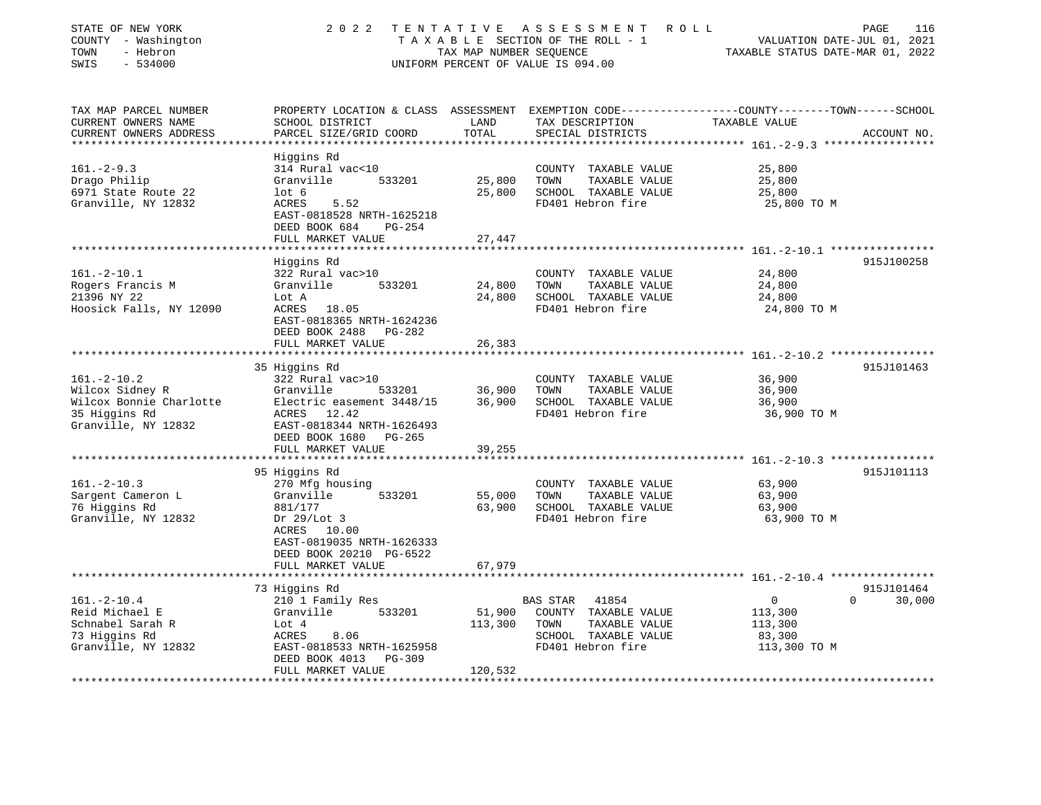| STATE OF NEW YORK<br>COUNTY - Washington<br>TOWN<br>- Hebron<br>$-534000$<br>SWIS | 2 0 2 2                                                                              | TENTATIVE<br>TAX MAP NUMBER SEQUENCE | A S S E S S M E N T<br>ROLL<br>TAXABLE SECTION OF THE ROLL - 1<br>UNIFORM PERCENT OF VALUE IS 094.00 | PAGE<br>116<br>VALUATION DATE-JUL 01, 2021<br>TAXABLE STATUS DATE-MAR 01, 2022                                    |
|-----------------------------------------------------------------------------------|--------------------------------------------------------------------------------------|--------------------------------------|------------------------------------------------------------------------------------------------------|-------------------------------------------------------------------------------------------------------------------|
| TAX MAP PARCEL NUMBER<br>CURRENT OWNERS NAME                                      | SCHOOL DISTRICT                                                                      | LAND                                 | TAX DESCRIPTION                                                                                      | PROPERTY LOCATION & CLASS ASSESSMENT EXEMPTION CODE----------------COUNTY-------TOWN------SCHOOL<br>TAXABLE VALUE |
| CURRENT OWNERS ADDRESS                                                            | PARCEL SIZE/GRID COORD                                                               | TOTAL                                | SPECIAL DISTRICTS                                                                                    | ACCOUNT NO.                                                                                                       |
|                                                                                   | Higgins Rd                                                                           |                                      |                                                                                                      |                                                                                                                   |
| $161. - 2 - 9.3$                                                                  | 314 Rural vac<10                                                                     |                                      | COUNTY TAXABLE VALUE                                                                                 | 25,800                                                                                                            |
| Drago Philip                                                                      | 533201<br>Granville                                                                  | 25,800                               | TOWN<br>TAXABLE VALUE                                                                                | 25,800                                                                                                            |
| 6971 State Route 22                                                               | $1$ ot 6                                                                             | 25,800                               | SCHOOL TAXABLE VALUE                                                                                 | 25,800                                                                                                            |
| Granville, NY 12832                                                               | ACRES<br>5.52<br>EAST-0818528 NRTH-1625218<br>DEED BOOK 684<br>$PG-254$              |                                      | FD401 Hebron fire                                                                                    | 25,800 TO M                                                                                                       |
|                                                                                   | FULL MARKET VALUE                                                                    | 27,447                               |                                                                                                      |                                                                                                                   |
|                                                                                   |                                                                                      |                                      |                                                                                                      |                                                                                                                   |
| $161. - 2 - 10.1$                                                                 | Higgins Rd<br>322 Rural vac>10                                                       |                                      | COUNTY TAXABLE VALUE                                                                                 | 915J100258<br>24,800                                                                                              |
| Rogers Francis M                                                                  | Granville<br>533201                                                                  | 24,800                               | TOWN<br>TAXABLE VALUE                                                                                | 24,800                                                                                                            |
| 21396 NY 22                                                                       | Lot A                                                                                | 24,800                               | SCHOOL TAXABLE VALUE                                                                                 | 24,800                                                                                                            |
| Hoosick Falls, NY 12090                                                           | ACRES 18.05<br>EAST-0818365 NRTH-1624236<br>DEED BOOK 2488 PG-282                    |                                      | FD401 Hebron fire                                                                                    | 24,800 TO M                                                                                                       |
|                                                                                   | FULL MARKET VALUE                                                                    | 26,383                               |                                                                                                      |                                                                                                                   |
|                                                                                   |                                                                                      |                                      |                                                                                                      |                                                                                                                   |
| $161. - 2 - 10.2$                                                                 | 35 Higgins Rd<br>322 Rural vac>10                                                    |                                      | COUNTY TAXABLE VALUE                                                                                 | 915J101463<br>36,900                                                                                              |
| Wilcox Sidney R                                                                   | Granville<br>533201                                                                  | 36,900                               | TOWN<br>TAXABLE VALUE                                                                                | 36,900                                                                                                            |
| Wilcox Bonnie Charlotte                                                           | Electric easement 3448/15                                                            | 36,900                               | SCHOOL TAXABLE VALUE                                                                                 | 36,900                                                                                                            |
| 35 Higgins Rd<br>Granville, NY 12832                                              | ACRES 12.42<br>EAST-0818344 NRTH-1626493<br>DEED BOOK 1680 PG-265                    |                                      | FD401 Hebron fire                                                                                    | 36,900 TO M                                                                                                       |
|                                                                                   | FULL MARKET VALUE                                                                    | 39,255                               |                                                                                                      |                                                                                                                   |
|                                                                                   | 95 Higgins Rd                                                                        |                                      |                                                                                                      | *** 161. -2-10.3 *****************<br>915J101113                                                                  |
| $161. - 2 - 10.3$                                                                 | 270 Mfg housing                                                                      |                                      | COUNTY TAXABLE VALUE                                                                                 | 63,900                                                                                                            |
| Sargent Cameron L                                                                 | Granville<br>533201                                                                  | 55,000                               | TOWN<br>TAXABLE VALUE                                                                                | 63,900                                                                                                            |
| 76 Higgins Rd                                                                     | 881/177                                                                              | 63,900                               | SCHOOL TAXABLE VALUE                                                                                 | 63,900                                                                                                            |
| Granville, NY 12832                                                               | Dr $29/Lot$ 3<br>ACRES 10.00<br>EAST-0819035 NRTH-1626333<br>DEED BOOK 20210 PG-6522 |                                      | FD401 Hebron fire                                                                                    | 63,900 TO M                                                                                                       |
|                                                                                   | FULL MARKET VALUE                                                                    | 67,979                               |                                                                                                      |                                                                                                                   |
|                                                                                   | **********************                                                               |                                      |                                                                                                      |                                                                                                                   |
|                                                                                   | 73 Higgins Rd                                                                        |                                      |                                                                                                      | 915J101464<br>$\Omega$                                                                                            |
| $161. - 2 - 10.4$<br>Reid Michael E                                               | 210 1 Family Res<br>Granville<br>533201                                              | 51,900                               | <b>BAS STAR</b><br>41854<br>COUNTY TAXABLE VALUE                                                     | $\overline{0}$<br>30,000<br>113,300                                                                               |
| Schnabel Sarah R                                                                  | Lot 4                                                                                | 113,300                              | TOWN<br>TAXABLE VALUE                                                                                | 113,300                                                                                                           |
| 73 Higgins Rd                                                                     | ACRES<br>8.06                                                                        |                                      | SCHOOL TAXABLE VALUE                                                                                 | 83,300                                                                                                            |
| Granville, NY 12832                                                               | EAST-0818533 NRTH-1625958<br>DEED BOOK 4013<br>PG-309<br>FULL MARKET VALUE           | 120,532                              | FD401 Hebron fire                                                                                    | 113,300 TO M                                                                                                      |
|                                                                                   | ******************                                                                   | **********                           |                                                                                                      |                                                                                                                   |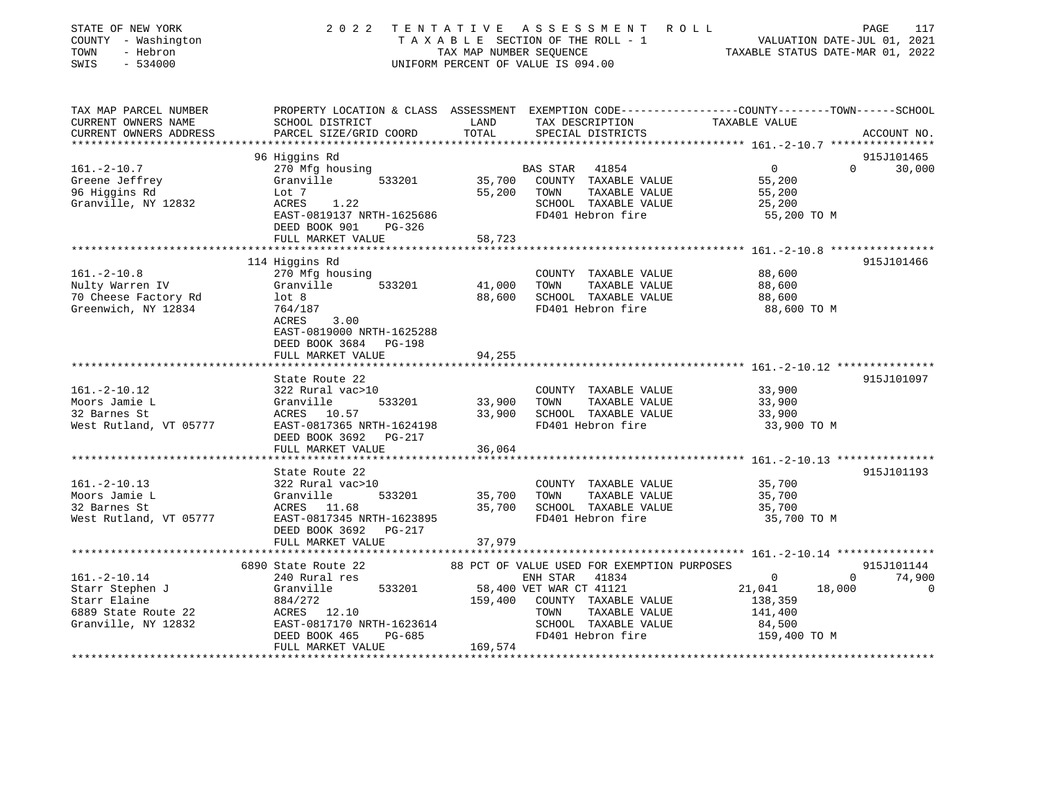| STATE OF NEW YORK<br>COUNTY - Washington<br>TOWN<br>- Hebron<br>SWIS<br>$-534000$ | 2 0 2 2                                                                                         | TAX MAP NUMBER SEQUENCE | TENTATIVE ASSESSMENT<br>R O L L<br>TAXABLE SECTION OF THE ROLL - 1<br>UNIFORM PERCENT OF VALUE IS 094.00 | VALUATION DATE-JUL 01, 2021<br>TAXABLE STATUS DATE-MAR 01, 2022 | PAGE<br>117 |
|-----------------------------------------------------------------------------------|-------------------------------------------------------------------------------------------------|-------------------------|----------------------------------------------------------------------------------------------------------|-----------------------------------------------------------------|-------------|
| TAX MAP PARCEL NUMBER                                                             | PROPERTY LOCATION & CLASS ASSESSMENT EXEMPTION CODE---------------COUNTY-------TOWN------SCHOOL |                         |                                                                                                          |                                                                 |             |
| CURRENT OWNERS NAME                                                               | SCHOOL DISTRICT                                                                                 | LAND                    | TAX DESCRIPTION                                                                                          | TAXABLE VALUE                                                   |             |
| CURRENT OWNERS ADDRESS                                                            | PARCEL SIZE/GRID COORD                                                                          | TOTAL                   | SPECIAL DISTRICTS                                                                                        |                                                                 | ACCOUNT NO. |
|                                                                                   | 96 Higgins Rd                                                                                   |                         |                                                                                                          |                                                                 | 915J101465  |
| $161. - 2 - 10.7$                                                                 | 270 Mfg housing                                                                                 |                         | BAS STAR<br>41854                                                                                        | $\overline{0}$<br>$\Omega$                                      | 30,000      |
| Greene Jeffrey                                                                    | Granville<br>533201                                                                             | 35,700                  | COUNTY TAXABLE VALUE                                                                                     | 55,200                                                          |             |
| 96 Higgins Rd                                                                     | Lot 7                                                                                           | 55,200                  | TOWN<br>TAXABLE VALUE                                                                                    | 55,200                                                          |             |
| Granville, NY 12832                                                               | ACRES<br>1.22                                                                                   |                         | SCHOOL TAXABLE VALUE                                                                                     | 25,200                                                          |             |
|                                                                                   | EAST-0819137 NRTH-1625686                                                                       |                         | FD401 Hebron fire                                                                                        | 55,200 TO M                                                     |             |
|                                                                                   | DEED BOOK 901<br>$PG-326$                                                                       |                         |                                                                                                          |                                                                 |             |
|                                                                                   | FULL MARKET VALUE                                                                               | 58,723                  |                                                                                                          |                                                                 |             |
|                                                                                   |                                                                                                 | * * * * * * * * *       |                                                                                                          | ************ 161. -2-10.8 *****************                     |             |
|                                                                                   | 114 Higgins Rd                                                                                  |                         |                                                                                                          |                                                                 | 915J101466  |
| $161. - 2 - 10.8$                                                                 | 270 Mfg housing                                                                                 |                         | COUNTY TAXABLE VALUE                                                                                     | 88,600                                                          |             |
| Nulty Warren IV                                                                   | Granville<br>533201                                                                             | 41,000                  | TOWN<br>TAXABLE VALUE                                                                                    | 88,600                                                          |             |
| 70 Cheese Factory Rd                                                              | lot 8                                                                                           | 88,600                  | SCHOOL TAXABLE VALUE                                                                                     | 88,600                                                          |             |
| Greenwich, NY 12834                                                               | 764/187<br>ACRES<br>3.00                                                                        |                         | FD401 Hebron fire                                                                                        | 88,600 TO M                                                     |             |
|                                                                                   | EAST-0819000 NRTH-1625288                                                                       |                         |                                                                                                          |                                                                 |             |
|                                                                                   | DEED BOOK 3684<br>PG-198                                                                        |                         |                                                                                                          |                                                                 |             |
|                                                                                   | FULL MARKET VALUE                                                                               | 94,255                  |                                                                                                          |                                                                 |             |
|                                                                                   |                                                                                                 |                         |                                                                                                          |                                                                 |             |
|                                                                                   | State Route 22                                                                                  |                         |                                                                                                          |                                                                 | 915J101097  |
| $161. - 2 - 10.12$                                                                | 322 Rural vac>10                                                                                |                         | COUNTY TAXABLE VALUE                                                                                     | 33,900                                                          |             |
| Moors Jamie L                                                                     | Granville<br>533201                                                                             | 33,900                  | TAXABLE VALUE<br>TOWN                                                                                    | 33,900                                                          |             |
| 32 Barnes St                                                                      | ACRES 10.57                                                                                     | 33,900                  | SCHOOL TAXABLE VALUE                                                                                     | 33,900                                                          |             |
| West Rutland, VT 05777                                                            | EAST-0817365 NRTH-1624198<br>DEED BOOK 3692<br>PG-217                                           |                         | FD401 Hebron fire                                                                                        | 33,900 TO M                                                     |             |
|                                                                                   | FULL MARKET VALUE                                                                               | 36,064                  |                                                                                                          |                                                                 |             |
|                                                                                   | *******************************                                                                 |                         |                                                                                                          |                                                                 |             |
|                                                                                   | State Route 22                                                                                  |                         |                                                                                                          |                                                                 | 915J101193  |
| $161. - 2 - 10.13$<br>Moors Jamie L                                               | 322 Rural vac>10<br>Granville<br>533201                                                         | 35,700                  | COUNTY TAXABLE VALUE<br>TOWN<br>TAXABLE VALUE                                                            | 35,700<br>35,700                                                |             |
| 32 Barnes St                                                                      | ACRES 11.68                                                                                     | 35,700                  | SCHOOL TAXABLE VALUE                                                                                     | 35,700                                                          |             |
| West Rutland, VT 05777                                                            | EAST-0817345 NRTH-1623895                                                                       |                         | FD401 Hebron fire                                                                                        | 35,700 TO M                                                     |             |
|                                                                                   | DEED BOOK 3692<br>PG-217                                                                        |                         |                                                                                                          |                                                                 |             |
|                                                                                   | FULL MARKET VALUE                                                                               | 37,979                  |                                                                                                          |                                                                 |             |
|                                                                                   |                                                                                                 |                         |                                                                                                          |                                                                 |             |
|                                                                                   | 6890 State Route 22                                                                             |                         | 88 PCT OF VALUE USED FOR EXEMPTION PURPOSES                                                              |                                                                 | 915J101144  |
| $161. - 2 - 10.14$                                                                | 240 Rural res                                                                                   |                         | ENH STAR<br>41834                                                                                        | $\Omega$<br>$\mathbf 0$                                         | 74,900      |
| Starr Stephen J                                                                   | 533201<br>Granville                                                                             |                         | 58,400 VET WAR CT 41121                                                                                  | 21,041<br>18,000                                                | $\Omega$    |
| Starr Elaine                                                                      | 884/272                                                                                         | 159,400                 | COUNTY TAXABLE VALUE                                                                                     | 138,359                                                         |             |
| 6889 State Route 22                                                               | ACRES 12.10                                                                                     |                         | TAXABLE VALUE<br>TOWN                                                                                    | 141,400                                                         |             |
| Granville, NY 12832                                                               | EAST-0817170 NRTH-1623614                                                                       |                         | SCHOOL TAXABLE VALUE                                                                                     | 84,500                                                          |             |
|                                                                                   | PG-685<br>DEED BOOK 465                                                                         |                         | FD401 Hebron fire                                                                                        | 159,400 TO M                                                    |             |
|                                                                                   | FULL MARKET VALUE                                                                               | 169,574                 |                                                                                                          |                                                                 |             |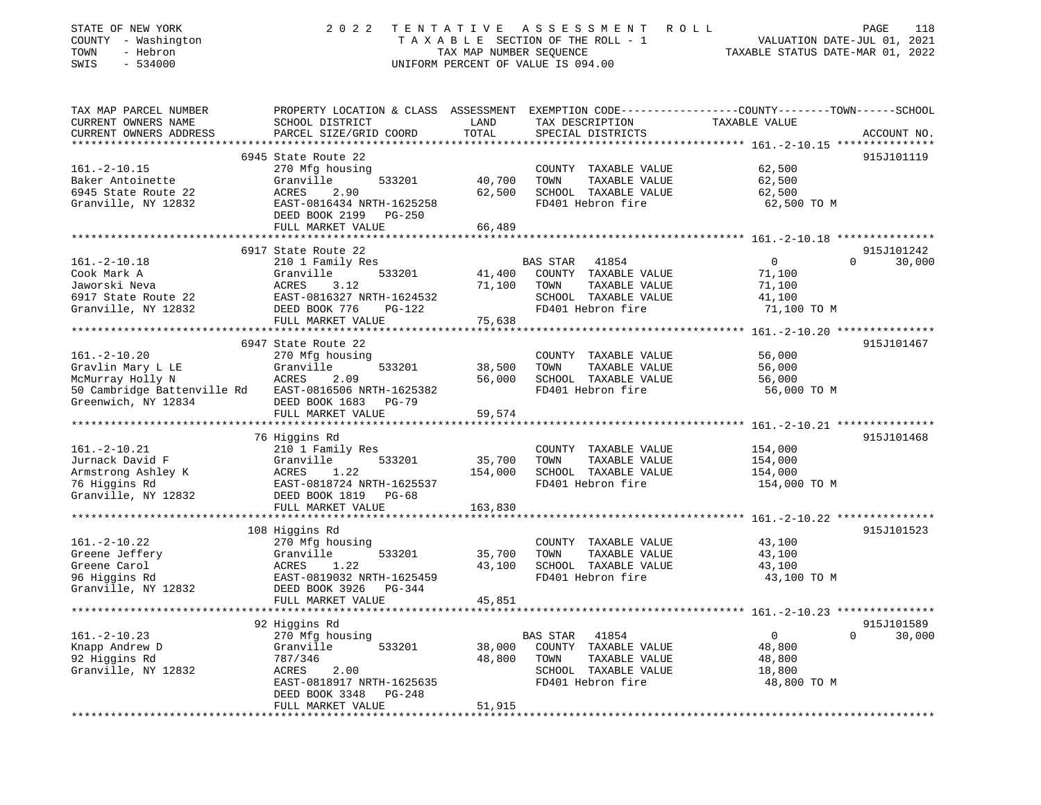| STATE OF NEW YORK<br>COUNTY - Washington<br>TOWN<br>- Hebron<br>$-534000$<br>SWIS | 2 0 2 2                                         | TENTATIVE<br>TAX MAP NUMBER SEQUENCE | A S S E S S M E N T<br>R O L L<br>TAXABLE SECTION OF THE ROLL - 1<br>UNIFORM PERCENT OF VALUE IS 094.00 | PAGE<br>VALUATION DATE-JUL 01, 2021<br>TAXABLE STATUS DATE-MAR 01, 2022                         | 118         |
|-----------------------------------------------------------------------------------|-------------------------------------------------|--------------------------------------|---------------------------------------------------------------------------------------------------------|-------------------------------------------------------------------------------------------------|-------------|
| TAX MAP PARCEL NUMBER                                                             |                                                 |                                      |                                                                                                         | PROPERTY LOCATION & CLASS ASSESSMENT EXEMPTION CODE---------------COUNTY-------TOWN------SCHOOL |             |
| CURRENT OWNERS NAME                                                               | SCHOOL DISTRICT                                 | LAND                                 | TAX DESCRIPTION                                                                                         | TAXABLE VALUE                                                                                   |             |
| CURRENT OWNERS ADDRESS                                                            | PARCEL SIZE/GRID COORD                          | TOTAL                                | SPECIAL DISTRICTS                                                                                       |                                                                                                 | ACCOUNT NO. |
| *************************                                                         |                                                 |                                      |                                                                                                         |                                                                                                 |             |
|                                                                                   | 6945 State Route 22                             |                                      |                                                                                                         |                                                                                                 | 915J101119  |
| $161.-2-10.15$                                                                    | 270 Mfg housing<br>533201                       | 40,700                               | COUNTY TAXABLE VALUE<br>TAXABLE VALUE                                                                   | 62,500                                                                                          |             |
| Baker Antoinette<br>6945 State Route 22                                           | Granville<br>2.90<br>ACRES                      | 62,500                               | TOWN<br>SCHOOL TAXABLE VALUE                                                                            | 62,500<br>62,500                                                                                |             |
| Granville, NY 12832                                                               | EAST-0816434 NRTH-1625258                       |                                      | FD401 Hebron fire                                                                                       | 62,500 TO M                                                                                     |             |
|                                                                                   | DEED BOOK 2199<br>$PG-250$<br>FULL MARKET VALUE | 66,489                               |                                                                                                         |                                                                                                 |             |
|                                                                                   |                                                 |                                      |                                                                                                         |                                                                                                 |             |
|                                                                                   | 6917 State Route 22                             |                                      |                                                                                                         |                                                                                                 | 915J101242  |
| $161.-2-10.18$                                                                    | 210 1 Family Res                                |                                      | BAS STAR<br>41854                                                                                       | 0<br>$\mathbf{0}$                                                                               | 30,000      |
| Cook Mark A                                                                       | Granville<br>533201                             | 41,400                               | COUNTY TAXABLE VALUE                                                                                    | 71,100                                                                                          |             |
| Jaworski Neva                                                                     | ACRES<br>3.12                                   | 71,100                               | TAXABLE VALUE<br>TOWN                                                                                   | 71,100                                                                                          |             |
| 6917 State Route 22                                                               | EAST-0816327 NRTH-1624532                       |                                      | SCHOOL TAXABLE VALUE                                                                                    | 41,100                                                                                          |             |
| Granville, NY 12832                                                               | DEED BOOK 776<br>$PG-122$                       |                                      | FD401 Hebron fire                                                                                       | 71,100 TO M                                                                                     |             |
|                                                                                   | FULL MARKET VALUE                               | 75,638                               |                                                                                                         |                                                                                                 |             |
|                                                                                   |                                                 |                                      |                                                                                                         |                                                                                                 |             |
|                                                                                   | 6947 State Route 22                             |                                      |                                                                                                         |                                                                                                 | 915J101467  |
| $161. - 2 - 10.20$                                                                | 270 Mfg housing                                 |                                      | COUNTY TAXABLE VALUE                                                                                    | 56,000                                                                                          |             |
| Gravlin Mary L LE<br>McMurray Holly N                                             | Granville<br>533201<br>ACRES<br>2.09            | 38,500<br>56,000                     | TAXABLE VALUE<br>TOWN<br>SCHOOL TAXABLE VALUE                                                           | 56,000<br>56,000                                                                                |             |
| 50 Cambridge Battenville Rd EAST-0816506 NRTH-1625382                             |                                                 |                                      | FD401 Hebron fire                                                                                       | 56,000 TO M                                                                                     |             |
| Greenwich, NY 12834                                                               | DEED BOOK 1683<br><b>PG-79</b>                  |                                      |                                                                                                         |                                                                                                 |             |
|                                                                                   | FULL MARKET VALUE                               | 59,574                               |                                                                                                         |                                                                                                 |             |
|                                                                                   |                                                 |                                      |                                                                                                         |                                                                                                 |             |
|                                                                                   | 76 Higgins Rd                                   |                                      |                                                                                                         |                                                                                                 | 915J101468  |
| $161. -2 - 10.21$                                                                 | 210 1 Family Res                                |                                      | COUNTY TAXABLE VALUE                                                                                    | 154,000                                                                                         |             |
| Jurnack David F                                                                   | Granville<br>533201                             | 35,700                               | TAXABLE VALUE<br>TOWN                                                                                   | 154,000                                                                                         |             |
| Armstrong Ashley K                                                                | 1.22<br>ACRES                                   | 154,000                              | SCHOOL TAXABLE VALUE                                                                                    | 154,000                                                                                         |             |
| 76 Higgins Rd                                                                     | EAST-0818724 NRTH-1625537                       |                                      | FD401 Hebron fire                                                                                       | 154,000 TO M                                                                                    |             |
| Granville, NY 12832                                                               | DEED BOOK 1819<br>PG-68                         |                                      |                                                                                                         |                                                                                                 |             |
|                                                                                   | FULL MARKET VALUE                               | 163,830                              |                                                                                                         |                                                                                                 |             |
|                                                                                   |                                                 |                                      |                                                                                                         |                                                                                                 |             |
| $161. - 2 - 10.22$                                                                | 108 Higgins Rd                                  |                                      |                                                                                                         |                                                                                                 | 915J101523  |
| Greene Jeffery                                                                    | 270 Mfg housing<br>Granville<br>533201          | 35,700                               | COUNTY TAXABLE VALUE<br>TAXABLE VALUE<br>TOWN                                                           | 43,100<br>43,100                                                                                |             |
| Greene Carol                                                                      | 1.22<br>ACRES                                   | 43,100                               | SCHOOL TAXABLE VALUE                                                                                    | 43,100                                                                                          |             |
| 96 Higgins Rd                                                                     | EAST-0819032 NRTH-1625459                       |                                      | FD401 Hebron fire                                                                                       | 43,100 TO M                                                                                     |             |
| Granville, NY 12832                                                               | DEED BOOK 3926<br>PG-344                        |                                      |                                                                                                         |                                                                                                 |             |
|                                                                                   | FULL MARKET VALUE                               | 45,851                               |                                                                                                         |                                                                                                 |             |
|                                                                                   |                                                 |                                      |                                                                                                         |                                                                                                 |             |
|                                                                                   | 92 Higgins Rd                                   |                                      |                                                                                                         |                                                                                                 | 915J101589  |
| $161. - 2 - 10.23$                                                                | 270 Mfg housing                                 |                                      | 41854<br>BAS STAR                                                                                       | $\mathbf 0$<br>$\Omega$                                                                         | 30,000      |
| Knapp Andrew D                                                                    | Granville<br>533201                             | 38,000                               | COUNTY TAXABLE VALUE                                                                                    | 48,800                                                                                          |             |
| 92 Higgins Rd                                                                     | 787/346                                         | 48,800                               | TOWN<br>TAXABLE VALUE                                                                                   | 48,800                                                                                          |             |
| Granville, NY 12832                                                               | 2.00<br>ACRES                                   |                                      | SCHOOL TAXABLE VALUE                                                                                    | 18,800                                                                                          |             |
|                                                                                   | EAST-0818917 NRTH-1625635                       |                                      | FD401 Hebron fire                                                                                       | 48,800 TO M                                                                                     |             |
|                                                                                   | DEED BOOK 3348<br>$PG-248$                      | 51,915                               |                                                                                                         |                                                                                                 |             |
|                                                                                   | FULL MARKET VALUE<br>**********************     | * * * * * * * * * * * * *            |                                                                                                         | ********************<br>***************                                                         |             |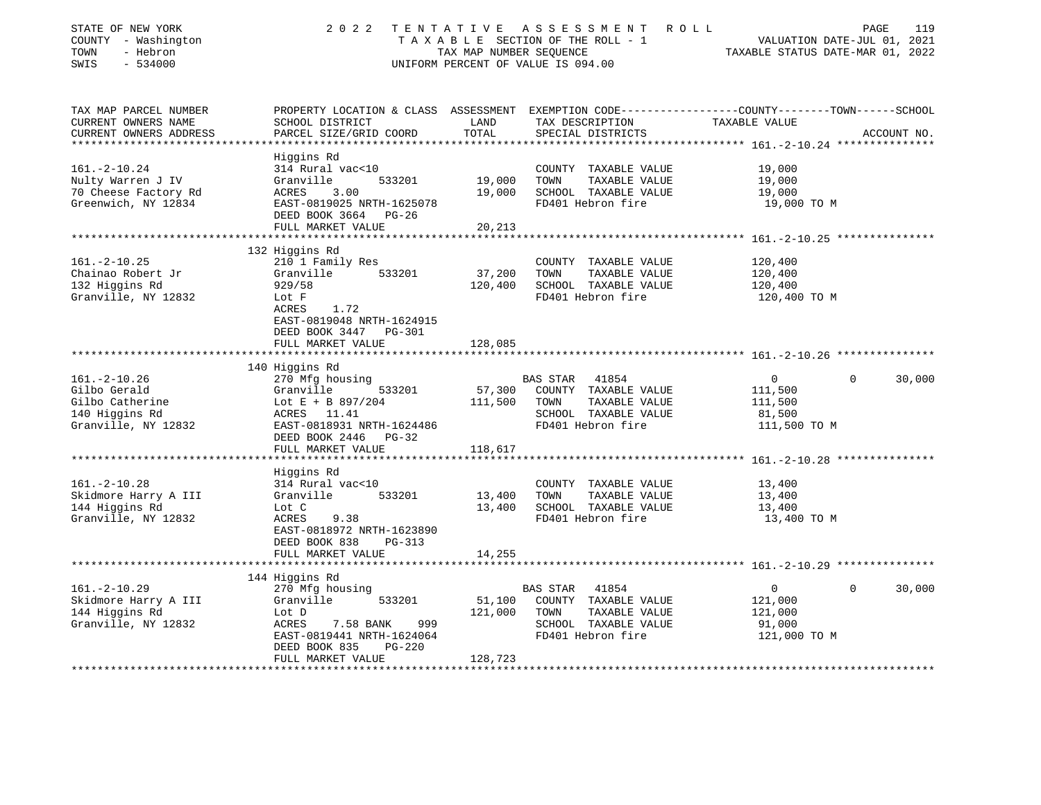| STATE OF NEW YORK                       | 2 0 2 2                                                                                                                       | TENTATIVE | A S S E S S M E N T<br>R O L L                |                                                          | 119<br>PAGE |  |
|-----------------------------------------|-------------------------------------------------------------------------------------------------------------------------------|-----------|-----------------------------------------------|----------------------------------------------------------|-------------|--|
| COUNTY - Washington<br>- Hebron<br>TOWN | VALUATION DATE-JUL 01, 2021<br>TAXABLE SECTION OF THE ROLL - 1<br>TAX MAP NUMBER SEQUENCE<br>TAXABLE STATUS DATE-MAR 01, 2022 |           |                                               |                                                          |             |  |
| $-534000$<br>SWIS                       |                                                                                                                               |           | UNIFORM PERCENT OF VALUE IS 094.00            |                                                          |             |  |
|                                         |                                                                                                                               |           |                                               |                                                          |             |  |
|                                         |                                                                                                                               |           |                                               |                                                          |             |  |
| TAX MAP PARCEL NUMBER                   | PROPERTY LOCATION & CLASS ASSESSMENT EXEMPTION CODE---------------COUNTY-------TOWN------SCHOOL                               |           |                                               |                                                          |             |  |
| CURRENT OWNERS NAME                     | SCHOOL DISTRICT                                                                                                               | LAND      | TAX DESCRIPTION                               | TAXABLE VALUE                                            |             |  |
| CURRENT OWNERS ADDRESS                  | PARCEL SIZE/GRID COORD                                                                                                        | TOTAL     | SPECIAL DISTRICTS                             |                                                          | ACCOUNT NO. |  |
| ***********************                 |                                                                                                                               |           |                                               |                                                          |             |  |
| $161. - 2 - 10.24$                      | Higgins Rd                                                                                                                    |           |                                               |                                                          |             |  |
| Nulty Warren J IV                       | 314 Rural vac<10<br>Granville<br>533201                                                                                       | 19,000    | COUNTY TAXABLE VALUE<br>TOWN<br>TAXABLE VALUE | 19,000<br>19,000                                         |             |  |
| 70 Cheese Factory Rd                    | ACRES<br>3.00                                                                                                                 | 19,000    | SCHOOL TAXABLE VALUE                          | 19,000                                                   |             |  |
| Greenwich, NY 12834                     | EAST-0819025 NRTH-1625078                                                                                                     |           | FD401 Hebron fire                             | 19,000 TO M                                              |             |  |
|                                         | DEED BOOK 3664 PG-26                                                                                                          |           |                                               |                                                          |             |  |
|                                         | FULL MARKET VALUE                                                                                                             | 20,213    |                                               |                                                          |             |  |
|                                         |                                                                                                                               |           |                                               |                                                          |             |  |
|                                         | 132 Higgins Rd                                                                                                                |           |                                               |                                                          |             |  |
| $161. - 2 - 10.25$                      | 210 1 Family Res                                                                                                              |           | COUNTY TAXABLE VALUE                          | 120,400                                                  |             |  |
| Chainao Robert Jr                       | Granville<br>533201                                                                                                           | 37,200    | TOWN<br>TAXABLE VALUE                         | 120,400                                                  |             |  |
| 132 Higgins Rd                          | 929/58<br>Lot F                                                                                                               | 120,400   | SCHOOL TAXABLE VALUE<br>FD401 Hebron fire     | 120,400                                                  |             |  |
| Granville, NY 12832                     | 1.72<br>ACRES                                                                                                                 |           |                                               | 120,400 TO M                                             |             |  |
|                                         | EAST-0819048 NRTH-1624915                                                                                                     |           |                                               |                                                          |             |  |
|                                         | DEED BOOK 3447 PG-301                                                                                                         |           |                                               |                                                          |             |  |
|                                         | FULL MARKET VALUE                                                                                                             | 128,085   |                                               |                                                          |             |  |
|                                         |                                                                                                                               |           |                                               |                                                          |             |  |
|                                         | 140 Higgins Rd                                                                                                                |           |                                               |                                                          |             |  |
| $161. - 2 - 10.26$                      | 270 Mfg housing                                                                                                               |           | BAS STAR<br>41854                             | $\overline{0}$<br>$\mathbf 0$                            | 30,000      |  |
| Gilbo Gerald                            | 533201<br>Granville                                                                                                           | 57,300    | COUNTY TAXABLE VALUE                          | 111,500                                                  |             |  |
| Gilbo Catherine                         | Lot E + B $897/204$                                                                                                           | 111,500   | TOWN<br>TAXABLE VALUE                         | 111,500                                                  |             |  |
| 140 Higgins Rd                          | ACRES 11.41                                                                                                                   |           | SCHOOL TAXABLE VALUE                          | 81,500                                                   |             |  |
| Granville, NY 12832                     | EAST-0818931 NRTH-1624486<br>DEED BOOK 2446<br>$PG-32$                                                                        |           | FD401 Hebron fire                             | 111,500 TO M                                             |             |  |
|                                         | FULL MARKET VALUE                                                                                                             | 118,617   |                                               |                                                          |             |  |
|                                         |                                                                                                                               |           |                                               |                                                          |             |  |
|                                         | Higgins Rd                                                                                                                    |           |                                               |                                                          |             |  |
| $161. - 2 - 10.28$                      | 314 Rural vac<10                                                                                                              |           | COUNTY TAXABLE VALUE                          | 13,400                                                   |             |  |
| Skidmore Harry A III                    | Granville<br>533201                                                                                                           | 13,400    | TOWN<br>TAXABLE VALUE                         | 13,400                                                   |             |  |
| 144 Higgins Rd                          | Lot C                                                                                                                         | 13,400    | SCHOOL TAXABLE VALUE                          | 13,400                                                   |             |  |
| Granville, NY 12832                     | ACRES<br>9.38                                                                                                                 |           | FD401 Hebron fire                             | 13,400 TO M                                              |             |  |
|                                         | EAST-0818972 NRTH-1623890                                                                                                     |           |                                               |                                                          |             |  |
|                                         | DEED BOOK 838<br>PG-313                                                                                                       |           |                                               |                                                          |             |  |
|                                         | FULL MARKET VALUE<br>******************                                                                                       | 14,255    |                                               | ************************** 161.-2-10.29 **************** |             |  |
|                                         | 144 Higgins Rd                                                                                                                |           |                                               |                                                          |             |  |
| $161. -2 - 10.29$                       | 270 Mfg housing                                                                                                               |           | 41854<br>BAS STAR                             | $\Omega$<br>$\overline{0}$                               | 30,000      |  |
| Skidmore Harry A III                    | Granville<br>533201                                                                                                           | 51,100    | COUNTY TAXABLE VALUE                          | 121,000                                                  |             |  |
| 144 Higgins Rd                          | Lot D                                                                                                                         | 121,000   | TOWN<br>TAXABLE VALUE                         | 121,000                                                  |             |  |
| Granville, NY 12832                     | ACRES<br>7.58 BANK<br>999                                                                                                     |           | SCHOOL TAXABLE VALUE                          | 91,000                                                   |             |  |
|                                         | EAST-0819441 NRTH-1624064                                                                                                     |           | FD401 Hebron fire                             | 121,000 TO M                                             |             |  |
|                                         | <b>PG-220</b><br>DEED BOOK 835                                                                                                |           |                                               |                                                          |             |  |
|                                         | FULL MARKET VALUE                                                                                                             | 128,723   |                                               |                                                          |             |  |
|                                         |                                                                                                                               |           |                                               |                                                          |             |  |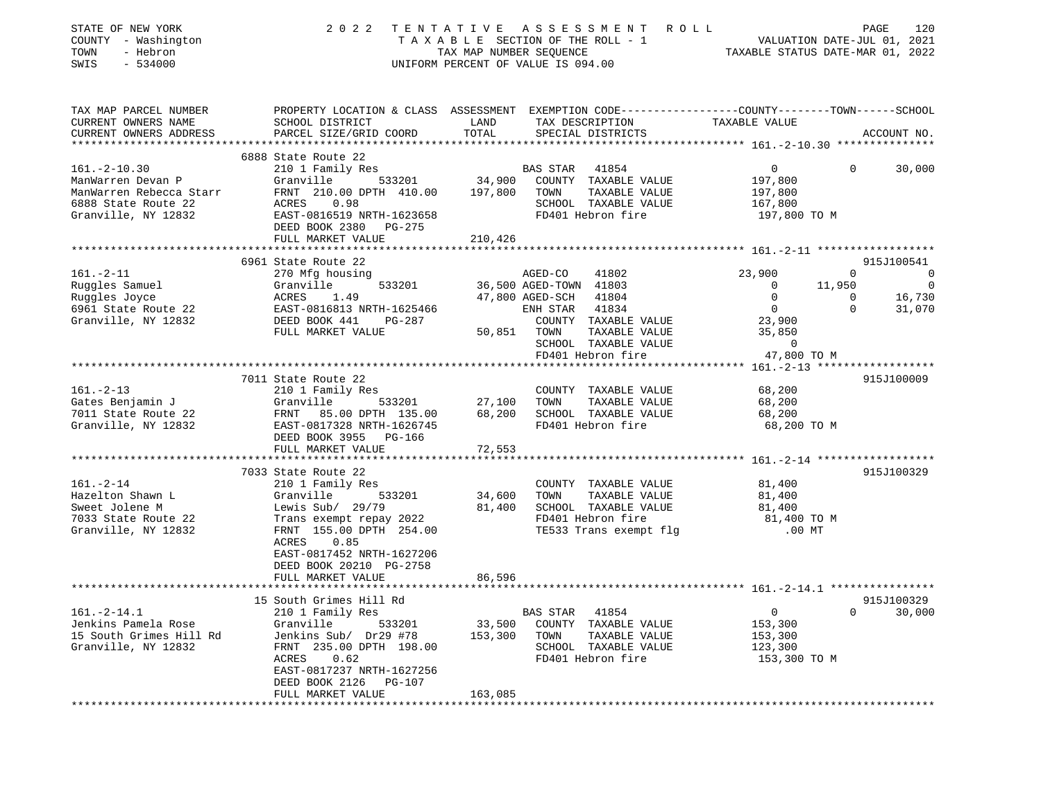| STATE OF NEW YORK<br>COUNTY - Washington<br>TOWN<br>- Hebron<br>SWIS<br>$-534000$                                | 2 0 2 2                                                                                                                                                                                                               | UNIFORM PERCENT OF VALUE IS 094.00 |                                                                        | TENTATIVE ASSESSMENT ROLL<br>T A X A B L E SECTION OF THE ROLL - 1<br>TAX MAP NUMBER SEQUENCE TA             | TAXABLE STATUS DATE-MAR 01, 2022                                | VALUATION DATE-JUL 01, 2021             | PAGE<br>120                             |
|------------------------------------------------------------------------------------------------------------------|-----------------------------------------------------------------------------------------------------------------------------------------------------------------------------------------------------------------------|------------------------------------|------------------------------------------------------------------------|--------------------------------------------------------------------------------------------------------------|-----------------------------------------------------------------|-----------------------------------------|-----------------------------------------|
| TAX MAP PARCEL NUMBER<br>CURRENT OWNERS NAME<br>CURRENT OWNERS ADDRESS                                           | PROPERTY LOCATION & CLASS ASSESSMENT EXEMPTION CODE---------------COUNTY-------TOWN------SCHOOL<br>SCHOOL DISTRICT<br>PARCEL SIZE/GRID COORD                                                                          | LAND<br>TOTAL                      |                                                                        | TAX DESCRIPTION<br>SPECIAL DISTRICTS                                                                         | TAXABLE VALUE                                                   |                                         | ACCOUNT NO.                             |
|                                                                                                                  | 6888 State Route 22                                                                                                                                                                                                   |                                    |                                                                        |                                                                                                              |                                                                 |                                         |                                         |
| $161. - 2 - 10.30$<br>ManWarren Devan P<br>ManWarren Rebecca Starr<br>6888 State Route 22<br>Granville, NY 12832 | 210 1 Family Res<br>Granville<br>FRNT 210.00 DPTH 410.00<br>0.98<br>ACRES<br>EAST-0816519 NRTH-1623658<br>DEED BOOK 2380<br>PG-275                                                                                    | 533201 34,900<br>197,800           | BAS STAR 41854<br>TOWN                                                 | COUNTY TAXABLE VALUE<br>TAXABLE VALUE<br>SCHOOL TAXABLE VALUE<br>FD401 Hebron fire                           | $\overline{0}$<br>197,800<br>197,800<br>167,800<br>197,800 TO M | $\Omega$                                | 30,000                                  |
|                                                                                                                  | FULL MARKET VALUE                                                                                                                                                                                                     | 210,426                            |                                                                        |                                                                                                              |                                                                 |                                         |                                         |
|                                                                                                                  | 6961 State Route 22                                                                                                                                                                                                   |                                    |                                                                        |                                                                                                              |                                                                 |                                         | 915J100541                              |
| $161. - 2 - 11$<br>Ruggles Samuel<br>Ruggles Joyce<br>6961 State Route 22                                        | 270 Mfg housing<br>Granville<br>533201<br>ACRES<br>1.49<br>EAST-0816813 NRTH-1625466                                                                                                                                  |                                    | AGED-CO<br>36,500 AGED-TOWN 41803<br>47,800 AGED-SCH<br>ENH STAR 41834 | 41802<br>41804                                                                                               | 23,900<br>$\mathbf 0$<br>$\mathbf 0$<br>$\overline{0}$          | 0<br>11,950<br>$\mathbf{0}$<br>$\Omega$ | 0<br>$\overline{0}$<br>16,730<br>31,070 |
| Granville, NY 12832                                                                                              | DEED BOOK 441<br>PG-287<br>FULL MARKET VALUE                                                                                                                                                                          | 50,851                             | TOWN                                                                   | COUNTY TAXABLE VALUE<br>TAXABLE VALUE<br>SCHOOL TAXABLE VALUE<br>FD401 Hebron fire                           | 23,900<br>35,850<br>$\mathbf 0$<br>47,800 TO M                  |                                         |                                         |
|                                                                                                                  | 7011 State Route 22                                                                                                                                                                                                   |                                    |                                                                        |                                                                                                              |                                                                 |                                         | 915J100009                              |
| $161. - 2 - 13$<br>Gates Benjamin J<br>7011 State Route 22<br>Granville, NY 12832                                | 210 1 Family Res<br>Granville<br>533201<br>FRNT 85.00 DPTH 135.00<br>EAST-0817328 NRTH-1626745<br>DEED BOOK 3955 PG-166<br>FULL MARKET VALUE                                                                          | 27,100<br>68,200<br>72,553         | TOWN                                                                   | COUNTY TAXABLE VALUE<br>TAXABLE VALUE<br>SCHOOL TAXABLE VALUE<br>FD401 Hebron fire                           | 68,200<br>68,200<br>68,200<br>68,200 TO M                       |                                         |                                         |
|                                                                                                                  |                                                                                                                                                                                                                       |                                    |                                                                        |                                                                                                              |                                                                 |                                         |                                         |
| $161. - 2 - 14$<br>Hazelton Shawn L<br>Sweet Jolene M<br>7033 State Route 22<br>Granville, NY 12832              | 7033 State Route 22<br>210 1 Family Res<br>Granville<br>533201<br>Lewis Sub/ 29/79<br>Trans exempt repay 2022<br>FRNT 155.00 DPTH 254.00<br>0.85<br>ACRES<br>EAST-0817452 NRTH-1627206<br>DEED BOOK 20210 PG-2758     | 34,600<br>81,400                   | TOWN                                                                   | COUNTY TAXABLE VALUE<br>TAXABLE VALUE<br>SCHOOL TAXABLE VALUE<br>FD401 Hebron fire<br>TE533 Trans exempt flg | 81,400<br>81,400<br>81,400<br>81,400 TO M<br>$.00$ MT           |                                         | 915J100329                              |
|                                                                                                                  | FULL MARKET VALUE                                                                                                                                                                                                     | 86,596                             |                                                                        |                                                                                                              |                                                                 |                                         |                                         |
| $161. - 2 - 14.1$<br>Jenkins Pamela Rose<br>15 South Grimes Hill Rd<br>Granville, NY 12832                       | 15 South Grimes Hill Rd<br>210 1 Family Res<br>Granville<br>533201<br>Jenkins Sub/ Dr29 #78<br>FRNT 235.00 DPTH 198.00<br>0.62<br>ACRES<br>EAST-0817237 NRTH-1627256<br>DEED BOOK 2126<br>PG-107<br>FULL MARKET VALUE | 33,500<br>153,300<br>163,085       | BAS STAR<br>TOWN                                                       | 41854<br>COUNTY TAXABLE VALUE<br>TAXABLE VALUE<br>SCHOOL TAXABLE VALUE<br>FD401 Hebron fire                  | $\overline{0}$<br>153,300<br>153,300<br>123,300<br>153,300 TO M | $\overline{0}$                          | 915J100329<br>30,000                    |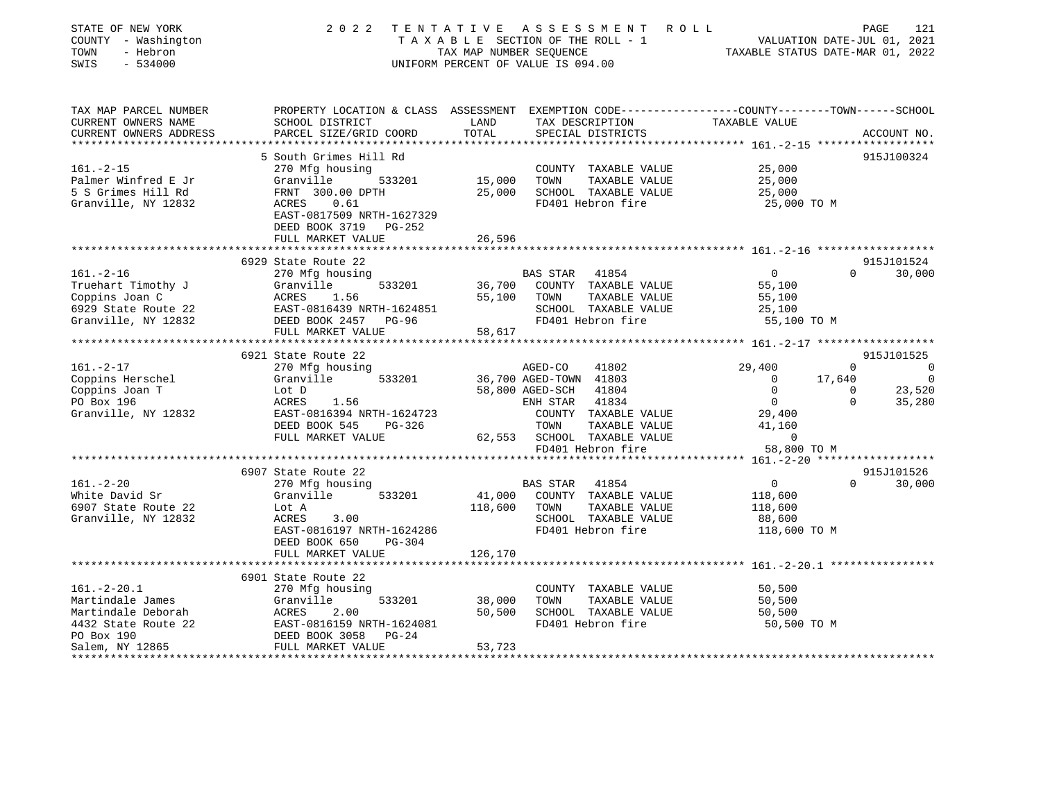| STATE OF NEW YORK<br>COUNTY - Washington<br>TOWN<br>- Hebron<br>SWIS<br>$-534000$ | 2 0 2 2                                                                                         | TAX MAP NUMBER SEQUENCE | TENTATIVE ASSESSMENT ROLL<br>TAXABLE SECTION OF THE ROLL - 1<br>UNIFORM PERCENT OF VALUE IS 094.00 | VALUATION DATE-JUL 01, 2021<br>TAXABLE STATUS DATE-MAR 01, 2022 | PAGE<br>121                              |
|-----------------------------------------------------------------------------------|-------------------------------------------------------------------------------------------------|-------------------------|----------------------------------------------------------------------------------------------------|-----------------------------------------------------------------|------------------------------------------|
| TAX MAP PARCEL NUMBER                                                             | PROPERTY LOCATION & CLASS ASSESSMENT EXEMPTION CODE---------------COUNTY-------TOWN------SCHOOL |                         |                                                                                                    |                                                                 |                                          |
| CURRENT OWNERS NAME<br>CURRENT OWNERS ADDRESS                                     | SCHOOL DISTRICT<br>PARCEL SIZE/GRID COORD                                                       | LAND<br>TOTAL           | TAX DESCRIPTION<br>SPECIAL DISTRICTS                                                               | TAXABLE VALUE                                                   | ACCOUNT NO.                              |
| * * * * * * * * * * * * * * * * *                                                 | **************************                                                                      |                         |                                                                                                    | ****************** 161.-2-15 *******************                |                                          |
|                                                                                   | 5 South Grimes Hill Rd                                                                          |                         |                                                                                                    |                                                                 | 915J100324                               |
| $161. - 2 - 15$                                                                   | 270 Mfg housing                                                                                 |                         | COUNTY TAXABLE VALUE                                                                               | 25,000                                                          |                                          |
| Palmer Winfred E Jr                                                               | Granville<br>533201                                                                             | 15,000                  | TAXABLE VALUE<br>TOWN                                                                              | 25,000                                                          |                                          |
| 5 S Grimes Hill Rd                                                                | FRNT 300.00 DPTH<br>0.61                                                                        | 25,000                  | SCHOOL TAXABLE VALUE                                                                               | 25,000                                                          |                                          |
| Granville, NY 12832                                                               | ACRES<br>EAST-0817509 NRTH-1627329                                                              |                         | FD401 Hebron fire                                                                                  | 25,000 TO M                                                     |                                          |
|                                                                                   | DEED BOOK 3719 PG-252                                                                           |                         |                                                                                                    |                                                                 |                                          |
|                                                                                   | FULL MARKET VALUE                                                                               | 26,596                  |                                                                                                    |                                                                 |                                          |
|                                                                                   | **********************                                                                          |                         |                                                                                                    |                                                                 |                                          |
|                                                                                   | 6929 State Route 22                                                                             |                         |                                                                                                    |                                                                 | 915J101524                               |
| $161. - 2 - 16$                                                                   | 270 Mfg housing                                                                                 |                         | BAS STAR<br>41854                                                                                  | $\overline{0}$                                                  | $\Omega$<br>30,000                       |
| Truehart Timothy J                                                                | Granville<br>533201                                                                             | 36,700                  | COUNTY TAXABLE VALUE                                                                               | 55,100                                                          |                                          |
| Coppins Joan C<br>6929 State Route 22                                             | ACRES<br>1.56<br>EAST-0816439 NRTH-1624851                                                      | 55,100                  | TOWN<br>TAXABLE VALUE<br>SCHOOL TAXABLE VALUE                                                      | 55,100<br>25,100                                                |                                          |
| Granville, NY 12832                                                               | DEED BOOK 2457 PG-96                                                                            |                         | FD401 Hebron fire                                                                                  | 55,100 TO M                                                     |                                          |
|                                                                                   | FULL MARKET VALUE                                                                               | 58,617                  |                                                                                                    |                                                                 |                                          |
|                                                                                   |                                                                                                 |                         |                                                                                                    |                                                                 |                                          |
|                                                                                   | 6921 State Route 22                                                                             |                         |                                                                                                    |                                                                 | 915J101525                               |
| $161. - 2 - 17$                                                                   | 270 Mfg housing                                                                                 |                         | AGED-CO<br>41802                                                                                   | 29,400                                                          | $\Omega$<br>$\sim$ 0                     |
| Coppins Herschel                                                                  | Granville<br>533201                                                                             |                         | 36,700 AGED-TOWN 41803                                                                             | $\Omega$                                                        | 17,640<br>$\bigcirc$                     |
| Coppins Joan T<br>PO Box 196                                                      | Lot D<br>1.56<br>ACRES                                                                          |                         | 58,800 AGED-SCH<br>41804<br>ENH STAR<br>41834                                                      | $\mathbf 0$<br>$\overline{0}$                                   | 23,520<br>$\Omega$<br>$\Omega$<br>35,280 |
| Granville, NY 12832                                                               | EAST-0816394 NRTH-1624723                                                                       |                         | COUNTY TAXABLE VALUE                                                                               | 29,400                                                          |                                          |
|                                                                                   | DEED BOOK 545<br>PG-326                                                                         |                         | TOWN<br>TAXABLE VALUE                                                                              | 41,160                                                          |                                          |
|                                                                                   | FULL MARKET VALUE                                                                               |                         | 62,553 SCHOOL TAXABLE VALUE                                                                        | $\overline{0}$                                                  |                                          |
|                                                                                   |                                                                                                 |                         | FD401 Hebron fire                                                                                  | 58,800 TO M                                                     |                                          |
|                                                                                   | *********************                                                                           |                         |                                                                                                    |                                                                 |                                          |
|                                                                                   | 6907 State Route 22                                                                             |                         |                                                                                                    |                                                                 | 915J101526                               |
| $161. - 2 - 20$<br>White David Sr                                                 | 270 Mfg housing<br>533201<br>Granville                                                          | 41,000                  | <b>BAS STAR</b><br>41854<br>COUNTY TAXABLE VALUE                                                   | $\overline{0}$                                                  | 30,000<br>$\Omega$                       |
| 6907 State Route 22                                                               | Lot A                                                                                           | 118,600                 | TAXABLE VALUE<br>TOWN                                                                              | 118,600<br>118,600                                              |                                          |
| Granville, NY 12832                                                               | 3.00<br>ACRES                                                                                   |                         | SCHOOL TAXABLE VALUE                                                                               | 88,600                                                          |                                          |
|                                                                                   | EAST-0816197 NRTH-1624286                                                                       |                         | FD401 Hebron fire                                                                                  | 118,600 TO M                                                    |                                          |
|                                                                                   | DEED BOOK 650<br>PG-304                                                                         |                         |                                                                                                    |                                                                 |                                          |
|                                                                                   | FULL MARKET VALUE                                                                               | 126,170                 |                                                                                                    |                                                                 |                                          |
|                                                                                   | *****************                                                                               |                         |                                                                                                    |                                                                 | ** 161.-2-20.1 *****************         |
|                                                                                   | 6901 State Route 22                                                                             |                         |                                                                                                    |                                                                 |                                          |
| $161. - 2 - 20.1$<br>Martindale James                                             | 270 Mfg housing<br>Granville<br>533201                                                          | 38,000                  | COUNTY TAXABLE VALUE<br>TOWN<br>TAXABLE VALUE                                                      | 50,500<br>50,500                                                |                                          |
| Martindale Deborah                                                                | ACRES<br>2.00                                                                                   | 50,500                  | SCHOOL TAXABLE VALUE                                                                               | 50,500                                                          |                                          |
| 4432 State Route 22                                                               | EAST-0816159 NRTH-1624081                                                                       |                         | FD401 Hebron fire                                                                                  | 50,500 TO M                                                     |                                          |
| PO Box 190                                                                        | DEED BOOK 3058<br>$PG-24$                                                                       |                         |                                                                                                    |                                                                 |                                          |
| Salem, NY 12865                                                                   | FULL MARKET VALUE                                                                               | 53,723                  |                                                                                                    |                                                                 |                                          |
|                                                                                   |                                                                                                 |                         |                                                                                                    |                                                                 |                                          |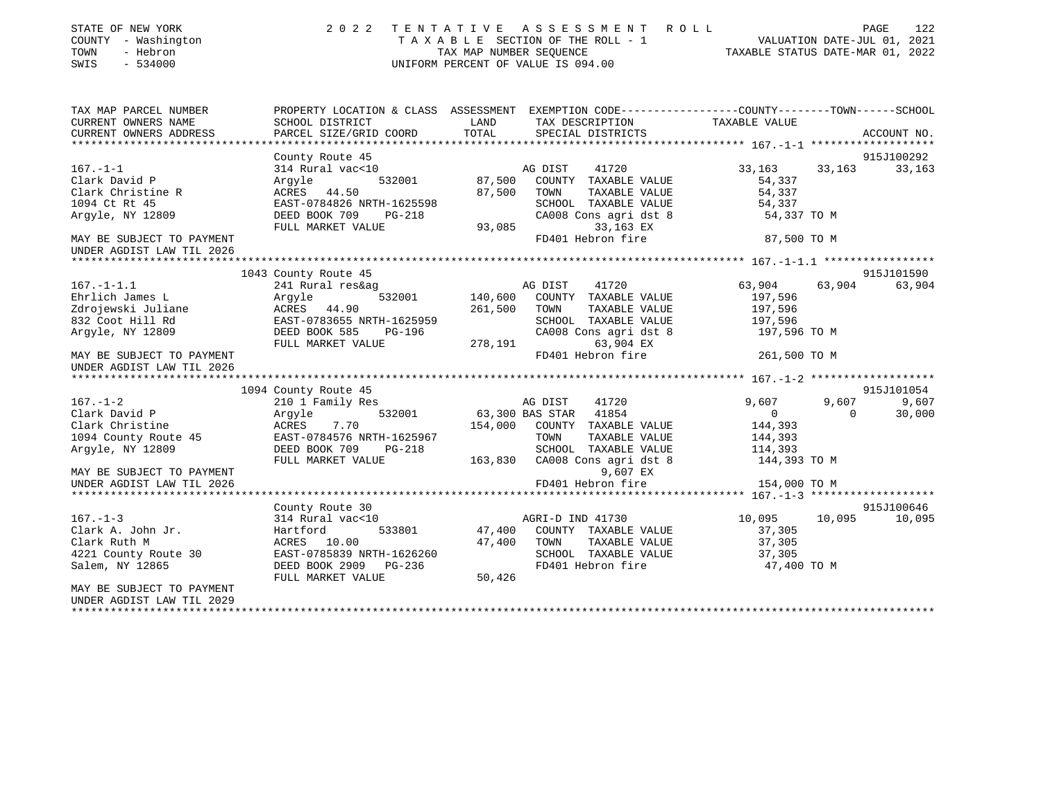| STATE OF NEW YORK<br>COUNTY - Washington<br>- Hebron<br>TOWN<br>SWIS<br>$-534000$ | 2022 TENTATIVE                                                                                  | TAX MAP NUMBER SEQUENCE | A S S E S S M E N T<br>R O L L<br>TAXABLE SECTION OF THE ROLL - 1<br>UNIFORM PERCENT OF VALUE IS 094.00 | VALUATION DATE-JUL 01, 2021<br>TAXABLE STATUS DATE-MAR 01, 2022 |                   | PAGE<br>122     |
|-----------------------------------------------------------------------------------|-------------------------------------------------------------------------------------------------|-------------------------|---------------------------------------------------------------------------------------------------------|-----------------------------------------------------------------|-------------------|-----------------|
| TAX MAP PARCEL NUMBER                                                             | PROPERTY LOCATION & CLASS ASSESSMENT EXEMPTION CODE---------------COUNTY-------TOWN------SCHOOL |                         |                                                                                                         |                                                                 |                   |                 |
| CURRENT OWNERS NAME<br>CURRENT OWNERS ADDRESS                                     | SCHOOL DISTRICT<br>PARCEL SIZE/GRID COORD                                                       | LAND<br>TOTAL           | TAX DESCRIPTION<br>SPECIAL DISTRICTS                                                                    | TAXABLE VALUE                                                   |                   | ACCOUNT NO.     |
|                                                                                   |                                                                                                 |                         |                                                                                                         |                                                                 |                   |                 |
|                                                                                   | County Route 45                                                                                 |                         |                                                                                                         |                                                                 |                   | 915J100292      |
| $167. - 1 - 1$                                                                    | 314 Rural vac<10                                                                                |                         | AG DIST<br>41720                                                                                        | 33,163                                                          | 33,163            | 33,163          |
| Clark David P                                                                     | 532001<br>Argyle                                                                                |                         | 87,500 COUNTY TAXABLE VALUE                                                                             | 54,337                                                          |                   |                 |
| Clark Christine R                                                                 | ACRES 44.50                                                                                     | 87,500 TOWN             | TAXABLE VALUE                                                                                           | 54,337                                                          |                   |                 |
| 1094 Ct Rt 45                                                                     | EAST-0784826 NRTH-1625598                                                                       |                         | SCHOOL TAXABLE VALUE                                                                                    | 54,337                                                          |                   |                 |
| Argyle, NY 12809                                                                  | DEED BOOK 709 PG-218                                                                            |                         | CA008 Cons agri dst 8                                                                                   | 54,337 TO M                                                     |                   |                 |
|                                                                                   | FULL MARKET VALUE                                                                               | 93,085                  | 33,163 EX                                                                                               |                                                                 |                   |                 |
| MAY BE SUBJECT TO PAYMENT                                                         |                                                                                                 |                         | FD401 Hebron fire                                                                                       | 87,500 TO M                                                     |                   |                 |
| UNDER AGDIST LAW TIL 2026<br>************************                             |                                                                                                 |                         |                                                                                                         |                                                                 |                   |                 |
|                                                                                   | 1043 County Route 45                                                                            |                         |                                                                                                         |                                                                 |                   | 915J101590      |
| $167. - 1 - 1.1$                                                                  | 241 Rural res&ag                                                                                |                         | AG DIST<br>41720                                                                                        | 63,904                                                          | 63,904            | 63,904          |
| Ehrlich James L                                                                   | Arqyle<br>532001                                                                                | 140,600                 | COUNTY TAXABLE VALUE                                                                                    | 197,596                                                         |                   |                 |
| Zdrojewski Juliane                                                                | ACRES 44.90                                                                                     | 261,500 TOWN            | TAXABLE VALUE                                                                                           | 197,596                                                         |                   |                 |
| 832 Coot Hill Rd                                                                  | EAST-0783655 NRTH-1625959                                                                       |                         | SCHOOL TAXABLE VALUE                                                                                    | 197,596                                                         |                   |                 |
| Argyle, NY 12809                                                                  | DEED BOOK 585<br>PG-196                                                                         |                         | CA008 Cons agri dst 8                                                                                   | 197,596 TO M                                                    |                   |                 |
|                                                                                   | FULL MARKET VALUE                                                                               | CA008<br>278,191        | 63,904 EX                                                                                               |                                                                 |                   |                 |
| MAY BE SUBJECT TO PAYMENT                                                         |                                                                                                 |                         | FD401 Hebron fire                                                                                       | 261,500 TO M                                                    |                   |                 |
| UNDER AGDIST LAW TIL 2026                                                         |                                                                                                 |                         |                                                                                                         |                                                                 |                   |                 |
|                                                                                   |                                                                                                 |                         |                                                                                                         |                                                                 |                   |                 |
|                                                                                   | 1094 County Route 45                                                                            |                         |                                                                                                         |                                                                 |                   | 915J101054      |
| $167. - 1 - 2$<br>Clark David P                                                   | 210 1 Family Res<br>532001                                                                      |                         | 41720<br>AG DIST<br>63,300 BAS STAR 41854                                                               | 9,607<br>$\overline{0}$                                         | 9,607<br>$\Omega$ | 9,607<br>30,000 |
| Clark Christine                                                                   | Argyle<br>ACRES<br>7.70                                                                         |                         | 154,000 COUNTY TAXABLE VALUE                                                                            | 144,393                                                         |                   |                 |
| 1094 County Route 45                                                              | EAST-0784576 NRTH-1625967                                                                       |                         | TOWN<br>TAXABLE VALUE                                                                                   | 144,393                                                         |                   |                 |
| Arqyle, NY 12809                                                                  | DEED BOOK 709 PG-218                                                                            |                         | SCHOOL TAXABLE VALUE                                                                                    | 114,393                                                         |                   |                 |
|                                                                                   | FULL MARKET VALUE                                                                               |                         | 163,830 CA008 Cons agri dst 8                                                                           | 144,393 TO M                                                    |                   |                 |
| MAY BE SUBJECT TO PAYMENT                                                         |                                                                                                 |                         | 9,607 EX                                                                                                |                                                                 |                   |                 |
| UNDER AGDIST LAW TIL 2026                                                         |                                                                                                 |                         | FD401 Hebron fire                                                                                       | 154,000 TO M                                                    |                   |                 |
|                                                                                   |                                                                                                 |                         |                                                                                                         |                                                                 |                   |                 |
|                                                                                   | County Route 30                                                                                 |                         |                                                                                                         |                                                                 |                   | 915J100646      |
| $167. - 1 - 3$                                                                    | 314 Rural vac<10                                                                                |                         | AGRI-D IND 41730                                                                                        | 10,095 10,095                                                   |                   | 10,095          |
| Clark A. John Jr.                                                                 | 533801<br>Hartford                                                                              |                         | 47,400 COUNTY TAXABLE VALUE                                                                             | 37,305                                                          |                   |                 |
| Clark Ruth M                                                                      | ACRES 10.00                                                                                     |                         | 47,400 TOWN<br>TAXABLE VALUE                                                                            | 37,305                                                          |                   |                 |
| 4221 County Route 30                                                              | EAST-0785839 NRTH-1626260                                                                       |                         | SCHOOL TAXABLE VALUE                                                                                    | 37,305                                                          |                   |                 |
| Salem, NY 12865                                                                   | DEED BOOK 2909 PG-236                                                                           |                         | FD401 Hebron fire                                                                                       | 47,400 TO M                                                     |                   |                 |
|                                                                                   | FULL MARKET VALUE                                                                               | 50,426                  |                                                                                                         |                                                                 |                   |                 |
| MAY BE SUBJECT TO PAYMENT                                                         |                                                                                                 |                         |                                                                                                         |                                                                 |                   |                 |
| UNDER AGDIST LAW TIL 2029                                                         |                                                                                                 |                         |                                                                                                         |                                                                 |                   |                 |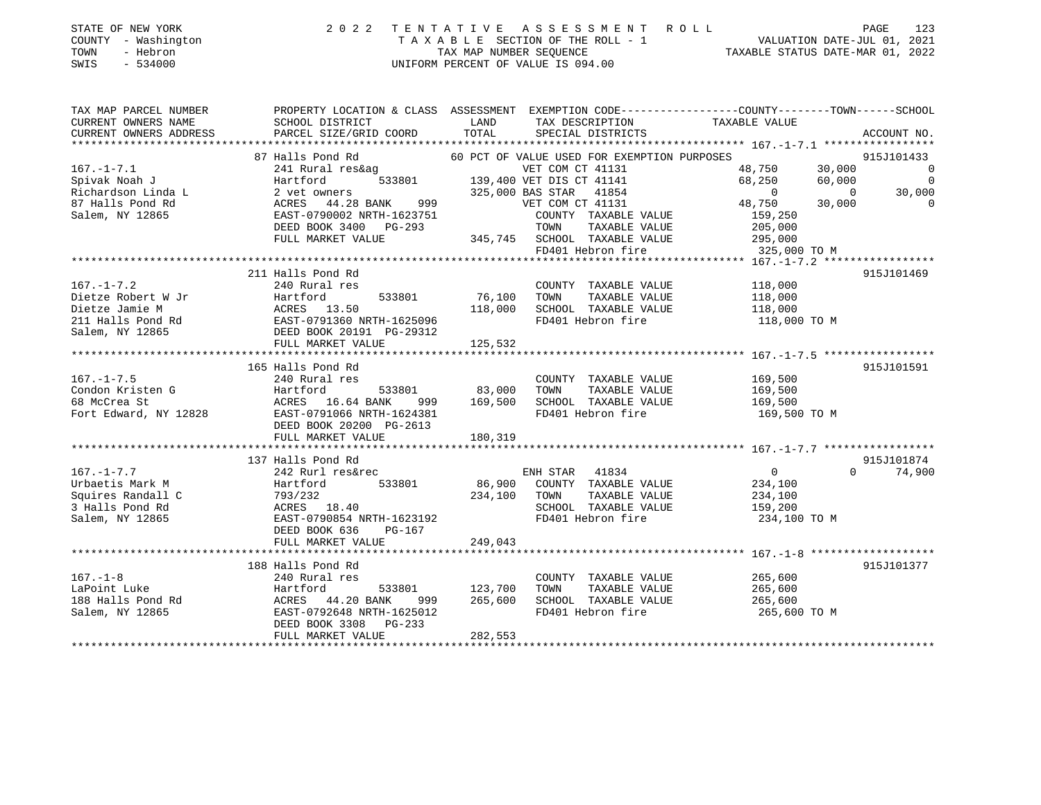| STATE OF NEW YORK   | 2022 TENTATIVE ASSESSMENT ROLL     | PAGE                             | 123 |
|---------------------|------------------------------------|----------------------------------|-----|
| COUNTY - Washington | TAXABLE SECTION OF THE ROLL - 1    | VALUATION DATE-JUL 01, 2021      |     |
| TOWN<br>- Hebron    | TAX MAP NUMBER SEOUENCE            | TAXABLE STATUS DATE-MAR 01, 2022 |     |
| SWIS<br>- 534000    | UNIFORM PERCENT OF VALUE IS 094.00 |                                  |     |
|                     |                                    |                                  |     |

| TAX MAP PARCEL NUMBER  | PROPERTY LOCATION & CLASS ASSESSMENT EXEMPTION CODE---------------COUNTY-------TOWN-----SCHOOL                                                                                                                                                                                       |              |                                                                               |                                             |                          |
|------------------------|--------------------------------------------------------------------------------------------------------------------------------------------------------------------------------------------------------------------------------------------------------------------------------------|--------------|-------------------------------------------------------------------------------|---------------------------------------------|--------------------------|
| CURRENT OWNERS NAME    | SCHOOL DISTRICT                                                                                                                                                                                                                                                                      | LAND         | TAX DESCRIPTION TAXABLE VALUE                                                 |                                             |                          |
| CURRENT OWNERS ADDRESS | PARCEL SIZE/GRID COORD                                                                                                                                                                                                                                                               | TOTAL        | SPECIAL DISTRICTS                                                             |                                             | ACCOUNT NO.              |
|                        |                                                                                                                                                                                                                                                                                      |              |                                                                               |                                             |                          |
|                        | 87 Halls Pond Rd 60 PCT OF VALUE USED FOR EXEMPTION PURPC<br>241 Rural res&ag VET COM CT 41131<br>Hartford 533801 139,400 VET DIS CT 41141                                                                                                                                           |              | 60 PCT OF VALUE USED FOR EXEMPTION PURPOSES                                   |                                             | 915J101433               |
| $167. - 1 - 7.1$       |                                                                                                                                                                                                                                                                                      |              |                                                                               | 48,750 30,000                               | $\overline{0}$           |
| Spivak Noah J          |                                                                                                                                                                                                                                                                                      |              |                                                                               | 68,250<br>60,000                            | $\overline{\phantom{0}}$ |
|                        | Richardson Linda L $\begin{array}{l} 2 \text{ vet owners} \\ 87 \text{ Halls Pond Rd} \\ \text{Salem, NY 12865} \end{array}$ The set of the same state of the same state of the same state of the same state of the same state of the same state of the same state of the same state |              |                                                                               | $\overline{0}$<br>$\overline{0}$            | 30,000                   |
|                        |                                                                                                                                                                                                                                                                                      |              |                                                                               | 48,750<br>30,000                            | $\overline{0}$           |
|                        |                                                                                                                                                                                                                                                                                      |              | COUNTY TAXABLE VALUE                                                          | 159,250                                     |                          |
|                        | DEED BOOK 3400 PG-293                                                                                                                                                                                                                                                                |              | TOWN<br>TAXABLE VALUE<br>$345,745$ SCHOOL TAXABLE VALUE $295,000$             | 205,000                                     |                          |
|                        | FULL MARKET VALUE                                                                                                                                                                                                                                                                    |              |                                                                               |                                             |                          |
|                        |                                                                                                                                                                                                                                                                                      |              | FD401 Hebron fire                                                             | 325,000 TO M                                |                          |
|                        | 211 Halls Pond Rd                                                                                                                                                                                                                                                                    |              |                                                                               |                                             | 915J101469               |
| $167. - 1 - 7.2$       | 240 Rural res                                                                                                                                                                                                                                                                        |              | COUNTY TAXABLE VALUE 118,000                                                  |                                             |                          |
|                        | Dietze Robert W Jr<br>Dietze Jamie M Martford 533801 76,100 TOWN TAXABLE VALUE 118,000<br>211 Halls Pond Rd EAST-0791360 NRTH-1625096 FD401 Hebron fire 118,000 TOWN 118,000<br>211 Halls Pond Rd EAST-0791360 NRTH-1625096 FD401 He                                                 |              |                                                                               |                                             |                          |
|                        |                                                                                                                                                                                                                                                                                      |              |                                                                               |                                             |                          |
|                        |                                                                                                                                                                                                                                                                                      |              |                                                                               |                                             |                          |
|                        |                                                                                                                                                                                                                                                                                      |              |                                                                               |                                             |                          |
|                        |                                                                                                                                                                                                                                                                                      |              |                                                                               |                                             |                          |
|                        |                                                                                                                                                                                                                                                                                      |              |                                                                               |                                             |                          |
|                        | 165 Halls Pond Rd                                                                                                                                                                                                                                                                    |              |                                                                               |                                             | 915J101591               |
| $167. - 1 - 7.5$       | 240 Rural res                                                                                                                                                                                                                                                                        |              | COUNTY TAXABLE VALUE 169,500                                                  |                                             |                          |
|                        |                                                                                                                                                                                                                                                                                      |              |                                                                               | TAXABLE VALUE 169,500                       |                          |
|                        | Condon Kristen G<br>68 McCrea St<br>Fort Edward, NY 12828<br>Fort Edward, NY 12828<br>EAST-0791066 NRTH-1624381                                                                                                                                                                      |              | 533801 83,000 TOWN TAXABLE VALUE<br>64 BANK 999 169,500 SCHOOL TAXABLE VALUE. | 169,500                                     |                          |
|                        |                                                                                                                                                                                                                                                                                      |              |                                                                               | FD401 Hebron fire 169,500 TO M              |                          |
|                        | DEED BOOK 20200 PG-2613                                                                                                                                                                                                                                                              |              |                                                                               |                                             |                          |
|                        | FULL MARKET VALUE                                                                                                                                                                                                                                                                    | 180,319      |                                                                               |                                             |                          |
|                        |                                                                                                                                                                                                                                                                                      |              |                                                                               |                                             |                          |
|                        | 137 Halls Pond Rd                                                                                                                                                                                                                                                                    |              |                                                                               |                                             | 915J101874               |
| $167. - 1 - 7.7$       | 242 Rurl res&rec ENH STAR 41834<br>Hartford 533801 86,900 COUNTY TAXABLE VALUE                                                                                                                                                                                                       |              |                                                                               | $\begin{array}{c} 0 \\ 234,100 \end{array}$ | $\Omega$<br>74,900       |
|                        |                                                                                                                                                                                                                                                                                      |              |                                                                               |                                             |                          |
|                        |                                                                                                                                                                                                                                                                                      | 234,100 TOWN |                                                                               | TAXABLE VALUE 234,100                       |                          |
|                        | Virtualis Mark M<br>Squires Randall C<br>3 Halls Pond Rd<br>Salem, NY 12865<br>ACRES 18.40<br>Salem, NY 12865<br>CAST-0790854 NRTH-1623192<br>CAST-0790854 NRTH-1623192                                                                                                              |              | SCHOOL TAXABLE VALUE 159,200                                                  |                                             |                          |
|                        |                                                                                                                                                                                                                                                                                      |              | FD401 Hebron fire                                                             | 234,100 TO M                                |                          |
|                        | DEED BOOK 636<br>PG-167                                                                                                                                                                                                                                                              |              |                                                                               |                                             |                          |
|                        | FULL MARKET VALUE                                                                                                                                                                                                                                                                    | 249,043      |                                                                               |                                             |                          |
|                        |                                                                                                                                                                                                                                                                                      |              |                                                                               |                                             |                          |
|                        | 188 Halls Pond Rd                                                                                                                                                                                                                                                                    |              |                                                                               |                                             | 915J101377               |
| $167. - 1 - 8$         | 240 Rural res                                                                                                                                                                                                                                                                        |              | COUNTY TAXABLE VALUE 265,600                                                  |                                             |                          |
|                        |                                                                                                                                                                                                                                                                                      |              |                                                                               |                                             |                          |
|                        |                                                                                                                                                                                                                                                                                      |              |                                                                               |                                             |                          |
|                        |                                                                                                                                                                                                                                                                                      |              |                                                                               |                                             |                          |
|                        |                                                                                                                                                                                                                                                                                      |              |                                                                               |                                             |                          |
|                        | FULL MARKET VALUE                                                                                                                                                                                                                                                                    | 282,553      |                                                                               |                                             |                          |
|                        |                                                                                                                                                                                                                                                                                      |              |                                                                               |                                             |                          |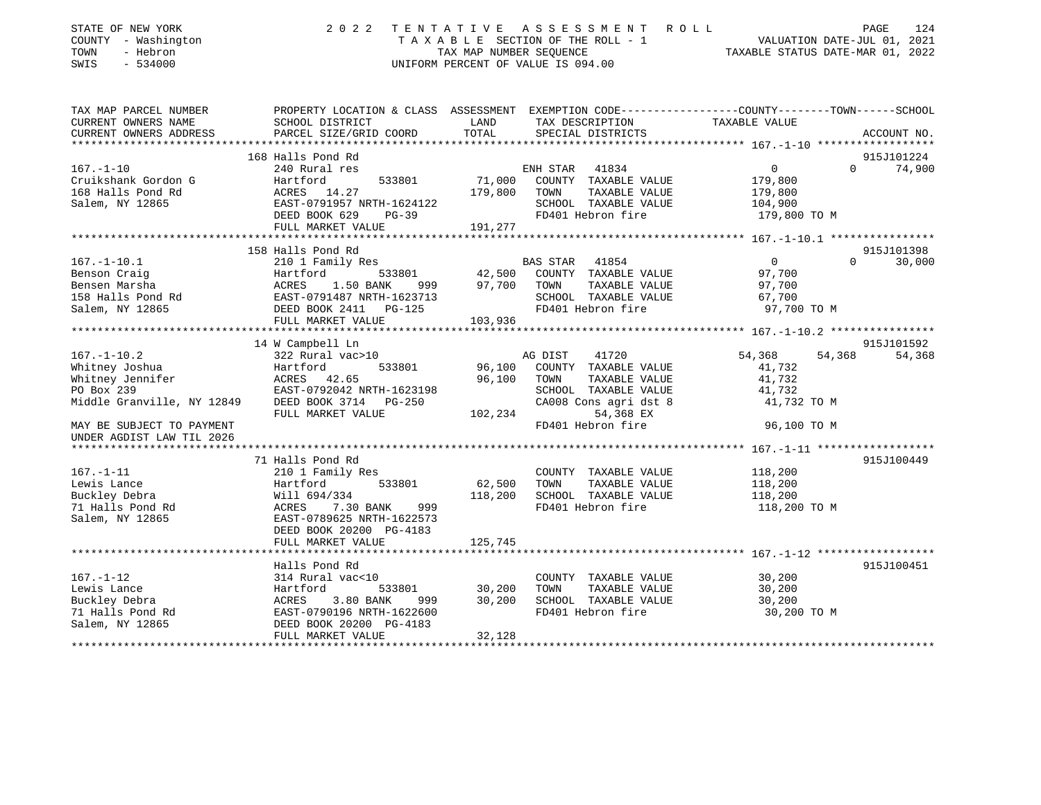| STATE OF NEW YORK<br>COUNTY - Washington<br>TOWN<br>- Hebron<br>$-534000$<br>SWIS | 2 0 2 2                                                                                                            | TENTATIVE<br>TAX MAP NUMBER SEOUENCE | A S S E S S M E N T R O L L<br>TAXABLE SECTION OF THE ROLL - 1<br>UNIFORM PERCENT OF VALUE IS 094.00 | VALUATION DATE-JUL 01, 2021<br>TAXABLE STATUS DATE-MAR 01, 2022 | 124<br>PAGE |
|-----------------------------------------------------------------------------------|--------------------------------------------------------------------------------------------------------------------|--------------------------------------|------------------------------------------------------------------------------------------------------|-----------------------------------------------------------------|-------------|
| TAX MAP PARCEL NUMBER<br>CURRENT OWNERS NAME                                      | PROPERTY LOCATION & CLASS ASSESSMENT EXEMPTION CODE---------------COUNTY-------TOWN------SCHOOL<br>SCHOOL DISTRICT | LAND                                 | TAX DESCRIPTION                                                                                      | TAXABLE VALUE                                                   |             |
| CURRENT OWNERS ADDRESS                                                            | PARCEL SIZE/GRID COORD                                                                                             | TOTAL                                | SPECIAL DISTRICTS                                                                                    |                                                                 | ACCOUNT NO. |
|                                                                                   |                                                                                                                    |                                      |                                                                                                      |                                                                 |             |
|                                                                                   | 168 Halls Pond Rd                                                                                                  |                                      |                                                                                                      |                                                                 | 915J101224  |
| $167. - 1 - 10$                                                                   | 240 Rural res                                                                                                      |                                      | 41834<br>ENH STAR                                                                                    | $\mathbf 0$<br>$\Omega$                                         | 74,900      |
| Cruikshank Gordon G                                                               | 533801<br>Hartford                                                                                                 | 71,000                               | COUNTY TAXABLE VALUE                                                                                 | 179,800                                                         |             |
| 168 Halls Pond Rd                                                                 | ACRES<br>14.27                                                                                                     | 179,800                              | TOWN<br>TAXABLE VALUE                                                                                | 179,800                                                         |             |
| Salem, NY 12865                                                                   | EAST-0791957 NRTH-1624122                                                                                          |                                      | SCHOOL TAXABLE VALUE                                                                                 | 104,900                                                         |             |
|                                                                                   | DEED BOOK 629<br>$PG-39$                                                                                           |                                      | FD401 Hebron fire                                                                                    | 179,800 TO M                                                    |             |
|                                                                                   | FULL MARKET VALUE                                                                                                  | 191,277                              |                                                                                                      |                                                                 |             |
|                                                                                   | 158 Halls Pond Rd                                                                                                  |                                      |                                                                                                      |                                                                 | 915J101398  |
| $167. - 1 - 10.1$                                                                 | 210 1 Family Res                                                                                                   |                                      | <b>BAS STAR</b><br>41854                                                                             | $\mathbf 0$<br>$\Omega$                                         | 30,000      |
| Benson Craig                                                                      | Hartford<br>533801                                                                                                 | 42,500                               | COUNTY TAXABLE VALUE                                                                                 | 97,700                                                          |             |
| Bensen Marsha                                                                     | 1.50 BANK<br>ACRES<br>999                                                                                          | 97,700                               | TAXABLE VALUE<br>TOWN                                                                                | 97,700                                                          |             |
| 158 Halls Pond Rd                                                                 | EAST-0791487 NRTH-1623713                                                                                          |                                      | SCHOOL TAXABLE VALUE                                                                                 | 67,700                                                          |             |
| Salem, NY 12865                                                                   | DEED BOOK 2411<br>$PG-125$                                                                                         |                                      | FD401 Hebron fire                                                                                    | 97,700 TO M                                                     |             |
|                                                                                   | FULL MARKET VALUE                                                                                                  | 103,936                              |                                                                                                      |                                                                 |             |
|                                                                                   |                                                                                                                    |                                      |                                                                                                      |                                                                 |             |
|                                                                                   | 14 W Campbell Ln                                                                                                   |                                      |                                                                                                      |                                                                 | 915J101592  |
| $167. - 1 - 10.2$                                                                 | 322 Rural vac>10                                                                                                   |                                      | 41720<br>AG DIST                                                                                     | 54,368<br>54,368                                                | 54,368      |
| Whitney Joshua                                                                    | Hartford<br>533801                                                                                                 | 96,100                               | COUNTY TAXABLE VALUE                                                                                 | 41,732                                                          |             |
| Whitney Jennifer                                                                  | ACRES<br>42.65                                                                                                     | 96,100                               | TOWN<br>TAXABLE VALUE                                                                                | 41,732                                                          |             |
| PO Box 239                                                                        | EAST-0792042 NRTH-1623198                                                                                          |                                      | SCHOOL TAXABLE VALUE                                                                                 | 41,732                                                          |             |
| Middle Granville, NY 12849                                                        | DEED BOOK 3714<br><b>PG-250</b>                                                                                    |                                      | CA008 Cons agri dst 8                                                                                | 41,732 TO M                                                     |             |
|                                                                                   | FULL MARKET VALUE                                                                                                  | 102,234                              | 54,368 EX                                                                                            |                                                                 |             |
| MAY BE SUBJECT TO PAYMENT<br>UNDER AGDIST LAW TIL 2026                            |                                                                                                                    |                                      | FD401 Hebron fire                                                                                    | 96,100 TO M                                                     |             |
|                                                                                   | 71 Halls Pond Rd                                                                                                   |                                      |                                                                                                      |                                                                 | 915J100449  |
| $167. - 1 - 11$                                                                   | 210 1 Family Res                                                                                                   |                                      | COUNTY TAXABLE VALUE                                                                                 | 118,200                                                         |             |
| Lewis Lance                                                                       | Hartford<br>533801                                                                                                 | 62,500                               | TOWN<br>TAXABLE VALUE                                                                                | 118,200                                                         |             |
| Buckley Debra                                                                     | Will 694/334                                                                                                       | 118,200                              | SCHOOL TAXABLE VALUE                                                                                 | 118,200                                                         |             |
| 71 Halls Pond Rd                                                                  | ACRES<br>7.30 BANK<br>999                                                                                          |                                      | FD401 Hebron fire                                                                                    | 118,200 TO M                                                    |             |
| Salem, NY 12865                                                                   | EAST-0789625 NRTH-1622573                                                                                          |                                      |                                                                                                      |                                                                 |             |
|                                                                                   | DEED BOOK 20200 PG-4183                                                                                            |                                      |                                                                                                      |                                                                 |             |
|                                                                                   | FULL MARKET VALUE                                                                                                  | 125,745                              |                                                                                                      |                                                                 |             |
|                                                                                   |                                                                                                                    |                                      |                                                                                                      |                                                                 |             |
|                                                                                   | Halls Pond Rd                                                                                                      |                                      |                                                                                                      |                                                                 | 915J100451  |
| $167. - 1 - 12$                                                                   | 314 Rural vac<10                                                                                                   |                                      | COUNTY TAXABLE VALUE                                                                                 | 30,200                                                          |             |
| Lewis Lance                                                                       | Hartford<br>533801                                                                                                 | 30,200                               | TOWN<br>TAXABLE VALUE                                                                                | 30,200                                                          |             |
| Buckley Debra                                                                     | 3.80 BANK<br>ACRES<br>999                                                                                          | 30,200                               | SCHOOL TAXABLE VALUE                                                                                 | 30,200                                                          |             |
| 71 Halls Pond Rd                                                                  | EAST-0790196 NRTH-1622600                                                                                          |                                      | FD401 Hebron fire                                                                                    | 30,200 TO M                                                     |             |
| Salem, NY 12865                                                                   | DEED BOOK 20200 PG-4183                                                                                            |                                      |                                                                                                      |                                                                 |             |
|                                                                                   | FULL MARKET VALUE                                                                                                  | 32,128                               |                                                                                                      |                                                                 |             |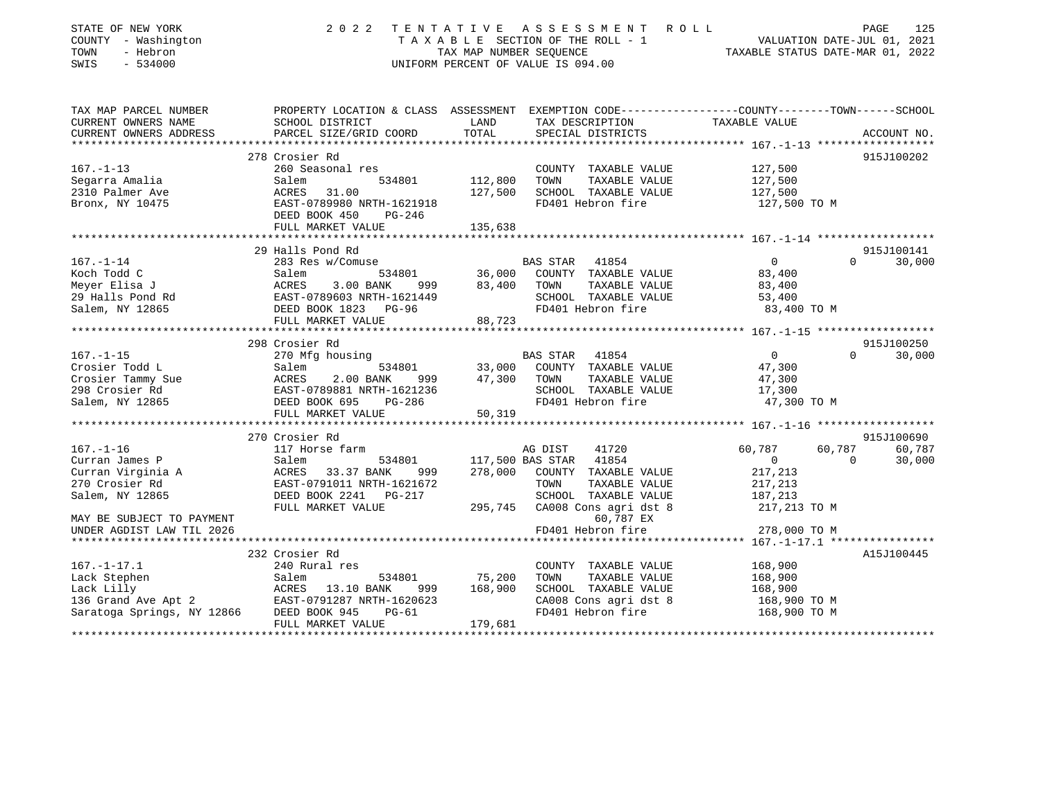| STATE OF NEW YORK<br>COUNTY - Washington<br>TOWN<br>- Hebron<br>SWIS<br>$-534000$ | 2 0 2 2                                                                                        | TAX MAP NUMBER SEOUENCE | TENTATIVE ASSESSMENT<br>ROLL<br>TAXABLE SECTION OF THE ROLL - 1<br>UNIFORM PERCENT OF VALUE IS 094.00 | VALUATION DATE-JUL 01, 2021<br>TAXABLE STATUS DATE-MAR 01, 2022 |          | PAGE<br>125 |
|-----------------------------------------------------------------------------------|------------------------------------------------------------------------------------------------|-------------------------|-------------------------------------------------------------------------------------------------------|-----------------------------------------------------------------|----------|-------------|
| TAX MAP PARCEL NUMBER                                                             | PROPERTY LOCATION & CLASS ASSESSMENT EXEMPTION CODE---------------COUNTY-------TOWN-----SCHOOL |                         |                                                                                                       |                                                                 |          |             |
| CURRENT OWNERS NAME<br>CURRENT OWNERS ADDRESS                                     | SCHOOL DISTRICT<br>PARCEL SIZE/GRID COORD                                                      | LAND<br>TOTAL           | TAX DESCRIPTION<br>SPECIAL DISTRICTS                                                                  | TAXABLE VALUE                                                   |          |             |
|                                                                                   |                                                                                                |                         |                                                                                                       |                                                                 |          | ACCOUNT NO. |
|                                                                                   | 278 Crosier Rd                                                                                 |                         |                                                                                                       |                                                                 |          | 915J100202  |
| $167. - 1 - 13$                                                                   | 260 Seasonal res                                                                               |                         | COUNTY TAXABLE VALUE                                                                                  | 127,500                                                         |          |             |
| Segarra Amalia                                                                    | Salem<br>534801                                                                                | 112,800                 | TOWN<br>TAXABLE VALUE                                                                                 | 127,500                                                         |          |             |
| 2310 Palmer Ave                                                                   | ACRES<br>31.00                                                                                 | 127,500                 | SCHOOL TAXABLE VALUE                                                                                  | 127,500                                                         |          |             |
| Bronx, NY 10475                                                                   | EAST-0789980 NRTH-1621918<br>DEED BOOK 450<br>PG-246                                           |                         | FD401 Hebron fire                                                                                     | 127,500 TO M                                                    |          |             |
|                                                                                   | FULL MARKET VALUE                                                                              | 135,638                 |                                                                                                       |                                                                 |          |             |
|                                                                                   |                                                                                                |                         |                                                                                                       |                                                                 |          |             |
|                                                                                   | 29 Halls Pond Rd                                                                               |                         |                                                                                                       | $\mathbf{0}$                                                    | $\Omega$ | 915J100141  |
| $167. - 1 - 14$<br>Koch Todd C                                                    | 283 Res w/Comuse<br>534801<br>Salem                                                            | 36,000                  | BAS STAR<br>41854<br>COUNTY TAXABLE VALUE                                                             | 83,400                                                          |          | 30,000      |
|                                                                                   | ACRES<br>3.00 BANK<br>999                                                                      | 83,400                  | TOWN<br>TAXABLE VALUE                                                                                 | 83,400                                                          |          |             |
| Meyer Elisa J<br>29 Halls Pond Rd                                                 | EAST-0789603 NRTH-1621449                                                                      |                         | SCHOOL TAXABLE VALUE                                                                                  | 53,400                                                          |          |             |
| Salem, NY 12865                                                                   | DEED BOOK 1823 PG-96                                                                           |                         | FD401 Hebron fire                                                                                     | 83,400 TO M                                                     |          |             |
|                                                                                   | FULL MARKET VALUE                                                                              | 88,723                  |                                                                                                       |                                                                 |          |             |
|                                                                                   |                                                                                                |                         |                                                                                                       |                                                                 |          |             |
|                                                                                   | 298 Crosier Rd                                                                                 |                         |                                                                                                       |                                                                 |          | 915J100250  |
| $167. - 1 - 15$                                                                   | 270 Mfg housing                                                                                |                         | <b>BAS STAR</b><br>41854                                                                              | $\overline{0}$                                                  | $\Omega$ | 30,000      |
| Crosier Todd L                                                                    | Salem<br>534801                                                                                | 33,000                  | COUNTY TAXABLE VALUE                                                                                  | 47,300                                                          |          |             |
| Crosier Tammy Sue                                                                 | ACRES<br>2.00 BANK<br>999                                                                      | 47,300                  | TOWN<br>TAXABLE VALUE                                                                                 | 47,300                                                          |          |             |
| 298 Crosier Rd                                                                    | EAST-0789881 NRTH-1621236                                                                      |                         | SCHOOL TAXABLE VALUE                                                                                  | 17,300                                                          |          |             |
| Salem, NY 12865                                                                   | DEED BOOK 695<br>$PG-286$                                                                      |                         | FD401 Hebron fire                                                                                     | 47,300 TO M                                                     |          |             |
|                                                                                   | FULL MARKET VALUE                                                                              | 50,319                  |                                                                                                       |                                                                 |          |             |
|                                                                                   | 270 Crosier Rd                                                                                 |                         |                                                                                                       |                                                                 |          | 915J100690  |
| $167. - 1 - 16$                                                                   | 117 Horse farm                                                                                 |                         | AG DIST<br>41720                                                                                      | 60,787                                                          | 60,787   | 60,787      |
| Curran James P                                                                    | Salem<br>534801                                                                                | 117,500 BAS STAR        | 41854                                                                                                 | $\circ$                                                         | $\Omega$ | 30,000      |
| Curran Virginia A                                                                 | 33.37 BANK<br>ACRES<br>999                                                                     | 278,000                 | COUNTY TAXABLE VALUE                                                                                  | 217,213                                                         |          |             |
| 270 Crosier Rd                                                                    | EAST-0791011 NRTH-1621672                                                                      |                         | TOWN<br>TAXABLE VALUE                                                                                 | 217,213                                                         |          |             |
| Salem, NY 12865                                                                   | DEED BOOK 2241<br>PG-217                                                                       |                         | SCHOOL TAXABLE VALUE                                                                                  | 187,213                                                         |          |             |
|                                                                                   | FULL MARKET VALUE                                                                              | 295,745                 | CA008 Cons agri dst 8                                                                                 | 217,213 TO M                                                    |          |             |
| MAY BE SUBJECT TO PAYMENT                                                         |                                                                                                |                         | 60,787 EX                                                                                             |                                                                 |          |             |
| UNDER AGDIST LAW TIL 2026                                                         |                                                                                                |                         | FD401 Hebron fire                                                                                     | 278,000 TO M                                                    |          |             |
|                                                                                   |                                                                                                |                         |                                                                                                       |                                                                 |          |             |
|                                                                                   | 232 Crosier Rd                                                                                 |                         |                                                                                                       |                                                                 |          | A15J100445  |
| $167. - 1 - 17.1$                                                                 | 240 Rural res                                                                                  |                         | COUNTY TAXABLE VALUE                                                                                  | 168,900                                                         |          |             |
| Lack Stephen                                                                      | Salem<br>534801                                                                                | 75,200                  | TOWN<br>TAXABLE VALUE                                                                                 | 168,900                                                         |          |             |
| Lack Lilly<br>13.10 BANK 999<br>136 Grand Ave Apt 2 EAST-0791287 NRTH-1620623     | ACRES<br>13.10 BANK<br>999                                                                     | 168,900                 | SCHOOL TAXABLE VALUE<br>CA008 Cons agri dst 8                                                         | 168,900                                                         |          |             |
| Saratoga Springs, NY 12866                                                        | DEED BOOK 945<br>$PG-61$                                                                       |                         | FD401 Hebron fire                                                                                     | 168,900 TO M<br>168,900 TO M                                    |          |             |
| ******************                                                                | FULL MARKET VALUE                                                                              | 179,681                 |                                                                                                       |                                                                 |          |             |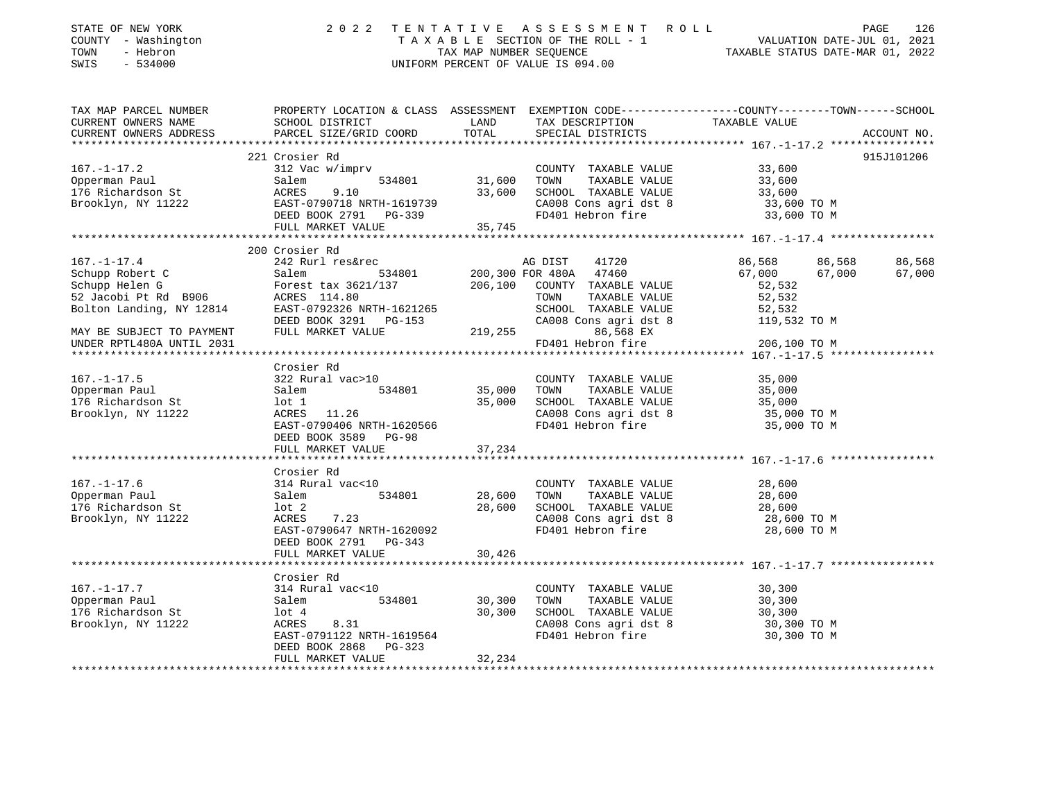| STATE OF NEW YORK<br>COUNTY - Washington<br>TOWN<br>- Hebron<br>SWIS<br>$-534000$                          | 2022 TENTATIVE ASSESSMENT ROLL                                                                                                                                                                                                                                                                                   | TAXABLE SECTION OF THE ROLL - 1<br>TAX MAP NUMBER SEQUENCE<br>UNIFORM PERCENT OF VALUE IS 094.00 | VALUATION DATE-JUL 01, 2021<br>TAXABLE STATUS DATE-MAR 01, 2022                                                                                                                                                                                                                                       | PAGE<br>126                                                                                                                                |                                      |
|------------------------------------------------------------------------------------------------------------|------------------------------------------------------------------------------------------------------------------------------------------------------------------------------------------------------------------------------------------------------------------------------------------------------------------|--------------------------------------------------------------------------------------------------|-------------------------------------------------------------------------------------------------------------------------------------------------------------------------------------------------------------------------------------------------------------------------------------------------------|--------------------------------------------------------------------------------------------------------------------------------------------|--------------------------------------|
| TAX MAP PARCEL NUMBER<br>CURRENT OWNERS NAME<br>CURRENT OWNERS ADDRESS                                     | PROPERTY LOCATION & CLASS ASSESSMENT EXEMPTION CODE----------------COUNTY-------TOWN-----SCHOOL<br>SCHOOL DISTRICT<br>PARCEL SIZE/GRID COORD                                                                                                                                                                     | LAND<br>TOTAL                                                                                    | TAX DESCRIPTION<br>SPECIAL DISTRICTS                                                                                                                                                                                                                                                                  | TAXABLE VALUE                                                                                                                              | ACCOUNT NO.                          |
|                                                                                                            | 221 Crosier Rd                                                                                                                                                                                                                                                                                                   |                                                                                                  |                                                                                                                                                                                                                                                                                                       |                                                                                                                                            | 915J101206                           |
| $167. - 1 - 17.2$<br>Opperman Paul<br>176 Richardson St<br>Brooklyn, NY 11222                              | 312 Vac w/imprv<br>534801<br>Salem<br>ACRES<br>9.10<br>FULL MARKET VALUE                                                                                                                                                                                                                                         | 31,600 TOWN<br>35,745                                                                            | COUNTY TAXABLE VALUE<br>TAXABLE VALUE<br>33,600 SCHOOL TAXABLE VALUE<br>CA008 Cons agri dst 8<br>FD401 Hebron fire                                                                                                                                                                                    | 33,600<br>33,600<br>33,600<br>33,600 TO M<br>33,600 TO M                                                                                   |                                      |
|                                                                                                            |                                                                                                                                                                                                                                                                                                                  |                                                                                                  |                                                                                                                                                                                                                                                                                                       |                                                                                                                                            |                                      |
| UNDER RPTL480A UNTIL 2031<br>$167. - 1 - 17.5$<br>Opperman Paul<br>176 Richardson St<br>Brooklyn, NY 11222 | 200 Crosier Rd<br>167.-1-17.4<br>Schupp Robert C<br>Schupp Helen G<br>52 Jacobi Pt Rd B906<br>7-1+on Landing, NY 12814<br>DEED BOOK 3291 PG-153<br>PG-153<br>Crosier Rd<br>322 Rural vac>10<br>534801<br>Salem<br>lot 1<br>ACRES 11.26<br>EAST-0790406 NRTH-1620566<br>DEED BOOK 3589 PG-98<br>FULL MARKET VALUE | 219,255<br>35,000 TOWN<br>35,000<br>37,234                                                       | AG DIST<br>41720<br>200,300 FOR 480A 47460<br>206,100 COUNTY TAXABLE VALUE<br>TOWN<br>TAXABLE VALUE<br>SCHOOL TAXABLE VALUE<br>CA008 Cons agri dst 8<br>86,568 EX<br>FD401 Hebron fire<br>COUNTY TAXABLE VALUE<br>TAXABLE VALUE<br>SCHOOL TAXABLE VALUE<br>CA008 Cons agri dst 8<br>FD401 Hebron fire | 86,568<br>67,000<br>52,532<br>52,532<br>52,532<br>119,532 TO M<br>206,100 TO M<br>35,000<br>35,000<br>35,000<br>35,000 TO M<br>35,000 TO M | 86,568<br>86,568<br>67,000<br>67,000 |
| $167. - 1 - 17.6$<br>Opperman Paul<br>176 Richardson St<br>Brooklyn, NY 11222                              | Crosier Rd<br>314 Rural vac<10<br>534801<br>Salem<br>lot 2<br>ACRES 7.23<br>EAST-0790647 NRTH-1620092<br>DEED BOOK 2791 PG-343<br>FULL MARKET VALUE                                                                                                                                                              | 28,600<br>28,600<br>30,426                                                                       | COUNTY TAXABLE VALUE<br>TOWN<br>TAXABLE VALUE<br>SCHOOL TAXABLE VALUE<br>CA008 Cons agri dst 8<br>FD401 Hebron fire                                                                                                                                                                                   | 28,600<br>28,600<br>28,600<br>28,600 TO M<br>28,600 TO M                                                                                   |                                      |
|                                                                                                            |                                                                                                                                                                                                                                                                                                                  |                                                                                                  |                                                                                                                                                                                                                                                                                                       |                                                                                                                                            |                                      |
| $167. - 1 - 17.7$<br>Opperman Paul<br>176 Richardson St<br>Brooklyn, NY 11222                              | Crosier Rd<br>314 Rural vac<10<br>534801<br>Salem<br>lot 4<br>ACRES<br>8.31<br>EAST-0791122 NRTH-1619564<br>DEED BOOK 2868 PG-323<br>FULL MARKET VALUE                                                                                                                                                           | 30,300<br>30,300<br>32,234                                                                       | COUNTY TAXABLE VALUE<br>TOWN<br>TAXABLE VALUE<br>SCHOOL TAXABLE VALUE<br>CA008 Cons agri dst 8<br>FD401 Hebron fire                                                                                                                                                                                   | 30,300<br>30,300<br>30,300<br>30,300 TO M<br>30,300 TO M                                                                                   |                                      |
|                                                                                                            |                                                                                                                                                                                                                                                                                                                  |                                                                                                  |                                                                                                                                                                                                                                                                                                       |                                                                                                                                            |                                      |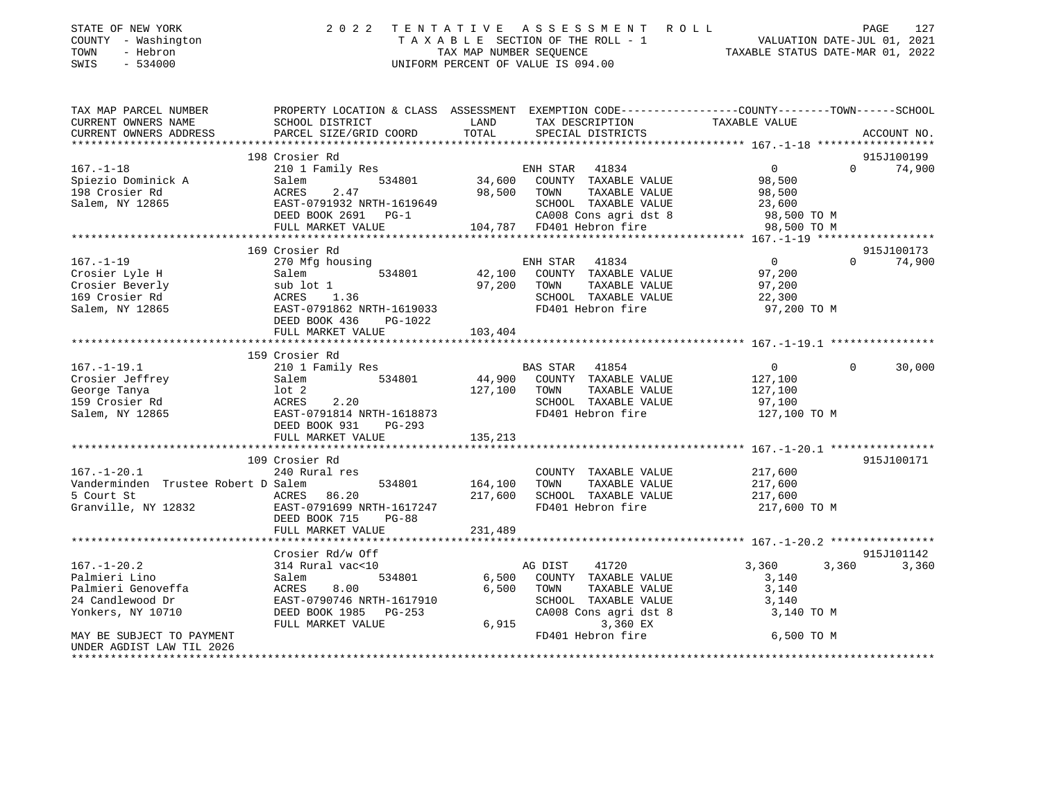| STATE OF NEW YORK<br>COUNTY - Washington<br>TOWN<br>- Hebron<br>$-534000$<br>SWIS | 2 0 2 2                                                                                                            | TENTATIVE<br>TAX MAP NUMBER SEQUENCE | ASSESSMENT ROLL<br>TAXABLE SECTION OF THE ROLL - 1<br>UNIFORM PERCENT OF VALUE IS 094.00 | VALUATION DATE-JUL 01, 2021<br>TAXABLE STATUS DATE-MAR 01, 2022 | PAGE<br>127                      |
|-----------------------------------------------------------------------------------|--------------------------------------------------------------------------------------------------------------------|--------------------------------------|------------------------------------------------------------------------------------------|-----------------------------------------------------------------|----------------------------------|
| TAX MAP PARCEL NUMBER<br>CURRENT OWNERS NAME                                      | PROPERTY LOCATION & CLASS ASSESSMENT EXEMPTION CODE---------------COUNTY-------TOWN------SCHOOL<br>SCHOOL DISTRICT | LAND                                 | TAX DESCRIPTION                                                                          | TAXABLE VALUE                                                   |                                  |
| CURRENT OWNERS ADDRESS                                                            | PARCEL SIZE/GRID COORD                                                                                             | TOTAL                                | SPECIAL DISTRICTS                                                                        |                                                                 | ACCOUNT NO.                      |
|                                                                                   | 198 Crosier Rd                                                                                                     |                                      |                                                                                          |                                                                 | 915J100199                       |
| $167. - 1 - 18$                                                                   | 210 1 Family Res                                                                                                   |                                      | ENH STAR<br>41834                                                                        | 0                                                               | $0 \qquad \qquad$<br>74,900      |
| Spiezio Dominick A                                                                | 534801<br>Salem                                                                                                    | 34,600                               | COUNTY TAXABLE VALUE                                                                     | 98,500                                                          |                                  |
| 198 Crosier Rd                                                                    | ACRES<br>2.47                                                                                                      | 98,500                               | TOWN<br>TAXABLE VALUE                                                                    | 98,500                                                          |                                  |
| Salem, NY 12865                                                                   | EAST-0791932 NRTH-1619649                                                                                          |                                      | SCHOOL TAXABLE VALUE                                                                     | 23,600                                                          |                                  |
|                                                                                   | DEED BOOK 2691 PG-1                                                                                                |                                      | CA008 Cons agri dst 8                                                                    | 98,500 TO M                                                     |                                  |
|                                                                                   | FULL MARKET VALUE                                                                                                  |                                      | 104,787 FD401 Hebron fire                                                                | 98,500 TO M                                                     |                                  |
|                                                                                   |                                                                                                                    |                                      |                                                                                          |                                                                 |                                  |
| $167. - 1 - 19$                                                                   | 169 Crosier Rd                                                                                                     |                                      | 41834<br>ENH STAR                                                                        | $\overline{0}$                                                  | 915J100173<br>$\Omega$<br>74,900 |
| Crosier Lyle H                                                                    | 270 Mfg housing<br>534801<br>Salem                                                                                 | 42,100                               | COUNTY TAXABLE VALUE                                                                     | 97,200                                                          |                                  |
| Crosier Beverly                                                                   | sub lot 1                                                                                                          | 97,200                               | TAXABLE VALUE<br>TOWN                                                                    | 97,200                                                          |                                  |
| 169 Crosier Rd                                                                    | ACRES<br>1.36                                                                                                      |                                      | SCHOOL TAXABLE VALUE                                                                     | 22,300                                                          |                                  |
| Salem, NY 12865                                                                   | EAST-0791862 NRTH-1619033                                                                                          |                                      | FD401 Hebron fire                                                                        | 97,200 TO M                                                     |                                  |
|                                                                                   | DEED BOOK 436<br>PG-1022                                                                                           |                                      |                                                                                          |                                                                 |                                  |
|                                                                                   | FULL MARKET VALUE                                                                                                  | 103,404                              |                                                                                          |                                                                 |                                  |
|                                                                                   | ***************************                                                                                        |                                      |                                                                                          |                                                                 |                                  |
| $167. - 1 - 19.1$                                                                 | 159 Crosier Rd<br>210 1 Family Res                                                                                 |                                      | BAS STAR 41854                                                                           | $\overline{0}$                                                  | $\Omega$<br>30,000               |
| Crosier Jeffrey                                                                   | 534801<br>Salem                                                                                                    | 44,900                               | COUNTY TAXABLE VALUE                                                                     | 127,100                                                         |                                  |
| George Tanya                                                                      | $1$ ot $2$                                                                                                         | 127,100                              | TOWN<br>TAXABLE VALUE                                                                    | 127,100                                                         |                                  |
| 159 Crosier Rd                                                                    | ACRES<br>2.20                                                                                                      |                                      | SCHOOL TAXABLE VALUE                                                                     | 97,100                                                          |                                  |
| Salem, NY 12865                                                                   | EAST-0791814 NRTH-1618873                                                                                          |                                      | FD401 Hebron fire                                                                        | 127,100 TO M                                                    |                                  |
|                                                                                   | DEED BOOK 931<br>PG-293                                                                                            |                                      |                                                                                          |                                                                 |                                  |
|                                                                                   | FULL MARKET VALUE                                                                                                  | 135,213                              |                                                                                          |                                                                 |                                  |
|                                                                                   |                                                                                                                    |                                      |                                                                                          |                                                                 |                                  |
|                                                                                   | 109 Crosier Rd                                                                                                     |                                      |                                                                                          |                                                                 | 915J100171                       |
| $167. - 1 - 20.1$<br>Vanderminden Trustee Robert D Salem                          | 240 Rural res<br>534801                                                                                            | 164,100                              | COUNTY TAXABLE VALUE<br>TOWN<br>TAXABLE VALUE                                            | 217,600<br>217,600                                              |                                  |
| 5 Court St                                                                        | 86.20<br>ACRES                                                                                                     | 217,600                              | SCHOOL TAXABLE VALUE                                                                     | 217,600                                                         |                                  |
| Granville, NY 12832                                                               | EAST-0791699 NRTH-1617247                                                                                          |                                      | FD401 Hebron fire                                                                        | 217,600 TO M                                                    |                                  |
|                                                                                   | DEED BOOK 715<br>$PG-88$                                                                                           |                                      |                                                                                          |                                                                 |                                  |
|                                                                                   | FULL MARKET VALUE                                                                                                  | 231,489                              |                                                                                          |                                                                 |                                  |
|                                                                                   |                                                                                                                    |                                      |                                                                                          |                                                                 |                                  |
|                                                                                   | Crosier Rd/w Off                                                                                                   |                                      |                                                                                          |                                                                 | 915J101142                       |
| $167. - 1 - 20.2$                                                                 | 314 Rural vac<10                                                                                                   |                                      | 41720<br>AG DIST                                                                         | 3,360<br>3,360                                                  | 3,360                            |
| Palmieri Lino                                                                     | 534801<br>Salem                                                                                                    | 6,500<br>6,500                       | COUNTY TAXABLE VALUE<br>TOWN                                                             | 3,140                                                           |                                  |
| Palmieri Genoveffa<br>24 Candlewood Dr                                            | ACRES<br>8.00<br>EAST-0790746 NRTH-1617910                                                                         |                                      | TAXABLE VALUE<br>SCHOOL TAXABLE VALUE                                                    | 3,140<br>3,140                                                  |                                  |
| Yonkers, NY 10710                                                                 | DEED BOOK 1985 PG-253                                                                                              |                                      | CA008 Cons agri dst 8                                                                    | 3,140 TO M                                                      |                                  |
|                                                                                   | FULL MARKET VALUE                                                                                                  | 6,915                                | 3,360 EX                                                                                 |                                                                 |                                  |
| MAY BE SUBJECT TO PAYMENT                                                         |                                                                                                                    |                                      | FD401 Hebron fire                                                                        | 6,500 TO M                                                      |                                  |
| INDER AGDIST LAW TIL 2026                                                         |                                                                                                                    |                                      |                                                                                          |                                                                 |                                  |

\*\*\*\*\*\*\*\*\*\*\*\*\*\*\*\*\*\*\*\*\*\*\*\*\*\*\*\*\*\*\*\*\*\*\*\*\*\*\*\*\*\*\*\*\*\*\*\*\*\*\*\*\*\*\*\*\*\*\*\*\*\*\*\*\*\*\*\*\*\*\*\*\*\*\*\*\*\*\*\*\*\*\*\*\*\*\*\*\*\*\*\*\*\*\*\*\*\*\*\*\*\*\*\*\*\*\*\*\*\*\*\*\*\*\*\*\*\*\*\*\*\*\*\*\*\*\*\*\*\*\*\*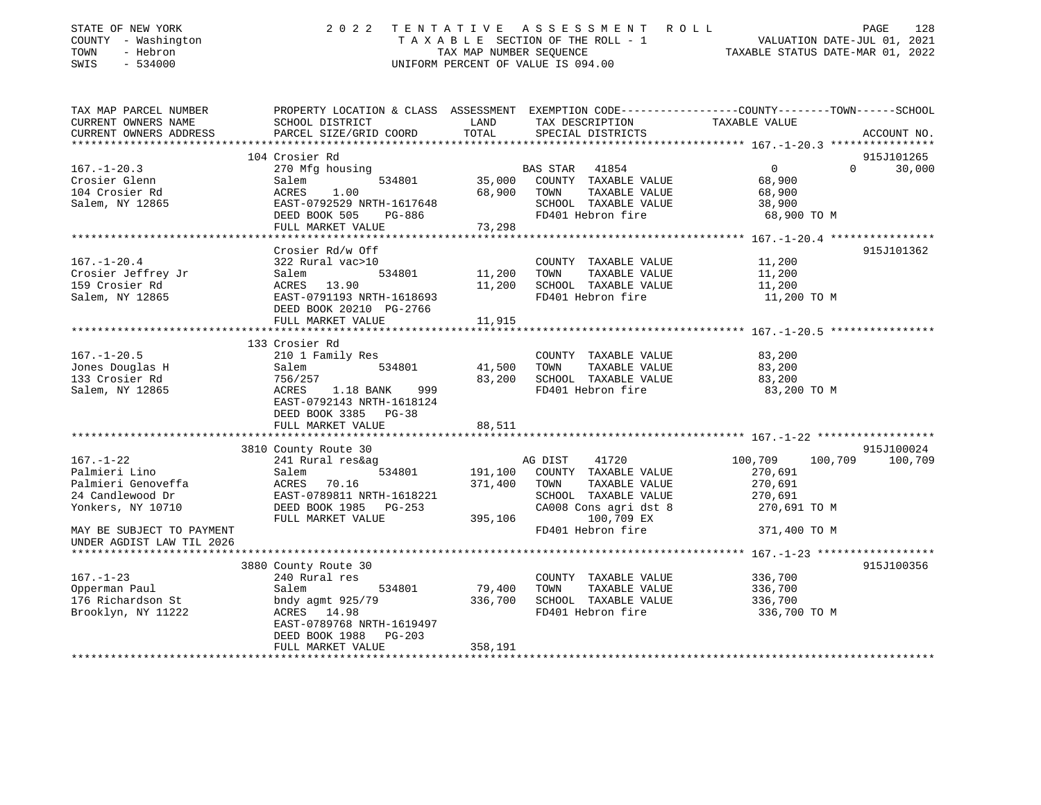| STATE OF NEW YORK<br>COUNTY - Washington<br>TOWN<br>- Hebron<br>SWIS<br>$-534000$ |                                            | TAX MAP NUMBER SEQUENCE       | 2022 TENTATIVE ASSESSMENT ROLL<br>TAXABLE SECTION OF THE ROLL - 1<br>UNIFORM PERCENT OF VALUE IS 094.00 | 128<br>PAGE<br>VALUATION DATE-JUL 01, 2021<br>TAXABLE STATUS DATE-MAR 01, 2022                                   |
|-----------------------------------------------------------------------------------|--------------------------------------------|-------------------------------|---------------------------------------------------------------------------------------------------------|------------------------------------------------------------------------------------------------------------------|
| TAX MAP PARCEL NUMBER                                                             |                                            | LAND                          |                                                                                                         | PROPERTY LOCATION & CLASS ASSESSMENT EXEMPTION CODE---------------COUNTY-------TOWN------SCHOOL<br>TAXABLE VALUE |
| CURRENT OWNERS NAME<br>CURRENT OWNERS ADDRESS                                     | SCHOOL DISTRICT<br>PARCEL SIZE/GRID COORD  | TOTAL                         | TAX DESCRIPTION<br>SPECIAL DISTRICTS                                                                    | ACCOUNT NO.                                                                                                      |
| ********************                                                              |                                            |                               |                                                                                                         |                                                                                                                  |
|                                                                                   | 104 Crosier Rd                             |                               |                                                                                                         | 915J101265                                                                                                       |
| $167. - 1 - 20.3$                                                                 | 270 Mfg housing                            |                               | BAS STAR 41854                                                                                          | $\Omega$<br>$\Omega$<br>30,000                                                                                   |
| Crosier Glenn                                                                     | Salem<br>534801                            |                               | 35,000 COUNTY TAXABLE VALUE                                                                             | 68,900                                                                                                           |
| 104 Crosier Rd                                                                    | ACRES<br>1.00                              | 68,900                        | TOWN<br>TAXABLE VALUE                                                                                   | 68,900                                                                                                           |
| Salem, NY 12865                                                                   | EAST-0792529 NRTH-1617648                  |                               | SCHOOL TAXABLE VALUE                                                                                    | 38,900                                                                                                           |
|                                                                                   | DEED BOOK 505<br>PG-886                    |                               | FD401 Hebron fire                                                                                       | 68,900 TO M                                                                                                      |
|                                                                                   | FULL MARKET VALUE                          | 73,298                        |                                                                                                         |                                                                                                                  |
|                                                                                   |                                            |                               |                                                                                                         |                                                                                                                  |
|                                                                                   | Crosier Rd/w Off                           |                               |                                                                                                         | 915J101362                                                                                                       |
| $167. - 1 - 20.4$                                                                 | 322 Rural vac>10                           |                               | COUNTY TAXABLE VALUE                                                                                    | 11,200                                                                                                           |
| Crosier Jeffrey Jr                                                                | Salem<br>534801                            | 11,200                        | TOWN<br>TAXABLE VALUE<br>SCHOOL TAXABLE VALUE                                                           | 11,200                                                                                                           |
| 159 Crosier Rd<br>Salem, NY 12865                                                 | ACRES 13.90<br>EAST-0791193 NRTH-1618693   | 11,200                        | FD401 Hebron fire                                                                                       | 11,200<br>11,200 TO M                                                                                            |
|                                                                                   | DEED BOOK 20210 PG-2766                    |                               |                                                                                                         |                                                                                                                  |
|                                                                                   | FULL MARKET VALUE                          | 11,915                        |                                                                                                         |                                                                                                                  |
|                                                                                   | *********************                      |                               |                                                                                                         |                                                                                                                  |
|                                                                                   | 133 Crosier Rd                             |                               |                                                                                                         |                                                                                                                  |
| $167. - 1 - 20.5$                                                                 | 210 1 Family Res                           |                               | COUNTY TAXABLE VALUE                                                                                    | 83,200                                                                                                           |
| Jones Douglas H                                                                   | 534801<br>Salem                            | 41,500                        | TAXABLE VALUE<br>TOWN                                                                                   | 83,200                                                                                                           |
| 133 Crosier Rd                                                                    | 756/257                                    | 83,200                        | SCHOOL TAXABLE VALUE                                                                                    | 83,200                                                                                                           |
| Salem, NY 12865                                                                   | ACRES<br>1.18 BANK<br>999                  |                               | FD401 Hebron fire                                                                                       | 83,200 TO M                                                                                                      |
|                                                                                   | EAST-0792143 NRTH-1618124                  |                               |                                                                                                         |                                                                                                                  |
|                                                                                   | DEED BOOK 3385 PG-38                       |                               |                                                                                                         |                                                                                                                  |
|                                                                                   | FULL MARKET VALUE                          | 88,511                        |                                                                                                         |                                                                                                                  |
|                                                                                   | *********************                      | * * * * * * * * * * * * * * * |                                                                                                         |                                                                                                                  |
|                                                                                   | 3810 County Route 30                       |                               |                                                                                                         | 915J100024                                                                                                       |
| $167. - 1 - 22$                                                                   | 241 Rural res&ag                           |                               | AG DIST<br>41720                                                                                        | 100,709<br>100,709<br>100,709                                                                                    |
| Palmieri Lino                                                                     | 534801<br>Salem                            | 191,100                       | COUNTY TAXABLE VALUE                                                                                    | 270,691                                                                                                          |
| Palmieri Genoveffa                                                                | ACRES 70.16                                | 371,400                       | TOWN<br>TAXABLE VALUE                                                                                   | 270,691                                                                                                          |
| 24 Candlewood Dr                                                                  | EAST-0789811 NRTH-1618221                  |                               | SCHOOL TAXABLE VALUE                                                                                    | 270,691                                                                                                          |
| Yonkers, NY 10710                                                                 | DEED BOOK 1985 PG-253<br>FULL MARKET VALUE | 395,106                       | CA008 Cons agri dst 8<br>100,709 EX                                                                     | 270,691 TO M                                                                                                     |
| MAY BE SUBJECT TO PAYMENT                                                         |                                            |                               | FD401 Hebron fire                                                                                       | 371,400 TO M                                                                                                     |
| UNDER AGDIST LAW TIL 2026                                                         |                                            |                               |                                                                                                         |                                                                                                                  |
| *******************                                                               |                                            |                               |                                                                                                         |                                                                                                                  |
|                                                                                   | 3880 County Route 30                       |                               |                                                                                                         | 915J100356                                                                                                       |
| $167. - 1 - 23$                                                                   | 240 Rural res                              |                               | COUNTY TAXABLE VALUE                                                                                    | 336,700                                                                                                          |
| Opperman Paul                                                                     | 534801<br>Salem                            | 79,400                        | TOWN<br>TAXABLE VALUE                                                                                   | 336,700                                                                                                          |
| 176 Richardson St                                                                 | bndy agmt 925/79                           | 336,700                       | SCHOOL TAXABLE VALUE                                                                                    | 336,700                                                                                                          |
| Brooklyn, NY 11222                                                                | ACRES 14.98                                |                               | FD401 Hebron fire                                                                                       | 336,700 TO M                                                                                                     |
|                                                                                   | EAST-0789768 NRTH-1619497                  |                               |                                                                                                         |                                                                                                                  |
|                                                                                   | DEED BOOK 1988<br>PG-203                   |                               |                                                                                                         |                                                                                                                  |
|                                                                                   | FULL MARKET VALUE                          | 358,191                       |                                                                                                         |                                                                                                                  |
|                                                                                   |                                            |                               |                                                                                                         |                                                                                                                  |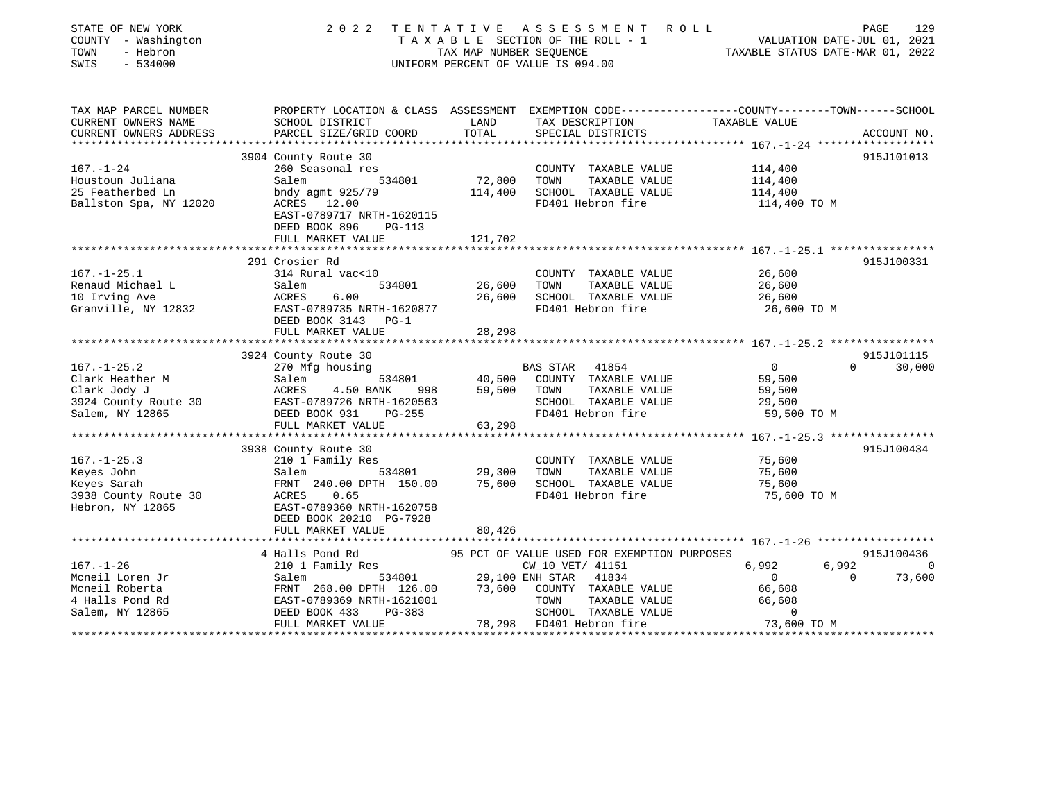| STATE OF NEW YORK<br>COUNTY - Washington<br>- Hebron<br>TOWN<br>SWIS<br>$-534000$                 | 2 0 2 2                                                                                                                                                                       | TAX MAP NUMBER SEQUENCE | TENTATIVE ASSESSMENT<br>TAXABLE SECTION OF THE ROLL - 1<br>UNIFORM PERCENT OF VALUE IS 094.00 | R O L L<br>VALUATION DATE-JUL 01, 2021<br>TAXABLE STATUS DATE-MAR 01, 2022 | PAGE     | 129         |
|---------------------------------------------------------------------------------------------------|-------------------------------------------------------------------------------------------------------------------------------------------------------------------------------|-------------------------|-----------------------------------------------------------------------------------------------|----------------------------------------------------------------------------|----------|-------------|
| TAX MAP PARCEL NUMBER<br>CURRENT OWNERS NAME<br>CURRENT OWNERS ADDRESS<br>*********************** | PROPERTY LOCATION & CLASS ASSESSMENT EXEMPTION CODE----------------COUNTY-------TOWN------SCHOOL<br>SCHOOL DISTRICT<br>PARCEL SIZE/GRID COORD<br>**************************** | LAND<br>TOTAL           | TAX DESCRIPTION<br>SPECIAL DISTRICTS                                                          | TAXABLE VALUE                                                              |          | ACCOUNT NO. |
|                                                                                                   | 3904 County Route 30                                                                                                                                                          |                         |                                                                                               |                                                                            |          | 915J101013  |
| $167. - 1 - 24$                                                                                   | 260 Seasonal res                                                                                                                                                              |                         | COUNTY TAXABLE VALUE                                                                          | 114,400                                                                    |          |             |
| Houstoun Juliana                                                                                  | Salem<br>534801                                                                                                                                                               | 72,800                  | TAXABLE VALUE<br>TOWN                                                                         | 114,400                                                                    |          |             |
| 25 Featherbed Ln                                                                                  | bndy agmt $925/79$                                                                                                                                                            | 114,400                 | SCHOOL TAXABLE VALUE                                                                          | 114,400                                                                    |          |             |
| Ballston Spa, NY 12020                                                                            | ACRES 12.00<br>EAST-0789717 NRTH-1620115<br>DEED BOOK 896<br><b>PG-113</b>                                                                                                    |                         | FD401 Hebron fire                                                                             | 114,400 TO M                                                               |          |             |
|                                                                                                   | FULL MARKET VALUE                                                                                                                                                             | 121,702                 |                                                                                               |                                                                            |          |             |
|                                                                                                   |                                                                                                                                                                               |                         |                                                                                               |                                                                            |          |             |
|                                                                                                   | 291 Crosier Rd                                                                                                                                                                |                         |                                                                                               | 26,600                                                                     |          | 915J100331  |
| $167. - 1 - 25.1$<br>Renaud Michael L                                                             | 314 Rural vac<10<br>Salem<br>534801                                                                                                                                           | 26,600                  | COUNTY TAXABLE VALUE<br>TOWN<br>TAXABLE VALUE                                                 | 26,600                                                                     |          |             |
| 10 Irving Ave                                                                                     | 6.00<br>ACRES                                                                                                                                                                 | 26,600                  | SCHOOL TAXABLE VALUE                                                                          | 26,600                                                                     |          |             |
| Granville, NY 12832                                                                               | EAST-0789735 NRTH-1620877<br>DEED BOOK 3143 PG-1                                                                                                                              |                         | FD401 Hebron fire                                                                             | 26,600 TO M                                                                |          |             |
|                                                                                                   | FULL MARKET VALUE                                                                                                                                                             | 28,298                  |                                                                                               |                                                                            |          |             |
|                                                                                                   | ********************************                                                                                                                                              |                         |                                                                                               |                                                                            |          |             |
|                                                                                                   | 3924 County Route 30                                                                                                                                                          |                         |                                                                                               |                                                                            |          | 915J101115  |
| $167. - 1 - 25.2$                                                                                 | 270 Mfg housing                                                                                                                                                               |                         | BAS STAR<br>41854                                                                             | $\overline{0}$                                                             |          | 30,000      |
| Clark Heather M                                                                                   | 534801<br>Salem                                                                                                                                                               | 40,500                  | COUNTY TAXABLE VALUE                                                                          | 59,500                                                                     |          |             |
| Clark Jody J                                                                                      | ACRES<br>4.50 BANK<br>998                                                                                                                                                     | 59,500                  | TAXABLE VALUE<br>TOWN                                                                         | 59,500                                                                     |          |             |
| 3924 County Route 30                                                                              | EAST-0789726 NRTH-1620563                                                                                                                                                     |                         | SCHOOL TAXABLE VALUE                                                                          | 29,500                                                                     |          |             |
| Salem, NY 12865                                                                                   | DEED BOOK 931<br>PG-255                                                                                                                                                       |                         | FD401 Hebron fire                                                                             | 59,500 TO M                                                                |          |             |
|                                                                                                   | FULL MARKET VALUE                                                                                                                                                             | 63,298                  |                                                                                               |                                                                            |          |             |
|                                                                                                   |                                                                                                                                                                               |                         |                                                                                               |                                                                            |          |             |
|                                                                                                   | 3938 County Route 30                                                                                                                                                          |                         |                                                                                               |                                                                            |          | 915J100434  |
| $167. - 1 - 25.3$                                                                                 | 210 1 Family Res                                                                                                                                                              |                         | COUNTY TAXABLE VALUE                                                                          | 75,600                                                                     |          |             |
| Keyes John                                                                                        | Salem<br>534801                                                                                                                                                               | 29,300                  | TAXABLE VALUE<br>TOWN                                                                         | 75,600                                                                     |          |             |
| Keyes Sarah                                                                                       | FRNT 240.00 DPTH 150.00                                                                                                                                                       | 75,600                  | SCHOOL TAXABLE VALUE                                                                          | 75,600                                                                     |          |             |
| 3938 County Route 30                                                                              | 0.65<br>ACRES                                                                                                                                                                 |                         | FD401 Hebron fire                                                                             | 75,600 TO M                                                                |          |             |
| Hebron, NY 12865                                                                                  | EAST-0789360 NRTH-1620758                                                                                                                                                     |                         |                                                                                               |                                                                            |          |             |
|                                                                                                   | DEED BOOK 20210 PG-7928<br>FULL MARKET VALUE                                                                                                                                  |                         |                                                                                               |                                                                            |          |             |
|                                                                                                   | **********************                                                                                                                                                        | 80,426                  |                                                                                               |                                                                            |          |             |
|                                                                                                   | 4 Halls Pond Rd                                                                                                                                                               |                         | 95 PCT OF VALUE USED FOR EXEMPTION PURPOSES                                                   |                                                                            |          | 915J100436  |
| $167. - 1 - 26$                                                                                   | 210 1 Family Res                                                                                                                                                              |                         | CW_10_VET/ 41151                                                                              | 6,992                                                                      | 6,992    | $\Omega$    |
| Mcneil Loren Jr                                                                                   | Salem<br>534801                                                                                                                                                               |                         | 29,100 ENH STAR<br>41834                                                                      | $\overline{0}$                                                             | $\Omega$ | 73,600      |
| Mcneil Roberta                                                                                    | FRNT 268.00 DPTH 126.00                                                                                                                                                       | 73,600                  | COUNTY TAXABLE VALUE                                                                          | 66,608                                                                     |          |             |
| 4 Halls Pond Rd                                                                                   | EAST-0789369 NRTH-1621001                                                                                                                                                     |                         | TOWN<br>TAXABLE VALUE                                                                         | 66,608                                                                     |          |             |
| Salem, NY 12865                                                                                   | DEED BOOK 433<br>PG-383                                                                                                                                                       |                         | SCHOOL TAXABLE VALUE                                                                          | $\mathbf 0$                                                                |          |             |
|                                                                                                   | FULL MARKET VALUE                                                                                                                                                             |                         | 78,298 FD401 Hebron fire                                                                      | 73,600 TO M                                                                |          |             |
|                                                                                                   |                                                                                                                                                                               |                         |                                                                                               |                                                                            |          |             |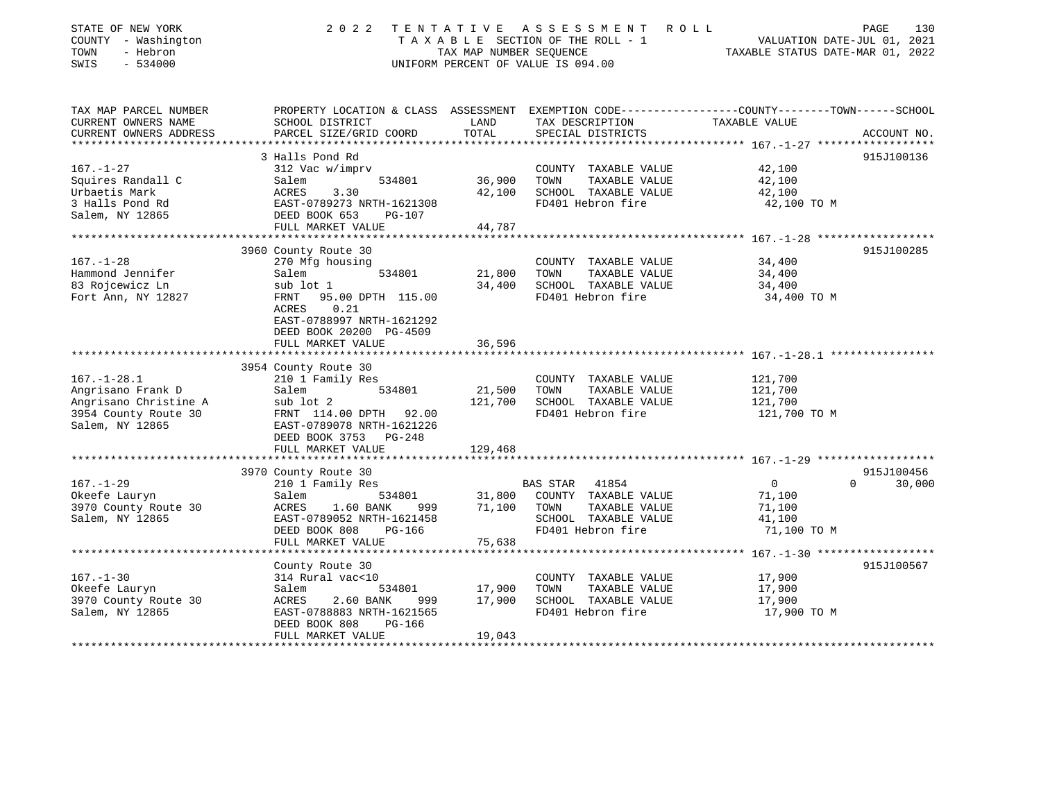| STATE OF NEW YORK<br>COUNTY - Washington<br>TOWN<br>- Hebron<br>$-534000$<br>SWIS | 2022                                                | TENTATIVE<br>TAX MAP NUMBER SEOUENCE | A S S E S S M E N T<br>TAXABLE SECTION OF THE ROLL - 1<br>UNIFORM PERCENT OF VALUE IS 094.00 | ROLL<br>PAGE<br>VALUATION DATE-JUL 01, 2021<br>TAXABLE STATUS DATE-MAR 01, 2022 | 130 |
|-----------------------------------------------------------------------------------|-----------------------------------------------------|--------------------------------------|----------------------------------------------------------------------------------------------|---------------------------------------------------------------------------------|-----|
|                                                                                   |                                                     |                                      |                                                                                              |                                                                                 |     |
| TAX MAP PARCEL NUMBER                                                             | PROPERTY LOCATION & CLASS ASSESSMENT                |                                      |                                                                                              | EXEMPTION CODE-----------------COUNTY-------TOWN------SCHOOL                    |     |
| CURRENT OWNERS NAME                                                               | SCHOOL DISTRICT                                     | LAND                                 | TAX DESCRIPTION                                                                              | TAXABLE VALUE                                                                   |     |
| CURRENT OWNERS ADDRESS<br>* * * * * * * * * * * * * * * *                         | PARCEL SIZE/GRID COORD                              | TOTAL                                | SPECIAL DISTRICTS                                                                            | ACCOUNT NO.                                                                     |     |
|                                                                                   | 3 Halls Pond Rd                                     |                                      |                                                                                              | 915J100136                                                                      |     |
| $167. - 1 - 27$                                                                   | 312 Vac w/imprv                                     |                                      | COUNTY TAXABLE VALUE                                                                         | 42,100                                                                          |     |
| Squires Randall C                                                                 | Salem<br>534801                                     | 36,900                               | TOWN<br>TAXABLE VALUE                                                                        | 42,100                                                                          |     |
| Urbaetis Mark                                                                     | 3.30<br>ACRES                                       | 42,100                               | SCHOOL TAXABLE VALUE                                                                         | 42,100                                                                          |     |
| 3 Halls Pond Rd                                                                   | EAST-0789273 NRTH-1621308                           |                                      | FD401 Hebron fire                                                                            | 42,100 TO M                                                                     |     |
| Salem, NY 12865                                                                   | DEED BOOK 653<br><b>PG-107</b><br>FULL MARKET VALUE | 44,787                               |                                                                                              |                                                                                 |     |
|                                                                                   |                                                     |                                      |                                                                                              |                                                                                 |     |
|                                                                                   | 3960 County Route 30                                |                                      |                                                                                              | 915J100285                                                                      |     |
| $167. - 1 - 28$                                                                   | 270 Mfg housing                                     |                                      | COUNTY TAXABLE VALUE                                                                         | 34,400                                                                          |     |
| Hammond Jennifer                                                                  | 534801<br>Salem                                     | 21,800                               | TOWN<br>TAXABLE VALUE                                                                        | 34,400                                                                          |     |
| 83 Rojcewicz Ln                                                                   | sub lot 1                                           | 34,400                               | SCHOOL TAXABLE VALUE                                                                         | 34,400                                                                          |     |
| Fort Ann, NY 12827                                                                | 95.00 DPTH 115.00<br>FRNT<br>0.21<br>ACRES          |                                      | FD401 Hebron fire                                                                            | 34,400 TO M                                                                     |     |
|                                                                                   | EAST-0788997 NRTH-1621292                           |                                      |                                                                                              |                                                                                 |     |
|                                                                                   | DEED BOOK 20200 PG-4509                             |                                      |                                                                                              |                                                                                 |     |
|                                                                                   | FULL MARKET VALUE                                   | 36,596                               |                                                                                              |                                                                                 |     |
|                                                                                   |                                                     |                                      |                                                                                              |                                                                                 |     |
|                                                                                   | 3954 County Route 30                                |                                      |                                                                                              |                                                                                 |     |
| $167. - 1 - 28.1$                                                                 | 210 1 Family Res                                    |                                      | COUNTY TAXABLE VALUE                                                                         | 121,700                                                                         |     |
| Angrisano Frank D<br>Angrisano Christine A                                        | 534801<br>Salem                                     | 21,500<br>121,700                    | TOWN<br>TAXABLE VALUE<br>SCHOOL TAXABLE VALUE                                                | 121,700<br>121,700                                                              |     |
| 3954 County Route 30                                                              | sub lot 2<br>FRNT 114.00 DPTH 92.00                 |                                      | FD401 Hebron fire                                                                            | 121,700 TO M                                                                    |     |
| Salem, NY 12865                                                                   | EAST-0789078 NRTH-1621226                           |                                      |                                                                                              |                                                                                 |     |
|                                                                                   | DEED BOOK 3753 PG-248                               |                                      |                                                                                              |                                                                                 |     |
|                                                                                   | FULL MARKET VALUE                                   | 129,468                              |                                                                                              |                                                                                 |     |
|                                                                                   | **********************                              |                                      |                                                                                              |                                                                                 |     |
|                                                                                   | 3970 County Route 30                                |                                      |                                                                                              | 915J100456<br>$\Omega$                                                          |     |
| $167. - 1 - 29$                                                                   | 210 1 Family Res                                    |                                      | BAS STAR<br>41854<br>COUNTY TAXABLE VALUE                                                    | 30,000<br>$\overline{0}$                                                        |     |
| Okeefe Lauryn<br>3970 County Route 30                                             | Salem<br>534801<br>1.60 BANK<br>ACRES<br>999        | 31,800<br>71,100                     | TOWN<br>TAXABLE VALUE                                                                        | 71,100<br>71,100                                                                |     |
| Salem, NY 12865                                                                   | EAST-0789052 NRTH-1621458                           |                                      | SCHOOL TAXABLE VALUE                                                                         | 41,100                                                                          |     |
|                                                                                   | DEED BOOK 808<br>PG-166                             |                                      | FD401 Hebron fire                                                                            | 71,100 TO M                                                                     |     |
|                                                                                   | FULL MARKET VALUE                                   | 75,638                               |                                                                                              |                                                                                 |     |
|                                                                                   |                                                     |                                      |                                                                                              |                                                                                 |     |
|                                                                                   | County Route 30                                     |                                      |                                                                                              | 915J100567                                                                      |     |
| $167. - 1 - 30$                                                                   | 314 Rural vac<10                                    |                                      | COUNTY TAXABLE VALUE                                                                         | 17,900                                                                          |     |
| Okeefe Lauryn<br>3970 County Route 30                                             | Salem<br>534801<br>ACRES<br>2.60 BANK<br>999        | 17,900<br>17,900                     | TOWN<br>TAXABLE VALUE<br>SCHOOL TAXABLE VALUE                                                | 17,900<br>17,900                                                                |     |
| Salem, NY 12865                                                                   | EAST-0788883 NRTH-1621565                           |                                      | FD401 Hebron fire                                                                            | 17,900 TO M                                                                     |     |
|                                                                                   | DEED BOOK 808<br>PG-166                             |                                      |                                                                                              |                                                                                 |     |
|                                                                                   | FULL MARKET VALUE                                   | 19,043                               |                                                                                              |                                                                                 |     |
|                                                                                   |                                                     |                                      |                                                                                              |                                                                                 |     |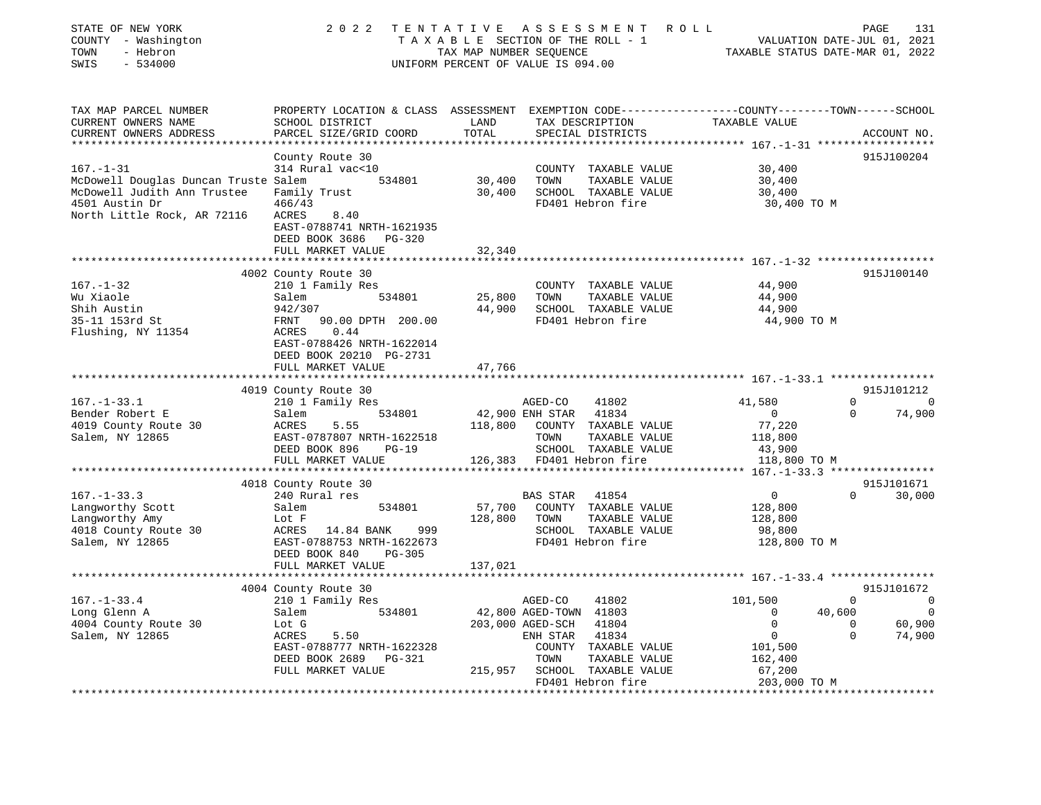| STATE OF NEW YORK<br>COUNTY - Washington<br>- Hebron<br>TOWN<br>SWIS<br>$-534000$ | 2 0 2 2<br>TENTATIVE                                                                                               | TAX MAP NUMBER SEQUENCE | ASSESSMENT<br>T A X A B L E SECTION OF THE ROLL - 1<br>UNIFORM PERCENT OF VALUE IS 094.00 | ROLL<br>TAXABLE STATUS DATE-MAR 01, 2022 | 131<br>PAGE<br>VALUATION DATE-JUL 01, 2021 |
|-----------------------------------------------------------------------------------|--------------------------------------------------------------------------------------------------------------------|-------------------------|-------------------------------------------------------------------------------------------|------------------------------------------|--------------------------------------------|
| TAX MAP PARCEL NUMBER<br>CURRENT OWNERS NAME                                      | PROPERTY LOCATION & CLASS ASSESSMENT EXEMPTION CODE---------------COUNTY-------TOWN------SCHOOL<br>SCHOOL DISTRICT | LAND<br>TOTAL           | TAX DESCRIPTION                                                                           | TAXABLE VALUE                            |                                            |
| CURRENT OWNERS ADDRESS                                                            | PARCEL SIZE/GRID COORD<br>*****************                                                                        | *************           | SPECIAL DISTRICTS                                                                         |                                          | ACCOUNT NO.                                |
|                                                                                   | County Route 30                                                                                                    |                         |                                                                                           |                                          | 915J100204                                 |
| $167. - 1 - 31$                                                                   | 314 Rural vac<10                                                                                                   |                         | COUNTY TAXABLE VALUE                                                                      | 30,400                                   |                                            |
| McDowell Douglas Duncan Truste Salem                                              | 534801                                                                                                             | 30,400                  | TOWN<br>TAXABLE VALUE                                                                     | 30,400                                   |                                            |
| McDowell Judith Ann Trustee                                                       | Family Trust                                                                                                       | 30,400                  | SCHOOL TAXABLE VALUE                                                                      | 30,400                                   |                                            |
| 4501 Austin Dr                                                                    | 466/43                                                                                                             |                         | FD401 Hebron fire                                                                         | 30,400 TO M                              |                                            |
| North Little Rock, AR 72116                                                       | ACRES<br>8.40<br>EAST-0788741 NRTH-1621935<br>DEED BOOK 3686<br>PG-320                                             |                         |                                                                                           |                                          |                                            |
|                                                                                   | FULL MARKET VALUE                                                                                                  | 32,340                  |                                                                                           |                                          |                                            |
|                                                                                   |                                                                                                                    |                         |                                                                                           | ********** 167.-1-32 ******************* |                                            |
|                                                                                   | 4002 County Route 30                                                                                               |                         |                                                                                           |                                          | 915J100140                                 |
| $167. - 1 - 32$                                                                   | 210 1 Family Res<br>534801                                                                                         |                         | COUNTY TAXABLE VALUE                                                                      | 44,900                                   |                                            |
| Wu Xiaole<br>Shih Austin                                                          | Salem<br>942/307                                                                                                   | 25,800<br>44,900        | TOWN<br>TAXABLE VALUE<br>SCHOOL TAXABLE VALUE                                             | 44,900<br>44,900                         |                                            |
| 35-11 153rd St                                                                    | 90.00 DPTH 200.00<br>FRNT                                                                                          |                         | FD401 Hebron fire                                                                         | 44,900 TO M                              |                                            |
| Flushing, NY 11354                                                                | 0.44<br>ACRES<br>EAST-0788426 NRTH-1622014<br>DEED BOOK 20210 PG-2731                                              |                         |                                                                                           |                                          |                                            |
|                                                                                   | FULL MARKET VALUE                                                                                                  | 47,766                  |                                                                                           |                                          |                                            |
|                                                                                   | 4019 County Route 30                                                                                               |                         |                                                                                           |                                          | 915J101212                                 |
| $167. - 1 - 33.1$                                                                 | 210 1 Family Res                                                                                                   |                         | AGED-CO<br>41802                                                                          | 41,580                                   | $\Omega$<br>$\Omega$                       |
| Bender Robert E                                                                   | Salem<br>534801                                                                                                    | 42,900 ENH STAR         | 41834                                                                                     | $\circ$                                  | 74,900<br>$\Omega$                         |
| 4019 County Route 30                                                              | 5.55<br>ACRES                                                                                                      | 118,800                 | TAXABLE VALUE<br>COUNTY                                                                   | 77,220                                   |                                            |
| Salem, NY 12865                                                                   | EAST-0787807 NRTH-1622518                                                                                          |                         | TOWN<br>TAXABLE VALUE                                                                     | 118,800                                  |                                            |
|                                                                                   | DEED BOOK 896<br>$PG-19$                                                                                           |                         | SCHOOL TAXABLE VALUE                                                                      | 43,900                                   |                                            |
|                                                                                   | FULL MARKET VALUE                                                                                                  | 126,383                 | FD401 Hebron fire                                                                         | 118,800 TO M                             |                                            |
|                                                                                   | ****************                                                                                                   |                         |                                                                                           | ******** 167.-1-33.3 ****************    |                                            |
|                                                                                   | 4018 County Route 30                                                                                               |                         |                                                                                           |                                          | 915J101671                                 |
| $167. - 1 - 33.3$                                                                 | 240 Rural res                                                                                                      |                         | 41854<br><b>BAS STAR</b>                                                                  | $\mathbf 0$                              | 30,000<br>$\Omega$                         |
| Langworthy Scott<br>Langworthy Amy                                                | Salem<br>534801<br>Lot F                                                                                           | 57,700<br>128,800       | COUNTY<br>TAXABLE VALUE<br>TOWN<br>TAXABLE VALUE                                          | 128,800<br>128,800                       |                                            |
| 4018 County Route 30                                                              | ACRES<br>14.84 BANK<br>999                                                                                         |                         | SCHOOL TAXABLE VALUE                                                                      | 98,800                                   |                                            |
| Salem, NY 12865                                                                   | EAST-0788753 NRTH-1622673                                                                                          |                         | FD401 Hebron fire                                                                         | 128,800 TO M                             |                                            |
|                                                                                   | DEED BOOK 840<br>PG-305                                                                                            |                         |                                                                                           |                                          |                                            |
|                                                                                   | FULL MARKET VALUE<br>*************                                                                                 | 137,021                 |                                                                                           |                                          |                                            |
|                                                                                   | 4004 County Route 30                                                                                               |                         |                                                                                           | ****** $167, -1-33, 4$ ****************  | 915J101672                                 |
| $167. - 1 - 33.4$                                                                 | 210 1 Family Res                                                                                                   |                         | AGED-CO<br>41802                                                                          | 101,500                                  | $\Omega$<br>0                              |
| Long Glenn A                                                                      | 534801<br>Salem                                                                                                    |                         | 42,800 AGED-TOWN<br>41803                                                                 | $\mathbf 0$                              | 40,600<br>$\mathbf 0$                      |
| 4004 County Route 30                                                              | Lot G                                                                                                              | 203,000 AGED-SCH        | 41804                                                                                     | $\mathbf 0$                              | 60,900<br>$\mathbf 0$                      |
| Salem, NY 12865                                                                   | ACRES<br>5.50                                                                                                      |                         | 41834<br>ENH STAR                                                                         | $\mathbf{0}$                             | 74,900<br>$\Omega$                         |
|                                                                                   | EAST-0788777 NRTH-1622328                                                                                          |                         | COUNTY TAXABLE VALUE                                                                      | 101,500                                  |                                            |
|                                                                                   | DEED BOOK 2689 PG-321                                                                                              |                         | TOWN<br>TAXABLE VALUE                                                                     | 162,400                                  |                                            |
|                                                                                   | FULL MARKET VALUE                                                                                                  | 215,957                 | SCHOOL TAXABLE VALUE                                                                      | 67,200                                   |                                            |
|                                                                                   |                                                                                                                    |                         | FD401 Hebron fire                                                                         | 203,000 TO M                             |                                            |
|                                                                                   |                                                                                                                    |                         |                                                                                           |                                          |                                            |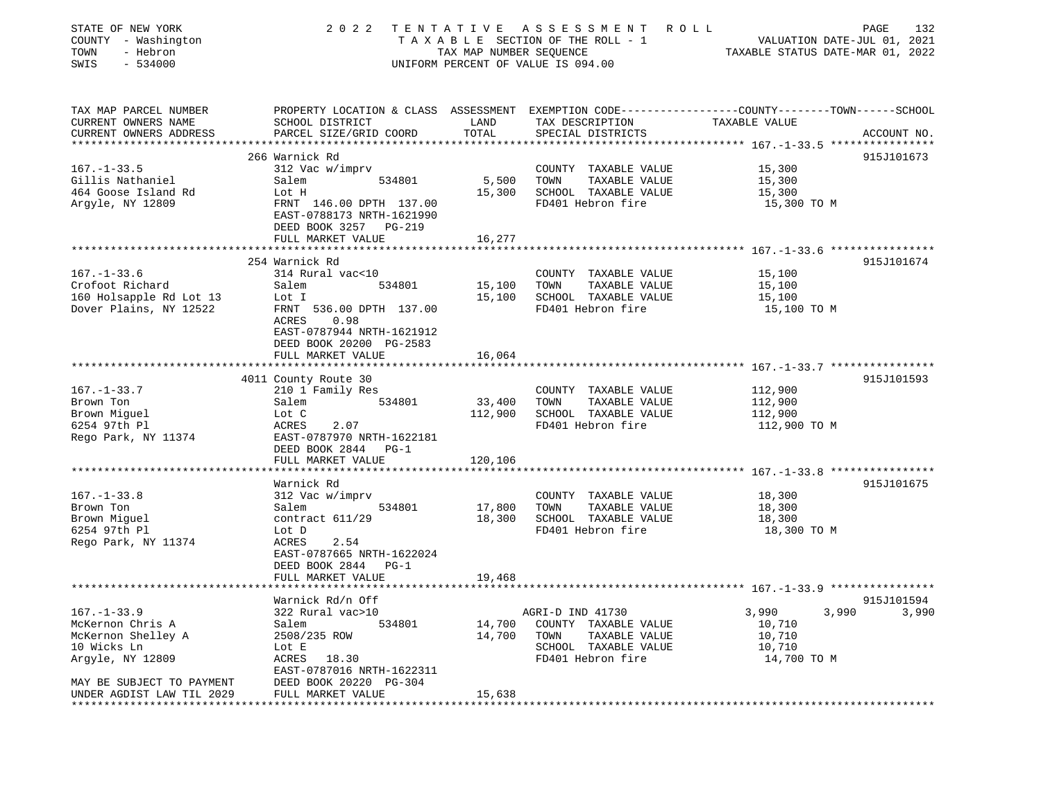| STATE OF NEW YORK<br>COUNTY - Washington<br>- Hebron<br>TOWN<br>$-534000$<br>SWIS | 2 0 2 2                                                                                                                                     | TAX MAP NUMBER SEQUENCE | TENTATIVE ASSESSMENT ROLL<br>T A X A B L E SECTION OF THE ROLL - 1<br>UNIFORM PERCENT OF VALUE IS 094.00 | VALUATION DATE-JUL 01, 2021<br>TAXABLE STATUS DATE-MAR 01, 2022 | 132<br>PAGE |
|-----------------------------------------------------------------------------------|---------------------------------------------------------------------------------------------------------------------------------------------|-------------------------|----------------------------------------------------------------------------------------------------------|-----------------------------------------------------------------|-------------|
| TAX MAP PARCEL NUMBER<br>CURRENT OWNERS NAME<br>CURRENT OWNERS ADDRESS            | PROPERTY LOCATION & CLASS ASSESSMENT EXEMPTION CODE---------------COUNTY-------TOWN-----SCHOOL<br>SCHOOL DISTRICT<br>PARCEL SIZE/GRID COORD | LAND<br>TOTAL           | TAX DESCRIPTION<br>SPECIAL DISTRICTS                                                                     | TAXABLE VALUE                                                   | ACCOUNT NO. |
| ***********************                                                           |                                                                                                                                             |                         |                                                                                                          |                                                                 |             |
|                                                                                   | 266 Warnick Rd                                                                                                                              |                         |                                                                                                          |                                                                 | 915J101673  |
| $167. - 1 - 33.5$                                                                 | 312 Vac w/imprv                                                                                                                             |                         | COUNTY TAXABLE VALUE                                                                                     | 15,300                                                          |             |
| Gillis Nathaniel                                                                  | Salem<br>534801                                                                                                                             | 5,500                   | TOWN<br>TAXABLE VALUE                                                                                    | 15,300                                                          |             |
| 464 Goose Island Rd                                                               | Lot H                                                                                                                                       | 15,300                  | SCHOOL TAXABLE VALUE                                                                                     | 15,300                                                          |             |
| Argyle, NY 12809                                                                  | FRNT 146.00 DPTH 137.00<br>EAST-0788173 NRTH-1621990<br>DEED BOOK 3257 PG-219                                                               |                         | FD401 Hebron fire                                                                                        | 15,300 TO M                                                     |             |
|                                                                                   | FULL MARKET VALUE<br>*******************                                                                                                    | 16,277                  |                                                                                                          | ********************* 167.-1-33.6 *****************             |             |
|                                                                                   | 254 Warnick Rd                                                                                                                              |                         |                                                                                                          |                                                                 | 915J101674  |
| $167. - 1 - 33.6$                                                                 | 314 Rural vac<10                                                                                                                            |                         | COUNTY TAXABLE VALUE                                                                                     | 15,100                                                          |             |
| Crofoot Richard                                                                   | Salem<br>534801                                                                                                                             | 15,100                  | TOWN<br>TAXABLE VALUE                                                                                    | 15,100                                                          |             |
| 160 Holsapple Rd Lot 13                                                           | Lot I                                                                                                                                       | 15,100                  | SCHOOL TAXABLE VALUE                                                                                     | 15,100                                                          |             |
| Dover Plains, NY 12522                                                            | FRNT 536.00 DPTH 137.00                                                                                                                     |                         | FD401 Hebron fire                                                                                        | 15,100 TO M                                                     |             |
|                                                                                   | ACRES<br>0.98<br>EAST-0787944 NRTH-1621912<br>DEED BOOK 20200 PG-2583<br>FULL MARKET VALUE                                                  | 16,064                  |                                                                                                          |                                                                 |             |
|                                                                                   |                                                                                                                                             |                         |                                                                                                          |                                                                 |             |
|                                                                                   | 4011 County Route 30                                                                                                                        |                         |                                                                                                          |                                                                 | 915J101593  |
| $167. - 1 - 33.7$<br>Brown Ton                                                    | 210 1 Family Res<br>534801                                                                                                                  | 33,400                  | COUNTY TAXABLE VALUE<br>TAXABLE VALUE<br>TOWN                                                            | 112,900<br>112,900                                              |             |
| Brown Miguel                                                                      | Salem<br>Lot C                                                                                                                              | 112,900                 | SCHOOL TAXABLE VALUE                                                                                     | 112,900                                                         |             |
| 6254 97th Pl                                                                      | ACRES<br>2.07                                                                                                                               |                         | FD401 Hebron fire                                                                                        | 112,900 TO M                                                    |             |
| Rego Park, NY 11374                                                               | EAST-0787970 NRTH-1622181                                                                                                                   |                         |                                                                                                          |                                                                 |             |
|                                                                                   | DEED BOOK 2844 PG-1                                                                                                                         |                         |                                                                                                          |                                                                 |             |
|                                                                                   | FULL MARKET VALUE                                                                                                                           | 120,106                 |                                                                                                          |                                                                 |             |
|                                                                                   | ***********************                                                                                                                     |                         |                                                                                                          |                                                                 |             |
|                                                                                   | Warnick Rd                                                                                                                                  |                         |                                                                                                          |                                                                 | 915J101675  |
| $167. - 1 - 33.8$                                                                 | 312 Vac w/imprv                                                                                                                             |                         | COUNTY TAXABLE VALUE                                                                                     | 18,300                                                          |             |
| Brown Ton                                                                         | 534801<br>Salem                                                                                                                             | 17,800                  | TOWN<br>TAXABLE VALUE                                                                                    | 18,300                                                          |             |
| Brown Miguel                                                                      | contract 611/29                                                                                                                             | 18,300                  | SCHOOL TAXABLE VALUE                                                                                     | 18,300                                                          |             |
| 6254 97th Pl                                                                      | Lot D                                                                                                                                       |                         | FD401 Hebron fire                                                                                        | 18,300 TO M                                                     |             |
| Rego Park, NY 11374                                                               | ACRES<br>2.54                                                                                                                               |                         |                                                                                                          |                                                                 |             |
|                                                                                   | EAST-0787665 NRTH-1622024                                                                                                                   |                         |                                                                                                          |                                                                 |             |
|                                                                                   | DEED BOOK 2844<br>$PG-1$                                                                                                                    |                         |                                                                                                          |                                                                 |             |
|                                                                                   | FULL MARKET VALUE                                                                                                                           | 19,468                  |                                                                                                          | ******************* 167.-1-33.9 *****************               |             |
|                                                                                   | Warnick Rd/n Off                                                                                                                            |                         |                                                                                                          |                                                                 | 915J101594  |
| $167. - 1 - 33.9$                                                                 | 322 Rural vac>10                                                                                                                            |                         | AGRI-D IND 41730                                                                                         | 3,990<br>3,990                                                  | 3,990       |
| McKernon Chris A                                                                  | 534801<br>Salem                                                                                                                             | 14,700                  | COUNTY TAXABLE VALUE                                                                                     | 10,710                                                          |             |
| McKernon Shelley A                                                                | 2508/235 ROW                                                                                                                                | 14,700                  | TOWN<br>TAXABLE VALUE                                                                                    | 10,710                                                          |             |
| 10 Wicks Ln                                                                       | Lot E                                                                                                                                       |                         | SCHOOL TAXABLE VALUE                                                                                     | 10,710                                                          |             |
| Argyle, NY 12809                                                                  | ACRES 18.30                                                                                                                                 |                         | FD401 Hebron fire                                                                                        | 14,700 TO M                                                     |             |
|                                                                                   | EAST-0787016 NRTH-1622311                                                                                                                   |                         |                                                                                                          |                                                                 |             |
| MAY BE SUBJECT TO PAYMENT                                                         | DEED BOOK 20220 PG-304                                                                                                                      |                         |                                                                                                          |                                                                 |             |
| UNDER AGDIST LAW TIL 2029                                                         | FULL MARKET VALUE                                                                                                                           | 15,638                  |                                                                                                          |                                                                 |             |
|                                                                                   |                                                                                                                                             |                         |                                                                                                          |                                                                 |             |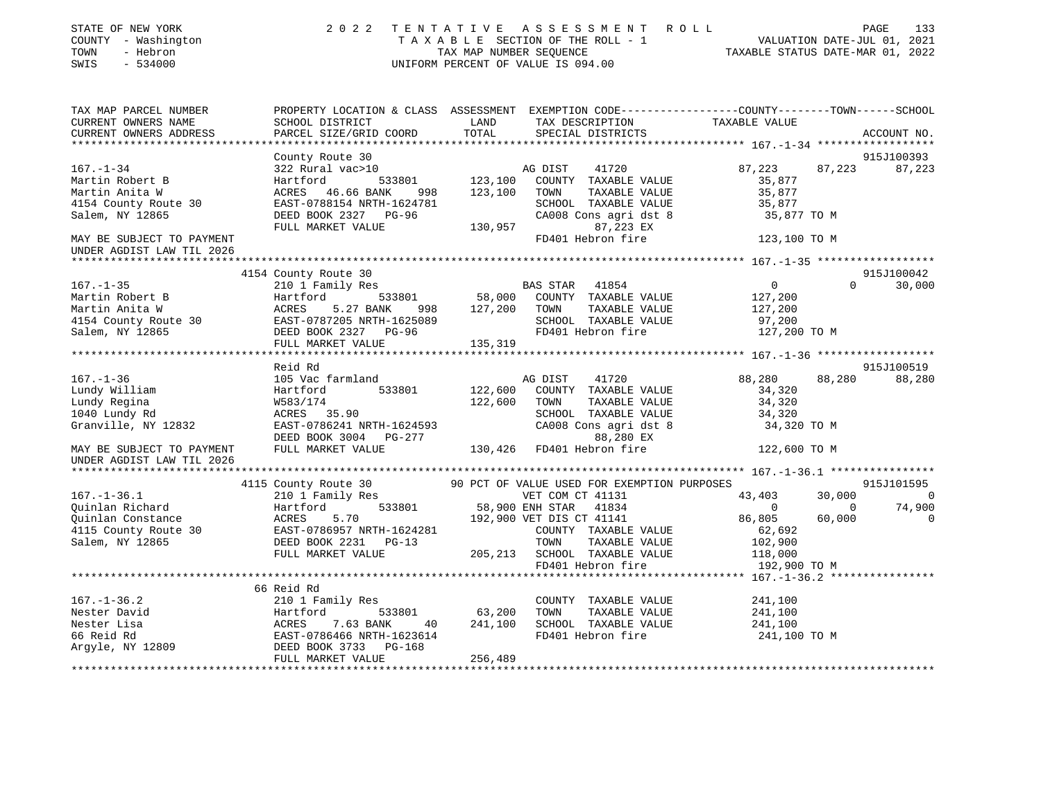| STATE OF NEW YORK<br>STATE OF NEW TORE<br>COUNTY - Washington<br>TOWN - Hebron<br>SWIS - 534000                                                                                                                                                                     |                                                                                                                                                                                                                                                                                                                                                                                                 |         | TENTATIVE ASSESSMENT ROLL<br>TAXABLE SECTION OF THE ROLL - 1<br>TAX MAP NUMBER SEQUENCE<br>TAXABLE STATUS DATE-MAR 01, 2022<br>INIEOPM DEPCENT OF VALUE IS 004.00<br>2022 TENTATIVE ASSESSMENT ROLL<br>UNIFORM PERCENT OF VALUE IS 094.00 |                                 |          |               |
|---------------------------------------------------------------------------------------------------------------------------------------------------------------------------------------------------------------------------------------------------------------------|-------------------------------------------------------------------------------------------------------------------------------------------------------------------------------------------------------------------------------------------------------------------------------------------------------------------------------------------------------------------------------------------------|---------|-------------------------------------------------------------------------------------------------------------------------------------------------------------------------------------------------------------------------------------------|---------------------------------|----------|---------------|
| TAX MAP PARCEL NUMBER                                                                                                                                                                                                                                               |                                                                                                                                                                                                                                                                                                                                                                                                 |         |                                                                                                                                                                                                                                           |                                 |          |               |
| CURRENT OWNERS NAME<br>CURRENT OWNERS ADDRESS                                                                                                                                                                                                                       | PARCEL SIZE/GRID COORD                                                                                                                                                                                                                                                                                                                                                                          | TOTAL   | SPECIAL DISTRICTS                                                                                                                                                                                                                         |                                 |          | ACCOUNT NO.   |
|                                                                                                                                                                                                                                                                     |                                                                                                                                                                                                                                                                                                                                                                                                 |         |                                                                                                                                                                                                                                           |                                 |          | 915J100393    |
| 167.-1-34<br>Martin Robert B<br>Martin Anita W<br>Martin Anita W<br>ACRES 46.66 BANK 998 123,100 TOWN TAXABLE VALUE<br>4154 County Route 30                                                                                                                         | County Route 30                                                                                                                                                                                                                                                                                                                                                                                 |         |                                                                                                                                                                                                                                           |                                 |          |               |
|                                                                                                                                                                                                                                                                     |                                                                                                                                                                                                                                                                                                                                                                                                 |         |                                                                                                                                                                                                                                           | 87,223                          |          | 87,223 87,223 |
|                                                                                                                                                                                                                                                                     |                                                                                                                                                                                                                                                                                                                                                                                                 |         |                                                                                                                                                                                                                                           |                                 |          |               |
| 4154 County Route 30                                                                                                                                                                                                                                                |                                                                                                                                                                                                                                                                                                                                                                                                 |         |                                                                                                                                                                                                                                           |                                 |          |               |
| Salem, NY 12865                                                                                                                                                                                                                                                     |                                                                                                                                                                                                                                                                                                                                                                                                 |         |                                                                                                                                                                                                                                           |                                 |          |               |
|                                                                                                                                                                                                                                                                     |                                                                                                                                                                                                                                                                                                                                                                                                 |         |                                                                                                                                                                                                                                           |                                 |          |               |
| MAY BE SUBJECT TO PAYMENT                                                                                                                                                                                                                                           |                                                                                                                                                                                                                                                                                                                                                                                                 |         |                                                                                                                                                                                                                                           |                                 |          |               |
| UNDER AGDIST LAW TIL 2026                                                                                                                                                                                                                                           | $\begin{tabular}{lllllllllllll} $\text{A}\text{C}\text{A}\text{B}\text{A}$ & $\text{46.66 BANK}$ & $998$ & $123,100$ & TOWN$ & TAXABLE VALUE & $35,877$ \\ \text{EAST}-0788154 NRTH-1624781 & $23,100$ & TOWN$ & TAXABLE VALUE & $35,877$ \\ \text{DEED BOK 2327} & \text{PG}-96 & $\text{CA008 Cons agri dist 8}$ & $35,877$ & $35,877$ \\ \text{FULL MARKET VALUE} & $130,957$ & $87,223 EX$$ |         |                                                                                                                                                                                                                                           |                                 |          |               |
|                                                                                                                                                                                                                                                                     |                                                                                                                                                                                                                                                                                                                                                                                                 |         |                                                                                                                                                                                                                                           |                                 |          |               |
|                                                                                                                                                                                                                                                                     | 4154 County Route 30                                                                                                                                                                                                                                                                                                                                                                            |         |                                                                                                                                                                                                                                           |                                 |          | 915J100042    |
|                                                                                                                                                                                                                                                                     |                                                                                                                                                                                                                                                                                                                                                                                                 |         |                                                                                                                                                                                                                                           | $\overline{0}$                  | $\Omega$ | 30,000        |
|                                                                                                                                                                                                                                                                     |                                                                                                                                                                                                                                                                                                                                                                                                 |         |                                                                                                                                                                                                                                           | 127,200                         |          |               |
|                                                                                                                                                                                                                                                                     |                                                                                                                                                                                                                                                                                                                                                                                                 |         |                                                                                                                                                                                                                                           |                                 |          |               |
|                                                                                                                                                                                                                                                                     |                                                                                                                                                                                                                                                                                                                                                                                                 |         |                                                                                                                                                                                                                                           | 127,200<br>97,200               |          |               |
|                                                                                                                                                                                                                                                                     |                                                                                                                                                                                                                                                                                                                                                                                                 |         |                                                                                                                                                                                                                                           | 127,200 TO M                    |          |               |
|                                                                                                                                                                                                                                                                     | FULL MARKET VALUE 135,319                                                                                                                                                                                                                                                                                                                                                                       |         |                                                                                                                                                                                                                                           |                                 |          |               |
|                                                                                                                                                                                                                                                                     |                                                                                                                                                                                                                                                                                                                                                                                                 |         |                                                                                                                                                                                                                                           |                                 |          |               |
|                                                                                                                                                                                                                                                                     | Reid Rd                                                                                                                                                                                                                                                                                                                                                                                         |         |                                                                                                                                                                                                                                           |                                 |          | 915J100519    |
|                                                                                                                                                                                                                                                                     |                                                                                                                                                                                                                                                                                                                                                                                                 |         |                                                                                                                                                                                                                                           | 88,280                          |          | 88,280 88,280 |
|                                                                                                                                                                                                                                                                     |                                                                                                                                                                                                                                                                                                                                                                                                 |         |                                                                                                                                                                                                                                           | 34,320<br>34,320                |          |               |
|                                                                                                                                                                                                                                                                     |                                                                                                                                                                                                                                                                                                                                                                                                 |         |                                                                                                                                                                                                                                           |                                 |          |               |
|                                                                                                                                                                                                                                                                     |                                                                                                                                                                                                                                                                                                                                                                                                 |         | SCHOOL TAXABLE VALUE 34,320<br>CA008 Cons agri dst 8 34,320                                                                                                                                                                               |                                 |          |               |
|                                                                                                                                                                                                                                                                     |                                                                                                                                                                                                                                                                                                                                                                                                 |         |                                                                                                                                                                                                                                           | 34,320 TO M                     |          |               |
|                                                                                                                                                                                                                                                                     |                                                                                                                                                                                                                                                                                                                                                                                                 |         |                                                                                                                                                                                                                                           | 122,600 TO M                    |          |               |
| UNDER AGDIST LAW TIL 2026                                                                                                                                                                                                                                           |                                                                                                                                                                                                                                                                                                                                                                                                 |         |                                                                                                                                                                                                                                           |                                 |          |               |
|                                                                                                                                                                                                                                                                     |                                                                                                                                                                                                                                                                                                                                                                                                 |         |                                                                                                                                                                                                                                           |                                 |          |               |
| 4115 County Route 30<br>4115 County Route 30<br>210 1 Family Res vET COM CT 41131<br>43,403<br>210 1 Family Res vET COM CT 41131<br>43,403<br>210 1 Family Res vET COM CT 41131<br>43,403<br>2016 EAST-0786957 NRTH-1624281<br>43,403<br>2016 EAST                  |                                                                                                                                                                                                                                                                                                                                                                                                 |         |                                                                                                                                                                                                                                           |                                 |          | 915J101595    |
|                                                                                                                                                                                                                                                                     |                                                                                                                                                                                                                                                                                                                                                                                                 |         |                                                                                                                                                                                                                                           |                                 |          | $30,000$ 0    |
|                                                                                                                                                                                                                                                                     |                                                                                                                                                                                                                                                                                                                                                                                                 |         |                                                                                                                                                                                                                                           | $0$ 0 74,900<br>86,805 60,000 0 |          |               |
|                                                                                                                                                                                                                                                                     |                                                                                                                                                                                                                                                                                                                                                                                                 |         |                                                                                                                                                                                                                                           |                                 |          |               |
|                                                                                                                                                                                                                                                                     |                                                                                                                                                                                                                                                                                                                                                                                                 |         |                                                                                                                                                                                                                                           |                                 |          |               |
|                                                                                                                                                                                                                                                                     |                                                                                                                                                                                                                                                                                                                                                                                                 |         |                                                                                                                                                                                                                                           |                                 |          |               |
|                                                                                                                                                                                                                                                                     |                                                                                                                                                                                                                                                                                                                                                                                                 |         |                                                                                                                                                                                                                                           |                                 |          |               |
|                                                                                                                                                                                                                                                                     |                                                                                                                                                                                                                                                                                                                                                                                                 |         |                                                                                                                                                                                                                                           |                                 |          |               |
|                                                                                                                                                                                                                                                                     | 66 Reid Rd                                                                                                                                                                                                                                                                                                                                                                                      |         |                                                                                                                                                                                                                                           |                                 |          |               |
|                                                                                                                                                                                                                                                                     |                                                                                                                                                                                                                                                                                                                                                                                                 |         |                                                                                                                                                                                                                                           | 241,100                         |          |               |
|                                                                                                                                                                                                                                                                     |                                                                                                                                                                                                                                                                                                                                                                                                 |         |                                                                                                                                                                                                                                           | 241,100                         |          |               |
|                                                                                                                                                                                                                                                                     |                                                                                                                                                                                                                                                                                                                                                                                                 |         | 241,100 SCHOOL TAXABLE VALUE                                                                                                                                                                                                              | 241,100                         |          |               |
|                                                                                                                                                                                                                                                                     |                                                                                                                                                                                                                                                                                                                                                                                                 |         | FD401 Hebron fire                                                                                                                                                                                                                         | 241,100 TO M                    |          |               |
| 167.-1-36.2<br>Nester David<br>Nester Lisa<br>166 Reid Rd<br>210 1 Family Res<br>210 1 Family Res<br>210 1 Family Res<br>533801<br>533801<br>210 1 Family Res<br>533801<br>533801<br>20 533801<br>20 533801<br>20 533801<br>20 533801<br>20 533801<br>20 533801<br> |                                                                                                                                                                                                                                                                                                                                                                                                 |         |                                                                                                                                                                                                                                           |                                 |          |               |
|                                                                                                                                                                                                                                                                     |                                                                                                                                                                                                                                                                                                                                                                                                 | 256,489 |                                                                                                                                                                                                                                           |                                 |          |               |
|                                                                                                                                                                                                                                                                     |                                                                                                                                                                                                                                                                                                                                                                                                 |         |                                                                                                                                                                                                                                           |                                 |          |               |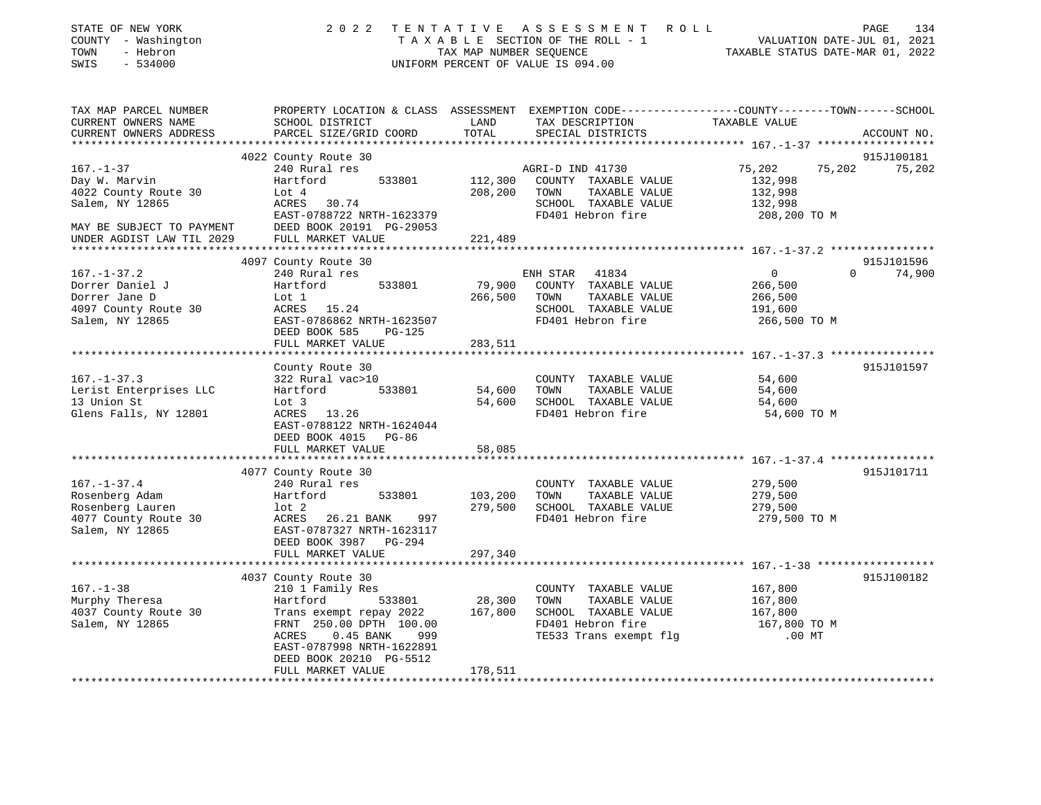| STATE OF NEW YORK<br>COUNTY - Washington<br>TOWN<br>- Hebron<br>SWIS<br>$-534000$ | 2 0 2 2                                                 | TAX MAP NUMBER SEQUENCE                        | TENTATIVE ASSESSMENT ROLL<br>TAXABLE SECTION OF THE ROLL - 1<br>UNIFORM PERCENT OF VALUE IS 094.00 | PAGE<br>134<br>VALUATION DATE-JUL 01, 2021<br>TAXABLE STATUS DATE-MAR 01, 2022                                                  |
|-----------------------------------------------------------------------------------|---------------------------------------------------------|------------------------------------------------|----------------------------------------------------------------------------------------------------|---------------------------------------------------------------------------------------------------------------------------------|
| TAX MAP PARCEL NUMBER<br>CURRENT OWNERS NAME<br>CURRENT OWNERS ADDRESS            | SCHOOL DISTRICT<br>PARCEL SIZE/GRID COORD               | LAND<br>TOTAL                                  | TAX DESCRIPTION<br>SPECIAL DISTRICTS                                                               | PROPERTY LOCATION & CLASS ASSESSMENT EXEMPTION CODE----------------COUNTY-------TOWN-----SCHOOL<br>TAXABLE VALUE<br>ACCOUNT NO. |
|                                                                                   |                                                         |                                                |                                                                                                    |                                                                                                                                 |
|                                                                                   | 4022 County Route 30                                    |                                                |                                                                                                    | 915J100181                                                                                                                      |
| $167. - 1 - 37$                                                                   | 240 Rural res<br>533801<br>Hartford                     | 112,300                                        | AGRI-D IND 41730<br>COUNTY TAXABLE VALUE                                                           | 75,202<br>75,202<br>75,202<br>132,998                                                                                           |
| Day W. Marvin<br>4022 County Route 30                                             | Lot $4$                                                 | 208,200                                        | TAXABLE VALUE<br>TOWN                                                                              | 132,998                                                                                                                         |
| Salem, NY 12865                                                                   | ACRES 30.74                                             |                                                | SCHOOL TAXABLE VALUE                                                                               | 132,998                                                                                                                         |
|                                                                                   | EAST-0788722 NRTH-1623379                               |                                                | FD401 Hebron fire                                                                                  | 208,200 TO M                                                                                                                    |
| MAY BE SUBJECT TO PAYMENT                                                         | DEED BOOK 20191 PG-29053                                |                                                |                                                                                                    |                                                                                                                                 |
| UNDER AGDIST LAW TIL 2029                                                         | FULL MARKET VALUE                                       | 221,489                                        |                                                                                                    |                                                                                                                                 |
|                                                                                   |                                                         |                                                |                                                                                                    |                                                                                                                                 |
|                                                                                   | 4097 County Route 30                                    |                                                |                                                                                                    | 915J101596                                                                                                                      |
| $167. - 1 - 37.2$<br>Dorrer Daniel J                                              | 240 Rural res<br>Hartford<br>533801                     | 79,900                                         | ENH STAR 41834<br>COUNTY TAXABLE VALUE                                                             | $\Omega$<br>74,900<br>$\overline{0}$                                                                                            |
| Dorrer Jane D                                                                     | Lot 1                                                   | 266,500                                        | TOWN<br>TAXABLE VALUE                                                                              | 266,500<br>266,500                                                                                                              |
| 4097 County Route 30                                                              | ACRES 15.24                                             |                                                | SCHOOL TAXABLE VALUE                                                                               | 191,600                                                                                                                         |
| Salem, NY 12865                                                                   | EAST-0786862 NRTH-1623507                               |                                                | FD401 Hebron fire                                                                                  | 266,500 TO M                                                                                                                    |
|                                                                                   | DEED BOOK 585<br>PG-125                                 |                                                |                                                                                                    |                                                                                                                                 |
|                                                                                   | FULL MARKET VALUE                                       | 283,511                                        |                                                                                                    |                                                                                                                                 |
|                                                                                   |                                                         |                                                |                                                                                                    |                                                                                                                                 |
|                                                                                   | County Route 30                                         |                                                |                                                                                                    | 915J101597                                                                                                                      |
| $167. - 1 - 37.3$<br>Lerist Enterprises LLC                                       | 322 Rural vac>10<br>Hartford<br>533801                  | 54,600                                         | COUNTY TAXABLE VALUE<br>TOWN<br>TAXABLE VALUE                                                      | 54,600<br>54,600                                                                                                                |
| 13 Union St                                                                       | Lot 3                                                   | 54,600                                         | SCHOOL TAXABLE VALUE                                                                               | 54,600                                                                                                                          |
| Glens Falls, NY 12801                                                             | ACRES 13.26<br>EAST-0788122 NRTH-1624044                |                                                | FD401 Hebron fire                                                                                  | 54,600 TO M                                                                                                                     |
|                                                                                   | DEED BOOK 4015 PG-86<br>FULL MARKET VALUE               | 58,085                                         |                                                                                                    |                                                                                                                                 |
|                                                                                   | *********************                                   |                                                |                                                                                                    | *************** 167.-1-37.4 *****************                                                                                   |
|                                                                                   | 4077 County Route 30                                    |                                                |                                                                                                    | 915J101711                                                                                                                      |
| $167. - 1 - 37.4$                                                                 | 240 Rural res                                           |                                                | COUNTY TAXABLE VALUE                                                                               | 279,500                                                                                                                         |
| Rosenberg Adam                                                                    | Hartford<br>533801                                      | 103,200                                        | TOWN<br>TAXABLE VALUE                                                                              | 279,500                                                                                                                         |
| Rosenberg Lauren                                                                  | $1$ ot $2$                                              | 279,500                                        | SCHOOL TAXABLE VALUE                                                                               | 279,500                                                                                                                         |
| 4077 County Route 30<br>Salem, NY 12865                                           | ACRES<br>26.21 BANK<br>997<br>EAST-0787327 NRTH-1623117 |                                                | FD401 Hebron fire                                                                                  | 279,500 TO M                                                                                                                    |
|                                                                                   | DEED BOOK 3987<br>$PG-294$                              |                                                |                                                                                                    |                                                                                                                                 |
|                                                                                   | FULL MARKET VALUE                                       | 297,340                                        |                                                                                                    |                                                                                                                                 |
|                                                                                   |                                                         |                                                |                                                                                                    |                                                                                                                                 |
|                                                                                   | 4037 County Route 30                                    |                                                |                                                                                                    | 915J100182                                                                                                                      |
| $167. - 1 - 38$                                                                   | 210 1 Family Res                                        |                                                | COUNTY TAXABLE VALUE                                                                               | 167,800                                                                                                                         |
| Murphy Theresa                                                                    | Hartford<br>533801                                      | 28,300                                         | TOWN<br>TAXABLE VALUE                                                                              | 167,800                                                                                                                         |
| 4037 County Route 30<br>Salem, NY 12865                                           | Trans exempt repay 2022<br>FRNT 250.00 DPTH 100.00      | 167,800                                        | SCHOOL TAXABLE VALUE<br>FD401 Hebron fire                                                          | 167,800<br>167,800 TO M                                                                                                         |
|                                                                                   | 0.45 BANK<br>ACRES<br>999                               |                                                | TE533 Trans exempt flg                                                                             | $.00$ MT                                                                                                                        |
|                                                                                   | EAST-0787998 NRTH-1622891                               |                                                |                                                                                                    |                                                                                                                                 |
|                                                                                   | DEED BOOK 20210 PG-5512                                 |                                                |                                                                                                    |                                                                                                                                 |
|                                                                                   | FULL MARKET VALUE                                       | 178,511<br>* * * * * * * * * * * * * * * * * * |                                                                                                    |                                                                                                                                 |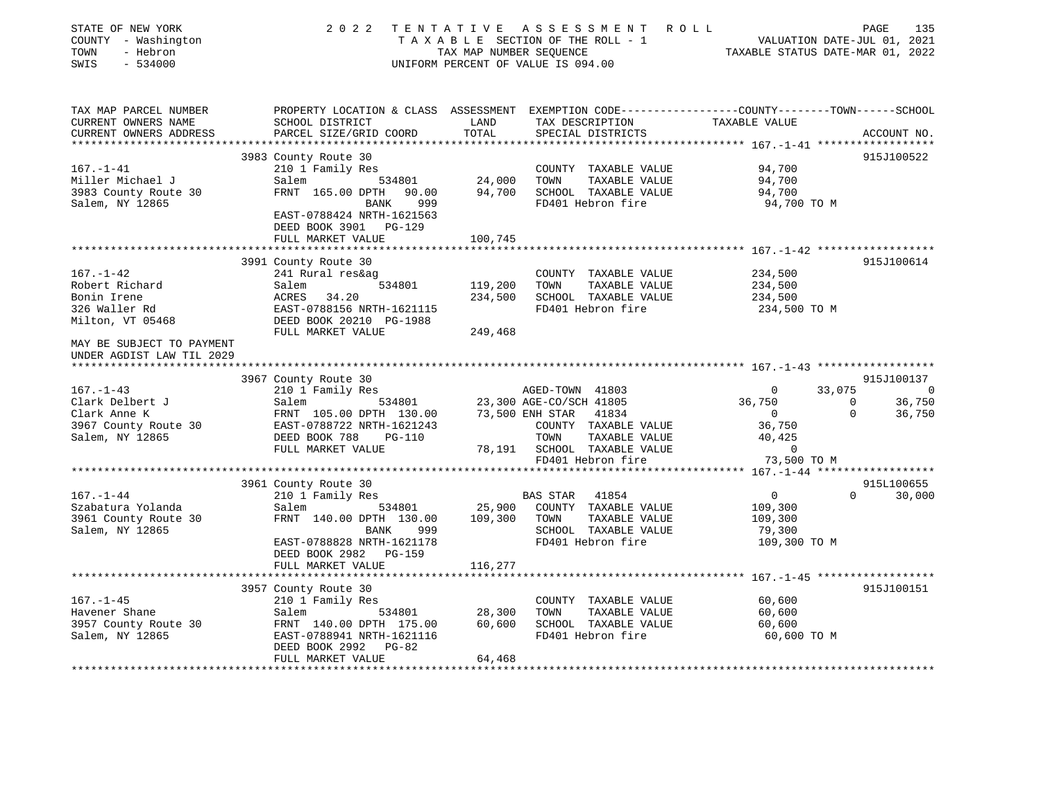| STATE OF NEW YORK<br>COUNTY - Washington<br>- Hebron<br>TOWN<br>$-534000$<br>SWIS |                                                                                                  |                                    | 2022 TENTATIVE ASSESSMENT ROLL<br>UNIFORM PERCENT OF VALUE IS 094.00 | TAXABLE SECTION OF THE ROLL - 1<br>VALUATION DATE-JUL 01, 2021<br>TAXABLE STATUS DATE-MAR 01, 2022 | PAGE<br>135              |
|-----------------------------------------------------------------------------------|--------------------------------------------------------------------------------------------------|------------------------------------|----------------------------------------------------------------------|----------------------------------------------------------------------------------------------------|--------------------------|
| TAX MAP PARCEL NUMBER                                                             | PROPERTY LOCATION & CLASS ASSESSMENT EXEMPTION CODE----------------COUNTY-------TOWN------SCHOOL |                                    |                                                                      |                                                                                                    |                          |
| CURRENT OWNERS NAME                                                               | SCHOOL DISTRICT                                                                                  | LAND                               | TAX DESCRIPTION                                                      | TAXABLE VALUE                                                                                      |                          |
| CURRENT OWNERS ADDRESS                                                            | PARCEL SIZE/GRID COORD                                                                           | TOTAL<br>* * * * * * * * * * * * * | SPECIAL DISTRICTS                                                    | ******************* 167.-1-41 *******************                                                  | ACCOUNT NO.              |
|                                                                                   | 3983 County Route 30                                                                             |                                    |                                                                      |                                                                                                    | 915J100522               |
| $167. - 1 - 41$                                                                   | 210 1 Family Res                                                                                 |                                    | COUNTY TAXABLE VALUE                                                 | 94,700                                                                                             |                          |
| Miller Michael J                                                                  |                                                                                                  | 24,000                             | TAXABLE VALUE<br>TOWN                                                | 94,700                                                                                             |                          |
| 3983 County Route 30                                                              | Salem 534801<br>FRNT 165.00 DPTH 90.00                                                           | 94,700                             | SCHOOL TAXABLE VALUE                                                 | 94,700                                                                                             |                          |
| Salem, NY 12865                                                                   | 999<br>BANK                                                                                      |                                    | FD401 Hebron fire                                                    | 94,700 TO M                                                                                        |                          |
|                                                                                   | EAST-0788424 NRTH-1621563                                                                        |                                    |                                                                      |                                                                                                    |                          |
|                                                                                   | DEED BOOK 3901 PG-129                                                                            |                                    |                                                                      |                                                                                                    |                          |
|                                                                                   | FULL MARKET VALUE                                                                                | 100,745                            |                                                                      |                                                                                                    |                          |
|                                                                                   |                                                                                                  |                                    |                                                                      |                                                                                                    |                          |
| $167. - 1 - 42$                                                                   | 3991 County Route 30                                                                             |                                    |                                                                      |                                                                                                    | 915J100614               |
| Robert Richard                                                                    | 241 Rural res&ag<br>534801<br>Salem                                                              | 119,200                            | COUNTY TAXABLE VALUE<br>TOWN<br>TAXABLE VALUE                        | 234,500<br>234,500                                                                                 |                          |
| Bonin Irene                                                                       | ACRES 34.20                                                                                      | 234,500                            | SCHOOL TAXABLE VALUE                                                 | 234,500                                                                                            |                          |
| 326 Waller Rd                                                                     | EAST-0788156 NRTH-1621115                                                                        |                                    | FD401 Hebron fire                                                    | 234,500 TO M                                                                                       |                          |
| Milton, VT 05468                                                                  | DEED BOOK 20210 PG-1988                                                                          |                                    |                                                                      |                                                                                                    |                          |
|                                                                                   | FULL MARKET VALUE                                                                                | 249,468                            |                                                                      |                                                                                                    |                          |
| MAY BE SUBJECT TO PAYMENT<br>UNDER AGDIST LAW TIL 2029                            |                                                                                                  |                                    |                                                                      |                                                                                                    |                          |
|                                                                                   | 3967 County Route 30                                                                             |                                    |                                                                      |                                                                                                    | 915J100137               |
| $167. - 1 - 43$                                                                   | 210 1 Family Res                                                                                 |                                    | AGED-TOWN 41803                                                      | 33,075<br>$\overline{0}$                                                                           | $\sim$ 0                 |
| Clark Delbert J                                                                   | 534801<br>Salem                                                                                  |                                    | 23,300 AGE-CO/SCH 41805                                              | 36,750                                                                                             | $\overline{0}$<br>36,750 |
| Clark Anne K                                                                      | FRNT 105.00 DPTH 130.00                                                                          |                                    | 73,500 ENH STAR 41834                                                | $\overline{0}$                                                                                     | $\Omega$<br>36,750       |
| 3967 County Route 30                                                              | EAST-0788722 NRTH-1621243                                                                        |                                    | COUNTY TAXABLE VALUE                                                 | 36,750                                                                                             |                          |
| Salem, NY 12865                                                                   | DEED BOOK 788<br>PG-110                                                                          |                                    | TOWN<br>TAXABLE VALUE                                                | 40,425                                                                                             |                          |
|                                                                                   | FULL MARKET VALUE                                                                                |                                    | 78,191 SCHOOL TAXABLE VALUE<br>FD401 Hebron fire                     | $\overline{0}$<br>73,500 TO M                                                                      |                          |
|                                                                                   |                                                                                                  |                                    |                                                                      |                                                                                                    |                          |
|                                                                                   | 3961 County Route 30                                                                             |                                    |                                                                      |                                                                                                    | 915L100655               |
| $167. - 1 - 44$                                                                   | 210 1 Family Res                                                                                 |                                    |                                                                      | $\overline{0}$                                                                                     | $\Omega$<br>30,000       |
| Szabatura Yolanda                                                                 | 534801<br>Salem                                                                                  |                                    | BAS STAR 41854<br>25,900 COUNTY TAXABLE<br>COUNTY TAXABLE VALUE      | 109,300                                                                                            |                          |
| 3961 County Route 30                                                              | FRNT 140.00 DPTH 130.00                                                                          | 109,300 TOWN                       | TAXABLE VALUE                                                        | 109,300                                                                                            |                          |
| Salem, NY 12865                                                                   | BANK<br>999                                                                                      |                                    | SCHOOL TAXABLE VALUE                                                 | 79,300                                                                                             |                          |
|                                                                                   | EAST-0788828 NRTH-1621178                                                                        |                                    | FD401 Hebron fire                                                    | 109,300 TO M                                                                                       |                          |
|                                                                                   | DEED BOOK 2982 PG-159                                                                            |                                    |                                                                      |                                                                                                    |                          |
|                                                                                   | FULL MARKET VALUE                                                                                | 116,277                            |                                                                      |                                                                                                    |                          |
|                                                                                   |                                                                                                  |                                    |                                                                      |                                                                                                    | 915J100151               |
| $167. - 1 - 45$                                                                   | 3957 County Route 30                                                                             |                                    | COUNTY TAXABLE VALUE                                                 | 60,600                                                                                             |                          |
| Havener Shane                                                                     | 210 1 Family Res<br>Salem 534801<br>Salem                                                        | 28,300                             | TAXABLE VALUE<br>TOWN                                                | 60,600                                                                                             |                          |
| 3957 County Route 30                                                              | FRNT 140.00 DPTH 175.00                                                                          | 60,600                             | SCHOOL TAXABLE VALUE                                                 | 60,600                                                                                             |                          |
| Salem, NY 12865                                                                   | EAST-0788941 NRTH-1621116                                                                        |                                    | FD401 Hebron fire                                                    | 60,600 TO M                                                                                        |                          |
|                                                                                   | $PG-82$<br>DEED BOOK 2992                                                                        |                                    |                                                                      |                                                                                                    |                          |
|                                                                                   | FULL MARKET VALUE                                                                                | 64,468                             |                                                                      |                                                                                                    |                          |
|                                                                                   |                                                                                                  |                                    |                                                                      |                                                                                                    |                          |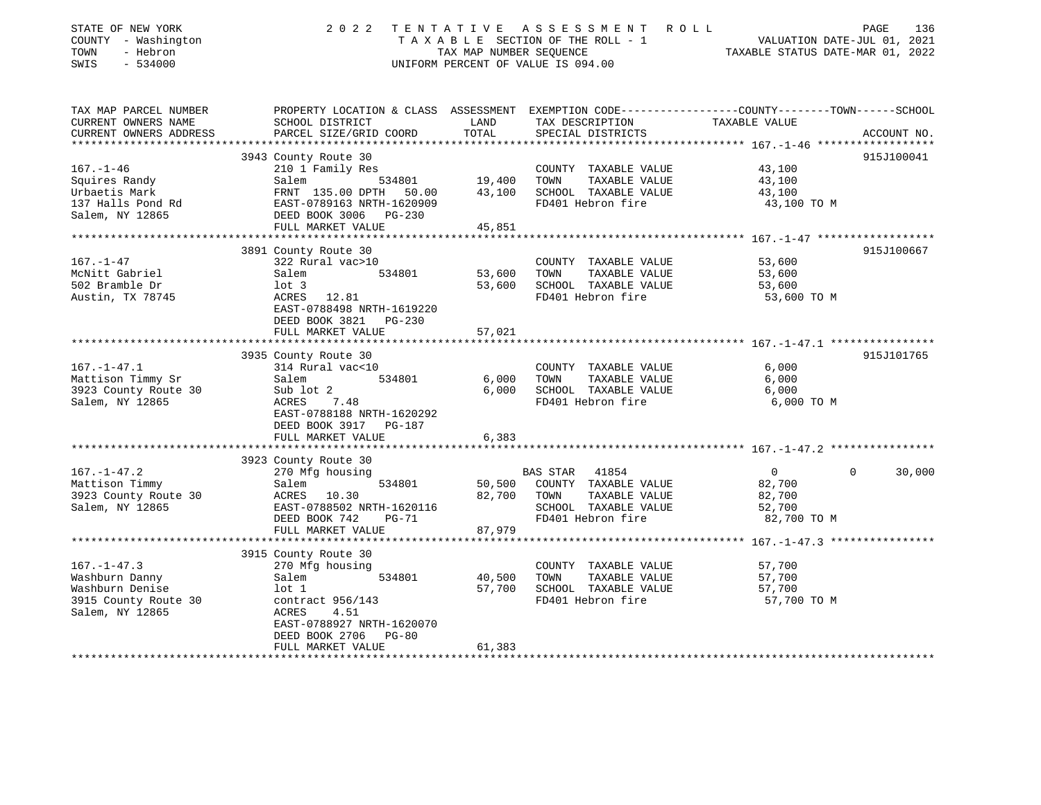| STATE OF NEW YORK<br>COUNTY - Washington<br>- Hebron<br>TOWN<br>$-534000$<br>SWIS                 | 2 0 2 2                                                                                                                                                                    | TENTATIVE<br>TAX MAP NUMBER SEOUENCE | A S S E S S M E N T<br>R O L L<br>T A X A B L E SECTION OF THE ROLL - 1<br>UNIFORM PERCENT OF VALUE IS 094.00   | VALUATION DATE-JUL 01, 2021<br>TAXABLE STATUS DATE-MAR 01, 2022         | PAGE<br>136 |
|---------------------------------------------------------------------------------------------------|----------------------------------------------------------------------------------------------------------------------------------------------------------------------------|--------------------------------------|-----------------------------------------------------------------------------------------------------------------|-------------------------------------------------------------------------|-------------|
| TAX MAP PARCEL NUMBER<br>CURRENT OWNERS NAME<br>CURRENT OWNERS ADDRESS                            | PROPERTY LOCATION & CLASS ASSESSMENT EXEMPTION CODE---------------COUNTY-------TOWN-----SCHOOL<br>SCHOOL DISTRICT<br>PARCEL SIZE/GRID COORD                                | LAND<br>TOTAL                        | TAX DESCRIPTION<br>SPECIAL DISTRICTS                                                                            | TAXABLE VALUE                                                           | ACCOUNT NO. |
| ***********************                                                                           |                                                                                                                                                                            |                                      |                                                                                                                 |                                                                         |             |
| $167. - 1 - 46$<br>Squires Randy<br>Urbaetis Mark<br>137 Halls Pond Rd<br>Salem, NY 12865         | 3943 County Route 30<br>210 1 Family Res<br>Salem<br>534801<br>FRNT 135.00 DPTH 50.00<br>EAST-0789163 NRTH-1620909<br>DEED BOOK 3006<br><b>PG-230</b><br>FULL MARKET VALUE | 19,400<br>43,100<br>45,851           | COUNTY TAXABLE VALUE<br>TOWN<br>TAXABLE VALUE<br>SCHOOL TAXABLE VALUE<br>FD401 Hebron fire                      | 43,100<br>43,100<br>43,100<br>43,100 TO M                               | 915J100041  |
|                                                                                                   | *********************                                                                                                                                                      | *************                        |                                                                                                                 | ******************** 167. -1-47 *******************                     |             |
| 167.–1–47<br>McNitt Gabriel<br>502 Bramble Dr<br>Austin, TX 78745                                 | 3891 County Route 30<br>322 Rural vac>10<br>Salem<br>534801<br>$1$ ot $3$<br>ACRES<br>12.81<br>EAST-0788498 NRTH-1619220<br>DEED BOOK 3821<br>PG-230<br>FULL MARKET VALUE  | 53,600<br>53,600<br>57,021           | COUNTY TAXABLE VALUE<br>TOWN<br>TAXABLE VALUE<br>SCHOOL TAXABLE VALUE<br>FD401 Hebron fire                      | 53,600<br>53,600<br>53,600<br>53,600 TO M                               | 915J100667  |
|                                                                                                   |                                                                                                                                                                            |                                      |                                                                                                                 |                                                                         |             |
| $167. - 1 - 47.1$<br>Mattison Timmy Sr<br>3923 County Route 30<br>Salem, NY 12865                 | 3935 County Route 30<br>314 Rural vac<10<br>Salem<br>534801<br>Sub lot 2<br>ACRES<br>7.48<br>EAST-0788188 NRTH-1620292<br>DEED BOOK 3917 PG-187<br>FULL MARKET VALUE       | 6,000<br>6,000<br>6,383              | COUNTY TAXABLE VALUE<br>TAXABLE VALUE<br>TOWN<br>SCHOOL TAXABLE VALUE<br>FD401 Hebron fire                      | 6,000<br>6,000<br>6,000<br>6,000 TO M                                   | 915J101765  |
|                                                                                                   |                                                                                                                                                                            |                                      |                                                                                                                 |                                                                         |             |
| $167. - 1 - 47.2$<br>Mattison Timmy<br>3923 County Route 30<br>Salem, NY 12865                    | 3923 County Route 30<br>270 Mfg housing<br>534801<br>Salem<br>ACRES<br>10.30<br>EAST-0788502 NRTH-1620116<br>DEED BOOK 742<br>$PG-71$<br>FULL MARKET VALUE                 | 50,500<br>82,700<br>87,979           | 41854<br>BAS STAR<br>COUNTY TAXABLE VALUE<br>TAXABLE VALUE<br>TOWN<br>SCHOOL TAXABLE VALUE<br>FD401 Hebron fire | $\overline{0}$<br>$\Omega$<br>82,700<br>82,700<br>52,700<br>82,700 TO M | 30,000      |
|                                                                                                   | ***********************                                                                                                                                                    |                                      |                                                                                                                 |                                                                         |             |
| $167. - 1 - 47.3$<br>Washburn Danny<br>Washburn Denise<br>3915 County Route 30<br>Salem, NY 12865 | 3915 County Route 30<br>270 Mfg housing<br>Salem<br>534801<br>$1$ ot $1$<br>contract 956/143<br>ACRES<br>4.51<br>EAST-0788927 NRTH-1620070<br>DEED BOOK 2706<br>$PG-80$    | 40,500<br>57,700                     | COUNTY TAXABLE VALUE<br>TAXABLE VALUE<br>TOWN<br>SCHOOL TAXABLE VALUE<br>FD401 Hebron fire                      | 57,700<br>57,700<br>57,700<br>57,700 TO M                               |             |
|                                                                                                   | FULL MARKET VALUE                                                                                                                                                          | 61,383                               |                                                                                                                 |                                                                         |             |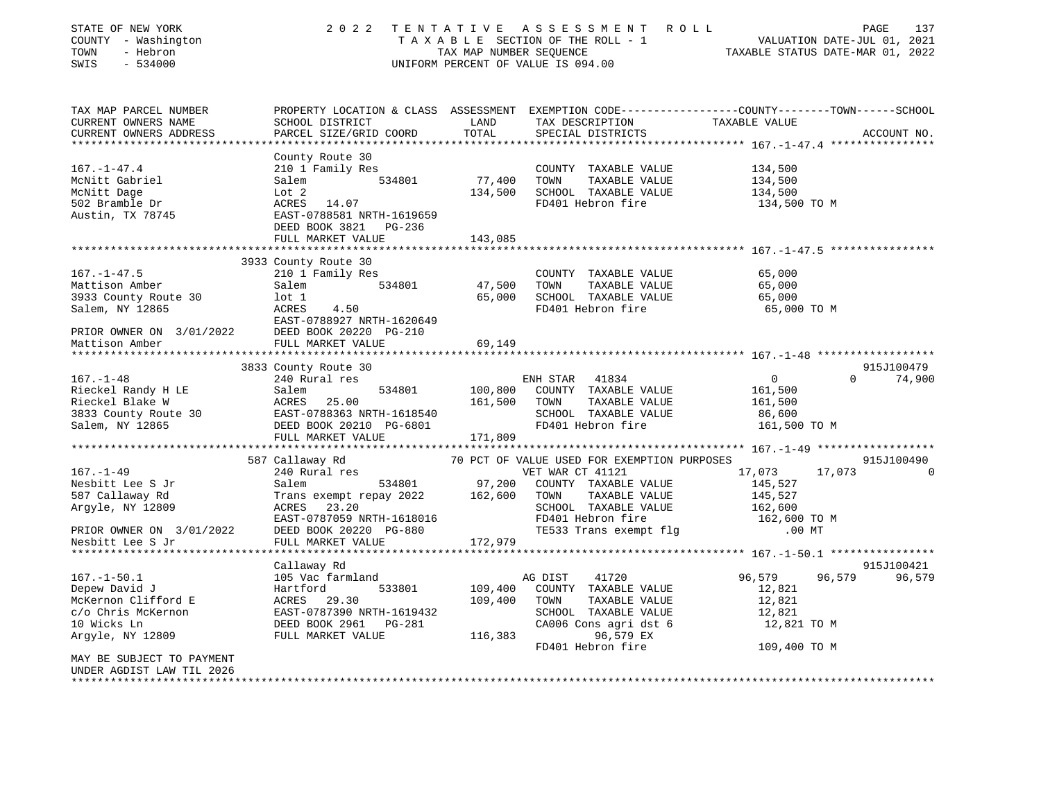| STATE OF NEW YORK<br>COUNTY - Washington<br>TOWN<br>- Hebron<br>$-534000$<br>SWIS | 2 0 2 2                                                                                                                                       | TAX MAP NUMBER SEQUENCE | TENTATIVE ASSESSMENT<br>R O L L<br>TAXABLE SECTION OF THE ROLL - 1<br>UNIFORM PERCENT OF VALUE IS 094.00 | TAXABLE STATUS DATE-MAR 01, 2022 | PAGE<br>137<br>VALUATION DATE-JUL 01, 2021 |
|-----------------------------------------------------------------------------------|-----------------------------------------------------------------------------------------------------------------------------------------------|-------------------------|----------------------------------------------------------------------------------------------------------|----------------------------------|--------------------------------------------|
| TAX MAP PARCEL NUMBER<br>CURRENT OWNERS NAME<br>CURRENT OWNERS ADDRESS            | PROPERTY LOCATION & CLASS ASSESSMENT EXEMPTION CODE----------------COUNTY-------TOWN------SCHOOL<br>SCHOOL DISTRICT<br>PARCEL SIZE/GRID COORD | LAND<br>TOTAL           | TAX DESCRIPTION<br>SPECIAL DISTRICTS                                                                     | TAXABLE VALUE                    | ACCOUNT NO.                                |
| ******************************                                                    |                                                                                                                                               |                         |                                                                                                          |                                  |                                            |
|                                                                                   | County Route 30                                                                                                                               |                         |                                                                                                          |                                  |                                            |
| $167. - 1 - 47.4$                                                                 | 210 1 Family Res                                                                                                                              |                         | COUNTY TAXABLE VALUE                                                                                     | 134,500                          |                                            |
| McNitt Gabriel                                                                    | 534801<br>Salem                                                                                                                               | 77,400                  | TOWN<br>TAXABLE VALUE                                                                                    | 134,500                          |                                            |
| McNitt Dage                                                                       | Lot 2                                                                                                                                         |                         | 134,500 SCHOOL TAXABLE VALUE                                                                             | 134,500                          |                                            |
| 502 Bramble Dr                                                                    | ACRES 14.07                                                                                                                                   |                         | FD401 Hebron fire                                                                                        | 134,500 TO M                     |                                            |
| Austin, TX 78745                                                                  | EAST-0788581 NRTH-1619659<br>DEED BOOK 3821 PG-236                                                                                            |                         |                                                                                                          |                                  |                                            |
|                                                                                   | FULL MARKET VALUE                                                                                                                             | 143,085                 |                                                                                                          |                                  |                                            |
|                                                                                   |                                                                                                                                               |                         |                                                                                                          |                                  |                                            |
|                                                                                   | 3933 County Route 30                                                                                                                          |                         |                                                                                                          |                                  |                                            |
| $167. - 1 - 47.5$                                                                 | 210 1 Family Res                                                                                                                              |                         | COUNTY TAXABLE VALUE                                                                                     | 65,000                           |                                            |
| Mattison Amber                                                                    | 534801<br>Salem                                                                                                                               | 47,500                  | TOWN<br>TAXABLE VALUE                                                                                    | 65,000                           |                                            |
| 3933 County Route 30                                                              | lot 1                                                                                                                                         |                         | 65,000 SCHOOL TAXABLE VALUE                                                                              | 65,000                           |                                            |
| Salem, NY 12865                                                                   | ACRES<br>4.50                                                                                                                                 |                         | FD401 Hebron fire                                                                                        | 65,000 TO M                      |                                            |
|                                                                                   | EAST-0788927 NRTH-1620649                                                                                                                     |                         |                                                                                                          |                                  |                                            |
| PRIOR OWNER ON 3/01/2022                                                          | DEED BOOK 20220 PG-210                                                                                                                        |                         |                                                                                                          |                                  |                                            |
| Mattison Amber                                                                    | FULL MARKET VALUE                                                                                                                             | 69,149                  |                                                                                                          |                                  |                                            |
|                                                                                   |                                                                                                                                               |                         |                                                                                                          |                                  | 915J100479                                 |
| $167. - 1 - 48$                                                                   | 3833 County Route 30                                                                                                                          |                         |                                                                                                          | $\overline{0}$                   | $\Omega$<br>74,900                         |
|                                                                                   | 240 Rural res<br>Salem<br>534801                                                                                                              |                         | ENH STAR<br>41834                                                                                        | 161,500                          |                                            |
| Rieckel Randy H LE<br>Rieckel Blake W                                             | ACRES 25.00                                                                                                                                   | 161,500                 | 100,800 COUNTY TAXABLE VALUE<br>TOWN<br>TAXABLE VALUE                                                    | 161,500                          |                                            |
| 3833 County Route 30 EAST-0788363 NRTH-1618540                                    |                                                                                                                                               |                         | SCHOOL TAXABLE VALUE                                                                                     | 86,600                           |                                            |
| Salem, NY 12865                                                                   | DEED BOOK 20210 PG-6801                                                                                                                       |                         | FD401 Hebron fire                                                                                        | 161,500 TO M                     |                                            |
|                                                                                   | FULL MARKET VALUE                                                                                                                             | 171,809                 |                                                                                                          |                                  |                                            |
|                                                                                   |                                                                                                                                               |                         |                                                                                                          |                                  |                                            |
|                                                                                   | 587 Callaway Rd                                                                                                                               |                         | 70 PCT OF VALUE USED FOR EXEMPTION PURPOSES                                                              |                                  | 915J100490                                 |
| $167. - 1 - 49$                                                                   | 240 Rural res                                                                                                                                 |                         | VET WAR CT 41121                                                                                         | 17,073                           | 17,073<br>$\Omega$                         |
| Nesbitt Lee S Jr                                                                  | 534801<br>Salem                                                                                                                               | 97,200                  | COUNTY TAXABLE VALUE                                                                                     | 145,527                          |                                            |
| 587 Callaway Rd                                                                   | Trans exempt repay 2022                                                                                                                       | 162,600                 | TAXABLE VALUE<br>TOWN                                                                                    | 145,527                          |                                            |
| Argyle, NY 12809                                                                  | ACRES 23.20                                                                                                                                   |                         | SCHOOL TAXABLE VALUE                                                                                     | 162,600                          |                                            |
|                                                                                   | EAST-0787059 NRTH-1618016                                                                                                                     |                         | FD401 Hebron fire                                                                                        | 162,600 TO M                     |                                            |
| PRIOR OWNER ON 3/01/2022                                                          | DEED BOOK 20220 PG-880                                                                                                                        |                         | TE533 Trans exempt flq                                                                                   | $.00$ MT                         |                                            |
| Nesbitt Lee S Jr                                                                  | FULL MARKET VALUE                                                                                                                             | 172,979                 |                                                                                                          |                                  |                                            |
|                                                                                   | *********************                                                                                                                         |                         |                                                                                                          |                                  |                                            |
|                                                                                   | Callaway Rd                                                                                                                                   |                         |                                                                                                          |                                  | 915J100421                                 |
| $167. - 1 - 50.1$                                                                 | 105 Vac farmland                                                                                                                              |                         | AG DIST<br>41720                                                                                         | 96,579                           | 96,579<br>96,579                           |
| Depew David J                                                                     | 533801<br>Hartford                                                                                                                            | 109,400                 | COUNTY TAXABLE VALUE                                                                                     | 12,821                           |                                            |
| McKernon Clifford E                                                               | ACRES 29.30                                                                                                                                   | 109,400                 | TOWN<br>TAXABLE VALUE                                                                                    | 12,821                           |                                            |
| c/o Chris McKernon                                                                | EAST-0787390 NRTH-1619432                                                                                                                     |                         | SCHOOL TAXABLE VALUE                                                                                     | 12,821                           |                                            |
| 10 Wicks Ln                                                                       | DEED BOOK 2961 PG-281                                                                                                                         |                         | CA006 Cons agri dst 6                                                                                    | 12,821 TO M                      |                                            |
| Argyle, NY 12809                                                                  | FULL MARKET VALUE                                                                                                                             | 116,383                 | 96,579 EX                                                                                                |                                  |                                            |
|                                                                                   |                                                                                                                                               |                         | FD401 Hebron fire                                                                                        | 109,400 TO M                     |                                            |
| MAY BE SUBJECT TO PAYMENT                                                         |                                                                                                                                               |                         |                                                                                                          |                                  |                                            |
| UNDER AGDIST LAW TIL 2026                                                         |                                                                                                                                               |                         |                                                                                                          |                                  |                                            |
|                                                                                   |                                                                                                                                               |                         |                                                                                                          |                                  |                                            |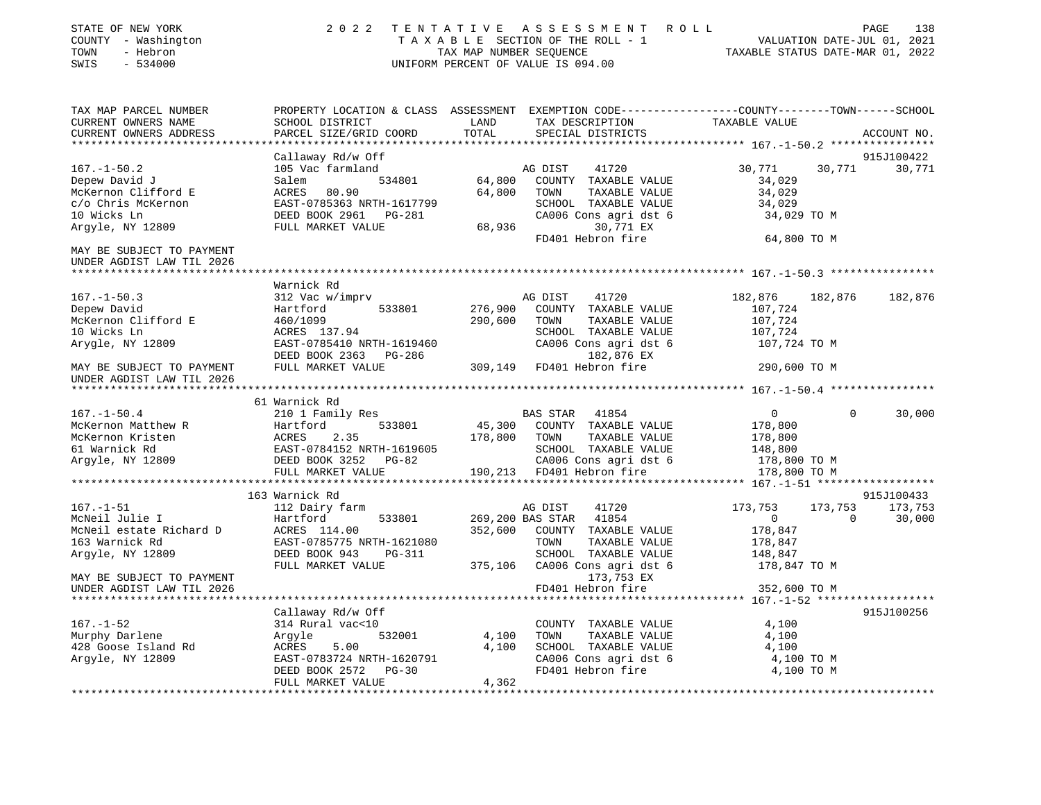| STATE OF NEW YORK<br>COUNTY - Washington<br>TOWN<br>- Hebron<br>$-534000$<br>SWIS | 2 0 2 2                                                                            | TAX MAP NUMBER SEQUENCE | TENTATIVE ASSESSMENT ROLL<br>TAXABLE SECTION OF THE ROLL - 1<br>UNIFORM PERCENT OF VALUE IS 094.00                                      | TAXABLE STATUS DATE-MAR 01, 2022     |                | PAGE<br>138<br>VALUATION DATE-JUL 01, 2021 |
|-----------------------------------------------------------------------------------|------------------------------------------------------------------------------------|-------------------------|-----------------------------------------------------------------------------------------------------------------------------------------|--------------------------------------|----------------|--------------------------------------------|
| TAX MAP PARCEL NUMBER<br>CURRENT OWNERS NAME<br>CURRENT OWNERS ADDRESS            | SCHOOL DISTRICT<br>PARCEL SIZE/GRID COORD                                          | LAND<br>TOTAL           | PROPERTY LOCATION & CLASS ASSESSMENT EXEMPTION CODE----------------COUNTY-------TOWN-----SCHOOL<br>TAX DESCRIPTION<br>SPECIAL DISTRICTS | TAXABLE VALUE                        |                | ACCOUNT NO.                                |
|                                                                                   | Callaway Rd/w Off                                                                  |                         |                                                                                                                                         |                                      |                | 915J100422                                 |
| $167. - 1 - 50.2$<br>Depew David J<br>McKernon Clifford E<br>c/o Chris McKernon   | 105 Vac farmland<br>Salem<br>534801<br>ACRES<br>80.90<br>EAST-0785363 NRTH-1617799 | 64,800<br>64,800        | AG DIST<br>41720<br>COUNTY TAXABLE VALUE<br>TOWN<br>TAXABLE VALUE<br>SCHOOL TAXABLE VALUE                                               | 30,771<br>34,029<br>34,029<br>34,029 | 30,771         | 30,771                                     |
| 10 Wicks Ln<br>Argyle, NY 12809                                                   | DEED BOOK 2961 PG-281<br>FULL MARKET VALUE                                         | 68,936                  | CA006 Cons agri dst 6<br>30,771 EX                                                                                                      | 34,029 TO M                          |                |                                            |
| MAY BE SUBJECT TO PAYMENT                                                         |                                                                                    |                         | FD401 Hebron fire                                                                                                                       | 64,800 TO M                          |                |                                            |
| UNDER AGDIST LAW TIL 2026                                                         |                                                                                    |                         |                                                                                                                                         |                                      |                |                                            |
|                                                                                   | Warnick Rd                                                                         |                         |                                                                                                                                         |                                      |                |                                            |
| $167. - 1 - 50.3$                                                                 | 312 Vac w/imprv                                                                    |                         | AG DIST<br>41720                                                                                                                        | 182,876                              | 182,876        | 182,876                                    |
| Depew David                                                                       | 533801<br>Hartford                                                                 | 276,900                 | COUNTY TAXABLE VALUE                                                                                                                    | 107,724                              |                |                                            |
| McKernon Clifford E                                                               | 460/1099                                                                           | 290,600                 | TAXABLE VALUE<br>TOWN                                                                                                                   | 107,724                              |                |                                            |
| 10 Wicks Ln                                                                       | ACRES 137.94                                                                       |                         | SCHOOL TAXABLE VALUE                                                                                                                    | 107,724                              |                |                                            |
| Arygle, NY 12809                                                                  | EAST-0785410 NRTH-1619460<br>DEED BOOK 2363 PG-286                                 |                         | CA006 Cons agri dst 6<br>182,876 EX                                                                                                     | 107,724 TO M                         |                |                                            |
| MAY BE SUBJECT TO PAYMENT<br>UNDER AGDIST LAW TIL 2026                            | FULL MARKET VALUE                                                                  | 309,149                 | FD401 Hebron fire                                                                                                                       | 290,600 TO M                         |                |                                            |
|                                                                                   | 61 Warnick Rd                                                                      |                         |                                                                                                                                         |                                      |                |                                            |
| $167. - 1 - 50.4$                                                                 | 210 1 Family Res                                                                   |                         | BAS STAR 41854                                                                                                                          | $\overline{0}$                       | $\Omega$       | 30,000                                     |
| McKernon Matthew R                                                                | 533801<br>Hartford                                                                 | 45,300                  | COUNTY TAXABLE VALUE                                                                                                                    | 178,800                              |                |                                            |
| McKernon Kristen                                                                  | ACRES<br>2.35                                                                      | 178,800                 | TOWN<br>TAXABLE VALUE                                                                                                                   | 178,800                              |                |                                            |
| 61 Warnick Rd                                                                     | EAST-0784152 NRTH-1619605                                                          |                         | SCHOOL TAXABLE VALUE                                                                                                                    | 148,800                              |                |                                            |
| Argyle, NY 12809                                                                  | DEED BOOK 3252 PG-82                                                               |                         | CA006 Cons agri dst 6                                                                                                                   | 178,800 TO M                         |                |                                            |
|                                                                                   | FULL MARKET VALUE<br>**************************                                    |                         | 190,213 FD401 Hebron fire                                                                                                               | 178,800 TO M                         |                |                                            |
|                                                                                   | 163 Warnick Rd                                                                     |                         |                                                                                                                                         |                                      |                | 915J100433                                 |
| $167. - 1 - 51$                                                                   | 112 Dairy farm                                                                     |                         | AG DIST<br>41720                                                                                                                        | 173,753                              | 173,753        | 173,753                                    |
| McNeil Julie I                                                                    | Hartford<br>533801                                                                 |                         | 269,200 BAS STAR 41854                                                                                                                  | $\overline{0}$                       | $\overline{0}$ | 30,000                                     |
| McNeil estate Richard D                                                           | ACRES 114.00                                                                       | 352,600                 | COUNTY TAXABLE VALUE                                                                                                                    | 178,847                              |                |                                            |
| 163 Warnick Rd                                                                    | EAST-0785775 NRTH-1621080                                                          |                         | TOWN<br>TAXABLE VALUE                                                                                                                   | 178,847                              |                |                                            |
| Argyle, NY 12809                                                                  | DEED BOOK 943<br>PG-311<br>FULL MARKET VALUE                                       | 375,106                 | SCHOOL TAXABLE VALUE<br>CA006 Cons agri dst 6                                                                                           | 148,847<br>178,847 TO M              |                |                                            |
| MAY BE SUBJECT TO PAYMENT                                                         |                                                                                    |                         | 173,753 EX                                                                                                                              |                                      |                |                                            |
| UNDER AGDIST LAW TIL 2026<br>*************************                            |                                                                                    |                         | FD401 Hebron fire                                                                                                                       | 352,600 TO M                         |                |                                            |
|                                                                                   | ***********************************<br>Callaway Rd/w Off                           |                         |                                                                                                                                         |                                      |                | 915J100256                                 |
| $167. - 1 - 52$                                                                   | 314 Rural vac<10                                                                   |                         | COUNTY TAXABLE VALUE                                                                                                                    | 4,100                                |                |                                            |
| Murphy Darlene                                                                    | 532001<br>Argyle                                                                   | 4,100                   | TAXABLE VALUE<br>TOWN                                                                                                                   | 4,100                                |                |                                            |
| 428 Goose Island Rd                                                               | ACRES<br>5.00                                                                      | 4,100                   | SCHOOL TAXABLE VALUE                                                                                                                    | 4,100                                |                |                                            |
| Argyle, NY 12809                                                                  | EAST-0783724 NRTH-1620791                                                          |                         | CA006 Cons agri dst 6                                                                                                                   | 4,100 TO M                           |                |                                            |
|                                                                                   | DEED BOOK 2572 PG-30                                                               |                         | FD401 Hebron fire                                                                                                                       | 4,100 TO M                           |                |                                            |
|                                                                                   | FULL MARKET VALUE                                                                  | 4,362                   |                                                                                                                                         |                                      |                |                                            |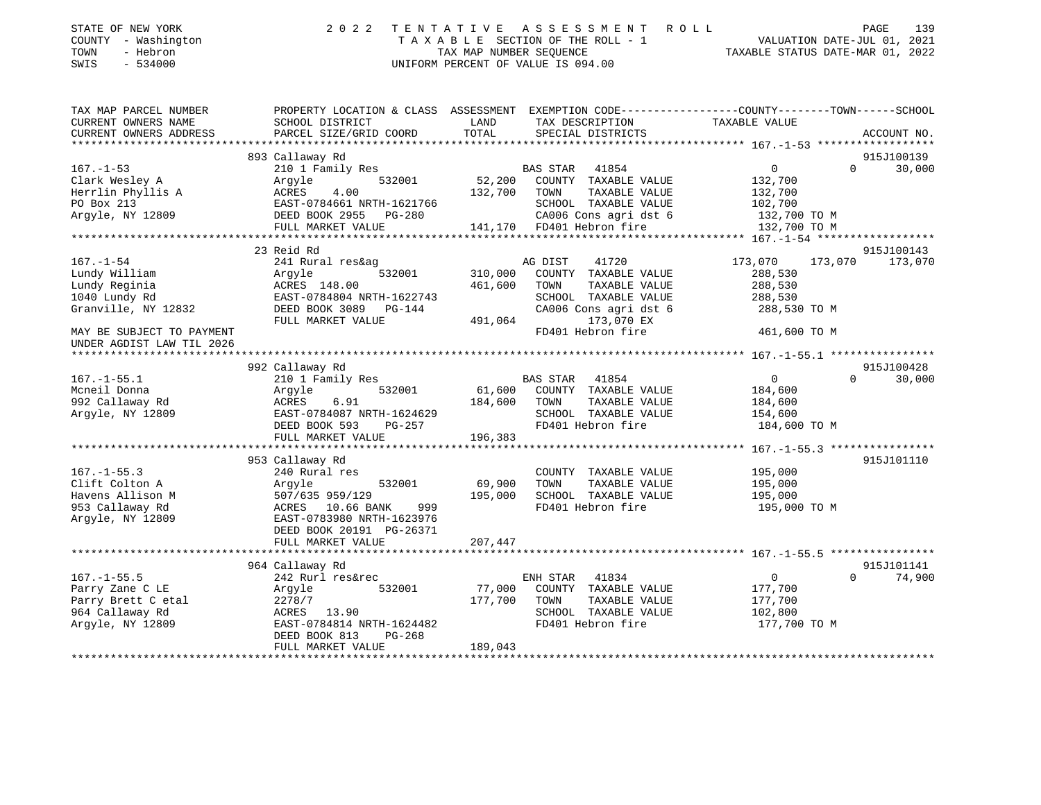| STATE OF NEW YORK<br>COUNTY - Washington<br>TOWN<br>- Hebron<br>$-534000$<br>SWIS | 2 0 2 2                                                 | TENTATIVE ASSESSMENT ROLL<br>UNIFORM PERCENT OF VALUE IS 094.00                      | 139<br>PAGE<br>T A X A B L E SECTION OF THE ROLL - 1 VALUATION DATE-JUL 01, 2021<br>TAX MAP NUMBER SEQUENCE TAXABLE STATUS DATE-MAR 01, 2022 |
|-----------------------------------------------------------------------------------|---------------------------------------------------------|--------------------------------------------------------------------------------------|----------------------------------------------------------------------------------------------------------------------------------------------|
| TAX MAP PARCEL NUMBER<br>CURRENT OWNERS NAME<br>CURRENT OWNERS ADDRESS            | PROPERTY LOCATION & CLASS ASSESSMENT<br>SCHOOL DISTRICT | LAND TAX DESCRIPTION TAXABLE VALUE<br>PARCEL SIZE/GRID COORD TOTAL SPECIAL DISTRICTS | EXEMPTION CODE-----------------COUNTY-------TOWN------SCHOOL<br>ACCOUNT NO.                                                                  |
|                                                                                   |                                                         |                                                                                      |                                                                                                                                              |
|                                                                                   | 893 Callaway Rd                                         |                                                                                      | 915J100139                                                                                                                                   |
| $167. - 1 - 53$                                                                   | 210 1 Family Res                                        | BAS STAR 41854                                                                       | $0 \qquad \qquad$<br>30,000<br>$\Omega$                                                                                                      |
| Clark Wesley A                                                                    |                                                         | Argyle 532001 52,200 COUNTY TAXABLE VALUE                                            | 132,700                                                                                                                                      |
| Herrlin Phyllis A<br>lis A                                                        | ACRES 4.00                                              | 132,700 TOWN<br>TAXABLE VALUE                                                        | 132,700                                                                                                                                      |
| PO Box 213                                                                        | EAST-0784661 NRTH-1621766                               | SCHOOL TAXABLE VALUE                                                                 | 102,700                                                                                                                                      |
| Argyle, NY 12809                                                                  |                                                         | DEED BOOK 2955 PG-280 CA006 Cons agri dst 6 132,700 TO M                             |                                                                                                                                              |
|                                                                                   | FULL MARKET VALUE                                       | 141,170 FD401 Hebron fire 3132,700 TO M                                              |                                                                                                                                              |
|                                                                                   |                                                         |                                                                                      |                                                                                                                                              |
|                                                                                   | 23 Reid Rd                                              |                                                                                      | 915J100143                                                                                                                                   |
| $167. - 1 - 54$                                                                   | 241 Rural res&ag                                        | 41720<br>AG DIST                                                                     | 173,070 173,070 173,070                                                                                                                      |
| Lundy William                                                                     | Argyle                                                  | 532001 310,000 COUNTY<br>TAXABLE VALUE                                               | 288,530                                                                                                                                      |
| Lundy Reginia                                                                     | ACRES 148.00 461,600                                    | TAXABLE VALUE<br>TOWN                                                                | 288,530                                                                                                                                      |
| 1040 Lundy Rd                                                                     | EAST-0784804 NRTH-1622743                               | SCHOOL<br>TAXABLE VALUE                                                              | 288,530                                                                                                                                      |
| Granville, NY 12832                                                               | DEED BOOK 3089 PG-144                                   | CA006 Cons agri dst 6                                                                | 288,530 TO M                                                                                                                                 |
|                                                                                   | FULL MARKET VALUE                                       | 491,064<br>173,070 EX                                                                |                                                                                                                                              |

| MAY BE SUBJECT TO PAYMENT |                            | FD401 Hebron fire                  | 461,600 TO M                   |
|---------------------------|----------------------------|------------------------------------|--------------------------------|
| UNDER AGDIST LAW TIL 2026 |                            |                                    |                                |
|                           | 992 Callaway Rd            |                                    | 915J100428                     |
| $167. - 1 - 55.1$         | 210 1 Family Res           | 41854<br>BAS STAR                  | $\Omega$<br>30,000<br>$\Omega$ |
| Mcneil Donna              | Argyle<br>532001           | 61,600<br>COUNTY<br>TAXABLE VALUE  | 184,600                        |
| 992 Callaway Rd           | 6.91<br>ACRES              | 184,600<br>TAXABLE VALUE<br>TOWN   | 184,600                        |
| Argyle, NY 12809          | EAST-0784087 NRTH-1624629  | SCHOOL<br>TAXABLE VALUE            | 154,600                        |
|                           | DEED BOOK 593<br>PG-257    | FD401 Hebron fire                  | 184,600 TO M                   |
|                           | FULL MARKET VALUE          | 196,383                            |                                |
|                           |                            |                                    |                                |
|                           | 953 Callaway Rd            |                                    | 915J101110                     |
| $167. - 1 - 55.3$         | 240 Rural res              | COUNTY<br>TAXABLE VALUE            | 195,000                        |
| Clift Colton A            | 532001<br>Argyle           | 69,900<br>TOWN<br>TAXABLE VALUE    | 195,000                        |
| Havens Allison M          | 507/635 959/129            | 195,000<br>SCHOOL<br>TAXABLE VALUE | 195,000                        |
| 953 Callaway Rd           | 10.66 BANK<br>999<br>ACRES | FD401 Hebron fire                  | 195,000 TO M                   |
| Argyle, NY 12809          | EAST-0783980 NRTH-1623976  |                                    |                                |
|                           | DEED BOOK 20191 PG-26371   |                                    |                                |
|                           | FULL MARKET VALUE          | 207,447                            |                                |
|                           |                            |                                    |                                |
|                           | 964 Callaway Rd            |                                    | 915J101141                     |
| $167. - 1 - 55.5$         | 242 Rurl res&rec           | ENH STAR<br>41834                  | 74,900<br>$\Omega$<br>$\Omega$ |
| Parry Zane C LE           | 532001<br>Argyle           | 77,000<br>COUNTY<br>TAXABLE VALUE  | 177,700                        |
| Parry Brett C etal        | 2278/7                     | 177,700<br>TOWN<br>TAXABLE VALUE   | 177,700                        |
| 964 Callaway Rd           | 13.90<br>ACRES             | SCHOOL<br>TAXABLE VALUE            | 102,800                        |
| Argyle, NY 12809          | EAST-0784814 NRTH-1624482  | FD401 Hebron fire                  | 177,700 TO M                   |
|                           | DEED BOOK 813<br>$PG-268$  |                                    |                                |
|                           | FULL MARKET VALUE          | 189,043                            |                                |
|                           |                            |                                    |                                |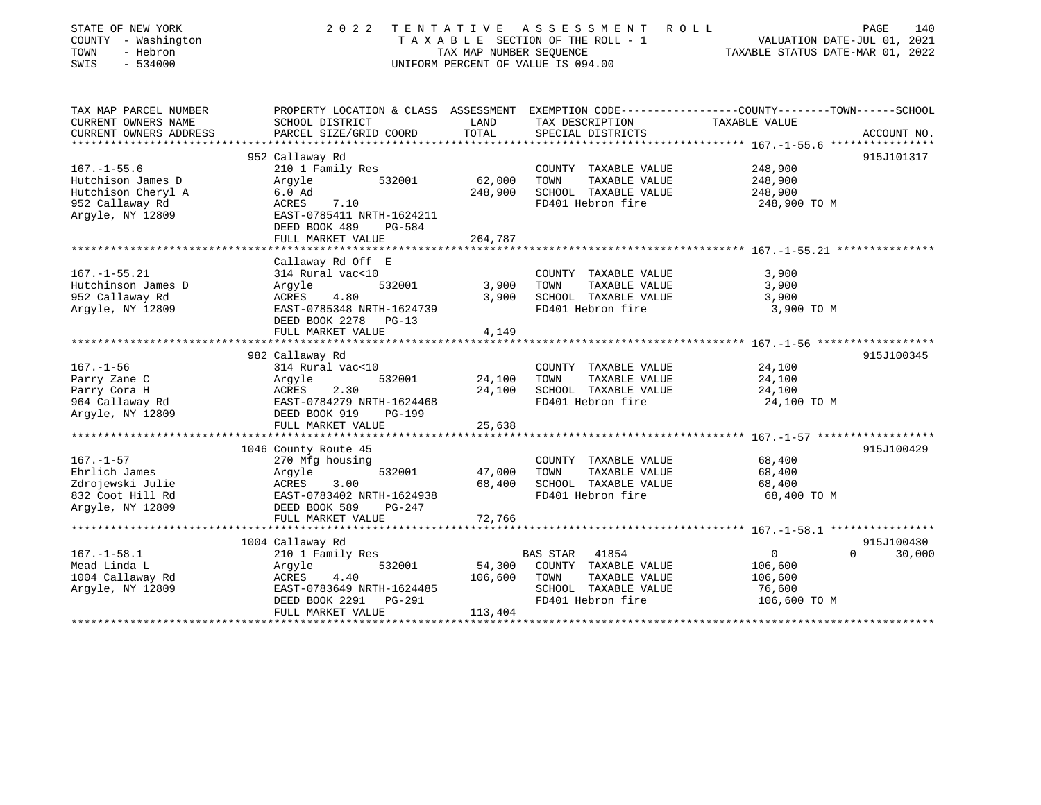| STATE OF NEW YORK<br>COUNTY - Washington<br>TOWN<br>- Hebron<br>SWIS<br>$-534000$ | 2 0 2 2                                                                                                            | TENTATIVE<br>TAX MAP NUMBER SEOUENCE | A S S E S S M E N T<br>R O L L<br>T A X A B L E SECTION OF THE ROLL - 1<br>UNIFORM PERCENT OF VALUE IS 094.00 | TAXABLE STATUS DATE-MAR 01, 2022        | PAGE<br>140<br>VALUATION DATE-JUL 01, 2021 |
|-----------------------------------------------------------------------------------|--------------------------------------------------------------------------------------------------------------------|--------------------------------------|---------------------------------------------------------------------------------------------------------------|-----------------------------------------|--------------------------------------------|
| TAX MAP PARCEL NUMBER<br>CURRENT OWNERS NAME                                      | PROPERTY LOCATION & CLASS ASSESSMENT EXEMPTION CODE---------------COUNTY-------TOWN------SCHOOL<br>SCHOOL DISTRICT | LAND                                 | TAX DESCRIPTION                                                                                               | TAXABLE VALUE                           |                                            |
| CURRENT OWNERS ADDRESS                                                            | PARCEL SIZE/GRID COORD                                                                                             | TOTAL                                | SPECIAL DISTRICTS                                                                                             |                                         | ACCOUNT NO.                                |
|                                                                                   |                                                                                                                    |                                      |                                                                                                               |                                         |                                            |
|                                                                                   | 952 Callaway Rd                                                                                                    |                                      |                                                                                                               |                                         | 915J101317                                 |
| $167. - 1 - 55.6$                                                                 | 210 1 Family Res                                                                                                   |                                      | COUNTY TAXABLE VALUE                                                                                          | 248,900                                 |                                            |
| Hutchison James D                                                                 | 532001<br>Argyle                                                                                                   | 62,000                               | TOWN<br>TAXABLE VALUE                                                                                         | 248,900                                 |                                            |
| Hutchison Cheryl A                                                                | $6.0$ Ad                                                                                                           | 248,900                              | SCHOOL TAXABLE VALUE                                                                                          | 248,900                                 |                                            |
| 952 Callaway Rd<br>Argyle, NY 12809                                               | 7.10<br>ACRES<br>EAST-0785411 NRTH-1624211<br>DEED BOOK 489<br><b>PG-584</b>                                       |                                      | FD401 Hebron fire                                                                                             | 248,900 TO M                            |                                            |
|                                                                                   | FULL MARKET VALUE                                                                                                  | 264,787                              |                                                                                                               |                                         |                                            |
|                                                                                   | Callaway Rd Off E                                                                                                  |                                      |                                                                                                               |                                         |                                            |
| $167. - 1 - 55.21$                                                                | 314 Rural vac<10                                                                                                   |                                      | COUNTY TAXABLE VALUE                                                                                          | 3,900                                   |                                            |
| Hutchinson James D                                                                | 532001<br>Argyle                                                                                                   | 3,900                                | TOWN<br>TAXABLE VALUE                                                                                         | 3,900                                   |                                            |
| 952 Callaway Rd                                                                   | 4.80<br>ACRES                                                                                                      | 3,900                                | SCHOOL TAXABLE VALUE                                                                                          | 3,900                                   |                                            |
| Argyle, NY 12809                                                                  | EAST-0785348 NRTH-1624739<br>DEED BOOK 2278<br>$PG-13$<br>FULL MARKET VALUE                                        | 4,149                                | FD401 Hebron fire                                                                                             | 3,900 TO M                              |                                            |
|                                                                                   |                                                                                                                    | *******************                  |                                                                                                               | ********* 167.-1-56 ******************* |                                            |
|                                                                                   | 982 Callaway Rd                                                                                                    |                                      |                                                                                                               |                                         | 915J100345                                 |
| $167. - 1 - 56$                                                                   | 314 Rural vac<10                                                                                                   |                                      | COUNTY TAXABLE VALUE                                                                                          | 24,100                                  |                                            |
| Parry Zane C                                                                      | 532001<br>Argyle                                                                                                   | 24,100                               | TOWN<br>TAXABLE VALUE                                                                                         | 24,100                                  |                                            |
| Parry Cora H                                                                      | 2.30<br>ACRES                                                                                                      | 24,100                               | SCHOOL TAXABLE VALUE                                                                                          | 24,100                                  |                                            |
| 964 Callaway Rd                                                                   | EAST-0784279 NRTH-1624468                                                                                          |                                      | FD401 Hebron fire                                                                                             | 24,100 TO M                             |                                            |
| Argyle, NY 12809                                                                  | DEED BOOK 919<br><b>PG-199</b>                                                                                     |                                      |                                                                                                               |                                         |                                            |
|                                                                                   | FULL MARKET VALUE                                                                                                  | 25,638                               |                                                                                                               |                                         |                                            |
|                                                                                   |                                                                                                                    |                                      |                                                                                                               |                                         |                                            |
| $167. - 1 - 57$                                                                   | 1046 County Route 45                                                                                               |                                      | COUNTY TAXABLE VALUE                                                                                          | 68,400                                  | 915J100429                                 |
| Ehrlich James                                                                     | 270 Mfg housing<br>532001<br>Argyle                                                                                | 47,000                               | TOWN<br>TAXABLE VALUE                                                                                         | 68,400                                  |                                            |
| Zdrojewski Julie                                                                  | ACRES<br>3.00                                                                                                      | 68,400                               | SCHOOL TAXABLE VALUE                                                                                          | 68,400                                  |                                            |
| 832 Coot Hill Rd                                                                  | EAST-0783402 NRTH-1624938                                                                                          |                                      | FD401 Hebron fire                                                                                             | 68,400 TO M                             |                                            |
| Arqyle, NY 12809                                                                  | DEED BOOK 589<br>$PG-247$                                                                                          |                                      |                                                                                                               |                                         |                                            |
|                                                                                   | FULL MARKET VALUE                                                                                                  | 72,766                               |                                                                                                               |                                         |                                            |
|                                                                                   |                                                                                                                    |                                      |                                                                                                               |                                         |                                            |
|                                                                                   | 1004 Callaway Rd                                                                                                   |                                      |                                                                                                               |                                         | 915J100430                                 |
| $167. - 1 - 58.1$                                                                 | 210 1 Family Res                                                                                                   |                                      | 41854<br>BAS STAR                                                                                             | 0                                       | $\Omega$<br>30,000                         |
| Mead Linda L                                                                      | Argyle<br>532001                                                                                                   | 54,300                               | COUNTY TAXABLE VALUE                                                                                          | 106,600                                 |                                            |
| 1004 Callaway Rd                                                                  | 4.40<br>ACRES                                                                                                      | 106,600                              | TOWN<br>TAXABLE VALUE                                                                                         | 106,600                                 |                                            |
| Argyle, NY 12809                                                                  | EAST-0783649 NRTH-1624485                                                                                          |                                      | SCHOOL TAXABLE VALUE                                                                                          | 76,600                                  |                                            |
|                                                                                   | DEED BOOK 2291<br>PG-291                                                                                           |                                      | FD401 Hebron fire                                                                                             | 106,600 TO M                            |                                            |
|                                                                                   | FULL MARKET VALUE                                                                                                  | 113,404                              |                                                                                                               |                                         |                                            |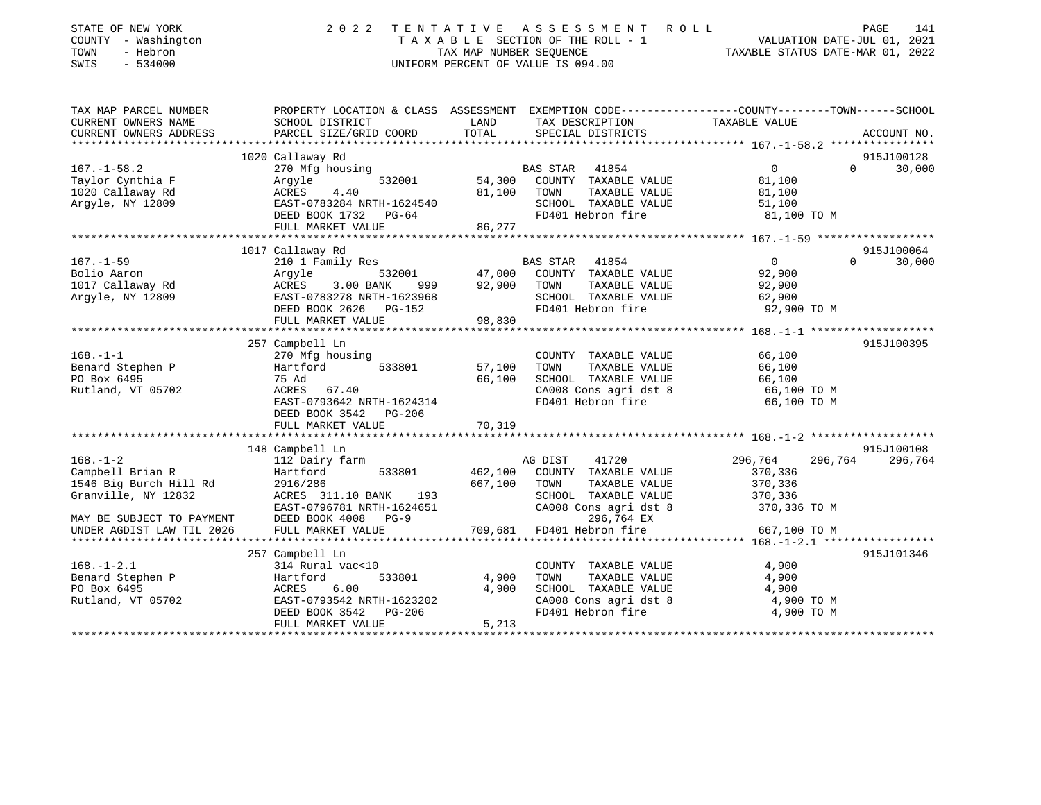| STATE OF NEW YORK<br>COUNTY - Washington<br>TOWN<br>- Hebron<br>$-534000$<br>SWIS | 2 0 2 2                                       | TENTATIVE<br>TAX MAP NUMBER SEOUENCE | A S S E S S M E N T<br>ROLL<br>TAXABLE SECTION OF THE ROLL - 1<br>UNIFORM PERCENT OF VALUE IS 094.00 | PAGE<br>VALUATION DATE-JUL 01, 2021<br>TAXABLE STATUS DATE-MAR 01, 2022                         | 141 |
|-----------------------------------------------------------------------------------|-----------------------------------------------|--------------------------------------|------------------------------------------------------------------------------------------------------|-------------------------------------------------------------------------------------------------|-----|
| TAX MAP PARCEL NUMBER                                                             |                                               |                                      |                                                                                                      | PROPERTY LOCATION & CLASS ASSESSMENT EXEMPTION CODE---------------COUNTY-------TOWN------SCHOOL |     |
| CURRENT OWNERS NAME<br>CURRENT OWNERS ADDRESS                                     | SCHOOL DISTRICT<br>PARCEL SIZE/GRID COORD     | LAND<br>TOTAL                        | TAX DESCRIPTION<br>SPECIAL DISTRICTS                                                                 | TAXABLE VALUE<br>ACCOUNT NO.                                                                    |     |
|                                                                                   |                                               |                                      |                                                                                                      |                                                                                                 |     |
|                                                                                   | 1020 Callaway Rd                              |                                      |                                                                                                      | 915J100128                                                                                      |     |
| $167. - 1 - 58.2$                                                                 | 270 Mfg housing                               |                                      | BAS STAR 41854                                                                                       | $\Omega$<br>$\Omega$<br>30,000                                                                  |     |
| Taylor Cynthia F                                                                  | 532001<br>Argyle                              | 54,300                               | COUNTY TAXABLE VALUE                                                                                 | 81,100                                                                                          |     |
| 1020 Callaway Rd                                                                  | ACRES<br>4.40                                 | 81,100                               | TOWN<br>TAXABLE VALUE                                                                                | 81,100                                                                                          |     |
| Argyle, NY 12809                                                                  | EAST-0783284 NRTH-1624540                     |                                      | SCHOOL TAXABLE VALUE                                                                                 | 51,100                                                                                          |     |
|                                                                                   | DEED BOOK 1732 PG-64                          |                                      | FD401 Hebron fire                                                                                    | 81,100 TO M                                                                                     |     |
|                                                                                   | FULL MARKET VALUE                             | 86,277                               |                                                                                                      |                                                                                                 |     |
|                                                                                   | 1017 Callaway Rd                              |                                      |                                                                                                      | 915J100064                                                                                      |     |
| $167. - 1 - 59$                                                                   | 210 1 Family Res                              |                                      | BAS STAR<br>41854                                                                                    | 30,000<br>$\Omega$<br>$\Omega$                                                                  |     |
| Bolio Aaron                                                                       | Argyle<br>532001                              | 47,000                               | COUNTY TAXABLE VALUE                                                                                 | 92,900                                                                                          |     |
| 1017 Callaway Rd                                                                  | 3.00 BANK<br>ACRES<br>999                     | 92,900                               | TAXABLE VALUE<br>TOWN                                                                                | 92,900                                                                                          |     |
| Argyle, NY 12809                                                                  | EAST-0783278 NRTH-1623968                     |                                      | SCHOOL TAXABLE VALUE                                                                                 | 62,900                                                                                          |     |
|                                                                                   | DEED BOOK 2626 PG-152                         |                                      | FD401 Hebron fire                                                                                    | 92,900 TO M                                                                                     |     |
|                                                                                   | FULL MARKET VALUE                             | 98,830                               |                                                                                                      |                                                                                                 |     |
|                                                                                   | 257 Campbell Ln                               |                                      |                                                                                                      | 915J100395                                                                                      |     |
| $168. - 1 - 1$                                                                    | 270 Mfg housing                               |                                      | COUNTY TAXABLE VALUE                                                                                 | 66,100                                                                                          |     |
| Benard Stephen P                                                                  | 533801<br>Hartford                            | 57,100                               | TAXABLE VALUE<br>TOWN                                                                                | 66,100                                                                                          |     |
| PO Box 6495                                                                       | 75 Ad                                         | 66,100                               | SCHOOL TAXABLE VALUE                                                                                 | 66,100                                                                                          |     |
| Rutland, VT 05702                                                                 | ACRES<br>67.40                                |                                      | CA008 Cons agri dst 8                                                                                | 66,100 TO M                                                                                     |     |
|                                                                                   | EAST-0793642 NRTH-1624314                     |                                      | FD401 Hebron fire                                                                                    | 66,100 TO M                                                                                     |     |
|                                                                                   | DEED BOOK 3542 PG-206                         |                                      |                                                                                                      |                                                                                                 |     |
|                                                                                   | FULL MARKET VALUE                             | 70,319                               |                                                                                                      |                                                                                                 |     |
|                                                                                   | 148 Campbell Ln                               |                                      |                                                                                                      | 915J100108                                                                                      |     |
| $168. - 1 - 2$                                                                    | 112 Dairy farm                                |                                      | AG DIST<br>41720                                                                                     | 296,764<br>296,764<br>296,764                                                                   |     |
| Campbell Brian R                                                                  | 533801<br>Hartford                            | 462,100                              | COUNTY TAXABLE VALUE                                                                                 | 370,336                                                                                         |     |
| 1546 Big Burch Hill Rd                                                            | 2916/286                                      | 667,100                              | TOWN<br>TAXABLE VALUE                                                                                | 370,336                                                                                         |     |
| Granville, NY 12832                                                               | ACRES 311.10 BANK<br>193                      |                                      | SCHOOL TAXABLE VALUE                                                                                 | 370,336                                                                                         |     |
|                                                                                   | EAST-0796781 NRTH-1624651                     |                                      | CA008 Cons agri dst 8                                                                                | 370,336 TO M                                                                                    |     |
| MAY BE SUBJECT TO PAYMENT                                                         | DEED BOOK 4008<br>$PG-9$                      |                                      | 296,764 EX                                                                                           |                                                                                                 |     |
| UNDER AGDIST LAW TIL 2026<br>******************                                   | FULL MARKET VALUE<br>************************ | 709,681                              | FD401 Hebron fire                                                                                    | 667,100 TO M                                                                                    |     |
|                                                                                   | 257 Campbell Ln                               |                                      |                                                                                                      | 915J101346                                                                                      |     |
| $168. - 1 - 2.1$                                                                  | 314 Rural vac<10                              |                                      | COUNTY TAXABLE VALUE                                                                                 | 4,900                                                                                           |     |
| Benard Stephen P                                                                  | Hartford<br>533801                            | 4,900                                | TOWN<br>TAXABLE VALUE                                                                                | 4,900                                                                                           |     |
| PO Box 6495                                                                       | 6.00<br>ACRES                                 | 4,900                                | SCHOOL TAXABLE VALUE                                                                                 | 4,900                                                                                           |     |
| Rutland, VT 05702                                                                 | EAST-0793542 NRTH-1623202                     |                                      | CA008 Cons agri dst 8                                                                                | 4,900 TO M                                                                                      |     |
|                                                                                   | DEED BOOK 3542<br>PG-206                      |                                      | FD401 Hebron fire                                                                                    | 4,900 TO M                                                                                      |     |
|                                                                                   | FULL MARKET VALUE                             | 5,213                                |                                                                                                      |                                                                                                 |     |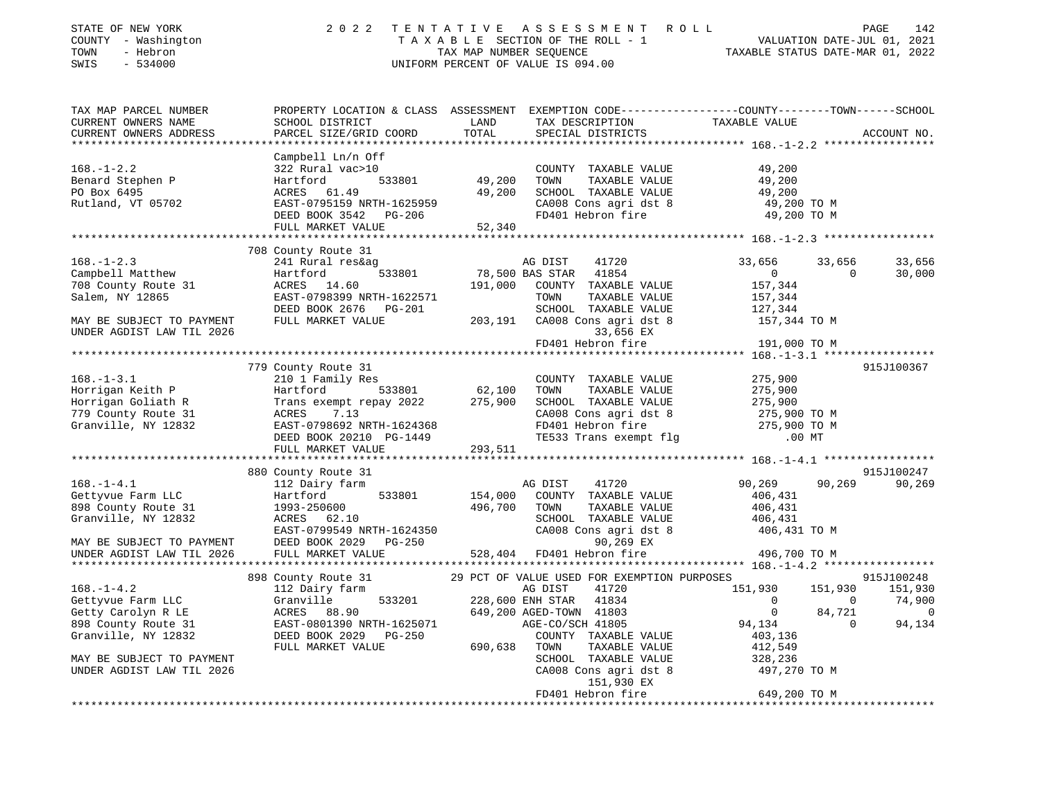| STATE OF NEW YORK<br>COUNTY - Washington<br>TOWN<br>- Hebron<br>SWIS<br>$-534000$                                      | 2 0 2 2                                                                                                                                                            |                           | TENTATIVE ASSESSMENT ROLL<br>UNIFORM PERCENT OF VALUE IS 094.00                                                                            | TAXABLE SECTION OF THE ROLL - 1<br>TAX MAP NUMBER SEQUENCE<br>NIFORM DRTE-JUL 01, 2021<br>NIFORM DRECENT OF VALUE TO 04.00             | PAGE<br>142                                                                 |
|------------------------------------------------------------------------------------------------------------------------|--------------------------------------------------------------------------------------------------------------------------------------------------------------------|---------------------------|--------------------------------------------------------------------------------------------------------------------------------------------|----------------------------------------------------------------------------------------------------------------------------------------|-----------------------------------------------------------------------------|
| TAX MAP PARCEL NUMBER<br>CURRENT OWNERS NAME<br>CURRENT OWNERS ADDRESS                                                 | PROPERTY LOCATION & CLASS ASSESSMENT EXEMPTION CODE---------------COUNTY-------TOWN------SCHOOL<br>SCHOOL DISTRICT<br>PARCEL SIZE/GRID COORD                       | LAND<br>TOTAL             | TAX DESCRIPTION TAXABLE VALUE SPECIAL DISTRICTS                                                                                            |                                                                                                                                        | ACCOUNT NO.                                                                 |
| $168. - 1 - 2.2$<br>Benard Stephen P                                                                                   | Campbell Ln/n Off<br>322 Rural vac>10<br>Hartford                                                                                                                  | 533801 49,200             | COUNTY TAXABLE VALUE<br>TOWN<br>TAXABLE VALUE                                                                                              | 49,200<br>49,200                                                                                                                       |                                                                             |
| PO Box 6495<br>Rutland, VT 05702                                                                                       | ACRES 61.49<br>EAST-0795159 NRTH-1625959<br>DEED BOOK 3542 PG-206<br>FULL MARKET VALUE                                                                             | 49,200<br>52,340          | SCHOOL TAXABLE VALUE<br>CA008 Cons agri dst 8<br>FD401 Hebron fire                                                                         | 49,200<br>49,200 TO M<br>49,200 TO M                                                                                                   |                                                                             |
|                                                                                                                        |                                                                                                                                                                    |                           |                                                                                                                                            |                                                                                                                                        |                                                                             |
| $168. - 1 - 2.3$<br>Campbell Matthew<br>708 County Route 31<br>Salem, NY 12865                                         | 708 County Route 31<br>241 Rural res&ag<br>Hartford<br>ACRES 14.60<br>EAST-0798399 NRTH-1622571                                                                    | 191,000                   | AG DIST<br>41720<br>533801 78,500 BAS STAR 41854<br>COUNTY TAXABLE VALUE<br>TOWN<br>TAXABLE VALUE                                          | 33,656<br>$\overline{0}$<br>157,344<br>157,344<br>127,344                                                                              | 33,656<br>33,656<br>$\overline{0}$<br>30,000                                |
| MAY BE SUBJECT TO PAYMENT<br>UNDER AGDIST LAW TIL 2026                                                                 | DEED BOOK 2676 PG-201 SCHOOL TAXABLE VALUE 127,344<br>FULL MARKET VALUE 203,191 CA008 Cons agri dst 8 157,344 TO M                                                 |                           | 33,656 EX                                                                                                                                  |                                                                                                                                        |                                                                             |
|                                                                                                                        |                                                                                                                                                                    |                           | FD401 Hebron fire                                                                                                                          | 191,000 TO M                                                                                                                           |                                                                             |
|                                                                                                                        | 779 County Route 31                                                                                                                                                |                           |                                                                                                                                            |                                                                                                                                        | 915J100367                                                                  |
| $168. - 1 - 3.1$<br>108.-1-3.1<br>Horrigan Keith P<br>Horrigan Goliath R<br>779 County Route 31<br>Granville, NY 12832 | 210 1 Family Res<br>533801<br>Hartford<br>Trans exempt repay 2022<br>ACRES 7.13<br>EAST-0798692 NRTH-1624368<br>DEED BOOK 20210 PG-1449<br>DEED BOOK 20210 PG-1449 | 62,100<br>275,900         | COUNTY TAXABLE VALUE<br>TOWN<br>TAXABLE VALUE<br>SCHOOL TAXABLE VALUE                                                                      | 275,900<br>275,900<br>275,900<br>CA008 Cons agri dst 8 275,900 TO M<br>FD401 Hebron fire 275,900 TO M<br>TE533 Trans exempt flg .00 MT |                                                                             |
|                                                                                                                        | FULL MARKET VALUE                                                                                                                                                  | 293,511                   |                                                                                                                                            |                                                                                                                                        |                                                                             |
|                                                                                                                        |                                                                                                                                                                    |                           |                                                                                                                                            |                                                                                                                                        |                                                                             |
| $168. - 1 - 4.1$<br>Gettyvue Farm LLC<br>898 County Route 31<br>Granville, NY 12832                                    | 880 County Route 31<br>112 Dairy farm<br>Hartford<br>1993-250600<br>ACRES 62.10                                                                                    | 533801 154,000<br>496,700 | 41720<br>AG DIST<br>COUNTY TAXABLE VALUE<br>TOWN<br>TAXABLE VALUE<br>SCHOOL TAXABLE VALUE                                                  | 90,269<br>406,431<br>406,431<br>406,431                                                                                                | 915J100247<br>90,269<br>90,269                                              |
|                                                                                                                        |                                                                                                                                                                    |                           |                                                                                                                                            |                                                                                                                                        |                                                                             |
|                                                                                                                        | 898 County Route 31                                                                                                                                                |                           | 29 PCT OF VALUE USED FOR EXEMPTION PURPOSES                                                                                                |                                                                                                                                        | 915J100248                                                                  |
| $168. - 1 - 4.2$<br>Gettyvue Farm LLC<br>Getty Carolyn R LE<br>898 County Route 31<br>Granville, NY 12832              | 112 Dairy farm<br>Granville 533201<br>ACRES 88.90<br>EAST-0801390 NRTH-1625071<br>DEED BOOK 2029<br>PG-250<br>FULL MARKET VALUE                                    | 690,638                   | AG DIST<br>41720<br>228,600 ENH STAR 41834<br>649,200 AGED-TOWN 41803<br>AGE-CO/SCH 41805<br>COUNTY TAXABLE VALUE<br>TOWN<br>TAXABLE VALUE | 151,930<br>151,930<br>$\mathbf 0$<br>$\overline{0}$<br>84,721<br>94,134<br>403,136<br>412,549                                          | 151,930<br>74,900<br>$\overline{0}$<br>$\overline{0}$<br>94,134<br>$\Omega$ |
| MAY BE SUBJECT TO PAYMENT<br>UNDER AGDIST LAW TIL 2026                                                                 |                                                                                                                                                                    |                           | SCHOOL TAXABLE VALUE<br>CA008 Cons agri dst 8<br>151,930 EX<br>FD401 Hebron fire                                                           | 328,236<br>497,270 TO M<br>649,200 TO M                                                                                                |                                                                             |
|                                                                                                                        |                                                                                                                                                                    |                           |                                                                                                                                            | ***********************************                                                                                                    |                                                                             |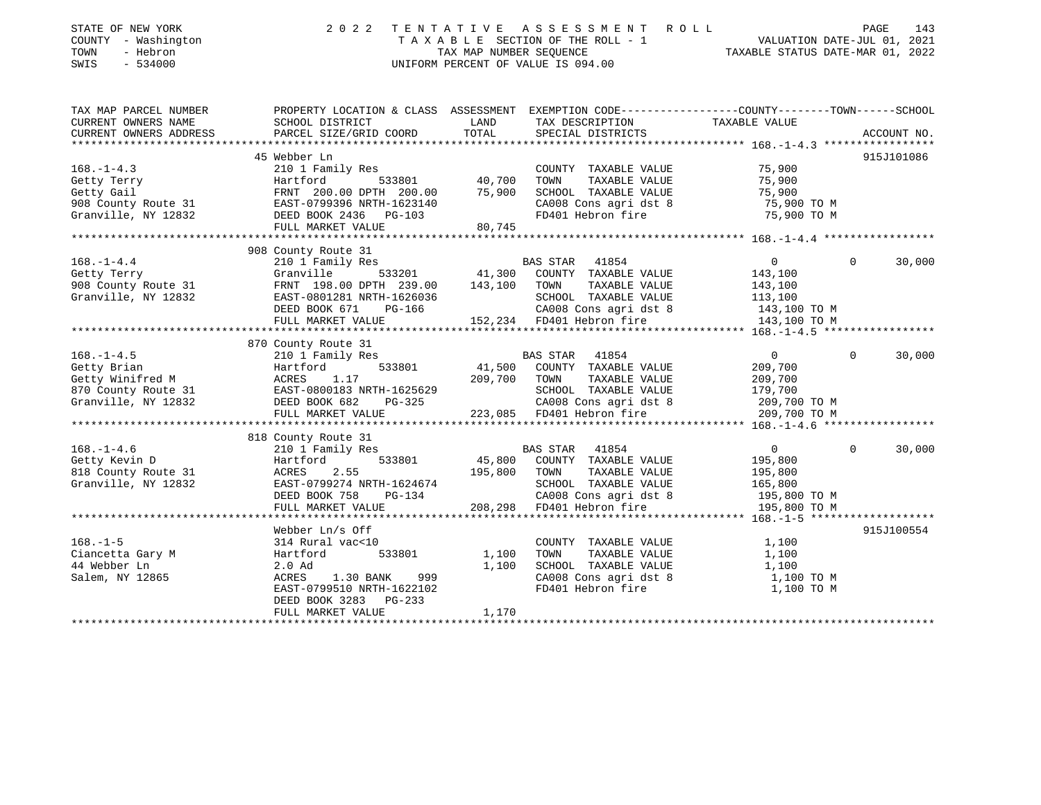| STATE OF NEW YORK<br>COUNTY - Washington<br>TOWN<br>- Hebron<br>SWIS<br>$-534000$ | 2 0 2 2                                                                                                             |         | TENTATIVE ASSESSMENT ROLL<br>T A X A B L E SECTION OF THE ROLL - 1<br>TAX MAP NUMBER SEQUENCE THE ROLL - 1 TAXABLE STATUS DATE-MAR 01. 2022<br>UNIFORM PERCENT OF VALUE IS 094.00 |                                                    | PAGE<br>143        |
|-----------------------------------------------------------------------------------|---------------------------------------------------------------------------------------------------------------------|---------|-----------------------------------------------------------------------------------------------------------------------------------------------------------------------------------|----------------------------------------------------|--------------------|
| TAX MAP PARCEL NUMBER<br>CURRENT OWNERS NAME                                      | PROPERTY LOCATION & CLASS ASSESSMENT EXEMPTION CODE----------------COUNTY-------TOWN------SCHOOL<br>SCHOOL DISTRICT | LAND    | TAX DESCRIPTION                                                                                                                                                                   | TAXABLE VALUE                                      |                    |
| CURRENT OWNERS ADDRESS                                                            | PARCEL SIZE/GRID COORD                                                                                              | TOTAL   | SPECIAL DISTRICTS                                                                                                                                                                 |                                                    | ACCOUNT NO.        |
|                                                                                   | 45 Webber Ln                                                                                                        |         |                                                                                                                                                                                   |                                                    | 915J101086         |
| $168. - 1 - 4.3$                                                                  | 210 1 Family Res                                                                                                    |         | COUNTY TAXABLE VALUE                                                                                                                                                              | 75,900                                             |                    |
| Getty Terry                                                                       | Hartford<br>533801                                                                                                  | 40,700  | TOWN<br>TAXABLE VALUE                                                                                                                                                             | 75,900                                             |                    |
| Getty Gail                                                                        | FRNT 200.00 DPTH 200.00                                                                                             | 75,900  | SCHOOL TAXABLE VALUE                                                                                                                                                              | 75,900                                             |                    |
| 908 County Route 31                                                               | FRNT 200.00 DPTH 200.00<br>EAST-0799396 NRTH-1623140                                                                |         | CA008 Cons agri dst 8                                                                                                                                                             | 75,900 TO M                                        |                    |
| Granville, NY 12832                                                               | DEED BOOK 2436 PG-103                                                                                               |         | FD401 Hebron fire                                                                                                                                                                 | 75,900 TO M                                        |                    |
|                                                                                   | FULL MARKET VALUE                                                                                                   | 80,745  |                                                                                                                                                                                   |                                                    |                    |
|                                                                                   | 908 County Route 31                                                                                                 |         |                                                                                                                                                                                   |                                                    |                    |
| $168. - 1 - 4.4$                                                                  | 210 1 Family Res                                                                                                    |         | BAS STAR 41854                                                                                                                                                                    | $\circ$                                            | $\Omega$<br>30,000 |
| Getty Terry                                                                       | Granville<br>533201                                                                                                 | 41,300  | COUNTY TAXABLE VALUE                                                                                                                                                              | 143,100                                            |                    |
| 908 County Route 31                                                               | FRNT 198.00 DPTH 239.00                                                                                             | 143,100 | TOWN<br>TAXABLE VALUE                                                                                                                                                             | 143,100                                            |                    |
| Granville, NY 12832                                                               | EAST-0801281 NRTH-1626036                                                                                           |         | SCHOOL TAXABLE VALUE                                                                                                                                                              | 113,100                                            |                    |
|                                                                                   | DEED BOOK 671<br>PG-166                                                                                             |         | CA008 Cons agri dst 8                                                                                                                                                             | 143,100 TO M                                       |                    |
|                                                                                   | FULL MARKET VALUE                                                                                                   |         | 152,234 FD401 Hebron fire                                                                                                                                                         | 143,100 TO M                                       |                    |
|                                                                                   |                                                                                                                     |         |                                                                                                                                                                                   |                                                    |                    |
|                                                                                   | 870 County Route 31                                                                                                 |         |                                                                                                                                                                                   |                                                    |                    |
| $168. - 1 - 4.5$                                                                  | 210 1 Family Res                                                                                                    |         | BAS STAR 41854                                                                                                                                                                    | $\overline{0}$                                     | 30,000<br>$\Omega$ |
| Getty Brian                                                                       | 533801<br>Hartford                                                                                                  | 41,500  | COUNTY TAXABLE VALUE                                                                                                                                                              | 209,700                                            |                    |
| Getty Bilan<br>Getty Winifred M<br>870 County Route 31                            | 1.17<br>ACRES                                                                                                       | 209,700 | TOWN<br>TAXABLE VALUE<br>SCHOOL TAXABLE VALUE                                                                                                                                     | 209,700                                            |                    |
| 870 County Route 31<br>Granville, NY 12832                                        |                                                                                                                     |         |                                                                                                                                                                                   | 179,700                                            |                    |
|                                                                                   | EAST-0800183 NRTH-1625629<br>DEED BOOK 682 PG-325<br>FULL MARKET VALUE 223,085                                      |         | 223,085 FD401 Hebron fire                                                                                                                                                         | CA008 Cons agri dst 8 209,700 TO M<br>209,700 TO M |                    |
|                                                                                   |                                                                                                                     |         |                                                                                                                                                                                   |                                                    |                    |
|                                                                                   | 818 County Route 31                                                                                                 |         |                                                                                                                                                                                   |                                                    |                    |
| $168. - 1 - 4.6$                                                                  | 210 1 Family Res                                                                                                    |         | BAS STAR 41854                                                                                                                                                                    | $\overline{0}$                                     | $\Omega$<br>30,000 |
| Getty Kevin D                                                                     | 533801<br>Hartford                                                                                                  | 45,800  | COUNTY TAXABLE VALUE                                                                                                                                                              | 195,800                                            |                    |
| 818 County Route 31                                                               | 2.55<br>ACRES                                                                                                       | 195,800 | TOWN<br>TAXABLE VALUE                                                                                                                                                             | 195,800                                            |                    |
| Granville, NY 12832                                                               | EAST-0799274 NRTH-1624674                                                                                           |         | SCHOOL TAXABLE VALUE                                                                                                                                                              | 165,800                                            |                    |
|                                                                                   | DEED BOOK 758<br>$PG-134$                                                                                           |         | CA008 Cons agri dst 8                                                                                                                                                             | 195,800 TO M                                       |                    |
|                                                                                   | FULL MARKET VALUE                                                                                                   | 208,298 | FD401 Hebron fire                                                                                                                                                                 | 195,800 TO M                                       |                    |
|                                                                                   | Webber Ln/s Off                                                                                                     |         |                                                                                                                                                                                   |                                                    | 915J100554         |
| $168. - 1 - 5$                                                                    | 314 Rural vac<10                                                                                                    |         | COUNTY TAXABLE VALUE                                                                                                                                                              | 1,100                                              |                    |
|                                                                                   | 533801<br>Hartford                                                                                                  | 1,100   | TOWN<br>TAXABLE VALUE                                                                                                                                                             | 1,100                                              |                    |
| Ciancetta Gary M<br>44 Webber Ln                                                  | 2.0 Ad                                                                                                              | 1,100   | SCHOOL TAXABLE VALUE                                                                                                                                                              | 1,100                                              |                    |
| Salem, NY 12865                                                                   | ACRES<br>1.30 BANK<br>999                                                                                           |         | CA008 Cons agri dst 8                                                                                                                                                             | 1,100 TO M                                         |                    |
|                                                                                   | EAST-0799510 NRTH-1622102                                                                                           |         | FD401 Hebron fire                                                                                                                                                                 | 1,100 TO M                                         |                    |
|                                                                                   | DEED BOOK 3283 PG-233                                                                                               |         |                                                                                                                                                                                   |                                                    |                    |
|                                                                                   | FULL MARKET VALUE                                                                                                   | 1,170   |                                                                                                                                                                                   |                                                    |                    |
|                                                                                   |                                                                                                                     |         |                                                                                                                                                                                   |                                                    |                    |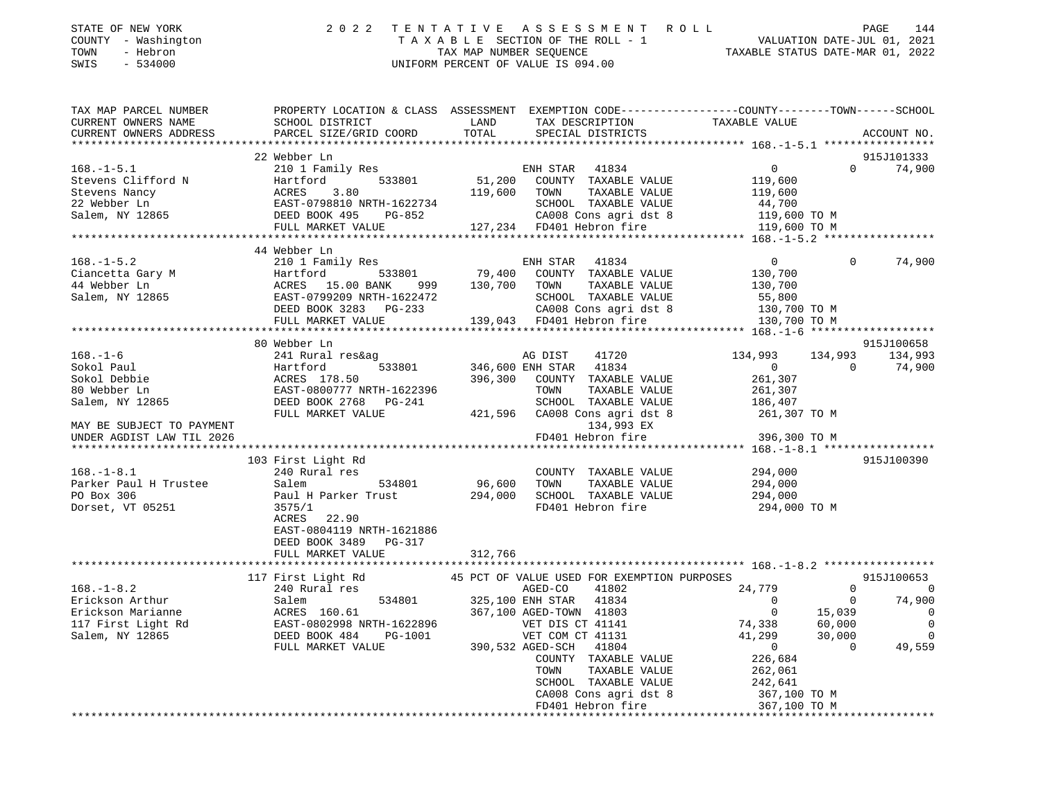| STATE OF NEW YORK |  |              |  |
|-------------------|--|--------------|--|
| COUNTY            |  | - Washington |  |
|                   |  |              |  |

## STATE OF NEW YORK 2 0 2 2 T E N T A T I V E A S S E S S M E N T R O L L PAGE 144 COUNTY - Washington T A X A B L E SECTION OF THE ROLL - 1 VALUATION DATE-JUL 01, 2021 TOWN - Hebron TAX MAP NUMBER SEQUENCE TAXABLE STATUS DATE-MAR 01, 2022 SWIS - 534000 UNIFORM PERCENT OF VALUE IS 094.00

| 22 Webber Ln              |                                                                                                                                                                                                                                                                                                                                                                                                                                   | 915J101333                                                                                                                                                                                                     |
|---------------------------|-----------------------------------------------------------------------------------------------------------------------------------------------------------------------------------------------------------------------------------------------------------------------------------------------------------------------------------------------------------------------------------------------------------------------------------|----------------------------------------------------------------------------------------------------------------------------------------------------------------------------------------------------------------|
|                           |                                                                                                                                                                                                                                                                                                                                                                                                                                   | $0$ 74,900                                                                                                                                                                                                     |
|                           |                                                                                                                                                                                                                                                                                                                                                                                                                                   |                                                                                                                                                                                                                |
|                           |                                                                                                                                                                                                                                                                                                                                                                                                                                   |                                                                                                                                                                                                                |
|                           | $\begin{tabular}{lllllllllllll} \multicolumn{3}{c}{168.-1-5.1} & 22 \text{ Weber Ln} & \multicolumn{3}{c}{EMH STR} & 41834 & 0 \\ \n \text{Stevens Clifford N} & & & & & \text{Bartford} & 533801 & 51,200 & \text{COUNTY} & \text{TXABLE VALUE} & 119,600 \\ \n \text{Stevens Nancy} & & & & & \text{ACRES} & 3.80 & 119,600 & \text{TOWN} & \text{TXABLE VALUE} & 119,600 \\ \n \text{22 Webber Ln} & & & & & \text{EAST}-0798$ |                                                                                                                                                                                                                |
|                           |                                                                                                                                                                                                                                                                                                                                                                                                                                   |                                                                                                                                                                                                                |
|                           |                                                                                                                                                                                                                                                                                                                                                                                                                                   |                                                                                                                                                                                                                |
|                           |                                                                                                                                                                                                                                                                                                                                                                                                                                   |                                                                                                                                                                                                                |
|                           |                                                                                                                                                                                                                                                                                                                                                                                                                                   |                                                                                                                                                                                                                |
| 44 Webber Ln              |                                                                                                                                                                                                                                                                                                                                                                                                                                   |                                                                                                                                                                                                                |
|                           |                                                                                                                                                                                                                                                                                                                                                                                                                                   | 74,900                                                                                                                                                                                                         |
|                           |                                                                                                                                                                                                                                                                                                                                                                                                                                   |                                                                                                                                                                                                                |
|                           |                                                                                                                                                                                                                                                                                                                                                                                                                                   |                                                                                                                                                                                                                |
|                           |                                                                                                                                                                                                                                                                                                                                                                                                                                   |                                                                                                                                                                                                                |
|                           |                                                                                                                                                                                                                                                                                                                                                                                                                                   |                                                                                                                                                                                                                |
|                           |                                                                                                                                                                                                                                                                                                                                                                                                                                   |                                                                                                                                                                                                                |
|                           | 168.-1-5.2<br>Ciancetta Gary M 210 1 Family Res ENH STAR 41834 0<br>Ciancetta Gary M Hartford 533801 79,400 COUNTY TAXABLE VALUE 130,700<br>44 Webber Ln ACRES 15.00 BANK 999 130,700 TOWN TAXABLE VALUE 130,700<br>Salem, NY 12865                                                                                                                                                                                               |                                                                                                                                                                                                                |
|                           |                                                                                                                                                                                                                                                                                                                                                                                                                                   |                                                                                                                                                                                                                |
| 80 Webber Ln              |                                                                                                                                                                                                                                                                                                                                                                                                                                   | 915J100658                                                                                                                                                                                                     |
|                           |                                                                                                                                                                                                                                                                                                                                                                                                                                   | $134,993$ $134,993$ $134,993$ $134,993$<br>0 0 74,900<br>261,307                                                                                                                                               |
|                           |                                                                                                                                                                                                                                                                                                                                                                                                                                   |                                                                                                                                                                                                                |
|                           |                                                                                                                                                                                                                                                                                                                                                                                                                                   |                                                                                                                                                                                                                |
|                           |                                                                                                                                                                                                                                                                                                                                                                                                                                   |                                                                                                                                                                                                                |
|                           |                                                                                                                                                                                                                                                                                                                                                                                                                                   |                                                                                                                                                                                                                |
|                           |                                                                                                                                                                                                                                                                                                                                                                                                                                   |                                                                                                                                                                                                                |
|                           |                                                                                                                                                                                                                                                                                                                                                                                                                                   |                                                                                                                                                                                                                |
|                           |                                                                                                                                                                                                                                                                                                                                                                                                                                   |                                                                                                                                                                                                                |
|                           |                                                                                                                                                                                                                                                                                                                                                                                                                                   |                                                                                                                                                                                                                |
|                           |                                                                                                                                                                                                                                                                                                                                                                                                                                   |                                                                                                                                                                                                                |
| 103 First Light Rd        |                                                                                                                                                                                                                                                                                                                                                                                                                                   | 915J100390                                                                                                                                                                                                     |
|                           | 168.-1-8.1 103 FITST LIGHT RANAGE COUNTY TAXABLE VALUE 294,000<br>Parker Paul H Trustee Salem 534801 96,600 TOWN TAXABLE VALUE 294,000<br>PO Box 306 Paul H Parker Trust 294,000 SCHOOL TAXABLE VALUE 294,000<br>Dorset, VT 05251 35                                                                                                                                                                                              |                                                                                                                                                                                                                |
|                           |                                                                                                                                                                                                                                                                                                                                                                                                                                   |                                                                                                                                                                                                                |
|                           |                                                                                                                                                                                                                                                                                                                                                                                                                                   |                                                                                                                                                                                                                |
|                           |                                                                                                                                                                                                                                                                                                                                                                                                                                   |                                                                                                                                                                                                                |
| ACRES<br>22.90            |                                                                                                                                                                                                                                                                                                                                                                                                                                   |                                                                                                                                                                                                                |
| EAST-0804119 NRTH-1621886 |                                                                                                                                                                                                                                                                                                                                                                                                                                   |                                                                                                                                                                                                                |
| DEED BOOK 3489 PG-317     |                                                                                                                                                                                                                                                                                                                                                                                                                                   |                                                                                                                                                                                                                |
| FULL MARKET VALUE 312,766 |                                                                                                                                                                                                                                                                                                                                                                                                                                   |                                                                                                                                                                                                                |
|                           |                                                                                                                                                                                                                                                                                                                                                                                                                                   |                                                                                                                                                                                                                |
|                           |                                                                                                                                                                                                                                                                                                                                                                                                                                   |                                                                                                                                                                                                                |
|                           |                                                                                                                                                                                                                                                                                                                                                                                                                                   |                                                                                                                                                                                                                |
|                           |                                                                                                                                                                                                                                                                                                                                                                                                                                   |                                                                                                                                                                                                                |
|                           |                                                                                                                                                                                                                                                                                                                                                                                                                                   |                                                                                                                                                                                                                |
|                           |                                                                                                                                                                                                                                                                                                                                                                                                                                   |                                                                                                                                                                                                                |
|                           |                                                                                                                                                                                                                                                                                                                                                                                                                                   |                                                                                                                                                                                                                |
|                           |                                                                                                                                                                                                                                                                                                                                                                                                                                   |                                                                                                                                                                                                                |
|                           |                                                                                                                                                                                                                                                                                                                                                                                                                                   |                                                                                                                                                                                                                |
|                           |                                                                                                                                                                                                                                                                                                                                                                                                                                   |                                                                                                                                                                                                                |
|                           |                                                                                                                                                                                                                                                                                                                                                                                                                                   |                                                                                                                                                                                                                |
|                           |                                                                                                                                                                                                                                                                                                                                                                                                                                   |                                                                                                                                                                                                                |
|                           |                                                                                                                                                                                                                                                                                                                                                                                                                                   |                                                                                                                                                                                                                |
|                           |                                                                                                                                                                                                                                                                                                                                                                                                                                   |                                                                                                                                                                                                                |
|                           |                                                                                                                                                                                                                                                                                                                                                                                                                                   | CAOO8 Cons agri dst 8 – 2007 – 2007 – 2008 Cons agri dst 8 – 2007 – 2008 Cons agri dst 8 – 2007 – 2007 – 2008<br>Z67,100 TO M – 2009 FD401 Hebron fire 367,100 TO M – 2007 2008 FD401 Hebron fire 367,100 TO M |
|                           |                                                                                                                                                                                                                                                                                                                                                                                                                                   |                                                                                                                                                                                                                |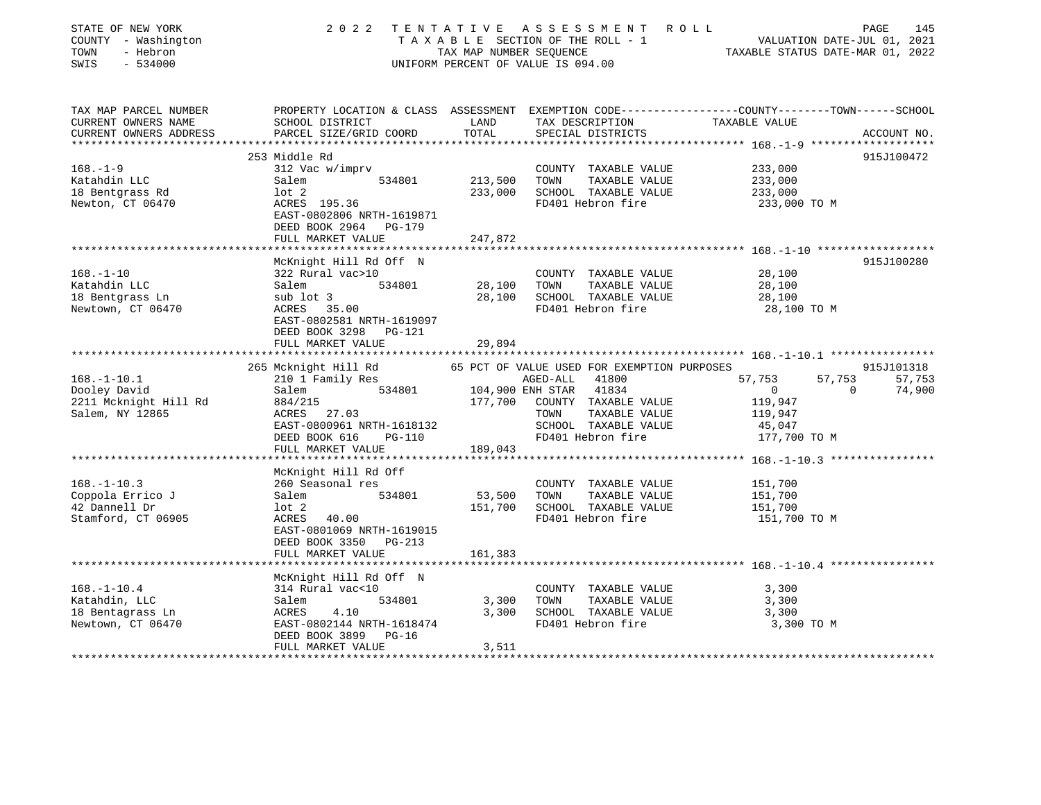| STATE OF NEW YORK<br>COUNTY - Washington<br>TOWN<br>- Hebron<br>SWIS<br>$-534000$ | 2 0 2 2                                                                                                                                               | TAX MAP NUMBER SEQUENCE | TENTATIVE ASSESSMENT<br>TAXABLE SECTION OF THE ROLL - 1<br>UNIFORM PERCENT OF VALUE IS 094.00 | R O L L<br>VALUATION DATE-JUL 01, 2021<br>TAXABLE STATUS DATE-MAR 01, 2022                                      | PAGE<br>145 |
|-----------------------------------------------------------------------------------|-------------------------------------------------------------------------------------------------------------------------------------------------------|-------------------------|-----------------------------------------------------------------------------------------------|-----------------------------------------------------------------------------------------------------------------|-------------|
| TAX MAP PARCEL NUMBER<br>CURRENT OWNERS NAME<br>CURRENT OWNERS ADDRESS            | SCHOOL DISTRICT<br>PARCEL SIZE/GRID COORD                                                                                                             | LAND<br>TOTAL           | TAX DESCRIPTION<br>SPECIAL DISTRICTS                                                          | PROPERTY LOCATION & CLASS ASSESSMENT EXEMPTION CODE---------------COUNTY-------TOWN-----SCHOOL<br>TAXABLE VALUE | ACCOUNT NO. |
| $168. - 1 - 9$<br>Katahdin LLC                                                    | 253 Middle Rd<br>312 Vac w/imprv<br>Salem<br>534801                                                                                                   | 213,500                 | COUNTY TAXABLE VALUE<br>TOWN<br>TAXABLE VALUE                                                 | 233,000<br>233,000                                                                                              | 915J100472  |
| 18 Bentgrass Rd<br>Newton, CT 06470                                               | $1$ ot $2$<br>ACRES 195.36<br>EAST-0802806 NRTH-1619871<br>DEED BOOK 2964<br>PG-179<br>FULL MARKET VALUE                                              | 233,000<br>247,872      | SCHOOL TAXABLE VALUE<br>FD401 Hebron fire                                                     | 233,000<br>233,000 TO M                                                                                         |             |
|                                                                                   |                                                                                                                                                       |                         |                                                                                               |                                                                                                                 |             |
| $168. - 1 - 10$<br>Katahdin LLC<br>18 Bentgrass Ln<br>Newtown, CT 06470           | McKnight Hill Rd Off N<br>322 Rural vac>10<br>Salem<br>534801<br>sub lot 3<br>ACRES<br>35.00<br>EAST-0802581 NRTH-1619097<br>DEED BOOK 3298<br>PG-121 | 28,100<br>28,100        | COUNTY TAXABLE VALUE<br>TAXABLE VALUE<br>TOWN<br>SCHOOL TAXABLE VALUE<br>FD401 Hebron fire    | 28,100<br>28,100<br>28,100<br>28,100 TO M                                                                       | 915J100280  |
|                                                                                   | FULL MARKET VALUE<br>********************                                                                                                             | 29,894<br>**********    |                                                                                               |                                                                                                                 |             |
|                                                                                   | 265 Mcknight Hill Rd                                                                                                                                  |                         | 65 PCT OF VALUE USED FOR EXEMPTION PURPOSES                                                   |                                                                                                                 | 915J101318  |
| $168. - 1 - 10.1$                                                                 | 210 1 Family Res                                                                                                                                      |                         | AGED-ALL<br>41800                                                                             | 57,753<br>57,753                                                                                                | 57,753      |
| Dooley David                                                                      | Salem<br>534801                                                                                                                                       | 104,900 ENH STAR        | 41834                                                                                         | $\overline{0}$<br>$\Omega$                                                                                      | 74,900      |
| 2211 Mcknight Hill Rd                                                             | 884/215                                                                                                                                               | 177,700                 | COUNTY TAXABLE VALUE                                                                          | 119,947                                                                                                         |             |
| Salem, NY 12865                                                                   | ACRES<br>27.03                                                                                                                                        |                         | TOWN<br>TAXABLE VALUE                                                                         | 119,947                                                                                                         |             |
|                                                                                   | EAST-0800961 NRTH-1618132                                                                                                                             |                         | SCHOOL TAXABLE VALUE                                                                          | 45,047                                                                                                          |             |
|                                                                                   | DEED BOOK 616<br><b>PG-110</b>                                                                                                                        |                         | FD401 Hebron fire                                                                             | 177,700 TO M                                                                                                    |             |
|                                                                                   | FULL MARKET VALUE<br>*******************                                                                                                              | 189,043                 |                                                                                               | ********************************* 168.-1-10.3 ****************                                                  |             |
|                                                                                   | McKnight Hill Rd Off                                                                                                                                  |                         |                                                                                               |                                                                                                                 |             |
| $168. - 1 - 10.3$                                                                 | 260 Seasonal res                                                                                                                                      |                         | COUNTY TAXABLE VALUE                                                                          | 151,700                                                                                                         |             |
| Coppola Errico J                                                                  | 534801<br>Salem                                                                                                                                       | 53,500                  | TAXABLE VALUE<br>TOWN                                                                         | 151,700                                                                                                         |             |
| 42 Dannell Dr                                                                     | $1$ ot $2$                                                                                                                                            | 151,700                 | SCHOOL TAXABLE VALUE                                                                          | 151,700                                                                                                         |             |
| Stamford, CT 06905                                                                | ACRES<br>40.00<br>EAST-0801069 NRTH-1619015<br>DEED BOOK 3350<br>$PG-213$                                                                             |                         | FD401 Hebron fire                                                                             | 151,700 TO M                                                                                                    |             |
|                                                                                   | FULL MARKET VALUE<br>***********************                                                                                                          | 161,383                 |                                                                                               |                                                                                                                 |             |
|                                                                                   | McKnight Hill Rd Off N                                                                                                                                |                         |                                                                                               |                                                                                                                 |             |
| $168. - 1 - 10.4$                                                                 | 314 Rural vac<10                                                                                                                                      |                         | COUNTY TAXABLE VALUE                                                                          | 3,300                                                                                                           |             |
| Katahdin, LLC                                                                     | 534801<br>Salem                                                                                                                                       | 3,300                   | TOWN<br>TAXABLE VALUE                                                                         | 3,300                                                                                                           |             |
| 18 Bentagrass Ln                                                                  | ACRES<br>4.10                                                                                                                                         | 3,300                   | SCHOOL TAXABLE VALUE                                                                          | 3,300                                                                                                           |             |
| Newtown, CT 06470                                                                 | EAST-0802144 NRTH-1618474<br>DEED BOOK 3899<br>PG-16<br>FULL MARKET VALUE                                                                             | 3,511                   | FD401 Hebron fire                                                                             | 3,300 TO M                                                                                                      |             |
| ******************                                                                |                                                                                                                                                       |                         |                                                                                               |                                                                                                                 |             |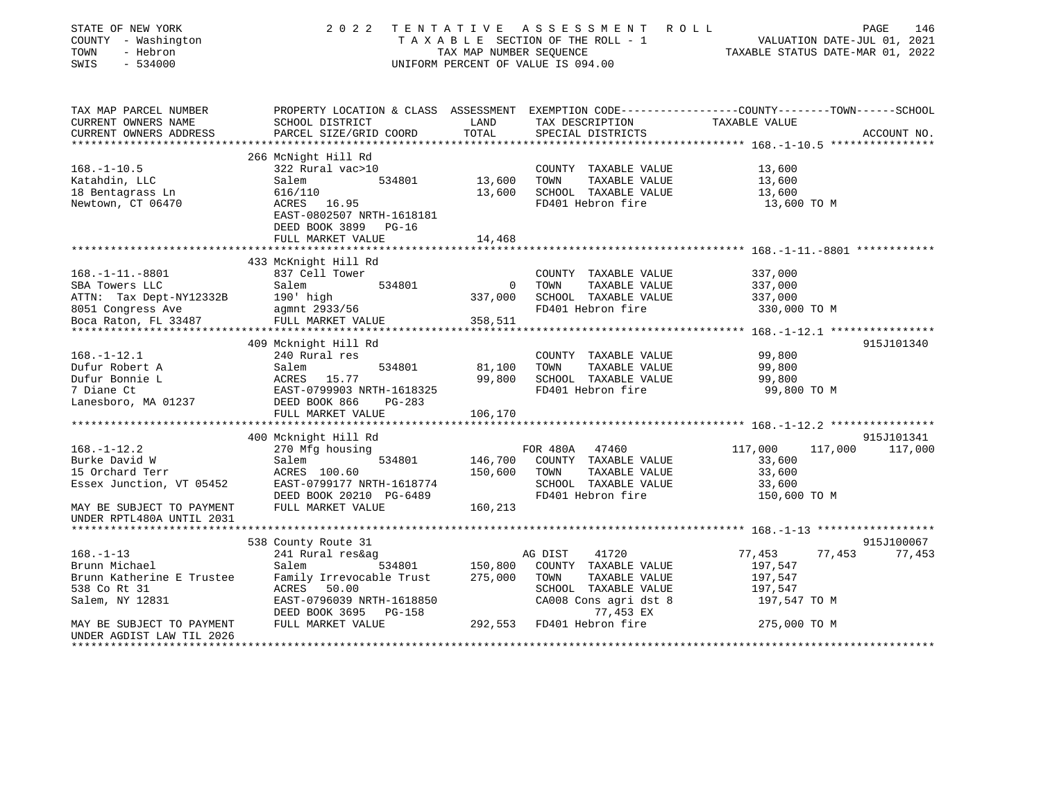| STATE OF NEW YORK<br>COUNTY - Washington<br>TOWN<br>- Hebron<br>$-534000$<br>SWIS                                                                                                    | 2 0 2 2                                                                                                                                                                                    | TAX MAP NUMBER SEQUENCE                          | TENTATIVE ASSESSMENT<br>R O L L<br>T A X A B L E SECTION OF THE ROLL - 1<br>UNIFORM PERCENT OF VALUE IS 094.00                                       | VALUATION DATE-JUL 01, 2021<br>TAXABLE STATUS DATE-MAR 01, 2022                                                                                       | 146<br>PAGE           |
|--------------------------------------------------------------------------------------------------------------------------------------------------------------------------------------|--------------------------------------------------------------------------------------------------------------------------------------------------------------------------------------------|--------------------------------------------------|------------------------------------------------------------------------------------------------------------------------------------------------------|-------------------------------------------------------------------------------------------------------------------------------------------------------|-----------------------|
| TAX MAP PARCEL NUMBER<br>CURRENT OWNERS NAME<br>CURRENT OWNERS ADDRESS                                                                                                               | SCHOOL DISTRICT<br>PARCEL SIZE/GRID COORD                                                                                                                                                  | LAND<br>TOTAL                                    | TAX DESCRIPTION<br>SPECIAL DISTRICTS                                                                                                                 | PROPERTY LOCATION & CLASS ASSESSMENT EXEMPTION CODE---------------COUNTY-------TOWN------SCHOOL<br>TAXABLE VALUE                                      | ACCOUNT NO.           |
| ***********************                                                                                                                                                              |                                                                                                                                                                                            |                                                  |                                                                                                                                                      |                                                                                                                                                       |                       |
| $168. - 1 - 10.5$<br>Katahdin, LLC<br>18 Bentagrass Ln<br>Newtown, CT 06470                                                                                                          | 266 McNight Hill Rd<br>322 Rural vac>10<br>534801<br>Salem<br>616/110<br>ACRES 16.95<br>EAST-0802507 NRTH-1618181<br>DEED BOOK 3899<br>PG-16                                               | 13,600<br>13,600                                 | COUNTY TAXABLE VALUE<br>TAXABLE VALUE<br>TOWN<br>SCHOOL TAXABLE VALUE<br>FD401 Hebron fire                                                           | 13,600<br>13,600<br>13,600<br>13,600 TO M                                                                                                             |                       |
|                                                                                                                                                                                      | FULL MARKET VALUE                                                                                                                                                                          | 14,468                                           |                                                                                                                                                      |                                                                                                                                                       |                       |
| $168. - 1 - 11. - 8801$<br>SBA Towers LLC<br>ATTN: Tax Dept-NY12332B<br>8051 Congress Ave<br>Boca Raton, FL 33487                                                                    | 433 McKnight Hill Rd<br>837 Cell Tower<br>Salem<br>534801<br>190' high<br>agmnt 2933/56<br>FULL MARKET VALUE                                                                               | $\mathbf 0$<br>337,000<br>358,511<br>*********** | COUNTY TAXABLE VALUE<br>TOWN<br>TAXABLE VALUE<br>SCHOOL TAXABLE VALUE<br>FD401 Hebron fire                                                           | ******************* 168.-1-11.-8801 ************<br>337,000<br>337,000<br>337,000<br>330,000 TO M<br>****************** 168.-1-12.1 ***************** |                       |
| $168. - 1 - 12.1$<br>Dufur Robert A<br>Dufur Bonnie L<br>7 Diane Ct<br>Lanesboro, MA 01237                                                                                           | 409 Mcknight Hill Rd<br>240 Rural res<br>534801<br>Salem<br>ACRES 15.77<br>EAST-0799903 NRTH-1618325<br>DEED BOOK 866<br>PG-283<br>FULL MARKET VALUE                                       | 81,100<br>99,800<br>106,170                      | COUNTY TAXABLE VALUE<br>TAXABLE VALUE<br>TOWN<br>SCHOOL TAXABLE VALUE<br>FD401 Hebron fire                                                           | 99,800<br>99,800<br>99,800<br>99,800 TO M                                                                                                             | 915J101340            |
|                                                                                                                                                                                      | *******************                                                                                                                                                                        |                                                  |                                                                                                                                                      |                                                                                                                                                       |                       |
| $168. - 1 - 12.2$<br>Burke David W<br>15 Orchard Terr<br>Essex Junction, VT 05452<br>MAY BE SUBJECT TO PAYMENT<br>UNDER RPTL480A UNTIL 2031<br>***********************               | 400 Mcknight Hill Rd<br>270 Mfg housing<br>534801<br>Salem<br>ACRES 100.60<br>EAST-0799177 NRTH-1618774<br>DEED BOOK 20210 PG-6489<br>FULL MARKET VALUE                                    | 146,700<br>150,600<br>160,213                    | FOR 480A 47460<br>COUNTY TAXABLE VALUE<br>TAXABLE VALUE<br>TOWN<br>SCHOOL TAXABLE VALUE<br>FD401 Hebron fire                                         | 117,000<br>117,000<br>33,600<br>33,600<br>33,600<br>150,600 TO M                                                                                      | 915J101341<br>117,000 |
| $168. - 1 - 13$<br>Brunn Michael<br>Brunn Katherine E Trustee<br>538 Co Rt 31<br>Salem, NY 12831<br>MAY BE SUBJECT TO PAYMENT<br>UNDER AGDIST LAW TIL 2026<br>********************** | 538 County Route 31<br>241 Rural res&ag<br>Salem<br>534801<br>Family Irrevocable Trust<br>ACRES 50.00<br>EAST-0796039 NRTH-1618850<br><b>PG-158</b><br>DEED BOOK 3695<br>FULL MARKET VALUE | 150,800<br>275,000<br>292,553                    | AG DIST<br>41720<br>COUNTY TAXABLE VALUE<br>TOWN<br>TAXABLE VALUE<br>SCHOOL TAXABLE VALUE<br>CA008 Cons agri dst 8<br>77,453 EX<br>FD401 Hebron fire | 77,453<br>77,453<br>197,547<br>197,547<br>197,547<br>197,547 TO M<br>275,000 TO M                                                                     | 915J100067<br>77,453  |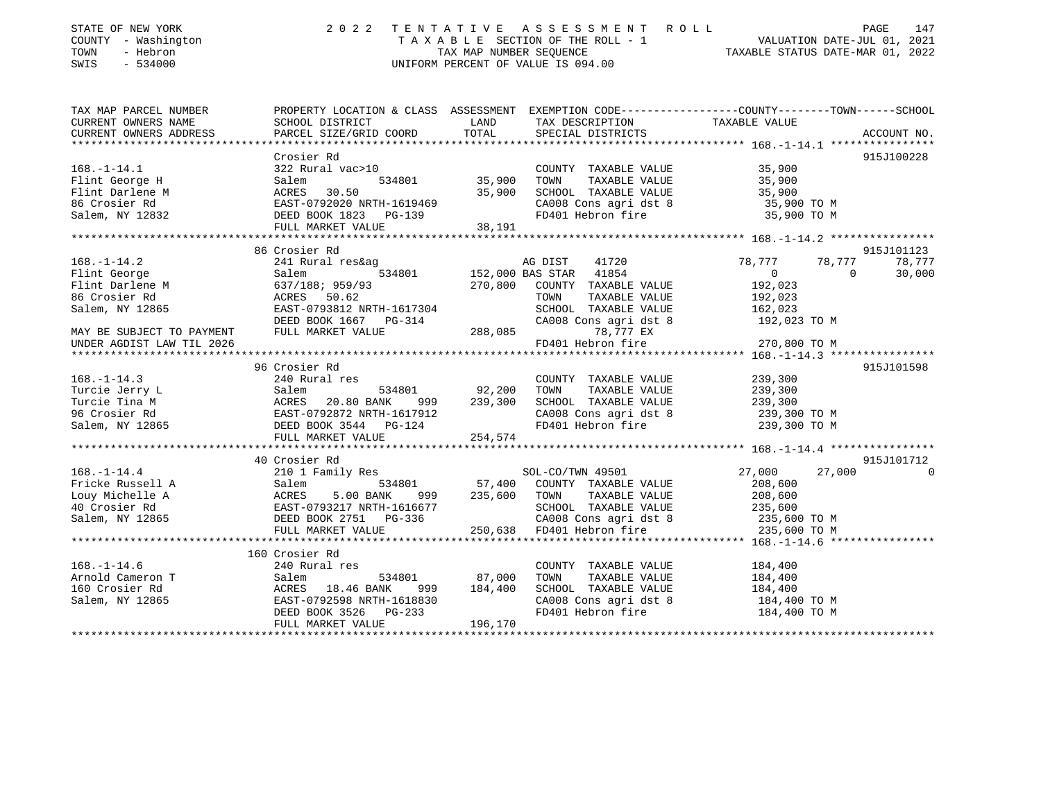| STATE OF NEW YORK<br>COUNTY - Washington<br>- Hebron<br>TOWN<br>SWIS<br>$-534000$ | 2 0 2 2                                            | TENTATIVE<br>TAX MAP NUMBER SEQUENCE | ASSESSMENT ROLL<br>TAXABLE SECTION OF THE ROLL - 1<br>UNIFORM PERCENT OF VALUE IS 094.00 | PAGE 147<br>VALUATION DATE-JUL 01, 2021<br>TAXABLE STATUE DATE 100<br>TAXABLE STATUS DATE-MAR 01, 2022          |                        |
|-----------------------------------------------------------------------------------|----------------------------------------------------|--------------------------------------|------------------------------------------------------------------------------------------|-----------------------------------------------------------------------------------------------------------------|------------------------|
| TAX MAP PARCEL NUMBER<br>CURRENT OWNERS NAME                                      | SCHOOL DISTRICT                                    | LAND                                 | TAX DESCRIPTION                                                                          | PROPERTY LOCATION & CLASS ASSESSMENT EXEMPTION CODE---------------COUNTY-------TOWN-----SCHOOL<br>TAXABLE VALUE |                        |
| CURRENT OWNERS ADDRESS                                                            | PARCEL SIZE/GRID COORD                             | TOTAL                                | SPECIAL DISTRICTS                                                                        |                                                                                                                 | ACCOUNT NO.            |
|                                                                                   |                                                    |                                      |                                                                                          |                                                                                                                 |                        |
|                                                                                   | Crosier Rd                                         |                                      |                                                                                          |                                                                                                                 | 915J100228             |
| $168. - 1 - 14.1$                                                                 | 322 Rural vac>10                                   |                                      | COUNTY TAXABLE VALUE                                                                     | 35,900                                                                                                          |                        |
| Flint George H                                                                    | 534801<br>Salem                                    | 35,900                               | TAXABLE VALUE<br>TOWN                                                                    | 35,900                                                                                                          |                        |
| Flint Darlene M                                                                   | ACRES 30.50                                        | 35,900                               | SCHOOL TAXABLE VALUE                                                                     | 35,900                                                                                                          |                        |
| 86 Crosier Rd<br>Salem, NY 12832                                                  | EAST-0792020 NRTH-1619469<br>DEED BOOK 1823 PG-139 |                                      | CA008 Cons agri dst 8<br>FD401 Hebron fire                                               | 35,900 TO M<br>35,900 TO M                                                                                      |                        |
|                                                                                   | FULL MARKET VALUE                                  | 38,191                               |                                                                                          |                                                                                                                 |                        |
|                                                                                   |                                                    |                                      |                                                                                          |                                                                                                                 |                        |
|                                                                                   | 86 Crosier Rd                                      |                                      |                                                                                          |                                                                                                                 | 915J101123             |
| $168. - 1 - 14.2$                                                                 | 241 Rural res&ag                                   |                                      | AG DIST<br>41720                                                                         | 78,777<br>78,777                                                                                                | 78,777                 |
| Flint George                                                                      | Salem<br>534801                                    |                                      | 41854<br>152,000 BAS STAR                                                                | $\overline{0}$<br>$\Omega$                                                                                      | 30,000                 |
| Flint Darlene M                                                                   | 637/188; 959/93                                    | 270,800                              | COUNTY TAXABLE VALUE                                                                     | 192,023                                                                                                         |                        |
| 86 Crosier Rd                                                                     | 50.62<br>ACRES                                     |                                      | TOWN<br>TAXABLE VALUE                                                                    | 192,023                                                                                                         |                        |
| Salem, NY 12865                                                                   | EAST-0793812 NRTH-1617304                          |                                      | SCHOOL TAXABLE VALUE                                                                     | 162,023                                                                                                         |                        |
| MAY BE SUBJECT TO PAYMENT                                                         | DEED BOOK 1667 PG-314<br>FULL MARKET VALUE         | 288,085                              | CA008 Cons agri dst 8<br>78,777 EX                                                       | 192,023 TO M                                                                                                    |                        |
| UNDER AGDIST LAW TIL 2026                                                         |                                                    |                                      | FD401 Hebron fire                                                                        | 270,800 TO M                                                                                                    |                        |
| **********************                                                            |                                                    |                                      |                                                                                          |                                                                                                                 |                        |
|                                                                                   | 96 Crosier Rd                                      |                                      |                                                                                          |                                                                                                                 | 915J101598             |
| $168. - 1 - 14.3$                                                                 | 240 Rural res                                      |                                      | COUNTY TAXABLE VALUE                                                                     | 239,300                                                                                                         |                        |
| Turcie Jerry L                                                                    | Salem<br>534801                                    | 92,200                               | TAXABLE VALUE<br>TOWN                                                                    | 239,300                                                                                                         |                        |
| Turcie Tina M                                                                     | 20.80 BANK<br>ACRES<br>999                         | 239,300                              | SCHOOL TAXABLE VALUE                                                                     | 239,300                                                                                                         |                        |
| 96 Crosier Rd                                                                     | EAST-0792872 NRTH-1617912                          |                                      | CA008 Cons agri dst 8                                                                    | 239,300 TO M                                                                                                    |                        |
| Salem, NY 12865                                                                   | DEED BOOK 3544 PG-124                              |                                      | FD401 Hebron fire                                                                        | 239,300 TO M                                                                                                    |                        |
|                                                                                   | FULL MARKET VALUE<br>************************      | 254,574                              |                                                                                          |                                                                                                                 |                        |
|                                                                                   |                                                    |                                      |                                                                                          |                                                                                                                 |                        |
| $168. - 1 - 14.4$                                                                 | 40 Crosier Rd<br>210 1 Family Res                  |                                      | SOL-CO/TWN 49501                                                                         | 27,000<br>27,000                                                                                                | 915J101712<br>$\Omega$ |
| Fricke Russell A                                                                  | Salem<br>534801                                    | 57,400                               | COUNTY TAXABLE VALUE                                                                     | 208,600                                                                                                         |                        |
| Louy Michelle A                                                                   | ACRES<br>5.00 BANK<br>999                          | 235,600                              | TAXABLE VALUE<br>TOWN                                                                    | 208,600                                                                                                         |                        |
| 40 Crosier Rd                                                                     | EAST-0793217 NRTH-1616677                          |                                      | SCHOOL TAXABLE VALUE                                                                     | 235,600                                                                                                         |                        |
| Salem, NY 12865                                                                   | DEED BOOK 2751 PG-336                              |                                      | CA008 Cons agri dst 8                                                                    | 235,600 TO M                                                                                                    |                        |
|                                                                                   | FULL MARKET VALUE                                  | 250,638                              | FD401 Hebron fire                                                                        | 235,600 TO M                                                                                                    |                        |
|                                                                                   | **************************                         |                                      |                                                                                          |                                                                                                                 |                        |
|                                                                                   | 160 Crosier Rd                                     |                                      |                                                                                          |                                                                                                                 |                        |
| $168. - 1 - 14.6$                                                                 | 240 Rural res                                      |                                      | COUNTY TAXABLE VALUE                                                                     | 184,400                                                                                                         |                        |
| Arnold Cameron T                                                                  | Salem<br>534801                                    | 87,000                               | TOWN<br>TAXABLE VALUE                                                                    | 184,400                                                                                                         |                        |
| 160 Crosier Rd                                                                    | ACRES 18.46 BANK<br>999                            | 184,400                              | SCHOOL TAXABLE VALUE                                                                     | 184,400                                                                                                         |                        |
| Salem, NY 12865                                                                   | EAST-0792598 NRTH-1618830                          |                                      | CA008 Cons agri dst 8                                                                    | 184,400 TO M                                                                                                    |                        |
|                                                                                   | DEED BOOK 3526<br>PG-233<br>FULL MARKET VALUE      | 196,170                              | FD401 Hebron fire                                                                        | 184,400 TO M                                                                                                    |                        |
|                                                                                   |                                                    |                                      |                                                                                          |                                                                                                                 |                        |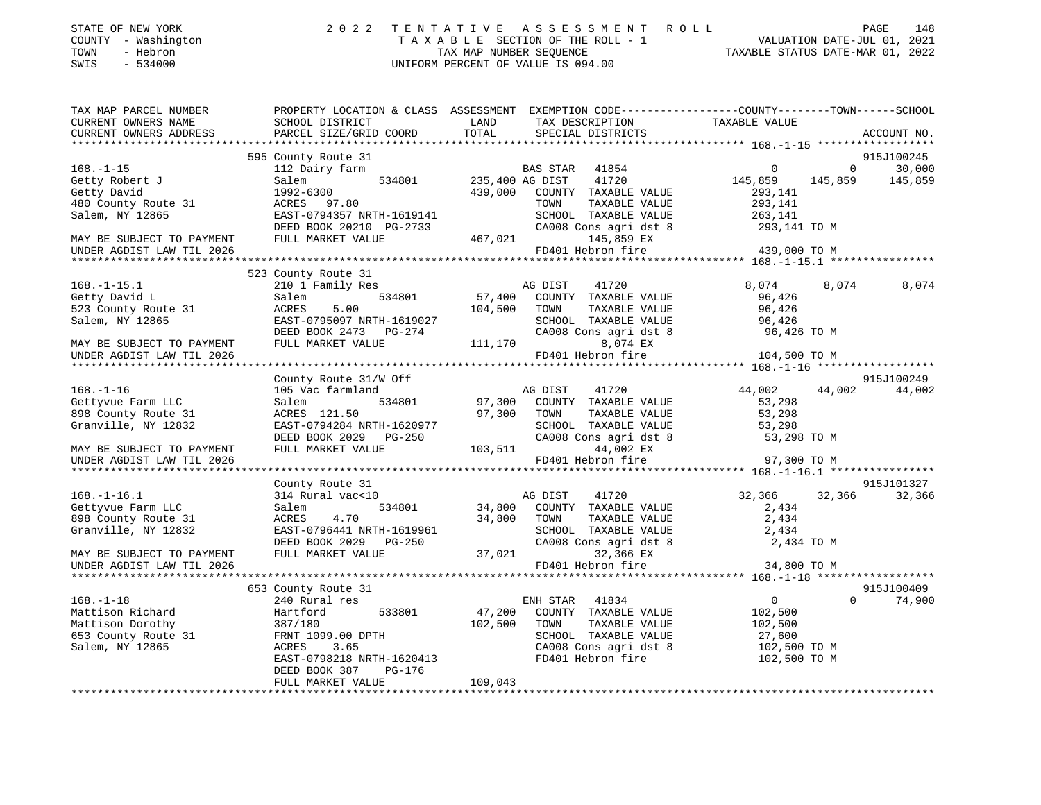| STATE OF NEW YORK   | 2022 TENTATIVE ASSESSMENT ROLL     | 148<br>PAGE                      |
|---------------------|------------------------------------|----------------------------------|
| COUNTY - Washington | TAXABLE SECTION OF THE ROLL - 1    | VALUATION DATE-JUL 01, 2021      |
| TOWN<br>- Hebron    | TAX MAP NUMBER SEOUENCE            | TAXABLE STATUS DATE-MAR 01, 2022 |
| SWIS - 534000       | UNIFORM PERCENT OF VALUE IS 094.00 |                                  |

| TAX MAP PARCEL NUMBER                                  |                                                                                 |                                                                  | PROPERTY LOCATION & CLASS ASSESSMENT EXEMPTION CODE---------------COUNTY-------TOWN-----SCHOOL |
|--------------------------------------------------------|---------------------------------------------------------------------------------|------------------------------------------------------------------|------------------------------------------------------------------------------------------------|
| CURRENT OWNERS NAME                                    | SCHOOL DISTRICT                                                                 | LAND<br>TAX DESCRIPTION                                          | TAXABLE VALUE                                                                                  |
| CURRENT OWNERS ADDRESS                                 | PARCEL SIZE/GRID COORD                                                          | TOTAL<br>SPECIAL DISTRICTS                                       | ACCOUNT NO.                                                                                    |
|                                                        |                                                                                 |                                                                  |                                                                                                |
|                                                        | 595 County Route 31                                                             |                                                                  | 915J100245                                                                                     |
| $168. - 1 - 15$                                        | 112 Dairy farm                                                                  | BAS STAR 41854                                                   | $\Omega$<br>$\overline{0}$<br>30,000                                                           |
| Getty Robert J                                         | Salem                                                                           | 534801 235,400 AG DIST<br>41720                                  | 145,859<br>145,859<br>145,859                                                                  |
| Getty David                                            | 1992-6300                                                                       | 439,000 COUNTY TAXABLE VALUE                                     | 293,141                                                                                        |
| 480 County Route 31                                    | ACRES 97.80                                                                     | TOWN<br>TAXABLE VALUE                                            | 293,141                                                                                        |
| Salem, NY 12865                                        | EAST-0794357 NRTH-1619141                                                       |                                                                  | SCHOOL TAXABLE VALUE 263,141<br>CA008 Cons agri dst 8 293,141 TO M                             |
|                                                        | DEED BOOK 20210 PG-2733                                                         |                                                                  |                                                                                                |
| MAY BE SUBJECT TO PAYMENT                              | FULL MARKET VALUE                                                               | 467,021<br>145,859 EX                                            |                                                                                                |
| UNDER AGDIST LAW TIL 2026                              |                                                                                 | FD401 Hebron fire                                                | 439,000 TO M                                                                                   |
|                                                        |                                                                                 |                                                                  |                                                                                                |
|                                                        | 523 County Route 31                                                             |                                                                  |                                                                                                |
| $168. - 1 - 15.1$                                      | 210 1 Family Res                                                                | AG DIST<br>41720                                                 | 8,074<br>8,074<br>8,074                                                                        |
| Getty David L                                          | 534801<br>Salem                                                                 | 57,400 COUNTY TAXABLE VALUE                                      | 96,426                                                                                         |
| 523 County Route 31                                    | ACRES<br>5.00                                                                   | 104,500 TOWN<br>TAXABLE VALUE                                    | 96,426                                                                                         |
| Salem, NY 12865                                        | EAST-0795097 NRTH-1619027<br>EAST-0795097 NRTH-1619027<br>DEED BOOK 2473 PG-274 | SCHOOL TAXABLE VALUE                                             | 96,426                                                                                         |
|                                                        |                                                                                 | CA008 Cons agri dst 8                                            | 96,426 TO M                                                                                    |
| MAY BE SUBJECT TO PAYMENT                              | FULL MARKET VALUE                                                               | 111,170<br>8,074 EX                                              |                                                                                                |
| UNDER AGDIST LAW TIL 2026                              |                                                                                 | FD401 Hebron fire                                                | 104,500 TO M                                                                                   |
|                                                        |                                                                                 |                                                                  |                                                                                                |
|                                                        | County Route 31/W Off                                                           |                                                                  | 915J100249                                                                                     |
| $168. - 1 - 16$                                        | 105 Vac farmland                                                                | AG DIST 41720<br>97,300 COUNTY TAXABLE VALUE                     | 44,002<br>44,002<br>44,002                                                                     |
| Gettyvue Farm LLC                                      | 534801<br>Salem                                                                 |                                                                  | 53,298                                                                                         |
| 898 County Route 31                                    | ACRES 121.50                                                                    | 97,300 TOWN<br>TOWN      TAXABLE VALUE<br>SCHOOL   TAXABLE VALUE | 53,298<br>53,298                                                                               |
| Granville, NY 12832                                    | EAST-0794284 NRTH-1620977                                                       |                                                                  |                                                                                                |
|                                                        | DEED BOOK 2029    PG-250                                                        | CA008<br>103,511                                                 | CA008 Cons agri dst 8 53,298 TO M                                                              |
| MAY BE SUBJECT TO PAYMENT                              | FULL MARKET VALUE                                                               | 44,002 EX                                                        |                                                                                                |
| UNDER AGDIST LAW TIL 2026                              |                                                                                 | FD401 Hebron fire                                                | 97,300 TO M                                                                                    |
|                                                        |                                                                                 |                                                                  |                                                                                                |
|                                                        | County Route 31                                                                 |                                                                  | 915J101327                                                                                     |
| $168. - 1 - 16.1$                                      | 314 Rural vac<10                                                                | AG DIST<br>41720                                                 | 32,366<br>32,366<br>32,366                                                                     |
| Gettyvue Farm LLC                                      | 534801<br>Salem<br>4.70                                                         | 34,800 COUNTY TAXABLE VALUE<br>34,800 TOWN                       | 2,434                                                                                          |
| 898 County Route 31                                    | ACRES                                                                           | TAXABLE VALUE                                                    | 2,434<br>2,434                                                                                 |
| Granville, NY 12832                                    | EAST-0796441 NRTH-1619961<br>DEED BOOK 2029    PG-250                           | SCHOOL TAXABLE VALUE<br>CA008 Cons agri dst 8                    | 2,434 TO M                                                                                     |
|                                                        | FULL MARKET VALUE                                                               | 37,021<br>32,366 EX                                              |                                                                                                |
| MAY BE SUBJECT TO PAYMENT<br>UNDER AGDIST LAW TIL 2026 |                                                                                 | FD401 Hebron fire                                                | 34,800 TO M                                                                                    |
|                                                        |                                                                                 |                                                                  |                                                                                                |
|                                                        | 653 County Route 31                                                             |                                                                  | 915J100409                                                                                     |
| $168. - 1 - 18$                                        | 240 Rural res                                                                   | ENH STAR 41834                                                   | $\overline{0}$<br>$\Omega$<br>74,900                                                           |
| Mattison Richard                                       | Hartford<br>533801                                                              | 47,200 COUNTY TAXABLE VALUE                                      | 102,500                                                                                        |
| Mattison Dorothy                                       | 387/180                                                                         | 102,500<br>TOWN<br>TAXABLE VALUE                                 | 102,500                                                                                        |
| 653 County Route 31                                    | FRNT 1099.00 DPTH                                                               | SCHOOL TAXABLE VALUE                                             |                                                                                                |
| Salem, NY 12865                                        | ACRES<br>3.65                                                                   |                                                                  | 27,600<br>102,500 TO M                                                                         |
|                                                        | EAST-0798218 NRTH-1620413                                                       |                                                                  | CA008 Cons agri dst 8 102,500 TO M<br>FD401 Hebron fire 102,500 TO M                           |
|                                                        | DEED BOOK 387<br>PG-176                                                         |                                                                  |                                                                                                |
|                                                        | FULL MARKET VALUE                                                               | 109,043                                                          |                                                                                                |
|                                                        |                                                                                 |                                                                  |                                                                                                |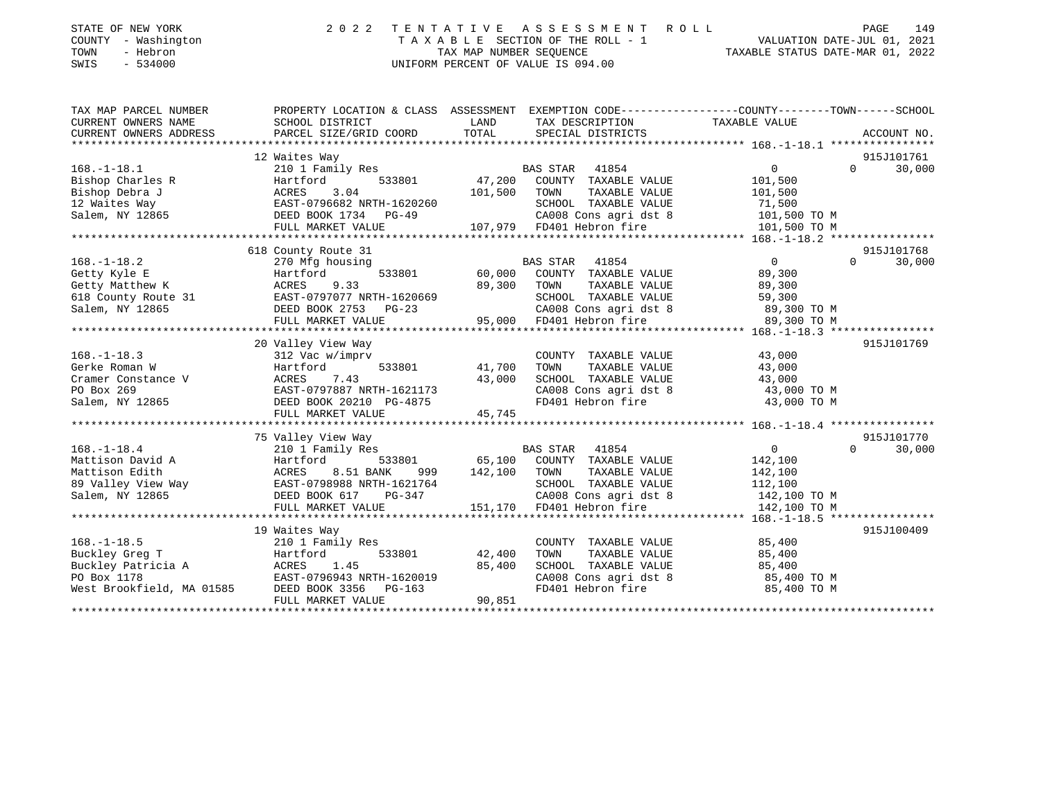| STATE OF NEW YORK |          |              |
|-------------------|----------|--------------|
| COUNTY            |          | - Washington |
| TOWN              | - Hebron |              |

## STATE OF NEW YORK 2 0 2 2 T E N T A T I V E A S S E S S M E N T R O L L PAGE 149 COUNTY - Washington T A X A B L E SECTION OF THE ROLL - 1 VALUATION DATE-JUL 01, 2021 TOWN - Hebron TAX MAP NUMBER SEQUENCE TAXABLE STATUS DATE-MAR 01, 2022 SWIS - 534000 UNIFORM PERCENT OF VALUE IS 094.00

| TAX MAP PARCEL NUMBER                | PROPERTY LOCATION & CLASS ASSESSMENT EXEMPTION CODE---------------COUNTY-------TOWN-----SCHOOL                                             |         |                                                                                                                                                                                                                                                                                                                                                                |                      |                |        |
|--------------------------------------|--------------------------------------------------------------------------------------------------------------------------------------------|---------|----------------------------------------------------------------------------------------------------------------------------------------------------------------------------------------------------------------------------------------------------------------------------------------------------------------------------------------------------------------|----------------------|----------------|--------|
| CURRENT OWNERS NAME                  | SCHOOL DISTRICT                                                                                                                            | LAND    | TAX DESCRIPTION                                                                                                                                                                                                                                                                                                                                                | TAXABLE VALUE        |                |        |
| CURRENT OWNERS ADDRESS               |                                                                                                                                            |         |                                                                                                                                                                                                                                                                                                                                                                |                      |                |        |
|                                      |                                                                                                                                            |         |                                                                                                                                                                                                                                                                                                                                                                |                      |                |        |
|                                      | 12 Waites Way                                                                                                                              |         |                                                                                                                                                                                                                                                                                                                                                                |                      | 915J101761     |        |
| $168. - 1 - 18.1$                    | 210 1 Family Res                                                                                                                           |         | BAS STAR<br>41854                                                                                                                                                                                                                                                                                                                                              | $\overline{0}$       | $\overline{0}$ | 30,000 |
| Bishop Charles R                     | 533801                                                                                                                                     |         | 47,200 COUNTY TAXABLE VALUE                                                                                                                                                                                                                                                                                                                                    | 101,500              |                |        |
| Bishop Debra J                       | Hartford<br>ACRES<br>3.04                                                                                                                  | 101,500 | TOWN<br>TAXABLE VALUE                                                                                                                                                                                                                                                                                                                                          | 101,500              |                |        |
|                                      | 12 Waites Way<br>12 Waites Way<br>Salem, NY 12865<br>COMES DEED BOOK 1734 PG-49                                                            |         | SCHOOL TAXABLE VALUE                                                                                                                                                                                                                                                                                                                                           | 71,500               |                |        |
|                                      |                                                                                                                                            |         |                                                                                                                                                                                                                                                                                                                                                                |                      |                |        |
|                                      | FULL MARKET VALUE                                                                                                                          |         | SCHOOL TAXABLE VALUE<br>CA008 Cons agri dst 8<br>107,979 FD401 Hebron fire<br>CA008 Cons agri dst 8 101,500 TO M<br>FD401 Hebron fire 101,500 TO M                                                                                                                                                                                                             |                      |                |        |
|                                      |                                                                                                                                            |         |                                                                                                                                                                                                                                                                                                                                                                |                      |                |        |
|                                      | 618 County Route 31                                                                                                                        |         |                                                                                                                                                                                                                                                                                                                                                                |                      | 915J101768     |        |
| $168. - 1 - 18.2$                    | 270 Mfg housing                                                                                                                            |         | BAS STAR 41854                                                                                                                                                                                                                                                                                                                                                 | $\overline{0}$       | $\Omega$       | 30,000 |
| Getty Kyle E                         | Hartford 533801 60,000 COUNTY TAXABLE VALUE                                                                                                |         |                                                                                                                                                                                                                                                                                                                                                                | 89,300               |                |        |
| Getty Matthew K                      | ACRES 9.33                                                                                                                                 | 89,300  | TOWN<br>TAXABLE VALUE                                                                                                                                                                                                                                                                                                                                          | 89,300               |                |        |
|                                      |                                                                                                                                            |         | SCHOOL TAXABLE VALUE                                                                                                                                                                                                                                                                                                                                           | 59,300               |                |        |
|                                      | 618 County Route 31<br>Salem, NY 12865<br>Salem, NY 12865<br>THE DEED BOOK 2753 PG-23                                                      |         |                                                                                                                                                                                                                                                                                                                                                                |                      |                |        |
|                                      | FULL MARKET VALUE                                                                                                                          |         | 3 CA008 Cons agri dst 8 89,300 TO M<br>95,000 FD401 Hebron fire 89,300 TO M                                                                                                                                                                                                                                                                                    |                      |                |        |
|                                      |                                                                                                                                            |         |                                                                                                                                                                                                                                                                                                                                                                |                      |                |        |
|                                      | 20 Valley View Way                                                                                                                         |         |                                                                                                                                                                                                                                                                                                                                                                |                      | 915J101769     |        |
| $168. - 1 - 18.3$                    | 312 Vac w/imprv                                                                                                                            |         | COUNTY TAXABLE VALUE 43,000                                                                                                                                                                                                                                                                                                                                    |                      |                |        |
| Gerke Roman W                        | Hartford 533801 41,700                                                                                                                     |         | TOWN                                                                                                                                                                                                                                                                                                                                                           | TAXABLE VALUE 43,000 |                |        |
|                                      |                                                                                                                                            |         |                                                                                                                                                                                                                                                                                                                                                                |                      |                |        |
|                                      |                                                                                                                                            |         | SCHOOL TAXABLE VALUE 43,000<br>CA008 Cons agri dst 8 43,000 TO M<br>FD401 Hebron fire 43,000 TO M                                                                                                                                                                                                                                                              |                      |                |        |
|                                      |                                                                                                                                            |         |                                                                                                                                                                                                                                                                                                                                                                |                      |                |        |
|                                      | FULL MARKET VALUE                                                                                                                          | 45,745  |                                                                                                                                                                                                                                                                                                                                                                |                      |                |        |
|                                      |                                                                                                                                            |         |                                                                                                                                                                                                                                                                                                                                                                |                      |                |        |
|                                      | 75 Valley View Way                                                                                                                         |         |                                                                                                                                                                                                                                                                                                                                                                |                      | 915J101770     |        |
| $168. - 1 - 18.4$                    | 210 1 Family Res                                                                                                                           |         | BAS STAR 41854                                                                                                                                                                                                                                                                                                                                                 | $\overline{0}$       | $\Omega$       | 30,000 |
|                                      |                                                                                                                                            |         |                                                                                                                                                                                                                                                                                                                                                                |                      |                |        |
|                                      | Hartford 533801 65,100 COUNTY TAXABLE VALUE<br>ACRES 8.51 BANK 999 142,100 TOWN TAXABLE VALUE                                              |         |                                                                                                                                                                                                                                                                                                                                                                |                      |                |        |
|                                      | Mattison Edith                           ACRES     8.51 BANK       999<br>89 Valley View Way                     EAST-0798988 NRTH-1621764 |         | $\begin{tabular}{lllllllllll} \multicolumn{4}{c}{\textbf{COUNTY}} & \textbf{TAXABLE VALUE} & & & 142,100 \\ \multicolumn{4}{c}{\textbf{TONN}} & \textbf{TAXABLE VALUE} & & 142,100 \\ \multicolumn{4}{c}{\textbf{SCHOOL}} & \textbf{TAXABLE VALUE} & & 112,100 \\ \multicolumn{4}{c}{\textbf{SCHOOL}} & \textbf{TAXABLE VALUE} & & & 112,100 \\ \end{tabular}$ |                      |                |        |
| Salem, NY 12865 DEED BOOK 617        |                                                                                                                                            |         | CA008 Cons agri dst 8 142,100 TO M                                                                                                                                                                                                                                                                                                                             |                      |                |        |
|                                      | FULL MARKET VALUE                                                                                                                          |         | PG-347 CA008 Cons agri dst 8<br>LUE 151,170 FD401 Hebron fire                                                                                                                                                                                                                                                                                                  | 142,100 TO M         |                |        |
|                                      |                                                                                                                                            |         |                                                                                                                                                                                                                                                                                                                                                                |                      |                |        |
|                                      | 19 Waites Way                                                                                                                              |         |                                                                                                                                                                                                                                                                                                                                                                |                      | 915J100409     |        |
| $168. - 1 - 18.5$                    | 210 1 Family Res                                                                                                                           |         | COUNTY TAXABLE VALUE                                                                                                                                                                                                                                                                                                                                           | 85,400               |                |        |
|                                      | 533801<br>Hartford                                                                                                                         | 42,400  | TOWN<br>TAXABLE VALUE                                                                                                                                                                                                                                                                                                                                          | 85,400               |                |        |
| Buckley Greg T<br>Buckley Patricia A | ACRES 1.45                                                                                                                                 | 85,400  | SCHOOL TAXABLE VALUE 85,400                                                                                                                                                                                                                                                                                                                                    |                      |                |        |
| PO Box 1178                          | EAST-0796943 NRTH-1620019                                                                                                                  |         | CA008 Cons agri dst 8 35,400 TO M                                                                                                                                                                                                                                                                                                                              |                      |                |        |
|                                      | PO Box 1178<br>West Brookfield, MA 01585 DEED BOOK 3356 PG-163                                                                             |         | FD401 Hebron fire                                                                                                                                                                                                                                                                                                                                              | 85,400 TO M          |                |        |
|                                      | FULL MARKET VALUE                                                                                                                          | 90,851  |                                                                                                                                                                                                                                                                                                                                                                |                      |                |        |
|                                      |                                                                                                                                            |         |                                                                                                                                                                                                                                                                                                                                                                |                      |                |        |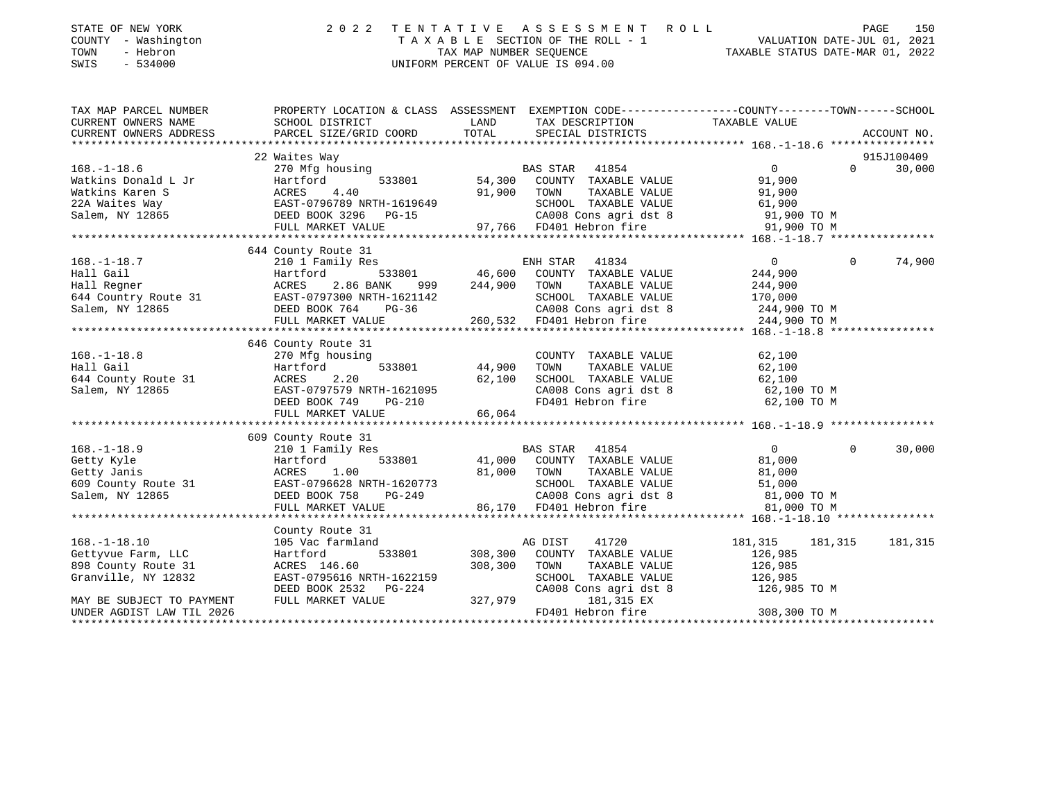| TOWN<br>SWIS | STATE OF NEW YORK<br>COUNTY - Washington<br>- Hebron<br>$-534000$      |                                                                        | TAX MAP NUMBER SEOUENCE     | 2022 TENTATIVE ASSESSMENT ROLL<br>TAXABLE SECTION OF THE ROLL - 1<br>UNIFORM PERCENT OF VALUE IS 094.00 |               | PAGE<br>VALUATION DATE-JUL 01, 2021<br>TAXABLE STATUS DATE-MAR 01, 2022 | 150 |
|--------------|------------------------------------------------------------------------|------------------------------------------------------------------------|-----------------------------|---------------------------------------------------------------------------------------------------------|---------------|-------------------------------------------------------------------------|-----|
|              | TAX MAP PARCEL NUMBER<br>CURRENT OWNERS NAME<br>CURRENT OWNERS ADDRESS | PROPERTY LOCATION & CLASS<br>SCHOOL DISTRICT<br>PARCEL SIZE/GRID COORD | ASSESSMENT<br>LAND<br>TOTAL | EXEMPTION CODE-----------------COUNTY-------TOWN------SCHOOL<br>TAX DESCRIPTION<br>SPECIAL DISTRICTS    | TAXABLE VALUE | ACCOUNT NO.                                                             |     |

|                                                                                                                     |                                                                                                                                                                                  | ***********************************                                                                                                                                                                                      | *********** 168.-1-18.6 *****************                                             |
|---------------------------------------------------------------------------------------------------------------------|----------------------------------------------------------------------------------------------------------------------------------------------------------------------------------|--------------------------------------------------------------------------------------------------------------------------------------------------------------------------------------------------------------------------|---------------------------------------------------------------------------------------|
|                                                                                                                     | 22 Waites Way                                                                                                                                                                    |                                                                                                                                                                                                                          | 915J100409                                                                            |
| $168. - 1 - 18.6$<br>Watkins Donald L Jr<br>Watkins Karen S<br>22A Waites Way<br>Salem, NY 12865                    | 270 Mfg housing<br>DEED BOOK 3296 PG-15<br>FULL MARKET VALUE                                                                                                                     | BAS STAR 41854<br>BAS STAR 41854<br>533801 54,300 COUNTY TAXABLE VALUE<br>TAXABLE VALUE<br>91,900 TOWN<br>SCHOOL TAXABLE VALUE<br>CA008 Cons agri dst 8<br>97,766 FD401 Hebron fire<br>CA008 Cons agri dst 8 91,900 TO M | $\overline{0}$<br>$\Omega$<br>30,000<br>91,900<br>91,900<br>61,900<br>91,900 TO M     |
|                                                                                                                     |                                                                                                                                                                                  |                                                                                                                                                                                                                          |                                                                                       |
| $168. - 1 - 18.7$<br>Hall Gail<br>Salem, NY 12865                                                                   | 644 County Route 31<br>210 1 Family Res<br>Hartford<br>Hall Regner<br>644 Country Route 31 644 Country Route 31 644 Country Route 31<br>DEED BOOK 764 PG-36<br>FULL MARKET VALUE | ENH STAR<br>41834<br>533801 46,600 COUNTY TAXABLE VALUE<br>244,900 TOWN<br>TAXABLE VALUE<br>TOWN      TAXABLE  VALUE<br>SCHOOL   TAXABLE  VALUE<br>CA008 Cons agri dst 8 244,900 TO M<br>260,532 FD401 Hebron fire       | $\overline{0}$<br>$\Omega$<br>74,900<br>244,900<br>244,900<br>170,000<br>244,900 TO M |
|                                                                                                                     | 646 County Route 31                                                                                                                                                              |                                                                                                                                                                                                                          |                                                                                       |
| $168. - 1 - 18.8$<br>Hall Gail<br>644 County Route 31<br>Salem, NY 12865                                            | 270 Mfg housing<br>533801 44,900<br>Hartford<br>2.20<br>ACRES<br>EAST-0797579 NRTH-1621095<br>DEED BOOK 749<br><b>PG-210</b><br>FULL MARKET VALUE                                | COUNTY TAXABLE VALUE<br>TOWN<br>TAXABLE VALUE<br>62,100<br>SCHOOL TAXABLE VALUE<br>CA008 Cons agri dst 8 $\begin{array}{ccc} 62,100 & \text{TO M} \\ 62,100 & \text{TO M} \end{array}$<br>FD401 Hebron fire<br>66,064    | 62,100<br>62,100<br>62,100<br>62,100 TO M                                             |
|                                                                                                                     | 609 County Route 31                                                                                                                                                              |                                                                                                                                                                                                                          |                                                                                       |
| $168. - 1 - 18.9$<br>Getty Kyle<br>Getty Janis<br>609 County Route 31<br>Salem, NY 12865                            | 210 1 Family Res<br>533801<br>Hartford<br>1.00<br>ACRES<br>EAST-0796628 NRTH-1620773<br>DEED BOOK 758<br>PG-249<br>FULL MARKET VALUE                                             | BAS STAR 41854<br>3801 41,000 COUNTY TAXABLE VALUE<br>3801 600 FOWN TAXABLE VALUE<br>SCHOOL TAXABLE VALUE<br>CA008 Cons agri dst 8 31,000 TO M<br>86,170 FD401 Hebron fire                                               | $\overline{0}$<br>$\Omega$<br>30,000<br>81,000<br>81,000<br>51,000<br>81,000 TO M     |
|                                                                                                                     | County Route 31                                                                                                                                                                  |                                                                                                                                                                                                                          |                                                                                       |
| $168. - 1 - 18.10$<br>Gettyvue Farm, LLC<br>898 County Route 31<br>Granville, NY 12832<br>MAY BE SUBJECT TO PAYMENT | 105 Vac farmland<br>533801 308,300<br>Hartford<br>ACRES 146.60<br>EAST-0795616 NRTH-1622159<br>DEED BOOK 2532 PG-224<br>FULL MARKET VALUE                                        | AG DIST<br>41720<br>COUNTY TAXABLE VALUE<br>308,300<br>TOWN<br>TAXABLE VALUE<br>SCHOOL TAXABLE VALUE<br>CA008 Cons agri dst 8<br>327,979<br>181,315 EX                                                                   | 181,315<br>181,315<br>181,315<br>126,985<br>126,985<br>126,985<br>126,985 TO M        |
| UNDER AGDIST LAW TIL 2026                                                                                           |                                                                                                                                                                                  | FD401 Hebron fire                                                                                                                                                                                                        | 308,300 TO M                                                                          |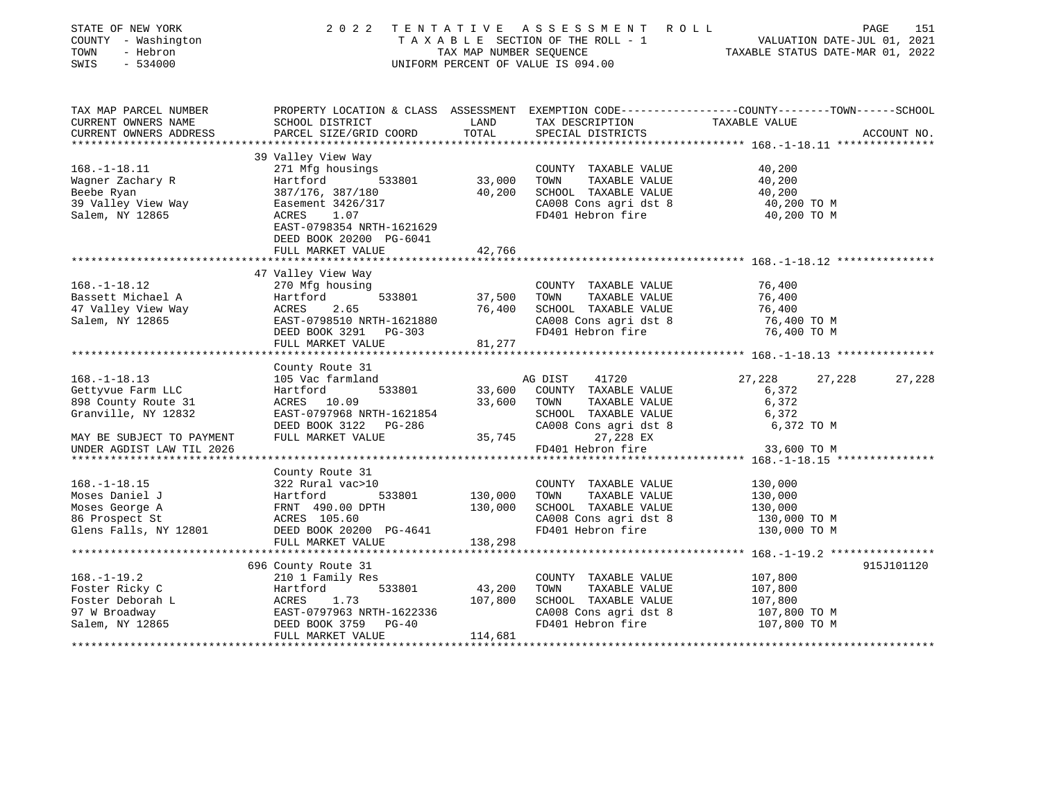| STATE OF NEW YORK<br>COUNTY - Washington<br>TOWN<br>- Hebron<br>SWIS<br>$-534000$             | 2 0 2 2                                                                                                                                                       | TAX MAP NUMBER SEQUENCE<br>UNIFORM PERCENT OF VALUE IS 094.00 | TENTATIVE ASSESSMENT<br>TAXABLE SECTION OF THE ROLL - 1                                                             | ROLL ROLL<br>VALUATION DATE-JUL 01, 2021<br>TAXABLE STATUS DATE-MAR 01, 2022                                     | 151<br>PAGE |
|-----------------------------------------------------------------------------------------------|---------------------------------------------------------------------------------------------------------------------------------------------------------------|---------------------------------------------------------------|---------------------------------------------------------------------------------------------------------------------|------------------------------------------------------------------------------------------------------------------|-------------|
| TAX MAP PARCEL NUMBER<br>CURRENT OWNERS NAME<br>CURRENT OWNERS ADDRESS                        | SCHOOL DISTRICT<br>PARCEL SIZE/GRID COORD                                                                                                                     | LAND<br>TOTAL                                                 | TAX DESCRIPTION<br>SPECIAL DISTRICTS                                                                                | PROPERTY LOCATION & CLASS ASSESSMENT EXEMPTION CODE---------------COUNTY-------TOWN------SCHOOL<br>TAXABLE VALUE | ACCOUNT NO. |
|                                                                                               |                                                                                                                                                               |                                                               |                                                                                                                     |                                                                                                                  |             |
|                                                                                               | 39 Valley View Way                                                                                                                                            |                                                               |                                                                                                                     |                                                                                                                  |             |
| $168. - 1 - 18.11$<br>Wagner Zachary R<br>Beebe Ryan<br>39 Valley View Way<br>Salem, NY 12865 | 271 Mfg housings<br>Hartford<br>533801<br>387/176, 387/180<br>Easement 3426/317<br>ACRES<br>1.07<br>EAST-0798354 NRTH-1621629                                 | 33,000<br>40,200                                              | COUNTY TAXABLE VALUE<br>TOWN<br>TAXABLE VALUE<br>SCHOOL TAXABLE VALUE<br>CA008 Cons agri dst 8<br>FD401 Hebron fire | 40,200<br>40,200<br>40,200<br>40,200 TO M<br>40,200 TO M                                                         |             |
|                                                                                               | DEED BOOK 20200 PG-6041<br>FULL MARKET VALUE<br>*********************                                                                                         | 42,766<br>**************                                      |                                                                                                                     |                                                                                                                  |             |
|                                                                                               |                                                                                                                                                               |                                                               |                                                                                                                     |                                                                                                                  |             |
| $168. - 1 - 18.12$<br>Bassett Michael A<br>47 Valley View Way<br>Salem, NY 12865              | 47 Valley View Way<br>270 Mfg housing<br>533801<br>Hartford<br>ACRES<br>2.65<br>EAST-0798510 NRTH-1621880<br>DEED BOOK 3291<br>PG-303<br>FULL MARKET VALUE    | 37,500<br>76,400<br>81,277                                    | COUNTY TAXABLE VALUE<br>TAXABLE VALUE<br>TOWN<br>SCHOOL TAXABLE VALUE<br>CA008 Cons agri dst 8<br>FD401 Hebron fire | 76,400<br>76,400<br>76,400<br>76,400 TO M<br>76,400 TO M                                                         |             |
|                                                                                               |                                                                                                                                                               |                                                               |                                                                                                                     |                                                                                                                  |             |
| $168. - 1 - 18.13$<br>Gettyvue Farm LLC<br>898 County Route 31<br>Granville, NY 12832         | County Route 31<br>105 Vac farmland<br>Hartford<br>533801<br>ACRES 10.09<br>EAST-0797968 NRTH-1621854                                                         | 33,600<br>33,600                                              | 41720<br>AG DIST<br>COUNTY TAXABLE VALUE<br>TAXABLE VALUE<br>TOWN<br>SCHOOL TAXABLE VALUE                           | 27,228<br>27,228<br>6,372<br>6,372<br>6,372                                                                      | 27,228      |
| MAY BE SUBJECT TO PAYMENT<br>UNDER AGDIST LAW TIL 2026                                        | DEED BOOK 3122<br>PG-286<br>FULL MARKET VALUE                                                                                                                 | 35,745                                                        | CA008 Cons agri dst 8<br>27,228 EX<br>FD401 Hebron fire                                                             | 6,372 TO M<br>33,600 TO M                                                                                        |             |
| *****************************                                                                 | **************************                                                                                                                                    |                                                               |                                                                                                                     |                                                                                                                  |             |
| $168. - 1 - 18.15$<br>Moses Daniel J<br>Moses George A<br>86 Prospect St                      | County Route 31<br>322 Rural vac>10<br>533801<br>Hartford<br>FRNT 490.00 DPTH<br>ACRES 105.60                                                                 | 130,000<br>130,000                                            | COUNTY TAXABLE VALUE<br>TOWN<br>TAXABLE VALUE<br>SCHOOL TAXABLE VALUE<br>CA008 Cons agri dst 8                      | 130,000<br>130,000<br>130,000<br>130,000 TO M                                                                    |             |
| Glens Falls, NY 12801                                                                         | DEED BOOK 20200 PG-4641<br>FULL MARKET VALUE                                                                                                                  | 138,298                                                       | FD401 Hebron fire                                                                                                   | 130,000 TO M                                                                                                     |             |
|                                                                                               |                                                                                                                                                               |                                                               |                                                                                                                     |                                                                                                                  |             |
| $168. - 1 - 19.2$<br>Foster Ricky C<br>Foster Deborah L<br>97 W Broadway<br>Salem, NY 12865   | 696 County Route 31<br>210 1 Family Res<br>533801<br>Hartford<br>1.73<br>ACRES<br>EAST-0797963 NRTH-1622336<br>DEED BOOK 3759<br>$PG-40$<br>FULL MARKET VALUE | 43,200<br>107,800<br>114,681                                  | COUNTY TAXABLE VALUE<br>TAXABLE VALUE<br>TOWN<br>SCHOOL TAXABLE VALUE<br>CA008 Cons agri dst 8<br>FD401 Hebron fire | 107,800<br>107,800<br>107,800<br>107,800 TO M<br>107,800 TO M                                                    | 915J101120  |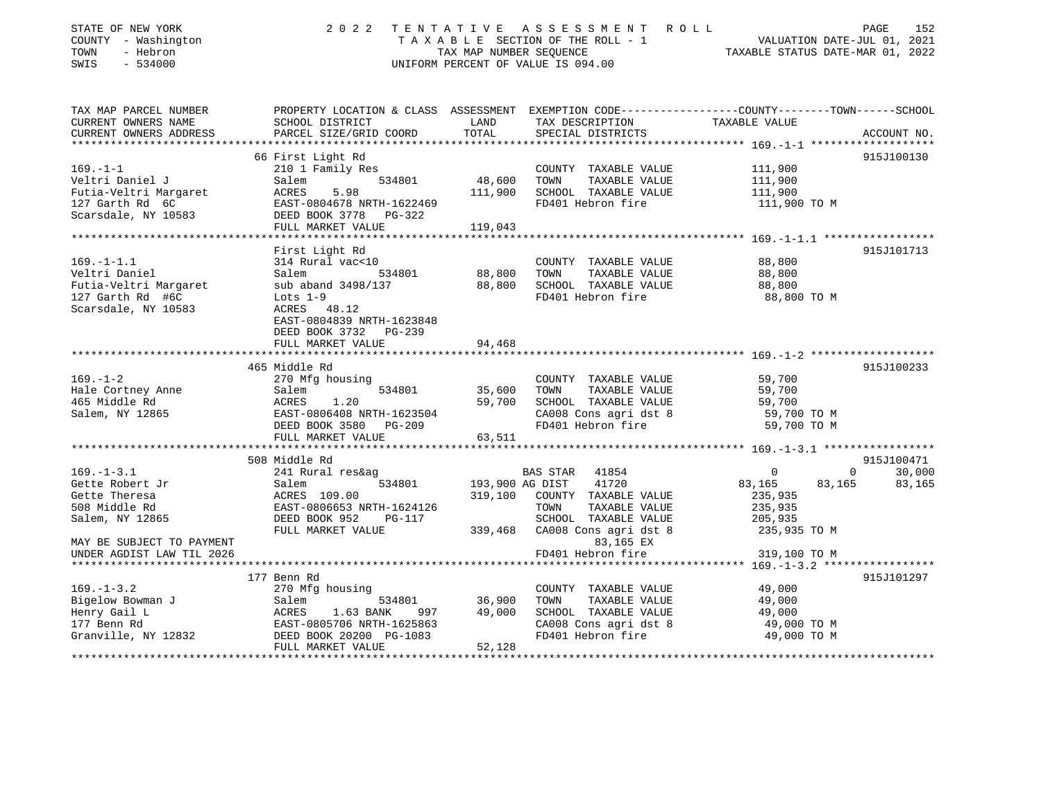| STATE OF NEW YORK<br>COUNTY - Washington<br>TOWN<br>- Hebron<br>$-534000$<br>SWIS | 2 0 2 2                                            | TAX MAP NUMBER SEQUENCE | TENTATIVE ASSESSMENT ROLL<br>TAXABLE SECTION OF THE ROLL - 1<br>UNIFORM PERCENT OF VALUE IS 094.00 | VALUATION DATE-JUL 01, 2021<br>TAXABLE STATUS DATE-MAR 01, 2022                                                  | 152<br>PAGE |
|-----------------------------------------------------------------------------------|----------------------------------------------------|-------------------------|----------------------------------------------------------------------------------------------------|------------------------------------------------------------------------------------------------------------------|-------------|
| TAX MAP PARCEL NUMBER<br>CURRENT OWNERS NAME                                      | SCHOOL DISTRICT                                    | LAND                    | TAX DESCRIPTION                                                                                    | PROPERTY LOCATION & CLASS ASSESSMENT EXEMPTION CODE---------------COUNTY-------TOWN------SCHOOL<br>TAXABLE VALUE |             |
| CURRENT OWNERS ADDRESS                                                            | PARCEL SIZE/GRID COORD                             | TOTAL                   | SPECIAL DISTRICTS                                                                                  |                                                                                                                  | ACCOUNT NO. |
|                                                                                   |                                                    |                         |                                                                                                    |                                                                                                                  |             |
|                                                                                   | 66 First Light Rd                                  |                         |                                                                                                    |                                                                                                                  | 915J100130  |
| $169. - 1 - 1$                                                                    | 210 1 Family Res                                   |                         | COUNTY TAXABLE VALUE                                                                               | 111,900                                                                                                          |             |
| Veltri Daniel J                                                                   | 534801<br>Salem                                    | 48,600                  | TOWN<br>TAXABLE VALUE                                                                              | 111,900                                                                                                          |             |
| Futia-Veltri Margaret                                                             | 5.98<br>ACRES                                      | 111,900                 | SCHOOL TAXABLE VALUE                                                                               | 111,900                                                                                                          |             |
| 127 Garth Rd 6C<br>Scarsdale, NY 10583                                            | EAST-0804678 NRTH-1622469                          |                         | FD401 Hebron fire                                                                                  | 111,900 TO M                                                                                                     |             |
|                                                                                   | DEED BOOK 3778 PG-322<br>FULL MARKET VALUE         | 119,043                 |                                                                                                    |                                                                                                                  |             |
|                                                                                   |                                                    |                         |                                                                                                    |                                                                                                                  |             |
|                                                                                   | First Light Rd                                     |                         |                                                                                                    |                                                                                                                  | 915J101713  |
| $169. - 1 - 1.1$                                                                  | 314 Rural vac<10                                   |                         | COUNTY TAXABLE VALUE                                                                               | 88,800                                                                                                           |             |
| Veltri Daniel                                                                     | Salem<br>534801                                    | 88,800                  | TOWN<br>TAXABLE VALUE                                                                              | 88,800                                                                                                           |             |
| Futia-Veltri Margaret                                                             | sub aband 3498/137                                 | 88,800                  | SCHOOL TAXABLE VALUE                                                                               | 88,800                                                                                                           |             |
| 127 Garth Rd #6C                                                                  | Lots $1-9$                                         |                         | FD401 Hebron fire                                                                                  | 88,800 TO M                                                                                                      |             |
| Scarsdale, NY 10583                                                               | ACRES 48.12                                        |                         |                                                                                                    |                                                                                                                  |             |
|                                                                                   | EAST-0804839 NRTH-1623848<br>DEED BOOK 3732 PG-239 |                         |                                                                                                    |                                                                                                                  |             |
|                                                                                   | FULL MARKET VALUE                                  | 94,468<br>********      |                                                                                                    | ************************** 169. -1-2 *******************                                                         |             |
|                                                                                   | 465 Middle Rd                                      |                         |                                                                                                    |                                                                                                                  | 915J100233  |
| $169. - 1 - 2$                                                                    | 270 Mfg housing                                    |                         | COUNTY TAXABLE VALUE                                                                               | 59,700                                                                                                           |             |
| Hale Cortney Anne                                                                 | 534801<br>Salem                                    | 35,600                  | TAXABLE VALUE<br>TOWN                                                                              | 59,700                                                                                                           |             |
| 465 Middle Rd                                                                     | ACRES<br>1.20                                      | 59,700                  | SCHOOL TAXABLE VALUE                                                                               | 59,700                                                                                                           |             |
| Salem, NY 12865                                                                   | EAST-0806408 NRTH-1623504                          |                         | CA008 Cons agri dst 8                                                                              | 59,700 TO M                                                                                                      |             |
|                                                                                   | DEED BOOK 3580 PG-209                              |                         | FD401 Hebron fire                                                                                  | 59,700 TO M                                                                                                      |             |
|                                                                                   | FULL MARKET VALUE                                  | 63,511                  |                                                                                                    |                                                                                                                  |             |
|                                                                                   |                                                    |                         |                                                                                                    |                                                                                                                  |             |
|                                                                                   | 508 Middle Rd                                      |                         |                                                                                                    |                                                                                                                  | 915J100471  |
| $169. - 1 - 3.1$                                                                  | 241 Rural res&ag                                   |                         | BAS STAR<br>41854                                                                                  | $\mathbf{0}$<br>$\Omega$                                                                                         | 30,000      |
| Gette Robert Jr                                                                   | 534801<br>Salem                                    | 193,900 AG DIST         | 41720                                                                                              | 83,165<br>83,165                                                                                                 | 83,165      |
| Gette Theresa                                                                     | ACRES 109.00                                       | 319,100                 | COUNTY TAXABLE VALUE                                                                               | 235,935                                                                                                          |             |
| 508 Middle Rd                                                                     | EAST-0806653 NRTH-1624126                          |                         | TOWN<br>TAXABLE VALUE                                                                              | 235,935                                                                                                          |             |
| Salem, NY 12865                                                                   | DEED BOOK 952<br>PG-117                            |                         | SCHOOL TAXABLE VALUE                                                                               | 205,935                                                                                                          |             |
|                                                                                   | FULL MARKET VALUE                                  | 339,468                 | CA008 Cons agri dst 8                                                                              | 235,935 TO M                                                                                                     |             |
| MAY BE SUBJECT TO PAYMENT                                                         |                                                    |                         | 83,165 EX                                                                                          |                                                                                                                  |             |
| UNDER AGDIST LAW TIL 2026                                                         |                                                    |                         | FD401 Hebron fire                                                                                  | 319,100 TO M                                                                                                     |             |
|                                                                                   | 177 Benn Rd                                        |                         |                                                                                                    |                                                                                                                  | 915J101297  |
| $169. - 1 - 3.2$                                                                  | 270 Mfg housing                                    |                         | COUNTY TAXABLE VALUE                                                                               | 49,000                                                                                                           |             |
| Bigelow Bowman J                                                                  | Salem<br>534801                                    | 36,900                  | TOWN<br>TAXABLE VALUE                                                                              | 49,000                                                                                                           |             |
| Henry Gail L                                                                      | ACRES<br>1.63 BANK<br>997                          | 49,000                  | SCHOOL TAXABLE VALUE                                                                               | 49,000                                                                                                           |             |
| 177 Benn Rd                                                                       | EAST-0805706 NRTH-1625863                          |                         | CA008 Cons agri dst 8                                                                              | 49,000 TO M                                                                                                      |             |
| Granville, NY 12832                                                               | DEED BOOK 20200 PG-1083                            |                         | FD401 Hebron fire                                                                                  | 49,000 TO M                                                                                                      |             |
|                                                                                   | FULL MARKET VALUE                                  | 52,128                  |                                                                                                    |                                                                                                                  |             |
|                                                                                   |                                                    |                         |                                                                                                    |                                                                                                                  |             |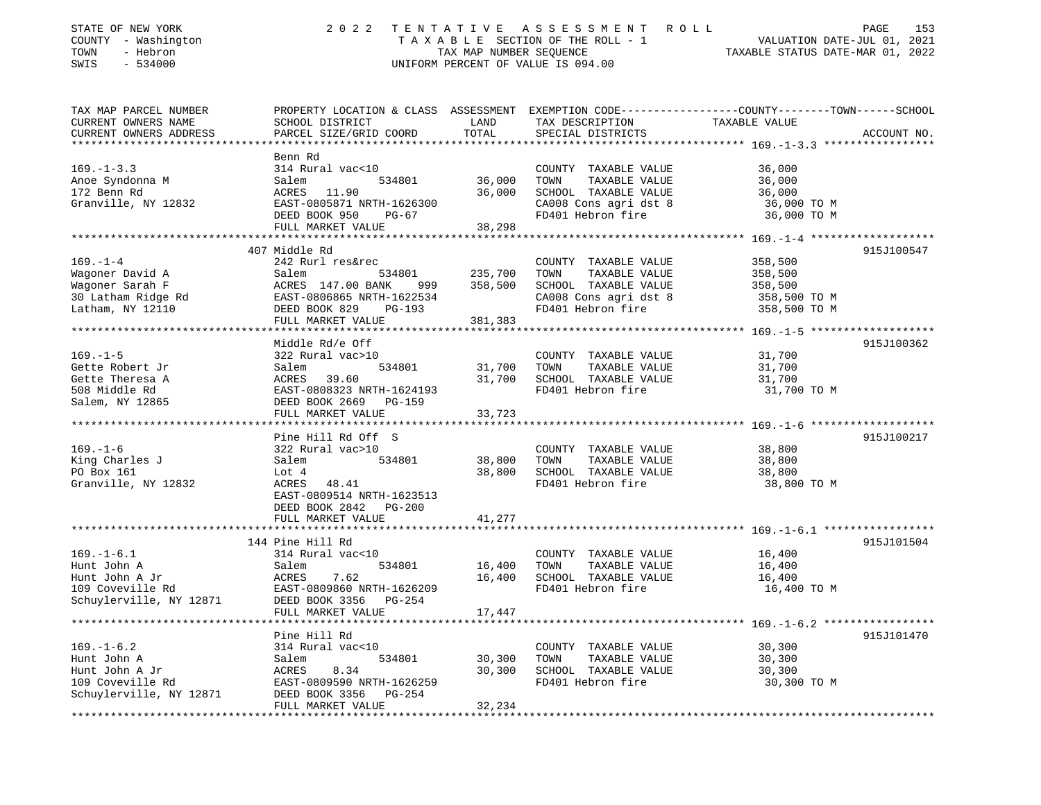| STATE OF NEW YORK<br>COUNTY - Washington<br>- Hebron<br>TOWN<br>SWIS<br>$-534000$                                           | 2 0 2 2                                                                                                                                                            | TAX MAP NUMBER SEQUENCE       | TENTATIVE ASSESSMENT ROLL<br>TAXABLE SECTION OF THE ROLL - 1<br>UNIFORM PERCENT OF VALUE IS 094.00                  | PAGE<br>153<br>VALUATION DATE-JUL 01, 2021<br>TAXABLE STATUS DATE-MAR 01, 2022                                                   |
|-----------------------------------------------------------------------------------------------------------------------------|--------------------------------------------------------------------------------------------------------------------------------------------------------------------|-------------------------------|---------------------------------------------------------------------------------------------------------------------|----------------------------------------------------------------------------------------------------------------------------------|
| TAX MAP PARCEL NUMBER<br>CURRENT OWNERS NAME<br>CURRENT OWNERS ADDRESS                                                      | SCHOOL DISTRICT<br>PARCEL SIZE/GRID COORD                                                                                                                          | LAND<br>TOTAL                 | TAX DESCRIPTION<br>SPECIAL DISTRICTS                                                                                | PROPERTY LOCATION & CLASS ASSESSMENT EXEMPTION CODE----------------COUNTY-------TOWN------SCHOOL<br>TAXABLE VALUE<br>ACCOUNT NO. |
| $169. - 1 - 3.3$<br>Anoe Syndonna M<br>172 Benn Rd<br>Granville, NY 12832                                                   | Benn Rd<br>314 Rural vac<10<br>534801<br>Salem<br>ACRES<br>11.90<br>EAST-0805871 NRTH-1626300<br>DEED BOOK 950<br>PG-67<br>FULL MARKET VALUE                       | 36,000<br>36,000<br>38,298    | COUNTY TAXABLE VALUE<br>TOWN<br>TAXABLE VALUE<br>SCHOOL TAXABLE VALUE<br>CA008 Cons agri dst 8<br>FD401 Hebron fire | 36,000<br>36,000<br>36,000<br>36,000 TO M<br>36,000 TO M                                                                         |
| $169. - 1 - 4$<br>Wagoner David A<br>Wagoner Sarah F<br>30 Latham Ridge Rd<br>EAST-0806865 NRTH-1622534<br>Latham, NY 12110 | 407 Middle Rd<br>242 Rurl res&rec<br>Salem<br>534801<br>ACRES 147.00 BANK<br>999<br>DEED BOOK 829<br>PG-193<br>FULL MARKET VALUE                                   | 235,700<br>358,500<br>381,383 | COUNTY TAXABLE VALUE<br>TOWN<br>TAXABLE VALUE<br>SCHOOL TAXABLE VALUE<br>CA008 Cons agri dst 8<br>FD401 Hebron fire | 915J100547<br>358,500<br>358,500<br>358,500<br>358,500 TO M<br>358,500 TO M                                                      |
| $169. - 1 - 5$<br>Gette Robert Jr<br>Gette Theresa A<br>508 Middle Rd<br>Salem, NY 12865                                    | Middle Rd/e Off<br>322 Rural vac>10<br>534801<br>Salem<br>39.60<br>ACRES<br>EAST-0808323 NRTH-1624193<br>DEED BOOK 2669<br>PG-159<br>FULL MARKET VALUE             | 31,700<br>31,700<br>33,723    | COUNTY TAXABLE VALUE<br>TOWN<br>TAXABLE VALUE<br>SCHOOL TAXABLE VALUE<br>FD401 Hebron fire                          | 915J100362<br>31,700<br>31,700<br>31,700<br>31,700 TO M                                                                          |
| $169. - 1 - 6$<br>King Charles J<br>PO Box 161<br>Granville, NY 12832                                                       | Pine Hill Rd Off S<br>322 Rural vac>10<br>Salem<br>534801<br>Lot 4<br>48.41<br>ACRES<br>EAST-0809514 NRTH-1623513<br>DEED BOOK 2842<br>PG-200<br>FULL MARKET VALUE | 38,800<br>38,800<br>41,277    | COUNTY TAXABLE VALUE<br>TAXABLE VALUE<br>TOWN<br>SCHOOL TAXABLE VALUE<br>FD401 Hebron fire                          | 915J100217<br>38,800<br>38,800<br>38,800<br>38,800 TO M                                                                          |
| $169. - 1 - 6.1$<br>Hunt John A<br>Hunt John A Jr<br>109 Coveville Rd<br>Schuylerville, NY 12871                            | 144 Pine Hill Rd<br>314 Rural vac<10<br>Salem<br>534801<br>7.62<br>ACRES<br>EAST-0809860 NRTH-1626209<br>DEED BOOK 3356<br>PG-254<br>FULL MARKET VALUE             | 16,400<br>16,400<br>17,447    | COUNTY TAXABLE VALUE<br>TAXABLE VALUE<br>TOWN<br>SCHOOL TAXABLE VALUE<br>FD401 Hebron fire                          | 915J101504<br>16,400<br>16,400<br>16,400<br>16,400 TO M                                                                          |
| $169. - 1 - 6.2$<br>Hunt John A<br>Hunt John A Jr<br>109 Coveville Rd<br>Schuylerville, NY 12871                            | Pine Hill Rd<br>314 Rural vac<10<br>534801<br>Salem<br>8.34<br>ACRES<br>EAST-0809590 NRTH-1626259<br>DEED BOOK 3356<br>PG-254<br>FULL MARKET VALUE                 | 30,300<br>30,300<br>32,234    | COUNTY TAXABLE VALUE<br>TOWN<br>TAXABLE VALUE<br>SCHOOL TAXABLE VALUE<br>FD401 Hebron fire                          | 915J101470<br>30,300<br>30,300<br>30,300<br>30,300 TO M                                                                          |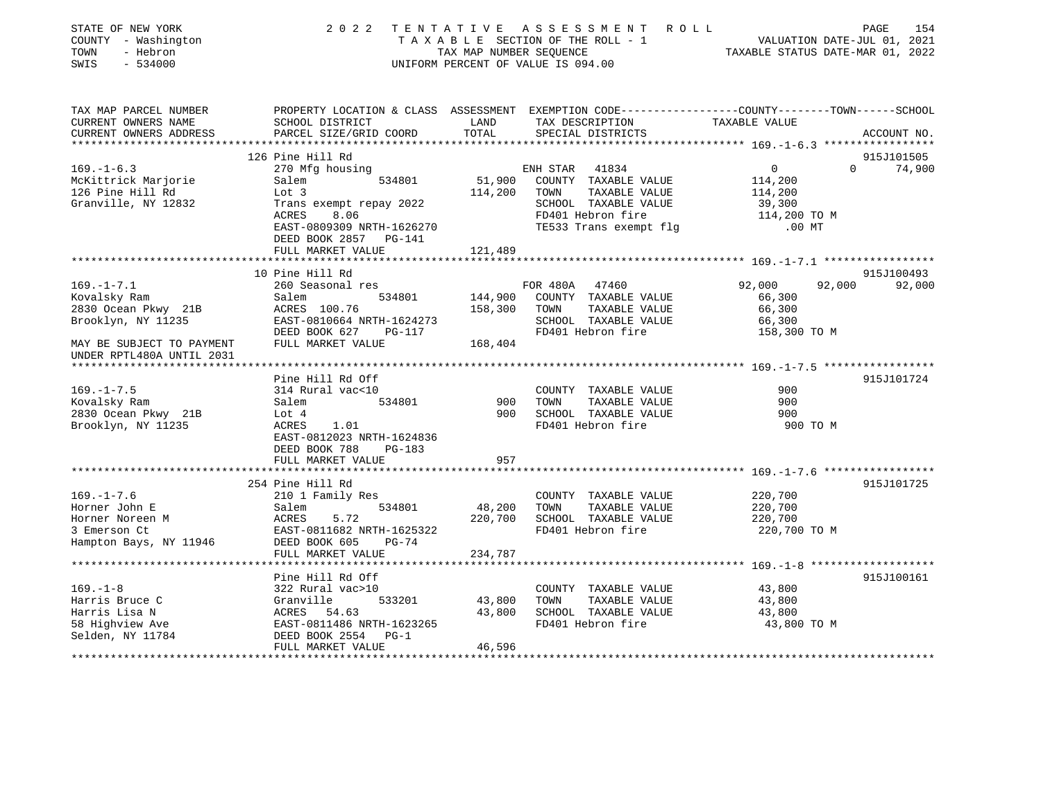| STATE OF NEW YORK<br>COUNTY - Washington<br>- Hebron<br>TOWN<br>SWIS<br>$-534000$ | 2 0 2 2                                                                                                             | TAX MAP NUMBER SEQUENCE | TENTATIVE ASSESSMENT ROLL<br>TAXABLE SECTION OF THE ROLL - 1<br>UNIFORM PERCENT OF VALUE IS 094.00 | VALUATION DATE-JUL 01, 2021<br>TAXABLE STATUS DATE-MAR 01, 2022 | PAGE<br>154 |
|-----------------------------------------------------------------------------------|---------------------------------------------------------------------------------------------------------------------|-------------------------|----------------------------------------------------------------------------------------------------|-----------------------------------------------------------------|-------------|
| TAX MAP PARCEL NUMBER<br>CURRENT OWNERS NAME                                      | PROPERTY LOCATION & CLASS ASSESSMENT EXEMPTION CODE----------------COUNTY-------TOWN------SCHOOL<br>SCHOOL DISTRICT | LAND                    | TAX DESCRIPTION                                                                                    | TAXABLE VALUE                                                   |             |
| CURRENT OWNERS ADDRESS                                                            | PARCEL SIZE/GRID COORD                                                                                              | TOTAL                   | SPECIAL DISTRICTS                                                                                  |                                                                 | ACCOUNT NO. |
|                                                                                   |                                                                                                                     |                         |                                                                                                    |                                                                 |             |
|                                                                                   | 126 Pine Hill Rd                                                                                                    |                         |                                                                                                    |                                                                 | 915J101505  |
| $169. - 1 - 6.3$                                                                  | 270 Mfg housing                                                                                                     |                         | ENH STAR<br>41834                                                                                  | $\Omega$<br>$\Omega$                                            | 74,900      |
| McKittrick Marjorie                                                               | Salem<br>534801                                                                                                     | 51,900                  | COUNTY TAXABLE VALUE                                                                               | 114,200                                                         |             |
| 126 Pine Hill Rd                                                                  | Lot 3                                                                                                               | 114,200                 | TOWN<br>TAXABLE VALUE                                                                              | 114,200                                                         |             |
| Granville, NY 12832                                                               | Trans exempt repay 2022                                                                                             |                         | SCHOOL TAXABLE VALUE                                                                               | 39,300                                                          |             |
|                                                                                   | ACRES<br>8.06                                                                                                       |                         | FD401 Hebron fire                                                                                  | 114,200 TO M                                                    |             |
|                                                                                   | EAST-0809309 NRTH-1626270<br>DEED BOOK 2857 PG-141                                                                  |                         | TE533 Trans exempt flg                                                                             | $.00$ MT                                                        |             |
|                                                                                   | FULL MARKET VALUE                                                                                                   | 121,489                 |                                                                                                    |                                                                 |             |
|                                                                                   |                                                                                                                     |                         |                                                                                                    |                                                                 |             |
|                                                                                   | 10 Pine Hill Rd                                                                                                     |                         |                                                                                                    |                                                                 | 915J100493  |
| $169. - 1 - 7.1$                                                                  | 260 Seasonal res                                                                                                    |                         | FOR 480A 47460                                                                                     | 92,000<br>92,000                                                | 92,000      |
| Kovalsky Ram                                                                      | 534801<br>Salem                                                                                                     | 144,900                 | COUNTY TAXABLE VALUE                                                                               | 66,300                                                          |             |
| 2830 Ocean Pkwy 21B                                                               | ACRES 100.76                                                                                                        | 158,300                 | TOWN<br>TAXABLE VALUE                                                                              | 66,300                                                          |             |
| Brooklyn, NY 11235                                                                | EAST-0810664 NRTH-1624273                                                                                           |                         | SCHOOL TAXABLE VALUE                                                                               | 66,300                                                          |             |
|                                                                                   | DEED BOOK 627<br>PG-117                                                                                             |                         | FD401 Hebron fire                                                                                  | 158,300 TO M                                                    |             |
| MAY BE SUBJECT TO PAYMENT                                                         | FULL MARKET VALUE                                                                                                   | 168,404                 |                                                                                                    |                                                                 |             |
| UNDER RPTL480A UNTIL 2031                                                         |                                                                                                                     |                         |                                                                                                    |                                                                 |             |
|                                                                                   | Pine Hill Rd Off                                                                                                    |                         |                                                                                                    |                                                                 | 915J101724  |
| $169. - 1 - 7.5$                                                                  | 314 Rural vac<10                                                                                                    |                         | COUNTY TAXABLE VALUE                                                                               | 900                                                             |             |
| Kovalsky Ram                                                                      | Salem<br>534801                                                                                                     | 900                     | TOWN<br>TAXABLE VALUE                                                                              | 900                                                             |             |
| 2830 Ocean Pkwy 21B                                                               | Lot $4$                                                                                                             | 900                     | SCHOOL TAXABLE VALUE                                                                               | 900                                                             |             |
| Brooklyn, NY 11235                                                                | ACRES<br>1.01                                                                                                       |                         | FD401 Hebron fire                                                                                  | 900 TO M                                                        |             |
|                                                                                   | EAST-0812023 NRTH-1624836                                                                                           |                         |                                                                                                    |                                                                 |             |
|                                                                                   | DEED BOOK 788<br>PG-183                                                                                             |                         |                                                                                                    |                                                                 |             |
|                                                                                   | FULL MARKET VALUE                                                                                                   | 957                     |                                                                                                    |                                                                 |             |
|                                                                                   |                                                                                                                     |                         |                                                                                                    |                                                                 |             |
|                                                                                   | 254 Pine Hill Rd                                                                                                    |                         |                                                                                                    |                                                                 | 915J101725  |
| $169. - 1 - 7.6$<br>Horner John E                                                 | 210 1 Family Res<br>534801<br>Salem                                                                                 | 48,200                  | COUNTY TAXABLE VALUE<br>TAXABLE VALUE<br>TOWN                                                      | 220,700<br>220,700                                              |             |
| Horner Noreen M                                                                   | 5.72<br>ACRES                                                                                                       | 220,700                 | SCHOOL TAXABLE VALUE                                                                               | 220,700                                                         |             |
| 3 Emerson Ct                                                                      | EAST-0811682 NRTH-1625322                                                                                           |                         | FD401 Hebron fire                                                                                  | 220,700 TO M                                                    |             |
| Hampton Bays, NY 11946                                                            | DEED BOOK 605<br>$PG-74$                                                                                            |                         |                                                                                                    |                                                                 |             |
|                                                                                   | FULL MARKET VALUE                                                                                                   | 234,787                 |                                                                                                    |                                                                 |             |
|                                                                                   |                                                                                                                     |                         |                                                                                                    |                                                                 |             |
|                                                                                   | Pine Hill Rd Off                                                                                                    |                         |                                                                                                    |                                                                 | 915J100161  |
| $169. - 1 - 8$                                                                    | 322 Rural vac>10                                                                                                    |                         | COUNTY TAXABLE VALUE                                                                               | 43,800                                                          |             |
| Harris Bruce C                                                                    | 533201<br>Granville                                                                                                 | 43,800                  | TOWN<br>TAXABLE VALUE                                                                              | 43,800                                                          |             |
| Harris Lisa N                                                                     | ACRES 54.63                                                                                                         | 43,800                  | SCHOOL TAXABLE VALUE                                                                               | 43,800                                                          |             |
| 58 Highview Ave                                                                   | EAST-0811486 NRTH-1623265                                                                                           |                         | FD401 Hebron fire                                                                                  | 43,800 TO M                                                     |             |
| Selden, NY 11784                                                                  | DEED BOOK 2554<br>$PG-1$                                                                                            |                         |                                                                                                    |                                                                 |             |
|                                                                                   | FULL MARKET VALUE                                                                                                   | 46,596                  |                                                                                                    |                                                                 |             |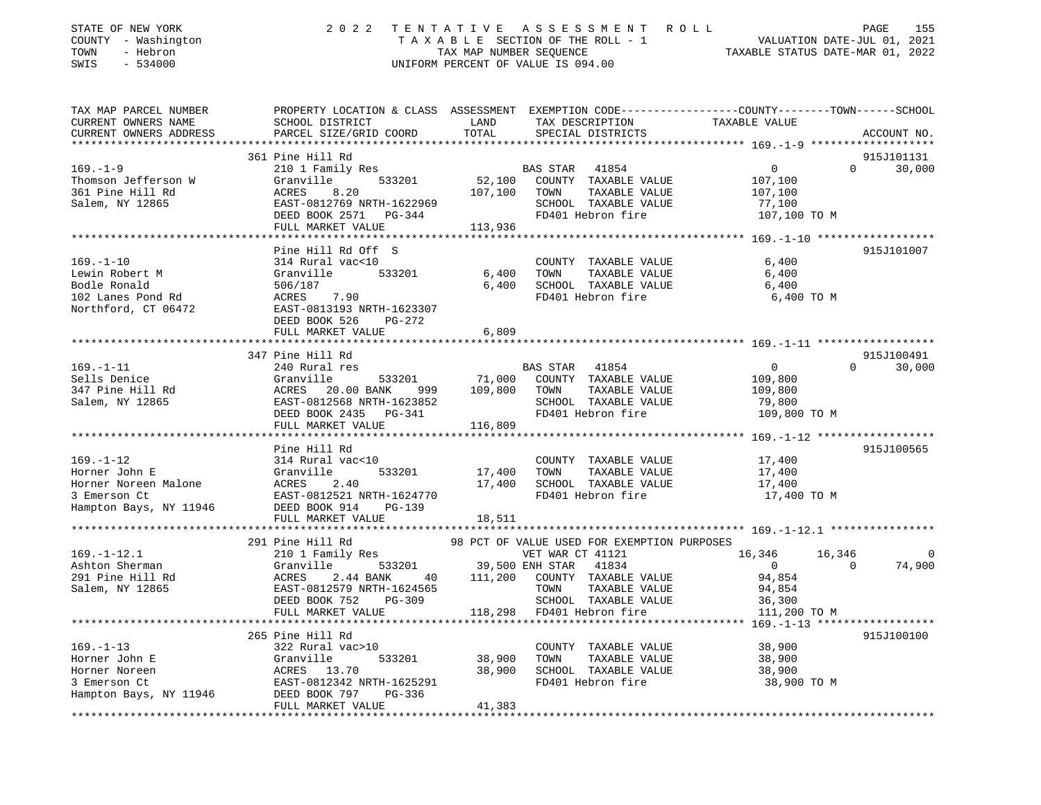| STATE OF NEW YORK<br>COUNTY - Washington<br>- Hebron<br>TOWN<br>SWIS<br>$-534000$ | 2 0 2 2                                         | TENTATIVE<br>TAX MAP NUMBER SEQUENCE | A S S E S S M E N T<br>TAXABLE SECTION OF THE ROLL - 1<br>UNIFORM PERCENT OF VALUE IS 094.00 | R O L L<br>PAGE<br>VALUATION DATE-JUL 01, 2021<br>TAXABLE STATUS DATE-MAR 01, 2022               | 155      |
|-----------------------------------------------------------------------------------|-------------------------------------------------|--------------------------------------|----------------------------------------------------------------------------------------------|--------------------------------------------------------------------------------------------------|----------|
| TAX MAP PARCEL NUMBER                                                             |                                                 |                                      |                                                                                              | PROPERTY LOCATION & CLASS ASSESSMENT EXEMPTION CODE----------------COUNTY-------TOWN------SCHOOL |          |
| CURRENT OWNERS NAME                                                               | SCHOOL DISTRICT                                 | LAND                                 | TAX DESCRIPTION                                                                              | TAXABLE VALUE                                                                                    |          |
| CURRENT OWNERS ADDRESS                                                            | PARCEL SIZE/GRID COORD                          | TOTAL                                | SPECIAL DISTRICTS                                                                            | ACCOUNT NO.                                                                                      |          |
|                                                                                   |                                                 |                                      |                                                                                              |                                                                                                  |          |
| $169. - 1 - 9$                                                                    | 361 Pine Hill Rd                                |                                      | BAS STAR 41854                                                                               | 915J101131<br>$\Omega$                                                                           |          |
| Thomson Jefferson W                                                               | 210 1 Family Res<br>Granville<br>533201         |                                      | 52,100 COUNTY TAXABLE VALUE                                                                  | 30,000<br>$\overline{0}$<br>107,100                                                              |          |
| 361 Pine Hill Rd                                                                  | 8.20<br>ACRES                                   | 107,100                              | TAXABLE VALUE<br>TOWN                                                                        | 107,100                                                                                          |          |
| Salem, NY 12865                                                                   | EAST-0812769 NRTH-1622969                       |                                      | SCHOOL TAXABLE VALUE                                                                         | 77,100                                                                                           |          |
|                                                                                   | DEED BOOK 2571 PG-344                           |                                      | FD401 Hebron fire                                                                            | 107,100 TO M                                                                                     |          |
|                                                                                   | FULL MARKET VALUE                               | 113,936                              |                                                                                              |                                                                                                  |          |
|                                                                                   |                                                 |                                      |                                                                                              |                                                                                                  |          |
|                                                                                   | Pine Hill Rd Off S                              |                                      |                                                                                              | 915J101007                                                                                       |          |
| $169. - 1 - 10$                                                                   | 314 Rural vac<10                                |                                      | COUNTY TAXABLE VALUE                                                                         | 6,400                                                                                            |          |
| Lewin Robert M<br>Bodle Ronald                                                    | Granville<br>533201<br>506/187                  | 6,400                                | TAXABLE VALUE<br>TOWN<br>SCHOOL TAXABLE VALUE                                                | 6,400                                                                                            |          |
| 102 Lanes Pond Rd                                                                 | ACRES<br>7.90                                   | 6,400                                | FD401 Hebron fire                                                                            | 6,400<br>6,400 TO M                                                                              |          |
| Northford, CT 06472                                                               | EAST-0813193 NRTH-1623307                       |                                      |                                                                                              |                                                                                                  |          |
|                                                                                   | DEED BOOK 526<br>PG-272                         |                                      |                                                                                              |                                                                                                  |          |
|                                                                                   | FULL MARKET VALUE                               | 6,809                                |                                                                                              |                                                                                                  |          |
|                                                                                   |                                                 |                                      |                                                                                              |                                                                                                  |          |
|                                                                                   | 347 Pine Hill Rd                                |                                      |                                                                                              | 915J100491                                                                                       |          |
| $169. - 1 - 11$                                                                   | 240 Rural res                                   |                                      | BAS STAR 41854                                                                               | $\circ$<br>$\Omega$<br>30,000                                                                    |          |
| Sells Denice                                                                      | Granville<br>533201                             | 71,000                               | COUNTY TAXABLE VALUE                                                                         | 109,800                                                                                          |          |
| 347 Pine Hill Rd                                                                  | ACRES 20.00 BANK<br>999                         | 109,800                              | TAXABLE VALUE<br>TOWN                                                                        | 109,800                                                                                          |          |
| Salem, NY 12865                                                                   | EAST-0812568 NRTH-1623852                       |                                      | SCHOOL TAXABLE VALUE                                                                         | 79,800                                                                                           |          |
|                                                                                   | DEED BOOK 2435 PG-341                           |                                      | FD401 Hebron fire                                                                            | 109,800 TO M                                                                                     |          |
|                                                                                   | FULL MARKET VALUE                               | 116,809                              |                                                                                              |                                                                                                  |          |
|                                                                                   | Pine Hill Rd                                    |                                      |                                                                                              | 915J100565                                                                                       |          |
| $169. - 1 - 12$                                                                   | 314 Rural vac<10                                |                                      | COUNTY TAXABLE VALUE                                                                         | 17,400                                                                                           |          |
| Horner John E                                                                     | Granville<br>533201                             | 17,400                               | TAXABLE VALUE<br>TOWN                                                                        | 17,400                                                                                           |          |
| Horner Noreen Malone                                                              | ACRES<br>2.40                                   | 17,400                               | SCHOOL TAXABLE VALUE                                                                         | 17,400                                                                                           |          |
| 3 Emerson Ct                                                                      | EAST-0812521 NRTH-1624770                       |                                      | FD401 Hebron fire                                                                            | 17,400 TO M                                                                                      |          |
| Hampton Bays, NY 11946                                                            | DEED BOOK 914<br><b>PG-139</b>                  |                                      |                                                                                              |                                                                                                  |          |
|                                                                                   | FULL MARKET VALUE                               | 18,511                               |                                                                                              |                                                                                                  |          |
|                                                                                   |                                                 |                                      |                                                                                              |                                                                                                  |          |
|                                                                                   | 291 Pine Hill Rd                                |                                      | 98 PCT OF VALUE USED FOR EXEMPTION PURPOSES                                                  |                                                                                                  |          |
| $169. - 1 - 12.1$                                                                 | 210 1 Family Res                                |                                      | VET WAR CT 41121<br>39,500 ENH STAR 41834                                                    | 16,346<br>16,346<br>$\Omega$                                                                     | $\Omega$ |
| Ashton Sherman<br>291 Pine Hill Rd                                                | 533201<br>Granville<br>2.44 BANK<br>ACRES<br>40 | 111,200                              | COUNTY TAXABLE VALUE                                                                         | 74,900<br>$\mathbf{0}$<br>94,854                                                                 |          |
| Salem, NY 12865                                                                   | EAST-0812579 NRTH-1624565                       |                                      | TOWN<br>TAXABLE VALUE                                                                        | 94,854                                                                                           |          |
|                                                                                   | DEED BOOK 752<br>$PG-309$                       |                                      | SCHOOL TAXABLE VALUE                                                                         | 36,300                                                                                           |          |
|                                                                                   | FULL MARKET VALUE                               |                                      | 118,298 FD401 Hebron fire                                                                    | 111,200 TO M                                                                                     |          |
|                                                                                   |                                                 |                                      |                                                                                              |                                                                                                  |          |
|                                                                                   | 265 Pine Hill Rd                                |                                      |                                                                                              | 915J100100                                                                                       |          |
| $169. - 1 - 13$                                                                   | 322 Rural vac>10                                |                                      | COUNTY TAXABLE VALUE                                                                         | 38,900                                                                                           |          |
| Horner John E                                                                     | Granville<br>533201                             | 38,900                               | TOWN<br>TAXABLE VALUE                                                                        | 38,900                                                                                           |          |
| Horner Noreen                                                                     | ACRES 13.70                                     | 38,900                               | SCHOOL TAXABLE VALUE                                                                         | 38,900                                                                                           |          |
| 3 Emerson Ct                                                                      | EAST-0812342 NRTH-1625291                       |                                      | FD401 Hebron fire                                                                            | 38,900 TO M                                                                                      |          |
| Hampton Bays, NY 11946                                                            | DEED BOOK 797<br>PG-336                         |                                      |                                                                                              |                                                                                                  |          |
|                                                                                   | FULL MARKET VALUE                               | 41,383                               |                                                                                              |                                                                                                  |          |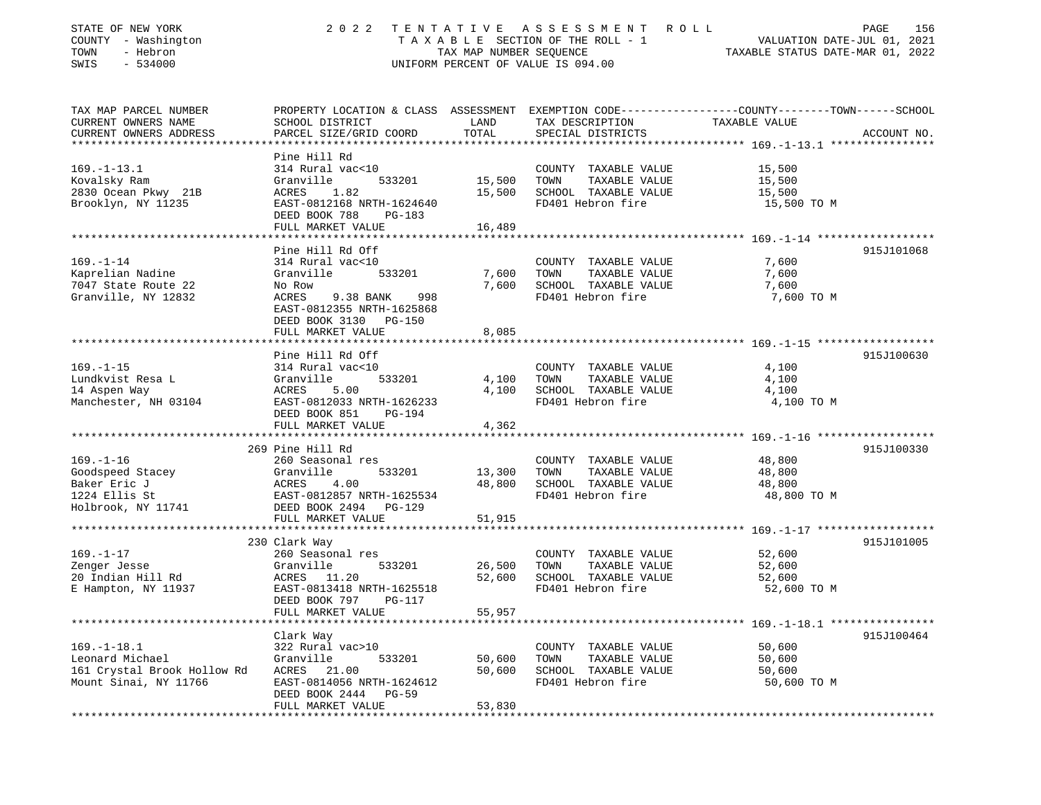| STATE OF NEW YORK<br>COUNTY - Washington<br>- Hebron<br>TOWN<br>SWIS<br>$-534000$ | 2 0 2 2                                                                | TENTATIVE<br>TAX MAP NUMBER SEQUENCE | A S S E S S M E N T<br>R O L L<br>TAXABLE SECTION OF THE ROLL - 1<br>UNIFORM PERCENT OF VALUE IS 094.00 | PAGE<br>156<br>VALUATION DATE-JUL 01, 2021<br>TAXABLE STATUS DATE-MAR 01, 2022                  |
|-----------------------------------------------------------------------------------|------------------------------------------------------------------------|--------------------------------------|---------------------------------------------------------------------------------------------------------|-------------------------------------------------------------------------------------------------|
| TAX MAP PARCEL NUMBER                                                             |                                                                        |                                      |                                                                                                         | PROPERTY LOCATION & CLASS ASSESSMENT EXEMPTION CODE---------------COUNTY-------TOWN------SCHOOL |
| CURRENT OWNERS NAME                                                               | SCHOOL DISTRICT                                                        | LAND                                 | TAX DESCRIPTION                                                                                         | TAXABLE VALUE                                                                                   |
| CURRENT OWNERS ADDRESS                                                            | PARCEL SIZE/GRID COORD                                                 | TOTAL                                | SPECIAL DISTRICTS                                                                                       | ACCOUNT NO.                                                                                     |
|                                                                                   | Pine Hill Rd                                                           |                                      |                                                                                                         |                                                                                                 |
| $169. - 1 - 13.1$                                                                 | 314 Rural vac<10                                                       |                                      | COUNTY TAXABLE VALUE                                                                                    | 15,500                                                                                          |
| Kovalsky Ram                                                                      | Granville<br>533201                                                    | 15,500                               | TOWN<br>TAXABLE VALUE                                                                                   | 15,500                                                                                          |
| 2830 Ocean Pkwy 21B                                                               | ACRES<br>1.82                                                          | 15,500                               | SCHOOL TAXABLE VALUE                                                                                    | 15,500                                                                                          |
| Brooklyn, NY 11235                                                                | EAST-0812168 NRTH-1624640<br>DEED BOOK 788<br><b>PG-183</b>            |                                      | FD401 Hebron fire                                                                                       | 15,500 TO M                                                                                     |
|                                                                                   | FULL MARKET VALUE                                                      | 16,489                               |                                                                                                         |                                                                                                 |
|                                                                                   | Pine Hill Rd Off                                                       |                                      |                                                                                                         | 915J101068                                                                                      |
| $169. - 1 - 14$                                                                   | 314 Rural vac<10                                                       |                                      | COUNTY TAXABLE VALUE                                                                                    | 7,600                                                                                           |
| Kaprelian Nadine                                                                  | Granville<br>533201                                                    | 7,600                                | TOWN<br>TAXABLE VALUE                                                                                   | 7,600                                                                                           |
| 7047 State Route 22                                                               | No Row                                                                 | 7,600                                | SCHOOL TAXABLE VALUE                                                                                    | 7,600                                                                                           |
| Granville, NY 12832                                                               | ACRES<br>9.38 BANK<br>998<br>EAST-0812355 NRTH-1625868                 |                                      | FD401 Hebron fire                                                                                       | 7,600 TO M                                                                                      |
|                                                                                   | DEED BOOK 3130 PG-150<br>FULL MARKET VALUE                             | 8,085                                |                                                                                                         |                                                                                                 |
|                                                                                   |                                                                        |                                      |                                                                                                         |                                                                                                 |
|                                                                                   | Pine Hill Rd Off                                                       |                                      |                                                                                                         | 915J100630                                                                                      |
| $169. - 1 - 15$                                                                   | 314 Rural vac<10                                                       |                                      | COUNTY TAXABLE VALUE                                                                                    | 4,100                                                                                           |
| Lundkvist Resa L                                                                  | Granville<br>533201                                                    | 4,100                                | TAXABLE VALUE<br>TOWN                                                                                   | 4,100                                                                                           |
| 14 Aspen Way                                                                      | ACRES<br>5.00                                                          | 4,100                                | SCHOOL TAXABLE VALUE                                                                                    | 4,100                                                                                           |
| Manchester, NH 03104                                                              | EAST-0812033 NRTH-1626233                                              |                                      | FD401 Hebron fire                                                                                       | 4,100 TO M                                                                                      |
|                                                                                   | DEED BOOK 851<br><b>PG-194</b><br>FULL MARKET VALUE                    | 4,362                                |                                                                                                         |                                                                                                 |
|                                                                                   |                                                                        |                                      |                                                                                                         |                                                                                                 |
|                                                                                   | 269 Pine Hill Rd                                                       |                                      |                                                                                                         | 915J100330                                                                                      |
| $169. - 1 - 16$                                                                   | 260 Seasonal res                                                       |                                      | COUNTY TAXABLE VALUE                                                                                    | 48,800                                                                                          |
| Goodspeed Stacey                                                                  | Granville<br>533201                                                    | 13,300                               | TOWN<br>TAXABLE VALUE                                                                                   | 48,800                                                                                          |
| Baker Eric J                                                                      | ACRES<br>4.00                                                          | 48,800                               | SCHOOL TAXABLE VALUE                                                                                    | 48,800                                                                                          |
| 1224 Ellis St<br>Holbrook, NY 11741                                               | EAST-0812857 NRTH-1625534<br>DEED BOOK 2494<br>$PG-129$                |                                      | FD401 Hebron fire                                                                                       | 48,800 TO M                                                                                     |
|                                                                                   | FULL MARKET VALUE                                                      | 51,915                               |                                                                                                         |                                                                                                 |
|                                                                                   |                                                                        |                                      |                                                                                                         |                                                                                                 |
|                                                                                   | 230 Clark Way                                                          |                                      |                                                                                                         | 915J101005                                                                                      |
| $169. - 1 - 17$                                                                   | 260 Seasonal res                                                       |                                      | COUNTY TAXABLE VALUE                                                                                    | 52,600                                                                                          |
| Zenger Jesse                                                                      | Granville<br>533201                                                    | 26,500                               | TAXABLE VALUE<br>TOWN                                                                                   | 52,600                                                                                          |
| 20 Indian Hill Rd                                                                 | ACRES 11.20                                                            | 52,600                               | SCHOOL TAXABLE VALUE                                                                                    | 52,600                                                                                          |
| E Hampton, NY 11937                                                               | EAST-0813418 NRTH-1625518<br>DEED BOOK 797<br><b>PG-117</b>            |                                      | FD401 Hebron fire                                                                                       | 52,600 TO M                                                                                     |
|                                                                                   | FULL MARKET VALUE                                                      | 55,957                               |                                                                                                         |                                                                                                 |
|                                                                                   |                                                                        |                                      |                                                                                                         |                                                                                                 |
|                                                                                   | Clark Way                                                              |                                      |                                                                                                         | 915J100464                                                                                      |
| $169. - 1 - 18.1$                                                                 | 322 Rural vac>10                                                       |                                      | COUNTY TAXABLE VALUE                                                                                    | 50,600                                                                                          |
| Leonard Michael                                                                   | Granville<br>533201                                                    | 50,600                               | TOWN<br>TAXABLE VALUE                                                                                   | 50,600                                                                                          |
| 161 Crystal Brook Hollow Rd                                                       | ACRES 21.00                                                            | 50,600                               | SCHOOL TAXABLE VALUE                                                                                    | 50,600                                                                                          |
| Mount Sinai, NY 11766                                                             | EAST-0814056 NRTH-1624612<br>DEED BOOK 2444 PG-59<br>FULL MARKET VALUE | 53,830                               | FD401 Hebron fire                                                                                       | 50,600 TO M                                                                                     |
|                                                                                   |                                                                        |                                      |                                                                                                         |                                                                                                 |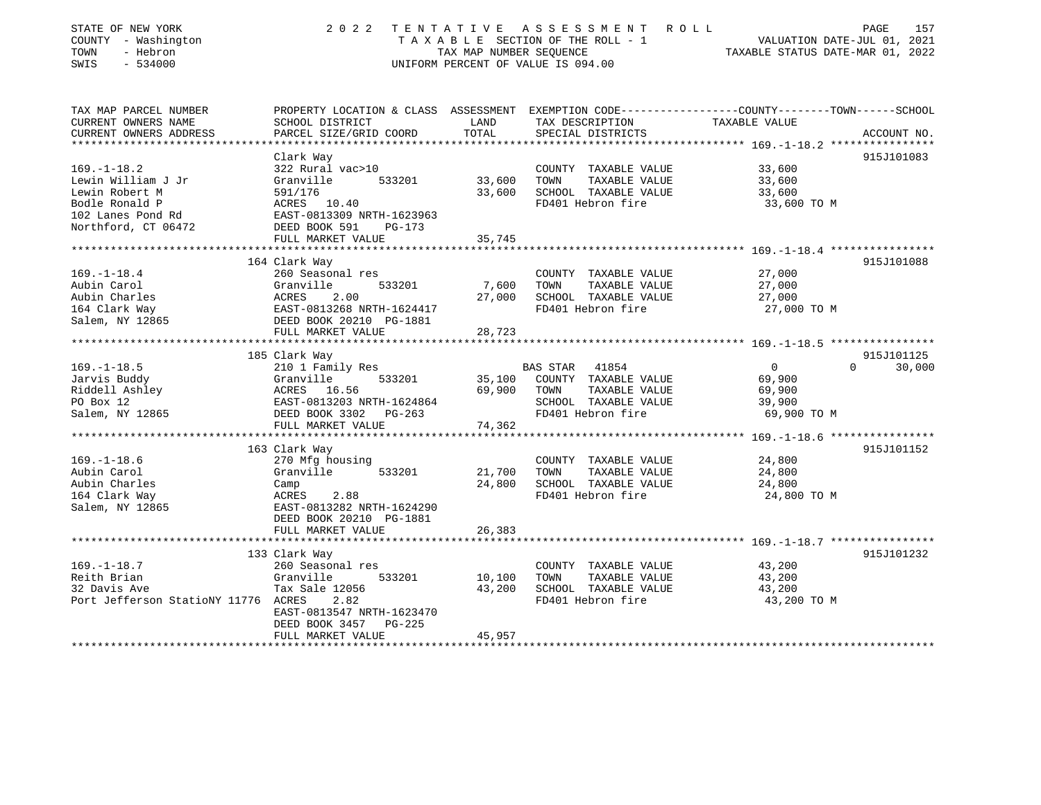| STATE OF NEW YORK<br>COUNTY - Washington<br>- Hebron<br>TOWN<br>SWIS<br>$-534000$ | 2 0 2 2                                      | TENTATIVE<br>TAX MAP NUMBER SEQUENCE | A S S E S S M E N T<br>ROLL<br>TAXABLE SECTION OF THE ROLL - 1<br>UNIFORM PERCENT OF VALUE IS 094.00 | PAGE<br>VALUATION DATE-JUL 01, 2021<br>TAXABLE STATUS DATE-MAR 01, 2022                                          | 157 |
|-----------------------------------------------------------------------------------|----------------------------------------------|--------------------------------------|------------------------------------------------------------------------------------------------------|------------------------------------------------------------------------------------------------------------------|-----|
| TAX MAP PARCEL NUMBER<br>CURRENT OWNERS NAME                                      | SCHOOL DISTRICT                              | LAND                                 | TAX DESCRIPTION                                                                                      | PROPERTY LOCATION & CLASS ASSESSMENT EXEMPTION CODE---------------COUNTY-------TOWN------SCHOOL<br>TAXABLE VALUE |     |
| CURRENT OWNERS ADDRESS                                                            | PARCEL SIZE/GRID COORD                       | TOTAL                                | SPECIAL DISTRICTS                                                                                    | ACCOUNT NO.                                                                                                      |     |
|                                                                                   |                                              |                                      |                                                                                                      | *********** 169.-1-18.2 ****************                                                                         |     |
|                                                                                   | Clark Way                                    |                                      |                                                                                                      | 915J101083                                                                                                       |     |
| $169. - 1 - 18.2$                                                                 | 322 Rural vac>10                             |                                      | COUNTY TAXABLE VALUE                                                                                 | 33,600                                                                                                           |     |
| Lewin William J Jr                                                                | Granville<br>533201                          | 33,600                               | TOWN<br>TAXABLE VALUE                                                                                | 33,600                                                                                                           |     |
| Lewin Robert M                                                                    | 591/176                                      | 33,600                               | SCHOOL TAXABLE VALUE                                                                                 | 33,600                                                                                                           |     |
| Bodle Ronald P                                                                    | ACRES<br>10.40                               |                                      | FD401 Hebron fire                                                                                    | 33,600 TO M                                                                                                      |     |
| 102 Lanes Pond Rd                                                                 | EAST-0813309 NRTH-1623963                    |                                      |                                                                                                      |                                                                                                                  |     |
| Northford, CT 06472                                                               | DEED BOOK 591<br>PG-173                      |                                      |                                                                                                      |                                                                                                                  |     |
|                                                                                   | FULL MARKET VALUE<br>*********************** | 35,745<br>* * * * * * * * * *        |                                                                                                      |                                                                                                                  |     |
|                                                                                   | 164 Clark Way                                |                                      |                                                                                                      | 915J101088                                                                                                       |     |
| $169. - 1 - 18.4$                                                                 | 260 Seasonal res                             |                                      | COUNTY TAXABLE VALUE                                                                                 | 27,000                                                                                                           |     |
| Aubin Carol                                                                       | Granville<br>533201                          | 7,600                                | TOWN<br>TAXABLE VALUE                                                                                | 27,000                                                                                                           |     |
| Aubin Charles                                                                     | 2.00<br>ACRES                                | 27,000                               | SCHOOL TAXABLE VALUE                                                                                 | 27,000                                                                                                           |     |
| 164 Clark Way                                                                     | EAST-0813268 NRTH-1624417                    |                                      | FD401 Hebron fire                                                                                    | 27,000 TO M                                                                                                      |     |
| Salem, NY 12865                                                                   | DEED BOOK 20210 PG-1881                      |                                      |                                                                                                      |                                                                                                                  |     |
|                                                                                   | FULL MARKET VALUE                            | 28,723                               |                                                                                                      |                                                                                                                  |     |
|                                                                                   |                                              |                                      |                                                                                                      |                                                                                                                  |     |
|                                                                                   | 185 Clark Way                                |                                      |                                                                                                      | 915J101125                                                                                                       |     |
| $169. - 1 - 18.5$                                                                 | 210 1 Family Res                             |                                      | <b>BAS STAR</b><br>41854                                                                             | $\mathbf 0$<br>30,000<br>$\Omega$                                                                                |     |
| Jarvis Buddy                                                                      | Granville<br>533201                          | 35,100                               | COUNTY TAXABLE VALUE                                                                                 | 69,900                                                                                                           |     |
| Riddell Ashley<br>PO Box 12                                                       | ACRES 16.56<br>EAST-0813203 NRTH-1624864     | 69,900                               | TOWN<br>TAXABLE VALUE<br>SCHOOL TAXABLE VALUE                                                        | 69,900                                                                                                           |     |
| Salem, NY 12865                                                                   | DEED BOOK 3302 PG-263                        |                                      | FD401 Hebron fire                                                                                    | 39,900<br>69,900 TO M                                                                                            |     |
|                                                                                   | FULL MARKET VALUE                            | 74,362                               |                                                                                                      |                                                                                                                  |     |
|                                                                                   | ***************************                  | ************                         |                                                                                                      |                                                                                                                  |     |
|                                                                                   | 163 Clark Way                                |                                      |                                                                                                      | 915J101152                                                                                                       |     |
| $169. - 1 - 18.6$                                                                 | 270 Mfg housing                              |                                      | COUNTY TAXABLE VALUE                                                                                 | 24,800                                                                                                           |     |
| Aubin Carol                                                                       | Granville<br>533201                          | 21,700                               | TAXABLE VALUE<br>TOWN                                                                                | 24,800                                                                                                           |     |
| Aubin Charles                                                                     | Camp                                         | 24,800                               | SCHOOL TAXABLE VALUE                                                                                 | 24,800                                                                                                           |     |
| 164 Clark Way                                                                     | 2.88<br>ACRES                                |                                      | FD401 Hebron fire                                                                                    | 24,800 TO M                                                                                                      |     |
| Salem, NY 12865                                                                   | EAST-0813282 NRTH-1624290                    |                                      |                                                                                                      |                                                                                                                  |     |
|                                                                                   | DEED BOOK 20210 PG-1881                      |                                      |                                                                                                      |                                                                                                                  |     |
|                                                                                   | FULL MARKET VALUE                            | 26,383                               |                                                                                                      |                                                                                                                  |     |
|                                                                                   |                                              |                                      |                                                                                                      |                                                                                                                  |     |
|                                                                                   | 133 Clark Way                                |                                      |                                                                                                      | 915J101232                                                                                                       |     |
| $169. - 1 - 18.7$<br>Reith Brian                                                  | 260 Seasonal res<br>Granville<br>533201      | 10,100                               | COUNTY TAXABLE VALUE<br>TOWN<br>TAXABLE VALUE                                                        | 43,200<br>43,200                                                                                                 |     |
| 32 Davis Ave                                                                      | Tax Sale 12056                               | 43,200                               | SCHOOL TAXABLE VALUE                                                                                 | 43,200                                                                                                           |     |
| Port Jefferson StatioNY 11776 ACRES                                               | 2.82                                         |                                      | FD401 Hebron fire                                                                                    | 43,200 TO M                                                                                                      |     |
|                                                                                   | EAST-0813547 NRTH-1623470                    |                                      |                                                                                                      |                                                                                                                  |     |
|                                                                                   | DEED BOOK 3457<br>PG-225                     |                                      |                                                                                                      |                                                                                                                  |     |
|                                                                                   | FULL MARKET VALUE                            | 45,957                               |                                                                                                      |                                                                                                                  |     |
|                                                                                   |                                              |                                      |                                                                                                      |                                                                                                                  |     |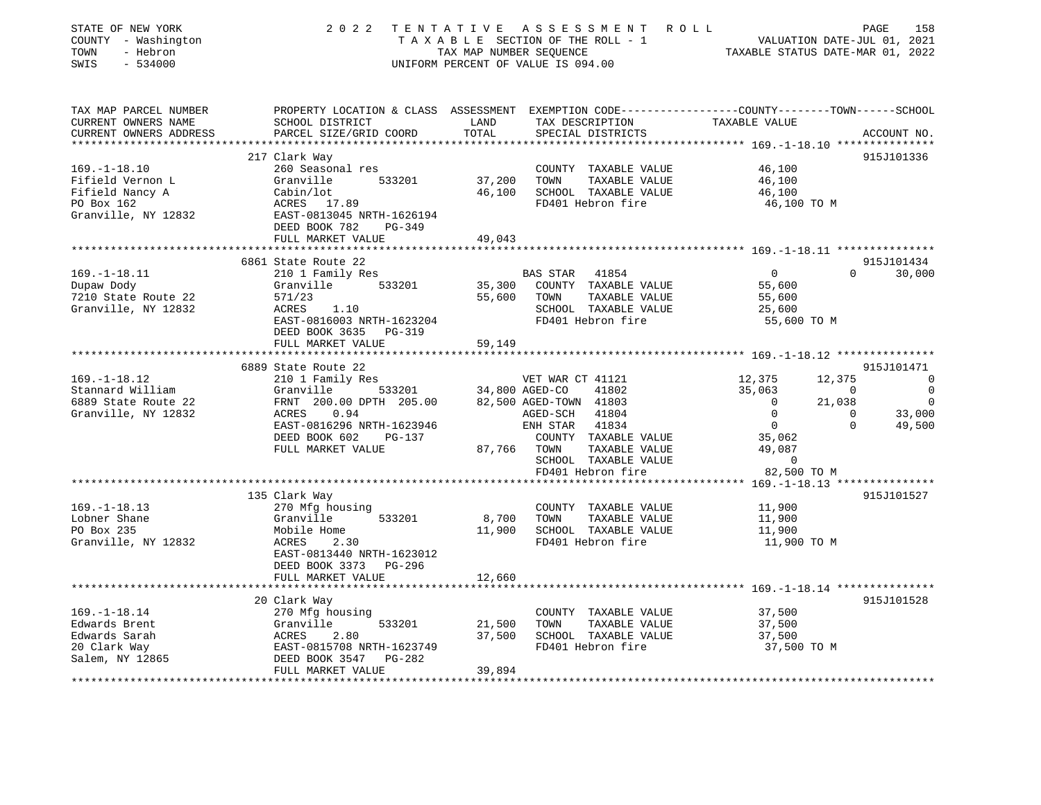| STATE OF NEW YORK<br>COUNTY - Washington<br>TOWN<br>- Hebron<br>$-534000$<br>SWIS              | 2 0 2 2                                                                                                                                                       | TAX MAP NUMBER SEQUENCE | TENTATIVE ASSESSMENT ROLL<br>TAXABLE SECTION OF THE ROLL - 1<br>UNIFORM PERCENT OF VALUE IS 094.00                                                                                                    | VALUATION DATE-JUL 01, 2021<br>TAXABLE STATUS DATE-MAR 01, 2022                                                       |                                                            | 158<br>PAGE                                                   |
|------------------------------------------------------------------------------------------------|---------------------------------------------------------------------------------------------------------------------------------------------------------------|-------------------------|-------------------------------------------------------------------------------------------------------------------------------------------------------------------------------------------------------|-----------------------------------------------------------------------------------------------------------------------|------------------------------------------------------------|---------------------------------------------------------------|
| TAX MAP PARCEL NUMBER<br>CURRENT OWNERS NAME<br>CURRENT OWNERS ADDRESS                         | PROPERTY LOCATION & CLASS ASSESSMENT EXEMPTION CODE---------------COUNTY-------TOWN-----SCHOOL<br>SCHOOL DISTRICT<br>PARCEL SIZE/GRID COORD                   | LAND<br>TOTAL           | TAX DESCRIPTION<br>SPECIAL DISTRICTS                                                                                                                                                                  | TAXABLE VALUE                                                                                                         |                                                            | ACCOUNT NO.                                                   |
|                                                                                                | 217 Clark Way                                                                                                                                                 |                         |                                                                                                                                                                                                       |                                                                                                                       |                                                            | 915J101336                                                    |
| $169. - 1 - 18.10$<br>Fifield Vernon L<br>Fifield Nancy A<br>PO Box 162<br>Granville, NY 12832 | 260 Seasonal res<br>533201<br>Granville<br>Cabin/lot<br>ACRES 17.89<br>EAST-0813045 NRTH-1626194<br>DEED BOOK 782<br>PG-349                                   | 37,200                  | COUNTY TAXABLE VALUE<br>TOWN<br>TAXABLE VALUE<br>46,100 SCHOOL TAXABLE VALUE<br>FD401 Hebron fire                                                                                                     | 46,100<br>46,100<br>46,100<br>46,100 TO M                                                                             |                                                            |                                                               |
|                                                                                                | FULL MARKET VALUE                                                                                                                                             | 49,043                  |                                                                                                                                                                                                       |                                                                                                                       |                                                            |                                                               |
|                                                                                                | 6861 State Route 22                                                                                                                                           |                         |                                                                                                                                                                                                       |                                                                                                                       |                                                            | 915J101434                                                    |
| $169. - 1 - 18.11$<br>Dupaw Dody<br>7210 State Route 22<br>Granville, NY 12832                 | 210 1 Family Res<br>Granville 533201<br>571/23<br>1.10<br>ACRES<br>EAST-0816003 NRTH-1623204<br>DEED BOOK 3635 PG-319                                         | 35,300<br>55,600 TOWN   | BAS STAR<br>41854<br>COUNTY TAXABLE VALUE<br>TAXABLE VALUE<br>SCHOOL TAXABLE VALUE<br>FD401 Hebron fire                                                                                               | $\overline{0}$<br>55,600<br>55,600<br>25,600<br>55,600 TO M                                                           | $\Omega$                                                   | 30,000                                                        |
|                                                                                                | FULL MARKET VALUE                                                                                                                                             | 59,149                  |                                                                                                                                                                                                       |                                                                                                                       |                                                            |                                                               |
|                                                                                                | 6889 State Route 22                                                                                                                                           |                         |                                                                                                                                                                                                       |                                                                                                                       |                                                            | 915J101471                                                    |
| $169. - 1 - 18.12$<br>Stannard William<br>6889 State Route 22<br>Granville, NY 12832           | 210 1 Family Res<br>533201<br>Granville<br>FRNT 200.00 DPTH 205.00<br>0.94<br>ACRES<br>EAST-0816296 NRTH-1623946<br>DEED BOOK 602 PG-137<br>FULL MARKET VALUE | 87,766 TOWN             | VET WAR CT 41121<br>34,800 AGED-CO<br>41802<br>82,500 AGED-TOWN 41803<br>AGED-SCH<br>41804<br>ENH STAR<br>41834<br>COUNTY TAXABLE VALUE<br>TAXABLE VALUE<br>SCHOOL TAXABLE VALUE<br>FD401 Hebron fire | 12,375<br>35,063<br>$\overline{0}$<br>$\overline{0}$<br>$\overline{0}$<br>35,062<br>49,087<br>$\sim$ 0<br>82,500 TO M | 12,375<br>$\overline{0}$<br>21,038<br>$\Omega$<br>$\Omega$ | $\Omega$<br>$\mathbf 0$<br>$\overline{0}$<br>33,000<br>49,500 |
|                                                                                                | ********************************                                                                                                                              |                         |                                                                                                                                                                                                       | ******** 169.-1-18.13 ****************                                                                                |                                                            |                                                               |
| $169. - 1 - 18.13$<br>Lobner Shane<br>PO Box 235<br>Granville, NY 12832                        | 135 Clark Way<br>270 Mfg housing<br>Granville<br>533201<br>Mobile Home<br>ACRES<br>2.30<br>EAST-0813440 NRTH-1623012<br>DEED BOOK 3373 PG-296                 | 8,700<br>11,900         | COUNTY TAXABLE VALUE<br>TOWN<br>TAXABLE VALUE<br>SCHOOL TAXABLE VALUE<br>FD401 Hebron fire                                                                                                            | 11,900<br>11,900<br>11,900<br>11,900 TO M                                                                             |                                                            | 915J101527                                                    |
|                                                                                                | FULL MARKET VALUE                                                                                                                                             | 12,660                  |                                                                                                                                                                                                       |                                                                                                                       |                                                            |                                                               |
|                                                                                                | ***********************<br>20 Clark Way                                                                                                                       |                         |                                                                                                                                                                                                       |                                                                                                                       |                                                            | 915J101528                                                    |
| $169. - 1 - 18.14$<br>Edwards Brent<br>Edwards Sarah<br>20 Clark Way<br>Salem, NY 12865        | 270 Mfg housing<br>533201<br>Granville<br><b>ACRES</b><br>2.80<br>EAST-0815708 NRTH-1623749<br>DEED BOOK 3547 PG-282<br>FULL MARKET VALUE                     | 21,500<br>39,894        | COUNTY TAXABLE VALUE<br>TOWN<br>TAXABLE VALUE<br>37,500 SCHOOL TAXABLE VALUE<br>FD401 Hebron fire                                                                                                     | 37,500<br>37,500<br>37,500<br>37,500 TO M                                                                             |                                                            |                                                               |
|                                                                                                |                                                                                                                                                               |                         |                                                                                                                                                                                                       |                                                                                                                       |                                                            |                                                               |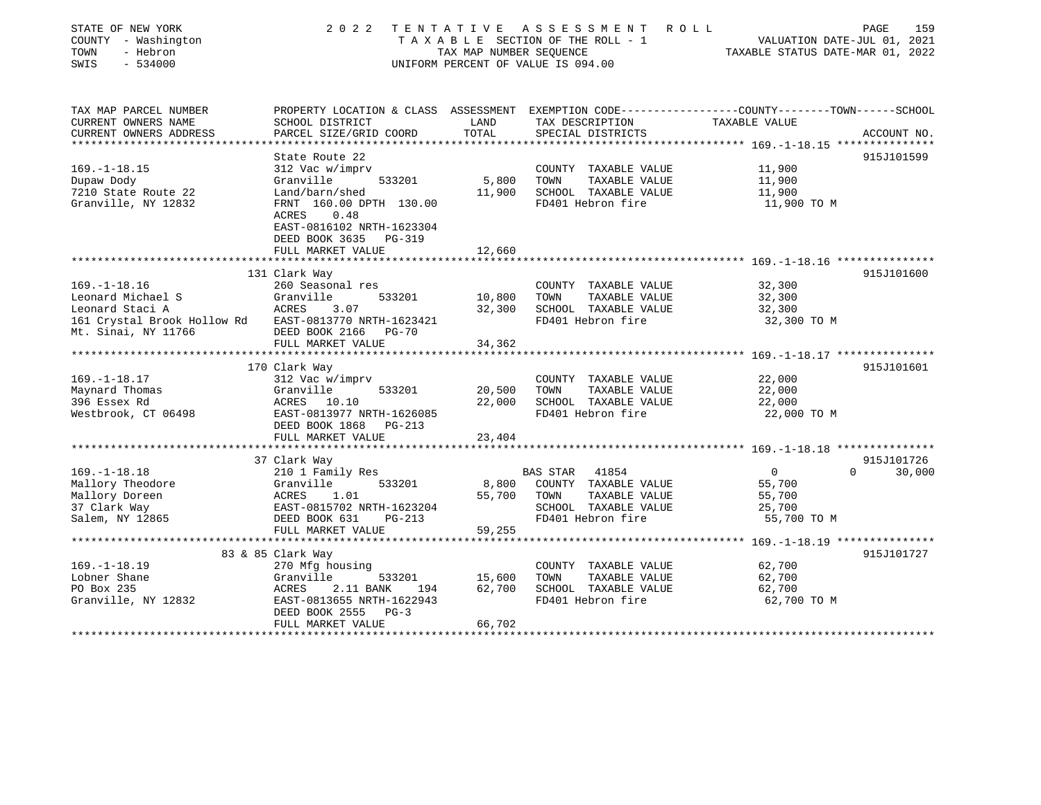| TAX MAP PARCEL NUMBER<br>PROPERTY LOCATION & CLASS ASSESSMENT EXEMPTION CODE----------------COUNTY-------TOWN-----SCHOOL<br>CURRENT OWNERS NAME<br>SCHOOL DISTRICT<br>LAND<br>TAX DESCRIPTION<br>TAXABLE VALUE<br>TOTAL<br>CURRENT OWNERS ADDRESS<br>PARCEL SIZE/GRID COORD<br>SPECIAL DISTRICTS<br>ACCOUNT NO.<br>***********************<br>915J101599<br>State Route 22<br>$169. - 1 - 18.15$<br>312 Vac w/imprv<br>11,900<br>COUNTY TAXABLE VALUE<br>5,800<br>Granville<br>533201<br>TOWN<br>TAXABLE VALUE<br>11,900<br>Dupaw Dody<br>11,900<br>7210 State Route 22<br>Land/barn/shed<br>SCHOOL TAXABLE VALUE<br>11,900<br>Granville, NY 12832<br>FRNT 160.00 DPTH 130.00<br>FD401 Hebron fire<br>11,900 TO M<br>0.48<br>ACRES<br>EAST-0816102 NRTH-1623304<br>DEED BOOK 3635<br>PG-319<br>FULL MARKET VALUE<br>12,660<br>131 Clark Way<br>915J101600<br>$169. - 1 - 18.16$<br>32,300<br>260 Seasonal res<br>COUNTY TAXABLE VALUE<br>Leonard Michael S<br>Granville<br>10,800<br>TAXABLE VALUE<br>32,300<br>Granvi<br>ACRES<br>533201<br>TOWN<br>Leonard Staci A<br>3.07<br>32,300<br>SCHOOL TAXABLE VALUE<br>32,300<br>161 Crystal Brook Hollow Rd EAST-0813770 NRTH-1623421<br>FD401 Hebron fire<br>32,300 TO M<br>Mt. Sinai, NY 11766<br>DEED BOOK 2166 PG-70<br>FULL MARKET VALUE<br>34,362<br>170 Clark Way<br>915J101601<br>22,000<br>$169. - 1 - 18.17$<br>312 Vac w/imprv<br>COUNTY TAXABLE VALUE<br>22,000<br>Maynard Thomas<br>Granville<br>533201<br>20,500<br>TOWN<br>TAXABLE VALUE<br>396 Essex Rd<br>22,000<br>SCHOOL TAXABLE VALUE<br>ACRES 10.10<br>22,000<br>EAST-0813977 NRTH-1626085<br>FD401 Hebron fire<br>Westbrook, CT 06498<br>22,000 TO M<br>DEED BOOK 1868<br>PG-213<br>23,404<br>FULL MARKET VALUE<br>915J101726<br>37 Clark Way<br>$169. - 1 - 18.18$<br>41854<br>$\overline{0}$<br>$\Omega$<br>30,000<br>210 1 Family Res<br>BAS STAR<br>Mallory Theodore<br>533201<br>8,800<br>COUNTY TAXABLE VALUE<br>55,700<br>Granville<br>Mallory Doreen<br>ACRES<br>1.01<br>55,700<br>TOWN<br>TAXABLE VALUE<br>55,700<br>37 Clark Way<br>SCHOOL TAXABLE VALUE<br>EAST-0815702 NRTH-1623204<br>25,700<br>Salem, NY 12865<br>FD401 Hebron fire<br>55,700 TO M<br>DEED BOOK 631<br>PG-213<br>FULL MARKET VALUE<br>59,255<br>915J101727<br>83 & 85 Clark Way<br>$169. - 1 - 18.19$<br>62,700<br>270 Mfg housing<br>COUNTY TAXABLE VALUE<br>Lobner Shane<br>62,700<br>Granville<br>533201<br>15,600<br>TOWN<br>TAXABLE VALUE<br>PO Box 235<br>62,700<br>ACRES<br>2.11 BANK<br>SCHOOL TAXABLE VALUE<br>62,700<br>194<br>FD401 Hebron fire<br>Granville, NY 12832<br>EAST-0813655 NRTH-1622943<br>62,700 TO M<br>DEED BOOK 2555<br>$PG-3$<br>66,702<br>FULL MARKET VALUE | STATE OF NEW YORK<br>COUNTY - Washington<br>TOWN<br>- Hebron<br>SWIS<br>$-534000$ | 2 0 2 2 | TAX MAP NUMBER SEQUENCE | TENTATIVE ASSESSMENT<br>R O L L<br>TAXABLE SECTION OF THE ROLL - 1<br>UNIFORM PERCENT OF VALUE IS 094.00 | VALUATION DATE-JUL 01, 2021<br>TAXABLE STATUS DATE-MAR 01, 2022 | PAGE<br>159 |
|------------------------------------------------------------------------------------------------------------------------------------------------------------------------------------------------------------------------------------------------------------------------------------------------------------------------------------------------------------------------------------------------------------------------------------------------------------------------------------------------------------------------------------------------------------------------------------------------------------------------------------------------------------------------------------------------------------------------------------------------------------------------------------------------------------------------------------------------------------------------------------------------------------------------------------------------------------------------------------------------------------------------------------------------------------------------------------------------------------------------------------------------------------------------------------------------------------------------------------------------------------------------------------------------------------------------------------------------------------------------------------------------------------------------------------------------------------------------------------------------------------------------------------------------------------------------------------------------------------------------------------------------------------------------------------------------------------------------------------------------------------------------------------------------------------------------------------------------------------------------------------------------------------------------------------------------------------------------------------------------------------------------------------------------------------------------------------------------------------------------------------------------------------------------------------------------------------------------------------------------------------------------------------------------------------------------------------------------------------------------------------------------------------------------------------------------------------------------------------------------------------------------------------------------------------------------------------------------------------------------------------------------------------------------------------------|-----------------------------------------------------------------------------------|---------|-------------------------|----------------------------------------------------------------------------------------------------------|-----------------------------------------------------------------|-------------|
|                                                                                                                                                                                                                                                                                                                                                                                                                                                                                                                                                                                                                                                                                                                                                                                                                                                                                                                                                                                                                                                                                                                                                                                                                                                                                                                                                                                                                                                                                                                                                                                                                                                                                                                                                                                                                                                                                                                                                                                                                                                                                                                                                                                                                                                                                                                                                                                                                                                                                                                                                                                                                                                                                          |                                                                                   |         |                         |                                                                                                          |                                                                 |             |
|                                                                                                                                                                                                                                                                                                                                                                                                                                                                                                                                                                                                                                                                                                                                                                                                                                                                                                                                                                                                                                                                                                                                                                                                                                                                                                                                                                                                                                                                                                                                                                                                                                                                                                                                                                                                                                                                                                                                                                                                                                                                                                                                                                                                                                                                                                                                                                                                                                                                                                                                                                                                                                                                                          |                                                                                   |         |                         |                                                                                                          |                                                                 |             |
|                                                                                                                                                                                                                                                                                                                                                                                                                                                                                                                                                                                                                                                                                                                                                                                                                                                                                                                                                                                                                                                                                                                                                                                                                                                                                                                                                                                                                                                                                                                                                                                                                                                                                                                                                                                                                                                                                                                                                                                                                                                                                                                                                                                                                                                                                                                                                                                                                                                                                                                                                                                                                                                                                          |                                                                                   |         |                         |                                                                                                          |                                                                 |             |
|                                                                                                                                                                                                                                                                                                                                                                                                                                                                                                                                                                                                                                                                                                                                                                                                                                                                                                                                                                                                                                                                                                                                                                                                                                                                                                                                                                                                                                                                                                                                                                                                                                                                                                                                                                                                                                                                                                                                                                                                                                                                                                                                                                                                                                                                                                                                                                                                                                                                                                                                                                                                                                                                                          |                                                                                   |         |                         |                                                                                                          |                                                                 |             |
|                                                                                                                                                                                                                                                                                                                                                                                                                                                                                                                                                                                                                                                                                                                                                                                                                                                                                                                                                                                                                                                                                                                                                                                                                                                                                                                                                                                                                                                                                                                                                                                                                                                                                                                                                                                                                                                                                                                                                                                                                                                                                                                                                                                                                                                                                                                                                                                                                                                                                                                                                                                                                                                                                          |                                                                                   |         |                         |                                                                                                          |                                                                 |             |
|                                                                                                                                                                                                                                                                                                                                                                                                                                                                                                                                                                                                                                                                                                                                                                                                                                                                                                                                                                                                                                                                                                                                                                                                                                                                                                                                                                                                                                                                                                                                                                                                                                                                                                                                                                                                                                                                                                                                                                                                                                                                                                                                                                                                                                                                                                                                                                                                                                                                                                                                                                                                                                                                                          |                                                                                   |         |                         |                                                                                                          |                                                                 |             |
|                                                                                                                                                                                                                                                                                                                                                                                                                                                                                                                                                                                                                                                                                                                                                                                                                                                                                                                                                                                                                                                                                                                                                                                                                                                                                                                                                                                                                                                                                                                                                                                                                                                                                                                                                                                                                                                                                                                                                                                                                                                                                                                                                                                                                                                                                                                                                                                                                                                                                                                                                                                                                                                                                          |                                                                                   |         |                         |                                                                                                          |                                                                 |             |
|                                                                                                                                                                                                                                                                                                                                                                                                                                                                                                                                                                                                                                                                                                                                                                                                                                                                                                                                                                                                                                                                                                                                                                                                                                                                                                                                                                                                                                                                                                                                                                                                                                                                                                                                                                                                                                                                                                                                                                                                                                                                                                                                                                                                                                                                                                                                                                                                                                                                                                                                                                                                                                                                                          |                                                                                   |         |                         |                                                                                                          |                                                                 |             |
|                                                                                                                                                                                                                                                                                                                                                                                                                                                                                                                                                                                                                                                                                                                                                                                                                                                                                                                                                                                                                                                                                                                                                                                                                                                                                                                                                                                                                                                                                                                                                                                                                                                                                                                                                                                                                                                                                                                                                                                                                                                                                                                                                                                                                                                                                                                                                                                                                                                                                                                                                                                                                                                                                          |                                                                                   |         |                         |                                                                                                          |                                                                 |             |
|                                                                                                                                                                                                                                                                                                                                                                                                                                                                                                                                                                                                                                                                                                                                                                                                                                                                                                                                                                                                                                                                                                                                                                                                                                                                                                                                                                                                                                                                                                                                                                                                                                                                                                                                                                                                                                                                                                                                                                                                                                                                                                                                                                                                                                                                                                                                                                                                                                                                                                                                                                                                                                                                                          |                                                                                   |         |                         |                                                                                                          |                                                                 |             |
|                                                                                                                                                                                                                                                                                                                                                                                                                                                                                                                                                                                                                                                                                                                                                                                                                                                                                                                                                                                                                                                                                                                                                                                                                                                                                                                                                                                                                                                                                                                                                                                                                                                                                                                                                                                                                                                                                                                                                                                                                                                                                                                                                                                                                                                                                                                                                                                                                                                                                                                                                                                                                                                                                          |                                                                                   |         |                         |                                                                                                          |                                                                 |             |
|                                                                                                                                                                                                                                                                                                                                                                                                                                                                                                                                                                                                                                                                                                                                                                                                                                                                                                                                                                                                                                                                                                                                                                                                                                                                                                                                                                                                                                                                                                                                                                                                                                                                                                                                                                                                                                                                                                                                                                                                                                                                                                                                                                                                                                                                                                                                                                                                                                                                                                                                                                                                                                                                                          |                                                                                   |         |                         |                                                                                                          |                                                                 |             |
|                                                                                                                                                                                                                                                                                                                                                                                                                                                                                                                                                                                                                                                                                                                                                                                                                                                                                                                                                                                                                                                                                                                                                                                                                                                                                                                                                                                                                                                                                                                                                                                                                                                                                                                                                                                                                                                                                                                                                                                                                                                                                                                                                                                                                                                                                                                                                                                                                                                                                                                                                                                                                                                                                          |                                                                                   |         |                         |                                                                                                          |                                                                 |             |
|                                                                                                                                                                                                                                                                                                                                                                                                                                                                                                                                                                                                                                                                                                                                                                                                                                                                                                                                                                                                                                                                                                                                                                                                                                                                                                                                                                                                                                                                                                                                                                                                                                                                                                                                                                                                                                                                                                                                                                                                                                                                                                                                                                                                                                                                                                                                                                                                                                                                                                                                                                                                                                                                                          |                                                                                   |         |                         |                                                                                                          |                                                                 |             |
|                                                                                                                                                                                                                                                                                                                                                                                                                                                                                                                                                                                                                                                                                                                                                                                                                                                                                                                                                                                                                                                                                                                                                                                                                                                                                                                                                                                                                                                                                                                                                                                                                                                                                                                                                                                                                                                                                                                                                                                                                                                                                                                                                                                                                                                                                                                                                                                                                                                                                                                                                                                                                                                                                          |                                                                                   |         |                         |                                                                                                          |                                                                 |             |
|                                                                                                                                                                                                                                                                                                                                                                                                                                                                                                                                                                                                                                                                                                                                                                                                                                                                                                                                                                                                                                                                                                                                                                                                                                                                                                                                                                                                                                                                                                                                                                                                                                                                                                                                                                                                                                                                                                                                                                                                                                                                                                                                                                                                                                                                                                                                                                                                                                                                                                                                                                                                                                                                                          |                                                                                   |         |                         |                                                                                                          |                                                                 |             |
|                                                                                                                                                                                                                                                                                                                                                                                                                                                                                                                                                                                                                                                                                                                                                                                                                                                                                                                                                                                                                                                                                                                                                                                                                                                                                                                                                                                                                                                                                                                                                                                                                                                                                                                                                                                                                                                                                                                                                                                                                                                                                                                                                                                                                                                                                                                                                                                                                                                                                                                                                                                                                                                                                          |                                                                                   |         |                         |                                                                                                          |                                                                 |             |
|                                                                                                                                                                                                                                                                                                                                                                                                                                                                                                                                                                                                                                                                                                                                                                                                                                                                                                                                                                                                                                                                                                                                                                                                                                                                                                                                                                                                                                                                                                                                                                                                                                                                                                                                                                                                                                                                                                                                                                                                                                                                                                                                                                                                                                                                                                                                                                                                                                                                                                                                                                                                                                                                                          |                                                                                   |         |                         |                                                                                                          |                                                                 |             |
|                                                                                                                                                                                                                                                                                                                                                                                                                                                                                                                                                                                                                                                                                                                                                                                                                                                                                                                                                                                                                                                                                                                                                                                                                                                                                                                                                                                                                                                                                                                                                                                                                                                                                                                                                                                                                                                                                                                                                                                                                                                                                                                                                                                                                                                                                                                                                                                                                                                                                                                                                                                                                                                                                          |                                                                                   |         |                         |                                                                                                          |                                                                 |             |
|                                                                                                                                                                                                                                                                                                                                                                                                                                                                                                                                                                                                                                                                                                                                                                                                                                                                                                                                                                                                                                                                                                                                                                                                                                                                                                                                                                                                                                                                                                                                                                                                                                                                                                                                                                                                                                                                                                                                                                                                                                                                                                                                                                                                                                                                                                                                                                                                                                                                                                                                                                                                                                                                                          |                                                                                   |         |                         |                                                                                                          |                                                                 |             |
|                                                                                                                                                                                                                                                                                                                                                                                                                                                                                                                                                                                                                                                                                                                                                                                                                                                                                                                                                                                                                                                                                                                                                                                                                                                                                                                                                                                                                                                                                                                                                                                                                                                                                                                                                                                                                                                                                                                                                                                                                                                                                                                                                                                                                                                                                                                                                                                                                                                                                                                                                                                                                                                                                          |                                                                                   |         |                         |                                                                                                          |                                                                 |             |
|                                                                                                                                                                                                                                                                                                                                                                                                                                                                                                                                                                                                                                                                                                                                                                                                                                                                                                                                                                                                                                                                                                                                                                                                                                                                                                                                                                                                                                                                                                                                                                                                                                                                                                                                                                                                                                                                                                                                                                                                                                                                                                                                                                                                                                                                                                                                                                                                                                                                                                                                                                                                                                                                                          |                                                                                   |         |                         |                                                                                                          |                                                                 |             |
|                                                                                                                                                                                                                                                                                                                                                                                                                                                                                                                                                                                                                                                                                                                                                                                                                                                                                                                                                                                                                                                                                                                                                                                                                                                                                                                                                                                                                                                                                                                                                                                                                                                                                                                                                                                                                                                                                                                                                                                                                                                                                                                                                                                                                                                                                                                                                                                                                                                                                                                                                                                                                                                                                          |                                                                                   |         |                         |                                                                                                          |                                                                 |             |
|                                                                                                                                                                                                                                                                                                                                                                                                                                                                                                                                                                                                                                                                                                                                                                                                                                                                                                                                                                                                                                                                                                                                                                                                                                                                                                                                                                                                                                                                                                                                                                                                                                                                                                                                                                                                                                                                                                                                                                                                                                                                                                                                                                                                                                                                                                                                                                                                                                                                                                                                                                                                                                                                                          |                                                                                   |         |                         |                                                                                                          |                                                                 |             |
|                                                                                                                                                                                                                                                                                                                                                                                                                                                                                                                                                                                                                                                                                                                                                                                                                                                                                                                                                                                                                                                                                                                                                                                                                                                                                                                                                                                                                                                                                                                                                                                                                                                                                                                                                                                                                                                                                                                                                                                                                                                                                                                                                                                                                                                                                                                                                                                                                                                                                                                                                                                                                                                                                          |                                                                                   |         |                         |                                                                                                          |                                                                 |             |
|                                                                                                                                                                                                                                                                                                                                                                                                                                                                                                                                                                                                                                                                                                                                                                                                                                                                                                                                                                                                                                                                                                                                                                                                                                                                                                                                                                                                                                                                                                                                                                                                                                                                                                                                                                                                                                                                                                                                                                                                                                                                                                                                                                                                                                                                                                                                                                                                                                                                                                                                                                                                                                                                                          |                                                                                   |         |                         |                                                                                                          |                                                                 |             |
|                                                                                                                                                                                                                                                                                                                                                                                                                                                                                                                                                                                                                                                                                                                                                                                                                                                                                                                                                                                                                                                                                                                                                                                                                                                                                                                                                                                                                                                                                                                                                                                                                                                                                                                                                                                                                                                                                                                                                                                                                                                                                                                                                                                                                                                                                                                                                                                                                                                                                                                                                                                                                                                                                          |                                                                                   |         |                         |                                                                                                          |                                                                 |             |
|                                                                                                                                                                                                                                                                                                                                                                                                                                                                                                                                                                                                                                                                                                                                                                                                                                                                                                                                                                                                                                                                                                                                                                                                                                                                                                                                                                                                                                                                                                                                                                                                                                                                                                                                                                                                                                                                                                                                                                                                                                                                                                                                                                                                                                                                                                                                                                                                                                                                                                                                                                                                                                                                                          |                                                                                   |         |                         |                                                                                                          |                                                                 |             |
|                                                                                                                                                                                                                                                                                                                                                                                                                                                                                                                                                                                                                                                                                                                                                                                                                                                                                                                                                                                                                                                                                                                                                                                                                                                                                                                                                                                                                                                                                                                                                                                                                                                                                                                                                                                                                                                                                                                                                                                                                                                                                                                                                                                                                                                                                                                                                                                                                                                                                                                                                                                                                                                                                          |                                                                                   |         |                         |                                                                                                          |                                                                 |             |
|                                                                                                                                                                                                                                                                                                                                                                                                                                                                                                                                                                                                                                                                                                                                                                                                                                                                                                                                                                                                                                                                                                                                                                                                                                                                                                                                                                                                                                                                                                                                                                                                                                                                                                                                                                                                                                                                                                                                                                                                                                                                                                                                                                                                                                                                                                                                                                                                                                                                                                                                                                                                                                                                                          |                                                                                   |         |                         |                                                                                                          |                                                                 |             |
|                                                                                                                                                                                                                                                                                                                                                                                                                                                                                                                                                                                                                                                                                                                                                                                                                                                                                                                                                                                                                                                                                                                                                                                                                                                                                                                                                                                                                                                                                                                                                                                                                                                                                                                                                                                                                                                                                                                                                                                                                                                                                                                                                                                                                                                                                                                                                                                                                                                                                                                                                                                                                                                                                          |                                                                                   |         |                         |                                                                                                          |                                                                 |             |
|                                                                                                                                                                                                                                                                                                                                                                                                                                                                                                                                                                                                                                                                                                                                                                                                                                                                                                                                                                                                                                                                                                                                                                                                                                                                                                                                                                                                                                                                                                                                                                                                                                                                                                                                                                                                                                                                                                                                                                                                                                                                                                                                                                                                                                                                                                                                                                                                                                                                                                                                                                                                                                                                                          |                                                                                   |         |                         |                                                                                                          |                                                                 |             |
|                                                                                                                                                                                                                                                                                                                                                                                                                                                                                                                                                                                                                                                                                                                                                                                                                                                                                                                                                                                                                                                                                                                                                                                                                                                                                                                                                                                                                                                                                                                                                                                                                                                                                                                                                                                                                                                                                                                                                                                                                                                                                                                                                                                                                                                                                                                                                                                                                                                                                                                                                                                                                                                                                          |                                                                                   |         |                         |                                                                                                          |                                                                 |             |
|                                                                                                                                                                                                                                                                                                                                                                                                                                                                                                                                                                                                                                                                                                                                                                                                                                                                                                                                                                                                                                                                                                                                                                                                                                                                                                                                                                                                                                                                                                                                                                                                                                                                                                                                                                                                                                                                                                                                                                                                                                                                                                                                                                                                                                                                                                                                                                                                                                                                                                                                                                                                                                                                                          |                                                                                   |         |                         |                                                                                                          |                                                                 |             |
|                                                                                                                                                                                                                                                                                                                                                                                                                                                                                                                                                                                                                                                                                                                                                                                                                                                                                                                                                                                                                                                                                                                                                                                                                                                                                                                                                                                                                                                                                                                                                                                                                                                                                                                                                                                                                                                                                                                                                                                                                                                                                                                                                                                                                                                                                                                                                                                                                                                                                                                                                                                                                                                                                          |                                                                                   |         |                         |                                                                                                          |                                                                 |             |
|                                                                                                                                                                                                                                                                                                                                                                                                                                                                                                                                                                                                                                                                                                                                                                                                                                                                                                                                                                                                                                                                                                                                                                                                                                                                                                                                                                                                                                                                                                                                                                                                                                                                                                                                                                                                                                                                                                                                                                                                                                                                                                                                                                                                                                                                                                                                                                                                                                                                                                                                                                                                                                                                                          |                                                                                   |         |                         |                                                                                                          |                                                                 |             |
|                                                                                                                                                                                                                                                                                                                                                                                                                                                                                                                                                                                                                                                                                                                                                                                                                                                                                                                                                                                                                                                                                                                                                                                                                                                                                                                                                                                                                                                                                                                                                                                                                                                                                                                                                                                                                                                                                                                                                                                                                                                                                                                                                                                                                                                                                                                                                                                                                                                                                                                                                                                                                                                                                          |                                                                                   |         |                         |                                                                                                          |                                                                 |             |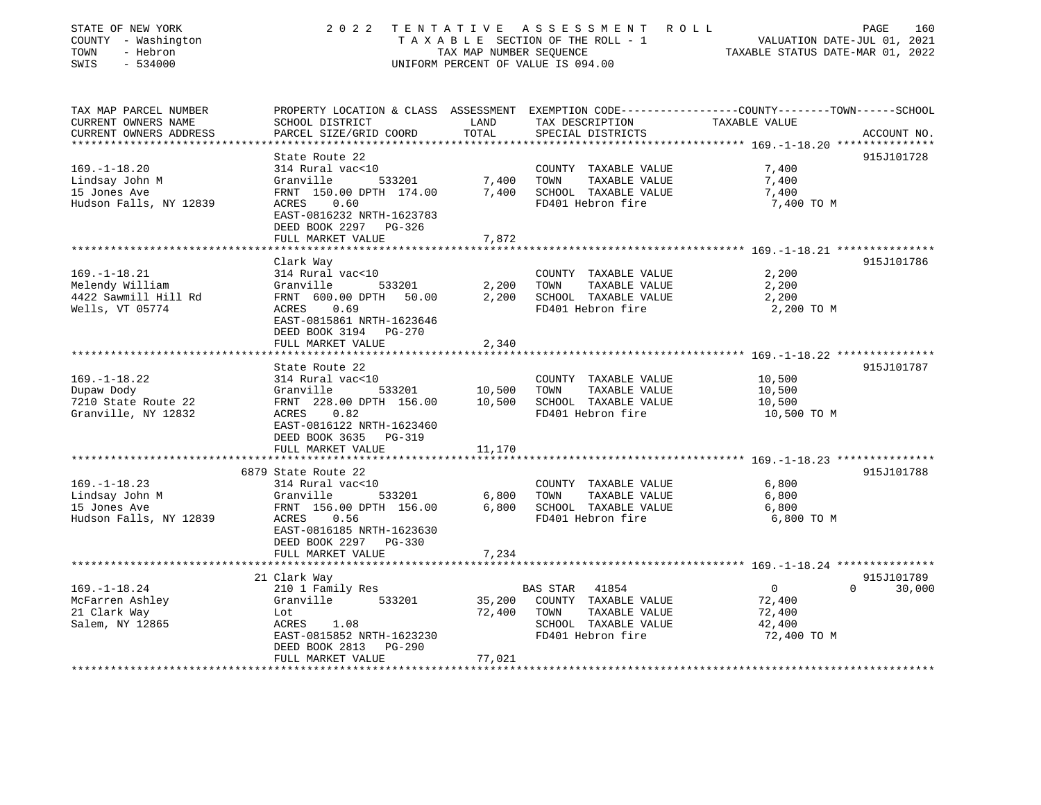| STATE OF NEW YORK<br>COUNTY - Washington<br>- Hebron<br>TOWN<br>SWIS<br>$-534000$ | 2 0 2 2                                                                       | TENTATIVE<br>TAX MAP NUMBER SEOUENCE | A S S E S S M E N T<br>TAXABLE SECTION OF THE ROLL - 1<br>UNIFORM PERCENT OF VALUE IS 094.00 | ROLL<br>PAGE<br>160<br>VALUATION DATE-JUL 01, 2021<br>TAXABLE STATUS DATE-MAR 01, 2022          |
|-----------------------------------------------------------------------------------|-------------------------------------------------------------------------------|--------------------------------------|----------------------------------------------------------------------------------------------|-------------------------------------------------------------------------------------------------|
| TAX MAP PARCEL NUMBER                                                             |                                                                               |                                      |                                                                                              | PROPERTY LOCATION & CLASS ASSESSMENT EXEMPTION CODE----------------COUNTY-------TOWN-----SCHOOL |
| CURRENT OWNERS NAME<br>CURRENT OWNERS ADDRESS                                     | SCHOOL DISTRICT<br>PARCEL SIZE/GRID COORD                                     | LAND<br>TOTAL                        | TAX DESCRIPTION<br>SPECIAL DISTRICTS                                                         | TAXABLE VALUE<br>ACCOUNT NO.                                                                    |
|                                                                                   | State Route 22                                                                |                                      |                                                                                              | 915J101728                                                                                      |
| $169. - 1 - 18.20$                                                                | 314 Rural vac<10                                                              |                                      | COUNTY TAXABLE VALUE                                                                         | 7,400                                                                                           |
| Lindsay John M                                                                    | Granville<br>533201                                                           | 7,400                                | TOWN<br>TAXABLE VALUE                                                                        | 7,400                                                                                           |
| 15 Jones Ave                                                                      | FRNT 150.00 DPTH 174.00                                                       | 7,400                                | SCHOOL TAXABLE VALUE                                                                         | 7,400                                                                                           |
| Hudson Falls, NY 12839                                                            | ACRES 0.60<br>EAST-0816232 NRTH-1623783<br>DEED BOOK 2297 PG-326              |                                      | FD401 Hebron fire                                                                            | 7,400 TO M                                                                                      |
|                                                                                   | FULL MARKET VALUE                                                             | 7,872                                |                                                                                              |                                                                                                 |
|                                                                                   | Clark Way                                                                     |                                      |                                                                                              | 915J101786                                                                                      |
| $169. - 1 - 18.21$                                                                | 314 Rural vac<10                                                              |                                      | COUNTY TAXABLE VALUE                                                                         | 2,200                                                                                           |
| Melendy William                                                                   | Granville<br>533201                                                           | 2,200                                | TOWN<br>TAXABLE VALUE                                                                        | 2,200                                                                                           |
| 4422 Sawmill Hill Rd                                                              | FRNT 600.00 DPTH 50.00                                                        | 2,200                                | SCHOOL TAXABLE VALUE                                                                         | 2,200                                                                                           |
| Wells, VT 05774                                                                   | 0.69<br>ACRES<br>EAST-0815861 NRTH-1623646<br>DEED BOOK 3194 PG-270           |                                      | FD401 Hebron fire                                                                            | 2,200 TO M                                                                                      |
|                                                                                   | FULL MARKET VALUE                                                             | 2,340                                |                                                                                              |                                                                                                 |
|                                                                                   | ******************                                                            |                                      |                                                                                              |                                                                                                 |
|                                                                                   | State Route 22                                                                |                                      |                                                                                              | 915J101787                                                                                      |
| $169. - 1 - 18.22$                                                                | 314 Rural vac<10                                                              |                                      | COUNTY TAXABLE VALUE                                                                         | 10,500                                                                                          |
| Dupaw Dody<br>7210 State Route 22                                                 | Granville<br>533201                                                           | 10,500                               | TAXABLE VALUE<br>TOWN<br>SCHOOL TAXABLE VALUE                                                | 10,500                                                                                          |
|                                                                                   | FRNT 228.00 DPTH 156.00<br>ACRES 0.82                                         | 10,500                               | FD401 Hebron fire                                                                            | 10,500<br>10,500 TO M                                                                           |
| Granville, NY 12832                                                               | EAST-0816122 NRTH-1623460<br>DEED BOOK 3635 PG-319                            |                                      |                                                                                              |                                                                                                 |
|                                                                                   | FULL MARKET VALUE                                                             | 11,170                               |                                                                                              |                                                                                                 |
|                                                                                   |                                                                               |                                      |                                                                                              |                                                                                                 |
|                                                                                   | 6879 State Route 22                                                           |                                      |                                                                                              | 915J101788                                                                                      |
| $169. - 1 - 18.23$                                                                | 314 Rural vac<10                                                              |                                      | COUNTY TAXABLE VALUE                                                                         | 6,800                                                                                           |
| Lindsay John M                                                                    | Granville<br>533201                                                           | 6,800                                | TAXABLE VALUE<br>TOWN                                                                        | 6,800                                                                                           |
| 15 Jones Ave                                                                      | FRNT 156.00 DPTH 156.00                                                       | 6,800                                | SCHOOL TAXABLE VALUE                                                                         | 6,800                                                                                           |
| Hudson Falls, NY 12839                                                            | ACRES<br>0.56                                                                 |                                      | FD401 Hebron fire                                                                            | 6,800 TO M                                                                                      |
|                                                                                   | EAST-0816185 NRTH-1623630<br>DEED BOOK 2297 PG-330                            |                                      |                                                                                              |                                                                                                 |
|                                                                                   | FULL MARKET VALUE                                                             | 7,234                                |                                                                                              |                                                                                                 |
|                                                                                   |                                                                               |                                      |                                                                                              |                                                                                                 |
|                                                                                   | 21 Clark Way                                                                  |                                      |                                                                                              | 915J101789<br>$\mathbf 0$<br>$\Omega$                                                           |
| $169. - 1 - 18.24$                                                                | 210 1 Family Res                                                              |                                      | BAS STAR 41854                                                                               | 30,000                                                                                          |
| McFarren Ashley                                                                   | Granville<br>533201                                                           | 35,200                               | COUNTY TAXABLE VALUE                                                                         | 72,400                                                                                          |
| 21 Clark Way                                                                      | Lot                                                                           | 72,400                               | TOWN<br>TAXABLE VALUE                                                                        | 72,400                                                                                          |
| Salem, NY 12865                                                                   | ACRES<br>1.08<br>EAST-0815852 NRTH-1623230<br>DEED BOOK 2813<br><b>PG-290</b> |                                      | SCHOOL TAXABLE VALUE<br>FD401 Hebron fire                                                    | 42,400<br>72,400 TO M                                                                           |
|                                                                                   | FULL MARKET VALUE                                                             | 77,021                               |                                                                                              |                                                                                                 |
|                                                                                   |                                                                               |                                      |                                                                                              |                                                                                                 |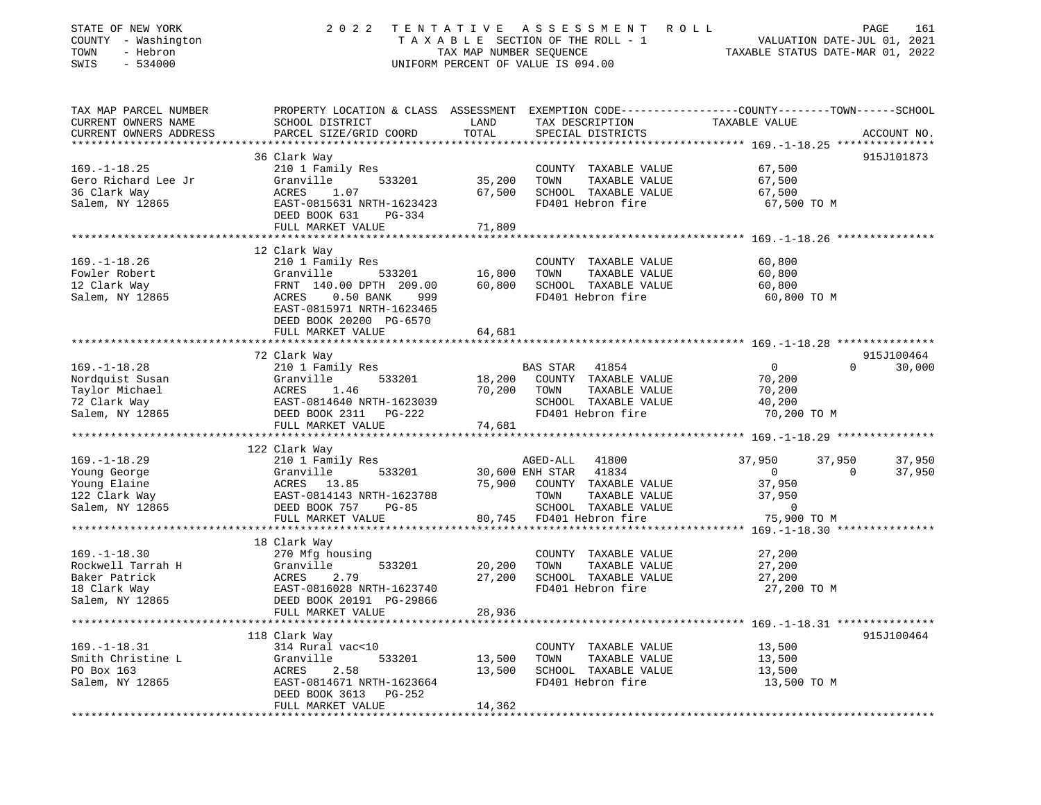| STATE OF NEW YORK<br>COUNTY - Washington<br>TOWN<br>- Hebron<br>$-534000$<br>SWIS           | 2 0 2 2                                                                                                                                                                   | TAX MAP NUMBER SEQUENCE    | TENTATIVE ASSESSMENT<br>TAXABLE SECTION OF THE ROLL - 1<br>UNIFORM PERCENT OF VALUE IS 094.00                                            | ROLL<br>PAGE 161<br>VALUATION DATE-JUL 01, 2021<br>TAXABLE STATUE DATE 115                                        |                    |
|---------------------------------------------------------------------------------------------|---------------------------------------------------------------------------------------------------------------------------------------------------------------------------|----------------------------|------------------------------------------------------------------------------------------------------------------------------------------|-------------------------------------------------------------------------------------------------------------------|--------------------|
| TAX MAP PARCEL NUMBER<br>CURRENT OWNERS NAME<br>CURRENT OWNERS ADDRESS                      | SCHOOL DISTRICT<br>PARCEL SIZE/GRID COORD                                                                                                                                 | LAND<br>TOTAL              | TAX DESCRIPTION<br>SPECIAL DISTRICTS                                                                                                     | PROPERTY LOCATION & CLASS ASSESSMENT EXEMPTION CODE----------------COUNTY-------TOWN------SCHOOL<br>TAXABLE VALUE | ACCOUNT NO.        |
|                                                                                             |                                                                                                                                                                           |                            |                                                                                                                                          |                                                                                                                   |                    |
| $169. - 1 - 18.25$<br>Gero Richard Lee Jr<br>36 Clark Way<br>Salem, NY 12865                | 36 Clark Way<br>210 1 Family Res<br>Granville<br>533201<br>1.07<br>ACRES<br>EAST-0815631 NRTH-1623423<br>DEED BOOK 631<br>PG-334<br>FULL MARKET VALUE                     | 35,200<br>67,500<br>71,809 | COUNTY TAXABLE VALUE<br>TOWN<br>TAXABLE VALUE<br>SCHOOL TAXABLE VALUE<br>FD401 Hebron fire                                               | 67,500<br>67,500<br>67,500<br>67,500 TO M                                                                         | 915J101873         |
|                                                                                             |                                                                                                                                                                           |                            |                                                                                                                                          |                                                                                                                   |                    |
| $169. - 1 - 18.26$<br>Fowler Robert<br>12 Clark Way<br>Salem, NY 12865                      | 12 Clark Way<br>210 1 Family Res<br>Granville<br>533201<br>FRNT 140.00 DPTH 209.00<br>$0.50$ BANK<br>ACRES<br>999<br>EAST-0815971 NRTH-1623465<br>DEED BOOK 20200 PG-6570 | 16,800<br>60,800           | COUNTY TAXABLE VALUE<br>TOWN<br>TAXABLE VALUE<br>SCHOOL TAXABLE VALUE<br>FD401 Hebron fire                                               | 60,800<br>60,800<br>60,800<br>60,800 TO M                                                                         |                    |
|                                                                                             | FULL MARKET VALUE                                                                                                                                                         | 64,681                     |                                                                                                                                          |                                                                                                                   |                    |
|                                                                                             |                                                                                                                                                                           |                            |                                                                                                                                          |                                                                                                                   |                    |
|                                                                                             | 72 Clark Way                                                                                                                                                              |                            |                                                                                                                                          |                                                                                                                   | 915J100464         |
| $169. - 1 - 18.28$<br>Nordquist Susan<br>Taylor Michael<br>72 Clark Way<br>Salem, NY 12865  | 210 1 Family Res<br>533201<br>Granville<br>ACRES<br>1.46<br>EAST-0814640 NRTH-1623039<br>DEED BOOK 2311    PG-222                                                         | 18,200<br>70,200           | BAS STAR 41854<br>COUNTY TAXABLE VALUE<br>TAXABLE VALUE<br>TOWN<br>SCHOOL TAXABLE VALUE<br>FD401 Hebron fire                             | $\circ$<br>70,200<br>70,200<br>40,200<br>70,200 TO M                                                              | $\Omega$<br>30,000 |
|                                                                                             | FULL MARKET VALUE                                                                                                                                                         | 74,681                     |                                                                                                                                          |                                                                                                                   |                    |
|                                                                                             |                                                                                                                                                                           |                            |                                                                                                                                          |                                                                                                                   |                    |
| $169. - 1 - 18.29$<br>Young George<br>Young Elaine<br>122 Clark Way<br>Salem, NY 12865      | 122 Clark Way<br>210 1 Family Res<br>533201<br>Granville<br>ACRES 13.85<br>EAST-0814143 NRTH-1623788<br>DEED BOOK 757<br>$PG-85$<br>FULL MARKET VALUE                     | 75,900<br>80,745           | AGED-ALL<br>41800<br>30,600 ENH STAR 41834<br>COUNTY TAXABLE VALUE<br>TOWN<br>TAXABLE VALUE<br>SCHOOL TAXABLE VALUE<br>FD401 Hebron fire | 37,950<br>37,950<br>$\mathbf{0}$<br>$\Omega$<br>37,950<br>37,950<br>0<br>75,900 TO M                              | 37,950<br>37,950   |
|                                                                                             |                                                                                                                                                                           |                            |                                                                                                                                          |                                                                                                                   |                    |
| $169. - 1 - 18.30$<br>Rockwell Tarrah H<br>Baker Patrick<br>18 Clark Way<br>Salem, NY 12865 | 18 Clark Way<br>270 Mfg housing<br>Granville<br>533201<br>ACRES<br>2.79<br>EAST-0816028 NRTH-1623740<br>DEED BOOK 20191 PG-29866<br>FULL MARKET VALUE                     | 20,200<br>27,200<br>28,936 | COUNTY TAXABLE VALUE<br>TAXABLE VALUE<br>TOWN<br>SCHOOL TAXABLE VALUE<br>FD401 Hebron fire                                               | 27,200<br>27,200<br>27,200<br>27,200 TO M                                                                         |                    |
|                                                                                             |                                                                                                                                                                           |                            |                                                                                                                                          |                                                                                                                   |                    |
| $169. - 1 - 18.31$<br>Smith Christine L<br>PO Box 163<br>Salem, NY 12865                    | 118 Clark Way<br>314 Rural vac<10<br>Granville<br>533201<br>ACRES 2.58<br>EAST-0814671 NRTH-1623664<br>DEED BOOK 3613 PG-252<br>FULL MARKET VALUE                         | 13,500<br>13,500<br>14,362 | COUNTY TAXABLE VALUE<br>TAXABLE VALUE<br>TOWN<br>SCHOOL TAXABLE VALUE<br>FD401 Hebron fire                                               | 13,500<br>13,500<br>13,500<br>13,500 TO M                                                                         | 915J100464         |
|                                                                                             |                                                                                                                                                                           |                            |                                                                                                                                          |                                                                                                                   |                    |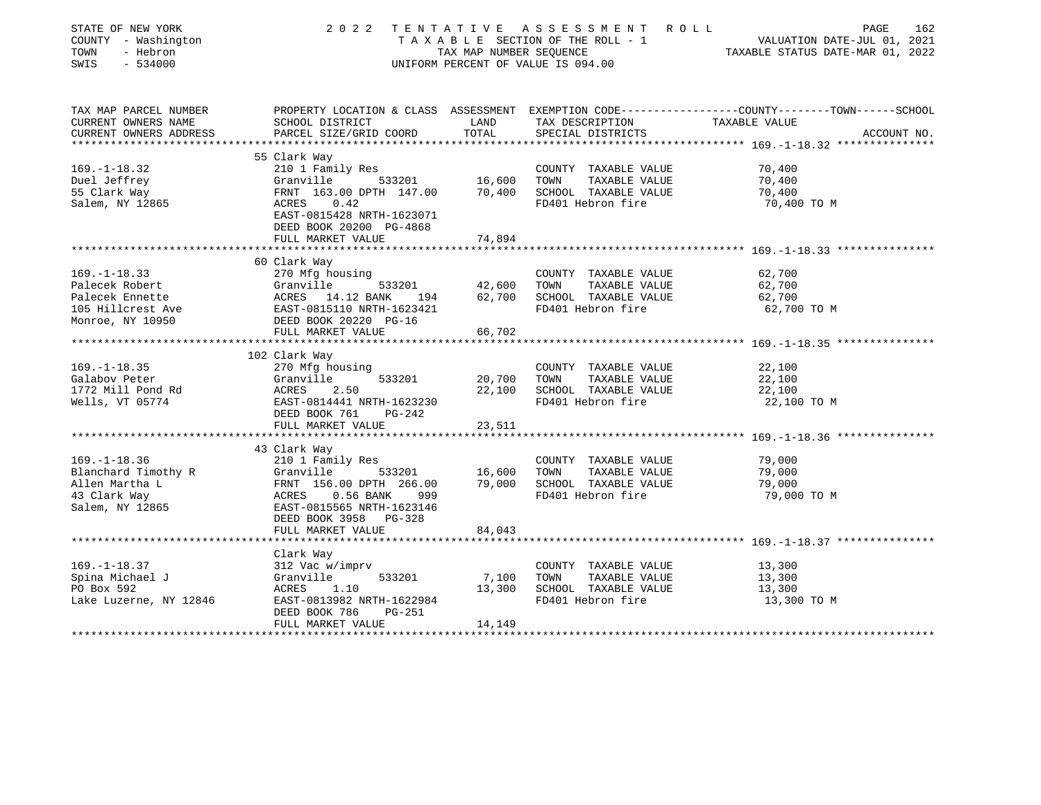| STATE OF NEW YORK<br>COUNTY - Washington<br>- Hebron<br>TOWN<br>SWIS<br>$-534000$ | 2 0 2 2                                            | TAX MAP NUMBER SEOUENCE | TENTATIVE ASSESSMENT<br>ROLL<br>T A X A B L E SECTION OF THE ROLL - 1<br>UNIFORM PERCENT OF VALUE IS 094.00 | 162<br>PAGE<br>VALUATION DATE-JUL 01, 2021<br>TAXABLE STATUS DATE-MAR 01, 2022                  |
|-----------------------------------------------------------------------------------|----------------------------------------------------|-------------------------|-------------------------------------------------------------------------------------------------------------|-------------------------------------------------------------------------------------------------|
| TAX MAP PARCEL NUMBER                                                             |                                                    |                         |                                                                                                             | PROPERTY LOCATION & CLASS ASSESSMENT EXEMPTION CODE---------------COUNTY-------TOWN------SCHOOL |
| CURRENT OWNERS NAME                                                               | SCHOOL DISTRICT                                    | LAND<br>TOTAL           | TAX DESCRIPTION                                                                                             | TAXABLE VALUE                                                                                   |
| CURRENT OWNERS ADDRESS<br>***********************                                 | PARCEL SIZE/GRID COORD                             |                         | SPECIAL DISTRICTS                                                                                           | ACCOUNT NO.                                                                                     |
|                                                                                   | 55 Clark Way                                       |                         |                                                                                                             |                                                                                                 |
| $169. - 1 - 18.32$                                                                | 210 1 Family Res                                   |                         | COUNTY TAXABLE VALUE                                                                                        | 70,400                                                                                          |
| Duel Jeffrey                                                                      | Granville<br>533201                                | 16,600                  | TOWN<br>TAXABLE VALUE                                                                                       | 70,400                                                                                          |
| 55 Clark Way                                                                      | FRNT 163.00 DPTH 147.00                            | 70,400                  | SCHOOL TAXABLE VALUE                                                                                        | 70,400                                                                                          |
| Salem, NY 12865                                                                   | ACRES<br>0.42                                      |                         | FD401 Hebron fire                                                                                           | 70,400 TO M                                                                                     |
|                                                                                   | EAST-0815428 NRTH-1623071                          |                         |                                                                                                             |                                                                                                 |
|                                                                                   | DEED BOOK 20200 PG-4868                            |                         |                                                                                                             |                                                                                                 |
|                                                                                   | FULL MARKET VALUE                                  | 74,894                  |                                                                                                             |                                                                                                 |
|                                                                                   |                                                    |                         |                                                                                                             |                                                                                                 |
|                                                                                   | 60 Clark Way                                       |                         |                                                                                                             |                                                                                                 |
| $169. - 1 - 18.33$                                                                | 270 Mfg housing                                    |                         | COUNTY TAXABLE VALUE                                                                                        | 62,700                                                                                          |
| Palecek Robert                                                                    | Granville<br>533201                                | 42,600                  | TOWN<br>TAXABLE VALUE                                                                                       | 62,700                                                                                          |
| Palecek Ennette                                                                   | ACRES 14.12 BANK<br>194                            | 62,700                  | SCHOOL TAXABLE VALUE                                                                                        | 62,700                                                                                          |
| 105 Hillcrest Ave                                                                 | EAST-0815110 NRTH-1623421                          |                         | FD401 Hebron fire                                                                                           | 62,700 TO M                                                                                     |
| Monroe, NY 10950                                                                  | DEED BOOK 20220 PG-16<br>FULL MARKET VALUE         | 66,702                  |                                                                                                             |                                                                                                 |
|                                                                                   |                                                    |                         |                                                                                                             |                                                                                                 |
|                                                                                   | 102 Clark Way                                      |                         |                                                                                                             |                                                                                                 |
| $169. - 1 - 18.35$                                                                | 270 Mfg housing                                    |                         | COUNTY TAXABLE VALUE                                                                                        | 22,100                                                                                          |
| Galabov Peter                                                                     | Granville<br>533201                                | 20,700                  | TOWN<br>TAXABLE VALUE                                                                                       | 22,100                                                                                          |
| 1772 Mill Pond Rd                                                                 | ACRES<br>2.50                                      | 22,100                  | SCHOOL TAXABLE VALUE                                                                                        | 22,100                                                                                          |
| Wells, VT 05774                                                                   | EAST-0814441 NRTH-1623230                          |                         | FD401 Hebron fire                                                                                           | 22,100 TO M                                                                                     |
|                                                                                   | DEED BOOK 761<br>$PG-242$                          |                         |                                                                                                             |                                                                                                 |
|                                                                                   | FULL MARKET VALUE                                  | 23,511                  |                                                                                                             |                                                                                                 |
|                                                                                   |                                                    |                         |                                                                                                             |                                                                                                 |
|                                                                                   | 43 Clark Way                                       |                         |                                                                                                             |                                                                                                 |
| $169. - 1 - 18.36$                                                                | 210 1 Family Res                                   |                         | COUNTY TAXABLE VALUE                                                                                        | 79,000                                                                                          |
| Blanchard Timothy R                                                               | Granville<br>533201                                | 16,600                  | TOWN<br>TAXABLE VALUE                                                                                       | 79,000                                                                                          |
| Allen Martha L                                                                    | FRNT 156.00 DPTH 266.00                            | 79,000                  | SCHOOL TAXABLE VALUE                                                                                        | 79,000                                                                                          |
| 43 Clark Way                                                                      | ACRES<br>$0.56$ BANK<br>999                        |                         | FD401 Hebron fire                                                                                           | 79,000 TO M                                                                                     |
| Salem, NY 12865                                                                   | EAST-0815565 NRTH-1623146<br>DEED BOOK 3958 PG-328 |                         |                                                                                                             |                                                                                                 |
|                                                                                   | FULL MARKET VALUE                                  | 84,043                  |                                                                                                             |                                                                                                 |
|                                                                                   | ****************                                   |                         |                                                                                                             | ********************* 169.-1-18.37 ****************                                             |
|                                                                                   | Clark Way                                          |                         |                                                                                                             |                                                                                                 |
| $169. - 1 - 18.37$                                                                | 312 Vac w/imprv                                    |                         | COUNTY TAXABLE VALUE                                                                                        | 13,300                                                                                          |
| Spina Michael J                                                                   | Granville<br>533201                                | 7,100                   | TOWN<br>TAXABLE VALUE                                                                                       | 13,300                                                                                          |
| PO Box 592                                                                        | ACRES<br>1.10                                      | 13,300                  | SCHOOL TAXABLE VALUE                                                                                        | 13,300                                                                                          |
| Lake Luzerne, NY 12846                                                            | EAST-0813982 NRTH-1622984                          |                         | FD401 Hebron fire                                                                                           | 13,300 TO M                                                                                     |
|                                                                                   | DEED BOOK 786<br><b>PG-251</b>                     |                         |                                                                                                             |                                                                                                 |
|                                                                                   | FULL MARKET VALUE                                  | 14,149                  |                                                                                                             |                                                                                                 |
|                                                                                   |                                                    |                         |                                                                                                             |                                                                                                 |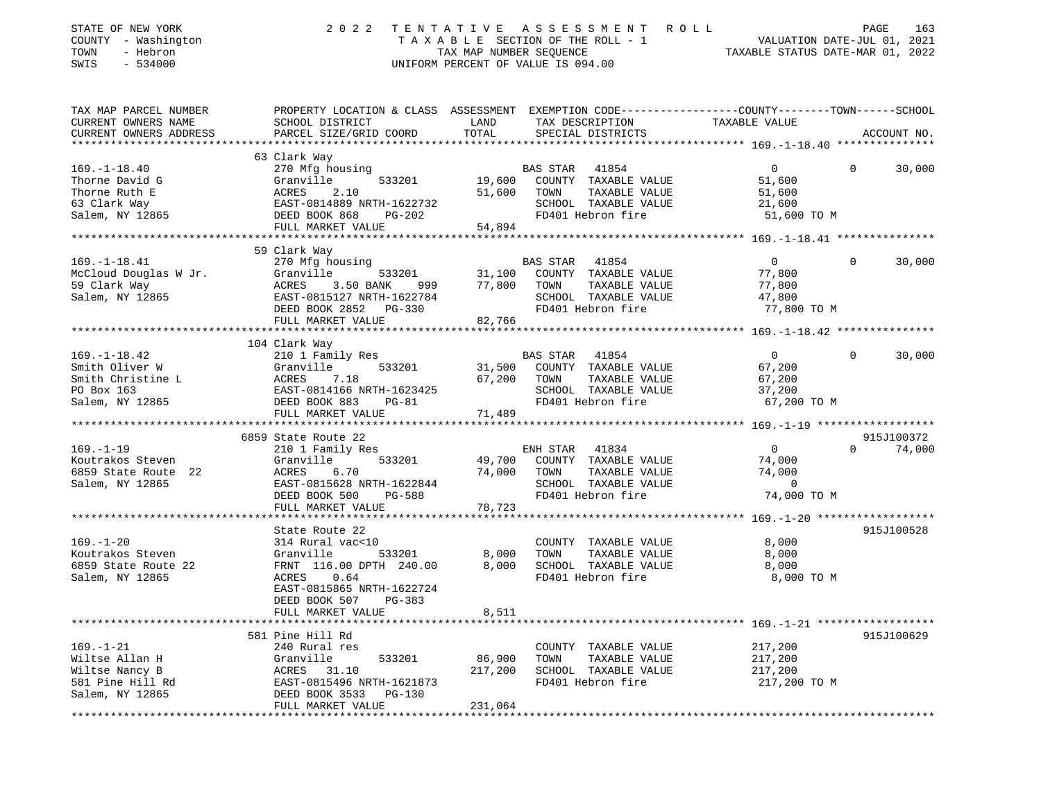| STATE OF NEW YORK<br>COUNTY - Washington<br>TOWN<br>- Hebron<br>$-534000$<br>SWIS                                                                                                                                                                        |                                                                                                                                               |                                                                       | 2022 TENTATIVE ASSESSMENT ROLL<br>T A X A B L E SECTION OF THE ROLL - 1 VALUATION DATE-JUL 01, 2021<br>TAX MAP NUMBER SEQUENCE TAXIBLE STATUS DATE-MAR 01, 2022<br>UNIFORM PERCENT OF VALUE IS 094.00 |                                                            | PAGE<br>163              |
|----------------------------------------------------------------------------------------------------------------------------------------------------------------------------------------------------------------------------------------------------------|-----------------------------------------------------------------------------------------------------------------------------------------------|-----------------------------------------------------------------------|-------------------------------------------------------------------------------------------------------------------------------------------------------------------------------------------------------|------------------------------------------------------------|--------------------------|
| TAX MAP PARCEL NUMBER<br>CURRENT OWNERS NAME<br>CURRENT OWNERS ADDRESS                                                                                                                                                                                   | PROPERTY LOCATION & CLASS ASSESSMENT EXEMPTION CODE----------------COUNTY-------TOWN------SCHOOL<br>SCHOOL DISTRICT<br>PARCEL SIZE/GRID COORD | <b>EXAMPLE TO A LAND</b><br>TOTAL                                     | TAX DESCRIPTION TAXABLE VALUE<br>SPECIAL DISTRICTS                                                                                                                                                    |                                                            | ACCOUNT NO.              |
|                                                                                                                                                                                                                                                          | 63 Clark Way                                                                                                                                  |                                                                       |                                                                                                                                                                                                       |                                                            |                          |
| $169. - 1 - 18.40$                                                                                                                                                                                                                                       | 270 Mfg housing                                                                                                                               |                                                                       | BAS STAR 41854<br>19,600 COUNTY TAXABLE VALUE                                                                                                                                                         | $\overline{0}$                                             | $\Omega$<br>30,000       |
|                                                                                                                                                                                                                                                          |                                                                                                                                               |                                                                       |                                                                                                                                                                                                       | 51,600                                                     |                          |
|                                                                                                                                                                                                                                                          |                                                                                                                                               |                                                                       | TOWN<br>TAXABLE VALUE                                                                                                                                                                                 | 51,600                                                     |                          |
|                                                                                                                                                                                                                                                          |                                                                                                                                               |                                                                       | SCHOOL TAXABLE VALUE                                                                                                                                                                                  | 21,600                                                     |                          |
| 169.-1-18.40<br>Thorne David G<br>Thorne Ruth E<br>63 Clark Way<br>Salem, NY 12865<br>Thorne Ruth E<br>CHEREN BOOK 868<br>DEED BOOK 868<br>PG-202<br>FULL MARKET VALUE<br>FULL MARKET VALUE<br>FULL MARKET VALUE<br>FULL MARKET VALUE<br>FULL MARKET VAL |                                                                                                                                               |                                                                       | FD401 Hebron fire                                                                                                                                                                                     | 51,600 TO M                                                |                          |
|                                                                                                                                                                                                                                                          |                                                                                                                                               |                                                                       |                                                                                                                                                                                                       |                                                            |                          |
|                                                                                                                                                                                                                                                          | 59 Clark Way                                                                                                                                  |                                                                       |                                                                                                                                                                                                       |                                                            |                          |
| $169. - 1 - 18.41$                                                                                                                                                                                                                                       | 270 Mfg housing                                                                                                                               |                                                                       | BAS STAR 41854                                                                                                                                                                                        | $\overline{0}$                                             | $\Omega$<br>30,000       |
| McCloud Douglas W Jr.                                                                                                                                                                                                                                    | Granville<br>533201                                                                                                                           |                                                                       | 31,100 COUNTY TAXABLE VALUE                                                                                                                                                                           | 77,800                                                     |                          |
|                                                                                                                                                                                                                                                          | $3.50$ BANK 999 77,800                                                                                                                        |                                                                       | TAXABLE VALUE<br>TOWN                                                                                                                                                                                 | 77,800                                                     |                          |
| כל Clark Way<br>Salem, NY 12865                                                                                                                                                                                                                          | ACRES<br>EAST-0<br>EAST-0815127 NRTH-1622784                                                                                                  |                                                                       | SCHOOL TAXABLE VALUE                                                                                                                                                                                  | 47,800                                                     |                          |
|                                                                                                                                                                                                                                                          | DEED BOOK 2852 PG-330                                                                                                                         |                                                                       | FD401 Hebron fire                                                                                                                                                                                     | 77,800 TO M                                                |                          |
|                                                                                                                                                                                                                                                          | FULL MARKET VALUE                                                                                                                             | 82,766                                                                |                                                                                                                                                                                                       |                                                            |                          |
|                                                                                                                                                                                                                                                          |                                                                                                                                               |                                                                       |                                                                                                                                                                                                       |                                                            |                          |
|                                                                                                                                                                                                                                                          | 104 Clark Way                                                                                                                                 |                                                                       |                                                                                                                                                                                                       |                                                            |                          |
| $169. - 1 - 18.42$                                                                                                                                                                                                                                       | 210 1 Family Res                                                                                                                              |                                                                       | BAS STAR 41854                                                                                                                                                                                        | $\overline{0}$                                             | $\overline{0}$<br>30,000 |
|                                                                                                                                                                                                                                                          |                                                                                                                                               |                                                                       | 533201 31,500 COUNTY TAXABLE VALUE                                                                                                                                                                    | 67,200                                                     |                          |
|                                                                                                                                                                                                                                                          |                                                                                                                                               | 67,200 TOWN                                                           | TAXABLE VALUE                                                                                                                                                                                         | 67,200                                                     |                          |
| Smith Oliver W (Standard Channel Actor 1 1994)<br>Smith Christine L (Standard ACRES 7.18<br>PO Box 163 (Salem, NY 12865 (SEED BOOK 883 PG-81                                                                                                             |                                                                                                                                               |                                                                       | SCHOOL TAXABLE VALUE                                                                                                                                                                                  | 37,200                                                     |                          |
|                                                                                                                                                                                                                                                          |                                                                                                                                               | 71,489                                                                | FD401 Hebron fire                                                                                                                                                                                     | 67,200 TO M                                                |                          |
|                                                                                                                                                                                                                                                          | FULL MARKET VALUE                                                                                                                             |                                                                       |                                                                                                                                                                                                       |                                                            |                          |
|                                                                                                                                                                                                                                                          | 6859 State Route 22                                                                                                                           |                                                                       |                                                                                                                                                                                                       |                                                            | 915J100372               |
| $169. - 1 - 19$                                                                                                                                                                                                                                          | 210 1 Family Res                                                                                                                              |                                                                       | ENH STAR 41834                                                                                                                                                                                        | $\sim$ 0                                                   | $0 \t 74,000$            |
| Koutrakos Steven                                                                                                                                                                                                                                         | 533201<br>Granville                                                                                                                           | 49,700                                                                | COUNTY TAXABLE VALUE                                                                                                                                                                                  | 74,000                                                     |                          |
| 6859 State Route 22                                                                                                                                                                                                                                      | ACRES 6.70                                                                                                                                    | 74,000                                                                | TOWN<br>TAXABLE VALUE                                                                                                                                                                                 | 74,000                                                     |                          |
| Salem, NY 12865                                                                                                                                                                                                                                          | EAST-0815628 NRTH-1622844                                                                                                                     |                                                                       | SCHOOL TAXABLE VALUE                                                                                                                                                                                  | $\sim$ 0                                                   |                          |
|                                                                                                                                                                                                                                                          | DEED BOOK 500<br>PG-588                                                                                                                       |                                                                       | FD401 Hebron fire                                                                                                                                                                                     | 74,000 TO M                                                |                          |
|                                                                                                                                                                                                                                                          | FULL MARKET VALUE                                                                                                                             | 78,723                                                                |                                                                                                                                                                                                       |                                                            |                          |
|                                                                                                                                                                                                                                                          |                                                                                                                                               |                                                                       |                                                                                                                                                                                                       |                                                            |                          |
|                                                                                                                                                                                                                                                          | State Route 22                                                                                                                                |                                                                       |                                                                                                                                                                                                       |                                                            | 915J100528               |
| $169. - 1 - 20$                                                                                                                                                                                                                                          | 314 Rural vac<10                                                                                                                              |                                                                       | COUNTY TAXABLE VALUE                                                                                                                                                                                  | 8,000                                                      |                          |
| Koutrakos Steven                                                                                                                                                                                                                                         | Granville<br>FRNT 116.00 DPTH 240.00                                                                                                          | 533201                8,000<br>TH    240.00            8,000<br>8,000 | TOWN<br>TAXABLE VALUE<br>SCHOOL TAXABLE VALUE                                                                                                                                                         | 8,000                                                      |                          |
| 6859 State Route 22<br>Salem, NY 12865                                                                                                                                                                                                                   | ACRES 0.64                                                                                                                                    |                                                                       | FD401 Hebron fire                                                                                                                                                                                     | 8,000<br>8,000 TO M                                        |                          |
|                                                                                                                                                                                                                                                          | EAST-0815865 NRTH-1622724                                                                                                                     |                                                                       |                                                                                                                                                                                                       |                                                            |                          |
|                                                                                                                                                                                                                                                          | DEED BOOK 507<br>PG-383                                                                                                                       |                                                                       |                                                                                                                                                                                                       |                                                            |                          |
|                                                                                                                                                                                                                                                          | FULL MARKET VALUE                                                                                                                             | 8,511                                                                 |                                                                                                                                                                                                       |                                                            |                          |
|                                                                                                                                                                                                                                                          | ******************                                                                                                                            | ************                                                          |                                                                                                                                                                                                       | ***************************** 169.-1-21 ****************** |                          |
|                                                                                                                                                                                                                                                          | 581 Pine Hill Rd                                                                                                                              |                                                                       |                                                                                                                                                                                                       |                                                            | 915J100629               |
| $169. - 1 - 21$                                                                                                                                                                                                                                          | 240 Rural res                                                                                                                                 |                                                                       | COUNTY TAXABLE VALUE                                                                                                                                                                                  | 217,200                                                    |                          |
| Wiltse Allan H                                                                                                                                                                                                                                           | Granville<br>533201                                                                                                                           | 86,900                                                                | TAXABLE VALUE<br>TOWN                                                                                                                                                                                 | 217,200                                                    |                          |
| Wiltse Nancy B                                                                                                                                                                                                                                           | ACRES<br>31.10                                                                                                                                | 217,200                                                               | SCHOOL TAXABLE VALUE                                                                                                                                                                                  | 217,200                                                    |                          |
| 581 Pine Hill Rd                                                                                                                                                                                                                                         | EAST-0815496 NRTH-1621873                                                                                                                     |                                                                       | FD401 Hebron fire                                                                                                                                                                                     | 217,200 TO M                                               |                          |
| Salem, NY 12865                                                                                                                                                                                                                                          | DEED BOOK 3533<br>PG-130                                                                                                                      |                                                                       |                                                                                                                                                                                                       |                                                            |                          |
|                                                                                                                                                                                                                                                          | FULL MARKET VALUE                                                                                                                             | 231,064                                                               |                                                                                                                                                                                                       |                                                            |                          |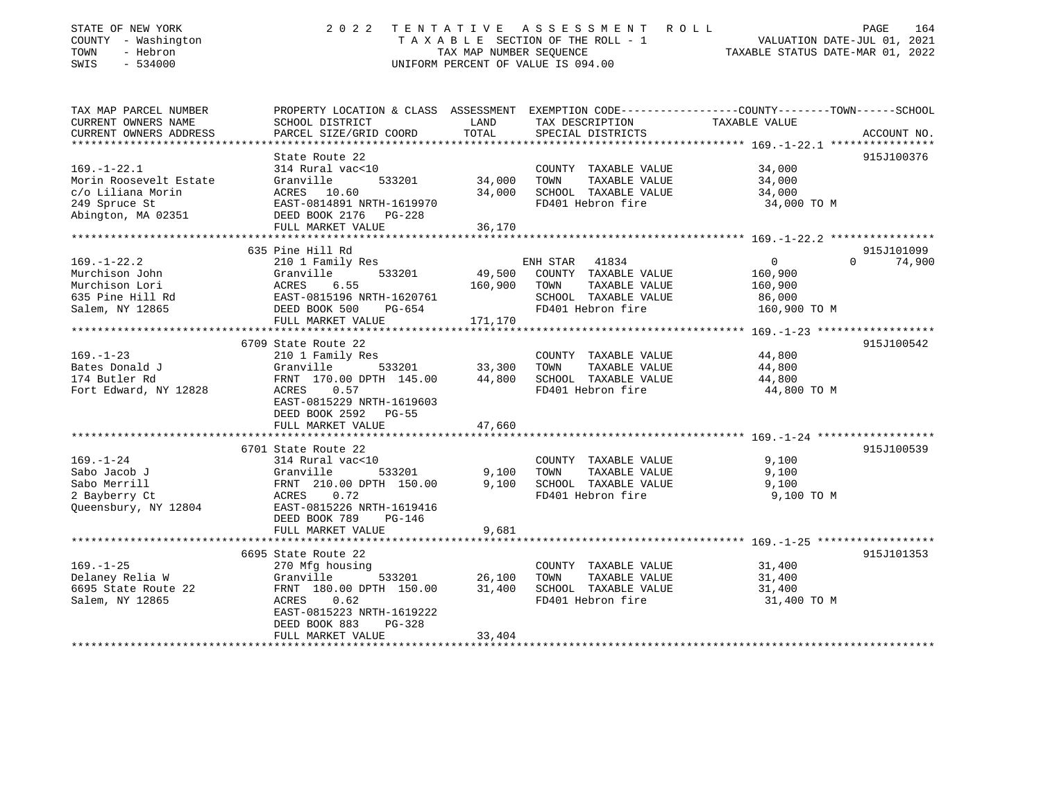| STATE OF NEW YORK<br>COUNTY - Washington<br>TOWN<br>- Hebron<br>SWIS<br>$-534000$ | 2 0 2 2                                                 | TENTATIVE<br>TAX MAP NUMBER SEOUENCE | A S S E S S M E N T<br>R O L L<br>TAXABLE SECTION OF THE ROLL - 1<br>UNIFORM PERCENT OF VALUE IS 094.00 | VALUATION DATE-JUL 01, 2021<br>TAXABLE STATUS DATE-MAR 01, 2022               | PAGE<br>164 |
|-----------------------------------------------------------------------------------|---------------------------------------------------------|--------------------------------------|---------------------------------------------------------------------------------------------------------|-------------------------------------------------------------------------------|-------------|
| TAX MAP PARCEL NUMBER<br>CURRENT OWNERS NAME                                      | PROPERTY LOCATION & CLASS ASSESSMENT<br>SCHOOL DISTRICT | LAND                                 | TAX DESCRIPTION                                                                                         | EXEMPTION CODE-----------------COUNTY-------TOWN------SCHOOL<br>TAXABLE VALUE |             |
| CURRENT OWNERS ADDRESS                                                            | PARCEL SIZE/GRID COORD                                  | TOTAL                                | SPECIAL DISTRICTS                                                                                       |                                                                               | ACCOUNT NO. |
|                                                                                   |                                                         | * * * * * * * * * * * * * *          |                                                                                                         | ********** 169. -1-22.1 *****************                                     |             |
|                                                                                   | State Route 22                                          |                                      |                                                                                                         |                                                                               | 915J100376  |
| $169. - 1 - 22.1$                                                                 | 314 Rural vac<10                                        |                                      | COUNTY TAXABLE VALUE                                                                                    | 34,000                                                                        |             |
| Morin Roosevelt Estate                                                            | Granville<br>533201                                     | 34,000                               | TAXABLE VALUE<br>TOWN                                                                                   | 34,000                                                                        |             |
| c/o Liliana Morin                                                                 | ACRES 10.60                                             | 34,000                               | SCHOOL TAXABLE VALUE                                                                                    | 34,000                                                                        |             |
| 249 Spruce St                                                                     | EAST-0814891 NRTH-1619970                               |                                      | FD401 Hebron fire                                                                                       | 34,000 TO M                                                                   |             |
| Abington, MA 02351                                                                | DEED BOOK 2176<br>PG-228                                |                                      |                                                                                                         |                                                                               |             |
| ********************                                                              | FULL MARKET VALUE                                       | 36,170                               |                                                                                                         |                                                                               |             |
|                                                                                   | 635 Pine Hill Rd                                        |                                      |                                                                                                         |                                                                               | 915J101099  |
| $169. - 1 - 22.2$                                                                 | 210 1 Family Res                                        |                                      | ENH STAR<br>41834                                                                                       | $\mathbf{0}$<br>$\Omega$                                                      | 74,900      |
| Murchison John                                                                    | Granville<br>533201                                     | 49,500                               | COUNTY TAXABLE VALUE                                                                                    | 160,900                                                                       |             |
| Murchison Lori                                                                    | ACRES<br>6.55                                           | 160,900                              | TOWN<br>TAXABLE VALUE                                                                                   | 160,900                                                                       |             |
| 635 Pine Hill Rd                                                                  | EAST-0815196 NRTH-1620761                               |                                      | SCHOOL TAXABLE VALUE                                                                                    | 86,000                                                                        |             |
| Salem, NY 12865                                                                   | DEED BOOK 500<br>PG-654                                 |                                      | FD401 Hebron fire                                                                                       | 160,900 TO M                                                                  |             |
|                                                                                   | FULL MARKET VALUE                                       | 171,170                              |                                                                                                         |                                                                               |             |
|                                                                                   | ****************************                            |                                      |                                                                                                         |                                                                               |             |
|                                                                                   | 6709 State Route 22                                     |                                      |                                                                                                         |                                                                               | 915J100542  |
| $169. - 1 - 23$<br>Bates Donald J                                                 | 210 1 Family Res<br>Granville<br>533201                 | 33,300                               | COUNTY TAXABLE VALUE<br>TOWN<br>TAXABLE VALUE                                                           | 44,800<br>44,800                                                              |             |
| 174 Butler Rd                                                                     | FRNT 170.00 DPTH 145.00                                 | 44,800                               | SCHOOL TAXABLE VALUE                                                                                    | 44,800                                                                        |             |
| Fort Edward, NY 12828                                                             | 0.57<br>ACRES                                           |                                      | FD401 Hebron fire                                                                                       | 44,800 TO M                                                                   |             |
|                                                                                   | EAST-0815229 NRTH-1619603                               |                                      |                                                                                                         |                                                                               |             |
|                                                                                   | DEED BOOK 2592<br>$PG-55$                               |                                      |                                                                                                         |                                                                               |             |
|                                                                                   | FULL MARKET VALUE                                       | 47,660                               |                                                                                                         |                                                                               |             |
|                                                                                   |                                                         |                                      |                                                                                                         |                                                                               |             |
|                                                                                   | 6701 State Route 22                                     |                                      |                                                                                                         |                                                                               | 915J100539  |
| $169. - 1 - 24$                                                                   | 314 Rural vac<10                                        |                                      | COUNTY TAXABLE VALUE                                                                                    | 9,100                                                                         |             |
| Sabo Jacob J                                                                      | Granville<br>533201                                     | 9,100                                | TOWN<br>TAXABLE VALUE                                                                                   | 9,100                                                                         |             |
| Sabo Merrill<br>2 Bayberry Ct                                                     | FRNT 210.00 DPTH 150.00<br>ACRES<br>0.72                | 9,100                                | SCHOOL TAXABLE VALUE<br>FD401 Hebron fire                                                               | 9,100                                                                         |             |
| Queensbury, NY 12804                                                              | EAST-0815226 NRTH-1619416                               |                                      |                                                                                                         | 9,100 TO M                                                                    |             |
|                                                                                   | DEED BOOK 789<br>PG-146                                 |                                      |                                                                                                         |                                                                               |             |
|                                                                                   | FULL MARKET VALUE                                       | 9,681                                |                                                                                                         |                                                                               |             |
|                                                                                   |                                                         |                                      |                                                                                                         | ********* 169.-1-25 *************                                             |             |
|                                                                                   | 6695 State Route 22                                     |                                      |                                                                                                         |                                                                               | 915J101353  |
| $169. - 1 - 25$                                                                   | 270 Mfg housing                                         |                                      | COUNTY TAXABLE VALUE                                                                                    | 31,400                                                                        |             |
| Delaney Relia W                                                                   | Granville<br>533201                                     | 26,100                               | TOWN<br>TAXABLE VALUE                                                                                   | 31,400                                                                        |             |
| 6695 State Route 22                                                               | FRNT 180.00 DPTH 150.00                                 | 31,400                               | SCHOOL TAXABLE VALUE                                                                                    | 31,400                                                                        |             |
| Salem, NY 12865                                                                   | ACRES<br>0.62                                           |                                      | FD401 Hebron fire                                                                                       | 31,400 TO M                                                                   |             |
|                                                                                   | EAST-0815223 NRTH-1619222<br>PG-328<br>DEED BOOK 883    |                                      |                                                                                                         |                                                                               |             |
|                                                                                   | FULL MARKET VALUE                                       | 33,404                               |                                                                                                         |                                                                               |             |
| **************************                                                        | ****************************                            | **********                           |                                                                                                         |                                                                               |             |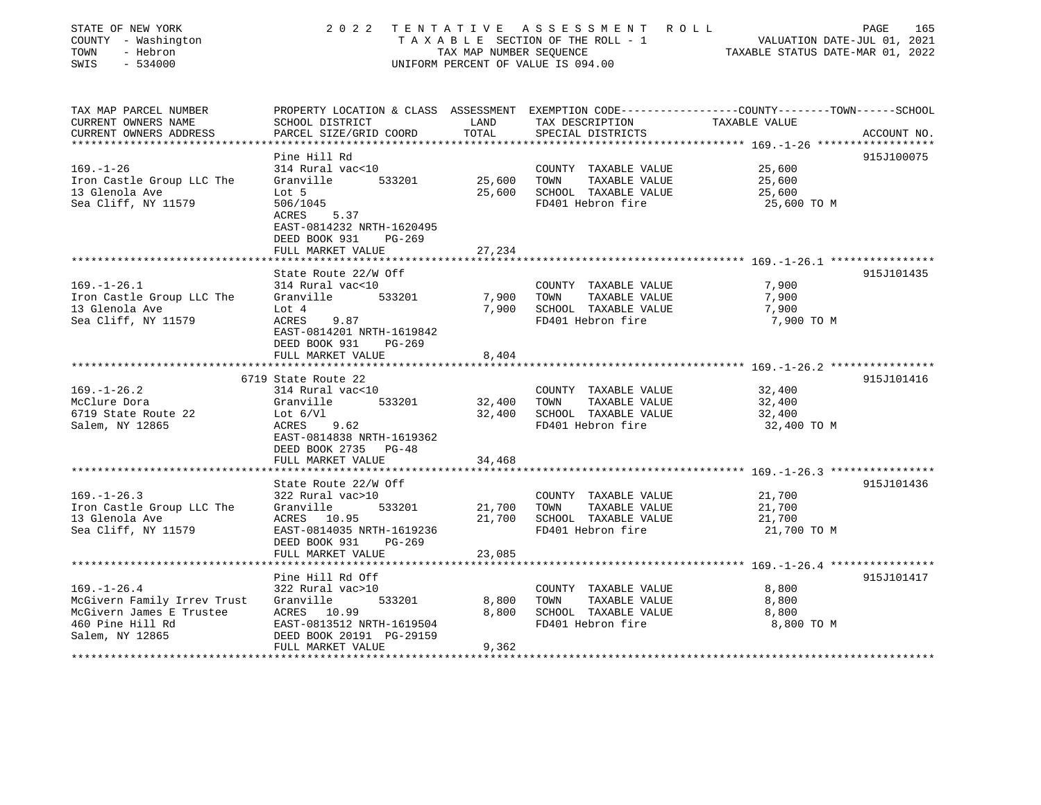| STATE OF NEW YORK<br>COUNTY - Washington<br>TOWN<br>- Hebron<br>SWIS<br>$-534000$ |                                                                                                                     | TAX MAP NUMBER SEQUENCE      | 2022 TENTATIVE ASSESSMENT ROLL<br>TAXABLE SECTION OF THE ROLL - 1<br>UNIFORM PERCENT OF VALUE IS 094.00 | VALUATION DATE-JUL 01, 2021<br>TAXABLE STATUS DATE-MAR 01, 2022    | 165<br>PAGE |
|-----------------------------------------------------------------------------------|---------------------------------------------------------------------------------------------------------------------|------------------------------|---------------------------------------------------------------------------------------------------------|--------------------------------------------------------------------|-------------|
| TAX MAP PARCEL NUMBER<br>CURRENT OWNERS NAME                                      | PROPERTY LOCATION & CLASS ASSESSMENT EXEMPTION CODE----------------COUNTY-------TOWN------SCHOOL<br>SCHOOL DISTRICT | LAND                         | TAX DESCRIPTION                                                                                         | TAXABLE VALUE                                                      |             |
| CURRENT OWNERS ADDRESS                                                            | PARCEL SIZE/GRID COORD                                                                                              | TOTAL                        | SPECIAL DISTRICTS                                                                                       |                                                                    | ACCOUNT NO. |
| *******************                                                               |                                                                                                                     | ***************              |                                                                                                         | ***************** 169.-1-26 *******************                    |             |
|                                                                                   | Pine Hill Rd                                                                                                        |                              |                                                                                                         |                                                                    | 915J100075  |
| $169. - 1 - 26$                                                                   | 314 Rural vac<10                                                                                                    |                              | COUNTY TAXABLE VALUE                                                                                    | 25,600                                                             |             |
| Iron Castle Group LLC The                                                         | Granville<br>533201                                                                                                 | 25,600                       | TOWN<br>TAXABLE VALUE                                                                                   | 25,600                                                             |             |
| 13 Glenola Ave                                                                    | Lot 5                                                                                                               | 25,600                       | SCHOOL TAXABLE VALUE                                                                                    | 25,600                                                             |             |
| Sea Cliff, NY 11579                                                               | 506/1045<br>5.37<br>ACRES<br>EAST-0814232 NRTH-1620495<br>DEED BOOK 931<br>PG-269                                   |                              | FD401 Hebron fire                                                                                       | 25,600 TO M                                                        |             |
|                                                                                   | FULL MARKET VALUE                                                                                                   | 27,234                       |                                                                                                         |                                                                    |             |
|                                                                                   |                                                                                                                     |                              |                                                                                                         |                                                                    |             |
|                                                                                   | State Route 22/W Off                                                                                                |                              |                                                                                                         |                                                                    | 915J101435  |
| $169. - 1 - 26.1$                                                                 | 314 Rural vac<10                                                                                                    |                              | COUNTY TAXABLE VALUE                                                                                    | 7,900                                                              |             |
| Iron Castle Group LLC The<br>13 Glenola Ave                                       | Granville<br>533201<br>Lot 4                                                                                        | 7,900<br>7,900               | TOWN<br>TAXABLE VALUE<br>SCHOOL TAXABLE VALUE                                                           | 7,900<br>7,900                                                     |             |
| Sea Cliff, NY 11579                                                               | ACRES<br>9.87                                                                                                       |                              | FD401 Hebron fire                                                                                       | 7,900 TO M                                                         |             |
|                                                                                   | EAST-0814201 NRTH-1619842<br>DEED BOOK 931<br>PG-269                                                                |                              |                                                                                                         |                                                                    |             |
|                                                                                   | FULL MARKET VALUE<br>**********************                                                                         | 8,404                        |                                                                                                         |                                                                    |             |
|                                                                                   |                                                                                                                     |                              |                                                                                                         | ************************************* 169.-1-26.2 **************** |             |
| $169. - 1 - 26.2$                                                                 | 6719 State Route 22<br>314 Rural vac<10                                                                             |                              |                                                                                                         | 32,400                                                             | 915J101416  |
| McClure Dora                                                                      | Granville<br>533201                                                                                                 | 32,400                       | COUNTY TAXABLE VALUE<br>TOWN<br>TAXABLE VALUE                                                           | 32,400                                                             |             |
| 6719 State Route 22                                                               | Lot $6/V1$                                                                                                          | 32,400                       | SCHOOL TAXABLE VALUE                                                                                    | 32,400                                                             |             |
| Salem, NY 12865                                                                   | 9.62<br>ACRES                                                                                                       |                              | FD401 Hebron fire                                                                                       | 32,400 TO M                                                        |             |
|                                                                                   | EAST-0814838 NRTH-1619362                                                                                           |                              |                                                                                                         |                                                                    |             |
|                                                                                   | DEED BOOK 2735 PG-48                                                                                                |                              |                                                                                                         |                                                                    |             |
|                                                                                   | FULL MARKET VALUE                                                                                                   | 34,468                       |                                                                                                         |                                                                    |             |
|                                                                                   |                                                                                                                     |                              |                                                                                                         |                                                                    |             |
|                                                                                   | State Route 22/W Off                                                                                                |                              |                                                                                                         |                                                                    | 915J101436  |
| $169. - 1 - 26.3$                                                                 | 322 Rural vac>10                                                                                                    |                              | COUNTY TAXABLE VALUE                                                                                    | 21,700                                                             |             |
| Iron Castle Group LLC The                                                         | 533201<br>Granville                                                                                                 | 21,700                       | TOWN<br>TAXABLE VALUE                                                                                   | 21,700                                                             |             |
| 13 Glenola Ave<br>Sea Cliff, NY 11579                                             | ACRES 10.95<br>EAST-0814035 NRTH-1619236                                                                            | 21,700                       | SCHOOL TAXABLE VALUE<br>FD401 Hebron fire                                                               | 21,700<br>21,700 TO M                                              |             |
|                                                                                   | DEED BOOK 931<br>$PG-269$                                                                                           |                              |                                                                                                         |                                                                    |             |
|                                                                                   | FULL MARKET VALUE                                                                                                   | 23,085                       |                                                                                                         |                                                                    |             |
|                                                                                   |                                                                                                                     |                              |                                                                                                         |                                                                    |             |
|                                                                                   | Pine Hill Rd Off                                                                                                    |                              |                                                                                                         |                                                                    | 915J101417  |
| $169. - 1 - 26.4$                                                                 | 322 Rural vac>10                                                                                                    |                              | COUNTY TAXABLE VALUE                                                                                    | 8,800                                                              |             |
| McGivern Family Irrev Trust                                                       | Granville<br>533201                                                                                                 | 8,800                        | TOWN<br>TAXABLE VALUE                                                                                   | 8,800                                                              |             |
| McGivern James E Trustee                                                          | ACRES 10.99                                                                                                         | 8,800                        | SCHOOL TAXABLE VALUE                                                                                    | 8,800                                                              |             |
| 460 Pine Hill Rd                                                                  | EAST-0813512 NRTH-1619504                                                                                           |                              | FD401 Hebron fire                                                                                       | 8,800 TO M                                                         |             |
| Salem, NY 12865                                                                   | DEED BOOK 20191 PG-29159                                                                                            |                              |                                                                                                         |                                                                    |             |
|                                                                                   | FULL MARKET VALUE                                                                                                   | 9,362<br>******************* |                                                                                                         |                                                                    |             |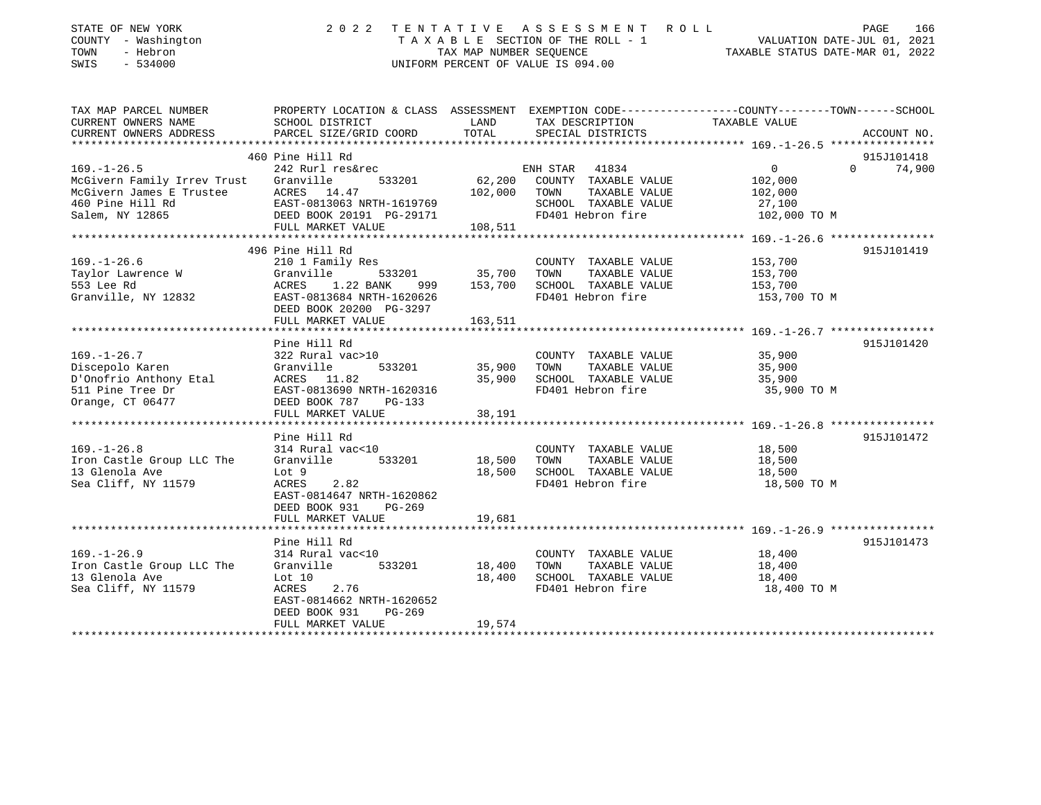| STATE OF NEW YORK<br>COUNTY - Washington<br>- Hebron<br>TOWN<br>SWIS<br>$-534000$ | 2 0 2 2                                                | TAX MAP NUMBER SEQUENCE | TENTATIVE ASSESSMENT ROLL<br>TAXABLE SECTION OF THE ROLL - 1<br>UNIFORM PERCENT OF VALUE IS 094.00 | PAGE<br>166<br>VALUATION DATE-JUL 01, 2021<br>TAXABLE STATUS DATE-MAR 01, 2022                                    |
|-----------------------------------------------------------------------------------|--------------------------------------------------------|-------------------------|----------------------------------------------------------------------------------------------------|-------------------------------------------------------------------------------------------------------------------|
| TAX MAP PARCEL NUMBER<br>CURRENT OWNERS NAME                                      | SCHOOL DISTRICT                                        | LAND                    | TAX DESCRIPTION                                                                                    | PROPERTY LOCATION & CLASS ASSESSMENT EXEMPTION CODE----------------COUNTY-------TOWN------SCHOOL<br>TAXABLE VALUE |
| CURRENT OWNERS ADDRESS                                                            | PARCEL SIZE/GRID COORD                                 | TOTAL                   | SPECIAL DISTRICTS                                                                                  | ACCOUNT NO.                                                                                                       |
|                                                                                   |                                                        |                         |                                                                                                    |                                                                                                                   |
|                                                                                   | 460 Pine Hill Rd                                       |                         |                                                                                                    | 915J101418                                                                                                        |
| $169. - 1 - 26.5$                                                                 | 242 Rurl res&rec                                       |                         | ENH STAR<br>41834                                                                                  | $\overline{0}$<br>$\Omega$<br>74,900                                                                              |
| McGivern Family Irrev Trust<br>McGivern James E Trustee                           | Granville<br>533201<br>ACRES 14.47                     | 62,200<br>102,000       | COUNTY TAXABLE VALUE<br>TOWN<br>TAXABLE VALUE                                                      | 102,000<br>102,000                                                                                                |
| 460 Pine Hill Rd                                                                  | EAST-0813063 NRTH-1619769                              |                         | SCHOOL TAXABLE VALUE                                                                               | 27,100                                                                                                            |
| Salem, NY 12865                                                                   | DEED BOOK 20191 PG-29171                               |                         | FD401 Hebron fire                                                                                  | 102,000 TO M                                                                                                      |
|                                                                                   | FULL MARKET VALUE                                      | 108,511                 |                                                                                                    |                                                                                                                   |
|                                                                                   |                                                        |                         |                                                                                                    |                                                                                                                   |
|                                                                                   | 496 Pine Hill Rd                                       |                         |                                                                                                    | 915J101419                                                                                                        |
| $169. - 1 - 26.6$                                                                 | 210 1 Family Res                                       |                         | COUNTY TAXABLE VALUE                                                                               | 153,700                                                                                                           |
| Taylor Lawrence W                                                                 | Granville<br>533201                                    | 35,700                  | TOWN<br>TAXABLE VALUE                                                                              | 153,700                                                                                                           |
| 553 Lee Rd<br>Granville, NY 12832                                                 | 1.22 BANK<br>ACRES<br>999<br>EAST-0813684 NRTH-1620626 | 153,700                 | SCHOOL TAXABLE VALUE<br>FD401 Hebron fire                                                          | 153,700<br>153,700 TO M                                                                                           |
|                                                                                   | DEED BOOK 20200 PG-3297                                |                         |                                                                                                    |                                                                                                                   |
|                                                                                   | FULL MARKET VALUE                                      | 163,511                 |                                                                                                    |                                                                                                                   |
|                                                                                   |                                                        |                         |                                                                                                    |                                                                                                                   |
|                                                                                   | Pine Hill Rd                                           |                         |                                                                                                    | 915J101420                                                                                                        |
| $169. - 1 - 26.7$                                                                 | 322 Rural vac>10                                       |                         | COUNTY TAXABLE VALUE                                                                               | 35,900                                                                                                            |
| Discepolo Karen                                                                   | Granville<br>533201                                    | 35,900                  | TOWN<br>TAXABLE VALUE                                                                              | 35,900                                                                                                            |
| D'Onofrio Anthony Etal                                                            | ACRES 11.82                                            | 35,900                  | SCHOOL TAXABLE VALUE                                                                               | 35,900                                                                                                            |
| 511 Pine Tree Dr<br>Orange, CT 06477                                              | EAST-0813690 NRTH-1620316<br>DEED BOOK 787<br>$PG-133$ |                         | FD401 Hebron fire                                                                                  | 35,900 TO M                                                                                                       |
|                                                                                   | FULL MARKET VALUE                                      | 38,191                  |                                                                                                    |                                                                                                                   |
|                                                                                   |                                                        |                         |                                                                                                    |                                                                                                                   |
|                                                                                   | Pine Hill Rd                                           |                         |                                                                                                    | 915J101472                                                                                                        |
| $169. - 1 - 26.8$                                                                 | 314 Rural vac<10                                       |                         | COUNTY TAXABLE VALUE                                                                               | 18,500                                                                                                            |
| Iron Castle Group LLC The                                                         | Granville<br>533201                                    | 18,500                  | TOWN<br>TAXABLE VALUE                                                                              | 18,500                                                                                                            |
| 13 Glenola Ave                                                                    | Lot 9                                                  | 18,500                  | SCHOOL TAXABLE VALUE                                                                               | 18,500                                                                                                            |
| Sea Cliff, NY 11579                                                               | 2.82<br>ACRES                                          |                         | FD401 Hebron fire                                                                                  | 18,500 TO M                                                                                                       |
|                                                                                   | EAST-0814647 NRTH-1620862<br>DEED BOOK 931<br>$PG-269$ |                         |                                                                                                    |                                                                                                                   |
|                                                                                   | FULL MARKET VALUE                                      | 19,681                  |                                                                                                    |                                                                                                                   |
|                                                                                   | **********************                                 |                         |                                                                                                    |                                                                                                                   |
|                                                                                   | Pine Hill Rd                                           |                         |                                                                                                    | 915J101473                                                                                                        |
| $169. - 1 - 26.9$                                                                 | 314 Rural vac<10                                       |                         | COUNTY TAXABLE VALUE                                                                               | 18,400                                                                                                            |
| Iron Castle Group LLC The                                                         | Granville<br>533201                                    | 18,400                  | TOWN<br>TAXABLE VALUE                                                                              | 18,400                                                                                                            |
| 13 Glenola Ave                                                                    | Lot $10$                                               | 18,400                  | SCHOOL TAXABLE VALUE                                                                               | 18,400                                                                                                            |
| Sea Cliff, NY 11579                                                               | 2.76<br>ACRES                                          |                         | FD401 Hebron fire                                                                                  | 18,400 TO M                                                                                                       |
|                                                                                   | EAST-0814662 NRTH-1620652                              |                         |                                                                                                    |                                                                                                                   |
|                                                                                   | DEED BOOK 931<br>PG-269<br>FULL MARKET VALUE           | 19,574                  |                                                                                                    |                                                                                                                   |
| ***********************                                                           |                                                        |                         |                                                                                                    |                                                                                                                   |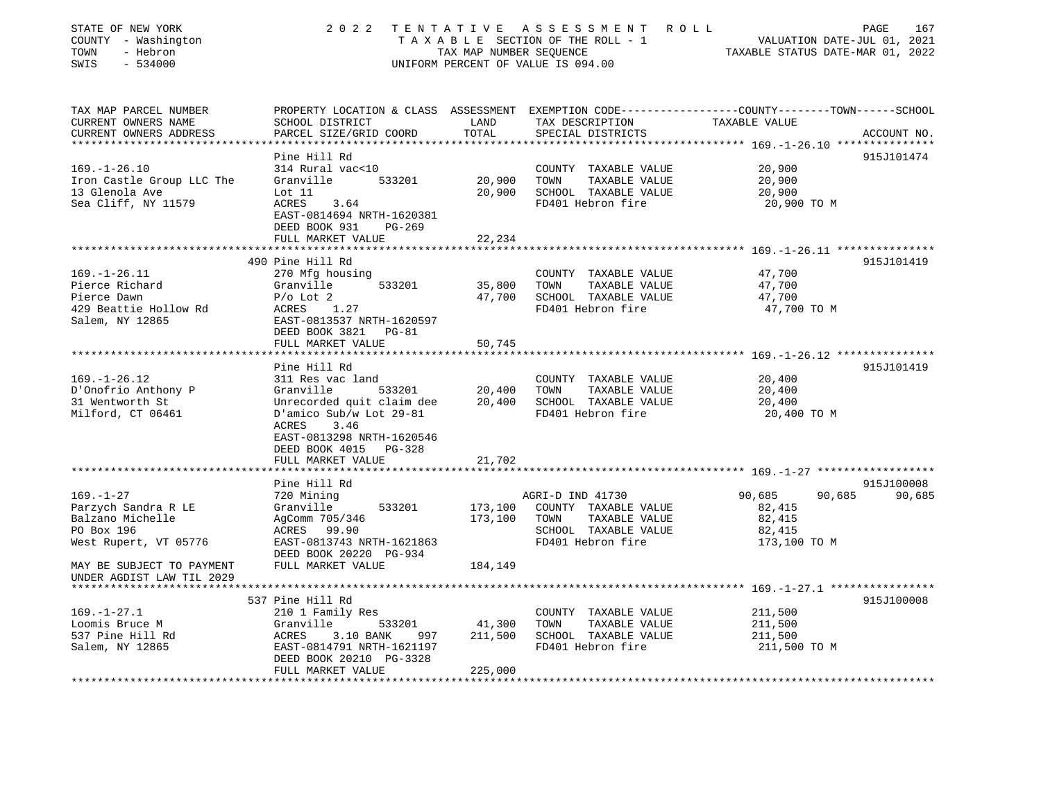| STATE OF NEW YORK<br>COUNTY - Washington<br>TOWN<br>- Hebron<br>SWIS<br>$-534000$ |                                                                                                | TAX MAP NUMBER SEQUENCE | 2022 TENTATIVE ASSESSMENT ROLL<br>TAXABLE SECTION OF THE ROLL - 1<br>UNIFORM PERCENT OF VALUE IS 094.00 | PAGE 167<br>VALUATION DATE-JUL 01, 2021<br>TAXABLE STATUS DATE 112 000                                                           |
|-----------------------------------------------------------------------------------|------------------------------------------------------------------------------------------------|-------------------------|---------------------------------------------------------------------------------------------------------|----------------------------------------------------------------------------------------------------------------------------------|
| TAX MAP PARCEL NUMBER<br>CURRENT OWNERS NAME<br>CURRENT OWNERS ADDRESS            | SCHOOL DISTRICT<br>PARCEL SIZE/GRID COORD                                                      | LAND<br>TOTAL           | TAX DESCRIPTION<br>SPECIAL DISTRICTS                                                                    | PROPERTY LOCATION & CLASS ASSESSMENT EXEMPTION CODE----------------COUNTY-------TOWN------SCHOOL<br>TAXABLE VALUE<br>ACCOUNT NO. |
| *************************                                                         |                                                                                                |                         |                                                                                                         |                                                                                                                                  |
| $169. - 1 - 26.10$                                                                | Pine Hill Rd<br>314 Rural vac<10                                                               |                         | COUNTY TAXABLE VALUE                                                                                    | 915J101474<br>20,900                                                                                                             |
| Iron Castle Group LLC The                                                         | Granville<br>533201                                                                            | 20,900                  | TOWN<br>TAXABLE VALUE                                                                                   | 20,900                                                                                                                           |
| 13 Glenola Ave                                                                    | Lot 11                                                                                         | 20,900                  | SCHOOL TAXABLE VALUE                                                                                    | 20,900                                                                                                                           |
| Sea Cliff, NY 11579                                                               | ACRES<br>3.64<br>EAST-0814694 NRTH-1620381<br>DEED BOOK 931<br>PG-269                          |                         | FD401 Hebron fire                                                                                       | 20,900 TO M                                                                                                                      |
|                                                                                   | FULL MARKET VALUE                                                                              | 22,234                  |                                                                                                         |                                                                                                                                  |
|                                                                                   |                                                                                                |                         |                                                                                                         | 915J101419                                                                                                                       |
| $169. - 1 - 26.11$                                                                | 490 Pine Hill Rd<br>270 Mfg housing                                                            |                         | COUNTY TAXABLE VALUE                                                                                    | 47,700                                                                                                                           |
| Pierce Richard                                                                    | 533201<br>Granville                                                                            | 35,800                  | TOWN<br>TAXABLE VALUE                                                                                   | 47,700                                                                                                                           |
| Pierce Dawn                                                                       | $P/O$ Lot $2$                                                                                  | 47,700                  | SCHOOL TAXABLE VALUE                                                                                    | 47,700                                                                                                                           |
| 429 Beattie Hollow Rd                                                             | ACRES 1.27                                                                                     |                         | FD401 Hebron fire                                                                                       | 47,700 TO M                                                                                                                      |
| Salem, NY 12865                                                                   | EAST-0813537 NRTH-1620597                                                                      |                         |                                                                                                         |                                                                                                                                  |
|                                                                                   | DEED BOOK 3821 PG-81                                                                           |                         |                                                                                                         |                                                                                                                                  |
|                                                                                   | FULL MARKET VALUE                                                                              | 50,745                  |                                                                                                         |                                                                                                                                  |
|                                                                                   | Pine Hill Rd                                                                                   |                         |                                                                                                         | 915J101419                                                                                                                       |
| $169. - 1 - 26.12$                                                                | 311 Res vac land                                                                               |                         | COUNTY TAXABLE VALUE                                                                                    | 20,400                                                                                                                           |
| D'Onofrio Anthony P                                                               | Granville<br>533201                                                                            | 20,400                  | TOWN<br>TAXABLE VALUE                                                                                   | 20,400                                                                                                                           |
| 31 Wentworth St                                                                   | Unrecorded quit claim dee                                                                      | 20,400                  | SCHOOL TAXABLE VALUE                                                                                    | 20,400                                                                                                                           |
| Milford, CT 06461                                                                 | D'amico Sub/w Lot 29-81<br>ACRES<br>3.46<br>EAST-0813298 NRTH-1620546<br>DEED BOOK 4015 PG-328 |                         | FD401 Hebron fire                                                                                       | 20,400 TO M                                                                                                                      |
|                                                                                   | FULL MARKET VALUE                                                                              | 21,702                  |                                                                                                         |                                                                                                                                  |
|                                                                                   | ********************                                                                           |                         |                                                                                                         |                                                                                                                                  |
| $169. - 1 - 27$                                                                   | Pine Hill Rd                                                                                   |                         | AGRI-D IND 41730                                                                                        | 915J100008<br>90,685<br>90,685<br>90,685                                                                                         |
| Parzych Sandra R LE                                                               | 720 Mining<br>533201<br>Granville                                                              | 173,100                 | COUNTY TAXABLE VALUE                                                                                    | 82,415                                                                                                                           |
| Balzano Michelle                                                                  | AgComm 705/346                                                                                 | 173,100                 | TAXABLE VALUE<br>TOWN                                                                                   | 82,415                                                                                                                           |
| PO Box 196                                                                        | ACRES 99.90                                                                                    |                         | SCHOOL TAXABLE VALUE                                                                                    | 82,415                                                                                                                           |
| West Rupert, VT 05776                                                             | EAST-0813743 NRTH-1621863<br>DEED BOOK 20220 PG-934                                            |                         | FD401 Hebron fire                                                                                       | 173,100 TO M                                                                                                                     |
| MAY BE SUBJECT TO PAYMENT<br>UNDER AGDIST LAW TIL 2029                            | FULL MARKET VALUE                                                                              | 184,149                 |                                                                                                         |                                                                                                                                  |
|                                                                                   |                                                                                                |                         |                                                                                                         | 915J100008                                                                                                                       |
| $169. - 1 - 27.1$                                                                 | 537 Pine Hill Rd<br>210 1 Family Res                                                           |                         | COUNTY TAXABLE VALUE                                                                                    | 211,500                                                                                                                          |
| Loomis Bruce M                                                                    | Granville<br>533201                                                                            | 41,300                  | TOWN<br>TAXABLE VALUE                                                                                   | 211,500                                                                                                                          |
| 537 Pine Hill Rd                                                                  | ACRES<br>3.10 BANK<br>997                                                                      | 211,500                 | SCHOOL TAXABLE VALUE                                                                                    | 211,500                                                                                                                          |
| Salem, NY 12865                                                                   | EAST-0814791 NRTH-1621197<br>DEED BOOK 20210 PG-3328                                           |                         | FD401 Hebron fire                                                                                       | 211,500 TO M                                                                                                                     |
|                                                                                   | FULL MARKET VALUE                                                                              | 225,000<br>************ |                                                                                                         |                                                                                                                                  |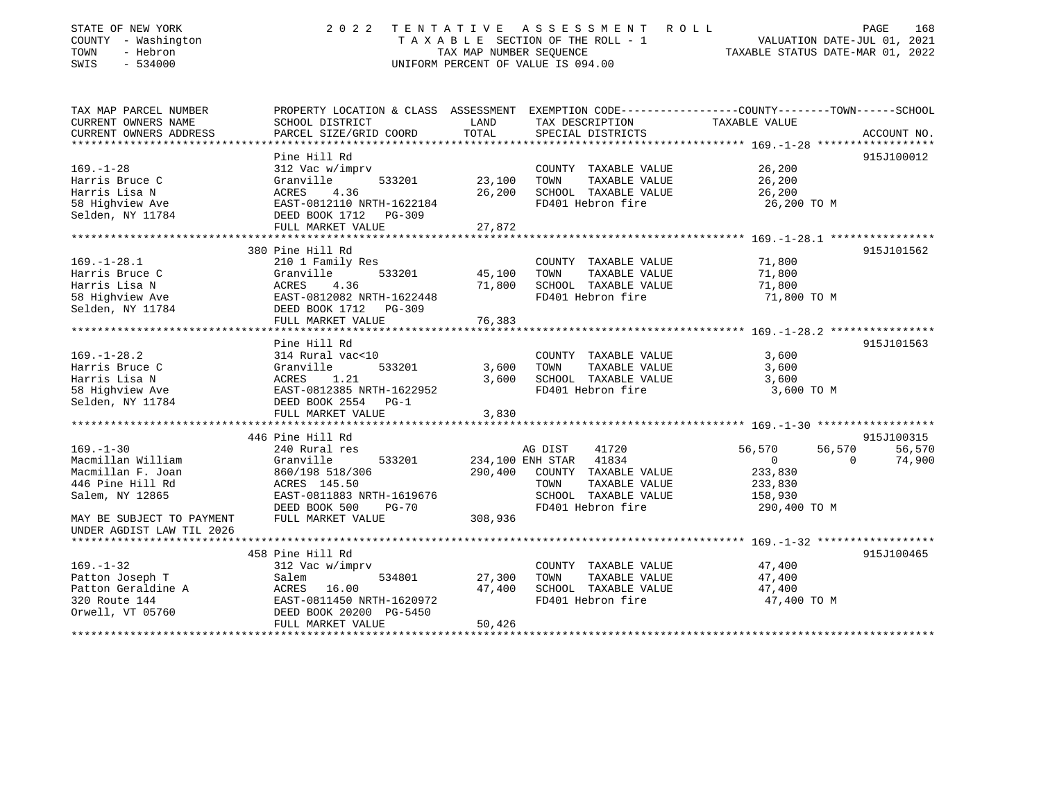| STATE OF NEW YORK<br>COUNTY - Washington<br>TOWN<br>- Hebron<br>SWIS<br>$-534000$ | 2 0 2 2                                                                                         | TAX MAP NUMBER SEQUENCE             | TENTATIVE ASSESSMENT ROLL<br>TAXABLE SECTION OF THE ROLL - 1<br>UNIFORM PERCENT OF VALUE IS 094.00 | VALUATION DATE-JUL 01, 2021<br>TAXABLE STATUS DATE-MAR 01, 2022 | 168<br>PAGE        |
|-----------------------------------------------------------------------------------|-------------------------------------------------------------------------------------------------|-------------------------------------|----------------------------------------------------------------------------------------------------|-----------------------------------------------------------------|--------------------|
| TAX MAP PARCEL NUMBER                                                             | PROPERTY LOCATION & CLASS ASSESSMENT EXEMPTION CODE---------------COUNTY-------TOWN------SCHOOL |                                     |                                                                                                    |                                                                 |                    |
| CURRENT OWNERS NAME                                                               | SCHOOL DISTRICT                                                                                 | LAND                                | TAX DESCRIPTION                                                                                    | TAXABLE VALUE                                                   |                    |
| CURRENT OWNERS ADDRESS<br>**************************                              | PARCEL SIZE/GRID COORD                                                                          | TOTAL                               | SPECIAL DISTRICTS                                                                                  |                                                                 | ACCOUNT NO.        |
|                                                                                   | Pine Hill Rd                                                                                    |                                     |                                                                                                    |                                                                 | 915J100012         |
| $169. - 1 - 28$                                                                   | 312 Vac w/imprv                                                                                 |                                     | COUNTY TAXABLE VALUE                                                                               | 26,200                                                          |                    |
| Harris Bruce C                                                                    | 533201<br>Granville                                                                             | 23,100                              | TOWN<br>TAXABLE VALUE                                                                              | 26,200                                                          |                    |
| Harris Lisa N                                                                     | <b>ACRES</b><br>4.36                                                                            | 26,200                              | SCHOOL TAXABLE VALUE                                                                               | 26,200                                                          |                    |
| 58 Highview Ave                                                                   | EAST-0812110 NRTH-1622184                                                                       |                                     | FD401 Hebron fire                                                                                  | 26,200 TO M                                                     |                    |
| Selden, NY 11784                                                                  | DEED BOOK 1712 PG-309                                                                           |                                     |                                                                                                    |                                                                 |                    |
|                                                                                   | FULL MARKET VALUE                                                                               | 27,872                              |                                                                                                    |                                                                 |                    |
|                                                                                   |                                                                                                 |                                     |                                                                                                    |                                                                 |                    |
|                                                                                   | 380 Pine Hill Rd                                                                                |                                     |                                                                                                    |                                                                 | 915J101562         |
| $169. - 1 - 28.1$                                                                 | 210 1 Family Res                                                                                |                                     | COUNTY TAXABLE VALUE                                                                               | 71,800                                                          |                    |
| Harris Bruce C                                                                    | Granville<br>533201                                                                             | 45,100                              | TAXABLE VALUE<br>TOWN                                                                              | 71,800                                                          |                    |
| Harris Lisa N                                                                     | 4.36<br>ACRES                                                                                   | 71,800                              | SCHOOL TAXABLE VALUE                                                                               | 71,800                                                          |                    |
| 58 Highview Ave                                                                   | EAST-0812082 NRTH-1622448                                                                       |                                     | FD401 Hebron fire                                                                                  | 71,800 TO M                                                     |                    |
| Selden, NY 11784                                                                  | DEED BOOK 1712<br>PG-309                                                                        |                                     |                                                                                                    |                                                                 |                    |
|                                                                                   | FULL MARKET VALUE                                                                               | 76,383                              |                                                                                                    |                                                                 |                    |
|                                                                                   | Pine Hill Rd                                                                                    |                                     |                                                                                                    |                                                                 | 915J101563         |
| $169. - 1 - 28.2$                                                                 | 314 Rural vac<10                                                                                |                                     | COUNTY TAXABLE VALUE                                                                               | 3,600                                                           |                    |
| Harris Bruce C                                                                    | Granville<br>533201                                                                             | 3,600                               | TAXABLE VALUE<br>TOWN                                                                              | 3,600                                                           |                    |
| Harris Lisa N                                                                     | ACRES<br>1.21                                                                                   | 3,600                               | SCHOOL TAXABLE VALUE                                                                               | 3,600                                                           |                    |
| 58 Highview Ave                                                                   | EAST-0812385 NRTH-1622952                                                                       |                                     | FD401 Hebron fire                                                                                  | 3,600 TO M                                                      |                    |
| Selden, NY 11784                                                                  | DEED BOOK 2554 PG-1                                                                             |                                     |                                                                                                    |                                                                 |                    |
|                                                                                   | FULL MARKET VALUE                                                                               | 3,830                               |                                                                                                    |                                                                 |                    |
|                                                                                   | ***************************                                                                     |                                     |                                                                                                    |                                                                 |                    |
|                                                                                   | 446 Pine Hill Rd                                                                                |                                     |                                                                                                    |                                                                 | 915J100315         |
| $169. - 1 - 30$                                                                   | 240 Rural res                                                                                   |                                     | 41720<br>AG DIST                                                                                   | 56,570<br>56,570                                                | 56,570             |
| Macmillan William                                                                 | Granville<br>533201                                                                             |                                     | 234,100 ENH STAR 41834                                                                             | $\overline{0}$                                                  | 74,900<br>$\Omega$ |
| Macmillan F. Joan                                                                 | 860/198 518/306                                                                                 | 290,400                             | COUNTY TAXABLE VALUE                                                                               | 233,830                                                         |                    |
| 446 Pine Hill Rd                                                                  | ACRES 145.50                                                                                    |                                     | TOWN<br>TAXABLE VALUE                                                                              | 233,830                                                         |                    |
| Salem, NY 12865                                                                   | EAST-0811883 NRTH-1619676                                                                       |                                     | SCHOOL TAXABLE VALUE                                                                               | 158,930                                                         |                    |
|                                                                                   | DEED BOOK 500<br>$PG-70$                                                                        |                                     | FD401 Hebron fire                                                                                  | 290,400 TO M                                                    |                    |
| MAY BE SUBJECT TO PAYMENT                                                         | FULL MARKET VALUE                                                                               | 308,936                             |                                                                                                    |                                                                 |                    |
| UNDER AGDIST LAW TIL 2026                                                         |                                                                                                 |                                     |                                                                                                    |                                                                 |                    |
|                                                                                   | 458 Pine Hill Rd                                                                                |                                     |                                                                                                    |                                                                 | 915J100465         |
| $169. - 1 - 32$                                                                   | 312 Vac w/imprv                                                                                 |                                     | COUNTY TAXABLE VALUE                                                                               | 47,400                                                          |                    |
| Patton Joseph T                                                                   | 534801<br>Salem                                                                                 | 27,300                              | TAXABLE VALUE<br>TOWN                                                                              | 47,400                                                          |                    |
| Patton Geraldine A                                                                | 16.00<br>ACRES                                                                                  | 47,400                              | SCHOOL TAXABLE VALUE                                                                               | 47,400                                                          |                    |
| 320 Route 144                                                                     | EAST-0811450 NRTH-1620972                                                                       |                                     | FD401 Hebron fire                                                                                  | 47,400 TO M                                                     |                    |
| Orwell, VT 05760                                                                  | DEED BOOK 20200 PG-5450                                                                         |                                     |                                                                                                    |                                                                 |                    |
|                                                                                   | DUILL MADHOO WAITED                                                                             | $\Gamma$ $\Omega$ $\Omega$ $\Gamma$ |                                                                                                    |                                                                 |                    |

FULL MARKET VALUE 50,426 \*\*\*\*\*\*\*\*\*\*\*\*\*\*\*\*\*\*\*\*\*\*\*\*\*\*\*\*\*\*\*\*\*\*\*\*\*\*\*\*\*\*\*\*\*\*\*\*\*\*\*\*\*\*\*\*\*\*\*\*\*\*\*\*\*\*\*\*\*\*\*\*\*\*\*\*\*\*\*\*\*\*\*\*\*\*\*\*\*\*\*\*\*\*\*\*\*\*\*\*\*\*\*\*\*\*\*\*\*\*\*\*\*\*\*\*\*\*\*\*\*\*\*\*\*\*\*\*\*\*\*\*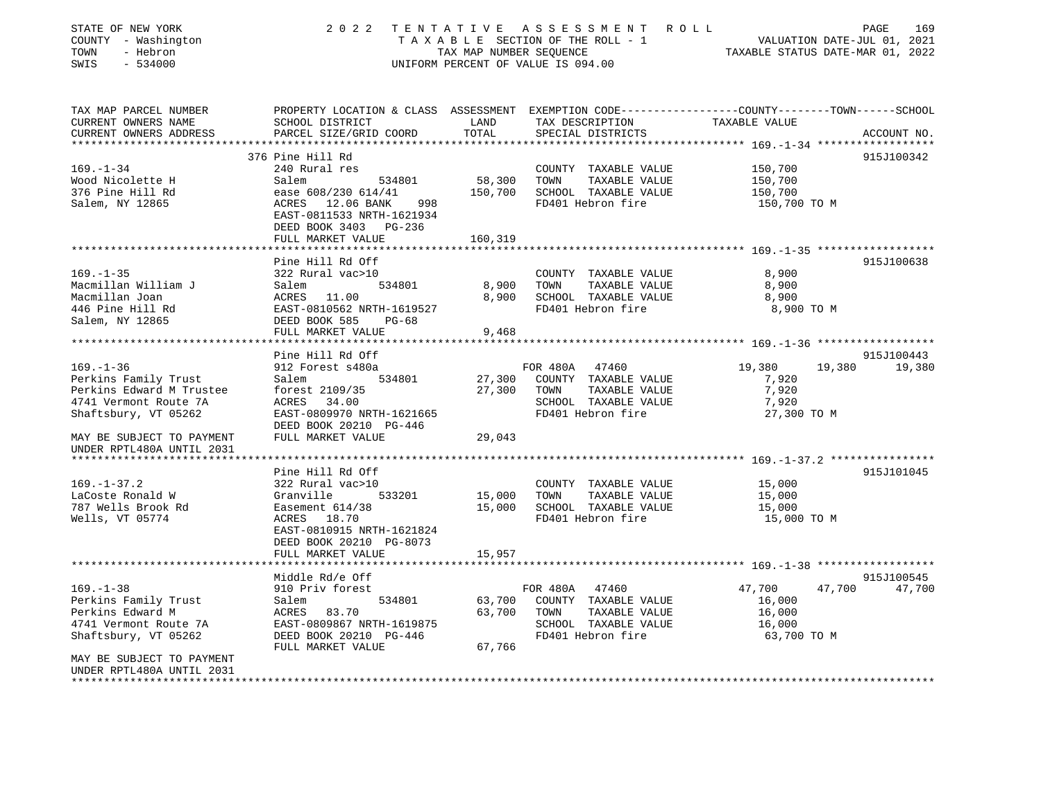| STATE OF NEW YORK<br>COUNTY - Washington<br>TOWN<br>- Hebron<br>SWIS<br>$-534000$ | 2 0 2 2                                                                       | TAX MAP NUMBER SEOUENCE | TENTATIVE ASSESSMENT ROLL<br>UNIFORM PERCENT OF VALUE IS 094.00 | PAGE<br>169<br>TAXABLE SECTION OF THE ROLL - 1 VALUATION DATE-JUL 01, 2021<br>TAXABLE STATUS DATE-MAR 01, 2022                  |
|-----------------------------------------------------------------------------------|-------------------------------------------------------------------------------|-------------------------|-----------------------------------------------------------------|---------------------------------------------------------------------------------------------------------------------------------|
| TAX MAP PARCEL NUMBER<br>CURRENT OWNERS NAME<br>CURRENT OWNERS ADDRESS            | SCHOOL DISTRICT<br>PARCEL SIZE/GRID COORD                                     | LAND<br>TOTAL           | TAX DESCRIPTION<br>SPECIAL DISTRICTS                            | PROPERTY LOCATION & CLASS ASSESSMENT EXEMPTION CODE---------------COUNTY-------TOWN------SCHOOL<br>TAXABLE VALUE<br>ACCOUNT NO. |
|                                                                                   |                                                                               |                         |                                                                 |                                                                                                                                 |
| $169. - 1 - 34$                                                                   | 376 Pine Hill Rd                                                              |                         |                                                                 | 915J100342                                                                                                                      |
| Wood Nicolette H                                                                  | 240 Rural res<br>534801<br>Salem                                              | 58,300                  | COUNTY TAXABLE VALUE<br>TOWN<br>TAXABLE VALUE                   | 150,700<br>150,700                                                                                                              |
| 376 Pine Hill Rd                                                                  | ease 608/230 614/41                                                           | 150,700                 | SCHOOL TAXABLE VALUE                                            | 150,700                                                                                                                         |
| Salem, NY 12865                                                                   | ACRES 12.06 BANK<br>998<br>EAST-0811533 NRTH-1621934<br>DEED BOOK 3403 PG-236 |                         | FD401 Hebron fire                                               | 150,700 TO M                                                                                                                    |
|                                                                                   | FULL MARKET VALUE                                                             | 160,319                 |                                                                 |                                                                                                                                 |
|                                                                                   | Pine Hill Rd Off                                                              |                         |                                                                 | 915J100638                                                                                                                      |
| $169. - 1 - 35$                                                                   | 322 Rural vac>10                                                              |                         | COUNTY TAXABLE VALUE                                            | 8,900                                                                                                                           |
| Macmillan William J                                                               | 534801<br>Salem                                                               | 8,900                   | TOWN<br>TAXABLE VALUE                                           | 8,900                                                                                                                           |
| Macmillan Joan                                                                    | ACRES 11.00                                                                   | 8,900                   | SCHOOL TAXABLE VALUE                                            | 8,900                                                                                                                           |
| 446 Pine Hill Rd                                                                  | EAST-0810562 NRTH-1619527                                                     |                         | FD401 Hebron fire                                               | 8,900 TO M                                                                                                                      |
| Salem, NY 12865                                                                   | DEED BOOK 585<br>PG-68<br>FULL MARKET VALUE                                   | 9,468                   |                                                                 |                                                                                                                                 |
|                                                                                   |                                                                               |                         |                                                                 |                                                                                                                                 |
|                                                                                   | Pine Hill Rd Off                                                              |                         |                                                                 | 915J100443                                                                                                                      |
| $169. - 1 - 36$                                                                   | 912 Forest s480a                                                              |                         | FOR 480A 47460                                                  | 19,380<br>19,380<br>19,380                                                                                                      |
| Perkins Family Trust                                                              | Salem<br>534801                                                               | 27,300                  | COUNTY TAXABLE VALUE                                            | 7,920                                                                                                                           |
| Perkins Edward M Trustee                                                          | forest 2109/35                                                                | 27,300                  | TOWN<br>TAXABLE VALUE                                           | 7,920                                                                                                                           |
| 4741 Vermont Route 7A                                                             | ACRES 34.00                                                                   |                         | SCHOOL TAXABLE VALUE                                            | 7,920                                                                                                                           |
| Shaftsbury, VT 05262                                                              | EAST-0809970 NRTH-1621665<br>DEED BOOK 20210 PG-446                           |                         | FD401 Hebron fire                                               | 27,300 TO M                                                                                                                     |
| MAY BE SUBJECT TO PAYMENT                                                         | FULL MARKET VALUE                                                             | 29,043                  |                                                                 |                                                                                                                                 |
| UNDER RPTL480A UNTIL 2031                                                         |                                                                               |                         |                                                                 |                                                                                                                                 |
|                                                                                   |                                                                               |                         |                                                                 |                                                                                                                                 |
|                                                                                   | Pine Hill Rd Off                                                              |                         |                                                                 | 915J101045                                                                                                                      |
| $169. - 1 - 37.2$                                                                 | 322 Rural vac>10                                                              |                         | COUNTY TAXABLE VALUE                                            | 15,000                                                                                                                          |
| LaCoste Ronald W                                                                  | 533201<br>Granville                                                           | 15,000                  | TOWN<br>TAXABLE VALUE                                           | 15,000                                                                                                                          |
| 787 Wells Brook Rd                                                                | Easement 614/38                                                               | 15,000                  | SCHOOL TAXABLE VALUE                                            | 15,000                                                                                                                          |
| Wells, VT 05774                                                                   | ACRES 18.70                                                                   |                         | FD401 Hebron fire                                               | 15,000 TO M                                                                                                                     |
|                                                                                   | EAST-0810915 NRTH-1621824                                                     |                         |                                                                 |                                                                                                                                 |
|                                                                                   | DEED BOOK 20210 PG-8073                                                       |                         |                                                                 |                                                                                                                                 |
|                                                                                   | FULL MARKET VALUE                                                             | 15,957                  |                                                                 |                                                                                                                                 |
|                                                                                   | **************************                                                    |                         |                                                                 |                                                                                                                                 |
|                                                                                   | Middle Rd/e Off                                                               |                         |                                                                 | 915J100545                                                                                                                      |
| $169. - 1 - 38$                                                                   | 910 Priv forest                                                               |                         | FOR 480A<br>47460                                               | 47,700<br>47,700<br>47,700                                                                                                      |
| Perkins Family Trust                                                              | 534801<br>Salem                                                               | 63,700<br>63,700        | COUNTY TAXABLE VALUE                                            | 16,000                                                                                                                          |
| Perkins Edward M<br>4741 Vermont Route 7A                                         | ACRES<br>83.70<br>EAST-0809867 NRTH-1619875                                   |                         | TOWN<br>TAXABLE VALUE<br>SCHOOL TAXABLE VALUE                   | 16,000                                                                                                                          |
|                                                                                   | DEED BOOK 20210 PG-446                                                        |                         | FD401 Hebron fire                                               | 16,000<br>63,700 TO M                                                                                                           |
| Shaftsbury, VT 05262                                                              | FULL MARKET VALUE                                                             | 67,766                  |                                                                 |                                                                                                                                 |
| MAY BE SUBJECT TO PAYMENT                                                         |                                                                               |                         |                                                                 |                                                                                                                                 |
| UNDER RPTL480A UNTIL 2031                                                         |                                                                               |                         |                                                                 |                                                                                                                                 |
|                                                                                   |                                                                               |                         |                                                                 |                                                                                                                                 |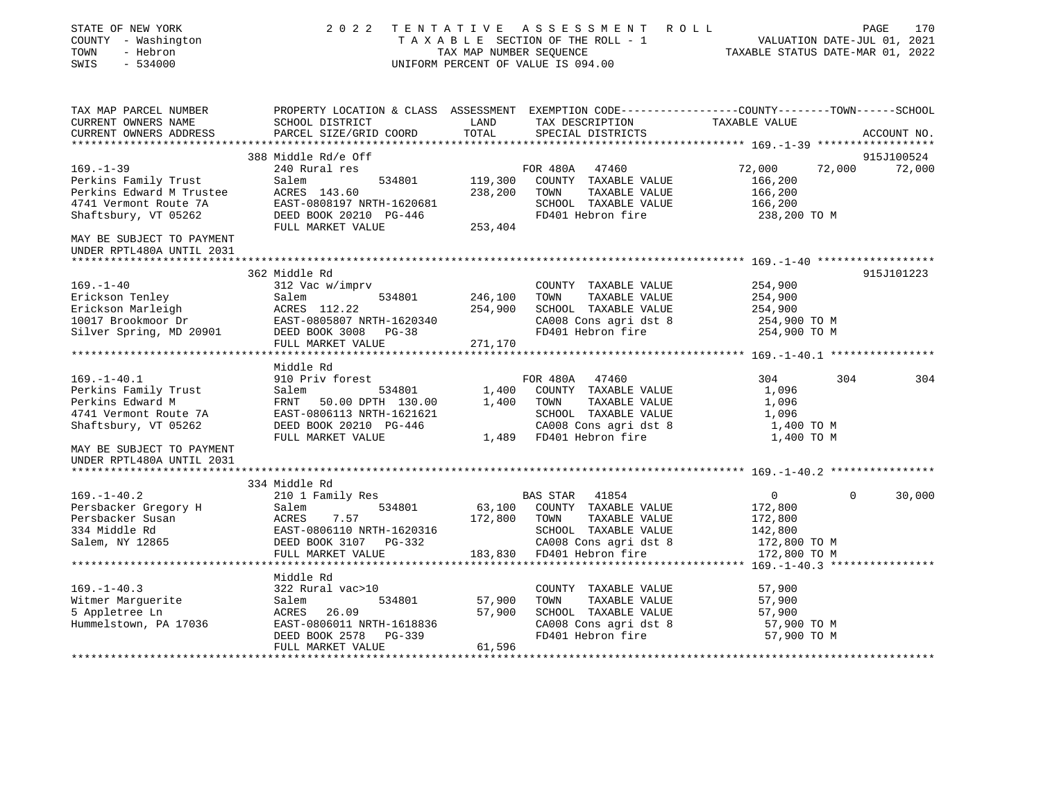| STATE OF NEW YORK<br>COUNTY - Washington<br>TOWN<br>- Hebron<br>SWIS<br>$-534000$                                    |                                                                                                                              | TAX MAP NUMBER SEOUENCE | 2022 TENTATIVE ASSESSMENT ROLL<br>TAXABLE SECTION OF THE ROLL - 1<br>UNIFORM PERCENT OF VALUE IS 094.00              | VALUATION DATE-JUL 01, 2021<br>TAXABLE STATUS DATE-MAR 01, 2022 |          | PAGE<br>170 |
|----------------------------------------------------------------------------------------------------------------------|------------------------------------------------------------------------------------------------------------------------------|-------------------------|----------------------------------------------------------------------------------------------------------------------|-----------------------------------------------------------------|----------|-------------|
| TAX MAP PARCEL NUMBER<br>CURRENT OWNERS NAME                                                                         | PROPERTY LOCATION & CLASS ASSESSMENT EXEMPTION CODE---------------COUNTY-------TOWN------SCHOOL<br>SCHOOL DISTRICT           | LAND                    | TAX DESCRIPTION                                                                                                      | TAXABLE VALUE                                                   |          |             |
| CURRENT OWNERS ADDRESS                                                                                               | PARCEL SIZE/GRID COORD                                                                                                       | TOTAL                   | SPECIAL DISTRICTS                                                                                                    |                                                                 |          | ACCOUNT NO. |
|                                                                                                                      | 388 Middle Rd/e Off                                                                                                          |                         |                                                                                                                      |                                                                 |          | 915J100524  |
| $169. - 1 - 39$<br>Perkins Family Trust<br>Perkins Edward M Trustee<br>4741 Vermont Route 7A<br>Shaftsbury, VT 05262 | 240 Rural res<br>Salem<br>534801<br>ACRES 143.60<br>EAST-0808197 NRTH-1620681<br>DEED BOOK 20210 PG-446<br>FULL MARKET VALUE | 238,200<br>253,404      | FOR 480A 47460<br>119,300 COUNTY TAXABLE VALUE<br>TOWN<br>TAXABLE VALUE<br>SCHOOL TAXABLE VALUE<br>FD401 Hebron fire | 72,000<br>166,200<br>166,200<br>166,200<br>238,200 TO M         | 72,000   | 72,000      |
| MAY BE SUBJECT TO PAYMENT                                                                                            |                                                                                                                              |                         |                                                                                                                      |                                                                 |          |             |
| UNDER RPTL480A UNTIL 2031                                                                                            |                                                                                                                              |                         |                                                                                                                      |                                                                 |          |             |
|                                                                                                                      | 362 Middle Rd                                                                                                                |                         |                                                                                                                      |                                                                 |          | 915J101223  |
| $169. - 1 - 40$                                                                                                      | 312 Vac w/imprv                                                                                                              |                         | COUNTY TAXABLE VALUE                                                                                                 | 254,900                                                         |          |             |
| Erickson Tenley                                                                                                      | Salem<br>534801                                                                                                              | 246,100                 | TOWN<br>TAXABLE VALUE                                                                                                | 254,900                                                         |          |             |
|                                                                                                                      |                                                                                                                              |                         | 254,900 SCHOOL TAXABLE VALUE                                                                                         | 254,900                                                         |          |             |
|                                                                                                                      | EAST-0805807 NRTH-1620340                                                                                                    |                         | CA008 Cons agri dst 8                                                                                                | 254,900 TO M                                                    |          |             |
| Erickson Marleigh<br>10017 Brookmoor Dr<br>Silver Spring, MD 20901 DEED BOOK 3008                                    | DEED BOOK 3008 PG-38                                                                                                         |                         | FD401 Hebron fire                                                                                                    | 254,900 TO M                                                    |          |             |
|                                                                                                                      | FULL MARKET VALUE                                                                                                            | 271,170                 |                                                                                                                      |                                                                 |          |             |
|                                                                                                                      | Middle Rd                                                                                                                    |                         |                                                                                                                      |                                                                 |          |             |
| $169. - 1 - 40.1$                                                                                                    | 910 Priv forest                                                                                                              |                         | FOR 480A 47460                                                                                                       | 304                                                             | 304      | 304         |
| Perkins Family Trust                                                                                                 | Salem<br>534801                                                                                                              | 1,400                   | COUNTY TAXABLE VALUE                                                                                                 | 1,096                                                           |          |             |
| Perkins Edward M                                                                                                     | FRNT 50.00 DPTH 130.00                                                                                                       |                         | 1,400 TOWN<br>TAXABLE VALUE                                                                                          | 1,096                                                           |          |             |
| 4741 Vermont Route 7A                                                                                                | EAST-0806113 NRTH-1621621                                                                                                    |                         | SCHOOL TAXABLE VALUE                                                                                                 | 1,096                                                           |          |             |
| Shaftsbury, VT 05262                                                                                                 | DEED BOOK 20210 PG-446                                                                                                       |                         | CA008 Cons agri dst 8                                                                                                | 1,400 TO M                                                      |          |             |
|                                                                                                                      | FULL MARKET VALUE                                                                                                            |                         | 1,489 FD401 Hebron fire                                                                                              | 1,400 TO M                                                      |          |             |
| MAY BE SUBJECT TO PAYMENT<br>UNDER RPTL480A UNTIL 2031                                                               |                                                                                                                              |                         |                                                                                                                      |                                                                 |          |             |
|                                                                                                                      | 334 Middle Rd                                                                                                                |                         |                                                                                                                      |                                                                 |          |             |
| $169. - 1 - 40.2$                                                                                                    | 210 1 Family Res                                                                                                             |                         | BAS STAR 41854                                                                                                       | $\circ$                                                         | $\Omega$ | 30,000      |
| Persbacker Gregory H                                                                                                 | 534801<br>Salem                                                                                                              |                         | 63,100 COUNTY TAXABLE VALUE                                                                                          | 172,800                                                         |          |             |
| Persbacker Susan                                                                                                     | ACRES<br>7.57                                                                                                                |                         | 172,800 TOWN<br>TAXABLE VALUE                                                                                        | 172,800                                                         |          |             |
| 334 Middle Rd                                                                                                        | EAST-0806110 NRTH-1620316                                                                                                    |                         | SCHOOL TAXABLE VALUE                                                                                                 | 142,800                                                         |          |             |
| Salem, NY 12865                                                                                                      | DEED BOOK 3107 PG-332                                                                                                        |                         | CA008 Cons agri dst 8                                                                                                | 172,800 TO M                                                    |          |             |
|                                                                                                                      | FULL MARKET VALUE                                                                                                            |                         | 183,830 FD401 Hebron fire                                                                                            | 172,800 TO M                                                    |          |             |
|                                                                                                                      |                                                                                                                              |                         |                                                                                                                      |                                                                 |          |             |
|                                                                                                                      | Middle Rd                                                                                                                    |                         |                                                                                                                      |                                                                 |          |             |
| $169. - 1 - 40.3$                                                                                                    | 322 Rural vac>10                                                                                                             |                         | COUNTY TAXABLE VALUE                                                                                                 | 57,900                                                          |          |             |
| Witmer Marquerite                                                                                                    | Salem<br>534801                                                                                                              | 57,900<br>57,900        | TOWN<br>TAXABLE VALUE                                                                                                | 57,900                                                          |          |             |
| 5 Appletree Ln<br>Hummelstown, PA 17036                                                                              | ACRES 26.09<br>EAST-0806011 NRTH-1618836                                                                                     |                         | SCHOOL TAXABLE VALUE<br>CA008 Cons agri dst 8                                                                        | 57,900<br>57,900 TO M                                           |          |             |
|                                                                                                                      | DEED BOOK 2578 PG-339                                                                                                        |                         | FD401 Hebron fire                                                                                                    | 57,900 TO M                                                     |          |             |
|                                                                                                                      | FULL MARKET VALUE                                                                                                            | 61,596                  |                                                                                                                      |                                                                 |          |             |
|                                                                                                                      |                                                                                                                              |                         |                                                                                                                      |                                                                 |          |             |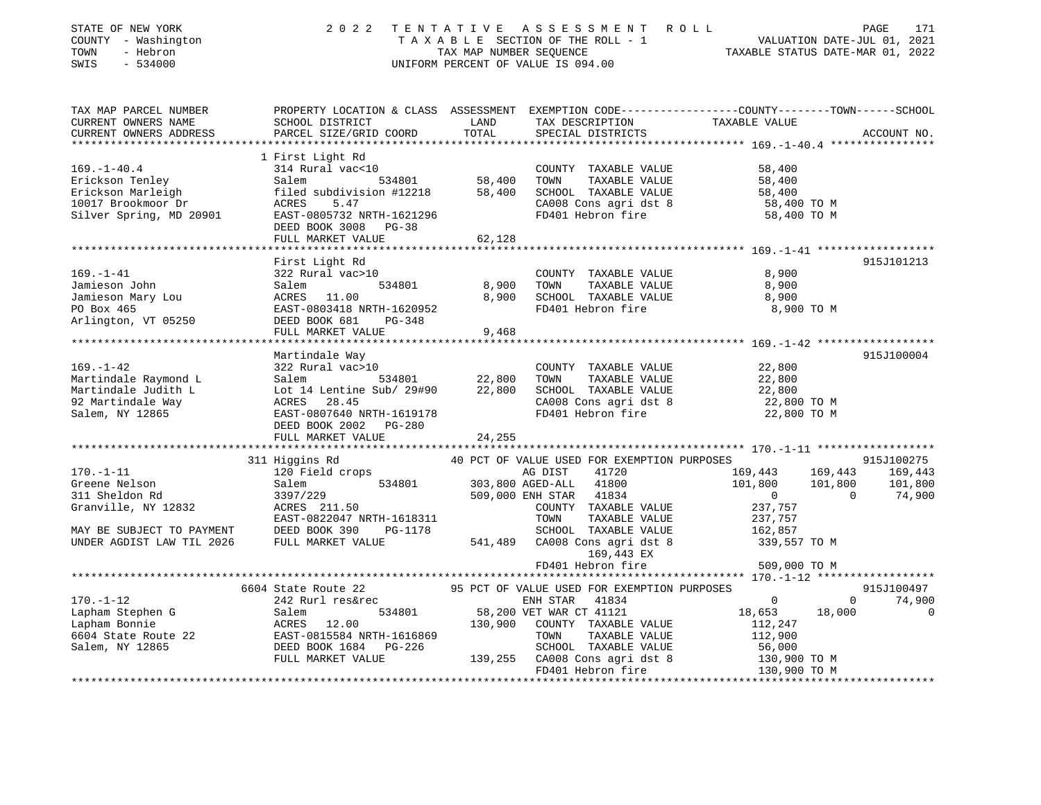| STATE OF NEW YORK<br>COUNTY - Washington<br>TOWN<br>- Hebron<br>SWIS<br>$-534000$   | 2 0 2 2                                                                                                                                         | TENTATIVE                         | UNIFORM PERCENT OF VALUE IS 094.00             | TENTATIVE ASSESSMENT ROLL PAGE 171<br>TAXABLE SECTION OF THE ROLL - 1 VALUATION DATE-JUL 01, 2021<br>TAX MAP NUMBER SEQUENCE TAXABLE STATUS DATE-MAR 01, 2022 |                |
|-------------------------------------------------------------------------------------|-------------------------------------------------------------------------------------------------------------------------------------------------|-----------------------------------|------------------------------------------------|---------------------------------------------------------------------------------------------------------------------------------------------------------------|----------------|
| TAX MAP PARCEL NUMBER<br>CURRENT OWNERS NAME                                        | SCHOOL DISTRICT                                                                                                                                 | LAND                              | TAX DESCRIPTION                                | PROPERTY LOCATION & CLASS ASSESSMENT EXEMPTION CODE----------------COUNTY-------TOWN------SCHOOL<br>TAXABLE VALUE                                             |                |
| CURRENT OWNERS ADDRESS                                                              | PARCEL SIZE/GRID COORD                                                                                                                          | TOTAL                             | SPECIAL DISTRICTS                              |                                                                                                                                                               | ACCOUNT NO.    |
|                                                                                     |                                                                                                                                                 |                                   |                                                |                                                                                                                                                               |                |
|                                                                                     | 1 First Light Rd                                                                                                                                |                                   |                                                |                                                                                                                                                               |                |
| $169. - 1 - 40.4$                                                                   | 314 Rural vac<10                                                                                                                                |                                   | COUNTY TAXABLE VALUE                           | 58,400                                                                                                                                                        |                |
|                                                                                     | 534801 58,400<br>58,400 subdivision #12218 58,400                                                                                               |                                   | TOWN<br>TAXABLE VALUE                          | 58,400                                                                                                                                                        |                |
|                                                                                     |                                                                                                                                                 |                                   | SCHOOL TAXABLE VALUE                           | 58,400<br>58,400                                                                                                                                              |                |
|                                                                                     |                                                                                                                                                 |                                   |                                                | CA008 Cons agri dst 8 58,400 TO M<br>FD401 Hebron fire 58,400 TO M                                                                                            |                |
|                                                                                     |                                                                                                                                                 |                                   |                                                |                                                                                                                                                               |                |
|                                                                                     | DEED BOOK 3008 PG-38                                                                                                                            |                                   |                                                |                                                                                                                                                               |                |
|                                                                                     | FULL MARKET VALUE                                                                                                                               | 62,128                            |                                                |                                                                                                                                                               |                |
|                                                                                     | First Light Rd                                                                                                                                  |                                   |                                                |                                                                                                                                                               | 915J101213     |
| $169. - 1 - 41$                                                                     | 322 Rural vac>10                                                                                                                                |                                   | COUNTY TAXABLE VALUE                           | 8,900                                                                                                                                                         |                |
|                                                                                     | 534801                                                                                                                                          | 8,900                             | TOWN<br>TAXABLE VALUE                          | 8,900                                                                                                                                                         |                |
|                                                                                     |                                                                                                                                                 | 8,900                             | SCHOOL TAXABLE VALUE                           | 8,900                                                                                                                                                         |                |
|                                                                                     |                                                                                                                                                 |                                   | FD401 Hebron fire                              | 8,900 TO M                                                                                                                                                    |                |
|                                                                                     | Jamieson John Salem 534801<br>Jamieson Mary Lou ACRES 11.00<br>PO Box 465 EAST-0803418 NRTH-1620952<br>Arlington, VT 05250 DEED BOOK 681 PG-348 |                                   |                                                |                                                                                                                                                               |                |
|                                                                                     | FULL MARKET VALUE                                                                                                                               | 9,468                             |                                                |                                                                                                                                                               |                |
|                                                                                     |                                                                                                                                                 |                                   |                                                |                                                                                                                                                               |                |
|                                                                                     | Martindale Way                                                                                                                                  |                                   |                                                |                                                                                                                                                               | 915J100004     |
| $169. - 1 - 42$                                                                     | 322 Rural vac>10                                                                                                                                |                                   | COUNTY TAXABLE VALUE                           | 22,800                                                                                                                                                        |                |
|                                                                                     | Salem                                                                                                                                           | 534801 22,800<br>Sub/29#90 22,800 | TAXABLE VALUE<br>TOWN                          | 22,800<br>22,800                                                                                                                                              |                |
|                                                                                     | Lot 14 Lentine Sub/ 29#90                                                                                                                       |                                   | SCHOOL TAXABLE VALUE                           |                                                                                                                                                               |                |
|                                                                                     | ACRES 28.45                                                                                                                                     |                                   | CA008 Cons agri dst 8<br>FD401 Hebron fire     | 22,800 TO M                                                                                                                                                   |                |
| Martindale Raymond L<br>Martindale Judith L<br>92 Martindale Way<br>Salem, NY 12865 | EAST-0807640 NRTH-1619178<br>DEED BOOK 2002    PG-280                                                                                           |                                   |                                                | 22,800 TO M                                                                                                                                                   |                |
|                                                                                     | FULL MARKET VALUE                                                                                                                               | 24,255                            |                                                |                                                                                                                                                               |                |
|                                                                                     |                                                                                                                                                 |                                   |                                                |                                                                                                                                                               |                |
|                                                                                     | 311 Higgins Rd                                                                                                                                  |                                   | 40 PCT OF VALUE USED FOR EXEMPTION PURPOSES    |                                                                                                                                                               | 915J100275     |
| $170. - 1 - 11$                                                                     | 120 Field crops                                                                                                                                 |                                   |                                                | 169,443 169,443 169,443                                                                                                                                       |                |
| Greene Nelson                                                                       | Salem                                                                                                                                           |                                   | AG DIST 41720<br>534801 303,800 AGED-ALL 41800 | 101,800 101,800                                                                                                                                               | 101,800        |
| 311 Sheldon Rd                                                                      | 3397/229                                                                                                                                        |                                   | 509,000 ENH STAR 41834                         | $\overline{0}$<br>$\Omega$                                                                                                                                    | 74,900         |
| Granville, NY 12832                                                                 | ACRES 211.50                                                                                                                                    |                                   | COUNTY TAXABLE VALUE                           | 237,757                                                                                                                                                       |                |
|                                                                                     | EAST-0822047 NRTH-1618311                                                                                                                       |                                   | TOWN<br>TAXABLE VALUE                          | 237,757                                                                                                                                                       |                |
| MAY BE SUBJECT TO PAYMENT                                                           | DEED BOOK 390<br>PG-1178                                                                                                                        |                                   | SCHOOL TAXABLE VALUE                           | 162,857                                                                                                                                                       |                |
| UNDER AGDIST LAW TIL 2026                                                           | FULL MARKET VALUE                                                                                                                               |                                   | 541,489 CA008 Cons agri dst 8                  | 339,557 TO M                                                                                                                                                  |                |
|                                                                                     |                                                                                                                                                 |                                   | 169,443 EX                                     |                                                                                                                                                               |                |
|                                                                                     |                                                                                                                                                 |                                   | FD401 Hebron fire                              | 509,000 TO M                                                                                                                                                  |                |
|                                                                                     |                                                                                                                                                 |                                   | 95 PCT OF VALUE USED FOR EXEMPTION PURPOSES    |                                                                                                                                                               | 915J100497     |
| $170. - 1 - 12$                                                                     | 6604 State Route 22<br>242 Rurl res&rec                                                                                                         |                                   | ENH STAR<br>41834                              | $\overline{0}$<br>$\Omega$                                                                                                                                    | 74,900         |
| Lapham Stephen G                                                                    |                                                                                                                                                 |                                   | 534801 58,200 VET WAR CT 41121                 | 18,653<br>18,000                                                                                                                                              | $\overline{0}$ |
| Lapham Bonnie                                                                       | Salem<br>ACRES<br>ACRES<br>12.00                                                                                                                |                                   | 130,900 COUNTY TAXABLE VALUE                   | 112,247                                                                                                                                                       |                |
| 6604 State Route 22                                                                 | EAST-0815584 NRTH-1616869                                                                                                                       |                                   | TOWN<br>TAXABLE VALUE                          | 112,900                                                                                                                                                       |                |

 FULL MARKET VALUE 139,255 CA008 Cons agri dst 8 130,900 TO M FD401 Hebron fire 130,900 TO M \*\*\*\*\*\*\*\*\*\*\*\*\*\*\*\*\*\*\*\*\*\*\*\*\*\*\*\*\*\*\*\*\*\*\*\*\*\*\*\*\*\*\*\*\*\*\*\*\*\*\*\*\*\*\*\*\*\*\*\*\*\*\*\*\*\*\*\*\*\*\*\*\*\*\*\*\*\*\*\*\*\*\*\*\*\*\*\*\*\*\*\*\*\*\*\*\*\*\*\*\*\*\*\*\*\*\*\*\*\*\*\*\*\*\*\*\*\*\*\*\*\*\*\*\*\*\*\*\*\*\*\*

Salem, NY 12865 DEED BOOK 1684 PG-226 SCHOOL TAXABLE VALUE 56,000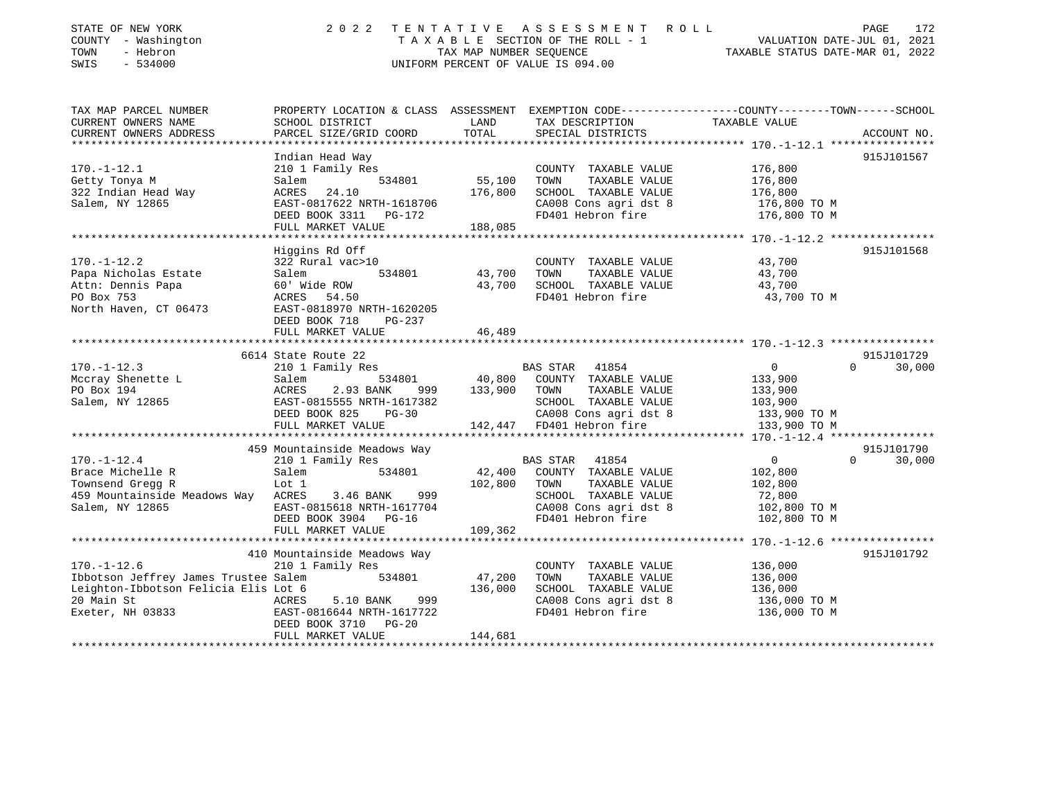| STATE OF NEW YORK<br>COUNTY - Washington<br>TOWN<br>- Hebron<br>SWIS<br>$-534000$ | 2 0 2 2                                                | TENTATIVE<br>TAX MAP NUMBER SEOUENCE | ASSESSMENT ROLL<br>TAXABLE SECTION OF THE ROLL - 1<br>UNIFORM PERCENT OF VALUE IS 094.00 | PAGE<br>VALUATION DATE-JUL 01, 2021<br>TAXABLE STATUS DATE-MAR 01, 2022                                           | 172 |
|-----------------------------------------------------------------------------------|--------------------------------------------------------|--------------------------------------|------------------------------------------------------------------------------------------|-------------------------------------------------------------------------------------------------------------------|-----|
| TAX MAP PARCEL NUMBER<br>CURRENT OWNERS NAME                                      | SCHOOL DISTRICT                                        | LAND                                 | TAX DESCRIPTION                                                                          | PROPERTY LOCATION & CLASS ASSESSMENT EXEMPTION CODE----------------COUNTY-------TOWN------SCHOOL<br>TAXABLE VALUE |     |
| CURRENT OWNERS ADDRESS                                                            | PARCEL SIZE/GRID COORD                                 | TOTAL                                | SPECIAL DISTRICTS                                                                        | ACCOUNT NO.                                                                                                       |     |
|                                                                                   |                                                        |                                      |                                                                                          |                                                                                                                   |     |
|                                                                                   | Indian Head Way                                        |                                      |                                                                                          | 915J101567                                                                                                        |     |
| $170. - 1 - 12.1$                                                                 | 210 1 Family Res                                       |                                      | COUNTY TAXABLE VALUE                                                                     | 176,800                                                                                                           |     |
| Getty Tonya M                                                                     | 534801<br>Salem                                        | 55,100                               | TOWN<br>TAXABLE VALUE                                                                    | 176,800                                                                                                           |     |
| 322 Indian Head Way                                                               | ACRES<br>24.10                                         | 176,800                              | SCHOOL TAXABLE VALUE                                                                     | 176,800                                                                                                           |     |
| Salem, NY 12865                                                                   | EAST-0817622 NRTH-1618706                              |                                      | CA008 Cons agri dst 8                                                                    | 176,800 TO M                                                                                                      |     |
|                                                                                   | DEED BOOK 3311 PG-172<br>FULL MARKET VALUE             | 188,085                              | FD401 Hebron fire                                                                        | 176,800 TO M                                                                                                      |     |
|                                                                                   |                                                        |                                      |                                                                                          |                                                                                                                   |     |
|                                                                                   | Higgins Rd Off                                         |                                      |                                                                                          | 915J101568                                                                                                        |     |
| $170. - 1 - 12.2$                                                                 | 322 Rural vac>10                                       |                                      | COUNTY TAXABLE VALUE                                                                     | 43,700                                                                                                            |     |
| Papa Nicholas Estate                                                              | 534801<br>Salem                                        | 43,700                               | TOWN<br>TAXABLE VALUE                                                                    | 43,700                                                                                                            |     |
| Attn: Dennis Papa                                                                 | 60' Wide ROW                                           | 43,700                               | SCHOOL TAXABLE VALUE                                                                     | 43,700                                                                                                            |     |
| PO Box 753                                                                        | ACRES 54.50                                            |                                      | FD401 Hebron fire                                                                        | 43,700 TO M                                                                                                       |     |
| North Haven, CT 06473                                                             | EAST-0818970 NRTH-1620205                              |                                      |                                                                                          |                                                                                                                   |     |
|                                                                                   | DEED BOOK 718<br>PG-237                                |                                      |                                                                                          |                                                                                                                   |     |
|                                                                                   | FULL MARKET VALUE                                      | 46,489                               |                                                                                          |                                                                                                                   |     |
|                                                                                   | 6614 State Route 22                                    |                                      |                                                                                          | 915J101729                                                                                                        |     |
| $170. - 1 - 12.3$                                                                 | 210 1 Family Res                                       |                                      | BAS STAR 41854                                                                           | $\overline{0}$<br>$\Omega$<br>30,000                                                                              |     |
| Mccray Shenette L                                                                 | Salem<br>534801                                        | 40,800                               | COUNTY TAXABLE VALUE                                                                     | 133,900                                                                                                           |     |
| PO Box 194                                                                        | 2.93 BANK<br>ACRES<br>999                              | 133,900                              | TOWN<br>TAXABLE VALUE                                                                    | 133,900                                                                                                           |     |
| Salem, NY 12865                                                                   | EAST-0815555 NRTH-1617382                              |                                      | SCHOOL TAXABLE VALUE                                                                     | 103,900                                                                                                           |     |
|                                                                                   | DEED BOOK 825<br>$PG-30$                               |                                      | CA008 Cons agri dst 8                                                                    | 133,900 TO M                                                                                                      |     |
|                                                                                   | FULL MARKET VALUE                                      |                                      | 142,447 FD401 Hebron fire                                                                | 133,900 TO M                                                                                                      |     |
|                                                                                   |                                                        |                                      |                                                                                          |                                                                                                                   |     |
|                                                                                   | 459 Mountainside Meadows Way                           |                                      |                                                                                          | 915J101790<br>$\Omega$                                                                                            |     |
| $170. - 1 - 12.4$<br>Brace Michelle R                                             | 210 1 Family Res<br>534801<br>Salem                    | 42,400                               | 41854<br>BAS STAR<br>COUNTY TAXABLE VALUE                                                | $\overline{0}$<br>30,000<br>102,800                                                                               |     |
| Townsend Gregg R                                                                  | Lot 1                                                  | 102,800                              | TAXABLE VALUE<br>TOWN                                                                    | 102,800                                                                                                           |     |
| 459 Mountainside Meadows Way ACRES                                                | 3.46 BANK<br>999                                       |                                      | SCHOOL TAXABLE VALUE                                                                     | 72,800                                                                                                            |     |
| Salem, NY 12865                                                                   | EAST-0815618 NRTH-1617704                              |                                      | CA008 Cons agri dst 8                                                                    | 102,800 TO M                                                                                                      |     |
|                                                                                   | DEED BOOK 3904 PG-16                                   |                                      | FD401 Hebron fire                                                                        | 102,800 TO M                                                                                                      |     |
|                                                                                   | FULL MARKET VALUE                                      | 109,362                              |                                                                                          |                                                                                                                   |     |
|                                                                                   | **********************                                 |                                      |                                                                                          |                                                                                                                   |     |
|                                                                                   | 410 Mountainside Meadows Way                           |                                      |                                                                                          | 915J101792                                                                                                        |     |
| $170. - 1 - 12.6$                                                                 | 210 1 Family Res                                       |                                      | COUNTY TAXABLE VALUE                                                                     | 136,000                                                                                                           |     |
| Ibbotson Jeffrey James Trustee Salem                                              | 534801                                                 | 47,200                               | TOWN<br>TAXABLE VALUE                                                                    | 136,000                                                                                                           |     |
| Leighton-Ibbotson Felicia Elis Lot 6                                              |                                                        | 136,000                              | SCHOOL TAXABLE VALUE                                                                     | 136,000                                                                                                           |     |
| 20 Main St<br>Exeter, NH 03833                                                    | ACRES<br>5.10 BANK<br>999<br>EAST-0816644 NRTH-1617722 |                                      | CA008 Cons agri dst 8<br>FD401 Hebron fire                                               | 136,000 TO M<br>136,000 ТО М                                                                                      |     |
|                                                                                   | $PG-20$<br>DEED BOOK 3710                              |                                      |                                                                                          |                                                                                                                   |     |
|                                                                                   | FULL MARKET VALUE                                      | 144,681                              |                                                                                          |                                                                                                                   |     |
|                                                                                   |                                                        |                                      |                                                                                          |                                                                                                                   |     |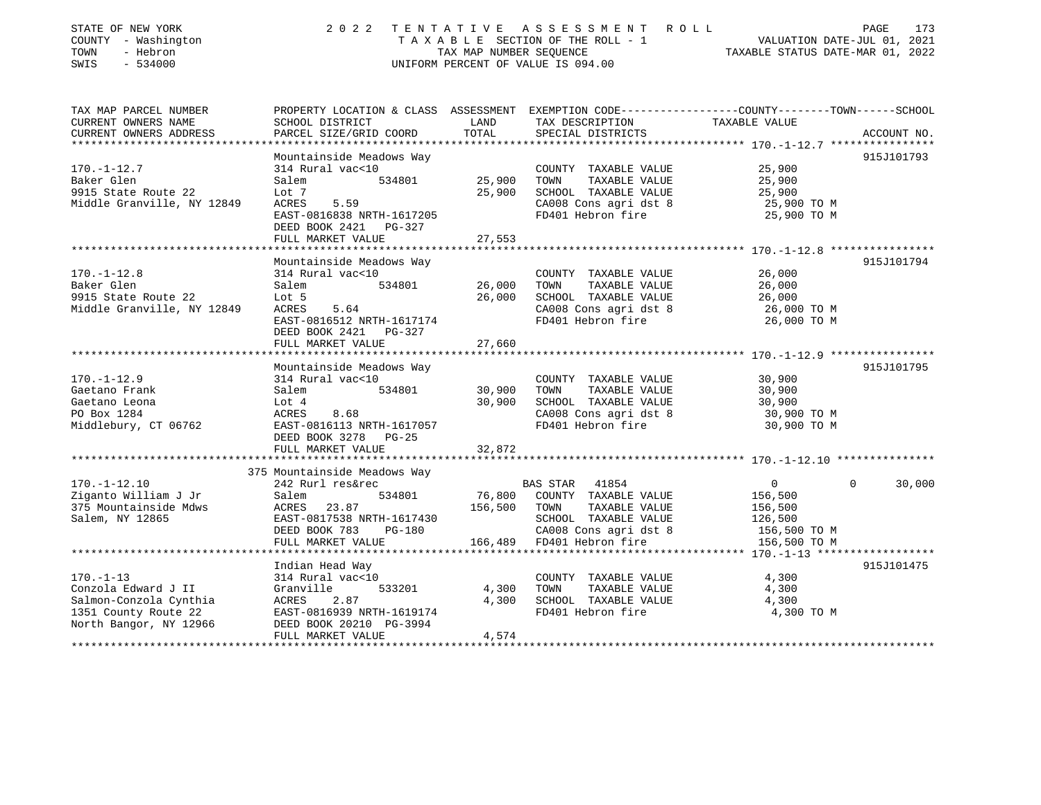| STATE OF NEW YORK<br>COUNTY - Washington<br>TOWN<br>- Hebron<br>SWIS<br>$-534000$                                  | 2 0 2 2                                                                                                                                      | TAX MAP NUMBER SEOUENCE | TENTATIVE ASSESSMENT<br>ROLL<br>T A X A B L E SECTION OF THE ROLL - 1<br>UNIFORM PERCENT OF VALUE IS 094.00         | VALUATION DATE-JUL 01, 2021<br>TAXABLE STATUS DATE-MAR 01, 2022 | PAGE<br>173        |
|--------------------------------------------------------------------------------------------------------------------|----------------------------------------------------------------------------------------------------------------------------------------------|-------------------------|---------------------------------------------------------------------------------------------------------------------|-----------------------------------------------------------------|--------------------|
| TAX MAP PARCEL NUMBER<br>CURRENT OWNERS NAME<br>CURRENT OWNERS ADDRESS                                             | PROPERTY LOCATION & CLASS ASSESSMENT EXEMPTION CODE---------------COUNTY-------TOWN------SCHOOL<br>SCHOOL DISTRICT<br>PARCEL SIZE/GRID COORD | LAND<br>TOTAL           | TAX DESCRIPTION<br>SPECIAL DISTRICTS                                                                                | TAXABLE VALUE                                                   | ACCOUNT NO.        |
| ***********************                                                                                            | ************************                                                                                                                     |                         |                                                                                                                     |                                                                 |                    |
| $170. - 1 - 12.7$<br>Baker Glen<br>9915 State Route 22<br>Middle Granville, NY 12849                               | Mountainside Meadows Way<br>314 Rural vac<10<br>Salem<br>534801<br>Lot 7<br>ACRES<br>5.59<br>EAST-0816838 NRTH-1617205                       | 25,900<br>25,900        | COUNTY TAXABLE VALUE<br>TAXABLE VALUE<br>TOWN<br>SCHOOL TAXABLE VALUE<br>CA008 Cons agri dst 8<br>FD401 Hebron fire | 25,900<br>25,900<br>25,900<br>25,900 TO M<br>25,900 TO M        | 915J101793         |
|                                                                                                                    | DEED BOOK 2421<br>PG-327<br>FULL MARKET VALUE                                                                                                | 27,553                  |                                                                                                                     |                                                                 |                    |
|                                                                                                                    | ***********************                                                                                                                      |                         |                                                                                                                     |                                                                 |                    |
| $170. - 1 - 12.8$<br>Baker Glen                                                                                    | Mountainside Meadows Way<br>314 Rural vac<10<br>534801<br>Salem                                                                              | 26,000                  | COUNTY TAXABLE VALUE<br>TAXABLE VALUE<br>TOWN                                                                       | 26,000<br>26,000                                                | 915J101794         |
| 9915 State Route 22<br>Middle Granville, NY 12849                                                                  | Lot 5<br>ACRES<br>5.64<br>EAST-0816512 NRTH-1617174<br>DEED BOOK 2421<br>$PG-327$                                                            | 26,000                  | SCHOOL TAXABLE VALUE<br>CA008 Cons agri dst 8<br>FD401 Hebron fire                                                  | 26,000<br>26,000 TO M<br>26,000 TO M                            |                    |
|                                                                                                                    | FULL MARKET VALUE                                                                                                                            | 27,660                  |                                                                                                                     |                                                                 |                    |
|                                                                                                                    |                                                                                                                                              |                         |                                                                                                                     |                                                                 |                    |
| $170. - 1 - 12.9$                                                                                                  | Mountainside Meadows Way<br>314 Rural vac<10                                                                                                 |                         | COUNTY TAXABLE VALUE                                                                                                | 30,900                                                          | 915J101795         |
| Gaetano Frank                                                                                                      | 534801<br>Salem                                                                                                                              | 30,900                  | TOWN<br>TAXABLE VALUE                                                                                               | 30,900                                                          |                    |
| Gaetano Leona                                                                                                      | Lot 4                                                                                                                                        | 30,900                  | SCHOOL TAXABLE VALUE                                                                                                | 30,900                                                          |                    |
| PO Box 1284                                                                                                        | 8.68<br>ACRES                                                                                                                                |                         | CA008 Cons agri dst 8                                                                                               | 30,900 TO M                                                     |                    |
| Middlebury, CT 06762                                                                                               | EAST-0816113 NRTH-1617057<br>DEED BOOK 3278<br>$PG-25$                                                                                       |                         | FD401 Hebron fire                                                                                                   | 30,900 TO M                                                     |                    |
|                                                                                                                    | FULL MARKET VALUE                                                                                                                            | 32,872                  |                                                                                                                     |                                                                 |                    |
|                                                                                                                    | 375 Mountainside Meadows Way                                                                                                                 |                         |                                                                                                                     |                                                                 |                    |
| $170. - 1 - 12.10$                                                                                                 | 242 Rurl res&rec                                                                                                                             |                         | <b>BAS STAR</b><br>41854                                                                                            | $\overline{0}$                                                  | $\Omega$<br>30,000 |
| Ziganto William J Jr<br>375 Mountainside Mdws<br>Salem, NY 12865                                                   | Salem<br>534801<br>23.87<br>ACRES<br>EAST-0817538 NRTH-1617430<br>DEED BOOK 783<br><b>PG-180</b>                                             | 76,800<br>156,500       | COUNTY TAXABLE VALUE<br>TOWN<br>TAXABLE VALUE<br>SCHOOL TAXABLE VALUE<br>CA008 Cons agri dst 8                      | 156,500<br>156,500<br>126,500<br>156,500 TO M                   |                    |
|                                                                                                                    | FULL MARKET VALUE                                                                                                                            | 166,489                 | FD401 Hebron fire                                                                                                   | 156,500 TO M<br>********* 170.-1-13 ******************          |                    |
|                                                                                                                    | Indian Head Way                                                                                                                              |                         |                                                                                                                     |                                                                 | 915J101475         |
| $170. - 1 - 13$<br>Conzola Edward J II<br>Salmon-Conzola Cynthia<br>1351 County Route 22<br>North Bangor, NY 12966 | 314 Rural vac<10<br>Granville<br>533201<br>2.87<br>ACRES<br>EAST-0816939 NRTH-1619174<br>DEED BOOK 20210 PG-3994                             | 4,300<br>4,300          | COUNTY TAXABLE VALUE<br>TOWN<br>TAXABLE VALUE<br>SCHOOL TAXABLE VALUE<br>FD401 Hebron fire                          | 4,300<br>4,300<br>4,300<br>4,300 TO M                           |                    |
|                                                                                                                    | FULL MARKET VALUE                                                                                                                            | 4,574                   |                                                                                                                     |                                                                 |                    |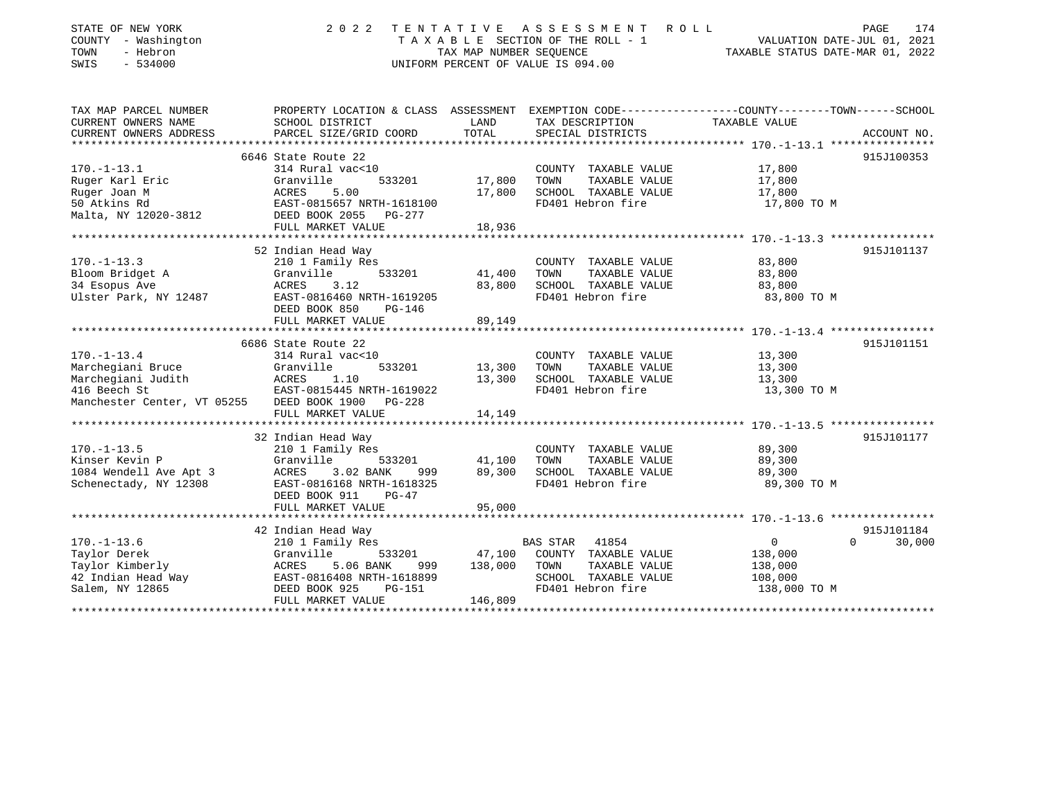| STATE OF NEW YORK<br>COUNTY - Washington<br>TOWN<br>- Hebron<br>$-534000$<br>SWIS | 2 0 2 2                                    | TAX MAP NUMBER SEOUENCE | TENTATIVE ASSESSMENT<br>R O L L<br>TAXABLE SECTION OF THE ROLL - 1<br>UNIFORM PERCENT OF VALUE IS 094.00 | 174<br>PAGE<br>VALUATION DATE-JUL 01, 2021<br>TAXABLE STATUS DATE-MAR 01, 2022                  |
|-----------------------------------------------------------------------------------|--------------------------------------------|-------------------------|----------------------------------------------------------------------------------------------------------|-------------------------------------------------------------------------------------------------|
| TAX MAP PARCEL NUMBER                                                             |                                            |                         |                                                                                                          | PROPERTY LOCATION & CLASS ASSESSMENT EXEMPTION CODE---------------COUNTY-------TOWN------SCHOOL |
| CURRENT OWNERS NAME                                                               | SCHOOL DISTRICT                            | LAND                    | TAX DESCRIPTION                                                                                          | TAXABLE VALUE                                                                                   |
| CURRENT OWNERS ADDRESS                                                            | PARCEL SIZE/GRID COORD                     | TOTAL                   | SPECIAL DISTRICTS                                                                                        | ACCOUNT NO.                                                                                     |
|                                                                                   |                                            |                         |                                                                                                          |                                                                                                 |
|                                                                                   | 6646 State Route 22                        |                         |                                                                                                          | 915J100353                                                                                      |
| $170. - 1 - 13.1$                                                                 | 314 Rural vac<10                           |                         | COUNTY TAXABLE VALUE                                                                                     | 17,800                                                                                          |
| Ruger Karl Eric                                                                   | Granville<br>533201                        | 17,800                  | TOWN<br>TAXABLE VALUE                                                                                    | 17,800                                                                                          |
| Ruger Joan M                                                                      | ACRES<br>5.00                              | 17,800                  | SCHOOL TAXABLE VALUE                                                                                     | 17,800                                                                                          |
| 50 Atkins Rd                                                                      | EAST-0815657 NRTH-1618100                  |                         | FD401 Hebron fire                                                                                        | 17,800 TO M                                                                                     |
| Malta, NY 12020-3812                                                              | DEED BOOK 2055<br>PG-277                   |                         |                                                                                                          |                                                                                                 |
|                                                                                   | FULL MARKET VALUE                          | 18,936                  |                                                                                                          |                                                                                                 |
|                                                                                   |                                            |                         |                                                                                                          |                                                                                                 |
|                                                                                   | 52 Indian Head Way                         |                         |                                                                                                          | 915J101137                                                                                      |
| $170. - 1 - 13.3$                                                                 | 210 1 Family Res                           |                         | COUNTY TAXABLE VALUE                                                                                     | 83,800                                                                                          |
| Bloom Bridget A                                                                   | Granville<br>533201                        | 41,400                  | TOWN<br>TAXABLE VALUE                                                                                    | 83,800                                                                                          |
| 34 Esopus Ave                                                                     | ACRES<br>3.12<br>EAST-0816460 NRTH-1619205 | 83,800                  | SCHOOL TAXABLE VALUE<br>FD401 Hebron fire                                                                | 83,800                                                                                          |
| Ulster Park, NY 12487                                                             | DEED BOOK 850<br>PG-146                    |                         |                                                                                                          | 83,800 TO M                                                                                     |
|                                                                                   | FULL MARKET VALUE                          | 89,149                  |                                                                                                          |                                                                                                 |
|                                                                                   |                                            |                         |                                                                                                          |                                                                                                 |
|                                                                                   | 6686 State Route 22                        |                         |                                                                                                          | 915J101151                                                                                      |
| $170. - 1 - 13.4$                                                                 | 314 Rural vac<10                           |                         | COUNTY TAXABLE VALUE                                                                                     | 13,300                                                                                          |
| Marchegiani Bruce                                                                 | Granville<br>533201                        | 13,300                  | TOWN<br>TAXABLE VALUE                                                                                    | 13,300                                                                                          |
| Marchegiani Judith                                                                | ACRES<br>1.10                              | 13,300                  | SCHOOL TAXABLE VALUE                                                                                     | 13,300                                                                                          |
| 416 Beech St                                                                      | EAST-0815445 NRTH-1619022                  |                         | FD401 Hebron fire                                                                                        | 13,300 TO M                                                                                     |
| Manchester Center, VT 05255                                                       | DEED BOOK 1900<br>PG-228                   |                         |                                                                                                          |                                                                                                 |
|                                                                                   | FULL MARKET VALUE                          | 14,149                  |                                                                                                          |                                                                                                 |
|                                                                                   |                                            |                         |                                                                                                          |                                                                                                 |
|                                                                                   | 32 Indian Head Way                         |                         |                                                                                                          | 915J101177                                                                                      |
| $170. - 1 - 13.5$                                                                 | 210 1 Family Res                           |                         | COUNTY TAXABLE VALUE                                                                                     | 89,300                                                                                          |
| Kinser Kevin P                                                                    | Granville<br>533201                        | 41,100                  | TOWN<br>TAXABLE VALUE                                                                                    | 89,300                                                                                          |
| 1084 Wendell Ave Apt 3                                                            | 3.02 BANK<br>ACRES<br>999                  | 89,300                  | SCHOOL TAXABLE VALUE                                                                                     | 89,300                                                                                          |
| Schenectady, NY 12308                                                             | EAST-0816168 NRTH-1618325                  |                         | FD401 Hebron fire                                                                                        | 89,300 TO M                                                                                     |
|                                                                                   | DEED BOOK 911<br>$PG-47$                   |                         |                                                                                                          |                                                                                                 |
|                                                                                   | FULL MARKET VALUE                          | 95,000                  |                                                                                                          |                                                                                                 |
|                                                                                   |                                            |                         |                                                                                                          |                                                                                                 |
|                                                                                   | 42 Indian Head Way                         |                         |                                                                                                          | 915J101184                                                                                      |
| $170. - 1 - 13.6$                                                                 | 210 1 Family Res                           |                         | <b>BAS STAR</b><br>41854                                                                                 | $\overline{0}$<br>$\Omega$<br>30,000                                                            |
| Taylor Derek                                                                      | Granville<br>533201                        | 47,100                  | COUNTY TAXABLE VALUE                                                                                     | 138,000                                                                                         |
| Taylor Kimberly                                                                   | 5.06 BANK<br>ACRES<br>999                  | 138,000                 | TOWN<br>TAXABLE VALUE                                                                                    | 138,000                                                                                         |
| 42 Indian Head Way                                                                | EAST-0816408 NRTH-1618899                  |                         | SCHOOL TAXABLE VALUE                                                                                     | 108,000                                                                                         |
| Salem, NY 12865                                                                   | DEED BOOK 925<br>PG-151                    |                         | FD401 Hebron fire                                                                                        | 138,000 TO M                                                                                    |
|                                                                                   | FIILL MARKET VALUE                         | 146 809                 |                                                                                                          |                                                                                                 |

FULL MARKET VALUE 146,809 \*\*\*\*\*\*\*\*\*\*\*\*\*\*\*\*\*\*\*\*\*\*\*\*\*\*\*\*\*\*\*\*\*\*\*\*\*\*\*\*\*\*\*\*\*\*\*\*\*\*\*\*\*\*\*\*\*\*\*\*\*\*\*\*\*\*\*\*\*\*\*\*\*\*\*\*\*\*\*\*\*\*\*\*\*\*\*\*\*\*\*\*\*\*\*\*\*\*\*\*\*\*\*\*\*\*\*\*\*\*\*\*\*\*\*\*\*\*\*\*\*\*\*\*\*\*\*\*\*\*\*\*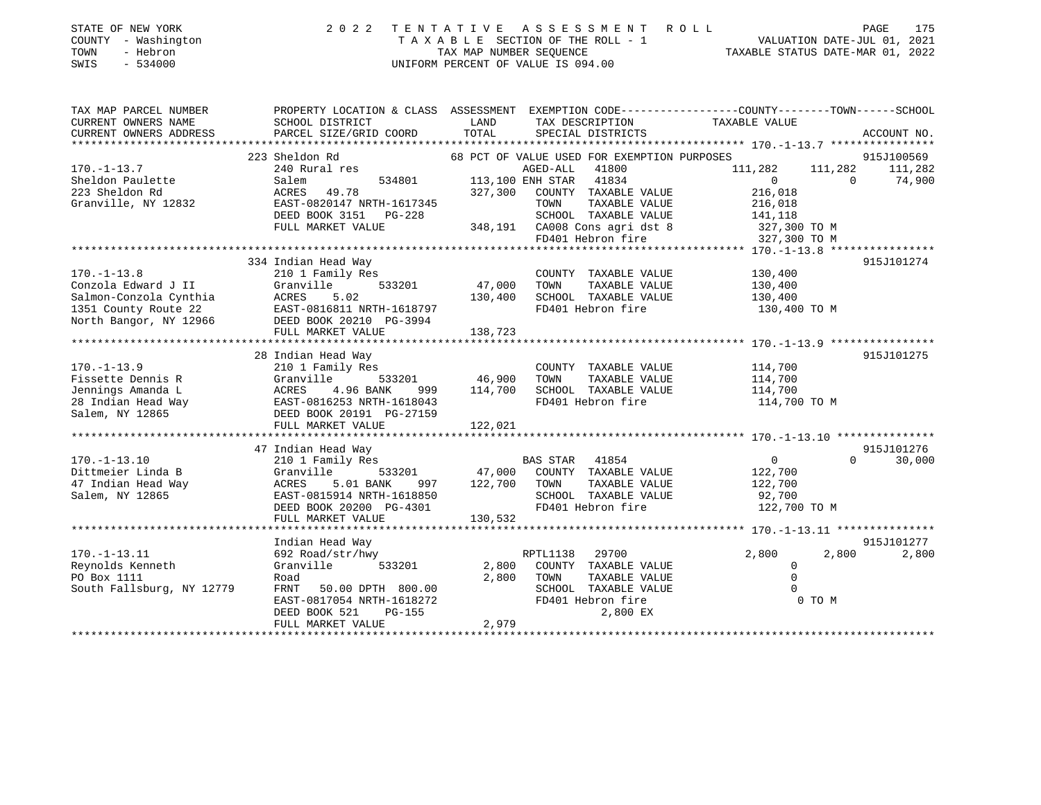| PROPERTY LOCATION & CLASS ASSESSMENT EXEMPTION CODE---------------COUNTY-------TOWN-----SCHOOL<br>CURRENT OWNERS NAME<br>SCHOOL DISTRICT<br>LAND<br>TAX DESCRIPTION<br>TAXABLE VALUE<br>TOTAL<br>CURRENT OWNERS ADDRESS<br>PARCEL SIZE/GRID COORD<br>SPECIAL DISTRICTS<br>ACCOUNT NO.<br>915J100569<br>223 Sheldon Rd<br>68 PCT OF VALUE USED FOR EXEMPTION PURPOSES<br>240 Rural res<br>AGED-ALL 41800<br>111,282<br>111,282<br>111,282<br>113,100 ENH STAR 41834<br>534801<br>$\Omega$<br>$\Omega$<br>74,900<br>Salem<br>223 Sheldon Rd<br>327,300<br>ACRES<br>49.78<br>COUNTY TAXABLE VALUE<br>216,018<br>Granville, NY 12832<br>EAST-0820147 NRTH-1617345<br>TOWN<br>TAXABLE VALUE<br>216,018<br>DEED BOOK 3151<br>SCHOOL TAXABLE VALUE<br>$PG-228$<br>141,118<br>FULL MARKET VALUE<br>348,191 CA008 Cons agri dst 8<br>327,300 TO M<br>FD401 Hebron fire<br>327,300 TO M<br>334 Indian Head Way<br>915J101274<br>$170. - 1 - 13.8$<br>210 1 Family Res<br>COUNTY TAXABLE VALUE<br>130,400<br>47,000<br>Conzola Edward J II<br>Granville<br>533201<br>TOWN<br>TAXABLE VALUE<br>130,400<br>5.02<br>Salmon-Conzola Cynthia<br>ACRES<br>130,400<br>SCHOOL TAXABLE VALUE<br>130,400<br>FD401 Hebron fire<br>1351 County Route 22<br>EAST-0816811 NRTH-1618797<br>130,400 TO M<br>North Bangor, NY 12966<br>DEED BOOK 20210 PG-3994<br>FULL MARKET VALUE<br>138,723<br>********************<br>*********<br>********** 170.-1-13.9 ****************<br>28 Indian Head Way<br>915J101275<br>114,700<br>210 1 Family Res<br>COUNTY TAXABLE VALUE<br>Granville<br>533201<br>46,900<br>TOWN<br>TAXABLE VALUE<br>114,700<br>ACRES<br>4.96 BANK<br>114,700<br>SCHOOL TAXABLE VALUE<br>114,700<br>999<br>114,700 TO M<br>EAST-0816253 NRTH-1618043<br>FD401 Hebron fire<br>Salem, NY 12865<br>DEED BOOK 20191 PG-27159<br>FULL MARKET VALUE<br>122,021<br>47 Indian Head Way<br>915J101276<br>$170. - 1 - 13.10$<br>210 1 Family Res<br>BAS STAR<br>41854<br>$\circ$<br>$\Omega$<br>30,000<br>Dittmeier Linda B<br>47,000<br>Granville<br>533201<br>COUNTY TAXABLE VALUE<br>122,700<br>122,700<br>47 Indian Head Way<br>ACRES<br>5.01 BANK<br>997<br>TOWN<br>TAXABLE VALUE<br>122,700<br>Salem, NY 12865<br>SCHOOL TAXABLE VALUE<br>EAST-0815914 NRTH-1618850<br>92,700<br>FD401 Hebron fire<br>DEED BOOK 20200 PG-4301<br>122,700 TO M<br>FULL MARKET VALUE<br>130,532<br>************************<br>Indian Head Way<br>915J101277<br>$170. - 1 - 13.11$<br>RPTL1138<br>29700<br>2,800<br>2,800<br>2,800<br>692 Road/str/hwy<br>Reynolds Kenneth<br>Granville<br>533201<br>2,800<br>COUNTY TAXABLE VALUE<br>$\circ$<br>2,800<br>TOWN<br>TAXABLE VALUE<br>$\Omega$<br>Road<br>SCHOOL TAXABLE VALUE<br><b>FRNT</b><br>50.00 DPTH 800.00<br>EAST-0817054 NRTH-1618272<br>FD401 Hebron fire<br>0 TO M<br>2,800 EX<br>DEED BOOK 521<br><b>PG-155</b> | STATE OF NEW YORK<br>COUNTY - Washington<br>- Hebron<br>TOWN<br>$-534000$<br>SWIS | 2 0 2 2           | TAX MAP NUMBER SEOUENCE | TENTATIVE ASSESSMENT ROLL<br>TAXABLE SECTION OF THE ROLL - 1<br>UNIFORM PERCENT OF VALUE IS 094.00 | VALUATION DATE-JUL 01, 2021<br>TAXABLE STATUS DATE-MAR 01, 2022 | PAGE<br>175 |
|-------------------------------------------------------------------------------------------------------------------------------------------------------------------------------------------------------------------------------------------------------------------------------------------------------------------------------------------------------------------------------------------------------------------------------------------------------------------------------------------------------------------------------------------------------------------------------------------------------------------------------------------------------------------------------------------------------------------------------------------------------------------------------------------------------------------------------------------------------------------------------------------------------------------------------------------------------------------------------------------------------------------------------------------------------------------------------------------------------------------------------------------------------------------------------------------------------------------------------------------------------------------------------------------------------------------------------------------------------------------------------------------------------------------------------------------------------------------------------------------------------------------------------------------------------------------------------------------------------------------------------------------------------------------------------------------------------------------------------------------------------------------------------------------------------------------------------------------------------------------------------------------------------------------------------------------------------------------------------------------------------------------------------------------------------------------------------------------------------------------------------------------------------------------------------------------------------------------------------------------------------------------------------------------------------------------------------------------------------------------------------------------------------------------------------------------------------------------------------------------------------------------------------------------------------------------------------------------------------------------------------------------------------------------------------------------------------------------------------------------------------------------------------------------------------------------------------------------|-----------------------------------------------------------------------------------|-------------------|-------------------------|----------------------------------------------------------------------------------------------------|-----------------------------------------------------------------|-------------|
|                                                                                                                                                                                                                                                                                                                                                                                                                                                                                                                                                                                                                                                                                                                                                                                                                                                                                                                                                                                                                                                                                                                                                                                                                                                                                                                                                                                                                                                                                                                                                                                                                                                                                                                                                                                                                                                                                                                                                                                                                                                                                                                                                                                                                                                                                                                                                                                                                                                                                                                                                                                                                                                                                                                                                                                                                                           | TAX MAP PARCEL NUMBER                                                             |                   |                         |                                                                                                    |                                                                 |             |
|                                                                                                                                                                                                                                                                                                                                                                                                                                                                                                                                                                                                                                                                                                                                                                                                                                                                                                                                                                                                                                                                                                                                                                                                                                                                                                                                                                                                                                                                                                                                                                                                                                                                                                                                                                                                                                                                                                                                                                                                                                                                                                                                                                                                                                                                                                                                                                                                                                                                                                                                                                                                                                                                                                                                                                                                                                           |                                                                                   |                   |                         |                                                                                                    |                                                                 |             |
|                                                                                                                                                                                                                                                                                                                                                                                                                                                                                                                                                                                                                                                                                                                                                                                                                                                                                                                                                                                                                                                                                                                                                                                                                                                                                                                                                                                                                                                                                                                                                                                                                                                                                                                                                                                                                                                                                                                                                                                                                                                                                                                                                                                                                                                                                                                                                                                                                                                                                                                                                                                                                                                                                                                                                                                                                                           |                                                                                   |                   |                         |                                                                                                    |                                                                 |             |
|                                                                                                                                                                                                                                                                                                                                                                                                                                                                                                                                                                                                                                                                                                                                                                                                                                                                                                                                                                                                                                                                                                                                                                                                                                                                                                                                                                                                                                                                                                                                                                                                                                                                                                                                                                                                                                                                                                                                                                                                                                                                                                                                                                                                                                                                                                                                                                                                                                                                                                                                                                                                                                                                                                                                                                                                                                           |                                                                                   |                   |                         |                                                                                                    |                                                                 |             |
|                                                                                                                                                                                                                                                                                                                                                                                                                                                                                                                                                                                                                                                                                                                                                                                                                                                                                                                                                                                                                                                                                                                                                                                                                                                                                                                                                                                                                                                                                                                                                                                                                                                                                                                                                                                                                                                                                                                                                                                                                                                                                                                                                                                                                                                                                                                                                                                                                                                                                                                                                                                                                                                                                                                                                                                                                                           | $170. - 1 - 13.7$                                                                 |                   |                         |                                                                                                    |                                                                 |             |
|                                                                                                                                                                                                                                                                                                                                                                                                                                                                                                                                                                                                                                                                                                                                                                                                                                                                                                                                                                                                                                                                                                                                                                                                                                                                                                                                                                                                                                                                                                                                                                                                                                                                                                                                                                                                                                                                                                                                                                                                                                                                                                                                                                                                                                                                                                                                                                                                                                                                                                                                                                                                                                                                                                                                                                                                                                           | Sheldon Paulette                                                                  |                   |                         |                                                                                                    |                                                                 |             |
|                                                                                                                                                                                                                                                                                                                                                                                                                                                                                                                                                                                                                                                                                                                                                                                                                                                                                                                                                                                                                                                                                                                                                                                                                                                                                                                                                                                                                                                                                                                                                                                                                                                                                                                                                                                                                                                                                                                                                                                                                                                                                                                                                                                                                                                                                                                                                                                                                                                                                                                                                                                                                                                                                                                                                                                                                                           |                                                                                   |                   |                         |                                                                                                    |                                                                 |             |
|                                                                                                                                                                                                                                                                                                                                                                                                                                                                                                                                                                                                                                                                                                                                                                                                                                                                                                                                                                                                                                                                                                                                                                                                                                                                                                                                                                                                                                                                                                                                                                                                                                                                                                                                                                                                                                                                                                                                                                                                                                                                                                                                                                                                                                                                                                                                                                                                                                                                                                                                                                                                                                                                                                                                                                                                                                           |                                                                                   |                   |                         |                                                                                                    |                                                                 |             |
|                                                                                                                                                                                                                                                                                                                                                                                                                                                                                                                                                                                                                                                                                                                                                                                                                                                                                                                                                                                                                                                                                                                                                                                                                                                                                                                                                                                                                                                                                                                                                                                                                                                                                                                                                                                                                                                                                                                                                                                                                                                                                                                                                                                                                                                                                                                                                                                                                                                                                                                                                                                                                                                                                                                                                                                                                                           |                                                                                   |                   |                         |                                                                                                    |                                                                 |             |
|                                                                                                                                                                                                                                                                                                                                                                                                                                                                                                                                                                                                                                                                                                                                                                                                                                                                                                                                                                                                                                                                                                                                                                                                                                                                                                                                                                                                                                                                                                                                                                                                                                                                                                                                                                                                                                                                                                                                                                                                                                                                                                                                                                                                                                                                                                                                                                                                                                                                                                                                                                                                                                                                                                                                                                                                                                           |                                                                                   |                   |                         |                                                                                                    |                                                                 |             |
|                                                                                                                                                                                                                                                                                                                                                                                                                                                                                                                                                                                                                                                                                                                                                                                                                                                                                                                                                                                                                                                                                                                                                                                                                                                                                                                                                                                                                                                                                                                                                                                                                                                                                                                                                                                                                                                                                                                                                                                                                                                                                                                                                                                                                                                                                                                                                                                                                                                                                                                                                                                                                                                                                                                                                                                                                                           |                                                                                   |                   |                         |                                                                                                    |                                                                 |             |
|                                                                                                                                                                                                                                                                                                                                                                                                                                                                                                                                                                                                                                                                                                                                                                                                                                                                                                                                                                                                                                                                                                                                                                                                                                                                                                                                                                                                                                                                                                                                                                                                                                                                                                                                                                                                                                                                                                                                                                                                                                                                                                                                                                                                                                                                                                                                                                                                                                                                                                                                                                                                                                                                                                                                                                                                                                           |                                                                                   |                   |                         |                                                                                                    |                                                                 |             |
|                                                                                                                                                                                                                                                                                                                                                                                                                                                                                                                                                                                                                                                                                                                                                                                                                                                                                                                                                                                                                                                                                                                                                                                                                                                                                                                                                                                                                                                                                                                                                                                                                                                                                                                                                                                                                                                                                                                                                                                                                                                                                                                                                                                                                                                                                                                                                                                                                                                                                                                                                                                                                                                                                                                                                                                                                                           |                                                                                   |                   |                         |                                                                                                    |                                                                 |             |
|                                                                                                                                                                                                                                                                                                                                                                                                                                                                                                                                                                                                                                                                                                                                                                                                                                                                                                                                                                                                                                                                                                                                                                                                                                                                                                                                                                                                                                                                                                                                                                                                                                                                                                                                                                                                                                                                                                                                                                                                                                                                                                                                                                                                                                                                                                                                                                                                                                                                                                                                                                                                                                                                                                                                                                                                                                           |                                                                                   |                   |                         |                                                                                                    |                                                                 |             |
|                                                                                                                                                                                                                                                                                                                                                                                                                                                                                                                                                                                                                                                                                                                                                                                                                                                                                                                                                                                                                                                                                                                                                                                                                                                                                                                                                                                                                                                                                                                                                                                                                                                                                                                                                                                                                                                                                                                                                                                                                                                                                                                                                                                                                                                                                                                                                                                                                                                                                                                                                                                                                                                                                                                                                                                                                                           |                                                                                   |                   |                         |                                                                                                    |                                                                 |             |
|                                                                                                                                                                                                                                                                                                                                                                                                                                                                                                                                                                                                                                                                                                                                                                                                                                                                                                                                                                                                                                                                                                                                                                                                                                                                                                                                                                                                                                                                                                                                                                                                                                                                                                                                                                                                                                                                                                                                                                                                                                                                                                                                                                                                                                                                                                                                                                                                                                                                                                                                                                                                                                                                                                                                                                                                                                           |                                                                                   |                   |                         |                                                                                                    |                                                                 |             |
|                                                                                                                                                                                                                                                                                                                                                                                                                                                                                                                                                                                                                                                                                                                                                                                                                                                                                                                                                                                                                                                                                                                                                                                                                                                                                                                                                                                                                                                                                                                                                                                                                                                                                                                                                                                                                                                                                                                                                                                                                                                                                                                                                                                                                                                                                                                                                                                                                                                                                                                                                                                                                                                                                                                                                                                                                                           |                                                                                   |                   |                         |                                                                                                    |                                                                 |             |
|                                                                                                                                                                                                                                                                                                                                                                                                                                                                                                                                                                                                                                                                                                                                                                                                                                                                                                                                                                                                                                                                                                                                                                                                                                                                                                                                                                                                                                                                                                                                                                                                                                                                                                                                                                                                                                                                                                                                                                                                                                                                                                                                                                                                                                                                                                                                                                                                                                                                                                                                                                                                                                                                                                                                                                                                                                           |                                                                                   |                   |                         |                                                                                                    |                                                                 |             |
|                                                                                                                                                                                                                                                                                                                                                                                                                                                                                                                                                                                                                                                                                                                                                                                                                                                                                                                                                                                                                                                                                                                                                                                                                                                                                                                                                                                                                                                                                                                                                                                                                                                                                                                                                                                                                                                                                                                                                                                                                                                                                                                                                                                                                                                                                                                                                                                                                                                                                                                                                                                                                                                                                                                                                                                                                                           |                                                                                   |                   |                         |                                                                                                    |                                                                 |             |
|                                                                                                                                                                                                                                                                                                                                                                                                                                                                                                                                                                                                                                                                                                                                                                                                                                                                                                                                                                                                                                                                                                                                                                                                                                                                                                                                                                                                                                                                                                                                                                                                                                                                                                                                                                                                                                                                                                                                                                                                                                                                                                                                                                                                                                                                                                                                                                                                                                                                                                                                                                                                                                                                                                                                                                                                                                           |                                                                                   |                   |                         |                                                                                                    |                                                                 |             |
|                                                                                                                                                                                                                                                                                                                                                                                                                                                                                                                                                                                                                                                                                                                                                                                                                                                                                                                                                                                                                                                                                                                                                                                                                                                                                                                                                                                                                                                                                                                                                                                                                                                                                                                                                                                                                                                                                                                                                                                                                                                                                                                                                                                                                                                                                                                                                                                                                                                                                                                                                                                                                                                                                                                                                                                                                                           | $170. - 1 - 13.9$                                                                 |                   |                         |                                                                                                    |                                                                 |             |
|                                                                                                                                                                                                                                                                                                                                                                                                                                                                                                                                                                                                                                                                                                                                                                                                                                                                                                                                                                                                                                                                                                                                                                                                                                                                                                                                                                                                                                                                                                                                                                                                                                                                                                                                                                                                                                                                                                                                                                                                                                                                                                                                                                                                                                                                                                                                                                                                                                                                                                                                                                                                                                                                                                                                                                                                                                           | Fissette Dennis R                                                                 |                   |                         |                                                                                                    |                                                                 |             |
|                                                                                                                                                                                                                                                                                                                                                                                                                                                                                                                                                                                                                                                                                                                                                                                                                                                                                                                                                                                                                                                                                                                                                                                                                                                                                                                                                                                                                                                                                                                                                                                                                                                                                                                                                                                                                                                                                                                                                                                                                                                                                                                                                                                                                                                                                                                                                                                                                                                                                                                                                                                                                                                                                                                                                                                                                                           | Jennings Amanda L                                                                 |                   |                         |                                                                                                    |                                                                 |             |
|                                                                                                                                                                                                                                                                                                                                                                                                                                                                                                                                                                                                                                                                                                                                                                                                                                                                                                                                                                                                                                                                                                                                                                                                                                                                                                                                                                                                                                                                                                                                                                                                                                                                                                                                                                                                                                                                                                                                                                                                                                                                                                                                                                                                                                                                                                                                                                                                                                                                                                                                                                                                                                                                                                                                                                                                                                           | 28 Indian Head Way                                                                |                   |                         |                                                                                                    |                                                                 |             |
|                                                                                                                                                                                                                                                                                                                                                                                                                                                                                                                                                                                                                                                                                                                                                                                                                                                                                                                                                                                                                                                                                                                                                                                                                                                                                                                                                                                                                                                                                                                                                                                                                                                                                                                                                                                                                                                                                                                                                                                                                                                                                                                                                                                                                                                                                                                                                                                                                                                                                                                                                                                                                                                                                                                                                                                                                                           |                                                                                   |                   |                         |                                                                                                    |                                                                 |             |
|                                                                                                                                                                                                                                                                                                                                                                                                                                                                                                                                                                                                                                                                                                                                                                                                                                                                                                                                                                                                                                                                                                                                                                                                                                                                                                                                                                                                                                                                                                                                                                                                                                                                                                                                                                                                                                                                                                                                                                                                                                                                                                                                                                                                                                                                                                                                                                                                                                                                                                                                                                                                                                                                                                                                                                                                                                           |                                                                                   |                   |                         |                                                                                                    |                                                                 |             |
|                                                                                                                                                                                                                                                                                                                                                                                                                                                                                                                                                                                                                                                                                                                                                                                                                                                                                                                                                                                                                                                                                                                                                                                                                                                                                                                                                                                                                                                                                                                                                                                                                                                                                                                                                                                                                                                                                                                                                                                                                                                                                                                                                                                                                                                                                                                                                                                                                                                                                                                                                                                                                                                                                                                                                                                                                                           |                                                                                   |                   |                         |                                                                                                    |                                                                 |             |
|                                                                                                                                                                                                                                                                                                                                                                                                                                                                                                                                                                                                                                                                                                                                                                                                                                                                                                                                                                                                                                                                                                                                                                                                                                                                                                                                                                                                                                                                                                                                                                                                                                                                                                                                                                                                                                                                                                                                                                                                                                                                                                                                                                                                                                                                                                                                                                                                                                                                                                                                                                                                                                                                                                                                                                                                                                           |                                                                                   |                   |                         |                                                                                                    |                                                                 |             |
|                                                                                                                                                                                                                                                                                                                                                                                                                                                                                                                                                                                                                                                                                                                                                                                                                                                                                                                                                                                                                                                                                                                                                                                                                                                                                                                                                                                                                                                                                                                                                                                                                                                                                                                                                                                                                                                                                                                                                                                                                                                                                                                                                                                                                                                                                                                                                                                                                                                                                                                                                                                                                                                                                                                                                                                                                                           |                                                                                   |                   |                         |                                                                                                    |                                                                 |             |
|                                                                                                                                                                                                                                                                                                                                                                                                                                                                                                                                                                                                                                                                                                                                                                                                                                                                                                                                                                                                                                                                                                                                                                                                                                                                                                                                                                                                                                                                                                                                                                                                                                                                                                                                                                                                                                                                                                                                                                                                                                                                                                                                                                                                                                                                                                                                                                                                                                                                                                                                                                                                                                                                                                                                                                                                                                           |                                                                                   |                   |                         |                                                                                                    |                                                                 |             |
|                                                                                                                                                                                                                                                                                                                                                                                                                                                                                                                                                                                                                                                                                                                                                                                                                                                                                                                                                                                                                                                                                                                                                                                                                                                                                                                                                                                                                                                                                                                                                                                                                                                                                                                                                                                                                                                                                                                                                                                                                                                                                                                                                                                                                                                                                                                                                                                                                                                                                                                                                                                                                                                                                                                                                                                                                                           |                                                                                   |                   |                         |                                                                                                    |                                                                 |             |
|                                                                                                                                                                                                                                                                                                                                                                                                                                                                                                                                                                                                                                                                                                                                                                                                                                                                                                                                                                                                                                                                                                                                                                                                                                                                                                                                                                                                                                                                                                                                                                                                                                                                                                                                                                                                                                                                                                                                                                                                                                                                                                                                                                                                                                                                                                                                                                                                                                                                                                                                                                                                                                                                                                                                                                                                                                           |                                                                                   |                   |                         |                                                                                                    |                                                                 |             |
|                                                                                                                                                                                                                                                                                                                                                                                                                                                                                                                                                                                                                                                                                                                                                                                                                                                                                                                                                                                                                                                                                                                                                                                                                                                                                                                                                                                                                                                                                                                                                                                                                                                                                                                                                                                                                                                                                                                                                                                                                                                                                                                                                                                                                                                                                                                                                                                                                                                                                                                                                                                                                                                                                                                                                                                                                                           |                                                                                   |                   |                         |                                                                                                    |                                                                 |             |
|                                                                                                                                                                                                                                                                                                                                                                                                                                                                                                                                                                                                                                                                                                                                                                                                                                                                                                                                                                                                                                                                                                                                                                                                                                                                                                                                                                                                                                                                                                                                                                                                                                                                                                                                                                                                                                                                                                                                                                                                                                                                                                                                                                                                                                                                                                                                                                                                                                                                                                                                                                                                                                                                                                                                                                                                                                           |                                                                                   |                   |                         |                                                                                                    |                                                                 |             |
|                                                                                                                                                                                                                                                                                                                                                                                                                                                                                                                                                                                                                                                                                                                                                                                                                                                                                                                                                                                                                                                                                                                                                                                                                                                                                                                                                                                                                                                                                                                                                                                                                                                                                                                                                                                                                                                                                                                                                                                                                                                                                                                                                                                                                                                                                                                                                                                                                                                                                                                                                                                                                                                                                                                                                                                                                                           |                                                                                   |                   |                         |                                                                                                    |                                                                 |             |
|                                                                                                                                                                                                                                                                                                                                                                                                                                                                                                                                                                                                                                                                                                                                                                                                                                                                                                                                                                                                                                                                                                                                                                                                                                                                                                                                                                                                                                                                                                                                                                                                                                                                                                                                                                                                                                                                                                                                                                                                                                                                                                                                                                                                                                                                                                                                                                                                                                                                                                                                                                                                                                                                                                                                                                                                                                           |                                                                                   |                   |                         |                                                                                                    |                                                                 |             |
|                                                                                                                                                                                                                                                                                                                                                                                                                                                                                                                                                                                                                                                                                                                                                                                                                                                                                                                                                                                                                                                                                                                                                                                                                                                                                                                                                                                                                                                                                                                                                                                                                                                                                                                                                                                                                                                                                                                                                                                                                                                                                                                                                                                                                                                                                                                                                                                                                                                                                                                                                                                                                                                                                                                                                                                                                                           |                                                                                   |                   |                         |                                                                                                    |                                                                 |             |
|                                                                                                                                                                                                                                                                                                                                                                                                                                                                                                                                                                                                                                                                                                                                                                                                                                                                                                                                                                                                                                                                                                                                                                                                                                                                                                                                                                                                                                                                                                                                                                                                                                                                                                                                                                                                                                                                                                                                                                                                                                                                                                                                                                                                                                                                                                                                                                                                                                                                                                                                                                                                                                                                                                                                                                                                                                           | PO Box 1111                                                                       |                   |                         |                                                                                                    |                                                                 |             |
|                                                                                                                                                                                                                                                                                                                                                                                                                                                                                                                                                                                                                                                                                                                                                                                                                                                                                                                                                                                                                                                                                                                                                                                                                                                                                                                                                                                                                                                                                                                                                                                                                                                                                                                                                                                                                                                                                                                                                                                                                                                                                                                                                                                                                                                                                                                                                                                                                                                                                                                                                                                                                                                                                                                                                                                                                                           | South Fallsburg, NY 12779                                                         |                   |                         |                                                                                                    |                                                                 |             |
|                                                                                                                                                                                                                                                                                                                                                                                                                                                                                                                                                                                                                                                                                                                                                                                                                                                                                                                                                                                                                                                                                                                                                                                                                                                                                                                                                                                                                                                                                                                                                                                                                                                                                                                                                                                                                                                                                                                                                                                                                                                                                                                                                                                                                                                                                                                                                                                                                                                                                                                                                                                                                                                                                                                                                                                                                                           |                                                                                   |                   |                         |                                                                                                    |                                                                 |             |
|                                                                                                                                                                                                                                                                                                                                                                                                                                                                                                                                                                                                                                                                                                                                                                                                                                                                                                                                                                                                                                                                                                                                                                                                                                                                                                                                                                                                                                                                                                                                                                                                                                                                                                                                                                                                                                                                                                                                                                                                                                                                                                                                                                                                                                                                                                                                                                                                                                                                                                                                                                                                                                                                                                                                                                                                                                           |                                                                                   |                   |                         |                                                                                                    |                                                                 |             |
|                                                                                                                                                                                                                                                                                                                                                                                                                                                                                                                                                                                                                                                                                                                                                                                                                                                                                                                                                                                                                                                                                                                                                                                                                                                                                                                                                                                                                                                                                                                                                                                                                                                                                                                                                                                                                                                                                                                                                                                                                                                                                                                                                                                                                                                                                                                                                                                                                                                                                                                                                                                                                                                                                                                                                                                                                                           | ************************                                                          | FULL MARKET VALUE | 2,979                   |                                                                                                    |                                                                 |             |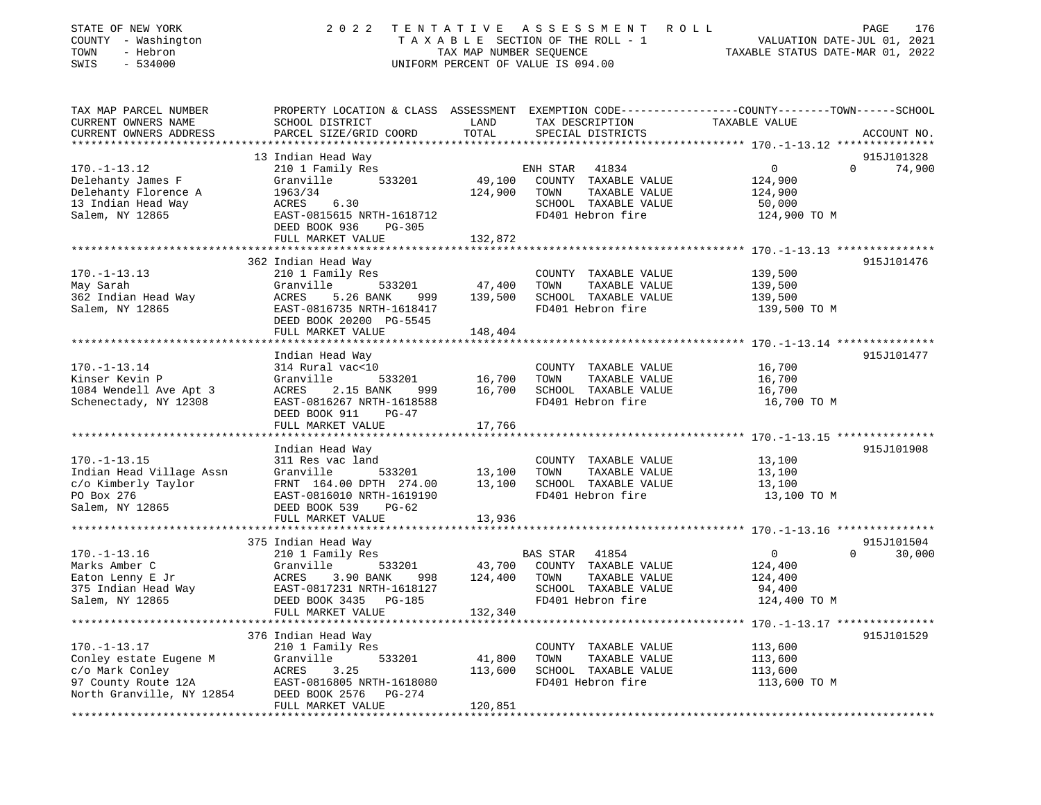| STATE OF NEW YORK<br>COUNTY - Washington<br>TOWN<br>- Hebron<br>SWIS<br>$-534000$                                                            | 2 0 2 2                                                                                                                                                                  | TAX MAP NUMBER SEQUENCE      | TENTATIVE ASSESSMENT<br>ROLL<br>TAXABLE SECTION OF THE ROLL - 1<br>UNIFORM PERCENT OF VALUE IS 094.00           | PAGE<br>176<br>VALUATION DATE-JUL 01, 2021<br>TAXABLE STATUS DATE-MAR 01, 2022                                                  |
|----------------------------------------------------------------------------------------------------------------------------------------------|--------------------------------------------------------------------------------------------------------------------------------------------------------------------------|------------------------------|-----------------------------------------------------------------------------------------------------------------|---------------------------------------------------------------------------------------------------------------------------------|
| TAX MAP PARCEL NUMBER<br>CURRENT OWNERS NAME<br>CURRENT OWNERS ADDRESS                                                                       | SCHOOL DISTRICT<br>PARCEL SIZE/GRID COORD                                                                                                                                | LAND<br>TOTAL                | TAX DESCRIPTION<br>SPECIAL DISTRICTS                                                                            | PROPERTY LOCATION & CLASS ASSESSMENT EXEMPTION CODE---------------COUNTY-------TOWN------SCHOOL<br>TAXABLE VALUE<br>ACCOUNT NO. |
| $170. - 1 - 13.12$<br>Delehanty James F<br>Delehanty Florence A<br>13 Indian Head Way<br>Salem, NY 12865                                     | 13 Indian Head Way<br>210 1 Family Res<br>533201<br>Granville<br>1963/34<br>6.30<br>ACRES<br>EAST-0815615 NRTH-1618712<br>DEED BOOK 936<br>PG-305<br>FULL MARKET VALUE   | 49,100<br>124,900<br>132,872 | ENH STAR 41834<br>COUNTY TAXABLE VALUE<br>TOWN<br>TAXABLE VALUE<br>SCHOOL TAXABLE VALUE<br>FD401 Hebron fire    | 915J101328<br>$\mathbf 0$<br>$\Omega$<br>74,900<br>124,900<br>124,900<br>50,000<br>124,900 TO M                                 |
|                                                                                                                                              |                                                                                                                                                                          |                              |                                                                                                                 |                                                                                                                                 |
| $170. - 1 - 13.13$<br>May Sarah<br>362 Indian Head Way<br>Salem, NY 12865                                                                    | 362 Indian Head Way<br>210 1 Family Res<br>Granville<br>533201<br>ACRES<br>5.26 BANK<br>999<br>EAST-0816735 NRTH-1618417<br>DEED BOOK 20200 PG-5545<br>FULL MARKET VALUE | 47,400<br>139,500<br>148,404 | COUNTY TAXABLE VALUE<br>TOWN<br>TAXABLE VALUE<br>SCHOOL TAXABLE VALUE<br>FD401 Hebron fire                      | 915J101476<br>139,500<br>139,500<br>139,500<br>139,500 TO M                                                                     |
|                                                                                                                                              |                                                                                                                                                                          |                              |                                                                                                                 |                                                                                                                                 |
| $170. - 1 - 13.14$<br>Kinser Kevin P<br>1084 Wendell Ave Apt 3<br>Schenectady, NY 12308                                                      | Indian Head Way<br>314 Rural vac<10<br>Granville<br>533201<br>ACRES<br>2.15 BANK<br>999<br>EAST-0816267 NRTH-1618588<br>DEED BOOK 911<br>PG-47<br>FULL MARKET VALUE      | 16,700<br>16,700<br>17,766   | COUNTY TAXABLE VALUE<br>TOWN<br>TAXABLE VALUE<br>SCHOOL TAXABLE VALUE<br>FD401 Hebron fire                      | 915J101477<br>16,700<br>16,700<br>16,700<br>16,700 TO M                                                                         |
|                                                                                                                                              |                                                                                                                                                                          |                              |                                                                                                                 |                                                                                                                                 |
| $170. - 1 - 13.15$<br>Indian Head Village Assn<br>c/o Kimberly Taylor<br>PO Box 276<br>Salem, NY 12865                                       | Indian Head Way<br>311 Res vac land<br>Granville<br>533201<br>FRNT 164.00 DPTH 274.00<br>EAST-0816010 NRTH-1619190<br>$PG-62$<br>DEED BOOK 539<br>FULL MARKET VALUE      | 13,100<br>13,100<br>13,936   | COUNTY TAXABLE VALUE<br>TOWN<br>TAXABLE VALUE<br>SCHOOL TAXABLE VALUE<br>FD401 Hebron fire                      | 915J101908<br>13,100<br>13,100<br>13,100<br>13,100 TO M                                                                         |
|                                                                                                                                              |                                                                                                                                                                          |                              |                                                                                                                 |                                                                                                                                 |
| $170. - 1 - 13.16$<br>Marks Amber C<br>Eaton Lenny E Jr<br>375 Indian Head Way<br>Salem, NY 12865                                            | 375 Indian Head Way<br>210 1 Family Res<br>Granville<br>533201<br>ACRES<br>3.90 BANK<br>998<br>EAST-0817231 NRTH-1618127<br>DEED BOOK 3435 PG-185<br>FULL MARKET VALUE   | 43,700<br>124,400<br>132,340 | BAS STAR<br>41854<br>COUNTY TAXABLE VALUE<br>TOWN<br>TAXABLE VALUE<br>SCHOOL TAXABLE VALUE<br>FD401 Hebron fire | 915J101504<br>$\mathsf{O}$<br>$\Omega$<br>30,000<br>124,400<br>124,400<br>94,400<br>124,400 TO M                                |
|                                                                                                                                              |                                                                                                                                                                          |                              |                                                                                                                 |                                                                                                                                 |
| $170. - 1 - 13.17$<br>Conley estate Eugene M<br>c/o Mark Conley<br>97 County Route 12A<br>North Granville, NY 12854<br>********************* | 376 Indian Head Way<br>210 1 Family Res<br>Granville<br>533201<br>ACRES<br>3.25<br>EAST-0816805 NRTH-1618080<br>DEED BOOK 2576<br>PG-274<br>FULL MARKET VALUE            | 41,800<br>113,600<br>120,851 | COUNTY TAXABLE VALUE<br>TOWN<br>TAXABLE VALUE<br>SCHOOL TAXABLE VALUE<br>FD401 Hebron fire                      | 915J101529<br>113,600<br>113,600<br>113,600<br>113,600 TO M                                                                     |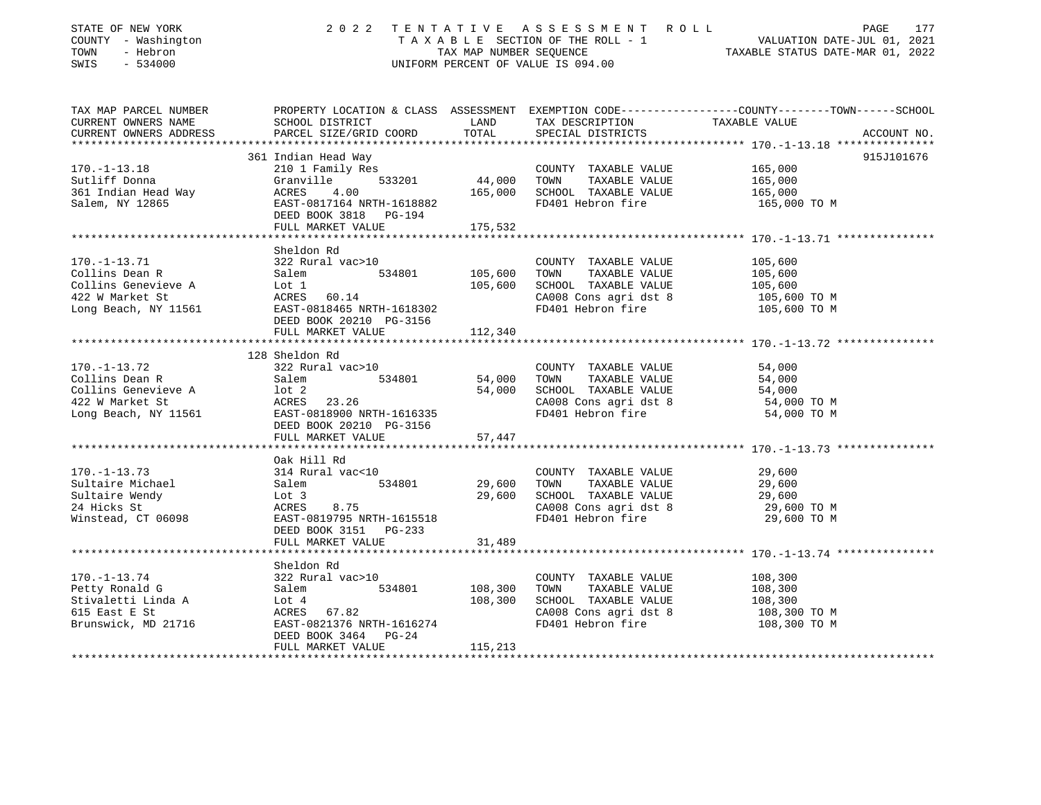| STATE OF NEW YORK<br>COUNTY - Washington<br>- Hebron<br>TOWN<br>SWIS<br>$-534000$ |                                                    |                             | 2022 TENTATIVE ASSESSMENT ROLL<br>UNIFORM PERCENT OF VALUE IS 094.00 | PAGE<br>177<br>TENTATIVE ASSESSMENT AVOID<br>TAXABLE SECTION OF THE ROLL - 1 VALUATION DATE-JUL 01, 2021<br>TAX MAP NUMBER SEQUENCE TAXABLE STATUS DATE-MAR 01, 2022 |
|-----------------------------------------------------------------------------------|----------------------------------------------------|-----------------------------|----------------------------------------------------------------------|----------------------------------------------------------------------------------------------------------------------------------------------------------------------|
| TAX MAP PARCEL NUMBER                                                             |                                                    |                             |                                                                      | PROPERTY LOCATION & CLASS ASSESSMENT EXEMPTION CODE---------------COUNTY-------TOWN------SCHOOL                                                                      |
| CURRENT OWNERS NAME                                                               | SCHOOL DISTRICT                                    | LAND                        | TAX DESCRIPTION                                                      | TAXABLE VALUE                                                                                                                                                        |
| CURRENT OWNERS ADDRESS                                                            | PARCEL SIZE/GRID COORD                             | TOTAL<br>****************** | SPECIAL DISTRICTS                                                    | ACCOUNT NO.<br>*************************** 170.-1-13.18 ***************                                                                                              |
|                                                                                   | 361 Indian Head Way                                |                             |                                                                      | 915J101676                                                                                                                                                           |
| $170. - 1 - 13.18$                                                                | 210 1 Family Res                                   |                             | COUNTY TAXABLE VALUE                                                 | 165,000                                                                                                                                                              |
| Sutliff Donna                                                                     | 533201<br>Granville                                | 44,000 TOWN                 | TAXABLE VALUE                                                        | 165,000                                                                                                                                                              |
| 361 Indian Head Way                                                               | ACRES 4.00                                         | 165,000                     | SCHOOL TAXABLE VALUE                                                 | 165,000                                                                                                                                                              |
| Salem, NY 12865                                                                   | EAST-0817164 NRTH-1618882<br>DEED BOOK 3818 PG-194 |                             | FD401 Hebron fire                                                    | 165,000 TO M                                                                                                                                                         |
|                                                                                   | FULL MARKET VALUE                                  | 175,532                     |                                                                      |                                                                                                                                                                      |
|                                                                                   | Sheldon Rd                                         |                             |                                                                      |                                                                                                                                                                      |
| $170. - 1 - 13.71$                                                                | 322 Rural vac>10                                   |                             | COUNTY TAXABLE VALUE                                                 | 105,600                                                                                                                                                              |
| Collins Dean R                                                                    |                                                    | 105,600                     | TAXABLE VALUE<br>TOWN                                                | 105,600                                                                                                                                                              |
| Collins Genevieve A                                                               | Salem 534801<br>Lot 1                              | 105,600                     | SCHOOL TAXABLE VALUE                                                 | 105,600                                                                                                                                                              |
| 422 W Market St                                                                   | ACRES 60.14                                        |                             | CA008 Cons agri dst 8                                                | 105,600 TO M                                                                                                                                                         |
| Long Beach, NY 11561                                                              | EAST-0818465 NRTH-1618302                          |                             | FD401 Hebron fire                                                    | 105,600 TO M                                                                                                                                                         |
|                                                                                   | DEED BOOK 20210 PG-3156                            |                             |                                                                      |                                                                                                                                                                      |
|                                                                                   | FULL MARKET VALUE                                  | 112,340                     |                                                                      |                                                                                                                                                                      |
|                                                                                   |                                                    |                             |                                                                      |                                                                                                                                                                      |
| $170. - 1 - 13.72$                                                                | 128 Sheldon Rd<br>322 Rural vac>10                 |                             | COUNTY TAXABLE VALUE                                                 | 54,000                                                                                                                                                               |
| Collins Dean R                                                                    |                                                    | 54,000                      | TAXABLE VALUE<br>TOWN                                                | 54,000                                                                                                                                                               |
| Collins Genevieve A                                                               | Salem 534801                                       |                             | 54,000 SCHOOL TAXABLE VALUE                                          | 54,000                                                                                                                                                               |
| 422 W Market St                                                                   | ACRES 23.26                                        |                             | CA008 Cons agri dst 8                                                | 54,000 TO M                                                                                                                                                          |
| Long Beach, NY 11561                                                              | EAST-0818900 NRTH-1616335                          |                             | FD401 Hebron fire                                                    | 54,000 TO M                                                                                                                                                          |
|                                                                                   | DEED BOOK 20210 PG-3156                            |                             |                                                                      |                                                                                                                                                                      |
|                                                                                   | FULL MARKET VALUE                                  | 57,447                      |                                                                      |                                                                                                                                                                      |
|                                                                                   |                                                    |                             |                                                                      |                                                                                                                                                                      |
| 170.-1-13.73                                                                      | Oak Hill Rd<br>314 Rural vac<10                    |                             |                                                                      | 29,600                                                                                                                                                               |
| Sultaire Michael                                                                  | 534801                                             | 29,600                      | COUNTY TAXABLE VALUE<br>TAXABLE VALUE<br>TOWN                        | 29,600                                                                                                                                                               |
| Sultaire Wendy                                                                    | Salem<br>Lot 3<br>ACRES 8.75<br>ACRES 3.75         | 29,600                      | SCHOOL TAXABLE VALUE                                                 | 29,600                                                                                                                                                               |
| 24 Hicks St                                                                       |                                                    |                             | CA008 Cons agri dst 8                                                | 29,600 TO M                                                                                                                                                          |
| Winstead, CT 06098                                                                | EAST-0819795 NRTH-1615518                          |                             | FD401 Hebron fire                                                    | 29,600 TO M                                                                                                                                                          |
|                                                                                   | DEED BOOK 3151 PG-233                              |                             |                                                                      |                                                                                                                                                                      |
|                                                                                   | FULL MARKET VALUE                                  | 31,489                      |                                                                      |                                                                                                                                                                      |
|                                                                                   |                                                    |                             |                                                                      |                                                                                                                                                                      |
|                                                                                   | Sheldon Rd                                         |                             |                                                                      |                                                                                                                                                                      |
| $170. - 1 - 13.74$<br>Petty Ronald G                                              | 534801                                             | 108,300                     | COUNTY TAXABLE VALUE<br>TOWN<br>TAXABLE VALUE                        | 108,300<br>108,300                                                                                                                                                   |
| Stivaletti Linda A                                                                | 322 Rural vac>10<br>Salem 53480:<br>Lot 4          | 108,300                     | SCHOOL TAXABLE VALUE                                                 | 108,300                                                                                                                                                              |
| 615 East E St                                                                     | ACRES 67.82                                        |                             | CA008 Cons agri dst 8                                                | 108,300 TO M                                                                                                                                                         |
| Brunswick, MD 21716                                                               | EAST-0821376 NRTH-1616274                          |                             | FD401 Hebron fire                                                    | 108,300 TO M                                                                                                                                                         |
|                                                                                   | DEED BOOK 3464<br>$PG-24$                          |                             |                                                                      |                                                                                                                                                                      |
|                                                                                   | FULL MARKET VALUE                                  | 115,213                     |                                                                      |                                                                                                                                                                      |
|                                                                                   |                                                    |                             |                                                                      |                                                                                                                                                                      |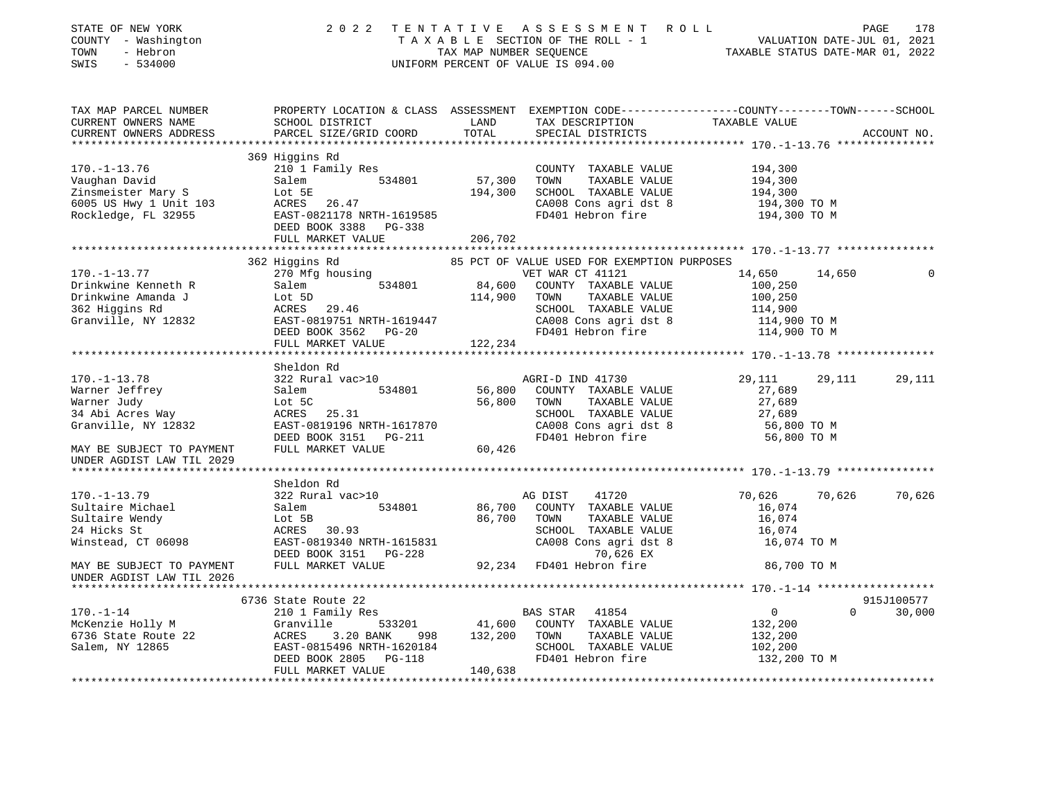| STATE OF NEW YORK<br>COUNTY - Washington<br>TOWN - Hebron<br>--- - 534000                                                                                                                                                                                                                                                                                                                                                                              |                                                                                                                                |         | 2022 TENTATIVE ASSESSMENT ROLL PAGE 178<br>TAXABLE SECTION OF THE ROLL - 1 VALUATION DATE-JUL 01, 2021<br>TAX MAP NUMBER SEQUENCE TAXABLE STATUS DATE-MAR 01, 2022<br>UNIFORM PERCENT OF VALUE IS 094.00 |                    |        |               |
|--------------------------------------------------------------------------------------------------------------------------------------------------------------------------------------------------------------------------------------------------------------------------------------------------------------------------------------------------------------------------------------------------------------------------------------------------------|--------------------------------------------------------------------------------------------------------------------------------|---------|----------------------------------------------------------------------------------------------------------------------------------------------------------------------------------------------------------|--------------------|--------|---------------|
|                                                                                                                                                                                                                                                                                                                                                                                                                                                        |                                                                                                                                |         |                                                                                                                                                                                                          |                    |        |               |
|                                                                                                                                                                                                                                                                                                                                                                                                                                                        |                                                                                                                                |         |                                                                                                                                                                                                          |                    |        |               |
|                                                                                                                                                                                                                                                                                                                                                                                                                                                        |                                                                                                                                |         |                                                                                                                                                                                                          |                    |        |               |
|                                                                                                                                                                                                                                                                                                                                                                                                                                                        | 369 Higgins Rd                                                                                                                 |         |                                                                                                                                                                                                          |                    |        |               |
|                                                                                                                                                                                                                                                                                                                                                                                                                                                        |                                                                                                                                |         |                                                                                                                                                                                                          | 194,300            |        |               |
|                                                                                                                                                                                                                                                                                                                                                                                                                                                        |                                                                                                                                |         |                                                                                                                                                                                                          |                    |        |               |
|                                                                                                                                                                                                                                                                                                                                                                                                                                                        |                                                                                                                                |         |                                                                                                                                                                                                          | 194,300<br>194,300 |        |               |
|                                                                                                                                                                                                                                                                                                                                                                                                                                                        |                                                                                                                                |         |                                                                                                                                                                                                          | 194,300 TO M       |        |               |
| 170.-1-13.76 210 1 Family Res<br>Vaughan David Salem 534801 57,300 TOWNTY TAXABLE VALUE<br>Zinsmeister Mary S Lot 5E 194,300 SCHOOL TAXABLE VALUE<br>6005 US Hwy 1 Unit 103 ACRES 26.47 CA008 Cons agri dst 8<br>Rockledge, FL 32955 B                                                                                                                                                                                                                 |                                                                                                                                |         |                                                                                                                                                                                                          | 194,300 TO M       |        |               |
|                                                                                                                                                                                                                                                                                                                                                                                                                                                        |                                                                                                                                |         |                                                                                                                                                                                                          |                    |        |               |
|                                                                                                                                                                                                                                                                                                                                                                                                                                                        | FULL MARKET VALUE                                                                                                              | 206,702 |                                                                                                                                                                                                          |                    |        |               |
|                                                                                                                                                                                                                                                                                                                                                                                                                                                        |                                                                                                                                |         |                                                                                                                                                                                                          |                    |        |               |
|                                                                                                                                                                                                                                                                                                                                                                                                                                                        |                                                                                                                                |         |                                                                                                                                                                                                          |                    | 14,650 | $\Omega$      |
|                                                                                                                                                                                                                                                                                                                                                                                                                                                        |                                                                                                                                |         |                                                                                                                                                                                                          |                    |        |               |
|                                                                                                                                                                                                                                                                                                                                                                                                                                                        |                                                                                                                                |         |                                                                                                                                                                                                          |                    |        |               |
|                                                                                                                                                                                                                                                                                                                                                                                                                                                        |                                                                                                                                |         |                                                                                                                                                                                                          |                    |        |               |
|                                                                                                                                                                                                                                                                                                                                                                                                                                                        |                                                                                                                                |         |                                                                                                                                                                                                          |                    |        |               |
|                                                                                                                                                                                                                                                                                                                                                                                                                                                        |                                                                                                                                |         |                                                                                                                                                                                                          |                    |        |               |
|                                                                                                                                                                                                                                                                                                                                                                                                                                                        | FULL MARKET VALUE                                                                                                              | 122,234 |                                                                                                                                                                                                          |                    |        |               |
|                                                                                                                                                                                                                                                                                                                                                                                                                                                        |                                                                                                                                |         |                                                                                                                                                                                                          |                    |        |               |
|                                                                                                                                                                                                                                                                                                                                                                                                                                                        | Sheldon Rd                                                                                                                     |         |                                                                                                                                                                                                          |                    |        |               |
|                                                                                                                                                                                                                                                                                                                                                                                                                                                        |                                                                                                                                |         |                                                                                                                                                                                                          |                    | 29,111 | 29,111        |
|                                                                                                                                                                                                                                                                                                                                                                                                                                                        |                                                                                                                                |         |                                                                                                                                                                                                          |                    |        |               |
|                                                                                                                                                                                                                                                                                                                                                                                                                                                        |                                                                                                                                |         |                                                                                                                                                                                                          |                    |        |               |
|                                                                                                                                                                                                                                                                                                                                                                                                                                                        |                                                                                                                                |         |                                                                                                                                                                                                          |                    |        |               |
|                                                                                                                                                                                                                                                                                                                                                                                                                                                        |                                                                                                                                |         |                                                                                                                                                                                                          |                    |        |               |
| 170.-1-13.78<br>Warner Jeffrey Salem 534801<br>Marner Judy Lot 5C<br>34 Abi Acres Way ACRES 25.31<br>Granville, NY 12832<br>Sensible CALUS CA008 COUNTY TAXABLE VALUE 27,689<br>SENOOL TAXABLE VALUE 27,689<br>SCHOOL TAXABLE VALUE 27                                                                                                                                                                                                                 |                                                                                                                                |         |                                                                                                                                                                                                          |                    |        |               |
| UNDER AGDIST LAW TIL 2029                                                                                                                                                                                                                                                                                                                                                                                                                              |                                                                                                                                |         |                                                                                                                                                                                                          |                    |        |               |
|                                                                                                                                                                                                                                                                                                                                                                                                                                                        |                                                                                                                                |         |                                                                                                                                                                                                          |                    |        |               |
| 170.-1-13.79                                                                                                                                                                                                                                                                                                                                                                                                                                           | Sheldon Rd<br>322 Rural vac>10                                                                                                 |         | AG DIST<br>41720                                                                                                                                                                                         | 70,626             | 70,626 | 70,626        |
|                                                                                                                                                                                                                                                                                                                                                                                                                                                        |                                                                                                                                |         | 86,700 COUNTY TAXABLE VALUE                                                                                                                                                                              | 16,074             |        |               |
| Sultaire Michael<br>Sultaire Wendy                                                                                                                                                                                                                                                                                                                                                                                                                     | Salem 534801<br>Lot 5B                                                                                                         |         | 86,700 TOWN<br>TAXABLE VALUE                                                                                                                                                                             | 16,074             |        |               |
| 24 Hicks St                                                                                                                                                                                                                                                                                                                                                                                                                                            | Lot 5B<br>ACRES 30.93                                                                                                          |         | SCHOOL TAXABLE VALUE                                                                                                                                                                                     | 16,074             |        |               |
| Z4 Hicks Sc<br>Winstead, CT 06098                                                                                                                                                                                                                                                                                                                                                                                                                      |                                                                                                                                |         | CA008 Cons agri dst 8                                                                                                                                                                                    | 16,074 TO M        |        |               |
|                                                                                                                                                                                                                                                                                                                                                                                                                                                        |                                                                                                                                |         | 70,626 EX                                                                                                                                                                                                |                    |        |               |
| MAY BE SUBJECT TO PAYMENT                                                                                                                                                                                                                                                                                                                                                                                                                              | EAST-0819340 NRTH-1615831 CA008 Cons agri dst<br>DEED BOOK 3151 PG-228 70,626 EX<br>FULL MARKET VALUE 92,234 FD401 Hebron fire |         |                                                                                                                                                                                                          | 86,700 TO M        |        |               |
| UNDER AGDIST LAW TIL 2026                                                                                                                                                                                                                                                                                                                                                                                                                              |                                                                                                                                |         |                                                                                                                                                                                                          |                    |        |               |
|                                                                                                                                                                                                                                                                                                                                                                                                                                                        |                                                                                                                                |         |                                                                                                                                                                                                          |                    |        |               |
|                                                                                                                                                                                                                                                                                                                                                                                                                                                        |                                                                                                                                |         |                                                                                                                                                                                                          |                    |        | 915J100577    |
|                                                                                                                                                                                                                                                                                                                                                                                                                                                        |                                                                                                                                |         |                                                                                                                                                                                                          | $\overline{0}$     |        | $0 \t 30,000$ |
|                                                                                                                                                                                                                                                                                                                                                                                                                                                        |                                                                                                                                |         |                                                                                                                                                                                                          | 132,200<br>132,200 |        |               |
|                                                                                                                                                                                                                                                                                                                                                                                                                                                        |                                                                                                                                |         |                                                                                                                                                                                                          | 102,200            |        |               |
| $\begin{array}{cccccc} \texttt{170.-1--14} & \texttt{6736 State Route 22} & \texttt{2101 Family Res} & \texttt{BAS STAR} & \texttt{41854} \\ \texttt{McKenzie Holy M} & \texttt{Granville} & \texttt{533201} & \texttt{41,600} & \texttt{COUNTY} & \texttt{TAXABLE VALUE} \\ \texttt{6736 State Route 22} & \texttt{ACRES} & \texttt{3.20 BANK} & \texttt{998} & \texttt{132,200} & \texttt{TOWN} & \texttt{TAXABLE VALUE} \\ \texttt{Salem, NY 12865$ |                                                                                                                                |         |                                                                                                                                                                                                          | 132,200 TO M       |        |               |
|                                                                                                                                                                                                                                                                                                                                                                                                                                                        | FULL MARKET VALUE                                                                                                              | 140,638 |                                                                                                                                                                                                          |                    |        |               |
|                                                                                                                                                                                                                                                                                                                                                                                                                                                        |                                                                                                                                |         |                                                                                                                                                                                                          |                    |        |               |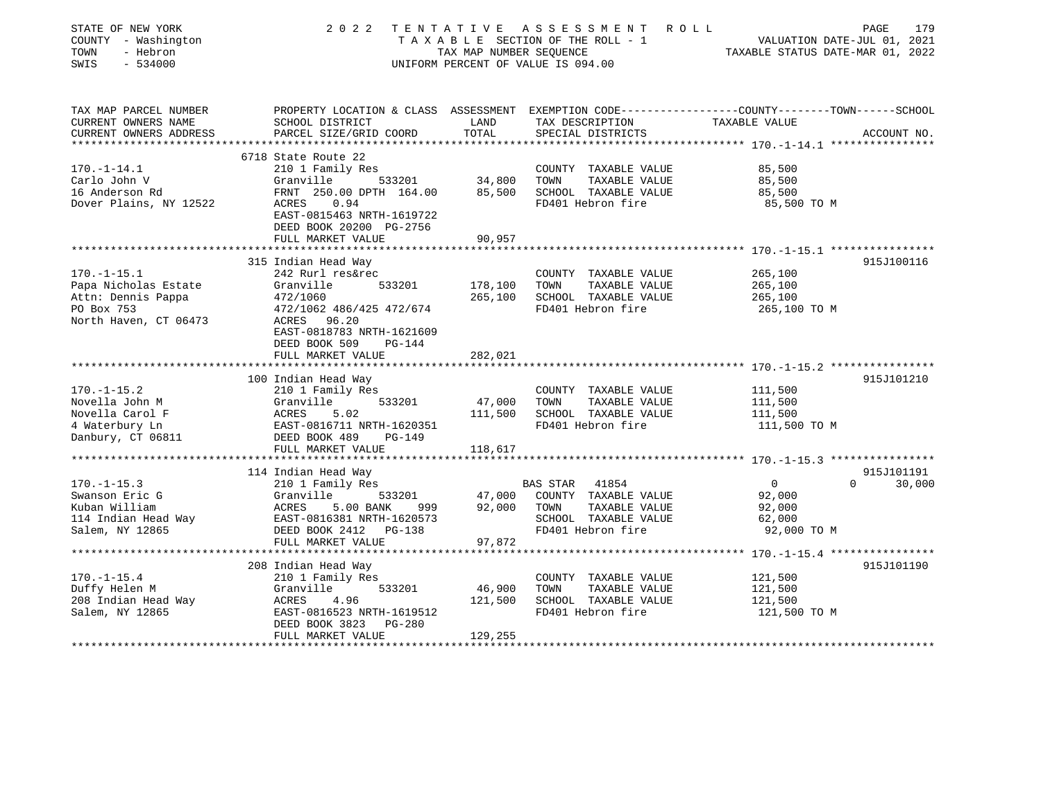| STATE OF NEW YORK<br>COUNTY - Washington<br>TOWN<br>- Hebron<br>SWIS<br>$-534000$                                                                                                                       | 2 0 2 2<br>TENTATIVE                                                                                                                                                                                                                                                                                                                                                                                  | TAX MAP NUMBER SEQUENCE                                       | A S S E S S M E N T<br>T A X A B L E SECTION OF THE ROLL - 1<br>UNIFORM PERCENT OF VALUE IS 094.00                                                                                       | ROLL ROLL<br>VALUATION DATE-JUL 01, 2021<br>TAXABLE STATUS DATE-MAR 01, 2022                                                                         | 179<br>PAGE                      |
|---------------------------------------------------------------------------------------------------------------------------------------------------------------------------------------------------------|-------------------------------------------------------------------------------------------------------------------------------------------------------------------------------------------------------------------------------------------------------------------------------------------------------------------------------------------------------------------------------------------------------|---------------------------------------------------------------|------------------------------------------------------------------------------------------------------------------------------------------------------------------------------------------|------------------------------------------------------------------------------------------------------------------------------------------------------|----------------------------------|
| TAX MAP PARCEL NUMBER<br>CURRENT OWNERS NAME<br>CURRENT OWNERS ADDRESS<br>***********************                                                                                                       | PROPERTY LOCATION & CLASS ASSESSMENT EXEMPTION CODE---------------COUNTY-------TOWN------SCHOOL<br>SCHOOL DISTRICT<br>PARCEL SIZE/GRID COORD                                                                                                                                                                                                                                                          | LAND<br>TOTAL                                                 | TAX DESCRIPTION<br>SPECIAL DISTRICTS                                                                                                                                                     | TAXABLE VALUE                                                                                                                                        | ACCOUNT NO.                      |
|                                                                                                                                                                                                         | 6718 State Route 22                                                                                                                                                                                                                                                                                                                                                                                   |                                                               |                                                                                                                                                                                          |                                                                                                                                                      |                                  |
| $170. - 1 - 14.1$<br>Carlo John V<br>16 Anderson Rd<br>Dover Plains, NY 12522                                                                                                                           | 210 1 Family Res<br>Granville<br>533201<br>FRNT 250.00 DPTH 164.00<br>ACRES<br>0.94<br>EAST-0815463 NRTH-1619722<br>DEED BOOK 20200 PG-2756                                                                                                                                                                                                                                                           | 34,800<br>85,500                                              | COUNTY TAXABLE VALUE<br>TOWN<br>TAXABLE VALUE<br>SCHOOL TAXABLE VALUE<br>FD401 Hebron fire                                                                                               | 85,500<br>85,500<br>85,500<br>85,500 TO M                                                                                                            |                                  |
|                                                                                                                                                                                                         | FULL MARKET VALUE                                                                                                                                                                                                                                                                                                                                                                                     | 90,957                                                        |                                                                                                                                                                                          |                                                                                                                                                      |                                  |
| $170. - 1 - 15.1$<br>Papa Nicholas Estate<br>Attn: Dennis Pappa<br>PO Box 753<br>North Haven, CT 06473<br>$170. - 1 - 15.2$<br>Novella John M<br>Novella Carol F<br>4 Waterbury Ln<br>Danbury, CT 06811 | 315 Indian Head Way<br>242 Rurl res&rec<br>Granville<br>533201<br>472/1060<br>472/1062 486/425 472/674<br>ACRES 96.20<br>EAST-0818783 NRTH-1621609<br>DEED BOOK 509<br>$PG-144$<br>FULL MARKET VALUE<br>***************************<br>100 Indian Head Way<br>210 1 Family Res<br>533201<br>Granville<br>5.02<br>ACRES<br>EAST-0816711 NRTH-1620351<br>DEED BOOK 489<br>$PG-149$<br>FULL MARKET VALUE | 178,100<br>265,100<br>282,021<br>47,000<br>111,500<br>118,617 | COUNTY TAXABLE VALUE<br>TOWN<br>TAXABLE VALUE<br>SCHOOL TAXABLE VALUE<br>FD401 Hebron fire<br>COUNTY TAXABLE VALUE<br>TOWN<br>TAXABLE VALUE<br>SCHOOL TAXABLE VALUE<br>FD401 Hebron fire | ******************** 170.-1-15.1 *****************<br>265,100<br>265,100<br>265,100<br>265,100 TO M<br>111,500<br>111,500<br>111,500<br>111,500 TO M | 915J100116<br>915J101210         |
|                                                                                                                                                                                                         |                                                                                                                                                                                                                                                                                                                                                                                                       |                                                               |                                                                                                                                                                                          |                                                                                                                                                      |                                  |
| $170. - 1 - 15.3$<br>Swanson Eric G<br>Kuban William<br>114 Indian Head Way<br>Salem, NY 12865                                                                                                          | 114 Indian Head Way<br>210 1 Family Res<br>Granville<br>533201<br>ACRES<br>5.00 BANK<br>999<br>EAST-0816381 NRTH-1620573<br>DEED BOOK 2412<br>PG-138<br>FULL MARKET VALUE                                                                                                                                                                                                                             | 47,000<br>92,000<br>97,872                                    | BAS STAR<br>41854<br>COUNTY TAXABLE VALUE<br>TOWN<br>TAXABLE VALUE<br>SCHOOL TAXABLE VALUE<br>FD401 Hebron fire                                                                          | $\Omega$<br>92,000<br>92,000<br>62,000<br>92,000 TO M                                                                                                | 915J101191<br>$\Omega$<br>30,000 |
| $170. - 1 - 15.4$<br>Duffy Helen M<br>208 Indian Head Way<br>Salem, NY 12865                                                                                                                            | 208 Indian Head Way<br>210 1 Family Res<br>Granville<br>533201<br>ACRES<br>4.96<br>EAST-0816523 NRTH-1619512<br>DEED BOOK 3823<br>PG-280<br>FULL MARKET VALUE                                                                                                                                                                                                                                         | 46,900<br>121,500<br>129,255                                  | COUNTY TAXABLE VALUE<br>TAXABLE VALUE<br>TOWN<br>SCHOOL TAXABLE VALUE<br>FD401 Hebron fire                                                                                               | 121,500<br>121,500<br>121,500<br>121,500 TO M                                                                                                        | 915J101190                       |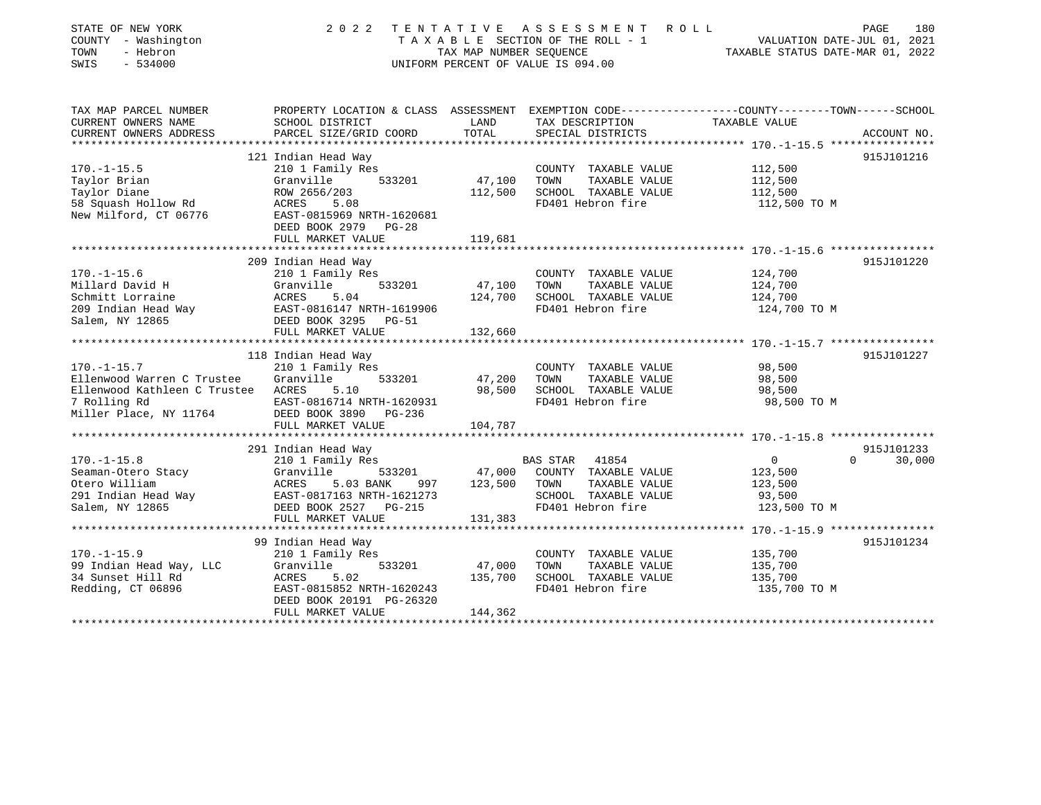| STATE OF NEW YORK<br>COUNTY - Washington<br>- Hebron<br>TOWN<br>SWIS<br>$-534000$ | 2 0 2 2                                    | TENTATIVE<br>TAX MAP NUMBER SEQUENCE | ASSESSMENT<br>ROLL<br>TAXABLE SECTION OF THE ROLL - 1<br>UNIFORM PERCENT OF VALUE IS 094.00 | 180<br>PAGE<br>VALUATION DATE-JUL 01, 2021<br>TAXABLE STATUS DATE-MAR 01, 2022                  |
|-----------------------------------------------------------------------------------|--------------------------------------------|--------------------------------------|---------------------------------------------------------------------------------------------|-------------------------------------------------------------------------------------------------|
| TAX MAP PARCEL NUMBER                                                             |                                            |                                      |                                                                                             | PROPERTY LOCATION & CLASS ASSESSMENT EXEMPTION CODE---------------COUNTY-------TOWN------SCHOOL |
| CURRENT OWNERS NAME                                                               | SCHOOL DISTRICT                            | LAND                                 | TAX DESCRIPTION                                                                             | TAXABLE VALUE                                                                                   |
| CURRENT OWNERS ADDRESS<br>*******************                                     | PARCEL SIZE/GRID COORD                     | TOTAL                                | SPECIAL DISTRICTS                                                                           | ACCOUNT NO.                                                                                     |
|                                                                                   | 121 Indian Head Way                        |                                      |                                                                                             | 915J101216                                                                                      |
| $170. - 1 - 15.5$                                                                 | 210 1 Family Res                           |                                      | COUNTY TAXABLE VALUE                                                                        | 112,500                                                                                         |
| Taylor Brian                                                                      | Granville<br>533201                        | 47,100                               | TOWN<br>TAXABLE VALUE                                                                       | 112,500                                                                                         |
| Taylor Diane                                                                      | ROW 2656/203                               | 112,500                              | SCHOOL TAXABLE VALUE                                                                        | 112,500                                                                                         |
| 58 Squash Hollow Rd                                                               | ACRES<br>5.08                              |                                      | FD401 Hebron fire                                                                           | 112,500 TO M                                                                                    |
| New Milford, CT 06776                                                             | EAST-0815969 NRTH-1620681                  |                                      |                                                                                             |                                                                                                 |
|                                                                                   | DEED BOOK 2979<br>$PG-28$                  |                                      |                                                                                             |                                                                                                 |
|                                                                                   | FULL MARKET VALUE                          | 119,681                              |                                                                                             |                                                                                                 |
|                                                                                   | 209 Indian Head Way                        |                                      |                                                                                             | 915J101220                                                                                      |
| $170. - 1 - 15.6$                                                                 | 210 1 Family Res                           |                                      | COUNTY TAXABLE VALUE                                                                        | 124,700                                                                                         |
| Millard David H                                                                   | Granville<br>533201                        | 47,100                               | TOWN<br>TAXABLE VALUE                                                                       | 124,700                                                                                         |
| Schmitt Lorraine                                                                  | ACRES<br>5.04                              | 124,700                              | SCHOOL TAXABLE VALUE                                                                        | 124,700                                                                                         |
| 209 Indian Head Way                                                               | EAST-0816147 NRTH-1619906                  |                                      | FD401 Hebron fire                                                                           | 124,700 TO M                                                                                    |
| Salem, NY 12865                                                                   | DEED BOOK 3295 PG-51                       |                                      |                                                                                             |                                                                                                 |
|                                                                                   | FULL MARKET VALUE                          | 132,660                              |                                                                                             |                                                                                                 |
|                                                                                   |                                            |                                      |                                                                                             |                                                                                                 |
|                                                                                   | 118 Indian Head Way                        |                                      |                                                                                             | 915J101227                                                                                      |
| $170. - 1 - 15.7$                                                                 | 210 1 Family Res                           |                                      | COUNTY TAXABLE VALUE                                                                        | 98,500                                                                                          |
| Ellenwood Warren C Trustee<br>Ellenwood Kathleen C Trustee ACRES                  | Granville<br>533201<br>5.10                | 47,200<br>98,500                     | TOWN<br>TAXABLE VALUE<br>SCHOOL TAXABLE VALUE                                               | 98,500<br>98,500                                                                                |
| 7 Rolling Rd                                                                      | EAST-0816714 NRTH-1620931                  |                                      | FD401 Hebron fire                                                                           | 98,500 TO M                                                                                     |
| Miller Place, NY 11764                                                            | DEED BOOK 3890 PG-236                      |                                      |                                                                                             |                                                                                                 |
|                                                                                   | FULL MARKET VALUE                          | 104,787                              |                                                                                             |                                                                                                 |
|                                                                                   |                                            |                                      |                                                                                             |                                                                                                 |
|                                                                                   | 291 Indian Head Way                        |                                      |                                                                                             | 915J101233                                                                                      |
| $170. - 1 - 15.8$                                                                 | 210 1 Family Res                           |                                      | <b>BAS STAR</b><br>41854                                                                    | $\mathbf{0}$<br>$\Omega$<br>30,000                                                              |
| Seaman-Otero Stacy                                                                | Granville<br>533201                        | 47,000                               | COUNTY TAXABLE VALUE                                                                        | 123,500                                                                                         |
| Otero William                                                                     | ACRES<br>5.03 BANK<br>997                  | 123,500                              | TAXABLE VALUE<br>TOWN                                                                       | 123,500                                                                                         |
| 291 Indian Head Way                                                               | EAST-0817163 NRTH-1621273                  |                                      | SCHOOL TAXABLE VALUE                                                                        | 93,500                                                                                          |
| Salem, NY 12865                                                                   | DEED BOOK 2527 PG-215<br>FULL MARKET VALUE | 131,383                              | FD401 Hebron fire                                                                           | 123,500 TO M                                                                                    |
|                                                                                   |                                            | ***********                          |                                                                                             | ********* 170.-1-15.9 ****************                                                          |
|                                                                                   | 99 Indian Head Way                         |                                      |                                                                                             | 915J101234                                                                                      |
| $170. - 1 - 15.9$                                                                 | 210 1 Family Res                           |                                      | COUNTY TAXABLE VALUE                                                                        | 135,700                                                                                         |
| 99 Indian Head Way, LLC                                                           | Granville<br>533201                        | 47,000                               | TOWN<br>TAXABLE VALUE                                                                       | 135,700                                                                                         |
| 34 Sunset Hill Rd                                                                 | <b>ACRES</b><br>5.02                       | 135,700                              | SCHOOL TAXABLE VALUE                                                                        | 135,700                                                                                         |
| Redding, CT 06896                                                                 | EAST-0815852 NRTH-1620243                  |                                      | FD401 Hebron fire                                                                           | 135,700 TO M                                                                                    |
|                                                                                   | DEED BOOK 20191 PG-26320                   |                                      |                                                                                             |                                                                                                 |
|                                                                                   | FULL MARKET VALUE                          | 144,362                              |                                                                                             |                                                                                                 |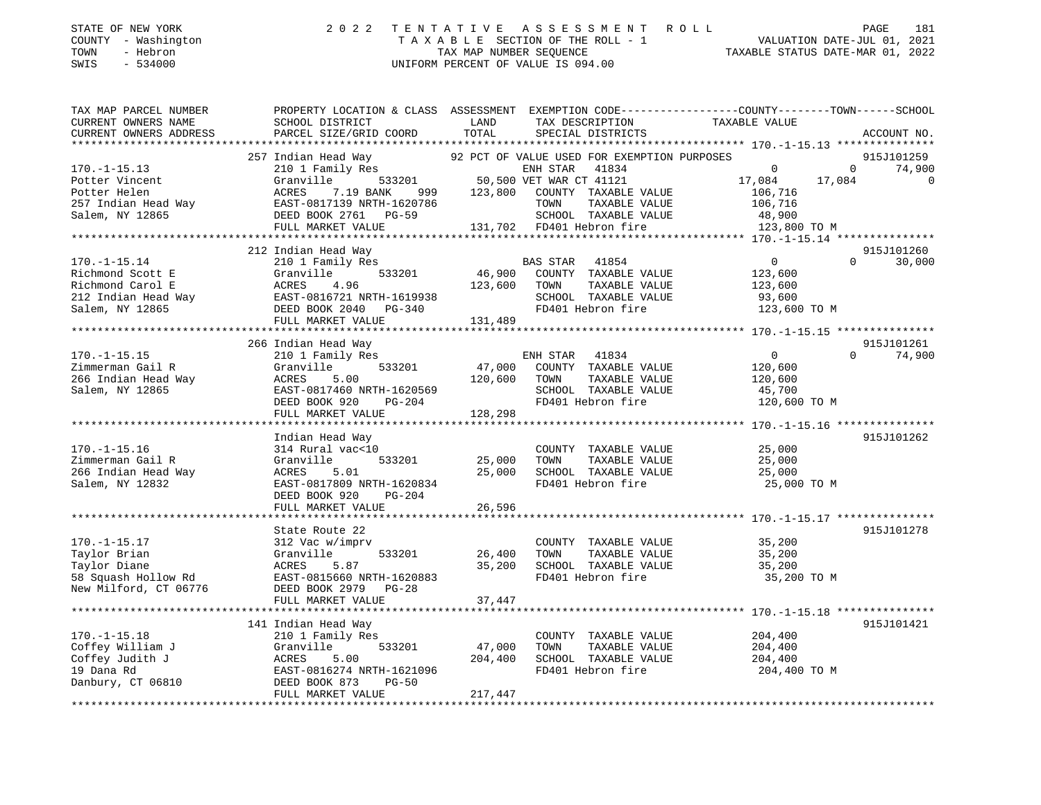| STATE OF NEW YORK   | 2022 TENTATIVE ASSESSMENT ROLL     | 181<br>PAGE                      |
|---------------------|------------------------------------|----------------------------------|
| COUNTY - Washington | TAXABLE SECTION OF THE ROLL - 1    | VALUATION DATE-JUL 01, 2021      |
| TOWN<br>- Hebron    | TAX MAP NUMBER SEOUENCE            | TAXABLE STATUS DATE-MAR 01, 2022 |
| SWIS - 534000       | UNIFORM PERCENT OF VALUE IS 094.00 |                                  |

| TAX MAP PARCEL NUMBER  | PROPERTY LOCATION & CLASS ASSESSMENT EXEMPTION CODE----------------COUNTY-------TOWN-----SCHOOL |              |                                                                                               |                                                                     |                          |
|------------------------|-------------------------------------------------------------------------------------------------|--------------|-----------------------------------------------------------------------------------------------|---------------------------------------------------------------------|--------------------------|
| CURRENT OWNERS NAME    | SCHOOL DISTRICT                                                                                 | LAND         | TAX DESCRIPTION                                                                               | TAXABLE VALUE                                                       |                          |
| CURRENT OWNERS ADDRESS | PARCEL SIZE/GRID COORD TOTAL                                                                    |              | SPECIAL DISTRICTS                                                                             |                                                                     | ACCOUNT NO.              |
|                        |                                                                                                 |              |                                                                                               |                                                                     |                          |
|                        | 257 Indian Head Way                                                                             |              | 92 PCT OF VALUE USED FOR EXEMPTION PURPOSES                                                   |                                                                     | 915J101259               |
| $170. - 1 - 15.13$     | 210 1 Family Res                                                                                |              | ENH STAR 41834                                                                                | $\Omega$                                                            | $\Omega$<br>74,900       |
| Potter Vincent         | Granville                                                                                       |              |                                                                                               | 17,084                                                              | 17,084<br>$\overline{0}$ |
| Potter Helen           | ACRES<br>7.19 BANK                                                                              |              | ,<br>533201 50,500 VET WAR CT 41121<br>ANK 999 123,800 COUNTY TAXABLE<br>COUNTY TAXABLE VALUE | 106,716                                                             |                          |
| 257 Indian Head Way    | EAST-0817139 NRTH-1620786                                                                       |              | TOWN<br>TAXABLE VALUE                                                                         | 106,716                                                             |                          |
| Salem, NY 12865        | DEED BOOK 2761 PG-59                                                                            |              | SCHOOL TAXABLE VALUE                                                                          | 48,900                                                              |                          |
|                        | FULL MARKET VALUE                                                                               |              | 131,702 FD401 Hebron fire                                                                     | 123,800 TO M                                                        |                          |
|                        |                                                                                                 |              |                                                                                               |                                                                     |                          |
|                        | 212 Indian Head Way                                                                             |              |                                                                                               |                                                                     | 915J101260               |
| $170. - 1 - 15.14$     | 210 1 Family Res                                                                                |              | <b>BAS STAR</b><br>41854                                                                      | $\overline{0}$                                                      | 30,000                   |
| Richmond Scott E       | 533201<br>Granville                                                                             |              | 46,900 COUNTY TAXABLE VALUE                                                                   | 123,600                                                             |                          |
| Richmond Carol E       | ACRES<br>4.96                                                                                   | 123,600 TOWN | TAXABLE VALUE                                                                                 | 123,600                                                             |                          |
| 212 Indian Head Way    | ACRES 4.90<br>EAST-0816721 NRTH-1619938<br>- 20010 DG-340                                       |              | SCHOOL TAXABLE VALUE                                                                          | 93,600                                                              |                          |
| Salem, NY 12865        |                                                                                                 |              | FD401 Hebron fire                                                                             | 123,600 TO M                                                        |                          |
|                        | FULL MARKET VALUE                                                                               | 131,489      |                                                                                               |                                                                     |                          |
|                        |                                                                                                 |              |                                                                                               |                                                                     |                          |
|                        | 266 Indian Head Way                                                                             |              |                                                                                               |                                                                     | 915J101261               |
| $170. - 1 - 15.15$     | 210 1 Family Res                                                                                |              | ENH STAR 41834                                                                                | $\overline{0}$                                                      | 74,900<br>$\Omega$       |
| Zimmerman Gail R       | Granville<br>533201                                                                             | 47,000       | COUNTY TAXABLE VALUE                                                                          | 120,600                                                             |                          |
| 266 Indian Head Way    | ACRES<br>5.00                                                                                   | 120,600      | TOWN<br>TAXABLE VALUE                                                                         | 120,600                                                             |                          |
| Salem, NY 12865        | EAST-0817460 NRTH-1620569                                                                       |              | SCHOOL TAXABLE VALUE                                                                          |                                                                     |                          |
|                        | DEED BOOK 920<br>PG-204                                                                         |              | FD401 Hebron fire                                                                             | 45,700                                                              |                          |
|                        |                                                                                                 |              |                                                                                               | 120,600 TO M                                                        |                          |
|                        | FULL MARKET VALUE                                                                               | 128,298      |                                                                                               |                                                                     |                          |
|                        |                                                                                                 |              |                                                                                               |                                                                     | 915J101262               |
|                        | Indian Head Way                                                                                 |              |                                                                                               |                                                                     |                          |
| $170. - 1 - 15.16$     | 314 Rural vac<10                                                                                |              | COUNTY TAXABLE VALUE                                                                          | 25,000                                                              |                          |
| Zimmerman Gail R       | 533201<br>Granville                                                                             | 25,000       | TOWN<br>TAXABLE VALUE                                                                         | 25,000                                                              |                          |
| 266 Indian Head Way    | 5.01<br>ACRES                                                                                   | 25,000       | SCHOOL TAXABLE VALUE                                                                          | 25,000                                                              |                          |
| Salem, NY 12832        | EAST-0817809 NRTH-1620834                                                                       |              | FD401 Hebron fire                                                                             | 25,000 TO M                                                         |                          |
|                        | DEED BOOK 920<br>PG-204                                                                         |              |                                                                                               |                                                                     |                          |
|                        | FULL MARKET VALUE                                                                               | 26,596       |                                                                                               |                                                                     |                          |
|                        |                                                                                                 |              |                                                                                               | ************************************* 170.-1-15.17 **************** |                          |
|                        | State Route 22                                                                                  |              |                                                                                               |                                                                     | 915J101278               |
| $170. - 1 - 15.17$     | 312 Vac w/imprv                                                                                 |              | COUNTY TAXABLE VALUE                                                                          | 35,200                                                              |                          |
| Taylor Brian           | 533201<br>Granville                                                                             | 26,400       | TOWN<br>TAXABLE VALUE                                                                         | 35,200                                                              |                          |
| Taylor Diane           | ACRES<br>5.87                                                                                   | 35,200       | SCHOOL TAXABLE VALUE                                                                          | 35,200                                                              |                          |
| 58 Squash Hollow Rd    | EAST-0815660 NRTH-1620883                                                                       |              | FD401 Hebron fire                                                                             | 35,200 TO M                                                         |                          |
| New Milford, CT 06776  | DEED BOOK 2979 PG-28                                                                            |              |                                                                                               |                                                                     |                          |
|                        | FULL MARKET VALUE                                                                               | 37,447       |                                                                                               |                                                                     |                          |
|                        |                                                                                                 |              |                                                                                               |                                                                     |                          |
|                        | 141 Indian Head Way                                                                             |              |                                                                                               |                                                                     | 915J101421               |
| $170. - 1 - 15.18$     | 210 1 Family Res                                                                                |              | COUNTY TAXABLE VALUE                                                                          | 204,400                                                             |                          |
| Coffey William J       | Granville<br>533201                                                                             | 47,000       | TOWN<br>TAXABLE VALUE                                                                         | 204,400                                                             |                          |
| Coffey Judith J        | ACRES<br>5.00                                                                                   | 204,400      | SCHOOL TAXABLE VALUE                                                                          | 204,400                                                             |                          |
| 19 Dana Rd             | EAST-0816274 NRTH-1621096                                                                       |              | FD401 Hebron fire                                                                             | 204,400 TO M                                                        |                          |
| Danbury, CT 06810      | DEED BOOK 873<br>$PG-50$                                                                        |              |                                                                                               |                                                                     |                          |
|                        | FULL MARKET VALUE                                                                               | 217,447      |                                                                                               |                                                                     |                          |
|                        |                                                                                                 |              |                                                                                               |                                                                     |                          |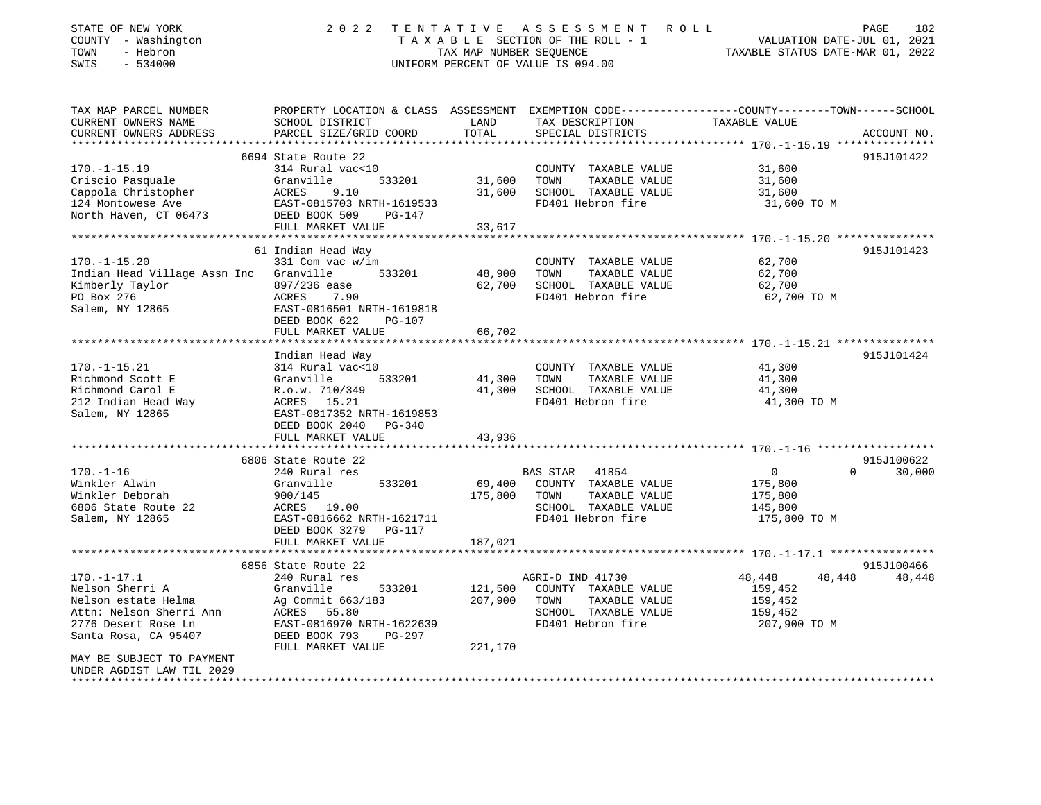| STATE OF NEW YORK<br>COUNTY - Washington<br>TOWN<br>- Hebron<br>$-534000$<br>SWIS                                                     | 2 0 2 2                                                                                                                                                                            | TAX MAP NUMBER SEQUENCE    | TENTATIVE ASSESSMENT ROLL<br>TAXABLE SECTION OF THE ROLL - 1<br>UNIFORM PERCENT OF VALUE IS 094.00                     | VALUATION DATE-JUL 01, 2021<br>TAXABLE STATUS DATE-MAR 01, 2022   | PAGE<br>182          |
|---------------------------------------------------------------------------------------------------------------------------------------|------------------------------------------------------------------------------------------------------------------------------------------------------------------------------------|----------------------------|------------------------------------------------------------------------------------------------------------------------|-------------------------------------------------------------------|----------------------|
| TAX MAP PARCEL NUMBER<br>CURRENT OWNERS NAME<br>CURRENT OWNERS ADDRESS<br>**********************                                      | PROPERTY LOCATION & CLASS ASSESSMENT EXEMPTION CODE---------------COUNTY-------TOWN------SCHOOL<br>SCHOOL DISTRICT<br>PARCEL SIZE/GRID COORD                                       | LAND<br>TOTAL              | TAX DESCRIPTION<br>SPECIAL DISTRICTS                                                                                   | TAXABLE VALUE                                                     | ACCOUNT NO.          |
| $170. - 1 - 15.19$<br>Criscio Pasquale<br>Cappola Christopher<br>124 Montowese Ave<br>North Haven, CT 06473                           | 6694 State Route 22<br>314 Rural vac<10<br>533201<br>Granville<br>ACRES<br>9.10<br>EAST-0815703 NRTH-1619533<br>DEED BOOK 509<br>PG-147<br>FULL MARKET VALUE                       | 31,600<br>31,600<br>33,617 | COUNTY TAXABLE VALUE<br>TOWN<br>TAXABLE VALUE<br>SCHOOL TAXABLE VALUE<br>FD401 Hebron fire                             | 31,600<br>31,600<br>31,600<br>31,600 TO M                         | 915J101422           |
|                                                                                                                                       |                                                                                                                                                                                    |                            |                                                                                                                        |                                                                   |                      |
| $170. - 1 - 15.20$<br>Indian Head Village Assn Inc<br>Kimberly Taylor<br>PO Box 276<br>Salem, NY 12865                                | 61 Indian Head Way<br>331 Com vac w/im<br>Granville<br>533201<br>897/236 ease<br>ACRES<br>7.90<br>EAST-0816501 NRTH-1619818<br>DEED BOOK 622<br><b>PG-107</b><br>FULL MARKET VALUE | 48,900<br>62,700<br>66,702 | COUNTY TAXABLE VALUE<br>TAXABLE VALUE<br>TOWN<br>SCHOOL TAXABLE VALUE<br>FD401 Hebron fire                             | 62,700<br>62,700<br>62,700<br>62,700 TO M                         | 915J101423           |
|                                                                                                                                       | ********************                                                                                                                                                               | * * * * * * * * * * * *    |                                                                                                                        |                                                                   |                      |
| $170. - 1 - 15.21$<br>Richmond Scott E<br>Richmond Carol E<br>212 Indian Head Way<br>Salem, NY 12865                                  | Indian Head Way<br>314 Rural vac<10<br>Granville<br>533201<br>R.o.w. 710/349<br>ACRES 15.21<br>EAST-0817352 NRTH-1619853<br>DEED BOOK 2040<br>PG-340<br>FULL MARKET VALUE          | 41,300<br>41,300<br>43,936 | COUNTY TAXABLE VALUE<br>TOWN<br>TAXABLE VALUE<br>SCHOOL TAXABLE VALUE<br>FD401 Hebron fire                             | 41,300<br>41,300<br>41,300<br>41,300 TO M                         | 915J101424           |
|                                                                                                                                       | 6806 State Route 22                                                                                                                                                                |                            |                                                                                                                        |                                                                   | 915J100622           |
| $170. - 1 - 16$<br>Winkler Alwin<br>Winkler Deborah<br>6806 State Route 22<br>Salem, NY 12865                                         | 240 Rural res<br>Granville<br>533201<br>900/145<br>ACRES 19.00<br>EAST-0816662 NRTH-1621711<br>DEED BOOK 3279 PG-117                                                               | 69,400<br>175,800          | <b>BAS STAR</b><br>41854<br>COUNTY TAXABLE VALUE<br>TOWN<br>TAXABLE VALUE<br>SCHOOL TAXABLE VALUE<br>FD401 Hebron fire | $\overline{0}$<br>175,800<br>175,800<br>145,800<br>175,800 TO M   | $\Omega$<br>30,000   |
|                                                                                                                                       | FULL MARKET VALUE                                                                                                                                                                  | 187,021                    |                                                                                                                        |                                                                   |                      |
|                                                                                                                                       |                                                                                                                                                                                    |                            |                                                                                                                        |                                                                   |                      |
| $170. - 1 - 17.1$<br>Nelson Sherri A<br>Nelson estate Helma<br>Attn: Nelson Sherri Ann<br>2776 Desert Rose Ln<br>Santa Rosa, CA 95407 | 6856 State Route 22<br>240 Rural res<br>Granville<br>533201<br>Ag Commit 663/183<br>ACRES 55.80<br>EAST-0816970 NRTH-1622639<br>DEED BOOK 793<br>$PG-297$                          | 121,500<br>207,900         | AGRI-D IND 41730<br>COUNTY TAXABLE VALUE<br>TOWN<br>TAXABLE VALUE<br>SCHOOL TAXABLE VALUE<br>FD401 Hebron fire         | 48,448<br>48,448<br>159,452<br>159,452<br>159,452<br>207,900 TO M | 915J100466<br>48,448 |
| MAY BE SUBJECT TO PAYMENT<br>UNDER AGDIST LAW TIL 2029<br>**********************                                                      | FULL MARKET VALUE                                                                                                                                                                  | 221,170                    |                                                                                                                        |                                                                   |                      |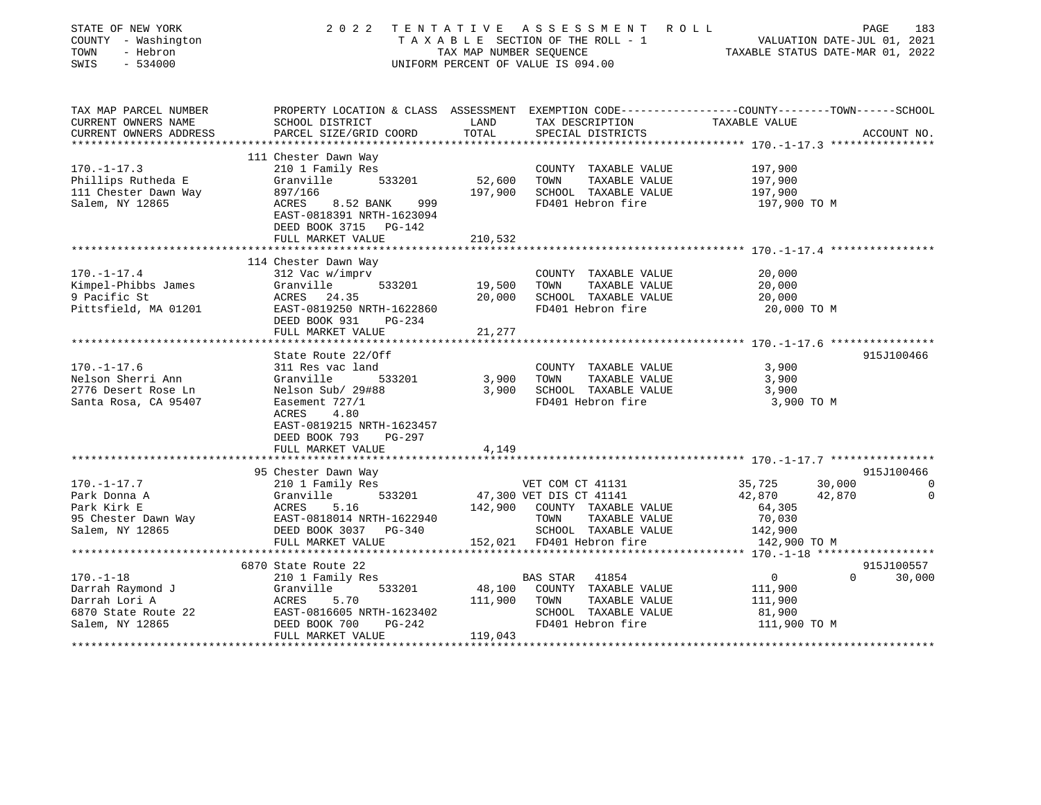| STATE OF NEW YORK<br>COUNTY - Washington<br>TOWN<br>- Hebron<br>SWIS<br>$-534000$ | 2 0 2 2                                                                                          | TENTATIVE<br>TAX MAP NUMBER SEQUENCE | ASSESSMENT<br>TAXABLE SECTION OF THE ROLL - 1<br>UNIFORM PERCENT OF VALUE IS 094.00 | ROLL<br>TAXABLE STATUS DATE-MAR 01, 2022            | PAGE<br>VALUATION DATE-JUL 01, 2021 | 183         |
|-----------------------------------------------------------------------------------|--------------------------------------------------------------------------------------------------|--------------------------------------|-------------------------------------------------------------------------------------|-----------------------------------------------------|-------------------------------------|-------------|
| TAX MAP PARCEL NUMBER                                                             | PROPERTY LOCATION & CLASS ASSESSMENT EXEMPTION CODE----------------COUNTY-------TOWN------SCHOOL |                                      |                                                                                     |                                                     |                                     |             |
| CURRENT OWNERS NAME                                                               | SCHOOL DISTRICT                                                                                  | LAND                                 | TAX DESCRIPTION                                                                     | TAXABLE VALUE                                       |                                     |             |
| CURRENT OWNERS ADDRESS                                                            | PARCEL SIZE/GRID COORD                                                                           | TOTAL                                | SPECIAL DISTRICTS                                                                   |                                                     |                                     | ACCOUNT NO. |
|                                                                                   |                                                                                                  |                                      |                                                                                     | ************* 170.-1-17.3 ****************          |                                     |             |
| $170. - 1 - 17.3$                                                                 | 111 Chester Dawn Way                                                                             |                                      |                                                                                     |                                                     |                                     |             |
| Phillips Rutheda E                                                                | 210 1 Family Res<br>533201<br>Granville                                                          | 52,600                               | COUNTY TAXABLE VALUE<br>TAXABLE VALUE<br>TOWN                                       | 197,900<br>197,900                                  |                                     |             |
| 111 Chester Dawn Way                                                              | 897/166                                                                                          | 197,900                              | SCHOOL TAXABLE VALUE                                                                | 197,900                                             |                                     |             |
| Salem, NY 12865                                                                   | ACRES<br>999<br>8.52 BANK                                                                        |                                      | FD401 Hebron fire                                                                   | 197,900 TO M                                        |                                     |             |
|                                                                                   | EAST-0818391 NRTH-1623094                                                                        |                                      |                                                                                     |                                                     |                                     |             |
|                                                                                   | DEED BOOK 3715 PG-142                                                                            |                                      |                                                                                     |                                                     |                                     |             |
|                                                                                   | FULL MARKET VALUE                                                                                | 210,532                              |                                                                                     |                                                     |                                     |             |
|                                                                                   |                                                                                                  | *********                            |                                                                                     | ******************** 170. -1-17.4 ***************** |                                     |             |
|                                                                                   | 114 Chester Dawn Way                                                                             |                                      |                                                                                     |                                                     |                                     |             |
| $170. - 1 - 17.4$                                                                 | 312 Vac w/imprv<br>Granville                                                                     | 19,500                               | COUNTY TAXABLE VALUE<br>TAXABLE VALUE                                               | 20,000<br>20,000                                    |                                     |             |
| Kimpel-Phibbs James<br>9 Pacific St                                               | 533201<br>ACRES 24.35                                                                            | 20,000                               | TOWN<br>SCHOOL TAXABLE VALUE                                                        | 20,000                                              |                                     |             |
| Pittsfield, MA 01201                                                              | EAST-0819250 NRTH-1622860                                                                        |                                      | FD401 Hebron fire                                                                   | 20,000 TO M                                         |                                     |             |
|                                                                                   | DEED BOOK 931<br>PG-234                                                                          |                                      |                                                                                     |                                                     |                                     |             |
|                                                                                   | FULL MARKET VALUE                                                                                | 21,277                               |                                                                                     |                                                     |                                     |             |
|                                                                                   |                                                                                                  |                                      |                                                                                     | ******************* 170.-1-17.6 *****************   |                                     |             |
|                                                                                   | State Route 22/Off                                                                               |                                      |                                                                                     |                                                     |                                     | 915J100466  |
| $170. - 1 - 17.6$                                                                 | 311 Res vac land                                                                                 |                                      | COUNTY TAXABLE VALUE                                                                | 3,900                                               |                                     |             |
| Nelson Sherri Ann<br>2776 Desert Rose Ln                                          | Granville<br>533201                                                                              | 3,900<br>3,900                       | TAXABLE VALUE<br>TOWN                                                               | 3,900<br>3,900                                      |                                     |             |
| Santa Rosa, CA 95407                                                              | Nelson Sub/ 29#88<br>Easement 727/1                                                              |                                      | SCHOOL TAXABLE VALUE<br>FD401 Hebron fire                                           | 3,900 TO M                                          |                                     |             |
|                                                                                   | 4.80<br>ACRES                                                                                    |                                      |                                                                                     |                                                     |                                     |             |
|                                                                                   | EAST-0819215 NRTH-1623457                                                                        |                                      |                                                                                     |                                                     |                                     |             |
|                                                                                   | DEED BOOK 793<br>PG-297                                                                          |                                      |                                                                                     |                                                     |                                     |             |
|                                                                                   | FULL MARKET VALUE                                                                                | 4,149                                |                                                                                     |                                                     |                                     |             |
|                                                                                   |                                                                                                  |                                      |                                                                                     |                                                     |                                     |             |
|                                                                                   | 95 Chester Dawn Way                                                                              |                                      |                                                                                     |                                                     |                                     | 915J100466  |
| $170. - 1 - 17.7$                                                                 | 210 1 Family Res                                                                                 |                                      | VET COM CT 41131                                                                    | 35,725                                              | 30,000                              | $\Omega$    |
| Park Donna A<br>Park Kirk E                                                       | 533201<br>Granville<br>ACRES<br>5.16                                                             |                                      | 47,300 VET DIS CT 41141<br>142,900 COUNTY TAXABLE VALUE                             | 42,870<br>64,305                                    | 42,870                              | 0           |
| 95 Chester Dawn Way                                                               | EAST-0818014 NRTH-1622940                                                                        |                                      | TOWN<br>TAXABLE VALUE                                                               | 70,030                                              |                                     |             |
| Salem, NY 12865                                                                   | DEED BOOK 3037 PG-340                                                                            |                                      | SCHOOL TAXABLE VALUE                                                                | 142,900                                             |                                     |             |
|                                                                                   | FULL MARKET VALUE                                                                                | 152,021                              | FD401 Hebron fire                                                                   | 142,900 TO M                                        |                                     |             |
|                                                                                   |                                                                                                  |                                      |                                                                                     |                                                     |                                     |             |
|                                                                                   | 6870 State Route 22                                                                              |                                      |                                                                                     |                                                     |                                     | 915J100557  |
| $170. - 1 - 18$                                                                   | 210 1 Family Res                                                                                 |                                      | BAS STAR<br>41854                                                                   | $\mathbf{0}$                                        | $\Omega$                            | 30,000      |
| Darrah Raymond J                                                                  | Granville<br>533201                                                                              | 48,100                               | COUNTY TAXABLE VALUE                                                                | 111,900                                             |                                     |             |
| Darrah Lori A                                                                     | 5.70<br>ACRES                                                                                    | 111,900                              | TOWN<br>TAXABLE VALUE                                                               | 111,900                                             |                                     |             |
| 6870 State Route 22<br>Salem, NY 12865                                            | EAST-0816605 NRTH-1623402<br>DEED BOOK 700<br>PG-242                                             |                                      | SCHOOL TAXABLE VALUE<br>FD401 Hebron fire                                           | 81,900<br>111,900 TO M                              |                                     |             |
|                                                                                   | FULL MARKET VALUE                                                                                | 119,043                              |                                                                                     |                                                     |                                     |             |
|                                                                                   |                                                                                                  |                                      |                                                                                     |                                                     |                                     |             |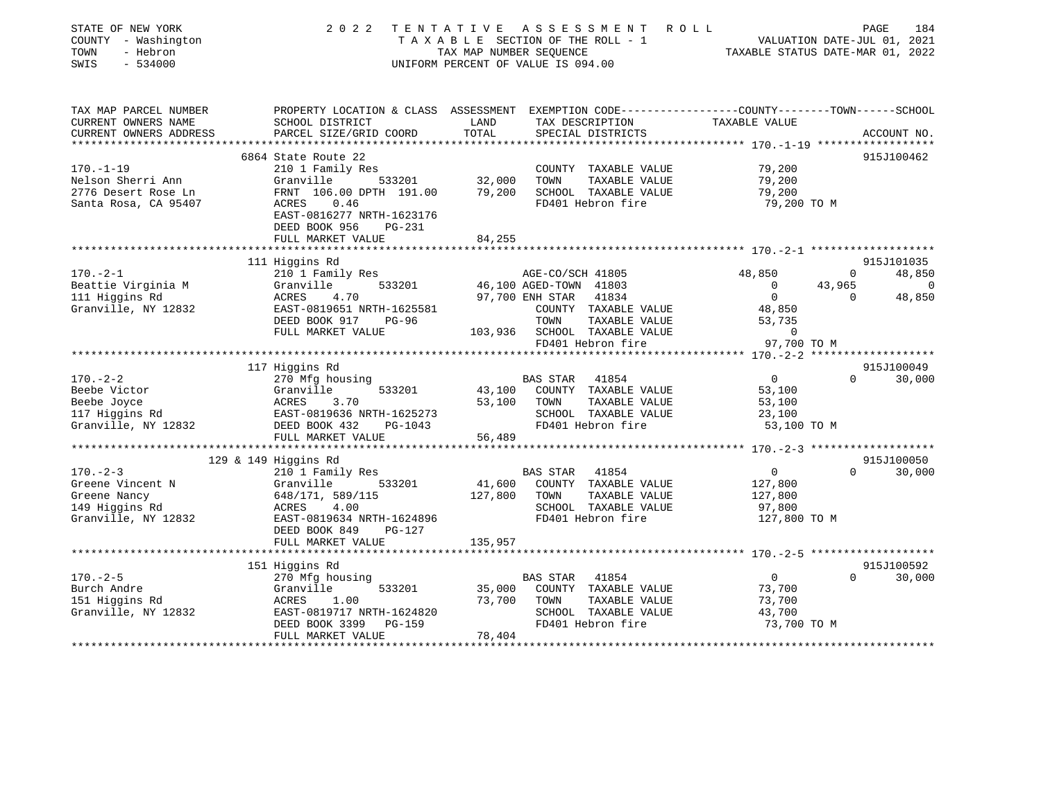| STATE OF NEW YORK<br>COUNTY - Washington<br>TOWN<br>- Hebron<br>SWIS<br>$-534000$ | 2 0 2 2                                                                                                           | TAX MAP NUMBER SEQUENCE | TENTATIVE ASSESSMENT<br>TAXABLE SECTION OF THE ROLL - 1<br>UNIFORM PERCENT OF VALUE IS 094.00 | ROLL<br>VALUATION DATE-JUL 01, 2021<br>TAXABLE STATUS DATE-MAR 01, 2022 |                    | PAGE<br>184        |
|-----------------------------------------------------------------------------------|-------------------------------------------------------------------------------------------------------------------|-------------------------|-----------------------------------------------------------------------------------------------|-------------------------------------------------------------------------|--------------------|--------------------|
| TAX MAP PARCEL NUMBER<br>CURRENT OWNERS NAME                                      | PROPERTY LOCATION & CLASS ASSESSMENT EXEMPTION CODE---------------COUNTY-------TOWN-----SCHOOL<br>SCHOOL DISTRICT | LAND                    | TAX DESCRIPTION                                                                               | TAXABLE VALUE                                                           |                    |                    |
| CURRENT OWNERS ADDRESS                                                            | PARCEL SIZE/GRID COORD                                                                                            | TOTAL                   | SPECIAL DISTRICTS                                                                             |                                                                         |                    | ACCOUNT NO.        |
|                                                                                   | 6864 State Route 22                                                                                               |                         |                                                                                               |                                                                         |                    | 915J100462         |
| $170. - 1 - 19$                                                                   | 210 1 Family Res                                                                                                  |                         | COUNTY TAXABLE VALUE                                                                          | 79,200                                                                  |                    |                    |
| Nelson Sherri Ann                                                                 | Granville<br>533201                                                                                               | 32,000                  | TAXABLE VALUE<br>TOWN                                                                         | 79,200                                                                  |                    |                    |
| 2776 Desert Rose Ln                                                               | FRNT 106.00 DPTH 191.00                                                                                           | 79,200                  | SCHOOL TAXABLE VALUE                                                                          | 79,200                                                                  |                    |                    |
| Santa Rosa, CA 95407                                                              | 0.46<br>ACRES<br>EAST-0816277 NRTH-1623176<br>DEED BOOK 956<br><b>PG-231</b>                                      |                         | FD401 Hebron fire                                                                             | 79,200 TO M                                                             |                    |                    |
|                                                                                   | FULL MARKET VALUE                                                                                                 | 84,255                  |                                                                                               |                                                                         |                    |                    |
|                                                                                   | **************************                                                                                        |                         |                                                                                               |                                                                         |                    |                    |
|                                                                                   | 111 Higgins Rd                                                                                                    |                         |                                                                                               |                                                                         |                    | 915J101035         |
| $170. - 2 - 1$                                                                    | 210 1 Family Res                                                                                                  |                         | AGE-CO/SCH 41805                                                                              | 48,850                                                                  | 0                  | 48,850             |
| Beattie Virginia M<br>111 Higgins Rd                                              | Granville<br>533201<br>ACRES<br>4.70                                                                              |                         | 46,100 AGED-TOWN 41803<br>97,700 ENH STAR<br>41834                                            | $\Omega$<br>$\overline{0}$                                              | 43,965<br>$\Omega$ | $\Omega$<br>48,850 |
| Granville, NY 12832                                                               | EAST-0819651 NRTH-1625581                                                                                         |                         | COUNTY TAXABLE VALUE                                                                          | 48,850                                                                  |                    |                    |
|                                                                                   | DEED BOOK 917<br>PG-96                                                                                            |                         | TOWN<br>TAXABLE VALUE                                                                         | 53,735                                                                  |                    |                    |
|                                                                                   | FULL MARKET VALUE                                                                                                 | 103,936                 | SCHOOL TAXABLE VALUE                                                                          | $\Omega$                                                                |                    |                    |
|                                                                                   |                                                                                                                   |                         | FD401 Hebron fire                                                                             | 97,700 TO M                                                             |                    |                    |
|                                                                                   |                                                                                                                   |                         |                                                                                               |                                                                         |                    |                    |
|                                                                                   | 117 Higgins Rd                                                                                                    |                         |                                                                                               |                                                                         |                    | 915J100049         |
| $170. - 2 - 2$                                                                    | 270 Mfg housing                                                                                                   |                         | <b>BAS STAR</b><br>41854                                                                      | $\overline{0}$                                                          | $\Omega$           | 30,000             |
| Beebe Victor<br>Beebe Joyce                                                       | 533201<br>Granville<br>ACRES<br>3.70                                                                              | 43,100<br>53,100        | COUNTY TAXABLE VALUE<br>TOWN<br>TAXABLE VALUE                                                 | 53,100<br>53,100                                                        |                    |                    |
| 117 Higgins Rd                                                                    | EAST-0819636 NRTH-1625273                                                                                         |                         | SCHOOL TAXABLE VALUE                                                                          | 23,100                                                                  |                    |                    |
| Granville, NY 12832                                                               | DEED BOOK 432<br>PG-1043                                                                                          |                         | FD401 Hebron fire                                                                             | 53,100 TO M                                                             |                    |                    |
|                                                                                   | FULL MARKET VALUE                                                                                                 | 56,489                  |                                                                                               |                                                                         |                    |                    |
|                                                                                   | **************************                                                                                        |                         |                                                                                               |                                                                         |                    |                    |
|                                                                                   | $129$ & 149 Higgins Rd                                                                                            |                         |                                                                                               |                                                                         |                    | 915J100050         |
| $170. - 2 - 3$                                                                    | 210 1 Family Res                                                                                                  |                         | 41854<br>BAS STAR                                                                             | $\mathsf{O}$                                                            | $\Omega$           | 30,000             |
| Greene Vincent N                                                                  | Granville<br>533201                                                                                               | 41,600                  | COUNTY TAXABLE VALUE<br>TOWN                                                                  | 127,800                                                                 |                    |                    |
| Greene Nancy<br>149 Higgins Rd                                                    | 648/171, 589/115<br>4.00<br>ACRES                                                                                 | 127,800                 | TAXABLE VALUE<br>SCHOOL TAXABLE VALUE                                                         | 127,800<br>97,800                                                       |                    |                    |
| Granville, NY 12832                                                               | EAST-0819634 NRTH-1624896                                                                                         |                         | FD401 Hebron fire                                                                             | 127,800 TO M                                                            |                    |                    |
|                                                                                   | DEED BOOK 849<br><b>PG-127</b>                                                                                    |                         |                                                                                               |                                                                         |                    |                    |
|                                                                                   | FULL MARKET VALUE                                                                                                 | 135,957                 |                                                                                               |                                                                         |                    |                    |
|                                                                                   | *************************                                                                                         |                         |                                                                                               |                                                                         |                    |                    |
|                                                                                   | 151 Higgins Rd                                                                                                    |                         |                                                                                               |                                                                         |                    | 915J100592         |
| $170. - 2 - 5$                                                                    | 270 Mfg housing                                                                                                   |                         | <b>BAS STAR</b><br>41854                                                                      | $\mathbf 0$                                                             | $\Omega$           | 30,000             |
| Burch Andre                                                                       | 533201<br>Granville                                                                                               | 35,000                  | COUNTY TAXABLE VALUE                                                                          | 73,700                                                                  |                    |                    |
| 151 Higgins Rd<br>Granville, NY 12832                                             | 1.00<br>ACRES<br>EAST-0819717 NRTH-1624820                                                                        | 73,700                  | TAXABLE VALUE<br>TOWN<br>SCHOOL TAXABLE VALUE                                                 | 73,700<br>43,700                                                        |                    |                    |
|                                                                                   | DEED BOOK 3399<br>PG-159                                                                                          |                         | FD401 Hebron fire                                                                             | 73,700 TO M                                                             |                    |                    |
|                                                                                   | FULL MARKET VALUE                                                                                                 | 78,404                  |                                                                                               |                                                                         |                    |                    |
|                                                                                   |                                                                                                                   |                         |                                                                                               |                                                                         |                    |                    |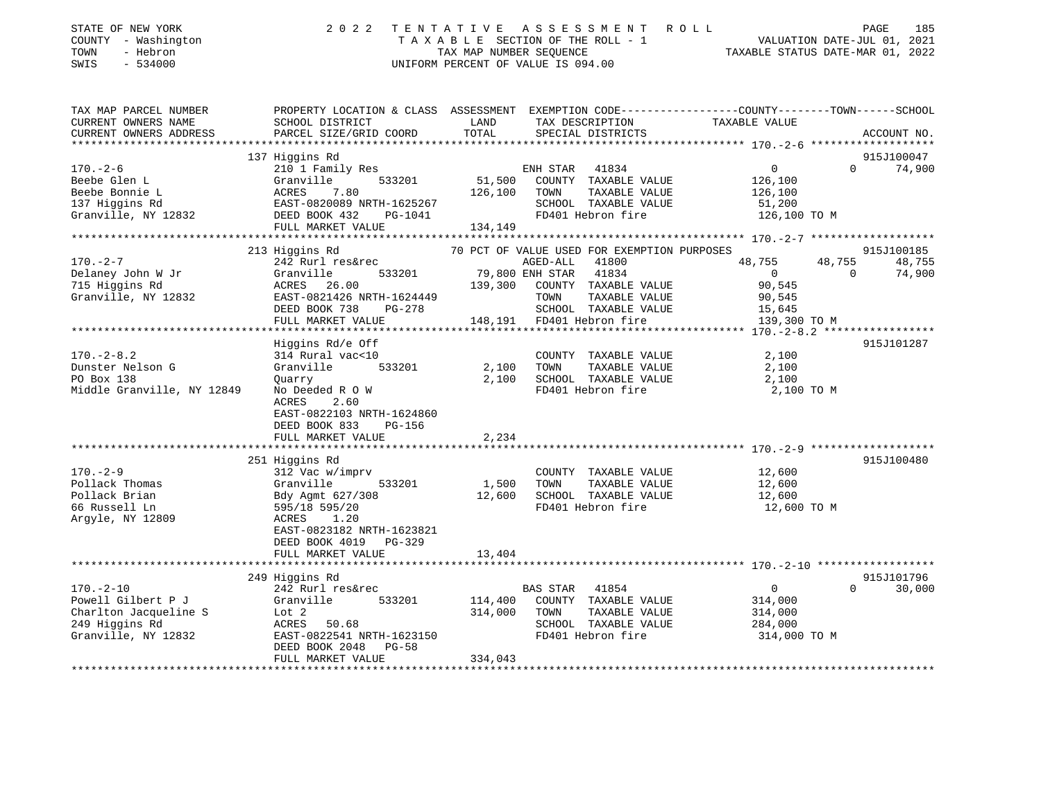| STATE OF NEW YORK<br>COUNTY - Washington<br>TOWN<br>- Hebron<br>$-534000$<br>SWIS |                                                                                                                                                                                                                                                                                                                                                                                                       |       | 2022 TENTATIVE ASSESSMENT ROLL<br>TAXABLE SECTION OF THE ROLL - 1<br>TAX MAP NUMBER SEQUENCE TAXABLE STATUS DATE-JUL 01, 2021<br>UNIFORM PERCENT OF VALUE IS 094.00 |                       | PAGE<br>185 |
|-----------------------------------------------------------------------------------|-------------------------------------------------------------------------------------------------------------------------------------------------------------------------------------------------------------------------------------------------------------------------------------------------------------------------------------------------------------------------------------------------------|-------|---------------------------------------------------------------------------------------------------------------------------------------------------------------------|-----------------------|-------------|
| TAX MAP PARCEL NUMBER                                                             | PROPERTY LOCATION & CLASS ASSESSMENT EXEMPTION CODE-----------------COUNTY-------TOWN-----SCHOOL                                                                                                                                                                                                                                                                                                      |       |                                                                                                                                                                     |                       |             |
| CURRENT OWNERS NAME                                                               | SCHOOL DISTRICT                                                                                                                                                                                                                                                                                                                                                                                       |       | LAND TAX DESCRIPTION TAXABLE VALUE                                                                                                                                  |                       |             |
|                                                                                   |                                                                                                                                                                                                                                                                                                                                                                                                       |       |                                                                                                                                                                     |                       |             |
|                                                                                   | 137 Higgins Rd                                                                                                                                                                                                                                                                                                                                                                                        |       |                                                                                                                                                                     |                       | 915J100047  |
|                                                                                   | $\begin{tabular}{lllllllllllllllllll} \rule{0pt}{2.5mm} 170.-2-6 & 2101 Family\,\, {\rm res.} & \\ \rule{0pt}{2.5mm} \text{Beebe Glen L} & \text{Granville} & 533201 & 51,500 & {\tiny\text{COUN11}}\\ \rule{0pt}{2.5mm} \text{Beebe Bonnie L} & \text{ACRES} & 7.80 & 126,100 & \text{TOMN}\\ \rule{0pt}{2.5mm} 137 \text{ Higgsins Rd} & \text{EAST-0820089 NRTH-1625267} & \text{SCHOOL}\\ \rule{$ |       |                                                                                                                                                                     |                       | 74,900      |
|                                                                                   |                                                                                                                                                                                                                                                                                                                                                                                                       |       |                                                                                                                                                                     |                       |             |
|                                                                                   |                                                                                                                                                                                                                                                                                                                                                                                                       |       |                                                                                                                                                                     | TAXABLE VALUE 126,100 |             |
|                                                                                   |                                                                                                                                                                                                                                                                                                                                                                                                       |       |                                                                                                                                                                     |                       |             |
|                                                                                   |                                                                                                                                                                                                                                                                                                                                                                                                       |       | SCHOOL TAXABLE VALUE 51,200<br>FD401 Hebron fire 126,100 TO M                                                                                                       |                       |             |
|                                                                                   |                                                                                                                                                                                                                                                                                                                                                                                                       |       |                                                                                                                                                                     |                       |             |
|                                                                                   |                                                                                                                                                                                                                                                                                                                                                                                                       |       |                                                                                                                                                                     |                       |             |
|                                                                                   | 213 Higgins Rd                 70 PCT OF VALUE USED FOR EXEMPTION PURPOSES                                                                                                                                                                                                                                                                                                                            |       |                                                                                                                                                                     |                       | 915J100185  |
| $170. - 2 - 7$                                                                    | 242 Rurl res&rec                                                                                                                                                                                                                                                                                                                                                                                      |       | AGED-ALL 41800                                                                                                                                                      | 48,755 48,755         | 48,755      |
|                                                                                   |                                                                                                                                                                                                                                                                                                                                                                                                       |       |                                                                                                                                                                     |                       |             |
|                                                                                   |                                                                                                                                                                                                                                                                                                                                                                                                       |       |                                                                                                                                                                     |                       |             |
|                                                                                   |                                                                                                                                                                                                                                                                                                                                                                                                       |       |                                                                                                                                                                     |                       |             |
|                                                                                   |                                                                                                                                                                                                                                                                                                                                                                                                       |       |                                                                                                                                                                     |                       |             |
|                                                                                   |                                                                                                                                                                                                                                                                                                                                                                                                       |       |                                                                                                                                                                     |                       |             |
|                                                                                   | Higgins Rd/e Off                                                                                                                                                                                                                                                                                                                                                                                      |       |                                                                                                                                                                     |                       | 915J101287  |
| $170. - 2 - 8.2$                                                                  | 314 Rural vac<10                                                                                                                                                                                                                                                                                                                                                                                      |       | COUNTY TAXABLE VALUE                                                                                                                                                | 2,100                 |             |
| Dunster Nelson G                                                                  | vac<10 COUNT<br>533201 2,100 TOWN<br>Granville                                                                                                                                                                                                                                                                                                                                                        |       | TAXABLE VALUE                                                                                                                                                       | 2,100                 |             |
| PO Box 138                                                                        | Quarry                                                                                                                                                                                                                                                                                                                                                                                                |       |                                                                                                                                                                     |                       |             |
| Middle Granville, NY 12849                                                        | No Deeded R O W                                                                                                                                                                                                                                                                                                                                                                                       |       | 2,100 SCHOOL TAXABLE VALUE 2,100<br>FD401 Hebron fire 2,100                                                                                                         | 2,100 TO M            |             |
|                                                                                   | 2.60<br>ACRES                                                                                                                                                                                                                                                                                                                                                                                         |       |                                                                                                                                                                     |                       |             |
|                                                                                   | EAST-0822103 NRTH-1624860                                                                                                                                                                                                                                                                                                                                                                             |       |                                                                                                                                                                     |                       |             |
|                                                                                   | DEED BOOK 833 PG-156                                                                                                                                                                                                                                                                                                                                                                                  |       |                                                                                                                                                                     |                       |             |
|                                                                                   | FULL MARKET VALUE                                                                                                                                                                                                                                                                                                                                                                                     | 2,234 |                                                                                                                                                                     |                       |             |
|                                                                                   |                                                                                                                                                                                                                                                                                                                                                                                                       |       |                                                                                                                                                                     |                       |             |
|                                                                                   | 251 Higgins Rd                                                                                                                                                                                                                                                                                                                                                                                        |       |                                                                                                                                                                     |                       | 915J100480  |
| $170. - 2 - 9$                                                                    | 312 Vac w/imprv                                                                                                                                                                                                                                                                                                                                                                                       |       | COUNTY TAXABLE VALUE 12,600                                                                                                                                         |                       |             |
|                                                                                   | 533201                                                                                                                                                                                                                                                                                                                                                                                                |       | 1,500 TOWN TAXABLE VALUE 12,600<br>12,600 SCHOOL TAXABLE VALUE 12,600                                                                                               |                       |             |
|                                                                                   |                                                                                                                                                                                                                                                                                                                                                                                                       |       | FD401 Hebron fire 12,600 TO M                                                                                                                                       |                       |             |
| 66 Russell Ln                                                                     | 595/18 595/20                                                                                                                                                                                                                                                                                                                                                                                         |       |                                                                                                                                                                     |                       |             |
| Argyle, NY 12809                                                                  | ACRES 1.20<br>EAST-0823182 NRTH-1623821                                                                                                                                                                                                                                                                                                                                                               |       |                                                                                                                                                                     |                       |             |
|                                                                                   | DEED BOOK 4019 PG-329                                                                                                                                                                                                                                                                                                                                                                                 |       |                                                                                                                                                                     |                       |             |

 FULL MARKET VALUE 13,404 \*\*\*\*\*\*\*\*\*\*\*\*\*\*\*\*\*\*\*\*\*\*\*\*\*\*\*\*\*\*\*\*\*\*\*\*\*\*\*\*\*\*\*\*\*\*\*\*\*\*\*\*\*\*\*\*\*\*\*\*\*\*\*\*\*\*\*\*\*\*\*\*\*\*\*\*\*\*\*\*\*\*\*\*\*\*\*\*\*\*\*\*\*\*\*\*\*\*\*\*\*\*\* 170.-2-10 \*\*\*\*\*\*\*\*\*\*\*\*\*\*\*\*\*\*915J101796 249 Higgins Rd 915J101796 170.-2-10 242 Rurl res&rec Powell Gilbert P J Granville 533201 114,400 COUNTY TAXABLE VALUE 314,000 Charlton Jacqueline S  $Lot 2$  314,000 TOWN TAXABLE VALUE 314,000 249 Higgins Rd ACRES 50.68 SCHOOL TAXABLE VALUE 284,000 EAST-0822541 NRTH-1623150 DEED BOOK 2048 PG-58FULL MARKET VALUE 334,043 \*\*\*\*\*\*\*\*\*\*\*\*\*\*\*\*\*\*\*\*\*\*\*\*\*\*\*\*\*\*\*\*\*\*\*\*\*\*\*\*\*\*\*\*\*\*\*\*\*\*\*\*\*\*\*\*\*\*\*\*\*\*\*\*\*\*\*\*\*\*\*\*\*\*\*\*\*\*\*\*\*\*\*\*\*\*\*\*\*\*\*\*\*\*\*\*\*\*\*\*\*\*\*\*\*\*\*\*\*\*\*\*\*\*\*\*\*\*\*\*\*\*\*\*\*\*\*\*\*\*\*\*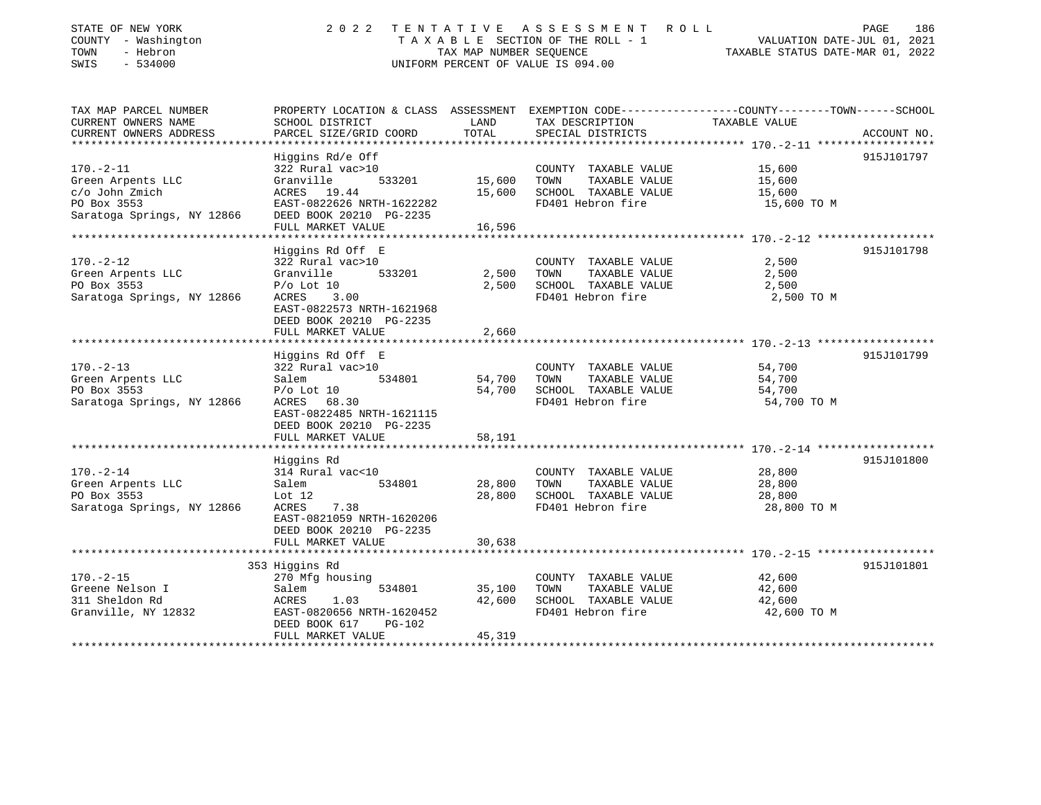| STATE OF NEW YORK<br>COUNTY - Washington<br>TOWN<br>- Hebron<br>SWIS<br>$-534000$                   |                                                                                                                                                                           |                            | 2022 TENTATIVE ASSESSMENT ROLL<br>UNIFORM PERCENT OF VALUE IS 094.00                              | 186<br>PAGE                                                                                                                    |
|-----------------------------------------------------------------------------------------------------|---------------------------------------------------------------------------------------------------------------------------------------------------------------------------|----------------------------|---------------------------------------------------------------------------------------------------|--------------------------------------------------------------------------------------------------------------------------------|
| TAX MAP PARCEL NUMBER<br>CURRENT OWNERS NAME<br>CURRENT OWNERS ADDRESS                              | SCHOOL DISTRICT<br>PARCEL SIZE/GRID COORD                                                                                                                                 | LAND<br>TOTAL              | TAX DESCRIPTION<br>SPECIAL DISTRICTS                                                              | PROPERTY LOCATION & CLASS ASSESSMENT EXEMPTION CODE---------------COUNTY-------TOWN-----SCHOOL<br>TAXABLE VALUE<br>ACCOUNT NO. |
| $170. - 2 - 11$<br>Green Arpents LLC<br>c/o John Zmich<br>PO Box 3553<br>Saratoga Springs, NY 12866 | Higgins Rd/e Off<br>322 Rural vac>10<br>Granville<br>533201 15,600<br>ACRES 19.44<br>EAST-0822626 NRTH-1622282<br>DEED BOOK 20210 PG-2235<br>FULL MARKET VALUE            | 15,600<br>16,596           | COUNTY TAXABLE VALUE 15,600<br>TOWN<br>TAXABLE VALUE<br>SCHOOL TAXABLE VALUE<br>FD401 Hebron fire | 915J101797<br>15,600<br>15,600<br>15,600 TO M                                                                                  |
| $170. - 2 - 12$<br>Green Arpents LLC<br>PO Box 3553<br>Saratoga Springs, NY 12866                   | Higgins Rd Off E<br>322 Rural vac>10<br>533201<br>Granville<br>$P/O$ Lot 10<br>ACRES<br>3.00<br>EAST-0822573 NRTH-1621968<br>DEED BOOK 20210 PG-2235<br>FULL MARKET VALUE | 2,500<br>2,500<br>2,660    | COUNTY TAXABLE VALUE<br>TAXABLE VALUE<br>TOWN<br>SCHOOL TAXABLE VALUE<br>FD401 Hebron fire        | 915J101798<br>2,500<br>2,500<br>2,500<br>2,500 TO M                                                                            |
| $170. - 2 - 13$<br>Green Arpents LLC<br>PO Box 3553<br>Saratoga Springs, NY 12866                   | Higgins Rd Off E<br>322 Rural vac>10<br>Salem<br>534801<br>$P/O$ Lot 10<br>ACRES 68.30<br>EAST-0822485 NRTH-1621115<br>DEED BOOK 20210 PG-2235<br>FULL MARKET VALUE       | 54,700<br>54,700<br>58,191 | COUNTY TAXABLE VALUE<br>TOWN<br>TAXABLE VALUE<br>SCHOOL TAXABLE VALUE<br>FD401 Hebron fire        | 915J101799<br>54,700<br>54,700<br>54,700<br>54,700 TO M                                                                        |
| $170. - 2 - 14$<br>Green Arpents LLC<br>PO Box 3553<br>Saratoga Springs, NY 12866                   | Higgins Rd<br>314 Rural vac<10<br>534801<br>Salem<br>Lot 12<br>7.38<br>ACRES<br>EAST-0821059 NRTH-1620206<br>DEED BOOK 20210 PG-2235                                      | 28,800<br>28,800           | COUNTY TAXABLE VALUE<br>TOWN<br>TAXABLE VALUE<br>SCHOOL TAXABLE VALUE<br>FD401 Hebron fire        | 915J101800<br>28,800<br>28,800<br>28,800<br>28,800 TO M                                                                        |

\*\*\*\*\*\*\*\*\*\*\*\*\*\*\*\*\*\*\*\*\*\*\*\*\*\*\*\*\*\*\*\*\*\*\*\*\*\*\*\*\*\*\*\*\*\*\*\*\*\*\*\*\*\*\*\*\*\*\*\*\*\*\*\*\*\*\*\*\*\*\*\*\*\*\*\*\*\*\*\*\*\*\*\*\*\*\*\*\*\*\*\*\*\*\*\*\*\*\*\*\*\*\* 170.-2-15 \*\*\*\*\*\*\*\*\*\*\*\*\*\*\*\*\*\*

\*\*\*\*\*\*\*\*\*\*\*\*\*\*\*\*\*\*\*\*\*\*\*\*\*\*\*\*\*\*\*\*\*\*\*\*\*\*\*\*\*\*\*\*\*\*\*\*\*\*\*\*\*\*\*\*\*\*\*\*\*\*\*\*\*\*\*\*\*\*\*\*\*\*\*\*\*\*\*\*\*\*\*\*\*\*\*\*\*\*\*\*\*\*\*\*\*\*\*\*\*\*\*\*\*\*\*\*\*\*\*\*\*\*\*\*\*\*\*\*\*\*\*\*\*\*\*\*\*\*\*\*

353 Higgins Rd 915J101801

35,100 TOWN TAXABLE VALUE

FULL MARKET VALUE 30,638

FULL MARKET VALUE 45,319

DEED BOOK 617 PG-102

170.-2-15 270 Mfg housing COUNTY TAXABLE VALUE 42,600

311 Sheldon Rd ACRES 1.03 42,600 SCHOOL TAXABLE VALUE 42,600 Granville, NY 12832 **EAST-0820656 NRTH-1620452** FD401 Hebron fire 42,600 TO M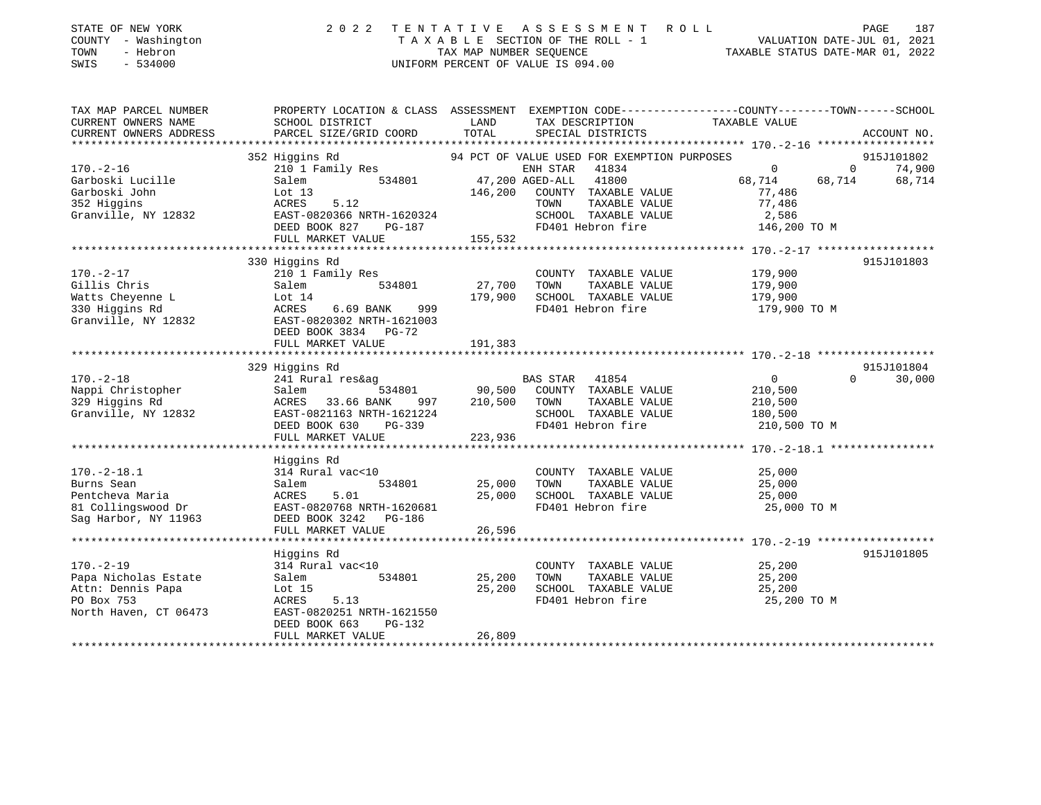| STATE OF NEW YORK<br>- Washington<br>COUNTY<br>- Hebron<br>TOWN<br>$-534000$<br>SWIS | 2 0 2 2<br>TAXABLE                                                           | TENTATIVE<br>TAX MAP NUMBER SEQUENCE | ASSESSMENT ROLL<br>SECTION OF THE ROLL - 1<br>UNIFORM PERCENT OF VALUE IS 094.00                     |               | 187<br>PAGE<br>2021<br>VALUATION DATE-JUL 01,<br>TAXABLE STATUS DATE-MAR 01, 2022 |
|--------------------------------------------------------------------------------------|------------------------------------------------------------------------------|--------------------------------------|------------------------------------------------------------------------------------------------------|---------------|-----------------------------------------------------------------------------------|
| TAX MAP PARCEL NUMBER<br>CURRENT OWNERS NAME<br>CURRENT OWNERS ADDRESS               | PROPERTY LOCATION & CLASS<br>SCHOOL DISTRICT<br>PARCEL SIZE/GRID COORD TOTAL | ASSESSMENT<br>LAND                   | EXEMPTION CODE-----------------COUNTY-------TOWN------SCHOOL<br>TAX DESCRIPTION<br>SPECIAL DISTRICTS | TAXABLE VALUE | ACCOUNT NO.                                                                       |
|                                                                                      |                                                                              |                                      |                                                                                                      |               |                                                                                   |
|                                                                                      | 352 Higgins Rd                                                               |                                      | 94 PCT OF VALUE USED FOR EXEMPTION PURPOSES                                                          |               | 915J101802                                                                        |
| $170. - 2 - 16$                                                                      | 210 1 Family Res                                                             |                                      | 41834<br>ENH STAR                                                                                    | 0             | 74,900<br>$\Omega$                                                                |
| Garboski Lucille                                                                     | Salem<br>534801                                                              |                                      | 47,200 AGED-ALL<br>41800                                                                             | 68,714        | 68,714<br>68,714                                                                  |
| Lot 13<br>Garboski John                                                              |                                                                              | 146,200                              | COUNTY<br>TAXABLE VALUE                                                                              | 77,486        |                                                                                   |
| 352 Higgins                                                                          | 5.12<br>ACRES                                                                |                                      | TOWN<br>TAXABLE VALUE                                                                                | 77,486        |                                                                                   |
| Granville, NY 12832                                                                  | EAST-0820366 NRTH-1620324                                                    |                                      | TAXABLE VALUE<br>SCHOOL                                                                              | 2,586         |                                                                                   |
|                                                                                      | DEED BOOK 827<br>PG-187                                                      |                                      | FD401 Hebron fire                                                                                    | 146,200 TO M  |                                                                                   |
|                                                                                      | FULL MARKET VALUE                                                            | 155,532                              |                                                                                                      |               |                                                                                   |
|                                                                                      |                                                                              |                                      |                                                                                                      |               |                                                                                   |
|                                                                                      | 330 Higgins Rd                                                               |                                      |                                                                                                      |               | 915J101803                                                                        |

|                       | 330 Higgins Ra                               |         |                             |                            | ATPOTOTRO? |
|-----------------------|----------------------------------------------|---------|-----------------------------|----------------------------|------------|
| $170. - 2 - 17$       | 210 1 Family Res                             |         | COUNTY<br>TAXABLE VALUE     | 179,900                    |            |
| Gillis Chris          | Salem<br>534801                              | 27,700  | TOWN<br>TAXABLE VALUE       | 179,900                    |            |
| Watts Cheyenne L      | Lot 14                                       | 179,900 | SCHOOL TAXABLE VALUE        | 179,900                    |            |
| 330 Higgins Rd        | ACRES<br>6.69 BANK<br>999                    |         | FD401 Hebron fire           | 179,900 TO M               |            |
| Granville, NY 12832   | EAST-0820302 NRTH-1621003                    |         |                             |                            |            |
|                       | DEED BOOK 3834 PG-72                         |         |                             |                            |            |
|                       | FULL MARKET VALUE                            | 191,383 |                             |                            |            |
|                       |                                              |         |                             |                            |            |
|                       | 329 Higgins Rd                               |         |                             |                            | 915J101804 |
| $170. - 2 - 18$       | 241 Rural res&aq                             |         | BAS STAR<br>41854           | $\Omega$<br>$\overline{0}$ | 30,000     |
| Nappi Christopher     | 534801<br>Salem                              |         | 90,500 COUNTY TAXABLE VALUE | 210,500                    |            |
| 329 Higgins Rd        | ACRES 33.66 BANK<br>997                      | 210,500 | TOWN<br>TAXABLE VALUE       | 210,500                    |            |
| Granville, NY 12832   | EAST-0821163 NRTH-1621224                    |         | SCHOOL TAXABLE VALUE        | 180,500                    |            |
|                       | DEED BOOK 630<br>PG-339                      |         | FD401 Hebron fire           | 210,500 TO M               |            |
|                       | FULL MARKET VALUE                            | 223,936 |                             |                            |            |
|                       |                                              |         |                             |                            |            |
|                       | Higgins Rd                                   |         |                             |                            |            |
| $170. - 2 - 18.1$     | 314 Rural vac<10                             |         | COUNTY TAXABLE VALUE        | 25,000                     |            |
| Burns Sean            | Salem<br>534801                              | 25,000  | TOWN<br>TAXABLE VALUE       | 25,000                     |            |
| Pentcheva Maria       | 5.01<br>ACRES                                | 25,000  | SCHOOL TAXABLE VALUE        | 25,000                     |            |
|                       | 81 Collingswood Dr BAST-0820768 NRTH-1620681 |         | FD401 Hebron fire           | 25,000 TO M                |            |
|                       |                                              |         |                             |                            |            |
|                       | FULL MARKET VALUE                            | 26,596  |                             |                            |            |
|                       |                                              |         |                             |                            |            |
|                       | Higgins Rd                                   |         |                             |                            | 915J101805 |
| $170. - 2 - 19$       | 314 Rural vac<10                             |         | COUNTY TAXABLE VALUE        | 25,200                     |            |
| Papa Nicholas Estate  | Salem<br>534801                              | 25,200  | TOWN<br>TAXABLE VALUE       | 25,200                     |            |
| Attn: Dennis Papa     | Lot 15                                       | 25,200  | SCHOOL TAXABLE VALUE        | 25,200                     |            |
| PO Box 753            | ACRES<br>5.13                                |         | FD401 Hebron fire           | 25,200 TO M                |            |
| North Haven, CT 06473 | EAST-0820251 NRTH-1621550                    |         |                             |                            |            |
|                       | DEED BOOK 663<br>$PG-132$                    |         |                             |                            |            |
|                       | FULL MARKET VALUE                            | 26,809  |                             |                            |            |
|                       |                                              |         |                             |                            |            |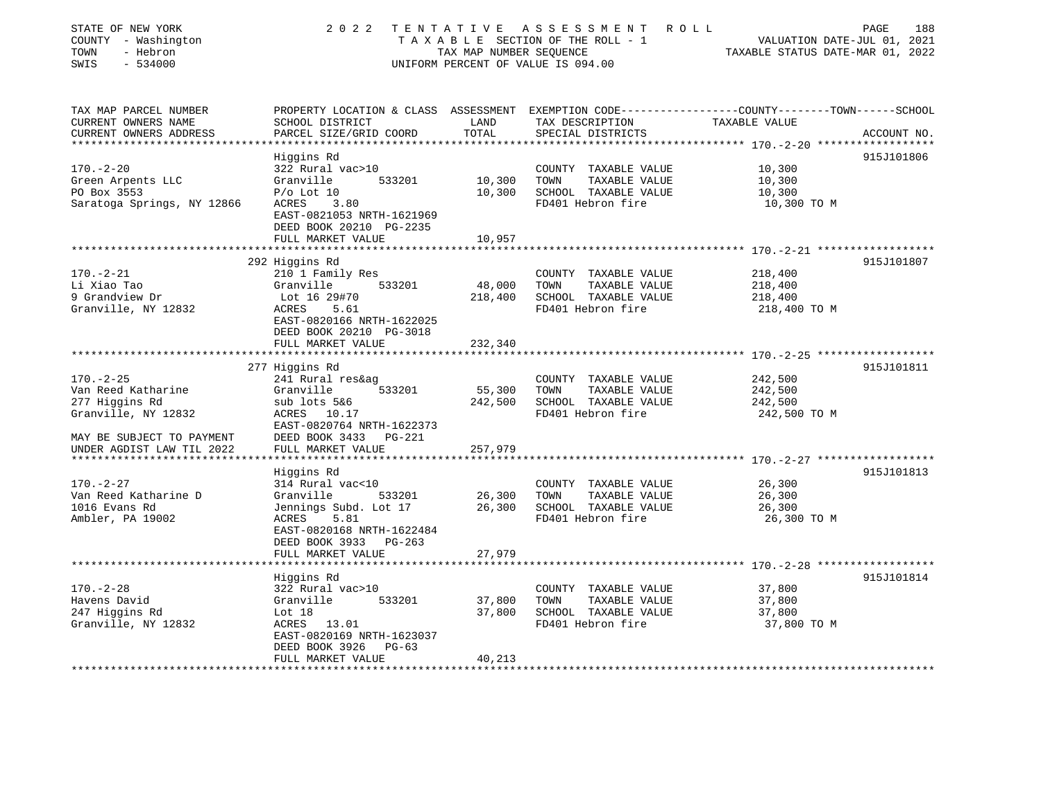| STATE OF NEW YORK<br>COUNTY - Washington<br>- Hebron<br>TOWN<br>SWIS<br>$-534000$ |                                                      | TAX MAP NUMBER SEQUENCE<br>UNIFORM PERCENT OF VALUE IS 094.00 | 2022 TENTATIVE ASSESSMENT ROLL<br>T A X A B L E SECTION OF THE ROLL - 1 VALUATION DATE-JUL 01, 2021               | TAXABLE STATUS DATE-MAR 01, 2022                       | PAGE<br>188 |
|-----------------------------------------------------------------------------------|------------------------------------------------------|---------------------------------------------------------------|-------------------------------------------------------------------------------------------------------------------|--------------------------------------------------------|-------------|
| TAX MAP PARCEL NUMBER<br>CURRENT OWNERS NAME                                      | SCHOOL DISTRICT                                      | LAND                                                          | PROPERTY LOCATION & CLASS ASSESSMENT EXEMPTION CODE---------------COUNTY-------TOWN-----SCHOOL<br>TAX DESCRIPTION | TAXABLE VALUE                                          |             |
| CURRENT OWNERS ADDRESS                                                            | PARCEL SIZE/GRID COORD                               | TOTAL                                                         | SPECIAL DISTRICTS                                                                                                 |                                                        | ACCOUNT NO. |
|                                                                                   |                                                      |                                                               |                                                                                                                   | **************** 170.-2-20 *******************         |             |
|                                                                                   | Higgins Rd                                           |                                                               |                                                                                                                   |                                                        | 915J101806  |
| $170. - 2 - 20$<br>Green Arpents LLC                                              | 322 Rural vac>10<br>533201<br>Granville              | 10,300                                                        | COUNTY TAXABLE VALUE<br>TOWN<br>TAXABLE VALUE                                                                     | 10,300<br>10,300                                       |             |
| PO Box 3553                                                                       | $P/O$ Lot $10$                                       | 10,300                                                        | SCHOOL TAXABLE VALUE                                                                                              | 10,300                                                 |             |
| Saratoga Springs, NY 12866                                                        | ACRES 3.80                                           |                                                               | FD401 Hebron fire                                                                                                 | 10,300 TO M                                            |             |
|                                                                                   | EAST-0821053 NRTH-1621969<br>DEED BOOK 20210 PG-2235 |                                                               |                                                                                                                   |                                                        |             |
|                                                                                   | FULL MARKET VALUE                                    | 10,957                                                        |                                                                                                                   |                                                        |             |
|                                                                                   |                                                      |                                                               |                                                                                                                   |                                                        |             |
|                                                                                   | 292 Higgins Rd                                       |                                                               |                                                                                                                   |                                                        | 915J101807  |
| $170. - 2 - 21$                                                                   | 210 1 Family Res                                     |                                                               | COUNTY TAXABLE VALUE                                                                                              | 218,400                                                |             |
| Li Xiao Tao<br>9 Grandview Dr                                                     | Granville<br>533201<br>Lot 16 29#70                  | 48,000<br>218,400                                             | TOWN<br>TAXABLE VALUE<br>SCHOOL TAXABLE VALUE                                                                     | 218,400<br>218,400                                     |             |
| Granville, NY 12832                                                               | ACRES 5.61                                           |                                                               | FD401 Hebron fire                                                                                                 | 218,400 TO M                                           |             |
|                                                                                   | EAST-0820166 NRTH-1622025                            |                                                               |                                                                                                                   |                                                        |             |
|                                                                                   | DEED BOOK 20210 PG-3018                              |                                                               |                                                                                                                   |                                                        |             |
|                                                                                   | FULL MARKET VALUE                                    | 232,340                                                       |                                                                                                                   |                                                        |             |
|                                                                                   |                                                      |                                                               |                                                                                                                   | ************************ 170.-2-25 ******************* |             |
|                                                                                   | 277 Higgins Rd                                       |                                                               |                                                                                                                   |                                                        | 915J101811  |
| $170. - 2 - 25$                                                                   | 241 Rural res&ag<br>Granville<br>533201              |                                                               | COUNTY TAXABLE VALUE<br>TOWN                                                                                      | 242,500<br>242,500                                     |             |
| Van Reed Katharine<br>277 Higgins Rd                                              | sub lots 5&6                                         | 55,300<br>242,500                                             | TAXABLE VALUE<br>SCHOOL TAXABLE VALUE                                                                             | 242,500                                                |             |
| Granville, NY 12832                                                               | ACRES 10.17                                          |                                                               | FD401 Hebron fire                                                                                                 | 242,500 TO M                                           |             |
|                                                                                   | EAST-0820764 NRTH-1622373                            |                                                               |                                                                                                                   |                                                        |             |
| MAY BE SUBJECT TO PAYMENT                                                         | DEED BOOK 3433 PG-221                                |                                                               |                                                                                                                   |                                                        |             |
| UNDER AGDIST LAW TIL 2022                                                         | FULL MARKET VALUE                                    | 257,979                                                       |                                                                                                                   |                                                        |             |
|                                                                                   |                                                      |                                                               |                                                                                                                   |                                                        |             |
|                                                                                   | Higgins Rd                                           |                                                               |                                                                                                                   |                                                        | 915J101813  |
| $170. - 2 - 27$                                                                   | 314 Rural vac<10                                     |                                                               | COUNTY TAXABLE VALUE                                                                                              | 26,300                                                 |             |
| Van Reed Katharine D<br>1016 Evans Rd                                             | Granville<br>533201                                  | 26,300<br>26,300                                              | TAXABLE VALUE<br>TOWN                                                                                             | 26,300                                                 |             |
| Ambler, PA 19002                                                                  | Jennings Subd. Lot 17<br>ACRES 5.81                  |                                                               | SCHOOL TAXABLE VALUE<br>FD401 Hebron fire                                                                         | 26,300<br>26,300 TO M                                  |             |
|                                                                                   | EAST-0820168 NRTH-1622484                            |                                                               |                                                                                                                   |                                                        |             |
|                                                                                   | DEED BOOK 3933 PG-263                                |                                                               |                                                                                                                   |                                                        |             |
|                                                                                   | FULL MARKET VALUE                                    | 27,979                                                        |                                                                                                                   |                                                        |             |
|                                                                                   |                                                      |                                                               |                                                                                                                   |                                                        |             |
|                                                                                   | Higgins Rd                                           |                                                               |                                                                                                                   |                                                        | 915J101814  |
| $170. - 2 - 28$                                                                   | 322 Rural vac>10                                     |                                                               | COUNTY TAXABLE VALUE                                                                                              | 37,800                                                 |             |
| Havens David                                                                      | 533201<br>Granville                                  | 37,800                                                        | TOWN<br>TAXABLE VALUE                                                                                             | 37,800                                                 |             |
| 247 Higgins Rd                                                                    | Lot 18                                               | 37,800                                                        | SCHOOL TAXABLE VALUE                                                                                              | 37,800                                                 |             |
| Granville, NY 12832                                                               | ACRES 13.01<br>EAST-0820169 NRTH-1623037             |                                                               | FD401 Hebron fire                                                                                                 | 37,800 TO M                                            |             |
|                                                                                   | DEED BOOK 3926 PG-63                                 |                                                               |                                                                                                                   |                                                        |             |
|                                                                                   | FULL MARKET VALUE                                    | 40,213                                                        |                                                                                                                   |                                                        |             |
|                                                                                   |                                                      |                                                               |                                                                                                                   |                                                        |             |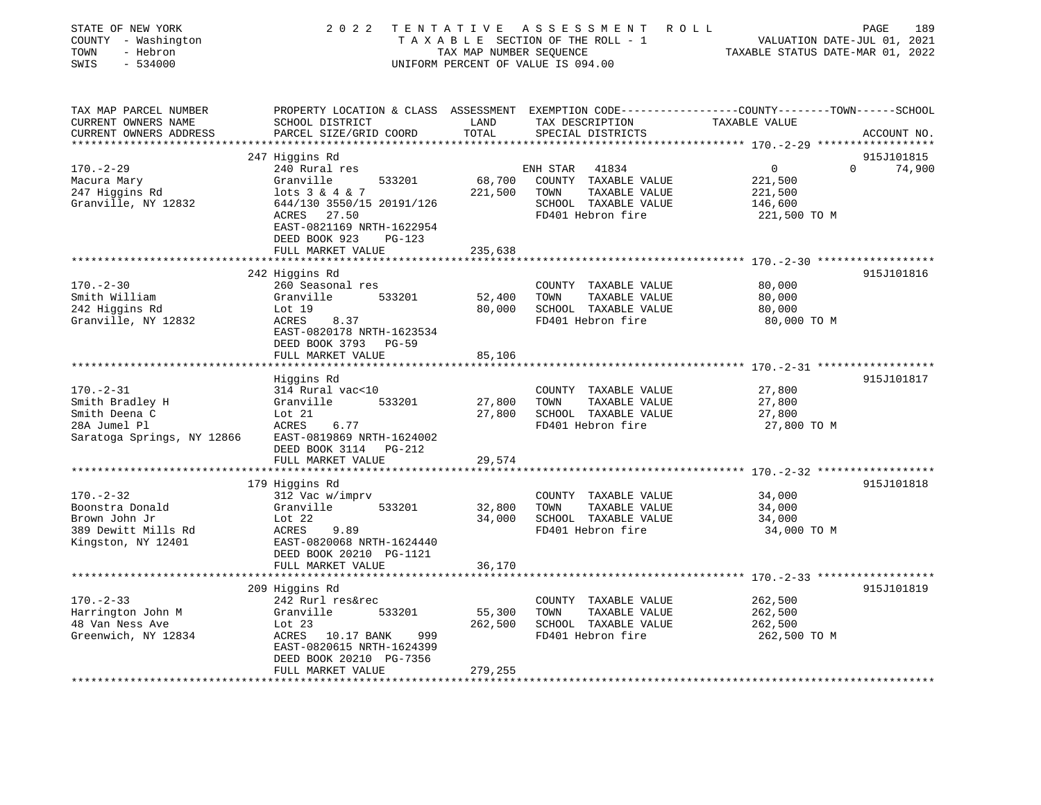| STATE OF NEW YORK<br>COUNTY - Washington<br>TOWN<br>- Hebron<br>SWIS<br>$-534000$ |                                                                                                                   | TAX MAP NUMBER SEOUENCE | 2022 TENTATIVE ASSESSMENT ROLL<br>TAXABLE SECTION OF THE ROLL - 1<br>UNIFORM PERCENT OF VALUE IS 094.00 | VALUATION DATE-JUL 01, 2021<br>TAXABLE STATUS DATE-MAR 01, 2022 | PAGE<br>189 |
|-----------------------------------------------------------------------------------|-------------------------------------------------------------------------------------------------------------------|-------------------------|---------------------------------------------------------------------------------------------------------|-----------------------------------------------------------------|-------------|
| TAX MAP PARCEL NUMBER<br>CURRENT OWNERS NAME                                      | PROPERTY LOCATION & CLASS ASSESSMENT EXEMPTION CODE---------------COUNTY-------TOWN-----SCHOOL<br>SCHOOL DISTRICT | LAND                    | TAX DESCRIPTION                                                                                         | TAXABLE VALUE                                                   |             |
| CURRENT OWNERS ADDRESS                                                            | PARCEL SIZE/GRID COORD                                                                                            | TOTAL                   | SPECIAL DISTRICTS                                                                                       |                                                                 | ACCOUNT NO. |
|                                                                                   | 247 Higgins Rd                                                                                                    |                         |                                                                                                         |                                                                 | 915J101815  |
| $170. - 2 - 29$                                                                   | 240 Rural res                                                                                                     |                         | ENH STAR<br>41834                                                                                       | 0<br>$\Omega$                                                   | 74,900      |
| Macura Mary                                                                       | Granville<br>533201                                                                                               | 68,700                  | COUNTY TAXABLE VALUE                                                                                    | 221,500                                                         |             |
| 247 Higgins Rd                                                                    | lots 3 & 4 & 7                                                                                                    | 221,500                 | TOWN<br>TAXABLE VALUE                                                                                   | 221,500                                                         |             |
| Granville, NY 12832                                                               | 644/130 3550/15 20191/126                                                                                         |                         | SCHOOL TAXABLE VALUE                                                                                    | 146,600                                                         |             |
|                                                                                   | 27.50<br>ACRES                                                                                                    |                         | FD401 Hebron fire                                                                                       | 221,500 TO M                                                    |             |
|                                                                                   | EAST-0821169 NRTH-1622954                                                                                         |                         |                                                                                                         |                                                                 |             |
|                                                                                   | DEED BOOK 923<br>$PG-123$                                                                                         |                         |                                                                                                         |                                                                 |             |
|                                                                                   | FULL MARKET VALUE                                                                                                 | 235,638                 |                                                                                                         |                                                                 |             |
|                                                                                   | ***************************                                                                                       |                         |                                                                                                         |                                                                 |             |
|                                                                                   | 242 Higgins Rd                                                                                                    |                         |                                                                                                         |                                                                 | 915J101816  |
| $170. - 2 - 30$<br>Smith William                                                  | 260 Seasonal res<br>Granville<br>533201                                                                           | 52,400                  | COUNTY TAXABLE VALUE<br>TAXABLE VALUE<br>TOWN                                                           | 80,000<br>80,000                                                |             |
| 242 Higgins Rd                                                                    | Lot 19                                                                                                            | 80,000                  | SCHOOL TAXABLE VALUE                                                                                    | 80,000                                                          |             |
| Granville, NY 12832                                                               | 8.37<br>ACRES                                                                                                     |                         | FD401 Hebron fire                                                                                       | 80,000 TO M                                                     |             |
|                                                                                   | EAST-0820178 NRTH-1623534                                                                                         |                         |                                                                                                         |                                                                 |             |
|                                                                                   | DEED BOOK 3793 PG-59                                                                                              |                         |                                                                                                         |                                                                 |             |
|                                                                                   | FULL MARKET VALUE                                                                                                 | 85,106                  |                                                                                                         |                                                                 |             |
|                                                                                   |                                                                                                                   |                         |                                                                                                         |                                                                 |             |
|                                                                                   | Higgins Rd                                                                                                        |                         |                                                                                                         |                                                                 | 915J101817  |
| $170. - 2 - 31$                                                                   | 314 Rural vac<10                                                                                                  |                         | COUNTY TAXABLE VALUE                                                                                    | 27,800                                                          |             |
| Smith Bradley H                                                                   | Granville<br>533201                                                                                               | 27,800                  | TAXABLE VALUE<br>TOWN                                                                                   | 27,800                                                          |             |
| Smith Deena C                                                                     | Lot 21                                                                                                            | 27,800                  | SCHOOL TAXABLE VALUE                                                                                    | 27,800                                                          |             |
| 28A Jumel Pl                                                                      | ACRES<br>6.77                                                                                                     |                         | FD401 Hebron fire                                                                                       | 27,800 TO M                                                     |             |
| Saratoga Springs, NY 12866                                                        | EAST-0819869 NRTH-1624002                                                                                         |                         |                                                                                                         |                                                                 |             |
|                                                                                   | DEED BOOK 3114 PG-212                                                                                             |                         |                                                                                                         |                                                                 |             |
|                                                                                   | FULL MARKET VALUE                                                                                                 | 29,574                  |                                                                                                         |                                                                 |             |
|                                                                                   | 179 Higgins Rd                                                                                                    |                         |                                                                                                         |                                                                 | 915J101818  |
| $170. - 2 - 32$                                                                   | 312 Vac w/imprv                                                                                                   |                         | COUNTY TAXABLE VALUE                                                                                    | 34,000                                                          |             |
| Boonstra Donald                                                                   | Granville<br>533201                                                                                               | 32,800                  | TAXABLE VALUE<br>TOWN                                                                                   | 34,000                                                          |             |
| Brown John Jr                                                                     | Lot $22$                                                                                                          | 34,000                  | SCHOOL TAXABLE VALUE                                                                                    | 34,000                                                          |             |
| 389 Dewitt Mills Rd                                                               | ACRES<br>9.89                                                                                                     |                         | FD401 Hebron fire                                                                                       | 34,000 TO M                                                     |             |
| Kingston, NY 12401                                                                | EAST-0820068 NRTH-1624440                                                                                         |                         |                                                                                                         |                                                                 |             |
|                                                                                   | DEED BOOK 20210 PG-1121                                                                                           |                         |                                                                                                         |                                                                 |             |
|                                                                                   | FULL MARKET VALUE                                                                                                 | 36,170                  |                                                                                                         |                                                                 |             |
|                                                                                   | **********************                                                                                            |                         |                                                                                                         |                                                                 |             |
|                                                                                   | 209 Higgins Rd                                                                                                    |                         |                                                                                                         |                                                                 | 915J101819  |
| $170. - 2 - 33$                                                                   | 242 Rurl res&rec                                                                                                  |                         | COUNTY TAXABLE VALUE                                                                                    | 262,500                                                         |             |
| Harrington John M                                                                 | Granville<br>533201                                                                                               | 55,300                  | TAXABLE VALUE<br>TOWN                                                                                   | 262,500                                                         |             |
| 48 Van Ness Ave                                                                   | Lot $23$<br>999                                                                                                   | 262,500                 | SCHOOL TAXABLE VALUE<br>FD401 Hebron fire                                                               | 262,500                                                         |             |
| Greenwich, NY 12834                                                               | ACRES 10.17 BANK<br>EAST-0820615 NRTH-1624399                                                                     |                         |                                                                                                         | 262,500 TO M                                                    |             |
|                                                                                   | DEED BOOK 20210 PG-7356                                                                                           |                         |                                                                                                         |                                                                 |             |
|                                                                                   | FULL MARKET VALUE                                                                                                 | 279,255                 |                                                                                                         |                                                                 |             |
|                                                                                   |                                                                                                                   |                         |                                                                                                         |                                                                 |             |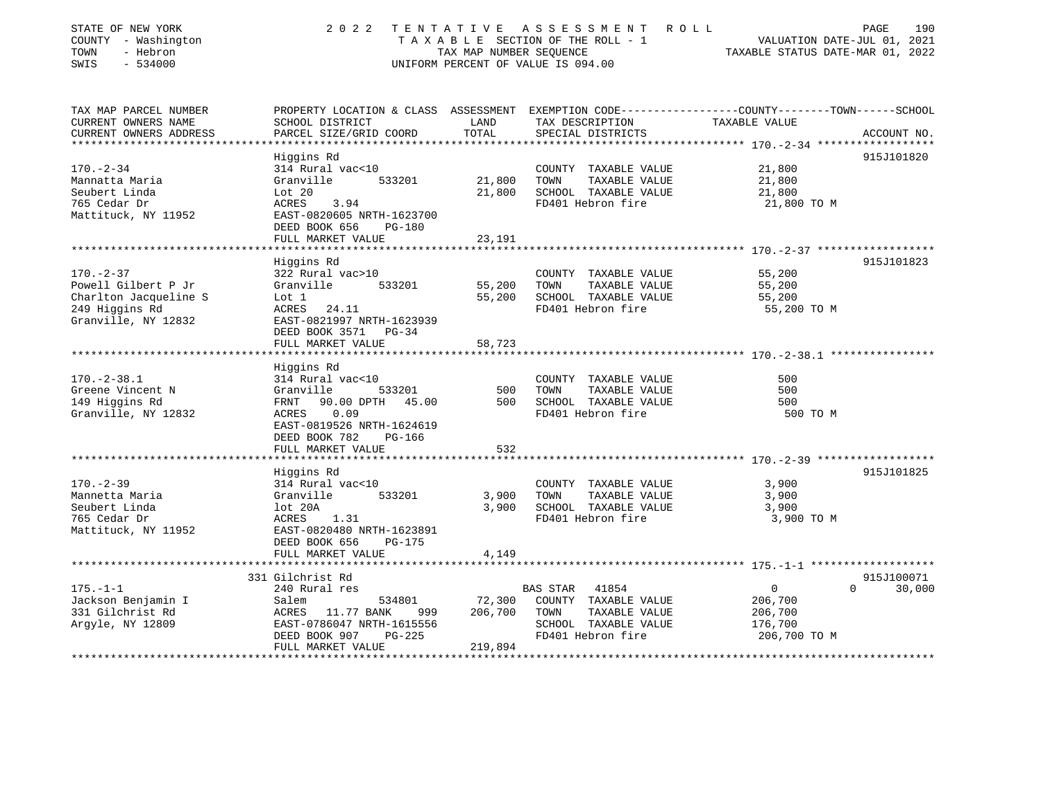| STATE OF NEW YORK<br>COUNTY - Washington<br>- Hebron<br>TOWN<br>SWIS<br>$-534000$ | 2 0 2 2                                                 | TENTATIVE<br>TAX MAP NUMBER SEQUENCE | ASSESSMENT<br>ROLL<br>TAXABLE SECTION OF THE ROLL - 1<br>UNIFORM PERCENT OF VALUE IS 094.00                         | VALUATION DATE-JUL 01, 2021<br>TAXABLE STATUS DATE-MAR 01, 2022 | PAGE<br>190 |
|-----------------------------------------------------------------------------------|---------------------------------------------------------|--------------------------------------|---------------------------------------------------------------------------------------------------------------------|-----------------------------------------------------------------|-------------|
| TAX MAP PARCEL NUMBER<br>CURRENT OWNERS NAME                                      | SCHOOL DISTRICT                                         | LAND                                 | PROPERTY LOCATION & CLASS ASSESSMENT EXEMPTION CODE----------------COUNTY-------TOWN------SCHOOL<br>TAX DESCRIPTION | TAXABLE VALUE                                                   |             |
| CURRENT OWNERS ADDRESS                                                            | PARCEL SIZE/GRID COORD                                  | TOTAL                                | SPECIAL DISTRICTS                                                                                                   |                                                                 | ACCOUNT NO. |
|                                                                                   |                                                         |                                      |                                                                                                                     |                                                                 |             |
|                                                                                   | Higgins Rd                                              |                                      |                                                                                                                     |                                                                 | 915J101820  |
| $170. - 2 - 34$                                                                   | 314 Rural vac<10                                        |                                      | COUNTY TAXABLE VALUE                                                                                                | 21,800                                                          |             |
| Mannatta Maria                                                                    | Granville<br>533201                                     | 21,800                               | TAXABLE VALUE<br>TOWN                                                                                               | 21,800                                                          |             |
| Seubert Linda                                                                     | Lot 20                                                  | 21,800                               | SCHOOL TAXABLE VALUE                                                                                                | 21,800                                                          |             |
| 765 Cedar Dr                                                                      | ACRES<br>3.94                                           |                                      | FD401 Hebron fire                                                                                                   | 21,800 TO M                                                     |             |
| Mattituck, NY 11952                                                               | EAST-0820605 NRTH-1623700                               |                                      |                                                                                                                     |                                                                 |             |
|                                                                                   | DEED BOOK 656<br>$PG-180$                               |                                      |                                                                                                                     |                                                                 |             |
|                                                                                   | FULL MARKET VALUE<br>*******************************    | 23,191                               |                                                                                                                     |                                                                 |             |
|                                                                                   | Higgins Rd                                              |                                      |                                                                                                                     |                                                                 | 915J101823  |
| $170. - 2 - 37$                                                                   | 322 Rural vac>10                                        |                                      | COUNTY TAXABLE VALUE                                                                                                | 55,200                                                          |             |
| Powell Gilbert P Jr                                                               | Granville<br>533201                                     | 55,200                               | TAXABLE VALUE<br>TOWN                                                                                               | 55,200                                                          |             |
| Charlton Jacqueline S                                                             | Lot 1                                                   | 55,200                               | SCHOOL TAXABLE VALUE                                                                                                | 55,200                                                          |             |
| 249 Higgins Rd                                                                    | 24.11<br>ACRES                                          |                                      | FD401 Hebron fire                                                                                                   | 55,200 TO M                                                     |             |
| Granville, NY 12832                                                               | EAST-0821997 NRTH-1623939                               |                                      |                                                                                                                     |                                                                 |             |
|                                                                                   | DEED BOOK 3571<br>$PG-34$                               |                                      |                                                                                                                     |                                                                 |             |
|                                                                                   | FULL MARKET VALUE                                       | 58,723                               |                                                                                                                     |                                                                 |             |
|                                                                                   |                                                         |                                      |                                                                                                                     |                                                                 |             |
|                                                                                   | Higgins Rd                                              |                                      |                                                                                                                     |                                                                 |             |
| $170. - 2 - 38.1$                                                                 | 314 Rural vac<10                                        |                                      | COUNTY TAXABLE VALUE                                                                                                | 500                                                             |             |
| Greene Vincent N                                                                  | 533201<br>Granville                                     | 500                                  | TAXABLE VALUE<br>TOWN                                                                                               | 500                                                             |             |
| 149 Higgins Rd                                                                    | 90.00 DPTH<br>45.00<br>FRNT                             | 500                                  | SCHOOL TAXABLE VALUE                                                                                                | 500                                                             |             |
| Granville, NY 12832                                                               | 0.09<br>ACRES<br>EAST-0819526 NRTH-1624619              |                                      | FD401 Hebron fire                                                                                                   | 500 TO M                                                        |             |
|                                                                                   | DEED BOOK 782<br>PG-166                                 |                                      |                                                                                                                     |                                                                 |             |
|                                                                                   | FULL MARKET VALUE                                       | 532                                  |                                                                                                                     |                                                                 |             |
|                                                                                   |                                                         |                                      |                                                                                                                     |                                                                 |             |
|                                                                                   | Higgins Rd                                              |                                      |                                                                                                                     |                                                                 | 915J101825  |
| $170. - 2 - 39$                                                                   | 314 Rural vac<10                                        |                                      | COUNTY TAXABLE VALUE                                                                                                | 3,900                                                           |             |
| Mannetta Maria                                                                    | Granville<br>533201                                     | 3,900                                | TAXABLE VALUE<br>TOWN                                                                                               | 3,900                                                           |             |
| Seubert Linda                                                                     | lot 20A                                                 | 3,900                                | SCHOOL TAXABLE VALUE                                                                                                | 3,900                                                           |             |
| 765 Cedar Dr                                                                      | <b>ACRES</b><br>1.31                                    |                                      | FD401 Hebron fire                                                                                                   | 3,900 TO M                                                      |             |
| Mattituck, NY 11952                                                               | EAST-0820480 NRTH-1623891                               |                                      |                                                                                                                     |                                                                 |             |
|                                                                                   | DEED BOOK 656<br>$PG-175$                               |                                      |                                                                                                                     |                                                                 |             |
|                                                                                   | FULL MARKET VALUE                                       | 4,149                                |                                                                                                                     |                                                                 |             |
|                                                                                   |                                                         |                                      |                                                                                                                     |                                                                 |             |
|                                                                                   | 331 Gilchrist Rd                                        |                                      |                                                                                                                     |                                                                 | 915J100071  |
| $175. - 1 - 1$                                                                    | 240 Rural res                                           |                                      | <b>BAS STAR</b><br>41854                                                                                            | $\mathbf{0}$<br>$\Omega$                                        | 30,000      |
| Jackson Benjamin I                                                                | Salem<br>534801                                         | 72,300                               | COUNTY TAXABLE VALUE                                                                                                | 206,700                                                         |             |
| 331 Gilchrist Rd<br>Argyle, NY 12809                                              | 11.77 BANK<br>999<br>ACRES<br>EAST-0786047 NRTH-1615556 | 206,700                              | TOWN<br>TAXABLE VALUE<br>SCHOOL TAXABLE VALUE                                                                       | 206,700<br>176,700                                              |             |
|                                                                                   | DEED BOOK 907<br>$PG-225$                               |                                      | FD401 Hebron fire                                                                                                   | 206,700 TO M                                                    |             |

\*\*\*\*\*\*\*\*\*\*\*\*\*\*\*\*\*\*\*\*\*\*\*\*\*\*\*\*\*\*\*\*\*\*\*\*\*\*\*\*\*\*\*\*\*\*\*\*\*\*\*\*\*\*\*\*\*\*\*\*\*\*\*\*\*\*\*\*\*\*\*\*\*\*\*\*\*\*\*\*\*\*\*\*\*\*\*\*\*\*\*\*\*\*\*\*\*\*\*\*\*\*\*\*\*\*\*\*\*\*\*\*\*\*\*\*\*\*\*\*\*\*\*\*\*\*\*\*\*\*\*\*

FULL MARKET VALUE 219,894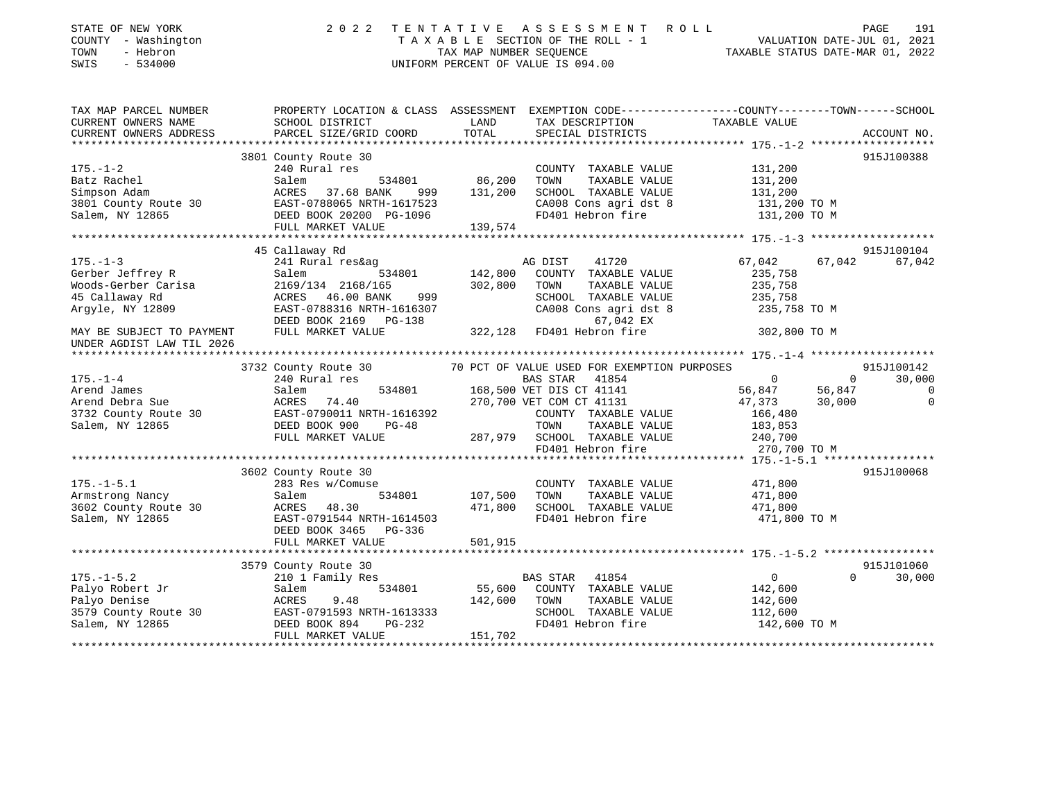| STATE OF NEW YORK<br>COUNTY - Washington<br>TOWN<br>- Hebron<br>SWIS<br>$-534000$ | 2 0 2 2                                                                                          |                    | TENTATIVE ASSESSMENT ROLL<br>T A X A B L E SECTION OF THE ROLL - 1<br>T A X A B L E SECTION OF THE ROLL - 1<br>TAXABLE STATUS DATE-MAR 01, 2022<br>UNIFORM PERCENT OF VALUE IS 094.00 |                                                     | 191<br>PAGE              |
|-----------------------------------------------------------------------------------|--------------------------------------------------------------------------------------------------|--------------------|---------------------------------------------------------------------------------------------------------------------------------------------------------------------------------------|-----------------------------------------------------|--------------------------|
| TAX MAP PARCEL NUMBER                                                             | PROPERTY LOCATION & CLASS ASSESSMENT EXEMPTION CODE----------------COUNTY-------TOWN------SCHOOL |                    |                                                                                                                                                                                       |                                                     |                          |
| CURRENT OWNERS NAME                                                               | SCHOOL DISTRICT                                                                                  | LAND               | TAX DESCRIPTION                                                                                                                                                                       | TAXABLE VALUE                                       |                          |
| CURRENT OWNERS ADDRESS                                                            | PARCEL SIZE/GRID COORD                                                                           | TOTAL              | SPECIAL DISTRICTS                                                                                                                                                                     |                                                     | ACCOUNT NO.              |
|                                                                                   | 3801 County Route 30                                                                             |                    |                                                                                                                                                                                       |                                                     | 915J100388               |
| $175. - 1 - 2$                                                                    | 240 Rural res                                                                                    |                    | COUNTY TAXABLE VALUE                                                                                                                                                                  | 131,200                                             |                          |
| Batz Rachel                                                                       | 534801<br>Salem                                                                                  | 86,200             | TAXABLE VALUE<br>TOWN                                                                                                                                                                 | 131,200                                             |                          |
| Simpson Adam                                                                      | 999 812.68 BANK<br>ACRES 37.68 BANK 999<br>EAST-0788065 NRTH-1617523<br>999                      | 131,200            | SCHOOL TAXABLE VALUE                                                                                                                                                                  | 131,200                                             |                          |
| 3801 County Route 30                                                              |                                                                                                  |                    | CA008 Cons agri dst 8                                                                                                                                                                 | 131,200 TO M                                        |                          |
| Salem, NY 12865                                                                   | DEED BOOK 20200 PG-1096                                                                          |                    | FD401 Hebron fire                                                                                                                                                                     | 131,200 TO M                                        |                          |
|                                                                                   | FULL MARKET VALUE                                                                                | 139,574            |                                                                                                                                                                                       |                                                     |                          |
|                                                                                   |                                                                                                  |                    |                                                                                                                                                                                       |                                                     |                          |
|                                                                                   | 45 Callaway Rd                                                                                   |                    |                                                                                                                                                                                       |                                                     | 915J100104               |
| $175. - 1 - 3$                                                                    | 241 Rural res&ag                                                                                 |                    | AG DIST<br>41720                                                                                                                                                                      | 67,042                                              | 67,042<br>67,042         |
| Gerber Jeffrey R<br>weiber beiliey k<br>Woods-Gerber Carisa                       | 534801<br>Salem<br>53<br>2169/134 2168/165                                                       | 142,800<br>302,800 | COUNTY TAXABLE VALUE<br>TOWN<br>TAXABLE VALUE                                                                                                                                         | 235,758<br>235,758                                  |                          |
| 45 Callaway Rd                                                                    | ACRES 46.00 BANK<br>999                                                                          |                    | SCHOOL TAXABLE VALUE                                                                                                                                                                  | 235,758                                             |                          |
| Argyle, NY 12809                                                                  | EAST-0788316 NRTH-1616307                                                                        |                    | CA008 Cons agri dst 8                                                                                                                                                                 | 235,758 TO M                                        |                          |
|                                                                                   | DEED BOOK 2169 PG-138                                                                            |                    | 67,042 EX                                                                                                                                                                             |                                                     |                          |
| MAY BE SUBJECT TO PAYMENT                                                         | FULL MARKET VALUE                                                                                |                    | 322,128 FD401 Hebron fire                                                                                                                                                             | 302,800 TO M                                        |                          |
| UNDER AGDIST LAW TIL 2026                                                         |                                                                                                  |                    |                                                                                                                                                                                       |                                                     |                          |
|                                                                                   |                                                                                                  |                    |                                                                                                                                                                                       |                                                     |                          |
|                                                                                   | 3732 County Route 30                                                                             |                    | 70 PCT OF VALUE USED FOR EXEMPTION PURPOSES                                                                                                                                           |                                                     | 915J100142               |
| $175. - 1 - 4$                                                                    | 240 Rural res                                                                                    |                    | <b>BAS STAR</b><br>41854                                                                                                                                                              | $\overline{\phantom{a}}$ 0                          | 30,000<br>$\overline{0}$ |
| Arend James                                                                       | Salem<br>534801                                                                                  |                    | 168,500 VET DIS CT 41141                                                                                                                                                              | 56,847                                              | 56,847<br>$\Omega$       |
| Arend Debra Sue                                                                   | ACRES 74.40                                                                                      |                    | 270,700 VET COM CT 41131                                                                                                                                                              | 47,373                                              | 30,000<br>$\mathbf 0$    |
| 3732 County Route 30<br>Salem, NY 12865                                           | EAST-0790011 NRTH-1616392<br>PG-48                                                               |                    | COUNTY TAXABLE VALUE<br>TOWN<br>TAXABLE VALUE                                                                                                                                         | 166,480<br>183,853                                  |                          |
|                                                                                   | DEED BOOK 900<br>FULL MARKET VALUE                                                               |                    | 287,979 SCHOOL TAXABLE VALUE                                                                                                                                                          | 240,700                                             |                          |
|                                                                                   |                                                                                                  |                    | FD401 Hebron fire                                                                                                                                                                     | 270,700 TO M                                        |                          |
|                                                                                   |                                                                                                  |                    |                                                                                                                                                                                       |                                                     |                          |
|                                                                                   | 3602 County Route 30                                                                             |                    |                                                                                                                                                                                       |                                                     | 915J100068               |
| $175. - 1 - 5.1$                                                                  | 283 Res w/Comuse                                                                                 |                    | COUNTY TAXABLE VALUE                                                                                                                                                                  | 471,800                                             |                          |
| Armstrong Nancy                                                                   | 534801<br>Salem                                                                                  | 107,500            | TAXABLE VALUE<br>TOWN                                                                                                                                                                 | 471,800                                             |                          |
| 3602 County Route 30                                                              | ACRES 48.30                                                                                      |                    | 471,800 SCHOOL TAXABLE VALUE                                                                                                                                                          | 471,800                                             |                          |
| Salem, NY 12865                                                                   | EAST-0791544 NRTH-1614503                                                                        |                    | FD401 Hebron fire                                                                                                                                                                     | 471,800 TO M                                        |                          |
|                                                                                   | DEED BOOK 3465 PG-336                                                                            |                    |                                                                                                                                                                                       |                                                     |                          |
|                                                                                   | FULL MARKET VALUE<br>******************************                                              | 501,915            |                                                                                                                                                                                       |                                                     |                          |
|                                                                                   |                                                                                                  |                    | **************************                                                                                                                                                            | ********************* 175.-1-5.2 ****************** |                          |
|                                                                                   | 3579 County Route 30                                                                             |                    |                                                                                                                                                                                       |                                                     | 915J101060<br>$\Omega$   |
| $175. - 1 - 5.2$<br>Palyo Robert Jr                                               | 210 1 Family Res<br>Salem                                                                        | 534801 55,600      | 41854<br><b>BAS STAR</b><br>COUNTY TAXABLE VALUE                                                                                                                                      | $\overline{0}$<br>142,600                           | 30,000                   |
| Palyo Denise                                                                      | ACRES<br>9.48                                                                                    | 142,600            | TOWN<br>TAXABLE VALUE                                                                                                                                                                 | 142,600                                             |                          |
| 3579 County Route 30                                                              | EAST-0791593 NRTH-1613333                                                                        |                    | SCHOOL TAXABLE VALUE                                                                                                                                                                  | 112,600                                             |                          |
| Salem, NY 12865                                                                   | DEED BOOK 894<br>$PG-232$                                                                        |                    | FD401 Hebron fire                                                                                                                                                                     | 142,600 TO M                                        |                          |
|                                                                                   | FULL MARKET VALUE                                                                                | 151,702            |                                                                                                                                                                                       |                                                     |                          |
|                                                                                   |                                                                                                  |                    |                                                                                                                                                                                       |                                                     |                          |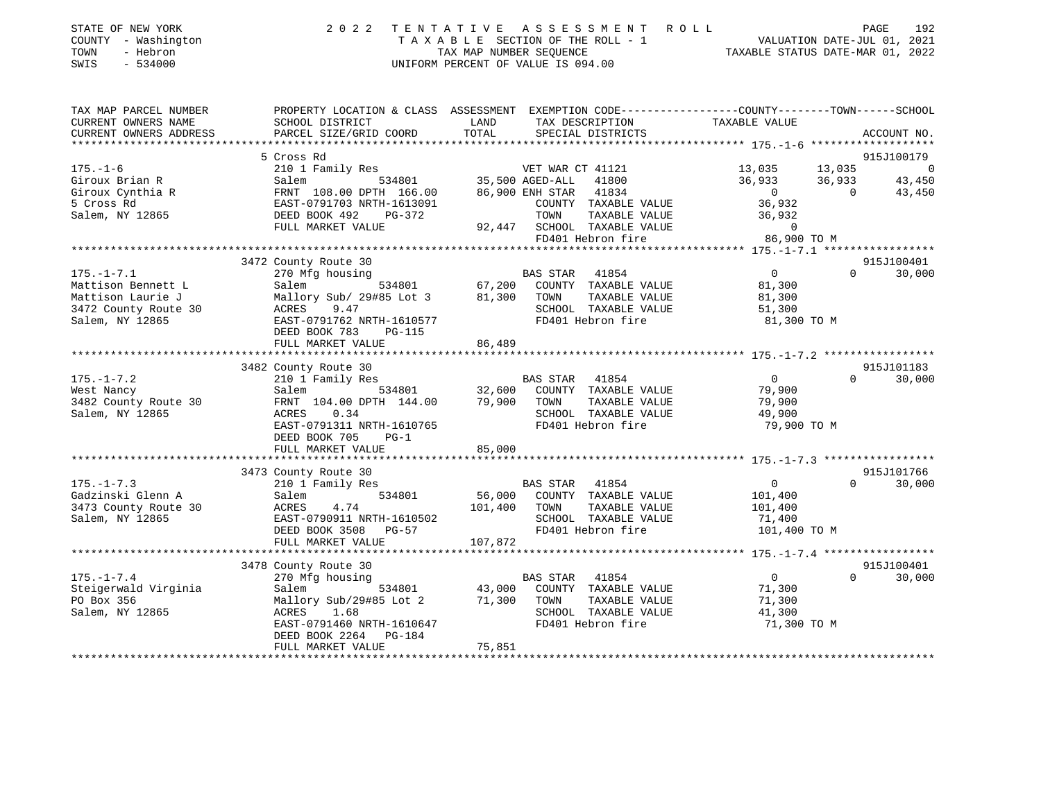| STATE OF NEW YORK<br>COUNTY - Washington<br>TOWN<br>- Hebron<br>SWIS - 534000 | 2022 TENTATIVE ASSESSMENT ROLL<br>TAXABLE SECTION OF THE ROLL - 1<br>TAX MAP NUMBER SEOUENCE<br>UNIFORM PERCENT OF VALUE IS 094.00 | 192<br>PAGE<br>VALUATION DATE-JUL 01, 2021<br>TAXABLE STATUS DATE-MAR 01, 2022 |
|-------------------------------------------------------------------------------|------------------------------------------------------------------------------------------------------------------------------------|--------------------------------------------------------------------------------|
|                                                                               |                                                                                                                                    |                                                                                |

| TAX MAP PARCEL NUMBER                                                                                                                                                                                                                                                 | PROPERTY LOCATION & CLASS ASSESSMENT EXEMPTION CODE----------------COUNTY-------TOWN------SCHOOL                   |        |                                                                                                                                                                                                                                                                                                         |                |          |             |
|-----------------------------------------------------------------------------------------------------------------------------------------------------------------------------------------------------------------------------------------------------------------------|--------------------------------------------------------------------------------------------------------------------|--------|---------------------------------------------------------------------------------------------------------------------------------------------------------------------------------------------------------------------------------------------------------------------------------------------------------|----------------|----------|-------------|
| CURRENT OWNERS NAME                                                                                                                                                                                                                                                   | SCHOOL DISTRICT                                                                                                    | LAND   | TAX DESCRIPTION                                                                                                                                                                                                                                                                                         | TAXABLE VALUE  |          |             |
| CURRENT OWNERS ADDRESS                                                                                                                                                                                                                                                | PARCEL SIZE/GRID COORD                                                                                             | TOTAL  | SPECIAL DISTRICTS                                                                                                                                                                                                                                                                                       |                |          | ACCOUNT NO. |
|                                                                                                                                                                                                                                                                       |                                                                                                                    |        |                                                                                                                                                                                                                                                                                                         |                |          |             |
|                                                                                                                                                                                                                                                                       | 5 Cross Rd                                                                                                         |        |                                                                                                                                                                                                                                                                                                         |                |          | 915J100179  |
| $175. - 1 - 6$<br>Giroux Brian R                                                                                                                                                                                                                                      | 210 1 Family Res                                                                                                   |        | 534801 VET WAR CT 41121<br>534801 35,500 AGED-ALL 41800<br>VET WAR CT 41121<br>AGED-ALL 41800<br>ENH STAR 41834<br>BIN STAR 41834<br>BIN STAR 41834<br>BIN STAR 41834<br>BIN STAR 41834<br>BIN STAR 41834<br>BIN STAR 41834<br>BIN STAR 41834<br>BIN STAR 41834<br>BIN STAR 41834<br>BIN STAR 41834<br> |                |          |             |
|                                                                                                                                                                                                                                                                       | Salem<br>FRNT 108.00 DPTH 166.00 86,900 ENH STAR 41834                                                             |        |                                                                                                                                                                                                                                                                                                         |                |          |             |
| Giroux Cynthia R<br>- 3 - 3 - 8 Bd                                                                                                                                                                                                                                    | EAST-0791703 NRTH-1613091                                                                                          |        | COUNTY TAXABLE VALUE 36,932                                                                                                                                                                                                                                                                             |                |          |             |
| Salem, NY 12865                                                                                                                                                                                                                                                       | DEED BOOK 492<br>PG-372                                                                                            |        | TOWN<br>TAXABLE VALUE                                                                                                                                                                                                                                                                                   | 36,932         |          |             |
|                                                                                                                                                                                                                                                                       | FULL MARKET VALUE                                                                                                  |        |                                                                                                                                                                                                                                                                                                         |                |          |             |
|                                                                                                                                                                                                                                                                       |                                                                                                                    |        | 92,447 SCHOOL TAXABLE VALUE $\begin{array}{ccc} 0 & 0 \\ 92 & 0 \\ 0 & 0 \end{array}$                                                                                                                                                                                                                   |                |          |             |
|                                                                                                                                                                                                                                                                       |                                                                                                                    |        |                                                                                                                                                                                                                                                                                                         |                |          |             |
|                                                                                                                                                                                                                                                                       | 3472 County Route 30                                                                                               |        |                                                                                                                                                                                                                                                                                                         |                |          | 915J100401  |
| $175. - 1 - 7.1$                                                                                                                                                                                                                                                      | 270 Mfg housing                                                                                                    |        | BAS STAR 41854 0<br>534801 67,200 COUNTY TAXABLE VALUE 81,300                                                                                                                                                                                                                                           | $\overline{0}$ | $\Omega$ | 30,000      |
| Mattison Bennett L                                                                                                                                                                                                                                                    | Salem                                                                                                              |        |                                                                                                                                                                                                                                                                                                         |                |          |             |
| Mattison Laurie J                                                                                                                                                                                                                                                     | Mallory Sub/ 29#85 Lot 3 81,300 TOWN                                                                               |        | TAXABLE VALUE                                                                                                                                                                                                                                                                                           | 81,300         |          |             |
| ACRES<br>3472 County Route 30                                                                                                                                                                                                                                         | 9.47                                                                                                               |        | SCHOOL TAXABLE VALUE                                                                                                                                                                                                                                                                                    | 51,300         |          |             |
| Salem, NY 12865                                                                                                                                                                                                                                                       | EAST-0791762 NRTH-1610577                                                                                          |        | FD401 Hebron fire                                                                                                                                                                                                                                                                                       | 81,300 TO M    |          |             |
|                                                                                                                                                                                                                                                                       | DEED BOOK 783<br>PG-115                                                                                            |        |                                                                                                                                                                                                                                                                                                         |                |          |             |
|                                                                                                                                                                                                                                                                       | FULL MARKET VALUE                                                                                                  | 86,489 |                                                                                                                                                                                                                                                                                                         |                |          |             |
|                                                                                                                                                                                                                                                                       | 3482 County Route 30                                                                                               |        |                                                                                                                                                                                                                                                                                                         |                |          | 915J101183  |
| $175. - 1 - 7.2$                                                                                                                                                                                                                                                      | 210 1 Family Res                                                                                                   |        | <b>BAS STAR</b> 41854                                                                                                                                                                                                                                                                                   | $\overline{0}$ | $\Omega$ | 30,000      |
| West Nancy                                                                                                                                                                                                                                                            |                                                                                                                    |        |                                                                                                                                                                                                                                                                                                         |                |          |             |
| 3482 County Route 30                                                                                                                                                                                                                                                  | Salem 534801 32,600 COUNTY TAXABLE VALUE 79,900<br>FRNT 104.00 DPTH 144.00 79,900 TOWN TAXABLE VALUE 79,900 79,900 |        |                                                                                                                                                                                                                                                                                                         |                |          |             |
| Salem, NY 12865                                                                                                                                                                                                                                                       | 0.34<br>ACRES                                                                                                      |        | SCHOOL TAXABLE VALUE 49,900                                                                                                                                                                                                                                                                             |                |          |             |
|                                                                                                                                                                                                                                                                       | EAST-0791311 NRTH-1610765                                                                                          |        | FD401 Hebron fire                                                                                                                                                                                                                                                                                       | 79,900 TO M    |          |             |
|                                                                                                                                                                                                                                                                       | DEED BOOK 705<br>$PG-1$                                                                                            |        |                                                                                                                                                                                                                                                                                                         |                |          |             |
|                                                                                                                                                                                                                                                                       | FULL MARKET VALUE                                                                                                  | 85,000 |                                                                                                                                                                                                                                                                                                         |                |          |             |
|                                                                                                                                                                                                                                                                       |                                                                                                                    |        |                                                                                                                                                                                                                                                                                                         |                |          |             |
|                                                                                                                                                                                                                                                                       | 3473 County Route 30                                                                                               |        |                                                                                                                                                                                                                                                                                                         |                |          | 915J101766  |
| $175. - 1 - 7.3$                                                                                                                                                                                                                                                      | 210 1 Family Res                                                                                                   |        | <b>BAS STAR</b> 41854                                                                                                                                                                                                                                                                                   | $\overline{0}$ | $\Omega$ | 30,000      |
| Gadzinski Glenn A                                                                                                                                                                                                                                                     | Salem                                                                                                              |        | 534801 56,000 COUNTY TAXABLE VALUE                                                                                                                                                                                                                                                                      | 101,400        |          |             |
|                                                                                                                                                                                                                                                                       |                                                                                                                    |        |                                                                                                                                                                                                                                                                                                         |                |          |             |
|                                                                                                                                                                                                                                                                       |                                                                                                                    |        |                                                                                                                                                                                                                                                                                                         |                |          |             |
|                                                                                                                                                                                                                                                                       |                                                                                                                    |        |                                                                                                                                                                                                                                                                                                         |                |          |             |
| 3473 County Route 30<br>3473 County Route 30<br>Salem, NY 12865<br>2008 SCHOOL TAXABLE VALUE<br>201,400<br>201,400<br>201,400<br>201,400<br>201,400<br>201,400<br>201,400<br>201,400<br>201,400<br>201,400<br>201,400<br>201,400<br>201,400<br>201,400<br>201,400<br> |                                                                                                                    |        |                                                                                                                                                                                                                                                                                                         |                |          |             |
|                                                                                                                                                                                                                                                                       | 3478 County Route 30                                                                                               |        |                                                                                                                                                                                                                                                                                                         |                |          | 915J100401  |
| $175. - 1 - 7.4$                                                                                                                                                                                                                                                      | 270 Mfg housing                                                                                                    |        |                                                                                                                                                                                                                                                                                                         | $\overline{0}$ | $\Omega$ | 30,000      |
| Steigerwald Virginia                                                                                                                                                                                                                                                  | Salem                                                                                                              |        |                                                                                                                                                                                                                                                                                                         | 71,300         |          |             |
| PO Box 356                                                                                                                                                                                                                                                            | Mallory Sub/29#85 Lot 2 71,300 TOWN                                                                                |        | TAXABLE VALUE                                                                                                                                                                                                                                                                                           | 71,300         |          |             |
| Salem, NY 12865                                                                                                                                                                                                                                                       | ACRES 1.68                                                                                                         |        | SCHOOL TAXABLE VALUE                                                                                                                                                                                                                                                                                    | 41,300         |          |             |
|                                                                                                                                                                                                                                                                       | EAST-0791460 NRTH-1610647                                                                                          |        | FD401 Hebron fire                                                                                                                                                                                                                                                                                       | 71,300 TO M    |          |             |
|                                                                                                                                                                                                                                                                       | DEED BOOK 2264 PG-184                                                                                              |        |                                                                                                                                                                                                                                                                                                         |                |          |             |
|                                                                                                                                                                                                                                                                       |                                                                                                                    |        |                                                                                                                                                                                                                                                                                                         |                |          |             |
|                                                                                                                                                                                                                                                                       |                                                                                                                    |        |                                                                                                                                                                                                                                                                                                         |                |          |             |

92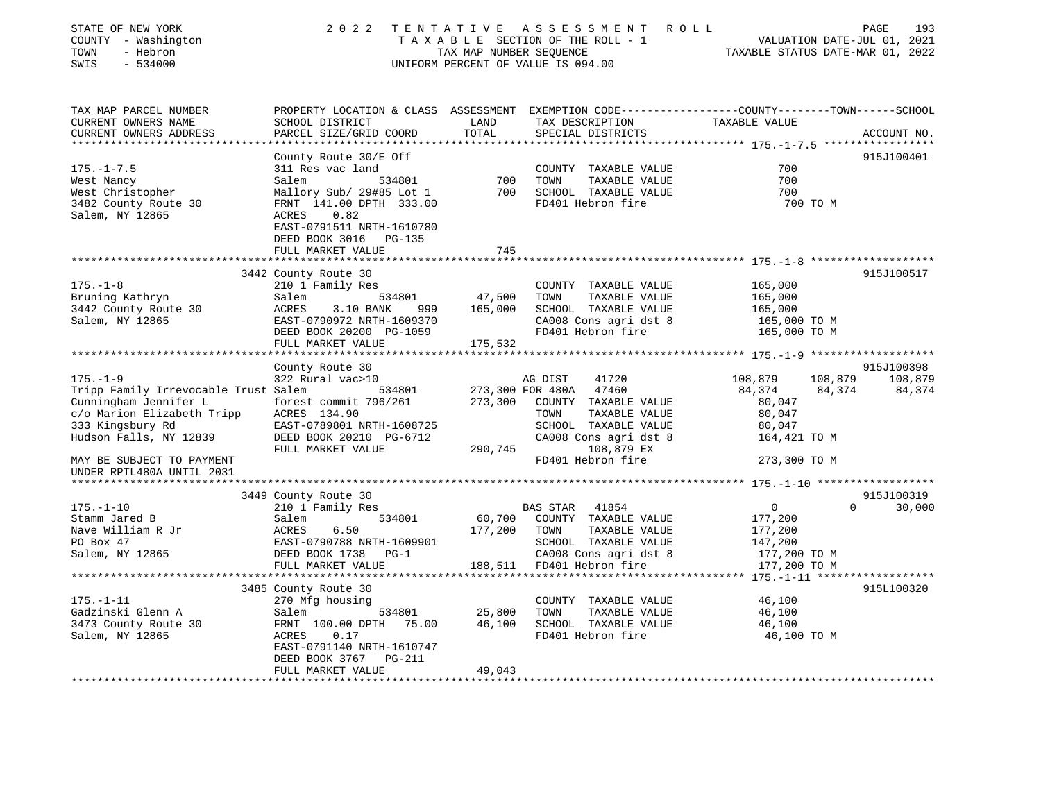| STATE OF NEW YORK<br>COUNTY - Washington<br>TOWN<br>- Hebron<br>SWIS<br>$-534000$      | 2 0 2 2                                                                                                                          | TENTATIVE         | ASSESSMENT ROLL<br>UNIFORM PERCENT OF VALUE IS 094.00 | PAGE<br>TAXABLE SECTION OF THE ROLL - 1<br>TAXABLE SECTION OF THE ROLL - 1<br>TAX MAP NUMBER SEQUENCE TAXABLE STATUS DATE-MAR 01, 2022 | 193         |
|----------------------------------------------------------------------------------------|----------------------------------------------------------------------------------------------------------------------------------|-------------------|-------------------------------------------------------|----------------------------------------------------------------------------------------------------------------------------------------|-------------|
| TAX MAP PARCEL NUMBER                                                                  |                                                                                                                                  |                   |                                                       | PROPERTY LOCATION & CLASS ASSESSMENT EXEMPTION CODE----------------COUNTY-------TOWN------SCHOOL                                       |             |
| CURRENT OWNERS NAME<br>CURRENT OWNERS ADDRESS                                          | SCHOOL DISTRICT<br>PARCEL SIZE/GRID COORD                                                                                        | LAND<br>TOTAL     | TAX DESCRIPTION TAXABLE VALUE<br>SPECIAL DISTRICTS    |                                                                                                                                        | ACCOUNT NO. |
|                                                                                        |                                                                                                                                  |                   |                                                       |                                                                                                                                        |             |
|                                                                                        | County Route 30/E Off                                                                                                            |                   |                                                       |                                                                                                                                        | 915J100401  |
| $175. - 1 - 7.5$                                                                       | 311 Res vac land                                                                                                                 |                   | COUNTY TAXABLE VALUE                                  | 700                                                                                                                                    |             |
| West Nancy                                                                             | Salem<br>534801                                                                                                                  | 700               | TOWN<br>TAXABLE VALUE                                 | 700                                                                                                                                    |             |
| West Christopher                                                                       | Mallory Sub/ 29#85 Lot 1 700                                                                                                     |                   | SCHOOL TAXABLE VALUE                                  | 700                                                                                                                                    |             |
| 3482 County Route 30                                                                   | FRNT 141.00 DPTH 333.00                                                                                                          |                   | FD401 Hebron fire                                     | 700 TO M                                                                                                                               |             |
| Salem, NY 12865                                                                        | ACRES<br>0.82                                                                                                                    |                   |                                                       |                                                                                                                                        |             |
|                                                                                        | EAST-0791511 NRTH-1610780                                                                                                        |                   |                                                       |                                                                                                                                        |             |
|                                                                                        | DEED BOOK 3016 PG-135<br>FULL MARKET VALUE                                                                                       | 745               |                                                       |                                                                                                                                        |             |
|                                                                                        |                                                                                                                                  |                   |                                                       |                                                                                                                                        |             |
|                                                                                        | 3442 County Route 30                                                                                                             |                   |                                                       |                                                                                                                                        | 915J100517  |
| $175. - 1 - 8$                                                                         | 210 1 Family Res                                                                                                                 |                   | COUNTY TAXABLE VALUE                                  | 165,000                                                                                                                                |             |
| Bruning Kathryn                                                                        | 534801<br>Salem                                                                                                                  | 47,500            | TOWN<br>TAXABLE VALUE                                 | 165,000                                                                                                                                |             |
| 3442 County Route 30                                                                   | ACRES<br>3.10 BANK<br>999                                                                                                        | 165,000           | SCHOOL TAXABLE VALUE                                  | 165,000                                                                                                                                |             |
| Salem, NY 12865                                                                        | EAST-0790972 NRTH-1609370                                                                                                        |                   |                                                       | 165,000 TO M                                                                                                                           |             |
|                                                                                        | DEED BOOK 20200 PG-1059                                                                                                          |                   | SCHOOL International dist 8<br>CA008 Consignifies     | 165,000 TO M                                                                                                                           |             |
|                                                                                        | FULL MARKET VALUE                                                                                                                | 175,532           |                                                       |                                                                                                                                        |             |
|                                                                                        |                                                                                                                                  |                   |                                                       |                                                                                                                                        |             |
|                                                                                        | County Route 30<br>322 Rural vac>10                                                                                              |                   |                                                       |                                                                                                                                        | 915J100398  |
| $175. - 1 - 9$<br>Tripp Family Irrevocable Trust Salem                                 | 534801                                                                                                                           |                   | AG DIST<br>41720<br>273,300 FOR 480A 47460            | 108,879<br>108,879 108,879<br>84,374<br>84,374                                                                                         | 84,374      |
|                                                                                        |                                                                                                                                  | 273,300           | COUNTY TAXABLE VALUE                                  | 80,047                                                                                                                                 |             |
| Cunningham Jennifer L forest commit 796/261<br>c/o Marion Elizabeth Tripp ACRES 134.90 |                                                                                                                                  |                   | TOWN<br>TAXABLE VALUE                                 | 80,047                                                                                                                                 |             |
| 333 Kingsbury Rd                                                                       | EAST-0789801 NRTH-1608725                                                                                                        |                   | SCHOOL TAXABLE VALUE                                  | 80,047                                                                                                                                 |             |
| Hudson Falls, NY 12839                                                                 | DEED BOOK 20210 PG-6712                                                                                                          |                   | CA008 Cons agri dst 8                                 | 164,421 TO M                                                                                                                           |             |
|                                                                                        | FULL MARKET VALUE                                                                                                                |                   | 290,745 108,879 EX                                    |                                                                                                                                        |             |
| MAY BE SUBJECT TO PAYMENT                                                              |                                                                                                                                  |                   | FD401 Hebron fire                                     | 273,300 TO M                                                                                                                           |             |
| UNDER RPTL480A UNTIL 2031                                                              |                                                                                                                                  |                   |                                                       |                                                                                                                                        |             |
| *************************                                                              |                                                                                                                                  |                   |                                                       |                                                                                                                                        |             |
|                                                                                        | 3449 County Route 30                                                                                                             |                   |                                                       |                                                                                                                                        | 915J100319  |
| $175. - 1 - 10$                                                                        | 210 1 Family Res                                                                                                                 |                   | BAS STAR 41854                                        | $\overline{0}$<br>$\Omega$                                                                                                             | 30,000      |
| Stamm Jared B<br>Nave William R Jr                                                     | Salem<br>534801                                                                                                                  | 60,700<br>177,200 | COUNTY TAXABLE VALUE                                  | 177,200                                                                                                                                |             |
| PO Box 47                                                                              | SAIEM 534601<br>RCRES 6.50<br>EAST-0790788 NRTH-1609901<br>DEED BOOK 1738 PG-1<br>FULL MARKET UNIUR<br>EAST-0790788 NRTH-1609901 |                   | TAXABLE VALUE<br>TOWN<br>SCHOOL TAXABLE VALUE         | 177,200<br>147,200                                                                                                                     |             |
| Salem, NY 12865                                                                        |                                                                                                                                  |                   | CA008 Cons agri dst 8                                 | $177,200$ TO M                                                                                                                         |             |
|                                                                                        | FULL MARKET VALUE                                                                                                                |                   | 188,511 FD401 Hebron fire                             | 177,200 TO M                                                                                                                           |             |
|                                                                                        |                                                                                                                                  |                   |                                                       |                                                                                                                                        |             |
|                                                                                        | 3485 County Route 30                                                                                                             |                   |                                                       |                                                                                                                                        | 915L100320  |
| $175. - 1 - 11$                                                                        | 270 Mfg housing                                                                                                                  |                   | COUNTY TAXABLE VALUE                                  | 46,100                                                                                                                                 |             |
| Gadzinski Glenn A                                                                      | 534801<br>Salem                                                                                                                  | 25,800            | TOWN<br>TAXABLE VALUE                                 | 46,100                                                                                                                                 |             |
| Gadzinski Glenn A<br>3473 County Route 30<br>Salam AW 19865                            | FRNT 100.00 DPTH 75.00                                                                                                           | 46,100            | SCHOOL TAXABLE VALUE                                  | 46,100                                                                                                                                 |             |
| Salem, NY 12865                                                                        | 0.17<br>ACRES                                                                                                                    |                   | FD401 Hebron fire                                     | 46,100 TO M                                                                                                                            |             |
|                                                                                        | EAST-0791140 NRTH-1610747                                                                                                        |                   |                                                       |                                                                                                                                        |             |
|                                                                                        | DEED BOOK 3767 PG-211                                                                                                            |                   |                                                       |                                                                                                                                        |             |
|                                                                                        | FULL MARKET VALUE                                                                                                                | 49,043            |                                                       |                                                                                                                                        |             |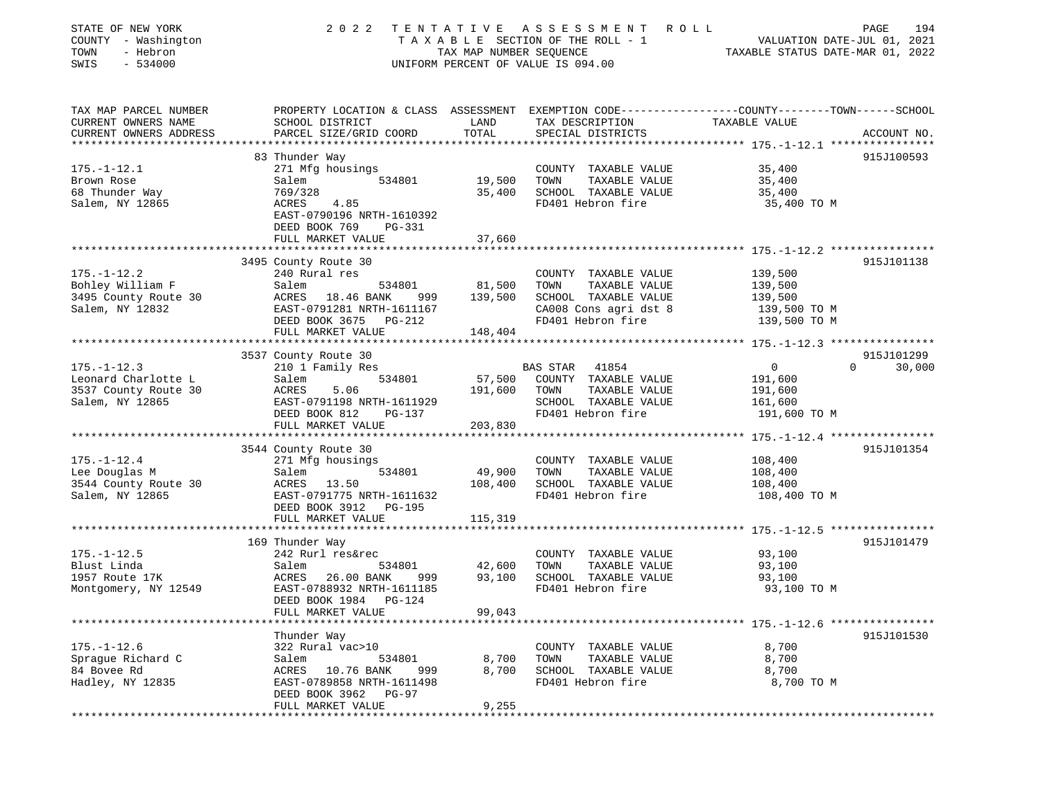| PROPERTY LOCATION & CLASS ASSESSMENT EXEMPTION CODE---------------COUNTY-------TOWN------SCHOOL<br>LAND<br>TAX DESCRIPTION<br>SCHOOL DISTRICT<br>TAXABLE VALUE<br>TOTAL<br>SPECIAL DISTRICTS<br>PARCEL SIZE/GRID COORD<br>ACCOUNT NO.<br>915J100593<br>83 Thunder Way<br>$175. - 1 - 12.1$<br>271 Mfg housings<br>COUNTY TAXABLE VALUE<br>35,400<br>Brown Rose<br>Salem<br>534801<br>19,500<br>TOWN<br>TAXABLE VALUE<br>35,400<br>68 Thunder Way<br>35,400<br>SCHOOL TAXABLE VALUE<br>769/328<br>35,400<br>Salem, NY 12865<br>FD401 Hebron fire<br>ACRES<br>4.85<br>35,400 TO M<br>EAST-0790196 NRTH-1610392<br>DEED BOOK 769<br>PG-331<br>FULL MARKET VALUE<br>37,660<br>3495 County Route 30<br>915J101138<br>240 Rural res<br>139,500<br>COUNTY TAXABLE VALUE<br>Salem<br>534801<br>81,500<br>TOWN<br>TAXABLE VALUE<br>139,500<br>139,500<br>3495 County Route 30<br>ACRES 18.46 BANK<br>SCHOOL TAXABLE VALUE<br>139,500<br>999<br>CA008 Cons agri dst 8<br>Salem, NY 12832<br>EAST-0791281 NRTH-1611167<br>139,500 TO M<br>FD401 Hebron fire<br>DEED BOOK 3675 PG-212<br>139,500 TO M<br>FULL MARKET VALUE<br>148,404<br>915J101299<br>3537 County Route 30<br>$175. - 1 - 12.3$<br>$\overline{0}$<br>30,000<br>210 1 Family Res<br>BAS STAR<br>41854<br>$\Omega$<br>Leonard Charlotte L<br>57,500<br>COUNTY TAXABLE VALUE<br>Salem<br>534801<br>191,600<br>ACRES<br>5.06<br>191,600<br>TOWN<br>TAXABLE VALUE<br>191,600<br>SCHOOL TAXABLE VALUE<br>EAST-0791198 NRTH-1611929<br>161,600<br>FD401 Hebron fire<br>DEED BOOK 812<br>191,600 TO M<br>PG-137<br>FULL MARKET VALUE<br>203,830<br>3544 County Route 30<br>915J101354<br>$175. - 1 - 12.4$<br>271 Mfg housings<br>COUNTY TAXABLE VALUE<br>108,400<br>TAXABLE VALUE<br>Lee Douglas M<br>Salem<br>534801<br>49,900<br>TOWN<br>108,400<br>ACRES 13.50<br>108,400<br>SCHOOL TAXABLE VALUE<br>3544 County Route 30<br>108,400<br>Salem, NY 12865<br>FD401 Hebron fire<br>108,400 TO M<br>EAST-0791775 NRTH-1611632<br>DEED BOOK 3912 PG-195<br>FULL MARKET VALUE<br>115,319<br>915J101479<br>169 Thunder Way<br>93,100<br>242 Rurl res&rec<br>COUNTY TAXABLE VALUE<br>42,600<br>TOWN<br>TAXABLE VALUE<br>93,100<br>Salem<br>534801<br>ACRES<br>93,100<br>SCHOOL TAXABLE VALUE<br>93,100<br>26.00 BANK<br>999<br>FD401 Hebron fire<br>Montgomery, NY 12549<br>EAST-0788932 NRTH-1611185<br>93,100 TO M<br>DEED BOOK 1984 PG-124<br>99,043<br>FULL MARKET VALUE<br>915J101530<br>Thunder Way<br>322 Rural vac>10<br>8,700<br>COUNTY TAXABLE VALUE<br>534801<br>8,700<br>TAXABLE VALUE<br>8,700<br>Salem<br>TOWN<br>ACRES 10.76 BANK<br>999<br>8,700<br>SCHOOL TAXABLE VALUE<br>8,700<br>FD401 Hebron fire<br>EAST-0789858 NRTH-1611498<br>8,700 TO M<br>DEED BOOK 3962 PG-97<br>9,255<br>FULL MARKET VALUE | STATE OF NEW YORK<br>COUNTY - Washington<br>TOWN<br>- Hebron<br>$-534000$<br>SWIS | 2 0 2 2 | TAX MAP NUMBER SEQUENCE | TENTATIVE ASSESSMENT ROLL<br>T A X A B L E SECTION OF THE ROLL - 1<br>UNIFORM PERCENT OF VALUE IS 094.00 | VALUATION DATE-JUL 01, 2021<br>TAXABLE STATUS DATE-MAR 01, 2022 | 194<br>PAGE |
|------------------------------------------------------------------------------------------------------------------------------------------------------------------------------------------------------------------------------------------------------------------------------------------------------------------------------------------------------------------------------------------------------------------------------------------------------------------------------------------------------------------------------------------------------------------------------------------------------------------------------------------------------------------------------------------------------------------------------------------------------------------------------------------------------------------------------------------------------------------------------------------------------------------------------------------------------------------------------------------------------------------------------------------------------------------------------------------------------------------------------------------------------------------------------------------------------------------------------------------------------------------------------------------------------------------------------------------------------------------------------------------------------------------------------------------------------------------------------------------------------------------------------------------------------------------------------------------------------------------------------------------------------------------------------------------------------------------------------------------------------------------------------------------------------------------------------------------------------------------------------------------------------------------------------------------------------------------------------------------------------------------------------------------------------------------------------------------------------------------------------------------------------------------------------------------------------------------------------------------------------------------------------------------------------------------------------------------------------------------------------------------------------------------------------------------------------------------------------------------------------------------------------------------------------------------------------------------------------------------------------------------------------------------------------------------------------------------------------------------------------------------|-----------------------------------------------------------------------------------|---------|-------------------------|----------------------------------------------------------------------------------------------------------|-----------------------------------------------------------------|-------------|
|                                                                                                                                                                                                                                                                                                                                                                                                                                                                                                                                                                                                                                                                                                                                                                                                                                                                                                                                                                                                                                                                                                                                                                                                                                                                                                                                                                                                                                                                                                                                                                                                                                                                                                                                                                                                                                                                                                                                                                                                                                                                                                                                                                                                                                                                                                                                                                                                                                                                                                                                                                                                                                                                                                                                                                  | TAX MAP PARCEL NUMBER                                                             |         |                         |                                                                                                          |                                                                 |             |
|                                                                                                                                                                                                                                                                                                                                                                                                                                                                                                                                                                                                                                                                                                                                                                                                                                                                                                                                                                                                                                                                                                                                                                                                                                                                                                                                                                                                                                                                                                                                                                                                                                                                                                                                                                                                                                                                                                                                                                                                                                                                                                                                                                                                                                                                                                                                                                                                                                                                                                                                                                                                                                                                                                                                                                  | CURRENT OWNERS NAME                                                               |         |                         |                                                                                                          |                                                                 |             |
|                                                                                                                                                                                                                                                                                                                                                                                                                                                                                                                                                                                                                                                                                                                                                                                                                                                                                                                                                                                                                                                                                                                                                                                                                                                                                                                                                                                                                                                                                                                                                                                                                                                                                                                                                                                                                                                                                                                                                                                                                                                                                                                                                                                                                                                                                                                                                                                                                                                                                                                                                                                                                                                                                                                                                                  | CURRENT OWNERS ADDRESS                                                            |         |                         |                                                                                                          |                                                                 |             |
|                                                                                                                                                                                                                                                                                                                                                                                                                                                                                                                                                                                                                                                                                                                                                                                                                                                                                                                                                                                                                                                                                                                                                                                                                                                                                                                                                                                                                                                                                                                                                                                                                                                                                                                                                                                                                                                                                                                                                                                                                                                                                                                                                                                                                                                                                                                                                                                                                                                                                                                                                                                                                                                                                                                                                                  |                                                                                   |         |                         |                                                                                                          |                                                                 |             |
|                                                                                                                                                                                                                                                                                                                                                                                                                                                                                                                                                                                                                                                                                                                                                                                                                                                                                                                                                                                                                                                                                                                                                                                                                                                                                                                                                                                                                                                                                                                                                                                                                                                                                                                                                                                                                                                                                                                                                                                                                                                                                                                                                                                                                                                                                                                                                                                                                                                                                                                                                                                                                                                                                                                                                                  |                                                                                   |         |                         |                                                                                                          |                                                                 |             |
|                                                                                                                                                                                                                                                                                                                                                                                                                                                                                                                                                                                                                                                                                                                                                                                                                                                                                                                                                                                                                                                                                                                                                                                                                                                                                                                                                                                                                                                                                                                                                                                                                                                                                                                                                                                                                                                                                                                                                                                                                                                                                                                                                                                                                                                                                                                                                                                                                                                                                                                                                                                                                                                                                                                                                                  |                                                                                   |         |                         |                                                                                                          |                                                                 |             |
|                                                                                                                                                                                                                                                                                                                                                                                                                                                                                                                                                                                                                                                                                                                                                                                                                                                                                                                                                                                                                                                                                                                                                                                                                                                                                                                                                                                                                                                                                                                                                                                                                                                                                                                                                                                                                                                                                                                                                                                                                                                                                                                                                                                                                                                                                                                                                                                                                                                                                                                                                                                                                                                                                                                                                                  |                                                                                   |         |                         |                                                                                                          |                                                                 |             |
|                                                                                                                                                                                                                                                                                                                                                                                                                                                                                                                                                                                                                                                                                                                                                                                                                                                                                                                                                                                                                                                                                                                                                                                                                                                                                                                                                                                                                                                                                                                                                                                                                                                                                                                                                                                                                                                                                                                                                                                                                                                                                                                                                                                                                                                                                                                                                                                                                                                                                                                                                                                                                                                                                                                                                                  |                                                                                   |         |                         |                                                                                                          |                                                                 |             |
|                                                                                                                                                                                                                                                                                                                                                                                                                                                                                                                                                                                                                                                                                                                                                                                                                                                                                                                                                                                                                                                                                                                                                                                                                                                                                                                                                                                                                                                                                                                                                                                                                                                                                                                                                                                                                                                                                                                                                                                                                                                                                                                                                                                                                                                                                                                                                                                                                                                                                                                                                                                                                                                                                                                                                                  |                                                                                   |         |                         |                                                                                                          |                                                                 |             |
|                                                                                                                                                                                                                                                                                                                                                                                                                                                                                                                                                                                                                                                                                                                                                                                                                                                                                                                                                                                                                                                                                                                                                                                                                                                                                                                                                                                                                                                                                                                                                                                                                                                                                                                                                                                                                                                                                                                                                                                                                                                                                                                                                                                                                                                                                                                                                                                                                                                                                                                                                                                                                                                                                                                                                                  |                                                                                   |         |                         |                                                                                                          |                                                                 |             |
|                                                                                                                                                                                                                                                                                                                                                                                                                                                                                                                                                                                                                                                                                                                                                                                                                                                                                                                                                                                                                                                                                                                                                                                                                                                                                                                                                                                                                                                                                                                                                                                                                                                                                                                                                                                                                                                                                                                                                                                                                                                                                                                                                                                                                                                                                                                                                                                                                                                                                                                                                                                                                                                                                                                                                                  |                                                                                   |         |                         |                                                                                                          |                                                                 |             |
|                                                                                                                                                                                                                                                                                                                                                                                                                                                                                                                                                                                                                                                                                                                                                                                                                                                                                                                                                                                                                                                                                                                                                                                                                                                                                                                                                                                                                                                                                                                                                                                                                                                                                                                                                                                                                                                                                                                                                                                                                                                                                                                                                                                                                                                                                                                                                                                                                                                                                                                                                                                                                                                                                                                                                                  |                                                                                   |         |                         |                                                                                                          |                                                                 |             |
|                                                                                                                                                                                                                                                                                                                                                                                                                                                                                                                                                                                                                                                                                                                                                                                                                                                                                                                                                                                                                                                                                                                                                                                                                                                                                                                                                                                                                                                                                                                                                                                                                                                                                                                                                                                                                                                                                                                                                                                                                                                                                                                                                                                                                                                                                                                                                                                                                                                                                                                                                                                                                                                                                                                                                                  | $175. - 1 - 12.2$                                                                 |         |                         |                                                                                                          |                                                                 |             |
|                                                                                                                                                                                                                                                                                                                                                                                                                                                                                                                                                                                                                                                                                                                                                                                                                                                                                                                                                                                                                                                                                                                                                                                                                                                                                                                                                                                                                                                                                                                                                                                                                                                                                                                                                                                                                                                                                                                                                                                                                                                                                                                                                                                                                                                                                                                                                                                                                                                                                                                                                                                                                                                                                                                                                                  | Bohley William F                                                                  |         |                         |                                                                                                          |                                                                 |             |
|                                                                                                                                                                                                                                                                                                                                                                                                                                                                                                                                                                                                                                                                                                                                                                                                                                                                                                                                                                                                                                                                                                                                                                                                                                                                                                                                                                                                                                                                                                                                                                                                                                                                                                                                                                                                                                                                                                                                                                                                                                                                                                                                                                                                                                                                                                                                                                                                                                                                                                                                                                                                                                                                                                                                                                  |                                                                                   |         |                         |                                                                                                          |                                                                 |             |
|                                                                                                                                                                                                                                                                                                                                                                                                                                                                                                                                                                                                                                                                                                                                                                                                                                                                                                                                                                                                                                                                                                                                                                                                                                                                                                                                                                                                                                                                                                                                                                                                                                                                                                                                                                                                                                                                                                                                                                                                                                                                                                                                                                                                                                                                                                                                                                                                                                                                                                                                                                                                                                                                                                                                                                  |                                                                                   |         |                         |                                                                                                          |                                                                 |             |
|                                                                                                                                                                                                                                                                                                                                                                                                                                                                                                                                                                                                                                                                                                                                                                                                                                                                                                                                                                                                                                                                                                                                                                                                                                                                                                                                                                                                                                                                                                                                                                                                                                                                                                                                                                                                                                                                                                                                                                                                                                                                                                                                                                                                                                                                                                                                                                                                                                                                                                                                                                                                                                                                                                                                                                  |                                                                                   |         |                         |                                                                                                          |                                                                 |             |
|                                                                                                                                                                                                                                                                                                                                                                                                                                                                                                                                                                                                                                                                                                                                                                                                                                                                                                                                                                                                                                                                                                                                                                                                                                                                                                                                                                                                                                                                                                                                                                                                                                                                                                                                                                                                                                                                                                                                                                                                                                                                                                                                                                                                                                                                                                                                                                                                                                                                                                                                                                                                                                                                                                                                                                  |                                                                                   |         |                         |                                                                                                          |                                                                 |             |
|                                                                                                                                                                                                                                                                                                                                                                                                                                                                                                                                                                                                                                                                                                                                                                                                                                                                                                                                                                                                                                                                                                                                                                                                                                                                                                                                                                                                                                                                                                                                                                                                                                                                                                                                                                                                                                                                                                                                                                                                                                                                                                                                                                                                                                                                                                                                                                                                                                                                                                                                                                                                                                                                                                                                                                  |                                                                                   |         |                         |                                                                                                          |                                                                 |             |
|                                                                                                                                                                                                                                                                                                                                                                                                                                                                                                                                                                                                                                                                                                                                                                                                                                                                                                                                                                                                                                                                                                                                                                                                                                                                                                                                                                                                                                                                                                                                                                                                                                                                                                                                                                                                                                                                                                                                                                                                                                                                                                                                                                                                                                                                                                                                                                                                                                                                                                                                                                                                                                                                                                                                                                  |                                                                                   |         |                         |                                                                                                          |                                                                 |             |
|                                                                                                                                                                                                                                                                                                                                                                                                                                                                                                                                                                                                                                                                                                                                                                                                                                                                                                                                                                                                                                                                                                                                                                                                                                                                                                                                                                                                                                                                                                                                                                                                                                                                                                                                                                                                                                                                                                                                                                                                                                                                                                                                                                                                                                                                                                                                                                                                                                                                                                                                                                                                                                                                                                                                                                  |                                                                                   |         |                         |                                                                                                          |                                                                 |             |
|                                                                                                                                                                                                                                                                                                                                                                                                                                                                                                                                                                                                                                                                                                                                                                                                                                                                                                                                                                                                                                                                                                                                                                                                                                                                                                                                                                                                                                                                                                                                                                                                                                                                                                                                                                                                                                                                                                                                                                                                                                                                                                                                                                                                                                                                                                                                                                                                                                                                                                                                                                                                                                                                                                                                                                  | 3537 County Route 30                                                              |         |                         |                                                                                                          |                                                                 |             |
|                                                                                                                                                                                                                                                                                                                                                                                                                                                                                                                                                                                                                                                                                                                                                                                                                                                                                                                                                                                                                                                                                                                                                                                                                                                                                                                                                                                                                                                                                                                                                                                                                                                                                                                                                                                                                                                                                                                                                                                                                                                                                                                                                                                                                                                                                                                                                                                                                                                                                                                                                                                                                                                                                                                                                                  | Salem, NY 12865                                                                   |         |                         |                                                                                                          |                                                                 |             |
|                                                                                                                                                                                                                                                                                                                                                                                                                                                                                                                                                                                                                                                                                                                                                                                                                                                                                                                                                                                                                                                                                                                                                                                                                                                                                                                                                                                                                                                                                                                                                                                                                                                                                                                                                                                                                                                                                                                                                                                                                                                                                                                                                                                                                                                                                                                                                                                                                                                                                                                                                                                                                                                                                                                                                                  |                                                                                   |         |                         |                                                                                                          |                                                                 |             |
|                                                                                                                                                                                                                                                                                                                                                                                                                                                                                                                                                                                                                                                                                                                                                                                                                                                                                                                                                                                                                                                                                                                                                                                                                                                                                                                                                                                                                                                                                                                                                                                                                                                                                                                                                                                                                                                                                                                                                                                                                                                                                                                                                                                                                                                                                                                                                                                                                                                                                                                                                                                                                                                                                                                                                                  |                                                                                   |         |                         |                                                                                                          |                                                                 |             |
|                                                                                                                                                                                                                                                                                                                                                                                                                                                                                                                                                                                                                                                                                                                                                                                                                                                                                                                                                                                                                                                                                                                                                                                                                                                                                                                                                                                                                                                                                                                                                                                                                                                                                                                                                                                                                                                                                                                                                                                                                                                                                                                                                                                                                                                                                                                                                                                                                                                                                                                                                                                                                                                                                                                                                                  |                                                                                   |         |                         |                                                                                                          |                                                                 |             |
|                                                                                                                                                                                                                                                                                                                                                                                                                                                                                                                                                                                                                                                                                                                                                                                                                                                                                                                                                                                                                                                                                                                                                                                                                                                                                                                                                                                                                                                                                                                                                                                                                                                                                                                                                                                                                                                                                                                                                                                                                                                                                                                                                                                                                                                                                                                                                                                                                                                                                                                                                                                                                                                                                                                                                                  |                                                                                   |         |                         |                                                                                                          |                                                                 |             |
|                                                                                                                                                                                                                                                                                                                                                                                                                                                                                                                                                                                                                                                                                                                                                                                                                                                                                                                                                                                                                                                                                                                                                                                                                                                                                                                                                                                                                                                                                                                                                                                                                                                                                                                                                                                                                                                                                                                                                                                                                                                                                                                                                                                                                                                                                                                                                                                                                                                                                                                                                                                                                                                                                                                                                                  |                                                                                   |         |                         |                                                                                                          |                                                                 |             |
|                                                                                                                                                                                                                                                                                                                                                                                                                                                                                                                                                                                                                                                                                                                                                                                                                                                                                                                                                                                                                                                                                                                                                                                                                                                                                                                                                                                                                                                                                                                                                                                                                                                                                                                                                                                                                                                                                                                                                                                                                                                                                                                                                                                                                                                                                                                                                                                                                                                                                                                                                                                                                                                                                                                                                                  |                                                                                   |         |                         |                                                                                                          |                                                                 |             |
|                                                                                                                                                                                                                                                                                                                                                                                                                                                                                                                                                                                                                                                                                                                                                                                                                                                                                                                                                                                                                                                                                                                                                                                                                                                                                                                                                                                                                                                                                                                                                                                                                                                                                                                                                                                                                                                                                                                                                                                                                                                                                                                                                                                                                                                                                                                                                                                                                                                                                                                                                                                                                                                                                                                                                                  |                                                                                   |         |                         |                                                                                                          |                                                                 |             |
|                                                                                                                                                                                                                                                                                                                                                                                                                                                                                                                                                                                                                                                                                                                                                                                                                                                                                                                                                                                                                                                                                                                                                                                                                                                                                                                                                                                                                                                                                                                                                                                                                                                                                                                                                                                                                                                                                                                                                                                                                                                                                                                                                                                                                                                                                                                                                                                                                                                                                                                                                                                                                                                                                                                                                                  |                                                                                   |         |                         |                                                                                                          |                                                                 |             |
|                                                                                                                                                                                                                                                                                                                                                                                                                                                                                                                                                                                                                                                                                                                                                                                                                                                                                                                                                                                                                                                                                                                                                                                                                                                                                                                                                                                                                                                                                                                                                                                                                                                                                                                                                                                                                                                                                                                                                                                                                                                                                                                                                                                                                                                                                                                                                                                                                                                                                                                                                                                                                                                                                                                                                                  |                                                                                   |         |                         |                                                                                                          |                                                                 |             |
|                                                                                                                                                                                                                                                                                                                                                                                                                                                                                                                                                                                                                                                                                                                                                                                                                                                                                                                                                                                                                                                                                                                                                                                                                                                                                                                                                                                                                                                                                                                                                                                                                                                                                                                                                                                                                                                                                                                                                                                                                                                                                                                                                                                                                                                                                                                                                                                                                                                                                                                                                                                                                                                                                                                                                                  |                                                                                   |         |                         |                                                                                                          |                                                                 |             |
|                                                                                                                                                                                                                                                                                                                                                                                                                                                                                                                                                                                                                                                                                                                                                                                                                                                                                                                                                                                                                                                                                                                                                                                                                                                                                                                                                                                                                                                                                                                                                                                                                                                                                                                                                                                                                                                                                                                                                                                                                                                                                                                                                                                                                                                                                                                                                                                                                                                                                                                                                                                                                                                                                                                                                                  |                                                                                   |         |                         |                                                                                                          |                                                                 |             |
|                                                                                                                                                                                                                                                                                                                                                                                                                                                                                                                                                                                                                                                                                                                                                                                                                                                                                                                                                                                                                                                                                                                                                                                                                                                                                                                                                                                                                                                                                                                                                                                                                                                                                                                                                                                                                                                                                                                                                                                                                                                                                                                                                                                                                                                                                                                                                                                                                                                                                                                                                                                                                                                                                                                                                                  | $175. - 1 - 12.5$                                                                 |         |                         |                                                                                                          |                                                                 |             |
|                                                                                                                                                                                                                                                                                                                                                                                                                                                                                                                                                                                                                                                                                                                                                                                                                                                                                                                                                                                                                                                                                                                                                                                                                                                                                                                                                                                                                                                                                                                                                                                                                                                                                                                                                                                                                                                                                                                                                                                                                                                                                                                                                                                                                                                                                                                                                                                                                                                                                                                                                                                                                                                                                                                                                                  | Blust Linda                                                                       |         |                         |                                                                                                          |                                                                 |             |
|                                                                                                                                                                                                                                                                                                                                                                                                                                                                                                                                                                                                                                                                                                                                                                                                                                                                                                                                                                                                                                                                                                                                                                                                                                                                                                                                                                                                                                                                                                                                                                                                                                                                                                                                                                                                                                                                                                                                                                                                                                                                                                                                                                                                                                                                                                                                                                                                                                                                                                                                                                                                                                                                                                                                                                  | 1957 Route 17K                                                                    |         |                         |                                                                                                          |                                                                 |             |
|                                                                                                                                                                                                                                                                                                                                                                                                                                                                                                                                                                                                                                                                                                                                                                                                                                                                                                                                                                                                                                                                                                                                                                                                                                                                                                                                                                                                                                                                                                                                                                                                                                                                                                                                                                                                                                                                                                                                                                                                                                                                                                                                                                                                                                                                                                                                                                                                                                                                                                                                                                                                                                                                                                                                                                  |                                                                                   |         |                         |                                                                                                          |                                                                 |             |
|                                                                                                                                                                                                                                                                                                                                                                                                                                                                                                                                                                                                                                                                                                                                                                                                                                                                                                                                                                                                                                                                                                                                                                                                                                                                                                                                                                                                                                                                                                                                                                                                                                                                                                                                                                                                                                                                                                                                                                                                                                                                                                                                                                                                                                                                                                                                                                                                                                                                                                                                                                                                                                                                                                                                                                  |                                                                                   |         |                         |                                                                                                          |                                                                 |             |
|                                                                                                                                                                                                                                                                                                                                                                                                                                                                                                                                                                                                                                                                                                                                                                                                                                                                                                                                                                                                                                                                                                                                                                                                                                                                                                                                                                                                                                                                                                                                                                                                                                                                                                                                                                                                                                                                                                                                                                                                                                                                                                                                                                                                                                                                                                                                                                                                                                                                                                                                                                                                                                                                                                                                                                  |                                                                                   |         |                         |                                                                                                          |                                                                 |             |
|                                                                                                                                                                                                                                                                                                                                                                                                                                                                                                                                                                                                                                                                                                                                                                                                                                                                                                                                                                                                                                                                                                                                                                                                                                                                                                                                                                                                                                                                                                                                                                                                                                                                                                                                                                                                                                                                                                                                                                                                                                                                                                                                                                                                                                                                                                                                                                                                                                                                                                                                                                                                                                                                                                                                                                  |                                                                                   |         |                         |                                                                                                          |                                                                 |             |
|                                                                                                                                                                                                                                                                                                                                                                                                                                                                                                                                                                                                                                                                                                                                                                                                                                                                                                                                                                                                                                                                                                                                                                                                                                                                                                                                                                                                                                                                                                                                                                                                                                                                                                                                                                                                                                                                                                                                                                                                                                                                                                                                                                                                                                                                                                                                                                                                                                                                                                                                                                                                                                                                                                                                                                  | $175. - 1 - 12.6$                                                                 |         |                         |                                                                                                          |                                                                 |             |
|                                                                                                                                                                                                                                                                                                                                                                                                                                                                                                                                                                                                                                                                                                                                                                                                                                                                                                                                                                                                                                                                                                                                                                                                                                                                                                                                                                                                                                                                                                                                                                                                                                                                                                                                                                                                                                                                                                                                                                                                                                                                                                                                                                                                                                                                                                                                                                                                                                                                                                                                                                                                                                                                                                                                                                  | Spraque Richard C                                                                 |         |                         |                                                                                                          |                                                                 |             |
|                                                                                                                                                                                                                                                                                                                                                                                                                                                                                                                                                                                                                                                                                                                                                                                                                                                                                                                                                                                                                                                                                                                                                                                                                                                                                                                                                                                                                                                                                                                                                                                                                                                                                                                                                                                                                                                                                                                                                                                                                                                                                                                                                                                                                                                                                                                                                                                                                                                                                                                                                                                                                                                                                                                                                                  | 84 Bovee Rd                                                                       |         |                         |                                                                                                          |                                                                 |             |
|                                                                                                                                                                                                                                                                                                                                                                                                                                                                                                                                                                                                                                                                                                                                                                                                                                                                                                                                                                                                                                                                                                                                                                                                                                                                                                                                                                                                                                                                                                                                                                                                                                                                                                                                                                                                                                                                                                                                                                                                                                                                                                                                                                                                                                                                                                                                                                                                                                                                                                                                                                                                                                                                                                                                                                  | Hadley, NY 12835                                                                  |         |                         |                                                                                                          |                                                                 |             |
|                                                                                                                                                                                                                                                                                                                                                                                                                                                                                                                                                                                                                                                                                                                                                                                                                                                                                                                                                                                                                                                                                                                                                                                                                                                                                                                                                                                                                                                                                                                                                                                                                                                                                                                                                                                                                                                                                                                                                                                                                                                                                                                                                                                                                                                                                                                                                                                                                                                                                                                                                                                                                                                                                                                                                                  |                                                                                   |         |                         |                                                                                                          |                                                                 |             |
| ******************<br>************************                                                                                                                                                                                                                                                                                                                                                                                                                                                                                                                                                                                                                                                                                                                                                                                                                                                                                                                                                                                                                                                                                                                                                                                                                                                                                                                                                                                                                                                                                                                                                                                                                                                                                                                                                                                                                                                                                                                                                                                                                                                                                                                                                                                                                                                                                                                                                                                                                                                                                                                                                                                                                                                                                                                   | ***********                                                                       |         |                         |                                                                                                          |                                                                 |             |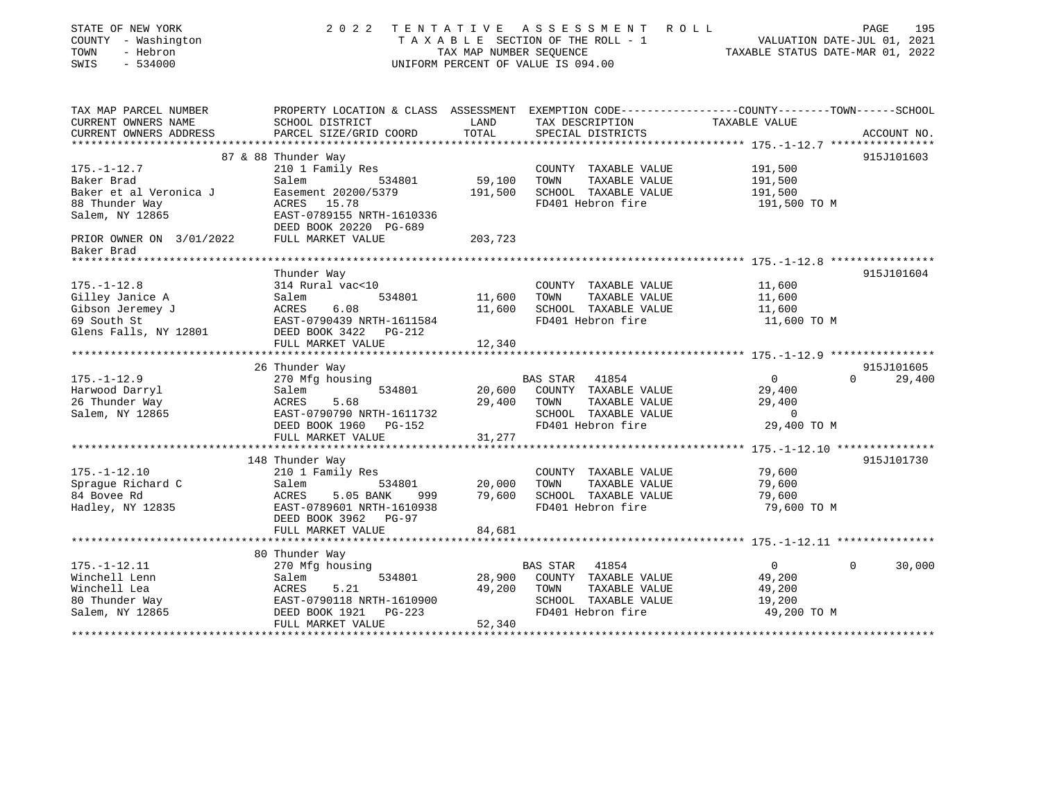| STATE OF NEW YORK<br>COUNTY - Washington<br>TOWN<br>- Hebron<br>SWIS<br>$-534000$ | 2 0 2 2                                    | TAX MAP NUMBER SEQUENCE<br>UNIFORM PERCENT OF VALUE IS 094.00 | TENTATIVE ASSESSMENT ROLL                     | T A X A B L E SECTION OF THE ROLL - 1 VALUATION DATE-JUL 01, 2021<br>TAXABLE STATUS DATE-MAR 01, 2022 | PAGE<br>195              |
|-----------------------------------------------------------------------------------|--------------------------------------------|---------------------------------------------------------------|-----------------------------------------------|-------------------------------------------------------------------------------------------------------|--------------------------|
| TAX MAP PARCEL NUMBER                                                             |                                            |                                                               |                                               | PROPERTY LOCATION & CLASS ASSESSMENT EXEMPTION CODE----------------COUNTY-------TOWN------SCHOOL      |                          |
| CURRENT OWNERS NAME                                                               | SCHOOL DISTRICT                            | LAND                                                          | TAX DESCRIPTION                               | TAXABLE VALUE                                                                                         |                          |
| CURRENT OWNERS ADDRESS                                                            | PARCEL SIZE/GRID COORD                     | TOTAL                                                         | SPECIAL DISTRICTS                             |                                                                                                       | ACCOUNT NO.              |
|                                                                                   |                                            |                                                               |                                               |                                                                                                       |                          |
| $175. - 1 - 12.7$                                                                 | 87 & 88 Thunder Way<br>210 1 Family Res    |                                                               | COUNTY TAXABLE VALUE                          | 191,500                                                                                               | 915J101603               |
| Baker Brad                                                                        | Salem<br>534801                            | 59,100                                                        | TOWN<br>TAXABLE VALUE                         | 191,500                                                                                               |                          |
| Baker et al Veronica J                                                            | Easement 20200/5379                        | 191,500                                                       | SCHOOL TAXABLE VALUE                          | 191,500                                                                                               |                          |
| 88 Thunder Way                                                                    | ACRES 15.78                                |                                                               | FD401 Hebron fire                             | 191,500 TO M                                                                                          |                          |
| Salem, NY 12865                                                                   | EAST-0789155 NRTH-1610336                  |                                                               |                                               |                                                                                                       |                          |
|                                                                                   | DEED BOOK 20220 PG-689                     |                                                               |                                               |                                                                                                       |                          |
| PRIOR OWNER ON 3/01/2022                                                          | FULL MARKET VALUE                          | 203,723                                                       |                                               |                                                                                                       |                          |
| Baker Brad                                                                        |                                            |                                                               |                                               |                                                                                                       |                          |
|                                                                                   |                                            |                                                               |                                               |                                                                                                       |                          |
|                                                                                   | Thunder Way                                |                                                               |                                               |                                                                                                       | 915J101604               |
| $175. - 1 - 12.8$                                                                 | 314 Rural vac<10                           |                                                               | COUNTY TAXABLE VALUE                          | 11,600                                                                                                |                          |
| Gilley Janice A                                                                   | 534801<br>Salem                            | 11,600                                                        | TOWN<br>TAXABLE VALUE                         | 11,600                                                                                                |                          |
| Gibson Jeremey J                                                                  | ACRES<br>6.08                              | 11,600                                                        | SCHOOL TAXABLE VALUE                          | 11,600                                                                                                |                          |
| 69 South St                                                                       | EAST-0790439 NRTH-1611584                  |                                                               | FD401 Hebron fire                             | 11,600 TO M                                                                                           |                          |
| Glens Falls, NY 12801                                                             | DEED BOOK 3422 PG-212                      |                                                               |                                               |                                                                                                       |                          |
|                                                                                   | FULL MARKET VALUE                          | 12,340                                                        |                                               |                                                                                                       |                          |
|                                                                                   |                                            |                                                               |                                               |                                                                                                       | 915J101605               |
| $175. - 1 - 12.9$                                                                 | 26 Thunder Way<br>270 Mfg housing          |                                                               | BAS STAR 41854                                | $\overline{0}$                                                                                        | $\Omega$<br>29,400       |
| Harwood Darryl                                                                    | Salem<br>534801                            | 20,600                                                        | COUNTY TAXABLE VALUE                          | 29,400                                                                                                |                          |
| 26 Thunder Way                                                                    | ACRES<br>5.68                              | 29,400                                                        | TOWN<br>TAXABLE VALUE                         | 29,400                                                                                                |                          |
| Salem, NY 12865                                                                   | EAST-0790790 NRTH-1611732                  |                                                               | SCHOOL TAXABLE VALUE                          | $\mathbf 0$                                                                                           |                          |
|                                                                                   | DEED BOOK 1960 PG-152                      |                                                               | FD401 Hebron fire                             | 29,400 TO M                                                                                           |                          |
|                                                                                   | FULL MARKET VALUE                          | 31,277                                                        |                                               |                                                                                                       |                          |
|                                                                                   |                                            |                                                               |                                               |                                                                                                       |                          |
|                                                                                   | 148 Thunder Way                            |                                                               |                                               |                                                                                                       | 915J101730               |
| $175. - 1 - 12.10$                                                                | 210 1 Family Res                           |                                                               | COUNTY TAXABLE VALUE                          | 79,600                                                                                                |                          |
| Sprague Richard C                                                                 | Salem<br>534801                            | 20,000                                                        | TOWN<br>TAXABLE VALUE                         | 79,600                                                                                                |                          |
| 84 Bovee Rd                                                                       | ACRES<br>5.05 BANK                         | 79,600<br>999                                                 | SCHOOL TAXABLE VALUE                          | 79,600                                                                                                |                          |
| Hadley, NY 12835                                                                  | EAST-0789601 NRTH-1610938                  |                                                               | FD401 Hebron fire                             | 79,600 TO M                                                                                           |                          |
|                                                                                   | DEED BOOK 3962 PG-97                       |                                                               |                                               |                                                                                                       |                          |
|                                                                                   | FULL MARKET VALUE                          | 84,681                                                        |                                               |                                                                                                       |                          |
|                                                                                   |                                            |                                                               |                                               |                                                                                                       |                          |
|                                                                                   | 80 Thunder Way                             |                                                               |                                               |                                                                                                       |                          |
| $175. - 1 - 12.11$                                                                | 270 Mfg housing                            |                                                               | BAS STAR<br>41854                             | $\overline{0}$                                                                                        | 30,000<br>$\overline{0}$ |
| Winchell Lenn                                                                     | 534801<br>Salem                            | 28,900<br>49,200                                              | COUNTY TAXABLE VALUE                          | 49,200                                                                                                |                          |
| Winchell Lea<br>80 Thunder Way                                                    | ACRES<br>5.21<br>EAST-0790118 NRTH-1610900 |                                                               | TOWN<br>TAXABLE VALUE<br>SCHOOL TAXABLE VALUE | 49,200<br>19,200                                                                                      |                          |
| Salem, NY 12865                                                                   | DEED BOOK 1921<br>PG-223                   |                                                               | FD401 Hebron fire                             | 49,200 TO M                                                                                           |                          |
|                                                                                   | FULL MARKET VALUE                          | 52,340                                                        |                                               |                                                                                                       |                          |
|                                                                                   |                                            |                                                               |                                               | *******************************                                                                       |                          |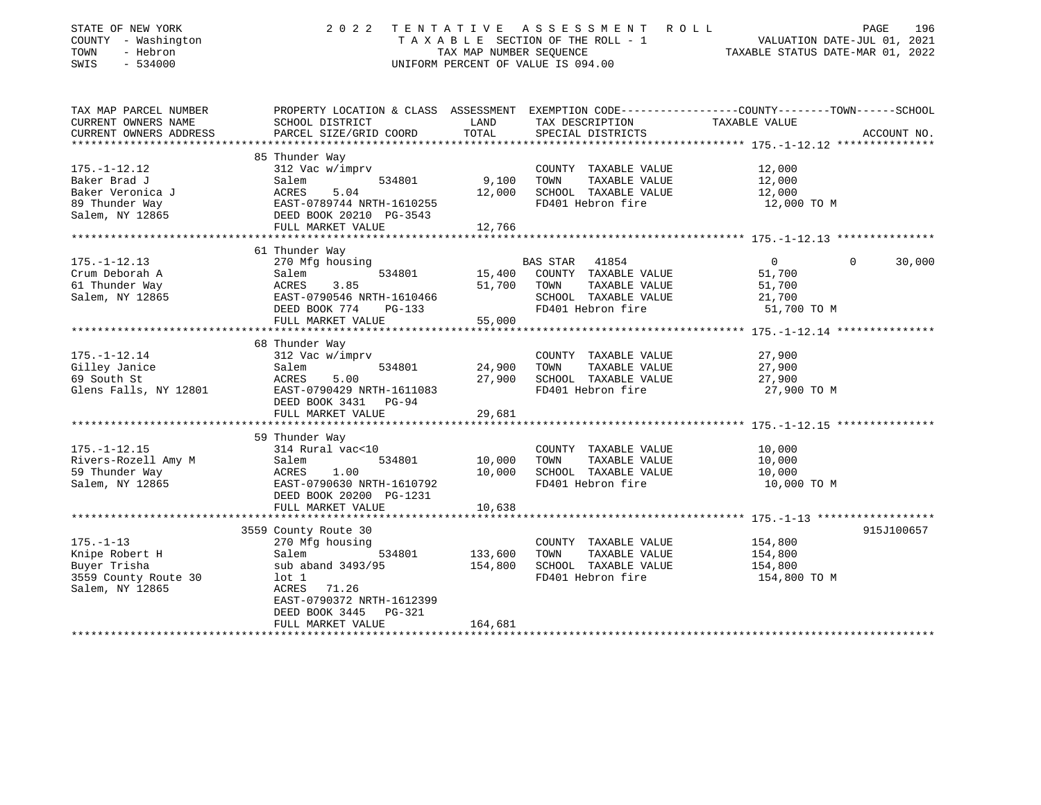| STATE OF NEW YORK<br>COUNTY - Washington<br>TOWN<br>- Hebron<br>SWIS<br>$-534000$ | 2 0 2 2                                                                                        | TAX MAP NUMBER SEQUENCE | TENTATIVE ASSESSMENT<br>R O L L<br>T A X A B L E SECTION OF THE ROLL - 1<br>UNIFORM PERCENT OF VALUE IS 094.00 | VALUATION DATE-JUL 01, 2021<br>TAXABLE STATUS DATE-MAR 01, 2022 | PAGE     | 196         |
|-----------------------------------------------------------------------------------|------------------------------------------------------------------------------------------------|-------------------------|----------------------------------------------------------------------------------------------------------------|-----------------------------------------------------------------|----------|-------------|
| TAX MAP PARCEL NUMBER                                                             | PROPERTY LOCATION & CLASS ASSESSMENT EXEMPTION CODE---------------COUNTY-------TOWN-----SCHOOL |                         |                                                                                                                |                                                                 |          |             |
| CURRENT OWNERS NAME                                                               | SCHOOL DISTRICT                                                                                | LAND                    | TAX DESCRIPTION                                                                                                | TAXABLE VALUE                                                   |          |             |
| CURRENT OWNERS ADDRESS                                                            | PARCEL SIZE/GRID COORD                                                                         | TOTAL                   | SPECIAL DISTRICTS                                                                                              |                                                                 |          | ACCOUNT NO. |
|                                                                                   | 85 Thunder Way                                                                                 |                         |                                                                                                                |                                                                 |          |             |
| $175. - 1 - 12.12$                                                                | 312 Vac w/imprv                                                                                |                         | COUNTY TAXABLE VALUE                                                                                           | 12,000                                                          |          |             |
| Baker Brad J                                                                      | Salem<br>534801                                                                                | 9,100                   | TOWN<br>TAXABLE VALUE                                                                                          | 12,000                                                          |          |             |
| Baker Veronica J                                                                  | ACRES<br>5.04                                                                                  | 12,000                  | SCHOOL TAXABLE VALUE                                                                                           | 12,000                                                          |          |             |
| 89 Thunder Way                                                                    | EAST-0789744 NRTH-1610255                                                                      |                         | FD401 Hebron fire                                                                                              | 12,000 TO M                                                     |          |             |
| Salem, NY 12865                                                                   | DEED BOOK 20210 PG-3543                                                                        |                         |                                                                                                                |                                                                 |          |             |
|                                                                                   | FULL MARKET VALUE                                                                              | 12,766                  |                                                                                                                |                                                                 |          |             |
|                                                                                   |                                                                                                |                         |                                                                                                                |                                                                 |          |             |
|                                                                                   | 61 Thunder Way                                                                                 |                         |                                                                                                                |                                                                 |          |             |
| $175. - 1 - 12.13$                                                                | 270 Mfg housing                                                                                |                         | <b>BAS STAR</b><br>41854                                                                                       | $\Omega$                                                        | $\Omega$ | 30,000      |
| Crum Deborah A<br>61 Thunder Way                                                  | Salem<br>534801<br>ACRES<br>3.85                                                               | 15,400<br>51,700        | COUNTY TAXABLE VALUE<br>TAXABLE VALUE<br>TOWN                                                                  | 51,700<br>51,700                                                |          |             |
| Salem, NY 12865                                                                   | EAST-0790546 NRTH-1610466                                                                      |                         | SCHOOL TAXABLE VALUE                                                                                           | 21,700                                                          |          |             |
|                                                                                   | DEED BOOK 774<br>PG-133                                                                        |                         | FD401 Hebron fire                                                                                              | 51,700 TO M                                                     |          |             |
|                                                                                   | FULL MARKET VALUE                                                                              | 55,000                  |                                                                                                                |                                                                 |          |             |
|                                                                                   |                                                                                                |                         | ******************************* 175.-1-12.14 ***************                                                   |                                                                 |          |             |
|                                                                                   | 68 Thunder Way                                                                                 |                         |                                                                                                                |                                                                 |          |             |
| $175. - 1 - 12.14$                                                                | 312 Vac w/imprv                                                                                |                         | COUNTY TAXABLE VALUE                                                                                           | 27,900                                                          |          |             |
| Gilley Janice                                                                     | Salem<br>534801                                                                                | 24,900                  | TOWN<br>TAXABLE VALUE                                                                                          | 27,900                                                          |          |             |
| 69 South St                                                                       | ACRES<br>5.00                                                                                  | 27,900                  | SCHOOL TAXABLE VALUE                                                                                           | 27,900                                                          |          |             |
| Glens Falls, NY 12801                                                             | EAST-0790429 NRTH-1611083<br>DEED BOOK 3431<br>PG-94                                           |                         | FD401 Hebron fire                                                                                              | 27,900 TO M                                                     |          |             |
|                                                                                   | FULL MARKET VALUE                                                                              | 29,681                  |                                                                                                                | ****************** 175.-1-12.15 ****************                |          |             |
|                                                                                   | 59 Thunder Way                                                                                 |                         |                                                                                                                |                                                                 |          |             |
| $175. - 1 - 12.15$                                                                | 314 Rural vac<10                                                                               |                         | COUNTY TAXABLE VALUE                                                                                           | 10,000                                                          |          |             |
| Rivers-Rozell Amy M                                                               | Salem<br>534801                                                                                | 10,000                  | TAXABLE VALUE<br>TOWN                                                                                          | 10,000                                                          |          |             |
| 59 Thunder Way                                                                    | ACRES<br>1.00                                                                                  | 10,000                  | SCHOOL TAXABLE VALUE                                                                                           | 10,000                                                          |          |             |
| Salem, NY 12865                                                                   | EAST-0790630 NRTH-1610792                                                                      |                         | FD401 Hebron fire                                                                                              | 10,000 TO M                                                     |          |             |
|                                                                                   | DEED BOOK 20200 PG-1231                                                                        |                         |                                                                                                                |                                                                 |          |             |
|                                                                                   | FULL MARKET VALUE                                                                              | 10,638                  |                                                                                                                |                                                                 |          |             |
|                                                                                   | *******************                                                                            | ************            | ****************************** 175.-1-13 ******************                                                    |                                                                 |          |             |
|                                                                                   | 3559 County Route 30                                                                           |                         |                                                                                                                |                                                                 |          | 915J100657  |
| $175. - 1 - 13$                                                                   | 270 Mfg housing                                                                                |                         | COUNTY TAXABLE VALUE                                                                                           | 154,800                                                         |          |             |
| Knipe Robert H                                                                    | Salem<br>534801                                                                                | 133,600                 | TOWN<br>TAXABLE VALUE                                                                                          | 154,800                                                         |          |             |
| Buyer Trisha                                                                      | sub aband 3493/95                                                                              | 154,800                 | SCHOOL TAXABLE VALUE                                                                                           | 154,800                                                         |          |             |
| 3559 County Route 30<br>Salem, NY 12865                                           | $1$ ot $1$<br>ACRES<br>71.26                                                                   |                         | FD401 Hebron fire                                                                                              | 154,800 TO M                                                    |          |             |
|                                                                                   | EAST-0790372 NRTH-1612399                                                                      |                         |                                                                                                                |                                                                 |          |             |
|                                                                                   | DEED BOOK 3445<br>PG-321                                                                       |                         |                                                                                                                |                                                                 |          |             |
|                                                                                   | FULL MARKET VALUE                                                                              | 164,681                 |                                                                                                                |                                                                 |          |             |
|                                                                                   |                                                                                                |                         |                                                                                                                |                                                                 |          |             |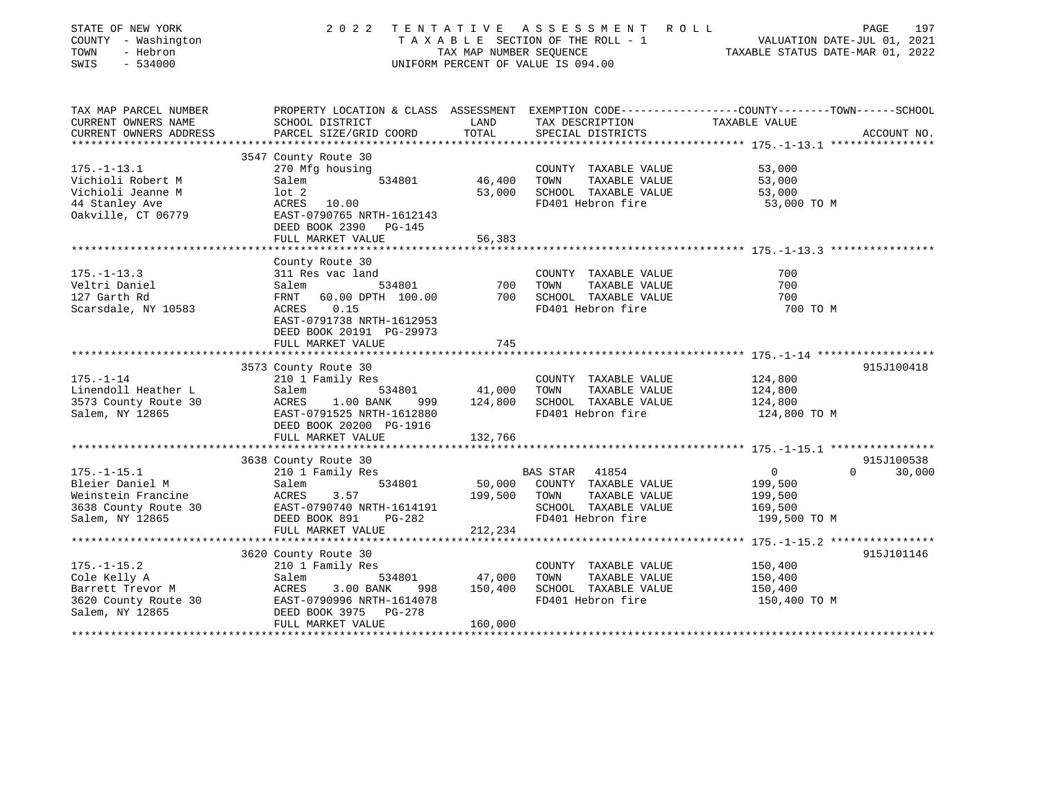| STATE OF NEW YORK<br>COUNTY - Washington<br>TOWN<br>- Hebron<br>SWIS<br>$-534000$ | 2 0 2 2                                               | TAX MAP NUMBER SEQUENCE | TENTATIVE ASSESSMENT<br>R O L L<br>T A X A B L E SECTION OF THE ROLL - 1<br>UNIFORM PERCENT OF VALUE IS 094.00 | PAGE<br>VALUATION DATE-JUL 01, 2021<br>TAXABLE STATUS DATE-MAR 01, 2022                          | 197         |
|-----------------------------------------------------------------------------------|-------------------------------------------------------|-------------------------|----------------------------------------------------------------------------------------------------------------|--------------------------------------------------------------------------------------------------|-------------|
| TAX MAP PARCEL NUMBER                                                             |                                                       |                         |                                                                                                                | PROPERTY LOCATION & CLASS ASSESSMENT EXEMPTION CODE----------------COUNTY-------TOWN------SCHOOL |             |
| CURRENT OWNERS NAME<br>CURRENT OWNERS ADDRESS                                     | SCHOOL DISTRICT<br>PARCEL SIZE/GRID COORD             | LAND<br>TOTAL           | TAX DESCRIPTION<br>SPECIAL DISTRICTS                                                                           | TAXABLE VALUE                                                                                    | ACCOUNT NO. |
|                                                                                   |                                                       | ************            |                                                                                                                |                                                                                                  |             |
|                                                                                   | 3547 County Route 30                                  |                         |                                                                                                                |                                                                                                  |             |
| $175. - 1 - 13.1$                                                                 | 270 Mfg housing                                       |                         | COUNTY TAXABLE VALUE                                                                                           | 53,000                                                                                           |             |
| Vichioli Robert M                                                                 | Salem<br>534801                                       | 46,400                  | TAXABLE VALUE<br>TOWN                                                                                          | 53,000                                                                                           |             |
| Vichioli Jeanne M                                                                 | $1$ ot $2$                                            | 53,000                  | SCHOOL TAXABLE VALUE                                                                                           | 53,000                                                                                           |             |
| 44 Stanley Ave                                                                    | ACRES 10.00                                           |                         | FD401 Hebron fire                                                                                              | 53,000 TO M                                                                                      |             |
| Oakville, CT 06779                                                                | EAST-0790765 NRTH-1612143                             |                         |                                                                                                                |                                                                                                  |             |
|                                                                                   | DEED BOOK 2390 PG-145                                 |                         |                                                                                                                |                                                                                                  |             |
|                                                                                   | FULL MARKET VALUE                                     | 56,383                  |                                                                                                                |                                                                                                  |             |
|                                                                                   |                                                       |                         |                                                                                                                |                                                                                                  |             |
| $175. - 1 - 13.3$                                                                 | County Route 30<br>311 Res vac land                   |                         | COUNTY TAXABLE VALUE                                                                                           | 700                                                                                              |             |
| Veltri Daniel                                                                     | Salem<br>534801                                       | 700                     | TOWN<br>TAXABLE VALUE                                                                                          | 700                                                                                              |             |
| 127 Garth Rd                                                                      | FRNT<br>60.00 DPTH 100.00                             | 700                     | SCHOOL TAXABLE VALUE                                                                                           | 700                                                                                              |             |
| Scarsdale, NY 10583                                                               | ACRES<br>0.15                                         |                         | FD401 Hebron fire                                                                                              | 700 TO M                                                                                         |             |
|                                                                                   | EAST-0791738 NRTH-1612953<br>DEED BOOK 20191 PG-29973 |                         |                                                                                                                |                                                                                                  |             |
|                                                                                   | FULL MARKET VALUE                                     | 745                     |                                                                                                                |                                                                                                  |             |
|                                                                                   | *********************                                 |                         |                                                                                                                |                                                                                                  |             |
|                                                                                   | 3573 County Route 30                                  |                         |                                                                                                                |                                                                                                  | 915J100418  |
| $175. - 1 - 14$                                                                   | 210 1 Family Res                                      |                         | COUNTY TAXABLE VALUE                                                                                           | 124,800                                                                                          |             |
| Linendoll Heather L                                                               | Salem<br>534801                                       | 41,000                  | TOWN<br>TAXABLE VALUE                                                                                          | 124,800                                                                                          |             |
| 3573 County Route 30                                                              | ACRES<br>1.00 BANK<br>999                             | 124,800                 | SCHOOL TAXABLE VALUE                                                                                           | 124,800                                                                                          |             |
| Salem, NY 12865                                                                   | EAST-0791525 NRTH-1612880                             |                         | FD401 Hebron fire                                                                                              | 124,800 TO M                                                                                     |             |
|                                                                                   | DEED BOOK 20200 PG-1916                               |                         |                                                                                                                |                                                                                                  |             |
|                                                                                   | FULL MARKET VALUE                                     | 132,766                 |                                                                                                                |                                                                                                  |             |
|                                                                                   |                                                       |                         |                                                                                                                |                                                                                                  |             |
|                                                                                   | 3638 County Route 30                                  |                         |                                                                                                                |                                                                                                  | 915J100538  |
| $175. - 1 - 15.1$                                                                 | 210 1 Family Res                                      |                         | <b>BAS STAR</b><br>41854                                                                                       | $\overline{0}$<br>$\Omega$                                                                       | 30,000      |
| Bleier Daniel M                                                                   | Salem<br>534801                                       | 50,000                  | COUNTY TAXABLE VALUE                                                                                           | 199,500                                                                                          |             |
| Weinstein Francine                                                                | ACRES<br>3.57                                         | 199,500                 | TOWN<br>TAXABLE VALUE                                                                                          | 199,500                                                                                          |             |
| 3638 County Route 30                                                              | EAST-0790740 NRTH-1614191                             |                         | SCHOOL TAXABLE VALUE                                                                                           | 169,500                                                                                          |             |
| Salem, NY 12865                                                                   | DEED BOOK 891<br>$PG-282$                             |                         | FD401 Hebron fire                                                                                              | 199,500 TO M                                                                                     |             |
|                                                                                   | FULL MARKET VALUE                                     | 212,234                 |                                                                                                                |                                                                                                  |             |
|                                                                                   | 3620 County Route 30                                  |                         |                                                                                                                |                                                                                                  | 915J101146  |
| $175. - 1 - 15.2$                                                                 | 210 1 Family Res                                      |                         | COUNTY TAXABLE VALUE                                                                                           | 150,400                                                                                          |             |
| Cole Kelly A                                                                      | Salem<br>534801                                       | 47,000                  | TOWN<br>TAXABLE VALUE                                                                                          | 150,400                                                                                          |             |
| Barrett Trevor M                                                                  | ACRES<br>3.00 BANK<br>998                             | 150,400                 | SCHOOL TAXABLE VALUE                                                                                           | 150,400                                                                                          |             |
| 3620 County Route 30                                                              | EAST-0790996 NRTH-1614078                             |                         | FD401 Hebron fire                                                                                              | 150,400 TO M                                                                                     |             |
| Salem, NY 12865                                                                   | PG-278<br>DEED BOOK 3975                              |                         |                                                                                                                |                                                                                                  |             |
|                                                                                   | FULL MARKET VALUE                                     | 160,000                 |                                                                                                                |                                                                                                  |             |
|                                                                                   |                                                       |                         |                                                                                                                |                                                                                                  |             |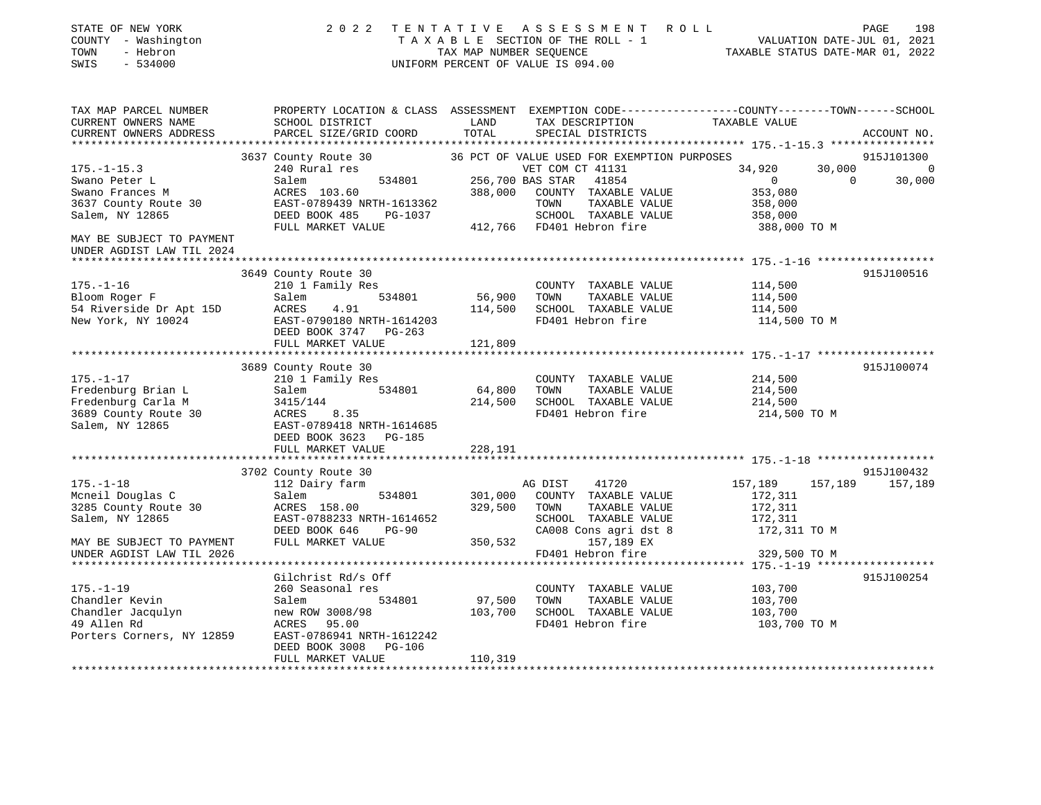| STATE OF NEW YORK<br>COUNTY - Washington<br>TOWN<br>- Hebron<br>SWIS<br>$-534000$ | 2 0 2 2<br>TENTATIVE                                                                                              | TAX MAP NUMBER SEQUENCE | ASSESSMENT ROLL<br>TAXABLE SECTION OF THE ROLL - 1<br>UNIFORM PERCENT OF VALUE IS 094.00 |                    | 198<br>PAGE<br>VALUATION DATE-JUL 01, 2021<br>TAXABLE STATUS DATE-MAR 01, 2022 |
|-----------------------------------------------------------------------------------|-------------------------------------------------------------------------------------------------------------------|-------------------------|------------------------------------------------------------------------------------------|--------------------|--------------------------------------------------------------------------------|
| TAX MAP PARCEL NUMBER<br>CURRENT OWNERS NAME                                      | PROPERTY LOCATION & CLASS ASSESSMENT EXEMPTION CODE---------------COUNTY-------TOWN-----SCHOOL<br>SCHOOL DISTRICT | LAND                    | TAX DESCRIPTION                                                                          | TAXABLE VALUE      |                                                                                |
| CURRENT OWNERS ADDRESS                                                            | PARCEL SIZE/GRID COORD                                                                                            | TOTAL                   | SPECIAL DISTRICTS                                                                        |                    | ACCOUNT NO.                                                                    |
|                                                                                   |                                                                                                                   |                         |                                                                                          |                    |                                                                                |
|                                                                                   | 3637 County Route 30                                                                                              |                         | 36 PCT OF VALUE USED FOR EXEMPTION PURPOSES                                              |                    | 915J101300                                                                     |
| $175. - 1 - 15.3$                                                                 | 240 Rural res                                                                                                     |                         | VET COM CT 41131                                                                         | 34,920             | 30,000<br>$\overline{0}$                                                       |
| Swano Peter L                                                                     | 534801<br>Salem                                                                                                   | 256,700 BAS STAR        | 41854                                                                                    | $\overline{0}$     | $\Omega$<br>30,000                                                             |
| Swano Frances M                                                                   | ACRES 103.60<br>EAST-0789439 NRTH-1613362                                                                         | 388,000                 | COUNTY TAXABLE VALUE<br>TOWN<br>TAXABLE VALUE                                            | 353,080<br>358,000 |                                                                                |
| 3637 County Route 30<br>Salem, NY 12865                                           | DEED BOOK 485<br>PG-1037                                                                                          |                         | SCHOOL TAXABLE VALUE                                                                     | 358,000            |                                                                                |
|                                                                                   | FULL MARKET VALUE                                                                                                 |                         | 412,766 FD401 Hebron fire                                                                | 388,000 TO M       |                                                                                |
| MAY BE SUBJECT TO PAYMENT<br>UNDER AGDIST LAW TIL 2024                            |                                                                                                                   |                         |                                                                                          |                    |                                                                                |
|                                                                                   |                                                                                                                   |                         |                                                                                          |                    |                                                                                |
|                                                                                   | 3649 County Route 30                                                                                              |                         |                                                                                          |                    | 915J100516                                                                     |
| $175. - 1 - 16$                                                                   | 210 1 Family Res                                                                                                  |                         | COUNTY TAXABLE VALUE                                                                     | 114,500            |                                                                                |
| Bloom Roger F                                                                     | 534801<br>Salem                                                                                                   | 56,900                  | TOWN<br>TAXABLE VALUE                                                                    | 114,500            |                                                                                |
| 54 Riverside Dr Apt 15D                                                           | 4.91<br>ACRES                                                                                                     | 114,500                 | SCHOOL TAXABLE VALUE<br>FD401 Hebron fire                                                | 114,500            |                                                                                |
| New York, NY 10024                                                                | EAST-0790180 NRTH-1614203<br>DEED BOOK 3747 PG-263                                                                |                         |                                                                                          | 114,500 TO M       |                                                                                |
|                                                                                   | FULL MARKET VALUE                                                                                                 | 121,809                 |                                                                                          |                    |                                                                                |
|                                                                                   |                                                                                                                   |                         |                                                                                          |                    |                                                                                |
|                                                                                   | 3689 County Route 30                                                                                              |                         |                                                                                          |                    | 915J100074                                                                     |
| $175. - 1 - 17$                                                                   | 210 1 Family Res                                                                                                  |                         | COUNTY TAXABLE VALUE                                                                     | 214,500            |                                                                                |
| Fredenburg Brian L                                                                | 534801<br>Salem                                                                                                   | 64,800                  | TOWN<br>TAXABLE VALUE                                                                    | 214,500            |                                                                                |
| Fredenburg Carla M                                                                | 3415/144                                                                                                          | 214,500                 | SCHOOL TAXABLE VALUE                                                                     | 214,500            |                                                                                |
| 3689 County Route 30                                                              | ACRES<br>8.35                                                                                                     |                         | FD401 Hebron fire                                                                        | 214,500 TO M       |                                                                                |
| Salem, NY 12865                                                                   | EAST-0789418 NRTH-1614685                                                                                         |                         |                                                                                          |                    |                                                                                |
|                                                                                   | DEED BOOK 3623 PG-185<br>FULL MARKET VALUE                                                                        | 228,191                 |                                                                                          |                    |                                                                                |
|                                                                                   |                                                                                                                   |                         |                                                                                          |                    |                                                                                |
|                                                                                   | 3702 County Route 30                                                                                              |                         |                                                                                          |                    | 915J100432                                                                     |
| $175. - 1 - 18$                                                                   | 112 Dairy farm                                                                                                    |                         | AG DIST<br>41720                                                                         | 157,189            | 157,189<br>157,189                                                             |
| Mcneil Douglas C                                                                  | Salem<br>534801                                                                                                   | 301,000                 | COUNTY TAXABLE VALUE                                                                     | 172,311            |                                                                                |
| 3285 County Route 30                                                              | ACRES 158.00                                                                                                      | 329,500                 | TAXABLE VALUE<br>TOWN                                                                    | 172,311            |                                                                                |
| Salem, NY 12865                                                                   | EAST-0788233 NRTH-1614652                                                                                         |                         | SCHOOL TAXABLE VALUE                                                                     | 172,311            |                                                                                |
|                                                                                   | DEED BOOK 646<br>$PG-90$                                                                                          |                         | CA008 Cons agri dst 8                                                                    | 172,311 TO M       |                                                                                |
| MAY BE SUBJECT TO PAYMENT                                                         | FULL MARKET VALUE                                                                                                 | 350,532                 | 157,189 EX                                                                               |                    |                                                                                |
| UNDER AGDIST LAW TIL 2026                                                         |                                                                                                                   |                         | FD401 Hebron fire                                                                        | 329,500 TO M       |                                                                                |
|                                                                                   |                                                                                                                   |                         |                                                                                          |                    |                                                                                |
|                                                                                   | Gilchrist Rd/s Off                                                                                                |                         |                                                                                          |                    | 915J100254                                                                     |
| $175. - 1 - 19$<br>Chandler Kevin                                                 | 260 Seasonal res<br>534801<br>Salem                                                                               | 97,500                  | COUNTY TAXABLE VALUE<br>TOWN<br>TAXABLE VALUE                                            | 103,700<br>103,700 |                                                                                |
| Chandler Jacqulyn                                                                 | new ROW 3008/98                                                                                                   |                         | 103,700 SCHOOL TAXABLE VALUE                                                             | 103,700            |                                                                                |
| 49 Allen Rd                                                                       | ACRES 95.00                                                                                                       |                         | FD401 Hebron fire                                                                        | 103,700 TO M       |                                                                                |
| Porters Corners, NY 12859                                                         | EAST-0786941 NRTH-1612242                                                                                         |                         |                                                                                          |                    |                                                                                |
|                                                                                   | DEED BOOK 3008 PG-106                                                                                             |                         |                                                                                          |                    |                                                                                |
|                                                                                   | FULL MARKET VALUE                                                                                                 | 110,319                 |                                                                                          |                    |                                                                                |
|                                                                                   |                                                                                                                   |                         |                                                                                          |                    |                                                                                |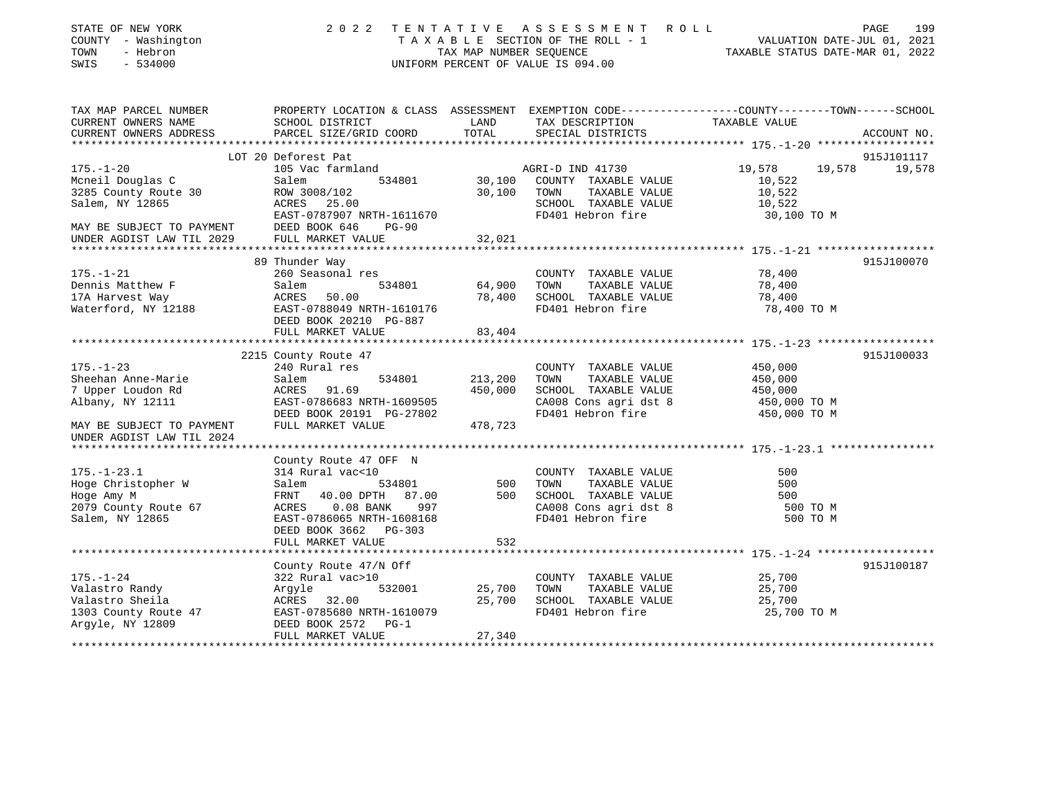| STATE OF NEW YORK<br>COUNTY - Washington<br>- Hebron<br>TOWN<br>SWIS<br>$-534000$ | 2 0 2 2                                         | TENTATIVE<br>TAX MAP NUMBER SEQUENCE | A S S E S S M E N T<br>T A X A B L E SECTION OF THE ROLL - 1<br>UNIFORM PERCENT OF VALUE IS 094.00 | ROLL<br>PAGE<br>199<br>VALUATION DATE-JUL 01, 2021<br>TAXABLE STATUS DATE-MAR 01, 2022                            |
|-----------------------------------------------------------------------------------|-------------------------------------------------|--------------------------------------|----------------------------------------------------------------------------------------------------|-------------------------------------------------------------------------------------------------------------------|
| TAX MAP PARCEL NUMBER<br>CURRENT OWNERS NAME                                      | SCHOOL DISTRICT                                 | LAND                                 | TAX DESCRIPTION                                                                                    | PROPERTY LOCATION & CLASS ASSESSMENT EXEMPTION CODE----------------COUNTY-------TOWN------SCHOOL<br>TAXABLE VALUE |
| CURRENT OWNERS ADDRESS                                                            | PARCEL SIZE/GRID COORD                          | TOTAL                                | SPECIAL DISTRICTS                                                                                  | ACCOUNT NO.                                                                                                       |
|                                                                                   | LOT 20 Deforest Pat                             |                                      |                                                                                                    | 915J101117                                                                                                        |
| $175. - 1 - 20$                                                                   | 105 Vac farmland                                |                                      | AGRI-D IND 41730                                                                                   | 19,578<br>19,578<br>19,578                                                                                        |
| Mcneil Douglas C                                                                  | Salem<br>534801                                 | 30,100                               | COUNTY TAXABLE VALUE                                                                               | 10,522                                                                                                            |
| 3285 County Route 30                                                              | ROW 3008/102                                    | 30,100                               | TOWN<br>TAXABLE VALUE                                                                              | 10,522                                                                                                            |
| Salem, NY 12865                                                                   | 25.00<br>ACRES                                  |                                      | SCHOOL TAXABLE VALUE                                                                               | 10,522                                                                                                            |
|                                                                                   | EAST-0787907 NRTH-1611670                       |                                      | FD401 Hebron fire                                                                                  | 30,100 TO M                                                                                                       |
| MAY BE SUBJECT TO PAYMENT                                                         | DEED BOOK 646<br>$PG-90$                        |                                      |                                                                                                    |                                                                                                                   |
| UNDER AGDIST LAW TIL 2029                                                         | FULL MARKET VALUE                               | 32,021                               |                                                                                                    |                                                                                                                   |
|                                                                                   | 89 Thunder Way                                  |                                      |                                                                                                    | 915J100070                                                                                                        |
| $175. - 1 - 21$                                                                   | 260 Seasonal res                                |                                      | COUNTY TAXABLE VALUE                                                                               | 78,400                                                                                                            |
| Dennis Matthew F                                                                  | 534801<br>Salem                                 | 64,900                               | TOWN<br>TAXABLE VALUE                                                                              | 78,400                                                                                                            |
| 17A Harvest Way                                                                   | 50.00<br>ACRES                                  | 78,400                               | SCHOOL TAXABLE VALUE                                                                               | 78,400                                                                                                            |
| Waterford, NY 12188                                                               | EAST-0788049 NRTH-1610176                       |                                      | FD401 Hebron fire                                                                                  | 78,400 TO M                                                                                                       |
|                                                                                   | DEED BOOK 20210 PG-887                          |                                      |                                                                                                    |                                                                                                                   |
|                                                                                   | FULL MARKET VALUE<br>**********************     | 83,404<br>***********                |                                                                                                    |                                                                                                                   |
|                                                                                   | 2215 County Route 47                            |                                      |                                                                                                    | 915J100033                                                                                                        |
| $175. - 1 - 23$                                                                   | 240 Rural res                                   |                                      | COUNTY TAXABLE VALUE                                                                               | 450,000                                                                                                           |
| Sheehan Anne-Marie                                                                | 534801<br>Salem                                 | 213,200                              | TOWN<br>TAXABLE VALUE                                                                              | 450,000                                                                                                           |
| 7 Upper Loudon Rd                                                                 | ACRES<br>91.69                                  | 450,000                              | SCHOOL TAXABLE VALUE                                                                               | 450,000                                                                                                           |
| Albany, NY 12111                                                                  | EAST-0786683 NRTH-1609505                       |                                      | CA008 Cons agri dst 8                                                                              | 450,000 TO M                                                                                                      |
|                                                                                   | DEED BOOK 20191 PG-27802                        |                                      | FD401 Hebron fire                                                                                  | 450,000 TO M                                                                                                      |
| MAY BE SUBJECT TO PAYMENT                                                         | FULL MARKET VALUE                               | 478,723                              |                                                                                                    |                                                                                                                   |
| UNDER AGDIST LAW TIL 2024                                                         |                                                 |                                      |                                                                                                    |                                                                                                                   |
|                                                                                   | County Route 47 OFF N                           |                                      |                                                                                                    |                                                                                                                   |
| $175. - 1 - 23.1$                                                                 | 314 Rural vac<10                                |                                      | COUNTY TAXABLE VALUE                                                                               | 500                                                                                                               |
| Hoge Christopher W                                                                | Salem<br>534801                                 | 500                                  | TOWN<br>TAXABLE VALUE                                                                              | 500                                                                                                               |
| Hoge Amy M                                                                        | 87.00<br>FRNT<br>40.00 DPTH                     | 500                                  | SCHOOL TAXABLE VALUE                                                                               | 500                                                                                                               |
| 2079 County Route 67                                                              | $0.08$ BANK<br>ACRES<br>997                     |                                      | CA008 Cons agri dst 8                                                                              | 500 TO M                                                                                                          |
| Salem, NY 12865                                                                   | EAST-0786065 NRTH-1608168                       |                                      | FD401 Hebron fire                                                                                  | 500 TO M                                                                                                          |
|                                                                                   | DEED BOOK 3662<br>$PG-303$<br>FULL MARKET VALUE | 532                                  |                                                                                                    |                                                                                                                   |
|                                                                                   |                                                 |                                      |                                                                                                    |                                                                                                                   |
|                                                                                   | County Route 47/N Off                           |                                      |                                                                                                    | 915J100187                                                                                                        |
| $175. - 1 - 24$                                                                   | 322 Rural vac>10                                |                                      | COUNTY TAXABLE VALUE                                                                               | 25,700                                                                                                            |
| Valastro Randy                                                                    | 532001<br>Argyle                                | 25,700                               | TOWN<br>TAXABLE VALUE                                                                              | 25,700                                                                                                            |
| Valastro Sheila                                                                   | ACRES 32.00                                     | 25,700                               | SCHOOL TAXABLE VALUE                                                                               | 25,700                                                                                                            |
| 1303 County Route 47                                                              | EAST-0785680 NRTH-1610079                       |                                      | FD401 Hebron fire                                                                                  | 25,700 TO M                                                                                                       |
| Argyle, NY 12809                                                                  | DEED BOOK 2572<br>$PG-1$<br>FULL MARKET VALUE   | 27,340                               |                                                                                                    |                                                                                                                   |
|                                                                                   |                                                 |                                      |                                                                                                    |                                                                                                                   |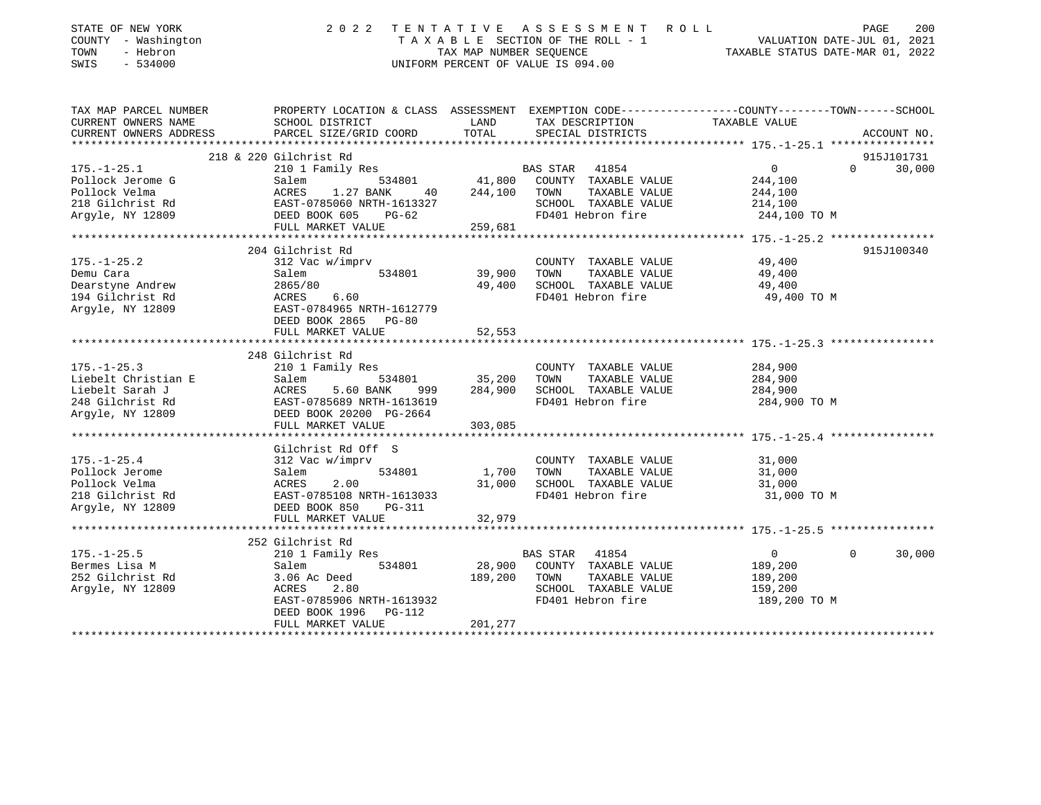| STATE OF NEW YORK<br>COUNTY - Washington<br>- Hebron<br>TOWN<br>SWIS<br>$-534000$                   | 2 0 2 2                                                                                                                                                                    | TAX MAP NUMBER SEQUENCE           | TENTATIVE ASSESSMENT ROLL<br>T A X A B L E SECTION OF THE ROLL - 1 VALUATION DATE-JUL 01, 2021<br>TAX MAP NUMBER SEQUENCE TAX TAX MAP NUMBER SEQUENCE<br>UNIFORM PERCENT OF VALUE IS 094.00 | TAXABLE STATUS DATE-MAR 01, 2022                                | PAGE<br>200        |
|-----------------------------------------------------------------------------------------------------|----------------------------------------------------------------------------------------------------------------------------------------------------------------------------|-----------------------------------|---------------------------------------------------------------------------------------------------------------------------------------------------------------------------------------------|-----------------------------------------------------------------|--------------------|
| TAX MAP PARCEL NUMBER<br>CURRENT OWNERS NAME<br>CURRENT OWNERS ADDRESS                              | PROPERTY LOCATION & CLASS ASSESSMENT EXEMPTION CODE----------------COUNTY-------TOWN------SCHOOL<br>SCHOOL DISTRICT<br>PARCEL SIZE/GRID COORD                              | LAND<br>TOTAL                     | TAX DESCRIPTION<br>SPECIAL DISTRICTS                                                                                                                                                        | TAXABLE VALUE                                                   | ACCOUNT NO.        |
|                                                                                                     |                                                                                                                                                                            |                                   |                                                                                                                                                                                             |                                                                 |                    |
|                                                                                                     | 218 & 220 Gilchrist Rd                                                                                                                                                     |                                   |                                                                                                                                                                                             |                                                                 | 915J101731         |
| $175. - 1 - 25.1$<br>Pollock Jerome G<br>Pollock Velma<br>218 Gilchrist Rd<br>Argyle, NY 12809      | 210 1 Family Res<br>534801<br>Salem<br>ACRES 1.27 BANK<br>40<br>EAST-0785060 NRTH-1613327<br>DEED BOOK 605<br>PG-62<br>FULL MARKET VALUE                                   | 41,800<br>244,100<br>259,681      | BAS STAR 41854<br>COUNTY TAXABLE VALUE<br>TAXABLE VALUE<br>TOWN<br>SCHOOL TAXABLE VALUE<br>FD401 Hebron fire                                                                                | $\overline{0}$<br>244,100<br>244,100<br>214,100<br>244,100 TO M | $\Omega$<br>30,000 |
|                                                                                                     | **********************                                                                                                                                                     |                                   |                                                                                                                                                                                             |                                                                 |                    |
| $175. - 1 - 25.2$<br>Demu Cara<br>Dearstyne Andrew<br>194 Gilchrist Rd<br>Argyle, NY 12809          | 204 Gilchrist Rd<br>312 Vac w/imprv<br>534801<br>Salem<br>2865/80<br>ACRES 6.60<br>EAST-0784965 NRTH-1612779<br>DEED BOOK 2865 PG-80<br>FULL MARKET VALUE                  | 39,900<br>49,400<br>52,553        | COUNTY TAXABLE VALUE<br>TAXABLE VALUE<br>TOWN<br>SCHOOL TAXABLE VALUE<br>FD401 Hebron fire                                                                                                  | 49,400<br>49,400<br>49,400<br>49,400 TO M                       | 915J100340         |
|                                                                                                     |                                                                                                                                                                            |                                   |                                                                                                                                                                                             |                                                                 |                    |
| $175. - 1 - 25.3$<br>Liebelt Christian E<br>Liebelt Sarah J<br>248 Gilchrist Rd<br>Argyle, NY 12809 | 248 Gilchrist Rd<br>210 1 Family Res<br>534801<br>Salem<br>Salem<br>ACRES<br>5.60 BANK<br>999<br>EAST-0785689 NRTH-1613619<br>DEED BOOK 20200 PG-2664<br>FULL MARKET VALUE | 35,200<br>284,900<br>303,085      | COUNTY TAXABLE VALUE<br>TAXABLE VALUE<br>TOWN<br>SCHOOL TAXABLE VALUE<br>FD401 Hebron fire                                                                                                  | 284,900<br>284,900<br>284,900<br>284,900 TO M                   |                    |
|                                                                                                     | ******************                                                                                                                                                         |                                   |                                                                                                                                                                                             |                                                                 |                    |
| $175. - 1 - 25.4$<br>Pollock Jerome<br>Pollock Velma<br>218 Gilchrist Rd<br>Argyle, NY 12809        | Gilchrist Rd Off S<br>312 Vac w/imprv<br>534801<br>Salem<br>ACRES<br>2.00<br>EAST-0785108 NRTH-1613033<br>DEED BOOK 850<br>PG-311                                          | 1,700<br>31,000                   | COUNTY TAXABLE VALUE<br>TAXABLE VALUE<br>TOWN<br>SCHOOL TAXABLE VALUE<br>FD401 Hebron fire                                                                                                  | 31,000<br>31,000<br>31,000<br>31,000 TO M                       |                    |
|                                                                                                     | FULL MARKET VALUE                                                                                                                                                          | 32,979                            |                                                                                                                                                                                             |                                                                 |                    |
| $175. - 1 - 25.5$<br>Bermes Lisa M<br>252 Gilchrist Rd<br>Argyle, NY 12809                          | 252 Gilchrist Rd<br>210 1 Family Res<br>Salem<br>534801<br>3.06 Ac Deed<br>2.80<br>ACRES<br>EAST-0785906 NRTH-1613932<br>DEED BOOK 1996<br>PG-112<br>FULL MARKET VALUE     | 28,900<br>189,200 TOWN<br>201,277 | BAS STAR 41854<br>COUNTY TAXABLE VALUE<br>TAXABLE VALUE<br>SCHOOL TAXABLE VALUE<br>FD401 Hebron fire                                                                                        | $\overline{0}$<br>189,200<br>189,200<br>159,200<br>189,200 TO M | $\Omega$<br>30,000 |
|                                                                                                     |                                                                                                                                                                            |                                   |                                                                                                                                                                                             |                                                                 |                    |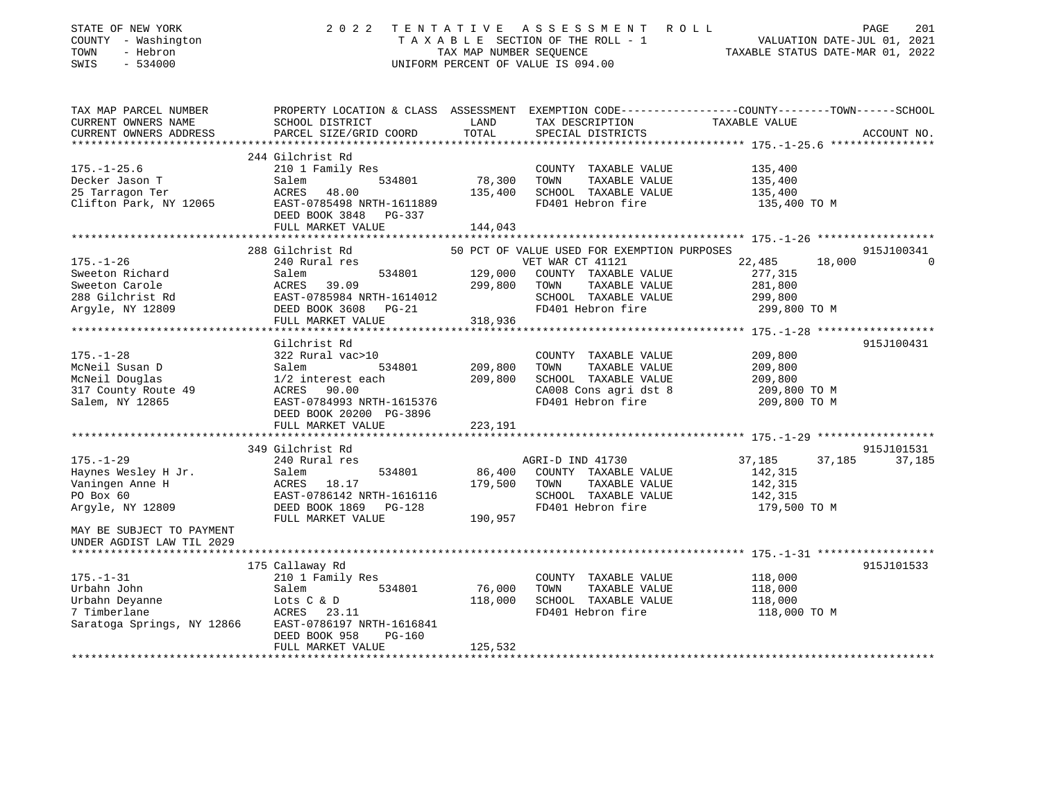| STATE OF NEW YORK                                                                                                                                                 | 2022                                                                          |                         | TENTATIVE ASSESSMENT ROLL                   | 201<br>PAGE                                                                                      |          |
|-------------------------------------------------------------------------------------------------------------------------------------------------------------------|-------------------------------------------------------------------------------|-------------------------|---------------------------------------------|--------------------------------------------------------------------------------------------------|----------|
| COUNTY - Washington                                                                                                                                               |                                                                               |                         | TAXABLE SECTION OF THE ROLL - 1             | VALUATION DATE-JUL 01, 2021                                                                      |          |
| TOWN<br>- Hebron                                                                                                                                                  |                                                                               | TAX MAP NUMBER SEQUENCE |                                             | TAXABLE STATUS DATE-MAR 01, 2022                                                                 |          |
| $-534000$<br>SWIS                                                                                                                                                 |                                                                               |                         | UNIFORM PERCENT OF VALUE IS 094.00          |                                                                                                  |          |
|                                                                                                                                                                   |                                                                               |                         |                                             |                                                                                                  |          |
| TAX MAP PARCEL NUMBER                                                                                                                                             |                                                                               |                         |                                             | PROPERTY LOCATION & CLASS ASSESSMENT EXEMPTION CODE----------------COUNTY-------TOWN------SCHOOL |          |
| CURRENT OWNERS NAME                                                                                                                                               | SCHOOL DISTRICT                                                               | LAND                    | TAX DESCRIPTION TAXABLE VALUE               |                                                                                                  |          |
| CURRENT OWNERS ADDRESS<br>**********************                                                                                                                  | PARCEL SIZE/GRID COORD                                                        | TOTAL                   | SPECIAL DISTRICTS                           | ACCOUNT NO.                                                                                      |          |
|                                                                                                                                                                   | 244 Gilchrist Rd                                                              |                         |                                             |                                                                                                  |          |
| $175. - 1 - 25.6$                                                                                                                                                 | 210 1 Family Res                                                              |                         | COUNTY TAXABLE VALUE                        | 135,400                                                                                          |          |
|                                                                                                                                                                   |                                                                               | 534801 78,300           | TAXABLE VALUE<br>TOWN                       | 135,400                                                                                          |          |
| Decker Jason T<br>25 Tarragon Ter                                                                                                                                 | Salem<br>ACRES 48.00                                                          | 135,400                 | SCHOOL TAXABLE VALUE                        | 135,400                                                                                          |          |
| Clifton Park, NY 12065<br>EAST-0785498 NRTH-1611889                                                                                                               | DEED BOOK 3848<br>PG-337                                                      |                         | FD401 Hebron fire                           | 135,400 TO M                                                                                     |          |
|                                                                                                                                                                   | FULL MARKET VALUE                                                             | 144,043                 |                                             |                                                                                                  |          |
|                                                                                                                                                                   | **************************                                                    |                         |                                             | ********************* 175.-1-26 *******************                                              |          |
|                                                                                                                                                                   | 288 Gilchrist Rd                                                              |                         | 50 PCT OF VALUE USED FOR EXEMPTION PURPOSES | 915J100341                                                                                       |          |
| $175. - 1 - 26$                                                                                                                                                   | 240 Rural res                                                                 |                         | VET WAR CT 41121                            | 22,485<br>18,000                                                                                 | $\Omega$ |
|                                                                                                                                                                   |                                                                               | 129,000                 | COUNTY TAXABLE VALUE                        | 277,315                                                                                          |          |
|                                                                                                                                                                   |                                                                               | 299,800                 | TOWN<br>TAXABLE VALUE                       | 281,800                                                                                          |          |
| Sweeton Richard Salem 534801 129,000<br>Sweeton Carole ACRES 39.09 299,800<br>288 Gilchrist Rd EAST-0785984 NRTH-1614012<br>Argyle, NY 12809 DEED BOOK 3608 PG-21 |                                                                               |                         | SCHOOL TAXABLE VALUE<br>FD401 Hebron fire   | 299,800<br>299,800 TO M                                                                          |          |
|                                                                                                                                                                   | FULL MARKET VALUE                                                             | 318,936                 |                                             |                                                                                                  |          |
|                                                                                                                                                                   |                                                                               |                         |                                             |                                                                                                  |          |
|                                                                                                                                                                   | Gilchrist Rd                                                                  |                         |                                             | 915J100431                                                                                       |          |
| $175. - 1 - 28$                                                                                                                                                   | 322 Rural vac>10                                                              |                         | COUNTY TAXABLE VALUE                        | 209,800                                                                                          |          |
| McNeil Susan D                                                                                                                                                    |                                                                               | 209,800                 | TAXABLE VALUE<br>TOWN                       | 209,800                                                                                          |          |
| McNeil Douglas                                                                                                                                                    |                                                                               | 209,800                 | SCHOOL TAXABLE VALUE                        | 209,800                                                                                          |          |
|                                                                                                                                                                   |                                                                               |                         | CA008 Cons agri dst 8                       | 209,800 TO M                                                                                     |          |
| 317 County Route 49<br>Salem, NY 12865                                                                                                                            | Salem 534801<br>1/2 interest each<br>ACRES 90.00<br>EAST-0784993 NRTH-1615376 |                         | FD401 Hebron fire                           | 209,800 TO M                                                                                     |          |
|                                                                                                                                                                   | DEED BOOK 20200 PG-3896                                                       |                         |                                             |                                                                                                  |          |
|                                                                                                                                                                   | FULL MARKET VALUE                                                             | 223,191                 |                                             |                                                                                                  |          |
|                                                                                                                                                                   |                                                                               |                         |                                             |                                                                                                  |          |
|                                                                                                                                                                   | 349 Gilchrist Rd                                                              |                         |                                             | 915J101531                                                                                       |          |
| $175. - 1 - 29$                                                                                                                                                   | 240 Rural res                                                                 |                         | AGRI-D IND 41730                            | 37,185<br>37,185<br>37,185                                                                       |          |
|                                                                                                                                                                   |                                                                               | 86,400                  | COUNTY TAXABLE VALUE                        | 142,315                                                                                          |          |
|                                                                                                                                                                   |                                                                               | 179,500                 | TOWN<br>TAXABLE VALUE                       | 142,315                                                                                          |          |
| Haynes Wesley H Jr. Salem 534801<br>Vaningen Anne H ACRES 18.17<br>PO Box 60 EAST-0786142 NRTH-1616116<br>Argyle, NY 12809 DEED BOOK 1869 PG-128                  |                                                                               |                         | SCHOOL TAXABLE VALUE                        | 142,315                                                                                          |          |
| Argyle, NY 12809                                                                                                                                                  | FULL MARKET VALUE                                                             | 190,957                 | FD401 Hebron fire                           | 179,500 TO M                                                                                     |          |
| MAY BE SUBJECT TO PAYMENT                                                                                                                                         |                                                                               |                         |                                             |                                                                                                  |          |
| UNDER AGDIST LAW TIL 2029                                                                                                                                         |                                                                               |                         |                                             |                                                                                                  |          |
|                                                                                                                                                                   |                                                                               |                         |                                             |                                                                                                  |          |
|                                                                                                                                                                   | 175 Callaway Rd                                                               |                         |                                             | 915J101533                                                                                       |          |
| $175. - 1 - 31$                                                                                                                                                   | 210 1 Family Res                                                              |                         | COUNTY TAXABLE VALUE                        | 118,000                                                                                          |          |
| Urbahn John                                                                                                                                                       | 534801<br>Salem                                                               | 76,000                  | TAXABLE VALUE<br>TOWN                       | 118,000                                                                                          |          |
|                                                                                                                                                                   |                                                                               | 118,000                 | SCHOOL TAXABLE VALUE                        | 118,000                                                                                          |          |
|                                                                                                                                                                   |                                                                               |                         | FD401 Hebron fire                           | 118,000 TO M                                                                                     |          |
|                                                                                                                                                                   |                                                                               |                         |                                             |                                                                                                  |          |
|                                                                                                                                                                   | DEED BOOK 958<br><b>PG-160</b><br>FULL MARKET VALUE                           |                         |                                             |                                                                                                  |          |
|                                                                                                                                                                   |                                                                               | 125,532                 |                                             |                                                                                                  |          |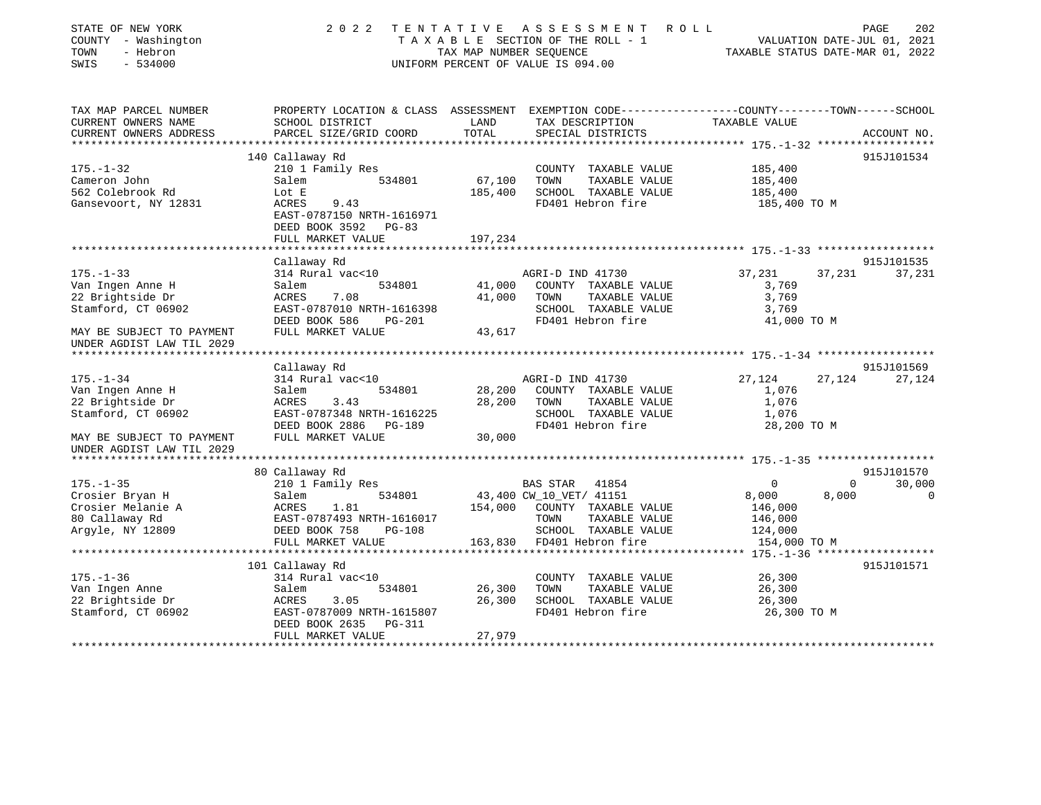| STATE OF NEW YORK<br>COUNTY - Washington<br>TOWN<br>- Hebron<br>SWIS<br>$-534000$ | 2 0 2 2                                                                                                            | TAX MAP NUMBER SEQUENCE | TENTATIVE ASSESSMENT<br>ROLL<br>TAXABLE SECTION OF THE ROLL - 1<br>UNIFORM PERCENT OF VALUE IS 094.00 | TAXABLE STATUS DATE-MAR 01, 2022  | 202<br>PAGE<br>VALUATION DATE-JUL 01, 2021 |
|-----------------------------------------------------------------------------------|--------------------------------------------------------------------------------------------------------------------|-------------------------|-------------------------------------------------------------------------------------------------------|-----------------------------------|--------------------------------------------|
| TAX MAP PARCEL NUMBER<br>CURRENT OWNERS NAME                                      | PROPERTY LOCATION & CLASS ASSESSMENT EXEMPTION CODE---------------COUNTY-------TOWN------SCHOOL<br>SCHOOL DISTRICT | LAND                    | TAX DESCRIPTION                                                                                       | TAXABLE VALUE                     |                                            |
| CURRENT OWNERS ADDRESS                                                            | PARCEL SIZE/GRID COORD                                                                                             | TOTAL                   | SPECIAL DISTRICTS                                                                                     |                                   | ACCOUNT NO.                                |
| ***********************                                                           | *****************************                                                                                      | **************          | ********************************* 175.-1-32 ******************                                        |                                   |                                            |
|                                                                                   | 140 Callaway Rd                                                                                                    |                         |                                                                                                       |                                   | 915J101534                                 |
| $175. - 1 - 32$                                                                   | 210 1 Family Res                                                                                                   |                         | COUNTY TAXABLE VALUE                                                                                  | 185,400                           |                                            |
| Cameron John                                                                      | 534801<br>Salem                                                                                                    | 67,100                  | TOWN<br>TAXABLE VALUE                                                                                 | 185,400                           |                                            |
| 562 Colebrook Rd                                                                  | Lot E                                                                                                              | 185,400                 | SCHOOL TAXABLE VALUE                                                                                  | 185,400                           |                                            |
| Gansevoort, NY 12831                                                              | <b>ACRES</b><br>9.43<br>EAST-0787150 NRTH-1616971                                                                  |                         | FD401 Hebron fire                                                                                     | 185,400 TO M                      |                                            |
|                                                                                   | DEED BOOK 3592 PG-83                                                                                               |                         |                                                                                                       |                                   |                                            |
|                                                                                   | FULL MARKET VALUE                                                                                                  | 197,234                 |                                                                                                       |                                   |                                            |
|                                                                                   | *******************                                                                                                |                         |                                                                                                       |                                   |                                            |
|                                                                                   | Callaway Rd                                                                                                        |                         |                                                                                                       |                                   | 915J101535                                 |
| $175. - 1 - 33$                                                                   | 314 Rural vac<10                                                                                                   |                         | AGRI-D IND 41730                                                                                      | 37,231                            | 37,231<br>37,231                           |
| Van Ingen Anne H                                                                  | Salem<br>534801                                                                                                    | 41,000                  | COUNTY TAXABLE VALUE                                                                                  | 3,769                             |                                            |
| 22 Brightside Dr                                                                  | 7.08<br>ACRES                                                                                                      | 41,000                  | TAXABLE VALUE<br>TOWN                                                                                 | 3,769                             |                                            |
| Stamford, CT 06902                                                                | EAST-0787010 NRTH-1616398                                                                                          |                         | SCHOOL TAXABLE VALUE                                                                                  | 3,769                             |                                            |
| MAY BE SUBJECT TO PAYMENT                                                         | DEED BOOK 586<br>PG-201<br>FULL MARKET VALUE                                                                       | 43,617                  | FD401 Hebron fire                                                                                     | 41,000 TO M                       |                                            |
| UNDER AGDIST LAW TIL 2029                                                         |                                                                                                                    |                         |                                                                                                       |                                   |                                            |
| **************************                                                        | ***************                                                                                                    |                         |                                                                                                       |                                   |                                            |
|                                                                                   | Callaway Rd                                                                                                        |                         |                                                                                                       |                                   | 915J101569                                 |
| $175. - 1 - 34$                                                                   | 314 Rural vac<10                                                                                                   |                         | AGRI-D IND 41730                                                                                      | 27,124                            | 27,124<br>27,124                           |
| Van Ingen Anne H                                                                  | Salem<br>534801                                                                                                    | 28,200                  | COUNTY TAXABLE VALUE                                                                                  | 1,076                             |                                            |
| 22 Brightside Dr                                                                  | ACRES<br>3.43                                                                                                      | 28,200                  | TAXABLE VALUE<br>TOWN                                                                                 | 1,076                             |                                            |
| Stamford, CT 06902                                                                | EAST-0787348 NRTH-1616225<br>DEED BOOK 2886<br>PG-189                                                              |                         | SCHOOL TAXABLE VALUE<br>FD401 Hebron fire                                                             | 1,076<br>28,200 TO M              |                                            |
| MAY BE SUBJECT TO PAYMENT                                                         | FULL MARKET VALUE                                                                                                  | 30,000                  |                                                                                                       |                                   |                                            |
| UNDER AGDIST LAW TIL 2029                                                         |                                                                                                                    |                         |                                                                                                       |                                   |                                            |
| *********************                                                             | *****************                                                                                                  |                         |                                                                                                       |                                   |                                            |
|                                                                                   | 80 Callaway Rd                                                                                                     |                         |                                                                                                       |                                   | 915J101570                                 |
| $175. - 1 - 35$                                                                   | 210 1 Family Res                                                                                                   |                         | <b>BAS STAR</b><br>41854                                                                              | $\mathbf{0}$                      | 30,000<br>0                                |
| Crosier Bryan H                                                                   | Salem<br>534801                                                                                                    |                         | 43,400 CW_10_VET/ 41151                                                                               | 8,000                             | 8,000<br>$\Omega$                          |
| Crosier Melanie A                                                                 | ACRES<br>1.81                                                                                                      | 154,000                 | COUNTY TAXABLE VALUE                                                                                  | 146,000                           |                                            |
| 80 Callaway Rd                                                                    | EAST-0787493 NRTH-1616017                                                                                          |                         | TOWN<br>TAXABLE VALUE                                                                                 | 146,000                           |                                            |
| Arqyle, NY 12809                                                                  | DEED BOOK 758<br>$PG-108$                                                                                          |                         | SCHOOL TAXABLE VALUE                                                                                  | 124,000                           |                                            |
|                                                                                   | FULL MARKET VALUE                                                                                                  | 163,830                 | FD401 Hebron fire<br>*********************************                                                | 154,000 TO M                      |                                            |
|                                                                                   | 101 Callaway Rd                                                                                                    |                         |                                                                                                       | *** 175.-1-36 ******************* | 915J101571                                 |
| $175. - 1 - 36$                                                                   | 314 Rural vac<10                                                                                                   |                         | COUNTY TAXABLE VALUE                                                                                  | 26,300                            |                                            |
| Van Ingen Anne                                                                    | Salem<br>534801                                                                                                    | 26,300                  | TOWN<br>TAXABLE VALUE                                                                                 | 26,300                            |                                            |
| 22 Brightside Dr                                                                  | ACRES<br>3.05                                                                                                      | 26,300                  | SCHOOL TAXABLE VALUE                                                                                  | 26,300                            |                                            |
| Stamford, CT 06902                                                                | EAST-0787009 NRTH-1615807                                                                                          |                         | FD401 Hebron fire                                                                                     | 26,300 TO M                       |                                            |
|                                                                                   | DEED BOOK 2635<br>PG-311                                                                                           |                         |                                                                                                       |                                   |                                            |
|                                                                                   | FULL MARKET VALUE                                                                                                  | 27,979                  |                                                                                                       |                                   |                                            |
|                                                                                   |                                                                                                                    |                         |                                                                                                       |                                   |                                            |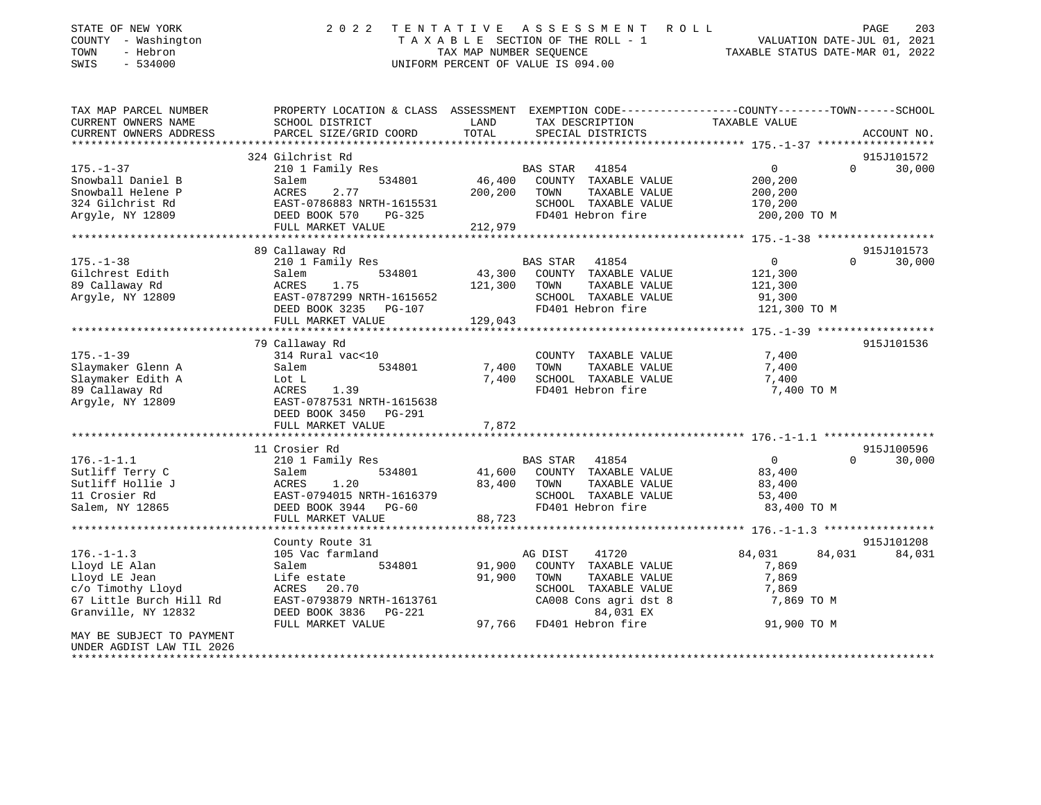| STATE OF NEW YORK<br>COUNTY - Washington<br>TOWN<br>- Hebron<br>SWIS<br>$-534000$ | 2 0 2 2                                        | ASSESSMENT<br>TENTATIVE<br>R O L L<br>TAXABLE SECTION OF THE ROLL - 1<br>TAX MAP NUMBER SEQUENCE<br>UNIFORM PERCENT OF VALUE IS 094.00 | $\mathop{\mathtt{PAGE}}$<br>203<br>VALUATION DATE-JUL 01, 2021<br>TAXABLE STATUS DATE-MAR 01, 2022               |
|-----------------------------------------------------------------------------------|------------------------------------------------|----------------------------------------------------------------------------------------------------------------------------------------|------------------------------------------------------------------------------------------------------------------|
| TAX MAP PARCEL NUMBER<br>CURRENT OWNERS NAME                                      | SCHOOL DISTRICT                                | LAND<br>TAX DESCRIPTION                                                                                                                | PROPERTY LOCATION & CLASS ASSESSMENT EXEMPTION CODE----------------COUNTY-------TOWN-----SCHOOL<br>TAXABLE VALUE |
| CURRENT OWNERS ADDRESS                                                            | PARCEL SIZE/GRID COORD                         | TOTAL<br>SPECIAL DISTRICTS                                                                                                             | ACCOUNT NO.                                                                                                      |
|                                                                                   |                                                |                                                                                                                                        |                                                                                                                  |
|                                                                                   | 324 Gilchrist Rd                               |                                                                                                                                        | 915J101572                                                                                                       |
| $175. - 1 - 37$                                                                   | 210 1 Family Res                               | <b>BAS STAR</b><br>41854                                                                                                               | $\mathbf 0$<br>$\Omega$<br>30,000                                                                                |
| Snowball Daniel B                                                                 | Salem<br>534801                                | 46,400<br>COUNTY TAXABLE VALUE                                                                                                         | 200,200                                                                                                          |
| Snowball Helene P                                                                 | 2.77<br>ACRES                                  | 200,200<br>TOWN<br>TAXABLE VALUE                                                                                                       | 200,200                                                                                                          |
| 324 Gilchrist Rd                                                                  | EAST-0786883 NRTH-1615531                      | SCHOOL TAXABLE VALUE<br>FD401 Hebron fire                                                                                              | 170,200                                                                                                          |
| Argyle, NY 12809                                                                  | DEED BOOK 570<br>$PG-325$<br>FULL MARKET VALUE | 212,979                                                                                                                                | 200,200 TO M                                                                                                     |
|                                                                                   |                                                |                                                                                                                                        |                                                                                                                  |
|                                                                                   | 89 Callaway Rd                                 |                                                                                                                                        | 915J101573                                                                                                       |
| $175. - 1 - 38$                                                                   | 210 1 Family Res                               | BAS STAR<br>41854                                                                                                                      | 0<br>$\mathbf 0$<br>30,000                                                                                       |
| Gilchrest Edith                                                                   | 534801<br>Salem                                | 43,300<br>COUNTY TAXABLE VALUE                                                                                                         | 121,300                                                                                                          |
| 89 Callaway Rd                                                                    | ACRES<br>1.75                                  | 121,300<br>TOWN<br>TAXABLE VALUE                                                                                                       | 121,300                                                                                                          |
| Argyle, NY 12809                                                                  | EAST-0787299 NRTH-1615652                      | SCHOOL TAXABLE VALUE                                                                                                                   | 91,300                                                                                                           |
|                                                                                   | DEED BOOK 3235<br>PG-107                       | FD401 Hebron fire                                                                                                                      | 121,300 TO M                                                                                                     |
|                                                                                   | FULL MARKET VALUE                              | 129,043                                                                                                                                |                                                                                                                  |
|                                                                                   | ******************                             |                                                                                                                                        |                                                                                                                  |
|                                                                                   | 79 Callaway Rd                                 |                                                                                                                                        | 915J101536                                                                                                       |
| $175. - 1 - 39$                                                                   | 314 Rural vac<10                               | COUNTY TAXABLE VALUE                                                                                                                   | 7,400                                                                                                            |
| Slaymaker Glenn A                                                                 | 534801<br>Salem                                | 7,400<br>TOWN<br>TAXABLE VALUE                                                                                                         | 7,400                                                                                                            |
| Slaymaker Edith A                                                                 | Lot L                                          | SCHOOL TAXABLE VALUE<br>7,400<br>FD401 Hebron fire                                                                                     | 7,400                                                                                                            |
| 89 Callaway Rd<br>Argyle, NY 12809                                                | ACRES<br>1.39<br>EAST-0787531 NRTH-1615638     |                                                                                                                                        | 7,400 TO M                                                                                                       |
|                                                                                   | DEED BOOK 3450<br>PG-291                       |                                                                                                                                        |                                                                                                                  |
|                                                                                   | FULL MARKET VALUE                              | 7,872                                                                                                                                  |                                                                                                                  |
|                                                                                   |                                                |                                                                                                                                        |                                                                                                                  |
|                                                                                   | 11 Crosier Rd                                  |                                                                                                                                        | 915J100596                                                                                                       |
| $176. - 1 - 1.1$                                                                  | 210 1 Family Res                               | 41854<br>BAS STAR                                                                                                                      | $\mathbf 0$<br>$\Omega$<br>30,000                                                                                |
| Sutliff Terry C                                                                   | Salem<br>534801                                | 41,600<br>COUNTY TAXABLE VALUE                                                                                                         | 83,400                                                                                                           |
| Sutliff Hollie J                                                                  | ACRES<br>1.20                                  | 83,400<br>TOWN<br>TAXABLE VALUE                                                                                                        | 83,400                                                                                                           |
| 11 Crosier Rd                                                                     | EAST-0794015 NRTH-1616379                      | SCHOOL TAXABLE VALUE                                                                                                                   | 53,400                                                                                                           |
| Salem, NY 12865                                                                   | DEED BOOK 3944<br>$PG-60$                      | FD401 Hebron fire                                                                                                                      | 83,400 TO M                                                                                                      |
|                                                                                   | FULL MARKET VALUE                              | 88,723                                                                                                                                 |                                                                                                                  |
|                                                                                   |                                                |                                                                                                                                        | ********** 176.-1-1.3 *****************                                                                          |
|                                                                                   | County Route 31                                |                                                                                                                                        | 915J101208                                                                                                       |
| $176. - 1 - 1.3$<br>Lloyd LE Alan                                                 | 105 Vac farmland<br>534801<br>Salem            | 41720<br>AG DIST<br>91,900<br>COUNTY TAXABLE VALUE                                                                                     | 84,031<br>84,031<br>84,031<br>7,869                                                                              |
| Lloyd LE Jean                                                                     | Life estate                                    | 91,900<br>TOWN<br>TAXABLE VALUE                                                                                                        | 7,869                                                                                                            |
| c/o Timothy Lloyd                                                                 | ACRES 20.70                                    | SCHOOL TAXABLE VALUE                                                                                                                   | 7,869                                                                                                            |
| 67 Little Burch Hill Rd                                                           | EAST-0793879 NRTH-1613761                      | CA008 Cons agri dst 8                                                                                                                  | 7,869 TO M                                                                                                       |
| Granville, NY 12832                                                               | DEED BOOK 3836<br>$PG-221$                     | 84,031 EX                                                                                                                              |                                                                                                                  |
|                                                                                   | FULL MARKET VALUE                              | 97,766<br>FD401 Hebron fire                                                                                                            | 91,900 TO M                                                                                                      |
| MAY BE SUBJECT TO PAYMENT                                                         |                                                |                                                                                                                                        |                                                                                                                  |
| UNDER AGDIST LAW TIL 2026                                                         |                                                |                                                                                                                                        |                                                                                                                  |
| **************************                                                        |                                                |                                                                                                                                        |                                                                                                                  |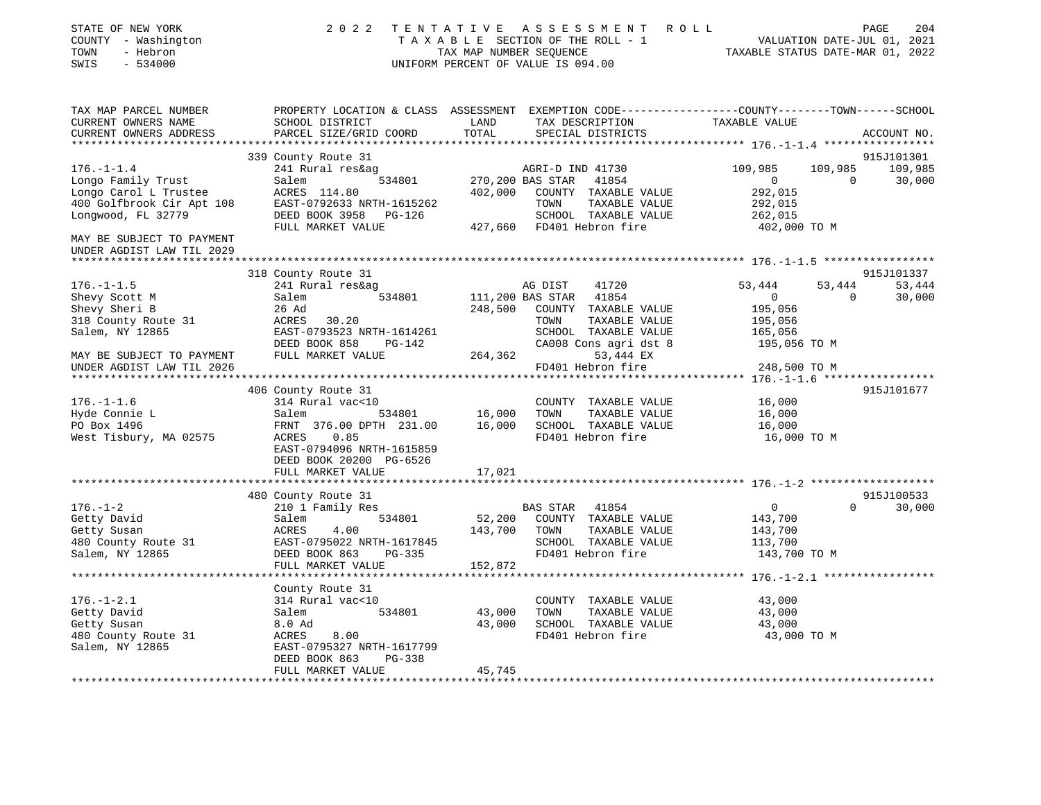| STATE OF NEW YORK<br>COUNTY - Washington<br>- Hebron<br>TOWN<br>SWIS<br>$-534000$ | 2 0 2 2                                                                                                                                      | TAX MAP NUMBER SEQUENCE | TENTATIVE ASSESSMENT<br>TAXABLE SECTION OF THE ROLL - 1<br>UNIFORM PERCENT OF VALUE IS 094.00 | R O L L<br>TAXABLE STATUS DATE-MAR 01, 2022        | PAGE<br>VALUATION DATE-JUL 01, 2021 | 204         |
|-----------------------------------------------------------------------------------|----------------------------------------------------------------------------------------------------------------------------------------------|-------------------------|-----------------------------------------------------------------------------------------------|----------------------------------------------------|-------------------------------------|-------------|
| TAX MAP PARCEL NUMBER<br>CURRENT OWNERS NAME<br>CURRENT OWNERS ADDRESS            | PROPERTY LOCATION & CLASS ASSESSMENT EXEMPTION CODE----------------COUNTY-------TOWN-----SCHOOL<br>SCHOOL DISTRICT<br>PARCEL SIZE/GRID COORD | LAND<br>TOTAL           | TAX DESCRIPTION<br>SPECIAL DISTRICTS                                                          | TAXABLE VALUE                                      |                                     | ACCOUNT NO. |
|                                                                                   |                                                                                                                                              |                         |                                                                                               |                                                    |                                     |             |
|                                                                                   | 339 County Route 31                                                                                                                          |                         |                                                                                               |                                                    |                                     | 915J101301  |
| $176. - 1 - 1.4$                                                                  | 241 Rural res&ag                                                                                                                             |                         | AGRI-D IND 41730                                                                              | 109,985                                            | 109,985                             | 109,985     |
| Longo Family Trust                                                                | Salem<br>534801                                                                                                                              | 270,200 BAS STAR        | 41854                                                                                         | $\overline{0}$                                     | $\overline{0}$                      | 30,000      |
| Longo Carol L Trustee                                                             | ACRES 114.80                                                                                                                                 | 402,000                 | COUNTY TAXABLE VALUE                                                                          | 292,015                                            |                                     |             |
| 400 Golfbrook Cir Apt 108                                                         | EAST-0792633 NRTH-1615262                                                                                                                    |                         | TOWN<br>TAXABLE VALUE                                                                         | 292,015                                            |                                     |             |
| Longwood, FL 32779                                                                | DEED BOOK 3958 PG-126                                                                                                                        |                         | SCHOOL TAXABLE VALUE                                                                          | 262,015                                            |                                     |             |
|                                                                                   | FULL MARKET VALUE                                                                                                                            |                         | 427,660 FD401 Hebron fire                                                                     | 402,000 TO M                                       |                                     |             |
| MAY BE SUBJECT TO PAYMENT                                                         |                                                                                                                                              |                         |                                                                                               |                                                    |                                     |             |
| UNDER AGDIST LAW TIL 2029<br>***********************                              |                                                                                                                                              |                         |                                                                                               |                                                    |                                     |             |
|                                                                                   | 318 County Route 31                                                                                                                          |                         |                                                                                               |                                                    |                                     | 915J101337  |
| $176. - 1 - 1.5$                                                                  | 241 Rural res&ag                                                                                                                             |                         | AG DIST<br>41720                                                                              | 53,444                                             | 53,444                              | 53,444      |
| Shevy Scott M                                                                     | Salem<br>534801                                                                                                                              | 111,200 BAS STAR        | 41854                                                                                         | $\overline{0}$                                     | $\overline{\phantom{0}}$            | 30,000      |
| Shevy Sheri B                                                                     | 26 Ad                                                                                                                                        | 248,500                 | COUNTY TAXABLE VALUE                                                                          | 195,056                                            |                                     |             |
| 318 County Route 31                                                               | ACRES 30.20                                                                                                                                  |                         | TOWN<br>TAXABLE VALUE                                                                         | 195,056                                            |                                     |             |
| Salem, NY 12865                                                                   | EAST-0793523 NRTH-1614261                                                                                                                    |                         | SCHOOL TAXABLE VALUE                                                                          | 165,056                                            |                                     |             |
|                                                                                   | DEED BOOK 858 PG-142                                                                                                                         |                         | CA008 Cons agri dst 8                                                                         | 195,056 TO M                                       |                                     |             |
| MAY BE SUBJECT TO PAYMENT                                                         | FULL MARKET VALUE                                                                                                                            | 264,362                 | 53,444 EX                                                                                     |                                                    |                                     |             |
| UNDER AGDIST LAW TIL 2026                                                         |                                                                                                                                              |                         | FD401 Hebron fire                                                                             | 248,500 TO M                                       |                                     |             |
|                                                                                   | ********************************                                                                                                             |                         |                                                                                               | ******************* 176.-1-1.6 ******************* |                                     |             |
|                                                                                   | 406 County Route 31                                                                                                                          |                         |                                                                                               |                                                    |                                     | 915J101677  |
| $176. - 1 - 1.6$                                                                  | 314 Rural vac<10                                                                                                                             |                         | COUNTY TAXABLE VALUE                                                                          | 16,000                                             |                                     |             |
| Hyde Connie L                                                                     | 534801<br>Salem                                                                                                                              | 16,000                  | TOWN<br>TAXABLE VALUE                                                                         | 16,000                                             |                                     |             |
| PO Box 1496                                                                       | FRNT 376.00 DPTH 231.00                                                                                                                      |                         | 16,000 SCHOOL TAXABLE VALUE                                                                   | 16,000                                             |                                     |             |
| West Tisbury, MA 02575                                                            | 0.85<br>ACRES                                                                                                                                |                         | FD401 Hebron fire                                                                             | 16,000 TO M                                        |                                     |             |
|                                                                                   | EAST-0794096 NRTH-1615859<br>DEED BOOK 20200 PG-6526                                                                                         |                         |                                                                                               |                                                    |                                     |             |
|                                                                                   | FULL MARKET VALUE                                                                                                                            | 17,021                  |                                                                                               |                                                    |                                     |             |
|                                                                                   |                                                                                                                                              |                         |                                                                                               |                                                    |                                     |             |
|                                                                                   | 480 County Route 31                                                                                                                          |                         |                                                                                               |                                                    |                                     | 915J100533  |
| $176. - 1 - 2$                                                                    | 210 1 Family Res                                                                                                                             |                         | BAS STAR 41854                                                                                | $\overline{0}$                                     | $\Omega$                            | 30,000      |
| Getty David                                                                       | Salem<br>534801                                                                                                                              | 52,200                  | COUNTY TAXABLE VALUE                                                                          | 143,700                                            |                                     |             |
| Getty Susan                                                                       | ACRES<br>4.00                                                                                                                                | 143,700                 | TOWN<br>TAXABLE VALUE                                                                         | 143,700                                            |                                     |             |
| 480 County Route 31                                                               | EAST-0795022 NRTH-1617845                                                                                                                    |                         | SCHOOL TAXABLE VALUE                                                                          | 113,700                                            |                                     |             |
| Salem, NY 12865                                                                   | DEED BOOK 863 PG-335                                                                                                                         |                         | FD401 Hebron fire                                                                             | 143,700 TO M                                       |                                     |             |
|                                                                                   | FULL MARKET VALUE                                                                                                                            | 152,872                 |                                                                                               |                                                    |                                     |             |
|                                                                                   |                                                                                                                                              |                         |                                                                                               |                                                    |                                     |             |
|                                                                                   | County Route 31                                                                                                                              |                         |                                                                                               |                                                    |                                     |             |
| $176. - 1 - 2.1$                                                                  | 314 Rural vac<10                                                                                                                             |                         | COUNTY TAXABLE VALUE                                                                          | 43,000                                             |                                     |             |
| Getty David                                                                       | Salem<br>534801                                                                                                                              | 43,000                  | TOWN<br>TAXABLE VALUE                                                                         | 43,000                                             |                                     |             |
| Getty Susan                                                                       | 8.0 Ad                                                                                                                                       |                         | 43,000 SCHOOL TAXABLE VALUE                                                                   | 43,000                                             |                                     |             |
| 480 County Route 31                                                               | ACRES 8.00<br>EAST-0795327 NRTH-1617799                                                                                                      |                         | FD401 Hebron fire                                                                             | 43,000 TO M                                        |                                     |             |
| Salem, NY 12865                                                                   | DEED BOOK 863<br>PG-338                                                                                                                      |                         |                                                                                               |                                                    |                                     |             |
|                                                                                   | FULL MARKET VALUE                                                                                                                            | 45,745                  |                                                                                               |                                                    |                                     |             |
|                                                                                   |                                                                                                                                              |                         |                                                                                               |                                                    |                                     |             |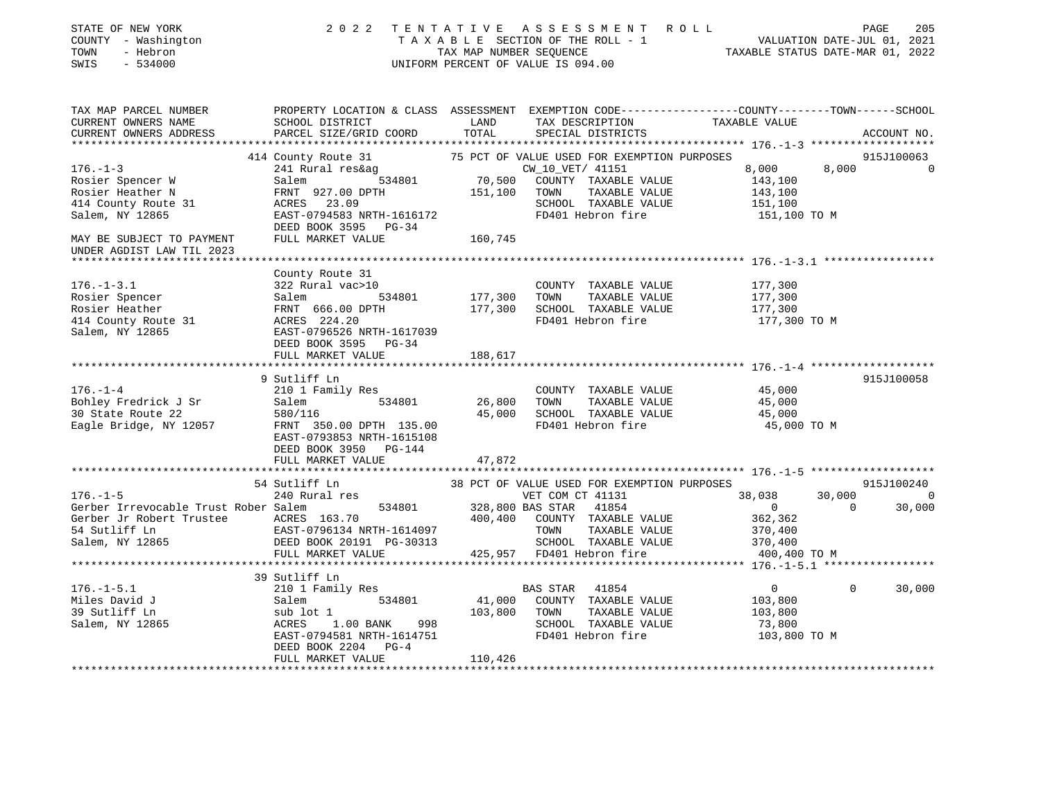| STATE OF NEW YORK<br>COUNTY - Washington<br>------ - Hebron         |                                                                                                                                                                                                                                        |              | 2022 TENTATIVE ASSESSMENT ROLL<br>TAXABLE SECTION OF THE ROLL - 1<br>TAXABLE SECTION OF THE ROLL - 1<br>TAXABLE STATUS DATE-JUL 01, 2021<br>TAXABLE STATUS DATE-MAR 01, 2022<br>UNIFORM PERCENT OF VALUE IS 094.00 |                    | PAGE<br>205              |
|---------------------------------------------------------------------|----------------------------------------------------------------------------------------------------------------------------------------------------------------------------------------------------------------------------------------|--------------|--------------------------------------------------------------------------------------------------------------------------------------------------------------------------------------------------------------------|--------------------|--------------------------|
| TAX MAP PARCEL NUMBER<br>CURRENT OWNERS NAME                        | PROPERTY LOCATION & CLASS ASSESSMENT EXEMPTION CODE----------------COUNTY--------TOWN------SCHOOL<br><b>EXAMPLE THE STATE OF STATE OF STATE</b><br>SCHOOL DISTRICT                                                                     |              | TAX DESCRIPTION TAXABLE VALUE                                                                                                                                                                                      |                    |                          |
| CURRENT OWNERS ADDRESS                                              | PARCEL SIZE/GRID COORD TOTAL                                                                                                                                                                                                           |              | SPECIAL DISTRICTS                                                                                                                                                                                                  |                    | ACCOUNT NO.              |
|                                                                     | 414 County Route 31 75 PCT OF VALUE USED FOR EXEMPTION PURPOSES<br>241 Rural res&ag (241 County 101612 CW 10 VET 41151 8,000<br>534801 70,500 COUNTY TAXABLE VALUE 143,100<br>FRNT 927.00 DPTH 151,100 TOWN TAXABLE VALUE 143,100<br>A |              |                                                                                                                                                                                                                    |                    | 915J100063               |
| $176. - 1 - 3$                                                      |                                                                                                                                                                                                                                        |              |                                                                                                                                                                                                                    | 8,000              | 8,000 0                  |
| Rosier Spencer W                                                    |                                                                                                                                                                                                                                        |              |                                                                                                                                                                                                                    | 143,100            |                          |
| Rosier Heather N                                                    |                                                                                                                                                                                                                                        |              |                                                                                                                                                                                                                    | 143,100            |                          |
| 414 County Route 31                                                 |                                                                                                                                                                                                                                        |              |                                                                                                                                                                                                                    | 151,100            |                          |
| Salem, NY 12865                                                     | EAST-0794583 NRTH-1616172                                                                                                                                                                                                              |              | FD401 Hebron fire                                                                                                                                                                                                  | 151,100 TO M       |                          |
|                                                                     | DEED BOOK 3595 PG-34                                                                                                                                                                                                                   |              |                                                                                                                                                                                                                    |                    |                          |
| MAY BE SUBJECT TO PAYMENT                                           | FULL MARKET VALUE 160,745                                                                                                                                                                                                              |              |                                                                                                                                                                                                                    |                    |                          |
| UNDER AGDIST LAW TIL 2023                                           |                                                                                                                                                                                                                                        |              |                                                                                                                                                                                                                    |                    |                          |
|                                                                     |                                                                                                                                                                                                                                        |              |                                                                                                                                                                                                                    |                    |                          |
| $176. - 1 - 3.1$                                                    | County Route 31<br>322 Rural vac>10                                                                                                                                                                                                    |              | COUNTY TAXABLE VALUE                                                                                                                                                                                               |                    |                          |
|                                                                     |                                                                                                                                                                                                                                        |              | 177,300 TOWN TAXABLE VALUE                                                                                                                                                                                         | 177,300<br>177,300 |                          |
|                                                                     |                                                                                                                                                                                                                                        |              | 177,300 SCHOOL TAXABLE VALUE                                                                                                                                                                                       | 177,300            |                          |
| Rosier Spencer<br>Rosier Heather<br>414 County Route 31             | 322 Rural vac>10<br>Salem 534801<br>FRNT 666.00 DPTH<br>ACRES 224.20<br>FACR 036526 NDTH 1517029                                                                                                                                       |              | FD401 Hebron fire                                                                                                                                                                                                  | 177,300 TO M       |                          |
| Salem, NY 12865                                                     | EAST-0796526 NRTH-1617039                                                                                                                                                                                                              |              |                                                                                                                                                                                                                    |                    |                          |
|                                                                     | DEED BOOK 3595 PG-34                                                                                                                                                                                                                   |              |                                                                                                                                                                                                                    |                    |                          |
|                                                                     | FULL MARKET VALUE                                                                                                                                                                                                                      | 188,617      |                                                                                                                                                                                                                    |                    |                          |
|                                                                     |                                                                                                                                                                                                                                        |              |                                                                                                                                                                                                                    |                    |                          |
|                                                                     | 9 Sutliff Ln                                                                                                                                                                                                                           |              |                                                                                                                                                                                                                    |                    | 915J100058               |
| $176. - 1 - 4$                                                      |                                                                                                                                                                                                                                        |              | COUNTY TAXABLE VALUE                                                                                                                                                                                               | 45,000             |                          |
|                                                                     |                                                                                                                                                                                                                                        |              | TAXABLE VALUE<br>45,000 SCHOOL TAXABLE VALUE                                                                                                                                                                       | 45,000<br>45,000   |                          |
| Bohley Fredrick J Sr<br>30 State Route 22<br>Eagle Bridge, NY 12057 | 210 1 Family Res<br>Salem 534801 26,800 TOWN<br>580/116 45,000 SCHOOL<br>FRNT 350.00 DPTH 135.00 FD401 He                                                                                                                              |              | FD401 Hebron fire                                                                                                                                                                                                  | 45,000 TO M        |                          |
|                                                                     | EAST-0793853 NRTH-1615108                                                                                                                                                                                                              |              |                                                                                                                                                                                                                    |                    |                          |
|                                                                     | DEED BOOK 3950 PG-144                                                                                                                                                                                                                  |              |                                                                                                                                                                                                                    |                    |                          |
|                                                                     | FULL MARKET VALUE                                                                                                                                                                                                                      | 47,872       |                                                                                                                                                                                                                    |                    |                          |
|                                                                     |                                                                                                                                                                                                                                        |              |                                                                                                                                                                                                                    |                    |                          |
|                                                                     |                                                                                                                                                                                                                                        |              |                                                                                                                                                                                                                    |                    | 915J100240               |
| $176. - 1 - 5$                                                      |                                                                                                                                                                                                                                        |              |                                                                                                                                                                                                                    | 38,038             | 30,000 0                 |
| Gerber Irrevocable Trust Rober Salem                                | Ner Salem 534801 328,800 BAS STAR 41854<br>ACRES 163.70 400,400 COUNTY TAXABLE VALUE<br>EAST-0796134 NRTH-1614097 TOWN TAXABLE VALUE<br>DEED BOOK 20191 PG-30313 SCHOOL TAXABLE VALUE                                                  |              |                                                                                                                                                                                                                    | $\overline{0}$     | $\overline{0}$<br>30,000 |
| Gerber Jr Robert Trustee ACRES 163.70                               |                                                                                                                                                                                                                                        |              |                                                                                                                                                                                                                    | 362,362            |                          |
| 54 Sutliff Ln<br>Salem, NY 12865                                    |                                                                                                                                                                                                                                        |              |                                                                                                                                                                                                                    | 370,400<br>370,400 |                          |
|                                                                     | FULL MARKET VALUE                                                                                                                                                                                                                      |              | 425,957 FD401 Hebron fire                                                                                                                                                                                          | 400,400 TO M       |                          |
|                                                                     |                                                                                                                                                                                                                                        |              |                                                                                                                                                                                                                    |                    |                          |
|                                                                     | 39 Sutliff Ln                                                                                                                                                                                                                          |              |                                                                                                                                                                                                                    |                    |                          |
| $176. - 1 - 5.1$                                                    | 210 1 Family Res<br>Salem 534801<br>sub lot 1<br>ACRES 1.00 BANK 998                                                                                                                                                                   |              | BAS STAR 41854                                                                                                                                                                                                     | $\overline{0}$     | $\mathbf 0$<br>30,000    |
| Miles David J                                                       |                                                                                                                                                                                                                                        |              | A1,000 COUNTY TAXABLE VALUE<br>HI.1000 COUNTY TAXABLE VALUE                                                                                                                                                        | 103,800            |                          |
| 39 Sutliff Ln<br>Salem, NY 12865                                    |                                                                                                                                                                                                                                        | 103,800 TOWN | TAXABLE VALUE                                                                                                                                                                                                      | 103,800            |                          |
|                                                                     |                                                                                                                                                                                                                                        |              | SCHOOL TAXABLE VALUE                                                                                                                                                                                               | 73,800             |                          |
|                                                                     | EAST-0794581 NRTH-1614751                                                                                                                                                                                                              |              | FD401 Hebron fire                                                                                                                                                                                                  | 103,800 TO M       |                          |
|                                                                     | DEED BOOK 2204 PG-4                                                                                                                                                                                                                    |              |                                                                                                                                                                                                                    |                    |                          |
|                                                                     | FULL MARKET VALUE                                                                                                                                                                                                                      | 110,426      |                                                                                                                                                                                                                    |                    |                          |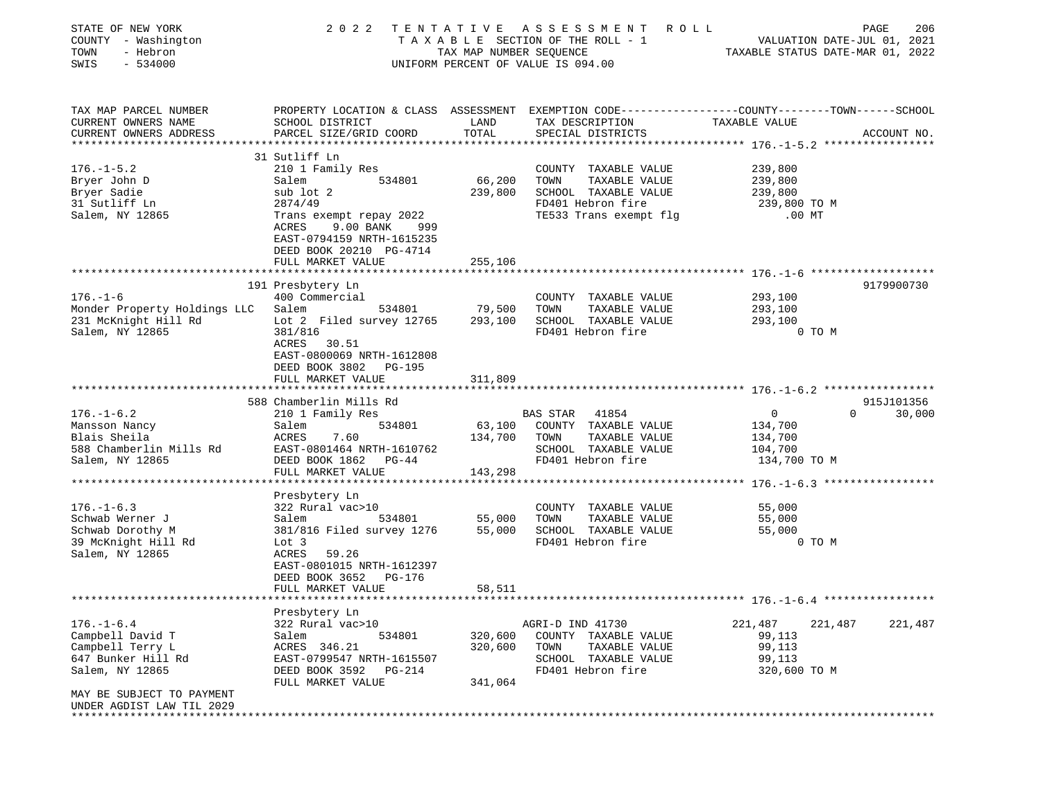| STATE OF NEW YORK<br>COUNTY - Washington<br>TOWN<br>- Hebron<br>$-534000$<br>SWIS | 2 0 2 2                                                                                                             | TAX MAP NUMBER SEQUENCE | TENTATIVE ASSESSMENT ROLL<br>T A X A B L E SECTION OF THE ROLL - 1 VALUATION DATE-JUL 01, 2021<br>UNIFORM PERCENT OF VALUE IS 094.00 | TAXABLE STATUS DATE-MAR 01, 2022 | PAGE<br>206 |
|-----------------------------------------------------------------------------------|---------------------------------------------------------------------------------------------------------------------|-------------------------|--------------------------------------------------------------------------------------------------------------------------------------|----------------------------------|-------------|
| TAX MAP PARCEL NUMBER<br>CURRENT OWNERS NAME                                      | PROPERTY LOCATION & CLASS ASSESSMENT EXEMPTION CODE----------------COUNTY-------TOWN------SCHOOL<br>SCHOOL DISTRICT | LAND                    | TAX DESCRIPTION                                                                                                                      |                                  |             |
| CURRENT OWNERS ADDRESS                                                            | PARCEL SIZE/GRID COORD                                                                                              | TOTAL                   | SPECIAL DISTRICTS                                                                                                                    | TAXABLE VALUE                    | ACCOUNT NO. |
|                                                                                   | 31 Sutliff Ln                                                                                                       |                         |                                                                                                                                      |                                  |             |
| $176. - 1 - 5.2$                                                                  | 210 1 Family Res                                                                                                    |                         | COUNTY TAXABLE VALUE                                                                                                                 | 239,800                          |             |
| Bryer John D                                                                      | 534801<br>Salem                                                                                                     | 66,200                  | TOWN<br>TAXABLE VALUE                                                                                                                | 239,800                          |             |
| Bryer Sadie                                                                       | sub lot 2                                                                                                           | 239,800                 | SCHOOL TAXABLE VALUE                                                                                                                 | 239,800                          |             |
| 31 Sutliff Ln                                                                     | 2874/49                                                                                                             |                         | FD401 Hebron fire                                                                                                                    | 239,800 TO M                     |             |
| Salem, NY 12865                                                                   | Trans exempt repay 2022<br>ACRES<br>9.00 BANK<br>999<br>EAST-0794159 NRTH-1615235                                   |                         | TE533 Trans exempt flg                                                                                                               | $.00$ MT                         |             |
|                                                                                   | DEED BOOK 20210 PG-4714                                                                                             |                         |                                                                                                                                      |                                  |             |
|                                                                                   | FULL MARKET VALUE                                                                                                   | 255,106                 |                                                                                                                                      |                                  |             |
|                                                                                   |                                                                                                                     |                         |                                                                                                                                      |                                  |             |
|                                                                                   | 191 Presbytery Ln                                                                                                   |                         |                                                                                                                                      |                                  | 9179900730  |
| $176. - 1 - 6$                                                                    | 400 Commercial                                                                                                      |                         | COUNTY TAXABLE VALUE                                                                                                                 | 293,100                          |             |
| Monder Property Holdings LLC Salem                                                | 534801                                                                                                              | 79,500                  | TAXABLE VALUE<br>TOWN                                                                                                                | 293,100                          |             |
| 231 McKnight Hill Rd<br>Salem, NY 12865                                           | Lot 2 Filed survey 12765<br>381/816                                                                                 | 293,100                 | SCHOOL TAXABLE VALUE<br>FD401 Hebron fire                                                                                            | 293,100<br>0 TO M                |             |
|                                                                                   | ACRES 30.51<br>EAST-0800069 NRTH-1612808<br>DEED BOOK 3802 PG-195                                                   |                         |                                                                                                                                      |                                  |             |
|                                                                                   | FULL MARKET VALUE                                                                                                   | 311,809                 |                                                                                                                                      |                                  |             |
|                                                                                   | 588 Chamberlin Mills Rd                                                                                             |                         |                                                                                                                                      |                                  | 915J101356  |
| $176. - 1 - 6.2$                                                                  | 210 1 Family Res                                                                                                    |                         | BAS STAR 41854                                                                                                                       | $\circ$<br>$\Omega$              | 30,000      |
| Mansson Nancy                                                                     | 534801<br>Salem                                                                                                     | 63,100                  | COUNTY TAXABLE VALUE                                                                                                                 | 134,700                          |             |
| Blais Sheila                                                                      | ACRES<br>7.60                                                                                                       | 134,700                 | TOWN<br>TAXABLE VALUE                                                                                                                | 134,700                          |             |
| 588 Chamberlin Mills Rd                                                           | EAST-0801464 NRTH-1610762                                                                                           |                         | SCHOOL TAXABLE VALUE                                                                                                                 | 104,700                          |             |
| Salem, NY 12865                                                                   | DEED BOOK 1862 PG-44                                                                                                |                         | FD401 Hebron fire                                                                                                                    | 134,700 TO M                     |             |
|                                                                                   | FULL MARKET VALUE                                                                                                   | 143,298                 |                                                                                                                                      |                                  |             |
|                                                                                   |                                                                                                                     |                         |                                                                                                                                      |                                  |             |
|                                                                                   | Presbytery Ln                                                                                                       |                         |                                                                                                                                      |                                  |             |
| $176. - 1 - 6.3$                                                                  | 322 Rural vac>10                                                                                                    |                         | COUNTY TAXABLE VALUE                                                                                                                 | 55,000                           |             |
| Schwab Werner J                                                                   | Salem<br>534801                                                                                                     | 55,000                  | TOWN<br>TAXABLE VALUE                                                                                                                | 55,000                           |             |
| Schwab Dorothy M<br>39 McKnight Hill Rd                                           | 381/816 Filed survey 1276<br>Lot 3                                                                                  | 55,000                  | SCHOOL TAXABLE VALUE<br>FD401 Hebron fire                                                                                            | 55,000<br>0 TO M                 |             |
| Salem, NY 12865                                                                   | 59.26<br>ACRES<br>EAST-0801015 NRTH-1612397<br>DEED BOOK 3652<br>PG-176<br>FULL MARKET VALUE                        | 58,511                  |                                                                                                                                      |                                  |             |
|                                                                                   |                                                                                                                     |                         |                                                                                                                                      |                                  |             |
|                                                                                   | Presbytery Ln                                                                                                       |                         |                                                                                                                                      |                                  |             |
| $176. - 1 - 6.4$                                                                  | 322 Rural vac>10                                                                                                    |                         | AGRI-D IND 41730                                                                                                                     | 221,487<br>221,487               | 221,487     |
| Campbell David T                                                                  | Salem<br>534801                                                                                                     | 320,600                 | COUNTY TAXABLE VALUE                                                                                                                 | 99,113                           |             |
| Campbell Terry L                                                                  | ACRES 346.21                                                                                                        | 320,600                 | TOWN<br>TAXABLE VALUE                                                                                                                | 99,113                           |             |
| 647 Bunker Hill Rd                                                                | EAST-0799547 NRTH-1615507                                                                                           |                         | SCHOOL TAXABLE VALUE                                                                                                                 | 99,113                           |             |
| Salem, NY 12865                                                                   | DEED BOOK 3592<br>PG-214                                                                                            |                         | FD401 Hebron fire                                                                                                                    | 320,600 TO M                     |             |
| MAY BE SUBJECT TO PAYMENT<br>UNDER AGDIST LAW TIL 2029                            | FULL MARKET VALUE                                                                                                   | 341,064                 |                                                                                                                                      |                                  |             |
|                                                                                   |                                                                                                                     |                         |                                                                                                                                      |                                  |             |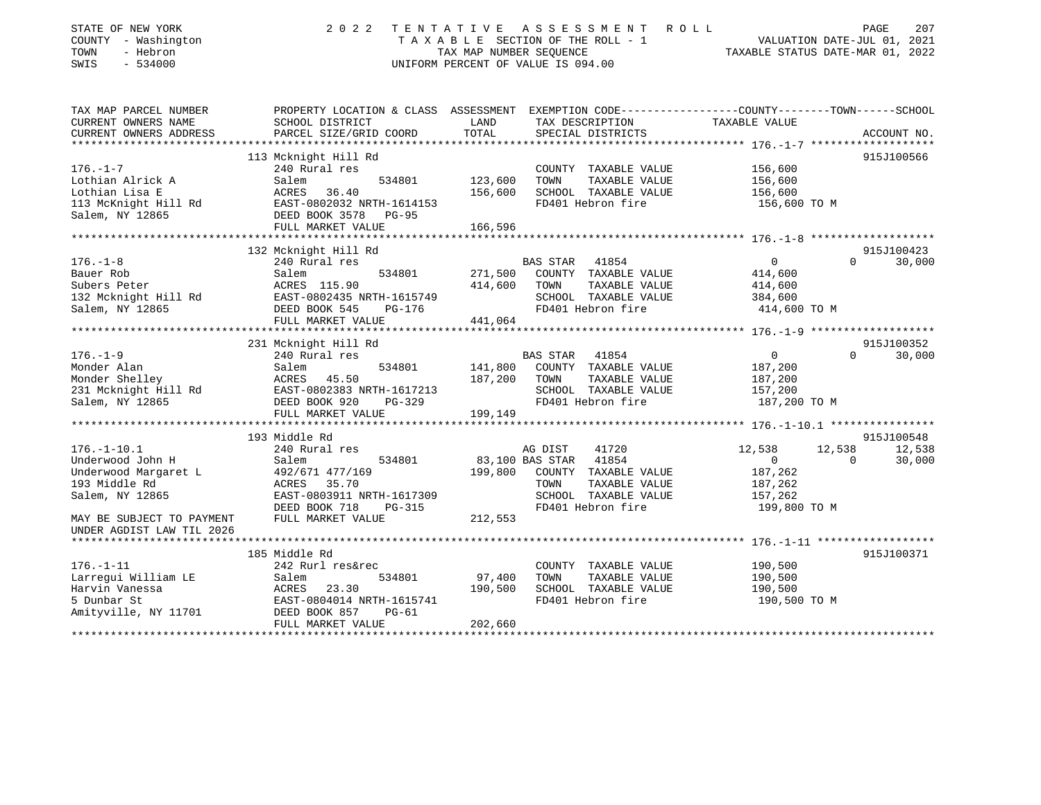| STATE OF NEW YORK<br>COUNTY - Washington<br>TOWN<br>- Hebron<br>SWIS<br>$-534000$ | 2 0 2 2                                                                                         | TAX MAP NUMBER SEOUENCE | TENTATIVE ASSESSMENT ROLL<br>TAXABLE SECTION OF THE ROLL - 1<br>UNIFORM PERCENT OF VALUE IS 094.00 |                | 207<br>PAGE<br>VALUATION DATE-JUL 01, 2021<br>TAXABLE STATUS DATE-MAR 01, 2022 |
|-----------------------------------------------------------------------------------|-------------------------------------------------------------------------------------------------|-------------------------|----------------------------------------------------------------------------------------------------|----------------|--------------------------------------------------------------------------------|
| TAX MAP PARCEL NUMBER                                                             | PROPERTY LOCATION & CLASS ASSESSMENT EXEMPTION CODE---------------COUNTY-------TOWN------SCHOOL |                         |                                                                                                    |                |                                                                                |
| CURRENT OWNERS NAME<br>CURRENT OWNERS ADDRESS                                     | SCHOOL DISTRICT<br>PARCEL SIZE/GRID COORD                                                       | LAND<br>TOTAL           | TAX DESCRIPTION<br>SPECIAL DISTRICTS                                                               | TAXABLE VALUE  | ACCOUNT NO.                                                                    |
|                                                                                   |                                                                                                 |                         |                                                                                                    |                |                                                                                |
|                                                                                   | 113 Mcknight Hill Rd                                                                            |                         |                                                                                                    |                | 915J100566                                                                     |
| $176. - 1 - 7$                                                                    | 240 Rural res                                                                                   |                         | COUNTY TAXABLE VALUE                                                                               | 156,600        |                                                                                |
| Lothian Alrick A                                                                  | Salem<br>534801                                                                                 | 123,600                 | TOWN<br>TAXABLE VALUE                                                                              | 156,600        |                                                                                |
| Lothian Lisa E                                                                    | ACRES<br>36.40                                                                                  | 156,600                 | SCHOOL TAXABLE VALUE                                                                               | 156,600        |                                                                                |
| 113 McKnight Hill Rd<br>Salem, NY 12865                                           | EAST-0802032 NRTH-1614153<br>DEED BOOK 3578<br>$PG-95$                                          |                         | FD401 Hebron fire                                                                                  | 156,600 TO M   |                                                                                |
|                                                                                   | FULL MARKET VALUE                                                                               | 166,596                 |                                                                                                    |                |                                                                                |
|                                                                                   |                                                                                                 |                         |                                                                                                    |                |                                                                                |
|                                                                                   | 132 Mcknight Hill Rd                                                                            |                         |                                                                                                    |                | 915J100423                                                                     |
| $176. - 1 - 8$                                                                    | 240 Rural res                                                                                   |                         | BAS STAR 41854                                                                                     | $\Omega$       | $\Omega$<br>30,000                                                             |
| Bauer Rob                                                                         | 534801<br>Salem                                                                                 | 271,500                 | COUNTY TAXABLE VALUE                                                                               | 414,600        |                                                                                |
| Subers Peter                                                                      | ACRES 115.90                                                                                    | 414,600                 | TAXABLE VALUE<br>TOWN                                                                              | 414,600        |                                                                                |
| 132 Mcknight Hill Rd                                                              | EAST-0802435 NRTH-1615749                                                                       |                         | SCHOOL TAXABLE VALUE                                                                               | 384,600        |                                                                                |
| Salem, NY 12865                                                                   | DEED BOOK 545<br><b>PG-176</b>                                                                  |                         | FD401 Hebron fire                                                                                  | 414,600 TO M   |                                                                                |
|                                                                                   | FULL MARKET VALUE                                                                               | 441,064                 |                                                                                                    |                |                                                                                |
|                                                                                   | 231 Mcknight Hill Rd                                                                            |                         |                                                                                                    |                | 915J100352                                                                     |
| $176. - 1 - 9$                                                                    | 240 Rural res                                                                                   |                         | BAS STAR<br>41854                                                                                  | $\overline{0}$ | $\Omega$<br>30,000                                                             |
| Monder Alan                                                                       | 534801<br>Salem                                                                                 | 141,800                 | COUNTY TAXABLE VALUE                                                                               | 187,200        |                                                                                |
| Monder Shelley                                                                    | ACRES 45.50                                                                                     | 187,200                 | TAXABLE VALUE<br>TOWN                                                                              | 187,200        |                                                                                |
|                                                                                   | EAST-0802383 NRTH-1617213                                                                       |                         | SCHOOL TAXABLE VALUE                                                                               | 157,200        |                                                                                |
| 231 Mcknight Hill Rd<br>Salem, NY 12865                                           | DEED BOOK 920<br>PG-329                                                                         |                         | FD401 Hebron fire                                                                                  | 187,200 TO M   |                                                                                |
|                                                                                   | FULL MARKET VALUE                                                                               | 199,149                 |                                                                                                    |                |                                                                                |
|                                                                                   |                                                                                                 |                         |                                                                                                    |                |                                                                                |
|                                                                                   | 193 Middle Rd                                                                                   |                         |                                                                                                    |                | 915J100548                                                                     |
| $176. - 1 - 10.1$                                                                 | 240 Rural res                                                                                   |                         | 41720<br>AG DIST                                                                                   | 12,538         | 12,538<br>12,538                                                               |
| Underwood John H                                                                  | Salem<br>534801                                                                                 |                         | 41854<br>83,100 BAS STAR                                                                           | $\overline{0}$ | $\Omega$<br>30,000                                                             |
| Underwood Margaret L                                                              | 492/671 477/169                                                                                 | 199,800                 | COUNTY TAXABLE VALUE                                                                               | 187,262        |                                                                                |
| 193 Middle Rd                                                                     | 35.70<br>ACRES                                                                                  |                         | TOWN<br>TAXABLE VALUE                                                                              | 187,262        |                                                                                |
| Salem, NY 12865                                                                   | EAST-0803911 NRTH-1617309                                                                       |                         | SCHOOL TAXABLE VALUE                                                                               | 157,262        |                                                                                |
|                                                                                   | DEED BOOK 718<br>$PG-315$                                                                       |                         | FD401 Hebron fire                                                                                  | 199,800 TO M   |                                                                                |
| MAY BE SUBJECT TO PAYMENT                                                         | FULL MARKET VALUE                                                                               | 212,553                 |                                                                                                    |                |                                                                                |
| UNDER AGDIST LAW TIL 2026                                                         |                                                                                                 |                         |                                                                                                    |                |                                                                                |
|                                                                                   |                                                                                                 |                         |                                                                                                    |                |                                                                                |
|                                                                                   | 185 Middle Rd                                                                                   |                         |                                                                                                    |                | 915J100371                                                                     |
| $176. - 1 - 11$                                                                   | 242 Rurl res&rec                                                                                |                         | COUNTY TAXABLE VALUE                                                                               | 190,500        |                                                                                |
| Larregui William LE                                                               | Salem<br>534801                                                                                 | 97,400                  | TAXABLE VALUE<br>TOWN                                                                              | 190,500        |                                                                                |
| Harvin Vanessa<br>5 Dunbar St                                                     | 23.30<br>ACRES<br>EAST-0804014 NRTH-1615741                                                     | 190,500                 | SCHOOL TAXABLE VALUE<br>FD401 Hebron fire                                                          | 190,500        |                                                                                |
| Amityville, NY 11701                                                              | DEED BOOK 857<br>$PG-61$                                                                        |                         |                                                                                                    | 190,500 TO M   |                                                                                |
|                                                                                   | סוודוגז יחס שם גוא דווים                                                                        | 202.560                 |                                                                                                    |                |                                                                                |

FULL MARKET VALUE 202,660 \*\*\*\*\*\*\*\*\*\*\*\*\*\*\*\*\*\*\*\*\*\*\*\*\*\*\*\*\*\*\*\*\*\*\*\*\*\*\*\*\*\*\*\*\*\*\*\*\*\*\*\*\*\*\*\*\*\*\*\*\*\*\*\*\*\*\*\*\*\*\*\*\*\*\*\*\*\*\*\*\*\*\*\*\*\*\*\*\*\*\*\*\*\*\*\*\*\*\*\*\*\*\*\*\*\*\*\*\*\*\*\*\*\*\*\*\*\*\*\*\*\*\*\*\*\*\*\*\*\*\*\*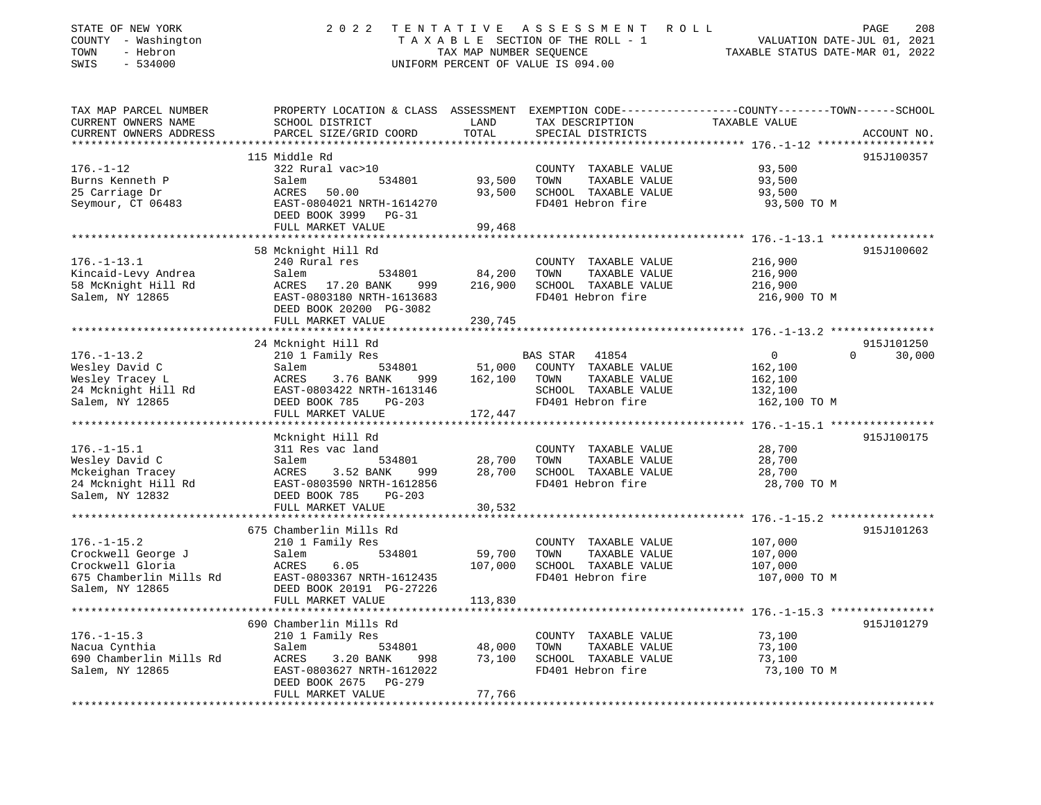| STATE OF NEW YORK<br>COUNTY - Washington<br>TOWN<br>- Hebron<br>$-534000$<br>SWIS | 2 0 2 2                                                                           | TAX MAP NUMBER SEQUENCE | TENTATIVE ASSESSMENT<br>R O L L<br>TAXABLE SECTION OF THE ROLL - 1<br>UNIFORM PERCENT OF VALUE IS 094.00 | 208<br>PAGE<br>VALUATION DATE-JUL 01, 2021<br>TAXABLE STATUS DATE-MAR 01, 2022              |
|-----------------------------------------------------------------------------------|-----------------------------------------------------------------------------------|-------------------------|----------------------------------------------------------------------------------------------------------|---------------------------------------------------------------------------------------------|
| TAX MAP PARCEL NUMBER<br>CURRENT OWNERS NAME<br>CURRENT OWNERS ADDRESS            | PROPERTY LOCATION & CLASS ASSESSMENT<br>SCHOOL DISTRICT<br>PARCEL SIZE/GRID COORD | LAND<br>TOTAL           | TAX DESCRIPTION<br>SPECIAL DISTRICTS                                                                     | EXEMPTION CODE----------------COUNTY-------TOWN------SCHOOL<br>TAXABLE VALUE<br>ACCOUNT NO. |
|                                                                                   | 115 Middle Rd                                                                     |                         |                                                                                                          | 915J100357                                                                                  |
| $176. - 1 - 12$                                                                   | 322 Rural vac>10                                                                  |                         | COUNTY TAXABLE VALUE                                                                                     | 93,500                                                                                      |
| Burns Kenneth P                                                                   | Salem<br>534801                                                                   | 93,500                  | TOWN<br>TAXABLE VALUE                                                                                    | 93,500                                                                                      |
| 25 Carriage Dr                                                                    | ACRES<br>50.00                                                                    | 93,500                  | SCHOOL TAXABLE VALUE                                                                                     | 93,500                                                                                      |
| Seymour, CT 06483                                                                 | EAST-0804021 NRTH-1614270<br>DEED BOOK 3999 PG-31                                 |                         | FD401 Hebron fire                                                                                        | 93,500 TO M                                                                                 |
|                                                                                   | FULL MARKET VALUE<br>********************                                         | 99,468                  |                                                                                                          |                                                                                             |
|                                                                                   | 58 Mcknight Hill Rd                                                               |                         |                                                                                                          | ****************** 176.-1-13.1 *****************<br>915J100602                              |
| $176. - 1 - 13.1$                                                                 | 240 Rural res                                                                     |                         | COUNTY TAXABLE VALUE                                                                                     | 216,900                                                                                     |
| Kincaid-Levy Andrea                                                               | Salem<br>534801                                                                   | 84,200                  | TOWN<br>TAXABLE VALUE                                                                                    | 216,900                                                                                     |
| 58 McKnight Hill Rd                                                               | ACRES<br>17.20 BANK<br>999                                                        | 216,900                 | SCHOOL TAXABLE VALUE                                                                                     | 216,900                                                                                     |
| Salem, NY 12865                                                                   | EAST-0803180 NRTH-1613683<br>DEED BOOK 20200 PG-3082                              |                         | FD401 Hebron fire                                                                                        | 216,900 TO M                                                                                |
|                                                                                   | FULL MARKET VALUE                                                                 | 230,745                 |                                                                                                          |                                                                                             |
|                                                                                   |                                                                                   |                         |                                                                                                          |                                                                                             |
|                                                                                   | 24 Mcknight Hill Rd                                                               |                         |                                                                                                          | 915J101250                                                                                  |
| $176. - 1 - 13.2$                                                                 | 210 1 Family Res                                                                  |                         | <b>BAS STAR</b><br>41854                                                                                 | 30,000<br>$\Omega$<br>$\Omega$                                                              |
| Wesley David C                                                                    | Salem<br>534801                                                                   | 51,000                  | COUNTY TAXABLE VALUE                                                                                     | 162,100                                                                                     |
| Wesley Tracey L<br>24 Mcknight Hill Rd                                            | ACRES<br>3.76 BANK<br>999<br>EAST-0803422 NRTH-1613146                            | 162,100                 | TOWN<br>TAXABLE VALUE<br>SCHOOL TAXABLE VALUE                                                            | 162,100<br>132,100                                                                          |
| Salem, NY 12865                                                                   | DEED BOOK 785<br>$PG-203$                                                         |                         | FD401 Hebron fire                                                                                        | 162,100 TO M                                                                                |
|                                                                                   | FULL MARKET VALUE                                                                 | 172,447                 |                                                                                                          |                                                                                             |
|                                                                                   |                                                                                   |                         |                                                                                                          |                                                                                             |
|                                                                                   | Mcknight Hill Rd                                                                  |                         |                                                                                                          | 915J100175                                                                                  |
| $176. - 1 - 15.1$                                                                 | 311 Res vac land                                                                  |                         | COUNTY TAXABLE VALUE                                                                                     | 28,700                                                                                      |
| Wesley David C                                                                    | Salem<br>534801                                                                   | 28,700                  | TOWN<br>TAXABLE VALUE                                                                                    | 28,700                                                                                      |
| Mckeighan Tracey                                                                  | ACRES<br>3.52 BANK<br>999                                                         | 28,700                  | SCHOOL TAXABLE VALUE                                                                                     | 28,700                                                                                      |
| 24 Mcknight Hill Rd                                                               | EAST-0803590 NRTH-1612856                                                         |                         | FD401 Hebron fire                                                                                        | 28,700 TO M                                                                                 |
| Salem, NY 12832                                                                   | DEED BOOK 785<br>$PG-203$                                                         |                         |                                                                                                          |                                                                                             |
|                                                                                   | FULL MARKET VALUE                                                                 | 30,532                  |                                                                                                          | ************* 176.-1-15.2 **************                                                    |
|                                                                                   | 675 Chamberlin Mills Rd                                                           |                         |                                                                                                          | 915J101263                                                                                  |
| $176. - 1 - 15.2$                                                                 | 210 1 Family Res                                                                  |                         | COUNTY TAXABLE VALUE                                                                                     | 107,000                                                                                     |
| Crockwell George J                                                                | 534801<br>Salem                                                                   | 59,700                  | TOWN<br>TAXABLE VALUE                                                                                    | 107,000                                                                                     |
| Crockwell Gloria                                                                  | <b>ACRES</b><br>6.05                                                              | 107,000                 | SCHOOL TAXABLE VALUE                                                                                     | 107,000                                                                                     |
| 675 Chamberlin Mills Rd                                                           | EAST-0803367 NRTH-1612435                                                         |                         | FD401 Hebron fire                                                                                        | 107,000 TO M                                                                                |
| Salem, NY 12865                                                                   | DEED BOOK 20191 PG-27226                                                          |                         |                                                                                                          |                                                                                             |
|                                                                                   | FULL MARKET VALUE                                                                 | 113,830                 |                                                                                                          |                                                                                             |
|                                                                                   | ***********************                                                           |                         |                                                                                                          |                                                                                             |
|                                                                                   | 690 Chamberlin Mills Rd                                                           |                         |                                                                                                          | 915J101279                                                                                  |
| $176. - 1 - 15.3$<br>Nacua Cynthia                                                | 210 1 Family Res<br>Salem<br>534801                                               | 48,000                  | COUNTY TAXABLE VALUE<br>TOWN<br>TAXABLE VALUE                                                            | 73,100<br>73,100                                                                            |
| 690 Chamberlin Mills Rd                                                           | 3.20 BANK<br>998<br>ACRES                                                         | 73,100                  | SCHOOL TAXABLE VALUE                                                                                     | 73,100                                                                                      |
| Salem, NY 12865                                                                   | EAST-0803627 NRTH-1612022                                                         |                         | FD401 Hebron fire                                                                                        | 73,100 TO M                                                                                 |
|                                                                                   | $PG-279$<br>DEED BOOK 2675                                                        |                         |                                                                                                          |                                                                                             |
|                                                                                   | FULL MARKET VALUE                                                                 | 77,766                  |                                                                                                          |                                                                                             |
|                                                                                   |                                                                                   |                         |                                                                                                          |                                                                                             |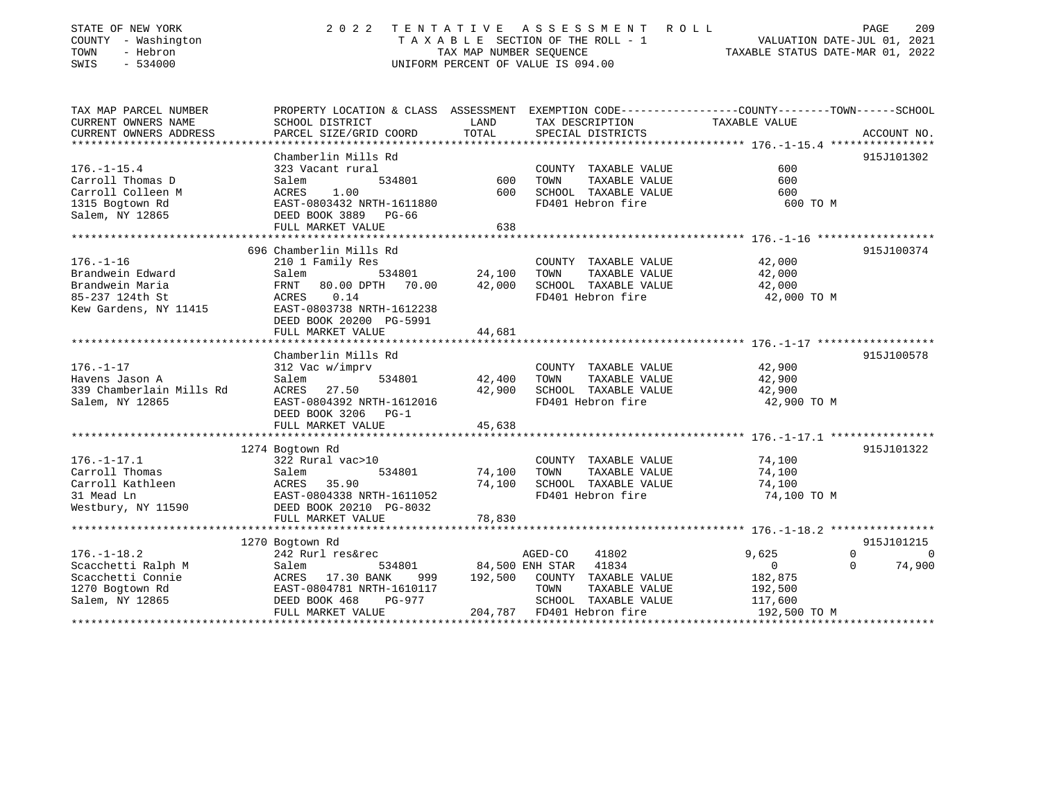| STATE OF NEW YORK<br>COUNTY - Washington<br>TOWN<br>- Hebron<br>SWIS<br>$-534000$ | 2 0 2 2                                                                                         | TENTATIVE<br>TAX MAP NUMBER SEQUENCE | A S S E S S M E N T<br>ROLL<br>TAXABLE SECTION OF THE ROLL - 1<br>UNIFORM PERCENT OF VALUE IS 094.00 | VALUATION DATE-JUL 01, 2021<br>TAXABLE STATUS DATE-MAR 01, 2022 | 209<br>PAGE |
|-----------------------------------------------------------------------------------|-------------------------------------------------------------------------------------------------|--------------------------------------|------------------------------------------------------------------------------------------------------|-----------------------------------------------------------------|-------------|
| TAX MAP PARCEL NUMBER                                                             | PROPERTY LOCATION & CLASS ASSESSMENT EXEMPTION CODE---------------COUNTY-------TOWN------SCHOOL |                                      |                                                                                                      |                                                                 |             |
| CURRENT OWNERS NAME                                                               | SCHOOL DISTRICT                                                                                 | LAND                                 | TAX DESCRIPTION                                                                                      | TAXABLE VALUE                                                   |             |
| CURRENT OWNERS ADDRESS                                                            | PARCEL SIZE/GRID COORD                                                                          | TOTAL                                | SPECIAL DISTRICTS                                                                                    |                                                                 | ACCOUNT NO. |
|                                                                                   | Chamberlin Mills Rd                                                                             |                                      |                                                                                                      |                                                                 | 915J101302  |
| $176. - 1 - 15.4$                                                                 | 323 Vacant rural                                                                                |                                      | COUNTY TAXABLE VALUE                                                                                 | 600                                                             |             |
| Carroll Thomas D                                                                  | 534801<br>Salem                                                                                 | 600                                  | TOWN<br>TAXABLE VALUE                                                                                | 600                                                             |             |
| Carroll Colleen M                                                                 | ACRES<br>1.00                                                                                   | 600                                  | SCHOOL TAXABLE VALUE                                                                                 | 600                                                             |             |
| 1315 Bogtown Rd                                                                   | EAST-0803432 NRTH-1611880                                                                       |                                      | FD401 Hebron fire                                                                                    | 600 TO M                                                        |             |
| Salem, NY 12865                                                                   | DEED BOOK 3889 PG-66                                                                            |                                      |                                                                                                      |                                                                 |             |
|                                                                                   | FULL MARKET VALUE                                                                               | 638                                  |                                                                                                      |                                                                 |             |
|                                                                                   |                                                                                                 |                                      |                                                                                                      |                                                                 |             |
|                                                                                   | 696 Chamberlin Mills Rd                                                                         |                                      |                                                                                                      |                                                                 | 915J100374  |
| $176. - 1 - 16$                                                                   | 210 1 Family Res                                                                                |                                      | COUNTY TAXABLE VALUE                                                                                 | 42,000                                                          |             |
| Brandwein Edward                                                                  | Salem<br>534801                                                                                 | 24,100                               | TOWN<br>TAXABLE VALUE                                                                                | 42,000                                                          |             |
| Brandwein Maria                                                                   | <b>FRNT</b><br>80.00 DPTH 70.00                                                                 | 42,000                               | SCHOOL TAXABLE VALUE                                                                                 | 42,000                                                          |             |
| 85-237 124th St                                                                   | 0.14<br>ACRES                                                                                   |                                      | FD401 Hebron fire                                                                                    | 42,000 TO M                                                     |             |
| Kew Gardens, NY 11415                                                             | EAST-0803738 NRTH-1612238                                                                       |                                      |                                                                                                      |                                                                 |             |
|                                                                                   | DEED BOOK 20200 PG-5991<br>FULL MARKET VALUE                                                    | 44,681                               |                                                                                                      |                                                                 |             |
|                                                                                   |                                                                                                 |                                      |                                                                                                      |                                                                 |             |
|                                                                                   | Chamberlin Mills Rd                                                                             |                                      |                                                                                                      |                                                                 | 915J100578  |
| $176. - 1 - 17$                                                                   | 312 Vac w/imprv                                                                                 |                                      | COUNTY TAXABLE VALUE                                                                                 | 42,900                                                          |             |
| Havens Jason A                                                                    | Salem<br>534801                                                                                 | 42,400                               | TAXABLE VALUE<br>TOWN                                                                                | 42,900                                                          |             |
| 339 Chamberlain Mills Rd                                                          | 27.50<br>ACRES                                                                                  | 42,900                               | SCHOOL TAXABLE VALUE                                                                                 | 42,900                                                          |             |
| Salem, NY 12865                                                                   | EAST-0804392 NRTH-1612016                                                                       |                                      | FD401 Hebron fire                                                                                    | 42,900 TO M                                                     |             |
|                                                                                   | DEED BOOK 3206 PG-1                                                                             |                                      |                                                                                                      |                                                                 |             |
|                                                                                   | FULL MARKET VALUE                                                                               | 45,638                               |                                                                                                      |                                                                 |             |
|                                                                                   | **********************                                                                          |                                      |                                                                                                      | ****************** 176.-1-17.1 ****************                 |             |
|                                                                                   | 1274 Bogtown Rd                                                                                 |                                      |                                                                                                      |                                                                 | 915J101322  |
| $176. - 1 - 17.1$                                                                 | 322 Rural vac>10                                                                                |                                      | COUNTY TAXABLE VALUE                                                                                 | 74,100                                                          |             |
| Carroll Thomas                                                                    | 534801<br>Salem                                                                                 | 74,100                               | TAXABLE VALUE<br>TOWN                                                                                | 74,100                                                          |             |
| Carroll Kathleen                                                                  | 35.90<br>ACRES                                                                                  | 74,100                               | SCHOOL TAXABLE VALUE<br>FD401 Hebron fire                                                            | 74,100                                                          |             |
| 31 Mead Ln                                                                        | EAST-0804338 NRTH-1611052<br>DEED BOOK 20210 PG-8032                                            |                                      |                                                                                                      | 74,100 TO M                                                     |             |
| Westbury, NY 11590                                                                | FULL MARKET VALUE                                                                               | 78,830                               |                                                                                                      |                                                                 |             |
|                                                                                   | ************************                                                                        |                                      |                                                                                                      |                                                                 |             |
|                                                                                   | 1270 Bogtown Rd                                                                                 |                                      |                                                                                                      |                                                                 | 915J101215  |
| $176. - 1 - 18.2$                                                                 | 242 Rurl res&rec                                                                                |                                      | AGED-CO<br>41802                                                                                     | $\mathbf 0$<br>9,625                                            | $\Omega$    |
| Scacchetti Ralph M                                                                | Salem<br>534801                                                                                 |                                      | 41834<br>84,500 ENH STAR                                                                             | $\Omega$<br>$\mathbf{0}$                                        | 74,900      |
| Scacchetti Connie                                                                 | ACRES<br>17.30 BANK<br>999                                                                      | 192,500                              | COUNTY TAXABLE VALUE                                                                                 | 182,875                                                         |             |
| 1270 Bogtown Rd                                                                   | EAST-0804781 NRTH-1610117                                                                       |                                      | TOWN<br>TAXABLE VALUE                                                                                | 192,500                                                         |             |
| Salem, NY 12865                                                                   | DEED BOOK 468<br><b>PG-977</b>                                                                  |                                      | SCHOOL TAXABLE VALUE                                                                                 | 117,600                                                         |             |
|                                                                                   | FULL MARKET VALUE                                                                               | 204,787                              | FD401 Hebron fire                                                                                    | 192,500 TO M                                                    |             |

\*\*\*\*\*\*\*\*\*\*\*\*\*\*\*\*\*\*\*\*\*\*\*\*\*\*\*\*\*\*\*\*\*\*\*\*\*\*\*\*\*\*\*\*\*\*\*\*\*\*\*\*\*\*\*\*\*\*\*\*\*\*\*\*\*\*\*\*\*\*\*\*\*\*\*\*\*\*\*\*\*\*\*\*\*\*\*\*\*\*\*\*\*\*\*\*\*\*\*\*\*\*\*\*\*\*\*\*\*\*\*\*\*\*\*\*\*\*\*\*\*\*\*\*\*\*\*\*\*\*\*\*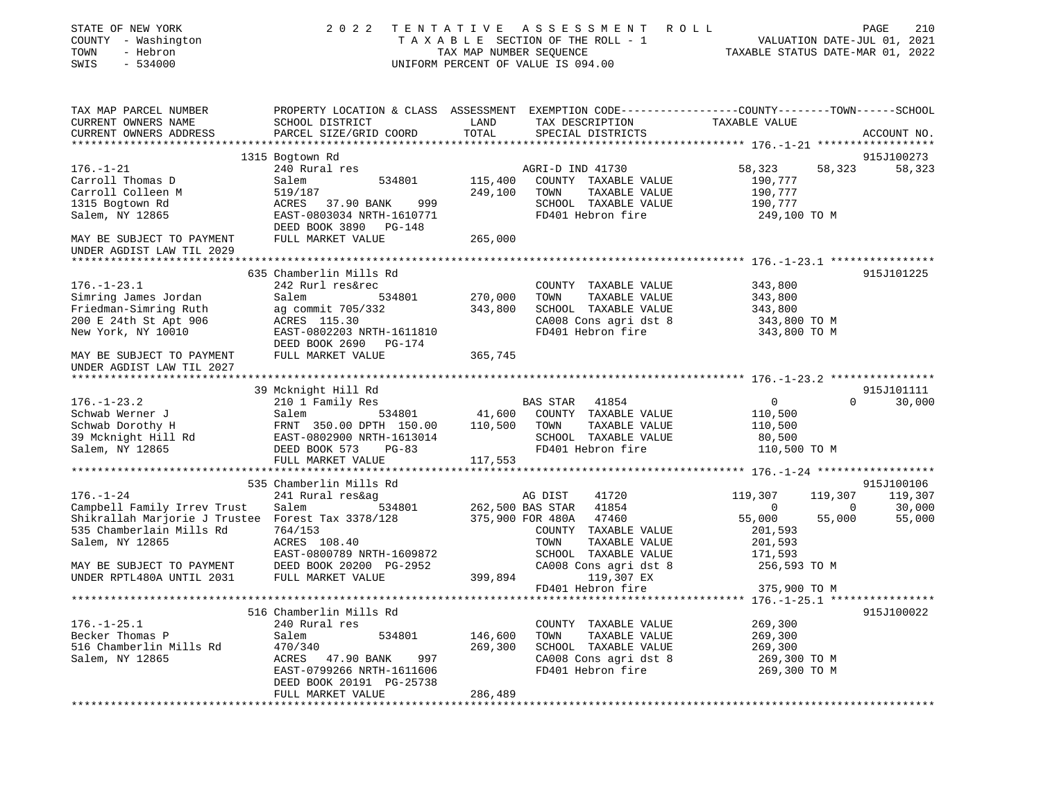| PROPERTY LOCATION & CLASS ASSESSMENT EXEMPTION CODE---------------COUNTY-------TOWN------SCHOOL<br>TAX MAP PARCEL NUMBER<br>CURRENT OWNERS NAME<br>SCHOOL DISTRICT<br>LAND<br>TAX DESCRIPTION<br>TAXABLE VALUE<br>TOTAL<br>CURRENT OWNERS ADDRESS<br>PARCEL SIZE/GRID COORD<br>SPECIAL DISTRICTS<br>ACCOUNT NO.<br>1315 Bogtown Rd<br>915J100273<br>$176. - 1 - 21$<br>240 Rural res<br>58,323<br>58,323<br>AGRI-D IND 41730<br>58,323<br>Carroll Thomas D<br>115,400<br>COUNTY TAXABLE VALUE<br>190,777<br>Salem<br>534801<br>Carroll Colleen M<br>519/187<br>249,100<br>TOWN<br>TAXABLE VALUE<br>190,777<br>1315 Bogtown Rd<br>ACRES<br>37.90 BANK<br>SCHOOL TAXABLE VALUE<br>190,777<br>999<br>Salem, NY 12865<br>EAST-0803034 NRTH-1610771<br>FD401 Hebron fire<br>249,100 TO M<br>DEED BOOK 3890 PG-148<br>FULL MARKET VALUE<br>265,000<br>MAY BE SUBJECT TO PAYMENT<br>UNDER AGDIST LAW TIL 2029<br>635 Chamberlin Mills Rd<br>915J101225<br>$176. - 1 - 23.1$<br>242 Rurl res&rec<br>COUNTY TAXABLE VALUE<br>343,800<br>270,000<br>Simring James Jordan<br>Salem<br>534801<br>TOWN<br>TAXABLE VALUE<br>343,800<br>Friedman-Simring Ruth<br>343,800<br>SCHOOL TAXABLE VALUE<br>ag commit 705/332<br>343,800<br>200 E 24th St Apt 906<br>CA008 Cons agri dst 8<br>ACRES 115.30<br>343,800 TO M<br>New York, NY 10010<br>EAST-0802203 NRTH-1611810<br>FD401 Hebron fire<br>343,800 TO M<br>DEED BOOK 2690 PG-174<br>FULL MARKET VALUE<br>365,745<br>MAY BE SUBJECT TO PAYMENT<br>UNDER AGDIST LAW TIL 2027<br>39 Mcknight Hill Rd<br>915J101111<br>210 1 Family Res<br>$\Omega$<br>30,000<br>$176. - 1 - 23.2$<br>BAS STAR<br>41854<br>$\overline{0}$<br>Schwab Werner J<br>COUNTY TAXABLE VALUE<br>Salem<br>534801<br>41,600<br>110,500<br>Schwab Dorothy H<br>110,500<br>TAXABLE VALUE<br>FRNT 350.00 DPTH 150.00<br>TOWN<br>110,500<br>SCHOOL TAXABLE VALUE<br>39 Mcknight Hill Rd<br>EAST-0802900 NRTH-1613014<br>80,500<br>FD401 Hebron fire<br>Salem, NY 12865<br>110,500 TO M<br>DEED BOOK 573<br>$PG-83$<br>FULL MARKET VALUE<br>117,553<br>535 Chamberlin Mills Rd<br>915J100106<br>$176. - 1 - 24$<br>241 Rural res&ag<br>119,307<br>119,307<br>AG DIST<br>41720<br>119,307<br>Campbell Family Irrev Trust<br>Salem<br>534801<br>262,500 BAS STAR<br>41854<br>$\mathbf 0$<br>30,000<br>$\overline{0}$<br>Shikrallah Marjorie J Trustee Forest Tax 3378/128<br>375,900 FOR 480A<br>55,000<br>47460<br>55,000<br>55,000<br>535 Chamberlain Mills Rd<br>764/153<br>COUNTY TAXABLE VALUE<br>201,593<br>Salem, NY 12865<br>ACRES 108.40<br>TOWN<br>TAXABLE VALUE<br>201,593<br>EAST-0800789 NRTH-1609872<br>SCHOOL TAXABLE VALUE<br>171,593<br>MAY BE SUBJECT TO PAYMENT<br>DEED BOOK 20200 PG-2952<br>CA008 Cons agri dst 8<br>256,593 TO M<br>FULL MARKET VALUE<br>399,894<br>119,307 EX<br>UNDER RPTL480A UNTIL 2031<br>FD401 Hebron fire<br>375,900 TO M<br>516 Chamberlin Mills Rd<br>915J100022<br>$176. - 1 - 25.1$<br>269,300<br>240 Rural res<br>COUNTY TAXABLE VALUE<br>Becker Thomas P<br>Salem<br>534801<br>146,600<br>269,300<br>TOWN<br>TAXABLE VALUE<br>516 Chamberlin Mills Rd<br>470/340<br>269,300<br>SCHOOL TAXABLE VALUE<br>269,300<br>Salem, NY 12865<br>47.90 BANK<br>CA008 Cons agri dst 8<br>269,300 TO M<br>ACRES<br>997<br>EAST-0799266 NRTH-1611606<br>FD401 Hebron fire<br>269,300 TO M<br>DEED BOOK 20191 PG-25738<br>FULL MARKET VALUE<br>286,489 | STATE OF NEW YORK<br>COUNTY - Washington<br>TOWN<br>- Hebron<br>SWIS<br>$-534000$ | 2 0 2 2<br>TENTATIVE ASSESSMENT<br>R O L L<br>TAXABLE SECTION OF THE ROLL - 1<br>TAX MAP NUMBER SEQUENCE<br>UNIFORM PERCENT OF VALUE IS 094.00 |  |  | TAXABLE STATUS DATE-MAR 01, 2022 | 210<br>PAGE<br>VALUATION DATE-JUL 01, 2021 |
|------------------------------------------------------------------------------------------------------------------------------------------------------------------------------------------------------------------------------------------------------------------------------------------------------------------------------------------------------------------------------------------------------------------------------------------------------------------------------------------------------------------------------------------------------------------------------------------------------------------------------------------------------------------------------------------------------------------------------------------------------------------------------------------------------------------------------------------------------------------------------------------------------------------------------------------------------------------------------------------------------------------------------------------------------------------------------------------------------------------------------------------------------------------------------------------------------------------------------------------------------------------------------------------------------------------------------------------------------------------------------------------------------------------------------------------------------------------------------------------------------------------------------------------------------------------------------------------------------------------------------------------------------------------------------------------------------------------------------------------------------------------------------------------------------------------------------------------------------------------------------------------------------------------------------------------------------------------------------------------------------------------------------------------------------------------------------------------------------------------------------------------------------------------------------------------------------------------------------------------------------------------------------------------------------------------------------------------------------------------------------------------------------------------------------------------------------------------------------------------------------------------------------------------------------------------------------------------------------------------------------------------------------------------------------------------------------------------------------------------------------------------------------------------------------------------------------------------------------------------------------------------------------------------------------------------------------------------------------------------------------------------------------------------------------------------------------------------------------------------------------------------------------------------------------------------------------------------------------------------------------------------------------------------------------------------------------------------------------------------------------------------|-----------------------------------------------------------------------------------|------------------------------------------------------------------------------------------------------------------------------------------------|--|--|----------------------------------|--------------------------------------------|
|                                                                                                                                                                                                                                                                                                                                                                                                                                                                                                                                                                                                                                                                                                                                                                                                                                                                                                                                                                                                                                                                                                                                                                                                                                                                                                                                                                                                                                                                                                                                                                                                                                                                                                                                                                                                                                                                                                                                                                                                                                                                                                                                                                                                                                                                                                                                                                                                                                                                                                                                                                                                                                                                                                                                                                                                                                                                                                                                                                                                                                                                                                                                                                                                                                                                                                                                                                                          |                                                                                   |                                                                                                                                                |  |  |                                  |                                            |
|                                                                                                                                                                                                                                                                                                                                                                                                                                                                                                                                                                                                                                                                                                                                                                                                                                                                                                                                                                                                                                                                                                                                                                                                                                                                                                                                                                                                                                                                                                                                                                                                                                                                                                                                                                                                                                                                                                                                                                                                                                                                                                                                                                                                                                                                                                                                                                                                                                                                                                                                                                                                                                                                                                                                                                                                                                                                                                                                                                                                                                                                                                                                                                                                                                                                                                                                                                                          |                                                                                   |                                                                                                                                                |  |  |                                  |                                            |
|                                                                                                                                                                                                                                                                                                                                                                                                                                                                                                                                                                                                                                                                                                                                                                                                                                                                                                                                                                                                                                                                                                                                                                                                                                                                                                                                                                                                                                                                                                                                                                                                                                                                                                                                                                                                                                                                                                                                                                                                                                                                                                                                                                                                                                                                                                                                                                                                                                                                                                                                                                                                                                                                                                                                                                                                                                                                                                                                                                                                                                                                                                                                                                                                                                                                                                                                                                                          |                                                                                   |                                                                                                                                                |  |  |                                  |                                            |
|                                                                                                                                                                                                                                                                                                                                                                                                                                                                                                                                                                                                                                                                                                                                                                                                                                                                                                                                                                                                                                                                                                                                                                                                                                                                                                                                                                                                                                                                                                                                                                                                                                                                                                                                                                                                                                                                                                                                                                                                                                                                                                                                                                                                                                                                                                                                                                                                                                                                                                                                                                                                                                                                                                                                                                                                                                                                                                                                                                                                                                                                                                                                                                                                                                                                                                                                                                                          |                                                                                   |                                                                                                                                                |  |  |                                  |                                            |
|                                                                                                                                                                                                                                                                                                                                                                                                                                                                                                                                                                                                                                                                                                                                                                                                                                                                                                                                                                                                                                                                                                                                                                                                                                                                                                                                                                                                                                                                                                                                                                                                                                                                                                                                                                                                                                                                                                                                                                                                                                                                                                                                                                                                                                                                                                                                                                                                                                                                                                                                                                                                                                                                                                                                                                                                                                                                                                                                                                                                                                                                                                                                                                                                                                                                                                                                                                                          |                                                                                   |                                                                                                                                                |  |  |                                  |                                            |
|                                                                                                                                                                                                                                                                                                                                                                                                                                                                                                                                                                                                                                                                                                                                                                                                                                                                                                                                                                                                                                                                                                                                                                                                                                                                                                                                                                                                                                                                                                                                                                                                                                                                                                                                                                                                                                                                                                                                                                                                                                                                                                                                                                                                                                                                                                                                                                                                                                                                                                                                                                                                                                                                                                                                                                                                                                                                                                                                                                                                                                                                                                                                                                                                                                                                                                                                                                                          |                                                                                   |                                                                                                                                                |  |  |                                  |                                            |
|                                                                                                                                                                                                                                                                                                                                                                                                                                                                                                                                                                                                                                                                                                                                                                                                                                                                                                                                                                                                                                                                                                                                                                                                                                                                                                                                                                                                                                                                                                                                                                                                                                                                                                                                                                                                                                                                                                                                                                                                                                                                                                                                                                                                                                                                                                                                                                                                                                                                                                                                                                                                                                                                                                                                                                                                                                                                                                                                                                                                                                                                                                                                                                                                                                                                                                                                                                                          |                                                                                   |                                                                                                                                                |  |  |                                  |                                            |
|                                                                                                                                                                                                                                                                                                                                                                                                                                                                                                                                                                                                                                                                                                                                                                                                                                                                                                                                                                                                                                                                                                                                                                                                                                                                                                                                                                                                                                                                                                                                                                                                                                                                                                                                                                                                                                                                                                                                                                                                                                                                                                                                                                                                                                                                                                                                                                                                                                                                                                                                                                                                                                                                                                                                                                                                                                                                                                                                                                                                                                                                                                                                                                                                                                                                                                                                                                                          |                                                                                   |                                                                                                                                                |  |  |                                  |                                            |
|                                                                                                                                                                                                                                                                                                                                                                                                                                                                                                                                                                                                                                                                                                                                                                                                                                                                                                                                                                                                                                                                                                                                                                                                                                                                                                                                                                                                                                                                                                                                                                                                                                                                                                                                                                                                                                                                                                                                                                                                                                                                                                                                                                                                                                                                                                                                                                                                                                                                                                                                                                                                                                                                                                                                                                                                                                                                                                                                                                                                                                                                                                                                                                                                                                                                                                                                                                                          |                                                                                   |                                                                                                                                                |  |  |                                  |                                            |
|                                                                                                                                                                                                                                                                                                                                                                                                                                                                                                                                                                                                                                                                                                                                                                                                                                                                                                                                                                                                                                                                                                                                                                                                                                                                                                                                                                                                                                                                                                                                                                                                                                                                                                                                                                                                                                                                                                                                                                                                                                                                                                                                                                                                                                                                                                                                                                                                                                                                                                                                                                                                                                                                                                                                                                                                                                                                                                                                                                                                                                                                                                                                                                                                                                                                                                                                                                                          |                                                                                   |                                                                                                                                                |  |  |                                  |                                            |
|                                                                                                                                                                                                                                                                                                                                                                                                                                                                                                                                                                                                                                                                                                                                                                                                                                                                                                                                                                                                                                                                                                                                                                                                                                                                                                                                                                                                                                                                                                                                                                                                                                                                                                                                                                                                                                                                                                                                                                                                                                                                                                                                                                                                                                                                                                                                                                                                                                                                                                                                                                                                                                                                                                                                                                                                                                                                                                                                                                                                                                                                                                                                                                                                                                                                                                                                                                                          |                                                                                   |                                                                                                                                                |  |  |                                  |                                            |
|                                                                                                                                                                                                                                                                                                                                                                                                                                                                                                                                                                                                                                                                                                                                                                                                                                                                                                                                                                                                                                                                                                                                                                                                                                                                                                                                                                                                                                                                                                                                                                                                                                                                                                                                                                                                                                                                                                                                                                                                                                                                                                                                                                                                                                                                                                                                                                                                                                                                                                                                                                                                                                                                                                                                                                                                                                                                                                                                                                                                                                                                                                                                                                                                                                                                                                                                                                                          |                                                                                   |                                                                                                                                                |  |  |                                  |                                            |
|                                                                                                                                                                                                                                                                                                                                                                                                                                                                                                                                                                                                                                                                                                                                                                                                                                                                                                                                                                                                                                                                                                                                                                                                                                                                                                                                                                                                                                                                                                                                                                                                                                                                                                                                                                                                                                                                                                                                                                                                                                                                                                                                                                                                                                                                                                                                                                                                                                                                                                                                                                                                                                                                                                                                                                                                                                                                                                                                                                                                                                                                                                                                                                                                                                                                                                                                                                                          |                                                                                   |                                                                                                                                                |  |  |                                  |                                            |
|                                                                                                                                                                                                                                                                                                                                                                                                                                                                                                                                                                                                                                                                                                                                                                                                                                                                                                                                                                                                                                                                                                                                                                                                                                                                                                                                                                                                                                                                                                                                                                                                                                                                                                                                                                                                                                                                                                                                                                                                                                                                                                                                                                                                                                                                                                                                                                                                                                                                                                                                                                                                                                                                                                                                                                                                                                                                                                                                                                                                                                                                                                                                                                                                                                                                                                                                                                                          |                                                                                   |                                                                                                                                                |  |  |                                  |                                            |
|                                                                                                                                                                                                                                                                                                                                                                                                                                                                                                                                                                                                                                                                                                                                                                                                                                                                                                                                                                                                                                                                                                                                                                                                                                                                                                                                                                                                                                                                                                                                                                                                                                                                                                                                                                                                                                                                                                                                                                                                                                                                                                                                                                                                                                                                                                                                                                                                                                                                                                                                                                                                                                                                                                                                                                                                                                                                                                                                                                                                                                                                                                                                                                                                                                                                                                                                                                                          |                                                                                   |                                                                                                                                                |  |  |                                  |                                            |
|                                                                                                                                                                                                                                                                                                                                                                                                                                                                                                                                                                                                                                                                                                                                                                                                                                                                                                                                                                                                                                                                                                                                                                                                                                                                                                                                                                                                                                                                                                                                                                                                                                                                                                                                                                                                                                                                                                                                                                                                                                                                                                                                                                                                                                                                                                                                                                                                                                                                                                                                                                                                                                                                                                                                                                                                                                                                                                                                                                                                                                                                                                                                                                                                                                                                                                                                                                                          |                                                                                   |                                                                                                                                                |  |  |                                  |                                            |
|                                                                                                                                                                                                                                                                                                                                                                                                                                                                                                                                                                                                                                                                                                                                                                                                                                                                                                                                                                                                                                                                                                                                                                                                                                                                                                                                                                                                                                                                                                                                                                                                                                                                                                                                                                                                                                                                                                                                                                                                                                                                                                                                                                                                                                                                                                                                                                                                                                                                                                                                                                                                                                                                                                                                                                                                                                                                                                                                                                                                                                                                                                                                                                                                                                                                                                                                                                                          |                                                                                   |                                                                                                                                                |  |  |                                  |                                            |
|                                                                                                                                                                                                                                                                                                                                                                                                                                                                                                                                                                                                                                                                                                                                                                                                                                                                                                                                                                                                                                                                                                                                                                                                                                                                                                                                                                                                                                                                                                                                                                                                                                                                                                                                                                                                                                                                                                                                                                                                                                                                                                                                                                                                                                                                                                                                                                                                                                                                                                                                                                                                                                                                                                                                                                                                                                                                                                                                                                                                                                                                                                                                                                                                                                                                                                                                                                                          |                                                                                   |                                                                                                                                                |  |  |                                  |                                            |
|                                                                                                                                                                                                                                                                                                                                                                                                                                                                                                                                                                                                                                                                                                                                                                                                                                                                                                                                                                                                                                                                                                                                                                                                                                                                                                                                                                                                                                                                                                                                                                                                                                                                                                                                                                                                                                                                                                                                                                                                                                                                                                                                                                                                                                                                                                                                                                                                                                                                                                                                                                                                                                                                                                                                                                                                                                                                                                                                                                                                                                                                                                                                                                                                                                                                                                                                                                                          |                                                                                   |                                                                                                                                                |  |  |                                  |                                            |
|                                                                                                                                                                                                                                                                                                                                                                                                                                                                                                                                                                                                                                                                                                                                                                                                                                                                                                                                                                                                                                                                                                                                                                                                                                                                                                                                                                                                                                                                                                                                                                                                                                                                                                                                                                                                                                                                                                                                                                                                                                                                                                                                                                                                                                                                                                                                                                                                                                                                                                                                                                                                                                                                                                                                                                                                                                                                                                                                                                                                                                                                                                                                                                                                                                                                                                                                                                                          |                                                                                   |                                                                                                                                                |  |  |                                  |                                            |
|                                                                                                                                                                                                                                                                                                                                                                                                                                                                                                                                                                                                                                                                                                                                                                                                                                                                                                                                                                                                                                                                                                                                                                                                                                                                                                                                                                                                                                                                                                                                                                                                                                                                                                                                                                                                                                                                                                                                                                                                                                                                                                                                                                                                                                                                                                                                                                                                                                                                                                                                                                                                                                                                                                                                                                                                                                                                                                                                                                                                                                                                                                                                                                                                                                                                                                                                                                                          |                                                                                   |                                                                                                                                                |  |  |                                  |                                            |
|                                                                                                                                                                                                                                                                                                                                                                                                                                                                                                                                                                                                                                                                                                                                                                                                                                                                                                                                                                                                                                                                                                                                                                                                                                                                                                                                                                                                                                                                                                                                                                                                                                                                                                                                                                                                                                                                                                                                                                                                                                                                                                                                                                                                                                                                                                                                                                                                                                                                                                                                                                                                                                                                                                                                                                                                                                                                                                                                                                                                                                                                                                                                                                                                                                                                                                                                                                                          |                                                                                   |                                                                                                                                                |  |  |                                  |                                            |
|                                                                                                                                                                                                                                                                                                                                                                                                                                                                                                                                                                                                                                                                                                                                                                                                                                                                                                                                                                                                                                                                                                                                                                                                                                                                                                                                                                                                                                                                                                                                                                                                                                                                                                                                                                                                                                                                                                                                                                                                                                                                                                                                                                                                                                                                                                                                                                                                                                                                                                                                                                                                                                                                                                                                                                                                                                                                                                                                                                                                                                                                                                                                                                                                                                                                                                                                                                                          |                                                                                   |                                                                                                                                                |  |  |                                  |                                            |
|                                                                                                                                                                                                                                                                                                                                                                                                                                                                                                                                                                                                                                                                                                                                                                                                                                                                                                                                                                                                                                                                                                                                                                                                                                                                                                                                                                                                                                                                                                                                                                                                                                                                                                                                                                                                                                                                                                                                                                                                                                                                                                                                                                                                                                                                                                                                                                                                                                                                                                                                                                                                                                                                                                                                                                                                                                                                                                                                                                                                                                                                                                                                                                                                                                                                                                                                                                                          |                                                                                   |                                                                                                                                                |  |  |                                  |                                            |
|                                                                                                                                                                                                                                                                                                                                                                                                                                                                                                                                                                                                                                                                                                                                                                                                                                                                                                                                                                                                                                                                                                                                                                                                                                                                                                                                                                                                                                                                                                                                                                                                                                                                                                                                                                                                                                                                                                                                                                                                                                                                                                                                                                                                                                                                                                                                                                                                                                                                                                                                                                                                                                                                                                                                                                                                                                                                                                                                                                                                                                                                                                                                                                                                                                                                                                                                                                                          |                                                                                   |                                                                                                                                                |  |  |                                  |                                            |
|                                                                                                                                                                                                                                                                                                                                                                                                                                                                                                                                                                                                                                                                                                                                                                                                                                                                                                                                                                                                                                                                                                                                                                                                                                                                                                                                                                                                                                                                                                                                                                                                                                                                                                                                                                                                                                                                                                                                                                                                                                                                                                                                                                                                                                                                                                                                                                                                                                                                                                                                                                                                                                                                                                                                                                                                                                                                                                                                                                                                                                                                                                                                                                                                                                                                                                                                                                                          |                                                                                   |                                                                                                                                                |  |  |                                  |                                            |
|                                                                                                                                                                                                                                                                                                                                                                                                                                                                                                                                                                                                                                                                                                                                                                                                                                                                                                                                                                                                                                                                                                                                                                                                                                                                                                                                                                                                                                                                                                                                                                                                                                                                                                                                                                                                                                                                                                                                                                                                                                                                                                                                                                                                                                                                                                                                                                                                                                                                                                                                                                                                                                                                                                                                                                                                                                                                                                                                                                                                                                                                                                                                                                                                                                                                                                                                                                                          |                                                                                   |                                                                                                                                                |  |  |                                  |                                            |
|                                                                                                                                                                                                                                                                                                                                                                                                                                                                                                                                                                                                                                                                                                                                                                                                                                                                                                                                                                                                                                                                                                                                                                                                                                                                                                                                                                                                                                                                                                                                                                                                                                                                                                                                                                                                                                                                                                                                                                                                                                                                                                                                                                                                                                                                                                                                                                                                                                                                                                                                                                                                                                                                                                                                                                                                                                                                                                                                                                                                                                                                                                                                                                                                                                                                                                                                                                                          |                                                                                   |                                                                                                                                                |  |  |                                  |                                            |
|                                                                                                                                                                                                                                                                                                                                                                                                                                                                                                                                                                                                                                                                                                                                                                                                                                                                                                                                                                                                                                                                                                                                                                                                                                                                                                                                                                                                                                                                                                                                                                                                                                                                                                                                                                                                                                                                                                                                                                                                                                                                                                                                                                                                                                                                                                                                                                                                                                                                                                                                                                                                                                                                                                                                                                                                                                                                                                                                                                                                                                                                                                                                                                                                                                                                                                                                                                                          |                                                                                   |                                                                                                                                                |  |  |                                  |                                            |
|                                                                                                                                                                                                                                                                                                                                                                                                                                                                                                                                                                                                                                                                                                                                                                                                                                                                                                                                                                                                                                                                                                                                                                                                                                                                                                                                                                                                                                                                                                                                                                                                                                                                                                                                                                                                                                                                                                                                                                                                                                                                                                                                                                                                                                                                                                                                                                                                                                                                                                                                                                                                                                                                                                                                                                                                                                                                                                                                                                                                                                                                                                                                                                                                                                                                                                                                                                                          |                                                                                   |                                                                                                                                                |  |  |                                  |                                            |
|                                                                                                                                                                                                                                                                                                                                                                                                                                                                                                                                                                                                                                                                                                                                                                                                                                                                                                                                                                                                                                                                                                                                                                                                                                                                                                                                                                                                                                                                                                                                                                                                                                                                                                                                                                                                                                                                                                                                                                                                                                                                                                                                                                                                                                                                                                                                                                                                                                                                                                                                                                                                                                                                                                                                                                                                                                                                                                                                                                                                                                                                                                                                                                                                                                                                                                                                                                                          |                                                                                   |                                                                                                                                                |  |  |                                  |                                            |
|                                                                                                                                                                                                                                                                                                                                                                                                                                                                                                                                                                                                                                                                                                                                                                                                                                                                                                                                                                                                                                                                                                                                                                                                                                                                                                                                                                                                                                                                                                                                                                                                                                                                                                                                                                                                                                                                                                                                                                                                                                                                                                                                                                                                                                                                                                                                                                                                                                                                                                                                                                                                                                                                                                                                                                                                                                                                                                                                                                                                                                                                                                                                                                                                                                                                                                                                                                                          |                                                                                   |                                                                                                                                                |  |  |                                  |                                            |
|                                                                                                                                                                                                                                                                                                                                                                                                                                                                                                                                                                                                                                                                                                                                                                                                                                                                                                                                                                                                                                                                                                                                                                                                                                                                                                                                                                                                                                                                                                                                                                                                                                                                                                                                                                                                                                                                                                                                                                                                                                                                                                                                                                                                                                                                                                                                                                                                                                                                                                                                                                                                                                                                                                                                                                                                                                                                                                                                                                                                                                                                                                                                                                                                                                                                                                                                                                                          |                                                                                   |                                                                                                                                                |  |  |                                  |                                            |
|                                                                                                                                                                                                                                                                                                                                                                                                                                                                                                                                                                                                                                                                                                                                                                                                                                                                                                                                                                                                                                                                                                                                                                                                                                                                                                                                                                                                                                                                                                                                                                                                                                                                                                                                                                                                                                                                                                                                                                                                                                                                                                                                                                                                                                                                                                                                                                                                                                                                                                                                                                                                                                                                                                                                                                                                                                                                                                                                                                                                                                                                                                                                                                                                                                                                                                                                                                                          |                                                                                   |                                                                                                                                                |  |  |                                  |                                            |
|                                                                                                                                                                                                                                                                                                                                                                                                                                                                                                                                                                                                                                                                                                                                                                                                                                                                                                                                                                                                                                                                                                                                                                                                                                                                                                                                                                                                                                                                                                                                                                                                                                                                                                                                                                                                                                                                                                                                                                                                                                                                                                                                                                                                                                                                                                                                                                                                                                                                                                                                                                                                                                                                                                                                                                                                                                                                                                                                                                                                                                                                                                                                                                                                                                                                                                                                                                                          |                                                                                   |                                                                                                                                                |  |  |                                  |                                            |
|                                                                                                                                                                                                                                                                                                                                                                                                                                                                                                                                                                                                                                                                                                                                                                                                                                                                                                                                                                                                                                                                                                                                                                                                                                                                                                                                                                                                                                                                                                                                                                                                                                                                                                                                                                                                                                                                                                                                                                                                                                                                                                                                                                                                                                                                                                                                                                                                                                                                                                                                                                                                                                                                                                                                                                                                                                                                                                                                                                                                                                                                                                                                                                                                                                                                                                                                                                                          |                                                                                   |                                                                                                                                                |  |  |                                  |                                            |
|                                                                                                                                                                                                                                                                                                                                                                                                                                                                                                                                                                                                                                                                                                                                                                                                                                                                                                                                                                                                                                                                                                                                                                                                                                                                                                                                                                                                                                                                                                                                                                                                                                                                                                                                                                                                                                                                                                                                                                                                                                                                                                                                                                                                                                                                                                                                                                                                                                                                                                                                                                                                                                                                                                                                                                                                                                                                                                                                                                                                                                                                                                                                                                                                                                                                                                                                                                                          |                                                                                   |                                                                                                                                                |  |  |                                  |                                            |
|                                                                                                                                                                                                                                                                                                                                                                                                                                                                                                                                                                                                                                                                                                                                                                                                                                                                                                                                                                                                                                                                                                                                                                                                                                                                                                                                                                                                                                                                                                                                                                                                                                                                                                                                                                                                                                                                                                                                                                                                                                                                                                                                                                                                                                                                                                                                                                                                                                                                                                                                                                                                                                                                                                                                                                                                                                                                                                                                                                                                                                                                                                                                                                                                                                                                                                                                                                                          |                                                                                   |                                                                                                                                                |  |  |                                  |                                            |
|                                                                                                                                                                                                                                                                                                                                                                                                                                                                                                                                                                                                                                                                                                                                                                                                                                                                                                                                                                                                                                                                                                                                                                                                                                                                                                                                                                                                                                                                                                                                                                                                                                                                                                                                                                                                                                                                                                                                                                                                                                                                                                                                                                                                                                                                                                                                                                                                                                                                                                                                                                                                                                                                                                                                                                                                                                                                                                                                                                                                                                                                                                                                                                                                                                                                                                                                                                                          |                                                                                   |                                                                                                                                                |  |  |                                  |                                            |
|                                                                                                                                                                                                                                                                                                                                                                                                                                                                                                                                                                                                                                                                                                                                                                                                                                                                                                                                                                                                                                                                                                                                                                                                                                                                                                                                                                                                                                                                                                                                                                                                                                                                                                                                                                                                                                                                                                                                                                                                                                                                                                                                                                                                                                                                                                                                                                                                                                                                                                                                                                                                                                                                                                                                                                                                                                                                                                                                                                                                                                                                                                                                                                                                                                                                                                                                                                                          |                                                                                   |                                                                                                                                                |  |  |                                  |                                            |
|                                                                                                                                                                                                                                                                                                                                                                                                                                                                                                                                                                                                                                                                                                                                                                                                                                                                                                                                                                                                                                                                                                                                                                                                                                                                                                                                                                                                                                                                                                                                                                                                                                                                                                                                                                                                                                                                                                                                                                                                                                                                                                                                                                                                                                                                                                                                                                                                                                                                                                                                                                                                                                                                                                                                                                                                                                                                                                                                                                                                                                                                                                                                                                                                                                                                                                                                                                                          |                                                                                   |                                                                                                                                                |  |  |                                  |                                            |
|                                                                                                                                                                                                                                                                                                                                                                                                                                                                                                                                                                                                                                                                                                                                                                                                                                                                                                                                                                                                                                                                                                                                                                                                                                                                                                                                                                                                                                                                                                                                                                                                                                                                                                                                                                                                                                                                                                                                                                                                                                                                                                                                                                                                                                                                                                                                                                                                                                                                                                                                                                                                                                                                                                                                                                                                                                                                                                                                                                                                                                                                                                                                                                                                                                                                                                                                                                                          |                                                                                   |                                                                                                                                                |  |  |                                  |                                            |
|                                                                                                                                                                                                                                                                                                                                                                                                                                                                                                                                                                                                                                                                                                                                                                                                                                                                                                                                                                                                                                                                                                                                                                                                                                                                                                                                                                                                                                                                                                                                                                                                                                                                                                                                                                                                                                                                                                                                                                                                                                                                                                                                                                                                                                                                                                                                                                                                                                                                                                                                                                                                                                                                                                                                                                                                                                                                                                                                                                                                                                                                                                                                                                                                                                                                                                                                                                                          |                                                                                   |                                                                                                                                                |  |  |                                  |                                            |
|                                                                                                                                                                                                                                                                                                                                                                                                                                                                                                                                                                                                                                                                                                                                                                                                                                                                                                                                                                                                                                                                                                                                                                                                                                                                                                                                                                                                                                                                                                                                                                                                                                                                                                                                                                                                                                                                                                                                                                                                                                                                                                                                                                                                                                                                                                                                                                                                                                                                                                                                                                                                                                                                                                                                                                                                                                                                                                                                                                                                                                                                                                                                                                                                                                                                                                                                                                                          |                                                                                   |                                                                                                                                                |  |  |                                  |                                            |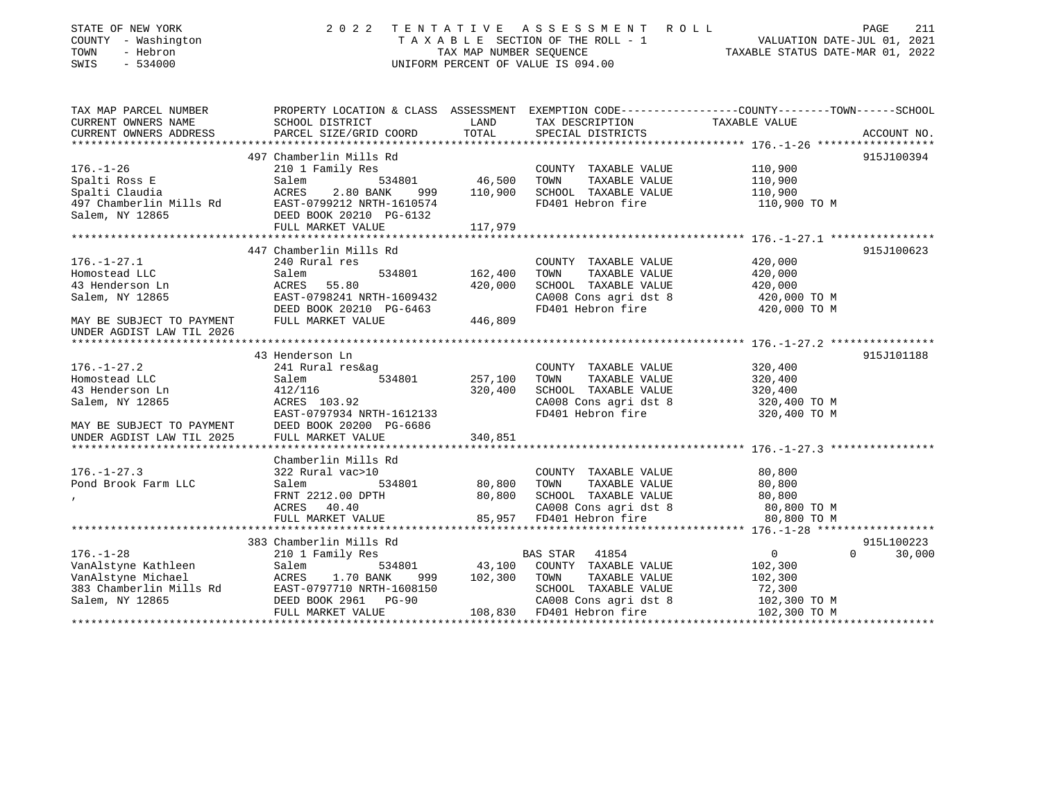| STATE OF NEW YORK<br>COUNTY - Washington<br>TOWN<br>- Hebron<br>SWIS<br>$-534000$ | 2 0 2 2                   | TAX MAP NUMBER SEOUENCE | TENTATIVE ASSESSMENT ROLL<br>TAXABLE SECTION OF THE ROLL - 1<br>UNIFORM PERCENT OF VALUE IS 094.00 | PAGE 211<br>VALUATION DATE-JUL 01, 2021<br>TAXABLE STATIIS DATE 112 2021                        |
|-----------------------------------------------------------------------------------|---------------------------|-------------------------|----------------------------------------------------------------------------------------------------|-------------------------------------------------------------------------------------------------|
| TAX MAP PARCEL NUMBER                                                             |                           |                         |                                                                                                    | PROPERTY LOCATION & CLASS ASSESSMENT EXEMPTION CODE---------------COUNTY-------TOWN------SCHOOL |
| CURRENT OWNERS NAME                                                               | SCHOOL DISTRICT           | LAND                    | TAX DESCRIPTION                                                                                    | TAXABLE VALUE                                                                                   |
| CURRENT OWNERS ADDRESS                                                            | PARCEL SIZE/GRID COORD    | TOTAL                   | SPECIAL DISTRICTS                                                                                  | ACCOUNT NO.                                                                                     |
|                                                                                   | 497 Chamberlin Mills Rd   |                         |                                                                                                    | 915J100394                                                                                      |
| $176. - 1 - 26$                                                                   | 210 1 Family Res          |                         | COUNTY TAXABLE VALUE                                                                               | 110,900                                                                                         |
| Spalti Ross E                                                                     | Salem<br>534801           | 46,500                  | TOWN<br>TAXABLE VALUE                                                                              | 110,900                                                                                         |
| Spalti Claudia                                                                    | ACRES<br>2.80 BANK<br>999 | 110,900                 | SCHOOL TAXABLE VALUE                                                                               | 110,900                                                                                         |
| 497 Chamberlin Mills Rd                                                           | EAST-0799212 NRTH-1610574 |                         | FD401 Hebron fire                                                                                  | 110,900 TO M                                                                                    |
| Salem, NY 12865                                                                   | DEED BOOK 20210 PG-6132   |                         |                                                                                                    |                                                                                                 |
|                                                                                   | FULL MARKET VALUE         | 117,979                 |                                                                                                    |                                                                                                 |
|                                                                                   |                           |                         |                                                                                                    |                                                                                                 |
|                                                                                   | 447 Chamberlin Mills Rd   |                         |                                                                                                    | 915J100623                                                                                      |
| $176. - 1 - 27.1$                                                                 | 240 Rural res             |                         | COUNTY TAXABLE VALUE                                                                               | 420,000                                                                                         |
| Homostead LLC                                                                     | Salem<br>534801           | 162,400                 | TAXABLE VALUE<br>TOWN                                                                              | 420,000                                                                                         |
| 43 Henderson Ln                                                                   | 55.80<br>ACRES            | 420,000                 | SCHOOL TAXABLE VALUE                                                                               | 420,000                                                                                         |
| Salem, NY 12865                                                                   | EAST-0798241 NRTH-1609432 |                         | CA008 Cons agri dst 8                                                                              | 420,000 TO M                                                                                    |
|                                                                                   | DEED BOOK 20210 PG-6463   |                         | FD401 Hebron fire                                                                                  | 420,000 TO M                                                                                    |
| MAY BE SUBJECT TO PAYMENT<br>UNDER AGDIST LAW TIL 2026                            | FULL MARKET VALUE         | 446,809                 |                                                                                                    |                                                                                                 |
|                                                                                   |                           |                         |                                                                                                    |                                                                                                 |
|                                                                                   | 43 Henderson Ln           |                         |                                                                                                    | 915J101188                                                                                      |
| $176. - 1 - 27.2$                                                                 | 241 Rural res&ag          |                         | COUNTY TAXABLE VALUE                                                                               | 320,400                                                                                         |
| Homostead LLC                                                                     | 534801<br>Salem           | 257,100                 | TOWN<br>TAXABLE VALUE                                                                              | 320,400                                                                                         |
| 43 Henderson Ln                                                                   | 412/116                   | 320,400                 | SCHOOL TAXABLE VALUE                                                                               | 320,400                                                                                         |
| Salem, NY 12865                                                                   | ACRES 103.92              |                         | CA008 Cons agri dst 8                                                                              | 320,400 TO M                                                                                    |
|                                                                                   | EAST-0797934 NRTH-1612133 |                         | FD401 Hebron fire                                                                                  | 320,400 TO M                                                                                    |
| MAY BE SUBJECT TO PAYMENT<br>UNDER AGDIST LAW TIL 2025                            | DEED BOOK 20200 PG-6686   |                         |                                                                                                    |                                                                                                 |
|                                                                                   | FULL MARKET VALUE         | 340,851                 |                                                                                                    |                                                                                                 |
|                                                                                   |                           |                         |                                                                                                    |                                                                                                 |
|                                                                                   | Chamberlin Mills Rd       |                         |                                                                                                    |                                                                                                 |
| $176. - 1 - 27.3$                                                                 | 322 Rural vac>10          |                         | COUNTY TAXABLE VALUE                                                                               | 80,800                                                                                          |
| Pond Brook Farm LLC                                                               | Salem<br>534801           | 80,800                  | TOWN<br>TAXABLE VALUE                                                                              | 80,800                                                                                          |
|                                                                                   | FRNT 2212.00 DPTH         | 80,800                  | SCHOOL TAXABLE VALUE                                                                               | 80,800                                                                                          |
|                                                                                   | ACRES 40.40               |                         | CA008 Cons agri dst 8                                                                              | 80,800 TO M                                                                                     |
|                                                                                   | FULL MARKET VALUE         | 85,957                  | FD401 Hebron fire                                                                                  | 80,800 TO M                                                                                     |
|                                                                                   | 383 Chamberlin Mills Rd   |                         |                                                                                                    | 915L100223                                                                                      |
| $176. - 1 - 28$                                                                   | 210 1 Family Res          |                         | 41854<br>BAS STAR                                                                                  | $\mathbf{0}$<br>$\Omega$<br>30,000                                                              |
| VanAlstyne Kathleen                                                               | Salem<br>534801           | 43,100                  | COUNTY TAXABLE VALUE                                                                               | 102,300                                                                                         |
| VanAlstyne Michael                                                                | ACRES<br>1.70 BANK<br>999 | 102,300                 | TOWN<br>TAXABLE VALUE                                                                              | 102,300                                                                                         |
| 383 Chamberlin Mills Rd                                                           | EAST-0797710 NRTH-1608150 |                         | SCHOOL TAXABLE VALUE                                                                               | 72,300                                                                                          |
| Salem, NY 12865                                                                   | DEED BOOK 2961 PG-90      |                         | CA008 Cons agri dst 8                                                                              | 102,300 TO M                                                                                    |
|                                                                                   | FULL MARKET VALUE         |                         | 108,830 FD401 Hebron fire                                                                          | 102,300 TO M                                                                                    |
|                                                                                   |                           |                         |                                                                                                    |                                                                                                 |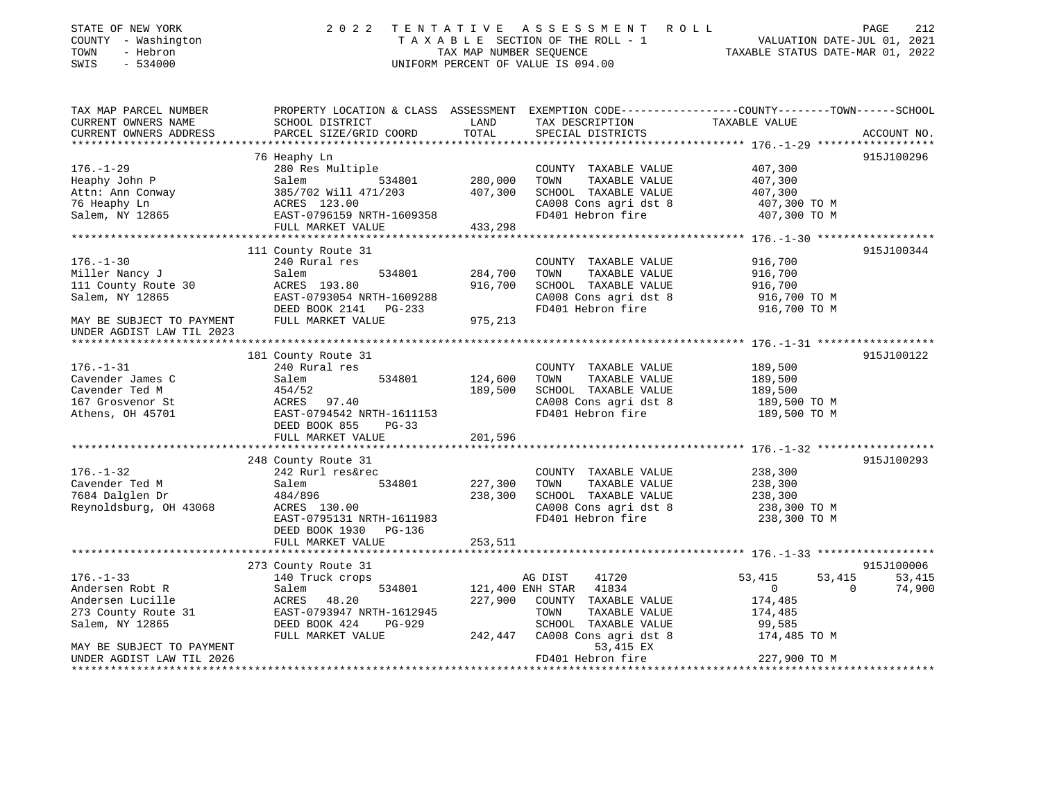| STATE OF NEW YORK<br>COUNTY - Washington<br>TOWN<br>- Hebron<br>SWIS<br>$-534000$ | 2 0 2 2                                    | TENTATIVE<br>TAX MAP NUMBER SEQUENCE | A S S E S S M E N T R O L L<br>TAXABLE SECTION OF THE ROLL - 1<br>UNIFORM PERCENT OF VALUE IS 094.00 | VALUATION DATE-JUL 01, 2021<br>TAXABLE STATUS DATE-MAR 01, 2022                                                   | 212<br>PAGE |
|-----------------------------------------------------------------------------------|--------------------------------------------|--------------------------------------|------------------------------------------------------------------------------------------------------|-------------------------------------------------------------------------------------------------------------------|-------------|
| TAX MAP PARCEL NUMBER<br>CURRENT OWNERS NAME                                      | SCHOOL DISTRICT                            | LAND                                 | TAX DESCRIPTION                                                                                      | PROPERTY LOCATION & CLASS ASSESSMENT EXEMPTION CODE----------------COUNTY-------TOWN------SCHOOL<br>TAXABLE VALUE |             |
| CURRENT OWNERS ADDRESS                                                            | PARCEL SIZE/GRID COORD                     | TOTAL                                | SPECIAL DISTRICTS                                                                                    |                                                                                                                   | ACCOUNT NO. |
|                                                                                   | 76 Heaphy Ln                               |                                      |                                                                                                      |                                                                                                                   | 915J100296  |
| $176. - 1 - 29$                                                                   | 280 Res Multiple                           |                                      | COUNTY TAXABLE VALUE                                                                                 | 407,300                                                                                                           |             |
| Heaphy John P                                                                     | Salem<br>534801                            | 280,000                              | TOWN<br>TAXABLE VALUE                                                                                | 407,300                                                                                                           |             |
| Attn: Ann Conway                                                                  | 385/702 Will 471/203                       | 407,300                              | SCHOOL TAXABLE VALUE                                                                                 | 407,300                                                                                                           |             |
| 76 Heaphy Ln                                                                      | ACRES 123.00                               |                                      | CA008 Cons agri dst 8                                                                                | 407,300 TO M                                                                                                      |             |
| Salem, NY 12865                                                                   | EAST-0796159 NRTH-1609358                  |                                      | FD401 Hebron fire                                                                                    | 407,300 TO M                                                                                                      |             |
|                                                                                   | FULL MARKET VALUE                          | 433,298                              |                                                                                                      |                                                                                                                   |             |
|                                                                                   |                                            |                                      |                                                                                                      |                                                                                                                   |             |
| $176. - 1 - 30$                                                                   | 111 County Route 31                        |                                      |                                                                                                      |                                                                                                                   | 915J100344  |
| Miller Nancy J                                                                    | 240 Rural res<br>534801<br>Salem           | 284,700                              | COUNTY TAXABLE VALUE<br>TOWN<br>TAXABLE VALUE                                                        | 916,700<br>916,700                                                                                                |             |
| 111 County Route 30                                                               | ACRES 193.80                               | 916,700                              | SCHOOL TAXABLE VALUE                                                                                 | 916,700                                                                                                           |             |
| Salem, NY 12865                                                                   | EAST-0793054 NRTH-1609288                  |                                      | CA008 Cons agri dst 8                                                                                | 916,700 TO M                                                                                                      |             |
|                                                                                   | DEED BOOK 2141 PG-233                      |                                      | FD401 Hebron fire                                                                                    | 916,700 TO M                                                                                                      |             |
| MAY BE SUBJECT TO PAYMENT<br>UNDER AGDIST LAW TIL 2023<br>******************      | FULL MARKET VALUE<br>********************* | 975,213                              | ***********************************                                                                  | *************** 176. -1-31 *******************                                                                    |             |
|                                                                                   | 181 County Route 31                        |                                      |                                                                                                      |                                                                                                                   | 915J100122  |
| $176. - 1 - 31$                                                                   | 240 Rural res                              |                                      | COUNTY TAXABLE VALUE                                                                                 | 189,500                                                                                                           |             |
| Cavender James C                                                                  | Salem<br>534801                            | 124,600                              | TOWN<br>TAXABLE VALUE                                                                                | 189,500                                                                                                           |             |
| Cavender Ted M                                                                    | 454/52                                     | 189,500                              | SCHOOL TAXABLE VALUE                                                                                 | 189,500                                                                                                           |             |
| 167 Grosvenor St                                                                  | ACRES<br>97.40                             |                                      | CA008 Cons agri dst 8                                                                                | 189,500 TO M                                                                                                      |             |
| Athens, OH 45701                                                                  | EAST-0794542 NRTH-1611153                  |                                      | FD401 Hebron fire                                                                                    | 189,500 TO M                                                                                                      |             |
|                                                                                   | DEED BOOK 855<br>$PG-33$                   |                                      |                                                                                                      |                                                                                                                   |             |
|                                                                                   | FULL MARKET VALUE                          | 201,596                              |                                                                                                      |                                                                                                                   |             |
|                                                                                   |                                            | *********                            |                                                                                                      | ************ 176.-1-32 *******************                                                                        |             |
|                                                                                   | 248 County Route 31                        |                                      |                                                                                                      |                                                                                                                   | 915J100293  |
| $176. - 1 - 32$                                                                   | 242 Rurl res&rec                           |                                      | COUNTY TAXABLE VALUE<br>TOWN                                                                         | 238,300                                                                                                           |             |
| Cavender Ted M<br>7684 Dalglen Dr                                                 | 534801<br>Salem<br>484/896                 | 227,300<br>238,300                   | TAXABLE VALUE<br>SCHOOL TAXABLE VALUE                                                                | 238,300<br>238,300                                                                                                |             |
| Reynoldsburg, OH 43068                                                            | ACRES 130.00                               |                                      | CA008 Cons agri dst 8                                                                                | 238,300 TO M                                                                                                      |             |
|                                                                                   | EAST-0795131 NRTH-1611983                  |                                      | FD401 Hebron fire                                                                                    | 238,300 TO M                                                                                                      |             |
|                                                                                   | DEED BOOK 1930 PG-136                      |                                      |                                                                                                      |                                                                                                                   |             |
|                                                                                   | FULL MARKET VALUE                          | 253,511                              |                                                                                                      |                                                                                                                   |             |
|                                                                                   | *************************                  |                                      |                                                                                                      |                                                                                                                   |             |
|                                                                                   | 273 County Route 31                        |                                      |                                                                                                      |                                                                                                                   | 915J100006  |
| $176. - 1 - 33$                                                                   | 140 Truck crops                            |                                      | AG DIST<br>41720                                                                                     | 53,415<br>53,415                                                                                                  | 53,415      |
| Andersen Robt R                                                                   | 534801<br>Salem                            |                                      | 121,400 ENH STAR<br>41834                                                                            | $\Omega$<br>$\mathbf{0}$                                                                                          | 74,900      |
| Andersen Lucille                                                                  | ACRES<br>48.20                             | 227,900                              | COUNTY TAXABLE VALUE                                                                                 | 174,485                                                                                                           |             |
| 273 County Route 31                                                               | EAST-0793947 NRTH-1612945                  |                                      | TOWN<br>TAXABLE VALUE                                                                                | 174,485                                                                                                           |             |
| Salem, NY 12865                                                                   | DEED BOOK 424<br>$PG-929$                  |                                      | SCHOOL TAXABLE VALUE                                                                                 | 99,585                                                                                                            |             |
| MAY BE SUBJECT TO PAYMENT                                                         | FULL MARKET VALUE                          | 242,447                              | CA008 Cons agri dst 8<br>53,415 EX                                                                   | 174,485 TO M                                                                                                      |             |
| UNDER AGDIST LAW TIL 2026                                                         |                                            |                                      | FD401 Hebron fire                                                                                    | 227,900 TO M                                                                                                      |             |
| *************************                                                         |                                            |                                      |                                                                                                      |                                                                                                                   |             |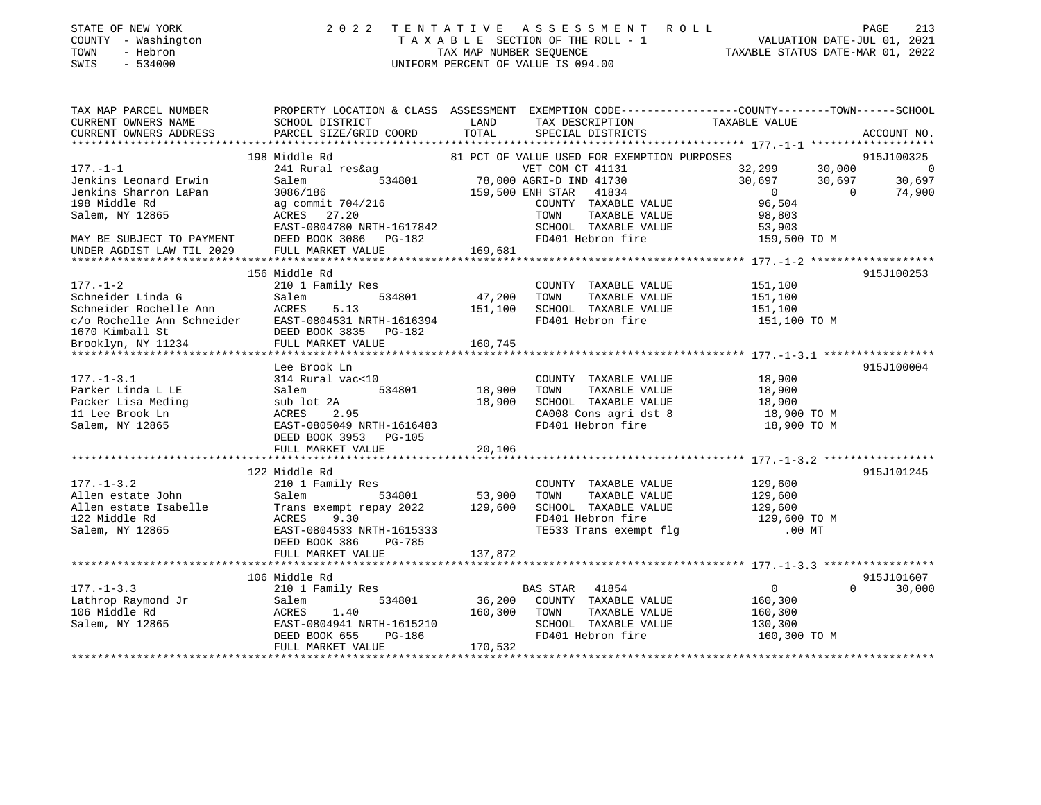| STATE OF NEW YORK |              |
|-------------------|--------------|
| <b>COUNTY</b>     | - Washington |
| TOWN              | - Hebron     |

## STATE OF NEW YORK 2 0 2 2 T E N T A T I V E A S S E S S M E N T R O L L PAGE 213 COUNTY - Washington T A X A B L E SECTION OF THE ROLL - 1 VALUATION DATE-JUL 01, 2021 TOWN - Hebron TAX MAP NUMBER SEQUENCE TAXABLE STATUS DATE-MAR 01, 2022 SWIS - 534000 UNIFORM PERCENT OF VALUE IS 094.00

| PROPERTY LOCATION & CLASS ASSESSMENT EXEMPTION CODE---------------COUNTY-------TOWN-----SCHOOL<br>CURRENT OWNERS NAME<br>CURRENT OWNERS ADDRESS<br>ACCOUNT NO.<br>81 PCT OF VALUE USED FOR EXEMPTION PURPOSES<br>198 Middle Rd<br>915J100325<br>$32,299$<br>30,697<br>30,697<br>30,697<br>Middle Ra<br>241 Rural res&ag<br>534801 534801 78,000 AGRI-D IND 41730 306/186 3066/186 159,500 ENH STAR 41834 0<br>ag commit 704/216 159,500 ENH STAR 41834 0<br>ACRES 27.20 TOWN TAXABLE VALUE 98,803<br>ACRES 27.20 TOWN TAXABLE VALU<br>$\overline{0}$<br>30,697<br>Jenkins Sharron LaPan<br>$\sim$ 0<br>74,900<br>198 Middle Rd<br>Salem, NY 12865<br>EAST-0804780 NRTH-1617842 SCHOOL TAXABLE VAN SCHOOL TAXABLE VAN DEED BOOK 3086 PG-182<br>SCHOOL TAXABLE VALUE 53,903<br>FD401 Hebron fire 159,500 TO M<br>MAY BE SUBJECT TO PAYMENT<br>169,681<br>FULL MARKET VALUE<br>UNDER AGDIST LAW TIL 2029<br>156 Middle Rd<br>915J100253<br>$177. - 1 - 2$<br>210 1 Family Res<br>$\begin{tabular}{lllllllllll} \multicolumn{2}{c}{\text{COUNTY}} & \text{TAXABLE VALUE} & & & 151,100 \\ \multicolumn{2}{c}{\text{TOWN}} & \text{TAXABLE VALUE} & & 151,100 \\ \end{tabular}$<br>915J100004<br>Lee Brook Ln<br>18,900<br>COUNTY TAXABLE VALUE<br>$534801$<br>2A<br>2.95<br>34801<br>3.900<br>3.95<br>TOWN TAXABLE VALUE 18,900<br>SCHOOL TAXABLE VALUE 18,900<br>CA008 Cons agri dst 8 18,900 TO M<br>FD401 Hebron fire 18,900 TO M<br>915J101245<br>COUNTY TAXABLE VALUE 129,600<br>--- Allen estate John 210 1 Family Res<br>Allen estate John 53,900<br>Allen estate Isabelle Trans exempt repay 2022 129,600<br>122 Middle Rd ACRES 9.30<br>Salem, NY 12865 EAST-0804533 NRTH-1615333<br>DEED BOOK 386 PG-785<br>TAXABLE VALUE<br>129,600<br>129,600<br>TOWN<br>SCHOOL TAXABLE VALUE<br>FD401 Hebron fire<br>TD401 Hebron fire<br>TE533 Trans exempt flg 00 MT<br>106 Middle Rd<br>915J101607<br>177.-1-3.3<br>Lathrop Raymond Jr anily Res<br>106 Middle Rd ACRES 1.40<br>Salem, NY 12865<br>DEED BOOK 655 PG-186<br>PG-186<br>170 532<br>179 532<br>179 532<br>179 532<br>179 532<br>179 532<br>179 532<br>179 532<br>179 532<br>179 532<br>179 532<br>179 532<br>0<br>160,300<br>160,300<br>$\Omega$<br>30,000<br>SCHOOL TAXABLE VALUE 130,300<br>160,300 TO M<br>170,532<br>FULL MARKET VALUE |                       |  |  |  |
|----------------------------------------------------------------------------------------------------------------------------------------------------------------------------------------------------------------------------------------------------------------------------------------------------------------------------------------------------------------------------------------------------------------------------------------------------------------------------------------------------------------------------------------------------------------------------------------------------------------------------------------------------------------------------------------------------------------------------------------------------------------------------------------------------------------------------------------------------------------------------------------------------------------------------------------------------------------------------------------------------------------------------------------------------------------------------------------------------------------------------------------------------------------------------------------------------------------------------------------------------------------------------------------------------------------------------------------------------------------------------------------------------------------------------------------------------------------------------------------------------------------------------------------------------------------------------------------------------------------------------------------------------------------------------------------------------------------------------------------------------------------------------------------------------------------------------------------------------------------------------------------------------------------------------------------------------------------------------------------------------------------------------------------------------------------------------------------------------------------------------------------------------------------------------------------------------------------------------------------------------------------------------------------------------|-----------------------|--|--|--|
|                                                                                                                                                                                                                                                                                                                                                                                                                                                                                                                                                                                                                                                                                                                                                                                                                                                                                                                                                                                                                                                                                                                                                                                                                                                                                                                                                                                                                                                                                                                                                                                                                                                                                                                                                                                                                                                                                                                                                                                                                                                                                                                                                                                                                                                                                                    | TAX MAP PARCEL NUMBER |  |  |  |
|                                                                                                                                                                                                                                                                                                                                                                                                                                                                                                                                                                                                                                                                                                                                                                                                                                                                                                                                                                                                                                                                                                                                                                                                                                                                                                                                                                                                                                                                                                                                                                                                                                                                                                                                                                                                                                                                                                                                                                                                                                                                                                                                                                                                                                                                                                    |                       |  |  |  |
|                                                                                                                                                                                                                                                                                                                                                                                                                                                                                                                                                                                                                                                                                                                                                                                                                                                                                                                                                                                                                                                                                                                                                                                                                                                                                                                                                                                                                                                                                                                                                                                                                                                                                                                                                                                                                                                                                                                                                                                                                                                                                                                                                                                                                                                                                                    |                       |  |  |  |
|                                                                                                                                                                                                                                                                                                                                                                                                                                                                                                                                                                                                                                                                                                                                                                                                                                                                                                                                                                                                                                                                                                                                                                                                                                                                                                                                                                                                                                                                                                                                                                                                                                                                                                                                                                                                                                                                                                                                                                                                                                                                                                                                                                                                                                                                                                    |                       |  |  |  |
|                                                                                                                                                                                                                                                                                                                                                                                                                                                                                                                                                                                                                                                                                                                                                                                                                                                                                                                                                                                                                                                                                                                                                                                                                                                                                                                                                                                                                                                                                                                                                                                                                                                                                                                                                                                                                                                                                                                                                                                                                                                                                                                                                                                                                                                                                                    |                       |  |  |  |
|                                                                                                                                                                                                                                                                                                                                                                                                                                                                                                                                                                                                                                                                                                                                                                                                                                                                                                                                                                                                                                                                                                                                                                                                                                                                                                                                                                                                                                                                                                                                                                                                                                                                                                                                                                                                                                                                                                                                                                                                                                                                                                                                                                                                                                                                                                    | $177. - 1 - 1$        |  |  |  |
|                                                                                                                                                                                                                                                                                                                                                                                                                                                                                                                                                                                                                                                                                                                                                                                                                                                                                                                                                                                                                                                                                                                                                                                                                                                                                                                                                                                                                                                                                                                                                                                                                                                                                                                                                                                                                                                                                                                                                                                                                                                                                                                                                                                                                                                                                                    | Jenkins Leonard Erwin |  |  |  |
|                                                                                                                                                                                                                                                                                                                                                                                                                                                                                                                                                                                                                                                                                                                                                                                                                                                                                                                                                                                                                                                                                                                                                                                                                                                                                                                                                                                                                                                                                                                                                                                                                                                                                                                                                                                                                                                                                                                                                                                                                                                                                                                                                                                                                                                                                                    |                       |  |  |  |
|                                                                                                                                                                                                                                                                                                                                                                                                                                                                                                                                                                                                                                                                                                                                                                                                                                                                                                                                                                                                                                                                                                                                                                                                                                                                                                                                                                                                                                                                                                                                                                                                                                                                                                                                                                                                                                                                                                                                                                                                                                                                                                                                                                                                                                                                                                    |                       |  |  |  |
|                                                                                                                                                                                                                                                                                                                                                                                                                                                                                                                                                                                                                                                                                                                                                                                                                                                                                                                                                                                                                                                                                                                                                                                                                                                                                                                                                                                                                                                                                                                                                                                                                                                                                                                                                                                                                                                                                                                                                                                                                                                                                                                                                                                                                                                                                                    |                       |  |  |  |
|                                                                                                                                                                                                                                                                                                                                                                                                                                                                                                                                                                                                                                                                                                                                                                                                                                                                                                                                                                                                                                                                                                                                                                                                                                                                                                                                                                                                                                                                                                                                                                                                                                                                                                                                                                                                                                                                                                                                                                                                                                                                                                                                                                                                                                                                                                    |                       |  |  |  |
|                                                                                                                                                                                                                                                                                                                                                                                                                                                                                                                                                                                                                                                                                                                                                                                                                                                                                                                                                                                                                                                                                                                                                                                                                                                                                                                                                                                                                                                                                                                                                                                                                                                                                                                                                                                                                                                                                                                                                                                                                                                                                                                                                                                                                                                                                                    |                       |  |  |  |
|                                                                                                                                                                                                                                                                                                                                                                                                                                                                                                                                                                                                                                                                                                                                                                                                                                                                                                                                                                                                                                                                                                                                                                                                                                                                                                                                                                                                                                                                                                                                                                                                                                                                                                                                                                                                                                                                                                                                                                                                                                                                                                                                                                                                                                                                                                    |                       |  |  |  |
|                                                                                                                                                                                                                                                                                                                                                                                                                                                                                                                                                                                                                                                                                                                                                                                                                                                                                                                                                                                                                                                                                                                                                                                                                                                                                                                                                                                                                                                                                                                                                                                                                                                                                                                                                                                                                                                                                                                                                                                                                                                                                                                                                                                                                                                                                                    |                       |  |  |  |
|                                                                                                                                                                                                                                                                                                                                                                                                                                                                                                                                                                                                                                                                                                                                                                                                                                                                                                                                                                                                                                                                                                                                                                                                                                                                                                                                                                                                                                                                                                                                                                                                                                                                                                                                                                                                                                                                                                                                                                                                                                                                                                                                                                                                                                                                                                    |                       |  |  |  |
|                                                                                                                                                                                                                                                                                                                                                                                                                                                                                                                                                                                                                                                                                                                                                                                                                                                                                                                                                                                                                                                                                                                                                                                                                                                                                                                                                                                                                                                                                                                                                                                                                                                                                                                                                                                                                                                                                                                                                                                                                                                                                                                                                                                                                                                                                                    |                       |  |  |  |
|                                                                                                                                                                                                                                                                                                                                                                                                                                                                                                                                                                                                                                                                                                                                                                                                                                                                                                                                                                                                                                                                                                                                                                                                                                                                                                                                                                                                                                                                                                                                                                                                                                                                                                                                                                                                                                                                                                                                                                                                                                                                                                                                                                                                                                                                                                    |                       |  |  |  |
|                                                                                                                                                                                                                                                                                                                                                                                                                                                                                                                                                                                                                                                                                                                                                                                                                                                                                                                                                                                                                                                                                                                                                                                                                                                                                                                                                                                                                                                                                                                                                                                                                                                                                                                                                                                                                                                                                                                                                                                                                                                                                                                                                                                                                                                                                                    |                       |  |  |  |
|                                                                                                                                                                                                                                                                                                                                                                                                                                                                                                                                                                                                                                                                                                                                                                                                                                                                                                                                                                                                                                                                                                                                                                                                                                                                                                                                                                                                                                                                                                                                                                                                                                                                                                                                                                                                                                                                                                                                                                                                                                                                                                                                                                                                                                                                                                    |                       |  |  |  |
|                                                                                                                                                                                                                                                                                                                                                                                                                                                                                                                                                                                                                                                                                                                                                                                                                                                                                                                                                                                                                                                                                                                                                                                                                                                                                                                                                                                                                                                                                                                                                                                                                                                                                                                                                                                                                                                                                                                                                                                                                                                                                                                                                                                                                                                                                                    |                       |  |  |  |
|                                                                                                                                                                                                                                                                                                                                                                                                                                                                                                                                                                                                                                                                                                                                                                                                                                                                                                                                                                                                                                                                                                                                                                                                                                                                                                                                                                                                                                                                                                                                                                                                                                                                                                                                                                                                                                                                                                                                                                                                                                                                                                                                                                                                                                                                                                    |                       |  |  |  |
|                                                                                                                                                                                                                                                                                                                                                                                                                                                                                                                                                                                                                                                                                                                                                                                                                                                                                                                                                                                                                                                                                                                                                                                                                                                                                                                                                                                                                                                                                                                                                                                                                                                                                                                                                                                                                                                                                                                                                                                                                                                                                                                                                                                                                                                                                                    |                       |  |  |  |
|                                                                                                                                                                                                                                                                                                                                                                                                                                                                                                                                                                                                                                                                                                                                                                                                                                                                                                                                                                                                                                                                                                                                                                                                                                                                                                                                                                                                                                                                                                                                                                                                                                                                                                                                                                                                                                                                                                                                                                                                                                                                                                                                                                                                                                                                                                    |                       |  |  |  |
|                                                                                                                                                                                                                                                                                                                                                                                                                                                                                                                                                                                                                                                                                                                                                                                                                                                                                                                                                                                                                                                                                                                                                                                                                                                                                                                                                                                                                                                                                                                                                                                                                                                                                                                                                                                                                                                                                                                                                                                                                                                                                                                                                                                                                                                                                                    |                       |  |  |  |
|                                                                                                                                                                                                                                                                                                                                                                                                                                                                                                                                                                                                                                                                                                                                                                                                                                                                                                                                                                                                                                                                                                                                                                                                                                                                                                                                                                                                                                                                                                                                                                                                                                                                                                                                                                                                                                                                                                                                                                                                                                                                                                                                                                                                                                                                                                    |                       |  |  |  |
|                                                                                                                                                                                                                                                                                                                                                                                                                                                                                                                                                                                                                                                                                                                                                                                                                                                                                                                                                                                                                                                                                                                                                                                                                                                                                                                                                                                                                                                                                                                                                                                                                                                                                                                                                                                                                                                                                                                                                                                                                                                                                                                                                                                                                                                                                                    |                       |  |  |  |
|                                                                                                                                                                                                                                                                                                                                                                                                                                                                                                                                                                                                                                                                                                                                                                                                                                                                                                                                                                                                                                                                                                                                                                                                                                                                                                                                                                                                                                                                                                                                                                                                                                                                                                                                                                                                                                                                                                                                                                                                                                                                                                                                                                                                                                                                                                    |                       |  |  |  |
|                                                                                                                                                                                                                                                                                                                                                                                                                                                                                                                                                                                                                                                                                                                                                                                                                                                                                                                                                                                                                                                                                                                                                                                                                                                                                                                                                                                                                                                                                                                                                                                                                                                                                                                                                                                                                                                                                                                                                                                                                                                                                                                                                                                                                                                                                                    |                       |  |  |  |
|                                                                                                                                                                                                                                                                                                                                                                                                                                                                                                                                                                                                                                                                                                                                                                                                                                                                                                                                                                                                                                                                                                                                                                                                                                                                                                                                                                                                                                                                                                                                                                                                                                                                                                                                                                                                                                                                                                                                                                                                                                                                                                                                                                                                                                                                                                    |                       |  |  |  |
|                                                                                                                                                                                                                                                                                                                                                                                                                                                                                                                                                                                                                                                                                                                                                                                                                                                                                                                                                                                                                                                                                                                                                                                                                                                                                                                                                                                                                                                                                                                                                                                                                                                                                                                                                                                                                                                                                                                                                                                                                                                                                                                                                                                                                                                                                                    |                       |  |  |  |
|                                                                                                                                                                                                                                                                                                                                                                                                                                                                                                                                                                                                                                                                                                                                                                                                                                                                                                                                                                                                                                                                                                                                                                                                                                                                                                                                                                                                                                                                                                                                                                                                                                                                                                                                                                                                                                                                                                                                                                                                                                                                                                                                                                                                                                                                                                    |                       |  |  |  |
|                                                                                                                                                                                                                                                                                                                                                                                                                                                                                                                                                                                                                                                                                                                                                                                                                                                                                                                                                                                                                                                                                                                                                                                                                                                                                                                                                                                                                                                                                                                                                                                                                                                                                                                                                                                                                                                                                                                                                                                                                                                                                                                                                                                                                                                                                                    |                       |  |  |  |
|                                                                                                                                                                                                                                                                                                                                                                                                                                                                                                                                                                                                                                                                                                                                                                                                                                                                                                                                                                                                                                                                                                                                                                                                                                                                                                                                                                                                                                                                                                                                                                                                                                                                                                                                                                                                                                                                                                                                                                                                                                                                                                                                                                                                                                                                                                    |                       |  |  |  |
|                                                                                                                                                                                                                                                                                                                                                                                                                                                                                                                                                                                                                                                                                                                                                                                                                                                                                                                                                                                                                                                                                                                                                                                                                                                                                                                                                                                                                                                                                                                                                                                                                                                                                                                                                                                                                                                                                                                                                                                                                                                                                                                                                                                                                                                                                                    |                       |  |  |  |
|                                                                                                                                                                                                                                                                                                                                                                                                                                                                                                                                                                                                                                                                                                                                                                                                                                                                                                                                                                                                                                                                                                                                                                                                                                                                                                                                                                                                                                                                                                                                                                                                                                                                                                                                                                                                                                                                                                                                                                                                                                                                                                                                                                                                                                                                                                    |                       |  |  |  |
|                                                                                                                                                                                                                                                                                                                                                                                                                                                                                                                                                                                                                                                                                                                                                                                                                                                                                                                                                                                                                                                                                                                                                                                                                                                                                                                                                                                                                                                                                                                                                                                                                                                                                                                                                                                                                                                                                                                                                                                                                                                                                                                                                                                                                                                                                                    |                       |  |  |  |
|                                                                                                                                                                                                                                                                                                                                                                                                                                                                                                                                                                                                                                                                                                                                                                                                                                                                                                                                                                                                                                                                                                                                                                                                                                                                                                                                                                                                                                                                                                                                                                                                                                                                                                                                                                                                                                                                                                                                                                                                                                                                                                                                                                                                                                                                                                    |                       |  |  |  |
|                                                                                                                                                                                                                                                                                                                                                                                                                                                                                                                                                                                                                                                                                                                                                                                                                                                                                                                                                                                                                                                                                                                                                                                                                                                                                                                                                                                                                                                                                                                                                                                                                                                                                                                                                                                                                                                                                                                                                                                                                                                                                                                                                                                                                                                                                                    |                       |  |  |  |
|                                                                                                                                                                                                                                                                                                                                                                                                                                                                                                                                                                                                                                                                                                                                                                                                                                                                                                                                                                                                                                                                                                                                                                                                                                                                                                                                                                                                                                                                                                                                                                                                                                                                                                                                                                                                                                                                                                                                                                                                                                                                                                                                                                                                                                                                                                    |                       |  |  |  |
|                                                                                                                                                                                                                                                                                                                                                                                                                                                                                                                                                                                                                                                                                                                                                                                                                                                                                                                                                                                                                                                                                                                                                                                                                                                                                                                                                                                                                                                                                                                                                                                                                                                                                                                                                                                                                                                                                                                                                                                                                                                                                                                                                                                                                                                                                                    |                       |  |  |  |
|                                                                                                                                                                                                                                                                                                                                                                                                                                                                                                                                                                                                                                                                                                                                                                                                                                                                                                                                                                                                                                                                                                                                                                                                                                                                                                                                                                                                                                                                                                                                                                                                                                                                                                                                                                                                                                                                                                                                                                                                                                                                                                                                                                                                                                                                                                    |                       |  |  |  |
|                                                                                                                                                                                                                                                                                                                                                                                                                                                                                                                                                                                                                                                                                                                                                                                                                                                                                                                                                                                                                                                                                                                                                                                                                                                                                                                                                                                                                                                                                                                                                                                                                                                                                                                                                                                                                                                                                                                                                                                                                                                                                                                                                                                                                                                                                                    |                       |  |  |  |
|                                                                                                                                                                                                                                                                                                                                                                                                                                                                                                                                                                                                                                                                                                                                                                                                                                                                                                                                                                                                                                                                                                                                                                                                                                                                                                                                                                                                                                                                                                                                                                                                                                                                                                                                                                                                                                                                                                                                                                                                                                                                                                                                                                                                                                                                                                    |                       |  |  |  |
|                                                                                                                                                                                                                                                                                                                                                                                                                                                                                                                                                                                                                                                                                                                                                                                                                                                                                                                                                                                                                                                                                                                                                                                                                                                                                                                                                                                                                                                                                                                                                                                                                                                                                                                                                                                                                                                                                                                                                                                                                                                                                                                                                                                                                                                                                                    |                       |  |  |  |
|                                                                                                                                                                                                                                                                                                                                                                                                                                                                                                                                                                                                                                                                                                                                                                                                                                                                                                                                                                                                                                                                                                                                                                                                                                                                                                                                                                                                                                                                                                                                                                                                                                                                                                                                                                                                                                                                                                                                                                                                                                                                                                                                                                                                                                                                                                    |                       |  |  |  |
|                                                                                                                                                                                                                                                                                                                                                                                                                                                                                                                                                                                                                                                                                                                                                                                                                                                                                                                                                                                                                                                                                                                                                                                                                                                                                                                                                                                                                                                                                                                                                                                                                                                                                                                                                                                                                                                                                                                                                                                                                                                                                                                                                                                                                                                                                                    |                       |  |  |  |
|                                                                                                                                                                                                                                                                                                                                                                                                                                                                                                                                                                                                                                                                                                                                                                                                                                                                                                                                                                                                                                                                                                                                                                                                                                                                                                                                                                                                                                                                                                                                                                                                                                                                                                                                                                                                                                                                                                                                                                                                                                                                                                                                                                                                                                                                                                    |                       |  |  |  |
|                                                                                                                                                                                                                                                                                                                                                                                                                                                                                                                                                                                                                                                                                                                                                                                                                                                                                                                                                                                                                                                                                                                                                                                                                                                                                                                                                                                                                                                                                                                                                                                                                                                                                                                                                                                                                                                                                                                                                                                                                                                                                                                                                                                                                                                                                                    |                       |  |  |  |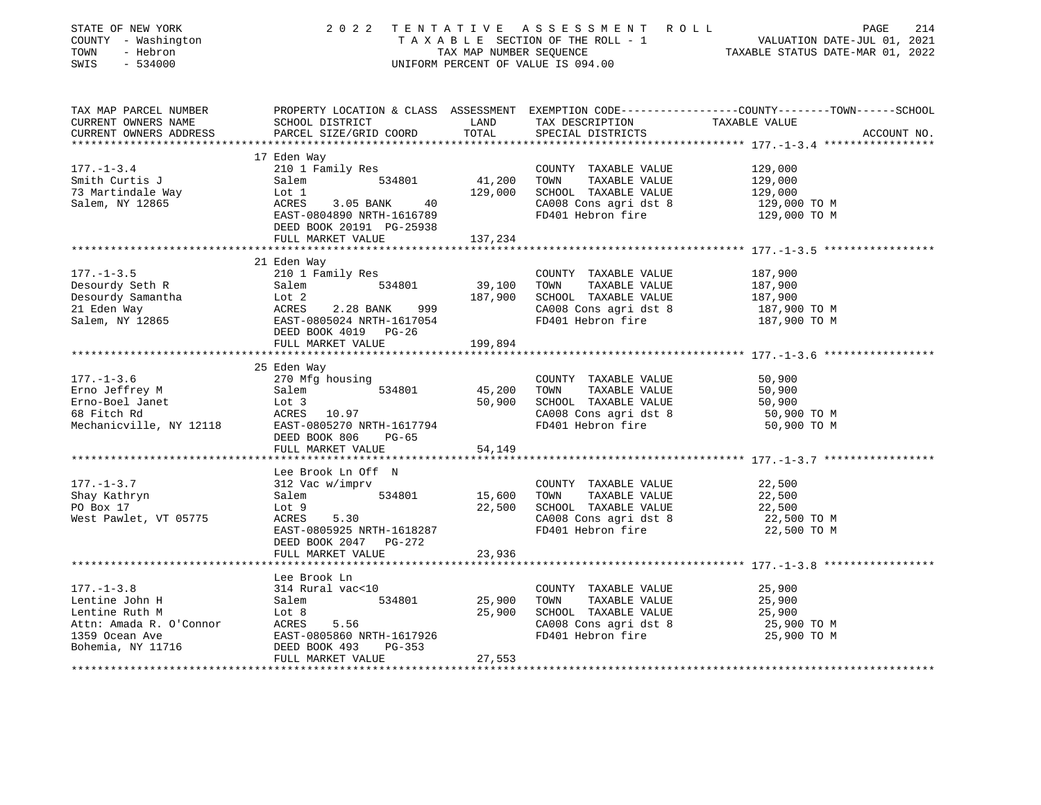| STATE OF NEW YORK<br>COUNTY - Washington<br>TOWN<br>- Hebron<br>SWIS<br>$-534000$ |                                                                                                                                                                                                                                                               | 2022 TENTATIVE ASSESSMENT ROLL PAGE 214<br>TAXABLE SECTION OF THE ROLL - 1 VALUATION DATE-JUL 01, 2021<br>TAX MAP NUMBER SEQUENCE TAXABLE STATUS DATE-MAR 01, 2022<br>UNIFORM PERCENT OF VALUE IS 094.00 |                                                                                                                                                                                                         |                                                                                                               |
|-----------------------------------------------------------------------------------|---------------------------------------------------------------------------------------------------------------------------------------------------------------------------------------------------------------------------------------------------------------|----------------------------------------------------------------------------------------------------------------------------------------------------------------------------------------------------------|---------------------------------------------------------------------------------------------------------------------------------------------------------------------------------------------------------|---------------------------------------------------------------------------------------------------------------|
| TAX MAP PARCEL NUMBER<br>CURRENT OWNERS NAME<br>CURRENT OWNERS ADDRESS            | SCHOOL DISTRICT<br>PARCEL SIZE/GRID COORD                                                                                                                                                                                                                     |                                                                                                                                                                                                          | LAND TAX DESCRIPTION TAXABLE VALUE<br>TOTAL SPECIAL DISTRICTS TOTAL SPECIAL DISTRICTS                                                                                                                   | PROPERTY LOCATION & CLASS ASSESSMENT EXEMPTION CODE---------------COUNTY-------TOWN-----SCHOOL<br>ACCOUNT NO. |
|                                                                                   |                                                                                                                                                                                                                                                               |                                                                                                                                                                                                          |                                                                                                                                                                                                         |                                                                                                               |
| $177. - 1 - 3.4$                                                                  | 17 Eden Way<br>210 1 Family Res<br>Salem 534801                                                                                                                                                                                                               |                                                                                                                                                                                                          | COUNTY TAXABLE VALUE<br>41,200 TOWN TAXABLE VALUE<br>129,000 SCHOOL TAXABLE VALUE                                                                                                                       | 129,000<br>129,000<br>129,000                                                                                 |
| Smith Curtis J<br>73 Martindale Way<br>Salem, NY 12865<br>EAST-0:<br>DEED B       | Lot 1<br>ACRES 3.05 BANK 40<br>EAST-0804890 NRTH-1616789<br>20020 20030 20030<br>DEED BOOK 20191 PG-25938<br>FULL MARKET VALUE 137,234                                                                                                                        |                                                                                                                                                                                                          | CA008 Cons agri dst 8 129,000 TO M<br>FD401 Hebron fire 129,000 TO M                                                                                                                                    |                                                                                                               |
|                                                                                   |                                                                                                                                                                                                                                                               |                                                                                                                                                                                                          |                                                                                                                                                                                                         |                                                                                                               |
|                                                                                   | 21 Eden Way                                                                                                                                                                                                                                                   |                                                                                                                                                                                                          |                                                                                                                                                                                                         |                                                                                                               |
| $177. - 1 - 3.5$                                                                  | 210 1 Family Res                                                                                                                                                                                                                                              |                                                                                                                                                                                                          | COUNTY TAXABLE VALUE                                                                                                                                                                                    | 187,900<br>TAXABLE VALUE 187,900<br>TAXABLE VALUE 187,900                                                     |
|                                                                                   | Desourdy Seth R<br>Desourdy Samantha<br>21 Eden Way<br>Salem, NY 12865<br>Salem, NY 12865<br>COUNT TAXABLE VALUE<br>COUNT TAXABLE VALUE<br>21 Eden Way<br>ACRES<br>ACRES<br>ACRES 2.28 BANK<br>ACRES 2.28 BANK<br>ACRES 2.28 BANK<br>299<br>CA008 Cons agr    |                                                                                                                                                                                                          | CA008 Cons agri dst 8<br>FD401 Hebron fire                                                                                                                                                              | 187,900 TO M<br>187,900 TO M                                                                                  |
|                                                                                   | DEED BOOK 4019 PG-26<br>FULL MARKET VALUE 199,894                                                                                                                                                                                                             |                                                                                                                                                                                                          |                                                                                                                                                                                                         |                                                                                                               |
|                                                                                   |                                                                                                                                                                                                                                                               |                                                                                                                                                                                                          |                                                                                                                                                                                                         |                                                                                                               |
| $177. - 1 - 3.6$                                                                  | 25 Eden Way<br>270 Mfg housing                                                                                                                                                                                                                                |                                                                                                                                                                                                          | COUNTY TAXABLE VALUE                                                                                                                                                                                    | 50,900                                                                                                        |
|                                                                                   |                                                                                                                                                                                                                                                               |                                                                                                                                                                                                          |                                                                                                                                                                                                         | TAXABLE VALUE 50,900<br>TAXABLE VALUE 50,900<br>TAXABLE VALUE 50,900                                          |
|                                                                                   |                                                                                                                                                                                                                                                               |                                                                                                                                                                                                          |                                                                                                                                                                                                         |                                                                                                               |
|                                                                                   |                                                                                                                                                                                                                                                               |                                                                                                                                                                                                          | CA008 Cons agri dst 8<br>FD401 Hebron fire                                                                                                                                                              | 50,900 TO M                                                                                                   |
|                                                                                   | 177.-1-3.6 270 Mfg housing<br>Erno Jeffrey M Salem 534801 45,200 TOWN TAXABLE VALUE<br>Erno-Boel Janet Lot 3 50,900 SCHOOL TAXABLE VALUE<br>68 Fitch Rd ACRES 10.97 CA008 Cons agri dst 8<br>Mechanicville, NY 12118 EAST-0805270 NRTH<br>DEED BOOK 806 PG-65 |                                                                                                                                                                                                          |                                                                                                                                                                                                         | 50,900 TO M                                                                                                   |
|                                                                                   | FULL MARKET VALUE                                                                                                                                                                                                                                             | 54,149                                                                                                                                                                                                   |                                                                                                                                                                                                         |                                                                                                               |
|                                                                                   | Lee Brook Ln Off N                                                                                                                                                                                                                                            |                                                                                                                                                                                                          |                                                                                                                                                                                                         |                                                                                                               |
| $177. - 1 - 3.7$<br>Shay Kathryn<br>PO Box 17                                     | 312 Vac w/imprv<br>312 Vac w/imprv<br>Salem 534801 15,600 TOWN<br>Lot 9 22,500 SCHOOL<br>ACRES 5.30 CA008 Contract of the contract of the case of the case of the case of the case of the case of the contract of the case of the case of the case of t       |                                                                                                                                                                                                          | COUNTY TAXABLE VALUE<br>TAXABLE VALUE                                                                                                                                                                   | 22,500<br>22,500                                                                                              |
| West Pawlet, VT 05775                                                             | EAST-0805925 NRTH-1618287<br>DEED BOOK 2047 PG-272                                                                                                                                                                                                            |                                                                                                                                                                                                          | 22,500 SCHOOL TAXABLE VALUE<br>CA008 Cons agri dst 8<br>FD401 Hebron fire                                                                                                                               | 22,500<br>22,500 TO M<br>22,500 TO M                                                                          |
|                                                                                   | FULL MARKET VALUE                                                                                                                                                                                                                                             | 23,936                                                                                                                                                                                                   |                                                                                                                                                                                                         |                                                                                                               |
|                                                                                   | Lee Brook Ln                                                                                                                                                                                                                                                  |                                                                                                                                                                                                          |                                                                                                                                                                                                         |                                                                                                               |
| $177. - 1 - 3.8$                                                                  | 314 Rural vac<10                                                                                                                                                                                                                                              |                                                                                                                                                                                                          | $\begin{tabular}{lllllllllll} \multicolumn{2}{c}{\text{COUNTY}} & \text{TAXABLE VALUE} & & & \text{25,900} \\ \multicolumn{2}{c}{\text{TOWN}} & \text{TAXABLE VALUE} & & & \text{25,900} \end{tabular}$ |                                                                                                               |
|                                                                                   |                                                                                                                                                                                                                                                               | 25,900 TOWN                                                                                                                                                                                              |                                                                                                                                                                                                         |                                                                                                               |
|                                                                                   |                                                                                                                                                                                                                                                               |                                                                                                                                                                                                          | 25,900 SCHOOL TAXABLE VALUE<br>CA008 Cons agri dst 8                                                                                                                                                    | 25,900<br>25,900<br>25,900 TO M                                                                               |
|                                                                                   |                                                                                                                                                                                                                                                               |                                                                                                                                                                                                          |                                                                                                                                                                                                         |                                                                                                               |
|                                                                                   | Lentine John H<br>Lentine Ruth M<br>Attn: Amada R. O'Connor<br>CAST-0805860 NRTH-1617926<br>CAST-0805860 NRTH-1617926<br>CAST-0805860 NRTH-1617926<br>CAST-0805860 NRTH-1617926<br>PG-353<br>FULL MARKET VALUE                                                | 27,553                                                                                                                                                                                                   | FD401 Hebron fire                                                                                                                                                                                       | 25,900 TO M                                                                                                   |
|                                                                                   |                                                                                                                                                                                                                                                               |                                                                                                                                                                                                          |                                                                                                                                                                                                         |                                                                                                               |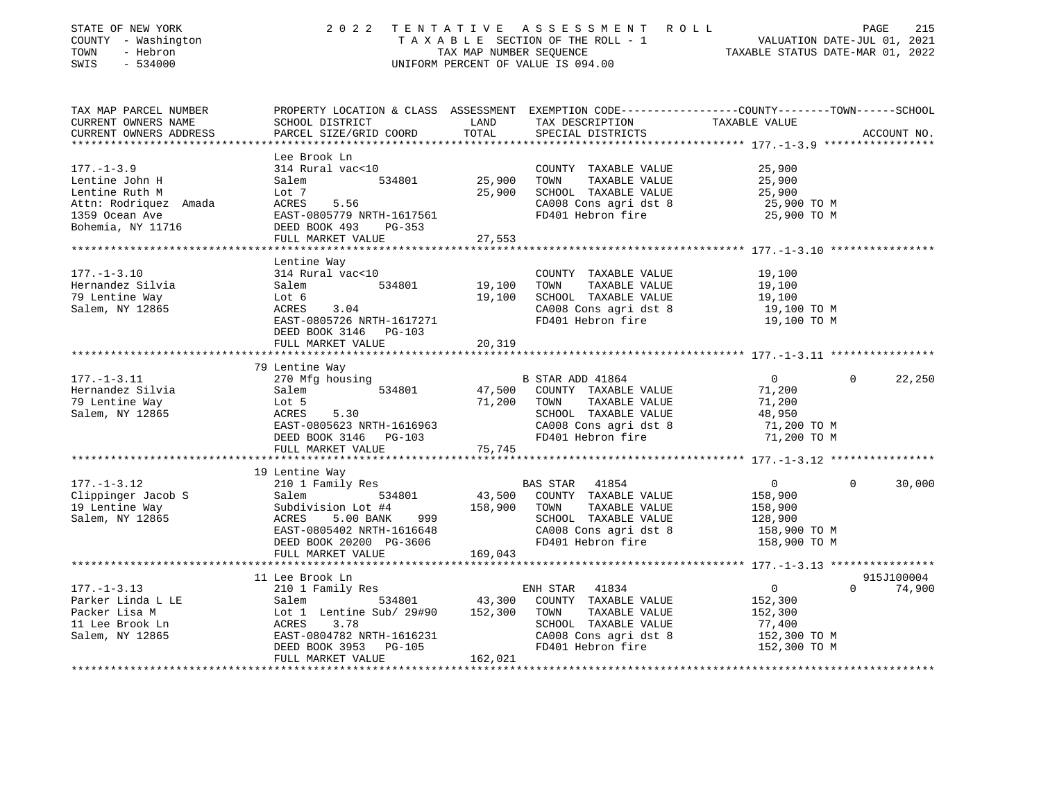| STATE OF NEW YORK<br>COUNTY - Washington<br>- Hebron<br>TOWN<br>$-534000$<br>SWIS                                                                                                                                                      | 2 0 2 2                                                                                                                                                                                                                                  |               | TENTATIVE ASSESSMENT ROLL<br>TAXABLE SECTION OF THE ROLL - 1<br>TAXABLE SECTION OF THE ROLL - 1<br>TAX MAP NUMBER SEQUENCE TAXABLE STATUS DATE-MAR 01, 2022<br>UNIFORM PERCENT OF VALUE IS 094.00 |                                                   | 215<br>PAGE        |
|----------------------------------------------------------------------------------------------------------------------------------------------------------------------------------------------------------------------------------------|------------------------------------------------------------------------------------------------------------------------------------------------------------------------------------------------------------------------------------------|---------------|---------------------------------------------------------------------------------------------------------------------------------------------------------------------------------------------------|---------------------------------------------------|--------------------|
| TAX MAP PARCEL NUMBER                                                                                                                                                                                                                  | PROPERTY LOCATION & CLASS ASSESSMENT EXEMPTION CODE----------------COUNTY-------TOWN-----SCHOOL                                                                                                                                          |               |                                                                                                                                                                                                   |                                                   |                    |
| CURRENT OWNERS NAME                                                                                                                                                                                                                    | SCHOOL DISTRICT LAND                                                                                                                                                                                                                     |               | TAX DESCRIPTION TAXABLE VALUE                                                                                                                                                                     |                                                   |                    |
| CURRENT OWNERS ADDRESS                                                                                                                                                                                                                 | PARCEL SIZE/GRID COORD<br>***************************                                                                                                                                                                                    | TOTAL         | SPECIAL DISTRICTS                                                                                                                                                                                 |                                                   | ACCOUNT NO.        |
|                                                                                                                                                                                                                                        | Lee Brook Ln                                                                                                                                                                                                                             |               |                                                                                                                                                                                                   |                                                   |                    |
| $177. - 1 - 3.9$                                                                                                                                                                                                                       | 314 Rural vac<10                                                                                                                                                                                                                         |               | COUNTY TAXABLE VALUE                                                                                                                                                                              | 25,900                                            |                    |
| Lentine John H                                                                                                                                                                                                                         | Salem                                                                                                                                                                                                                                    | 534801 25,900 | TOWN<br>TAXABLE VALUE                                                                                                                                                                             |                                                   |                    |
| Lentine Ruth M                                                                                                                                                                                                                         | Lot 7                                                                                                                                                                                                                                    | 25,900        | SCHOOL TAXABLE VALUE                                                                                                                                                                              | 25,900<br>25,900                                  |                    |
| Attn: Rodriquez Amada                                                                                                                                                                                                                  | ACRES 5.56                                                                                                                                                                                                                               |               | CA008 Cons agri dst 8                                                                                                                                                                             |                                                   |                    |
| 1359 Ocean Ave                                                                                                                                                                                                                         | EAST-0805779 NRTH-1617561<br>DEED BOOK 493   PG-353                                                                                                                                                                                      |               | FD401 Hebron fire                                                                                                                                                                                 | 25,900 TO M<br>25,900 TO M                        |                    |
| Bohemia, NY 11716                                                                                                                                                                                                                      |                                                                                                                                                                                                                                          |               |                                                                                                                                                                                                   |                                                   |                    |
|                                                                                                                                                                                                                                        | FULL MARKET VALUE                                                                                                                                                                                                                        | 27,553        |                                                                                                                                                                                                   |                                                   |                    |
|                                                                                                                                                                                                                                        |                                                                                                                                                                                                                                          |               |                                                                                                                                                                                                   |                                                   |                    |
| $177. - 1 - 3.10$                                                                                                                                                                                                                      | Lentine Way<br>314 Rural vac<10                                                                                                                                                                                                          |               | COUNTY TAXABLE VALUE                                                                                                                                                                              | 19,100                                            |                    |
| Hernandez Silvia                                                                                                                                                                                                                       | 534801 19,100                                                                                                                                                                                                                            |               | TOWN<br>TAXABLE VALUE                                                                                                                                                                             |                                                   |                    |
| 79 Lentine Way                                                                                                                                                                                                                         |                                                                                                                                                                                                                                          |               | 19,100 SCHOOL TAXABLE VALUE                                                                                                                                                                       | 19,100<br>19,100                                  |                    |
| Salem, NY 12865                                                                                                                                                                                                                        |                                                                                                                                                                                                                                          |               | CA008 Cons agri dst 8                                                                                                                                                                             | 19,100 TO M                                       |                    |
|                                                                                                                                                                                                                                        | Salem 534801<br>Lot 6<br>ACRES 3.04<br>EAST-0805726 NRTH-1617271                                                                                                                                                                         |               | FD401 Hebron fire                                                                                                                                                                                 | 19,100 TO M                                       |                    |
|                                                                                                                                                                                                                                        | DEED BOOK 3146 PG-103                                                                                                                                                                                                                    |               |                                                                                                                                                                                                   |                                                   |                    |
|                                                                                                                                                                                                                                        | FULL MARKET VALUE                                                                                                                                                                                                                        | 20,319        |                                                                                                                                                                                                   |                                                   |                    |
|                                                                                                                                                                                                                                        | * * * * * * * * * * * * * * *                                                                                                                                                                                                            |               |                                                                                                                                                                                                   |                                                   |                    |
| $177. - 1 - 3.11$                                                                                                                                                                                                                      | 79 Lentine Way<br>270 Mfg housing                                                                                                                                                                                                        |               | B STAR ADD 41864                                                                                                                                                                                  | $\overline{0}$                                    | $\Omega$<br>22,250 |
| Hernandez Silvia                                                                                                                                                                                                                       |                                                                                                                                                                                                                                          |               | 47,500 COUNTY TAXABLE VALUE                                                                                                                                                                       | 71,200                                            |                    |
| 79 Lentine Way                                                                                                                                                                                                                         |                                                                                                                                                                                                                                          |               | 71,200 TOWN TAXABLE VALUE                                                                                                                                                                         | 71,200                                            |                    |
| Salem, NY 12865                                                                                                                                                                                                                        |                                                                                                                                                                                                                                          |               | SCHOOL TAXABLE VALUE                                                                                                                                                                              | 48,950                                            |                    |
|                                                                                                                                                                                                                                        | Salem 534801<br>Lot 5<br>ACRES 5.30<br>EAST-0805623 NRTH-1616963                                                                                                                                                                         |               |                                                                                                                                                                                                   |                                                   |                    |
|                                                                                                                                                                                                                                        | DEED BOOK 3146 PG-103                                                                                                                                                                                                                    |               | SCHOOL TAXABLE VALUE<br>CA008 Cons agri dst 8 (71,200 TO M<br>FD401 Hebron fire (71,200 TO M                                                                                                      |                                                   |                    |
|                                                                                                                                                                                                                                        | FULL MARKET VALUE                                                                                                                                                                                                                        | 75,745        |                                                                                                                                                                                                   |                                                   |                    |
| ******************<br>********************** 177.-1-3.12 *****************                                                                                                                                                             |                                                                                                                                                                                                                                          |               |                                                                                                                                                                                                   |                                                   |                    |
| $177. - 1 - 3.12$                                                                                                                                                                                                                      | 19 Lentine Way<br>210 1 Family Res                                                                                                                                                                                                       |               |                                                                                                                                                                                                   | 0                                                 | $\Omega$           |
|                                                                                                                                                                                                                                        |                                                                                                                                                                                                                                          |               | BAS STAR 41854                                                                                                                                                                                    |                                                   | 30,000             |
|                                                                                                                                                                                                                                        |                                                                                                                                                                                                                                          |               |                                                                                                                                                                                                   |                                                   |                    |
|                                                                                                                                                                                                                                        |                                                                                                                                                                                                                                          |               |                                                                                                                                                                                                   |                                                   |                    |
|                                                                                                                                                                                                                                        |                                                                                                                                                                                                                                          |               |                                                                                                                                                                                                   |                                                   |                    |
| 177.-1-3.12 210 1 Family Res<br>Clippinger Jacob S<br>Salem 534801 43,500 COUNTY TAXABLE VALUE 158,900<br>19 Lentine Way Subdivision Lot #4 158,900 TOWN TAXABLE VALUE 158,900<br>Salem, NY 12865 ACRES 5.00 BANK 999 SCHOOL TAXABLE V |                                                                                                                                                                                                                                          |               |                                                                                                                                                                                                   |                                                   |                    |
|                                                                                                                                                                                                                                        | FULL MARKET VALUE                                                                                                                                                                                                                        | 169,043       |                                                                                                                                                                                                   |                                                   |                    |
|                                                                                                                                                                                                                                        | .                                                                                                                                                                                                                                        |               |                                                                                                                                                                                                   | ******************* 177.-1-3.13 ***************** |                    |
|                                                                                                                                                                                                                                        | 11 Lee Brook Ln                                                                                                                                                                                                                          |               |                                                                                                                                                                                                   |                                                   | 915J100004         |
| 177.-1-3.13                                                                                                                                                                                                                            | 210 1 Family Res                                                                                                                                                                                                                         |               | ENH STAR 41834                                                                                                                                                                                    | $\overline{0}$                                    | $0 \t 74,900$      |
| Parker Linda L LE<br>Packer Lisa M                                                                                                                                                                                                     |                                                                                                                                                                                                                                          |               |                                                                                                                                                                                                   | 152,300<br>152,300                                |                    |
| 11 Lee Brook Ln                                                                                                                                                                                                                        |                                                                                                                                                                                                                                          |               |                                                                                                                                                                                                   | 77,400                                            |                    |
| Salem, NY 12865                                                                                                                                                                                                                        | EXECUTE FRAMILY RESERVALUE<br>Salem 534801 43,300 COUNTY TAXABLE VALUE<br>Lot 1 Lentine Sub/ 29#90 152,300 TOWN TAXABLE VALUE<br>ACRES 3.78 SCHOOL TAXABLE VALUE<br>EAST-0804782 NRTH-1616231 CA008 Cons agri dst 8<br>NEED BOOK 3262 NR |               | SCHOOL TAXABLE VALUE<br>CA008 Cons agri dst 8<br>FD401 Hebron fire                                                                                                                                |                                                   |                    |
|                                                                                                                                                                                                                                        | DEED BOOK 3953 PG-105                                                                                                                                                                                                                    |               | FD401 Hebron fire                                                                                                                                                                                 | 152,300 ТО М<br>152,300 ТО М                      |                    |
|                                                                                                                                                                                                                                        | FULL MARKET VALUE                                                                                                                                                                                                                        | 162,021       |                                                                                                                                                                                                   |                                                   |                    |
|                                                                                                                                                                                                                                        |                                                                                                                                                                                                                                          |               |                                                                                                                                                                                                   |                                                   |                    |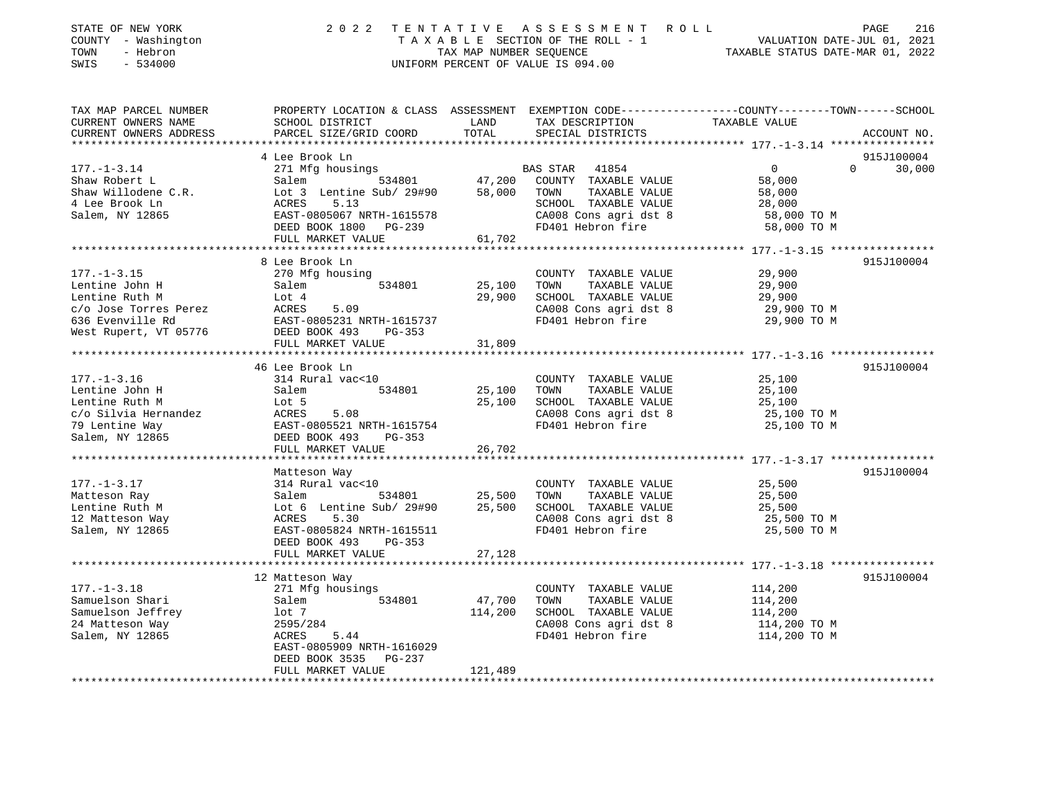| STATE OF NEW YORK<br>- Washington<br>COUNTY<br>- Hebron<br>TOWN<br>$-534000$<br>SWIS | 2022 TENTATIVE                                                                                                     |        | A S S E S S M E N T<br>T A X A B L E SECTION OF THE ROLL - 1 WALUATION DATE-JUL 01, 2021<br>TAX MAP NUMBER SEQUENCE TAXABLE STATUS DATE-MAR 01, 2022<br>UNIFORM PERCENT OF VALUE IS 094.00 | R O L L        | 216<br>PAGE        |
|--------------------------------------------------------------------------------------|--------------------------------------------------------------------------------------------------------------------|--------|--------------------------------------------------------------------------------------------------------------------------------------------------------------------------------------------|----------------|--------------------|
| TAX MAP PARCEL NUMBER<br>CURRENT OWNERS NAME                                         | PROPERTY LOCATION & CLASS ASSESSMENT EXEMPTION CODE---------------COUNTY-------TOWN------SCHOOL<br>SCHOOL DISTRICT |        | LAND TAX DESCRIPTION TAXABLE VALUE                                                                                                                                                         |                |                    |
|                                                                                      |                                                                                                                    |        |                                                                                                                                                                                            |                |                    |
|                                                                                      | 4 Lee Brook Ln                                                                                                     |        |                                                                                                                                                                                            |                | 915J100004         |
| $177. - 1 - 3.14$                                                                    | 271 Mfg housings                                                                                                   |        | 41854<br>BAS STAR                                                                                                                                                                          | $\overline{0}$ | $\Omega$<br>30,000 |
| Shaw Robert L                                                                        | Salem                                                                                                              |        | 534801 47,200 COUNTY TAXABLE VALUE                                                                                                                                                         | 58,000         |                    |
|                                                                                      | Shaw Willodene C.R. Lot 3 Lentine Sub/ 29#90                                                                       | 58,000 | TOWN<br>TAXABLE VALUE                                                                                                                                                                      | 58,000         |                    |
| 4 Lee Brook Ln                                                                       | 5.13<br>ACRES                                                                                                      |        | SCHOOL TAXABLE VALUE                                                                                                                                                                       | 28,000         |                    |
| Salem, NY 12865                                                                      | EAST-0805067 NRTH-1615578                                                                                          |        | CA008 Cons agri dst 8                                                                                                                                                                      | 58,000 TO M    |                    |
|                                                                                      | DEED BOOK 1800 PG-239                                                                                              |        | FD401 Hebron fire                                                                                                                                                                          | 58,000 TO M    |                    |
|                                                                                      | FULL MARKET VALUE                                                                                                  | 61,702 |                                                                                                                                                                                            |                |                    |
|                                                                                      |                                                                                                                    |        |                                                                                                                                                                                            |                |                    |
|                                                                                      | 8 Lee Brook Ln                                                                                                     |        |                                                                                                                                                                                            |                | 915J100004         |
| $177. - 1 - 3.15$                                                                    | 270 Mfg housing                                                                                                    |        | COUNTY<br>TAXABLE VALUE                                                                                                                                                                    | 29,900         |                    |
| Lentine John H                                                                       | Salem<br>534801                                                                                                    | 25,100 | TOWN<br>TAXABLE VALUE                                                                                                                                                                      | 29,900         |                    |
| Lentine Ruth M<br>and the Lot 4                                                      |                                                                                                                    | 29,900 | TAXABLE VALUE<br>SCHOOL                                                                                                                                                                    | 29,900         |                    |
| c/o Jose Torres Perez                                                                | 5.09<br>ACRES                                                                                                      |        | CA008 Cons agri dst 8                                                                                                                                                                      | 29,900 TO M    |                    |

\*\*\*\*\*\*\*\*\*\*\*\*\*\*\*\*\*\*\*\*\*\*\*\*\*\*\*\*\*\*\*\*\*\*\*\*\*\*\*\*\*\*\*\*\*\*\*\*\*\*\*\*\*\*\*\*\*\*\*\*\*\*\*\*\*\*\*\*\*\*\*\*\*\*\*\*\*\*\*\*\*\*\*\*\*\*\*\*\*\*\*\*\*\*\*\*\*\*\*\*\*\*\* 177.-1-3.16 \*\*\*\*\*\*\*\*\*\*\*\*\*\*\*\*

\*\*\*\*\*\*\*\*\*\*\*\*\*\*\*\*\*\*\*\*\*\*\*\*\*\*\*\*\*\*\*\*\*\*\*\*\*\*\*\*\*\*\*\*\*\*\*\*\*\*\*\*\*\*\*\*\*\*\*\*\*\*\*\*\*\*\*\*\*\*\*\*\*\*\*\*\*\*\*\*\*\*\*\*\*\*\*\*\*\*\*\*\*\*\*\*\*\*\*\*\*\*\* 177.-1-3.17 \*\*\*\*\*\*\*\*\*\*\*\*\*\*\*\*

\*\*\*\*\*\*\*\*\*\*\*\*\*\*\*\*\*\*\*\*\*\*\*\*\*\*\*\*\*\*\*\*\*\*\*\*\*\*\*\*\*\*\*\*\*\*\*\*\*\*\*\*\*\*\*\*\*\*\*\*\*\*\*\*\*\*\*\*\*\*\*\*\*\*\*\*\*\*\*\*\*\*\*\*\*\*\*\*\*\*\*\*\*\*\*\*\*\*\*\*\*\*\* 177.-1-3.18 \*\*\*\*\*\*\*\*\*\*\*\*\*\*\*\*

\*\*\*\*\*\*\*\*\*\*\*\*\*\*\*\*\*\*\*\*\*\*\*\*\*\*\*\*\*\*\*\*\*\*\*\*\*\*\*\*\*\*\*\*\*\*\*\*\*\*\*\*\*\*\*\*\*\*\*\*\*\*\*\*\*\*\*\*\*\*\*\*\*\*\*\*\*\*\*\*\*\*\*\*\*\*\*\*\*\*\*\*\*\*\*\*\*\*\*\*\*\*\*\*\*\*\*\*\*\*\*\*\*\*\*\*\*\*\*\*\*\*\*\*\*\*\*\*\*\*\*\*

46 Lee Brook Ln 915J100004

Matteson Way 915J100004

12 Matteson Way 915J100004

ACRES 5.44 FD401 Hebron fire 114,200 TO M

636 Evenville Rd EAST-0805231 NRTH-1615737 FD401 Hebron fire 29,900 TO M

177.-1-3.16 314 Rural vac<10 COUNTY TAXABLE VALUE 25,100 Lentine John H 31 Salem 534801 25,100 TOWN TAXABLE VALUE 25,100 Lentine Ruth M  $Lot 5$  25,100 SCHOOL TAXABLE VALUE 25,100 c/o Silvia Hernandez ACRES 5.08 CA008 Cons agri dst 8 25,100 TO M 79 Lentine Way EAST-0805521 NRTH-1615754 FD401 Hebron fire 25,100 TO M

177.-1-3.17 314 Rural vac<10 COUNTY TAXABLE VALUE 25,500 Matteson Ray Salem 534801 25,500 TOWN TAXABLE VALUE 25,500 Lentine Ruth M  $Lot 6$  Lentine Sub/ 29#90 25,500 SCHOOL TAXABLE VALUE 25,500 12 Matteson Way ACRES 5.30 CA008 Cons agri dst 8 25,500 TO M Salem, NY 12865 EAST-0805824 NRTH-1615511 FD401 Hebron fire 25,500 TO M

177.-1-3.18 271 Mfg housings COUNTY TAXABLE VALUE 114,200 Samuelson Shari Salem 534801 47,700 TOWN TAXABLE VALUE 114,200 Samuelson Jeffrey 114,200 10t 7 114,200 SCHOOL TAXABLE VALUE 114,200 24 Matteson Way 2595/284 CA008 Cons agri dst 8 114,200 TO M

FULL MARKET VALUE 31,809

FULL MARKET VALUE 26,702

FULL MARKET VALUE 27,128

FULL MARKET VALUE 121,489

DEED BOOK 493 PG-353

 EAST-0805909 NRTH-1616029DEED BOOK 3535 PG-237

West Rupert, VT 05776 DEED BOOK 493 PG-353

Salem, NY 12865 DEED BOOK 493 PG-353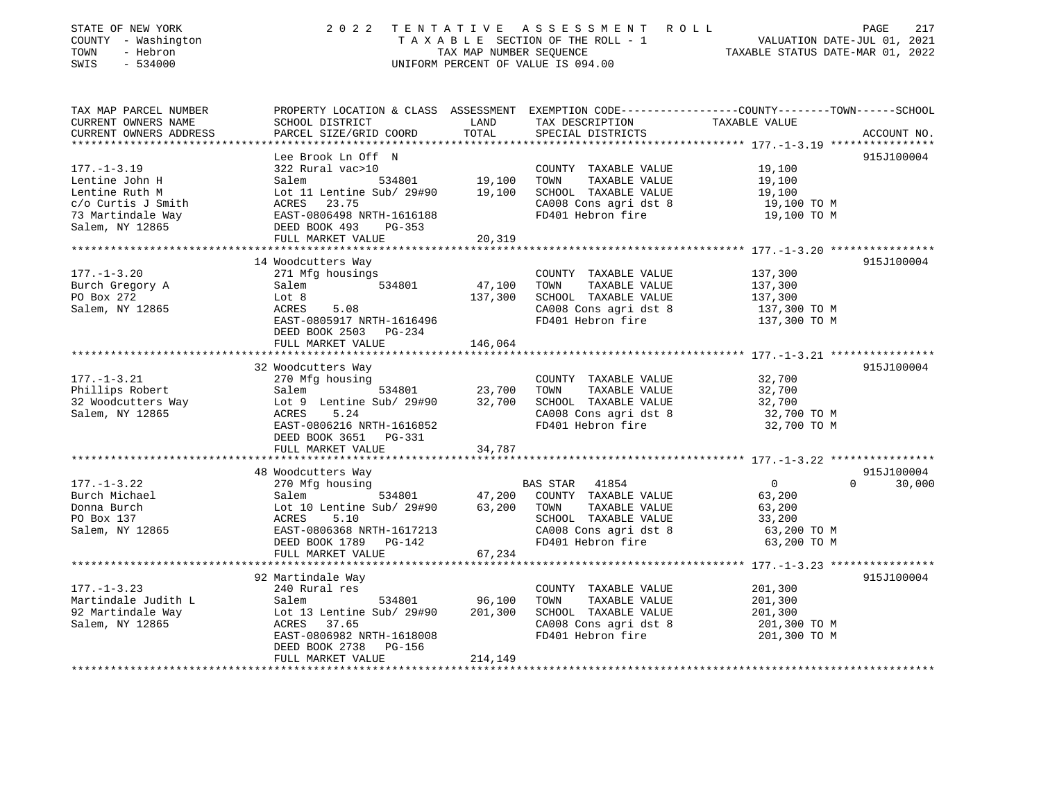| STATE OF NEW YORK<br>COUNTY - Washington<br>- Hebron<br>TOWN<br>$-534000$<br>SWIS | 2 0 2 2                                               | TAX MAP NUMBER SEQUENCE | TENTATIVE ASSESSMENT ROLL<br>TAXABLE SECTION OF THE ROLL - 1<br>UNIFORM PERCENT OF VALUE IS 094.00 | PAGE<br>217<br>VALUATION DATE-JUL 01, 2021<br>TAXABLE STATUS DATE-MAR 01, 2022                                   |
|-----------------------------------------------------------------------------------|-------------------------------------------------------|-------------------------|----------------------------------------------------------------------------------------------------|------------------------------------------------------------------------------------------------------------------|
| TAX MAP PARCEL NUMBER<br>CURRENT OWNERS NAME                                      | SCHOOL DISTRICT                                       | LAND                    | TAX DESCRIPTION                                                                                    | PROPERTY LOCATION & CLASS ASSESSMENT EXEMPTION CODE----------------COUNTY-------TOWN-----SCHOOL<br>TAXABLE VALUE |
| CURRENT OWNERS ADDRESS<br>******************                                      | PARCEL SIZE/GRID COORD                                | TOTAL                   | SPECIAL DISTRICTS                                                                                  | ACCOUNT NO.                                                                                                      |
|                                                                                   | Lee Brook Ln Off N                                    |                         |                                                                                                    | 915J100004                                                                                                       |
| $177. - 1 - 3.19$                                                                 | 322 Rural vac>10                                      |                         | COUNTY TAXABLE VALUE                                                                               | 19,100                                                                                                           |
| Lentine John H                                                                    | 534801<br>Salem                                       | 19,100                  | TAXABLE VALUE<br>TOWN                                                                              | 19,100                                                                                                           |
| Lentine Ruth M                                                                    | Lot 11 Lentine Sub/ 29#90                             | 19,100                  | SCHOOL TAXABLE VALUE                                                                               | 19,100                                                                                                           |
| c/o Curtis J Smith                                                                | ACRES 23.75                                           |                         | CA008 Cons agri dst 8                                                                              | 19,100 TO M                                                                                                      |
| 73 Martindale Way                                                                 | EAST-0806498 NRTH-1616188                             |                         | FD401 Hebron fire                                                                                  | 19,100 TO M                                                                                                      |
| Salem, NY 12865                                                                   | DEED BOOK 493<br>PG-353<br>FULL MARKET VALUE          | 20,319                  |                                                                                                    |                                                                                                                  |
|                                                                                   | ***********************                               |                         |                                                                                                    |                                                                                                                  |
|                                                                                   | 14 Woodcutters Way                                    |                         |                                                                                                    | 915J100004                                                                                                       |
| $177. - 1 - 3.20$                                                                 | 271 Mfg housings                                      |                         | COUNTY TAXABLE VALUE                                                                               | 137,300                                                                                                          |
| Burch Gregory A                                                                   | 534801<br>Salem                                       | 47,100                  | TAXABLE VALUE<br>TOWN                                                                              | 137,300                                                                                                          |
| PO Box 272<br>Salem, NY 12865                                                     | Lot 8                                                 | 137,300                 | SCHOOL TAXABLE VALUE                                                                               | 137,300<br>137,300 TO M                                                                                          |
|                                                                                   | ACRES<br>5.08<br>EAST-0805917 NRTH-1616496            |                         | CA008 Cons agri dst 8<br>FD401 Hebron fire                                                         | 137,300 TO M                                                                                                     |
|                                                                                   | DEED BOOK 2503 PG-234                                 |                         |                                                                                                    |                                                                                                                  |
|                                                                                   | FULL MARKET VALUE                                     | 146,064                 |                                                                                                    |                                                                                                                  |
|                                                                                   |                                                       |                         |                                                                                                    |                                                                                                                  |
|                                                                                   | 32 Woodcutters Way                                    |                         |                                                                                                    | 915J100004                                                                                                       |
| $177. - 1 - 3.21$<br>Phillips Robert                                              | 270 Mfg housing<br>Salem<br>534801                    | 23,700                  | COUNTY TAXABLE VALUE<br>TOWN<br>TAXABLE VALUE                                                      | 32,700<br>32,700                                                                                                 |
| 32 Woodcutters Way                                                                | Lot 9 Lentine Sub/ 29#90                              | 32,700                  | SCHOOL TAXABLE VALUE                                                                               | 32,700                                                                                                           |
| Salem, NY 12865                                                                   | ACRES<br>5.24                                         |                         | CA008 Cons agri dst 8                                                                              | 32,700 TO M                                                                                                      |
|                                                                                   | EAST-0806216 NRTH-1616852                             |                         | FD401 Hebron fire                                                                                  | 32,700 TO M                                                                                                      |
|                                                                                   | DEED BOOK 3651 PG-331                                 |                         |                                                                                                    |                                                                                                                  |
|                                                                                   | FULL MARKET VALUE                                     | 34,787                  |                                                                                                    |                                                                                                                  |
|                                                                                   | 48 Woodcutters Way                                    |                         |                                                                                                    | 915J100004                                                                                                       |
| $177. - 1 - 3.22$                                                                 | 270 Mfg housing                                       |                         | BAS STAR 41854                                                                                     | $\overline{0}$<br>$\Omega$<br>30,000                                                                             |
| Burch Michael                                                                     | Salem<br>534801                                       | 47,200                  | COUNTY TAXABLE VALUE                                                                               | 63,200                                                                                                           |
| Donna Burch                                                                       | Lot 10 Lentine Sub/ 29#90                             | 63,200                  | TOWN<br>TAXABLE VALUE                                                                              | 63,200                                                                                                           |
| PO Box 137                                                                        | 5.10<br>ACRES                                         |                         | SCHOOL TAXABLE VALUE                                                                               | 33,200                                                                                                           |
| Salem, NY 12865                                                                   | EAST-0806368 NRTH-1617213                             |                         | CA008 Cons agri dst 8                                                                              | 63,200 TO M                                                                                                      |
|                                                                                   | DEED BOOK 1789<br>PG-142<br>FULL MARKET VALUE         | 67,234                  | FD401 Hebron fire                                                                                  | 63,200 TO M                                                                                                      |
|                                                                                   | ***********************                               |                         |                                                                                                    |                                                                                                                  |
|                                                                                   | 92 Martindale Way                                     |                         |                                                                                                    | 915J100004                                                                                                       |
| $177. - 1 - 3.23$                                                                 | 240 Rural res                                         |                         | COUNTY TAXABLE VALUE                                                                               | 201,300                                                                                                          |
| Martindale Judith L                                                               | 534801<br>Salem                                       | 96,100                  | TOWN<br>TAXABLE VALUE                                                                              | 201,300                                                                                                          |
| 92 Martindale Way                                                                 | Lot 13 Lentine Sub/ 29#90<br>ACRES 37.65              | 201,300                 | SCHOOL TAXABLE VALUE                                                                               | 201,300                                                                                                          |
| Salem, NY 12865                                                                   |                                                       |                         | CA008 Cons agri dst 8                                                                              | 201,300 ТО М                                                                                                     |
|                                                                                   | EAST-0806982 NRTH-1618008<br>DEED BOOK 2738<br>PG-156 |                         | FD401 Hebron fire                                                                                  | 201,300 TO M                                                                                                     |
|                                                                                   | FULL MARKET VALUE                                     | 214,149                 |                                                                                                    |                                                                                                                  |
| ****************************                                                      |                                                       |                         |                                                                                                    |                                                                                                                  |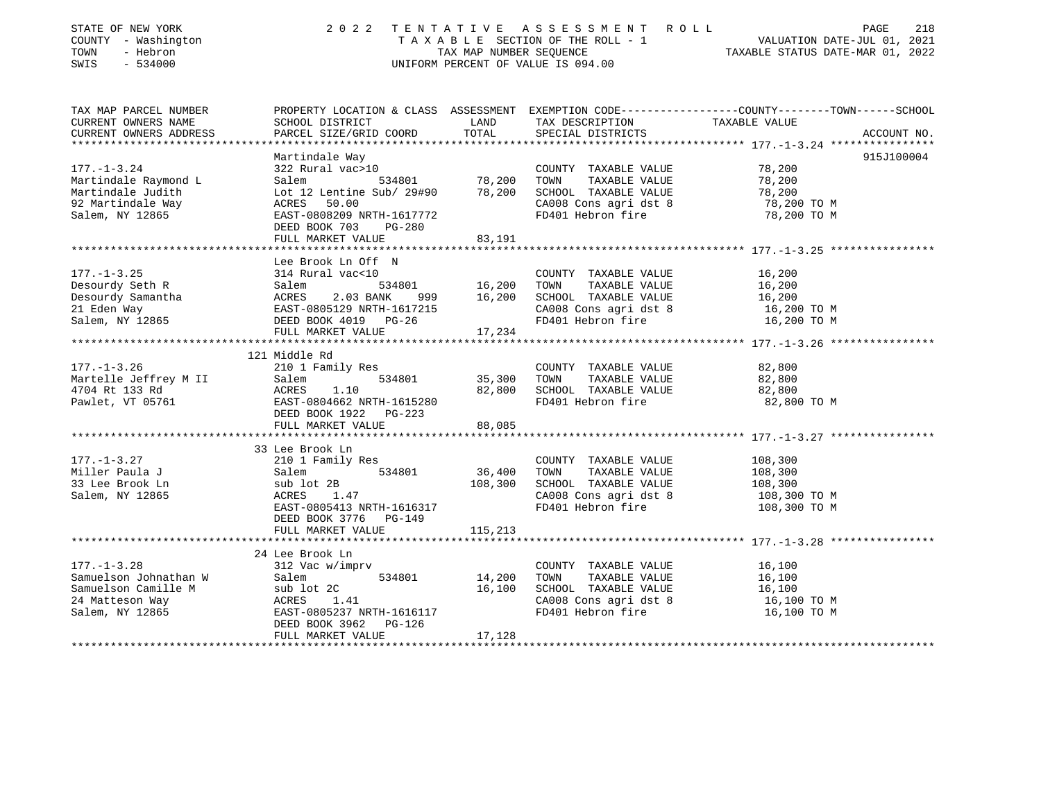| STATE OF NEW YORK<br>COUNTY - Washington<br>TOWN<br>- Hebron<br>SWIS<br>$-534000$                       | 2 0 2 2                                                                                                                                                                           |                            | TENTATIVE ASSESSMENT ROLL<br>UNIFORM PERCENT OF VALUE IS 094.00                                                     | 218<br>PAGE<br>TAXABLE SECTION OF THE ROLL - 1<br>TAXABLE STATUS DATE-JUL 01, 2021<br>TAXABLE STATUS DATE-MAR 01, 2022          |
|---------------------------------------------------------------------------------------------------------|-----------------------------------------------------------------------------------------------------------------------------------------------------------------------------------|----------------------------|---------------------------------------------------------------------------------------------------------------------|---------------------------------------------------------------------------------------------------------------------------------|
| TAX MAP PARCEL NUMBER<br>CURRENT OWNERS NAME<br>CURRENT OWNERS ADDRESS<br>*********************         | SCHOOL DISTRICT<br>PARCEL SIZE/GRID COORD                                                                                                                                         | LAND<br>TOTAL              | TAX DESCRIPTION<br>SPECIAL DISTRICTS                                                                                | PROPERTY LOCATION & CLASS ASSESSMENT EXEMPTION CODE---------------COUNTY-------TOWN------SCHOOL<br>TAXABLE VALUE<br>ACCOUNT NO. |
| $177. - 1 - 3.24$<br>Martindale Raymond L<br>Martindale Judith<br>92 Martindale Way<br>Salem, NY 12865  | Martindale Way<br>322 Rural vac>10<br>534801<br>Salem<br>Lot 12 Lentine Sub/ 29#90<br>50.00<br>ACRES<br>EAST-0808209 NRTH-1617772<br>DEED BOOK 703<br>PG-280<br>FULL MARKET VALUE | 78,200<br>78,200<br>83,191 | COUNTY TAXABLE VALUE<br>TOWN<br>TAXABLE VALUE<br>SCHOOL TAXABLE VALUE<br>CA008 Cons agri dst 8<br>FD401 Hebron fire | 915J100004<br>78,200<br>78,200<br>78,200<br>78,200 TO M<br>78,200 TO M                                                          |
|                                                                                                         |                                                                                                                                                                                   |                            |                                                                                                                     |                                                                                                                                 |
| $177. - 1 - 3.25$<br>Desourdy Seth R<br>Desourdy Samantha<br>21 Eden Way<br>Salem, NY 12865             | Lee Brook Ln Off N<br>314 Rural vac<10<br>Salem<br>534801<br>ACRES<br>2.03 BANK<br>999<br>EAST-0805129 NRTH-1617215<br>DEED BOOK 4019 PG-26<br>FULL MARKET VALUE                  | 16,200<br>16,200<br>17,234 | COUNTY TAXABLE VALUE<br>TOWN<br>TAXABLE VALUE<br>SCHOOL TAXABLE VALUE<br>CA008 Cons agri dst 8<br>FD401 Hebron fire | 16,200<br>16,200<br>16,200<br>16,200 TO M<br>16,200 TO M                                                                        |
|                                                                                                         |                                                                                                                                                                                   |                            |                                                                                                                     |                                                                                                                                 |
| $177. - 1 - 3.26$<br>Martelle Jeffrey M II<br>4704 Rt 133 Rd<br>Pawlet, VT 05761                        | 121 Middle Rd<br>210 1 Family Res<br>534801<br>Salem<br>ACRES<br>1.10<br>EAST-0804662 NRTH-1615280<br>DEED BOOK 1922 PG-223                                                       | 35,300<br>82,800           | COUNTY TAXABLE VALUE<br>TAXABLE VALUE<br>TOWN<br>SCHOOL TAXABLE VALUE<br>FD401 Hebron fire                          | 82,800<br>82,800<br>82,800<br>82,800 TO M                                                                                       |
|                                                                                                         | FULL MARKET VALUE                                                                                                                                                                 | 88,085                     |                                                                                                                     |                                                                                                                                 |
| $177. - 1 - 3.27$<br>Miller Paula J<br>33 Lee Brook Ln<br>Salem, NY 12865                               | 33 Lee Brook Ln<br>210 1 Family Res<br>534801<br>Salem<br>sub lot 2B<br>1.47<br>ACRES<br>EAST-0805413 NRTH-1616317<br>DEED BOOK 3776 PG-149                                       | 36,400<br>108,300          | COUNTY TAXABLE VALUE<br>TOWN<br>TAXABLE VALUE<br>SCHOOL TAXABLE VALUE<br>CA008 Cons agri dst 8<br>FD401 Hebron fire | 108,300<br>108,300<br>108,300<br>108,300 ТО М<br>108,300 TO M                                                                   |
|                                                                                                         | FULL MARKET VALUE                                                                                                                                                                 | 115,213                    |                                                                                                                     |                                                                                                                                 |
|                                                                                                         | 24 Lee Brook Ln                                                                                                                                                                   |                            |                                                                                                                     |                                                                                                                                 |
| $177. - 1 - 3.28$<br>Samuelson Johnathan W<br>Samuelson Camille M<br>24 Matteson Way<br>Salem, NY 12865 | 312 Vac w/imprv<br>Salem<br>534801<br>sub lot 2C<br>ACRES<br>1.41<br>EAST-0805237 NRTH-1616117<br>DEED BOOK 3962<br>PG-126                                                        | 14,200<br>16,100           | COUNTY TAXABLE VALUE<br>TOWN<br>TAXABLE VALUE<br>SCHOOL TAXABLE VALUE<br>CA008 Cons agri dst 8<br>FD401 Hebron fire | 16,100<br>16,100<br>16,100<br>16,100 TO M<br>16,100 TO M                                                                        |

\*\*\*\*\*\*\*\*\*\*\*\*\*\*\*\*\*\*\*\*\*\*\*\*\*\*\*\*\*\*\*\*\*\*\*\*\*\*\*\*\*\*\*\*\*\*\*\*\*\*\*\*\*\*\*\*\*\*\*\*\*\*\*\*\*\*\*\*\*\*\*\*\*\*\*\*\*\*\*\*\*\*\*\*\*\*\*\*\*\*\*\*\*\*\*\*\*\*\*\*\*\*\*\*\*\*\*\*\*\*\*\*\*\*\*\*\*\*\*\*\*\*\*\*\*\*\*\*\*\*\*\*

FULL MARKET VALUE 17,128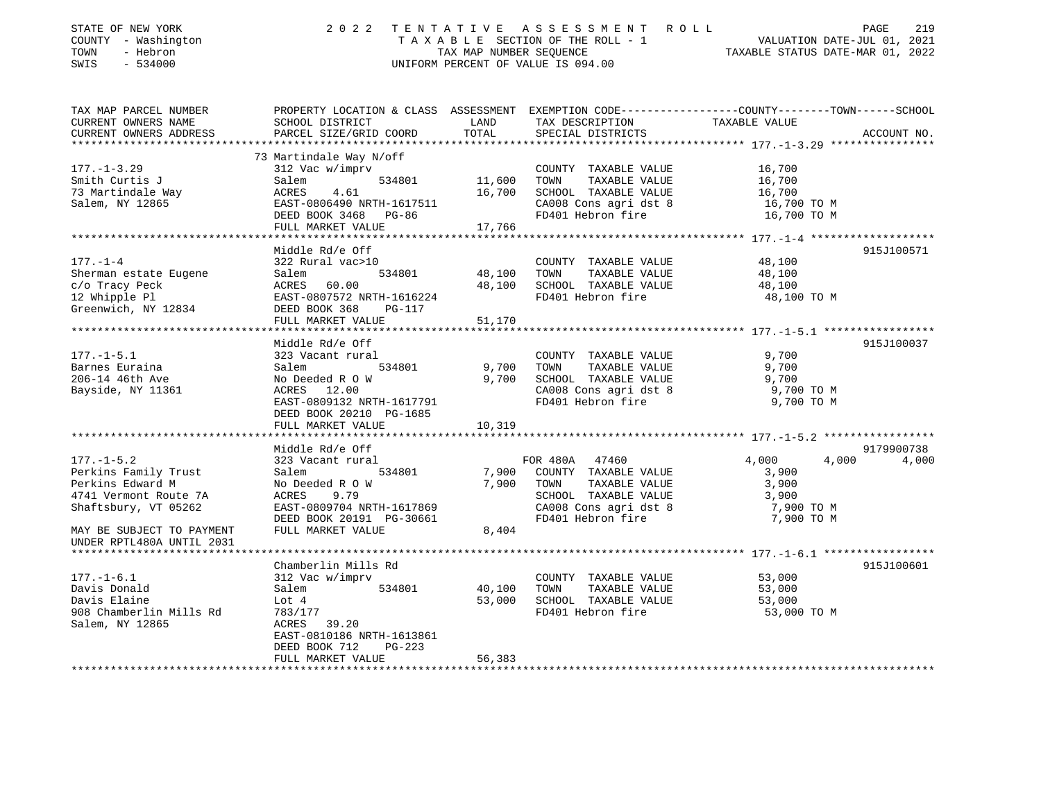| STATE OF NEW YORK<br>COUNTY - Washington<br>TOWN<br>- Hebron<br>SWIS<br>$-534000$ | 2 0 2 2                                                                                                             | TAX MAP NUMBER SEQUENCE   | TENTATIVE ASSESSMENT ROLL<br>TAXABLE SECTION OF THE ROLL - 1<br>UNIFORM PERCENT OF VALUE IS 094.00 | VALUATION DATE-JUL 01, 2021<br>TAXABLE STATUS DATE-MAR 01, 2022 | 219<br>PAGE |
|-----------------------------------------------------------------------------------|---------------------------------------------------------------------------------------------------------------------|---------------------------|----------------------------------------------------------------------------------------------------|-----------------------------------------------------------------|-------------|
| TAX MAP PARCEL NUMBER<br>CURRENT OWNERS NAME                                      | PROPERTY LOCATION & CLASS ASSESSMENT EXEMPTION CODE----------------COUNTY-------TOWN------SCHOOL<br>SCHOOL DISTRICT | LAND                      | TAX DESCRIPTION                                                                                    | TAXABLE VALUE                                                   |             |
| CURRENT OWNERS ADDRESS<br>* * * * * * * * * * * * * * * * *                       | PARCEL SIZE/GRID COORD<br>**************************                                                                | TOTAL<br>**************** | SPECIAL DISTRICTS                                                                                  |                                                                 | ACCOUNT NO. |
|                                                                                   | 73 Martindale Way N/off                                                                                             |                           |                                                                                                    |                                                                 |             |
| $177. - 1 - 3.29$                                                                 | 312 Vac w/imprv                                                                                                     |                           | COUNTY TAXABLE VALUE                                                                               | 16,700                                                          |             |
| Smith Curtis J                                                                    | Salem<br>534801                                                                                                     | 11,600                    | TOWN<br>TAXABLE VALUE                                                                              | 16,700                                                          |             |
| 73 Martindale Way                                                                 | ACRES 4.61                                                                                                          |                           | 16,700 SCHOOL TAXABLE VALUE                                                                        | 16,700                                                          |             |
| Salem, NY 12865                                                                   | EAST-0806490 NRTH-1617511                                                                                           |                           | CA008 Cons agri dst 8                                                                              | 16,700 TO M                                                     |             |
|                                                                                   | DEED BOOK 3468 PG-86                                                                                                |                           | FD401 Hebron fire                                                                                  | 16,700 TO M                                                     |             |
|                                                                                   | FULL MARKET VALUE                                                                                                   | 17,766                    |                                                                                                    |                                                                 |             |
|                                                                                   |                                                                                                                     |                           |                                                                                                    |                                                                 |             |
|                                                                                   | Middle Rd/e Off                                                                                                     |                           |                                                                                                    |                                                                 | 915J100571  |
| $177. - 1 - 4$                                                                    | 322 Rural vac>10                                                                                                    |                           | COUNTY TAXABLE VALUE                                                                               | 48,100                                                          |             |
| Sherman estate Eugene                                                             | Salem<br>534801                                                                                                     | 48,100                    | TAXABLE VALUE<br>TOWN                                                                              | 48,100                                                          |             |
| c/o Tracy Peck                                                                    | ACRES 60.00                                                                                                         | 48,100                    | SCHOOL TAXABLE VALUE                                                                               | 48,100                                                          |             |
| 12 Whipple Pl                                                                     | EAST-0807572 NRTH-1616224                                                                                           |                           | FD401 Hebron fire                                                                                  | 48,100 TO M                                                     |             |
| Greenwich, NY 12834                                                               | DEED BOOK 368<br>PG-117                                                                                             |                           |                                                                                                    |                                                                 |             |
|                                                                                   | FULL MARKET VALUE                                                                                                   | 51,170                    |                                                                                                    |                                                                 |             |
|                                                                                   | Middle Rd/e Off                                                                                                     |                           |                                                                                                    |                                                                 | 915J100037  |
| $177. - 1 - 5.1$                                                                  | 323 Vacant rural                                                                                                    |                           | COUNTY TAXABLE VALUE                                                                               | 9,700                                                           |             |
| Barnes Euraina                                                                    | 534801<br>Salem                                                                                                     | 9,700                     | TOWN<br>TAXABLE VALUE                                                                              | 9,700                                                           |             |
| 206-14 46th Ave                                                                   | No Deeded R O W                                                                                                     |                           | 9,700 SCHOOL TAXABLE VALUE                                                                         | 9,700                                                           |             |
| Bayside, NY 11361                                                                 | ACRES 12.00                                                                                                         |                           | CA008 Cons agri dst 8                                                                              | 9,700 TO M                                                      |             |
|                                                                                   | EAST-0809132 NRTH-1617791                                                                                           |                           | FD401 Hebron fire                                                                                  | 9,700 TO M                                                      |             |
|                                                                                   | DEED BOOK 20210 PG-1685                                                                                             |                           |                                                                                                    |                                                                 |             |
|                                                                                   | FULL MARKET VALUE                                                                                                   | 10,319                    |                                                                                                    |                                                                 |             |
|                                                                                   |                                                                                                                     |                           |                                                                                                    |                                                                 |             |
|                                                                                   | Middle Rd/e Off                                                                                                     |                           |                                                                                                    |                                                                 | 9179900738  |
| $177. - 1 - 5.2$                                                                  | 323 Vacant rural                                                                                                    |                           | FOR 480A<br>47460                                                                                  | 4,000<br>4,000                                                  | 4,000       |
| Perkins Family Trust                                                              | 534801<br>Salem                                                                                                     | 7,900                     | COUNTY TAXABLE VALUE                                                                               | 3,900                                                           |             |
| Perkins Edward M                                                                  | No Deeded R O W                                                                                                     | 7,900                     | TOWN<br>TAXABLE VALUE                                                                              | 3,900                                                           |             |
| 4741 Vermont Route 7A                                                             | ACRES<br>9.79                                                                                                       |                           | SCHOOL TAXABLE VALUE                                                                               | 3,900                                                           |             |
| Shaftsbury, VT 05262                                                              | EAST-0809704 NRTH-1617869                                                                                           |                           | CA008 Cons agri dst 8                                                                              | 7,900 TO M                                                      |             |
| MAY BE SUBJECT TO PAYMENT                                                         | DEED BOOK 20191 PG-30661<br>FULL MARKET VALUE                                                                       | 8,404                     | FD401 Hebron fire                                                                                  | 7,900 TO M                                                      |             |
| UNDER RPTL480A UNTIL 2031                                                         |                                                                                                                     |                           |                                                                                                    |                                                                 |             |
|                                                                                   |                                                                                                                     |                           |                                                                                                    | *********************** 177._1_6.1 ******************           |             |
|                                                                                   | Chamberlin Mills Rd                                                                                                 |                           |                                                                                                    |                                                                 | 915J100601  |
| $177. - 1 - 6.1$                                                                  | 312 Vac w/imprv                                                                                                     |                           | COUNTY TAXABLE VALUE                                                                               | 53,000                                                          |             |
| Davis Donald                                                                      | 534801<br>Salem                                                                                                     | 40,100                    | TOWN<br>TAXABLE VALUE                                                                              | 53,000                                                          |             |
| Davis Elaine                                                                      | Lot 4                                                                                                               | 53,000                    | SCHOOL TAXABLE VALUE                                                                               | 53,000                                                          |             |
| 908 Chamberlin Mills Rd                                                           | 783/177                                                                                                             |                           | FD401 Hebron fire                                                                                  | 53,000 TO M                                                     |             |
| Salem, NY 12865                                                                   | ACRES 39.20                                                                                                         |                           |                                                                                                    |                                                                 |             |
|                                                                                   | EAST-0810186 NRTH-1613861                                                                                           |                           |                                                                                                    |                                                                 |             |
|                                                                                   | DEED BOOK 712<br>$PG-223$                                                                                           |                           |                                                                                                    |                                                                 |             |
|                                                                                   | FULL MARKET VALUE                                                                                                   | 56,383                    |                                                                                                    |                                                                 |             |
|                                                                                   |                                                                                                                     |                           |                                                                                                    |                                                                 |             |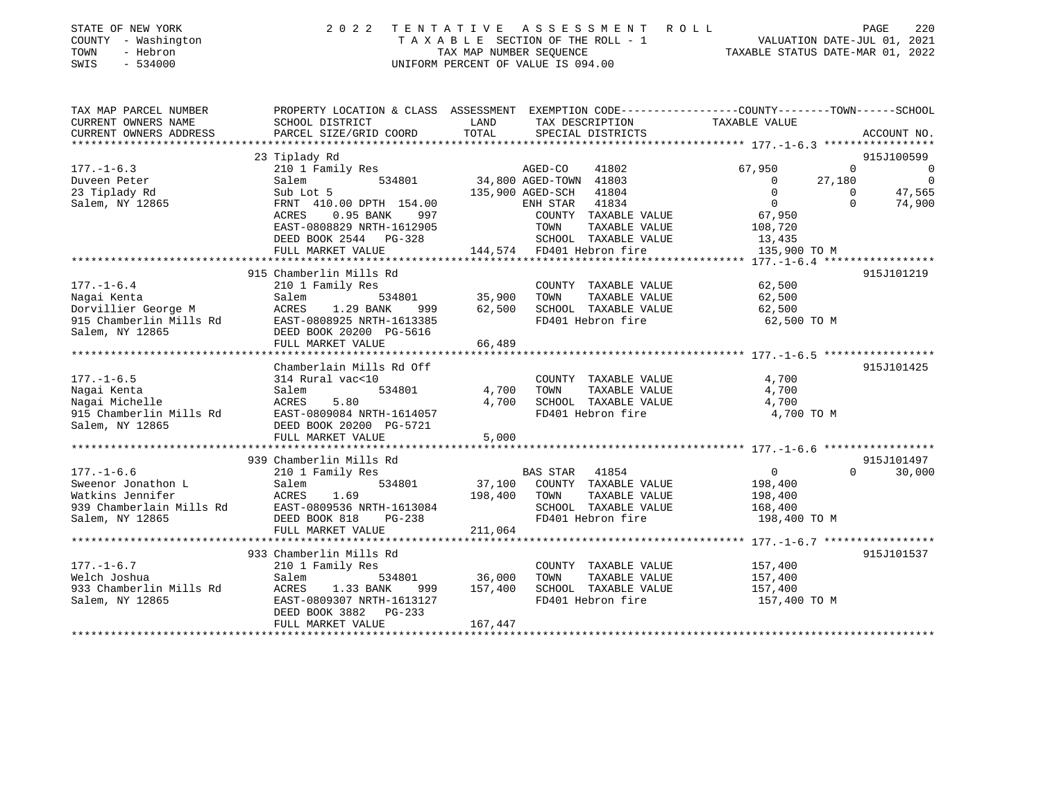| STATE OF NEW YORK<br>COUNTY - Washington | 2022 TENTATIVE ASSESSMENT ROLL<br>TAXABLE SECTION OF THE ROLL - 1 | PAGE<br>VALUATION DATE-JUL 01, 2021 | 220 |
|------------------------------------------|-------------------------------------------------------------------|-------------------------------------|-----|
| TOWN<br>- Hebron                         | TAX MAP NUMBER SEOUENCE                                           | TAXABLE STATUS DATE-MAR 01, 2022    |     |
| SWIS<br>- 534000                         | UNIFORM PERCENT OF VALUE IS 094.00                                |                                     |     |

| TAX MAP PARCEL NUMBER                                                     |                                                                                             |                                                                                                                                                                                                                                            | PROPERTY LOCATION & CLASS ASSESSMENT EXEMPTION CODE---------------COUNTY-------TOWN-----SCHOOL |
|---------------------------------------------------------------------------|---------------------------------------------------------------------------------------------|--------------------------------------------------------------------------------------------------------------------------------------------------------------------------------------------------------------------------------------------|------------------------------------------------------------------------------------------------|
| CURRENT OWNERS NAME                                                       | SCHOOL DISTRICT<br><b>LAND</b>                                                              | TAX DESCRIPTION                                                                                                                                                                                                                            | TAXABLE VALUE                                                                                  |
| CURRENT OWNERS ADDRESS                                                    |                                                                                             |                                                                                                                                                                                                                                            |                                                                                                |
|                                                                           |                                                                                             |                                                                                                                                                                                                                                            |                                                                                                |
|                                                                           | 23 Tiplady Rd                                                                               |                                                                                                                                                                                                                                            | 915J100599                                                                                     |
| $177. - 1 - 6.3$                                                          |                                                                                             | 210 1 Family Res<br>210 1 Family Res<br>534801 34,800 AGED-TOWN 41803                                                                                                                                                                      | 67,950<br>$\overline{0}$<br>$\overline{\phantom{0}}$                                           |
| Duveen Peter                                                              |                                                                                             |                                                                                                                                                                                                                                            | $\overline{\phantom{0}}$<br>27,180<br>$\overline{0}$                                           |
| 23 Tiplady Rd                                                             |                                                                                             | Sub Lot 5<br>FRNT 410.00 DPTH 154.00<br>ACRES 0.95 BANK 997 COUNTY TAXABLE VALUE 67,950                                                                                                                                                    | 47,565<br>$\overline{0}$                                                                       |
| Salem, NY 12865                                                           |                                                                                             |                                                                                                                                                                                                                                            | $\Omega$<br>74,900                                                                             |
|                                                                           |                                                                                             |                                                                                                                                                                                                                                            |                                                                                                |
|                                                                           |                                                                                             |                                                                                                                                                                                                                                            |                                                                                                |
|                                                                           |                                                                                             |                                                                                                                                                                                                                                            | $108,720$<br>$13,435$                                                                          |
|                                                                           |                                                                                             | FULL MARKET VALUE 144,574 FD401 Hebron fire                                                                                                                                                                                                | 135,900 TO M                                                                                   |
|                                                                           |                                                                                             |                                                                                                                                                                                                                                            |                                                                                                |
|                                                                           | 915 Chamberlin Mills Rd                                                                     |                                                                                                                                                                                                                                            | 915J101219                                                                                     |
| $177. - 1 - 6.4$                                                          | 210 1 Family Res                                                                            | COUNTY TAXABLE VALUE 62,500<br>Family Res 534801 35,900 TOWN TAXABLE VALUE 62,500<br>1.29 BANK 999 62,500 SCHOOL TAXABLE VALUE 62,500                                                                                                      |                                                                                                |
| Nagai Kenta                                                               |                                                                                             |                                                                                                                                                                                                                                            |                                                                                                |
|                                                                           |                                                                                             |                                                                                                                                                                                                                                            |                                                                                                |
|                                                                           |                                                                                             | FD401 Hebron fire 62,500 TO M                                                                                                                                                                                                              |                                                                                                |
|                                                                           |                                                                                             |                                                                                                                                                                                                                                            |                                                                                                |
|                                                                           | FULL MARKET VALUE                                                                           | 66,489                                                                                                                                                                                                                                     |                                                                                                |
|                                                                           |                                                                                             |                                                                                                                                                                                                                                            |                                                                                                |
|                                                                           | Chamberlain Mills Rd Off                                                                    |                                                                                                                                                                                                                                            | 915J101425                                                                                     |
| $177. - 1 - 6.5$                                                          | 314 Rural vac<10                                                                            | COUNTY TAXABLE VALUE 4,700                                                                                                                                                                                                                 |                                                                                                |
| Nagai Kenta                                                               | Salem<br>534801                                                                             |                                                                                                                                                                                                                                            |                                                                                                |
| Nagai Michelle                                                            | ACRES<br>5.80                                                                               |                                                                                                                                                                                                                                            |                                                                                                |
|                                                                           | 915 Chamberlin Mills Rd<br>915 Chamberlin Mills Rd<br>---- ----- ----- 2009084 NRTH-1614057 | 4,700 TOWN TAXABLE VALUE $4$ ,700<br>4,700 SCHOOL TAXABLE VALUE $4$ ,700<br>FD401 Hebron fire $4$ ,700 TO M                                                                                                                                |                                                                                                |
| Salem, NY 12865                                                           | DEED BOOK 20200 PG-5721                                                                     |                                                                                                                                                                                                                                            |                                                                                                |
|                                                                           | FULL MARKET VALUE                                                                           | 5,000                                                                                                                                                                                                                                      |                                                                                                |
|                                                                           |                                                                                             |                                                                                                                                                                                                                                            |                                                                                                |
|                                                                           | 939 Chamberlin Mills Rd                                                                     |                                                                                                                                                                                                                                            | 915J101497                                                                                     |
| $177. - 1 - 6.6$                                                          | 210 1 Family Res                                                                            | BAS STAR 41854                                                                                                                                                                                                                             | $\overline{0}$<br>$\Omega$<br>30,000                                                           |
| Sweenor Jonathon L<br>Watkins Jennifer<br>Watkins Jennifer<br>2008 MacRES |                                                                                             | 534801 37,100 COUNTY TAXABLE VALUE 198,400                                                                                                                                                                                                 |                                                                                                |
|                                                                           |                                                                                             | 198,400 TOWN<br>TAXABLE VALUE                                                                                                                                                                                                              | 198,400                                                                                        |
|                                                                           |                                                                                             | SCHOOL TAXABLE VALUE 168,400                                                                                                                                                                                                               |                                                                                                |
|                                                                           |                                                                                             | FD401 Hebron fire 198,400 TO M                                                                                                                                                                                                             |                                                                                                |
|                                                                           |                                                                                             |                                                                                                                                                                                                                                            |                                                                                                |
|                                                                           |                                                                                             |                                                                                                                                                                                                                                            |                                                                                                |
|                                                                           | 933 Chamberlin Mills Rd                                                                     |                                                                                                                                                                                                                                            | 915J101537                                                                                     |
| $177. - 1 - 6.7$                                                          | 210 1 Family Res                                                                            | COUNTY TAXABLE VALUE 157,400                                                                                                                                                                                                               |                                                                                                |
|                                                                           |                                                                                             | Welch Joshua<br>Welch Joshua<br>933 Chamberlin Mills Rd<br>818 Mart 1.33 BANK 999 157,400 SCHOOL TAXABLE VALUE<br>81 Mart 1.33 BANK 999 157,400 SCHOOL TAXABLE VALUE<br>81 Mart 1.33 BANK 999 157,400 SCHOOL TAXABLE VALUE<br>81 Mart 1.33 | TAXABLE VALUE 157,400                                                                          |
|                                                                           |                                                                                             |                                                                                                                                                                                                                                            |                                                                                                |
|                                                                           |                                                                                             |                                                                                                                                                                                                                                            | 157,400<br>157,400 TO M                                                                        |
|                                                                           | DEED BOOK 3882 PG-233                                                                       |                                                                                                                                                                                                                                            |                                                                                                |
|                                                                           | FULL MARKET VALUE                                                                           | 167,447                                                                                                                                                                                                                                    |                                                                                                |
|                                                                           |                                                                                             |                                                                                                                                                                                                                                            |                                                                                                |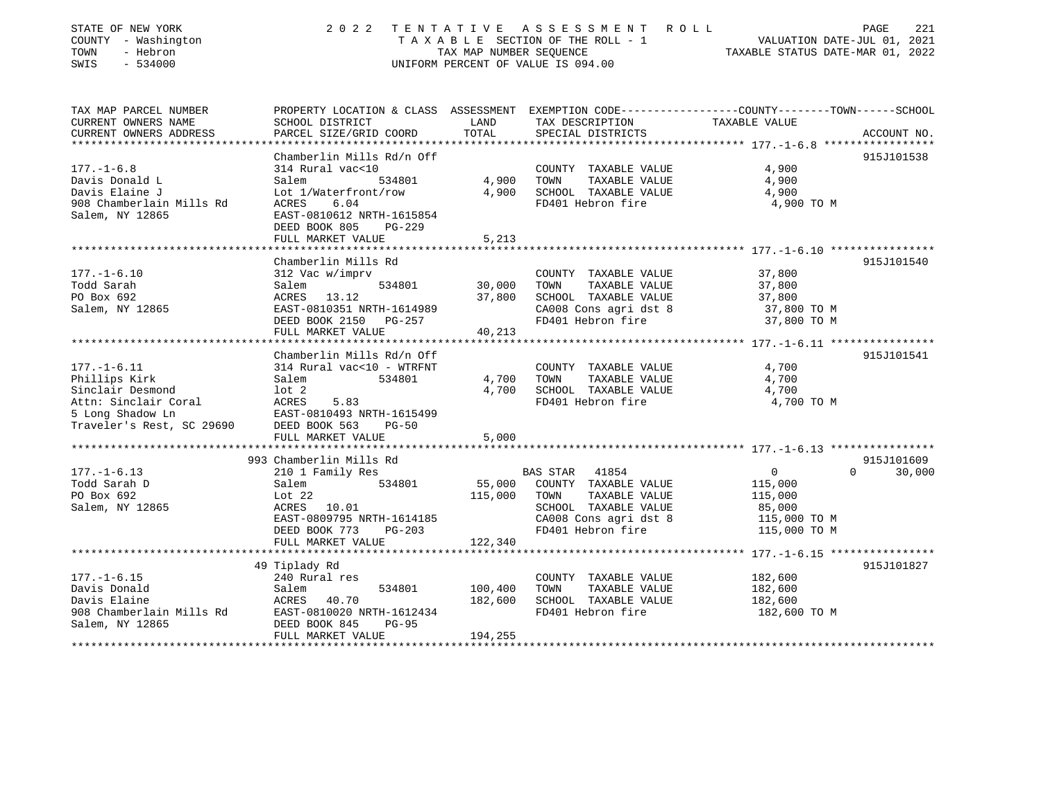| STATE OF NEW YORK<br>COUNTY - Washington<br>- Hebron<br>TOWN<br>SWIS<br>$-534000$ |                                                                                                      |                 | 2022 TENTATIVE ASSESSMENT ROLL<br>UNIFORM PERCENT OF VALUE IS 094.00                                                                                          | PAGE<br>221<br>T A X A B L E SECTION OF THE ROLL - 1 VALUATION DATE-JUL 01, 2021<br>TAX MAP NUMBER SEQUENCE TAXIBLE STATUS DATE-MAR 01, 2022 |  |
|-----------------------------------------------------------------------------------|------------------------------------------------------------------------------------------------------|-----------------|---------------------------------------------------------------------------------------------------------------------------------------------------------------|----------------------------------------------------------------------------------------------------------------------------------------------|--|
| TAX MAP PARCEL NUMBER                                                             |                                                                                                      |                 |                                                                                                                                                               | PROPERTY LOCATION & CLASS ASSESSMENT EXEMPTION CODE---------------COUNTY-------TOWN------SCHOOL                                              |  |
| CURRENT OWNERS NAME<br>CURRENT OWNERS ADDRESS                                     | SCHOOL DISTRICT                                                                                      |                 | LAND TAX DESCRIPTION TAXABLE VALUE                                                                                                                            |                                                                                                                                              |  |
|                                                                                   |                                                                                                      |                 |                                                                                                                                                               | 915J101538                                                                                                                                   |  |
| $177. - 1 - 6.8$                                                                  | Chamberlin Mills Rd/n Off<br>314 Rural vac<10 COUNT<br>Salem 534801 4,900 TOWN                       |                 | COUNTY TAXABLE VALUE                                                                                                                                          | 4,900                                                                                                                                        |  |
| Davis Donald L                                                                    |                                                                                                      |                 | TAXABLE VALUE 4,900                                                                                                                                           |                                                                                                                                              |  |
| Davis Elaine J                                                                    | Lot 1/Waterfront/row 4,900                                                                           |                 | SCHOOL TAXABLE VALUE 4,900                                                                                                                                    |                                                                                                                                              |  |
| 908 Chamberlain Mills Rd                                                          | 6.04<br>ACRES                                                                                        |                 | FD401 Hebron fire 4,900 TO M                                                                                                                                  |                                                                                                                                              |  |
| Salem, NY 12865                                                                   | EAST-0810612 NRTH-1615854                                                                            |                 |                                                                                                                                                               |                                                                                                                                              |  |
|                                                                                   | DEED BOOK 805<br>PG-229                                                                              |                 |                                                                                                                                                               |                                                                                                                                              |  |
|                                                                                   | FULL MARKET VALUE                                                                                    | 5,213           |                                                                                                                                                               |                                                                                                                                              |  |
|                                                                                   |                                                                                                      |                 |                                                                                                                                                               |                                                                                                                                              |  |
| $177. - 1 - 6.10$                                                                 | Chamberlin Mills Rd                                                                                  |                 | COUNTY TAXABLE VALUE 37,800<br>TOWN TAXABLE VALUE 37,800<br>SCHOOL TAXABLE VALUE 37,800<br>CA008 Cons agri dst 8 37,800 TO M<br>FD401 Hebron fire 37,800 TO M | 915J101540                                                                                                                                   |  |
| Todd Sarah                                                                        | 312 Vac w/imprv<br>Salem                                                                             | $534801$ 30,000 |                                                                                                                                                               |                                                                                                                                              |  |
| PO Box 692                                                                        |                                                                                                      |                 |                                                                                                                                                               |                                                                                                                                              |  |
| Salem, NY 12865                                                                   |                                                                                                      |                 |                                                                                                                                                               |                                                                                                                                              |  |
|                                                                                   |                                                                                                      |                 |                                                                                                                                                               |                                                                                                                                              |  |
|                                                                                   | ACRES 13.12 37,800<br>EAST-0810351 NRTH-1614989<br>DEED BOOK 2150 PG-257<br>FULL MARKET VALUE 40,213 |                 |                                                                                                                                                               |                                                                                                                                              |  |
|                                                                                   |                                                                                                      |                 |                                                                                                                                                               |                                                                                                                                              |  |
|                                                                                   | Chamberlin Mills Rd/n Off                                                                            |                 |                                                                                                                                                               | 915J101541                                                                                                                                   |  |
| $177. - 1 - 6.11$                                                                 | 314 Rural vac<10 - WTRFNT                                                                            |                 | COUNTY TAXABLE VALUE                                                                                                                                          | 4,700                                                                                                                                        |  |
| Phillips Kirk                                                                     | 534801<br>Salem                                                                                      | 4,700           | TAXABLE VALUE<br>TOWN                                                                                                                                         | 4,700                                                                                                                                        |  |
| Sinclair Desmond                                                                  | lot 2                                                                                                | 4,700           | SCHOOL TAXABLE VALUE                                                                                                                                          | 4,700                                                                                                                                        |  |
| Attn: Sinclair Coral                                                              | ACRES<br>5.83                                                                                        |                 | FD401 Hebron fire                                                                                                                                             | 4,700 TO M                                                                                                                                   |  |
| 5 Long Shadow Ln                                                                  | EAST-0810493 NRTH-1615499                                                                            |                 |                                                                                                                                                               |                                                                                                                                              |  |
| Traveler's Rest, SC 29690                                                         | DEED BOOK 563<br><b>PG-50</b>                                                                        |                 |                                                                                                                                                               |                                                                                                                                              |  |
|                                                                                   | FULL MARKET VALUE                                                                                    | 5,000           |                                                                                                                                                               |                                                                                                                                              |  |
|                                                                                   |                                                                                                      |                 |                                                                                                                                                               |                                                                                                                                              |  |

|                          | 993 Chamberlin Mills Rd   |                                    | 915J101609              |
|--------------------------|---------------------------|------------------------------------|-------------------------|
| $177. - 1 - 6.13$        | 210 1 Family Res          | 41854<br><b>BAS STAR</b>           | 30,000<br>$\Omega$<br>0 |
| Todd Sarah D             | 534801<br>Salem           | 55,000<br>COUNTY<br>TAXABLE VALUE  | 115,000                 |
| PO Box 692               | Lot 22                    | 115,000<br>TOWN<br>TAXABLE VALUE   | 115,000                 |
| Salem, NY 12865          | ACRES 10.01               | TAXABLE VALUE<br>SCHOOL            | 85,000                  |
|                          | EAST-0809795 NRTH-1614185 | CA008 Cons agri dst 8              | 115,000 TO M            |
|                          | DEED BOOK 773<br>PG-203   | FD401 Hebron fire                  | 115,000 TO M            |
|                          | FULL MARKET VALUE         | 122,340                            |                         |
|                          |                           |                                    |                         |
|                          | 49 Tiplady Rd             |                                    | 915J101827              |
| $177. - 1 - 6.15$        | 240 Rural res             | COUNTY<br>TAXABLE VALUE            | 182,600                 |
| Davis Donald             | 534801<br>Salem           | 100,400<br>TOWN<br>TAXABLE VALUE   | 182,600                 |
| Davis Elaine             | 40.70<br>ACRES            | 182,600<br>SCHOOL<br>TAXABLE VALUE | 182,600                 |
| 908 Chamberlain Mills Rd | EAST-0810020 NRTH-1612434 | FD401 Hebron fire                  | 182,600 TO M            |
| Salem, NY 12865          | DEED BOOK 845<br>PG-95    |                                    |                         |
|                          | FULL MARKET VALUE         | 194,255                            |                         |
|                          |                           |                                    |                         |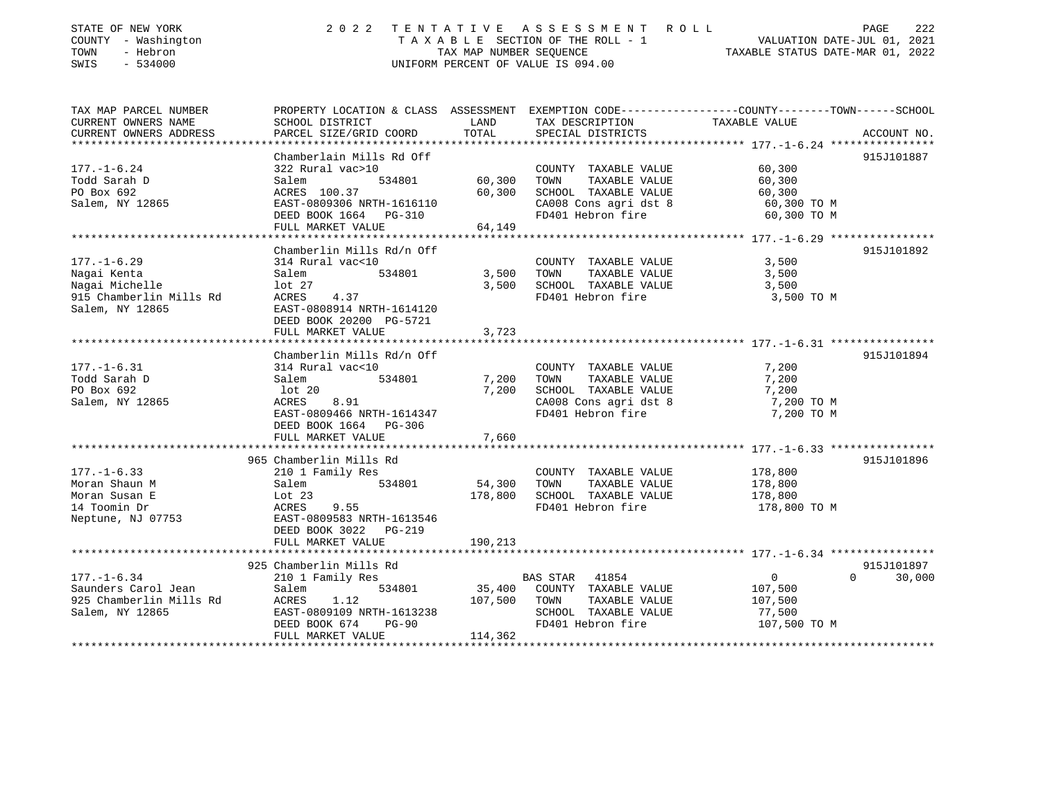| STATE OF NEW YORK<br>COUNTY - Washington<br>TOWN<br>- Hebron<br>SWIS<br>$-534000$                | 2 0 2 2                                                                                                                                                                  |                              | TENTATIVE ASSESSMENT ROLL PAGE 222<br>TAXABLE SECTION OF THE ROLL - 1 VALUATION DATE-JUL 01, 2021<br>TAX MAP NUMBER SEQUENCE TAXABLE STATUS DATE-MAR 01, 2022<br>UNIFORM PERCENT OF VALUE IS 094.00 |                                                     |                    |
|--------------------------------------------------------------------------------------------------|--------------------------------------------------------------------------------------------------------------------------------------------------------------------------|------------------------------|-----------------------------------------------------------------------------------------------------------------------------------------------------------------------------------------------------|-----------------------------------------------------|--------------------|
| TAX MAP PARCEL NUMBER                                                                            | PROPERTY LOCATION & CLASS ASSESSMENT EXEMPTION CODE---------------COUNTY-------TOWN-----SCHOOL                                                                           |                              |                                                                                                                                                                                                     |                                                     |                    |
| CURRENT OWNERS NAME<br>CURRENT OWNERS ADDRESS                                                    | SCHOOL DISTRICT<br>PARCEL SIZE/GRID COORD                                                                                                                                | LAND<br>TOTAL                | TAX DESCRIPTION<br>SPECIAL DISTRICTS                                                                                                                                                                | TAXABLE VALUE                                       | ACCOUNT NO.        |
|                                                                                                  |                                                                                                                                                                          |                              |                                                                                                                                                                                                     |                                                     |                    |
| $177. - 1 - 6.24$<br>Todd Sarah D<br>PO Box 692<br>Salem, NY 12865                               | Chamberlain Mills Rd Off<br>322 Rural vac>10<br>534801<br>Salem<br>ACRES 100.37<br>EAST-0809306 NRTH-1616110<br>DEED BOOK 1664 PG-310<br>FULL MARKET VALUE               | 60,300<br>60,300<br>64,149   | COUNTY TAXABLE VALUE 60,300<br>TAXABLE VALUE 60,300<br>TOWN<br>SCHOOL TAXABLE VALUE<br>CA008 Cons agri dst 8<br>FD401 Hebron fire                                                                   | 60,300<br>60,300 TO M<br>60,300 TO M                | 915J101887         |
|                                                                                                  |                                                                                                                                                                          |                              |                                                                                                                                                                                                     |                                                     |                    |
| $177. - 1 - 6.29$<br>Nagai Kenta<br>Nagai Michelle<br>915 Chamberlin Mills Rd<br>Salem, NY 12865 | Chamberlin Mills Rd/n Off<br>314 Rural vac<10<br>Salem<br>534801<br>lot 27<br>ACRES<br>4.37<br>EAST-0808914 NRTH-1614120<br>DEED BOOK 20200 PG-5721<br>FULL MARKET VALUE | 3,500<br>3,500<br>3,723      | COUNTY TAXABLE VALUE<br>TAXABLE VALUE<br>TOWN<br>SCHOOL TAXABLE VALUE<br>FD401 Hebron fire                                                                                                          | 3,500<br>3,500<br>3,500<br>3,500 TO M               | 915J101892         |
|                                                                                                  | Chamberlin Mills Rd/n Off                                                                                                                                                |                              |                                                                                                                                                                                                     |                                                     | 915J101894         |
| $177. - 1 - 6.31$<br>Todd Sarah D<br>PO Box 692<br>Salem, NY 12865                               | 314 Rural vac<10<br>534801<br>Salem<br>lot 20<br>ACRES<br>8.91<br>EAST-0809466 NRTH-1614347<br>DEED BOOK 1664 PG-306<br>FULL MARKET VALUE                                | 7,200<br>7,200<br>7,660      | COUNTY TAXABLE VALUE<br>TOWN<br>TAXABLE VALUE<br>SCHOOL TAXABLE VALUE<br>CA008 Cons agri dst 8<br>FD401 Hebron fire                                                                                 | 7,200<br>7,200<br>7,200<br>7,200 TO M<br>7,200 TO M |                    |
|                                                                                                  |                                                                                                                                                                          |                              |                                                                                                                                                                                                     |                                                     |                    |
| $177. - 1 - 6.33$<br>Moran Shaun M<br>Moran Susan E<br>14 Toomin Dr<br>Neptune, NJ 07753         | 965 Chamberlin Mills Rd<br>210 1 Family Res<br>534801<br>Salem<br>Lot 23<br>ACRES - 9.55<br>EAST-0809583 NRTH-1613546<br>DEED BOOK 3022 PG-219<br>FULL MARKET VALUE      | 54,300<br>178,800<br>190,213 | COUNTY TAXABLE VALUE<br>TOWN<br>TAXABLE VALUE<br>SCHOOL TAXABLE VALUE<br>FD401 Hebron fire                                                                                                          | 178,800<br>178,800<br>178,800<br>178,800 TO M       | 915J101896         |
|                                                                                                  | 925 Chamberlin Mills Rd                                                                                                                                                  |                              |                                                                                                                                                                                                     |                                                     | 915J101897         |
| $177. - 1 - 6.34$<br>Saunders Carol Jean<br>925 Chamberlin Mills Rd                              | 210 1 Family Res<br>Salem<br>534801<br>ACRES<br>1.12                                                                                                                     | 107,500                      | <b>BAS STAR</b><br>41854<br>35,400 COUNTY TAXABLE VALUE<br>TOWN<br>TAXABLE VALUE                                                                                                                    | $\overline{0}$<br>107,500<br>107,500                | 30,000<br>$\Omega$ |

 DEED BOOK 674 PG-90 FD401 Hebron fire 107,500 TO M FULL MARKET VALUE 114,362 \*\*\*\*\*\*\*\*\*\*\*\*\*\*\*\*\*\*\*\*\*\*\*\*\*\*\*\*\*\*\*\*\*\*\*\*\*\*\*\*\*\*\*\*\*\*\*\*\*\*\*\*\*\*\*\*\*\*\*\*\*\*\*\*\*\*\*\*\*\*\*\*\*\*\*\*\*\*\*\*\*\*\*\*\*\*\*\*\*\*\*\*\*\*\*\*\*\*\*\*\*\*\*\*\*\*\*\*\*\*\*\*\*\*\*\*\*\*\*\*\*\*\*\*\*\*\*\*\*\*\*\*

Salem, NY 12865 EAST-0809109 NRTH-1613238 SCHOOL TAXABLE VALUE 77,500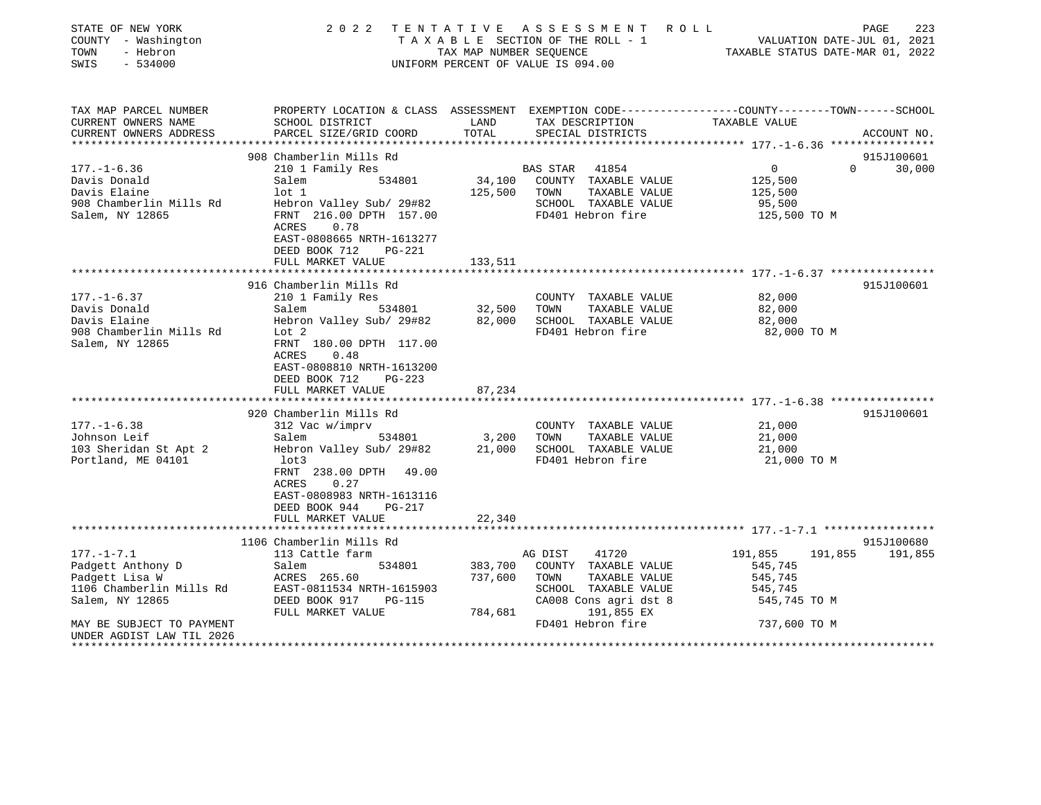| STATE OF NEW YORK<br>COUNTY - Washington<br>- Hebron<br>TOWN<br>SWIS<br>$-534000$                                                   | 2022                                                                                                                                                                                                                           | TAX MAP NUMBER SEOUENCE       | TENTATIVE ASSESSMENT<br>TAXABLE SECTION OF THE ROLL - 1<br>UNIFORM PERCENT OF VALUE IS 094.00                                                         | R O L L<br>VALUATION DATE-JUL 01, 2021<br>TAXABLE STATUS DATE-MAR 01, 2022 | PAGE<br>223                      |
|-------------------------------------------------------------------------------------------------------------------------------------|--------------------------------------------------------------------------------------------------------------------------------------------------------------------------------------------------------------------------------|-------------------------------|-------------------------------------------------------------------------------------------------------------------------------------------------------|----------------------------------------------------------------------------|----------------------------------|
| TAX MAP PARCEL NUMBER<br>CURRENT OWNERS NAME<br>CURRENT OWNERS ADDRESS                                                              | PROPERTY LOCATION & CLASS ASSESSMENT EXEMPTION CODE---------------COUNTY-------TOWN------SCHOOL<br>SCHOOL DISTRICT<br>PARCEL SIZE/GRID COORD                                                                                   | LAND<br>TOTAL                 | TAX DESCRIPTION<br>SPECIAL DISTRICTS                                                                                                                  | TAXABLE VALUE                                                              | ACCOUNT NO.                      |
|                                                                                                                                     |                                                                                                                                                                                                                                |                               |                                                                                                                                                       | ***************** 177.-1-6.36 *****************                            |                                  |
|                                                                                                                                     | 908 Chamberlin Mills Rd                                                                                                                                                                                                        |                               |                                                                                                                                                       |                                                                            | 915J100601                       |
| $177. - 1 - 6.36$<br>Davis Donald<br>Davis Elaine<br>908 Chamberlin Mills Rd<br>Salem, NY 12865                                     | 210 1 Family Res<br>534801<br>Salem<br>$1$ ot $1$<br>Hebron Valley Sub/ 29#82<br>FRNT 216.00 DPTH 157.00<br>0.78<br>ACRES<br>EAST-0808665 NRTH-1613277<br>DEED BOOK 712<br>PG-221                                              | 125,500                       | BAS STAR<br>41854<br>34,100 COUNTY TAXABLE VALUE<br>TOWN<br>TAXABLE VALUE<br>SCHOOL TAXABLE VALUE<br>FD401 Hebron fire                                | $\overline{0}$<br>125,500<br>125,500<br>95,500<br>125,500 TO M             | $\Omega$<br>30,000               |
|                                                                                                                                     | FULL MARKET VALUE                                                                                                                                                                                                              | 133,511                       |                                                                                                                                                       |                                                                            |                                  |
|                                                                                                                                     |                                                                                                                                                                                                                                |                               |                                                                                                                                                       |                                                                            |                                  |
| $177. - 1 - 6.37$<br>Davis Donald<br>Davis Elaine<br>908 Chamberlin Mills Rd<br>Salem, NY 12865                                     | 916 Chamberlin Mills Rd<br>210 1 Family Res<br>Salem<br>534801<br>Hebron Valley Sub/ 29#82<br>Lot 2<br>FRNT 180.00 DPTH 117.00<br>0.48<br>ACRES<br>EAST-0808810 NRTH-1613200<br>DEED BOOK 712<br>PG-223                        | 32,500<br>82,000              | COUNTY TAXABLE VALUE<br>TOWN<br>TAXABLE VALUE<br>SCHOOL TAXABLE VALUE<br>FD401 Hebron fire                                                            | 82,000<br>82,000<br>82,000<br>82,000 TO M                                  | 915J100601                       |
|                                                                                                                                     | FULL MARKET VALUE<br>**************************                                                                                                                                                                                | 87,234                        |                                                                                                                                                       |                                                                            |                                  |
|                                                                                                                                     |                                                                                                                                                                                                                                |                               |                                                                                                                                                       |                                                                            | 915J100601                       |
| $177. - 1 - 6.38$<br>Johnson Leif<br>103 Sheridan St Apt 2<br>Portland, ME 04101                                                    | 920 Chamberlin Mills Rd<br>312 Vac w/imprv<br>534801<br>Salem<br>Hebron Valley Sub/ 29#82<br>lot3<br>FRNT 238.00 DPTH<br>49.00<br>ACRES<br>0.27<br>EAST-0808983 NRTH-1613116<br>DEED BOOK 944<br>$PG-217$<br>FULL MARKET VALUE | 3,200<br>21,000<br>22,340     | COUNTY TAXABLE VALUE<br>TOWN<br>TAXABLE VALUE<br>SCHOOL TAXABLE VALUE<br>FD401 Hebron fire                                                            | 21,000<br>21,000<br>21,000<br>21,000 TO M                                  |                                  |
|                                                                                                                                     |                                                                                                                                                                                                                                |                               |                                                                                                                                                       |                                                                            |                                  |
| $177. - 1 - 7.1$<br>Padgett Anthony D<br>Padgett Lisa W<br>1106 Chamberlin Mills Rd<br>Salem, NY 12865<br>MAY BE SUBJECT TO PAYMENT | 1106 Chamberlin Mills Rd<br>113 Cattle farm<br>Salem<br>534801<br>ACRES 265.60<br>EAST-0811534 NRTH-1615903<br>DEED BOOK 917<br><b>PG-115</b><br>FULL MARKET VALUE                                                             | 383,700<br>737,600<br>784,681 | 41720<br>AG DIST<br>COUNTY TAXABLE VALUE<br>TOWN<br>TAXABLE VALUE<br>SCHOOL TAXABLE VALUE<br>CA008 Cons agri dst 8<br>191,855 EX<br>FD401 Hebron fire | 191,855<br>545,745<br>545,745<br>545,745<br>545,745 TO M<br>737,600 TO M   | 915J100680<br>191,855<br>191,855 |
| UNDER AGDIST LAW TIL 2026<br>******************************                                                                         |                                                                                                                                                                                                                                |                               |                                                                                                                                                       |                                                                            |                                  |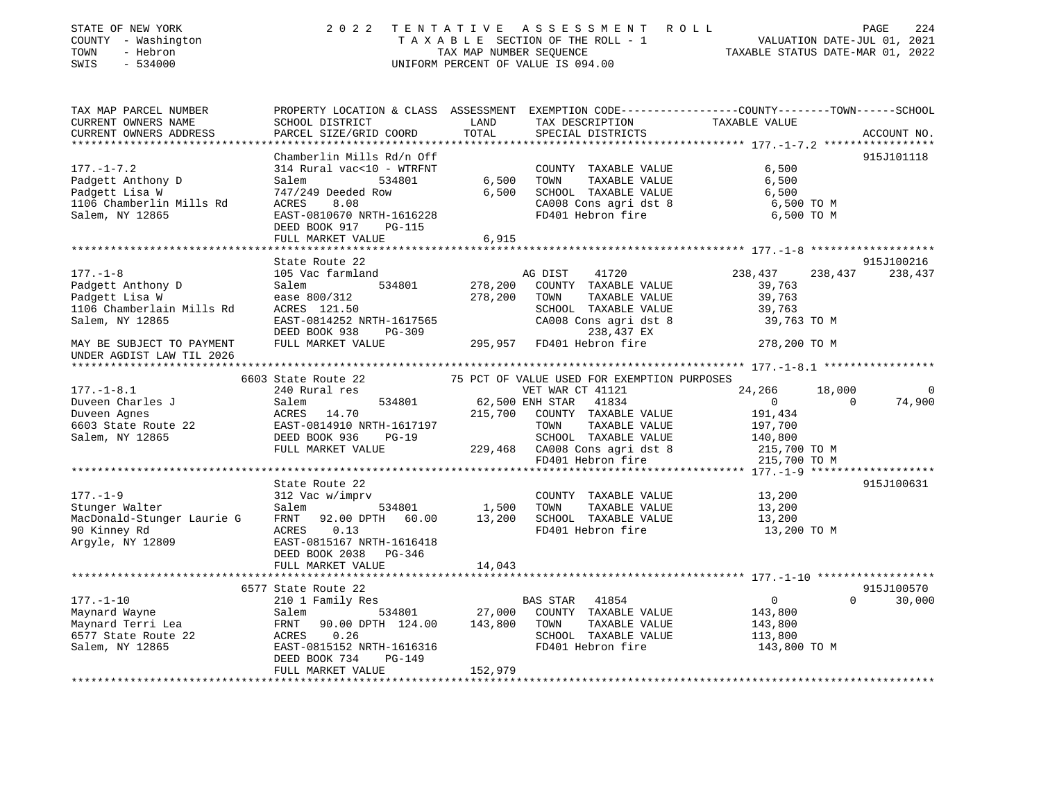| STATE OF NEW YORK<br>COUNTY - Washington<br>- Hebron<br>TOWN<br>$-534000$<br>SWIS                  | 2 0 2 2                                                                                                                                                                  | TENTATIVE          | A S S E S S M E N T R O L L<br>UNIFORM PERCENT OF VALUE IS 094.00                                                                                                | T A X A B L E SECTION OF THE ROLL - 1 VALUATION DATE-JUL 01, 2021<br>TAX MAP NUMBER SEQUENCE TAXABLE STATUS DATE-MAR 01, 2022 | 224<br>PAGE           |
|----------------------------------------------------------------------------------------------------|--------------------------------------------------------------------------------------------------------------------------------------------------------------------------|--------------------|------------------------------------------------------------------------------------------------------------------------------------------------------------------|-------------------------------------------------------------------------------------------------------------------------------|-----------------------|
| TAX MAP PARCEL NUMBER<br>CURRENT OWNERS NAME<br>CURRENT OWNERS ADDRESS                             | SCHOOL DISTRICT<br>PARCEL SIZE/GRID COORD                                                                                                                                | LAND<br>TOTAL      | TAX DESCRIPTION TAXABLE VALUE<br>SPECIAL DISTRICTS                                                                                                               | PROPERTY LOCATION & CLASS ASSESSMENT EXEMPTION CODE----------------COUNTY-------TOWN-----SCHOOL                               | ACCOUNT NO.           |
| $177. - 1 - 7.2$<br>Padgett Anthony D<br>1106 Chamberlin Mills Rd<br>Salem, NY 12865               | Chamberlin Mills Rd/n Off<br>314 Rural vac<10 - WTRFNT<br>534801<br>Salem<br>747/249 Deeded Row<br>8.08<br>ACRES<br>EAST-0810670 NRTH-1616228<br>DEED BOOK 917<br>PG-115 | 6,500<br>6,500     | COUNTY TAXABLE VALUE<br>TOWN<br>TAXABLE VALUE<br>SCHOOL TAXABLE VALUE<br>CA008 Cons agri dst 8<br>FD401 Hebron fire                                              | 6,500<br>6,500<br>6,500<br>6,500 TO M<br>6,500 TO M                                                                           | 915J101118            |
|                                                                                                    | FULL MARKET VALUE                                                                                                                                                        | 6,915              |                                                                                                                                                                  |                                                                                                                               |                       |
| $177. - 1 - 8$<br>177.-1-0<br>Padgett Anthony D<br>1106 Chamberlain Mills Rd<br>Salem, NY 12865    | State Route 22<br>105 Vac farmland<br>Salem<br>534801<br>ease 800/312<br>ACRES 121.50<br>EAST-0814252 NRTH-1617565                                                       | 278,200<br>278,200 | AG DIST<br>41720<br>COUNTY TAXABLE VALUE<br>TAXABLE VALUE<br>TOWN<br>SCHOOL TAXABLE VALUE<br>CA008 Cons agri dst 8                                               | 238,437<br>238,437<br>39,763<br>39,763<br>39,763<br>39,763 TO M                                                               | 915J100216<br>238,437 |
| MAY BE SUBJECT TO PAYMENT<br>UNDER AGDIST LAW TIL 2026                                             | DEED BOOK 938<br>PG-309<br>FULL MARKET VALUE                                                                                                                             |                    | 238,437 EX<br>295,957 FD401 Hebron fire                                                                                                                          | 278,200 TO M                                                                                                                  |                       |
|                                                                                                    |                                                                                                                                                                          |                    |                                                                                                                                                                  |                                                                                                                               |                       |
|                                                                                                    | 6603 State Route 22                                                                                                                                                      |                    | 75 PCT OF VALUE USED FOR EXEMPTION PURPOSES                                                                                                                      |                                                                                                                               |                       |
| $177. - 1 - 8.1$                                                                                   | 240 Rural res                                                                                                                                                            |                    | VET WAR CT 41121                                                                                                                                                 | 24,266<br>18,000<br>$\overline{0}$<br>$\bigcap$                                                                               | 0                     |
| Duveen Charles J<br>Duveen Agnes<br>$D$ uveen $P$ <sub>22</sub> Route 22<br>Salem, NY 12865        | Salem<br>ACRES 14.70<br>EAST-0814910 NRTH-1617197<br>EAST-0814910 NRTH-1617197<br>PEED POOK 936 PG-19<br>FULL MARKET VALUE                                               |                    | 534801 62,500 ENH STAR 41834<br>215,700 COUNTY TAXABLE<br>COUNTY TAXABLE VALUE<br>TOWN<br>TAXABLE VALUE<br>SCHOOL TAXABLE VALUE<br>229,468 CA008 Cons agri dst 8 | 191,434<br>197,700<br>140,800<br>215,700 TO M                                                                                 | 74,900                |
|                                                                                                    |                                                                                                                                                                          |                    | FD401 Hebron fire                                                                                                                                                | 215,700 TO M                                                                                                                  |                       |
| $177. - 1 - 9$<br>Stunger Walter<br>MacDonald-Stunger Laurie G<br>90 Kinney Rd<br>Argyle, NY 12809 | State Route 22<br>312 Vac w/imprv<br>534801<br>Salem<br>92.00 DPTH 60.00 13,200<br>FRNT<br>ACRES<br>0.13<br>EAST-0815167 NRTH-1616418<br>DEED BOOK 2038 PG-346           | 1,500              | COUNTY TAXABLE VALUE<br>TAXABLE VALUE<br>TOWN<br>SCHOOL TAXABLE VALUE<br>FD401 Hebron fire                                                                       | 13,200<br>13,200<br>13,200<br>13,200 TO M                                                                                     | 915J100631            |
|                                                                                                    | FULL MARKET VALUE                                                                                                                                                        | 14,043             |                                                                                                                                                                  |                                                                                                                               |                       |
|                                                                                                    | 6577 State Route 22                                                                                                                                                      |                    |                                                                                                                                                                  |                                                                                                                               | 915J100570            |
| $177. - 1 - 10$                                                                                    | 210 1 Family Res                                                                                                                                                         |                    | BAS STAR 41854                                                                                                                                                   | $\overline{0}$<br>$\Omega$                                                                                                    | 30,000                |
| Maynard Wayne<br>Maynard Wayne<br>Maynard Terri Lea<br>6577 State Route 22<br>Salem, NY 12865      | 534801<br>Salem<br>90.00 DPTH 124.00 143,800<br>FRNT<br>0.26<br>ACRES<br>EAST-0815152 NRTH-1616316                                                                       | 27,000             | COUNTY TAXABLE VALUE<br>TOWN<br>TAXABLE VALUE<br>SCHOOL TAXABLE VALUE<br>FD401 Hebron fire                                                                       | 143,800<br>143,800<br>113,800<br>143,800 TO M                                                                                 |                       |
|                                                                                                    | DEED BOOK 734<br>PG-149<br>FULL MARKET VALUE                                                                                                                             | 152,979            |                                                                                                                                                                  |                                                                                                                               |                       |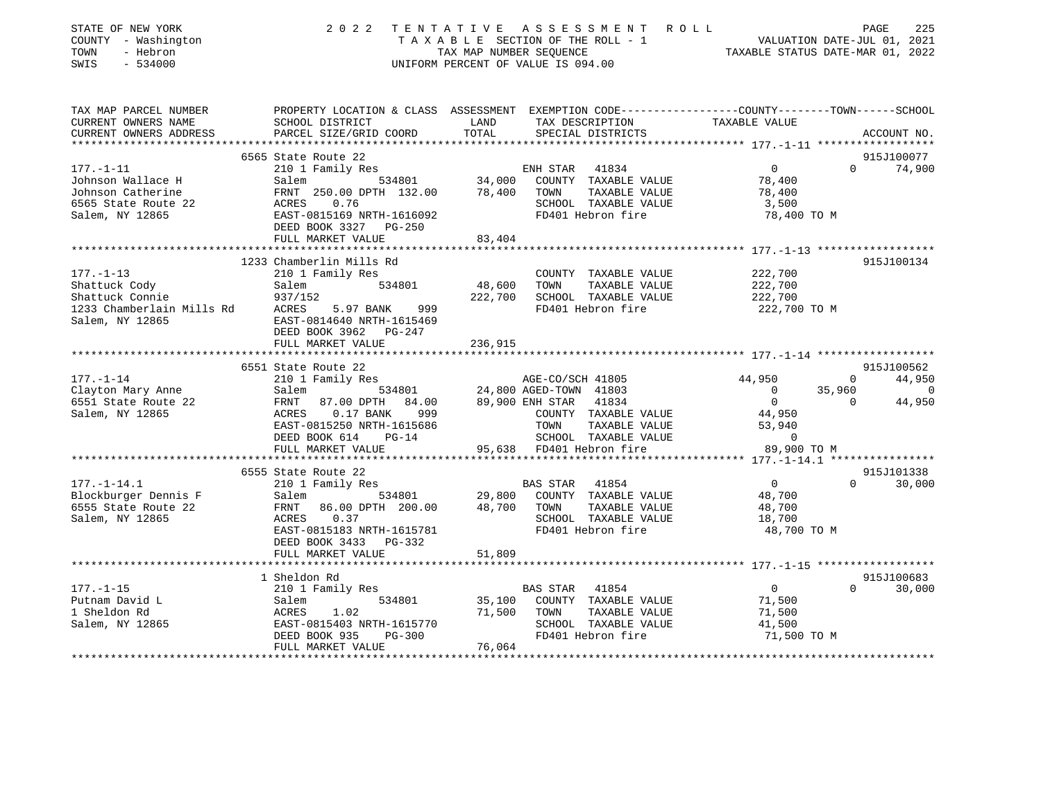| STATE OF NEW YORK<br>COUNTY - Washington<br>TOWN<br>- Hebron<br>SWIS<br>$-534000$                         | 2 0 2 2                                                                                                                                                                | TENTATIVE                                         | ASSESSMENT ROLL<br>TAXABLE SECTION OF THE ROLL - 1<br>TAXABLE SECTION OF THE ROLL - 1<br>TAXABLE STATUS DATE-MAR 01, 2022<br>UNIFORM PERCENT OF VALUE IS 094.00 |                                                                     |              | PAGE<br>225          |
|-----------------------------------------------------------------------------------------------------------|------------------------------------------------------------------------------------------------------------------------------------------------------------------------|---------------------------------------------------|-----------------------------------------------------------------------------------------------------------------------------------------------------------------|---------------------------------------------------------------------|--------------|----------------------|
| TAX MAP PARCEL NUMBER<br>CURRENT OWNERS NAME<br>CURRENT OWNERS ADDRESS                                    | PROPERTY LOCATION & CLASS ASSESSMENT EXEMPTION CODE-----------------COUNTY--------TOWN------SCHOOL<br>SCHOOL DISTRICT<br>PARCEL SIZE/GRID COORD                        | LAND<br>TOTAL                                     | TAX DESCRIPTION<br>SPECIAL DISTRICTS                                                                                                                            | TAXABLE VALUE                                                       |              | ACCOUNT NO.          |
| *********************                                                                                     |                                                                                                                                                                        |                                                   |                                                                                                                                                                 |                                                                     |              |                      |
|                                                                                                           | 6565 State Route 22                                                                                                                                                    |                                                   |                                                                                                                                                                 |                                                                     |              | 915J100077           |
| $177. - 1 - 11$<br>Johnson Wallace H<br>Johnson Catherine<br>6565 State Route 22<br>Salem, NY 12865       | 210 1 Family Res<br>Salem<br>FRNT 250.00 DPTH 132.00 78,400 TOWN<br>ACRES 0.76<br>EAST-0815169 NRTH-1616092<br>DEED BOOK 3327 PG-250<br>FULL MARKET VALUE              | 83,404                                            | ENH STAR 41834<br>534801 34,000 COUNTY TAXABLE VALUE<br>TAXABLE VALUE<br>SCHOOL TAXABLE VALUE<br>FD401 Hebron fire                                              | $\overline{0}$<br>78,400<br>78,400<br>3,500<br>78,400 TO M          | $\Omega$     | 74,900               |
|                                                                                                           |                                                                                                                                                                        |                                                   |                                                                                                                                                                 |                                                                     |              |                      |
| $177. - 1 - 13$<br>Shattuck Cody<br>Shattuck Connie<br>1233 Chamberlain Mills Rd ACRES<br>Salem, NY 12865 | 1233 Chamberlin Mills Rd<br>210 1 Family Res<br>Salem 534801<br>937/152<br>5.97 BANK<br>999<br>EAST-0814640 NRTH-1615469<br>DEED BOOK 3962 PG-247<br>FULL MARKET VALUE | 48,600<br>236,915                                 | COUNTY TAXABLE VALUE<br>TOWN<br>TAXABLE VALUE<br>222,700 SCHOOL TAXABLE VALUE<br>FD401 Hebron fire                                                              | 222,700<br>222,700<br>222,700<br>222,700 TO M                       |              | 915J100134           |
|                                                                                                           |                                                                                                                                                                        |                                                   |                                                                                                                                                                 |                                                                     |              |                      |
| $177. - 1 - 14$                                                                                           | 6551 State Route 22<br>210 1 Family Res                                                                                                                                |                                                   | AGE-CO/SCH 41805                                                                                                                                                | 44,950                                                              | $\mathbf{0}$ | 915J100562<br>44,950 |
| Clayton Mary Anne                                                                                         | Salem 534801                                                                                                                                                           |                                                   | 24,800 AGED-TOWN 41803                                                                                                                                          | $\overline{\phantom{0}}$                                            | 35,960       | 0                    |
| 6551 State Route 22<br>Salem, NY 12865                                                                    | 84.00<br>ACRES 0.17 BANK<br>999<br>EAST-0815250 NRTH-1615686<br>DEED BOOK 614<br>$PG-14$<br>FULL MARKET VALUE                                                          |                                                   | 89,900 ENH STAR 41834<br>COUNTY TAXABLE VALUE<br>TOWN<br>TAXABLE VALUE<br>SCHOOL TAXABLE VALUE<br>95,638 FD401 Hebron fire                                      | $\overline{0}$<br>44,950<br>53,940<br>$\overline{0}$<br>89,900 TO M | $\Omega$     | 44,950               |
|                                                                                                           | 6555 State Route 22                                                                                                                                                    |                                                   |                                                                                                                                                                 |                                                                     |              | 915J101338           |
| $177. - 1 - 14.1$<br>Blockburger Dennis F<br>6555 State Route 22<br>Salem, NY 12865                       | 210 1 Family Res<br>Salem<br>534801<br>FRNT 86.00 DPTH 200.00<br>ACRES 0.37<br>EAST-0815183 NRTH-1615781<br>DEED BOOK 3433 PG-332                                      | 29,800<br>48,700                                  | BAS STAR 41854<br>COUNTY TAXABLE VALUE<br>TOWN<br>TAXABLE VALUE<br>SCHOOL TAXABLE VALUE<br>FD401 Hebron fire                                                    | $\overline{0}$<br>48,700<br>48,700<br>18,700<br>48,700 TO M         | $\Omega$     | 30,000               |
|                                                                                                           | FULL MARKET VALUE                                                                                                                                                      | 51,809                                            |                                                                                                                                                                 |                                                                     |              |                      |
|                                                                                                           | ********************                                                                                                                                                   |                                                   |                                                                                                                                                                 |                                                                     |              |                      |
| $177. - 1 - 15$                                                                                           | 1 Sheldon Rd<br>210 1 Family Res                                                                                                                                       |                                                   | BAS STAR 41854                                                                                                                                                  | $\overline{0}$                                                      | $\Omega$     | 915J100683<br>30,000 |
| Putnam David L<br>1 Sheldon Rd<br>Salem, NY 12865                                                         | 534801<br>Salem<br>ACRES<br>1.02<br>EAST-0815403 NRTH-1615770<br>DEED BOOK 935<br>PG-300<br>FULL MARKET VALUE                                                          | 35,100<br>71,500<br>76,064<br>* * * * * * * * * * | COUNTY TAXABLE VALUE<br>TAXABLE VALUE<br>TOWN<br>SCHOOL TAXABLE VALUE<br>FD401 Hebron fire                                                                      | 71,500<br>71,500<br>41,500<br>71,500 TO M                           |              |                      |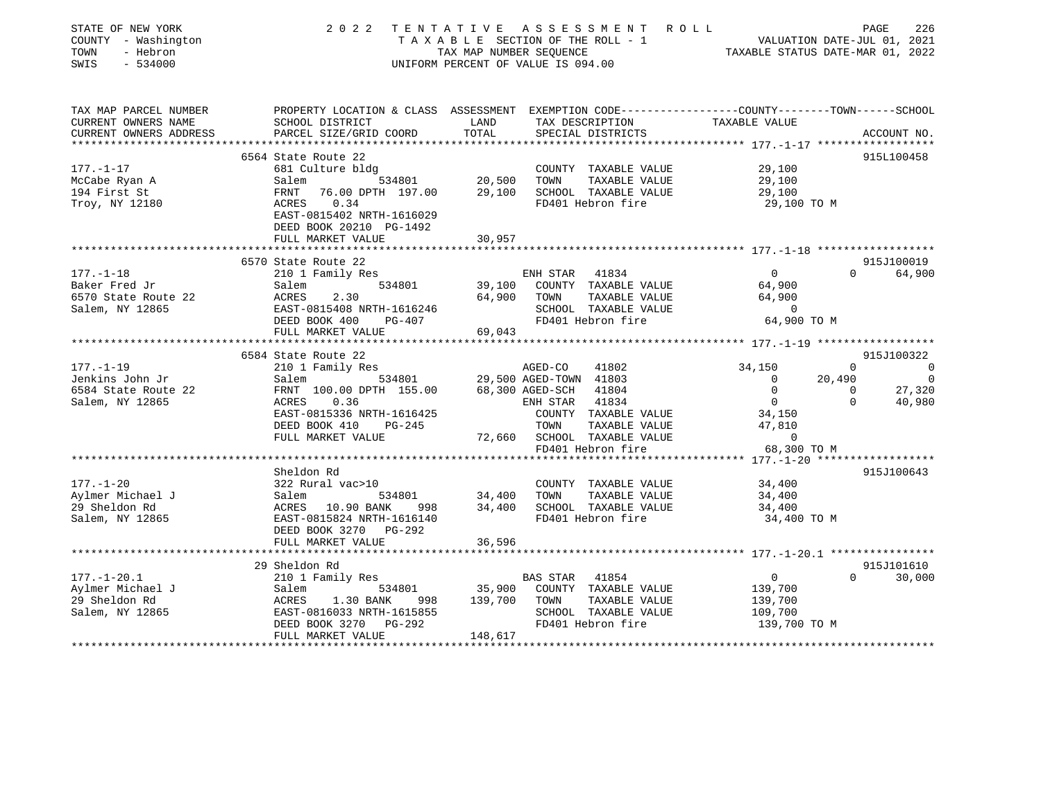| STATE OF NEW YORK<br>COUNTY - Washington<br>TOWN<br>- Hebron<br>SWIS<br>$-534000$ | 2 0 2 2                                                                                           |             | TENTATIVE ASSESSMENT ROLL<br>T A X A B L E SECTION OF THE ROLL - 1 VALUATION DATE-JUL 01, 2021<br>TAX MAP NUMBER SEQUENCE TAXIBLE STATUS DATE-MAR 01. 2022<br>UNIFORM PERCENT OF VALUE IS 094.00 |                                                        | PAGE                       | 226            |
|-----------------------------------------------------------------------------------|---------------------------------------------------------------------------------------------------|-------------|--------------------------------------------------------------------------------------------------------------------------------------------------------------------------------------------------|--------------------------------------------------------|----------------------------|----------------|
| TAX MAP PARCEL NUMBER                                                             | PROPERTY LOCATION & CLASS ASSESSMENT EXEMPTION CODE-----------------COUNTY-------TOWN------SCHOOL |             |                                                                                                                                                                                                  |                                                        |                            |                |
| CURRENT OWNERS NAME                                                               | SCHOOL DISTRICT                                                                                   | LAND        | TAX DESCRIPTION                                                                                                                                                                                  | TAXABLE VALUE                                          |                            |                |
| CURRENT OWNERS ADDRESS                                                            | PARCEL SIZE/GRID COORD                                                                            | TOTAL       | SPECIAL DISTRICTS                                                                                                                                                                                |                                                        |                            | ACCOUNT NO.    |
|                                                                                   |                                                                                                   |             |                                                                                                                                                                                                  |                                                        |                            |                |
| $177. - 1 - 17$                                                                   | 6564 State Route 22<br>681 Culture bldg                                                           |             | COUNTY TAXABLE VALUE                                                                                                                                                                             | 29,100                                                 |                            | 915L100458     |
| McCabe Ryan A                                                                     | Salem 534801                                                                                      | 20,500      | TOWN<br>TAXABLE VALUE                                                                                                                                                                            | 29,100                                                 |                            |                |
| 194 First St                                                                      | FRNT 76.00 DPTH 197.00                                                                            | 29,100      | SCHOOL TAXABLE VALUE                                                                                                                                                                             | 29,100                                                 |                            |                |
| Troy, NY 12180                                                                    | ACRES 0.34                                                                                        |             | FD401 Hebron fire                                                                                                                                                                                | 29,100 TO M                                            |                            |                |
|                                                                                   | EAST-0815402 NRTH-1616029                                                                         |             |                                                                                                                                                                                                  |                                                        |                            |                |
|                                                                                   | DEED BOOK 20210 PG-1492                                                                           |             |                                                                                                                                                                                                  |                                                        |                            |                |
|                                                                                   | FULL MARKET VALUE                                                                                 | 30,957      |                                                                                                                                                                                                  |                                                        |                            |                |
|                                                                                   |                                                                                                   |             |                                                                                                                                                                                                  |                                                        |                            |                |
|                                                                                   | 6570 State Route 22                                                                               |             |                                                                                                                                                                                                  |                                                        |                            | 915J100019     |
| $177. - 1 - 18$                                                                   | 210 1 Family Res                                                                                  |             | ENH STAR<br>41834                                                                                                                                                                                | $\circ$                                                | $\Omega$                   | 64,900         |
| Baker Fred Jr                                                                     | Salem<br>534801                                                                                   | 39,100      | COUNTY TAXABLE VALUE                                                                                                                                                                             | 64,900                                                 |                            |                |
| 6570 State Route 22                                                               | ACRES<br>2.30                                                                                     | 64,900      | TOWN<br>TAXABLE VALUE                                                                                                                                                                            | 64,900                                                 |                            |                |
| Salem, NY 12865                                                                   | EAST-0815408 NRTH-1616246                                                                         |             | SCHOOL TAXABLE VALUE                                                                                                                                                                             | $\overline{0}$                                         |                            |                |
|                                                                                   | DEED BOOK 400<br>PG-407                                                                           |             | FD401 Hebron fire                                                                                                                                                                                | 64,900 TO M                                            |                            |                |
|                                                                                   | FULL MARKET VALUE                                                                                 | 69,043      |                                                                                                                                                                                                  |                                                        |                            |                |
|                                                                                   |                                                                                                   |             |                                                                                                                                                                                                  |                                                        |                            |                |
|                                                                                   | 6584 State Route 22                                                                               |             |                                                                                                                                                                                                  |                                                        |                            | 915J100322     |
| $177. - 1 - 19$                                                                   | 210 1 Family Res                                                                                  |             | 41802<br>AGED-CO                                                                                                                                                                                 | 34,150                                                 | $\Omega$                   | $\overline{0}$ |
| Jenkins John Jr                                                                   | Salem 534801                                                                                      |             | 29,500 AGED-TOWN 41803                                                                                                                                                                           | $\Omega$                                               | 20,490                     | $\Omega$       |
| 6584 State Route 22                                                               | FRNT 100.00 DPTH 155.00<br>ACRES 0.36                                                             |             | 68,300 AGED-SCH<br>41804<br>41834                                                                                                                                                                | $\mathbf 0$<br>$\overline{0}$                          | $\overline{0}$<br>$\Omega$ | 27,320         |
| Salem, NY 12865                                                                   |                                                                                                   |             | ENH STAR                                                                                                                                                                                         |                                                        |                            | 40,980         |
|                                                                                   | EAST-0815336 NRTH-1616425<br>DEED BOOK 410<br>PG-245                                              |             | COUNTY TAXABLE VALUE<br>TOWN<br>TAXABLE VALUE                                                                                                                                                    | 34,150<br>47,810                                       |                            |                |
|                                                                                   | FULL MARKET VALUE                                                                                 |             | 72,660 SCHOOL TAXABLE VALUE                                                                                                                                                                      | $\Omega$                                               |                            |                |
|                                                                                   |                                                                                                   |             | FD401 Hebron fire                                                                                                                                                                                | 68,300 TO M                                            |                            |                |
|                                                                                   |                                                                                                   |             |                                                                                                                                                                                                  |                                                        |                            |                |
|                                                                                   | Sheldon Rd                                                                                        |             |                                                                                                                                                                                                  |                                                        |                            | 915J100643     |
| $177. - 1 - 20$                                                                   | 322 Rural vac>10                                                                                  |             | COUNTY TAXABLE VALUE                                                                                                                                                                             | 34,400                                                 |                            |                |
| Aylmer Michael J                                                                  | Salem<br>534801                                                                                   | 34,400 TOWN | TAXABLE VALUE                                                                                                                                                                                    | 34,400                                                 |                            |                |
| 29 Sheldon Rd                                                                     | ACRES 10.90 BANK<br>998                                                                           |             | 34,400 SCHOOL TAXABLE VALUE                                                                                                                                                                      | 34,400                                                 |                            |                |
| Salem, NY 12865                                                                   | EAST-0815824 NRTH-1616140                                                                         |             | FD401 Hebron fire                                                                                                                                                                                | 34,400 TO M                                            |                            |                |
|                                                                                   | DEED BOOK 3270 PG-292                                                                             |             |                                                                                                                                                                                                  |                                                        |                            |                |
|                                                                                   | FULL MARKET VALUE                                                                                 | 36,596      |                                                                                                                                                                                                  |                                                        |                            |                |
|                                                                                   | *******************                                                                               |             |                                                                                                                                                                                                  | ************************ 177.-1-20.1 ***************** |                            |                |
|                                                                                   | 29 Sheldon Rd                                                                                     |             |                                                                                                                                                                                                  |                                                        |                            | 915J101610     |
| $177. - 1 - 20.1$                                                                 | 210 1 Family Res                                                                                  |             | BAS STAR 41854                                                                                                                                                                                   | $\mathbf 0$                                            | $\Omega$                   | 30,000         |
| Aylmer Michael J                                                                  | Salem<br>534801                                                                                   | 35,900      | COUNTY TAXABLE VALUE                                                                                                                                                                             | 139,700                                                |                            |                |
| 29 Sheldon Rd                                                                     | ACRES<br>1.30 BANK<br>998                                                                         | 139,700     | TAXABLE VALUE<br>TOWN                                                                                                                                                                            | 139,700                                                |                            |                |
| Salem, NY 12865                                                                   | EAST-0816033 NRTH-1615855                                                                         |             | SCHOOL TAXABLE VALUE                                                                                                                                                                             | 109,700                                                |                            |                |
|                                                                                   | DEED BOOK 3270<br>PG-292                                                                          |             | FD401 Hebron fire                                                                                                                                                                                | 139,700 TO M                                           |                            |                |
|                                                                                   | FULL MARKET VALUE                                                                                 | 148,617     |                                                                                                                                                                                                  |                                                        |                            |                |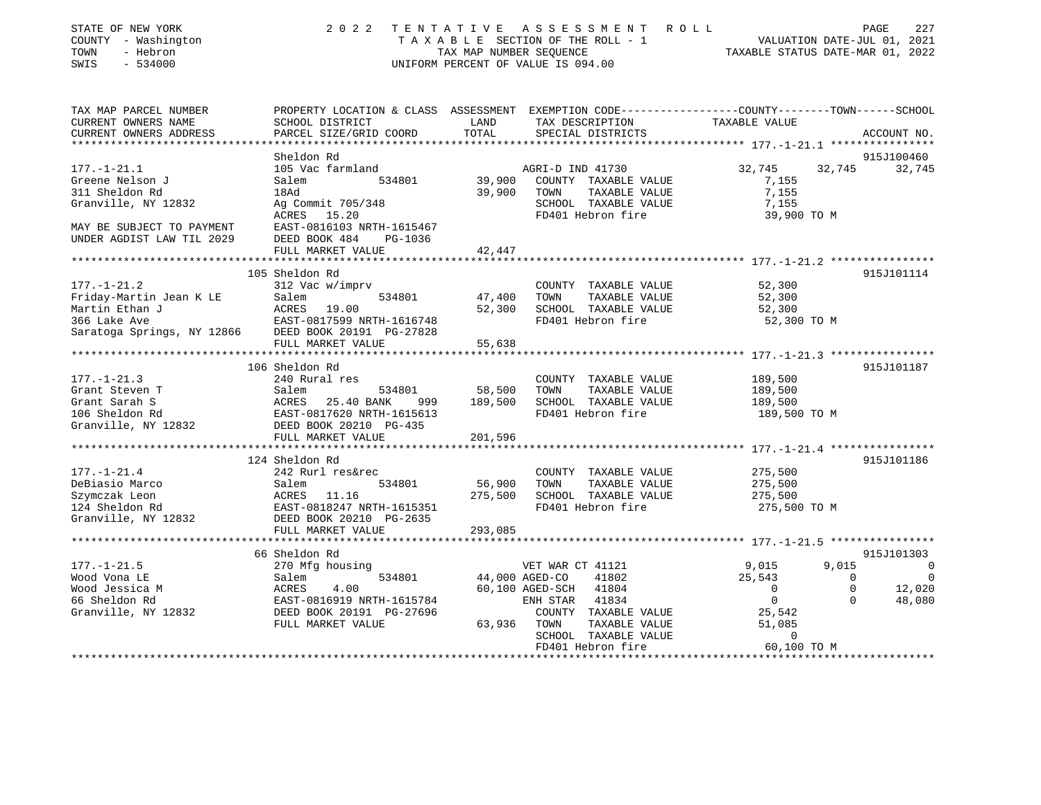| STATE OF NEW YORK<br>COUNTY - Washington<br>- Hebron<br>TOWN<br>SWIS<br>$-534000$ | 2 0 2 2                                                                                         | TAX MAP NUMBER SEQUENCE | TENTATIVE ASSESSMENT ROLL<br>TAXABLE SECTION OF THE ROLL - 1<br>UNIFORM PERCENT OF VALUE IS 094.00 |               | PAGE<br>227<br>VALUATION DATE-JUL 01, 2021<br>TAXABLE STATUS DATE-MAR 01, 2022 |
|-----------------------------------------------------------------------------------|-------------------------------------------------------------------------------------------------|-------------------------|----------------------------------------------------------------------------------------------------|---------------|--------------------------------------------------------------------------------|
| TAX MAP PARCEL NUMBER                                                             | PROPERTY LOCATION & CLASS ASSESSMENT EXEMPTION CODE---------------COUNTY-------TOWN------SCHOOL |                         |                                                                                                    |               |                                                                                |
| CURRENT OWNERS NAME                                                               | SCHOOL DISTRICT                                                                                 | LAND                    | TAX DESCRIPTION                                                                                    | TAXABLE VALUE |                                                                                |
| CURRENT OWNERS ADDRESS<br>* * * * * * * * * * * * * * * * * *                     | PARCEL SIZE/GRID COORD                                                                          | TOTAL                   | SPECIAL DISTRICTS                                                                                  |               | ACCOUNT NO.                                                                    |
|                                                                                   | Sheldon Rd                                                                                      |                         |                                                                                                    |               | 915J100460                                                                     |
| $177. - 1 - 21.1$                                                                 | 105 Vac farmland                                                                                |                         | AGRI-D IND 41730                                                                                   | 32,745        | 32,745<br>32,745                                                               |
| Greene Nelson J                                                                   | 534801<br>Salem                                                                                 | 39,900                  | COUNTY TAXABLE VALUE                                                                               | 7,155         |                                                                                |
| 311 Sheldon Rd                                                                    | 18Ad                                                                                            | 39,900                  | TOWN<br>TAXABLE VALUE                                                                              | 7,155         |                                                                                |
| Granville, NY 12832                                                               | Ag Commit 705/348                                                                               |                         | SCHOOL TAXABLE VALUE                                                                               | 7,155         |                                                                                |
|                                                                                   | ACRES<br>15.20                                                                                  |                         | FD401 Hebron fire                                                                                  | 39,900 TO M   |                                                                                |
| MAY BE SUBJECT TO PAYMENT                                                         | EAST-0816103 NRTH-1615467                                                                       |                         |                                                                                                    |               |                                                                                |
| UNDER AGDIST LAW TIL 2029                                                         | DEED BOOK 484<br>PG-1036                                                                        |                         |                                                                                                    |               |                                                                                |
|                                                                                   | FULL MARKET VALUE                                                                               | 42,447                  |                                                                                                    |               |                                                                                |
|                                                                                   |                                                                                                 |                         |                                                                                                    |               |                                                                                |
| $177. - 1 - 21.2$                                                                 | 105 Sheldon Rd<br>312 Vac w/imprv                                                               |                         | COUNTY TAXABLE VALUE                                                                               | 52,300        | 915J101114                                                                     |
| Friday-Martin Jean K LE                                                           | Salem<br>534801                                                                                 | 47,400                  | TOWN<br>TAXABLE VALUE                                                                              | 52,300        |                                                                                |
| Martin Ethan J                                                                    | ACRES<br>19.00                                                                                  | 52,300                  | SCHOOL TAXABLE VALUE                                                                               | 52,300        |                                                                                |
| 366 Lake Ave                                                                      | EAST-0817599 NRTH-1616748                                                                       |                         | FD401 Hebron fire                                                                                  | 52,300 TO M   |                                                                                |
| Saratoga Springs, NY 12866 DEED BOOK 20191 PG-27828                               |                                                                                                 |                         |                                                                                                    |               |                                                                                |
|                                                                                   | FULL MARKET VALUE                                                                               | 55,638                  |                                                                                                    |               |                                                                                |
|                                                                                   |                                                                                                 |                         |                                                                                                    |               |                                                                                |
|                                                                                   | 106 Sheldon Rd                                                                                  |                         |                                                                                                    |               | 915J101187                                                                     |
| $177. - 1 - 21.3$                                                                 | 240 Rural res                                                                                   |                         | COUNTY TAXABLE VALUE                                                                               | 189,500       |                                                                                |
| Grant Steven T                                                                    | Salem<br>534801                                                                                 | 58,500                  | TAXABLE VALUE<br>TOWN                                                                              | 189,500       |                                                                                |
| Grant Sarah S                                                                     | ACRES 25.40 BANK<br>999                                                                         | 189,500                 | SCHOOL TAXABLE VALUE<br>FD401 Hebron fire                                                          | 189,500       |                                                                                |
| 106 Sheldon Rd<br>Granville, NY 12832                                             | EAST-0817620 NRTH-1615613<br>DEED BOOK 20210 PG-435                                             |                         |                                                                                                    | 189,500 TO M  |                                                                                |
|                                                                                   | FULL MARKET VALUE                                                                               | 201,596                 |                                                                                                    |               |                                                                                |
|                                                                                   |                                                                                                 |                         |                                                                                                    |               |                                                                                |
|                                                                                   | 124 Sheldon Rd                                                                                  |                         |                                                                                                    |               | 915J101186                                                                     |
| $177. - 1 - 21.4$                                                                 | 242 Rurl res&rec                                                                                |                         | COUNTY TAXABLE VALUE                                                                               | 275,500       |                                                                                |
| DeBiasio Marco                                                                    | 534801<br>Salem                                                                                 | 56,900                  | TOWN<br>TAXABLE VALUE                                                                              | 275,500       |                                                                                |
| Szymczak Leon                                                                     | ACRES 11.16                                                                                     | 275,500                 | SCHOOL TAXABLE VALUE                                                                               | 275,500       |                                                                                |
| 124 Sheldon Rd                                                                    | EAST-0818247 NRTH-1615351                                                                       |                         | FD401 Hebron fire                                                                                  | 275,500 TO M  |                                                                                |
| Granville, NY 12832 DEED BOOK 20210 PG-2635                                       |                                                                                                 |                         |                                                                                                    |               |                                                                                |
|                                                                                   | FULL MARKET VALUE                                                                               | 293,085                 |                                                                                                    |               |                                                                                |
|                                                                                   | 66 Sheldon Rd                                                                                   |                         |                                                                                                    |               | 915J101303                                                                     |
| $177. - 1 - 21.5$                                                                 | 270 Mfg housing                                                                                 |                         | VET WAR CT 41121                                                                                   | 9,015         | 9,015<br>$\overline{0}$                                                        |
| Wood Vona LE                                                                      | Salem<br>534801                                                                                 |                         | 44,000 AGED-CO<br>41802                                                                            | 25,543        | $\Omega$<br>0                                                                  |
| Wood Jessica M                                                                    | ACRES<br>4.00                                                                                   |                         | 60,100 AGED-SCH<br>41804                                                                           | $\Omega$      | $\Omega$<br>12,020                                                             |
| 66 Sheldon Rd                                                                     | EAST-0816919 NRTH-1615784                                                                       |                         | ENH STAR<br>41834                                                                                  | $\mathbf{0}$  | $\Omega$<br>48,080                                                             |
| Granville, NY 12832                                                               | DEED BOOK 20191 PG-27696                                                                        |                         | COUNTY TAXABLE VALUE                                                                               | 25,542        |                                                                                |
|                                                                                   | FULL MARKET VALUE                                                                               | 63,936                  | TOWN<br>TAXABLE VALUE                                                                              | 51,085        |                                                                                |
|                                                                                   |                                                                                                 |                         | SCHOOL TAXABLE VALUE                                                                               | 0             |                                                                                |
|                                                                                   |                                                                                                 |                         | FD401 Hebron fire                                                                                  | 60,100 TO M   |                                                                                |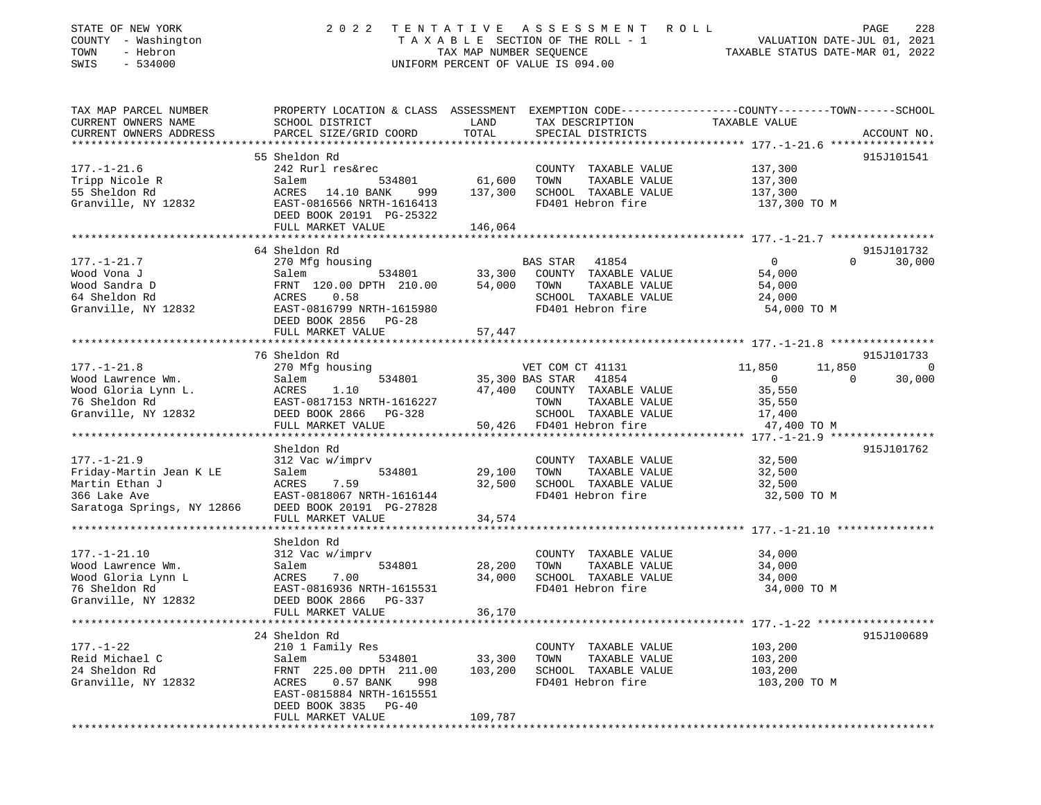| STATE OF NEW YORK<br>COUNTY - Washington<br>- Hebron<br>TOWN<br>SWIS<br>$-534000$ | 2 0 2 2                                                                                                              | TENTATIVE<br>TAX MAP NUMBER SEQUENCE | A S S E S S M E N T<br>R O L L<br>TAXABLE SECTION OF THE ROLL - 1<br>UNIFORM PERCENT OF VALUE IS 094.00 | VALUATION DATE-JUL 01, 2021<br>TAXABLE STATUS DATE-MAR 01, 2022 | PAGE<br>228            |
|-----------------------------------------------------------------------------------|----------------------------------------------------------------------------------------------------------------------|--------------------------------------|---------------------------------------------------------------------------------------------------------|-----------------------------------------------------------------|------------------------|
| TAX MAP PARCEL NUMBER<br>CURRENT OWNERS NAME                                      | PROPERTY LOCATION & CLASS ASSESSMENT EXEMPTION CODE----------------COUNTY--------TOWN------SCHOOL<br>SCHOOL DISTRICT | LAND                                 | TAX DESCRIPTION                                                                                         | TAXABLE VALUE                                                   |                        |
| CURRENT OWNERS ADDRESS                                                            | PARCEL SIZE/GRID COORD                                                                                               | TOTAL                                | SPECIAL DISTRICTS                                                                                       |                                                                 | ACCOUNT NO.            |
|                                                                                   | 55 Sheldon Rd                                                                                                        |                                      |                                                                                                         |                                                                 | 915J101541             |
| $177. - 1 - 21.6$                                                                 | 242 Rurl res&rec                                                                                                     |                                      | COUNTY TAXABLE VALUE                                                                                    | 137,300                                                         |                        |
| Tripp Nicole R                                                                    | Salem<br>534801                                                                                                      | 61,600                               | TOWN<br>TAXABLE VALUE                                                                                   | 137,300                                                         |                        |
| 55 Sheldon Rd                                                                     | ACRES 14.10 BANK<br>999                                                                                              | 137,300                              | SCHOOL TAXABLE VALUE                                                                                    | 137,300                                                         |                        |
| Granville, NY 12832                                                               | EAST-0816566 NRTH-1616413<br>DEED BOOK 20191 PG-25322                                                                |                                      | FD401 Hebron fire                                                                                       | 137,300 TO M                                                    |                        |
|                                                                                   | FULL MARKET VALUE                                                                                                    | 146,064                              |                                                                                                         |                                                                 |                        |
|                                                                                   |                                                                                                                      |                                      |                                                                                                         |                                                                 |                        |
|                                                                                   | 64 Sheldon Rd                                                                                                        |                                      |                                                                                                         | $\overline{0}$                                                  | 915J101732<br>$\Omega$ |
| $177. - 1 - 21.7$<br>Wood Vona J                                                  | 270 Mfg housing<br>534801<br>Salem                                                                                   | 33,300                               | BAS STAR<br>41854<br>COUNTY TAXABLE VALUE                                                               | 54,000                                                          | 30,000                 |
| Wood Sandra D                                                                     | FRNT 120.00 DPTH 210.00                                                                                              | 54,000                               | TOWN<br>TAXABLE VALUE                                                                                   | 54,000                                                          |                        |
| 64 Sheldon Rd                                                                     | 0.58<br>ACRES                                                                                                        |                                      | SCHOOL TAXABLE VALUE                                                                                    | 24,000                                                          |                        |
| Granville, NY 12832                                                               | EAST-0816799 NRTH-1615980                                                                                            |                                      | FD401 Hebron fire                                                                                       | 54,000 TO M                                                     |                        |
|                                                                                   | DEED BOOK 2856 PG-28                                                                                                 |                                      |                                                                                                         |                                                                 |                        |
|                                                                                   | FULL MARKET VALUE                                                                                                    | 57,447                               |                                                                                                         |                                                                 |                        |
|                                                                                   |                                                                                                                      |                                      |                                                                                                         |                                                                 |                        |
|                                                                                   | 76 Sheldon Rd                                                                                                        |                                      |                                                                                                         |                                                                 | 915J101733             |
| $177. - 1 - 21.8$                                                                 | 270 Mfg housing                                                                                                      |                                      | VET COM CT 41131                                                                                        | 11,850<br>11,850                                                | $\overline{0}$         |
| Wood Lawrence Wm.                                                                 | 534801<br>Salem                                                                                                      |                                      | 35,300 BAS STAR 41854                                                                                   | $\overline{0}$                                                  | 30,000<br>$\Omega$     |
| Wood Gloria Lynn L.                                                               | 1.10<br>ACRES                                                                                                        | 47,400                               | COUNTY TAXABLE VALUE                                                                                    | 35,550                                                          |                        |
| 76 Sheldon Rd<br>Granville, NY 12832                                              | EAST-0817153 NRTH-1616227<br>DEED BOOK 2866 PG-328                                                                   |                                      | TOWN<br>TAXABLE VALUE<br>SCHOOL TAXABLE VALUE                                                           | 35,550<br>17,400                                                |                        |
|                                                                                   | FULL MARKET VALUE                                                                                                    | 50,426                               | FD401 Hebron fire                                                                                       | 47,400 TO M                                                     |                        |
|                                                                                   |                                                                                                                      |                                      |                                                                                                         |                                                                 |                        |
|                                                                                   | Sheldon Rd                                                                                                           |                                      |                                                                                                         |                                                                 | 915J101762             |
| $177. - 1 - 21.9$                                                                 | 312 Vac w/imprv                                                                                                      |                                      | COUNTY TAXABLE VALUE                                                                                    | 32,500                                                          |                        |
| Friday-Martin Jean K LE                                                           | 534801<br>Salem                                                                                                      | 29,100                               | TOWN<br>TAXABLE VALUE                                                                                   | 32,500                                                          |                        |
| Martin Ethan J                                                                    | ACRES<br>7.59                                                                                                        | 32,500                               | SCHOOL TAXABLE VALUE                                                                                    | 32,500                                                          |                        |
| 366 Lake Ave                                                                      | EAST-0818067 NRTH-1616144                                                                                            |                                      | FD401 Hebron fire                                                                                       | 32,500 TO M                                                     |                        |
| Saratoga Springs, NY 12866                                                        | DEED BOOK 20191 PG-27828                                                                                             |                                      |                                                                                                         |                                                                 |                        |
|                                                                                   | FULL MARKET VALUE                                                                                                    | 34,574                               |                                                                                                         |                                                                 |                        |
|                                                                                   | Sheldon Rd                                                                                                           |                                      |                                                                                                         |                                                                 |                        |
| $177. - 1 - 21.10$                                                                | 312 Vac w/imprv                                                                                                      |                                      | COUNTY TAXABLE VALUE                                                                                    | 34,000                                                          |                        |
| Wood Lawrence Wm.                                                                 | 534801<br>Salem                                                                                                      | 28,200                               | TOWN<br>TAXABLE VALUE                                                                                   | 34,000                                                          |                        |
| Wood Gloria Lynn L                                                                | 7.00<br>ACRES                                                                                                        | 34,000                               | SCHOOL TAXABLE VALUE                                                                                    | 34,000                                                          |                        |
| 76 Sheldon Rd                                                                     | EAST-0816936 NRTH-1615531                                                                                            |                                      | FD401 Hebron fire                                                                                       | 34,000 TO M                                                     |                        |
| Granville, NY 12832                                                               | DEED BOOK 2866 PG-337                                                                                                |                                      |                                                                                                         |                                                                 |                        |
|                                                                                   | FULL MARKET VALUE                                                                                                    | 36,170                               |                                                                                                         |                                                                 |                        |
| ********************                                                              |                                                                                                                      |                                      |                                                                                                         |                                                                 |                        |
| $177. - 1 - 22$                                                                   | 24 Sheldon Rd                                                                                                        |                                      |                                                                                                         |                                                                 | 915J100689             |
| Reid Michael C                                                                    | 210 1 Family Res<br>Salem<br>534801                                                                                  | 33,300                               | COUNTY TAXABLE VALUE<br>TOWN<br>TAXABLE VALUE                                                           | 103,200<br>103,200                                              |                        |
| 24 Sheldon Rd                                                                     | FRNT 225.00 DPTH 211.00                                                                                              | 103,200                              | SCHOOL TAXABLE VALUE                                                                                    | 103,200                                                         |                        |
| Granville, NY 12832                                                               | ACRES 0.57 BANK<br>998                                                                                               |                                      | FD401 Hebron fire                                                                                       | 103,200 TO M                                                    |                        |
|                                                                                   | EAST-0815884 NRTH-1615551                                                                                            |                                      |                                                                                                         |                                                                 |                        |
|                                                                                   | DEED BOOK 3835 PG-40                                                                                                 |                                      |                                                                                                         |                                                                 |                        |
|                                                                                   | FULL MARKET VALUE                                                                                                    | 109,787                              |                                                                                                         |                                                                 |                        |
|                                                                                   |                                                                                                                      |                                      |                                                                                                         |                                                                 |                        |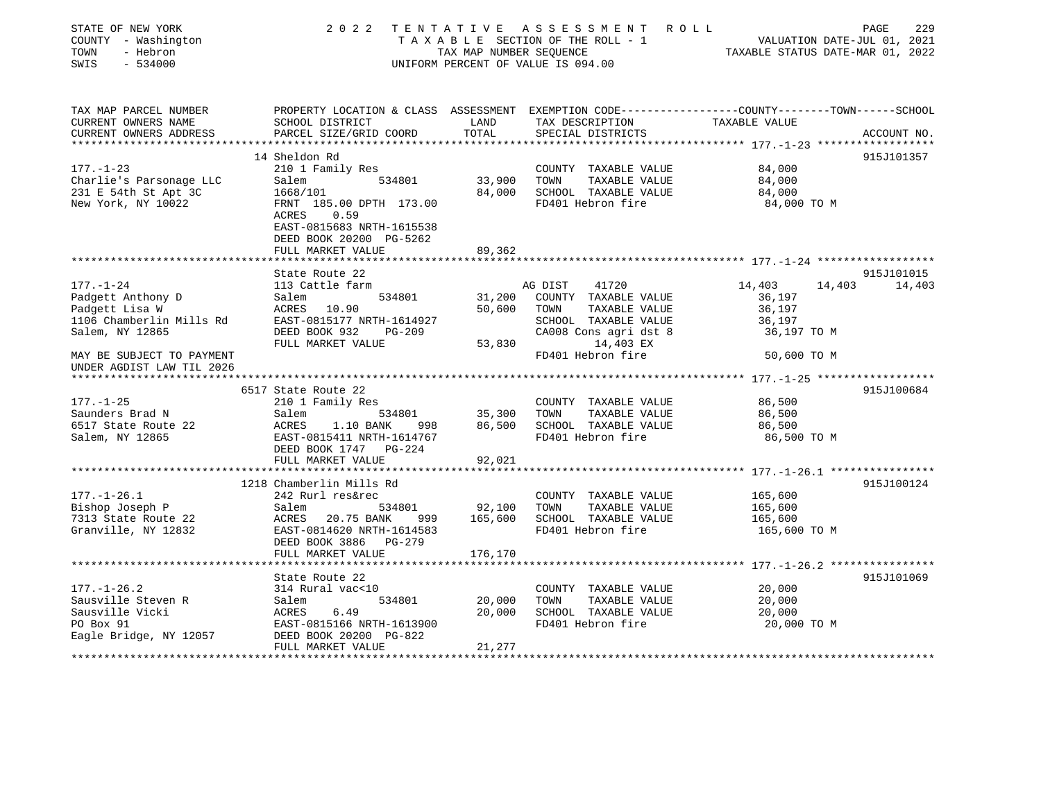| STATE OF NEW YORK<br>COUNTY - Washington<br>TOWN<br>- Hebron<br>$-534000$<br>SWIS | 2 0 2 2<br>TENTATIVE                                                                             | TAX MAP NUMBER SEQUENCE | A S S E S S M E N T R O L L<br>TAXABLE SECTION OF THE ROLL - 1<br>UNIFORM PERCENT OF VALUE IS 094.00 | VALUATION DATE-JUL 01, 2021<br>TAXABLE STATUS DATE-MAR 01, 2022 | 229<br>PAGE      |
|-----------------------------------------------------------------------------------|--------------------------------------------------------------------------------------------------|-------------------------|------------------------------------------------------------------------------------------------------|-----------------------------------------------------------------|------------------|
| TAX MAP PARCEL NUMBER                                                             | PROPERTY LOCATION & CLASS ASSESSMENT EXEMPTION CODE---------------COUNTY-------TOWN------SCHOOL  |                         |                                                                                                      |                                                                 |                  |
| CURRENT OWNERS NAME<br>CURRENT OWNERS ADDRESS<br>***********************          | SCHOOL DISTRICT<br>PARCEL SIZE/GRID COORD                                                        | LAND<br>TOTAL           | TAX DESCRIPTION TAXABLE VALUE<br>SPECIAL DISTRICTS                                                   |                                                                 | ACCOUNT NO.      |
|                                                                                   | 14 Sheldon Rd                                                                                    |                         |                                                                                                      |                                                                 | 915J101357       |
| $177. - 1 - 23$                                                                   | 210 1 Family Res                                                                                 |                         | COUNTY TAXABLE VALUE                                                                                 | 84,000                                                          |                  |
| Charlie's Parsonage LLC<br>231 E 54th St Apt 3C                                   | 534801<br>Salem                                                                                  | 33,900                  | TOWN<br>TAXABLE VALUE                                                                                | 84,000                                                          |                  |
| 231 E 54th St Apt 3C                                                              | 1668/101                                                                                         | 84,000                  | SCHOOL TAXABLE VALUE                                                                                 | 84,000                                                          |                  |
| New York, NY 10022                                                                | FRNT 185.00 DPTH 173.00<br>ACRES<br>0.59<br>EAST-0815683 NRTH-1615538<br>DEED BOOK 20200 PG-5262 |                         | FD401 Hebron fire                                                                                    | 84,000 TO M                                                     |                  |
|                                                                                   | FULL MARKET VALUE                                                                                | 89,362                  |                                                                                                      |                                                                 |                  |
|                                                                                   |                                                                                                  |                         |                                                                                                      |                                                                 |                  |
|                                                                                   | State Route 22                                                                                   |                         |                                                                                                      |                                                                 | 915J101015       |
| $177. - 1 - 24$                                                                   | 113 Cattle farm                                                                                  |                         | AG DIST<br>41720                                                                                     | 14,403                                                          | 14,403<br>14,403 |
| Padgett Anthony D                                                                 | 534801<br>Salem                                                                                  |                         | 31,200 COUNTY TAXABLE VALUE                                                                          | 36,197                                                          |                  |
| Padgett Lisa W                                                                    | ACRES 10.90                                                                                      | 50,600                  | TOWN<br>TAXABLE VALUE                                                                                | 36,197                                                          |                  |
| 1106 Chamberlin Mills Rd                                                          | EAST-0815177 NRTH-1614927                                                                        |                         | SCHOOL TAXABLE VALUE<br>CA008 Cons agri dst 8                                                        | 36,197                                                          |                  |
| Salem, NY 12865                                                                   | DEED BOOK 932 PG-209<br>FULL MARKET VALUE                                                        | 53,830                  | 14,403 EX                                                                                            | 36,197 TO M                                                     |                  |
| MAY BE SUBJECT TO PAYMENT<br>UNDER AGDIST LAW TIL 2026                            |                                                                                                  |                         | FD401 Hebron fire                                                                                    | 50,600 TO M                                                     |                  |
|                                                                                   |                                                                                                  |                         |                                                                                                      |                                                                 |                  |
|                                                                                   | 6517 State Route 22                                                                              |                         |                                                                                                      |                                                                 | 915J100684       |
| 177.-1-25                                                                         | 210 1 Family Res                                                                                 |                         | COUNTY TAXABLE VALUE                                                                                 | 86,500                                                          |                  |
| Saunders Brad N                                                                   | 534801<br>Salem                                                                                  | 35,300                  | TAXABLE VALUE<br>TOWN                                                                                | 86,500                                                          |                  |
| 6517 State Route 22                                                               | ACRES<br>1.10 BANK<br>998                                                                        | 86,500                  | SCHOOL TAXABLE VALUE                                                                                 | 86,500                                                          |                  |
| Salem, NY 12865                                                                   | EAST-0815411 NRTH-1614767<br>DEED BOOK 1747 PG-224                                               |                         | FD401 Hebron fire                                                                                    | 86,500 TO M                                                     |                  |
|                                                                                   | FULL MARKET VALUE                                                                                | 92,021                  |                                                                                                      |                                                                 |                  |
|                                                                                   |                                                                                                  |                         |                                                                                                      |                                                                 |                  |
|                                                                                   | 1218 Chamberlin Mills Rd                                                                         |                         |                                                                                                      |                                                                 | 915J100124       |
| $177. - 1 - 26.1$<br>Bishop Joseph P                                              | 242 Rurl res&rec<br>Salem<br>534801                                                              | 92,100                  | COUNTY TAXABLE VALUE<br>TOWN<br>TAXABLE VALUE                                                        | 165,600                                                         |                  |
| 7313 State Route 22                                                               | ACRES 20.75 BANK<br>999                                                                          | 165,600                 | SCHOOL TAXABLE VALUE                                                                                 | 165,600<br>165,600                                              |                  |
| Granville, NY 12832                                                               | EAST-0814620 NRTH-1614583                                                                        |                         | FD401 Hebron fire                                                                                    | 165,600 TO M                                                    |                  |
|                                                                                   | DEED BOOK 3886<br>PG-279                                                                         |                         |                                                                                                      |                                                                 |                  |
|                                                                                   | FULL MARKET VALUE                                                                                | 176,170                 |                                                                                                      |                                                                 |                  |
|                                                                                   |                                                                                                  |                         |                                                                                                      | ******************** 177.-1-26.2 *****************              |                  |
|                                                                                   | State Route 22                                                                                   |                         |                                                                                                      |                                                                 | 915J101069       |
| $177. - 1 - 26.2$                                                                 | 314 Rural vac<10                                                                                 |                         | COUNTY TAXABLE VALUE                                                                                 | 20,000                                                          |                  |
| Sausville Steven R                                                                | Salem<br>534801                                                                                  | 20,000                  | TAXABLE VALUE<br>TOWN                                                                                | 20,000                                                          |                  |
| Sausville Vicki                                                                   | ACRES<br>6.49                                                                                    | 20,000                  | SCHOOL TAXABLE VALUE                                                                                 | 20,000                                                          |                  |
| PO Box 91                                                                         | EAST-0815166 NRTH-1613900                                                                        |                         | FD401 Hebron fire                                                                                    | 20,000 TO M                                                     |                  |
| Eagle Bridge, NY 12057                                                            | DEED BOOK 20200 PG-822                                                                           |                         |                                                                                                      |                                                                 |                  |
|                                                                                   | FULL MARKET VALUE                                                                                | 21,277                  |                                                                                                      |                                                                 |                  |
|                                                                                   |                                                                                                  |                         |                                                                                                      |                                                                 |                  |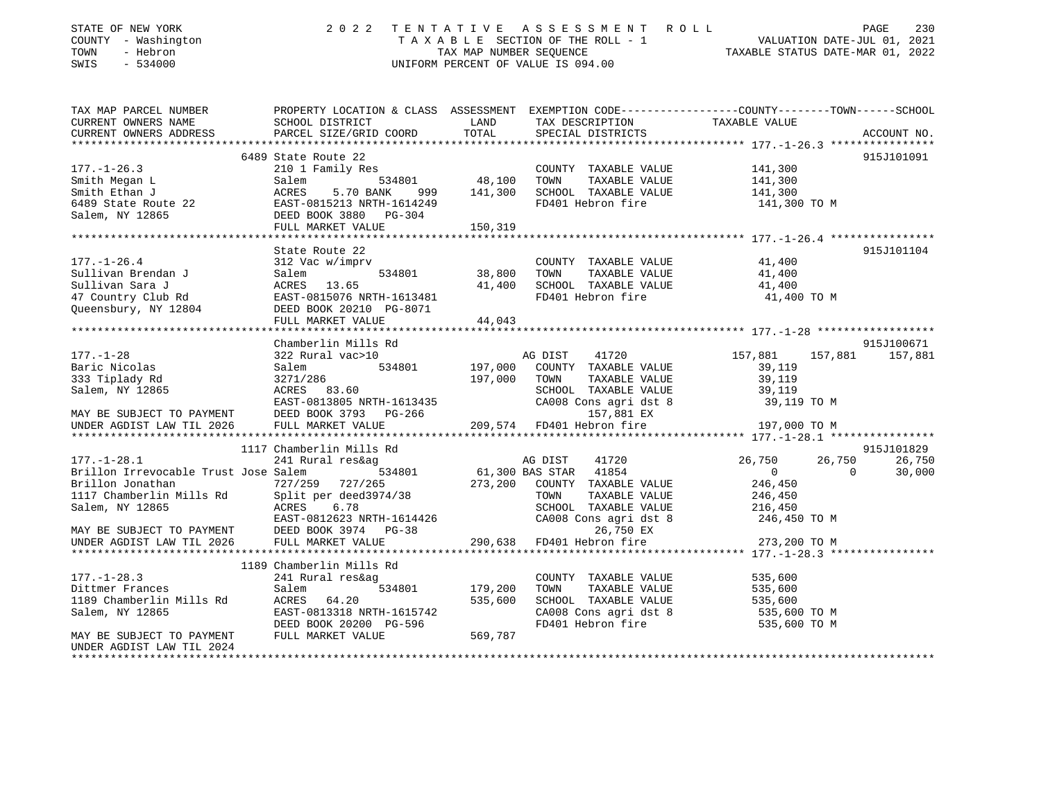| STATE OF NEW YORK<br>COUNTY - Washington<br>- Hebron<br>TOWN<br>$-534000$<br>SWIS                                                            |                                                                                                                                                                                       |               | TENTATIVE ASSESSMENT ROLL PAGE 230<br>TAXABLE SECTION OF THE ROLL - 1 VALUATION DATE-JUL 01, 2021<br>TAX MAP NUMBER SEQUENCE TAXABLE STATUS DATE-MAR 01, 2022<br>2022 TENTATIVE ASSESSMENT ROLL<br>UNIFORM PERCENT OF VALUE IS 094.00 |                                                  |             |
|----------------------------------------------------------------------------------------------------------------------------------------------|---------------------------------------------------------------------------------------------------------------------------------------------------------------------------------------|---------------|---------------------------------------------------------------------------------------------------------------------------------------------------------------------------------------------------------------------------------------|--------------------------------------------------|-------------|
| TAX MAP PARCEL NUMBER THE PROPERTY LOCATION & CLASS ASSESSMENT EXEMPTION CODE--------------COUNTY-------TOWN-----SCHOOL                      |                                                                                                                                                                                       |               |                                                                                                                                                                                                                                       |                                                  |             |
| CURRENT OWNERS NAME                                                                                                                          | SCHOOL DISTRICT                                                                                                                                                                       | LAND<br>TOTAL | TAX DESCRIPTION                                                                                                                                                                                                                       | TAXABLE VALUE                                    |             |
| CURRENT OWNERS ADDRESS                                                                                                                       | PARCEL SIZE/GRID COORD                                                                                                                                                                |               | SPECIAL DISTRICTS                                                                                                                                                                                                                     |                                                  | ACCOUNT NO. |
|                                                                                                                                              | 6489 State Route 22                                                                                                                                                                   |               |                                                                                                                                                                                                                                       |                                                  | 915J101091  |
| $177. - 1 - 26.3$                                                                                                                            | 210 1 Family Res                                                                                                                                                                      |               | COUNTY TAXABLE VALUE                                                                                                                                                                                                                  | 141,300                                          |             |
|                                                                                                                                              |                                                                                                                                                                                       | 534801 48,100 | TAXABLE VALUE<br>TOWN                                                                                                                                                                                                                 | 141,300                                          |             |
|                                                                                                                                              |                                                                                                                                                                                       | 999 141,300   | SCHOOL TAXABLE VALUE                                                                                                                                                                                                                  | 141,300                                          |             |
|                                                                                                                                              | EAST-0815213 NRTH-1614249                                                                                                                                                             |               | FD401 Hebron fire                                                                                                                                                                                                                     | 141,300 TO M                                     |             |
| Smith Megan L<br>Smith Ethan J<br>6489 State Route 22<br>Smith Ethan J<br>6489 State Route 22<br>Salem, NY 12865<br>DEED BOOK 3880<br>PG-304 |                                                                                                                                                                                       |               |                                                                                                                                                                                                                                       |                                                  |             |
|                                                                                                                                              | FULL MARKET VALUE                                                                                                                                                                     | 150,319       |                                                                                                                                                                                                                                       |                                                  |             |
|                                                                                                                                              |                                                                                                                                                                                       |               |                                                                                                                                                                                                                                       |                                                  |             |
|                                                                                                                                              | State Route 22                                                                                                                                                                        |               |                                                                                                                                                                                                                                       |                                                  | 915J101104  |
| $177. - 1 - 26.4$                                                                                                                            | 312 Vac w/imprv                                                                                                                                                                       | 534801 38,800 | COUNTY TAXABLE VALUE                                                                                                                                                                                                                  | 41,400                                           |             |
|                                                                                                                                              |                                                                                                                                                                                       | 41,400        | TAXABLE VALUE<br>TOWN                                                                                                                                                                                                                 | 41,400                                           |             |
|                                                                                                                                              |                                                                                                                                                                                       |               | SCHOOL TAXABLE VALUE 41,400<br>FD401 Hebron fire 41,400 TO M                                                                                                                                                                          |                                                  |             |
| 1/1.-1-26.4<br>Sullivan Brendan J<br>Sullivan Sara J<br>47 Country Club Rd<br>Queensbury, NY 12804<br>20210 PG-8071                          |                                                                                                                                                                                       |               |                                                                                                                                                                                                                                       |                                                  |             |
|                                                                                                                                              | FULL MARKET VALUE                                                                                                                                                                     | 44,043        |                                                                                                                                                                                                                                       |                                                  |             |
|                                                                                                                                              |                                                                                                                                                                                       |               |                                                                                                                                                                                                                                       |                                                  |             |
|                                                                                                                                              | Chamberlin Mills Rd                                                                                                                                                                   |               |                                                                                                                                                                                                                                       |                                                  | 915J100671  |
| $177. - 1 - 28$                                                                                                                              | 322 Rural vac>10                                                                                                                                                                      |               | AG DIST<br>41720                                                                                                                                                                                                                      | 157,881<br>157,881                               | 157,881     |
| Baric Nicolas                                                                                                                                | Salem<br>534801                                                                                                                                                                       | 197,000       | COUNTY TAXABLE VALUE                                                                                                                                                                                                                  | 39,119                                           |             |
| 333 Tiplady Rd                                                                                                                               |                                                                                                                                                                                       | 197,000       | TAXABLE VALUE<br>TOWN                                                                                                                                                                                                                 | 39,119                                           |             |
| Salem, NY 12865                                                                                                                              | 32/1/286<br>ACRES 83.60<br>-----                                                                                                                                                      |               | SCHOOL TAXABLE VALUE                                                                                                                                                                                                                  | 39,119                                           |             |
|                                                                                                                                              | ACRES 83.60 SCHOOL TAXABLE VALUE<br>EAST-0813805 NRTH-1613435 CA008 Cons agri dst 8<br>DEED BOOK 3793 PG-266 209,574 FD401 Hebron fire<br>FULL MARKET VALUE 209,574 FD401 Hebron fire |               |                                                                                                                                                                                                                                       | 39,119 TO M                                      |             |
| MAY BE SUBJECT TO PAYMENT DEED BOOK 3793 INDER AGDIST LAW TIL 2026 FULL MARKET VALUE                                                         |                                                                                                                                                                                       |               |                                                                                                                                                                                                                                       |                                                  |             |
|                                                                                                                                              |                                                                                                                                                                                       |               |                                                                                                                                                                                                                                       | 197,000 TO M                                     |             |
|                                                                                                                                              | 1117 Chamberlin Mills Rd                                                                                                                                                              |               |                                                                                                                                                                                                                                       |                                                  | 915J101829  |
| $177. - 1 - 28.1$                                                                                                                            | 241 Rural res&ag                                                                                                                                                                      |               | AG DIST<br>41720                                                                                                                                                                                                                      | 26,750<br>26,750                                 | 26,750      |
| Brillon Irrevocable Trust Jose Salem                                                                                                         | 534801                                                                                                                                                                                |               | 61,300 BAS STAR 41854                                                                                                                                                                                                                 | $\overline{0}$<br>$\Omega$                       | 30,000      |
| Brillon Jonathan                                                                                                                             | 727/259 727/265                                                                                                                                                                       |               | 273,200 COUNTY TAXABLE VALUE                                                                                                                                                                                                          | 246,450                                          |             |
| 1117 Chamberlin Mills Rd Split per deed 3974/38                                                                                              |                                                                                                                                                                                       |               | TAXABLE VALUE<br>TOWN                                                                                                                                                                                                                 | 246,450                                          |             |
| Salem, NY 12865                                                                                                                              | ACRES 6.78                                                                                                                                                                            |               | SCHOOL TAXABLE VALUE                                                                                                                                                                                                                  | 216,450                                          |             |
|                                                                                                                                              | EAST-0812623 NRTH-1614426                                                                                                                                                             |               | CA008 Cons agri dst 8                                                                                                                                                                                                                 | 246,450 TO M                                     |             |
| MAY BE SUBJECT TO PAYMENT THE DEED BOOK 3974 PG-38<br>UNDER AGDIST LAW TIL 2026 FULL MARKET VALUE                                            |                                                                                                                                                                                       |               | 26,750 EX                                                                                                                                                                                                                             |                                                  |             |
|                                                                                                                                              |                                                                                                                                                                                       | 290,638       | FD401 Hebron fire                                                                                                                                                                                                                     | 273,200 TO M                                     |             |
| *********************                                                                                                                        | **********************************                                                                                                                                                    |               |                                                                                                                                                                                                                                       | ****************** 177.-1-28.3 ***************** |             |
|                                                                                                                                              | 1189 Chamberlin Mills Rd                                                                                                                                                              |               |                                                                                                                                                                                                                                       |                                                  |             |
| $177. - 1 - 28.3$<br>$111. -1-28.3$<br>Dittmer Frances                                                                                       | 241 Rural res&ag                                                                                                                                                                      |               | COUNTY TAXABLE VALUE                                                                                                                                                                                                                  | 535,600<br>535,600                               |             |
| Dittmer Frances<br>1189 Chamberlin Mills Rd<br>1181 - The Moore                                                                              | 534801<br>Salem                                                                                                                                                                       | 179,200       | TOWN<br>TAXABLE VALUE                                                                                                                                                                                                                 |                                                  |             |
| Salem, NY 12865                                                                                                                              | ACRES 64.20<br>EAST-0813318 NRTH-1615742                                                                                                                                              | 535,600       | SCHOOL TAXABLE VALUE<br>CA008 Cons agri dst 8                                                                                                                                                                                         | 535,600<br>535,600 TO M                          |             |
|                                                                                                                                              | DEED BOOK 20200 PG-596                                                                                                                                                                |               | FD401 Hebron fire                                                                                                                                                                                                                     | 535,600 TO M                                     |             |
| MAY BE SUBJECT TO PAYMENT                                                                                                                    | FULL MARKET VALUE                                                                                                                                                                     | 569,787       |                                                                                                                                                                                                                                       |                                                  |             |

UNDER AGDIST LAW TIL 2024

\*\*\*\*\*\*\*\*\*\*\*\*\*\*\*\*\*\*\*\*\*\*\*\*\*\*\*\*\*\*\*\*\*\*\*\*\*\*\*\*\*\*\*\*\*\*\*\*\*\*\*\*\*\*\*\*\*\*\*\*\*\*\*\*\*\*\*\*\*\*\*\*\*\*\*\*\*\*\*\*\*\*\*\*\*\*\*\*\*\*\*\*\*\*\*\*\*\*\*\*\*\*\*\*\*\*\*\*\*\*\*\*\*\*\*\*\*\*\*\*\*\*\*\*\*\*\*\*\*\*\*\*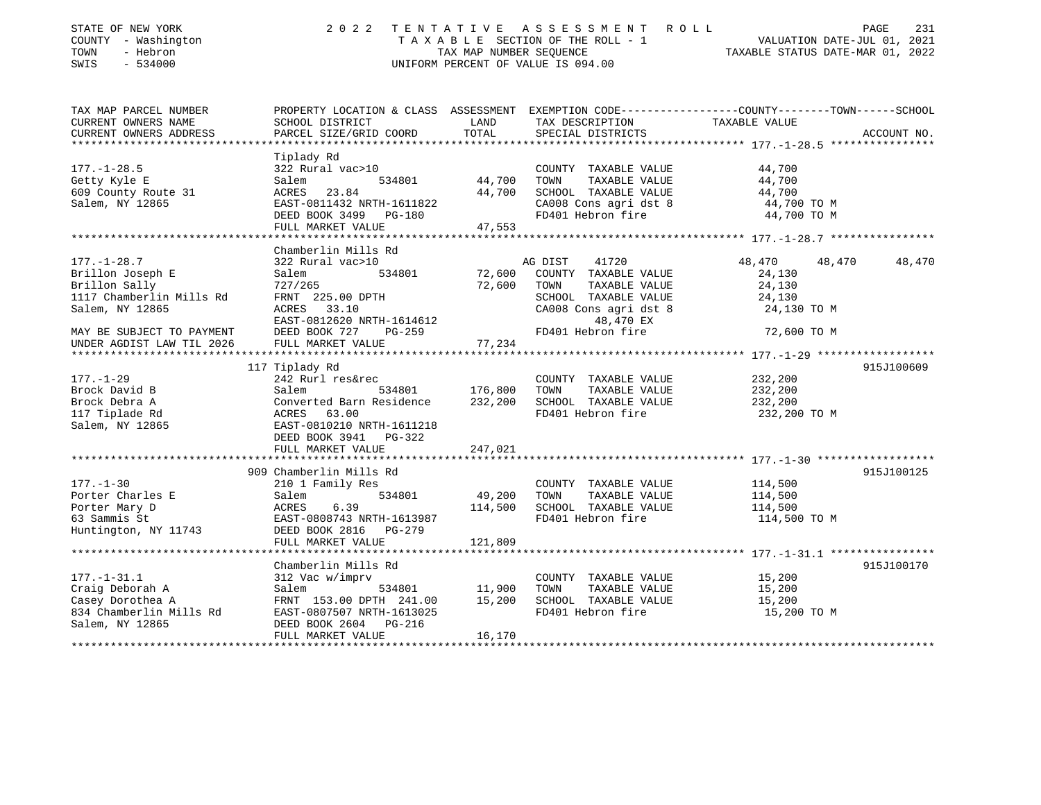| STATE OF NEW YORK<br>COUNTY - Washington<br>- Hebron<br>TOWN<br>SWIS<br>$-534000$ | 2 0 2 2                                                                                                            | TENTATIVE<br>TAX MAP NUMBER SEQUENCE | ASSESSMENT ROLL<br>TAXABLE SECTION OF THE ROLL - 1<br>UNIFORM PERCENT OF VALUE IS 094.00 | VALUATION DATE-JUL 01, 2021<br>TAXABLE STATUS DATE-MAR 01, 2022 | 231<br>PAGE |
|-----------------------------------------------------------------------------------|--------------------------------------------------------------------------------------------------------------------|--------------------------------------|------------------------------------------------------------------------------------------|-----------------------------------------------------------------|-------------|
| TAX MAP PARCEL NUMBER<br>CURRENT OWNERS NAME                                      | PROPERTY LOCATION & CLASS ASSESSMENT EXEMPTION CODE---------------COUNTY-------TOWN------SCHOOL<br>SCHOOL DISTRICT | LAND                                 | TAX DESCRIPTION                                                                          | TAXABLE VALUE                                                   |             |
| CURRENT OWNERS ADDRESS                                                            | PARCEL SIZE/GRID COORD                                                                                             | TOTAL                                | SPECIAL DISTRICTS                                                                        |                                                                 | ACCOUNT NO. |
|                                                                                   |                                                                                                                    |                                      |                                                                                          |                                                                 |             |
|                                                                                   | Tiplady Rd                                                                                                         |                                      |                                                                                          |                                                                 |             |
| $177. - 1 - 28.5$                                                                 | 322 Rural vac>10                                                                                                   |                                      | COUNTY TAXABLE VALUE                                                                     | 44,700                                                          |             |
| Getty Kyle E                                                                      | 534801<br>Salem                                                                                                    | 44,700                               | TAXABLE VALUE<br>TOWN                                                                    | 44,700                                                          |             |
| 609 County Route 31                                                               | ACRES 23.84                                                                                                        | 44,700                               | SCHOOL TAXABLE VALUE                                                                     | 44,700                                                          |             |
| Salem, NY 12865                                                                   | EAST-0811432 NRTH-1611822                                                                                          |                                      | CA008 Cons agri dst 8                                                                    | 44,700 TO M                                                     |             |
|                                                                                   | DEED BOOK 3499 PG-180                                                                                              |                                      | FD401 Hebron fire                                                                        | 44,700 TO M                                                     |             |
|                                                                                   | FULL MARKET VALUE                                                                                                  | 47,553                               |                                                                                          |                                                                 |             |
|                                                                                   | Chamberlin Mills Rd                                                                                                |                                      |                                                                                          |                                                                 |             |
| $177. - 1 - 28.7$                                                                 | 322 Rural vac>10                                                                                                   |                                      | AG DIST<br>41720                                                                         | 48,470<br>48,470                                                | 48,470      |
| Brillon Joseph E                                                                  | Salem<br>534801                                                                                                    | 72,600                               | COUNTY TAXABLE VALUE                                                                     | 24,130                                                          |             |
| Brillon Sally                                                                     | 727/265                                                                                                            | 72,600                               | TAXABLE VALUE<br>TOWN                                                                    | 24,130                                                          |             |
| 1117 Chamberlin Mills Rd                                                          | FRNT 225.00 DPTH                                                                                                   |                                      | SCHOOL TAXABLE VALUE                                                                     | 24,130                                                          |             |
| Salem, NY 12865                                                                   | 33.10<br>ACRES                                                                                                     |                                      | CA008 Cons agri dst 8                                                                    | 24,130 TO M                                                     |             |
|                                                                                   | EAST-0812620 NRTH-1614612                                                                                          |                                      | 48,470 EX                                                                                |                                                                 |             |
| MAY BE SUBJECT TO PAYMENT                                                         | DEED BOOK 727<br>$PG-259$                                                                                          |                                      | FD401 Hebron fire                                                                        | 72,600 TO M                                                     |             |
| UNDER AGDIST LAW TIL 2026                                                         | FULL MARKET VALUE                                                                                                  | 77,234                               |                                                                                          |                                                                 |             |
|                                                                                   |                                                                                                                    |                                      |                                                                                          |                                                                 |             |
|                                                                                   | 117 Tiplady Rd                                                                                                     |                                      |                                                                                          |                                                                 | 915J100609  |
| $177. - 1 - 29$<br>Brock David B                                                  | 242 Rurl res&rec<br>534801<br>Salem                                                                                | 176,800                              | COUNTY TAXABLE VALUE<br>TOWN<br>TAXABLE VALUE                                            | 232,200<br>232,200                                              |             |
| Brock Debra A                                                                     | Converted Barn Residence                                                                                           | 232,200                              | SCHOOL TAXABLE VALUE                                                                     | 232,200                                                         |             |
| 117 Tiplade Rd                                                                    | ACRES 63.00                                                                                                        |                                      | FD401 Hebron fire                                                                        | 232,200 TO M                                                    |             |
| Salem, NY 12865                                                                   | EAST-0810210 NRTH-1611218                                                                                          |                                      |                                                                                          |                                                                 |             |
|                                                                                   | DEED BOOK 3941 PG-322                                                                                              |                                      |                                                                                          |                                                                 |             |
|                                                                                   | FULL MARKET VALUE                                                                                                  | 247,021                              |                                                                                          |                                                                 |             |
|                                                                                   |                                                                                                                    |                                      |                                                                                          |                                                                 |             |
|                                                                                   | 909 Chamberlin Mills Rd                                                                                            |                                      |                                                                                          |                                                                 | 915J100125  |
| $177. - 1 - 30$                                                                   | 210 1 Family Res                                                                                                   |                                      | COUNTY TAXABLE VALUE                                                                     | 114,500                                                         |             |
| Porter Charles E                                                                  | Salem<br>534801                                                                                                    | 49,200                               | TOWN<br>TAXABLE VALUE                                                                    | 114,500                                                         |             |
| Porter Mary D<br>63 Sammis St                                                     | 6.39<br>ACRES<br>EAST-0808743 NRTH-1613987                                                                         | 114,500                              | SCHOOL TAXABLE VALUE<br>FD401 Hebron fire                                                | 114,500<br>114,500 TO M                                         |             |
| Huntington, NY 11743                                                              | DEED BOOK 2816 PG-279                                                                                              |                                      |                                                                                          |                                                                 |             |
|                                                                                   | FULL MARKET VALUE                                                                                                  | 121,809                              |                                                                                          |                                                                 |             |
|                                                                                   |                                                                                                                    |                                      |                                                                                          |                                                                 |             |
|                                                                                   | Chamberlin Mills Rd                                                                                                |                                      |                                                                                          |                                                                 | 915J100170  |
| $177. - 1 - 31.1$                                                                 | 312 Vac w/imprv                                                                                                    |                                      | COUNTY TAXABLE VALUE                                                                     | 15,200                                                          |             |
| Craig Deborah A                                                                   | Salem<br>534801                                                                                                    | 11,900                               | TOWN<br>TAXABLE VALUE                                                                    | 15,200                                                          |             |
| Casey Dorothea A                                                                  | FRNT 153.00 DPTH 241.00                                                                                            | 15,200                               | SCHOOL TAXABLE VALUE                                                                     | 15,200                                                          |             |
| 834 Chamberlin Mills Rd<br>Salem, NY 12865                                        | EAST-0807507 NRTH-1613025<br>DEED BOOK 2604<br>PG-216                                                              |                                      | FD401 Hebron fire                                                                        | 15,200 TO M                                                     |             |
|                                                                                   | FULL MARKET VALUE                                                                                                  | 16,170                               |                                                                                          |                                                                 |             |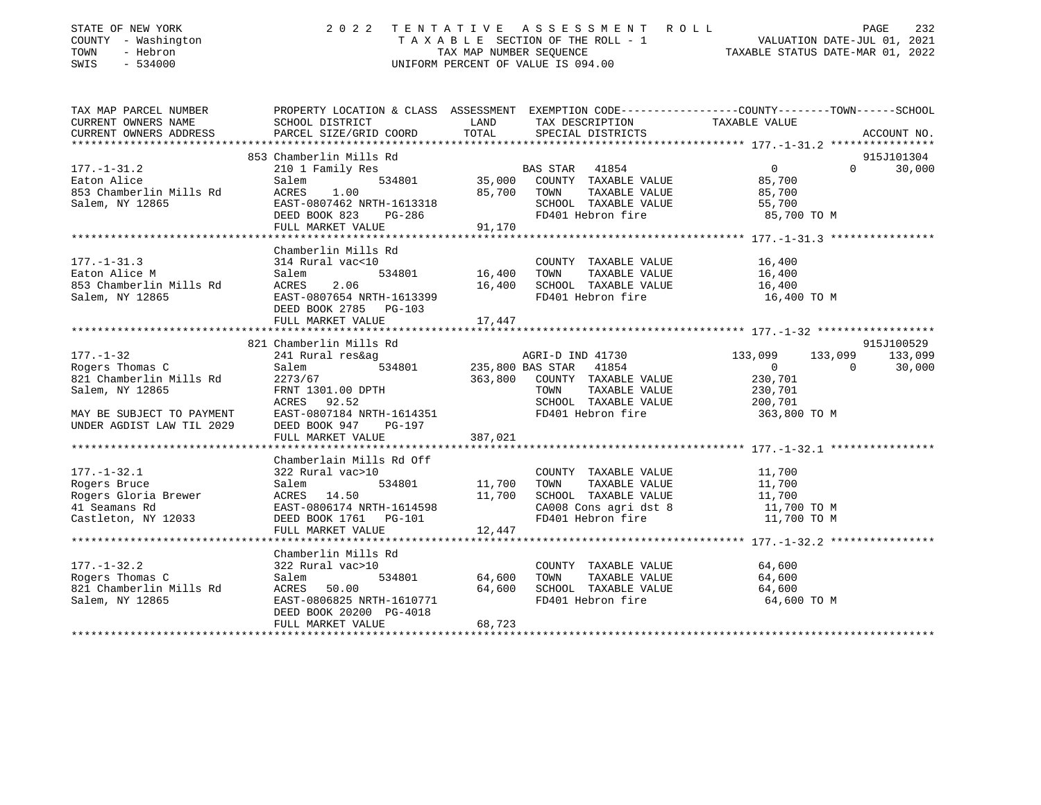| STATE OF NEW YORK<br>COUNTY - Washington<br>TOWN<br>- Hebron<br>$-534000$<br>SWIS | 2022                           |             | TENTATIVE ASSESSMENT ROLL<br>UNIFORM PERCENT OF VALUE IS 094.00 | TAXABLE SECTION OF THE ROLL - 1<br>TAX MAP NUMBER SEQUENCE THE ROLL - 1<br>TAXABLE STATUS DATE-MAR 01, 2022      | 232<br>PAGE |
|-----------------------------------------------------------------------------------|--------------------------------|-------------|-----------------------------------------------------------------|------------------------------------------------------------------------------------------------------------------|-------------|
| TAX MAP PARCEL NUMBER<br>CURRENT OWNERS NAME                                      | SCHOOL DISTRICT                | LAND        | TAX DESCRIPTION                                                 | PROPERTY LOCATION & CLASS ASSESSMENT EXEMPTION CODE---------------COUNTY-------TOWN------SCHOOL<br>TAXABLE VALUE |             |
| CURRENT OWNERS ADDRESS                                                            | PARCEL SIZE/GRID COORD         | TOTAL       | SPECIAL DISTRICTS                                               |                                                                                                                  | ACCOUNT NO. |
|                                                                                   | 853 Chamberlin Mills Rd        |             |                                                                 |                                                                                                                  | 915J101304  |
| $177. - 1 - 31.2$                                                                 | 210 1 Family Res               |             | BAS STAR 41854                                                  | $\overline{0}$<br>$\Omega$                                                                                       | 30,000      |
| Eaton Alice                                                                       | 534801<br>Salem                |             | 35,000 COUNTY TAXABLE VALUE                                     | 85,700                                                                                                           |             |
| 853 Chamberlin Mills Rd                                                           | ACRES<br>1.00                  | 85,700      | TAXABLE VALUE<br>TOWN                                           | 85,700                                                                                                           |             |
| Salem, NY 12865                                                                   | EAST-0807462 NRTH-1613318      |             | SCHOOL TAXABLE VALUE                                            | 55,700                                                                                                           |             |
|                                                                                   | DEED BOOK 823<br>PG-286        |             | FD401 Hebron fire                                               | 85,700 TO M                                                                                                      |             |
|                                                                                   | FULL MARKET VALUE              | 91,170      |                                                                 |                                                                                                                  |             |
|                                                                                   |                                |             |                                                                 |                                                                                                                  |             |
|                                                                                   | Chamberlin Mills Rd            |             |                                                                 |                                                                                                                  |             |
| $177. - 1 - 31.3$                                                                 | 314 Rural vac<10               |             | COUNTY TAXABLE VALUE                                            | 16,400                                                                                                           |             |
| Eaton Alice M                                                                     | Salem<br>534801                | 16,400 TOWN | TAXABLE VALUE                                                   | 16,400                                                                                                           |             |
| 853 Chamberlin Mills Rd                                                           | ACRES<br>2.06                  |             | 16,400 SCHOOL TAXABLE VALUE                                     | 16,400                                                                                                           |             |
| Salem, NY 12865                                                                   | EAST-0807654 NRTH-1613399      |             | FD401 Hebron fire                                               | 16,400 TO M                                                                                                      |             |
|                                                                                   | DEED BOOK 2785 PG-103          |             |                                                                 |                                                                                                                  |             |
|                                                                                   | FULL MARKET VALUE              | 17,447      |                                                                 |                                                                                                                  |             |
|                                                                                   |                                |             |                                                                 |                                                                                                                  |             |
|                                                                                   | 821 Chamberlin Mills Rd        |             |                                                                 |                                                                                                                  | 915J100529  |
| $177. - 1 - 32$                                                                   | 241 Rural res&ag               |             | AGRI-D IND 41730                                                | 133,099<br>133,099                                                                                               | 133,099     |
| Rogers Thomas C                                                                   | 534801<br>Salem                |             | 235,800 BAS STAR 41854                                          | $\sim$ 0<br>$\overline{0}$                                                                                       | 30,000      |
| 821 Chamberlin Mills Rd                                                           | 2273/67                        |             | 363,800 COUNTY TAXABLE VALUE                                    | 230,701                                                                                                          |             |
| Salem, NY 12865                                                                   | FRNT 1301.00 DPTH              |             | TOWN<br>TAXABLE VALUE                                           | 230,701                                                                                                          |             |
|                                                                                   | ACRES 92.52                    |             | SCHOOL TAXABLE VALUE                                            | 200,701                                                                                                          |             |
| MAY BE SUBJECT TO PAYMENT                                                         | EAST-0807184 NRTH-1614351      |             | FD401 Hebron fire                                               | 363,800 TO M                                                                                                     |             |
| UNDER AGDIST LAW TIL 2029                                                         | DEED BOOK 947<br>PG-197        |             |                                                                 |                                                                                                                  |             |
|                                                                                   | FULL MARKET VALUE              | 387,021     |                                                                 |                                                                                                                  |             |
|                                                                                   |                                |             |                                                                 |                                                                                                                  |             |
|                                                                                   | Chamberlain Mills Rd Off       |             |                                                                 |                                                                                                                  |             |
| $177. - 1 - 32.1$                                                                 | 322 Rural vac>10               |             | COUNTY TAXABLE VALUE                                            | 11,700                                                                                                           |             |
| Rogers Bruce                                                                      | 534801<br>Salem<br>ACRES 14.50 |             | 11,700 TOWN<br>TAXABLE VALUE                                    | 11,700                                                                                                           |             |
| Rogers Gloria Brewer                                                              |                                |             | 11,700 SCHOOL TAXABLE VALUE                                     | 11,700                                                                                                           |             |
| 41 Seamans Rd                                                                     | EAST-0806174 NRTH-1614598      |             | CA008 Cons agri dst 8                                           | 11,700 TO M                                                                                                      |             |
| Castleton, NY 12033                                                               | DEED BOOK 1761 PG-101          |             | FD401 Hebron fire                                               | 11,700 TO M                                                                                                      |             |
|                                                                                   | FULL MARKET VALUE              | 12,447      |                                                                 |                                                                                                                  |             |
|                                                                                   | Chamberlin Mills Rd            |             |                                                                 |                                                                                                                  |             |
| $177. - 1 - 32.2$                                                                 | 322 Rural vac>10               |             | COUNTY TAXABLE VALUE                                            | 64,600                                                                                                           |             |
| Rogers Thomas C                                                                   | Salem<br>534801                | 64,600      | TAXABLE VALUE<br>TOWN                                           | 64,600                                                                                                           |             |
| 821 Chamberlin Mills Rd                                                           | 50.00<br>ACRES                 | 64,600      | SCHOOL TAXABLE VALUE                                            | 64,600                                                                                                           |             |
| Salem, NY 12865                                                                   | EAST-0806825 NRTH-1610771      |             | FD401 Hebron fire                                               | 64,600 TO M                                                                                                      |             |
|                                                                                   | DEED BOOK 20200 PG-4018        |             |                                                                 |                                                                                                                  |             |
|                                                                                   | FULL MARKET VALUE              | 68,723      |                                                                 |                                                                                                                  |             |
|                                                                                   |                                |             |                                                                 |                                                                                                                  |             |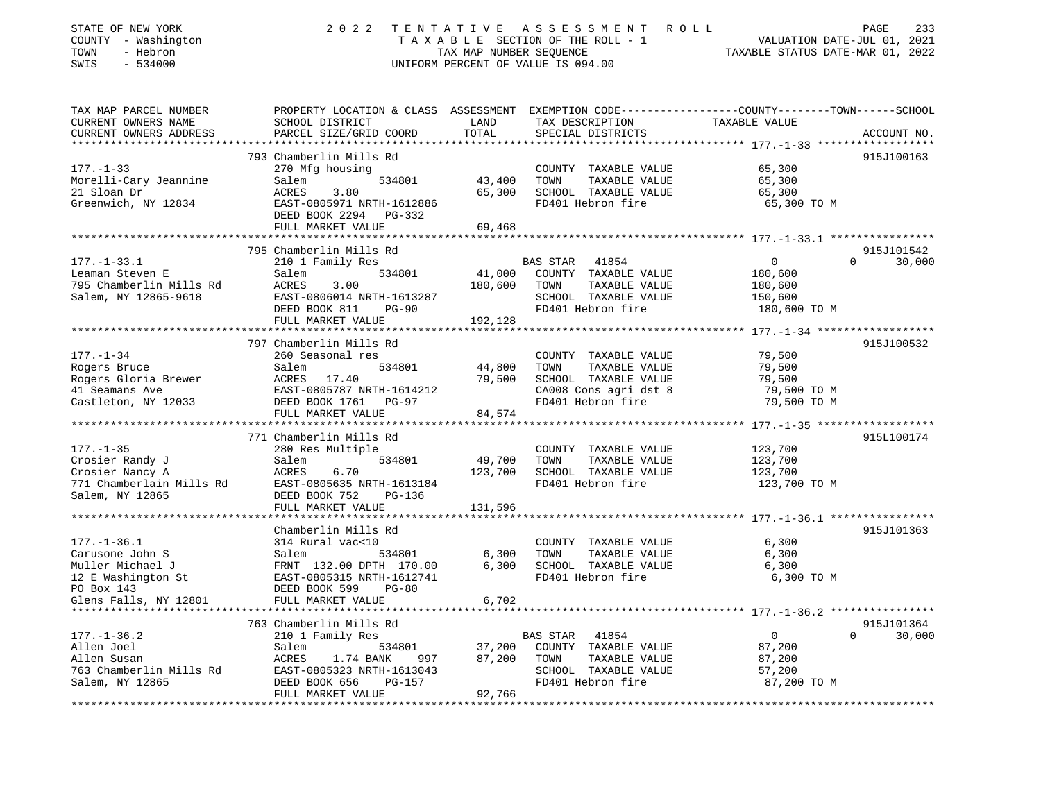| STATE OF NEW YORK<br>COUNTY - Washington<br>- Hebron<br>TOWN<br>SWIS<br>$-534000$ | 2 0 2 2                                               | TAX MAP NUMBER SEQUENCE | TENTATIVE ASSESSMENT ROLL<br>TAXABLE SECTION OF THE ROLL - 1<br>UNIFORM PERCENT OF VALUE IS 094.00 | 233<br>PAGE<br>VALUATION DATE-JUL 01, 2021<br>TAXABLE STATUS DATE-MAR 01, 2022                                                  |
|-----------------------------------------------------------------------------------|-------------------------------------------------------|-------------------------|----------------------------------------------------------------------------------------------------|---------------------------------------------------------------------------------------------------------------------------------|
| TAX MAP PARCEL NUMBER<br>CURRENT OWNERS NAME<br>CURRENT OWNERS ADDRESS            | SCHOOL DISTRICT<br>PARCEL SIZE/GRID COORD             | LAND<br>TOTAL           | TAX DESCRIPTION<br>SPECIAL DISTRICTS                                                               | PROPERTY LOCATION & CLASS ASSESSMENT EXEMPTION CODE---------------COUNTY-------TOWN------SCHOOL<br>TAXABLE VALUE<br>ACCOUNT NO. |
|                                                                                   |                                                       |                         |                                                                                                    |                                                                                                                                 |
|                                                                                   | 793 Chamberlin Mills Rd                               |                         |                                                                                                    | 915J100163                                                                                                                      |
| $177. - 1 - 33$                                                                   | 270 Mfg housing                                       |                         | COUNTY TAXABLE VALUE                                                                               | 65,300                                                                                                                          |
| Morelli-Cary Jeannine                                                             | 534801<br>Salem                                       | 43,400                  | TOWN<br>TAXABLE VALUE                                                                              | 65,300                                                                                                                          |
| 21 Sloan Dr                                                                       | ACRES<br>3.80                                         | 65,300                  | SCHOOL TAXABLE VALUE                                                                               | 65,300                                                                                                                          |
| Greenwich, NY 12834                                                               | EAST-0805971 NRTH-1612886<br>DEED BOOK 2294 PG-332    |                         | FD401 Hebron fire                                                                                  | 65,300 TO M                                                                                                                     |
|                                                                                   | FULL MARKET VALUE                                     | 69,468                  |                                                                                                    |                                                                                                                                 |
|                                                                                   |                                                       |                         |                                                                                                    |                                                                                                                                 |
|                                                                                   | 795 Chamberlin Mills Rd                               |                         |                                                                                                    | 915J101542                                                                                                                      |
| $177. - 1 - 33.1$                                                                 | 210 1 Family Res                                      |                         | 41854<br>BAS STAR                                                                                  | 0<br>$\Omega$<br>30,000                                                                                                         |
| Leaman Steven E                                                                   | 534801<br>Salem                                       | 41,000                  | COUNTY TAXABLE VALUE                                                                               | 180,600                                                                                                                         |
| 795 Chamberlin Mills Rd                                                           | ACRES<br>3.00                                         | 180,600                 | TOWN<br>TAXABLE VALUE                                                                              | 180,600                                                                                                                         |
| Salem, NY 12865-9618                                                              | EAST-0806014 NRTH-1613287                             |                         | SCHOOL TAXABLE VALUE                                                                               | 150,600                                                                                                                         |
|                                                                                   | DEED BOOK 811<br><b>PG-90</b>                         |                         | FD401 Hebron fire                                                                                  | 180,600 TO M                                                                                                                    |
|                                                                                   | FULL MARKET VALUE                                     | 192,128                 |                                                                                                    | **************************** 177.-1-34 ******************                                                                       |
|                                                                                   | 797 Chamberlin Mills Rd                               |                         |                                                                                                    | 915J100532                                                                                                                      |
| $177. - 1 - 34$                                                                   | 260 Seasonal res                                      |                         | COUNTY TAXABLE VALUE                                                                               | 79,500                                                                                                                          |
| Rogers Bruce                                                                      | Salem<br>534801                                       | 44,800                  | TOWN<br>TAXABLE VALUE                                                                              | 79,500                                                                                                                          |
| Rogers Gloria Brewer                                                              | ACRES 17.40                                           | 79,500                  | SCHOOL TAXABLE VALUE                                                                               | 79,500                                                                                                                          |
| 41 Seamans Ave                                                                    | EAST-0805787 NRTH-1614212                             |                         | CA008 Cons agri dst 8                                                                              | 79,500 TO M                                                                                                                     |
| Castleton, NY 12033                                                               | DEED BOOK 1761<br>PG-97                               |                         | FD401 Hebron fire                                                                                  | 79,500 TO M                                                                                                                     |
|                                                                                   | FULL MARKET VALUE                                     | 84,574                  |                                                                                                    |                                                                                                                                 |
|                                                                                   |                                                       |                         |                                                                                                    |                                                                                                                                 |
|                                                                                   | 771 Chamberlin Mills Rd                               |                         |                                                                                                    | 915L100174                                                                                                                      |
| $177. - 1 - 35$<br>Crosier Randy J                                                | 280 Res Multiple<br>Salem<br>534801                   | 49,700                  | COUNTY TAXABLE VALUE<br>TOWN<br>TAXABLE VALUE                                                      | 123,700<br>123,700                                                                                                              |
| Crosier Nancy A                                                                   | ACRES<br>6.70                                         | 123,700                 | SCHOOL TAXABLE VALUE                                                                               | 123,700                                                                                                                         |
| 771 Chamberlain Mills Rd                                                          | EAST-0805635 NRTH-1613184                             |                         | FD401 Hebron fire                                                                                  | 123,700 TO M                                                                                                                    |
| Salem, NY 12865                                                                   | DEED BOOK 752<br><b>PG-136</b>                        |                         |                                                                                                    |                                                                                                                                 |
|                                                                                   | FULL MARKET VALUE                                     | 131,596                 |                                                                                                    |                                                                                                                                 |
| **************************                                                        |                                                       |                         |                                                                                                    |                                                                                                                                 |
|                                                                                   | Chamberlin Mills Rd                                   |                         |                                                                                                    | 915J101363                                                                                                                      |
| $177. - 1 - 36.1$                                                                 | 314 Rural vac<10                                      |                         | COUNTY TAXABLE VALUE                                                                               | 6,300                                                                                                                           |
| Carusone John S                                                                   | Salem<br>534801                                       | 6,300                   | TOWN<br>TAXABLE VALUE                                                                              | 6,300                                                                                                                           |
| Muller Michael J                                                                  | FRNT 132.00 DPTH 170.00                               | 6,300                   | SCHOOL TAXABLE VALUE<br>FD401 Hebron fire                                                          | 6,300                                                                                                                           |
| 12 E Washington St<br>PO Box 143                                                  | EAST-0805315 NRTH-1612741<br>DEED BOOK 599<br>$PG-80$ |                         |                                                                                                    | 6,300 TO M                                                                                                                      |
| Glens Falls, NY 12801                                                             | FULL MARKET VALUE                                     | 6,702                   |                                                                                                    |                                                                                                                                 |
|                                                                                   |                                                       |                         |                                                                                                    | ********** 177.-1-36.2 *****************                                                                                        |
|                                                                                   | 763 Chamberlin Mills Rd                               |                         |                                                                                                    | 915J101364                                                                                                                      |
| $177. - 1 - 36.2$                                                                 | 210 1 Family Res                                      |                         | BAS STAR<br>41854                                                                                  | $\overline{0}$<br>$\mathbf 0$<br>30,000                                                                                         |
| Allen Joel                                                                        | Salem<br>534801                                       | 37,200                  | COUNTY TAXABLE VALUE                                                                               | 87,200                                                                                                                          |
| Allen Susan                                                                       | ACRES<br>1.74 BANK<br>997                             | 87,200                  | TOWN<br>TAXABLE VALUE                                                                              | 87,200                                                                                                                          |
| 763 Chamberlin Mills Rd                                                           | EAST-0805323 NRTH-1613043                             |                         | SCHOOL TAXABLE VALUE                                                                               | 57,200                                                                                                                          |
| Salem, NY 12865                                                                   | DEED BOOK 656<br><b>PG-157</b><br>FULL MARKET VALUE   | 92,766                  | FD401 Hebron fire                                                                                  | 87,200 TO M                                                                                                                     |

\*\*\*\*\*\*\*\*\*\*\*\*\*\*\*\*\*\*\*\*\*\*\*\*\*\*\*\*\*\*\*\*\*\*\*\*\*\*\*\*\*\*\*\*\*\*\*\*\*\*\*\*\*\*\*\*\*\*\*\*\*\*\*\*\*\*\*\*\*\*\*\*\*\*\*\*\*\*\*\*\*\*\*\*\*\*\*\*\*\*\*\*\*\*\*\*\*\*\*\*\*\*\*\*\*\*\*\*\*\*\*\*\*\*\*\*\*\*\*\*\*\*\*\*\*\*\*\*\*\*\*\*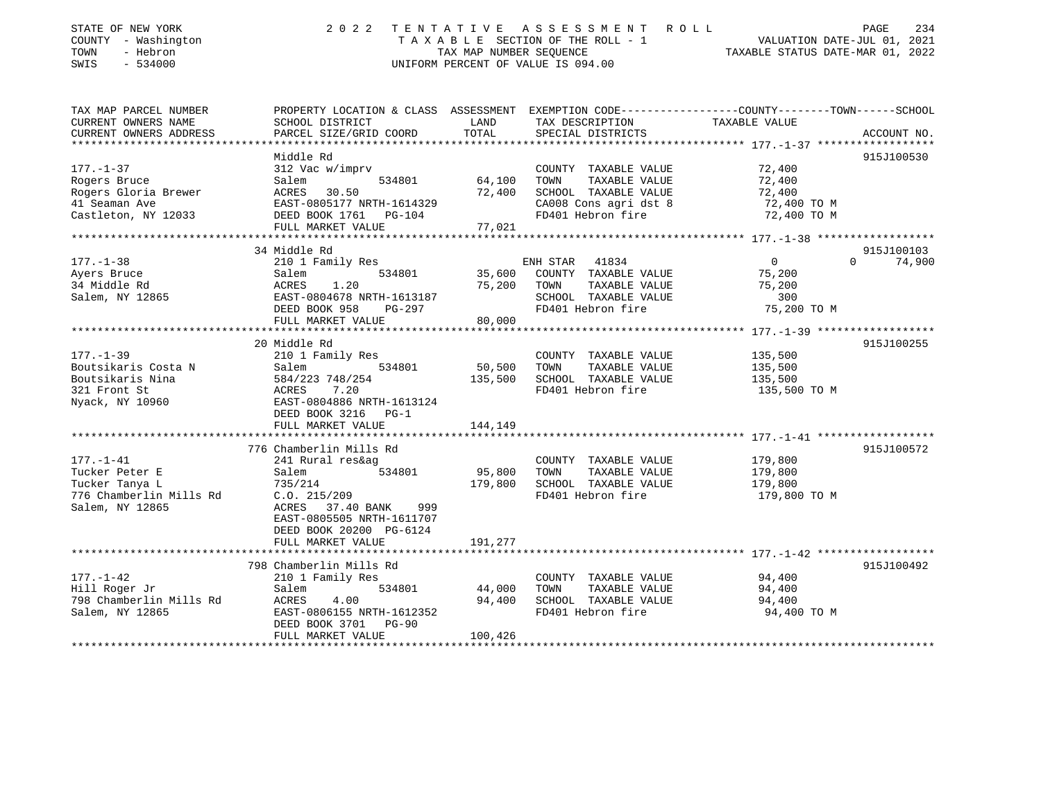| STATE OF NEW YORK<br>COUNTY - Washington<br>- Hebron<br>TOWN<br>SWIS<br>$-534000$ | 2 0 2 2                                                     | TENTATIVE<br>TAX MAP NUMBER SEQUENCE | A S S E S S M E N T<br>R O L L<br>T A X A B L E SECTION OF THE ROLL - 1<br>UNIFORM PERCENT OF VALUE IS 094.00 | VALUATION DATE-JUL 01, 2021<br>TAXABLE STATUS DATE-MAR 01, 2022                                                  | 234<br>PAGE |
|-----------------------------------------------------------------------------------|-------------------------------------------------------------|--------------------------------------|---------------------------------------------------------------------------------------------------------------|------------------------------------------------------------------------------------------------------------------|-------------|
| TAX MAP PARCEL NUMBER<br>CURRENT OWNERS NAME                                      | SCHOOL DISTRICT                                             | LAND                                 | TAX DESCRIPTION                                                                                               | PROPERTY LOCATION & CLASS ASSESSMENT EXEMPTION CODE---------------COUNTY-------TOWN------SCHOOL<br>TAXABLE VALUE |             |
| CURRENT OWNERS ADDRESS                                                            | PARCEL SIZE/GRID COORD                                      | TOTAL                                | SPECIAL DISTRICTS                                                                                             |                                                                                                                  | ACCOUNT NO. |
|                                                                                   |                                                             | **************                       |                                                                                                               | ************* 177.-1-37 *******************                                                                      |             |
|                                                                                   | Middle Rd                                                   |                                      |                                                                                                               |                                                                                                                  | 915J100530  |
| $177. - 1 - 37$                                                                   | 312 Vac w/imprv                                             |                                      | COUNTY TAXABLE VALUE                                                                                          | 72,400                                                                                                           |             |
| Rogers Bruce                                                                      | Salem<br>534801                                             | 64,100                               | TAXABLE VALUE<br>TOWN                                                                                         | 72,400                                                                                                           |             |
| Rogers Gloria Brewer                                                              | 30.50<br>ACRES                                              | 72,400                               | SCHOOL TAXABLE VALUE                                                                                          | 72,400                                                                                                           |             |
| 41 Seaman Ave<br>Castleton, NY 12033                                              | EAST-0805177 NRTH-1614329<br>DEED BOOK 1761<br>PG-104       |                                      | CA008 Cons agri dst 8<br>FD401 Hebron fire                                                                    | 72,400 TO M<br>72,400 TO M                                                                                       |             |
|                                                                                   | FULL MARKET VALUE                                           | 77,021                               |                                                                                                               |                                                                                                                  |             |
|                                                                                   |                                                             |                                      |                                                                                                               |                                                                                                                  |             |
|                                                                                   | 34 Middle Rd                                                |                                      |                                                                                                               |                                                                                                                  | 915J100103  |
| $177. - 1 - 38$                                                                   | 210 1 Family Res                                            |                                      | 41834<br>ENH STAR                                                                                             | 0<br>$\Omega$                                                                                                    | 74,900      |
| Ayers Bruce                                                                       | Salem<br>534801                                             | 35,600                               | COUNTY TAXABLE VALUE                                                                                          | 75,200                                                                                                           |             |
| 34 Middle Rd                                                                      | <b>ACRES</b><br>1.20                                        | 75,200                               | TAXABLE VALUE<br>TOWN                                                                                         | 75,200                                                                                                           |             |
| Salem, NY 12865                                                                   | EAST-0804678 NRTH-1613187                                   |                                      | SCHOOL TAXABLE VALUE<br>FD401 Hebron fire                                                                     | 300                                                                                                              |             |
|                                                                                   | DEED BOOK 958<br>PG-297<br>FULL MARKET VALUE                | 80,000                               |                                                                                                               | 75,200 TO M                                                                                                      |             |
|                                                                                   |                                                             |                                      |                                                                                                               |                                                                                                                  |             |
|                                                                                   | 20 Middle Rd                                                |                                      |                                                                                                               |                                                                                                                  | 915J100255  |
| $177. - 1 - 39$                                                                   | 210 1 Family Res                                            |                                      | COUNTY TAXABLE VALUE                                                                                          | 135,500                                                                                                          |             |
| Boutsikaris Costa N                                                               | 534801<br>Salem                                             | 50,500                               | TOWN<br>TAXABLE VALUE                                                                                         | 135,500                                                                                                          |             |
| Boutsikaris Nina                                                                  | 584/223 748/254                                             | 135,500                              | SCHOOL TAXABLE VALUE                                                                                          | 135,500                                                                                                          |             |
| 321 Front St                                                                      | ACRES<br>7.20                                               |                                      | FD401 Hebron fire                                                                                             | 135,500 TO M                                                                                                     |             |
| Nyack, NY 10960                                                                   | EAST-0804886 NRTH-1613124<br>DEED BOOK 3216 PG-1            |                                      |                                                                                                               |                                                                                                                  |             |
|                                                                                   | FULL MARKET VALUE                                           | 144,149                              |                                                                                                               |                                                                                                                  |             |
|                                                                                   |                                                             |                                      |                                                                                                               |                                                                                                                  |             |
|                                                                                   | 776 Chamberlin Mills Rd                                     |                                      |                                                                                                               |                                                                                                                  | 915J100572  |
| $177. - 1 - 41$                                                                   | 241 Rural res&ag                                            |                                      | COUNTY TAXABLE VALUE                                                                                          | 179,800                                                                                                          |             |
| Tucker Peter E                                                                    | 534801<br>Salem                                             | 95,800                               | TOWN<br>TAXABLE VALUE                                                                                         | 179,800                                                                                                          |             |
| Tucker Tanya L                                                                    | 735/214                                                     | 179,800                              | SCHOOL TAXABLE VALUE                                                                                          | 179,800                                                                                                          |             |
| 776 Chamberlin Mills Rd                                                           | C.0.215/209                                                 |                                      | FD401 Hebron fire                                                                                             | 179,800 TO M                                                                                                     |             |
| Salem, NY 12865                                                                   | ACRES 37.40 BANK<br>999<br>EAST-0805505 NRTH-1611707        |                                      |                                                                                                               |                                                                                                                  |             |
|                                                                                   | DEED BOOK 20200 PG-6124                                     |                                      |                                                                                                               |                                                                                                                  |             |
|                                                                                   | FULL MARKET VALUE                                           | 191,277                              |                                                                                                               |                                                                                                                  |             |
|                                                                                   |                                                             |                                      |                                                                                                               |                                                                                                                  |             |
|                                                                                   | 798 Chamberlin Mills Rd                                     |                                      |                                                                                                               |                                                                                                                  | 915J100492  |
| $177. - 1 - 42$                                                                   | 210 1 Family Res                                            |                                      | COUNTY TAXABLE VALUE                                                                                          | 94,400                                                                                                           |             |
| Hill Roger Jr                                                                     | 534801<br>Salem                                             | 44,000                               | TOWN<br>TAXABLE VALUE                                                                                         | 94,400                                                                                                           |             |
| 798 Chamberlin Mills Rd                                                           | ACRES<br>4.00                                               | 94,400                               | SCHOOL TAXABLE VALUE                                                                                          | 94,400                                                                                                           |             |
| Salem, NY 12865                                                                   | EAST-0806155 NRTH-1612352<br>DEED BOOK 3701<br><b>PG-90</b> |                                      | FD401 Hebron fire                                                                                             | 94,400 TO M                                                                                                      |             |
|                                                                                   | FULL MARKET VALUE                                           | 100,426                              |                                                                                                               |                                                                                                                  |             |
|                                                                                   |                                                             |                                      |                                                                                                               |                                                                                                                  |             |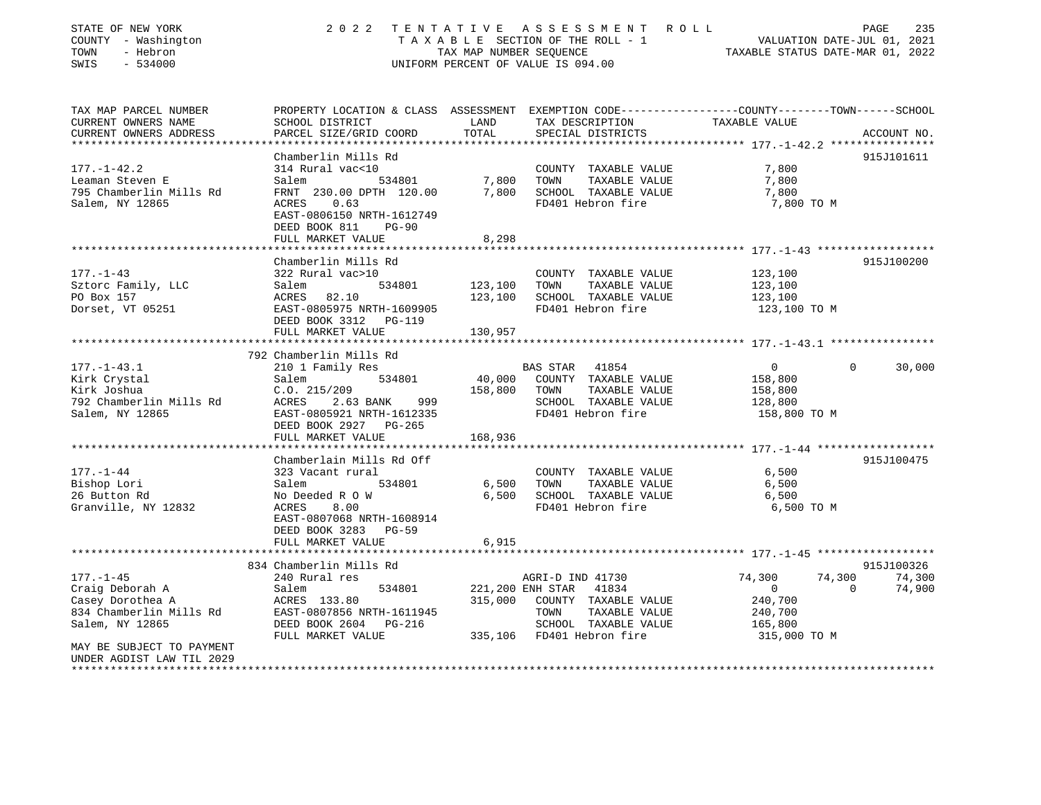| STATE OF NEW YORK<br>COUNTY - Washington<br>- Hebron<br>TOWN<br>SWIS<br>$-534000$  | 2 0 2 2                                                                                                                                                         | TAX MAP NUMBER SEOUENCE | TENTATIVE ASSESSMENT ROLL<br>T A X A B L E SECTION OF THE ROLL - 1<br>UNIFORM PERCENT OF VALUE IS 094.00 | VALUATION DATE-JUL 01, 2021<br>TAXABLE STATUS DATE-MAR 01, 2022 | PAGE<br>235            |
|------------------------------------------------------------------------------------|-----------------------------------------------------------------------------------------------------------------------------------------------------------------|-------------------------|----------------------------------------------------------------------------------------------------------|-----------------------------------------------------------------|------------------------|
| TAX MAP PARCEL NUMBER<br>CURRENT OWNERS NAME<br>CURRENT OWNERS ADDRESS             | PROPERTY LOCATION & CLASS ASSESSMENT EXEMPTION CODE---------------COUNTY-------TOWN-----SCHOOL<br>SCHOOL DISTRICT<br>PARCEL SIZE/GRID COORD                     | LAND<br>TOTAL           | TAX DESCRIPTION<br>SPECIAL DISTRICTS                                                                     | TAXABLE VALUE                                                   | ACCOUNT NO.            |
| *************************                                                          |                                                                                                                                                                 |                         |                                                                                                          |                                                                 |                        |
| $177. - 1 - 42.2$<br>Leaman Steven E<br>795 Chamberlin Mills Rd<br>Salem, NY 12865 | Chamberlin Mills Rd<br>314 Rural vac<10<br>Salem<br>534801<br>FRNT 230.00 DPTH 120.00<br>ACRES<br>0.63<br>EAST-0806150 NRTH-1612749<br>DEED BOOK 811<br>$PG-90$ | 7,800<br>7,800          | COUNTY TAXABLE VALUE<br>TAXABLE VALUE<br>TOWN<br>SCHOOL TAXABLE VALUE<br>FD401 Hebron fire               | 7,800<br>7,800<br>7,800<br>7,800 TO M                           | 915J101611             |
|                                                                                    | FULL MARKET VALUE                                                                                                                                               | 8,298                   |                                                                                                          |                                                                 |                        |
|                                                                                    | ***********************                                                                                                                                         |                         |                                                                                                          |                                                                 |                        |
| $177. - 1 - 43$<br>Sztorc Family, LLC<br>PO Box 157<br>Dorset, VT 05251            | Chamberlin Mills Rd<br>322 Rural vac>10<br>534801<br>Salem<br>ACRES 82.10<br>EAST-0805975 NRTH-1609905                                                          | 123,100<br>123,100      | COUNTY TAXABLE VALUE<br>TAXABLE VALUE<br>TOWN<br>SCHOOL TAXABLE VALUE<br>FD401 Hebron fire               | 123,100<br>123,100<br>123,100<br>123,100 TO M                   | 915J100200             |
|                                                                                    | DEED BOOK 3312 PG-119<br>FULL MARKET VALUE                                                                                                                      | 130,957                 |                                                                                                          |                                                                 |                        |
|                                                                                    |                                                                                                                                                                 |                         |                                                                                                          |                                                                 |                        |
|                                                                                    | 792 Chamberlin Mills Rd                                                                                                                                         |                         |                                                                                                          |                                                                 |                        |
| $177. - 1 - 43.1$                                                                  | 210 1 Family Res                                                                                                                                                |                         | BAS STAR 41854                                                                                           | $\overline{0}$                                                  | 30,000<br>$\mathbf{0}$ |
| Kirk Crystal                                                                       | Salem<br>534801                                                                                                                                                 | 40,000                  | COUNTY TAXABLE VALUE                                                                                     | 158,800                                                         |                        |
| Kirk Joshua                                                                        | C.0.215/209                                                                                                                                                     | 158,800                 | TOWN<br>TAXABLE VALUE                                                                                    | 158,800                                                         |                        |
| 792 Chamberlin Mills Rd                                                            | ACRES<br>2.63 BANK<br>999                                                                                                                                       |                         | SCHOOL TAXABLE VALUE                                                                                     | 128,800                                                         |                        |
| Salem, NY 12865                                                                    | EAST-0805921 NRTH-1612335<br>DEED BOOK 2927 PG-265<br>FULL MARKET VALUE                                                                                         | 168,936                 | FD401 Hebron fire                                                                                        | 158,800 TO M                                                    |                        |
|                                                                                    |                                                                                                                                                                 |                         |                                                                                                          |                                                                 |                        |
|                                                                                    | Chamberlain Mills Rd Off                                                                                                                                        |                         |                                                                                                          |                                                                 | 915J100475             |
| $177. - 1 - 44$                                                                    | 323 Vacant rural                                                                                                                                                |                         | COUNTY TAXABLE VALUE                                                                                     | 6,500                                                           |                        |
| Bishop Lori                                                                        | 534801<br>Salem                                                                                                                                                 | 6,500                   | TOWN<br>TAXABLE VALUE                                                                                    | 6,500                                                           |                        |
| 26 Button Rd                                                                       | No Deeded R O W                                                                                                                                                 | 6,500                   | SCHOOL TAXABLE VALUE                                                                                     | 6,500                                                           |                        |
| Granville, NY 12832                                                                | ACRES<br>8.00<br>EAST-0807068 NRTH-1608914<br>DEED BOOK 3283 PG-59<br>FULL MARKET VALUE                                                                         | 6,915                   | FD401 Hebron fire                                                                                        | 6,500 TO M                                                      |                        |
|                                                                                    |                                                                                                                                                                 |                         |                                                                                                          |                                                                 |                        |
|                                                                                    | 834 Chamberlin Mills Rd                                                                                                                                         |                         |                                                                                                          |                                                                 | 915J100326             |
| $177. - 1 - 45$                                                                    | 240 Rural res                                                                                                                                                   |                         | AGRI-D IND 41730                                                                                         | 74,300<br>74,300                                                | 74,300                 |
| Craig Deborah A                                                                    | Salem<br>534801                                                                                                                                                 |                         | 221,200 ENH STAR<br>41834                                                                                | $\overline{0}$                                                  | $\Omega$<br>74,900     |
| Casey Dorothea A                                                                   |                                                                                                                                                                 |                         |                                                                                                          |                                                                 |                        |
|                                                                                    | ACRES 133.80                                                                                                                                                    | 315,000                 | COUNTY TAXABLE VALUE                                                                                     | 240,700                                                         |                        |
| 834 Chamberlin Mills Rd                                                            | EAST-0807856 NRTH-1611945                                                                                                                                       |                         | TOWN<br>TAXABLE VALUE                                                                                    | 240,700                                                         |                        |
| Salem, NY 12865                                                                    | DEED BOOK 2604 PG-216<br>FULL MARKET VALUE                                                                                                                      |                         | SCHOOL TAXABLE VALUE<br>335,106 FD401 Hebron fire                                                        | 165,800<br>315,000 TO M                                         |                        |

\*\*\*\*\*\*\*\*\*\*\*\*\*\*\*\*\*\*\*\*\*\*\*\*\*\*\*\*\*\*\*\*\*\*\*\*\*\*\*\*\*\*\*\*\*\*\*\*\*\*\*\*\*\*\*\*\*\*\*\*\*\*\*\*\*\*\*\*\*\*\*\*\*\*\*\*\*\*\*\*\*\*\*\*\*\*\*\*\*\*\*\*\*\*\*\*\*\*\*\*\*\*\*\*\*\*\*\*\*\*\*\*\*\*\*\*\*\*\*\*\*\*\*\*\*\*\*\*\*\*\*\*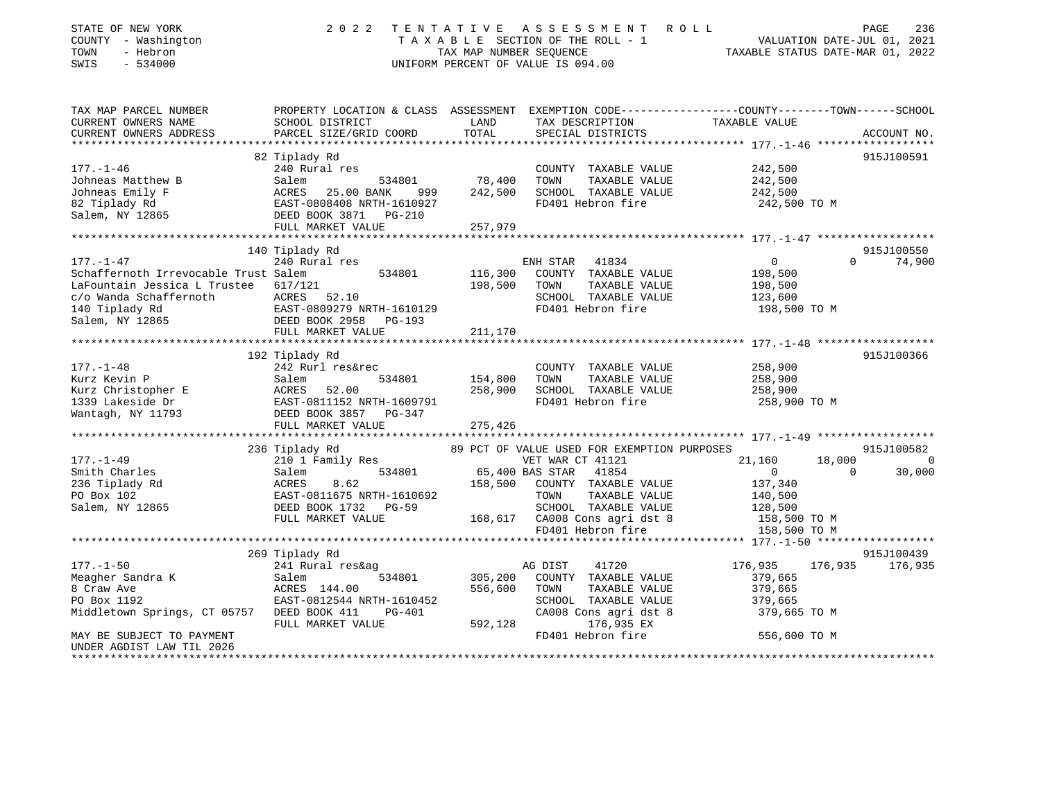| STATE OF NEW YORK<br>COUNTY - Washington<br>- Hebron<br>TOWN<br>SWIS<br>$-534000$ | 2 0 2 2                                               | TENTATIVE<br>TAX MAP NUMBER SEQUENCE | ASSESSMENT ROLL<br>TAXABLE SECTION OF THE ROLL - 1<br>UNIFORM PERCENT OF VALUE IS 094.00 | VALUATION DATE-JUL 01, 2021<br>TAXABLE STATUS DATE-MAR 01, 2022                                                  | PAGE<br>236 |
|-----------------------------------------------------------------------------------|-------------------------------------------------------|--------------------------------------|------------------------------------------------------------------------------------------|------------------------------------------------------------------------------------------------------------------|-------------|
| TAX MAP PARCEL NUMBER<br>CURRENT OWNERS NAME                                      | SCHOOL DISTRICT                                       | LAND                                 | TAX DESCRIPTION                                                                          | PROPERTY LOCATION & CLASS ASSESSMENT EXEMPTION CODE---------------COUNTY-------TOWN------SCHOOL<br>TAXABLE VALUE |             |
| CURRENT OWNERS ADDRESS                                                            | PARCEL SIZE/GRID COORD                                | TOTAL                                | SPECIAL DISTRICTS                                                                        |                                                                                                                  | ACCOUNT NO. |
|                                                                                   |                                                       |                                      |                                                                                          |                                                                                                                  |             |
|                                                                                   | 82 Tiplady Rd                                         |                                      |                                                                                          |                                                                                                                  | 915J100591  |
| $177. - 1 - 46$                                                                   | 240 Rural res                                         |                                      | COUNTY TAXABLE VALUE                                                                     | 242,500                                                                                                          |             |
| Johneas Matthew B                                                                 | 534801<br>Salem                                       | 78,400                               | TAXABLE VALUE<br>TOWN                                                                    | 242,500                                                                                                          |             |
| Johneas Emily F                                                                   | ACRES<br>25.00 BANK<br>999                            | 242,500                              | SCHOOL TAXABLE VALUE                                                                     | 242,500                                                                                                          |             |
| 82 Tiplady Rd                                                                     | EAST-0808408 NRTH-1610927                             |                                      | FD401 Hebron fire                                                                        | 242,500 TO M                                                                                                     |             |
| Salem, NY 12865                                                                   | DEED BOOK 3871 PG-210                                 |                                      |                                                                                          |                                                                                                                  |             |
|                                                                                   | FULL MARKET VALUE                                     | 257,979                              |                                                                                          |                                                                                                                  |             |
|                                                                                   | 140 Tiplady Rd                                        |                                      |                                                                                          |                                                                                                                  | 915J100550  |
| $177. - 1 - 47$                                                                   | 240 Rural res                                         |                                      | ENH STAR<br>41834                                                                        | $\mathbf{0}$<br>$\Omega$                                                                                         | 74,900      |
| Schaffernoth Irrevocable Trust Salem                                              | 534801                                                | 116,300                              | COUNTY TAXABLE VALUE                                                                     | 198,500                                                                                                          |             |
| LaFountain Jessica L Trustee                                                      | 617/121                                               | 198,500                              | TOWN<br>TAXABLE VALUE                                                                    | 198,500                                                                                                          |             |
| c/o Wanda Schaffernoth                                                            | ACRES 52.10                                           |                                      | SCHOOL TAXABLE VALUE                                                                     | 123,600                                                                                                          |             |
| 140 Tiplady Rd                                                                    | EAST-0809279 NRTH-1610129                             |                                      | FD401 Hebron fire                                                                        | 198,500 TO M                                                                                                     |             |
| Salem, NY 12865                                                                   | DEED BOOK 2958 PG-193                                 |                                      |                                                                                          |                                                                                                                  |             |
|                                                                                   | FULL MARKET VALUE                                     | 211,170                              |                                                                                          |                                                                                                                  |             |
|                                                                                   |                                                       |                                      |                                                                                          |                                                                                                                  |             |
|                                                                                   | 192 Tiplady Rd                                        |                                      |                                                                                          |                                                                                                                  | 915J100366  |
| $177. - 1 - 48$                                                                   | 242 Rurl res&rec                                      |                                      | COUNTY TAXABLE VALUE                                                                     | 258,900                                                                                                          |             |
| Kurz Kevin P                                                                      | Salem<br>534801                                       | 154,800                              | TOWN<br>TAXABLE VALUE                                                                    | 258,900                                                                                                          |             |
| Kurz Christopher E                                                                | ACRES<br>52.00                                        | 258,900                              | SCHOOL TAXABLE VALUE                                                                     | 258,900                                                                                                          |             |
| 1339 Lakeside Dr<br>Wantagh, NY 11793                                             | EAST-0811152 NRTH-1609791<br>DEED BOOK 3857<br>PG-347 |                                      | FD401 Hebron fire                                                                        | 258,900 TO M                                                                                                     |             |
|                                                                                   | FULL MARKET VALUE                                     | 275,426                              |                                                                                          |                                                                                                                  |             |
|                                                                                   |                                                       |                                      |                                                                                          |                                                                                                                  |             |
|                                                                                   | 236 Tiplady Rd                                        |                                      | 89 PCT OF VALUE USED FOR EXEMPTION PURPOSES                                              |                                                                                                                  | 915J100582  |
| $177. - 1 - 49$                                                                   | 210 1 Family Res                                      |                                      | VET WAR CT 41121                                                                         | 21,160<br>18,000                                                                                                 | 0           |
| Smith Charles                                                                     | Salem<br>534801                                       |                                      | 65,400 BAS STAR 41854                                                                    | $\Omega$<br>$\Omega$                                                                                             | 30,000      |
| 236 Tiplady Rd                                                                    | ACRES<br>8.62                                         | 158,500                              | COUNTY TAXABLE VALUE                                                                     | 137,340                                                                                                          |             |
| PO Box 102                                                                        | EAST-0811675 NRTH-1610692                             |                                      | TOWN<br>TAXABLE VALUE                                                                    | 140,500                                                                                                          |             |
| Salem, NY 12865                                                                   | DEED BOOK 1732 PG-59                                  |                                      | SCHOOL TAXABLE VALUE                                                                     | 128,500                                                                                                          |             |
|                                                                                   | FULL MARKET VALUE                                     |                                      | 168,617 CA008 Cons agri dst 8                                                            | 158,500 TO M                                                                                                     |             |
|                                                                                   |                                                       |                                      | FD401 Hebron fire                                                                        | 158,500 TO M                                                                                                     |             |
|                                                                                   | ****************************                          |                                      |                                                                                          | ********** 177.-1-50 *******************                                                                         |             |
|                                                                                   | 269 Tiplady Rd                                        |                                      |                                                                                          |                                                                                                                  | 915J100439  |
| $177. - 1 - 50$                                                                   | 241 Rural res&ag                                      |                                      | AG DIST<br>41720                                                                         | 176,935<br>176,935                                                                                               | 176,935     |
| Meagher Sandra K<br>8 Craw Ave                                                    | Salem<br>534801<br>ACRES 144.00                       | 305,200<br>556,600                   | COUNTY TAXABLE VALUE<br>TOWN<br>TAXABLE VALUE                                            | 379,665                                                                                                          |             |
| PO Box 1192                                                                       | EAST-0812544 NRTH-1610452                             |                                      | SCHOOL TAXABLE VALUE                                                                     | 379,665<br>379,665                                                                                               |             |
| Middletown Springs, CT 05757 DEED BOOK 411                                        | $PG-401$                                              |                                      | CA008 Cons agri dst 8                                                                    | 379,665 TO M                                                                                                     |             |
|                                                                                   | FULL MARKET VALUE                                     | 592,128                              | 176,935 EX                                                                               |                                                                                                                  |             |
| MAY BE SUBJECT TO PAYMENT                                                         |                                                       |                                      | FD401 Hebron fire                                                                        | 556,600 TO M                                                                                                     |             |
| UNDER AGDIST LAW TIL 2026                                                         |                                                       |                                      |                                                                                          |                                                                                                                  |             |
| *********************                                                             |                                                       |                                      |                                                                                          |                                                                                                                  |             |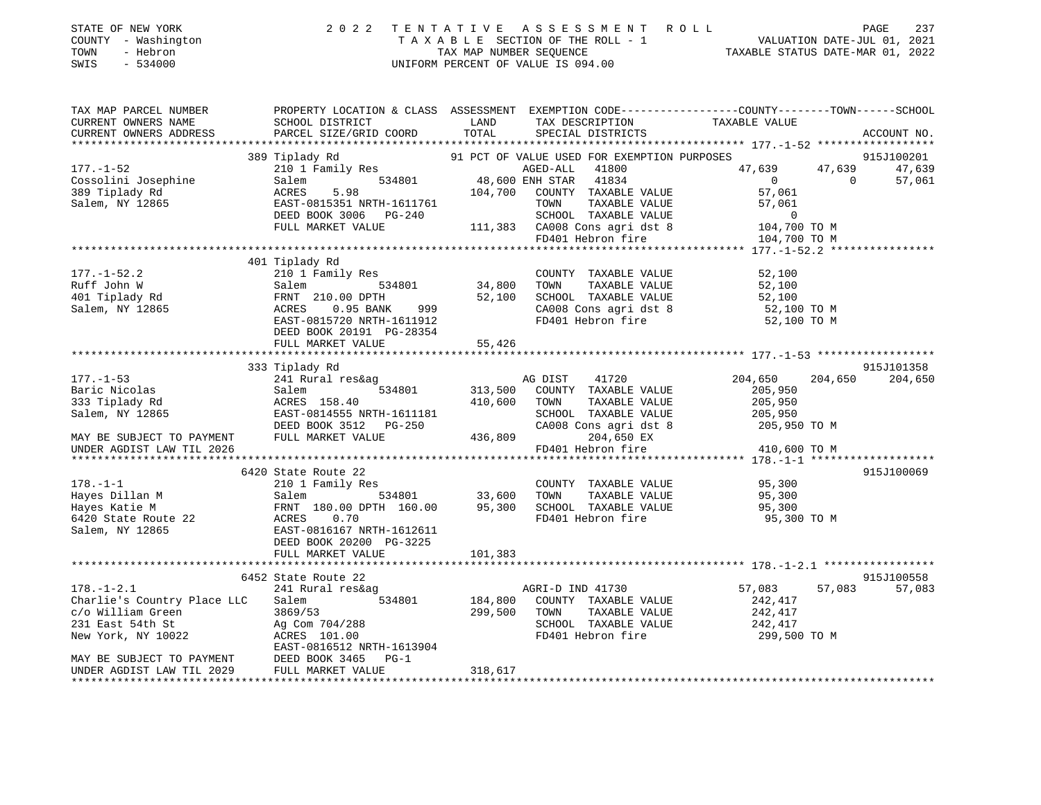| STATE OF NEW YORK<br>COUNTY - Washington<br>- Hebron<br>TOWN<br>$-534000$<br>SWIS                                                                                                                                                        | 2 0 2 2                                              |              | UNIFORM PERCENT OF VALUE IS 094.00                 | TENTATIVE ASSESSMENT ROLL PAGE 237<br>TAXABLE SECTION OF THE ROLL - 1 VALUATION DATE-JUL 01, 2021<br>TAX MAP NUMBER SEQUENCE TAXABLE STATUS DATE-MAR 01, 2022 |                 |
|------------------------------------------------------------------------------------------------------------------------------------------------------------------------------------------------------------------------------------------|------------------------------------------------------|--------------|----------------------------------------------------|---------------------------------------------------------------------------------------------------------------------------------------------------------------|-----------------|
| TAX MAP PARCEL NUMBER                                                                                                                                                                                                                    |                                                      |              |                                                    | PROPERTY LOCATION & CLASS ASSESSMENT EXEMPTION CODE---------------COUNTY-------TOWN-----SCHOOL                                                                |                 |
| CURRENT OWNERS NAME<br>CURRENT OWNERS ADDRESS                                                                                                                                                                                            | SCHOOL DISTRICT<br>PARCEL SIZE/GRID COORD TOTAL      | LAND         | TAX DESCRIPTION TAXABLE VALUE<br>SPECIAL DISTRICTS |                                                                                                                                                               | ACCOUNT NO.     |
|                                                                                                                                                                                                                                          |                                                      |              |                                                    |                                                                                                                                                               |                 |
|                                                                                                                                                                                                                                          | 389 Tiplady Rd                                       |              |                                                    |                                                                                                                                                               | 915J100201      |
|                                                                                                                                                                                                                                          |                                                      |              |                                                    | 47,639 47,639 47,639                                                                                                                                          |                 |
|                                                                                                                                                                                                                                          |                                                      |              |                                                    | $\overline{0}$ 0                                                                                                                                              | 57,061          |
|                                                                                                                                                                                                                                          |                                                      |              |                                                    |                                                                                                                                                               |                 |
|                                                                                                                                                                                                                                          |                                                      |              |                                                    |                                                                                                                                                               |                 |
|                                                                                                                                                                                                                                          |                                                      |              |                                                    |                                                                                                                                                               |                 |
|                                                                                                                                                                                                                                          |                                                      |              |                                                    |                                                                                                                                                               |                 |
|                                                                                                                                                                                                                                          |                                                      |              |                                                    |                                                                                                                                                               |                 |
|                                                                                                                                                                                                                                          |                                                      |              |                                                    |                                                                                                                                                               |                 |
| 177.-1-52.2                                                                                                                                                                                                                              | 210 1 Family Res                                     |              | COUNTY TAXABLE VALUE                               | 52,100                                                                                                                                                        |                 |
|                                                                                                                                                                                                                                          |                                                      |              |                                                    | 52,100                                                                                                                                                        |                 |
|                                                                                                                                                                                                                                          |                                                      |              |                                                    | 52,100                                                                                                                                                        |                 |
|                                                                                                                                                                                                                                          |                                                      |              | CA008 Cons agri dst 8<br>FD401 Hebron fire         | 52,100 TO M                                                                                                                                                   |                 |
| Ruff John W<br>Salem 34,800 34,800 TOWN TAXABLE VALUE<br>401 Tiplady Rd FRNT 210.00 DPTH 52,100 SCHOOL TAXABLE VALUE<br>Salem, NY 12865 ACRES 0.95 BANK 999 CA008 Cons agri dst 8<br>EAST-0815720 NRTH-1611912 FD401 Hebron fire<br>DEED |                                                      |              |                                                    | 52,100 TO M                                                                                                                                                   |                 |
|                                                                                                                                                                                                                                          | DEED BOOK 20191 PG-28354<br>FULL MARKET VALUE 55,426 |              |                                                    |                                                                                                                                                               |                 |
|                                                                                                                                                                                                                                          |                                                      |              |                                                    |                                                                                                                                                               |                 |
|                                                                                                                                                                                                                                          | 333 Tiplady Rd                                       |              |                                                    |                                                                                                                                                               | 915J101358      |
|                                                                                                                                                                                                                                          |                                                      |              | 41720                                              | 204,650                                                                                                                                                       | 204,650 204,650 |
|                                                                                                                                                                                                                                          |                                                      |              |                                                    | 205,950                                                                                                                                                       |                 |
|                                                                                                                                                                                                                                          |                                                      |              | TOWN      TAXABLE VALUE<br>SCHOOL   TAXABLE VALUE  |                                                                                                                                                               |                 |
|                                                                                                                                                                                                                                          |                                                      |              |                                                    | 205,950<br>205,950                                                                                                                                            |                 |
|                                                                                                                                                                                                                                          |                                                      |              | CA008 Cons agri dst 8                              | 205,950 TO M                                                                                                                                                  |                 |
| MAY BE SUBJECT TO PAYMENT                                                                                                                                                                                                                |                                                      |              | FD401 Hebron fire                                  |                                                                                                                                                               |                 |
| UNDER AGDIST LAW TIL 2026                                                                                                                                                                                                                |                                                      |              |                                                    | 410,600 TO M                                                                                                                                                  |                 |
|                                                                                                                                                                                                                                          | 6420 State Route 22                                  |              |                                                    |                                                                                                                                                               | 915J100069      |
|                                                                                                                                                                                                                                          |                                                      |              | COUNTY TAXABLE VALUE 95,300                        |                                                                                                                                                               |                 |
|                                                                                                                                                                                                                                          | Family Res<br>534801 33,600                          |              | TOWN TAXABLE VALUE                                 | 95,300                                                                                                                                                        |                 |
|                                                                                                                                                                                                                                          | FRNT 180.00 DPTH 160.00 95,300                       |              | SCHOOL TAXABLE VALUE                               | 95,300                                                                                                                                                        |                 |
| 178.-1-1<br>Hayes Dillan M<br>Hayes Katie M<br>6420 State Route 22<br>7.200 November 22<br>7.200 November 22<br>7.200 November 22<br>7.200 November 23<br>7.200 November 2016167<br>7.200 PG-3225<br>7.200 PG-3225                       |                                                      |              | FD401 Hebron fire                                  | 95,300 TO M                                                                                                                                                   |                 |
|                                                                                                                                                                                                                                          |                                                      |              |                                                    |                                                                                                                                                               |                 |
|                                                                                                                                                                                                                                          |                                                      |              |                                                    |                                                                                                                                                               |                 |
|                                                                                                                                                                                                                                          | FULL MARKET VALUE                                    | 101,383      |                                                    |                                                                                                                                                               |                 |
|                                                                                                                                                                                                                                          | 6452 State Route 22                                  |              |                                                    |                                                                                                                                                               | 915J100558      |
| $178. - 1 - 2.1$                                                                                                                                                                                                                         | 241 Rural res&ag                                     |              | AGRI-D IND 41730                                   | 57,083<br>57,083                                                                                                                                              | 57,083          |
| Charlie's Country Place LLC                                                                                                                                                                                                              | $Salem$ 534801                                       | A<br>184,800 | COUNTY TAXABLE VALUE                               | 242,417                                                                                                                                                       |                 |
| c/o William Green                                                                                                                                                                                                                        | 3869/53                                              | 299,500      |                                                    |                                                                                                                                                               |                 |
|                                                                                                                                                                                                                                          | $Ag$ Com $704/288$                                   |              |                                                    | TOWN TAXABLE VALUE $242,417$<br>SCHOOL TAXABLE VALUE $242,417$<br>FD401 Hebron fire 299,500 TO M                                                              |                 |
| c/o William wreen<br>231 East 54th St<br>New York, NY 10022                                                                                                                                                                              | ACRES 101.00                                         |              |                                                    |                                                                                                                                                               |                 |
|                                                                                                                                                                                                                                          | EAST-0816512 NRTH-1613904                            |              |                                                    |                                                                                                                                                               |                 |
| MAY BE SUBJECT TO PAYMENT                                                                                                                                                                                                                | DEED BOOK 3465 PG-1                                  |              |                                                    |                                                                                                                                                               |                 |
| UNDER AGDIST LAW TIL 2029                                                                                                                                                                                                                | FULL MARKET VALUE                                    | 318,617      |                                                    |                                                                                                                                                               |                 |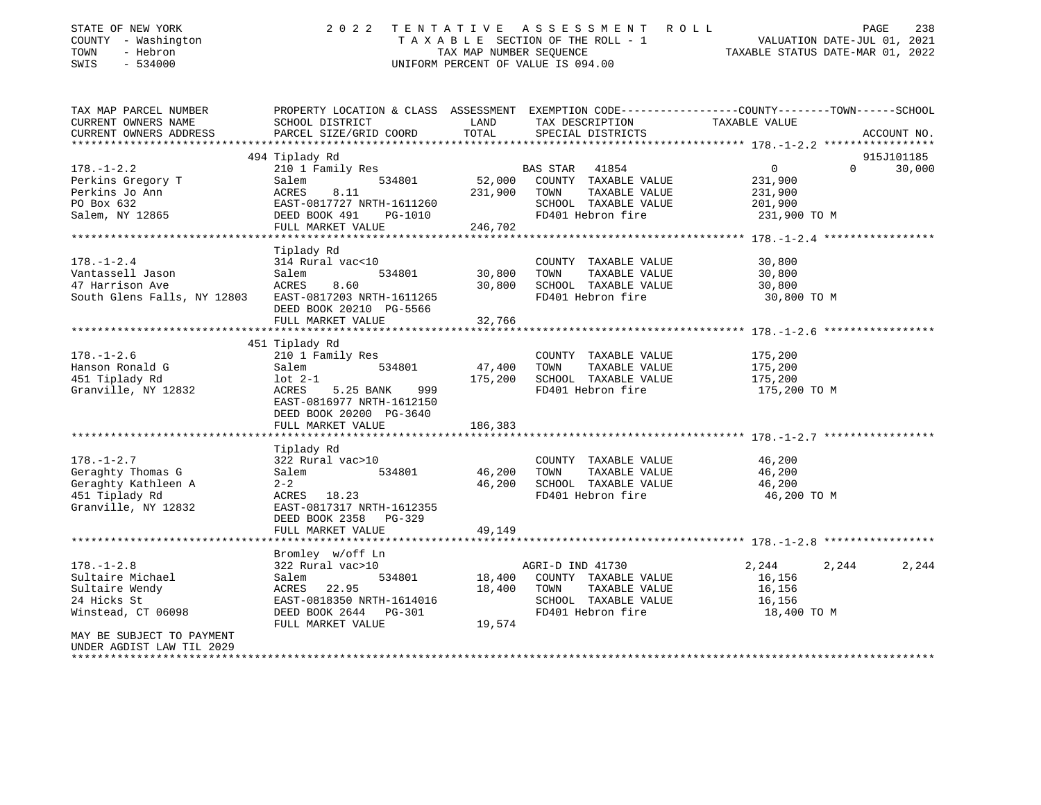| STATE OF NEW YORK<br>COUNTY - Washington                | 2022                                                                                            |                         | TENTATIVE ASSESSMENT ROLL<br>TAXABLE SECTION OF THE ROLL - 1 | VALUATION DATE-JUL 01, 2021                         | PAGE<br>238        |
|---------------------------------------------------------|-------------------------------------------------------------------------------------------------|-------------------------|--------------------------------------------------------------|-----------------------------------------------------|--------------------|
| TOWN<br>- Hebron                                        |                                                                                                 | TAX MAP NUMBER SEOUENCE |                                                              | TAXABLE STATUS DATE-MAR 01, 2022                    |                    |
| $-534000$<br>SWIS                                       |                                                                                                 |                         | UNIFORM PERCENT OF VALUE IS 094.00                           |                                                     |                    |
|                                                         |                                                                                                 |                         |                                                              |                                                     |                    |
| TAX MAP PARCEL NUMBER                                   | PROPERTY LOCATION & CLASS ASSESSMENT EXEMPTION CODE---------------COUNTY-------TOWN------SCHOOL |                         |                                                              |                                                     |                    |
| CURRENT OWNERS NAME                                     | SCHOOL DISTRICT                                                                                 | LAND                    | TAX DESCRIPTION                                              | TAXABLE VALUE                                       |                    |
| CURRENT OWNERS ADDRESS                                  | PARCEL SIZE/GRID COORD                                                                          | TOTAL                   | SPECIAL DISTRICTS                                            |                                                     | ACCOUNT NO.        |
|                                                         | 494 Tiplady Rd                                                                                  |                         |                                                              |                                                     | 915J101185         |
| $178. - 1 - 2.2$                                        | 210 1 Family Res                                                                                |                         | BAS STAR<br>41854                                            | $\overline{0}$                                      | $\Omega$<br>30,000 |
| Perkins Gregory T                                       | 534801<br>Salem                                                                                 | 52,000                  | COUNTY TAXABLE VALUE                                         | 231,900                                             |                    |
| Perkins Jo Ann                                          | ACRES<br>8.11                                                                                   | 231,900                 | TOWN<br>TAXABLE VALUE                                        | 231,900                                             |                    |
| PO Box 632                                              | EAST-0817727 NRTH-1611260                                                                       |                         | SCHOOL TAXABLE VALUE                                         | 201,900                                             |                    |
| Salem, NY 12865                                         | DEED BOOK 491<br>PG-1010                                                                        |                         | FD401 Hebron fire                                            | 231,900 TO M                                        |                    |
|                                                         | FULL MARKET VALUE                                                                               | 246,702                 |                                                              |                                                     |                    |
|                                                         |                                                                                                 |                         |                                                              | ********************* 178.-1-2.4 ****************** |                    |
|                                                         | Tiplady Rd                                                                                      |                         |                                                              |                                                     |                    |
| $178. - 1 - 2.4$                                        | 314 Rural vac<10                                                                                |                         | COUNTY TAXABLE VALUE                                         | 30,800                                              |                    |
| Vantassell Jason                                        | 534801<br>Salem                                                                                 | 30,800                  | TOWN<br>TAXABLE VALUE                                        | 30,800                                              |                    |
| 47 Harrison Ave                                         | ACRES<br>8.60                                                                                   | 30,800                  | SCHOOL TAXABLE VALUE                                         | 30,800                                              |                    |
| South Glens Falls, NY 12803 EAST-0817203 NRTH-1611265   |                                                                                                 |                         | FD401 Hebron fire                                            | 30,800 TO M                                         |                    |
|                                                         | DEED BOOK 20210 PG-5566                                                                         |                         |                                                              |                                                     |                    |
|                                                         | FULL MARKET VALUE                                                                               | 32,766                  |                                                              |                                                     |                    |
|                                                         | *********************                                                                           |                         |                                                              | ************************ 178.-1-2.6                 |                    |
|                                                         | 451 Tiplady Rd                                                                                  |                         |                                                              |                                                     |                    |
| $178. - 1 - 2.6$                                        | 210 1 Family Res                                                                                |                         | COUNTY TAXABLE VALUE                                         | 175,200                                             |                    |
| Hanson Ronald G                                         | 534801<br>Salem                                                                                 | 47,400                  | TOWN<br>TAXABLE VALUE                                        | 175,200                                             |                    |
| 451 Tiplady Rd                                          | $1$ ot $2-1$                                                                                    | 175,200                 | SCHOOL TAXABLE VALUE                                         | 175,200                                             |                    |
| Granville, NY 12832                                     | ACRES<br>5.25 BANK<br>999                                                                       |                         | FD401 Hebron fire                                            | 175,200 TO M                                        |                    |
|                                                         | EAST-0816977 NRTH-1612150                                                                       |                         |                                                              |                                                     |                    |
|                                                         | DEED BOOK 20200 PG-3640                                                                         |                         |                                                              |                                                     |                    |
|                                                         | FULL MARKET VALUE                                                                               | 186,383                 |                                                              |                                                     |                    |
|                                                         |                                                                                                 |                         |                                                              |                                                     |                    |
|                                                         | Tiplady Rd                                                                                      |                         |                                                              |                                                     |                    |
| $178. - 1 - 2.7$                                        | 322 Rural vac>10                                                                                |                         | COUNTY TAXABLE VALUE                                         | 46,200                                              |                    |
| Geraghty Thomas G                                       | Salem<br>534801                                                                                 | 46,200                  | TOWN<br>TAXABLE VALUE                                        | 46,200                                              |                    |
| Geraghty Kathleen A                                     | $2 - 2$                                                                                         | 46,200                  | SCHOOL TAXABLE VALUE                                         | 46,200                                              |                    |
| 451 Tiplady Rd                                          | ACRES 18.23                                                                                     |                         | FD401 Hebron fire                                            | 46,200 TO M                                         |                    |
| Granville, NY 12832                                     | EAST-0817317 NRTH-1612355                                                                       |                         |                                                              |                                                     |                    |
|                                                         | DEED BOOK 2358 PG-329                                                                           |                         |                                                              |                                                     |                    |
|                                                         | FULL MARKET VALUE                                                                               | 49,149                  |                                                              |                                                     |                    |
|                                                         |                                                                                                 |                         |                                                              |                                                     |                    |
|                                                         | Bromley w/off Ln                                                                                |                         |                                                              |                                                     |                    |
| $178. - 1 - 2.8$                                        | 322 Rural vac>10                                                                                |                         | AGRI-D IND 41730                                             | 2,244<br>2,244                                      | 2,244              |
| Sultaire Michael                                        | 534801<br>Salem                                                                                 | 18,400                  | COUNTY TAXABLE VALUE                                         | 16,156                                              |                    |
| Sultaire Wendy                                          | ACRES 22.95                                                                                     | 18,400                  | TOWN<br>TAXABLE VALUE                                        | 16,156                                              |                    |
| 24 Hicks St                                             | EAST-0818350 NRTH-1614016                                                                       |                         | SCHOOL TAXABLE VALUE                                         | 16,156                                              |                    |
| Winstead, CT 06098                                      | DEED BOOK 2644 PG-301                                                                           |                         | FD401 Hebron fire                                            | 18,400 TO M                                         |                    |
|                                                         | FULL MARKET VALUE                                                                               | 19,574                  |                                                              |                                                     |                    |
| MAY BE SUBJECT TO PAYMENT                               |                                                                                                 |                         |                                                              |                                                     |                    |
| UNDER AGDIST LAW TIL 2029<br>************************** |                                                                                                 |                         |                                                              |                                                     |                    |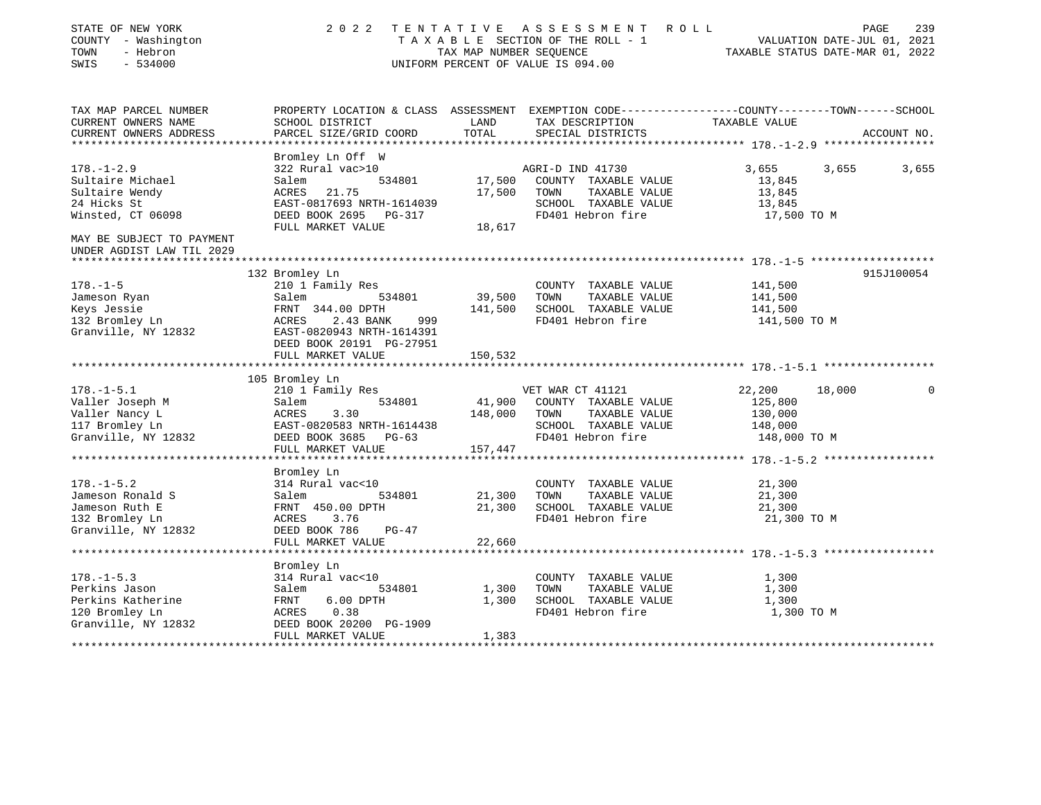| STATE OF NEW YORK<br>COUNTY - Washington<br>TOWN<br>- Hebron<br>SWIS<br>$-534000$ | 2 0 2 2                             | TAX MAP NUMBER SEQUENCE | TENTATIVE ASSESSMENT<br>ROLL<br>TAXABLE SECTION OF THE ROLL - 1<br>UNIFORM PERCENT OF VALUE IS 094.00 | PAGE<br>VALUATION DATE-JUL 01, 2021<br>TAXABLE STATUS DATE-MAR 01, 2022 | 239         |
|-----------------------------------------------------------------------------------|-------------------------------------|-------------------------|-------------------------------------------------------------------------------------------------------|-------------------------------------------------------------------------|-------------|
| TAX MAP PARCEL NUMBER                                                             |                                     |                         | PROPERTY LOCATION & CLASS ASSESSMENT EXEMPTION CODE----------------COUNTY-------TOWN------SCHOOL      |                                                                         |             |
| CURRENT OWNERS NAME<br>CURRENT OWNERS ADDRESS                                     | SCHOOL DISTRICT                     | LAND<br>TOTAL           | TAX DESCRIPTION                                                                                       | TAXABLE VALUE                                                           |             |
| **********************                                                            | PARCEL SIZE/GRID COORD              |                         | SPECIAL DISTRICTS                                                                                     |                                                                         | ACCOUNT NO. |
|                                                                                   | Bromley Ln Off W                    |                         |                                                                                                       |                                                                         |             |
| $178. - 1 - 2.9$                                                                  | 322 Rural vac>10                    |                         | AGRI-D IND 41730                                                                                      | 3,655<br>3,655                                                          | 3,655       |
| Sultaire Michael                                                                  | 534801<br>Salem                     | 17,500                  | COUNTY TAXABLE VALUE                                                                                  | 13,845                                                                  |             |
| Sultaire Wendy                                                                    | 21.75<br>ACRES                      | 17,500                  | TOWN<br>TAXABLE VALUE                                                                                 | 13,845                                                                  |             |
| 24 Hicks St                                                                       | EAST-0817693 NRTH-1614039           |                         | SCHOOL TAXABLE VALUE                                                                                  | 13,845                                                                  |             |
| Winsted, CT 06098                                                                 | DEED BOOK 2695 PG-317               |                         | FD401 Hebron fire                                                                                     | 17,500 TO M                                                             |             |
|                                                                                   | FULL MARKET VALUE                   | 18,617                  |                                                                                                       |                                                                         |             |
| MAY BE SUBJECT TO PAYMENT<br>UNDER AGDIST LAW TIL 2029                            |                                     |                         |                                                                                                       |                                                                         |             |
|                                                                                   |                                     |                         |                                                                                                       |                                                                         |             |
| $178. - 1 - 5$                                                                    | 132 Bromley Ln                      |                         |                                                                                                       | 141,500                                                                 | 915J100054  |
| Jameson Ryan                                                                      | 210 1 Family Res<br>Salem<br>534801 | 39,500                  | COUNTY TAXABLE VALUE<br>TAXABLE VALUE<br>TOWN                                                         | 141,500                                                                 |             |
| Keys Jessie                                                                       | FRNT 344.00 DPTH                    | 141,500                 | SCHOOL TAXABLE VALUE                                                                                  | 141,500                                                                 |             |
| 132 Bromley Ln                                                                    | ACRES<br>2.43 BANK<br>999           |                         | FD401 Hebron fire                                                                                     | 141,500 TO M                                                            |             |
| Granville, NY 12832                                                               | EAST-0820943 NRTH-1614391           |                         |                                                                                                       |                                                                         |             |
|                                                                                   | DEED BOOK 20191 PG-27951            |                         |                                                                                                       |                                                                         |             |
|                                                                                   | FULL MARKET VALUE                   | 150,532                 |                                                                                                       |                                                                         |             |
|                                                                                   |                                     |                         |                                                                                                       |                                                                         |             |
|                                                                                   | 105 Bromley Ln                      |                         |                                                                                                       |                                                                         |             |
| $178. - 1 - 5.1$                                                                  | 210 1 Family Res                    |                         | VET WAR CT 41121                                                                                      | 22,200<br>18,000                                                        | 0           |
| Valler Joseph M                                                                   | 534801<br>Salem                     | 41,900                  | COUNTY TAXABLE VALUE                                                                                  | 125,800                                                                 |             |
| Valler Nancy L                                                                    | ACRES<br>3.30                       | 148,000                 | TOWN<br>TAXABLE VALUE                                                                                 | 130,000                                                                 |             |
| 117 Bromley Ln                                                                    | EAST-0820583 NRTH-1614438           |                         | SCHOOL TAXABLE VALUE                                                                                  | 148,000                                                                 |             |
| Granville, NY 12832                                                               | DEED BOOK 3685 PG-63                |                         | FD401 Hebron fire                                                                                     | 148,000 TO M                                                            |             |
|                                                                                   | FULL MARKET VALUE                   | 157,447                 |                                                                                                       |                                                                         |             |
|                                                                                   |                                     |                         |                                                                                                       |                                                                         |             |
|                                                                                   | Bromley Ln                          |                         |                                                                                                       |                                                                         |             |
| $178. - 1 - 5.2$                                                                  | 314 Rural vac<10                    |                         | COUNTY TAXABLE VALUE                                                                                  | 21,300                                                                  |             |
| Jameson Ronald S                                                                  | Salem<br>534801                     | 21,300                  | TOWN<br>TAXABLE VALUE                                                                                 | 21,300                                                                  |             |
| Jameson Ruth E                                                                    | FRNT 450.00 DPTH                    | 21,300                  | SCHOOL TAXABLE VALUE                                                                                  | 21,300                                                                  |             |
| 132 Bromley Ln                                                                    | 3.76<br>ACRES<br>DEED BOOK 786      |                         | FD401 Hebron fire                                                                                     | 21,300 TO M                                                             |             |
| Granville, NY 12832                                                               | $PG-47$                             |                         |                                                                                                       |                                                                         |             |
|                                                                                   | FULL MARKET VALUE                   | 22,660                  |                                                                                                       |                                                                         |             |
|                                                                                   | Bromley Ln                          |                         |                                                                                                       |                                                                         |             |
| $178. - 1 - 5.3$                                                                  | 314 Rural vac<10                    |                         | COUNTY TAXABLE VALUE                                                                                  | 1,300                                                                   |             |
| Perkins Jason                                                                     | 534801<br>Salem                     | 1,300                   | TOWN<br>TAXABLE VALUE                                                                                 | 1,300                                                                   |             |
| Perkins Katherine                                                                 | FRNT<br>$6.00$ DPTH                 | 1,300                   | SCHOOL TAXABLE VALUE                                                                                  | 1,300                                                                   |             |
| 120 Bromley Ln                                                                    | 0.38<br>ACRES                       |                         | FD401 Hebron fire                                                                                     | 1,300 TO M                                                              |             |
| Granville, NY 12832                                                               | DEED BOOK 20200 PG-1909             |                         |                                                                                                       |                                                                         |             |
|                                                                                   | FULL MARKET VALUE                   | 1,383                   |                                                                                                       |                                                                         |             |
|                                                                                   |                                     |                         |                                                                                                       |                                                                         |             |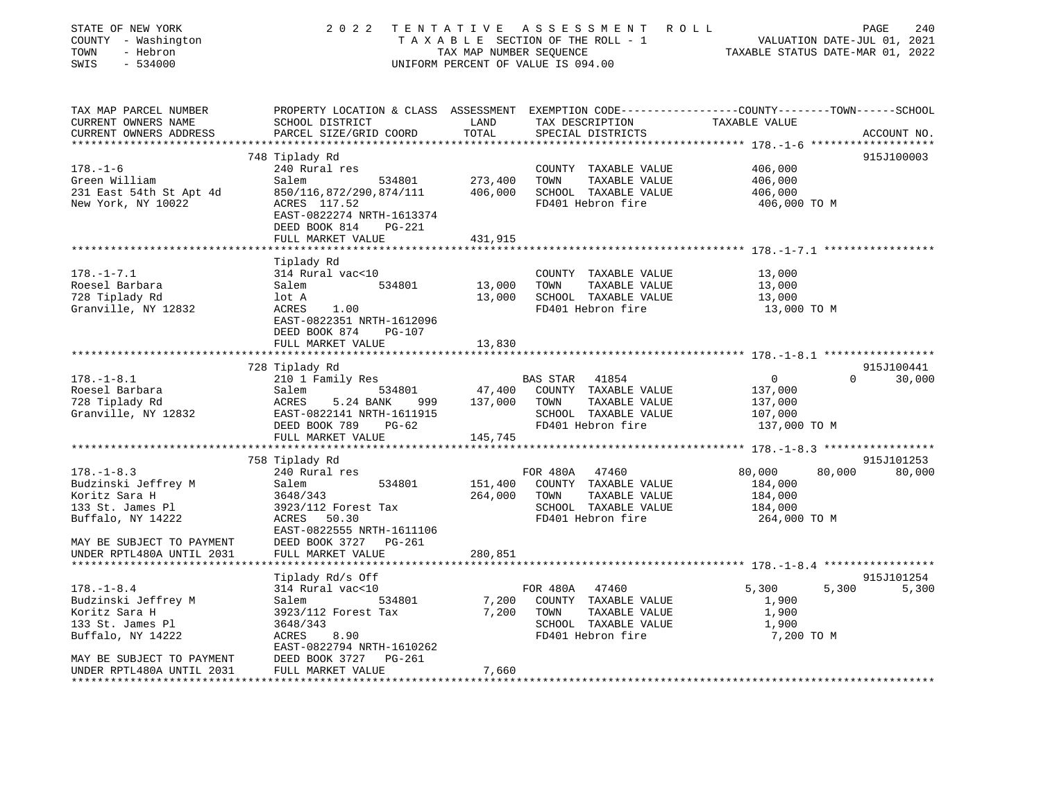| STATE OF NEW YORK<br>COUNTY - Washington<br>TOWN<br>- Hebron<br>$-534000$<br>SWIS | 2 0 2 2<br>TENTATIVE                                                                                                                        | TAX MAP NUMBER SEQUENCE      | A S S E S S M E N T R O L L<br>TAXABLE SECTION OF THE ROLL - 1<br>UNIFORM PERCENT OF VALUE IS 094.00 |                         | 240<br>PAGE<br>VALUATION DATE-JUL 01, 2021<br>TAXABLE STATUS DATE-MAR 01, 2022 |
|-----------------------------------------------------------------------------------|---------------------------------------------------------------------------------------------------------------------------------------------|------------------------------|------------------------------------------------------------------------------------------------------|-------------------------|--------------------------------------------------------------------------------|
| TAX MAP PARCEL NUMBER<br>CURRENT OWNERS NAME<br>CURRENT OWNERS ADDRESS            | PROPERTY LOCATION & CLASS ASSESSMENT EXEMPTION CODE--------------COUNTY-------TOWN------SCHOOL<br>SCHOOL DISTRICT<br>PARCEL SIZE/GRID COORD | LAND<br>TOTAL                | TAX DESCRIPTION<br>SPECIAL DISTRICTS                                                                 | TAXABLE VALUE           | ACCOUNT NO.                                                                    |
|                                                                                   |                                                                                                                                             |                              |                                                                                                      |                         |                                                                                |
|                                                                                   | 748 Tiplady Rd                                                                                                                              |                              |                                                                                                      |                         | 915J100003                                                                     |
| $178. - 1 - 6$<br>Green William                                                   | 240 Rural res<br>534801<br>Salem                                                                                                            | 273,400                      | COUNTY TAXABLE VALUE<br>TOWN<br>TAXABLE VALUE                                                        | 406,000<br>406,000      |                                                                                |
| 231 East 54th St Apt 4d<br>New York, NY 10022                                     | 850/116,872/290,874/111<br>ACRES 117.52<br>EAST-0822274 NRTH-1613374<br>DEED BOOK 814<br>PG-221                                             | 406,000                      | SCHOOL TAXABLE VALUE<br>FD401 Hebron fire                                                            | 406,000<br>406,000 TO M |                                                                                |
|                                                                                   | FULL MARKET VALUE                                                                                                                           | 431,915                      |                                                                                                      |                         |                                                                                |
|                                                                                   |                                                                                                                                             |                              |                                                                                                      |                         |                                                                                |
| $178. - 1 - 7.1$<br>Roesel Barbara                                                | Tiplady Rd<br>314 Rural vac<10<br>Salem<br>534801                                                                                           | 13,000                       | COUNTY TAXABLE VALUE<br>TOWN<br>TAXABLE VALUE                                                        | 13,000<br>13,000        |                                                                                |
| 728 Tiplady Rd                                                                    | lot A                                                                                                                                       |                              | 13,000 SCHOOL TAXABLE VALUE                                                                          | 13,000                  |                                                                                |
| Granville, NY 12832                                                               | ACRES 1.00<br>EAST-0822351 NRTH-1612096<br>DEED BOOK 874<br>PG-107                                                                          |                              | FD401 Hebron fire                                                                                    | 13,000 TO M             |                                                                                |
|                                                                                   | FULL MARKET VALUE                                                                                                                           | 13,830                       |                                                                                                      |                         |                                                                                |
|                                                                                   | 728 Tiplady Rd                                                                                                                              |                              |                                                                                                      |                         | 915J100441                                                                     |
| $178. - 1 - 8.1$                                                                  | 210 1 Family Res                                                                                                                            |                              | 41854<br>BAS STAR                                                                                    | $\overline{0}$          | 30,000<br>$\Omega$                                                             |
| Roesel Barbara                                                                    | Salem<br>534801                                                                                                                             |                              | 47,400 COUNTY TAXABLE VALUE                                                                          | 137,000                 |                                                                                |
| 728 Tiplady Rd                                                                    | ACRES<br>5.24 BANK 999                                                                                                                      | 137,000                      | TAXABLE VALUE<br>TOWN                                                                                | 137,000                 |                                                                                |
| Granville, NY 12832                                                               | EAST-0822141 NRTH-1611915                                                                                                                   |                              | SCHOOL TAXABLE VALUE                                                                                 | 107,000                 |                                                                                |
|                                                                                   | DEED BOOK 789 PG-62                                                                                                                         |                              | FD401 Hebron fire                                                                                    | 137,000 TO M            |                                                                                |
|                                                                                   | FULL MARKET VALUE                                                                                                                           | 145,745                      |                                                                                                      |                         |                                                                                |
|                                                                                   | *************************<br>758 Tiplady Rd                                                                                                 |                              |                                                                                                      |                         | 915J101253                                                                     |
| $178. - 1 - 8.3$                                                                  | 240 Rural res                                                                                                                               |                              | FOR 480A<br>47460                                                                                    | 80,000                  | 80,000<br>80,000                                                               |
| Budzinski Jeffrey M                                                               | 534801<br>Salem                                                                                                                             | 151,400                      | COUNTY TAXABLE VALUE                                                                                 | 184,000                 |                                                                                |
| Koritz Sara H                                                                     | 3648/343                                                                                                                                    | 264,000                      | TOWN<br>TAXABLE VALUE                                                                                | 184,000                 |                                                                                |
| 133 St. James Pl<br>Buffalo, NY 14222                                             | 3923/112 Forest Tax<br>ACRES 50.30<br>EAST-0822555 NRTH-1611106                                                                             |                              | SCHOOL TAXABLE VALUE<br>FD401 Hebron fire                                                            | 184,000<br>264,000 TO M |                                                                                |
| MAY BE SUBJECT TO PAYMENT<br>UNDER RPTL480A UNTIL 2031                            | DEED BOOK 3727 PG-261<br>FULL MARKET VALUE                                                                                                  | 280,851                      |                                                                                                      |                         |                                                                                |
|                                                                                   |                                                                                                                                             |                              |                                                                                                      |                         |                                                                                |
|                                                                                   | Tiplady Rd/s Off                                                                                                                            |                              |                                                                                                      |                         | 915J101254                                                                     |
| $178. - 1 - 8.4$                                                                  | 314 Rural vac<10                                                                                                                            |                              | FOR 480A<br>47460                                                                                    | 5,300                   | 5,300<br>5,300                                                                 |
| Budzinski Jeffrey M                                                               | 534801<br>Salem                                                                                                                             | 7,200                        | COUNTY TAXABLE VALUE                                                                                 | 1,900                   |                                                                                |
| Koritz Sara H                                                                     | 3923/112 Forest Tax                                                                                                                         | 7,200                        | TOWN<br>TAXABLE VALUE                                                                                | 1,900                   |                                                                                |
| 133 St. James Pl<br>Buffalo, NY 14222                                             | 3648/343<br>8.90<br>ACRES                                                                                                                   |                              | SCHOOL TAXABLE VALUE<br>FD401 Hebron fire                                                            | 1,900<br>7,200 TO M     |                                                                                |
|                                                                                   | EAST-0822794 NRTH-1610262                                                                                                                   |                              |                                                                                                      |                         |                                                                                |
| MAY BE SUBJECT TO PAYMENT                                                         | DEED BOOK 3727 PG-261                                                                                                                       |                              |                                                                                                      |                         |                                                                                |
| UNDER RPTL480A UNTIL 2031<br>***************************                          | FULL MARKET VALUE<br>***********************                                                                                                | 7,660<br>* * * * * * * * * * |                                                                                                      |                         |                                                                                |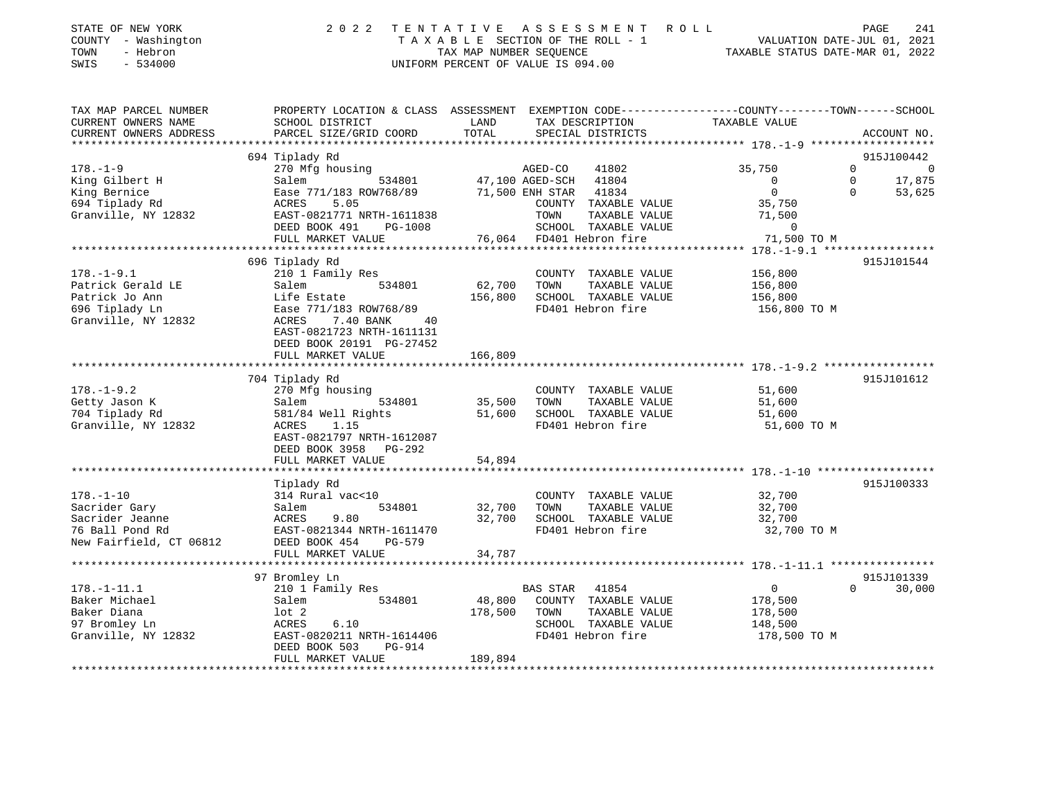| STATE OF NEW YORK<br>COUNTY - Washington<br>- Hebron<br>TOWN<br>SWIS<br>- 534000 | 2022 TENTATIVE ASSESSMENT ROLL<br>TAXABLE SECTION OF THE ROLL - 1<br>TAX MAP NUMBER SEOUENCE<br>UNIFORM PERCENT OF VALUE IS 094.00 | VALUATION DATE-JUL 01, 2021<br>TAXABLE STATUS DATE-MAR 01, 2022 | PAGE | 241 |
|----------------------------------------------------------------------------------|------------------------------------------------------------------------------------------------------------------------------------|-----------------------------------------------------------------|------|-----|
|                                                                                  |                                                                                                                                    |                                                                 |      |     |

TAX MAP PARCEL NUMBER PROPERTY LOCATION & CLASS ASSESSMENT EXEMPTION CODE------------------COUNTY--------TOWN------SCHOOL

| CURRENT OWNERS NAME     | SCHOOL DISTRICT                 | LAND    | TAX DESCRIPTION          | TAXABLE VALUE  |                            |
|-------------------------|---------------------------------|---------|--------------------------|----------------|----------------------------|
| CURRENT OWNERS ADDRESS  | PARCEL SIZE/GRID COORD          | TOTAL   | SPECIAL DISTRICTS        |                | ACCOUNT NO.                |
|                         |                                 |         |                          |                |                            |
|                         | 694 Tiplady Rd                  |         |                          |                | 915J100442                 |
| $178. - 1 - 9$          | 270 Mfg housing                 |         | AGED-CO<br>41802         | 35,750         | $\Omega$<br>$\overline{0}$ |
| King Gilbert H          | 534801<br>Salem                 |         | 47,100 AGED-SCH 41804    | $\mathbf 0$    | 17,875<br>$\mathbf 0$      |
| King Bernice            | Ease 771/183 ROW768/89          |         | 41834<br>71,500 ENH STAR | $\Omega$       | $\Omega$<br>53,625         |
| 694 Tiplady Rd          | 5.05<br>ACRES                   |         | COUNTY TAXABLE VALUE     | 35,750         |                            |
| Granville, NY 12832     | EAST-0821771 NRTH-1611838       |         | TOWN<br>TAXABLE VALUE    | 71,500         |                            |
|                         | DEED BOOK 491<br>PG-1008        |         | SCHOOL TAXABLE VALUE     | $\overline{0}$ |                            |
|                         | FULL MARKET VALUE               |         | 76,064 FD401 Hebron fire | 71,500 TO M    |                            |
|                         |                                 |         |                          |                |                            |
|                         | 696 Tiplady Rd                  |         |                          |                | 915J101544                 |
| $178. - 1 - 9.1$        | 210 1 Family Res                |         | COUNTY TAXABLE VALUE     | 156,800        |                            |
| Patrick Gerald LE       | Salem<br>534801                 | 62,700  | TOWN<br>TAXABLE VALUE    | 156,800        |                            |
| Patrick Jo Ann          | Life Estate                     | 156,800 | SCHOOL TAXABLE VALUE     | 156,800        |                            |
| 696 Tiplady Ln          | Ease 771/183 ROW768/89          |         | FD401 Hebron fire        | 156,800 TO M   |                            |
| Granville, NY 12832     | 7.40 BANK<br><b>ACRES</b><br>40 |         |                          |                |                            |
|                         | EAST-0821723 NRTH-1611131       |         |                          |                |                            |
|                         | DEED BOOK 20191 PG-27452        |         |                          |                |                            |
|                         | FULL MARKET VALUE               | 166,809 |                          |                |                            |
|                         |                                 |         |                          |                |                            |
|                         | 704 Tiplady Rd                  |         |                          |                | 915J101612                 |
| $178. - 1 - 9.2$        | 270 Mfg housing                 |         | COUNTY TAXABLE VALUE     | 51,600         |                            |
| Getty Jason K           | 534801<br>Salem                 | 35,500  | TAXABLE VALUE<br>TOWN    | 51,600         |                            |
| 704 Tiplady Rd          | 581/84 Well Rights              | 51,600  | SCHOOL TAXABLE VALUE     | 51,600         |                            |
| Granville, NY 12832     | ACRES<br>1.15                   |         | FD401 Hebron fire        | 51,600 TO M    |                            |
|                         | EAST-0821797 NRTH-1612087       |         |                          |                |                            |
|                         | DEED BOOK 3958 PG-292           |         |                          |                |                            |
|                         | FULL MARKET VALUE               | 54,894  |                          |                |                            |
|                         |                                 |         |                          |                |                            |
|                         |                                 |         |                          |                | 915J100333                 |
|                         | Tiplady Rd                      |         |                          |                |                            |
| $178. - 1 - 10$         | 314 Rural vac<10                |         | COUNTY TAXABLE VALUE     | 32,700         |                            |
| Sacrider Gary           | 534801<br>Salem                 | 32,700  | TAXABLE VALUE<br>TOWN    | 32,700         |                            |
| Sacrider Jeanne         | 9.80<br>ACRES                   | 32,700  | SCHOOL TAXABLE VALUE     | 32,700         |                            |
| 76 Ball Pond Rd         | EAST-0821344 NRTH-1611470       |         | FD401 Hebron fire        | 32,700 TO M    |                            |
| New Fairfield, CT 06812 | DEED BOOK 454<br>PG-579         |         |                          |                |                            |
|                         | FULL MARKET VALUE               | 34,787  |                          |                |                            |
|                         |                                 |         |                          |                |                            |
|                         | 97 Bromley Ln                   |         |                          |                | 915J101339                 |
| $178. - 1 - 11.1$       | 210 1 Family Res                |         | BAS STAR<br>41854        | $\overline{0}$ | $\Omega$<br>30,000         |
| Baker Michael           | Salem<br>534801                 | 48,800  | COUNTY TAXABLE VALUE     | 178,500        |                            |
| Baker Diana             | $1$ ot $2$                      | 178,500 | TOWN<br>TAXABLE VALUE    | 178,500        |                            |
| 97 Bromley Ln           | 6.10<br>ACRES                   |         | SCHOOL TAXABLE VALUE     | 148,500        |                            |
| Granville, NY 12832     | EAST-0820211 NRTH-1614406       |         | FD401 Hebron fire        | 178,500 TO M   |                            |
|                         | <b>PG-914</b><br>DEED BOOK 503  |         |                          |                |                            |
|                         | FULL MARKET VALUE               | 189,894 |                          |                |                            |
|                         |                                 |         |                          |                |                            |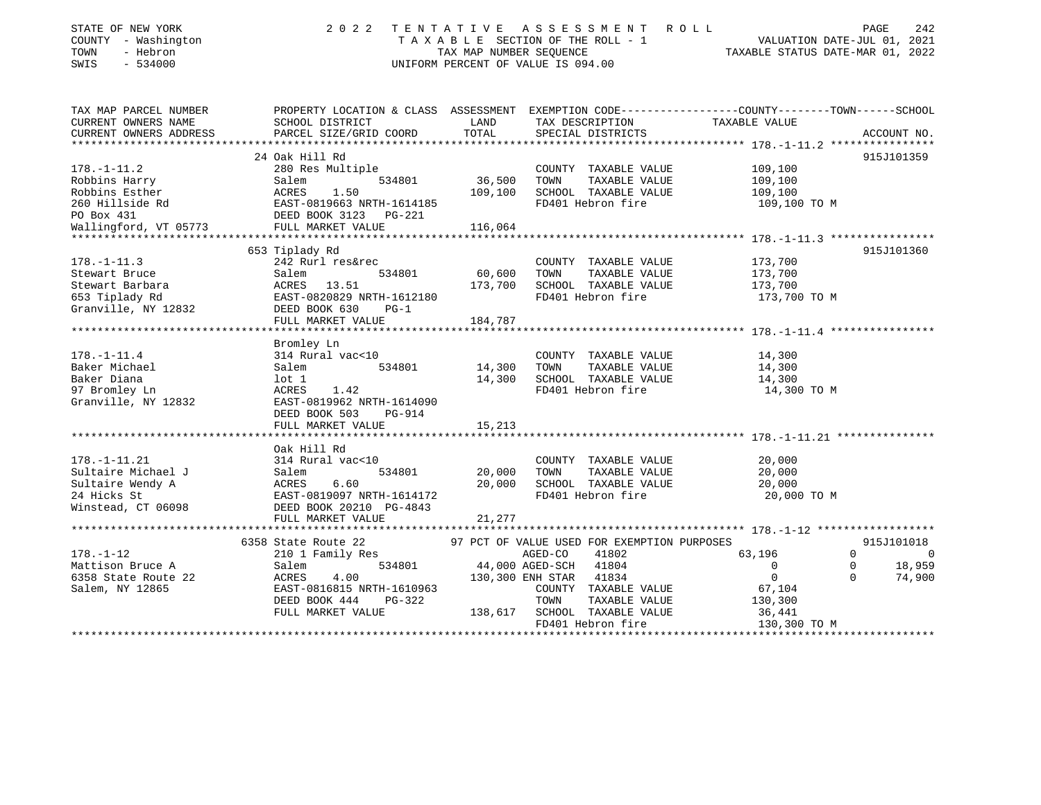| STATE OF NEW YORK<br>COUNTY - Washington<br>- Hebron<br>TOWN<br>SWIS<br>$-534000$ | 2 0 2 2                                                                                                           | TENTATIVE<br>TAX MAP NUMBER SEOUENCE | A S S E S S M E N T<br>TAXABLE SECTION OF THE ROLL - 1<br>UNIFORM PERCENT OF VALUE IS 094.00 | R O L L<br>TAXABLE STATUS DATE-MAR 01, 2022 | PAGE<br>242<br>VALUATION DATE-JUL 01, 2021 |
|-----------------------------------------------------------------------------------|-------------------------------------------------------------------------------------------------------------------|--------------------------------------|----------------------------------------------------------------------------------------------|---------------------------------------------|--------------------------------------------|
| TAX MAP PARCEL NUMBER<br>CURRENT OWNERS NAME                                      | PROPERTY LOCATION & CLASS ASSESSMENT EXEMPTION CODE---------------COUNTY-------TOWN-----SCHOOL<br>SCHOOL DISTRICT | LAND                                 | TAX DESCRIPTION                                                                              | TAXABLE VALUE                               |                                            |
| CURRENT OWNERS ADDRESS                                                            | PARCEL SIZE/GRID COORD                                                                                            | TOTAL                                | SPECIAL DISTRICTS                                                                            |                                             | ACCOUNT NO.                                |
|                                                                                   |                                                                                                                   |                                      |                                                                                              |                                             |                                            |
|                                                                                   | 24 Oak Hill Rd                                                                                                    |                                      |                                                                                              |                                             | 915J101359                                 |
| $178. - 1 - 11.2$                                                                 | 280 Res Multiple                                                                                                  |                                      | COUNTY TAXABLE VALUE                                                                         | 109,100                                     |                                            |
| Robbins Harry                                                                     | 534801<br>Salem                                                                                                   | 36,500                               | TOWN<br>TAXABLE VALUE                                                                        | 109,100                                     |                                            |
| Robbins Esther                                                                    | ACRES<br>1.50                                                                                                     | 109,100                              | SCHOOL TAXABLE VALUE                                                                         | 109,100                                     |                                            |
| 260 Hillside Rd                                                                   | EAST-0819663 NRTH-1614185                                                                                         |                                      | FD401 Hebron fire                                                                            | 109,100 TO M                                |                                            |
| PO Box 431                                                                        | DEED BOOK 3123 PG-221                                                                                             |                                      |                                                                                              |                                             |                                            |
| Wallingford, VT 05773                                                             | FULL MARKET VALUE                                                                                                 | 116,064                              |                                                                                              |                                             |                                            |
|                                                                                   |                                                                                                                   |                                      |                                                                                              |                                             |                                            |
| $178. - 1 - 11.3$                                                                 | 653 Tiplady Rd<br>242 Rurl res&rec                                                                                |                                      | COUNTY TAXABLE VALUE                                                                         | 173,700                                     | 915J101360                                 |
| Stewart Bruce                                                                     | Salem<br>534801                                                                                                   | 60,600                               | TAXABLE VALUE<br>TOWN                                                                        | 173,700                                     |                                            |
| Stewart Barbara                                                                   | ACRES 13.51                                                                                                       | 173,700                              | SCHOOL TAXABLE VALUE                                                                         | 173,700                                     |                                            |
| 653 Tiplady Rd                                                                    | EAST-0820829 NRTH-1612180                                                                                         |                                      | FD401 Hebron fire                                                                            | 173,700 TO M                                |                                            |
| Granville, NY 12832                                                               | DEED BOOK 630<br>$PG-1$                                                                                           |                                      |                                                                                              |                                             |                                            |
|                                                                                   | FULL MARKET VALUE                                                                                                 | 184,787                              |                                                                                              |                                             |                                            |
|                                                                                   |                                                                                                                   |                                      |                                                                                              |                                             |                                            |
|                                                                                   | Bromley Ln                                                                                                        |                                      |                                                                                              |                                             |                                            |
| $178. - 1 - 11.4$                                                                 | 314 Rural vac<10                                                                                                  |                                      | COUNTY TAXABLE VALUE                                                                         | 14,300                                      |                                            |
| Baker Michael                                                                     | 534801<br>Salem                                                                                                   | 14,300                               | TOWN<br>TAXABLE VALUE                                                                        | 14,300                                      |                                            |
| Baker Diana                                                                       | lot 1                                                                                                             | 14,300                               | SCHOOL TAXABLE VALUE                                                                         | 14,300                                      |                                            |
| 97 Bromley Ln                                                                     | 1.42<br>ACRES                                                                                                     |                                      | FD401 Hebron fire                                                                            | 14,300 TO M                                 |                                            |
| Granville, NY 12832                                                               | EAST-0819962 NRTH-1614090                                                                                         |                                      |                                                                                              |                                             |                                            |
|                                                                                   | DEED BOOK 503<br>PG-914                                                                                           |                                      |                                                                                              |                                             |                                            |
|                                                                                   | FULL MARKET VALUE                                                                                                 | 15,213                               |                                                                                              |                                             |                                            |
|                                                                                   | Oak Hill Rd                                                                                                       |                                      |                                                                                              |                                             |                                            |
| $178. - 1 - 11.21$                                                                | 314 Rural vac<10                                                                                                  |                                      | COUNTY TAXABLE VALUE                                                                         | 20,000                                      |                                            |
| Sultaire Michael J                                                                | 534801<br>Salem                                                                                                   | 20,000                               | TAXABLE VALUE<br>TOWN                                                                        | 20,000                                      |                                            |
| Sultaire Wendy A                                                                  | ACRES<br>6.60                                                                                                     | 20,000                               | SCHOOL TAXABLE VALUE                                                                         | 20,000                                      |                                            |
| 24 Hicks St                                                                       | EAST-0819097 NRTH-1614172                                                                                         |                                      | FD401 Hebron fire                                                                            | 20,000 TO M                                 |                                            |
| Winstead, CT 06098                                                                | DEED BOOK 20210 PG-4843                                                                                           |                                      |                                                                                              |                                             |                                            |
|                                                                                   | FULL MARKET VALUE                                                                                                 | 21,277                               |                                                                                              |                                             |                                            |
|                                                                                   |                                                                                                                   |                                      |                                                                                              |                                             |                                            |
|                                                                                   | 6358 State Route 22                                                                                               |                                      | 97 PCT OF VALUE USED FOR EXEMPTION PURPOSES                                                  |                                             | 915J101018                                 |
| $178. - 1 - 12$                                                                   | 210 1 Family Res                                                                                                  |                                      | AGED-CO<br>41802                                                                             | 63,196                                      | $\Omega$<br>$\Omega$                       |
| Mattison Bruce A                                                                  | 534801<br>Salem                                                                                                   |                                      | 44,000 AGED-SCH<br>41804                                                                     | $\mathbf 0$                                 | $\Omega$<br>18,959                         |
| 6358 State Route 22                                                               | ACRES<br>4.00                                                                                                     |                                      | 130,300 ENH STAR 41834                                                                       | $\mathbf 0$                                 | 74,900<br>$\Omega$                         |
| Salem, NY 12865                                                                   | EAST-0816815 NRTH-1610963                                                                                         |                                      | COUNTY TAXABLE VALUE                                                                         | 67,104                                      |                                            |
|                                                                                   | DEED BOOK 444<br>$PG-322$                                                                                         |                                      | TOWN<br>TAXABLE VALUE                                                                        | 130,300                                     |                                            |
|                                                                                   | FULL MARKET VALUE                                                                                                 | 138,617                              | SCHOOL TAXABLE VALUE                                                                         | 36,441                                      |                                            |
|                                                                                   |                                                                                                                   |                                      | FD401 Hebron fire                                                                            | 130,300 TO M                                |                                            |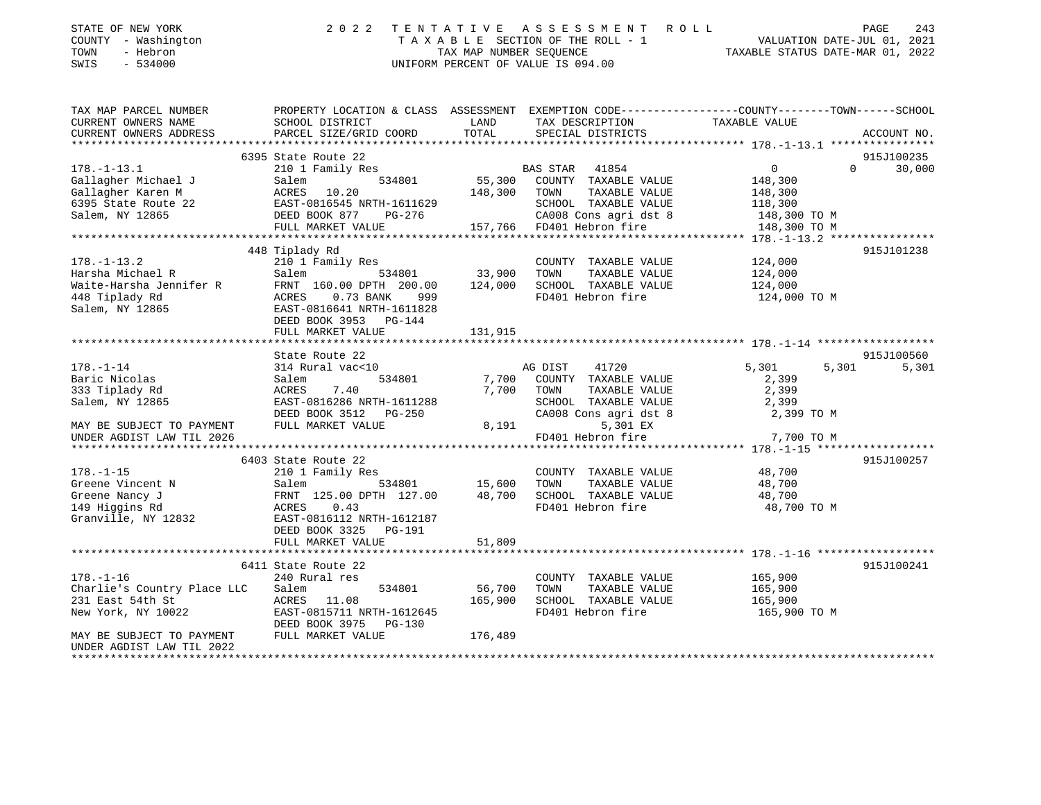| STATE OF NEW YORK<br>COUNTY - Washington<br>- Hebron<br>TOWN<br>$-534000$<br>SWIS | 2 0 2 2                                   |               | TENTATIVE ASSESSMENT ROLL<br>UNIFORM PERCENT OF VALUE IS 094.00 | PAGE<br>243<br>T A X A B L E SECTION OF THE ROLL - 1 VALUATION DATE-JUL 01, 2021<br>TAX MAP NUMBER SEQUENCE TAXIBLE STATUS DATE-MAR 01, 2022 |
|-----------------------------------------------------------------------------------|-------------------------------------------|---------------|-----------------------------------------------------------------|----------------------------------------------------------------------------------------------------------------------------------------------|
| TAX MAP PARCEL NUMBER<br>CURRENT OWNERS NAME                                      | SCHOOL DISTRICT                           | LAND          | TAX DESCRIPTION                                                 | PROPERTY LOCATION & CLASS ASSESSMENT EXEMPTION CODE----------------COUNTY-------TOWN------SCHOOL<br>TAXABLE VALUE                            |
| CURRENT OWNERS ADDRESS                                                            | PARCEL SIZE/GRID COORD                    | TOTAL         | SPECIAL DISTRICTS                                               | ACCOUNT NO.                                                                                                                                  |
|                                                                                   |                                           |               |                                                                 |                                                                                                                                              |
|                                                                                   | 6395 State Route 22                       |               |                                                                 | 915J100235                                                                                                                                   |
| $178. - 1 - 13.1$                                                                 | 210 1 Family Res                          |               |                                                                 | $\overline{0}$<br>$\overline{0}$<br>30,000                                                                                                   |
| Gallagher Michael J                                                               | Salem                                     |               |                                                                 | 148,300                                                                                                                                      |
| Gallagher Karen M                                                                 | ACRES 10.20<br>148,300 TOWN               |               | TAXABLE VALUE                                                   | 148,300                                                                                                                                      |
| 6395 State Route 22                                                               | EAST-0816545 NRTH-1611629                 |               | SCHOOL TAXABLE VALUE                                            | 118,300                                                                                                                                      |
| Salem, NY 12865                                                                   | DEED BOOK 877 PG-276<br>FULL MARKET VALUE |               | CA008 Cons agri dst 8 148,300 TO M<br>157,766 FD401 Hebron fire | 148,300 TO M                                                                                                                                 |
|                                                                                   |                                           |               |                                                                 |                                                                                                                                              |
|                                                                                   | 448 Tiplady Rd                            |               |                                                                 | 915J101238                                                                                                                                   |
| $178. - 1 - 13.2$                                                                 | 210 1 Family Res                          |               | COUNTY TAXABLE VALUE 124,000                                    |                                                                                                                                              |
| Harsha Michael R                                                                  | Salem                                     | 534801 33,900 | TOWN                                                            | TAXABLE VALUE 124,000                                                                                                                        |
| Maisha nichaci<br>Waite-Harsha Jennifer R                                         | FRNT 160.00 DPTH 200.00 124,000           |               | SCHOOL TAXABLE VALUE                                            | 124,000                                                                                                                                      |
| 448 Tiplady Rd                                                                    | ACRES<br>0.73 BANK 999                    |               | FD401 Hebron fire                                               | 124,000 TO M                                                                                                                                 |
| Salem, NY 12865                                                                   | EAST-0816641 NRTH-1611828                 |               |                                                                 |                                                                                                                                              |
|                                                                                   | DEED BOOK 3953<br>$PG-144$                |               |                                                                 |                                                                                                                                              |
|                                                                                   | FULL MARKET VALUE                         | 131,915       |                                                                 |                                                                                                                                              |
|                                                                                   |                                           |               |                                                                 |                                                                                                                                              |
|                                                                                   | State Route 22                            |               |                                                                 | 915J100560                                                                                                                                   |
| $178. - 1 - 14$                                                                   | 314 Rural vac<10                          |               | AG DIST<br>41720                                                | 5,301<br>5,301<br>5,301                                                                                                                      |
| Baric Nicolas<br>333 Tiplady Rd                                                   | Salem<br>534801<br>7.40<br>ACRES          | 7,700         | 7,700 COUNTY TAXABLE VALUE<br>TOWN<br>TAXABLE VALUE             | 2,399<br>2,399                                                                                                                               |
| Salem, NY 12865                                                                   | EAST-0816286 NRTH-1611288                 |               | SCHOOL<br>TAXABLE VALUE                                         | 2,399                                                                                                                                        |
|                                                                                   | DEED BOOK 3512 PG-250                     |               | CA008 Cons agri dst 8                                           | 2,399 TO M                                                                                                                                   |

| MAY BE SUBJECT TO PAYMENT FULL MARKET VALUE |                           | 8,191   | 5,301 EX                     |              |            |
|---------------------------------------------|---------------------------|---------|------------------------------|--------------|------------|
| UNDER AGDIST LAW TIL 2026                   |                           |         | FD401 Hebron fire 7,700 TO M |              |            |
|                                             |                           |         |                              |              |            |
|                                             | 6403 State Route 22       |         |                              |              | 915J100257 |
| $178. - 1 - 15$                             | 210 1 Family Res          |         | COUNTY<br>TAXABLE VALUE      | 48,700       |            |
| Greene Vincent N<br><b>Salem</b>            | 534801 15,600             |         | TOWN<br>TAXABLE VALUE        | 48,700       |            |
| Greene Nancy J                              | FRNT 125.00 DPTH 127.00   | 48,700  | SCHOOL TAXABLE VALUE         | 48,700       |            |
| 149 Hiqqins Rd                              | ACRES 0.43                |         | FD401 Hebron fire            | 48,700 TO M  |            |
| Granville, NY 12832                         | EAST-0816112 NRTH-1612187 |         |                              |              |            |
|                                             | DEED BOOK 3325 PG-191     |         |                              |              |            |
|                                             | FULL MARKET VALUE         | 51,809  |                              |              |            |
|                                             |                           |         |                              |              |            |
|                                             | 6411 State Route 22       |         |                              |              | 915J100241 |
| $178. - 1 - 16$                             | 240 Rural res             |         | TAXABLE VALUE<br>COUNTY      | 165,900      |            |
| Charlie's Country Place LLC Salem           | 534801 56,700             |         | TOWN<br>TAXABLE VALUE        | 165,900      |            |
| 231 East 54th St                            | ACRES 11.08               | 165,900 | SCHOOL TAXABLE VALUE         | 165,900      |            |
|                                             |                           |         | FD401 Hebron fire            | 165,900 TO M |            |
|                                             | DEED BOOK 3975 PG-130     |         |                              |              |            |
| MAY BE SUBJECT TO PAYMENT                   | FULL MARKET VALUE         | 176,489 |                              |              |            |
| ותחתות בתחומה המבירות המתחתות               |                           |         |                              |              |            |

UNDER AGDIST LAW TIL 2022 \*\*\*\*\*\*\*\*\*\*\*\*\*\*\*\*\*\*\*\*\*\*\*\*\*\*\*\*\*\*\*\*\*\*\*\*\*\*\*\*\*\*\*\*\*\*\*\*\*\*\*\*\*\*\*\*\*\*\*\*\*\*\*\*\*\*\*\*\*\*\*\*\*\*\*\*\*\*\*\*\*\*\*\*\*\*\*\*\*\*\*\*\*\*\*\*\*\*\*\*\*\*\*\*\*\*\*\*\*\*\*\*\*\*\*\*\*\*\*\*\*\*\*\*\*\*\*\*\*\*\*\*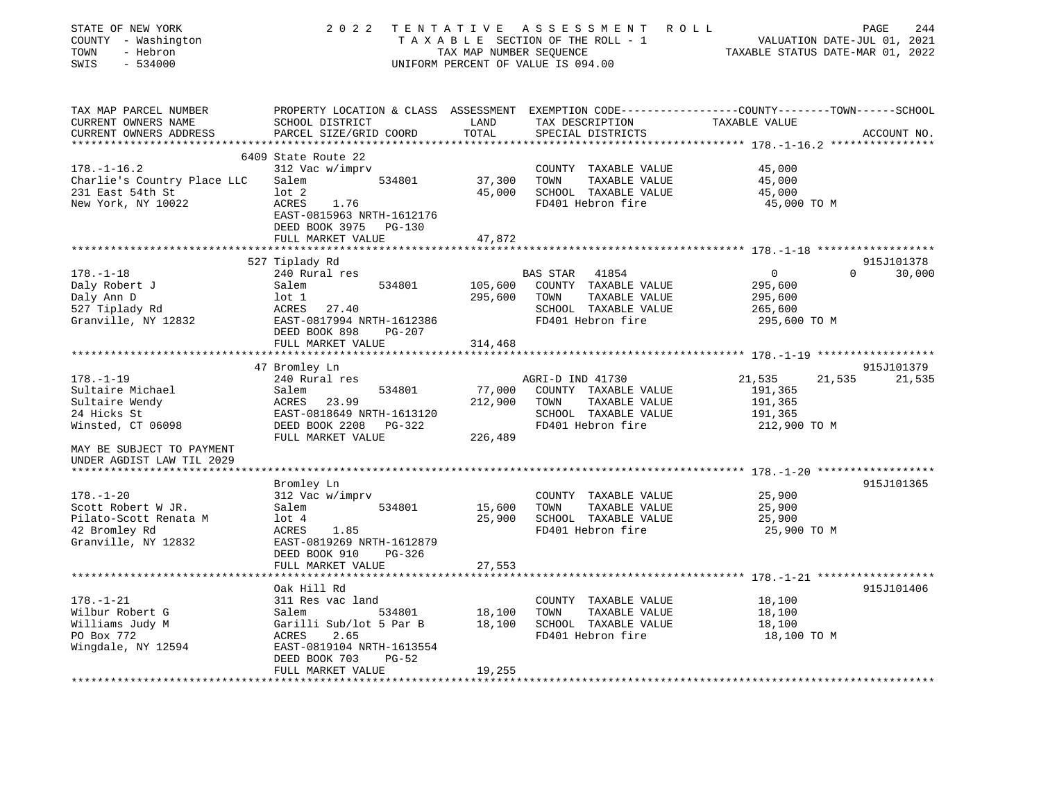| STATE OF NEW YORK<br>COUNTY - Washington<br>- Hebron<br>TOWN<br>$-534000$<br>SWIS | 2 0 2 2                                              | TAX MAP NUMBER SEOUENCE | TENTATIVE ASSESSMENT ROLL<br>TAXABLE SECTION OF THE ROLL - 1<br>UNIFORM PERCENT OF VALUE IS 094.00                | VALUATION DATE-JUL 01, 2021<br>TAXABLE STATUS DATE-MAR 01, 2022 | PAGE     | 244         |
|-----------------------------------------------------------------------------------|------------------------------------------------------|-------------------------|-------------------------------------------------------------------------------------------------------------------|-----------------------------------------------------------------|----------|-------------|
| TAX MAP PARCEL NUMBER<br>CURRENT OWNERS NAME                                      | SCHOOL DISTRICT                                      | LAND                    | PROPERTY LOCATION & CLASS ASSESSMENT EXEMPTION CODE---------------COUNTY-------TOWN-----SCHOOL<br>TAX DESCRIPTION | TAXABLE VALUE                                                   |          |             |
| CURRENT OWNERS ADDRESS                                                            | PARCEL SIZE/GRID COORD                               | TOTAL                   | SPECIAL DISTRICTS                                                                                                 |                                                                 |          | ACCOUNT NO. |
|                                                                                   | 6409 State Route 22                                  |                         |                                                                                                                   |                                                                 |          |             |
| $178. - 1 - 16.2$                                                                 | 312 Vac w/imprv                                      |                         | COUNTY TAXABLE VALUE                                                                                              | 45,000                                                          |          |             |
| Charlie's Country Place LLC                                                       | 534801<br>Salem                                      | 37,300                  | TOWN<br>TAXABLE VALUE                                                                                             | 45,000                                                          |          |             |
| 231 East 54th St                                                                  | $1$ ot $2$                                           | 45,000                  | SCHOOL TAXABLE VALUE                                                                                              | 45,000                                                          |          |             |
| New York, NY 10022                                                                | 1.76<br>ACRES                                        |                         | FD401 Hebron fire                                                                                                 | 45,000 TO M                                                     |          |             |
|                                                                                   | EAST-0815963 NRTH-1612176                            |                         |                                                                                                                   |                                                                 |          |             |
|                                                                                   | DEED BOOK 3975 PG-130                                |                         |                                                                                                                   |                                                                 |          |             |
|                                                                                   | FULL MARKET VALUE                                    | 47,872                  |                                                                                                                   |                                                                 |          |             |
|                                                                                   |                                                      |                         |                                                                                                                   |                                                                 |          |             |
|                                                                                   | 527 Tiplady Rd                                       |                         |                                                                                                                   |                                                                 |          | 915J101378  |
| $178. - 1 - 18$                                                                   | 240 Rural res                                        |                         | BAS STAR<br>41854                                                                                                 | 0                                                               | $\Omega$ | 30,000      |
| Daly Robert J                                                                     | Salem<br>534801                                      | 105,600                 | COUNTY TAXABLE VALUE                                                                                              | 295,600                                                         |          |             |
| Daly Ann D                                                                        | lot 1                                                | 295,600                 | TOWN<br>TAXABLE VALUE                                                                                             | 295,600                                                         |          |             |
| 527 Tiplady Rd                                                                    | ACRES 27.40                                          |                         | SCHOOL TAXABLE VALUE                                                                                              | 265,600                                                         |          |             |
| Granville, NY 12832                                                               | EAST-0817994 NRTH-1612386                            |                         | FD401 Hebron fire                                                                                                 | 295,600 TO M                                                    |          |             |
|                                                                                   | DEED BOOK 898<br>$PG-207$                            |                         |                                                                                                                   |                                                                 |          |             |
|                                                                                   | FULL MARKET VALUE                                    | 314,468                 |                                                                                                                   |                                                                 |          |             |
|                                                                                   | 47 Bromley Ln                                        |                         |                                                                                                                   |                                                                 |          | 915J101379  |
| $178. - 1 - 19$                                                                   | 240 Rural res                                        |                         | AGRI-D IND 41730                                                                                                  | 21,535                                                          | 21,535   | 21,535      |
| Sultaire Michael                                                                  | Salem<br>534801                                      | 77,000                  | COUNTY TAXABLE VALUE                                                                                              | 191,365                                                         |          |             |
| Sultaire Wendy                                                                    | ACRES<br>23.99                                       | 212,900                 | TOWN<br>TAXABLE VALUE                                                                                             | 191,365                                                         |          |             |
| 24 Hicks St                                                                       | EAST-0818649 NRTH-1613120                            |                         | SCHOOL TAXABLE VALUE                                                                                              | 191,365                                                         |          |             |
| Winsted, CT 06098                                                                 | DEED BOOK 2208<br>PG-322                             |                         | FD401 Hebron fire                                                                                                 | 212,900 TO M                                                    |          |             |
|                                                                                   | FULL MARKET VALUE                                    | 226,489                 |                                                                                                                   |                                                                 |          |             |
| MAY BE SUBJECT TO PAYMENT<br>UNDER AGDIST LAW TIL 2029                            |                                                      |                         |                                                                                                                   |                                                                 |          |             |
|                                                                                   |                                                      |                         |                                                                                                                   |                                                                 |          |             |
|                                                                                   | Bromley Ln                                           |                         |                                                                                                                   |                                                                 |          | 915J101365  |
| $178. - 1 - 20$                                                                   | 312 Vac w/imprv                                      |                         | COUNTY TAXABLE VALUE                                                                                              | 25,900                                                          |          |             |
| Scott Robert W JR.                                                                | Salem<br>534801                                      | 15,600                  | TOWN<br>TAXABLE VALUE                                                                                             | 25,900                                                          |          |             |
| Pilato-Scott Renata M                                                             | $1$ ot $4$                                           | 25,900                  | SCHOOL TAXABLE VALUE                                                                                              | 25,900                                                          |          |             |
| 42 Bromley Rd                                                                     | ACRES<br>1.85                                        |                         | FD401 Hebron fire                                                                                                 | 25,900 TO M                                                     |          |             |
| Granville, NY 12832                                                               | EAST-0819269 NRTH-1612879<br>DEED BOOK 910<br>PG-326 |                         |                                                                                                                   |                                                                 |          |             |
|                                                                                   | FULL MARKET VALUE                                    | 27,553                  |                                                                                                                   |                                                                 |          |             |
|                                                                                   | *********************                                |                         |                                                                                                                   |                                                                 |          |             |
|                                                                                   | Oak Hill Rd                                          |                         |                                                                                                                   |                                                                 |          | 915J101406  |
| $178. - 1 - 21$                                                                   | 311 Res vac land                                     |                         | COUNTY TAXABLE VALUE                                                                                              | 18,100                                                          |          |             |
| Wilbur Robert G                                                                   | Salem<br>534801                                      | 18,100                  | TOWN<br>TAXABLE VALUE                                                                                             | 18,100                                                          |          |             |
| Williams Judy M                                                                   | Garilli Sub/lot 5 Par B                              | 18,100                  | SCHOOL TAXABLE VALUE                                                                                              | 18,100                                                          |          |             |
| PO Box 772                                                                        | ACRES<br>2.65                                        |                         | FD401 Hebron fire                                                                                                 | 18,100 TO M                                                     |          |             |
| Wingdale, NY 12594                                                                | EAST-0819104 NRTH-1613554                            |                         |                                                                                                                   |                                                                 |          |             |
|                                                                                   | DEED BOOK 703<br>$PG-52$                             |                         |                                                                                                                   |                                                                 |          |             |
|                                                                                   | FULL MARKET VALUE                                    | 19,255                  |                                                                                                                   |                                                                 |          |             |
|                                                                                   |                                                      |                         |                                                                                                                   |                                                                 |          |             |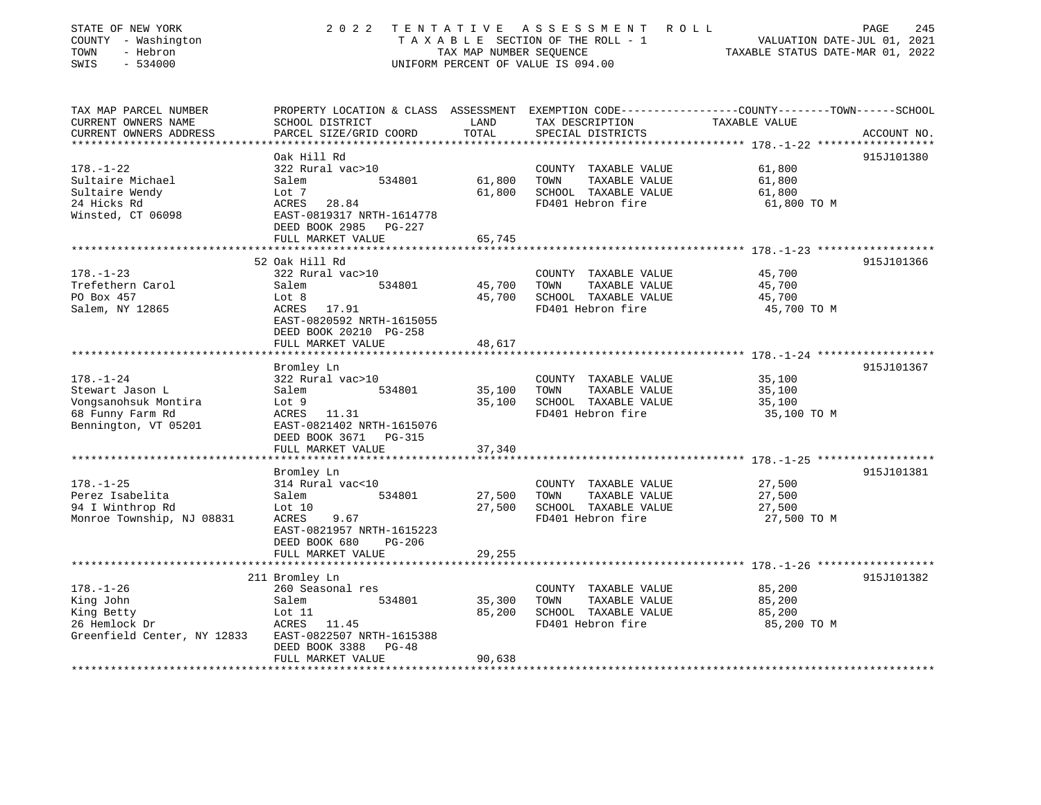| STATE OF NEW YORK<br>COUNTY - Washington<br>- Hebron<br>TOWN<br>SWIS<br>$-534000$ | 2 0 2 2                                                            | TENTATIVE<br>TAX MAP NUMBER SEQUENCE | A S S E S S M E N T<br>T A X A B L E SECTION OF THE ROLL - 1<br>UNIFORM PERCENT OF VALUE IS 094.00 | ROLL<br>PAGE<br>245<br>VALUATION DATE-JUL 01, 2021<br>TAXABLE STATUS DATE-MAR 01, 2022 |
|-----------------------------------------------------------------------------------|--------------------------------------------------------------------|--------------------------------------|----------------------------------------------------------------------------------------------------|----------------------------------------------------------------------------------------|
| TAX MAP PARCEL NUMBER<br>CURRENT OWNERS NAME                                      | PROPERTY LOCATION & CLASS ASSESSMENT<br>SCHOOL DISTRICT            | LAND                                 |                                                                                                    | EXEMPTION CODE-----------------COUNTY-------TOWN------SCHOOL<br>TAXABLE VALUE          |
| CURRENT OWNERS ADDRESS                                                            | PARCEL SIZE/GRID COORD                                             | TOTAL                                | TAX DESCRIPTION<br>SPECIAL DISTRICTS                                                               | ACCOUNT NO.<br>****************** 178.-1-22 ****************                           |
|                                                                                   | Oak Hill Rd                                                        |                                      |                                                                                                    | 915J101380                                                                             |
| $178. - 1 - 22$                                                                   | 322 Rural vac>10                                                   |                                      | COUNTY TAXABLE VALUE                                                                               | 61,800                                                                                 |
| Sultaire Michael                                                                  | 534801<br>Salem                                                    | 61,800                               | TOWN<br>TAXABLE VALUE                                                                              | 61,800                                                                                 |
| Sultaire Wendy                                                                    | Lot 7                                                              | 61,800                               | SCHOOL TAXABLE VALUE                                                                               | 61,800                                                                                 |
| 24 Hicks Rd                                                                       | ACRES 28.84                                                        |                                      | FD401 Hebron fire                                                                                  | 61,800 TO M                                                                            |
| Winsted, CT 06098                                                                 | EAST-0819317 NRTH-1614778<br>DEED BOOK 2985 PG-227                 |                                      |                                                                                                    |                                                                                        |
|                                                                                   | FULL MARKET VALUE                                                  | 65,745                               |                                                                                                    |                                                                                        |
|                                                                                   | ***********************                                            | *******************                  |                                                                                                    |                                                                                        |
|                                                                                   | 52 Oak Hill Rd                                                     |                                      |                                                                                                    | 915J101366                                                                             |
| $178. - 1 - 23$                                                                   | 322 Rural vac>10                                                   |                                      | COUNTY TAXABLE VALUE                                                                               | 45,700                                                                                 |
| Trefethern Carol                                                                  | Salem<br>534801                                                    | 45,700                               | TOWN<br>TAXABLE VALUE                                                                              | 45,700                                                                                 |
| PO Box 457                                                                        | Lot 8                                                              | 45,700                               | SCHOOL TAXABLE VALUE                                                                               | 45,700                                                                                 |
| Salem, NY 12865                                                                   | ACRES 17.91<br>EAST-0820592 NRTH-1615055<br>DEED BOOK 20210 PG-258 |                                      | FD401 Hebron fire                                                                                  | 45,700 TO M                                                                            |
|                                                                                   | FULL MARKET VALUE                                                  | 48,617                               |                                                                                                    |                                                                                        |
|                                                                                   | Bromley Ln                                                         |                                      |                                                                                                    | 915J101367                                                                             |
| $178. - 1 - 24$                                                                   | 322 Rural vac>10                                                   |                                      | COUNTY TAXABLE VALUE                                                                               | 35,100                                                                                 |
| Stewart Jason L                                                                   | Salem<br>534801                                                    | 35,100                               | TAXABLE VALUE<br>TOWN                                                                              | 35,100                                                                                 |
| Vongsanohsuk Montira                                                              | Lot 9                                                              | 35,100                               | SCHOOL TAXABLE VALUE                                                                               | 35,100                                                                                 |
| 68 Funny Farm Rd                                                                  | ACRES 11.31                                                        |                                      | FD401 Hebron fire                                                                                  | 35,100 TO M                                                                            |
| Bennington, VT 05201                                                              | EAST-0821402 NRTH-1615076                                          |                                      |                                                                                                    |                                                                                        |
|                                                                                   | DEED BOOK 3671 PG-315                                              |                                      |                                                                                                    |                                                                                        |
|                                                                                   | FULL MARKET VALUE                                                  | 37,340                               |                                                                                                    |                                                                                        |
|                                                                                   |                                                                    |                                      |                                                                                                    |                                                                                        |
|                                                                                   | Bromley Ln                                                         |                                      |                                                                                                    | 915J101381                                                                             |
| $178. - 1 - 25$                                                                   | 314 Rural vac<10                                                   |                                      | COUNTY TAXABLE VALUE                                                                               | 27,500                                                                                 |
| Perez Isabelita                                                                   | 534801<br>Salem                                                    | 27,500                               | TAXABLE VALUE<br>TOWN                                                                              | 27,500                                                                                 |
| 94 I Winthrop Rd                                                                  | Lot 10                                                             | 27,500                               | SCHOOL TAXABLE VALUE                                                                               | 27,500                                                                                 |
| Monroe Township, NJ 08831                                                         | ACRES<br>9.67                                                      |                                      | FD401 Hebron fire                                                                                  | 27,500 TO M                                                                            |
|                                                                                   | EAST-0821957 NRTH-1615223                                          |                                      |                                                                                                    |                                                                                        |
|                                                                                   | DEED BOOK 680<br>PG-206                                            |                                      |                                                                                                    |                                                                                        |
|                                                                                   | FULL MARKET VALUE                                                  | 29,255                               |                                                                                                    |                                                                                        |
|                                                                                   |                                                                    |                                      |                                                                                                    |                                                                                        |
|                                                                                   | 211 Bromley Ln                                                     |                                      |                                                                                                    | 915J101382                                                                             |
| $178. - 1 - 26$                                                                   | 260 Seasonal res                                                   |                                      | COUNTY TAXABLE VALUE                                                                               | 85,200                                                                                 |
| King John                                                                         | 534801<br>Salem                                                    | 35,300                               | TAXABLE VALUE<br>TOWN                                                                              | 85,200                                                                                 |
| King Betty                                                                        | Lot 11                                                             | 85,200                               | SCHOOL TAXABLE VALUE                                                                               | 85,200                                                                                 |
| 26 Hemlock Dr                                                                     | ACRES 11.45                                                        |                                      | FD401 Hebron fire                                                                                  | 85,200 TO M                                                                            |
| Greenfield Center, NY 12833                                                       | EAST-0822507 NRTH-1615388<br>DEED BOOK 3388<br>$PG-48$             |                                      |                                                                                                    |                                                                                        |
|                                                                                   | FULL MARKET VALUE                                                  | 90,638                               |                                                                                                    |                                                                                        |
|                                                                                   |                                                                    |                                      |                                                                                                    |                                                                                        |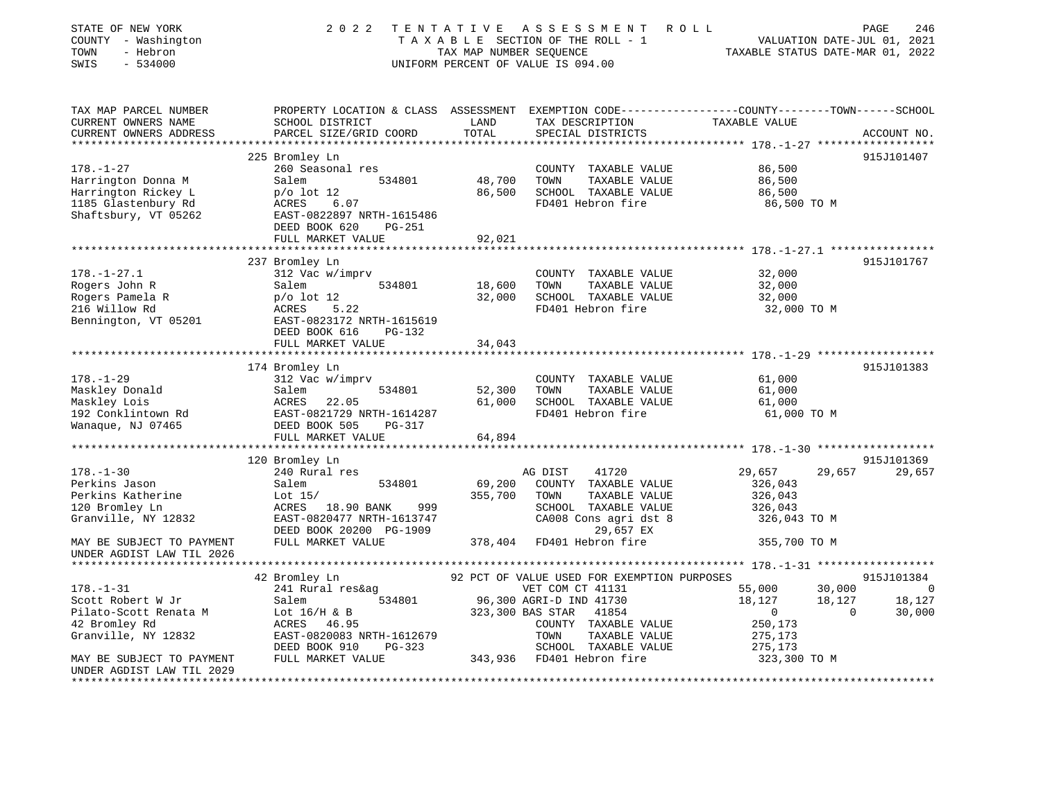| STATE OF NEW YORK<br>COUNTY - Washington<br>- Hebron<br>TOWN<br>SWIS<br>$-534000$                           | 2 0 2 2                                                                                                                                             | TENTATIVE<br>TAX MAP NUMBER SEQUENCE | A S S E S S M E N T<br>TAXABLE SECTION OF THE ROLL - 1<br>UNIFORM PERCENT OF VALUE IS 094.00                                                    | ROLL<br>VALUATION DATE-JUL 01, 2021<br>TAXABLE STATUS DATE-MAR 01, 2022                                          | PAGE<br>246                         |
|-------------------------------------------------------------------------------------------------------------|-----------------------------------------------------------------------------------------------------------------------------------------------------|--------------------------------------|-------------------------------------------------------------------------------------------------------------------------------------------------|------------------------------------------------------------------------------------------------------------------|-------------------------------------|
| TAX MAP PARCEL NUMBER<br>CURRENT OWNERS NAME<br>CURRENT OWNERS ADDRESS                                      | SCHOOL DISTRICT<br>PARCEL SIZE/GRID COORD                                                                                                           | LAND<br>TOTAL                        | TAX DESCRIPTION<br>SPECIAL DISTRICTS                                                                                                            | PROPERTY LOCATION & CLASS ASSESSMENT EXEMPTION CODE---------------COUNTY-------TOWN------SCHOOL<br>TAXABLE VALUE | ACCOUNT NO.                         |
|                                                                                                             |                                                                                                                                                     |                                      |                                                                                                                                                 |                                                                                                                  |                                     |
|                                                                                                             | 225 Bromley Ln                                                                                                                                      |                                      |                                                                                                                                                 |                                                                                                                  | 915J101407                          |
| $178. - 1 - 27$<br>Harrington Donna M<br>Harrington Rickey L<br>1185 Glastenbury Rd<br>Shaftsbury, VT 05262 | 260 Seasonal res<br>534801<br>Salem<br>$p$ o lot 12<br>ACRES<br>6.07<br>EAST-0822897 NRTH-1615486                                                   | 48,700<br>86,500                     | COUNTY TAXABLE VALUE<br>TOWN<br>TAXABLE VALUE<br>SCHOOL TAXABLE VALUE<br>FD401 Hebron fire                                                      | 86,500<br>86,500<br>86,500<br>86,500 TO M                                                                        |                                     |
|                                                                                                             | DEED BOOK 620<br>$PG-251$                                                                                                                           |                                      |                                                                                                                                                 |                                                                                                                  |                                     |
|                                                                                                             | FULL MARKET VALUE                                                                                                                                   | 92,021                               |                                                                                                                                                 |                                                                                                                  |                                     |
|                                                                                                             | ************************                                                                                                                            |                                      |                                                                                                                                                 |                                                                                                                  |                                     |
| $178. - 1 - 27.1$<br>Rogers John R<br>Rogers Pamela R<br>216 Willow Rd                                      | 237 Bromley Ln<br>312 Vac w/imprv<br>534801<br>Salem<br>$p$ o lot 12<br><b>ACRES</b><br>5.22                                                        | 18,600<br>32,000                     | COUNTY TAXABLE VALUE<br>TOWN<br>TAXABLE VALUE<br>SCHOOL TAXABLE VALUE<br>FD401 Hebron fire                                                      | 32,000<br>32,000<br>32,000<br>32,000 TO M                                                                        | 915J101767                          |
| Bennington, VT 05201                                                                                        | EAST-0823172 NRTH-1615619<br>DEED BOOK 616<br>PG-132<br>FULL MARKET VALUE                                                                           | 34,043                               |                                                                                                                                                 |                                                                                                                  |                                     |
|                                                                                                             |                                                                                                                                                     |                                      |                                                                                                                                                 |                                                                                                                  |                                     |
| $178. - 1 - 29$<br>Maskley Donald<br>Maskley Lois<br>192 Conklintown Rd<br>Wanaque, NJ 07465                | 174 Bromley Ln<br>312 Vac w/imprv<br>Salem<br>534801<br>ACRES<br>22.05<br>EAST-0821729 NRTH-1614287<br>DEED BOOK 505<br>PG-317<br>FULL MARKET VALUE | 52,300<br>61,000<br>64,894           | COUNTY TAXABLE VALUE<br>TOWN<br>TAXABLE VALUE<br>SCHOOL TAXABLE VALUE<br>FD401 Hebron fire                                                      | 61,000<br>61,000<br>61,000<br>61,000 TO M                                                                        | 915J101383                          |
|                                                                                                             | *********************                                                                                                                               |                                      |                                                                                                                                                 |                                                                                                                  |                                     |
|                                                                                                             | 120 Bromley Ln                                                                                                                                      |                                      |                                                                                                                                                 |                                                                                                                  | 915J101369                          |
| $178. - 1 - 30$<br>Perkins Jason<br>Perkins Katherine<br>120 Bromley Ln<br>Granville, NY 12832              | 240 Rural res<br>Salem<br>534801<br>Lot $15/$<br>ACRES<br>18.90 BANK<br>999<br>EAST-0820477 NRTH-1613747<br>DEED BOOK 20200 PG-1909                 | 69,200<br>355,700                    | AG DIST<br>41720<br>COUNTY TAXABLE VALUE<br>TOWN<br>TAXABLE VALUE<br>SCHOOL TAXABLE VALUE<br>CA008 Cons agri dst 8<br>29,657 EX                 | 29,657<br>29,657<br>326,043<br>326,043<br>326,043<br>326,043 TO M                                                | 29,657                              |
| MAY BE SUBJECT TO PAYMENT<br>UNDER AGDIST LAW TIL 2026                                                      | FULL MARKET VALUE                                                                                                                                   | 378,404                              | FD401 Hebron fire                                                                                                                               | 355,700 TO M                                                                                                     |                                     |
|                                                                                                             |                                                                                                                                                     |                                      |                                                                                                                                                 |                                                                                                                  |                                     |
| $178. - 1 - 31$<br>Scott Robert W Jr<br>Pilato-Scott Renata M<br>42 Bromley Rd                              | 42 Bromley Ln<br>241 Rural res&ag<br>534801<br>Salem<br>Lot $16/H$ & B<br>46.95<br>ACRES                                                            |                                      | 92 PCT OF VALUE USED FOR EXEMPTION PURPOSES<br>VET COM CT 41131<br>96,300 AGRI-D IND 41730<br>323,300 BAS STAR<br>41854<br>COUNTY TAXABLE VALUE | 55,000<br>30,000<br>18,127<br>18,127<br>$\mathbf 0$<br>$\Omega$<br>250,173                                       | 915J101384<br>0<br>18,127<br>30,000 |
| Granville, NY 12832<br>MAY BE SUBJECT TO PAYMENT<br>UNDER AGDIST LAW TIL 2029<br>********************       | EAST-0820083 NRTH-1612679<br>DEED BOOK 910<br>PG-323<br>FULL MARKET VALUE                                                                           | 343,936                              | TOWN<br>TAXABLE VALUE<br>SCHOOL TAXABLE VALUE<br>FD401 Hebron fire                                                                              | 275,173<br>275,173<br>323,300 TO M                                                                               |                                     |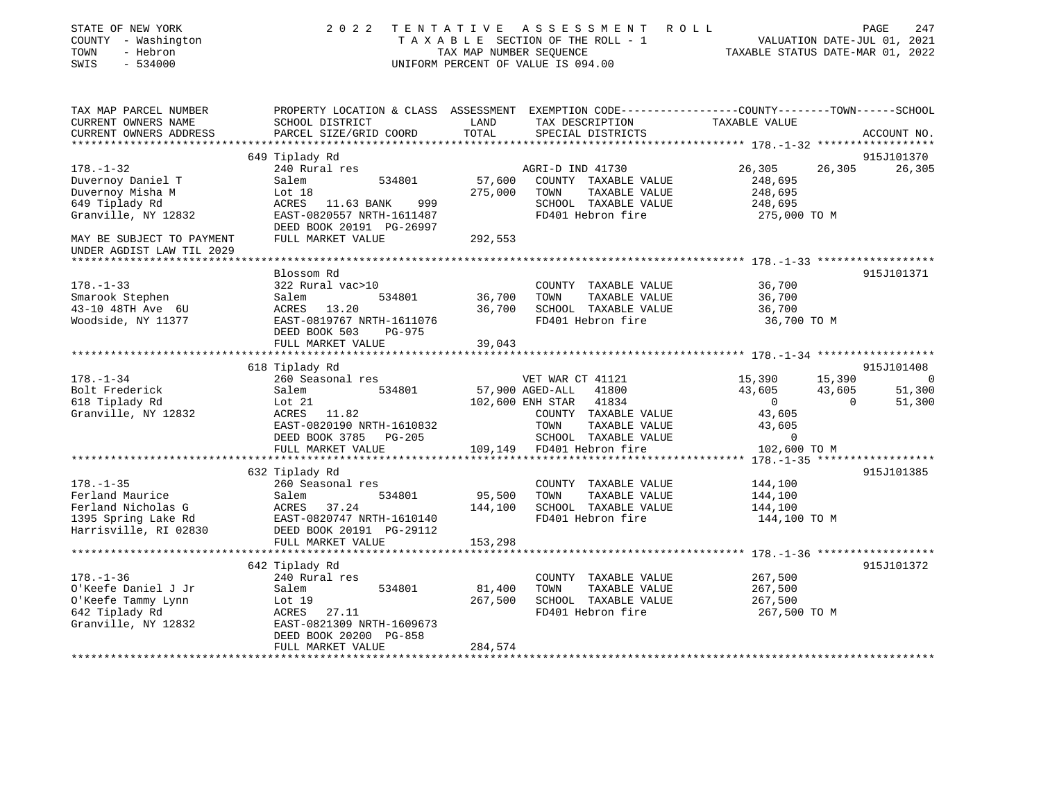| STATE OF NEW YORK<br>COUNTY - Washington<br>TOWN<br>- Hebron<br>$-534000$<br>SWIS                        | 2 0 2 2                                                                                                                                       | TAX MAP NUMBER SEQUENCE      | TENTATIVE ASSESSMENT ROLL<br>TAXABLE SECTION OF THE ROLL - 1<br>UNIFORM PERCENT OF VALUE IS 094.00                                                  | VALUATION DATE-JUL 01, 2021<br>TAXABLE STATUS DATE-MAR 01, 2022                    | PAGE                         | 247                          |
|----------------------------------------------------------------------------------------------------------|-----------------------------------------------------------------------------------------------------------------------------------------------|------------------------------|-----------------------------------------------------------------------------------------------------------------------------------------------------|------------------------------------------------------------------------------------|------------------------------|------------------------------|
| TAX MAP PARCEL NUMBER<br>CURRENT OWNERS NAME<br>CURRENT OWNERS ADDRESS<br>************************       | SCHOOL DISTRICT<br>PARCEL SIZE/GRID COORD                                                                                                     | LAND<br>TOTAL                | PROPERTY LOCATION & CLASS ASSESSMENT EXEMPTION CODE---------------COUNTY-------TOWN-----SCHOOL<br>TAX DESCRIPTION<br>SPECIAL DISTRICTS              | TAXABLE VALUE                                                                      |                              | ACCOUNT NO.                  |
|                                                                                                          | 649 Tiplady Rd                                                                                                                                |                              |                                                                                                                                                     |                                                                                    |                              | 915J101370                   |
| $178. - 1 - 32$                                                                                          | 240 Rural res                                                                                                                                 |                              | AGRI-D IND 41730                                                                                                                                    | 26,305                                                                             | 26,305                       | 26,305                       |
| Duvernoy Daniel T<br>Duvernoy Misha M<br>649 Tiplady Rd<br>Granville, NY 12832                           | 534801<br>Salem<br>Lot 18<br>ACRES 11.63 BANK<br>999<br>EAST-0820557 NRTH-1611487<br>DEED BOOK 20191 PG-26997                                 | 57,600<br>275,000            | COUNTY TAXABLE VALUE<br>TOWN<br>TAXABLE VALUE<br>SCHOOL TAXABLE VALUE<br>FD401 Hebron fire                                                          | 248,695<br>248,695<br>248,695<br>275,000 TO M                                      |                              |                              |
| MAY BE SUBJECT TO PAYMENT<br>UNDER AGDIST LAW TIL 2029                                                   | FULL MARKET VALUE                                                                                                                             | 292,553                      |                                                                                                                                                     |                                                                                    |                              |                              |
|                                                                                                          |                                                                                                                                               |                              |                                                                                                                                                     |                                                                                    |                              |                              |
| $178. - 1 - 33$<br>Smarook Stephen<br>43-10 48TH Ave 6U<br>Woodside, NY 11377                            | Blossom Rd<br>322 Rural vac>10<br>Salem<br>534801<br>ACRES 13.20<br>EAST-0819767 NRTH-1611076<br>DEED BOOK 503<br>PG-975<br>FULL MARKET VALUE | 36,700<br>36,700<br>39,043   | COUNTY TAXABLE VALUE<br>TAXABLE VALUE<br>TOWN<br>SCHOOL TAXABLE VALUE<br>FD401 Hebron fire                                                          | 36,700<br>36,700<br>36,700<br>36,700 TO M                                          |                              | 915J101371                   |
|                                                                                                          | ***********************                                                                                                                       |                              |                                                                                                                                                     |                                                                                    |                              |                              |
|                                                                                                          | 618 Tiplady Rd                                                                                                                                |                              |                                                                                                                                                     |                                                                                    |                              | 915J101408                   |
| $178. - 1 - 34$<br>Bolt Frederick<br>618 Tiplady Rd<br>Granville, NY 12832                               | 260 Seasonal res<br>Salem<br>534801<br>Lot $21$<br>ACRES 11.82<br>EAST-0820190 NRTH-1610832<br>DEED BOOK 3785 PG-205<br>FULL MARKET VALUE     | 102,600 ENH STAR<br>109,149  | VET WAR CT 41121<br>57,900 AGED-ALL<br>41800<br>41834<br>COUNTY TAXABLE VALUE<br>TAXABLE VALUE<br>TOWN<br>SCHOOL TAXABLE VALUE<br>FD401 Hebron fire | 15,390<br>43,605<br>$\overline{0}$<br>43,605<br>43,605<br>$\Omega$<br>102,600 TO M | 15,390<br>43,605<br>$\Omega$ | $\Omega$<br>51,300<br>51,300 |
|                                                                                                          |                                                                                                                                               |                              |                                                                                                                                                     |                                                                                    |                              |                              |
| $178. - 1 - 35$<br>Ferland Maurice<br>Ferland Nicholas G<br>1395 Spring Lake Rd<br>Harrisville, RI 02830 | 632 Tiplady Rd<br>260 Seasonal res<br>Salem<br>534801<br>ACRES 37.24<br>EAST-0820747 NRTH-1610140<br>DEED BOOK 20191 PG-29112                 | 95,500<br>144,100            | COUNTY TAXABLE VALUE<br>TOWN<br>TAXABLE VALUE<br>SCHOOL TAXABLE VALUE<br>FD401 Hebron fire                                                          | 144,100<br>144,100<br>144,100<br>144,100 TO M                                      |                              | 915J101385                   |
|                                                                                                          | FULL MARKET VALUE                                                                                                                             | 153,298                      |                                                                                                                                                     |                                                                                    |                              |                              |
|                                                                                                          | *********************<br>642 Tiplady Rd                                                                                                       |                              |                                                                                                                                                     |                                                                                    |                              | 915J101372                   |
| $178. - 1 - 36$<br>O'Keefe Daniel J Jr<br>O'Keefe Tammy Lynn<br>642 Tiplady Rd<br>Granville, NY 12832    | 240 Rural res<br>Salem<br>534801<br>Lot 19<br>ACRES 27.11<br>EAST-0821309 NRTH-1609673<br>DEED BOOK 20200 PG-858<br>FULL MARKET VALUE         | 81,400<br>267,500<br>284,574 | COUNTY TAXABLE VALUE<br>TOWN<br>TAXABLE VALUE<br>SCHOOL TAXABLE VALUE<br>FD401 Hebron fire                                                          | 267,500<br>267,500<br>267,500<br>267,500 TO M                                      |                              |                              |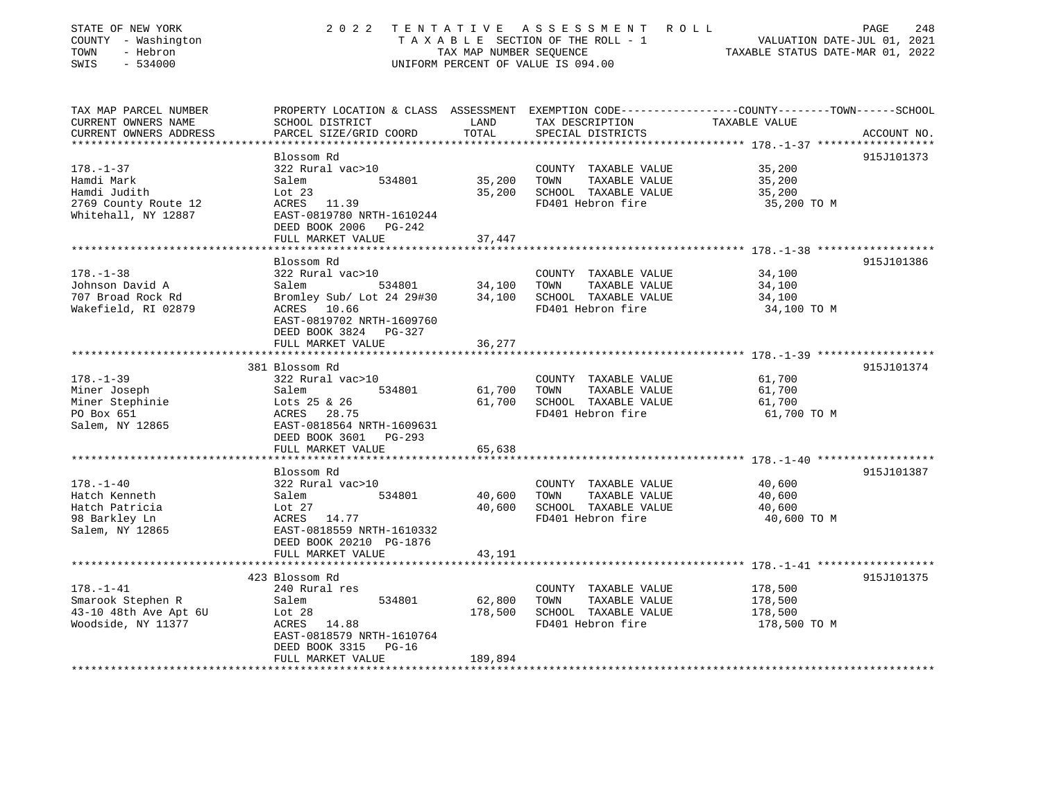| STATE OF NEW YORK<br>COUNTY - Washington<br>TOWN<br>- Hebron<br>SWIS<br>$-534000$ | 2 0 2 2                                                               | TENTATIVE<br>TAX MAP NUMBER SEOUENCE | A S S E S S M E N T<br>ROLL ROLL<br>T A X A B L E SECTION OF THE ROLL - 1<br>UNIFORM PERCENT OF VALUE IS 094.00 | 248<br>PAGE<br>VALUATION DATE-JUL 01, 2021<br>TAXABLE STATUS DATE-MAR 01, 2022                   |
|-----------------------------------------------------------------------------------|-----------------------------------------------------------------------|--------------------------------------|-----------------------------------------------------------------------------------------------------------------|--------------------------------------------------------------------------------------------------|
| TAX MAP PARCEL NUMBER                                                             |                                                                       |                                      |                                                                                                                 | PROPERTY LOCATION & CLASS ASSESSMENT EXEMPTION CODE----------------COUNTY-------TOWN------SCHOOL |
| CURRENT OWNERS NAME<br>CURRENT OWNERS ADDRESS                                     | SCHOOL DISTRICT<br>PARCEL SIZE/GRID COORD                             | LAND<br>TOTAL                        | TAX DESCRIPTION                                                                                                 | TAXABLE VALUE                                                                                    |
|                                                                                   |                                                                       | ***************                      | SPECIAL DISTRICTS                                                                                               | ACCOUNT NO.<br>****************************    178.    -1-37    ******************               |
|                                                                                   | Blossom Rd                                                            |                                      |                                                                                                                 | 915J101373                                                                                       |
| $178. - 1 - 37$                                                                   | 322 Rural vac>10                                                      |                                      | COUNTY TAXABLE VALUE                                                                                            | 35,200                                                                                           |
| Hamdi Mark                                                                        | 534801<br>Salem                                                       | 35,200                               | TAXABLE VALUE<br>TOWN                                                                                           | 35,200                                                                                           |
| Hamdi Judith                                                                      | Lot $23$                                                              | 35,200                               | SCHOOL TAXABLE VALUE                                                                                            | 35,200                                                                                           |
| 2769 County Route 12<br>Whitehall, NY 12887                                       | ACRES 11.39<br>EAST-0819780 NRTH-1610244<br>DEED BOOK 2006 PG-242     |                                      | FD401 Hebron fire                                                                                               | 35,200 TO M                                                                                      |
|                                                                                   | FULL MARKET VALUE                                                     | 37,447                               |                                                                                                                 |                                                                                                  |
|                                                                                   | Blossom Rd                                                            |                                      |                                                                                                                 | 915J101386                                                                                       |
| $178. - 1 - 38$                                                                   | 322 Rural vac>10                                                      |                                      | COUNTY TAXABLE VALUE                                                                                            | 34,100                                                                                           |
| Johnson David A                                                                   | Salem<br>534801                                                       | 34,100                               | TOWN<br>TAXABLE VALUE                                                                                           | 34,100                                                                                           |
| 707 Broad Rock Rd                                                                 | Bromley Sub/ Lot 24 29#30                                             | 34,100                               | SCHOOL TAXABLE VALUE                                                                                            | 34,100                                                                                           |
| Wakefield, RI 02879                                                               | ACRES 10.66<br>EAST-0819702 NRTH-1609760<br>DEED BOOK 3824 PG-327     |                                      | FD401 Hebron fire                                                                                               | 34,100 TO M                                                                                      |
|                                                                                   | FULL MARKET VALUE                                                     | 36,277                               |                                                                                                                 |                                                                                                  |
|                                                                                   | *******************<br>381 Blossom Rd                                 |                                      |                                                                                                                 | 915J101374                                                                                       |
| $178. - 1 - 39$                                                                   | 322 Rural vac>10                                                      |                                      | COUNTY TAXABLE VALUE                                                                                            | 61,700                                                                                           |
| Miner Joseph                                                                      | 534801<br>Salem                                                       | 61,700                               | TOWN<br>TAXABLE VALUE                                                                                           | 61,700                                                                                           |
| Miner Stephinie                                                                   | Lots 25 & 26                                                          | 61,700                               | SCHOOL TAXABLE VALUE                                                                                            | 61,700                                                                                           |
| PO Box 651                                                                        | ACRES 28.75                                                           |                                      | FD401 Hebron fire                                                                                               | 61,700 TO M                                                                                      |
| Salem, NY 12865                                                                   | EAST-0818564 NRTH-1609631                                             |                                      |                                                                                                                 |                                                                                                  |
|                                                                                   | DEED BOOK 3601<br>PG-293                                              |                                      |                                                                                                                 |                                                                                                  |
|                                                                                   | FULL MARKET VALUE                                                     | 65,638                               |                                                                                                                 |                                                                                                  |
|                                                                                   |                                                                       |                                      |                                                                                                                 |                                                                                                  |
| $178. - 1 - 40$                                                                   | Blossom Rd<br>322 Rural vac>10                                        |                                      | COUNTY TAXABLE VALUE                                                                                            | 915J101387<br>40,600                                                                             |
| Hatch Kenneth                                                                     | Salem<br>534801                                                       | 40,600                               | TOWN<br>TAXABLE VALUE                                                                                           | 40,600                                                                                           |
| Hatch Patricia                                                                    | Lot $27$                                                              | 40,600                               | SCHOOL TAXABLE VALUE                                                                                            | 40,600                                                                                           |
| 98 Barkley Ln                                                                     | ACRES 14.77                                                           |                                      | FD401 Hebron fire                                                                                               | 40,600 TO M                                                                                      |
| Salem, NY 12865                                                                   | EAST-0818559 NRTH-1610332<br>DEED BOOK 20210 PG-1876                  |                                      |                                                                                                                 |                                                                                                  |
|                                                                                   | FULL MARKET VALUE<br>*******************                              | 43,191                               |                                                                                                                 |                                                                                                  |
|                                                                                   | 423 Blossom Rd                                                        |                                      |                                                                                                                 | 915J101375                                                                                       |
| $178. - 1 - 41$                                                                   | 240 Rural res                                                         |                                      | COUNTY TAXABLE VALUE                                                                                            | 178,500                                                                                          |
| Smarook Stephen R                                                                 | Salem<br>534801                                                       | 62,800                               | TOWN<br>TAXABLE VALUE                                                                                           | 178,500                                                                                          |
| 43-10 48th Ave Apt 6U                                                             | Lot 28                                                                | 178,500                              | SCHOOL TAXABLE VALUE                                                                                            | 178,500                                                                                          |
| Woodside, NY 11377                                                                | ACRES 14.88<br>EAST-0818579 NRTH-1610764<br>DEED BOOK 3315<br>$PG-16$ |                                      | FD401 Hebron fire                                                                                               | 178,500 TO M                                                                                     |
|                                                                                   | FULL MARKET VALUE                                                     | 189,894<br>******************        |                                                                                                                 |                                                                                                  |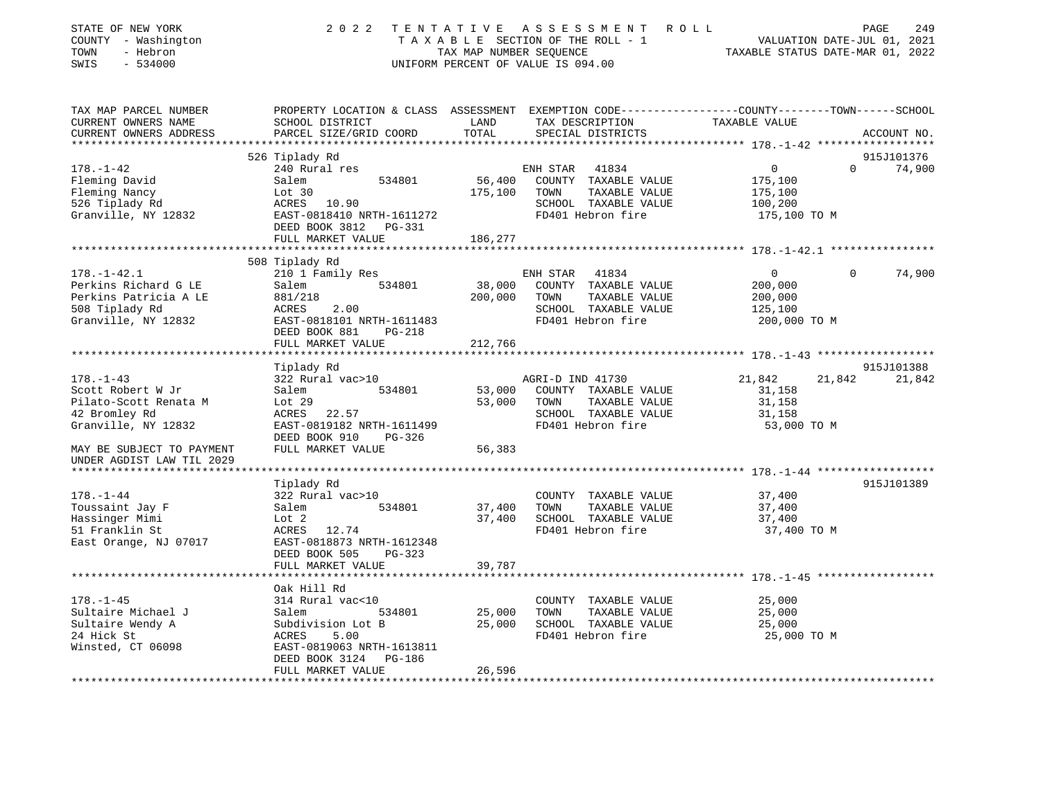| STATE OF NEW YORK<br>COUNTY - Washington<br>- Hebron<br>TOWN<br>$-534000$<br>SWIS | 2 0 2 2                                                                                                            | TENTATIVE<br>TAX MAP NUMBER SEQUENCE | A S S E S S M E N T<br>R O L L<br>TAXABLE SECTION OF THE ROLL - 1<br>UNIFORM PERCENT OF VALUE IS 094.00 | VALUATION DATE-JUL 01, 2021<br>TAXABLE STATUS DATE-MAR 01, 2022 |          | 249<br>PAGE |
|-----------------------------------------------------------------------------------|--------------------------------------------------------------------------------------------------------------------|--------------------------------------|---------------------------------------------------------------------------------------------------------|-----------------------------------------------------------------|----------|-------------|
| TAX MAP PARCEL NUMBER<br>CURRENT OWNERS NAME                                      | PROPERTY LOCATION & CLASS ASSESSMENT EXEMPTION CODE---------------COUNTY-------TOWN------SCHOOL<br>SCHOOL DISTRICT | LAND                                 | TAX DESCRIPTION                                                                                         | TAXABLE VALUE                                                   |          |             |
| CURRENT OWNERS ADDRESS                                                            | PARCEL SIZE/GRID COORD                                                                                             | TOTAL                                | SPECIAL DISTRICTS                                                                                       |                                                                 |          | ACCOUNT NO. |
|                                                                                   |                                                                                                                    |                                      |                                                                                                         |                                                                 |          |             |
|                                                                                   | 526 Tiplady Rd                                                                                                     |                                      |                                                                                                         |                                                                 |          | 915J101376  |
| $178. - 1 - 42$                                                                   | 240 Rural res                                                                                                      | 56,400                               | ENH STAR<br>41834<br>COUNTY TAXABLE VALUE                                                               | 0                                                               | $\Omega$ | 74,900      |
| Fleming David                                                                     | Salem<br>534801<br>Lot 30                                                                                          | 175,100                              | TAXABLE VALUE<br>TOWN                                                                                   | 175,100                                                         |          |             |
| Fleming Nancy<br>526 Tiplady Rd                                                   | ACRES 10.90                                                                                                        |                                      | SCHOOL TAXABLE VALUE                                                                                    | 175,100                                                         |          |             |
| Granville, NY 12832                                                               | EAST-0818410 NRTH-1611272                                                                                          |                                      | FD401 Hebron fire                                                                                       | 100,200<br>175,100 TO M                                         |          |             |
|                                                                                   | DEED BOOK 3812 PG-331                                                                                              |                                      |                                                                                                         |                                                                 |          |             |
|                                                                                   | FULL MARKET VALUE                                                                                                  | 186,277                              |                                                                                                         |                                                                 |          |             |
|                                                                                   |                                                                                                                    |                                      |                                                                                                         |                                                                 |          |             |
|                                                                                   | 508 Tiplady Rd                                                                                                     |                                      |                                                                                                         |                                                                 |          |             |
| $178. - 1 - 42.1$                                                                 | 210 1 Family Res                                                                                                   |                                      | ENH STAR<br>41834                                                                                       | $\mathbf{0}$                                                    | $\Omega$ | 74,900      |
| Perkins Richard G LE                                                              | Salem<br>534801                                                                                                    | 38,000                               | COUNTY TAXABLE VALUE                                                                                    | 200,000                                                         |          |             |
| Perkins Patricia A LE                                                             | 881/218                                                                                                            | 200,000                              | TOWN<br>TAXABLE VALUE                                                                                   | 200,000                                                         |          |             |
| 508 Tiplady Rd                                                                    | ACRES<br>2.00                                                                                                      |                                      | SCHOOL TAXABLE VALUE                                                                                    | 125,100                                                         |          |             |
| Granville, NY 12832                                                               | EAST-0818101 NRTH-1611483                                                                                          |                                      | FD401 Hebron fire                                                                                       | 200,000 TO M                                                    |          |             |
|                                                                                   | DEED BOOK 881<br>PG-218                                                                                            |                                      |                                                                                                         |                                                                 |          |             |
|                                                                                   | FULL MARKET VALUE                                                                                                  | 212,766                              |                                                                                                         |                                                                 |          |             |
|                                                                                   |                                                                                                                    |                                      |                                                                                                         |                                                                 |          |             |
|                                                                                   | Tiplady Rd                                                                                                         |                                      |                                                                                                         |                                                                 |          | 915J101388  |
| $178. - 1 - 43$                                                                   | 322 Rural vac>10                                                                                                   |                                      | AGRI-D IND 41730                                                                                        | 21,842                                                          | 21,842   | 21,842      |
| Scott Robert W Jr                                                                 | 534801<br>Salem                                                                                                    | 53,000                               | COUNTY TAXABLE VALUE                                                                                    | 31,158                                                          |          |             |
| Pilato-Scott Renata M                                                             | Lot 29                                                                                                             | 53,000                               | TOWN<br>TAXABLE VALUE                                                                                   | 31,158                                                          |          |             |
| 42 Bromley Rd                                                                     | ACRES 22.57                                                                                                        |                                      | SCHOOL TAXABLE VALUE                                                                                    | 31,158                                                          |          |             |
| Granville, NY 12832                                                               | EAST-0819182 NRTH-1611499                                                                                          |                                      | FD401 Hebron fire                                                                                       | 53,000 TO M                                                     |          |             |
|                                                                                   | DEED BOOK 910<br>PG-326                                                                                            |                                      |                                                                                                         |                                                                 |          |             |
| MAY BE SUBJECT TO PAYMENT                                                         | FULL MARKET VALUE                                                                                                  | 56,383                               |                                                                                                         |                                                                 |          |             |
| UNDER AGDIST LAW TIL 2029                                                         |                                                                                                                    |                                      |                                                                                                         |                                                                 |          |             |
|                                                                                   |                                                                                                                    |                                      |                                                                                                         |                                                                 |          |             |
|                                                                                   | Tiplady Rd                                                                                                         |                                      |                                                                                                         |                                                                 |          | 915J101389  |
| $178. - 1 - 44$                                                                   | 322 Rural vac>10                                                                                                   |                                      | COUNTY TAXABLE VALUE                                                                                    | 37,400                                                          |          |             |
| Toussaint Jay F                                                                   | Salem<br>534801                                                                                                    | 37,400                               | TAXABLE VALUE<br>TOWN                                                                                   | 37,400                                                          |          |             |
| Hassinger Mimi                                                                    | Lot 2                                                                                                              | 37,400                               | SCHOOL TAXABLE VALUE                                                                                    | 37,400                                                          |          |             |
| 51 Franklin St                                                                    | 12.74<br>ACRES                                                                                                     |                                      | FD401 Hebron fire                                                                                       | 37,400 TO M                                                     |          |             |
| East Orange, NJ 07017                                                             | EAST-0818873 NRTH-1612348                                                                                          |                                      |                                                                                                         |                                                                 |          |             |
|                                                                                   | DEED BOOK 505<br>$PG-323$                                                                                          |                                      |                                                                                                         |                                                                 |          |             |
|                                                                                   | FULL MARKET VALUE                                                                                                  | 39,787                               |                                                                                                         |                                                                 |          |             |
|                                                                                   | ****************************                                                                                       |                                      |                                                                                                         |                                                                 |          |             |
|                                                                                   | Oak Hill Rd                                                                                                        |                                      |                                                                                                         |                                                                 |          |             |
| $178. - 1 - 45$                                                                   | 314 Rural vac<10                                                                                                   |                                      | COUNTY TAXABLE VALUE                                                                                    | 25,000                                                          |          |             |
| Sultaire Michael J                                                                | 534801<br>Salem                                                                                                    | 25,000                               | TOWN<br>TAXABLE VALUE                                                                                   | 25,000                                                          |          |             |
| Sultaire Wendy A                                                                  | Subdivision Lot B                                                                                                  | 25,000                               | SCHOOL TAXABLE VALUE                                                                                    | 25,000                                                          |          |             |
| 24 Hick St                                                                        | ACRES<br>5.00                                                                                                      |                                      | FD401 Hebron fire                                                                                       | 25,000 TO M                                                     |          |             |
| Winsted, CT 06098                                                                 | EAST-0819063 NRTH-1613811                                                                                          |                                      |                                                                                                         |                                                                 |          |             |
|                                                                                   | DEED BOOK 3124<br>PG-186                                                                                           |                                      |                                                                                                         |                                                                 |          |             |
|                                                                                   | FULL MARKET VALUE                                                                                                  | 26,596                               |                                                                                                         |                                                                 |          |             |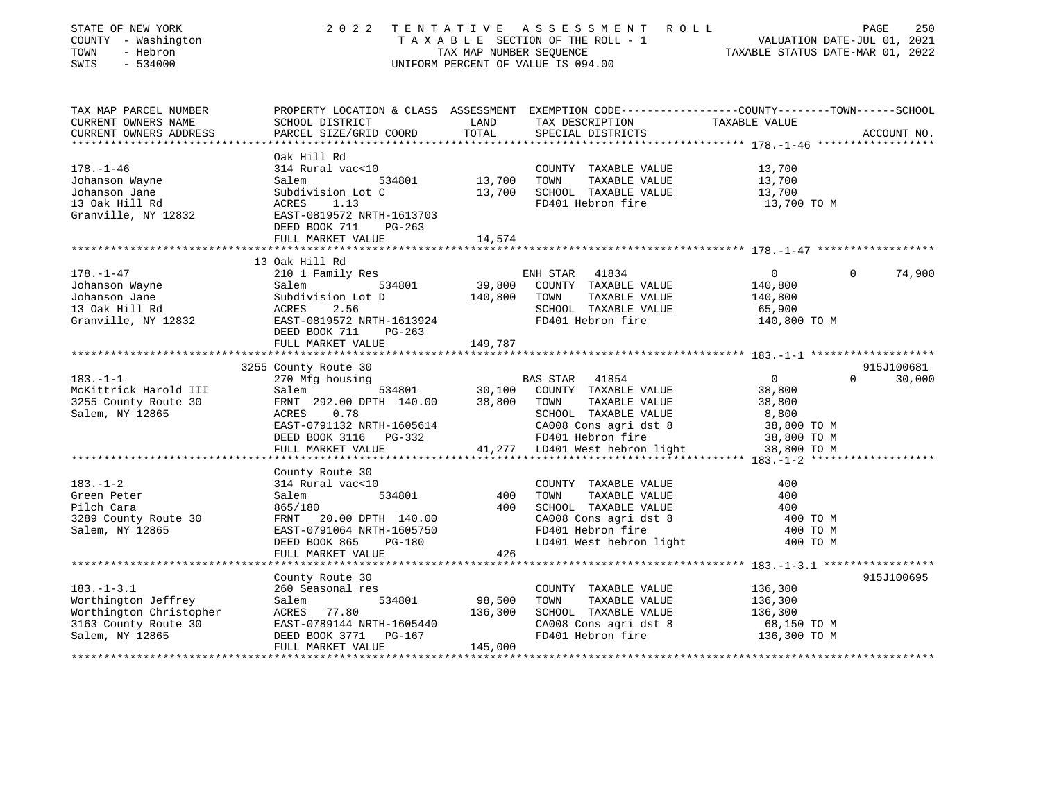| STATE OF NEW YORK<br>COUNTY - Washington<br>TOWN<br>- Hebron<br>SWIS<br>$-534000$                                                                                                                | 2 0 2 2                                              | TENTATIVE         | A S S E S S M E N T R O L L<br>UNIFORM PERCENT OF VALUE IS 094.00                 | PAGE<br>T A X A B L E SECTION OF THE ROLL - 1 WE WALUATION DATE-JUL 01, 2021<br>TAX MAP NUMBER SEQUENCE TAX MAP NUMBER SEQUENCE TAXABLE STATUS DATE-MAR 01, 2022 | 250    |
|--------------------------------------------------------------------------------------------------------------------------------------------------------------------------------------------------|------------------------------------------------------|-------------------|-----------------------------------------------------------------------------------|------------------------------------------------------------------------------------------------------------------------------------------------------------------|--------|
| TAX MAP PARCEL NUMBER                                                                                                                                                                            |                                                      |                   | TAX DESCRIPTION TAXABLE VALUE                                                     | PROPERTY LOCATION & CLASS ASSESSMENT EXEMPTION CODE---------------COUNTY-------TOWN------SCHOOL                                                                  |        |
| CURRENT OWNERS NAME<br>CURRENT OWNERS ADDRESS                                                                                                                                                    | SCHOOL DISTRICT<br>PARCEL SIZE/GRID COORD            | LAND<br>TOTAL     | SPECIAL DISTRICTS                                                                 | ACCOUNT NO.                                                                                                                                                      |        |
|                                                                                                                                                                                                  | Oak Hill Rd                                          |                   |                                                                                   |                                                                                                                                                                  |        |
| $178. - 1 - 46$                                                                                                                                                                                  | 314 Rural vac<10                                     |                   | COUNTY TAXABLE VALUE                                                              | 13,700                                                                                                                                                           |        |
| Johanson Wayne                                                                                                                                                                                   | 534801<br>Salem                                      | 13,700            | TAXABLE VALUE<br>TOWN                                                             | 13,700                                                                                                                                                           |        |
| Johanson Jane                                                                                                                                                                                    | Subdivision Lot C                                    | 13,700            | SCHOOL TAXABLE VALUE                                                              | 13,700                                                                                                                                                           |        |
| 13 Oak Hill Rd                                                                                                                                                                                   | 1.13<br>ACRES                                        |                   | FD401 Hebron fire                                                                 | 13,700 TO M                                                                                                                                                      |        |
| Granville, NY 12832                                                                                                                                                                              | EAST-0819572 NRTH-1613703<br>DEED BOOK 711<br>PG-263 |                   |                                                                                   |                                                                                                                                                                  |        |
|                                                                                                                                                                                                  | FULL MARKET VALUE                                    | 14,574            |                                                                                   |                                                                                                                                                                  |        |
|                                                                                                                                                                                                  |                                                      |                   |                                                                                   |                                                                                                                                                                  |        |
|                                                                                                                                                                                                  | 13 Oak Hill Rd                                       |                   |                                                                                   |                                                                                                                                                                  |        |
| $178. - 1 - 47$                                                                                                                                                                                  | 210 1 Family Res                                     |                   | ENH STAR 41834                                                                    | $\overline{0}$<br>$\Omega$                                                                                                                                       | 74,900 |
|                                                                                                                                                                                                  | 534801<br>Salem                                      | 39,800            | COUNTY TAXABLE VALUE                                                              | 140,800                                                                                                                                                          |        |
| Johanson Wayne<br>Johanson Jane<br>13 Oak Hill Rd                                                                                                                                                | Salem<br>Subdivi<br>ACRES<br>Subdivision Lot D       | 140,800           | TOWN<br>TAXABLE VALUE                                                             | 140,800                                                                                                                                                          |        |
|                                                                                                                                                                                                  | 2.56                                                 |                   | SCHOOL TAXABLE VALUE                                                              | 65,900                                                                                                                                                           |        |
| Granville, NY 12832                                                                                                                                                                              | EAST-0819572 NRTH-1613924<br>DEED BOOK 711<br>PG-263 |                   | FD401 Hebron fire                                                                 | 140,800 TO M                                                                                                                                                     |        |
|                                                                                                                                                                                                  | FULL MARKET VALUE                                    | 149,787           |                                                                                   |                                                                                                                                                                  |        |
|                                                                                                                                                                                                  | 3255 County Route 30                                 |                   |                                                                                   | 915J100681                                                                                                                                                       |        |
| $183. - 1 - 1$                                                                                                                                                                                   | 270 Mfg housing                                      |                   | BAS STAR 41854                                                                    | $\overline{0}$<br>$\Omega$                                                                                                                                       | 30,000 |
| McKittrick Harold III                                                                                                                                                                            | Salem 534801 30,100                                  |                   | COUNTY TAXABLE VALUE                                                              | 38,800                                                                                                                                                           |        |
| 3255 County Route 30                                                                                                                                                                             | FRNT 292.00 DPTH 140.00                              | 38,800            | TOWN<br>TAXABLE VALUE                                                             | 38,800                                                                                                                                                           |        |
| Salem, NY 12865                                                                                                                                                                                  | ACRES 0.78                                           |                   | SCHOOL TAXABLE VALUE                                                              | 8,800                                                                                                                                                            |        |
|                                                                                                                                                                                                  | EAST-0791132 NRTH-1605614                            |                   | CA008 Cons agri dst 8 <sup>38,800</sup> TO M<br>FD401 Hebron fire 38,800 TO M     |                                                                                                                                                                  |        |
|                                                                                                                                                                                                  | DEED BOOK 3116 PG-332                                |                   |                                                                                   |                                                                                                                                                                  |        |
|                                                                                                                                                                                                  | FULL MARKET VALUE                                    |                   | 41,277 LD401 West hebron light                                                    | 38,800 TO M                                                                                                                                                      |        |
|                                                                                                                                                                                                  |                                                      |                   |                                                                                   |                                                                                                                                                                  |        |
|                                                                                                                                                                                                  | County Route 30                                      |                   |                                                                                   |                                                                                                                                                                  |        |
| $183. - 1 - 2$                                                                                                                                                                                   | 314 Rural vac<10                                     |                   | COUNTY TAXABLE VALUE                                                              | 400                                                                                                                                                              |        |
| Green Peter                                                                                                                                                                                      | 534801<br>Salem                                      | 400               | TOWN<br>TAXABLE VALUE                                                             | 400                                                                                                                                                              |        |
| Pilch Cara                                                                                                                                                                                       | 865/180                                              | 400               | CAOOL TAXABLE VALUE<br>CAOO8 Cons agri dst 8<br>FD401 Hebron fire<br>LD401 West ' | 400                                                                                                                                                              |        |
| 3289 County Route 30                                                                                                                                                                             | FRNT 20.00 DPTH 140.00                               |                   |                                                                                   | 400 TO M                                                                                                                                                         |        |
| Salem, NY 12865                                                                                                                                                                                  | EAST-0791064 NRTH-1605750                            |                   |                                                                                   | 400 TO M                                                                                                                                                         |        |
|                                                                                                                                                                                                  | DEED BOOK 865<br>PG-180                              |                   | LD401 West hebron light                                                           | 400 TO M                                                                                                                                                         |        |
|                                                                                                                                                                                                  | FULL MARKET VALUE                                    | 426               |                                                                                   |                                                                                                                                                                  |        |
|                                                                                                                                                                                                  |                                                      |                   |                                                                                   |                                                                                                                                                                  |        |
|                                                                                                                                                                                                  | County Route 30                                      |                   |                                                                                   | 915J100695                                                                                                                                                       |        |
| $183. - 1 - 3.1$                                                                                                                                                                                 | 260 Seasonal res                                     |                   | COUNTY TAXABLE VALUE<br>TOWN<br>TAXABLE VALUE                                     | 136,300                                                                                                                                                          |        |
| Worthington Jeffrey<br>Worthington Jettrey<br>Worthington Christopher<br>3163 County Route 30<br>Salem, NY 12865<br>2007 - DEED BOOK 3771<br>20167<br>2017 - MARKET VALUE<br>2017 - MARKET VALUE | 534801                                               | 98,500<br>136,300 | SCHOOL TAXABLE VALUE                                                              | 136,300<br>136,300                                                                                                                                               |        |
|                                                                                                                                                                                                  |                                                      |                   | CA008 Cons agri dst 8                                                             | 68,150 TO M                                                                                                                                                      |        |
|                                                                                                                                                                                                  |                                                      |                   | FD401 Hebron fire                                                                 | 136,300 TO M                                                                                                                                                     |        |
|                                                                                                                                                                                                  | FULL MARKET VALUE                                    | 145,000           |                                                                                   |                                                                                                                                                                  |        |
|                                                                                                                                                                                                  |                                                      |                   |                                                                                   |                                                                                                                                                                  |        |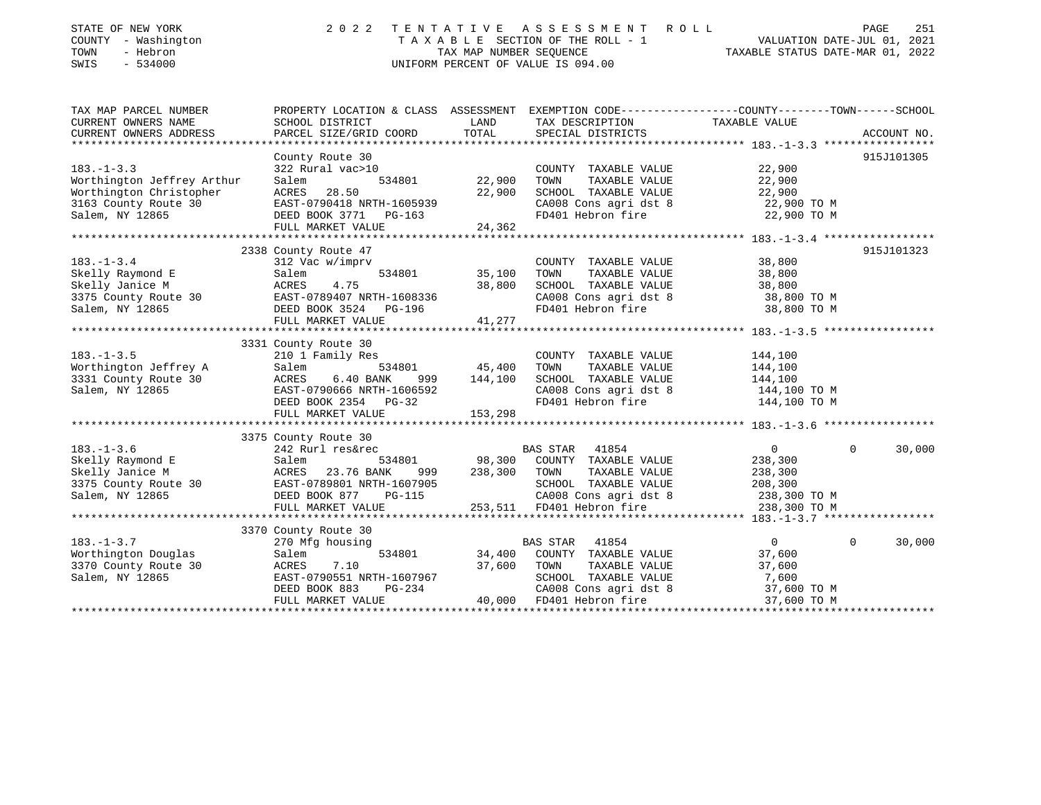| STATE OF NEW YORK<br>COUNTY - Washington<br>TOWN<br>- Hebron<br>SWIS<br>$-534000$     | 2 0 2 2                                                                                          |               | TENTATIVE ASSESSMENT ROLL<br>T A X A B L E SECTION OF THE ROLL - 1 VALUATION DATE-JUL 01, 2021<br>TAX MAP NUMBER SEQUENCE TAXIBLE STATUS DATE-MAR 01, 2022<br>UNIFORM PERCENT OF VALUE IS 094.00 |                            | PAGE<br>251        |
|---------------------------------------------------------------------------------------|--------------------------------------------------------------------------------------------------|---------------|--------------------------------------------------------------------------------------------------------------------------------------------------------------------------------------------------|----------------------------|--------------------|
| TAX MAP PARCEL NUMBER                                                                 | PROPERTY LOCATION & CLASS ASSESSMENT EXEMPTION CODE----------------COUNTY-------TOWN------SCHOOL |               |                                                                                                                                                                                                  |                            |                    |
| CURRENT OWNERS NAME<br>CURRENT OWNERS ADDRESS                                         | SCHOOL DISTRICT<br>PARCEL SIZE/GRID COORD                                                        | LAND<br>TOTAL | TAX DESCRIPTION<br>SPECIAL DISTRICTS                                                                                                                                                             | TAXABLE VALUE              | ACCOUNT NO.        |
|                                                                                       |                                                                                                  |               |                                                                                                                                                                                                  |                            |                    |
|                                                                                       | County Route 30                                                                                  |               |                                                                                                                                                                                                  |                            | 915J101305         |
| $183. - 1 - 3.3$                                                                      | 322 Rural vac>10                                                                                 |               | COUNTY TAXABLE VALUE                                                                                                                                                                             | 22,900                     |                    |
| Worthington Jeffrey Arthur                                                            | 534801<br>Salem                                                                                  | 22,900        | TOWN<br>TAXABLE VALUE                                                                                                                                                                            | 22,900                     |                    |
| Worthington Christopher ACRES 28.50<br>3163 County Route 30 EAST-0790418_NRTH-1605939 |                                                                                                  | 22,900        | SCHOOL TAXABLE VALUE                                                                                                                                                                             | 22,900                     |                    |
|                                                                                       |                                                                                                  |               | CA008 Cons agri dst 8<br>FD401 Hebron fire                                                                                                                                                       | 22,900 TO M<br>22,900 TO M |                    |
| Salem, NY 12865                                                                       | DEED BOOK 3771 PG-163<br>FULL MARKET VALUE                                                       | 24,362        |                                                                                                                                                                                                  |                            |                    |
|                                                                                       |                                                                                                  |               |                                                                                                                                                                                                  |                            |                    |
|                                                                                       | 2338 County Route 47                                                                             |               |                                                                                                                                                                                                  |                            | 915J101323         |
| $183. - 1 - 3.4$                                                                      | 312 Vac w/imprv                                                                                  |               | COUNTY TAXABLE VALUE                                                                                                                                                                             | 38,800                     |                    |
| Skelly Raymond E                                                                      | Salem<br>534801                                                                                  | 35,100        | TAXABLE VALUE<br>TOWN                                                                                                                                                                            | 38,800                     |                    |
| Skelly Janice M                                                                       | ACRES<br>4.75                                                                                    | 38,800        | SCHOOL TAXABLE VALUE                                                                                                                                                                             | 38,800                     |                    |
| 3375 County Route 30<br>Salem, NY 12865                                               | EAST-0789407 NRTH-1608336                                                                        |               | CA008 Cons agri dst 8                                                                                                                                                                            | 38,800 TO M                |                    |
| Salem, NY 12865                                                                       | DEED BOOK 3524 PG-196                                                                            |               | FD401 Hebron fire                                                                                                                                                                                | 38,800 TO M                |                    |
|                                                                                       | FULL MARKET VALUE                                                                                | 41,277        |                                                                                                                                                                                                  |                            |                    |
|                                                                                       |                                                                                                  |               |                                                                                                                                                                                                  |                            |                    |
|                                                                                       | 3331 County Route 30                                                                             |               |                                                                                                                                                                                                  |                            |                    |
| $183. - 1 - 3.5$                                                                      | 210 1 Family Res                                                                                 |               | COUNTY TAXABLE VALUE                                                                                                                                                                             | 144,100                    |                    |
| Worthington Jeffrey A                                                                 | Salem<br>534801                                                                                  | 45,400        | TOWN<br>TAXABLE VALUE                                                                                                                                                                            | 144,100                    |                    |
| 3331 County Route 30 ACRES                                                            | $6.40$ BANK<br>999                                                                               | 144,100       | SCHOOL TAXABLE VALUE                                                                                                                                                                             | 144,100                    |                    |
| Salem, NY 12865                                                                       | EAST-0790666 NRTH-1606592                                                                        |               | CA008 Cons agri dst 8                                                                                                                                                                            | 144,100 TO M               |                    |
|                                                                                       | DEED BOOK 2354 PG-32                                                                             |               | FD401 Hebron fire                                                                                                                                                                                | 144,100 TO M               |                    |
|                                                                                       | FULL MARKET VALUE                                                                                | 153,298       |                                                                                                                                                                                                  |                            |                    |
|                                                                                       | 3375 County Route 30                                                                             |               |                                                                                                                                                                                                  |                            |                    |
| $183. - 1 - 3.6$                                                                      | 242 Rurl res&rec                                                                                 |               | BAS STAR 41854                                                                                                                                                                                   | $\overline{0}$             | 30,000<br>$\Omega$ |
| Skelly Raymond E                                                                      | 534801<br>Salem                                                                                  |               | 98,300 COUNTY TAXABLE VALUE                                                                                                                                                                      | 238,300                    |                    |
| Skelly Janice M                                                                       | ACRES 23.76 BANK<br>999                                                                          | 238,300       | TOWN<br>TAXABLE VALUE                                                                                                                                                                            | 238,300                    |                    |
| 3375 County Route 30 EAST-0789801 NRTH-1607905                                        |                                                                                                  |               | SCHOOL TAXABLE VALUE                                                                                                                                                                             | 208,300                    |                    |
| Salem, NY 12865                                                                       | DEED BOOK 877<br>PG-115                                                                          |               |                                                                                                                                                                                                  | 238,300 TO M               |                    |
|                                                                                       | FULL MARKET VALUE                                                                                |               | CA008 Cons agri dst 8<br>253,511 FD401 Hebron fire                                                                                                                                               | 238,300 TO M               |                    |
|                                                                                       |                                                                                                  |               |                                                                                                                                                                                                  |                            |                    |
|                                                                                       | 3370 County Route 30                                                                             |               |                                                                                                                                                                                                  |                            |                    |
| $183. - 1 - 3.7$                                                                      | 270 Mfg housing                                                                                  |               | 41854<br>BAS STAR                                                                                                                                                                                | $\Omega$                   | $\Omega$<br>30,000 |
| Worthington Douglas                                                                   | 534801<br>Salem                                                                                  | 34,400        | COUNTY TAXABLE VALUE                                                                                                                                                                             | 37,600                     |                    |
| 3370 County Route 30                                                                  | 7.10<br>ACRES                                                                                    | 37,600        | TOWN<br>TAXABLE VALUE                                                                                                                                                                            | 37,600                     |                    |
| Salem, NY 12865                                                                       | EAST-0790551 NRTH-1607967                                                                        |               | SCHOOL TAXABLE VALUE                                                                                                                                                                             | 7,600                      |                    |
|                                                                                       | PG-234<br>DEED BOOK 883                                                                          |               | CA008 Cons agri dst 8                                                                                                                                                                            | 37,600 TO M                |                    |
|                                                                                       | FULL MARKET VALUE                                                                                |               | 40,000 FD401 Hebron fire                                                                                                                                                                         | 37,600 TO M                |                    |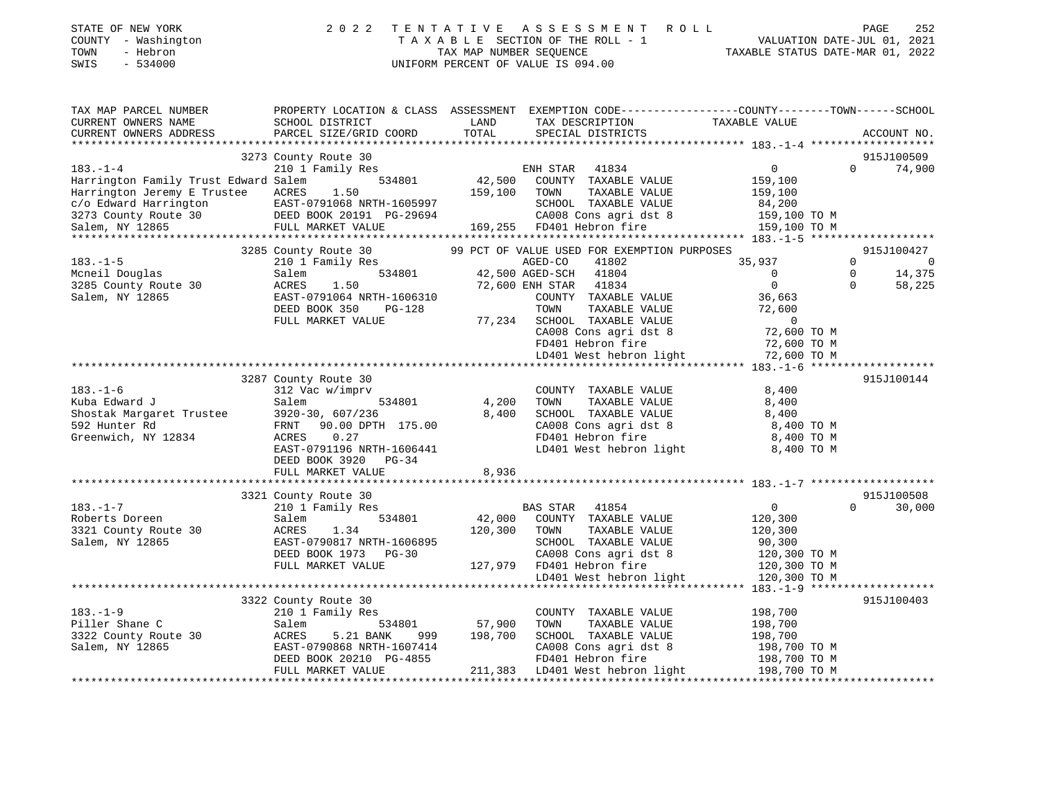| STATE OF NEW YORK<br>- Washington<br>COUNTY<br>- Hebron<br>TOWN<br>SWIS<br>$-534000$ | 2 0 2 2                                                                | TAX MAP NUMBER SEOUENCE     | TENTATIVE ASSESSMENT ROLL<br>TAXABLE SECTION OF THE ROLL - 1<br>UNIFORM PERCENT OF VALUE IS 094.00 | TAXABLE STATUS DATE-MAR 01, 2022                                              | 252<br>PAGE<br>VALUATION DATE-JUL 01, 2021 |
|--------------------------------------------------------------------------------------|------------------------------------------------------------------------|-----------------------------|----------------------------------------------------------------------------------------------------|-------------------------------------------------------------------------------|--------------------------------------------|
| TAX MAP PARCEL NUMBER<br>CURRENT OWNERS NAME<br>CURRENT OWNERS ADDRESS               | PROPERTY LOCATION & CLASS<br>SCHOOL DISTRICT<br>PARCEL SIZE/GRID COORD | ASSESSMENT<br>LAND<br>TOTAL | TAX DESCRIPTION<br>SPECIAL DISTRICTS                                                               | EXEMPTION CODE-----------------COUNTY-------TOWN------SCHOOL<br>TAXABLE VALUE | ACCOUNT NO.                                |

| CURRENT OWNERS ADDRESS                                                                                                                                                                                                                      | PARCEL SIZE/GRID COORD                                   | TUTAL                                | SPECIAL DISTRICTS                                                                                                                                                                                               |                | ACCOUNT NO                       |
|---------------------------------------------------------------------------------------------------------------------------------------------------------------------------------------------------------------------------------------------|----------------------------------------------------------|--------------------------------------|-----------------------------------------------------------------------------------------------------------------------------------------------------------------------------------------------------------------|----------------|----------------------------------|
|                                                                                                                                                                                                                                             |                                                          |                                      |                                                                                                                                                                                                                 |                |                                  |
| $183. - 1 - 4$                                                                                                                                                                                                                              | 3273 County Route 30                                     |                                      | ENH STAR 41834 0<br>534801 42,500 COUNTY TAXABLE VALUE 159,100<br>534801 ------ TON TOWN TAXABLE VALUE 159,100                                                                                                  | $\overline{0}$ | 915J100509<br>74,900<br>$\Omega$ |
| Harrington Family Trust Edward Salem                                                                                                                                                                                                        | 210 1 Family Res                                         |                                      |                                                                                                                                                                                                                 |                |                                  |
|                                                                                                                                                                                                                                             |                                                          |                                      |                                                                                                                                                                                                                 |                |                                  |
|                                                                                                                                                                                                                                             |                                                          |                                      |                                                                                                                                                                                                                 |                |                                  |
|                                                                                                                                                                                                                                             |                                                          |                                      |                                                                                                                                                                                                                 |                |                                  |
|                                                                                                                                                                                                                                             |                                                          |                                      |                                                                                                                                                                                                                 |                |                                  |
|                                                                                                                                                                                                                                             |                                                          |                                      |                                                                                                                                                                                                                 |                |                                  |
| 159,100 TOWN TAXABLE VALUE<br>Harrington Jeremy E Trustee ACRES 1.50 159,100 TOWN TAXABLE VALUE<br>C/o Edward Harrington (EAST-0791068 NRTH-1605997 SCHOOL TAXABLE VALUE 84,200<br>3273 County Route 30 DEED BOOK 20191 PG-29694 CA0        |                                                          |                                      |                                                                                                                                                                                                                 |                |                                  |
|                                                                                                                                                                                                                                             | 3285 County Route 30                                     |                                      | 99 PCT OF VALUE USED FOR EXEMPTION PURPOSES                                                                                                                                                                     |                | 915J100427                       |
| $183. - 1 - 5$                                                                                                                                                                                                                              | 210 1 Family Res                                         |                                      | 3<br>534801 42,500 AGED-SCH 41804<br>72.600 ENH STAR 41834                                                                                                                                                      | 35,937         | $\Omega$<br>$\overline{0}$       |
|                                                                                                                                                                                                                                             | Salem                                                    |                                      |                                                                                                                                                                                                                 | $\overline{0}$ | 14,375<br>$\mathbf 0$            |
| Moneil Douglas<br>3285 County Route 30                                                                                                                                                                                                      | ACRES<br>1.50<br>ACRES 1.50<br>EAST-0791064 NRTH-1606310 |                                      | 42,500 AGED-SCH 41804<br>72,600 ENH STAR 41834                                                                                                                                                                  | $\Omega$       | $\Omega$<br>58,225               |
| Salem, NY 12865                                                                                                                                                                                                                             |                                                          |                                      |                                                                                                                                                                                                                 |                |                                  |
|                                                                                                                                                                                                                                             | DEED BOOK 350 PG-128                                     |                                      |                                                                                                                                                                                                                 |                |                                  |
|                                                                                                                                                                                                                                             | FULL MARKET VALUE                                        |                                      |                                                                                                                                                                                                                 |                |                                  |
|                                                                                                                                                                                                                                             |                                                          |                                      |                                                                                                                                                                                                                 |                |                                  |
|                                                                                                                                                                                                                                             |                                                          |                                      | 1606310<br>COUNTY TAXABLE VALUE<br>C-128<br>77,234 SCHOOL TAXABLE VALUE<br>CA008 Cons agri dst 8<br>FD401 Hebron fire<br>72,600 TO M<br>72,600 TO M<br>72,600 TO M<br>72,600 TO M<br>72,600 TO M<br>72,600 TO M |                |                                  |
|                                                                                                                                                                                                                                             |                                                          |                                      |                                                                                                                                                                                                                 |                |                                  |
|                                                                                                                                                                                                                                             |                                                          |                                      |                                                                                                                                                                                                                 |                |                                  |
|                                                                                                                                                                                                                                             | 3287 County Route 30                                     |                                      |                                                                                                                                                                                                                 |                | 915J100144                       |
| $183. - 1 - 6$                                                                                                                                                                                                                              | 312 Vac w/imprv                                          |                                      | COUNTY TAXABLE VALUE 8,400                                                                                                                                                                                      |                |                                  |
|                                                                                                                                                                                                                                             |                                                          | 534801 4,200 TOWN                    | TAXABLE VALUE                                                                                                                                                                                                   | 8,400          |                                  |
| Xuba Edward J<br>Shostak Margaret Trustee 3920-30, 607/236<br>592 Hunter Rd<br>Greenwich, NY 12834<br>TREE 3920-30, 607/236<br>FRNT 90.00 DPTH<br>CREES 0.227                                                                               | 3920-30, 607/236 8,400<br>FRNT 90.00 DPTH 175.00 8,400   |                                      | SCHOOL TAXABLE VALUE $\begin{array}{ccc} 8,400 \\ \text{CA008 Cons agri dist 8} \end{array}$ 8,400 TO M<br>FD401 Hebron fire 8,400 TO M<br>LD401 West hebron light 8,400 TO M                                   |                |                                  |
|                                                                                                                                                                                                                                             |                                                          |                                      |                                                                                                                                                                                                                 |                |                                  |
|                                                                                                                                                                                                                                             |                                                          |                                      |                                                                                                                                                                                                                 |                |                                  |
|                                                                                                                                                                                                                                             | EAST-0791196 NRTH-1606441                                |                                      |                                                                                                                                                                                                                 |                |                                  |
|                                                                                                                                                                                                                                             | DEED BOOK 3920 PG-34                                     |                                      |                                                                                                                                                                                                                 |                |                                  |
|                                                                                                                                                                                                                                             | FULL MARKET VALUE                                        | 8,936                                |                                                                                                                                                                                                                 |                |                                  |
|                                                                                                                                                                                                                                             |                                                          |                                      |                                                                                                                                                                                                                 |                |                                  |
|                                                                                                                                                                                                                                             | 3321 County Route 30                                     |                                      |                                                                                                                                                                                                                 |                | 915J100508                       |
| $183. - 1 - 7$                                                                                                                                                                                                                              | 210 1 Family Res                                         |                                      | BAS STAR 41854                                                                                                                                                                                                  | $\overline{0}$ | $\Omega$<br>30,000               |
|                                                                                                                                                                                                                                             | 534801<br>Salem                                          |                                      | 42,000 COUNTY TAXABLE VALUE 120,300                                                                                                                                                                             |                |                                  |
|                                                                                                                                                                                                                                             | 1.34<br>ACRES                                            |                                      | TAXABLE VALUE                                                                                                                                                                                                   | 120,300        |                                  |
| 105. 1 /<br>Roberts Doreen<br>3321 County Route 30<br>3311 County 12865<br>Salem, NY 12865                                                                                                                                                  | EAST-0790817 NRTH-1606895                                | $120,300$ TOWN<br>SCHOOL<br>CA008 CC | SCHOOL TAXABLE VALUE 90,300                                                                                                                                                                                     |                |                                  |
|                                                                                                                                                                                                                                             | DEED BOOK 1973 PG-30                                     |                                      |                                                                                                                                                                                                                 |                |                                  |
|                                                                                                                                                                                                                                             | FULL MARKET VALUE                                        |                                      |                                                                                                                                                                                                                 |                |                                  |
|                                                                                                                                                                                                                                             |                                                          |                                      | CA008 Cons agri dst 8 120,300 TO M<br>127,979 FD401 Hebron fire 120,300 TO M<br>LD401 West hebron light 120,300 TO M                                                                                            |                |                                  |
|                                                                                                                                                                                                                                             |                                                          |                                      |                                                                                                                                                                                                                 |                |                                  |
|                                                                                                                                                                                                                                             | 3322 County Route 30                                     |                                      |                                                                                                                                                                                                                 |                | 915J100403                       |
| $183. - 1 - 9$                                                                                                                                                                                                                              | 210 1 Family Res                                         |                                      |                                                                                                                                                                                                                 |                |                                  |
| Piller Shane C                                                                                                                                                                                                                              | Salem                                                    | 534801 57,900                        | COUNTY TAXABLE VALUE 198,700<br>TOWN TAXABLE VALUE 198,700<br>TOWN                                                                                                                                              |                |                                  |
|                                                                                                                                                                                                                                             |                                                          |                                      |                                                                                                                                                                                                                 |                |                                  |
| 3322 County Route 30<br>Salem, NY 12865                                                                                                                                                                                                     |                                                          |                                      |                                                                                                                                                                                                                 |                |                                  |
|                                                                                                                                                                                                                                             |                                                          |                                      |                                                                                                                                                                                                                 |                |                                  |
| 3322 County Route 30<br>3322 County Route 30<br>Salem, NY 12865<br>EAST-0790868 NRTH-1607414<br>DEED BOOK 20210 PG-4855<br>FULL MARKET VALUE<br>211,383 LD401 West hebron light 198,700 TO M<br>FULL MARKET VALUE 211,383 LD401 West hebron |                                                          |                                      |                                                                                                                                                                                                                 |                |                                  |
|                                                                                                                                                                                                                                             |                                                          |                                      |                                                                                                                                                                                                                 |                |                                  |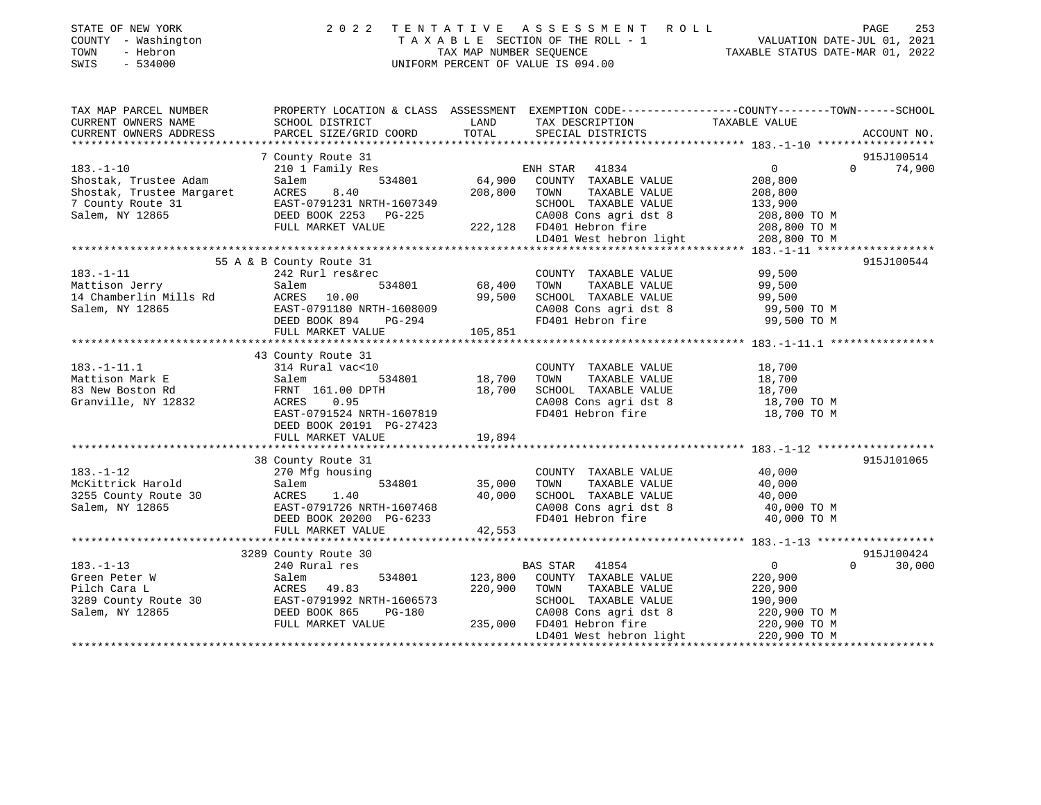| STATE OF NEW YORK<br>COUNTY - Washington<br>TOWN<br>- Hebron<br>SWIS<br>$-534000$ | 2022                                         | TENTATIVE<br>TAX MAP NUMBER SEQUENCE | A S S E S S M E N T<br>R O L L<br>TAXABLE SECTION OF THE ROLL - 1<br>UNIFORM PERCENT OF VALUE IS 094.00                          | VALUATION DATE-JUL 01, 2021<br>TAXABLE STATUS DATE-MAR 01, 2022 | PAGE<br>253        |
|-----------------------------------------------------------------------------------|----------------------------------------------|--------------------------------------|----------------------------------------------------------------------------------------------------------------------------------|-----------------------------------------------------------------|--------------------|
| TAX MAP PARCEL NUMBER<br>CURRENT OWNERS NAME                                      | SCHOOL DISTRICT                              | LAND                                 | PROPERTY LOCATION & CLASS ASSESSMENT EXEMPTION CODE---------------COUNTY-------TOWN------SCHOOL<br>TAX DESCRIPTION TAXABLE VALUE |                                                                 |                    |
| CURRENT OWNERS ADDRESS                                                            | PARCEL SIZE/GRID COORD                       | TOTAL                                | SPECIAL DISTRICTS                                                                                                                |                                                                 | ACCOUNT NO.        |
|                                                                                   | 7 County Route 31                            |                                      |                                                                                                                                  |                                                                 | 915J100514         |
| $183. - 1 - 10$                                                                   | 210 1 Family Res                             |                                      | ENH STAR<br>41834                                                                                                                | $0 \qquad \qquad$                                               | 74,900<br>$\Omega$ |
| Shostak, Trustee Adam                                                             | Salem<br>534801                              | 64,900                               | COUNTY TAXABLE VALUE                                                                                                             | 208,800                                                         |                    |
| Shostak, Trustee Margaret                                                         | ACRES<br>8.40                                | 208,800                              | TOWN<br>TAXABLE VALUE                                                                                                            | 208,800                                                         |                    |
| 7 County Route 31                                                                 | EAST-0791231 NRTH-1607349                    |                                      | SCHOOL TAXABLE VALUE                                                                                                             | 133,900                                                         |                    |
| Salem, NY 12865                                                                   | DEED BOOK 2253 PG-225                        |                                      | CA008 Cons agri dst 8                                                                                                            | 208,800 TO M                                                    |                    |
|                                                                                   | FULL MARKET VALUE                            |                                      | 222,128 FD401 Hebron fire                                                                                                        | 208,800 TO M                                                    |                    |
|                                                                                   |                                              |                                      | LD401 West hebron light                                                                                                          | 208,800 TO M                                                    |                    |
|                                                                                   |                                              |                                      |                                                                                                                                  |                                                                 |                    |
| $183. - 1 - 11$                                                                   | 55 A & B County Route 31<br>242 Rurl res&rec |                                      | COUNTY TAXABLE VALUE                                                                                                             | 99,500                                                          | 915J100544         |
| Mattison Jerry                                                                    | Salem<br>534801                              | 68,400                               | TOWN<br>TAXABLE VALUE                                                                                                            | 99,500                                                          |                    |
| 14 Chamberlin Mills Rd                                                            | ACRES<br>10.00                               | 99,500                               | SCHOOL TAXABLE VALUE                                                                                                             | 99,500                                                          |                    |
| Salem, NY 12865                                                                   | EAST-0791180 NRTH-1608009                    |                                      | CA008 Cons agri dst 8                                                                                                            | 99,500 TO M                                                     |                    |
|                                                                                   | DEED BOOK 894<br>PG-294                      |                                      | FD401 Hebron fire                                                                                                                | 99,500 TO M                                                     |                    |
|                                                                                   | FULL MARKET VALUE                            | 105,851                              |                                                                                                                                  |                                                                 |                    |
|                                                                                   |                                              |                                      |                                                                                                                                  |                                                                 |                    |
|                                                                                   | 43 County Route 31                           |                                      |                                                                                                                                  |                                                                 |                    |
| $183. - 1 - 11.1$                                                                 | 314 Rural vac<10                             |                                      | COUNTY TAXABLE VALUE                                                                                                             | 18,700                                                          |                    |
| Mattison Mark E                                                                   | Salem<br>534801                              | 18,700                               | TOWN<br>TAXABLE VALUE                                                                                                            | 18,700                                                          |                    |
| 83 New Boston Rd                                                                  | FRNT 161.00 DPTH                             | 18,700                               | SCHOOL TAXABLE VALUE                                                                                                             | 18,700                                                          |                    |
| Granville, NY 12832                                                               | ACRES 0.95<br>EAST-0791524 NRTH-1607819      |                                      | CA008 Cons agri dst 8<br>FD401 Hebron fire                                                                                       | 18,700 TO M<br>18,700 TO M                                      |                    |
|                                                                                   | DEED BOOK 20191 PG-27423                     |                                      |                                                                                                                                  |                                                                 |                    |
|                                                                                   | FULL MARKET VALUE                            | 19,894                               |                                                                                                                                  |                                                                 |                    |
|                                                                                   |                                              |                                      |                                                                                                                                  |                                                                 |                    |
|                                                                                   | 38 County Route 31                           |                                      |                                                                                                                                  |                                                                 | 915J101065         |
| $183. - 1 - 12$                                                                   | 270 Mfg housing                              |                                      | COUNTY TAXABLE VALUE                                                                                                             | 40,000                                                          |                    |
| McKittrick Harold                                                                 | Salem<br>534801                              | 35,000                               | TAXABLE VALUE<br>TOWN                                                                                                            | 40,000                                                          |                    |
| 3255 County Route 30                                                              | <b>ACRES</b><br>1.40                         | 40,000                               | SCHOOL TAXABLE VALUE                                                                                                             | 40,000                                                          |                    |
| Salem, NY 12865                                                                   | EAST-0791726 NRTH-1607468                    |                                      | CA008 Cons agri dst 8                                                                                                            | 40,000 TO M                                                     |                    |
|                                                                                   | DEED BOOK 20200 PG-6233                      |                                      | FD401 Hebron fire                                                                                                                | 40,000 TO M                                                     |                    |
|                                                                                   | FULL MARKET VALUE                            | 42,553                               |                                                                                                                                  |                                                                 |                    |
|                                                                                   |                                              |                                      |                                                                                                                                  |                                                                 | 915J100424         |
| $183. - 1 - 13$                                                                   | 3289 County Route 30<br>240 Rural res        |                                      | <b>BAS STAR</b><br>41854                                                                                                         | $\overline{0}$                                                  | 30,000<br>$\Omega$ |
| Green Peter W                                                                     | Salem<br>534801                              | 123,800                              | COUNTY TAXABLE VALUE                                                                                                             | 220,900                                                         |                    |
| Pilch Cara L                                                                      | ACRES<br>49.83                               | 220,900                              | TOWN<br>TAXABLE VALUE                                                                                                            | 220,900                                                         |                    |

FULL MARKET VALUE  $235,000$  FD401 Hebron fire  $220,900$  TO M

LD401 West hebron light 220,900 TO M \*\*\*\*\*\*\*\*\*\*\*\*\*\*\*\*\*\*\*\*\*\*\*\*\*\*\*\*\*\*\*\*\*\*\*\*\*\*\*\*\*\*\*\*\*\*\*\*\*\*\*\*\*\*\*\*\*\*\*\*\*\*\*\*\*\*\*\*\*\*\*\*\*\*\*\*\*\*\*\*\*\*\*\*\*\*\*\*\*\*\*\*\*\*\*\*\*\*\*\*\*\*\*\*\*\*\*\*\*\*\*\*\*\*\*\*\*\*\*\*\*\*\*\*\*\*\*\*\*\*\*\*

3289 County Route 30 EAST-0791992 NRTH-1606573 SCHOOL TAXABLE VALUE 190,900 Salem, NY 12865 DEED BOOK 865 PG-180 CA008 Cons agri dst 8 220,900 TO M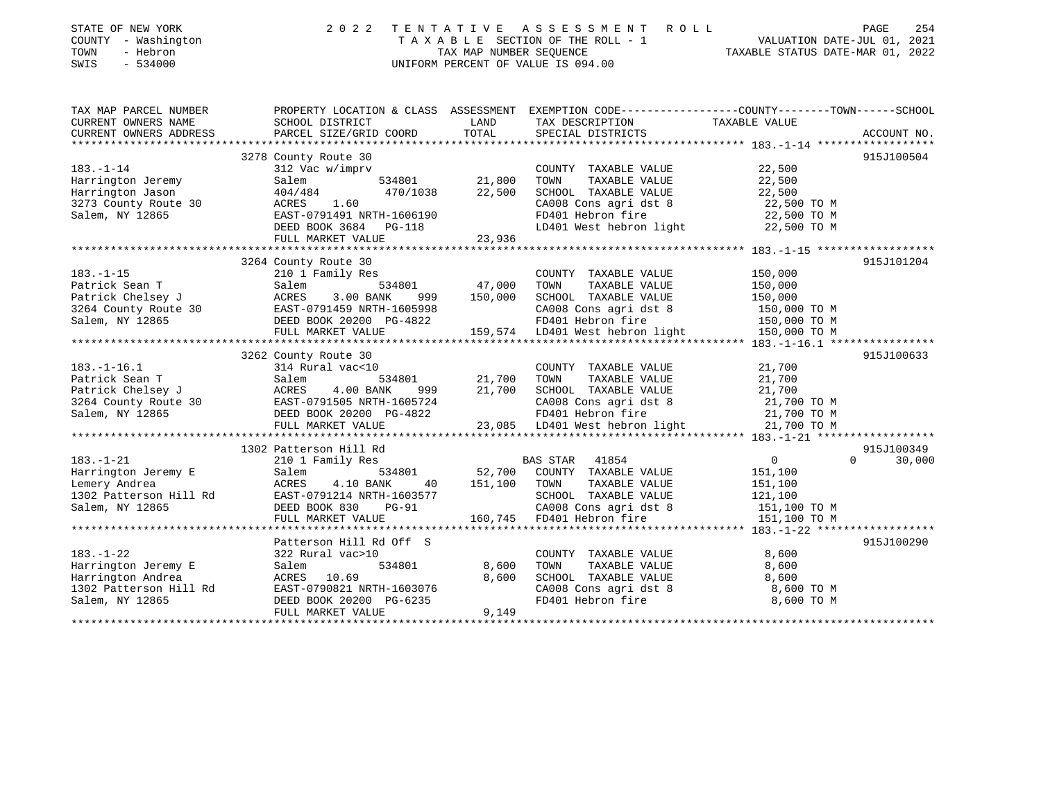| STATE OF NEW YORK<br>COUNTY - Washington<br>TOWN<br>- Hebron<br>SWIS<br>$-534000$ | 2 0 2 2                                  | TENTATIVE<br>TAX MAP NUMBER SEQUENCE | ASSESSMENT<br>ROLL<br>T A X A B L E SECTION OF THE ROLL - 1<br>UNIFORM PERCENT OF VALUE IS 094.00 | 254<br>PAGE<br>VALUATION DATE-JUL 01, 2021<br>TAXABLE STATUS DATE-MAR 01, 2022                  |
|-----------------------------------------------------------------------------------|------------------------------------------|--------------------------------------|---------------------------------------------------------------------------------------------------|-------------------------------------------------------------------------------------------------|
| TAX MAP PARCEL NUMBER                                                             |                                          |                                      |                                                                                                   | PROPERTY LOCATION & CLASS ASSESSMENT EXEMPTION CODE----------------COUNTY-------TOWN-----SCHOOL |
| CURRENT OWNERS NAME                                                               | SCHOOL DISTRICT                          | LAND                                 | TAX DESCRIPTION                                                                                   | TAXABLE VALUE                                                                                   |
| CURRENT OWNERS ADDRESS                                                            | PARCEL SIZE/GRID COORD                   | TOTAL                                | SPECIAL DISTRICTS                                                                                 | ACCOUNT NO.                                                                                     |
|                                                                                   | 3278 County Route 30                     |                                      |                                                                                                   | 915J100504                                                                                      |
| $183. - 1 - 14$                                                                   | 312 Vac w/imprv                          |                                      | COUNTY TAXABLE VALUE                                                                              | 22,500                                                                                          |
| Harrington Jeremy                                                                 | Salem<br>534801                          | 21,800                               | TOWN<br>TAXABLE VALUE                                                                             | 22,500                                                                                          |
| Harrington Jason                                                                  | 404/484<br>470/1038                      | 22,500                               | SCHOOL TAXABLE VALUE                                                                              | 22,500                                                                                          |
| 3273 County Route 30                                                              | ACRES<br>1.60                            |                                      | CA008 Cons agri dst 8                                                                             | 22,500 TO M                                                                                     |
| Salem, NY 12865                                                                   | EAST-0791491 NRTH-1606190                |                                      | FD401 Hebron fire                                                                                 | 22,500 TO M                                                                                     |
|                                                                                   | DEED BOOK 3684 PG-118                    |                                      | LD401 West hebron light                                                                           | 22,500 TO M                                                                                     |
|                                                                                   | FULL MARKET VALUE                        | 23,936                               |                                                                                                   |                                                                                                 |
|                                                                                   |                                          |                                      |                                                                                                   |                                                                                                 |
|                                                                                   | 3264 County Route 30                     |                                      |                                                                                                   | 915J101204                                                                                      |
| $183. - 1 - 15$                                                                   | 210 1 Family Res                         |                                      | COUNTY TAXABLE VALUE                                                                              | 150,000                                                                                         |
| Patrick Sean T                                                                    | Salem<br>534801                          | 47,000                               | TAXABLE VALUE<br>TOWN                                                                             | 150,000                                                                                         |
| Patrick Chelsey J                                                                 | ACRES<br>3.00 BANK<br>999                | 150,000                              | SCHOOL TAXABLE VALUE                                                                              | 150,000                                                                                         |
| 3264 County Route 30                                                              | EAST-0791459 NRTH-1605998                |                                      | CA008 Cons agri dst 8                                                                             | 150,000 TO M                                                                                    |
| Salem, NY 12865                                                                   | DEED BOOK 20200 PG-4822                  |                                      | FD401 Hebron fire                                                                                 | 150,000 TO M<br>150,000 TO M<br>150,000 T                                                       |
|                                                                                   | FULL MARKET VALUE                        |                                      | 159,574 LD401 West hebron light                                                                   | 150,000 TO M                                                                                    |
|                                                                                   |                                          |                                      |                                                                                                   | 915J100633                                                                                      |
| $183. - 1 - 16.1$                                                                 | 3262 County Route 30<br>314 Rural vac<10 |                                      | COUNTY TAXABLE VALUE                                                                              | 21,700                                                                                          |
| Patrick Sean T                                                                    | Salem<br>534801                          | 21,700                               | TOWN<br>TAXABLE VALUE                                                                             | 21,700                                                                                          |
| Patrick Chelsey J                                                                 | ACRES<br>4.00 BANK<br>999                | 21,700                               | SCHOOL TAXABLE VALUE                                                                              | 21,700                                                                                          |
| 3264 County Route 30                                                              | EAST-0791505 NRTH-1605724                |                                      | CA008 Cons agri dst 8                                                                             | 21,700 TO M                                                                                     |
| Salem, NY 12865                                                                   | DEED BOOK 20200 PG-4822                  |                                      | FD401 Hebron fire                                                                                 | 21,700 TO M                                                                                     |
|                                                                                   | FULL MARKET VALUE                        |                                      | 23,085 LD401 West hebron light                                                                    | 21,700 TO M                                                                                     |
|                                                                                   |                                          |                                      |                                                                                                   |                                                                                                 |
|                                                                                   | 1302 Patterson Hill Rd                   |                                      |                                                                                                   | 915J100349                                                                                      |
| $183. - 1 - 21$                                                                   | 210 1 Family Res                         |                                      | <b>BAS STAR</b><br>41854                                                                          | $\overline{0}$<br>30,000<br>$\Omega$                                                            |
| Harrington Jeremy E                                                               | Salem<br>534801                          | 52,700                               | COUNTY TAXABLE VALUE                                                                              | 151,100                                                                                         |
| Lemery Andrea                                                                     | <b>ACRES</b><br>4.10 BANK<br>40          | 151,100                              | TOWN<br>TAXABLE VALUE                                                                             | 151,100                                                                                         |
| 1302 Patterson Hill Rd                                                            | EAST-0791214 NRTH-1603577                |                                      | SCHOOL TAXABLE VALUE                                                                              | 121,100                                                                                         |
| Salem, NY 12865                                                                   | DEED BOOK 830<br>$PG-91$                 |                                      | CA008 Cons agri dst 8                                                                             | 151,100 TO M                                                                                    |
|                                                                                   | FULL MARKET VALUE                        | 160,745                              | FD401 Hebron fire                                                                                 | 151,100 TO M                                                                                    |
|                                                                                   |                                          |                                      |                                                                                                   |                                                                                                 |
|                                                                                   | Patterson Hill Rd Off S                  |                                      |                                                                                                   | 915J100290                                                                                      |
| $183. - 1 - 22$                                                                   | 322 Rural vac>10                         |                                      | COUNTY TAXABLE VALUE<br>TOWN                                                                      | 8,600                                                                                           |
| Harrington Jeremy E                                                               | Salem<br>534801<br>ACRES 10.69           | 8,600<br>8,600                       | TAXABLE VALUE<br>SCHOOL TAXABLE VALUE                                                             | 8,600                                                                                           |
| Harrington Andrea<br>1302 Patterson Hill Rd                                       | EAST-0790821 NRTH-1603076                |                                      | CA008 Cons agri dst 8                                                                             | 8,600<br>8,600 TO M                                                                             |
| Salem, NY 12865                                                                   | DEED BOOK 20200 PG-6235                  |                                      | FD401 Hebron fire                                                                                 | 8,600 TO M                                                                                      |
|                                                                                   |                                          |                                      |                                                                                                   |                                                                                                 |

\*\*\*\*\*\*\*\*\*\*\*\*\*\*\*\*\*\*\*\*\*\*\*\*\*\*\*\*\*\*\*\*\*\*\*\*\*\*\*\*\*\*\*\*\*\*\*\*\*\*\*\*\*\*\*\*\*\*\*\*\*\*\*\*\*\*\*\*\*\*\*\*\*\*\*\*\*\*\*\*\*\*\*\*\*\*\*\*\*\*\*\*\*\*\*\*\*\*\*\*\*\*\*\*\*\*\*\*\*\*\*\*\*\*\*\*\*\*\*\*\*\*\*\*\*\*\*\*\*\*\*\*

FULL MARKET VALUE 9,149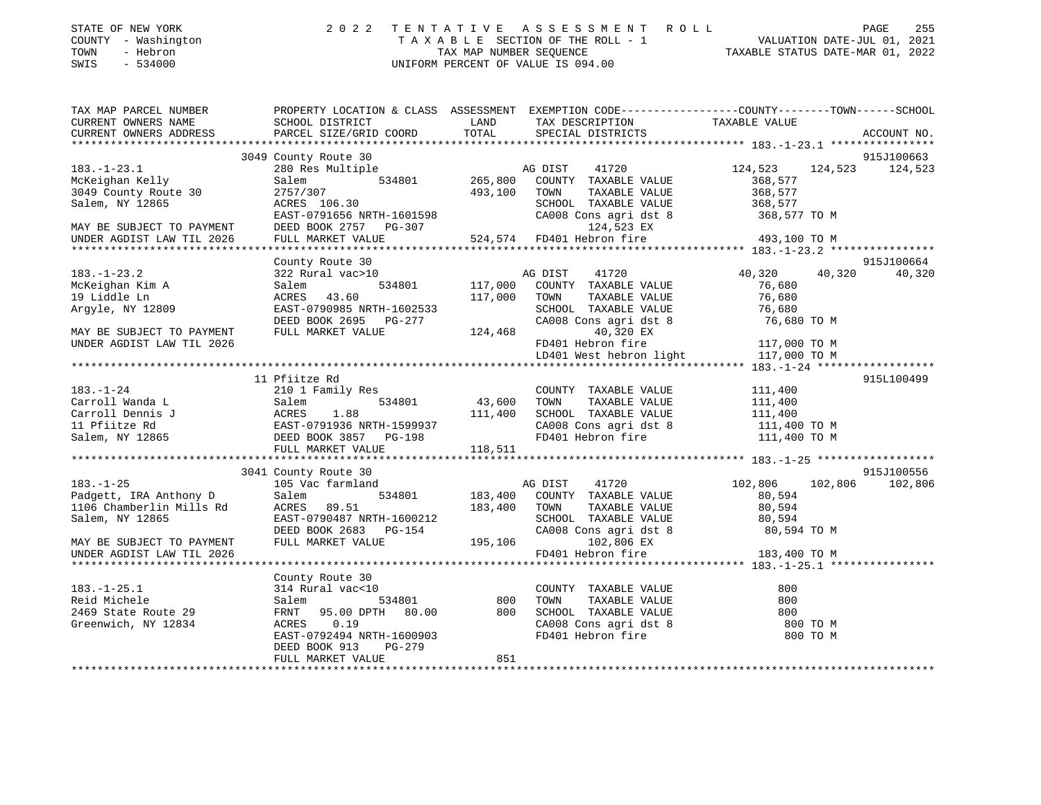| STATE OF NEW YORK   | 2022 TENTATIVE ASSESSMENT ROLL     | PAGE                             | 255 |
|---------------------|------------------------------------|----------------------------------|-----|
| COUNTY - Washington | TAXABLE SECTION OF THE ROLL - 1    | VALUATION DATE-JUL 01, 2021      |     |
| TOWN<br>- Hebron    | TAX MAP NUMBER SEOUENCE            | TAXABLE STATUS DATE-MAR 01, 2022 |     |
| - 534000<br>SWIS    | UNIFORM PERCENT OF VALUE IS 094.00 |                                  |     |

| TAX MAP PARCEL NUMBER                                           | PROPERTY LOCATION & CLASS ASSESSMENT EXEMPTION CODE---------------COUNTY-------TOWN-----SCHOOL                                                                                                                                                           |         |                                                                                                                  |                       |                 |
|-----------------------------------------------------------------|----------------------------------------------------------------------------------------------------------------------------------------------------------------------------------------------------------------------------------------------------------|---------|------------------------------------------------------------------------------------------------------------------|-----------------------|-----------------|
|                                                                 |                                                                                                                                                                                                                                                          |         |                                                                                                                  |                       |                 |
|                                                                 |                                                                                                                                                                                                                                                          |         |                                                                                                                  |                       |                 |
|                                                                 |                                                                                                                                                                                                                                                          |         |                                                                                                                  |                       |                 |
|                                                                 | 3049 County Route 30                                                                                                                                                                                                                                     |         |                                                                                                                  |                       | 915J100663      |
| $183. - 1 - 23.1$                                               |                                                                                                                                                                                                                                                          |         |                                                                                                                  | 41720 124,523 124,523 | 124,523         |
| McKeighan Kelly                                                 |                                                                                                                                                                                                                                                          |         |                                                                                                                  |                       |                 |
| 3049 County Route 30                                            |                                                                                                                                                                                                                                                          |         |                                                                                                                  |                       |                 |
| Salem, NY 12865                                                 | 2757/307<br>ACRES 106.30<br>ACRES 106.30<br>EAST-0791656 NRTH-1601598<br>DEED BOOK 2757 PG-307<br>FULL MARKET VALUE<br>FULL MARKET VALUE<br>24,574 FD401 Hebron fire<br>24,574 FD401 Hebron fire<br>24,523 EX<br>24,523 EX<br>24,523 EX<br>24,523 EX<br> |         |                                                                                                                  |                       |                 |
|                                                                 |                                                                                                                                                                                                                                                          |         |                                                                                                                  |                       |                 |
| MAY BE SUBJECT TO PAYMENT<br>UNDER AGDIST LAW TIL 2026          |                                                                                                                                                                                                                                                          |         |                                                                                                                  |                       |                 |
|                                                                 |                                                                                                                                                                                                                                                          |         |                                                                                                                  |                       |                 |
|                                                                 |                                                                                                                                                                                                                                                          |         |                                                                                                                  |                       |                 |
|                                                                 | County Route 30                                                                                                                                                                                                                                          |         |                                                                                                                  |                       | 915J100664      |
| 183.-1-23.2<br>McKeighan Kim A                                  | 322 Rural vac>10                                                                                                                                                                                                                                         |         |                                                                                                                  | 40,320 40,320         | 40,320          |
|                                                                 |                                                                                                                                                                                                                                                          |         |                                                                                                                  |                       |                 |
|                                                                 |                                                                                                                                                                                                                                                          |         |                                                                                                                  |                       |                 |
| Argyle, NY 12809                                                |                                                                                                                                                                                                                                                          |         |                                                                                                                  |                       |                 |
|                                                                 |                                                                                                                                                                                                                                                          |         |                                                                                                                  |                       |                 |
| MAY BE SUBJECT TO PAYMENT                                       |                                                                                                                                                                                                                                                          |         |                                                                                                                  |                       |                 |
| UNDER AGDIST LAW TIL 2026                                       |                                                                                                                                                                                                                                                          |         |                                                                                                                  |                       |                 |
|                                                                 |                                                                                                                                                                                                                                                          |         | 40,320 EX<br>FD401 Hebron fire 117,000 TO M<br>LD401 West hebron light 117,000 TO M                              |                       |                 |
|                                                                 |                                                                                                                                                                                                                                                          |         |                                                                                                                  |                       |                 |
|                                                                 | 11 Pfiitze Rd                                                                                                                                                                                                                                            |         |                                                                                                                  |                       | 915L100499      |
|                                                                 |                                                                                                                                                                                                                                                          |         |                                                                                                                  |                       |                 |
|                                                                 |                                                                                                                                                                                                                                                          |         |                                                                                                                  |                       |                 |
|                                                                 |                                                                                                                                                                                                                                                          |         |                                                                                                                  |                       |                 |
|                                                                 |                                                                                                                                                                                                                                                          |         | CA008 Cons agri dst 8 111,400 TO M<br>FD401 Hebron fire 111,400 TO M                                             |                       |                 |
|                                                                 |                                                                                                                                                                                                                                                          |         |                                                                                                                  |                       |                 |
|                                                                 | FULL MARKET VALUE 118,511                                                                                                                                                                                                                                |         |                                                                                                                  |                       |                 |
|                                                                 |                                                                                                                                                                                                                                                          |         |                                                                                                                  |                       |                 |
|                                                                 | 3041 County Route 30                                                                                                                                                                                                                                     |         |                                                                                                                  |                       | 915J100556      |
|                                                                 | 105 Vac farmland                                                                                                                                                                                                                                         | AG DIST | 41720                                                                                                            | 102,806               | 102,806 102,806 |
|                                                                 | Salem                                                                                                                                                                                                                                                    |         | 534801 183,400 COUNTY TAXABLE VALUE 80,594                                                                       |                       |                 |
| 183.-1-25<br>Padgett, IRA Anthony D<br>1106 Chamberlin Mills Rd |                                                                                                                                                                                                                                                          |         | TOWN TAXABLE VALUE<br>SCHOOL TAXABLE VALUE<br>SCHOOL TAXABLE VALUE<br>80,594                                     |                       |                 |
|                                                                 |                                                                                                                                                                                                                                                          |         |                                                                                                                  |                       |                 |
|                                                                 |                                                                                                                                                                                                                                                          |         |                                                                                                                  |                       |                 |
| MAY BE SUBJECT TO PAYMENT                                       |                                                                                                                                                                                                                                                          |         |                                                                                                                  |                       |                 |
| UNDER AGDIST LAW TIL 2026                                       | ACRES 89.51 183,400 TOWN TAXABLE VALUE 80,594<br>RAST-0790487 NRTH-1600212 SCHOOL TAXABLE VALUE 80,594<br>DEED BOOK 2683 PG-154 CA008 Cons agri dst 8 80,594<br>FULL MARKET VALUE 195,106 102,806 EX<br>FD401 Hebron fire 183,400 TO M                   |         |                                                                                                                  |                       |                 |
|                                                                 |                                                                                                                                                                                                                                                          |         |                                                                                                                  |                       |                 |
|                                                                 | County Route 30                                                                                                                                                                                                                                          |         |                                                                                                                  |                       |                 |
| $183. - 1 - 25.1$                                               |                                                                                                                                                                                                                                                          |         |                                                                                                                  | 800                   |                 |
| Reid Michele                                                    |                                                                                                                                                                                                                                                          |         |                                                                                                                  | 800                   |                 |
| 2469 State Route 29                                             |                                                                                                                                                                                                                                                          |         |                                                                                                                  | 800                   |                 |
| Greenwich, NY 12834                                             | ALACTER 534801 600<br>FRNT 95.00 DPTH 80.00 800<br>ACRES 0.19<br>EAST-0792494 NRTH-1600000                                                                                                                                                               |         | COUNTY TAXABLE VALUE<br>TOWN TAXABLE VALUE<br>SCHOOL TAXABLE VALUE<br>CA008 Cons agri dst 8<br>FD401 Hebron fire | 800 TO M              |                 |
|                                                                 |                                                                                                                                                                                                                                                          |         |                                                                                                                  | 800 TO M              |                 |
|                                                                 | PG-279<br>DEED BOOK 913                                                                                                                                                                                                                                  |         |                                                                                                                  |                       |                 |
|                                                                 | FULL MARKET VALUE                                                                                                                                                                                                                                        | 851     |                                                                                                                  |                       |                 |
|                                                                 |                                                                                                                                                                                                                                                          |         |                                                                                                                  |                       |                 |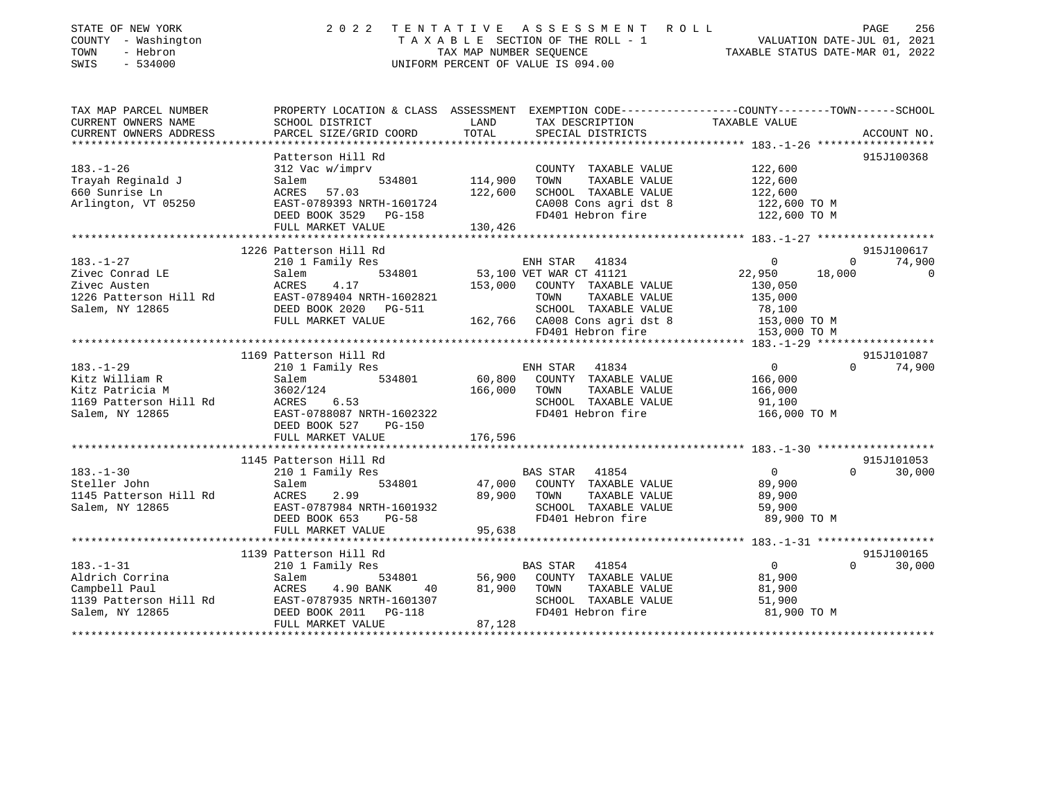| STATE OF NEW YORK<br>COUNTY - Washington<br>TOWN<br>- Hebron<br>SWIS<br>$-534000$ | 2 0 2 2                                                                                                             | TAX MAP NUMBER SEQUENCE | TENTATIVE ASSESSMENT ROLL<br>TAXABLE SECTION OF THE ROLL - 1<br>UNIFORM PERCENT OF VALUE IS 094.00 | PAGE 256<br>VALUATION DATE-JUL 01, 2021<br>TAXABLE STATIC DATE USE 11 |                                     |
|-----------------------------------------------------------------------------------|---------------------------------------------------------------------------------------------------------------------|-------------------------|----------------------------------------------------------------------------------------------------|-----------------------------------------------------------------------|-------------------------------------|
| TAX MAP PARCEL NUMBER<br>CURRENT OWNERS NAME                                      | PROPERTY LOCATION & CLASS ASSESSMENT EXEMPTION CODE----------------COUNTY-------TOWN------SCHOOL<br>SCHOOL DISTRICT | LAND                    | TAX DESCRIPTION                                                                                    | TAXABLE VALUE                                                         |                                     |
| CURRENT OWNERS ADDRESS                                                            | PARCEL SIZE/GRID COORD                                                                                              | TOTAL                   | SPECIAL DISTRICTS                                                                                  |                                                                       | ACCOUNT NO.                         |
|                                                                                   |                                                                                                                     |                         |                                                                                                    |                                                                       |                                     |
|                                                                                   | Patterson Hill Rd                                                                                                   |                         |                                                                                                    |                                                                       | 915J100368                          |
| $183. - 1 - 26$                                                                   | 312 Vac w/imprv                                                                                                     |                         | COUNTY TAXABLE VALUE                                                                               | 122,600                                                               |                                     |
| Trayah Reginald J                                                                 | 534801<br>Salem                                                                                                     | 114,900                 | TAXABLE VALUE<br>TOWN                                                                              | 122,600                                                               |                                     |
| 660 Sunrise Ln                                                                    | ACRES 57.03                                                                                                         | 122,600                 | SCHOOL TAXABLE VALUE                                                                               | 122,600                                                               |                                     |
| Arlington, VT 05250                                                               | EAST-0789393 NRTH-1601724                                                                                           |                         | CA008 Cons agri dst 8                                                                              | 122,600 TO M                                                          |                                     |
|                                                                                   | DEED BOOK 3529 PG-158                                                                                               |                         | FD401 Hebron fire                                                                                  | 122,600 TO M                                                          |                                     |
|                                                                                   | FULL MARKET VALUE                                                                                                   | 130,426                 |                                                                                                    |                                                                       |                                     |
|                                                                                   |                                                                                                                     |                         |                                                                                                    |                                                                       |                                     |
| $183. - 1 - 27$                                                                   | 1226 Patterson Hill Rd                                                                                              |                         | ENH STAR 41834                                                                                     | $\mathbf 0$                                                           | 915J100617<br>74,900<br>$\mathbf 0$ |
| Zivec Conrad LE                                                                   | 210 1 Family Res<br>534801<br>Salem                                                                                 |                         | 53,100 VET WAR CT 41121                                                                            | 22,950<br>18,000                                                      | $\Omega$                            |
| Zivec Austen                                                                      | ACRES<br>4.17                                                                                                       | 153,000                 | COUNTY TAXABLE VALUE                                                                               | 130,050                                                               |                                     |
| 1226 Patterson Hill Rd                                                            | EAST-0789404 NRTH-1602821                                                                                           |                         | TOWN<br>TAXABLE VALUE                                                                              | 135,000                                                               |                                     |
| Salem, NY 12865                                                                   | DEED BOOK 2020<br><b>PG-511</b>                                                                                     |                         | SCHOOL TAXABLE VALUE                                                                               | 78,100                                                                |                                     |
|                                                                                   | FULL MARKET VALUE                                                                                                   |                         | 162,766 CA008 Cons agri dst 8                                                                      | 153,000 TO M                                                          |                                     |
|                                                                                   |                                                                                                                     |                         | FD401 Hebron fire                                                                                  | 153,000 TO M                                                          |                                     |
|                                                                                   |                                                                                                                     |                         |                                                                                                    |                                                                       |                                     |
|                                                                                   | 1169 Patterson Hill Rd                                                                                              |                         |                                                                                                    |                                                                       | 915J101087                          |
| $183. - 1 - 29$                                                                   | 210 1 Family Res                                                                                                    |                         | ENH STAR<br>41834                                                                                  | $\overline{0}$                                                        | $\Omega$<br>74,900                  |
| Kitz William R                                                                    | 534801<br>Salem                                                                                                     | 60,800                  | COUNTY TAXABLE VALUE                                                                               | 166,000                                                               |                                     |
| Kitz Patricia M                                                                   | 3602/124                                                                                                            | 166,000                 | TAXABLE VALUE<br>TOWN                                                                              | 166,000                                                               |                                     |
| 1169 Patterson Hill Rd                                                            | 6.53<br>ACRES                                                                                                       |                         | SCHOOL TAXABLE VALUE                                                                               | 91,100                                                                |                                     |
| Salem, NY 12865                                                                   | EAST-0788087 NRTH-1602322                                                                                           |                         | FD401 Hebron fire                                                                                  | 166,000 TO M                                                          |                                     |
|                                                                                   | DEED BOOK 527<br>$PG-150$                                                                                           |                         |                                                                                                    |                                                                       |                                     |
|                                                                                   | FULL MARKET VALUE                                                                                                   | 176,596                 |                                                                                                    |                                                                       |                                     |
|                                                                                   |                                                                                                                     |                         |                                                                                                    |                                                                       |                                     |
|                                                                                   | 1145 Patterson Hill Rd                                                                                              |                         |                                                                                                    |                                                                       | 915J101053                          |
| $183. - 1 - 30$                                                                   | 210 1 Family Res                                                                                                    |                         | BAS STAR 41854                                                                                     | $\Omega$                                                              | $\Omega$<br>30,000                  |
| Steller John                                                                      | 534801<br>Salem                                                                                                     | 47,000                  | COUNTY TAXABLE VALUE                                                                               | 89,900                                                                |                                     |
| 1145 Patterson Hill Rd                                                            | ACRES<br>2.99                                                                                                       | 89,900                  | TOWN<br>TAXABLE VALUE                                                                              | 89,900                                                                |                                     |
| Salem, NY 12865                                                                   | EAST-0787984 NRTH-1601932                                                                                           |                         | SCHOOL TAXABLE VALUE                                                                               | 59,900                                                                |                                     |
|                                                                                   | DEED BOOK 653<br>$PG-58$                                                                                            |                         | FD401 Hebron fire                                                                                  | 89,900 TO M                                                           |                                     |
|                                                                                   | FULL MARKET VALUE                                                                                                   | 95,638                  |                                                                                                    |                                                                       |                                     |
|                                                                                   |                                                                                                                     |                         |                                                                                                    |                                                                       | 915J100165                          |
| $183. - 1 - 31$                                                                   | 1139 Patterson Hill Rd<br>210 1 Family Res                                                                          |                         | <b>BAS STAR</b><br>41854                                                                           | $\overline{0}$                                                        | $\Omega$<br>30,000                  |
| Aldrich Corrina                                                                   | Salem                                                                                                               | 56,900                  | COUNTY TAXABLE VALUE                                                                               | 81,900                                                                |                                     |
| Campbell Paul                                                                     | 534801<br>ACRES<br>4.90 BANK<br>40                                                                                  | 81,900                  | TOWN<br>TAXABLE VALUE                                                                              | 81,900                                                                |                                     |
| 1139 Patterson Hill Rd                                                            | EAST-0787935 NRTH-1601307                                                                                           |                         | SCHOOL TAXABLE VALUE                                                                               | 51,900                                                                |                                     |
| Salem, NY 12865                                                                   | DEED BOOK 2011    PG-118                                                                                            |                         | FD401 Hebron fire                                                                                  | 81,900 TO M                                                           |                                     |
|                                                                                   | FULL MARKET VALUE                                                                                                   | 87,128                  |                                                                                                    |                                                                       |                                     |
|                                                                                   |                                                                                                                     |                         |                                                                                                    |                                                                       |                                     |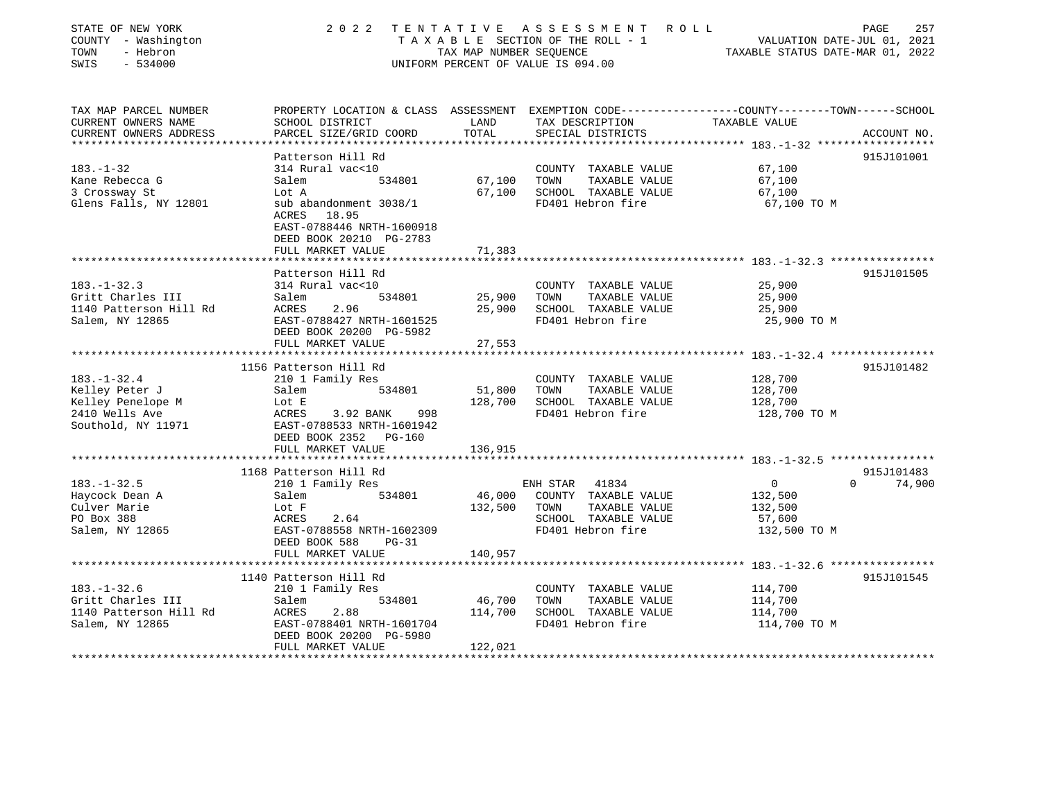| STATE OF NEW YORK<br>COUNTY - Washington<br>- Hebron<br>TOWN<br>SWIS<br>$-534000$ | 2 0 2 2<br>TENTATIVE                                                                                               | TAX MAP NUMBER SEQUENCE | A S S E S S M E N T<br>R O L L<br>TAXABLE SECTION OF THE ROLL - 1<br>UNIFORM PERCENT OF VALUE IS 094.00 | TAXABLE STATUS DATE-MAR 01, 2022 | PAGE<br>257<br>VALUATION DATE-JUL 01, 2021 |
|-----------------------------------------------------------------------------------|--------------------------------------------------------------------------------------------------------------------|-------------------------|---------------------------------------------------------------------------------------------------------|----------------------------------|--------------------------------------------|
| TAX MAP PARCEL NUMBER<br>CURRENT OWNERS NAME                                      | PROPERTY LOCATION & CLASS ASSESSMENT EXEMPTION CODE---------------COUNTY-------TOWN------SCHOOL<br>SCHOOL DISTRICT | LAND                    | TAX DESCRIPTION                                                                                         | TAXABLE VALUE                    |                                            |
| CURRENT OWNERS ADDRESS<br>*********************                                   | PARCEL SIZE/GRID COORD                                                                                             | TOTAL                   | SPECIAL DISTRICTS                                                                                       |                                  | ACCOUNT NO.                                |
|                                                                                   | Patterson Hill Rd                                                                                                  |                         |                                                                                                         |                                  | 915J101001                                 |
| $183. - 1 - 32$<br>Kane Rebecca G<br>3 Crossway St                                | 314 Rural vac<10<br>Salem<br>534801<br>Lot A                                                                       | 67,100<br>67,100        | COUNTY TAXABLE VALUE<br>TOWN<br>TAXABLE VALUE<br>SCHOOL TAXABLE VALUE                                   | 67,100<br>67,100<br>67,100       |                                            |
| Glens Falls, NY 12801                                                             | sub abandonment 3038/1<br>ACRES<br>18.95<br>EAST-0788446 NRTH-1600918<br>DEED BOOK 20210 PG-2783                   |                         | FD401 Hebron fire                                                                                       | 67,100 TO M                      |                                            |
|                                                                                   | FULL MARKET VALUE<br>*******************                                                                           | 71,383                  |                                                                                                         |                                  |                                            |
|                                                                                   | Patterson Hill Rd                                                                                                  |                         |                                                                                                         |                                  | 915J101505                                 |
| $183. - 1 - 32.3$<br>Gritt Charles III                                            | 314 Rural vac<10<br>534801<br>Salem                                                                                | 25,900                  | COUNTY TAXABLE VALUE<br>TAXABLE VALUE<br>TOWN                                                           | 25,900<br>25,900                 |                                            |
| 1140 Patterson Hill Rd<br>Salem, NY 12865                                         | 2.96<br>ACRES<br>EAST-0788427 NRTH-1601525                                                                         | 25,900                  | SCHOOL TAXABLE VALUE<br>FD401 Hebron fire                                                               | 25,900<br>25,900 TO M            |                                            |
|                                                                                   | DEED BOOK 20200 PG-5982                                                                                            |                         |                                                                                                         |                                  |                                            |
|                                                                                   | FULL MARKET VALUE                                                                                                  | 27,553                  |                                                                                                         |                                  |                                            |
|                                                                                   | 1156 Patterson Hill Rd                                                                                             |                         |                                                                                                         |                                  | 915J101482                                 |
| $183. - 1 - 32.4$                                                                 | 210 1 Family Res                                                                                                   |                         | COUNTY TAXABLE VALUE                                                                                    | 128,700                          |                                            |
| Kelley Peter J                                                                    | Salem<br>534801                                                                                                    | 51,800                  | TOWN<br>TAXABLE VALUE                                                                                   | 128,700                          |                                            |
| Kelley Penelope M                                                                 | Lot E                                                                                                              | 128,700                 | SCHOOL TAXABLE VALUE                                                                                    | 128,700                          |                                            |
| 2410 Wells Ave<br>Southold, NY 11971                                              | ACRES<br>3.92 BANK<br>998<br>EAST-0788533 NRTH-1601942<br>DEED BOOK 2352 PG-160                                    |                         | FD401 Hebron fire                                                                                       | 128,700 TO M                     |                                            |
|                                                                                   | FULL MARKET VALUE<br>********************                                                                          | 136,915                 |                                                                                                         |                                  |                                            |
|                                                                                   | 1168 Patterson Hill Rd                                                                                             |                         |                                                                                                         |                                  | 915J101483                                 |
| $183. - 1 - 32.5$                                                                 | 210 1 Family Res                                                                                                   |                         | ENH STAR<br>41834                                                                                       | $\mathbf 0$                      | $\Omega$<br>74,900                         |
| Haycock Dean A                                                                    | Salem<br>534801                                                                                                    | 46,000                  | COUNTY TAXABLE VALUE                                                                                    | 132,500                          |                                            |
| Culver Marie                                                                      | Lot F                                                                                                              | 132,500                 | TAXABLE VALUE<br>TOWN                                                                                   | 132,500                          |                                            |
| PO Box 388                                                                        | 2.64<br>ACRES                                                                                                      |                         | SCHOOL TAXABLE VALUE                                                                                    | 57,600                           |                                            |
| Salem, NY 12865                                                                   | EAST-0788558 NRTH-1602309<br>DEED BOOK 588<br>$PG-31$                                                              |                         | FD401 Hebron fire                                                                                       | 132,500 TO M                     |                                            |
|                                                                                   | FULL MARKET VALUE                                                                                                  | 140,957                 |                                                                                                         |                                  |                                            |
|                                                                                   |                                                                                                                    |                         |                                                                                                         |                                  |                                            |
|                                                                                   | 1140 Patterson Hill Rd                                                                                             |                         |                                                                                                         |                                  | 915J101545                                 |
| $183. - 1 - 32.6$                                                                 | 210 1 Family Res                                                                                                   |                         | COUNTY TAXABLE VALUE                                                                                    | 114,700                          |                                            |
| Gritt Charles III                                                                 | Salem<br>534801                                                                                                    | 46,700                  | TOWN<br>TAXABLE VALUE                                                                                   | 114,700                          |                                            |
| 1140 Patterson Hill Rd                                                            | 2.88<br>ACRES                                                                                                      | 114,700                 | SCHOOL TAXABLE VALUE                                                                                    | 114,700                          |                                            |
| Salem, NY 12865                                                                   | EAST-0788401 NRTH-1601704<br>DEED BOOK 20200 PG-5980                                                               |                         | FD401 Hebron fire                                                                                       | 114,700 TO M                     |                                            |
|                                                                                   | FULL MARKET VALUE                                                                                                  | 122,021                 |                                                                                                         |                                  |                                            |
|                                                                                   |                                                                                                                    |                         |                                                                                                         |                                  |                                            |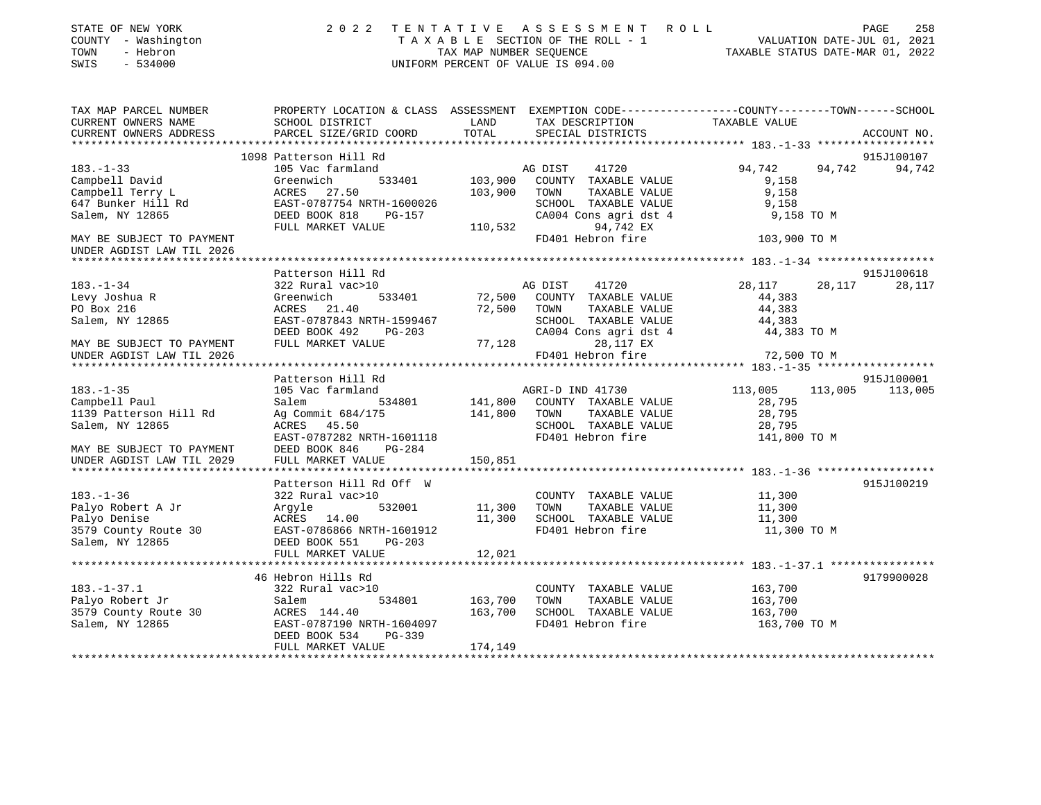| STATE OF NEW YORK<br>COUNTY - Washington<br>TOWN<br>- Hebron<br>SWIS<br>$-534000$ |                                                                                                                     | TAX MAP NUMBER SEOUENCE | 2022 TENTATIVE ASSESSMENT ROLL<br>TAXABLE SECTION OF THE ROLL - 1<br>UNIFORM PERCENT OF VALUE IS 094.00 | VALUATION DATE-JUL 01, 2021<br>TAXABLE STATUS DATE-MAR 01, 2022 | PAGE<br>258          |
|-----------------------------------------------------------------------------------|---------------------------------------------------------------------------------------------------------------------|-------------------------|---------------------------------------------------------------------------------------------------------|-----------------------------------------------------------------|----------------------|
| TAX MAP PARCEL NUMBER<br>CURRENT OWNERS NAME                                      | PROPERTY LOCATION & CLASS ASSESSMENT EXEMPTION CODE----------------COUNTY-------TOWN------SCHOOL<br>SCHOOL DISTRICT | LAND                    | TAX DESCRIPTION                                                                                         | TAXABLE VALUE                                                   |                      |
| CURRENT OWNERS ADDRESS                                                            | PARCEL SIZE/GRID COORD                                                                                              | TOTAL                   | SPECIAL DISTRICTS                                                                                       |                                                                 | ACCOUNT NO.          |
|                                                                                   |                                                                                                                     |                         |                                                                                                         |                                                                 |                      |
|                                                                                   | 1098 Patterson Hill Rd                                                                                              |                         |                                                                                                         |                                                                 | 915J100107           |
| $183. - 1 - 33$                                                                   | 105 Vac farmland                                                                                                    |                         | AG DIST<br>41720                                                                                        | 94,742<br>94,742                                                | 94,742               |
| Campbell David                                                                    | Greenwich<br>533401                                                                                                 | 103,900                 | COUNTY TAXABLE VALUE                                                                                    | 9,158                                                           |                      |
| Campbell Terry L                                                                  | ACRES 27.50                                                                                                         | 103,900                 | TOWN<br>TAXABLE VALUE                                                                                   | 9,158                                                           |                      |
| 647 Bunker Hill Rd                                                                | EAST-0787754 NRTH-1600026                                                                                           |                         | SCHOOL TAXABLE VALUE                                                                                    | 9,158                                                           |                      |
| Salem, NY 12865                                                                   | DEED BOOK 818 PG-157                                                                                                |                         | CA004 Cons agri dst 4                                                                                   | 9,158 TO M                                                      |                      |
|                                                                                   | FULL MARKET VALUE                                                                                                   | 110,532                 | 94,742 EX                                                                                               |                                                                 |                      |
| MAY BE SUBJECT TO PAYMENT<br>UNDER AGDIST LAW TIL 2026                            |                                                                                                                     |                         | FD401 Hebron fire                                                                                       | 103,900 TO M                                                    |                      |
|                                                                                   |                                                                                                                     |                         |                                                                                                         |                                                                 |                      |
| $183. - 1 - 34$                                                                   | Patterson Hill Rd<br>322 Rural vac>10                                                                               |                         | 41720<br>AG DIST                                                                                        | 28,117<br>28,117                                                | 915J100618<br>28,117 |
| Levy Joshua R                                                                     | Greenwich<br>533401                                                                                                 | 72,500                  | COUNTY TAXABLE VALUE                                                                                    | 44,383                                                          |                      |
| PO Box 216                                                                        | ACRES 21.40                                                                                                         | 72,500                  | TOWN<br>TAXABLE VALUE                                                                                   | 44,383                                                          |                      |
| Salem, NY 12865                                                                   | EAST-0787843 NRTH-1599467                                                                                           |                         | SCHOOL TAXABLE VALUE                                                                                    | 44,383                                                          |                      |
|                                                                                   | DEED BOOK 492<br>PG-203                                                                                             |                         | CA004 Cons agri dst 4                                                                                   | 44,383 TO M                                                     |                      |
| MAY BE SUBJECT TO PAYMENT                                                         | FULL MARKET VALUE                                                                                                   | 77,128                  | 28,117 EX                                                                                               |                                                                 |                      |
| UNDER AGDIST LAW TIL 2026                                                         |                                                                                                                     |                         | FD401 Hebron fire                                                                                       | 72,500 TO M                                                     |                      |
|                                                                                   |                                                                                                                     |                         |                                                                                                         |                                                                 |                      |
|                                                                                   | Patterson Hill Rd                                                                                                   |                         |                                                                                                         |                                                                 | 915J100001           |
| $183. - 1 - 35$                                                                   | 105 Vac farmland                                                                                                    |                         | AGRI-D IND 41730                                                                                        | 113,005<br>113,005                                              | 113,005              |
| Campbell Paul                                                                     | Salem<br>534801                                                                                                     |                         | 141,800 COUNTY TAXABLE VALUE                                                                            | 28,795                                                          |                      |
| 1139 Patterson Hill Rd                                                            | Ag Commit 684/175                                                                                                   | 141,800 TOWN            | TAXABLE VALUE                                                                                           | 28,795                                                          |                      |
| Salem, NY 12865                                                                   | ACRES 45.50                                                                                                         |                         | SCHOOL TAXABLE VALUE                                                                                    | 28,795                                                          |                      |
|                                                                                   | EAST-0787282 NRTH-1601118                                                                                           |                         | FD401 Hebron fire                                                                                       | 141,800 TO M                                                    |                      |
| MAY BE SUBJECT TO PAYMENT                                                         | DEED BOOK 846<br>PG-284                                                                                             |                         |                                                                                                         |                                                                 |                      |
| UNDER AGDIST LAW TIL 2029                                                         | FULL MARKET VALUE                                                                                                   | 150,851                 |                                                                                                         |                                                                 |                      |
|                                                                                   | Patterson Hill Rd Off W                                                                                             |                         |                                                                                                         |                                                                 | 915J100219           |
| $183. - 1 - 36$                                                                   | 322 Rural vac>10                                                                                                    |                         | COUNTY TAXABLE VALUE                                                                                    | 11,300                                                          |                      |
| Palyo Robert A Jr                                                                 | 532001<br>Argyle                                                                                                    | 11,300                  | TAXABLE VALUE<br>TOWN                                                                                   | 11,300                                                          |                      |
| Palyo Denise                                                                      | ACRES 14.00                                                                                                         | 11,300                  | SCHOOL TAXABLE VALUE                                                                                    | 11,300                                                          |                      |
| 3579 County Route 30                                                              | EAST-0786866 NRTH-1601912                                                                                           |                         | FD401 Hebron fire                                                                                       | 11,300 TO M                                                     |                      |
| Salem, NY 12865                                                                   | DEED BOOK 551<br>PG-203                                                                                             |                         |                                                                                                         |                                                                 |                      |
|                                                                                   | FULL MARKET VALUE                                                                                                   | 12,021                  |                                                                                                         |                                                                 |                      |
|                                                                                   |                                                                                                                     |                         |                                                                                                         |                                                                 |                      |
|                                                                                   | 46 Hebron Hills Rd                                                                                                  |                         |                                                                                                         |                                                                 | 9179900028           |
| $183. - 1 - 37.1$                                                                 | 322 Rural vac>10                                                                                                    |                         | COUNTY TAXABLE VALUE                                                                                    | 163,700                                                         |                      |
| Palyo Robert Jr                                                                   | 534801<br>Salem                                                                                                     | 163,700                 | TOWN<br>TAXABLE VALUE                                                                                   | 163,700                                                         |                      |
| 3579 County Route 30                                                              | ACRES 144.40                                                                                                        | 163,700                 | SCHOOL TAXABLE VALUE                                                                                    | 163,700                                                         |                      |
| Salem, NY 12865                                                                   | EAST-0787190 NRTH-1604097<br>DEED BOOK 534<br>PG-339                                                                |                         | FD401 Hebron fire                                                                                       | 163,700 TO M                                                    |                      |
|                                                                                   | FULL MARKET VALUE                                                                                                   | 174,149                 |                                                                                                         |                                                                 |                      |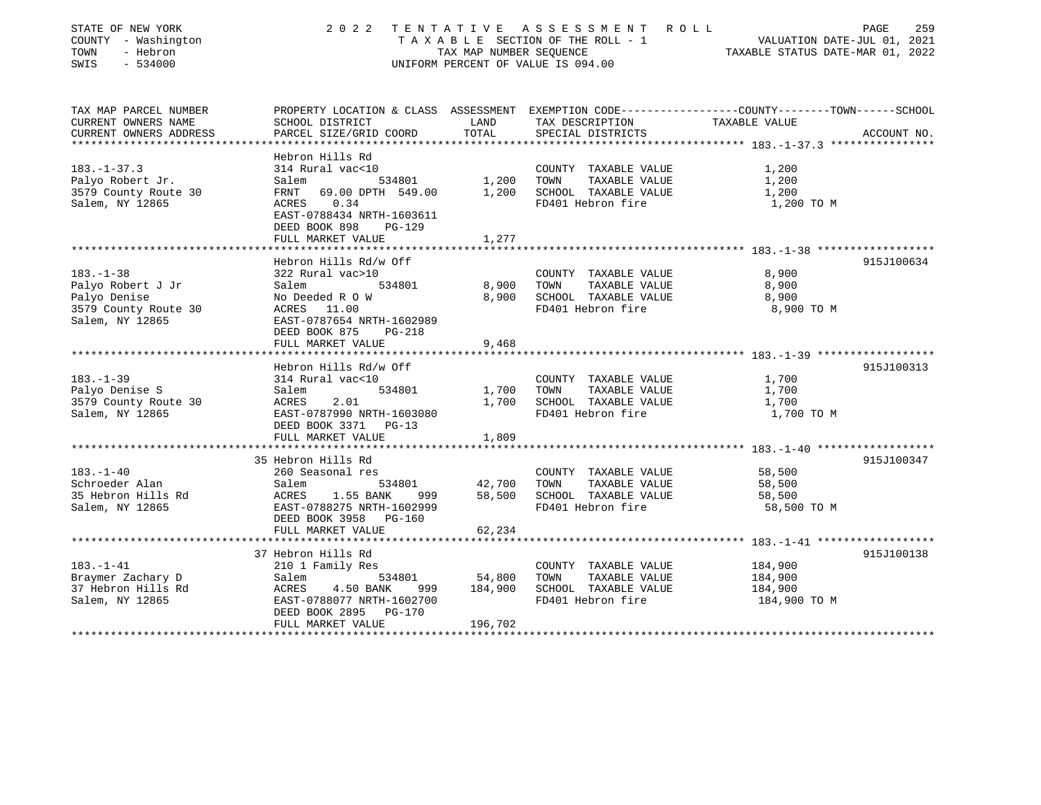| STATE OF NEW YORK<br>COUNTY - Washington<br>TOWN<br>- Hebron<br>SWIS<br>$-534000$                 | 2 0 2 2                                                                                                                                                             | TAX MAP NUMBER SEQUENCE      | TENTATIVE ASSESSMENT ROLL<br>TAXABLE SECTION OF THE ROLL - 1<br>UNIFORM PERCENT OF VALUE IS 094.00 | 259<br>PAGE<br>VALUATION DATE-JUL 01, 2021<br>TAXABLE STATUS DATE-MAR 01, 2022                                                   |
|---------------------------------------------------------------------------------------------------|---------------------------------------------------------------------------------------------------------------------------------------------------------------------|------------------------------|----------------------------------------------------------------------------------------------------|----------------------------------------------------------------------------------------------------------------------------------|
| TAX MAP PARCEL NUMBER<br>CURRENT OWNERS NAME<br>CURRENT OWNERS ADDRESS<br>*********************** | SCHOOL DISTRICT<br>PARCEL SIZE/GRID COORD                                                                                                                           | LAND<br>TOTAL                | TAX DESCRIPTION<br>SPECIAL DISTRICTS                                                               | PROPERTY LOCATION & CLASS ASSESSMENT EXEMPTION CODE----------------COUNTY-------TOWN------SCHOOL<br>TAXABLE VALUE<br>ACCOUNT NO. |
| $183. - 1 - 37.3$<br>Palyo Robert Jr.<br>3579 County Route 30<br>Salem, NY 12865                  | Hebron Hills Rd<br>314 Rural vac<10<br>534801<br>Salem<br>69.00 DPTH 549.00<br>FRNT<br>0.34<br>ACRES<br>EAST-0788434 NRTH-1603611<br>DEED BOOK 898<br><b>PG-129</b> | 1,200<br>1,200               | COUNTY TAXABLE VALUE<br>TOWN<br>TAXABLE VALUE<br>SCHOOL TAXABLE VALUE<br>FD401 Hebron fire         | 1,200<br>1,200<br>1,200<br>1,200 TO M                                                                                            |
|                                                                                                   | FULL MARKET VALUE                                                                                                                                                   | 1,277                        |                                                                                                    |                                                                                                                                  |
| $183. - 1 - 38$                                                                                   | Hebron Hills Rd/w Off<br>322 Rural vac>10                                                                                                                           |                              | COUNTY TAXABLE VALUE                                                                               | 915J100634<br>8,900                                                                                                              |
| Palyo Robert J Jr<br>Palyo Denise<br>3579 County Route 30<br>Salem, NY 12865                      | Salem<br>534801<br>No Deeded R O W<br>ACRES 11.00<br>EAST-0787654 NRTH-1602989<br>DEED BOOK 875<br><b>PG-218</b>                                                    | 8,900<br>8,900               | TOWN<br>TAXABLE VALUE<br>SCHOOL TAXABLE VALUE<br>FD401 Hebron fire                                 | 8,900<br>8,900<br>8,900 TO M                                                                                                     |
|                                                                                                   | FULL MARKET VALUE<br>******************************                                                                                                                 | 9,468                        |                                                                                                    |                                                                                                                                  |
|                                                                                                   | Hebron Hills Rd/w Off                                                                                                                                               |                              |                                                                                                    | 915J100313                                                                                                                       |
| $183. - 1 - 39$<br>Palyo Denise S<br>3579 County Route 30<br>Salem, NY 12865                      | 314 Rural vac<10<br>534801<br>Salem<br>ACRES<br>2.01<br>EAST-0787990 NRTH-1603080<br>DEED BOOK 3371<br>$PG-13$<br>FULL MARKET VALUE                                 | 1,700<br>1,700<br>1,809      | COUNTY TAXABLE VALUE<br>TOWN<br>TAXABLE VALUE<br>SCHOOL TAXABLE VALUE<br>FD401 Hebron fire         | 1,700<br>1,700<br>1,700<br>1,700 TO M                                                                                            |
|                                                                                                   |                                                                                                                                                                     |                              |                                                                                                    |                                                                                                                                  |
| $183. - 1 - 40$<br>Schroeder Alan<br>35 Hebron Hills Rd<br>Salem, NY 12865                        | 35 Hebron Hills Rd<br>260 Seasonal res<br>Salem<br>534801<br>ACRES<br>1.55 BANK<br>999<br>EAST-0788275 NRTH-1602999<br>DEED BOOK 3958<br><b>PG-160</b>              | 42,700<br>58,500             | COUNTY TAXABLE VALUE<br>TAXABLE VALUE<br>TOWN<br>SCHOOL TAXABLE VALUE<br>FD401 Hebron fire         | 915J100347<br>58,500<br>58,500<br>58,500<br>58,500 TO M                                                                          |
|                                                                                                   | FULL MARKET VALUE                                                                                                                                                   | 62,234                       |                                                                                                    |                                                                                                                                  |
|                                                                                                   | *************************<br>37 Hebron Hills Rd                                                                                                                     |                              |                                                                                                    | 915J100138                                                                                                                       |
| $183. - 1 - 41$<br>Braymer Zachary D<br>37 Hebron Hills Rd<br>Salem, NY 12865                     | 210 1 Family Res<br>Salem<br>534801<br>ACRES<br>4.50 BANK<br>999<br>EAST-0788077 NRTH-1602700<br>DEED BOOK 2895<br><b>PG-170</b><br>FULL MARKET VALUE               | 54,800<br>184,900<br>196,702 | COUNTY TAXABLE VALUE<br>TOWN<br>TAXABLE VALUE<br>SCHOOL TAXABLE VALUE<br>FD401 Hebron fire         | 184,900<br>184,900<br>184,900<br>184,900 TO M                                                                                    |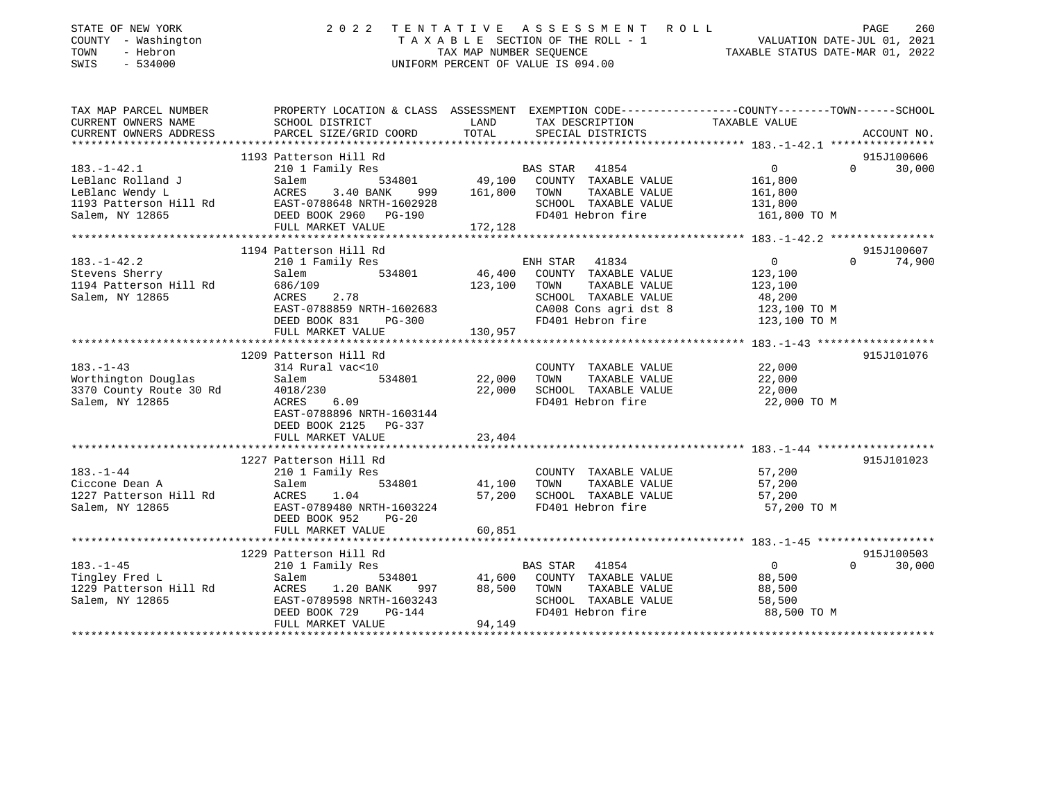| STATE OF NEW YORK<br>COUNTY - Washington<br>TOWN<br>- Hebron<br>SWIS<br>$-534000$ | 2 0 2 2                                      | A S S E S S M E N T<br>TENTATIVE<br>ROLL<br>TAXABLE SECTION OF THE ROLL - 1<br>TAX MAP NUMBER SEOUENCE<br>UNIFORM PERCENT OF VALUE IS 094.00 | PAGE<br>260<br>VALUATION DATE-JUL 01, 2021<br>TAXABLE STATUS DATE-MAR 01, 2022                 |
|-----------------------------------------------------------------------------------|----------------------------------------------|----------------------------------------------------------------------------------------------------------------------------------------------|------------------------------------------------------------------------------------------------|
| TAX MAP PARCEL NUMBER                                                             |                                              |                                                                                                                                              | PROPERTY LOCATION & CLASS ASSESSMENT EXEMPTION CODE---------------COUNTY-------TOWN-----SCHOOL |
| CURRENT OWNERS NAME<br>CURRENT OWNERS ADDRESS                                     | SCHOOL DISTRICT<br>PARCEL SIZE/GRID COORD    | LAND<br>TAX DESCRIPTION<br>TOTAL<br>SPECIAL DISTRICTS                                                                                        | TAXABLE VALUE<br>ACCOUNT NO.                                                                   |
|                                                                                   |                                              |                                                                                                                                              |                                                                                                |
|                                                                                   | 1193 Patterson Hill Rd                       |                                                                                                                                              | 915J100606                                                                                     |
| $183. - 1 - 42.1$                                                                 | 210 1 Family Res                             | BAS STAR<br>41854                                                                                                                            | $\mathbf 0$<br>$\Omega$<br>30,000                                                              |
| LeBlanc Rolland J                                                                 | 534801<br>Salem                              | 49,100<br>COUNTY TAXABLE VALUE                                                                                                               | 161,800                                                                                        |
| LeBlanc Wendy L                                                                   | ACRES<br>3.40 BANK<br>999                    | 161,800<br>TOWN<br>TAXABLE VALUE                                                                                                             | 161,800                                                                                        |
| 1193 Patterson Hill Rd                                                            | EAST-0788648 NRTH-1602928                    | SCHOOL TAXABLE VALUE                                                                                                                         | 131,800                                                                                        |
| Salem, NY 12865                                                                   | DEED BOOK 2960<br>PG-190                     | FD401 Hebron fire                                                                                                                            | 161,800 TO M                                                                                   |
|                                                                                   | FULL MARKET VALUE                            | 172,128                                                                                                                                      |                                                                                                |
|                                                                                   | 1194 Patterson Hill Rd                       |                                                                                                                                              | 915J100607                                                                                     |
| $183. - 1 - 42.2$                                                                 | 210 1 Family Res                             | ENH STAR<br>41834                                                                                                                            | $\mathbf 0$<br>74,900<br>$\Omega$                                                              |
| Stevens Sherry                                                                    | Salem<br>534801                              | 46,400<br>COUNTY TAXABLE VALUE                                                                                                               | 123,100                                                                                        |
| 1194 Patterson Hill Rd                                                            | 686/109                                      | 123,100<br>TOWN<br>TAXABLE VALUE                                                                                                             | 123,100                                                                                        |
| Salem, NY 12865                                                                   | 2.78<br>ACRES                                | SCHOOL TAXABLE VALUE                                                                                                                         | 48,200                                                                                         |
|                                                                                   | EAST-0788859 NRTH-1602683                    | CA008 Cons agri dst 8                                                                                                                        | 123,100 TO M                                                                                   |
|                                                                                   | DEED BOOK 831<br>$PG-300$                    | FD401 Hebron fire                                                                                                                            | 123,100 TO M                                                                                   |
|                                                                                   | FULL MARKET VALUE                            | 130,957                                                                                                                                      |                                                                                                |
|                                                                                   | ********************                         |                                                                                                                                              | ********** 183.-1-43 *******************                                                       |
|                                                                                   | 1209 Patterson Hill Rd                       |                                                                                                                                              | 915J101076                                                                                     |
| $183. - 1 - 43$                                                                   | 314 Rural vac<10                             | COUNTY TAXABLE VALUE                                                                                                                         | 22,000                                                                                         |
| Worthington Douglas                                                               | 534801<br>Salem                              | 22,000<br>TOWN<br>TAXABLE VALUE                                                                                                              | 22,000                                                                                         |
| 3370 County Route 30 Rd                                                           | 4018/230                                     | 22,000<br>SCHOOL TAXABLE VALUE<br>FD401 Hebron fire                                                                                          | 22,000                                                                                         |
| Salem, NY 12865                                                                   | ACRES<br>6.09<br>EAST-0788896 NRTH-1603144   |                                                                                                                                              | 22,000 TO M                                                                                    |
|                                                                                   | DEED BOOK 2125 PG-337                        |                                                                                                                                              |                                                                                                |
|                                                                                   | FULL MARKET VALUE                            | 23,404                                                                                                                                       |                                                                                                |
|                                                                                   |                                              |                                                                                                                                              |                                                                                                |
|                                                                                   | 1227 Patterson Hill Rd                       |                                                                                                                                              | 915J101023                                                                                     |
| $183. - 1 - 44$                                                                   | 210 1 Family Res                             | COUNTY TAXABLE VALUE                                                                                                                         | 57,200                                                                                         |
| Ciccone Dean A                                                                    | Salem<br>534801                              | 41,100<br>TOWN<br>TAXABLE VALUE                                                                                                              | 57,200                                                                                         |
| 1227 Patterson Hill Rd                                                            | ACRES<br>1.04                                | 57,200<br>SCHOOL TAXABLE VALUE                                                                                                               | 57,200                                                                                         |
| Salem, NY 12865                                                                   | EAST-0789480 NRTH-1603224                    | FD401 Hebron fire                                                                                                                            | 57,200 TO M                                                                                    |
|                                                                                   | DEED BOOK 952<br>$PG-20$                     |                                                                                                                                              |                                                                                                |
|                                                                                   | FULL MARKET VALUE                            | 60,851                                                                                                                                       |                                                                                                |
|                                                                                   | ************************                     |                                                                                                                                              |                                                                                                |
|                                                                                   | 1229 Patterson Hill Rd                       |                                                                                                                                              | 915J100503                                                                                     |
| $183. - 1 - 45$                                                                   | 210 1 Family Res                             | BAS STAR<br>41854                                                                                                                            | $\mathbf{0}$<br>30,000<br>$\Omega$                                                             |
| Tingley Fred L<br>1229 Patterson Hill Rd                                          | Salem<br>534801<br>ACRES<br>1.20 BANK<br>997 | COUNTY TAXABLE VALUE<br>41,600<br>88,500<br>TOWN<br>TAXABLE VALUE                                                                            | 88,500<br>88,500                                                                               |
| Salem, NY 12865                                                                   | EAST-0789598 NRTH-1603243                    | SCHOOL TAXABLE VALUE                                                                                                                         | 58,500                                                                                         |
|                                                                                   | DEED BOOK 729<br>PG-144                      | FD401 Hebron fire                                                                                                                            | 88,500 TO M                                                                                    |
|                                                                                   | FULL MARKET VALUE                            | 94,149                                                                                                                                       |                                                                                                |
|                                                                                   |                                              |                                                                                                                                              |                                                                                                |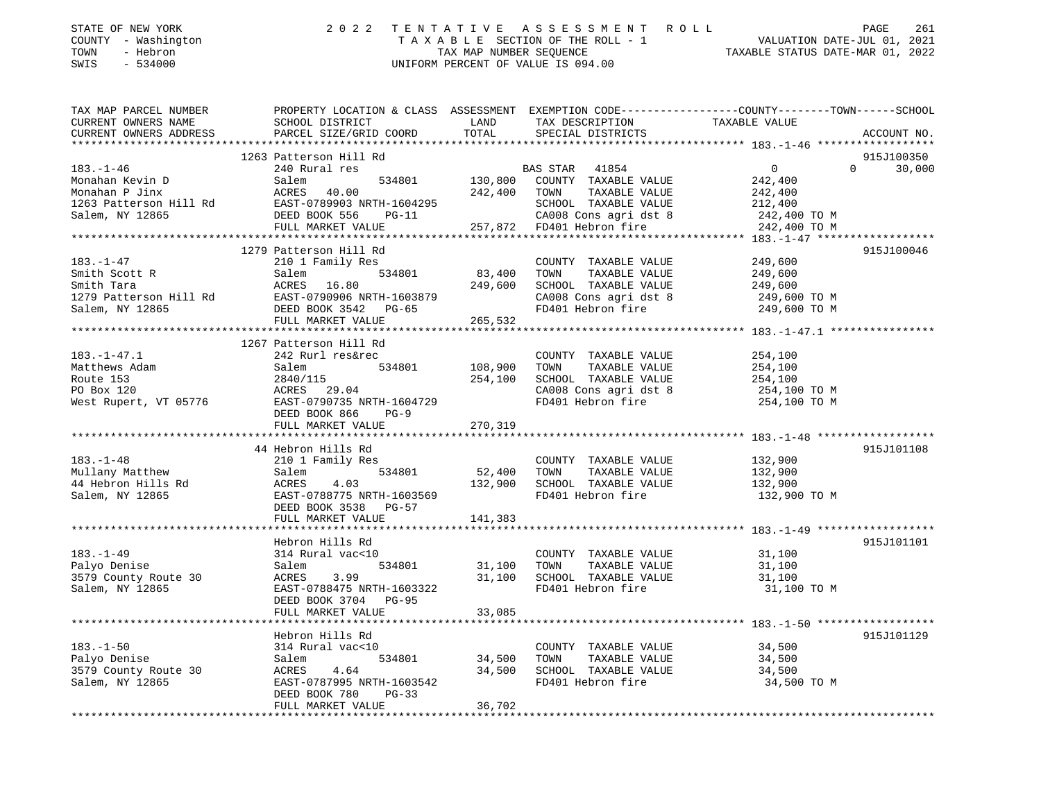| STATE OF NEW YORK<br>- Washington<br>COUNTY<br>- Hebron<br>TOWN<br>SWIS<br>$-534000$ | 2 0 2 2<br>TAXABLE                           | TENTATIVE ASSESSMENT<br>SECTION OF THE ROLL - 1<br>TAX MAP NUMBER SEOUENCE<br>UNIFORM PERCENT OF VALUE IS 094.00 | R O L L                             |                                                                    | 261<br>PAGE<br>VALUATION DATE-JUL 01, 2021<br>TAXABLE STATUS DATE-MAR 01, 2022 |
|--------------------------------------------------------------------------------------|----------------------------------------------|------------------------------------------------------------------------------------------------------------------|-------------------------------------|--------------------------------------------------------------------|--------------------------------------------------------------------------------|
| TAX MAP PARCEL NUMBER<br>CURRENT OWNERS NAME                                         | PROPERTY LOCATION & CLASS<br>SCHOOL DISTRICT | ASSESSMENT<br>LAND                                                                                               | EXEMPTION CODE--<br>TAX DESCRIPTION | -----------------COUNTY---------TOWN-------SCHOOL<br>TAXABLE VALUE |                                                                                |
| CURRENT OWNERS ADDRESS                                                               | PARCEL SIZE/GRID COORD                       | TOTAL                                                                                                            | SPECIAL DISTRICTS                   |                                                                    | ACCOUNT NO.                                                                    |
|                                                                                      | 1263 Patterson Hill Rd                       |                                                                                                                  |                                     |                                                                    | 915J100350                                                                     |
| $183. - 1 - 46$                                                                      | 240 Rural res                                | BAS STAR                                                                                                         | 41854                               |                                                                    | 30,000<br>0                                                                    |
| Monahan Kevin D                                                                      | 534801<br>Salem                              | 130,800<br>COUNTY                                                                                                | TAXABLE VALUE                       | 242,400                                                            |                                                                                |
| Monahan P Jinx                                                                       | 40.00<br>ACRES                               | 242,400<br>TOWN                                                                                                  | TAXABLE VALUE                       | 242,400                                                            |                                                                                |

| 1263 Patterson Hill Rd<br>Salem, NY 12865 | EAST-0789903 NRTH-1604295<br>DEED BOOK 556<br>$PG-11$ |              | SCHOOL TAXABLE VALUE<br>CA008 Cons agri dst 8 | 212,400<br>242,400 TO M |            |
|-------------------------------------------|-------------------------------------------------------|--------------|-----------------------------------------------|-------------------------|------------|
|                                           | FULL MARKET VALUE                                     |              | 257,872 FD401 Hebron fire                     | 242,400 TO M            |            |
|                                           |                                                       |              |                                               |                         |            |
|                                           | 1279 Patterson Hill Rd                                |              |                                               |                         | 915J100046 |
| $183. - 1 - 47$                           | 210 1 Family Res                                      |              | COUNTY TAXABLE VALUE                          | 249,600                 |            |
| Smith Scott R                             | 534801<br>Salem                                       | 83,400 TOWN  | TAXABLE VALUE                                 | 249,600                 |            |
| Smith Tara                                | ACRES<br>16.80                                        | 249,600      | SCHOOL TAXABLE VALUE                          | 249,600                 |            |
| 1279 Patterson Hill Rd                    | EAST-0790906 NRTH-1603879                             |              | CA008 Cons agri dst 8                         | 249,600 TO M            |            |
| Salem, NY 12865                           | DEED BOOK 3542 PG-65                                  |              | FD401 Hebron fire                             | 249,600 TO M            |            |
|                                           | FULL MARKET VALUE                                     | 265,532      |                                               |                         |            |
|                                           |                                                       |              |                                               |                         |            |
|                                           | 1267 Patterson Hill Rd                                |              |                                               |                         |            |
| $183. - 1 - 47.1$                         | 242 Rurl res&rec                                      |              | COUNTY TAXABLE VALUE                          | 254,100                 |            |
| Matthews Adam                             | 534801<br>Salem                                       | 108,900 TOWN | TAXABLE VALUE                                 | 254,100                 |            |
| Route 153                                 | 2840/115                                              |              | 254,100 SCHOOL TAXABLE VALUE                  | 254,100                 |            |
| PO Box 120                                | ACRES 29.04                                           |              | CA008 Cons agri dst 8 $254,100$ TO M          |                         |            |
| West Rupert, VT 05776                     | EAST-0790735 NRTH-1604729                             |              | FD401 Hebron fire 254,100 TO M                |                         |            |
|                                           | DEED BOOK 866<br>$PG-9$                               |              |                                               |                         |            |
|                                           | FULL MARKET VALUE                                     | 270,319      |                                               |                         |            |
|                                           |                                                       |              |                                               |                         |            |
|                                           | 44 Hebron Hills Rd                                    |              |                                               |                         | 915J101108 |
| $183. - 1 - 48$                           | 210 1 Family Res                                      |              | COUNTY TAXABLE VALUE                          | 132,900                 |            |
| Mullany Matthew                           | Salem<br>534801                                       | 52,400       | TOWN<br>TAXABLE VALUE                         | 132,900                 |            |
| 44 Hebron Hills Rd                        | ACRES<br>4.03                                         | 132,900      | SCHOOL TAXABLE VALUE                          | 132,900                 |            |
| Salem, NY 12865                           | EAST-0788775 NRTH-1603569                             |              | FD401 Hebron fire                             | 132,900 TO M            |            |
|                                           | DEED BOOK 3538 PG-57                                  |              |                                               |                         |            |
|                                           | FULL MARKET VALUE                                     | 141,383      |                                               |                         |            |
|                                           |                                                       |              |                                               |                         |            |
|                                           | Hebron Hills Rd                                       |              |                                               | $\frac{31,100}{31}$     | 915J101101 |
| $183. - 1 - 49$                           | 314 Rural vac<10                                      |              | COUNTY TAXABLE VALUE                          |                         |            |
| Palyo Denise                              | Salem<br>534801                                       | 31,100 TOWN  | TAXABLE VALUE                                 |                         |            |
| 3579 County Route 30                      | ACRES<br>3.99                                         |              | 31,100 SCHOOL TAXABLE VALUE                   | 31,100                  |            |
| Salem, NY 12865                           | EAST-0788475 NRTH-1603322                             |              | FD401 Hebron fire                             | 31,100 TO M             |            |
|                                           | DEED BOOK 3704 PG-95                                  |              |                                               |                         |            |
|                                           | FULL MARKET VALUE                                     | 33,085       |                                               |                         |            |
|                                           |                                                       |              |                                               |                         |            |
|                                           | Hebron Hills Rd                                       |              |                                               |                         | 915J101129 |
| $183. - 1 - 50$                           | 314 Rural vac<10                                      |              | COUNTY TAXABLE VALUE                          | 34,500                  |            |
| Palyo Denise                              | 534801 34,500<br>Salem                                |              | TOWN<br>TAXABLE VALUE                         | 34,500                  |            |
| 3579 County Route 30                      | ACRES<br>4.64                                         | 34,500       | SCHOOL TAXABLE VALUE                          | 34,500                  |            |
| Salem, NY 12865                           | EAST-0787995 NRTH-1603542                             |              | FD401 Hebron fire                             | 34,500 TO M             |            |
|                                           | DEED BOOK 780<br>$PG-33$                              |              |                                               |                         |            |
|                                           | FULL MARKET VALUE                                     | 36,702       |                                               |                         |            |
|                                           |                                                       |              |                                               |                         |            |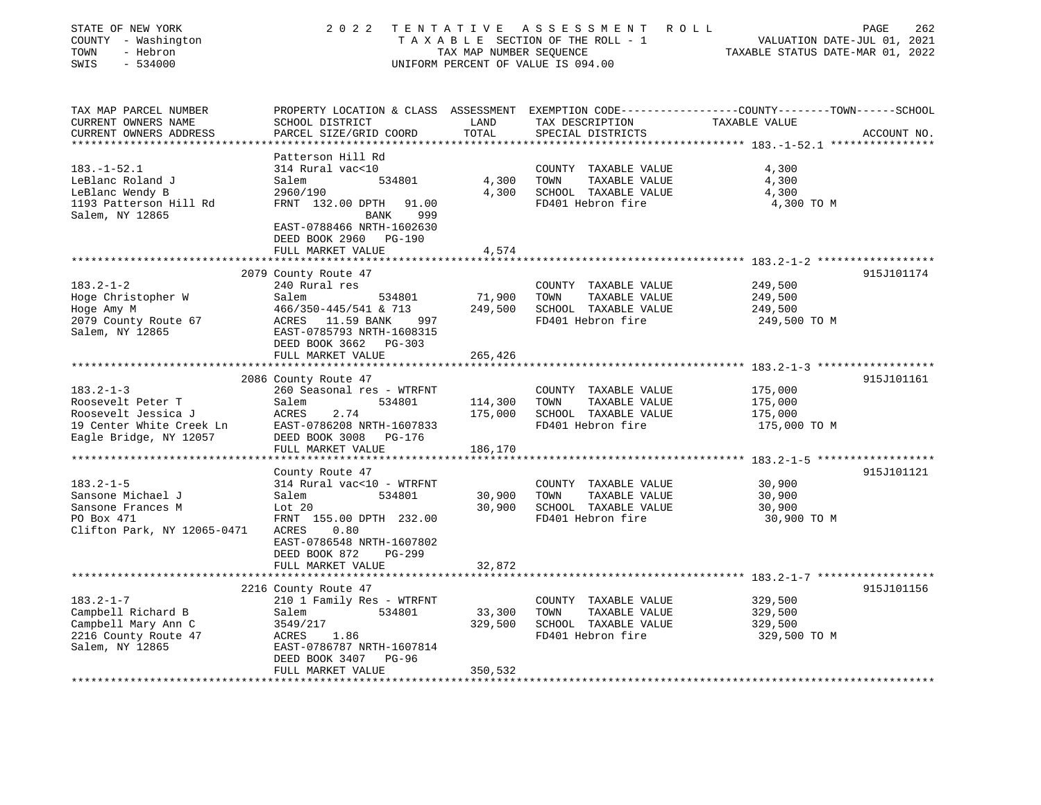| STATE OF NEW YORK<br>COUNTY - Washington<br>TOWN<br>- Hebron<br>SWIS<br>$-534000$                                 | 2 0 2 2                                                                                                                                                                                              | TAX MAP NUMBER SEQUENCE    | TENTATIVE ASSESSMENT<br>R O L L<br>TAXABLE SECTION OF THE ROLL - 1<br>UNIFORM PERCENT OF VALUE IS 094.00 | PAGE<br>VALUATION DATE-JUL 01, 2021<br>TAXABLE STATUS DATE-MAR 01, 2022                                         | 262         |
|-------------------------------------------------------------------------------------------------------------------|------------------------------------------------------------------------------------------------------------------------------------------------------------------------------------------------------|----------------------------|----------------------------------------------------------------------------------------------------------|-----------------------------------------------------------------------------------------------------------------|-------------|
| TAX MAP PARCEL NUMBER<br>CURRENT OWNERS NAME<br>CURRENT OWNERS ADDRESS                                            | SCHOOL DISTRICT<br>PARCEL SIZE/GRID COORD                                                                                                                                                            | LAND<br>TOTAL              | TAX DESCRIPTION<br>SPECIAL DISTRICTS                                                                     | PROPERTY LOCATION & CLASS ASSESSMENT EXEMPTION CODE---------------COUNTY-------TOWN-----SCHOOL<br>TAXABLE VALUE | ACCOUNT NO. |
| $183. - 1 - 52.1$<br>LeBlanc Roland J<br>LeBlanc Wendy B<br>1193 Patterson Hill Rd<br>Salem, NY 12865             | Patterson Hill Rd<br>314 Rural vac<10<br>534801<br>Salem<br>2960/190<br>FRNT 132.00 DPTH<br>91.00<br>999<br>BANK<br>EAST-0788466 NRTH-1602630<br>DEED BOOK 2960 PG-190                               | 4,300<br>4,300             | COUNTY TAXABLE VALUE<br>TOWN<br>TAXABLE VALUE<br>SCHOOL TAXABLE VALUE<br>FD401 Hebron fire               | 4,300<br>4,300<br>4,300<br>4,300 TO M                                                                           |             |
|                                                                                                                   | FULL MARKET VALUE                                                                                                                                                                                    | 4,574                      |                                                                                                          |                                                                                                                 |             |
| $183.2 - 1 - 2$<br>Hoge Christopher W<br>Hoge Amy M<br>2079 County Route 67<br>Salem, NY 12865                    | 2079 County Route 47<br>240 Rural res<br>Salem<br>534801<br>466/350-445/541 & 713<br>ACRES 11.59 BANK<br>997<br>EAST-0785793 NRTH-1608315<br>DEED BOOK 3662 PG-303                                   | 71,900<br>249,500          | COUNTY TAXABLE VALUE<br>TOWN<br>TAXABLE VALUE<br>SCHOOL TAXABLE VALUE<br>FD401 Hebron fire               | 249,500<br>249,500<br>249,500<br>249,500 TO M                                                                   | 915J101174  |
|                                                                                                                   | FULL MARKET VALUE                                                                                                                                                                                    | 265,426                    |                                                                                                          |                                                                                                                 |             |
|                                                                                                                   |                                                                                                                                                                                                      |                            |                                                                                                          |                                                                                                                 |             |
|                                                                                                                   | 2086 County Route 47                                                                                                                                                                                 |                            |                                                                                                          |                                                                                                                 | 915J101161  |
| $183.2 - 1 - 3$<br>Roosevelt Peter T<br>Roosevelt Jessica J<br>19 Center White Creek Ln<br>Eagle Bridge, NY 12057 | 260 Seasonal res - WTRFNT<br>Salem<br>534801<br>ACRES<br>2.74<br>EAST-0786208 NRTH-1607833<br>DEED BOOK 3008<br>PG-176                                                                               | 114,300<br>175,000         | COUNTY TAXABLE VALUE<br>TOWN<br>TAXABLE VALUE<br>SCHOOL TAXABLE VALUE<br>FD401 Hebron fire               | 175,000<br>175,000<br>175,000<br>175,000 TO M                                                                   |             |
|                                                                                                                   | FULL MARKET VALUE                                                                                                                                                                                    | 186,170                    |                                                                                                          |                                                                                                                 |             |
| $183.2 - 1 - 5$<br>Sansone Michael J<br>Sansone Frances M<br>PO Box 471<br>Clifton Park, NY 12065-0471            | County Route 47<br>314 Rural vac<10 - WTRFNT<br>Salem<br>534801<br>Lot $20$<br>FRNT 155.00 DPTH 232.00<br>ACRES<br>0.80<br>EAST-0786548 NRTH-1607802<br>DEED BOOK 872<br>PG-299<br>FULL MARKET VALUE | 30,900<br>30,900<br>32,872 | COUNTY TAXABLE VALUE<br>TOWN<br>TAXABLE VALUE<br>SCHOOL TAXABLE VALUE<br>FD401 Hebron fire               | 30,900<br>30,900<br>30,900<br>30,900 TO M                                                                       | 915J101121  |
|                                                                                                                   | * * * * * * * * * * * * * * * * * *                                                                                                                                                                  |                            |                                                                                                          |                                                                                                                 |             |
| $183.2 - 1 - 7$<br>Campbell Richard B<br>Campbell Mary Ann C<br>2216 County Route 47<br>Salem, NY 12865           | 2216 County Route 47<br>210 1 Family Res - WTRFNT<br>534801<br>Salem<br>3549/217<br>ACRES<br>1.86<br>EAST-0786787 NRTH-1607814<br>DEED BOOK 3407<br>PG-96                                            | 33,300<br>329,500          | COUNTY TAXABLE VALUE<br>TOWN<br>TAXABLE VALUE<br>SCHOOL TAXABLE VALUE<br>FD401 Hebron fire               | 329,500<br>329,500<br>329,500<br>329,500 TO M                                                                   | 915J101156  |
|                                                                                                                   | FULL MARKET VALUE                                                                                                                                                                                    | 350,532                    |                                                                                                          |                                                                                                                 |             |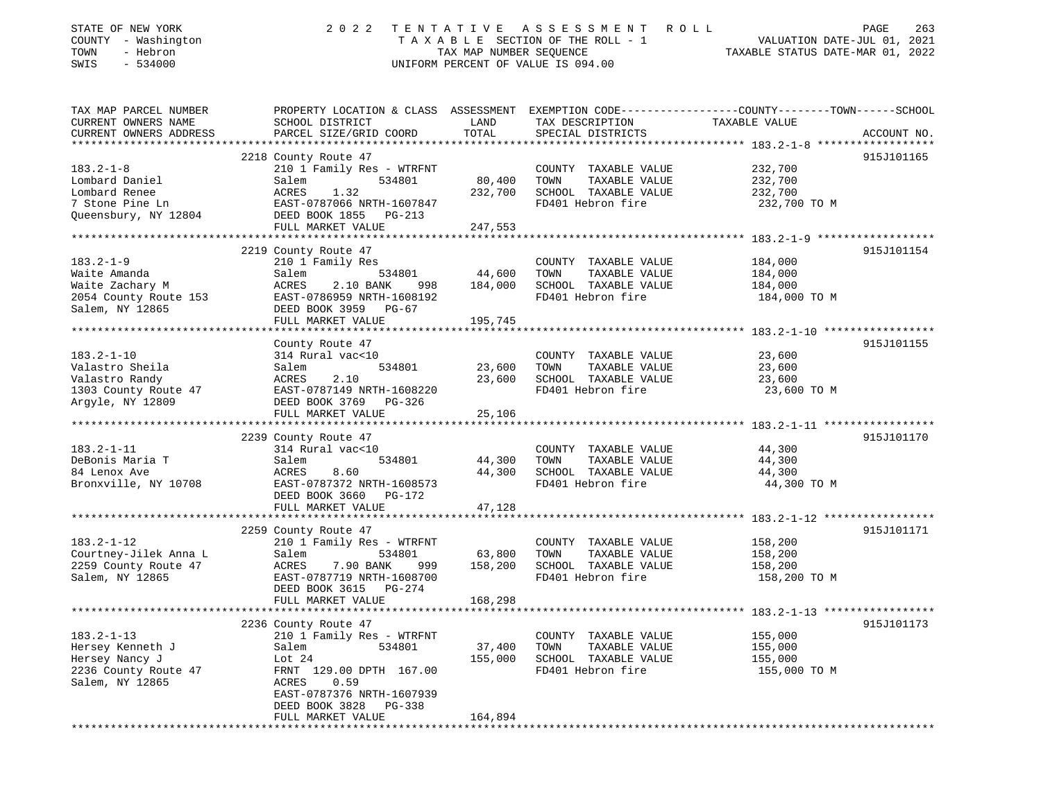| STATE OF NEW YORK<br>COUNTY - Washington<br>- Hebron<br>TOWN<br>SWIS<br>$-534000$ | 2 0 2 2<br>TENTATIVE<br>TAXABLE SECTION OF THE ROLL - 1<br>TAX MAP NUMBER SEQUENCE<br>UNIFORM PERCENT OF VALUE IS 094.00 | R O L L<br>PAGE<br>263<br>VALUATION DATE-JUL 01, 2021<br>TAXABLE STATUS DATE-MAR 01, 2022 |                                               |                                                                                                  |
|-----------------------------------------------------------------------------------|--------------------------------------------------------------------------------------------------------------------------|-------------------------------------------------------------------------------------------|-----------------------------------------------|--------------------------------------------------------------------------------------------------|
| TAX MAP PARCEL NUMBER                                                             |                                                                                                                          |                                                                                           |                                               | PROPERTY LOCATION & CLASS ASSESSMENT EXEMPTION CODE----------------COUNTY-------TOWN------SCHOOL |
| CURRENT OWNERS NAME<br>CURRENT OWNERS ADDRESS                                     | SCHOOL DISTRICT<br>PARCEL SIZE/GRID COORD                                                                                | LAND<br>TOTAL                                                                             | TAX DESCRIPTION<br>SPECIAL DISTRICTS          | TAXABLE VALUE<br>ACCOUNT NO.                                                                     |
|                                                                                   |                                                                                                                          |                                                                                           |                                               | 915J101165                                                                                       |
| $183.2 - 1 - 8$                                                                   | 2218 County Route 47<br>210 1 Family Res - WTRFNT                                                                        |                                                                                           | COUNTY TAXABLE VALUE                          | 232,700                                                                                          |
| Lombard Daniel                                                                    | Salem<br>534801                                                                                                          | 80,400                                                                                    | TOWN<br>TAXABLE VALUE                         | 232,700                                                                                          |
| Lombard Renee                                                                     | ACRES<br>1.32                                                                                                            | 232,700                                                                                   | SCHOOL TAXABLE VALUE                          | 232,700                                                                                          |
| 7 Stone Pine Ln                                                                   | EAST-0787066 NRTH-1607847                                                                                                |                                                                                           | FD401 Hebron fire                             | 232,700 TO M                                                                                     |
| Queensbury, NY 12804                                                              | DEED BOOK 1855<br>$PG-213$                                                                                               |                                                                                           |                                               |                                                                                                  |
|                                                                                   | FULL MARKET VALUE                                                                                                        | 247,553                                                                                   |                                               |                                                                                                  |
|                                                                                   |                                                                                                                          |                                                                                           |                                               |                                                                                                  |
|                                                                                   | 2219 County Route 47                                                                                                     |                                                                                           |                                               | 915J101154                                                                                       |
| $183.2 - 1 - 9$                                                                   | 210 1 Family Res                                                                                                         |                                                                                           | COUNTY TAXABLE VALUE                          | 184,000                                                                                          |
| Waite Amanda                                                                      | Salem<br>534801                                                                                                          | 44,600                                                                                    | TOWN<br>TAXABLE VALUE                         | 184,000                                                                                          |
| Waite Zachary M                                                                   | ACRES<br>2.10 BANK<br>998                                                                                                | 184,000                                                                                   | SCHOOL TAXABLE VALUE                          | 184,000                                                                                          |
| 2054 County Route 153                                                             | EAST-0786959 NRTH-1608192                                                                                                |                                                                                           | FD401 Hebron fire                             | 184,000 TO M                                                                                     |
| Salem, NY 12865                                                                   | DEED BOOK 3959 PG-67                                                                                                     |                                                                                           |                                               |                                                                                                  |
|                                                                                   | FULL MARKET VALUE<br>*************************                                                                           | 195,745<br>* * * * * * * * * * * *                                                        |                                               |                                                                                                  |
|                                                                                   |                                                                                                                          |                                                                                           |                                               | ********************** 183.2-1-10 ******************                                             |
|                                                                                   | County Route 47                                                                                                          |                                                                                           |                                               | 915J101155                                                                                       |
| $183.2 - 1 - 10$                                                                  | 314 Rural vac<10                                                                                                         |                                                                                           | COUNTY TAXABLE VALUE                          | 23,600<br>23,600                                                                                 |
| Valastro Sheila<br>Valastro Randy                                                 | Salem<br>534801<br>ACRES<br>2.10                                                                                         | 23,600<br>23,600                                                                          | TOWN<br>TAXABLE VALUE<br>SCHOOL TAXABLE VALUE |                                                                                                  |
| 1303 County Route 47                                                              | EAST-0787149 NRTH-1608220                                                                                                |                                                                                           | FD401 Hebron fire                             | 23,600<br>23,600 TO M                                                                            |
| Argyle, NY 12809                                                                  | DEED BOOK 3769 PG-326                                                                                                    |                                                                                           |                                               |                                                                                                  |
|                                                                                   | FULL MARKET VALUE                                                                                                        | 25,106                                                                                    |                                               |                                                                                                  |
|                                                                                   |                                                                                                                          |                                                                                           |                                               |                                                                                                  |
|                                                                                   | 2239 County Route 47                                                                                                     |                                                                                           |                                               | 915J101170                                                                                       |
| $183.2 - 1 - 11$                                                                  | 314 Rural vac<10                                                                                                         |                                                                                           | COUNTY TAXABLE VALUE                          | 44,300                                                                                           |
| DeBonis Maria T                                                                   | Salem<br>534801                                                                                                          | 44,300                                                                                    | TOWN<br>TAXABLE VALUE                         | 44,300                                                                                           |
| 84 Lenox Ave                                                                      | ACRES<br>8.60                                                                                                            | 44,300                                                                                    | SCHOOL TAXABLE VALUE                          | 44,300                                                                                           |
| Bronxville, NY 10708                                                              | EAST-0787372 NRTH-1608573                                                                                                |                                                                                           | FD401 Hebron fire                             | 44,300 TO M                                                                                      |
|                                                                                   | DEED BOOK 3660 PG-172                                                                                                    |                                                                                           |                                               |                                                                                                  |
|                                                                                   | FULL MARKET VALUE                                                                                                        | 47,128                                                                                    |                                               |                                                                                                  |
|                                                                                   |                                                                                                                          |                                                                                           |                                               |                                                                                                  |
|                                                                                   | 2259 County Route 47                                                                                                     |                                                                                           |                                               | 915J101171                                                                                       |
| $183.2 - 1 - 12$                                                                  | 210 1 Family Res - WTRFNT                                                                                                |                                                                                           | COUNTY TAXABLE VALUE                          | 158,200                                                                                          |
| Courtney-Jilek Anna L                                                             | 534801<br>Salem                                                                                                          | 63,800                                                                                    | TOWN<br>TAXABLE VALUE                         | 158,200                                                                                          |
| 2259 County Route 47                                                              | ACRES<br>7.90 BANK<br>999                                                                                                | 158,200                                                                                   | SCHOOL TAXABLE VALUE                          | 158,200                                                                                          |
| Salem, NY 12865                                                                   | EAST-0787719 NRTH-1608700                                                                                                |                                                                                           | FD401 Hebron fire                             | 158,200 TO M                                                                                     |
|                                                                                   | DEED BOOK 3615 PG-274                                                                                                    |                                                                                           |                                               |                                                                                                  |
|                                                                                   | FULL MARKET VALUE                                                                                                        | 168,298                                                                                   |                                               |                                                                                                  |
|                                                                                   | 2236 County Route 47                                                                                                     |                                                                                           |                                               | 915J101173                                                                                       |
| $183.2 - 1 - 13$                                                                  | 210 1 Family Res - WTRFNT                                                                                                |                                                                                           | COUNTY TAXABLE VALUE                          | 155,000                                                                                          |
| Hersey Kenneth J                                                                  | Salem<br>534801                                                                                                          | 37,400                                                                                    | TOWN<br>TAXABLE VALUE                         | 155,000                                                                                          |
| Hersey Nancy J                                                                    | Lot $24$                                                                                                                 | 155,000                                                                                   | SCHOOL TAXABLE VALUE                          | 155,000                                                                                          |
| 2236 County Route 47                                                              | FRNT 129.00 DPTH 167.00                                                                                                  |                                                                                           | FD401 Hebron fire                             | 155,000 TO M                                                                                     |
| Salem, NY 12865                                                                   | ACRES<br>0.59                                                                                                            |                                                                                           |                                               |                                                                                                  |
|                                                                                   | EAST-0787376 NRTH-1607939                                                                                                |                                                                                           |                                               |                                                                                                  |
|                                                                                   | DEED BOOK 3828<br>PG-338                                                                                                 |                                                                                           |                                               |                                                                                                  |
|                                                                                   | FULL MARKET VALUE                                                                                                        | 164,894                                                                                   |                                               |                                                                                                  |
|                                                                                   | *****************                                                                                                        |                                                                                           |                                               |                                                                                                  |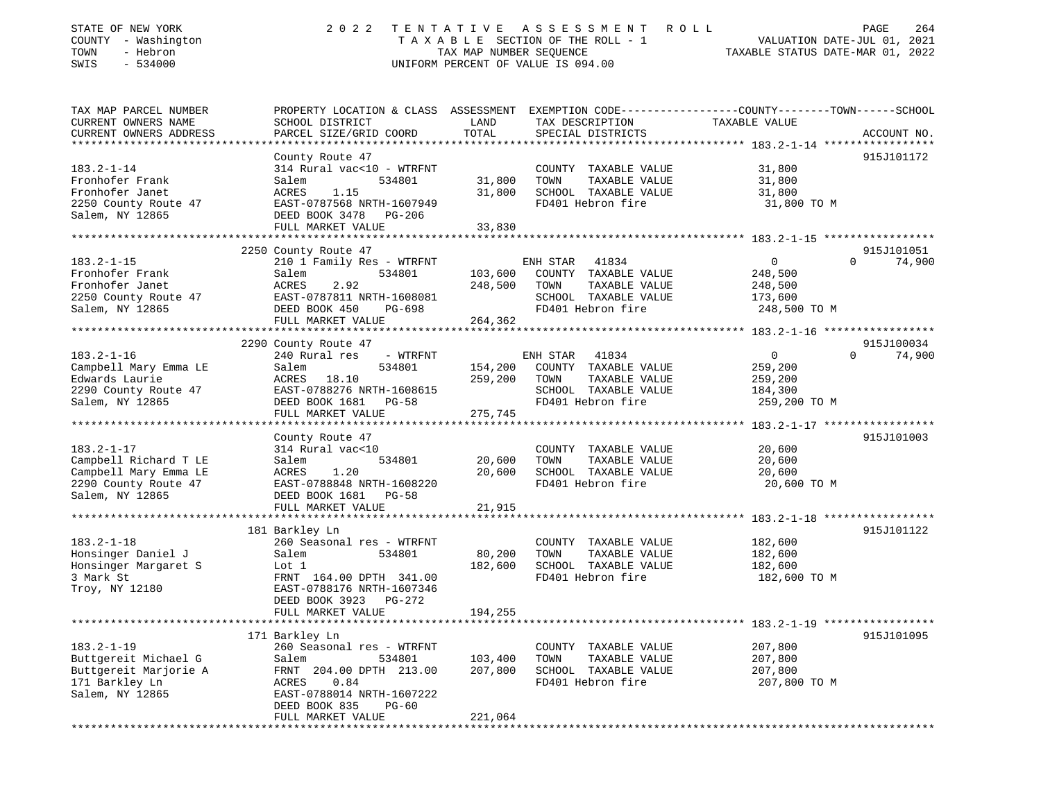| STATE OF NEW YORK<br>COUNTY - Washington<br>- Hebron<br>TOWN<br>SWIS<br>$-534000$ | 2 0 2 2<br>TENTATIVE<br>TAXABLE SECTION OF THE ROLL - 1<br>TAX MAP NUMBER SEQUENCE<br>UNIFORM PERCENT OF VALUE IS 094.00 | PAGE<br>264<br>ROLL<br>VALUATION DATE-JUL 01, 2021<br>TAXABLE STATUS DATE-MAR 01, 2022 |                                               |                                                                                                                  |                      |
|-----------------------------------------------------------------------------------|--------------------------------------------------------------------------------------------------------------------------|----------------------------------------------------------------------------------------|-----------------------------------------------|------------------------------------------------------------------------------------------------------------------|----------------------|
| TAX MAP PARCEL NUMBER<br>CURRENT OWNERS NAME                                      | SCHOOL DISTRICT                                                                                                          | LAND                                                                                   | TAX DESCRIPTION                               | PROPERTY LOCATION & CLASS ASSESSMENT EXEMPTION CODE---------------COUNTY-------TOWN------SCHOOL<br>TAXABLE VALUE |                      |
| CURRENT OWNERS ADDRESS                                                            | PARCEL SIZE/GRID COORD                                                                                                   | TOTAL                                                                                  | SPECIAL DISTRICTS                             |                                                                                                                  | ACCOUNT NO.          |
|                                                                                   |                                                                                                                          |                                                                                        |                                               |                                                                                                                  | 915J101172           |
| $183.2 - 1 - 14$                                                                  | County Route 47<br>314 Rural vac<10 - WTRFNT                                                                             |                                                                                        | COUNTY TAXABLE VALUE                          | 31,800                                                                                                           |                      |
| Fronhofer Frank                                                                   | 534801<br>Salem                                                                                                          | 31,800                                                                                 | TOWN<br>TAXABLE VALUE                         | 31,800                                                                                                           |                      |
| Fronhofer Janet                                                                   | ACRES<br>1.15                                                                                                            | 31,800                                                                                 | SCHOOL TAXABLE VALUE                          | 31,800                                                                                                           |                      |
| 2250 County Route 47                                                              | EAST-0787568 NRTH-1607949                                                                                                |                                                                                        | FD401 Hebron fire                             | 31,800 TO M                                                                                                      |                      |
| Salem, NY 12865                                                                   | DEED BOOK 3478<br>PG-206                                                                                                 |                                                                                        |                                               |                                                                                                                  |                      |
|                                                                                   | FULL MARKET VALUE                                                                                                        | 33,830                                                                                 |                                               |                                                                                                                  |                      |
| **********************                                                            |                                                                                                                          |                                                                                        |                                               |                                                                                                                  |                      |
| $183.2 - 1 - 15$                                                                  | 2250 County Route 47<br>210 1 Family Res - WTRFNT                                                                        |                                                                                        | 41834<br>ENH STAR                             | $\mathbf{0}$<br>$\Omega$                                                                                         | 915J101051<br>74,900 |
| Fronhofer Frank                                                                   | Salem<br>534801                                                                                                          | 103,600                                                                                | COUNTY TAXABLE VALUE                          | 248,500                                                                                                          |                      |
| Fronhofer Janet                                                                   | ACRES<br>2.92                                                                                                            | 248,500                                                                                | TAXABLE VALUE<br>TOWN                         | 248,500                                                                                                          |                      |
| 2250 County Route 47                                                              | EAST-0787811 NRTH-1608081                                                                                                |                                                                                        | SCHOOL TAXABLE VALUE                          | 173,600                                                                                                          |                      |
| Salem, NY 12865                                                                   | DEED BOOK 450<br>PG-698                                                                                                  |                                                                                        | FD401 Hebron fire                             | 248,500 TO M                                                                                                     |                      |
|                                                                                   | FULL MARKET VALUE                                                                                                        | 264,362                                                                                |                                               |                                                                                                                  |                      |
|                                                                                   | *************************                                                                                                | * * * * * * * * * * * * * *                                                            |                                               | ************* 183.2-1-16 ******************                                                                      |                      |
|                                                                                   | 2290 County Route 47                                                                                                     |                                                                                        |                                               |                                                                                                                  | 915J100034           |
| $183.2 - 1 - 16$                                                                  | 240 Rural res<br>- WTRFNT                                                                                                |                                                                                        | 41834<br>ENH STAR                             | $\mathbf 0$<br>0                                                                                                 | 74,900               |
| Campbell Mary Emma LE<br>Edwards Laurie                                           | Salem<br>534801<br>ACRES<br>18.10                                                                                        | 154,200<br>259,200                                                                     | COUNTY TAXABLE VALUE<br>TOWN<br>TAXABLE VALUE | 259,200<br>259,200                                                                                               |                      |
| 2290 County Route 47                                                              | EAST-0788276 NRTH-1608615                                                                                                |                                                                                        | SCHOOL TAXABLE VALUE                          | 184,300                                                                                                          |                      |
| Salem, NY 12865                                                                   | DEED BOOK 1681<br>PG-58                                                                                                  |                                                                                        | FD401 Hebron fire                             | 259,200 TO M                                                                                                     |                      |
|                                                                                   | FULL MARKET VALUE                                                                                                        | 275,745                                                                                |                                               |                                                                                                                  |                      |
|                                                                                   |                                                                                                                          |                                                                                        |                                               |                                                                                                                  |                      |
|                                                                                   | County Route 47                                                                                                          |                                                                                        |                                               |                                                                                                                  | 915J101003           |
| $183.2 - 1 - 17$                                                                  | 314 Rural vac<10                                                                                                         |                                                                                        | COUNTY TAXABLE VALUE                          | 20,600                                                                                                           |                      |
| Campbell Richard T LE                                                             | Salem<br>534801                                                                                                          | 20,600                                                                                 | TAXABLE VALUE<br>TOWN                         | 20,600                                                                                                           |                      |
| Campbell Mary Emma LE                                                             | 1.20<br>ACRES                                                                                                            | 20,600                                                                                 | SCHOOL TAXABLE VALUE                          | 20,600                                                                                                           |                      |
| 2290 County Route 47<br>Salem, NY 12865                                           | EAST-0788848 NRTH-1608220<br>DEED BOOK 1681 PG-58                                                                        |                                                                                        | FD401 Hebron fire                             | 20,600 TO M                                                                                                      |                      |
|                                                                                   | FULL MARKET VALUE                                                                                                        | 21,915                                                                                 |                                               |                                                                                                                  |                      |
|                                                                                   |                                                                                                                          |                                                                                        |                                               |                                                                                                                  |                      |
|                                                                                   | 181 Barkley Ln                                                                                                           |                                                                                        |                                               |                                                                                                                  | 915J101122           |
| $183.2 - 1 - 18$                                                                  | 260 Seasonal res - WTRFNT                                                                                                |                                                                                        | COUNTY TAXABLE VALUE                          | 182,600                                                                                                          |                      |
| Honsinger Daniel J                                                                | 534801<br>Salem                                                                                                          | 80,200                                                                                 | TOWN<br>TAXABLE VALUE                         | 182,600                                                                                                          |                      |
| Honsinger Margaret S                                                              | Lot 1                                                                                                                    | 182,600                                                                                | SCHOOL TAXABLE VALUE                          | 182,600                                                                                                          |                      |
| 3 Mark St                                                                         | FRNT 164.00 DPTH 341.00                                                                                                  |                                                                                        | FD401 Hebron fire                             | 182,600 TO M                                                                                                     |                      |
| Troy, NY 12180                                                                    | EAST-0788176 NRTH-1607346                                                                                                |                                                                                        |                                               |                                                                                                                  |                      |
|                                                                                   | DEED BOOK 3923 PG-272<br>FULL MARKET VALUE                                                                               | 194,255                                                                                |                                               |                                                                                                                  |                      |
|                                                                                   |                                                                                                                          |                                                                                        |                                               |                                                                                                                  |                      |
|                                                                                   | 171 Barkley Ln                                                                                                           |                                                                                        |                                               |                                                                                                                  | 915J101095           |
| $183.2 - 1 - 19$                                                                  | 260 Seasonal res - WTRFNT                                                                                                |                                                                                        | COUNTY TAXABLE VALUE                          | 207,800                                                                                                          |                      |
| Buttgereit Michael G                                                              | Salem<br>534801                                                                                                          | 103,400                                                                                | TOWN<br>TAXABLE VALUE                         | 207,800                                                                                                          |                      |
| Buttgereit Marjorie A                                                             | FRNT 204.00 DPTH 213.00                                                                                                  | 207,800                                                                                | SCHOOL TAXABLE VALUE                          | 207,800                                                                                                          |                      |
| 171 Barkley Ln                                                                    | ACRES 0.84                                                                                                               |                                                                                        | FD401 Hebron fire                             | 207,800 TO M                                                                                                     |                      |
| Salem, NY 12865                                                                   | EAST-0788014 NRTH-1607222                                                                                                |                                                                                        |                                               |                                                                                                                  |                      |
|                                                                                   | DEED BOOK 835<br>PG-60                                                                                                   |                                                                                        |                                               |                                                                                                                  |                      |
|                                                                                   | FULL MARKET VALUE                                                                                                        | 221,064                                                                                |                                               |                                                                                                                  |                      |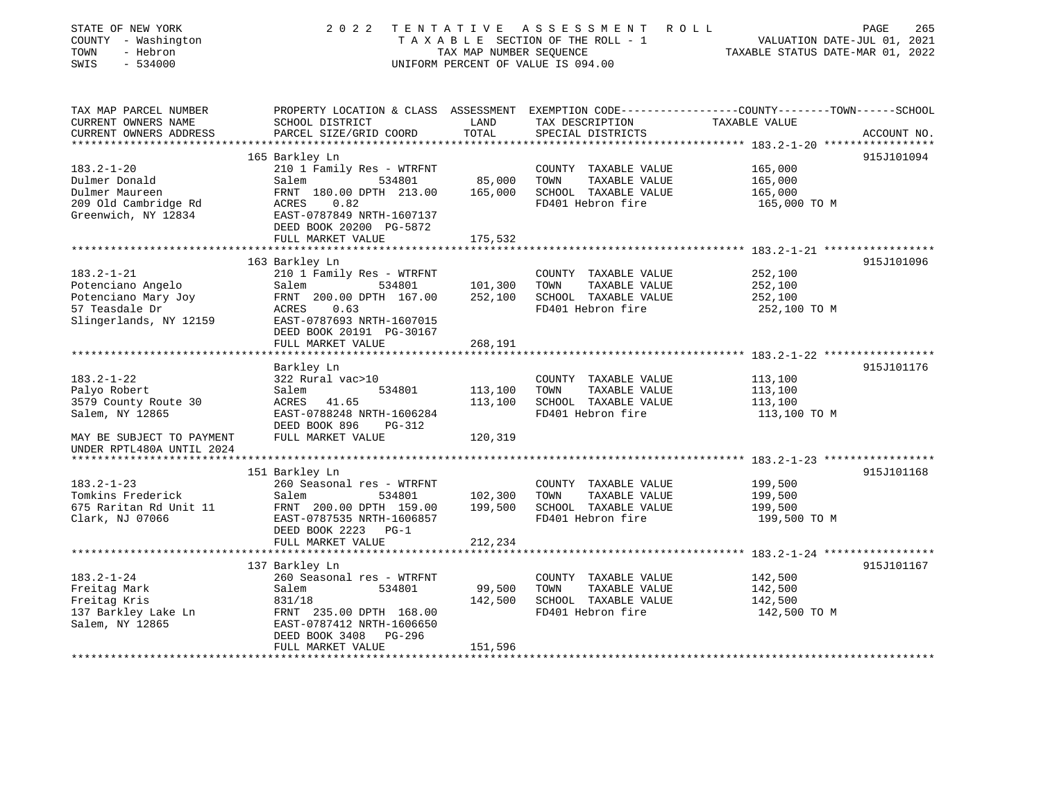| STATE OF NEW YORK<br>COUNTY - Washington<br>TOWN<br>- Hebron<br>SWIS<br>$-534000$ | 2 0 2 2                                                                                        | TAX MAP NUMBER SEOUENCE | TENTATIVE ASSESSMENT<br>ROLL<br>TAXABLE SECTION OF THE ROLL - 1<br>UNIFORM PERCENT OF VALUE IS 094.00 | VALUATION DATE-JUL 01, 2021<br>TAXABLE STATUS DATE-MAR 01, 2022 | PAGE<br>265 |
|-----------------------------------------------------------------------------------|------------------------------------------------------------------------------------------------|-------------------------|-------------------------------------------------------------------------------------------------------|-----------------------------------------------------------------|-------------|
| TAX MAP PARCEL NUMBER                                                             | PROPERTY LOCATION & CLASS ASSESSMENT EXEMPTION CODE---------------COUNTY-------TOWN-----SCHOOL |                         |                                                                                                       |                                                                 |             |
| CURRENT OWNERS NAME                                                               | SCHOOL DISTRICT                                                                                | LAND                    | TAX DESCRIPTION                                                                                       | TAXABLE VALUE                                                   |             |
| CURRENT OWNERS ADDRESS<br>**********************                                  | PARCEL SIZE/GRID COORD                                                                         | TOTAL                   | SPECIAL DISTRICTS                                                                                     |                                                                 | ACCOUNT NO. |
|                                                                                   | 165 Barkley Ln                                                                                 |                         |                                                                                                       |                                                                 | 915J101094  |
| $183.2 - 1 - 20$                                                                  | 210 1 Family Res - WTRFNT                                                                      |                         | COUNTY TAXABLE VALUE                                                                                  | 165,000                                                         |             |
| Dulmer Donald                                                                     | Salem<br>534801                                                                                | 85,000                  | TAXABLE VALUE<br>TOWN                                                                                 | 165,000                                                         |             |
| Dulmer Maureen                                                                    | FRNT 180.00 DPTH 213.00                                                                        | 165,000                 | SCHOOL TAXABLE VALUE                                                                                  | 165,000                                                         |             |
| 209 Old Cambridge Rd                                                              | 0.82<br>ACRES                                                                                  |                         | FD401 Hebron fire                                                                                     | 165,000 TO M                                                    |             |
| Greenwich, NY 12834                                                               | EAST-0787849 NRTH-1607137<br>DEED BOOK 20200 PG-5872                                           |                         |                                                                                                       |                                                                 |             |
|                                                                                   | FULL MARKET VALUE                                                                              | 175,532                 |                                                                                                       |                                                                 |             |
|                                                                                   |                                                                                                |                         |                                                                                                       |                                                                 |             |
|                                                                                   | 163 Barkley Ln                                                                                 |                         |                                                                                                       |                                                                 | 915J101096  |
| $183.2 - 1 - 21$                                                                  | 210 1 Family Res - WTRFNT                                                                      |                         | COUNTY TAXABLE VALUE                                                                                  | 252,100                                                         |             |
| Potenciano Angelo<br>Potenciano Mary Joy                                          | Salem<br>534801<br>FRNT 200.00 DPTH 167.00                                                     | 101,300<br>252,100      | TAXABLE VALUE<br>TOWN<br>SCHOOL TAXABLE VALUE                                                         | 252,100<br>252,100                                              |             |
| 57 Teasdale Dr                                                                    | ACRES<br>0.63                                                                                  |                         | FD401 Hebron fire                                                                                     | 252,100 TO M                                                    |             |
| Slingerlands, NY 12159                                                            | EAST-0787693 NRTH-1607015                                                                      |                         |                                                                                                       |                                                                 |             |
|                                                                                   | DEED BOOK 20191 PG-30167                                                                       |                         |                                                                                                       |                                                                 |             |
|                                                                                   | FULL MARKET VALUE                                                                              | 268,191                 |                                                                                                       |                                                                 |             |
|                                                                                   |                                                                                                | * * * * * * * * *       |                                                                                                       | ************************* 183.2-1-22 ******************         |             |
| $183.2 - 1 - 22$                                                                  | Barkley Ln<br>322 Rural vac>10                                                                 |                         | COUNTY TAXABLE VALUE                                                                                  | 113,100                                                         | 915J101176  |
| Palyo Robert                                                                      | Salem<br>534801                                                                                | 113,100                 | TAXABLE VALUE<br>TOWN                                                                                 | 113,100                                                         |             |
| 3579 County Route 30                                                              | ACRES<br>41.65                                                                                 | 113,100                 | SCHOOL TAXABLE VALUE                                                                                  | 113,100                                                         |             |
| Salem, NY 12865                                                                   | EAST-0788248 NRTH-1606284                                                                      |                         | FD401 Hebron fire                                                                                     | 113,100 TO M                                                    |             |
|                                                                                   | DEED BOOK 896<br>PG-312                                                                        |                         |                                                                                                       |                                                                 |             |
| MAY BE SUBJECT TO PAYMENT                                                         | FULL MARKET VALUE                                                                              | 120,319                 |                                                                                                       |                                                                 |             |
| UNDER RPTL480A UNTIL 2024                                                         |                                                                                                |                         |                                                                                                       |                                                                 |             |
|                                                                                   |                                                                                                |                         |                                                                                                       |                                                                 |             |
|                                                                                   | 151 Barkley Ln                                                                                 |                         |                                                                                                       |                                                                 | 915J101168  |
| $183.2 - 1 - 23$                                                                  | 260 Seasonal res - WTRFNT                                                                      | 102,300                 | COUNTY TAXABLE VALUE<br>TAXABLE VALUE                                                                 | 199,500                                                         |             |
| Tomkins Frederick<br>675 Raritan Rd Unit 11                                       | Salem<br>534801<br>FRNT 200.00 DPTH 159.00                                                     | 199,500                 | TOWN<br>SCHOOL TAXABLE VALUE                                                                          | 199,500<br>199,500                                              |             |
| Clark, NJ 07066                                                                   | EAST-0787535 NRTH-1606857                                                                      |                         | FD401 Hebron fire                                                                                     | 199,500 TO M                                                    |             |
|                                                                                   | DEED BOOK 2223 PG-1                                                                            |                         |                                                                                                       |                                                                 |             |
|                                                                                   | FULL MARKET VALUE                                                                              | 212,234                 |                                                                                                       |                                                                 |             |
|                                                                                   |                                                                                                |                         |                                                                                                       | *************************    183.2-1-24    *****************    |             |
|                                                                                   | 137 Barkley Ln                                                                                 |                         |                                                                                                       |                                                                 | 915J101167  |
| $183.2 - 1 - 24$                                                                  | 260 Seasonal res - WTRFNT                                                                      |                         | COUNTY TAXABLE VALUE                                                                                  | 142,500                                                         |             |
| Freitag Mark                                                                      | 534801<br>Salem                                                                                | 99,500                  | TOWN<br>TAXABLE VALUE                                                                                 | 142,500                                                         |             |
| Freitag Kris                                                                      | 831/18                                                                                         | 142,500                 | SCHOOL TAXABLE VALUE                                                                                  | 142,500                                                         |             |
| 137 Barkley Lake Ln<br>Salem, NY 12865                                            | FRNT 235.00 DPTH 168.00<br>EAST-0787412 NRTH-1606650                                           |                         | FD401 Hebron fire                                                                                     | 142,500 TO M                                                    |             |
|                                                                                   | DEED BOOK 3408<br>PG-296                                                                       |                         |                                                                                                       |                                                                 |             |
|                                                                                   | FULL MARKET VALUE                                                                              | 151,596                 |                                                                                                       |                                                                 |             |
|                                                                                   |                                                                                                |                         |                                                                                                       |                                                                 |             |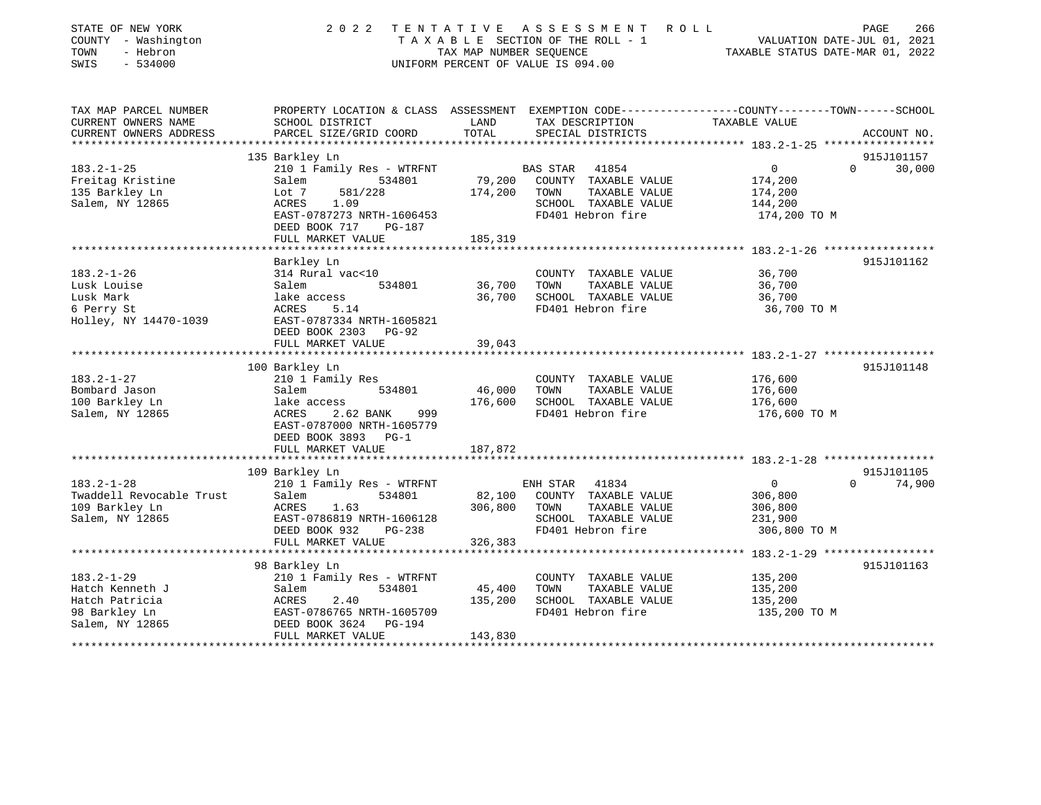| STATE OF NEW YORK<br>COUNTY - Washington<br>TOWN<br>- Hebron<br>SWIS<br>$-534000$ | 2 0 2 2<br>TENTATIVE                                                                                               | TAX MAP NUMBER SEQUENCE | ASSESSMENT<br>ROLL<br>T A X A B L E SECTION OF THE ROLL - 1<br>UNIFORM PERCENT OF VALUE IS 094.00 | VALUATION DATE-JUL 01, 2021<br>TAXABLE STATUS DATE-MAR 01, 2022 | PAGE<br>266        |
|-----------------------------------------------------------------------------------|--------------------------------------------------------------------------------------------------------------------|-------------------------|---------------------------------------------------------------------------------------------------|-----------------------------------------------------------------|--------------------|
| TAX MAP PARCEL NUMBER<br>CURRENT OWNERS NAME                                      | PROPERTY LOCATION & CLASS ASSESSMENT EXEMPTION CODE---------------COUNTY-------TOWN------SCHOOL<br>SCHOOL DISTRICT | LAND                    | TAX DESCRIPTION                                                                                   | TAXABLE VALUE                                                   |                    |
| CURRENT OWNERS ADDRESS                                                            | PARCEL SIZE/GRID COORD                                                                                             | TOTAL                   | SPECIAL DISTRICTS                                                                                 |                                                                 | ACCOUNT NO.        |
|                                                                                   |                                                                                                                    | ***********             |                                                                                                   | ******************** 183.2-1-25 ******************              |                    |
|                                                                                   | 135 Barkley Ln                                                                                                     |                         |                                                                                                   |                                                                 | 915J101157         |
| $183.2 - 1 - 25$                                                                  | 210 1 Family Res - WTRFNT                                                                                          |                         | BAS STAR<br>41854                                                                                 | $\mathbf 0$                                                     | $\Omega$<br>30,000 |
| Freitag Kristine                                                                  | Salem<br>534801                                                                                                    | 79,200                  | COUNTY TAXABLE VALUE<br>TOWN                                                                      | 174,200                                                         |                    |
| 135 Barkley Ln<br>Salem, NY 12865                                                 | 581/228<br>Lot 7<br>ACRES<br>1.09                                                                                  | 174,200                 | TAXABLE VALUE<br>SCHOOL TAXABLE VALUE                                                             | 174,200<br>144,200                                              |                    |
|                                                                                   | EAST-0787273 NRTH-1606453                                                                                          |                         | FD401 Hebron fire                                                                                 | 174,200 TO M                                                    |                    |
|                                                                                   | DEED BOOK 717<br><b>PG-187</b>                                                                                     |                         |                                                                                                   |                                                                 |                    |
|                                                                                   | FULL MARKET VALUE                                                                                                  | 185,319                 |                                                                                                   |                                                                 |                    |
|                                                                                   |                                                                                                                    | ********                |                                                                                                   | ******* 183.2-1-26 *****************                            |                    |
|                                                                                   | Barkley Ln                                                                                                         |                         |                                                                                                   |                                                                 | 915J101162         |
| $183.2 - 1 - 26$                                                                  | 314 Rural vac<10                                                                                                   |                         | COUNTY TAXABLE VALUE                                                                              | 36,700                                                          |                    |
| Lusk Louise                                                                       | Salem<br>534801                                                                                                    | 36,700                  | TOWN<br>TAXABLE VALUE                                                                             | 36,700                                                          |                    |
| Lusk Mark                                                                         | lake access<br>ACRES<br>5.14                                                                                       | 36,700                  | SCHOOL TAXABLE VALUE<br>FD401 Hebron fire                                                         | 36,700                                                          |                    |
| 6 Perry St<br>Holley, NY 14470-1039                                               | EAST-0787334 NRTH-1605821                                                                                          |                         |                                                                                                   | 36,700 TO M                                                     |                    |
|                                                                                   | DEED BOOK 2303 PG-92                                                                                               |                         |                                                                                                   |                                                                 |                    |
|                                                                                   | FULL MARKET VALUE                                                                                                  | 39,043                  |                                                                                                   |                                                                 |                    |
|                                                                                   | ************************                                                                                           |                         |                                                                                                   |                                                                 |                    |
|                                                                                   | 100 Barkley Ln                                                                                                     |                         |                                                                                                   |                                                                 | 915J101148         |
| $183.2 - 1 - 27$                                                                  | 210 1 Family Res                                                                                                   |                         | COUNTY TAXABLE VALUE                                                                              | 176,600                                                         |                    |
| Bombard Jason                                                                     | Salem<br>534801                                                                                                    | 46,000                  | TOWN<br>TAXABLE VALUE                                                                             | 176,600                                                         |                    |
| 100 Barkley Ln                                                                    | lake access                                                                                                        | 176,600                 | SCHOOL TAXABLE VALUE                                                                              | 176,600                                                         |                    |
| Salem, NY 12865                                                                   | ACRES<br>2.62 BANK<br>999                                                                                          |                         | FD401 Hebron fire                                                                                 | 176,600 TO M                                                    |                    |
|                                                                                   | EAST-0787000 NRTH-1605779<br>DEED BOOK 3893 PG-1                                                                   |                         |                                                                                                   |                                                                 |                    |
|                                                                                   | FULL MARKET VALUE                                                                                                  | 187,872                 |                                                                                                   |                                                                 |                    |
|                                                                                   |                                                                                                                    |                         |                                                                                                   |                                                                 |                    |
|                                                                                   | 109 Barkley Ln                                                                                                     |                         |                                                                                                   |                                                                 | 915J101105         |
| $183.2 - 1 - 28$                                                                  | 210 1 Family Res - WTRFNT                                                                                          |                         | ENH STAR 41834                                                                                    | $\mathbf 0$                                                     | $\Omega$<br>74,900 |
| Twaddell Revocable Trust                                                          | Salem<br>534801                                                                                                    | 82,100                  | COUNTY TAXABLE VALUE                                                                              | 306,800                                                         |                    |
| 109 Barkley Ln                                                                    | ACRES<br>1.63                                                                                                      | 306,800                 | TOWN<br>TAXABLE VALUE                                                                             | 306,800                                                         |                    |
| Salem, NY 12865                                                                   | EAST-0786819 NRTH-1606128                                                                                          |                         | SCHOOL TAXABLE VALUE                                                                              | 231,900                                                         |                    |
|                                                                                   | DEED BOOK 932<br>$PG-238$                                                                                          |                         | FD401 Hebron fire                                                                                 | 306,800 TO M                                                    |                    |
|                                                                                   | FULL MARKET VALUE                                                                                                  | 326,383                 |                                                                                                   |                                                                 |                    |
|                                                                                   | 98 Barkley Ln                                                                                                      |                         |                                                                                                   |                                                                 | 915J101163         |
| $183.2 - 1 - 29$                                                                  | 210 1 Family Res - WTRFNT                                                                                          |                         | COUNTY TAXABLE VALUE                                                                              | 135,200                                                         |                    |
| Hatch Kenneth J                                                                   | 534801<br>Salem                                                                                                    | 45,400                  | TOWN<br>TAXABLE VALUE                                                                             | 135,200                                                         |                    |
| Hatch Patricia                                                                    | 2.40<br>ACRES                                                                                                      | 135,200                 | SCHOOL TAXABLE VALUE                                                                              | 135,200                                                         |                    |
| 98 Barkley Ln                                                                     | EAST-0786765 NRTH-1605709                                                                                          |                         | FD401 Hebron fire                                                                                 | 135,200 TO M                                                    |                    |
| Salem, NY 12865                                                                   | DEED BOOK 3624<br>PG-194                                                                                           |                         |                                                                                                   |                                                                 |                    |
|                                                                                   | FULL MARKET VALUE                                                                                                  | 143,830                 |                                                                                                   |                                                                 |                    |
|                                                                                   |                                                                                                                    |                         |                                                                                                   |                                                                 |                    |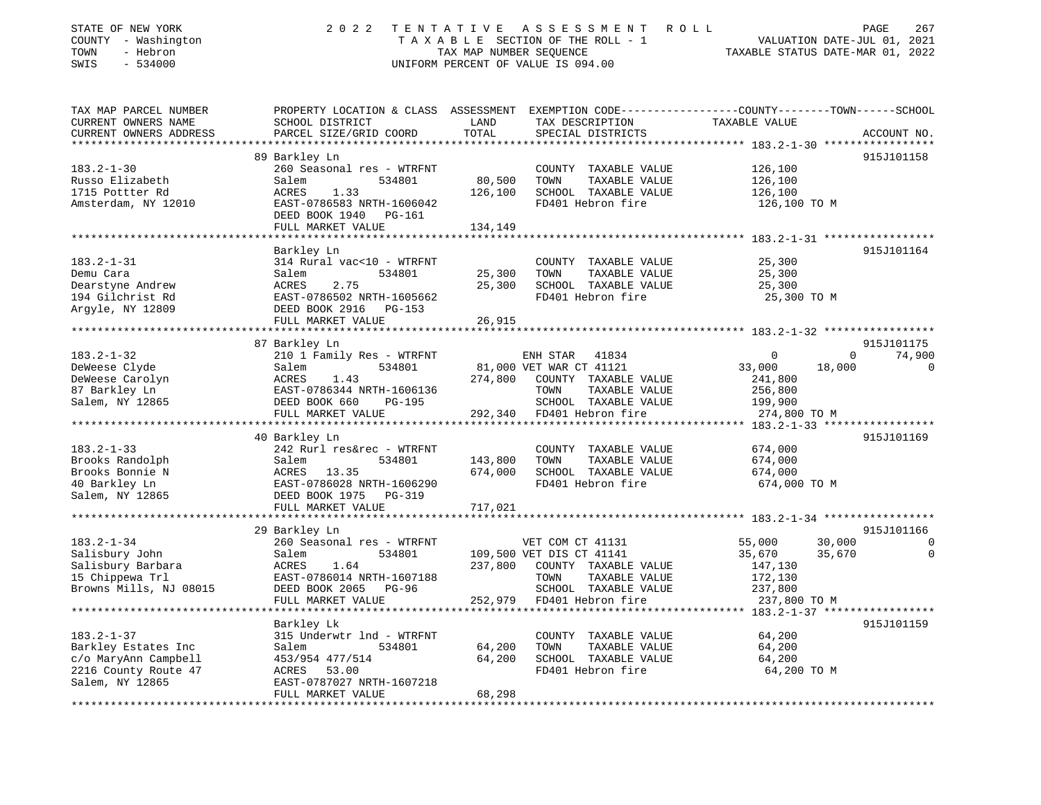| STATE OF NEW YORK<br>COUNTY - Washington<br>TOWN<br>- Hebron<br>$-534000$<br>SWIS | 2022                                                                                                                                          | TENTATIVE<br>TAX MAP NUMBER SEQUENCE | A S S E S S M E N T<br>R O L L<br>TAXABLE SECTION OF THE ROLL - 1<br>UNIFORM PERCENT OF VALUE IS 094.00 |                                                 | 267<br>PAGE<br>VALUATION DATE-JUL 01, 2021<br>TAXABLE STATUS DATE-MAR 01, 2022 |
|-----------------------------------------------------------------------------------|-----------------------------------------------------------------------------------------------------------------------------------------------|--------------------------------------|---------------------------------------------------------------------------------------------------------|-------------------------------------------------|--------------------------------------------------------------------------------|
| TAX MAP PARCEL NUMBER<br>CURRENT OWNERS NAME<br>CURRENT OWNERS ADDRESS            | PROPERTY LOCATION & CLASS ASSESSMENT EXEMPTION CODE----------------COUNTY-------TOWN------SCHOOL<br>SCHOOL DISTRICT<br>PARCEL SIZE/GRID COORD | LAND<br>TOTAL                        | TAX DESCRIPTION<br>SPECIAL DISTRICTS                                                                    | TAXABLE VALUE                                   | ACCOUNT NO.                                                                    |
| **********************                                                            |                                                                                                                                               |                                      | ********************************* 183.2-1-30 *****************                                          |                                                 |                                                                                |
|                                                                                   | 89 Barkley Ln                                                                                                                                 |                                      |                                                                                                         |                                                 | 915J101158                                                                     |
| $183.2 - 1 - 30$<br>Russo Elizabeth                                               | 260 Seasonal res - WTRFNT<br>534801<br>Salem                                                                                                  | 80,500                               | COUNTY TAXABLE VALUE<br>TOWN<br>TAXABLE VALUE                                                           | 126,100<br>126,100                              |                                                                                |
| 1715 Pottter Rd                                                                   | <b>ACRES</b><br>1.33                                                                                                                          | 126,100                              | SCHOOL TAXABLE VALUE                                                                                    | 126,100                                         |                                                                                |
| Amsterdam, NY 12010                                                               | EAST-0786583 NRTH-1606042<br>DEED BOOK 1940<br>PG-161                                                                                         |                                      | FD401 Hebron fire                                                                                       | 126,100 TO M                                    |                                                                                |
|                                                                                   | FULL MARKET VALUE                                                                                                                             | 134,149                              |                                                                                                         | ***************** 183.2-1-31 ****************** |                                                                                |
|                                                                                   | Barkley Ln                                                                                                                                    |                                      |                                                                                                         |                                                 | 915J101164                                                                     |
| $183.2 - 1 - 31$                                                                  | 314 Rural vac<10 - WTRFNT                                                                                                                     |                                      | COUNTY TAXABLE VALUE                                                                                    | 25,300                                          |                                                                                |
| Demu Cara                                                                         | 534801<br>Salem                                                                                                                               | 25,300                               | TOWN<br>TAXABLE VALUE                                                                                   | 25,300                                          |                                                                                |
| Dearstyne Andrew                                                                  | 2.75<br>ACRES                                                                                                                                 | 25,300                               | SCHOOL TAXABLE VALUE                                                                                    | 25,300                                          |                                                                                |
| 194 Gilchrist Rd                                                                  | EAST-0786502 NRTH-1605662                                                                                                                     |                                      | FD401 Hebron fire                                                                                       | 25,300 TO M                                     |                                                                                |
| Argyle, NY 12809                                                                  | DEED BOOK 2916 PG-153                                                                                                                         |                                      |                                                                                                         |                                                 |                                                                                |
|                                                                                   | FULL MARKET VALUE                                                                                                                             | 26,915                               |                                                                                                         |                                                 |                                                                                |
|                                                                                   |                                                                                                                                               |                                      |                                                                                                         |                                                 |                                                                                |
| $183.2 - 1 - 32$                                                                  | 87 Barkley Ln<br>210 1 Family Res - WTRFNT                                                                                                    |                                      | ENH STAR<br>41834                                                                                       | 0                                               | 915J101175<br>74,900<br>0                                                      |
| DeWeese Clyde                                                                     | Salem<br>534801                                                                                                                               |                                      | 81,000 VET WAR CT 41121                                                                                 | 33,000                                          | 18,000<br>0                                                                    |
| DeWeese Carolyn                                                                   | <b>ACRES</b><br>1.43                                                                                                                          | 274,800                              | COUNTY TAXABLE VALUE                                                                                    | 241,800                                         |                                                                                |
| 87 Barkley Ln                                                                     | EAST-0786344 NRTH-1606136                                                                                                                     |                                      | TOWN<br>TAXABLE VALUE                                                                                   | 256,800                                         |                                                                                |
| Salem, NY 12865                                                                   | DEED BOOK 660<br>PG-195                                                                                                                       |                                      | SCHOOL TAXABLE VALUE                                                                                    | 199,900                                         |                                                                                |
|                                                                                   | FULL MARKET VALUE                                                                                                                             | 292,340                              | FD401 Hebron fire                                                                                       | 274,800 TO M                                    |                                                                                |
|                                                                                   | *********************                                                                                                                         | **********                           |                                                                                                         | ********* 183.2-1-33 *****************          |                                                                                |
|                                                                                   | 40 Barkley Ln                                                                                                                                 |                                      |                                                                                                         |                                                 | 915J101169                                                                     |
| $183.2 - 1 - 33$                                                                  | 242 Rurl res&rec - WTRFNT                                                                                                                     |                                      | COUNTY TAXABLE VALUE                                                                                    | 674,000                                         |                                                                                |
| Brooks Randolph<br>Brooks Bonnie N                                                | Salem<br>534801<br>ACRES<br>13.35                                                                                                             | 143,800<br>674,000                   | TOWN<br>TAXABLE VALUE<br>SCHOOL TAXABLE VALUE                                                           | 674,000<br>674,000                              |                                                                                |
| 40 Barkley Ln                                                                     | EAST-0786028 NRTH-1606290                                                                                                                     |                                      | FD401 Hebron fire                                                                                       | 674,000 TO M                                    |                                                                                |
| Salem, NY 12865                                                                   | DEED BOOK 1975 PG-319                                                                                                                         |                                      |                                                                                                         |                                                 |                                                                                |
|                                                                                   | FULL MARKET VALUE                                                                                                                             | 717,021                              |                                                                                                         |                                                 |                                                                                |
|                                                                                   | *********************                                                                                                                         |                                      |                                                                                                         |                                                 |                                                                                |
|                                                                                   | 29 Barkley Ln                                                                                                                                 |                                      |                                                                                                         |                                                 | 915J101166                                                                     |
| $183.2 - 1 - 34$                                                                  | 260 Seasonal res - WTRFNT                                                                                                                     |                                      | VET COM CT 41131                                                                                        | 55,000                                          | 30,000<br>$\Omega$                                                             |
| Salisbury John                                                                    | Salem<br>534801                                                                                                                               |                                      | 109,500 VET DIS CT 41141                                                                                | 35,670                                          | 35,670<br>0                                                                    |
| Salisbury Barbara                                                                 | ACRES<br>1.64                                                                                                                                 | 237,800                              | COUNTY TAXABLE VALUE                                                                                    | 147,130                                         |                                                                                |
| 15 Chippewa Trl                                                                   | EAST-0786014 NRTH-1607188                                                                                                                     |                                      | TAXABLE VALUE<br>TOWN                                                                                   | 172,130                                         |                                                                                |
| Browns Mills, NJ 08015                                                            | DEED BOOK 2065 PG-96<br>FULL MARKET VALUE                                                                                                     | 252,979                              | SCHOOL TAXABLE VALUE<br>FD401 Hebron fire                                                               | 237,800<br>237,800 TO M                         |                                                                                |
|                                                                                   |                                                                                                                                               |                                      |                                                                                                         |                                                 |                                                                                |
|                                                                                   | Barkley Lk                                                                                                                                    |                                      |                                                                                                         |                                                 | 915J101159                                                                     |
| $183.2 - 1 - 37$                                                                  | 315 Underwtr 1nd - WTRFNT                                                                                                                     |                                      | COUNTY TAXABLE VALUE                                                                                    | 64,200                                          |                                                                                |
| Barkley Estates Inc                                                               | Salem<br>534801                                                                                                                               | 64,200                               | TOWN<br>TAXABLE VALUE                                                                                   | 64,200                                          |                                                                                |
| c/o MaryAnn Campbell                                                              | 453/954 477/514                                                                                                                               | 64,200                               | SCHOOL TAXABLE VALUE                                                                                    | 64,200                                          |                                                                                |
| 2216 County Route 47                                                              | ACRES<br>53.00                                                                                                                                |                                      | FD401 Hebron fire                                                                                       | 64,200 TO M                                     |                                                                                |
| Salem, NY 12865                                                                   | EAST-0787027 NRTH-1607218                                                                                                                     | 68,298                               |                                                                                                         |                                                 |                                                                                |
|                                                                                   | FULL MARKET VALUE                                                                                                                             |                                      |                                                                                                         |                                                 |                                                                                |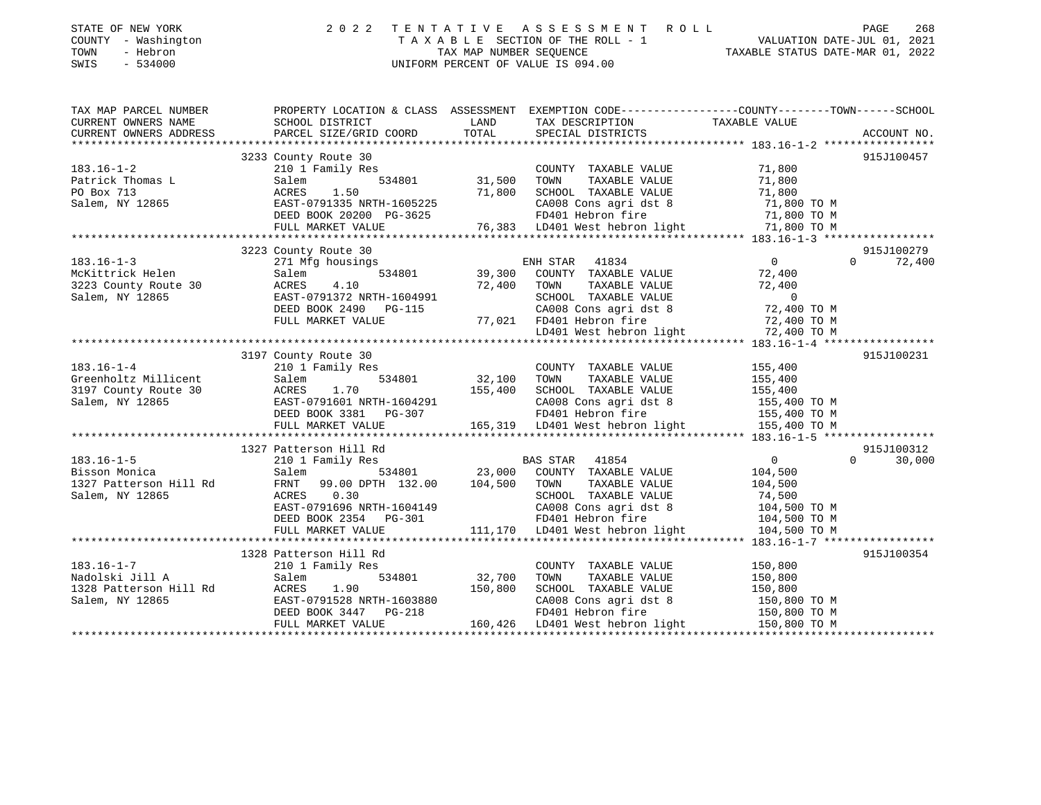| STATE OF NEW YORK<br>COUNTY - Washington<br>- Hebron<br>TOWN<br>SWIS<br>$-534000$ |                                                                                                 | TAX MAP NUMBER SEOUENCE | 2022 TENTATIVE ASSESSMENT ROLL<br>TAXABLE SECTION OF THE ROLL - 1<br>UNIFORM PERCENT OF VALUE IS 094.00 |  | TAXABLE STATUS DATE-MAR 01, 2022 | PAGE<br>VALUATION DATE-JUL 01, 2021 | 268 |
|-----------------------------------------------------------------------------------|-------------------------------------------------------------------------------------------------|-------------------------|---------------------------------------------------------------------------------------------------------|--|----------------------------------|-------------------------------------|-----|
| TAX MAP PARCEL NUMBER                                                             | PROPERTY LOCATION & CLASS ASSESSMENT EXEMPTION CODE---------------COUNTY-------TOWN------SCHOOL |                         |                                                                                                         |  |                                  |                                     |     |

| CURRENT OWNERS NAME    | SCHOOL DISTRICT           | LAND    | TAX DESCRIPTION                                              | TAXABLE VALUE                 |             |
|------------------------|---------------------------|---------|--------------------------------------------------------------|-------------------------------|-------------|
| CURRENT OWNERS ADDRESS | PARCEL SIZE/GRID COORD    | TOTAL   | SPECIAL DISTRICTS                                            |                               | ACCOUNT NO. |
|                        |                           |         |                                                              |                               |             |
|                        | 3233 County Route 30      |         |                                                              |                               | 915J100457  |
| $183.16 - 1 - 2$       | 210 1 Family Res          |         | COUNTY TAXABLE VALUE                                         | 71,800                        |             |
| Patrick Thomas L       | 534801<br>Salem           | 31,500  | TAXABLE VALUE<br>TOWN                                        | 71,800                        |             |
| PO Box 713             | 1.50<br>ACRES             | 71,800  | SCHOOL TAXABLE VALUE                                         | 71,800                        |             |
| Salem, NY 12865        | EAST-0791335 NRTH-1605225 |         | CA008 Cons agri dst 8                                        | 71,800 TO M                   |             |
|                        | DEED BOOK 20200 PG-3625   |         | FD401 Hebron fire                                            | 71,800 TO M                   |             |
|                        | FULL MARKET VALUE         |         | 76,383 LD401 West hebron light                               | 71,800 TO M                   |             |
|                        |                           |         |                                                              |                               |             |
|                        | 3223 County Route 30      |         |                                                              |                               | 915J100279  |
| $183.16 - 1 - 3$       | 271 Mfg housings          |         | ENH STAR<br>41834                                            | $0 \qquad \qquad$<br>$\Omega$ | 72,400      |
| McKittrick Helen       | 534801<br>Salem           | 39,300  | COUNTY TAXABLE VALUE                                         | 72,400                        |             |
| 3223 County Route 30   | 4.10<br>ACRES             | 72,400  | TOWN<br>TAXABLE VALUE                                        | 72,400                        |             |
| Salem, NY 12865        | EAST-0791372 NRTH-1604991 |         | SCHOOL TAXABLE VALUE                                         | $\Omega$                      |             |
|                        | DEED BOOK 2490 PG-115     |         | CA008 Cons agri dst 8                                        | 72,400 TO M                   |             |
|                        | FULL MARKET VALUE         |         | 77,021 FD401 Hebron fire                                     | 72,400 TO M                   |             |
|                        |                           |         | LD401 West hebron light                                      | 72,400 TO M                   |             |
|                        |                           |         |                                                              |                               |             |
|                        | 3197 County Route 30      |         |                                                              |                               | 915J100231  |
| $183.16 - 1 - 4$       | 210 1 Family Res          |         | COUNTY TAXABLE VALUE                                         | 155,400                       |             |
| Greenholtz Millicent   | 534801<br>Salem           | 32,100  | TOWN<br>TAXABLE VALUE                                        | 155,400                       |             |
| 3197 County Route 30   | ACRES<br>1.70             |         | SCHOOL TAXABLE VALUE                                         | 155,400                       |             |
| Salem, NY 12865        | EAST-0791601 NRTH-1604291 | 155,400 | CA008 Cons agri dst 8                                        | 155,400 TO M                  |             |
|                        |                           |         |                                                              | 155,400 TO M                  |             |
|                        | DEED BOOK 3381 PG-307     |         | FD401 Hebron fire                                            |                               |             |
|                        | FULL MARKET VALUE         |         | 165,319 LD401 West hebron light                              | 155,400 TO M                  |             |
|                        |                           |         |                                                              |                               |             |
|                        | 1327 Patterson Hill Rd    |         |                                                              |                               | 915J100312  |
| $183.16 - 1 - 5$       | 210 1 Family Res          |         | BAS STAR 41854                                               | $\overline{0}$<br>$\Omega$    | 30,000      |
| Bisson Monica          | Salem<br>534801           | 23,000  | COUNTY TAXABLE VALUE                                         | 104,500                       |             |
| 1327 Patterson Hill Rd | 99.00 DPTH 132.00<br>FRNT | 104,500 | TAXABLE VALUE<br>TOWN                                        | 104,500                       |             |
| Salem, NY 12865        | 0.30<br>ACRES             |         | SCHOOL TAXABLE VALUE                                         | 74,500                        |             |
|                        | EAST-0791696 NRTH-1604149 |         | CA008 Cons agri dst 8                                        | 104,500 TO M                  |             |
|                        | DEED BOOK 2354 PG-301     |         | FD401 Hebron fire                                            | 104,500 TO M                  |             |
|                        | FULL MARKET VALUE         |         | 111,170 LD401 West hebron light                              | 104,500 TO M                  |             |
|                        |                           |         |                                                              |                               |             |
|                        | 1328 Patterson Hill Rd    |         |                                                              |                               | 915J100354  |
| $183.16 - 1 - 7$       | 210 1 Family Res          |         | COUNTY TAXABLE VALUE                                         | 150,800                       |             |
| Nadolski Jill A        | Salem<br>534801           | 32,700  | TAXABLE VALUE<br>TOWN                                        | 150,800                       |             |
| 1328 Patterson Hill Rd | 1.90<br>ACRES             | 150,800 | SCHOOL TAXABLE VALUE                                         | 150,800                       |             |
| Salem, NY 12865        | EAST-0791528 NRTH-1603880 |         | CA008 Cons agri dst 8                                        | 150,800 TO M                  |             |
|                        | DEED BOOK 3447 PG-218     |         | FD401 Hebron fire                                            | 150,800 TO M                  |             |
|                        | FULL MARKET VALUE         |         | 150,000 10 m<br>160,426 LD401 West hebron light 150,800 TO M |                               |             |
|                        |                           |         |                                                              |                               |             |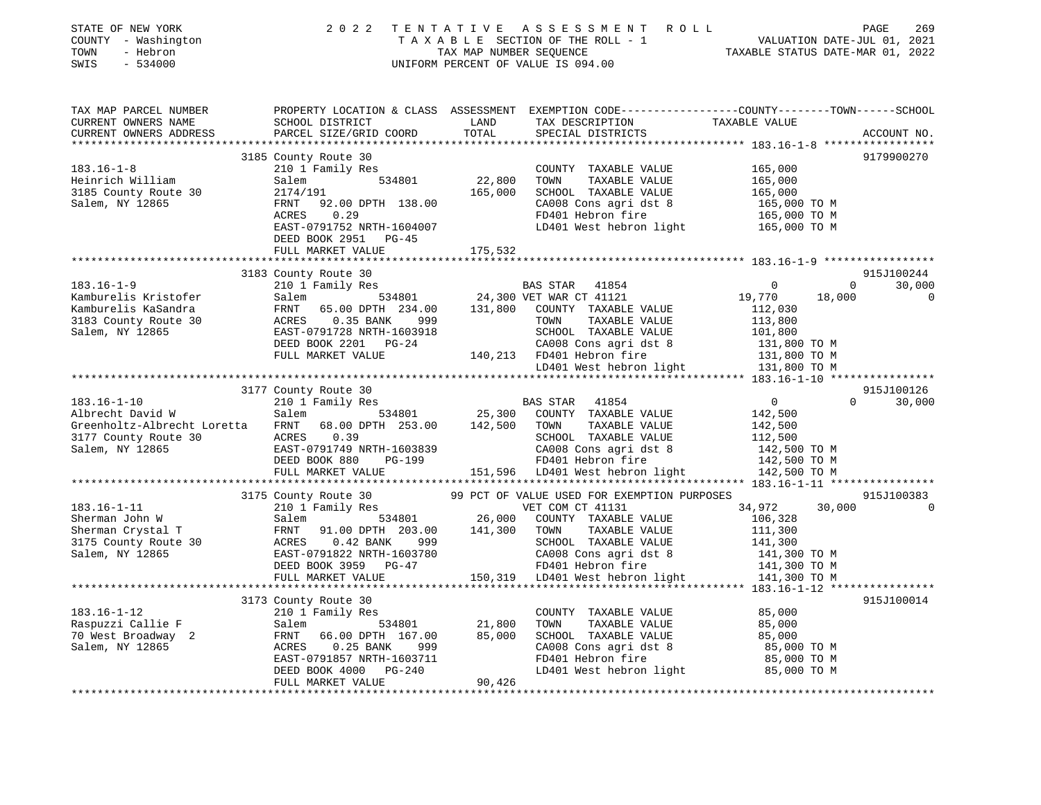| STATE OF NEW YORK<br>COUNTY - Washington<br>- Hebron<br>TOWN<br>SWIS<br>$-534000$                                                          | 2 0 2 2                                                                                                                                      | TENTATIVE<br>TAX MAP NUMBER SEQUENCE | ASSESSMENT ROLL<br>TAXABLE SECTION OF THE ROLL - 1<br>UNIFORM PERCENT OF VALUE IS 094.00                                                                                                                                          | 1 VALUATION DATE-JUL 01, 2021<br>TAXABLE STATUS DATE-MAR 01, 2022 | PAGE<br>269              |
|--------------------------------------------------------------------------------------------------------------------------------------------|----------------------------------------------------------------------------------------------------------------------------------------------|--------------------------------------|-----------------------------------------------------------------------------------------------------------------------------------------------------------------------------------------------------------------------------------|-------------------------------------------------------------------|--------------------------|
| TAX MAP PARCEL NUMBER<br>CURRENT OWNERS NAME<br>CURRENT OWNERS ADDRESS                                                                     | PROPERTY LOCATION & CLASS ASSESSMENT EXEMPTION CODE---------------COUNTY-------TOWN------SCHOOL<br>SCHOOL DISTRICT<br>PARCEL SIZE/GRID COORD | LAND<br>TOTAL                        | TAX DESCRIPTION TAXABLE VALUE<br>SPECIAL DISTRICTS                                                                                                                                                                                |                                                                   | ACCOUNT NO.              |
|                                                                                                                                            |                                                                                                                                              |                                      |                                                                                                                                                                                                                                   |                                                                   |                          |
|                                                                                                                                            | 3185 County Route 30                                                                                                                         |                                      |                                                                                                                                                                                                                                   |                                                                   | 9179900270               |
| $183.16 - 1 - 8$                                                                                                                           | 210 1 Family Res                                                                                                                             |                                      | COUNTY TAXABLE VALUE                                                                                                                                                                                                              | 165,000                                                           |                          |
| Heinrich William                                                                                                                           | Salem<br>534801                                                                                                                              | 22,800                               | TOWN<br>TAXABLE VALUE                                                                                                                                                                                                             | 165,000                                                           |                          |
| 3185 County Route 30                                                                                                                       | 2174/191                                                                                                                                     | 165,000                              | SCHOOL TAXABLE VALUE                                                                                                                                                                                                              | 165,000                                                           |                          |
| Salem, NY 12865                                                                                                                            | 92.00 DPTH 138.00<br>FRNT<br>0.29                                                                                                            |                                      | CA008 Cons agri dst 8<br>FD401 Hebron fire                                                                                                                                                                                        | 165,000 TO M                                                      |                          |
|                                                                                                                                            | ACRES<br>EAST-0791752 NRTH-1604007                                                                                                           |                                      | LD401 West hebron light                                                                                                                                                                                                           | 165,000 ТО М<br>165,000 TO M                                      |                          |
|                                                                                                                                            | DEED BOOK 2951 PG-45                                                                                                                         |                                      |                                                                                                                                                                                                                                   |                                                                   |                          |
|                                                                                                                                            | FULL MARKET VALUE                                                                                                                            | 175,532                              |                                                                                                                                                                                                                                   |                                                                   |                          |
|                                                                                                                                            |                                                                                                                                              |                                      |                                                                                                                                                                                                                                   |                                                                   |                          |
|                                                                                                                                            | 3183 County Route 30                                                                                                                         |                                      |                                                                                                                                                                                                                                   |                                                                   | 915J100244               |
| $183.16 - 1 - 9$                                                                                                                           | 210 1 Family Res                                                                                                                             |                                      | BAS STAR 41854                                                                                                                                                                                                                    | $\mathsf{O}$                                                      | $\overline{0}$<br>30,000 |
| Kamburelis Kristofer                                                                                                                       | Salem                                                                                                                                        |                                      | 534801 24,300 VET WAR CT 41121                                                                                                                                                                                                    | 19,770                                                            | 18,000<br>0              |
| Kamburelis KaSandra                                                                                                                        | FRNT 65.00 DPTH 234.00                                                                                                                       |                                      | 131,800 COUNTY TAXABLE VALUE                                                                                                                                                                                                      | 112,030                                                           |                          |
| 3183 County Route 30                                                                                                                       | ACRES 0.35 BANK 999                                                                                                                          |                                      | TOWN<br>TAXABLE VALUE                                                                                                                                                                                                             | 113,800                                                           |                          |
| Salem, NY 12865                                                                                                                            | EAST-0791728 NRTH-1603918                                                                                                                    |                                      | SCHOOL TAXABLE VALUE                                                                                                                                                                                                              | 101,800                                                           |                          |
|                                                                                                                                            | DEED BOOK 2201 PG-24                                                                                                                         |                                      | CA008 Cons agri dst 8                                                                                                                                                                                                             | 131,800 TO M                                                      |                          |
|                                                                                                                                            | FULL MARKET VALUE                                                                                                                            |                                      | 140,213 FD401 Hebron fire                                                                                                                                                                                                         | 131,800 TO M                                                      |                          |
|                                                                                                                                            |                                                                                                                                              |                                      | LD401 West hebron light 131,800 TO M                                                                                                                                                                                              |                                                                   |                          |
|                                                                                                                                            |                                                                                                                                              |                                      |                                                                                                                                                                                                                                   |                                                                   |                          |
|                                                                                                                                            | 3177 County Route 30                                                                                                                         |                                      |                                                                                                                                                                                                                                   |                                                                   | 915J100126               |
| $183.16 - 1 - 10$                                                                                                                          | 210 1 Family Res                                                                                                                             | BAS STAR                             | 41854                                                                                                                                                                                                                             | $\overline{0}$                                                    | $\Omega$<br>30,000       |
| Albrecht David W Salem 534801 25,300 COUNTY TAXABLE VALUE<br>Greenholtz-Albrecht Loretta FRNT 68.00 DPTH 253.00 142,500 TOWN TAXABLE VALUE |                                                                                                                                              |                                      |                                                                                                                                                                                                                                   | 142,500                                                           |                          |
|                                                                                                                                            |                                                                                                                                              |                                      |                                                                                                                                                                                                                                   | 142,500                                                           |                          |
| 3177 County Route 30 ACRES 0.39                                                                                                            |                                                                                                                                              |                                      | SCHOOL TAXABLE VALUE                                                                                                                                                                                                              | 112,500                                                           |                          |
| Salem, NY 12865                                                                                                                            | EAST-0791749 NRTH-1603839                                                                                                                    |                                      | CA008 Cons agri dst 8                                                                                                                                                                                                             | 142,500 TO M                                                      |                          |
|                                                                                                                                            | DEED BOOK 880<br>PG-199<br>FULL MARKET VALUE                                                                                                 |                                      | FD401 Hebron fire<br>151,596 LD401 West hebron light                                                                                                                                                                              | 142,500 TO M<br>142,500 TO M                                      |                          |
|                                                                                                                                            |                                                                                                                                              |                                      |                                                                                                                                                                                                                                   |                                                                   |                          |
|                                                                                                                                            | 3175 County Route 30                                                                                                                         |                                      | 99 PCT OF VALUE USED FOR EXEMPTION PURPOSES                                                                                                                                                                                       |                                                                   | 915J100383               |
| $183.16 - 1 - 11$                                                                                                                          | 210 1 Family Res                                                                                                                             |                                      | VET COM CT 41131                                                                                                                                                                                                                  | 34,972                                                            | 30,000<br>$\Omega$       |
| Sherman John W                                                                                                                             | Salem                                                                                                                                        |                                      | FOR THE STRICE ON THE STRICE STRICE ON THE STRICE OF STRICE OF STRICE OF STRICE OF STRICE OF STRICE OF STRICE O<br>BELLE STRICE OF STRICE OF STRICE OF STRICE OF STRICE OF STRICE OF STRICE OF STRICE OF STRICE OF STRICE OF STRI | 106,328                                                           |                          |
| Sherman Crystal T                                                                                                                          | FRNT 91.00 DPTH 203.00<br>ACRES 0.42 BANK 999                                                                                                | 141,300                              | TOWN<br>TAXABLE VALUE                                                                                                                                                                                                             | 111,300                                                           |                          |
| 3175 County Route 30                                                                                                                       |                                                                                                                                              |                                      | SCHOOL TAXABLE VALUE                                                                                                                                                                                                              | 141,300                                                           |                          |
| Salem, NY 12865                                                                                                                            | EAST-0791822 NRTH-1603780                                                                                                                    |                                      | CA008 Cons agri dst 8                                                                                                                                                                                                             | 141,300 TO M                                                      |                          |
|                                                                                                                                            | DEED BOOK 3959 PG-47                                                                                                                         |                                      | FD401 Hebron fire                                                                                                                                                                                                                 | 141,300 TO M                                                      |                          |
|                                                                                                                                            | FULL MARKET VALUE                                                                                                                            |                                      | 150,319 LD401 West hebron light 141,300 TO M                                                                                                                                                                                      |                                                                   |                          |
|                                                                                                                                            |                                                                                                                                              |                                      |                                                                                                                                                                                                                                   |                                                                   |                          |
|                                                                                                                                            | 3173 County Route 30                                                                                                                         |                                      |                                                                                                                                                                                                                                   |                                                                   | 915J100014               |
| $183.16 - 1 - 12$                                                                                                                          | 210 1 Family Res                                                                                                                             |                                      | COUNTY TAXABLE VALUE                                                                                                                                                                                                              | 85,000                                                            |                          |
| Raspuzzi Callie F                                                                                                                          | 534801<br>Salem                                                                                                                              | 21,800                               | TOWN<br>TAXABLE VALUE                                                                                                                                                                                                             | 85,000                                                            |                          |
| 70 West Broadway 2                                                                                                                         | FRNT 66.00 DPTH 167.00                                                                                                                       | 85,000                               | SCHOOL TAXABLE VALUE                                                                                                                                                                                                              | 85,000                                                            |                          |
| Salem, NY 12865                                                                                                                            | ACRES 0.25 BANK<br>999                                                                                                                       |                                      | CA008 Cons agri dst 8                                                                                                                                                                                                             | 85,000 TO M                                                       |                          |
|                                                                                                                                            | EAST-0791857 NRTH-1603711                                                                                                                    |                                      | FD401 Hebron fire                                                                                                                                                                                                                 | 85,000 TO M                                                       |                          |
|                                                                                                                                            | DEED BOOK 4000 PG-240                                                                                                                        |                                      | LD401 West hebron light                                                                                                                                                                                                           | 85,000 TO M                                                       |                          |
|                                                                                                                                            | FULL MARKET VALUE                                                                                                                            | 90,426                               |                                                                                                                                                                                                                                   |                                                                   |                          |
|                                                                                                                                            |                                                                                                                                              |                                      |                                                                                                                                                                                                                                   |                                                                   |                          |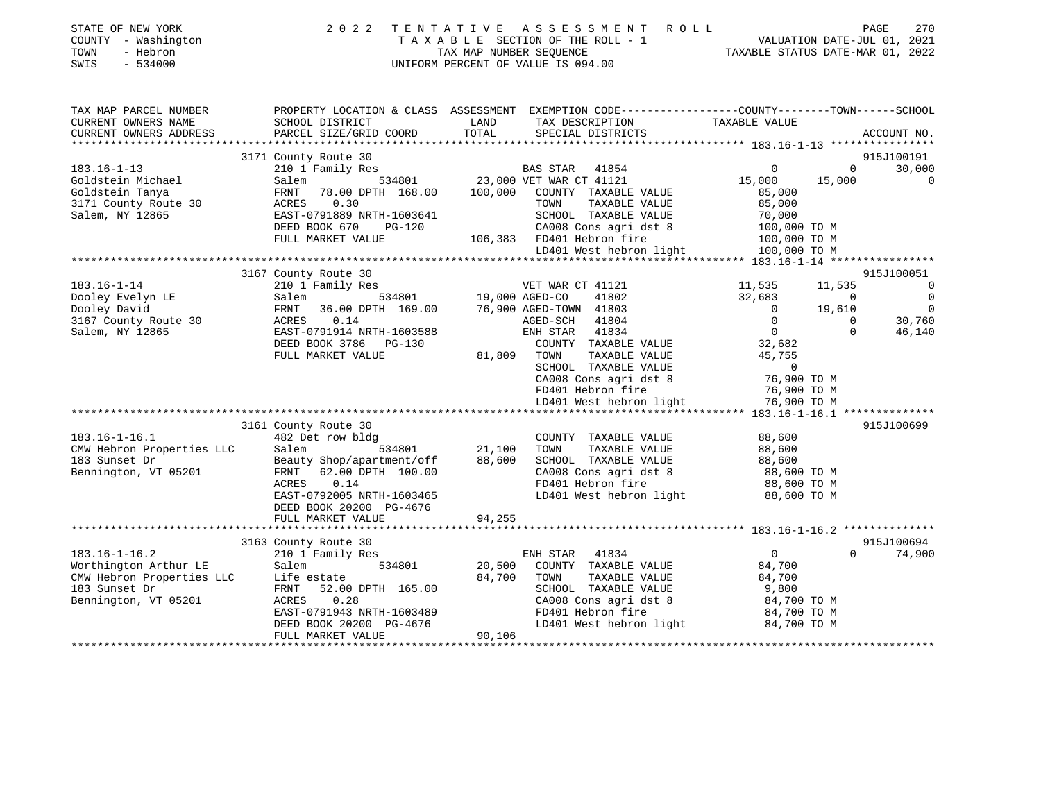| 2 0 2 2                                                                                                                                                             |                                                                                                                                                                                                                      |                                                                                                                     |                                                                                                                                                                                                                                                                                                                                                                       |                                                                                                                                                                  | 270<br>PAGE                                                                                                                                                                                                                                                                                                                                                                                                  |
|---------------------------------------------------------------------------------------------------------------------------------------------------------------------|----------------------------------------------------------------------------------------------------------------------------------------------------------------------------------------------------------------------|---------------------------------------------------------------------------------------------------------------------|-----------------------------------------------------------------------------------------------------------------------------------------------------------------------------------------------------------------------------------------------------------------------------------------------------------------------------------------------------------------------|------------------------------------------------------------------------------------------------------------------------------------------------------------------|--------------------------------------------------------------------------------------------------------------------------------------------------------------------------------------------------------------------------------------------------------------------------------------------------------------------------------------------------------------------------------------------------------------|
| SCHOOL DISTRICT                                                                                                                                                     | LAND                                                                                                                                                                                                                 | TAX DESCRIPTION                                                                                                     | TAXABLE VALUE                                                                                                                                                                                                                                                                                                                                                         |                                                                                                                                                                  |                                                                                                                                                                                                                                                                                                                                                                                                              |
|                                                                                                                                                                     |                                                                                                                                                                                                                      |                                                                                                                     |                                                                                                                                                                                                                                                                                                                                                                       |                                                                                                                                                                  | ACCOUNT NO.                                                                                                                                                                                                                                                                                                                                                                                                  |
|                                                                                                                                                                     |                                                                                                                                                                                                                      |                                                                                                                     |                                                                                                                                                                                                                                                                                                                                                                       |                                                                                                                                                                  | 915J100191                                                                                                                                                                                                                                                                                                                                                                                                   |
| 210 1 Family Res                                                                                                                                                    |                                                                                                                                                                                                                      |                                                                                                                     | $\mathbf{0}$                                                                                                                                                                                                                                                                                                                                                          | $\Omega$                                                                                                                                                         | 30,000                                                                                                                                                                                                                                                                                                                                                                                                       |
| FRNT<br>78.00 DPTH 168.00<br>0.30<br>ACRES<br>EAST-0791889 NRTH-1603641<br>DEED BOOK 670<br>PG-120                                                                  | 100,000                                                                                                                                                                                                              | COUNTY TAXABLE VALUE<br>TAXABLE VALUE<br>TOWN<br>SCHOOL TAXABLE VALUE<br>CA008 Cons agri dst 8                      | 85,000<br>85,000<br>70,000                                                                                                                                                                                                                                                                                                                                            |                                                                                                                                                                  | 0                                                                                                                                                                                                                                                                                                                                                                                                            |
| FULL MARKET VALUE                                                                                                                                                   |                                                                                                                                                                                                                      |                                                                                                                     |                                                                                                                                                                                                                                                                                                                                                                       |                                                                                                                                                                  |                                                                                                                                                                                                                                                                                                                                                                                                              |
|                                                                                                                                                                     |                                                                                                                                                                                                                      |                                                                                                                     |                                                                                                                                                                                                                                                                                                                                                                       |                                                                                                                                                                  |                                                                                                                                                                                                                                                                                                                                                                                                              |
|                                                                                                                                                                     |                                                                                                                                                                                                                      |                                                                                                                     |                                                                                                                                                                                                                                                                                                                                                                       |                                                                                                                                                                  |                                                                                                                                                                                                                                                                                                                                                                                                              |
| 210 1 Family Res                                                                                                                                                    |                                                                                                                                                                                                                      |                                                                                                                     | 11,535                                                                                                                                                                                                                                                                                                                                                                | 11,535                                                                                                                                                           | 915J100051<br>$\Omega$<br>$\mathbf 0$                                                                                                                                                                                                                                                                                                                                                                        |
| FRNT<br>36.00 DPTH 169.00<br>ACRES<br>0.14<br>EAST-0791914 NRTH-1603588                                                                                             |                                                                                                                                                                                                                      | 41804<br>41834                                                                                                      | $\overline{0}$<br>$\overline{0}$<br>$\overline{0}$                                                                                                                                                                                                                                                                                                                    | 19,610<br>$\mathbf 0$<br>$\Omega$                                                                                                                                | $\Omega$<br>30,760<br>46,140                                                                                                                                                                                                                                                                                                                                                                                 |
| FULL MARKET VALUE                                                                                                                                                   | 81,809                                                                                                                                                                                                               | TOWN<br>TAXABLE VALUE<br>SCHOOL TAXABLE VALUE<br>CA008 Cons agri dst 8<br>FD401 Hebron fire                         | 45,755<br>$\overline{0}$                                                                                                                                                                                                                                                                                                                                              |                                                                                                                                                                  |                                                                                                                                                                                                                                                                                                                                                                                                              |
|                                                                                                                                                                     |                                                                                                                                                                                                                      |                                                                                                                     |                                                                                                                                                                                                                                                                                                                                                                       |                                                                                                                                                                  |                                                                                                                                                                                                                                                                                                                                                                                                              |
|                                                                                                                                                                     |                                                                                                                                                                                                                      |                                                                                                                     |                                                                                                                                                                                                                                                                                                                                                                       |                                                                                                                                                                  | 915J100699                                                                                                                                                                                                                                                                                                                                                                                                   |
| 482 Det row bldg<br>Salem<br>534801<br>Beauty Shop/apartment/off<br>FRNT 62.00 DPTH 100.00<br>ACRES<br>0.14<br>EAST-0792005 NRTH-1603465<br>DEED BOOK 20200 PG-4676 | 21,100<br>88,600                                                                                                                                                                                                     | COUNTY TAXABLE VALUE<br>TOWN<br>TAXABLE VALUE<br>SCHOOL TAXABLE VALUE<br>CA008 Cons agri dst 8<br>FD401 Hebron fire | 88,600<br>88,600<br>88,600                                                                                                                                                                                                                                                                                                                                            |                                                                                                                                                                  |                                                                                                                                                                                                                                                                                                                                                                                                              |
|                                                                                                                                                                     |                                                                                                                                                                                                                      |                                                                                                                     |                                                                                                                                                                                                                                                                                                                                                                       |                                                                                                                                                                  |                                                                                                                                                                                                                                                                                                                                                                                                              |
|                                                                                                                                                                     |                                                                                                                                                                                                                      |                                                                                                                     |                                                                                                                                                                                                                                                                                                                                                                       |                                                                                                                                                                  | 915J100694                                                                                                                                                                                                                                                                                                                                                                                                   |
| Salem<br>534801<br>Life estate<br>52.00 DPTH 165.00<br>FRNT<br>ACRES<br>0.28<br>EAST-0791943 NRTH-1603489<br>DEED BOOK 20200 PG-4676<br>FULL MARKET VALUE           | 20,500<br>84,700<br>90,106                                                                                                                                                                                           | COUNTY TAXABLE VALUE<br>TOWN<br>TAXABLE VALUE<br>SCHOOL TAXABLE VALUE<br>CA008 Cons agri dst 8<br>FD401 Hebron fire | 84,700<br>84,700<br>9,800                                                                                                                                                                                                                                                                                                                                             |                                                                                                                                                                  | 74,900                                                                                                                                                                                                                                                                                                                                                                                                       |
|                                                                                                                                                                     | PARCEL SIZE/GRID COORD<br>3171 County Route 30<br>534801<br>Salem<br>3167 County Route 30<br>Salem<br>DEED BOOK 3786 PG-130<br>3161 County Route 30<br>FULL MARKET VALUE<br>3163 County Route 30<br>210 1 Family Res | TOTAL<br>534801<br>94,255                                                                                           | TENTATIVE ASSESSMENT<br>TAXABLE SECTION OF THE ROLL - 1<br>TAX MAP NUMBER SEQUENCE<br>UNIFORM PERCENT OF VALUE IS 094.00<br>SPECIAL DISTRICTS<br>BAS STAR 41854<br>23,000 VET WAR CT 41121<br>106,383 FD401 Hebron fire<br>VET WAR CT 41121<br>19,000 AGED-CO<br>41802<br>76,900 AGED-TOWN 41803<br>AGED-SCH<br>ENH STAR<br>COUNTY TAXABLE VALUE<br>ENH STAR<br>41834 | R O L L<br>15,000<br>LD401 West hebron light<br>32,683<br>32,682<br>LD401 West hebron light<br>LD401 West hebron light<br>$\mathbf 0$<br>LD401 West hebron light | VALUATION DATE-JUL 01, 2021<br>TAXABLE STATUS DATE-MAR 01, 2022<br>PROPERTY LOCATION & CLASS ASSESSMENT EXEMPTION CODE----------------COUNTY-------TOWN------SCHOOL<br>15,000<br>100,000 TO M<br>100,000 TO M<br>100,000 TO M<br>$\overline{\phantom{0}}$<br>76,900 TO M<br>76,900 TO M<br>76,900 TO M<br>88,600 TO M<br>88,600 TO M<br>88,600 TO M<br>$\Omega$<br>84,700 TO M<br>84,700 TO M<br>84,700 TO M |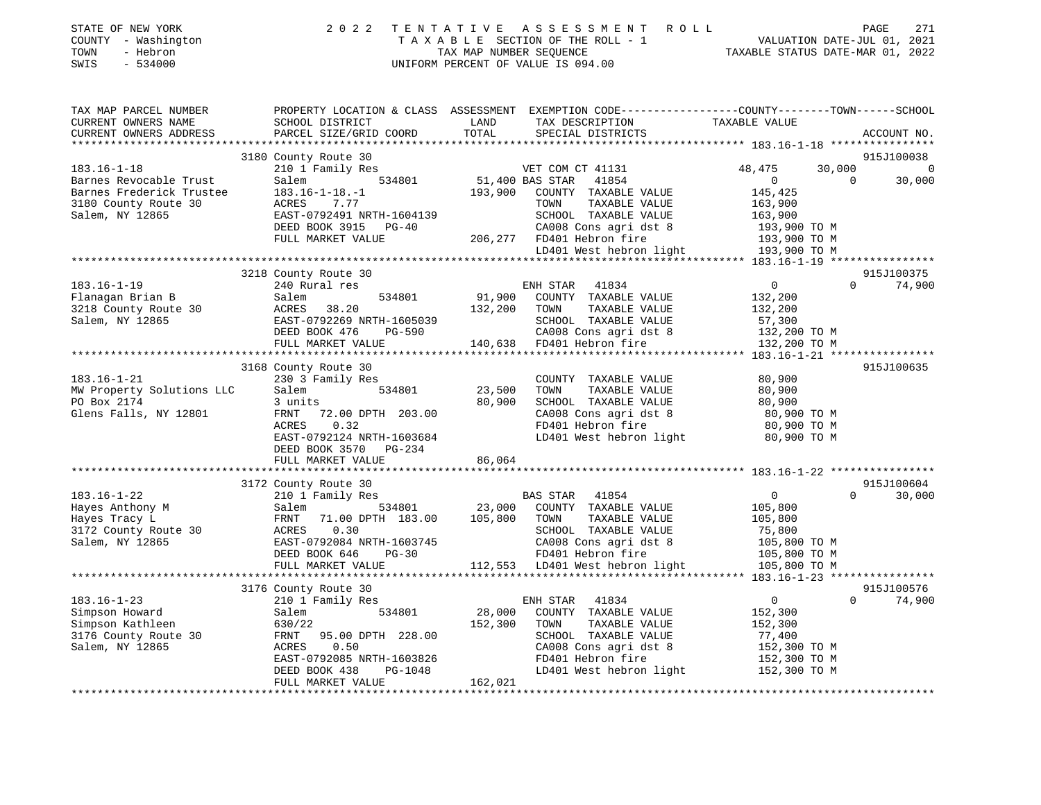|      | STATE OF NEW YORK   | 2022 TENTATIVE ASSESSMENT ROLL                              | PAGE                        | 271 |
|------|---------------------|-------------------------------------------------------------|-----------------------------|-----|
|      | COUNTY - Washington | TAXABLE SECTION OF THE ROLL - 1                             | VALUATION DATE-JUL 01, 2021 |     |
| TOWN | - Hebron            | TAXABLE STATUS DATE-MAR 01, 2022<br>TAX MAP NUMBER SEOUENCE |                             |     |
|      | SWIS - 534000       | UNIFORM PERCENT OF VALUE IS 094.00                          |                             |     |
|      |                     |                                                             |                             |     |

| TAX MAP PARCEL NUMBER     | PROPERTY LOCATION & CLASS ASSESSMENT EXEMPTION CODE---------------COUNTY-------TOWN-----SCHOOL |                                    |                                                                                                                         |                                        |          |                |
|---------------------------|------------------------------------------------------------------------------------------------|------------------------------------|-------------------------------------------------------------------------------------------------------------------------|----------------------------------------|----------|----------------|
| CURRENT OWNERS NAME       | SCHOOL DISTRICT                                                                                | LAND                               | TAX DESCRIPTION                                                                                                         | TAXABLE VALUE                          |          |                |
| CURRENT OWNERS ADDRESS    | PARCEL SIZE/GRID COORD                                                                         | TOTAL                              | SPECIAL DISTRICTS                                                                                                       |                                        |          | ACCOUNT NO.    |
|                           |                                                                                                |                                    |                                                                                                                         |                                        |          |                |
|                           | 3180 County Route 30                                                                           |                                    |                                                                                                                         |                                        |          | 915J100038     |
| $183.16 - 1 - 18$         | 210 1 Family Res                                                                               |                                    | VET COM CT 41131                                                                                                        | 48,475                                 | 30,000   | $\overline{0}$ |
| Barnes Revocable Trust    | Salem                                                                                          | ,<br>534801 51,400 BAS STAR        | 41854                                                                                                                   | $\overline{0}$                         | $\Omega$ | 30,000         |
| Barnes Frederick Trustee  | $183.16 - 1 - 18. - 1$                                                                         | 193,900                            | COUNTY TAXABLE VALUE                                                                                                    | 145,425                                |          |                |
| 3180 County Route 30      | ACRES<br>7.77                                                                                  |                                    | TAXABLE VALUE<br>TOWN                                                                                                   | 163,900                                |          |                |
| Salem, NY 12865           | EAST-0792491 NRTH-1604139                                                                      |                                    | SCHOOL TAXABLE VALUE                                                                                                    | 163,900                                |          |                |
|                           | DEED BOOK 3915 PG-40                                                                           |                                    |                                                                                                                         |                                        |          |                |
|                           | FULL MARKET VALUE                                                                              |                                    | 206,277 FD401 Hebron fire                                                                                               |                                        |          |                |
|                           |                                                                                                |                                    | CA008 Cons agri dst 8<br>FD401 Hebron fire<br>LD401 West hebron light<br>LD401 West hebron light<br>193,900 TO M        |                                        |          |                |
|                           |                                                                                                |                                    |                                                                                                                         |                                        |          |                |
|                           | 3218 County Route 30                                                                           |                                    |                                                                                                                         |                                        |          | 915J100375     |
| $183.16 - 1 - 19$         | 240 Rural res                                                                                  |                                    | ENH STAR<br>41834                                                                                                       | $\overline{0}$                         | $\Omega$ | 74,900         |
| Flanagan Brian B          | 534801<br>Salem                                                                                |                                    | 91,900 COUNTY TAXABLE VALUE                                                                                             | 132,200                                |          |                |
| 3218 County Route 30      | ACRES 38.20                                                                                    | 132,200 TOWN                       | TAXABLE VALUE                                                                                                           | 132,200                                |          |                |
| Salem, NY 12865           | EAST-0792269 NRTH-1605039                                                                      |                                    | SCHOOL TAXABLE VALUE                                                                                                    |                                        |          |                |
|                           | DEED BOOK 476<br>PG-590                                                                        |                                    |                                                                                                                         | 57,300<br>132,200 TO M                 |          |                |
|                           | FULL MARKET VALUE                                                                              |                                    | 590 CA008 Cons agri dst 8<br>140,638 FD401 Hebron fire                                                                  | 132,200 TO M                           |          |                |
|                           |                                                                                                |                                    |                                                                                                                         |                                        |          |                |
|                           | 3168 County Route 30                                                                           |                                    |                                                                                                                         |                                        |          | 915J100635     |
| $183.16 - 1 - 21$         | 230 3 Family Res                                                                               |                                    | COUNTY TAXABLE VALUE                                                                                                    | 80,900                                 |          |                |
| MW Property Solutions LLC | 534801<br>Salem                                                                                | 23,500                             | TOWN<br>TAXABLE VALUE                                                                                                   | 80,900                                 |          |                |
| PO Box 2174               | 3 units                                                                                        | 80,900                             | SCHOOL TAXABLE VALUE                                                                                                    | 80,900                                 |          |                |
| Glens Falls, NY 12801     | 72.00 DPTH 203.00<br>FRNT                                                                      |                                    |                                                                                                                         |                                        |          |                |
|                           | 0.32<br>ACRES                                                                                  |                                    | CA008 Cons agri dst 8 and 80,900 TO M<br>FD401 Hebron fire 80,900 TO M                                                  |                                        |          |                |
|                           | EAST-0792124 NRTH-1603684                                                                      |                                    | LD401 West hebron light                                                                                                 | 80,900 TO M                            |          |                |
|                           | DEED BOOK 3570 PG-234                                                                          |                                    |                                                                                                                         |                                        |          |                |
|                           | FULL MARKET VALUE                                                                              | 86,064                             |                                                                                                                         |                                        |          |                |
|                           |                                                                                                |                                    |                                                                                                                         |                                        |          |                |
|                           | 3172 County Route 30                                                                           |                                    |                                                                                                                         |                                        |          | 915J100604     |
| $183.16 - 1 - 22$         | 210 1 Family Res                                                                               |                                    | <b>BAS STAR</b><br>41854                                                                                                | $\overline{0}$                         | $\Omega$ | 30,000         |
|                           |                                                                                                |                                    |                                                                                                                         |                                        |          |                |
| Hayes Anthony M           | Salem                                                                                          | 534801 23,000<br>TH 183.00 105,800 | COUNTY TAXABLE VALUE<br>TAXABLE VALUE                                                                                   | 105,800                                |          |                |
| Hayes Tracy L             | 71.00 DPTH 183.00<br>FRNT                                                                      |                                    | TOWN                                                                                                                    | 105,800                                |          |                |
| 3172 County Route 30      | 0.30<br>ACRES                                                                                  |                                    | SCHOOL TAXABLE VALUE                                                                                                    | 75,800                                 |          |                |
| Salem, NY 12865           | EAST-0792084 NRTH-1603745                                                                      |                                    |                                                                                                                         |                                        |          |                |
|                           | DEED BOOK 646<br>$PG-30$                                                                       |                                    | 1603745<br>CA008 Cons agri dst 8<br>G-30 FD401 Hebron fire 105,800 TO M<br>112,553 LD401 West hebron light 105,800 TO M |                                        |          |                |
|                           | FULL MARKET VALUE                                                                              |                                    |                                                                                                                         |                                        |          |                |
|                           |                                                                                                |                                    |                                                                                                                         |                                        |          |                |
|                           | 3176 County Route 30                                                                           |                                    |                                                                                                                         |                                        |          | 915J100576     |
| $183.16 - 1 - 23$         | 210 1 Family Res                                                                               |                                    | ENH STAR<br>41834                                                                                                       | $\overline{0}$                         | $\Omega$ | 74,900         |
| Simpson Howard            | 534801<br>Salem                                                                                | 28,000                             | COUNTY TAXABLE VALUE                                                                                                    | 152,300                                |          |                |
| Simpson Kathleen          | 630/22                                                                                         | 152,300                            | TOWN<br>TAXABLE VALUE                                                                                                   | 152,300                                |          |                |
| 3176 County Route 30      | FRNT<br>95.00 DPTH 228.00                                                                      |                                    | SCHOOL TAXABLE VALUE                                                                                                    |                                        |          |                |
| Salem, NY 12865           | 0.50<br>ACRES                                                                                  |                                    | CA008 Cons agri dst 8<br>CAUU8 Cons agri dst 8<br>FD401 Hebron fire                                                     | 77,400<br>152,300 TO M<br>152,300 TO M |          |                |
|                           | EAST-0792085 NRTH-1603826                                                                      |                                    |                                                                                                                         |                                        |          |                |
|                           | DEED BOOK 438<br>PG-1048                                                                       |                                    | LD401 West hebron light                                                                                                 | 152,300 TO M                           |          |                |
|                           | FULL MARKET VALUE                                                                              | 162,021                            |                                                                                                                         |                                        |          |                |
|                           |                                                                                                |                                    |                                                                                                                         |                                        |          |                |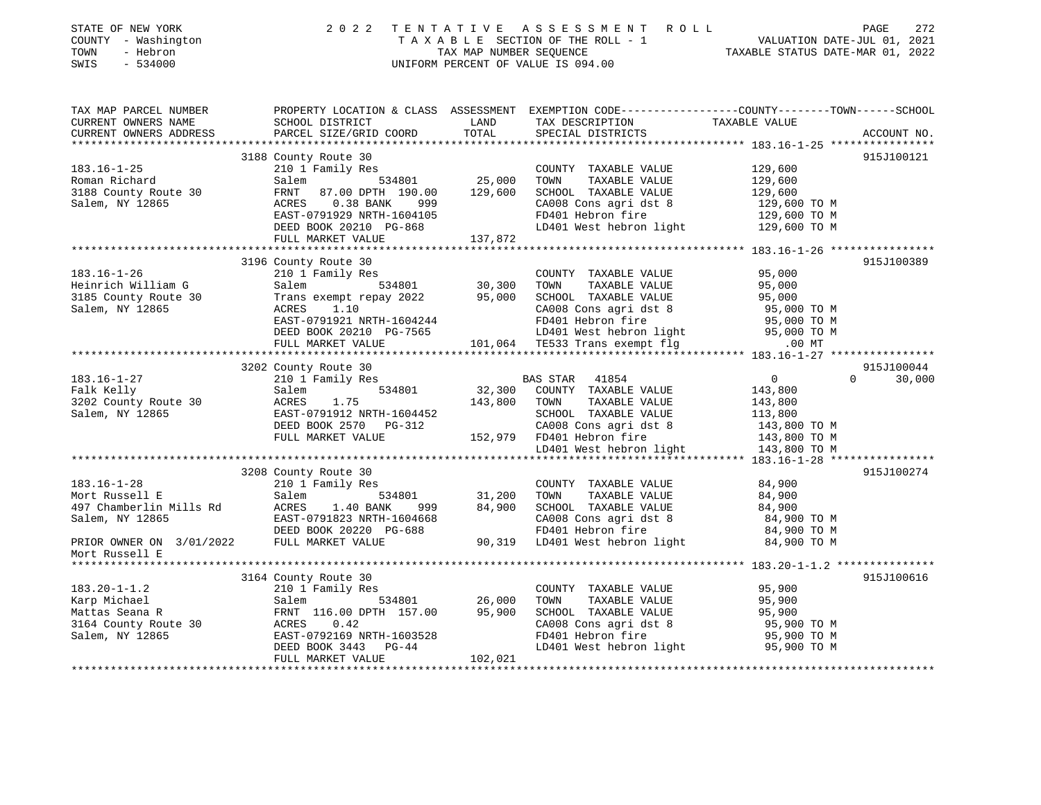| STATE OF NEW YORK<br>2 0 2 2<br>TENTATIVE ASSESSMENT ROLL<br>PAGE<br>TAXABLE SECTION OF THE ROLL - 1<br>TAXABLE STATUS DATE-JUL 01, 2021<br>TAXABLE STATUS DATE-MAR 01, 2022<br>COUNTY - Washington<br>- Hebron<br>TOWN<br>SWIS<br>$-534000$<br>UNIFORM PERCENT OF VALUE IS 094.00 | 272         |
|------------------------------------------------------------------------------------------------------------------------------------------------------------------------------------------------------------------------------------------------------------------------------------|-------------|
| TAX MAP PARCEL NUMBER PROPERTY LOCATION & CLASS ASSESSMENT EXEMPTION CODE---------------COUNTY-------TOWN------SCHOOL<br>TAX DESCRIPTION TAXABLE VALUE<br>SCHOOL DISTRICT<br><b>LAND</b><br>CURRENT OWNERS NAME                                                                    |             |
| PARCEL SIZE/GRID COORD TOTAL<br>CURRENT OWNERS ADDRESS<br>SPECIAL DISTRICTS                                                                                                                                                                                                        | ACCOUNT NO. |
|                                                                                                                                                                                                                                                                                    |             |
| 3188 County Route 30<br>$183.16 - 1 - 25$<br>210 1 Family Res<br>COUNTY TAXABLE VALUE                                                                                                                                                                                              | 915J100121  |
| Salem 534801 25,000 TOWN<br>TAXABLE VALUE                                                                                                                                                                                                                                          |             |
| 129,600<br>129,600<br>129,600<br>183.16-1-25<br>Roman Richard<br>3188 County Route 30<br>Salem, NY 12865<br>FRNT 87.00 DPTH 190.00 129,600<br>SCHOOL TAXABLE VALUE                                                                                                                 |             |
| ACRES 0.38 BANK 999                                                                                                                                                                                                                                                                |             |
| EAST-0791929 NRTH-1604105                                                                                                                                                                                                                                                          |             |
| CA008 Cons agri dst 8 129,600 TO M<br>FD401 Hebron fire 129,600 TO M<br>LD401 West hebron light 129,600 TO M<br>DEED BOOK 20210 PG-868                                                                                                                                             |             |
| 137,872<br>FULL MARKET VALUE                                                                                                                                                                                                                                                       |             |
|                                                                                                                                                                                                                                                                                    |             |
| 3196 County Route 30                                                                                                                                                                                                                                                               | 915J100389  |
| 210 1 Family Res<br>95,000<br>$183.16 - 1 - 26$<br>COUNTY TAXABLE VALUE<br>TOWN TAXABLE VALUE<br>30,300<br>Salem 534801<br>95,000                                                                                                                                                  |             |
|                                                                                                                                                                                                                                                                                    |             |
| Heinrich William G<br>3185 County Route 30<br>Salem, NY 12865                                                                                                                                                                                                                      |             |
|                                                                                                                                                                                                                                                                                    |             |
|                                                                                                                                                                                                                                                                                    |             |
| 30.000 SCHOOL TAXABLE VALUE<br>Trans exempt repay 2022 95,000 SCHOOL TAXABLE VALUE<br>ACRES 1.10 CA008 Cons agri dst 8 95,000 TO M<br>EAST-0791921 NRTH-1604244 FD401 Hebron fire 95,000 TO M<br>DEED BOOK 20210 PG-7565 LD401 West he                                             |             |
|                                                                                                                                                                                                                                                                                    |             |
| 3202 County Route 30                                                                                                                                                                                                                                                               | 915J100044  |
| $\overline{0}$<br>210 1 Family Res<br>$\Omega$<br>BAS STAR 41854<br>And Nelly<br>3202 County Route 30<br>Salem, NY 12865                                                                                                                                                           | 30,000      |
| 534801 32,300 COUNTY TAXABLE VALUE<br>143,800 TOWN TAXABLE VALUE<br>534801<br>Salem<br>143,800<br>143,800                                                                                                                                                                          |             |
| ACRES<br>1.75                                                                                                                                                                                                                                                                      |             |
|                                                                                                                                                                                                                                                                                    |             |
|                                                                                                                                                                                                                                                                                    |             |
|                                                                                                                                                                                                                                                                                    |             |
|                                                                                                                                                                                                                                                                                    |             |
| 3208 County Route 30                                                                                                                                                                                                                                                               | 915J100274  |
| $183.16 - 1 - 28$<br>210 1 Family Res<br>COUNTY TAXABLE VALUE<br>84,900                                                                                                                                                                                                            |             |
| 534801 31,200<br>TAXABLE VALUE<br>Mort Russell E<br>Salem<br>TOWN<br>84,900                                                                                                                                                                                                        |             |
| 999 84,900<br>SCHOOL TAXABLE VALUE<br>84,900                                                                                                                                                                                                                                       |             |
| 04,900 SCHOOL TAXABLE VALUE<br>CA008 Cons agri dst 8 084,900 TO M<br>FD401 Hebron fire 084,900 TO M<br>90,319 LD401 West hebron light 084,900 TO M<br>EAST-0791823 NRTH-1604668                                                                                                    |             |
|                                                                                                                                                                                                                                                                                    |             |
| Mort Russell E                                                                                                                                                                                                                                                                     |             |
|                                                                                                                                                                                                                                                                                    |             |
| 3164 County Route 30                                                                                                                                                                                                                                                               | 915J100616  |
| COUNTY TAXABLE VALUE                                                                                                                                                                                                                                                               |             |
| 95,900<br>95,900<br>183.20-1-1.2<br>Karp Michael Salem 534801 26,000<br>Mattas Seana R FRNT 116.00 DPTH 157.00 95,900<br>3164 County Route 30 ACRES 0.42<br>TAST-0792169 NRTH-1603528<br>TAXABLE VALUE<br>TOWN                                                                     |             |
| SCHOOL TAXABLE VALUE<br>CA008 Cons agri dst 8 95,900 TO M<br>FD401 Hebron fire 95,900 TO M<br>LD401 West hebron light 95,900 TO M                                                                                                                                                  |             |
| EAST-0792169 NRTH-1603528<br>DEED BOOK 3443 PG-44<br>FULL MINUTE                                                                                                                                                                                                                   |             |
|                                                                                                                                                                                                                                                                                    |             |
|                                                                                                                                                                                                                                                                                    |             |

\*\*\*\*\*\*\*\*\*\*\*\*\*\*\*\*\*\*\*\*\*\*\*\*\*\*\*\*\*\*\*\*\*\*\*\*\*\*\*\*\*\*\*\*\*\*\*\*\*\*\*\*\*\*\*\*\*\*\*\*\*\*\*\*\*\*\*\*\*\*\*\*\*\*\*\*\*\*\*\*\*\*\*\*\*\*\*\*\*\*\*\*\*\*\*\*\*\*\*\*\*\*\*\*\*\*\*\*\*\*\*\*\*\*\*\*\*\*\*\*\*\*\*\*\*\*\*\*\*\*\*\*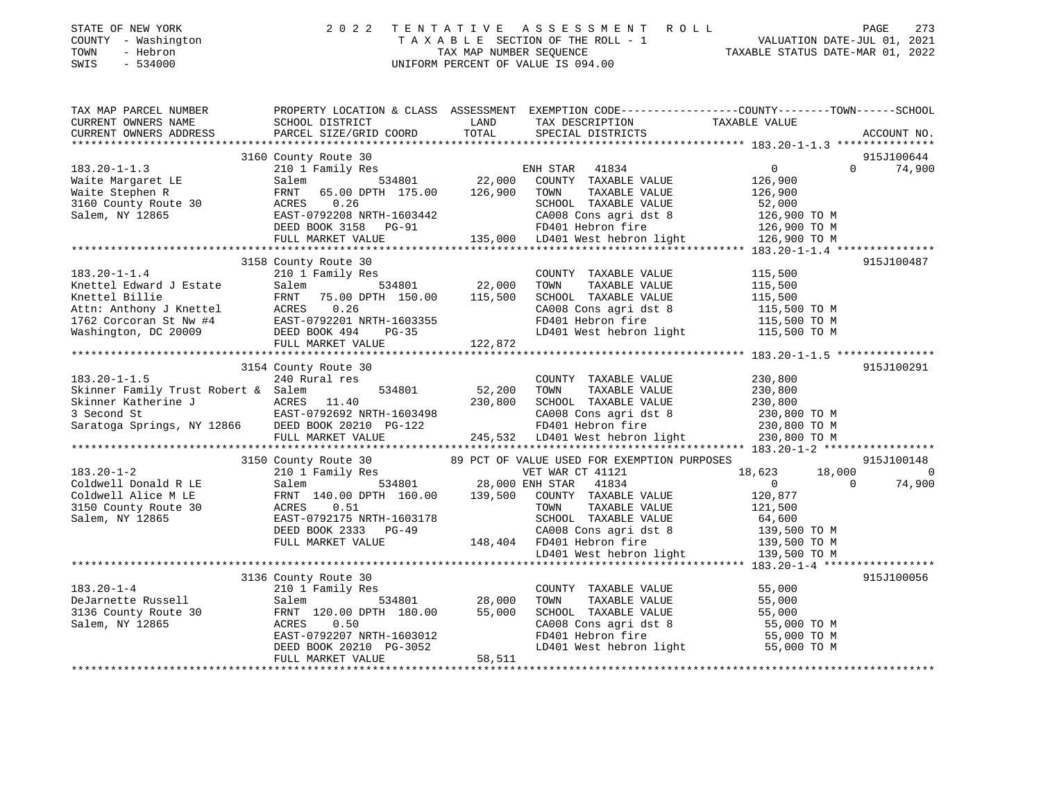| STATE OF NEW YORK |          |              |
|-------------------|----------|--------------|
| <b>COUNTY</b>     |          | - Washington |
| TOWN              | - Hebron |              |

## STATE OF NEW YORK 2 0 2 2 T E N T A T I V E A S S E S S M E N T R O L L PAGE 273 COUNTY - Washington T A X A B L E SECTION OF THE ROLL - 1 VALUATION DATE-JUL 01, 2021 TOWN - Hebron TAX MAP NUMBER SEQUENCE TAXABLE STATUS DATE-MAR 01, 2022 SWIS - 534000 UNIFORM PERCENT OF VALUE IS 094.00

| TAX MAP PARCEL NUMBER<br>CURRENT OWNERS NAME<br>CURRENT OWNERS ADDRESS                                                                                                                                                                                             | PROPERTY LOCATION & CLASS ASSESSMENT EXEMPTION CODE----------------COUNTY-------TOWN-----SCHOOL<br><b>EXAMPLE TO A LAND</b><br>SCHOOL DISTRICT<br>PARCEL SIZE/GRID COORD                                           | TOTAL                      | TAX DESCRIPTION TAXABLE VALUE SPECIAL DISTRICTS                                                                                                                                                                                                 |                                                                                            | ACCOUNT NO.               |
|--------------------------------------------------------------------------------------------------------------------------------------------------------------------------------------------------------------------------------------------------------------------|--------------------------------------------------------------------------------------------------------------------------------------------------------------------------------------------------------------------|----------------------------|-------------------------------------------------------------------------------------------------------------------------------------------------------------------------------------------------------------------------------------------------|--------------------------------------------------------------------------------------------|---------------------------|
| $183.20 - 1 - 1.3$<br>No.20-1-1.3<br>Waite Margaret LE<br>Waite Stephen R<br>3160 County Route 30<br>Salem, NY 12865                                                                                                                                               | 3160 County Route 30<br>210 1 Family Res<br>Salem<br>65.00 DPTH 175.00 126,900<br>FRNT<br>0.26<br>ACRES<br>-------<br>EAST-0792208 NRTH-1603442<br>DEED BOOK 3158 PG-91<br>FULL MARKET VALUE                       |                            | %<br>ENH STAR 41834<br>534801 22,000 COUNTY TAXABLE<br>COUNTY TAXABLE VALUE<br>TOWN<br>TAXABLE VALUE<br>SCHOOL TAXABLE VALUE<br>CA008 Cons agri dst 8<br>FD401 Hebron fire<br>FD401 Hebron fire<br>135,000 LD401 West hebron light 126,900 TO M | $\overline{0}$<br>$\Omega$<br>126,900<br>126,900<br>52,000<br>126,900 TO M<br>126,900 TO M | 915J100644<br>74,900      |
| $183.20 - 1 - 1.4$<br>Knettel Edward J Estate<br>EXECTED Billie FRNT 75.00 DPTH 150.00 113,300<br>Attn: Anthony J Knettel ACRES 0.26<br>1762 Corcoran St Nw #4 EAST-0792201 NRTH-1603355<br>Washington, DC 20009 DEED BOOK 494 PG-35<br>FITTL MAPKET VALUE 122,872 | 3158 County Route 30<br>210 1 Family Res<br>Salem 534801 22,000<br>FRNT 75.00 DPTH 150.00 115,500<br>FULL MARKET VALUE                                                                                             | 122,872                    | COUNTY TAXABLE VALUE<br>TOWN<br>TAXABLE VALUE<br>SCHOOL TAXABLE VALUE<br>CA008 Cons agri dst 8 115,500 TO M<br>FD401 Hebron fire 115,500 TO M<br>LD401 West hebron light 115,500 TO M                                                           | 115,500<br>$115,500$<br>$115,500$                                                          | 915J100487                |
| $183.20 - 1 - 1.5$<br>Skinner Family Trust Robert & Salem<br>Skinner Katherine J<br>3 Second St<br>Saratoga Springs, NY 12866<br>DEED BOOK 20210 PG-122<br>PG-122                                                                                                  | 3154 County Route 30<br>240 Rural res<br>FULL MARKET VALUE                                                                                                                                                         | 534801 52,200<br>230,800   | COUNTY TAXABLE VALUE 230,800<br>TOWN<br>TAXABLE VALUE<br>SCHOOL TAXABLE VALUE 230,800<br>CA008 Cons agri dst 8<br>FD401 Hebron fire 230,800 TO M<br>245,532 LD401 West hebron light 230,800 TO M                                                | 230,800                                                                                    | 915J100291                |
| $183.20 - 1 - 2$<br>Coldwell Donald R LE<br>Coldwell Alice M LE<br>3150 County Route 30<br>Salem, NY 12865                                                                                                                                                         | ACRES<br>0.51<br>EAST-0792175 NRTH-1603178<br>DEED BOOK 2333 PG-49<br>FULL MARKET VALUE                                                                                                                            |                            | TOWN<br>TAXABLE VALUE<br>SCHOOL TAXABLE VALUE<br>CA00B IRARBLE VADOR<br>CA008 Cons agri dst 8 139,500 TO M<br>FD401 Hebron fire 139,500 TO M<br>LD401 West hebron light 139,500 TO M<br>CA008 Cons agri ds<br>148,404 FD401 Hebron fire         | 18,623<br>18,000<br>$\overline{0}$<br>$\Omega$<br>120,877<br>121,500<br>64,600             | 915J100148<br>0<br>74,900 |
| $183.20 - 1 - 4$<br>DeJarnette Russell<br>3136 County Route 30<br>Salem, NY 12865                                                                                                                                                                                  | 3136 County Route 30<br>210 1 Family Res<br>$534801$<br>$28,000$<br>$H = 180,00$<br>Salem<br>FRNT 120.00 DPTH 180.00<br>ACRES<br>0.50<br>EAST-0792207 NRTH-1603012<br>DEED BOOK 20210 PG-3052<br>FULL MARKET VALUE | 28,000<br>55,000<br>58,511 | COUNTY TAXABLE VALUE<br>TAXABLE VALUE<br>TOWN<br>SCHOOL TAXABLE VALUE<br>SCHOOL TAXABLE VALUE 55,000<br>CA008 Cons agri dst 8 55,000 TO M<br>FD401 Hebron fire 55,000 TO M<br>LD401 West hebron light 55,000 TO M                               | 55,000<br>55,000                                                                           | 915J100056                |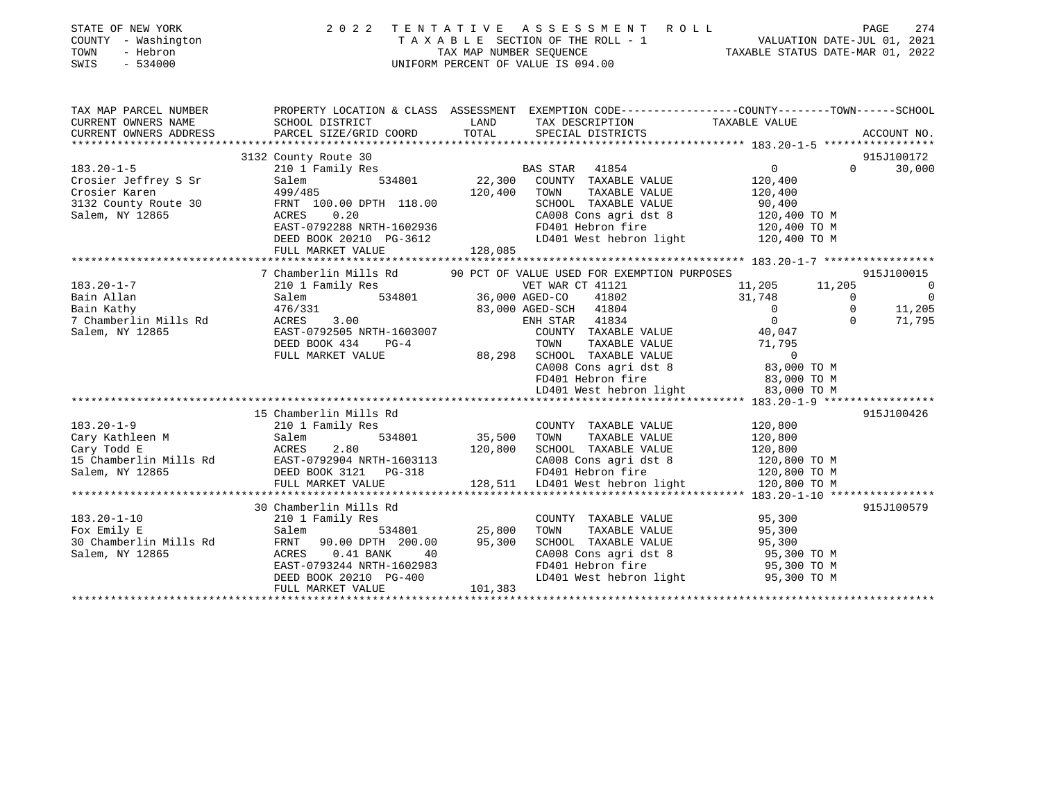| COUNTY - Washington<br>- Hebron<br>TOWN<br>SWIS<br>$-534000$ |                                                                                                  |                   | T A X A B L E SECTION OF THE ROLL - 1 VALUATION DATE-JUL 01, 2021<br>TAX MAP NUMBER SEQUENCE TAXIBLE STATUS DATE-MAR 01, 2022<br>UNIFORM PERCENT OF VALUE IS 094.00 |                                      |             | PAGE<br>274    |
|--------------------------------------------------------------|--------------------------------------------------------------------------------------------------|-------------------|---------------------------------------------------------------------------------------------------------------------------------------------------------------------|--------------------------------------|-------------|----------------|
| TAX MAP PARCEL NUMBER                                        | PROPERTY LOCATION & CLASS ASSESSMENT EXEMPTION CODE----------------COUNTY-------TOWN------SCHOOL |                   |                                                                                                                                                                     |                                      |             |                |
| CURRENT OWNERS NAME                                          | SCHOOL DISTRICT                                                                                  | LAND              | TAX DESCRIPTION TAXABLE VALUE                                                                                                                                       |                                      |             |                |
| CURRENT OWNERS ADDRESS                                       | PARCEL SIZE/GRID COORD                                                                           | TOTAL             | SPECIAL DISTRICTS                                                                                                                                                   |                                      |             | ACCOUNT NO.    |
|                                                              |                                                                                                  |                   |                                                                                                                                                                     |                                      |             |                |
|                                                              | 3132 County Route 30                                                                             |                   |                                                                                                                                                                     |                                      | $\Omega$    | 915J100172     |
| $183.20 - 1 - 5$                                             | 210 1 Family Res                                                                                 |                   | BAS STAR<br>41854                                                                                                                                                   | $\overline{0}$                       |             | 30,000         |
| Crosier Jeffrey S Sr<br>Crosier Karen                        | 534801<br>Salem<br>499/485                                                                       | 22,300<br>120,400 | COUNTY TAXABLE VALUE<br>TAXABLE VALUE<br>TOWN                                                                                                                       | 120,400                              |             |                |
| 3132 County Route 30                                         | FRNT 100.00 DPTH 118.00                                                                          |                   | SCHOOL TAXABLE VALUE                                                                                                                                                | 120,400<br>90,400                    |             |                |
| Salem, NY 12865                                              | ACRES<br>0.20                                                                                    |                   | CA008 Cons agri dst 8                                                                                                                                               | 120,400 TO M                         |             |                |
|                                                              | EAST-0792288 NRTH-1602936                                                                        |                   | FD401 Hebron fire                                                                                                                                                   | 120,400 TO M                         |             |                |
|                                                              | DEED BOOK 20210 PG-3612                                                                          |                   |                                                                                                                                                                     | LD401 West hebron light 120,400 TO M |             |                |
|                                                              | FULL MARKET VALUE                                                                                | 128,085           |                                                                                                                                                                     |                                      |             |                |
|                                                              |                                                                                                  |                   |                                                                                                                                                                     |                                      |             |                |
|                                                              | 7 Chamberlin Mills Rd                                                                            |                   | 90 PCT OF VALUE USED FOR EXEMPTION PURPOSES                                                                                                                         |                                      |             | 915J100015     |
| $183.20 - 1 - 7$                                             | 210 1 Family Res                                                                                 |                   | VET WAR CT 41121                                                                                                                                                    | 11,205                               | 11,205      | $\Omega$       |
| Bain Allan                                                   | 534801<br>Salem                                                                                  |                   | 36,000 AGED-CO<br>41802                                                                                                                                             | 31,748                               | $\Omega$    | $\overline{0}$ |
| Bain Kathy                                                   | 476/331                                                                                          |                   | 83,000 AGED-SCH 41804                                                                                                                                               | $\overline{0}$                       | $\mathbf 0$ | 11,205         |
| 7 Chamberlin Mills Rd                                        | 3.00<br>ACRES                                                                                    |                   | ENH STAR 41834                                                                                                                                                      | $\overline{0}$                       | $\Omega$    | 71,795         |
| Salem, NY 12865                                              | EAST-0792505 NRTH-1603007                                                                        |                   | COUNTY TAXABLE VALUE                                                                                                                                                | 40,047                               |             |                |
|                                                              | DEED BOOK 434<br>$PG-4$                                                                          |                   | TAXABLE VALUE<br>TOWN                                                                                                                                               | 71,795                               |             |                |
|                                                              | FULL MARKET VALUE                                                                                | 88,298            | SCHOOL TAXABLE VALUE                                                                                                                                                | $\mathbf 0$                          |             |                |
|                                                              |                                                                                                  |                   | CA008 Cons agri dst 8                                                                                                                                               | 83,000 TO M                          |             |                |
|                                                              |                                                                                                  |                   | FD401 Hebron fire                                                                                                                                                   | 83,000 TO M                          |             |                |
|                                                              |                                                                                                  |                   | LD401 West hebron light                                                                                                                                             | 83,000 TO M                          |             |                |
|                                                              |                                                                                                  |                   |                                                                                                                                                                     |                                      |             |                |
|                                                              | 15 Chamberlin Mills Rd                                                                           |                   |                                                                                                                                                                     |                                      |             | 915J100426     |
| $183.20 - 1 - 9$                                             | 210 1 Family Res                                                                                 |                   | COUNTY TAXABLE VALUE                                                                                                                                                | 120,800                              |             |                |
| Cary Kathleen M                                              | 534801<br>Salem                                                                                  | 35,500 TOWN       | TAXABLE VALUE                                                                                                                                                       | 120,800                              |             |                |
|                                                              | ACRES 2.80<br>EAST-0792904 NRTH-1603113                                                          | 120,800           | SCHOOL TAXABLE VALUE                                                                                                                                                | 120,800                              |             |                |
| 15 Chamberlin Mills Rd                                       |                                                                                                  |                   | CA008 Cons agri dst 8                                                                                                                                               | 120,800 TO M                         |             |                |
| Salem, NY 12865                                              | DEED BOOK 3121 PG-318                                                                            |                   | FD401 Hebron fire                                                                                                                                                   | 120,800 TO M                         |             |                |
|                                                              | FULL MARKET VALUE                                                                                |                   | 128,511 LD401 West hebron light                                                                                                                                     | 120,800 TO M                         |             |                |
|                                                              | 30 Chamberlin Mills Rd                                                                           |                   |                                                                                                                                                                     |                                      |             | 915J100579     |
| $183.20 - 1 - 10$                                            | 210 1 Family Res                                                                                 |                   | COUNTY TAXABLE VALUE                                                                                                                                                | 95,300                               |             |                |
| Fox Emily E                                                  | Salem<br>534801                                                                                  | 25,800            | TOWN<br>TAXABLE VALUE                                                                                                                                               | 95,300                               |             |                |
| 30 Chamberlin Mills Rd                                       | FRNT<br>90.00 DPTH 200.00                                                                        | 95,300            | SCHOOL TAXABLE VALUE                                                                                                                                                | 95,300                               |             |                |
| Salem, NY 12865                                              | ACRES<br>$0.41$ BANK<br>40                                                                       |                   | CA008 Cons agri dst 8                                                                                                                                               | 95,300 TO M                          |             |                |
|                                                              | EAST-0793244 NRTH-1602983                                                                        |                   | FD401 Hebron fire                                                                                                                                                   | 95,300 TO M                          |             |                |
|                                                              | DEED BOOK 20210 PG-400                                                                           |                   | LD401 West hebron light                                                                                                                                             | 95,300 TO M                          |             |                |
|                                                              | FULL MARKET VALUE                                                                                | 101,383           |                                                                                                                                                                     |                                      |             |                |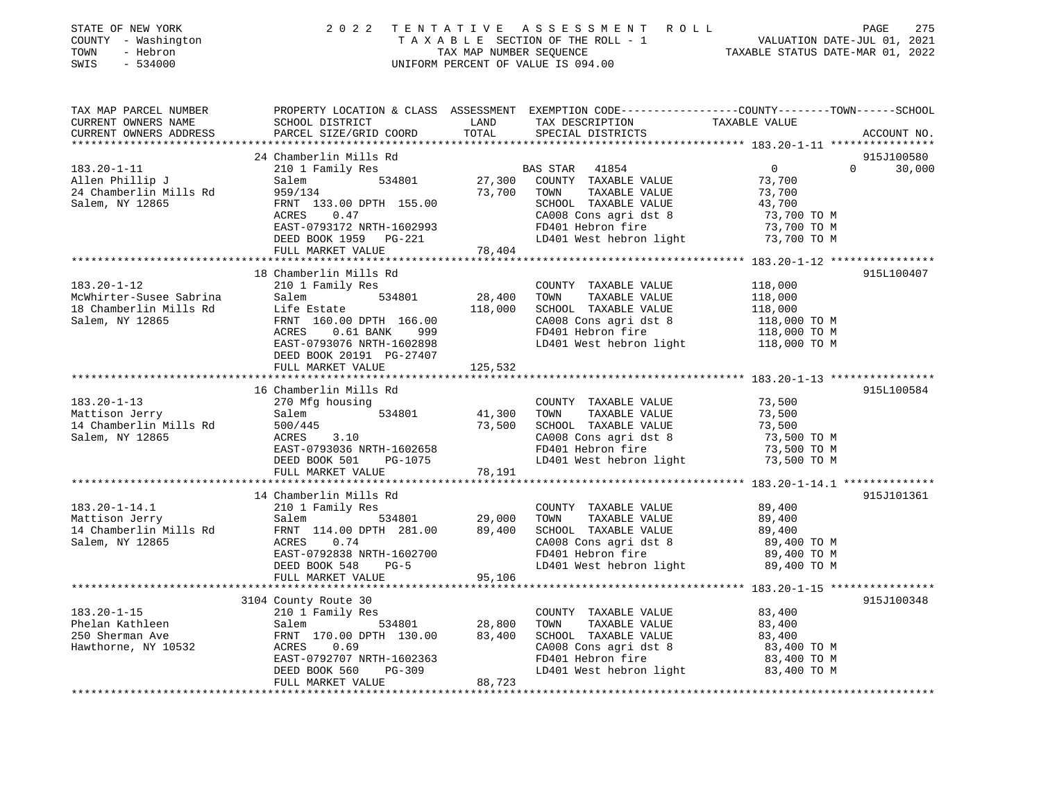| STATE OF NEW YORK<br>COUNTY - Washington<br>TOWN<br>- Hebron<br>SWIS<br>$-534000$ | 2 0 2 2                                                  | TENTATIVE     | A S S E S S M E N T R O L L<br>UNIFORM PERCENT OF VALUE IS 094.00 | PAGE<br>TAXABLE SECTION OF THE ROLL - 1<br>TAXABLE SECTION OF THE ROLL - 1<br>TAXABLE STATUS DATE-MAR 01, 2022 | 275 |
|-----------------------------------------------------------------------------------|----------------------------------------------------------|---------------|-------------------------------------------------------------------|----------------------------------------------------------------------------------------------------------------|-----|
| TAX MAP PARCEL NUMBER<br>CURRENT OWNERS NAME<br>CURRENT OWNERS ADDRESS            | SCHOOL DISTRICT<br>PARCEL SIZE/GRID COORD                | LAND<br>TOTAL | TAX DESCRIPTION TAXABLE VALUE<br>SPECIAL DISTRICTS                | PROPERTY LOCATION & CLASS ASSESSMENT EXEMPTION CODE---------------COUNTY-------TOWN------SCHOOL<br>ACCOUNT NO. |     |
|                                                                                   | 24 Chamberlin Mills Rd                                   |               |                                                                   | 915J100580                                                                                                     |     |
| $183.20 - 1 - 11$                                                                 | 210 1 Family Res                                         |               | BAS STAR<br>41854                                                 | $\overline{0}$<br>$\Omega$<br>30,000                                                                           |     |
| Allen Phillip J                                                                   | 534801<br>Salem                                          |               | 27,300 COUNTY TAXABLE VALUE                                       | 73,700                                                                                                         |     |
| 24 Chamberlin Mills Rd                                                            | 959/134                                                  | 73,700        | TAXABLE VALUE<br>TOWN                                             | 73,700                                                                                                         |     |
| Salem, NY 12865                                                                   | FRNT 133.00 DPTH 155.00                                  |               | SCHOOL TAXABLE VALUE                                              | 43,700                                                                                                         |     |
|                                                                                   | ACRES<br>0.47                                            |               | CA008 Cons agri dst 8                                             | 73,700 TO M                                                                                                    |     |
|                                                                                   | EAST-0793172 NRTH-1602993                                |               | FD401 Hebron fire                                                 | 73,700 TO M                                                                                                    |     |
|                                                                                   | DEED BOOK 1959 PG-221                                    |               | LD401 West hebron light 73,700 TO M                               |                                                                                                                |     |
|                                                                                   | FULL MARKET VALUE                                        | 78,404        |                                                                   |                                                                                                                |     |
|                                                                                   |                                                          |               |                                                                   |                                                                                                                |     |
|                                                                                   | 18 Chamberlin Mills Rd                                   |               |                                                                   | 915L100407                                                                                                     |     |
| $183.20 - 1 - 12$                                                                 | 210 1 Family Res                                         |               | COUNTY TAXABLE VALUE                                              | 118,000                                                                                                        |     |
| McWhirter-Susee Sabrina                                                           | 534801<br>Salem                                          | 28,400        | TOWN<br>TAXABLE VALUE                                             | 118,000                                                                                                        |     |
| 18 Chamberlin Mills Rd                                                            | Life Estate                                              | 118,000       | SCHOOL TAXABLE VALUE                                              | 118,000                                                                                                        |     |
| Salem, NY 12865                                                                   | FRNT 160.00 DPTH 166.00                                  |               | CA008 Cons agri dst 8                                             | 118,000 TO M<br>118,000 TO M                                                                                   |     |
|                                                                                   | 999<br>ACRES<br>$0.61$ BANK<br>EAST-0793076 NRTH-1602898 |               | FD401 Hebron fire<br>LD401 West hebron light                      | 118,000 TO M                                                                                                   |     |
|                                                                                   | DEED BOOK 20191 PG-27407                                 |               |                                                                   |                                                                                                                |     |
|                                                                                   | FULL MARKET VALUE                                        | 125,532       |                                                                   |                                                                                                                |     |
|                                                                                   |                                                          |               |                                                                   | ****************************** 183.20-1-13 ****************                                                    |     |
|                                                                                   | 16 Chamberlin Mills Rd                                   |               |                                                                   | 915L100584                                                                                                     |     |
| $183.20 - 1 - 13$                                                                 | 270 Mfg housing                                          |               | COUNTY TAXABLE VALUE                                              | 73,500                                                                                                         |     |
| Mattison Jerry                                                                    | 534801<br>Salem                                          | 41,300        | TOWN<br>TAXABLE VALUE                                             | 73,500                                                                                                         |     |
| 14 Chamberlin Mills Rd                                                            | 500/445                                                  | 73,500        | SCHOOL TAXABLE VALUE                                              | 73,500                                                                                                         |     |
| Salem, NY 12865                                                                   | ACRES<br>3.10                                            |               | CA008 Cons agri dst 8                                             | 73,500 TO M                                                                                                    |     |
|                                                                                   | EAST-0793036 NRTH-1602658                                |               | FD401 Hebron fire                                                 | 73,500 TO M                                                                                                    |     |
|                                                                                   | DEED BOOK 501<br>PG-1075                                 |               | LD401 West hebron light                                           | 73,500 TO M                                                                                                    |     |
|                                                                                   | FULL MARKET VALUE<br>************************            | 78,191        |                                                                   |                                                                                                                |     |
|                                                                                   | 14 Chamberlin Mills Rd                                   |               |                                                                   | 915J101361                                                                                                     |     |
| $183.20 - 1 - 14.1$                                                               | 210 1 Family Res                                         |               | COUNTY TAXABLE VALUE                                              | 89,400                                                                                                         |     |
| Mattison Jerry                                                                    | 534801<br>Salem                                          | 29,000        | TOWN<br>TAXABLE VALUE                                             | 89,400                                                                                                         |     |
| 14 Chamberlin Mills Rd                                                            | FRNT 114.00 DPTH 281.00                                  | 89,400        | SCHOOL TAXABLE VALUE                                              | 89,400                                                                                                         |     |
| Salem, NY 12865                                                                   | ACRES<br>0.74                                            |               | CA008 Cons agri dst 8                                             | 89,400 TO M                                                                                                    |     |
|                                                                                   | EAST-0792838 NRTH-1602700                                |               |                                                                   | 89,400 TO M                                                                                                    |     |
|                                                                                   | DEED BOOK 548<br>$PG-5$                                  |               | FD401 Hebron fire<br>LD401 West hebron light                      | 89,400 TO M                                                                                                    |     |
|                                                                                   | FULL MARKET VALUE                                        | 95,106        |                                                                   |                                                                                                                |     |
|                                                                                   |                                                          |               |                                                                   |                                                                                                                |     |
|                                                                                   | 3104 County Route 30                                     |               |                                                                   | 915J100348                                                                                                     |     |
| $183.20 - 1 - 15$                                                                 | 210 1 Family Res                                         |               | COUNTY TAXABLE VALUE                                              | 83,400                                                                                                         |     |
| Phelan Kathleen                                                                   | 534801<br>Salem                                          | 28,800        | TOWN<br>TAXABLE VALUE                                             | 83,400                                                                                                         |     |
| 250 Sherman Ave                                                                   | FRNT 170.00 DPTH 130.00                                  | 83,400        | SCHOOL TAXABLE VALUE                                              | 83,400                                                                                                         |     |
| Hawthorne, NY 10532                                                               | ACRES<br>0.69                                            |               | CA008 Cons agri dst 8                                             | 83,400 TO M                                                                                                    |     |
|                                                                                   | EAST-0792707 NRTH-1602363                                |               | FD401 Hebron fire<br>LD401 West hebron light 83,400 TO M          | 83,400 TO M                                                                                                    |     |
|                                                                                   | DEED BOOK 560<br>PG-309<br>FULL MARKET VALUE             | 88,723        |                                                                   |                                                                                                                |     |
|                                                                                   |                                                          |               |                                                                   | ********************                                                                                           |     |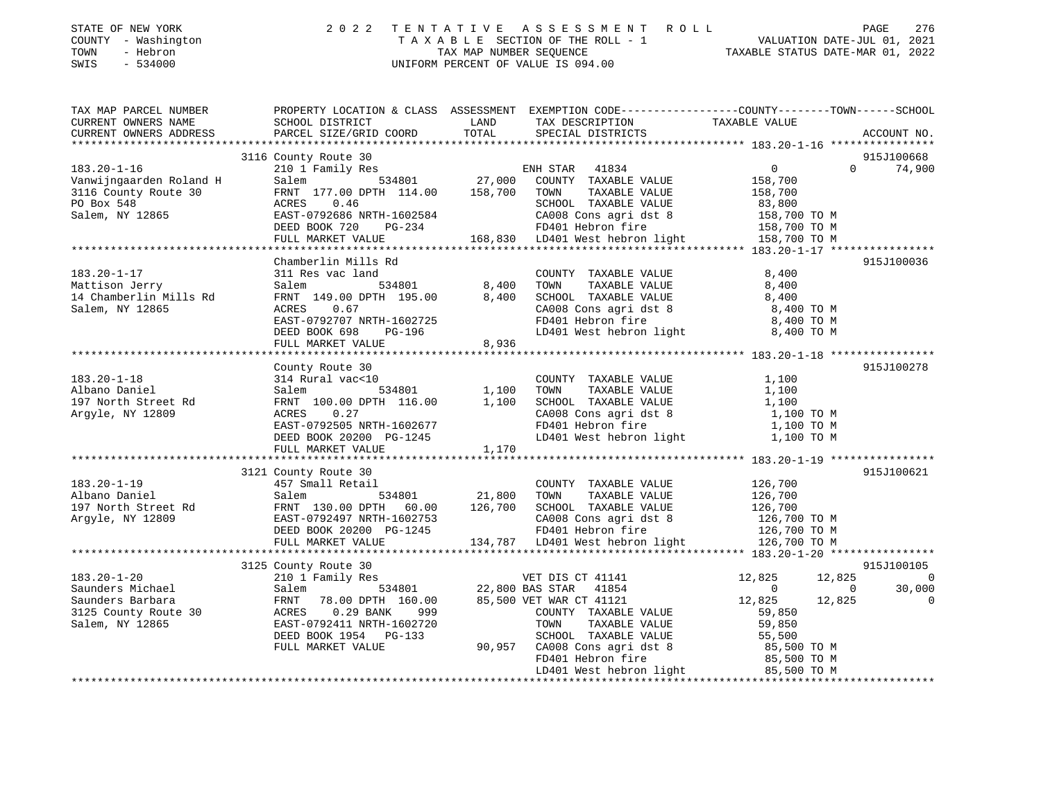| STATE OF NEW YORK |  |              |
|-------------------|--|--------------|
| <b>COUNTY</b>     |  | - Washington |
| TOWN              |  | - Hebron     |

## STATE OF NEW YORK 2 0 2 2 T E N T A T I V E A S S E S S M E N T R O L L PAGE 276 COUNTY - Washington T A X A B L E SECTION OF THE ROLL - 1 VALUATION DATE-JUL 01, 2021 TOWN - Hebron TAX MAP NUMBER SEQUENCE TAXABLE STATUS DATE-MAR 01, 2022 SWIS - 534000 UNIFORM PERCENT OF VALUE IS 094.00

| TAX MAP PARCEL NUMBER                                                                                                                                                                                                                                       | PROPERTY LOCATION & CLASS ASSESSMENT EXEMPTION CODE----------------COUNTY-------TOWN------SCHOOL                                                                                                 |                                          |                                                                                                                                                                                                                                                                  |                                                                    |                                                                    |
|-------------------------------------------------------------------------------------------------------------------------------------------------------------------------------------------------------------------------------------------------------------|--------------------------------------------------------------------------------------------------------------------------------------------------------------------------------------------------|------------------------------------------|------------------------------------------------------------------------------------------------------------------------------------------------------------------------------------------------------------------------------------------------------------------|--------------------------------------------------------------------|--------------------------------------------------------------------|
|                                                                                                                                                                                                                                                             | 3116 County Route 30                                                                                                                                                                             |                                          |                                                                                                                                                                                                                                                                  |                                                                    | 915J100668                                                         |
| $183.20 - 1 - 16$<br>Vanwijngaarden Roland H<br>3116 County Route 30<br>PO Box 548<br>Salem, NY 12865                                                                                                                                                       | FRNT 177.00 2.1.<br>ACRES 0.46<br>EAST-0792686 NRTH-1602584<br>-- 1007 720 PG-234                                                                                                                |                                          | SCHOOL TAXABLE VALUE<br>SCHOOL TAXABLE VALUE<br>CA008 Cons agri dst 8<br>FD401 Hebron fire<br>158,700 TO M<br>168,830 LD401 West hebron light<br>158,700 TO M<br>158,700 TO M                                                                                    |                                                                    | $\Omega$<br>74,900                                                 |
|                                                                                                                                                                                                                                                             | FULL MARKET VALUE                                                                                                                                                                                |                                          |                                                                                                                                                                                                                                                                  |                                                                    |                                                                    |
|                                                                                                                                                                                                                                                             |                                                                                                                                                                                                  |                                          |                                                                                                                                                                                                                                                                  |                                                                    |                                                                    |
| $183.20 - 1 - 17$<br>Mattison Jerry<br>14 Chamberlin Mills Rd<br>Salem, NY 12865                                                                                                                                                                            | Chamberlin Mills Rd<br>311 Res vac land<br>Salem<br>FRNT 149.00 DPTH 195.00 8,400<br>0.67<br>EAST-0792707 NRTH-1602725<br>DEED BOOK 698 PG-196<br>FULL MARKET VALUE<br>FULL MARKET VALUE         | 1 COUNT<br>534801 534801 534801<br>8,936 | COUNTY TAXABLE VALUE<br>TOWN TAXABLE VALUE<br>SCHOOL TAXABLE VALUE<br>CA008 Cons agri dst 8 8,400<br>FD401 Hebron fire 8,400 TO M<br>LD401 West hebron light 8,400 TO M                                                                                          | 8,400<br>8,400                                                     | 915J100036                                                         |
|                                                                                                                                                                                                                                                             | County Route 30                                                                                                                                                                                  |                                          |                                                                                                                                                                                                                                                                  |                                                                    | 915J100278                                                         |
| $183.20 - 1 - 18$<br>Albano Daniel<br>197 North Street Rd<br>Argyle, NY 12809                                                                                                                                                                               | 314 Rural vac<10<br>Salem 534801 1,100<br>FRNT 100.00 DPTH 116.00 1,100<br>ACRES 0.27<br>EAST-0792505<br>EAST-0792505<br>DEED BOOK 20200 PG-1245<br>DEED BOOK 20200 PG-1245<br>FULL MARKET VALUE | 1,170                                    | COUNTY TAXABLE VALUE<br>TOWN TAXABLE VALUE 1,100<br>SCHOOL TAXABLE VALUE 1,100<br>CA008 Cons agri dst 8<br>FD401 Hebron fire<br>LD401 West hebron light<br>1,100 TO M<br>1,100 TO M                                                                              | 1,100                                                              |                                                                    |
|                                                                                                                                                                                                                                                             | 3121 County Route 30                                                                                                                                                                             |                                          |                                                                                                                                                                                                                                                                  |                                                                    | 915J100621                                                         |
| $183.20 - 1 - 19$<br>183.20-1-19<br>Albano Daniel Salem 534801 21,800 TOWN IAAADLE VALUE<br>197 North Street Rd FRNT 130.00 DPTH 60.00 126,700 SCHOOL TAXABLE VALUE<br>Argyle, NY 12809 EAST-0792497 NRTH-1602753 CA008 Cons agri dst 8 126,700 TO M<br>DEE | 457 Small Retail                                                                                                                                                                                 |                                          | COUNTY TAXABLE VALUE                                                                                                                                                                                                                                             | 126,700                                                            |                                                                    |
|                                                                                                                                                                                                                                                             |                                                                                                                                                                                                  |                                          |                                                                                                                                                                                                                                                                  |                                                                    |                                                                    |
| $183.20 - 1 - 20$<br>Saunders Michael<br>Saunders Barbara<br>3125 County Route 30<br>Salem, NY 12865                                                                                                                                                        | 3125 County Route 30<br>FULL MARKET VALUE                                                                                                                                                        |                                          | ***<br>VET DIS CT 41141<br>TO STAR 41854<br>TO 3121<br>-<br>COUNTY TAXABLE VALUE 59,850<br>TOWN TAXABLE VALUE 59,850<br>SCHOOL TAXABLE VALUE<br>90,957 CA008 Cons agri dst 8 85,500 TO M<br>FD401 Hebron fire 85,500 TO M<br>LD401 West hebron light 85,500 TO M | 12,825<br>12,825<br>$\overline{0}$<br>$\Omega$<br>12,825<br>12,825 | 915J100105<br>$\overline{\phantom{0}}$<br>30,000<br>$\overline{0}$ |
|                                                                                                                                                                                                                                                             |                                                                                                                                                                                                  |                                          |                                                                                                                                                                                                                                                                  |                                                                    |                                                                    |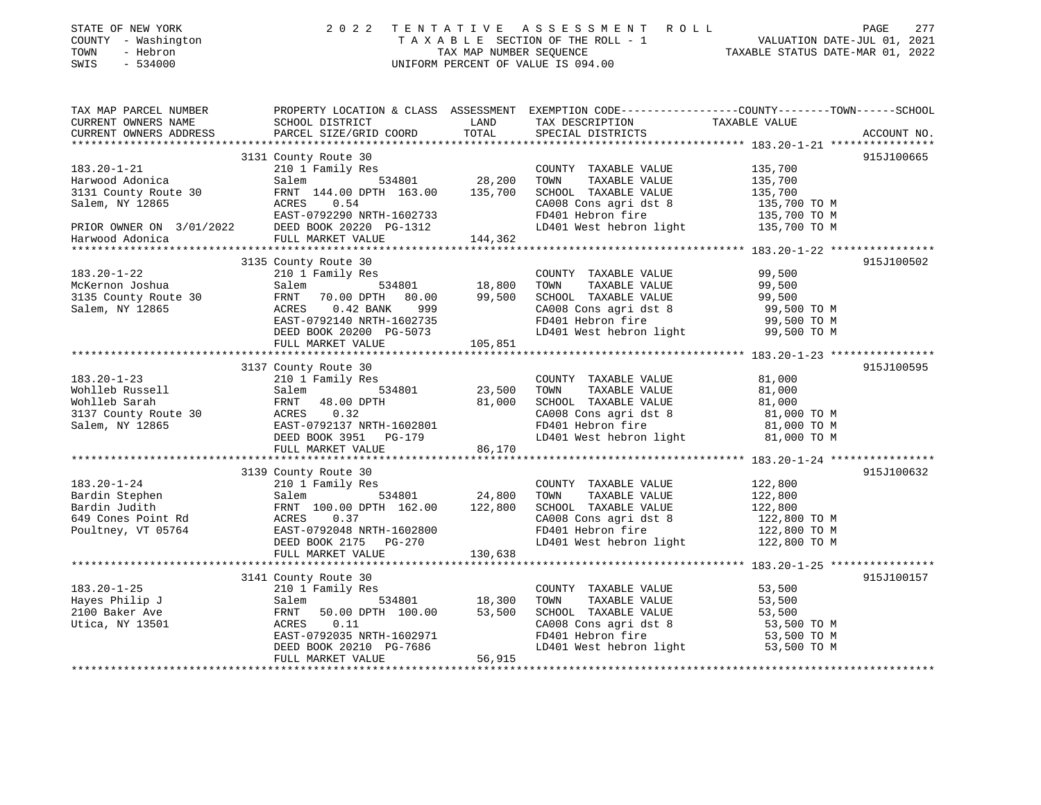| STATE OF NEW YORK<br>COUNTY - Washington<br>- Hebron<br>TOWN<br>SWIS<br>$-534000$ |                                                                                   | 2022 TENTATIVE ASSESSMENT ROLL<br>TAXABLE SECTION OF THE ROLL - 1<br>TAX MAP NUMBER SEOUENCE<br>UNIFORM PERCENT OF VALUE IS 094.00 | VALUATION DATE-JUL 01, 2021<br>TAXABLE STATUS DATE-MAR 01, 2022               | 277<br>PAGE |
|-----------------------------------------------------------------------------------|-----------------------------------------------------------------------------------|------------------------------------------------------------------------------------------------------------------------------------|-------------------------------------------------------------------------------|-------------|
| TAX MAP PARCEL NUMBER<br>CURRENT OWNERS NAME<br>CURRENT OWNERS ADDRESS            | PROPERTY LOCATION & CLASS ASSESSMENT<br>SCHOOL DISTRICT<br>PARCEL SIZE/GRID COORD | LAND<br>TAX DESCRIPTION<br>TOTAL<br>SPECIAL DISTRICTS                                                                              | EXEMPTION CODE-----------------COUNTY-------TOWN------SCHOOL<br>TAXABLE VALUE | ACCOUNT NO. |
|                                                                                   | 3131 County Route 30                                                              |                                                                                                                                    |                                                                               | 915.T100665 |

|                      | SISI COMILLY ROULE SU                                                                                                                                                                                                                                                                                                                                                                                                     |         |                                                                                                           |              | <u>JIJUIVUUJ</u> |
|----------------------|---------------------------------------------------------------------------------------------------------------------------------------------------------------------------------------------------------------------------------------------------------------------------------------------------------------------------------------------------------------------------------------------------------------------------|---------|-----------------------------------------------------------------------------------------------------------|--------------|------------------|
| $183.20 - 1 - 21$    | 210 1 Family Res                                                                                                                                                                                                                                                                                                                                                                                                          |         | COUNTY TAXABLE VALUE                                                                                      | 135,700      |                  |
| Harwood Adonica      | 534801 28,200<br>Salem                                                                                                                                                                                                                                                                                                                                                                                                    |         | TOWN<br>TAXABLE VALUE                                                                                     | 135,700      |                  |
| 3131 County Route 30 | FRNT 144.00 DPTH 163.00                                                                                                                                                                                                                                                                                                                                                                                                   | 135,700 | SCHOOL TAXABLE VALUE                                                                                      | 135,700      |                  |
| Salem, NY 12865      | ACRES 0.54                                                                                                                                                                                                                                                                                                                                                                                                                |         | CA008 Cons agri dst 8 135,700 TO M                                                                        |              |                  |
|                      | EAST-0792290 NRTH-1602733                                                                                                                                                                                                                                                                                                                                                                                                 |         | FD401 Hebron fire 135,700 TO M                                                                            |              |                  |
|                      | $\begin{tabular}{lcl} \multicolumn{2}{c}{\textbf{ERIOR ONNER ON}} & 3/01/2022 & \multicolumn{2}{c}{\textbf{EAST-0792290 NRTH-1602733}} \\ \multicolumn{2}{c}{\textbf{Harwood Adonica}} & 3/01/2022 & \multicolumn{2}{c}{\textbf{DEED BOOK 20220 PG-1312}} \\ & & \multicolumn{2}{c}{\textbf{Harwood Adonica}} & \multicolumn{2}{c}{\textbf{FUL.L. MARKFT 17.1.1}} \\ \multicolumn{2}{c}{\textbf{MATM-1602733}} & \multic$ |         | LD401 West hebron light 135,700 TO M                                                                      |              |                  |
|                      |                                                                                                                                                                                                                                                                                                                                                                                                                           | 144,362 |                                                                                                           |              |                  |
|                      |                                                                                                                                                                                                                                                                                                                                                                                                                           |         |                                                                                                           |              |                  |
|                      | 3135 County Route 30                                                                                                                                                                                                                                                                                                                                                                                                      |         |                                                                                                           |              | 915J100502       |
| $183.20 - 1 - 22$    | 210 1 Family Res                                                                                                                                                                                                                                                                                                                                                                                                          |         | COUNTY TAXABLE VALUE                                                                                      | 99,500       |                  |
| McKernon Joshua      | 534801 18,800<br>Salem                                                                                                                                                                                                                                                                                                                                                                                                    |         | TOWN<br>TAXABLE VALUE                                                                                     | 99,500       |                  |
| 3135 County Route 30 | FRNT 70.00 DPTH 80.00 99,500                                                                                                                                                                                                                                                                                                                                                                                              |         | SCHOOL TAXABLE VALUE                                                                                      | 99,500       |                  |
| Salem, NY 12865      | ACRES 0.42 BANK 999                                                                                                                                                                                                                                                                                                                                                                                                       |         | CA008 Cons agri dst 8 99,500 TO M<br>FD401 Hebron fire 99,500 TO M<br>LD401 West hebron light 99,500 TO M |              |                  |
|                      | EAST-0792140 NRTH-1602735                                                                                                                                                                                                                                                                                                                                                                                                 |         |                                                                                                           |              |                  |
|                      | DEED BOOK 20200 PG-5073<br>FULL MARKET VALUE 105,851                                                                                                                                                                                                                                                                                                                                                                      |         |                                                                                                           |              |                  |
|                      |                                                                                                                                                                                                                                                                                                                                                                                                                           |         |                                                                                                           |              |                  |
|                      |                                                                                                                                                                                                                                                                                                                                                                                                                           |         |                                                                                                           |              |                  |
|                      | 3137 County Route 30                                                                                                                                                                                                                                                                                                                                                                                                      |         |                                                                                                           |              | 915J100595       |
| $183.20 - 1 - 23$    | 210 1 Family Res                                                                                                                                                                                                                                                                                                                                                                                                          |         | COUNTY TAXABLE VALUE                                                                                      | 81,000       |                  |
| Wohlleb Russell      | 3<br>534801 23,500 TOWN<br>Salem                                                                                                                                                                                                                                                                                                                                                                                          |         | TAXABLE VALUE                                                                                             | 81,000       |                  |
| Wohlleb Sarah        | FRNT 48.00 DPTH                                                                                                                                                                                                                                                                                                                                                                                                           |         | 81,000 SCHOOL TAXABLE VALUE                                                                               | 81,000       |                  |
| 3137 County Route 30 | ACRES 0.32                                                                                                                                                                                                                                                                                                                                                                                                                |         | CA008 Cons agri dst 8 81,000 TO M                                                                         |              |                  |
| Salem, NY 12865      | EAST-0792137 NRTH-1602801                                                                                                                                                                                                                                                                                                                                                                                                 |         |                                                                                                           |              |                  |
|                      | DEED BOOK 3951 PG-179                                                                                                                                                                                                                                                                                                                                                                                                     |         | FD401 Hebron fire 31,000 TO M<br>LD401 West hebron light 31,000 TO M                                      |              |                  |
|                      | FULL MARKET VALUE                                                                                                                                                                                                                                                                                                                                                                                                         | 86,170  |                                                                                                           |              |                  |
|                      |                                                                                                                                                                                                                                                                                                                                                                                                                           |         |                                                                                                           |              |                  |
|                      | 3139 County Route 30                                                                                                                                                                                                                                                                                                                                                                                                      |         |                                                                                                           |              | 915J100632       |
| $183.20 - 1 - 24$    | 210 1 Family Res                                                                                                                                                                                                                                                                                                                                                                                                          |         | COUNTY TAXABLE VALUE                                                                                      | 122,800      |                  |
| Bardin Stephen       | Salem 534801 24,800<br>FRNT 100.00 DPTH 162.00 122,800                                                                                                                                                                                                                                                                                                                                                                    |         | TAXABLE VALUE<br>TOWN                                                                                     | 122,800      |                  |
| Bardin Judith        |                                                                                                                                                                                                                                                                                                                                                                                                                           |         | SCHOOL TAXABLE VALUE                                                                                      | 122,800      |                  |
| 649 Cones Point Rd   | ACRES 0.37                                                                                                                                                                                                                                                                                                                                                                                                                |         | CA008 Cons agri dst 8 122,800 TO M                                                                        |              |                  |
| Poultney, VT 05764   | EAST-0792048 NRTH-1602800                                                                                                                                                                                                                                                                                                                                                                                                 |         | FD401 Hebron fire                                                                                         | 122,800 TO M |                  |
|                      | DEED BOOK 2175 PG-270                                                                                                                                                                                                                                                                                                                                                                                                     |         | LD401 West hebron light                                                                                   | 122,800 TO M |                  |
|                      | FULL MARKET VALUE                                                                                                                                                                                                                                                                                                                                                                                                         | 130,638 |                                                                                                           |              |                  |
|                      |                                                                                                                                                                                                                                                                                                                                                                                                                           |         |                                                                                                           |              |                  |
|                      | 3141 County Route 30                                                                                                                                                                                                                                                                                                                                                                                                      |         |                                                                                                           |              | 915J100157       |
| $183.20 - 1 - 25$    | 210 1 Family Res                                                                                                                                                                                                                                                                                                                                                                                                          |         | COUNTY TAXABLE VALUE                                                                                      | 53,500       |                  |
| Hayes Philip J       | 534801 18,300<br>Salem                                                                                                                                                                                                                                                                                                                                                                                                    |         | TAXABLE VALUE<br>TOWN                                                                                     | 53,500       |                  |
| 2100 Baker Ave       | FRNT 50.00 DPTH 100.00 53,500                                                                                                                                                                                                                                                                                                                                                                                             |         | SCHOOL TAXABLE VALUE                                                                                      | 53,500       |                  |
| Utica, NY 13501      | ACRES 0.11                                                                                                                                                                                                                                                                                                                                                                                                                |         | SCHOOL TAXABLE VALUE 53,500<br>CA008 Cons agri dst 8 53,500 TO M<br>FD401 Hebron fire 53,500 TO M         |              |                  |
|                      | EAST-0792035 NRTH-1602971                                                                                                                                                                                                                                                                                                                                                                                                 |         |                                                                                                           |              |                  |
|                      | DEED BOOK 20210 PG-7686                                                                                                                                                                                                                                                                                                                                                                                                   |         | LD401 West hebron light                                                                                   | 53,500 TO M  |                  |
|                      | FULL MARKET VALUE                                                                                                                                                                                                                                                                                                                                                                                                         | 56,915  |                                                                                                           |              |                  |
|                      |                                                                                                                                                                                                                                                                                                                                                                                                                           |         |                                                                                                           |              |                  |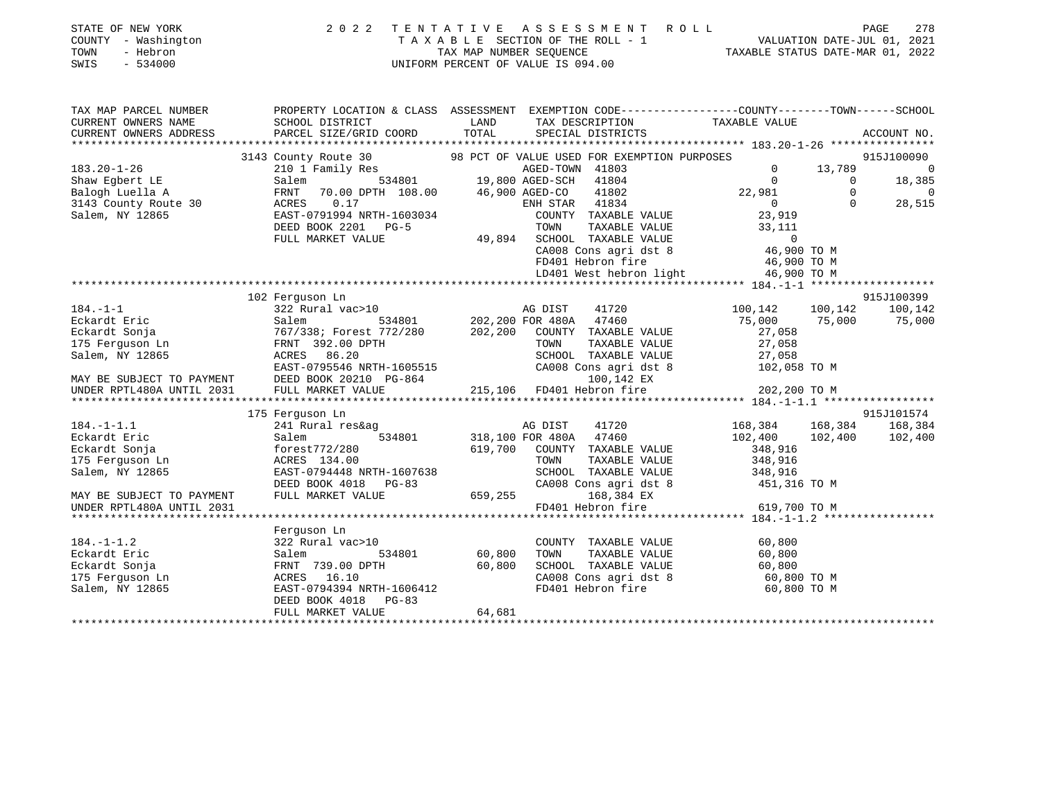| STATE OF NEW YORK<br>COUNTY - Washington<br>TOWN<br>- Hebron<br>SWIS<br>$-534000$ | 2 0 2 2                                                                                                                                     | TENTATIVE<br>UNIFORM PERCENT OF VALUE IS 094.00 |                        | ASSESSMENT ROLL<br>$\begin{tabular}{lllllllll} \texttt{T} & \texttt{A} & \texttt{X} & \texttt{A} & \texttt{B} & \texttt{L} & \texttt{E} & \texttt{SECTION OF THE ROLL} & - & 1 \\ & & \texttt{TAX MAP NUMBER SEQUENCE} & & & \texttt{TAXAR} \end{tabular}$ | TAXABLE STATUS DATE-MAR 01, 2022           |             | PAGE<br>278<br>VALUATION DATE-JUL 01, 2021 |
|-----------------------------------------------------------------------------------|---------------------------------------------------------------------------------------------------------------------------------------------|-------------------------------------------------|------------------------|------------------------------------------------------------------------------------------------------------------------------------------------------------------------------------------------------------------------------------------------------------|--------------------------------------------|-------------|--------------------------------------------|
| TAX MAP PARCEL NUMBER<br>CURRENT OWNERS NAME<br>CURRENT OWNERS ADDRESS            | PROPERTY LOCATION & CLASS ASSESSMENT EXEMPTION CODE---------------COUNTY-------TOWN-----SCHOOL<br>SCHOOL DISTRICT<br>PARCEL SIZE/GRID COORD | LAND<br>TOTAL                                   |                        | TAX DESCRIPTION<br>SPECIAL DISTRICTS                                                                                                                                                                                                                       | TAXABLE VALUE                              |             | ACCOUNT NO.                                |
|                                                                                   | 3143 County Route 30                                                                                                                        |                                                 |                        | 98 PCT OF VALUE USED FOR EXEMPTION PURPOSES                                                                                                                                                                                                                |                                            |             | 915J100090                                 |
| $183.20 - 1 - 26$                                                                 | 210 1 Family Res                                                                                                                            |                                                 | AGED-TOWN 41803        |                                                                                                                                                                                                                                                            | $\Omega$                                   | 13,789      | $\overline{0}$                             |
| Shaw Egbert LE                                                                    | Salem<br>534801                                                                                                                             | 19, 8                                           | 19,800 AGED-SCH 41804  |                                                                                                                                                                                                                                                            | $\mathbf{0}$                               | $\mathbf 0$ | 18,385                                     |
| Balogh Luella A                                                                   | FRNT<br>70.00 DPTH 108.00                                                                                                                   | 46,900 AGED-CO                                  |                        | 41802                                                                                                                                                                                                                                                      | 22,981                                     | $\Omega$    | $\overline{0}$                             |
| 3143 County Route 30                                                              | 0.17<br>ACRES                                                                                                                               |                                                 | ENH STAR 41834         |                                                                                                                                                                                                                                                            | $\overline{0}$                             | $\Omega$    | 28,515                                     |
| Salem, NY 12865                                                                   | EAST-0791994 NRTH-1603034                                                                                                                   |                                                 |                        | COUNTY TAXABLE VALUE                                                                                                                                                                                                                                       | 23,919                                     |             |                                            |
|                                                                                   | DEED BOOK 2201 PG-5                                                                                                                         |                                                 | TOWN                   | TAXABLE VALUE                                                                                                                                                                                                                                              | 33,111                                     |             |                                            |
|                                                                                   | FULL MARKET VALUE                                                                                                                           | 49,894                                          |                        | SCHOOL TAXABLE VALUE                                                                                                                                                                                                                                       | $\mathbf 0$                                |             |                                            |
|                                                                                   |                                                                                                                                             |                                                 |                        |                                                                                                                                                                                                                                                            | CA008 Cons agri dst 8 46,900 TO M          |             |                                            |
|                                                                                   |                                                                                                                                             |                                                 |                        | FD401 Hebron fire                                                                                                                                                                                                                                          | 46,900 TO M                                |             |                                            |
|                                                                                   |                                                                                                                                             |                                                 |                        | LD401 West hebron light                                                                                                                                                                                                                                    | 46,900 TO M                                |             |                                            |
|                                                                                   |                                                                                                                                             |                                                 |                        |                                                                                                                                                                                                                                                            |                                            |             |                                            |
| $184. - 1 - 1$                                                                    | 102 Ferguson Ln<br>322 Rural vac>10                                                                                                         |                                                 | AG DIST                | 41720                                                                                                                                                                                                                                                      | 100,142                                    | 100,142     | 915J100399<br>100,142                      |
| Eckardt Eric                                                                      | Salem<br>534801                                                                                                                             |                                                 | 202,200 FOR 480A       | 47460                                                                                                                                                                                                                                                      | 75,000                                     | 75,000      | 75,000                                     |
| Eckardt Sonja                                                                     | 767/338; Forest 772/280                                                                                                                     | 202,200                                         |                        | COUNTY TAXABLE VALUE                                                                                                                                                                                                                                       | 27,058                                     |             |                                            |
| 175 Ferguson Ln                                                                   | FRNT 392.00 DPTH                                                                                                                            |                                                 | TOWN                   | TAXABLE VALUE                                                                                                                                                                                                                                              | 27,058                                     |             |                                            |
| Salem, NY 12865                                                                   | ACRES 86.20                                                                                                                                 |                                                 |                        | SCHOOL TAXABLE VALUE                                                                                                                                                                                                                                       | 27,058                                     |             |                                            |
|                                                                                   | EAST-0795546 NRTH-1605515                                                                                                                   |                                                 |                        | CA008 Cons agri dst 8                                                                                                                                                                                                                                      | 102,058 TO M                               |             |                                            |
| MAY BE SUBJECT TO PAYMENT                                                         | DEED BOOK 20210 PG-864                                                                                                                      |                                                 |                        | 100,142 EX                                                                                                                                                                                                                                                 |                                            |             |                                            |
| UNDER RPTL480A UNTIL 2031                                                         | FULL MARKET VALUE                                                                                                                           | 215,106                                         |                        | FD401 Hebron fire                                                                                                                                                                                                                                          | 202,200 TO M                               |             |                                            |
|                                                                                   |                                                                                                                                             |                                                 |                        |                                                                                                                                                                                                                                                            |                                            |             |                                            |
|                                                                                   | 175 Ferguson Ln                                                                                                                             |                                                 |                        |                                                                                                                                                                                                                                                            |                                            |             | 915J101574                                 |
| $184. - 1 - 1.1$                                                                  | 241 Rural res&ag                                                                                                                            |                                                 | AG DIST                | 41720                                                                                                                                                                                                                                                      | 168,384                                    | 168,384     | 168,384                                    |
| Eckardt Eric                                                                      | 534801<br>Salem                                                                                                                             |                                                 | 318,100 FOR 480A 47460 |                                                                                                                                                                                                                                                            | 102,400                                    | 102,400     | 102,400                                    |
| Eckardt Sonja                                                                     | forest772/280                                                                                                                               | 619,700                                         |                        | COUNTY TAXABLE VALUE                                                                                                                                                                                                                                       | 348,916                                    |             |                                            |
| 175 Ferguson Ln                                                                   | ACRES 134.00                                                                                                                                |                                                 | TOWN                   | TAXABLE VALUE                                                                                                                                                                                                                                              | 348,916                                    |             |                                            |
| Salem, NY 12865                                                                   | EAST-0794448 NRTH-1607638                                                                                                                   |                                                 |                        | SCHOOL TAXABLE VALUE                                                                                                                                                                                                                                       | 348,916                                    |             |                                            |
|                                                                                   | DEED BOOK 4018<br>$PG-83$                                                                                                                   |                                                 |                        | CA008 Cons agri dst 8                                                                                                                                                                                                                                      | 451,316 TO M                               |             |                                            |
| MAY BE SUBJECT TO PAYMENT<br>UNDER RPTL480A UNTIL 2031                            | FULL MARKET VALUE                                                                                                                           | 659,255                                         |                        | 168,384 EX<br>FD401 Hebron fire                                                                                                                                                                                                                            |                                            |             |                                            |
|                                                                                   |                                                                                                                                             |                                                 |                        |                                                                                                                                                                                                                                                            | 619,700 TO M<br>********** 184.-1-1.2 **** |             |                                            |
|                                                                                   | Ferguson Ln                                                                                                                                 |                                                 |                        |                                                                                                                                                                                                                                                            |                                            |             |                                            |
| $184. - 1 - 1.2$                                                                  | 322 Rural vac>10                                                                                                                            |                                                 |                        | COUNTY TAXABLE VALUE                                                                                                                                                                                                                                       | 60,800                                     |             |                                            |
| Eckardt Eric                                                                      | 534801<br>Salem                                                                                                                             | 60,800                                          | TOWN                   | TAXABLE VALUE                                                                                                                                                                                                                                              | 60,800                                     |             |                                            |
| Eckardt Sonja                                                                     | FRNT 739.00 DPTH                                                                                                                            | 60,800                                          |                        | SCHOOL TAXABLE VALUE                                                                                                                                                                                                                                       | 60,800                                     |             |                                            |
| 175 Ferguson Ln                                                                   | ACRES 16.10                                                                                                                                 |                                                 |                        | CA008 Cons agri dst 8                                                                                                                                                                                                                                      | 60,800 TO M                                |             |                                            |
| Salem, NY 12865                                                                   | EAST-0794394 NRTH-1606412                                                                                                                   |                                                 |                        | FD401 Hebron fire                                                                                                                                                                                                                                          | 60,800 TO M                                |             |                                            |
|                                                                                   | DEED BOOK 4018<br>$PG-83$                                                                                                                   |                                                 |                        |                                                                                                                                                                                                                                                            |                                            |             |                                            |
|                                                                                   | FULL MARKET VALUE                                                                                                                           | 64,681                                          |                        |                                                                                                                                                                                                                                                            |                                            |             |                                            |
|                                                                                   |                                                                                                                                             |                                                 |                        |                                                                                                                                                                                                                                                            |                                            |             |                                            |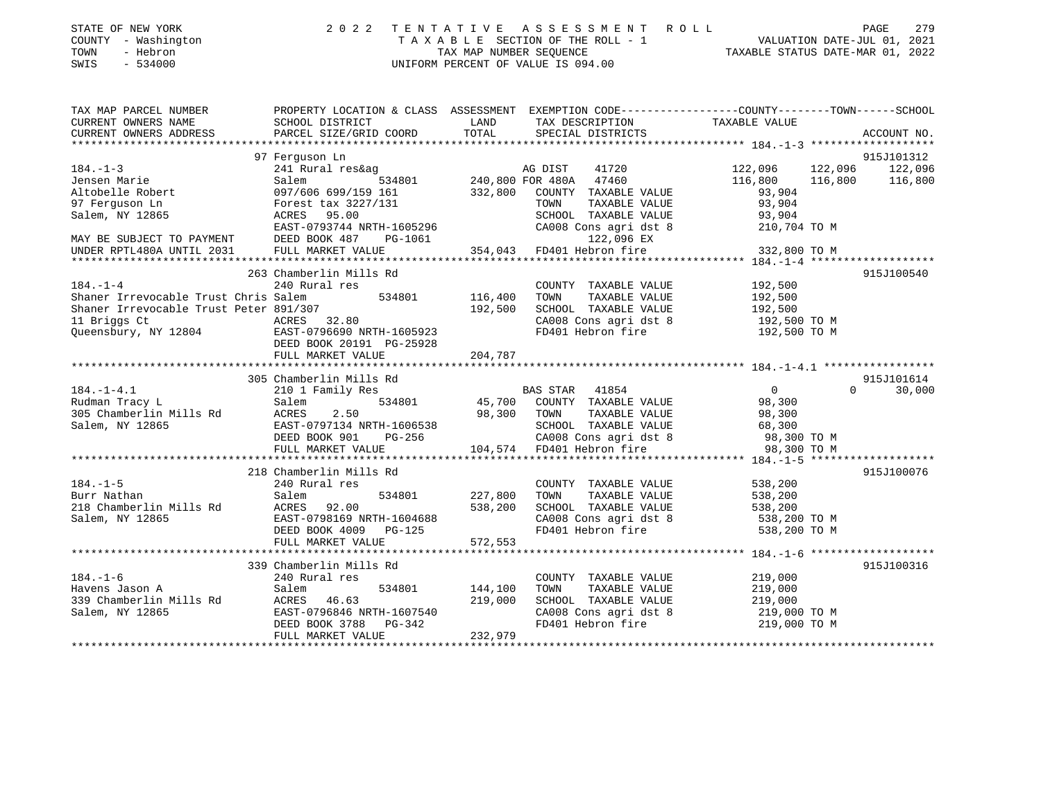|      | STATE OF NEW YORK   | 2022 TENTATIVE ASSESSMENT ROLL     |  |                                  | PAGE                        | 2.79 |
|------|---------------------|------------------------------------|--|----------------------------------|-----------------------------|------|
|      | COUNTY - Washington | TAXABLE SECTION OF THE ROLL - 1    |  |                                  | VALUATION DATE-JUL 01, 2021 |      |
| TOWN | - Hebron            | TAX MAP NUMBER SEOUENCE            |  | TAXABLE STATUS DATE-MAR 01, 2022 |                             |      |
|      | SWIS - 534000       | UNIFORM PERCENT OF VALUE IS 094.00 |  |                                  |                             |      |
|      |                     |                                    |  |                                  |                             |      |

| TAX MAP PARCEL NUMBER                          | PROPERTY LOCATION & CLASS ASSESSMENT EXEMPTION CODE---------------COUNTY-------TOWN------SCHOOL                                                                            |                |                                                                                                      |                                         |                    |
|------------------------------------------------|----------------------------------------------------------------------------------------------------------------------------------------------------------------------------|----------------|------------------------------------------------------------------------------------------------------|-----------------------------------------|--------------------|
|                                                |                                                                                                                                                                            |                |                                                                                                      |                                         |                    |
|                                                |                                                                                                                                                                            |                |                                                                                                      |                                         |                    |
|                                                |                                                                                                                                                                            |                |                                                                                                      |                                         |                    |
|                                                | 97 Ferquson Ln                                                                                                                                                             |                |                                                                                                      |                                         | 915J101312         |
| $184. - 1 - 3$                                 |                                                                                                                                                                            |                | 41720                                                                                                | $122,096$ $122,096$ $122,096$ $122,096$ |                    |
| Jensen Marie                                   |                                                                                                                                                                            |                |                                                                                                      | 116,800                                 | 116,800<br>116,800 |
|                                                | 097/606 699/159 161                                                                                                                                                        |                |                                                                                                      | 93,904                                  |                    |
|                                                |                                                                                                                                                                            |                | $332,800 \quad \begin{array}{l} 332 \\ 200 \\ 332 \end{array}$                                       | TAXABLE VALUE 93,904                    |                    |
| Salem, NY 12865                                | ACRES 95.00                                                                                                                                                                |                |                                                                                                      | 93,904                                  |                    |
|                                                | EAST-0793744 NRTH-1605296                                                                                                                                                  |                | SCHOOL TAXABLE VALUE<br>CA008 Cons agri dst 8                                                        | 210,704 TO M                            |                    |
|                                                |                                                                                                                                                                            |                |                                                                                                      |                                         |                    |
|                                                |                                                                                                                                                                            |                |                                                                                                      |                                         |                    |
|                                                |                                                                                                                                                                            |                |                                                                                                      |                                         |                    |
|                                                | 263 Chamberlin Mills Rd                                                                                                                                                    |                |                                                                                                      |                                         | 915J100540         |
| $184. - 1 - 4$                                 | 240 Rural res                                                                                                                                                              |                | COUNTY TAXABLE VALUE 192,500                                                                         |                                         |                    |
| Shaner Irrevocable Trust Chris Salem           | 534801 116,400                                                                                                                                                             |                | TOWN                                                                                                 | TAXABLE VALUE 192,500                   |                    |
| Shaner Irrevocable Trust Peter 891/307         |                                                                                                                                                                            | 192,500        |                                                                                                      |                                         |                    |
| 11 Briggs Ct                                   | t Peter 891/307<br>ACRES 32.80                                                                                                                                             |                | SCHOOL TAXABLE VALUE 192,500<br>CA008 Cons agri dst 8 192,500 TO M<br>FD401 Hebron fire 192,500 TO M |                                         |                    |
| Queensbury, NY 12804 EAST-0796690 NRTH-1605923 |                                                                                                                                                                            |                |                                                                                                      |                                         |                    |
|                                                | DEED BOOK 20191 PG-25928                                                                                                                                                   |                |                                                                                                      |                                         |                    |
|                                                | FULL MARKET VALUE                                                                                                                                                          | 204,787        |                                                                                                      |                                         |                    |
|                                                |                                                                                                                                                                            |                |                                                                                                      |                                         |                    |
|                                                | 305 Chamberlin Mills Rd                                                                                                                                                    |                |                                                                                                      |                                         | 915J101614         |
| $184. - 1 - 4.1$                               | 210 1 Family Res                                                                                                                                                           |                |                                                                                                      | $\overline{0}$                          | $\Omega$<br>30,000 |
| Rudman Tracy L                                 | Salem                                                                                                                                                                      |                |                                                                                                      | 98,300                                  |                    |
| 305 Chamberlin Mills Rd ACRES                  | 2.50                                                                                                                                                                       | 98,300 TOWN    | TAXABLE VALUE                                                                                        | 98,300                                  |                    |
|                                                |                                                                                                                                                                            |                |                                                                                                      |                                         |                    |
| Salem, NY 12865                                | EAST-0797134 NRTH-1606538 SCHOOL TAXABLE VALUE 68,300<br>DEED BOOK 901 PG-256 CA008 Cons agri dst 8 98,300 TO M<br>FULL MARKET VALUE 104,574 FD401 Hebron fire 98,300 TO M |                |                                                                                                      |                                         |                    |
|                                                |                                                                                                                                                                            |                |                                                                                                      |                                         |                    |
|                                                |                                                                                                                                                                            |                |                                                                                                      |                                         |                    |
|                                                |                                                                                                                                                                            |                |                                                                                                      |                                         | 915J100076         |
|                                                | 218 Chamberlin Mills Rd                                                                                                                                                    |                |                                                                                                      |                                         |                    |
| $184. - 1 - 5$                                 | 240 Rural res                                                                                                                                                              | 534801 227,800 | COUNTY TAXABLE VALUE 538, 200                                                                        |                                         |                    |
| Burr Nathan                                    | Salem                                                                                                                                                                      |                | TAXABLE VALUE<br>TOWN<br>SCHOOL TAXABLE VALUE 538,200                                                | 538,200                                 |                    |
| 218 Chamberlin Mills Rd ACRES 92.00            |                                                                                                                                                                            | 538,200        |                                                                                                      |                                         |                    |
| Salem, NY 12865                                | EAST-0798169 NRTH-1604688                                                                                                                                                  |                | CA008 Cons agri dst 8 538,200 TO M<br>FD401 Hebron fire 538,200 TO M                                 |                                         |                    |
|                                                | DEED BOOK 4009 PG-125                                                                                                                                                      |                |                                                                                                      |                                         |                    |
|                                                | FULL MARKET VALUE                                                                                                                                                          | 572,553        |                                                                                                      |                                         |                    |
|                                                |                                                                                                                                                                            |                |                                                                                                      |                                         |                    |
|                                                | 339 Chamberlin Mills Rd                                                                                                                                                    |                |                                                                                                      |                                         | 915J100316         |
| $184. - 1 - 6$                                 | 240 Rural res                                                                                                                                                              |                | COUNTY TAXABLE VALUE                                                                                 | 219,000                                 |                    |
| Havens Jason A                                 | Salem                                                                                                                                                                      | 534801 144,100 | TAXABLE VALUE<br>TOWN                                                                                | 219,000                                 |                    |
| 339 Chamberlin Mills Rd                        | ACRES 46.63                                                                                                                                                                | 219,000        | SCHOOL TAXABLE VALUE 219,000                                                                         |                                         |                    |
| Salem, NY 12865                                | EAST-0796846 NRTH-1607540<br>DEED BOOK 3788 PG-342                                                                                                                         |                | CA008 Cons agri dst 8 219,000 TO M<br>FD401 Hebron fire 219,000 TO M                                 |                                         |                    |
|                                                |                                                                                                                                                                            |                |                                                                                                      |                                         |                    |
|                                                | FULL MARKET VALUE                                                                                                                                                          | 232,979        |                                                                                                      |                                         |                    |
|                                                |                                                                                                                                                                            |                |                                                                                                      |                                         |                    |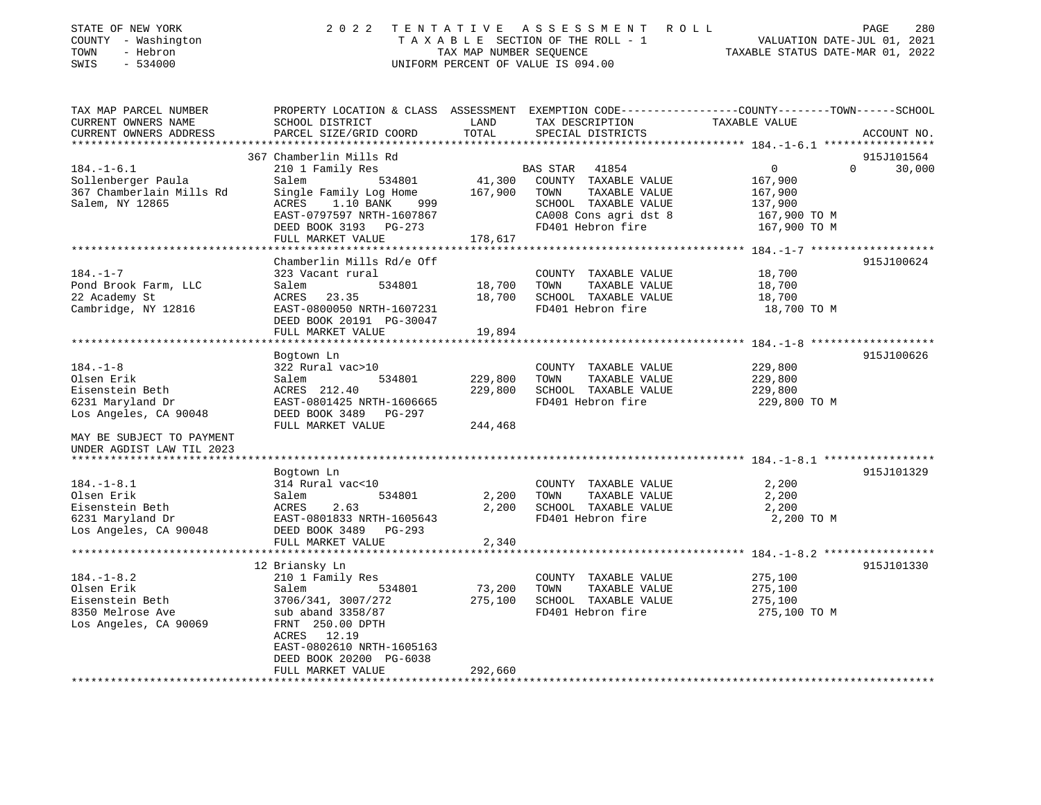| STATE OF NEW YORK<br>- Washington<br>COUNTY<br>- Hebron<br>TOWN<br>$-534000$<br>SWIS | 2 0 2 2                                                 | TENTATIVE<br>TAX MAP NUMBER SEOUENCE | A S S E S S M E N T<br>TAXABLE SECTION OF THE ROLL - 1<br>UNIFORM PERCENT OF VALUE IS 094.00  | R O L L<br>VALUATION DATE-JUL 01, 2021<br>TAXABLE STATUS DATE-MAR 01, 2022 | 280<br>PAGE        |
|--------------------------------------------------------------------------------------|---------------------------------------------------------|--------------------------------------|-----------------------------------------------------------------------------------------------|----------------------------------------------------------------------------|--------------------|
| TAX MAP PARCEL NUMBER<br>CURRENT OWNERS NAME                                         | PROPERTY LOCATION & CLASS ASSESSMENT<br>SCHOOL DISTRICT | LAND                                 | EXEMPTION CODE-----------------COUNTY-------TOWN------SCHOOL<br>TAX DESCRIPTION TAXABLE VALUE |                                                                            |                    |
| CURRENT OWNERS ADDRESS<br>**************************                                 | PARCEL SIZE/GRID COORD TOTAL                            |                                      | SPECIAL DISTRICTS                                                                             |                                                                            | ACCOUNT NO.        |
|                                                                                      | 367 Chamberlin Mills Rd                                 |                                      |                                                                                               |                                                                            | 915J101564         |
| $184. - 1 - 6.1$                                                                     | 210 1 Family Res                                        |                                      | 41854<br>BAS STAR                                                                             | $\Omega$                                                                   | $\Omega$<br>30,000 |
| Sollenberger Paula                                                                   | Salem<br>534801                                         | 41,300                               | COUNTY<br>TAXABLE VALUE                                                                       | 167,900                                                                    |                    |
| 367 Chamberlain Mills Rd                                                             | Single Family Log Home 167,900                          |                                      | TOWN<br>TAXABLE VALUE                                                                         | 167,900                                                                    |                    |
| Salem, NY 12865                                                                      | 1.10 BANK 999<br>ACRES                                  |                                      | TAXABLE VALUE<br>SCHOOL                                                                       | 137,900                                                                    |                    |
|                                                                                      | EAST-0797597 NRTH-1607867                               |                                      | CA008 Cons agri dst 8                                                                         | 167,900 TO M                                                               |                    |
|                                                                                      | DEED BOOK 3193 PG-273                                   |                                      | FD401 Hebron fire                                                                             | 167,900 TO M                                                               |                    |
|                                                                                      | FULL MARKET VALUE                                       | 178,617                              |                                                                                               |                                                                            |                    |
|                                                                                      |                                                         |                                      |                                                                                               |                                                                            |                    |
|                                                                                      | Chamberlin Mills Rd/e Off                               |                                      |                                                                                               |                                                                            | 915J100624         |
| $184. - 1 - 7$                                                                       | 323 Vacant rural                                        |                                      | COUNTY<br>TAXABLE VALUE                                                                       | 18,700                                                                     |                    |
| Pond Brook Farm, LLC                                                                 | Salem<br>534801                                         | 18,700                               | TOWN<br>TAXABLE VALUE                                                                         | 18,700                                                                     |                    |
| 22 Academy St                                                                        | ACRES 23.35                                             | 18,700                               | SCHOOL<br>TAXABLE VALUE                                                                       | 18,700                                                                     |                    |

\*\*\*\*\*\*\*\*\*\*\*\*\*\*\*\*\*\*\*\*\*\*\*\*\*\*\*\*\*\*\*\*\*\*\*\*\*\*\*\*\*\*\*\*\*\*\*\*\*\*\*\*\*\*\*\*\*\*\*\*\*\*\*\*\*\*\*\*\*\*\*\*\*\*\*\*\*\*\*\*\*\*\*\*\*\*\*\*\*\*\*\*\*\*\*\*\*\*\*\*\*\*\* 184.-1-8 \*\*\*\*\*\*\*\*\*\*\*\*\*\*\*\*\*\*\*

\*\*\*\*\*\*\*\*\*\*\*\*\*\*\*\*\*\*\*\*\*\*\*\*\*\*\*\*\*\*\*\*\*\*\*\*\*\*\*\*\*\*\*\*\*\*\*\*\*\*\*\*\*\*\*\*\*\*\*\*\*\*\*\*\*\*\*\*\*\*\*\*\*\*\*\*\*\*\*\*\*\*\*\*\*\*\*\*\*\*\*\*\*\*\*\*\*\*\*\*\*\*\* 184.-1-8.1 \*\*\*\*\*\*\*\*\*\*\*\*\*\*\*\*\*

\*\*\*\*\*\*\*\*\*\*\*\*\*\*\*\*\*\*\*\*\*\*\*\*\*\*\*\*\*\*\*\*\*\*\*\*\*\*\*\*\*\*\*\*\*\*\*\*\*\*\*\*\*\*\*\*\*\*\*\*\*\*\*\*\*\*\*\*\*\*\*\*\*\*\*\*\*\*\*\*\*\*\*\*\*\*\*\*\*\*\*\*\*\*\*\*\*\*\*\*\*\*\* 184.-1-8.2 \*\*\*\*\*\*\*\*\*\*\*\*\*\*\*\*\*

\*\*\*\*\*\*\*\*\*\*\*\*\*\*\*\*\*\*\*\*\*\*\*\*\*\*\*\*\*\*\*\*\*\*\*\*\*\*\*\*\*\*\*\*\*\*\*\*\*\*\*\*\*\*\*\*\*\*\*\*\*\*\*\*\*\*\*\*\*\*\*\*\*\*\*\*\*\*\*\*\*\*\*\*\*\*\*\*\*\*\*\*\*\*\*\*\*\*\*\*\*\*\*\*\*\*\*\*\*\*\*\*\*\*\*\*\*\*\*\*\*\*\*\*\*\*\*\*\*\*\*\*

Bogtown Ln 915J100626

Bogtown Ln 915J101329

12 Briansky Ln 915J101330

73,200 TOWN TAXABLE VALUE

Cambridge, NY 12816 **EAST-0800050 NRTH-1607231** FD401 Hebron fire 18,700 TO M

184.-1-8 322 Rural vac>10 COUNTY TAXABLE VALUE 229,800 Olsen Erik Salem 534801 229,800 TOWN TAXABLE VALUE 229,800 Eisenstein Beth ACRES 212.40 229,800 SCHOOL TAXABLE VALUE 229,800 6231 Maryland Dr EAST-0801425 NRTH-1606665 FD401 Hebron fire 229,800 TO M

184.-1-8.1 314 Rural vac<10 COUNTY TAXABLE VALUE 2,200 Olsen Erik Salem 534801 2,200 TOWN TAXABLE VALUE 2,200 Eisenstein Beth ACRES 2.63 2,200 SCHOOL TAXABLE VALUE 2,200 6231 Maryland Dr EAST-0801833 NRTH-1605643 FD401 Hebron fire 2,200 TO M

184.-1-8.2 210 1 Family Res COUNTY TAXABLE VALUE 275,100

Eisenstein Beth 3706/341, 3007/272 275,100 SCHOOL TAXABLE VALUE 275,100 8350 Melrose Ave sub aband 3358/87 FD401 Hebron fire 275,100 TO M

DEED BOOK 20191 PG-30047

Los Angeles, CA 90048 DEED BOOK 3489 PG-297

Los Angeles, CA 90048 DEED BOOK 3489 PG-293

ACRES 12.19

 EAST-0802610 NRTH-1605163DEED BOOK 20200 PG-6038

Los Angeles, CA 90069 FRNT 250.00 DPTH

MAY BE SUBJECT TO PAYMENTUNDER AGDIST LAW TIL 2023

FULL MARKET VALUE 19,894

FULL MARKET VALUE 244,468

FULL MARKET VALUE 2,340

FULL MARKET VALUE 292,660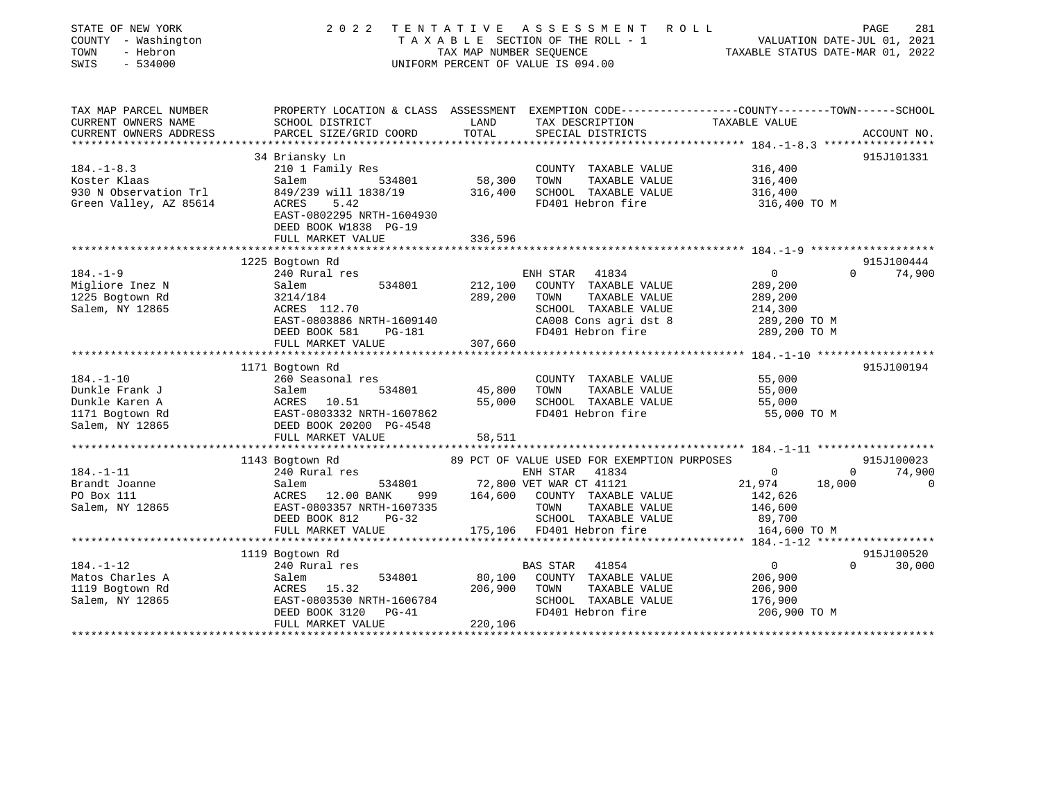| STATE OF NEW YORK<br>COUNTY - Washington<br>TOWN<br>- Hebron<br>SWIS<br>$-534000$ | 2 0 2 2                                                                                                            | TENTATIVE<br>TAX MAP NUMBER SEOUENCE | A S S E S S M E N T<br>ROLL<br>T A X A B L E SECTION OF THE ROLL - 1<br>UNIFORM PERCENT OF VALUE IS 094.00 | VALUATION DATE-JUL 01, 2021<br>TAXABLE STATUS DATE-MAR 01, 2022 | PAGE<br>281            |
|-----------------------------------------------------------------------------------|--------------------------------------------------------------------------------------------------------------------|--------------------------------------|------------------------------------------------------------------------------------------------------------|-----------------------------------------------------------------|------------------------|
| TAX MAP PARCEL NUMBER<br>CURRENT OWNERS NAME                                      | PROPERTY LOCATION & CLASS ASSESSMENT EXEMPTION CODE---------------COUNTY-------TOWN------SCHOOL<br>SCHOOL DISTRICT | LAND                                 | TAX DESCRIPTION                                                                                            | TAXABLE VALUE                                                   |                        |
| CURRENT OWNERS ADDRESS                                                            | PARCEL SIZE/GRID COORD                                                                                             | TOTAL                                | SPECIAL DISTRICTS                                                                                          |                                                                 | ACCOUNT NO.            |
|                                                                                   |                                                                                                                    |                                      |                                                                                                            |                                                                 |                        |
|                                                                                   | 34 Briansky Ln                                                                                                     |                                      |                                                                                                            |                                                                 | 915J101331             |
| $184. - 1 - 8.3$                                                                  | 210 1 Family Res                                                                                                   |                                      | COUNTY TAXABLE VALUE                                                                                       | 316,400                                                         |                        |
| Koster Klaas                                                                      | Salem<br>534801                                                                                                    | 58,300                               | TOWN<br>TAXABLE VALUE                                                                                      | 316,400                                                         |                        |
| 930 N Observation Trl                                                             | 849/239 will 1838/19                                                                                               | 316,400                              | SCHOOL TAXABLE VALUE                                                                                       | 316,400                                                         |                        |
| Green Valley, AZ 85614                                                            | ACRES<br>5.42                                                                                                      |                                      | FD401 Hebron fire                                                                                          | 316,400 TO M                                                    |                        |
|                                                                                   | EAST-0802295 NRTH-1604930                                                                                          |                                      |                                                                                                            |                                                                 |                        |
|                                                                                   | DEED BOOK W1838 PG-19                                                                                              |                                      |                                                                                                            |                                                                 |                        |
|                                                                                   | FULL MARKET VALUE                                                                                                  | 336,596                              |                                                                                                            |                                                                 |                        |
|                                                                                   | 1225 Bogtown Rd                                                                                                    |                                      |                                                                                                            |                                                                 | 915J100444             |
| $184. - 1 - 9$                                                                    | 240 Rural res                                                                                                      |                                      | 41834<br>ENH STAR                                                                                          | $\mathbf 0$                                                     | 74,900<br>$\Omega$     |
| Migliore Inez N                                                                   | Salem<br>534801                                                                                                    | 212,100                              | COUNTY TAXABLE VALUE                                                                                       | 289,200                                                         |                        |
| 1225 Bogtown Rd                                                                   | 3214/184                                                                                                           | 289,200                              | TAXABLE VALUE<br>TOWN                                                                                      | 289,200                                                         |                        |
| Salem, NY 12865                                                                   | ACRES 112.70                                                                                                       |                                      | SCHOOL TAXABLE VALUE                                                                                       | 214,300                                                         |                        |
|                                                                                   | EAST-0803886 NRTH-1609140                                                                                          |                                      | CA008 Cons agri dst 8                                                                                      | 289,200 TO M                                                    |                        |
|                                                                                   | DEED BOOK 581<br>PG-181                                                                                            |                                      | FD401 Hebron fire                                                                                          | 289,200 TO M                                                    |                        |
|                                                                                   | FULL MARKET VALUE                                                                                                  | 307,660                              |                                                                                                            |                                                                 |                        |
|                                                                                   | **********************                                                                                             | ****************                     |                                                                                                            |                                                                 |                        |
|                                                                                   | 1171 Bogtown Rd                                                                                                    |                                      |                                                                                                            |                                                                 | 915J100194             |
| $184. - 1 - 10$                                                                   | 260 Seasonal res                                                                                                   |                                      | COUNTY TAXABLE VALUE                                                                                       | 55,000                                                          |                        |
| Dunkle Frank J                                                                    | Salem<br>534801                                                                                                    | 45,800                               | TAXABLE VALUE<br>TOWN                                                                                      | 55,000                                                          |                        |
| Dunkle Karen A                                                                    | ACRES 10.51                                                                                                        | 55,000                               | SCHOOL TAXABLE VALUE                                                                                       | 55,000                                                          |                        |
| 1171 Bogtown Rd                                                                   | EAST-0803332 NRTH-1607862                                                                                          |                                      | FD401 Hebron fire                                                                                          | 55,000 TO M                                                     |                        |
| Salem, NY 12865                                                                   | DEED BOOK 20200 PG-4548                                                                                            |                                      |                                                                                                            |                                                                 |                        |
|                                                                                   | FULL MARKET VALUE                                                                                                  | 58,511                               |                                                                                                            |                                                                 |                        |
|                                                                                   | 1143 Bogtown Rd                                                                                                    |                                      | 89 PCT OF VALUE USED FOR EXEMPTION PURPOSES                                                                |                                                                 | 915J100023             |
| $184. - 1 - 11$                                                                   | 240 Rural res                                                                                                      |                                      | ENH STAR<br>41834                                                                                          | $\mathbf{0}$                                                    | 74,900<br>$\mathbf{0}$ |
| Brandt Joanne                                                                     | Salem<br>534801                                                                                                    |                                      | 72,800 VET WAR CT 41121                                                                                    | 21,974<br>18,000                                                | $\mathbf 0$            |
| PO Box 111                                                                        | ACRES 12.00 BANK<br>999                                                                                            |                                      | 164,600 COUNTY TAXABLE VALUE                                                                               | 142,626                                                         |                        |
| Salem, NY 12865                                                                   | EAST-0803357 NRTH-1607335                                                                                          |                                      | TOWN<br>TAXABLE VALUE                                                                                      | 146,600                                                         |                        |
|                                                                                   | DEED BOOK 812<br>$PG-32$                                                                                           |                                      | SCHOOL TAXABLE VALUE                                                                                       | 89,700                                                          |                        |
|                                                                                   | FULL MARKET VALUE                                                                                                  | 175,106                              | FD401 Hebron fire                                                                                          | 164,600 TO M                                                    |                        |
|                                                                                   | ********************                                                                                               |                                      |                                                                                                            | ******* 184. -1-12 *******************                          |                        |
|                                                                                   | 1119 Bogtown Rd                                                                                                    |                                      |                                                                                                            |                                                                 | 915J100520             |
| $184. - 1 - 12$                                                                   | 240 Rural res                                                                                                      |                                      | BAS STAR<br>41854                                                                                          | $\circ$                                                         | 30,000<br>$\Omega$     |
| Matos Charles A                                                                   | 534801<br>Salem                                                                                                    | 80,100                               | COUNTY TAXABLE VALUE                                                                                       | 206,900                                                         |                        |
| 1119 Bogtown Rd                                                                   | ACRES 15.32                                                                                                        | 206,900                              | TOWN<br>TAXABLE VALUE                                                                                      | 206,900                                                         |                        |
| Salem, NY 12865                                                                   | EAST-0803530 NRTH-1606784                                                                                          |                                      | SCHOOL TAXABLE VALUE                                                                                       | 176,900                                                         |                        |
|                                                                                   | DEED BOOK 3120<br>$PG-41$                                                                                          |                                      | FD401 Hebron fire                                                                                          | 206,900 ТО М                                                    |                        |
|                                                                                   | FULL MARKET VALUE                                                                                                  | 220,106                              |                                                                                                            |                                                                 |                        |
|                                                                                   |                                                                                                                    |                                      |                                                                                                            |                                                                 |                        |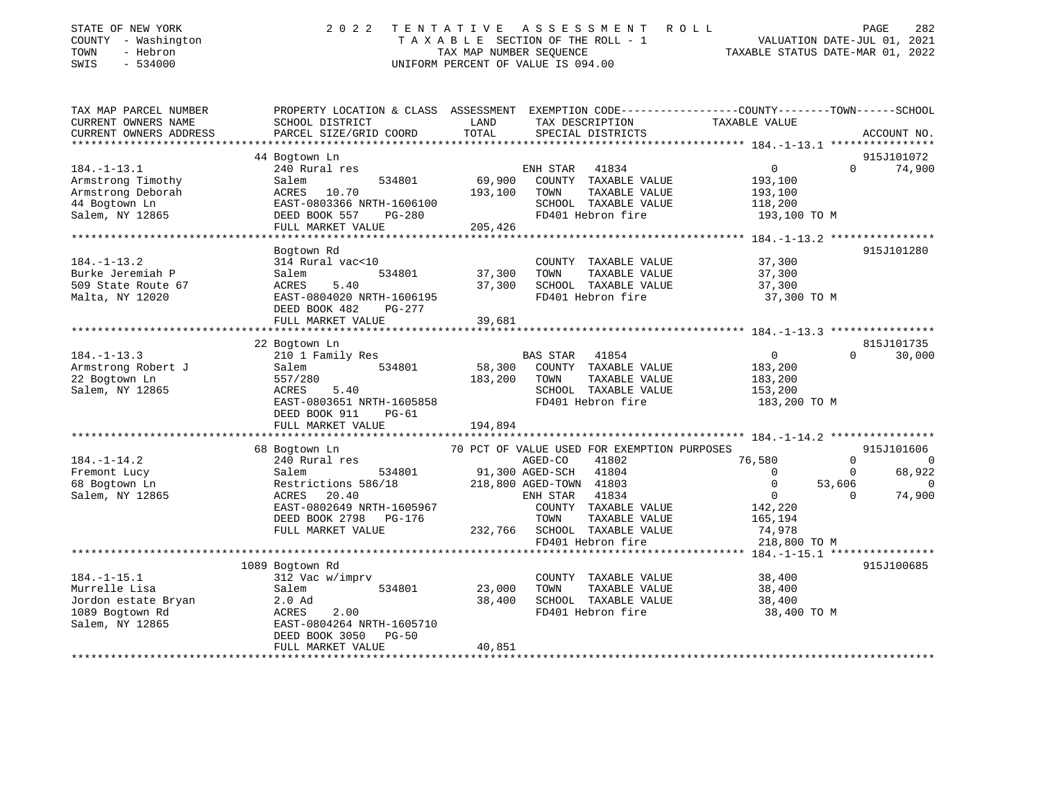| STATE OF NEW YORK<br>COUNTY - Washington<br>TOWN<br>- Hebron<br>$-534000$<br>SWIS | 2 0 2 2                                                                                                            | TENTATIVE<br>TAX MAP NUMBER SEQUENCE | A S S E S S M E N T<br>T A X A B L E SECTION OF THE ROLL - 1<br>UNIFORM PERCENT OF VALUE IS 094.00 | ROLL<br>TAXABLE STATUS DATE-MAR 01, 2022 |          | PAGE<br>282<br>VALUATION DATE-JUL 01, 2021 |
|-----------------------------------------------------------------------------------|--------------------------------------------------------------------------------------------------------------------|--------------------------------------|----------------------------------------------------------------------------------------------------|------------------------------------------|----------|--------------------------------------------|
| TAX MAP PARCEL NUMBER<br>CURRENT OWNERS NAME                                      | PROPERTY LOCATION & CLASS ASSESSMENT EXEMPTION CODE---------------COUNTY-------TOWN------SCHOOL<br>SCHOOL DISTRICT | LAND                                 | TAX DESCRIPTION                                                                                    | TAXABLE VALUE                            |          |                                            |
| CURRENT OWNERS ADDRESS                                                            | PARCEL SIZE/GRID COORD                                                                                             | TOTAL                                | SPECIAL DISTRICTS                                                                                  |                                          |          | ACCOUNT NO.                                |
|                                                                                   |                                                                                                                    |                                      |                                                                                                    |                                          |          |                                            |
|                                                                                   | 44 Bogtown Ln                                                                                                      |                                      |                                                                                                    |                                          |          | 915J101072                                 |
| $184. - 1 - 13.1$                                                                 | 240 Rural res                                                                                                      |                                      | ENH STAR<br>41834                                                                                  | $\overline{0}$                           | $\Omega$ | 74,900                                     |
| Armstrong Timothy                                                                 | 534801<br>Salem                                                                                                    | 69,900                               | COUNTY TAXABLE VALUE                                                                               | 193,100                                  |          |                                            |
| Armstrong Deborah                                                                 | ACRES 10.70                                                                                                        | 193,100                              | TOWN<br>TAXABLE VALUE                                                                              | 193,100                                  |          |                                            |
| 44 Bogtown Ln                                                                     | EAST-0803366 NRTH-1606100                                                                                          |                                      | SCHOOL TAXABLE VALUE                                                                               | 118,200                                  |          |                                            |
| Salem, NY 12865                                                                   | DEED BOOK 557<br>$PG-280$<br>FULL MARKET VALUE                                                                     | 205,426                              | FD401 Hebron fire                                                                                  | 193,100 TO M                             |          |                                            |
|                                                                                   | *****************************                                                                                      |                                      |                                                                                                    |                                          |          |                                            |
|                                                                                   | Bogtown Rd                                                                                                         |                                      |                                                                                                    |                                          |          | 915J101280                                 |
| $184. - 1 - 13.2$                                                                 | 314 Rural vac<10                                                                                                   |                                      | COUNTY TAXABLE VALUE                                                                               | 37,300                                   |          |                                            |
| Burke Jeremiah P                                                                  | Salem<br>534801                                                                                                    | 37,300                               | TOWN<br>TAXABLE VALUE                                                                              | 37,300                                   |          |                                            |
| 509 State Route 67                                                                | ACRES<br>5.40                                                                                                      | 37,300                               | SCHOOL TAXABLE VALUE                                                                               | 37,300                                   |          |                                            |
| Malta, NY 12020                                                                   | EAST-0804020 NRTH-1606195<br>DEED BOOK 482<br>PG-277                                                               |                                      | FD401 Hebron fire                                                                                  | 37,300 TO M                              |          |                                            |
|                                                                                   | FULL MARKET VALUE                                                                                                  | 39,681                               |                                                                                                    |                                          |          |                                            |
|                                                                                   | *****************                                                                                                  |                                      |                                                                                                    |                                          |          |                                            |
|                                                                                   | 22 Bogtown Ln                                                                                                      |                                      |                                                                                                    |                                          |          | 815J101735                                 |
| $184. - 1 - 13.3$                                                                 | 210 1 Family Res                                                                                                   |                                      | <b>BAS STAR</b><br>41854                                                                           | $\overline{0}$                           | $\Omega$ | 30,000                                     |
| Armstrong Robert J                                                                | 534801<br>Salem                                                                                                    | 58,300                               | COUNTY TAXABLE VALUE<br>TOWN                                                                       | 183,200                                  |          |                                            |
| 22 Bogtown Ln<br>Salem, NY 12865                                                  | 557/280<br><b>ACRES</b>                                                                                            | 183,200                              | TAXABLE VALUE<br>SCHOOL TAXABLE VALUE                                                              | 183,200<br>153,200                       |          |                                            |
|                                                                                   | 5.40<br>EAST-0803651 NRTH-1605858                                                                                  |                                      | FD401 Hebron fire                                                                                  | 183,200 TO M                             |          |                                            |
|                                                                                   | DEED BOOK 911<br>$PG-61$<br>FULL MARKET VALUE                                                                      | 194,894                              |                                                                                                    |                                          |          |                                            |
|                                                                                   | ***********************                                                                                            |                                      |                                                                                                    |                                          |          |                                            |
|                                                                                   | 68 Bogtown Ln                                                                                                      |                                      | 70 PCT OF VALUE USED FOR EXEMPTION PURPOSES                                                        |                                          |          | 915J101606                                 |
| $184. - 1 - 14.2$                                                                 | 240 Rural res                                                                                                      |                                      | 41802<br>AGED-CO                                                                                   | 76,580                                   | $\Omega$ |                                            |
| Fremont Lucy                                                                      | 534801<br>Salem                                                                                                    |                                      | 41804<br>91,300 AGED-SCH                                                                           | $\mathbf 0$                              | 0        | 68,922                                     |
| 68 Bogtown Ln                                                                     | Restrictions 586/18                                                                                                |                                      | 218,800 AGED-TOWN 41803                                                                            | $\mathbf 0$                              | 53,606   | $\Omega$                                   |
| Salem, NY 12865                                                                   | 20.40<br>ACRES                                                                                                     |                                      | 41834<br>ENH STAR                                                                                  | $\overline{0}$                           | $\Omega$ | 74,900                                     |
|                                                                                   | EAST-0802649 NRTH-1605967                                                                                          |                                      | COUNTY TAXABLE VALUE                                                                               | 142,220                                  |          |                                            |
|                                                                                   | DEED BOOK 2798<br>PG-176                                                                                           |                                      | TOWN<br>TAXABLE VALUE                                                                              | 165,194                                  |          |                                            |
|                                                                                   | FULL MARKET VALUE                                                                                                  | 232,766                              | SCHOOL TAXABLE VALUE                                                                               | 74,978                                   |          |                                            |
|                                                                                   |                                                                                                                    |                                      | FD401 Hebron fire                                                                                  | 218,800 TO M                             |          |                                            |
|                                                                                   |                                                                                                                    |                                      |                                                                                                    | *** $184. -1 - 15.1$ ***                 |          |                                            |
|                                                                                   | 1089 Bogtown Rd                                                                                                    |                                      |                                                                                                    |                                          |          | 915J100685                                 |
| $184. - 1 - 15.1$<br>Murrelle Lisa                                                | 312 Vac w/imprv<br>534801                                                                                          | 23,000                               | COUNTY TAXABLE VALUE<br>TAXABLE VALUE                                                              | 38,400                                   |          |                                            |
| Jordon estate Bryan                                                               | Salem<br>$2.0$ Ad                                                                                                  | 38,400                               | TOWN<br>SCHOOL TAXABLE VALUE                                                                       | 38,400<br>38,400                         |          |                                            |
| 1089 Bogtown Rd                                                                   | ACRES<br>2.00                                                                                                      |                                      | FD401 Hebron fire                                                                                  | 38,400 TO M                              |          |                                            |
| Salem, NY 12865                                                                   | EAST-0804264 NRTH-1605710                                                                                          |                                      |                                                                                                    |                                          |          |                                            |
|                                                                                   | DEED BOOK 3050<br>$PG-50$                                                                                          |                                      |                                                                                                    |                                          |          |                                            |
|                                                                                   | FULL MARKET VALUE                                                                                                  | 40,851                               |                                                                                                    |                                          |          |                                            |
|                                                                                   |                                                                                                                    |                                      |                                                                                                    |                                          |          |                                            |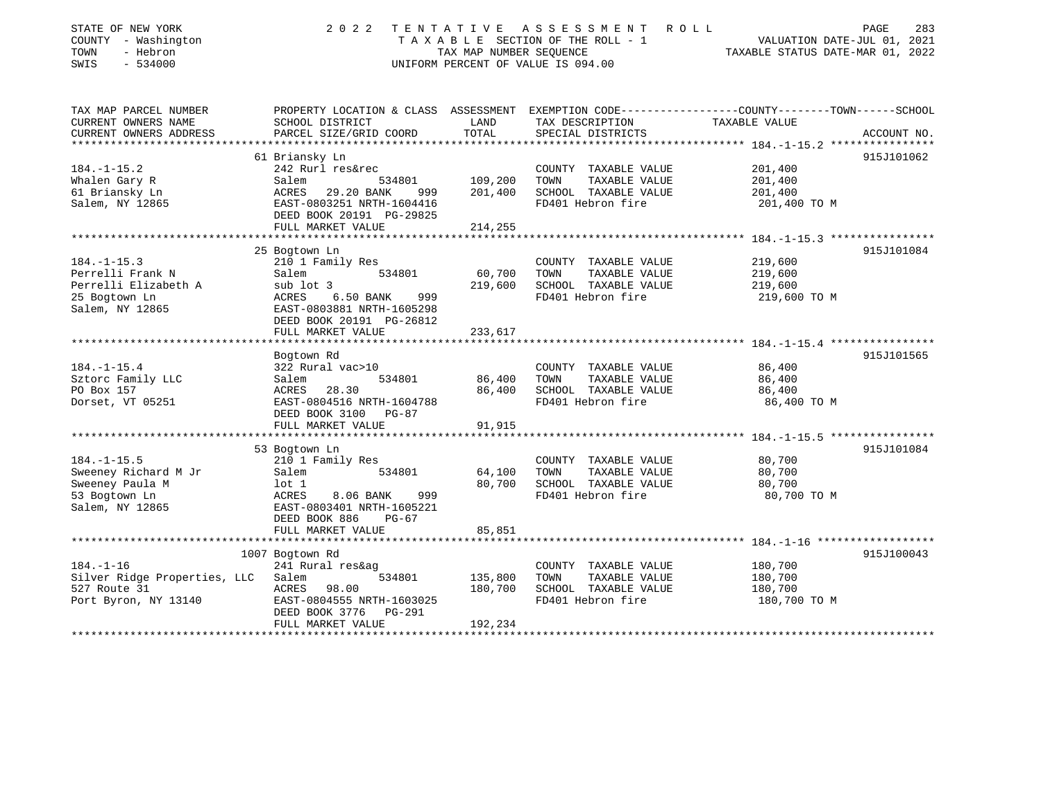| STATE OF NEW YORK<br>COUNTY - Washington | 2022                                                  | TENTATIVE               | A S S E S S M E N T<br>TAXABLE SECTION OF THE ROLL - 1 | R O L L<br>283<br>PAGE<br>VALUATION DATE-JUL 01, 2021        |
|------------------------------------------|-------------------------------------------------------|-------------------------|--------------------------------------------------------|--------------------------------------------------------------|
| - Hebron<br>TOWN                         |                                                       | TAX MAP NUMBER SEQUENCE |                                                        | TAXABLE STATUS DATE-MAR 01, 2022                             |
| SWIS<br>$-534000$                        |                                                       |                         | UNIFORM PERCENT OF VALUE IS 094.00                     |                                                              |
|                                          |                                                       |                         |                                                        |                                                              |
| TAX MAP PARCEL NUMBER                    | PROPERTY LOCATION & CLASS ASSESSMENT                  |                         |                                                        | EXEMPTION CODE-----------------COUNTY-------TOWN------SCHOOL |
| CURRENT OWNERS NAME                      | SCHOOL DISTRICT                                       | LAND                    | TAX DESCRIPTION                                        | TAXABLE VALUE                                                |
| CURRENT OWNERS ADDRESS                   | PARCEL SIZE/GRID COORD                                | TOTAL                   | SPECIAL DISTRICTS                                      | ACCOUNT NO.                                                  |
|                                          | 61 Briansky Ln                                        |                         |                                                        | 915J101062                                                   |
| $184. - 1 - 15.2$                        | 242 Rurl res&rec                                      |                         | COUNTY TAXABLE VALUE                                   | 201,400                                                      |
| Whalen Gary R                            | 534801<br>Salem                                       | 109,200                 | TOWN<br>TAXABLE VALUE                                  | 201,400                                                      |
| 61 Briansky Ln                           | 29.20 BANK<br>ACRES<br>999                            | 201,400                 | SCHOOL TAXABLE VALUE                                   | 201,400                                                      |
| Salem, NY 12865                          | EAST-0803251 NRTH-1604416                             |                         | FD401 Hebron fire                                      | 201,400 TO M                                                 |
|                                          | DEED BOOK 20191 PG-29825                              |                         |                                                        |                                                              |
|                                          | FULL MARKET VALUE                                     | 214,255                 |                                                        |                                                              |
|                                          |                                                       |                         |                                                        |                                                              |
|                                          | 25 Bogtown Ln                                         |                         |                                                        | 915J101084                                                   |
| $184. - 1 - 15.3$<br>Perrelli Frank N    | 210 1 Family Res<br>534801                            |                         | COUNTY TAXABLE VALUE<br>TOWN<br>TAXABLE VALUE          | 219,600                                                      |
| Perrelli Elizabeth A                     | Salem<br>sub lot 3                                    | 60,700<br>219,600       | SCHOOL TAXABLE VALUE                                   | 219,600<br>219,600                                           |
| 25 Bogtown Ln                            | ACRES<br>6.50 BANK<br>999                             |                         | FD401 Hebron fire                                      | 219,600 TO M                                                 |
| Salem, NY 12865                          | EAST-0803881 NRTH-1605298                             |                         |                                                        |                                                              |
|                                          | DEED BOOK 20191 PG-26812                              |                         |                                                        |                                                              |
|                                          | FULL MARKET VALUE                                     | 233,617                 |                                                        |                                                              |
|                                          |                                                       |                         |                                                        |                                                              |
|                                          | Bogtown Rd                                            |                         |                                                        | 915J101565                                                   |
| $184. - 1 - 15.4$                        | 322 Rural vac>10                                      |                         | COUNTY TAXABLE VALUE                                   | 86,400                                                       |
| Sztorc Family LLC                        | Salem<br>534801                                       | 86,400                  | TOWN<br>TAXABLE VALUE                                  | 86,400                                                       |
| PO Box 157<br>Dorset, VT 05251           | ACRES 28.30<br>EAST-0804516 NRTH-1604788              | 86,400                  | SCHOOL TAXABLE VALUE<br>FD401 Hebron fire              | 86,400<br>86,400 TO M                                        |
|                                          | DEED BOOK 3100 PG-87                                  |                         |                                                        |                                                              |
|                                          | FULL MARKET VALUE                                     | 91,915                  |                                                        |                                                              |
|                                          | *********************                                 |                         |                                                        |                                                              |
|                                          | 53 Bogtown Ln                                         |                         |                                                        | 915J101084                                                   |
| $184. - 1 - 15.5$                        | 210 1 Family Res                                      |                         | COUNTY TAXABLE VALUE                                   | 80,700                                                       |
| Sweeney Richard M Jr                     | Salem<br>534801                                       | 64,100                  | TOWN<br>TAXABLE VALUE                                  | 80,700                                                       |
| Sweeney Paula M                          | lot 1                                                 | 80,700                  | SCHOOL TAXABLE VALUE                                   | 80,700                                                       |
| 53 Bogtown Ln                            | ACRES<br>8.06 BANK<br>999                             |                         | FD401 Hebron fire                                      | 80,700 TO M                                                  |
| Salem, NY 12865                          | EAST-0803401 NRTH-1605221<br>DEED BOOK 886<br>$PG-67$ |                         |                                                        |                                                              |
|                                          | FULL MARKET VALUE                                     | 85,851                  |                                                        |                                                              |
|                                          | ************************                              | *********               |                                                        | ************************* 184.-1-16 *******************      |
|                                          | 1007 Bogtown Rd                                       |                         |                                                        | 915J100043                                                   |
| $184. - 1 - 16$                          | 241 Rural res&ag                                      |                         | COUNTY TAXABLE VALUE                                   | 180,700                                                      |
| Silver Ridge Properties, LLC             | Salem<br>534801                                       | 135,800                 | TOWN<br>TAXABLE VALUE                                  | 180,700                                                      |
| 527 Route 31                             | ACRES 98.00                                           | 180,700                 | SCHOOL TAXABLE VALUE                                   | 180,700                                                      |
| Port Byron, NY 13140                     | EAST-0804555 NRTH-1603025                             |                         | FD401 Hebron fire                                      | 180,700 TO M                                                 |
|                                          | DEED BOOK 3776<br>PG-291<br>FULL MARKET VALUE         | 192,234                 |                                                        |                                                              |
|                                          |                                                       |                         |                                                        |                                                              |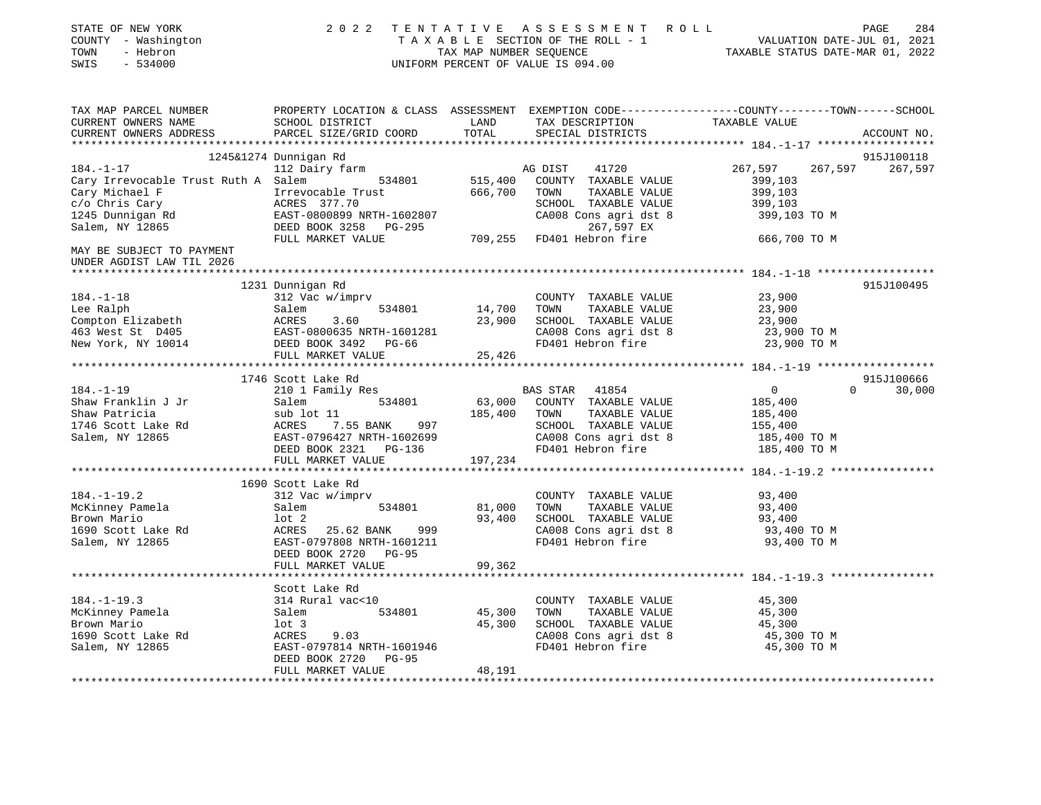| STATE OF NEW YORK<br>COUNTY - Washington<br>TOWN<br>- Hebron<br>SWIS<br>$-534000$                                                                                                                                                                                                                                                                                                                                       |                                                                                                                   |         | 2022 TENTATIVE ASSESSMENT ROLL<br>UNIFORM PERCENT OF VALUE IS 094.00 | PAGE<br>T A X A B L E SECTION OF THE ROLL - 1 VALUATION DATE-JUL 01, 2021<br>TAX MAP NUMBER SEQUENCE | 284 |
|-------------------------------------------------------------------------------------------------------------------------------------------------------------------------------------------------------------------------------------------------------------------------------------------------------------------------------------------------------------------------------------------------------------------------|-------------------------------------------------------------------------------------------------------------------|---------|----------------------------------------------------------------------|------------------------------------------------------------------------------------------------------|-----|
| TAX MAP PARCEL NUMBER<br>CURRENT OWNERS NAME                                                                                                                                                                                                                                                                                                                                                                            | SCHOOL DISTRICT<br><b>LAND</b>                                                                                    | TOTAL   | TAX DESCRIPTION TAXABLE VALUE                                        | PROPERTY LOCATION & CLASS ASSESSMENT EXEMPTION CODE----------------COUNTY-------TOWN------SCHOOL     |     |
| CURRENT OWNERS ADDRESS                                                                                                                                                                                                                                                                                                                                                                                                  | PARCEL SIZE/GRID COORD                                                                                            |         | SPECIAL DISTRICTS                                                    | ACCOUNT NO.                                                                                          |     |
|                                                                                                                                                                                                                                                                                                                                                                                                                         | 1245&1274 Dunnigan Rd                                                                                             |         |                                                                      | 915J100118                                                                                           |     |
| $184. - 1 - 17$                                                                                                                                                                                                                                                                                                                                                                                                         | 112 Dairy farm                                                                                                    |         | 41720<br>AG DIST                                                     | 267,597<br>267,597<br>267,597                                                                        |     |
| Cary Irrevocable Trust Ruth A Salem                                                                                                                                                                                                                                                                                                                                                                                     | 534801                                                                                                            | 515,400 | COUNTY TAXABLE VALUE                                                 | 399,103                                                                                              |     |
| Cary Michael F                                                                                                                                                                                                                                                                                                                                                                                                          |                                                                                                                   | 666,700 | TOWN<br>TAXABLE VALUE                                                | 399,103                                                                                              |     |
| c/o Chris Cary                                                                                                                                                                                                                                                                                                                                                                                                          | Irrevocable Trust<br>ACRES 377.70<br>EAST-0800899 NRTH-1602807<br>DEED BOOK 3258 PG-295<br>RILL MADYER WAYS       |         | SCHOOL TAXABLE VALUE                                                 | 399,103                                                                                              |     |
|                                                                                                                                                                                                                                                                                                                                                                                                                         |                                                                                                                   |         | CA008 Cons agri dst 8                                                | 399,103 TO M                                                                                         |     |
| 1245 Dunnigan Rd<br>Salem, NY 12865                                                                                                                                                                                                                                                                                                                                                                                     |                                                                                                                   |         | 267,597 EX                                                           |                                                                                                      |     |
|                                                                                                                                                                                                                                                                                                                                                                                                                         | FULL MARKET VALUE                                                                                                 | 709,255 | FD401 Hebron fire                                                    | 666,700 TO M                                                                                         |     |
| MAY BE SUBJECT TO PAYMENT<br>UNDER AGDIST LAW TIL 2026                                                                                                                                                                                                                                                                                                                                                                  |                                                                                                                   |         |                                                                      |                                                                                                      |     |
|                                                                                                                                                                                                                                                                                                                                                                                                                         |                                                                                                                   |         |                                                                      |                                                                                                      |     |
|                                                                                                                                                                                                                                                                                                                                                                                                                         | 1231 Dunnigan Rd                                                                                                  |         | COUNTY TAXABLE VALUE                                                 | 915J100495<br>23,900                                                                                 |     |
|                                                                                                                                                                                                                                                                                                                                                                                                                         |                                                                                                                   | 14,700  | TOWN<br>TAXABLE VALUE                                                | 23,900                                                                                               |     |
|                                                                                                                                                                                                                                                                                                                                                                                                                         |                                                                                                                   | 23,900  | SCHOOL TAXABLE VALUE                                                 | 23,900                                                                                               |     |
|                                                                                                                                                                                                                                                                                                                                                                                                                         |                                                                                                                   |         |                                                                      | 23,900 TO M                                                                                          |     |
|                                                                                                                                                                                                                                                                                                                                                                                                                         |                                                                                                                   |         | CA008 Cons agri dst 8<br>FD401 Hebron fire                           | 23,900 TO M                                                                                          |     |
|                                                                                                                                                                                                                                                                                                                                                                                                                         |                                                                                                                   |         |                                                                      |                                                                                                      |     |
| $\begin{tabular}{lllllllllllllllllllll} 184.-1-18 & & & & & & & & & \\ \text{Lee Ralph} & & & & & & & & 54801 \\ \text{Compton Elizabeth} & & & & & & & & 23,900 \\ \text{463 West St} & D405 & & & & & 23,900 \\ \text{New York, NY 10014} & & & & & & \text{DEED BOOK 3492} & PG-66 \\ & & & & & & & \text{FULL MARKET VALUE} & & & 25,426 \\ & & & & & & & & \text{FULL MARKET VALUE} & & & 25,426 \\ \end{tabular}$ |                                                                                                                   |         |                                                                      |                                                                                                      |     |
|                                                                                                                                                                                                                                                                                                                                                                                                                         | 1746 Scott Lake Rd                                                                                                |         |                                                                      | 915J100666                                                                                           |     |
| $184. - 1 - 19$                                                                                                                                                                                                                                                                                                                                                                                                         | 210 1 Family Res                                                                                                  |         | BAS STAR 41854                                                       | $\overline{0}$<br>$0 \t 30,000$                                                                      |     |
| Shaw Franklin J Jr<br>Shaw Patricia                                                                                                                                                                                                                                                                                                                                                                                     | 534801<br>Salem 534801<br>sub lot 11<br>ACRES 7.55 BANK 997<br>EAST-0796427 NRTH-1602699<br>DEED BOOK 2321 PG-136 |         | 63,000 COUNTY TAXABLE VALUE                                          | 185,400                                                                                              |     |
|                                                                                                                                                                                                                                                                                                                                                                                                                         |                                                                                                                   | 185,400 | TOWN<br>TAXABLE VALUE                                                | 185,400                                                                                              |     |
| 1746 Scott Lake Rd<br>Salem, NY 12865                                                                                                                                                                                                                                                                                                                                                                                   |                                                                                                                   |         | SCHOOL TAXABLE VALUE                                                 | 155,400                                                                                              |     |
|                                                                                                                                                                                                                                                                                                                                                                                                                         |                                                                                                                   |         | CA008 Cons agri dst 8                                                | 185,400 TO M                                                                                         |     |
|                                                                                                                                                                                                                                                                                                                                                                                                                         |                                                                                                                   |         | FD401 Hebron fire                                                    | 185,400 TO M                                                                                         |     |
|                                                                                                                                                                                                                                                                                                                                                                                                                         | FULL MARKET VALUE                                                                                                 | 197,234 |                                                                      |                                                                                                      |     |
|                                                                                                                                                                                                                                                                                                                                                                                                                         | 1690 Scott Lake Rd                                                                                                |         |                                                                      |                                                                                                      |     |
| $184. - 1 - 19.2$                                                                                                                                                                                                                                                                                                                                                                                                       | 312 Vac w/imprv                                                                                                   |         | COUNTY TAXABLE VALUE                                                 | 93,400                                                                                               |     |
|                                                                                                                                                                                                                                                                                                                                                                                                                         | 534801<br>Salem                                                                                                   | 81,000  | TAXABLE VALUE<br>TOWN                                                | 93,400                                                                                               |     |
| McKinney Pamela<br>- - Mario                                                                                                                                                                                                                                                                                                                                                                                            |                                                                                                                   | 93,400  | SCHOOL TAXABLE VALUE                                                 | 93,400                                                                                               |     |
| 1690 Scott Lake Rd                                                                                                                                                                                                                                                                                                                                                                                                      | lot 2<br>ACRES   25.62 BANK    999<br>EAST-0797808 NRTH-1601211                                                   |         | CA008 Cons agri dst 8                                                | 93,400 TO M                                                                                          |     |
| Salem, NY 12865                                                                                                                                                                                                                                                                                                                                                                                                         |                                                                                                                   |         | FD401 Hebron fire                                                    | 93,400 TO M                                                                                          |     |
|                                                                                                                                                                                                                                                                                                                                                                                                                         | DEED BOOK 2720 PG-95                                                                                              |         |                                                                      |                                                                                                      |     |
|                                                                                                                                                                                                                                                                                                                                                                                                                         | FULL MARKET VALUE                                                                                                 | 99,362  |                                                                      |                                                                                                      |     |
|                                                                                                                                                                                                                                                                                                                                                                                                                         |                                                                                                                   |         |                                                                      |                                                                                                      |     |
|                                                                                                                                                                                                                                                                                                                                                                                                                         |                                                                                                                   |         |                                                                      |                                                                                                      |     |
| $184. - 1 - 19.3$                                                                                                                                                                                                                                                                                                                                                                                                       |                                                                                                                   |         | COUNTY TAXABLE VALUE                                                 | 45,300                                                                                               |     |
| 104.<br>McKinney Pamela                                                                                                                                                                                                                                                                                                                                                                                                 | axe Rd<br>314 Rural vac<10<br>Salem<br>534801                                                                     | 45,300  | TAXABLE VALUE<br>TOWN                                                | 45,300                                                                                               |     |
|                                                                                                                                                                                                                                                                                                                                                                                                                         | lot 3                                                                                                             | 45,300  | SCHOOL TAXABLE VALUE                                                 | 45,300                                                                                               |     |
| 1690 Scott Lake Rd                                                                                                                                                                                                                                                                                                                                                                                                      | 9.03<br>ACRES                                                                                                     |         | CA008 Cons agri dst 8                                                | 45,300 TO M                                                                                          |     |
| Salem, NY 12865                                                                                                                                                                                                                                                                                                                                                                                                         | EAST-0797814 NRTH-1601946<br>DEED BOOK 2720<br>PG-95                                                              |         | FD401 Hebron fire                                                    | 45,300 TO M                                                                                          |     |
|                                                                                                                                                                                                                                                                                                                                                                                                                         | FULL MARKET VALUE                                                                                                 | 48,191  |                                                                      |                                                                                                      |     |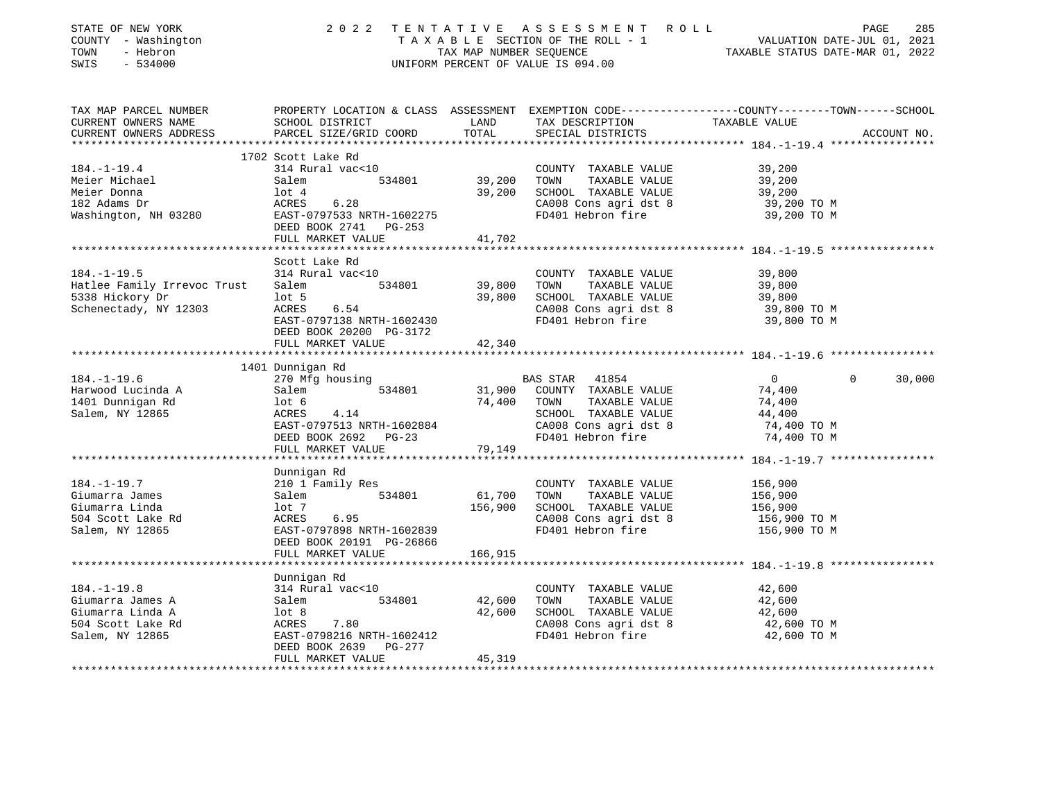| STATE OF NEW YORK<br>STATE OF NEW YORK<br>COUNTY - Washington<br>TOWN - Hebron<br>SWIS - 534000                                                                                                                                                  |                                                                                                                                                                                                                                             |         | 2022 TENTATIVE ASSESSMENT ROLL<br>UNIFORM PERCENT OF VALUE IS 094.00 | PAGE 285<br>TAXABLE SECTION OF THE ROLL - 1 VALUATION DATE-JUL 01, 2021<br>TAXABLE STATUS NAME TARABLE STATUS DATE-MAR 01, 2022<br>TAXABLE STATUS DATE-MAR 01, 2022 | PAGE<br>285        |
|--------------------------------------------------------------------------------------------------------------------------------------------------------------------------------------------------------------------------------------------------|---------------------------------------------------------------------------------------------------------------------------------------------------------------------------------------------------------------------------------------------|---------|----------------------------------------------------------------------|---------------------------------------------------------------------------------------------------------------------------------------------------------------------|--------------------|
| TAX MAP PARCEL NUMBER<br>CURRENT OWNERS NAME                                                                                                                                                                                                     | PROPERTY LOCATION & CLASS ASSESSMENT EXEMPTION CODE-----------------COUNTY--------TOWN------SCHOOL<br><b>EXAMPLE EXAMPLE STATE</b><br>SCHOOL DISTRICT                                                                                       |         |                                                                      |                                                                                                                                                                     |                    |
| CURRENT OWNERS ADDRESS                                                                                                                                                                                                                           | PARCEL SIZE/GRID COORD                                                                                                                                                                                                                      | TOTAL   | TAX DESCRIPTION TAXABLE VALUE SPECIAL DISTRICTS<br>SPECIAL DISTRICTS |                                                                                                                                                                     | ACCOUNT NO.        |
|                                                                                                                                                                                                                                                  |                                                                                                                                                                                                                                             |         |                                                                      |                                                                                                                                                                     |                    |
| $184. - 1 - 19.4$                                                                                                                                                                                                                                | 1702 Scott Lake Rd<br>314 Rural vac<10                                                                                                                                                                                                      |         | COUNTY TAXABLE VALUE                                                 | 39,200                                                                                                                                                              |                    |
|                                                                                                                                                                                                                                                  |                                                                                                                                                                                                                                             |         |                                                                      | 39,200                                                                                                                                                              |                    |
|                                                                                                                                                                                                                                                  |                                                                                                                                                                                                                                             |         |                                                                      | 39,200                                                                                                                                                              |                    |
|                                                                                                                                                                                                                                                  |                                                                                                                                                                                                                                             |         |                                                                      |                                                                                                                                                                     |                    |
| Meier Michael Salem 534801 39,200 TOWN TAXABLE VALUE<br>Meier Donna lot 4<br>182 Adams Dr ACRES 6.28 CA008 Cons agri dst 8<br>Washington, NH 03280 EAST-0797533 NRTH-1602275 FD401 Hebron fire                                                   |                                                                                                                                                                                                                                             |         | CA008 Cons agri dst 8<br>FD401 Hebron fire                           | 39,200 TO M<br>39,200 TO M                                                                                                                                          |                    |
|                                                                                                                                                                                                                                                  | DEED BOOK 2741 PG-253                                                                                                                                                                                                                       |         |                                                                      |                                                                                                                                                                     |                    |
|                                                                                                                                                                                                                                                  | FULL MARKET VALUE                                                                                                                                                                                                                           | 41,702  |                                                                      |                                                                                                                                                                     |                    |
|                                                                                                                                                                                                                                                  | Scott Lake Rd                                                                                                                                                                                                                               |         |                                                                      |                                                                                                                                                                     |                    |
| $184. - 1 - 19.5$                                                                                                                                                                                                                                | 314 Rural vac<10                                                                                                                                                                                                                            |         | COUNTY TAXABLE VALUE                                                 | 39,800                                                                                                                                                              |                    |
|                                                                                                                                                                                                                                                  |                                                                                                                                                                                                                                             |         | TAXABLE VALUE                                                        |                                                                                                                                                                     |                    |
|                                                                                                                                                                                                                                                  |                                                                                                                                                                                                                                             |         |                                                                      | 39,800<br>39,800                                                                                                                                                    |                    |
|                                                                                                                                                                                                                                                  |                                                                                                                                                                                                                                             |         | CA008 Cons agri dst 8<br>FD401 Hebron fire                           | 39,800 TO M                                                                                                                                                         |                    |
| Hatlee Family Irrevoc Trust<br>5338 Hickory Dr<br>Schenectady, NY 12303<br>Example VALUE<br>Schenectady, NY 12303<br>EXECT-0797138 NRTH-1602430<br>EXECT-0797138 NRTH-1602430<br>CA008 Cons agri dst 8<br>FD401 Hebron fire<br>FD401 Hebron fire |                                                                                                                                                                                                                                             |         |                                                                      | 39,800 TO M                                                                                                                                                         |                    |
|                                                                                                                                                                                                                                                  | DEED BOOK 20200 PG-3172                                                                                                                                                                                                                     |         |                                                                      |                                                                                                                                                                     |                    |
|                                                                                                                                                                                                                                                  | FULL MARKET VALUE                                                                                                                                                                                                                           | 42,340  |                                                                      |                                                                                                                                                                     |                    |
|                                                                                                                                                                                                                                                  | 1401 Dunnigan Rd                                                                                                                                                                                                                            |         |                                                                      |                                                                                                                                                                     |                    |
| $184. - 1 - 19.6$                                                                                                                                                                                                                                | 270 Mfg housing                                                                                                                                                                                                                             |         | BAS STAR 41854                                                       | $\overline{0}$                                                                                                                                                      | $\Omega$<br>30,000 |
| Harwood Lucinda A                                                                                                                                                                                                                                |                                                                                                                                                                                                                                             |         |                                                                      | 74,400                                                                                                                                                              |                    |
|                                                                                                                                                                                                                                                  |                                                                                                                                                                                                                                             |         |                                                                      | 74,400                                                                                                                                                              |                    |
| 1401 Dunnigan Rd<br>Salem, NY 12865                                                                                                                                                                                                              |                                                                                                                                                                                                                                             |         | SCHOOL TAXABLE VALUE 44,400<br>CA008 Cons agri dst 8 74,400 TO M     |                                                                                                                                                                     |                    |
|                                                                                                                                                                                                                                                  |                                                                                                                                                                                                                                             |         |                                                                      |                                                                                                                                                                     |                    |
|                                                                                                                                                                                                                                                  | 270 Mrg nousing<br>Salem and the S34801 M1900 COUNTY TAXABLE VALUE<br>101 Magnetic SCHOOL TAXABLE VALUE<br>ACRES 4.14 SCHOOL TAXABLE VALUE<br>EAST-0797513 NRTH-1602884 CA008 Cons agri dst 8<br>DEED BOOK 2692 PG-23 FD401 Hebron fire<br> |         |                                                                      | 74,400 TO M                                                                                                                                                         |                    |
|                                                                                                                                                                                                                                                  |                                                                                                                                                                                                                                             |         |                                                                      |                                                                                                                                                                     |                    |
|                                                                                                                                                                                                                                                  | Dunnigan Rd                                                                                                                                                                                                                                 |         |                                                                      |                                                                                                                                                                     |                    |
|                                                                                                                                                                                                                                                  |                                                                                                                                                                                                                                             |         | COUNTY TAXABLE VALUE                                                 | 156,900                                                                                                                                                             |                    |
|                                                                                                                                                                                                                                                  |                                                                                                                                                                                                                                             |         | TOWN TAXABLE VALUE                                                   | 156,900                                                                                                                                                             |                    |
|                                                                                                                                                                                                                                                  |                                                                                                                                                                                                                                             |         | SCHOOL TAXABLE VALUE                                                 | 156,900                                                                                                                                                             |                    |
|                                                                                                                                                                                                                                                  |                                                                                                                                                                                                                                             |         | CA008 Cons agri dst 8                                                | 156,900 ТО М                                                                                                                                                        |                    |
|                                                                                                                                                                                                                                                  |                                                                                                                                                                                                                                             |         | FD401 Hebron fire                                                    | 156,900 ТО М                                                                                                                                                        |                    |
|                                                                                                                                                                                                                                                  | DEED BOOK 20191 PG-26866                                                                                                                                                                                                                    |         |                                                                      |                                                                                                                                                                     |                    |
|                                                                                                                                                                                                                                                  | FULL MARKET VALUE<br>****************                                                                                                                                                                                                       | 166,915 |                                                                      |                                                                                                                                                                     |                    |
|                                                                                                                                                                                                                                                  | Dunnigan Rd                                                                                                                                                                                                                                 |         |                                                                      |                                                                                                                                                                     |                    |
| $184. - 1 - 19.8$                                                                                                                                                                                                                                | 314 Rural vac<10                                                                                                                                                                                                                            |         | COUNTY TAXABLE VALUE                                                 | 42,600                                                                                                                                                              |                    |
| Giumarra James A                                                                                                                                                                                                                                 |                                                                                                                                                                                                                                             |         | TOWN TAXABLE VALUE                                                   | 42,600                                                                                                                                                              |                    |
| Giumarra Linda A                                                                                                                                                                                                                                 |                                                                                                                                                                                                                                             |         | SCHOOL TAXABLE VALUE                                                 | 42,600                                                                                                                                                              |                    |
| 504 Scott Lake Rd<br>Salem. NY 12865                                                                                                                                                                                                             |                                                                                                                                                                                                                                             |         | CA008 Cons agri dst 8                                                | 42,600 TO M                                                                                                                                                         |                    |
| Salem, NY 12865                                                                                                                                                                                                                                  | 314 Rural vackiv<br>Salem 534801 42,600<br>lot 8 42,600<br>ACRES 7.80<br>EAST-0798216 NRTH-1602412<br>---- -2011 2021 2                                                                                                                     |         | FD401 Hebron fire                                                    | 42,600 TO M                                                                                                                                                         |                    |
|                                                                                                                                                                                                                                                  | DEED BOOK 2639 PG-277<br>FULL MARKET VALUE                                                                                                                                                                                                  | 45,319  |                                                                      |                                                                                                                                                                     |                    |
|                                                                                                                                                                                                                                                  |                                                                                                                                                                                                                                             |         |                                                                      |                                                                                                                                                                     |                    |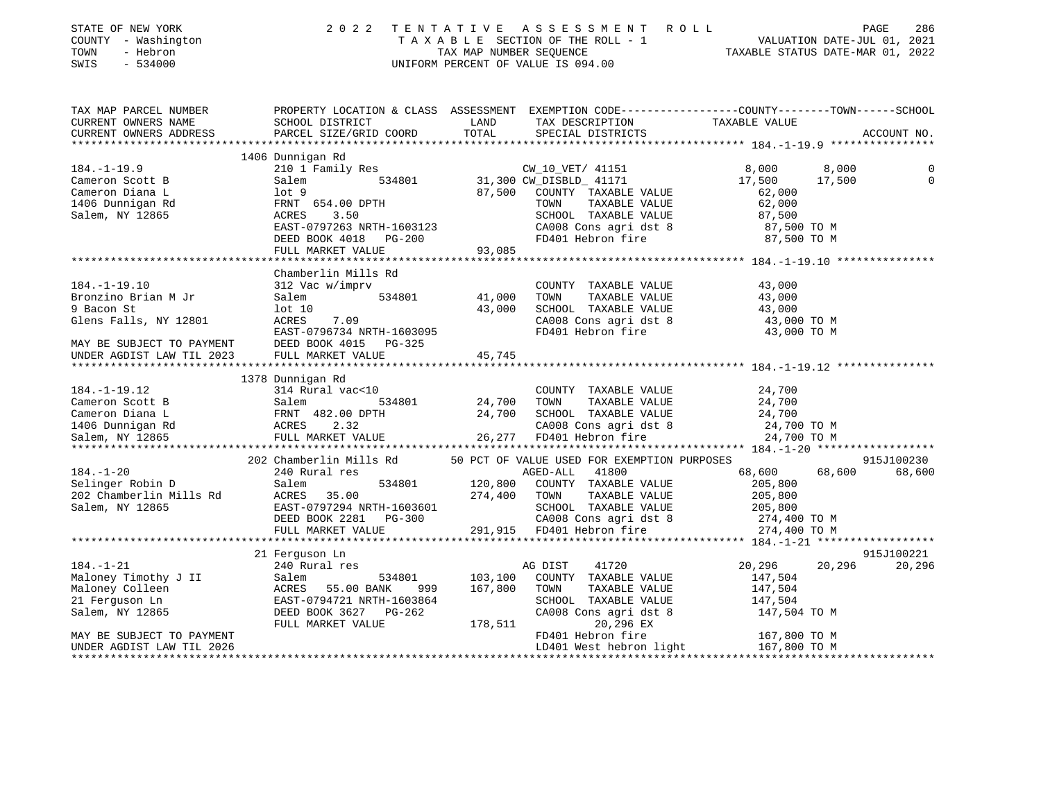| STATE OF NEW YORK<br>- Washington<br>COUNTY<br>- Hebron<br>TOWN<br>SWIS<br>$-534000$ | 2 0 2 2<br>TAXABLE        | TENTATIVE<br>TAX MAP NUMBER SEQUENCE | ASSESSMENT<br>R O L L<br>SECTION OF THE ROLL - 1<br>UNIFORM PERCENT OF VALUE IS 094.00 | VALUATION DATE-JUL 01,<br>TAXABLE STATUS DATE-MAR 01, | 286<br>PAGE<br>2021<br>2022 |
|--------------------------------------------------------------------------------------|---------------------------|--------------------------------------|----------------------------------------------------------------------------------------|-------------------------------------------------------|-----------------------------|
| TAX MAP PARCEL NUMBER                                                                | PROPERTY LOCATION & CLASS | ASSESSMENT                           | EXEMPTION CODE-----------------COUNTY-------TOWN------SCHOOL                           |                                                       |                             |
| CURRENT OWNERS NAME                                                                  | SCHOOL DISTRICT           | LAND                                 | TAX DESCRIPTION                                                                        | TAXABLE VALUE                                         |                             |
| CURRENT OWNERS ADDRESS                                                               | PARCEL SIZE/GRID COORD    | TOTAL                                | SPECIAL DISTRICTS                                                                      |                                                       | ACCOUNT NO.                 |
|                                                                                      |                           |                                      |                                                                                        |                                                       |                             |
|                                                                                      | 1406 Dunnigan Rd          |                                      |                                                                                        |                                                       |                             |
| $184. - 1 - 19.9$                                                                    | 210 1 Family Res          |                                      | CW_10_VET/ 41151                                                                       | 8,000                                                 | $\overline{0}$<br>8,000     |
| Cameron Scott B                                                                      | Salem<br>534801           |                                      | 31,300 CW DISBLD 41171                                                                 | 17,500<br>17,500                                      | $\mathbf{0}$                |
| Cameron Diana L                                                                      | lot 9                     | 87,500                               | COUNTY<br>TAXABLE VALUE                                                                | 62,000                                                |                             |
| 1406 Dunnigan Rd                                                                     | FRNT 654.00 DPTH          |                                      | TOWN<br>TAXABLE VALUE                                                                  | 62,000                                                |                             |
| Salem, NY 12865                                                                      | 3.50<br>ACRES             |                                      | SCHOOL<br>TAXABLE VALUE                                                                | 87,500                                                |                             |
|                                                                                      | EAST-0797263 NRTH-1603123 |                                      | CA008 Cons agri dst 8                                                                  | 87,500 TO M                                           |                             |
|                                                                                      | DEED BOOK 4018<br>PG-200  |                                      | FD401 Hebron fire                                                                      | 87,500 TO M                                           |                             |
|                                                                                      | FULL MARKET VALUE         | 93,085                               |                                                                                        |                                                       |                             |

\*\*\*\*\*\*\*\*\*\*\*\*\*\*\*\*\*\*\*\*\*\*\*\*\*\*\*\*\*\*\*\*\*\*\*\*\*\*\*\*\*\*\*\*\*\*\*\*\*\*\*\*\*\*\*\*\*\*\*\*\*\*\*\*\*\*\*\*\*\*\*\*\*\*\*\*\*\*\*\*\*\*\*\*\*\*\*\*\*\*\*\*\*\*\*\*\*\*\*\*\*\*\* 184.-1-19.10 \*\*\*\*\*\*\*\*\*\*\*\*\*\*\*

Chamberlin Mills Rd

| $184. - 1 - 19.10$                                                                                                                                                                                                                           |                                                                                                            |                    | COUNTY TAXABLE VALUE                                                  | 43,000        |            |
|----------------------------------------------------------------------------------------------------------------------------------------------------------------------------------------------------------------------------------------------|------------------------------------------------------------------------------------------------------------|--------------------|-----------------------------------------------------------------------|---------------|------------|
|                                                                                                                                                                                                                                              |                                                                                                            |                    | TAXABLE VALUE                                                         | 43,000        |            |
| 9 Bacon St                                                                                                                                                                                                                                   | $10t$ $10$                                                                                                 | 43,000             | SCHOOL TAXABLE VALUE                                                  | 43,000        |            |
| Glens Falls, NY 12801                                                                                                                                                                                                                        | ACRES 7.09                                                                                                 |                    | CA008 Cons agri dst 8<br>FD401 Hebron fire 43,000 TO M<br>43,000 TO M |               |            |
|                                                                                                                                                                                                                                              |                                                                                                            |                    |                                                                       |               |            |
| MAY BE SUBJECT TO PAYMENT DEED BOOK 4015 PG-325                                                                                                                                                                                              |                                                                                                            |                    |                                                                       |               |            |
| UNDER AGDIST LAW TIL 2023 FULL MARKET VALUE                                                                                                                                                                                                  |                                                                                                            | 45, 745            |                                                                       |               |            |
|                                                                                                                                                                                                                                              |                                                                                                            |                    |                                                                       |               |            |
|                                                                                                                                                                                                                                              | 1378 Dunnigan Rd                                                                                           |                    |                                                                       |               |            |
| $184. -1 - 19.12$                                                                                                                                                                                                                            | 314 Rural vac<10                                                                                           |                    | COUNTY TAXABLE VALUE                                                  | 24,700        |            |
| Cameron Scott B Salem                                                                                                                                                                                                                        |                                                                                                            | 534801 24,700 TOWN | TAXABLE VALUE                                                         | 24,700        |            |
|                                                                                                                                                                                                                                              |                                                                                                            |                    |                                                                       |               |            |
|                                                                                                                                                                                                                                              |                                                                                                            |                    |                                                                       |               |            |
|                                                                                                                                                                                                                                              |                                                                                                            |                    |                                                                       |               |            |
| Cameron Diana L<br>1406 Dunnigan Rd<br>Salem, NY 12865 EULL MARKET VALUE<br>Salem, NY 12865 FULL MARKET VALUE<br>FULL MARKET VALUE<br>26, 277 FD401 Hebron fire 24, 700 TO M<br>26, 277 FD401 Hebron fire 24, 700 TO M<br>26, 277 FD401 Hebr |                                                                                                            |                    |                                                                       |               |            |
|                                                                                                                                                                                                                                              |                                                                                                            |                    |                                                                       |               |            |
| $184. - 1 - 20$                                                                                                                                                                                                                              | 202 Chamberlin Mills Rd 50 PCT OF VALUE USED FOR EXEMPTION PURPOSES 340 Rural res 315J100230 240 Rural res |                    |                                                                       |               |            |
| Selinger Robin D                                                                                                                                                                                                                             | Salem 534801 120,800 COUNTY TAXABLE VALUE                                                                  |                    |                                                                       | 205,800       |            |
| 202 Chamberlin Mills Rd ACRES 35.00 274,400 TOWN                                                                                                                                                                                             |                                                                                                            |                    | TAXABLE VALUE 205,800                                                 |               |            |
| Salem, NY 12865                                                                                                                                                                                                                              | EAST-0797294 NRTH-1603601 SCHOOL TAXABLE VALUE 205,800                                                     |                    |                                                                       |               |            |
|                                                                                                                                                                                                                                              | DEED BOOK 2281 PG-300 CA008 Cons agri dst 8 274,400 TO M                                                   |                    |                                                                       |               |            |
|                                                                                                                                                                                                                                              |                                                                                                            |                    | FULL MARKET VALUE 291,915 FD401 Hebron fire 274,400 TO M              |               |            |
|                                                                                                                                                                                                                                              |                                                                                                            |                    |                                                                       |               |            |
|                                                                                                                                                                                                                                              | 21 Ferquson Ln                                                                                             |                    |                                                                       |               | 915J100221 |
| $184. -1 - 21$                                                                                                                                                                                                                               | 240 Rural res                                                                                              |                    | 41720 200<br>AG DIST                                                  | 20,296 20,296 | 20,296     |
| Maloney Timothy J II Salem 534;<br>Maloney Colleen ACRES 55.00 BANK                                                                                                                                                                          |                                                                                                            |                    | 534801 103,100 COUNTY TAXABLE VALUE                                   | 147,504       |            |
|                                                                                                                                                                                                                                              | 999                                                                                                        | 167,800 TOWN       | TAXABLE VALUE 147,504                                                 |               |            |
|                                                                                                                                                                                                                                              | 21 Ferquson Ln EAST-0794721 NRTH-1603864                                                                   |                    | SCHOOL TAXABLE VALUE 147,504                                          |               |            |
| Salem, NY 12865 DEED BOOK 3627 PG-262                                                                                                                                                                                                        |                                                                                                            |                    | CA008 Cons agri dst 8 147,504 TO M                                    |               |            |
|                                                                                                                                                                                                                                              | FULL MARKET VALUE 178,511                                                                                  |                    | 20,296 EX                                                             |               |            |
| MAY BE SUBJECT TO PAYMENT                                                                                                                                                                                                                    |                                                                                                            |                    | FD401 Hebron fire 167,800 TO M                                        |               |            |
| UNDER AGDIST LAW TIL 2026                                                                                                                                                                                                                    |                                                                                                            |                    |                                                                       |               |            |
|                                                                                                                                                                                                                                              |                                                                                                            |                    |                                                                       |               |            |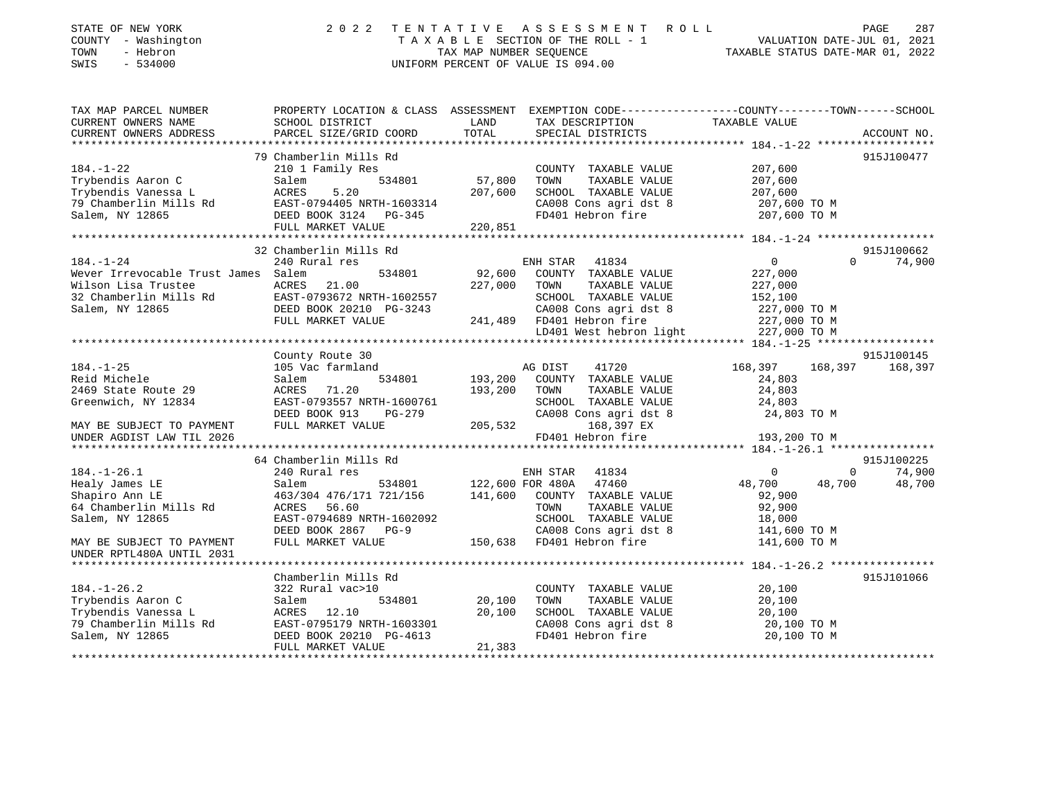| STATE OF NEW YORK<br>COUNTY - Washington<br>TOWN<br>- Hebron<br>SWIS<br>$-534000$                 | 2 0 2 2                                   | TENTATIVE<br>TAX MAP NUMBER SEQUENCE | ASSESSMENT ROLL<br>TAXABLE SECTION OF THE ROLL - 1<br>UNIFORM PERCENT OF VALUE IS 094.00       | PAGE 287<br>VALUATION DATE-JUL 01, 2021<br>TAXABLE STATIIS DATE 115 115 116 12 |                    |
|---------------------------------------------------------------------------------------------------|-------------------------------------------|--------------------------------------|------------------------------------------------------------------------------------------------|--------------------------------------------------------------------------------|--------------------|
| TAX MAP PARCEL NUMBER                                                                             |                                           |                                      | PROPERTY LOCATION & CLASS ASSESSMENT EXEMPTION CODE---------------COUNTY-------TOWN-----SCHOOL |                                                                                |                    |
| CURRENT OWNERS NAME<br>CURRENT OWNERS ADDRESS                                                     | SCHOOL DISTRICT<br>PARCEL SIZE/GRID COORD | LAND<br>TOTAL                        | TAX DESCRIPTION<br>SPECIAL DISTRICTS                                                           | TAXABLE VALUE                                                                  | ACCOUNT NO.        |
|                                                                                                   |                                           |                                      |                                                                                                |                                                                                |                    |
|                                                                                                   | 79 Chamberlin Mills Rd                    |                                      |                                                                                                |                                                                                | 915J100477         |
| $184. - 1 - 22$                                                                                   | 210 1 Family Res                          |                                      | COUNTY TAXABLE VALUE                                                                           | 207,600                                                                        |                    |
| Trybendis Aaron C                                                                                 | 534801<br>Salem                           | 57,800                               | TOWN<br>TAXABLE VALUE                                                                          | 207,600                                                                        |                    |
| Trybendis Vanessa L                                                                               | ACRES<br>5.20                             | 207,600                              | SCHOOL TAXABLE VALUE                                                                           | 207,600                                                                        |                    |
| 79 Chamberlin Mills Rd                                                                            | EAST-0794405 NRTH-1603314                 |                                      |                                                                                                |                                                                                |                    |
| Salem, NY 12865                                                                                   | DEED BOOK 3124 PG-345                     |                                      | SCHOOL IAANDEL<br>CA008 Cons agridst 8 207,000 TO M<br>Internative 207,600 TO M                |                                                                                |                    |
|                                                                                                   | FULL MARKET VALUE                         | 220,851                              |                                                                                                |                                                                                |                    |
|                                                                                                   | 32 Chamberlin Mills Rd                    |                                      |                                                                                                |                                                                                | 915J100662         |
| $184. - 1 - 24$                                                                                   | 240 Rural res                             |                                      | ENH STAR<br>41834                                                                              | $\overline{0}$                                                                 | $\Omega$<br>74,900 |
| Wever Irrevocable Trust James Salem                                                               | 534801                                    | 92,600                               | COUNTY TAXABLE VALUE                                                                           | 227,000                                                                        |                    |
| Wilson Lisa Trustee                                                                               | ACRES<br>21.00                            | 227,000                              | TOWN<br>TAXABLE VALUE                                                                          | 227,000                                                                        |                    |
| 32 Chamberlin Mills Rd<br>EAST-0793672 NRTH-1602557<br>Salem, NY 12865<br>DEED BOOK 20210 PG-3243 |                                           |                                      | SCHOOL TAXABLE VALUE                                                                           | 152,100<br>227,000 TO M                                                        |                    |
|                                                                                                   |                                           |                                      | CA008 Cons agri dst 8                                                                          |                                                                                |                    |
|                                                                                                   | FULL MARKET VALUE                         |                                      | 241,489 FD401 Hebron fire<br>LD401 West hebron light 227,000 TO M                              | 227,000 TO M                                                                   |                    |
|                                                                                                   |                                           |                                      |                                                                                                |                                                                                |                    |
|                                                                                                   | County Route 30                           |                                      |                                                                                                |                                                                                | 915J100145         |
| $184. - 1 - 25$                                                                                   | 105 Vac farmland                          |                                      | 41720<br>AG DIST                                                                               | 168,397                                                                        | 168,397 168,397    |
| Reid Michele                                                                                      | 534801<br>Salem                           | 193,200                              | COUNTY TAXABLE VALUE                                                                           | 24,803                                                                         |                    |
| 2469 State Route 29                                                                               | ACRES 71.20                               | 193,200                              | TOWN<br>TAXABLE VALUE                                                                          | 24,803                                                                         |                    |
| Greenwich, NY 12834                                                                               | EAST-0793557 NRTH-1600761                 |                                      | SCHOOL TAXABLE VALUE                                                                           | 24,803                                                                         |                    |
|                                                                                                   | DEED BOOK 913<br>PG-279                   |                                      | CA008 Cons agri dst 8                                                                          | 24,803 TO M                                                                    |                    |
| MAY BE SUBJECT TO PAYMENT                                                                         | FULL MARKET VALUE                         | 205,532                              | 168,397 EX                                                                                     |                                                                                |                    |
| UNDER AGDIST LAW TIL 2026                                                                         |                                           |                                      | FD401 Hebron fire                                                                              | 193,200 TO M                                                                   |                    |
|                                                                                                   | 64 Chamberlin Mills Rd                    |                                      |                                                                                                |                                                                                | 915J100225         |
| $184. - 1 - 26.1$                                                                                 | 240 Rural res                             |                                      | ENH STAR<br>41834                                                                              | $\Omega$                                                                       | 74,900<br>$\Omega$ |
| Healy James LE                                                                                    | Salem<br>534801                           | 122,600 FOR 480A                     | 47460                                                                                          | 48,700<br>48,700                                                               | 48,700             |
| Shapiro Ann LE                                                                                    | 463/304 476/171 721/156                   |                                      | 141,600 COUNTY TAXABLE VALUE                                                                   | 92,900                                                                         |                    |
| 64 Chamberlin Mills Rd                                                                            | 56.60<br>ACRES                            |                                      | TAXABLE VALUE<br>TOWN                                                                          | 92,900                                                                         |                    |
| Salem, NY 12865                                                                                   | EAST-0794689 NRTH-1602092                 |                                      | SCHOOL TAXABLE VALUE                                                                           | 18,000                                                                         |                    |
|                                                                                                   | DEED BOOK 2867 PG-9                       |                                      | CA008 Cons agri dst 8                                                                          | 141,600 TO M                                                                   |                    |
| MAY BE SUBJECT TO PAYMENT<br>UNDER RPTL480A UNTIL 2031                                            | FULL MARKET VALUE                         |                                      | 150,638 FD401 Hebron fire                                                                      | 141,600 TO M                                                                   |                    |
|                                                                                                   |                                           |                                      |                                                                                                |                                                                                |                    |
| $184. - 1 - 26.2$                                                                                 | Chamberlin Mills Rd<br>322 Rural vac>10   |                                      | COUNTY TAXABLE VALUE                                                                           | 20,100                                                                         | 915J101066         |
| Trybendis Aaron C                                                                                 | Salem<br>534801                           | 20,100                               | TOWN<br>TAXABLE VALUE                                                                          | 20,100                                                                         |                    |
| Trybendis Vanessa L                                                                               | ACRES 12.10                               | 20,100                               | SCHOOL TAXABLE VALUE                                                                           | 20,100                                                                         |                    |
| 79 Chamberlin Mills Rd                                                                            | EAST-0795179 NRTH-1603301                 |                                      | CA008 Cons agri dst 8                                                                          | 20,100 TO M                                                                    |                    |
| Salem, NY 12865                                                                                   | DEED BOOK 20210 PG-4613                   |                                      | FD401 Hebron fire                                                                              | 20,100 TO M                                                                    |                    |

\*\*\*\*\*\*\*\*\*\*\*\*\*\*\*\*\*\*\*\*\*\*\*\*\*\*\*\*\*\*\*\*\*\*\*\*\*\*\*\*\*\*\*\*\*\*\*\*\*\*\*\*\*\*\*\*\*\*\*\*\*\*\*\*\*\*\*\*\*\*\*\*\*\*\*\*\*\*\*\*\*\*\*\*\*\*\*\*\*\*\*\*\*\*\*\*\*\*\*\*\*\*\*\*\*\*\*\*\*\*\*\*\*\*\*\*\*\*\*\*\*\*\*\*\*\*\*\*\*\*\*\*

FULL MARKET VALUE 21,383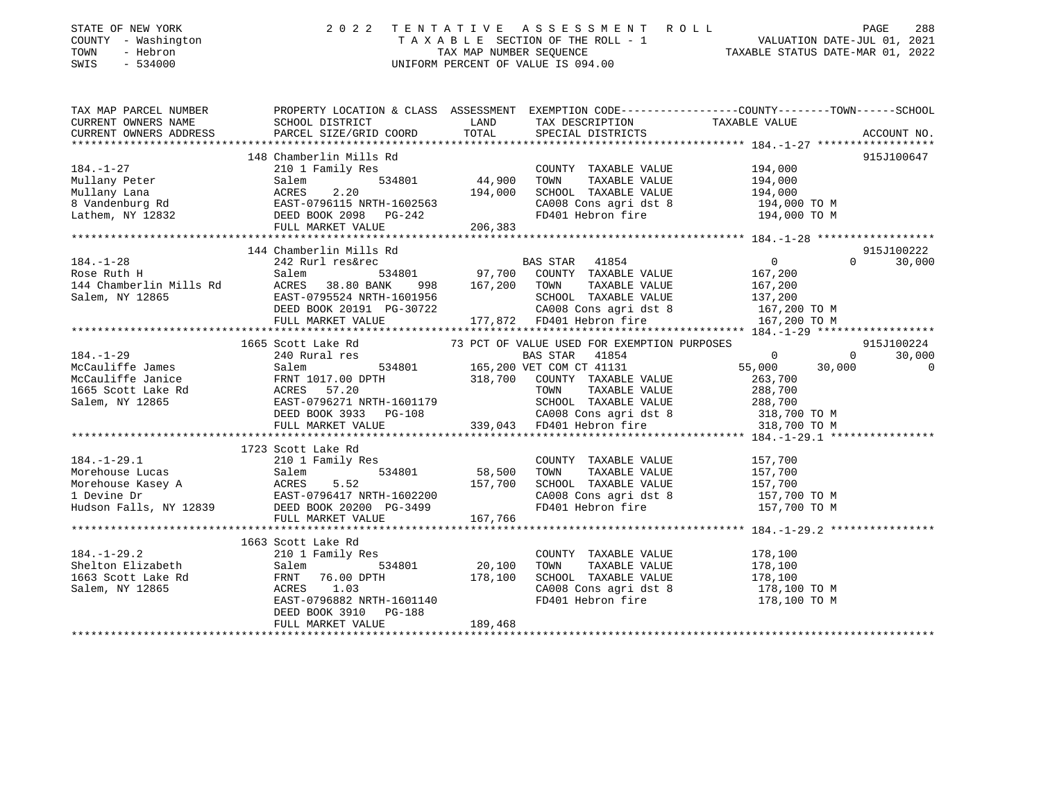| STATE OF NEW YORK<br>COUNTY - Washington<br>TOWN<br>- Hebron<br>$-534000$<br>SWIS |                                                                                                                                                                                                                                                                                                                                                                                                    |                              | $\begin{tabular}{lllllllllllllll} \hline 2&0&2&2&\text{T} & \text{E} & \text{N} & \text{T} & \text{A} & \text{T} & \text{A} & \text{T} & \text{A} & \text{T} & \text{A} & \text{E} & \text{B} & \text{E} & \text{E} & \text{E} & \text{E} & \text{E} & \text{E} & \text{E} & \text{E} & \text{E} & \text{E} & \text{E} & \text{E} & \text{E} & \text{E} & \text{E} & \text{E} & \text{E} & \text{E} & \text{E} & \text{E} &$ |                          |
|-----------------------------------------------------------------------------------|----------------------------------------------------------------------------------------------------------------------------------------------------------------------------------------------------------------------------------------------------------------------------------------------------------------------------------------------------------------------------------------------------|------------------------------|------------------------------------------------------------------------------------------------------------------------------------------------------------------------------------------------------------------------------------------------------------------------------------------------------------------------------------------------------------------------------------------------------------------------------|--------------------------|
|                                                                                   | TAX MAP PARCEL NUMBER               PROPERTY LOCATION & CLASS ASSESSMENT EXEMPTION CODE-------------COUNTY--------TOWN------SCHOOL<br>CURRENT OWNERS NAME                SCHOOL DISTRICT                        LAND        TAX D                                                                                                                                                                  |                              |                                                                                                                                                                                                                                                                                                                                                                                                                              |                          |
|                                                                                   |                                                                                                                                                                                                                                                                                                                                                                                                    |                              |                                                                                                                                                                                                                                                                                                                                                                                                                              |                          |
| CURRENT OWNERS ADDRESS                                                            |                                                                                                                                                                                                                                                                                                                                                                                                    |                              |                                                                                                                                                                                                                                                                                                                                                                                                                              |                          |
|                                                                                   |                                                                                                                                                                                                                                                                                                                                                                                                    |                              |                                                                                                                                                                                                                                                                                                                                                                                                                              |                          |
|                                                                                   |                                                                                                                                                                                                                                                                                                                                                                                                    | COUNTY TAXABLE VALUE 194,000 | CA008 Cons agri dst 8 194,000 TO M<br>FD401 Hebron fire 194,000 TO M                                                                                                                                                                                                                                                                                                                                                         | 915J100647               |
|                                                                                   |                                                                                                                                                                                                                                                                                                                                                                                                    |                              |                                                                                                                                                                                                                                                                                                                                                                                                                              |                          |
|                                                                                   | 144 Chamberlin Mills Rd<br>242 Rurl res&rec BAS STAR 41854 0<br>Salem 534801 97,700 COUNTY TAXABLE VALUE 167,200                                                                                                                                                                                                                                                                                   |                              |                                                                                                                                                                                                                                                                                                                                                                                                                              | 915J100222               |
|                                                                                   |                                                                                                                                                                                                                                                                                                                                                                                                    |                              |                                                                                                                                                                                                                                                                                                                                                                                                                              |                          |
|                                                                                   | 1665 Scott Lake Rd 3 73 PCT OF VALUE USED FOR EXEMPTION PURPOSES                                                                                                                                                                                                                                                                                                                                   |                              |                                                                                                                                                                                                                                                                                                                                                                                                                              | 915J100224               |
|                                                                                   | 184.-1-29<br>$\text{McCauliffe James}$<br>$\text{McCauliffe James}$<br>$\text{McCauliffe James}$<br>$\text{McCauliffe James}$<br>$\text{McCauliffe James}$<br>$\text{McCauliffe James}$<br>$\text{McR}$<br>$\text{ECAL}$<br>$\text{TRNT 1017.00 DPTH}$<br>$\text{LCED BOK}$<br>$\text{LCED}$<br>$\text{LCED}$<br>$\text{LCED}$<br>$\text{LCED}$<br>$\text{LCED}$<br>$\text{LCED}$<br>$\text{LCED}$ |                              |                                                                                                                                                                                                                                                                                                                                                                                                                              | 30,000<br>$\overline{0}$ |
|                                                                                   | 1723 Scott Lake Rd                                                                                                                                                                                                                                                                                                                                                                                 |                              |                                                                                                                                                                                                                                                                                                                                                                                                                              |                          |
|                                                                                   | 184.-1-29.1 210 1 Family Res<br>Morehouse Lucas Salem 534801 58,500 TOWN<br>Morehouse Kasey A ACRES 5.52 157,700 SCHOO<br>1 Devine Dr EAST-0796417 NRTH-1602200 CA008<br>Hudson Falls, NY 12839 DEED BOOK 20200 PG-3499 FD401<br>FULL MA                                                                                                                                                           | COUNTY TAXABLE VALUE 157,700 | CA008 Cons agri dst 8 157,700 TO M<br>FD401 Hebron fire 157,700 TO M                                                                                                                                                                                                                                                                                                                                                         |                          |
|                                                                                   |                                                                                                                                                                                                                                                                                                                                                                                                    |                              |                                                                                                                                                                                                                                                                                                                                                                                                                              |                          |
|                                                                                   |                                                                                                                                                                                                                                                                                                                                                                                                    |                              |                                                                                                                                                                                                                                                                                                                                                                                                                              |                          |

 1663 Scott Lake Rd 184.-1-29.2 210 1 Family Res COUNTY TAXABLE VALUE 178,100 Shelton Elizabeth Salem 534801 20,100 TOWN TAXABLE VALUE 178,100 1663 Scott Lake Rd FRNT 76.00 DPTH 178,100 SCHOOL TAXABLE VALUE 178,100 CA008 Cons agri dst 8 178,100 TO M EAST-0796882 NRTH-1601140 FD401 Hebron fire 178,100 TO M DEED BOOK 3910 PG-188 FULL MARKET VALUE 189,468 \*\*\*\*\*\*\*\*\*\*\*\*\*\*\*\*\*\*\*\*\*\*\*\*\*\*\*\*\*\*\*\*\*\*\*\*\*\*\*\*\*\*\*\*\*\*\*\*\*\*\*\*\*\*\*\*\*\*\*\*\*\*\*\*\*\*\*\*\*\*\*\*\*\*\*\*\*\*\*\*\*\*\*\*\*\*\*\*\*\*\*\*\*\*\*\*\*\*\*\*\*\*\*\*\*\*\*\*\*\*\*\*\*\*\*\*\*\*\*\*\*\*\*\*\*\*\*\*\*\*\*\*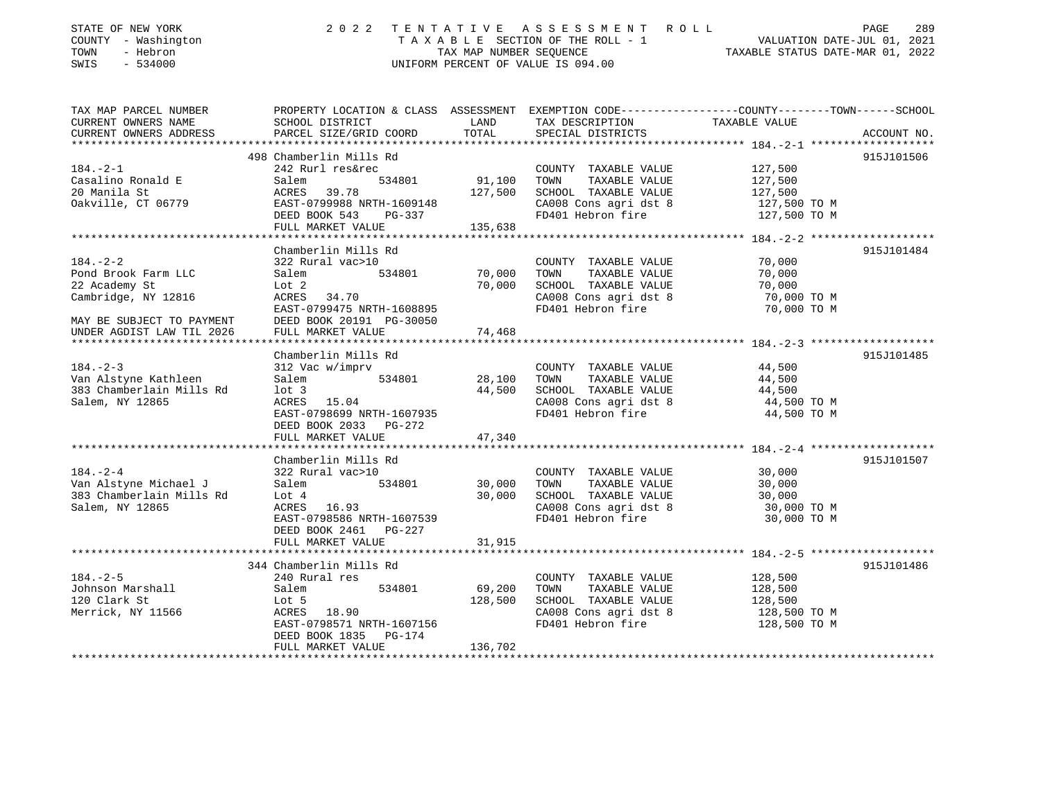| STATE OF NEW YORK<br>COUNTY - Washington<br>- Hebron<br>TOWN<br>$-534000$<br>SWIS                                                                                                                                                                                                                                                                                                                                                                                                         |                                      | 2022 TENTATIVE ASSESSMENT ROLL<br>T A X A B L E SECTION OF THE ROLL - 1<br>TAX MAP NUMBER SEOUENCE<br>UNIFORM PERCENT OF VALUE IS 094.00 |                                                              | 289<br>PAGE<br>2021<br>VALUATION DATE-JUL 01,<br>TAXABLE STATUS DATE-MAR 01, 2022 |
|-------------------------------------------------------------------------------------------------------------------------------------------------------------------------------------------------------------------------------------------------------------------------------------------------------------------------------------------------------------------------------------------------------------------------------------------------------------------------------------------|--------------------------------------|------------------------------------------------------------------------------------------------------------------------------------------|--------------------------------------------------------------|-----------------------------------------------------------------------------------|
| TAX MAP PARCEL NUMBER                                                                                                                                                                                                                                                                                                                                                                                                                                                                     | PROPERTY LOCATION & CLASS ASSESSMENT |                                                                                                                                          | EXEMPTION CODE-----------------COUNTY-------TOWN------SCHOOL |                                                                                   |
| CURRENT OWNERS NAME                                                                                                                                                                                                                                                                                                                                                                                                                                                                       | SCHOOL DISTRICT                      | TAX DESCRIPTION<br>LAND                                                                                                                  | TAXABLE VALUE                                                |                                                                                   |
| CURRENT OWNERS ADDRESS                                                                                                                                                                                                                                                                                                                                                                                                                                                                    |                                      | PARCEL SIZE/GRID COORD TOTAL SPECIAL DISTRICTS                                                                                           |                                                              | ACCOUNT NO.                                                                       |
|                                                                                                                                                                                                                                                                                                                                                                                                                                                                                           |                                      |                                                                                                                                          |                                                              |                                                                                   |
|                                                                                                                                                                                                                                                                                                                                                                                                                                                                                           | 498 Chamberlin Mills Rd              |                                                                                                                                          |                                                              | 915J101506                                                                        |
| $\begin{array}{ccccccccccccccccc} \hline \multicolumn{3}{c}{} & \multicolumn{3}{c}{} & \multicolumn{3}{c}{} & \multicolumn{3}{c}{} & \multicolumn{3}{c}{} & \multicolumn{3}{c}{} & \multicolumn{3}{c}{} & \multicolumn{3}{c}{} & \multicolumn{3}{c}{} & \multicolumn{3}{c}{} & \multicolumn{3}{c}{} & \multicolumn{3}{c}{} & \multicolumn{3}{c}{} & \multicolumn{3}{c}{} & \multicolumn{3}{c}{} & \multicolumn{3}{c}{} & \multicolumn{3}{c}{} & \multicolumn{3}{c}{} & \multicolumn{3}{c$ | $\sim$ 4.0 $ \sim$ $\sim$ $-$        |                                                                                                                                          | $\mathbf{A} \cap \mathbf{B} \cap \mathbf{A} \cap \mathbf{A}$ |                                                                                   |

| 184.-2-1                    | 242 Rurl res&rec              |         | COUNTY TAXABLE VALUE                                                                                                                                                    | 127,500      |            |
|-----------------------------|-------------------------------|---------|-------------------------------------------------------------------------------------------------------------------------------------------------------------------------|--------------|------------|
| Casalino Ronald E           | 534801 91,100<br>Salem        |         | TOWN<br>TAXABLE VALUE                                                                                                                                                   | 127,500      |            |
| 20 Manila St                |                               |         |                                                                                                                                                                         |              |            |
| Oakville, CT 06779          |                               |         |                                                                                                                                                                         |              |            |
|                             |                               |         | ACRES 39.78 127,500 SCHOOL TAXABLE VALUE 127,500<br>EAST-0799988 NRTH-1609148 CA008 Cons agri dst 8 127,500 TO M<br>DEED BOOK 543 PG-337 FD401 Hebron fire 127,500 TO M |              |            |
|                             |                               |         |                                                                                                                                                                         |              |            |
|                             |                               |         |                                                                                                                                                                         |              |            |
|                             | Chamberlin Mills Rd           |         |                                                                                                                                                                         |              | 915J101484 |
| $184. - 2 - 2$              | 322 Rural vac>10              |         | COUNTY TAXABLE VALUE 70,000                                                                                                                                             |              |            |
| Pond Brook Farm LLC         | 534801 70,000 TOWN<br>Salem   |         | TAXABLE VALUE                                                                                                                                                           | 70,000       |            |
| 22 Academy St               | Lot 2                         | 70,000  |                                                                                                                                                                         |              |            |
| Cambridge, NY 12816         | Lot 2<br>ACRES 34.70          |         |                                                                                                                                                                         |              |            |
|                             | EAST-0799475 NRTH-1608895     |         | SCHOOL TAXABLE VALUE 70,000<br>CA008 Cons agri dst 8 70,000 TO M<br>FD401 Hebron fire 70,000 TO M                                                                       |              |            |
| MAY BE SUBJECT TO PAYMENT   | DEED BOOK 20191 PG-30050      |         |                                                                                                                                                                         |              |            |
|                             |                               |         |                                                                                                                                                                         |              |            |
|                             |                               |         |                                                                                                                                                                         |              |            |
|                             | Chamberlin Mills Rd           |         |                                                                                                                                                                         |              | 915J101485 |
| $184. - 2 - 3$              | 312 Vac w/imprv               |         | COUNTY TAXABLE VALUE 44,500                                                                                                                                             |              |            |
| Van Alstyne Kathleen        | Salem 534801 28,100 TOWN      |         |                                                                                                                                                                         |              |            |
| 383 Chamberlain Mills Rd    | $1$ ot 3                      |         | TAXABLE VALUE 44,500                                                                                                                                                    |              |            |
|                             | lot 3<br>ACRES 15.04          |         | 44,500 SCHOOL TAXABLE VALUE $44,500$<br>CA008 Cons agri dst 8 $44,500$ TO M<br>FD401 Hebron fire $44,500$ TO M                                                          |              |            |
| Salem, NY 12865             | EAST-0798699 NRTH-1607935     |         |                                                                                                                                                                         |              |            |
|                             |                               |         |                                                                                                                                                                         |              |            |
|                             | DEED BOOK 2033 PG-272         |         |                                                                                                                                                                         |              |            |
|                             |                               |         |                                                                                                                                                                         |              |            |
|                             |                               |         |                                                                                                                                                                         |              |            |
|                             | Chamberlin Mills Rd           |         |                                                                                                                                                                         |              | 915J101507 |
| $184. - 2 - 4$              | 322 Rural vac>10              |         | COUNTY TAXABLE VALUE 30,000                                                                                                                                             |              |            |
| Van Alstyne Michael J Salem | 534801 30,000 TOWN            |         | 30,000 TOWN TAXABLE VALUE 30,000<br>30,000 SCHOOL TAXABLE VALUE 30,000<br>CA008 Cons agri dst 8 30,000 TO M<br>FD401 Hebron fire 30,000 TO M                            |              |            |
| 383 Chamberlain Mills Rd    | Lot 4<br>Lot 4<br>ACRES 16.93 |         |                                                                                                                                                                         |              |            |
| Salem, NY 12865             |                               |         |                                                                                                                                                                         |              |            |
|                             | EAST-0798586 NRTH-1607539     |         |                                                                                                                                                                         |              |            |
|                             | DEED BOOK 2461 PG-227         |         |                                                                                                                                                                         |              |            |
|                             |                               |         |                                                                                                                                                                         |              |            |
|                             |                               |         |                                                                                                                                                                         |              |            |
|                             | 344 Chamberlin Mills Rd       |         |                                                                                                                                                                         |              | 915J101486 |
| $184. - 2 - 5$              | 240 Rural res                 |         | COUNTY TAXABLE VALUE 128,500                                                                                                                                            |              |            |
| Johnson Marshall            | 534801<br>Salem               | 69,200  | TOWN TAXABLE VALUE 128,500                                                                                                                                              |              |            |
| 120 Clark St                | Lot 5                         | 128,500 |                                                                                                                                                                         |              |            |
| Merrick, NY 11566           | ACRES 18.90                   |         | SCHOOL TAXABLE VALUE 128,500<br>CA008 Cons agri dst 8 128,500 TO M<br>FD401 Hebron fire 128,500 TO M                                                                    |              |            |
|                             | EAST-0798571 NRTH-1607156     |         |                                                                                                                                                                         | 128,500 TO M |            |
|                             | DEED BOOK 1835 PG-174         |         |                                                                                                                                                                         |              |            |
|                             | FULL MARKET VALUE             | 136,702 |                                                                                                                                                                         |              |            |
|                             |                               |         |                                                                                                                                                                         |              |            |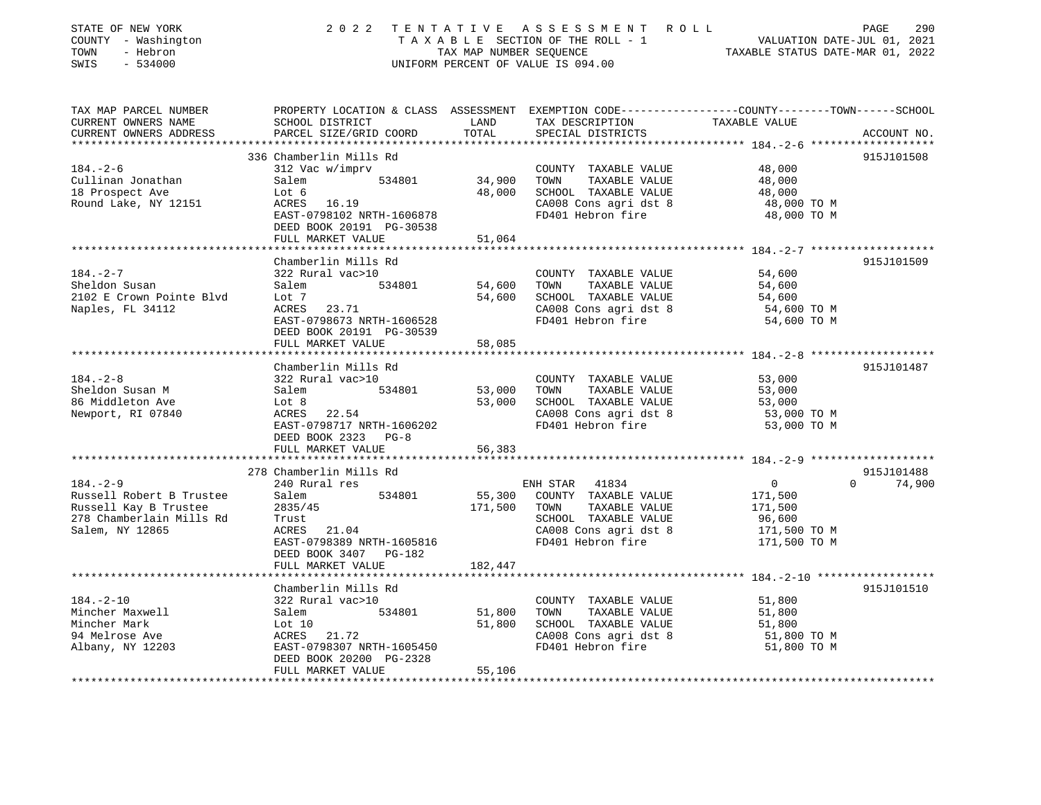| STATE OF NEW YORK<br>COUNTY - Washington<br>TOWN<br>- Hebron<br>$-534000$<br>SWIS |                                                                                                                                              |                  | 2022 TENTATIVE ASSESSMENT ROLL<br>UNIFORM PERCENT OF VALUE IS 094.00 | TENTATIVE ASSESSMENT ROLL PAGE 290<br>TAXABLE SECTION OF THE ROLL - 1 VALUATION DATE-JUL 01, 2021<br>TAX MAP NUMBER SEQUENCE TAXABLE STATUS DATE-MAR 01, 2022 |                    |
|-----------------------------------------------------------------------------------|----------------------------------------------------------------------------------------------------------------------------------------------|------------------|----------------------------------------------------------------------|---------------------------------------------------------------------------------------------------------------------------------------------------------------|--------------------|
| TAX MAP PARCEL NUMBER<br>CURRENT OWNERS NAME<br>CURRENT OWNERS ADDRESS            | PROPERTY LOCATION & CLASS ASSESSMENT EXEMPTION CODE----------------COUNTY-------TOWN-----SCHOOL<br>SCHOOL DISTRICT<br>PARCEL SIZE/GRID COORD | LAND<br>TOTAL    | TAX DESCRIPTION TAXABLE VALUE<br>SPECIAL DISTRICTS                   |                                                                                                                                                               | ACCOUNT NO.        |
|                                                                                   |                                                                                                                                              |                  |                                                                      |                                                                                                                                                               |                    |
| $184. - 2 - 6$                                                                    | 336 Chamberlin Mills Rd<br>312 Vac w/imprv                                                                                                   |                  |                                                                      |                                                                                                                                                               | 915J101508         |
| Cullinan Jonathan                                                                 | Salem 534801 34,900                                                                                                                          |                  | COUNTY TAXABLE VALUE<br>TOWN TAXABLE VALUE                           | 48,000<br>48,000                                                                                                                                              |                    |
| 18 Prospect Ave                                                                   | Lot 6                                                                                                                                        |                  | 48,000 SCHOOL TAXABLE VALUE                                          |                                                                                                                                                               |                    |
| Round Lake, NY 12151                                                              | $\frac{10 L}{6}$ b<br>ACRES 16.19                                                                                                            |                  | CA008 Cons agri dst 8                                                | 48,000<br>48,000 TO M                                                                                                                                         |                    |
|                                                                                   | EAST-0798102 NRTH-1606878                                                                                                                    |                  | FD401 Hebron fire                                                    | 48,000 TO M                                                                                                                                                   |                    |
|                                                                                   | DEED BOOK 20191 PG-30538                                                                                                                     |                  |                                                                      |                                                                                                                                                               |                    |
|                                                                                   | FULL MARKET VALUE                                                                                                                            | 51,064           |                                                                      |                                                                                                                                                               |                    |
|                                                                                   |                                                                                                                                              |                  |                                                                      |                                                                                                                                                               |                    |
|                                                                                   | Chamberlin Mills Rd                                                                                                                          |                  |                                                                      |                                                                                                                                                               | 915J101509         |
| $184. - 2 - 7$<br>Sheldon Susan                                                   | 322 Rural vac>10<br>534801<br>Salem                                                                                                          | 54,600           | COUNTY TAXABLE VALUE<br>TOWN<br>TAXABLE VALUE                        | 54,600<br>54,600                                                                                                                                              |                    |
| 2102 E Crown Pointe Blvd                                                          |                                                                                                                                              | 54,600           | SCHOOL TAXABLE VALUE                                                 | 54,600                                                                                                                                                        |                    |
| Naples, FL 34112                                                                  | LOT /<br>ACRES 23.71                                                                                                                         |                  | CA008 Cons agri dst 8                                                | 54,600 TO M                                                                                                                                                   |                    |
|                                                                                   | EAST-0798673 NRTH-1606528                                                                                                                    |                  | FD401 Hebron fire                                                    | 54,600 TO M                                                                                                                                                   |                    |
|                                                                                   | DEED BOOK 20191 PG-30539                                                                                                                     |                  |                                                                      |                                                                                                                                                               |                    |
|                                                                                   | FULL MARKET VALUE                                                                                                                            | 58,085           |                                                                      |                                                                                                                                                               |                    |
|                                                                                   |                                                                                                                                              |                  |                                                                      |                                                                                                                                                               |                    |
|                                                                                   | Chamberlin Mills Rd                                                                                                                          |                  |                                                                      |                                                                                                                                                               | 915J101487         |
| 184.-2-8                                                                          | 322 Rural vac>10                                                                                                                             |                  | COUNTY TAXABLE VALUE 53,000                                          |                                                                                                                                                               |                    |
| Sheldon Susan M<br>86 Middleton Ave                                               | Salem<br>Lot 8<br>534801                                                                                                                     | 53,000<br>53,000 | TOWN TAXABLE VALUE<br>SCHOOL TAXABLE VALUE                           | 53,000<br>53,000                                                                                                                                              |                    |
| Newport, RI 07840                                                                 | $\text{Lot} 8$<br>ACRES 22.54                                                                                                                |                  | CA008 Cons agri dst 8                                                | 53,000 TO M                                                                                                                                                   |                    |
|                                                                                   | EAST-0798717 NRTH-1606202                                                                                                                    |                  | FD401 Hebron fire                                                    | 53,000 TO M                                                                                                                                                   |                    |
|                                                                                   | DEED BOOK 2323 PG-8                                                                                                                          |                  |                                                                      |                                                                                                                                                               |                    |
|                                                                                   | FULL MARKET VALUE                                                                                                                            | 56,383           |                                                                      |                                                                                                                                                               |                    |
|                                                                                   |                                                                                                                                              |                  |                                                                      |                                                                                                                                                               |                    |
|                                                                                   | 278 Chamberlin Mills Rd                                                                                                                      |                  |                                                                      |                                                                                                                                                               | 915J101488         |
| $184. - 2 - 9$                                                                    | 240 Rural res                                                                                                                                |                  | ENH STAR 41834                                                       | $\overline{0}$                                                                                                                                                | $\Omega$<br>74,900 |
| Russell Robert B Trustee<br>Russell Kay B Trustee<br>278 Chamberlain Mills Rd     | 534801<br>Salem                                                                                                                              |                  | 55,300 COUNTY TAXABLE VALUE                                          | 171,500                                                                                                                                                       |                    |
|                                                                                   | 2835/45<br>Trust                                                                                                                             | 171,500 TOWN     | TAXABLE VALUE<br>SCHOOL TAXABLE VALUE                                | 171,500                                                                                                                                                       |                    |
| Salem, NY 12865                                                                   | ACRES 21.04                                                                                                                                  |                  | CA008 Cons agri dst 8                                                | 96,600<br>171,500 TO M                                                                                                                                        |                    |
|                                                                                   | EAST-0798389 NRTH-1605816                                                                                                                    |                  | FD401 Hebron fire                                                    | 171,500 TO M                                                                                                                                                  |                    |
|                                                                                   | DEED BOOK 3407 PG-182                                                                                                                        |                  |                                                                      |                                                                                                                                                               |                    |
|                                                                                   | FULL MARKET VALUE                                                                                                                            | 182,447          |                                                                      |                                                                                                                                                               |                    |
|                                                                                   |                                                                                                                                              |                  |                                                                      |                                                                                                                                                               |                    |
|                                                                                   | Chamberlin Mills Rd                                                                                                                          |                  |                                                                      |                                                                                                                                                               | 915J101510         |
| $184. - 2 - 10$                                                                   | 322 Rural vac>10                                                                                                                             |                  | COUNTY TAXABLE VALUE 51,800                                          |                                                                                                                                                               |                    |
| Mincher Maxwell                                                                   | 534801<br>Salem                                                                                                                              | 51,800           | TOWN<br>TAXABLE VALUE                                                | 51,800                                                                                                                                                        |                    |
| Mincher Mark                                                                      | Lot 10                                                                                                                                       | 51,800           | SCHOOL TAXABLE VALUE                                                 | 51,800                                                                                                                                                        |                    |
| 94 Melrose Ave<br>Albany, NY 12203                                                | ACRES 21.72<br>EAST-0798307 NRTH-1605450                                                                                                     |                  | CA008 Cons agri dst 8<br>FD401 Hebron fire                           | 51,800 TO M<br>51,800 TO M                                                                                                                                    |                    |
|                                                                                   | DEED BOOK 20200 PG-2328                                                                                                                      |                  |                                                                      |                                                                                                                                                               |                    |
|                                                                                   | FULL MARKET VALUE                                                                                                                            | 55,106           |                                                                      |                                                                                                                                                               |                    |
|                                                                                   |                                                                                                                                              |                  |                                                                      |                                                                                                                                                               |                    |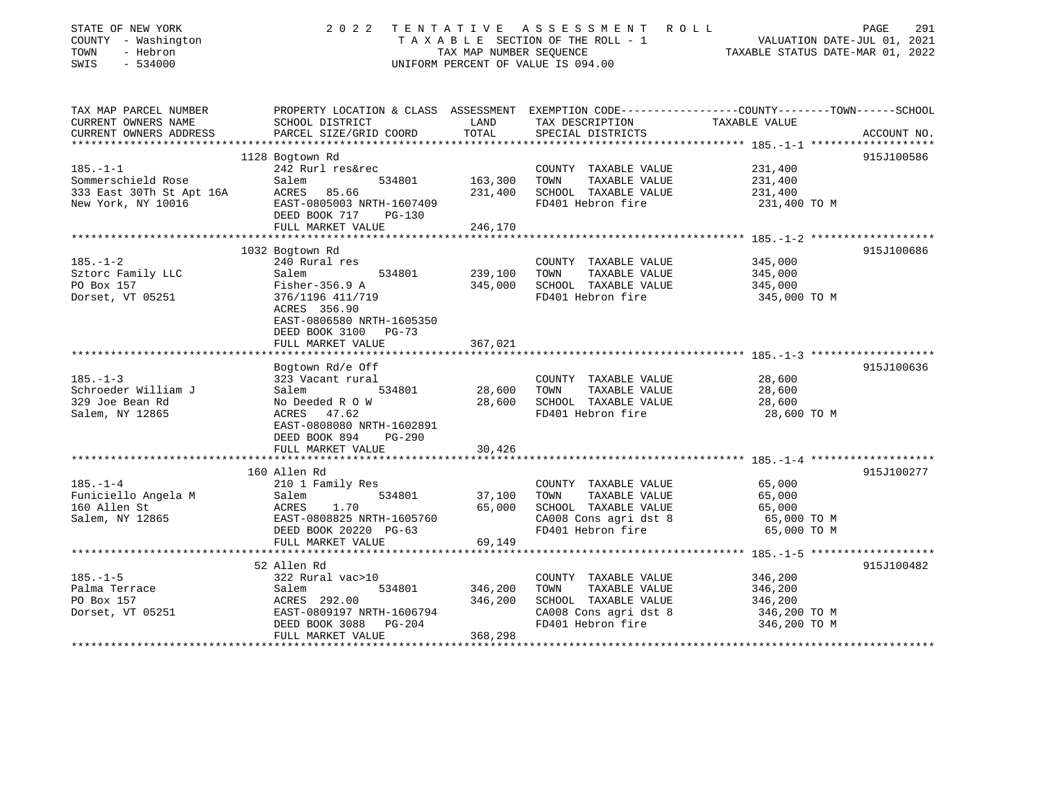| STATE OF NEW YORK<br>COUNTY - Washington<br>TOWN<br>- Hebron<br>$-534000$<br>SWIS | 2022                                         | TENTATIVE<br>TAX MAP NUMBER SEQUENCE | A S S E S S M E N T A O L L<br>TAXABLE SECTION OF THE ROLL - 1<br>UNIFORM PERCENT OF VALUE IS 094.00 | PAGE<br>VALUATION DATE-JUL 01, 2021<br>TAXABLE STATUS DATE-MAR 01, 2022                        | 291 |
|-----------------------------------------------------------------------------------|----------------------------------------------|--------------------------------------|------------------------------------------------------------------------------------------------------|------------------------------------------------------------------------------------------------|-----|
|                                                                                   |                                              |                                      |                                                                                                      |                                                                                                |     |
| TAX MAP PARCEL NUMBER                                                             |                                              |                                      |                                                                                                      | PROPERTY LOCATION & CLASS ASSESSMENT EXEMPTION CODE---------------COUNTY-------TOWN-----SCHOOL |     |
| CURRENT OWNERS NAME<br>CURRENT OWNERS ADDRESS                                     | SCHOOL DISTRICT<br>PARCEL SIZE/GRID COORD    | LAND<br>TOTAL                        | TAX DESCRIPTION TAXABLE VALUE<br>SPECIAL DISTRICTS                                                   | ACCOUNT NO.                                                                                    |     |
| ******************                                                                |                                              |                                      |                                                                                                      |                                                                                                |     |
|                                                                                   | 1128 Bogtown Rd                              |                                      |                                                                                                      | 915J100586                                                                                     |     |
| $185. - 1 - 1$                                                                    | 242 Rurl res&rec                             |                                      | COUNTY TAXABLE VALUE                                                                                 | 231,400                                                                                        |     |
| Sommerschield Rose                                                                | Salem<br>534801                              | 163,300                              | TOWN<br>TAXABLE VALUE                                                                                | 231,400                                                                                        |     |
| 333 East 30Th St Apt 16A                                                          | ACRES 85.66                                  | 231,400                              | SCHOOL TAXABLE VALUE                                                                                 | 231,400                                                                                        |     |
| New York, NY 10016                                                                | EAST-0805003 NRTH-1607409                    |                                      | FD401 Hebron fire                                                                                    | 231,400 TO M                                                                                   |     |
|                                                                                   | DEED BOOK 717<br>PG-130<br>FULL MARKET VALUE | 246,170                              |                                                                                                      |                                                                                                |     |
|                                                                                   |                                              |                                      |                                                                                                      |                                                                                                |     |
|                                                                                   | 1032 Bogtown Rd                              |                                      |                                                                                                      | 915J100686                                                                                     |     |
| $185. - 1 - 2$                                                                    | 240 Rural res                                |                                      | COUNTY TAXABLE VALUE                                                                                 | 345,000                                                                                        |     |
| Sztorc Family LLC                                                                 | Salem<br>534801                              | 239,100                              | TOWN<br>TAXABLE VALUE                                                                                | 345,000                                                                                        |     |
| PO Box 157                                                                        | Fisher-356.9 A                               | 345,000                              | SCHOOL TAXABLE VALUE                                                                                 | 345,000                                                                                        |     |
| Dorset, VT 05251                                                                  | 376/1196 411/719                             |                                      | FD401 Hebron fire                                                                                    | 345,000 TO M                                                                                   |     |
|                                                                                   | ACRES 356.90                                 |                                      |                                                                                                      |                                                                                                |     |
|                                                                                   | EAST-0806580 NRTH-1605350                    |                                      |                                                                                                      |                                                                                                |     |
|                                                                                   | DEED BOOK 3100 PG-73                         |                                      |                                                                                                      |                                                                                                |     |
|                                                                                   | FULL MARKET VALUE                            | 367,021                              |                                                                                                      |                                                                                                |     |
|                                                                                   | Bogtown Rd/e Off                             |                                      |                                                                                                      | 915J100636                                                                                     |     |
| $185. - 1 - 3$                                                                    | 323 Vacant rural                             |                                      | COUNTY TAXABLE VALUE                                                                                 | 28,600                                                                                         |     |
| Schroeder William J                                                               | Salem<br>534801                              | 28,600                               | TOWN<br>TAXABLE VALUE                                                                                | 28,600                                                                                         |     |
| 329 Joe Bean Rd                                                                   | No Deeded R O W                              | 28,600                               | SCHOOL TAXABLE VALUE                                                                                 | 28,600                                                                                         |     |
| Salem, NY 12865                                                                   | ACRES 47.62                                  |                                      | FD401 Hebron fire                                                                                    | 28,600 TO M                                                                                    |     |
|                                                                                   | EAST-0808080 NRTH-1602891                    |                                      |                                                                                                      |                                                                                                |     |
|                                                                                   | DEED BOOK 894<br>PG-290                      |                                      |                                                                                                      |                                                                                                |     |
|                                                                                   | FULL MARKET VALUE                            | 30,426                               |                                                                                                      |                                                                                                |     |
|                                                                                   | ***********************                      |                                      |                                                                                                      |                                                                                                |     |
|                                                                                   | 160 Allen Rd                                 |                                      |                                                                                                      | 915J100277                                                                                     |     |
| $185. - 1 - 4$<br>Funiciello Angela M                                             | 210 1 Family Res<br>Salem<br>534801          | 37,100                               | COUNTY TAXABLE VALUE<br>TAXABLE VALUE<br>TOWN                                                        | 65,000<br>65,000                                                                               |     |
| 160 Allen St                                                                      | ACRES<br>1.70                                | 65,000                               | SCHOOL TAXABLE VALUE                                                                                 | 65,000                                                                                         |     |
| Salem, NY 12865                                                                   | EAST-0808825 NRTH-1605760                    |                                      | CA008 Cons agri dst 8                                                                                | 65,000 TO M                                                                                    |     |
|                                                                                   | DEED BOOK 20220 PG-63                        |                                      | FD401 Hebron fire                                                                                    | 65,000 TO M                                                                                    |     |
|                                                                                   | FULL MARKET VALUE                            | 69,149                               |                                                                                                      |                                                                                                |     |
|                                                                                   |                                              | ***********                          |                                                                                                      |                                                                                                |     |
|                                                                                   | 52 Allen Rd                                  |                                      |                                                                                                      | 915J100482                                                                                     |     |
| $185. - 1 - 5$                                                                    | 322 Rural vac>10                             |                                      | COUNTY TAXABLE VALUE                                                                                 | 346,200                                                                                        |     |
| Palma Terrace                                                                     | 534801<br>Salem                              | 346,200                              | TOWN<br>TAXABLE VALUE                                                                                | 346,200                                                                                        |     |
| PO Box 157                                                                        | ACRES 292.00                                 | 346,200                              | SCHOOL TAXABLE VALUE                                                                                 | 346,200                                                                                        |     |
| Dorset, VT 05251                                                                  | EAST-0809197 NRTH-1606794                    |                                      | CA008 Cons agri dst 8                                                                                | 346,200 TO M                                                                                   |     |
|                                                                                   | DEED BOOK 3088<br>PG-204                     |                                      | FD401 Hebron fire                                                                                    | 346,200 TO M                                                                                   |     |
|                                                                                   | FULL MARKET VALUE                            | 368,298                              |                                                                                                      |                                                                                                |     |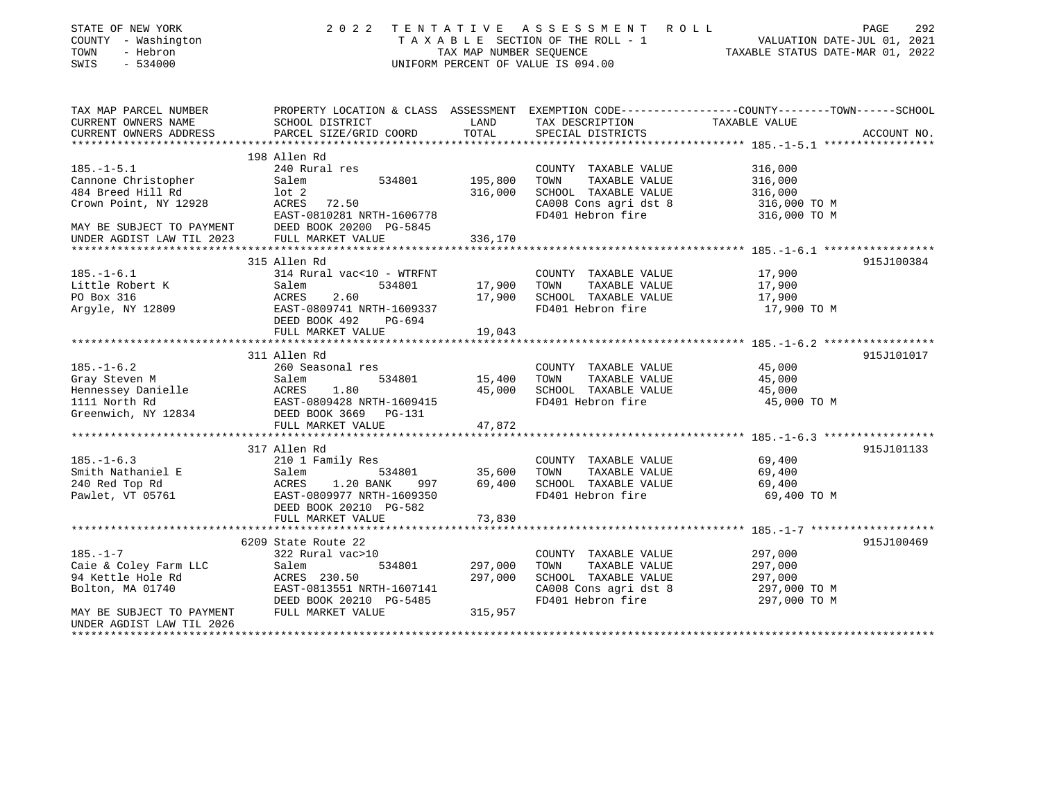| STATE OF NEW YORK<br>COUNTY - Washington<br>TOWN<br>- Hebron<br>$-534000$<br>SWIS | 2 0 2 2                                                                                          | TAX MAP NUMBER SEQUENCE | TENTATIVE ASSESSMENT ROLL<br>T A X A B L E SECTION OF THE ROLL - 1 VALUATION DATE-JUL 01, 2021<br>UNIFORM PERCENT OF VALUE IS 094.00 | TAXABLE STATUS DATE-MAR 01, 2022                       | 292<br>PAGE |
|-----------------------------------------------------------------------------------|--------------------------------------------------------------------------------------------------|-------------------------|--------------------------------------------------------------------------------------------------------------------------------------|--------------------------------------------------------|-------------|
| TAX MAP PARCEL NUMBER                                                             | PROPERTY LOCATION & CLASS ASSESSMENT EXEMPTION CODE----------------COUNTY-------TOWN------SCHOOL |                         |                                                                                                                                      |                                                        |             |
| CURRENT OWNERS NAME                                                               | SCHOOL DISTRICT                                                                                  | LAND                    | TAX DESCRIPTION                                                                                                                      | TAXABLE VALUE                                          |             |
| CURRENT OWNERS ADDRESS                                                            | PARCEL SIZE/GRID COORD                                                                           | TOTAL                   | SPECIAL DISTRICTS                                                                                                                    |                                                        | ACCOUNT NO. |
|                                                                                   |                                                                                                  |                         |                                                                                                                                      |                                                        |             |
|                                                                                   | 198 Allen Rd                                                                                     |                         |                                                                                                                                      |                                                        |             |
| $185. - 1 - 5.1$                                                                  | 240 Rural res                                                                                    |                         | COUNTY TAXABLE VALUE                                                                                                                 | 316,000                                                |             |
| Cannone Christopher                                                               | 534801<br>Salem                                                                                  | 195,800                 | TAXABLE VALUE<br>TOWN                                                                                                                | 316,000                                                |             |
| 484 Breed Hill Rd                                                                 | $1$ ot $2$                                                                                       | 316,000                 | SCHOOL TAXABLE VALUE                                                                                                                 | 316,000                                                |             |
| Crown Point, NY 12928                                                             | ACRES 72.50                                                                                      |                         | CA008 Cons agri dst 8                                                                                                                | 316,000 TO M                                           |             |
|                                                                                   | EAST-0810281 NRTH-1606778                                                                        |                         | FD401 Hebron fire                                                                                                                    | 316,000 TO M                                           |             |
| MAY BE SUBJECT TO PAYMENT                                                         | DEED BOOK 20200 PG-5845                                                                          |                         |                                                                                                                                      |                                                        |             |
| UNDER AGDIST LAW TIL 2023                                                         | FULL MARKET VALUE<br>****************************                                                | 336,170                 |                                                                                                                                      |                                                        |             |
|                                                                                   | 315 Allen Rd                                                                                     |                         |                                                                                                                                      | ************************ 185.-1-6.1 ****************** | 915J100384  |
| $185. - 1 - 6.1$                                                                  | 314 Rural vac<10 - WTRFNT                                                                        |                         | COUNTY TAXABLE VALUE                                                                                                                 | 17,900                                                 |             |
| Little Robert K                                                                   | Salem<br>534801                                                                                  | 17,900                  | TAXABLE VALUE<br>TOWN                                                                                                                | 17,900                                                 |             |
| PO Box 316                                                                        | ACRES<br>2.60                                                                                    | 17,900                  | SCHOOL TAXABLE VALUE                                                                                                                 | 17,900                                                 |             |
| Argyle, NY 12809                                                                  | EAST-0809741 NRTH-1609337                                                                        |                         | FD401 Hebron fire                                                                                                                    | 17,900 TO M                                            |             |
|                                                                                   | DEED BOOK 492<br>PG-694                                                                          |                         |                                                                                                                                      |                                                        |             |
|                                                                                   | FULL MARKET VALUE                                                                                | 19,043                  |                                                                                                                                      |                                                        |             |
|                                                                                   |                                                                                                  |                         |                                                                                                                                      |                                                        |             |
|                                                                                   | 311 Allen Rd                                                                                     |                         |                                                                                                                                      |                                                        | 915J101017  |
| $185. - 1 - 6.2$                                                                  | 260 Seasonal res                                                                                 |                         | COUNTY TAXABLE VALUE                                                                                                                 | 45,000                                                 |             |
| Gray Steven M                                                                     | Salem<br>534801                                                                                  | 15,400                  | TAXABLE VALUE<br>TOWN                                                                                                                | 45,000                                                 |             |
| Hennessey Danielle                                                                | Salem<br>ACRES<br>1.80                                                                           | 45,000                  | SCHOOL TAXABLE VALUE                                                                                                                 | 45,000                                                 |             |
| 1111 North Rd                                                                     | EAST-0809428 NRTH-1609415                                                                        |                         | FD401 Hebron fire                                                                                                                    | 45,000 TO M                                            |             |
| Greenwich, NY 12834                                                               | DEED BOOK 3669 PG-131                                                                            |                         |                                                                                                                                      |                                                        |             |
|                                                                                   | FULL MARKET VALUE                                                                                | 47,872                  |                                                                                                                                      |                                                        |             |
|                                                                                   | ***********************                                                                          |                         |                                                                                                                                      |                                                        |             |
|                                                                                   | 317 Allen Rd                                                                                     |                         |                                                                                                                                      |                                                        | 915J101133  |
| $185. - 1 - 6.3$                                                                  | 210 1 Family Res                                                                                 |                         | COUNTY TAXABLE VALUE                                                                                                                 | 69,400                                                 |             |
| Smith Nathaniel E                                                                 | 534801<br>Salem                                                                                  | 35,600                  | TAXABLE VALUE<br>TOWN                                                                                                                | 69,400                                                 |             |
| 240 Red Top Rd                                                                    | ACRES<br>1.20 BANK<br>997                                                                        | 69,400                  | SCHOOL TAXABLE VALUE                                                                                                                 | 69,400                                                 |             |
| Pawlet, VT 05761                                                                  | EAST-0809977 NRTH-1609350                                                                        |                         | FD401 Hebron fire                                                                                                                    | 69,400 TO M                                            |             |
|                                                                                   | DEED BOOK 20210 PG-582                                                                           |                         |                                                                                                                                      |                                                        |             |
|                                                                                   | FULL MARKET VALUE                                                                                | 73,830                  |                                                                                                                                      |                                                        |             |
|                                                                                   | ****************************                                                                     | ***********             |                                                                                                                                      |                                                        |             |
|                                                                                   | 6209 State Route 22                                                                              |                         |                                                                                                                                      |                                                        | 915J100469  |
| $185. - 1 - 7$                                                                    | 322 Rural vac>10                                                                                 |                         | COUNTY TAXABLE VALUE                                                                                                                 | 297,000                                                |             |
| Caie & Coley Farm LLC                                                             | 534801<br>Salem                                                                                  | 297,000                 | TAXABLE VALUE<br>TOWN                                                                                                                | 297,000                                                |             |
| 94 Kettle Hole Rd                                                                 | ACRES 230.50                                                                                     | 297,000                 | SCHOOL TAXABLE VALUE                                                                                                                 | 297,000                                                |             |
| Bolton, MA 01740                                                                  | EAST-0813551 NRTH-1607141                                                                        |                         | CA008 Cons agri dst 8                                                                                                                | 297,000 TO M                                           |             |
|                                                                                   | DEED BOOK 20210 PG-5485                                                                          |                         | FD401 Hebron fire                                                                                                                    | 297,000 TO M                                           |             |
| MAY BE SUBJECT TO PAYMENT<br>UNDER AGDIST LAW TIL 2026                            | FULL MARKET VALUE                                                                                | 315,957                 |                                                                                                                                      |                                                        |             |
|                                                                                   |                                                                                                  |                         |                                                                                                                                      |                                                        |             |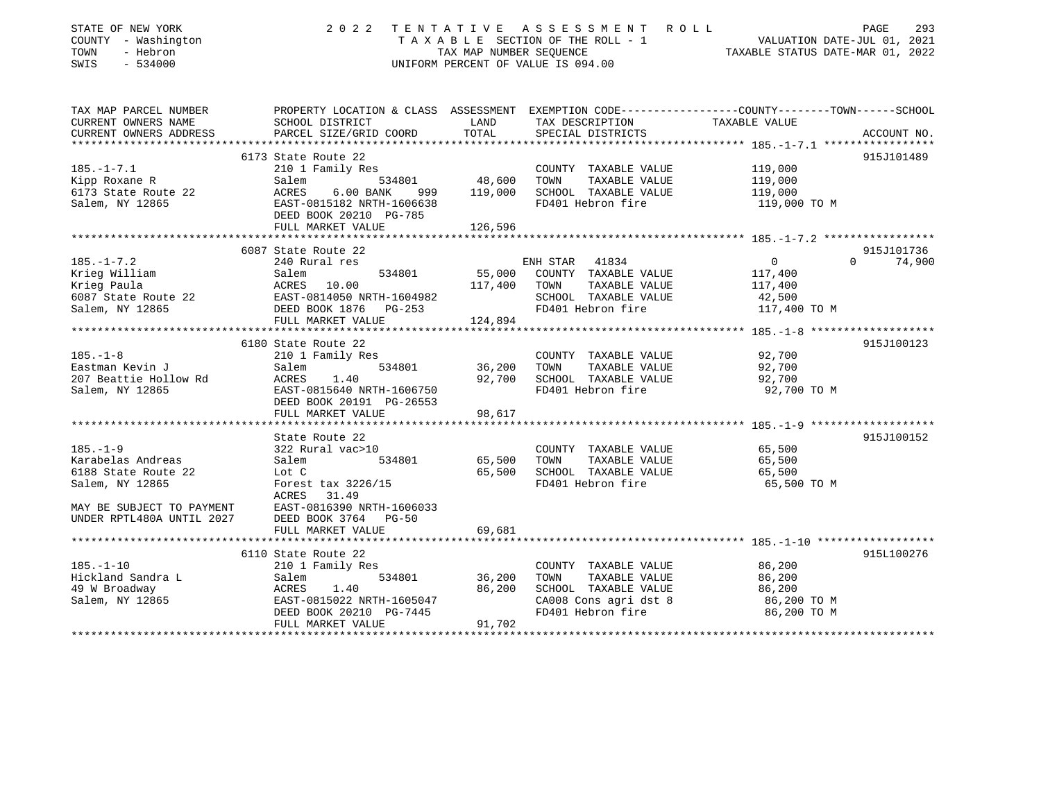| STATE OF NEW YORK<br>COUNTY - Washington<br>- Hebron<br>TOWN<br>SWIS<br>$-534000$                                                       | 2 0 2 2                                                                                                                                                                                                       | TENTATIVE<br>TAX MAP NUMBER SEOUENCE                         | ASSESSMENT ROLL<br>TAXABLE SECTION OF THE ROLL - 1<br>UNIFORM PERCENT OF VALUE IS 094.00                            | PAGE<br>293<br>VALUATION DATE-JUL 01, 2021<br>TAXABLE STATUS DATE-MAR 01, 2022                                                 |
|-----------------------------------------------------------------------------------------------------------------------------------------|---------------------------------------------------------------------------------------------------------------------------------------------------------------------------------------------------------------|--------------------------------------------------------------|---------------------------------------------------------------------------------------------------------------------|--------------------------------------------------------------------------------------------------------------------------------|
| TAX MAP PARCEL NUMBER<br>CURRENT OWNERS NAME<br>CURRENT OWNERS ADDRESS                                                                  | SCHOOL DISTRICT<br>PARCEL SIZE/GRID COORD                                                                                                                                                                     | LAND<br>TOTAL                                                | TAX DESCRIPTION<br>SPECIAL DISTRICTS                                                                                | PROPERTY LOCATION & CLASS ASSESSMENT EXEMPTION CODE---------------COUNTY-------TOWN-----SCHOOL<br>TAXABLE VALUE<br>ACCOUNT NO. |
| $185. - 1 - 7.1$<br>Kipp Roxane R<br>6173 State Route 22<br>Salem, NY 12865                                                             | 6173 State Route 22<br>210 1 Family Res<br>Salem<br>534801<br>ACRES<br>$6.00$ BANK<br>999<br>EAST-0815182 NRTH-1606638<br>DEED BOOK 20210 PG-785<br>FULL MARKET VALUE                                         | 48,600<br>119,000<br>126,596                                 | COUNTY TAXABLE VALUE<br>TOWN<br>TAXABLE VALUE<br>SCHOOL TAXABLE VALUE<br>FD401 Hebron fire                          | 915J101489<br>119,000<br>119,000<br>119,000<br>119,000 TO M                                                                    |
| $185. - 1 - 7.2$<br>Krieg William<br>Krieg Paula<br>6087 State Route 22<br>Salem, NY 12865<br>*********************                     | 6087 State Route 22<br>240 Rural res<br>534801<br>Salem<br>ACRES 10.00<br>EAST-0814050 NRTH-1604982<br>DEED BOOK 1876<br>$PG-253$<br>FULL MARKET VALUE                                                        | 55,000<br>117,400<br>124,894                                 | 41834<br>ENH STAR<br>COUNTY TAXABLE VALUE<br>TOWN<br>TAXABLE VALUE<br>SCHOOL TAXABLE VALUE<br>FD401 Hebron fire     | 915J101736<br>$\mathbf 0$<br>74,900<br>$\Omega$<br>117,400<br>117,400<br>42,500<br>117,400 TO M                                |
| $185. - 1 - 8$<br>Eastman Kevin J<br>207 Beattie Hollow Rd<br>Salem, NY 12865                                                           | 6180 State Route 22<br>210 1 Family Res<br>534801<br>Salem<br>ACRES<br>1.40<br>EAST-0815640 NRTH-1606750<br>DEED BOOK 20191 PG-26553<br>FULL MARKET VALUE                                                     | 36,200<br>92,700<br>98,617                                   | COUNTY TAXABLE VALUE<br>TOWN<br>TAXABLE VALUE<br>SCHOOL TAXABLE VALUE<br>FD401 Hebron fire                          | 915J100123<br>92,700<br>92,700<br>92,700<br>92,700 TO M                                                                        |
| $185. - 1 - 9$<br>Karabelas Andreas<br>6188 State Route 22<br>Salem, NY 12865<br>MAY BE SUBJECT TO PAYMENT<br>UNDER RPTL480A UNTIL 2027 | *********************<br>State Route 22<br>322 Rural vac>10<br>Salem<br>534801<br>Lot C<br>Forest tax 3226/15<br>ACRES<br>31.49<br>EAST-0816390 NRTH-1606033<br>DEED BOOK 3764<br>$PG-50$                     | *********<br>65,500<br>65,500                                | COUNTY TAXABLE VALUE<br>TAXABLE VALUE<br>TOWN<br>SCHOOL TAXABLE VALUE<br>FD401 Hebron fire                          | ******************* 185.-1-9 ********************<br>915J100152<br>65,500<br>65,500<br>65,500<br>65,500 TO M                   |
| $185. - 1 - 10$<br>Hickland Sandra L<br>49 W Broadway<br>Salem, NY 12865                                                                | FULL MARKET VALUE<br>****************************<br>6110 State Route 22<br>210 1 Family Res<br>Salem<br>534801<br>ACRES<br>1.40<br>EAST-0815022 NRTH-1605047<br>DEED BOOK 20210 PG-7445<br>FULL MARKET VALUE | 69,681<br>36,200<br>86,200<br>91,702<br>******************** | COUNTY TAXABLE VALUE<br>TOWN<br>TAXABLE VALUE<br>SCHOOL TAXABLE VALUE<br>CA008 Cons agri dst 8<br>FD401 Hebron fire | 915L100276<br>86,200<br>86,200<br>86,200<br>86,200 TO M<br>86,200 TO M<br>.                                                    |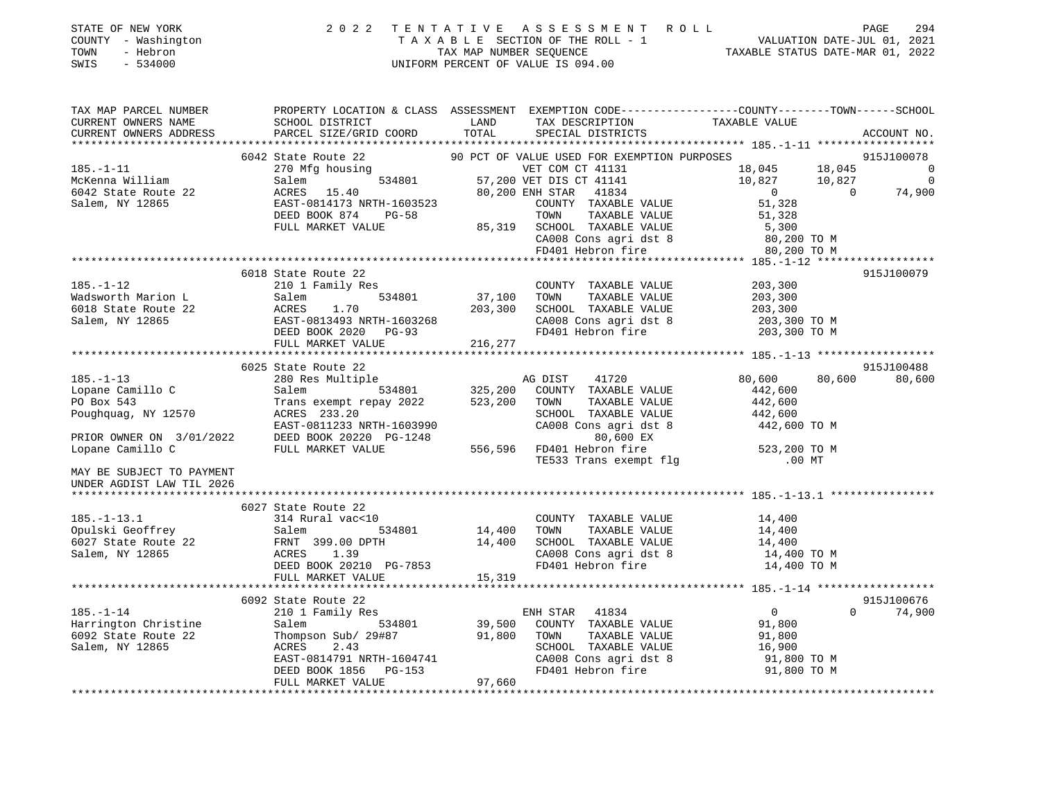| STATE OF NEW YORK<br>COUNTY - Washington<br>TOWN<br>- Hebron<br>SWIS<br>$-534000$ | 2 0 2 2                                                                                |               | TENTATIVE ASSESSMENT ROLL<br>UNIFORM PERCENT OF VALUE IS 094.00 |                                                                                                  | 294<br>PAGE              |
|-----------------------------------------------------------------------------------|----------------------------------------------------------------------------------------|---------------|-----------------------------------------------------------------|--------------------------------------------------------------------------------------------------|--------------------------|
| TAX MAP PARCEL NUMBER<br>CURRENT OWNERS NAME<br>CURRENT OWNERS ADDRESS            | SCHOOL DISTRICT<br>PARCEL SIZE/GRID COORD                                              | LAND<br>TOTAL | TAX DESCRIPTION<br>TAX DESCRIPTION TAXABLE VALUE                | PROPERTY LOCATION & CLASS ASSESSMENT EXEMPTION CODE----------------COUNTY-------TOWN------SCHOOL | ACCOUNT NO.              |
|                                                                                   |                                                                                        |               |                                                                 |                                                                                                  |                          |
|                                                                                   | 6042 State Route 22                                                                    |               | 90 PCT OF VALUE USED FOR EXEMPTION PURPOSES                     |                                                                                                  | 915J100078               |
| $185. - 1 - 11$                                                                   | 534801<br>270 Mfg housing                                                              |               | VET COM CT 41131                                                | 18,045<br>18,045                                                                                 | $\overline{0}$           |
| McKenna William                                                                   | Salem                                                                                  |               | 57,200 VET DIS CT 41141                                         | 10,827<br>10,827                                                                                 | $\overline{\phantom{0}}$ |
| 6042 State Route 22                                                               | ACRES 15.40                                                                            |               | 80,200 ENH STAR 41834                                           | $\overline{0}$<br>$\overline{0}$                                                                 | 74,900                   |
| Salem, NY 12865                                                                   | EAST-0814173 NRTH-1603523                                                              |               | COUNTY TAXABLE VALUE                                            | 51,328                                                                                           |                          |
|                                                                                   | DEED BOOK 874<br><b>PG-58</b>                                                          |               | TOWN<br>TAXABLE VALUE                                           | 51,328                                                                                           |                          |
|                                                                                   | FULL MARKET VALUE                                                                      |               | 85,319 SCHOOL TAXABLE VALUE                                     | 5,300                                                                                            |                          |
|                                                                                   |                                                                                        |               | CA008 Cons agri dst 8<br>FD401 Hebron fire                      | 80,200 TO M                                                                                      |                          |
|                                                                                   |                                                                                        |               |                                                                 | 80,200 TO M                                                                                      |                          |
|                                                                                   |                                                                                        |               |                                                                 |                                                                                                  |                          |
|                                                                                   | 6018 State Route 22                                                                    |               |                                                                 |                                                                                                  | 915J100079               |
| $185. - 1 - 12$                                                                   | 210 1 Family Res                                                                       |               | COUNTY TAXABLE VALUE                                            | 203,300                                                                                          |                          |
| Wadsworth Marion L                                                                | 534801<br>Salem                                                                        | 37,100        | TOWN<br>TAXABLE VALUE                                           | 203,300                                                                                          |                          |
| 6018 State Route 22                                                               | ACRES<br>1.70                                                                          | 203,300       | SCHOOL TAXABLE VALUE                                            | 203,300                                                                                          |                          |
| Salem, NY 12865                                                                   | EAST-0813493 NRTH-1603268<br>DEED BOOK 2020 PG-93                                      |               | CA008 Cons agri dst 8<br>FD401 Hebron fire                      | 203,300 TO M<br>203,300 TO M                                                                     |                          |
|                                                                                   | FULL MARKET VALUE                                                                      | 216,277       |                                                                 |                                                                                                  |                          |
|                                                                                   |                                                                                        |               |                                                                 |                                                                                                  |                          |
|                                                                                   | 6025 State Route 22                                                                    |               |                                                                 |                                                                                                  | 915J100488               |
| $185. - 1 - 13$                                                                   | 280 Res Multiple                                                                       |               | AG DIST<br>41720                                                | 80,600<br>80,600                                                                                 | 80,600                   |
| Lopane Camillo C                                                                  | Salem 534801                                                                           | 325,200       | COUNTY TAXABLE VALUE                                            | 442,600                                                                                          |                          |
| PO Box 543                                                                        | Trans exempt repay 2022                                                                | 523,200       | TOWN<br>TAXABLE VALUE                                           | 442,600                                                                                          |                          |
| Poughquag, NY 12570                                                               | ACRES 233.20                                                                           |               | SCHOOL TAXABLE VALUE                                            | 442,600                                                                                          |                          |
|                                                                                   | EAST-0811233 NRTH-1603990                                                              |               | CA008 Cons agri dst 8                                           | 442,600 TO M                                                                                     |                          |
|                                                                                   | PRIOR OWNER ON 3/01/2022 DEED BOOK 20220 PG-1248<br>Lonane Camillo C FULL MARKET VALUE |               | 80,600 EX                                                       |                                                                                                  |                          |
|                                                                                   |                                                                                        | 556,596       | FD401 Hebron fire                                               | 523,200 TO M                                                                                     |                          |
|                                                                                   |                                                                                        |               | TE533 Trans exempt flg                                          | $.00$ MT                                                                                         |                          |
| MAY BE SUBJECT TO PAYMENT<br>UNDER AGDIST LAW TIL 2026                            |                                                                                        |               |                                                                 |                                                                                                  |                          |
|                                                                                   |                                                                                        |               |                                                                 |                                                                                                  |                          |
|                                                                                   | 6027 State Route 22                                                                    |               |                                                                 |                                                                                                  |                          |
| $185. - 1 - 13.1$                                                                 | 314 Rural vac<10                                                                       |               | COUNTY TAXABLE VALUE                                            | 14,400                                                                                           |                          |
| Opulski Geoffrey                                                                  | Salem<br>534801                                                                        | 14,400        | TAXABLE VALUE<br>TOWN                                           | 14,400                                                                                           |                          |
| 6027 State Route 22                                                               | FRNT 399.00 DPTH                                                                       | 14,400        | SCHOOL TAXABLE VALUE                                            | 14,400                                                                                           |                          |
| Salem, NY 12865                                                                   | ACRES 1.39                                                                             |               | CA008 Cons agri dst 8                                           | 14,400 TO M                                                                                      |                          |
|                                                                                   | DEED BOOK 20210 PG-7853                                                                |               | FD401 Hebron fire                                               | 14,400 TO M                                                                                      |                          |
|                                                                                   | FULL MARKET VALUE                                                                      | 15,319        |                                                                 |                                                                                                  |                          |
|                                                                                   |                                                                                        |               |                                                                 |                                                                                                  |                          |
|                                                                                   | 6092 State Route 22                                                                    |               |                                                                 |                                                                                                  | 915J100676               |
| $185. - 1 - 14$                                                                   | 210 1 Family Res                                                                       |               | ENH STAR 41834                                                  | $\overline{0}$<br>$\Omega$                                                                       | 74,900                   |
| Harrington Christine                                                              | 534801<br>Salem                                                                        | 39,500        | COUNTY TAXABLE VALUE                                            | 91,800                                                                                           |                          |
| 6092 State Route 22                                                               | Thompson Sub/ 29#87                                                                    | 91,800        | TOWN<br>TAXABLE VALUE                                           | 91,800                                                                                           |                          |
| Salem, NY 12865                                                                   | 2.43<br>ACRES<br>EAST-0814791 NRTH-1604741                                             |               | SCHOOL TAXABLE VALUE                                            | 16,900                                                                                           |                          |
|                                                                                   | PG-153                                                                                 |               | CA008 Cons agri dst 8<br>FD401 Hebron fire                      | 91,800 TO M<br>91,800 TO M                                                                       |                          |
|                                                                                   | DEED BOOK 1856<br>FULL MARKET VALUE                                                    | 97,660        |                                                                 |                                                                                                  |                          |
|                                                                                   |                                                                                        |               |                                                                 |                                                                                                  |                          |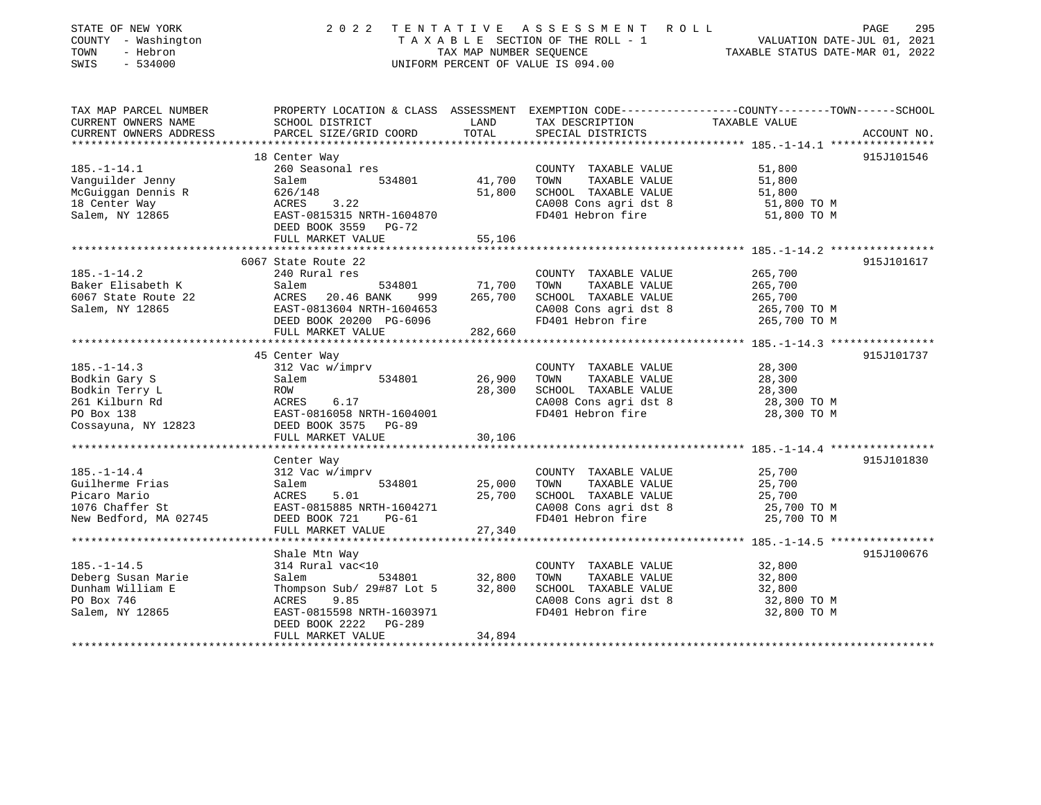| STATE OF NEW YORK<br>COUNTY - Washington<br>- Hebron<br>TOWN<br>$-534000$<br>SWIS | 2 0 2 2                                                                                         | TAX MAP NUMBER SEQUENCE | TENTATIVE ASSESSMENT ROLL<br>TAXABLE SECTION OF THE ROLL - 1<br>UNIFORM PERCENT OF VALUE IS 094.00 | VALUATION DATE-JUL 01, 2021<br>TAXABLE STATUS DATE-MAR 01, 2022 | 295<br>PAGE |
|-----------------------------------------------------------------------------------|-------------------------------------------------------------------------------------------------|-------------------------|----------------------------------------------------------------------------------------------------|-----------------------------------------------------------------|-------------|
| TAX MAP PARCEL NUMBER                                                             | PROPERTY LOCATION & CLASS ASSESSMENT EXEMPTION CODE---------------COUNTY-------TOWN------SCHOOL | LAND                    |                                                                                                    |                                                                 |             |
| CURRENT OWNERS NAME<br>CURRENT OWNERS ADDRESS                                     | SCHOOL DISTRICT<br>PARCEL SIZE/GRID COORD                                                       | TOTAL                   | TAX DESCRIPTION<br>SPECIAL DISTRICTS                                                               | TAXABLE VALUE                                                   | ACCOUNT NO. |
|                                                                                   |                                                                                                 |                         |                                                                                                    |                                                                 |             |
|                                                                                   | 18 Center Way                                                                                   |                         |                                                                                                    |                                                                 | 915J101546  |
| $185. - 1 - 14.1$                                                                 | 260 Seasonal res                                                                                |                         | COUNTY TAXABLE VALUE                                                                               | 51,800                                                          |             |
| Vanguilder Jenny                                                                  | 534801<br>Salem                                                                                 | 41,700                  | TAXABLE VALUE<br>TOWN                                                                              | 51,800                                                          |             |
| McGuiggan Dennis R                                                                | 626/148                                                                                         | 51,800                  | SCHOOL TAXABLE VALUE                                                                               | 51,800                                                          |             |
| 18 Center Way                                                                     | 3.22<br>ACRES                                                                                   |                         | CA008 Cons agri dst 8                                                                              | 51,800 TO M                                                     |             |
| Salem, NY 12865                                                                   | EAST-0815315 NRTH-1604870<br>DEED BOOK 3559<br>PG-72                                            |                         | FD401 Hebron fire                                                                                  | 51,800 TO M                                                     |             |
|                                                                                   | FULL MARKET VALUE                                                                               | 55,106                  |                                                                                                    |                                                                 |             |
|                                                                                   |                                                                                                 |                         |                                                                                                    |                                                                 |             |
|                                                                                   | 6067 State Route 22                                                                             |                         |                                                                                                    |                                                                 | 915J101617  |
| $185. - 1 - 14.2$                                                                 | 240 Rural res                                                                                   |                         | COUNTY TAXABLE VALUE                                                                               | 265,700                                                         |             |
| Baker Elisabeth K                                                                 | Salem<br>534801                                                                                 | 71,700<br>265,700       | TAXABLE VALUE<br>TOWN                                                                              | 265,700                                                         |             |
| 6067 State Route 22<br>Salem, NY 12865                                            | ACRES<br>20.46 BANK<br>999<br>EAST-0813604 NRTH-1604653                                         |                         | SCHOOL TAXABLE VALUE<br>CA008 Cons agri dst 8                                                      | 265,700<br>265,700 ТО М                                         |             |
|                                                                                   | DEED BOOK 20200 PG-6096                                                                         |                         | FD401 Hebron fire                                                                                  | 265,700 TO M                                                    |             |
|                                                                                   | FULL MARKET VALUE                                                                               | 282,660                 |                                                                                                    |                                                                 |             |
|                                                                                   |                                                                                                 |                         |                                                                                                    |                                                                 |             |
|                                                                                   | 45 Center Way                                                                                   |                         |                                                                                                    |                                                                 | 915J101737  |
| $185. - 1 - 14.3$                                                                 | 312 Vac w/imprv                                                                                 |                         | COUNTY TAXABLE VALUE                                                                               | 28,300                                                          |             |
| Bodkin Gary S                                                                     | Salem<br>534801                                                                                 | 26,900                  | TOWN<br>TAXABLE VALUE                                                                              | 28,300                                                          |             |
| Bodkin Terry L                                                                    | ROW                                                                                             | 28,300                  | SCHOOL TAXABLE VALUE                                                                               | 28,300                                                          |             |
| 261 Kilburn Rd                                                                    | 6.17<br>ACRES                                                                                   |                         | CA008 Cons agri dst 8                                                                              | 28,300 TO M                                                     |             |
| PO Box 138                                                                        | EAST-0816058 NRTH-1604001<br>DEED BOOK 3575<br>PG-89                                            |                         | FD401 Hebron fire                                                                                  | 28,300 TO M                                                     |             |
| Cossayuna, NY 12823                                                               | FULL MARKET VALUE                                                                               | 30,106                  |                                                                                                    |                                                                 |             |
|                                                                                   |                                                                                                 |                         |                                                                                                    |                                                                 |             |
|                                                                                   | Center Way                                                                                      |                         |                                                                                                    |                                                                 | 915J101830  |
| $185. - 1 - 14.4$                                                                 | 312 Vac w/imprv                                                                                 |                         | COUNTY TAXABLE VALUE                                                                               | 25,700                                                          |             |
| Guilherme Frias                                                                   | 534801<br>Salem                                                                                 | 25,000                  | TAXABLE VALUE<br>TOWN                                                                              | 25,700                                                          |             |
| Picaro Mario                                                                      | 5.01<br>ACRES                                                                                   | 25,700                  | SCHOOL TAXABLE VALUE                                                                               | 25,700                                                          |             |
| 1076 Chaffer St                                                                   | EAST-0815885 NRTH-1604271                                                                       |                         | CA008 Cons agri dst 8                                                                              | 25,700 TO M                                                     |             |
| New Bedford, MA 02745                                                             | DEED BOOK 721<br>PG-61                                                                          |                         | FD401 Hebron fire                                                                                  | 25,700 TO M                                                     |             |
|                                                                                   | FULL MARKET VALUE                                                                               | 27,340                  |                                                                                                    |                                                                 |             |
|                                                                                   | Shale Mtn Way                                                                                   |                         |                                                                                                    |                                                                 | 915J100676  |
| $185. - 1 - 14.5$                                                                 | 314 Rural vac<10                                                                                |                         | COUNTY TAXABLE VALUE                                                                               | 32,800                                                          |             |
| Deberg Susan Marie                                                                | Salem<br>534801                                                                                 | 32,800                  | TOWN<br>TAXABLE VALUE                                                                              | 32,800                                                          |             |
| Dunham William E                                                                  | Thompson Sub/ 29#87 Lot 5                                                                       | 32,800                  | SCHOOL TAXABLE VALUE                                                                               | 32,800                                                          |             |
| PO Box 746                                                                        | ACRES<br>9.85                                                                                   |                         | CA008 Cons agri dst 8                                                                              | 32,800 TO M                                                     |             |
| Salem, NY 12865                                                                   | EAST-0815598 NRTH-1603971                                                                       |                         | FD401 Hebron fire                                                                                  | 32,800 TO M                                                     |             |
|                                                                                   | DEED BOOK 2222<br><b>PG-289</b>                                                                 |                         |                                                                                                    |                                                                 |             |
|                                                                                   | FULL MARKET VALUE                                                                               | 34,894                  |                                                                                                    |                                                                 |             |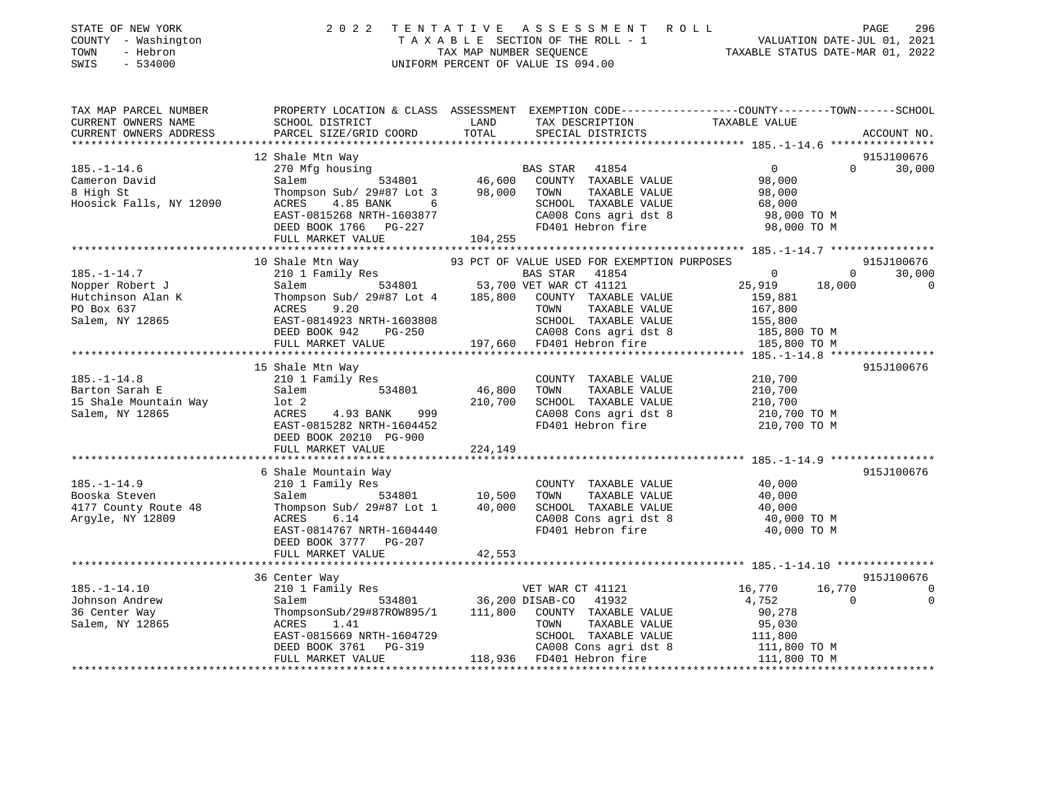| STATE OF NEW YORK<br>COUNTY - Washington<br>- Hebron<br>TOWN<br>$-534000$<br>SWIS          | 2 0 2 2                                                                                                                                                                                                    |                              | TENTATIVE ASSESSMENT ROLL<br>UNIFORM PERCENT OF VALUE IS 094.00                                                                                                                                        |                                                                                           | PAGE               | 296                              |
|--------------------------------------------------------------------------------------------|------------------------------------------------------------------------------------------------------------------------------------------------------------------------------------------------------------|------------------------------|--------------------------------------------------------------------------------------------------------------------------------------------------------------------------------------------------------|-------------------------------------------------------------------------------------------|--------------------|----------------------------------|
| TAX MAP PARCEL NUMBER<br>CURRENT OWNERS NAME<br>CURRENT OWNERS ADDRESS                     | PROPERTY LOCATION & CLASS ASSESSMENT EXEMPTION CODE---------------COUNTY-------TOWN------SCHOOL<br>SCHOOL DISTRICT<br>PARCEL SIZE/GRID COORD                                                               | LAND<br>TOTAL                | TAX DESCRIPTION<br>SPECIAL DISTRICTS                                                                                                                                                                   | TAXABLE VALUE                                                                             |                    | ACCOUNT NO.                      |
|                                                                                            | 12 Shale Mtn Way                                                                                                                                                                                           |                              |                                                                                                                                                                                                        |                                                                                           |                    | 915J100676                       |
| $185. - 1 - 14.6$<br>Cameron David<br>8 High St<br>Hoosick Falls, NY 12090                 | 270 Mfg housing<br>Salem<br>Thompson Sub/ 29#87 Lot 3<br>ACRES<br>4.85 BANK<br>6 <sup>6</sup><br>EAST-0815268 NRTH-1603877<br>DEED BOOK 1766 PG-227                                                        |                              | BAS STAR 41854<br>534801 46,600 COUNTY TAXABLE VALUE<br>in Sub/ 29#87 Lot 3 98,000 TOWN TAXABLE VALUE<br>SCHOOL TAXABLE VALUE<br>CA008 Cons agri dst 8<br>FD401 Hebron fire                            | $\overline{0}$<br>98,000<br>98,000<br>68,000<br>98,000 TO M<br>98,000 TO M                | $\Omega$           | 30,000                           |
|                                                                                            | FULL MARKET VALUE                                                                                                                                                                                          | 104,255                      |                                                                                                                                                                                                        |                                                                                           |                    |                                  |
|                                                                                            |                                                                                                                                                                                                            |                              |                                                                                                                                                                                                        |                                                                                           |                    |                                  |
| $185. - 1 - 14.7$<br>Nopper Robert J<br>Hutchinson Alan K<br>PO Box 637<br>Salem, NY 12865 | 10 Shale Mtn Way 93 PCT (210 1 Family Res<br>Salem<br>Thompson Sub/ 29#87 Lot 4 185,800 COUNTY TAXABLE VALUE<br>9.20<br>ACRES<br>EAST-0814923 NRTH-1603808<br>DEED BOOK 942<br>PG-250<br>FULL MARKET VALUE |                              | 93 PCT OF VALUE USED FOR EXEMPTION PURPOSES<br>BAS STAR 41854<br>534801 53,700 VET WAR CT 41121<br>TAXABLE VALUE<br>TOWN<br>SCHOOL TAXABLE VALUE<br>CA008 Cons agri dst 8<br>197,660 FD401 Hebron fire | $\overline{0}$<br>25,919<br>159,881<br>167,800<br>155,800<br>185,800 TO M<br>185,800 TO M | $\Omega$<br>18,000 | 915J100676<br>30,000<br>$\Omega$ |
| $185. - 1 - 14.8$<br>Barton Sarah E<br>15 Shale Mountain Way<br>Salem, NY 12865            | 15 Shale Mtn Way<br>210 1 Family Res<br>Salem<br>534801<br>$1$ ot $2$<br>ACRES<br>4.93 BANK<br>999<br>EAST-0815282 NRTH-1604452<br>DEED BOOK 20210 PG-900<br>FULL MARKET VALUE                             | 46,800<br>210,700<br>224,149 | COUNTY TAXABLE VALUE<br>TOWN<br>TAXABLE VALUE<br>SCHOOL TAXABLE VALUE<br>CA008 Cons agri dst 8<br>FD401 Hebron fire                                                                                    | 210,700<br>210,700<br>210,700<br>210,700 TO M<br>210,700 TO M                             |                    | 915J100676                       |
|                                                                                            | 6 Shale Mountain Way                                                                                                                                                                                       |                              |                                                                                                                                                                                                        |                                                                                           |                    | 915J100676                       |
| $185. - 1 - 14.9$<br>Booska Steven<br>4177 County Route 48<br>Argyle, NY 12809             | 210 1 Family Res<br>Salem<br>534801<br>Thompson Sub/ 29#87 Lot 1<br>6.14<br>ACRES<br>EAST-0814767 NRTH-1604440<br>DEED BOOK 3777 PG-207<br>FULL MARKET VALUE                                               | 10,500<br>40,000<br>42,553   | COUNTY TAXABLE VALUE<br>TOWN<br>TAXABLE VALUE<br>SCHOOL TAXABLE VALUE<br>CA008 Cons agri dst 8<br>FD401 Hebron fire                                                                                    | 40,000<br>40,000<br>40,000<br>40,000 TO M<br>40,000 TO M                                  |                    |                                  |

|                 | 36 Center Way             |         |                         |                  | 915J100676 |
|-----------------|---------------------------|---------|-------------------------|------------------|------------|
| 185.–1–14.10    | 210 1 Family Res          |         | VET WAR CT 41121        | 16,770<br>16,770 |            |
| Johnson Andrew  | 534801<br>Salem           |         | 36,200 DISAB-CO 41932   | 4,752            |            |
| 36 Center Way   | ThompsonSub/29#87ROW895/1 | 111,800 | TAXABLE VALUE<br>COUNTY | 90.278           |            |
| Salem, NY 12865 | 1.41<br>ACRES             |         | TAXABLE VALUE<br>TOWN   | 95,030           |            |
|                 | EAST-0815669 NRTH-1604729 |         | TAXABLE VALUE<br>SCHOOL | 111,800          |            |
|                 | DEED BOOK 3761 PG-319     |         | CA008 Cons agri dst 8   | 111,800 TO M     |            |
|                 | FULL MARKET VALUE         | 118,936 | FD401 Hebron fire       | 111,800 TO M     |            |
|                 |                           |         |                         |                  |            |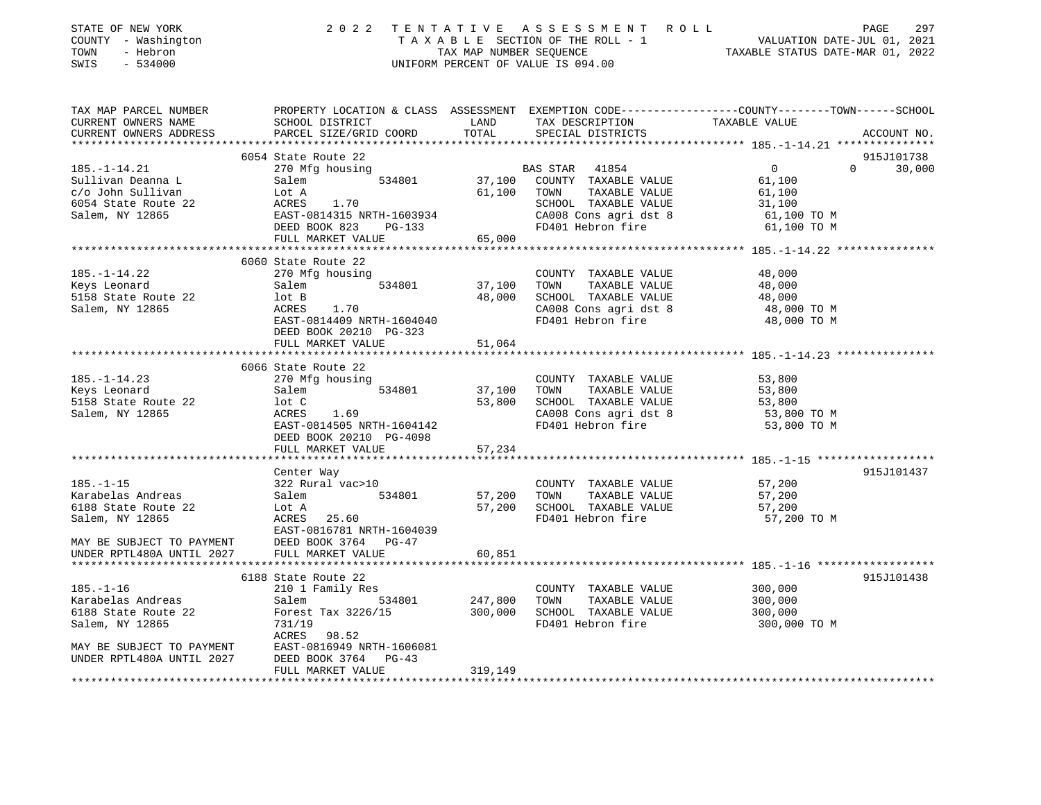| STATE OF NEW YORK         | 2 0 2 2                                  | TENTATIVE               | ASSESSMENT ROLL                    | PAGE<br>297                                                                                    |
|---------------------------|------------------------------------------|-------------------------|------------------------------------|------------------------------------------------------------------------------------------------|
| COUNTY - Washington       |                                          |                         | TAXABLE SECTION OF THE ROLL - 1    | VALUATION DATE-JUL 01, 2021                                                                    |
| TOWN<br>- Hebron          |                                          | TAX MAP NUMBER SEQUENCE |                                    | TAXABLE STATUS DATE-MAR 01, 2022                                                               |
| SWIS<br>$-534000$         |                                          |                         | UNIFORM PERCENT OF VALUE IS 094.00 |                                                                                                |
|                           |                                          |                         |                                    |                                                                                                |
| TAX MAP PARCEL NUMBER     |                                          |                         |                                    | PROPERTY LOCATION & CLASS ASSESSMENT EXEMPTION CODE---------------COUNTY-------TOWN-----SCHOOL |
| CURRENT OWNERS NAME       | SCHOOL DISTRICT                          | LAND                    | TAX DESCRIPTION                    | TAXABLE VALUE                                                                                  |
| CURRENT OWNERS ADDRESS    | PARCEL SIZE/GRID COORD                   | TOTAL                   | SPECIAL DISTRICTS                  | ACCOUNT NO.                                                                                    |
| ***********************   |                                          |                         |                                    |                                                                                                |
|                           | 6054 State Route 22                      |                         |                                    | 915J101738                                                                                     |
| $185. - 1 - 14.21$        | 270 Mfg housing                          |                         | BAS STAR<br>41854                  | 0<br>$\Omega$<br>30,000                                                                        |
| Sullivan Deanna L         | 534801<br>Salem                          | 37,100                  | COUNTY TAXABLE VALUE               | 61,100                                                                                         |
| c/o John Sullivan         | Lot A                                    | 61,100                  | TAXABLE VALUE<br>TOWN              | 61,100                                                                                         |
| 6054 State Route 22       | ACRES<br>1.70                            |                         | SCHOOL TAXABLE VALUE               | 31,100                                                                                         |
| Salem, NY 12865           | EAST-0814315 NRTH-1603934                |                         | CA008 Cons agri dst 8              | 61,100 TO M                                                                                    |
|                           | DEED BOOK 823<br>PG-133                  |                         | FD401 Hebron fire                  | 61,100 TO M                                                                                    |
|                           | FULL MARKET VALUE                        | 65,000                  |                                    |                                                                                                |
|                           | *********************************        |                         |                                    |                                                                                                |
|                           | 6060 State Route 22                      |                         |                                    |                                                                                                |
| $185. - 1 - 14.22$        | 270 Mfg housing                          |                         | COUNTY TAXABLE VALUE               | 48,000                                                                                         |
| Keys Leonard              | 534801<br>Salem                          | 37,100                  | TOWN<br>TAXABLE VALUE              | 48,000                                                                                         |
| 5158 State Route 22       | lot B                                    | 48,000                  | SCHOOL TAXABLE VALUE               | 48,000                                                                                         |
| Salem, NY 12865           | ACRES<br>1.70                            |                         | CA008 Cons agri dst 8              | 48,000 TO M                                                                                    |
|                           | EAST-0814409 NRTH-1604040                |                         | FD401 Hebron fire                  | 48,000 TO M                                                                                    |
|                           | DEED BOOK 20210 PG-323                   |                         |                                    |                                                                                                |
|                           | FULL MARKET VALUE                        | 51,064                  |                                    |                                                                                                |
|                           | ***********************                  | * * * * * * * * * * *   |                                    | ****************************** 185.-1-14.23 ****************                                   |
|                           | 6066 State Route 22                      |                         |                                    |                                                                                                |
| $185. - 1 - 14.23$        | 270 Mfg housing                          |                         | COUNTY TAXABLE VALUE               | 53,800                                                                                         |
| Keys Leonard              | 534801<br>Salem                          | 37,100                  | TOWN<br>TAXABLE VALUE              | 53,800                                                                                         |
| 5158 State Route 22       | lot C                                    | 53,800                  | SCHOOL TAXABLE VALUE               | 53,800                                                                                         |
| Salem, NY 12865           | ACRES<br>1.69                            |                         | CA008 Cons agri dst 8              | 53,800 TO M                                                                                    |
|                           | EAST-0814505 NRTH-1604142                |                         | FD401 Hebron fire                  | 53,800 TO M                                                                                    |
|                           | DEED BOOK 20210 PG-4098                  |                         |                                    |                                                                                                |
|                           | FULL MARKET VALUE<br>******************* | 57,234                  |                                    |                                                                                                |
|                           | Center Way                               |                         |                                    | 915J101437                                                                                     |
| $185. - 1 - 15$           | 322 Rural vac>10                         |                         | COUNTY TAXABLE VALUE               | 57,200                                                                                         |
| Karabelas Andreas         | Salem<br>534801                          | 57,200                  | TOWN<br>TAXABLE VALUE              | 57,200                                                                                         |
| 6188 State Route 22       | Lot A                                    | 57,200                  | SCHOOL TAXABLE VALUE               | 57,200                                                                                         |
| Salem, NY 12865           | ACRES<br>25.60                           |                         | FD401 Hebron fire                  | 57,200 TO M                                                                                    |
|                           | EAST-0816781 NRTH-1604039                |                         |                                    |                                                                                                |
| MAY BE SUBJECT TO PAYMENT | DEED BOOK 3764 PG-47                     |                         |                                    |                                                                                                |
| UNDER RPTL480A UNTIL 2027 | FULL MARKET VALUE                        | 60,851                  |                                    |                                                                                                |
|                           | *************************                | ***********             |                                    |                                                                                                |
|                           | 6188 State Route 22                      |                         |                                    | 915J101438                                                                                     |
| $185. - 1 - 16$           | 210 1 Family Res                         |                         | COUNTY TAXABLE VALUE               | 300,000                                                                                        |
| Karabelas Andreas         | Salem<br>534801                          | 247,800                 | TOWN<br>TAXABLE VALUE              | 300,000                                                                                        |
| 6188 State Route 22       | Forest Tax 3226/15                       | 300,000                 | SCHOOL TAXABLE VALUE               | 300,000                                                                                        |
| Salem, NY 12865           | 731/19                                   |                         | FD401 Hebron fire                  | 300,000 TO M                                                                                   |
|                           | ACRES<br>98.52                           |                         |                                    |                                                                                                |
| MAY BE SUBJECT TO PAYMENT | EAST-0816949 NRTH-1606081                |                         |                                    |                                                                                                |
| UNDER RPTL480A UNTIL 2027 | DEED BOOK 3764<br>$PG-43$                |                         |                                    |                                                                                                |
|                           | FULL MARKET VALUE                        | 319,149                 |                                    |                                                                                                |
|                           | *********************                    | **************          |                                    |                                                                                                |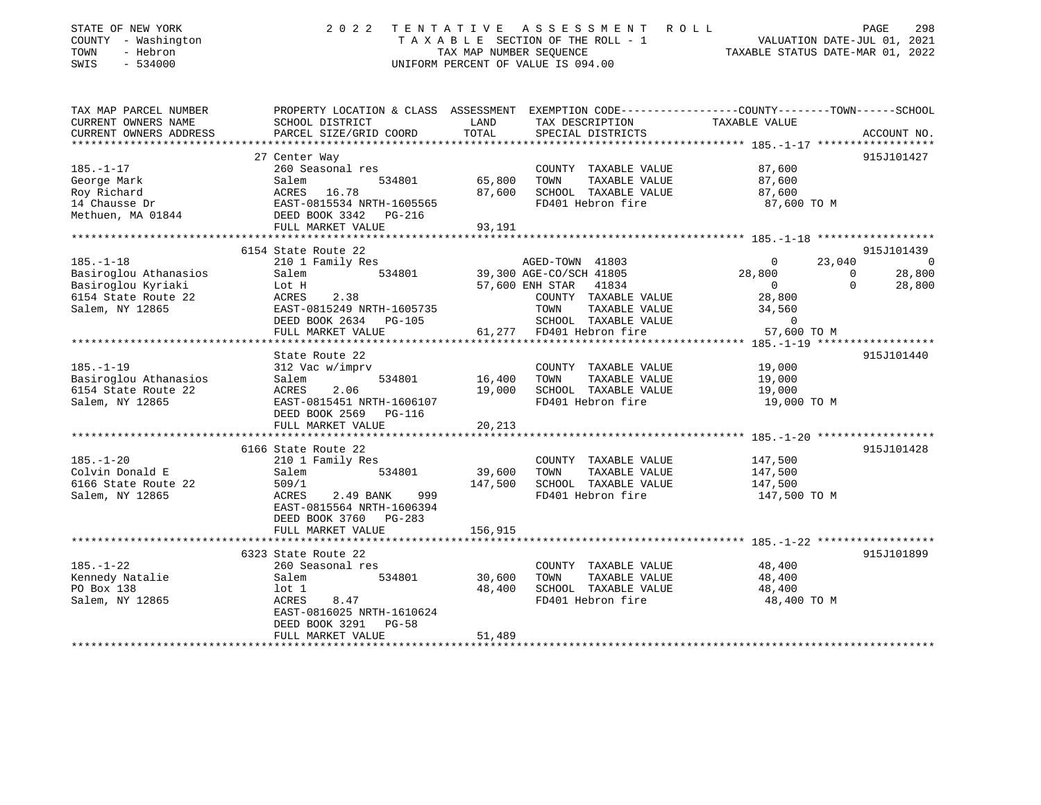| STATE OF NEW YORK<br>COUNTY - Washington<br>- Hebron<br>TOWN<br>SWIS<br>$-534000$ | 2 0 2 2                                                                                                            | TENTATIVE<br>TAX MAP NUMBER SEQUENCE | A S S E S S M E N T<br>ROLL<br>T A X A B L E SECTION OF THE ROLL - 1<br>UNIFORM PERCENT OF VALUE IS 094.00 | VALUATION DATE-JUL 01, 2021<br>TAXABLE STATUS DATE-MAR 01, 2022 | 298<br>PAGE    |
|-----------------------------------------------------------------------------------|--------------------------------------------------------------------------------------------------------------------|--------------------------------------|------------------------------------------------------------------------------------------------------------|-----------------------------------------------------------------|----------------|
| TAX MAP PARCEL NUMBER<br>CURRENT OWNERS NAME                                      | PROPERTY LOCATION & CLASS ASSESSMENT EXEMPTION CODE---------------COUNTY-------TOWN------SCHOOL<br>SCHOOL DISTRICT | LAND                                 | TAX DESCRIPTION                                                                                            | TAXABLE VALUE                                                   |                |
| CURRENT OWNERS ADDRESS                                                            | PARCEL SIZE/GRID COORD                                                                                             | TOTAL                                | SPECIAL DISTRICTS                                                                                          |                                                                 | ACCOUNT NO.    |
|                                                                                   |                                                                                                                    |                                      |                                                                                                            | **************** 185.-1-17 *******************                  |                |
|                                                                                   | 27 Center Way                                                                                                      |                                      |                                                                                                            |                                                                 | 915J101427     |
| $185. - 1 - 17$                                                                   | 260 Seasonal res                                                                                                   |                                      | COUNTY TAXABLE VALUE                                                                                       | 87,600                                                          |                |
| George Mark                                                                       | 534801<br>Salem                                                                                                    | 65,800                               | TAXABLE VALUE<br>TOWN                                                                                      | 87,600                                                          |                |
| Roy Richard                                                                       | ACRES 16.78                                                                                                        | 87,600                               | SCHOOL TAXABLE VALUE                                                                                       | 87,600                                                          |                |
| 14 Chausse Dr                                                                     | EAST-0815534 NRTH-1605565                                                                                          |                                      | FD401 Hebron fire                                                                                          | 87,600 TO M                                                     |                |
| Methuen, MA 01844                                                                 | DEED BOOK 3342<br>PG-216                                                                                           |                                      |                                                                                                            |                                                                 |                |
|                                                                                   | FULL MARKET VALUE<br>**********************                                                                        | 93,191                               |                                                                                                            |                                                                 |                |
|                                                                                   | 6154 State Route 22                                                                                                |                                      |                                                                                                            |                                                                 | 915J101439     |
| $185. - 1 - 18$                                                                   | 210 1 Family Res                                                                                                   |                                      | AGED-TOWN 41803                                                                                            | 23,040<br>$\mathbf{0}$                                          | $\overline{0}$ |
| Basiroglou Athanasios                                                             | Salem<br>534801                                                                                                    |                                      | 39,300 AGE-CO/SCH 41805                                                                                    | 28,800<br>$\mathbf{0}$                                          | 28,800         |
| Basiroglou Kyriaki                                                                | Lot H                                                                                                              |                                      | 57,600 ENH STAR<br>41834                                                                                   | $\overline{0}$<br>$\Omega$                                      | 28,800         |
| 6154 State Route 22                                                               | 2.38<br>ACRES                                                                                                      |                                      | COUNTY TAXABLE VALUE                                                                                       | 28,800                                                          |                |
| Salem, NY 12865                                                                   | EAST-0815249 NRTH-1605735                                                                                          |                                      | TOWN<br>TAXABLE VALUE                                                                                      | 34,560                                                          |                |
|                                                                                   | DEED BOOK 2634 PG-105                                                                                              |                                      | SCHOOL TAXABLE VALUE                                                                                       | $\mathbf 0$                                                     |                |
|                                                                                   | FULL MARKET VALUE                                                                                                  | 61,277                               | FD401 Hebron fire                                                                                          | 57,600 TO M                                                     |                |
|                                                                                   |                                                                                                                    |                                      |                                                                                                            | **************** 185.-1-19 *******************                  |                |
| $185. - 1 - 19$                                                                   | State Route 22<br>312 Vac w/imprv                                                                                  |                                      | COUNTY TAXABLE VALUE                                                                                       | 19,000                                                          | 915J101440     |
| Basiroglou Athanasios                                                             | Salem<br>534801                                                                                                    | 16,400                               | TOWN<br>TAXABLE VALUE                                                                                      | 19,000                                                          |                |
| 6154 State Route 22                                                               | 2.06<br>ACRES                                                                                                      | 19,000                               | SCHOOL TAXABLE VALUE                                                                                       | 19,000                                                          |                |
| Salem, NY 12865                                                                   | EAST-0815451 NRTH-1606107                                                                                          |                                      | FD401 Hebron fire                                                                                          | 19,000 TO M                                                     |                |
|                                                                                   | DEED BOOK 2569 PG-116                                                                                              |                                      |                                                                                                            |                                                                 |                |
|                                                                                   | FULL MARKET VALUE                                                                                                  | 20,213                               |                                                                                                            |                                                                 |                |
|                                                                                   | * * * * * * * * * * * * * * * * * * * *                                                                            | ***********                          |                                                                                                            |                                                                 |                |
|                                                                                   | 6166 State Route 22                                                                                                |                                      |                                                                                                            |                                                                 | 915J101428     |
| $185. - 1 - 20$                                                                   | 210 1 Family Res                                                                                                   |                                      | COUNTY TAXABLE VALUE                                                                                       | 147,500                                                         |                |
| Colvin Donald E                                                                   | 534801<br>Salem                                                                                                    | 39,600                               | TOWN<br>TAXABLE VALUE                                                                                      | 147,500                                                         |                |
| 6166 State Route 22<br>Salem, NY 12865                                            | 509/1<br>999<br>ACRES<br>2.49 BANK                                                                                 | 147,500                              | SCHOOL TAXABLE VALUE<br>FD401 Hebron fire                                                                  | 147,500<br>147,500 TO M                                         |                |
|                                                                                   | EAST-0815564 NRTH-1606394<br>DEED BOOK 3760 PG-283                                                                 |                                      |                                                                                                            |                                                                 |                |
|                                                                                   | FULL MARKET VALUE                                                                                                  | 156,915                              |                                                                                                            |                                                                 |                |
|                                                                                   |                                                                                                                    |                                      |                                                                                                            | ********* 185.-1-22                                             |                |
|                                                                                   | 6323 State Route 22                                                                                                |                                      |                                                                                                            |                                                                 | 915J101899     |
| $185. - 1 - 22$                                                                   | 260 Seasonal res                                                                                                   |                                      | COUNTY TAXABLE VALUE                                                                                       | 48,400                                                          |                |
| Kennedy Natalie                                                                   | Salem<br>534801                                                                                                    | 30,600                               | TOWN<br>TAXABLE VALUE                                                                                      | 48,400                                                          |                |
| PO Box 138                                                                        | $1$ ot $1$                                                                                                         | 48,400                               | SCHOOL TAXABLE VALUE                                                                                       | 48,400                                                          |                |
| Salem, NY 12865                                                                   | ACRES<br>8.47<br>EAST-0816025 NRTH-1610624                                                                         |                                      | FD401 Hebron fire                                                                                          | 48,400 TO M                                                     |                |
|                                                                                   | DEED BOOK 3291<br>$PG-58$                                                                                          |                                      |                                                                                                            |                                                                 |                |
|                                                                                   | FULL MARKET VALUE                                                                                                  | 51,489                               |                                                                                                            |                                                                 |                |
|                                                                                   | ***********************                                                                                            | * * * * * * * *                      |                                                                                                            |                                                                 |                |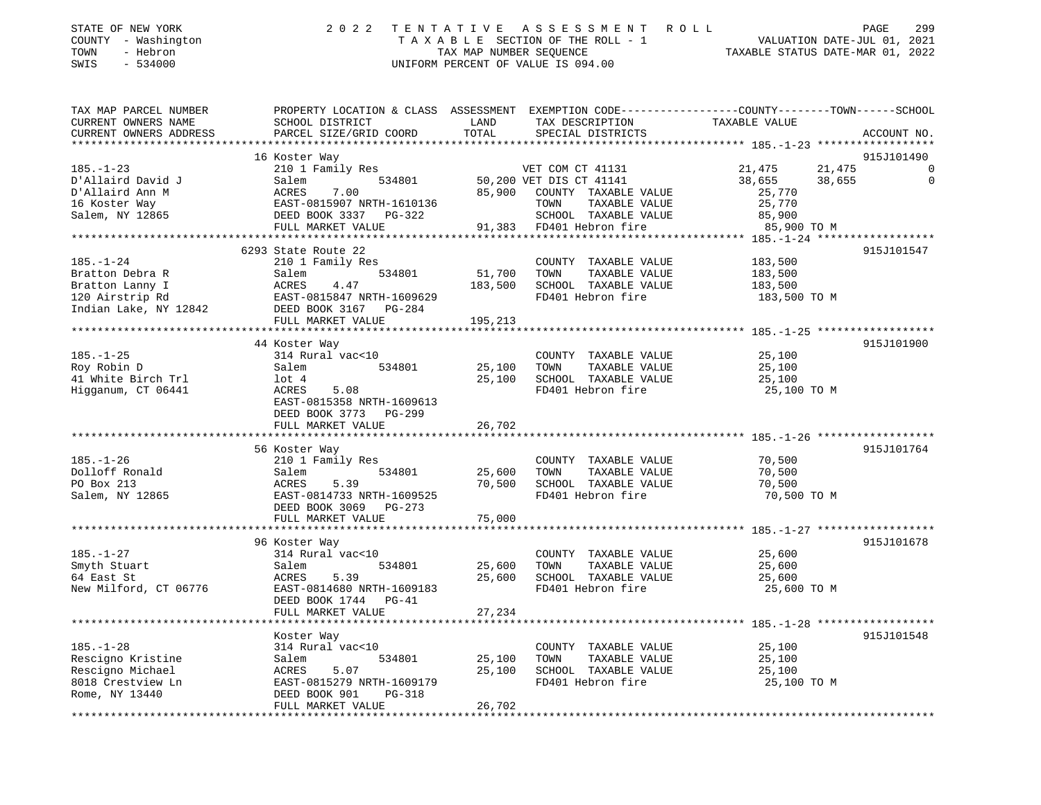| STATE OF NEW YORK   | 2022 TENTATIVE ASSESSMENT ROLL     | 299<br>PAGE                      |
|---------------------|------------------------------------|----------------------------------|
| COUNTY - Washington | TAXABLE SECTION OF THE ROLL - 1    | VALUATION DATE-JUL 01, 2021      |
| TOWN<br>- Hebron    | TAX MAP NUMBER SEOUENCE            | TAXABLE STATUS DATE-MAR 01, 2022 |
| SWIS<br>- 534000    | UNIFORM PERCENT OF VALUE IS 094.00 |                                  |
|                     |                                    |                                  |
|                     |                                    |                                  |

| TAX MAP PARCEL NUMBER  | PROPERTY LOCATION & CLASS ASSESSMENT EXEMPTION CODE---------------COUNTY-------TOWN-----SCHOOL |              |                             |                  |             |
|------------------------|------------------------------------------------------------------------------------------------|--------------|-----------------------------|------------------|-------------|
| CURRENT OWNERS NAME    | SCHOOL DISTRICT                                                                                | LAND         | TAX DESCRIPTION             | TAXABLE VALUE    |             |
| CURRENT OWNERS ADDRESS | PARCEL SIZE/GRID COORD                                                                         | TOTAL        | SPECIAL DISTRICTS           |                  | ACCOUNT NO. |
|                        |                                                                                                |              |                             |                  |             |
|                        | 16 Koster Way                                                                                  |              |                             |                  | 915J101490  |
| $185. - 1 - 23$        | 210 1 Family Res                                                                               |              | VET COM CT 41131            | 21,475<br>21,475 | 0           |
| D'Allaird David J      | 534801<br>Salem                                                                                |              | 50,200 VET DIS CT 41141     | 38,655<br>38,655 | $\Omega$    |
| D'Allaird Ann M        | ACRES<br>7.00                                                                                  |              | 85,900 COUNTY TAXABLE VALUE | 25,770           |             |
| 16 Koster Way          | EAST-0815907 NRTH-1610136                                                                      |              | TOWN<br>TAXABLE VALUE       | 25,770           |             |
| Salem, NY 12865        | DEED BOOK 3337 PG-322                                                                          |              | SCHOOL TAXABLE VALUE        | 85,900           |             |
|                        |                                                                                                |              | 91,383 FD401 Hebron fire    |                  |             |
|                        | FULL MARKET VALUE                                                                              |              |                             | 85,900 TO M      |             |
|                        |                                                                                                |              |                             |                  |             |
|                        | 6293 State Route 22                                                                            |              |                             |                  | 915J101547  |
| $185. - 1 - 24$        | 210 1 Family Res                                                                               |              | COUNTY TAXABLE VALUE        | 183,500          |             |
| Bratton Debra R        | 534801<br>Salem                                                                                | 51,700       | TAXABLE VALUE<br>TOWN       | 183,500          |             |
| Bratton Lanny I        | ACRES<br>4.47                                                                                  | 183,500      | SCHOOL TAXABLE VALUE        | 183,500          |             |
| 120 Airstrip Rd        | EAST-0815847 NRTH-1609629                                                                      |              | FD401 Hebron fire           | 183,500 TO M     |             |
| Indian Lake, NY 12842  | DEED BOOK 3167 PG-284                                                                          |              |                             |                  |             |
|                        | FULL MARKET VALUE                                                                              | 195,213      |                             |                  |             |
|                        |                                                                                                |              |                             |                  |             |
|                        | 44 Koster Way                                                                                  |              |                             |                  | 915J101900  |
| $185. - 1 - 25$        | 314 Rural vac<10                                                                               |              | COUNTY TAXABLE VALUE        | 25,100           |             |
| Roy Robin D            | 534801<br>Salem                                                                                | 25,100       | TOWN<br>TAXABLE VALUE       | 25,100           |             |
| 41 White Birch Trl     | lot 4                                                                                          | 25,100       | SCHOOL TAXABLE VALUE        | 25,100           |             |
| Higganum, CT 06441     | ACRES<br>5.08                                                                                  |              | FD401 Hebron fire           | 25,100 TO M      |             |
|                        | EAST-0815358 NRTH-1609613                                                                      |              |                             |                  |             |
|                        | DEED BOOK 3773 PG-299                                                                          |              |                             |                  |             |
|                        | FULL MARKET VALUE                                                                              | 26,702       |                             |                  |             |
|                        |                                                                                                |              |                             |                  |             |
|                        | 56 Koster Way                                                                                  |              |                             |                  | 915J101764  |
| $185. - 1 - 26$        | 210 1 Family Res                                                                               |              | COUNTY TAXABLE VALUE        | 70,500           |             |
| Dolloff Ronald         | Salem<br>534801                                                                                | 25,600       | TOWN<br>TAXABLE VALUE       | 70,500           |             |
| PO Box 213             | 5.39<br>ACRES                                                                                  | 70,500       | SCHOOL TAXABLE VALUE        | 70,500           |             |
| Salem, NY 12865        | EAST-0814733 NRTH-1609525                                                                      |              | FD401 Hebron fire           | 70,500 TO M      |             |
|                        | DEED BOOK 3069 PG-273                                                                          |              |                             |                  |             |
|                        |                                                                                                | 75,000       |                             |                  |             |
|                        | FULL MARKET VALUE                                                                              |              |                             |                  |             |
|                        |                                                                                                |              |                             |                  |             |
|                        | 96 Koster Way                                                                                  |              |                             |                  | 915J101678  |
| $185. - 1 - 27$        | 314 Rural vac<10                                                                               |              | COUNTY TAXABLE VALUE        | 25,600           |             |
| Smyth Stuart           | 534801<br>Salem                                                                                | 25,600       | TOWN<br>TAXABLE VALUE       | 25,600           |             |
| 64 East St             | 5.39<br>ACRES                                                                                  |              | 25,600 SCHOOL TAXABLE VALUE | 25,600           |             |
| New Milford, CT 06776  | EAST-0814680 NRTH-1609183                                                                      |              | FD401 Hebron fire           | 25,600 TO M      |             |
|                        | DEED BOOK 1744 PG-41                                                                           |              |                             |                  |             |
|                        | FULL MARKET VALUE                                                                              | 27,234       |                             |                  |             |
|                        | ********************                                                                           | ************ |                             |                  |             |
|                        | Koster Way                                                                                     |              |                             |                  | 915J101548  |
| $185. - 1 - 28$        | 314 Rural vac<10                                                                               |              | COUNTY TAXABLE VALUE        | 25,100           |             |
| Rescigno Kristine      | 534801<br>Salem                                                                                | 25,100       | TOWN<br>TAXABLE VALUE       | 25,100           |             |
| Rescigno Michael       | 5.07<br>ACRES                                                                                  | 25,100       | SCHOOL TAXABLE VALUE        | 25,100           |             |
| 8018 Crestview Ln      | EAST-0815279 NRTH-1609179                                                                      |              | FD401 Hebron fire           | 25,100 TO M      |             |
| Rome, NY 13440         | DEED BOOK 901<br>PG-318                                                                        |              |                             |                  |             |
|                        | FULL MARKET VALUE                                                                              | 26,702       |                             |                  |             |
|                        |                                                                                                |              |                             |                  |             |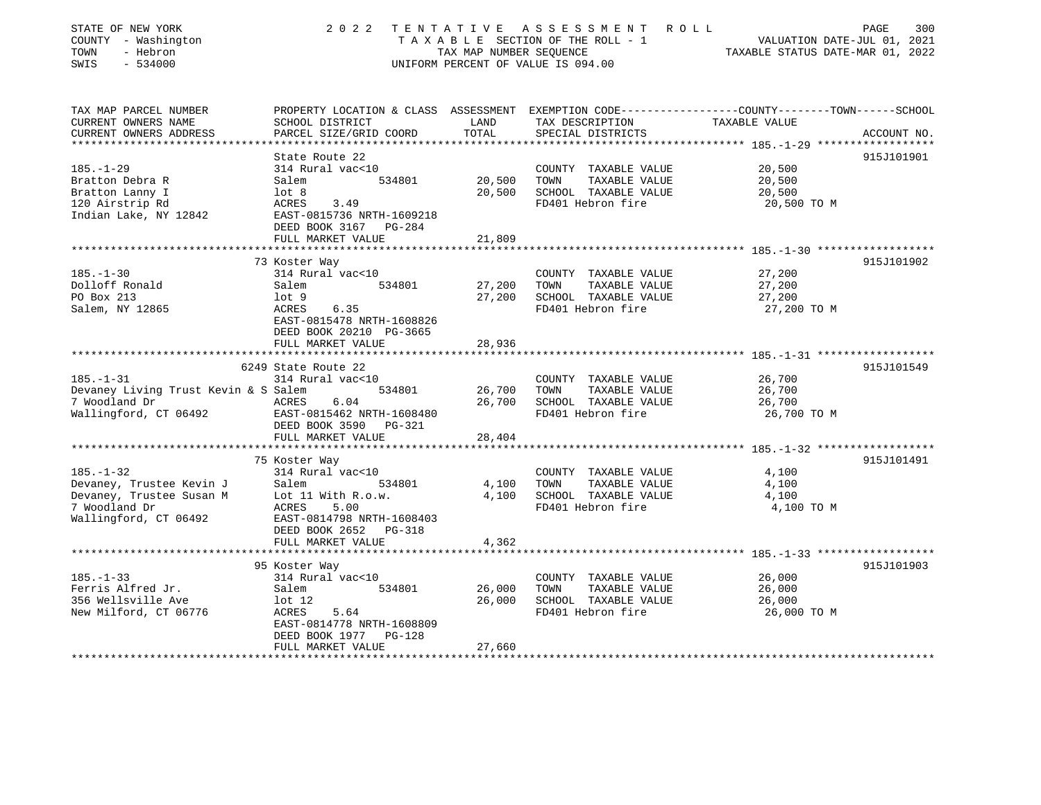| STATE OF NEW YORK<br>COUNTY - Washington<br>TOWN<br>- Hebron<br>$-534000$<br>SWIS | 2022                                                  | TENTATIVE<br>TAX MAP NUMBER SEQUENCE | A S S E S S M E N T<br>TAXABLE SECTION OF THE ROLL - 1<br>UNIFORM PERCENT OF VALUE IS 094.00 | R O L L<br>PAGE<br>300<br>VALUATION DATE-JUL 01, 2021<br>TAXABLE STATUS DATE-MAR 01, 2022                        |
|-----------------------------------------------------------------------------------|-------------------------------------------------------|--------------------------------------|----------------------------------------------------------------------------------------------|------------------------------------------------------------------------------------------------------------------|
| TAX MAP PARCEL NUMBER<br>CURRENT OWNERS NAME                                      | SCHOOL DISTRICT                                       | LAND                                 | TAX DESCRIPTION                                                                              | PROPERTY LOCATION & CLASS ASSESSMENT EXEMPTION CODE---------------COUNTY-------TOWN------SCHOOL<br>TAXABLE VALUE |
| CURRENT OWNERS ADDRESS                                                            | PARCEL SIZE/GRID COORD                                | TOTAL                                | SPECIAL DISTRICTS                                                                            | ACCOUNT NO.                                                                                                      |
| ***********************                                                           | *************************                             | ***************                      |                                                                                              |                                                                                                                  |
| $185. - 1 - 29$                                                                   | State Route 22<br>314 Rural vac<10                    |                                      | COUNTY TAXABLE VALUE                                                                         | 915J101901<br>20,500                                                                                             |
| Bratton Debra R                                                                   | Salem<br>534801                                       | 20,500                               | TOWN<br>TAXABLE VALUE                                                                        | 20,500                                                                                                           |
| Bratton Lanny I                                                                   | lot <sub>8</sub>                                      | 20,500                               | SCHOOL TAXABLE VALUE                                                                         | 20,500                                                                                                           |
| 120 Airstrip Rd                                                                   | ACRES<br>3.49                                         |                                      | FD401 Hebron fire                                                                            | 20,500 TO M                                                                                                      |
| Indian Lake, NY 12842                                                             | EAST-0815736 NRTH-1609218<br>DEED BOOK 3167 PG-284    |                                      |                                                                                              |                                                                                                                  |
|                                                                                   | FULL MARKET VALUE                                     | 21,809                               |                                                                                              |                                                                                                                  |
|                                                                                   | 73 Koster Way                                         |                                      |                                                                                              | 915J101902                                                                                                       |
| $185. - 1 - 30$                                                                   | 314 Rural vac<10                                      |                                      | COUNTY TAXABLE VALUE                                                                         | 27,200                                                                                                           |
| Dolloff Ronald                                                                    | 534801<br>Salem                                       | 27,200                               | TOWN<br>TAXABLE VALUE                                                                        | 27,200                                                                                                           |
| PO Box 213                                                                        | $1$ ot $9$                                            | 27,200                               | SCHOOL TAXABLE VALUE                                                                         | 27,200                                                                                                           |
| Salem, NY 12865                                                                   | ACRES<br>6.35                                         |                                      | FD401 Hebron fire                                                                            | 27,200 TO M                                                                                                      |
|                                                                                   | EAST-0815478 NRTH-1608826<br>DEED BOOK 20210 PG-3665  |                                      |                                                                                              |                                                                                                                  |
|                                                                                   | FULL MARKET VALUE                                     | 28,936                               |                                                                                              |                                                                                                                  |
|                                                                                   | 6249 State Route 22                                   |                                      |                                                                                              | 915J101549                                                                                                       |
| $185. - 1 - 31$                                                                   | 314 Rural vac<10                                      |                                      | COUNTY TAXABLE VALUE                                                                         | 26,700                                                                                                           |
| Devaney Living Trust Kevin & S Salem                                              | 534801                                                | 26,700                               | TOWN<br>TAXABLE VALUE                                                                        | 26,700                                                                                                           |
| 7 Woodland Dr                                                                     | ACRES<br>6.04                                         | 26,700                               | SCHOOL TAXABLE VALUE                                                                         | 26,700                                                                                                           |
| Wallingford, CT 06492                                                             | EAST-0815462 NRTH-1608480<br>DEED BOOK 3590<br>PG-321 |                                      | FD401 Hebron fire                                                                            | 26,700 TO M                                                                                                      |
|                                                                                   | FULL MARKET VALUE                                     | 28,404                               |                                                                                              |                                                                                                                  |
|                                                                                   |                                                       |                                      |                                                                                              |                                                                                                                  |
|                                                                                   | 75 Koster Way                                         |                                      |                                                                                              | 915J101491                                                                                                       |
| $185. - 1 - 32$<br>Devaney, Trustee Kevin J                                       | 314 Rural vac<10<br>Salem<br>534801                   | 4,100                                | COUNTY TAXABLE VALUE<br>TOWN<br>TAXABLE VALUE                                                | 4,100<br>4,100                                                                                                   |
| Devaney, Trustee Susan M                                                          | Lot 11 With R.o.w.                                    | 4,100                                | SCHOOL TAXABLE VALUE                                                                         | 4,100                                                                                                            |
| 7 Woodland Dr                                                                     | ACRES<br>5.00                                         |                                      | FD401 Hebron fire                                                                            | 4,100 TO M                                                                                                       |
| Wallingford, CT 06492                                                             | EAST-0814798 NRTH-1608403                             |                                      |                                                                                              |                                                                                                                  |
|                                                                                   | DEED BOOK 2652 PG-318                                 |                                      |                                                                                              |                                                                                                                  |
|                                                                                   | FULL MARKET VALUE                                     | 4,362                                |                                                                                              |                                                                                                                  |
|                                                                                   |                                                       |                                      |                                                                                              | ****************** 185.-1-33 *************                                                                       |
|                                                                                   | 95 Koster Way                                         |                                      |                                                                                              | 915J101903                                                                                                       |
| $185. - 1 - 33$                                                                   | 314 Rural vac<10                                      |                                      | COUNTY TAXABLE VALUE                                                                         | 26,000                                                                                                           |
| Ferris Alfred Jr.                                                                 | Salem<br>534801                                       | 26,000                               | TOWN<br>TAXABLE VALUE                                                                        | 26,000                                                                                                           |
| 356 Wellsville Ave                                                                | $1$ ot $12$                                           | 26,000                               | SCHOOL TAXABLE VALUE<br>FD401 Hebron fire                                                    | 26,000                                                                                                           |
| New Milford, CT 06776                                                             | ACRES<br>5.64<br>EAST-0814778 NRTH-1608809            |                                      |                                                                                              | 26,000 TO M                                                                                                      |
|                                                                                   | DEED BOOK 1977<br>PG-128                              |                                      |                                                                                              |                                                                                                                  |
|                                                                                   | FULL MARKET VALUE                                     | 27,660                               |                                                                                              |                                                                                                                  |
|                                                                                   |                                                       |                                      |                                                                                              |                                                                                                                  |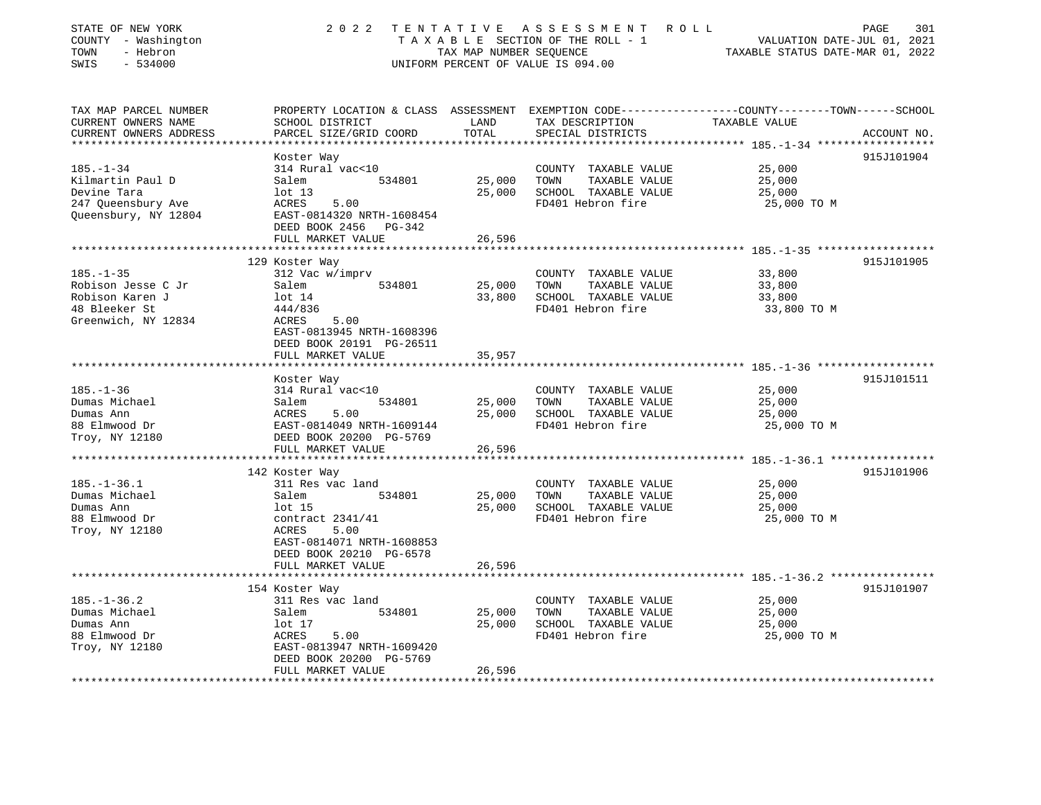| STATE OF NEW YORK<br>COUNTY - Washington<br>TOWN<br>- Hebron<br>SWIS<br>$-534000$                 | 2 0 2 2                                                                                                        | TENTATIVE<br>TAX MAP NUMBER SEQUENCE | A S S E S S M E N T<br>TAXABLE SECTION OF THE ROLL - 1<br>UNIFORM PERCENT OF VALUE IS 094.00 | ROLL<br>PAGE<br>301<br>VALUATION DATE-JUL 01, 2021<br>TAXABLE STATUS DATE-MAR 01, 2022       |
|---------------------------------------------------------------------------------------------------|----------------------------------------------------------------------------------------------------------------|--------------------------------------|----------------------------------------------------------------------------------------------|----------------------------------------------------------------------------------------------|
| TAX MAP PARCEL NUMBER<br>CURRENT OWNERS NAME<br>CURRENT OWNERS ADDRESS<br>*********************** | PROPERTY LOCATION & CLASS ASSESSMENT<br>SCHOOL DISTRICT<br>PARCEL SIZE/GRID COORD<br>************************* | LAND<br>TOTAL<br>**********          | TAX DESCRIPTION<br>SPECIAL DISTRICTS                                                         | EXEMPTION CODE-----------------COUNTY-------TOWN------SCHOOL<br>TAXABLE VALUE<br>ACCOUNT NO. |
|                                                                                                   |                                                                                                                |                                      |                                                                                              | 915J101904                                                                                   |
| $185. - 1 - 34$                                                                                   | Koster Way<br>314 Rural vac<10                                                                                 |                                      | COUNTY TAXABLE VALUE                                                                         | 25,000                                                                                       |
| Kilmartin Paul D                                                                                  | Salem<br>534801                                                                                                | 25,000                               | TOWN<br>TAXABLE VALUE                                                                        | 25,000                                                                                       |
| Devine Tara                                                                                       | $1$ ot $13$                                                                                                    | 25,000                               | SCHOOL TAXABLE VALUE                                                                         | 25,000                                                                                       |
| 247 Queensbury Ave                                                                                | 5.00<br>ACRES                                                                                                  |                                      | FD401 Hebron fire                                                                            | 25,000 TO M                                                                                  |
| Queensbury, NY 12804                                                                              | EAST-0814320 NRTH-1608454                                                                                      |                                      |                                                                                              |                                                                                              |
|                                                                                                   | DEED BOOK 2456 PG-342                                                                                          |                                      |                                                                                              |                                                                                              |
|                                                                                                   | FULL MARKET VALUE<br>**********************                                                                    | 26,596<br>************               |                                                                                              |                                                                                              |
|                                                                                                   | 129 Koster Way                                                                                                 |                                      |                                                                                              | ************************************ 185.-1-35 *******************<br>915J101905             |
| $185. - 1 - 35$                                                                                   | 312 Vac w/imprv                                                                                                |                                      | COUNTY TAXABLE VALUE                                                                         | 33,800                                                                                       |
| Robison Jesse C Jr                                                                                | Salem<br>534801                                                                                                | 25,000                               | TOWN<br>TAXABLE VALUE                                                                        | 33,800                                                                                       |
| Robison Karen J                                                                                   | $1$ ot $14$                                                                                                    | 33,800                               | SCHOOL TAXABLE VALUE                                                                         | 33,800                                                                                       |
| 48 Bleeker St                                                                                     | 444/836                                                                                                        |                                      | FD401 Hebron fire                                                                            | 33,800 TO M                                                                                  |
| Greenwich, NY 12834                                                                               | ACRES<br>5.00<br>EAST-0813945 NRTH-1608396<br>DEED BOOK 20191 PG-26511                                         |                                      |                                                                                              |                                                                                              |
|                                                                                                   | FULL MARKET VALUE<br>*******************                                                                       | 35,957                               |                                                                                              |                                                                                              |
|                                                                                                   | Koster Way                                                                                                     |                                      |                                                                                              | 915J101511                                                                                   |
| $185. - 1 - 36$                                                                                   | 314 Rural vac<10                                                                                               |                                      | COUNTY TAXABLE VALUE                                                                         | 25,000                                                                                       |
| Dumas Michael                                                                                     | 534801<br>Salem                                                                                                | 25,000                               | TOWN<br>TAXABLE VALUE                                                                        | 25,000                                                                                       |
| Dumas Ann                                                                                         | ACRES<br>5.00                                                                                                  | 25,000                               | SCHOOL TAXABLE VALUE                                                                         | 25,000                                                                                       |
| 88 Elmwood Dr                                                                                     | EAST-0814049 NRTH-1609144                                                                                      |                                      | FD401 Hebron fire                                                                            | 25,000 TO M                                                                                  |
| Troy, NY 12180                                                                                    | DEED BOOK 20200 PG-5769                                                                                        |                                      |                                                                                              |                                                                                              |
|                                                                                                   | FULL MARKET VALUE                                                                                              | 26,596                               |                                                                                              |                                                                                              |
|                                                                                                   | 142 Koster Way                                                                                                 |                                      |                                                                                              | 915J101906                                                                                   |
| $185. - 1 - 36.1$                                                                                 | 311 Res vac land                                                                                               |                                      | COUNTY TAXABLE VALUE                                                                         | 25,000                                                                                       |
| Dumas Michael                                                                                     | Salem<br>534801                                                                                                | 25,000                               | TOWN<br>TAXABLE VALUE                                                                        | 25,000                                                                                       |
| Dumas Ann                                                                                         | lot 15                                                                                                         | 25,000                               | SCHOOL TAXABLE VALUE                                                                         | 25,000                                                                                       |
| 88 Elmwood Dr                                                                                     | contract 2341/41                                                                                               |                                      | FD401 Hebron fire                                                                            | 25,000 TO M                                                                                  |
| Troy, NY 12180                                                                                    | <b>ACRES</b><br>5.00                                                                                           |                                      |                                                                                              |                                                                                              |
|                                                                                                   | EAST-0814071 NRTH-1608853                                                                                      |                                      |                                                                                              |                                                                                              |
|                                                                                                   | DEED BOOK 20210 PG-6578                                                                                        |                                      |                                                                                              |                                                                                              |
|                                                                                                   | FULL MARKET VALUE<br>*************************                                                                 | 26,596                               |                                                                                              |                                                                                              |
|                                                                                                   |                                                                                                                |                                      |                                                                                              | 915J101907                                                                                   |
| $185. - 1 - 36.2$                                                                                 | 154 Koster Way<br>311 Res vac land                                                                             |                                      | COUNTY TAXABLE VALUE                                                                         | 25,000                                                                                       |
| Dumas Michael                                                                                     | 534801<br>Salem                                                                                                | 25,000                               | TOWN<br>TAXABLE VALUE                                                                        | 25,000                                                                                       |
| Dumas Ann                                                                                         | lot 17                                                                                                         | 25,000                               | SCHOOL TAXABLE VALUE                                                                         | 25,000                                                                                       |
| 88 Elmwood Dr                                                                                     | <b>ACRES</b><br>5.00                                                                                           |                                      | FD401 Hebron fire                                                                            | 25,000 TO M                                                                                  |
| Troy, NY 12180                                                                                    | EAST-0813947 NRTH-1609420<br>DEED BOOK 20200 PG-5769                                                           |                                      |                                                                                              |                                                                                              |
|                                                                                                   | FULL MARKET VALUE                                                                                              | 26,596<br>**********                 |                                                                                              |                                                                                              |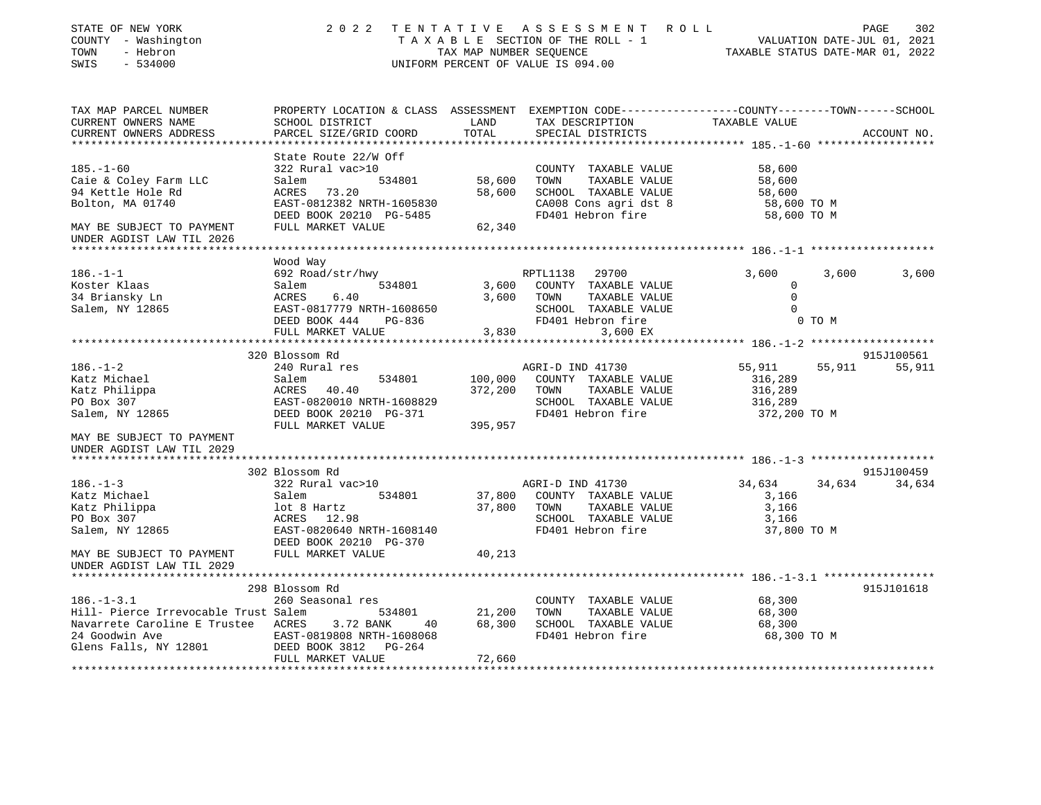| STATE OF NEW YORK<br>COUNTY - Washington<br>- Hebron<br>TOWN<br>SWIS<br>$-534000$ | 2022                                                                                            | TAX MAP NUMBER SEQUENCE | TENTATIVE ASSESSMENT ROLL<br>T A X A B L E SECTION OF THE ROLL - 1 VALUATION DATE-JUL 01, 2021<br>UNIFORM PERCENT OF VALUE IS 094.00 |               | PAGE<br>302<br>TAXABLE STATUS DATE-MAR 01, 2022 |
|-----------------------------------------------------------------------------------|-------------------------------------------------------------------------------------------------|-------------------------|--------------------------------------------------------------------------------------------------------------------------------------|---------------|-------------------------------------------------|
| TAX MAP PARCEL NUMBER                                                             | PROPERTY LOCATION & CLASS ASSESSMENT EXEMPTION CODE---------------COUNTY-------TOWN------SCHOOL |                         |                                                                                                                                      |               |                                                 |
| CURRENT OWNERS NAME                                                               | SCHOOL DISTRICT                                                                                 | LAND                    | TAX DESCRIPTION                                                                                                                      | TAXABLE VALUE |                                                 |
| CURRENT OWNERS ADDRESS<br>**********************                                  | PARCEL SIZE/GRID COORD                                                                          | TOTAL                   | SPECIAL DISTRICTS<br>**************************** 185.-1-60 *******************                                                      |               | ACCOUNT NO.                                     |
| $185. - 1 - 60$                                                                   | State Route 22/W Off<br>322 Rural vac>10                                                        |                         | COUNTY TAXABLE VALUE                                                                                                                 | 58,600        |                                                 |
| Caie & Coley Farm LLC                                                             | Salem<br>534801                                                                                 | 58,600                  | TOWN<br>TAXABLE VALUE                                                                                                                | 58,600        |                                                 |
| 94 Kettle Hole Rd                                                                 | ACRES 73.20                                                                                     | 58,600                  | SCHOOL TAXABLE VALUE                                                                                                                 | 58,600        |                                                 |
| Bolton, MA 01740                                                                  | EAST-0812382 NRTH-1605830                                                                       |                         | CA008 Cons agri dst 8                                                                                                                | 58,600 TO M   |                                                 |
|                                                                                   | DEED BOOK 20210 PG-5485                                                                         |                         | FD401 Hebron fire                                                                                                                    | 58,600 TO M   |                                                 |
| MAY BE SUBJECT TO PAYMENT                                                         | FULL MARKET VALUE                                                                               | 62,340                  |                                                                                                                                      |               |                                                 |
| UNDER AGDIST LAW TIL 2026<br>*****************************                        |                                                                                                 |                         |                                                                                                                                      |               |                                                 |
|                                                                                   | Wood Way                                                                                        |                         |                                                                                                                                      |               |                                                 |
| $186. - 1 - 1$                                                                    | 692 Road/str/hwy                                                                                |                         | 29700<br>RPTL1138                                                                                                                    | 3,600         | 3,600<br>3,600                                  |
| Koster Klaas                                                                      | Salem<br>534801                                                                                 | 3,600                   | COUNTY TAXABLE VALUE                                                                                                                 | $\mathbf 0$   |                                                 |
| 34 Briansky Ln                                                                    | ACRES<br>6.40                                                                                   |                         | 3,600 TOWN<br>TAXABLE VALUE                                                                                                          | $\Omega$      |                                                 |
| Salem, NY 12865                                                                   | EAST-0817779 NRTH-1608650                                                                       |                         | SCHOOL TAXABLE VALUE                                                                                                                 | $\Omega$      |                                                 |
|                                                                                   | DEED BOOK 444 PG-836                                                                            |                         | FD401 Hebron fire                                                                                                                    | 0 TO M        |                                                 |
|                                                                                   | FULL MARKET VALUE                                                                               | 3,830<br>************   | 3,600 EX                                                                                                                             |               |                                                 |
|                                                                                   |                                                                                                 |                         |                                                                                                                                      |               |                                                 |
| $186. - 1 - 2$                                                                    | 320 Blossom Rd<br>240 Rural res                                                                 |                         | AGRI-D IND 41730                                                                                                                     | 55,911        | 915J100561<br>55,911 55,911                     |
| Katz Michael                                                                      | Salem<br>534801                                                                                 | 100,000                 | COUNTY TAXABLE VALUE                                                                                                                 | 316,289       |                                                 |
| Katz Philippa                                                                     | ACRES 40.40                                                                                     | 372,200                 | TOWN<br>TAXABLE VALUE                                                                                                                | 316,289       |                                                 |
| PO Box 307                                                                        | EAST-0820010 NRTH-1608829                                                                       |                         | SCHOOL TAXABLE VALUE                                                                                                                 | 316,289       |                                                 |
| Salem, NY 12865                                                                   | DEED BOOK 20210 PG-371                                                                          |                         | FD401 Hebron fire                                                                                                                    | 372,200 TO M  |                                                 |
|                                                                                   | FULL MARKET VALUE                                                                               | 395,957                 |                                                                                                                                      |               |                                                 |
| MAY BE SUBJECT TO PAYMENT<br>UNDER AGDIST LAW TIL 2029<br>******************      |                                                                                                 |                         |                                                                                                                                      |               |                                                 |
|                                                                                   | 302 Blossom Rd                                                                                  |                         |                                                                                                                                      |               | 915J100459                                      |
| $186. - 1 - 3$                                                                    | 322 Rural vac>10                                                                                |                         | AGRI-D IND 41730                                                                                                                     | 34,634        | 34,634 34,634                                   |
| Katz Michael                                                                      | Salem<br>534801                                                                                 | 37,800                  | COUNTY TAXABLE VALUE                                                                                                                 | 3,166         |                                                 |
| Katz Philippa                                                                     | lot 8 Hartz                                                                                     | 37,800                  | TOWN<br>TAXABLE VALUE                                                                                                                | 3,166         |                                                 |
| PO Box 307                                                                        | ACRES 12.98                                                                                     |                         | SCHOOL TAXABLE VALUE                                                                                                                 | 3,166         |                                                 |
| Salem, NY 12865                                                                   | EAST-0820640 NRTH-1608140<br>DEED BOOK 20210 PG-370                                             |                         | FD401 Hebron fire                                                                                                                    | 37,800 TO M   |                                                 |
| MAY BE SUBJECT TO PAYMENT                                                         | FULL MARKET VALUE                                                                               | 40,213                  |                                                                                                                                      |               |                                                 |
| UNDER AGDIST LAW TIL 2029                                                         |                                                                                                 |                         |                                                                                                                                      |               |                                                 |
|                                                                                   |                                                                                                 |                         |                                                                                                                                      |               |                                                 |
| $186. - 1 - 3.1$                                                                  | 298 Blossom Rd<br>260 Seasonal res                                                              |                         | COUNTY TAXABLE VALUE                                                                                                                 | 68,300        | 915J101618                                      |
| Hill- Pierce Irrevocable Trust Salem                                              | 534801                                                                                          | 21,200                  | TOWN<br>TAXABLE VALUE                                                                                                                | 68,300        |                                                 |
| Navarrete Caroline E Trustee ACRES 3.72 BANK                                      | 40                                                                                              | 68,300                  | SCHOOL TAXABLE VALUE                                                                                                                 | 68,300        |                                                 |
| 24 Goodwin Ave                                                                    | EAST-0819808 NRTH-1608068                                                                       |                         | FD401 Hebron fire                                                                                                                    | 68,300 TO M   |                                                 |
| Glens Falls, NY 12801                                                             | DEED BOOK 3812<br>PG-264                                                                        |                         |                                                                                                                                      |               |                                                 |
|                                                                                   | FULL MARKET VALUE                                                                               | 72,660                  |                                                                                                                                      |               |                                                 |
|                                                                                   |                                                                                                 |                         |                                                                                                                                      |               |                                                 |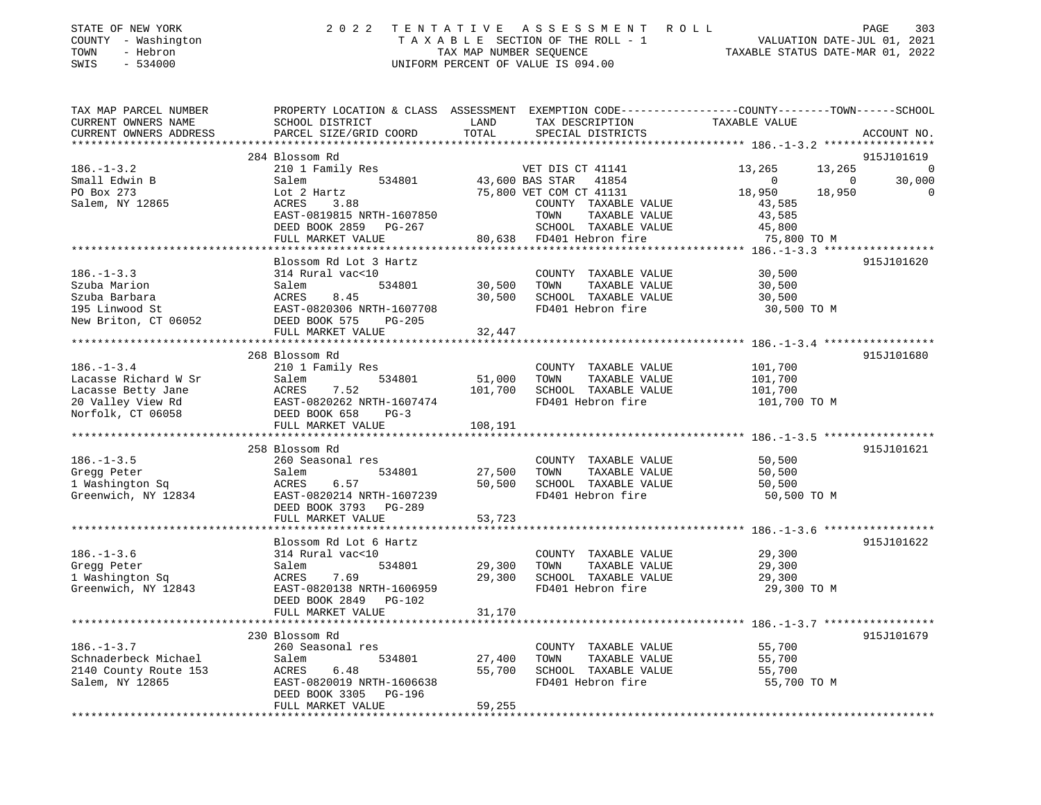| STATE OF NEW YORK   |  | 2022 TENTATIVE ASSESSMENT ROLL  | PAGE                        | 303 |
|---------------------|--|---------------------------------|-----------------------------|-----|
| COUNTY - Washington |  | TAXABLE SECTION OF THE ROLL - 1 | VALUATION DATE-JUL 01, 2021 |     |

SWIS - 534000 UNIFORM PERCENT OF VALUE IS 094.00

TOWN - Hebron TAX MAP NUMBER SEQUENCE TAXABLE STATUS DATE-MAR 01, 2022

| TAX MAP PARCEL NUMBER<br>CURRENT OWNERS NAME | PROPERTY LOCATION & CLASS ASSESSMENT EXEMPTION CODE----------------COUNTY-------TOWN-----SCHOOL<br>SCHOOL DISTRICT | LAND    | TAX DESCRIPTION          | TAXABLE VALUE    |             |
|----------------------------------------------|--------------------------------------------------------------------------------------------------------------------|---------|--------------------------|------------------|-------------|
| CURRENT OWNERS ADDRESS                       | PARCEL SIZE/GRID COORD                                                                                             | TOTAL   | SPECIAL DISTRICTS        |                  | ACCOUNT NO. |
|                                              |                                                                                                                    |         |                          |                  |             |
|                                              | 284 Blossom Rd                                                                                                     |         |                          |                  | 915J101619  |
| $186. - 1 - 3.2$                             | 210 1 Family Res                                                                                                   |         | VET DIS CT 41141         | 13,265<br>13,265 | 0           |
| Small Edwin B                                | Salem<br>534801                                                                                                    |         | 43,600 BAS STAR<br>41854 | $\Omega$<br>0    | 30,000      |
| PO Box 273                                   | Lot 2 Hartz                                                                                                        |         | 75,800 VET COM CT 41131  | 18,950<br>18,950 | $\Omega$    |
| Salem, NY 12865                              | ACRES<br>3.88                                                                                                      |         | COUNTY TAXABLE VALUE     | 43,585           |             |
|                                              | EAST-0819815 NRTH-1607850                                                                                          |         | TOWN<br>TAXABLE VALUE    | 43,585           |             |
|                                              | DEED BOOK 2859<br>PG-267                                                                                           |         | SCHOOL TAXABLE VALUE     | 45,800           |             |
|                                              | FULL MARKET VALUE                                                                                                  | 80,638  | FD401 Hebron fire        | 75,800 TO M      |             |
|                                              |                                                                                                                    |         |                          |                  |             |
|                                              | Blossom Rd Lot 3 Hartz                                                                                             |         |                          |                  | 915J101620  |
| $186. - 1 - 3.3$                             | 314 Rural vac<10                                                                                                   |         | COUNTY TAXABLE VALUE     | 30,500           |             |
| Szuba Marion                                 | 534801<br>Salem                                                                                                    | 30,500  | TAXABLE VALUE<br>TOWN    | 30,500           |             |
| Szuba Barbara                                | ACRES<br>8.45                                                                                                      | 30,500  | SCHOOL TAXABLE VALUE     | 30,500           |             |
| 195 Linwood St                               | EAST-0820306 NRTH-1607708                                                                                          |         | FD401 Hebron fire        | 30,500 TO M      |             |
| New Briton, CT 06052                         | DEED BOOK 575<br>$PG-205$                                                                                          |         |                          |                  |             |
|                                              | FULL MARKET VALUE                                                                                                  | 32,447  |                          |                  |             |
|                                              | ****************************                                                                                       |         |                          |                  |             |
|                                              | 268 Blossom Rd                                                                                                     |         |                          |                  | 915J101680  |
| $186. - 1 - 3.4$                             | 210 1 Family Res                                                                                                   |         | COUNTY TAXABLE VALUE     | 101,700          |             |
| Lacasse Richard W Sr                         | Salem<br>534801                                                                                                    | 51,000  | TOWN<br>TAXABLE VALUE    | 101,700          |             |
| Lacasse Betty Jane                           | ACRES<br>7.52                                                                                                      | 101,700 | SCHOOL TAXABLE VALUE     | 101,700          |             |
| 20 Valley View Rd                            | EAST-0820262 NRTH-1607474                                                                                          |         | FD401 Hebron fire        | 101,700 TO M     |             |
| Norfolk, CT 06058                            | DEED BOOK 658<br>$PG-3$                                                                                            |         |                          |                  |             |
|                                              | FULL MARKET VALUE                                                                                                  | 108,191 |                          |                  |             |
|                                              | *************************                                                                                          |         |                          |                  |             |
|                                              | 258 Blossom Rd                                                                                                     |         |                          |                  | 915J101621  |
| $186. - 1 - 3.5$                             | 260 Seasonal res                                                                                                   |         | COUNTY TAXABLE VALUE     | 50,500           |             |
| Gregg Peter                                  | 534801<br>Salem                                                                                                    | 27,500  | TOWN<br>TAXABLE VALUE    | 50,500           |             |
| 1 Washington Sq                              | ACRES<br>6.57                                                                                                      | 50,500  | SCHOOL TAXABLE VALUE     | 50,500           |             |
| Greenwich, NY 12834                          | EAST-0820214 NRTH-1607239                                                                                          |         | FD401 Hebron fire        | 50,500 TO M      |             |
|                                              | DEED BOOK 3793<br>PG-289                                                                                           |         |                          |                  |             |
|                                              | FULL MARKET VALUE                                                                                                  | 53,723  |                          |                  |             |
|                                              |                                                                                                                    |         |                          |                  |             |
|                                              | Blossom Rd Lot 6 Hartz                                                                                             |         |                          |                  | 915J101622  |
| $186. - 1 - 3.6$                             | 314 Rural vac<10                                                                                                   |         | COUNTY TAXABLE VALUE     | 29,300           |             |
| Gregg Peter                                  | Salem<br>534801                                                                                                    | 29,300  | TAXABLE VALUE<br>TOWN    | 29,300           |             |
| 1 Washington Sq                              | ACRES<br>7.69                                                                                                      | 29,300  | SCHOOL TAXABLE VALUE     | 29,300           |             |
| Greenwich, NY 12843                          | EAST-0820138 NRTH-1606959                                                                                          |         | FD401 Hebron fire        | 29,300 TO M      |             |
|                                              | DEED BOOK 2849<br><b>PG-102</b>                                                                                    |         |                          |                  |             |
|                                              | FULL MARKET VALUE                                                                                                  | 31,170  |                          |                  |             |
|                                              |                                                                                                                    |         |                          |                  |             |
|                                              | 230 Blossom Rd                                                                                                     |         |                          |                  | 915J101679  |
| $186. - 1 - 3.7$                             | 260 Seasonal res                                                                                                   |         | COUNTY TAXABLE VALUE     | 55,700           |             |
| Schnaderbeck Michael                         | 534801<br>Salem                                                                                                    | 27,400  | TOWN<br>TAXABLE VALUE    | 55,700           |             |
| 2140 County Route 153                        | ACRES<br>6.48                                                                                                      | 55,700  | SCHOOL TAXABLE VALUE     | 55,700           |             |
| Salem, NY 12865                              | EAST-0820019 NRTH-1606638                                                                                          |         | FD401 Hebron fire        | 55,700 TO M      |             |
|                                              | DEED BOOK 3305<br>PG-196                                                                                           |         |                          |                  |             |
|                                              | FULL MARKET VALUE                                                                                                  | 59,255  |                          |                  |             |
|                                              |                                                                                                                    |         |                          |                  |             |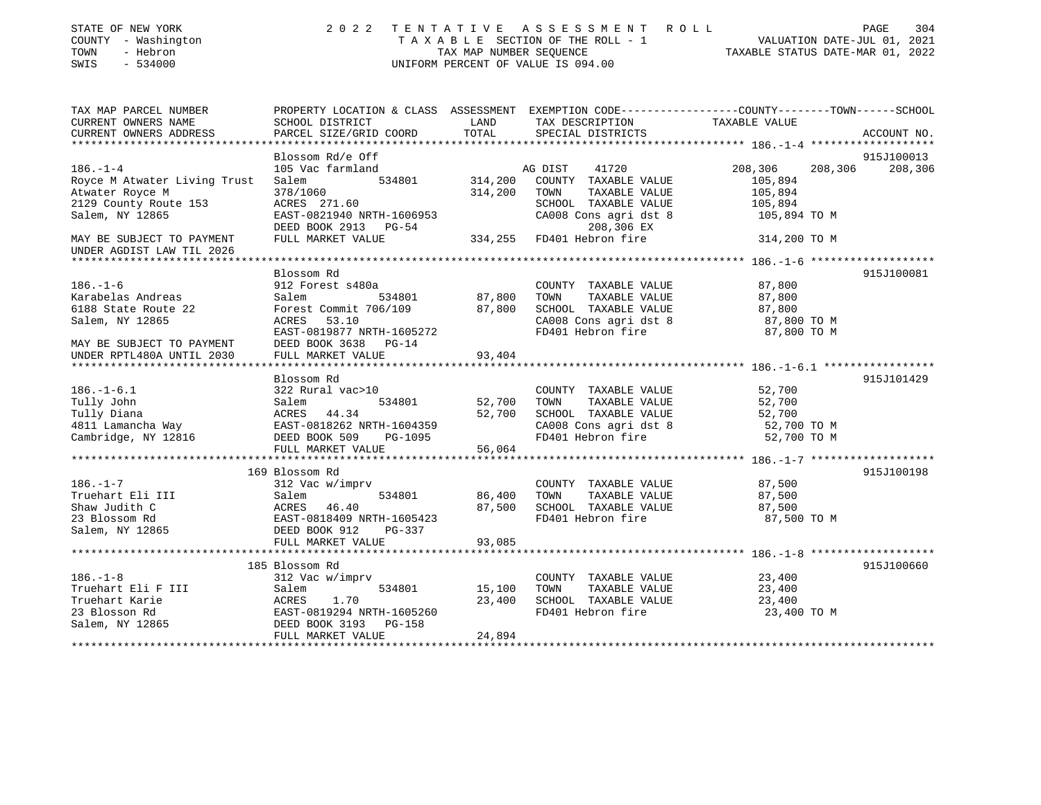| STATE OF NEW YORK<br>COUNTY - Washington<br>- Hebron<br>TOWN<br>SWIS<br>$-534000$ | 2 0 2 2                                                                                                            | TENTATIVE<br>TAX MAP NUMBER SEQUENCE | A S S E S S M E N T<br>R O L L<br>TAXABLE SECTION OF THE ROLL - 1<br>UNIFORM PERCENT OF VALUE IS 094.00 | VALUATION DATE-JUL 01, 2021<br>TAXABLE STATUS DATE-MAR 01, 2022 | 304<br>PAGE |
|-----------------------------------------------------------------------------------|--------------------------------------------------------------------------------------------------------------------|--------------------------------------|---------------------------------------------------------------------------------------------------------|-----------------------------------------------------------------|-------------|
| TAX MAP PARCEL NUMBER<br>CURRENT OWNERS NAME                                      | PROPERTY LOCATION & CLASS ASSESSMENT EXEMPTION CODE---------------COUNTY-------TOWN------SCHOOL<br>SCHOOL DISTRICT | LAND                                 | TAX DESCRIPTION                                                                                         | TAXABLE VALUE                                                   |             |
| CURRENT OWNERS ADDRESS                                                            | PARCEL SIZE/GRID COORD                                                                                             | TOTAL                                | SPECIAL DISTRICTS                                                                                       |                                                                 | ACCOUNT NO. |
| ****************                                                                  |                                                                                                                    |                                      |                                                                                                         |                                                                 |             |
|                                                                                   | Blossom Rd/e Off                                                                                                   |                                      |                                                                                                         |                                                                 | 915J100013  |
| $186. - 1 - 4$                                                                    | 105 Vac farmland                                                                                                   |                                      | AG DIST<br>41720                                                                                        | 208,306<br>208,306                                              | 208,306     |
| Royce M Atwater Living Trust                                                      | 534801<br>Salem                                                                                                    | 314,200                              | COUNTY TAXABLE VALUE                                                                                    | 105,894                                                         |             |
| Atwater Royce M                                                                   | 378/1060                                                                                                           | 314,200                              | TOWN<br>TAXABLE VALUE                                                                                   | 105,894                                                         |             |
| 2129 County Route 153<br>Salem, NY 12865                                          | ACRES 271.60<br>EAST-0821940 NRTH-1606953                                                                          |                                      | SCHOOL TAXABLE VALUE<br>CA008 Cons agri dst 8                                                           | 105,894<br>105,894 TO M                                         |             |
|                                                                                   | DEED BOOK 2913 PG-54                                                                                               |                                      | 208,306 EX                                                                                              |                                                                 |             |
| MAY BE SUBJECT TO PAYMENT<br>UNDER AGDIST LAW TIL 2026                            | FULL MARKET VALUE                                                                                                  |                                      | 334,255 FD401 Hebron fire                                                                               | 314,200 TO M                                                    |             |
|                                                                                   |                                                                                                                    |                                      |                                                                                                         | ********* 186.-1-6 ********************                         |             |
|                                                                                   | Blossom Rd                                                                                                         |                                      |                                                                                                         |                                                                 | 915J100081  |
| $186. - 1 - 6$                                                                    | 912 Forest s480a                                                                                                   |                                      | COUNTY TAXABLE VALUE                                                                                    | 87,800                                                          |             |
| Karabelas Andreas                                                                 | Salem<br>534801                                                                                                    | 87,800                               | TOWN<br>TAXABLE VALUE                                                                                   | 87,800                                                          |             |
| 6188 State Route 22                                                               | Forest Commit 706/109                                                                                              | 87,800                               | SCHOOL TAXABLE VALUE                                                                                    | 87,800                                                          |             |
| Salem, NY 12865                                                                   | ACRES<br>53.10<br>EAST-0819877 NRTH-1605272                                                                        |                                      | CA008 Cons agri dst 8<br>FD401 Hebron fire                                                              | 87,800 TO M<br>87,800 TO M                                      |             |
| MAY BE SUBJECT TO PAYMENT                                                         | DEED BOOK 3638 PG-14                                                                                               |                                      |                                                                                                         |                                                                 |             |
| UNDER RPTL480A UNTIL 2030                                                         | FULL MARKET VALUE                                                                                                  | 93,404                               |                                                                                                         |                                                                 |             |
|                                                                                   |                                                                                                                    |                                      |                                                                                                         | ***************** 186.-1-6.1 ******************                 |             |
|                                                                                   | Blossom Rd                                                                                                         |                                      |                                                                                                         |                                                                 | 915J101429  |
| $186. - 1 - 6.1$                                                                  | 322 Rural vac>10                                                                                                   |                                      | COUNTY TAXABLE VALUE                                                                                    | 52,700                                                          |             |
| Tully John                                                                        | 534801<br>Salem                                                                                                    | 52,700                               | TOWN<br>TAXABLE VALUE                                                                                   | 52,700                                                          |             |
| Tully Diana                                                                       | ACRES 44.34                                                                                                        | 52,700                               | SCHOOL TAXABLE VALUE                                                                                    | 52,700                                                          |             |
| 4811 Lamancha Way                                                                 | EAST-0818262 NRTH-1604359                                                                                          |                                      | CA008 Cons agri dst 8                                                                                   | 52,700 TO M                                                     |             |
| Cambridge, NY 12816                                                               | DEED BOOK 509<br>PG-1095                                                                                           |                                      | FD401 Hebron fire                                                                                       | 52,700 TO M                                                     |             |
|                                                                                   | FULL MARKET VALUE<br>*******************                                                                           | 56,064                               |                                                                                                         |                                                                 |             |
|                                                                                   | 169 Blossom Rd                                                                                                     |                                      |                                                                                                         |                                                                 | 915J100198  |
| $186. - 1 - 7$                                                                    | 312 Vac w/imprv                                                                                                    |                                      | COUNTY TAXABLE VALUE                                                                                    | 87,500                                                          |             |
| Truehart Eli III                                                                  | Salem<br>534801                                                                                                    | 86,400                               | TOWN<br>TAXABLE VALUE                                                                                   | 87,500                                                          |             |
| Shaw Judith C                                                                     | ACRES<br>46.40                                                                                                     | 87,500                               | SCHOOL TAXABLE VALUE                                                                                    | 87,500                                                          |             |
| 23 Blossom Rd                                                                     | EAST-0818409 NRTH-1605423                                                                                          |                                      | FD401 Hebron fire                                                                                       | 87,500 TO M                                                     |             |
| Salem, NY 12865                                                                   | DEED BOOK 912<br>PG-337                                                                                            |                                      |                                                                                                         |                                                                 |             |
|                                                                                   | FULL MARKET VALUE                                                                                                  | 93,085                               |                                                                                                         |                                                                 |             |
|                                                                                   | 185 Blossom Rd                                                                                                     |                                      |                                                                                                         |                                                                 | 915J100660  |
| $186. - 1 - 8$                                                                    | 312 Vac w/imprv                                                                                                    |                                      | COUNTY TAXABLE VALUE                                                                                    | 23,400                                                          |             |
| Truehart Eli F III                                                                | 534801<br>Salem                                                                                                    | 15,100                               | TOWN<br>TAXABLE VALUE                                                                                   | 23,400                                                          |             |
| Truehart Karie                                                                    | ACRES<br>1.70                                                                                                      | 23,400                               | SCHOOL TAXABLE VALUE                                                                                    | 23,400                                                          |             |
| 23 Blosson Rd                                                                     | EAST-0819294 NRTH-1605260                                                                                          |                                      | FD401 Hebron fire                                                                                       | 23,400 TO M                                                     |             |
| Salem, NY 12865                                                                   | DEED BOOK 3193<br>PG-158                                                                                           |                                      |                                                                                                         |                                                                 |             |
|                                                                                   | FULL MARKET VALUE                                                                                                  | 24,894                               |                                                                                                         |                                                                 |             |
|                                                                                   |                                                                                                                    | ******************                   |                                                                                                         |                                                                 |             |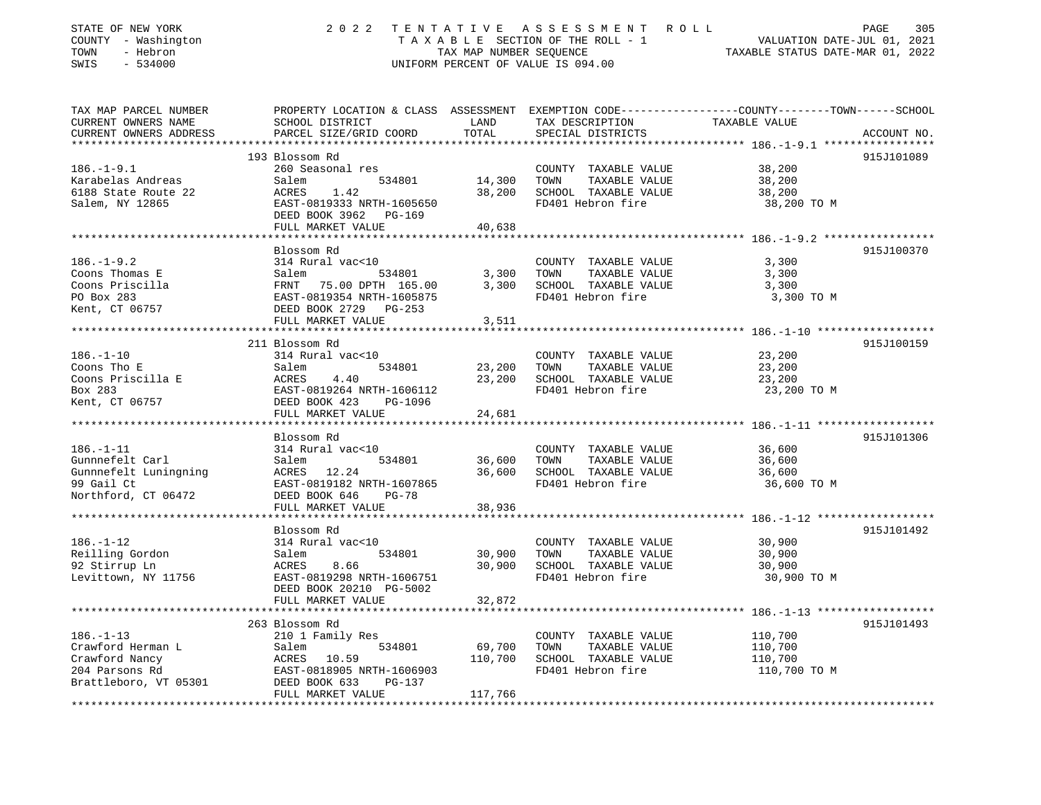| STATE OF NEW YORK<br>COUNTY - Washington<br>TOWN<br>- Hebron<br>$-534000$<br>SWIS                 | 2 0 2 2                                                                                                                                              | TAX MAP NUMBER SEQUENCE      | TENTATIVE ASSESSMENT ROLL<br>TAXABLE SECTION OF THE ROLL - 1<br>UNIFORM PERCENT OF VALUE IS 094.00 | PAGE<br>305<br>VALUATION DATE-JUL 01, 2021<br>TAXABLE STATUS DATE-MAR 01, 2022                                                  |
|---------------------------------------------------------------------------------------------------|------------------------------------------------------------------------------------------------------------------------------------------------------|------------------------------|----------------------------------------------------------------------------------------------------|---------------------------------------------------------------------------------------------------------------------------------|
| TAX MAP PARCEL NUMBER<br>CURRENT OWNERS NAME<br>CURRENT OWNERS ADDRESS<br>*********************** | SCHOOL DISTRICT<br>PARCEL SIZE/GRID COORD                                                                                                            | LAND<br>TOTAL                | TAX DESCRIPTION<br>SPECIAL DISTRICTS                                                               | PROPERTY LOCATION & CLASS ASSESSMENT EXEMPTION CODE----------------COUNTY-------TOWN-----SCHOOL<br>TAXABLE VALUE<br>ACCOUNT NO. |
| $186. - 1 - 9.1$<br>Karabelas Andreas<br>6188 State Route 22<br>Salem, NY 12865                   | 193 Blossom Rd<br>260 Seasonal res<br>534801<br>Salem<br>ACRES<br>1.42<br>EAST-0819333 NRTH-1605650<br>DEED BOOK 3962 PG-169<br>FULL MARKET VALUE    | 14,300<br>38,200<br>40,638   | COUNTY TAXABLE VALUE<br>TOWN<br>TAXABLE VALUE<br>SCHOOL TAXABLE VALUE<br>FD401 Hebron fire         | 915J101089<br>38,200<br>38,200<br>38,200<br>38,200 TO M                                                                         |
|                                                                                                   |                                                                                                                                                      |                              |                                                                                                    |                                                                                                                                 |
| $186. - 1 - 9.2$<br>Coons Thomas E<br>Coons Priscilla<br>PO Box 283<br>Kent, CT 06757             | Blossom Rd<br>314 Rural vac<10<br>Salem<br>534801<br>FRNT 75.00 DPTH 165.00<br>EAST-0819354 NRTH-1605875<br>DEED BOOK 2729 PG-253                    | 3,300<br>3,300               | COUNTY TAXABLE VALUE<br>TOWN<br>TAXABLE VALUE<br>SCHOOL TAXABLE VALUE<br>FD401 Hebron fire         | 915J100370<br>3,300<br>3,300<br>3,300<br>3,300 TO M                                                                             |
|                                                                                                   | FULL MARKET VALUE                                                                                                                                    | 3,511                        |                                                                                                    |                                                                                                                                 |
| $186. - 1 - 10$<br>Coons Tho E<br>Coons Priscilla E<br>Box 283<br>Kent, CT 06757                  | 211 Blossom Rd<br>314 Rural vac<10<br>Salem<br>534801<br>ACRES<br>4.40<br>EAST-0819264 NRTH-1606112<br>DEED BOOK 423<br>PG-1096                      | 23,200<br>23,200             | COUNTY TAXABLE VALUE<br>TOWN<br>TAXABLE VALUE<br>SCHOOL TAXABLE VALUE<br>FD401 Hebron fire         | 915J100159<br>23,200<br>23,200<br>23,200<br>23,200 TO M                                                                         |
|                                                                                                   | FULL MARKET VALUE                                                                                                                                    | 24,681                       |                                                                                                    |                                                                                                                                 |
| $186. - 1 - 11$<br>Gunnnefelt Carl<br>Gunnnefelt Luningning<br>99 Gail Ct<br>Northford, CT 06472  | Blossom Rd<br>314 Rural vac<10<br>Salem<br>534801<br>ACRES 12.24<br>EAST-0819182 NRTH-1607865<br>DEED BOOK 646<br><b>PG-78</b>                       | 36,600<br>36,600             | COUNTY TAXABLE VALUE<br>TAXABLE VALUE<br>TOWN<br>SCHOOL TAXABLE VALUE<br>FD401 Hebron fire         | 915J101306<br>36,600<br>36,600<br>36,600<br>36,600 TO M                                                                         |
|                                                                                                   | FULL MARKET VALUE                                                                                                                                    | 38,936                       |                                                                                                    |                                                                                                                                 |
| $186. - 1 - 12$<br>Reilling Gordon<br>92 Stirrup Ln<br>Levittown, NY 11756                        | Blossom Rd<br>314 Rural vac<10<br>Salem<br>534801<br>ACRES<br>8.66<br>EAST-0819298 NRTH-1606751<br>DEED BOOK 20210 PG-5002<br>FULL MARKET VALUE      | 30,900<br>30,900<br>32,872   | COUNTY TAXABLE VALUE<br>TOWN<br>TAXABLE VALUE<br>SCHOOL TAXABLE VALUE<br>FD401 Hebron fire         | ****************** 186.-1-12 *******************<br>915J101492<br>30,900<br>30,900<br>30,900<br>30,900 TO M                     |
|                                                                                                   |                                                                                                                                                      |                              |                                                                                                    |                                                                                                                                 |
| $186. - 1 - 13$<br>Crawford Herman L<br>Crawford Nancy<br>204 Parsons Rd<br>Brattleboro, VT 05301 | 263 Blossom Rd<br>210 1 Family Res<br>534801<br>Salem<br>10.59<br>ACRES<br>EAST-0818905 NRTH-1606903<br>DEED BOOK 633<br>PG-137<br>FULL MARKET VALUE | 69,700<br>110,700<br>117,766 | COUNTY TAXABLE VALUE<br>TAXABLE VALUE<br>TOWN<br>SCHOOL TAXABLE VALUE<br>FD401 Hebron fire         | 915J101493<br>110,700<br>110,700<br>110,700<br>110,700 TO M                                                                     |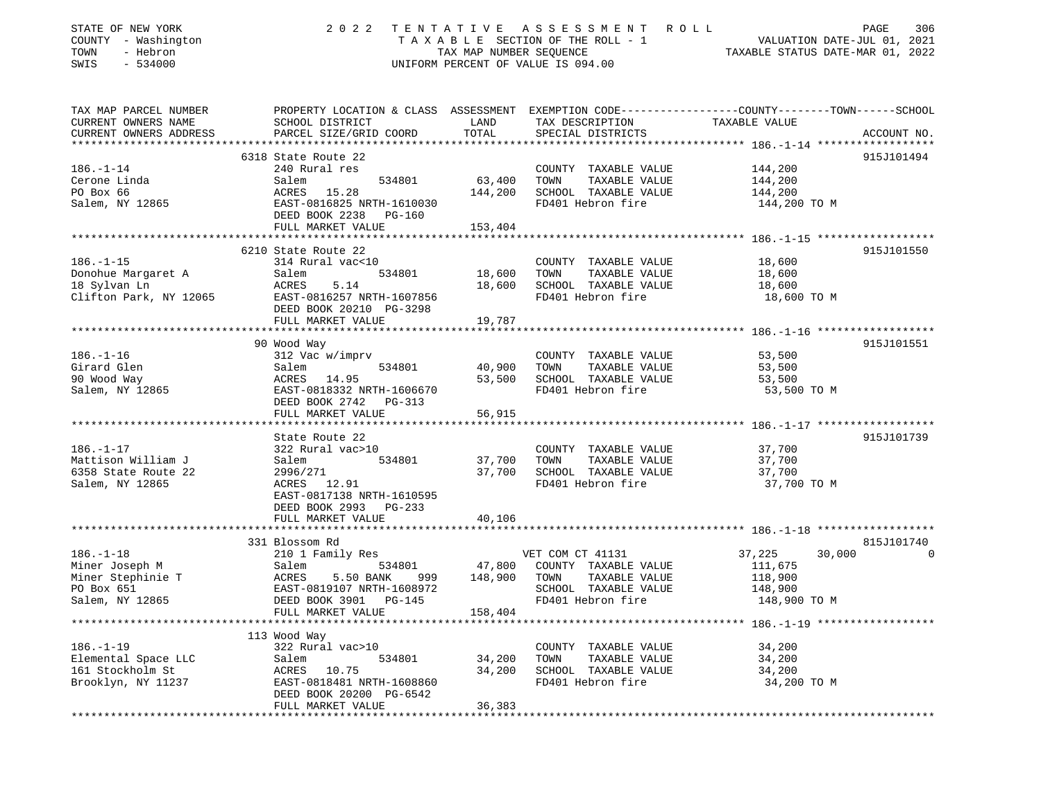| STATE OF NEW YORK<br>COUNTY - Washington<br>TOWN<br>- Hebron<br>SWIS<br>$-534000$       | 2022                                                                                                                                                    | TENTATIVE<br>TAX MAP NUMBER SEQUENCE | A S S E S S M E N T<br>ROLL<br>TAXABLE SECTION OF THE ROLL - 1<br>UNIFORM PERCENT OF VALUE IS 094.00           | PAGE<br>306<br>VALUATION DATE-JUL 01, 2021<br>TAXABLE STATUS DATE-MAR 01, 2022                                                  |
|-----------------------------------------------------------------------------------------|---------------------------------------------------------------------------------------------------------------------------------------------------------|--------------------------------------|----------------------------------------------------------------------------------------------------------------|---------------------------------------------------------------------------------------------------------------------------------|
| TAX MAP PARCEL NUMBER<br>CURRENT OWNERS NAME<br>CURRENT OWNERS ADDRESS                  | SCHOOL DISTRICT<br>PARCEL SIZE/GRID COORD                                                                                                               | LAND<br>TOTAL                        | TAX DESCRIPTION<br>SPECIAL DISTRICTS                                                                           | PROPERTY LOCATION & CLASS ASSESSMENT EXEMPTION CODE---------------COUNTY-------TOWN------SCHOOL<br>TAXABLE VALUE<br>ACCOUNT NO. |
|                                                                                         | 6318 State Route 22                                                                                                                                     |                                      |                                                                                                                | 915J101494                                                                                                                      |
| $186. - 1 - 14$<br>Cerone Linda<br>PO Box 66<br>Salem, NY 12865                         | 240 Rural res<br>534801<br>Salem<br>15.28<br>ACRES<br>EAST-0816825 NRTH-1610030                                                                         | 63,400<br>144,200                    | COUNTY TAXABLE VALUE<br>TOWN<br>TAXABLE VALUE<br>SCHOOL TAXABLE VALUE<br>FD401 Hebron fire                     | 144,200<br>144,200<br>144,200<br>144,200 TO M                                                                                   |
|                                                                                         | DEED BOOK 2238<br>$PG-160$                                                                                                                              |                                      |                                                                                                                |                                                                                                                                 |
|                                                                                         | FULL MARKET VALUE                                                                                                                                       | 153,404                              |                                                                                                                |                                                                                                                                 |
|                                                                                         | 6210 State Route 22                                                                                                                                     |                                      |                                                                                                                | 915J101550                                                                                                                      |
| $186. - 1 - 15$<br>Donohue Margaret A<br>18 Sylvan Ln<br>Clifton Park, NY 12065         | 314 Rural vac<10<br>Salem<br>534801<br>ACRES<br>5.14<br>EAST-0816257 NRTH-1607856                                                                       | 18,600<br>18,600                     | COUNTY TAXABLE VALUE<br>TOWN<br>TAXABLE VALUE<br>SCHOOL TAXABLE VALUE<br>FD401 Hebron fire                     | 18,600<br>18,600<br>18,600<br>18,600 TO M                                                                                       |
|                                                                                         | DEED BOOK 20210 PG-3298<br>FULL MARKET VALUE                                                                                                            | 19,787                               |                                                                                                                |                                                                                                                                 |
|                                                                                         |                                                                                                                                                         |                                      |                                                                                                                |                                                                                                                                 |
|                                                                                         | 90 Wood Way                                                                                                                                             |                                      |                                                                                                                | 915J101551                                                                                                                      |
| $186. - 1 - 16$<br>Girard Glen<br>90 Wood Way<br>Salem, NY 12865                        | 312 Vac w/imprv<br>534801<br>Salem<br>ACRES 14.95<br>EAST-0818332 NRTH-1606670<br>DEED BOOK 2742<br>PG-313                                              | 40,900<br>53,500                     | COUNTY TAXABLE VALUE<br>TOWN<br>TAXABLE VALUE<br>SCHOOL TAXABLE VALUE<br>FD401 Hebron fire                     | 53,500<br>53,500<br>53,500<br>53,500 TO M                                                                                       |
|                                                                                         | FULL MARKET VALUE                                                                                                                                       | 56,915                               |                                                                                                                |                                                                                                                                 |
|                                                                                         | ************************                                                                                                                                | *********                            |                                                                                                                |                                                                                                                                 |
| $186. - 1 - 17$<br>Mattison William J<br>6358 State Route 22<br>Salem, NY 12865         | State Route 22<br>322 Rural vac>10<br>Salem<br>534801<br>2996/271<br>12.91<br>ACRES<br>EAST-0817138 NRTH-1610595<br>DEED BOOK 2993 PG-233               | 37,700<br>37,700                     | COUNTY TAXABLE VALUE<br>TOWN<br>TAXABLE VALUE<br>SCHOOL TAXABLE VALUE<br>FD401 Hebron fire                     | 915J101739<br>37,700<br>37,700<br>37,700<br>37,700 TO M                                                                         |
|                                                                                         | FULL MARKET VALUE                                                                                                                                       | 40,106                               |                                                                                                                |                                                                                                                                 |
|                                                                                         |                                                                                                                                                         |                                      |                                                                                                                |                                                                                                                                 |
|                                                                                         | 331 Blossom Rd                                                                                                                                          |                                      |                                                                                                                | 815J101740<br>$\Omega$                                                                                                          |
| $186. - 1 - 18$<br>Miner Joseph M<br>Miner Stephinie T<br>PO Box 651<br>Salem, NY 12865 | 210 1 Family Res<br>Salem<br>534801<br><b>ACRES</b><br>5.50 BANK<br>999<br>EAST-0819107 NRTH-1608972<br>DEED BOOK 3901<br>$PG-145$<br>FULL MARKET VALUE | 47,800<br>148,900<br>158,404         | VET COM CT 41131<br>COUNTY TAXABLE VALUE<br>TOWN<br>TAXABLE VALUE<br>SCHOOL TAXABLE VALUE<br>FD401 Hebron fire | 37,225<br>30,000<br>111,675<br>118,900<br>148,900<br>148,900 TO M                                                               |
|                                                                                         |                                                                                                                                                         |                                      |                                                                                                                |                                                                                                                                 |
| $186. - 1 - 19$<br>Elemental Space LLC<br>161 Stockholm St<br>Brooklyn, NY 11237        | 113 Wood Way<br>322 Rural vac>10<br>Salem<br>534801<br>ACRES 10.75<br>EAST-0818481 NRTH-1608860<br>DEED BOOK 20200 PG-6542<br>FULL MARKET VALUE         | 34,200<br>34,200<br>36,383           | COUNTY TAXABLE VALUE<br>TOWN<br>TAXABLE VALUE<br>SCHOOL TAXABLE VALUE<br>FD401 Hebron fire                     | 34,200<br>34,200<br>34,200<br>34,200 TO M                                                                                       |
|                                                                                         |                                                                                                                                                         |                                      |                                                                                                                |                                                                                                                                 |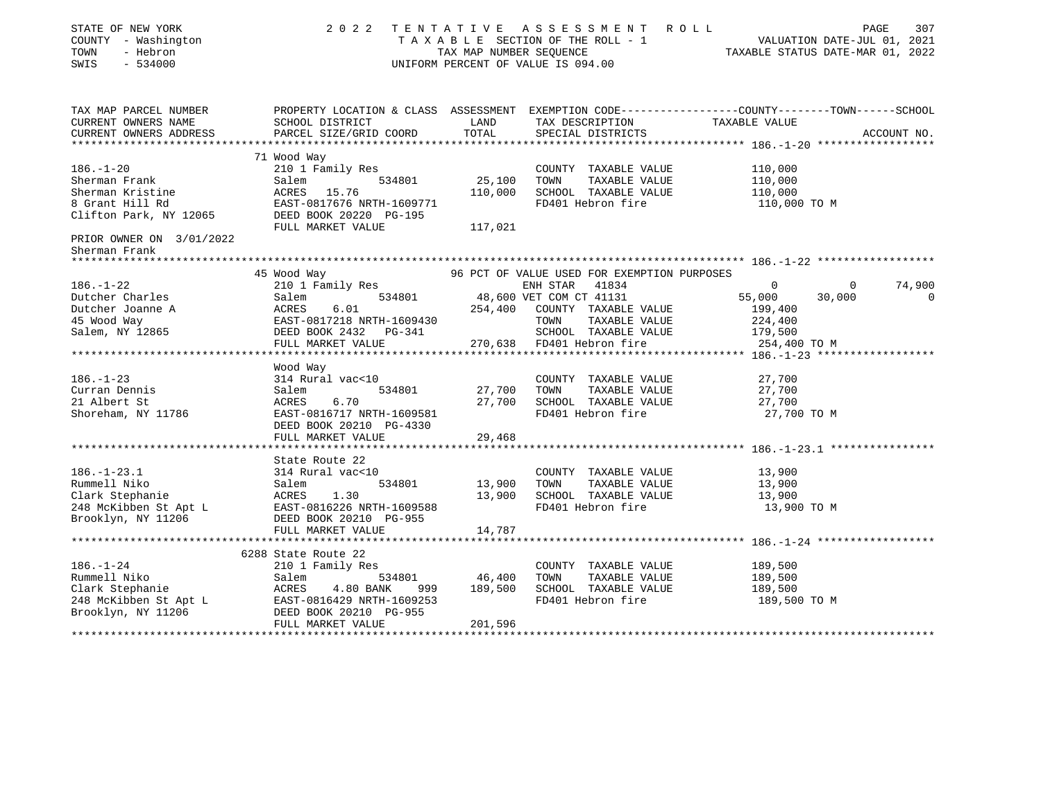| STATE OF NEW YORK<br>COUNTY - Washington<br>TOWN<br>- Hebron<br>SWIS<br>$-534000$ |                                                                                                                                                                                                                    |                                   | 2022 TENTATIVE ASSESSMENT ROLL<br>T A X A B L E SECTION OF THE ROLL - 1 VALUATION DATE-JUL 01, 2021<br>TAX MAP NUMBER SEQUENCE TAXIBLE STATUS DATE-MAR 01, 2022<br>UNIFORM PERCENT OF VALUE IS 094.00 |                      | 307<br>PAGE              |
|-----------------------------------------------------------------------------------|--------------------------------------------------------------------------------------------------------------------------------------------------------------------------------------------------------------------|-----------------------------------|-------------------------------------------------------------------------------------------------------------------------------------------------------------------------------------------------------|----------------------|--------------------------|
| TAX MAP PARCEL NUMBER<br>CURRENT OWNERS NAME<br>CURRENT OWNERS ADDRESS            | PROPERTY LOCATION & CLASS ASSESSMENT EXEMPTION CODE----------------COUNTY-------TOWN------SCHOOL<br>SCHOOL DISTRICT<br>PARCEL SIZE/GRID COORD                                                                      | <b>EXAMPLE TO A LAND</b><br>TOTAL | TAX DESCRIPTION<br>SPECIAL DISTRICTS                                                                                                                                                                  | TAXABLE VALUE        | ACCOUNT NO.              |
|                                                                                   |                                                                                                                                                                                                                    |                                   |                                                                                                                                                                                                       |                      |                          |
| $186. - 1 - 20$                                                                   | 71 Wood Way<br>210 1 Family Res                                                                                                                                                                                    |                                   | COUNTY TAXABLE VALUE                                                                                                                                                                                  | 110,000              |                          |
| Sherman Frank                                                                     | Salem                                                                                                                                                                                                              | 534801 25,100                     | TOWN<br>TAXABLE VALUE                                                                                                                                                                                 | 110,000              |                          |
| Sherman Kristine                                                                  | ACRES 15.76                                                                                                                                                                                                        | 110,000                           | SCHOOL TAXABLE VALUE                                                                                                                                                                                  | 110,000              |                          |
|                                                                                   | Solution National EAST-0817676 NRTH-1609771<br>Clifton Park, NY 12065 DEED BOOK 20220 PG-195<br>FULL MARKET VALUE                                                                                                  | 117,021                           | FD401 Hebron fire                                                                                                                                                                                     | 110,000 TO M         |                          |
| PRIOR OWNER ON 3/01/2022                                                          |                                                                                                                                                                                                                    |                                   |                                                                                                                                                                                                       |                      |                          |
| Sherman Frank                                                                     |                                                                                                                                                                                                                    |                                   |                                                                                                                                                                                                       |                      |                          |
| ****************                                                                  |                                                                                                                                                                                                                    |                                   |                                                                                                                                                                                                       |                      |                          |
|                                                                                   | 45 Wood Way                                                                                                                                                                                                        |                                   | 96 PCT OF VALUE USED FOR EXEMPTION PURPOSES                                                                                                                                                           |                      |                          |
|                                                                                   | 210 1 Family Res ENH STAR 41834<br>Salem 534801 48,600 VET COM CT 41131                                                                                                                                            |                                   | ENH STAR 41834                                                                                                                                                                                        | $\Omega$             | 74,900<br>$\overline{0}$ |
|                                                                                   |                                                                                                                                                                                                                    |                                   | 254,400 COUNTY TAXABLE VALUE                                                                                                                                                                          | 55,000<br>199,400    | 30,000<br>0              |
|                                                                                   |                                                                                                                                                                                                                    |                                   | TAXABLE VALUE<br>TOWN                                                                                                                                                                                 | 224,400              |                          |
|                                                                                   |                                                                                                                                                                                                                    |                                   | SCHOOL TAXABLE VALUE                                                                                                                                                                                  | 179,500              |                          |
|                                                                                   | FULL MARKET VALUE 270,638 FD401 Hebron fire                                                                                                                                                                        |                                   |                                                                                                                                                                                                       | 254,400 TO M         |                          |
|                                                                                   |                                                                                                                                                                                                                    |                                   |                                                                                                                                                                                                       |                      |                          |
|                                                                                   | Wood Way                                                                                                                                                                                                           |                                   |                                                                                                                                                                                                       |                      |                          |
| $186. - 1 - 23$                                                                   | 314 Rural vac<10                                                                                                                                                                                                   |                                   | COUNTY TAXABLE VALUE                                                                                                                                                                                  | 27,700               |                          |
| Curran Dennis                                                                     | 534801<br>Salem                                                                                                                                                                                                    | 27,700 TOWN                       | TAXABLE VALUE                                                                                                                                                                                         | 27,700               |                          |
| 21 Albert St                                                                      | 6.70<br>ACRES                                                                                                                                                                                                      |                                   | 27,700 SCHOOL TAXABLE VALUE                                                                                                                                                                           | 27,700               |                          |
| Shoreham, NY 11786                                                                | EAST-0816717 NRTH-1609581<br>DEED BOOK 20210 PG-4330<br>FULL MARKET VALUE                                                                                                                                          | 29,468                            | FD401 Hebron fire                                                                                                                                                                                     | 27,700 TO M          |                          |
|                                                                                   |                                                                                                                                                                                                                    |                                   |                                                                                                                                                                                                       |                      |                          |
|                                                                                   | State Route 22                                                                                                                                                                                                     |                                   |                                                                                                                                                                                                       |                      |                          |
| $186. - 1 - 23.1$                                                                 | 314 Rural vac<10                                                                                                                                                                                                   |                                   | COUNTY TAXABLE VALUE                                                                                                                                                                                  | 13,900               |                          |
|                                                                                   |                                                                                                                                                                                                                    | 13,900                            | TOWN<br>TAXABLE VALUE                                                                                                                                                                                 |                      |                          |
|                                                                                   |                                                                                                                                                                                                                    |                                   | 13,900 SCHOOL TAXABLE VALUE                                                                                                                                                                           | $13,900$<br>$13,900$ |                          |
|                                                                                   |                                                                                                                                                                                                                    |                                   | FD401 Hebron fire                                                                                                                                                                                     | 13,900 TO M          |                          |
|                                                                                   | Example 1 Niko<br>Clark Stephanie<br>248 McKibben St Apt L<br>248 McKibben St Apt L<br>248 McKibben St Apt L<br>248 McKibben St Apt L<br>26 McKibben St Apt L<br>26 McKibben St Apt L<br>26 DEED BOOK 20210 PG-955 |                                   |                                                                                                                                                                                                       |                      |                          |
|                                                                                   | FULL MARKET VALUE                                                                                                                                                                                                  | 14,787                            |                                                                                                                                                                                                       |                      |                          |
|                                                                                   |                                                                                                                                                                                                                    |                                   |                                                                                                                                                                                                       |                      |                          |
|                                                                                   | 6288 State Route 22                                                                                                                                                                                                |                                   |                                                                                                                                                                                                       |                      |                          |
| $186. - 1 - 24$                                                                   | 210 1 Family Res                                                                                                                                                                                                   | $\frac{1}{534801}$ 46,400         | COUNTY TAXABLE VALUE<br>TAXABLE VALUE<br>TOWN                                                                                                                                                         | 189,500<br>189,500   |                          |
|                                                                                   |                                                                                                                                                                                                                    | 999 189,500                       | SCHOOL TAXABLE VALUE                                                                                                                                                                                  | 189,500              |                          |
|                                                                                   |                                                                                                                                                                                                                    |                                   | FD401 Hebron fire                                                                                                                                                                                     | 189,500 TO M         |                          |
| Brooklyn, NY 11206                                                                | Eummell Niko<br>Clark Stephanie<br>248 McKibben St Apt L<br>26 McKibben St Apt L<br>26 McKibben St Apt L<br>26 EAST-0816429 NRTH-1609253<br>27 Brooklyn, NY 11206<br>28 DEED BOOK 20210 PG-955                     |                                   |                                                                                                                                                                                                       |                      |                          |
|                                                                                   | FULL MARKET VALUE                                                                                                                                                                                                  | 201,596                           |                                                                                                                                                                                                       |                      |                          |
|                                                                                   |                                                                                                                                                                                                                    |                                   |                                                                                                                                                                                                       |                      |                          |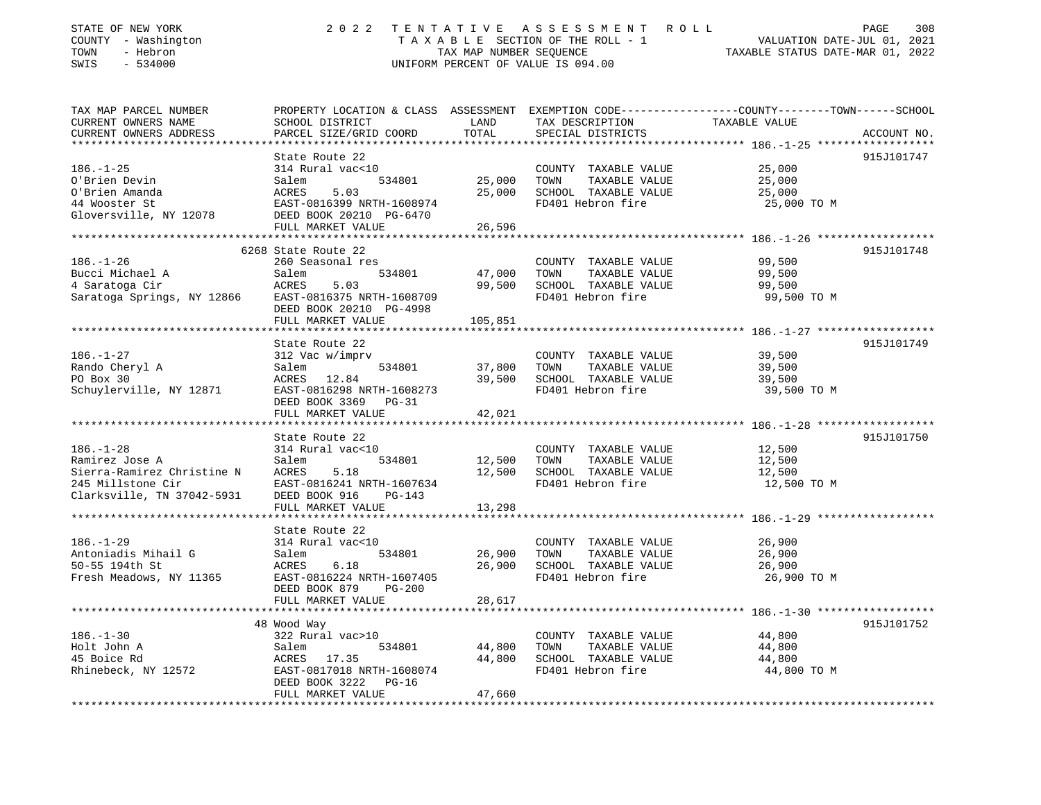| STATE OF NEW YORK<br>COUNTY - Washington<br>TOWN<br>- Hebron<br>SWIS<br>$-534000$                                        |                                                                                                                                                          | TAX MAP NUMBER SEQUENCE                   | 2022 TENTATIVE ASSESSMENT ROLL<br>UNIFORM PERCENT OF VALUE IS 094.00                       | PAGE<br>308<br>TAXABLE SECTION OF THE ROLL - 1 VALUATION DATE-JUL 01, 2021<br>TAXABLE STATUS DATE-MAR 01, 2022                  |
|--------------------------------------------------------------------------------------------------------------------------|----------------------------------------------------------------------------------------------------------------------------------------------------------|-------------------------------------------|--------------------------------------------------------------------------------------------|---------------------------------------------------------------------------------------------------------------------------------|
| TAX MAP PARCEL NUMBER<br>CURRENT OWNERS NAME<br>CURRENT OWNERS ADDRESS<br>************************                       | SCHOOL DISTRICT<br>PARCEL SIZE/GRID COORD                                                                                                                | LAND<br>TOTAL                             | TAX DESCRIPTION<br>SPECIAL DISTRICTS                                                       | PROPERTY LOCATION & CLASS ASSESSMENT EXEMPTION CODE----------------COUNTY-------TOWN-----SCHOOL<br>TAXABLE VALUE<br>ACCOUNT NO. |
| $186. - 1 - 25$<br>O'Brien Devin<br>O'Brien Amanda<br>44 Wooster St<br>Gloversville, NY 12078                            | State Route 22<br>314 Rural vac<10<br>534801<br>Salem<br>ACRES<br>5.03<br>EAST-0816399 NRTH-1608974<br>DEED BOOK 20210 PG-6470<br>FULL MARKET VALUE      | 25,000<br>25,000<br>26,596                | COUNTY TAXABLE VALUE<br>TOWN<br>TAXABLE VALUE<br>SCHOOL TAXABLE VALUE<br>FD401 Hebron fire | 915J101747<br>25,000<br>25,000<br>25,000<br>25,000 TO M                                                                         |
| $186. - 1 - 26$<br>Bucci Michael A<br>4 Saratoga Cir<br>Saratoga Springs, NY 12866                                       | 6268 State Route 22<br>260 Seasonal res<br>534801<br>Salem<br>ACRES<br>5.03<br>EAST-0816375 NRTH-1608709<br>DEED BOOK 20210 PG-4998<br>FULL MARKET VALUE | 47,000<br>99,500<br>105,851               | COUNTY TAXABLE VALUE<br>TOWN<br>TAXABLE VALUE<br>SCHOOL TAXABLE VALUE<br>FD401 Hebron fire | 915J101748<br>99,500<br>99,500<br>99,500<br>99,500 TO M                                                                         |
| $186. - 1 - 27$<br>Rando Cheryl A<br>PO Box 30<br>Schuylerville, NY 12871                                                | State Route 22<br>312 Vac w/imprv<br>Salem<br>534801<br>ACRES 12.84<br>EAST-0816298 NRTH-1608273<br>DEED BOOK 3369 PG-31<br>FULL MARKET VALUE            | 37,800<br>39,500<br>42,021                | COUNTY TAXABLE VALUE<br>TOWN<br>TAXABLE VALUE<br>SCHOOL TAXABLE VALUE<br>FD401 Hebron fire | 915J101749<br>39,500<br>39,500<br>39,500<br>39,500 TO M                                                                         |
| $186. - 1 - 28$<br>Ramirez Jose A<br>Sierra-Ramirez Christine N ACRES<br>245 Millstone Cir<br>Clarksville, TN 37042-5931 | State Route 22<br>314 Rural vac<10<br>Salem<br>534801<br>5.18<br>EAST-0816241 NRTH-1607634<br>DEED BOOK 916<br>$PG-143$<br>FULL MARKET VALUE             | 12,500<br>12,500<br>13,298                | COUNTY TAXABLE VALUE<br>TAXABLE VALUE<br>TOWN<br>SCHOOL TAXABLE VALUE<br>FD401 Hebron fire | 915J101750<br>12,500<br>12,500<br>12,500<br>12,500 TO M<br>********************* 186.-1-29 **************                       |
| $186. - 1 - 29$<br>Antoniadis Mihail G<br>50-55 194th St<br>Fresh Meadows, NY 11365                                      | State Route 22<br>314 Rural vac<10<br>534801<br>Salem<br>ACRES<br>6.18<br>EAST-0816224 NRTH-1607405<br>DEED BOOK 879 PG-200<br>FULL MARKET VALUE         | 26,900<br>26,900<br>28,617                | COUNTY TAXABLE VALUE<br>TOWN<br>TAXABLE VALUE<br>SCHOOL TAXABLE VALUE<br>FD401 Hebron fire | 26,900<br>26,900<br>26,900<br>26,900 TO M                                                                                       |
| $186. - 1 - 30$<br>Holt John A<br>45 Boice Rd<br>Rhinebeck, NY 12572                                                     | 48 Wood Way<br>322 Rural vac>10<br>534801<br>Salem<br>ACRES 17.35<br>EAST-0817018 NRTH-1608074<br>DEED BOOK 3222 PG-16<br>FULL MARKET VALUE              | ***********<br>44,800<br>44,800<br>47,660 | COUNTY TAXABLE VALUE<br>TAXABLE VALUE<br>TOWN<br>SCHOOL TAXABLE VALUE<br>FD401 Hebron fire | 915J101752<br>44,800<br>44,800<br>44,800<br>44,800 TO M                                                                         |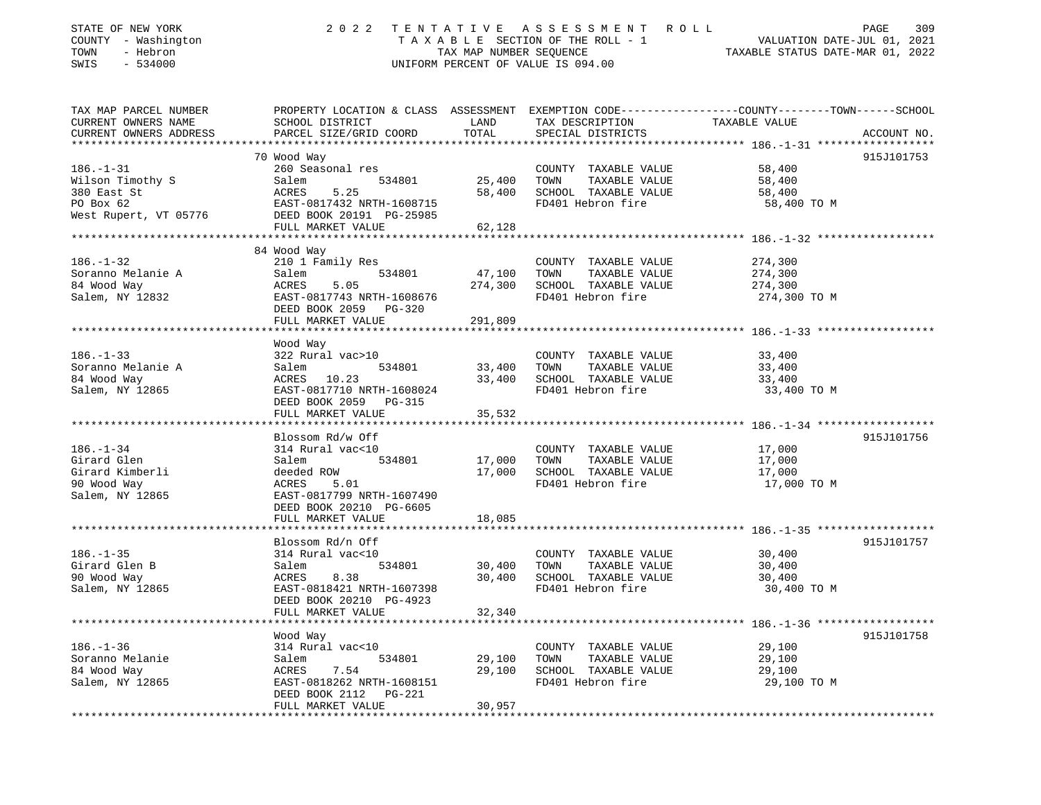| STATE OF NEW YORK<br>COUNTY - Washington<br>- Hebron<br>TOWN<br>SWIS<br>$-534000$        | 2 0 2 2<br>TENTATIVE<br>TAXABLE SECTION OF THE ROLL - 1<br>TAX MAP NUMBER SEQUENCE<br>UNIFORM PERCENT OF VALUE IS 094.00                                            | ASSESSMENT ROLL<br>PAGE<br>309<br>VALUATION DATE-JUL 01, 2021<br>TAXABLE STATUS DATE-MAR 01, 2022 |                                                                                            |                                                                                                                                  |
|------------------------------------------------------------------------------------------|---------------------------------------------------------------------------------------------------------------------------------------------------------------------|---------------------------------------------------------------------------------------------------|--------------------------------------------------------------------------------------------|----------------------------------------------------------------------------------------------------------------------------------|
| TAX MAP PARCEL NUMBER<br>CURRENT OWNERS NAME<br>CURRENT OWNERS ADDRESS                   | SCHOOL DISTRICT<br>PARCEL SIZE/GRID COORD                                                                                                                           | LAND<br>TOTAL                                                                                     | TAX DESCRIPTION<br>SPECIAL DISTRICTS                                                       | PROPERTY LOCATION & CLASS ASSESSMENT EXEMPTION CODE----------------COUNTY-------TOWN------SCHOOL<br>TAXABLE VALUE<br>ACCOUNT NO. |
|                                                                                          | 70 Wood Way                                                                                                                                                         |                                                                                                   |                                                                                            | 915J101753                                                                                                                       |
| $186. - 1 - 31$<br>Wilson Timothy S<br>380 East St<br>PO Box 62<br>West Rupert, VT 05776 | 260 Seasonal res<br>Salem<br>534801<br>ACRES<br>5.25<br>EAST-0817432 NRTH-1608715<br>DEED BOOK 20191 PG-25985<br>FULL MARKET VALUE                                  | 25,400<br>58,400<br>62,128                                                                        | COUNTY TAXABLE VALUE<br>TOWN<br>TAXABLE VALUE<br>SCHOOL TAXABLE VALUE<br>FD401 Hebron fire | 58,400<br>58,400<br>58,400<br>58,400 TO M                                                                                        |
|                                                                                          |                                                                                                                                                                     |                                                                                                   |                                                                                            |                                                                                                                                  |
| $186. - 1 - 32$<br>Soranno Melanie A<br>84 Wood Way<br>Salem, NY 12832                   | 84 Wood Way<br>210 1 Family Res<br>Salem<br>534801<br>5.05<br>ACRES<br>EAST-0817743 NRTH-1608676<br>DEED BOOK 2059 PG-320<br>FULL MARKET VALUE                      | 47,100<br>274,300<br>291,809                                                                      | COUNTY TAXABLE VALUE<br>TOWN<br>TAXABLE VALUE<br>SCHOOL TAXABLE VALUE<br>FD401 Hebron fire | 274,300<br>274,300<br>274,300<br>274,300 TO M                                                                                    |
|                                                                                          | ***********************                                                                                                                                             | **********                                                                                        |                                                                                            | ********************** 186.-1-33 ********************                                                                            |
| $186. - 1 - 33$<br>Soranno Melanie A<br>84 Wood Way<br>Salem, NY 12865                   | Wood Way<br>322 Rural vac>10<br>Salem<br>534801<br>ACRES 10.23<br>EAST-0817710 NRTH-1608024<br>DEED BOOK 2059 PG-315<br>FULL MARKET VALUE                           | 33,400<br>33,400<br>35,532                                                                        | COUNTY TAXABLE VALUE<br>TOWN<br>TAXABLE VALUE<br>SCHOOL TAXABLE VALUE<br>FD401 Hebron fire | 33,400<br>33,400<br>33,400<br>33,400 TO M                                                                                        |
|                                                                                          |                                                                                                                                                                     |                                                                                                   |                                                                                            |                                                                                                                                  |
| $186. - 1 - 34$<br>Girard Glen<br>Girard Kimberli<br>90 Wood Way<br>Salem, NY 12865      | Blossom Rd/w Off<br>314 Rural vac<10<br>534801<br>Salem<br>deeded ROW<br>ACRES<br>5.01<br>EAST-0817799 NRTH-1607490<br>DEED BOOK 20210 PG-6605<br>FULL MARKET VALUE | 17,000<br>17,000<br>18,085                                                                        | COUNTY TAXABLE VALUE<br>TOWN<br>TAXABLE VALUE<br>SCHOOL TAXABLE VALUE<br>FD401 Hebron fire | 915J101756<br>17,000<br>17,000<br>17,000<br>17,000 TO M                                                                          |
|                                                                                          |                                                                                                                                                                     |                                                                                                   |                                                                                            |                                                                                                                                  |
| $186. - 1 - 35$<br>Girard Glen B<br>90 Wood Way<br>Salem, NY 12865                       | Blossom Rd/n Off<br>314 Rural vac<10<br>Salem<br>534801<br>ACRES<br>8.38<br>EAST-0818421 NRTH-1607398<br>DEED BOOK 20210 PG-4923                                    | 30,400<br>30,400                                                                                  | COUNTY TAXABLE VALUE<br>TOWN<br>TAXABLE VALUE<br>SCHOOL TAXABLE VALUE<br>FD401 Hebron fire | 915J101757<br>30,400<br>30,400<br>30,400<br>30,400 TO M                                                                          |
| ********************************                                                         | FULL MARKET VALUE                                                                                                                                                   | 32,340                                                                                            |                                                                                            |                                                                                                                                  |
| $186. - 1 - 36$<br>Soranno Melanie<br>84 Wood Way<br>Salem, NY 12865                     | Wood Way<br>314 Rural vac<10<br>534801<br>Salem<br>ACRES<br>7.54<br>EAST-0818262 NRTH-1608151<br>DEED BOOK 2112 PG-221<br>FULL MARKET VALUE                         | 29,100<br>29,100<br>30,957                                                                        | COUNTY TAXABLE VALUE<br>TOWN<br>TAXABLE VALUE<br>SCHOOL TAXABLE VALUE<br>FD401 Hebron fire | 915J101758<br>29,100<br>29,100<br>29,100<br>29,100 TO M                                                                          |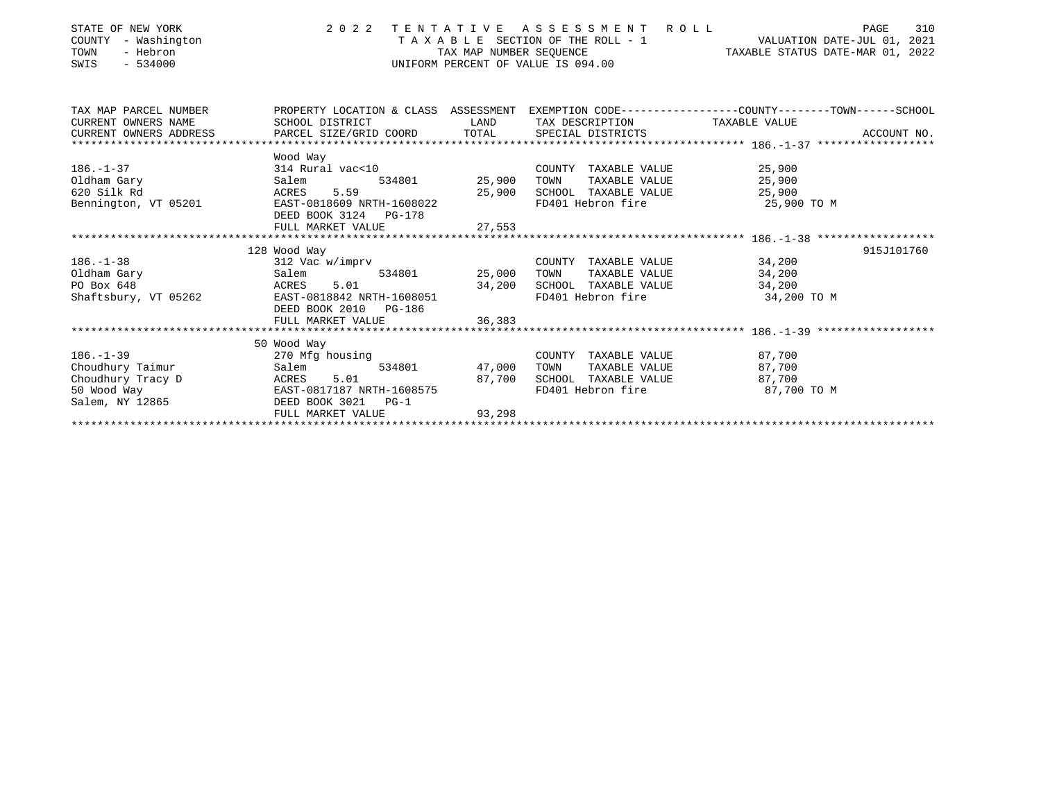| STATE OF NEW YORK<br>COUNTY - Washington<br>TOWN<br>- Hebron<br>$-534000$<br>SWIS                                                                                                                                                                                                       |                                                                                                                               |                                       | UNIFORM PERCENT OF VALUE IS 094.00                                                           | 2022 TENTATIVE ASSESSMENT ROLL PAGE 310<br>TAXABLE SECTION OF THE ROLL - 1 VALUATION DATE-JUL 01, 2021<br>TAX MAP NUMBER SEQUENCE TAXABLE STATUS DATE-MAR 01, 2022 |
|-----------------------------------------------------------------------------------------------------------------------------------------------------------------------------------------------------------------------------------------------------------------------------------------|-------------------------------------------------------------------------------------------------------------------------------|---------------------------------------|----------------------------------------------------------------------------------------------|--------------------------------------------------------------------------------------------------------------------------------------------------------------------|
| TAX MAP PARCEL NUMBER<br>CURRENT OWNERS NAME                                                                                                                                                                                                                                            | PROPERTY LOCATION & CLASS ASSESSMENT<br>SCHOOL DISTRICT<br><b>LAND</b>                                                        |                                       | TAX DESCRIPTION TAXABLE VALUE                                                                | EXEMPTION CODE-----------------COUNTY-------TOWN------SCHOOL                                                                                                       |
| CURRENT OWNERS ADDRESS                                                                                                                                                                                                                                                                  | PARCEL SIZE/GRID COORD TOTAL                                                                                                  |                                       | SPECIAL DISTRICTS                                                                            | ACCOUNT NO.                                                                                                                                                        |
|                                                                                                                                                                                                                                                                                         | Wood Way                                                                                                                      |                                       |                                                                                              |                                                                                                                                                                    |
| $186. - 1 - 37$<br>Oldham Gary the control of the control of the control of the control of the control of the control of the control of the control of the control of the control of the control of the control of the control of the control of<br>620 Silk Rd<br>Bennington, VT 05201 | 314 Rural vac<10<br>Salem 534801 25,900<br>ACRES 5.59<br>EAST-0818609 NRTH-1608022                                            | 900 , د ــ<br>25 , 900                | COUNTY TAXABLE VALUE 25,900<br>TOWN<br>SCHOOL TAXABLE VALUE 25,900<br>FD401 Hebron fire      | TAXABLE VALUE 25,900<br>25,900 TO M                                                                                                                                |
|                                                                                                                                                                                                                                                                                         | DEED BOOK 3124 PG-178                                                                                                         |                                       |                                                                                              |                                                                                                                                                                    |
|                                                                                                                                                                                                                                                                                         |                                                                                                                               |                                       |                                                                                              |                                                                                                                                                                    |
| $186. - 1 - 38$                                                                                                                                                                                                                                                                         | 128 Wood Way<br>312 Vac w/imprv<br>Salem<br>ACRES 5.01 34,200<br>EAST-0818842 NRTH-1608051 34,200<br>DEED BOOK 2010 PG-186    | 534801 25,000                         | COUNTY TAXABLE VALUE<br>TOWN<br>SCHOOL TAXABLE VALUE 34,200<br>FD401 Hebron fire 34,200 TO M | 915J101760<br>34,200<br>TAXABLE VALUE 34,200                                                                                                                       |
|                                                                                                                                                                                                                                                                                         | FULL MARKET VALUE                                                                                                             | 36,383                                |                                                                                              |                                                                                                                                                                    |
|                                                                                                                                                                                                                                                                                         | 50 Wood Way                                                                                                                   |                                       |                                                                                              |                                                                                                                                                                    |
| $186. - 1 - 39$<br>Choudhury Taimur<br>Choudhury Tracy D<br>50 Wood Way<br>Salem, NY 12865                                                                                                                                                                                              | 270 Mfg housing<br>Salem<br>ACRES 5.01<br>Salem<br>EAST-0817187 NRTH-1608575<br>DEED BOOK 3021<br>$PG-1$<br>FULL MARKET VALUE | $534801$ $47,000$<br>87,700<br>93,298 | COUNTY TAXABLE VALUE<br>TOWN<br>SCHOOL TAXABLE VALUE<br>FD401 Hebron fire 87,700 TO M        | 87,700<br>TAXABLE VALUE 87,700<br>87,700                                                                                                                           |
|                                                                                                                                                                                                                                                                                         |                                                                                                                               |                                       |                                                                                              |                                                                                                                                                                    |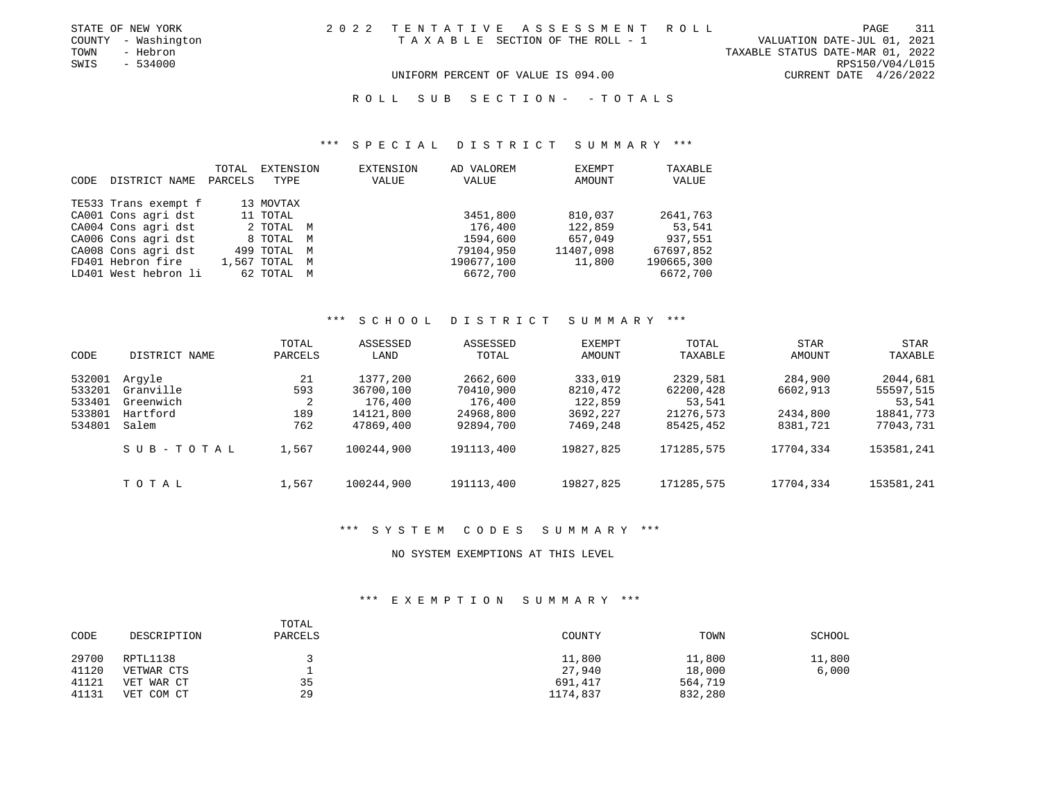| STATE OF NEW YORK   | 2022 TENTATIVE ASSESSMENT ROLL     | PAGE                             | 311 |
|---------------------|------------------------------------|----------------------------------|-----|
| COUNTY - Washington | TAXABLE SECTION OF THE ROLL - 1    | VALUATION DATE-JUL 01, 2021      |     |
| TOWN<br>- Hebron    |                                    | TAXABLE STATUS DATE-MAR 01, 2022 |     |
| SWIS<br>- 534000    |                                    | RPS150/V04/L015                  |     |
|                     | UNIFORM PERCENT OF VALUE IS 094.00 | CURRENT DATE $4/26/2022$         |     |

#### R O L L S U B S E C T I O N - - T O T A L S

# \*\*\* S P E C I A L D I S T R I C T S U M M A R Y \*\*\*

| CODE | DISTRICT NAME        | TOTAL<br>PARCELS | EXTENSION<br>TYPE | EXTENSION<br>VALUE | AD VALOREM<br>VALUE | EXEMPT<br>AMOUNT | TAXABLE<br>VALUE |
|------|----------------------|------------------|-------------------|--------------------|---------------------|------------------|------------------|
|      | TE533 Trans exempt f |                  | 13 MOVTAX         |                    |                     |                  |                  |
|      | CA001 Cons agri dst  |                  | 11 TOTAL          |                    | 3451,800            | 810,037          | 2641,763         |
|      | CA004 Cons agri dst  |                  | 2 TOTAL M         |                    | 176,400             | 122,859          | 53,541           |
|      | CA006 Cons agri dst  |                  | 8 TOTAL M         |                    | 1594,600            | 657,049          | 937,551          |
|      | CA008 Cons agri dst  |                  | 499 TOTAL M       |                    | 79104,950           | 11407,098        | 67697,852        |
|      | FD401 Hebron fire    |                  | 1,567 TOTAL M     |                    | 190677,100          | 11,800           | 190665,300       |
|      | LD401 West hebron li |                  | 62 TOTAL M        |                    | 6672,700            |                  | 6672,700         |

#### \*\*\* S C H O O L D I S T R I C T S U M M A R Y \*\*\*

| CODE                                           | DISTRICT NAME                                         | TOTAL<br>PARCELS             | ASSESSED<br>LAND                                           | ASSESSED<br>TOTAL                                          | <b>EXEMPT</b><br>AMOUNT                                | TOTAL<br>TAXABLE                                          | <b>STAR</b><br>AMOUNT                       | <b>STAR</b><br>TAXABLE                                    |
|------------------------------------------------|-------------------------------------------------------|------------------------------|------------------------------------------------------------|------------------------------------------------------------|--------------------------------------------------------|-----------------------------------------------------------|---------------------------------------------|-----------------------------------------------------------|
| 532001<br>533201<br>533401<br>533801<br>534801 | Arqyle<br>Granville<br>Greenwich<br>Hartford<br>Salem | 21<br>593<br>2<br>189<br>762 | 1377,200<br>36700,100<br>176,400<br>14121,800<br>47869,400 | 2662,600<br>70410,900<br>176,400<br>24968,800<br>92894,700 | 333,019<br>8210,472<br>122,859<br>3692,227<br>7469,248 | 2329,581<br>62200,428<br>53,541<br>21276,573<br>85425,452 | 284,900<br>6602,913<br>2434,800<br>8381,721 | 2044,681<br>55597,515<br>53,541<br>18841,773<br>77043,731 |
|                                                | SUB-TOTAL                                             | 1,567                        | 100244,900                                                 | 191113,400                                                 | 19827,825                                              | 171285,575                                                | 17704,334                                   | 153581,241                                                |
|                                                | TOTAL                                                 | 1,567                        | 100244,900                                                 | 191113,400                                                 | 19827,825                                              | 171285,575                                                | 17704,334                                   | 153581,241                                                |

### \*\*\* S Y S T E M C O D E S S U M M A R Y \*\*\*

#### NO SYSTEM EXEMPTIONS AT THIS LEVEL

#### \*\*\* E X E M P T I O N S U M M A R Y \*\*\*

| CODE  | DESCRIPTION | TOTAL<br>PARCELS | COUNTY   | TOWN    | SCHOOL |
|-------|-------------|------------------|----------|---------|--------|
| 29700 | RPTL1138    |                  | 11,800   | 11,800  | 11,800 |
| 41120 | VETWAR CTS  | ᅩ                | 27,940   | 18,000  | 6,000  |
| 41121 | VET WAR CT  | 35               | 691,417  | 564,719 |        |
| 41131 | VET COM CT  | 29               | 1174,837 | 832,280 |        |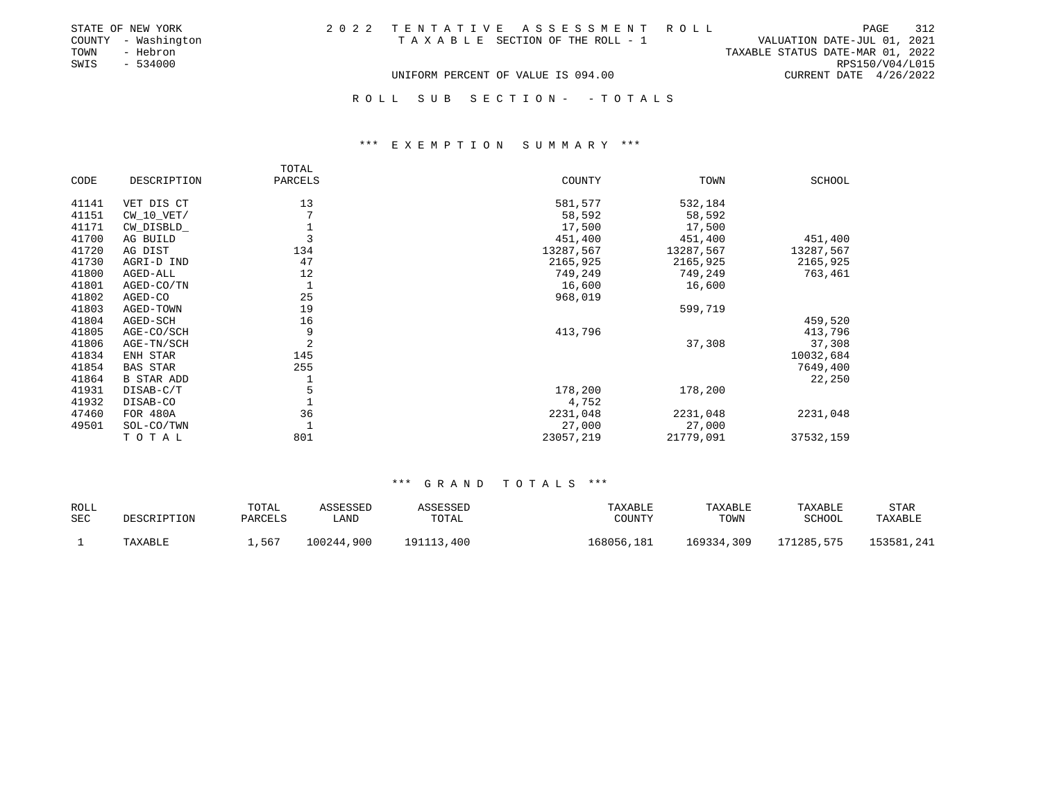| STATE OF NEW YORK   | 2022 TENTATIVE ASSESSMENT ROLL     | 312<br>PAGE                      |
|---------------------|------------------------------------|----------------------------------|
| COUNTY - Washington | TAXABLE SECTION OF THE ROLL - 1    | VALUATION DATE-JUL 01, 2021      |
| - Hebron<br>TOWN    |                                    | TAXABLE STATUS DATE-MAR 01, 2022 |
| SWIS - 534000       |                                    | RPS150/V04/L015                  |
|                     | UNIFORM PERCENT OF VALUE IS 094.00 | CURRENT DATE 4/26/2022           |
|                     |                                    |                                  |
|                     | ROLL SUB SECTION- - TOTALS         |                                  |

# \*\*\* E X E M P T I O N S U M M A R Y \*\*\*

|       |                   | TOTAL        |           |           |           |
|-------|-------------------|--------------|-----------|-----------|-----------|
| CODE  | DESCRIPTION       | PARCELS      | COUNTY    | TOWN      | SCHOOL    |
| 41141 | VET DIS CT        | 13           | 581,577   | 532,184   |           |
| 41151 | $CW_10_VET/$      | $\mathbf{r}$ | 58,592    | 58,592    |           |
| 41171 | CW_DISBLD_        |              | 17,500    | 17,500    |           |
| 41700 | AG BUILD          |              | 451,400   | 451,400   | 451,400   |
| 41720 | AG DIST           | 134          | 13287,567 | 13287,567 | 13287,567 |
| 41730 | AGRI-D IND        | 47           | 2165,925  | 2165,925  | 2165,925  |
| 41800 | AGED-ALL          | 12           | 749,249   | 749,249   | 763,461   |
| 41801 | AGED-CO/TN        |              | 16,600    | 16,600    |           |
| 41802 | AGED-CO           | 25           | 968,019   |           |           |
| 41803 | AGED-TOWN         | 19           |           | 599,719   |           |
| 41804 | AGED-SCH          | 16           |           |           | 459,520   |
| 41805 | AGE-CO/SCH        | 9            | 413,796   |           | 413,796   |
| 41806 | AGE-TN/SCH        | 2            |           | 37,308    | 37,308    |
| 41834 | ENH STAR          | 145          |           |           | 10032,684 |
| 41854 | <b>BAS STAR</b>   | 255          |           |           | 7649,400  |
| 41864 | <b>B STAR ADD</b> |              |           |           | 22,250    |
| 41931 | DISAB-C/T         | 5            | 178,200   | 178,200   |           |
| 41932 | DISAB-CO          |              | 4,752     |           |           |
| 47460 | FOR 480A          | 36           | 2231,048  | 2231,048  | 2231,048  |
| 49501 | SOL-CO/TWN        |              | 27,000    | 27,000    |           |
|       | TOTAL             | 801          | 23057,219 | 21779,091 | 37532,159 |

| <b>ROLL</b> |             | TOTAL   | ASSESSED   | ASSESSED   | TAXABLE    | TAXABLE    | TAXABLE    | <b>STAR</b> |
|-------------|-------------|---------|------------|------------|------------|------------|------------|-------------|
| <b>SEC</b>  | DESCRIPTION | PARCELS | LAND       | TOTAL      | COUNTY     | TOWN       | SCHOOL     | TAXABLE     |
|             | TAXABLE     | ,567    | 100244,900 | 191113,400 | 168056,181 | 169334,309 | 171285,575 | 153581,241  |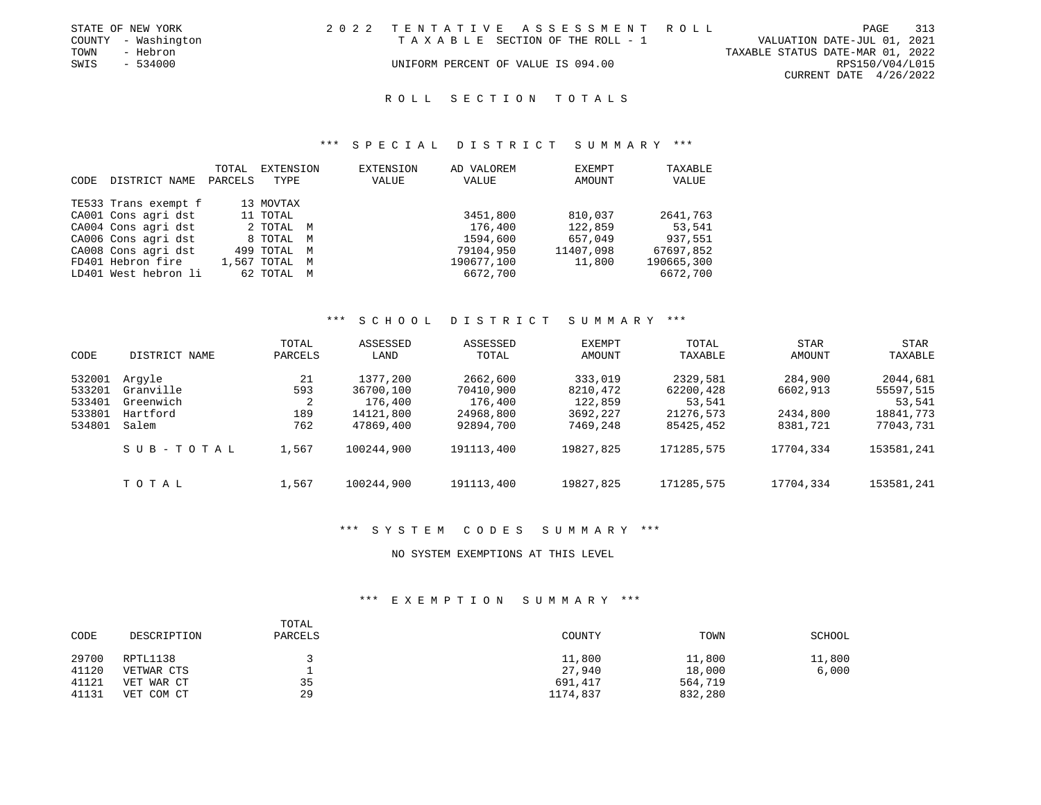|      | STATE OF NEW YORK   | 2022 TENTATIVE ASSESSMENT ROLL     |                                  | PAGE 313        |  |
|------|---------------------|------------------------------------|----------------------------------|-----------------|--|
|      | COUNTY - Washington | TAXABLE SECTION OF THE ROLL - 1    | VALUATION DATE-JUL 01, 2021      |                 |  |
| TOWN | - Hebron            |                                    | TAXABLE STATUS DATE-MAR 01, 2022 |                 |  |
| SWIS | $-534000$           | UNIFORM PERCENT OF VALUE IS 094.00 |                                  | RPS150/V04/L015 |  |
|      |                     |                                    | CURRENT DATE 4/26/2022           |                 |  |
|      |                     |                                    |                                  |                 |  |

### \*\*\* S P E C I A L D I S T R I C T S U M M A R Y \*\*\*

|      |                      | TOTAL   | EXTENSION     | EXTENSION | AD VALOREM | EXEMPT    | TAXABLE    |
|------|----------------------|---------|---------------|-----------|------------|-----------|------------|
| CODE | DISTRICT NAME        | PARCELS | TYPE          | VALUE     | VALUE      | AMOUNT    | VALUE      |
|      |                      |         |               |           |            |           |            |
|      | TE533 Trans exempt f |         | 13 MOVTAX     |           |            |           |            |
|      | CA001 Cons agri dst  |         | 11 TOTAL      |           | 3451,800   | 810,037   | 2641,763   |
|      | CA004 Cons agri dst  |         | 2 TOTAL M     |           | 176,400    | 122,859   | 53,541     |
|      | CA006 Cons agri dst  |         | 8 TOTAL M     |           | 1594,600   | 657,049   | 937,551    |
|      | CA008 Cons agri dst  |         | 499 TOTAL M   |           | 79104,950  | 11407,098 | 67697,852  |
|      | FD401 Hebron fire    |         | 1,567 TOTAL M |           | 190677,100 | 11,800    | 190665,300 |
|      | LD401 West hebron li |         | 62 TOTAL M    |           | 6672,700   |           | 6672,700   |

#### \*\*\* S C H O O L D I S T R I C T S U M M A R Y \*\*\*

| CODE                                           | DISTRICT NAME                                         | TOTAL<br>PARCELS             | ASSESSED<br>LAND                                           | ASSESSED<br>TOTAL                                          | <b>EXEMPT</b><br>AMOUNT                                | TOTAL<br>TAXABLE                                          | <b>STAR</b><br>AMOUNT                       | <b>STAR</b><br>TAXABLE                                    |
|------------------------------------------------|-------------------------------------------------------|------------------------------|------------------------------------------------------------|------------------------------------------------------------|--------------------------------------------------------|-----------------------------------------------------------|---------------------------------------------|-----------------------------------------------------------|
| 532001<br>533201<br>533401<br>533801<br>534801 | Arqyle<br>Granville<br>Greenwich<br>Hartford<br>Salem | 21<br>593<br>2<br>189<br>762 | 1377,200<br>36700,100<br>176,400<br>14121,800<br>47869,400 | 2662,600<br>70410,900<br>176,400<br>24968,800<br>92894,700 | 333,019<br>8210,472<br>122,859<br>3692,227<br>7469,248 | 2329,581<br>62200,428<br>53,541<br>21276,573<br>85425,452 | 284,900<br>6602,913<br>2434,800<br>8381,721 | 2044,681<br>55597,515<br>53,541<br>18841,773<br>77043,731 |
|                                                | SUB-TOTAL                                             | 1,567                        | 100244,900                                                 | 191113,400                                                 | 19827,825                                              | 171285,575                                                | 17704,334                                   | 153581,241                                                |
|                                                | тотаь                                                 | 1,567                        | 100244,900                                                 | 191113,400                                                 | 19827,825                                              | 171285,575                                                | 17704,334                                   | 153581,241                                                |

### \*\*\* S Y S T E M C O D E S S U M M A R Y \*\*\*

#### NO SYSTEM EXEMPTIONS AT THIS LEVEL

#### \*\*\* E X E M P T I O N S U M M A R Y \*\*\*

| CODE  | DESCRIPTION | TOTAL<br>PARCELS | COUNTY   | TOWN    | SCHOOL |
|-------|-------------|------------------|----------|---------|--------|
| 29700 | RPTL1138    |                  | 11,800   | 11,800  | 11,800 |
| 41120 | VETWAR CTS  |                  | 27,940   | 18,000  | 6,000  |
| 41121 | VET WAR CT  | 35               | 691,417  | 564,719 |        |
| 41131 | VET COM CT  | 29               | 1174,837 | 832,280 |        |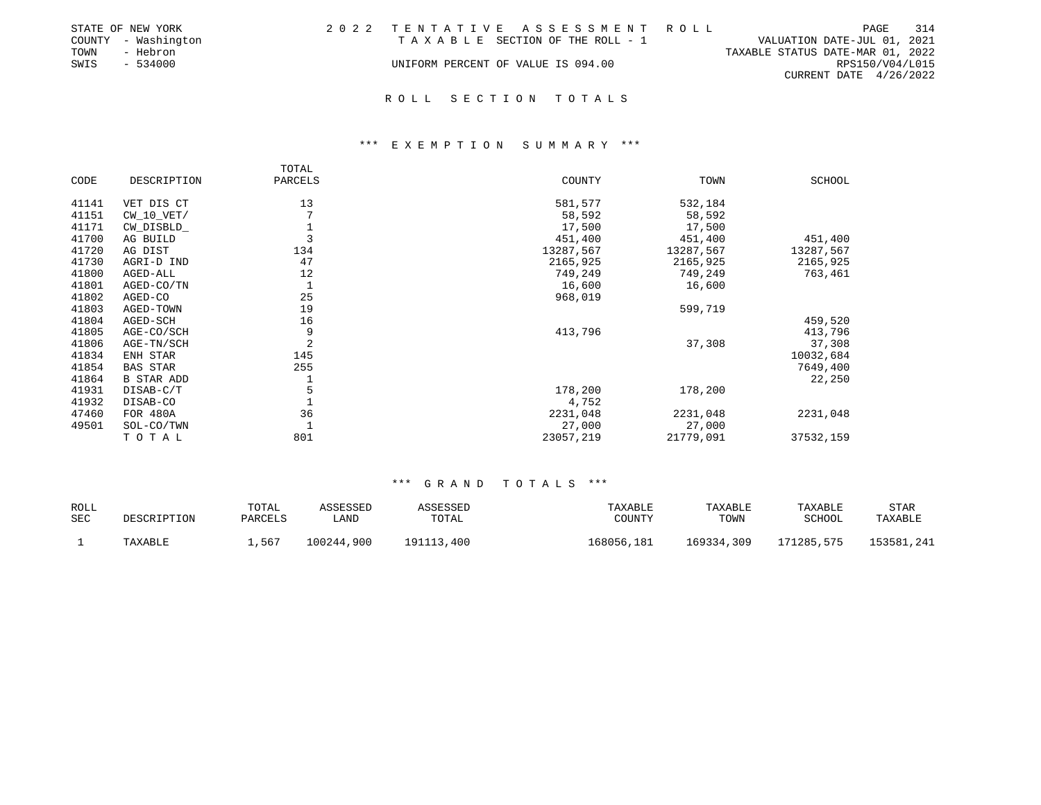|      | STATE OF NEW YORK   | 2022 TENTATIVE ASSESSMENT ROLL     |                                  | PAGE            | 314 |
|------|---------------------|------------------------------------|----------------------------------|-----------------|-----|
|      | COUNTY - Washington | TAXABLE SECTION OF THE ROLL - 1    | VALUATION DATE-JUL 01, 2021      |                 |     |
| TOWN | - Hebron            |                                    | TAXABLE STATUS DATE-MAR 01, 2022 |                 |     |
| SWIS | $-534000$           | UNIFORM PERCENT OF VALUE IS 094.00 |                                  | RPS150/V04/L015 |     |
|      |                     |                                    | CURRENT DATE 4/26/2022           |                 |     |
|      |                     |                                    |                                  |                 |     |

### \*\*\* E X E M P T I O N S U M M A R Y \*\*\*

|       |                 | TOTAL   |           |           |           |
|-------|-----------------|---------|-----------|-----------|-----------|
| CODE  | DESCRIPTION     | PARCELS | COUNTY    | TOWN      | SCHOOL    |
| 41141 | VET DIS CT      | 13      | 581,577   | 532,184   |           |
| 41151 | $CW_10_VET/$    |         | 58,592    | 58,592    |           |
| 41171 | CW DISBLD       |         | 17,500    | 17,500    |           |
| 41700 | AG BUILD        |         | 451,400   | 451,400   | 451,400   |
| 41720 | AG DIST         | 134     | 13287,567 | 13287,567 | 13287,567 |
| 41730 | AGRI-D IND      | 47      | 2165,925  | 2165,925  | 2165,925  |
| 41800 | AGED-ALL        | 12      | 749,249   | 749,249   | 763,461   |
| 41801 | AGED-CO/TN      |         | 16,600    | 16,600    |           |
| 41802 | AGED-CO         | 25      | 968,019   |           |           |
| 41803 | AGED-TOWN       | 19      |           | 599,719   |           |
| 41804 | AGED-SCH        | 16      |           |           | 459,520   |
| 41805 | AGE-CO/SCH      | 9       | 413,796   |           | 413,796   |
| 41806 | AGE-TN/SCH      | 2       |           | 37,308    | 37,308    |
| 41834 | ENH STAR        | 145     |           |           | 10032,684 |
| 41854 | <b>BAS STAR</b> | 255     |           |           | 7649,400  |
| 41864 | B STAR ADD      |         |           |           | 22,250    |
| 41931 | DISAB-C/T       | 5       | 178,200   | 178,200   |           |
| 41932 | DISAB-CO        |         | 4,752     |           |           |
| 47460 | FOR 480A        | 36      | 2231,048  | 2231,048  | 2231,048  |
| 49501 | SOL-CO/TWN      |         | 27,000    | 27,000    |           |
|       | TOTAL           | 801     | 23057,219 | 21779,091 | 37532,159 |

| <b>ROLL</b> |             | TOTAL   | ASSESSED   | ASSESSED   | TAXABLE    | TAXABLE    | TAXABLE    | <b>STAR</b> |
|-------------|-------------|---------|------------|------------|------------|------------|------------|-------------|
| <b>SEC</b>  | DESCRIPTION | PARCELS | LAND       | TOTAL      | COUNTY     | TOWN       | SCHOOL     | TAXABLE     |
|             | TAXABLE     | ,567    | 100244,900 | 191113,400 | 168056,181 | 169334,309 | 171285,575 | 153581,241  |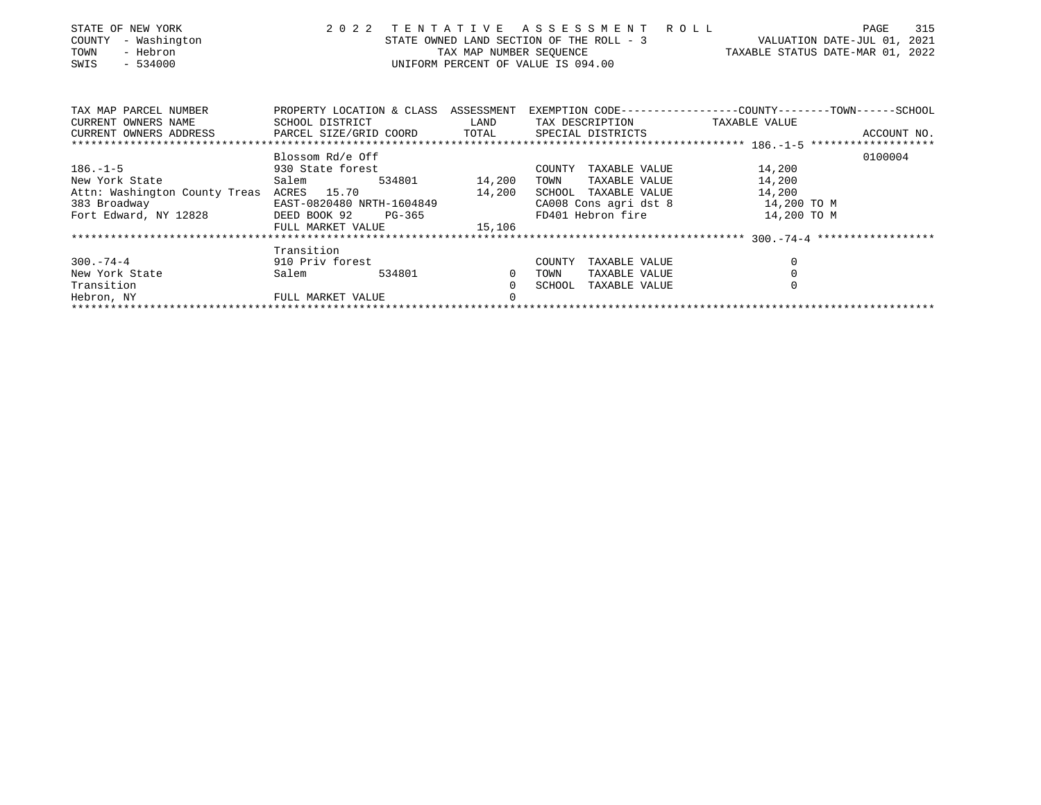| STATE OF NEW YORK<br>- Washington<br>COUNTY<br>- Hebron<br>TOWN<br>$-534000$<br>SWIS | 2 0 2 2                | TENTATIVE<br>TAX MAP NUMBER SEQUENCE                                                                                                                                                                                                 | A S S E S S M E N T R O L L<br>UNIFORM PERCENT OF VALUE IS 094.00 | STATE OWNED LAND SECTION OF THE ROLL - 3 VALUATION DATE-JUL 01, 2021<br>TAXABLE STATUS DATE-MAR 01, 2022 | 315<br>PAGE |
|--------------------------------------------------------------------------------------|------------------------|--------------------------------------------------------------------------------------------------------------------------------------------------------------------------------------------------------------------------------------|-------------------------------------------------------------------|----------------------------------------------------------------------------------------------------------|-------------|
| TAX MAP PARCEL NUMBER                                                                |                        |                                                                                                                                                                                                                                      |                                                                   | PROPERTY LOCATION & CLASS ASSESSMENT EXEMPTION CODE----------------COUNTY-------TOWN------SCHOOL         |             |
| CURRENT OWNERS NAME                                                                  | SCHOOL DISTRICT        | <b>EXAMPLE EXAMPLE EXAMPLE EXAMPLE EXAMPLE EXAMPLE EXAMPLE EXAMPLE EXAMPLE EXAMPLE EXAMPLE EXAMPLE EXAMPLE EXAMPLE EXAMPLE EXAMPLE EXAMPLE EXAMPLE EXAMPLE EXAMPLE EXAMPLE EXAMPLE EXAMPLE EXAMPLE EXAMPLE EXAMPLE EXAMPLE EXAMP</b> | TAX DESCRIPTION                                                   | TAXABLE VALUE                                                                                            |             |
|                                                                                      |                        |                                                                                                                                                                                                                                      |                                                                   |                                                                                                          |             |
|                                                                                      |                        |                                                                                                                                                                                                                                      |                                                                   |                                                                                                          |             |
|                                                                                      | Blossom Rd/e Off       |                                                                                                                                                                                                                                      |                                                                   |                                                                                                          | 0100004     |
| $186. - 1 - 5$                                                                       | 930 State forest       |                                                                                                                                                                                                                                      | COUNTY<br>TAXABLE VALUE                                           | 14,200                                                                                                   |             |
| New York State                                                                       | Salem<br>534801 14,200 |                                                                                                                                                                                                                                      | TOWN<br>TAXABLE VALUE                                             | 14,200                                                                                                   |             |
| Attn: Washington County Treas                                                        | ACRES 15.70            | 14,200                                                                                                                                                                                                                               | SCHOOL TAXABLE VALUE 14,200                                       |                                                                                                          |             |
| 383 Broadway EAST-0820480 NRTH-1604849                                               |                        |                                                                                                                                                                                                                                      |                                                                   | CA008 Cons agri dst 8 14,200 TO M                                                                        |             |
| Fort Edward, NY 12828 DEED BOOK 92                                                   | $PG-365$               |                                                                                                                                                                                                                                      |                                                                   | FD401 Hebron fire 14,200 TO M                                                                            |             |
|                                                                                      | FULL MARKET VALUE      | 15,106                                                                                                                                                                                                                               |                                                                   |                                                                                                          |             |
|                                                                                      |                        |                                                                                                                                                                                                                                      |                                                                   |                                                                                                          |             |
|                                                                                      | Transition             |                                                                                                                                                                                                                                      |                                                                   |                                                                                                          |             |
| $300. - 74 - 4$                                                                      | 910 Priv forest        | $\begin{array}{cccc}\n\text{COUNT} & & & \text{COUNT} \\ 0.1 & & & 0 & \text{TOWN}\n\end{array}$                                                                                                                                     | COUNTY<br>TAXABLE VALUE                                           |                                                                                                          |             |
| New York State                                                                       | Salem<br>534801        |                                                                                                                                                                                                                                      | TAXABLE VALUE                                                     |                                                                                                          |             |
| Transition                                                                           |                        | $\overline{0}$                                                                                                                                                                                                                       | TAXABLE VALUE<br>SCHOOL                                           |                                                                                                          |             |
| Hebron, NY FULL MARKET VALUE                                                         |                        |                                                                                                                                                                                                                                      |                                                                   |                                                                                                          |             |
|                                                                                      |                        |                                                                                                                                                                                                                                      |                                                                   |                                                                                                          |             |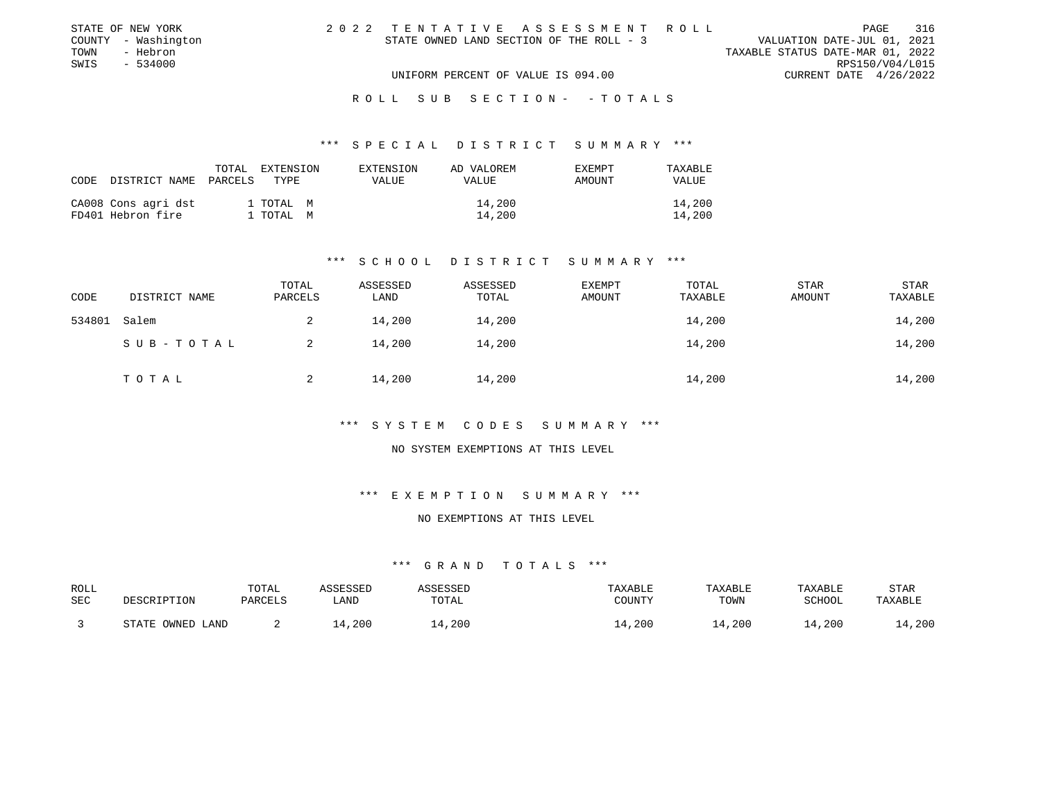|      | STATE OF NEW YORK   | 2022 TENTATIVE ASSESSMENT ROLL           |  |                                  | PAGE            | 316 |
|------|---------------------|------------------------------------------|--|----------------------------------|-----------------|-----|
|      | COUNTY - Washington | STATE OWNED LAND SECTION OF THE ROLL - 3 |  | VALUATION DATE-JUL 01, 2021      |                 |     |
| TOWN | - Hebron            |                                          |  | TAXABLE STATUS DATE-MAR 01, 2022 |                 |     |
| SWIS | $-534000$           |                                          |  |                                  | RPS150/V04/L015 |     |
|      |                     | UNIFORM PERCENT OF VALUE IS 094.00       |  | CURRENT DATE 4/26/2022           |                 |     |
|      |                     |                                          |  |                                  |                 |     |

#### R O L L S U B S E C T I O N - - T O T A L S

### \*\*\* S P E C I A L D I S T R I C T S U M M A R Y \*\*\*

| CODE | DISTRICT NAME                            | TOTAL<br>PARCELS | EXTENSION<br>TYPE.     | EXTENSION<br>VALUE | AD VALOREM<br><b>VALUE</b> | <b>EXEMPT</b><br>AMOUNT | TAXABLE<br><b>VALUE</b> |
|------|------------------------------------------|------------------|------------------------|--------------------|----------------------------|-------------------------|-------------------------|
|      | CA008 Cons agri dst<br>FD401 Hebron fire |                  | 1 TOTAL M<br>. TOTAL M |                    | 14,200<br>14,200           |                         | 14,200<br>14,200        |

## \*\*\* S C H O O L D I S T R I C T S U M M A R Y \*\*\*

| CODE   | DISTRICT NAME | TOTAL<br>PARCELS | ASSESSED<br>LAND | ASSESSED<br>TOTAL | <b>EXEMPT</b><br>AMOUNT | TOTAL<br>TAXABLE | <b>STAR</b><br>AMOUNT | <b>STAR</b><br>TAXABLE |
|--------|---------------|------------------|------------------|-------------------|-------------------------|------------------|-----------------------|------------------------|
| 534801 | Salem         | 2                | 14,200           | 14,200            |                         | 14,200           |                       | 14,200                 |
|        | SUB-TOTAL     |                  | 14,200           | 14,200            |                         | 14,200           |                       | 14,200                 |
|        | T O T A L     |                  | 14,200           | 14,200            |                         | 14,200           |                       | 14,200                 |

# \*\*\* S Y S T E M C O D E S S U M M A R Y \*\*\*

# NO SYSTEM EXEMPTIONS AT THIS LEVEL

# \*\*\* E X E M P T I O N S U M M A R Y \*\*\*

# NO EXEMPTIONS AT THIS LEVEL

| ROLL<br>SEC | DESCRIPTION      | TOTAL<br>PARCELS | ASSESSED<br>LAND | <i><b>ISSESSED</b></i><br>TOTAL | TAXABLE<br>COUNTY | TAXABLE<br>TOWN | TAXABLE<br>SCHOOL | STAR<br>TAXABLE |
|-------------|------------------|------------------|------------------|---------------------------------|-------------------|-----------------|-------------------|-----------------|
|             | STATE OWNED LAND |                  | 4,200            | 14,200                          | .4,200            | 14,200          | 14,200            | .4,200          |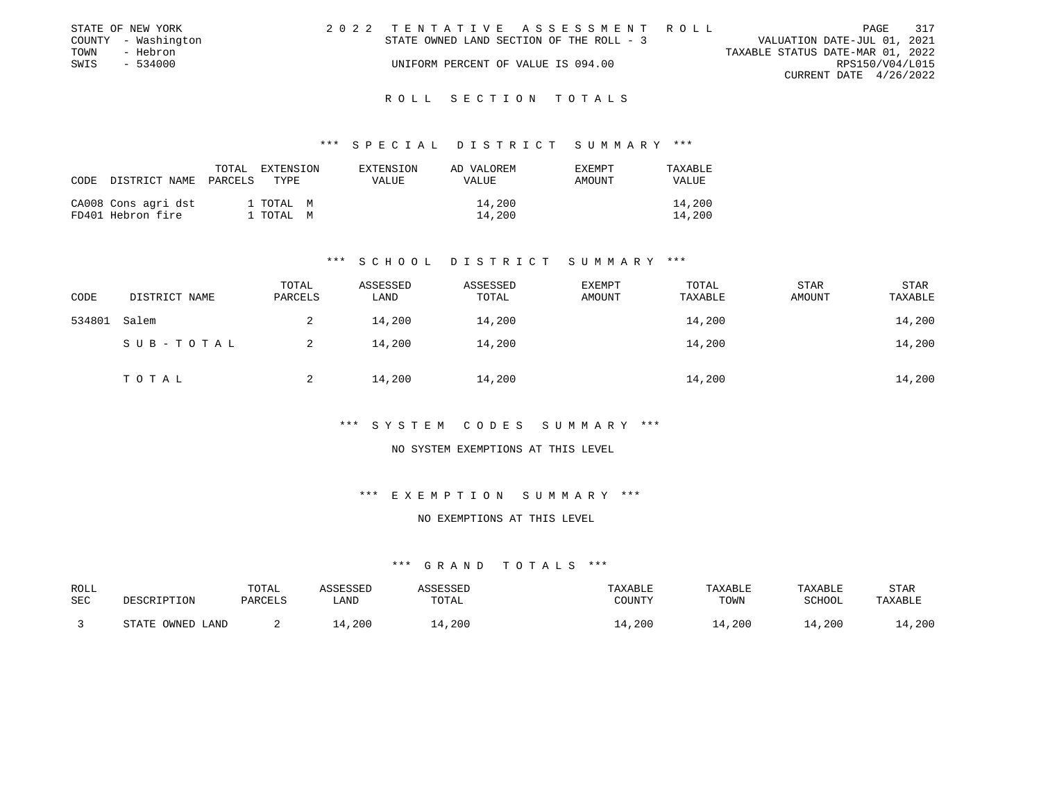|      | STATE OF NEW YORK   | 2022 TENTATIVE ASSESSMENT ROLL           |  |                                  |                        | PAGE | 317 |
|------|---------------------|------------------------------------------|--|----------------------------------|------------------------|------|-----|
|      | COUNTY - Washington | STATE OWNED LAND SECTION OF THE ROLL - 3 |  | VALUATION DATE-JUL 01, 2021      |                        |      |     |
| TOWN | - Hebron            |                                          |  | TAXABLE STATUS DATE-MAR 01, 2022 |                        |      |     |
| SWIS | - 534000            | UNIFORM PERCENT OF VALUE IS 094.00       |  |                                  | RPS150/V04/L015        |      |     |
|      |                     |                                          |  |                                  | CURRENT DATE 4/26/2022 |      |     |
|      |                     |                                          |  |                                  |                        |      |     |

### \*\*\* S P E C I A L D I S T R I C T S U M M A R Y \*\*\*

| CODE | DISTRICT NAME                            | TOTAL<br>PARCELS | EXTENSION<br>TYPE.     | EXTENSION<br>VALUE | AD VALOREM<br><b>VALUE</b> | <b>EXEMPT</b><br><b>AMOUNT</b> | TAXABLE<br><b>VALUE</b> |
|------|------------------------------------------|------------------|------------------------|--------------------|----------------------------|--------------------------------|-------------------------|
|      | CA008 Cons agri dst<br>FD401 Hebron fire |                  | 1 ТОТАЬ М<br>. TOTAL M |                    | 14,200<br>14,200           |                                | 14,200<br>14,200        |

### \*\*\* S C H O O L D I S T R I C T S U M M A R Y \*\*\*

| CODE   | DISTRICT NAME | TOTAL<br>PARCELS | ASSESSED<br>LAND | ASSESSED<br>TOTAL | EXEMPT<br>AMOUNT | TOTAL<br>TAXABLE | STAR<br>AMOUNT | <b>STAR</b><br>TAXABLE |
|--------|---------------|------------------|------------------|-------------------|------------------|------------------|----------------|------------------------|
| 534801 | Salem         | 2                | 14,200           | 14,200            |                  | 14,200           |                | 14,200                 |
|        | SUB-TOTAL     | 2                | 14,200           | 14,200            |                  | 14,200           |                | 14,200                 |
|        | TOTAL         |                  | 14,200           | 14,200            |                  | 14,200           |                | 14,200                 |

# \*\*\* S Y S T E M C O D E S S U M M A R Y \*\*\*

### NO SYSTEM EXEMPTIONS AT THIS LEVEL

# \*\*\* E X E M P T I O N S U M M A R Y \*\*\*

# NO EXEMPTIONS AT THIS LEVEL

| ROLL<br>SEC | DESCRIPTION      | TOTAL<br>PARCELS | ASSESSED<br>LAND | ASSESSED<br>TOTAL | TAXABLE<br>COUNTY | TAXABLE<br>TOWN | TAXABLE<br>SCHOOL | <b>STAR</b><br>TAXABLE |
|-------------|------------------|------------------|------------------|-------------------|-------------------|-----------------|-------------------|------------------------|
|             | STATE OWNED LAND |                  | .4,200           | .4,200            | 14,200            | 14,200          | 14,200            | 4,200                  |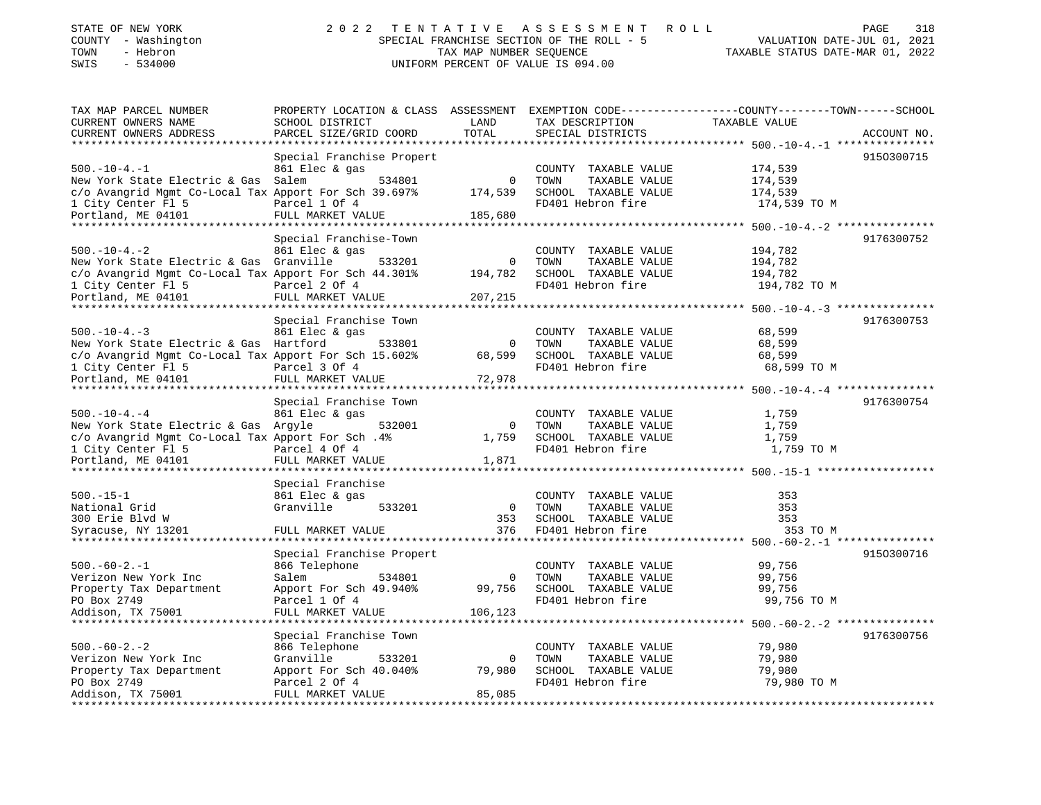| STATE OF NEW YORK   | 2022 TENTATIVE ASSESSMENT ROLL            | 318<br>PAGE                      |
|---------------------|-------------------------------------------|----------------------------------|
| COUNTY - Washington | SPECIAL FRANCHISE SECTION OF THE ROLL - 5 | VALUATION DATE-JUL 01, 2021      |
| TOWN<br>- Hebron    | TAX MAP NUMBER SEOUENCE                   | TAXABLE STATUS DATE-MAR 01, 2022 |
| SWIS - 534000       | UNIFORM PERCENT OF VALUE IS 094.00        |                                  |
|                     |                                           |                                  |

| TAX MAP PARCEL NUMBER                                 | PROPERTY LOCATION & CLASS ASSESSMENT EXEMPTION CODE----------------COUNTY-------TOWN------SCHOOL |                |                       |                                                               |             |
|-------------------------------------------------------|--------------------------------------------------------------------------------------------------|----------------|-----------------------|---------------------------------------------------------------|-------------|
| CURRENT OWNERS NAME                                   | SCHOOL DISTRICT                                                                                  | LAND           | TAX DESCRIPTION       | TAXABLE VALUE                                                 |             |
| CURRENT OWNERS ADDRESS                                | PARCEL SIZE/GRID COORD                                                                           | TOTAL          | SPECIAL DISTRICTS     |                                                               | ACCOUNT NO. |
|                                                       |                                                                                                  |                |                       |                                                               |             |
|                                                       | Special Franchise Propert                                                                        |                |                       |                                                               | 9150300715  |
| $500. -10 - 4. -1$                                    | 861 Elec & gas                                                                                   |                | COUNTY TAXABLE VALUE  | 174,539                                                       |             |
|                                                       |                                                                                                  | $\mathbf 0$    |                       |                                                               |             |
| New York State Electric & Gas Salem                   | 534801                                                                                           |                | TAXABLE VALUE<br>TOWN | 174,539                                                       |             |
| c/o Avangrid Mgmt Co-Local Tax Apport For Sch 39.697% |                                                                                                  | 174,539        | SCHOOL TAXABLE VALUE  | 174,539                                                       |             |
| 1 City Center Fl 5                                    | Parcel 1 Of 4                                                                                    |                | FD401 Hebron fire     | 174,539 TO M                                                  |             |
| Portland, ME 04101                                    | FULL MARKET VALUE                                                                                | 185,680        |                       |                                                               |             |
|                                                       |                                                                                                  |                |                       |                                                               |             |
|                                                       | Special Franchise-Town                                                                           |                |                       |                                                               | 9176300752  |
| $500. - 10 - 4. - 2$                                  | 861 Elec & gas                                                                                   |                | COUNTY TAXABLE VALUE  | 194,782                                                       |             |
| New York State Electric & Gas Granville               | 533201                                                                                           | 0              | TOWN<br>TAXABLE VALUE | 194,782                                                       |             |
| c/o Avangrid Mgmt Co-Local Tax Apport For Sch 44.301% |                                                                                                  | 194,782        | SCHOOL TAXABLE VALUE  | 194,782                                                       |             |
| 1 City Center Fl 5                                    | Parcel 2 Of 4                                                                                    |                | FD401 Hebron fire     | 194,782 TO M                                                  |             |
| Portland, ME 04101                                    | FULL MARKET VALUE                                                                                | 207,215        |                       |                                                               |             |
|                                                       |                                                                                                  |                |                       |                                                               |             |
|                                                       |                                                                                                  |                |                       |                                                               |             |
|                                                       | Special Franchise Town                                                                           |                |                       |                                                               | 9176300753  |
| $500. -10 - 4. -3$                                    | 861 Elec & gas                                                                                   |                | COUNTY TAXABLE VALUE  | 68,599                                                        |             |
| New York State Electric & Gas Hartford                | 533801                                                                                           | $\Omega$       | TAXABLE VALUE<br>TOWN | 68,599                                                        |             |
| c/o Avangrid Mgmt Co-Local Tax Apport For Sch 15.602% |                                                                                                  | 68,599         | SCHOOL TAXABLE VALUE  | 68,599                                                        |             |
| 1 City Center Fl 5                                    | Parcel 3 Of 4                                                                                    |                | FD401 Hebron fire     | 68,599 TO M                                                   |             |
| Portland, ME 04101                                    | FULL MARKET VALUE                                                                                | 72,978         |                       |                                                               |             |
|                                                       |                                                                                                  |                |                       |                                                               |             |
|                                                       | Special Franchise Town                                                                           |                |                       |                                                               | 9176300754  |
| $500. - 10 - 4. - 4$                                  | 861 Elec & gas                                                                                   |                |                       | 1,759                                                         |             |
|                                                       |                                                                                                  |                | COUNTY TAXABLE VALUE  |                                                               |             |
| New York State Electric & Gas Argyle                  | 532001                                                                                           | $\Omega$       | TAXABLE VALUE<br>TOWN | 1,759                                                         |             |
| c/o Avangrid Mgmt Co-Local Tax Apport For Sch. 4%     |                                                                                                  | 1,759          | SCHOOL TAXABLE VALUE  | 1,759                                                         |             |
| 1 City Center Fl 5                                    | Parcel 4 Of 4                                                                                    |                | FD401 Hebron fire     | 1,759 TO M                                                    |             |
| Portland, ME 04101                                    | FULL MARKET VALUE                                                                                | 1,871          |                       |                                                               |             |
|                                                       |                                                                                                  |                |                       |                                                               |             |
|                                                       | Special Franchise                                                                                |                |                       |                                                               |             |
| $500. -15 - 1$                                        | 861 Elec & gas                                                                                   |                | COUNTY TAXABLE VALUE  | 353                                                           |             |
| National Grid                                         | Granville<br>533201                                                                              | $\overline{0}$ | TOWN<br>TAXABLE VALUE | 353                                                           |             |
| 300 Erie Blvd W                                       |                                                                                                  | 353            | SCHOOL TAXABLE VALUE  | 353                                                           |             |
| Syracuse, NY 13201                                    | FULL MARKET VALUE                                                                                | 376            | FD401 Hebron fire     | 353 TO M                                                      |             |
|                                                       |                                                                                                  |                |                       |                                                               |             |
|                                                       |                                                                                                  |                |                       |                                                               |             |
|                                                       | Special Franchise Propert                                                                        |                |                       |                                                               | 9150300716  |
| $500. -60 - 2. -1$                                    | 866 Telephone                                                                                    |                | COUNTY TAXABLE VALUE  | 99,756                                                        |             |
| Verizon New York Inc                                  | Salem<br>534801                                                                                  | $\mathbf 0$    | TAXABLE VALUE<br>TOWN | 99,756                                                        |             |
| Property Tax Department                               | Apport For Sch 49.940%                                                                           | 99,756         | SCHOOL TAXABLE VALUE  | 99,756                                                        |             |
| PO Box 2749                                           | Parcel 1 Of 4                                                                                    |                | FD401 Hebron fire     | 99,756 TO M                                                   |             |
| Addison, TX 75001                                     | FULL MARKET VALUE                                                                                | 106,123        |                       |                                                               |             |
|                                                       |                                                                                                  |                |                       | ******************************** 500.-60-2.-2 *************** |             |
|                                                       | Special Franchise Town                                                                           |                |                       |                                                               | 9176300756  |
| $500. -60 - 2. - 2$                                   |                                                                                                  |                |                       |                                                               |             |
|                                                       | 866 Telephone                                                                                    |                | COUNTY TAXABLE VALUE  | 79,980                                                        |             |
| Verizon New York Inc                                  | Granville<br>533201                                                                              | $\mathbf 0$    | TOWN<br>TAXABLE VALUE | 79,980                                                        |             |
| Property Tax Department                               | Apport For Sch 40.040%                                                                           | 79,980         | SCHOOL TAXABLE VALUE  | 79,980                                                        |             |
| PO Box 2749                                           | Parcel 2 Of 4                                                                                    |                | FD401 Hebron fire     | 79,980 TO M                                                   |             |
| Addison, TX 75001                                     | FULL MARKET VALUE                                                                                | 85,085         |                       |                                                               |             |
|                                                       |                                                                                                  |                |                       |                                                               |             |
|                                                       |                                                                                                  |                |                       |                                                               |             |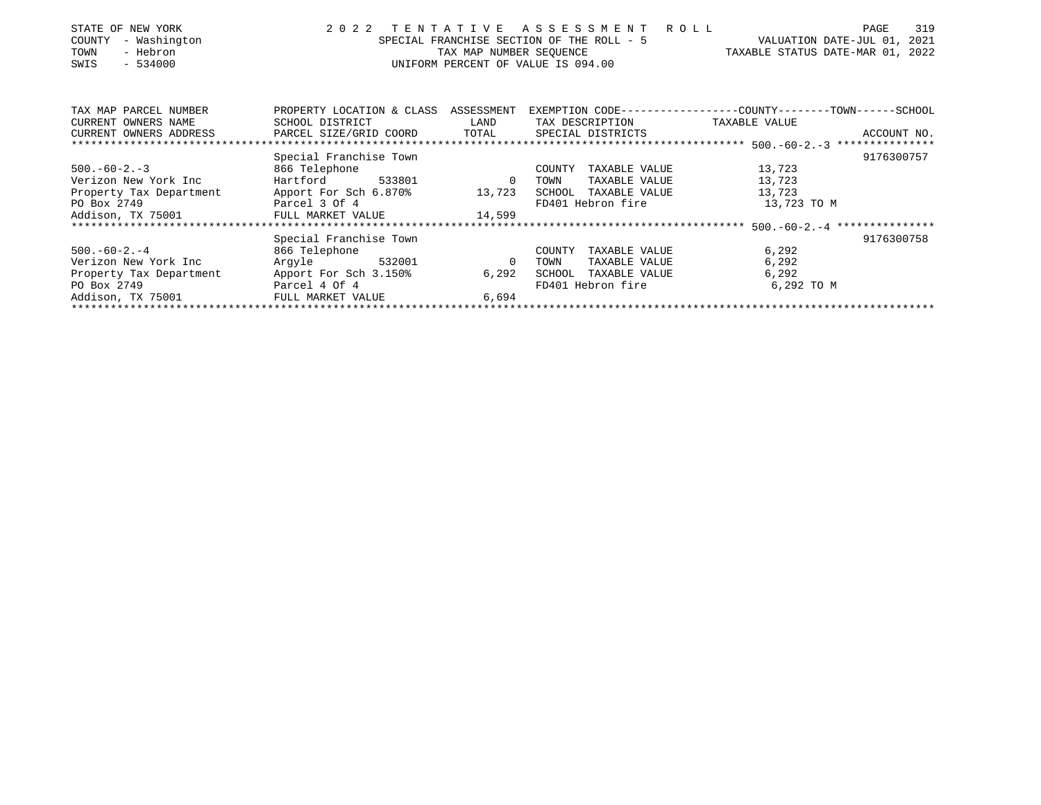| STATE OF NEW YORK<br>- Washington<br>COUNTY<br>- Hebron<br>TOWN<br>$-534000$<br>SWIS | 2 0 2 2<br>TENTATIVE ASSESSMENT ROLL<br>VALUATION DATE-JUL 01, 2021<br>SPECIAL FRANCHISE SECTION OF THE ROLL - 5<br>TAXABLE STATUS DATE-MAR 01, 2022<br>TAX MAP NUMBER SEQUENCE<br>UNIFORM PERCENT OF VALUE IS 094.00 |                |                         |                                                               |             |  |
|--------------------------------------------------------------------------------------|-----------------------------------------------------------------------------------------------------------------------------------------------------------------------------------------------------------------------|----------------|-------------------------|---------------------------------------------------------------|-------------|--|
|                                                                                      |                                                                                                                                                                                                                       |                |                         |                                                               |             |  |
| TAX MAP PARCEL NUMBER                                                                | PROPERTY LOCATION & CLASS ASSESSMENT                                                                                                                                                                                  |                |                         | EXEMPTION CODE-----------------COUNTY--------TOWN------SCHOOL |             |  |
| CURRENT OWNERS NAME                                                                  | SCHOOL DISTRICT                                                                                                                                                                                                       | LAND           | TAX DESCRIPTION         | TAXABLE VALUE                                                 |             |  |
| CURRENT OWNERS ADDRESS                                                               | PARCEL SIZE/GRID COORD                                                                                                                                                                                                |                | TOTAL SPECIAL DISTRICTS |                                                               | ACCOUNT NO. |  |
|                                                                                      |                                                                                                                                                                                                                       |                |                         |                                                               |             |  |
|                                                                                      | Special Franchise Town                                                                                                                                                                                                |                |                         |                                                               | 9176300757  |  |
| $500. -60 - 2. -3$                                                                   | 866 Telephone                                                                                                                                                                                                         |                | TAXABLE VALUE<br>COUNTY | 13,723                                                        |             |  |
| Verizon New York Inc                                                                 | Hartford<br>533801                                                                                                                                                                                                    | $\overline{0}$ | TOWN<br>TAXABLE VALUE   | 13,723                                                        |             |  |
| Property Tax Department Apport For Sch 6.870% 13,723                                 |                                                                                                                                                                                                                       |                | SCHOOL TAXABLE VALUE    | 13,723                                                        |             |  |
| PO Box 2749                                                                          | Parcel 3 Of 4                                                                                                                                                                                                         |                | FD401 Hebron fire       | 13,723 TO M                                                   |             |  |
| Addison, TX 75001                                                                    | FULL MARKET VALUE                                                                                                                                                                                                     | 14,599         |                         |                                                               |             |  |
|                                                                                      |                                                                                                                                                                                                                       |                |                         |                                                               |             |  |
|                                                                                      | Special Franchise Town                                                                                                                                                                                                |                |                         |                                                               | 9176300758  |  |
| $500. -60 - 2. -4$                                                                   | 866 Telephone                                                                                                                                                                                                         |                | COUNTY<br>TAXABLE VALUE | 6,292                                                         |             |  |
| Verizon New York Inc                                                                 | Argyle 532001                                                                                                                                                                                                         | $\overline{0}$ | TAXABLE VALUE<br>TOWN   | 6,292                                                         |             |  |
| Property Tax Department                                                              | Apport For Sch 3.150%                                                                                                                                                                                                 | 6,292          | TAXABLE VALUE<br>SCHOOL | 6,292                                                         |             |  |
| PO Box 2749                                                                          | Parcel 4 Of 4                                                                                                                                                                                                         |                | FD401 Hebron fire       | 6,292 TO M                                                    |             |  |
| Addison, TX 75001                                                                    | FULL MARKET VALUE                                                                                                                                                                                                     | 6,694          |                         |                                                               |             |  |
|                                                                                      |                                                                                                                                                                                                                       |                |                         |                                                               |             |  |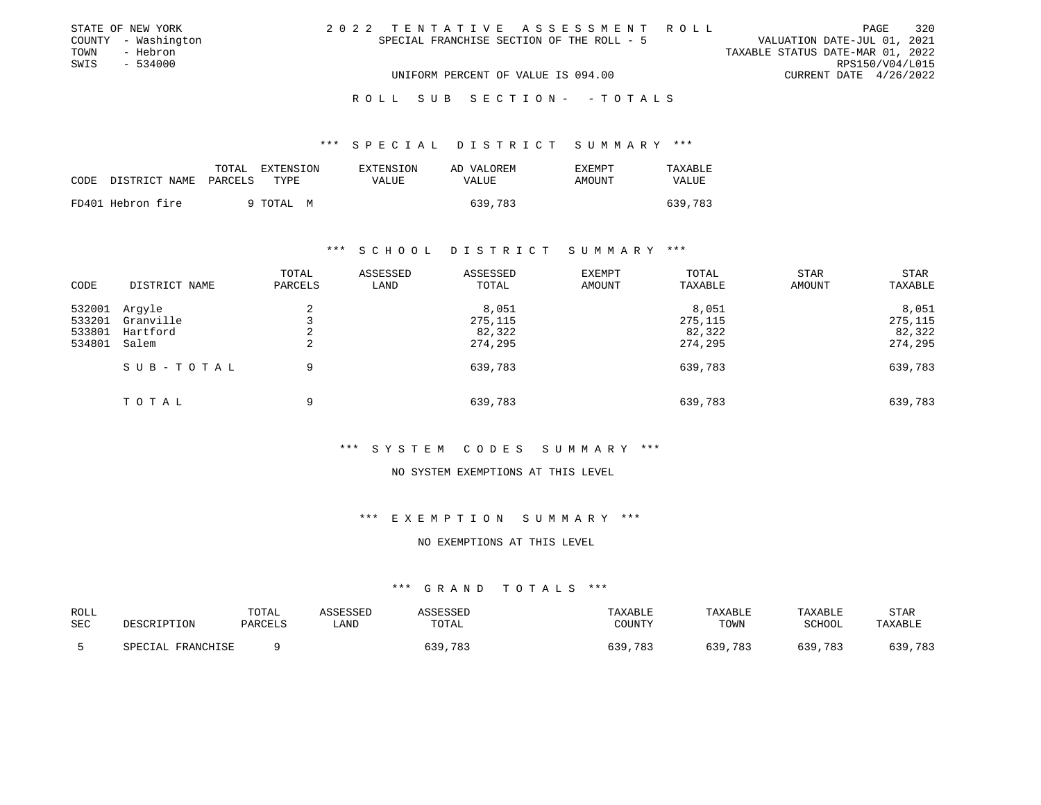| STATE OF NEW YORK   | 2022 TENTATIVE ASSESSMENT ROLL            | 320<br>PAGE                      |
|---------------------|-------------------------------------------|----------------------------------|
| COUNTY - Washington | SPECIAL FRANCHISE SECTION OF THE ROLL - 5 | VALUATION DATE-JUL 01, 2021      |
| TOWN<br>- Hebron    |                                           | TAXABLE STATUS DATE-MAR 01, 2022 |
| SWIS - 534000       |                                           | RPS150/V04/L015                  |
|                     | UNIFORM PERCENT OF VALUE IS 094.00        | CURRENT DATE $4/26/2022$         |
|                     |                                           |                                  |

#### R O L L S U B S E C T I O N - - T O T A L S

# \*\*\* S P E C I A L D I S T R I C T S U M M A R Y \*\*\*

| CODE | DISTRICT NAME     | TOTAL<br>EXTENSION<br>PARCELS<br>TYPE | EXTENSION<br>VALUE | AD VALOREM<br>VALUE | <b>EXEMPT</b><br>AMOUNT | TAXABLE<br>VALUE |
|------|-------------------|---------------------------------------|--------------------|---------------------|-------------------------|------------------|
|      | FD401 Hebron fire | 9 ТОТАЬ М                             |                    | 639,783             |                         | 639,783          |

### \*\*\* S C H O O L D I S T R I C T S U M M A R Y \*\*\*

| CODE                                 | DISTRICT NAME                            | TOTAL<br>PARCELS | ASSESSED<br>LAND | ASSESSED<br>TOTAL                     | EXEMPT<br>AMOUNT | TOTAL<br>TAXABLE                      | <b>STAR</b><br>AMOUNT | <b>STAR</b><br>TAXABLE                |
|--------------------------------------|------------------------------------------|------------------|------------------|---------------------------------------|------------------|---------------------------------------|-----------------------|---------------------------------------|
| 532001<br>533201<br>533801<br>534801 | Argyle<br>Granville<br>Hartford<br>Salem | 2<br>2<br>2      |                  | 8,051<br>275,115<br>82,322<br>274,295 |                  | 8,051<br>275,115<br>82,322<br>274,295 |                       | 8,051<br>275,115<br>82,322<br>274,295 |
|                                      | SUB-TOTAL                                | 9                |                  | 639,783                               |                  | 639,783                               |                       | 639,783                               |
|                                      | TOTAL                                    | 9                |                  | 639,783                               |                  | 639,783                               |                       | 639,783                               |

### \*\*\* S Y S T E M C O D E S S U M M A R Y \*\*\*

#### NO SYSTEM EXEMPTIONS AT THIS LEVEL

# \*\*\* E X E M P T I O N S U M M A R Y \*\*\*

#### NO EXEMPTIONS AT THIS LEVEL

| ROLL |                   | TOTAL          | <i><b>\SSESSED</b></i> | SSESSED | TAXABLE     | TAXABLE    | TAXABLE | <b>STAF</b> |
|------|-------------------|----------------|------------------------|---------|-------------|------------|---------|-------------|
| SEC  | DESCRIPTION       | <b>PARCELS</b> | LAND                   | TOTAL   | COUNTY      | TOWN       | SCHOOL  | TAXABLE     |
|      | SPECIAL FRANCHISE |                |                        | 639,783 | .783<br>639 | 639<br>783 | 639,783 | 639,783     |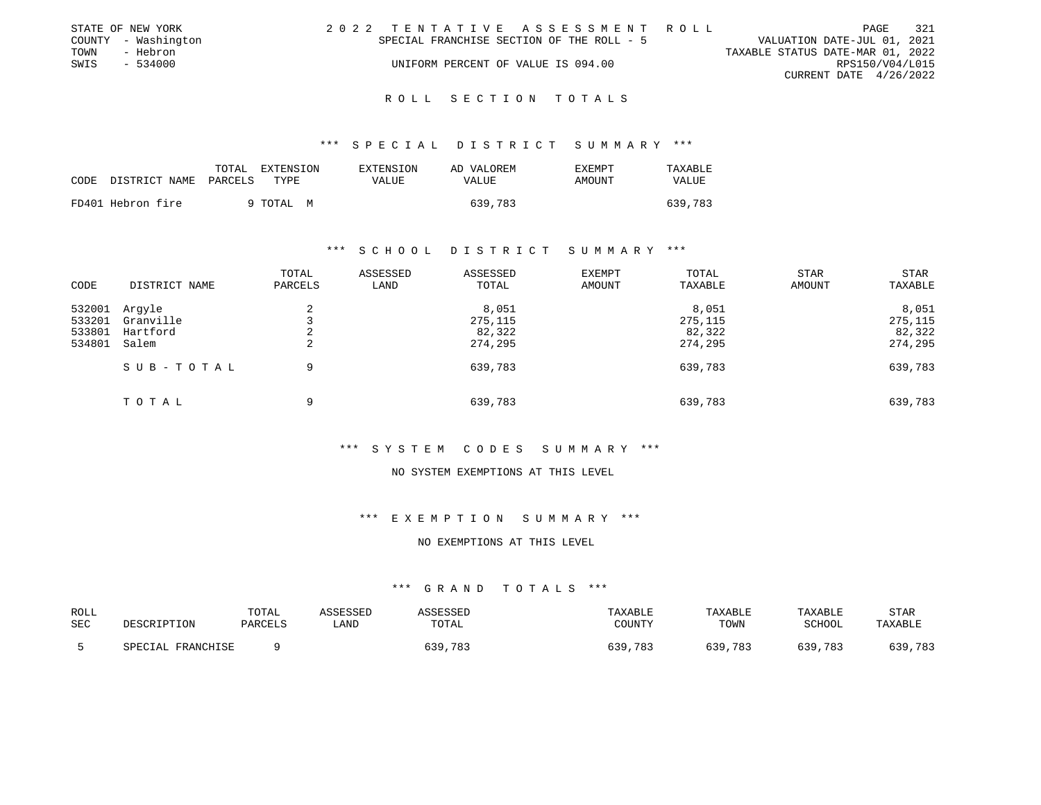|      | STATE OF NEW YORK   |                                           |                                    |  |  |  | 2022 TENTATIVE ASSESSMENT ROLL |                                  |                        | PAGE            | 321 |
|------|---------------------|-------------------------------------------|------------------------------------|--|--|--|--------------------------------|----------------------------------|------------------------|-----------------|-----|
|      | COUNTY - Washington | SPECIAL FRANCHISE SECTION OF THE ROLL - 5 |                                    |  |  |  |                                | VALUATION DATE-JUL 01, 2021      |                        |                 |     |
| TOWN | - Hebron            |                                           |                                    |  |  |  |                                | TAXABLE STATUS DATE-MAR 01, 2022 |                        |                 |     |
| SWIS | - 534000            |                                           | UNIFORM PERCENT OF VALUE IS 094.00 |  |  |  |                                |                                  |                        | RPS150/V04/L015 |     |
|      |                     |                                           |                                    |  |  |  |                                |                                  | CURRENT DATE 4/26/2022 |                 |     |
|      |                     |                                           |                                    |  |  |  |                                |                                  |                        |                 |     |

\*\*\* S P E C I A L D I S T R I C T S U M M A R Y \*\*\*

| CODE | DISTRICT NAME     | TOTAL<br>PARCELS | EXTENSION<br>TYPE. | EXTENSION<br>VALUE | AD VALOREM<br>VALUE | EXEMPT<br>AMOUNT | TAXABLE<br><b>VALUE</b> |
|------|-------------------|------------------|--------------------|--------------------|---------------------|------------------|-------------------------|
|      | FD401 Hebron fire |                  | 9 TOTAL M          |                    | 639,783             |                  | 639,783                 |

### \*\*\* S C H O O L D I S T R I C T S U M M A R Y \*\*\*

| CODE                                 | DISTRICT NAME                            | TOTAL<br>PARCELS | ASSESSED<br>LAND | ASSESSED<br>TOTAL                     | <b>EXEMPT</b><br>AMOUNT | TOTAL<br>TAXABLE                      | <b>STAR</b><br>AMOUNT | <b>STAR</b><br>TAXABLE                |
|--------------------------------------|------------------------------------------|------------------|------------------|---------------------------------------|-------------------------|---------------------------------------|-----------------------|---------------------------------------|
| 532001<br>533201<br>533801<br>534801 | Arqyle<br>Granville<br>Hartford<br>Salem | 2<br>2<br>2      |                  | 8,051<br>275,115<br>82,322<br>274,295 |                         | 8,051<br>275,115<br>82,322<br>274,295 |                       | 8,051<br>275,115<br>82,322<br>274,295 |
|                                      | SUB-TOTAL                                | 9                |                  | 639,783                               |                         | 639,783                               |                       | 639,783                               |
|                                      | TOTAL                                    | 9                |                  | 639,783                               |                         | 639,783                               |                       | 639,783                               |

### \*\*\* S Y S T E M C O D E S S U M M A R Y \*\*\*

#### NO SYSTEM EXEMPTIONS AT THIS LEVEL

# \*\*\* E X E M P T I O N S U M M A R Y \*\*\*

#### NO EXEMPTIONS AT THIS LEVEL

| ROLL |                   | TOTAL          | <i><b>\SSESSED</b></i> | SSESSED | TAXABLE     | TAXABLE    | TAXABLE | <b>STAF</b> |
|------|-------------------|----------------|------------------------|---------|-------------|------------|---------|-------------|
| SEC  | DESCRIPTION       | <b>PARCELS</b> | LAND                   | TOTAL   | COUNTY      | TOWN       | SCHOOL  | TAXABLE     |
|      | SPECIAL FRANCHISE |                |                        | 639,783 | .783<br>639 | 639<br>783 | 639,783 | 639,783     |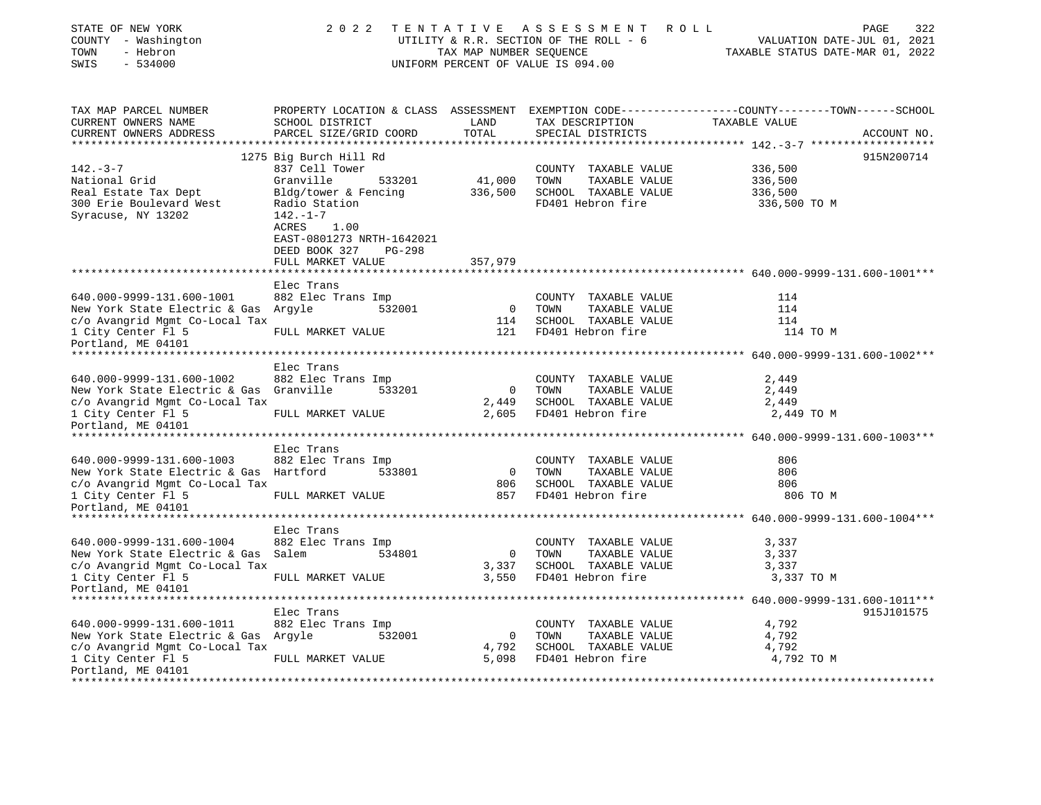| STATE OF NEW YORK<br>COUNTY - Washington<br>- Hebron<br>TOWN<br>SWIS<br>$-534000$ | 2 0 2 2                                                                                    | TAX MAP NUMBER SEOUENCE | TENTATIVE ASSESSMENT<br>R O L L<br>UTILITY & R.R. SECTION OF THE ROLL - 6<br>UNIFORM PERCENT OF VALUE IS 094.00 | PAGE<br>322<br>VALUATION DATE-JUL 01, 2021<br>TAXABLE STATUS DATE-MAR 01, 2022                                                  |
|-----------------------------------------------------------------------------------|--------------------------------------------------------------------------------------------|-------------------------|-----------------------------------------------------------------------------------------------------------------|---------------------------------------------------------------------------------------------------------------------------------|
| TAX MAP PARCEL NUMBER<br>CURRENT OWNERS NAME<br>CURRENT OWNERS ADDRESS            | SCHOOL DISTRICT<br>PARCEL SIZE/GRID COORD                                                  | LAND<br>TOTAL           | TAX DESCRIPTION<br>SPECIAL DISTRICTS                                                                            | PROPERTY LOCATION & CLASS ASSESSMENT EXEMPTION CODE---------------COUNTY-------TOWN------SCHOOL<br>TAXABLE VALUE<br>ACCOUNT NO. |
| ************************                                                          |                                                                                            |                         |                                                                                                                 |                                                                                                                                 |
|                                                                                   | 1275 Big Burch Hill Rd                                                                     |                         |                                                                                                                 | 915N200714                                                                                                                      |
| $142. - 3 - 7$                                                                    | 837 Cell Tower                                                                             |                         | COUNTY TAXABLE VALUE                                                                                            | 336,500                                                                                                                         |
| National Grid                                                                     | Granville<br>533201                                                                        | 41,000                  | TOWN<br>TAXABLE VALUE                                                                                           | 336,500                                                                                                                         |
| Real Estate Tax Dept<br>300 Erie Boulevard West<br>Syracuse, NY 13202             | Bldg/tower & Fencing<br>Radio Station<br>$142. - 1 - 7$                                    | 336,500                 | SCHOOL TAXABLE VALUE<br>FD401 Hebron fire                                                                       | 336,500<br>336,500 TO M                                                                                                         |
|                                                                                   | ACRES<br>1.00<br>EAST-0801273 NRTH-1642021<br>DEED BOOK 327<br>PG-298<br>FULL MARKET VALUE | 357,979                 |                                                                                                                 |                                                                                                                                 |
|                                                                                   |                                                                                            |                         |                                                                                                                 |                                                                                                                                 |
|                                                                                   | Elec Trans                                                                                 |                         |                                                                                                                 |                                                                                                                                 |
| 640.000-9999-131.600-1001                                                         | 882 Elec Trans Imp                                                                         |                         | COUNTY TAXABLE VALUE                                                                                            | 114                                                                                                                             |
| New York State Electric & Gas Argyle                                              | 532001                                                                                     | $\overline{0}$          | TAXABLE VALUE<br>TOWN                                                                                           | 114                                                                                                                             |
| c/o Avangrid Mgmt Co-Local Tax                                                    |                                                                                            | 114                     | SCHOOL TAXABLE VALUE                                                                                            | 114                                                                                                                             |
| 1 City Center Fl 5<br>Portland, ME 04101                                          | FULL MARKET VALUE                                                                          | 121                     | FD401 Hebron fire                                                                                               | 114 TO M                                                                                                                        |
|                                                                                   |                                                                                            |                         |                                                                                                                 |                                                                                                                                 |
|                                                                                   | Elec Trans                                                                                 |                         |                                                                                                                 |                                                                                                                                 |
| 640.000-9999-131.600-1002                                                         | 882 Elec Trans Imp                                                                         |                         | COUNTY TAXABLE VALUE                                                                                            | 2,449                                                                                                                           |
| New York State Electric & Gas Granville<br>c/o Avangrid Mgmt Co-Local Tax         | 533201                                                                                     | $\circ$<br>2,449        | TOWN<br>TAXABLE VALUE<br>SCHOOL TAXABLE VALUE                                                                   | 2,449<br>2,449                                                                                                                  |
| 1 City Center Fl 5                                                                | FULL MARKET VALUE                                                                          | 2,605                   | FD401 Hebron fire                                                                                               | 2,449 TO M                                                                                                                      |
| Portland, ME 04101                                                                |                                                                                            |                         |                                                                                                                 |                                                                                                                                 |
|                                                                                   |                                                                                            |                         |                                                                                                                 |                                                                                                                                 |
|                                                                                   | Elec Trans                                                                                 |                         |                                                                                                                 |                                                                                                                                 |
| 640.000-9999-131.600-1003                                                         | 882 Elec Trans Imp                                                                         |                         | COUNTY TAXABLE VALUE                                                                                            | 806                                                                                                                             |
| New York State Electric & Gas Hartford                                            | 533801                                                                                     | $\circ$                 | TOWN<br>TAXABLE VALUE                                                                                           | 806                                                                                                                             |
| c/o Avangrid Mgmt Co-Local Tax                                                    |                                                                                            | 806                     | SCHOOL TAXABLE VALUE                                                                                            | 806                                                                                                                             |
| 1 City Center Fl 5                                                                | FULL MARKET VALUE                                                                          | 857                     | FD401 Hebron fire                                                                                               | 806 TO M                                                                                                                        |
| Portland, ME 04101                                                                |                                                                                            |                         |                                                                                                                 |                                                                                                                                 |
|                                                                                   |                                                                                            |                         |                                                                                                                 |                                                                                                                                 |
|                                                                                   | Elec Trans                                                                                 |                         |                                                                                                                 |                                                                                                                                 |
| 640.000-9999-131.600-1004                                                         | 882 Elec Trans Imp<br>534801                                                               | $\circ$                 | COUNTY TAXABLE VALUE                                                                                            | 3,337                                                                                                                           |
| New York State Electric & Gas Salem<br>c/o Avangrid Mgmt Co-Local Tax             |                                                                                            | 3,337                   | TOWN<br>TAXABLE VALUE<br>SCHOOL TAXABLE VALUE                                                                   | 3,337<br>3,337                                                                                                                  |
| 1 City Center Fl 5                                                                | FULL MARKET VALUE                                                                          | 3,550                   | FD401 Hebron fire                                                                                               | 3,337 TO M                                                                                                                      |
| Portland, ME 04101                                                                |                                                                                            |                         |                                                                                                                 |                                                                                                                                 |
|                                                                                   |                                                                                            |                         |                                                                                                                 |                                                                                                                                 |
|                                                                                   | Elec Trans                                                                                 |                         |                                                                                                                 | 915J101575                                                                                                                      |
| 640.000-9999-131.600-1011                                                         | 882 Elec Trans Imp                                                                         |                         | COUNTY TAXABLE VALUE                                                                                            | 4,792                                                                                                                           |
| New York State Electric & Gas Argyle                                              | 532001                                                                                     | $\circ$                 | TOWN<br>TAXABLE VALUE                                                                                           | 4,792                                                                                                                           |
| c/o Avangrid Mgmt Co-Local Tax                                                    |                                                                                            | 4,792                   | SCHOOL TAXABLE VALUE                                                                                            | 4,792                                                                                                                           |
| 1 City Center Fl 5<br>Portland, ME 04101                                          | FULL MARKET VALUE                                                                          | 5,098                   | FD401 Hebron fire                                                                                               | 4,792 TO M                                                                                                                      |
|                                                                                   |                                                                                            |                         |                                                                                                                 |                                                                                                                                 |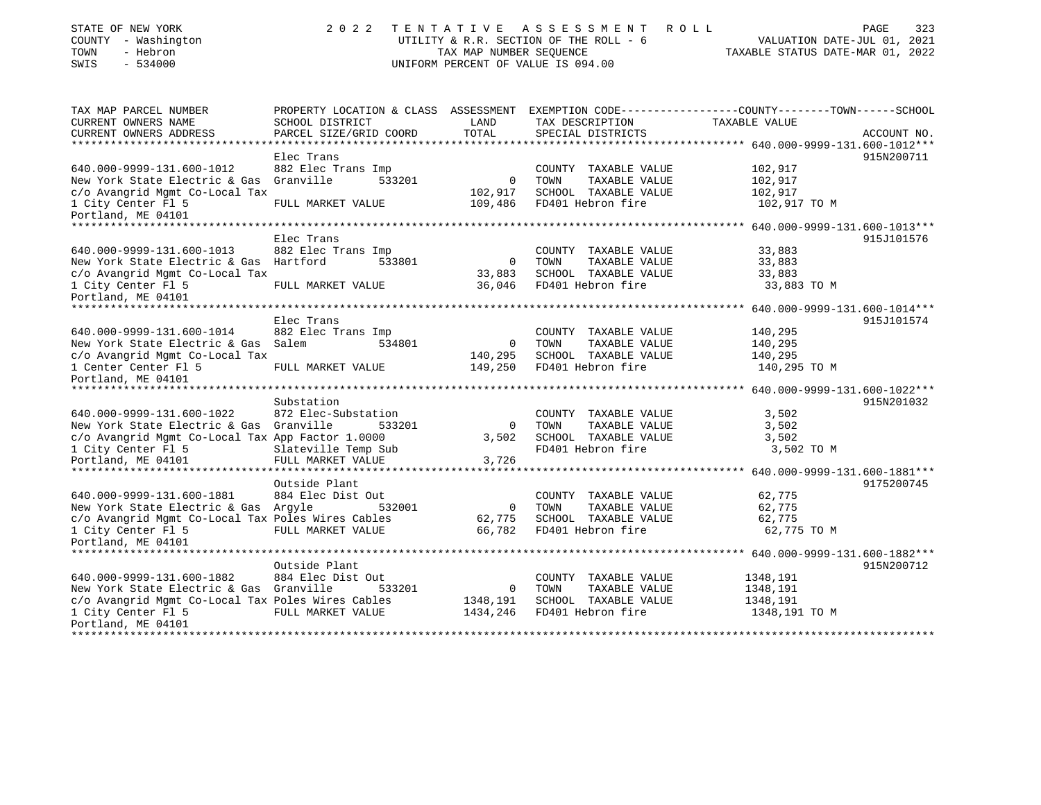| STATE OF NEW YORK<br>COUNTY - Washington<br>- Hebron<br>TOWN<br>SWIS<br>$-534000$ | 2 0 2 2                                            | TAX MAP NUMBER SEQUENCE        | TENTATIVE ASSESSMENT<br>UTILITY & R.R. SECTION OF THE ROLL - 6<br>UNIFORM PERCENT OF VALUE IS 094.00 | ROLL<br>PAGE<br>323<br>VALUATION DATE-JUL 01, 2021<br>TAXABLE STATUS DATE-MAR 01, 2022          |
|-----------------------------------------------------------------------------------|----------------------------------------------------|--------------------------------|------------------------------------------------------------------------------------------------------|-------------------------------------------------------------------------------------------------|
| TAX MAP PARCEL NUMBER                                                             |                                                    |                                |                                                                                                      | PROPERTY LOCATION & CLASS ASSESSMENT EXEMPTION CODE---------------COUNTY-------TOWN------SCHOOL |
| CURRENT OWNERS NAME<br>CURRENT OWNERS ADDRESS                                     | SCHOOL DISTRICT                                    | LAND<br>TOTAL                  | TAX DESCRIPTION                                                                                      | TAXABLE VALUE                                                                                   |
| ***********************                                                           | PARCEL SIZE/GRID COORD<br>************************ |                                | SPECIAL DISTRICTS                                                                                    | ACCOUNT NO.                                                                                     |
|                                                                                   | Elec Trans                                         |                                |                                                                                                      | 915N200711                                                                                      |
| 640.000-9999-131.600-1012                                                         | 882 Elec Trans Imp                                 |                                | COUNTY TAXABLE VALUE                                                                                 | 102,917                                                                                         |
| New York State Electric & Gas Granville                                           | 533201                                             | $\mathbf 0$                    | TAXABLE VALUE<br>TOWN                                                                                | 102,917                                                                                         |
| c/o Avangrid Mgmt Co-Local Tax                                                    |                                                    | 102,917                        | SCHOOL TAXABLE VALUE                                                                                 | 102,917                                                                                         |
| 1 City Center Fl 5                                                                | FULL MARKET VALUE                                  | 109,486                        | FD401 Hebron fire                                                                                    | 102,917 TO M                                                                                    |
| Portland, ME 04101                                                                |                                                    |                                |                                                                                                      |                                                                                                 |
|                                                                                   | Elec Trans                                         |                                |                                                                                                      | 915J101576                                                                                      |
| 640.000-9999-131.600-1013                                                         | 882 Elec Trans Imp                                 |                                | COUNTY TAXABLE VALUE                                                                                 | 33,883                                                                                          |
| New York State Electric & Gas Hartford                                            | 533801                                             | 0                              | TAXABLE VALUE<br>TOWN                                                                                | 33,883                                                                                          |
| c/o Avangrid Mgmt Co-Local Tax                                                    |                                                    | 33,883                         | SCHOOL TAXABLE VALUE                                                                                 | 33,883                                                                                          |
| 1 City Center Fl 5                                                                | FULL MARKET VALUE                                  | 36,046                         | FD401 Hebron fire                                                                                    | 33,883 TO M                                                                                     |
| Portland, ME 04101                                                                |                                                    |                                |                                                                                                      |                                                                                                 |
| *****************************                                                     |                                                    |                                |                                                                                                      | *********** 640.000-9999-131.600-1014***                                                        |
|                                                                                   | Elec Trans                                         |                                |                                                                                                      | 915J101574                                                                                      |
| 640.000-9999-131.600-1014<br>New York State Electric & Gas Salem                  | 882 Elec Trans Imp<br>534801                       | 0                              | COUNTY TAXABLE VALUE<br>TOWN<br>TAXABLE VALUE                                                        | 140,295<br>140,295                                                                              |
| c/o Avangrid Mgmt Co-Local Tax                                                    |                                                    | 140,295                        | SCHOOL TAXABLE VALUE                                                                                 | 140,295                                                                                         |
| 1 Center Center Fl 5                                                              | FULL MARKET VALUE                                  | 149,250                        | FD401 Hebron fire                                                                                    | 140,295 TO M                                                                                    |
| Portland, ME 04101                                                                |                                                    |                                |                                                                                                      |                                                                                                 |
|                                                                                   |                                                    |                                |                                                                                                      |                                                                                                 |
|                                                                                   | Substation                                         |                                |                                                                                                      | 915N201032                                                                                      |
| 640.000-9999-131.600-1022                                                         | 872 Elec-Substation                                |                                | COUNTY TAXABLE VALUE                                                                                 | 3,502                                                                                           |
| New York State Electric & Gas Granville                                           | 533201                                             | $\Omega$<br>3,502              | TOWN<br>TAXABLE VALUE<br>SCHOOL TAXABLE VALUE                                                        | 3,502<br>3,502                                                                                  |
| c/o Avangrid Mgmt Co-Local Tax App Factor 1.0000<br>1 City Center Fl 5            | Slateville Temp Sub                                |                                | FD401 Hebron fire                                                                                    | 3,502 TO M                                                                                      |
| Portland, ME 04101                                                                | FULL MARKET VALUE                                  | 3,726                          |                                                                                                      |                                                                                                 |
|                                                                                   |                                                    |                                |                                                                                                      |                                                                                                 |
|                                                                                   | Outside Plant                                      |                                |                                                                                                      | 9175200745                                                                                      |
| 640.000-9999-131.600-1881                                                         | 884 Elec Dist Out                                  |                                | COUNTY TAXABLE VALUE                                                                                 | 62,775                                                                                          |
| New York State Electric & Gas Argyle                                              | 532001                                             | 0                              | TOWN<br>TAXABLE VALUE                                                                                | 62,775                                                                                          |
| c/o Avangrid Mgmt Co-Local Tax Poles Wires Cables                                 |                                                    | 62,775                         | SCHOOL TAXABLE VALUE                                                                                 | 62,775                                                                                          |
| 1 City Center Fl 5                                                                | FULL MARKET VALUE                                  | 66,782                         | FD401 Hebron fire                                                                                    | 62,775 TO M                                                                                     |
| Portland, ME 04101                                                                |                                                    |                                |                                                                                                      |                                                                                                 |
|                                                                                   | Outside Plant                                      |                                |                                                                                                      | 915N200712                                                                                      |
| 640.000-9999-131.600-1882                                                         | 884 Elec Dist Out                                  |                                | COUNTY TAXABLE VALUE                                                                                 | 1348,191                                                                                        |
| New York State Electric & Gas Granville                                           | 533201                                             | 0                              | TOWN<br>TAXABLE VALUE                                                                                | 1348,191                                                                                        |
| c/o Avangrid Mgmt Co-Local Tax Poles Wires Cables                                 |                                                    | 1348,191                       | SCHOOL TAXABLE VALUE                                                                                 | 1348,191                                                                                        |
| 1 City Center Fl 5                                                                | FULL MARKET VALUE                                  | 1434,246                       | FD401 Hebron fire                                                                                    | 1348,191 TO M                                                                                   |
| Portland, ME 04101<br>*******************************                             |                                                    | ****************************** |                                                                                                      | * * * * * * * * * * * * * * * * * *                                                             |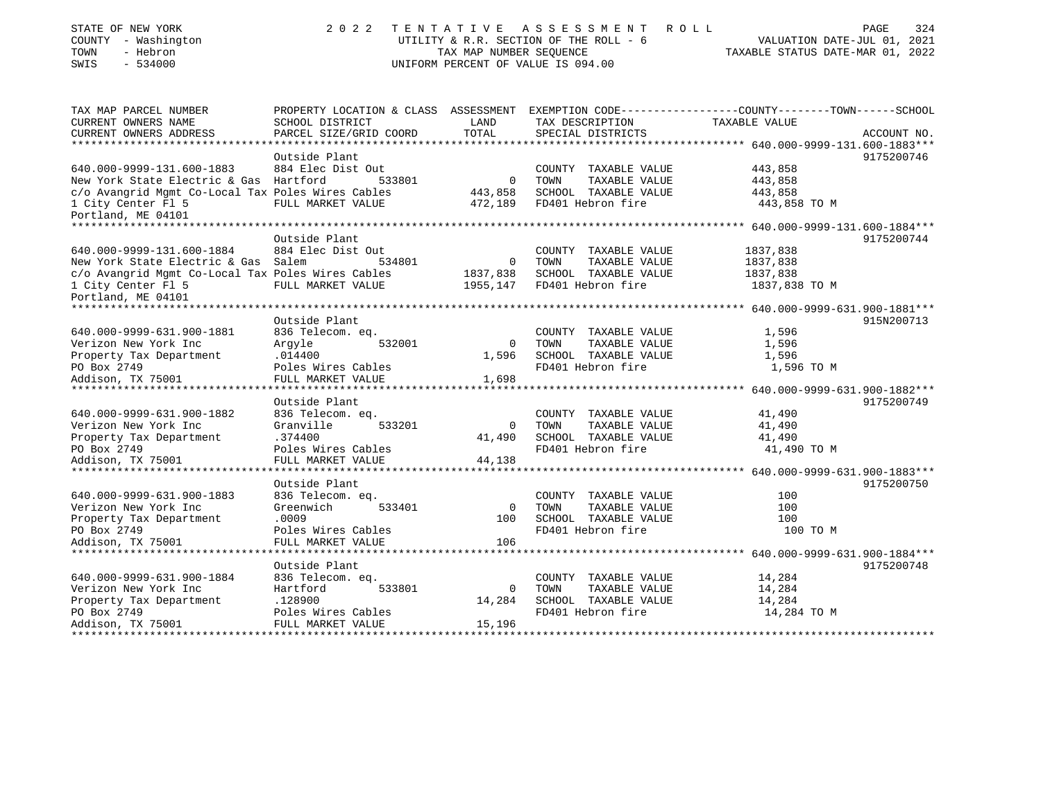| STATE OF NEW YORK<br>COUNTY - Washington<br>- Hebron<br>TOWN<br>SWIS<br>$-534000$ | 2 0 2 2                                 | TENTATIVE<br>TAX MAP NUMBER SEOUENCE | A S S E S S M E N T<br>ROLL<br>UTILITY & R.R. SECTION OF THE ROLL - 6<br>UNIFORM PERCENT OF VALUE IS 094.00 | PAGE<br>324<br>VALUATION DATE-JUL 01, 2021<br>TAXABLE STATUS DATE-MAR 01, 2022                                  |
|-----------------------------------------------------------------------------------|-----------------------------------------|--------------------------------------|-------------------------------------------------------------------------------------------------------------|-----------------------------------------------------------------------------------------------------------------|
| TAX MAP PARCEL NUMBER<br>CURRENT OWNERS NAME                                      | SCHOOL DISTRICT                         | LAND                                 | TAX DESCRIPTION                                                                                             | PROPERTY LOCATION & CLASS ASSESSMENT EXEMPTION CODE---------------COUNTY-------TOWN-----SCHOOL<br>TAXABLE VALUE |
| CURRENT OWNERS ADDRESS                                                            | PARCEL SIZE/GRID COORD                  | TOTAL                                | SPECIAL DISTRICTS                                                                                           | ACCOUNT NO.                                                                                                     |
| ***********************                                                           | ************************                |                                      |                                                                                                             |                                                                                                                 |
|                                                                                   | Outside Plant                           |                                      |                                                                                                             | 9175200746                                                                                                      |
| 640.000-9999-131.600-1883                                                         | 884 Elec Dist Out                       |                                      | COUNTY TAXABLE VALUE                                                                                        | 443,858                                                                                                         |
| New York State Electric & Gas Hartford                                            | 533801                                  | 0                                    | TAXABLE VALUE<br>TOWN                                                                                       | 443,858                                                                                                         |
| c/o Avangrid Mgmt Co-Local Tax Poles Wires Cables                                 |                                         | 443,858                              | SCHOOL TAXABLE VALUE                                                                                        | 443,858                                                                                                         |
| 1 City Center Fl 5<br>Portland, ME 04101                                          | FULL MARKET VALUE                       | 472,189                              | FD401 Hebron fire                                                                                           | 443,858 TO M                                                                                                    |
| **************************                                                        |                                         |                                      |                                                                                                             |                                                                                                                 |
|                                                                                   | Outside Plant                           |                                      |                                                                                                             | 9175200744                                                                                                      |
| 640.000-9999-131.600-1884                                                         | 884 Elec Dist Out                       |                                      | COUNTY TAXABLE VALUE                                                                                        | 1837,838                                                                                                        |
| New York State Electric & Gas Salem                                               | 534801                                  | 0                                    | TAXABLE VALUE<br>TOWN                                                                                       | 1837,838                                                                                                        |
| c/o Avangrid Mgmt Co-Local Tax Poles Wires Cables                                 |                                         | 1837,838                             | SCHOOL TAXABLE VALUE                                                                                        | 1837,838                                                                                                        |
| 1 City Center Fl 5<br>Portland, ME 04101                                          | FULL MARKET VALUE                       | 1955,147                             | FD401 Hebron fire                                                                                           | 1837,838 TO M                                                                                                   |
| **************************                                                        |                                         |                                      |                                                                                                             |                                                                                                                 |
| 640.000-9999-631.900-1881                                                         | Outside Plant<br>836 Telecom. eq.       |                                      | COUNTY TAXABLE VALUE                                                                                        | 915N200713<br>1,596                                                                                             |
| Verizon New York Inc                                                              | Arqyle<br>532001                        | $\Omega$                             | TOWN<br>TAXABLE VALUE                                                                                       | 1,596                                                                                                           |
| Property Tax Department                                                           | .014400                                 | 1,596                                | SCHOOL TAXABLE VALUE                                                                                        | 1,596                                                                                                           |
| PO Box 2749                                                                       | Poles Wires Cables                      |                                      | FD401 Hebron fire                                                                                           | 1,596 TO M                                                                                                      |
| Addison, TX 75001                                                                 | FULL MARKET VALUE                       | 1,698                                |                                                                                                             |                                                                                                                 |
|                                                                                   |                                         |                                      |                                                                                                             |                                                                                                                 |
|                                                                                   | Outside Plant                           |                                      |                                                                                                             | 9175200749                                                                                                      |
| 640.000-9999-631.900-1882                                                         | 836 Telecom. eq.                        |                                      | COUNTY TAXABLE VALUE                                                                                        | 41,490                                                                                                          |
| Verizon New York Inc                                                              | Granville<br>533201                     | 0                                    | TOWN<br>TAXABLE VALUE                                                                                       | 41,490                                                                                                          |
| Property Tax Department                                                           | .374400                                 | 41,490                               | SCHOOL TAXABLE VALUE<br>FD401 Hebron fire                                                                   | 41,490                                                                                                          |
| PO Box 2749<br>Addison, TX 75001                                                  | Poles Wires Cables<br>FULL MARKET VALUE | 44,138                               |                                                                                                             | 41,490 TO M                                                                                                     |
|                                                                                   |                                         |                                      |                                                                                                             |                                                                                                                 |
|                                                                                   | Outside Plant                           |                                      |                                                                                                             | 9175200750                                                                                                      |
| 640.000-9999-631.900-1883                                                         | 836 Telecom. eq.                        |                                      | COUNTY TAXABLE VALUE                                                                                        | 100                                                                                                             |
| Verizon New York Inc                                                              | Greenwich<br>533401                     | $\mathbf 0$                          | TAXABLE VALUE<br>TOWN                                                                                       | 100                                                                                                             |
| Property Tax Department                                                           | .0009                                   | 100                                  | SCHOOL TAXABLE VALUE                                                                                        | 100                                                                                                             |
| PO Box 2749                                                                       | Poles Wires Cables                      |                                      | FD401 Hebron fire                                                                                           | 100 TO M                                                                                                        |
| Addison, TX 75001                                                                 | FULL MARKET VALUE                       | 106                                  |                                                                                                             |                                                                                                                 |
|                                                                                   |                                         |                                      |                                                                                                             |                                                                                                                 |
|                                                                                   | Outside Plant                           |                                      |                                                                                                             | 9175200748                                                                                                      |
| 640.000-9999-631.900-1884<br>Verizon New York Inc                                 | 836 Telecom. eq.<br>533801<br>Hartford  | 0                                    | COUNTY TAXABLE VALUE<br>TOWN<br>TAXABLE VALUE                                                               | 14,284<br>14,284                                                                                                |
| Property Tax Department                                                           | .128900                                 | 14,284                               | SCHOOL TAXABLE VALUE                                                                                        | 14,284                                                                                                          |
| PO Box 2749                                                                       | Poles Wires Cables                      |                                      | FD401 Hebron fire                                                                                           | 14,284 TO M                                                                                                     |
| Addison, TX 75001                                                                 | FULL MARKET VALUE                       | 15,196                               |                                                                                                             |                                                                                                                 |
|                                                                                   |                                         |                                      |                                                                                                             |                                                                                                                 |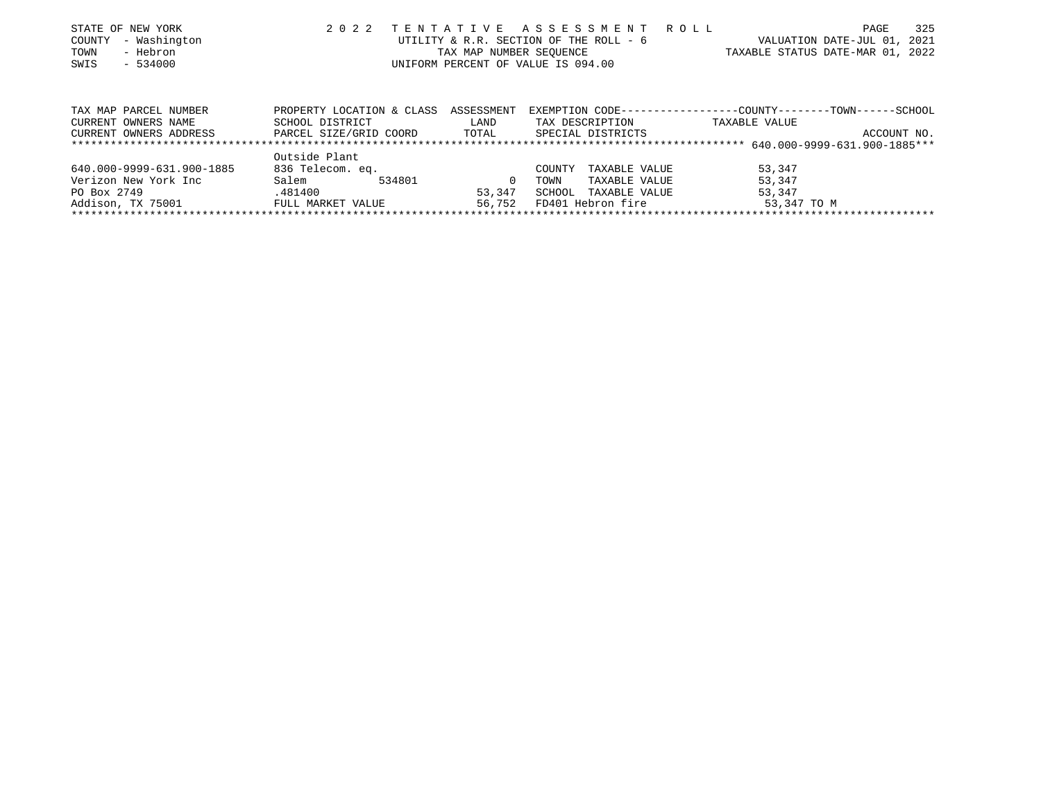| STATE OF NEW YORK<br>- Washington<br>COUNTY<br>- Hebron<br>TOWN<br>SWIS<br>$-534000$ | 2 0 2 2                                                                | TENTATIVE ASSESSMENT ROLL<br>UTILITY & R.R. SECTION OF THE ROLL - 6<br>TAX MAP NUMBER SEOUENCE<br>UNIFORM PERCENT OF VALUE IS 094.00 |              |                |                                      | TAXABLE STATUS DATE-MAR 01, 2022                                              | PAGE<br>VALUATION DATE-JUL 01, 2021 | 325 |
|--------------------------------------------------------------------------------------|------------------------------------------------------------------------|--------------------------------------------------------------------------------------------------------------------------------------|--------------|----------------|--------------------------------------|-------------------------------------------------------------------------------|-------------------------------------|-----|
| TAX MAP PARCEL NUMBER<br>CURRENT OWNERS NAME<br>CURRENT OWNERS ADDRESS               | PROPERTY LOCATION & CLASS<br>SCHOOL DISTRICT<br>PARCEL SIZE/GRID COORD | ASSESSMENT<br>LAND<br>TOTAL                                                                                                          |              |                | TAX DESCRIPTION<br>SPECIAL DISTRICTS | EXEMPTION CODE-----------------COUNTY-------TOWN------SCHOOL<br>TAXABLE VALUE | ACCOUNT NO.                         |     |
|                                                                                      |                                                                        |                                                                                                                                      |              |                |                                      |                                                                               |                                     |     |
|                                                                                      | Outside Plant                                                          |                                                                                                                                      |              |                |                                      |                                                                               |                                     |     |
| 640.000-9999-631.900-1885<br>Verizon New York Inc                                    | 836 Telecom. eq.<br>Salem                                              | 534801                                                                                                                               | $\mathbf{0}$ | COUNTY<br>TOWN | TAXABLE VALUE<br>TAXABLE VALUE       | 53,347<br>53,347                                                              |                                     |     |

Addison, TX 75001 FULL MARKET VALUE 56,752 FD401 Hebron fire 53,347 TO M \*\*\*\*\*\*\*\*\*\*\*\*\*\*\*\*\*\*\*\*\*\*\*\*\*\*\*\*\*\*\*\*\*\*\*\*\*\*\*\*\*\*\*\*\*\*\*\*\*\*\*\*\*\*\*\*\*\*\*\*\*\*\*\*\*\*\*\*\*\*\*\*\*\*\*\*\*\*\*\*\*\*\*\*\*\*\*\*\*\*\*\*\*\*\*\*\*\*\*\*\*\*\*\*\*\*\*\*\*\*\*\*\*\*\*\*\*\*\*\*\*\*\*\*\*\*\*\*\*\*\*\*

PO Box 2749 .481400 53,347 SCHOOL TAXABLE VALUE 53,347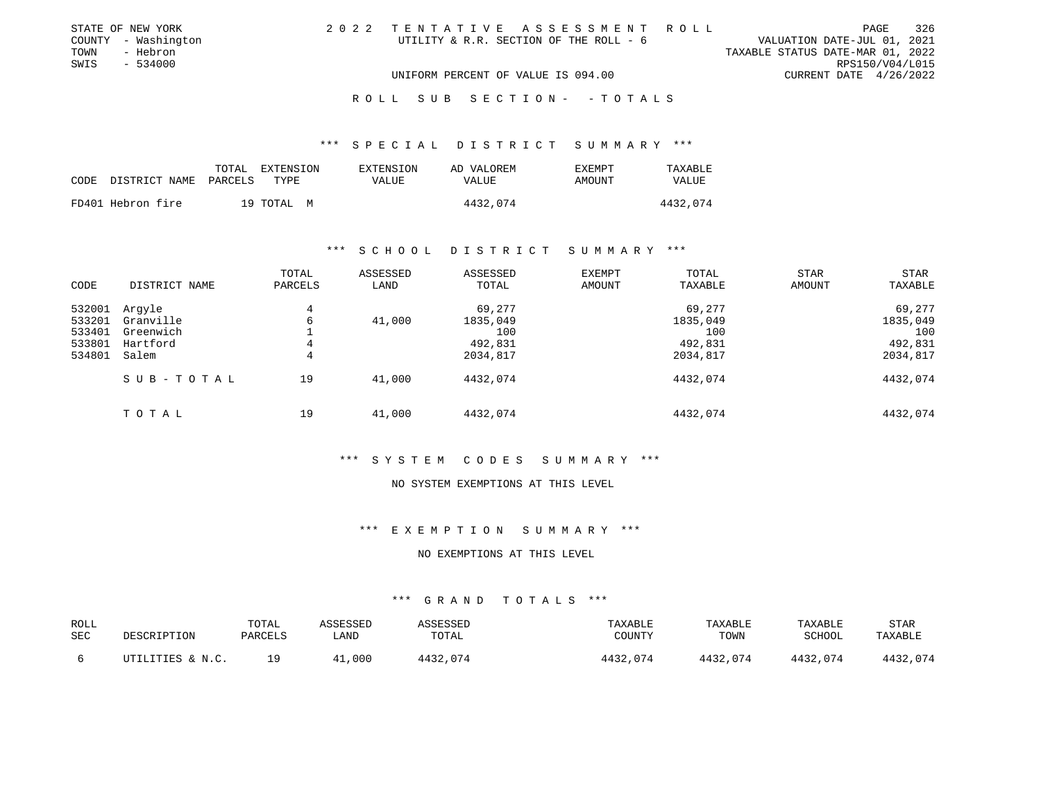| STATE OF NEW YORK   | 2022 TENTATIVE ASSESSMENT ROLL         |                                  | PAGE            | 326 |
|---------------------|----------------------------------------|----------------------------------|-----------------|-----|
| COUNTY - Washington | UTILITY & R.R. SECTION OF THE ROLL - 6 | VALUATION DATE-JUL 01, 2021      |                 |     |
| TOWN<br>- Hebron    |                                        | TAXABLE STATUS DATE-MAR 01, 2022 |                 |     |
| SWIS<br>- 534000    |                                        |                                  | RPS150/V04/L015 |     |
|                     | UNIFORM PERCENT OF VALUE IS 094.00     | CURRENT DATE 4/26/2022           |                 |     |
|                     |                                        |                                  |                 |     |

#### R O L L S U B S E C T I O N - - T O T A L S

## \*\*\* S P E C I A L D I S T R I C T S U M M A R Y \*\*\*

| CODE | DISTRICT NAME     | EXTENSION<br>TOTAL<br>PARCELS<br>TYPE | EXTENSION<br>VALUE | AD VALOREM<br>VALUE | <b>EXEMPT</b><br>AMOUNT | TAXABLE<br>VALUE |
|------|-------------------|---------------------------------------|--------------------|---------------------|-------------------------|------------------|
|      | FD401 Hebron fire | 19 TOTAL M                            |                    | 4432,074            |                         | 4432,074         |

#### \*\*\* S C H O O L D I S T R I C T S U M M A R Y \*\*\*

| CODE             | DISTRICT NAME         | TOTAL<br>PARCELS | ASSESSED<br>LAND | ASSESSED<br>TOTAL | <b>EXEMPT</b><br>AMOUNT | TOTAL<br>TAXABLE | <b>STAR</b><br>AMOUNT | <b>STAR</b><br>TAXABLE |
|------------------|-----------------------|------------------|------------------|-------------------|-------------------------|------------------|-----------------------|------------------------|
| 532001           | Argyle                | 4                |                  | 69,277            |                         | 69,277           |                       | 69,277                 |
| 533201           | Granville             | 6                | 41,000           | 1835,049          |                         | 1835,049         |                       | 1835,049               |
| 533401<br>533801 | Greenwich<br>Hartford | 4                |                  | 100<br>492,831    |                         | 100<br>492,831   |                       | 100<br>492,831         |
| 534801           | Salem                 | 4                |                  | 2034,817          |                         | 2034,817         |                       | 2034,817               |
|                  | SUB-TOTAL             | 19               | 41,000           | 4432,074          |                         | 4432,074         |                       | 4432,074               |
|                  |                       |                  |                  |                   |                         |                  |                       |                        |
|                  | TOTAL                 | 19               | 41,000           | 4432,074          |                         | 4432,074         |                       | 4432,074               |

# \*\*\* S Y S T E M C O D E S S U M M A R Y \*\*\*

#### NO SYSTEM EXEMPTIONS AT THIS LEVEL

## \*\*\* E X E M P T I O N S U M M A R Y \*\*\*

#### NO EXEMPTIONS AT THIS LEVEL

| <b>ROLL</b> |                  | TOTAL   | ASSESSED | ASSESSED | TAXABLE  | TAXABLE  | <b>TAXABLE</b> | <b>STAR</b> |
|-------------|------------------|---------|----------|----------|----------|----------|----------------|-------------|
| <b>SEC</b>  | DESCRIPTION      | PARCELS | ∟AND     | TOTAL    | COUNTY   | TOWN     | SCHOOL         | TAXABLE     |
|             | UTILITIES & N.C. | 1 Q     | 41,000   | 4432,074 | 4432,074 | 4432,074 | 4432,074       | 4432,074    |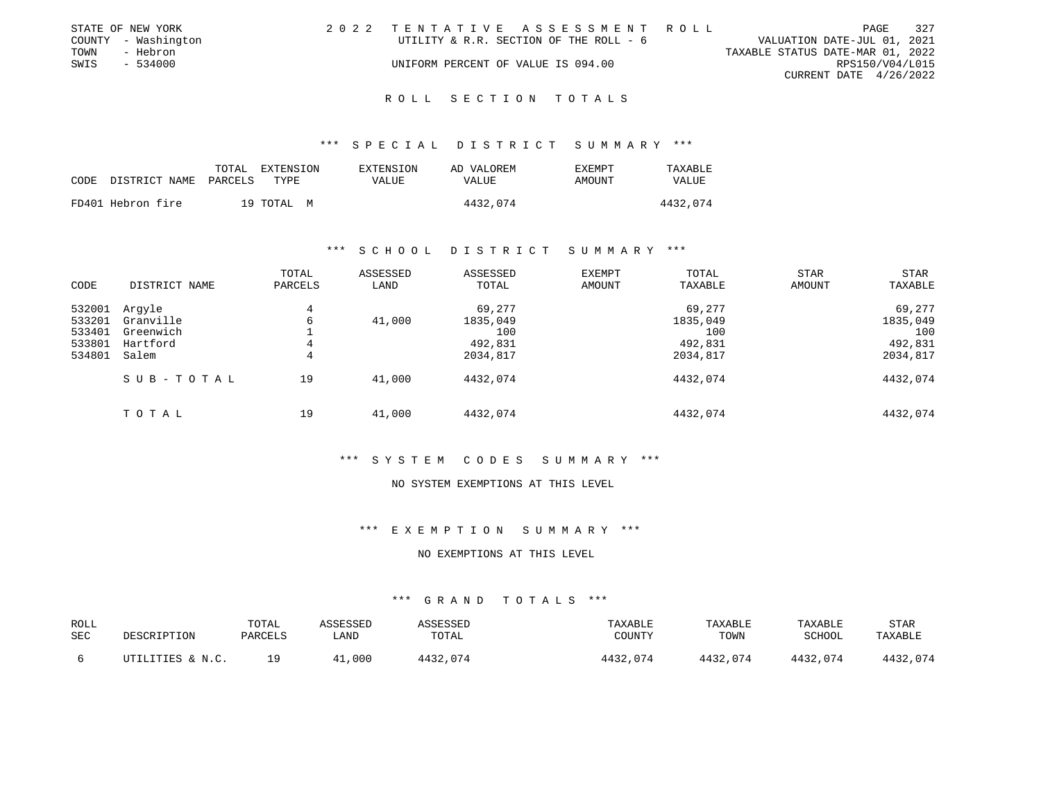|      | STATE OF NEW YORK   | 2022 TENTATIVE ASSESSMENT ROLL         |  |                                  |                        | PAGE | 327 |
|------|---------------------|----------------------------------------|--|----------------------------------|------------------------|------|-----|
|      | COUNTY - Washington | UTILITY & R.R. SECTION OF THE ROLL - 6 |  | VALUATION DATE-JUL 01, 2021      |                        |      |     |
| TOWN | - Hebron            |                                        |  | TAXABLE STATUS DATE-MAR 01, 2022 |                        |      |     |
| SWIS | - 534000            | UNIFORM PERCENT OF VALUE IS 094.00     |  |                                  | RPS150/V04/L015        |      |     |
|      |                     |                                        |  |                                  | CURRENT DATE 4/26/2022 |      |     |
|      |                     |                                        |  |                                  |                        |      |     |

#### R O L L S E C T I O N T O T A L S

#### \*\*\* S P E C I A L D I S T R I C T S U M M A R Y \*\*\*

| CODE | DISTRICT NAME     | TOTAL<br>PARCELS | EXTENSION<br>TYPE | EXTENSION<br>VALUE | AD VALOREM<br>VALUE | <b>EXEMPT</b><br>AMOUNT | TAXABLE<br>VALUE |
|------|-------------------|------------------|-------------------|--------------------|---------------------|-------------------------|------------------|
|      | FD401 Hebron fire |                  | 19 TOTAL M        |                    | 4432,074            |                         | 4432,074         |

#### \*\*\* S C H O O L D I S T R I C T S U M M A R Y \*\*\*

| CODE                                           | DISTRICT NAME                                         | TOTAL<br>PARCELS | ASSESSED<br>LAND | ASSESSED<br>TOTAL                                | <b>EXEMPT</b><br>AMOUNT | TOTAL<br>TAXABLE                                 | <b>STAR</b><br>AMOUNT | <b>STAR</b><br>TAXABLE                           |
|------------------------------------------------|-------------------------------------------------------|------------------|------------------|--------------------------------------------------|-------------------------|--------------------------------------------------|-----------------------|--------------------------------------------------|
| 532001<br>533201<br>533401<br>533801<br>534801 | Argyle<br>Granville<br>Greenwich<br>Hartford<br>Salem | 4<br>6<br>4<br>4 | 41,000           | 69,277<br>1835,049<br>100<br>492,831<br>2034,817 |                         | 69,277<br>1835,049<br>100<br>492,831<br>2034,817 |                       | 69,277<br>1835,049<br>100<br>492,831<br>2034,817 |
|                                                | SUB-TOTAL                                             | 19               | 41,000           | 4432,074                                         |                         | 4432,074                                         |                       | 4432,074                                         |
|                                                | TOTAL                                                 | 19               | 41,000           | 4432,074                                         |                         | 4432,074                                         |                       | 4432,074                                         |

# \*\*\* S Y S T E M C O D E S S U M M A R Y \*\*\*

#### NO SYSTEM EXEMPTIONS AT THIS LEVEL

## \*\*\* E X E M P T I O N S U M M A R Y \*\*\*

#### NO EXEMPTIONS AT THIS LEVEL

| ROLL |                  | TOTAL   | ASSESSED | <b>ASSESSED</b> | TAXABLE  | TAXABLE  | TAXABLE  | STAR     |
|------|------------------|---------|----------|-----------------|----------|----------|----------|----------|
| SEC  | DESCRIPTION      | PARCELS | LAND     | TOTAL           | COUNTY   | TOWN     | SCHOOL   | TAXABLE  |
|      | UTILITIES & N.C. | 19      | 41,000   | 4432,074        | 4432,074 | 4432,074 | 4432,074 | 4432,074 |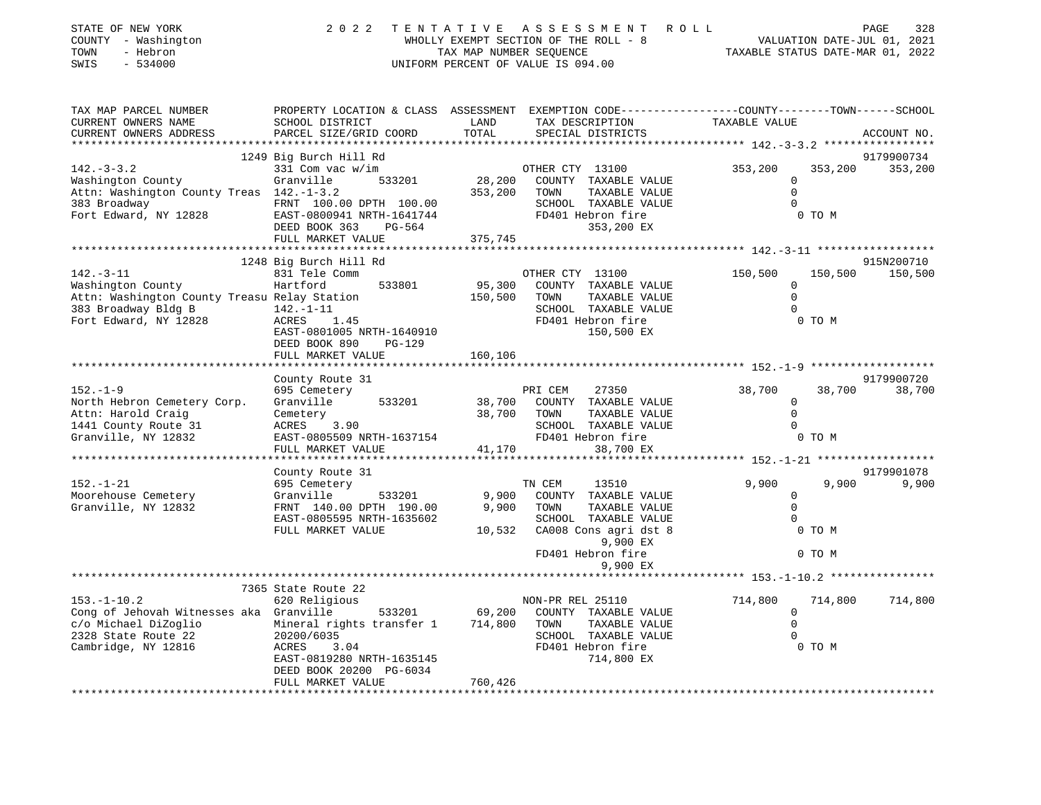| STATE OF NEW YORK<br>COUNTY - Washington<br>- Hebron<br>TOWN<br>$-534000$<br>SWIS | 2022                                                 | TENTATIVE<br>TAX MAP NUMBER SEQUENCE | ASSESSMENT<br>ROLL<br>WHOLLY EXEMPT SECTION OF THE ROLL - 8<br>UNIFORM PERCENT OF VALUE IS 094.00                                        | TAXABLE STATUS DATE-MAR 01, 2022  | PAGE<br>328<br>VALUATION DATE-JUL 01, 2021 |
|-----------------------------------------------------------------------------------|------------------------------------------------------|--------------------------------------|------------------------------------------------------------------------------------------------------------------------------------------|-----------------------------------|--------------------------------------------|
| TAX MAP PARCEL NUMBER<br>CURRENT OWNERS NAME<br>CURRENT OWNERS ADDRESS            | SCHOOL DISTRICT<br>PARCEL SIZE/GRID COORD            | LAND<br>TOTAL                        | PROPERTY LOCATION & CLASS ASSESSMENT EXEMPTION CODE----------------COUNTY-------TOWN------SCHOOL<br>TAX DESCRIPTION<br>SPECIAL DISTRICTS | TAXABLE VALUE                     | ACCOUNT NO.                                |
| ************************                                                          | 1249 Big Burch Hill Rd                               |                                      |                                                                                                                                          |                                   |                                            |
| $142. - 3 - 3.2$                                                                  | 331 Com vac w/im                                     |                                      | OTHER CTY 13100                                                                                                                          | 353,200<br>353,200                | 9179900734<br>353,200                      |
| Washington County                                                                 | 533201<br>Granville                                  | 28,200                               | COUNTY TAXABLE VALUE                                                                                                                     | 0                                 |                                            |
| Attn: Washington County Treas 142.-1-3.2                                          |                                                      | 353,200                              | TOWN<br>TAXABLE VALUE                                                                                                                    | $\mathbf{0}$                      |                                            |
| 383 Broadway                                                                      | FRNT 100.00 DPTH 100.00                              |                                      | SCHOOL TAXABLE VALUE                                                                                                                     |                                   |                                            |
| Fort Edward, NY 12828                                                             | EAST-0800941 NRTH-1641744                            |                                      | FD401 Hebron fire                                                                                                                        | 0 TO M                            |                                            |
|                                                                                   | DEED BOOK 363<br>PG-564                              |                                      | 353,200 EX                                                                                                                               |                                   |                                            |
|                                                                                   | FULL MARKET VALUE                                    | 375,745                              |                                                                                                                                          |                                   |                                            |
|                                                                                   |                                                      |                                      |                                                                                                                                          |                                   |                                            |
| $142. - 3 - 11$                                                                   | 1248 Big Burch Hill Rd                               |                                      |                                                                                                                                          |                                   | 915N200710                                 |
| Washington County                                                                 | 831 Tele Comm<br>Hartford<br>533801                  | 95,300                               | OTHER CTY 13100<br>COUNTY TAXABLE VALUE                                                                                                  | 150,500<br>150,500<br>$\mathbf 0$ | 150,500                                    |
| Attn: Washington County Treasu Relay Station                                      |                                                      | 150,500                              | TAXABLE VALUE<br>TOWN                                                                                                                    | $\Omega$                          |                                            |
| 383 Broadway Bldg B                                                               | $142. - 1 - 11$                                      |                                      | SCHOOL TAXABLE VALUE                                                                                                                     |                                   |                                            |
| Fort Edward, NY 12828                                                             | ACRES<br>1.45                                        |                                      | FD401 Hebron fire                                                                                                                        | 0 TO M                            |                                            |
|                                                                                   | EAST-0801005 NRTH-1640910                            |                                      | 150,500 EX                                                                                                                               |                                   |                                            |
|                                                                                   | DEED BOOK 890<br>PG-129                              |                                      |                                                                                                                                          |                                   |                                            |
|                                                                                   | FULL MARKET VALUE                                    | 160,106                              |                                                                                                                                          |                                   |                                            |
|                                                                                   |                                                      |                                      | ******************************** 152.-1-9 ************                                                                                   |                                   |                                            |
| $152. - 1 - 9$                                                                    | County Route 31                                      |                                      |                                                                                                                                          |                                   | 9179900720                                 |
| North Hebron Cemetery Corp.                                                       | 695 Cemetery<br>Granville<br>533201                  | 38,700                               | PRI CEM<br>27350<br>COUNTY TAXABLE VALUE                                                                                                 | 38,700<br>38,700<br>$\mathbf 0$   | 38,700                                     |
| Attn: Harold Craig                                                                | Cemetery                                             | 38,700                               | TAXABLE VALUE<br>TOWN                                                                                                                    | $\Omega$                          |                                            |
| 1441 County Route 31                                                              | ACRES<br>3.90                                        |                                      | SCHOOL TAXABLE VALUE                                                                                                                     | $\Omega$                          |                                            |
| Granville, NY 12832                                                               | EAST-0805509 NRTH-1637154                            |                                      | FD401 Hebron fire                                                                                                                        | 0 TO M                            |                                            |
|                                                                                   | FULL MARKET VALUE                                    | 41,170                               | 38,700 EX                                                                                                                                |                                   |                                            |
|                                                                                   |                                                      |                                      |                                                                                                                                          | ********* 152.-1-21               | ******************                         |
|                                                                                   | County Route 31                                      |                                      |                                                                                                                                          |                                   | 9179901078                                 |
| $152. - 1 - 21$                                                                   | 695 Cemetery                                         |                                      | TN CEM<br>13510                                                                                                                          | 9,900<br>9,900                    | 9,900                                      |
| Moorehouse Cemetery                                                               | Granville<br>533201                                  | 9,900                                | COUNTY TAXABLE VALUE                                                                                                                     | $\Omega$<br>$\Omega$              |                                            |
| Granville, NY 12832                                                               | FRNT 140.00 DPTH 190.00<br>EAST-0805595 NRTH-1635602 | 9,900                                | TOWN<br>TAXABLE VALUE<br>SCHOOL TAXABLE VALUE                                                                                            | $\Omega$                          |                                            |
|                                                                                   | FULL MARKET VALUE                                    | 10,532                               | CA008 Cons agri dst 8                                                                                                                    | 0 TO M                            |                                            |
|                                                                                   |                                                      |                                      | 9,900 EX                                                                                                                                 |                                   |                                            |
|                                                                                   |                                                      |                                      | FD401 Hebron fire                                                                                                                        | 0 TO M                            |                                            |
|                                                                                   |                                                      |                                      | 9,900 EX                                                                                                                                 |                                   |                                            |
|                                                                                   |                                                      |                                      |                                                                                                                                          | ******* 153.-1-10.2               |                                            |
|                                                                                   | 7365 State Route 22                                  |                                      |                                                                                                                                          |                                   |                                            |
| $153. - 1 - 10.2$                                                                 | 620 Religious                                        |                                      | NON-PR REL 25110                                                                                                                         | 714,800<br>714,800                | 714,800                                    |
| Cong of Jehovah Witnesses aka Granville                                           | 533201                                               | 69,200                               | COUNTY TAXABLE VALUE                                                                                                                     | 0<br>$\Omega$                     |                                            |
| c/o Michael DiZoglio<br>2328 State Route 22                                       | Mineral rights transfer 1<br>20200/6035              | 714,800                              | TOWN<br>TAXABLE VALUE<br>SCHOOL TAXABLE VALUE                                                                                            |                                   |                                            |
| Cambridge, NY 12816                                                               | 3.04<br>ACRES                                        |                                      | FD401 Hebron fire                                                                                                                        | 0 TO M                            |                                            |
|                                                                                   | EAST-0819280 NRTH-1635145                            |                                      | 714,800 EX                                                                                                                               |                                   |                                            |
|                                                                                   | DEED BOOK 20200 PG-6034                              |                                      |                                                                                                                                          |                                   |                                            |
|                                                                                   | FULL MARKET VALUE                                    | 760,426                              |                                                                                                                                          |                                   |                                            |
|                                                                                   |                                                      | ***************                      |                                                                                                                                          |                                   |                                            |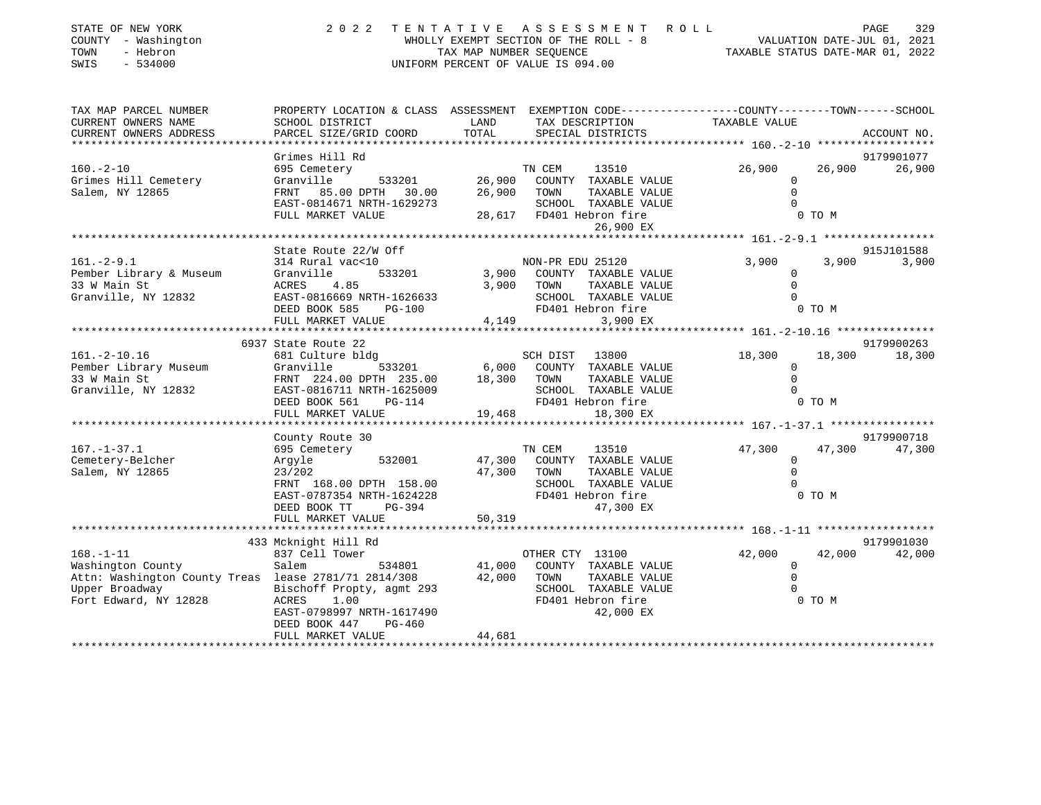| STATE OF NEW YORK<br>COUNTY - Washington<br>- Hebron<br>TOWN<br>SWIS<br>$-534000$ | 2 0 2 2                                                                                                           | TENTATIVE   | ASSESSMENT ROLL<br>UNIFORM PERCENT OF VALUE IS 094.00 |                                                 |        | PAGE<br>329          |
|-----------------------------------------------------------------------------------|-------------------------------------------------------------------------------------------------------------------|-------------|-------------------------------------------------------|-------------------------------------------------|--------|----------------------|
| TAX MAP PARCEL NUMBER<br>CURRENT OWNERS NAME                                      | PROPERTY LOCATION & CLASS ASSESSMENT EXEMPTION CODE---------------COUNTY-------TOWN-----SCHOOL<br>SCHOOL DISTRICT | LAND        | TAX DESCRIPTION                                       | TAXABLE VALUE                                   |        |                      |
| CURRENT OWNERS ADDRESS                                                            | PARCEL SIZE/GRID COORD                                                                                            | TOTAL       | SPECIAL DISTRICTS                                     |                                                 |        | ACCOUNT NO.          |
|                                                                                   |                                                                                                                   |             |                                                       | ***************** 160.-2-10 ******************* |        |                      |
| $160. -2 - 10$                                                                    | Grimes Hill Rd<br>695 Cemetery                                                                                    |             | TN CEM<br>13510                                       | 26,900                                          | 26,900 | 9179901077<br>26,900 |
| Grimes Hill Cemetery                                                              | 533201<br>Granville                                                                                               | 26,900      | COUNTY TAXABLE VALUE                                  | $\mathbf 0$                                     |        |                      |
| Salem, NY 12865                                                                   | FRNT 85.00 DPTH 30.00                                                                                             | 26,900      | TOWN<br>TAXABLE VALUE                                 | $\mathbf 0$                                     |        |                      |
|                                                                                   | EAST-0814671 NRTH-1629273                                                                                         |             | SCHOOL TAXABLE VALUE                                  | $\Omega$                                        |        |                      |
|                                                                                   | FULL MARKET VALUE                                                                                                 |             | 28,617 FD401 Hebron fire                              |                                                 | 0 TO M |                      |
|                                                                                   | * * * * * * * * * * * * * * * * *                                                                                 |             | 26,900 EX                                             |                                                 |        |                      |
|                                                                                   | State Route 22/W Off                                                                                              |             |                                                       |                                                 |        | 915J101588           |
| $161. - 2 - 9.1$                                                                  | 314 Rural vac<10                                                                                                  |             | NON-PR EDU 25120                                      | 3,900                                           | 3,900  | 3,900                |
| Pember Library & Museum                                                           | Granville<br>533201                                                                                               | 3,900       | COUNTY TAXABLE VALUE                                  | 0                                               |        |                      |
| 33 W Main St                                                                      | ACRES<br>4.85                                                                                                     | 3,900 TOWN  | TAXABLE VALUE                                         | $\Omega$                                        |        |                      |
| Granville, NY 12832                                                               | EAST-0816669 NRTH-1626633<br>DEED BOOK 585<br><b>PG-100</b>                                                       |             | SCHOOL TAXABLE VALUE<br>FD401 Hebron fire             | $\mathbf 0$                                     | 0 TO M |                      |
|                                                                                   | FULL MARKET VALUE                                                                                                 | 4,149       | 3,900 EX                                              |                                                 |        |                      |
|                                                                                   |                                                                                                                   |             |                                                       |                                                 |        |                      |
|                                                                                   | 6937 State Route 22                                                                                               |             |                                                       |                                                 |        | 9179900263           |
| $161.-2-10.16$                                                                    | 681 Culture bldg                                                                                                  |             | SCH DIST 13800                                        | 18,300                                          | 18,300 | 18,300               |
| Pember Library Museum<br>33 W Main St                                             | 533201<br>Granville<br>FRNT 224.00 DPTH 235.00                                                                    | 18,300      | 6,000 COUNTY TAXABLE VALUE<br>TOWN<br>TAXABLE VALUE   | 0<br>$\Omega$                                   |        |                      |
| Granville, NY 12832                                                               | EAST-0816711 NRTH-1625009                                                                                         |             | SCHOOL TAXABLE VALUE                                  | $\Omega$                                        |        |                      |
|                                                                                   | DEED BOOK 561<br>PG-114                                                                                           |             | FD401 Hebron fire                                     |                                                 | 0 TO M |                      |
|                                                                                   | FULL MARKET VALUE                                                                                                 | 19,468      | 18,300 EX                                             |                                                 |        |                      |
|                                                                                   | *******************                                                                                               |             |                                                       |                                                 |        |                      |
| $167. - 1 - 37.1$                                                                 | County Route 30<br>695 Cemetery                                                                                   |             | TN CEM<br>13510                                       | 47,300                                          | 47,300 | 9179900718<br>47,300 |
| Cemetery-Belcher                                                                  | 532001<br>Argyle                                                                                                  | 47,300      | COUNTY TAXABLE VALUE                                  | $\circ$                                         |        |                      |
| Salem, NY 12865                                                                   | 23/202                                                                                                            | 47,300 TOWN | TAXABLE VALUE                                         | $\mathbf 0$                                     |        |                      |
|                                                                                   | FRNT 168.00 DPTH 158.00                                                                                           |             | SCHOOL TAXABLE VALUE                                  | $\Omega$                                        |        |                      |
|                                                                                   | EAST-0787354 NRTH-1624228                                                                                         |             | FD401 Hebron fire                                     |                                                 | 0 TO M |                      |
|                                                                                   | DEED BOOK TT<br>PG-394<br>FULL MARKET VALUE                                                                       | 50,319      | 47,300 EX                                             |                                                 |        |                      |
|                                                                                   |                                                                                                                   |             |                                                       |                                                 |        |                      |
|                                                                                   | 433 Mcknight Hill Rd                                                                                              |             |                                                       |                                                 |        | 9179901030           |
| $168. - 1 - 11$                                                                   | 837 Cell Tower                                                                                                    |             | OTHER CTY 13100                                       | 42,000                                          | 42,000 | 42,000               |
| Washington County                                                                 | Salem<br>534801                                                                                                   | 41,000      | COUNTY TAXABLE VALUE                                  | $\circ$                                         |        |                      |
| Attn: Washington County Treas lease 2781/71 2814/308<br>Upper Broadway            |                                                                                                                   | 42,000      | TOWN<br>TAXABLE VALUE<br>SCHOOL TAXABLE VALUE         | $\Omega$<br>$\Omega$                            |        |                      |
| Fort Edward, NY 12828                                                             | Bischoff Propty, agmt 293<br>ACRES<br>1.00                                                                        |             | FD401 Hebron fire                                     |                                                 | 0 TO M |                      |
|                                                                                   | EAST-0798997 NRTH-1617490                                                                                         |             | 42,000 EX                                             |                                                 |        |                      |
|                                                                                   | DEED BOOK 447<br>$PG-460$                                                                                         |             |                                                       |                                                 |        |                      |
|                                                                                   | FULL MARKET VALUE                                                                                                 | 44,681      |                                                       |                                                 |        |                      |
|                                                                                   |                                                                                                                   |             |                                                       |                                                 |        |                      |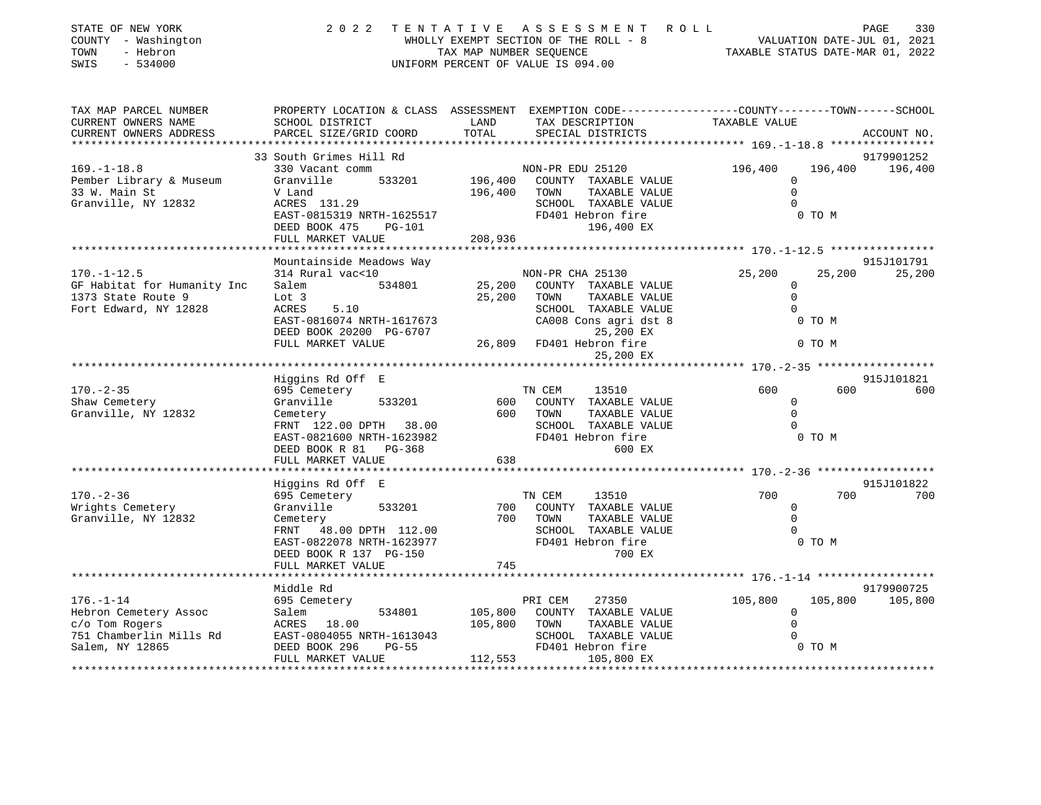| STATE OF NEW YORK<br>COUNTY - Washington<br>- Hebron<br>TOWN<br>$-534000$<br>SWIS | 2 0 2 2                                               | TENTATIVE<br>A S S E S S M E N T<br>ROLL<br>WHOLLY EXEMPT SECTION OF THE ROLL - 8<br>TAX MAP NUMBER SEQUENCE<br>UNIFORM PERCENT OF VALUE IS 094.00 | PAGE<br>330<br>VALUATION DATE-JUL 01, 2021<br>TAXABLE STATUS DATE-MAR 01, 2022 |
|-----------------------------------------------------------------------------------|-------------------------------------------------------|----------------------------------------------------------------------------------------------------------------------------------------------------|--------------------------------------------------------------------------------|
| TAX MAP PARCEL NUMBER<br>CURRENT OWNERS NAME                                      | SCHOOL DISTRICT                                       | PROPERTY LOCATION & CLASS ASSESSMENT EXEMPTION CODE---------------COUNTY-------TOWN------SCHOOL<br>LAND<br>TAX DESCRIPTION                         | TAXABLE VALUE                                                                  |
| CURRENT OWNERS ADDRESS                                                            | PARCEL SIZE/GRID COORD                                | TOTAL<br>SPECIAL DISTRICTS                                                                                                                         | ACCOUNT NO.                                                                    |
|                                                                                   |                                                       |                                                                                                                                                    |                                                                                |
|                                                                                   | 33 South Grimes Hill Rd                               |                                                                                                                                                    | 9179901252                                                                     |
| $169. - 1 - 18.8$                                                                 | 330 Vacant comm                                       | NON-PR EDU 25120                                                                                                                                   | 196,400<br>196,400<br>196,400                                                  |
| Pember Library & Museum                                                           | Granville<br>533201                                   | 196,400<br>COUNTY TAXABLE VALUE                                                                                                                    | $\mathbf 0$                                                                    |
| 33 W. Main St                                                                     | V Land                                                | 196,400<br>TOWN<br>TAXABLE VALUE                                                                                                                   | $\Omega$                                                                       |
| Granville, NY 12832                                                               | ACRES 131.29                                          | SCHOOL TAXABLE VALUE                                                                                                                               | $\Omega$                                                                       |
|                                                                                   | EAST-0815319 NRTH-1625517                             | FD401 Hebron fire                                                                                                                                  | 0 TO M                                                                         |
|                                                                                   | DEED BOOK 475<br><b>PG-101</b>                        | 196,400 EX                                                                                                                                         |                                                                                |
|                                                                                   | FULL MARKET VALUE                                     | 208,936                                                                                                                                            |                                                                                |
|                                                                                   | Mountainside Meadows Way                              |                                                                                                                                                    | 915J101791                                                                     |
| $170. - 1 - 12.5$                                                                 | 314 Rural vac<10                                      | NON-PR CHA 25130                                                                                                                                   | 25,200<br>25,200<br>25,200                                                     |
| GF Habitat for Humanity Inc                                                       | 534801<br>Salem                                       | 25,200<br>COUNTY TAXABLE VALUE                                                                                                                     | $\mathbf 0$                                                                    |
| 1373 State Route 9                                                                | Lot 3                                                 | 25,200<br>TOWN<br>TAXABLE VALUE                                                                                                                    | $\Omega$                                                                       |
| Fort Edward, NY 12828                                                             | ACRES<br>5.10                                         | SCHOOL TAXABLE VALUE                                                                                                                               | $\Omega$                                                                       |
|                                                                                   | EAST-0816074 NRTH-1617673<br>DEED BOOK 20200 PG-6707  | CA008 Cons agri dst 8<br>25,200 EX                                                                                                                 | 0 TO M                                                                         |
|                                                                                   | FULL MARKET VALUE                                     | FD401 Hebron fire<br>26,809<br>25,200 EX                                                                                                           | 0 TO M                                                                         |
|                                                                                   |                                                       |                                                                                                                                                    | ***************************** 170.-2-35 ******************                     |
|                                                                                   | Higgins Rd Off E                                      |                                                                                                                                                    | 915J101821                                                                     |
| $170. - 2 - 35$                                                                   | 695 Cemetery                                          | TN CEM<br>13510                                                                                                                                    | 600<br>600<br>600                                                              |
| Shaw Cemetery                                                                     | Granville<br>533201                                   | 600<br>COUNTY TAXABLE VALUE                                                                                                                        | 0                                                                              |
| Granville, NY 12832                                                               | Cemetery                                              | 600<br>TOWN<br>TAXABLE VALUE                                                                                                                       | $\Omega$                                                                       |
|                                                                                   | FRNT 122.00 DPTH 38.00                                | SCHOOL TAXABLE VALUE                                                                                                                               | $\Omega$                                                                       |
|                                                                                   | EAST-0821600 NRTH-1623982                             | FD401 Hebron fire                                                                                                                                  | 0 TO M                                                                         |
|                                                                                   | DEED BOOK R 81 PG-368                                 | 600 EX                                                                                                                                             |                                                                                |
|                                                                                   | FULL MARKET VALUE                                     | 638<br>******************                                                                                                                          | ************************ 170 -2-36 *******************                         |
|                                                                                   | Higgins Rd Off E                                      |                                                                                                                                                    | 915J101822                                                                     |
| $170. - 2 - 36$                                                                   | 695 Cemetery                                          | TN CEM<br>13510                                                                                                                                    | 700<br>700<br>700                                                              |
| Wrights Cemetery                                                                  | Granville<br>533201                                   | 700<br>COUNTY TAXABLE VALUE                                                                                                                        | $\mathbf 0$                                                                    |
| Granville, NY 12832                                                               | Cemetery                                              | 700<br>TOWN<br>TAXABLE VALUE                                                                                                                       | $\Omega$                                                                       |
|                                                                                   | 48.00 DPTH 112.00<br>FRNT                             | SCHOOL TAXABLE VALUE                                                                                                                               |                                                                                |
|                                                                                   | EAST-0822078 NRTH-1623977                             | FD401 Hebron fire                                                                                                                                  | 0 TO M                                                                         |
|                                                                                   | DEED BOOK R 137 PG-150                                | 700 EX                                                                                                                                             |                                                                                |
|                                                                                   | FULL MARKET VALUE                                     | 745                                                                                                                                                |                                                                                |
|                                                                                   | *************************                             |                                                                                                                                                    |                                                                                |
|                                                                                   | Middle Rd                                             |                                                                                                                                                    | 9179900725                                                                     |
| $176. - 1 - 14$                                                                   | 695 Cemetery                                          | PRI CEM<br>27350                                                                                                                                   | 105,800<br>105,800<br>105,800                                                  |
| Hebron Cemetery Assoc                                                             | 534801<br>Salem                                       | 105,800<br>COUNTY TAXABLE VALUE                                                                                                                    | 0                                                                              |
| c/o Tom Rogers                                                                    | ACRES 18.00                                           | 105,800<br>TOWN<br>TAXABLE VALUE<br>SCHOOL TAXABLE VALUE                                                                                           | $\Omega$<br>$\Omega$                                                           |
| 751 Chamberlin Mills Rd<br>Salem, NY 12865                                        | EAST-0804055 NRTH-1613043<br>DEED BOOK 296<br>$PG-55$ | FD401 Hebron fire                                                                                                                                  | 0 TO M                                                                         |

FULL MARKET VALUE 112,553 105,800 EX

\*\*\*\*\*\*\*\*\*\*\*\*\*\*\*\*\*\*\*\*\*\*\*\*\*\*\*\*\*\*\*\*\*\*\*\*\*\*\*\*\*\*\*\*\*\*\*\*\*\*\*\*\*\*\*\*\*\*\*\*\*\*\*\*\*\*\*\*\*\*\*\*\*\*\*\*\*\*\*\*\*\*\*\*\*\*\*\*\*\*\*\*\*\*\*\*\*\*\*\*\*\*\*\*\*\*\*\*\*\*\*\*\*\*\*\*\*\*\*\*\*\*\*\*\*\*\*\*\*\*\*\*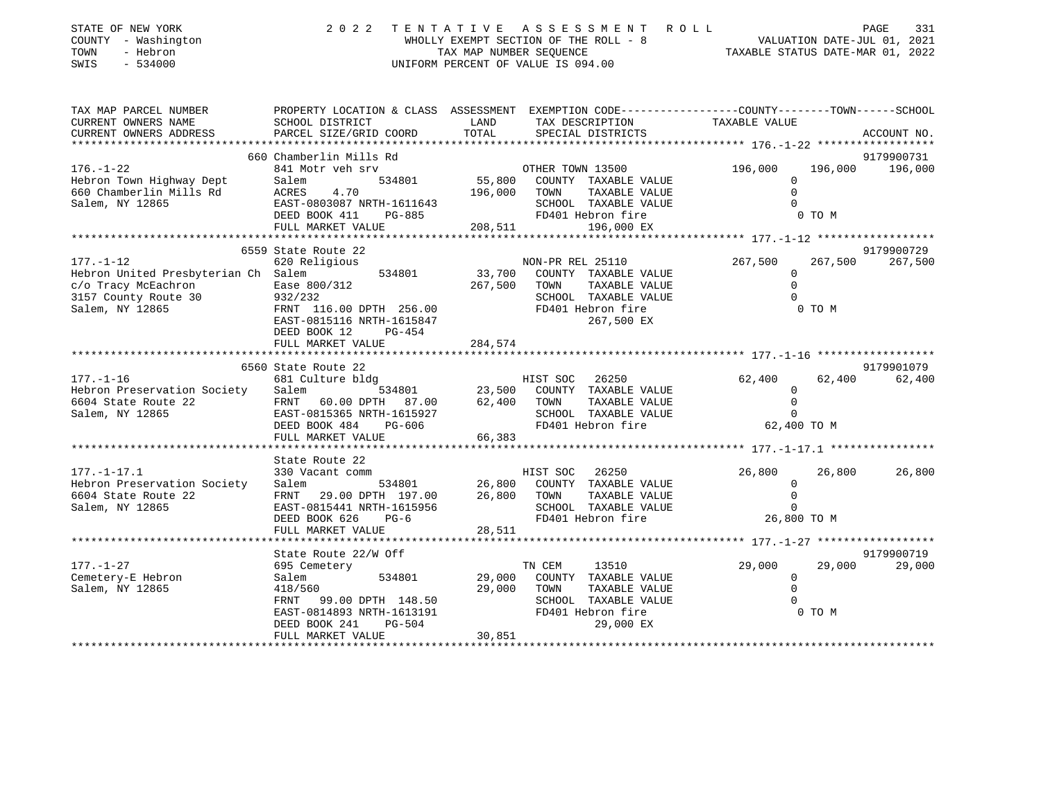| STATE OF NEW YORK<br>COUNTY - Washington<br>- Hebron<br>TOWN<br>SWIS<br>$-534000$                                        | 2 0 2 2                                                                                                                                                                   | TENTATIVE                       | ASSESSMENT ROLL<br>UNIFORM PERCENT OF VALUE IS 094.00                                                                       |                                                     | PAGE<br>331<br>WHOLLY EXEMPT SECTION OF THE ROLL - 8<br>TAX MAP NUMBER SEQUENCE TAIL OF THE ROLL - 8<br>TAXABLE STATUS DATE-MAR 01, 2022 |                       |  |
|--------------------------------------------------------------------------------------------------------------------------|---------------------------------------------------------------------------------------------------------------------------------------------------------------------------|---------------------------------|-----------------------------------------------------------------------------------------------------------------------------|-----------------------------------------------------|------------------------------------------------------------------------------------------------------------------------------------------|-----------------------|--|
| TAX MAP PARCEL NUMBER<br>CURRENT OWNERS NAME<br>CURRENT OWNERS ADDRESS                                                   | PROPERTY LOCATION & CLASS ASSESSMENT EXEMPTION CODE----------------COUNTY-------TOWN------SCHOOL<br>SCHOOL DISTRICT<br>PARCEL SIZE/GRID COORD                             | LAND<br>TOTAL                   | TAX DESCRIPTION<br>SPECIAL DISTRICTS                                                                                        | TAXABLE VALUE                                       |                                                                                                                                          | ACCOUNT NO.           |  |
|                                                                                                                          |                                                                                                                                                                           |                                 |                                                                                                                             |                                                     |                                                                                                                                          |                       |  |
|                                                                                                                          | 660 Chamberlin Mills Rd                                                                                                                                                   |                                 |                                                                                                                             |                                                     |                                                                                                                                          | 9179900731            |  |
| $176. - 1 - 22$<br>Hebron Town Highway Dept<br>660 Chamberlin Mills Rd<br>Salem, NY 12865                                | 841 Motr veh srv<br>Salem 534801<br>ACRES 4.70<br>EAST-0803087 NRTH-1611643<br>DEED ROOK 411 PG-885                                                                       | 196,000 TOWN                    | OTHER TOWN 13500<br>55,800 COUNTY TAXABLE VALUE<br>TAXABLE VALUE<br>SCHOOL TAXABLE VALUE<br>FD401 Hebron fire               | 196,000<br>$\Omega$<br>$\Omega$<br>$\Omega$         | 0 TO M                                                                                                                                   | 196,000 196,000       |  |
|                                                                                                                          | FULL MARKET VALUE                                                                                                                                                         | 208,511                         | 196,000 EX                                                                                                                  |                                                     |                                                                                                                                          |                       |  |
| $177. - 1 - 12$<br>Hebron United Presbyterian Ch Salem<br>c/o Tracy McEachron<br>3157 County Route 30<br>Salem, NY 12865 | 6559 State Route 22<br>620 Religious<br>534801<br>Ease 800/312<br>932/232<br>FRNT 116.00 DPTH 256.00<br>EAST-0815116 NRTH-1615847<br>PG-454<br>DEED BOOK 12               | 267,500 TOWN                    | NON-PR REL 25110<br>33,700 COUNTY TAXABLE VALUE<br>TAXABLE VALUE<br>SCHOOL TAXABLE VALUE<br>FD401 Hebron fire<br>267,500 EX | 267,500<br>$\overline{0}$<br>$\Omega$<br>$\Omega$   | 267,500<br>0 TO M                                                                                                                        | 9179900729<br>267,500 |  |
|                                                                                                                          | FULL MARKET VALUE                                                                                                                                                         | 284,574                         |                                                                                                                             |                                                     |                                                                                                                                          |                       |  |
|                                                                                                                          | 6560 State Route 22                                                                                                                                                       |                                 |                                                                                                                             |                                                     |                                                                                                                                          | 9179901079            |  |
| $177. - 1 - 16$<br>Hebron Preservation Society<br>6604 State Route 22 FRNT 60.00 DPTH 87.00<br>Salem, NY 12865           | 681 Culture bldg<br>Salem 534801<br>EAST-0815365 NRTH-1615927<br>DEED BOOK 484<br>PG-606<br>FULL MARKET VALUE                                                             | 23,500<br>62,400 TOWN<br>66,383 | HIST SOC 26250<br>COUNTY TAXABLE VALUE<br>TAXABLE VALUE<br>SCHOOL TAXABLE VALUE<br>FD401 Hebron fire                        | 62,400<br>$\Omega$<br>$\overline{0}$<br>$\Omega$    | 62,400<br>62,400 TO M                                                                                                                    | 62,400                |  |
|                                                                                                                          |                                                                                                                                                                           |                                 |                                                                                                                             |                                                     |                                                                                                                                          |                       |  |
| $177. - 1 - 17.1$<br>Hebron Preservation Society<br>6604 State Route 22<br>Salem, NY 12865                               | State Route 22<br>330 Vacant comm<br>Salem<br>534801<br>FRNT 29.00 DPTH 197.00<br>EAST-0815441 NRTH-1615956<br>DEED BOOK 626<br>$PG-6$<br>FULL MARKET VALUE               | 26,800<br>26,800<br>28,511      | HIST SOC<br>26250<br>COUNTY TAXABLE VALUE<br>TAXABLE VALUE<br>TOWN<br>SCHOOL TAXABLE VALUE<br>FD401 Hebron fire             | 26,800<br>$\mathbf 0$<br>$\Omega$<br>$\overline{0}$ | 26,800<br>26,800 TO M                                                                                                                    | 26,800                |  |
|                                                                                                                          |                                                                                                                                                                           |                                 |                                                                                                                             |                                                     |                                                                                                                                          |                       |  |
| $177. - 1 - 27$<br>Cemetery-E Hebron<br>Salem, NY 12865                                                                  | State Route 22/W Off<br>695 Cemetery<br>534801<br>Salem<br>418/560<br>FRNT 99.00 DPTH 148.50<br>EAST-0814893 NRTH-1613191<br>DEED BOOK 241<br>PG-504<br>FULL MARKET VALUE | 29,000<br>29,000 TOWN<br>30,851 | TN CEM<br>13510<br>COUNTY TAXABLE VALUE<br>TAXABLE VALUE<br>SCHOOL TAXABLE VALUE<br>FD401 Hebron fire<br>29,000 EX          | 29,000<br>$\circ$<br>$\circ$<br>$\Omega$            | 29,000<br>0 TO M                                                                                                                         | 9179900719<br>29,000  |  |
|                                                                                                                          |                                                                                                                                                                           |                                 |                                                                                                                             |                                                     |                                                                                                                                          |                       |  |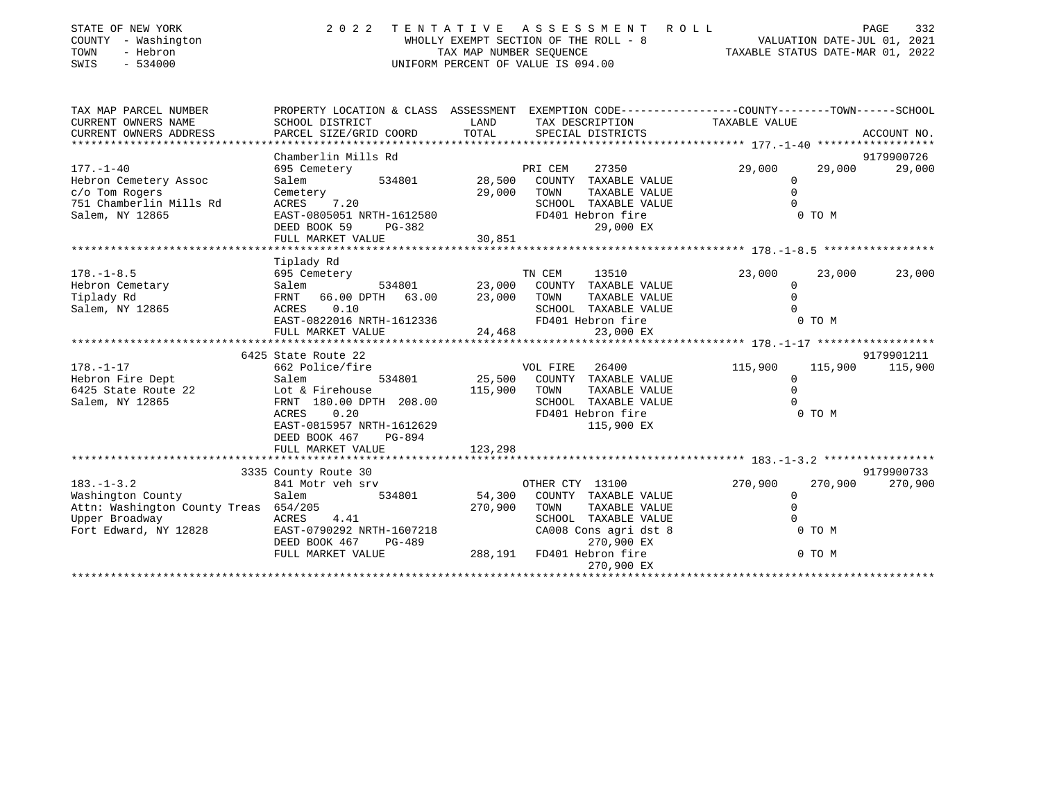| STATE OF NEW YORK<br>COUNTY - Washington<br>TOWN<br>- Hebron<br>SWIS<br>$-534000$ | 2 0 2 2<br>TENTATIVE ASSESSMENT ROLL<br>UNIFORM PERCENT OF VALUE IS 094.00                                        | 332<br>PAGE   |                                               |                              |             |  |
|-----------------------------------------------------------------------------------|-------------------------------------------------------------------------------------------------------------------|---------------|-----------------------------------------------|------------------------------|-------------|--|
| TAX MAP PARCEL NUMBER<br>CURRENT OWNERS NAME                                      | PROPERTY LOCATION & CLASS ASSESSMENT EXEMPTION CODE---------------COUNTY-------TOWN-----SCHOOL<br>SCHOOL DISTRICT | LAND          | TAX DESCRIPTION                               | TAXABLE VALUE                |             |  |
| CURRENT OWNERS ADDRESS                                                            | PARCEL SIZE/GRID COORD                                                                                            | TOTAL         | SPECIAL DISTRICTS                             |                              | ACCOUNT NO. |  |
|                                                                                   |                                                                                                                   |               |                                               |                              |             |  |
|                                                                                   | Chamberlin Mills Rd                                                                                               |               |                                               |                              | 9179900726  |  |
| $177. - 1 - 40$                                                                   | 695 Cemetery<br>534801                                                                                            | 28,500        | PRI CEM<br>27350                              | 29,000<br>29,000<br>$\Omega$ | 29,000      |  |
| Hebron Cemetery Assoc<br>c/o Tom Rogers                                           | Salem                                                                                                             | 29,000        | COUNTY TAXABLE VALUE<br>TOWN<br>TAXABLE VALUE | $\mathbf 0$                  |             |  |
| 751 Chamberlin Mills Rd                                                           | Cemetery<br>ACRES 7.20                                                                                            |               | SCHOOL TAXABLE VALUE                          |                              |             |  |
| Salem, NY 12865                                                                   | EAST-0805051 NRTH-1612580                                                                                         |               | FD401 Hebron fire                             | 0 TO M                       |             |  |
|                                                                                   | DEED BOOK 59<br>PG-382                                                                                            |               | 29,000 EX                                     |                              |             |  |
|                                                                                   | FULL MARKET VALUE                                                                                                 | 30,851        |                                               |                              |             |  |
|                                                                                   |                                                                                                                   |               |                                               |                              |             |  |
|                                                                                   | Tiplady Rd                                                                                                        |               |                                               |                              |             |  |
| $178. - 1 - 8.5$                                                                  | 695 Cemetery                                                                                                      |               | TN CEM<br>13510                               | 23,000<br>23,000             | 23,000      |  |
| Hebron Cemetary                                                                   | Salem                                                                                                             | 534801 23,000 | COUNTY TAXABLE VALUE                          | $\Omega$                     |             |  |
| Tiplady Rd                                                                        | FRNT 66.00 DPTH 63.00                                                                                             | 23,000        | TOWN<br>TAXABLE VALUE                         | $\Omega$                     |             |  |
| Salem, NY 12865                                                                   | 0.10<br>ACRES<br>EAST-0822016 NRTH-1612336                                                                        |               | SCHOOL TAXABLE VALUE<br>FD401 Hebron fire     | 0 TO M                       |             |  |
|                                                                                   | FULL MARKET VALUE                                                                                                 | 24,468        | 23,000 EX                                     |                              |             |  |
|                                                                                   |                                                                                                                   |               |                                               |                              |             |  |
|                                                                                   | 6425 State Route 22                                                                                               |               |                                               |                              | 9179901211  |  |
| $178. - 1 - 17$                                                                   | 662 Police/fire                                                                                                   |               | VOL FIRE 26400                                | 115,900<br>115,900           | 115,900     |  |
| Hebron Fire Dept                                                                  | 534801                                                                                                            |               | 25,500 COUNTY TAXABLE VALUE                   | $\mathbf 0$                  |             |  |
| 6425 State Route 22                                                               | Salem<br>22 Lot & Firehouse<br>22 Lot 22 PPTH                                                                     | 115,900       | TOWN<br>TAXABLE VALUE                         | $\Omega$                     |             |  |
| Salem, NY 12865                                                                   | FRNT 180.00 DPTH 208.00                                                                                           |               | SCHOOL TAXABLE VALUE                          |                              |             |  |
|                                                                                   | ACRES<br>0.20                                                                                                     |               | FD401 Hebron fire                             | 0 TO M                       |             |  |
|                                                                                   | EAST-0815957 NRTH-1612629                                                                                         |               | 115,900 EX                                    |                              |             |  |
|                                                                                   | DEED BOOK 467<br>PG-894                                                                                           |               |                                               |                              |             |  |
|                                                                                   | FULL MARKET VALUE                                                                                                 | 123,298       |                                               |                              |             |  |
|                                                                                   | 3335 County Route 30                                                                                              |               |                                               |                              | 9179900733  |  |
| $183. - 1 - 3.2$                                                                  | 841 Motr veh srv                                                                                                  |               | OTHER CTY 13100                               | 270,900<br>270,900           | 270,900     |  |
| Washington County                                                                 | 534801<br>Salem                                                                                                   | 54,300        | COUNTY TAXABLE VALUE                          | $\Omega$                     |             |  |
| Attn: Washington County Treas 654/205                                             |                                                                                                                   | 270,900       | TOWN<br>TAXABLE VALUE                         | $\Omega$                     |             |  |
| Upper Broadway                                                                    | ACRES 4.41                                                                                                        |               | SCHOOL TAXABLE VALUE                          |                              |             |  |
| Fort Edward, NY 12828                                                             | EAST-0790292 NRTH-1607218                                                                                         |               | CA008 Cons agri dst 8                         | 0 TO M                       |             |  |
|                                                                                   | DEED BOOK 467<br>PG-489                                                                                           |               | 270,900 EX                                    |                              |             |  |
|                                                                                   | FULL MARKET VALUE                                                                                                 |               | 270,000 EA                                    | 0 TO M                       |             |  |
|                                                                                   |                                                                                                                   |               | 270,900 EX                                    |                              |             |  |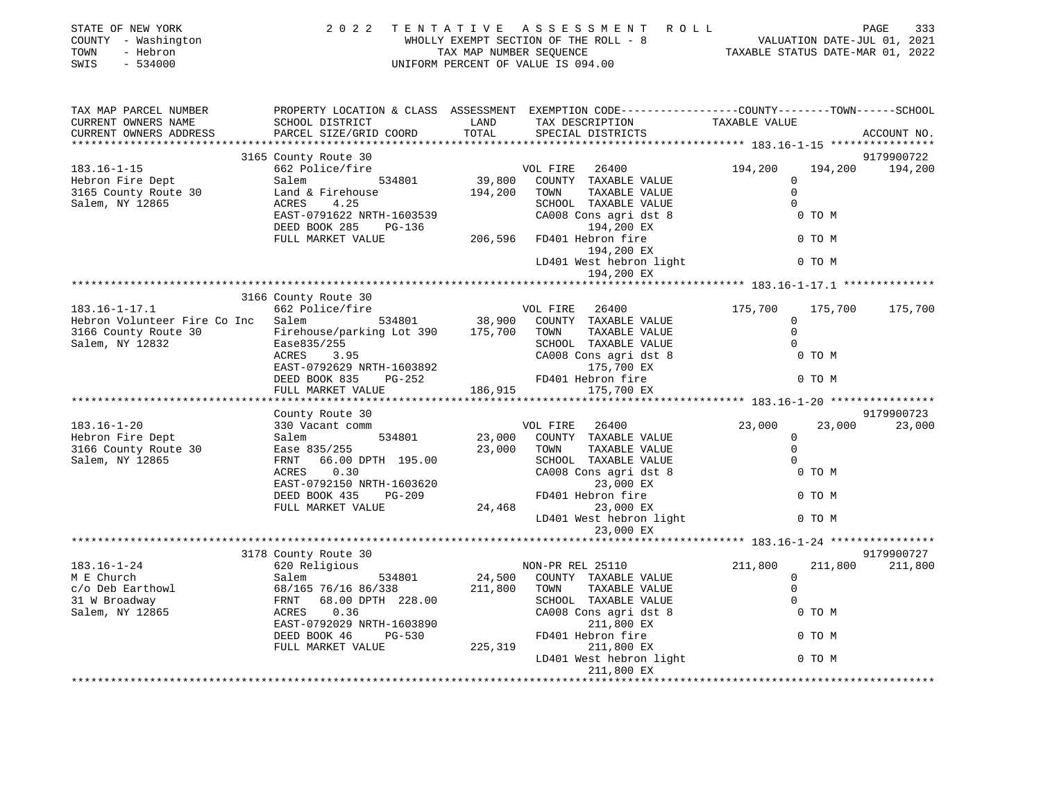| STATE OF NEW YORK<br>COUNTY - Washington<br>- Hebron<br>TOWN<br>$-534000$<br>SWIS | 2 0 2 2                                                                                                                       | TAX MAP NUMBER SEQUENCE | TENTATIVE ASSESSMENT<br>R O L L<br>WHOLLY EXEMPT SECTION OF THE ROLL - 8<br>UNIFORM PERCENT OF VALUE IS 094.00                          |                        | 333<br>PAGE                      |
|-----------------------------------------------------------------------------------|-------------------------------------------------------------------------------------------------------------------------------|-------------------------|-----------------------------------------------------------------------------------------------------------------------------------------|------------------------|----------------------------------|
| TAX MAP PARCEL NUMBER<br>CURRENT OWNERS NAME<br>CURRENT OWNERS ADDRESS            | SCHOOL DISTRICT<br>PARCEL SIZE/GRID COORD                                                                                     | LAND<br>TOTAL           | PROPERTY LOCATION & CLASS ASSESSMENT EXEMPTION CODE----------------COUNTY-------TOWN-----SCHOOL<br>TAX DESCRIPTION<br>SPECIAL DISTRICTS | TAXABLE VALUE          | ACCOUNT NO.                      |
|                                                                                   |                                                                                                                               |                         |                                                                                                                                         |                        |                                  |
| $183.16 - 1 - 15$                                                                 | 3165 County Route 30<br>662 Police/fire                                                                                       |                         | 26400<br>VOL FIRE                                                                                                                       | 194,200                | 9179900722<br>194,200<br>194,200 |
| Hebron Fire Dept                                                                  | 534801<br>Salem                                                                                                               |                         | 39,800 COUNTY TAXABLE VALUE                                                                                                             | $\mathbf 0$            |                                  |
| 3165 County Route 30                                                              |                                                                                                                               | 194,200                 | TAXABLE VALUE<br>TOWN                                                                                                                   | $\mathbf 0$            |                                  |
| Salem, NY 12865                                                                   | 4.25<br>ACRES                                                                                                                 |                         | SCHOOL TAXABLE VALUE                                                                                                                    | $\Omega$               |                                  |
|                                                                                   | EAST-0791622 NRTH-1603539                                                                                                     |                         | CA008 Cons agri dst 8                                                                                                                   |                        | 0 TO M                           |
|                                                                                   | DEED BOOK 285<br>PG-136                                                                                                       |                         | 194,200 EX                                                                                                                              |                        |                                  |
|                                                                                   | FULL MARKET VALUE                                                                                                             |                         | 206,596 FD401 Hebron fire                                                                                                               |                        | 0 TO M                           |
|                                                                                   |                                                                                                                               |                         | 194,200 EX                                                                                                                              |                        |                                  |
|                                                                                   |                                                                                                                               |                         | LD401 West hebron light                                                                                                                 |                        | 0 TO M                           |
|                                                                                   |                                                                                                                               |                         | 194,200 EX                                                                                                                              |                        |                                  |
|                                                                                   |                                                                                                                               |                         |                                                                                                                                         |                        |                                  |
|                                                                                   | 3166 County Route 30                                                                                                          |                         | VOL FIRE 26400                                                                                                                          |                        |                                  |
| $183.16 - 1 - 17.1$<br>Hebron Volunteer Fire Co Inc Salem 534801                  | 662 Police/fire                                                                                                               |                         | 38,900 COUNTY TAXABLE VALUE                                                                                                             | 175,700<br>$\mathbf 0$ | 175,700<br>175,700               |
|                                                                                   |                                                                                                                               |                         | TAXABLE VALUE                                                                                                                           | $\mathbf 0$            |                                  |
| 3166 County Route 30 Firehouse/parking Lot 390 175,700 TOWN<br>Salem, NY 12832    | Ease835/255                                                                                                                   |                         | SCHOOL TAXABLE VALUE                                                                                                                    | $\Omega$               |                                  |
|                                                                                   | ACRES<br>3.95                                                                                                                 |                         | CA008 Cons agri dst 8                                                                                                                   |                        | 0 TO M                           |
|                                                                                   | EAST-0792629 NRTH-1603892                                                                                                     |                         | 175,700 EX                                                                                                                              |                        |                                  |
|                                                                                   | DEED BOOK 835<br>PG-252                                                                                                       |                         | FD401 Hebron fire                                                                                                                       |                        | 0 TO M                           |
|                                                                                   | FULL MARKET VALUE                                                                                                             | 186,915                 | 175,700 EX                                                                                                                              |                        |                                  |
|                                                                                   |                                                                                                                               |                         |                                                                                                                                         |                        |                                  |
|                                                                                   | County Route 30                                                                                                               |                         |                                                                                                                                         |                        | 9179900723                       |
| $183.16 - 1 - 20$                                                                 | 330 Vacant comm                                                                                                               |                         | VOL FIRE<br>26400                                                                                                                       | 23,000                 | 23,000<br>23,000                 |
| Hebron Fire Dept                                                                  | 330 Vacant co<br>Salem<br>Ease 835/255<br>534801                                                                              |                         | 23,000 COUNTY TAXABLE VALUE                                                                                                             | $\mathbf{0}$           |                                  |
| 3166 County Route 30                                                              |                                                                                                                               | 23,000                  | TOWN<br>TAXABLE VALUE                                                                                                                   | $\mathbf 0$            |                                  |
| Salem, NY 12865                                                                   | FRNT 66.00 DPTH 195.00                                                                                                        |                         | SCHOOL TAXABLE VALUE                                                                                                                    | $\Omega$               |                                  |
|                                                                                   | ACRES<br>0.30                                                                                                                 |                         | CA008 Cons agri dst 8                                                                                                                   |                        | 0 TO M                           |
|                                                                                   | EAST-0792150 NRTH-1603620                                                                                                     |                         | 23,000 EX                                                                                                                               |                        |                                  |
|                                                                                   | DEED BOOK 435<br>PG-209                                                                                                       |                         | FD401 Hebron fire                                                                                                                       |                        | 0 TO M                           |
|                                                                                   | FULL MARKET VALUE                                                                                                             |                         | 24,468<br>23,000 EX<br>LD401 West hebron light                                                                                          |                        | 0 TO M                           |
|                                                                                   |                                                                                                                               |                         | 23,000 EX                                                                                                                               |                        |                                  |
|                                                                                   |                                                                                                                               |                         |                                                                                                                                         |                        |                                  |
|                                                                                   | 3178 County Route 30                                                                                                          |                         |                                                                                                                                         |                        | 9179900727                       |
| $183.16 - 1 - 24$                                                                 | 620 Religious                                                                                                                 |                         | NON-PR REL 25110                                                                                                                        | 211,800                | 211,800<br>211,800               |
| M E Church                                                                        | Salem<br>534801                                                                                                               | 24,500                  | COUNTY TAXABLE VALUE                                                                                                                    | $\Omega$               |                                  |
| c/o Deb Earthowl                                                                  |                                                                                                                               | 211,800                 | TOWN<br>TAXABLE VALUE                                                                                                                   | $\mathbf 0$            |                                  |
| 31 W Broadway                                                                     |                                                                                                                               |                         | SCHOOL TAXABLE VALUE                                                                                                                    | $\Omega$               |                                  |
| Salem, NY 12865                                                                   | Salem<br>68/165 76/16 86/338<br>FRNT 68.00 DPTH 228.00<br>ACRES 0.36<br>---- 070000 NRTH-1603890<br>EAST-0792029 NRTH-1603890 |                         | CA008 Cons agri dst 8<br>211,800 EX                                                                                                     |                        | 0 TO M                           |
|                                                                                   | DEED BOOK 46<br>PG-530                                                                                                        |                         | FD401 Hebron fire                                                                                                                       |                        | 0 TO M                           |
|                                                                                   | FULL MARKET VALUE                                                                                                             | 225,319                 | 211,800 EX                                                                                                                              |                        |                                  |
|                                                                                   |                                                                                                                               |                         | LD401 West hebron light                                                                                                                 |                        | 0 TO M                           |
|                                                                                   |                                                                                                                               |                         | 211,800 EX                                                                                                                              |                        |                                  |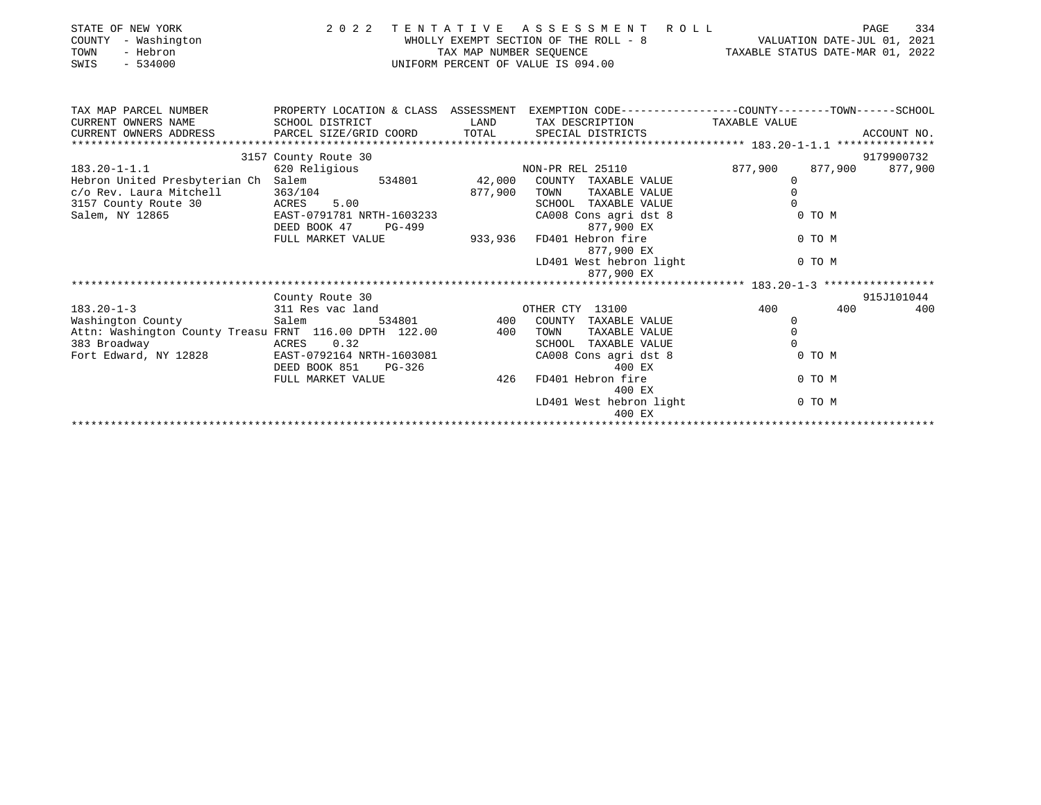| STATE OF NEW YORK<br>COUNTY<br>- Washington<br>TOWN<br>- Hebron<br>$-534000$<br>SWIS                                     | 2 0 2 2                   | TENTATIVE<br>TAX MAP NUMBER SEQUENCE | A S S E S S M E N T R O L L<br>WHOLLY EXEMPT SECTION OF THE ROLL - 8 VALUATION DATE-JUL 01, 2021<br>UNIFORM PERCENT OF VALUE IS 094.00 |               | 334<br>PAGE<br>TAXABLE STATUS DATE-MAR 01, 2022 |
|--------------------------------------------------------------------------------------------------------------------------|---------------------------|--------------------------------------|----------------------------------------------------------------------------------------------------------------------------------------|---------------|-------------------------------------------------|
| TAX MAP PARCEL NUMBER THE PROPERTY LOCATION & CLASS ASSESSMENT EXEMPTION CODE--------------COUNTY-------TOWN------SCHOOL |                           |                                      |                                                                                                                                        |               |                                                 |
| CURRENT OWNERS NAME                                                                                                      | SCHOOL DISTRICT           | LAND                                 | TAX DESCRIPTION                                                                                                                        | TAXABLE VALUE |                                                 |
| CURRENT OWNERS ADDRESS                                                                                                   | PARCEL SIZE/GRID COORD    |                                      | TOTAL SPECIAL DISTRICTS                                                                                                                |               | ACCOUNT NO.                                     |
|                                                                                                                          |                           |                                      |                                                                                                                                        |               |                                                 |
|                                                                                                                          | 3157 County Route 30      |                                      |                                                                                                                                        |               | 9179900732<br>877,900                           |
| $183.20 - 1 - 1.1$<br>Hebron United Presbyterian Ch Salem 534801 42,000                                                  | 620 Religious             |                                      | NON-PR REL 25110<br>COUNTY TAXABLE VALUE                                                                                               | 877,900<br>0  | 877,900                                         |
| c/o Rev. Laura Mitchell                                                                                                  | 363/104                   | 877,900                              | TOWN<br>TAXABLE VALUE                                                                                                                  | $\Omega$      |                                                 |
| 3157 County Route 30                                                                                                     | ACRES 5.00                |                                      | TAXABLE VALUE<br>SCHOOL                                                                                                                | $\Omega$      |                                                 |
| Salem, NY 12865                                                                                                          | EAST-0791781 NRTH-1603233 |                                      | CA008 Cons agri dst 8                                                                                                                  |               | 0 TO M                                          |
|                                                                                                                          | DEED BOOK 47<br>PG-499    |                                      | 877,900 EX                                                                                                                             |               |                                                 |
|                                                                                                                          | FULL MARKET VALUE         | 933,936                              | FD401 Hebron fire                                                                                                                      |               | 0 TO M                                          |
|                                                                                                                          |                           |                                      | 877,900 EX                                                                                                                             |               |                                                 |
|                                                                                                                          |                           |                                      | LD401 West hebron light                                                                                                                |               | 0 TO M                                          |
|                                                                                                                          |                           |                                      | 877,900 EX                                                                                                                             |               |                                                 |
|                                                                                                                          |                           |                                      |                                                                                                                                        |               |                                                 |
|                                                                                                                          | County Route 30           |                                      |                                                                                                                                        |               | 915J101044                                      |
| $183.20 - 1 - 3$                                                                                                         | 311 Res vac land          |                                      | OTHER CTY 13100                                                                                                                        | 400           | 400<br>400                                      |
| Washington County                                                                                                        | Salem                     | 534801 400                           | COUNTY<br>TAXABLE VALUE                                                                                                                | 0             |                                                 |
| Attn: Washington County Treasu FRNT 116.00 DPTH 122.00                                                                   |                           | 400                                  | TOWN<br>TAXABLE VALUE                                                                                                                  | $\mathbf 0$   |                                                 |
| 383 Broadway                                                                                                             | ACRES 0.32                |                                      | TAXABLE VALUE<br>SCHOOL                                                                                                                | $\Omega$      |                                                 |
| Fort Edward, NY 12828                                                                                                    | EAST-0792164 NRTH-1603081 |                                      | CA008 Cons agri dst 8                                                                                                                  |               | 0 TO M                                          |
|                                                                                                                          | DEED BOOK 851<br>PG-326   |                                      | 400 EX                                                                                                                                 |               |                                                 |
|                                                                                                                          | FULL MARKET VALUE         | 426                                  | FD401 Hebron fire<br>400 EX                                                                                                            |               | 0 TO M                                          |
|                                                                                                                          |                           |                                      | LD401 West hebron light                                                                                                                |               | 0 TO M                                          |
|                                                                                                                          |                           |                                      |                                                                                                                                        |               |                                                 |

400 EX \*\*\*\*\*\*\*\*\*\*\*\*\*\*\*\*\*\*\*\*\*\*\*\*\*\*\*\*\*\*\*\*\*\*\*\*\*\*\*\*\*\*\*\*\*\*\*\*\*\*\*\*\*\*\*\*\*\*\*\*\*\*\*\*\*\*\*\*\*\*\*\*\*\*\*\*\*\*\*\*\*\*\*\*\*\*\*\*\*\*\*\*\*\*\*\*\*\*\*\*\*\*\*\*\*\*\*\*\*\*\*\*\*\*\*\*\*\*\*\*\*\*\*\*\*\*\*\*\*\*\*\*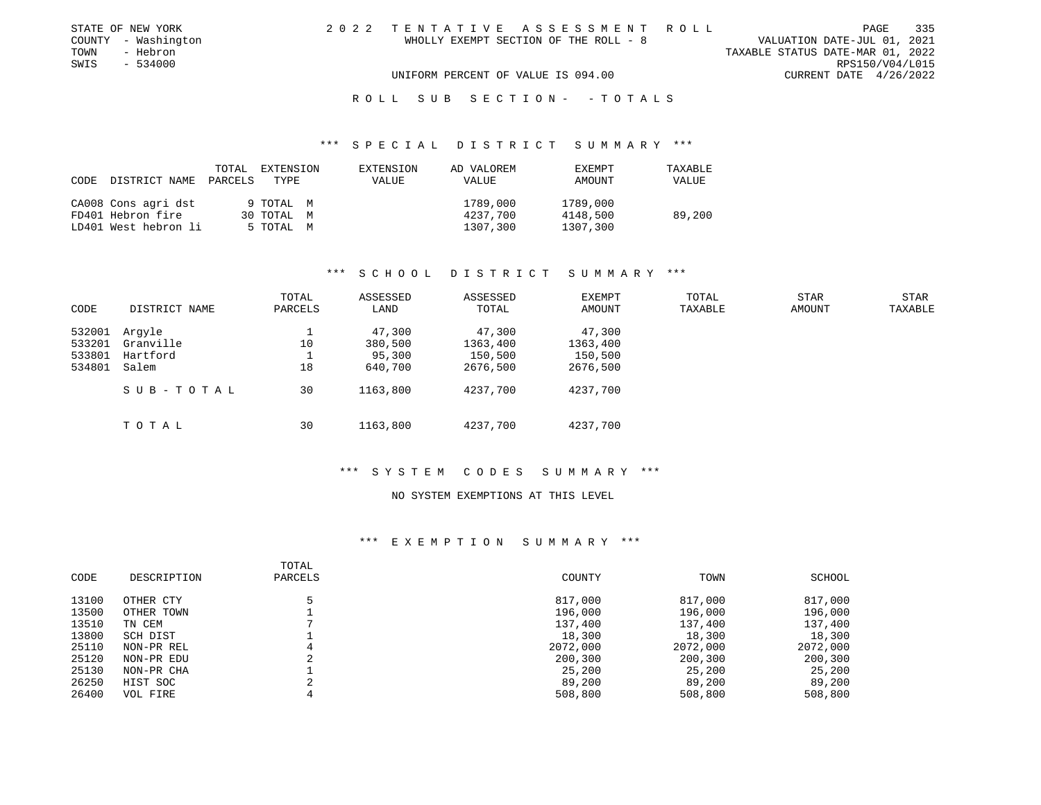| STATE OF NEW YORK   | 2022 TENTATIVE ASSESSMENT ROLL                                       | PAGE            | 335 |
|---------------------|----------------------------------------------------------------------|-----------------|-----|
| COUNTY - Washington | VALUATION DATE-JUL 01, 2021<br>WHOLLY EXEMPT SECTION OF THE ROLL - 8 |                 |     |
| TOWN<br>- Hebron    | TAXABLE STATUS DATE-MAR 01, 2022                                     |                 |     |
| SWIS<br>- 534000    |                                                                      | RPS150/V04/L015 |     |
|                     | UNIFORM PERCENT OF VALUE IS 094.00<br>CURRENT DATE 4/26/2022         |                 |     |
|                     |                                                                      |                 |     |

#### R O L L S U B S E C T I O N - - T O T A L S

#### \*\*\* S P E C I A L D I S T R I C T S U M M A R Y \*\*\*

| CODE | DISTRICT NAME PARCELS TYPE | TOTAL | EXTENSION  | EXTENSION<br>VALUE | AD VALOREM<br>VALUE | EXEMPT<br>AMOUNT | TAXABLE<br>VALUE |
|------|----------------------------|-------|------------|--------------------|---------------------|------------------|------------------|
|      | CA008 Cons agri dst        |       | 9 ТОТАL М  |                    | 1789,000            | 1789,000         |                  |
|      | FD401 Hebron fire          |       | 30 TOTAL M |                    | 4237,700            | 4148,500         | 89,200           |
|      | LD401 West hebron li       |       | 5 TOTAL M  |                    | 1307,300            | 1307,300         |                  |

# \*\*\* S C H O O L D I S T R I C T S U M M A R Y \*\*\*

| CODE                       | DISTRICT NAME                   | TOTAL<br>PARCELS | ASSESSED<br>LAND            | ASSESSED<br>TOTAL             | <b>EXEMPT</b><br>AMOUNT       | TOTAL<br>TAXABLE | <b>STAR</b><br>AMOUNT | STAR<br>TAXABLE |
|----------------------------|---------------------------------|------------------|-----------------------------|-------------------------------|-------------------------------|------------------|-----------------------|-----------------|
| 532001<br>533201<br>533801 | Argyle<br>Granville<br>Hartford | 10               | 47,300<br>380,500<br>95,300 | 47,300<br>1363,400<br>150,500 | 47,300<br>1363,400<br>150,500 |                  |                       |                 |
| 534801                     | Salem                           | 18               | 640,700                     | 2676,500                      | 2676,500                      |                  |                       |                 |
|                            | SUB-TOTAL                       | 30               | 1163,800                    | 4237,700                      | 4237,700                      |                  |                       |                 |
|                            | TOTAL                           | 30               | 1163,800                    | 4237,700                      | 4237,700                      |                  |                       |                 |

#### \*\*\* S Y S T E M C O D E S S U M M A R Y \*\*\*

## NO SYSTEM EXEMPTIONS AT THIS LEVEL

| CODE  | DESCRIPTION | TOTAL<br>PARCELS | COUNTY   | TOWN     | SCHOOL   |
|-------|-------------|------------------|----------|----------|----------|
| 13100 | OTHER CTY   |                  | 817,000  | 817,000  | 817,000  |
| 13500 | OTHER TOWN  |                  | 196,000  | 196,000  | 196,000  |
| 13510 | TN CEM      |                  | 137,400  | 137,400  | 137,400  |
| 13800 | SCH DIST    |                  | 18,300   | 18,300   | 18,300   |
| 25110 | NON-PR REL  |                  | 2072,000 | 2072,000 | 2072,000 |
| 25120 | NON-PR EDU  |                  | 200,300  | 200,300  | 200,300  |
| 25130 | NON-PR CHA  |                  | 25,200   | 25,200   | 25,200   |
| 26250 | HIST SOC    |                  | 89,200   | 89,200   | 89,200   |
| 26400 | VOL FIRE    |                  | 508,800  | 508,800  | 508,800  |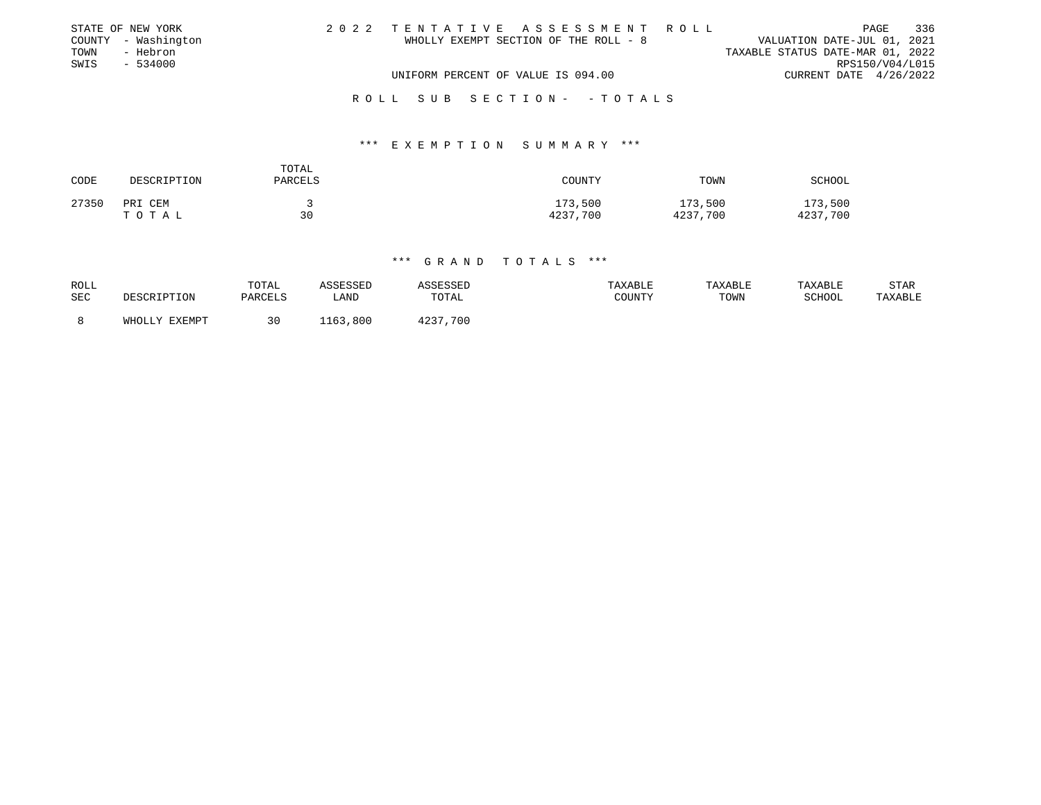|      | STATE OF NEW YORK   |                                    |                                       |  | 2022 TENTATIVE ASSESSMENT ROLL |                                  |                        | PAGE | 336 |
|------|---------------------|------------------------------------|---------------------------------------|--|--------------------------------|----------------------------------|------------------------|------|-----|
|      | COUNTY - Washington |                                    | WHOLLY EXEMPT SECTION OF THE ROLL - 8 |  |                                | VALUATION DATE-JUL 01, 2021      |                        |      |     |
| TOWN | - Hebron            |                                    |                                       |  |                                | TAXABLE STATUS DATE-MAR 01, 2022 |                        |      |     |
| SWIS | $-534000$           |                                    |                                       |  |                                |                                  | RPS150/V04/L015        |      |     |
|      |                     | UNIFORM PERCENT OF VALUE IS 094.00 |                                       |  |                                |                                  | CURRENT DATE 4/26/2022 |      |     |
|      |                     |                                    |                                       |  |                                |                                  |                        |      |     |
|      |                     |                                    |                                       |  | ROLL SUB SECTION- -TOTALS      |                                  |                        |      |     |

## \*\*\* E X E M P T I O N S U M M A R Y \*\*\*

| CODE  | DESCRIPTION      | TOTAL<br>PARCELS | COUNTY              | TOWN                | SCHOOL              |
|-------|------------------|------------------|---------------------|---------------------|---------------------|
| 27350 | PRI CEM<br>TOTAL | 30               | 173,500<br>4237,700 | 173,500<br>4237,700 | 173,500<br>4237,700 |

| ROLL | DESCRIPTION   | TOTAL   | ASSESSED    | ASSESSED | TAXABLE | TAXABLE | TAXABLE       | STAR    |
|------|---------------|---------|-------------|----------|---------|---------|---------------|---------|
| SEC  |               | PARCELS | <b>LAND</b> | TOTAL    | COUNTY  | TOWN    | <b>SCHOOL</b> | TAXABLE |
|      | WHOLLY EXEMPT |         | 1163,800    | 4237,700 |         |         |               |         |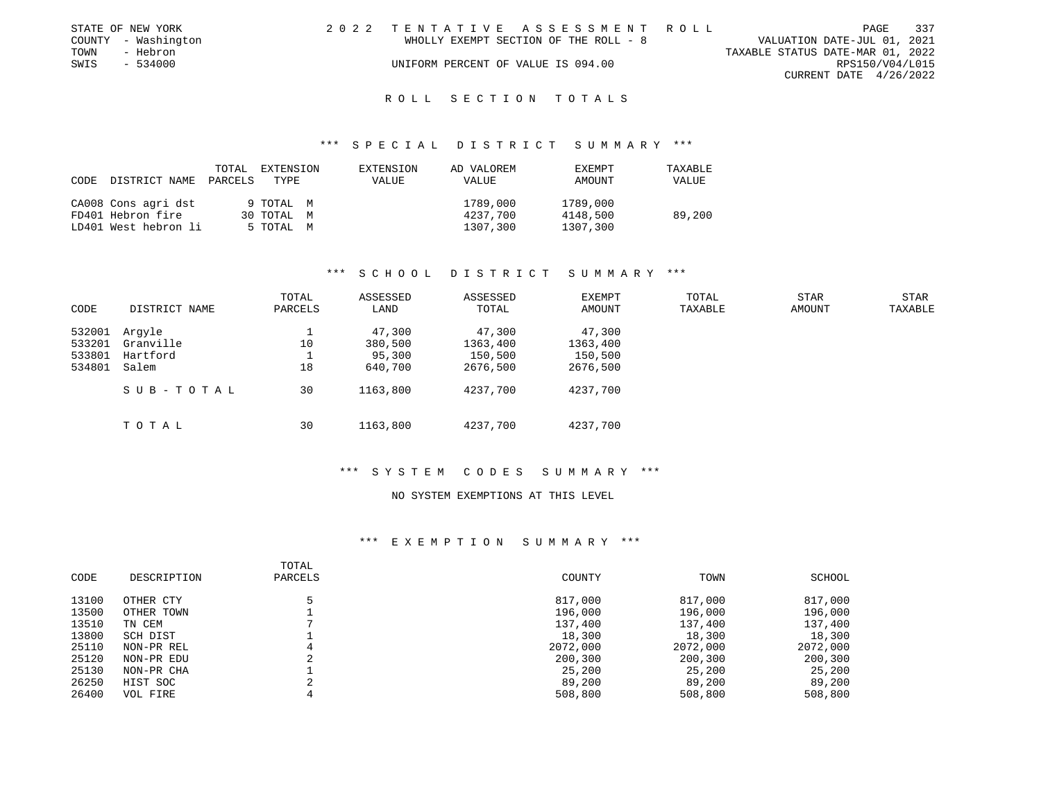|      | STATE OF NEW YORK   |                                    | 2022 TENTATIVE ASSESSMENT ROLL        |                                  |                        | PAGE | - 337 |
|------|---------------------|------------------------------------|---------------------------------------|----------------------------------|------------------------|------|-------|
|      | COUNTY - Washington |                                    | WHOLLY EXEMPT SECTION OF THE ROLL - 8 | VALUATION DATE-JUL 01, 2021      |                        |      |       |
| TOWN | - Hebron            |                                    |                                       | TAXABLE STATUS DATE-MAR 01, 2022 |                        |      |       |
| SWIS | - 534000            | UNIFORM PERCENT OF VALUE IS 094.00 |                                       |                                  | RPS150/V04/L015        |      |       |
|      |                     |                                    |                                       |                                  | CURRENT DATE 4/26/2022 |      |       |
|      |                     |                                    |                                       |                                  |                        |      |       |

#### R O L L S E C T I O N T O T A L S

#### \*\*\* S P E C I A L D I S T R I C T S U M M A R Y \*\*\*

| CODE | DISTRICT NAME PARCELS TYPE | TOTAL | EXTENSION  | EXTENSION<br><b>VALUE</b> | AD VALOREM<br>VALUE | EXEMPT<br>AMOUNT | TAXABLE<br>VALUE |
|------|----------------------------|-------|------------|---------------------------|---------------------|------------------|------------------|
|      | CA008 Cons agri dst        |       | 9 TOTAL M  |                           | 1789,000            | 1789,000         |                  |
|      | FD401 Hebron fire          |       | 30 TOTAL M |                           | 4237,700            | 4148,500         | 89,200           |
|      | LD401 West hebron li       |       | 5 ТОТАЬ М  |                           | 1307,300            | 1307,300         |                  |

## \*\*\* S C H O O L D I S T R I C T S U M M A R Y \*\*\*

| CODE   | DISTRICT NAME | TOTAL<br>PARCELS | ASSESSED<br>LAND | ASSESSED<br>TOTAL | <b>EXEMPT</b><br>AMOUNT | TOTAL<br>TAXABLE | STAR<br>AMOUNT | STAR<br>TAXABLE |
|--------|---------------|------------------|------------------|-------------------|-------------------------|------------------|----------------|-----------------|
| 532001 | Arqyle        |                  | 47,300           | 47,300            | 47,300                  |                  |                |                 |
| 533201 | Granville     | 10               | 380,500          | 1363,400          | 1363,400                |                  |                |                 |
| 533801 | Hartford      |                  | 95,300           | 150,500           | 150,500                 |                  |                |                 |
| 534801 | Salem         | 18               | 640,700          | 2676,500          | 2676,500                |                  |                |                 |
|        | SUB-TOTAL     | 30               | 1163,800         | 4237,700          | 4237,700                |                  |                |                 |
|        | TOTAL         | 30               | 1163,800         | 4237,700          | 4237,700                |                  |                |                 |

#### \*\*\* S Y S T E M C O D E S S U M M A R Y \*\*\*

## NO SYSTEM EXEMPTIONS AT THIS LEVEL

| CODE  | DESCRIPTION | TOTAL<br>PARCELS | COUNTY   | TOWN     | SCHOOL   |
|-------|-------------|------------------|----------|----------|----------|
| 13100 | OTHER CTY   |                  | 817,000  | 817,000  | 817,000  |
| 13500 | OTHER TOWN  |                  | 196,000  | 196,000  | 196,000  |
| 13510 | TN CEM      |                  | 137,400  | 137,400  | 137,400  |
| 13800 | SCH DIST    |                  | 18,300   | 18,300   | 18,300   |
| 25110 | NON-PR REL  | 4                | 2072,000 | 2072,000 | 2072,000 |
| 25120 | NON-PR EDU  | ∠                | 200,300  | 200,300  | 200,300  |
| 25130 | NON-PR CHA  |                  | 25,200   | 25,200   | 25,200   |
| 26250 | HIST SOC    | $\sim$           | 89,200   | 89,200   | 89,200   |
| 26400 | VOL FIRE    |                  | 508,800  | 508,800  | 508,800  |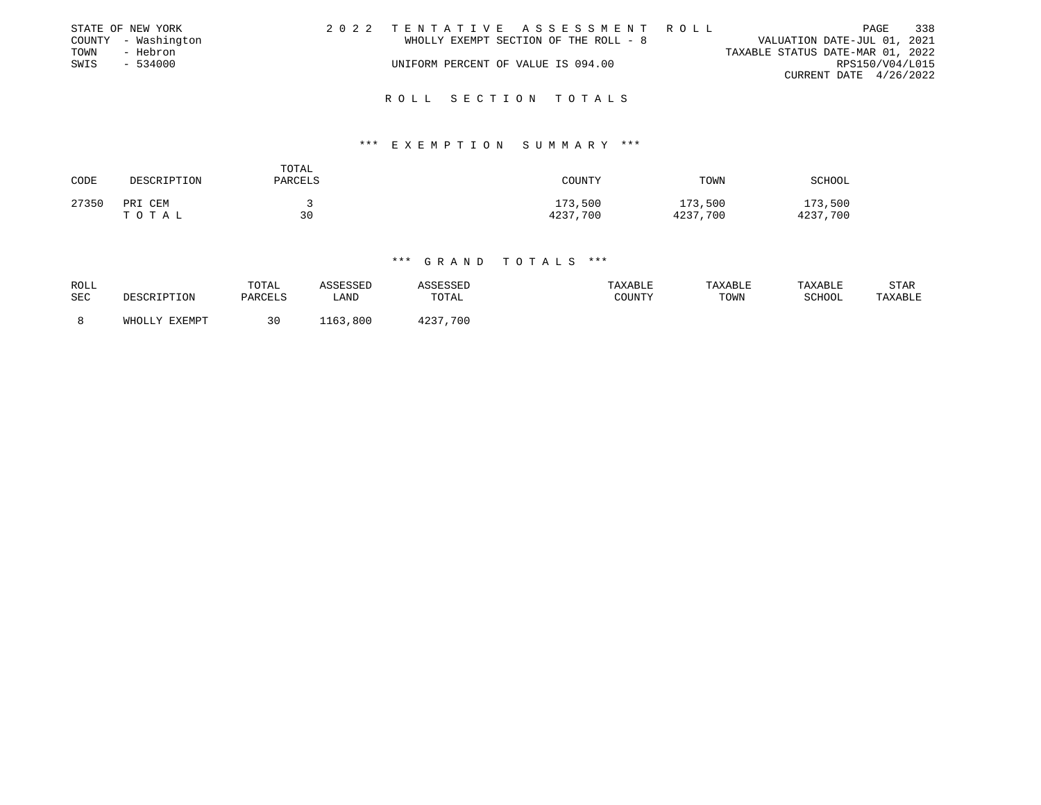|      | STATE OF NEW YORK   | 2022 TENTATIVE ASSESSMENT ROLL        |  |                                  |                        | PAGE | 338 |
|------|---------------------|---------------------------------------|--|----------------------------------|------------------------|------|-----|
|      | COUNTY - Washington | WHOLLY EXEMPT SECTION OF THE ROLL - 8 |  | VALUATION DATE-JUL 01, 2021      |                        |      |     |
| TOWN | - Hebron            |                                       |  | TAXABLE STATUS DATE-MAR 01, 2022 |                        |      |     |
| SWIS | - 534000            | UNIFORM PERCENT OF VALUE IS 094.00    |  |                                  | RPS150/V04/L015        |      |     |
|      |                     |                                       |  |                                  | CURRENT DATE 4/26/2022 |      |     |
|      |                     |                                       |  |                                  |                        |      |     |

# R O L L S E C T I O N T O T A L S

#### \*\*\* E X E M P T I O N S U M M A R Y \*\*\*

| CODE  | DESCRIPTION      | TOTAL<br>PARCELS | COUNTY              | TOWN                | SCHOOL              |
|-------|------------------|------------------|---------------------|---------------------|---------------------|
| 27350 | PRI CEM<br>TOTAL | 30               | 173,500<br>4237,700 | 173,500<br>4237,700 | 173,500<br>4237,700 |

| <b>ROLL</b> | DESCRIPTION   | TOTAL   | ASSESSED | ASSESSED | TAXABLE | TAXABLE | TAXABLE | STAR    |
|-------------|---------------|---------|----------|----------|---------|---------|---------|---------|
| SEC         |               | PARCELS | LAND     | TOTAL    | COUNTY  | TOWN    | SCHOOL  | TAXABLE |
|             | WHOLLY EXEMPT |         | 1163,800 | 4237,700 |         |         |         |         |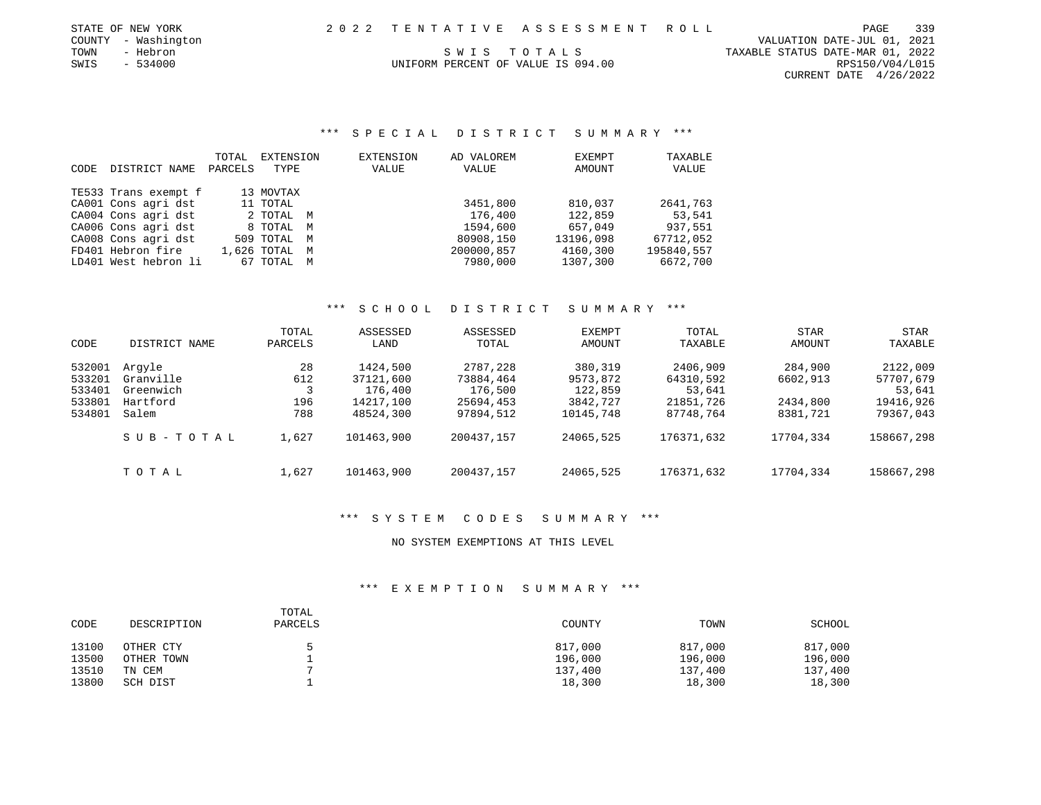| STATE OF NEW YORK   |  | 2022 TENTATIVE ASSESSMENT ROLL |                                  | PAGE | 339 |
|---------------------|--|--------------------------------|----------------------------------|------|-----|
| COUNTY - Washington |  |                                | VALUATION DATE-JUL 01, 2021      |      |     |
| TOWN<br>- Hebron    |  | SWIS TOTALS                    | TAXABLE STATUS DATE-MAR 01, 2022 |      |     |

CURRENT DATE 4/26/2022

339

# SWIS - 534000 CONTROLLERT OF VALUE IS 094.00

## \*\*\* S P E C I A L D I S T R I C T S U M M A R Y \*\*\*

|      |                      | TOTAL   | EXTENSION     | EXTENSION | AD VALOREM | EXEMPT    | TAXABLE    |
|------|----------------------|---------|---------------|-----------|------------|-----------|------------|
| CODE | DISTRICT NAME        | PARCELS | TYPE          | VALUE     | VALUE      | AMOUNT    | VALUE      |
|      |                      |         |               |           |            |           |            |
|      | TE533 Trans exempt f |         | 13 MOVTAX     |           |            |           |            |
|      | CA001 Cons agri dst  |         | 11 TOTAL      |           | 3451,800   | 810,037   | 2641,763   |
|      | CA004 Cons agri dst  |         | 2 TOTAL M     |           | 176,400    | 122,859   | 53,541     |
|      | CA006 Cons agri dst  |         | 8 TOTAL M     |           | 1594,600   | 657,049   | 937,551    |
|      | CA008 Cons agri dst  |         | 509 TOTAL M   |           | 80908,150  | 13196,098 | 67712,052  |
|      | FD401 Hebron fire    |         | 1,626 TOTAL M |           | 200000,857 | 4160,300  | 195840,557 |
|      | LD401 West hebron li |         | 67 TOTAL M    |           | 7980,000   | 1307,300  | 6672,700   |

## \*\*\* S C H O O L D I S T R I C T S U M M A R Y \*\*\*

| CODE                                           | DISTRICT NAME                                         | TOTAL<br>PARCELS        | ASSESSED<br>LAND                                           | ASSESSED<br>TOTAL                                          | <b>EXEMPT</b><br>AMOUNT                                 | TOTAL<br>TAXABLE                                          | <b>STAR</b><br><b>AMOUNT</b>                | STAR<br>TAXABLE                                           |
|------------------------------------------------|-------------------------------------------------------|-------------------------|------------------------------------------------------------|------------------------------------------------------------|---------------------------------------------------------|-----------------------------------------------------------|---------------------------------------------|-----------------------------------------------------------|
| 532001<br>533201<br>533401<br>533801<br>534801 | Arqyle<br>Granville<br>Greenwich<br>Hartford<br>Salem | 28<br>612<br>196<br>788 | 1424,500<br>37121,600<br>176,400<br>14217,100<br>48524,300 | 2787,228<br>73884,464<br>176,500<br>25694,453<br>97894,512 | 380,319<br>9573,872<br>122,859<br>3842,727<br>10145,748 | 2406,909<br>64310,592<br>53,641<br>21851,726<br>87748,764 | 284,900<br>6602,913<br>2434,800<br>8381,721 | 2122,009<br>57707,679<br>53,641<br>19416,926<br>79367,043 |
|                                                | SUB-TOTAL                                             | 1,627                   | 101463,900                                                 | 200437.157                                                 | 24065,525                                               | 176371,632                                                | 17704,334                                   | 158667,298                                                |
|                                                | тотаь                                                 | 1,627                   | 101463,900                                                 | 200437.157                                                 | 24065,525                                               | 176371,632                                                | 17704,334                                   | 158667,298                                                |

# \*\*\* S Y S T E M C O D E S S U M M A R Y \*\*\*

#### NO SYSTEM EXEMPTIONS AT THIS LEVEL

| CODE  | DESCRIPTION | TOTAL<br>PARCELS | COUNTY  | TOWN    | <b>SCHOOL</b> |
|-------|-------------|------------------|---------|---------|---------------|
| 13100 | OTHER CTY   |                  | 817,000 | 817,000 | 817,000       |
| 13500 | OTHER TOWN  |                  | 196,000 | 196,000 | 196,000       |
| 13510 | TN CEM      |                  | 137,400 | 137,400 | 137,400       |
| 13800 | SCH DIST    |                  | 18,300  | 18,300  | 18,300        |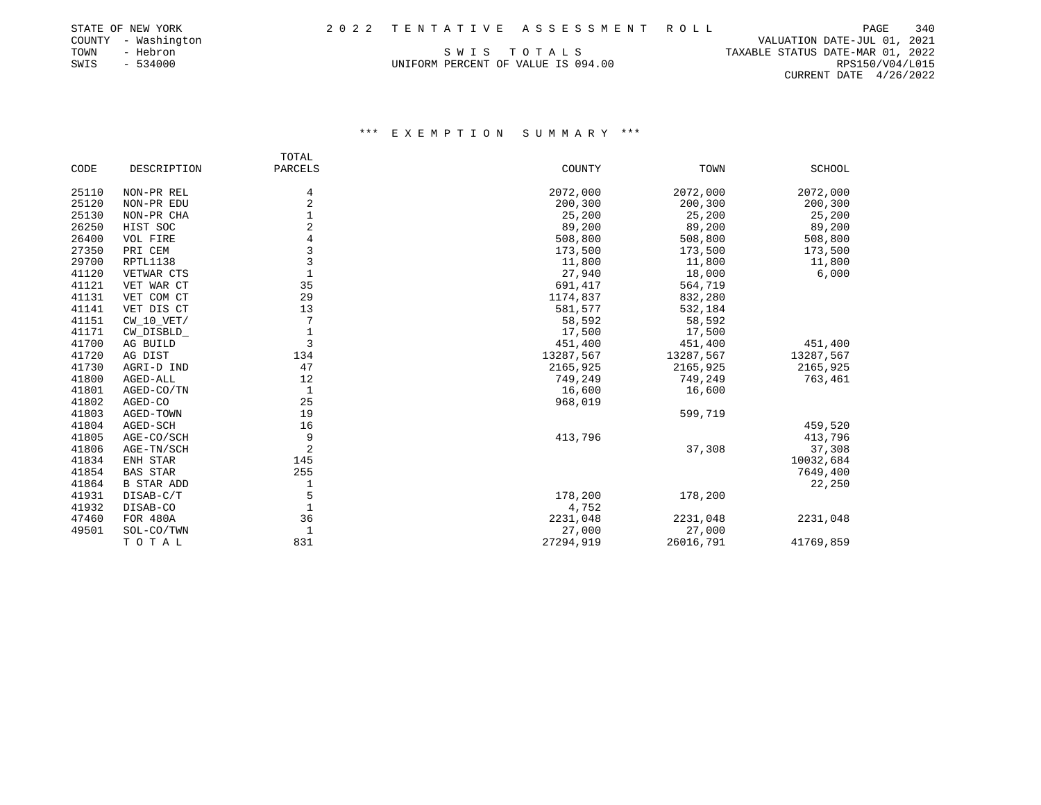|      | STATE OF NEW YORK   |  | 2022 TENTATIVE ASSESSMENT ROLL     |                                  | PAGE            | 340 |
|------|---------------------|--|------------------------------------|----------------------------------|-----------------|-----|
|      | COUNTY - Washington |  |                                    | VALUATION DATE-JUL 01, 2021      |                 |     |
| TOWN | - Hebron            |  | SWIS TOTALS                        | TAXABLE STATUS DATE-MAR 01, 2022 |                 |     |
| SWIS | - 534000            |  | UNIFORM PERCENT OF VALUE IS 094.00 |                                  | RPS150/V04/L015 |     |

CURRENT DATE 4/26/2022

# \*\*\* E X E M P T I O N S U M M A R Y \*\*\*

|       |                   | TOTAL          |           |           |               |
|-------|-------------------|----------------|-----------|-----------|---------------|
| CODE  | DESCRIPTION       | PARCELS        | COUNTY    | TOWN      | <b>SCHOOL</b> |
| 25110 | NON-PR REL        | 4              | 2072,000  | 2072,000  | 2072,000      |
| 25120 | NON-PR EDU        | $\overline{c}$ | 200,300   | 200,300   | 200,300       |
| 25130 | NON-PR CHA        |                | 25,200    | 25,200    | 25,200        |
| 26250 | HIST SOC          |                | 89,200    | 89,200    | 89,200        |
| 26400 | VOL FIRE          |                | 508,800   | 508,800   | 508,800       |
| 27350 | PRI CEM           | 3              | 173,500   | 173,500   | 173,500       |
| 29700 | RPTL1138          | 3              | 11,800    | 11,800    | 11,800        |
| 41120 | VETWAR CTS        |                | 27,940    | 18,000    | 6,000         |
| 41121 | VET WAR CT        | 35             | 691,417   | 564,719   |               |
| 41131 | VET COM CT        | 29             | 1174,837  | 832,280   |               |
| 41141 | VET DIS CT        | 13             | 581,577   | 532,184   |               |
| 41151 | $CW_10_VET/$      | 7              | 58,592    | 58,592    |               |
| 41171 | CW_DISBLD_        |                | 17,500    | 17,500    |               |
| 41700 | AG BUILD          | 3              | 451,400   | 451,400   | 451,400       |
| 41720 | AG DIST           | 134            | 13287,567 | 13287,567 | 13287,567     |
| 41730 | AGRI-D IND        | 47             | 2165,925  | 2165,925  | 2165,925      |
| 41800 | AGED-ALL          | 12             | 749,249   | 749,249   | 763,461       |
| 41801 | AGED-CO/TN        | $\mathbf{1}$   | 16,600    | 16,600    |               |
| 41802 | AGED-CO           | 25             | 968,019   |           |               |
| 41803 | AGED-TOWN         | 19             |           | 599,719   |               |
| 41804 | AGED-SCH          | 16             |           |           | 459,520       |
| 41805 | AGE-CO/SCH        | 9              | 413,796   |           | 413,796       |
| 41806 | AGE-TN/SCH        | 2              |           | 37,308    | 37,308        |
| 41834 | ENH STAR          | 145            |           |           | 10032,684     |
| 41854 | <b>BAS STAR</b>   | 255            |           |           | 7649,400      |
| 41864 | <b>B STAR ADD</b> |                |           |           | 22,250        |
| 41931 | DISAB-C/T         | 5              | 178,200   | 178,200   |               |
| 41932 | DISAB-CO          |                | 4,752     |           |               |
| 47460 | <b>FOR 480A</b>   | 36             | 2231,048  | 2231,048  | 2231,048      |
| 49501 | SOL-CO/TWN        |                | 27,000    | 27,000    |               |
|       | TOTAL             | 831            | 27294,919 | 26016,791 | 41769,859     |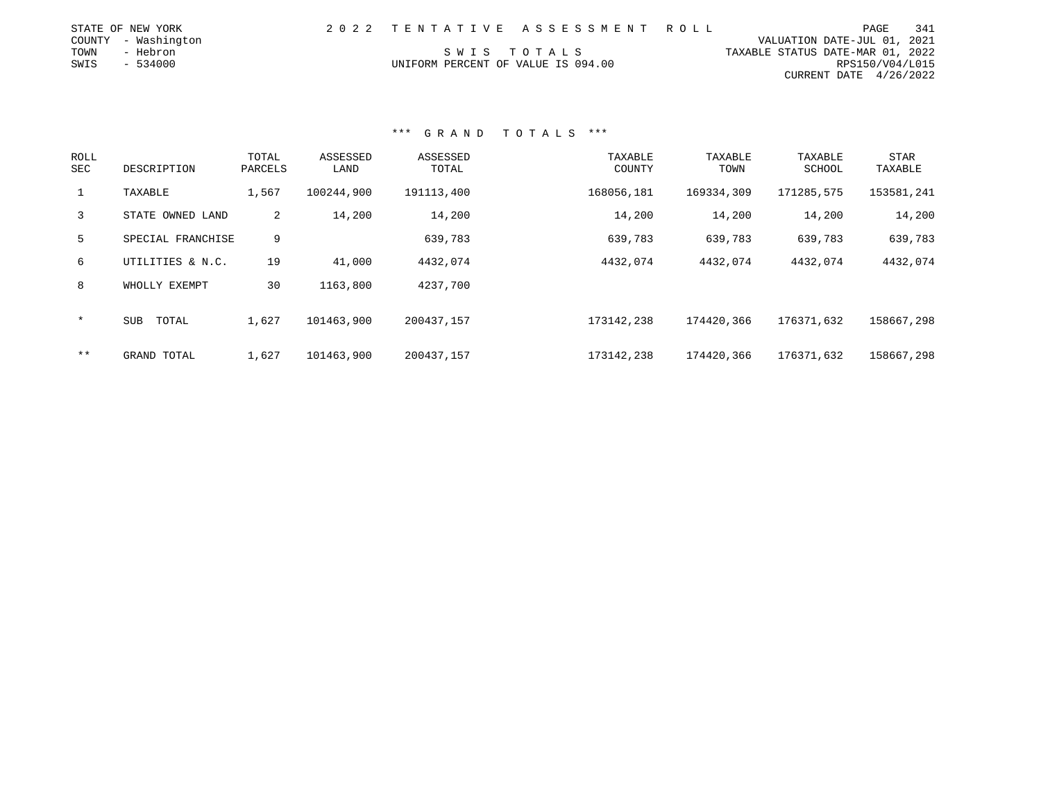|      | STATE OF NEW YORK   |                                    | 2022 TENTATIVE ASSESSMENT ROLL |                                  | PAGE                        | 341 |
|------|---------------------|------------------------------------|--------------------------------|----------------------------------|-----------------------------|-----|
|      | COUNTY - Washington |                                    |                                |                                  | VALUATION DATE-JUL 01, 2021 |     |
| TOWN | - Hebron            |                                    | SWIS TOTALS                    | TAXABLE STATUS DATE-MAR 01, 2022 |                             |     |
| SWIS | $-534000$           | UNIFORM PERCENT OF VALUE IS 094.00 |                                |                                  | RPS150/V04/L015             |     |
|      |                     |                                    |                                |                                  | CURRENT DATE $4/26/2022$    |     |

| <b>ROLL</b><br>SEC | DESCRIPTION       | TOTAL<br>PARCELS | ASSESSED<br>LAND | ASSESSED<br>TOTAL | TAXABLE<br>COUNTY | TAXABLE<br>TOWN | TAXABLE<br>SCHOOL | <b>STAR</b><br>TAXABLE |
|--------------------|-------------------|------------------|------------------|-------------------|-------------------|-----------------|-------------------|------------------------|
| $\mathbf{1}$       | TAXABLE           | 1,567            | 100244,900       | 191113,400        | 168056,181        | 169334,309      | 171285,575        | 153581,241             |
| $\mathbf{3}$       | STATE OWNED LAND  | 2                | 14,200           | 14,200            | 14,200            | 14,200          | 14,200            | 14,200                 |
| 5                  | SPECIAL FRANCHISE | 9                |                  | 639,783           | 639,783           | 639,783         | 639,783           | 639,783                |
| 6                  | UTILITIES & N.C.  | 19               | 41,000           | 4432,074          | 4432,074          | 4432,074        | 4432,074          | 4432,074               |
| 8                  | WHOLLY EXEMPT     | 30               | 1163,800         | 4237,700          |                   |                 |                   |                        |
| $\star$            | TOTAL<br>SUB      | 1,627            | 101463,900       | 200437,157        | 173142,238        | 174420,366      | 176371,632        | 158667,298             |
| $* *$              | GRAND TOTAL       | 1,627            | 101463,900       | 200437,157        | 173142,238        | 174420,366      | 176371,632        | 158667,298             |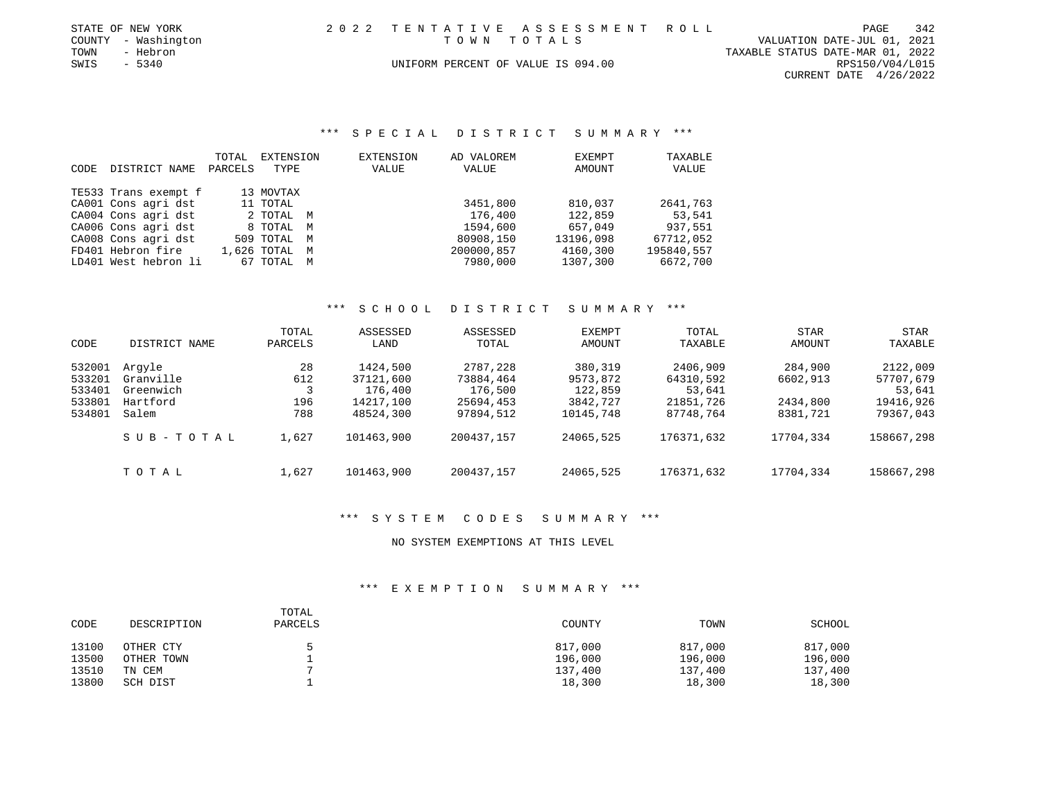| STATE OF NEW YORK   | 2022 TENTATIVE ASSESSMENT ROLL |                                    |                                  | PAGE            | 342 |
|---------------------|--------------------------------|------------------------------------|----------------------------------|-----------------|-----|
| COUNTY - Washington |                                | TOWN TOTALS                        | VALUATION DATE-JUL 01, 2021      |                 |     |
| TOWN<br>- Hebron    |                                |                                    | TAXABLE STATUS DATE-MAR 01, 2022 |                 |     |
| SWIS<br>- 5340      |                                | UNIFORM PERCENT OF VALUE IS 094.00 |                                  | RPS150/V04/L015 |     |
|                     |                                |                                    | CURRENT DATE $4/26/2022$         |                 |     |

\*\*\* S P E C I A L D I S T R I C T S U M M A R Y \*\*\*

|      |                      | TOTAL   | EXTENSION     | EXTENSION | AD VALOREM | EXEMPT    | TAXABLE      |
|------|----------------------|---------|---------------|-----------|------------|-----------|--------------|
| CODE | DISTRICT NAME        | PARCELS | TYPE          | VALUE     | VALUE      | AMOUNT    | <b>VALUE</b> |
|      |                      |         |               |           |            |           |              |
|      | TE533 Trans exempt f |         | 13 MOVTAX     |           |            |           |              |
|      | CA001 Cons agri dst  |         | 11 TOTAL      |           | 3451,800   | 810,037   | 2641,763     |
|      | CA004 Cons agri dst  |         | 2 TOTAL M     |           | 176,400    | 122,859   | 53,541       |
|      | CA006 Cons agri dst  |         | 8 TOTAL M     |           | 1594,600   | 657,049   | 937,551      |
|      | CA008 Cons agri dst  |         | 509 TOTAL M   |           | 80908,150  | 13196,098 | 67712,052    |
|      | FD401 Hebron fire    |         | 1,626 TOTAL M |           | 200000,857 | 4160,300  | 195840,557   |
|      | LD401 West hebron li |         | 67 TOTAL M    |           | 7980,000   | 1307,300  | 6672,700     |

#### \*\*\* S C H O O L D I S T R I C T S U M M A R Y \*\*\*

| CODE                                           | DISTRICT NAME                                         | TOTAL<br>PARCELS        | ASSESSED<br>LAND                                           | ASSESSED<br>TOTAL                                          | <b>EXEMPT</b><br><b>AMOUNT</b>                          | TOTAL<br>TAXABLE                                          | <b>STAR</b><br><b>AMOUNT</b>                | STAR<br>TAXABLE                                           |
|------------------------------------------------|-------------------------------------------------------|-------------------------|------------------------------------------------------------|------------------------------------------------------------|---------------------------------------------------------|-----------------------------------------------------------|---------------------------------------------|-----------------------------------------------------------|
| 532001<br>533201<br>533401<br>533801<br>534801 | Arqyle<br>Granville<br>Greenwich<br>Hartford<br>Salem | 28<br>612<br>196<br>788 | 1424,500<br>37121,600<br>176,400<br>14217,100<br>48524,300 | 2787,228<br>73884,464<br>176,500<br>25694,453<br>97894,512 | 380,319<br>9573,872<br>122,859<br>3842,727<br>10145,748 | 2406,909<br>64310,592<br>53,641<br>21851,726<br>87748,764 | 284,900<br>6602,913<br>2434,800<br>8381,721 | 2122,009<br>57707,679<br>53,641<br>19416,926<br>79367,043 |
|                                                | SUB-TOTAL                                             | 1,627                   | 101463,900                                                 | 200437.157                                                 | 24065,525                                               | 176371,632                                                | 17704,334                                   | 158667,298                                                |
|                                                | TOTAL                                                 | 1,627                   | 101463,900                                                 | 200437.157                                                 | 24065,525                                               | 176371,632                                                | 17704,334                                   | 158667,298                                                |

# \*\*\* S Y S T E M C O D E S S U M M A R Y \*\*\*

NO SYSTEM EXEMPTIONS AT THIS LEVEL

| CODE  | DESCRIPTION | TOTAL<br>PARCELS | COUNTY  | TOWN    | SCHOOL  |
|-------|-------------|------------------|---------|---------|---------|
| 13100 | OTHER CTY   |                  | 817,000 | 817,000 | 817,000 |
| 13500 | OTHER TOWN  |                  | 196,000 | 196,000 | 196,000 |
| 13510 | TN CEM      |                  | 137,400 | 137,400 | 137,400 |
| 13800 | SCH DIST    |                  | 18,300  | 18,300  | 18,300  |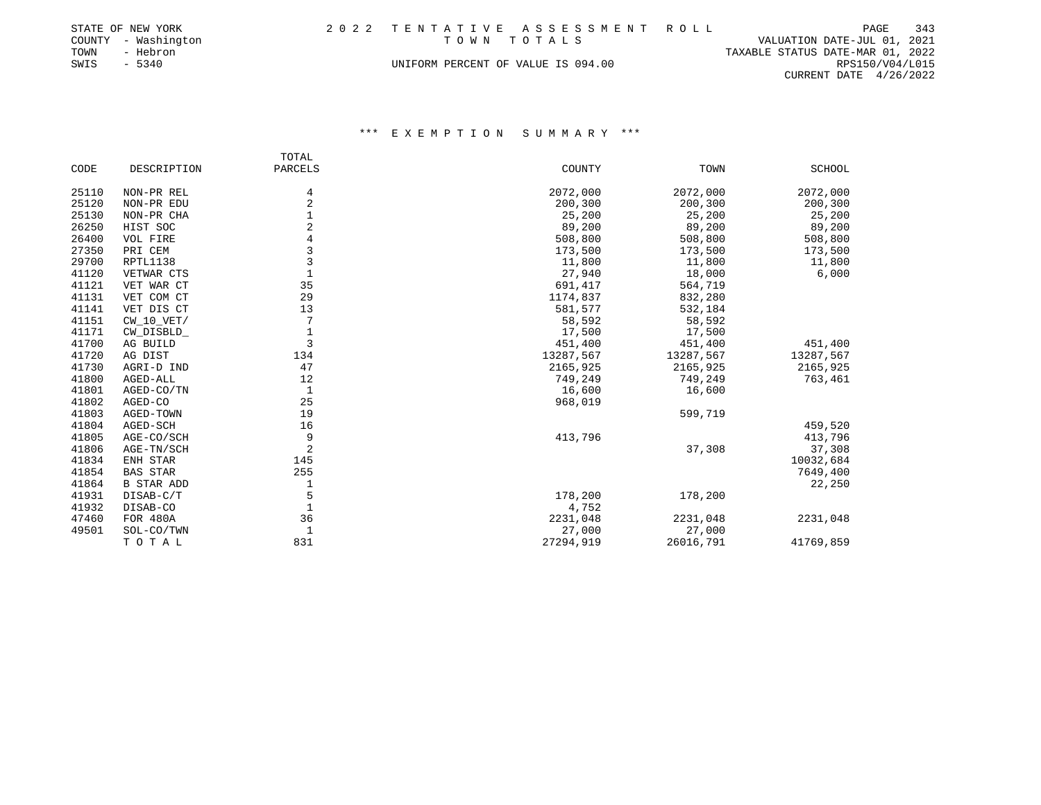|      | STATE OF NEW YORK   |                                    | 2022 TENTATIVE ASSESSMENT ROLL |                                  | PAGE            | 343 |
|------|---------------------|------------------------------------|--------------------------------|----------------------------------|-----------------|-----|
|      | COUNTY - Washington | TOWN TOTALS                        |                                | VALUATION DATE-JUL 01, 2021      |                 |     |
| TOWN | - Hebron            |                                    |                                | TAXABLE STATUS DATE-MAR 01, 2022 |                 |     |
| SWIS | $-5340$             | UNIFORM PERCENT OF VALUE IS 094.00 |                                |                                  | RPS150/V04/L015 |     |
|      |                     |                                    |                                | CURRENT DATE $4/26/2022$         |                 |     |

|       |                   | TOTAL          |           |           |           |
|-------|-------------------|----------------|-----------|-----------|-----------|
| CODE  | DESCRIPTION       | PARCELS        | COUNTY    | TOWN      | SCHOOL    |
| 25110 | NON-PR REL        | 4              | 2072,000  | 2072,000  | 2072,000  |
| 25120 | NON-PR EDU        | 2              | 200,300   | 200,300   | 200,300   |
| 25130 | NON-PR CHA        |                | 25,200    | 25,200    | 25,200    |
| 26250 | HIST SOC          |                | 89,200    | 89,200    | 89,200    |
| 26400 | VOL FIRE          |                | 508,800   | 508,800   | 508,800   |
| 27350 | PRI CEM           |                | 173,500   | 173,500   | 173,500   |
| 29700 | RPTL1138          | 3              | 11,800    | 11,800    | 11,800    |
| 41120 | VETWAR CTS        | $\mathbf{1}$   | 27,940    | 18,000    | 6,000     |
| 41121 | VET WAR CT        | 35             | 691,417   | 564,719   |           |
| 41131 | VET COM CT        | 29             | 1174,837  | 832,280   |           |
| 41141 | VET DIS CT        | 13             | 581,577   | 532,184   |           |
| 41151 | $CW_10_VET/$      |                | 58,592    | 58,592    |           |
| 41171 | CW_DISBLD_        | $1\,$          | 17,500    | 17,500    |           |
| 41700 | AG BUILD          | 3              | 451,400   | 451,400   | 451,400   |
| 41720 | AG DIST           | 134            | 13287,567 | 13287,567 | 13287,567 |
| 41730 | AGRI-D IND        | 47             | 2165,925  | 2165,925  | 2165,925  |
| 41800 | AGED-ALL          | 12             | 749,249   | 749,249   | 763,461   |
| 41801 | AGED-CO/TN        | $\mathbf{1}$   | 16,600    | 16,600    |           |
| 41802 | AGED-CO           | 25             | 968,019   |           |           |
| 41803 | AGED-TOWN         | 19             |           | 599,719   |           |
| 41804 | AGED-SCH          | 16             |           |           | 459,520   |
| 41805 | AGE-CO/SCH        | 9              | 413,796   |           | 413,796   |
| 41806 | AGE-TN/SCH        | $\overline{2}$ |           | 37,308    | 37,308    |
| 41834 | ENH STAR          | 145            |           |           | 10032,684 |
| 41854 | <b>BAS STAR</b>   | 255            |           |           | 7649,400  |
| 41864 | <b>B STAR ADD</b> | 1              |           |           | 22,250    |
| 41931 | DISAB-C/T         | 5              | 178,200   | 178,200   |           |
| 41932 | DISAB-CO          | $\mathbf{1}$   | 4,752     |           |           |
| 47460 | FOR 480A          | 36             | 2231,048  | 2231,048  | 2231,048  |
| 49501 | SOL-CO/TWN        | $\mathbf{1}$   | 27,000    | 27,000    |           |
|       | TOTAL             | 831            | 27294,919 | 26016,791 | 41769,859 |